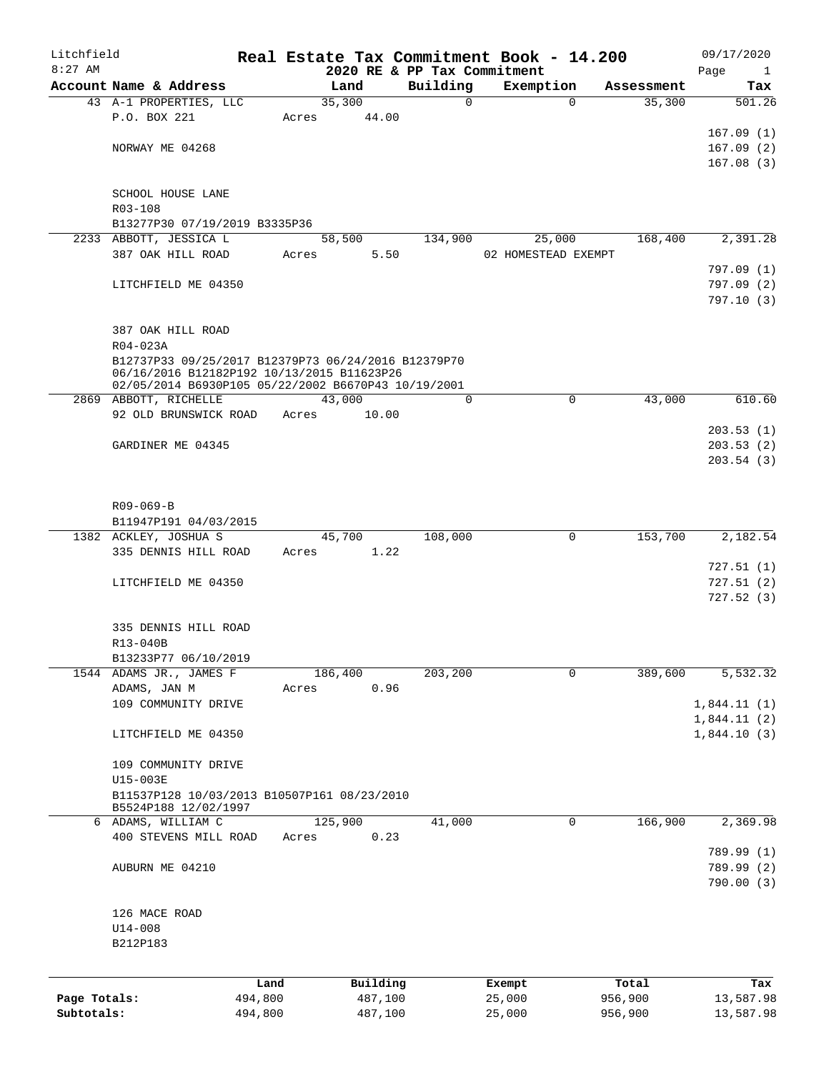| Litchfield<br>$8:27$ AM |                                                                                                   |                 |       |                     | Real Estate Tax Commitment Book - 14.200 |                     |             |                  | 09/17/2020                    |
|-------------------------|---------------------------------------------------------------------------------------------------|-----------------|-------|---------------------|------------------------------------------|---------------------|-------------|------------------|-------------------------------|
|                         | Account Name & Address                                                                            |                 |       | Land                | 2020 RE & PP Tax Commitment<br>Building  | Exemption           |             | Assessment       | Page<br>$\overline{1}$<br>Tax |
|                         | 43 A-1 PROPERTIES, LLC                                                                            |                 |       | 35,300              | $\mathbf 0$                              |                     | $\Omega$    | 35,300           | 501.26                        |
|                         | P.O. BOX 221                                                                                      |                 | Acres | 44.00               |                                          |                     |             |                  |                               |
|                         |                                                                                                   |                 |       |                     |                                          |                     |             |                  | 167.09(1)                     |
|                         | NORWAY ME 04268                                                                                   |                 |       |                     |                                          |                     |             |                  | 167.09(2)                     |
|                         |                                                                                                   |                 |       |                     |                                          |                     |             |                  | 167.08(3)                     |
|                         | SCHOOL HOUSE LANE                                                                                 |                 |       |                     |                                          |                     |             |                  |                               |
|                         | R03-108                                                                                           |                 |       |                     |                                          |                     |             |                  |                               |
|                         | B13277P30 07/19/2019 B3335P36                                                                     |                 |       |                     |                                          |                     |             |                  |                               |
|                         | 2233 ABBOTT, JESSICA L                                                                            |                 |       | 58,500<br>5.50      | 134,900                                  | 25,000              |             | 168,400          | 2,391.28                      |
|                         | 387 OAK HILL ROAD                                                                                 |                 | Acres |                     |                                          | 02 HOMESTEAD EXEMPT |             |                  | 797.09 (1)                    |
|                         | LITCHFIELD ME 04350                                                                               |                 |       |                     |                                          |                     |             |                  | 797.09(2)                     |
|                         |                                                                                                   |                 |       |                     |                                          |                     |             |                  | 797.10(3)                     |
|                         |                                                                                                   |                 |       |                     |                                          |                     |             |                  |                               |
|                         | 387 OAK HILL ROAD                                                                                 |                 |       |                     |                                          |                     |             |                  |                               |
|                         | $R04 - 023A$                                                                                      |                 |       |                     |                                          |                     |             |                  |                               |
|                         | B12737P33 09/25/2017 B12379P73 06/24/2016 B12379P70                                               |                 |       |                     |                                          |                     |             |                  |                               |
|                         | 06/16/2016 B12182P192 10/13/2015 B11623P26<br>02/05/2014 B6930P105 05/22/2002 B6670P43 10/19/2001 |                 |       |                     |                                          |                     |             |                  |                               |
|                         | 2869 ABBOTT, RICHELLE                                                                             |                 |       | 43,000              | $\Omega$                                 |                     | $\Omega$    | 43,000           | 610.60                        |
|                         | 92 OLD BRUNSWICK ROAD Acres                                                                       |                 |       | 10.00               |                                          |                     |             |                  |                               |
|                         |                                                                                                   |                 |       |                     |                                          |                     |             |                  | 203.53(1)                     |
|                         | GARDINER ME 04345                                                                                 |                 |       |                     |                                          |                     |             |                  | 203.53(2)                     |
|                         |                                                                                                   |                 |       |                     |                                          |                     |             |                  | 203.54(3)                     |
|                         |                                                                                                   |                 |       |                     |                                          |                     |             |                  |                               |
|                         |                                                                                                   |                 |       |                     |                                          |                     |             |                  |                               |
|                         | $R09 - 069 - B$<br>B11947P191 04/03/2015                                                          |                 |       |                     |                                          |                     |             |                  |                               |
|                         | 1382 ACKLEY, JOSHUA S                                                                             |                 |       | 45,700              | 108,000                                  |                     | $\mathbf 0$ | 153,700          | 2,182.54                      |
|                         | 335 DENNIS HILL ROAD                                                                              |                 |       | Acres 1.22          |                                          |                     |             |                  |                               |
|                         |                                                                                                   |                 |       |                     |                                          |                     |             |                  | 727.51 (1)                    |
|                         | LITCHFIELD ME 04350                                                                               |                 |       |                     |                                          |                     |             |                  | 727.51(2)                     |
|                         |                                                                                                   |                 |       |                     |                                          |                     |             |                  | 727.52(3)                     |
|                         |                                                                                                   |                 |       |                     |                                          |                     |             |                  |                               |
|                         | 335 DENNIS HILL ROAD                                                                              |                 |       |                     |                                          |                     |             |                  |                               |
|                         | R13-040B<br>B13233P77 06/10/2019                                                                  |                 |       |                     |                                          |                     |             |                  |                               |
|                         | 1544 ADAMS JR., JAMES F                                                                           |                 |       | 186,400             | 203,200                                  |                     | 0           | 389,600          | 5,532.32                      |
|                         | ADAMS, JAN M                                                                                      |                 | Acres | 0.96                |                                          |                     |             |                  |                               |
|                         | 109 COMMUNITY DRIVE                                                                               |                 |       |                     |                                          |                     |             |                  | 1,844.11(1)                   |
|                         |                                                                                                   |                 |       |                     |                                          |                     |             |                  | 1,844.11(2)                   |
|                         | LITCHFIELD ME 04350                                                                               |                 |       |                     |                                          |                     |             |                  | 1,844.10(3)                   |
|                         |                                                                                                   |                 |       |                     |                                          |                     |             |                  |                               |
|                         | 109 COMMUNITY DRIVE                                                                               |                 |       |                     |                                          |                     |             |                  |                               |
|                         | U15-003E<br>B11537P128 10/03/2013 B10507P161 08/23/2010                                           |                 |       |                     |                                          |                     |             |                  |                               |
|                         | B5524P188 12/02/1997                                                                              |                 |       |                     |                                          |                     |             |                  |                               |
|                         | 6 ADAMS, WILLIAM C                                                                                |                 |       | 125,900             | 41,000                                   |                     | 0           | 166,900          | 2,369.98                      |
|                         | 400 STEVENS MILL ROAD                                                                             |                 | Acres | 0.23                |                                          |                     |             |                  |                               |
|                         |                                                                                                   |                 |       |                     |                                          |                     |             |                  | 789.99 (1)                    |
|                         | AUBURN ME 04210                                                                                   |                 |       |                     |                                          |                     |             |                  | 789.99 (2)                    |
|                         |                                                                                                   |                 |       |                     |                                          |                     |             |                  | 790.00(3)                     |
|                         | 126 MACE ROAD                                                                                     |                 |       |                     |                                          |                     |             |                  |                               |
|                         | $U14 - 008$                                                                                       |                 |       |                     |                                          |                     |             |                  |                               |
|                         | B212P183                                                                                          |                 |       |                     |                                          |                     |             |                  |                               |
|                         |                                                                                                   |                 |       |                     |                                          |                     |             |                  |                               |
|                         |                                                                                                   |                 |       |                     |                                          |                     |             |                  |                               |
| Page Totals:            |                                                                                                   | Land<br>494,800 |       | Building<br>487,100 |                                          | Exempt<br>25,000    |             | Total<br>956,900 | Tax<br>13,587.98              |
| Subtotals:              |                                                                                                   | 494,800         |       | 487,100             |                                          | 25,000              |             | 956,900          | 13,587.98                     |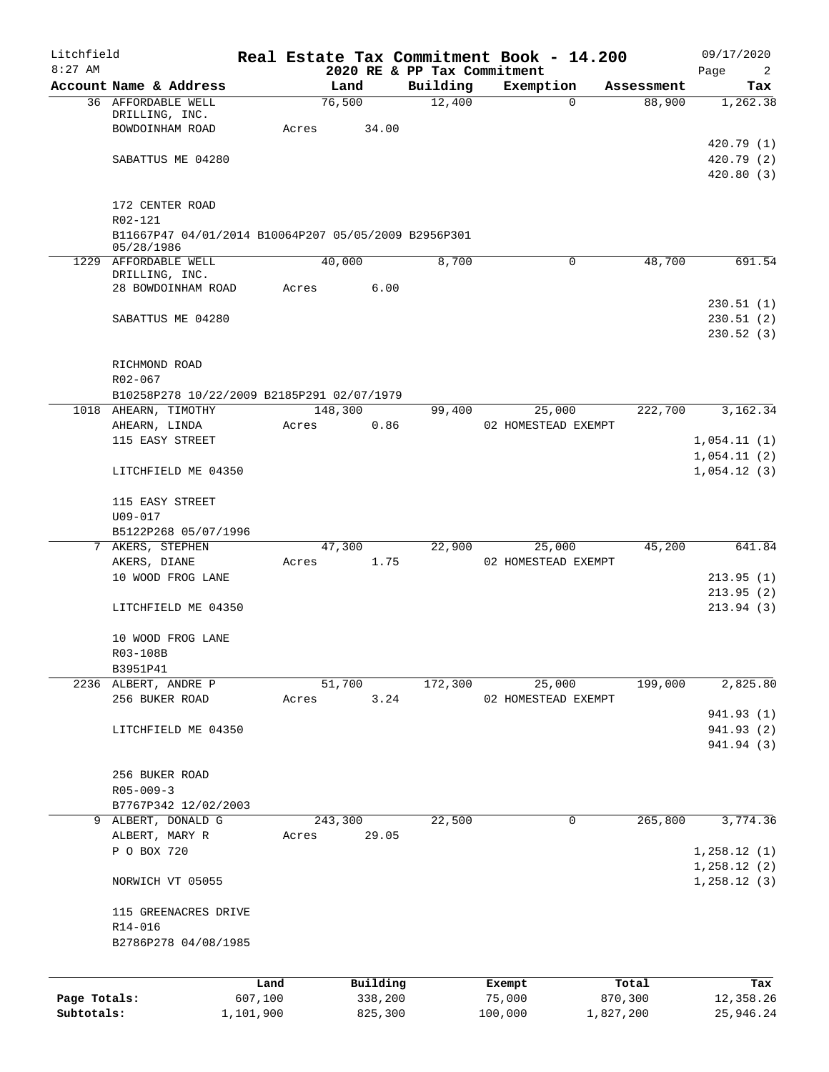| Litchfield   |                                                      |           |       |          |                             | Real Estate Tax Commitment Book - 14.200 |            | 09/17/2020   |
|--------------|------------------------------------------------------|-----------|-------|----------|-----------------------------|------------------------------------------|------------|--------------|
| $8:27$ AM    |                                                      |           |       |          | 2020 RE & PP Tax Commitment |                                          |            | Page<br>2    |
|              | Account Name & Address                               |           |       | Land     | Building                    | Exemption                                | Assessment | Tax          |
|              | 36 AFFORDABLE WELL<br>DRILLING, INC.                 |           |       | 76,500   | 12,400                      | 0                                        | 88,900     | 1,262.38     |
|              | BOWDOINHAM ROAD                                      |           | Acres | 34.00    |                             |                                          |            |              |
|              |                                                      |           |       |          |                             |                                          |            | 420.79(1)    |
|              | SABATTUS ME 04280                                    |           |       |          |                             |                                          |            | 420.79(2)    |
|              |                                                      |           |       |          |                             |                                          |            | 420.80(3)    |
|              |                                                      |           |       |          |                             |                                          |            |              |
|              | 172 CENTER ROAD                                      |           |       |          |                             |                                          |            |              |
|              | R02-121                                              |           |       |          |                             |                                          |            |              |
|              | B11667P47 04/01/2014 B10064P207 05/05/2009 B2956P301 |           |       |          |                             |                                          |            |              |
|              | 05/28/1986                                           |           |       |          |                             |                                          |            |              |
|              | 1229 AFFORDABLE WELL                                 |           |       | 40,000   | 8,700                       | $\mathsf{O}$                             | 48,700     | 691.54       |
|              | DRILLING, INC.                                       |           |       |          |                             |                                          |            |              |
|              | 28 BOWDOINHAM ROAD                                   |           | Acres | 6.00     |                             |                                          |            |              |
|              |                                                      |           |       |          |                             |                                          |            | 230.51(1)    |
|              | SABATTUS ME 04280                                    |           |       |          |                             |                                          |            | 230.51(2)    |
|              |                                                      |           |       |          |                             |                                          |            | 230.52 (3)   |
|              |                                                      |           |       |          |                             |                                          |            |              |
|              | RICHMOND ROAD                                        |           |       |          |                             |                                          |            |              |
|              | R02-067                                              |           |       |          |                             |                                          |            |              |
|              | B10258P278 10/22/2009 B2185P291 02/07/1979           |           |       |          |                             |                                          |            | 3,162.34     |
|              | 1018 AHEARN, TIMOTHY                                 |           |       | 148,300  | 99,400                      | 25,000                                   | 222,700    |              |
|              | AHEARN, LINDA                                        |           | Acres | 0.86     |                             | 02 HOMESTEAD EXEMPT                      |            |              |
|              | 115 EASY STREET                                      |           |       |          |                             |                                          |            | 1,054.11(1)  |
|              |                                                      |           |       |          |                             |                                          |            | 1,054.11(2)  |
|              | LITCHFIELD ME 04350                                  |           |       |          |                             |                                          |            | 1,054.12(3)  |
|              |                                                      |           |       |          |                             |                                          |            |              |
|              | 115 EASY STREET<br>U09-017                           |           |       |          |                             |                                          |            |              |
|              | B5122P268 05/07/1996                                 |           |       |          |                             |                                          |            |              |
|              | 7 AKERS, STEPHEN                                     |           |       | 47,300   | 22,900                      | 25,000                                   | 45,200     | 641.84       |
|              | AKERS, DIANE                                         |           | Acres | 1.75     |                             | 02 HOMESTEAD EXEMPT                      |            |              |
|              | 10 WOOD FROG LANE                                    |           |       |          |                             |                                          |            | 213.95(1)    |
|              |                                                      |           |       |          |                             |                                          |            | 213.95(2)    |
|              | LITCHFIELD ME 04350                                  |           |       |          |                             |                                          |            | 213.94(3)    |
|              |                                                      |           |       |          |                             |                                          |            |              |
|              | 10 WOOD FROG LANE                                    |           |       |          |                             |                                          |            |              |
|              | R03-108B                                             |           |       |          |                             |                                          |            |              |
|              | B3951P41                                             |           |       |          |                             |                                          |            |              |
|              | 2236 ALBERT, ANDRE P                                 |           |       | 51,700   | 172,300                     | 25,000                                   | 199,000    | 2,825.80     |
|              | 256 BUKER ROAD                                       |           | Acres | 3.24     |                             | 02 HOMESTEAD EXEMPT                      |            |              |
|              |                                                      |           |       |          |                             |                                          |            | 941.93 (1)   |
|              | LITCHFIELD ME 04350                                  |           |       |          |                             |                                          |            | 941.93 (2)   |
|              |                                                      |           |       |          |                             |                                          |            | 941.94 (3)   |
|              |                                                      |           |       |          |                             |                                          |            |              |
|              | 256 BUKER ROAD                                       |           |       |          |                             |                                          |            |              |
|              | $R05 - 009 - 3$                                      |           |       |          |                             |                                          |            |              |
|              | B7767P342 12/02/2003                                 |           |       |          |                             |                                          |            |              |
|              | 9 ALBERT, DONALD G                                   |           |       | 243,300  | 22,500                      | 0                                        | 265,800    | 3,774.36     |
|              | ALBERT, MARY R                                       |           | Acres | 29.05    |                             |                                          |            |              |
|              | P O BOX 720                                          |           |       |          |                             |                                          |            | 1, 258.12(1) |
|              |                                                      |           |       |          |                             |                                          |            | 1,258.12(2)  |
|              | NORWICH VT 05055                                     |           |       |          |                             |                                          |            | 1, 258.12(3) |
|              |                                                      |           |       |          |                             |                                          |            |              |
|              | 115 GREENACRES DRIVE                                 |           |       |          |                             |                                          |            |              |
|              | R14-016                                              |           |       |          |                             |                                          |            |              |
|              | B2786P278 04/08/1985                                 |           |       |          |                             |                                          |            |              |
|              |                                                      |           |       |          |                             |                                          |            |              |
|              |                                                      |           |       |          |                             |                                          |            |              |
|              |                                                      | Land      |       | Building |                             | Exempt                                   | Total      | Tax          |
| Page Totals: |                                                      | 607,100   |       | 338,200  |                             | 75,000                                   | 870,300    | 12,358.26    |
| Subtotals:   |                                                      | 1,101,900 |       | 825,300  |                             | 100,000                                  | 1,827,200  | 25,946.24    |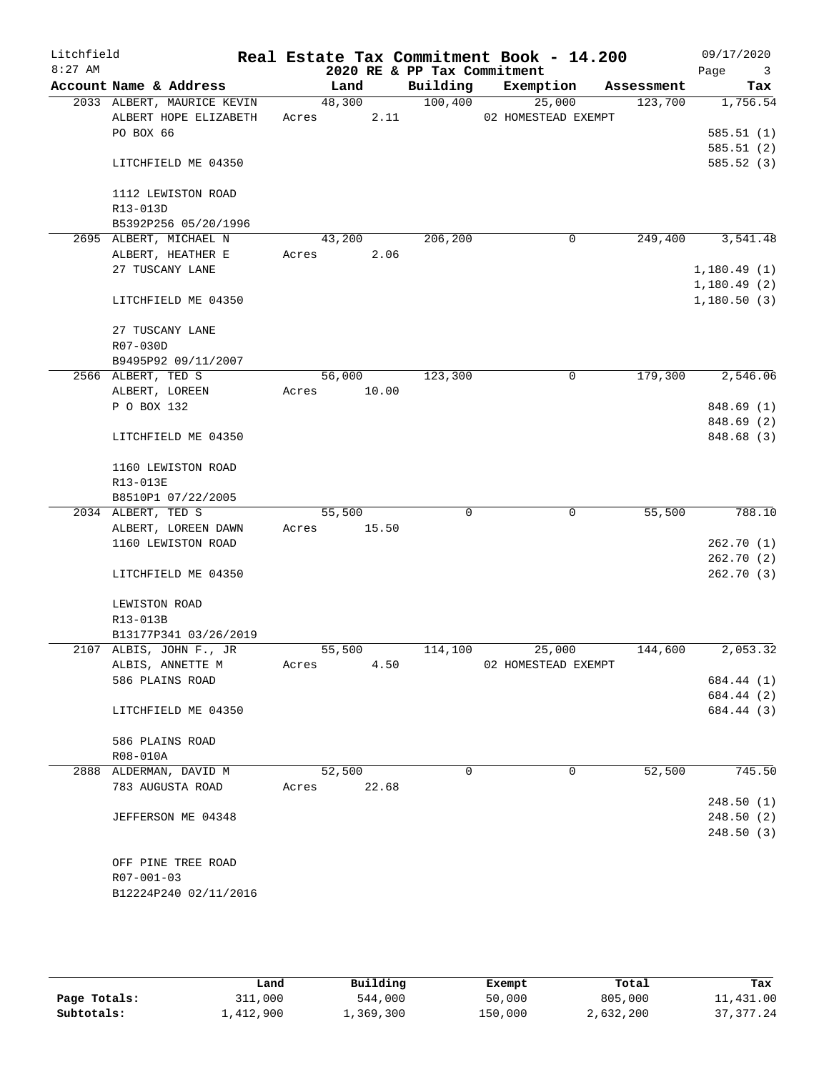| Litchfield<br>$8:27$ AM |                            |       |             |       | 2020 RE & PP Tax Commitment | Real Estate Tax Commitment Book - 14.200 |   |            | 09/17/2020<br>Page<br>$\overline{\mathbf{3}}$ |
|-------------------------|----------------------------|-------|-------------|-------|-----------------------------|------------------------------------------|---|------------|-----------------------------------------------|
|                         | Account Name & Address     |       | Land        |       | Building                    | Exemption                                |   | Assessment | Tax                                           |
|                         | 2033 ALBERT, MAURICE KEVIN |       | 48,300      |       | 100,400                     | 25,000                                   |   | 123,700    | 1,756.54                                      |
|                         | ALBERT HOPE ELIZABETH      |       | Acres       | 2.11  |                             | 02 HOMESTEAD EXEMPT                      |   |            |                                               |
|                         | PO BOX 66                  |       |             |       |                             |                                          |   |            | 585.51(1)                                     |
|                         |                            |       |             |       |                             |                                          |   |            | 585.51(2)                                     |
|                         | LITCHFIELD ME 04350        |       |             |       |                             |                                          |   |            | 585.52(3)                                     |
|                         | 1112 LEWISTON ROAD         |       |             |       |                             |                                          |   |            |                                               |
|                         | R13-013D                   |       |             |       |                             |                                          |   |            |                                               |
|                         | B5392P256 05/20/1996       |       |             |       |                             |                                          |   |            |                                               |
|                         | 2695 ALBERT, MICHAEL N     |       | 43,200      |       | 206,200                     |                                          | 0 | 249,400    | 3,541.48                                      |
|                         | ALBERT, HEATHER E          | Acres |             | 2.06  |                             |                                          |   |            |                                               |
|                         | 27 TUSCANY LANE            |       |             |       |                             |                                          |   |            | 1,180.49(1)                                   |
|                         |                            |       |             |       |                             |                                          |   |            | 1,180.49(2)                                   |
|                         | LITCHFIELD ME 04350        |       |             |       |                             |                                          |   |            | 1,180.50(3)                                   |
|                         | 27 TUSCANY LANE            |       |             |       |                             |                                          |   |            |                                               |
|                         | R07-030D                   |       |             |       |                             |                                          |   |            |                                               |
|                         | B9495P92 09/11/2007        |       |             |       |                             |                                          |   |            |                                               |
|                         | 2566 ALBERT, TED S         |       | 56,000      |       | 123,300                     |                                          | 0 | 179,300    | 2,546.06                                      |
|                         | ALBERT, LOREEN             |       | Acres 10.00 |       |                             |                                          |   |            |                                               |
|                         | P O BOX 132                |       |             |       |                             |                                          |   |            | 848.69 (1)                                    |
|                         |                            |       |             |       |                             |                                          |   |            | 848.69 (2)                                    |
|                         | LITCHFIELD ME 04350        |       |             |       |                             |                                          |   |            | 848.68 (3)                                    |
|                         | 1160 LEWISTON ROAD         |       |             |       |                             |                                          |   |            |                                               |
|                         | R13-013E                   |       |             |       |                             |                                          |   |            |                                               |
|                         | B8510P1 07/22/2005         |       |             |       |                             |                                          |   |            |                                               |
|                         | 2034 ALBERT, TED S         |       | 55,500      |       | $\Omega$                    |                                          | 0 | 55,500     | 788.10                                        |
|                         | ALBERT, LOREEN DAWN        | Acres |             | 15.50 |                             |                                          |   |            |                                               |
|                         | 1160 LEWISTON ROAD         |       |             |       |                             |                                          |   |            | 262.70(1)                                     |
|                         |                            |       |             |       |                             |                                          |   |            | 262.70(2)                                     |
|                         | LITCHFIELD ME 04350        |       |             |       |                             |                                          |   |            | 262.70(3)                                     |
|                         | LEWISTON ROAD              |       |             |       |                             |                                          |   |            |                                               |
|                         | R13-013B                   |       |             |       |                             |                                          |   |            |                                               |
|                         | B13177P341 03/26/2019      |       |             |       |                             |                                          |   |            |                                               |
|                         | 2107 ALBIS, JOHN F., JR    |       | 55,500      |       | 114,100                     | 25,000                                   |   | 144,600    | 2,053.32                                      |
|                         | ALBIS, ANNETTE M           | Acres |             | 4.50  |                             | 02 HOMESTEAD EXEMPT                      |   |            |                                               |
|                         | 586 PLAINS ROAD            |       |             |       |                             |                                          |   |            | 684.44 (1)                                    |
|                         |                            |       |             |       |                             |                                          |   |            | 684.44 (2)                                    |
|                         | LITCHFIELD ME 04350        |       |             |       |                             |                                          |   |            | 684.44 (3)                                    |
|                         | 586 PLAINS ROAD            |       |             |       |                             |                                          |   |            |                                               |
|                         | R08-010A                   |       |             |       |                             |                                          |   |            |                                               |
|                         | 2888 ALDERMAN, DAVID M     |       | 52,500      |       | 0                           |                                          | 0 | 52,500     | 745.50                                        |
|                         | 783 AUGUSTA ROAD           | Acres |             | 22.68 |                             |                                          |   |            |                                               |
|                         |                            |       |             |       |                             |                                          |   |            | 248.50(1)                                     |
|                         | JEFFERSON ME 04348         |       |             |       |                             |                                          |   |            | 248.50(2)                                     |
|                         |                            |       |             |       |                             |                                          |   |            | 248.50(3)                                     |
|                         |                            |       |             |       |                             |                                          |   |            |                                               |
|                         | OFF PINE TREE ROAD         |       |             |       |                             |                                          |   |            |                                               |
|                         | R07-001-03                 |       |             |       |                             |                                          |   |            |                                               |
|                         | B12224P240 02/11/2016      |       |             |       |                             |                                          |   |            |                                               |
|                         |                            |       |             |       |                             |                                          |   |            |                                               |

|              | Land      | Building  | Exempt  | Total     | Tax         |
|--------------|-----------|-----------|---------|-----------|-------------|
| Page Totals: | 311,000   | 544,000   | 50,000  | 805,000   | 11,431.00   |
| Subtotals:   | 1,412,900 | 1,369,300 | 150,000 | 2,632,200 | 37, 377, 24 |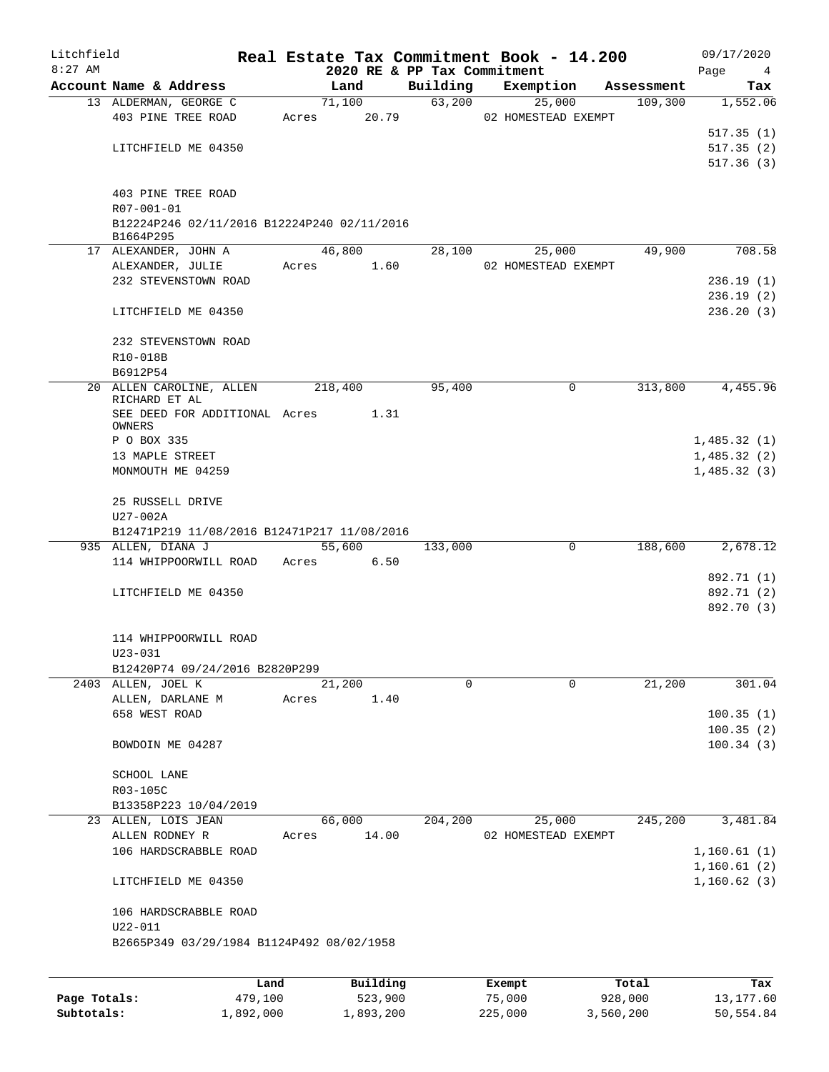| Litchfield   |                                             |         |                |                             | Real Estate Tax Commitment Book - 14.200 |                       | 09/17/2020      |
|--------------|---------------------------------------------|---------|----------------|-----------------------------|------------------------------------------|-----------------------|-----------------|
| $8:27$ AM    | Account Name & Address                      |         |                | 2020 RE & PP Tax Commitment | Exemption                                |                       | Page<br>4       |
|              | 13 ALDERMAN, GEORGE C                       |         | Land<br>71,100 | Building<br>63,200          |                                          | Assessment<br>109,300 | Tax<br>1,552.06 |
|              | 403 PINE TREE ROAD                          | Acres   | 20.79          |                             | 25,000<br>02 HOMESTEAD EXEMPT            |                       |                 |
|              |                                             |         |                |                             |                                          |                       | 517.35(1)       |
|              |                                             |         |                |                             |                                          |                       | 517.35(2)       |
|              | LITCHFIELD ME 04350                         |         |                |                             |                                          |                       | 517.36(3)       |
|              |                                             |         |                |                             |                                          |                       |                 |
|              | 403 PINE TREE ROAD                          |         |                |                             |                                          |                       |                 |
|              | R07-001-01                                  |         |                |                             |                                          |                       |                 |
|              | B12224P246 02/11/2016 B12224P240 02/11/2016 |         |                |                             |                                          |                       |                 |
|              | B1664P295                                   |         |                |                             |                                          |                       |                 |
|              | 17 ALEXANDER, JOHN A                        |         | 46,800         | 28,100                      | 25,000                                   | 49,900                | 708.58          |
|              | ALEXANDER, JULIE                            |         | 1.60<br>Acres  |                             | 02 HOMESTEAD EXEMPT                      |                       |                 |
|              | 232 STEVENSTOWN ROAD                        |         |                |                             |                                          |                       | 236.19(1)       |
|              |                                             |         |                |                             |                                          |                       | 236.19(2)       |
|              | LITCHFIELD ME 04350                         |         |                |                             |                                          |                       | 236.20(3)       |
|              |                                             |         |                |                             |                                          |                       |                 |
|              | 232 STEVENSTOWN ROAD                        |         |                |                             |                                          |                       |                 |
|              | R10-018B                                    |         |                |                             |                                          |                       |                 |
|              | B6912P54                                    |         |                |                             |                                          |                       |                 |
|              | 20 ALLEN CAROLINE, ALLEN                    |         | 218,400        | 95,400                      | 0                                        | 313,800               | 4,455.96        |
|              | RICHARD ET AL                               |         |                |                             |                                          |                       |                 |
|              | SEE DEED FOR ADDITIONAL Acres<br>OWNERS     |         | 1.31           |                             |                                          |                       |                 |
|              | P O BOX 335                                 |         |                |                             |                                          |                       | 1,485.32(1)     |
|              | 13 MAPLE STREET                             |         |                |                             |                                          |                       | 1,485.32(2)     |
|              | MONMOUTH ME 04259                           |         |                |                             |                                          |                       | 1,485.32(3)     |
|              |                                             |         |                |                             |                                          |                       |                 |
|              | 25 RUSSELL DRIVE                            |         |                |                             |                                          |                       |                 |
|              | U27-002A                                    |         |                |                             |                                          |                       |                 |
|              | B12471P219 11/08/2016 B12471P217 11/08/2016 |         |                |                             |                                          |                       |                 |
|              | 935 ALLEN, DIANA J                          |         | 55,600         | 133,000                     | 0                                        | 188,600               | 2,678.12        |
|              | 114 WHIPPOORWILL ROAD                       | Acres   | 6.50           |                             |                                          |                       |                 |
|              |                                             |         |                |                             |                                          |                       | 892.71 (1)      |
|              | LITCHFIELD ME 04350                         |         |                |                             |                                          |                       | 892.71 (2)      |
|              |                                             |         |                |                             |                                          |                       | 892.70 (3)      |
|              |                                             |         |                |                             |                                          |                       |                 |
|              | 114 WHIPPOORWILL ROAD                       |         |                |                             |                                          |                       |                 |
|              | $U23 - 031$                                 |         |                |                             |                                          |                       |                 |
|              | B12420P74 09/24/2016 B2820P299              |         |                |                             |                                          |                       |                 |
|              | 2403 ALLEN, JOEL K                          |         | 21,200         | $\Omega$                    | $\Omega$                                 | 21,200                | 301.04          |
|              | ALLEN, DARLANE M                            | Acres   | 1.40           |                             |                                          |                       |                 |
|              | 658 WEST ROAD                               |         |                |                             |                                          |                       | 100.35(1)       |
|              |                                             |         |                |                             |                                          |                       | 100.35(2)       |
|              | BOWDOIN ME 04287                            |         |                |                             |                                          |                       | 100.34(3)       |
|              |                                             |         |                |                             |                                          |                       |                 |
|              | SCHOOL LANE                                 |         |                |                             |                                          |                       |                 |
|              | R03-105C                                    |         |                |                             |                                          |                       |                 |
|              | B13358P223 10/04/2019                       |         |                |                             |                                          |                       |                 |
|              | 23 ALLEN, LOIS JEAN                         |         | 66,000         | 204,200                     | 25,000                                   | 245,200               | 3,481.84        |
|              | ALLEN RODNEY R                              | Acres   | 14.00          |                             | 02 HOMESTEAD EXEMPT                      |                       |                 |
|              | 106 HARDSCRABBLE ROAD                       |         |                |                             |                                          |                       | 1,160.61(1)     |
|              |                                             |         |                |                             |                                          |                       | 1,160.61(2)     |
|              | LITCHFIELD ME 04350                         |         |                |                             |                                          |                       | 1,160.62(3)     |
|              |                                             |         |                |                             |                                          |                       |                 |
|              | 106 HARDSCRABBLE ROAD                       |         |                |                             |                                          |                       |                 |
|              | $U22 - 011$                                 |         |                |                             |                                          |                       |                 |
|              | B2665P349 03/29/1984 B1124P492 08/02/1958   |         |                |                             |                                          |                       |                 |
|              |                                             |         |                |                             |                                          |                       |                 |
|              |                                             | Land    | Building       |                             | Exempt                                   | Total                 | Tax             |
| Page Totals: |                                             | 479,100 | 523,900        |                             | 75,000                                   | 928,000               | 13,177.60       |

**Subtotals:** 1,892,000 1,893,200 225,000 3,560,200 50,554.84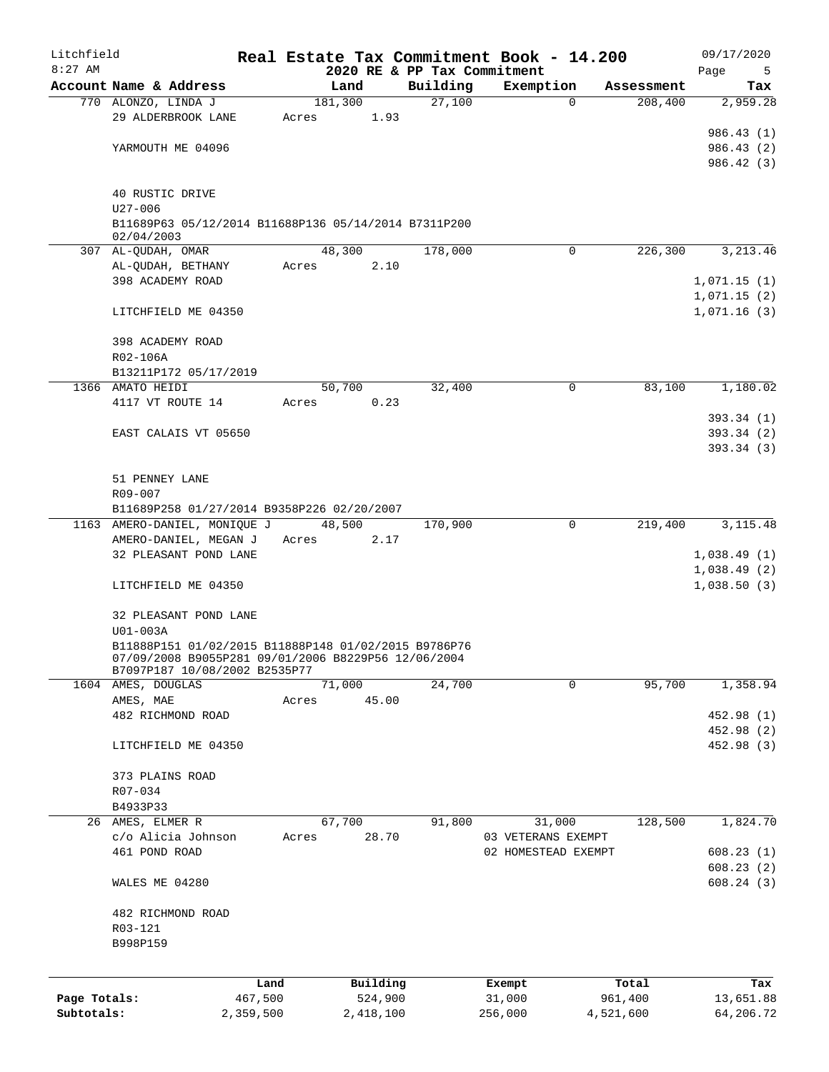| Litchfield   |                                                                                                             |         |                 |      |                             | Real Estate Tax Commitment Book - 14.200 |           |                       | 09/17/2020      |
|--------------|-------------------------------------------------------------------------------------------------------------|---------|-----------------|------|-----------------------------|------------------------------------------|-----------|-----------------------|-----------------|
| $8:27$ AM    |                                                                                                             |         |                 |      | 2020 RE & PP Tax Commitment |                                          |           |                       | Page<br>5       |
|              | Account Name & Address<br>770 ALONZO, LINDA J                                                               |         | Land<br>181,300 |      | Building<br>27,100          | Exemption<br>0                           |           | Assessment<br>208,400 | Tax<br>2,959.28 |
|              | 29 ALDERBROOK LANE                                                                                          | Acres   |                 | 1.93 |                             |                                          |           |                       |                 |
|              |                                                                                                             |         |                 |      |                             |                                          |           |                       | 986.43 (1)      |
|              | YARMOUTH ME 04096                                                                                           |         |                 |      |                             |                                          |           |                       | 986.43 (2)      |
|              |                                                                                                             |         |                 |      |                             |                                          |           |                       | 986.42 (3)      |
|              |                                                                                                             |         |                 |      |                             |                                          |           |                       |                 |
|              | 40 RUSTIC DRIVE                                                                                             |         |                 |      |                             |                                          |           |                       |                 |
|              | $U27 - 006$                                                                                                 |         |                 |      |                             |                                          |           |                       |                 |
|              | B11689P63 05/12/2014 B11688P136 05/14/2014 B7311P200                                                        |         |                 |      |                             |                                          |           |                       |                 |
|              | 02/04/2003<br>307 AL-QUDAH, OMAR                                                                            |         | 48,300          |      | 178,000                     | $\Omega$                                 |           | 226,300               | 3, 213.46       |
|              | AL-QUDAH, BETHANY                                                                                           | Acres   |                 | 2.10 |                             |                                          |           |                       |                 |
|              | 398 ACADEMY ROAD                                                                                            |         |                 |      |                             |                                          |           |                       | 1,071.15(1)     |
|              |                                                                                                             |         |                 |      |                             |                                          |           |                       | 1,071.15(2)     |
|              | LITCHFIELD ME 04350                                                                                         |         |                 |      |                             |                                          |           |                       | 1,071.16(3)     |
|              |                                                                                                             |         |                 |      |                             |                                          |           |                       |                 |
|              | 398 ACADEMY ROAD                                                                                            |         |                 |      |                             |                                          |           |                       |                 |
|              | R02-106A                                                                                                    |         |                 |      |                             |                                          |           |                       |                 |
|              | B13211P172 05/17/2019                                                                                       |         |                 |      |                             |                                          |           |                       |                 |
|              | 1366 AMATO HEIDI                                                                                            |         | 50,700          |      | 32,400                      | 0                                        |           | 83,100                | 1,180.02        |
|              | 4117 VT ROUTE 14                                                                                            | Acres   |                 | 0.23 |                             |                                          |           |                       |                 |
|              |                                                                                                             |         |                 |      |                             |                                          |           |                       | 393.34 (1)      |
|              | EAST CALAIS VT 05650                                                                                        |         |                 |      |                             |                                          |           |                       | 393.34 (2)      |
|              |                                                                                                             |         |                 |      |                             |                                          |           |                       | 393.34 (3)      |
|              | 51 PENNEY LANE                                                                                              |         |                 |      |                             |                                          |           |                       |                 |
|              | R09-007                                                                                                     |         |                 |      |                             |                                          |           |                       |                 |
|              | B11689P258 01/27/2014 B9358P226 02/20/2007                                                                  |         |                 |      |                             |                                          |           |                       |                 |
|              | 1163 AMERO-DANIEL, MONIQUE J                                                                                |         | 48,500          |      | 170,900                     | $\Omega$                                 |           | 219,400               | 3, 115. 48      |
|              | AMERO-DANIEL, MEGAN J                                                                                       |         | Acres           | 2.17 |                             |                                          |           |                       |                 |
|              | 32 PLEASANT POND LANE                                                                                       |         |                 |      |                             |                                          |           |                       | 1,038.49(1)     |
|              |                                                                                                             |         |                 |      |                             |                                          |           |                       | 1,038.49(2)     |
|              | LITCHFIELD ME 04350                                                                                         |         |                 |      |                             |                                          |           |                       | 1,038.50(3)     |
|              |                                                                                                             |         |                 |      |                             |                                          |           |                       |                 |
|              | 32 PLEASANT POND LANE                                                                                       |         |                 |      |                             |                                          |           |                       |                 |
|              | $U01-003A$                                                                                                  |         |                 |      |                             |                                          |           |                       |                 |
|              | B11888P151 01/02/2015 B11888P148 01/02/2015 B9786P76<br>07/09/2008 B9055P281 09/01/2006 B8229P56 12/06/2004 |         |                 |      |                             |                                          |           |                       |                 |
|              | B7097P187 10/08/2002 B2535P77                                                                               |         |                 |      |                             |                                          |           |                       |                 |
|              | 1604 AMES, DOUGLAS                                                                                          |         | 71,000          |      | 24,700                      | $\Omega$                                 |           | 95,700                | 1,358.94        |
|              | AMES, MAE                                                                                                   | Acres   | 45.00           |      |                             |                                          |           |                       |                 |
|              | 482 RICHMOND ROAD                                                                                           |         |                 |      |                             |                                          |           |                       | 452.98 (1)      |
|              |                                                                                                             |         |                 |      |                             |                                          |           |                       | 452.98 (2)      |
|              | LITCHFIELD ME 04350                                                                                         |         |                 |      |                             |                                          |           |                       | 452.98 (3)      |
|              | 373 PLAINS ROAD                                                                                             |         |                 |      |                             |                                          |           |                       |                 |
|              | R07-034                                                                                                     |         |                 |      |                             |                                          |           |                       |                 |
|              | B4933P33                                                                                                    |         |                 |      |                             |                                          |           |                       |                 |
|              | 26 AMES, ELMER R                                                                                            |         | 67,700          |      | 91,800                      | 31,000                                   |           | 128,500               | 1,824.70        |
|              | c/o Alicia Johnson                                                                                          | Acres   | 28.70           |      |                             | 03 VETERANS EXEMPT                       |           |                       |                 |
|              | 461 POND ROAD                                                                                               |         |                 |      |                             | 02 HOMESTEAD EXEMPT                      |           |                       | 608.23(1)       |
|              |                                                                                                             |         |                 |      |                             |                                          |           |                       | 608.23(2)       |
|              | WALES ME 04280                                                                                              |         |                 |      |                             |                                          |           |                       | 608.24(3)       |
|              |                                                                                                             |         |                 |      |                             |                                          |           |                       |                 |
|              | 482 RICHMOND ROAD                                                                                           |         |                 |      |                             |                                          |           |                       |                 |
|              | R03-121                                                                                                     |         |                 |      |                             |                                          |           |                       |                 |
|              | B998P159                                                                                                    |         |                 |      |                             |                                          |           |                       |                 |
|              |                                                                                                             |         |                 |      |                             |                                          |           |                       |                 |
|              |                                                                                                             | Land    | Building        |      |                             | Exempt                                   |           | Total                 | Tax             |
| Page Totals: |                                                                                                             | 467,500 | 524,900         |      |                             | 31,000                                   |           | 961,400               | 13,651.88       |
| Subtotals:   | 2,359,500                                                                                                   |         | 2,418,100       |      |                             | 256,000                                  | 4,521,600 |                       | 64,206.72       |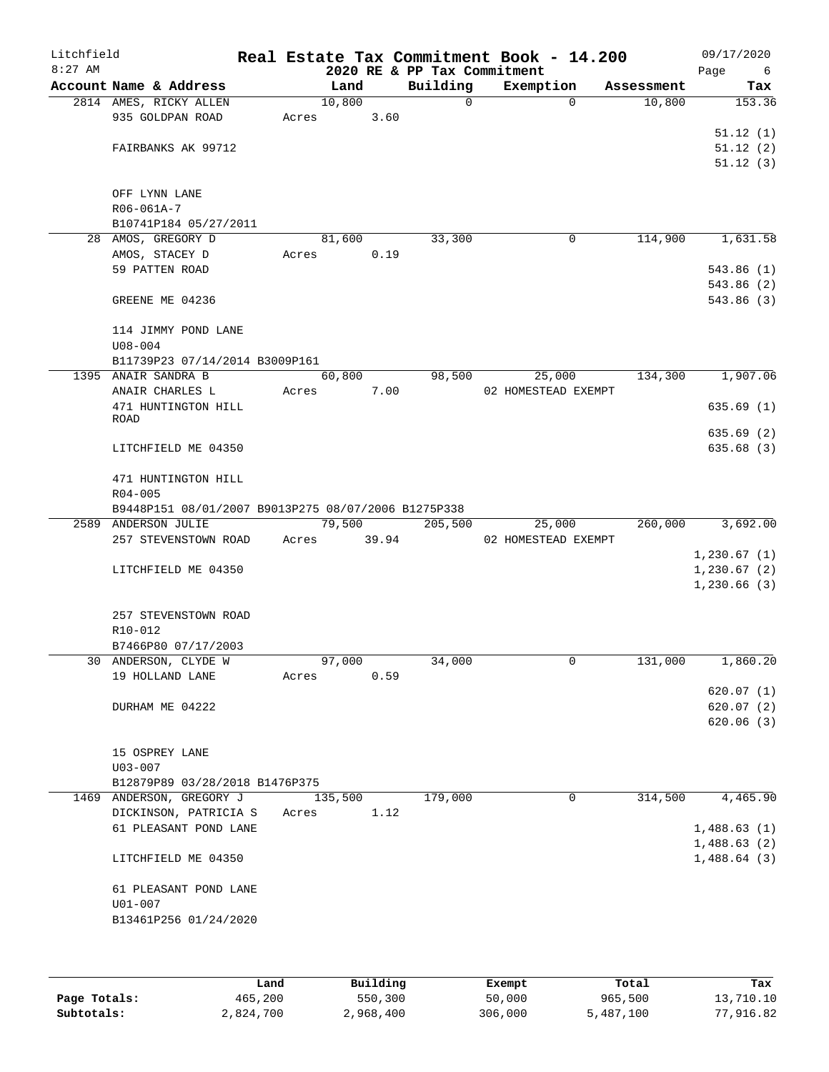| Litchfield<br>$8:27$ AM |                                                       |       |             |      | 2020 RE & PP Tax Commitment | Real Estate Tax Commitment Book - 14.200 |            | 09/17/2020<br>Page<br>6 |
|-------------------------|-------------------------------------------------------|-------|-------------|------|-----------------------------|------------------------------------------|------------|-------------------------|
|                         | Account Name & Address                                |       | Land        |      | Building                    | Exemption                                | Assessment | Tax                     |
|                         | 2814 AMES, RICKY ALLEN                                |       | 10,800      |      | $\mathbf 0$                 | $\Omega$                                 | 10,800     | 153.36                  |
|                         | 935 GOLDPAN ROAD                                      | Acres |             | 3.60 |                             |                                          |            |                         |
|                         |                                                       |       |             |      |                             |                                          |            | 51.12(1)                |
|                         | FAIRBANKS AK 99712                                    |       |             |      |                             |                                          |            | 51.12(2)                |
|                         |                                                       |       |             |      |                             |                                          |            | 51.12(3)                |
|                         |                                                       |       |             |      |                             |                                          |            |                         |
|                         | OFF LYNN LANE                                         |       |             |      |                             |                                          |            |                         |
|                         | R06-061A-7                                            |       |             |      |                             |                                          |            |                         |
|                         | B10741P184 05/27/2011                                 |       |             |      |                             |                                          |            |                         |
|                         | 28 AMOS, GREGORY D                                    |       | 81,600      |      | 33,300                      | 0                                        | 114,900    | 1,631.58                |
|                         | AMOS, STACEY D                                        | Acres |             | 0.19 |                             |                                          |            |                         |
|                         | 59 PATTEN ROAD                                        |       |             |      |                             |                                          |            | 543.86(1)               |
|                         |                                                       |       |             |      |                             |                                          |            | 543.86(2)               |
|                         | GREENE ME 04236                                       |       |             |      |                             |                                          |            | 543.86(3)               |
|                         |                                                       |       |             |      |                             |                                          |            |                         |
|                         | 114 JIMMY POND LANE                                   |       |             |      |                             |                                          |            |                         |
|                         | $U08 - 004$                                           |       |             |      |                             |                                          |            |                         |
|                         | B11739P23 07/14/2014 B3009P161<br>1395 ANAIR SANDRA B |       | 60,800      |      | 98,500                      | 25,000                                   | 134,300    | 1,907.06                |
|                         | ANAIR CHARLES L                                       | Acres |             | 7.00 |                             | 02 HOMESTEAD EXEMPT                      |            |                         |
|                         | 471 HUNTINGTON HILL                                   |       |             |      |                             |                                          |            | 635.69(1)               |
|                         | ROAD                                                  |       |             |      |                             |                                          |            |                         |
|                         |                                                       |       |             |      |                             |                                          |            | 635.69(2)               |
|                         | LITCHFIELD ME 04350                                   |       |             |      |                             |                                          |            | 635.68(3)               |
|                         |                                                       |       |             |      |                             |                                          |            |                         |
|                         | 471 HUNTINGTON HILL                                   |       |             |      |                             |                                          |            |                         |
|                         | $R04 - 005$                                           |       |             |      |                             |                                          |            |                         |
|                         | B9448P151 08/01/2007 B9013P275 08/07/2006 B1275P338   |       |             |      |                             |                                          |            |                         |
|                         | 2589 ANDERSON JULIE                                   |       | 79,500      |      | 205,500                     | 25,000                                   | 260,000    | 3,692.00                |
|                         | 257 STEVENSTOWN ROAD                                  |       | Acres 39.94 |      |                             | 02 HOMESTEAD EXEMPT                      |            |                         |
|                         |                                                       |       |             |      |                             |                                          |            | 1, 230.67(1)            |
|                         | LITCHFIELD ME 04350                                   |       |             |      |                             |                                          |            | 1, 230.67(2)            |
|                         |                                                       |       |             |      |                             |                                          |            | 1,230.66(3)             |
|                         |                                                       |       |             |      |                             |                                          |            |                         |
|                         | 257 STEVENSTOWN ROAD                                  |       |             |      |                             |                                          |            |                         |
|                         | R10-012                                               |       |             |      |                             |                                          |            |                         |
|                         | B7466P80 07/17/2003                                   |       |             |      |                             |                                          |            |                         |
|                         | 30 ANDERSON, CLYDE W                                  |       | 97,000      |      | 34,000                      | 0                                        | 131,000    | 1,860.20                |
|                         | 19 HOLLAND LANE                                       | Acres |             | 0.59 |                             |                                          |            | 620.07(1)               |
|                         | DURHAM ME 04222                                       |       |             |      |                             |                                          |            | 620.07(2)               |
|                         |                                                       |       |             |      |                             |                                          |            | 620.06(3)               |
|                         |                                                       |       |             |      |                             |                                          |            |                         |
|                         | 15 OSPREY LANE                                        |       |             |      |                             |                                          |            |                         |
|                         | $U03 - 007$                                           |       |             |      |                             |                                          |            |                         |
|                         | B12879P89 03/28/2018 B1476P375                        |       |             |      |                             |                                          |            |                         |
|                         | 1469 ANDERSON, GREGORY J                              |       | 135,500     |      | 179,000                     | $\mathbf 0$                              | 314,500    | 4,465.90                |
|                         | DICKINSON, PATRICIA S Acres                           |       |             | 1.12 |                             |                                          |            |                         |
|                         | 61 PLEASANT POND LANE                                 |       |             |      |                             |                                          |            | 1,488.63(1)             |
|                         |                                                       |       |             |      |                             |                                          |            | 1,488.63(2)             |
|                         | LITCHFIELD ME 04350                                   |       |             |      |                             |                                          |            | 1,488.64(3)             |
|                         |                                                       |       |             |      |                             |                                          |            |                         |
|                         | 61 PLEASANT POND LANE                                 |       |             |      |                             |                                          |            |                         |
|                         | $U01 - 007$                                           |       |             |      |                             |                                          |            |                         |
|                         | B13461P256 01/24/2020                                 |       |             |      |                             |                                          |            |                         |
|                         |                                                       |       |             |      |                             |                                          |            |                         |
|                         |                                                       |       |             |      |                             |                                          |            |                         |
|                         |                                                       |       |             |      |                             |                                          |            |                         |

|              | Land      | Building  | Exempt  | Total     | Tax       |
|--------------|-----------|-----------|---------|-----------|-----------|
| Page Totals: | 465,200   | 550,300   | 50,000  | 965,500   | 13,710.10 |
| Subtotals:   | 2,824,700 | 2,968,400 | 306,000 | 5,487,100 | 77,916.82 |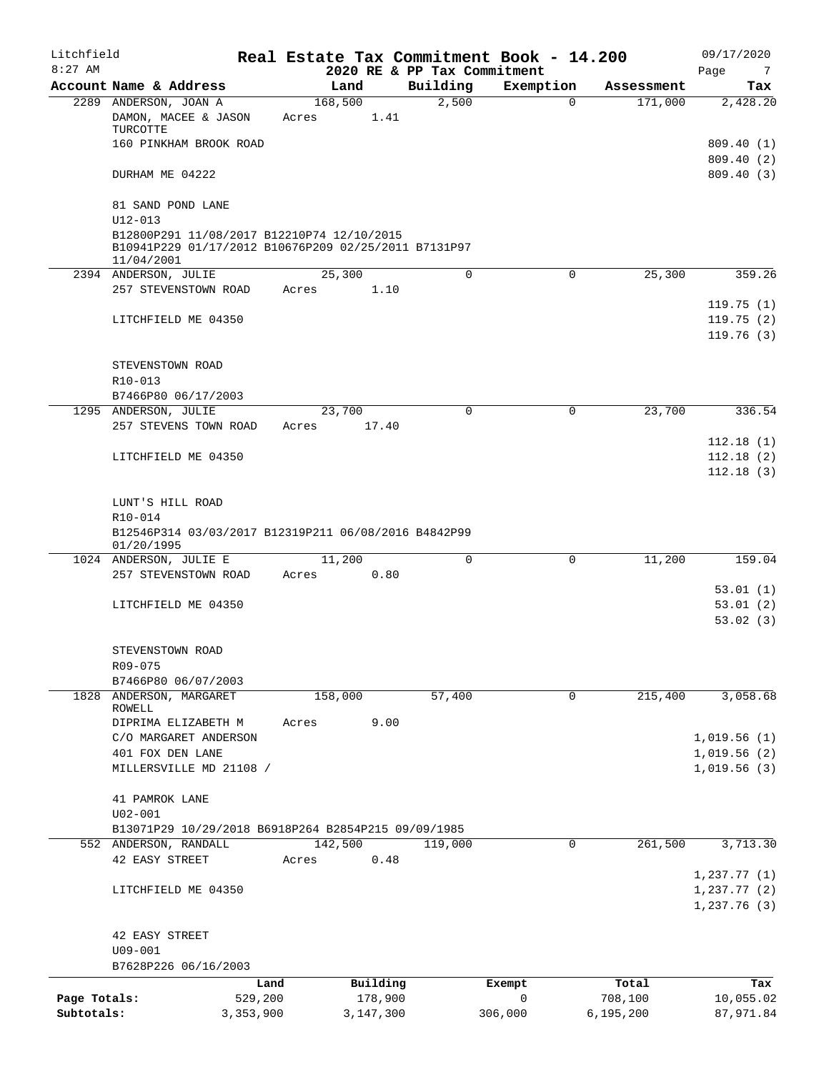| Litchfield<br>$8:27$ AM |                                                                                                                  |           |                 | 2020 RE & PP Tax Commitment | Real Estate Tax Commitment Book - 14.200 |             | 09/17/2020<br>Page<br>-7                      |
|-------------------------|------------------------------------------------------------------------------------------------------------------|-----------|-----------------|-----------------------------|------------------------------------------|-------------|-----------------------------------------------|
|                         | Account Name & Address                                                                                           |           | Land            | Building                    | Exemption                                | Assessment  | Tax                                           |
|                         | 2289 ANDERSON, JOAN A<br>DAMON, MACEE & JASON                                                                    | Acres     | 168,500<br>1.41 | 2,500                       | 0                                        | 171,000     | 2,428.20                                      |
|                         | TURCOTTE                                                                                                         |           |                 |                             |                                          |             |                                               |
|                         | 160 PINKHAM BROOK ROAD                                                                                           |           |                 |                             |                                          |             | 809.40(1)<br>809.40(2)                        |
|                         | DURHAM ME 04222                                                                                                  |           |                 |                             |                                          |             | 809.40(3)                                     |
|                         | 81 SAND POND LANE<br>$U12 - 013$                                                                                 |           |                 |                             |                                          |             |                                               |
|                         | B12800P291 11/08/2017 B12210P74 12/10/2015<br>B10941P229 01/17/2012 B10676P209 02/25/2011 B7131P97<br>11/04/2001 |           |                 |                             |                                          |             |                                               |
|                         | 2394 ANDERSON, JULIE                                                                                             |           | 25,300          | $\mathbf 0$                 | $\mathbf 0$                              | 25,300      | 359.26                                        |
|                         | 257 STEVENSTOWN ROAD                                                                                             | Acres     | 1.10            |                             |                                          |             |                                               |
|                         | LITCHFIELD ME 04350                                                                                              |           |                 |                             |                                          |             | 119.75(1)<br>119.75(2)<br>119.76(3)           |
|                         | STEVENSTOWN ROAD<br>R10-013                                                                                      |           |                 |                             |                                          |             |                                               |
|                         | B7466P80 06/17/2003                                                                                              |           |                 |                             |                                          |             |                                               |
|                         | 1295 ANDERSON, JULIE<br>257 STEVENS TOWN ROAD                                                                    | Acres     | 23,700<br>17.40 | $\mathbf 0$                 | $\mathbf 0$                              | 23,700      | 336.54                                        |
|                         |                                                                                                                  |           |                 |                             |                                          |             | 112.18(1)                                     |
|                         | LITCHFIELD ME 04350                                                                                              |           |                 |                             |                                          |             | 112.18(2)                                     |
|                         |                                                                                                                  |           |                 |                             |                                          |             | 112.18(3)                                     |
|                         | LUNT'S HILL ROAD<br>R10-014                                                                                      |           |                 |                             |                                          |             |                                               |
|                         | B12546P314 03/03/2017 B12319P211 06/08/2016 B4842P99<br>01/20/1995                                               |           |                 |                             |                                          |             |                                               |
|                         | 1024 ANDERSON, JULIE E                                                                                           |           | 11,200          | $\Omega$                    | $\Omega$                                 | 11,200      | 159.04                                        |
|                         | 257 STEVENSTOWN ROAD                                                                                             | Acres     | 0.80            |                             |                                          |             |                                               |
|                         |                                                                                                                  |           |                 |                             |                                          |             | 53.01(1)                                      |
|                         | LITCHFIELD ME 04350                                                                                              |           |                 |                             |                                          |             | 53.01(2)                                      |
|                         |                                                                                                                  |           |                 |                             |                                          |             | 53.02(3)                                      |
|                         | STEVENSTOWN ROAD                                                                                                 |           |                 |                             |                                          |             |                                               |
|                         | R09-075                                                                                                          |           |                 |                             |                                          |             |                                               |
|                         | B7466P80 06/07/2003                                                                                              |           |                 |                             |                                          |             |                                               |
| 1828                    | ANDERSON, MARGARET<br>ROWELL                                                                                     |           | 158,000         | 57,400                      | $\mathbf 0$                              | 215,400     | 3,058.68                                      |
|                         | DIPRIMA ELIZABETH M                                                                                              | Acres     | 9.00            |                             |                                          |             |                                               |
|                         | C/O MARGARET ANDERSON                                                                                            |           |                 |                             |                                          |             | 1,019.56(1)                                   |
|                         | 401 FOX DEN LANE                                                                                                 |           |                 |                             |                                          |             | 1,019.56(2)                                   |
|                         | MILLERSVILLE MD 21108 /                                                                                          |           |                 |                             |                                          |             | 1,019.56(3)                                   |
|                         | 41 PAMROK LANE                                                                                                   |           |                 |                             |                                          |             |                                               |
|                         | $U02 - 001$                                                                                                      |           |                 |                             |                                          |             |                                               |
|                         | B13071P29 10/29/2018 B6918P264 B2854P215 09/09/1985                                                              |           |                 |                             |                                          |             |                                               |
|                         | 552 ANDERSON, RANDALL                                                                                            |           | 142,500         | 119,000                     | 0                                        | 261,500     | 3,713.30                                      |
|                         | 42 EASY STREET                                                                                                   | Acres     | 0.48            |                             |                                          |             |                                               |
|                         | LITCHFIELD ME 04350                                                                                              |           |                 |                             |                                          |             | 1,237.77(1)<br>$1, 237.77$ (2)<br>1,237.76(3) |
|                         | 42 EASY STREET                                                                                                   |           |                 |                             |                                          |             |                                               |
|                         | $U09 - 001$                                                                                                      |           |                 |                             |                                          |             |                                               |
|                         | B7628P226 06/16/2003                                                                                             |           |                 |                             |                                          |             |                                               |
|                         |                                                                                                                  | Land      | Building        |                             | Exempt                                   | Total       | Tax                                           |
| Page Totals:            |                                                                                                                  | 529,200   | 178,900         |                             | $\mathsf{O}$                             | 708,100     | 10,055.02                                     |
| Subtotals:              |                                                                                                                  | 3,353,900 | 3,147,300       |                             | 306,000                                  | 6, 195, 200 | 87,971.84                                     |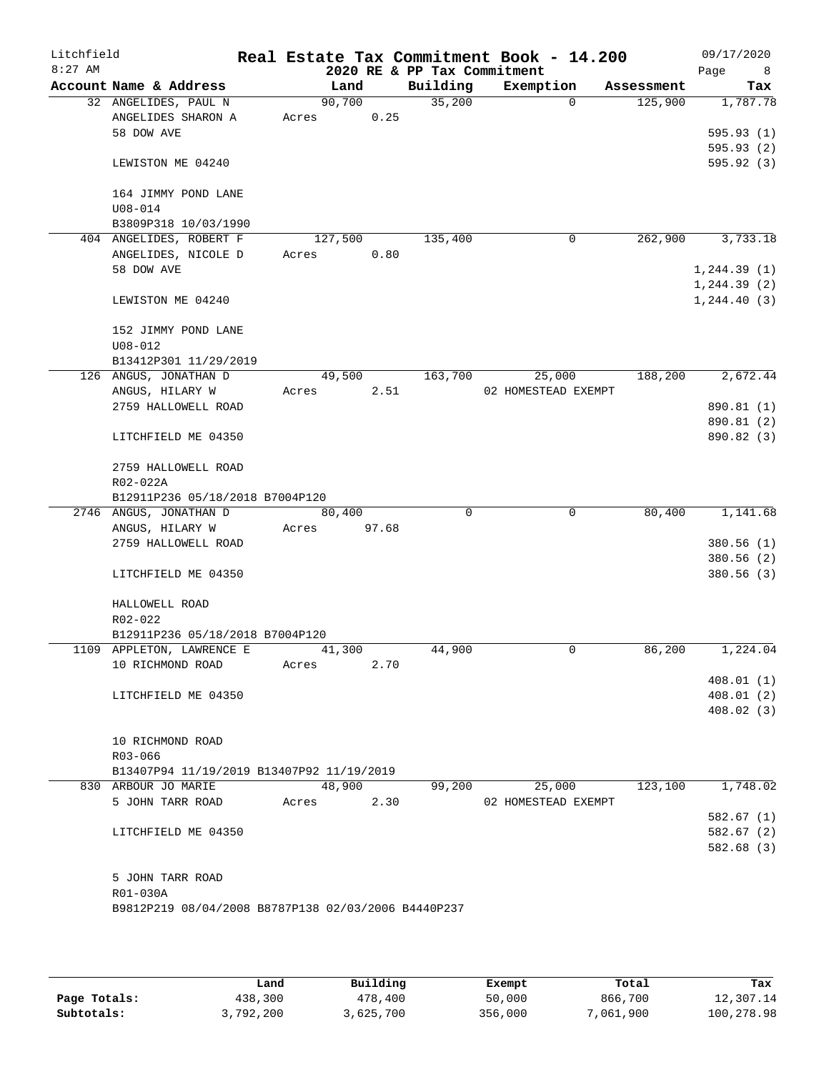| Litchfield |                                                     |                 |       |                             | Real Estate Tax Commitment Book - 14.200 |            | 09/17/2020   |
|------------|-----------------------------------------------------|-----------------|-------|-----------------------------|------------------------------------------|------------|--------------|
| $8:27$ AM  |                                                     |                 |       | 2020 RE & PP Tax Commitment |                                          |            | Page<br>8    |
|            | Account Name & Address                              | Land            |       | Building<br>35,200          | Exemption<br>$\Omega$                    | Assessment | Tax          |
|            | 32 ANGELIDES, PAUL N<br>ANGELIDES SHARON A          | 90,700<br>Acres | 0.25  |                             |                                          | 125,900    | 1,787.78     |
|            | 58 DOW AVE                                          |                 |       |                             |                                          |            | 595.93(1)    |
|            |                                                     |                 |       |                             |                                          |            | 595.93(2)    |
|            | LEWISTON ME 04240                                   |                 |       |                             |                                          |            | 595.92(3)    |
|            | 164 JIMMY POND LANE                                 |                 |       |                             |                                          |            |              |
|            | $U08 - 014$                                         |                 |       |                             |                                          |            |              |
|            | B3809P318 10/03/1990                                |                 |       |                             |                                          |            |              |
|            | 404 ANGELIDES, ROBERT F                             | 127,500         |       | 135,400                     | 0                                        | 262,900    | 3,733.18     |
|            | ANGELIDES, NICOLE D                                 | Acres           | 0.80  |                             |                                          |            |              |
|            | 58 DOW AVE                                          |                 |       |                             |                                          |            | 1, 244.39(1) |
|            |                                                     |                 |       |                             |                                          |            | 1, 244.39(2) |
|            | LEWISTON ME 04240                                   |                 |       |                             |                                          |            | 1, 244.40(3) |
|            | 152 JIMMY POND LANE                                 |                 |       |                             |                                          |            |              |
|            | $U08 - 012$                                         |                 |       |                             |                                          |            |              |
|            | B13412P301 11/29/2019                               |                 |       |                             |                                          |            |              |
|            | 126 ANGUS, JONATHAN D                               | 49,500          |       | 163,700                     | 25,000                                   | 188,200    | 2,672.44     |
|            | ANGUS, HILARY W                                     | Acres           | 2.51  |                             | 02 HOMESTEAD EXEMPT                      |            |              |
|            | 2759 HALLOWELL ROAD                                 |                 |       |                             |                                          |            | 890.81 (1)   |
|            |                                                     |                 |       |                             |                                          |            | 890.81 (2)   |
|            | LITCHFIELD ME 04350                                 |                 |       |                             |                                          |            | 890.82 (3)   |
|            | 2759 HALLOWELL ROAD                                 |                 |       |                             |                                          |            |              |
|            | R02-022A                                            |                 |       |                             |                                          |            |              |
|            | B12911P236 05/18/2018 B7004P120                     |                 |       |                             |                                          |            |              |
|            | 2746 ANGUS, JONATHAN D                              | 80,400          |       | $\Omega$                    | 0                                        | 80,400     | 1,141.68     |
|            | ANGUS, HILARY W                                     | Acres           | 97.68 |                             |                                          |            |              |
|            | 2759 HALLOWELL ROAD                                 |                 |       |                             |                                          |            | 380.56(1)    |
|            |                                                     |                 |       |                             |                                          |            | 380.56(2)    |
|            | LITCHFIELD ME 04350                                 |                 |       |                             |                                          |            | 380.56(3)    |
|            | HALLOWELL ROAD                                      |                 |       |                             |                                          |            |              |
|            | R02-022                                             |                 |       |                             |                                          |            |              |
|            | B12911P236 05/18/2018 B7004P120                     |                 |       |                             |                                          |            |              |
|            | 1109 APPLETON, LAWRENCE E                           | 41,300          |       | 44,900                      | 0                                        | 86,200     | 1,224.04     |
|            | 10 RICHMOND ROAD                                    | Acres           | 2.70  |                             |                                          |            |              |
|            |                                                     |                 |       |                             |                                          |            | 408.01(1)    |
|            | LITCHFIELD ME 04350                                 |                 |       |                             |                                          |            | 408.01(2)    |
|            |                                                     |                 |       |                             |                                          |            | 408.02(3)    |
|            | 10 RICHMOND ROAD                                    |                 |       |                             |                                          |            |              |
|            | R03-066                                             |                 |       |                             |                                          |            |              |
|            | B13407P94 11/19/2019 B13407P92 11/19/2019           |                 |       |                             |                                          |            |              |
|            | 830 ARBOUR JO MARIE                                 | 48,900          |       | 99,200                      | 25,000                                   | 123,100    | 1,748.02     |
|            | 5 JOHN TARR ROAD                                    | Acres           | 2.30  |                             | 02 HOMESTEAD EXEMPT                      |            |              |
|            |                                                     |                 |       |                             |                                          |            | 582.67(1)    |
|            | LITCHFIELD ME 04350                                 |                 |       |                             |                                          |            | 582.67(2)    |
|            |                                                     |                 |       |                             |                                          |            | 582.68 (3)   |
|            |                                                     |                 |       |                             |                                          |            |              |
|            | 5 JOHN TARR ROAD                                    |                 |       |                             |                                          |            |              |
|            | R01-030A                                            |                 |       |                             |                                          |            |              |
|            | B9812P219 08/04/2008 B8787P138 02/03/2006 B4440P237 |                 |       |                             |                                          |            |              |
|            |                                                     |                 |       |                             |                                          |            |              |

|              | Land      | Building | Exempt  | Total     | Tax        |
|--------------|-----------|----------|---------|-----------|------------|
| Page Totals: | 438,300   | 478,400  | 50,000  | 866,700   | 12,307.14  |
| Subtotals:   | 3,792,200 | ,625,700 | 356,000 | 7,061,900 | 100,278.98 |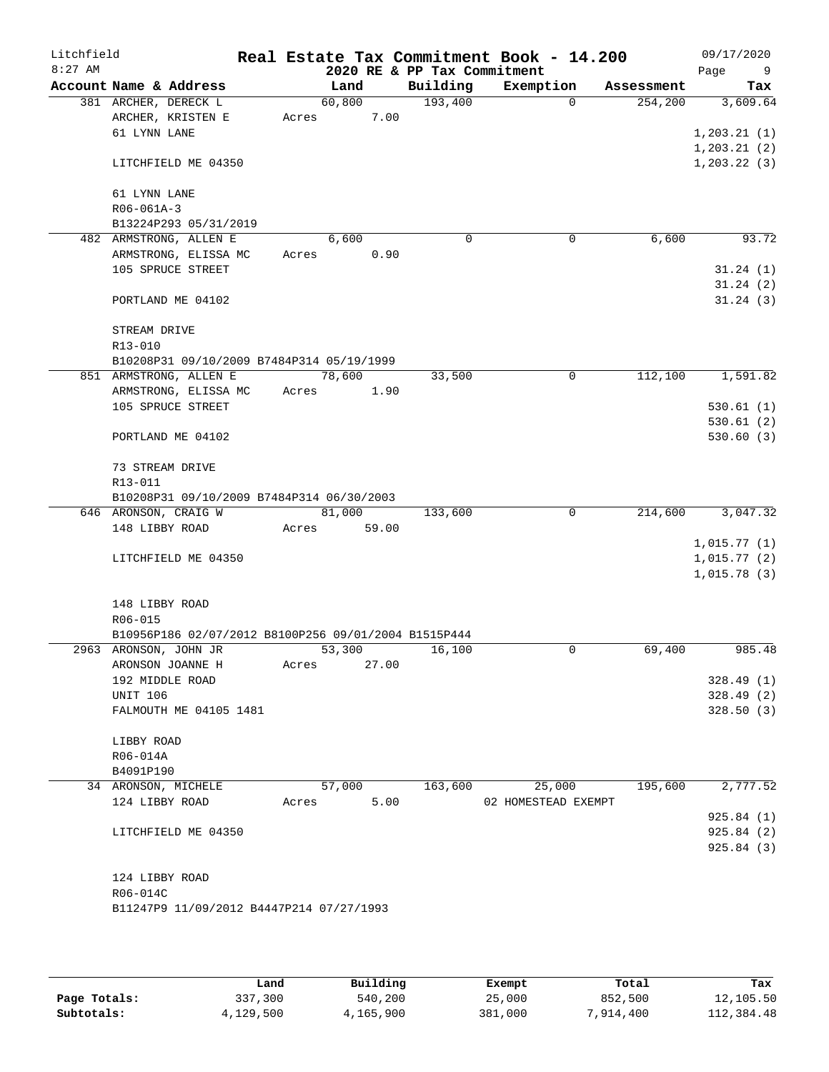| Litchfield<br>$8:27$ AM |                                                      |       |               | 2020 RE & PP Tax Commitment | Real Estate Tax Commitment Book - 14.200 |            | 09/17/2020<br>Page<br>- 9 |
|-------------------------|------------------------------------------------------|-------|---------------|-----------------------------|------------------------------------------|------------|---------------------------|
|                         | Account Name & Address                               |       | Land          | Building                    | Exemption                                | Assessment | Tax                       |
|                         | 381 ARCHER, DERECK L                                 |       | 60,800        | 193,400                     | $\Omega$                                 | 254,200    | 3,609.64                  |
|                         | ARCHER, KRISTEN E                                    | Acres | 7.00          |                             |                                          |            |                           |
|                         | 61 LYNN LANE                                         |       |               |                             |                                          |            | 1,203.21(1)               |
|                         |                                                      |       |               |                             |                                          |            | 1, 203.21(2)              |
|                         | LITCHFIELD ME 04350                                  |       |               |                             |                                          |            | 1, 203.22(3)              |
|                         | 61 LYNN LANE                                         |       |               |                             |                                          |            |                           |
|                         | $R06 - 061A - 3$                                     |       |               |                             |                                          |            |                           |
|                         | B13224P293 05/31/2019                                |       |               |                             |                                          |            |                           |
|                         | 482 ARMSTRONG, ALLEN E                               |       | 6,600         | 0                           | 0                                        | 6,600      | 93.72                     |
|                         | ARMSTRONG, ELISSA MC                                 | Acres | 0.90          |                             |                                          |            |                           |
|                         | 105 SPRUCE STREET                                    |       |               |                             |                                          |            | 31.24(1)                  |
|                         |                                                      |       |               |                             |                                          |            | 31.24(2)                  |
|                         | PORTLAND ME 04102                                    |       |               |                             |                                          |            | 31.24(3)                  |
|                         | STREAM DRIVE                                         |       |               |                             |                                          |            |                           |
|                         | R13-010                                              |       |               |                             |                                          |            |                           |
|                         | B10208P31 09/10/2009 B7484P314 05/19/1999            |       |               |                             |                                          |            |                           |
|                         | 851 ARMSTRONG, ALLEN E                               |       | 78,600        | 33,500                      | 0                                        | 112,100    | 1,591.82                  |
|                         | ARMSTRONG, ELISSA MC                                 |       | Acres<br>1.90 |                             |                                          |            |                           |
|                         | 105 SPRUCE STREET                                    |       |               |                             |                                          |            | 530.61(1)                 |
|                         |                                                      |       |               |                             |                                          |            | 530.61(2)                 |
|                         | PORTLAND ME 04102                                    |       |               |                             |                                          |            | 530.60(3)                 |
|                         | 73 STREAM DRIVE                                      |       |               |                             |                                          |            |                           |
|                         | R13-011                                              |       |               |                             |                                          |            |                           |
|                         | B10208P31 09/10/2009 B7484P314 06/30/2003            |       |               |                             |                                          |            |                           |
|                         | 646 ARONSON, CRAIG W                                 |       | 81,000        | 133,600                     | 0                                        | 214,600    | 3,047.32                  |
|                         | 148 LIBBY ROAD                                       | Acres | 59.00         |                             |                                          |            |                           |
|                         |                                                      |       |               |                             |                                          |            | 1,015.77(1)               |
|                         | LITCHFIELD ME 04350                                  |       |               |                             |                                          |            | 1,015.77(2)               |
|                         |                                                      |       |               |                             |                                          |            | 1,015.78(3)               |
|                         | 148 LIBBY ROAD                                       |       |               |                             |                                          |            |                           |
|                         | R06-015                                              |       |               |                             |                                          |            |                           |
|                         | B10956P186 02/07/2012 B8100P256 09/01/2004 B1515P444 |       |               |                             |                                          |            |                           |
|                         | 2963 ARONSON, JOHN JR                                |       | 53,300        | 16,100                      | 0                                        | 69,400     | 985.48                    |
|                         | ARONSON JOANNE H                                     | Acres | 27.00         |                             |                                          |            |                           |
|                         | 192 MIDDLE ROAD                                      |       |               |                             |                                          |            | 328.49(1)                 |
|                         | <b>UNIT 106</b>                                      |       |               |                             |                                          |            | 328.49(2)                 |
|                         | FALMOUTH ME 04105 1481                               |       |               |                             |                                          |            | 328.50(3)                 |
|                         | LIBBY ROAD                                           |       |               |                             |                                          |            |                           |
|                         | R06-014A                                             |       |               |                             |                                          |            |                           |
|                         | B4091P190                                            |       |               |                             |                                          |            |                           |
|                         | 34 ARONSON, MICHELE                                  |       | 57,000        | 163,600                     | 25,000                                   | 195,600    | 2,777.52                  |
|                         | 124 LIBBY ROAD                                       | Acres | 5.00          |                             | 02 HOMESTEAD EXEMPT                      |            |                           |
|                         |                                                      |       |               |                             |                                          |            | 925.84(1)                 |
|                         | LITCHFIELD ME 04350                                  |       |               |                             |                                          |            | 925.84(2)                 |
|                         |                                                      |       |               |                             |                                          |            | 925.84 (3)                |
|                         | 124 LIBBY ROAD                                       |       |               |                             |                                          |            |                           |
|                         | R06-014C                                             |       |               |                             |                                          |            |                           |
|                         | B11247P9 11/09/2012 B4447P214 07/27/1993             |       |               |                             |                                          |            |                           |
|                         |                                                      |       |               |                             |                                          |            |                           |
|                         |                                                      |       |               |                             |                                          |            |                           |

|              | Land      | Building  | Exempt  | Total     | Tax        |
|--------------|-----------|-----------|---------|-----------|------------|
| Page Totals: | 337,300   | 540,200   | 25,000  | 852,500   | 12,105.50  |
| Subtotals:   | 4,129,500 | 4,165,900 | 381,000 | 7,914,400 | 112,384.48 |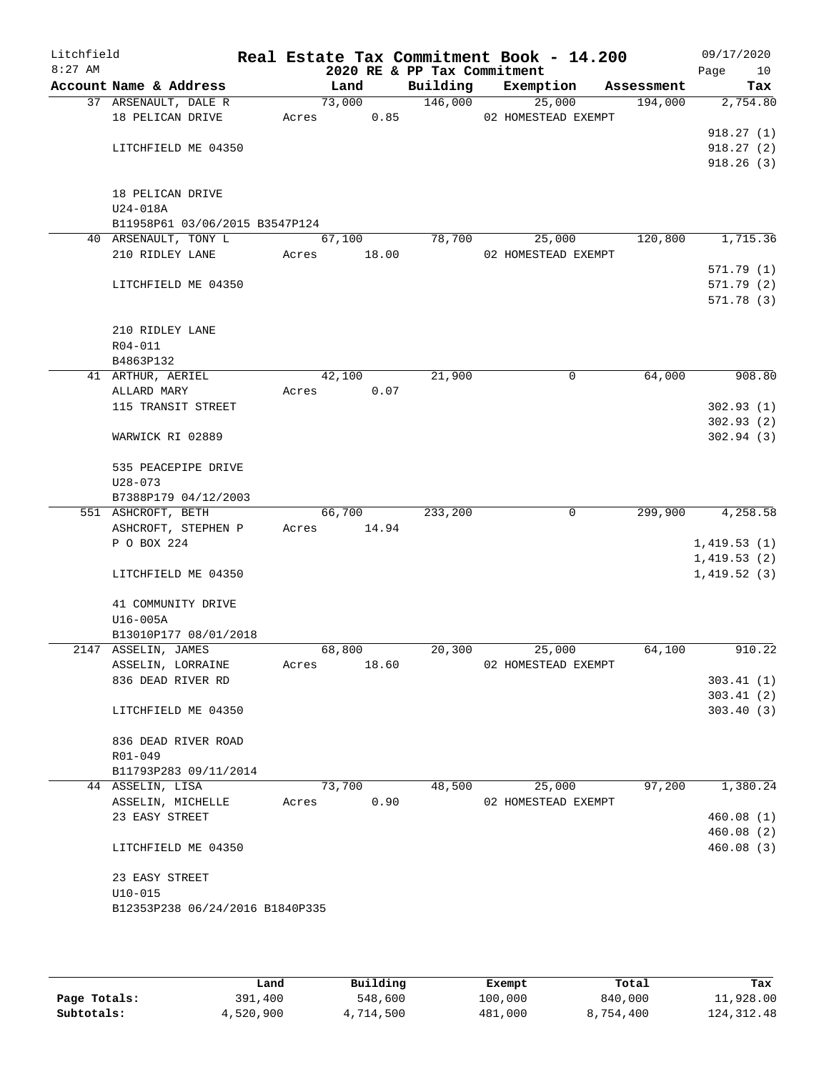| Litchfield<br>$8:27$ AM |                                 |       | 2020 RE & PP Tax Commitment |          | Real Estate Tax Commitment Book - 14.200 |            | 09/17/2020<br>Page<br>10 |
|-------------------------|---------------------------------|-------|-----------------------------|----------|------------------------------------------|------------|--------------------------|
|                         | Account Name & Address          |       | Land                        | Building | Exemption                                | Assessment | Tax                      |
|                         | 37 ARSENAULT, DALE R            |       | 73,000                      | 146,000  | 25,000                                   | 194,000    | 2,754.80                 |
|                         | 18 PELICAN DRIVE                |       | 0.85<br>Acres               |          | 02 HOMESTEAD EXEMPT                      |            |                          |
|                         |                                 |       |                             |          |                                          |            | 918.27(1)                |
|                         | LITCHFIELD ME 04350             |       |                             |          |                                          |            | 918.27(2)                |
|                         |                                 |       |                             |          |                                          |            | 918.26(3)                |
|                         |                                 |       |                             |          |                                          |            |                          |
|                         | 18 PELICAN DRIVE<br>U24-018A    |       |                             |          |                                          |            |                          |
|                         | B11958P61 03/06/2015 B3547P124  |       |                             |          |                                          |            |                          |
|                         | 40 ARSENAULT, TONY L            |       | 67,100                      | 78,700   | 25,000                                   | 120,800    | 1,715.36                 |
|                         | 210 RIDLEY LANE                 |       | Acres 18.00                 |          | 02 HOMESTEAD EXEMPT                      |            |                          |
|                         |                                 |       |                             |          |                                          |            | 571.79(1)                |
|                         | LITCHFIELD ME 04350             |       |                             |          |                                          |            | 571.79 (2)               |
|                         |                                 |       |                             |          |                                          |            | 571.78(3)                |
|                         |                                 |       |                             |          |                                          |            |                          |
|                         | 210 RIDLEY LANE                 |       |                             |          |                                          |            |                          |
|                         | R04-011                         |       |                             |          |                                          |            |                          |
|                         | B4863P132                       |       |                             |          |                                          |            |                          |
|                         | 41 ARTHUR, AERIEL               |       | 42,100                      | 21,900   | $\mathbf 0$                              | 64,000     | 908.80                   |
|                         | ALLARD MARY                     | Acres | 0.07                        |          |                                          |            |                          |
|                         | 115 TRANSIT STREET              |       |                             |          |                                          |            | 302.93(1)                |
|                         | WARWICK RI 02889                |       |                             |          |                                          |            | 302.93(2)<br>302.94(3)   |
|                         |                                 |       |                             |          |                                          |            |                          |
|                         | 535 PEACEPIPE DRIVE             |       |                             |          |                                          |            |                          |
|                         | $U28 - 073$                     |       |                             |          |                                          |            |                          |
|                         | B7388P179 04/12/2003            |       |                             |          |                                          |            |                          |
|                         | 551 ASHCROFT, BETH              |       | 66,700                      | 233,200  | $\mathbf 0$                              | 299,900    | 4,258.58                 |
|                         | ASHCROFT, STEPHEN P             |       | Acres 14.94                 |          |                                          |            |                          |
|                         | P O BOX 224                     |       |                             |          |                                          |            | 1,419.53(1)              |
|                         |                                 |       |                             |          |                                          |            | 1,419.53(2)              |
|                         | LITCHFIELD ME 04350             |       |                             |          |                                          |            | 1,419.52(3)              |
|                         | 41 COMMUNITY DRIVE              |       |                             |          |                                          |            |                          |
|                         | U16-005A                        |       |                             |          |                                          |            |                          |
|                         | B13010P177 08/01/2018           |       |                             |          |                                          |            |                          |
|                         | 2147 ASSELIN, JAMES             |       | 68,800                      | 20,300   | 25,000                                   | 64,100     | 910.22                   |
|                         | ASSELIN, LORRAINE               | Acres | 18.60                       |          | 02 HOMESTEAD EXEMPT                      |            |                          |
|                         | 836 DEAD RIVER RD               |       |                             |          |                                          |            | 303.41(1)                |
|                         |                                 |       |                             |          |                                          |            | 303.41(2)                |
|                         | LITCHFIELD ME 04350             |       |                             |          |                                          |            | 303.40(3)                |
|                         | 836 DEAD RIVER ROAD             |       |                             |          |                                          |            |                          |
|                         | R01-049                         |       |                             |          |                                          |            |                          |
|                         | B11793P283 09/11/2014           |       |                             |          |                                          |            |                          |
|                         | 44 ASSELIN, LISA                |       | 73,700                      | 48,500   | 25,000                                   | 97,200     | 1,380.24                 |
|                         | ASSELIN, MICHELLE               | Acres | 0.90                        |          | 02 HOMESTEAD EXEMPT                      |            |                          |
|                         | 23 EASY STREET                  |       |                             |          |                                          |            | 460.08(1)                |
|                         |                                 |       |                             |          |                                          |            | 460.08(2)                |
|                         | LITCHFIELD ME 04350             |       |                             |          |                                          |            | 460.08(3)                |
|                         | 23 EASY STREET                  |       |                             |          |                                          |            |                          |
|                         | $U10 - 015$                     |       |                             |          |                                          |            |                          |
|                         | B12353P238 06/24/2016 B1840P335 |       |                             |          |                                          |            |                          |
|                         |                                 |       |                             |          |                                          |            |                          |
|                         |                                 |       |                             |          |                                          |            |                          |

|              | Land      | Building  | Exempt  | Total     | Tax          |
|--------------|-----------|-----------|---------|-----------|--------------|
| Page Totals: | 391,400   | 548,600   | 100,000 | 840,000   | 11,928.00    |
| Subtotals:   | 4,520,900 | 4,714,500 | 481,000 | 8,754,400 | 124, 312. 48 |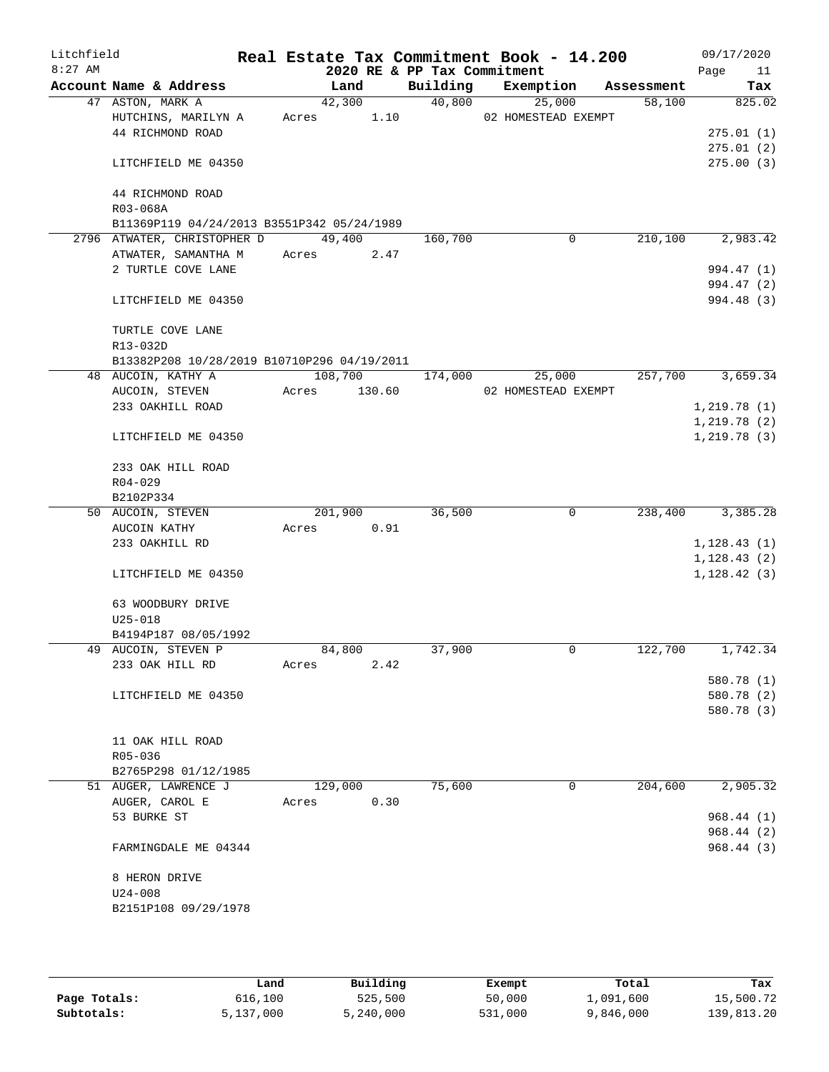| Litchfield<br>$8:27$ AM |                                             |       |         |      | 2020 RE & PP Tax Commitment | Real Estate Tax Commitment Book - 14.200 |            |                      | 09/17/2020<br>Page<br>11 |
|-------------------------|---------------------------------------------|-------|---------|------|-----------------------------|------------------------------------------|------------|----------------------|--------------------------|
|                         | Account Name & Address                      |       | Land    |      | Building                    | Exemption                                | Assessment |                      | Tax                      |
|                         | 47 ASTON, MARK A                            |       | 42,300  |      | 40,800                      | 25,000                                   |            | 58,100               | 825.02                   |
|                         | HUTCHINS, MARILYN A                         | Acres |         | 1.10 |                             | 02 HOMESTEAD EXEMPT                      |            |                      |                          |
|                         | 44 RICHMOND ROAD                            |       |         |      |                             |                                          |            |                      | 275.01(1)                |
|                         |                                             |       |         |      |                             |                                          |            |                      | 275.01(2)                |
|                         | LITCHFIELD ME 04350                         |       |         |      |                             |                                          |            |                      | 275.00(3)                |
|                         | 44 RICHMOND ROAD                            |       |         |      |                             |                                          |            |                      |                          |
|                         | R03-068A                                    |       |         |      |                             |                                          |            |                      |                          |
|                         | B11369P119 04/24/2013 B3551P342 05/24/1989  |       |         |      |                             |                                          |            |                      |                          |
|                         | 2796 ATWATER, CHRISTOPHER D                 |       | 49,400  |      | 160,700                     | 0                                        |            | 210,100              | 2,983.42                 |
|                         | ATWATER, SAMANTHA M                         | Acres |         | 2.47 |                             |                                          |            |                      |                          |
|                         | 2 TURTLE COVE LANE                          |       |         |      |                             |                                          |            |                      | 994.47 (1)               |
|                         |                                             |       |         |      |                             |                                          |            |                      | 994.47 (2)               |
|                         | LITCHFIELD ME 04350                         |       |         |      |                             |                                          |            |                      | 994.48 (3)               |
|                         | TURTLE COVE LANE                            |       |         |      |                             |                                          |            |                      |                          |
|                         | R13-032D                                    |       |         |      |                             |                                          |            |                      |                          |
|                         | B13382P208 10/28/2019 B10710P296 04/19/2011 |       |         |      |                             |                                          |            |                      |                          |
|                         | 48 AUCOIN, KATHY A                          |       | 108,700 |      | 174,000                     | 25,000                                   |            | 257,700              | 3,659.34                 |
|                         | AUCOIN, STEVEN                              | Acres | 130.60  |      |                             | 02 HOMESTEAD EXEMPT                      |            |                      |                          |
|                         | 233 OAKHILL ROAD                            |       |         |      |                             |                                          |            |                      | 1,219.78(1)              |
|                         |                                             |       |         |      |                             |                                          |            |                      | 1,219.78(2)              |
|                         | LITCHFIELD ME 04350                         |       |         |      |                             |                                          |            |                      | 1, 219.78(3)             |
|                         | 233 OAK HILL ROAD                           |       |         |      |                             |                                          |            |                      |                          |
|                         | $R04 - 029$                                 |       |         |      |                             |                                          |            |                      |                          |
|                         | B2102P334                                   |       |         |      |                             |                                          |            |                      |                          |
|                         | 50 AUCOIN, STEVEN                           |       | 201,900 |      | 36,500                      | $\overline{0}$                           |            | 238,400              | 3,385.28                 |
|                         | AUCOIN KATHY                                | Acres |         | 0.91 |                             |                                          |            |                      |                          |
|                         | 233 OAKHILL RD                              |       |         |      |                             |                                          |            |                      | 1,128.43(1)              |
|                         |                                             |       |         |      |                             |                                          |            |                      | 1,128.43(2)              |
|                         | LITCHFIELD ME 04350                         |       |         |      |                             |                                          |            |                      | 1,128.42(3)              |
|                         | 63 WOODBURY DRIVE                           |       |         |      |                             |                                          |            |                      |                          |
|                         | $U25 - 018$                                 |       |         |      |                             |                                          |            |                      |                          |
|                         | B4194P187 08/05/1992                        |       |         |      |                             |                                          |            |                      |                          |
|                         | 49 AUCOIN, STEVEN P                         |       | 84,800  |      | 37,900                      | 0                                        |            | $1\overline{22,700}$ | 1,742.34                 |
|                         | 233 OAK HILL RD                             | Acres |         | 2.42 |                             |                                          |            |                      |                          |
|                         |                                             |       |         |      |                             |                                          |            |                      | 580.78 (1)               |
|                         | LITCHFIELD ME 04350                         |       |         |      |                             |                                          |            |                      | 580.78 (2)               |
|                         |                                             |       |         |      |                             |                                          |            |                      | 580.78 (3)               |
|                         |                                             |       |         |      |                             |                                          |            |                      |                          |
|                         | 11 OAK HILL ROAD                            |       |         |      |                             |                                          |            |                      |                          |
|                         | R05-036                                     |       |         |      |                             |                                          |            |                      |                          |
|                         | B2765P298 01/12/1985                        |       |         |      |                             |                                          |            |                      |                          |
|                         | 51 AUGER, LAWRENCE J                        |       | 129,000 |      | 75,600                      | 0                                        |            | 204,600              | 2,905.32                 |
|                         | AUGER, CAROL E                              | Acres |         | 0.30 |                             |                                          |            |                      |                          |
|                         | 53 BURKE ST                                 |       |         |      |                             |                                          |            |                      | 968.44 (1)               |
|                         |                                             |       |         |      |                             |                                          |            |                      | 968.44 (2)               |
|                         | FARMINGDALE ME 04344                        |       |         |      |                             |                                          |            |                      | 968.44(3)                |
|                         | 8 HERON DRIVE                               |       |         |      |                             |                                          |            |                      |                          |
|                         | $U24 - 008$                                 |       |         |      |                             |                                          |            |                      |                          |
|                         | B2151P108 09/29/1978                        |       |         |      |                             |                                          |            |                      |                          |
|                         |                                             |       |         |      |                             |                                          |            |                      |                          |

|              | Land      | Building  | Exempt  | Total     | Tax        |
|--------------|-----------|-----------|---------|-----------|------------|
| Page Totals: | 616,100   | 525,500   | 50,000  | 1,091,600 | 15,500.72  |
| Subtotals:   | 5,137,000 | 5,240,000 | 531,000 | 9,846,000 | 139,813.20 |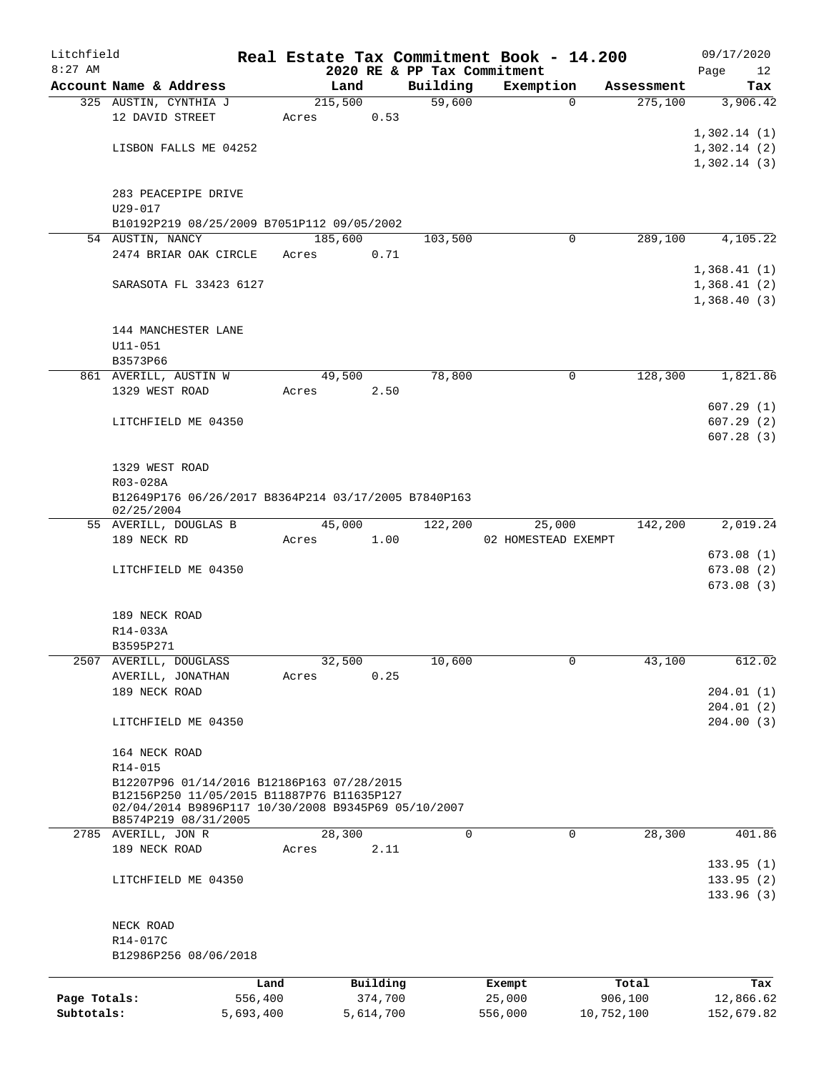| Litchfield   |                                                                             |                 |         |                     |                             | Real Estate Tax Commitment Book - 14.200 |                  | 09/17/2020             |
|--------------|-----------------------------------------------------------------------------|-----------------|---------|---------------------|-----------------------------|------------------------------------------|------------------|------------------------|
| $8:27$ AM    |                                                                             |                 |         |                     | 2020 RE & PP Tax Commitment |                                          |                  | Page<br>12             |
|              | Account Name & Address                                                      |                 | Land    |                     | Building                    | Exemption                                | Assessment       | Tax                    |
|              | 325 AUSTIN, CYNTHIA J                                                       |                 | 215,500 |                     | 59,600                      | $\Omega$                                 | 275,100          | 3,906.42               |
|              | 12 DAVID STREET                                                             |                 | Acres   | 0.53                |                             |                                          |                  | 1,302.14(1)            |
|              | LISBON FALLS ME 04252                                                       |                 |         |                     |                             |                                          |                  | 1,302.14(2)            |
|              |                                                                             |                 |         |                     |                             |                                          |                  | 1,302.14(3)            |
|              |                                                                             |                 |         |                     |                             |                                          |                  |                        |
|              | 283 PEACEPIPE DRIVE                                                         |                 |         |                     |                             |                                          |                  |                        |
|              | $U29 - 017$                                                                 |                 |         |                     |                             |                                          |                  |                        |
|              | B10192P219 08/25/2009 B7051P112 09/05/2002                                  |                 |         |                     |                             |                                          |                  |                        |
|              | 54 AUSTIN, NANCY                                                            |                 | 185,600 |                     | 103,500                     | 0                                        | 289,100          | 4,105.22               |
|              | 2474 BRIAR OAK CIRCLE                                                       |                 | Acres   | 0.71                |                             |                                          |                  |                        |
|              |                                                                             |                 |         |                     |                             |                                          |                  | 1,368.41(1)            |
|              | SARASOTA FL 33423 6127                                                      |                 |         |                     |                             |                                          |                  | 1,368.41(2)            |
|              |                                                                             |                 |         |                     |                             |                                          |                  | 1,368.40(3)            |
|              |                                                                             |                 |         |                     |                             |                                          |                  |                        |
|              | 144 MANCHESTER LANE                                                         |                 |         |                     |                             |                                          |                  |                        |
|              | U11-051                                                                     |                 |         |                     |                             |                                          |                  |                        |
|              | B3573P66                                                                    |                 |         |                     |                             |                                          |                  |                        |
|              | 861 AVERILL, AUSTIN W                                                       |                 | 49,500  |                     | 78,800                      | $\mathbf 0$                              | 128,300          | 1,821.86               |
|              | 1329 WEST ROAD                                                              |                 | Acres   | 2.50                |                             |                                          |                  |                        |
|              |                                                                             |                 |         |                     |                             |                                          |                  | 607.29(1)              |
|              | LITCHFIELD ME 04350                                                         |                 |         |                     |                             |                                          |                  | 607.29(2)<br>607.28(3) |
|              |                                                                             |                 |         |                     |                             |                                          |                  |                        |
|              | 1329 WEST ROAD                                                              |                 |         |                     |                             |                                          |                  |                        |
|              | R03-028A                                                                    |                 |         |                     |                             |                                          |                  |                        |
|              | B12649P176 06/26/2017 B8364P214 03/17/2005 B7840P163                        |                 |         |                     |                             |                                          |                  |                        |
|              | 02/25/2004                                                                  |                 |         |                     |                             |                                          |                  |                        |
|              | 55 AVERILL, DOUGLAS B                                                       |                 | 45,000  |                     | 122,200                     | 25,000                                   | 142,200          | 2,019.24               |
|              | 189 NECK RD                                                                 |                 | Acres   | 1.00                |                             | 02 HOMESTEAD EXEMPT                      |                  |                        |
|              |                                                                             |                 |         |                     |                             |                                          |                  | 673.08(1)              |
|              | LITCHFIELD ME 04350                                                         |                 |         |                     |                             |                                          |                  | 673.08(2)              |
|              |                                                                             |                 |         |                     |                             |                                          |                  | 673.08(3)              |
|              |                                                                             |                 |         |                     |                             |                                          |                  |                        |
|              | 189 NECK ROAD                                                               |                 |         |                     |                             |                                          |                  |                        |
|              | R14-033A                                                                    |                 |         |                     |                             |                                          |                  |                        |
| 2507         | B3595P271<br>AVERILL, DOUGLASS                                              |                 | 32,500  |                     | 10,600                      | 0                                        | 43,100           | 612.02                 |
|              | AVERILL, JONATHAN                                                           |                 | Acres   | 0.25                |                             |                                          |                  |                        |
|              | 189 NECK ROAD                                                               |                 |         |                     |                             |                                          |                  | 204.01(1)              |
|              |                                                                             |                 |         |                     |                             |                                          |                  | 204.01(2)              |
|              | LITCHFIELD ME 04350                                                         |                 |         |                     |                             |                                          |                  | 204.00(3)              |
|              |                                                                             |                 |         |                     |                             |                                          |                  |                        |
|              | 164 NECK ROAD                                                               |                 |         |                     |                             |                                          |                  |                        |
|              | R14-015                                                                     |                 |         |                     |                             |                                          |                  |                        |
|              | B12207P96 01/14/2016 B12186P163 07/28/2015                                  |                 |         |                     |                             |                                          |                  |                        |
|              | B12156P250 11/05/2015 B11887P76 B11635P127                                  |                 |         |                     |                             |                                          |                  |                        |
|              | 02/04/2014 B9896P117 10/30/2008 B9345P69 05/10/2007<br>B8574P219 08/31/2005 |                 |         |                     |                             |                                          |                  |                        |
|              | 2785 AVERILL, JON R                                                         |                 | 28,300  |                     | $\mathbf 0$                 | $\mathbf 0$                              | 28,300           | 401.86                 |
|              | 189 NECK ROAD                                                               |                 | Acres   | 2.11                |                             |                                          |                  |                        |
|              |                                                                             |                 |         |                     |                             |                                          |                  | 133.95(1)              |
|              | LITCHFIELD ME 04350                                                         |                 |         |                     |                             |                                          |                  | 133.95(2)              |
|              |                                                                             |                 |         |                     |                             |                                          |                  | 133.96(3)              |
|              |                                                                             |                 |         |                     |                             |                                          |                  |                        |
|              | NECK ROAD                                                                   |                 |         |                     |                             |                                          |                  |                        |
|              | R14-017C                                                                    |                 |         |                     |                             |                                          |                  |                        |
|              | B12986P256 08/06/2018                                                       |                 |         |                     |                             |                                          |                  |                        |
|              |                                                                             |                 |         |                     |                             |                                          |                  |                        |
| Page Totals: |                                                                             | Land<br>556,400 |         | Building<br>374,700 |                             | Exempt<br>25,000                         | Total<br>906,100 | Tax<br>12,866.62       |
| Subtotals:   |                                                                             | 5,693,400       |         | 5,614,700           |                             | 556,000                                  | 10,752,100       | 152,679.82             |
|              |                                                                             |                 |         |                     |                             |                                          |                  |                        |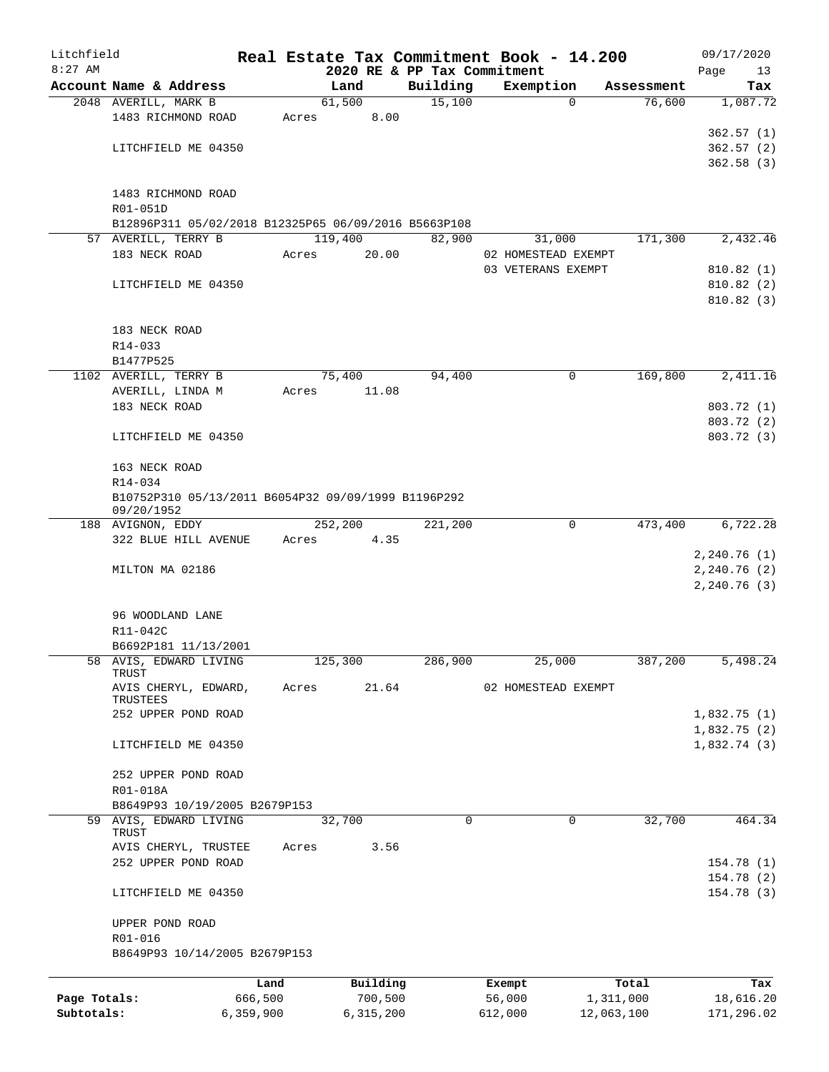| Litchfield   |                                                      |           |       |         |           | Real Estate Tax Commitment Book - 14.200 |         |                     |            | 09/17/2020   |
|--------------|------------------------------------------------------|-----------|-------|---------|-----------|------------------------------------------|---------|---------------------|------------|--------------|
| $8:27$ AM    |                                                      |           |       |         |           | 2020 RE & PP Tax Commitment              |         |                     |            | Page<br>13   |
|              | Account Name & Address                               |           |       | Land    |           | Building                                 |         | Exemption           | Assessment | Tax          |
|              | 2048 AVERILL, MARK B                                 |           |       | 61,500  |           | 15,100                                   |         | $\overline{0}$      | 76,600     | 1,087.72     |
|              | 1483 RICHMOND ROAD                                   |           | Acres |         | 8.00      |                                          |         |                     |            | 362.57(1)    |
|              | LITCHFIELD ME 04350                                  |           |       |         |           |                                          |         |                     |            | 362.57(2)    |
|              |                                                      |           |       |         |           |                                          |         |                     |            | 362.58(3)    |
|              |                                                      |           |       |         |           |                                          |         |                     |            |              |
|              | 1483 RICHMOND ROAD                                   |           |       |         |           |                                          |         |                     |            |              |
|              | R01-051D                                             |           |       |         |           |                                          |         |                     |            |              |
|              | B12896P311 05/02/2018 B12325P65 06/09/2016 B5663P108 |           |       |         |           |                                          |         |                     |            |              |
|              | 57 AVERILL, TERRY B                                  |           |       | 119,400 |           | 82,900                                   |         | 31,000              | 171,300    | 2,432.46     |
|              | 183 NECK ROAD                                        |           | Acres |         | 20.00     |                                          |         | 02 HOMESTEAD EXEMPT |            |              |
|              |                                                      |           |       |         |           |                                          |         | 03 VETERANS EXEMPT  |            | 810.82(1)    |
|              | LITCHFIELD ME 04350                                  |           |       |         |           |                                          |         |                     |            | 810.82(2)    |
|              |                                                      |           |       |         |           |                                          |         |                     |            | 810.82(3)    |
|              |                                                      |           |       |         |           |                                          |         |                     |            |              |
|              | 183 NECK ROAD                                        |           |       |         |           |                                          |         |                     |            |              |
|              | R14-033                                              |           |       |         |           |                                          |         |                     |            |              |
|              | B1477P525                                            |           |       |         |           |                                          |         |                     |            |              |
|              | 1102 AVERILL, TERRY B                                |           |       | 75,400  |           | 94,400                                   |         | 0                   | 169,800    | 2,411.16     |
|              | AVERILL, LINDA M                                     |           | Acres |         | 11.08     |                                          |         |                     |            |              |
|              | 183 NECK ROAD                                        |           |       |         |           |                                          |         |                     |            | 803.72 (1)   |
|              |                                                      |           |       |         |           |                                          |         |                     |            | 803.72 (2)   |
|              | LITCHFIELD ME 04350                                  |           |       |         |           |                                          |         |                     |            | 803.72 (3)   |
|              |                                                      |           |       |         |           |                                          |         |                     |            |              |
|              | 163 NECK ROAD                                        |           |       |         |           |                                          |         |                     |            |              |
|              | R14-034                                              |           |       |         |           |                                          |         |                     |            |              |
|              | B10752P310 05/13/2011 B6054P32 09/09/1999 B1196P292  |           |       |         |           |                                          |         |                     |            |              |
|              | 09/20/1952                                           |           |       |         |           |                                          |         |                     |            |              |
|              | 188 AVIGNON, EDDY                                    |           |       | 252,200 |           | 221,200                                  |         | $\mathbf 0$         | 473,400    | 6,722.28     |
|              | 322 BLUE HILL AVENUE                                 |           | Acres |         | 4.35      |                                          |         |                     |            |              |
|              |                                                      |           |       |         |           |                                          |         |                     |            | 2,240.76(1)  |
|              | MILTON MA 02186                                      |           |       |         |           |                                          |         |                     |            | 2,240.76(2)  |
|              |                                                      |           |       |         |           |                                          |         |                     |            | 2, 240.76(3) |
|              |                                                      |           |       |         |           |                                          |         |                     |            |              |
|              | 96 WOODLAND LANE                                     |           |       |         |           |                                          |         |                     |            |              |
|              | R11-042C                                             |           |       |         |           |                                          |         |                     |            |              |
| 58           | B6692P181 11/13/2001<br>AVIS, EDWARD LIVING          |           |       |         |           |                                          |         |                     |            |              |
|              | TRUST                                                |           |       | 125,300 |           | 286,900                                  |         | 25,000              | 387,200    | 5,498.24     |
|              | AVIS CHERYL, EDWARD,                                 |           | Acres |         | 21.64     |                                          |         | 02 HOMESTEAD EXEMPT |            |              |
|              | TRUSTEES                                             |           |       |         |           |                                          |         |                     |            |              |
|              | 252 UPPER POND ROAD                                  |           |       |         |           |                                          |         |                     |            | 1,832.75(1)  |
|              |                                                      |           |       |         |           |                                          |         |                     |            | 1,832.75(2)  |
|              | LITCHFIELD ME 04350                                  |           |       |         |           |                                          |         |                     |            | 1,832.74(3)  |
|              |                                                      |           |       |         |           |                                          |         |                     |            |              |
|              | 252 UPPER POND ROAD                                  |           |       |         |           |                                          |         |                     |            |              |
|              | R01-018A                                             |           |       |         |           |                                          |         |                     |            |              |
|              | B8649P93 10/19/2005 B2679P153                        |           |       |         |           |                                          |         |                     |            |              |
|              | 59 AVIS, EDWARD LIVING                               |           |       | 32,700  |           | 0                                        |         | 0                   | 32,700     | 464.34       |
|              | TRUST                                                |           | Acres |         | 3.56      |                                          |         |                     |            |              |
|              | AVIS CHERYL, TRUSTEE<br>252 UPPER POND ROAD          |           |       |         |           |                                          |         |                     |            | 154.78(1)    |
|              |                                                      |           |       |         |           |                                          |         |                     |            | 154.78 (2)   |
|              | LITCHFIELD ME 04350                                  |           |       |         |           |                                          |         |                     |            | 154.78 (3)   |
|              |                                                      |           |       |         |           |                                          |         |                     |            |              |
|              | UPPER POND ROAD                                      |           |       |         |           |                                          |         |                     |            |              |
|              | R01-016                                              |           |       |         |           |                                          |         |                     |            |              |
|              | B8649P93 10/14/2005 B2679P153                        |           |       |         |           |                                          |         |                     |            |              |
|              |                                                      |           |       |         |           |                                          |         |                     |            |              |
|              |                                                      | Land      |       |         | Building  |                                          | Exempt  |                     | Total      | Tax          |
| Page Totals: |                                                      | 666,500   |       |         | 700,500   |                                          | 56,000  |                     | 1,311,000  | 18,616.20    |
| Subtotals:   |                                                      | 6,359,900 |       |         | 6,315,200 |                                          | 612,000 |                     | 12,063,100 | 171,296.02   |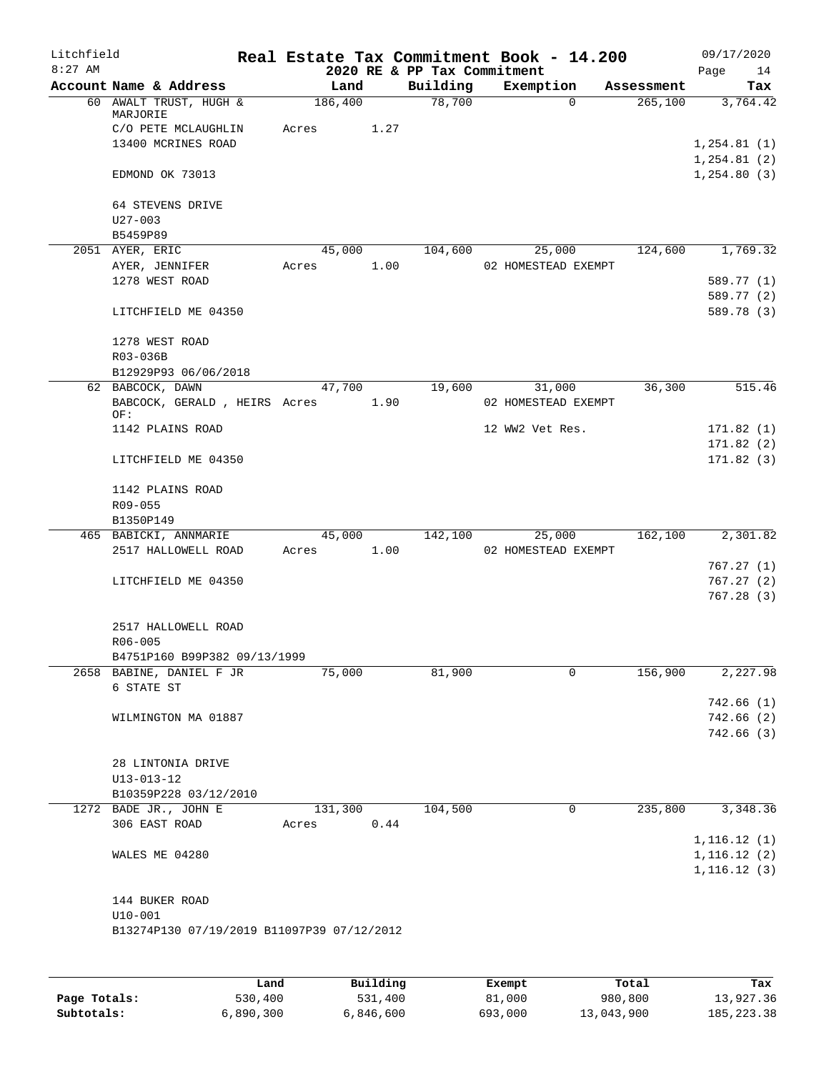| Litchfield<br>$8:27$ AM |                                                          |            |      |                                         | Real Estate Tax Commitment Book - 14.200 |            | 09/17/2020                   |
|-------------------------|----------------------------------------------------------|------------|------|-----------------------------------------|------------------------------------------|------------|------------------------------|
|                         | Account Name & Address                                   | Land       |      | 2020 RE & PP Tax Commitment<br>Building | Exemption                                | Assessment | Page<br>14<br>Tax            |
|                         | 60 AWALT TRUST, HUGH &                                   | 186,400    |      | 78,700                                  | $\Omega$                                 | 265,100    | 3,764.42                     |
|                         | MARJORIE                                                 |            |      |                                         |                                          |            |                              |
|                         | C/O PETE MCLAUGHLIN                                      | Acres      | 1.27 |                                         |                                          |            |                              |
|                         | 13400 MCRINES ROAD                                       |            |      |                                         |                                          |            | 1, 254.81(1)                 |
|                         | EDMOND OK 73013                                          |            |      |                                         |                                          |            | 1, 254.81(2)<br>1, 254.80(3) |
|                         |                                                          |            |      |                                         |                                          |            |                              |
|                         | 64 STEVENS DRIVE                                         |            |      |                                         |                                          |            |                              |
|                         | $U27 - 003$                                              |            |      |                                         |                                          |            |                              |
|                         | B5459P89                                                 |            |      |                                         |                                          |            |                              |
|                         | 2051 AYER, ERIC                                          | 45,000     |      | 104,600                                 | 25,000                                   | 124,600    | 1,769.32                     |
|                         | AYER, JENNIFER                                           | Acres      | 1.00 |                                         | 02 HOMESTEAD EXEMPT                      |            |                              |
|                         | 1278 WEST ROAD                                           |            |      |                                         |                                          |            | 589.77 (1)                   |
|                         |                                                          |            |      |                                         |                                          |            | 589.77 (2)                   |
|                         | LITCHFIELD ME 04350                                      |            |      |                                         |                                          |            | 589.78 (3)                   |
|                         | 1278 WEST ROAD                                           |            |      |                                         |                                          |            |                              |
|                         | R03-036B                                                 |            |      |                                         |                                          |            |                              |
|                         | B12929P93 06/06/2018                                     |            |      |                                         |                                          |            |                              |
|                         | 62 BABCOCK, DAWN                                         | 47,700     |      | 19,600                                  | 31,000                                   | 36,300     | 515.46                       |
|                         | BABCOCK, GERALD, HEIRS Acres                             |            | 1.90 |                                         | 02 HOMESTEAD EXEMPT                      |            |                              |
|                         | OF:                                                      |            |      |                                         |                                          |            |                              |
|                         | 1142 PLAINS ROAD                                         |            |      |                                         | 12 WW2 Vet Res.                          |            | 171.82(1)                    |
|                         |                                                          |            |      |                                         |                                          |            | 171.82(2)                    |
|                         | LITCHFIELD ME 04350                                      |            |      |                                         |                                          |            | 171.82(3)                    |
|                         | 1142 PLAINS ROAD                                         |            |      |                                         |                                          |            |                              |
|                         | R09-055                                                  |            |      |                                         |                                          |            |                              |
|                         | B1350P149                                                |            |      |                                         |                                          |            |                              |
|                         | 465 BABICKI, ANNMARIE                                    | 45,000     |      | 142,100                                 | 25,000                                   | 162,100    | 2,301.82                     |
|                         | 2517 HALLOWELL ROAD                                      | Acres 1.00 |      |                                         | 02 HOMESTEAD EXEMPT                      |            |                              |
|                         |                                                          |            |      |                                         |                                          |            | 767.27(1)                    |
|                         | LITCHFIELD ME 04350                                      |            |      |                                         |                                          |            | 767.27(2)                    |
|                         |                                                          |            |      |                                         |                                          |            | 767.28(3)                    |
|                         |                                                          |            |      |                                         |                                          |            |                              |
|                         | 2517 HALLOWELL ROAD                                      |            |      |                                         |                                          |            |                              |
|                         | $R06 - 005$                                              |            |      |                                         |                                          |            |                              |
|                         | B4751P160 B99P382 09/13/1999<br>2658 BABINE, DANIEL F JR |            |      |                                         | 0                                        | 156,900    |                              |
|                         | 6 STATE ST                                               | 75,000     |      | 81,900                                  |                                          |            | 2,227.98                     |
|                         |                                                          |            |      |                                         |                                          |            | 742.66(1)                    |
|                         | WILMINGTON MA 01887                                      |            |      |                                         |                                          |            | 742.66(2)                    |
|                         |                                                          |            |      |                                         |                                          |            | 742.66(3)                    |
|                         |                                                          |            |      |                                         |                                          |            |                              |
|                         | 28 LINTONIA DRIVE                                        |            |      |                                         |                                          |            |                              |
|                         | U13-013-12                                               |            |      |                                         |                                          |            |                              |
|                         | B10359P228 03/12/2010                                    |            |      |                                         |                                          |            |                              |
|                         | 1272 BADE JR., JOHN E                                    | 131,300    |      | 104,500                                 | $\mathbf 0$                              | 235,800    | 3,348.36                     |
|                         | 306 EAST ROAD                                            | Acres      | 0.44 |                                         |                                          |            |                              |
|                         |                                                          |            |      |                                         |                                          |            | 1, 116.12(1)                 |
|                         | WALES ME 04280                                           |            |      |                                         |                                          |            | 1, 116.12(2)                 |
|                         |                                                          |            |      |                                         |                                          |            | 1, 116.12(3)                 |
|                         | 144 BUKER ROAD                                           |            |      |                                         |                                          |            |                              |
|                         | $U10-001$                                                |            |      |                                         |                                          |            |                              |
|                         | B13274P130 07/19/2019 B11097P39 07/12/2012               |            |      |                                         |                                          |            |                              |
|                         |                                                          |            |      |                                         |                                          |            |                              |
|                         |                                                          |            |      |                                         |                                          |            |                              |
|                         |                                                          |            |      |                                         |                                          |            |                              |

|              | Land      | Building  | Exempt  | Total      | Tax         |
|--------------|-----------|-----------|---------|------------|-------------|
| Page Totals: | 530,400   | 531,400   | 81,000  | 980,800    | 13,927.36   |
| Subtotals:   | 6,890,300 | 6,846,600 | 693,000 | 13,043,900 | 185, 223.38 |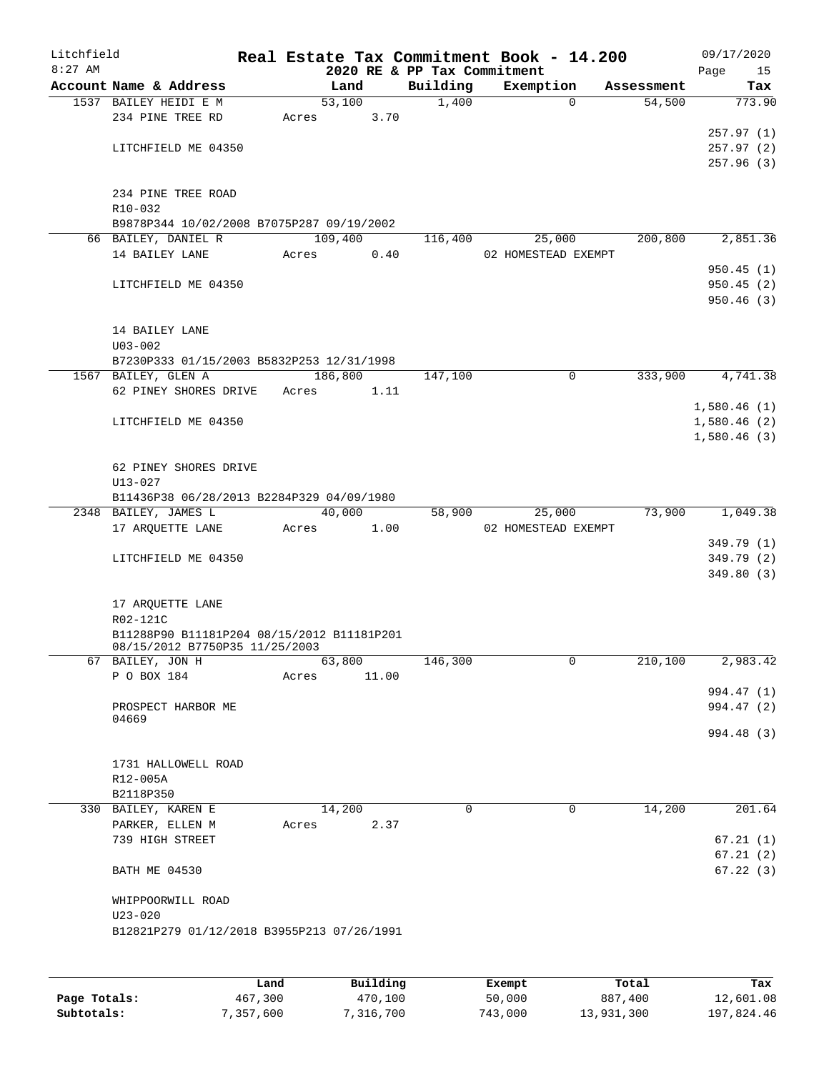| Litchfield |                                                                              |       |         |       |                                         | Real Estate Tax Commitment Book - 14.200 |             |            |      | 09/17/2020  |
|------------|------------------------------------------------------------------------------|-------|---------|-------|-----------------------------------------|------------------------------------------|-------------|------------|------|-------------|
| $8:27$ AM  | Account Name & Address                                                       |       | Land    |       | 2020 RE & PP Tax Commitment<br>Building | Exemption                                |             | Assessment | Page | 15<br>Tax   |
|            | 1537 BAILEY HEIDI E M                                                        |       | 53,100  |       | 1,400                                   |                                          | $\Omega$    | 54,500     |      | 773.90      |
|            | 234 PINE TREE RD                                                             | Acres |         | 3.70  |                                         |                                          |             |            |      |             |
|            |                                                                              |       |         |       |                                         |                                          |             |            |      | 257.97(1)   |
|            | LITCHFIELD ME 04350                                                          |       |         |       |                                         |                                          |             |            |      | 257.97 (2)  |
|            |                                                                              |       |         |       |                                         |                                          |             |            |      | 257.96(3)   |
|            |                                                                              |       |         |       |                                         |                                          |             |            |      |             |
|            | 234 PINE TREE ROAD                                                           |       |         |       |                                         |                                          |             |            |      |             |
|            | R10-032                                                                      |       |         |       |                                         |                                          |             |            |      |             |
|            | B9878P344 10/02/2008 B7075P287 09/19/2002<br>66 BAILEY, DANIEL R             |       | 109,400 |       | 116,400                                 | 25,000                                   |             | 200,800    |      | 2,851.36    |
|            | 14 BAILEY LANE                                                               | Acres |         | 0.40  |                                         | 02 HOMESTEAD EXEMPT                      |             |            |      |             |
|            |                                                                              |       |         |       |                                         |                                          |             |            |      | 950.45(1)   |
|            | LITCHFIELD ME 04350                                                          |       |         |       |                                         |                                          |             |            |      | 950.45(2)   |
|            |                                                                              |       |         |       |                                         |                                          |             |            |      | 950.46(3)   |
|            |                                                                              |       |         |       |                                         |                                          |             |            |      |             |
|            | 14 BAILEY LANE                                                               |       |         |       |                                         |                                          |             |            |      |             |
|            | $U03 - 002$                                                                  |       |         |       |                                         |                                          |             |            |      |             |
|            | B7230P333 01/15/2003 B5832P253 12/31/1998                                    |       | 186,800 |       |                                         |                                          | $\mathbf 0$ | 333,900    |      | 4,741.38    |
|            | 1567 BAILEY, GLEN A<br>62 PINEY SHORES DRIVE                                 | Acres |         | 1.11  | 147,100                                 |                                          |             |            |      |             |
|            |                                                                              |       |         |       |                                         |                                          |             |            |      | 1,580.46(1) |
|            | LITCHFIELD ME 04350                                                          |       |         |       |                                         |                                          |             |            |      | 1,580.46(2) |
|            |                                                                              |       |         |       |                                         |                                          |             |            |      | 1,580.46(3) |
|            |                                                                              |       |         |       |                                         |                                          |             |            |      |             |
|            | 62 PINEY SHORES DRIVE                                                        |       |         |       |                                         |                                          |             |            |      |             |
|            | $U13 - 027$                                                                  |       |         |       |                                         |                                          |             |            |      |             |
|            | B11436P38 06/28/2013 B2284P329 04/09/1980                                    |       |         |       |                                         |                                          |             |            |      |             |
|            | 2348 BAILEY, JAMES L<br>17 ARQUETTE LANE                                     | Acres | 40,000  | 1.00  | 58,900                                  | 25,000<br>02 HOMESTEAD EXEMPT            |             | 73,900     |      | 1,049.38    |
|            |                                                                              |       |         |       |                                         |                                          |             |            |      | 349.79 (1)  |
|            | LITCHFIELD ME 04350                                                          |       |         |       |                                         |                                          |             |            |      | 349.79 (2)  |
|            |                                                                              |       |         |       |                                         |                                          |             |            |      | 349.80(3)   |
|            |                                                                              |       |         |       |                                         |                                          |             |            |      |             |
|            | 17 ARQUETTE LANE                                                             |       |         |       |                                         |                                          |             |            |      |             |
|            | R02-121C                                                                     |       |         |       |                                         |                                          |             |            |      |             |
|            | B11288P90 B11181P204 08/15/2012 B11181P201<br>08/15/2012 B7750P35 11/25/2003 |       |         |       |                                         |                                          |             |            |      |             |
|            | 67 BAILEY, JON H                                                             |       | 63,800  |       | 146,300                                 |                                          | 0           | 210,100    |      | 2,983.42    |
|            | P O BOX 184                                                                  | Acres |         | 11.00 |                                         |                                          |             |            |      |             |
|            |                                                                              |       |         |       |                                         |                                          |             |            |      | 994.47 (1)  |
|            | PROSPECT HARBOR ME                                                           |       |         |       |                                         |                                          |             |            |      | 994.47 (2)  |
|            | 04669                                                                        |       |         |       |                                         |                                          |             |            |      | 994.48 (3)  |
|            |                                                                              |       |         |       |                                         |                                          |             |            |      |             |
|            | 1731 HALLOWELL ROAD                                                          |       |         |       |                                         |                                          |             |            |      |             |
|            | R12-005A                                                                     |       |         |       |                                         |                                          |             |            |      |             |
|            | B2118P350                                                                    |       |         |       |                                         |                                          |             |            |      |             |
|            | 330 BAILEY, KAREN E                                                          |       | 14,200  |       | $\mathbf 0$                             |                                          | $\mathbf 0$ | 14,200     |      | 201.64      |
|            | PARKER, ELLEN M                                                              | Acres |         | 2.37  |                                         |                                          |             |            |      |             |
|            | 739 HIGH STREET                                                              |       |         |       |                                         |                                          |             |            |      | 67.21(1)    |
|            |                                                                              |       |         |       |                                         |                                          |             |            |      | 67.21(2)    |
|            | <b>BATH ME 04530</b>                                                         |       |         |       |                                         |                                          |             |            |      | 67.22(3)    |
|            | WHIPPOORWILL ROAD                                                            |       |         |       |                                         |                                          |             |            |      |             |
|            | $U23 - 020$                                                                  |       |         |       |                                         |                                          |             |            |      |             |
|            | B12821P279 01/12/2018 B3955P213 07/26/1991                                   |       |         |       |                                         |                                          |             |            |      |             |
|            |                                                                              |       |         |       |                                         |                                          |             |            |      |             |
|            |                                                                              |       |         |       |                                         |                                          |             |            |      |             |
|            |                                                                              |       |         |       |                                         |                                          |             |            |      |             |

|              | Land      | Building  | Exempt  | Total      | Tax        |
|--------------|-----------|-----------|---------|------------|------------|
| Page Totals: | 467,300   | 470,100   | 50,000  | 887,400    | 12,601.08  |
| Subtotals:   | 7,357,600 | 7,316,700 | 743,000 | 13,931,300 | 197,824.46 |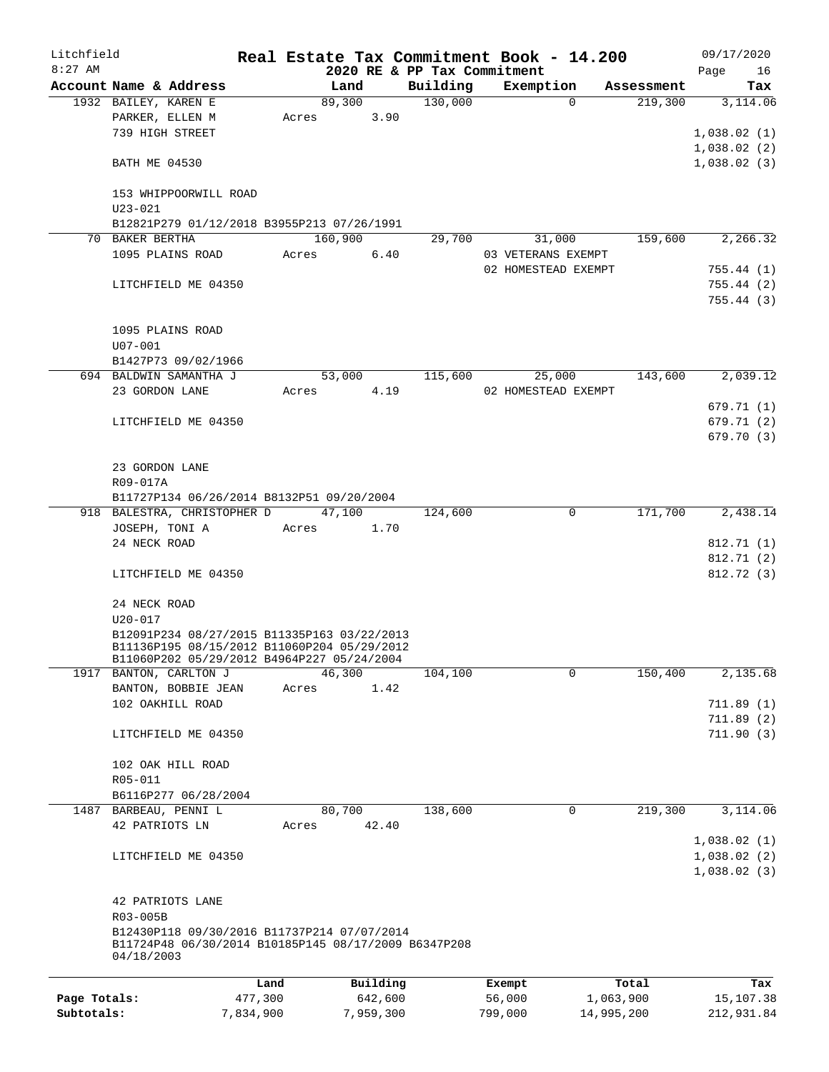| Litchfield   |                                                                                                                                          |         |       |         |          |                                         | Real Estate Tax Commitment Book - 14.200 |            | 09/17/2020                 |
|--------------|------------------------------------------------------------------------------------------------------------------------------------------|---------|-------|---------|----------|-----------------------------------------|------------------------------------------|------------|----------------------------|
| $8:27$ AM    | Account Name & Address                                                                                                                   |         |       | Land    |          | 2020 RE & PP Tax Commitment<br>Building | Exemption                                | Assessment | Page<br>16<br>Tax          |
|              | 1932 BAILEY, KAREN E                                                                                                                     |         |       | 89,300  |          | 130,000                                 | $\Omega$                                 | 219,300    | 3,114.06                   |
|              | PARKER, ELLEN M                                                                                                                          |         | Acres |         | 3.90     |                                         |                                          |            |                            |
|              | 739 HIGH STREET                                                                                                                          |         |       |         |          |                                         |                                          |            | 1,038.02(1)                |
|              |                                                                                                                                          |         |       |         |          |                                         |                                          |            | 1,038.02(2)                |
|              | <b>BATH ME 04530</b>                                                                                                                     |         |       |         |          |                                         |                                          |            | 1,038.02(3)                |
|              | 153 WHIPPOORWILL ROAD<br>$U23 - 021$                                                                                                     |         |       |         |          |                                         |                                          |            |                            |
|              | B12821P279 01/12/2018 B3955P213 07/26/1991                                                                                               |         |       |         |          |                                         |                                          |            |                            |
|              | 70 BAKER BERTHA                                                                                                                          |         |       | 160,900 |          | 29,700                                  | 31,000                                   | 159,600    | 2,266.32                   |
|              | 1095 PLAINS ROAD                                                                                                                         |         | Acres |         | 6.40     |                                         | 03 VETERANS EXEMPT                       |            |                            |
|              |                                                                                                                                          |         |       |         |          |                                         | 02 HOMESTEAD EXEMPT                      |            | 755.44(1)                  |
|              | LITCHFIELD ME 04350                                                                                                                      |         |       |         |          |                                         |                                          |            | 755.44(2)                  |
|              |                                                                                                                                          |         |       |         |          |                                         |                                          |            | 755.44(3)                  |
|              | 1095 PLAINS ROAD<br>$U07 - 001$                                                                                                          |         |       |         |          |                                         |                                          |            |                            |
|              | B1427P73 09/02/1966                                                                                                                      |         |       |         |          |                                         |                                          |            |                            |
|              | 694 BALDWIN SAMANTHA J                                                                                                                   |         |       | 53,000  |          | 115,600                                 | 25,000                                   | 143,600    | 2,039.12                   |
|              | 23 GORDON LANE                                                                                                                           |         | Acres |         | 4.19     |                                         | 02 HOMESTEAD EXEMPT                      |            |                            |
|              |                                                                                                                                          |         |       |         |          |                                         |                                          |            | 679.71 (1)                 |
|              | LITCHFIELD ME 04350                                                                                                                      |         |       |         |          |                                         |                                          |            | 679.71(2)                  |
|              |                                                                                                                                          |         |       |         |          |                                         |                                          |            | 679.70 (3)                 |
|              | 23 GORDON LANE                                                                                                                           |         |       |         |          |                                         |                                          |            |                            |
|              | R09-017A                                                                                                                                 |         |       |         |          |                                         |                                          |            |                            |
|              | B11727P134 06/26/2014 B8132P51 09/20/2004                                                                                                |         |       |         |          |                                         |                                          |            |                            |
|              | 918 BALESTRA, CHRISTOPHER D                                                                                                              |         |       | 47,100  |          | 124,600                                 | 0                                        | 171,700    | 2,438.14                   |
|              | JOSEPH, TONI A                                                                                                                           |         | Acres |         | 1.70     |                                         |                                          |            |                            |
|              | 24 NECK ROAD                                                                                                                             |         |       |         |          |                                         |                                          |            | 812.71 (1)                 |
|              | LITCHFIELD ME 04350                                                                                                                      |         |       |         |          |                                         |                                          |            | 812.71 (2)<br>812.72(3)    |
|              | 24 NECK ROAD                                                                                                                             |         |       |         |          |                                         |                                          |            |                            |
|              | U20-017                                                                                                                                  |         |       |         |          |                                         |                                          |            |                            |
|              | B12091P234 08/27/2015 B11335P163 03/22/2013<br>B11136P195 08/15/2012 B11060P204 05/29/2012<br>B11060P202 05/29/2012 B4964P227 05/24/2004 |         |       |         |          |                                         |                                          |            |                            |
|              | 1917 BANTON, CARLTON J                                                                                                                   |         |       | 46,300  |          | 104,100                                 | 0                                        | 150,400    | 2,135.68                   |
|              | BANTON, BOBBIE JEAN                                                                                                                      |         | Acres |         | 1.42     |                                         |                                          |            |                            |
|              | 102 OAKHILL ROAD                                                                                                                         |         |       |         |          |                                         |                                          |            | 711.89(1)                  |
|              | LITCHFIELD ME 04350                                                                                                                      |         |       |         |          |                                         |                                          |            | 711.89 (2)<br>711.90(3)    |
|              | 102 OAK HILL ROAD                                                                                                                        |         |       |         |          |                                         |                                          |            |                            |
|              | R05-011                                                                                                                                  |         |       |         |          |                                         |                                          |            |                            |
|              | B6116P277 06/28/2004                                                                                                                     |         |       |         |          |                                         |                                          |            |                            |
|              | 1487 BARBEAU, PENNI L<br>42 PATRIOTS LN                                                                                                  |         | Acres | 80,700  | 42.40    | 138,600                                 | $\mathbf 0$                              | 219,300    | 3,114.06                   |
|              |                                                                                                                                          |         |       |         |          |                                         |                                          |            | 1,038.02(1)                |
|              | LITCHFIELD ME 04350                                                                                                                      |         |       |         |          |                                         |                                          |            | 1,038.02(2)<br>1,038.02(3) |
|              | 42 PATRIOTS LANE<br>R03-005B                                                                                                             |         |       |         |          |                                         |                                          |            |                            |
|              | B12430P118 09/30/2016 B11737P214 07/07/2014<br>B11724P48 06/30/2014 B10185P145 08/17/2009 B6347P208<br>04/18/2003                        |         |       |         |          |                                         |                                          |            |                            |
|              |                                                                                                                                          | Land    |       |         | Building |                                         | Exempt                                   | Total      | Tax                        |
| Page Totals: |                                                                                                                                          | 477,300 |       |         | 642,600  |                                         | 56,000                                   | 1,063,900  | 15,107.38                  |
|              |                                                                                                                                          |         |       |         |          |                                         |                                          |            |                            |

**Subtotals:** 7,834,900 7,959,300 799,000 14,995,200 212,931.84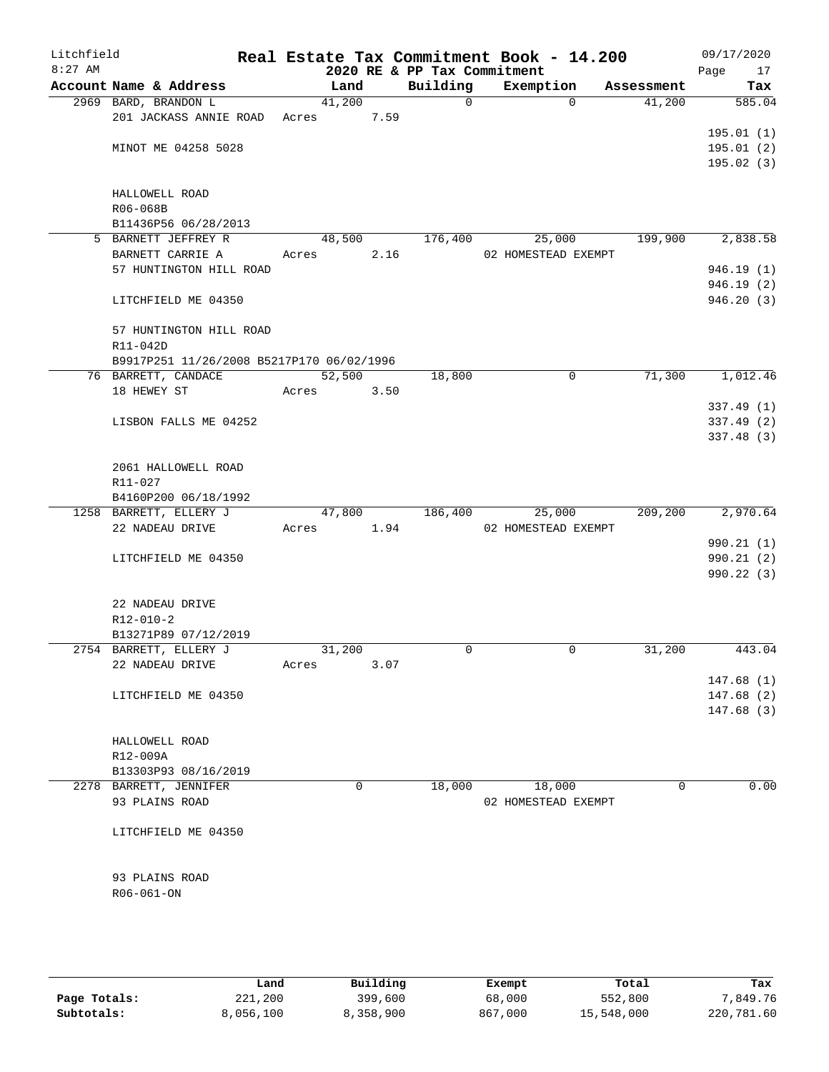| Litchfield<br>$8:27$ AM |                                             |       |        |      | 2020 RE & PP Tax Commitment | Real Estate Tax Commitment Book - 14.200 |            | 09/17/2020<br>Page<br>17 |
|-------------------------|---------------------------------------------|-------|--------|------|-----------------------------|------------------------------------------|------------|--------------------------|
|                         | Account Name & Address                      |       | Land   |      | Building                    | Exemption                                | Assessment | Tax                      |
|                         | 2969 BARD, BRANDON L                        |       | 41,200 |      | $\Omega$                    | $\Omega$                                 | 41,200     | 585.04                   |
|                         | 201 JACKASS ANNIE ROAD Acres                |       |        | 7.59 |                             |                                          |            |                          |
|                         |                                             |       |        |      |                             |                                          |            | 195.01(1)                |
|                         | MINOT ME 04258 5028                         |       |        |      |                             |                                          |            | 195.01(2)                |
|                         |                                             |       |        |      |                             |                                          |            | 195.02(3)                |
|                         |                                             |       |        |      |                             |                                          |            |                          |
|                         | HALLOWELL ROAD                              |       |        |      |                             |                                          |            |                          |
|                         | R06-068B                                    |       |        |      |                             |                                          |            |                          |
|                         | B11436P56 06/28/2013<br>5 BARNETT JEFFREY R |       | 48,500 |      |                             |                                          |            |                          |
|                         |                                             |       |        |      | 176,400                     | 25,000                                   | 199,900    | 2,838.58                 |
|                         | BARNETT CARRIE A                            | Acres |        | 2.16 |                             | 02 HOMESTEAD EXEMPT                      |            |                          |
|                         | 57 HUNTINGTON HILL ROAD                     |       |        |      |                             |                                          |            | 946.19(1)<br>946.19(2)   |
|                         | LITCHFIELD ME 04350                         |       |        |      |                             |                                          |            | 946.20 (3)               |
|                         |                                             |       |        |      |                             |                                          |            |                          |
|                         | 57 HUNTINGTON HILL ROAD                     |       |        |      |                             |                                          |            |                          |
|                         | R11-042D                                    |       |        |      |                             |                                          |            |                          |
|                         | B9917P251 11/26/2008 B5217P170 06/02/1996   |       |        |      |                             |                                          |            |                          |
|                         | 76 BARRETT, CANDACE                         |       | 52,500 |      | 18,800                      | $\mathbf 0$                              | 71,300     | 1,012.46                 |
|                         | 18 HEWEY ST                                 | Acres |        | 3.50 |                             |                                          |            |                          |
|                         |                                             |       |        |      |                             |                                          |            | 337.49(1)                |
|                         | LISBON FALLS ME 04252                       |       |        |      |                             |                                          |            | 337.49(2)                |
|                         |                                             |       |        |      |                             |                                          |            | 337.48 (3)               |
|                         |                                             |       |        |      |                             |                                          |            |                          |
|                         | 2061 HALLOWELL ROAD                         |       |        |      |                             |                                          |            |                          |
|                         | R11-027                                     |       |        |      |                             |                                          |            |                          |
|                         | B4160P200 06/18/1992                        |       |        |      |                             |                                          |            |                          |
|                         | 1258 BARRETT, ELLERY J                      |       | 47,800 |      | 186,400                     | 25,000                                   | 209,200    | 2,970.64                 |
|                         | 22 NADEAU DRIVE                             | Acres |        | 1.94 |                             | 02 HOMESTEAD EXEMPT                      |            |                          |
|                         |                                             |       |        |      |                             |                                          |            | 990.21 (1)               |
|                         | LITCHFIELD ME 04350                         |       |        |      |                             |                                          |            | 990.21(2)                |
|                         |                                             |       |        |      |                             |                                          |            | 990.22(3)                |
|                         | 22 NADEAU DRIVE                             |       |        |      |                             |                                          |            |                          |
|                         | $R12 - 010 - 2$                             |       |        |      |                             |                                          |            |                          |
|                         | B13271P89 07/12/2019                        |       |        |      |                             |                                          |            |                          |
|                         | 2754 BARRETT, ELLERY J                      |       | 31,200 |      | 0                           | 0                                        | 31,200     | 443.04                   |
|                         | 22 NADEAU DRIVE                             | Acres |        | 3.07 |                             |                                          |            |                          |
|                         |                                             |       |        |      |                             |                                          |            | 147.68(1)                |
|                         | LITCHFIELD ME 04350                         |       |        |      |                             |                                          |            | 147.68(2)                |
|                         |                                             |       |        |      |                             |                                          |            | 147.68(3)                |
|                         |                                             |       |        |      |                             |                                          |            |                          |
|                         | HALLOWELL ROAD                              |       |        |      |                             |                                          |            |                          |
|                         | R12-009A                                    |       |        |      |                             |                                          |            |                          |
|                         | B13303P93 08/16/2019                        |       |        |      |                             |                                          |            |                          |
|                         | 2278 BARRETT, JENNIFER                      |       | 0      |      | 18,000                      | 18,000                                   | 0          | 0.00                     |
|                         | 93 PLAINS ROAD                              |       |        |      |                             | 02 HOMESTEAD EXEMPT                      |            |                          |
|                         |                                             |       |        |      |                             |                                          |            |                          |
|                         | LITCHFIELD ME 04350                         |       |        |      |                             |                                          |            |                          |
|                         |                                             |       |        |      |                             |                                          |            |                          |
|                         |                                             |       |        |      |                             |                                          |            |                          |
|                         | 93 PLAINS ROAD<br>$R06 - 061 - ON$          |       |        |      |                             |                                          |            |                          |
|                         |                                             |       |        |      |                             |                                          |            |                          |
|                         |                                             |       |        |      |                             |                                          |            |                          |
|                         |                                             |       |        |      |                             |                                          |            |                          |
|                         |                                             |       |        |      |                             |                                          |            |                          |

|              | Land      | Building  | Exempt  | Total      | Tax        |
|--------------|-----------|-----------|---------|------------|------------|
| Page Totals: | 221,200   | 399,600   | 68,000  | 552,800    | 7,849.76   |
| Subtotals:   | 8,056,100 | 8,358,900 | 867,000 | 15,548,000 | 220,781.60 |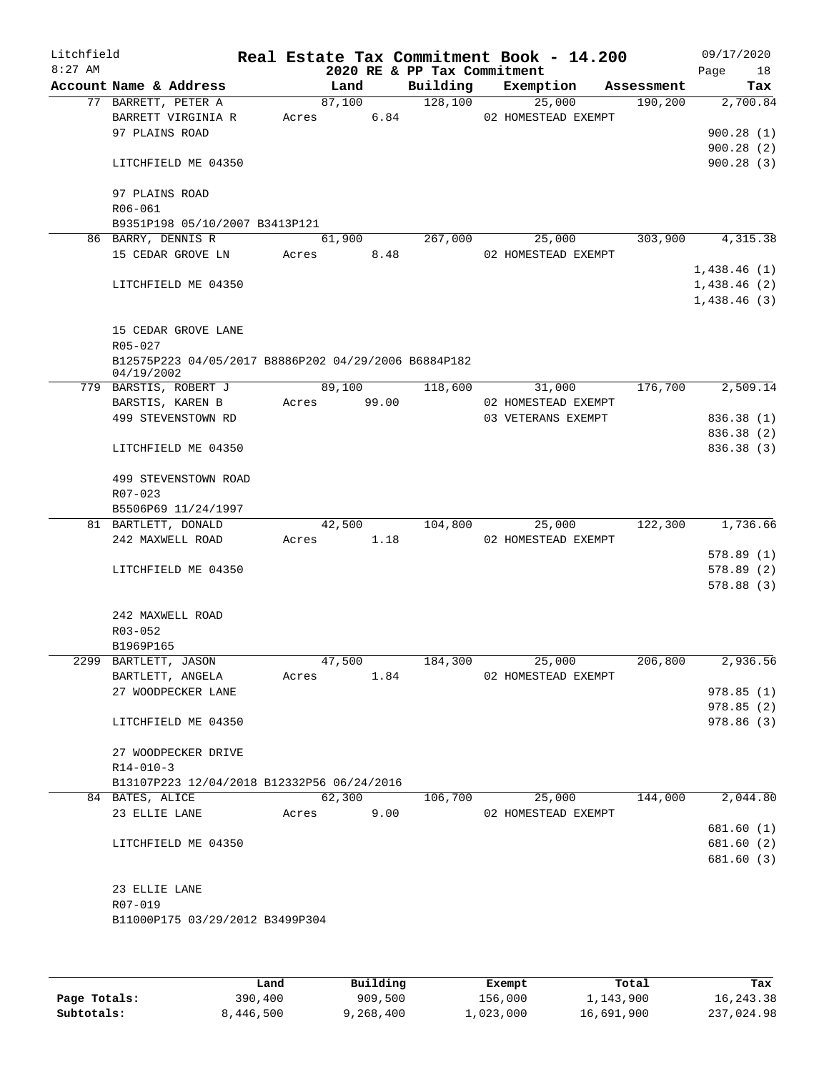| Litchfield<br>$8:27$ AM |                                                                    |        |        | 2020 RE & PP Tax Commitment | Real Estate Tax Commitment Book - 14.200 |            | 09/17/2020<br>Page<br>18 |
|-------------------------|--------------------------------------------------------------------|--------|--------|-----------------------------|------------------------------------------|------------|--------------------------|
|                         | Account Name & Address                                             |        | Land   | Building                    | Exemption                                | Assessment | Tax                      |
|                         | 77 BARRETT, PETER A                                                |        | 87,100 | 128,100                     | 25,000                                   | 190, 200   | 2,700.84                 |
|                         | BARRETT VIRGINIA R                                                 | Acres  | 6.84   |                             | 02 HOMESTEAD EXEMPT                      |            |                          |
|                         | 97 PLAINS ROAD                                                     |        |        |                             |                                          |            | 900.28(1)                |
|                         |                                                                    |        |        |                             |                                          |            | 900.28(2)                |
|                         | LITCHFIELD ME 04350                                                |        |        |                             |                                          |            | 900.28(3)                |
|                         | 97 PLAINS ROAD                                                     |        |        |                             |                                          |            |                          |
|                         | R06-061<br>B9351P198 05/10/2007 B3413P121                          |        |        |                             |                                          |            |                          |
|                         | 86 BARRY, DENNIS R                                                 |        | 61,900 | 267,000                     | 25,000                                   | 303,900    | 4,315.38                 |
|                         | 15 CEDAR GROVE LN                                                  | Acres  | 8.48   |                             | 02 HOMESTEAD EXEMPT                      |            |                          |
|                         |                                                                    |        |        |                             |                                          |            | 1,438.46(1)              |
|                         | LITCHFIELD ME 04350                                                |        |        |                             |                                          |            | 1,438.46(2)              |
|                         |                                                                    |        |        |                             |                                          |            | 1,438.46(3)              |
|                         |                                                                    |        |        |                             |                                          |            |                          |
|                         | 15 CEDAR GROVE LANE                                                |        |        |                             |                                          |            |                          |
|                         | $R05 - 027$                                                        |        |        |                             |                                          |            |                          |
|                         | B12575P223 04/05/2017 B8886P202 04/29/2006 B6884P182<br>04/19/2002 |        |        |                             |                                          |            |                          |
|                         | 779 BARSTIS, ROBERT J                                              |        | 89,100 | 118,600                     | 31,000                                   | 176,700    | 2,509.14                 |
|                         | BARSTIS, KAREN B                                                   | Acres  | 99.00  |                             | 02 HOMESTEAD EXEMPT                      |            |                          |
|                         | 499 STEVENSTOWN RD                                                 |        |        |                             | 03 VETERANS EXEMPT                       |            | 836.38 (1)               |
|                         |                                                                    |        |        |                             |                                          |            | 836.38 (2)               |
|                         | LITCHFIELD ME 04350                                                |        |        |                             |                                          |            | 836.38(3)                |
|                         | 499 STEVENSTOWN ROAD<br>R07-023                                    |        |        |                             |                                          |            |                          |
|                         | B5506P69 11/24/1997                                                |        |        |                             |                                          |            |                          |
|                         | 81 BARTLETT, DONALD                                                |        | 42,500 | 104,800                     | 25,000                                   | 122,300    | 1,736.66                 |
|                         | 242 MAXWELL ROAD                                                   | Acres  | 1.18   |                             | 02 HOMESTEAD EXEMPT                      |            |                          |
|                         |                                                                    |        |        |                             |                                          |            | 578.89(1)                |
|                         | LITCHFIELD ME 04350                                                |        |        |                             |                                          |            | 578.89 (2)               |
|                         |                                                                    |        |        |                             |                                          |            | 578.88(3)                |
|                         | 242 MAXWELL ROAD                                                   |        |        |                             |                                          |            |                          |
|                         | R03-052                                                            |        |        |                             |                                          |            |                          |
|                         | B1969P165                                                          |        |        |                             |                                          |            |                          |
|                         | 2299 BARTLETT, JASON                                               | 47,500 |        | 184,300                     | 25,000                                   | 206,800    | 2,936.56                 |
|                         | BARTLETT, ANGELA                                                   | Acres  | 1.84   |                             | 02 HOMESTEAD EXEMPT                      |            |                          |
|                         | 27 WOODPECKER LANE                                                 |        |        |                             |                                          |            | 978.85(1)                |
|                         |                                                                    |        |        |                             |                                          |            | 978.85(2)                |
|                         | LITCHFIELD ME 04350                                                |        |        |                             |                                          |            | 978.86 (3)               |
|                         | 27 WOODPECKER DRIVE                                                |        |        |                             |                                          |            |                          |
|                         | $R14 - 010 - 3$                                                    |        |        |                             |                                          |            |                          |
|                         | B13107P223 12/04/2018 B12332P56 06/24/2016                         |        |        |                             |                                          |            |                          |
|                         | 84 BATES, ALICE                                                    | 62,300 |        | 106,700                     | 25,000                                   | 144,000    | 2,044.80                 |
|                         | 23 ELLIE LANE                                                      | Acres  | 9.00   |                             | 02 HOMESTEAD EXEMPT                      |            |                          |
|                         |                                                                    |        |        |                             |                                          |            | 681.60 (1)               |
|                         | LITCHFIELD ME 04350                                                |        |        |                             |                                          |            | 681.60 (2)               |
|                         |                                                                    |        |        |                             |                                          |            | 681.60 (3)               |
|                         |                                                                    |        |        |                             |                                          |            |                          |
|                         | 23 ELLIE LANE                                                      |        |        |                             |                                          |            |                          |
|                         | R07-019                                                            |        |        |                             |                                          |            |                          |
|                         | B11000P175 03/29/2012 B3499P304                                    |        |        |                             |                                          |            |                          |
|                         |                                                                    |        |        |                             |                                          |            |                          |
|                         |                                                                    |        |        |                             |                                          |            |                          |

|              | Land      | Building | Exempt    | Total      | Tax        |
|--------------|-----------|----------|-----------|------------|------------|
| Page Totals: | 390,400   | 909,500  | 156,000   | 1,143,900  | 16,243.38  |
| Subtotals:   | 8,446,500 | ,268,400 | ⊥,023,000 | 16,691,900 | 237,024.98 |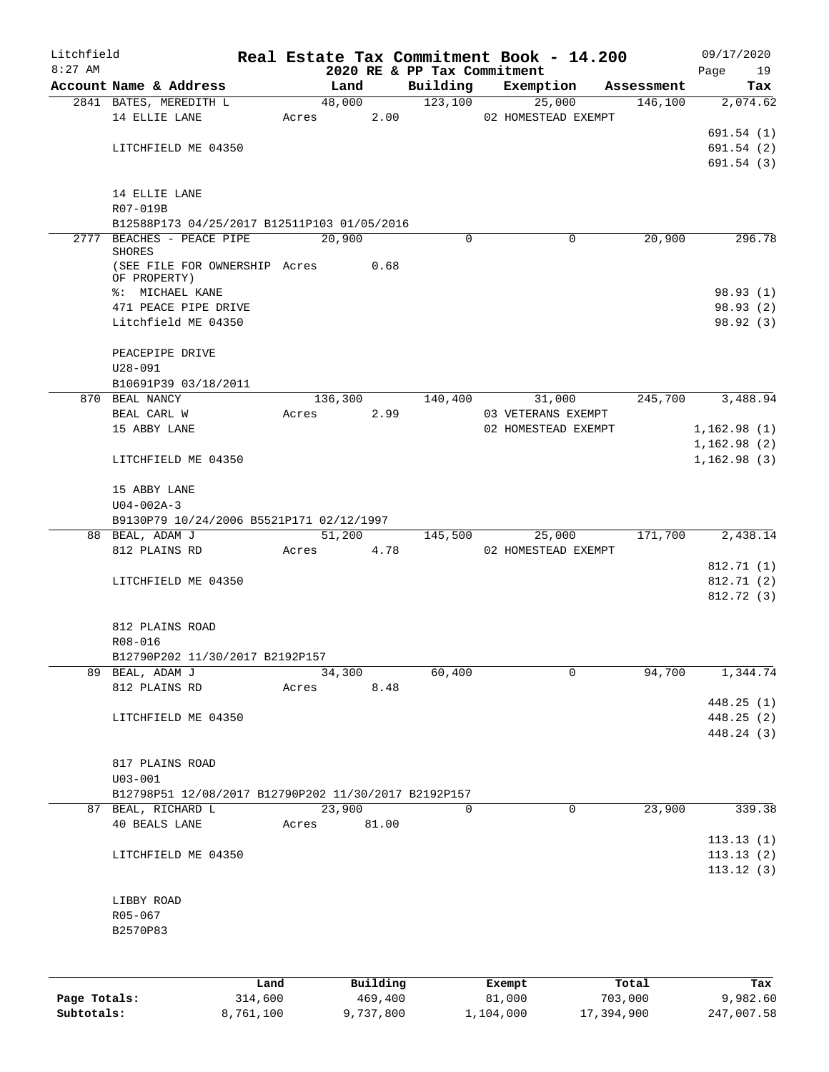| Litchfield   |                                                      |       |            |       |                             | Real Estate Tax Commitment Book - 14.200 |            | 09/17/2020   |
|--------------|------------------------------------------------------|-------|------------|-------|-----------------------------|------------------------------------------|------------|--------------|
| $8:27$ AM    |                                                      |       |            |       | 2020 RE & PP Tax Commitment |                                          |            | 19<br>Page   |
|              | Account Name & Address                               |       | Land       |       | Building<br>123,100         | Exemption                                | Assessment | Tax          |
|              | 2841 BATES, MEREDITH L                               |       | 48,000     |       |                             | 25,000                                   | 146,100    | 2,074.62     |
|              | 14 ELLIE LANE                                        |       | Acres 2.00 |       |                             | 02 HOMESTEAD EXEMPT                      |            |              |
|              |                                                      |       |            |       |                             |                                          |            | 691.54(1)    |
|              | LITCHFIELD ME 04350                                  |       |            |       |                             |                                          |            | 691.54(2)    |
|              |                                                      |       |            |       |                             |                                          |            | 691.54(3)    |
|              |                                                      |       |            |       |                             |                                          |            |              |
|              | 14 ELLIE LANE                                        |       |            |       |                             |                                          |            |              |
|              | R07-019B                                             |       |            |       |                             |                                          |            |              |
|              | B12588P173 04/25/2017 B12511P103 01/05/2016          |       |            |       |                             |                                          |            |              |
|              | 2777 BEACHES - PEACE PIPE<br><b>SHORES</b>           |       | 20,900     |       | $\Omega$                    | 0                                        | 20,900     | 296.78       |
|              | (SEE FILE FOR OWNERSHIP Acres                        |       |            | 0.68  |                             |                                          |            |              |
|              | OF PROPERTY)                                         |       |            |       |                             |                                          |            |              |
|              | %: MICHAEL KANE                                      |       |            |       |                             |                                          |            | 98.93 (1)    |
|              | 471 PEACE PIPE DRIVE                                 |       |            |       |                             |                                          |            | 98.93(2)     |
|              | Litchfield ME 04350                                  |       |            |       |                             |                                          |            | 98.92 (3)    |
|              |                                                      |       |            |       |                             |                                          |            |              |
|              | PEACEPIPE DRIVE                                      |       |            |       |                             |                                          |            |              |
|              | $U28 - 091$                                          |       |            |       |                             |                                          |            |              |
|              | B10691P39 03/18/2011                                 |       |            |       |                             |                                          |            |              |
|              | 870 BEAL NANCY                                       |       |            |       | 136,300 140,400             | 31,000                                   | 245,700    | 3,488.94     |
|              | BEAL CARL W                                          | Acres |            | 2.99  |                             | 03 VETERANS EXEMPT                       |            |              |
|              | 15 ABBY LANE                                         |       |            |       |                             | 02 HOMESTEAD EXEMPT                      |            | 1,162.98(1)  |
|              |                                                      |       |            |       |                             |                                          |            | 1,162.98(2)  |
|              | LITCHFIELD ME 04350                                  |       |            |       |                             |                                          |            | 1, 162.98(3) |
|              |                                                      |       |            |       |                             |                                          |            |              |
|              | 15 ABBY LANE                                         |       |            |       |                             |                                          |            |              |
|              | $U04 - 002A - 3$                                     |       |            |       |                             |                                          |            |              |
|              | B9130P79 10/24/2006 B5521P171 02/12/1997             |       |            |       |                             |                                          |            |              |
|              | 88 BEAL, ADAM J                                      |       | 51,200     |       | 145,500                     | 25,000                                   | 171,700    | 2,438.14     |
|              | 812 PLAINS RD                                        |       | Acres 4.78 |       |                             | 02 HOMESTEAD EXEMPT                      |            |              |
|              |                                                      |       |            |       |                             |                                          |            | 812.71 (1)   |
|              | LITCHFIELD ME 04350                                  |       |            |       |                             |                                          |            | 812.71 (2)   |
|              |                                                      |       |            |       |                             |                                          |            | 812.72(3)    |
|              |                                                      |       |            |       |                             |                                          |            |              |
|              | 812 PLAINS ROAD                                      |       |            |       |                             |                                          |            |              |
|              | R08-016                                              |       |            |       |                             |                                          |            |              |
|              | B12790P202 11/30/2017 B2192P157                      |       |            |       |                             |                                          |            |              |
|              | 89 BEAL, ADAM J                                      |       | 34,300     |       | 60,400                      | 0                                        | 94,700     | 1,344.74     |
|              | 812 PLAINS RD                                        | Acres |            | 8.48  |                             |                                          |            |              |
|              |                                                      |       |            |       |                             |                                          |            | 448.25 (1)   |
|              | LITCHFIELD ME 04350                                  |       |            |       |                             |                                          |            | 448.25(2)    |
|              |                                                      |       |            |       |                             |                                          |            | 448.24 (3)   |
|              |                                                      |       |            |       |                             |                                          |            |              |
|              | 817 PLAINS ROAD                                      |       |            |       |                             |                                          |            |              |
|              | $U03 - 001$                                          |       |            |       |                             |                                          |            |              |
|              | B12798P51 12/08/2017 B12790P202 11/30/2017 B2192P157 |       |            |       |                             |                                          |            |              |
|              | 87 BEAL, RICHARD L                                   |       | 23,900     |       | $\Omega$                    | $\mathbf 0$                              | 23,900     | 339.38       |
|              | 40 BEALS LANE                                        | Acres |            | 81.00 |                             |                                          |            |              |
|              |                                                      |       |            |       |                             |                                          |            | 113.13(1)    |
|              | LITCHFIELD ME 04350                                  |       |            |       |                             |                                          |            | 113.13(2)    |
|              |                                                      |       |            |       |                             |                                          |            | 113.12(3)    |
|              |                                                      |       |            |       |                             |                                          |            |              |
|              | LIBBY ROAD                                           |       |            |       |                             |                                          |            |              |
|              | R05-067                                              |       |            |       |                             |                                          |            |              |
|              | B2570P83                                             |       |            |       |                             |                                          |            |              |
|              |                                                      |       |            |       |                             |                                          |            |              |
|              |                                                      |       |            |       |                             |                                          |            |              |
|              |                                                      |       |            |       |                             |                                          |            |              |
|              |                                                      | Land  | Building   |       |                             | Exempt                                   | Total      | Tax          |
| Page Totals: | 314,600                                              |       | 469,400    |       |                             | 81,000                                   | 703,000    | 9,982.60     |

**Subtotals:** 8,761,100 9,737,800 1,104,000 17,394,900 247,007.58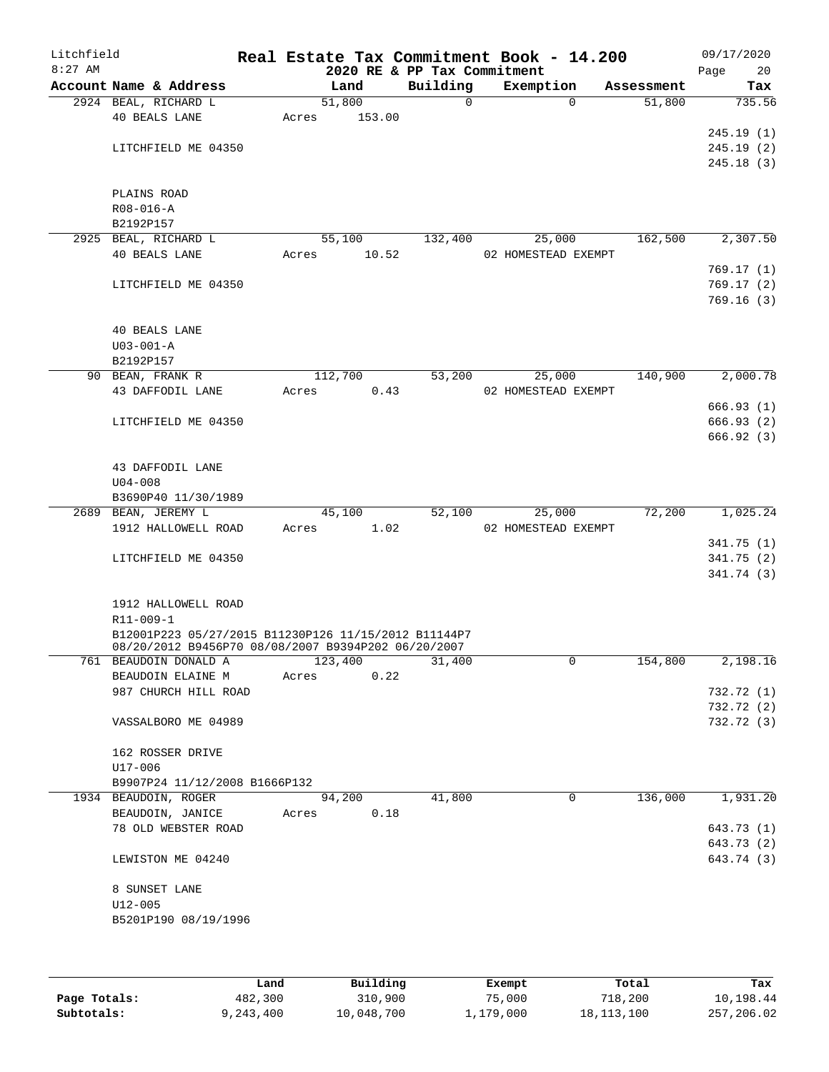| Litchfield<br>$8:27$ AM |                                                      |         |        | 2020 RE & PP Tax Commitment | Real Estate Tax Commitment Book - 14.200 |            | 09/17/2020<br>Page | 20                       |
|-------------------------|------------------------------------------------------|---------|--------|-----------------------------|------------------------------------------|------------|--------------------|--------------------------|
|                         | Account Name & Address                               | Land    |        | Building                    | Exemption                                | Assessment |                    | Tax                      |
|                         | 2924 BEAL, RICHARD L                                 | 51,800  |        | $\mathsf{O}$                | $\Omega$                                 | 51,800     |                    | 735.56                   |
|                         | 40 BEALS LANE                                        | Acres   | 153.00 |                             |                                          |            |                    |                          |
|                         |                                                      |         |        |                             |                                          |            |                    | 245.19(1)                |
|                         | LITCHFIELD ME 04350                                  |         |        |                             |                                          |            |                    | 245.19(2)                |
|                         |                                                      |         |        |                             |                                          |            |                    | 245.18(3)                |
|                         |                                                      |         |        |                             |                                          |            |                    |                          |
|                         | PLAINS ROAD                                          |         |        |                             |                                          |            |                    |                          |
|                         | $R08 - 016 - A$                                      |         |        |                             |                                          |            |                    |                          |
|                         | B2192P157                                            |         |        |                             |                                          |            |                    |                          |
|                         | 2925 BEAL, RICHARD L                                 | 55,100  |        | 132,400                     | 25,000                                   | 162,500    |                    | 2,307.50                 |
|                         | <b>40 BEALS LANE</b>                                 | Acres   | 10.52  |                             | 02 HOMESTEAD EXEMPT                      |            |                    |                          |
|                         |                                                      |         |        |                             |                                          |            |                    | 769.17(1)                |
|                         | LITCHFIELD ME 04350                                  |         |        |                             |                                          |            |                    | 769.17(2)                |
|                         |                                                      |         |        |                             |                                          |            |                    | 769.16(3)                |
|                         |                                                      |         |        |                             |                                          |            |                    |                          |
|                         | <b>40 BEALS LANE</b>                                 |         |        |                             |                                          |            |                    |                          |
|                         | $U03 - 001 - A$                                      |         |        |                             |                                          |            |                    |                          |
|                         | B2192P157                                            |         |        |                             |                                          |            |                    |                          |
|                         | 90 BEAN, FRANK R                                     | 112,700 |        | 53,200                      | 25,000                                   | 140,900    |                    | 2,000.78                 |
|                         | 43 DAFFODIL LANE                                     | Acres   | 0.43   |                             | 02 HOMESTEAD EXEMPT                      |            |                    |                          |
|                         | LITCHFIELD ME 04350                                  |         |        |                             |                                          |            |                    | 666.93(1)                |
|                         |                                                      |         |        |                             |                                          |            |                    | 666.93 (2)<br>666.92(3)  |
|                         |                                                      |         |        |                             |                                          |            |                    |                          |
|                         | 43 DAFFODIL LANE                                     |         |        |                             |                                          |            |                    |                          |
|                         | $U04 - 008$                                          |         |        |                             |                                          |            |                    |                          |
|                         | B3690P40 11/30/1989                                  |         |        |                             |                                          |            |                    |                          |
|                         | 2689 BEAN, JEREMY L                                  | 45,100  |        | 52,100                      | 25,000                                   | 72,200     |                    | 1,025.24                 |
|                         | 1912 HALLOWELL ROAD                                  | Acres   | 1.02   |                             | 02 HOMESTEAD EXEMPT                      |            |                    |                          |
|                         |                                                      |         |        |                             |                                          |            |                    | 341.75(1)                |
|                         | LITCHFIELD ME 04350                                  |         |        |                             |                                          |            |                    | 341.75(2)                |
|                         |                                                      |         |        |                             |                                          |            |                    | 341.74(3)                |
|                         |                                                      |         |        |                             |                                          |            |                    |                          |
|                         | 1912 HALLOWELL ROAD                                  |         |        |                             |                                          |            |                    |                          |
|                         | R11-009-1                                            |         |        |                             |                                          |            |                    |                          |
|                         | B12001P223 05/27/2015 B11230P126 11/15/2012 B11144P7 |         |        |                             |                                          |            |                    |                          |
|                         | 08/20/2012 B9456P70 08/08/2007 B9394P202 06/20/2007  |         |        |                             |                                          |            |                    |                          |
|                         | 761 BEAUDOIN DONALD A                                | 123,400 |        | 31,400                      | 0                                        | 154,800    |                    | 2,198.16                 |
|                         | BEAUDOIN ELAINE M                                    | Acres   | 0.22   |                             |                                          |            |                    |                          |
|                         | 987 CHURCH HILL ROAD                                 |         |        |                             |                                          |            |                    | 732.72 (1)               |
|                         |                                                      |         |        |                             |                                          |            |                    | 732.72 (2)               |
|                         | VASSALBORO ME 04989                                  |         |        |                             |                                          |            |                    | 732.72 (3)               |
|                         |                                                      |         |        |                             |                                          |            |                    |                          |
|                         | 162 ROSSER DRIVE                                     |         |        |                             |                                          |            |                    |                          |
|                         | U17-006                                              |         |        |                             |                                          |            |                    |                          |
|                         | B9907P24 11/12/2008 B1666P132                        |         |        |                             |                                          |            |                    |                          |
|                         | 1934 BEAUDOIN, ROGER                                 | 94,200  |        | 41,800                      | $\mathbf 0$                              | 136,000    |                    | 1,931.20                 |
|                         | BEAUDOIN, JANICE                                     | Acres   | 0.18   |                             |                                          |            |                    |                          |
|                         | 78 OLD WEBSTER ROAD                                  |         |        |                             |                                          |            |                    | 643.73 (1)<br>643.73 (2) |
|                         |                                                      |         |        |                             |                                          |            |                    | 643.74 (3)               |
|                         | LEWISTON ME 04240                                    |         |        |                             |                                          |            |                    |                          |
|                         | 8 SUNSET LANE                                        |         |        |                             |                                          |            |                    |                          |
|                         | $U12 - 005$                                          |         |        |                             |                                          |            |                    |                          |
|                         | B5201P190 08/19/1996                                 |         |        |                             |                                          |            |                    |                          |
|                         |                                                      |         |        |                             |                                          |            |                    |                          |
|                         |                                                      |         |        |                             |                                          |            |                    |                          |
|                         |                                                      |         |        |                             |                                          |            |                    |                          |

|              | ⊥and      | Building   | Exempt    | Total        | Tax        |
|--------------|-----------|------------|-----------|--------------|------------|
| Page Totals: | 482,300   | 310,900    | 75,000    | 718,200      | 10,198.44  |
| Subtotals:   | 9,243,400 | 10,048,700 | 1,179,000 | 18, 113, 100 | 257,206.02 |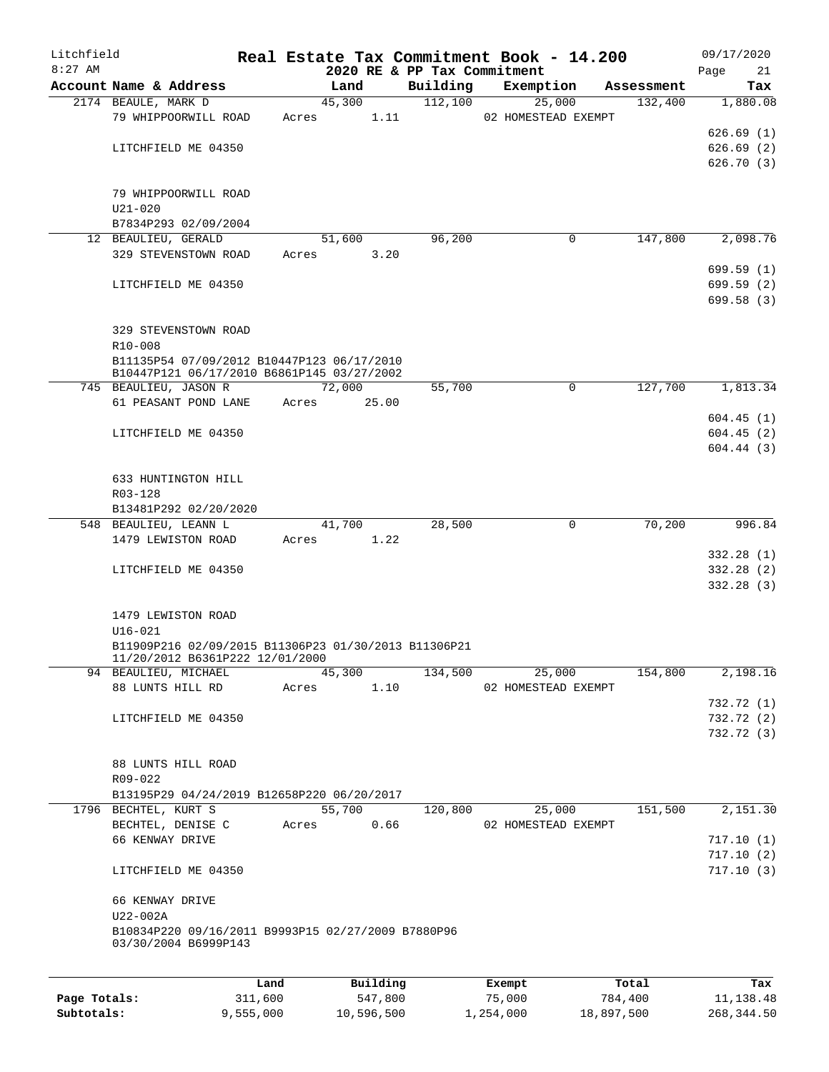| Litchfield   |                                                                                         |         |               |                             | Real Estate Tax Commitment Book - 14.200 |            | 09/17/2020 |
|--------------|-----------------------------------------------------------------------------------------|---------|---------------|-----------------------------|------------------------------------------|------------|------------|
| $8:27$ AM    |                                                                                         |         |               | 2020 RE & PP Tax Commitment |                                          |            | Page<br>21 |
|              | Account Name & Address                                                                  |         | Land          | Building                    | Exemption                                | Assessment | Tax        |
|              | 2174 BEAULE, MARK D                                                                     |         | 45,300        | 112,100                     | 25,000                                   | 132,400    | 1,880.08   |
|              | 79 WHIPPOORWILL ROAD                                                                    | Acres   | 1.11          |                             | 02 HOMESTEAD EXEMPT                      |            |            |
|              |                                                                                         |         |               |                             |                                          |            | 626.69(1)  |
|              | LITCHFIELD ME 04350                                                                     |         |               |                             |                                          |            | 626.69(2)  |
|              |                                                                                         |         |               |                             |                                          |            | 626.70(3)  |
|              |                                                                                         |         |               |                             |                                          |            |            |
|              | 79 WHIPPOORWILL ROAD                                                                    |         |               |                             |                                          |            |            |
|              | $U21 - 020$                                                                             |         |               |                             |                                          |            |            |
|              | B7834P293 02/09/2004                                                                    |         |               |                             |                                          |            |            |
|              | 12 BEAULIEU, GERALD                                                                     |         | 51,600        | 96,200                      | 0                                        | 147,800    | 2,098.76   |
|              | 329 STEVENSTOWN ROAD                                                                    | Acres   | 3.20          |                             |                                          |            |            |
|              |                                                                                         |         |               |                             |                                          |            | 699.59(1)  |
|              | LITCHFIELD ME 04350                                                                     |         |               |                             |                                          |            | 699.59 (2) |
|              |                                                                                         |         |               |                             |                                          |            | 699.58(3)  |
|              |                                                                                         |         |               |                             |                                          |            |            |
|              | 329 STEVENSTOWN ROAD                                                                    |         |               |                             |                                          |            |            |
|              | $R10 - 008$                                                                             |         |               |                             |                                          |            |            |
|              | B11135P54 07/09/2012 B10447P123 06/17/2010                                              |         |               |                             |                                          |            |            |
|              | B10447P121 06/17/2010 B6861P145 03/27/2002<br>745 BEAULIEU, JASON R                     |         | 72,000        | 55,700                      | 0                                        | 127,700    | 1,813.34   |
|              | 61 PEASANT POND LANE                                                                    | Acres   | 25.00         |                             |                                          |            |            |
|              |                                                                                         |         |               |                             |                                          |            |            |
|              |                                                                                         |         |               |                             |                                          |            | 604.45(1)  |
|              | LITCHFIELD ME 04350                                                                     |         |               |                             |                                          |            | 604.45(2)  |
|              |                                                                                         |         |               |                             |                                          |            | 604.44(3)  |
|              |                                                                                         |         |               |                             |                                          |            |            |
|              | 633 HUNTINGTON HILL                                                                     |         |               |                             |                                          |            |            |
|              | R03-128                                                                                 |         |               |                             |                                          |            |            |
|              | B13481P292 02/20/2020                                                                   |         |               |                             |                                          |            |            |
|              | 548 BEAULIEU, LEANN L                                                                   |         | 41,700        | 28,500                      | 0                                        | 70,200     | 996.84     |
|              | 1479 LEWISTON ROAD                                                                      | Acres   | 1.22          |                             |                                          |            |            |
|              |                                                                                         |         |               |                             |                                          |            | 332.28(1)  |
|              | LITCHFIELD ME 04350                                                                     |         |               |                             |                                          |            | 332.28 (2) |
|              |                                                                                         |         |               |                             |                                          |            | 332.28(3)  |
|              |                                                                                         |         |               |                             |                                          |            |            |
|              | 1479 LEWISTON ROAD                                                                      |         |               |                             |                                          |            |            |
|              | $U16 - 021$                                                                             |         |               |                             |                                          |            |            |
|              | B11909P216 02/09/2015 B11306P23 01/30/2013 B11306P21<br>11/20/2012 B6361P222 12/01/2000 |         |               |                             |                                          |            |            |
|              | 94 BEAULIEU, MICHAEL                                                                    |         | 45,300        | 134,500                     | 25,000                                   | 154,800    | 2,198.16   |
|              | 88 LUNTS HILL RD                                                                        | Acres   | 1.10          |                             | 02 HOMESTEAD EXEMPT                      |            |            |
|              |                                                                                         |         |               |                             |                                          |            | 732.72 (1) |
|              | LITCHFIELD ME 04350                                                                     |         |               |                             |                                          |            | 732.72 (2) |
|              |                                                                                         |         |               |                             |                                          |            | 732.72 (3) |
|              |                                                                                         |         |               |                             |                                          |            |            |
|              | 88 LUNTS HILL ROAD                                                                      |         |               |                             |                                          |            |            |
|              | R09-022                                                                                 |         |               |                             |                                          |            |            |
|              | B13195P29 04/24/2019 B12658P220 06/20/2017                                              |         |               |                             |                                          |            |            |
|              | 1796 BECHTEL, KURT S                                                                    |         | 55,700        | 120,800                     | 25,000                                   | 151,500    | 2,151.30   |
|              | BECHTEL, DENISE C                                                                       |         | 0.66<br>Acres |                             | 02 HOMESTEAD EXEMPT                      |            |            |
|              | 66 KENWAY DRIVE                                                                         |         |               |                             |                                          |            | 717.10(1)  |
|              |                                                                                         |         |               |                             |                                          |            | 717.10(2)  |
|              |                                                                                         |         |               |                             |                                          |            | 717.10(3)  |
|              | LITCHFIELD ME 04350                                                                     |         |               |                             |                                          |            |            |
|              | 66 KENWAY DRIVE                                                                         |         |               |                             |                                          |            |            |
|              | U22-002A                                                                                |         |               |                             |                                          |            |            |
|              |                                                                                         |         |               |                             |                                          |            |            |
|              | B10834P220 09/16/2011 B9993P15 02/27/2009 B7880P96<br>03/30/2004 B6999P143              |         |               |                             |                                          |            |            |
|              |                                                                                         |         |               |                             |                                          |            |            |
|              |                                                                                         |         |               |                             |                                          |            |            |
|              |                                                                                         | Land    | Building      |                             | Exempt                                   | Total      | Tax        |
| Page Totals: |                                                                                         | 311,600 | 547,800       |                             | 75,000                                   | 784,400    | 11,138.48  |

**Subtotals:** 9,555,000 10,596,500 1,254,000 18,897,500 268,344.50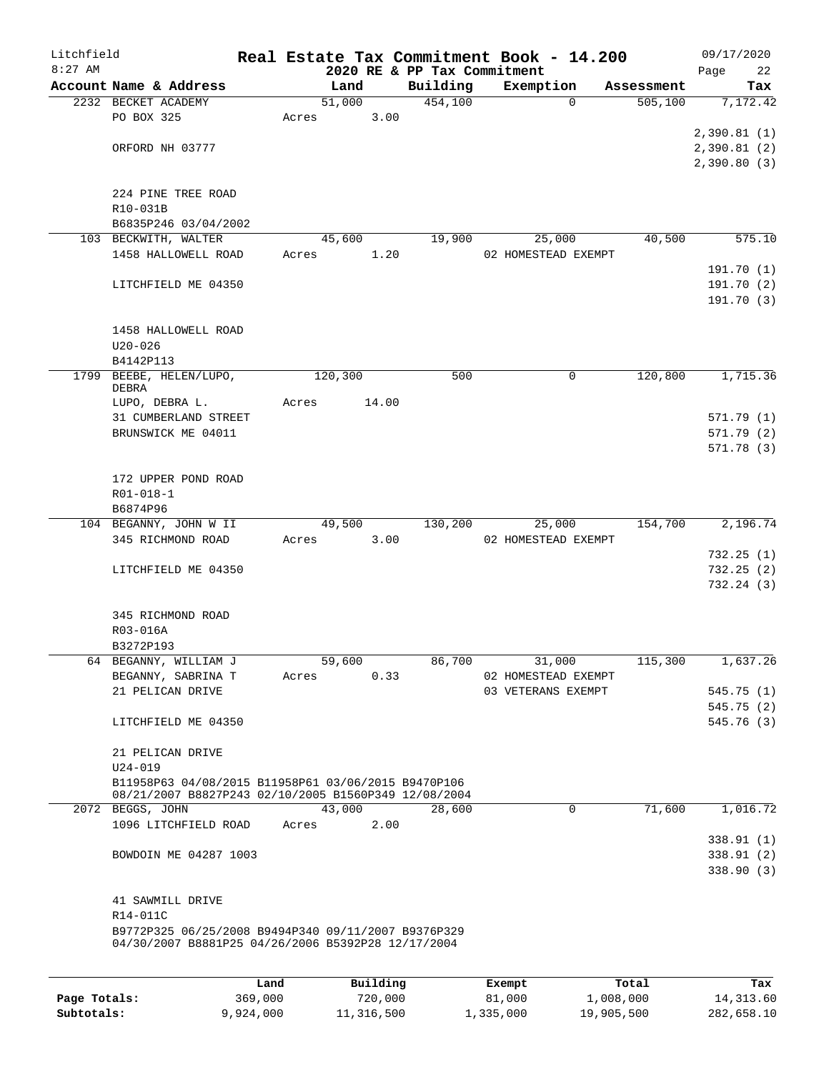| Litchfield |                                                      |       |         |       |                             | Real Estate Tax Commitment Book - 14.200 |             |            |      | 09/17/2020              |
|------------|------------------------------------------------------|-------|---------|-------|-----------------------------|------------------------------------------|-------------|------------|------|-------------------------|
| $8:27$ AM  |                                                      |       |         |       | 2020 RE & PP Tax Commitment |                                          |             |            | Page | 22                      |
|            | Account Name & Address                               |       | Land    |       | Building                    | Exemption                                |             | Assessment |      | Tax                     |
|            | 2232 BECKET ACADEMY                                  |       | 51,000  |       | 454,100                     |                                          | $\Omega$    | 505,100    |      | 7,172.42                |
|            | PO BOX 325                                           | Acres |         | 3.00  |                             |                                          |             |            |      | 2,390.81(1)             |
|            | ORFORD NH 03777                                      |       |         |       |                             |                                          |             |            |      | 2,390.81(2)             |
|            |                                                      |       |         |       |                             |                                          |             |            |      | 2,390.80(3)             |
|            |                                                      |       |         |       |                             |                                          |             |            |      |                         |
|            | 224 PINE TREE ROAD                                   |       |         |       |                             |                                          |             |            |      |                         |
|            | R10-031B                                             |       |         |       |                             |                                          |             |            |      |                         |
|            | B6835P246 03/04/2002                                 |       |         |       |                             |                                          |             |            |      |                         |
|            | 103 BECKWITH, WALTER                                 |       | 45,600  |       | 19,900                      | 25,000                                   |             | 40,500     |      | 575.10                  |
|            | 1458 HALLOWELL ROAD                                  | Acres |         | 1.20  |                             | 02 HOMESTEAD EXEMPT                      |             |            |      |                         |
|            | LITCHFIELD ME 04350                                  |       |         |       |                             |                                          |             |            |      | 191.70(1)<br>191.70 (2) |
|            |                                                      |       |         |       |                             |                                          |             |            |      | 191.70 (3)              |
|            |                                                      |       |         |       |                             |                                          |             |            |      |                         |
|            | 1458 HALLOWELL ROAD                                  |       |         |       |                             |                                          |             |            |      |                         |
|            | $U20 - 026$                                          |       |         |       |                             |                                          |             |            |      |                         |
|            | B4142P113                                            |       |         |       |                             |                                          |             |            |      |                         |
| 1799       | BEEBE, HELEN/LUPO,                                   |       | 120,300 |       | 500                         |                                          | 0           | 120,800    |      | 1,715.36                |
|            | DEBRA<br>LUPO, DEBRA L.                              | Acres |         | 14.00 |                             |                                          |             |            |      |                         |
|            | 31 CUMBERLAND STREET                                 |       |         |       |                             |                                          |             |            |      | 571.79(1)               |
|            | BRUNSWICK ME 04011                                   |       |         |       |                             |                                          |             |            |      | 571.79 (2)              |
|            |                                                      |       |         |       |                             |                                          |             |            |      | 571.78 (3)              |
|            |                                                      |       |         |       |                             |                                          |             |            |      |                         |
|            | 172 UPPER POND ROAD                                  |       |         |       |                             |                                          |             |            |      |                         |
|            | R01-018-1                                            |       |         |       |                             |                                          |             |            |      |                         |
|            | B6874P96                                             |       |         |       |                             |                                          |             |            |      |                         |
|            | 104 BEGANNY, JOHN W II                               |       | 49,500  |       | 130,200                     | 25,000                                   |             | 154,700    |      | 2,196.74                |
|            | 345 RICHMOND ROAD                                    | Acres |         | 3.00  |                             | 02 HOMESTEAD EXEMPT                      |             |            |      |                         |
|            | LITCHFIELD ME 04350                                  |       |         |       |                             |                                          |             |            |      | 732.25(1)<br>732.25(2)  |
|            |                                                      |       |         |       |                             |                                          |             |            |      | 732.24(3)               |
|            |                                                      |       |         |       |                             |                                          |             |            |      |                         |
|            | 345 RICHMOND ROAD                                    |       |         |       |                             |                                          |             |            |      |                         |
|            | R03-016A                                             |       |         |       |                             |                                          |             |            |      |                         |
|            | B3272P193                                            |       |         |       |                             |                                          |             |            |      |                         |
|            | 64 BEGANNY, WILLIAM J                                |       | 59,600  |       | 86,700                      | 31,000                                   |             | 115,300    |      | 1,637.26                |
|            | BEGANNY, SABRINA T                                   | Acres |         | 0.33  |                             | 02 HOMESTEAD EXEMPT                      |             |            |      |                         |
|            | 21 PELICAN DRIVE                                     |       |         |       |                             | 03 VETERANS EXEMPT                       |             |            |      | 545.75(1)               |
|            |                                                      |       |         |       |                             |                                          |             |            |      | 545.75 (2)              |
|            | LITCHFIELD ME 04350                                  |       |         |       |                             |                                          |             |            |      | 545.76 (3)              |
|            | 21 PELICAN DRIVE                                     |       |         |       |                             |                                          |             |            |      |                         |
|            | $U24 - 019$                                          |       |         |       |                             |                                          |             |            |      |                         |
|            | B11958P63 04/08/2015 B11958P61 03/06/2015 B9470P106  |       |         |       |                             |                                          |             |            |      |                         |
|            | 08/21/2007 B8827P243 02/10/2005 B1560P349 12/08/2004 |       |         |       |                             |                                          |             |            |      |                         |
|            | 2072 BEGGS, JOHN                                     |       | 43,000  |       | 28,600                      |                                          | $\mathbf 0$ | 71,600     |      | 1,016.72                |
|            | 1096 LITCHFIELD ROAD                                 | Acres |         | 2.00  |                             |                                          |             |            |      |                         |
|            |                                                      |       |         |       |                             |                                          |             |            |      | 338.91 (1)              |
|            | BOWDOIN ME 04287 1003                                |       |         |       |                             |                                          |             |            |      | 338.91 (2)              |
|            |                                                      |       |         |       |                             |                                          |             |            |      | 338.90(3)               |
|            | 41 SAWMILL DRIVE                                     |       |         |       |                             |                                          |             |            |      |                         |
|            | R14-011C                                             |       |         |       |                             |                                          |             |            |      |                         |
|            | B9772P325 06/25/2008 B9494P340 09/11/2007 B9376P329  |       |         |       |                             |                                          |             |            |      |                         |
|            | 04/30/2007 B8881P25 04/26/2006 B5392P28 12/17/2004   |       |         |       |                             |                                          |             |            |      |                         |
|            |                                                      |       |         |       |                             |                                          |             |            |      |                         |

|              | Land      | Building   | Exempt    | Total      | Tax         |
|--------------|-----------|------------|-----------|------------|-------------|
| Page Totals: | 369,000   | 720,000    | 81,000    | 1,008,000  | 14, 313, 60 |
| Subtotals:   | 9,924,000 | 11,316,500 | 1,335,000 | 19,905,500 | 282,658.10  |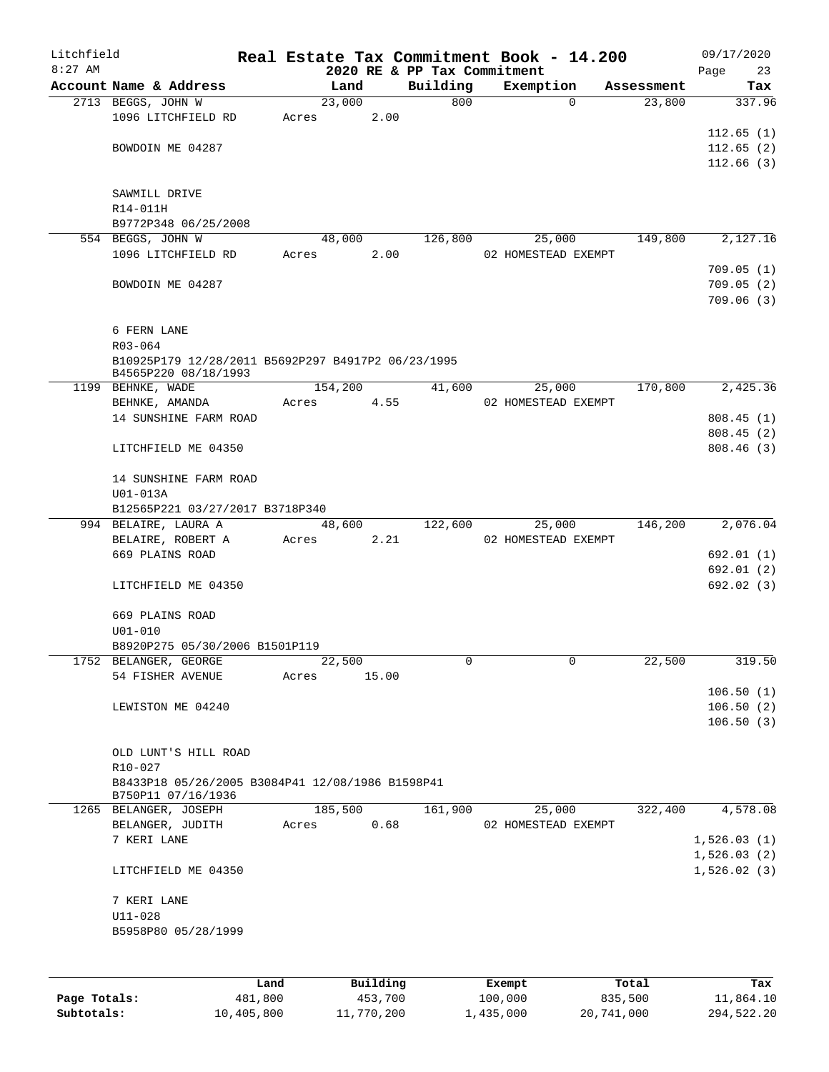| Litchfield |                                                                            |       |          |                             | Real Estate Tax Commitment Book - 14.200 |            | 09/17/2020  |
|------------|----------------------------------------------------------------------------|-------|----------|-----------------------------|------------------------------------------|------------|-------------|
| $8:27$ AM  |                                                                            |       |          | 2020 RE & PP Tax Commitment |                                          |            | Page<br>23  |
|            | Account Name & Address                                                     |       | Land     | Building                    | Exemption                                | Assessment | Tax         |
|            | 2713 BEGGS, JOHN W                                                         |       | 23,000   | 800                         | $\Omega$                                 | 23,800     | 337.96      |
|            | 1096 LITCHFIELD RD                                                         | Acres | 2.00     |                             |                                          |            | 112.65(1)   |
|            | BOWDOIN ME 04287                                                           |       |          |                             |                                          |            | 112.65(2)   |
|            |                                                                            |       |          |                             |                                          |            | 112.66(3)   |
|            |                                                                            |       |          |                             |                                          |            |             |
|            | SAWMILL DRIVE                                                              |       |          |                             |                                          |            |             |
|            | R14-011H                                                                   |       |          |                             |                                          |            |             |
|            | B9772P348 06/25/2008                                                       |       |          |                             |                                          |            |             |
|            | 554 BEGGS, JOHN W                                                          |       | 48,000   | 126,800                     | 25,000                                   | 149,800    | 2,127.16    |
|            | 1096 LITCHFIELD RD                                                         | Acres | 2.00     |                             | 02 HOMESTEAD EXEMPT                      |            |             |
|            |                                                                            |       |          |                             |                                          |            | 709.05(1)   |
|            | BOWDOIN ME 04287                                                           |       |          |                             |                                          |            | 709.05(2)   |
|            |                                                                            |       |          |                             |                                          |            | 709.06(3)   |
|            |                                                                            |       |          |                             |                                          |            |             |
|            | 6 FERN LANE                                                                |       |          |                             |                                          |            |             |
|            | $R03 - 064$                                                                |       |          |                             |                                          |            |             |
|            | B10925P179 12/28/2011 B5692P297 B4917P2 06/23/1995<br>B4565P220 08/18/1993 |       |          |                             |                                          |            |             |
|            | 1199 BEHNKE, WADE                                                          |       | 154,200  | 41,600                      | 25,000                                   | 170,800    | 2,425.36    |
|            | BEHNKE, AMANDA                                                             | Acres | 4.55     |                             | 02 HOMESTEAD EXEMPT                      |            |             |
|            | 14 SUNSHINE FARM ROAD                                                      |       |          |                             |                                          |            | 808.45(1)   |
|            |                                                                            |       |          |                             |                                          |            | 808.45(2)   |
|            | LITCHFIELD ME 04350                                                        |       |          |                             |                                          |            | 808.46(3)   |
|            | 14 SUNSHINE FARM ROAD                                                      |       |          |                             |                                          |            |             |
|            | U01-013A                                                                   |       |          |                             |                                          |            |             |
|            | B12565P221 03/27/2017 B3718P340                                            |       |          |                             |                                          |            |             |
|            | 994 BELAIRE, LAURA A                                                       |       | 48,600   | 122,600                     | 25,000                                   | 146,200    | 2,076.04    |
|            | BELAIRE, ROBERT A                                                          | Acres | 2.21     |                             | 02 HOMESTEAD EXEMPT                      |            |             |
|            | 669 PLAINS ROAD                                                            |       |          |                             |                                          |            | 692.01 (1)  |
|            |                                                                            |       |          |                             |                                          |            | 692.01 (2)  |
|            | LITCHFIELD ME 04350                                                        |       |          |                             |                                          |            | 692.02 (3)  |
|            | 669 PLAINS ROAD                                                            |       |          |                             |                                          |            |             |
|            | $U01 - 010$                                                                |       |          |                             |                                          |            |             |
|            | B8920P275 05/30/2006 B1501P119                                             |       |          |                             |                                          |            |             |
|            | 1752 BELANGER, GEORGE                                                      |       | 22,500   | 0                           | 0                                        | 22,500     | 319.50      |
|            | 54 FISHER AVENUE                                                           | Acres | 15.00    |                             |                                          |            |             |
|            |                                                                            |       |          |                             |                                          |            | 106.50(1)   |
|            | LEWISTON ME 04240                                                          |       |          |                             |                                          |            | 106.50(2)   |
|            |                                                                            |       |          |                             |                                          |            | 106.50(3)   |
|            |                                                                            |       |          |                             |                                          |            |             |
|            | OLD LUNT'S HILL ROAD                                                       |       |          |                             |                                          |            |             |
|            | R10-027                                                                    |       |          |                             |                                          |            |             |
|            | B8433P18 05/26/2005 B3084P41 12/08/1986 B1598P41<br>B750P11 07/16/1936     |       |          |                             |                                          |            |             |
|            | 1265 BELANGER, JOSEPH                                                      |       | 185,500  | 161,900                     | 25,000                                   | 322,400    | 4,578.08    |
|            | BELANGER, JUDITH                                                           | Acres | 0.68     |                             | 02 HOMESTEAD EXEMPT                      |            |             |
|            | 7 KERI LANE                                                                |       |          |                             |                                          |            | 1,526.03(1) |
|            |                                                                            |       |          |                             |                                          |            | 1,526.03(2) |
|            | LITCHFIELD ME 04350                                                        |       |          |                             |                                          |            | 1,526.02(3) |
|            | 7 KERI LANE                                                                |       |          |                             |                                          |            |             |
|            | $U11 - 028$                                                                |       |          |                             |                                          |            |             |
|            | B5958P80 05/28/1999                                                        |       |          |                             |                                          |            |             |
|            |                                                                            |       |          |                             |                                          |            |             |
|            |                                                                            |       |          |                             |                                          |            |             |
|            |                                                                            | Land  | Building |                             | Exempt                                   | Total      | Tax         |
|            |                                                                            |       |          |                             |                                          |            |             |

|              | ⊥and       | Building   | Exempt    | Total      | тах        |
|--------------|------------|------------|-----------|------------|------------|
| Page Totals: | 481,800    | 453,700    | 100,000   | 835,500    | 11,864.10  |
| Subtotals:   | 10,405,800 | 11,770,200 | 1,435,000 | 20,741,000 | 294,522.20 |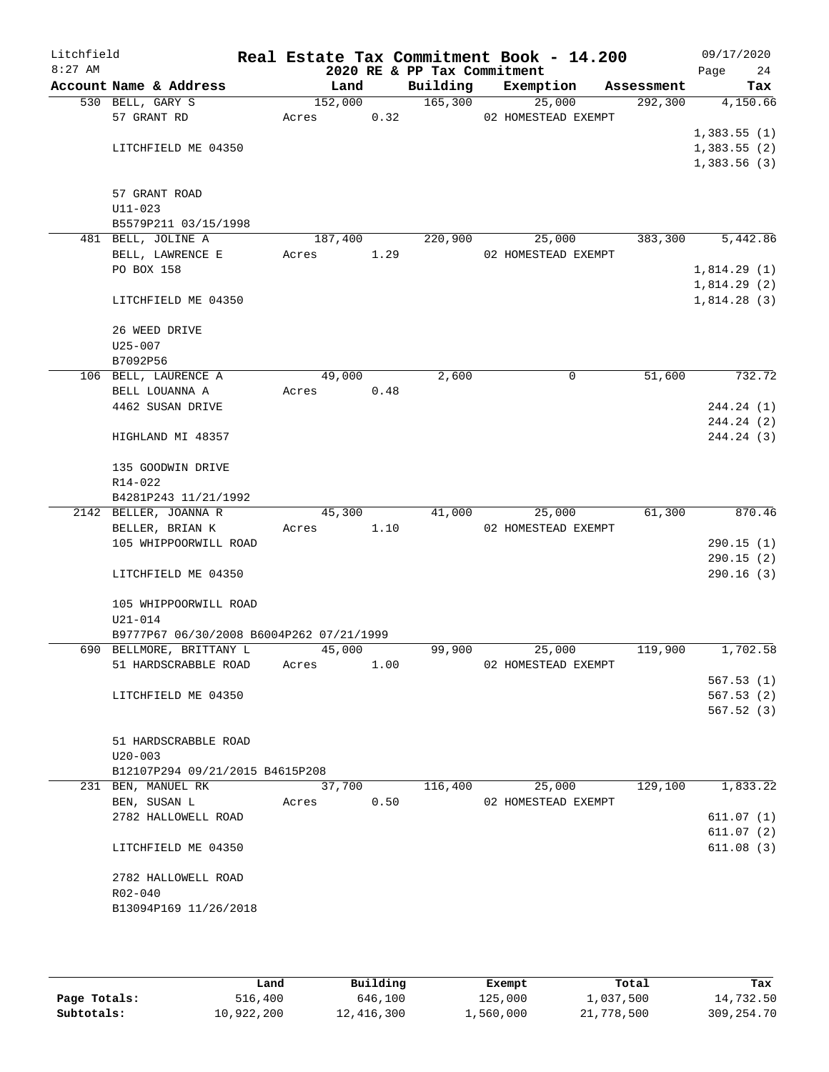| Litchfield<br>$8:27$ AM |                                            |                  |      | 2020 RE & PP Tax Commitment | Real Estate Tax Commitment Book - 14.200 |            | 09/17/2020<br>Page<br>24 |
|-------------------------|--------------------------------------------|------------------|------|-----------------------------|------------------------------------------|------------|--------------------------|
|                         | Account Name & Address                     | Land             |      | Building                    | Exemption                                | Assessment | Tax                      |
|                         | 530 BELL, GARY S                           | 152,000          |      | 165,300                     | 25,000                                   | 292, 300   | 4,150.66                 |
|                         | 57 GRANT RD                                | Acres            | 0.32 |                             | 02 HOMESTEAD EXEMPT                      |            |                          |
|                         |                                            |                  |      |                             |                                          |            | 1,383.55(1)              |
|                         | LITCHFIELD ME 04350                        |                  |      |                             |                                          |            | 1,383.55(2)              |
|                         |                                            |                  |      |                             |                                          |            | 1,383.56(3)              |
|                         |                                            |                  |      |                             |                                          |            |                          |
|                         | 57 GRANT ROAD                              |                  |      |                             |                                          |            |                          |
|                         | $U11 - 023$                                |                  |      |                             |                                          |            |                          |
|                         | B5579P211 03/15/1998<br>481 BELL, JOLINE A |                  |      |                             |                                          |            |                          |
|                         | BELL, LAWRENCE E                           | 187,400<br>Acres | 1.29 | 220,900                     | 25,000<br>02 HOMESTEAD EXEMPT            | 383,300    | 5,442.86                 |
|                         | PO BOX 158                                 |                  |      |                             |                                          |            | 1,814.29(1)              |
|                         |                                            |                  |      |                             |                                          |            | 1,814.29(2)              |
|                         | LITCHFIELD ME 04350                        |                  |      |                             |                                          |            | 1,814.28(3)              |
|                         | 26 WEED DRIVE                              |                  |      |                             |                                          |            |                          |
|                         | $U25 - 007$                                |                  |      |                             |                                          |            |                          |
|                         | B7092P56                                   |                  |      |                             |                                          |            |                          |
|                         | 106 BELL, LAURENCE A                       | 49,000           |      | 2,600                       | $\mathbf 0$                              | 51,600     | 732.72                   |
|                         | BELL LOUANNA A                             | Acres            | 0.48 |                             |                                          |            |                          |
|                         | 4462 SUSAN DRIVE                           |                  |      |                             |                                          |            | 244.24 (1)               |
|                         |                                            |                  |      |                             |                                          |            | 244.24 (2)               |
|                         | HIGHLAND MI 48357                          |                  |      |                             |                                          |            | 244.24 (3)               |
|                         | 135 GOODWIN DRIVE                          |                  |      |                             |                                          |            |                          |
|                         | R14-022                                    |                  |      |                             |                                          |            |                          |
|                         | B4281P243 11/21/1992                       |                  |      |                             |                                          |            |                          |
|                         | 2142 BELLER, JOANNA R                      | 45,300           |      | 41,000                      | 25,000                                   | 61,300     | 870.46                   |
|                         | BELLER, BRIAN K                            | Acres            | 1.10 |                             | 02 HOMESTEAD EXEMPT                      |            |                          |
|                         | 105 WHIPPOORWILL ROAD                      |                  |      |                             |                                          |            | 290.15(1)                |
|                         |                                            |                  |      |                             |                                          |            | 290.15(2)                |
|                         | LITCHFIELD ME 04350                        |                  |      |                             |                                          |            | 290.16(3)                |
|                         | 105 WHIPPOORWILL ROAD                      |                  |      |                             |                                          |            |                          |
|                         | $U21 - 014$                                |                  |      |                             |                                          |            |                          |
|                         | B9777P67 06/30/2008 B6004P262 07/21/1999   |                  |      |                             |                                          |            |                          |
|                         | 690 BELLMORE, BRITTANY L                   | 45,000           |      | 99,900                      | 25,000                                   | 119,900    | 1,702.58                 |
|                         | 51 HARDSCRABBLE ROAD                       | Acres            | 1.00 |                             | 02 HOMESTEAD EXEMPT                      |            |                          |
|                         |                                            |                  |      |                             |                                          |            | 567.53(1)                |
|                         | LITCHFIELD ME 04350                        |                  |      |                             |                                          |            | 567.53(2)                |
|                         |                                            |                  |      |                             |                                          |            | 567.52 (3)               |
|                         |                                            |                  |      |                             |                                          |            |                          |
|                         | 51 HARDSCRABBLE ROAD<br>$U20 - 003$        |                  |      |                             |                                          |            |                          |
|                         | B12107P294 09/21/2015 B4615P208            |                  |      |                             |                                          |            |                          |
|                         | 231 BEN, MANUEL RK                         | 37,700           |      | 116,400                     | 25,000                                   | 129,100    | 1,833.22                 |
|                         | BEN, SUSAN L                               | Acres            | 0.50 |                             | 02 HOMESTEAD EXEMPT                      |            |                          |
|                         | 2782 HALLOWELL ROAD                        |                  |      |                             |                                          |            | 611.07(1)                |
|                         |                                            |                  |      |                             |                                          |            | 611.07(2)                |
|                         | LITCHFIELD ME 04350                        |                  |      |                             |                                          |            | 611.08(3)                |
|                         |                                            |                  |      |                             |                                          |            |                          |
|                         | 2782 HALLOWELL ROAD                        |                  |      |                             |                                          |            |                          |
|                         | $R02 - 040$<br>B13094P169 11/26/2018       |                  |      |                             |                                          |            |                          |
|                         |                                            |                  |      |                             |                                          |            |                          |
|                         |                                            |                  |      |                             |                                          |            |                          |

|              | Land       | Building   | Exempt    | Total      | Tax          |
|--------------|------------|------------|-----------|------------|--------------|
| Page Totals: | 516,400    | 646,100    | 125,000   | 1,037,500  | 14,732.50    |
| Subtotals:   | 10,922,200 | 12,416,300 | 1,560,000 | 21,778,500 | 309, 254, 70 |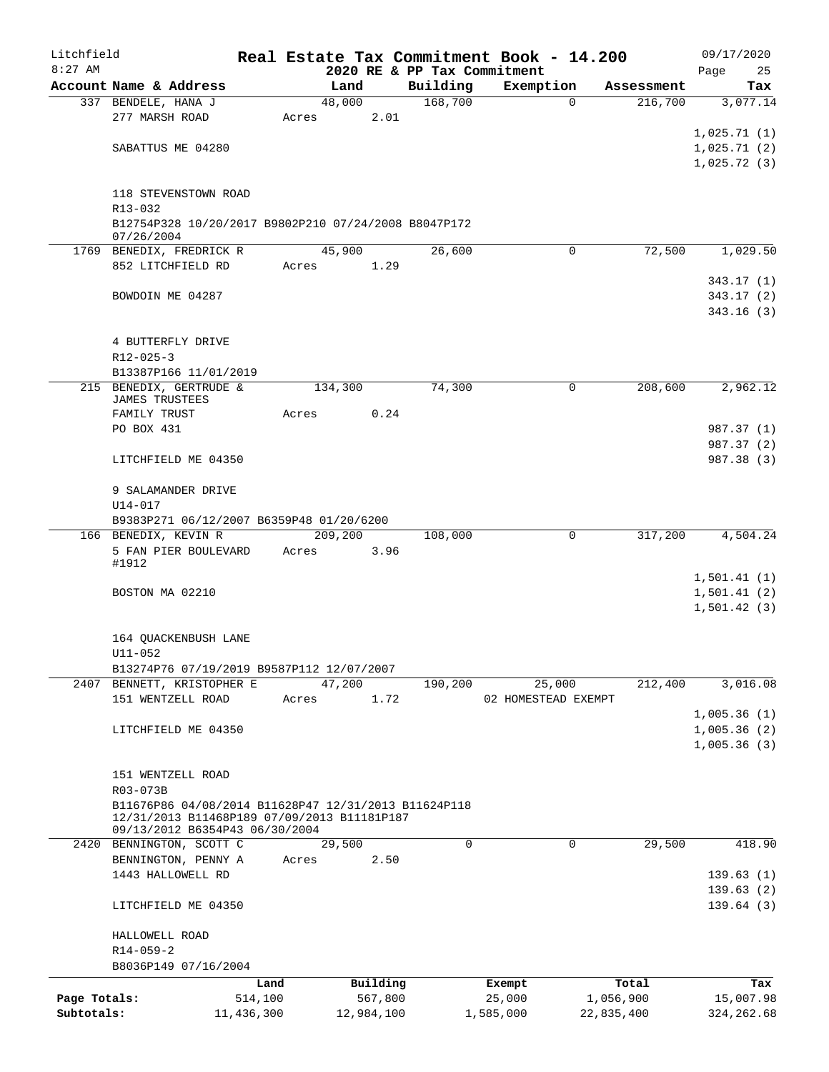| Litchfield   |                                                                                                     |            |       |         |            |                             | Real Estate Tax Commitment Book - 14.200 |          |            | 09/17/2020                 |
|--------------|-----------------------------------------------------------------------------------------------------|------------|-------|---------|------------|-----------------------------|------------------------------------------|----------|------------|----------------------------|
| $8:27$ AM    |                                                                                                     |            |       |         |            | 2020 RE & PP Tax Commitment |                                          |          |            | Page<br>25                 |
|              | Account Name & Address                                                                              |            |       | Land    |            | Building                    | Exemption                                |          | Assessment | Tax                        |
|              | 337 BENDELE, HANA J                                                                                 |            |       | 48,000  |            | 168,700                     |                                          | $\Omega$ | 216,700    | 3,077.14                   |
|              | 277 MARSH ROAD                                                                                      |            | Acres |         | 2.01       |                             |                                          |          |            | 1,025.71(1)                |
|              |                                                                                                     |            |       |         |            |                             |                                          |          |            |                            |
|              | SABATTUS ME 04280                                                                                   |            |       |         |            |                             |                                          |          |            | 1,025.71(2)                |
|              |                                                                                                     |            |       |         |            |                             |                                          |          |            | 1,025.72(3)                |
|              | 118 STEVENSTOWN ROAD                                                                                |            |       |         |            |                             |                                          |          |            |                            |
|              | R13-032                                                                                             |            |       |         |            |                             |                                          |          |            |                            |
|              | B12754P328 10/20/2017 B9802P210 07/24/2008 B8047P172<br>07/26/2004                                  |            |       |         |            |                             |                                          |          |            |                            |
|              | 1769 BENEDIX, FREDRICK R                                                                            |            |       | 45,900  |            | 26,600                      |                                          | 0        | 72,500     | 1,029.50                   |
|              | 852 LITCHFIELD RD                                                                                   |            | Acres |         | 1.29       |                             |                                          |          |            |                            |
|              |                                                                                                     |            |       |         |            |                             |                                          |          |            | 343.17(1)                  |
|              | BOWDOIN ME 04287                                                                                    |            |       |         |            |                             |                                          |          |            | 343.17(2)                  |
|              |                                                                                                     |            |       |         |            |                             |                                          |          |            | 343.16 (3)                 |
|              |                                                                                                     |            |       |         |            |                             |                                          |          |            |                            |
|              | 4 BUTTERFLY DRIVE                                                                                   |            |       |         |            |                             |                                          |          |            |                            |
|              | $R12 - 025 - 3$                                                                                     |            |       |         |            |                             |                                          |          |            |                            |
|              | B13387P166 11/01/2019                                                                               |            |       |         |            |                             |                                          |          |            |                            |
|              | 215 BENEDIX, GERTRUDE &                                                                             |            |       | 134,300 |            | 74,300                      |                                          | 0        | 208,600    | 2,962.12                   |
|              | JAMES TRUSTEES                                                                                      |            |       |         |            |                             |                                          |          |            |                            |
|              | FAMILY TRUST                                                                                        |            | Acres |         | 0.24       |                             |                                          |          |            |                            |
|              | PO BOX 431                                                                                          |            |       |         |            |                             |                                          |          |            | 987.37 (1)                 |
|              |                                                                                                     |            |       |         |            |                             |                                          |          |            | 987.37 (2)                 |
|              | LITCHFIELD ME 04350                                                                                 |            |       |         |            |                             |                                          |          |            | 987.38 (3)                 |
|              |                                                                                                     |            |       |         |            |                             |                                          |          |            |                            |
|              | 9 SALAMANDER DRIVE                                                                                  |            |       |         |            |                             |                                          |          |            |                            |
|              | U14-017                                                                                             |            |       |         |            |                             |                                          |          |            |                            |
|              | B9383P271 06/12/2007 B6359P48 01/20/6200                                                            |            |       |         |            |                             |                                          |          |            |                            |
|              | 166 BENEDIX, KEVIN R                                                                                |            |       | 209,200 |            | 108,000                     |                                          | 0        | 317,200    | 4,504.24                   |
|              | 5 FAN PIER BOULEVARD                                                                                |            | Acres |         | 3.96       |                             |                                          |          |            |                            |
|              | #1912                                                                                               |            |       |         |            |                             |                                          |          |            |                            |
|              |                                                                                                     |            |       |         |            |                             |                                          |          |            | 1,501.41(1)                |
|              | BOSTON MA 02210                                                                                     |            |       |         |            |                             |                                          |          |            | 1,501.41(2)                |
|              |                                                                                                     |            |       |         |            |                             |                                          |          |            | 1,501.42(3)                |
|              |                                                                                                     |            |       |         |            |                             |                                          |          |            |                            |
|              | 164 QUACKENBUSH LANE                                                                                |            |       |         |            |                             |                                          |          |            |                            |
|              | $U11 - 052$                                                                                         |            |       |         |            |                             |                                          |          |            |                            |
|              | B13274P76 07/19/2019 B9587P112 12/07/2007<br>2407 BENNETT, KRISTOPHER E                             |            |       | 47,200  |            | 190,200                     | 25,000                                   |          | 212,400    | 3,016.08                   |
|              |                                                                                                     |            |       |         | 1.72       |                             |                                          |          |            |                            |
|              | 151 WENTZELL ROAD                                                                                   |            | Acres |         |            |                             | 02 HOMESTEAD EXEMPT                      |          |            |                            |
|              |                                                                                                     |            |       |         |            |                             |                                          |          |            | 1,005.36(1)                |
|              | LITCHFIELD ME 04350                                                                                 |            |       |         |            |                             |                                          |          |            | 1,005.36(2)<br>1,005.36(3) |
|              |                                                                                                     |            |       |         |            |                             |                                          |          |            |                            |
|              | 151 WENTZELL ROAD                                                                                   |            |       |         |            |                             |                                          |          |            |                            |
|              | R03-073B                                                                                            |            |       |         |            |                             |                                          |          |            |                            |
|              |                                                                                                     |            |       |         |            |                             |                                          |          |            |                            |
|              | B11676P86 04/08/2014 B11628P47 12/31/2013 B11624P118<br>12/31/2013 B11468P189 07/09/2013 B11181P187 |            |       |         |            |                             |                                          |          |            |                            |
|              | 09/13/2012 B6354P43 06/30/2004                                                                      |            |       |         |            |                             |                                          |          |            |                            |
|              | 2420 BENNINGTON, SCOTT C                                                                            |            |       | 29,500  |            | $\Omega$                    |                                          | $\Omega$ | 29,500     | 418.90                     |
|              | BENNINGTON, PENNY A                                                                                 |            | Acres |         | 2.50       |                             |                                          |          |            |                            |
|              | 1443 HALLOWELL RD                                                                                   |            |       |         |            |                             |                                          |          |            | 139.63(1)                  |
|              |                                                                                                     |            |       |         |            |                             |                                          |          |            | 139.63(2)                  |
|              | LITCHFIELD ME 04350                                                                                 |            |       |         |            |                             |                                          |          |            | 139.64(3)                  |
|              |                                                                                                     |            |       |         |            |                             |                                          |          |            |                            |
|              | HALLOWELL ROAD                                                                                      |            |       |         |            |                             |                                          |          |            |                            |
|              | $R14 - 059 - 2$                                                                                     |            |       |         |            |                             |                                          |          |            |                            |
|              | B8036P149 07/16/2004                                                                                |            |       |         |            |                             |                                          |          |            |                            |
|              |                                                                                                     | Land       |       |         | Building   |                             | Exempt                                   |          | Total      | Tax                        |
| Page Totals: |                                                                                                     | 514,100    |       |         | 567,800    |                             | 25,000                                   |          | 1,056,900  | 15,007.98                  |
| Subtotals:   |                                                                                                     | 11,436,300 |       |         | 12,984,100 |                             | 1,585,000                                |          | 22,835,400 | 324, 262.68                |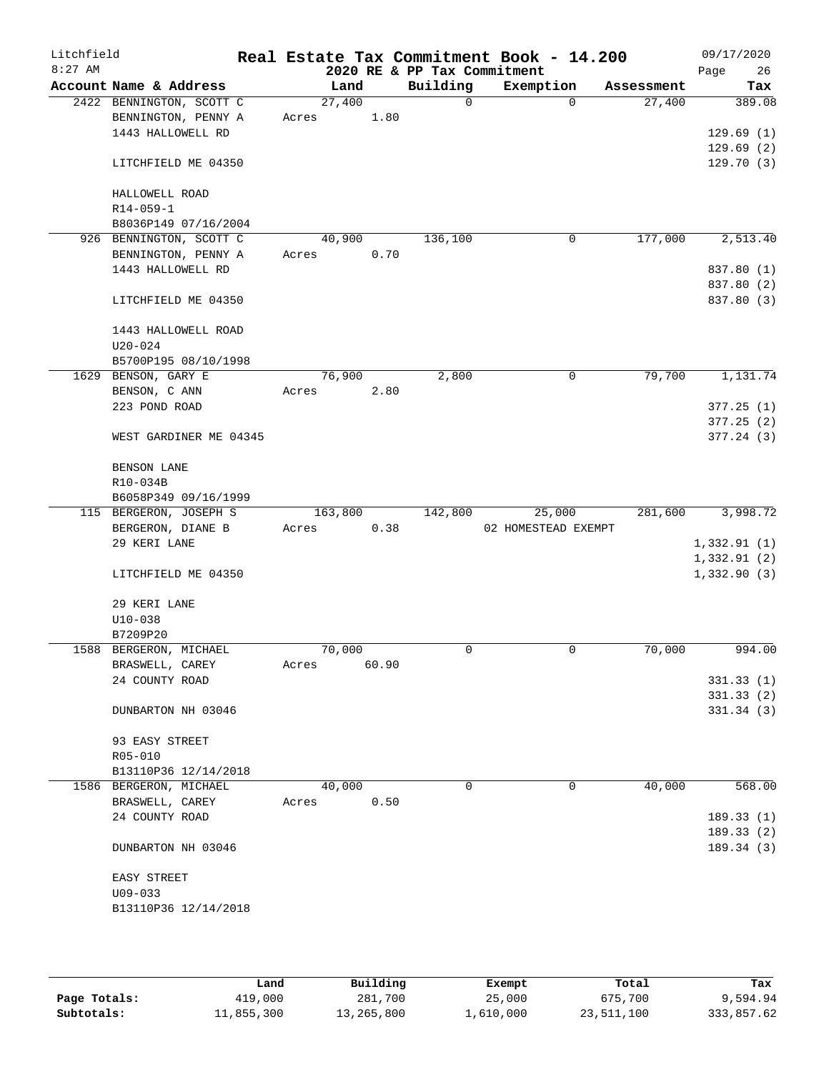| Litchfield<br>$8:27$ AM |                                    |       |         |       | 2020 RE & PP Tax Commitment | Real Estate Tax Commitment Book - 14.200 |             |            | 09/17/2020<br>26<br>Page |
|-------------------------|------------------------------------|-------|---------|-------|-----------------------------|------------------------------------------|-------------|------------|--------------------------|
|                         | Account Name & Address             |       | Land    |       | Building                    | Exemption                                |             | Assessment | Tax                      |
|                         | 2422 BENNINGTON, SCOTT C           |       | 27,400  |       | $\Omega$                    |                                          | $\Omega$    | 27,400     | 389.08                   |
|                         | BENNINGTON, PENNY A                | Acres |         | 1.80  |                             |                                          |             |            |                          |
|                         | 1443 HALLOWELL RD                  |       |         |       |                             |                                          |             |            | 129.69(1)                |
|                         | LITCHFIELD ME 04350                |       |         |       |                             |                                          |             |            | 129.69(2)<br>129.70(3)   |
|                         | HALLOWELL ROAD                     |       |         |       |                             |                                          |             |            |                          |
|                         | $R14 - 059 - 1$                    |       |         |       |                             |                                          |             |            |                          |
|                         | B8036P149 07/16/2004               |       |         |       |                             |                                          |             |            |                          |
|                         | 926 BENNINGTON, SCOTT C            |       | 40,900  |       | 136,100                     |                                          | $\mathbf 0$ | 177,000    | 2,513.40                 |
|                         | BENNINGTON, PENNY A                | Acres |         | 0.70  |                             |                                          |             |            |                          |
|                         | 1443 HALLOWELL RD                  |       |         |       |                             |                                          |             |            | 837.80 (1)               |
|                         |                                    |       |         |       |                             |                                          |             |            | 837.80 (2)               |
|                         | LITCHFIELD ME 04350                |       |         |       |                             |                                          |             |            | 837.80 (3)               |
|                         | 1443 HALLOWELL ROAD<br>$U20 - 024$ |       |         |       |                             |                                          |             |            |                          |
|                         | B5700P195 08/10/1998               |       |         |       |                             |                                          |             |            |                          |
|                         | 1629 BENSON, GARY E                |       | 76,900  |       | 2,800                       |                                          | 0           | 79,700     | 1,131.74                 |
|                         | BENSON, C ANN                      | Acres |         | 2.80  |                             |                                          |             |            |                          |
|                         | 223 POND ROAD                      |       |         |       |                             |                                          |             |            | 377.25(1)                |
|                         |                                    |       |         |       |                             |                                          |             |            | 377.25(2)                |
|                         | WEST GARDINER ME 04345             |       |         |       |                             |                                          |             |            | 377.24(3)                |
|                         | BENSON LANE                        |       |         |       |                             |                                          |             |            |                          |
|                         | R10-034B                           |       |         |       |                             |                                          |             |            |                          |
|                         | B6058P349 09/16/1999               |       |         |       |                             |                                          |             |            |                          |
|                         | 115 BERGERON, JOSEPH S             |       | 163,800 |       | 142,800                     | 25,000                                   |             | 281,600    | 3,998.72                 |
|                         | BERGERON, DIANE B                  | Acres |         | 0.38  |                             | 02 HOMESTEAD EXEMPT                      |             |            |                          |
|                         | 29 KERI LANE                       |       |         |       |                             |                                          |             |            | 1,332.91(1)              |
|                         |                                    |       |         |       |                             |                                          |             |            | 1,332.91(2)              |
|                         | LITCHFIELD ME 04350                |       |         |       |                             |                                          |             |            | 1,332.90(3)              |
|                         | 29 KERI LANE                       |       |         |       |                             |                                          |             |            |                          |
|                         | $U10-038$                          |       |         |       |                             |                                          |             |            |                          |
|                         | B7209P20                           |       |         |       |                             |                                          |             |            |                          |
|                         | 1588 BERGERON, MICHAEL             |       | 70,000  |       | 0                           |                                          | 0           | 70,000     | 994.00                   |
|                         | BRASWELL, CAREY                    | Acres |         | 60.90 |                             |                                          |             |            |                          |
|                         | 24 COUNTY ROAD                     |       |         |       |                             |                                          |             |            | 331.33(1)                |
|                         |                                    |       |         |       |                             |                                          |             |            | 331.33(2)                |
|                         | DUNBARTON NH 03046                 |       |         |       |                             |                                          |             |            | 331.34(3)                |
|                         | 93 EASY STREET                     |       |         |       |                             |                                          |             |            |                          |
|                         | R05-010                            |       |         |       |                             |                                          |             |            |                          |
|                         | B13110P36 12/14/2018               |       |         |       |                             |                                          |             |            |                          |
|                         | 1586 BERGERON, MICHAEL             |       | 40,000  |       | 0                           |                                          | 0           | 40,000     | 568.00                   |
|                         | BRASWELL, CAREY                    | Acres |         | 0.50  |                             |                                          |             |            |                          |
|                         | 24 COUNTY ROAD                     |       |         |       |                             |                                          |             |            | 189.33(1)                |
|                         |                                    |       |         |       |                             |                                          |             |            | 189.33(2)                |
|                         | DUNBARTON NH 03046                 |       |         |       |                             |                                          |             |            | 189.34(3)                |
|                         | EASY STREET                        |       |         |       |                             |                                          |             |            |                          |
|                         | $U09 - 033$                        |       |         |       |                             |                                          |             |            |                          |
|                         | B13110P36 12/14/2018               |       |         |       |                             |                                          |             |            |                          |
|                         |                                    |       |         |       |                             |                                          |             |            |                          |
|                         |                                    |       |         |       |                             |                                          |             |            |                          |

|              | Land       | Building   | Exempt    | Total      | Tax        |
|--------------|------------|------------|-----------|------------|------------|
| Page Totals: | 419,000    | 281,700    | 25,000    | 675,700    | 9,594.94   |
| Subtotals:   | 11,855,300 | 13,265,800 | ⊥,610,000 | 23,511,100 | 333,857.62 |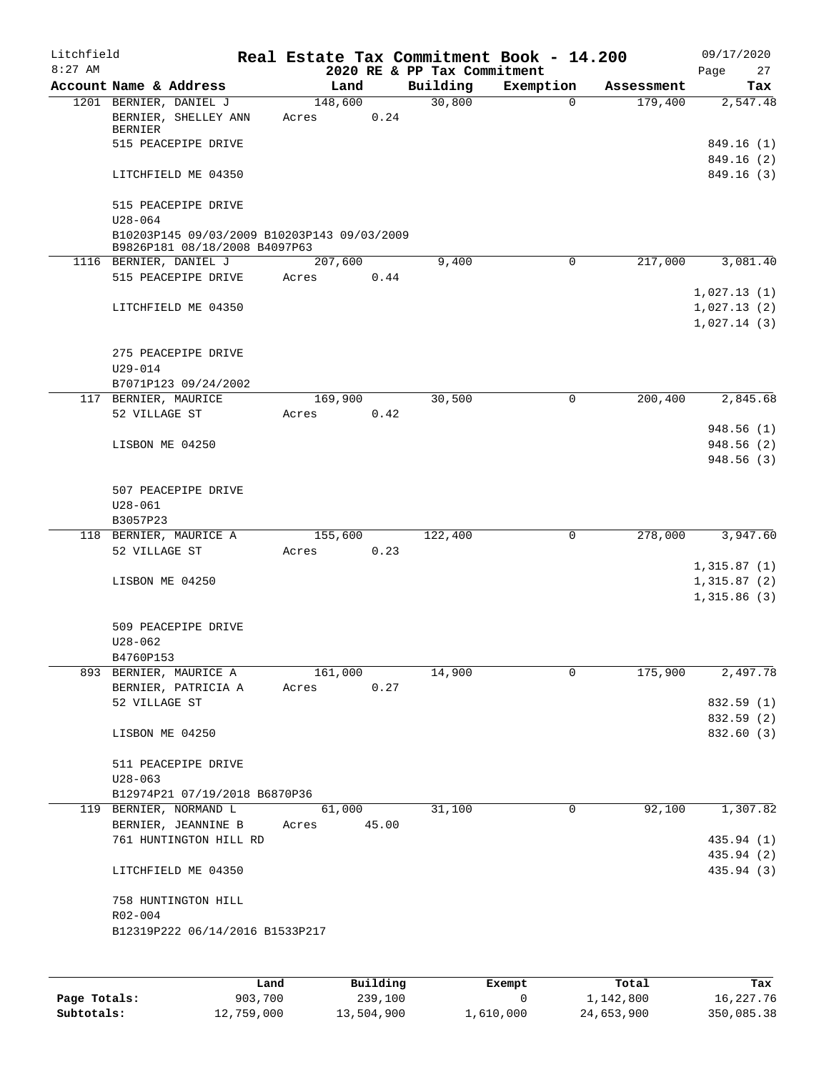| Litchfield<br>$8:27$ AM |                                                                              | Real Estate Tax Commitment Book - 14.200 | 2020 RE & PP Tax Commitment |             |            | 09/17/2020<br>Page<br>27                  |
|-------------------------|------------------------------------------------------------------------------|------------------------------------------|-----------------------------|-------------|------------|-------------------------------------------|
|                         | Account Name & Address                                                       | Land                                     | Building                    | Exemption   | Assessment | Tax                                       |
|                         | 1201 BERNIER, DANIEL J<br>BERNIER, SHELLEY ANN<br>BERNIER                    | 148,600<br>0.24<br>Acres                 | 30,800                      | $\mathbf 0$ | 179,400    | 2,547.48                                  |
|                         | 515 PEACEPIPE DRIVE                                                          |                                          |                             |             |            | 849.16 (1)<br>849.16 (2)                  |
|                         | LITCHFIELD ME 04350                                                          |                                          |                             |             |            | 849.16(3)                                 |
|                         | 515 PEACEPIPE DRIVE<br>$U28 - 064$                                           |                                          |                             |             |            |                                           |
|                         | B10203P145 09/03/2009 B10203P143 09/03/2009<br>B9826P181 08/18/2008 B4097P63 |                                          |                             |             |            |                                           |
|                         | 1116 BERNIER, DANIEL J                                                       | 207,600                                  | 9,400                       | 0           | 217,000    | 3,081.40                                  |
|                         | 515 PEACEPIPE DRIVE                                                          | 0.44<br>Acres                            |                             |             |            |                                           |
|                         | LITCHFIELD ME 04350                                                          |                                          |                             |             |            | 1,027.13(1)<br>1,027.13(2)<br>1,027.14(3) |
|                         | 275 PEACEPIPE DRIVE                                                          |                                          |                             |             |            |                                           |
|                         | $U29 - 014$<br>B7071P123 09/24/2002                                          |                                          |                             |             |            |                                           |
|                         | 117 BERNIER, MAURICE                                                         | 169,900                                  | 30,500                      | 0           | 200,400    | 2,845.68                                  |
|                         | 52 VILLAGE ST                                                                | 0.42<br>Acres                            |                             |             |            | 948.56 (1)                                |
|                         | LISBON ME 04250                                                              |                                          |                             |             |            | 948.56 (2)<br>948.56 (3)                  |
|                         | 507 PEACEPIPE DRIVE                                                          |                                          |                             |             |            |                                           |
|                         | $U28 - 061$                                                                  |                                          |                             |             |            |                                           |
|                         | B3057P23                                                                     |                                          |                             |             |            |                                           |
|                         | 118 BERNIER, MAURICE A<br>52 VILLAGE ST                                      | 155,600<br>0.23<br>Acres                 | 122,400                     | 0           | 278,000    | 3,947.60                                  |
|                         | LISBON ME 04250                                                              |                                          |                             |             |            | 1,315.87(1)<br>1,315.87(2)<br>1,315.86(3) |
|                         | 509 PEACEPIPE DRIVE<br>$U28 - 062$                                           |                                          |                             |             |            |                                           |
|                         | B4760P153                                                                    |                                          |                             |             |            |                                           |
|                         | 893 BERNIER, MAURICE A                                                       | 161,000                                  | 14,900                      | 0           | 175,900    | 2,497.78                                  |
|                         | BERNIER, PATRICIA A                                                          | 0.27<br>Acres                            |                             |             |            |                                           |
|                         | 52 VILLAGE ST                                                                |                                          |                             |             |            | 832.59 (1)<br>832.59 (2)                  |
|                         | LISBON ME 04250                                                              |                                          |                             |             |            | 832.60 (3)                                |
|                         | 511 PEACEPIPE DRIVE                                                          |                                          |                             |             |            |                                           |
|                         | $U28 - 063$                                                                  |                                          |                             |             |            |                                           |
|                         | B12974P21 07/19/2018 B6870P36                                                |                                          |                             |             |            |                                           |
|                         | 119 BERNIER, NORMAND L                                                       | 61,000                                   | 31,100                      | 0           | 92,100     | 1,307.82                                  |
|                         | BERNIER, JEANNINE B<br>761 HUNTINGTON HILL RD                                | Acres 45.00                              |                             |             |            | 435.94 (1)                                |
|                         | LITCHFIELD ME 04350                                                          |                                          |                             |             |            | 435.94 (2)<br>435.94 (3)                  |
|                         | 758 HUNTINGTON HILL<br>R02-004                                               |                                          |                             |             |            |                                           |
|                         | B12319P222 06/14/2016 B1533P217                                              |                                          |                             |             |            |                                           |
|                         |                                                                              |                                          |                             |             |            |                                           |

|              | Land       | Building   | Exempt    | Total      | Tax        |
|--------------|------------|------------|-----------|------------|------------|
| Page Totals: | 903,700    | 239,100    |           | 1,142,800  | 16,227.76  |
| Subtotals:   | 12,759,000 | 13,504,900 | 1,610,000 | 24,653,900 | 350,085.38 |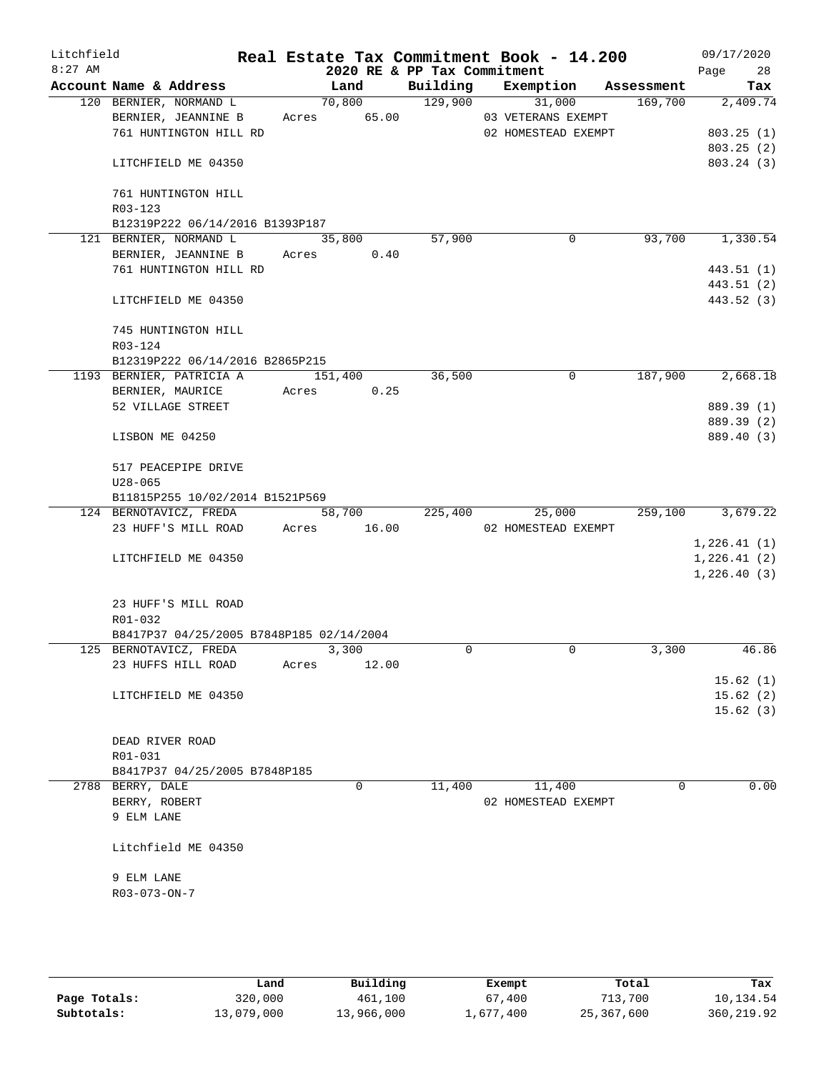| Litchfield<br>$8:27$ AM |                  |                                          |       |               | 2020 RE & PP Tax Commitment | Real Estate Tax Commitment Book - 14.200 |         | 09/17/2020<br>28<br>Page |
|-------------------------|------------------|------------------------------------------|-------|---------------|-----------------------------|------------------------------------------|---------|--------------------------|
|                         |                  | Account Name & Address                   |       | Land          |                             | Building Exemption Assessment            |         | Tax                      |
|                         |                  | 120 BERNIER, NORMAND L                   |       | 70,800        | 129,900                     | 31,000                                   | 169,700 | 2,409.74                 |
|                         |                  | BERNIER, JEANNINE B                      |       | Acres 65.00   |                             | 03 VETERANS EXEMPT                       |         |                          |
|                         |                  | 761 HUNTINGTON HILL RD                   |       |               |                             | 02 HOMESTEAD EXEMPT                      |         | 803.25(1)                |
|                         |                  |                                          |       |               |                             |                                          |         | 803.25(2)                |
|                         |                  | LITCHFIELD ME 04350                      |       |               |                             |                                          |         | 803.24 (3)               |
|                         |                  | 761 HUNTINGTON HILL                      |       |               |                             |                                          |         |                          |
|                         | R03-123          |                                          |       |               |                             |                                          |         |                          |
|                         |                  | B12319P222 06/14/2016 B1393P187          |       |               |                             |                                          |         |                          |
|                         |                  | 121 BERNIER, NORMAND L                   |       | 35,800        | 57,900                      | $\mathbf 0$                              | 93,700  | 1,330.54                 |
|                         |                  | BERNIER, JEANNINE B                      |       | 0.40<br>Acres |                             |                                          |         |                          |
|                         |                  | 761 HUNTINGTON HILL RD                   |       |               |                             |                                          |         | 443.51 (1)               |
|                         |                  |                                          |       |               |                             |                                          |         | 443.51 (2)               |
|                         |                  | LITCHFIELD ME 04350                      |       |               |                             |                                          |         | 443.52 (3)               |
|                         |                  | 745 HUNTINGTON HILL                      |       |               |                             |                                          |         |                          |
|                         | R03-124          |                                          |       |               |                             |                                          |         |                          |
|                         |                  | B12319P222 06/14/2016 B2865P215          |       |               |                             |                                          |         |                          |
|                         |                  | 1193 BERNIER, PATRICIA A                 |       | 151,400       | 36,500                      | 0                                        | 187,900 | 2,668.18                 |
|                         |                  | BERNIER, MAURICE                         |       | Acres 0.25    |                             |                                          |         |                          |
|                         |                  | 52 VILLAGE STREET                        |       |               |                             |                                          |         | 889.39 (1)               |
|                         |                  |                                          |       |               |                             |                                          |         | 889.39 (2)               |
|                         | LISBON ME 04250  |                                          |       |               |                             |                                          |         | 889.40 (3)               |
|                         |                  | 517 PEACEPIPE DRIVE                      |       |               |                             |                                          |         |                          |
|                         | $U28 - 065$      |                                          |       |               |                             |                                          |         |                          |
|                         |                  | B11815P255 10/02/2014 B1521P569          |       |               |                             |                                          |         |                          |
|                         |                  | 124 BERNOTAVICZ, FREDA                   |       | 58,700        | 225,400                     | 25,000                                   | 259,100 | 3,679.22                 |
|                         |                  | 23 HUFF'S MILL ROAD Acres 16.00          |       |               |                             | 02 HOMESTEAD EXEMPT                      |         |                          |
|                         |                  |                                          |       |               |                             |                                          |         | 1,226.41(1)              |
|                         |                  | LITCHFIELD ME 04350                      |       |               |                             |                                          |         | 1, 226.41(2)             |
|                         |                  |                                          |       |               |                             |                                          |         | 1, 226.40(3)             |
|                         |                  |                                          |       |               |                             |                                          |         |                          |
|                         |                  | 23 HUFF'S MILL ROAD                      |       |               |                             |                                          |         |                          |
|                         | R01-032          |                                          |       |               |                             |                                          |         |                          |
|                         |                  | B8417P37 04/25/2005 B7848P185 02/14/2004 |       |               |                             |                                          |         |                          |
|                         |                  | 125 BERNOTAVICZ, FREDA                   |       | 3,300         | $\Omega$                    | $\mathbf 0$                              | 3,300   | 46.86                    |
|                         |                  | 23 HUFFS HILL ROAD                       | Acres | 12.00         |                             |                                          |         |                          |
|                         |                  |                                          |       |               |                             |                                          |         | 15.62(1)                 |
|                         |                  | LITCHFIELD ME 04350                      |       |               |                             |                                          |         | 15.62(2)                 |
|                         |                  |                                          |       |               |                             |                                          |         | 15.62(3)                 |
|                         |                  |                                          |       |               |                             |                                          |         |                          |
|                         | DEAD RIVER ROAD  |                                          |       |               |                             |                                          |         |                          |
|                         | R01-031          |                                          |       |               |                             |                                          |         |                          |
|                         |                  | B8417P37 04/25/2005 B7848P185            |       |               |                             |                                          |         |                          |
|                         | 2788 BERRY, DALE |                                          |       | 0             | 11,400                      | 11,400                                   | 0       | 0.00                     |
|                         | BERRY, ROBERT    |                                          |       |               |                             | 02 HOMESTEAD EXEMPT                      |         |                          |
|                         | 9 ELM LANE       |                                          |       |               |                             |                                          |         |                          |
|                         |                  | Litchfield ME 04350                      |       |               |                             |                                          |         |                          |
|                         | 9 ELM LANE       |                                          |       |               |                             |                                          |         |                          |
|                         | R03-073-ON-7     |                                          |       |               |                             |                                          |         |                          |
|                         |                  |                                          |       |               |                             |                                          |         |                          |
|                         |                  |                                          |       |               |                             |                                          |         |                          |
|                         |                  |                                          |       |               |                             |                                          |         |                          |

|              | Land       | Building   | Exempt    | Total      | Tax         |
|--------------|------------|------------|-----------|------------|-------------|
| Page Totals: | 320,000    | 461,100    | 67,400    | 713,700    | 10,134.54   |
| Subtotals:   | 13,079,000 | 13,966,000 | 1,677,400 | 25,367,600 | 360, 219.92 |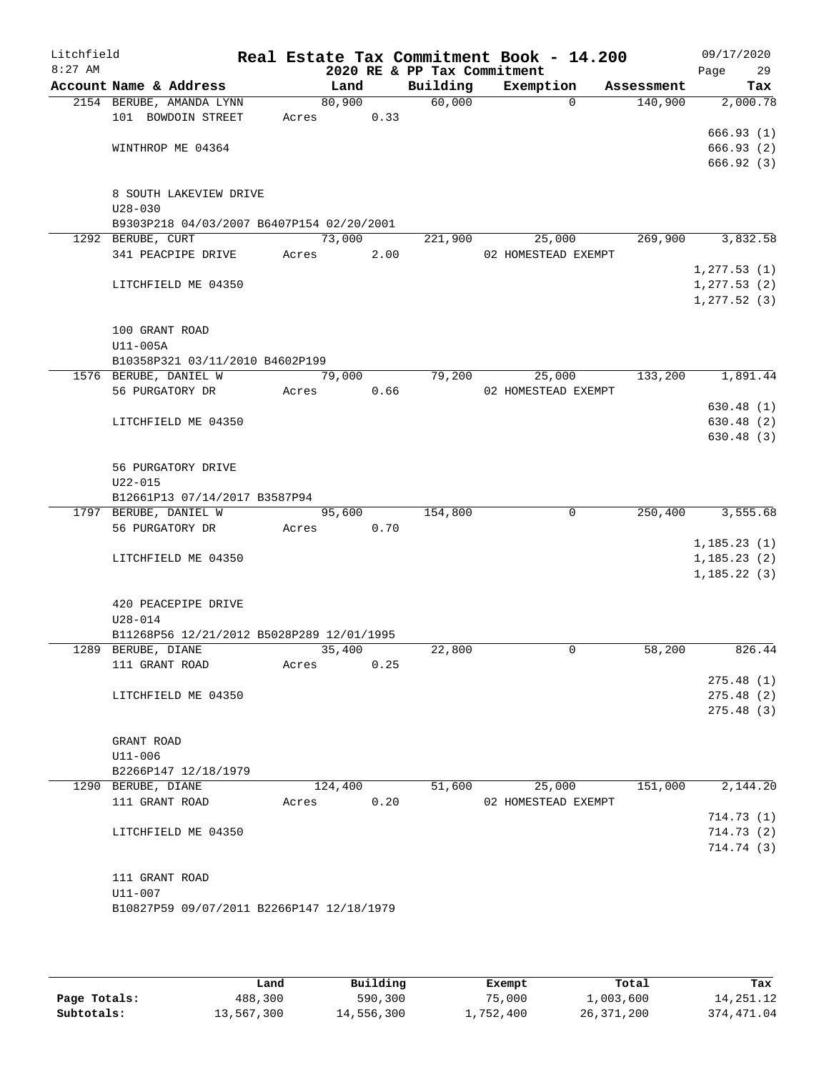| Litchfield<br>$8:27$ AM |                                           |       |         | 2020 RE & PP Tax Commitment | Real Estate Tax Commitment Book - 14.200 |            | 09/17/2020<br>Page<br>29 |
|-------------------------|-------------------------------------------|-------|---------|-----------------------------|------------------------------------------|------------|--------------------------|
|                         | Account Name & Address                    |       | Land    | Building                    | Exemption                                | Assessment | Tax                      |
|                         | 2154 BERUBE, AMANDA LYNN                  |       | 80,900  | 60,000                      | $\mathbf 0$                              | 140,900    | 2,000.78                 |
|                         | 101 BOWDOIN STREET                        | Acres | 0.33    |                             |                                          |            |                          |
|                         |                                           |       |         |                             |                                          |            | 666.93(1)                |
|                         | WINTHROP ME 04364                         |       |         |                             |                                          |            | 666.93 (2)<br>666.92(3)  |
|                         | 8 SOUTH LAKEVIEW DRIVE                    |       |         |                             |                                          |            |                          |
|                         | $U28 - 030$                               |       |         |                             |                                          |            |                          |
|                         | B9303P218 04/03/2007 B6407P154 02/20/2001 |       |         |                             |                                          |            |                          |
|                         | 1292 BERUBE, CURT                         |       | 73,000  | 221,900                     | 25,000                                   | 269,900    | 3,832.58                 |
|                         | 341 PEACPIPE DRIVE                        | Acres | 2.00    |                             | 02 HOMESTEAD EXEMPT                      |            |                          |
|                         |                                           |       |         |                             |                                          |            | 1, 277.53(1)             |
|                         | LITCHFIELD ME 04350                       |       |         |                             |                                          |            | 1, 277.53(2)             |
|                         |                                           |       |         |                             |                                          |            | 1, 277.52(3)             |
|                         | 100 GRANT ROAD                            |       |         |                             |                                          |            |                          |
|                         | $U11-005A$                                |       |         |                             |                                          |            |                          |
|                         | B10358P321 03/11/2010 B4602P199           |       |         |                             |                                          |            |                          |
|                         | 1576 BERUBE, DANIEL W                     |       | 79,000  | 79,200                      | 25,000                                   | 133,200    | 1,891.44                 |
|                         | 56 PURGATORY DR                           | Acres | 0.66    |                             | 02 HOMESTEAD EXEMPT                      |            |                          |
|                         |                                           |       |         |                             |                                          |            | 630.48(1)                |
|                         | LITCHFIELD ME 04350                       |       |         |                             |                                          |            | 630.48 (2)               |
|                         |                                           |       |         |                             |                                          |            | 630.48(3)                |
|                         | 56 PURGATORY DRIVE                        |       |         |                             |                                          |            |                          |
|                         | $U22 - 015$                               |       |         |                             |                                          |            |                          |
|                         | B12661P13 07/14/2017 B3587P94             |       |         |                             |                                          |            |                          |
|                         | 1797 BERUBE, DANIEL W                     |       | 95,600  | 154,800                     | $\mathbf 0$                              | 250,400    | 3,555.68                 |
|                         | 56 PURGATORY DR                           | Acres | 0.70    |                             |                                          |            |                          |
|                         |                                           |       |         |                             |                                          |            | 1, 185.23(1)             |
|                         | LITCHFIELD ME 04350                       |       |         |                             |                                          |            | 1, 185.23(2)             |
|                         |                                           |       |         |                             |                                          |            | 1, 185.22(3)             |
|                         | 420 PEACEPIPE DRIVE                       |       |         |                             |                                          |            |                          |
|                         | $U28 - 014$                               |       |         |                             |                                          |            |                          |
|                         | B11268P56 12/21/2012 B5028P289 12/01/1995 |       |         |                             |                                          |            |                          |
|                         | 1289 BERUBE, DIANE                        |       | 35,400  | 22,800                      | 0                                        | 58,200     | 826.44                   |
|                         | 111 GRANT ROAD                            | Acres | 0.25    |                             |                                          |            |                          |
|                         |                                           |       |         |                             |                                          |            | 275.48(1)                |
|                         | LITCHFIELD ME 04350                       |       |         |                             |                                          |            | 275.48(2)                |
|                         |                                           |       |         |                             |                                          |            | 275.48 (3)               |
|                         | GRANT ROAD                                |       |         |                             |                                          |            |                          |
|                         | $U11 - 006$                               |       |         |                             |                                          |            |                          |
|                         | B2266P147 12/18/1979                      |       |         |                             |                                          |            |                          |
|                         | 1290 BERUBE, DIANE                        |       | 124,400 | 51,600                      | 25,000                                   | 151,000    | 2,144.20                 |
|                         | 111 GRANT ROAD                            | Acres | 0.20    |                             | 02 HOMESTEAD EXEMPT                      |            |                          |
|                         |                                           |       |         |                             |                                          |            | 714.73(1)                |
|                         | LITCHFIELD ME 04350                       |       |         |                             |                                          |            | 714.73(2)                |
|                         |                                           |       |         |                             |                                          |            | 714.74 (3)               |
|                         | 111 GRANT ROAD                            |       |         |                             |                                          |            |                          |
|                         | U11-007                                   |       |         |                             |                                          |            |                          |
|                         | B10827P59 09/07/2011 B2266P147 12/18/1979 |       |         |                             |                                          |            |                          |
|                         |                                           |       |         |                             |                                          |            |                          |
|                         |                                           |       |         |                             |                                          |            |                          |

|              | Land       | Building   | Exempt    | Total      | Tax         |
|--------------|------------|------------|-----------|------------|-------------|
| Page Totals: | 488,300    | 590,300    | 75,000    | 1,003,600  | 14,251.12   |
| Subtotals:   | 13,567,300 | 14,556,300 | 1,752,400 | 26,371,200 | 374, 471.04 |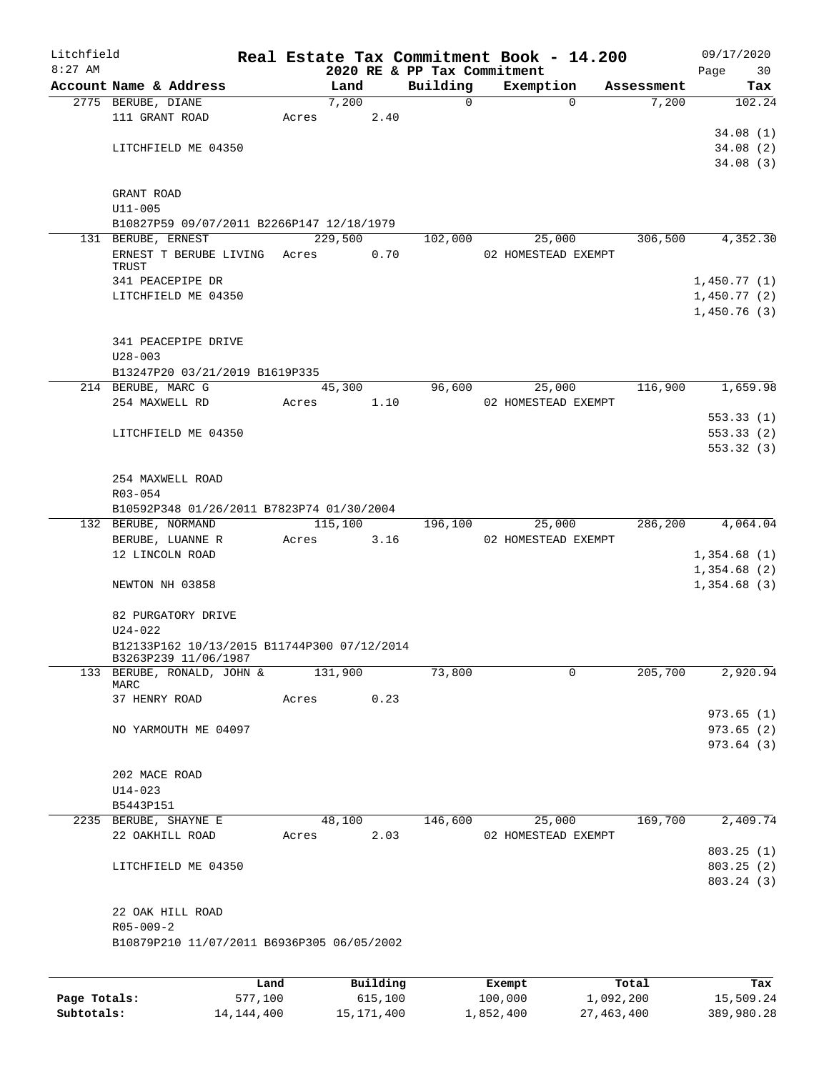| Litchfield   |                                             |         |       |         |          | Real Estate Tax Commitment Book - 14.200 |         |                     |            | 09/17/2020  |
|--------------|---------------------------------------------|---------|-------|---------|----------|------------------------------------------|---------|---------------------|------------|-------------|
| $8:27$ AM    |                                             |         |       |         |          | 2020 RE & PP Tax Commitment              |         |                     |            | Page<br>30  |
|              | Account Name & Address                      |         |       | Land    |          | Building                                 |         | Exemption           | Assessment | Tax         |
|              | 2775 BERUBE, DIANE                          |         |       | 7,200   |          | $\Omega$                                 |         | $\Omega$            | 7,200      | 102.24      |
|              | 111 GRANT ROAD                              |         | Acres |         | 2.40     |                                          |         |                     |            |             |
|              |                                             |         |       |         |          |                                          |         |                     |            | 34.08(1)    |
|              | LITCHFIELD ME 04350                         |         |       |         |          |                                          |         |                     |            | 34.08(2)    |
|              |                                             |         |       |         |          |                                          |         |                     |            | 34.08(3)    |
|              |                                             |         |       |         |          |                                          |         |                     |            |             |
|              | GRANT ROAD<br>$U11 - 005$                   |         |       |         |          |                                          |         |                     |            |             |
|              | B10827P59 09/07/2011 B2266P147 12/18/1979   |         |       |         |          |                                          |         |                     |            |             |
|              | 131 BERUBE, ERNEST                          |         |       | 229,500 |          | 102,000                                  |         | 25,000              | 306,500    | 4,352.30    |
|              | ERNEST T BERUBE LIVING                      |         | Acres |         | 0.70     |                                          |         | 02 HOMESTEAD EXEMPT |            |             |
|              | TRUST                                       |         |       |         |          |                                          |         |                     |            |             |
|              | 341 PEACEPIPE DR                            |         |       |         |          |                                          |         |                     |            | 1,450.77(1) |
|              | LITCHFIELD ME 04350                         |         |       |         |          |                                          |         |                     |            | 1,450.77(2) |
|              |                                             |         |       |         |          |                                          |         |                     |            | 1,450.76(3) |
|              |                                             |         |       |         |          |                                          |         |                     |            |             |
|              | 341 PEACEPIPE DRIVE                         |         |       |         |          |                                          |         |                     |            |             |
|              | $U28 - 003$                                 |         |       |         |          |                                          |         |                     |            |             |
|              | B13247P20 03/21/2019 B1619P335              |         |       |         |          |                                          |         |                     |            |             |
|              | 214 BERUBE, MARC G                          |         |       | 45,300  |          | 96,600                                   |         | 25,000              | 116,900    | 1,659.98    |
|              | 254 MAXWELL RD                              |         | Acres |         | 1.10     |                                          |         | 02 HOMESTEAD EXEMPT |            |             |
|              |                                             |         |       |         |          |                                          |         |                     |            | 553.33(1)   |
|              | LITCHFIELD ME 04350                         |         |       |         |          |                                          |         |                     |            | 553.33(2)   |
|              |                                             |         |       |         |          |                                          |         |                     |            | 553.32(3)   |
|              |                                             |         |       |         |          |                                          |         |                     |            |             |
|              | 254 MAXWELL ROAD                            |         |       |         |          |                                          |         |                     |            |             |
|              | R03-054                                     |         |       |         |          |                                          |         |                     |            |             |
|              | B10592P348 01/26/2011 B7823P74 01/30/2004   |         |       |         |          |                                          |         |                     |            |             |
|              | 132 BERUBE, NORMAND                         |         |       | 115,100 |          | 196,100                                  |         | 25,000              | 286,200    | 4,064.04    |
|              | BERUBE, LUANNE R                            |         | Acres |         | 3.16     |                                          |         | 02 HOMESTEAD EXEMPT |            |             |
|              | 12 LINCOLN ROAD                             |         |       |         |          |                                          |         |                     |            | 1,354.68(1) |
|              |                                             |         |       |         |          |                                          |         |                     |            | 1,354.68(2) |
|              | NEWTON NH 03858                             |         |       |         |          |                                          |         |                     |            | 1,354.68(3) |
|              |                                             |         |       |         |          |                                          |         |                     |            |             |
|              | 82 PURGATORY DRIVE                          |         |       |         |          |                                          |         |                     |            |             |
|              | $U24 - 022$                                 |         |       |         |          |                                          |         |                     |            |             |
|              | B12133P162 10/13/2015 B11744P300 07/12/2014 |         |       |         |          |                                          |         |                     |            |             |
|              | B3263P239 11/06/1987                        |         |       |         |          |                                          |         |                     |            |             |
|              | 133 BERUBE, RONALD, JOHN &                  |         |       | 131,900 |          | 73,800                                   |         | 0                   | 205,700    | 2,920.94    |
|              | MARC                                        |         |       |         |          |                                          |         |                     |            |             |
|              | 37 HENRY ROAD                               |         | Acres |         | 0.23     |                                          |         |                     |            |             |
|              |                                             |         |       |         |          |                                          |         |                     |            | 973.65(1)   |
|              | NO YARMOUTH ME 04097                        |         |       |         |          |                                          |         |                     |            | 973.65(2)   |
|              |                                             |         |       |         |          |                                          |         |                     |            | 973.64 (3)  |
|              | 202 MACE ROAD                               |         |       |         |          |                                          |         |                     |            |             |
|              | $U14 - 023$                                 |         |       |         |          |                                          |         |                     |            |             |
|              | B5443P151                                   |         |       |         |          |                                          |         |                     |            |             |
|              | 2235 BERUBE, SHAYNE E                       |         |       | 48,100  |          | 146,600                                  |         | 25,000              | 169,700    | 2,409.74    |
|              | 22 OAKHILL ROAD                             |         | Acres |         | 2.03     |                                          |         | 02 HOMESTEAD EXEMPT |            |             |
|              |                                             |         |       |         |          |                                          |         |                     |            | 803.25(1)   |
|              | LITCHFIELD ME 04350                         |         |       |         |          |                                          |         |                     |            | 803.25 (2)  |
|              |                                             |         |       |         |          |                                          |         |                     |            | 803.24 (3)  |
|              |                                             |         |       |         |          |                                          |         |                     |            |             |
|              | 22 OAK HILL ROAD                            |         |       |         |          |                                          |         |                     |            |             |
|              | $R05 - 009 - 2$                             |         |       |         |          |                                          |         |                     |            |             |
|              | B10879P210 11/07/2011 B6936P305 06/05/2002  |         |       |         |          |                                          |         |                     |            |             |
|              |                                             |         |       |         |          |                                          |         |                     |            |             |
|              |                                             |         |       |         |          |                                          |         |                     |            |             |
|              |                                             | Land    |       |         | Building |                                          | Exempt  |                     | Total      | Tax         |
| Page Totals: |                                             | 577,100 |       |         | 615,100  |                                          | 100,000 |                     | 1,092,200  | 15,509.24   |

**Subtotals:** 14,144,400 15,171,400 1,852,400 27,463,400 389,980.28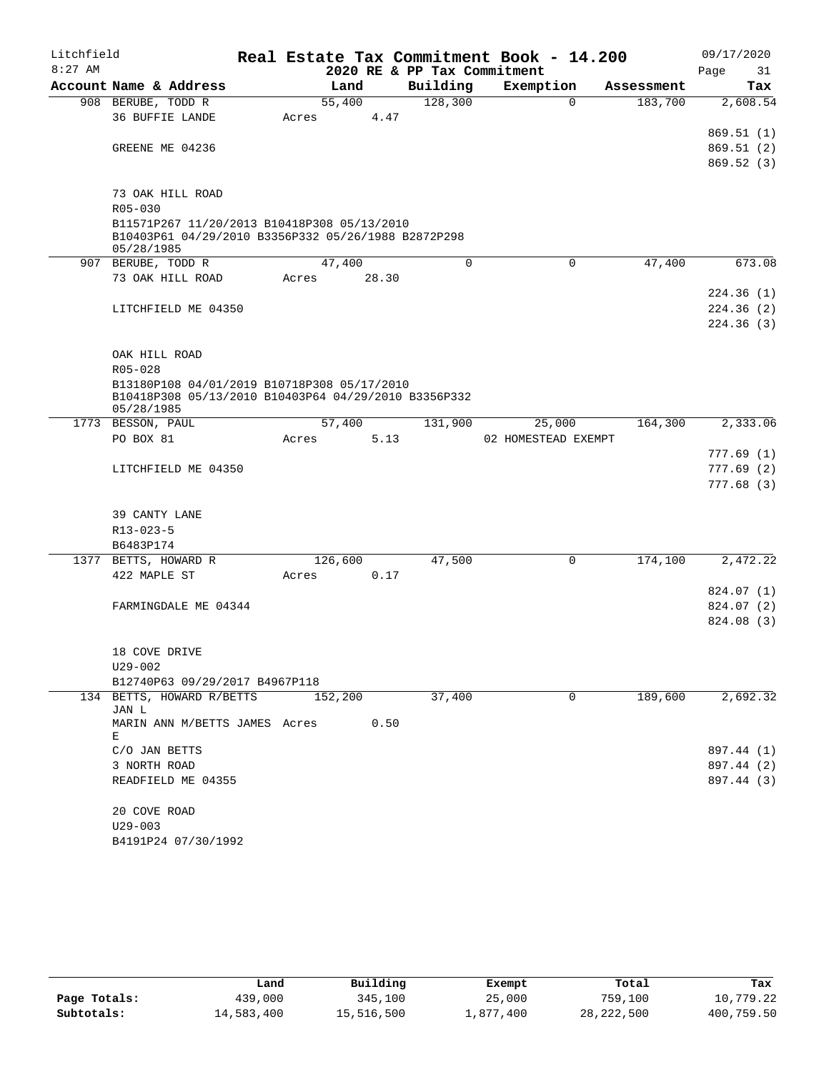| Litchfield |                                                      |       |         |      |             | Real Estate Tax Commitment Book - 14.200 |            | 09/17/2020 |
|------------|------------------------------------------------------|-------|---------|------|-------------|------------------------------------------|------------|------------|
| $8:27$ AM  |                                                      |       |         |      |             | 2020 RE & PP Tax Commitment              |            | Page<br>31 |
|            | Account Name & Address                               |       | Land    |      | Building    | Exemption                                | Assessment | Tax        |
|            | 908 BERUBE, TODD R                                   |       | 55,400  |      | 128,300     | $\Omega$                                 | 183,700    | 2,608.54   |
|            | <b>36 BUFFIE LANDE</b>                               | Acres |         | 4.47 |             |                                          |            |            |
|            |                                                      |       |         |      |             |                                          |            | 869.51(1)  |
|            | GREENE ME 04236                                      |       |         |      |             |                                          |            | 869.51(2)  |
|            |                                                      |       |         |      |             |                                          |            | 869.52(3)  |
|            | 73 OAK HILL ROAD                                     |       |         |      |             |                                          |            |            |
|            | R05-030                                              |       |         |      |             |                                          |            |            |
|            | B11571P267 11/20/2013 B10418P308 05/13/2010          |       |         |      |             |                                          |            |            |
|            | B10403P61 04/29/2010 B3356P332 05/26/1988 B2872P298  |       |         |      |             |                                          |            |            |
|            | 05/28/1985                                           |       |         |      |             |                                          |            |            |
|            | 907 BERUBE, TODD R                                   |       | 47,400  |      | $\mathbf 0$ | 0                                        | 47,400     | 673.08     |
|            | 73 OAK HILL ROAD                                     | Acres | 28.30   |      |             |                                          |            | 224.36(1)  |
|            | LITCHFIELD ME 04350                                  |       |         |      |             |                                          |            | 224.36(2)  |
|            |                                                      |       |         |      |             |                                          |            | 224.36(3)  |
|            |                                                      |       |         |      |             |                                          |            |            |
|            | OAK HILL ROAD                                        |       |         |      |             |                                          |            |            |
|            | R05-028                                              |       |         |      |             |                                          |            |            |
|            | B13180P108 04/01/2019 B10718P308 05/17/2010          |       |         |      |             |                                          |            |            |
|            | B10418P308 05/13/2010 B10403P64 04/29/2010 B3356P332 |       |         |      |             |                                          |            |            |
|            | 05/28/1985                                           |       |         |      |             |                                          |            | 2,333.06   |
|            | 1773 BESSON, PAUL<br>PO BOX 81                       | Acres | 57,400  | 5.13 | 131,900     | 25,000<br>02 HOMESTEAD EXEMPT            | 164,300    |            |
|            |                                                      |       |         |      |             |                                          |            | 777.69(1)  |
|            | LITCHFIELD ME 04350                                  |       |         |      |             |                                          |            | 777.69(2)  |
|            |                                                      |       |         |      |             |                                          |            | 777.68(3)  |
|            |                                                      |       |         |      |             |                                          |            |            |
|            | 39 CANTY LANE                                        |       |         |      |             |                                          |            |            |
|            | $R13 - 023 - 5$                                      |       |         |      |             |                                          |            |            |
|            | B6483P174                                            |       |         |      |             |                                          |            |            |
|            | 1377 BETTS, HOWARD R                                 |       | 126,600 |      | 47,500      | $\mathbf 0$                              | 174,100    | 2,472.22   |
|            | 422 MAPLE ST                                         | Acres | 0.17    |      |             |                                          |            |            |
|            |                                                      |       |         |      |             |                                          |            | 824.07 (1) |
|            | FARMINGDALE ME 04344                                 |       |         |      |             |                                          |            | 824.07 (2) |
|            |                                                      |       |         |      |             |                                          |            | 824.08 (3) |
|            | 18 COVE DRIVE                                        |       |         |      |             |                                          |            |            |
|            | $U29 - 002$                                          |       |         |      |             |                                          |            |            |
|            | B12740P63 09/29/2017 B4967P118                       |       |         |      |             |                                          |            |            |
|            | 134 BETTS, HOWARD R/BETTS                            |       | 152,200 |      | 37,400      | 0                                        | 189,600    | 2,692.32   |
|            | JAN L                                                |       |         |      |             |                                          |            |            |
|            | MARIN ANN M/BETTS JAMES Acres                        |       | 0.50    |      |             |                                          |            |            |
|            | Е<br>C/O JAN BETTS                                   |       |         |      |             |                                          |            | 897.44 (1) |
|            | 3 NORTH ROAD                                         |       |         |      |             |                                          |            | 897.44 (2) |
|            | READFIELD ME 04355                                   |       |         |      |             |                                          |            | 897.44 (3) |
|            |                                                      |       |         |      |             |                                          |            |            |
|            | 20 COVE ROAD                                         |       |         |      |             |                                          |            |            |
|            | $U29 - 003$                                          |       |         |      |             |                                          |            |            |
|            | B4191P24 07/30/1992                                  |       |         |      |             |                                          |            |            |

|              | Land       | Building   | Exempt    | Total        | Tax        |
|--------------|------------|------------|-----------|--------------|------------|
| Page Totals: | 439,000    | 345,100    | 25,000    | 759,100      | 10,779.22  |
| Subtotals:   | 14,583,400 | 15,516,500 | 1,877,400 | 28, 222, 500 | 400,759.50 |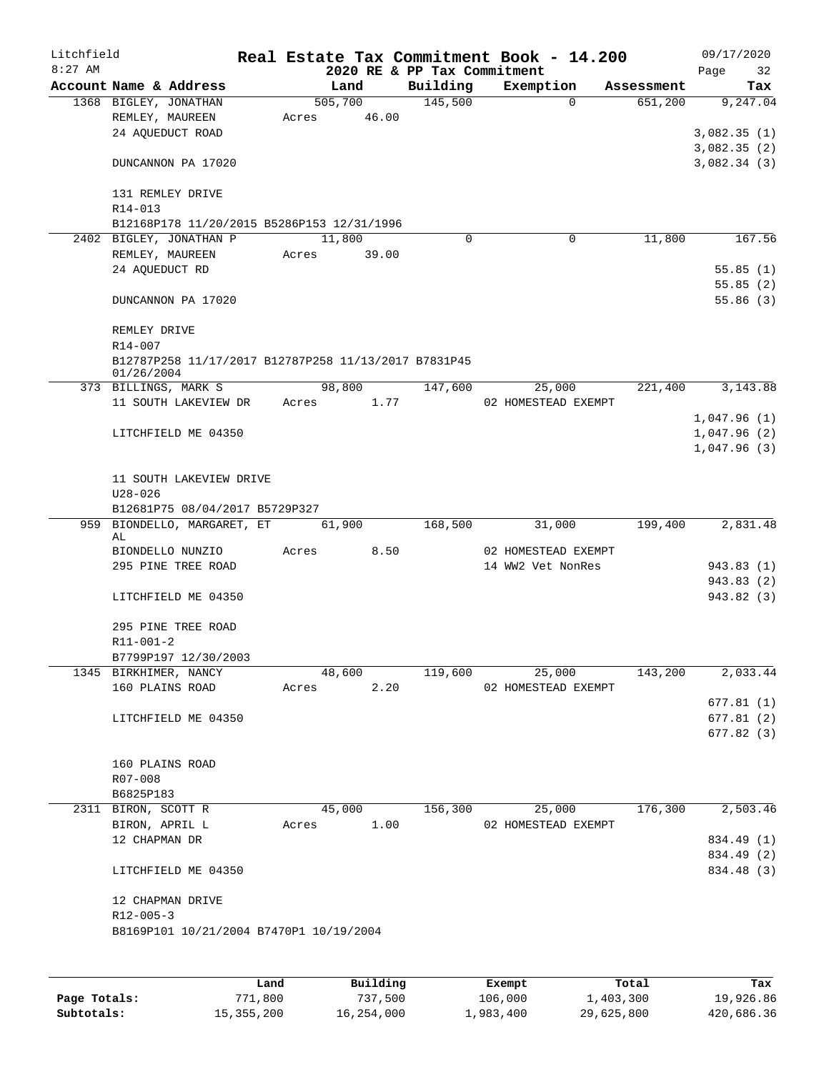| Litchfield |                                                                    |      |       |                  |                             | Real Estate Tax Commitment Book - 14.200 |            | 09/17/2020               |
|------------|--------------------------------------------------------------------|------|-------|------------------|-----------------------------|------------------------------------------|------------|--------------------------|
| $8:27$ AM  |                                                                    |      |       |                  | 2020 RE & PP Tax Commitment |                                          |            | Page<br>32               |
|            | Account Name & Address                                             |      |       | Land             | Building                    | Exemption<br>$\Omega$                    | Assessment | Tax                      |
|            | 1368 BIGLEY, JONATHAN<br>REMLEY, MAUREEN                           |      | Acres | 505,700<br>46.00 | 145,500                     |                                          | 651,200    | 9,247.04                 |
|            | 24 AQUEDUCT ROAD                                                   |      |       |                  |                             |                                          |            | 3,082.35(1)              |
|            |                                                                    |      |       |                  |                             |                                          |            | 3,082.35(2)              |
|            | DUNCANNON PA 17020                                                 |      |       |                  |                             |                                          |            | 3,082.34(3)              |
|            | 131 REMLEY DRIVE<br>R14-013                                        |      |       |                  |                             |                                          |            |                          |
|            | B12168P178 11/20/2015 B5286P153 12/31/1996                         |      |       |                  |                             |                                          |            |                          |
|            | 2402 BIGLEY, JONATHAN P                                            |      |       | 11,800           | 0                           | 0                                        | 11,800     | 167.56                   |
|            | REMLEY, MAUREEN                                                    |      | Acres | 39.00            |                             |                                          |            |                          |
|            | 24 AQUEDUCT RD                                                     |      |       |                  |                             |                                          |            | 55.85(1)                 |
|            |                                                                    |      |       |                  |                             |                                          |            | 55.85(2)                 |
|            | DUNCANNON PA 17020                                                 |      |       |                  |                             |                                          |            | 55.86(3)                 |
|            | REMLEY DRIVE<br>$R14 - 007$                                        |      |       |                  |                             |                                          |            |                          |
|            | B12787P258 11/17/2017 B12787P258 11/13/2017 B7831P45<br>01/26/2004 |      |       |                  |                             |                                          |            |                          |
|            | 373 BILLINGS, MARK S                                               |      |       | 98,800           | 147,600                     | 25,000                                   | 221,400    | 3, 143.88                |
|            | 11 SOUTH LAKEVIEW DR                                               |      | Acres | 1.77             |                             | 02 HOMESTEAD EXEMPT                      |            |                          |
|            |                                                                    |      |       |                  |                             |                                          |            | 1,047.96(1)              |
|            | LITCHFIELD ME 04350                                                |      |       |                  |                             |                                          |            | 1,047.96(2)              |
|            |                                                                    |      |       |                  |                             |                                          |            | 1,047.96(3)              |
|            | 11 SOUTH LAKEVIEW DRIVE<br>$U28 - 026$                             |      |       |                  |                             |                                          |            |                          |
|            | B12681P75 08/04/2017 B5729P327                                     |      |       |                  |                             |                                          |            |                          |
|            | 959 BIONDELLO, MARGARET, ET                                        |      |       | 61,900           | 168,500                     | 31,000                                   | 199,400    | 2,831.48                 |
|            | AL                                                                 |      |       |                  |                             |                                          |            |                          |
|            | BIONDELLO NUNZIO<br>295 PINE TREE ROAD                             |      | Acres | 8.50             |                             | 02 HOMESTEAD EXEMPT<br>14 WW2 Vet NonRes |            |                          |
|            |                                                                    |      |       |                  |                             |                                          |            | 943.83 (1)<br>943.83 (2) |
|            | LITCHFIELD ME 04350                                                |      |       |                  |                             |                                          |            | 943.82 (3)               |
|            |                                                                    |      |       |                  |                             |                                          |            |                          |
|            | 295 PINE TREE ROAD                                                 |      |       |                  |                             |                                          |            |                          |
|            | $R11 - 001 - 2$<br>B7799P197 12/30/2003                            |      |       |                  |                             |                                          |            |                          |
|            | 1345 BIRKHIMER, NANCY                                              |      |       | 48,600           | 119,600                     | 25,000                                   | 143,200    | 2,033.44                 |
|            | 160 PLAINS ROAD                                                    |      | Acres | 2.20             |                             | 02 HOMESTEAD EXEMPT                      |            |                          |
|            |                                                                    |      |       |                  |                             |                                          |            | 677.81(1)                |
|            | LITCHFIELD ME 04350                                                |      |       |                  |                             |                                          |            | 677.81(2)                |
|            |                                                                    |      |       |                  |                             |                                          |            | 677.82 (3)               |
|            | 160 PLAINS ROAD                                                    |      |       |                  |                             |                                          |            |                          |
|            | R07-008                                                            |      |       |                  |                             |                                          |            |                          |
|            | B6825P183                                                          |      |       |                  |                             |                                          |            |                          |
|            | 2311 BIRON, SCOTT R                                                |      |       | 45,000           | 156,300                     | 25,000                                   | 176,300    | 2,503.46                 |
|            | BIRON, APRIL L                                                     |      | Acres | 1.00             |                             | 02 HOMESTEAD EXEMPT                      |            |                          |
|            | 12 CHAPMAN DR                                                      |      |       |                  |                             |                                          |            | 834.49 (1)               |
|            |                                                                    |      |       |                  |                             |                                          |            | 834.49 (2)               |
|            | LITCHFIELD ME 04350                                                |      |       |                  |                             |                                          |            | 834.48 (3)               |
|            | 12 CHAPMAN DRIVE                                                   |      |       |                  |                             |                                          |            |                          |
|            | $R12 - 005 - 3$                                                    |      |       |                  |                             |                                          |            |                          |
|            | B8169P101 10/21/2004 B7470P1 10/19/2004                            |      |       |                  |                             |                                          |            |                          |
|            |                                                                    |      |       |                  |                             |                                          |            |                          |
|            |                                                                    | Land |       | Building         |                             | Exempt                                   | Total      | Tax                      |

|              | Land         | Building   | Exempt    | Total      | Tax        |
|--------------|--------------|------------|-----------|------------|------------|
| Page Totals: | 771,800      | 737,500    | 106,000   | 1,403,300  | 19,926.86  |
| Subtotals:   | 15, 355, 200 | 16,254,000 | 1,983,400 | 29,625,800 | 420,686.36 |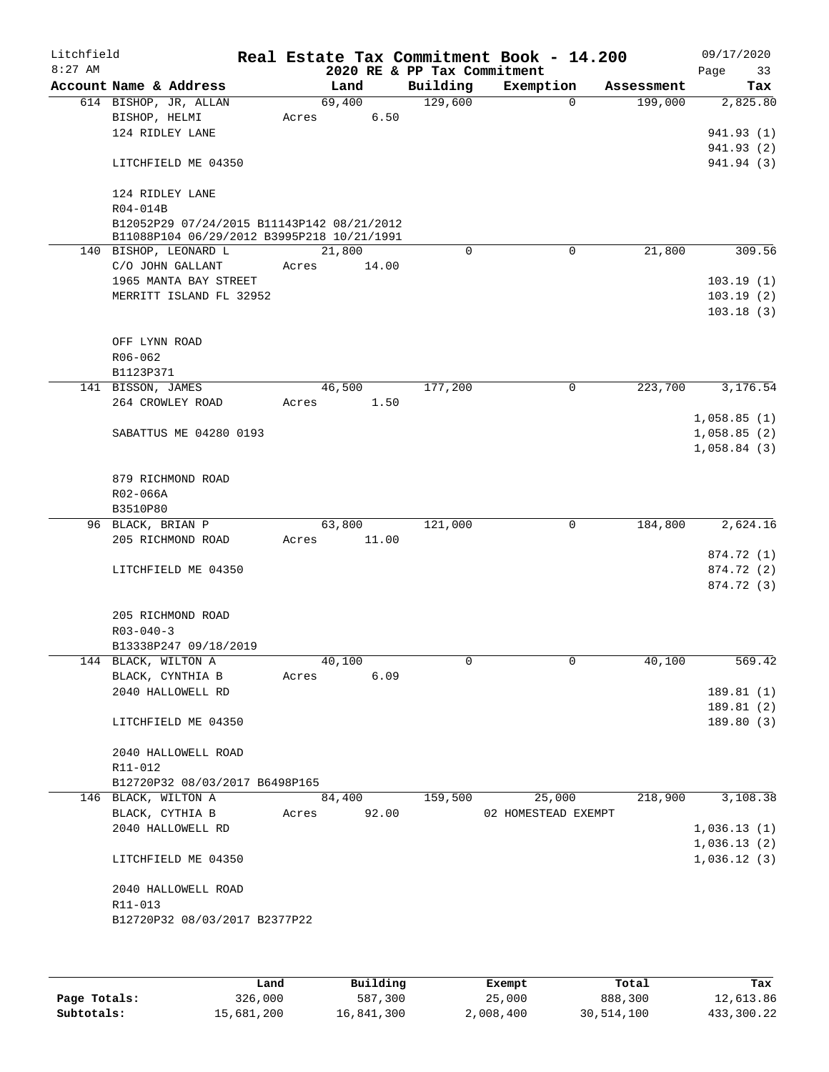| Litchfield |                                                                     |       |                 |                             | Real Estate Tax Commitment Book - 14.200 |                       | 09/17/2020               |
|------------|---------------------------------------------------------------------|-------|-----------------|-----------------------------|------------------------------------------|-----------------------|--------------------------|
| $8:27$ AM  |                                                                     |       |                 | 2020 RE & PP Tax Commitment |                                          |                       | Page<br>33               |
|            | Account Name & Address<br>614 BISHOP, JR, ALLAN                     |       | Land<br>69,400  | Building<br>129,600         | Exemption<br>$\mathbf 0$                 | Assessment<br>199,000 | Tax<br>2,825.80          |
|            | BISHOP, HELMI                                                       | Acres | 6.50            |                             |                                          |                       |                          |
|            | 124 RIDLEY LANE                                                     |       |                 |                             |                                          |                       | 941.93 (1)               |
|            |                                                                     |       |                 |                             |                                          |                       | 941.93 (2)               |
|            | LITCHFIELD ME 04350                                                 |       |                 |                             |                                          |                       | 941.94 (3)               |
|            | 124 RIDLEY LANE                                                     |       |                 |                             |                                          |                       |                          |
|            | R04-014B<br>B12052P29 07/24/2015 B11143P142 08/21/2012              |       |                 |                             |                                          |                       |                          |
|            | B11088P104 06/29/2012 B3995P218 10/21/1991<br>140 BISHOP, LEONARD L |       | 21,800          | $\Omega$                    | $\Omega$                                 | 21,800                | 309.56                   |
|            | C/O JOHN GALLANT                                                    | Acres | 14.00           |                             |                                          |                       |                          |
|            | 1965 MANTA BAY STREET                                               |       |                 |                             |                                          |                       | 103.19(1)                |
|            | MERRITT ISLAND FL 32952                                             |       |                 |                             |                                          |                       | 103.19(2)                |
|            |                                                                     |       |                 |                             |                                          |                       | 103.18(3)                |
|            | OFF LYNN ROAD                                                       |       |                 |                             |                                          |                       |                          |
|            | R06-062                                                             |       |                 |                             |                                          |                       |                          |
|            | B1123P371                                                           |       |                 |                             |                                          |                       |                          |
|            | 141 BISSON, JAMES                                                   |       | 46,500          | 177,200                     | 0                                        | 223,700               | 3,176.54                 |
|            | 264 CROWLEY ROAD                                                    | Acres | 1.50            |                             |                                          |                       | 1,058.85(1)              |
|            | SABATTUS ME 04280 0193                                              |       |                 |                             |                                          |                       | 1,058.85(2)              |
|            |                                                                     |       |                 |                             |                                          |                       | 1,058.84(3)              |
|            | 879 RICHMOND ROAD                                                   |       |                 |                             |                                          |                       |                          |
|            | R02-066A                                                            |       |                 |                             |                                          |                       |                          |
|            | B3510P80                                                            |       |                 |                             |                                          |                       |                          |
|            | 96 BLACK, BRIAN P                                                   |       | 63,800          | 121,000                     | 0                                        | 184,800               | 2,624.16                 |
|            | 205 RICHMOND ROAD                                                   | Acres | 11.00           |                             |                                          |                       |                          |
|            |                                                                     |       |                 |                             |                                          |                       | 874.72 (1)               |
|            | LITCHFIELD ME 04350                                                 |       |                 |                             |                                          |                       | 874.72 (2)<br>874.72 (3) |
|            | 205 RICHMOND ROAD                                                   |       |                 |                             |                                          |                       |                          |
|            | $R03 - 040 - 3$                                                     |       |                 |                             |                                          |                       |                          |
|            | B13338P247 09/18/2019                                               |       |                 |                             |                                          |                       |                          |
|            | 144 BLACK, WILTON A                                                 |       | 40,100          | 0                           | 0                                        | 40,100                | 569.42                   |
|            | BLACK, CYNTHIA B                                                    | Acres | 6.09            |                             |                                          |                       |                          |
|            | 2040 HALLOWELL RD                                                   |       |                 |                             |                                          |                       | 189.81(1)                |
|            |                                                                     |       |                 |                             |                                          |                       | 189.81 (2)               |
|            | LITCHFIELD ME 04350                                                 |       |                 |                             |                                          |                       | 189.80(3)                |
|            | 2040 HALLOWELL ROAD                                                 |       |                 |                             |                                          |                       |                          |
|            | R11-012                                                             |       |                 |                             |                                          |                       |                          |
|            | B12720P32 08/03/2017 B6498P165<br>146 BLACK, WILTON A               |       |                 |                             | 25,000                                   | 218,900               | 3,108.38                 |
|            | BLACK, CYTHIA B                                                     | Acres | 84,400<br>92.00 | 159,500                     | 02 HOMESTEAD EXEMPT                      |                       |                          |
|            | 2040 HALLOWELL RD                                                   |       |                 |                             |                                          |                       | 1,036.13(1)              |
|            |                                                                     |       |                 |                             |                                          |                       | 1,036.13(2)              |
|            | LITCHFIELD ME 04350                                                 |       |                 |                             |                                          |                       | 1,036.12(3)              |
|            | 2040 HALLOWELL ROAD                                                 |       |                 |                             |                                          |                       |                          |
|            | R11-013                                                             |       |                 |                             |                                          |                       |                          |
|            | B12720P32 08/03/2017 B2377P22                                       |       |                 |                             |                                          |                       |                          |
|            |                                                                     |       |                 |                             |                                          |                       |                          |
|            |                                                                     |       |                 |                             |                                          |                       |                          |

|              | Land       | Building   | Exempt    | Total      | Tax        |
|--------------|------------|------------|-----------|------------|------------|
| Page Totals: | 326,000    | 587,300    | 25,000    | 888,300    | 12,613.86  |
| Subtotals:   | 15,681,200 | 16,841,300 | 2,008,400 | 30,514,100 | 433,300.22 |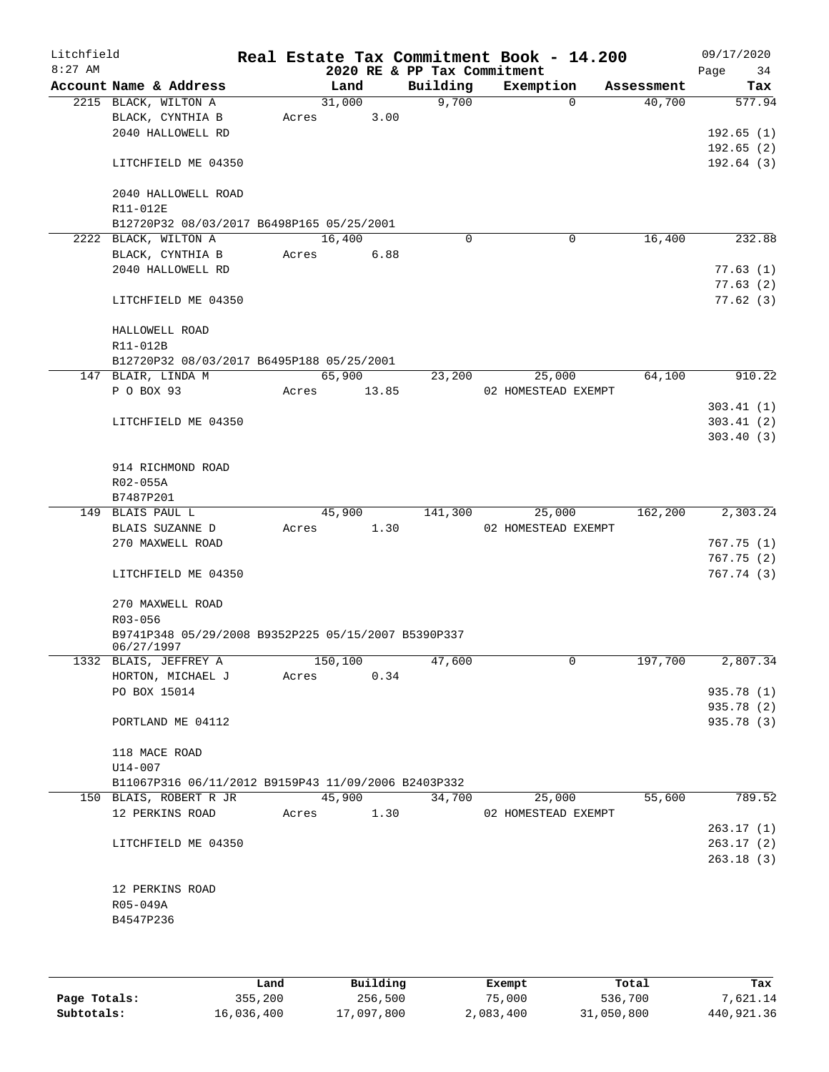| Litchfield<br>$8:27$ AM |                                                                   |       |         |       | 2020 RE & PP Tax Commitment | Real Estate Tax Commitment Book - 14.200 |            | 09/17/2020<br>34<br>Page |
|-------------------------|-------------------------------------------------------------------|-------|---------|-------|-----------------------------|------------------------------------------|------------|--------------------------|
|                         | Account Name & Address                                            |       | Land    |       | Building                    | Exemption                                | Assessment | Tax                      |
|                         | 2215 BLACK, WILTON A                                              |       | 31,000  |       | 9,700                       | $\Omega$                                 | 40,700     | 577.94                   |
|                         | BLACK, CYNTHIA B                                                  | Acres |         | 3.00  |                             |                                          |            |                          |
|                         | 2040 HALLOWELL RD                                                 |       |         |       |                             |                                          |            | 192.65(1)                |
|                         |                                                                   |       |         |       |                             |                                          |            | 192.65(2)                |
|                         | LITCHFIELD ME 04350                                               |       |         |       |                             |                                          |            | 192.64(3)                |
|                         | 2040 HALLOWELL ROAD                                               |       |         |       |                             |                                          |            |                          |
|                         | R11-012E                                                          |       |         |       |                             |                                          |            |                          |
|                         | B12720P32 08/03/2017 B6498P165 05/25/2001                         |       |         |       |                             |                                          |            |                          |
|                         | 2222 BLACK, WILTON A                                              |       | 16,400  |       | 0                           | 0                                        | 16,400     | 232.88                   |
|                         | BLACK, CYNTHIA B                                                  | Acres |         | 6.88  |                             |                                          |            |                          |
|                         | 2040 HALLOWELL RD                                                 |       |         |       |                             |                                          |            | 77.63(1)                 |
|                         |                                                                   |       |         |       |                             |                                          |            | 77.63(2)                 |
|                         | LITCHFIELD ME 04350                                               |       |         |       |                             |                                          |            | 77.62(3)                 |
|                         | HALLOWELL ROAD                                                    |       |         |       |                             |                                          |            |                          |
|                         | R11-012B                                                          |       |         |       |                             |                                          |            |                          |
|                         | B12720P32 08/03/2017 B6495P188 05/25/2001                         |       |         |       |                             |                                          |            |                          |
|                         | 147 BLAIR, LINDA M                                                |       | 65,900  |       | 23,200                      | 25,000                                   | 64,100     | 910.22                   |
|                         | P O BOX 93                                                        | Acres |         | 13.85 |                             | 02 HOMESTEAD EXEMPT                      |            |                          |
|                         |                                                                   |       |         |       |                             |                                          |            | 303.41(1)                |
|                         | LITCHFIELD ME 04350                                               |       |         |       |                             |                                          |            | 303.41(2)                |
|                         |                                                                   |       |         |       |                             |                                          |            | 303.40(3)                |
|                         |                                                                   |       |         |       |                             |                                          |            |                          |
|                         | 914 RICHMOND ROAD                                                 |       |         |       |                             |                                          |            |                          |
|                         | R02-055A                                                          |       |         |       |                             |                                          |            |                          |
|                         | B7487P201                                                         |       |         |       |                             |                                          |            |                          |
|                         | 149 BLAIS PAUL L                                                  |       | 45,900  |       | 141,300                     | 25,000                                   | 162,200    | 2,303.24                 |
|                         | BLAIS SUZANNE D                                                   | Acres |         | 1.30  |                             | 02 HOMESTEAD EXEMPT                      |            |                          |
|                         | 270 MAXWELL ROAD                                                  |       |         |       |                             |                                          |            | 767.75 (1)               |
|                         |                                                                   |       |         |       |                             |                                          |            | 767.75(2)                |
|                         | LITCHFIELD ME 04350                                               |       |         |       |                             |                                          |            | 767.74 (3)               |
|                         | 270 MAXWELL ROAD                                                  |       |         |       |                             |                                          |            |                          |
|                         | R03-056                                                           |       |         |       |                             |                                          |            |                          |
|                         | B9741P348 05/29/2008 B9352P225 05/15/2007 B5390P337<br>06/27/1997 |       |         |       |                             |                                          |            |                          |
|                         | 1332 BLAIS, JEFFREY A                                             |       | 150,100 |       | 47,600                      | 0                                        | 197,700    | 2,807.34                 |
|                         | HORTON, MICHAEL J                                                 | Acres |         | 0.34  |                             |                                          |            |                          |
|                         | PO BOX 15014                                                      |       |         |       |                             |                                          |            | 935.78 (1)               |
|                         |                                                                   |       |         |       |                             |                                          |            | 935.78 (2)               |
|                         | PORTLAND ME 04112                                                 |       |         |       |                             |                                          |            | 935.78 (3)               |
|                         |                                                                   |       |         |       |                             |                                          |            |                          |
|                         | 118 MACE ROAD                                                     |       |         |       |                             |                                          |            |                          |
|                         | U14-007                                                           |       |         |       |                             |                                          |            |                          |
|                         | B11067P316 06/11/2012 B9159P43 11/09/2006 B2403P332               |       |         |       |                             |                                          |            |                          |
|                         | 150 BLAIS, ROBERT R JR                                            |       | 45,900  |       | 34,700                      | 25,000                                   | 55,600     | 789.52                   |
|                         | 12 PERKINS ROAD                                                   | Acres |         | 1.30  |                             | 02 HOMESTEAD EXEMPT                      |            |                          |
|                         |                                                                   |       |         |       |                             |                                          |            | 263.17(1)                |
|                         | LITCHFIELD ME 04350                                               |       |         |       |                             |                                          |            | 263.17(2)                |
|                         |                                                                   |       |         |       |                             |                                          |            | 263.18(3)                |
|                         |                                                                   |       |         |       |                             |                                          |            |                          |
|                         | 12 PERKINS ROAD                                                   |       |         |       |                             |                                          |            |                          |
|                         | R05-049A                                                          |       |         |       |                             |                                          |            |                          |
|                         | B4547P236                                                         |       |         |       |                             |                                          |            |                          |
|                         |                                                                   |       |         |       |                             |                                          |            |                          |
|                         |                                                                   |       |         |       |                             |                                          |            |                          |

|              | Land       | Building   | Exempt    | Total      | Tax        |
|--------------|------------|------------|-----------|------------|------------|
| Page Totals: | 355,200    | 256,500    | 75,000    | 536,700    | 7,621.14   |
| Subtotals:   | 16,036,400 | 17,097,800 | 2,083,400 | 31,050,800 | 440,921.36 |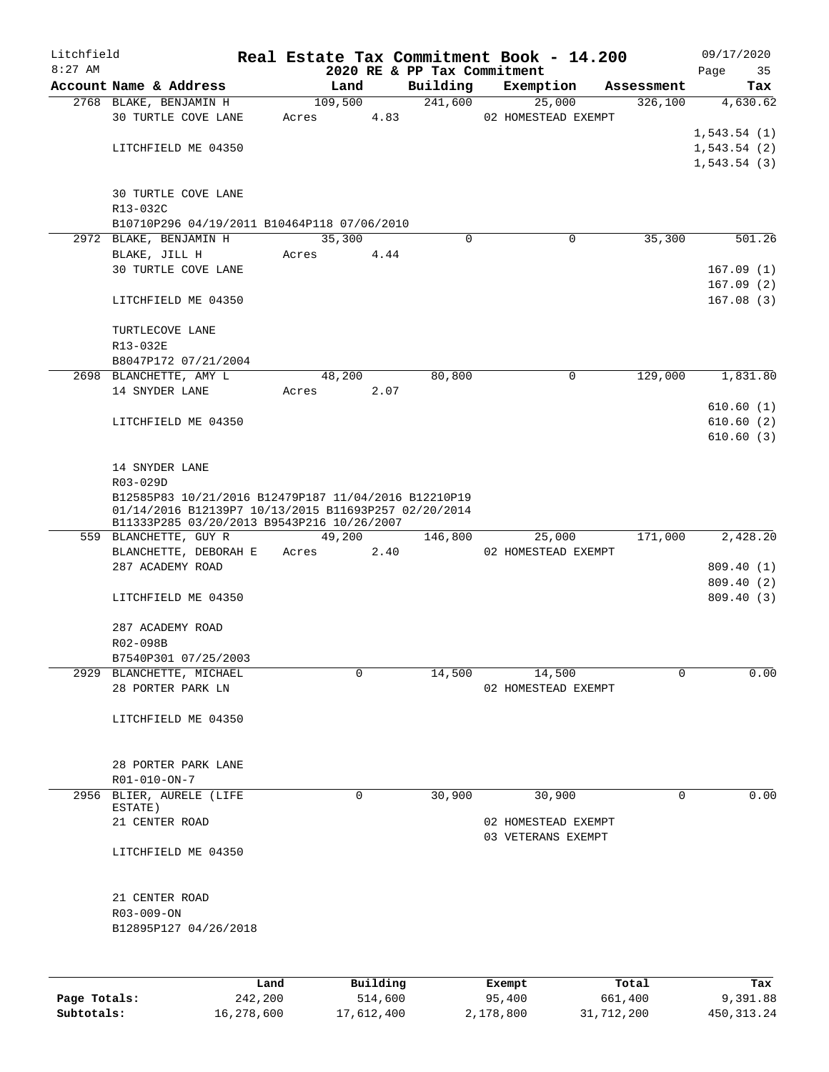| Litchfield |                                                                                                    |       |            |          | Real Estate Tax Commitment Book - 14.200 |            | 09/17/2020             |
|------------|----------------------------------------------------------------------------------------------------|-------|------------|----------|------------------------------------------|------------|------------------------|
| $8:27$ AM  | Account Name & Address                                                                             |       | Land       | Building | 2020 RE & PP Tax Commitment<br>Exemption | Assessment | 35<br>Page<br>Tax      |
|            | 2768 BLAKE, BENJAMIN H                                                                             |       | 109,500    | 241,600  | 25,000                                   | 326,100    | 4,630.62               |
|            | <b>30 TURTLE COVE LANE</b>                                                                         | Acres | 4.83       |          | 02 HOMESTEAD EXEMPT                      |            |                        |
|            |                                                                                                    |       |            |          |                                          |            | 1,543.54(1)            |
|            | LITCHFIELD ME 04350                                                                                |       |            |          |                                          |            | 1, 543.54(2)           |
|            |                                                                                                    |       |            |          |                                          |            | 1,543.54(3)            |
|            | 30 TURTLE COVE LANE<br>R13-032C                                                                    |       |            |          |                                          |            |                        |
|            | B10710P296 04/19/2011 B10464P118 07/06/2010                                                        |       |            |          |                                          |            |                        |
|            | 2972 BLAKE, BENJAMIN H                                                                             |       | 35,300     | $\Omega$ | 0                                        | 35,300     | 501.26                 |
|            | BLAKE, JILL H                                                                                      | Acres | 4.44       |          |                                          |            |                        |
|            | 30 TURTLE COVE LANE                                                                                |       |            |          |                                          |            | 167.09(1)              |
|            | LITCHFIELD ME 04350                                                                                |       |            |          |                                          |            | 167.09(2)<br>167.08(3) |
|            | TURTLECOVE LANE<br>R13-032E                                                                        |       |            |          |                                          |            |                        |
|            | B8047P172 07/21/2004                                                                               |       |            |          |                                          |            |                        |
|            | 2698 BLANCHETTE, AMY L                                                                             |       | 48,200     | 80,800   | $\mathbf 0$                              | 129,000    | 1,831.80               |
|            | 14 SNYDER LANE                                                                                     | Acres | 2.07       |          |                                          |            |                        |
|            |                                                                                                    |       |            |          |                                          |            | 610.60(1)              |
|            | LITCHFIELD ME 04350                                                                                |       |            |          |                                          |            | 610.60(2)              |
|            |                                                                                                    |       |            |          |                                          |            | 610.60(3)              |
|            |                                                                                                    |       |            |          |                                          |            |                        |
|            | 14 SNYDER LANE                                                                                     |       |            |          |                                          |            |                        |
|            | R03-029D                                                                                           |       |            |          |                                          |            |                        |
|            | B12585P83 10/21/2016 B12479P187 11/04/2016 B12210P19                                               |       |            |          |                                          |            |                        |
|            | 01/14/2016 B12139P7 10/13/2015 B11693P257 02/20/2014<br>B11333P285 03/20/2013 B9543P216 10/26/2007 |       |            |          |                                          |            |                        |
|            | 559 BLANCHETTE, GUY R                                                                              |       | 49,200     | 146,800  | 25,000                                   | 171,000    | 2,428.20               |
|            | BLANCHETTE, DEBORAH E                                                                              |       | Acres 2.40 |          | 02 HOMESTEAD EXEMPT                      |            |                        |
|            | 287 ACADEMY ROAD                                                                                   |       |            |          |                                          |            | 809.40(1)              |
|            |                                                                                                    |       |            |          |                                          |            | 809.40 (2)             |
|            | LITCHFIELD ME 04350                                                                                |       |            |          |                                          |            | 809.40 (3)             |
|            | 287 ACADEMY ROAD                                                                                   |       |            |          |                                          |            |                        |
|            | R02-098B                                                                                           |       |            |          |                                          |            |                        |
|            | B7540P301 07/25/2003                                                                               |       |            |          |                                          |            |                        |
|            | 2929 BLANCHETTE, MICHAEL                                                                           |       | 0          | 14,500   | 14,500                                   | 0          | 0.00                   |
|            | 28 PORTER PARK LN                                                                                  |       |            |          | 02 HOMESTEAD EXEMPT                      |            |                        |
|            |                                                                                                    |       |            |          |                                          |            |                        |
|            | LITCHFIELD ME 04350                                                                                |       |            |          |                                          |            |                        |
|            |                                                                                                    |       |            |          |                                          |            |                        |
|            | 28 PORTER PARK LANE                                                                                |       |            |          |                                          |            |                        |
|            | $R01 - 010 - ON - 7$                                                                               |       |            |          |                                          |            |                        |
|            | 2956 BLIER, AURELE (LIFE                                                                           |       | 0          | 30,900   | 30,900                                   | 0          | 0.00                   |
|            | ESTATE)                                                                                            |       |            |          |                                          |            |                        |
|            | 21 CENTER ROAD                                                                                     |       |            |          | 02 HOMESTEAD EXEMPT                      |            |                        |
|            |                                                                                                    |       |            |          | 03 VETERANS EXEMPT                       |            |                        |
|            | LITCHFIELD ME 04350                                                                                |       |            |          |                                          |            |                        |
|            | 21 CENTER ROAD                                                                                     |       |            |          |                                          |            |                        |
|            | R03-009-ON                                                                                         |       |            |          |                                          |            |                        |
|            | B12895P127 04/26/2018                                                                              |       |            |          |                                          |            |                        |
|            |                                                                                                    |       |            |          |                                          |            |                        |
|            | Land                                                                                               |       | Building   |          | Exempt                                   | Total      | Tax                    |

|              | Land       | Building   | Exempt    | Total      | тах          |
|--------------|------------|------------|-----------|------------|--------------|
| Page Totals: | 242,200    | 514,600    | 95,400    | 661,400    | 9,391.88     |
| Subtotals:   | 16,278,600 | 17,612,400 | 2,178,800 | 31,712,200 | 450, 313, 24 |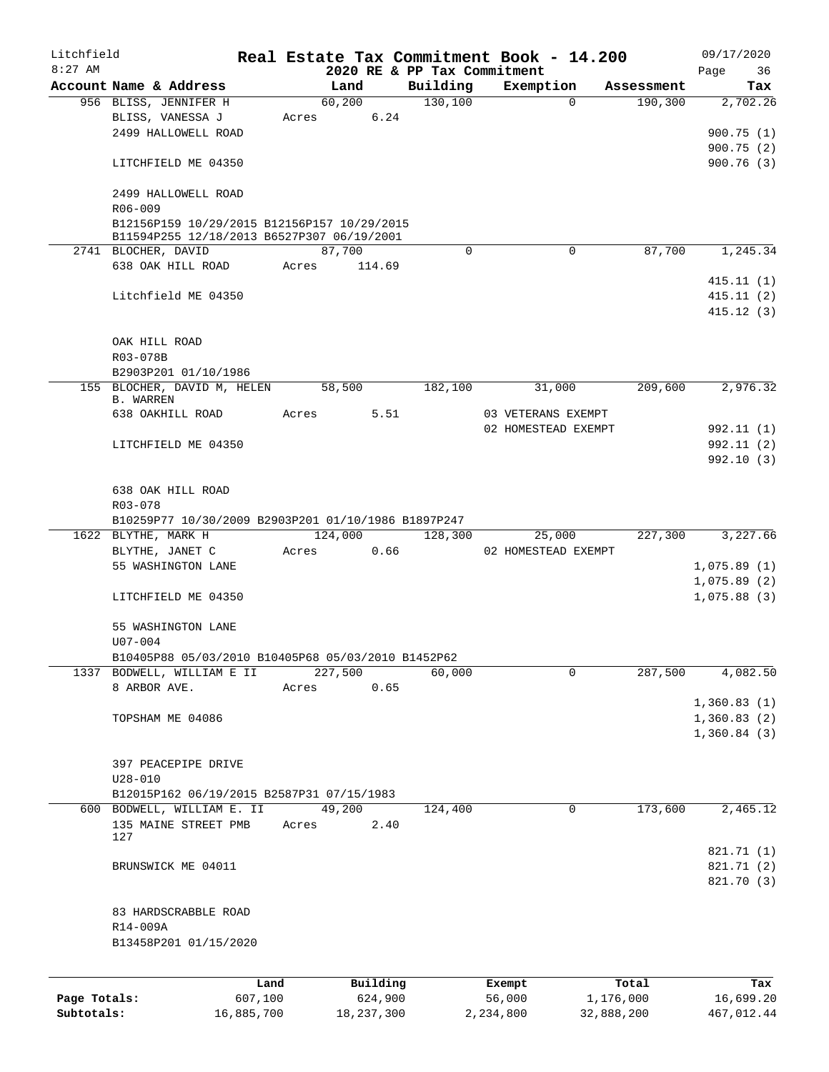| Litchfield<br>$8:27$ AM |                                                                   |         |               | 2020 RE & PP Tax Commitment | Real Estate Tax Commitment Book - 14.200 |            | 09/17/2020<br>Page<br>36 |
|-------------------------|-------------------------------------------------------------------|---------|---------------|-----------------------------|------------------------------------------|------------|--------------------------|
|                         | Account Name & Address                                            |         | Land          | Building                    | Exemption                                | Assessment | Tax                      |
|                         | 956 BLISS, JENNIFER H                                             |         | 60,200        | 130, 100                    | $\Omega$                                 | 190,300    | 2,702.26                 |
|                         | BLISS, VANESSA J                                                  |         | 6.24<br>Acres |                             |                                          |            |                          |
|                         | 2499 HALLOWELL ROAD                                               |         |               |                             |                                          |            | 900.75(1)                |
|                         |                                                                   |         |               |                             |                                          |            | 900.75(2)                |
|                         | LITCHFIELD ME 04350                                               |         |               |                             |                                          |            | 900.76(3)                |
|                         | 2499 HALLOWELL ROAD                                               |         |               |                             |                                          |            |                          |
|                         | R06-009                                                           |         |               |                             |                                          |            |                          |
|                         | B12156P159 10/29/2015 B12156P157 10/29/2015                       |         |               |                             |                                          |            |                          |
|                         | B11594P255 12/18/2013 B6527P307 06/19/2001                        |         |               |                             |                                          |            |                          |
|                         | 2741 BLOCHER, DAVID                                               |         | 87,700        | $\Omega$                    | $\Omega$                                 | 87,700     | 1,245.34                 |
|                         | 638 OAK HILL ROAD                                                 | Acres   | 114.69        |                             |                                          |            |                          |
|                         |                                                                   |         |               |                             |                                          |            | 415.11(1)                |
|                         | Litchfield ME 04350                                               |         |               |                             |                                          |            | 415.11(2)                |
|                         |                                                                   |         |               |                             |                                          |            | 415.12(3)                |
|                         |                                                                   |         |               |                             |                                          |            |                          |
|                         | OAK HILL ROAD                                                     |         |               |                             |                                          |            |                          |
|                         | R03-078B                                                          |         |               |                             |                                          |            |                          |
|                         | B2903P201 01/10/1986                                              |         |               |                             |                                          |            |                          |
|                         | 155 BLOCHER, DAVID M, HELEN<br><b>B. WARREN</b>                   |         | 58,500        | 182,100                     | 31,000                                   | 209,600    | 2,976.32                 |
|                         | 638 OAKHILL ROAD                                                  | Acres   | 5.51          |                             | 03 VETERANS EXEMPT                       |            |                          |
|                         |                                                                   |         |               |                             | 02 HOMESTEAD EXEMPT                      |            | 992.11 (1)               |
|                         | LITCHFIELD ME 04350                                               |         |               |                             |                                          |            | 992.11(2)                |
|                         |                                                                   |         |               |                             |                                          |            | 992.10 (3)               |
|                         |                                                                   |         |               |                             |                                          |            |                          |
|                         | 638 OAK HILL ROAD                                                 |         |               |                             |                                          |            |                          |
|                         | R03-078                                                           |         |               |                             |                                          |            |                          |
|                         | B10259P77 10/30/2009 B2903P201 01/10/1986 B1897P247               |         |               |                             |                                          |            |                          |
|                         | 1622 BLYTHE, MARK H                                               |         | 124,000       | 128,300                     | 25,000                                   | 227,300    | 3,227.66                 |
|                         | BLYTHE, JANET C                                                   | Acres   | 0.66          |                             | 02 HOMESTEAD EXEMPT                      |            |                          |
|                         | 55 WASHINGTON LANE                                                |         |               |                             |                                          |            | 1,075.89(1)              |
|                         |                                                                   |         |               |                             |                                          |            | 1,075.89(2)              |
|                         | LITCHFIELD ME 04350                                               |         |               |                             |                                          |            | 1,075.88(3)              |
|                         |                                                                   |         |               |                             |                                          |            |                          |
|                         | 55 WASHINGTON LANE                                                |         |               |                             |                                          |            |                          |
|                         | $U07 - 004$<br>B10405P88 05/03/2010 B10405P68 05/03/2010 B1452P62 |         |               |                             |                                          |            |                          |
|                         | 1337 BODWELL, WILLIAM E II                                        |         | 227,500       | 60,000                      | $\Omega$                                 | 287,500    | 4,082.50                 |
|                         | 8 ARBOR AVE.                                                      | Acres   | 0.65          |                             |                                          |            |                          |
|                         |                                                                   |         |               |                             |                                          |            | 1,360.83(1)              |
|                         | TOPSHAM ME 04086                                                  |         |               |                             |                                          |            | 1,360.83(2)              |
|                         |                                                                   |         |               |                             |                                          |            | 1,360.84(3)              |
|                         |                                                                   |         |               |                             |                                          |            |                          |
|                         | 397 PEACEPIPE DRIVE                                               |         |               |                             |                                          |            |                          |
|                         | $U28 - 010$                                                       |         |               |                             |                                          |            |                          |
|                         | B12015P162 06/19/2015 B2587P31 07/15/1983                         |         |               |                             |                                          |            |                          |
|                         | 600 BODWELL, WILLIAM E. II                                        |         | 49,200        | 124,400                     | $\mathbf 0$                              | 173,600    | 2,465.12                 |
|                         | 135 MAINE STREET PMB                                              | Acres   | 2.40          |                             |                                          |            |                          |
|                         | 127                                                               |         |               |                             |                                          |            |                          |
|                         |                                                                   |         |               |                             |                                          |            | 821.71 (1)               |
|                         | BRUNSWICK ME 04011                                                |         |               |                             |                                          |            | 821.71 (2)               |
|                         |                                                                   |         |               |                             |                                          |            | 821.70 (3)               |
|                         |                                                                   |         |               |                             |                                          |            |                          |
|                         | 83 HARDSCRABBLE ROAD                                              |         |               |                             |                                          |            |                          |
|                         | R14-009A                                                          |         |               |                             |                                          |            |                          |
|                         | B13458P201 01/15/2020                                             |         |               |                             |                                          |            |                          |
|                         |                                                                   |         |               |                             |                                          |            |                          |
|                         |                                                                   | Land    | Building      |                             | Exempt                                   | Total      | Tax                      |
| Page Totals:            |                                                                   | 607,100 | 624,900       |                             | 56,000                                   | 1,176,000  | 16,699.20                |

**Subtotals:** 16,885,700 18,237,300 2,234,800 32,888,200 467,012.44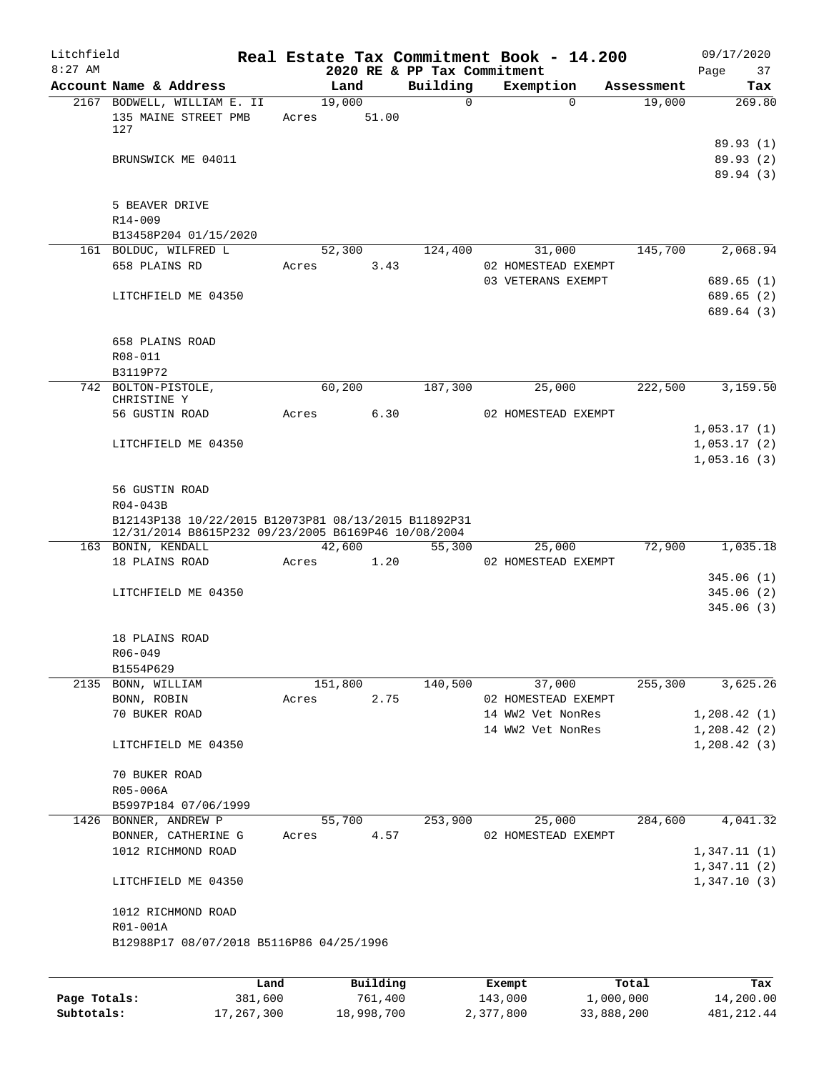| Litchfield<br>$8:27$ AM |                                                                                                             |                 |       |         |                     | 2020 RE & PP Tax Commitment | Real Estate Tax Commitment Book - 14.200            |                    | 09/17/2020<br>37<br>Page           |
|-------------------------|-------------------------------------------------------------------------------------------------------------|-----------------|-------|---------|---------------------|-----------------------------|-----------------------------------------------------|--------------------|------------------------------------|
|                         | Account Name & Address                                                                                      |                 |       | Land    |                     | Building                    | Exemption                                           | Assessment         | Tax                                |
|                         | 2167 BODWELL, WILLIAM E. II<br>135 MAINE STREET PMB<br>127                                                  |                 | Acres | 19,000  | 51.00               | $\Omega$                    | $\Omega$                                            | 19,000             | 269.80                             |
|                         | BRUNSWICK ME 04011                                                                                          |                 |       |         |                     |                             |                                                     |                    | 89.93(1)<br>89.93 (2)<br>89.94 (3) |
|                         | 5 BEAVER DRIVE<br>$R14 - 009$                                                                               |                 |       |         |                     |                             |                                                     |                    |                                    |
|                         | B13458P204 01/15/2020                                                                                       |                 |       |         |                     |                             |                                                     |                    |                                    |
|                         | 161 BOLDUC, WILFRED L<br>658 PLAINS RD                                                                      |                 | Acres | 52,300  | 3.43                | 124,400                     | 31,000<br>02 HOMESTEAD EXEMPT<br>03 VETERANS EXEMPT | 145,700            | 2,068.94<br>689.65(1)              |
|                         | LITCHFIELD ME 04350                                                                                         |                 |       |         |                     |                             |                                                     |                    | 689.65 (2)<br>689.64 (3)           |
|                         | 658 PLAINS ROAD<br>R08-011                                                                                  |                 |       |         |                     |                             |                                                     |                    |                                    |
|                         | B3119P72<br>742 BOLTON-PISTOLE,                                                                             |                 |       | 60,200  |                     | 187,300                     | 25,000                                              | 222,500            | 3,159.50                           |
|                         | CHRISTINE Y                                                                                                 |                 |       |         |                     |                             |                                                     |                    |                                    |
|                         | 56 GUSTIN ROAD                                                                                              |                 | Acres |         | 6.30                |                             | 02 HOMESTEAD EXEMPT                                 |                    | 1,053.17(1)                        |
|                         | LITCHFIELD ME 04350                                                                                         |                 |       |         |                     |                             |                                                     |                    | 1,053.17(2)                        |
|                         |                                                                                                             |                 |       |         |                     |                             |                                                     |                    | 1,053.16(3)                        |
|                         | 56 GUSTIN ROAD<br>R04-043B                                                                                  |                 |       |         |                     |                             |                                                     |                    |                                    |
|                         | B12143P138 10/22/2015 B12073P81 08/13/2015 B11892P31<br>12/31/2014 B8615P232 09/23/2005 B6169P46 10/08/2004 |                 |       |         |                     |                             |                                                     |                    |                                    |
|                         | 163 BONIN, KENDALL                                                                                          |                 |       | 42,600  |                     | 55,300                      | 25,000                                              | 72,900             | 1,035.18                           |
|                         | 18 PLAINS ROAD                                                                                              |                 | Acres |         | 1.20                |                             | 02 HOMESTEAD EXEMPT                                 |                    |                                    |
|                         |                                                                                                             |                 |       |         |                     |                             |                                                     |                    | 345.06(1)<br>345.06(2)             |
|                         | LITCHFIELD ME 04350                                                                                         |                 |       |         |                     |                             |                                                     |                    | 345.06(3)                          |
|                         | 18 PLAINS ROAD<br>$R06 - 049$                                                                               |                 |       |         |                     |                             |                                                     |                    |                                    |
|                         | B1554P629<br>2135 BONN, WILLIAM                                                                             |                 |       | 151,800 |                     | 140,500                     | 37,000                                              | 255,300            | 3,625.26                           |
|                         | BONN, ROBIN                                                                                                 |                 | Acres |         | 2.75                |                             | 02 HOMESTEAD EXEMPT                                 |                    |                                    |
|                         | 70 BUKER ROAD                                                                                               |                 |       |         |                     |                             | 14 WW2 Vet NonRes                                   |                    | 1,208.42(1)                        |
|                         |                                                                                                             |                 |       |         |                     |                             | 14 WW2 Vet NonRes                                   |                    | 1,208.42(2)                        |
|                         | LITCHFIELD ME 04350                                                                                         |                 |       |         |                     |                             |                                                     |                    | 1, 208.42(3)                       |
|                         | 70 BUKER ROAD                                                                                               |                 |       |         |                     |                             |                                                     |                    |                                    |
|                         | R05-006A                                                                                                    |                 |       |         |                     |                             |                                                     |                    |                                    |
|                         | B5997P184 07/06/1999                                                                                        |                 |       |         |                     |                             |                                                     |                    |                                    |
|                         | 1426 BONNER, ANDREW P                                                                                       |                 |       | 55,700  |                     | 253,900                     | 25,000                                              | 284,600            | 4,041.32                           |
|                         | BONNER, CATHERINE G<br>1012 RICHMOND ROAD                                                                   |                 | Acres |         | 4.57                |                             | 02 HOMESTEAD EXEMPT                                 |                    | 1,347.11(1)                        |
|                         |                                                                                                             |                 |       |         |                     |                             |                                                     |                    | 1,347.11(2)                        |
|                         | LITCHFIELD ME 04350                                                                                         |                 |       |         |                     |                             |                                                     |                    | 1,347.10(3)                        |
|                         | 1012 RICHMOND ROAD<br>R01-001A                                                                              |                 |       |         |                     |                             |                                                     |                    |                                    |
|                         | B12988P17 08/07/2018 B5116P86 04/25/1996                                                                    |                 |       |         |                     |                             |                                                     |                    |                                    |
|                         |                                                                                                             |                 |       |         |                     |                             |                                                     |                    |                                    |
| Page Totals:            |                                                                                                             | Land<br>381,600 |       |         | Building<br>761,400 |                             | Exempt<br>143,000                                   | Total<br>1,000,000 | Tax<br>14,200.00                   |

**Subtotals:** 17,267,300 18,998,700 2,377,800 33,888,200 481,212.44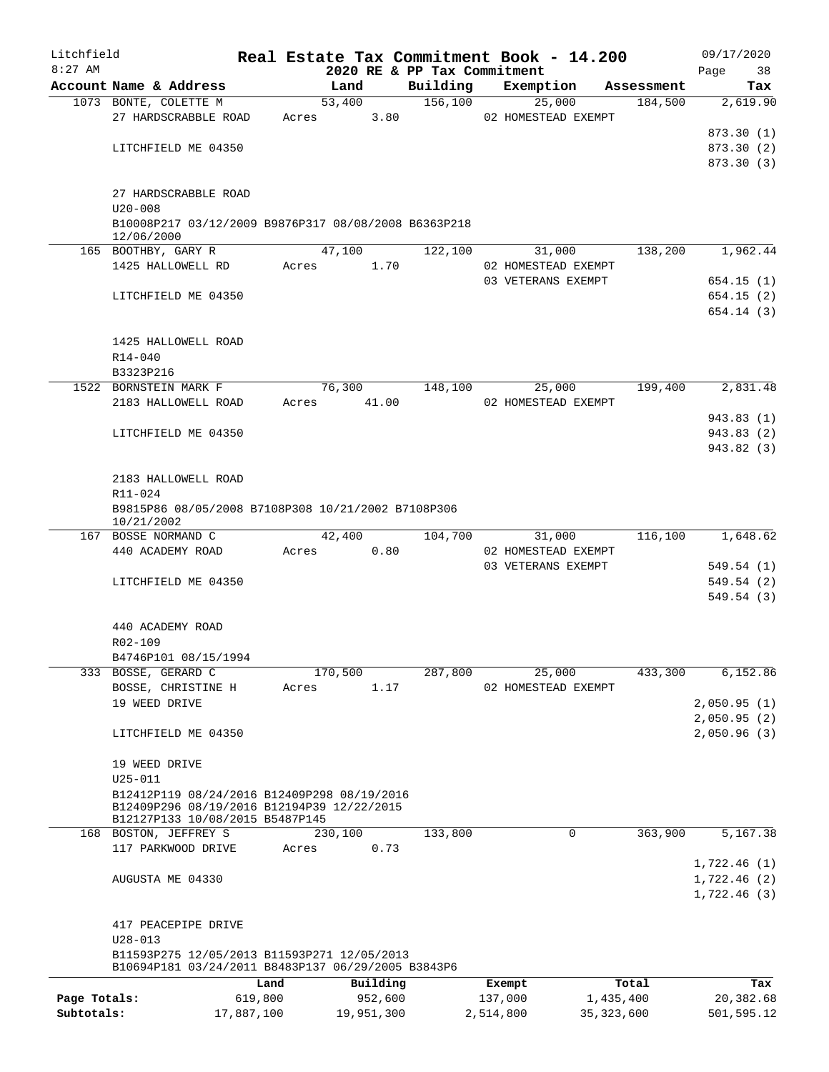| Litchfield   |                                                                               |            |       |                             |          | Real Estate Tax Commitment Book - 14.200 |              | 09/17/2020   |
|--------------|-------------------------------------------------------------------------------|------------|-------|-----------------------------|----------|------------------------------------------|--------------|--------------|
| $8:27$ AM    |                                                                               |            |       | 2020 RE & PP Tax Commitment |          |                                          |              | Page<br>38   |
|              | Account Name & Address                                                        |            |       | Land                        | Building | Exemption                                | Assessment   | Tax          |
|              | 1073 BONTE, COLETTE M                                                         |            |       | 53,400                      | 156,100  | 25,000                                   | 184,500      | 2,619.90     |
|              | 27 HARDSCRABBLE ROAD                                                          |            | Acres | 3.80                        |          | 02 HOMESTEAD EXEMPT                      |              |              |
|              |                                                                               |            |       |                             |          |                                          |              | 873.30 (1)   |
|              | LITCHFIELD ME 04350                                                           |            |       |                             |          |                                          |              | 873.30 (2)   |
|              |                                                                               |            |       |                             |          |                                          |              | 873.30 (3)   |
|              |                                                                               |            |       |                             |          |                                          |              |              |
|              | 27 HARDSCRABBLE ROAD                                                          |            |       |                             |          |                                          |              |              |
|              | $U20 - 008$                                                                   |            |       |                             |          |                                          |              |              |
|              | B10008P217 03/12/2009 B9876P317 08/08/2008 B6363P218<br>12/06/2000            |            |       |                             |          |                                          |              |              |
|              | 165 BOOTHBY, GARY R                                                           |            |       | 47,100                      | 122,100  | 31,000                                   | 138,200      | 1,962.44     |
|              | 1425 HALLOWELL RD                                                             |            | Acres | 1.70                        |          | 02 HOMESTEAD EXEMPT                      |              |              |
|              |                                                                               |            |       |                             |          | 03 VETERANS EXEMPT                       |              | 654.15(1)    |
|              | LITCHFIELD ME 04350                                                           |            |       |                             |          |                                          |              | 654.15(2)    |
|              |                                                                               |            |       |                             |          |                                          |              | 654.14(3)    |
|              |                                                                               |            |       |                             |          |                                          |              |              |
|              | 1425 HALLOWELL ROAD                                                           |            |       |                             |          |                                          |              |              |
|              | R14-040                                                                       |            |       |                             |          |                                          |              |              |
|              | B3323P216                                                                     |            |       |                             |          |                                          |              |              |
|              | 1522 BORNSTEIN MARK F                                                         |            |       | 76,300                      | 148,100  | 25,000                                   | 199,400      | 2,831.48     |
|              | 2183 HALLOWELL ROAD                                                           |            | Acres | 41.00                       |          | 02 HOMESTEAD EXEMPT                      |              |              |
|              |                                                                               |            |       |                             |          |                                          |              | 943.83 (1)   |
|              | LITCHFIELD ME 04350                                                           |            |       |                             |          |                                          |              | 943.83 (2)   |
|              |                                                                               |            |       |                             |          |                                          |              | 943.82 (3)   |
|              |                                                                               |            |       |                             |          |                                          |              |              |
|              | 2183 HALLOWELL ROAD                                                           |            |       |                             |          |                                          |              |              |
|              | R11-024                                                                       |            |       |                             |          |                                          |              |              |
|              | B9815P86 08/05/2008 B7108P308 10/21/2002 B7108P306                            |            |       |                             |          |                                          |              |              |
|              | 10/21/2002                                                                    |            |       |                             |          |                                          |              |              |
|              | 167 BOSSE NORMAND C                                                           |            |       | 42,400                      | 104,700  | 31,000                                   | 116,100      | 1,648.62     |
|              | 440 ACADEMY ROAD                                                              |            | Acres | 0.80                        |          | 02 HOMESTEAD EXEMPT                      |              |              |
|              |                                                                               |            |       |                             |          | 03 VETERANS EXEMPT                       |              | 549.54(1)    |
|              | LITCHFIELD ME 04350                                                           |            |       |                             |          |                                          |              | 549.54(2)    |
|              |                                                                               |            |       |                             |          |                                          |              | 549.54(3)    |
|              |                                                                               |            |       |                             |          |                                          |              |              |
|              | 440 ACADEMY ROAD                                                              |            |       |                             |          |                                          |              |              |
|              | R02-109                                                                       |            |       |                             |          |                                          |              |              |
|              | B4746P101 08/15/1994                                                          |            |       |                             |          |                                          |              |              |
|              | 333 BOSSE, GERARD C                                                           |            |       | 170,500                     | 287,800  | 25,000                                   | 433,300      | 6,152.86     |
|              | BOSSE, CHRISTINE H                                                            |            | Acres | 1.17                        |          | 02 HOMESTEAD EXEMPT                      |              |              |
|              | 19 WEED DRIVE                                                                 |            |       |                             |          |                                          |              | 2,050.95(1)  |
|              |                                                                               |            |       |                             |          |                                          |              | 2,050.95(2)  |
|              | LITCHFIELD ME 04350                                                           |            |       |                             |          |                                          |              | 2,050.96(3)  |
|              |                                                                               |            |       |                             |          |                                          |              |              |
|              | 19 WEED DRIVE                                                                 |            |       |                             |          |                                          |              |              |
|              | $U25 - 011$                                                                   |            |       |                             |          |                                          |              |              |
|              | B12412P119 08/24/2016 B12409P298 08/19/2016                                   |            |       |                             |          |                                          |              |              |
|              | B12409P296 08/19/2016 B12194P39 12/22/2015<br>B12127P133 10/08/2015 B5487P145 |            |       |                             |          |                                          |              |              |
| 168          | BOSTON, JEFFREY S                                                             |            |       | 230,100                     | 133,800  | 0                                        | 363,900      | 5,167.38     |
|              | 117 PARKWOOD DRIVE                                                            |            | Acres | 0.73                        |          |                                          |              |              |
|              |                                                                               |            |       |                             |          |                                          |              | 1,722.46(1)  |
|              | AUGUSTA ME 04330                                                              |            |       |                             |          |                                          |              | 1,722.46 (2) |
|              |                                                                               |            |       |                             |          |                                          |              | 1,722.46(3)  |
|              |                                                                               |            |       |                             |          |                                          |              |              |
|              | 417 PEACEPIPE DRIVE                                                           |            |       |                             |          |                                          |              |              |
|              | $U28 - 013$                                                                   |            |       |                             |          |                                          |              |              |
|              | B11593P275 12/05/2013 B11593P271 12/05/2013                                   |            |       |                             |          |                                          |              |              |
|              | B10694P181 03/24/2011 B8483P137 06/29/2005 B3843P6                            |            |       |                             |          |                                          |              |              |
|              |                                                                               | Land       |       | Building                    |          | Exempt                                   | Total        | Tax          |
| Page Totals: |                                                                               | 619,800    |       | 952,600                     |          | 137,000                                  | 1,435,400    | 20,382.68    |
| Subtotals:   |                                                                               | 17,887,100 |       | 19,951,300                  |          | 2,514,800                                | 35, 323, 600 | 501,595.12   |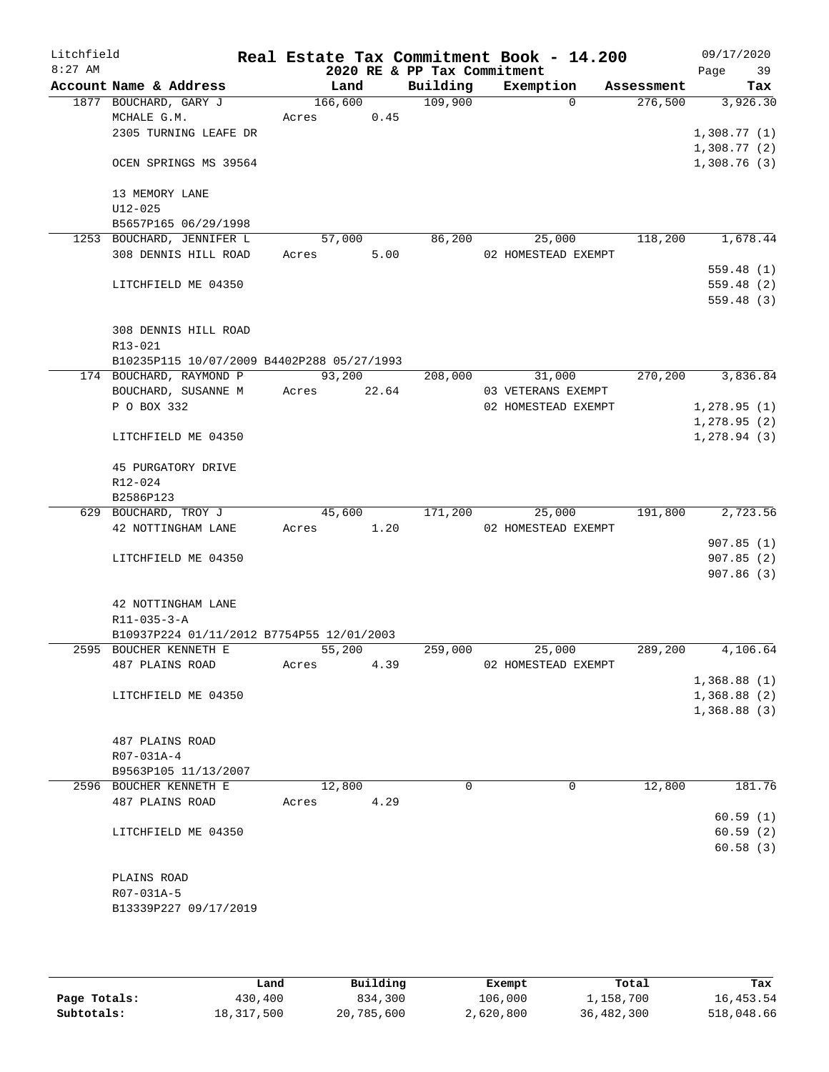| Litchfield |                                            |         |        |                             | Real Estate Tax Commitment Book - 14.200 |                     | 09/17/2020   |
|------------|--------------------------------------------|---------|--------|-----------------------------|------------------------------------------|---------------------|--------------|
| $8:27$ AM  |                                            |         |        | 2020 RE & PP Tax Commitment |                                          |                     | 39<br>Page   |
|            | Account Name & Address                     |         | Land   | Building                    | Exemption                                | Assessment          | Tax          |
|            | 1877 BOUCHARD, GARY J                      | 166,600 |        | 109,900                     |                                          | 276,500<br>$\Omega$ | 3,926.30     |
|            | MCHALE G.M.<br>2305 TURNING LEAFE DR       | Acres   | 0.45   |                             |                                          |                     | 1,308.77(1)  |
|            |                                            |         |        |                             |                                          |                     | 1,308.77(2)  |
|            | OCEN SPRINGS MS 39564                      |         |        |                             |                                          |                     | 1,308.76(3)  |
|            | 13 MEMORY LANE                             |         |        |                             |                                          |                     |              |
|            | $U12 - 025$                                |         |        |                             |                                          |                     |              |
|            | B5657P165 06/29/1998                       |         |        |                             |                                          |                     |              |
|            | 1253 BOUCHARD, JENNIFER L                  |         | 57,000 | 86,200                      | 25,000                                   | 118,200             | 1,678.44     |
|            | 308 DENNIS HILL ROAD                       | Acres   | 5.00   |                             | 02 HOMESTEAD EXEMPT                      |                     |              |
|            |                                            |         |        |                             |                                          |                     | 559.48(1)    |
|            | LITCHFIELD ME 04350                        |         |        |                             |                                          |                     | 559.48 (2)   |
|            |                                            |         |        |                             |                                          |                     | 559.48(3)    |
|            | 308 DENNIS HILL ROAD                       |         |        |                             |                                          |                     |              |
|            | R13-021                                    |         |        |                             |                                          |                     |              |
|            | B10235P115 10/07/2009 B4402P288 05/27/1993 |         |        |                             |                                          |                     |              |
|            | 174 BOUCHARD, RAYMOND P                    |         | 93,200 | 208,000                     | 31,000                                   | 270,200             | 3,836.84     |
|            | BOUCHARD, SUSANNE M                        | Acres   | 22.64  |                             | 03 VETERANS EXEMPT                       |                     |              |
|            | P O BOX 332                                |         |        |                             | 02 HOMESTEAD EXEMPT                      |                     | 1, 278.95(1) |
|            |                                            |         |        |                             |                                          |                     | 1,278.95(2)  |
|            | LITCHFIELD ME 04350                        |         |        |                             |                                          |                     | 1,278.94(3)  |
|            | 45 PURGATORY DRIVE                         |         |        |                             |                                          |                     |              |
|            | R12-024                                    |         |        |                             |                                          |                     |              |
|            | B2586P123                                  |         |        |                             |                                          |                     |              |
|            | 629 BOUCHARD, TROY J                       |         | 45,600 | 171,200                     | 25,000                                   | 191,800             | 2,723.56     |
|            | 42 NOTTINGHAM LANE                         | Acres   | 1.20   |                             | 02 HOMESTEAD EXEMPT                      |                     |              |
|            |                                            |         |        |                             |                                          |                     | 907.85(1)    |
|            | LITCHFIELD ME 04350                        |         |        |                             |                                          |                     | 907.85(2)    |
|            |                                            |         |        |                             |                                          |                     | 907.86(3)    |
|            | 42 NOTTINGHAM LANE                         |         |        |                             |                                          |                     |              |
|            | $R11 - 035 - 3 - A$                        |         |        |                             |                                          |                     |              |
|            | B10937P224 01/11/2012 B7754P55 12/01/2003  |         |        |                             |                                          |                     |              |
|            | 2595 BOUCHER KENNETH E                     |         | 55,200 | 259,000                     | 25,000                                   | 289,200             | 4,106.64     |
|            | 487 PLAINS ROAD                            | Acres   | 4.39   |                             | 02 HOMESTEAD EXEMPT                      |                     |              |
|            |                                            |         |        |                             |                                          |                     | 1,368.88(1)  |
|            | LITCHFIELD ME 04350                        |         |        |                             |                                          |                     | 1,368.88(2)  |
|            |                                            |         |        |                             |                                          |                     | 1,368.88(3)  |
|            |                                            |         |        |                             |                                          |                     |              |
|            | 487 PLAINS ROAD<br>R07-031A-4              |         |        |                             |                                          |                     |              |
|            | B9563P105 11/13/2007                       |         |        |                             |                                          |                     |              |
|            | 2596 BOUCHER KENNETH E                     |         | 12,800 | 0                           |                                          | 12,800<br>0         | 181.76       |
|            | 487 PLAINS ROAD                            | Acres   | 4.29   |                             |                                          |                     |              |
|            |                                            |         |        |                             |                                          |                     | 60.59(1)     |
|            | LITCHFIELD ME 04350                        |         |        |                             |                                          |                     | 60.59(2)     |
|            |                                            |         |        |                             |                                          |                     | 60.58(3)     |
|            |                                            |         |        |                             |                                          |                     |              |
|            | PLAINS ROAD                                |         |        |                             |                                          |                     |              |
|            | R07-031A-5                                 |         |        |                             |                                          |                     |              |
|            | B13339P227 09/17/2019                      |         |        |                             |                                          |                     |              |
|            |                                            |         |        |                             |                                          |                     |              |
|            |                                            |         |        |                             |                                          |                     |              |

|              | Land       | Building   | Exempt    | Total      | Tax        |
|--------------|------------|------------|-----------|------------|------------|
| Page Totals: | 430,400    | 834,300    | 106,000   | 1,158,700  | 16,453.54  |
| Subtotals:   | 18,317,500 | 20,785,600 | 2,620,800 | 36,482,300 | 518,048.66 |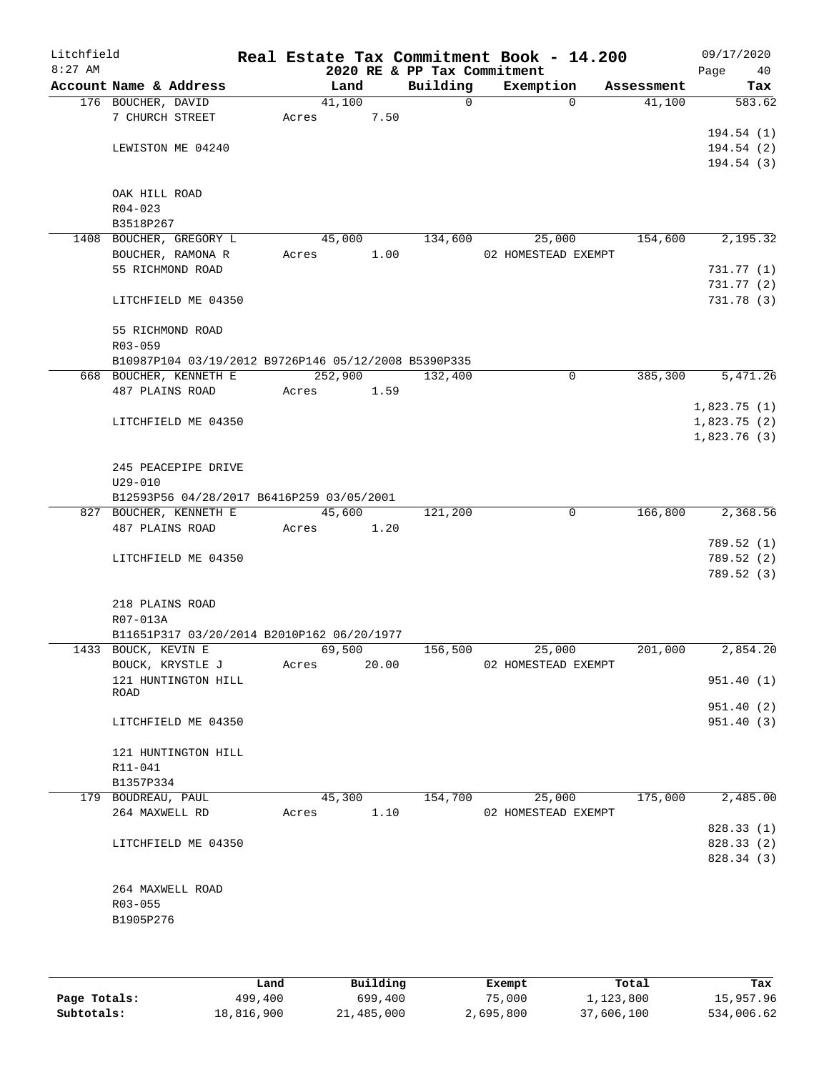| Litchfield<br>$8:27$ AM |                                                      |                 |       | 2020 RE & PP Tax Commitment | Real Estate Tax Commitment Book - 14.200 |            | 09/17/2020<br>Page<br>40 |
|-------------------------|------------------------------------------------------|-----------------|-------|-----------------------------|------------------------------------------|------------|--------------------------|
|                         | Account Name & Address                               | Land            |       | Building                    | Exemption                                | Assessment | Tax                      |
|                         | 176 BOUCHER, DAVID                                   | 41,100          |       | $\Omega$                    | $\Omega$                                 | 41,100     | 583.62                   |
|                         | 7 CHURCH STREET                                      | Acres           | 7.50  |                             |                                          |            |                          |
|                         |                                                      |                 |       |                             |                                          |            | 194.54(1)                |
|                         | LEWISTON ME 04240                                    |                 |       |                             |                                          |            | 194.54(2)                |
|                         |                                                      |                 |       |                             |                                          |            | 194.54(3)                |
|                         |                                                      |                 |       |                             |                                          |            |                          |
|                         | OAK HILL ROAD                                        |                 |       |                             |                                          |            |                          |
|                         | $R04 - 023$                                          |                 |       |                             |                                          |            |                          |
|                         | B3518P267                                            |                 |       |                             |                                          | 154,600    | 2,195.32                 |
|                         | 1408 BOUCHER, GREGORY L<br>BOUCHER, RAMONA R         | 45,000<br>Acres | 1.00  | 134,600                     | 25,000<br>02 HOMESTEAD EXEMPT            |            |                          |
|                         | 55 RICHMOND ROAD                                     |                 |       |                             |                                          |            | 731.77 (1)               |
|                         |                                                      |                 |       |                             |                                          |            | 731.77(2)                |
|                         | LITCHFIELD ME 04350                                  |                 |       |                             |                                          |            | 731.78 (3)               |
|                         |                                                      |                 |       |                             |                                          |            |                          |
|                         | 55 RICHMOND ROAD                                     |                 |       |                             |                                          |            |                          |
|                         | $R03 - 059$                                          |                 |       |                             |                                          |            |                          |
|                         | B10987P104 03/19/2012 B9726P146 05/12/2008 B5390P335 |                 |       |                             |                                          |            |                          |
|                         | 668 BOUCHER, KENNETH E                               | 252,900         |       | 132,400                     | 0                                        | 385,300    | 5,471.26                 |
|                         | 487 PLAINS ROAD                                      | Acres           | 1.59  |                             |                                          |            |                          |
|                         |                                                      |                 |       |                             |                                          |            | 1,823.75(1)              |
|                         | LITCHFIELD ME 04350                                  |                 |       |                             |                                          |            | 1,823.75(2)              |
|                         |                                                      |                 |       |                             |                                          |            | 1,823.76(3)              |
|                         |                                                      |                 |       |                             |                                          |            |                          |
|                         | 245 PEACEPIPE DRIVE                                  |                 |       |                             |                                          |            |                          |
|                         | $U29 - 010$                                          |                 |       |                             |                                          |            |                          |
|                         | B12593P56 04/28/2017 B6416P259 03/05/2001            |                 |       |                             |                                          |            |                          |
|                         | 827 BOUCHER, KENNETH E                               | 45,600          |       | 121,200                     | $\mathbf 0$                              | 166,800    | 2,368.56                 |
|                         | 487 PLAINS ROAD                                      | Acres           | 1.20  |                             |                                          |            |                          |
|                         |                                                      |                 |       |                             |                                          |            | 789.52 (1)               |
|                         | LITCHFIELD ME 04350                                  |                 |       |                             |                                          |            | 789.52 (2)               |
|                         |                                                      |                 |       |                             |                                          |            | 789.52 (3)               |
|                         | 218 PLAINS ROAD                                      |                 |       |                             |                                          |            |                          |
|                         | R07-013A                                             |                 |       |                             |                                          |            |                          |
|                         | B11651P317 03/20/2014 B2010P162 06/20/1977           |                 |       |                             |                                          |            |                          |
|                         | 1433 BOUCK, KEVIN E                                  | 69,500          |       | 156,500                     | 25,000                                   | 201,000    | 2,854.20                 |
|                         | BOUCK, KRYSTLE J                                     | Acres           | 20.00 |                             | 02 HOMESTEAD EXEMPT                      |            |                          |
|                         | 121 HUNTINGTON HILL                                  |                 |       |                             |                                          |            | 951.40(1)                |
|                         | ROAD                                                 |                 |       |                             |                                          |            |                          |
|                         |                                                      |                 |       |                             |                                          |            | 951.40(2)                |
|                         | LITCHFIELD ME 04350                                  |                 |       |                             |                                          |            | 951.40 (3)               |
|                         |                                                      |                 |       |                             |                                          |            |                          |
|                         | 121 HUNTINGTON HILL                                  |                 |       |                             |                                          |            |                          |
|                         | R11-041                                              |                 |       |                             |                                          |            |                          |
|                         | B1357P334                                            |                 |       |                             |                                          | 175,000    |                          |
|                         | 179 BOUDREAU, PAUL                                   | 45,300          |       | 154,700                     | 25,000<br>02 HOMESTEAD EXEMPT            |            | 2,485.00                 |
|                         | 264 MAXWELL RD                                       | Acres           | 1.10  |                             |                                          |            | 828.33 (1)               |
|                         | LITCHFIELD ME 04350                                  |                 |       |                             |                                          |            | 828.33 (2)               |
|                         |                                                      |                 |       |                             |                                          |            | 828.34 (3)               |
|                         |                                                      |                 |       |                             |                                          |            |                          |
|                         | 264 MAXWELL ROAD                                     |                 |       |                             |                                          |            |                          |
|                         | R03-055                                              |                 |       |                             |                                          |            |                          |
|                         | B1905P276                                            |                 |       |                             |                                          |            |                          |
|                         |                                                      |                 |       |                             |                                          |            |                          |
|                         |                                                      |                 |       |                             |                                          |            |                          |
|                         |                                                      |                 |       |                             |                                          |            |                          |

|              | Land       | Building   | Exempt    | Total      | Tax        |
|--------------|------------|------------|-----------|------------|------------|
| Page Totals: | 499,400    | 699,400    | 75,000    | 1,123,800  | 15,957.96  |
| Subtotals:   | 18,816,900 | 21,485,000 | 2,695,800 | 37,606,100 | 534,006.62 |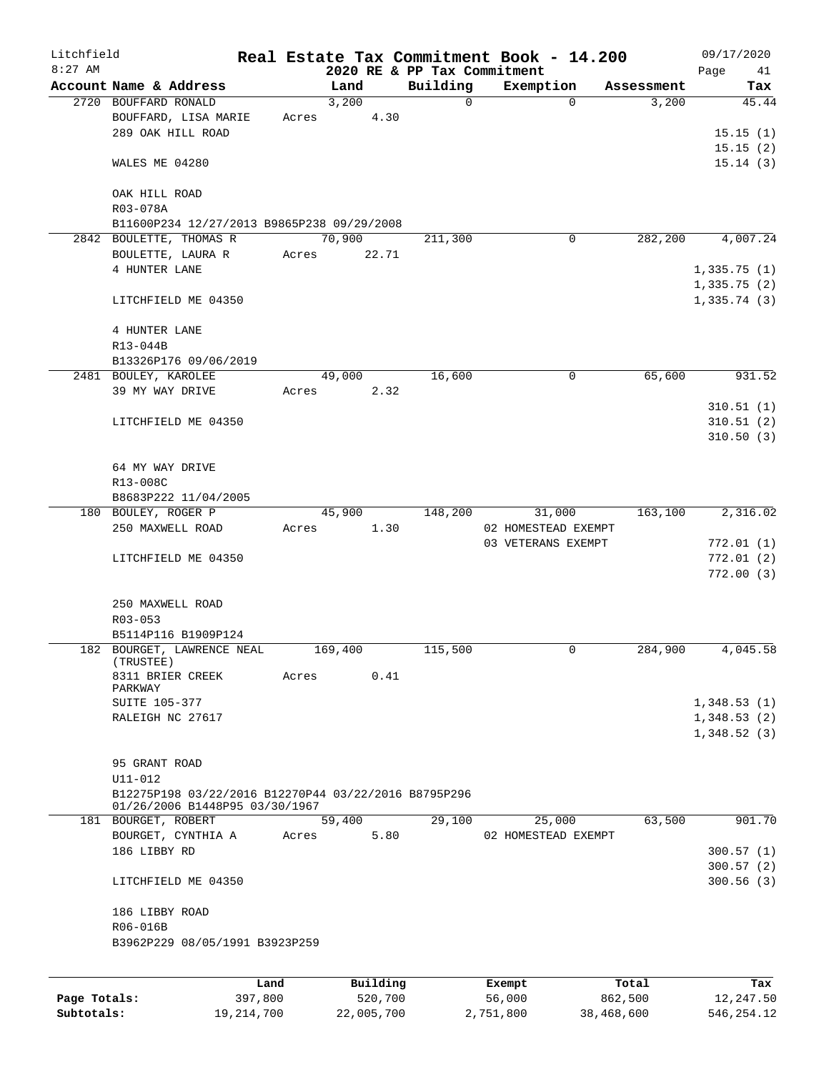| Litchfield   |                                                      |         |       |         |          |                                         | Real Estate Tax Commitment Book - 14.200 |             |            | 09/17/2020  |           |
|--------------|------------------------------------------------------|---------|-------|---------|----------|-----------------------------------------|------------------------------------------|-------------|------------|-------------|-----------|
| $8:27$ AM    | Account Name & Address                               |         |       | Land    |          | 2020 RE & PP Tax Commitment<br>Building | Exemption                                |             | Assessment | Page        | 41<br>Tax |
|              | 2720 BOUFFARD RONALD                                 |         |       | 3,200   |          | $\mathbf 0$                             |                                          | $\Omega$    | 3,200      |             | 45.44     |
|              | BOUFFARD, LISA MARIE                                 |         | Acres |         | 4.30     |                                         |                                          |             |            |             |           |
|              |                                                      |         |       |         |          |                                         |                                          |             |            |             |           |
|              | 289 OAK HILL ROAD                                    |         |       |         |          |                                         |                                          |             |            | 15.15(1)    |           |
|              |                                                      |         |       |         |          |                                         |                                          |             |            | 15.15(2)    |           |
|              | WALES ME 04280                                       |         |       |         |          |                                         |                                          |             |            | 15.14(3)    |           |
|              | OAK HILL ROAD                                        |         |       |         |          |                                         |                                          |             |            |             |           |
|              | R03-078A                                             |         |       |         |          |                                         |                                          |             |            |             |           |
|              | B11600P234 12/27/2013 B9865P238 09/29/2008           |         |       |         |          |                                         |                                          |             |            |             |           |
|              | 2842 BOULETTE, THOMAS R                              |         |       | 70,900  |          | 211,300                                 |                                          | $\mathbf 0$ | 282,200    | 4,007.24    |           |
|              | BOULETTE, LAURA R                                    |         | Acres |         | 22.71    |                                         |                                          |             |            |             |           |
|              | 4 HUNTER LANE                                        |         |       |         |          |                                         |                                          |             |            |             |           |
|              |                                                      |         |       |         |          |                                         |                                          |             |            | 1,335.75(1) |           |
|              |                                                      |         |       |         |          |                                         |                                          |             |            | 1,335.75(2) |           |
|              | LITCHFIELD ME 04350                                  |         |       |         |          |                                         |                                          |             |            | 1,335.74(3) |           |
|              | 4 HUNTER LANE                                        |         |       |         |          |                                         |                                          |             |            |             |           |
|              | R13-044B                                             |         |       |         |          |                                         |                                          |             |            |             |           |
|              |                                                      |         |       |         |          |                                         |                                          |             |            |             |           |
|              | B13326P176 09/06/2019                                |         |       |         |          |                                         |                                          |             |            |             |           |
|              | 2481 BOULEY, KAROLEE                                 |         |       | 49,000  |          | 16,600                                  |                                          | 0           | 65,600     | 931.52      |           |
|              | 39 MY WAY DRIVE                                      |         | Acres |         | 2.32     |                                         |                                          |             |            |             |           |
|              |                                                      |         |       |         |          |                                         |                                          |             |            | 310.51(1)   |           |
|              | LITCHFIELD ME 04350                                  |         |       |         |          |                                         |                                          |             |            | 310.51(2)   |           |
|              |                                                      |         |       |         |          |                                         |                                          |             |            | 310.50(3)   |           |
|              |                                                      |         |       |         |          |                                         |                                          |             |            |             |           |
|              | 64 MY WAY DRIVE                                      |         |       |         |          |                                         |                                          |             |            |             |           |
|              | R13-008C                                             |         |       |         |          |                                         |                                          |             |            |             |           |
|              | B8683P222 11/04/2005                                 |         |       |         |          |                                         |                                          |             |            |             |           |
|              | 180 BOULEY, ROGER P                                  |         |       | 45,900  |          | 148,200                                 | 31,000                                   |             | 163,100    | 2,316.02    |           |
|              | 250 MAXWELL ROAD                                     |         | Acres |         | 1.30     |                                         | 02 HOMESTEAD EXEMPT                      |             |            |             |           |
|              |                                                      |         |       |         |          |                                         | 03 VETERANS EXEMPT                       |             |            | 772.01(1)   |           |
|              | LITCHFIELD ME 04350                                  |         |       |         |          |                                         |                                          |             |            | 772.01(2)   |           |
|              |                                                      |         |       |         |          |                                         |                                          |             |            | 772.00(3)   |           |
|              |                                                      |         |       |         |          |                                         |                                          |             |            |             |           |
|              | 250 MAXWELL ROAD                                     |         |       |         |          |                                         |                                          |             |            |             |           |
|              |                                                      |         |       |         |          |                                         |                                          |             |            |             |           |
|              | R03-053                                              |         |       |         |          |                                         |                                          |             |            |             |           |
|              | B5114P116 B1909P124                                  |         |       |         |          |                                         |                                          |             |            |             |           |
|              | 182 BOURGET, LAWRENCE NEAL<br>(TRUSTEE)              |         |       | 169,400 |          | 115,500                                 |                                          | $\mathbf 0$ | 284,900    | 4,045.58    |           |
|              | 8311 BRIER CREEK                                     |         | Acres |         | 0.41     |                                         |                                          |             |            |             |           |
|              | PARKWAY                                              |         |       |         |          |                                         |                                          |             |            |             |           |
|              | <b>SUITE 105-377</b>                                 |         |       |         |          |                                         |                                          |             |            | 1,348.53(1) |           |
|              | RALEIGH NC 27617                                     |         |       |         |          |                                         |                                          |             |            | 1,348.53(2) |           |
|              |                                                      |         |       |         |          |                                         |                                          |             |            | 1,348.52(3) |           |
|              |                                                      |         |       |         |          |                                         |                                          |             |            |             |           |
|              | 95 GRANT ROAD                                        |         |       |         |          |                                         |                                          |             |            |             |           |
|              | U11-012                                              |         |       |         |          |                                         |                                          |             |            |             |           |
|              | B12275P198 03/22/2016 B12270P44 03/22/2016 B8795P296 |         |       |         |          |                                         |                                          |             |            |             |           |
|              | 01/26/2006 B1448P95 03/30/1967                       |         |       |         |          |                                         |                                          |             |            |             |           |
|              | 181 BOURGET, ROBERT                                  |         |       | 59,400  |          | 29,100                                  | 25,000                                   |             | 63,500     | 901.70      |           |
|              | BOURGET, CYNTHIA A                                   |         | Acres |         | 5.80     |                                         | 02 HOMESTEAD EXEMPT                      |             |            |             |           |
|              | 186 LIBBY RD                                         |         |       |         |          |                                         |                                          |             |            | 300.57(1)   |           |
|              |                                                      |         |       |         |          |                                         |                                          |             |            | 300.57(2)   |           |
|              | LITCHFIELD ME 04350                                  |         |       |         |          |                                         |                                          |             |            | 300.56(3)   |           |
|              |                                                      |         |       |         |          |                                         |                                          |             |            |             |           |
|              | 186 LIBBY ROAD                                       |         |       |         |          |                                         |                                          |             |            |             |           |
|              | R06-016B                                             |         |       |         |          |                                         |                                          |             |            |             |           |
|              | B3962P229 08/05/1991 B3923P259                       |         |       |         |          |                                         |                                          |             |            |             |           |
|              |                                                      |         |       |         |          |                                         |                                          |             |            |             |           |
|              |                                                      | Land    |       |         | Building |                                         | Exempt                                   |             | Total      |             | Tax       |
| Page Totals: |                                                      | 397,800 |       |         | 520,700  |                                         | 56,000                                   |             | 862,500    | 12,247.50   |           |

**Subtotals:** 19,214,700 22,005,700 2,751,800 38,468,600 546,254.12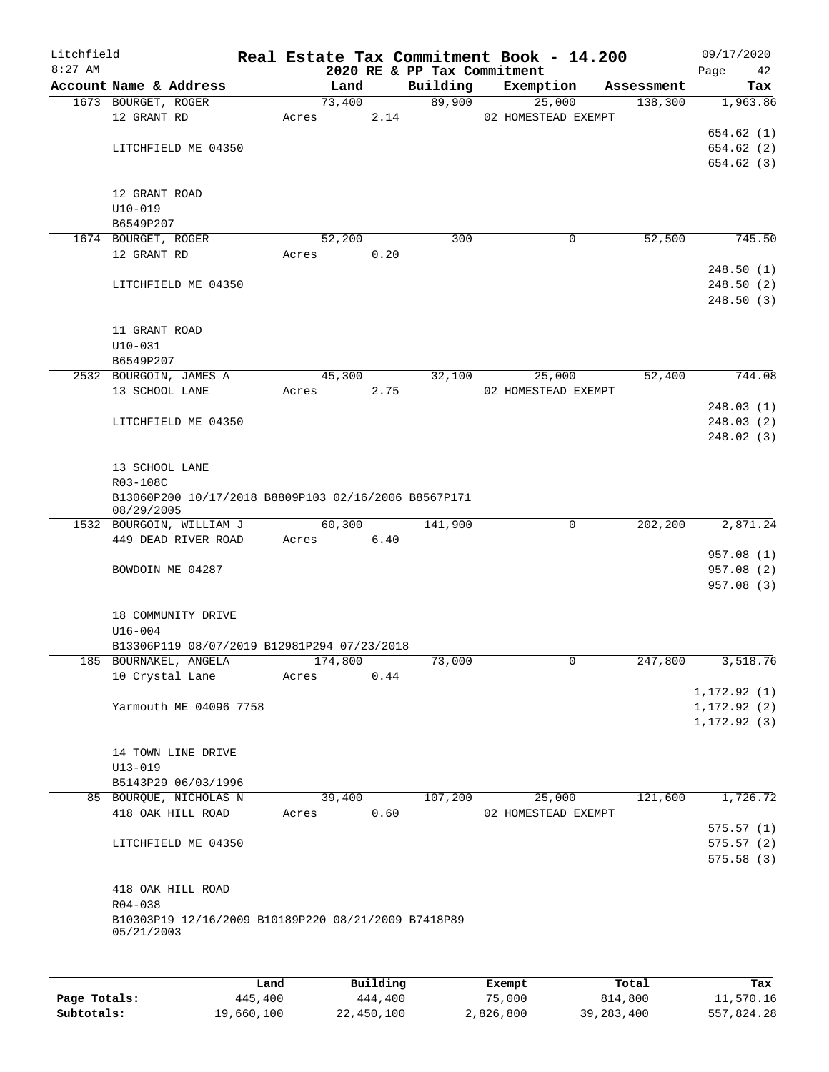| Litchfield<br>$8:27$ AM |                                                                    |      |       |         |          | 2020 RE & PP Tax Commitment | Real Estate Tax Commitment Book - 14.200 |            | 09/17/2020<br>Page<br>42 |
|-------------------------|--------------------------------------------------------------------|------|-------|---------|----------|-----------------------------|------------------------------------------|------------|--------------------------|
|                         | Account Name & Address                                             |      |       | Land    |          | Building                    | Exemption                                | Assessment | Tax                      |
|                         | 1673 BOURGET, ROGER                                                |      |       | 73,400  |          | 89,900                      | 25,000                                   | 138,300    | 1,963.86                 |
|                         | 12 GRANT RD                                                        |      | Acres |         | 2.14     |                             | 02 HOMESTEAD EXEMPT                      |            |                          |
|                         |                                                                    |      |       |         |          |                             |                                          |            | 654.62(1)                |
|                         | LITCHFIELD ME 04350                                                |      |       |         |          |                             |                                          |            | 654.62 (2)               |
|                         |                                                                    |      |       |         |          |                             |                                          |            | 654.62(3)                |
|                         | 12 GRANT ROAD                                                      |      |       |         |          |                             |                                          |            |                          |
|                         | $U10 - 019$                                                        |      |       |         |          |                             |                                          |            |                          |
|                         | B6549P207                                                          |      |       |         |          |                             |                                          |            |                          |
|                         | 1674 BOURGET, ROGER                                                |      |       | 52,200  |          | 300                         | 0                                        | 52,500     | 745.50                   |
|                         | 12 GRANT RD                                                        |      | Acres |         | 0.20     |                             |                                          |            |                          |
|                         |                                                                    |      |       |         |          |                             |                                          |            | 248.50(1)                |
|                         | LITCHFIELD ME 04350                                                |      |       |         |          |                             |                                          |            | 248.50(2)                |
|                         |                                                                    |      |       |         |          |                             |                                          |            | 248.50(3)                |
|                         | 11 GRANT ROAD                                                      |      |       |         |          |                             |                                          |            |                          |
|                         | $U10-031$                                                          |      |       |         |          |                             |                                          |            |                          |
|                         | B6549P207                                                          |      |       |         |          |                             |                                          |            |                          |
|                         | 2532 BOURGOIN, JAMES A                                             |      |       | 45,300  |          | 32,100                      | 25,000                                   | 52,400     | 744.08                   |
|                         | 13 SCHOOL LANE                                                     |      | Acres |         | 2.75     |                             | 02 HOMESTEAD EXEMPT                      |            |                          |
|                         |                                                                    |      |       |         |          |                             |                                          |            | 248.03(1)                |
|                         | LITCHFIELD ME 04350                                                |      |       |         |          |                             |                                          |            | 248.03(2)                |
|                         |                                                                    |      |       |         |          |                             |                                          |            | 248.02(3)                |
|                         | 13 SCHOOL LANE                                                     |      |       |         |          |                             |                                          |            |                          |
|                         | R03-108C                                                           |      |       |         |          |                             |                                          |            |                          |
|                         | B13060P200 10/17/2018 B8809P103 02/16/2006 B8567P171<br>08/29/2005 |      |       |         |          |                             |                                          |            |                          |
|                         | 1532 BOURGOIN, WILLIAM J                                           |      |       | 60,300  |          | 141,900                     | $\mathbf 0$                              | 202,200    | 2,871.24                 |
|                         | 449 DEAD RIVER ROAD                                                |      | Acres |         | 6.40     |                             |                                          |            |                          |
|                         |                                                                    |      |       |         |          |                             |                                          |            | 957.08 (1)               |
|                         | BOWDOIN ME 04287                                                   |      |       |         |          |                             |                                          |            | 957.08 (2)               |
|                         |                                                                    |      |       |         |          |                             |                                          |            | 957.08 (3)               |
|                         | 18 COMMUNITY DRIVE                                                 |      |       |         |          |                             |                                          |            |                          |
|                         | $U16 - 004$                                                        |      |       |         |          |                             |                                          |            |                          |
|                         | B13306P119 08/07/2019 B12981P294 07/23/2018                        |      |       |         |          |                             |                                          |            |                          |
|                         | 185 BOURNAKEL, ANGELA                                              |      |       | 174,800 |          | 73,000                      | 0                                        | 247,800    | 3,518.76                 |
|                         | 10 Crystal Lane                                                    |      | Acres |         | 0.44     |                             |                                          |            |                          |
|                         |                                                                    |      |       |         |          |                             |                                          |            | 1, 172.92(1)             |
|                         | Yarmouth ME 04096 7758                                             |      |       |         |          |                             |                                          |            | 1, 172.92(2)             |
|                         |                                                                    |      |       |         |          |                             |                                          |            | 1, 172.92(3)             |
|                         |                                                                    |      |       |         |          |                             |                                          |            |                          |
|                         | 14 TOWN LINE DRIVE                                                 |      |       |         |          |                             |                                          |            |                          |
|                         | $U13 - 019$                                                        |      |       |         |          |                             |                                          |            |                          |
|                         | B5143P29 06/03/1996                                                |      |       |         |          |                             |                                          |            |                          |
|                         | 85 BOURQUE, NICHOLAS N                                             |      |       | 39,400  |          | 107,200                     | 25,000                                   | 121,600    | 1,726.72                 |
|                         | 418 OAK HILL ROAD                                                  |      | Acres |         | 0.60     |                             | 02 HOMESTEAD EXEMPT                      |            |                          |
|                         |                                                                    |      |       |         |          |                             |                                          |            | 575.57(1)                |
|                         | LITCHFIELD ME 04350                                                |      |       |         |          |                             |                                          |            | 575.57(2)                |
|                         |                                                                    |      |       |         |          |                             |                                          |            | 575.58(3)                |
|                         | 418 OAK HILL ROAD                                                  |      |       |         |          |                             |                                          |            |                          |
|                         | R04-038                                                            |      |       |         |          |                             |                                          |            |                          |
|                         | B10303P19 12/16/2009 B10189P220 08/21/2009 B7418P89<br>05/21/2003  |      |       |         |          |                             |                                          |            |                          |
|                         |                                                                    |      |       |         |          |                             |                                          |            |                          |
|                         |                                                                    | Land |       |         | Building |                             | Exempt                                   | Total      | Tax                      |
|                         |                                                                    |      |       |         |          |                             |                                          |            |                          |

|              | Land       | Building   | Exempt    | Total        | Tax        |
|--------------|------------|------------|-----------|--------------|------------|
| Page Totals: | 445,400    | 444,400    | 75,000    | 814,800      | 11,570.16  |
| Subtotals:   | 19,660,100 | 22,450,100 | 2,826,800 | 39, 283, 400 | 557,824.28 |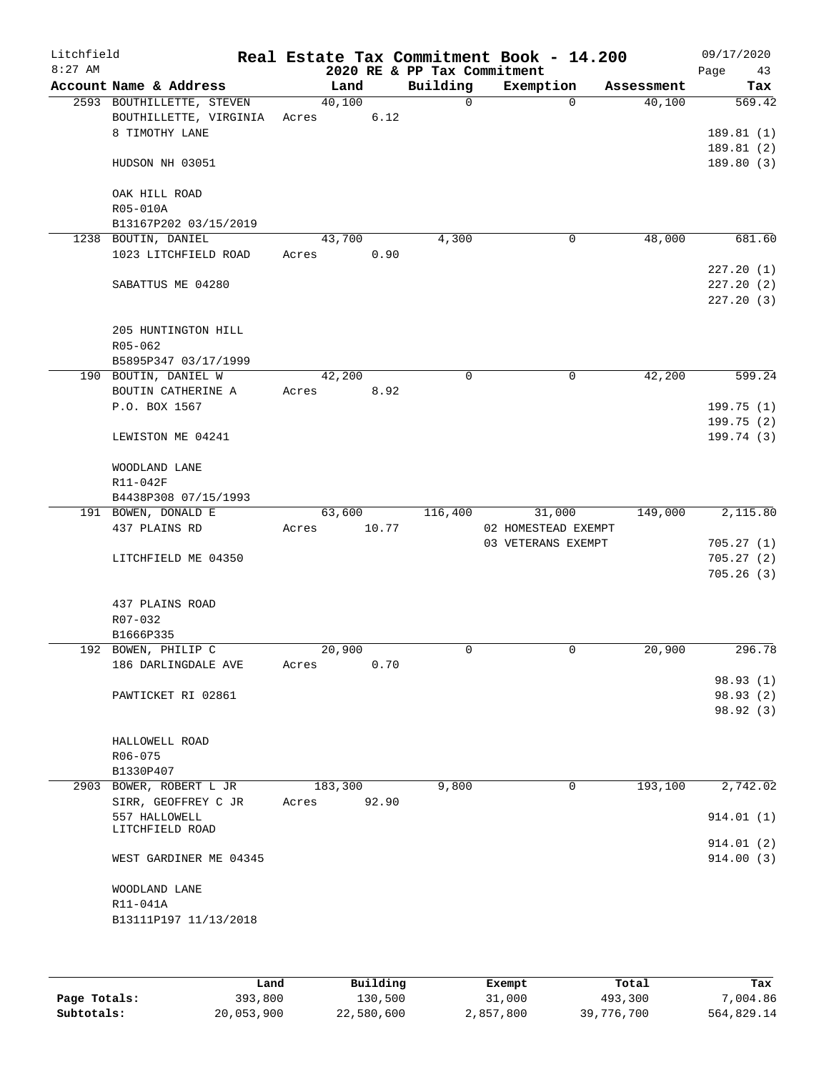| Litchfield<br>$8:27$ AM |                           |       |         |       | 2020 RE & PP Tax Commitment | Real Estate Tax Commitment Book - 14.200 |                       | 09/17/2020<br>Page<br>43 |
|-------------------------|---------------------------|-------|---------|-------|-----------------------------|------------------------------------------|-----------------------|--------------------------|
|                         | Account Name & Address    |       | Land    |       | Building                    | Exemption                                | Assessment            | Tax                      |
|                         | 2593 BOUTHILLETTE, STEVEN |       | 40,100  |       | $\Omega$                    |                                          | 40,100<br>$\Omega$    | 569.42                   |
|                         | BOUTHILLETTE, VIRGINIA    | Acres |         | 6.12  |                             |                                          |                       |                          |
|                         | 8 TIMOTHY LANE            |       |         |       |                             |                                          |                       | 189.81(1)                |
|                         |                           |       |         |       |                             |                                          |                       | 189.81 (2)               |
|                         | HUDSON NH 03051           |       |         |       |                             |                                          |                       | 189.80(3)                |
|                         |                           |       |         |       |                             |                                          |                       |                          |
|                         | OAK HILL ROAD<br>R05-010A |       |         |       |                             |                                          |                       |                          |
|                         | B13167P202 03/15/2019     |       |         |       |                             |                                          |                       |                          |
|                         | 1238 BOUTIN, DANIEL       |       | 43,700  |       | 4,300                       |                                          | 48,000<br>0           | 681.60                   |
|                         | 1023 LITCHFIELD ROAD      | Acres |         | 0.90  |                             |                                          |                       |                          |
|                         |                           |       |         |       |                             |                                          |                       | 227.20(1)                |
|                         | SABATTUS ME 04280         |       |         |       |                             |                                          |                       | 227.20(2)                |
|                         |                           |       |         |       |                             |                                          |                       | 227.20(3)                |
|                         |                           |       |         |       |                             |                                          |                       |                          |
|                         | 205 HUNTINGTON HILL       |       |         |       |                             |                                          |                       |                          |
|                         | R05-062                   |       |         |       |                             |                                          |                       |                          |
|                         | B5895P347 03/17/1999      |       |         |       |                             |                                          |                       |                          |
|                         | 190 BOUTIN, DANIEL W      |       | 42,200  |       | $\Omega$                    |                                          | $\mathbf 0$<br>42,200 | $\overline{599}.24$      |
|                         | BOUTIN CATHERINE A        | Acres |         | 8.92  |                             |                                          |                       |                          |
|                         | P.O. BOX 1567             |       |         |       |                             |                                          |                       | 199.75(1)                |
|                         |                           |       |         |       |                             |                                          |                       | 199.75(2)                |
|                         | LEWISTON ME 04241         |       |         |       |                             |                                          |                       | 199.74(3)                |
|                         | WOODLAND LANE             |       |         |       |                             |                                          |                       |                          |
|                         | R11-042F                  |       |         |       |                             |                                          |                       |                          |
|                         | B4438P308 07/15/1993      |       |         |       |                             |                                          |                       |                          |
|                         | 191 BOWEN, DONALD E       |       | 63,600  |       | 116,400                     | 31,000                                   | 149,000               | 2,115.80                 |
|                         | 437 PLAINS RD             | Acres |         | 10.77 |                             | 02 HOMESTEAD EXEMPT                      |                       |                          |
|                         |                           |       |         |       |                             | 03 VETERANS EXEMPT                       |                       | 705.27(1)                |
|                         | LITCHFIELD ME 04350       |       |         |       |                             |                                          |                       | 705.27(2)                |
|                         |                           |       |         |       |                             |                                          |                       | 705.26(3)                |
|                         |                           |       |         |       |                             |                                          |                       |                          |
|                         | 437 PLAINS ROAD           |       |         |       |                             |                                          |                       |                          |
|                         | R07-032                   |       |         |       |                             |                                          |                       |                          |
|                         | B1666P335                 |       |         |       |                             |                                          |                       |                          |
|                         | 192 BOWEN, PHILIP C       |       | 20,900  |       | 0                           |                                          | 20,900<br>0           | 296.78                   |
|                         | 186 DARLINGDALE AVE       | Acres |         | 0.70  |                             |                                          |                       | 98.93 (1)                |
|                         |                           |       |         |       |                             |                                          |                       |                          |
|                         | PAWTICKET RI 02861        |       |         |       |                             |                                          |                       | 98.93 (2)<br>98.92 (3)   |
|                         |                           |       |         |       |                             |                                          |                       |                          |
|                         | HALLOWELL ROAD            |       |         |       |                             |                                          |                       |                          |
|                         | R06-075                   |       |         |       |                             |                                          |                       |                          |
|                         | B1330P407                 |       |         |       |                             |                                          |                       |                          |
|                         | 2903 BOWER, ROBERT L JR   |       | 183,300 |       | 9,800                       |                                          | 0<br>193,100          | 2,742.02                 |
|                         | SIRR, GEOFFREY C JR       | Acres |         | 92.90 |                             |                                          |                       |                          |
|                         | 557 HALLOWELL             |       |         |       |                             |                                          |                       | 914.01(1)                |
|                         | LITCHFIELD ROAD           |       |         |       |                             |                                          |                       |                          |
|                         |                           |       |         |       |                             |                                          |                       | 914.01 (2)               |
|                         | WEST GARDINER ME 04345    |       |         |       |                             |                                          |                       | 914.00(3)                |
|                         | WOODLAND LANE             |       |         |       |                             |                                          |                       |                          |
|                         | R11-041A                  |       |         |       |                             |                                          |                       |                          |
|                         | B13111P197 11/13/2018     |       |         |       |                             |                                          |                       |                          |
|                         |                           |       |         |       |                             |                                          |                       |                          |
|                         |                           |       |         |       |                             |                                          |                       |                          |
|                         |                           |       |         |       |                             |                                          |                       |                          |

|              | Land       | Building   | Exempt    | Total      | Tax        |
|--------------|------------|------------|-----------|------------|------------|
| Page Totals: | 393,800    | 130,500    | 31,000    | 493,300    | 7,004.86   |
| Subtotals:   | 20,053,900 | 22,580,600 | 2,857,800 | 39,776,700 | 564,829.14 |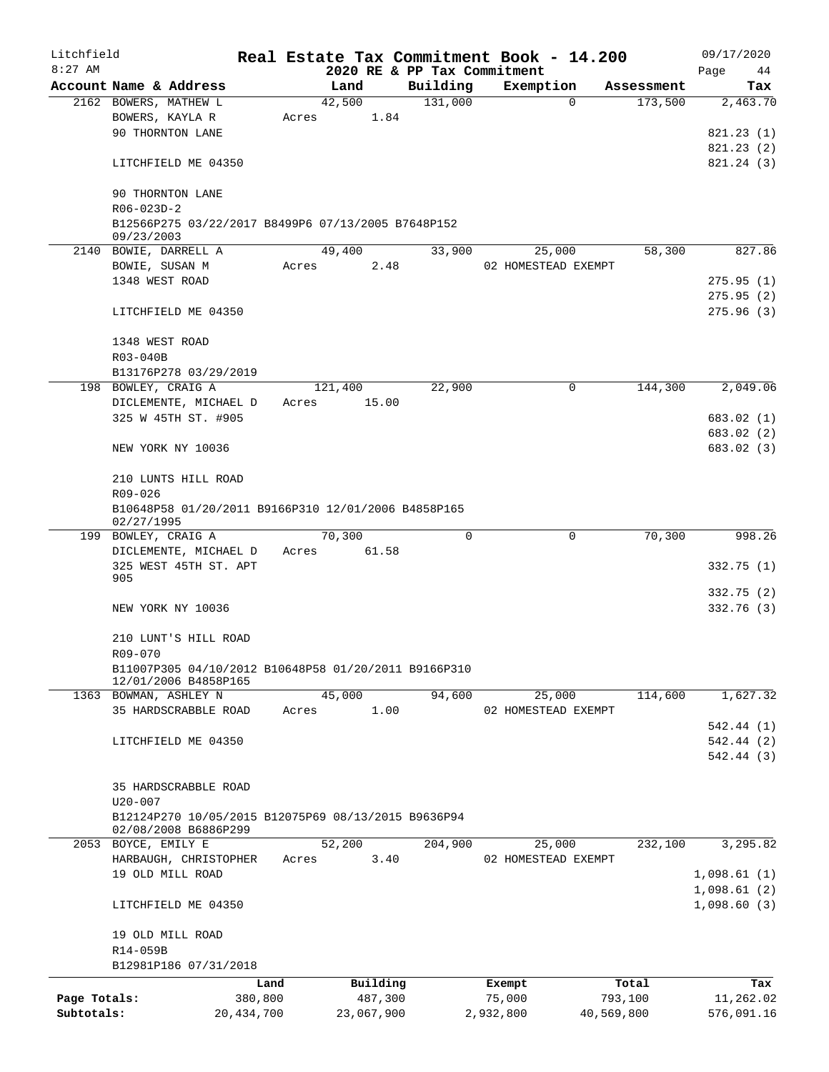| Litchfield<br>$8:27$ AM |                                                                   |              |                | 2020 RE & PP Tax Commitment | Real Estate Tax Commitment Book - 14.200 |            | 09/17/2020<br>Page<br>44   |
|-------------------------|-------------------------------------------------------------------|--------------|----------------|-----------------------------|------------------------------------------|------------|----------------------------|
|                         | Account Name & Address                                            |              | Land           | Building                    | Exemption                                | Assessment | Tax                        |
|                         | 2162 BOWERS, MATHEW L                                             |              | 42,500         | 131,000                     | 0                                        | 173,500    | 2,463.70                   |
|                         | BOWERS, KAYLA R                                                   |              | 1.84<br>Acres  |                             |                                          |            |                            |
|                         | 90 THORNTON LANE                                                  |              |                |                             |                                          |            | 821.23 (1)                 |
|                         |                                                                   |              |                |                             |                                          |            | 821.23 (2)                 |
|                         | LITCHFIELD ME 04350                                               |              |                |                             |                                          |            | 821.24(3)                  |
|                         |                                                                   |              |                |                             |                                          |            |                            |
|                         | 90 THORNTON LANE<br>$R06 - 023D - 2$                              |              |                |                             |                                          |            |                            |
|                         | B12566P275 03/22/2017 B8499P6 07/13/2005 B7648P152                |              |                |                             |                                          |            |                            |
|                         | 09/23/2003                                                        |              |                |                             |                                          |            |                            |
|                         | 2140 BOWIE, DARRELL A                                             |              | 49,400         | 33,900                      | 25,000                                   | 58,300     | 827.86                     |
|                         | BOWIE, SUSAN M                                                    |              | 2.48<br>Acres  |                             | 02 HOMESTEAD EXEMPT                      |            |                            |
|                         | 1348 WEST ROAD                                                    |              |                |                             |                                          |            | 275.95(1)                  |
|                         |                                                                   |              |                |                             |                                          |            | 275.95(2)                  |
|                         | LITCHFIELD ME 04350                                               |              |                |                             |                                          |            | 275.96 (3)                 |
|                         | 1348 WEST ROAD                                                    |              |                |                             |                                          |            |                            |
|                         |                                                                   |              |                |                             |                                          |            |                            |
|                         | R03-040B<br>B13176P278 03/29/2019                                 |              |                |                             |                                          |            |                            |
|                         | 198 BOWLEY, CRAIG A                                               |              | 121,400        | 22,900                      | 0                                        | 144,300    | 2,049.06                   |
|                         |                                                                   |              | 15.00          |                             |                                          |            |                            |
|                         | DICLEMENTE, MICHAEL D<br>325 W 45TH ST. #905                      |              | Acres          |                             |                                          |            |                            |
|                         |                                                                   |              |                |                             |                                          |            | 683.02 (1)                 |
|                         |                                                                   |              |                |                             |                                          |            | 683.02 (2)                 |
|                         | NEW YORK NY 10036                                                 |              |                |                             |                                          |            | 683.02 (3)                 |
|                         | 210 LUNTS HILL ROAD                                               |              |                |                             |                                          |            |                            |
|                         | R09-026                                                           |              |                |                             |                                          |            |                            |
|                         | B10648P58 01/20/2011 B9166P310 12/01/2006 B4858P165<br>02/27/1995 |              |                |                             |                                          |            |                            |
|                         | 199 BOWLEY, CRAIG A                                               |              | 70,300         | $\mathbf 0$                 | 0                                        | 70,300     | 998.26                     |
|                         | DICLEMENTE, MICHAEL D                                             |              | 61.58<br>Acres |                             |                                          |            |                            |
|                         | 325 WEST 45TH ST. APT                                             |              |                |                             |                                          |            | 332.75 (1)                 |
|                         | 905                                                               |              |                |                             |                                          |            |                            |
|                         |                                                                   |              |                |                             |                                          |            | 332.75(2)                  |
|                         | NEW YORK NY 10036                                                 |              |                |                             |                                          |            | 332.76 (3)                 |
|                         | 210 LUNT'S HILL ROAD                                              |              |                |                             |                                          |            |                            |
|                         | R09-070                                                           |              |                |                             |                                          |            |                            |
|                         | B11007P305 04/10/2012 B10648P58 01/20/2011 B9166P310              |              |                |                             |                                          |            |                            |
|                         | 12/01/2006 B4858P165                                              |              |                |                             |                                          |            |                            |
|                         | 1363 BOWMAN, ASHLEY N                                             |              | 45,000         | 94,600                      | 25,000                                   | 114,600    | 1,627.32                   |
|                         | 35 HARDSCRABBLE ROAD                                              |              | 1.00<br>Acres  |                             | 02 HOMESTEAD EXEMPT                      |            |                            |
|                         |                                                                   |              |                |                             |                                          |            | 542.44 (1)                 |
|                         | LITCHFIELD ME 04350                                               |              |                |                             |                                          |            | 542.44 (2)                 |
|                         |                                                                   |              |                |                             |                                          |            | 542.44 (3)                 |
|                         | 35 HARDSCRABBLE ROAD                                              |              |                |                             |                                          |            |                            |
|                         | $U20 - 007$                                                       |              |                |                             |                                          |            |                            |
|                         | B12124P270 10/05/2015 B12075P69 08/13/2015 B9636P94               |              |                |                             |                                          |            |                            |
|                         | 02/08/2008 B6886P299                                              |              |                |                             |                                          | 232,100    | 3,295.82                   |
|                         | 2053 BOYCE, EMILY E                                               |              | 52,200         | 204,900                     | 25,000                                   |            |                            |
|                         | HARBAUGH, CHRISTOPHER                                             |              | 3.40<br>Acres  |                             | 02 HOMESTEAD EXEMPT                      |            |                            |
|                         | 19 OLD MILL ROAD                                                  |              |                |                             |                                          |            | 1,098.61(1)                |
|                         | LITCHFIELD ME 04350                                               |              |                |                             |                                          |            | 1,098.61(2)<br>1,098.60(3) |
|                         |                                                                   |              |                |                             |                                          |            |                            |
|                         | 19 OLD MILL ROAD                                                  |              |                |                             |                                          |            |                            |
|                         | R14-059B                                                          |              |                |                             |                                          |            |                            |
|                         | B12981P186 07/31/2018                                             |              |                |                             |                                          |            |                            |
|                         |                                                                   | Land         | Building       |                             | Exempt                                   | Total      | Tax                        |
| Page Totals:            |                                                                   | 380,800      | 487,300        |                             | 75,000                                   | 793,100    | 11,262.02                  |
| Subtotals:              |                                                                   | 20, 434, 700 | 23,067,900     |                             | 2,932,800                                | 40,569,800 | 576,091.16                 |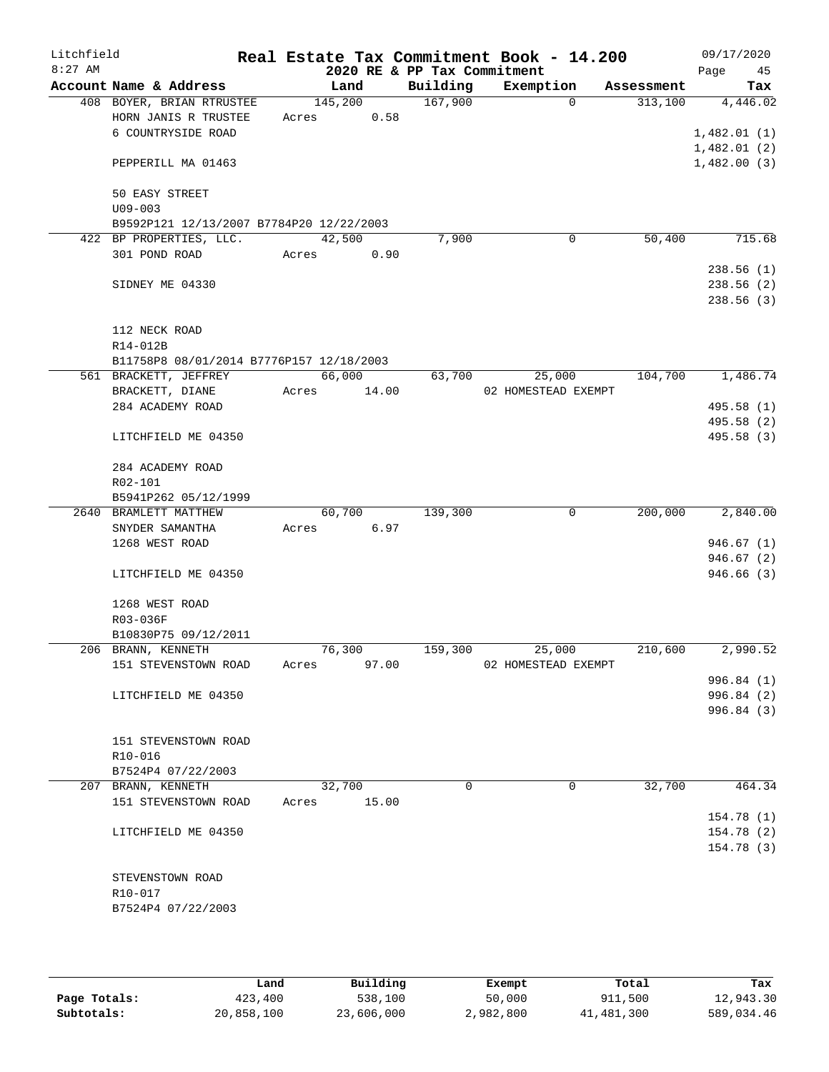| Litchfield |                                            |       |         |                             | Real Estate Tax Commitment Book - 14.200 |            | 09/17/2020  |
|------------|--------------------------------------------|-------|---------|-----------------------------|------------------------------------------|------------|-------------|
| $8:27$ AM  |                                            |       |         | 2020 RE & PP Tax Commitment |                                          |            | Page<br>45  |
|            | Account Name & Address                     |       | Land    | Building                    | Exemption                                | Assessment | Tax         |
|            | 408 BOYER, BRIAN RTRUSTEE                  |       | 145,200 | 167,900                     | 0                                        | 313,100    | 4,446.02    |
|            | HORN JANIS R TRUSTEE                       | Acres | 0.58    |                             |                                          |            |             |
|            | 6 COUNTRYSIDE ROAD                         |       |         |                             |                                          |            | 1,482.01(1) |
|            |                                            |       |         |                             |                                          |            | 1,482.01(2) |
|            | PEPPERILL MA 01463                         |       |         |                             |                                          |            | 1,482.00(3) |
|            |                                            |       |         |                             |                                          |            |             |
|            | 50 EASY STREET<br>$U09 - 003$              |       |         |                             |                                          |            |             |
|            | B9592P121 12/13/2007 B7784P20 12/22/2003   |       |         |                             |                                          |            |             |
|            | 422 BP PROPERTIES, LLC.                    |       | 42,500  | 7,900                       | 0                                        | 50,400     | 715.68      |
|            | 301 POND ROAD                              | Acres | 0.90    |                             |                                          |            |             |
|            |                                            |       |         |                             |                                          |            | 238.56(1)   |
|            | SIDNEY ME 04330                            |       |         |                             |                                          |            | 238.56 (2)  |
|            |                                            |       |         |                             |                                          |            | 238.56 (3)  |
|            |                                            |       |         |                             |                                          |            |             |
|            | 112 NECK ROAD                              |       |         |                             |                                          |            |             |
|            | R14-012B                                   |       |         |                             |                                          |            |             |
|            | B11758P8 08/01/2014 B7776P157 12/18/2003   |       |         |                             |                                          |            |             |
|            | 561 BRACKETT, JEFFREY                      |       | 66,000  | 63,700                      | 25,000                                   | 104,700    | 1,486.74    |
|            | BRACKETT, DIANE                            | Acres | 14.00   |                             | 02 HOMESTEAD EXEMPT                      |            |             |
|            | 284 ACADEMY ROAD                           |       |         |                             |                                          |            | 495.58 (1)  |
|            |                                            |       |         |                             |                                          |            | 495.58 (2)  |
|            | LITCHFIELD ME 04350                        |       |         |                             |                                          |            | 495.58 (3)  |
|            |                                            |       |         |                             |                                          |            |             |
|            | 284 ACADEMY ROAD                           |       |         |                             |                                          |            |             |
|            | R02-101                                    |       |         |                             |                                          |            |             |
|            | B5941P262 05/12/1999                       |       |         |                             |                                          |            |             |
|            | 2640 BRAMLETT MATTHEW                      |       | 60,700  | 139,300                     | 0                                        | 200,000    | 2,840.00    |
|            | SNYDER SAMANTHA                            | Acres | 6.97    |                             |                                          |            |             |
|            | 1268 WEST ROAD                             |       |         |                             |                                          |            | 946.67(1)   |
|            |                                            |       |         |                             |                                          |            | 946.67 (2)  |
|            | LITCHFIELD ME 04350                        |       |         |                             |                                          |            | 946.66 (3)  |
|            |                                            |       |         |                             |                                          |            |             |
|            | 1268 WEST ROAD                             |       |         |                             |                                          |            |             |
|            | R03-036F                                   |       |         |                             |                                          |            |             |
|            | B10830P75 09/12/2011<br>206 BRANN, KENNETH |       | 76,300  | 159,300                     | 25,000                                   | 210,600    | 2,990.52    |
|            | 151 STEVENSTOWN ROAD                       | Acres | 97.00   |                             | 02 HOMESTEAD EXEMPT                      |            |             |
|            |                                            |       |         |                             |                                          |            | 996.84(1)   |
|            | LITCHFIELD ME 04350                        |       |         |                             |                                          |            | 996.84(2)   |
|            |                                            |       |         |                             |                                          |            | 996.84(3)   |
|            |                                            |       |         |                             |                                          |            |             |
|            | 151 STEVENSTOWN ROAD                       |       |         |                             |                                          |            |             |
|            | R10-016                                    |       |         |                             |                                          |            |             |
|            | B7524P4 07/22/2003                         |       |         |                             |                                          |            |             |
|            | 207 BRANN, KENNETH                         |       | 32,700  | $\Omega$                    | $\Omega$                                 | 32,700     | 464.34      |
|            | 151 STEVENSTOWN ROAD                       | Acres | 15.00   |                             |                                          |            |             |
|            |                                            |       |         |                             |                                          |            | 154.78(1)   |
|            | LITCHFIELD ME 04350                        |       |         |                             |                                          |            | 154.78 (2)  |
|            |                                            |       |         |                             |                                          |            | 154.78 (3)  |
|            |                                            |       |         |                             |                                          |            |             |
|            | STEVENSTOWN ROAD                           |       |         |                             |                                          |            |             |
|            | R10-017                                    |       |         |                             |                                          |            |             |
|            | B7524P4 07/22/2003                         |       |         |                             |                                          |            |             |
|            |                                            |       |         |                             |                                          |            |             |
|            |                                            |       |         |                             |                                          |            |             |

|              | Land       | Building   | Exempt    | Total      | Tax        |
|--------------|------------|------------|-----------|------------|------------|
| Page Totals: | 423,400    | 538,100    | 50,000    | 911,500    | 12,943.30  |
| Subtotals:   | 20,858,100 | 23,606,000 | 2,982,800 | 41,481,300 | 589,034.46 |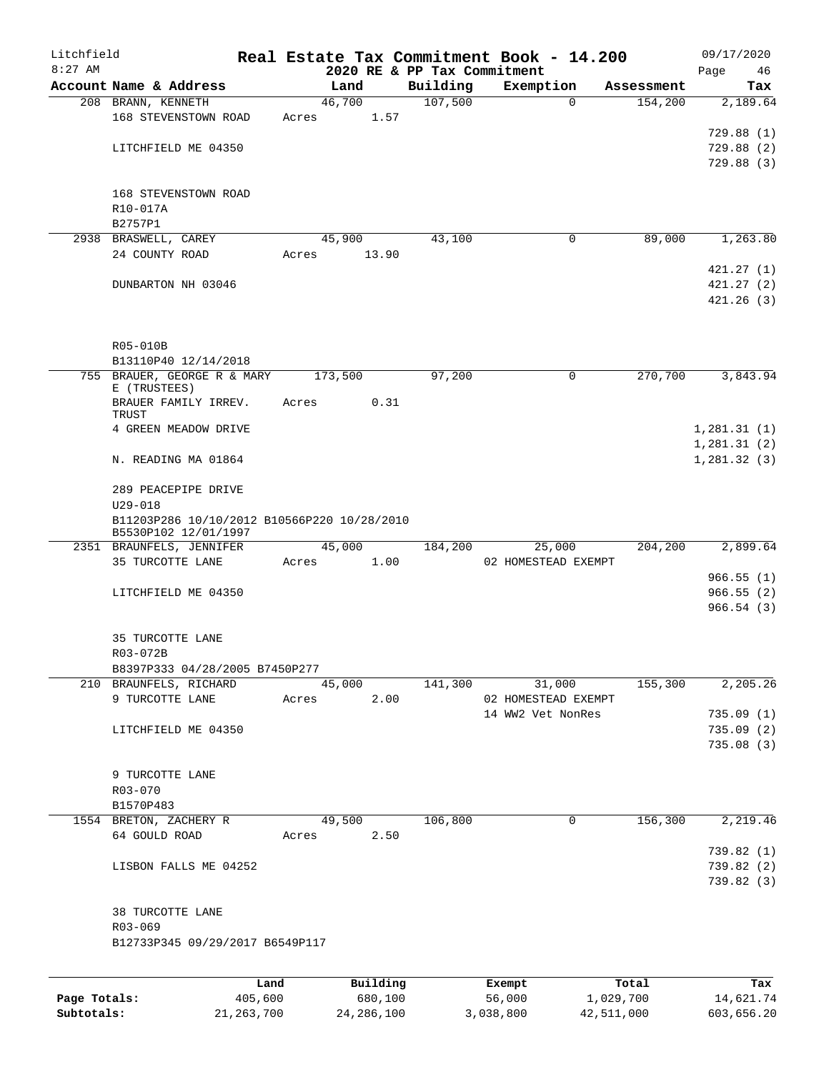| Litchfield<br>$8:27$ AM |                                                                     |       |          |         |                                         | Real Estate Tax Commitment Book - 14.200 |            | 09/17/2020                  |
|-------------------------|---------------------------------------------------------------------|-------|----------|---------|-----------------------------------------|------------------------------------------|------------|-----------------------------|
|                         | Account Name & Address                                              |       | Land     |         | 2020 RE & PP Tax Commitment<br>Building | Exemption                                | Assessment | Page<br>46<br>Tax           |
|                         | 208 BRANN, KENNETH                                                  |       | 46,700   |         | 107,500                                 | $\Omega$                                 | 154,200    | 2,189.64                    |
|                         | 168 STEVENSTOWN ROAD                                                | Acres |          | 1.57    |                                         |                                          |            |                             |
|                         |                                                                     |       |          |         |                                         |                                          |            | 729.88 (1)                  |
|                         | LITCHFIELD ME 04350                                                 |       |          |         |                                         |                                          |            | 729.88(2)                   |
|                         |                                                                     |       |          |         |                                         |                                          |            | 729.88 (3)                  |
|                         | 168 STEVENSTOWN ROAD                                                |       |          |         |                                         |                                          |            |                             |
|                         | R10-017A                                                            |       |          |         |                                         |                                          |            |                             |
|                         | B2757P1                                                             |       |          |         |                                         |                                          |            |                             |
|                         | 2938 BRASWELL, CAREY                                                |       | 45,900   |         | 43,100                                  | 0                                        | 89,000     | 1,263.80                    |
|                         | 24 COUNTY ROAD                                                      | Acres |          | 13.90   |                                         |                                          |            |                             |
|                         |                                                                     |       |          |         |                                         |                                          |            | 421.27(1)                   |
|                         | DUNBARTON NH 03046                                                  |       |          |         |                                         |                                          |            | 421.27(2)                   |
|                         |                                                                     |       |          |         |                                         |                                          |            | 421.26(3)                   |
|                         | R05-010B                                                            |       |          |         |                                         |                                          |            |                             |
|                         | B13110P40 12/14/2018                                                |       |          |         |                                         |                                          |            |                             |
|                         | 755 BRAUER, GEORGE R & MARY                                         |       | 173,500  |         | 97,200                                  | $\mathbf 0$                              | 270,700    | 3,843.94                    |
|                         | E (TRUSTEES)                                                        |       |          |         |                                         |                                          |            |                             |
|                         | BRAUER FAMILY IRREV.                                                | Acres |          | 0.31    |                                         |                                          |            |                             |
|                         | TRUST                                                               |       |          |         |                                         |                                          |            |                             |
|                         | 4 GREEN MEADOW DRIVE                                                |       |          |         |                                         |                                          |            | 1, 281.31(1)                |
|                         | N. READING MA 01864                                                 |       |          |         |                                         |                                          |            | 1, 281.31(2)<br>1,281.32(3) |
|                         | 289 PEACEPIPE DRIVE<br>$U29 - 018$                                  |       |          |         |                                         |                                          |            |                             |
|                         | B11203P286 10/10/2012 B10566P220 10/28/2010<br>B5530P102 12/01/1997 |       |          |         |                                         |                                          |            |                             |
|                         | 2351 BRAUNFELS, JENNIFER                                            |       | 45,000   |         | 184,200                                 | 25,000                                   | 204,200    | 2,899.64                    |
|                         | 35 TURCOTTE LANE                                                    | Acres |          | 1.00    |                                         | 02 HOMESTEAD EXEMPT                      |            |                             |
|                         |                                                                     |       |          |         |                                         |                                          |            | 966.55(1)                   |
|                         | LITCHFIELD ME 04350                                                 |       |          |         |                                         |                                          |            | 966.55(2)<br>966.54(3)      |
|                         | 35 TURCOTTE LANE                                                    |       |          |         |                                         |                                          |            |                             |
|                         | R03-072B                                                            |       |          |         |                                         |                                          |            |                             |
|                         | B8397P333 04/28/2005 B7450P277                                      |       |          |         |                                         |                                          |            |                             |
|                         | 210 BRAUNFELS, RICHARD                                              |       | 45,000   |         | 141,300                                 | 31,000                                   | 155,300    | 2,205.26                    |
|                         | 9 TURCOTTE LANE                                                     | Acres |          | 2.00    |                                         | 02 HOMESTEAD EXEMPT                      |            |                             |
|                         |                                                                     |       |          |         |                                         | 14 WW2 Vet NonRes                        |            | 735.09(1)                   |
|                         | LITCHFIELD ME 04350                                                 |       |          |         |                                         |                                          |            | 735.09(2)                   |
|                         |                                                                     |       |          |         |                                         |                                          |            | 735.08(3)                   |
|                         | 9 TURCOTTE LANE                                                     |       |          |         |                                         |                                          |            |                             |
|                         | R03-070                                                             |       |          |         |                                         |                                          |            |                             |
|                         | B1570P483                                                           |       |          |         |                                         |                                          |            |                             |
|                         | 1554 BRETON, ZACHERY R                                              |       | 49,500   |         | 106,800                                 | 0                                        | 156,300    | 2,219.46                    |
|                         | 64 GOULD ROAD                                                       | Acres |          | 2.50    |                                         |                                          |            |                             |
|                         |                                                                     |       |          |         |                                         |                                          |            | 739.82 (1)                  |
|                         | LISBON FALLS ME 04252                                               |       |          |         |                                         |                                          |            | 739.82 (2)                  |
|                         |                                                                     |       |          |         |                                         |                                          |            | 739.82(3)                   |
|                         | 38 TURCOTTE LANE                                                    |       |          |         |                                         |                                          |            |                             |
|                         | R03-069                                                             |       |          |         |                                         |                                          |            |                             |
|                         | B12733P345 09/29/2017 B6549P117                                     |       |          |         |                                         |                                          |            |                             |
|                         |                                                                     | Land  | Building |         |                                         | Exempt                                   | Total      | Tax                         |
| Page Totals:            | 405,600                                                             |       |          | 680,100 |                                         | 56,000                                   | 1,029,700  | 14,621.74                   |

**Subtotals:** 21,263,700 24,286,100 3,038,800 42,511,000 603,656.20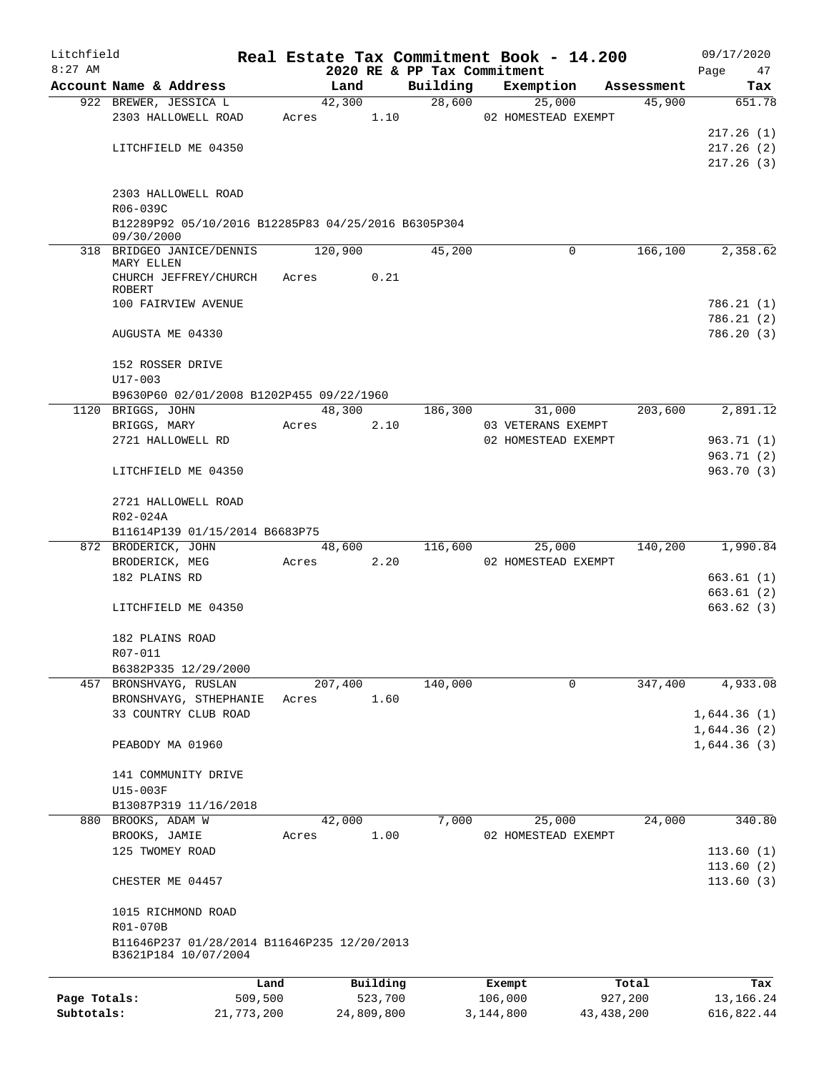| Litchfield   |                                                     |            |       |            |          | Real Estate Tax Commitment Book - 14.200 |           |                    |                     |              |      | 09/17/2020  |
|--------------|-----------------------------------------------------|------------|-------|------------|----------|------------------------------------------|-----------|--------------------|---------------------|--------------|------|-------------|
| $8:27$ AM    |                                                     |            |       |            |          | 2020 RE & PP Tax Commitment              |           |                    |                     |              | Page | 47          |
|              | Account Name & Address                              |            |       | Land       |          | Building                                 |           | Exemption          |                     | Assessment   |      | Tax         |
|              | 922 BREWER, JESSICA L                               |            |       | 42,300     |          | 28,600                                   |           | 25,000             |                     | 45,900       |      | 651.78      |
|              | 2303 HALLOWELL ROAD                                 |            | Acres |            | 1.10     |                                          |           |                    | 02 HOMESTEAD EXEMPT |              |      |             |
|              |                                                     |            |       |            |          |                                          |           |                    |                     |              |      | 217.26(1)   |
|              | LITCHFIELD ME 04350                                 |            |       |            |          |                                          |           |                    |                     |              |      | 217.26(2)   |
|              |                                                     |            |       |            |          |                                          |           |                    |                     |              |      | 217.26(3)   |
|              |                                                     |            |       |            |          |                                          |           |                    |                     |              |      |             |
|              | 2303 HALLOWELL ROAD<br>R06-039C                     |            |       |            |          |                                          |           |                    |                     |              |      |             |
|              | B12289P92 05/10/2016 B12285P83 04/25/2016 B6305P304 |            |       |            |          |                                          |           |                    |                     |              |      |             |
|              | 09/30/2000                                          |            |       |            |          |                                          |           |                    |                     |              |      |             |
|              | 318 BRIDGEO JANICE/DENNIS                           |            |       | 120,900    |          | 45,200                                   |           |                    | 0                   | 166,100      |      | 2,358.62    |
|              | MARY ELLEN                                          |            |       |            |          |                                          |           |                    |                     |              |      |             |
|              | CHURCH JEFFREY/CHURCH                               |            | Acres |            | 0.21     |                                          |           |                    |                     |              |      |             |
|              | ROBERT                                              |            |       |            |          |                                          |           |                    |                     |              |      |             |
|              | 100 FAIRVIEW AVENUE                                 |            |       |            |          |                                          |           |                    |                     |              |      | 786.21 (1)  |
|              |                                                     |            |       |            |          |                                          |           |                    |                     |              |      | 786.21(2)   |
|              | AUGUSTA ME 04330                                    |            |       |            |          |                                          |           |                    |                     |              |      | 786.20(3)   |
|              |                                                     |            |       |            |          |                                          |           |                    |                     |              |      |             |
|              | 152 ROSSER DRIVE<br>$U17 - 003$                     |            |       |            |          |                                          |           |                    |                     |              |      |             |
|              | B9630P60 02/01/2008 B1202P455 09/22/1960            |            |       |            |          |                                          |           |                    |                     |              |      |             |
|              | 1120 BRIGGS, JOHN                                   |            |       | 48,300     |          | 186,300                                  |           | 31,000             |                     | 203,600      |      | 2,891.12    |
|              | BRIGGS, MARY                                        |            | Acres |            | 2.10     |                                          |           | 03 VETERANS EXEMPT |                     |              |      |             |
|              | 2721 HALLOWELL RD                                   |            |       |            |          |                                          |           |                    | 02 HOMESTEAD EXEMPT |              |      | 963.71(1)   |
|              |                                                     |            |       |            |          |                                          |           |                    |                     |              |      | 963.71(2)   |
|              | LITCHFIELD ME 04350                                 |            |       |            |          |                                          |           |                    |                     |              |      | 963.70(3)   |
|              |                                                     |            |       |            |          |                                          |           |                    |                     |              |      |             |
|              | 2721 HALLOWELL ROAD                                 |            |       |            |          |                                          |           |                    |                     |              |      |             |
|              | R02-024A                                            |            |       |            |          |                                          |           |                    |                     |              |      |             |
|              | B11614P139 01/15/2014 B6683P75                      |            |       |            |          |                                          |           |                    |                     |              |      |             |
|              | 872 BRODERICK, JOHN                                 |            |       | 48,600     |          | 116,600                                  |           | 25,000             |                     | 140,200      |      | 1,990.84    |
|              | BRODERICK, MEG                                      |            | Acres |            | 2.20     |                                          |           |                    | 02 HOMESTEAD EXEMPT |              |      |             |
|              | 182 PLAINS RD                                       |            |       |            |          |                                          |           |                    |                     |              |      | 663.61 (1)  |
|              |                                                     |            |       |            |          |                                          |           |                    |                     |              |      | 663.61 (2)  |
|              | LITCHFIELD ME 04350                                 |            |       |            |          |                                          |           |                    |                     |              |      | 663.62(3)   |
|              |                                                     |            |       |            |          |                                          |           |                    |                     |              |      |             |
|              | 182 PLAINS ROAD                                     |            |       |            |          |                                          |           |                    |                     |              |      |             |
|              | R07-011                                             |            |       |            |          |                                          |           |                    |                     |              |      |             |
|              | B6382P335 12/29/2000                                |            |       |            |          |                                          |           |                    |                     |              |      |             |
|              | 457 BRONSHVAYG, RUSLAN                              |            |       | 207,400    |          | 140,000                                  |           |                    | 0                   | 347,400      |      | 4,933.08    |
|              | BRONSHVAYG, STHEPHANIE                              |            | Acres |            | 1.60     |                                          |           |                    |                     |              |      |             |
|              | 33 COUNTRY CLUB ROAD                                |            |       |            |          |                                          |           |                    |                     |              |      | 1,644.36(1) |
|              |                                                     |            |       |            |          |                                          |           |                    |                     |              |      | 1,644.36(2) |
|              | PEABODY MA 01960                                    |            |       |            |          |                                          |           |                    |                     |              |      | 1,644.36(3) |
|              |                                                     |            |       |            |          |                                          |           |                    |                     |              |      |             |
|              | 141 COMMUNITY DRIVE                                 |            |       |            |          |                                          |           |                    |                     |              |      |             |
|              | U15-003F                                            |            |       |            |          |                                          |           |                    |                     |              |      |             |
|              | B13087P319 11/16/2018                               |            |       |            |          |                                          |           |                    |                     |              |      |             |
|              | 880 BROOKS, ADAM W                                  |            |       | 42,000     |          | 7,000                                    |           | 25,000             |                     | 24,000       |      | 340.80      |
|              | BROOKS, JAMIE                                       |            | Acres |            | 1.00     |                                          |           |                    | 02 HOMESTEAD EXEMPT |              |      |             |
|              | 125 TWOMEY ROAD                                     |            |       |            |          |                                          |           |                    |                     |              |      | 113.60(1)   |
|              |                                                     |            |       |            |          |                                          |           |                    |                     |              |      | 113.60(2)   |
|              | CHESTER ME 04457                                    |            |       |            |          |                                          |           |                    |                     |              |      | 113.60(3)   |
|              |                                                     |            |       |            |          |                                          |           |                    |                     |              |      |             |
|              | 1015 RICHMOND ROAD                                  |            |       |            |          |                                          |           |                    |                     |              |      |             |
|              | R01-070B                                            |            |       |            |          |                                          |           |                    |                     |              |      |             |
|              | B11646P237 01/28/2014 B11646P235 12/20/2013         |            |       |            |          |                                          |           |                    |                     |              |      |             |
|              | B3621P184 10/07/2004                                |            |       |            |          |                                          |           |                    |                     |              |      |             |
|              |                                                     |            |       |            |          |                                          |           |                    |                     |              |      |             |
|              |                                                     | Land       |       |            | Building |                                          | Exempt    |                    |                     | Total        |      | Tax         |
| Page Totals: |                                                     | 509,500    |       |            | 523,700  |                                          | 106,000   |                    |                     | 927,200      |      | 13,166.24   |
| Subtotals:   |                                                     | 21,773,200 |       | 24,809,800 |          |                                          | 3,144,800 |                    |                     | 43, 438, 200 |      | 616,822.44  |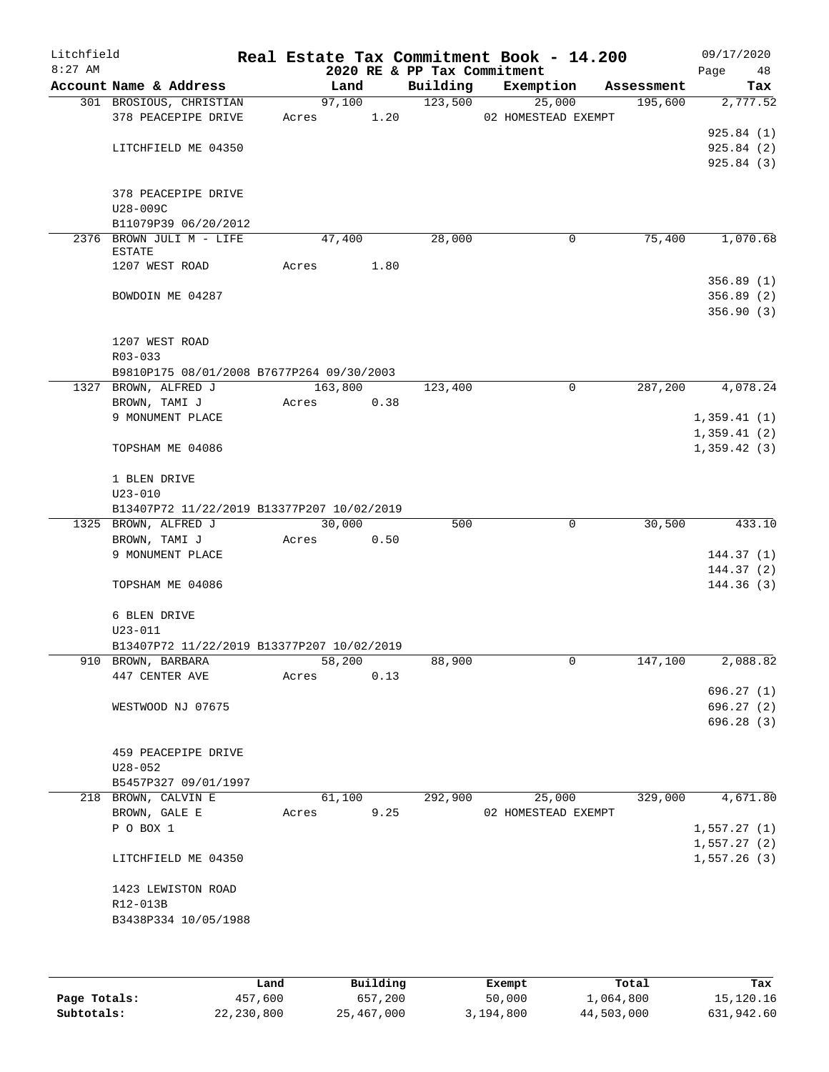| Litchfield<br>$8:27$ AM |                                            |       |         |      | 2020 RE & PP Tax Commitment | Real Estate Tax Commitment Book - 14.200 |            | 09/17/2020<br>Page<br>48 |
|-------------------------|--------------------------------------------|-------|---------|------|-----------------------------|------------------------------------------|------------|--------------------------|
|                         | Account Name & Address                     |       | Land    |      | Building                    | Exemption                                | Assessment | Tax                      |
|                         | 301 BROSIOUS, CHRISTIAN                    |       | 97,100  |      | 123,500                     | 25,000                                   | 195,600    | 2,777.52                 |
|                         | 378 PEACEPIPE DRIVE                        | Acres |         | 1.20 |                             | 02 HOMESTEAD EXEMPT                      |            |                          |
|                         |                                            |       |         |      |                             |                                          |            | 925.84(1)                |
|                         | LITCHFIELD ME 04350                        |       |         |      |                             |                                          |            | 925.84(2)                |
|                         |                                            |       |         |      |                             |                                          |            | 925.84(3)                |
|                         | 378 PEACEPIPE DRIVE                        |       |         |      |                             |                                          |            |                          |
|                         | U28-009C                                   |       |         |      |                             |                                          |            |                          |
|                         | B11079P39 06/20/2012                       |       |         |      |                             |                                          |            |                          |
|                         | 2376 BROWN JULI M - LIFE                   |       | 47,400  |      | 28,000                      | 0                                        | 75,400     | 1,070.68                 |
|                         | <b>ESTATE</b>                              |       |         |      |                             |                                          |            |                          |
|                         | 1207 WEST ROAD                             | Acres |         | 1.80 |                             |                                          |            |                          |
|                         |                                            |       |         |      |                             |                                          |            | 356.89(1)                |
|                         | BOWDOIN ME 04287                           |       |         |      |                             |                                          |            | 356.89(2)                |
|                         |                                            |       |         |      |                             |                                          |            | 356.90(3)                |
|                         | 1207 WEST ROAD                             |       |         |      |                             |                                          |            |                          |
|                         | R03-033                                    |       |         |      |                             |                                          |            |                          |
|                         | B9810P175 08/01/2008 B7677P264 09/30/2003  |       |         |      |                             |                                          |            |                          |
|                         | 1327 BROWN, ALFRED J                       |       | 163,800 |      | 123,400                     | $\mathbf 0$                              | 287,200    | 4,078.24                 |
|                         | BROWN, TAMI J                              | Acres |         | 0.38 |                             |                                          |            |                          |
|                         | 9 MONUMENT PLACE                           |       |         |      |                             |                                          |            | 1,359.41(1)              |
|                         |                                            |       |         |      |                             |                                          |            | 1,359.41(2)              |
|                         | TOPSHAM ME 04086                           |       |         |      |                             |                                          |            | 1,359.42(3)              |
|                         | 1 BLEN DRIVE                               |       |         |      |                             |                                          |            |                          |
|                         | $U23 - 010$                                |       |         |      |                             |                                          |            |                          |
|                         | B13407P72 11/22/2019 B13377P207 10/02/2019 |       |         |      |                             |                                          |            |                          |
|                         | 1325 BROWN, ALFRED J<br>BROWN, TAMI J      | Acres | 30,000  | 0.50 | 500                         | 0                                        | 30,500     | 433.10                   |
|                         | 9 MONUMENT PLACE                           |       |         |      |                             |                                          |            | 144.37(1)                |
|                         |                                            |       |         |      |                             |                                          |            | 144.37(2)                |
|                         | TOPSHAM ME 04086                           |       |         |      |                             |                                          |            | 144.36(3)                |
|                         | 6 BLEN DRIVE                               |       |         |      |                             |                                          |            |                          |
|                         | $U23 - 011$                                |       |         |      |                             |                                          |            |                          |
|                         | B13407P72 11/22/2019 B13377P207 10/02/2019 |       |         |      |                             |                                          |            |                          |
|                         | 910 BROWN, BARBARA                         |       | 58,200  |      | 88,900                      | 0                                        | 147,100    | 2,088.82                 |
|                         | 447 CENTER AVE                             | Acres |         | 0.13 |                             |                                          |            |                          |
|                         |                                            |       |         |      |                             |                                          |            | 696.27(1)                |
|                         | WESTWOOD NJ 07675                          |       |         |      |                             |                                          |            | 696.27(2)                |
|                         |                                            |       |         |      |                             |                                          |            | 696.28(3)                |
|                         | 459 PEACEPIPE DRIVE                        |       |         |      |                             |                                          |            |                          |
|                         | $U28 - 052$                                |       |         |      |                             |                                          |            |                          |
|                         | B5457P327 09/01/1997                       |       |         |      |                             |                                          |            |                          |
|                         | 218 BROWN, CALVIN E                        |       | 61,100  |      | 292,900                     | 25,000                                   | 329,000    | 4,671.80                 |
|                         | BROWN, GALE E                              | Acres |         | 9.25 |                             | 02 HOMESTEAD EXEMPT                      |            |                          |
|                         | P O BOX 1                                  |       |         |      |                             |                                          |            | 1,557.27(1)              |
|                         |                                            |       |         |      |                             |                                          |            | 1,557.27(2)              |
|                         | LITCHFIELD ME 04350                        |       |         |      |                             |                                          |            | 1,557.26(3)              |
|                         | 1423 LEWISTON ROAD                         |       |         |      |                             |                                          |            |                          |
|                         | R12-013B                                   |       |         |      |                             |                                          |            |                          |
|                         | B3438P334 10/05/1988                       |       |         |      |                             |                                          |            |                          |
|                         |                                            |       |         |      |                             |                                          |            |                          |
|                         |                                            |       |         |      |                             |                                          |            |                          |
|                         |                                            |       |         |      |                             |                                          |            |                          |

|              | Land       | Building   | Exempt    | Total      | Tax        |
|--------------|------------|------------|-----------|------------|------------|
| Page Totals: | 457,600    | 657,200    | 50,000    | 1,064,800  | 15,120.16  |
| Subtotals:   | 22,230,800 | 25,467,000 | 3,194,800 | 44,503,000 | 631,942.60 |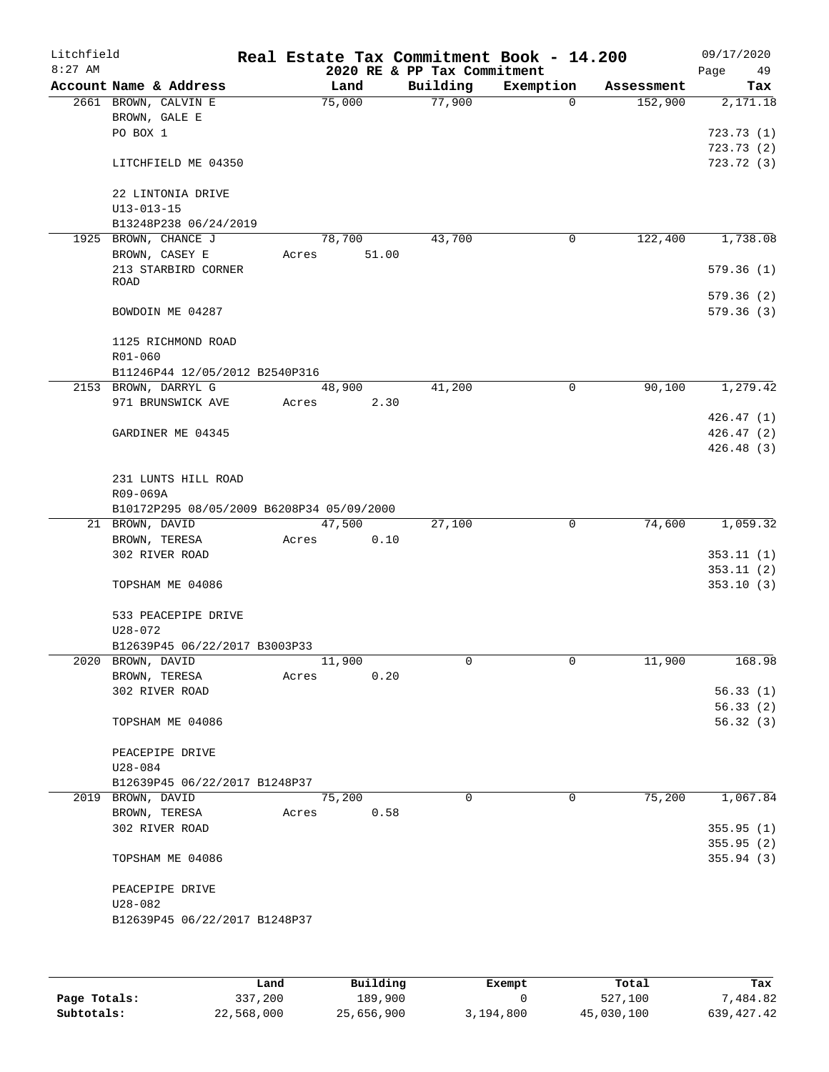| Litchfield<br>$8:27$ AM |                                           |       |        | 2020 RE & PP Tax Commitment | Real Estate Tax Commitment Book - 14.200 |            | 09/17/2020<br>49<br>Page |
|-------------------------|-------------------------------------------|-------|--------|-----------------------------|------------------------------------------|------------|--------------------------|
|                         | Account Name & Address                    |       | Land   | Building                    | Exemption                                | Assessment | Tax                      |
|                         | 2661 BROWN, CALVIN E                      |       | 75,000 | 77,900                      | $\Omega$                                 | 152,900    | 2,171.18                 |
|                         | BROWN, GALE E                             |       |        |                             |                                          |            |                          |
|                         | PO BOX 1                                  |       |        |                             |                                          |            | 723.73(1)                |
|                         |                                           |       |        |                             |                                          |            | 723.73(2)                |
|                         | LITCHFIELD ME 04350                       |       |        |                             |                                          |            | 723.72(3)                |
|                         |                                           |       |        |                             |                                          |            |                          |
|                         | 22 LINTONIA DRIVE<br>$U13 - 013 - 15$     |       |        |                             |                                          |            |                          |
|                         | B13248P238 06/24/2019                     |       |        |                             |                                          |            |                          |
|                         | 1925 BROWN, CHANCE J                      |       | 78,700 | 43,700                      | 0                                        | 122,400    | 1,738.08                 |
|                         | BROWN, CASEY E                            | Acres | 51.00  |                             |                                          |            |                          |
|                         | 213 STARBIRD CORNER                       |       |        |                             |                                          |            | 579.36(1)                |
|                         | <b>ROAD</b>                               |       |        |                             |                                          |            |                          |
|                         |                                           |       |        |                             |                                          |            | 579.36(2)                |
|                         | BOWDOIN ME 04287                          |       |        |                             |                                          |            | 579.36 (3)               |
|                         | 1125 RICHMOND ROAD                        |       |        |                             |                                          |            |                          |
|                         | R01-060                                   |       |        |                             |                                          |            |                          |
|                         | B11246P44 12/05/2012 B2540P316            |       |        |                             |                                          |            |                          |
|                         | 2153 BROWN, DARRYL G                      |       | 48,900 | 41,200                      | 0                                        | 90,100     | 1,279.42                 |
|                         | 971 BRUNSWICK AVE                         | Acres | 2.30   |                             |                                          |            |                          |
|                         |                                           |       |        |                             |                                          |            | 426.47(1)                |
|                         | GARDINER ME 04345                         |       |        |                             |                                          |            | 426.47(2)                |
|                         |                                           |       |        |                             |                                          |            | 426.48 (3)               |
|                         |                                           |       |        |                             |                                          |            |                          |
|                         | 231 LUNTS HILL ROAD                       |       |        |                             |                                          |            |                          |
|                         | R09-069A                                  |       |        |                             |                                          |            |                          |
|                         | B10172P295 08/05/2009 B6208P34 05/09/2000 |       |        |                             |                                          |            |                          |
|                         | 21 BROWN, DAVID                           |       | 47,500 | 27,100                      | $\mathbf 0$                              | 74,600     | 1,059.32                 |
|                         | BROWN, TERESA                             | Acres | 0.10   |                             |                                          |            |                          |
|                         | 302 RIVER ROAD                            |       |        |                             |                                          |            | 353.11(1)                |
|                         | TOPSHAM ME 04086                          |       |        |                             |                                          |            | 353.11(2)<br>353.10(3)   |
|                         |                                           |       |        |                             |                                          |            |                          |
|                         | 533 PEACEPIPE DRIVE                       |       |        |                             |                                          |            |                          |
|                         | U28-072                                   |       |        |                             |                                          |            |                          |
|                         | B12639P45 06/22/2017 B3003P33             |       |        |                             |                                          |            |                          |
|                         | 2020 BROWN, DAVID                         |       | 11,900 | 0                           | 0                                        | 11,900     | 168.98                   |
|                         | BROWN, TERESA                             | Acres | 0.20   |                             |                                          |            |                          |
|                         | 302 RIVER ROAD                            |       |        |                             |                                          |            | 56.33(1)                 |
|                         |                                           |       |        |                             |                                          |            | 56.33(2)                 |
|                         | TOPSHAM ME 04086                          |       |        |                             |                                          |            | 56.32(3)                 |
|                         |                                           |       |        |                             |                                          |            |                          |
|                         | PEACEPIPE DRIVE<br>$U28 - 084$            |       |        |                             |                                          |            |                          |
|                         | B12639P45 06/22/2017 B1248P37             |       |        |                             |                                          |            |                          |
|                         | 2019 BROWN, DAVID                         |       | 75,200 | $\Omega$                    | 0                                        | 75,200     | 1,067.84                 |
|                         | BROWN, TERESA                             | Acres | 0.58   |                             |                                          |            |                          |
|                         | 302 RIVER ROAD                            |       |        |                             |                                          |            | 355.95(1)                |
|                         |                                           |       |        |                             |                                          |            | 355.95(2)                |
|                         | TOPSHAM ME 04086                          |       |        |                             |                                          |            | 355.94(3)                |
|                         |                                           |       |        |                             |                                          |            |                          |
|                         | PEACEPIPE DRIVE                           |       |        |                             |                                          |            |                          |
|                         | $U28 - 082$                               |       |        |                             |                                          |            |                          |
|                         | B12639P45 06/22/2017 B1248P37             |       |        |                             |                                          |            |                          |
|                         |                                           |       |        |                             |                                          |            |                          |
|                         |                                           |       |        |                             |                                          |            |                          |

|              | Land       | Building   | Exempt    | Total      | Tax          |
|--------------|------------|------------|-----------|------------|--------------|
| Page Totals: | 337,200    | 189,900    |           | 527,100    | 7,484.82     |
| Subtotals:   | 22,568,000 | 25,656,900 | 3,194,800 | 45,030,100 | 639, 427. 42 |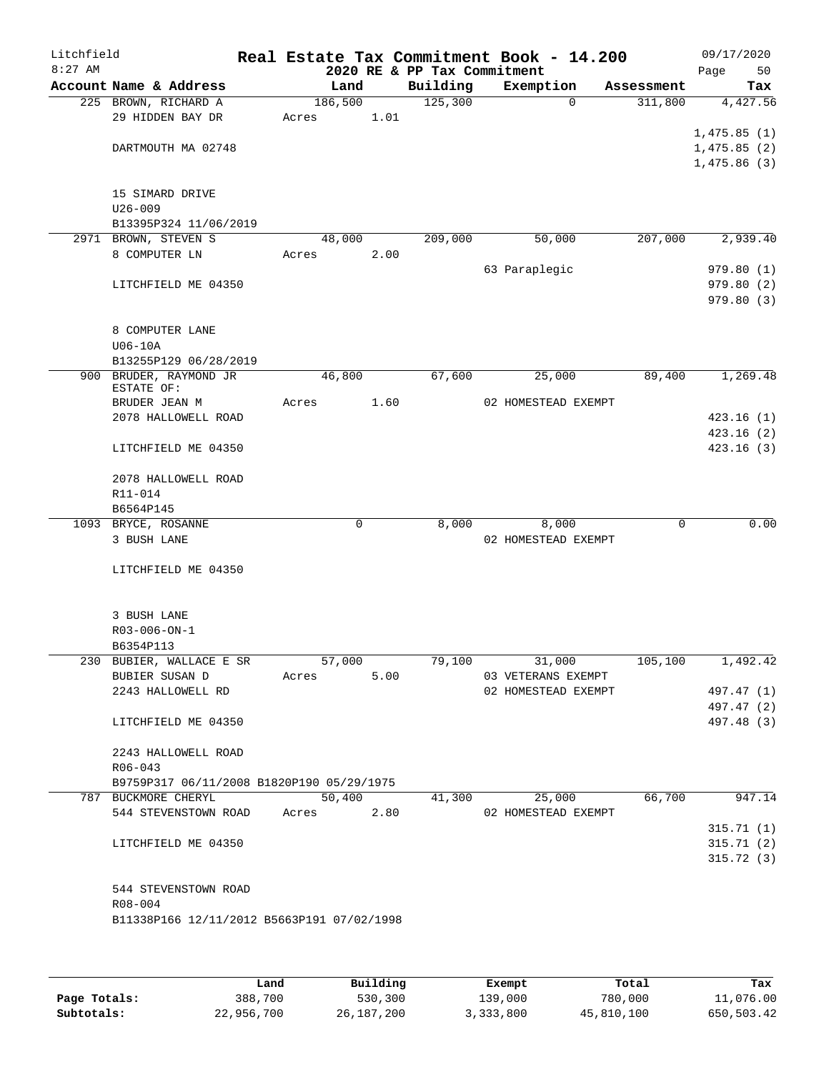| Litchfield<br>$8:27$ AM |                                             |                 |      | 2020 RE & PP Tax Commitment | Real Estate Tax Commitment Book - 14.200  |            | 09/17/2020<br>Page<br>50   |
|-------------------------|---------------------------------------------|-----------------|------|-----------------------------|-------------------------------------------|------------|----------------------------|
|                         | Account Name & Address                      | Land            |      | Building                    | Exemption                                 | Assessment | Tax                        |
|                         | 225 BROWN, RICHARD A                        | 186,500         |      | 125,300                     | $\Omega$                                  | 311,800    | 4,427.56                   |
|                         | 29 HIDDEN BAY DR                            | Acres           | 1.01 |                             |                                           |            |                            |
|                         |                                             |                 |      |                             |                                           |            | 1,475.85(1)                |
|                         | DARTMOUTH MA 02748                          |                 |      |                             |                                           |            | 1,475.85(2)<br>1,475.86(3) |
|                         |                                             |                 |      |                             |                                           |            |                            |
|                         | 15 SIMARD DRIVE                             |                 |      |                             |                                           |            |                            |
|                         | $U26 - 009$                                 |                 |      |                             |                                           |            |                            |
|                         | B13395P324 11/06/2019                       |                 |      |                             |                                           |            |                            |
|                         | 2971 BROWN, STEVEN S                        | 48,000          |      | 209,000                     | 50,000                                    | 207,000    | 2,939.40                   |
|                         | 8 COMPUTER LN                               | Acres           | 2.00 |                             |                                           |            |                            |
|                         | LITCHFIELD ME 04350                         |                 |      |                             | 63 Paraplegic                             |            | 979.80(1)<br>979.80 (2)    |
|                         |                                             |                 |      |                             |                                           |            | 979.80 (3)                 |
|                         |                                             |                 |      |                             |                                           |            |                            |
|                         | 8 COMPUTER LANE                             |                 |      |                             |                                           |            |                            |
|                         | $U06-10A$                                   |                 |      |                             |                                           |            |                            |
|                         | B13255P129 06/28/2019                       |                 |      |                             |                                           |            |                            |
|                         | 900 BRUDER, RAYMOND JR<br>ESTATE OF:        | 46,800          |      | 67,600                      | 25,000                                    | 89,400     | 1,269.48                   |
|                         | BRUDER JEAN M                               | Acres           | 1.60 |                             | 02 HOMESTEAD EXEMPT                       |            |                            |
|                         | 2078 HALLOWELL ROAD                         |                 |      |                             |                                           |            | 423.16(1)                  |
|                         |                                             |                 |      |                             |                                           |            | 423.16(2)                  |
|                         | LITCHFIELD ME 04350                         |                 |      |                             |                                           |            | 423.16(3)                  |
|                         |                                             |                 |      |                             |                                           |            |                            |
|                         | 2078 HALLOWELL ROAD<br>R11-014              |                 |      |                             |                                           |            |                            |
|                         | B6564P145                                   |                 |      |                             |                                           |            |                            |
|                         | 1093 BRYCE, ROSANNE                         | 0               |      | 8,000                       | 8,000                                     | 0          | 0.00                       |
|                         | 3 BUSH LANE                                 |                 |      |                             | 02 HOMESTEAD EXEMPT                       |            |                            |
|                         |                                             |                 |      |                             |                                           |            |                            |
|                         | LITCHFIELD ME 04350                         |                 |      |                             |                                           |            |                            |
|                         |                                             |                 |      |                             |                                           |            |                            |
|                         | 3 BUSH LANE                                 |                 |      |                             |                                           |            |                            |
|                         | $R03 - 006 - ON - 1$                        |                 |      |                             |                                           |            |                            |
|                         | B6354P113                                   |                 |      |                             |                                           |            |                            |
|                         | 230 BUBIER, WALLACE E SR                    | 57,000          |      | 79,100                      | 31,000                                    | 105,100    | 1,492.42                   |
|                         | BUBIER SUSAN D<br>2243 HALLOWELL RD         | Acres           | 5.00 |                             | 03 VETERANS EXEMPT<br>02 HOMESTEAD EXEMPT |            | 497.47 (1)                 |
|                         |                                             |                 |      |                             |                                           |            | 497.47 (2)                 |
|                         | LITCHFIELD ME 04350                         |                 |      |                             |                                           |            | 497.48 (3)                 |
|                         |                                             |                 |      |                             |                                           |            |                            |
|                         | 2243 HALLOWELL ROAD                         |                 |      |                             |                                           |            |                            |
|                         | $R06 - 043$                                 |                 |      |                             |                                           |            |                            |
|                         | B9759P317 06/11/2008 B1820P190 05/29/1975   |                 |      |                             |                                           |            |                            |
|                         | 787 BUCKMORE CHERYL<br>544 STEVENSTOWN ROAD | 50,400<br>Acres | 2.80 | 41,300                      | 25,000<br>02 HOMESTEAD EXEMPT             | 66,700     | 947.14                     |
|                         |                                             |                 |      |                             |                                           |            | 315.71(1)                  |
|                         | LITCHFIELD ME 04350                         |                 |      |                             |                                           |            | 315.71(2)                  |
|                         |                                             |                 |      |                             |                                           |            | 315.72(3)                  |
|                         |                                             |                 |      |                             |                                           |            |                            |
|                         | 544 STEVENSTOWN ROAD                        |                 |      |                             |                                           |            |                            |
|                         | R08-004                                     |                 |      |                             |                                           |            |                            |
|                         | B11338P166 12/11/2012 B5663P191 07/02/1998  |                 |      |                             |                                           |            |                            |
|                         |                                             |                 |      |                             |                                           |            |                            |

|              | Land       | Building   | Exempt    | Total      | Tax        |
|--------------|------------|------------|-----------|------------|------------|
| Page Totals: | 388,700    | 530,300    | 139,000   | 780,000    | 11,076.00  |
| Subtotals:   | 22,956,700 | 26,187,200 | 3,333,800 | 45,810,100 | 650,503.42 |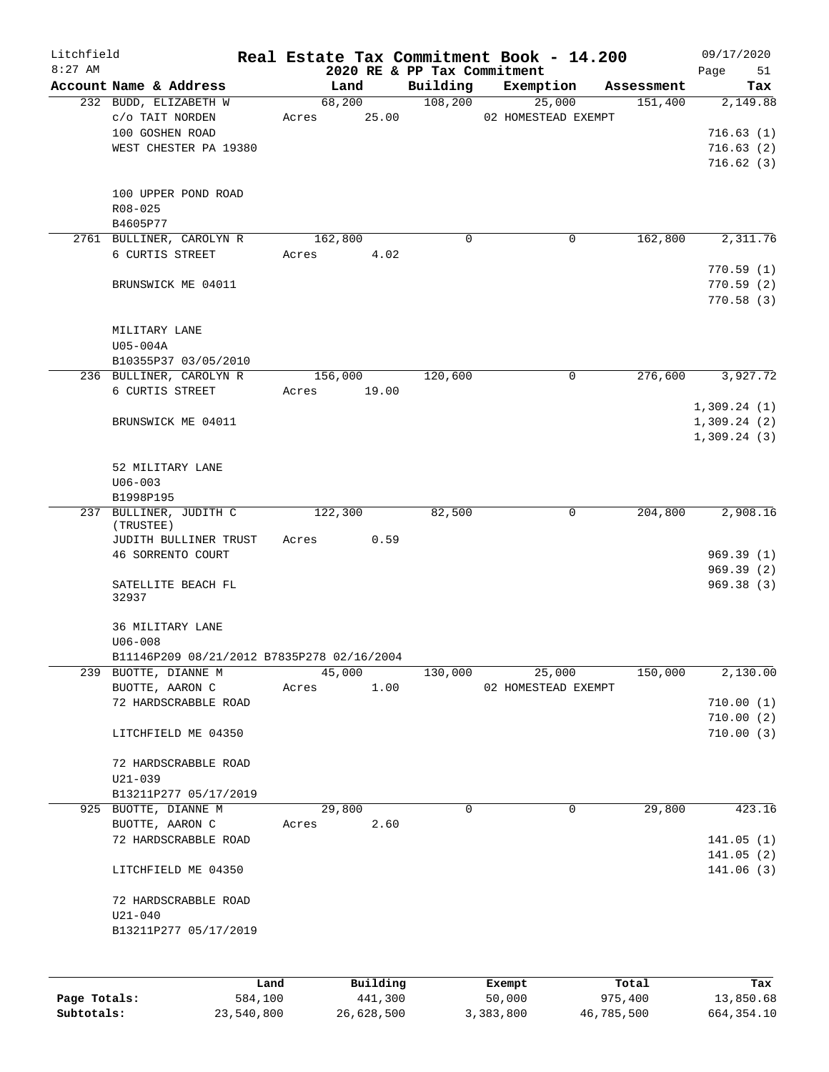| Litchfield<br>$8:27$ AM |                                            |       |          | 2020 RE & PP Tax Commitment | Real Estate Tax Commitment Book - 14.200 |            | 09/17/2020<br>Page<br>51 |
|-------------------------|--------------------------------------------|-------|----------|-----------------------------|------------------------------------------|------------|--------------------------|
|                         | Account Name & Address                     |       | Land     | Building                    | Exemption                                | Assessment | Tax                      |
|                         | 232 BUDD, ELIZABETH W                      |       | 68,200   | 108,200                     | 25,000                                   | 151,400    | 2,149.88                 |
|                         | c/o TAIT NORDEN                            | Acres | 25.00    |                             | 02 HOMESTEAD EXEMPT                      |            |                          |
|                         | 100 GOSHEN ROAD                            |       |          |                             |                                          |            | 716.63(1)                |
|                         | WEST CHESTER PA 19380                      |       |          |                             |                                          |            | 716.63(2)                |
|                         |                                            |       |          |                             |                                          |            | 716.62(3)                |
|                         | 100 UPPER POND ROAD                        |       |          |                             |                                          |            |                          |
|                         | R08-025                                    |       |          |                             |                                          |            |                          |
|                         | B4605P77                                   |       |          |                             |                                          |            |                          |
|                         | 2761 BULLINER, CAROLYN R                   |       | 162,800  | 0                           | 0                                        | 162,800    | 2,311.76                 |
|                         | 6 CURTIS STREET                            | Acres | 4.02     |                             |                                          |            |                          |
|                         |                                            |       |          |                             |                                          |            | 770.59(1)                |
|                         | BRUNSWICK ME 04011                         |       |          |                             |                                          |            | 770.59(2)                |
|                         |                                            |       |          |                             |                                          |            | 770.58(3)                |
|                         |                                            |       |          |                             |                                          |            |                          |
|                         | MILITARY LANE                              |       |          |                             |                                          |            |                          |
|                         | U05-004A<br>B10355P37 03/05/2010           |       |          |                             |                                          |            |                          |
|                         | 236 BULLINER, CAROLYN R                    |       | 156,000  | 120,600                     | 0                                        | 276,600    | 3,927.72                 |
|                         | 6 CURTIS STREET                            | Acres | 19.00    |                             |                                          |            |                          |
|                         |                                            |       |          |                             |                                          |            | 1,309.24(1)              |
|                         | BRUNSWICK ME 04011                         |       |          |                             |                                          |            | 1,309.24(2)              |
|                         |                                            |       |          |                             |                                          |            | 1,309.24(3)              |
|                         |                                            |       |          |                             |                                          |            |                          |
|                         | 52 MILITARY LANE                           |       |          |                             |                                          |            |                          |
|                         | $U06 - 003$                                |       |          |                             |                                          |            |                          |
|                         | B1998P195                                  |       |          |                             |                                          |            |                          |
|                         | 237 BULLINER, JUDITH C<br>(TRUSTEE)        |       | 122,300  | 82,500                      | 0                                        | 204,800    | 2,908.16                 |
|                         | JUDITH BULLINER TRUST                      | Acres | 0.59     |                             |                                          |            |                          |
|                         | 46 SORRENTO COURT                          |       |          |                             |                                          |            | 969.39(1)                |
|                         |                                            |       |          |                             |                                          |            | 969.39(2)                |
|                         | SATELLITE BEACH FL                         |       |          |                             |                                          |            | 969.38(3)                |
|                         | 32937                                      |       |          |                             |                                          |            |                          |
|                         | 36 MILITARY LANE                           |       |          |                             |                                          |            |                          |
|                         | $U06 - 008$                                |       |          |                             |                                          |            |                          |
|                         | B11146P209 08/21/2012 B7835P278 02/16/2004 |       |          |                             |                                          |            |                          |
|                         | 239 BUOTTE, DIANNE M                       |       | 45,000   | 130,000                     | 25,000                                   | 150,000    | 2,130.00                 |
|                         | BUOTTE, AARON C                            | Acres | 1.00     |                             | 02 HOMESTEAD EXEMPT                      |            |                          |
|                         | 72 HARDSCRABBLE ROAD                       |       |          |                             |                                          |            | 710.00(1)                |
|                         |                                            |       |          |                             |                                          |            | 710.00(2)                |
|                         | LITCHFIELD ME 04350                        |       |          |                             |                                          |            | 710.00(3)                |
|                         | 72 HARDSCRABBLE ROAD                       |       |          |                             |                                          |            |                          |
|                         | $U21 - 039$                                |       |          |                             |                                          |            |                          |
|                         | B13211P277 05/17/2019                      |       |          |                             |                                          |            |                          |
|                         | 925 BUOTTE, DIANNE M                       |       | 29,800   | 0                           | $\mathbf 0$                              | 29,800     | 423.16                   |
|                         | BUOTTE, AARON C                            | Acres | 2.60     |                             |                                          |            |                          |
|                         | 72 HARDSCRABBLE ROAD                       |       |          |                             |                                          |            | 141.05(1)                |
|                         |                                            |       |          |                             |                                          |            | 141.05(2)                |
|                         | LITCHFIELD ME 04350                        |       |          |                             |                                          |            | 141.06(3)                |
|                         |                                            |       |          |                             |                                          |            |                          |
|                         | 72 HARDSCRABBLE ROAD<br>$U21 - 040$        |       |          |                             |                                          |            |                          |
|                         | B13211P277 05/17/2019                      |       |          |                             |                                          |            |                          |
|                         |                                            |       |          |                             |                                          |            |                          |
|                         |                                            |       |          |                             |                                          |            |                          |
|                         | Land                                       |       | Building |                             | Exempt                                   | Total      | Tax                      |
| Page Totals:            | 584,100                                    |       | 441,300  |                             | 50,000                                   | 975,400    | 13,850.68                |

**Subtotals:** 23,540,800 26,628,500 3,383,800 46,785,500 664,354.10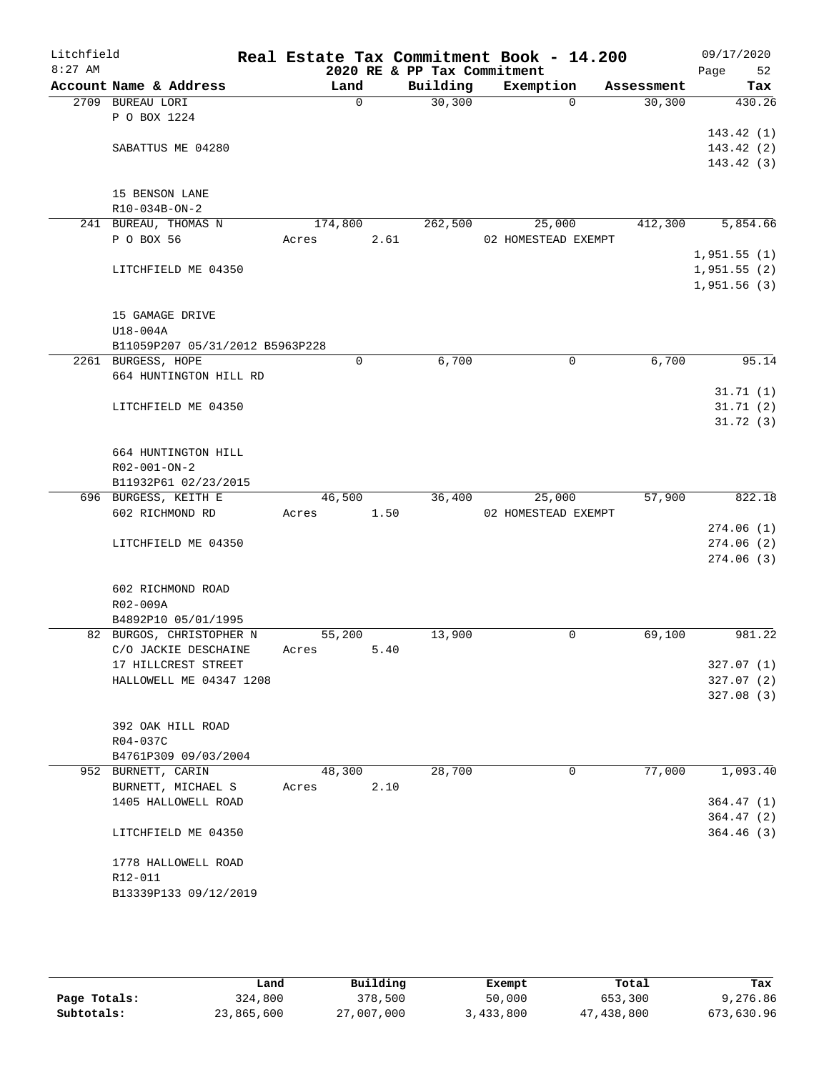| Litchfield |                                 |       |          |      | Real Estate Tax Commitment Book - 14.200 |                     |            |      | 09/17/2020  |
|------------|---------------------------------|-------|----------|------|------------------------------------------|---------------------|------------|------|-------------|
| $8:27$ AM  | Account Name & Address          |       | Land     |      | 2020 RE & PP Tax Commitment<br>Building  | Exemption           | Assessment | Page | 52<br>Tax   |
|            | 2709 BUREAU LORI                |       | $\Omega$ |      | 30, 300                                  | $\Omega$            | 30,300     |      | 430.26      |
|            | P O BOX 1224                    |       |          |      |                                          |                     |            |      |             |
|            |                                 |       |          |      |                                          |                     |            |      | 143.42(1)   |
|            | SABATTUS ME 04280               |       |          |      |                                          |                     |            |      | 143.42(2)   |
|            |                                 |       |          |      |                                          |                     |            |      | 143.42(3)   |
|            |                                 |       |          |      |                                          |                     |            |      |             |
|            | 15 BENSON LANE                  |       |          |      |                                          |                     |            |      |             |
|            | R10-034B-ON-2                   |       |          |      |                                          |                     |            |      |             |
|            | 241 BUREAU, THOMAS N            |       | 174,800  |      | 262,500                                  | 25,000              | 412,300    |      | 5,854.66    |
|            | P O BOX 56                      | Acres |          | 2.61 |                                          | 02 HOMESTEAD EXEMPT |            |      |             |
|            |                                 |       |          |      |                                          |                     |            |      | 1,951.55(1) |
|            | LITCHFIELD ME 04350             |       |          |      |                                          |                     |            |      | 1,951.55(2) |
|            |                                 |       |          |      |                                          |                     |            |      | 1,951.56(3) |
|            | 15 GAMAGE DRIVE                 |       |          |      |                                          |                     |            |      |             |
|            | $U18-004A$                      |       |          |      |                                          |                     |            |      |             |
|            | B11059P207 05/31/2012 B5963P228 |       |          |      |                                          |                     |            |      |             |
|            | 2261 BURGESS, HOPE              |       | 0        |      | 6,700                                    | $\mathbf 0$         | 6,700      |      | 95.14       |
|            | 664 HUNTINGTON HILL RD          |       |          |      |                                          |                     |            |      |             |
|            |                                 |       |          |      |                                          |                     |            |      | 31.71(1)    |
|            | LITCHFIELD ME 04350             |       |          |      |                                          |                     |            |      | 31.71(2)    |
|            |                                 |       |          |      |                                          |                     |            |      | 31.72(3)    |
|            |                                 |       |          |      |                                          |                     |            |      |             |
|            | 664 HUNTINGTON HILL             |       |          |      |                                          |                     |            |      |             |
|            | R02-001-ON-2                    |       |          |      |                                          |                     |            |      |             |
|            | B11932P61 02/23/2015            |       |          |      |                                          |                     |            |      |             |
|            | 696 BURGESS, KEITH E            |       | 46,500   |      | 36,400                                   | 25,000              | 57,900     |      | 822.18      |
|            | 602 RICHMOND RD                 | Acres |          | 1.50 |                                          | 02 HOMESTEAD EXEMPT |            |      |             |
|            |                                 |       |          |      |                                          |                     |            |      | 274.06(1)   |
|            | LITCHFIELD ME 04350             |       |          |      |                                          |                     |            |      | 274.06(2)   |
|            |                                 |       |          |      |                                          |                     |            |      | 274.06(3)   |
|            | 602 RICHMOND ROAD               |       |          |      |                                          |                     |            |      |             |
|            | R02-009A                        |       |          |      |                                          |                     |            |      |             |
|            | B4892P10 05/01/1995             |       |          |      |                                          |                     |            |      |             |
|            | 82 BURGOS, CHRISTOPHER N        |       | 55,200   |      | 13,900                                   | 0                   | 69,100     |      | 981.22      |
|            | C/O JACKIE DESCHAINE            | Acres |          | 5.40 |                                          |                     |            |      |             |
|            | 17 HILLCREST STREET             |       |          |      |                                          |                     |            |      | 327.07(1)   |
|            | HALLOWELL ME 04347 1208         |       |          |      |                                          |                     |            |      | 327.07(2)   |
|            |                                 |       |          |      |                                          |                     |            |      | 327.08(3)   |
|            |                                 |       |          |      |                                          |                     |            |      |             |
|            | 392 OAK HILL ROAD               |       |          |      |                                          |                     |            |      |             |
|            | R04-037C                        |       |          |      |                                          |                     |            |      |             |
|            | B4761P309 09/03/2004            |       |          |      |                                          |                     |            |      |             |
|            | 952 BURNETT, CARIN              |       | 48,300   |      | 28,700                                   | $\mathbf 0$         | 77,000     |      | 1,093.40    |
|            | BURNETT, MICHAEL S              | Acres |          | 2.10 |                                          |                     |            |      |             |
|            | 1405 HALLOWELL ROAD             |       |          |      |                                          |                     |            |      | 364.47(1)   |
|            |                                 |       |          |      |                                          |                     |            |      | 364.47(2)   |
|            | LITCHFIELD ME 04350             |       |          |      |                                          |                     |            |      | 364.46(3)   |
|            |                                 |       |          |      |                                          |                     |            |      |             |
|            | 1778 HALLOWELL ROAD<br>R12-011  |       |          |      |                                          |                     |            |      |             |
|            | B13339P133 09/12/2019           |       |          |      |                                          |                     |            |      |             |
|            |                                 |       |          |      |                                          |                     |            |      |             |
|            |                                 |       |          |      |                                          |                     |            |      |             |

|              | Land       | Building   | Exempt    | Total      | Tax        |
|--------------|------------|------------|-----------|------------|------------|
| Page Totals: | 324,800    | 378,500    | 50,000    | 653,300    | 9,276.86   |
| Subtotals:   | 23,865,600 | 27,007,000 | 3,433,800 | 47,438,800 | 673,630.96 |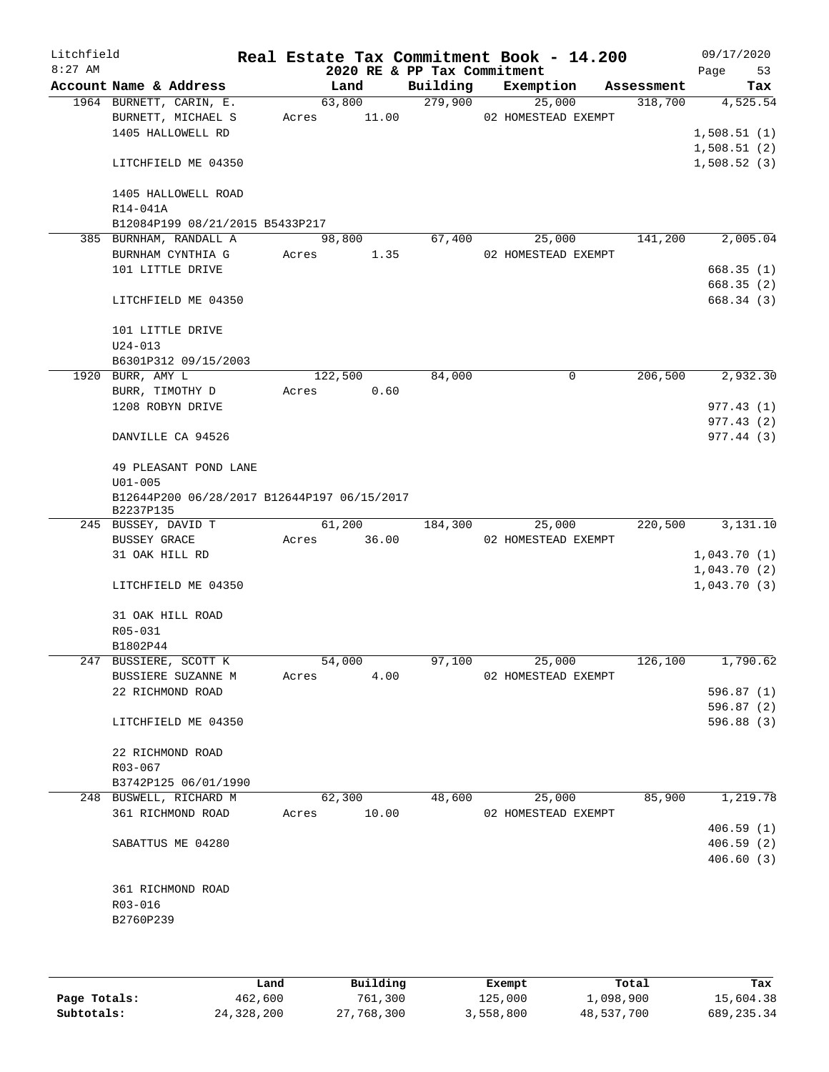| Litchfield<br>$8:27$ AM |                                                          |                | 2020 RE & PP Tax Commitment | Real Estate Tax Commitment Book - 14.200 |            | 09/17/2020<br>Page<br>53 |
|-------------------------|----------------------------------------------------------|----------------|-----------------------------|------------------------------------------|------------|--------------------------|
|                         | Account Name & Address                                   | Land           | Building                    | Exemption                                | Assessment | Tax                      |
|                         | 1964 BURNETT, CARIN, E.                                  | 63,800         | 279,900                     | 25,000                                   | 318,700    | 4,525.54                 |
|                         | BURNETT, MICHAEL S                                       | 11.00<br>Acres |                             | 02 HOMESTEAD EXEMPT                      |            |                          |
|                         | 1405 HALLOWELL RD                                        |                |                             |                                          |            | 1,508.51(1)              |
|                         |                                                          |                |                             |                                          |            | 1,508.51(2)              |
|                         | LITCHFIELD ME 04350                                      |                |                             |                                          |            | 1,508.52(3)              |
|                         | 1405 HALLOWELL ROAD                                      |                |                             |                                          |            |                          |
|                         | R14-041A                                                 |                |                             |                                          |            |                          |
|                         | B12084P199 08/21/2015 B5433P217                          |                |                             |                                          |            |                          |
|                         | 385 BURNHAM, RANDALL A                                   | 98,800         | 67,400                      | 25,000                                   | 141,200    | 2,005.04                 |
|                         | BURNHAM CYNTHIA G                                        | Acres<br>1.35  |                             | 02 HOMESTEAD EXEMPT                      |            |                          |
|                         | 101 LITTLE DRIVE                                         |                |                             |                                          |            | 668.35(1)                |
|                         | LITCHFIELD ME 04350                                      |                |                             |                                          |            | 668.35(2)<br>668.34 (3)  |
|                         | 101 LITTLE DRIVE                                         |                |                             |                                          |            |                          |
|                         | $U24 - 013$                                              |                |                             |                                          |            |                          |
|                         | B6301P312 09/15/2003                                     |                |                             |                                          |            |                          |
|                         | 1920 BURR, AMY L                                         | 122,500        | 84,000                      | 0                                        | 206,500    | 2,932.30                 |
|                         | BURR, TIMOTHY D                                          | 0.60<br>Acres  |                             |                                          |            |                          |
|                         | 1208 ROBYN DRIVE                                         |                |                             |                                          |            | 977.43(1)                |
|                         |                                                          |                |                             |                                          |            | 977.43(2)                |
|                         | DANVILLE CA 94526                                        |                |                             |                                          |            | 977.44(3)                |
|                         | 49 PLEASANT POND LANE                                    |                |                             |                                          |            |                          |
|                         | $U01 - 005$                                              |                |                             |                                          |            |                          |
|                         | B12644P200 06/28/2017 B12644P197 06/15/2017<br>B2237P135 |                |                             |                                          |            |                          |
|                         | 245 BUSSEY, DAVID T                                      | 61,200         | 184,300                     | 25,000                                   | 220,500    | 3,131.10                 |
|                         | <b>BUSSEY GRACE</b>                                      | 36.00<br>Acres |                             | 02 HOMESTEAD EXEMPT                      |            |                          |
|                         | 31 OAK HILL RD                                           |                |                             |                                          |            | 1,043.70(1)              |
|                         |                                                          |                |                             |                                          |            | 1,043.70(2)              |
|                         | LITCHFIELD ME 04350                                      |                |                             |                                          |            | 1,043.70(3)              |
|                         | 31 OAK HILL ROAD                                         |                |                             |                                          |            |                          |
|                         | R05-031                                                  |                |                             |                                          |            |                          |
|                         | B1802P44                                                 |                |                             |                                          |            |                          |
|                         | 247 BUSSIERE, SCOTT K                                    | 54,000         | 97,100                      | 25,000                                   | 126,100    | 1,790.62                 |
|                         | BUSSIERE SUZANNE M                                       | Acres<br>4.00  |                             | 02 HOMESTEAD EXEMPT                      |            |                          |
|                         | 22 RICHMOND ROAD                                         |                |                             |                                          |            | 596.87(1)                |
|                         | LITCHFIELD ME 04350                                      |                |                             |                                          |            | 596.87(2)<br>596.88 (3)  |
|                         |                                                          |                |                             |                                          |            |                          |
|                         | 22 RICHMOND ROAD                                         |                |                             |                                          |            |                          |
|                         | R03-067                                                  |                |                             |                                          |            |                          |
|                         | B3742P125 06/01/1990                                     |                |                             |                                          |            |                          |
|                         | 248 BUSWELL, RICHARD M                                   | 62,300         | 48,600                      | 25,000                                   | 85,900     | 1,219.78                 |
|                         | 361 RICHMOND ROAD                                        | 10.00<br>Acres |                             | 02 HOMESTEAD EXEMPT                      |            |                          |
|                         |                                                          |                |                             |                                          |            | 406.59(1)                |
|                         | SABATTUS ME 04280                                        |                |                             |                                          |            | 406.59(2)                |
|                         |                                                          |                |                             |                                          |            | 406.60(3)                |
|                         | 361 RICHMOND ROAD                                        |                |                             |                                          |            |                          |
|                         | R03-016                                                  |                |                             |                                          |            |                          |
|                         | B2760P239                                                |                |                             |                                          |            |                          |
|                         |                                                          |                |                             |                                          |            |                          |
|                         |                                                          |                |                             |                                          |            |                          |

|              | Land       | Building   | Exempt    | Total      | Tax         |
|--------------|------------|------------|-----------|------------|-------------|
| Page Totals: | 462,600    | 761,300    | 125,000   | 1,098,900  | 15,604.38   |
| Subtotals:   | 24,328,200 | 27,768,300 | 3,558,800 | 48,537,700 | 689, 235.34 |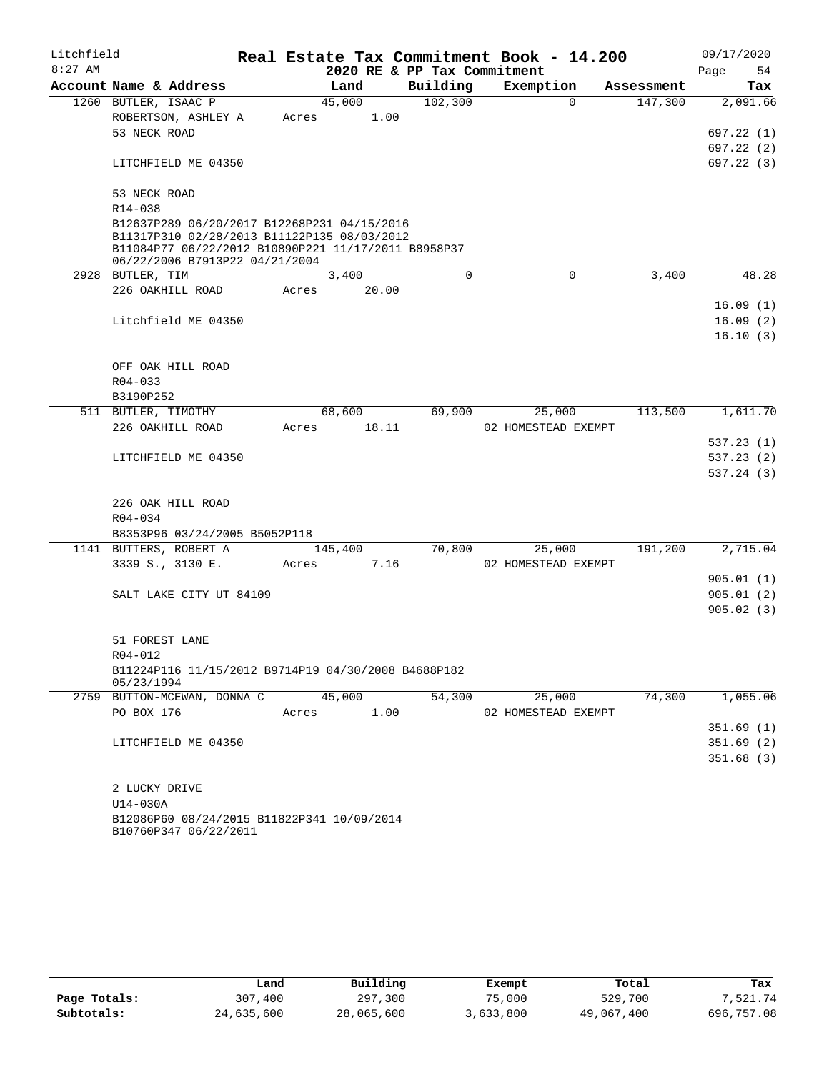| Litchfield |                                                                                                                                                   |       |         |                             | Real Estate Tax Commitment Book - 14.200 |                      | 09/17/2020 |
|------------|---------------------------------------------------------------------------------------------------------------------------------------------------|-------|---------|-----------------------------|------------------------------------------|----------------------|------------|
| $8:27$ AM  |                                                                                                                                                   |       |         | 2020 RE & PP Tax Commitment |                                          |                      | Page<br>54 |
|            | Account Name & Address                                                                                                                            |       | Land    | Building                    | Exemption                                | Assessment           | Tax        |
|            | 1260 BUTLER, ISAAC P                                                                                                                              |       | 45,000  | 102,300                     |                                          | $\Omega$<br>147,300  | 2,091.66   |
|            | ROBERTSON, ASHLEY A                                                                                                                               | Acres | 1.00    |                             |                                          |                      |            |
|            | 53 NECK ROAD                                                                                                                                      |       |         |                             |                                          |                      | 697.22(1)  |
|            |                                                                                                                                                   |       |         |                             |                                          |                      | 697.22 (2) |
|            | LITCHFIELD ME 04350                                                                                                                               |       |         |                             |                                          |                      | 697.22 (3) |
|            | 53 NECK ROAD                                                                                                                                      |       |         |                             |                                          |                      |            |
|            | R14-038                                                                                                                                           |       |         |                             |                                          |                      |            |
|            | B12637P289 06/20/2017 B12268P231 04/15/2016<br>B11317P310 02/28/2013 B11122P135 08/03/2012<br>B11084P77 06/22/2012 B10890P221 11/17/2011 B8958P37 |       |         |                             |                                          |                      |            |
|            | 06/22/2006 B7913P22 04/21/2004                                                                                                                    |       |         |                             |                                          |                      |            |
|            | 2928 BUTLER, TIM                                                                                                                                  |       | 3,400   | $\Omega$                    |                                          | $\mathbf 0$<br>3,400 | 48.28      |
|            | 226 OAKHILL ROAD                                                                                                                                  | Acres | 20.00   |                             |                                          |                      |            |
|            |                                                                                                                                                   |       |         |                             |                                          |                      | 16.09(1)   |
|            | Litchfield ME 04350                                                                                                                               |       |         |                             |                                          |                      | 16.09(2)   |
|            |                                                                                                                                                   |       |         |                             |                                          |                      | 16.10(3)   |
|            |                                                                                                                                                   |       |         |                             |                                          |                      |            |
|            | OFF OAK HILL ROAD                                                                                                                                 |       |         |                             |                                          |                      |            |
|            | $R04 - 033$<br>B3190P252                                                                                                                          |       |         |                             |                                          |                      |            |
|            | 511 BUTLER, TIMOTHY                                                                                                                               |       | 68,600  | 69,900                      | 25,000                                   | 113,500              | 1,611.70   |
|            | 226 OAKHILL ROAD                                                                                                                                  | Acres | 18.11   |                             | 02 HOMESTEAD EXEMPT                      |                      |            |
|            |                                                                                                                                                   |       |         |                             |                                          |                      | 537.23 (1) |
|            | LITCHFIELD ME 04350                                                                                                                               |       |         |                             |                                          |                      | 537.23(2)  |
|            |                                                                                                                                                   |       |         |                             |                                          |                      | 537.24(3)  |
|            | 226 OAK HILL ROAD                                                                                                                                 |       |         |                             |                                          |                      |            |
|            | R04-034                                                                                                                                           |       |         |                             |                                          |                      |            |
|            | B8353P96 03/24/2005 B5052P118                                                                                                                     |       |         |                             |                                          |                      |            |
|            | 1141 BUTTERS, ROBERT A                                                                                                                            |       | 145,400 | 70,800                      | 25,000                                   | 191,200              | 2,715.04   |
|            | 3339 S., 3130 E.                                                                                                                                  | Acres | 7.16    |                             | 02 HOMESTEAD EXEMPT                      |                      |            |
|            |                                                                                                                                                   |       |         |                             |                                          |                      | 905.01(1)  |
|            | SALT LAKE CITY UT 84109                                                                                                                           |       |         |                             |                                          |                      | 905.01(2)  |
|            |                                                                                                                                                   |       |         |                             |                                          |                      | 905.02(3)  |
|            |                                                                                                                                                   |       |         |                             |                                          |                      |            |
|            | 51 FOREST LANE<br>R04-012                                                                                                                         |       |         |                             |                                          |                      |            |
|            | B11224P116 11/15/2012 B9714P19 04/30/2008 B4688P182                                                                                               |       |         |                             |                                          |                      |            |
|            | 05/23/1994                                                                                                                                        |       |         |                             |                                          |                      |            |
|            | 2759 BUTTON-MCEWAN, DONNA C                                                                                                                       |       | 45,000  | 54,300                      | 25,000                                   | 74,300               | 1,055.06   |
|            | PO BOX 176                                                                                                                                        | Acres | 1.00    |                             | 02 HOMESTEAD EXEMPT                      |                      |            |
|            |                                                                                                                                                   |       |         |                             |                                          |                      | 351.69(1)  |
|            | LITCHFIELD ME 04350                                                                                                                               |       |         |                             |                                          |                      | 351.69(2)  |
|            |                                                                                                                                                   |       |         |                             |                                          |                      | 351.68(3)  |
|            | 2 LUCKY DRIVE                                                                                                                                     |       |         |                             |                                          |                      |            |
|            | U14-030A                                                                                                                                          |       |         |                             |                                          |                      |            |
|            | B12086P60 08/24/2015 B11822P341 10/09/2014<br>B10760P347 06/22/2011                                                                               |       |         |                             |                                          |                      |            |

|              | Land       | Building   | Exempt    | Total      | Tax        |
|--------------|------------|------------|-----------|------------|------------|
| Page Totals: | 307,400    | 297,300    | 75,000    | 529,700    | 7,521.74   |
| Subtotals:   | 24,635,600 | 28,065,600 | 3,633,800 | 49,067,400 | 696,757.08 |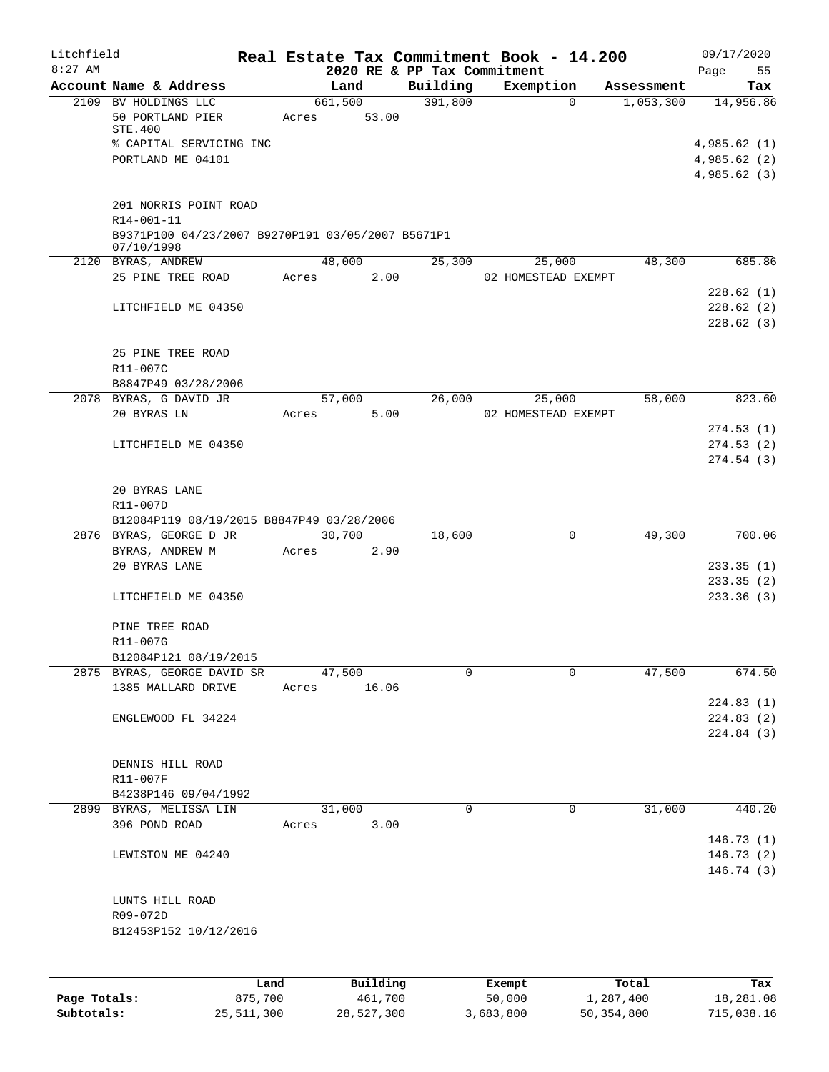| Litchfield   |                                                                 |         |       |                 |          |                             | Real Estate Tax Commitment Book - 14.200 |                |                                   |              | 09/17/2020 |
|--------------|-----------------------------------------------------------------|---------|-------|-----------------|----------|-----------------------------|------------------------------------------|----------------|-----------------------------------|--------------|------------|
| $8:27$ AM    |                                                                 |         |       |                 |          | 2020 RE & PP Tax Commitment |                                          |                |                                   | Page         | 55         |
|              | Account Name & Address<br>2109 BV HOLDINGS LLC                  |         |       | Land<br>661,500 |          | Building<br>391,800         | Exemption                                | $\overline{0}$ | Assessment<br>1,053,300 14,956.86 |              | Tax        |
|              | 50 PORTLAND PIER                                                |         | Acres | 53.00           |          |                             |                                          |                |                                   |              |            |
|              | STE.400                                                         |         |       |                 |          |                             |                                          |                |                                   |              |            |
|              | % CAPITAL SERVICING INC                                         |         |       |                 |          |                             |                                          |                |                                   | 4,985.62(1)  |            |
|              | PORTLAND ME 04101                                               |         |       |                 |          |                             |                                          |                |                                   | 4,985.62(2)  |            |
|              |                                                                 |         |       |                 |          |                             |                                          |                |                                   | 4,985.62 (3) |            |
|              |                                                                 |         |       |                 |          |                             |                                          |                |                                   |              |            |
|              | 201 NORRIS POINT ROAD                                           |         |       |                 |          |                             |                                          |                |                                   |              |            |
|              | R14-001-11                                                      |         |       |                 |          |                             |                                          |                |                                   |              |            |
|              | B9371P100 04/23/2007 B9270P191 03/05/2007 B5671P1<br>07/10/1998 |         |       |                 |          |                             |                                          |                |                                   |              |            |
|              | 2120 BYRAS, ANDREW                                              |         |       | 48,000          |          | 25,300                      | 25,000                                   |                | 48,300                            |              | 685.86     |
|              | 25 PINE TREE ROAD                                               |         | Acres |                 | 2.00     |                             | 02 HOMESTEAD EXEMPT                      |                |                                   |              |            |
|              |                                                                 |         |       |                 |          |                             |                                          |                |                                   |              | 228.62(1)  |
|              | LITCHFIELD ME 04350                                             |         |       |                 |          |                             |                                          |                |                                   |              | 228.62(2)  |
|              |                                                                 |         |       |                 |          |                             |                                          |                |                                   |              | 228.62(3)  |
|              |                                                                 |         |       |                 |          |                             |                                          |                |                                   |              |            |
|              | 25 PINE TREE ROAD                                               |         |       |                 |          |                             |                                          |                |                                   |              |            |
|              | R11-007C                                                        |         |       |                 |          |                             |                                          |                |                                   |              |            |
|              | B8847P49 03/28/2006                                             |         |       |                 |          |                             |                                          |                |                                   |              |            |
|              | 2078 BYRAS, G DAVID JR                                          |         |       | 57,000          |          | 26,000                      | 25,000                                   |                | 58,000                            |              | 823.60     |
|              | 20 BYRAS LN                                                     |         | Acres |                 | 5.00     |                             | 02 HOMESTEAD EXEMPT                      |                |                                   |              |            |
|              |                                                                 |         |       |                 |          |                             |                                          |                |                                   |              | 274.53(1)  |
|              | LITCHFIELD ME 04350                                             |         |       |                 |          |                             |                                          |                |                                   |              | 274.53(2)  |
|              |                                                                 |         |       |                 |          |                             |                                          |                |                                   |              | 274.54(3)  |
|              | 20 BYRAS LANE                                                   |         |       |                 |          |                             |                                          |                |                                   |              |            |
|              | R11-007D                                                        |         |       |                 |          |                             |                                          |                |                                   |              |            |
|              | B12084P119 08/19/2015 B8847P49 03/28/2006                       |         |       |                 |          |                             |                                          |                |                                   |              |            |
|              | 2876 BYRAS, GEORGE D JR                                         |         |       | 30,700          |          | 18,600                      |                                          | $\mathbf 0$    | 49,300                            |              | 700.06     |
|              | BYRAS, ANDREW M                                                 |         |       | Acres           | 2.90     |                             |                                          |                |                                   |              |            |
|              | 20 BYRAS LANE                                                   |         |       |                 |          |                             |                                          |                |                                   |              | 233.35(1)  |
|              |                                                                 |         |       |                 |          |                             |                                          |                |                                   |              | 233.35(2)  |
|              | LITCHFIELD ME 04350                                             |         |       |                 |          |                             |                                          |                |                                   |              | 233.36(3)  |
|              |                                                                 |         |       |                 |          |                             |                                          |                |                                   |              |            |
|              | PINE TREE ROAD                                                  |         |       |                 |          |                             |                                          |                |                                   |              |            |
|              | R11-007G                                                        |         |       |                 |          |                             |                                          |                |                                   |              |            |
|              | B12084P121 08/19/2015                                           |         |       |                 |          |                             |                                          |                |                                   |              |            |
|              | 2875 BYRAS, GEORGE DAVID SR                                     |         |       | 47,500          |          | 0                           |                                          | $\Omega$       | 47,500                            |              | 674.50     |
|              | 1385 MALLARD DRIVE                                              |         | Acres |                 | 16.06    |                             |                                          |                |                                   |              |            |
|              |                                                                 |         |       |                 |          |                             |                                          |                |                                   |              | 224.83(1)  |
|              | ENGLEWOOD FL 34224                                              |         |       |                 |          |                             |                                          |                |                                   |              | 224.83(2)  |
|              |                                                                 |         |       |                 |          |                             |                                          |                |                                   |              | 224.84 (3) |
|              | DENNIS HILL ROAD                                                |         |       |                 |          |                             |                                          |                |                                   |              |            |
|              | R11-007F                                                        |         |       |                 |          |                             |                                          |                |                                   |              |            |
|              | B4238P146 09/04/1992                                            |         |       |                 |          |                             |                                          |                |                                   |              |            |
|              | 2899 BYRAS, MELISSA LIN                                         |         |       | 31,000          |          | 0                           |                                          | 0              | 31,000                            |              | 440.20     |
|              | 396 POND ROAD                                                   |         | Acres |                 | 3.00     |                             |                                          |                |                                   |              |            |
|              |                                                                 |         |       |                 |          |                             |                                          |                |                                   |              | 146.73(1)  |
|              | LEWISTON ME 04240                                               |         |       |                 |          |                             |                                          |                |                                   |              | 146.73(2)  |
|              |                                                                 |         |       |                 |          |                             |                                          |                |                                   |              | 146.74(3)  |
|              |                                                                 |         |       |                 |          |                             |                                          |                |                                   |              |            |
|              | LUNTS HILL ROAD                                                 |         |       |                 |          |                             |                                          |                |                                   |              |            |
|              | R09-072D                                                        |         |       |                 |          |                             |                                          |                |                                   |              |            |
|              | B12453P152 10/12/2016                                           |         |       |                 |          |                             |                                          |                |                                   |              |            |
|              |                                                                 |         |       |                 |          |                             |                                          |                |                                   |              |            |
|              |                                                                 |         |       |                 |          |                             |                                          |                |                                   |              |            |
|              |                                                                 | Land    |       |                 | Building |                             | Exempt                                   |                | Total                             |              | Tax        |
| Page Totals: |                                                                 | 875,700 |       |                 | 461,700  |                             | 50,000                                   |                | 1,287,400                         |              | 18,281.08  |

**Subtotals:** 25,511,300 28,527,300 3,683,800 50,354,800 715,038.16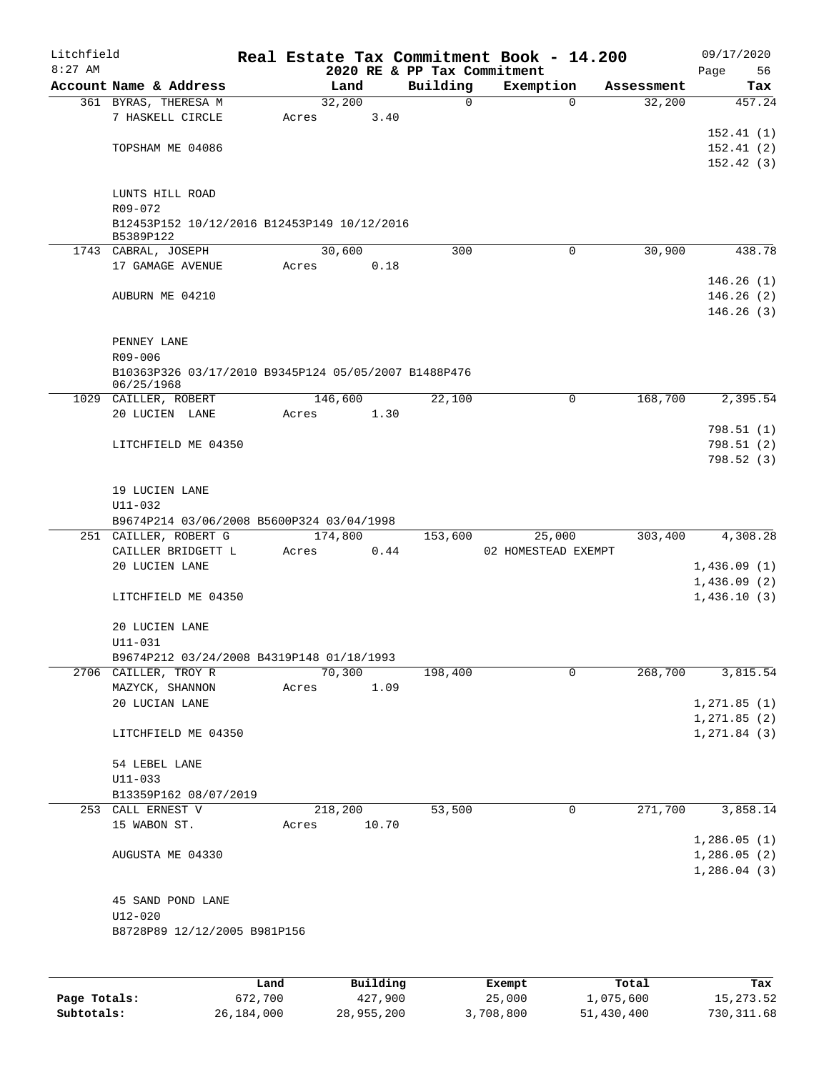| Litchfield |                                                          |      |       |         |          |          | Real Estate Tax Commitment Book - 14.200 |             |            | 09/17/2020    |
|------------|----------------------------------------------------------|------|-------|---------|----------|----------|------------------------------------------|-------------|------------|---------------|
| $8:27$ AM  |                                                          |      |       |         |          |          | 2020 RE & PP Tax Commitment              |             |            | 56<br>Page    |
|            | Account Name & Address                                   |      |       | Land    |          | Building | Exemption                                |             | Assessment | Tax           |
|            | 361 BYRAS, THERESA M                                     |      |       | 32,200  |          | 0        |                                          | $\Omega$    | 32,200     | 457.24        |
|            | 7 HASKELL CIRCLE                                         |      | Acres |         | 3.40     |          |                                          |             |            |               |
|            |                                                          |      |       |         |          |          |                                          |             |            | 152.41(1)     |
|            | TOPSHAM ME 04086                                         |      |       |         |          |          |                                          |             |            | 152.41(2)     |
|            |                                                          |      |       |         |          |          |                                          |             |            | 152.42(3)     |
|            |                                                          |      |       |         |          |          |                                          |             |            |               |
|            | LUNTS HILL ROAD                                          |      |       |         |          |          |                                          |             |            |               |
|            | R09-072                                                  |      |       |         |          |          |                                          |             |            |               |
|            | B12453P152 10/12/2016 B12453P149 10/12/2016<br>B5389P122 |      |       |         |          |          |                                          |             |            |               |
|            | 1743 CABRAL, JOSEPH                                      |      |       | 30,600  |          | 300      |                                          | $\mathbf 0$ | 30,900     | 438.78        |
|            | 17 GAMAGE AVENUE                                         |      | Acres |         | 0.18     |          |                                          |             |            |               |
|            |                                                          |      |       |         |          |          |                                          |             |            | 146.26(1)     |
|            | AUBURN ME 04210                                          |      |       |         |          |          |                                          |             |            | 146.26(2)     |
|            |                                                          |      |       |         |          |          |                                          |             |            | 146.26(3)     |
|            |                                                          |      |       |         |          |          |                                          |             |            |               |
|            | PENNEY LANE                                              |      |       |         |          |          |                                          |             |            |               |
|            | R09-006                                                  |      |       |         |          |          |                                          |             |            |               |
|            | B10363P326 03/17/2010 B9345P124 05/05/2007 B1488P476     |      |       |         |          |          |                                          |             |            |               |
|            | 06/25/1968                                               |      |       |         |          |          |                                          |             |            |               |
|            | 1029 CAILLER, ROBERT                                     |      |       | 146,600 |          | 22,100   |                                          | $\Omega$    | 168,700    | 2,395.54      |
|            | 20 LUCIEN LANE                                           |      | Acres |         | 1.30     |          |                                          |             |            |               |
|            |                                                          |      |       |         |          |          |                                          |             |            | 798.51(1)     |
|            | LITCHFIELD ME 04350                                      |      |       |         |          |          |                                          |             |            | 798.51(2)     |
|            |                                                          |      |       |         |          |          |                                          |             |            | 798.52(3)     |
|            |                                                          |      |       |         |          |          |                                          |             |            |               |
|            | 19 LUCIEN LANE                                           |      |       |         |          |          |                                          |             |            |               |
|            | $U11 - 032$                                              |      |       |         |          |          |                                          |             |            |               |
|            | B9674P214 03/06/2008 B5600P324 03/04/1998                |      |       |         |          |          |                                          |             |            |               |
|            | 251 CAILLER, ROBERT G                                    |      |       | 174,800 |          | 153,600  | 25,000                                   |             | 303,400    | 4,308.28      |
|            | CAILLER BRIDGETT L                                       |      | Acres |         | 0.44     |          | 02 HOMESTEAD EXEMPT                      |             |            |               |
|            | 20 LUCIEN LANE                                           |      |       |         |          |          |                                          |             |            | 1,436.09(1)   |
|            |                                                          |      |       |         |          |          |                                          |             |            | 1,436.09(2)   |
|            | LITCHFIELD ME 04350                                      |      |       |         |          |          |                                          |             |            | 1,436.10(3)   |
|            |                                                          |      |       |         |          |          |                                          |             |            |               |
|            | 20 LUCIEN LANE                                           |      |       |         |          |          |                                          |             |            |               |
|            | U11-031                                                  |      |       |         |          |          |                                          |             |            |               |
|            | B9674P212 03/24/2008 B4319P148 01/18/1993                |      |       |         |          |          |                                          |             |            |               |
|            | 2706 CAILLER, TROY R                                     |      |       | 70,300  |          | 198,400  |                                          | 0           | 268,700    | 3,815.54      |
|            | MAZYCK, SHANNON                                          |      | Acres |         | 1.09     |          |                                          |             |            |               |
|            | 20 LUCIAN LANE                                           |      |       |         |          |          |                                          |             |            | 1, 271.85(1)  |
|            |                                                          |      |       |         |          |          |                                          |             |            | 1, 271.85 (2) |
|            | LITCHFIELD ME 04350                                      |      |       |         |          |          |                                          |             |            | 1, 271.84(3)  |
|            |                                                          |      |       |         |          |          |                                          |             |            |               |
|            | 54 LEBEL LANE                                            |      |       |         |          |          |                                          |             |            |               |
|            | $U11 - 033$                                              |      |       |         |          |          |                                          |             |            |               |
|            | B13359P162 08/07/2019                                    |      |       |         |          |          |                                          |             |            |               |
|            | 253 CALL ERNEST V                                        |      |       | 218,200 |          | 53,500   |                                          | 0           | 271,700    | 3,858.14      |
|            | 15 WABON ST.                                             |      | Acres |         | 10.70    |          |                                          |             |            |               |
|            |                                                          |      |       |         |          |          |                                          |             |            | 1,286.05(1)   |
|            | AUGUSTA ME 04330                                         |      |       |         |          |          |                                          |             |            | 1,286.05(2)   |
|            |                                                          |      |       |         |          |          |                                          |             |            | 1,286.04(3)   |
|            |                                                          |      |       |         |          |          |                                          |             |            |               |
|            | 45 SAND POND LANE                                        |      |       |         |          |          |                                          |             |            |               |
|            | $U12 - 020$                                              |      |       |         |          |          |                                          |             |            |               |
|            | B8728P89 12/12/2005 B981P156                             |      |       |         |          |          |                                          |             |            |               |
|            |                                                          |      |       |         |          |          |                                          |             |            |               |
|            |                                                          |      |       |         |          |          |                                          |             |            |               |
|            |                                                          | Land |       |         | Building |          |                                          | Total       |            | Tax           |
|            |                                                          |      |       |         |          |          | Exempt                                   |             |            |               |

| Page Totals: | 672,700    | 427,900    | 25,000    | 1,075,600  | 15,273.52  |
|--------------|------------|------------|-----------|------------|------------|
| Subtotals:   | 26,184,000 | 28,955,200 | 3,708,800 | 51,430,400 | 730,311.68 |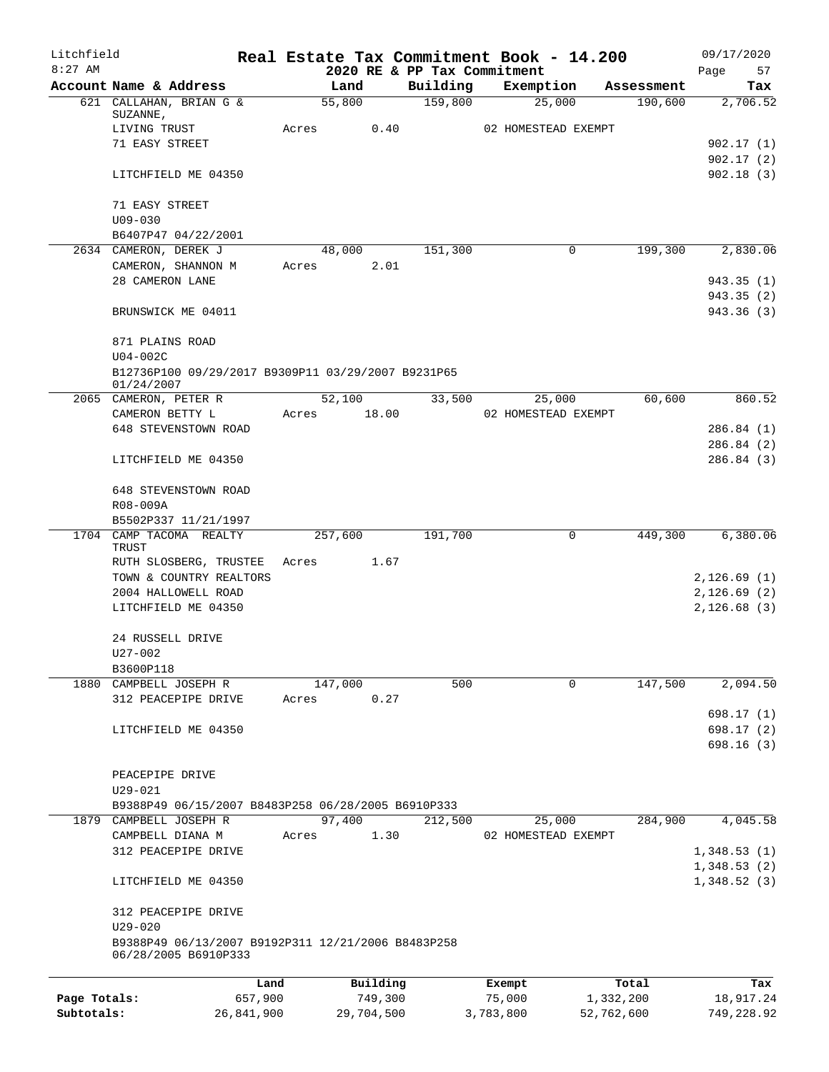| Litchfield   |                                                                  |            |       |                |                             |           | Real Estate Tax Commitment Book - 14.200 |                       | 09/17/2020      |
|--------------|------------------------------------------------------------------|------------|-------|----------------|-----------------------------|-----------|------------------------------------------|-----------------------|-----------------|
| $8:27$ AM    |                                                                  |            |       |                | 2020 RE & PP Tax Commitment |           |                                          |                       | Page<br>57      |
|              | Account Name & Address<br>621 CALLAHAN, BRIAN G &                |            |       | Land<br>55,800 | Building<br>159,800         |           | Exemption<br>25,000                      | Assessment<br>190,600 | Tax<br>2,706.52 |
|              | SUZANNE,                                                         |            |       |                |                             |           |                                          |                       |                 |
|              | LIVING TRUST                                                     |            | Acres | 0.40           |                             |           | 02 HOMESTEAD EXEMPT                      |                       |                 |
|              | 71 EASY STREET                                                   |            |       |                |                             |           |                                          |                       | 902.17(1)       |
|              |                                                                  |            |       |                |                             |           |                                          |                       | 902.17(2)       |
|              | LITCHFIELD ME 04350                                              |            |       |                |                             |           |                                          |                       | 902.18(3)       |
|              | 71 EASY STREET                                                   |            |       |                |                             |           |                                          |                       |                 |
|              | $U09 - 030$                                                      |            |       |                |                             |           |                                          |                       |                 |
|              | B6407P47 04/22/2001<br>2634 CAMERON, DEREK J                     |            |       | 48,000         | 151,300                     |           | 0                                        | 199,300               | 2,830.06        |
|              | CAMERON, SHANNON M                                               |            | Acres | 2.01           |                             |           |                                          |                       |                 |
|              | 28 CAMERON LANE                                                  |            |       |                |                             |           |                                          |                       | 943.35(1)       |
|              |                                                                  |            |       |                |                             |           |                                          |                       | 943.35(2)       |
|              | BRUNSWICK ME 04011                                               |            |       |                |                             |           |                                          |                       | 943.36 (3)      |
|              | 871 PLAINS ROAD                                                  |            |       |                |                             |           |                                          |                       |                 |
|              | $U04-002C$                                                       |            |       |                |                             |           |                                          |                       |                 |
|              | B12736P100 09/29/2017 B9309P11 03/29/2007 B9231P65<br>01/24/2007 |            |       |                |                             |           |                                          |                       |                 |
|              | 2065 CAMERON, PETER R                                            |            |       | 52,100         | 33,500                      |           | 25,000                                   | 60,600                | 860.52          |
|              | CAMERON BETTY L                                                  |            | Acres | 18.00          |                             |           | 02 HOMESTEAD EXEMPT                      |                       |                 |
|              | 648 STEVENSTOWN ROAD                                             |            |       |                |                             |           |                                          |                       | 286.84(1)       |
|              |                                                                  |            |       |                |                             |           |                                          |                       | 286.84(2)       |
|              | LITCHFIELD ME 04350                                              |            |       |                |                             |           |                                          |                       | 286.84(3)       |
|              | 648 STEVENSTOWN ROAD                                             |            |       |                |                             |           |                                          |                       |                 |
|              | R08-009A                                                         |            |       |                |                             |           |                                          |                       |                 |
|              | B5502P337 11/21/1997                                             |            |       |                |                             |           |                                          |                       |                 |
|              | 1704 CAMP TACOMA REALTY<br>TRUST                                 |            |       | 257,600        | 191,700                     |           | 0                                        | 449,300               | 6,380.06        |
|              | RUTH SLOSBERG, TRUSTEE                                           |            | Acres | 1.67           |                             |           |                                          |                       |                 |
|              | TOWN & COUNTRY REALTORS                                          |            |       |                |                             |           |                                          |                       | 2,126.69(1)     |
|              | 2004 HALLOWELL ROAD                                              |            |       |                |                             |           |                                          |                       | 2,126.69(2)     |
|              | LITCHFIELD ME 04350                                              |            |       |                |                             |           |                                          |                       | 2,126.68(3)     |
|              | 24 RUSSELL DRIVE                                                 |            |       |                |                             |           |                                          |                       |                 |
|              | U27-002                                                          |            |       |                |                             |           |                                          |                       |                 |
|              | B3600P118                                                        |            |       |                |                             |           |                                          |                       |                 |
|              | 1880 CAMPBELL JOSEPH R                                           |            |       | 147,000        | 500                         |           | 0                                        | 147,500               | 2,094.50        |
|              | 312 PEACEPIPE DRIVE                                              |            | Acres | 0.27           |                             |           |                                          |                       |                 |
|              |                                                                  |            |       |                |                             |           |                                          |                       | 698.17(1)       |
|              | LITCHFIELD ME 04350                                              |            |       |                |                             |           |                                          |                       | 698.17(2)       |
|              |                                                                  |            |       |                |                             |           |                                          |                       | 698.16(3)       |
|              | PEACEPIPE DRIVE                                                  |            |       |                |                             |           |                                          |                       |                 |
|              | $U29 - 021$                                                      |            |       |                |                             |           |                                          |                       |                 |
|              | B9388P49 06/15/2007 B8483P258 06/28/2005 B6910P333               |            |       |                |                             |           |                                          |                       |                 |
|              | 1879 CAMPBELL JOSEPH R                                           |            |       | 97,400         | 212,500                     |           | 25,000                                   | 284,900               | 4,045.58        |
|              | CAMPBELL DIANA M                                                 |            | Acres | 1.30           |                             |           | 02 HOMESTEAD EXEMPT                      |                       |                 |
|              | 312 PEACEPIPE DRIVE                                              |            |       |                |                             |           |                                          |                       | 1,348.53(1)     |
|              |                                                                  |            |       |                |                             |           |                                          |                       | 1,348.53(2)     |
|              | LITCHFIELD ME 04350                                              |            |       |                |                             |           |                                          |                       | 1,348.52(3)     |
|              | 312 PEACEPIPE DRIVE                                              |            |       |                |                             |           |                                          |                       |                 |
|              | $U29 - 020$                                                      |            |       |                |                             |           |                                          |                       |                 |
|              | B9388P49 06/13/2007 B9192P311 12/21/2006 B8483P258               |            |       |                |                             |           |                                          |                       |                 |
|              | 06/28/2005 B6910P333                                             |            |       |                |                             |           |                                          |                       |                 |
|              |                                                                  | Land       |       | Building       |                             |           | Exempt                                   | Total                 | Tax             |
| Page Totals: |                                                                  | 657,900    |       | 749,300        |                             |           | 75,000                                   | 1,332,200             | 18,917.24       |
| Subtotals:   |                                                                  | 26,841,900 |       | 29,704,500     |                             | 3,783,800 |                                          | 52,762,600            | 749,228.92      |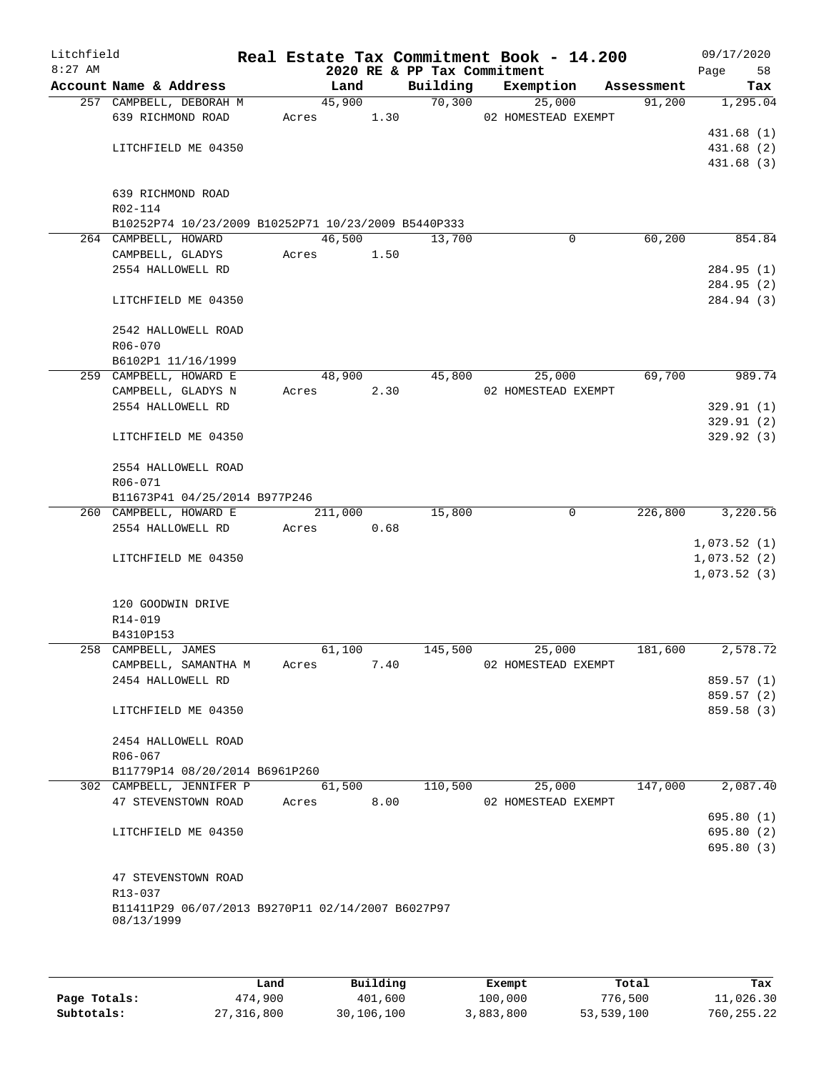| Litchfield<br>$8:27$ AM |                                                                 |         |      | 2020 RE & PP Tax Commitment | Real Estate Tax Commitment Book - 14.200 |            | 09/17/2020<br>Page<br>58 |
|-------------------------|-----------------------------------------------------------------|---------|------|-----------------------------|------------------------------------------|------------|--------------------------|
|                         | Account Name & Address                                          | Land    |      | Building                    | Exemption                                | Assessment | Tax                      |
|                         | 257 CAMPBELL, DEBORAH M                                         | 45,900  |      | 70,300                      | 25,000                                   | 91,200     | 1,295.04                 |
|                         | 639 RICHMOND ROAD                                               | Acres   | 1.30 |                             | 02 HOMESTEAD EXEMPT                      |            |                          |
|                         |                                                                 |         |      |                             |                                          |            | 431.68 (1)               |
|                         | LITCHFIELD ME 04350                                             |         |      |                             |                                          |            | 431.68 (2)               |
|                         |                                                                 |         |      |                             |                                          |            | 431.68(3)                |
|                         | 639 RICHMOND ROAD                                               |         |      |                             |                                          |            |                          |
|                         | R02-114                                                         |         |      |                             |                                          |            |                          |
|                         | B10252P74 10/23/2009 B10252P71 10/23/2009 B5440P333             |         |      |                             |                                          |            |                          |
|                         | 264 CAMPBELL, HOWARD                                            | 46,500  |      | 13,700                      | 0                                        | 60,200     | 854.84                   |
|                         | CAMPBELL, GLADYS                                                | Acres   | 1.50 |                             |                                          |            |                          |
|                         | 2554 HALLOWELL RD                                               |         |      |                             |                                          |            | 284.95 (1)               |
|                         |                                                                 |         |      |                             |                                          |            | 284.95 (2)               |
|                         | LITCHFIELD ME 04350                                             |         |      |                             |                                          |            | 284.94 (3)               |
|                         | 2542 HALLOWELL ROAD                                             |         |      |                             |                                          |            |                          |
|                         | R06-070                                                         |         |      |                             |                                          |            |                          |
|                         | B6102P1 11/16/1999                                              |         |      |                             |                                          |            |                          |
|                         | 259 CAMPBELL, HOWARD E                                          | 48,900  |      | 45,800                      | 25,000                                   | 69,700     | 989.74                   |
|                         | CAMPBELL, GLADYS N                                              | Acres   | 2.30 |                             | 02 HOMESTEAD EXEMPT                      |            |                          |
|                         | 2554 HALLOWELL RD                                               |         |      |                             |                                          |            | 329.91(1)                |
|                         |                                                                 |         |      |                             |                                          |            | 329.91(2)                |
|                         | LITCHFIELD ME 04350                                             |         |      |                             |                                          |            | 329.92(3)                |
|                         | 2554 HALLOWELL ROAD<br>R06-071                                  |         |      |                             |                                          |            |                          |
|                         | B11673P41 04/25/2014 B977P246                                   |         |      |                             |                                          |            |                          |
|                         | 260 CAMPBELL, HOWARD E                                          | 211,000 |      | 15,800                      | $\mathbf 0$                              | 226,800    | 3,220.56                 |
|                         | 2554 HALLOWELL RD                                               | Acres   | 0.68 |                             |                                          |            |                          |
|                         |                                                                 |         |      |                             |                                          |            | 1,073.52(1)              |
|                         | LITCHFIELD ME 04350                                             |         |      |                             |                                          |            | 1,073.52(2)              |
|                         |                                                                 |         |      |                             |                                          |            | 1,073.52(3)              |
|                         | 120 GOODWIN DRIVE                                               |         |      |                             |                                          |            |                          |
|                         | R14-019                                                         |         |      |                             |                                          |            |                          |
|                         | B4310P153                                                       |         |      |                             |                                          |            |                          |
|                         | 258 CAMPBELL, JAMES                                             | 61,100  |      | 145,500                     | 25,000                                   | 181,600    | 2,578.72                 |
|                         | CAMPBELL, SAMANTHA M                                            | Acres   | 7.40 |                             | 02 HOMESTEAD EXEMPT                      |            |                          |
|                         | 2454 HALLOWELL RD                                               |         |      |                             |                                          |            | 859.57 (1)               |
|                         |                                                                 |         |      |                             |                                          |            | 859.57(2)                |
|                         | LITCHFIELD ME 04350                                             |         |      |                             |                                          |            | 859.58 (3)               |
|                         | 2454 HALLOWELL ROAD                                             |         |      |                             |                                          |            |                          |
|                         | R06-067                                                         |         |      |                             |                                          |            |                          |
|                         | B11779P14 08/20/2014 B6961P260                                  |         |      |                             |                                          |            |                          |
|                         | 302 CAMPBELL, JENNIFER P                                        | 61,500  |      | 110,500                     | 25,000                                   | 147,000    | 2,087.40                 |
|                         | 47 STEVENSTOWN ROAD                                             | Acres   | 8.00 |                             | 02 HOMESTEAD EXEMPT                      |            |                          |
|                         |                                                                 |         |      |                             |                                          |            | 695.80(1)                |
|                         | LITCHFIELD ME 04350                                             |         |      |                             |                                          |            | 695.80(2)                |
|                         |                                                                 |         |      |                             |                                          |            | 695.80(3)                |
|                         | 47 STEVENSTOWN ROAD                                             |         |      |                             |                                          |            |                          |
|                         | R13-037                                                         |         |      |                             |                                          |            |                          |
|                         | B11411P29 06/07/2013 B9270P11 02/14/2007 B6027P97<br>08/13/1999 |         |      |                             |                                          |            |                          |
|                         |                                                                 |         |      |                             |                                          |            |                          |

|              | Land       | Building   | Exempt    | Total      | Tax          |
|--------------|------------|------------|-----------|------------|--------------|
| Page Totals: | 474,900    | 401,600    | 100,000   | 776,500    | 11,026.30    |
| Subtotals:   | 27,316,800 | 30,106,100 | 3,883,800 | 53,539,100 | 760, 255, 22 |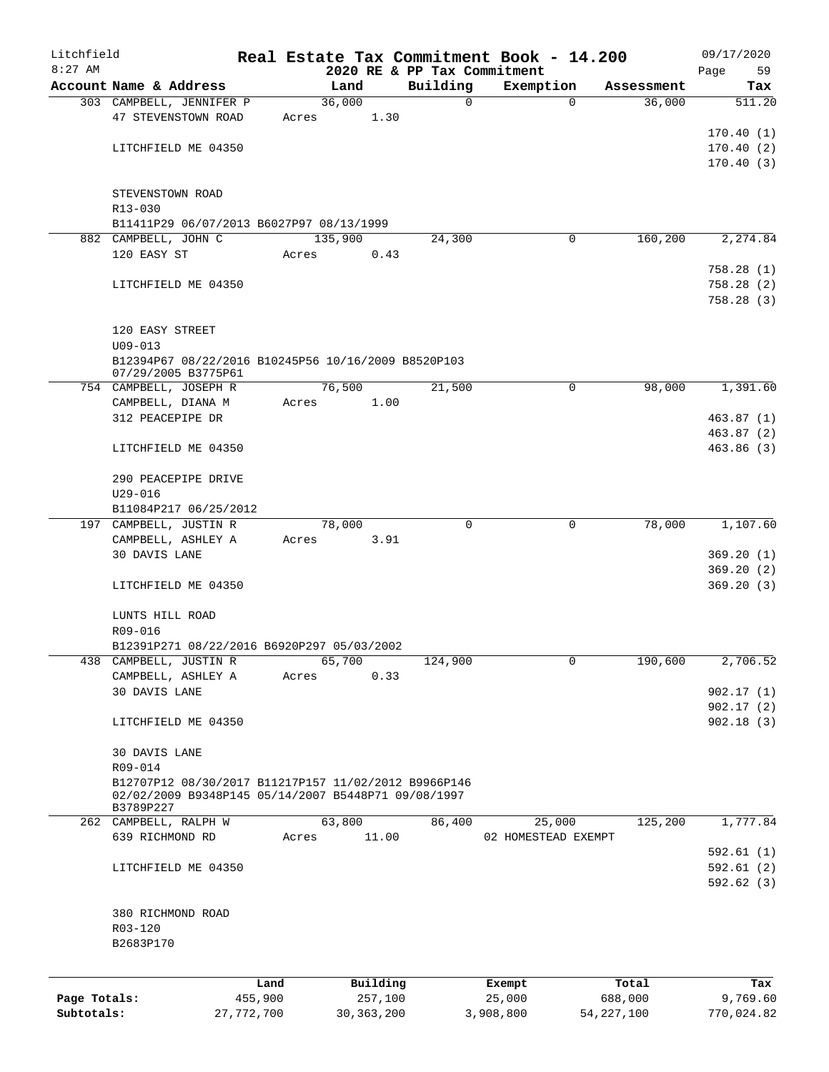| Litchfield   |                                                      |       |          |                             | Real Estate Tax Commitment Book - 14.200 |            | 09/17/2020             |
|--------------|------------------------------------------------------|-------|----------|-----------------------------|------------------------------------------|------------|------------------------|
| $8:27$ AM    |                                                      |       |          | 2020 RE & PP Tax Commitment |                                          |            | Page<br>59             |
|              | Account Name & Address                               |       | Land     | Building                    | Exemption                                | Assessment | Tax                    |
|              | 303 CAMPBELL, JENNIFER P                             |       | 36,000   | $\mathbf 0$                 | $\mathbf 0$                              | 36,000     | 511.20                 |
|              | 47 STEVENSTOWN ROAD                                  | Acres | 1.30     |                             |                                          |            |                        |
|              |                                                      |       |          |                             |                                          |            | 170.40(1)              |
|              | LITCHFIELD ME 04350                                  |       |          |                             |                                          |            | 170.40(2)<br>170.40(3) |
|              |                                                      |       |          |                             |                                          |            |                        |
|              | STEVENSTOWN ROAD                                     |       |          |                             |                                          |            |                        |
|              | R13-030                                              |       |          |                             |                                          |            |                        |
|              | B11411P29 06/07/2013 B6027P97 08/13/1999             |       |          |                             |                                          |            |                        |
|              | 882 CAMPBELL, JOHN C                                 |       | 135,900  | 24,300                      | $\mathbf 0$                              | 160,200    | 2, 274.84              |
|              | 120 EASY ST                                          | Acres | 0.43     |                             |                                          |            |                        |
|              |                                                      |       |          |                             |                                          |            | 758.28(1)              |
|              | LITCHFIELD ME 04350                                  |       |          |                             |                                          |            | 758.28(2)              |
|              |                                                      |       |          |                             |                                          |            | 758.28(3)              |
|              |                                                      |       |          |                             |                                          |            |                        |
|              | 120 EASY STREET                                      |       |          |                             |                                          |            |                        |
|              | $U09 - 013$                                          |       |          |                             |                                          |            |                        |
|              | B12394P67 08/22/2016 B10245P56 10/16/2009 B8520P103  |       |          |                             |                                          |            |                        |
|              | 07/29/2005 B3775P61                                  |       |          |                             |                                          |            |                        |
|              | 754 CAMPBELL, JOSEPH R                               |       | 76,500   | 21,500                      | 0                                        | 98,000     | 1,391.60               |
|              | CAMPBELL, DIANA M                                    | Acres | 1.00     |                             |                                          |            |                        |
|              | 312 PEACEPIPE DR                                     |       |          |                             |                                          |            | 463.87 (1)             |
|              |                                                      |       |          |                             |                                          |            | 463.87 (2)             |
|              | LITCHFIELD ME 04350                                  |       |          |                             |                                          |            | 463.86(3)              |
|              |                                                      |       |          |                             |                                          |            |                        |
|              | 290 PEACEPIPE DRIVE                                  |       |          |                             |                                          |            |                        |
|              | $U29 - 016$                                          |       |          |                             |                                          |            |                        |
|              | B11084P217 06/25/2012                                |       |          | $\Omega$                    |                                          |            |                        |
|              | 197 CAMPBELL, JUSTIN R                               |       | 78,000   |                             | 0                                        | 78,000     | 1,107.60               |
|              | CAMPBELL, ASHLEY A                                   | Acres | 3.91     |                             |                                          |            |                        |
|              | 30 DAVIS LANE                                        |       |          |                             |                                          |            | 369.20(1)              |
|              | LITCHFIELD ME 04350                                  |       |          |                             |                                          |            | 369.20(2)<br>369.20(3) |
|              |                                                      |       |          |                             |                                          |            |                        |
|              | LUNTS HILL ROAD                                      |       |          |                             |                                          |            |                        |
|              | R09-016                                              |       |          |                             |                                          |            |                        |
|              | B12391P271 08/22/2016 B6920P297 05/03/2002           |       |          |                             |                                          |            |                        |
|              | 438 CAMPBELL, JUSTIN R                               |       | 65,700   | 124,900                     | 0                                        | 190,600    | 2,706.52               |
|              | CAMPBELL, ASHLEY A                                   | Acres | 0.33     |                             |                                          |            |                        |
|              | 30 DAVIS LANE                                        |       |          |                             |                                          |            | 902.17(1)              |
|              |                                                      |       |          |                             |                                          |            | 902.17(2)              |
|              | LITCHFIELD ME 04350                                  |       |          |                             |                                          |            | 902.18(3)              |
|              |                                                      |       |          |                             |                                          |            |                        |
|              | 30 DAVIS LANE                                        |       |          |                             |                                          |            |                        |
|              | R09-014                                              |       |          |                             |                                          |            |                        |
|              | B12707P12 08/30/2017 B11217P157 11/02/2012 B9966P146 |       |          |                             |                                          |            |                        |
|              | 02/02/2009 B9348P145 05/14/2007 B5448P71 09/08/1997  |       |          |                             |                                          |            |                        |
|              | B3789P227                                            |       |          |                             |                                          |            |                        |
|              | 262 CAMPBELL, RALPH W                                |       | 63,800   | 86,400                      | 25,000                                   | 125,200    | 1,777.84               |
|              | 639 RICHMOND RD                                      | Acres | 11.00    |                             | 02 HOMESTEAD EXEMPT                      |            | 592.61(1)              |
|              |                                                      |       |          |                             |                                          |            |                        |
|              | LITCHFIELD ME 04350                                  |       |          |                             |                                          |            | 592.61(2)<br>592.62(3) |
|              |                                                      |       |          |                             |                                          |            |                        |
|              | 380 RICHMOND ROAD                                    |       |          |                             |                                          |            |                        |
|              | R03-120                                              |       |          |                             |                                          |            |                        |
|              | B2683P170                                            |       |          |                             |                                          |            |                        |
|              |                                                      |       |          |                             |                                          |            |                        |
|              |                                                      |       |          |                             |                                          |            |                        |
|              | Land                                                 |       | Building |                             | Exempt                                   | Total      | Tax                    |
| Page Totals: | 455,900                                              |       | 257,100  |                             | 25,000                                   | 688,000    | 9,769.60               |

**Subtotals:** 27,772,700 30,363,200 3,908,800 54,227,100 770,024.82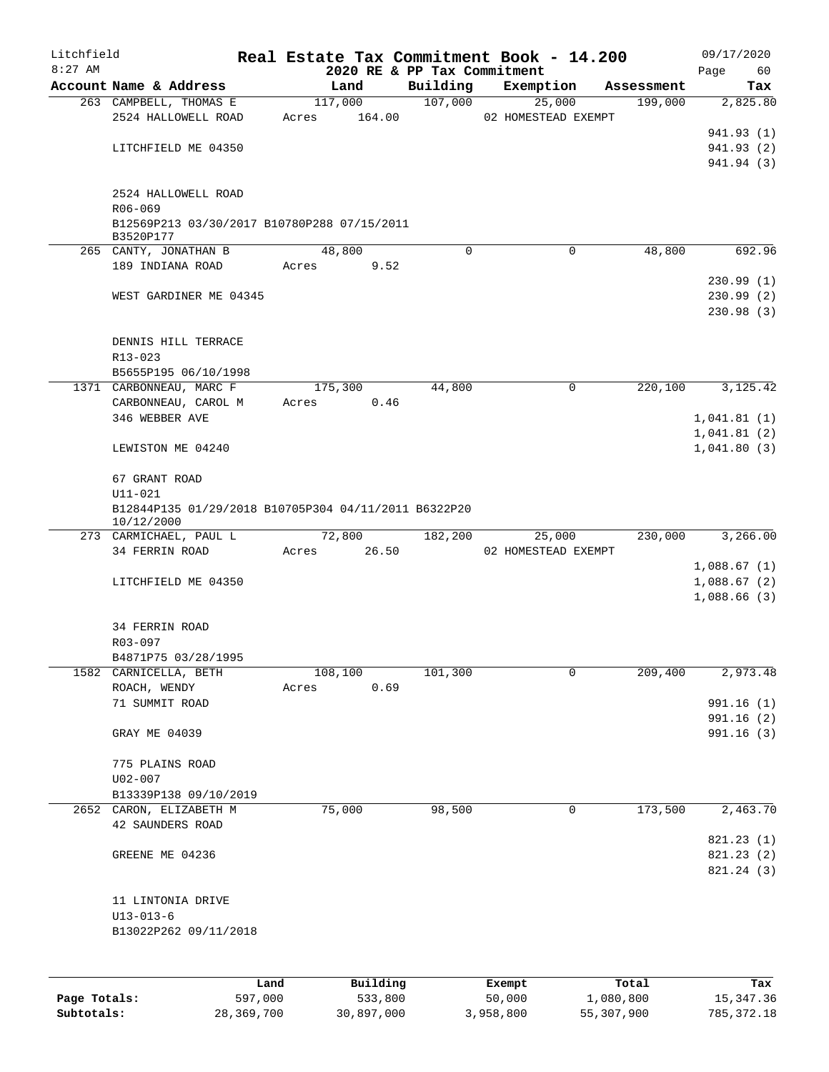| Litchfield   |                                                          |         |         |          |                             | Real Estate Tax Commitment Book - 14.200 |            | 09/17/2020  |
|--------------|----------------------------------------------------------|---------|---------|----------|-----------------------------|------------------------------------------|------------|-------------|
| $8:27$ AM    |                                                          |         |         |          | 2020 RE & PP Tax Commitment |                                          |            | Page<br>60  |
|              | Account Name & Address                                   |         |         | Land     | Building                    | Exemption                                | Assessment | Tax         |
|              | 263 CAMPBELL, THOMAS E                                   |         |         | 117,000  | 107,000                     | 25,000                                   | 199,000    | 2,825.80    |
|              | 2524 HALLOWELL ROAD                                      |         | Acres   | 164.00   |                             | 02 HOMESTEAD EXEMPT                      |            |             |
|              |                                                          |         |         |          |                             |                                          |            | 941.93 (1)  |
|              | LITCHFIELD ME 04350                                      |         |         |          |                             |                                          |            | 941.93 (2)  |
|              |                                                          |         |         |          |                             |                                          |            | 941.94 (3)  |
|              |                                                          |         |         |          |                             |                                          |            |             |
|              | 2524 HALLOWELL ROAD                                      |         |         |          |                             |                                          |            |             |
|              | R06-069                                                  |         |         |          |                             |                                          |            |             |
|              | B12569P213 03/30/2017 B10780P288 07/15/2011<br>B3520P177 |         |         |          |                             |                                          |            |             |
|              | 265 CANTY, JONATHAN B                                    |         |         | 48,800   | $\Omega$                    | $\Omega$                                 | 48,800     | 692.96      |
|              | 189 INDIANA ROAD                                         |         | Acres   | 9.52     |                             |                                          |            |             |
|              |                                                          |         |         |          |                             |                                          |            | 230.99(1)   |
|              | WEST GARDINER ME 04345                                   |         |         |          |                             |                                          |            | 230.99(2)   |
|              |                                                          |         |         |          |                             |                                          |            | 230.98(3)   |
|              |                                                          |         |         |          |                             |                                          |            |             |
|              | DENNIS HILL TERRACE                                      |         |         |          |                             |                                          |            |             |
|              | $R13 - 023$                                              |         |         |          |                             |                                          |            |             |
|              | B5655P195 06/10/1998                                     |         |         |          |                             |                                          |            |             |
|              | 1371 CARBONNEAU, MARC F                                  |         | 175,300 |          | 44,800                      | 0                                        | 220,100    | 3,125.42    |
|              | CARBONNEAU, CAROL M                                      |         | Acres   | 0.46     |                             |                                          |            |             |
|              | 346 WEBBER AVE                                           |         |         |          |                             |                                          |            | 1,041.81(1) |
|              |                                                          |         |         |          |                             |                                          |            | 1,041.81(2) |
|              | LEWISTON ME 04240                                        |         |         |          |                             |                                          |            | 1,041.80(3) |
|              |                                                          |         |         |          |                             |                                          |            |             |
|              | 67 GRANT ROAD                                            |         |         |          |                             |                                          |            |             |
|              | $U11 - 021$                                              |         |         |          |                             |                                          |            |             |
|              | B12844P135 01/29/2018 B10705P304 04/11/2011 B6322P20     |         |         |          |                             |                                          |            |             |
|              | 10/12/2000                                               |         |         |          |                             |                                          |            |             |
|              | 273 CARMICHAEL, PAUL L                                   |         |         | 72,800   | 182,200                     | 25,000                                   | 230,000    | 3,266.00    |
|              | 34 FERRIN ROAD                                           |         | Acres   | 26.50    |                             | 02 HOMESTEAD EXEMPT                      |            |             |
|              |                                                          |         |         |          |                             |                                          |            | 1,088.67(1) |
|              | LITCHFIELD ME 04350                                      |         |         |          |                             |                                          |            | 1,088.67(2) |
|              |                                                          |         |         |          |                             |                                          |            | 1,088.66(3) |
|              |                                                          |         |         |          |                             |                                          |            |             |
|              | 34 FERRIN ROAD                                           |         |         |          |                             |                                          |            |             |
|              | $R03 - 097$                                              |         |         |          |                             |                                          |            |             |
|              | B4871P75 03/28/1995                                      |         |         |          |                             |                                          |            |             |
|              | 1582 CARNICELLA, BETH                                    |         | 108,100 |          | 101,300                     | 0                                        | 209,400    | 2,973.48    |
|              | ROACH, WENDY                                             |         | Acres   | 0.69     |                             |                                          |            |             |
|              | 71 SUMMIT ROAD                                           |         |         |          |                             |                                          |            | 991.16 (1)  |
|              |                                                          |         |         |          |                             |                                          |            | 991.16 (2)  |
|              | GRAY ME 04039                                            |         |         |          |                             |                                          |            | 991.16 (3)  |
|              |                                                          |         |         |          |                             |                                          |            |             |
|              | 775 PLAINS ROAD                                          |         |         |          |                             |                                          |            |             |
|              | $U02 - 007$                                              |         |         |          |                             |                                          |            |             |
|              | B13339P138 09/10/2019                                    |         |         |          |                             |                                          |            |             |
|              | 2652 CARON, ELIZABETH M                                  |         |         | 75,000   | 98,500                      | 0                                        | 173,500    | 2,463.70    |
|              | 42 SAUNDERS ROAD                                         |         |         |          |                             |                                          |            |             |
|              |                                                          |         |         |          |                             |                                          |            | 821.23(1)   |
|              | GREENE ME 04236                                          |         |         |          |                             |                                          |            | 821.23 (2)  |
|              |                                                          |         |         |          |                             |                                          |            | 821.24 (3)  |
|              |                                                          |         |         |          |                             |                                          |            |             |
|              | 11 LINTONIA DRIVE                                        |         |         |          |                             |                                          |            |             |
|              | $U13 - 013 - 6$                                          |         |         |          |                             |                                          |            |             |
|              | B13022P262 09/11/2018                                    |         |         |          |                             |                                          |            |             |
|              |                                                          |         |         |          |                             |                                          |            |             |
|              |                                                          |         |         |          |                             |                                          |            |             |
|              |                                                          | Land    |         | Building |                             | Exempt                                   | Total      | Tax         |
| Page Totals: |                                                          | 597,000 |         | 533,800  |                             | 50,000                                   | 1,080,800  | 15, 347.36  |

**Subtotals:** 28,369,700 30,897,000 3,958,800 55,307,900 785,372.18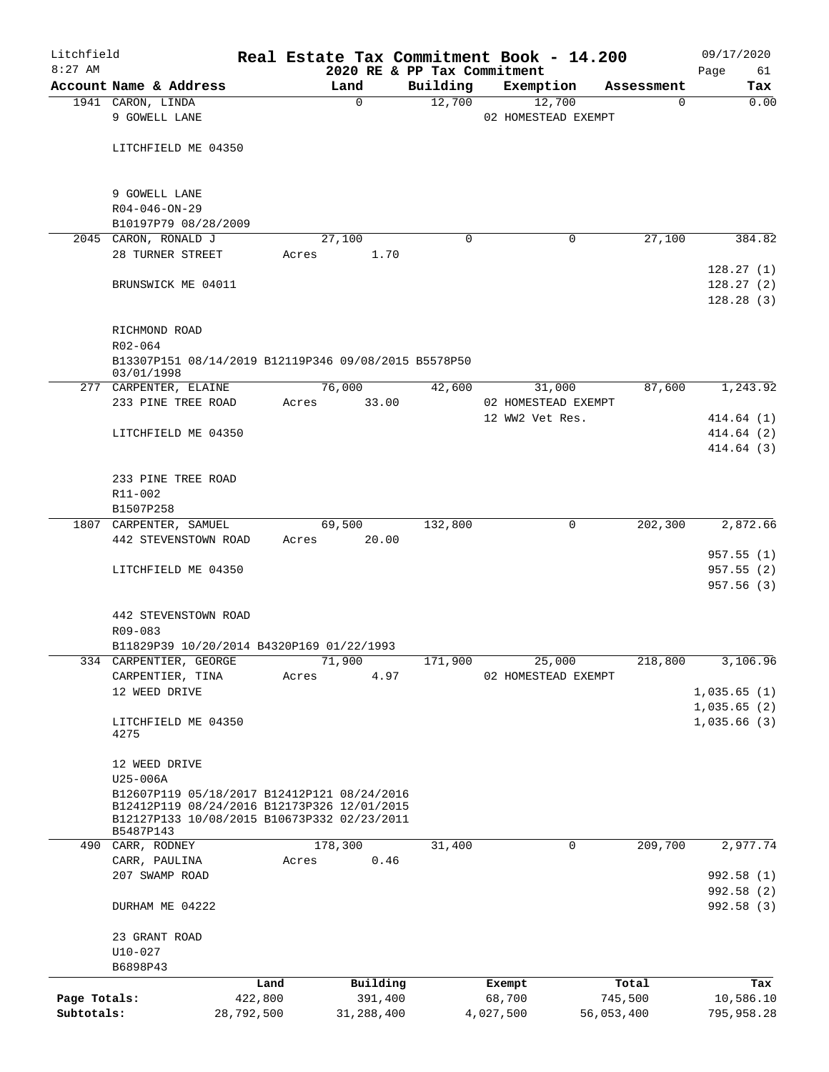| Litchfield   |                                                                                                                                                        |            |         |             |                             | Real Estate Tax Commitment Book - 14.200 |                 | 09/17/2020                          |
|--------------|--------------------------------------------------------------------------------------------------------------------------------------------------------|------------|---------|-------------|-----------------------------|------------------------------------------|-----------------|-------------------------------------|
| $8:27$ AM    |                                                                                                                                                        |            |         |             | 2020 RE & PP Tax Commitment |                                          |                 | Page<br>61                          |
|              | Account Name & Address                                                                                                                                 |            | Land    | $\mathbf 0$ | Building<br>12,700          | Exemption<br>12,700                      | Assessment<br>0 | Tax<br>0.00                         |
|              | 1941 CARON, LINDA<br>9 GOWELL LANE                                                                                                                     |            |         |             |                             | 02 HOMESTEAD EXEMPT                      |                 |                                     |
|              | LITCHFIELD ME 04350                                                                                                                                    |            |         |             |                             |                                          |                 |                                     |
|              | 9 GOWELL LANE                                                                                                                                          |            |         |             |                             |                                          |                 |                                     |
|              | $R04 - 046 - ON - 29$                                                                                                                                  |            |         |             |                             |                                          |                 |                                     |
|              | B10197P79 08/28/2009                                                                                                                                   |            |         |             |                             |                                          |                 |                                     |
|              | 2045 CARON, RONALD J                                                                                                                                   |            | 27,100  |             | 0                           | 0                                        | 27,100          | 384.82                              |
|              | 28 TURNER STREET                                                                                                                                       |            | Acres   | 1.70        |                             |                                          |                 |                                     |
|              | BRUNSWICK ME 04011                                                                                                                                     |            |         |             |                             |                                          |                 | 128.27(1)<br>128.27(2)<br>128.28(3) |
|              | RICHMOND ROAD<br>$R02 - 064$                                                                                                                           |            |         |             |                             |                                          |                 |                                     |
|              | B13307P151 08/14/2019 B12119P346 09/08/2015 B5578P50<br>03/01/1998                                                                                     |            |         |             |                             |                                          |                 |                                     |
|              | 277 CARPENTER, ELAINE                                                                                                                                  |            | 76,000  |             | 42,600                      | 31,000                                   | 87,600          | 1,243.92                            |
|              | 233 PINE TREE ROAD                                                                                                                                     |            | Acres   | 33.00       |                             | 02 HOMESTEAD EXEMPT                      |                 |                                     |
|              |                                                                                                                                                        |            |         |             |                             | 12 WW2 Vet Res.                          |                 | 414.64(1)                           |
|              | LITCHFIELD ME 04350                                                                                                                                    |            |         |             |                             |                                          |                 | 414.64(2)                           |
|              |                                                                                                                                                        |            |         |             |                             |                                          |                 | 414.64 (3)                          |
|              |                                                                                                                                                        |            |         |             |                             |                                          |                 |                                     |
|              | 233 PINE TREE ROAD                                                                                                                                     |            |         |             |                             |                                          |                 |                                     |
|              | R11-002<br>B1507P258                                                                                                                                   |            |         |             |                             |                                          |                 |                                     |
|              | 1807 CARPENTER, SAMUEL                                                                                                                                 |            | 69,500  |             | 132,800                     | 0                                        | 202,300         | 2,872.66                            |
|              | 442 STEVENSTOWN ROAD                                                                                                                                   |            | Acres   | 20.00       |                             |                                          |                 |                                     |
|              |                                                                                                                                                        |            |         |             |                             |                                          |                 | 957.55(1)                           |
|              | LITCHFIELD ME 04350                                                                                                                                    |            |         |             |                             |                                          |                 | 957.55(2)<br>957.56(3)              |
|              | 442 STEVENSTOWN ROAD<br>R09-083                                                                                                                        |            |         |             |                             |                                          |                 |                                     |
|              | B11829P39 10/20/2014 B4320P169 01/22/1993                                                                                                              |            |         |             |                             |                                          |                 |                                     |
|              | 334 CARPENTIER, GEORGE                                                                                                                                 |            | 71,900  |             | 171,900                     | 25,000                                   | 218,800         | 3,106.96                            |
|              | CARPENTIER, TINA                                                                                                                                       |            | Acres   | 4.97        |                             | 02 HOMESTEAD EXEMPT                      |                 |                                     |
|              | 12 WEED DRIVE                                                                                                                                          |            |         |             |                             |                                          |                 | 1,035.65(1)                         |
|              | LITCHFIELD ME 04350<br>4275                                                                                                                            |            |         |             |                             |                                          |                 | 1,035.65(2)<br>1,035.66(3)          |
|              | 12 WEED DRIVE                                                                                                                                          |            |         |             |                             |                                          |                 |                                     |
|              | U25-006A                                                                                                                                               |            |         |             |                             |                                          |                 |                                     |
|              | B12607P119 05/18/2017 B12412P121 08/24/2016<br>B12412P119 08/24/2016 B12173P326 12/01/2015<br>B12127P133 10/08/2015 B10673P332 02/23/2011<br>B5487P143 |            |         |             |                             |                                          |                 |                                     |
|              | 490 CARR, RODNEY                                                                                                                                       |            | 178,300 |             | 31,400                      | 0                                        | 209,700         | 2,977.74                            |
|              | CARR, PAULINA                                                                                                                                          |            | Acres   | 0.46        |                             |                                          |                 |                                     |
|              | 207 SWAMP ROAD                                                                                                                                         |            |         |             |                             |                                          |                 | 992.58 (1)                          |
|              | DURHAM ME 04222                                                                                                                                        |            |         |             |                             |                                          |                 | 992.58 (2)<br>992.58(3)             |
|              | 23 GRANT ROAD<br>$U10-027$                                                                                                                             |            |         |             |                             |                                          |                 |                                     |
|              | B6898P43                                                                                                                                               |            |         |             |                             |                                          |                 |                                     |
|              |                                                                                                                                                        | Land       |         | Building    |                             | Exempt                                   | Total           | Tax                                 |
| Page Totals: |                                                                                                                                                        | 422,800    |         | 391,400     |                             | 68,700                                   | 745,500         | 10,586.10                           |
| Subtotals:   |                                                                                                                                                        | 28,792,500 |         | 31,288,400  |                             | 4,027,500                                | 56,053,400      | 795,958.28                          |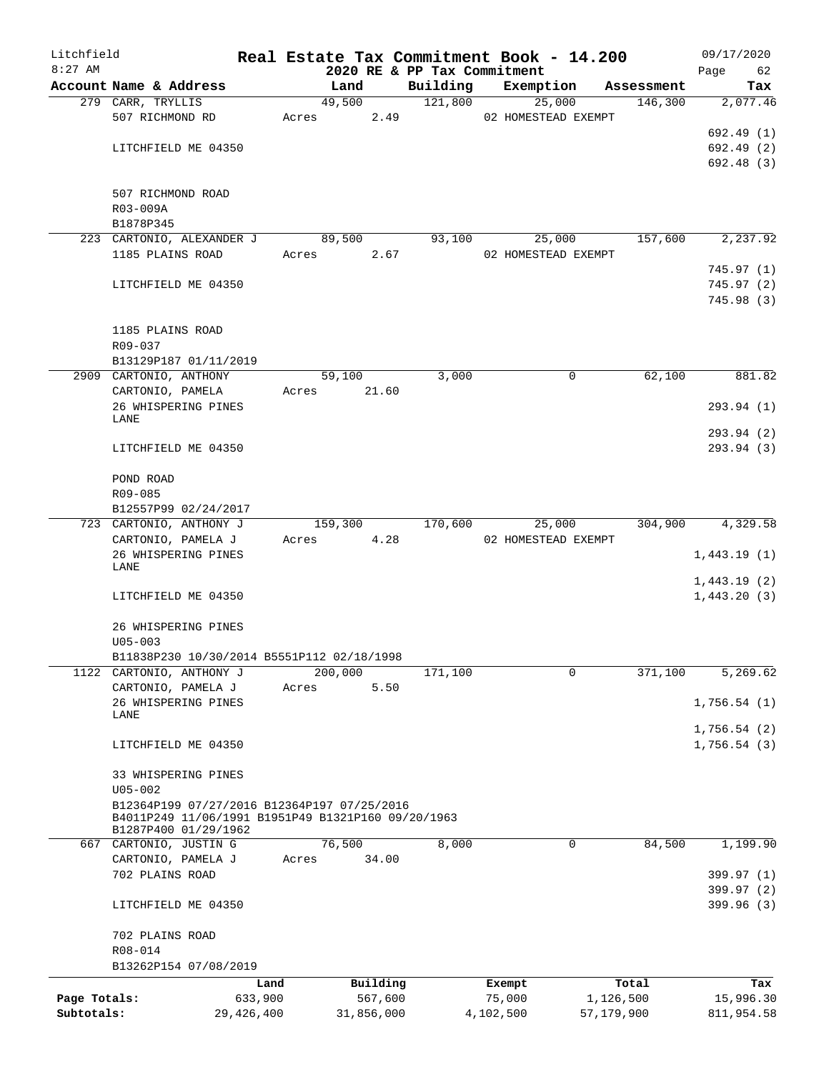| Litchfield   |                                                    |            |       |         |            |                             | Real Estate Tax Commitment Book - 14.200 |            |            | 09/17/2020  |     |
|--------------|----------------------------------------------------|------------|-------|---------|------------|-----------------------------|------------------------------------------|------------|------------|-------------|-----|
| $8:27$ AM    |                                                    |            |       |         |            | 2020 RE & PP Tax Commitment |                                          |            |            | Page        | 62  |
|              | Account Name & Address                             |            |       | Land    |            | Building                    | Exemption                                |            | Assessment | Tax         |     |
|              | 279 CARR, TRYLLIS<br>507 RICHMOND RD               |            | Acres | 49,500  | 2.49       | 121,800                     | 25,000<br>02 HOMESTEAD EXEMPT            |            | 146,300    | 2,077.46    |     |
|              |                                                    |            |       |         |            |                             |                                          |            |            | 692.49 (1)  |     |
|              | LITCHFIELD ME 04350                                |            |       |         |            |                             |                                          |            |            | 692.49 (2)  |     |
|              |                                                    |            |       |         |            |                             |                                          |            |            | 692.48 (3)  |     |
|              |                                                    |            |       |         |            |                             |                                          |            |            |             |     |
|              | 507 RICHMOND ROAD                                  |            |       |         |            |                             |                                          |            |            |             |     |
|              | R03-009A                                           |            |       |         |            |                             |                                          |            |            |             |     |
|              | B1878P345                                          |            |       |         |            |                             |                                          |            |            |             |     |
|              | 223 CARTONIO, ALEXANDER J                          |            |       | 89,500  |            | 93,100                      | 25,000                                   |            | 157,600    | 2,237.92    |     |
|              | 1185 PLAINS ROAD                                   |            | Acres |         | 2.67       |                             | 02 HOMESTEAD EXEMPT                      |            |            |             |     |
|              |                                                    |            |       |         |            |                             |                                          |            |            | 745.97(1)   |     |
|              | LITCHFIELD ME 04350                                |            |       |         |            |                             |                                          |            |            | 745.97(2)   |     |
|              |                                                    |            |       |         |            |                             |                                          |            |            | 745.98(3)   |     |
|              |                                                    |            |       |         |            |                             |                                          |            |            |             |     |
|              | 1185 PLAINS ROAD                                   |            |       |         |            |                             |                                          |            |            |             |     |
|              | R09-037                                            |            |       |         |            |                             |                                          |            |            |             |     |
|              | B13129P187 01/11/2019                              |            |       |         |            |                             |                                          |            |            |             |     |
|              | 2909 CARTONIO, ANTHONY                             |            |       | 59,100  |            | 3,000                       | 0                                        |            | 62,100     | 881.82      |     |
|              | CARTONIO, PAMELA<br>26 WHISPERING PINES            |            | Acres |         | 21.60      |                             |                                          |            |            |             |     |
|              | LANE                                               |            |       |         |            |                             |                                          |            |            | 293.94 (1)  |     |
|              |                                                    |            |       |         |            |                             |                                          |            |            | 293.94 (2)  |     |
|              | LITCHFIELD ME 04350                                |            |       |         |            |                             |                                          |            |            | 293.94 (3)  |     |
|              |                                                    |            |       |         |            |                             |                                          |            |            |             |     |
|              | POND ROAD                                          |            |       |         |            |                             |                                          |            |            |             |     |
|              | R09-085                                            |            |       |         |            |                             |                                          |            |            |             |     |
|              | B12557P99 02/24/2017                               |            |       |         |            |                             |                                          |            |            |             |     |
|              | 723 CARTONIO, ANTHONY J                            |            |       | 159,300 |            | 170,600                     | 25,000                                   |            | 304,900    | 4,329.58    |     |
|              | CARTONIO, PAMELA J                                 |            | Acres |         | 4.28       |                             | 02 HOMESTEAD EXEMPT                      |            |            |             |     |
|              | 26 WHISPERING PINES<br>LANE                        |            |       |         |            |                             |                                          |            |            | 1,443.19(1) |     |
|              |                                                    |            |       |         |            |                             |                                          |            |            | 1,443.19(2) |     |
|              | LITCHFIELD ME 04350                                |            |       |         |            |                             |                                          |            |            | 1,443.20(3) |     |
|              |                                                    |            |       |         |            |                             |                                          |            |            |             |     |
|              | 26 WHISPERING PINES                                |            |       |         |            |                             |                                          |            |            |             |     |
|              | $U05 - 003$                                        |            |       |         |            |                             |                                          |            |            |             |     |
|              | B11838P230 10/30/2014 B5551P112 02/18/1998         |            |       |         |            |                             |                                          |            |            |             |     |
|              | 1122 CARTONIO, ANTHONY J                           |            |       | 200,000 |            | 171,100                     | 0                                        |            | 371,100    | 5,269.62    |     |
|              | CARTONIO, PAMELA J                                 |            | Acres |         | 5.50       |                             |                                          |            |            |             |     |
|              | 26 WHISPERING PINES<br>LANE                        |            |       |         |            |                             |                                          |            |            | 1,756.54(1) |     |
|              |                                                    |            |       |         |            |                             |                                          |            |            | 1,756.54(2) |     |
|              | LITCHFIELD ME 04350                                |            |       |         |            |                             |                                          |            |            | 1,756.54(3) |     |
|              |                                                    |            |       |         |            |                             |                                          |            |            |             |     |
|              | 33 WHISPERING PINES                                |            |       |         |            |                             |                                          |            |            |             |     |
|              | $U05 - 002$                                        |            |       |         |            |                             |                                          |            |            |             |     |
|              | B12364P199 07/27/2016 B12364P197 07/25/2016        |            |       |         |            |                             |                                          |            |            |             |     |
|              | B4011P249 11/06/1991 B1951P49 B1321P160 09/20/1963 |            |       |         |            |                             |                                          |            |            |             |     |
|              | B1287P400 01/29/1962<br>667 CARTONIO, JUSTIN G     |            |       | 76,500  |            | 8,000                       | 0                                        |            | 84,500     | 1,199.90    |     |
|              | CARTONIO, PAMELA J                                 |            | Acres |         | 34.00      |                             |                                          |            |            |             |     |
|              | 702 PLAINS ROAD                                    |            |       |         |            |                             |                                          |            |            | 399.97 (1)  |     |
|              |                                                    |            |       |         |            |                             |                                          |            |            | 399.97 (2)  |     |
|              | LITCHFIELD ME 04350                                |            |       |         |            |                             |                                          |            |            | 399.96 (3)  |     |
|              |                                                    |            |       |         |            |                             |                                          |            |            |             |     |
|              | 702 PLAINS ROAD                                    |            |       |         |            |                             |                                          |            |            |             |     |
|              | R08-014                                            |            |       |         |            |                             |                                          |            |            |             |     |
|              | B13262P154 07/08/2019                              |            |       |         |            |                             |                                          |            |            |             |     |
|              |                                                    | Land       |       |         | Building   |                             | Exempt                                   |            | Total      |             | Tax |
| Page Totals: |                                                    | 633,900    |       |         | 567,600    |                             | 75,000                                   | 1,126,500  |            | 15,996.30   |     |
| Subtotals:   |                                                    | 29,426,400 |       |         | 31,856,000 |                             | 4,102,500                                | 57,179,900 |            | 811,954.58  |     |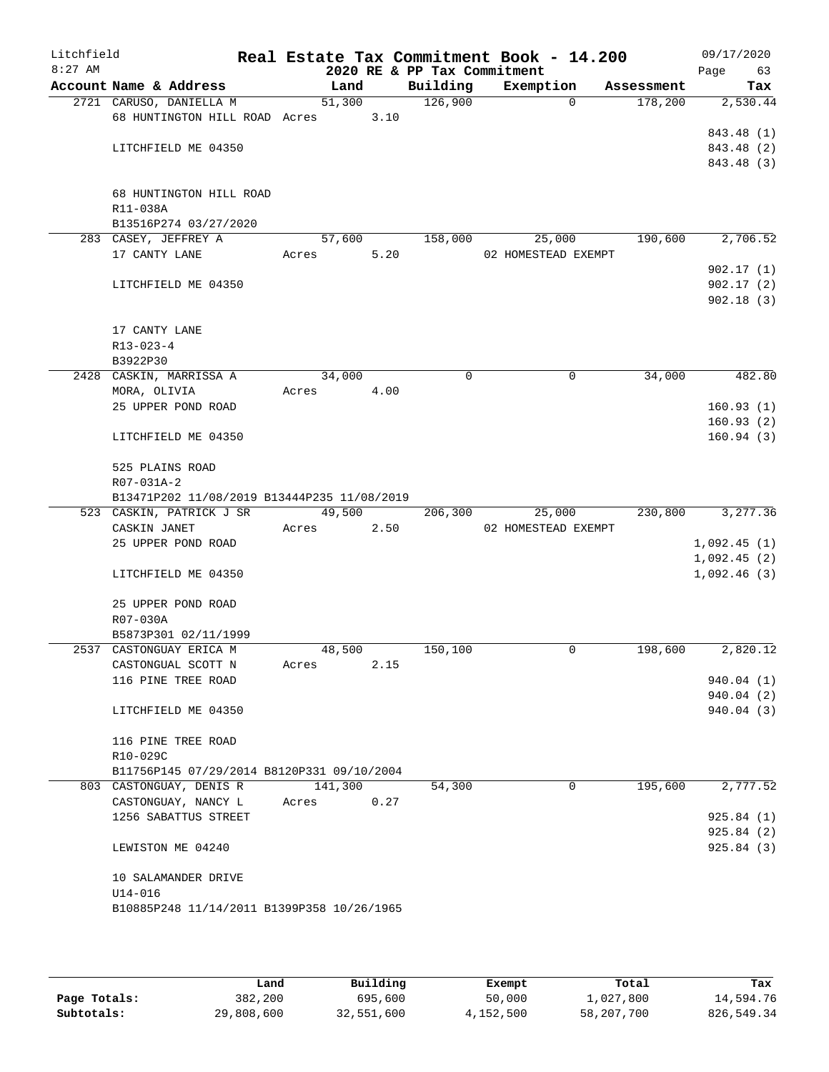| Litchfield<br>$8:27$ AM |                                             |         |      | 2020 RE & PP Tax Commitment | Real Estate Tax Commitment Book - 14.200 |            | 09/17/2020<br>Page<br>63 |
|-------------------------|---------------------------------------------|---------|------|-----------------------------|------------------------------------------|------------|--------------------------|
|                         | Account Name & Address                      | Land    |      | Building                    | Exemption                                | Assessment | Tax                      |
|                         | 2721 CARUSO, DANIELLA M                     | 51,300  |      | 126,900                     | 0                                        | 178,200    | 2,530.44                 |
|                         | 68 HUNTINGTON HILL ROAD Acres               |         | 3.10 |                             |                                          |            |                          |
|                         |                                             |         |      |                             |                                          |            | 843.48 (1)               |
|                         | LITCHFIELD ME 04350                         |         |      |                             |                                          |            | 843.48 (2)               |
|                         |                                             |         |      |                             |                                          |            | 843.48 (3)               |
|                         |                                             |         |      |                             |                                          |            |                          |
|                         | 68 HUNTINGTON HILL ROAD                     |         |      |                             |                                          |            |                          |
|                         | R11-038A                                    |         |      |                             |                                          |            |                          |
|                         | B13516P274 03/27/2020                       |         |      |                             |                                          |            |                          |
|                         | 283 CASEY, JEFFREY A                        | 57,600  |      | 158,000                     | 25,000                                   | 190,600    | 2,706.52                 |
|                         | 17 CANTY LANE                               | Acres   | 5.20 |                             | 02 HOMESTEAD EXEMPT                      |            |                          |
|                         |                                             |         |      |                             |                                          |            | 902.17(1)                |
|                         | LITCHFIELD ME 04350                         |         |      |                             |                                          |            | 902.17(2)                |
|                         |                                             |         |      |                             |                                          |            | 902.18(3)                |
|                         |                                             |         |      |                             |                                          |            |                          |
|                         | 17 CANTY LANE                               |         |      |                             |                                          |            |                          |
|                         | $R13 - 023 - 4$<br>B3922P30                 |         |      |                             |                                          |            |                          |
|                         | 2428 CASKIN, MARRISSA A                     | 34,000  |      | 0                           | 0                                        | 34,000     | 482.80                   |
|                         | MORA, OLIVIA                                | Acres   | 4.00 |                             |                                          |            |                          |
|                         | 25 UPPER POND ROAD                          |         |      |                             |                                          |            | 160.93(1)                |
|                         |                                             |         |      |                             |                                          |            | 160.93(2)                |
|                         | LITCHFIELD ME 04350                         |         |      |                             |                                          |            | 160.94(3)                |
|                         |                                             |         |      |                             |                                          |            |                          |
|                         | 525 PLAINS ROAD                             |         |      |                             |                                          |            |                          |
|                         | R07-031A-2                                  |         |      |                             |                                          |            |                          |
|                         | B13471P202 11/08/2019 B13444P235 11/08/2019 |         |      |                             |                                          |            |                          |
|                         | 523 CASKIN, PATRICK J SR                    | 49,500  |      | 206,300                     | 25,000                                   | 230,800    | 3,277.36                 |
|                         | CASKIN JANET                                | Acres   | 2.50 |                             | 02 HOMESTEAD EXEMPT                      |            |                          |
|                         | 25 UPPER POND ROAD                          |         |      |                             |                                          |            | 1,092.45(1)              |
|                         |                                             |         |      |                             |                                          |            | 1,092.45(2)              |
|                         | LITCHFIELD ME 04350                         |         |      |                             |                                          |            | 1,092.46(3)              |
|                         |                                             |         |      |                             |                                          |            |                          |
|                         | 25 UPPER POND ROAD                          |         |      |                             |                                          |            |                          |
|                         | R07-030A                                    |         |      |                             |                                          |            |                          |
|                         | B5873P301 02/11/1999                        |         |      |                             |                                          |            |                          |
|                         | 2537 CASTONGUAY ERICA M                     | 48,500  |      | 150,100                     | 0                                        | 198,600    | 2,820.12                 |
|                         | CASTONGUAL SCOTT N                          | Acres   | 2.15 |                             |                                          |            |                          |
|                         | 116 PINE TREE ROAD                          |         |      |                             |                                          |            | 940.04(1)                |
|                         |                                             |         |      |                             |                                          |            | 940.04(2)                |
|                         | LITCHFIELD ME 04350                         |         |      |                             |                                          |            | 940.04 (3)               |
|                         | 116 PINE TREE ROAD                          |         |      |                             |                                          |            |                          |
|                         | R10-029C                                    |         |      |                             |                                          |            |                          |
|                         | B11756P145 07/29/2014 B8120P331 09/10/2004  |         |      |                             |                                          |            |                          |
|                         | 803 CASTONGUAY, DENIS R                     | 141,300 |      | 54,300                      | 0                                        | 195,600    | 2,777.52                 |
|                         | CASTONGUAY, NANCY L                         | Acres   | 0.27 |                             |                                          |            |                          |
|                         | 1256 SABATTUS STREET                        |         |      |                             |                                          |            | 925.84(1)                |
|                         |                                             |         |      |                             |                                          |            | 925.84(2)                |
|                         | LEWISTON ME 04240                           |         |      |                             |                                          |            | 925.84 (3)               |
|                         |                                             |         |      |                             |                                          |            |                          |
|                         | 10 SALAMANDER DRIVE                         |         |      |                             |                                          |            |                          |
|                         | $U14 - 016$                                 |         |      |                             |                                          |            |                          |
|                         | B10885P248 11/14/2011 B1399P358 10/26/1965  |         |      |                             |                                          |            |                          |
|                         |                                             |         |      |                             |                                          |            |                          |

|              | Land       | Building   | Exempt    | Total      | Tax        |
|--------------|------------|------------|-----------|------------|------------|
| Page Totals: | 382,200    | 695,600    | 50,000    | 1,027,800  | 14,594.76  |
| Subtotals:   | 29,808,600 | 32,551,600 | 4,152,500 | 58,207,700 | 826,549.34 |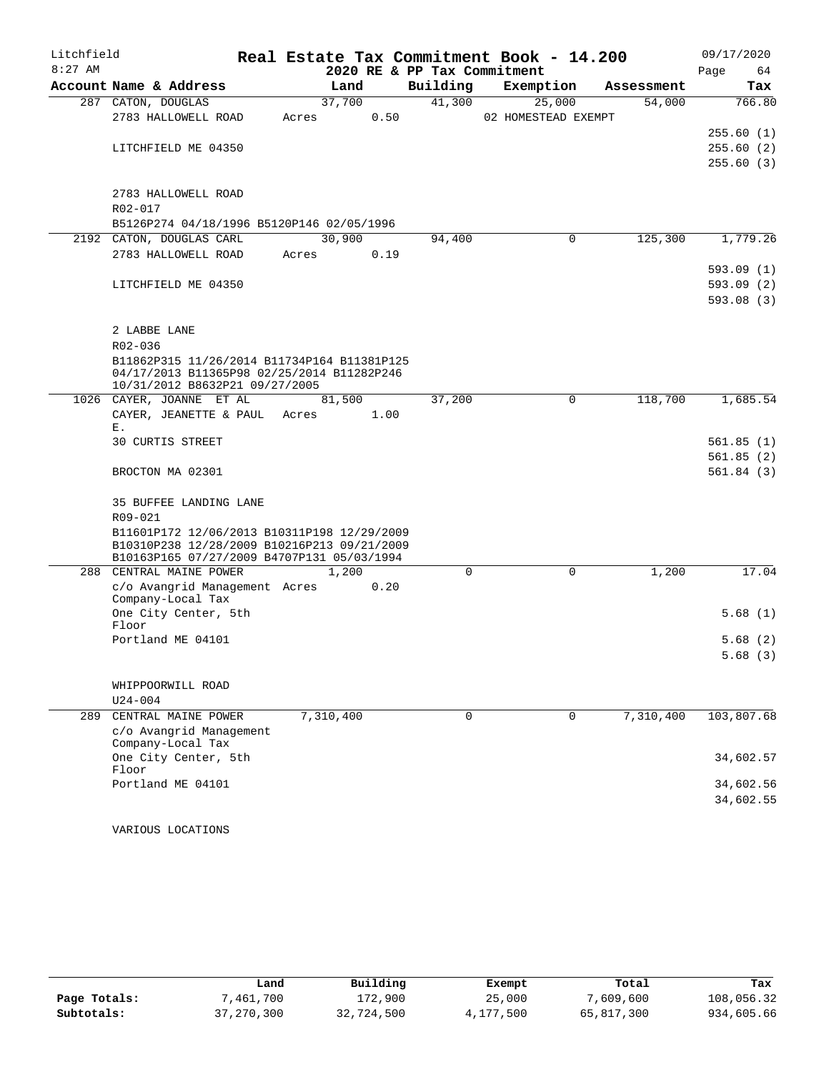| Litchfield |                                                                                           | Real Estate Tax Commitment Book - 14.200 |             |                     |            | 09/17/2020 |
|------------|-------------------------------------------------------------------------------------------|------------------------------------------|-------------|---------------------|------------|------------|
| $8:27$ AM  |                                                                                           | 2020 RE & PP Tax Commitment              |             |                     |            | Page<br>64 |
|            | Account Name & Address                                                                    | Land                                     | Building    | Exemption           | Assessment | Tax        |
|            | 287 CATON, DOUGLAS                                                                        | 37,700                                   | 41,300      | 25,000              | 54,000     | 766.80     |
|            | 2783 HALLOWELL ROAD                                                                       | 0.50<br>Acres                            |             | 02 HOMESTEAD EXEMPT |            |            |
|            |                                                                                           |                                          |             |                     |            | 255.60(1)  |
|            | LITCHFIELD ME 04350                                                                       |                                          |             |                     |            | 255.60 (2) |
|            |                                                                                           |                                          |             |                     |            | 255.60(3)  |
|            | 2783 HALLOWELL ROAD                                                                       |                                          |             |                     |            |            |
|            | R02-017                                                                                   |                                          |             |                     |            |            |
|            | B5126P274 04/18/1996 B5120P146 02/05/1996                                                 |                                          |             |                     |            |            |
|            | 2192 CATON, DOUGLAS CARL                                                                  | 30,900                                   | 94,400      | 0                   | 125,300    | 1,779.26   |
|            | 2783 HALLOWELL ROAD                                                                       | 0.19<br>Acres                            |             |                     |            |            |
|            |                                                                                           |                                          |             |                     |            | 593.09(1)  |
|            | LITCHFIELD ME 04350                                                                       |                                          |             |                     |            | 593.09 (2) |
|            |                                                                                           |                                          |             |                     |            | 593.08(3)  |
|            |                                                                                           |                                          |             |                     |            |            |
|            | 2 LABBE LANE                                                                              |                                          |             |                     |            |            |
|            | $R02 - 036$                                                                               |                                          |             |                     |            |            |
|            | B11862P315 11/26/2014 B11734P164 B11381P125<br>04/17/2013 B11365P98 02/25/2014 B11282P246 |                                          |             |                     |            |            |
|            | 10/31/2012 B8632P21 09/27/2005                                                            |                                          |             |                     |            |            |
|            | 1026 CAYER, JOANNE ET AL                                                                  | 81,500                                   | 37,200      | 0                   | 118,700    | 1,685.54   |
|            | CAYER, JEANETTE & PAUL Acres                                                              | 1.00                                     |             |                     |            |            |
|            | Ε.                                                                                        |                                          |             |                     |            |            |
|            | 30 CURTIS STREET                                                                          |                                          |             |                     |            | 561.85(1)  |
|            |                                                                                           |                                          |             |                     |            | 561.85(2)  |
|            | BROCTON MA 02301                                                                          |                                          |             |                     |            | 561.84(3)  |
|            | 35 BUFFEE LANDING LANE                                                                    |                                          |             |                     |            |            |
|            | R09-021                                                                                   |                                          |             |                     |            |            |
|            | B11601P172 12/06/2013 B10311P198 12/29/2009                                               |                                          |             |                     |            |            |
|            | B10310P238 12/28/2009 B10216P213 09/21/2009                                               |                                          |             |                     |            |            |
|            | B10163P165 07/27/2009 B4707P131 05/03/1994                                                |                                          |             |                     |            |            |
| 288        | CENTRAL MAINE POWER                                                                       | 1,200                                    | $\Omega$    | $\mathbf 0$         | 1,200      | 17.04      |
|            | c/o Avangrid Management Acres<br>Company-Local Tax                                        | 0.20                                     |             |                     |            |            |
|            | One City Center, 5th                                                                      |                                          |             |                     |            | 5.68(1)    |
|            | Floor                                                                                     |                                          |             |                     |            |            |
|            | Portland ME 04101                                                                         |                                          |             |                     |            | 5.68(2)    |
|            |                                                                                           |                                          |             |                     |            | 5.68(3)    |
|            |                                                                                           |                                          |             |                     |            |            |
|            | WHIPPOORWILL ROAD                                                                         |                                          |             |                     |            |            |
|            | $U24 - 004$                                                                               |                                          | $\mathbf 0$ | $\Omega$            |            |            |
| 289        | CENTRAL MAINE POWER<br>c/o Avangrid Management                                            | 7,310,400                                |             |                     | 7,310,400  | 103,807.68 |
|            | Company-Local Tax                                                                         |                                          |             |                     |            |            |
|            | One City Center, 5th                                                                      |                                          |             |                     |            | 34,602.57  |
|            | Floor                                                                                     |                                          |             |                     |            |            |
|            | Portland ME 04101                                                                         |                                          |             |                     |            | 34,602.56  |
|            |                                                                                           |                                          |             |                     |            | 34,602.55  |
|            |                                                                                           |                                          |             |                     |            |            |

VARIOUS LOCATIONS

|              | Land         | Building   | Exempt    | Total      | Tax        |
|--------------|--------------|------------|-----------|------------|------------|
| Page Totals: | 7,461,700    | 172,900    | 25,000    | 7,609,600  | 108,056.32 |
| Subtotals:   | 37, 270, 300 | 32,724,500 | 4,177,500 | 65,817,300 | 934,605.66 |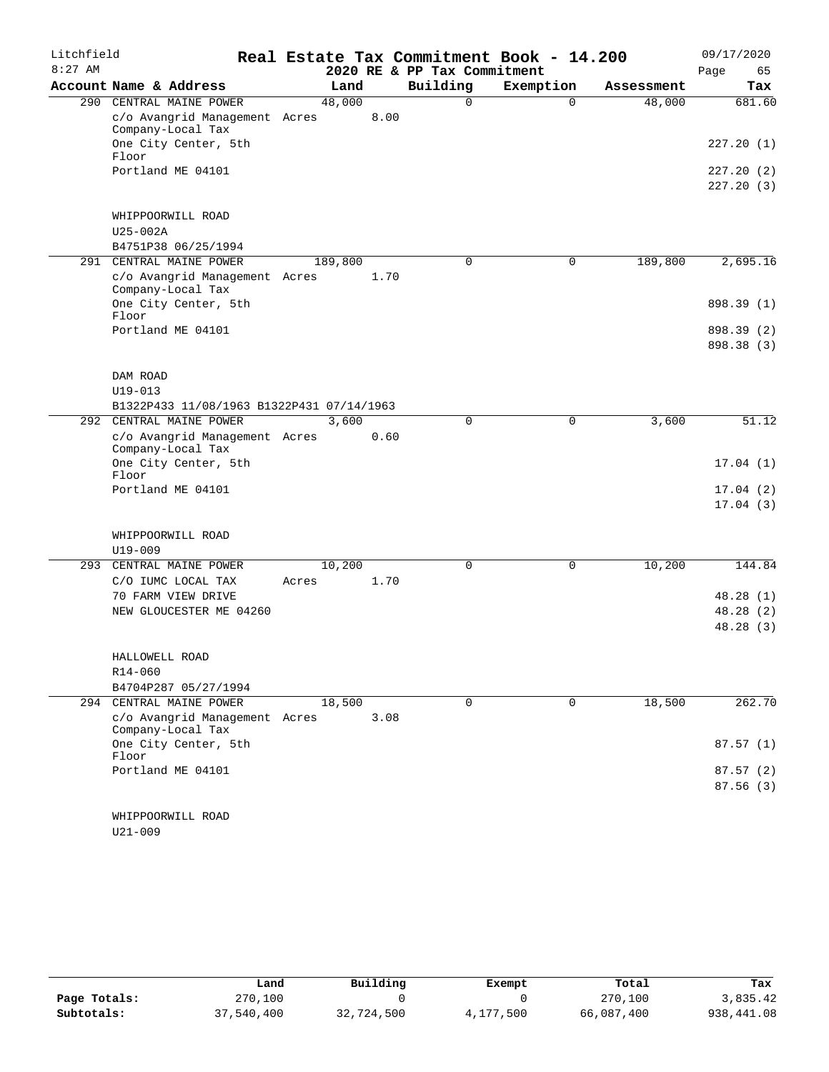| Litchfield |                                                          |         |      |                             | Real Estate Tax Commitment Book - 14.200 |            | 09/17/2020               |
|------------|----------------------------------------------------------|---------|------|-----------------------------|------------------------------------------|------------|--------------------------|
| $8:27$ AM  |                                                          |         |      | 2020 RE & PP Tax Commitment |                                          |            | 65<br>Page               |
|            | Account Name & Address                                   | Land    |      | Building                    | Exemption                                | Assessment | Tax                      |
|            | 290 CENTRAL MAINE POWER<br>c/o Avangrid Management Acres | 48,000  | 8.00 | $\Omega$                    | $\Omega$                                 | 48,000     | 681.60                   |
|            | Company-Local Tax<br>One City Center, 5th<br>Floor       |         |      |                             |                                          |            | 227.20(1)                |
|            | Portland ME 04101                                        |         |      |                             |                                          |            | 227.20(2)                |
|            |                                                          |         |      |                             |                                          |            | 227.20(3)                |
|            | WHIPPOORWILL ROAD                                        |         |      |                             |                                          |            |                          |
|            | $U25-002A$                                               |         |      |                             |                                          |            |                          |
|            | B4751P38 06/25/1994                                      |         |      |                             |                                          |            |                          |
|            | 291 CENTRAL MAINE POWER                                  | 189,800 |      | $\mathbf 0$                 | $\mathbf 0$                              | 189,800    | 2,695.16                 |
|            | c/o Avangrid Management Acres<br>Company-Local Tax       |         | 1.70 |                             |                                          |            |                          |
|            | One City Center, 5th<br>Floor                            |         |      |                             |                                          |            | 898.39 (1)               |
|            | Portland ME 04101                                        |         |      |                             |                                          |            | 898.39 (2)<br>898.38 (3) |
|            |                                                          |         |      |                             |                                          |            |                          |
|            | DAM ROAD                                                 |         |      |                             |                                          |            |                          |
|            | $U19 - 013$                                              |         |      |                             |                                          |            |                          |
|            | B1322P433 11/08/1963 B1322P431 07/14/1963                |         |      |                             |                                          |            |                          |
|            | 292 CENTRAL MAINE POWER                                  | 3,600   |      | 0                           | $\mathbf 0$                              | 3,600      | 51.12                    |
|            | c/o Avangrid Management Acres<br>Company-Local Tax       |         | 0.60 |                             |                                          |            |                          |
|            | One City Center, 5th<br>Floor                            |         |      |                             |                                          |            | 17.04(1)                 |
|            | Portland ME 04101                                        |         |      |                             |                                          |            | 17.04(2)                 |
|            |                                                          |         |      |                             |                                          |            | 17.04(3)                 |
|            | WHIPPOORWILL ROAD                                        |         |      |                             |                                          |            |                          |
|            | $U19 - 009$                                              |         |      |                             |                                          |            |                          |
| 293        | CENTRAL MAINE POWER                                      | 10,200  |      | $\mathbf 0$                 | $\mathbf 0$                              | 10,200     | 144.84                   |
|            | C/O IUMC LOCAL TAX                                       | Acres   | 1.70 |                             |                                          |            |                          |
|            | 70 FARM VIEW DRIVE<br>NEW GLOUCESTER ME 04260            |         |      |                             |                                          |            | 48.28 (1)<br>48.28 (2)   |
|            |                                                          |         |      |                             |                                          |            | 48.28(3)                 |
|            |                                                          |         |      |                             |                                          |            |                          |
|            | HALLOWELL ROAD                                           |         |      |                             |                                          |            |                          |
|            | R14-060                                                  |         |      |                             |                                          |            |                          |
|            | B4704P287 05/27/1994                                     |         |      |                             |                                          |            |                          |
| 294        | CENTRAL MAINE POWER                                      | 18,500  |      | $\mathbf 0$                 | $\mathbf 0$                              | 18,500     | 262.70                   |
|            | c/o Avangrid Management Acres<br>Company-Local Tax       |         | 3.08 |                             |                                          |            |                          |
|            | One City Center, 5th<br>Floor                            |         |      |                             |                                          |            | 87.57(1)                 |
|            | Portland ME 04101                                        |         |      |                             |                                          |            | 87.57(2)                 |
|            |                                                          |         |      |                             |                                          |            | 87.56(3)                 |
|            | WHIPPOORWILL ROAD<br>$U21 - 009$                         |         |      |                             |                                          |            |                          |

|              | Land       | Building   | Exempt    | Total      | Tax        |
|--------------|------------|------------|-----------|------------|------------|
| Page Totals: | 270,100    |            |           | 270,100    | 3,835.42   |
| Subtotals:   | 37,540,400 | 32,724,500 | 4,177,500 | 66,087,400 | 938,441.08 |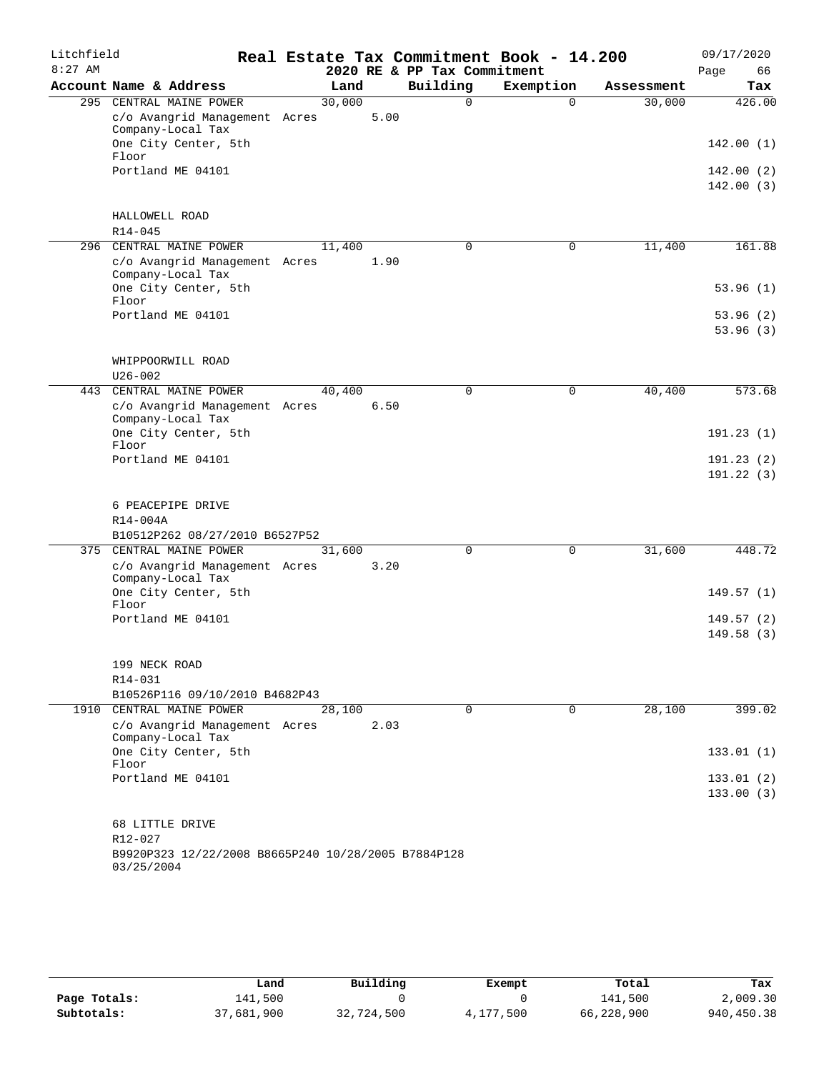| Litchfield |                                                     |        |      |                             | Real Estate Tax Commitment Book - 14.200 |            | 09/17/2020 |
|------------|-----------------------------------------------------|--------|------|-----------------------------|------------------------------------------|------------|------------|
| $8:27$ AM  |                                                     |        |      | 2020 RE & PP Tax Commitment |                                          |            | Page<br>66 |
|            | Account Name & Address                              | Land   |      | Building                    | Exemption                                | Assessment | Tax        |
|            | 295 CENTRAL MAINE POWER                             | 30,000 |      | $\Omega$                    | $\Omega$                                 | 30,000     | 426.00     |
|            | c/o Avangrid Management Acres                       |        | 5.00 |                             |                                          |            |            |
|            | Company-Local Tax<br>One City Center, 5th           |        |      |                             |                                          |            | 142.00(1)  |
|            | Floor                                               |        |      |                             |                                          |            |            |
|            | Portland ME 04101                                   |        |      |                             |                                          |            | 142.00 (2) |
|            |                                                     |        |      |                             |                                          |            | 142.00(3)  |
|            |                                                     |        |      |                             |                                          |            |            |
|            | HALLOWELL ROAD                                      |        |      |                             |                                          |            |            |
|            | $R14 - 045$                                         |        |      |                             |                                          |            |            |
| 296        | CENTRAL MAINE POWER                                 | 11,400 |      | 0                           | $\mathbf 0$                              | 11,400     | 161.88     |
|            | c/o Avangrid Management Acres                       |        | 1.90 |                             |                                          |            |            |
|            | Company-Local Tax<br>One City Center, 5th           |        |      |                             |                                          |            | 53.96(1)   |
|            | Floor                                               |        |      |                             |                                          |            |            |
|            | Portland ME 04101                                   |        |      |                             |                                          |            | 53.96(2)   |
|            |                                                     |        |      |                             |                                          |            | 53.96(3)   |
|            |                                                     |        |      |                             |                                          |            |            |
|            | WHIPPOORWILL ROAD                                   |        |      |                             |                                          |            |            |
|            | $U26 - 002$                                         |        |      |                             |                                          |            |            |
| 443        | CENTRAL MAINE POWER                                 | 40,400 |      | 0                           | $\mathbf 0$                              | 40,400     | 573.68     |
|            | c/o Avangrid Management Acres                       |        | 6.50 |                             |                                          |            |            |
|            | Company-Local Tax                                   |        |      |                             |                                          |            |            |
|            | One City Center, 5th<br>Floor                       |        |      |                             |                                          |            | 191.23(1)  |
|            | Portland ME 04101                                   |        |      |                             |                                          |            | 191.23(2)  |
|            |                                                     |        |      |                             |                                          |            | 191.22(3)  |
|            |                                                     |        |      |                             |                                          |            |            |
|            | 6 PEACEPIPE DRIVE                                   |        |      |                             |                                          |            |            |
|            | R14-004A                                            |        |      |                             |                                          |            |            |
|            | B10512P262 08/27/2010 B6527P52                      |        |      |                             |                                          |            |            |
|            | 375 CENTRAL MAINE POWER                             | 31,600 |      | 0                           | $\mathbf 0$                              | 31,600     | 448.72     |
|            | c/o Avangrid Management Acres                       |        | 3.20 |                             |                                          |            |            |
|            | Company-Local Tax                                   |        |      |                             |                                          |            |            |
|            | One City Center, 5th<br>Floor                       |        |      |                             |                                          |            | 149.57(1)  |
|            | Portland ME 04101                                   |        |      |                             |                                          |            | 149.57(2)  |
|            |                                                     |        |      |                             |                                          |            | 149.58(3)  |
|            |                                                     |        |      |                             |                                          |            |            |
|            | 199 NECK ROAD                                       |        |      |                             |                                          |            |            |
|            | R14-031                                             |        |      |                             |                                          |            |            |
|            | B10526P116 09/10/2010 B4682P43                      |        |      |                             |                                          |            |            |
|            | 1910 CENTRAL MAINE POWER                            | 28,100 |      | $\overline{0}$              | $\mathbf 0$                              | 28,100     | 399.02     |
|            | c/o Avangrid Management Acres                       |        | 2.03 |                             |                                          |            |            |
|            | Company-Local Tax                                   |        |      |                             |                                          |            |            |
|            | One City Center, 5th<br>Floor                       |        |      |                             |                                          |            | 133.01(1)  |
|            | Portland ME 04101                                   |        |      |                             |                                          |            | 133.01(2)  |
|            |                                                     |        |      |                             |                                          |            | 133.00(3)  |
|            |                                                     |        |      |                             |                                          |            |            |
|            | 68 LITTLE DRIVE                                     |        |      |                             |                                          |            |            |
|            | R12-027                                             |        |      |                             |                                          |            |            |
|            | B9920P323 12/22/2008 B8665P240 10/28/2005 B7884P128 |        |      |                             |                                          |            |            |
|            | 03/25/2004                                          |        |      |                             |                                          |            |            |

|              | Land       | Building   | Exempt    | Total      | Tax        |
|--------------|------------|------------|-----------|------------|------------|
| Page Totals: | 141,500    |            |           | 141,500    | 2,009.30   |
| Subtotals:   | 37,681,900 | 32,724,500 | 4,177,500 | 66,228,900 | 940,450.38 |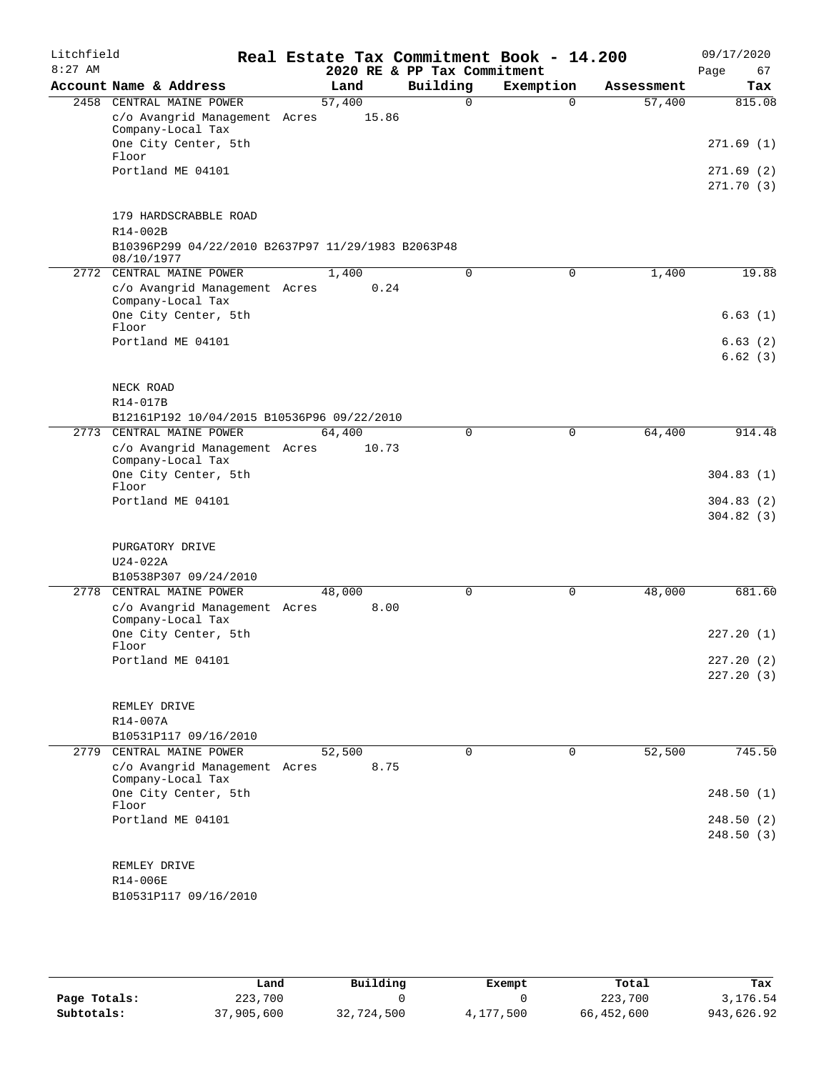| Litchfield |                                                                                  |        |       |                             |             | Real Estate Tax Commitment Book - 14.200 |            |      | 09/17/2020             |
|------------|----------------------------------------------------------------------------------|--------|-------|-----------------------------|-------------|------------------------------------------|------------|------|------------------------|
| $8:27$ AM  |                                                                                  |        |       | 2020 RE & PP Tax Commitment |             |                                          |            | Page | 67                     |
|            | Account Name & Address<br>2458 CENTRAL MAINE POWER                               | Land   |       | Building                    | $\Omega$    | Exemption                                | Assessment |      | Tax                    |
|            | c/o Avangrid Management Acres                                                    | 57,400 | 15.86 |                             |             | $\Omega$                                 | 57,400     |      | 815.08                 |
|            | Company-Local Tax<br>One City Center, 5th                                        |        |       |                             |             |                                          |            |      | 271.69(1)              |
|            | Floor                                                                            |        |       |                             |             |                                          |            |      |                        |
|            | Portland ME 04101                                                                |        |       |                             |             |                                          |            |      | 271.69(2)<br>271.70(3) |
|            | 179 HARDSCRABBLE ROAD                                                            |        |       |                             |             |                                          |            |      |                        |
|            | $R14 - 002B$<br>B10396P299 04/22/2010 B2637P97 11/29/1983 B2063P48<br>08/10/1977 |        |       |                             |             |                                          |            |      |                        |
|            | 2772 CENTRAL MAINE POWER                                                         | 1,400  |       |                             | $\Omega$    | 0                                        | 1,400      |      | 19.88                  |
|            | c/o Avangrid Management Acres<br>Company-Local Tax                               |        | 0.24  |                             |             |                                          |            |      |                        |
|            | One City Center, 5th<br>Floor                                                    |        |       |                             |             |                                          |            |      | 6.63(1)                |
|            | Portland ME 04101                                                                |        |       |                             |             |                                          |            |      | 6.63(2)                |
|            |                                                                                  |        |       |                             |             |                                          |            |      | 6.62(3)                |
|            | NECK ROAD                                                                        |        |       |                             |             |                                          |            |      |                        |
|            | R14-017B                                                                         |        |       |                             |             |                                          |            |      |                        |
|            | B12161P192 10/04/2015 B10536P96 09/22/2010<br>CENTRAL MAINE POWER                | 64,400 |       |                             | 0           | $\mathbf 0$                              | 64,400     |      | 914.48                 |
| 2773       | c/o Avangrid Management Acres<br>Company-Local Tax                               |        | 10.73 |                             |             |                                          |            |      |                        |
|            | One City Center, 5th<br>Floor                                                    |        |       |                             |             |                                          |            |      | 304.83(1)              |
|            | Portland ME 04101                                                                |        |       |                             |             |                                          |            |      | 304.83(2)              |
|            |                                                                                  |        |       |                             |             |                                          |            |      | 304.82(3)              |
|            | PURGATORY DRIVE                                                                  |        |       |                             |             |                                          |            |      |                        |
|            | U24-022A                                                                         |        |       |                             |             |                                          |            |      |                        |
| 2778       | B10538P307 09/24/2010<br>CENTRAL MAINE POWER                                     | 48,000 |       |                             | $\mathbf 0$ | $\mathbf 0$                              | 48,000     |      | 681.60                 |
|            | c/o Avangrid Management Acres<br>Company-Local Tax                               |        | 8.00  |                             |             |                                          |            |      |                        |
|            | One City Center, 5th<br>Floor                                                    |        |       |                             |             |                                          |            |      | 227.20(1)              |
|            | Portland ME 04101                                                                |        |       |                             |             |                                          |            |      | 227.20(2)              |
|            |                                                                                  |        |       |                             |             |                                          |            |      | 227.20(3)              |
|            | REMLEY DRIVE                                                                     |        |       |                             |             |                                          |            |      |                        |
|            | R14-007A                                                                         |        |       |                             |             |                                          |            |      |                        |
|            | B10531P117 09/16/2010                                                            |        |       |                             |             |                                          |            |      |                        |
|            | 2779 CENTRAL MAINE POWER                                                         | 52,500 |       |                             | $\Omega$    | $\Omega$                                 | 52,500     |      | 745.50                 |
|            | c/o Avangrid Management Acres<br>Company-Local Tax                               |        | 8.75  |                             |             |                                          |            |      |                        |
|            | One City Center, 5th<br>Floor                                                    |        |       |                             |             |                                          |            |      | 248.50(1)              |
|            | Portland ME 04101                                                                |        |       |                             |             |                                          |            |      | 248.50 (2)             |
|            |                                                                                  |        |       |                             |             |                                          |            |      | 248.50(3)              |
|            | REMLEY DRIVE                                                                     |        |       |                             |             |                                          |            |      |                        |
|            | R14-006E                                                                         |        |       |                             |             |                                          |            |      |                        |
|            | B10531P117 09/16/2010                                                            |        |       |                             |             |                                          |            |      |                        |

|              | Land       | Building   | Exempt    | Total      | Tax        |
|--------------|------------|------------|-----------|------------|------------|
| Page Totals: | 223,700    |            |           | 223,700    | 3,176.54   |
| Subtotals:   | 37,905,600 | 32,724,500 | 4,177,500 | 66,452,600 | 943,626.92 |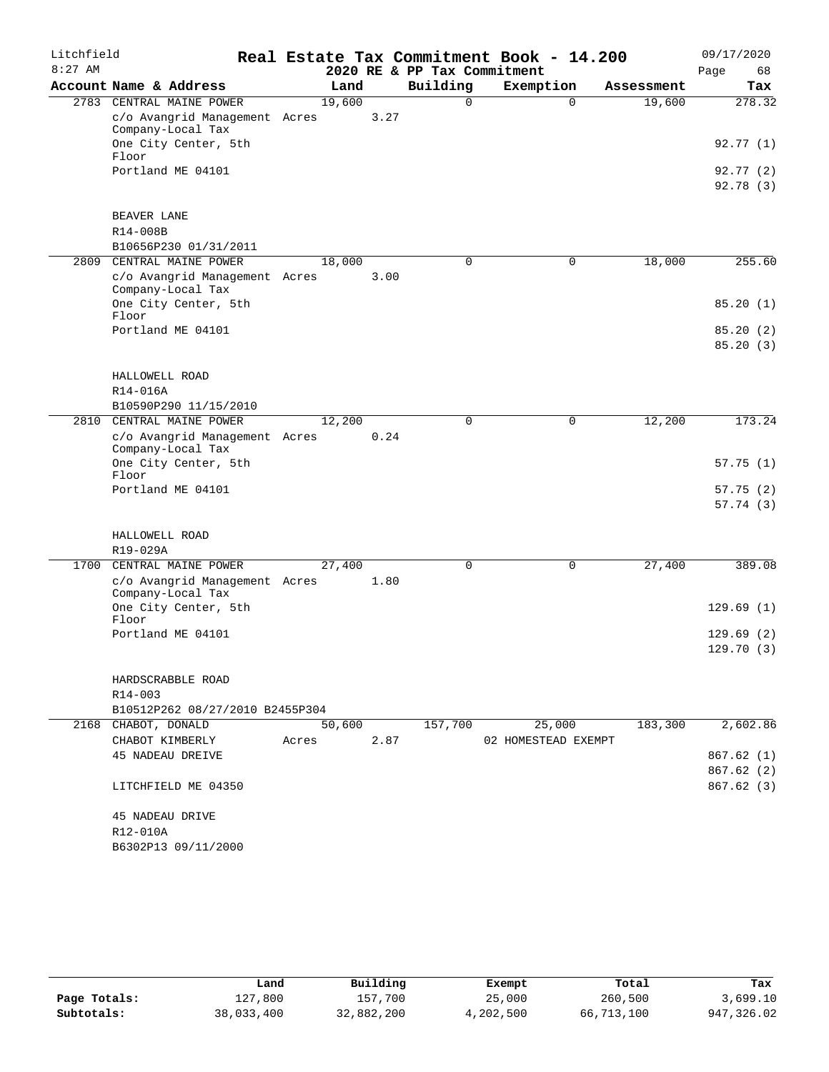| Litchfield |                                                    |        |      |                             | Real Estate Tax Commitment Book - 14.200 |            | 09/17/2020           |
|------------|----------------------------------------------------|--------|------|-----------------------------|------------------------------------------|------------|----------------------|
| $8:27$ AM  |                                                    |        |      | 2020 RE & PP Tax Commitment |                                          |            | 68<br>Page           |
|            | Account Name & Address                             | Land   |      | Building                    | Exemption                                | Assessment | Tax                  |
|            | 2783 CENTRAL MAINE POWER                           | 19,600 |      | $\Omega$                    | $\Omega$                                 | 19,600     | 278.32               |
|            | c/o Avangrid Management Acres<br>Company-Local Tax |        | 3.27 |                             |                                          |            |                      |
|            | One City Center, 5th<br>Floor                      |        |      |                             |                                          |            | 92.77 (1)            |
|            | Portland ME 04101                                  |        |      |                             |                                          |            | 92.77(2)             |
|            |                                                    |        |      |                             |                                          |            | 92.78 (3)            |
|            | BEAVER LANE                                        |        |      |                             |                                          |            |                      |
|            | R14-008B                                           |        |      |                             |                                          |            |                      |
|            | B10656P230 01/31/2011                              |        |      |                             |                                          |            |                      |
| 2809       | CENTRAL MAINE POWER                                | 18,000 |      | 0                           | 0                                        | 18,000     | 255.60               |
|            | c/o Avangrid Management Acres<br>Company-Local Tax |        | 3.00 |                             |                                          |            |                      |
|            | One City Center, 5th                               |        |      |                             |                                          |            | 85.20(1)             |
|            | Floor                                              |        |      |                             |                                          |            |                      |
|            | Portland ME 04101                                  |        |      |                             |                                          |            | 85.20(2)<br>85.20(3) |
|            |                                                    |        |      |                             |                                          |            |                      |
|            | HALLOWELL ROAD                                     |        |      |                             |                                          |            |                      |
|            | R14-016A                                           |        |      |                             |                                          |            |                      |
|            | B10590P290 11/15/2010                              |        |      |                             |                                          |            |                      |
|            | 2810 CENTRAL MAINE POWER                           | 12,200 |      | 0                           | 0                                        | 12,200     | 173.24               |
|            | c/o Avangrid Management Acres<br>Company-Local Tax |        | 0.24 |                             |                                          |            |                      |
|            | One City Center, 5th<br>Floor                      |        |      |                             |                                          |            | 57.75(1)             |
|            | Portland ME 04101                                  |        |      |                             |                                          |            | 57.75(2)             |
|            |                                                    |        |      |                             |                                          |            | 57.74(3)             |
|            | HALLOWELL ROAD                                     |        |      |                             |                                          |            |                      |
|            | R19-029A                                           |        |      |                             |                                          |            |                      |
|            | 1700 CENTRAL MAINE POWER                           | 27,400 |      | 0                           | 0                                        | 27,400     | 389.08               |
|            | c/o Avangrid Management Acres<br>Company-Local Tax |        | 1.80 |                             |                                          |            |                      |
|            | One City Center, 5th<br>Floor                      |        |      |                             |                                          |            | 129.69(1)            |
|            | Portland ME 04101                                  |        |      |                             |                                          |            | 129.69(2)            |
|            |                                                    |        |      |                             |                                          |            | 129.70(3)            |
|            | HARDSCRABBLE ROAD                                  |        |      |                             |                                          |            |                      |
|            | R14-003                                            |        |      |                             |                                          |            |                      |
|            | B10512P262 08/27/2010 B2455P304                    |        |      |                             |                                          |            |                      |
|            | 2168 CHABOT, DONALD                                | 50,600 |      | 157,700                     | 25,000                                   | 183,300    | 2,602.86             |
|            | CHABOT KIMBERLY                                    | Acres  | 2.87 |                             | 02 HOMESTEAD EXEMPT                      |            |                      |
|            | 45 NADEAU DREIVE                                   |        |      |                             |                                          |            | 867.62(1)            |
|            |                                                    |        |      |                             |                                          |            | 867.62(2)            |
|            | LITCHFIELD ME 04350                                |        |      |                             |                                          |            | 867.62 (3)           |
|            | 45 NADEAU DRIVE                                    |        |      |                             |                                          |            |                      |
|            | R12-010A                                           |        |      |                             |                                          |            |                      |
|            | B6302P13 09/11/2000                                |        |      |                             |                                          |            |                      |
|            |                                                    |        |      |                             |                                          |            |                      |

|              | Land       | Building   | Exempt    | Total      | Tax        |
|--------------|------------|------------|-----------|------------|------------|
| Page Totals: | 127,800    | 157,700    | 25,000    | 260,500    | 3,699.10   |
| Subtotals:   | 38,033,400 | 32,882,200 | 4,202,500 | 66,713,100 | 947,326.02 |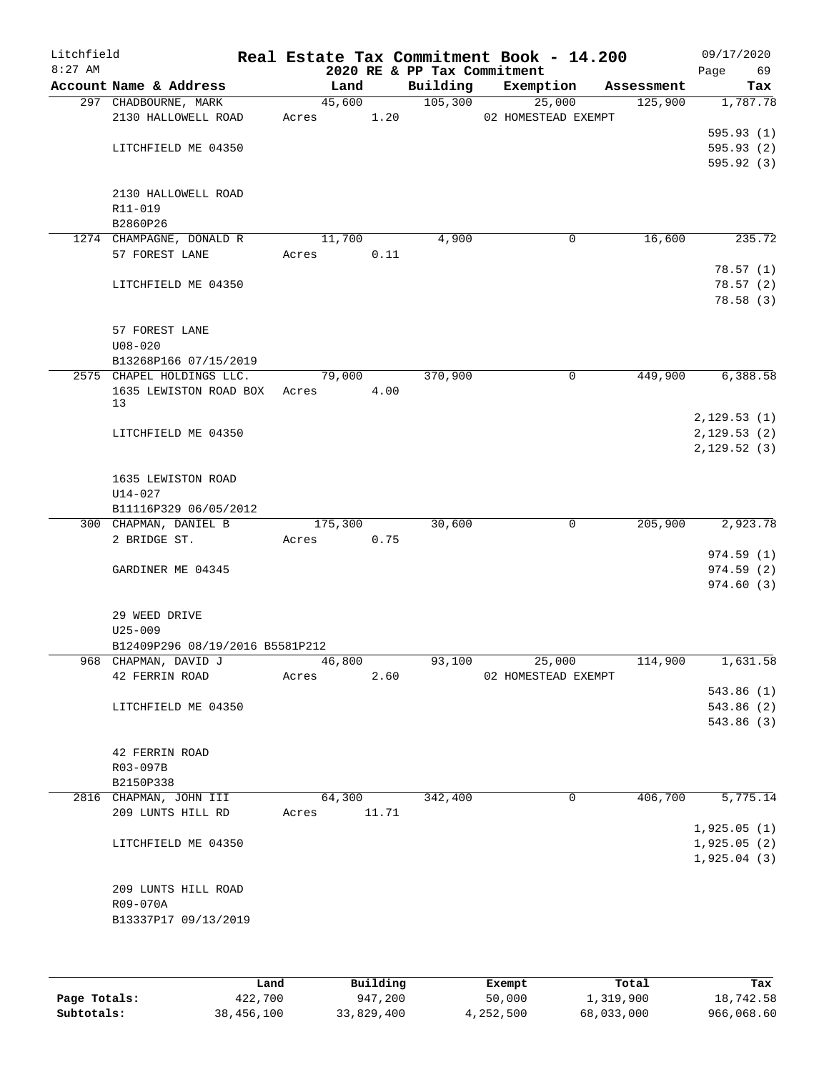| Litchfield<br>$8:27$ AM |                                      |            |        | 2020 RE & PP Tax Commitment | Real Estate Tax Commitment Book - 14.200 |            | 09/17/2020<br>Page<br>69 |
|-------------------------|--------------------------------------|------------|--------|-----------------------------|------------------------------------------|------------|--------------------------|
|                         | Account Name & Address               |            | Land   | Building                    | Exemption                                | Assessment | Tax                      |
|                         | 297 CHADBOURNE, MARK                 |            | 45,600 | 105,300                     | 25,000                                   | 125,900    | 1,787.78                 |
|                         | 2130 HALLOWELL ROAD                  | Acres      | 1.20   |                             | 02 HOMESTEAD EXEMPT                      |            |                          |
|                         |                                      |            |        |                             |                                          |            | 595.93(1)                |
|                         | LITCHFIELD ME 04350                  |            |        |                             |                                          |            | 595.93(2)                |
|                         |                                      |            |        |                             |                                          |            | 595.92(3)                |
|                         |                                      |            |        |                             |                                          |            |                          |
|                         | 2130 HALLOWELL ROAD                  |            |        |                             |                                          |            |                          |
|                         | R11-019                              |            |        |                             |                                          |            |                          |
|                         | B2860P26<br>1274 CHAMPAGNE, DONALD R |            | 11,700 | 4,900                       | 0                                        | 16,600     | 235.72                   |
|                         | 57 FOREST LANE                       | Acres      | 0.11   |                             |                                          |            |                          |
|                         |                                      |            |        |                             |                                          |            | 78.57(1)                 |
|                         | LITCHFIELD ME 04350                  |            |        |                             |                                          |            | 78.57(2)                 |
|                         |                                      |            |        |                             |                                          |            | 78.58(3)                 |
|                         |                                      |            |        |                             |                                          |            |                          |
|                         | 57 FOREST LANE                       |            |        |                             |                                          |            |                          |
|                         | $U08 - 020$                          |            |        |                             |                                          |            |                          |
|                         | B13268P166 07/15/2019                |            |        |                             |                                          |            |                          |
|                         | 2575 CHAPEL HOLDINGS LLC.            |            | 79,000 | 370,900                     | 0                                        | 449,900    | 6,388.58                 |
|                         | 1635 LEWISTON ROAD BOX               | Acres 4.00 |        |                             |                                          |            |                          |
|                         | 13                                   |            |        |                             |                                          |            |                          |
|                         |                                      |            |        |                             |                                          |            | 2,129.53(1)              |
|                         | LITCHFIELD ME 04350                  |            |        |                             |                                          |            | 2,129.53(2)              |
|                         |                                      |            |        |                             |                                          |            | 2,129.52(3)              |
|                         |                                      |            |        |                             |                                          |            |                          |
|                         | 1635 LEWISTON ROAD<br>$U14 - 027$    |            |        |                             |                                          |            |                          |
|                         | B11116P329 06/05/2012                |            |        |                             |                                          |            |                          |
|                         | 300 CHAPMAN, DANIEL B                | 175,300    |        | 30,600                      | $\mathbf 0$                              | 205,900    | 2,923.78                 |
|                         | 2 BRIDGE ST.                         | Acres      | 0.75   |                             |                                          |            |                          |
|                         |                                      |            |        |                             |                                          |            | 974.59(1)                |
|                         | GARDINER ME 04345                    |            |        |                             |                                          |            | 974.59(2)                |
|                         |                                      |            |        |                             |                                          |            | 974.60(3)                |
|                         |                                      |            |        |                             |                                          |            |                          |
|                         | 29 WEED DRIVE                        |            |        |                             |                                          |            |                          |
|                         | $U25 - 009$                          |            |        |                             |                                          |            |                          |
|                         | B12409P296 08/19/2016 B5581P212      |            |        |                             |                                          |            |                          |
|                         | 968 CHAPMAN, DAVID J                 |            | 46,800 | 93,100                      | 25,000                                   | 114,900    | 1,631.58                 |
|                         | 42 FERRIN ROAD                       | Acres      | 2.60   |                             | 02 HOMESTEAD EXEMPT                      |            |                          |
|                         |                                      |            |        |                             |                                          |            | 543.86(1)                |
|                         | LITCHFIELD ME 04350                  |            |        |                             |                                          |            | 543.86 (2)               |
|                         |                                      |            |        |                             |                                          |            | 543.86(3)                |
|                         |                                      |            |        |                             |                                          |            |                          |
|                         | 42 FERRIN ROAD                       |            |        |                             |                                          |            |                          |
|                         | R03-097B                             |            |        |                             |                                          |            |                          |
|                         | B2150P338<br>2816 CHAPMAN, JOHN III  |            | 64,300 | 342,400                     | 0                                        | 406,700    | 5,775.14                 |
|                         | 209 LUNTS HILL RD                    | Acres      | 11.71  |                             |                                          |            |                          |
|                         |                                      |            |        |                             |                                          |            | 1,925.05(1)              |
|                         | LITCHFIELD ME 04350                  |            |        |                             |                                          |            | 1,925.05(2)              |
|                         |                                      |            |        |                             |                                          |            | 1,925.04(3)              |
|                         |                                      |            |        |                             |                                          |            |                          |
|                         | 209 LUNTS HILL ROAD                  |            |        |                             |                                          |            |                          |
|                         | R09-070A                             |            |        |                             |                                          |            |                          |
|                         | B13337P17 09/13/2019                 |            |        |                             |                                          |            |                          |
|                         |                                      |            |        |                             |                                          |            |                          |
|                         |                                      |            |        |                             |                                          |            |                          |
|                         |                                      |            |        |                             |                                          |            |                          |

|              | Land       | Building   | Exempt    | Total      | Tax        |
|--------------|------------|------------|-----------|------------|------------|
| Page Totals: | 422,700    | 947,200    | 50,000    | 1,319,900  | 18,742.58  |
| Subtotals:   | 38,456,100 | 33,829,400 | 4,252,500 | 68,033,000 | 966,068.60 |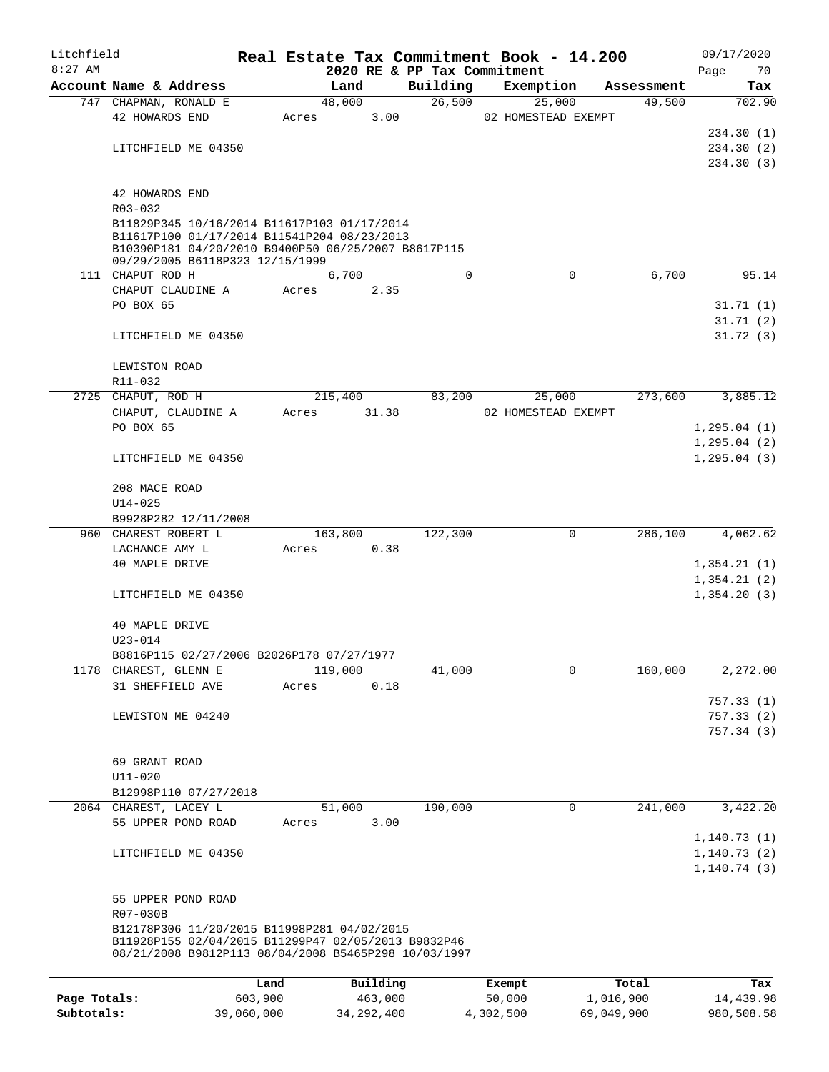| Litchfield   |                                                      |                 |       |         |                     |                             |          | Real Estate Tax Commitment Book - 14.200 |                    | 09/17/2020             |
|--------------|------------------------------------------------------|-----------------|-------|---------|---------------------|-----------------------------|----------|------------------------------------------|--------------------|------------------------|
| $8:27$ AM    |                                                      |                 |       |         |                     | 2020 RE & PP Tax Commitment |          |                                          |                    | Page<br>70             |
|              | Account Name & Address                               |                 |       | Land    |                     | Building                    |          | Exemption                                | Assessment         | Tax                    |
|              | 747 CHAPMAN, RONALD E                                |                 |       | 48,000  |                     | 26,500                      |          | 25,000                                   | 49,500             | 702.90                 |
|              | 42 HOWARDS END                                       |                 | Acres |         | 3.00                |                             |          | 02 HOMESTEAD EXEMPT                      |                    |                        |
|              |                                                      |                 |       |         |                     |                             |          |                                          |                    | 234.30 (1)             |
|              | LITCHFIELD ME 04350                                  |                 |       |         |                     |                             |          |                                          |                    | 234.30(2)              |
|              |                                                      |                 |       |         |                     |                             |          |                                          |                    | 234.30(3)              |
|              |                                                      |                 |       |         |                     |                             |          |                                          |                    |                        |
|              | 42 HOWARDS END<br>R03-032                            |                 |       |         |                     |                             |          |                                          |                    |                        |
|              | B11829P345 10/16/2014 B11617P103 01/17/2014          |                 |       |         |                     |                             |          |                                          |                    |                        |
|              | B11617P100 01/17/2014 B11541P204 08/23/2013          |                 |       |         |                     |                             |          |                                          |                    |                        |
|              | B10390P181 04/20/2010 B9400P50 06/25/2007 B8617P115  |                 |       |         |                     |                             |          |                                          |                    |                        |
|              | 09/29/2005 B6118P323 12/15/1999                      |                 |       |         |                     |                             |          |                                          |                    |                        |
|              | 111 CHAPUT ROD H                                     |                 |       | 6,700   |                     |                             | $\Omega$ | $\mathbf 0$                              | 6,700              | 95.14                  |
|              | CHAPUT CLAUDINE A                                    |                 | Acres |         | 2.35                |                             |          |                                          |                    |                        |
|              | PO BOX 65                                            |                 |       |         |                     |                             |          |                                          |                    | 31.71(1)               |
|              |                                                      |                 |       |         |                     |                             |          |                                          |                    | 31.71(2)               |
|              | LITCHFIELD ME 04350                                  |                 |       |         |                     |                             |          |                                          |                    | 31.72(3)               |
|              | LEWISTON ROAD                                        |                 |       |         |                     |                             |          |                                          |                    |                        |
|              | R11-032                                              |                 |       |         |                     |                             |          |                                          |                    |                        |
|              | 2725 CHAPUT, ROD H                                   |                 |       | 215,400 |                     | 83,200                      |          | 25,000                                   | 273,600            | 3,885.12               |
|              | CHAPUT, CLAUDINE A                                   |                 | Acres |         | 31.38               |                             |          | 02 HOMESTEAD EXEMPT                      |                    |                        |
|              | PO BOX 65                                            |                 |       |         |                     |                             |          |                                          |                    | 1, 295.04(1)           |
|              |                                                      |                 |       |         |                     |                             |          |                                          |                    | 1, 295.04(2)           |
|              | LITCHFIELD ME 04350                                  |                 |       |         |                     |                             |          |                                          |                    | 1, 295.04(3)           |
|              |                                                      |                 |       |         |                     |                             |          |                                          |                    |                        |
|              | 208 MACE ROAD                                        |                 |       |         |                     |                             |          |                                          |                    |                        |
|              | $U14 - 025$                                          |                 |       |         |                     |                             |          |                                          |                    |                        |
|              | B9928P282 12/11/2008                                 |                 |       |         |                     |                             |          |                                          |                    |                        |
| 960          | CHAREST ROBERT L                                     |                 |       | 163,800 |                     | 122,300                     |          | 0                                        | 286,100            | 4,062.62               |
|              | LACHANCE AMY L                                       |                 | Acres |         | 0.38                |                             |          |                                          |                    |                        |
|              | 40 MAPLE DRIVE                                       |                 |       |         |                     |                             |          |                                          |                    | 1,354.21(1)            |
|              |                                                      |                 |       |         |                     |                             |          |                                          |                    | 1,354.21(2)            |
|              | LITCHFIELD ME 04350                                  |                 |       |         |                     |                             |          |                                          |                    | 1,354.20(3)            |
|              |                                                      |                 |       |         |                     |                             |          |                                          |                    |                        |
|              | 40 MAPLE DRIVE                                       |                 |       |         |                     |                             |          |                                          |                    |                        |
|              | $U23 - 014$                                          |                 |       |         |                     |                             |          |                                          |                    |                        |
|              | B8816P115 02/27/2006 B2026P178 07/27/1977            |                 |       |         |                     |                             |          |                                          |                    |                        |
|              | 1178 CHAREST, GLENN E                                |                 |       | 119,000 |                     | 41,000                      |          | $\mathbf 0$                              | 160,000            | 2,272.00               |
|              | 31 SHEFFIELD AVE                                     |                 | Acres |         | 0.18                |                             |          |                                          |                    |                        |
|              |                                                      |                 |       |         |                     |                             |          |                                          |                    | 757.33 (1)             |
|              | LEWISTON ME 04240                                    |                 |       |         |                     |                             |          |                                          |                    | 757.33(2)<br>757.34(3) |
|              |                                                      |                 |       |         |                     |                             |          |                                          |                    |                        |
|              | 69 GRANT ROAD                                        |                 |       |         |                     |                             |          |                                          |                    |                        |
|              | $U11 - 020$                                          |                 |       |         |                     |                             |          |                                          |                    |                        |
|              | B12998P110 07/27/2018                                |                 |       |         |                     |                             |          |                                          |                    |                        |
|              | 2064 CHAREST, LACEY L                                |                 |       | 51,000  |                     | 190,000                     |          | 0                                        | 241,000            | 3,422.20               |
|              | 55 UPPER POND ROAD                                   |                 | Acres |         | 3.00                |                             |          |                                          |                    |                        |
|              |                                                      |                 |       |         |                     |                             |          |                                          |                    | 1,140.73(1)            |
|              | LITCHFIELD ME 04350                                  |                 |       |         |                     |                             |          |                                          |                    | 1, 140.73(2)           |
|              |                                                      |                 |       |         |                     |                             |          |                                          |                    | 1, 140.74(3)           |
|              |                                                      |                 |       |         |                     |                             |          |                                          |                    |                        |
|              | 55 UPPER POND ROAD                                   |                 |       |         |                     |                             |          |                                          |                    |                        |
|              | R07-030B                                             |                 |       |         |                     |                             |          |                                          |                    |                        |
|              | B12178P306 11/20/2015 B11998P281 04/02/2015          |                 |       |         |                     |                             |          |                                          |                    |                        |
|              | B11928P155 02/04/2015 B11299P47 02/05/2013 B9832P46  |                 |       |         |                     |                             |          |                                          |                    |                        |
|              | 08/21/2008 B9812P113 08/04/2008 B5465P298 10/03/1997 |                 |       |         |                     |                             |          |                                          |                    |                        |
|              |                                                      |                 |       |         |                     |                             |          |                                          |                    |                        |
| Page Totals: |                                                      | Land<br>603,900 |       |         | Building<br>463,000 |                             |          | Exempt<br>50,000                         | Total<br>1,016,900 | Tax<br>14,439.98       |
| Subtotals:   |                                                      | 39,060,000      |       |         | 34, 292, 400        |                             |          | 4,302,500                                | 69,049,900         | 980,508.58             |
|              |                                                      |                 |       |         |                     |                             |          |                                          |                    |                        |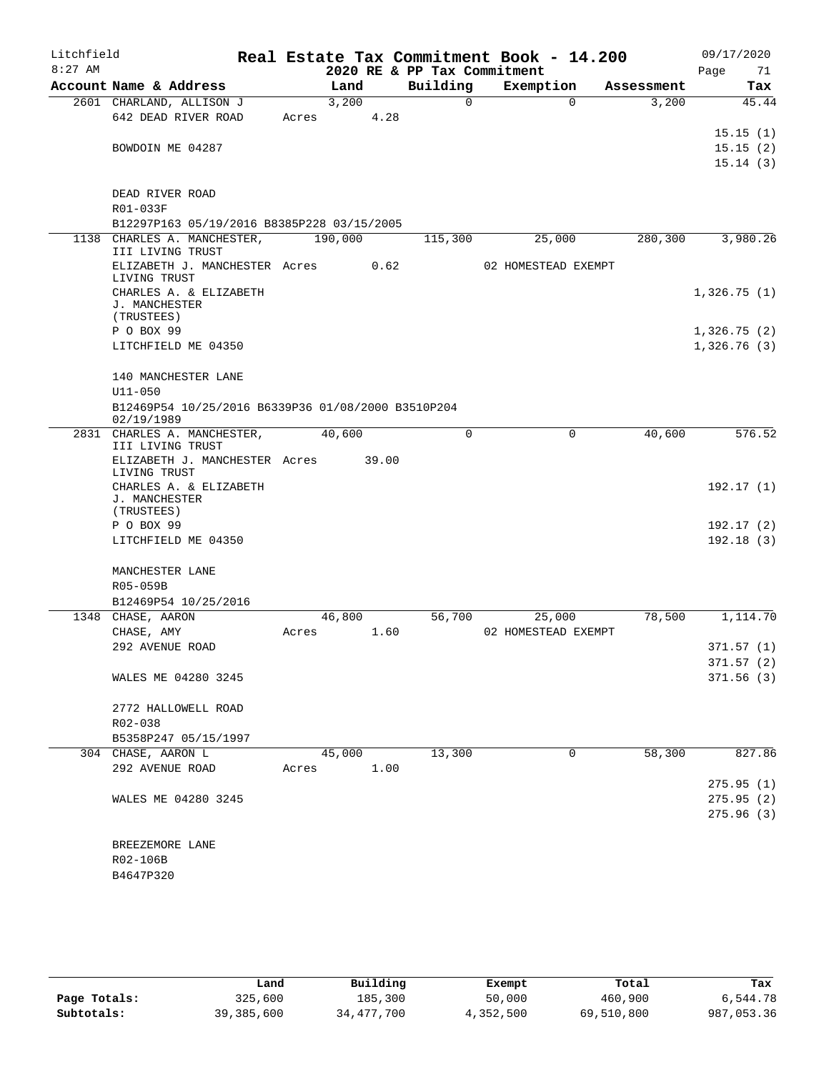| Litchfield<br>$8:27$ AM |                                                    |       |         | 2020 RE & PP Tax Commitment | Real Estate Tax Commitment Book - 14.200 |             |            | 09/17/2020<br>Page<br>71   |
|-------------------------|----------------------------------------------------|-------|---------|-----------------------------|------------------------------------------|-------------|------------|----------------------------|
|                         | Account Name & Address                             |       | Land    | Building                    | Exemption                                |             | Assessment | Tax                        |
|                         | 2601 CHARLAND, ALLISON J                           |       | 3,200   | 0                           |                                          | $\mathbf 0$ | 3,200      | 45.44                      |
|                         | 642 DEAD RIVER ROAD                                | Acres | 4.28    |                             |                                          |             |            |                            |
|                         |                                                    |       |         |                             |                                          |             |            | 15.15(1)                   |
|                         | BOWDOIN ME 04287                                   |       |         |                             |                                          |             |            | 15.15(2)                   |
|                         |                                                    |       |         |                             |                                          |             |            | 15.14(3)                   |
|                         |                                                    |       |         |                             |                                          |             |            |                            |
|                         | DEAD RIVER ROAD                                    |       |         |                             |                                          |             |            |                            |
|                         | R01-033F                                           |       |         |                             |                                          |             |            |                            |
|                         | B12297P163 05/19/2016 B8385P228 03/15/2005         |       |         |                             |                                          |             |            |                            |
| 1138                    | CHARLES A. MANCHESTER,<br>III LIVING TRUST         |       | 190,000 | 115,300                     | 25,000                                   |             | 280,300    | 3,980.26                   |
|                         | ELIZABETH J. MANCHESTER Acres                      |       | 0.62    |                             | 02 HOMESTEAD EXEMPT                      |             |            |                            |
|                         | LIVING TRUST                                       |       |         |                             |                                          |             |            |                            |
|                         | CHARLES A. & ELIZABETH                             |       |         |                             |                                          |             |            | 1,326.75(1)                |
|                         | J. MANCHESTER                                      |       |         |                             |                                          |             |            |                            |
|                         | (TRUSTEES)                                         |       |         |                             |                                          |             |            |                            |
|                         | P O BOX 99<br>LITCHFIELD ME 04350                  |       |         |                             |                                          |             |            | 1,326.75(2)<br>1,326.76(3) |
|                         |                                                    |       |         |                             |                                          |             |            |                            |
|                         | 140 MANCHESTER LANE                                |       |         |                             |                                          |             |            |                            |
|                         | $U11 - 050$                                        |       |         |                             |                                          |             |            |                            |
|                         | B12469P54 10/25/2016 B6339P36 01/08/2000 B3510P204 |       |         |                             |                                          |             |            |                            |
|                         | 02/19/1989                                         |       |         |                             |                                          |             |            |                            |
|                         | 2831 CHARLES A. MANCHESTER,                        |       | 40,600  | $\Omega$                    |                                          | 0           | 40,600     | 576.52                     |
|                         | III LIVING TRUST                                   |       |         |                             |                                          |             |            |                            |
|                         | ELIZABETH J. MANCHESTER Acres<br>LIVING TRUST      |       | 39.00   |                             |                                          |             |            |                            |
|                         | CHARLES A. & ELIZABETH                             |       |         |                             |                                          |             |            | 192.17(1)                  |
|                         | J. MANCHESTER<br>(TRUSTEES)                        |       |         |                             |                                          |             |            |                            |
|                         | P O BOX 99                                         |       |         |                             |                                          |             |            | 192.17 (2)                 |
|                         | LITCHFIELD ME 04350                                |       |         |                             |                                          |             |            | 192.18(3)                  |
|                         |                                                    |       |         |                             |                                          |             |            |                            |
|                         | MANCHESTER LANE                                    |       |         |                             |                                          |             |            |                            |
|                         | R05-059B                                           |       |         |                             |                                          |             |            |                            |
|                         | B12469P54 10/25/2016                               |       |         |                             |                                          |             |            |                            |
|                         | 1348 CHASE, AARON                                  |       | 46,800  | 56,700                      | 25,000                                   |             | 78,500     | 1,114.70                   |
|                         | CHASE, AMY                                         | Acres | 1.60    |                             | 02 HOMESTEAD EXEMPT                      |             |            |                            |
|                         | 292 AVENUE ROAD                                    |       |         |                             |                                          |             |            | 371.57(1)                  |
|                         |                                                    |       |         |                             |                                          |             |            | 371.57(2)                  |
|                         | WALES ME 04280 3245                                |       |         |                             |                                          |             |            | 371.56(3)                  |
|                         |                                                    |       |         |                             |                                          |             |            |                            |
|                         | 2772 HALLOWELL ROAD                                |       |         |                             |                                          |             |            |                            |
|                         | R02-038                                            |       |         |                             |                                          |             |            |                            |
|                         | B5358P247 05/15/1997<br>304 CHASE, AARON L         |       | 45,000  | 13,300                      |                                          | $\mathbf 0$ | 58,300     | 827.86                     |
|                         | 292 AVENUE ROAD                                    | Acres | 1.00    |                             |                                          |             |            |                            |
|                         |                                                    |       |         |                             |                                          |             |            | 275.95(1)                  |
|                         | WALES ME 04280 3245                                |       |         |                             |                                          |             |            | 275.95(2)                  |
|                         |                                                    |       |         |                             |                                          |             |            | 275.96(3)                  |
|                         |                                                    |       |         |                             |                                          |             |            |                            |
|                         | BREEZEMORE LANE                                    |       |         |                             |                                          |             |            |                            |
|                         | R02-106B                                           |       |         |                             |                                          |             |            |                            |
|                         | B4647P320                                          |       |         |                             |                                          |             |            |                            |
|                         |                                                    |       |         |                             |                                          |             |            |                            |

|              | Land       | Building   | Exempt    | Total      | Tax        |
|--------------|------------|------------|-----------|------------|------------|
| Page Totals: | 325,600    | 185,300    | 50,000    | 460,900    | 6,544.78   |
| Subtotals:   | 39,385,600 | 34,477,700 | 4,352,500 | 69,510,800 | 987,053.36 |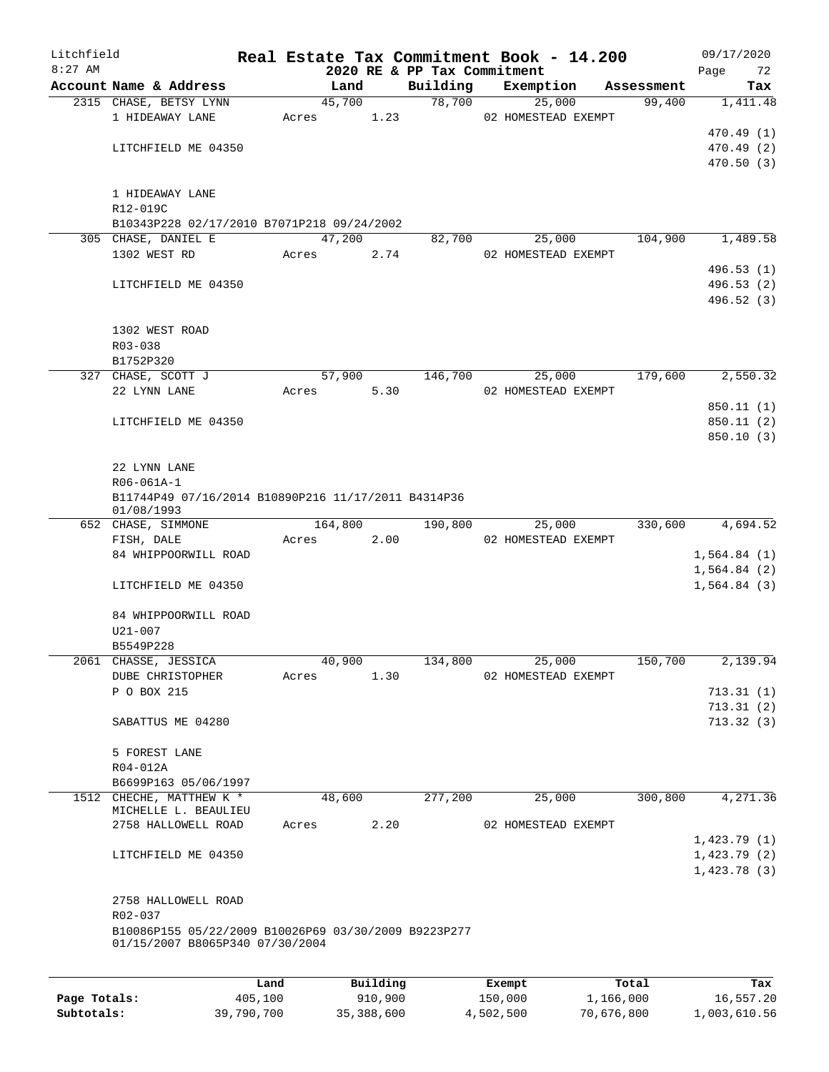| Litchfield |                                                                   |       |         |      |                             | Real Estate Tax Commitment Book - 14.200 |            | 09/17/2020  |
|------------|-------------------------------------------------------------------|-------|---------|------|-----------------------------|------------------------------------------|------------|-------------|
| $8:27$ AM  |                                                                   |       |         |      | 2020 RE & PP Tax Commitment |                                          |            | 72<br>Page  |
|            | Account Name & Address                                            |       | Land    |      | Building                    | Exemption                                | Assessment | Tax         |
|            | 2315 CHASE, BETSY LYNN                                            |       | 45,700  |      | 78,700                      | 25,000                                   | 99,400     | 1,411.48    |
|            | 1 HIDEAWAY LANE                                                   | Acres |         | 1.23 |                             | 02 HOMESTEAD EXEMPT                      |            |             |
|            |                                                                   |       |         |      |                             |                                          |            | 470.49 (1)  |
|            | LITCHFIELD ME 04350                                               |       |         |      |                             |                                          |            | 470.49 (2)  |
|            |                                                                   |       |         |      |                             |                                          |            | 470.50(3)   |
|            | 1 HIDEAWAY LANE<br>R12-019C                                       |       |         |      |                             |                                          |            |             |
|            | B10343P228 02/17/2010 B7071P218 09/24/2002                        |       |         |      |                             |                                          |            |             |
|            | 305 CHASE, DANIEL E                                               |       | 47,200  |      | 82,700                      | 25,000                                   | 104,900    | 1,489.58    |
|            | 1302 WEST RD                                                      | Acres |         | 2.74 |                             | 02 HOMESTEAD EXEMPT                      |            |             |
|            |                                                                   |       |         |      |                             |                                          |            | 496.53 (1)  |
|            | LITCHFIELD ME 04350                                               |       |         |      |                             |                                          |            | 496.53 (2)  |
|            |                                                                   |       |         |      |                             |                                          |            | 496.52 (3)  |
|            |                                                                   |       |         |      |                             |                                          |            |             |
|            | 1302 WEST ROAD                                                    |       |         |      |                             |                                          |            |             |
|            | R03-038                                                           |       |         |      |                             |                                          |            |             |
|            | B1752P320                                                         |       |         |      |                             |                                          |            |             |
|            | 327 CHASE, SCOTT J                                                |       | 57,900  |      | 146,700                     | 25,000                                   | 179,600    | 2,550.32    |
|            | 22 LYNN LANE                                                      | Acres |         | 5.30 |                             | 02 HOMESTEAD EXEMPT                      |            |             |
|            |                                                                   |       |         |      |                             |                                          |            | 850.11 (1)  |
|            | LITCHFIELD ME 04350                                               |       |         |      |                             |                                          |            | 850.11(2)   |
|            |                                                                   |       |         |      |                             |                                          |            | 850.10(3)   |
|            |                                                                   |       |         |      |                             |                                          |            |             |
|            | 22 LYNN LANE                                                      |       |         |      |                             |                                          |            |             |
|            | R06-061A-1                                                        |       |         |      |                             |                                          |            |             |
|            | B11744P49 07/16/2014 B10890P216 11/17/2011 B4314P36<br>01/08/1993 |       |         |      |                             |                                          |            |             |
|            | 652 CHASE, SIMMONE                                                |       | 164,800 |      | 190,800                     | 25,000                                   | 330,600    | 4,694.52    |
|            | FISH, DALE                                                        | Acres |         | 2.00 |                             | 02 HOMESTEAD EXEMPT                      |            |             |
|            | 84 WHIPPOORWILL ROAD                                              |       |         |      |                             |                                          |            | 1,564.84(1) |
|            |                                                                   |       |         |      |                             |                                          |            | 1,564.84(2) |
|            | LITCHFIELD ME 04350                                               |       |         |      |                             |                                          |            | 1,564.84(3) |
|            |                                                                   |       |         |      |                             |                                          |            |             |
|            | 84 WHIPPOORWILL ROAD                                              |       |         |      |                             |                                          |            |             |
|            | $U21 - 007$                                                       |       |         |      |                             |                                          |            |             |
|            | B5549P228                                                         |       |         |      |                             |                                          |            |             |
|            | 2061 CHASSE, JESSICA                                              |       | 40,900  |      | 134,800                     | 25,000                                   | 150,700    | 2,139.94    |
|            | DUBE CHRISTOPHER                                                  | Acres |         | 1.30 |                             | 02 HOMESTEAD EXEMPT                      |            |             |
|            | P O BOX 215                                                       |       |         |      |                             |                                          |            | 713.31(1)   |
|            |                                                                   |       |         |      |                             |                                          |            | 713.31(2)   |
|            | SABATTUS ME 04280                                                 |       |         |      |                             |                                          |            | 713.32(3)   |
|            |                                                                   |       |         |      |                             |                                          |            |             |
|            | 5 FOREST LANE                                                     |       |         |      |                             |                                          |            |             |
|            | R04-012A                                                          |       |         |      |                             |                                          |            |             |
|            | B6699P163 05/06/1997                                              |       |         |      |                             |                                          |            |             |
|            | 1512 CHECHE, MATTHEW K *<br>MICHELLE L. BEAULIEU                  |       | 48,600  |      | 277,200                     | 25,000                                   | 300,800    | 4,271.36    |
|            | 2758 HALLOWELL ROAD                                               | Acres |         | 2.20 |                             | 02 HOMESTEAD EXEMPT                      |            |             |
|            |                                                                   |       |         |      |                             |                                          |            | 1,423.79(1) |
|            | LITCHFIELD ME 04350                                               |       |         |      |                             |                                          |            | 1,423.79(2) |
|            |                                                                   |       |         |      |                             |                                          |            | 1,423.78(3) |
|            |                                                                   |       |         |      |                             |                                          |            |             |
|            | 2758 HALLOWELL ROAD                                               |       |         |      |                             |                                          |            |             |
|            | R02-037                                                           |       |         |      |                             |                                          |            |             |
|            | B10086P155 05/22/2009 B10026P69 03/30/2009 B9223P277              |       |         |      |                             |                                          |            |             |
|            | 01/15/2007 B8065P340 07/30/2004                                   |       |         |      |                             |                                          |            |             |
|            |                                                                   |       |         |      |                             |                                          |            |             |
|            |                                                                   |       |         |      |                             |                                          |            |             |

|              | Land       | Building   | Exempt    | Total      | Tax          |
|--------------|------------|------------|-----------|------------|--------------|
| Page Totals: | 405,100    | 910,900    | 150,000   | 1,166,000  | 16,557.20    |
| Subtotals:   | 39,790,700 | 35,388,600 | 4,502,500 | 70,676,800 | 1,003,610.56 |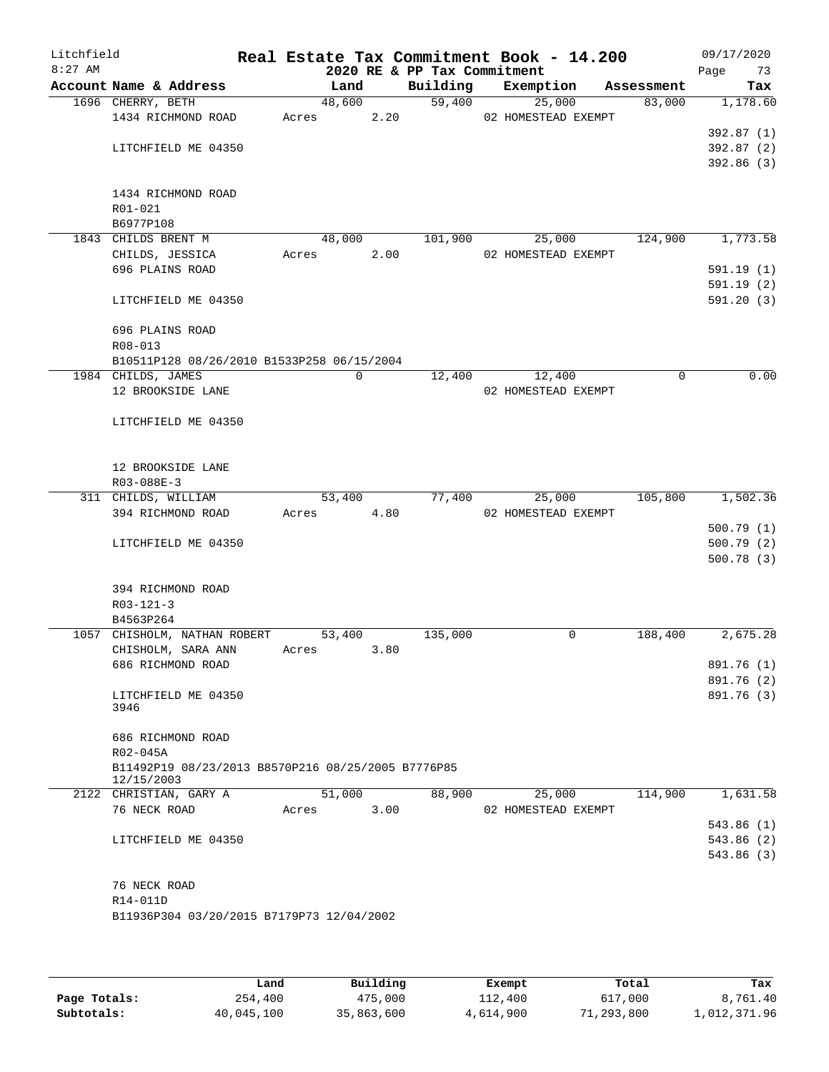| Litchfield<br>$8:27$ AM |                                                    |       |             |      | 2020 RE & PP Tax Commitment | Real Estate Tax Commitment Book - 14.200 |            | 09/17/2020<br>Page<br>73 |
|-------------------------|----------------------------------------------------|-------|-------------|------|-----------------------------|------------------------------------------|------------|--------------------------|
|                         | Account Name & Address                             |       | Land        |      | Building                    | Exemption                                | Assessment | Tax                      |
|                         | 1696 CHERRY, BETH                                  |       | 48,600      |      | 59,400                      | 25,000                                   | 83,000     | 1,178.60                 |
|                         | 1434 RICHMOND ROAD                                 | Acres |             | 2.20 |                             | 02 HOMESTEAD EXEMPT                      |            |                          |
|                         |                                                    |       |             |      |                             |                                          |            | 392.87 (1)               |
|                         | LITCHFIELD ME 04350                                |       |             |      |                             |                                          |            | 392.87(2)                |
|                         |                                                    |       |             |      |                             |                                          |            | 392.86(3)                |
|                         |                                                    |       |             |      |                             |                                          |            |                          |
|                         | 1434 RICHMOND ROAD                                 |       |             |      |                             |                                          |            |                          |
|                         | R01-021                                            |       |             |      |                             |                                          |            |                          |
|                         | B6977P108<br>1843 CHILDS BRENT M                   |       |             |      |                             |                                          | 124,900    | 1,773.58                 |
|                         | CHILDS, JESSICA                                    | Acres | 48,000      | 2.00 | 101,900                     | 25,000<br>02 HOMESTEAD EXEMPT            |            |                          |
|                         | 696 PLAINS ROAD                                    |       |             |      |                             |                                          |            | 591.19(1)                |
|                         |                                                    |       |             |      |                             |                                          |            | 591.19(2)                |
|                         | LITCHFIELD ME 04350                                |       |             |      |                             |                                          |            | 591.20(3)                |
|                         |                                                    |       |             |      |                             |                                          |            |                          |
|                         | 696 PLAINS ROAD                                    |       |             |      |                             |                                          |            |                          |
|                         | R08-013                                            |       |             |      |                             |                                          |            |                          |
|                         | B10511P128 08/26/2010 B1533P258 06/15/2004         |       |             |      |                             |                                          |            |                          |
|                         | 1984 CHILDS, JAMES                                 |       | $\mathbf 0$ |      | 12,400                      | 12,400                                   | 0          | 0.00                     |
|                         | 12 BROOKSIDE LANE                                  |       |             |      |                             | 02 HOMESTEAD EXEMPT                      |            |                          |
|                         |                                                    |       |             |      |                             |                                          |            |                          |
|                         | LITCHFIELD ME 04350                                |       |             |      |                             |                                          |            |                          |
|                         |                                                    |       |             |      |                             |                                          |            |                          |
|                         |                                                    |       |             |      |                             |                                          |            |                          |
|                         | 12 BROOKSIDE LANE<br>R03-088E-3                    |       |             |      |                             |                                          |            |                          |
|                         | 311 CHILDS, WILLIAM                                |       | 53,400      |      | 77,400                      | 25,000                                   | 105,800    | 1,502.36                 |
|                         | 394 RICHMOND ROAD                                  | Acres |             | 4.80 |                             | 02 HOMESTEAD EXEMPT                      |            |                          |
|                         |                                                    |       |             |      |                             |                                          |            | 500.79(1)                |
|                         | LITCHFIELD ME 04350                                |       |             |      |                             |                                          |            | 500.79(2)                |
|                         |                                                    |       |             |      |                             |                                          |            | 500.78(3)                |
|                         |                                                    |       |             |      |                             |                                          |            |                          |
|                         | 394 RICHMOND ROAD                                  |       |             |      |                             |                                          |            |                          |
|                         | $R03 - 121 - 3$                                    |       |             |      |                             |                                          |            |                          |
|                         | B4563P264                                          |       |             |      |                             |                                          |            |                          |
|                         | 1057 CHISHOLM, NATHAN ROBERT                       |       | 53,400      |      | 135,000                     | 0                                        | 188,400    | 2,675.28                 |
|                         | CHISHOLM, SARA ANN                                 | Acres |             | 3.80 |                             |                                          |            |                          |
|                         | 686 RICHMOND ROAD                                  |       |             |      |                             |                                          |            | 891.76 (1)               |
|                         | LITCHFIELD ME 04350                                |       |             |      |                             |                                          |            | 891.76 (2)<br>891.76 (3) |
|                         | 3946                                               |       |             |      |                             |                                          |            |                          |
|                         |                                                    |       |             |      |                             |                                          |            |                          |
|                         | 686 RICHMOND ROAD                                  |       |             |      |                             |                                          |            |                          |
|                         | R02-045A                                           |       |             |      |                             |                                          |            |                          |
|                         | B11492P19 08/23/2013 B8570P216 08/25/2005 B7776P85 |       |             |      |                             |                                          |            |                          |
|                         | 12/15/2003                                         |       | 51,000      |      | 88,900                      | 25,000                                   | 114,900    | 1,631.58                 |
|                         | 2122 CHRISTIAN, GARY A<br>76 NECK ROAD             | Acres |             | 3.00 |                             | 02 HOMESTEAD EXEMPT                      |            |                          |
|                         |                                                    |       |             |      |                             |                                          |            | 543.86 (1)               |
|                         | LITCHFIELD ME 04350                                |       |             |      |                             |                                          |            | 543.86 (2)               |
|                         |                                                    |       |             |      |                             |                                          |            | 543.86 (3)               |
|                         |                                                    |       |             |      |                             |                                          |            |                          |
|                         | 76 NECK ROAD                                       |       |             |      |                             |                                          |            |                          |
|                         | R14-011D                                           |       |             |      |                             |                                          |            |                          |
|                         | B11936P304 03/20/2015 B7179P73 12/04/2002          |       |             |      |                             |                                          |            |                          |
|                         |                                                    |       |             |      |                             |                                          |            |                          |
|                         |                                                    |       |             |      |                             |                                          |            |                          |

|              | Land       | Building   | Exempt    | Total      | Tax          |
|--------------|------------|------------|-----------|------------|--------------|
| Page Totals: | 254,400    | 475,000    | 112,400   | 617,000    | 8,761.40     |
| Subtotals:   | 40,045,100 | 35,863,600 | 4,614,900 | 71,293,800 | 1,012,371.96 |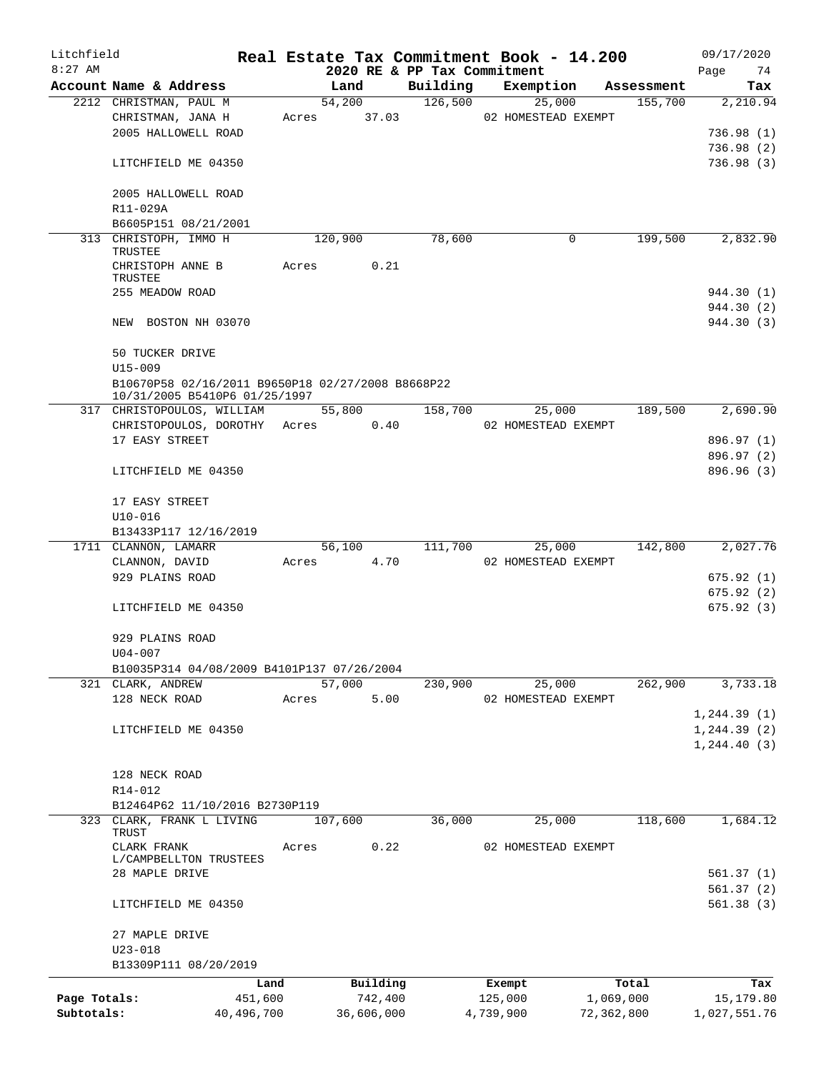| Litchfield   |                                                                                    |       |            |                             | Real Estate Tax Commitment Book - 14.200 |            | 09/17/2020   |
|--------------|------------------------------------------------------------------------------------|-------|------------|-----------------------------|------------------------------------------|------------|--------------|
| $8:27$ AM    |                                                                                    |       |            | 2020 RE & PP Tax Commitment |                                          |            | 74<br>Page   |
|              | Account Name & Address                                                             |       | Land       | Building                    | Exemption                                | Assessment | Tax          |
|              | 2212 CHRISTMAN, PAUL M                                                             |       | 54,200     | 126,500                     | 25,000                                   | 155,700    | 2,210.94     |
|              | CHRISTMAN, JANA H                                                                  | Acres | 37.03      |                             | 02 HOMESTEAD EXEMPT                      |            |              |
|              | 2005 HALLOWELL ROAD                                                                |       |            |                             |                                          |            | 736.98(1)    |
|              |                                                                                    |       |            |                             |                                          |            | 736.98(2)    |
|              | LITCHFIELD ME 04350                                                                |       |            |                             |                                          |            | 736.98(3)    |
|              | 2005 HALLOWELL ROAD                                                                |       |            |                             |                                          |            |              |
|              | R11-029A                                                                           |       |            |                             |                                          |            |              |
|              | B6605P151 08/21/2001                                                               |       |            |                             |                                          |            |              |
|              | 313 CHRISTOPH, IMMO H                                                              |       | 120,900    | 78,600                      | 0                                        | 199,500    | 2,832.90     |
|              | TRUSTEE                                                                            |       |            |                             |                                          |            |              |
|              | CHRISTOPH ANNE B                                                                   | Acres | 0.21       |                             |                                          |            |              |
|              | TRUSTEE                                                                            |       |            |                             |                                          |            |              |
|              | 255 MEADOW ROAD                                                                    |       |            |                             |                                          |            | 944.30 (1)   |
|              |                                                                                    |       |            |                             |                                          |            | 944.30 (2)   |
|              | NEW BOSTON NH 03070                                                                |       |            |                             |                                          |            | 944.30 (3)   |
|              |                                                                                    |       |            |                             |                                          |            |              |
|              | 50 TUCKER DRIVE                                                                    |       |            |                             |                                          |            |              |
|              | $U15 - 009$                                                                        |       |            |                             |                                          |            |              |
|              | B10670P58 02/16/2011 B9650P18 02/27/2008 B8668P22<br>10/31/2005 B5410P6 01/25/1997 |       |            |                             |                                          |            |              |
|              | 317 CHRISTOPOULOS, WILLIAM                                                         |       | 55,800     | 158,700                     | 25,000                                   | 189,500    | 2,690.90     |
|              | CHRISTOPOULOS, DOROTHY Acres 0.40                                                  |       |            |                             | 02 HOMESTEAD EXEMPT                      |            |              |
|              | 17 EASY STREET                                                                     |       |            |                             |                                          |            | 896.97 (1)   |
|              |                                                                                    |       |            |                             |                                          |            | 896.97 (2)   |
|              | LITCHFIELD ME 04350                                                                |       |            |                             |                                          |            | 896.96 (3)   |
|              |                                                                                    |       |            |                             |                                          |            |              |
|              | 17 EASY STREET                                                                     |       |            |                             |                                          |            |              |
|              | $U10 - 016$                                                                        |       |            |                             |                                          |            |              |
|              | B13433P117 12/16/2019                                                              |       |            |                             |                                          |            |              |
|              | 1711 CLANNON, LAMARR                                                               |       | 56,100     | 111,700                     | 25,000                                   | 142,800    | 2,027.76     |
|              | CLANNON, DAVID                                                                     | Acres | 4.70       |                             | 02 HOMESTEAD EXEMPT                      |            |              |
|              | 929 PLAINS ROAD                                                                    |       |            |                             |                                          |            | 675.92(1)    |
|              |                                                                                    |       |            |                             |                                          |            | 675.92(2)    |
|              | LITCHFIELD ME 04350                                                                |       |            |                             |                                          |            | 675.92(3)    |
|              |                                                                                    |       |            |                             |                                          |            |              |
|              | 929 PLAINS ROAD                                                                    |       |            |                             |                                          |            |              |
|              | U04-007                                                                            |       |            |                             |                                          |            |              |
|              | B10035P314 04/08/2009 B4101P137 07/26/2004                                         |       |            |                             |                                          |            |              |
|              | 321 CLARK, ANDREW                                                                  |       | 57,000     | 230,900                     | 25,000                                   | 262,900    | 3,733.18     |
|              | 128 NECK ROAD                                                                      | Acres | 5.00       |                             | 02 HOMESTEAD EXEMPT                      |            |              |
|              |                                                                                    |       |            |                             |                                          |            | 1, 244.39(1) |
|              | LITCHFIELD ME 04350                                                                |       |            |                             |                                          |            | 1, 244.39(2) |
|              |                                                                                    |       |            |                             |                                          |            | 1, 244.40(3) |
|              |                                                                                    |       |            |                             |                                          |            |              |
|              | 128 NECK ROAD<br>R14-012                                                           |       |            |                             |                                          |            |              |
|              | B12464P62 11/10/2016 B2730P119                                                     |       |            |                             |                                          |            |              |
|              | 323 CLARK, FRANK L LIVING                                                          |       | 107,600    | 36,000                      | 25,000                                   | 118,600    | 1,684.12     |
|              | TRUST                                                                              |       |            |                             |                                          |            |              |
|              | CLARK FRANK                                                                        | Acres | 0.22       |                             | 02 HOMESTEAD EXEMPT                      |            |              |
|              | L/CAMPBELLTON TRUSTEES                                                             |       |            |                             |                                          |            |              |
|              | 28 MAPLE DRIVE                                                                     |       |            |                             |                                          |            | 561.37 (1)   |
|              |                                                                                    |       |            |                             |                                          |            | 561.37(2)    |
|              | LITCHFIELD ME 04350                                                                |       |            |                             |                                          |            | 561.38(3)    |
|              |                                                                                    |       |            |                             |                                          |            |              |
|              | 27 MAPLE DRIVE                                                                     |       |            |                             |                                          |            |              |
|              | $U23 - 018$                                                                        |       |            |                             |                                          |            |              |
|              | B13309P111 08/20/2019                                                              |       |            |                             |                                          |            |              |
|              | Land                                                                               |       | Building   |                             | Exempt                                   | Total      | Tax          |
| Page Totals: | 451,600                                                                            |       | 742,400    |                             | 125,000                                  | 1,069,000  | 15,179.80    |
| Subtotals:   | 40,496,700                                                                         |       | 36,606,000 |                             | 4,739,900                                | 72,362,800 | 1,027,551.76 |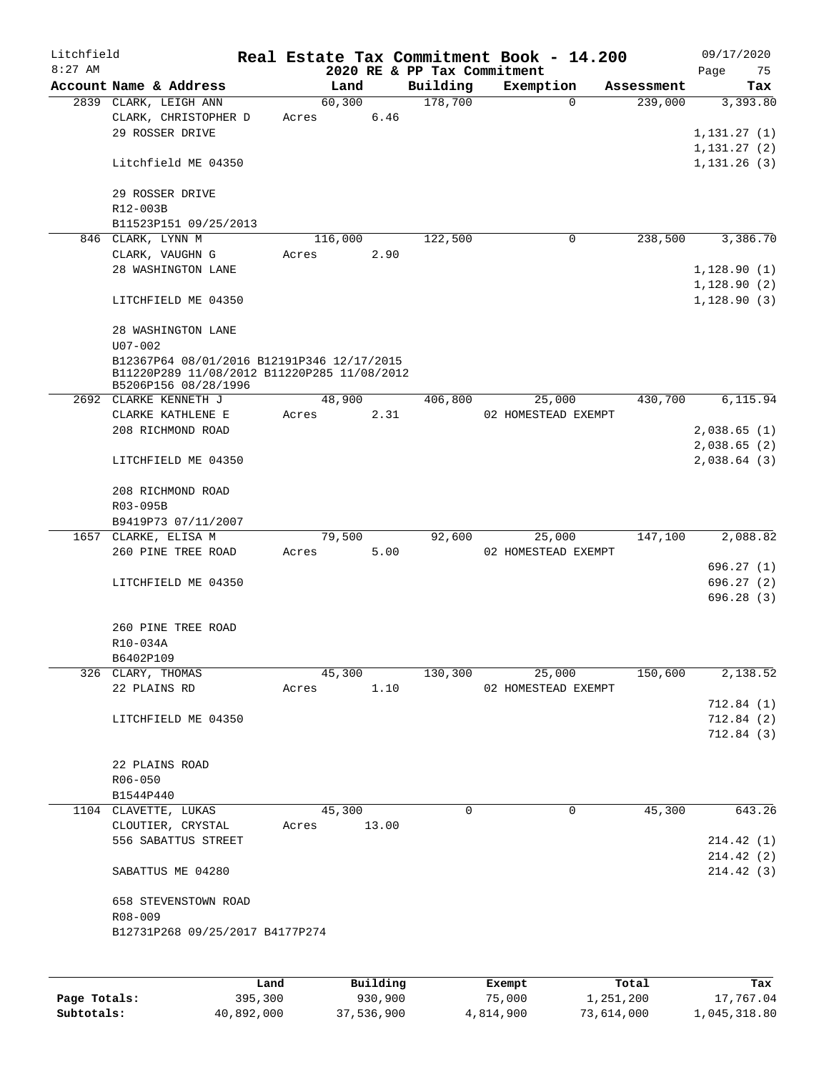| Litchfield |                                                                     |       |         |                 |                             | Real Estate Tax Commitment Book - 14.200 |            | 09/17/2020             |
|------------|---------------------------------------------------------------------|-------|---------|-----------------|-----------------------------|------------------------------------------|------------|------------------------|
| $8:27$ AM  |                                                                     |       |         |                 | 2020 RE & PP Tax Commitment |                                          |            | Page<br>75             |
|            | Account Name & Address                                              |       | Land    |                 | Building                    | Exemption                                | Assessment | Tax                    |
|            | 2839 CLARK, LEIGH ANN                                               |       | 60, 300 | 6.46            | 178,700                     | $\mathbf 0$                              | 239,000    | 3,393.80               |
|            | CLARK, CHRISTOPHER D                                                | Acres |         |                 |                             |                                          |            |                        |
|            | 29 ROSSER DRIVE                                                     |       |         |                 |                             |                                          |            | 1,131.27(1)            |
|            |                                                                     |       |         |                 |                             |                                          |            | 1, 131.27(2)           |
|            | Litchfield ME 04350                                                 |       |         |                 |                             |                                          |            | 1, 131.26(3)           |
|            |                                                                     |       |         |                 |                             |                                          |            |                        |
|            | 29 ROSSER DRIVE                                                     |       |         |                 |                             |                                          |            |                        |
|            | R12-003B                                                            |       |         |                 |                             |                                          |            |                        |
|            | B11523P151 09/25/2013                                               |       |         |                 |                             |                                          |            |                        |
|            | 846 CLARK, LYNN M                                                   |       | 116,000 |                 | 122,500                     | $\mathbf 0$                              | 238,500    | 3,386.70               |
|            | CLARK, VAUGHN G                                                     | Acres |         | 2.90            |                             |                                          |            |                        |
|            | 28 WASHINGTON LANE                                                  |       |         |                 |                             |                                          |            | 1,128.90(1)            |
|            |                                                                     |       |         |                 |                             |                                          |            | 1,128.90(2)            |
|            | LITCHFIELD ME 04350                                                 |       |         |                 |                             |                                          |            | 1,128.90(3)            |
|            |                                                                     |       |         |                 |                             |                                          |            |                        |
|            | 28 WASHINGTON LANE                                                  |       |         |                 |                             |                                          |            |                        |
|            | $U07 - 002$                                                         |       |         |                 |                             |                                          |            |                        |
|            | B12367P64 08/01/2016 B12191P346 12/17/2015                          |       |         |                 |                             |                                          |            |                        |
|            | B11220P289 11/08/2012 B11220P285 11/08/2012<br>B5206P156 08/28/1996 |       |         |                 |                             |                                          |            |                        |
|            | 2692 CLARKE KENNETH J                                               |       | 48,900  |                 | 406,800                     | 25,000                                   | 430,700    | 6,115.94               |
|            | CLARKE KATHLENE E                                                   | Acres |         | 2.31            |                             | 02 HOMESTEAD EXEMPT                      |            |                        |
|            | 208 RICHMOND ROAD                                                   |       |         |                 |                             |                                          |            | 2,038.65(1)            |
|            |                                                                     |       |         |                 |                             |                                          |            | 2,038.65(2)            |
|            | LITCHFIELD ME 04350                                                 |       |         |                 |                             |                                          |            | 2,038.64(3)            |
|            |                                                                     |       |         |                 |                             |                                          |            |                        |
|            | 208 RICHMOND ROAD                                                   |       |         |                 |                             |                                          |            |                        |
|            | R03-095B                                                            |       |         |                 |                             |                                          |            |                        |
|            | B9419P73 07/11/2007                                                 |       |         |                 |                             |                                          |            |                        |
|            | 1657 CLARKE, ELISA M                                                |       | 79,500  |                 | 92,600                      | 25,000                                   | 147,100    | 2,088.82               |
|            | 260 PINE TREE ROAD                                                  |       |         |                 |                             |                                          |            |                        |
|            |                                                                     | Acres |         | 5.00            |                             | 02 HOMESTEAD EXEMPT                      |            |                        |
|            |                                                                     |       |         |                 |                             |                                          |            | 696.27(1)              |
|            | LITCHFIELD ME 04350                                                 |       |         |                 |                             |                                          |            | 696.27(2)<br>696.28(3) |
|            |                                                                     |       |         |                 |                             |                                          |            |                        |
|            |                                                                     |       |         |                 |                             |                                          |            |                        |
|            | 260 PINE TREE ROAD                                                  |       |         |                 |                             |                                          |            |                        |
|            | R10-034A                                                            |       |         |                 |                             |                                          |            |                        |
|            | B6402P109                                                           |       |         |                 |                             |                                          |            |                        |
|            | 326 CLARY, THOMAS                                                   |       | 45,300  |                 | 130,300                     | 25,000                                   | 150,600    | 2,138.52               |
|            | 22 PLAINS RD                                                        | Acres |         | 1.10            |                             | 02 HOMESTEAD EXEMPT                      |            |                        |
|            |                                                                     |       |         |                 |                             |                                          |            | 712.84(1)              |
|            | LITCHFIELD ME 04350                                                 |       |         |                 |                             |                                          |            | 712.84 (2)             |
|            |                                                                     |       |         |                 |                             |                                          |            | 712.84(3)              |
|            |                                                                     |       |         |                 |                             |                                          |            |                        |
|            | 22 PLAINS ROAD                                                      |       |         |                 |                             |                                          |            |                        |
|            | R06-050                                                             |       |         |                 |                             |                                          |            |                        |
|            | B1544P440                                                           |       |         |                 |                             |                                          |            |                        |
|            | 1104 CLAVETTE, LUKAS                                                |       | 45,300  |                 | $\mathbf 0$                 | 0                                        | 45,300     | 643.26                 |
|            | CLOUTIER, CRYSTAL                                                   | Acres |         | 13.00           |                             |                                          |            |                        |
|            | 556 SABATTUS STREET                                                 |       |         |                 |                             |                                          |            | 214.42(1)              |
|            |                                                                     |       |         |                 |                             |                                          |            | 214.42(2)              |
|            | SABATTUS ME 04280                                                   |       |         |                 |                             |                                          |            | 214.42(3)              |
|            |                                                                     |       |         |                 |                             |                                          |            |                        |
|            | 658 STEVENSTOWN ROAD                                                |       |         |                 |                             |                                          |            |                        |
|            | R08-009                                                             |       |         |                 |                             |                                          |            |                        |
|            | B12731P268 09/25/2017 B4177P274                                     |       |         |                 |                             |                                          |            |                        |
|            |                                                                     |       |         |                 |                             |                                          |            |                        |
|            |                                                                     |       |         |                 |                             |                                          |            |                        |
|            |                                                                     | Land. |         | <b>Building</b> |                             | $F$ vomnt                                | $T$ otal   |                        |

|              | Land       | Building   | Exempt    | Total      | Tax          |
|--------------|------------|------------|-----------|------------|--------------|
| Page Totals: | 395,300    | 930,900    | 75,000    | 1,251,200  | 17,767.04    |
| Subtotals:   | 40,892,000 | 37,536,900 | 4,814,900 | 73,614,000 | 1,045,318.80 |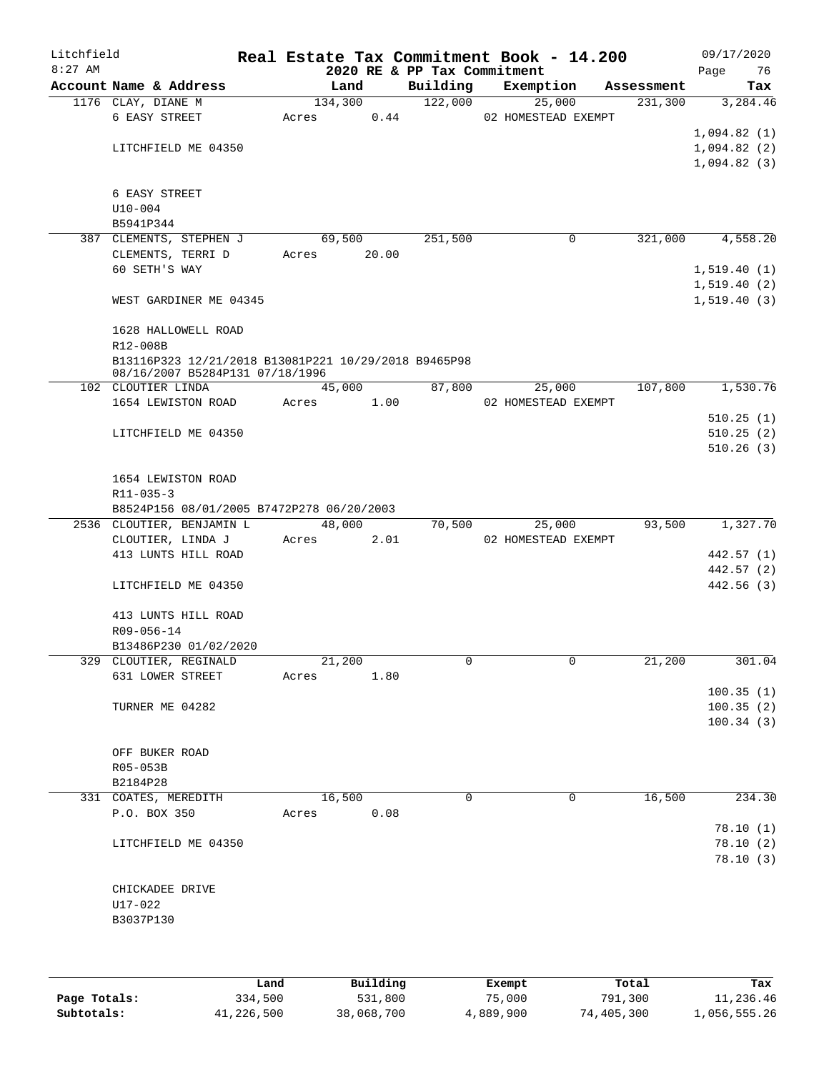| Litchfield<br>$8:27$ AM |                                                      |         |                | 2020 RE & PP Tax Commitment | Real Estate Tax Commitment Book - 14.200 |            | 09/17/2020<br>Page<br>76 |
|-------------------------|------------------------------------------------------|---------|----------------|-----------------------------|------------------------------------------|------------|--------------------------|
|                         | Account Name & Address                               |         | Land           | Building                    | Exemption                                | Assessment | Tax                      |
|                         | 1176 CLAY, DIANE M                                   | 134,300 |                | 122,000                     | 25,000                                   | 231,300    | 3,284.46                 |
|                         | 6 EASY STREET                                        | Acres   | 0.44           |                             | 02 HOMESTEAD EXEMPT                      |            |                          |
|                         |                                                      |         |                |                             |                                          |            | 1,094.82(1)              |
|                         | LITCHFIELD ME 04350                                  |         |                |                             |                                          |            | 1,094.82(2)              |
|                         |                                                      |         |                |                             |                                          |            | 1,094.82(3)              |
|                         |                                                      |         |                |                             |                                          |            |                          |
|                         | 6 EASY STREET<br>$U10 - 004$                         |         |                |                             |                                          |            |                          |
|                         | B5941P344                                            |         |                |                             |                                          |            |                          |
|                         | 387 CLEMENTS, STEPHEN J                              |         | 69,500         | 251,500                     | 0                                        | 321,000    | 4,558.20                 |
|                         | CLEMENTS, TERRI D                                    | Acres   | 20.00          |                             |                                          |            |                          |
|                         | 60 SETH'S WAY                                        |         |                |                             |                                          |            | 1,519.40(1)              |
|                         |                                                      |         |                |                             |                                          |            | 1,519.40(2)              |
|                         | WEST GARDINER ME 04345                               |         |                |                             |                                          |            | 1, 519.40(3)             |
|                         | 1628 HALLOWELL ROAD                                  |         |                |                             |                                          |            |                          |
|                         | R12-008B                                             |         |                |                             |                                          |            |                          |
|                         | B13116P323 12/21/2018 B13081P221 10/29/2018 B9465P98 |         |                |                             |                                          |            |                          |
|                         | 08/16/2007 B5284P131 07/18/1996                      |         |                |                             | 25,000                                   |            |                          |
|                         | 102 CLOUTIER LINDA                                   |         | 45,000<br>1.00 | 87,800                      | 02 HOMESTEAD EXEMPT                      | 107,800    | 1,530.76                 |
|                         | 1654 LEWISTON ROAD                                   | Acres   |                |                             |                                          |            | 510.25(1)                |
|                         | LITCHFIELD ME 04350                                  |         |                |                             |                                          |            | 510.25(2)                |
|                         |                                                      |         |                |                             |                                          |            | 510.26(3)                |
|                         |                                                      |         |                |                             |                                          |            |                          |
|                         | 1654 LEWISTON ROAD                                   |         |                |                             |                                          |            |                          |
|                         | R11-035-3                                            |         |                |                             |                                          |            |                          |
|                         | B8524P156 08/01/2005 B7472P278 06/20/2003            |         |                |                             |                                          |            |                          |
|                         | 2536 CLOUTIER, BENJAMIN L                            |         | 48,000         | 70,500                      | 25,000                                   | 93,500     | 1,327.70                 |
|                         | CLOUTIER, LINDA J                                    | Acres   | 2.01           |                             | 02 HOMESTEAD EXEMPT                      |            |                          |
|                         | 413 LUNTS HILL ROAD                                  |         |                |                             |                                          |            | 442.57 (1)               |
|                         |                                                      |         |                |                             |                                          |            | 442.57 (2)               |
|                         | LITCHFIELD ME 04350                                  |         |                |                             |                                          |            | 442.56 (3)               |
|                         |                                                      |         |                |                             |                                          |            |                          |
|                         | 413 LUNTS HILL ROAD                                  |         |                |                             |                                          |            |                          |
|                         | R09-056-14                                           |         |                |                             |                                          |            |                          |
|                         | B13486P230 01/02/2020                                |         |                |                             |                                          |            |                          |
|                         | 329 CLOUTIER, REGINALD                               | 21,200  |                | 0                           | $\mathbf{0}$                             | 21,200     | 301.04                   |
|                         | 631 LOWER STREET                                     | Acres   | 1.80           |                             |                                          |            |                          |
|                         |                                                      |         |                |                             |                                          |            | 100.35(1)                |
|                         | TURNER ME 04282                                      |         |                |                             |                                          |            | 100.35(2)                |
|                         |                                                      |         |                |                             |                                          |            | 100.34(3)                |
|                         | OFF BUKER ROAD                                       |         |                |                             |                                          |            |                          |
|                         | R05-053B                                             |         |                |                             |                                          |            |                          |
|                         | B2184P28                                             |         |                |                             |                                          |            |                          |
|                         | 331 COATES, MEREDITH                                 | 16,500  |                | $\Omega$                    | 0                                        | 16,500     | 234.30                   |
|                         | P.O. BOX 350                                         | Acres   | 0.08           |                             |                                          |            |                          |
|                         |                                                      |         |                |                             |                                          |            | 78.10(1)                 |
|                         | LITCHFIELD ME 04350                                  |         |                |                             |                                          |            | 78.10(2)                 |
|                         |                                                      |         |                |                             |                                          |            | 78.10(3)                 |
|                         |                                                      |         |                |                             |                                          |            |                          |
|                         | CHICKADEE DRIVE                                      |         |                |                             |                                          |            |                          |
|                         | U17-022                                              |         |                |                             |                                          |            |                          |
|                         | B3037P130                                            |         |                |                             |                                          |            |                          |
|                         |                                                      |         |                |                             |                                          |            |                          |
|                         |                                                      |         |                |                             |                                          |            |                          |
|                         |                                                      |         |                |                             |                                          |            |                          |

|              | Land       | Building   | Exempt    | Total      | Tax          |
|--------------|------------|------------|-----------|------------|--------------|
| Page Totals: | 334,500    | 531,800    | 75,000    | 791,300    | 11,236.46    |
| Subtotals:   | 41,226,500 | 38,068,700 | 4,889,900 | 74,405,300 | 1,056,555.26 |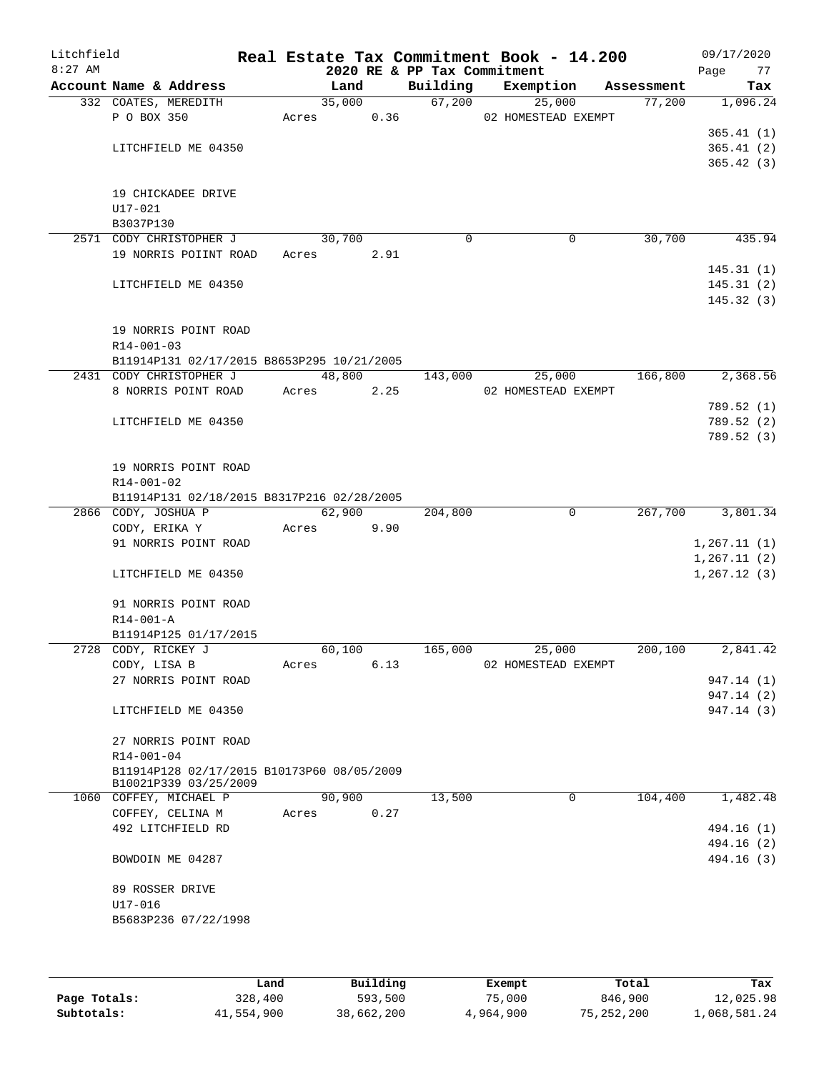| Litchfield |                                            |            |        | Real Estate Tax Commitment Book - 14.200 |        |                     |            |              | 09/17/2020               |
|------------|--------------------------------------------|------------|--------|------------------------------------------|--------|---------------------|------------|--------------|--------------------------|
| $8:27$ AM  | Account Name & Address                     |            | Land   | 2020 RE & PP Tax Commitment<br>Building  |        | Exemption           | Assessment | Page         | 77<br>Tax                |
|            | 332 COATES, MEREDITH                       |            | 35,000 |                                          | 67,200 | 25,000              | 77,200     |              | 1,096.24                 |
|            | P O BOX 350                                |            |        | Acres 0.36 02 HOMESTEAD EXEMPT           |        |                     |            |              |                          |
|            |                                            |            |        |                                          |        |                     |            |              | 365.41(1)                |
|            | LITCHFIELD ME 04350                        |            |        |                                          |        |                     |            |              | 365.41(2)                |
|            |                                            |            |        |                                          |        |                     |            |              | 365.42(3)                |
|            |                                            |            |        |                                          |        |                     |            |              |                          |
|            | 19 CHICKADEE DRIVE<br>U17-021              |            |        |                                          |        |                     |            |              |                          |
|            | B3037P130                                  |            |        |                                          |        |                     |            |              |                          |
|            | 2571 CODY CHRISTOPHER J                    |            | 30,700 | $\Omega$                                 |        | 0                   | 30,700     |              | 435.94                   |
|            | 19 NORRIS POIINT ROAD                      | Acres      | 2.91   |                                          |        |                     |            |              |                          |
|            |                                            |            |        |                                          |        |                     |            |              | 145.31(1)                |
|            | LITCHFIELD ME 04350                        |            |        |                                          |        |                     |            |              | 145.31(2)                |
|            |                                            |            |        |                                          |        |                     |            |              | 145.32(3)                |
|            | 19 NORRIS POINT ROAD                       |            |        |                                          |        |                     |            |              |                          |
|            | R14-001-03                                 |            |        |                                          |        |                     |            |              |                          |
|            | B11914P131 02/17/2015 B8653P295 10/21/2005 |            |        |                                          |        |                     |            |              |                          |
|            | 2431 CODY CHRISTOPHER J                    |            | 48,800 | 143,000                                  |        | 25,000              | 166,800    |              | 2,368.56                 |
|            | 8 NORRIS POINT ROAD                        | Acres 2.25 |        |                                          |        | 02 HOMESTEAD EXEMPT |            |              |                          |
|            |                                            |            |        |                                          |        |                     |            |              | 789.52 (1)               |
|            | LITCHFIELD ME 04350                        |            |        |                                          |        |                     |            |              | 789.52 (2)               |
|            |                                            |            |        |                                          |        |                     |            |              | 789.52 (3)               |
|            |                                            |            |        |                                          |        |                     |            |              |                          |
|            | 19 NORRIS POINT ROAD<br>R14-001-02         |            |        |                                          |        |                     |            |              |                          |
|            | B11914P131 02/18/2015 B8317P216 02/28/2005 |            |        |                                          |        |                     |            |              |                          |
|            | 2866 CODY, JOSHUA P                        |            | 62,900 | 204, 800                                 |        | $\mathbf{0}$        | 267,700    |              | 3,801.34                 |
|            | CODY, ERIKA Y                              | Acres      | 9.90   |                                          |        |                     |            |              |                          |
|            | 91 NORRIS POINT ROAD                       |            |        |                                          |        |                     |            | 1, 267.11(1) |                          |
|            |                                            |            |        |                                          |        |                     |            | 1, 267.11(2) |                          |
|            | LITCHFIELD ME 04350                        |            |        |                                          |        |                     |            | 1, 267.12(3) |                          |
|            |                                            |            |        |                                          |        |                     |            |              |                          |
|            | 91 NORRIS POINT ROAD<br>R14-001-A          |            |        |                                          |        |                     |            |              |                          |
|            | B11914P125 01/17/2015                      |            |        |                                          |        |                     |            |              |                          |
|            | 2728 CODY, RICKEY J                        |            | 60,100 | 165,000                                  |        | 25,000              | 200,100    |              | 2,841.42                 |
|            | CODY, LISA B                               | Acres      | 6.13   |                                          |        | 02 HOMESTEAD EXEMPT |            |              |                          |
|            | 27 NORRIS POINT ROAD                       |            |        |                                          |        |                     |            |              | 947.14 (1)               |
|            |                                            |            |        |                                          |        |                     |            |              | 947.14 (2)               |
|            | LITCHFIELD ME 04350                        |            |        |                                          |        |                     |            |              | 947.14 (3)               |
|            | 27 NORRIS POINT ROAD                       |            |        |                                          |        |                     |            |              |                          |
|            | R14-001-04                                 |            |        |                                          |        |                     |            |              |                          |
|            | B11914P128 02/17/2015 B10173P60 08/05/2009 |            |        |                                          |        |                     |            |              |                          |
|            | B10021P339 03/25/2009                      |            |        |                                          |        |                     |            |              |                          |
|            | 1060 COFFEY, MICHAEL P                     |            | 90,900 | 13,500                                   |        | 0                   | 104,400    |              | 1,482.48                 |
|            | COFFEY, CELINA M                           | Acres      | 0.27   |                                          |        |                     |            |              |                          |
|            | 492 LITCHFIELD RD                          |            |        |                                          |        |                     |            |              | 494.16 (1)               |
|            | BOWDOIN ME 04287                           |            |        |                                          |        |                     |            |              | 494.16 (2)<br>494.16 (3) |
|            |                                            |            |        |                                          |        |                     |            |              |                          |
|            | 89 ROSSER DRIVE                            |            |        |                                          |        |                     |            |              |                          |
|            | U17-016                                    |            |        |                                          |        |                     |            |              |                          |
|            | B5683P236 07/22/1998                       |            |        |                                          |        |                     |            |              |                          |
|            |                                            |            |        |                                          |        |                     |            |              |                          |
|            |                                            |            |        |                                          |        |                     |            |              |                          |
|            |                                            |            |        |                                          |        |                     |            |              |                          |

|              | Land       | Building   | Exempt    | Total        | Tax          |
|--------------|------------|------------|-----------|--------------|--------------|
| Page Totals: | 328,400    | 593,500    | 75,000    | 846,900      | 12,025.98    |
| Subtotals:   | 41,554,900 | 38,662,200 | 4,964,900 | 75, 252, 200 | 1,068,581.24 |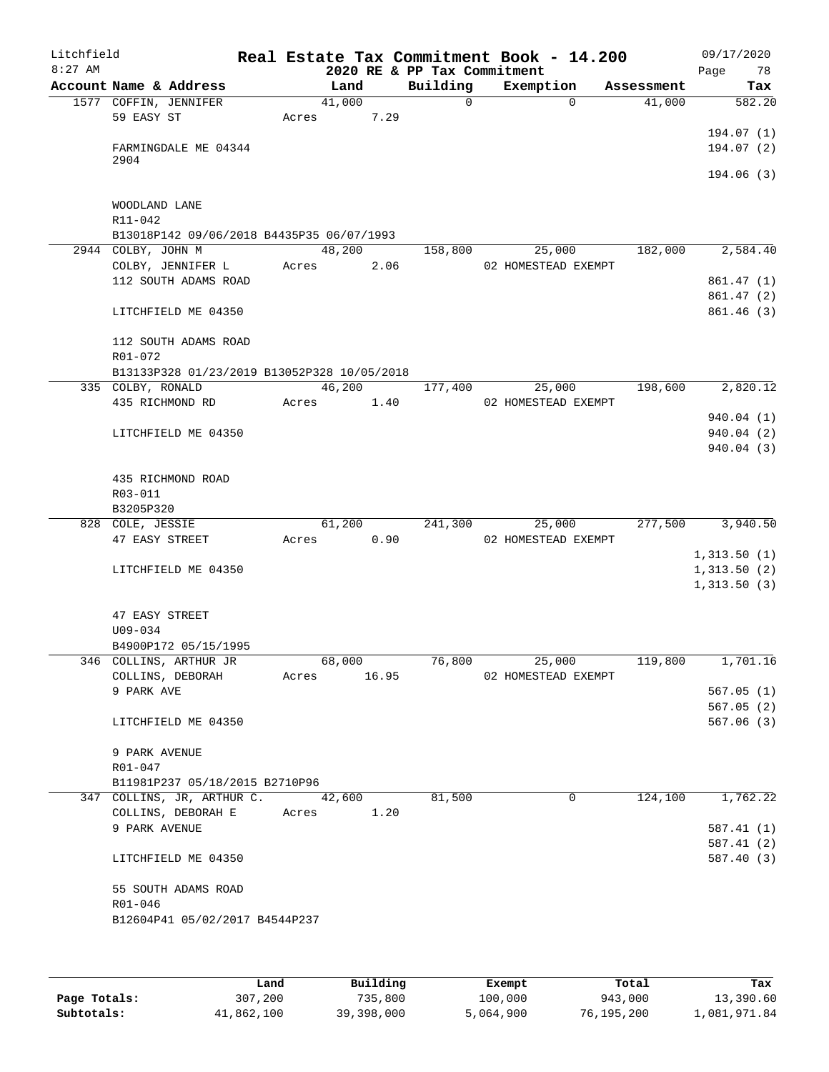| Litchfield<br>$8:27$ AM |                              |                                             |             |      | 2020 RE & PP Tax Commitment | Real Estate Tax Commitment Book - 14.200 |            | 09/17/2020<br>78<br>Page |
|-------------------------|------------------------------|---------------------------------------------|-------------|------|-----------------------------|------------------------------------------|------------|--------------------------|
|                         |                              | Account Name & Address                      | Land        |      | Building                    | Exemption                                | Assessment | Tax                      |
|                         |                              | 1577 COFFIN, JENNIFER                       | 41,000      |      | $\mathbf 0$                 | $\Omega$                                 | 41,000     | 582.20                   |
|                         | 59 EASY ST                   |                                             | Acres       | 7.29 |                             |                                          |            |                          |
|                         |                              |                                             |             |      |                             |                                          |            | 194.07(1)                |
|                         |                              | FARMINGDALE ME 04344                        |             |      |                             |                                          |            | 194.07 (2)               |
|                         | 2904                         |                                             |             |      |                             |                                          |            | 194.06(3)                |
|                         |                              |                                             |             |      |                             |                                          |            |                          |
|                         | WOODLAND LANE<br>$R11 - 042$ |                                             |             |      |                             |                                          |            |                          |
|                         |                              | B13018P142 09/06/2018 B4435P35 06/07/1993   |             |      |                             |                                          |            |                          |
|                         | 2944 COLBY, JOHN M           |                                             | 48,200      |      | 158,800                     | 25,000                                   | 182,000    | 2,584.40                 |
|                         |                              | COLBY, JENNIFER L                           | Acres       | 2.06 |                             | 02 HOMESTEAD EXEMPT                      |            |                          |
|                         |                              | 112 SOUTH ADAMS ROAD                        |             |      |                             |                                          |            | 861.47(1)                |
|                         |                              |                                             |             |      |                             |                                          |            | 861.47(2)                |
|                         |                              | LITCHFIELD ME 04350                         |             |      |                             |                                          |            | 861.46(3)                |
|                         | R01-072                      | 112 SOUTH ADAMS ROAD                        |             |      |                             |                                          |            |                          |
|                         |                              | B13133P328 01/23/2019 B13052P328 10/05/2018 |             |      |                             |                                          |            |                          |
|                         | 335 COLBY, RONALD            |                                             | 46,200      |      | 177,400                     | 25,000                                   | 198,600    | 2,820.12                 |
|                         |                              | 435 RICHMOND RD                             | Acres       | 1.40 |                             | 02 HOMESTEAD EXEMPT                      |            |                          |
|                         |                              |                                             |             |      |                             |                                          |            | 940.04 (1)               |
|                         |                              | LITCHFIELD ME 04350                         |             |      |                             |                                          |            | 940.04 (2)               |
|                         |                              |                                             |             |      |                             |                                          |            | 940.04(3)                |
|                         |                              | 435 RICHMOND ROAD                           |             |      |                             |                                          |            |                          |
|                         | R03-011                      |                                             |             |      |                             |                                          |            |                          |
|                         | B3205P320                    |                                             |             |      |                             |                                          |            |                          |
|                         | 828 COLE, JESSIE             |                                             | 61,200      |      | 241,300                     | 25,000                                   | 277,500    | 3,940.50                 |
|                         | 47 EASY STREET               |                                             | Acres       | 0.90 |                             | 02 HOMESTEAD EXEMPT                      |            |                          |
|                         |                              |                                             |             |      |                             |                                          |            | 1,313.50(1)              |
|                         |                              | LITCHFIELD ME 04350                         |             |      |                             |                                          |            | 1,313.50(2)              |
|                         |                              |                                             |             |      |                             |                                          |            | 1,313.50(3)              |
|                         | 47 EASY STREET               |                                             |             |      |                             |                                          |            |                          |
|                         | $U09 - 034$                  |                                             |             |      |                             |                                          |            |                          |
|                         |                              | B4900P172 05/15/1995                        |             |      |                             |                                          |            |                          |
|                         |                              | 346 COLLINS, ARTHUR JR                      | 68,000      |      | 76,800                      | 25,000                                   | 119,800    | 1,701.16                 |
|                         |                              | COLLINS, DEBORAH                            | Acres 16.95 |      |                             | 02 HOMESTEAD EXEMPT                      |            |                          |
|                         | 9 PARK AVE                   |                                             |             |      |                             |                                          |            | 567.05(1)                |
|                         |                              |                                             |             |      |                             |                                          |            | 567.05(2)                |
|                         |                              | LITCHFIELD ME 04350                         |             |      |                             |                                          |            | 567.06(3)                |
|                         | 9 PARK AVENUE                |                                             |             |      |                             |                                          |            |                          |
|                         | R01-047                      |                                             |             |      |                             |                                          |            |                          |
|                         |                              | B11981P237 05/18/2015 B2710P96              |             |      |                             |                                          |            |                          |
|                         |                              | 347 COLLINS, JR, ARTHUR C.                  | 42,600      |      | 81,500                      | $\Omega$                                 | 124,100    | 1,762.22                 |
|                         |                              | COLLINS, DEBORAH E                          | Acres       | 1.20 |                             |                                          |            |                          |
|                         | 9 PARK AVENUE                |                                             |             |      |                             |                                          |            | 587.41(1)                |
|                         |                              | LITCHFIELD ME 04350                         |             |      |                             |                                          |            | 587.41(2)<br>587.40(3)   |
|                         |                              |                                             |             |      |                             |                                          |            |                          |
|                         |                              | 55 SOUTH ADAMS ROAD                         |             |      |                             |                                          |            |                          |
|                         | R01-046                      |                                             |             |      |                             |                                          |            |                          |
|                         |                              | B12604P41 05/02/2017 B4544P237              |             |      |                             |                                          |            |                          |
|                         |                              |                                             |             |      |                             |                                          |            |                          |
|                         |                              |                                             |             |      |                             |                                          |            |                          |

|              | Land       | Building   | Exempt    | Total      | Tax          |
|--------------|------------|------------|-----------|------------|--------------|
| Page Totals: | 307,200    | 735,800    | 100,000   | 943,000    | 13,390.60    |
| Subtotals:   | 41,862,100 | 39,398,000 | 5,064,900 | 76,195,200 | 1,081,971.84 |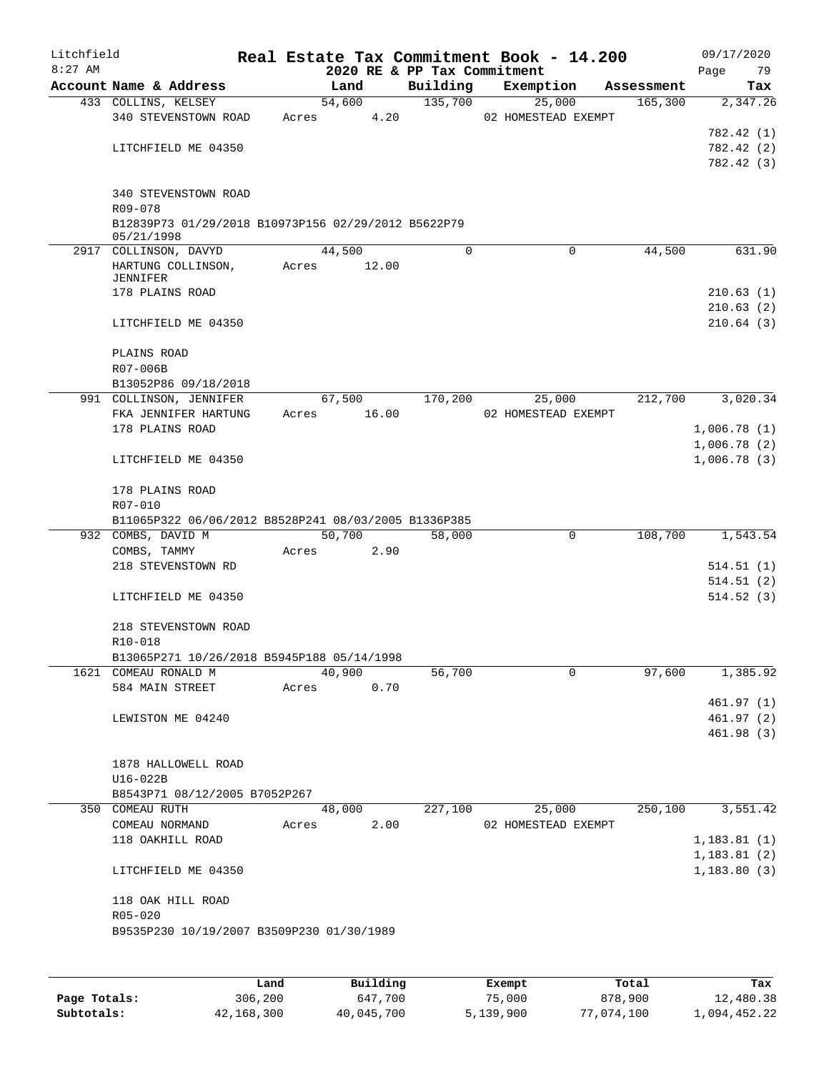| Litchfield<br>$8:27$ AM |                                                                   |       |        | 2020 RE & PP Tax Commitment | Real Estate Tax Commitment Book - 14.200 |            | 09/17/2020<br>79<br>Page |
|-------------------------|-------------------------------------------------------------------|-------|--------|-----------------------------|------------------------------------------|------------|--------------------------|
|                         | Account Name & Address                                            |       | Land   | Building                    | Exemption                                | Assessment | Tax                      |
|                         | 433 COLLINS, KELSEY                                               |       | 54,600 | 135,700                     | 25,000                                   | 165,300    | 2,347.26                 |
|                         | 340 STEVENSTOWN ROAD                                              | Acres | 4.20   |                             | 02 HOMESTEAD EXEMPT                      |            |                          |
|                         |                                                                   |       |        |                             |                                          |            | 782.42 (1)               |
|                         | LITCHFIELD ME 04350                                               |       |        |                             |                                          |            | 782.42 (2)               |
|                         |                                                                   |       |        |                             |                                          |            | 782.42 (3)               |
|                         |                                                                   |       |        |                             |                                          |            |                          |
|                         | 340 STEVENSTOWN ROAD                                              |       |        |                             |                                          |            |                          |
|                         | R09-078                                                           |       |        |                             |                                          |            |                          |
|                         | B12839P73 01/29/2018 B10973P156 02/29/2012 B5622P79<br>05/21/1998 |       |        |                             |                                          |            |                          |
|                         | 2917 COLLINSON, DAVYD                                             |       | 44,500 | 0                           | $\mathbf 0$                              | 44,500     | 631.90                   |
|                         | HARTUNG COLLINSON,                                                | Acres | 12.00  |                             |                                          |            |                          |
|                         | JENNIFER                                                          |       |        |                             |                                          |            |                          |
|                         | 178 PLAINS ROAD                                                   |       |        |                             |                                          |            | 210.63(1)                |
|                         |                                                                   |       |        |                             |                                          |            | 210.63(2)                |
|                         | LITCHFIELD ME 04350                                               |       |        |                             |                                          |            | 210.64(3)                |
|                         |                                                                   |       |        |                             |                                          |            |                          |
|                         | PLAINS ROAD<br>R07-006B                                           |       |        |                             |                                          |            |                          |
|                         | B13052P86 09/18/2018                                              |       |        |                             |                                          |            |                          |
|                         | 991 COLLINSON, JENNIFER                                           |       | 67,500 | 170,200                     | 25,000                                   | 212,700    | 3,020.34                 |
|                         | FKA JENNIFER HARTUNG                                              | Acres | 16.00  |                             | 02 HOMESTEAD EXEMPT                      |            |                          |
|                         | 178 PLAINS ROAD                                                   |       |        |                             |                                          |            | 1,006.78(1)              |
|                         |                                                                   |       |        |                             |                                          |            | 1,006.78(2)              |
|                         | LITCHFIELD ME 04350                                               |       |        |                             |                                          |            | 1,006.78(3)              |
|                         |                                                                   |       |        |                             |                                          |            |                          |
|                         | 178 PLAINS ROAD                                                   |       |        |                             |                                          |            |                          |
|                         | R07-010                                                           |       |        |                             |                                          |            |                          |
|                         | B11065P322 06/06/2012 B8528P241 08/03/2005 B1336P385              |       |        |                             |                                          |            |                          |
|                         | 932 COMBS, DAVID M                                                |       | 50,700 | 58,000                      | 0                                        | 108,700    | 1,543.54                 |
|                         | COMBS, TAMMY                                                      | Acres | 2.90   |                             |                                          |            |                          |
|                         | 218 STEVENSTOWN RD                                                |       |        |                             |                                          |            | 514.51(1)                |
|                         |                                                                   |       |        |                             |                                          |            | 514.51(2)                |
|                         | LITCHFIELD ME 04350                                               |       |        |                             |                                          |            | 514.52(3)                |
|                         | 218 STEVENSTOWN ROAD                                              |       |        |                             |                                          |            |                          |
|                         | R10-018                                                           |       |        |                             |                                          |            |                          |
|                         | B13065P271 10/26/2018 B5945P188 05/14/1998                        |       |        |                             |                                          |            |                          |
|                         | 1621 COMEAU RONALD M                                              |       | 40,900 | 56,700                      | 0                                        | 97,600     | 1,385.92                 |
|                         | 584 MAIN STREET                                                   | Acres | 0.70   |                             |                                          |            |                          |
|                         |                                                                   |       |        |                             |                                          |            | 461.97(1)                |
|                         | LEWISTON ME 04240                                                 |       |        |                             |                                          |            | 461.97 (2)               |
|                         |                                                                   |       |        |                             |                                          |            | 461.98 (3)               |
|                         |                                                                   |       |        |                             |                                          |            |                          |
|                         | 1878 HALLOWELL ROAD                                               |       |        |                             |                                          |            |                          |
|                         | U16-022B                                                          |       |        |                             |                                          |            |                          |
|                         | B8543P71 08/12/2005 B7052P267                                     |       |        |                             |                                          |            |                          |
|                         | 350 COMEAU RUTH                                                   |       | 48,000 | 227,100                     | 25,000                                   | 250,100    | 3,551.42                 |
|                         | COMEAU NORMAND                                                    | Acres | 2.00   |                             | 02 HOMESTEAD EXEMPT                      |            |                          |
|                         | 118 OAKHILL ROAD                                                  |       |        |                             |                                          |            | 1,183.81(1)              |
|                         |                                                                   |       |        |                             |                                          |            | 1, 183.81(2)             |
|                         | LITCHFIELD ME 04350                                               |       |        |                             |                                          |            | 1, 183.80(3)             |
|                         |                                                                   |       |        |                             |                                          |            |                          |
|                         | 118 OAK HILL ROAD<br>$R05 - 020$                                  |       |        |                             |                                          |            |                          |
|                         | B9535P230 10/19/2007 B3509P230 01/30/1989                         |       |        |                             |                                          |            |                          |
|                         |                                                                   |       |        |                             |                                          |            |                          |
|                         |                                                                   |       |        |                             |                                          |            |                          |
|                         |                                                                   |       |        |                             |                                          |            |                          |

|              | Land       | Building   | Exempt    | Total      | Tax          |
|--------------|------------|------------|-----------|------------|--------------|
| Page Totals: | 306,200    | 647,700    | 75,000    | 878,900    | 12,480.38    |
| Subtotals:   | 42,168,300 | 40,045,700 | 5,139,900 | 77,074,100 | 1,094,452.22 |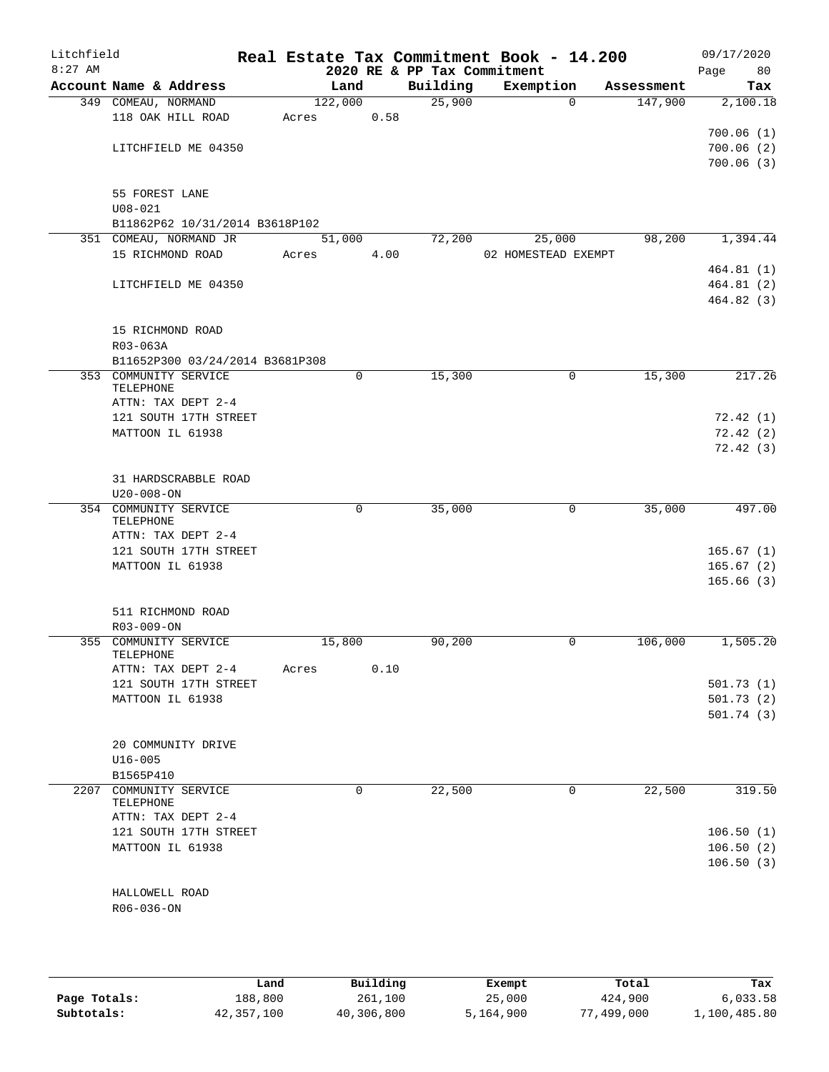| Litchfield<br>$8:27$ AM |                     |                                 |       |         |      | Real Estate Tax Commitment Book - 14.200<br>2020 RE & PP Tax Commitment |                     |          |            | 09/17/2020<br>80<br>Page |
|-------------------------|---------------------|---------------------------------|-------|---------|------|-------------------------------------------------------------------------|---------------------|----------|------------|--------------------------|
|                         |                     | Account Name & Address          |       | Land    |      | Building                                                                | Exemption           |          | Assessment | Tax                      |
|                         | 349 COMEAU, NORMAND |                                 |       | 122,000 |      | 25,900                                                                  |                     | $\Omega$ | 147,900    | 2,100.18                 |
|                         |                     | 118 OAK HILL ROAD               | Acres |         | 0.58 |                                                                         |                     |          |            |                          |
|                         |                     |                                 |       |         |      |                                                                         |                     |          |            | 700.06(1)                |
|                         |                     | LITCHFIELD ME 04350             |       |         |      |                                                                         |                     |          |            | 700.06(2)                |
|                         |                     |                                 |       |         |      |                                                                         |                     |          |            | 700.06(3)                |
|                         |                     |                                 |       |         |      |                                                                         |                     |          |            |                          |
|                         | 55 FOREST LANE      |                                 |       |         |      |                                                                         |                     |          |            |                          |
|                         | $U08 - 021$         | B11862P62 10/31/2014 B3618P102  |       |         |      |                                                                         |                     |          |            |                          |
|                         |                     | 351 COMEAU, NORMAND JR          |       | 51,000  |      | 72,200                                                                  |                     | 25,000   | 98,200     | 1,394.44                 |
|                         |                     | 15 RICHMOND ROAD                | Acres |         | 4.00 |                                                                         | 02 HOMESTEAD EXEMPT |          |            |                          |
|                         |                     |                                 |       |         |      |                                                                         |                     |          |            | 464.81(1)                |
|                         |                     | LITCHFIELD ME 04350             |       |         |      |                                                                         |                     |          |            | 464.81 (2)               |
|                         |                     |                                 |       |         |      |                                                                         |                     |          |            | 464.82(3)                |
|                         |                     |                                 |       |         |      |                                                                         |                     |          |            |                          |
|                         |                     | 15 RICHMOND ROAD                |       |         |      |                                                                         |                     |          |            |                          |
|                         | R03-063A            |                                 |       |         |      |                                                                         |                     |          |            |                          |
|                         |                     | B11652P300 03/24/2014 B3681P308 |       |         |      |                                                                         |                     |          |            |                          |
|                         | TELEPHONE           | 353 COMMUNITY SERVICE           |       |         | 0    | 15,300                                                                  |                     | 0        | 15,300     | 217.26                   |
|                         |                     | ATTN: TAX DEPT 2-4              |       |         |      |                                                                         |                     |          |            |                          |
|                         |                     | 121 SOUTH 17TH STREET           |       |         |      |                                                                         |                     |          |            | 72.42(1)                 |
|                         |                     | MATTOON IL 61938                |       |         |      |                                                                         |                     |          |            | 72.42(2)                 |
|                         |                     |                                 |       |         |      |                                                                         |                     |          |            | 72.42(3)                 |
|                         |                     |                                 |       |         |      |                                                                         |                     |          |            |                          |
|                         |                     | 31 HARDSCRABBLE ROAD            |       |         |      |                                                                         |                     |          |            |                          |
|                         | $U20 - 008 - ON$    |                                 |       |         |      |                                                                         |                     |          |            |                          |
|                         |                     | 354 COMMUNITY SERVICE           |       |         | 0    | 35,000                                                                  |                     | 0        | 35,000     | 497.00                   |
|                         | TELEPHONE           | ATTN: TAX DEPT 2-4              |       |         |      |                                                                         |                     |          |            |                          |
|                         |                     | 121 SOUTH 17TH STREET           |       |         |      |                                                                         |                     |          |            | 165.67(1)                |
|                         |                     | MATTOON IL 61938                |       |         |      |                                                                         |                     |          |            | 165.67(2)                |
|                         |                     |                                 |       |         |      |                                                                         |                     |          |            | 165.66(3)                |
|                         |                     |                                 |       |         |      |                                                                         |                     |          |            |                          |
|                         |                     | 511 RICHMOND ROAD               |       |         |      |                                                                         |                     |          |            |                          |
|                         | R03-009-ON          |                                 |       |         |      |                                                                         |                     |          |            |                          |
|                         |                     | 355 COMMUNITY SERVICE           |       | 15,800  |      | 90,200                                                                  |                     | 0        | 106,000    | 1,505.20                 |
|                         | TELEPHONE           | ATTN: TAX DEPT 2-4              |       |         | 0.10 |                                                                         |                     |          |            |                          |
|                         |                     | 121 SOUTH 17TH STREET           | Acres |         |      |                                                                         |                     |          |            | 501.73 (1)               |
|                         |                     | MATTOON IL 61938                |       |         |      |                                                                         |                     |          |            | 501.73(2)                |
|                         |                     |                                 |       |         |      |                                                                         |                     |          |            | 501.74 (3)               |
|                         |                     |                                 |       |         |      |                                                                         |                     |          |            |                          |
|                         |                     | 20 COMMUNITY DRIVE              |       |         |      |                                                                         |                     |          |            |                          |
|                         | $U16 - 005$         |                                 |       |         |      |                                                                         |                     |          |            |                          |
|                         | B1565P410           |                                 |       |         |      |                                                                         |                     |          |            |                          |
| 2207                    |                     | COMMUNITY SERVICE               |       |         | 0    | 22,500                                                                  |                     | 0        | 22,500     | 319.50                   |
|                         | TELEPHONE           | ATTN: TAX DEPT 2-4              |       |         |      |                                                                         |                     |          |            |                          |
|                         |                     | 121 SOUTH 17TH STREET           |       |         |      |                                                                         |                     |          |            | 106.50(1)                |
|                         |                     | MATTOON IL 61938                |       |         |      |                                                                         |                     |          |            | 106.50(2)                |
|                         |                     |                                 |       |         |      |                                                                         |                     |          |            | 106.50(3)                |
|                         |                     |                                 |       |         |      |                                                                         |                     |          |            |                          |
|                         | HALLOWELL ROAD      |                                 |       |         |      |                                                                         |                     |          |            |                          |
|                         | R06-036-ON          |                                 |       |         |      |                                                                         |                     |          |            |                          |
|                         |                     |                                 |       |         |      |                                                                         |                     |          |            |                          |
|                         |                     |                                 |       |         |      |                                                                         |                     |          |            |                          |
|                         |                     |                                 |       |         |      |                                                                         |                     |          |            |                          |

|              | Land       | Building   | Exempt    | Total      | Tax          |
|--------------|------------|------------|-----------|------------|--------------|
| Page Totals: | 188,800    | 261,100    | 25,000    | 424,900    | 6,033.58     |
| Subtotals:   | 42,357,100 | 40,306,800 | 5,164,900 | 77,499,000 | 1,100,485.80 |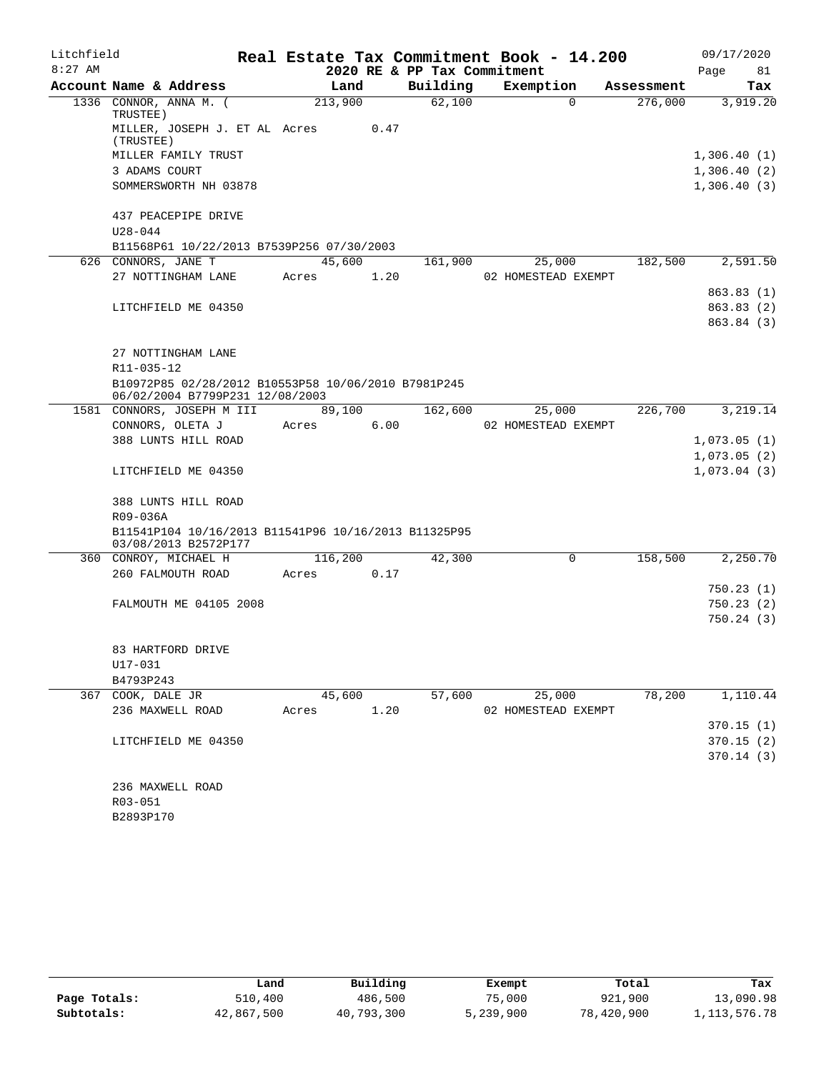| Litchfield |                                                                                        |         |      |                             | Real Estate Tax Commitment Book - 14.200 |            | 09/17/2020  |
|------------|----------------------------------------------------------------------------------------|---------|------|-----------------------------|------------------------------------------|------------|-------------|
| $8:27$ AM  |                                                                                        |         |      | 2020 RE & PP Tax Commitment |                                          |            | 81<br>Page  |
|            | Account Name & Address                                                                 | Land    |      | Building                    | Exemption                                | Assessment | Tax         |
|            | 1336 CONNOR, ANNA M. (<br>TRUSTEE)                                                     | 213,900 |      | 62,100                      | $\Omega$                                 | 276,000    | 3,919.20    |
|            | MILLER, JOSEPH J. ET AL Acres<br>(TRUSTEE)                                             |         | 0.47 |                             |                                          |            |             |
|            | MILLER FAMILY TRUST                                                                    |         |      |                             |                                          |            | 1,306.40(1) |
|            | 3 ADAMS COURT                                                                          |         |      |                             |                                          |            | 1,306.40(2) |
|            | SOMMERSWORTH NH 03878                                                                  |         |      |                             |                                          |            | 1,306.40(3) |
|            | 437 PEACEPIPE DRIVE                                                                    |         |      |                             |                                          |            |             |
|            | $U28 - 044$                                                                            |         |      |                             |                                          |            |             |
|            | B11568P61 10/22/2013 B7539P256 07/30/2003                                              |         |      |                             |                                          |            |             |
|            | 626 CONNORS, JANE T                                                                    | 45,600  |      | 161,900                     | 25,000                                   | 182,500    | 2,591.50    |
|            | 27 NOTTINGHAM LANE                                                                     | Acres   | 1.20 |                             | 02 HOMESTEAD EXEMPT                      |            |             |
|            |                                                                                        |         |      |                             |                                          |            | 863.83(1)   |
|            | LITCHFIELD ME 04350                                                                    |         |      |                             |                                          |            | 863.83 (2)  |
|            |                                                                                        |         |      |                             |                                          |            | 863.84 (3)  |
|            | 27 NOTTINGHAM LANE                                                                     |         |      |                             |                                          |            |             |
|            | R11-035-12                                                                             |         |      |                             |                                          |            |             |
|            | B10972P85 02/28/2012 B10553P58 10/06/2010 B7981P245<br>06/02/2004 B7799P231 12/08/2003 |         |      |                             |                                          |            |             |
|            | 1581 CONNORS, JOSEPH M III                                                             | 89,100  |      | 162,600                     | 25,000                                   | 226,700    | 3,219.14    |
|            | CONNORS, OLETA J                                                                       | Acres   | 6.00 |                             | 02 HOMESTEAD EXEMPT                      |            |             |
|            | 388 LUNTS HILL ROAD                                                                    |         |      |                             |                                          |            | 1,073.05(1) |
|            |                                                                                        |         |      |                             |                                          |            | 1,073.05(2) |
|            | LITCHFIELD ME 04350                                                                    |         |      |                             |                                          |            | 1,073.04(3) |
|            | 388 LUNTS HILL ROAD                                                                    |         |      |                             |                                          |            |             |
|            | R09-036A                                                                               |         |      |                             |                                          |            |             |
|            | B11541P104 10/16/2013 B11541P96 10/16/2013 B11325P95<br>03/08/2013 B2572P177           |         |      |                             |                                          |            |             |
|            | 360 CONROY, MICHAEL H                                                                  | 116,200 |      | 42,300                      | $\Omega$                                 | 158,500    | 2,250.70    |
|            | 260 FALMOUTH ROAD                                                                      | Acres   | 0.17 |                             |                                          |            |             |
|            |                                                                                        |         |      |                             |                                          |            | 750.23(1)   |
|            | FALMOUTH ME 04105 2008                                                                 |         |      |                             |                                          |            | 750.23(2)   |
|            |                                                                                        |         |      |                             |                                          |            | 750.24(3)   |
|            | 83 HARTFORD DRIVE                                                                      |         |      |                             |                                          |            |             |
|            | U17-031                                                                                |         |      |                             |                                          |            |             |
|            | B4793P243                                                                              |         |      |                             |                                          |            |             |
|            | 367 COOK, DALE JR                                                                      | 45,600  |      | 57,600                      | 25,000                                   | 78,200     | 1,110.44    |
|            | 236 MAXWELL ROAD                                                                       | Acres   | 1.20 |                             | 02 HOMESTEAD EXEMPT                      |            |             |
|            |                                                                                        |         |      |                             |                                          |            | 370.15(1)   |
|            | LITCHFIELD ME 04350                                                                    |         |      |                             |                                          |            | 370.15(2)   |
|            |                                                                                        |         |      |                             |                                          |            | 370.14(3)   |
|            | 236 MAXWELL ROAD                                                                       |         |      |                             |                                          |            |             |
|            | R03-051                                                                                |         |      |                             |                                          |            |             |
|            |                                                                                        |         |      |                             |                                          |            |             |

B2893P170

|              | Land       | Building   | Exempt    | Total      | Tax          |
|--------------|------------|------------|-----------|------------|--------------|
| Page Totals: | 510,400    | 486,500    | 75,000    | 921,900    | 13,090.98    |
| Subtotals:   | 42,867,500 | 40,793,300 | 5,239,900 | 78,420,900 | 1,113,576.78 |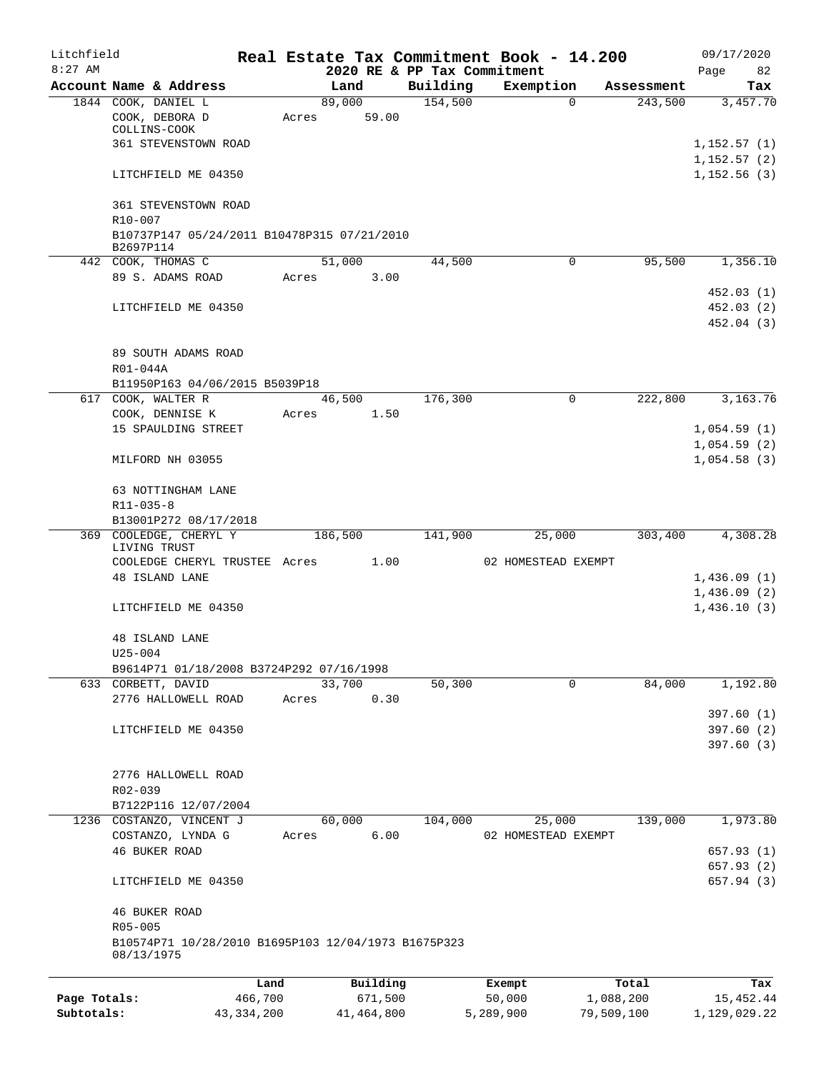| Litchfield   |             |                                                                |         |       |                |          |                     | Real Estate Tax Commitment Book - 14.200 |           |                       | 09/17/2020                 |
|--------------|-------------|----------------------------------------------------------------|---------|-------|----------------|----------|---------------------|------------------------------------------|-----------|-----------------------|----------------------------|
| $8:27$ AM    |             |                                                                |         |       |                |          |                     | 2020 RE & PP Tax Commitment              |           |                       | 82<br>Page                 |
|              |             | Account Name & Address<br>1844 COOK, DANIEL L                  |         |       | Land<br>89,000 |          | Building<br>154,500 | Exemption<br>$\Omega$                    |           | Assessment<br>243,500 | Tax<br>3,457.70            |
|              |             | COOK, DEBORA D<br>COLLINS-COOK                                 |         | Acres |                | 59.00    |                     |                                          |           |                       |                            |
|              |             | <b>361 STEVENSTOWN ROAD</b>                                    |         |       |                |          |                     |                                          |           |                       | 1,152.57(1)                |
|              |             |                                                                |         |       |                |          |                     |                                          |           |                       | 1,152.57(2)                |
|              |             | LITCHFIELD ME 04350                                            |         |       |                |          |                     |                                          |           |                       | 1,152.56(3)                |
|              | R10-007     | 361 STEVENSTOWN ROAD                                           |         |       |                |          |                     |                                          |           |                       |                            |
|              | B2697P114   | B10737P147 05/24/2011 B10478P315 07/21/2010                    |         |       |                |          |                     |                                          |           |                       |                            |
|              |             | 442 COOK, THOMAS C                                             |         |       | 51,000         |          | 44,500              | $\mathbf 0$                              |           | 95,500                | 1,356.10                   |
|              |             | 89 S. ADAMS ROAD                                               |         | Acres |                | 3.00     |                     |                                          |           |                       | 452.03(1)                  |
|              |             | LITCHFIELD ME 04350                                            |         |       |                |          |                     |                                          |           |                       | 452.03(2)                  |
|              |             |                                                                |         |       |                |          |                     |                                          |           |                       | 452.04 (3)                 |
|              | R01-044A    | 89 SOUTH ADAMS ROAD                                            |         |       |                |          |                     |                                          |           |                       |                            |
|              |             | B11950P163 04/06/2015 B5039P18                                 |         |       |                |          |                     |                                          |           |                       |                            |
|              |             | 617 COOK, WALTER R                                             |         |       | 46,500         |          | 176,300             | $\mathbf 0$                              |           | 222,800               | 3,163.76                   |
|              |             | COOK, DENNISE K                                                |         | Acres |                | 1.50     |                     |                                          |           |                       |                            |
|              |             | 15 SPAULDING STREET                                            |         |       |                |          |                     |                                          |           |                       | 1,054.59(1)<br>1,054.59(2) |
|              |             | MILFORD NH 03055                                               |         |       |                |          |                     |                                          |           |                       | 1,054.58(3)                |
|              | R11-035-8   | 63 NOTTINGHAM LANE                                             |         |       |                |          |                     |                                          |           |                       |                            |
|              |             | B13001P272 08/17/2018                                          |         |       |                |          |                     |                                          |           |                       |                            |
|              |             | 369 COOLEDGE, CHERYL Y                                         |         |       | 186,500        |          | 141,900             | 25,000                                   |           | 303,400               | 4,308.28                   |
|              |             | LIVING TRUST                                                   |         |       |                |          |                     |                                          |           |                       |                            |
|              |             | COOLEDGE CHERYL TRUSTEE Acres                                  |         |       |                | 1.00     |                     | 02 HOMESTEAD EXEMPT                      |           |                       |                            |
|              |             | 48 ISLAND LANE                                                 |         |       |                |          |                     |                                          |           |                       | 1,436.09(1)<br>1,436.09(2) |
|              |             | LITCHFIELD ME 04350                                            |         |       |                |          |                     |                                          |           |                       | 1,436.10(3)                |
|              |             | 48 ISLAND LANE                                                 |         |       |                |          |                     |                                          |           |                       |                            |
|              | $U25 - 004$ |                                                                |         |       |                |          |                     |                                          |           |                       |                            |
|              |             | B9614P71 01/18/2008 B3724P292 07/16/1998<br>633 CORBETT, DAVID |         |       | 33,700         |          | 50,300              | 0                                        |           | 84,000                | 1,192.80                   |
|              |             | 2776 HALLOWELL ROAD                                            |         | Acres |                | 0.30     |                     |                                          |           |                       |                            |
|              |             |                                                                |         |       |                |          |                     |                                          |           |                       | 397.60(1)                  |
|              |             | LITCHFIELD ME 04350                                            |         |       |                |          |                     |                                          |           |                       | 397.60(2)                  |
|              |             |                                                                |         |       |                |          |                     |                                          |           |                       | 397.60(3)                  |
|              |             | 2776 HALLOWELL ROAD                                            |         |       |                |          |                     |                                          |           |                       |                            |
|              | R02-039     |                                                                |         |       |                |          |                     |                                          |           |                       |                            |
|              |             | B7122P116 12/07/2004<br>1236 COSTANZO, VINCENT J               |         |       | 60,000         |          | 104,000             | 25,000                                   |           | 139,000               | 1,973.80                   |
|              |             | COSTANZO, LYNDA G                                              |         | Acres |                | 6.00     |                     | 02 HOMESTEAD EXEMPT                      |           |                       |                            |
|              |             | 46 BUKER ROAD                                                  |         |       |                |          |                     |                                          |           |                       | 657.93(1)                  |
|              |             |                                                                |         |       |                |          |                     |                                          |           |                       | 657.93 (2)                 |
|              |             | LITCHFIELD ME 04350                                            |         |       |                |          |                     |                                          |           |                       | 657.94 (3)                 |
|              | R05-005     | <b>46 BUKER ROAD</b>                                           |         |       |                |          |                     |                                          |           |                       |                            |
|              | 08/13/1975  | B10574P71 10/28/2010 B1695P103 12/04/1973 B1675P323            |         |       |                |          |                     |                                          |           |                       |                            |
|              |             |                                                                | Land    |       |                | Building |                     | Exempt                                   |           | Total                 | Tax                        |
| Page Totals: |             |                                                                | 466,700 |       |                | 671,500  |                     | 50,000                                   | 1,088,200 |                       | 15, 452.44                 |

**Subtotals:** 43,334,200 41,464,800 5,289,900 79,509,100 1,129,029.22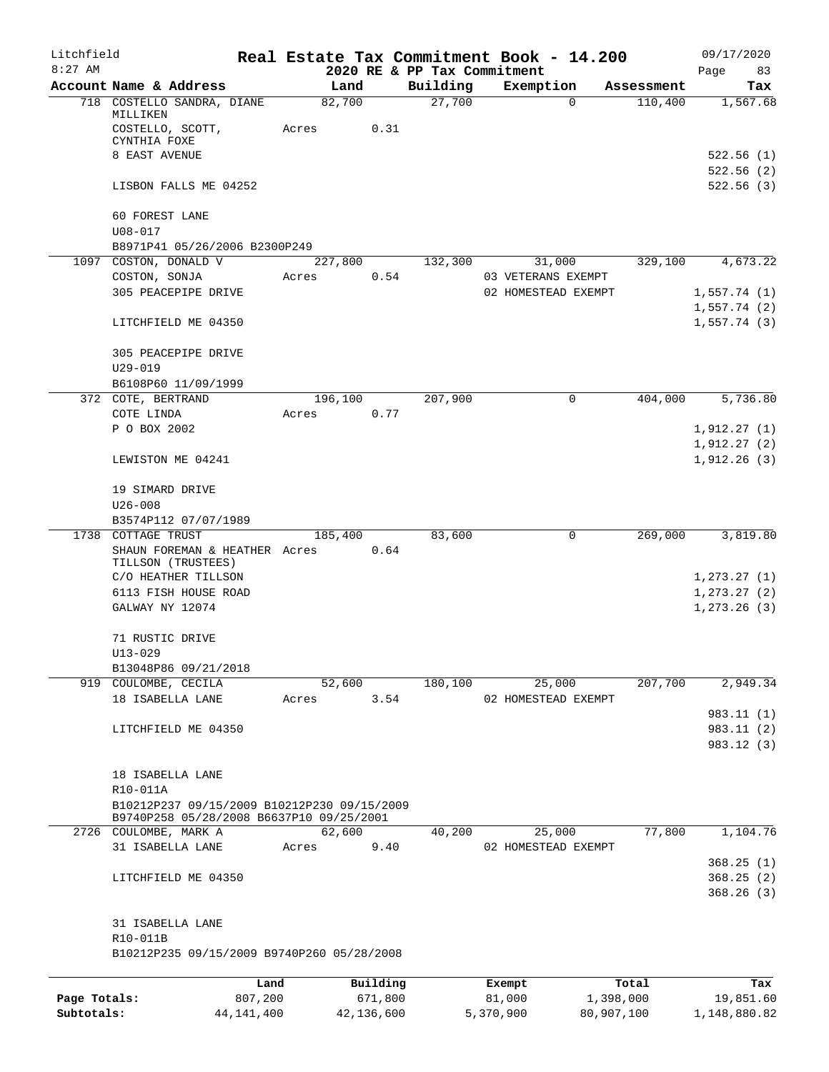| Litchfield   |                                                        |                  |            |                             | Real Estate Tax Commitment Book - 14.200 |            | 09/17/2020                 |
|--------------|--------------------------------------------------------|------------------|------------|-----------------------------|------------------------------------------|------------|----------------------------|
| $8:27$ AM    |                                                        |                  |            | 2020 RE & PP Tax Commitment |                                          |            | Page<br>83                 |
|              | Account Name & Address                                 | Land             |            | Building                    | Exemption                                | Assessment | Tax                        |
|              | 718 COSTELLO SANDRA, DIANE<br>MILLIKEN                 | 82,700           |            | 27,700                      | $\Omega$                                 | 110,400    | 1,567.68                   |
|              | COSTELLO, SCOTT,<br>CYNTHIA FOXE                       | Acres            | 0.31       |                             |                                          |            |                            |
|              | 8 EAST AVENUE                                          |                  |            |                             |                                          |            | 522.56(1)                  |
|              |                                                        |                  |            |                             |                                          |            | 522.56(2)                  |
|              | LISBON FALLS ME 04252                                  |                  |            |                             |                                          |            | 522.56(3)                  |
|              | 60 FOREST LANE<br>$U08 - 017$                          |                  |            |                             |                                          |            |                            |
|              | B8971P41 05/26/2006 B2300P249                          |                  |            |                             |                                          |            |                            |
|              | 1097 COSTON, DONALD V                                  | 227,800<br>Acres | 0.54       | 132,300                     | 31,000<br>03 VETERANS EXEMPT             | 329,100    | 4,673.22                   |
|              | COSTON, SONJA<br>305 PEACEPIPE DRIVE                   |                  |            |                             | 02 HOMESTEAD EXEMPT                      |            | 1,557.74(1)                |
|              |                                                        |                  |            |                             |                                          |            | 1,557.74(2)                |
|              | LITCHFIELD ME 04350                                    |                  |            |                             |                                          |            | 1,557.74(3)                |
|              | 305 PEACEPIPE DRIVE                                    |                  |            |                             |                                          |            |                            |
|              | $U29 - 019$                                            |                  |            |                             |                                          |            |                            |
|              | B6108P60 11/09/1999                                    |                  |            |                             |                                          |            |                            |
|              | 372 COTE, BERTRAND                                     | 196,100          |            | 207,900                     | 0                                        | 404,000    | 5,736.80                   |
|              | COTE LINDA                                             | Acres            | 0.77       |                             |                                          |            |                            |
|              | P O BOX 2002                                           |                  |            |                             |                                          |            | 1,912.27(1)                |
|              | LEWISTON ME 04241                                      |                  |            |                             |                                          |            | 1,912.27(2)<br>1,912.26(3) |
|              | 19 SIMARD DRIVE                                        |                  |            |                             |                                          |            |                            |
|              | $U26 - 008$                                            |                  |            |                             |                                          |            |                            |
|              | B3574P112 07/07/1989                                   |                  |            |                             |                                          |            |                            |
|              | 1738 COTTAGE TRUST                                     | 185,400          |            | 83,600                      | $\mathbf 0$                              | 269,000    | 3,819.80                   |
|              | SHAUN FOREMAN & HEATHER Acres<br>TILLSON (TRUSTEES)    |                  | 0.64       |                             |                                          |            |                            |
|              | C/O HEATHER TILLSON                                    |                  |            |                             |                                          |            | 1, 273.27(1)               |
|              | 6113 FISH HOUSE ROAD                                   |                  |            |                             |                                          |            | 1, 273.27(2)               |
|              | GALWAY NY 12074                                        |                  |            |                             |                                          |            | 1, 273.26(3)               |
|              |                                                        |                  |            |                             |                                          |            |                            |
|              | 71 RUSTIC DRIVE                                        |                  |            |                             |                                          |            |                            |
|              | $U13 - 029$                                            |                  |            |                             |                                          |            |                            |
|              | B13048P86 09/21/2018                                   |                  |            |                             |                                          |            |                            |
|              | 919 COULOMBE, CECILA                                   | 52,600           |            | 180,100                     | 25,000                                   | 207,700    | 2,949.34                   |
|              | 18 ISABELLA LANE                                       | Acres            | 3.54       |                             | 02 HOMESTEAD EXEMPT                      |            |                            |
|              |                                                        |                  |            |                             |                                          |            | 983.11(1)                  |
|              | LITCHFIELD ME 04350                                    |                  |            |                             |                                          |            | 983.11 (2)                 |
|              |                                                        |                  |            |                             |                                          |            | 983.12 (3)                 |
|              | 18 ISABELLA LANE                                       |                  |            |                             |                                          |            |                            |
|              | R10-011A                                               |                  |            |                             |                                          |            |                            |
|              | B10212P237 09/15/2009 B10212P230 09/15/2009            |                  |            |                             |                                          |            |                            |
|              | B9740P258 05/28/2008 B6637P10 09/25/2001               |                  |            |                             |                                          |            |                            |
| 2726         | COULOMBE, MARK A                                       | 62,600           |            | 40,200                      | 25,000                                   | 77,800     | 1,104.76                   |
|              | 31 ISABELLA LANE                                       | Acres            | 9.40       |                             | 02 HOMESTEAD EXEMPT                      |            |                            |
|              |                                                        |                  |            |                             |                                          |            | 368.25(1)                  |
|              | LITCHFIELD ME 04350                                    |                  |            |                             |                                          |            | 368.25(2)<br>368.26(3)     |
|              |                                                        |                  |            |                             |                                          |            |                            |
|              | 31 ISABELLA LANE                                       |                  |            |                             |                                          |            |                            |
|              | R10-011B<br>B10212P235 09/15/2009 B9740P260 05/28/2008 |                  |            |                             |                                          |            |                            |
|              |                                                        |                  |            |                             |                                          |            |                            |
|              | Land                                                   |                  | Building   |                             | Exempt                                   | Total      | Tax                        |
| Page Totals: | 807,200                                                |                  | 671,800    |                             | 81,000                                   | 1,398,000  | 19,851.60                  |
| Subtotals:   | 44, 141, 400                                           |                  | 42,136,600 |                             | 5,370,900                                | 80,907,100 | 1,148,880.82               |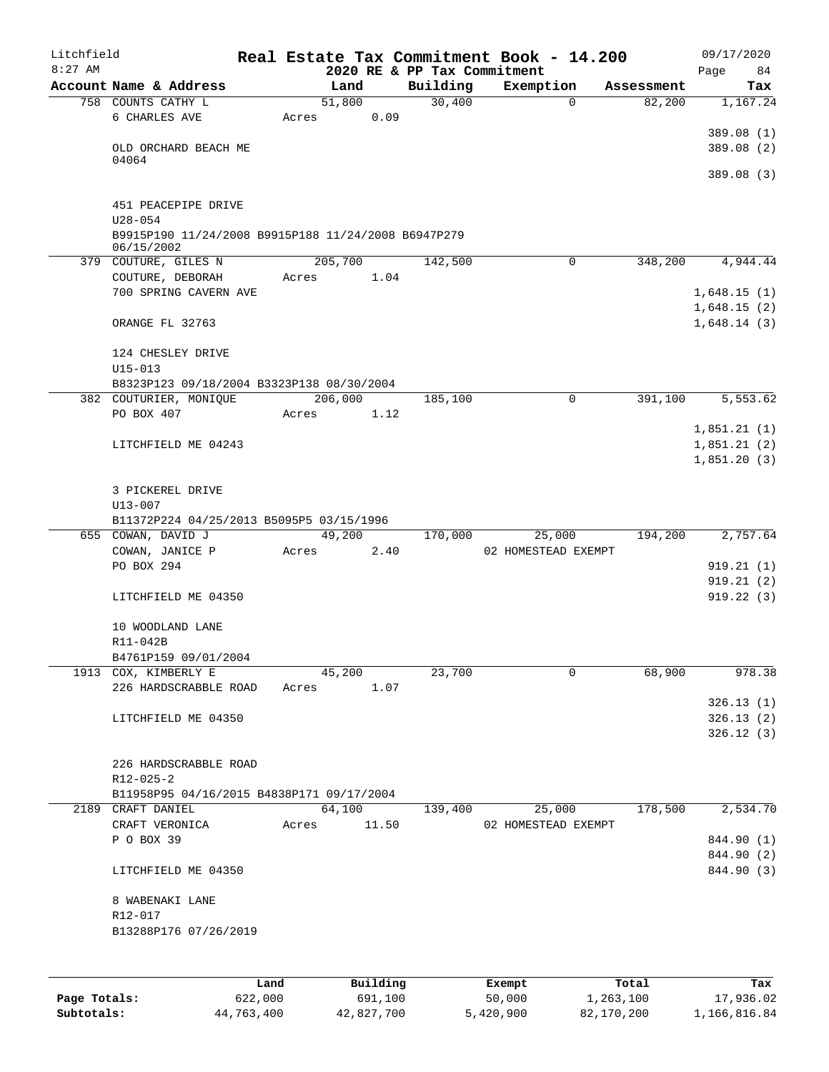| Litchfield |                                                                |             |                        |                             | Real Estate Tax Commitment Book - 14.200 |            | 09/17/2020  |
|------------|----------------------------------------------------------------|-------------|------------------------|-----------------------------|------------------------------------------|------------|-------------|
| $8:27$ AM  |                                                                |             |                        | 2020 RE & PP Tax Commitment |                                          |            | 84<br>Page  |
|            | Account Name & Address                                         | Land        |                        | Building                    | Exemption                                | Assessment | Tax         |
|            | 758 COUNTS CATHY L                                             | 51,800      |                        | 30,400                      | $\mathbf 0$                              | 82,200     | 1,167.24    |
|            | 6 CHARLES AVE                                                  | Acres       | 0.09                   |                             |                                          |            |             |
|            |                                                                |             |                        |                             |                                          |            | 389.08 (1)  |
|            | OLD ORCHARD BEACH ME<br>04064                                  |             |                        |                             |                                          |            | 389.08 (2)  |
|            |                                                                |             |                        |                             |                                          |            | 389.08(3)   |
|            |                                                                |             |                        |                             |                                          |            |             |
|            | 451 PEACEPIPE DRIVE                                            |             |                        |                             |                                          |            |             |
|            | $U28 - 054$                                                    |             |                        |                             |                                          |            |             |
|            | B9915P190 11/24/2008 B9915P188 11/24/2008 B6947P279            |             |                        |                             |                                          |            |             |
|            | 06/15/2002                                                     |             |                        |                             |                                          |            |             |
|            | 379 COUTURE, GILES N                                           | 205,700     |                        | 142,500                     | 0                                        | 348,200    | 4,944.44    |
|            | COUTURE, DEBORAH                                               | Acres       | 1.04                   |                             |                                          |            |             |
|            | 700 SPRING CAVERN AVE                                          |             |                        |                             |                                          |            | 1,648.15(1) |
|            |                                                                |             |                        |                             |                                          |            | 1,648.15(2) |
|            | ORANGE FL 32763                                                |             |                        |                             |                                          |            | 1,648.14(3) |
|            |                                                                |             |                        |                             |                                          |            |             |
|            | 124 CHESLEY DRIVE                                              |             |                        |                             |                                          |            |             |
|            | $U15 - 013$                                                    |             |                        |                             |                                          |            |             |
|            | B8323P123 09/18/2004 B3323P138 08/30/2004                      |             |                        |                             |                                          |            |             |
|            | 382 COUTURIER, MONIQUE                                         | 206,000     |                        | 185,100                     | $\Omega$                                 | 391,100    | 5,553.62    |
|            | PO BOX 407                                                     | Acres       | 1.12                   |                             |                                          |            |             |
|            |                                                                |             |                        |                             |                                          |            | 1,851.21(1) |
|            | LITCHFIELD ME 04243                                            |             |                        |                             |                                          |            | 1,851.21(2) |
|            |                                                                |             |                        |                             |                                          |            | 1,851.20(3) |
|            |                                                                |             |                        |                             |                                          |            |             |
|            | 3 PICKEREL DRIVE                                               |             |                        |                             |                                          |            |             |
|            | U13-007                                                        |             |                        |                             |                                          |            |             |
|            | B11372P224 04/25/2013 B5095P5 03/15/1996<br>655 COWAN, DAVID J | 49,200      |                        | 170,000                     | 25,000                                   | 194,200    | 2,757.64    |
|            | COWAN, JANICE P                                                | Acres       | 2.40                   |                             | 02 HOMESTEAD EXEMPT                      |            |             |
|            | PO BOX 294                                                     |             |                        |                             |                                          |            | 919.21(1)   |
|            |                                                                |             |                        |                             |                                          |            | 919.21(2)   |
|            | LITCHFIELD ME 04350                                            |             |                        |                             |                                          |            | 919.22(3)   |
|            |                                                                |             |                        |                             |                                          |            |             |
|            | 10 WOODLAND LANE                                               |             |                        |                             |                                          |            |             |
|            | R11-042B                                                       |             |                        |                             |                                          |            |             |
|            | B4761P159 09/01/2004                                           |             |                        |                             |                                          |            |             |
|            | 1913 COX, KIMBERLY E                                           | 45,200      |                        | 23,700                      | 0                                        | 68,900     | 978.38      |
|            | 226 HARDSCRABBLE ROAD                                          | Acres 1.07  |                        |                             |                                          |            |             |
|            |                                                                |             |                        |                             |                                          |            | 326.13(1)   |
|            | LITCHFIELD ME 04350                                            |             |                        |                             |                                          |            | 326.13(2)   |
|            |                                                                |             |                        |                             |                                          |            | 326.12(3)   |
|            |                                                                |             |                        |                             |                                          |            |             |
|            | 226 HARDSCRABBLE ROAD                                          |             |                        |                             |                                          |            |             |
|            | $R12 - 025 - 2$                                                |             |                        |                             |                                          |            |             |
|            | B11958P95 04/16/2015 B4838P171 09/17/2004                      |             |                        |                             |                                          |            |             |
|            | 2189 CRAFT DANIEL                                              | 64,100      |                        | 139,400                     | 25,000                                   | 178,500    | 2,534.70    |
|            | CRAFT VERONICA                                                 | Acres 11.50 |                        |                             | 02 HOMESTEAD EXEMPT                      |            |             |
|            | P O BOX 39                                                     |             |                        |                             |                                          |            | 844.90 (1)  |
|            |                                                                |             |                        |                             |                                          |            | 844.90 (2)  |
|            | LITCHFIELD ME 04350                                            |             |                        |                             |                                          |            | 844.90 (3)  |
|            |                                                                |             |                        |                             |                                          |            |             |
|            | 8 WABENAKI LANE<br>R12-017                                     |             |                        |                             |                                          |            |             |
|            | B13288P176 07/26/2019                                          |             |                        |                             |                                          |            |             |
|            |                                                                |             |                        |                             |                                          |            |             |
|            |                                                                |             |                        |                             |                                          |            |             |
|            |                                                                |             |                        |                             |                                          |            |             |
|            |                                                                |             | $D_{11}$ in $A$ in $A$ |                             |                                          | $T - 1$    | π.          |

|              | Land       | Building   | Exempt    | Total      | Tax          |
|--------------|------------|------------|-----------|------------|--------------|
| Page Totals: | 622,000    | 691,100    | 50,000    | 1,263,100  | 17,936.02    |
| Subtotals:   | 44,763,400 | 42,827,700 | 5,420,900 | 82,170,200 | 1,166,816.84 |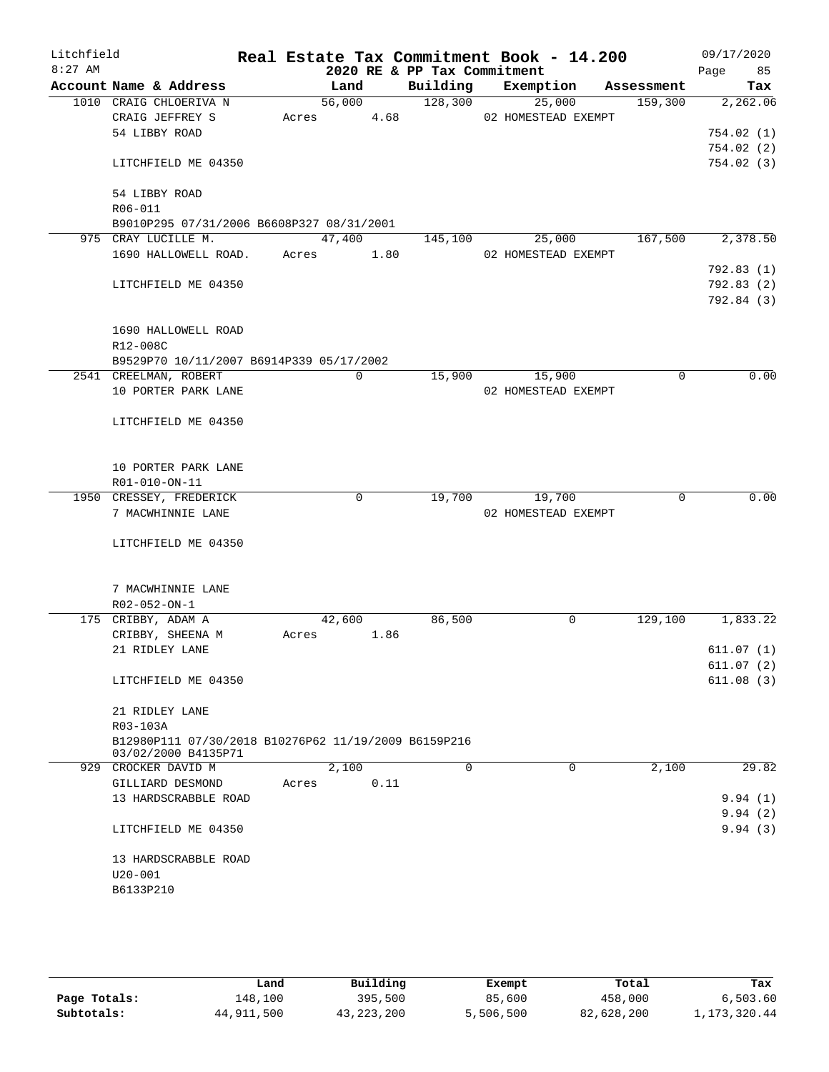| Litchfield |                                                      |       |        |             |                             | Real Estate Tax Commitment Book - 14.200 |            | 09/17/2020 |       |
|------------|------------------------------------------------------|-------|--------|-------------|-----------------------------|------------------------------------------|------------|------------|-------|
| $8:27$ AM  |                                                      |       |        |             | 2020 RE & PP Tax Commitment |                                          |            | Page       | 85    |
|            | Account Name & Address                               |       | Land   |             | Building                    | Exemption                                | Assessment |            | Tax   |
|            | 1010 CRAIG CHLOERIVA N                               |       | 56,000 |             | 128,300                     | 25,000                                   | 159,300    | 2,262.06   |       |
|            | CRAIG JEFFREY S                                      | Acres |        | 4.68        |                             | 02 HOMESTEAD EXEMPT                      |            |            |       |
|            | 54 LIBBY ROAD                                        |       |        |             |                             |                                          |            | 754.02(1)  |       |
|            | LITCHFIELD ME 04350                                  |       |        |             |                             |                                          |            | 754.02(2)  |       |
|            |                                                      |       |        |             |                             |                                          |            | 754.02(3)  |       |
|            | 54 LIBBY ROAD                                        |       |        |             |                             |                                          |            |            |       |
|            | R06-011                                              |       |        |             |                             |                                          |            |            |       |
|            | B9010P295 07/31/2006 B6608P327 08/31/2001            |       |        |             |                             |                                          |            |            |       |
|            | 975 CRAY LUCILLE M.                                  |       | 47,400 |             | 145,100                     | 25,000                                   | 167,500    | 2,378.50   |       |
|            | 1690 HALLOWELL ROAD.                                 | Acres |        | 1.80        |                             | 02 HOMESTEAD EXEMPT                      |            |            |       |
|            |                                                      |       |        |             |                             |                                          |            | 792.83(1)  |       |
|            | LITCHFIELD ME 04350                                  |       |        |             |                             |                                          |            | 792.83(2)  |       |
|            |                                                      |       |        |             |                             |                                          |            | 792.84 (3) |       |
|            |                                                      |       |        |             |                             |                                          |            |            |       |
|            | 1690 HALLOWELL ROAD                                  |       |        |             |                             |                                          |            |            |       |
|            | R12-008C                                             |       |        |             |                             |                                          |            |            |       |
|            | B9529P70 10/11/2007 B6914P339 05/17/2002             |       |        |             |                             |                                          |            |            |       |
|            | 2541 CREELMAN, ROBERT                                |       |        | 0           | 15,900                      | 15,900                                   | 0          |            | 0.00  |
|            | 10 PORTER PARK LANE                                  |       |        |             |                             | 02 HOMESTEAD EXEMPT                      |            |            |       |
|            |                                                      |       |        |             |                             |                                          |            |            |       |
|            | LITCHFIELD ME 04350                                  |       |        |             |                             |                                          |            |            |       |
|            |                                                      |       |        |             |                             |                                          |            |            |       |
|            |                                                      |       |        |             |                             |                                          |            |            |       |
|            | 10 PORTER PARK LANE                                  |       |        |             |                             |                                          |            |            |       |
|            | R01-010-ON-11<br>1950 CRESSEY, FREDERICK             |       |        | $\mathbf 0$ | 19,700                      | 19,700                                   | 0          |            | 0.00  |
|            | 7 MACWHINNIE LANE                                    |       |        |             |                             | 02 HOMESTEAD EXEMPT                      |            |            |       |
|            |                                                      |       |        |             |                             |                                          |            |            |       |
|            | LITCHFIELD ME 04350                                  |       |        |             |                             |                                          |            |            |       |
|            |                                                      |       |        |             |                             |                                          |            |            |       |
|            |                                                      |       |        |             |                             |                                          |            |            |       |
|            | 7 MACWHINNIE LANE                                    |       |        |             |                             |                                          |            |            |       |
|            | R02-052-ON-1                                         |       |        |             |                             |                                          |            |            |       |
|            | 175 CRIBBY, ADAM A                                   |       | 42,600 |             | 86,500                      | 0                                        | 129,100    | 1,833.22   |       |
|            | CRIBBY, SHEENA M                                     | Acres |        | 1.86        |                             |                                          |            |            |       |
|            | 21 RIDLEY LANE                                       |       |        |             |                             |                                          |            | 611.07(1)  |       |
|            |                                                      |       |        |             |                             |                                          |            | 611.07(2)  |       |
|            | LITCHFIELD ME 04350                                  |       |        |             |                             |                                          |            | 611.08(3)  |       |
|            |                                                      |       |        |             |                             |                                          |            |            |       |
|            | 21 RIDLEY LANE                                       |       |        |             |                             |                                          |            |            |       |
|            | R03-103A                                             |       |        |             |                             |                                          |            |            |       |
|            | B12980P111 07/30/2018 B10276P62 11/19/2009 B6159P216 |       |        |             |                             |                                          |            |            |       |
|            | 03/02/2000 B4135P71<br>929 CROCKER DAVID M           |       | 2,100  |             | $\Omega$                    | $\Omega$                                 | 2,100      |            | 29.82 |
|            | GILLIARD DESMOND                                     | Acres |        | 0.11        |                             |                                          |            |            |       |
|            | 13 HARDSCRABBLE ROAD                                 |       |        |             |                             |                                          |            | 9.94(1)    |       |
|            |                                                      |       |        |             |                             |                                          |            | 9.94(2)    |       |
|            | LITCHFIELD ME 04350                                  |       |        |             |                             |                                          |            | 9.94(3)    |       |
|            |                                                      |       |        |             |                             |                                          |            |            |       |
|            | 13 HARDSCRABBLE ROAD                                 |       |        |             |                             |                                          |            |            |       |
|            | $U20 - 001$                                          |       |        |             |                             |                                          |            |            |       |
|            | B6133P210                                            |       |        |             |                             |                                          |            |            |       |
|            |                                                      |       |        |             |                             |                                          |            |            |       |
|            |                                                      |       |        |             |                             |                                          |            |            |       |

|              | Land       | Building     | Exempt    | Total      | Tax            |
|--------------|------------|--------------|-----------|------------|----------------|
| Page Totals: | 148,100    | 395,500      | 85,600    | 458,000    | 6,503.60       |
| Subtotals:   | 44,911,500 | 43, 223, 200 | 5,506,500 | 82,628,200 | 1, 173, 320.44 |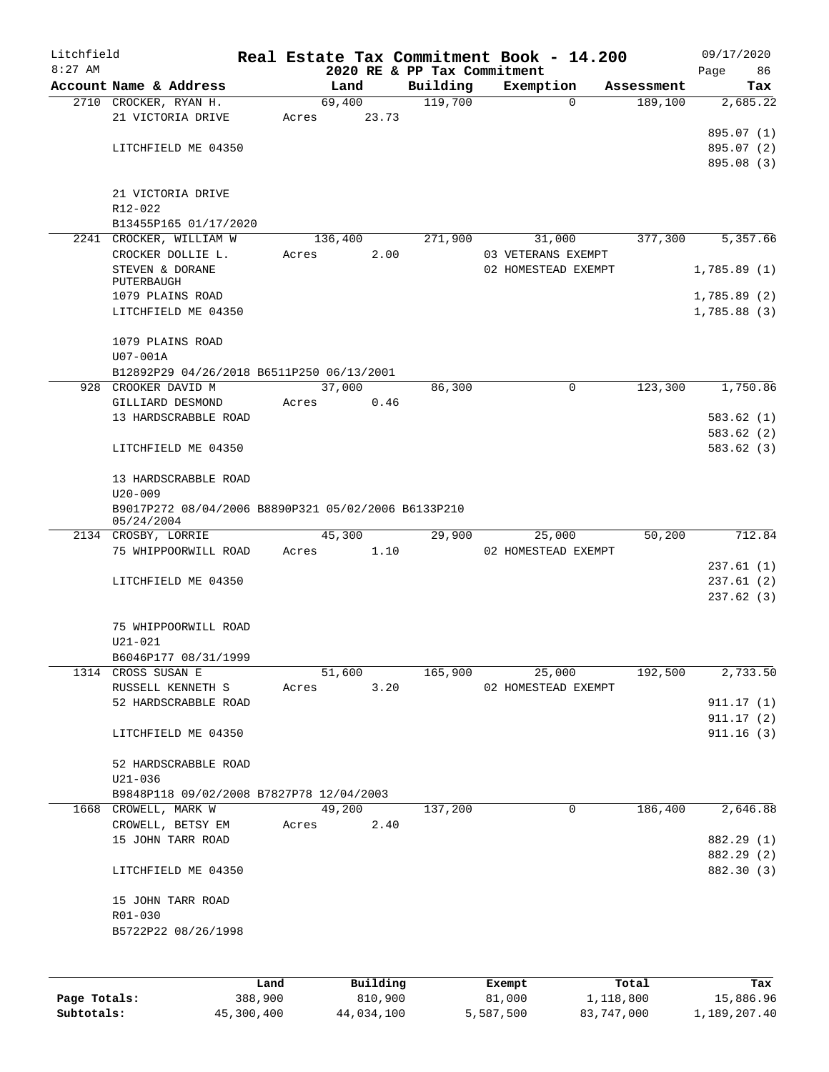| Litchfield |                                                                   |       |            |                             | Real Estate Tax Commitment Book - 14.200 |            | 09/17/2020              |
|------------|-------------------------------------------------------------------|-------|------------|-----------------------------|------------------------------------------|------------|-------------------------|
| $8:27$ AM  |                                                                   |       |            | 2020 RE & PP Tax Commitment |                                          |            | Page<br>86              |
|            | Account Name & Address                                            |       | Land       | Building                    | Exemption                                | Assessment | Tax                     |
|            | 2710 CROCKER, RYAN H.                                             |       | 69,400     | 119,700                     | $\Omega$                                 | 189,100    | 2,685.22                |
|            | 21 VICTORIA DRIVE                                                 | Acres | 23.73      |                             |                                          |            |                         |
|            |                                                                   |       |            |                             |                                          |            | 895.07 (1)              |
|            | LITCHFIELD ME 04350                                               |       |            |                             |                                          |            | 895.07 (2)              |
|            |                                                                   |       |            |                             |                                          |            | 895.08 (3)              |
|            |                                                                   |       |            |                             |                                          |            |                         |
|            | 21 VICTORIA DRIVE                                                 |       |            |                             |                                          |            |                         |
|            | R12-022                                                           |       |            |                             |                                          |            |                         |
|            | B13455P165 01/17/2020                                             |       |            |                             |                                          |            |                         |
|            | 2241 CROCKER, WILLIAM W                                           |       | 136,400    | 271,900                     | 31,000                                   | 377,300    | 5,357.66                |
|            | CROCKER DOLLIE L.                                                 | Acres | 2.00       |                             | 03 VETERANS EXEMPT                       |            |                         |
|            | STEVEN & DORANE                                                   |       |            |                             | 02 HOMESTEAD EXEMPT                      |            | 1,785.89(1)             |
|            | PUTERBAUGH<br>1079 PLAINS ROAD                                    |       |            |                             |                                          |            | 1,785.89(2)             |
|            | LITCHFIELD ME 04350                                               |       |            |                             |                                          |            | 1,785.88(3)             |
|            |                                                                   |       |            |                             |                                          |            |                         |
|            | 1079 PLAINS ROAD                                                  |       |            |                             |                                          |            |                         |
|            |                                                                   |       |            |                             |                                          |            |                         |
|            | U07-001A                                                          |       |            |                             |                                          |            |                         |
|            | B12892P29 04/26/2018 B6511P250 06/13/2001                         |       |            |                             |                                          |            |                         |
| 928        | CROOKER DAVID M                                                   |       | 37,000     | 86,300                      | 0                                        | 123,300    | 1,750.86                |
|            | GILLIARD DESMOND                                                  | Acres | 0.46       |                             |                                          |            |                         |
|            | 13 HARDSCRABBLE ROAD                                              |       |            |                             |                                          |            | 583.62(1)               |
|            |                                                                   |       |            |                             |                                          |            | 583.62(2)               |
|            | LITCHFIELD ME 04350                                               |       |            |                             |                                          |            | 583.62(3)               |
|            |                                                                   |       |            |                             |                                          |            |                         |
|            | 13 HARDSCRABBLE ROAD                                              |       |            |                             |                                          |            |                         |
|            | $U20 - 009$                                                       |       |            |                             |                                          |            |                         |
|            | B9017P272 08/04/2006 B8890P321 05/02/2006 B6133P210<br>05/24/2004 |       |            |                             |                                          |            |                         |
|            | 2134 CROSBY, LORRIE                                               |       | 45,300     | 29,900                      | 25,000                                   | 50,200     | 712.84                  |
|            | 75 WHIPPOORWILL ROAD                                              | Acres | 1.10       |                             | 02 HOMESTEAD EXEMPT                      |            |                         |
|            |                                                                   |       |            |                             |                                          |            | 237.61(1)               |
|            | LITCHFIELD ME 04350                                               |       |            |                             |                                          |            | 237.61(2)               |
|            |                                                                   |       |            |                             |                                          |            | 237.62(3)               |
|            |                                                                   |       |            |                             |                                          |            |                         |
|            | 75 WHIPPOORWILL ROAD                                              |       |            |                             |                                          |            |                         |
|            | $U21 - 021$                                                       |       |            |                             |                                          |            |                         |
|            | B6046P177 08/31/1999                                              |       |            |                             |                                          |            |                         |
|            | 1314 CROSS SUSAN E                                                |       | 51,600     | 165,900                     | 25,000                                   | 192,500    | 2,733.50                |
|            | RUSSELL KENNETH S                                                 |       | Acres 3.20 |                             | 02 HOMESTEAD EXEMPT                      |            |                         |
|            | 52 HARDSCRABBLE ROAD                                              |       |            |                             |                                          |            | 911.17(1)               |
|            |                                                                   |       |            |                             |                                          |            |                         |
|            | LITCHFIELD ME 04350                                               |       |            |                             |                                          |            | 911.17 (2)<br>911.16(3) |
|            |                                                                   |       |            |                             |                                          |            |                         |
|            |                                                                   |       |            |                             |                                          |            |                         |
|            | 52 HARDSCRABBLE ROAD                                              |       |            |                             |                                          |            |                         |
|            | U21-036                                                           |       |            |                             |                                          |            |                         |
|            | B9848P118 09/02/2008 B7827P78 12/04/2003                          |       |            |                             |                                          |            |                         |
|            | 1668 CROWELL, MARK W                                              |       | 49,200     | 137,200                     | $\mathsf{O}$                             | 186,400    | 2,646.88                |
|            | CROWELL, BETSY EM                                                 |       | Acres 2.40 |                             |                                          |            |                         |
|            | 15 JOHN TARR ROAD                                                 |       |            |                             |                                          |            | 882.29 (1)              |
|            |                                                                   |       |            |                             |                                          |            | 882.29 (2)              |
|            | LITCHFIELD ME 04350                                               |       |            |                             |                                          |            | 882.30 (3)              |
|            |                                                                   |       |            |                             |                                          |            |                         |
|            | 15 JOHN TARR ROAD                                                 |       |            |                             |                                          |            |                         |
|            | R01-030                                                           |       |            |                             |                                          |            |                         |
|            | B5722P22 08/26/1998                                               |       |            |                             |                                          |            |                         |
|            |                                                                   |       |            |                             |                                          |            |                         |
|            |                                                                   |       |            |                             |                                          |            |                         |
|            |                                                                   | Land  | Building   |                             | Exempt                                   | Total      | Tax                     |
|            |                                                                   |       |            |                             |                                          |            |                         |

**Page Totals:** 388,900 810,900 81,000 1,118,800 15,886.96 **Subtotals:** 45,300,400 44,034,100 5,587,500 83,747,000 1,189,207.40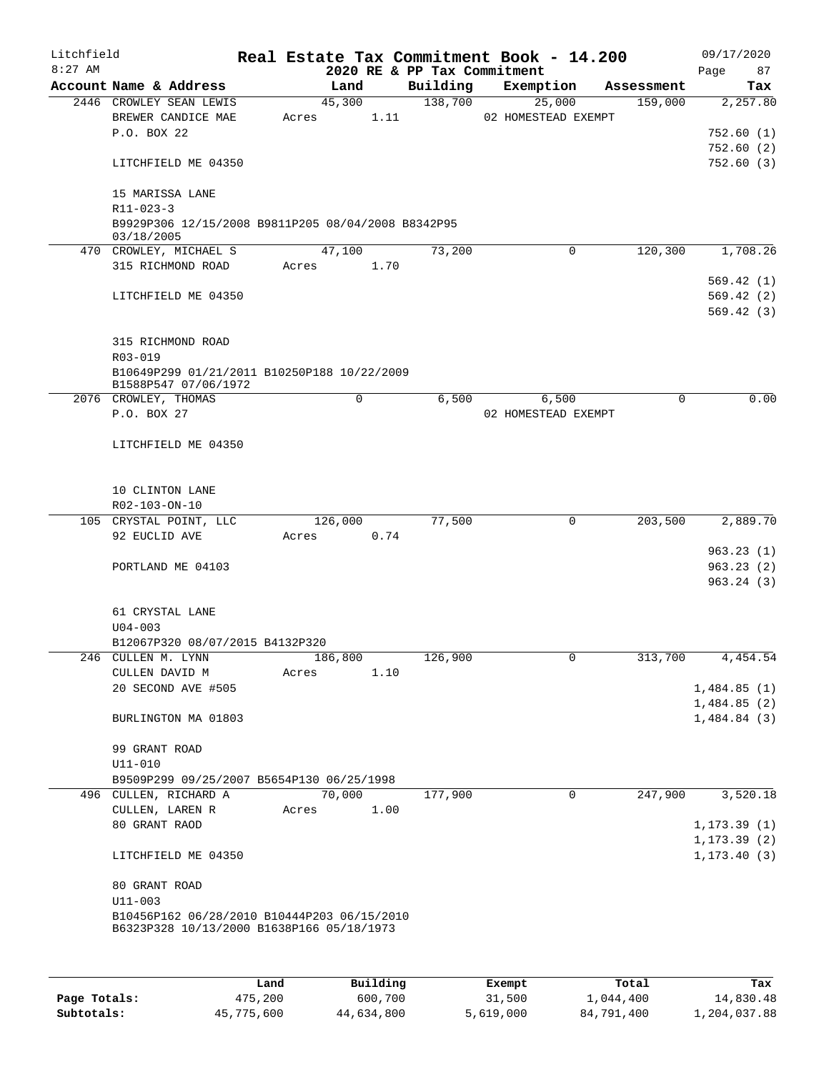| Litchfield<br>$8:27$ AM |                                                                                          |       |         |          | 2020 RE & PP Tax Commitment | Real Estate Tax Commitment Book - 14.200 |             |            | 09/17/2020<br>87<br>Page   |
|-------------------------|------------------------------------------------------------------------------------------|-------|---------|----------|-----------------------------|------------------------------------------|-------------|------------|----------------------------|
|                         | Account Name & Address                                                                   |       | Land    |          | Building                    | Exemption                                |             | Assessment | Tax                        |
|                         | 2446 CROWLEY SEAN LEWIS<br>BREWER CANDICE MAE                                            | Acres | 45,300  | 1.11     | 138,700                     | 25,000<br>02 HOMESTEAD EXEMPT            |             | 159,000    | 2,257.80                   |
|                         | P.O. BOX 22                                                                              |       |         |          |                             |                                          |             |            | 752.60(1)                  |
|                         |                                                                                          |       |         |          |                             |                                          |             |            | 752.60(2)                  |
|                         | LITCHFIELD ME 04350                                                                      |       |         |          |                             |                                          |             |            | 752.60(3)                  |
|                         | 15 MARISSA LANE<br>$R11 - 023 - 3$                                                       |       |         |          |                             |                                          |             |            |                            |
|                         | B9929P306 12/15/2008 B9811P205 08/04/2008 B8342P95                                       |       |         |          |                             |                                          |             |            |                            |
|                         | 03/18/2005<br>470 CROWLEY, MICHAEL S                                                     |       | 47,100  |          | 73,200                      |                                          | $\mathbf 0$ | 120,300    | 1,708.26                   |
|                         | 315 RICHMOND ROAD                                                                        | Acres |         | 1.70     |                             |                                          |             |            |                            |
|                         |                                                                                          |       |         |          |                             |                                          |             |            | 569.42(1)                  |
|                         | LITCHFIELD ME 04350                                                                      |       |         |          |                             |                                          |             |            | 569.42(2)                  |
|                         |                                                                                          |       |         |          |                             |                                          |             |            | 569.42(3)                  |
|                         |                                                                                          |       |         |          |                             |                                          |             |            |                            |
|                         | 315 RICHMOND ROAD<br>R03-019                                                             |       |         |          |                             |                                          |             |            |                            |
|                         | B10649P299 01/21/2011 B10250P188 10/22/2009                                              |       |         |          |                             |                                          |             |            |                            |
|                         | B1588P547 07/06/1972                                                                     |       |         |          |                             |                                          |             |            |                            |
|                         | 2076 CROWLEY, THOMAS                                                                     |       | 0       |          | 6,500                       |                                          | 6,500       | $\Omega$   | 0.00                       |
|                         | P.O. BOX 27                                                                              |       |         |          |                             | 02 HOMESTEAD EXEMPT                      |             |            |                            |
|                         | LITCHFIELD ME 04350                                                                      |       |         |          |                             |                                          |             |            |                            |
|                         |                                                                                          |       |         |          |                             |                                          |             |            |                            |
|                         | 10 CLINTON LANE                                                                          |       |         |          |                             |                                          |             |            |                            |
|                         | R02-103-ON-10                                                                            |       |         |          |                             |                                          |             |            |                            |
|                         | 105 CRYSTAL POINT, LLC                                                                   |       | 126,000 |          | 77,500                      |                                          | 0           | 203,500    | 2,889.70                   |
|                         | 92 EUCLID AVE                                                                            | Acres |         | 0.74     |                             |                                          |             |            |                            |
|                         |                                                                                          |       |         |          |                             |                                          |             |            | 963.23(1)                  |
|                         | PORTLAND ME 04103                                                                        |       |         |          |                             |                                          |             |            | 963.23(2)<br>963.24(3)     |
|                         |                                                                                          |       |         |          |                             |                                          |             |            |                            |
|                         | 61 CRYSTAL LANE                                                                          |       |         |          |                             |                                          |             |            |                            |
|                         | $U04 - 003$                                                                              |       |         |          |                             |                                          |             |            |                            |
|                         | B12067P320 08/07/2015 B4132P320                                                          |       |         |          |                             |                                          |             |            |                            |
|                         | 246 CULLEN M. LYNN                                                                       |       | 186,800 |          | 126,900                     |                                          | U           | 313,700    | 4,454.54                   |
|                         | CULLEN DAVID M                                                                           | Acres |         | 1.10     |                             |                                          |             |            |                            |
|                         | 20 SECOND AVE #505                                                                       |       |         |          |                             |                                          |             |            | 1,484.85(1)                |
|                         | BURLINGTON MA 01803                                                                      |       |         |          |                             |                                          |             |            | 1,484.85(2)<br>1,484.84(3) |
|                         |                                                                                          |       |         |          |                             |                                          |             |            |                            |
|                         | 99 GRANT ROAD                                                                            |       |         |          |                             |                                          |             |            |                            |
|                         | U11-010<br>B9509P299 09/25/2007 B5654P130 06/25/1998                                     |       |         |          |                             |                                          |             |            |                            |
|                         | 496 CULLEN, RICHARD A                                                                    |       | 70,000  |          | 177,900                     |                                          | $\mathbf 0$ | 247,900    | 3,520.18                   |
|                         | CULLEN, LAREN R                                                                          | Acres |         | 1.00     |                             |                                          |             |            |                            |
|                         | 80 GRANT RAOD                                                                            |       |         |          |                             |                                          |             |            | 1, 173.39(1)               |
|                         |                                                                                          |       |         |          |                             |                                          |             |            | 1, 173.39(2)               |
|                         | LITCHFIELD ME 04350                                                                      |       |         |          |                             |                                          |             |            | 1, 173.40(3)               |
|                         | 80 GRANT ROAD                                                                            |       |         |          |                             |                                          |             |            |                            |
|                         | $U11 - 003$                                                                              |       |         |          |                             |                                          |             |            |                            |
|                         | B10456P162 06/28/2010 B10444P203 06/15/2010<br>B6323P328 10/13/2000 B1638P166 05/18/1973 |       |         |          |                             |                                          |             |            |                            |
|                         |                                                                                          |       |         |          |                             |                                          |             |            |                            |
|                         |                                                                                          | Land  |         | Building |                             | Exempt                                   |             | Total      | Tax                        |

|              | Land       | Building   | Exempt    | Total      | Tax          |
|--------------|------------|------------|-----------|------------|--------------|
| Page Totals: | 475,200    | 600,700    | 31,500    | 1,044,400  | 14,830.48    |
| Subtotals:   | 45,775,600 | 44,634,800 | 5,619,000 | 84,791,400 | 1,204,037.88 |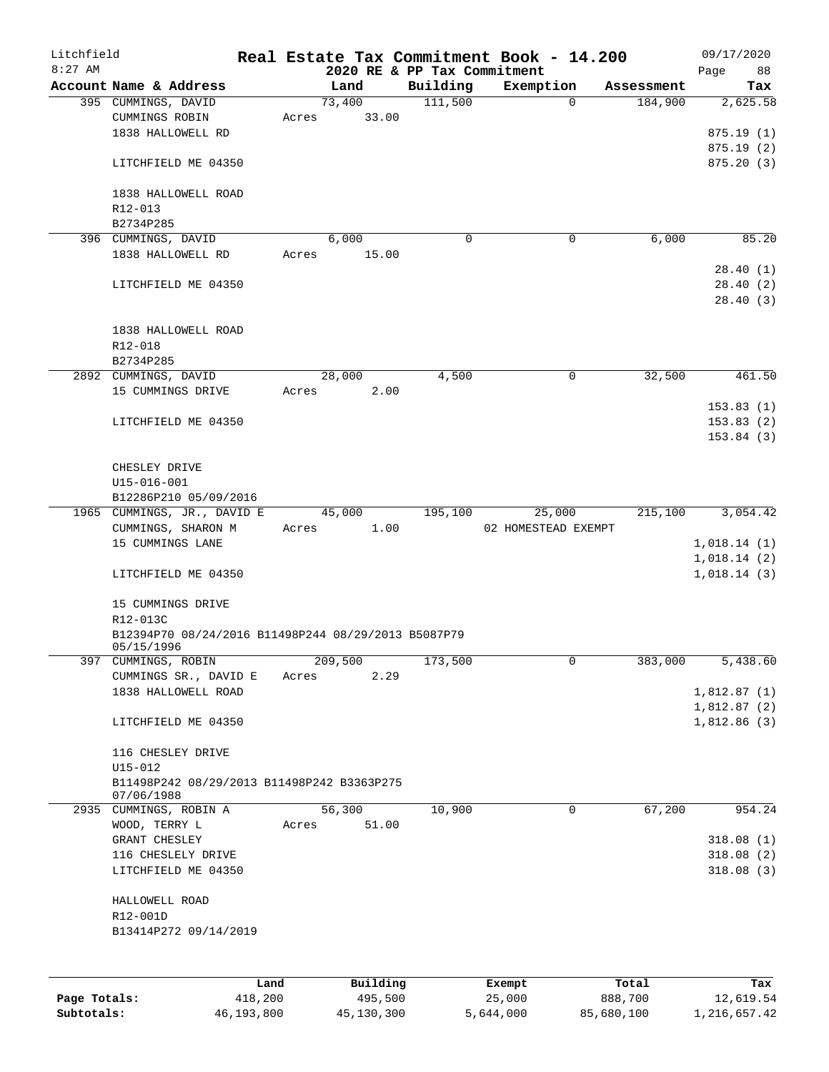| Litchfield   |                                                     |            |       |         |            |                             | Real Estate Tax Commitment Book - 14.200 |            | 09/17/2020                 |
|--------------|-----------------------------------------------------|------------|-------|---------|------------|-----------------------------|------------------------------------------|------------|----------------------------|
| $8:27$ AM    |                                                     |            |       |         |            | 2020 RE & PP Tax Commitment |                                          |            | 88<br>Page                 |
|              | Account Name & Address                              |            |       | Land    |            | Building                    | Exemption                                | Assessment | Tax                        |
|              | 395 CUMMINGS, DAVID                                 |            |       | 73,400  |            | 111,500                     | $\Omega$                                 | 184,900    | 2,625.58                   |
|              | CUMMINGS ROBIN                                      |            | Acres |         | 33.00      |                             |                                          |            |                            |
|              | 1838 HALLOWELL RD                                   |            |       |         |            |                             |                                          |            | 875.19(1)                  |
|              |                                                     |            |       |         |            |                             |                                          |            | 875.19(2)                  |
|              | LITCHFIELD ME 04350                                 |            |       |         |            |                             |                                          |            | 875.20(3)                  |
|              | 1838 HALLOWELL ROAD                                 |            |       |         |            |                             |                                          |            |                            |
|              | R12-013                                             |            |       |         |            |                             |                                          |            |                            |
|              | B2734P285                                           |            |       |         |            |                             |                                          |            |                            |
|              |                                                     |            |       |         |            | 0                           | 0                                        | 6,000      | 85.20                      |
|              | 396 CUMMINGS, DAVID<br>1838 HALLOWELL RD            |            | Acres | 6,000   | 15.00      |                             |                                          |            |                            |
|              |                                                     |            |       |         |            |                             |                                          |            | 28.40(1)                   |
|              | LITCHFIELD ME 04350                                 |            |       |         |            |                             |                                          |            | 28.40(2)                   |
|              |                                                     |            |       |         |            |                             |                                          |            | 28.40(3)                   |
|              |                                                     |            |       |         |            |                             |                                          |            |                            |
|              | 1838 HALLOWELL ROAD                                 |            |       |         |            |                             |                                          |            |                            |
|              | R12-018                                             |            |       |         |            |                             |                                          |            |                            |
|              | B2734P285                                           |            |       |         |            |                             |                                          |            |                            |
|              | 2892 CUMMINGS, DAVID                                |            |       | 28,000  |            | 4,500                       | 0                                        | 32,500     | 461.50                     |
|              | 15 CUMMINGS DRIVE                                   |            | Acres |         | 2.00       |                             |                                          |            |                            |
|              |                                                     |            |       |         |            |                             |                                          |            | 153.83(1)                  |
|              | LITCHFIELD ME 04350                                 |            |       |         |            |                             |                                          |            | 153.83(2)                  |
|              |                                                     |            |       |         |            |                             |                                          |            | 153.84(3)                  |
|              |                                                     |            |       |         |            |                             |                                          |            |                            |
|              | CHESLEY DRIVE                                       |            |       |         |            |                             |                                          |            |                            |
|              | U15-016-001                                         |            |       |         |            |                             |                                          |            |                            |
|              | B12286P210 05/09/2016                               |            |       |         |            |                             |                                          |            |                            |
|              | 1965 CUMMINGS, JR., DAVID E                         |            |       | 45,000  |            | 195,100                     | 25,000                                   | 215,100    | 3,054.42                   |
|              | CUMMINGS, SHARON M                                  |            | Acres |         | 1.00       |                             | 02 HOMESTEAD EXEMPT                      |            |                            |
|              | 15 CUMMINGS LANE                                    |            |       |         |            |                             |                                          |            |                            |
|              |                                                     |            |       |         |            |                             |                                          |            | 1,018.14(1)<br>1,018.14(2) |
|              | LITCHFIELD ME 04350                                 |            |       |         |            |                             |                                          |            | 1,018.14(3)                |
|              |                                                     |            |       |         |            |                             |                                          |            |                            |
|              | 15 CUMMINGS DRIVE                                   |            |       |         |            |                             |                                          |            |                            |
|              | R12-013C                                            |            |       |         |            |                             |                                          |            |                            |
|              | B12394P70 08/24/2016 B11498P244 08/29/2013 B5087P79 |            |       |         |            |                             |                                          |            |                            |
|              | 05/15/1996                                          |            |       |         |            |                             |                                          |            |                            |
|              | 397 CUMMINGS, ROBIN                                 |            |       | 209,500 |            | 173,500                     | 0                                        | 383,000    | 5,438.60                   |
|              | CUMMINGS SR., DAVID E                               |            | Acres |         | 2.29       |                             |                                          |            |                            |
|              | 1838 HALLOWELL ROAD                                 |            |       |         |            |                             |                                          |            | 1,812.87(1)                |
|              |                                                     |            |       |         |            |                             |                                          |            | 1,812.87(2)                |
|              | LITCHFIELD ME 04350                                 |            |       |         |            |                             |                                          |            | 1,812.86(3)                |
|              |                                                     |            |       |         |            |                             |                                          |            |                            |
|              | 116 CHESLEY DRIVE                                   |            |       |         |            |                             |                                          |            |                            |
|              | $U15 - 012$                                         |            |       |         |            |                             |                                          |            |                            |
|              | B11498P242 08/29/2013 B11498P242 B3363P275          |            |       |         |            |                             |                                          |            |                            |
|              | 07/06/1988                                          |            |       |         |            |                             |                                          |            |                            |
|              | 2935 CUMMINGS, ROBIN A                              |            |       | 56,300  |            | 10,900                      | $\mathbf 0$                              | 67,200     | 954.24                     |
|              | WOOD, TERRY L                                       |            | Acres |         | 51.00      |                             |                                          |            |                            |
|              | GRANT CHESLEY                                       |            |       |         |            |                             |                                          |            | 318.08(1)                  |
|              | 116 CHESLELY DRIVE                                  |            |       |         |            |                             |                                          |            | 318.08(2)                  |
|              | LITCHFIELD ME 04350                                 |            |       |         |            |                             |                                          |            | 318.08(3)                  |
|              |                                                     |            |       |         |            |                             |                                          |            |                            |
|              | HALLOWELL ROAD                                      |            |       |         |            |                             |                                          |            |                            |
|              | R12-001D                                            |            |       |         |            |                             |                                          |            |                            |
|              | B13414P272 09/14/2019                               |            |       |         |            |                             |                                          |            |                            |
|              |                                                     |            |       |         |            |                             |                                          |            |                            |
|              |                                                     |            |       |         |            |                             |                                          |            |                            |
|              |                                                     | Land       |       |         | Building   |                             | Exempt                                   | Total      | Tax                        |
| Page Totals: |                                                     | 418,200    |       |         | 495,500    |                             | 25,000                                   | 888,700    | 12,619.54                  |
| Subtotals:   |                                                     | 46,193,800 |       |         | 45,130,300 |                             | 5,644,000                                | 85,680,100 | 1, 216, 657.42             |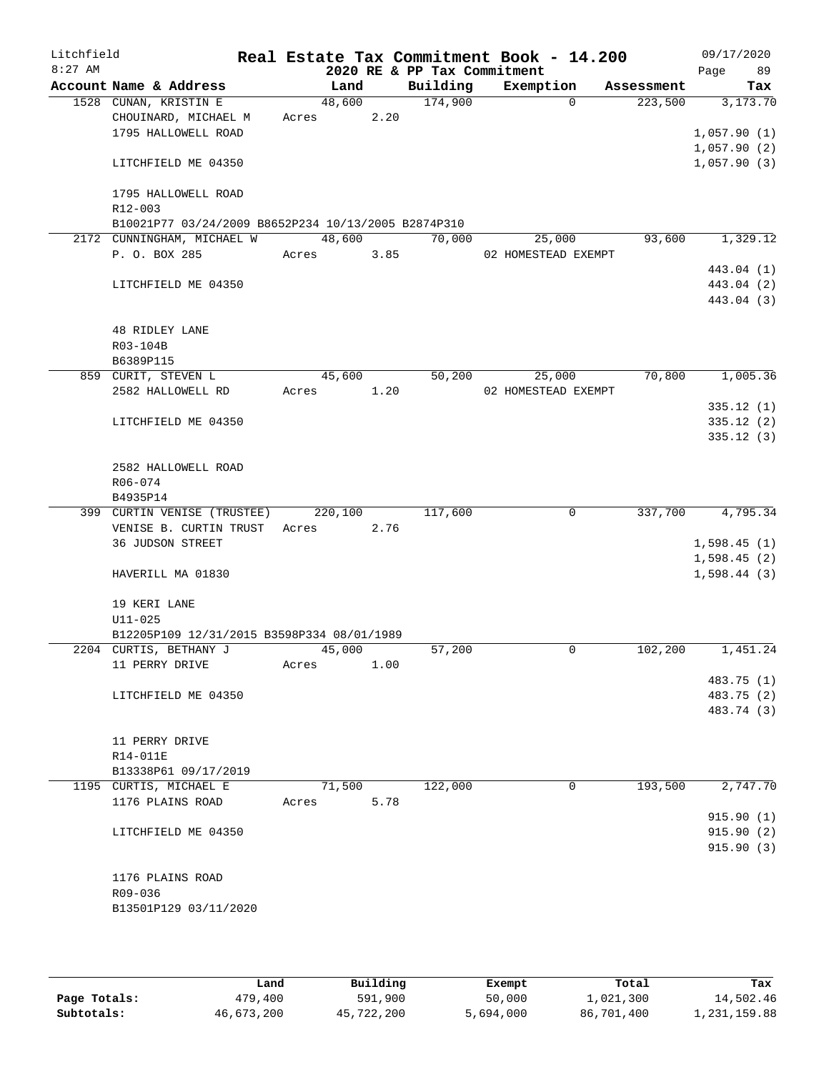| Litchfield |                                                                      |       |                |      |                             | Real Estate Tax Commitment Book - 14.200 |                       | 09/17/2020      |
|------------|----------------------------------------------------------------------|-------|----------------|------|-----------------------------|------------------------------------------|-----------------------|-----------------|
| $8:27$ AM  |                                                                      |       |                |      | 2020 RE & PP Tax Commitment |                                          |                       | 89<br>Page      |
|            | Account Name & Address<br>1528 CUNAN, KRISTIN E                      |       | Land<br>48,600 |      | Building<br>174,900         | Exemption<br>$\Omega$                    | Assessment<br>223,500 | Tax<br>3,173.70 |
|            | CHOUINARD, MICHAEL M                                                 | Acres |                | 2.20 |                             |                                          |                       |                 |
|            | 1795 HALLOWELL ROAD                                                  |       |                |      |                             |                                          |                       | 1,057.90(1)     |
|            |                                                                      |       |                |      |                             |                                          |                       | 1,057.90(2)     |
|            | LITCHFIELD ME 04350                                                  |       |                |      |                             |                                          |                       | 1,057.90(3)     |
|            | 1795 HALLOWELL ROAD                                                  |       |                |      |                             |                                          |                       |                 |
|            | R12-003                                                              |       |                |      |                             |                                          |                       |                 |
|            | B10021P77 03/24/2009 B8652P234 10/13/2005 B2874P310                  |       |                |      |                             |                                          |                       |                 |
|            | 2172 CUNNINGHAM, MICHAEL W                                           |       | 48,600         |      | 70,000                      | 25,000                                   | 93,600                | 1,329.12        |
|            | P. O. BOX 285                                                        | Acres |                | 3.85 |                             | 02 HOMESTEAD EXEMPT                      |                       |                 |
|            |                                                                      |       |                |      |                             |                                          |                       | 443.04 (1)      |
|            | LITCHFIELD ME 04350                                                  |       |                |      |                             |                                          |                       | 443.04 (2)      |
|            |                                                                      |       |                |      |                             |                                          |                       | 443.04 (3)      |
|            | <b>48 RIDLEY LANE</b>                                                |       |                |      |                             |                                          |                       |                 |
|            | R03-104B                                                             |       |                |      |                             |                                          |                       |                 |
|            | B6389P115                                                            |       |                |      |                             |                                          |                       |                 |
|            | 859 CURIT, STEVEN L<br>2582 HALLOWELL RD                             | Acres | 45,600         | 1.20 | 50,200                      | 25,000<br>02 HOMESTEAD EXEMPT            | 70,800                | 1,005.36        |
|            |                                                                      |       |                |      |                             |                                          |                       | 335.12(1)       |
|            | LITCHFIELD ME 04350                                                  |       |                |      |                             |                                          |                       | 335.12(2)       |
|            |                                                                      |       |                |      |                             |                                          |                       | 335.12(3)       |
|            | 2582 HALLOWELL ROAD                                                  |       |                |      |                             |                                          |                       |                 |
|            | R06-074                                                              |       |                |      |                             |                                          |                       |                 |
|            | B4935P14                                                             |       |                |      |                             |                                          |                       |                 |
|            | 399 CURTIN VENISE (TRUSTEE)                                          |       | 220,100        |      | 117,600                     | 0                                        | 337,700               | 4,795.34        |
|            | VENISE B. CURTIN TRUST                                               | Acres |                | 2.76 |                             |                                          |                       |                 |
|            | 36 JUDSON STREET                                                     |       |                |      |                             |                                          |                       | 1,598.45(1)     |
|            |                                                                      |       |                |      |                             |                                          |                       | 1,598.45(2)     |
|            | HAVERILL MA 01830                                                    |       |                |      |                             |                                          |                       | 1,598.44(3)     |
|            | 19 KERI LANE                                                         |       |                |      |                             |                                          |                       |                 |
|            | $U11 - 025$                                                          |       |                |      |                             |                                          |                       |                 |
|            | B12205P109 12/31/2015 B3598P334 08/01/1989<br>2204 CURTIS, BETHANY J |       |                |      |                             |                                          |                       |                 |
|            |                                                                      |       | 45,000         |      | 57,200                      | 0                                        | 102,200               | 1,451.24        |
|            | 11 PERRY DRIVE                                                       | Acres |                | 1.00 |                             |                                          |                       | 483.75 (1)      |
|            | LITCHFIELD ME 04350                                                  |       |                |      |                             |                                          |                       | 483.75 (2)      |
|            |                                                                      |       |                |      |                             |                                          |                       | 483.74 (3)      |
|            |                                                                      |       |                |      |                             |                                          |                       |                 |
|            | 11 PERRY DRIVE                                                       |       |                |      |                             |                                          |                       |                 |
|            | R14-011E                                                             |       |                |      |                             |                                          |                       |                 |
|            | B13338P61 09/17/2019                                                 |       |                |      |                             |                                          |                       |                 |
|            | 1195 CURTIS, MICHAEL E                                               |       | 71,500         |      | 122,000                     | 0                                        | 193,500               | 2,747.70        |
|            | 1176 PLAINS ROAD                                                     | Acres |                | 5.78 |                             |                                          |                       |                 |
|            |                                                                      |       |                |      |                             |                                          |                       | 915.90(1)       |
|            | LITCHFIELD ME 04350                                                  |       |                |      |                             |                                          |                       | 915.90(2)       |
|            |                                                                      |       |                |      |                             |                                          |                       | 915.90(3)       |
|            | 1176 PLAINS ROAD                                                     |       |                |      |                             |                                          |                       |                 |
|            | R09-036                                                              |       |                |      |                             |                                          |                       |                 |
|            | B13501P129 03/11/2020                                                |       |                |      |                             |                                          |                       |                 |
|            |                                                                      |       |                |      |                             |                                          |                       |                 |

|              | Land       | Building   | Exempt    | Total      | Tax          |
|--------------|------------|------------|-----------|------------|--------------|
| Page Totals: | 479,400    | 591,900    | 50,000    | l,021,300  | 14,502.46    |
| Subtotals:   | 46,673,200 | 45,722,200 | 5,694,000 | 86,701,400 | 1,231,159.88 |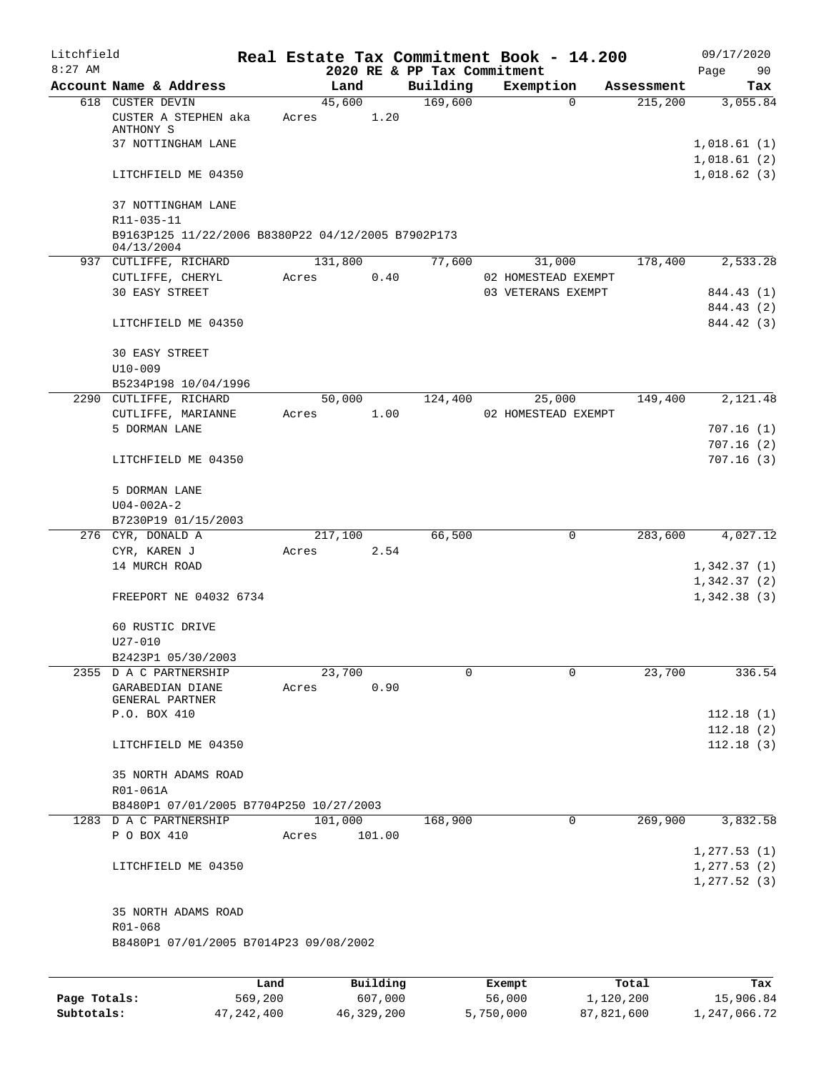| Litchfield   |                                                                  |                 |       |         |                     |                             |                  | Real Estate Tax Commitment Book - 14.200 |                    | 09/17/2020       |
|--------------|------------------------------------------------------------------|-----------------|-------|---------|---------------------|-----------------------------|------------------|------------------------------------------|--------------------|------------------|
| $8:27$ AM    |                                                                  |                 |       |         |                     | 2020 RE & PP Tax Commitment |                  |                                          |                    | Page<br>90       |
|              | Account Name & Address                                           |                 |       | Land    |                     | Building                    |                  | Exemption                                | Assessment         | Tax              |
|              | 618 CUSTER DEVIN<br>CUSTER A STEPHEN aka<br>ANTHONY S            |                 | Acres | 45,600  | 1.20                | 169,600                     |                  | $\Omega$                                 | 215,200            | 3,055.84         |
|              | 37 NOTTINGHAM LANE                                               |                 |       |         |                     |                             |                  |                                          |                    | 1,018.61(1)      |
|              |                                                                  |                 |       |         |                     |                             |                  |                                          |                    | 1,018.61(2)      |
|              | LITCHFIELD ME 04350                                              |                 |       |         |                     |                             |                  |                                          |                    | 1,018.62(3)      |
|              | 37 NOTTINGHAM LANE                                               |                 |       |         |                     |                             |                  |                                          |                    |                  |
|              | R11-035-11                                                       |                 |       |         |                     |                             |                  |                                          |                    |                  |
|              | B9163P125 11/22/2006 B8380P22 04/12/2005 B7902P173<br>04/13/2004 |                 |       |         |                     |                             |                  |                                          |                    |                  |
|              | 937 CUTLIFFE, RICHARD                                            |                 |       | 131,800 |                     | 77,600                      |                  | 31,000                                   | 178,400            | 2,533.28         |
|              | CUTLIFFE, CHERYL                                                 |                 | Acres |         | 0.40                |                             |                  | 02 HOMESTEAD EXEMPT                      |                    |                  |
|              | <b>30 EASY STREET</b>                                            |                 |       |         |                     |                             |                  | 03 VETERANS EXEMPT                       |                    | 844.43 (1)       |
|              |                                                                  |                 |       |         |                     |                             |                  |                                          |                    | 844.43 (2)       |
|              | LITCHFIELD ME 04350                                              |                 |       |         |                     |                             |                  |                                          |                    | 844.42 (3)       |
|              | 30 EASY STREET                                                   |                 |       |         |                     |                             |                  |                                          |                    |                  |
|              | $U10 - 009$                                                      |                 |       |         |                     |                             |                  |                                          |                    |                  |
|              | B5234P198 10/04/1996                                             |                 |       |         |                     |                             |                  |                                          |                    |                  |
|              | 2290 CUTLIFFE, RICHARD                                           |                 |       | 50,000  |                     | 124,400                     |                  | 25,000                                   | 149,400            | 2,121.48         |
|              | CUTLIFFE, MARIANNE                                               |                 | Acres |         | 1.00                |                             |                  | 02 HOMESTEAD EXEMPT                      |                    |                  |
|              | 5 DORMAN LANE                                                    |                 |       |         |                     |                             |                  |                                          |                    | 707.16(1)        |
|              |                                                                  |                 |       |         |                     |                             |                  |                                          |                    | 707.16(2)        |
|              | LITCHFIELD ME 04350                                              |                 |       |         |                     |                             |                  |                                          |                    | 707.16(3)        |
|              | 5 DORMAN LANE                                                    |                 |       |         |                     |                             |                  |                                          |                    |                  |
|              | $U04 - 002A - 2$                                                 |                 |       |         |                     |                             |                  |                                          |                    |                  |
|              | B7230P19 01/15/2003                                              |                 |       |         |                     |                             |                  |                                          |                    |                  |
|              | 276 CYR, DONALD A                                                |                 |       | 217,100 |                     | 66,500                      |                  | 0                                        | 283,600            | 4,027.12         |
|              | CYR, KAREN J                                                     |                 | Acres |         | 2.54                |                             |                  |                                          |                    |                  |
|              | 14 MURCH ROAD                                                    |                 |       |         |                     |                             |                  |                                          |                    | 1,342.37(1)      |
|              |                                                                  |                 |       |         |                     |                             |                  |                                          |                    | 1,342.37(2)      |
|              | FREEPORT NE 04032 6734                                           |                 |       |         |                     |                             |                  |                                          |                    | 1,342.38(3)      |
|              | 60 RUSTIC DRIVE                                                  |                 |       |         |                     |                             |                  |                                          |                    |                  |
|              | $U27 - 010$                                                      |                 |       |         |                     |                             |                  |                                          |                    |                  |
|              | B2423P1 05/30/2003                                               |                 |       |         |                     |                             |                  |                                          |                    |                  |
|              | 2355 D A C PARTNERSHIP                                           |                 |       | 23,700  |                     | 0                           |                  | $\mathbf 0$                              | 23,700             | 336.54           |
|              | GARABEDIAN DIANE<br>GENERAL PARTNER                              |                 | Acres |         | 0.90                |                             |                  |                                          |                    |                  |
|              | P.O. BOX 410                                                     |                 |       |         |                     |                             |                  |                                          |                    | 112.18(1)        |
|              |                                                                  |                 |       |         |                     |                             |                  |                                          |                    | 112.18(2)        |
|              | LITCHFIELD ME 04350                                              |                 |       |         |                     |                             |                  |                                          |                    | 112.18(3)        |
|              | 35 NORTH ADAMS ROAD                                              |                 |       |         |                     |                             |                  |                                          |                    |                  |
|              | R01-061A                                                         |                 |       |         |                     |                             |                  |                                          |                    |                  |
|              | B8480P1 07/01/2005 B7704P250 10/27/2003                          |                 |       |         |                     |                             |                  |                                          |                    |                  |
|              | 1283 D A C PARTNERSHIP                                           |                 |       | 101,000 |                     | 168,900                     |                  | 0                                        | 269,900            | 3,832.58         |
|              | P O BOX 410                                                      |                 | Acres |         | 101.00              |                             |                  |                                          |                    |                  |
|              |                                                                  |                 |       |         |                     |                             |                  |                                          |                    | 1, 277.53(1)     |
|              | LITCHFIELD ME 04350                                              |                 |       |         |                     |                             |                  |                                          |                    | 1, 277.53(2)     |
|              |                                                                  |                 |       |         |                     |                             |                  |                                          |                    | 1, 277.52(3)     |
|              | 35 NORTH ADAMS ROAD                                              |                 |       |         |                     |                             |                  |                                          |                    |                  |
|              | $R01 - 068$                                                      |                 |       |         |                     |                             |                  |                                          |                    |                  |
|              | B8480P1 07/01/2005 B7014P23 09/08/2002                           |                 |       |         |                     |                             |                  |                                          |                    |                  |
|              |                                                                  |                 |       |         |                     |                             |                  |                                          |                    |                  |
| Page Totals: |                                                                  | Land<br>569,200 |       |         | Building<br>607,000 |                             | Exempt<br>56,000 |                                          | Total<br>1,120,200 | Tax<br>15,906.84 |
|              |                                                                  |                 |       |         |                     |                             |                  |                                          |                    |                  |

**Subtotals:** 47,242,400 46,329,200 5,750,000 87,821,600 1,247,066.72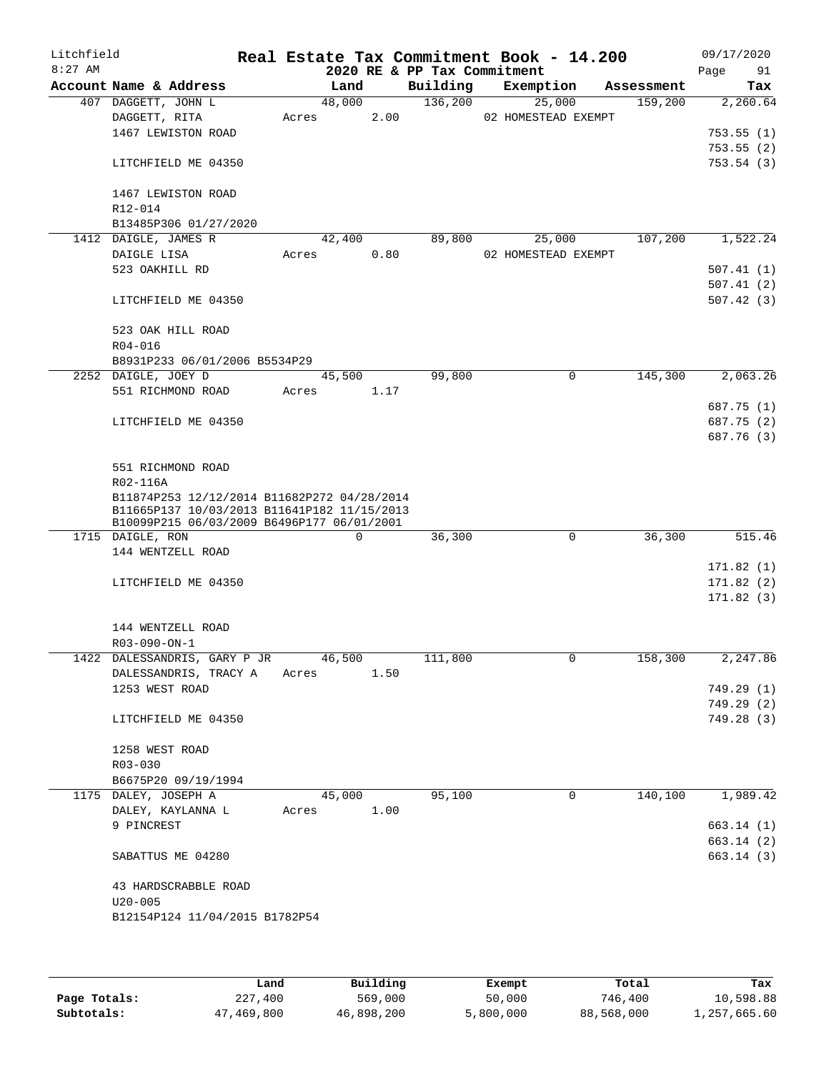| Litchfield<br>$8:27$ AM |                                             |       |             |      | 2020 RE & PP Tax Commitment | Real Estate Tax Commitment Book - 14.200 |            | 09/17/2020<br>Page<br>91 |
|-------------------------|---------------------------------------------|-------|-------------|------|-----------------------------|------------------------------------------|------------|--------------------------|
|                         | Account Name & Address                      |       | Land        |      | Building                    | Exemption                                | Assessment | Tax                      |
|                         | 407 DAGGETT, JOHN L                         |       | 48,000      |      | 136,200                     | 25,000                                   | 159,200    | 2,260.64                 |
|                         | DAGGETT, RITA                               | Acres |             | 2.00 |                             | 02 HOMESTEAD EXEMPT                      |            |                          |
|                         | 1467 LEWISTON ROAD                          |       |             |      |                             |                                          |            | 753.55 (1)               |
|                         |                                             |       |             |      |                             |                                          |            | 753.55(2)                |
|                         | LITCHFIELD ME 04350                         |       |             |      |                             |                                          |            | 753.54(3)                |
|                         | 1467 LEWISTON ROAD                          |       |             |      |                             |                                          |            |                          |
|                         | R12-014                                     |       |             |      |                             |                                          |            |                          |
|                         | B13485P306 01/27/2020                       |       |             |      |                             |                                          |            |                          |
|                         | 1412 DAIGLE, JAMES R                        |       | 42,400      |      | 89,800                      | 25,000                                   | 107,200    | 1,522.24                 |
|                         | DAIGLE LISA                                 | Acres |             | 0.80 |                             | 02 HOMESTEAD EXEMPT                      |            |                          |
|                         | 523 OAKHILL RD                              |       |             |      |                             |                                          |            | 507.41(1)                |
|                         |                                             |       |             |      |                             |                                          |            | 507.41(2)                |
|                         | LITCHFIELD ME 04350                         |       |             |      |                             |                                          |            | 507.42(3)                |
|                         | 523 OAK HILL ROAD                           |       |             |      |                             |                                          |            |                          |
|                         | R04-016                                     |       |             |      |                             |                                          |            |                          |
|                         | B8931P233 06/01/2006 B5534P29               |       |             |      |                             |                                          |            |                          |
|                         | 2252 DAIGLE, JOEY D                         |       | 45,500      |      | 99,800                      | 0                                        | 145,300    | 2,063.26                 |
|                         | 551 RICHMOND ROAD                           | Acres |             | 1.17 |                             |                                          |            |                          |
|                         |                                             |       |             |      |                             |                                          |            | 687.75 (1)               |
|                         | LITCHFIELD ME 04350                         |       |             |      |                             |                                          |            | 687.75 (2)               |
|                         |                                             |       |             |      |                             |                                          |            | 687.76 (3)               |
|                         | 551 RICHMOND ROAD                           |       |             |      |                             |                                          |            |                          |
|                         | R02-116A                                    |       |             |      |                             |                                          |            |                          |
|                         | B11874P253 12/12/2014 B11682P272 04/28/2014 |       |             |      |                             |                                          |            |                          |
|                         | B11665P137 10/03/2013 B11641P182 11/15/2013 |       |             |      |                             |                                          |            |                          |
|                         | B10099P215 06/03/2009 B6496P177 06/01/2001  |       |             |      |                             |                                          |            |                          |
|                         | 1715 DAIGLE, RON                            |       | $\mathbf 0$ |      | 36,300                      | $\mathbf 0$                              | 36,300     | 515.46                   |
|                         | 144 WENTZELL ROAD                           |       |             |      |                             |                                          |            | 171.82(1)                |
|                         | LITCHFIELD ME 04350                         |       |             |      |                             |                                          |            | 171.82(2)                |
|                         |                                             |       |             |      |                             |                                          |            | 171.82(3)                |
|                         |                                             |       |             |      |                             |                                          |            |                          |
|                         | 144 WENTZELL ROAD                           |       |             |      |                             |                                          |            |                          |
|                         | $R03 - 090 - ON - 1$                        |       |             |      |                             |                                          |            |                          |
|                         | 1422 DALESSANDRIS, GARY P JR 46,500         |       |             |      | 111,800                     | U                                        | 158,300    | 2,247.86                 |
|                         | DALESSANDRIS, TRACY A                       | Acres |             | 1.50 |                             |                                          |            |                          |
|                         | 1253 WEST ROAD                              |       |             |      |                             |                                          |            | 749.29 (1)               |
|                         |                                             |       |             |      |                             |                                          |            | 749.29 (2)               |
|                         | LITCHFIELD ME 04350                         |       |             |      |                             |                                          |            | 749.28 (3)               |
|                         |                                             |       |             |      |                             |                                          |            |                          |
|                         | 1258 WEST ROAD                              |       |             |      |                             |                                          |            |                          |
|                         | R03-030                                     |       |             |      |                             |                                          |            |                          |
|                         | B6675P20 09/19/1994                         |       |             |      |                             |                                          |            |                          |
|                         | 1175 DALEY, JOSEPH A                        |       | 45,000      |      | 95,100                      | $\mathbf 0$                              | 140,100    | 1,989.42                 |
|                         | DALEY, KAYLANNA L                           | Acres |             | 1.00 |                             |                                          |            |                          |
|                         | 9 PINCREST                                  |       |             |      |                             |                                          |            | 663.14(1)                |
|                         |                                             |       |             |      |                             |                                          |            | 663.14(2)                |
|                         | SABATTUS ME 04280                           |       |             |      |                             |                                          |            | 663.14(3)                |
|                         | 43 HARDSCRABBLE ROAD                        |       |             |      |                             |                                          |            |                          |
|                         | $U20 - 005$                                 |       |             |      |                             |                                          |            |                          |
|                         | B12154P124 11/04/2015 B1782P54              |       |             |      |                             |                                          |            |                          |
|                         |                                             |       |             |      |                             |                                          |            |                          |
|                         |                                             |       |             |      |                             |                                          |            |                          |

|              | Land       | Building   | Exempt    | Total      | Tax          |
|--------------|------------|------------|-----------|------------|--------------|
| Page Totals: | 227,400    | 569,000    | 50,000    | 746,400    | 10,598.88    |
| Subtotals:   | 47,469,800 | 46,898,200 | 5,800,000 | 88,568,000 | 1,257,665.60 |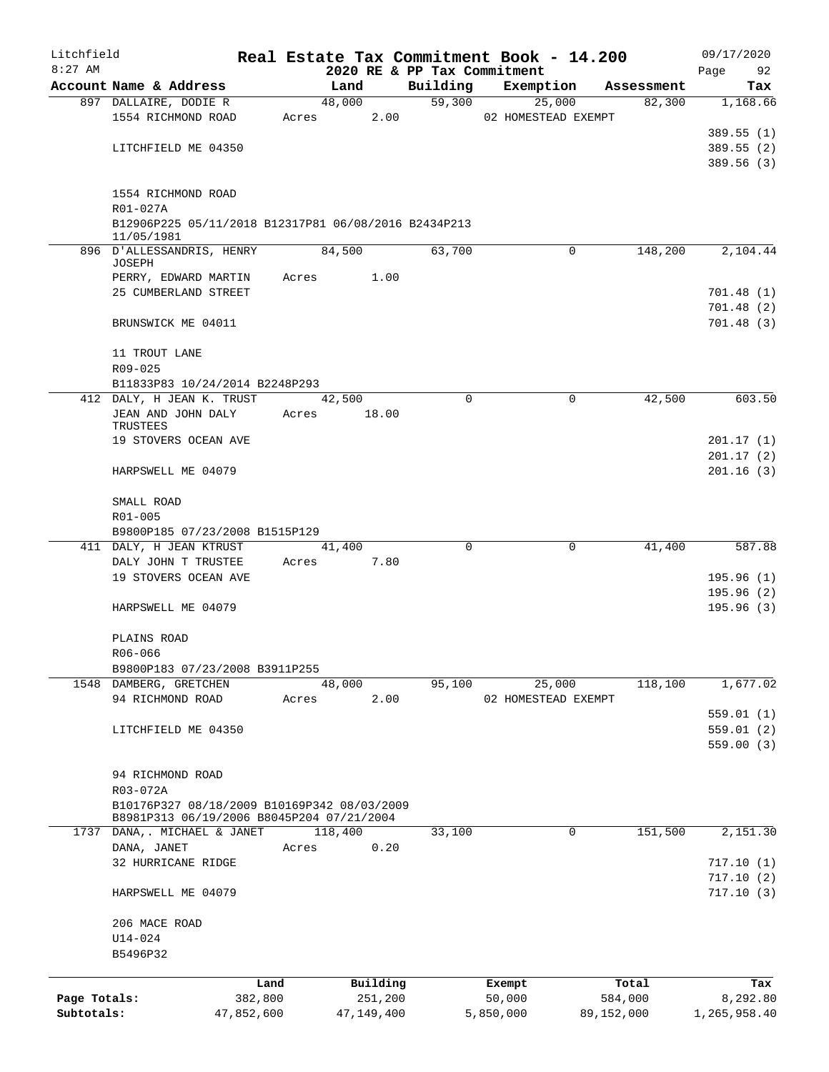| Litchfield   |                                                      |       |                |                    | Real Estate Tax Commitment Book - 14.200 |                      | 09/17/2020      |
|--------------|------------------------------------------------------|-------|----------------|--------------------|------------------------------------------|----------------------|-----------------|
| $8:27$ AM    |                                                      |       |                |                    | 2020 RE & PP Tax Commitment              |                      | 92<br>Page      |
|              | Account Name & Address<br>897 DALLAIRE, DODIE R      |       | Land<br>48,000 | Building<br>59,300 | Exemption                                | Assessment<br>82,300 | Tax<br>1,168.66 |
|              | 1554 RICHMOND ROAD                                   | Acres | 2.00           |                    | 25,000<br>02 HOMESTEAD EXEMPT            |                      |                 |
|              |                                                      |       |                |                    |                                          |                      | 389.55(1)       |
|              | LITCHFIELD ME 04350                                  |       |                |                    |                                          |                      | 389.55(2)       |
|              |                                                      |       |                |                    |                                          |                      | 389.56(3)       |
|              |                                                      |       |                |                    |                                          |                      |                 |
|              | 1554 RICHMOND ROAD                                   |       |                |                    |                                          |                      |                 |
|              | R01-027A                                             |       |                |                    |                                          |                      |                 |
|              | B12906P225 05/11/2018 B12317P81 06/08/2016 B2434P213 |       |                |                    |                                          |                      |                 |
|              | 11/05/1981                                           |       |                |                    |                                          |                      |                 |
|              | 896 D'ALLESSANDRIS, HENRY                            |       | 84,500         | 63,700             |                                          | 148,200<br>$\Omega$  | 2,104.44        |
|              | JOSEPH                                               | Acres | 1.00           |                    |                                          |                      |                 |
|              | PERRY, EDWARD MARTIN<br>25 CUMBERLAND STREET         |       |                |                    |                                          |                      | 701.48(1)       |
|              |                                                      |       |                |                    |                                          |                      | 701.48(2)       |
|              | BRUNSWICK ME 04011                                   |       |                |                    |                                          |                      | 701.48(3)       |
|              |                                                      |       |                |                    |                                          |                      |                 |
|              | 11 TROUT LANE                                        |       |                |                    |                                          |                      |                 |
|              | R09-025                                              |       |                |                    |                                          |                      |                 |
|              | B11833P83 10/24/2014 B2248P293                       |       |                |                    |                                          |                      |                 |
|              | 412 DALY, H JEAN K. TRUST                            |       | 42,500         |                    | $\Omega$                                 | 42,500<br>0          | 603.50          |
|              | JEAN AND JOHN DALY                                   | Acres | 18.00          |                    |                                          |                      |                 |
|              | TRUSTEES                                             |       |                |                    |                                          |                      |                 |
|              | 19 STOVERS OCEAN AVE                                 |       |                |                    |                                          |                      | 201.17(1)       |
|              |                                                      |       |                |                    |                                          |                      | 201.17(2)       |
|              | HARPSWELL ME 04079                                   |       |                |                    |                                          |                      | 201.16(3)       |
|              | SMALL ROAD                                           |       |                |                    |                                          |                      |                 |
|              | R01-005                                              |       |                |                    |                                          |                      |                 |
|              | B9800P185 07/23/2008 B1515P129                       |       |                |                    |                                          |                      |                 |
|              | 411 DALY, H JEAN KTRUST                              |       | 41,400         |                    | $\Omega$                                 | 41,400<br>0          | 587.88          |
|              | DALY JOHN T TRUSTEE                                  | Acres | 7.80           |                    |                                          |                      |                 |
|              | 19 STOVERS OCEAN AVE                                 |       |                |                    |                                          |                      | 195.96 (1)      |
|              |                                                      |       |                |                    |                                          |                      | 195.96(2)       |
|              | HARPSWELL ME 04079                                   |       |                |                    |                                          |                      | 195.96(3)       |
|              | PLAINS ROAD                                          |       |                |                    |                                          |                      |                 |
|              | R06-066                                              |       |                |                    |                                          |                      |                 |
|              | B9800P183 07/23/2008 B3911P255                       |       |                |                    |                                          |                      |                 |
|              | 1548 DAMBERG, GRETCHEN                               |       | 48,000<br>2.00 | 95,100             | 25,000<br>02 HOMESTEAD EXEMPT            | 118,100              | 1,677.02        |
|              | 94 RICHMOND ROAD                                     | Acres |                |                    |                                          |                      | 559.01(1)       |
|              | LITCHFIELD ME 04350                                  |       |                |                    |                                          |                      | 559.01(2)       |
|              |                                                      |       |                |                    |                                          |                      | 559.00(3)       |
|              |                                                      |       |                |                    |                                          |                      |                 |
|              | 94 RICHMOND ROAD                                     |       |                |                    |                                          |                      |                 |
|              | R03-072A                                             |       |                |                    |                                          |                      |                 |
|              | B10176P327 08/18/2009 B10169P342 08/03/2009          |       |                |                    |                                          |                      |                 |
|              | B8981P313 06/19/2006 B8045P204 07/21/2004            |       |                |                    |                                          |                      |                 |
| 1737         | DANA,. MICHAEL & JANET                               |       | 118,400        | 33,100             |                                          | 151,500<br>0         | 2,151.30        |
|              | DANA, JANET                                          | Acres | 0.20           |                    |                                          |                      |                 |
|              | 32 HURRICANE RIDGE                                   |       |                |                    |                                          |                      | 717.10(1)       |
|              |                                                      |       |                |                    |                                          |                      | 717.10(2)       |
|              | HARPSWELL ME 04079                                   |       |                |                    |                                          |                      | 717.10(3)       |
|              | 206 MACE ROAD                                        |       |                |                    |                                          |                      |                 |
|              | U14-024                                              |       |                |                    |                                          |                      |                 |
|              | B5496P32                                             |       |                |                    |                                          |                      |                 |
|              |                                                      | Land  | Building       |                    | Exempt                                   | Total                | Tax             |
| Page Totals: | 382,800                                              |       | 251,200        |                    | 50,000                                   | 584,000              | 8,292.80        |
| Subtotals:   | 47,852,600                                           |       | 47,149,400     |                    | 5,850,000                                | 89,152,000           | 1,265,958.40    |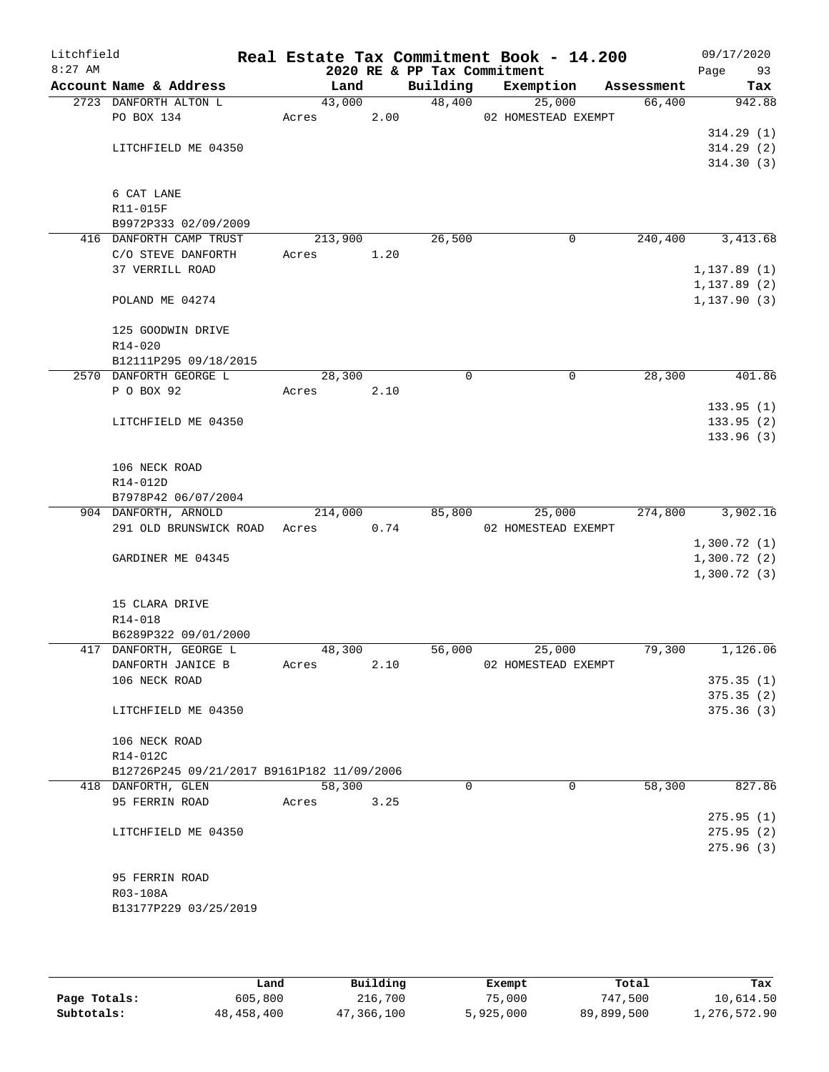| Litchfield<br>$8:27$ AM |                                               |         |      | 2020 RE & PP Tax Commitment | Real Estate Tax Commitment Book - 14.200 |            | 09/17/2020<br>Page<br>93   |
|-------------------------|-----------------------------------------------|---------|------|-----------------------------|------------------------------------------|------------|----------------------------|
|                         | Account Name & Address                        | Land    |      | Building                    | Exemption                                | Assessment | Tax                        |
|                         | 2723 DANFORTH ALTON L                         | 43,000  |      |                             | 48,400<br>25,000                         | 66,400     | 942.88                     |
|                         | PO BOX 134                                    | Acres   | 2.00 |                             | 02 HOMESTEAD EXEMPT                      |            |                            |
|                         |                                               |         |      |                             |                                          |            | 314.29(1)                  |
|                         | LITCHFIELD ME 04350                           |         |      |                             |                                          |            | 314.29(2)                  |
|                         |                                               |         |      |                             |                                          |            | 314.30(3)                  |
|                         |                                               |         |      |                             |                                          |            |                            |
|                         | 6 CAT LANE                                    |         |      |                             |                                          |            |                            |
|                         | R11-015F                                      |         |      |                             |                                          |            |                            |
|                         | B9972P333 02/09/2009                          |         |      | 26,500                      | 0                                        | 240,400    | 3,413.68                   |
|                         | 416 DANFORTH CAMP TRUST<br>C/O STEVE DANFORTH | 213,900 |      |                             |                                          |            |                            |
|                         | 37 VERRILL ROAD                               | Acres   | 1.20 |                             |                                          |            | 1, 137.89(1)               |
|                         |                                               |         |      |                             |                                          |            | 1, 137.89(2)               |
|                         | POLAND ME 04274                               |         |      |                             |                                          |            | 1, 137.90(3)               |
|                         |                                               |         |      |                             |                                          |            |                            |
|                         | 125 GOODWIN DRIVE                             |         |      |                             |                                          |            |                            |
|                         | $R14 - 020$                                   |         |      |                             |                                          |            |                            |
|                         | B12111P295 09/18/2015                         |         |      |                             |                                          |            |                            |
|                         | 2570 DANFORTH GEORGE L                        | 28,300  |      | $\mathbf 0$                 | 0                                        | 28,300     | 401.86                     |
|                         | P O BOX 92                                    | Acres   | 2.10 |                             |                                          |            |                            |
|                         |                                               |         |      |                             |                                          |            | 133.95(1)                  |
|                         | LITCHFIELD ME 04350                           |         |      |                             |                                          |            | 133.95(2)                  |
|                         |                                               |         |      |                             |                                          |            | 133.96(3)                  |
|                         |                                               |         |      |                             |                                          |            |                            |
|                         | 106 NECK ROAD                                 |         |      |                             |                                          |            |                            |
|                         | R14-012D                                      |         |      |                             |                                          |            |                            |
|                         | B7978P42 06/07/2004                           |         |      |                             |                                          |            |                            |
|                         | 904 DANFORTH, ARNOLD                          | 214,000 |      | 85,800                      | 25,000                                   | 274,800    | 3,902.16                   |
|                         | 291 OLD BRUNSWICK ROAD Acres                  |         | 0.74 |                             | 02 HOMESTEAD EXEMPT                      |            |                            |
|                         |                                               |         |      |                             |                                          |            | 1,300.72(1)                |
|                         | GARDINER ME 04345                             |         |      |                             |                                          |            | 1,300.72(2)<br>1,300.72(3) |
|                         |                                               |         |      |                             |                                          |            |                            |
|                         | 15 CLARA DRIVE                                |         |      |                             |                                          |            |                            |
|                         | R14-018                                       |         |      |                             |                                          |            |                            |
|                         | B6289P322 09/01/2000                          |         |      |                             |                                          |            |                            |
|                         | 417 DANFORTH, GEORGE L                        | 48,300  |      | 56,000                      | 25,000                                   | 79,300     | 1,126.06                   |
|                         | DANFORTH JANICE B                             | Acres   | 2.10 |                             | 02 HOMESTEAD EXEMPT                      |            |                            |
|                         | 106 NECK ROAD                                 |         |      |                             |                                          |            | 375.35(1)                  |
|                         |                                               |         |      |                             |                                          |            | 375.35(2)                  |
|                         | LITCHFIELD ME 04350                           |         |      |                             |                                          |            | 375.36(3)                  |
|                         |                                               |         |      |                             |                                          |            |                            |
|                         | 106 NECK ROAD                                 |         |      |                             |                                          |            |                            |
|                         | R14-012C                                      |         |      |                             |                                          |            |                            |
|                         | B12726P245 09/21/2017 B9161P182 11/09/2006    |         |      |                             |                                          |            |                            |
|                         | 418 DANFORTH, GLEN                            | 58,300  |      | $\Omega$                    | $\Omega$                                 | 58,300     | 827.86                     |
|                         | 95 FERRIN ROAD                                | Acres   | 3.25 |                             |                                          |            |                            |
|                         |                                               |         |      |                             |                                          |            | 275.95(1)                  |
|                         | LITCHFIELD ME 04350                           |         |      |                             |                                          |            | 275.95(2)                  |
|                         |                                               |         |      |                             |                                          |            | 275.96(3)                  |
|                         |                                               |         |      |                             |                                          |            |                            |
|                         | 95 FERRIN ROAD<br>R03-108A                    |         |      |                             |                                          |            |                            |
|                         | B13177P229 03/25/2019                         |         |      |                             |                                          |            |                            |
|                         |                                               |         |      |                             |                                          |            |                            |
|                         |                                               |         |      |                             |                                          |            |                            |

|              | Land         | Building   | Exempt    | Total      | Tax          |
|--------------|--------------|------------|-----------|------------|--------------|
| Page Totals: | 605,800      | 216,700    | 75,000    | 747,500    | 10,614.50    |
| Subtotals:   | 48, 458, 400 | 47,366,100 | 5,925,000 | 89,899,500 | 1,276,572.90 |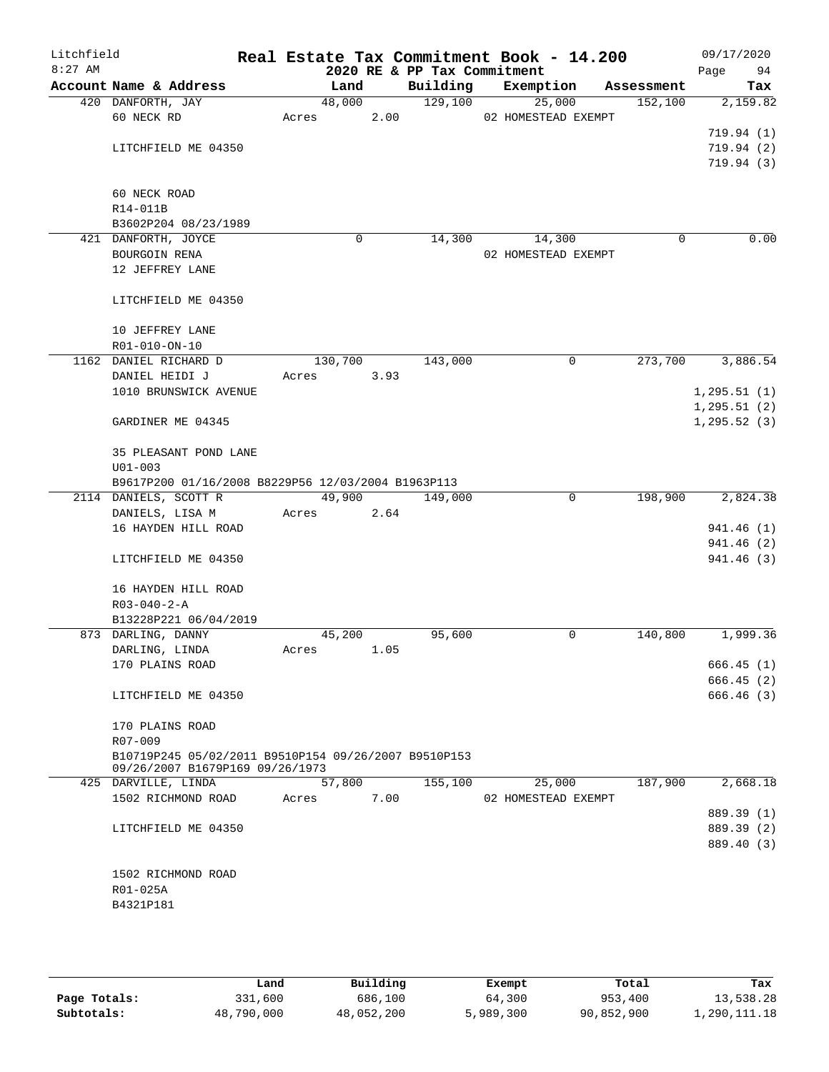| Litchfield<br>$8:27$ AM |                                                      |          |      | 2020 RE & PP Tax Commitment | Real Estate Tax Commitment Book - 14.200 |            | 09/17/2020<br>Page<br>94 |
|-------------------------|------------------------------------------------------|----------|------|-----------------------------|------------------------------------------|------------|--------------------------|
|                         | Account Name & Address                               | Land     |      | Building                    | Exemption                                | Assessment | Tax                      |
|                         | 420 DANFORTH, JAY                                    | 48,000   |      | 129,100                     | 25,000                                   | 152,100    | 2,159.82                 |
|                         | 60 NECK RD                                           | Acres    | 2.00 |                             | 02 HOMESTEAD EXEMPT                      |            |                          |
|                         |                                                      |          |      |                             |                                          |            | 719.94(1)                |
|                         | LITCHFIELD ME 04350                                  |          |      |                             |                                          |            | 719.94(2)                |
|                         |                                                      |          |      |                             |                                          |            | 719.94(3)                |
|                         |                                                      |          |      |                             |                                          |            |                          |
|                         | 60 NECK ROAD                                         |          |      |                             |                                          |            |                          |
|                         | R14-011B                                             |          |      |                             |                                          |            |                          |
|                         | B3602P204 08/23/1989                                 |          |      |                             |                                          |            |                          |
|                         | 421 DANFORTH, JOYCE                                  | $\Omega$ |      | 14,300                      | 14,300                                   | $\Omega$   | 0.00                     |
|                         | BOURGOIN RENA                                        |          |      |                             | 02 HOMESTEAD EXEMPT                      |            |                          |
|                         | 12 JEFFREY LANE                                      |          |      |                             |                                          |            |                          |
|                         | LITCHFIELD ME 04350                                  |          |      |                             |                                          |            |                          |
|                         |                                                      |          |      |                             |                                          |            |                          |
|                         | 10 JEFFREY LANE<br>R01-010-ON-10                     |          |      |                             |                                          |            |                          |
|                         | 1162 DANIEL RICHARD D                                | 130,700  |      | 143,000                     | 0                                        | 273,700    | 3,886.54                 |
|                         | DANIEL HEIDI J                                       | Acres    | 3.93 |                             |                                          |            |                          |
|                         | 1010 BRUNSWICK AVENUE                                |          |      |                             |                                          |            | 1, 295.51(1)             |
|                         |                                                      |          |      |                             |                                          |            | 1, 295.51(2)             |
|                         | GARDINER ME 04345                                    |          |      |                             |                                          |            | 1, 295.52(3)             |
|                         | 35 PLEASANT POND LANE                                |          |      |                             |                                          |            |                          |
|                         | $U01 - 003$                                          |          |      |                             |                                          |            |                          |
|                         | B9617P200 01/16/2008 B8229P56 12/03/2004 B1963P113   |          |      |                             |                                          |            |                          |
|                         | 2114 DANIELS, SCOTT R                                | 49,900   |      | 149,000                     | $\mathbf 0$                              | 198,900    | 2,824.38                 |
|                         | DANIELS, LISA M                                      | Acres    | 2.64 |                             |                                          |            |                          |
|                         | 16 HAYDEN HILL ROAD                                  |          |      |                             |                                          |            | 941.46 (1)               |
|                         |                                                      |          |      |                             |                                          |            | 941.46 (2)               |
|                         | LITCHFIELD ME 04350                                  |          |      |                             |                                          |            | 941.46 (3)               |
|                         | 16 HAYDEN HILL ROAD                                  |          |      |                             |                                          |            |                          |
|                         | $R03 - 040 - 2 - A$                                  |          |      |                             |                                          |            |                          |
|                         | B13228P221 06/04/2019                                |          |      |                             |                                          |            |                          |
|                         | 873 DARLING, DANNY                                   | 45,200   |      | 95,600                      | 0                                        | 140,800    | 1,999.36                 |
|                         | DARLING, LINDA                                       | Acres    | 1.05 |                             |                                          |            |                          |
|                         | 170 PLAINS ROAD                                      |          |      |                             |                                          |            | 666.45(1)                |
|                         |                                                      |          |      |                             |                                          |            | 666.45(2)                |
|                         | LITCHFIELD ME 04350                                  |          |      |                             |                                          |            | 666.46 (3)               |
|                         | 170 PLAINS ROAD                                      |          |      |                             |                                          |            |                          |
|                         | R07-009                                              |          |      |                             |                                          |            |                          |
|                         | B10719P245 05/02/2011 B9510P154 09/26/2007 B9510P153 |          |      |                             |                                          |            |                          |
|                         | 09/26/2007 B1679P169 09/26/1973                      |          |      |                             |                                          |            |                          |
|                         | 425 DARVILLE, LINDA                                  | 57,800   |      | 155,100                     | 25,000                                   | 187,900    | 2,668.18                 |
|                         | 1502 RICHMOND ROAD                                   | Acres    | 7.00 |                             | 02 HOMESTEAD EXEMPT                      |            |                          |
|                         |                                                      |          |      |                             |                                          |            | 889.39 (1)               |
|                         | LITCHFIELD ME 04350                                  |          |      |                             |                                          |            | 889.39 (2)               |
|                         |                                                      |          |      |                             |                                          |            | 889.40 (3)               |
|                         |                                                      |          |      |                             |                                          |            |                          |
|                         | 1502 RICHMOND ROAD                                   |          |      |                             |                                          |            |                          |
|                         | R01-025A<br>B4321P181                                |          |      |                             |                                          |            |                          |
|                         |                                                      |          |      |                             |                                          |            |                          |
|                         |                                                      |          |      |                             |                                          |            |                          |

|              | Land       | Building   | Exempt    | Total      | Tax          |
|--------------|------------|------------|-----------|------------|--------------|
| Page Totals: | 331,600    | 686,100    | 64,300    | 953,400    | 13,538.28    |
| Subtotals:   | 48,790,000 | 48,052,200 | 5,989,300 | 90,852,900 | 1,290,111.18 |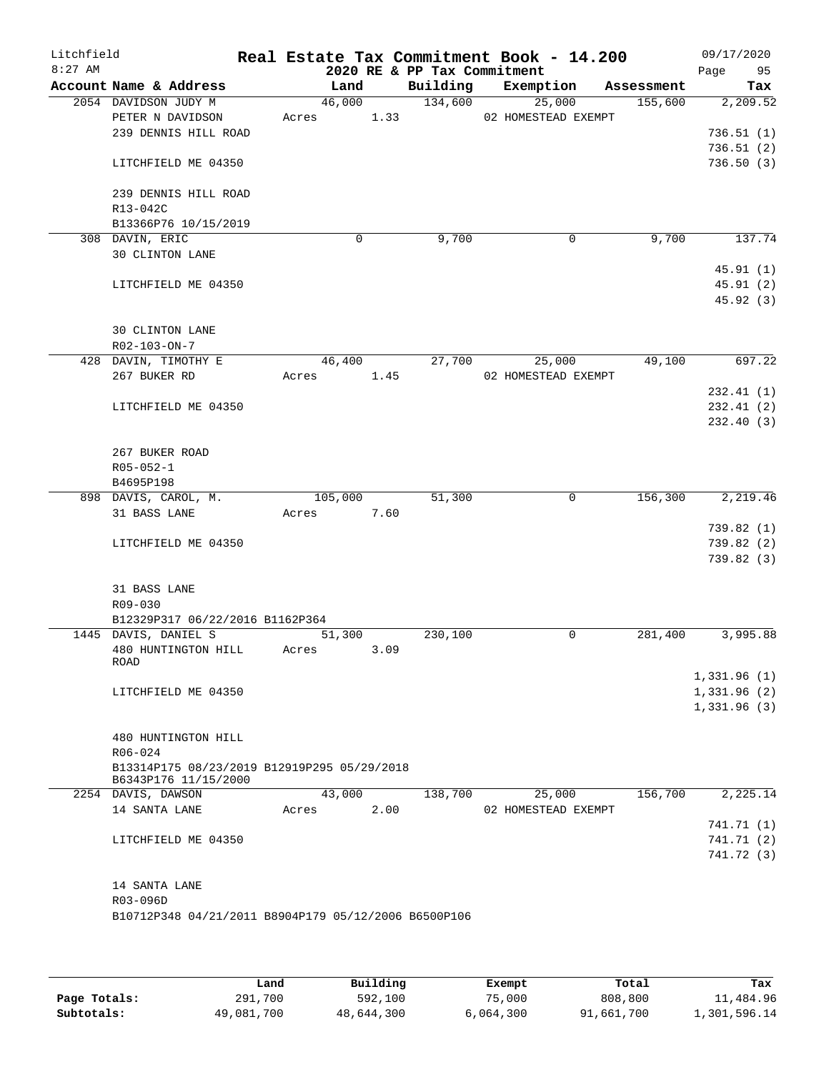| Litchfield<br>$8:27$ AM |                                                      |         |      | 2020 RE & PP Tax Commitment | Real Estate Tax Commitment Book - 14.200 |            | 09/17/2020<br>Page<br>95 |
|-------------------------|------------------------------------------------------|---------|------|-----------------------------|------------------------------------------|------------|--------------------------|
|                         | Account Name & Address                               | Land    |      | Building                    | Exemption                                | Assessment | Tax                      |
|                         | 2054 DAVIDSON JUDY M                                 | 46,000  |      | 134,600                     | 25,000                                   | 155,600    | 2, 209.52                |
|                         | PETER N DAVIDSON                                     | Acres   | 1.33 |                             | 02 HOMESTEAD EXEMPT                      |            |                          |
|                         | 239 DENNIS HILL ROAD                                 |         |      |                             |                                          |            | 736.51(1)                |
|                         |                                                      |         |      |                             |                                          |            | 736.51(2)                |
|                         | LITCHFIELD ME 04350                                  |         |      |                             |                                          |            | 736.50(3)                |
|                         | 239 DENNIS HILL ROAD                                 |         |      |                             |                                          |            |                          |
|                         | R13-042C                                             |         |      |                             |                                          |            |                          |
|                         | B13366P76 10/15/2019                                 |         |      |                             |                                          |            |                          |
|                         | 308 DAVIN, ERIC                                      | 0       |      | 9,700                       | 0                                        | 9,700      | 137.74                   |
|                         | <b>30 CLINTON LANE</b>                               |         |      |                             |                                          |            |                          |
|                         |                                                      |         |      |                             |                                          |            | 45.91(1)                 |
|                         | LITCHFIELD ME 04350                                  |         |      |                             |                                          |            | 45.91(2)                 |
|                         |                                                      |         |      |                             |                                          |            | 45.92 (3)                |
|                         |                                                      |         |      |                             |                                          |            |                          |
|                         | 30 CLINTON LANE                                      |         |      |                             |                                          |            |                          |
|                         | R02-103-ON-7                                         |         |      |                             |                                          |            |                          |
|                         | 428 DAVIN, TIMOTHY E                                 | 46,400  |      | 27,700                      | 25,000                                   | 49,100     | 697.22                   |
|                         | 267 BUKER RD                                         | Acres   | 1.45 |                             | 02 HOMESTEAD EXEMPT                      |            |                          |
|                         |                                                      |         |      |                             |                                          |            | 232.41(1)                |
|                         | LITCHFIELD ME 04350                                  |         |      |                             |                                          |            | 232.41(2)                |
|                         |                                                      |         |      |                             |                                          |            | 232.40(3)                |
|                         | 267 BUKER ROAD                                       |         |      |                             |                                          |            |                          |
|                         | $R05 - 052 - 1$                                      |         |      |                             |                                          |            |                          |
|                         | B4695P198                                            |         |      |                             |                                          |            |                          |
|                         | 898 DAVIS, CAROL, M.                                 | 105,000 |      | 51,300                      | 0                                        | 156,300    | 2,219.46                 |
|                         | 31 BASS LANE                                         | Acres   | 7.60 |                             |                                          |            |                          |
|                         |                                                      |         |      |                             |                                          |            | 739.82(1)                |
|                         | LITCHFIELD ME 04350                                  |         |      |                             |                                          |            | 739.82 (2)               |
|                         |                                                      |         |      |                             |                                          |            | 739.82(3)                |
|                         |                                                      |         |      |                             |                                          |            |                          |
|                         | 31 BASS LANE                                         |         |      |                             |                                          |            |                          |
|                         | R09-030                                              |         |      |                             |                                          |            |                          |
|                         | B12329P317 06/22/2016 B1162P364                      |         |      |                             |                                          |            |                          |
|                         | 1445 DAVIS, DANIEL S                                 | 51,300  |      | 230,100                     | 0                                        | 281,400    | 3,995.88                 |
|                         | 480 HUNTINGTON HILL<br>ROAD                          | Acres   | 3.09 |                             |                                          |            |                          |
|                         |                                                      |         |      |                             |                                          |            | 1,331.96(1)              |
|                         | LITCHFIELD ME 04350                                  |         |      |                             |                                          |            | 1,331.96(2)              |
|                         |                                                      |         |      |                             |                                          |            | 1,331.96(3)              |
|                         |                                                      |         |      |                             |                                          |            |                          |
|                         | 480 HUNTINGTON HILL                                  |         |      |                             |                                          |            |                          |
|                         | R06-024                                              |         |      |                             |                                          |            |                          |
|                         | B13314P175 08/23/2019 B12919P295 05/29/2018          |         |      |                             |                                          |            |                          |
|                         | B6343P176 11/15/2000<br>2254 DAVIS, DAWSON           | 43,000  |      | 138,700                     | 25,000                                   | 156,700    | 2,225.14                 |
|                         | 14 SANTA LANE                                        | Acres   | 2.00 |                             | 02 HOMESTEAD EXEMPT                      |            |                          |
|                         |                                                      |         |      |                             |                                          |            | 741.71 (1)               |
|                         | LITCHFIELD ME 04350                                  |         |      |                             |                                          |            | 741.71 (2)               |
|                         |                                                      |         |      |                             |                                          |            | 741.72 (3)               |
|                         |                                                      |         |      |                             |                                          |            |                          |
|                         | 14 SANTA LANE                                        |         |      |                             |                                          |            |                          |
|                         | R03-096D                                             |         |      |                             |                                          |            |                          |
|                         | B10712P348 04/21/2011 B8904P179 05/12/2006 B6500P106 |         |      |                             |                                          |            |                          |
|                         |                                                      |         |      |                             |                                          |            |                          |
|                         |                                                      |         |      |                             |                                          |            |                          |

|              | Land       | Building   | Exempt    | Total      | Tax          |
|--------------|------------|------------|-----------|------------|--------------|
| Page Totals: | 291,700    | 592,100    | 75,000    | 808,800    | 11,484.96    |
| Subtotals:   | 49,081,700 | 48,644,300 | 6,064,300 | 91,661,700 | 1,301,596.14 |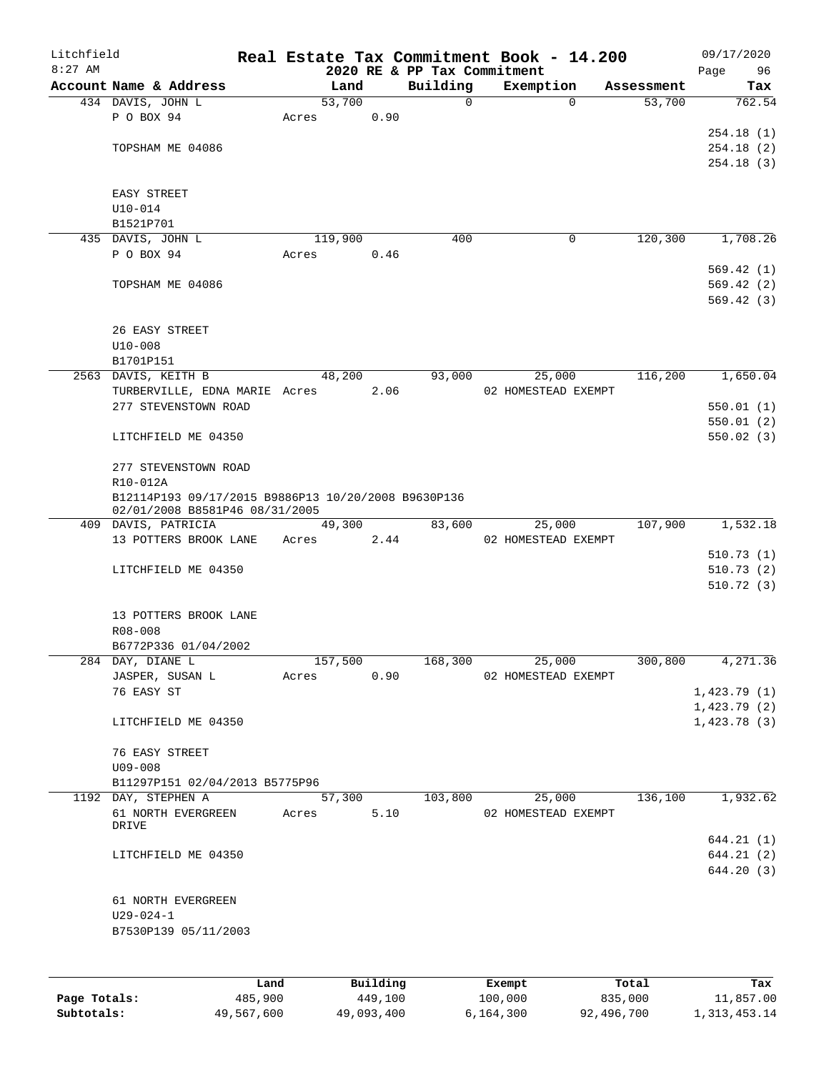| Litchfield<br>$8:27$ AM |                                                                                       |       |            |      | 2020 RE & PP Tax Commitment | Real Estate Tax Commitment Book - 14.200 |          |            | Page | 09/17/2020<br>96 |
|-------------------------|---------------------------------------------------------------------------------------|-------|------------|------|-----------------------------|------------------------------------------|----------|------------|------|------------------|
|                         | Account Name & Address                                                                |       | Land       |      | Building                    | Exemption                                |          | Assessment |      | Tax              |
|                         | 434 DAVIS, JOHN L                                                                     |       | 53,700     |      | 0                           |                                          | $\Omega$ | 53,700     |      | 762.54           |
|                         | P O BOX 94                                                                            | Acres |            | 0.90 |                             |                                          |          |            |      |                  |
|                         |                                                                                       |       |            |      |                             |                                          |          |            |      | 254.18(1)        |
|                         | TOPSHAM ME 04086                                                                      |       |            |      |                             |                                          |          |            |      | 254.18(2)        |
|                         |                                                                                       |       |            |      |                             |                                          |          |            |      | 254.18(3)        |
|                         | EASY STREET                                                                           |       |            |      |                             |                                          |          |            |      |                  |
|                         | $U10 - 014$                                                                           |       |            |      |                             |                                          |          |            |      |                  |
|                         | B1521P701                                                                             |       |            |      |                             |                                          |          |            |      |                  |
|                         | 435 DAVIS, JOHN L                                                                     |       | 119,900    |      | 400                         |                                          | 0        | 120,300    |      | 1,708.26         |
|                         | P O BOX 94                                                                            | Acres |            | 0.46 |                             |                                          |          |            |      |                  |
|                         |                                                                                       |       |            |      |                             |                                          |          |            |      | 569.42(1)        |
|                         | TOPSHAM ME 04086                                                                      |       |            |      |                             |                                          |          |            |      | 569.42(2)        |
|                         |                                                                                       |       |            |      |                             |                                          |          |            |      | 569.42(3)        |
|                         | 26 EASY STREET                                                                        |       |            |      |                             |                                          |          |            |      |                  |
|                         | $U10 - 008$                                                                           |       |            |      |                             |                                          |          |            |      |                  |
|                         | B1701P151                                                                             |       |            |      |                             |                                          |          |            |      |                  |
|                         | 2563 DAVIS, KEITH B                                                                   |       | 48,200     |      | 93,000                      | 25,000                                   |          | 116,200    |      | 1,650.04         |
|                         | TURBERVILLE, EDNA MARIE Acres                                                         |       |            | 2.06 |                             | 02 HOMESTEAD EXEMPT                      |          |            |      |                  |
|                         | 277 STEVENSTOWN ROAD                                                                  |       |            |      |                             |                                          |          |            |      | 550.01(1)        |
|                         |                                                                                       |       |            |      |                             |                                          |          |            |      | 550.01(2)        |
|                         | LITCHFIELD ME 04350                                                                   |       |            |      |                             |                                          |          |            |      | 550.02(3)        |
|                         | 277 STEVENSTOWN ROAD                                                                  |       |            |      |                             |                                          |          |            |      |                  |
|                         | R10-012A                                                                              |       |            |      |                             |                                          |          |            |      |                  |
|                         | B12114P193 09/17/2015 B9886P13 10/20/2008 B9630P136<br>02/01/2008 B8581P46 08/31/2005 |       |            |      |                             |                                          |          |            |      |                  |
|                         | 409 DAVIS, PATRICIA                                                                   |       | 49,300     |      | 83,600                      | 25,000                                   |          | 107,900    |      | 1,532.18         |
|                         | 13 POTTERS BROOK LANE                                                                 | Acres |            | 2.44 |                             | 02 HOMESTEAD EXEMPT                      |          |            |      |                  |
|                         |                                                                                       |       |            |      |                             |                                          |          |            |      | 510.73(1)        |
|                         | LITCHFIELD ME 04350                                                                   |       |            |      |                             |                                          |          |            |      | 510.73(2)        |
|                         |                                                                                       |       |            |      |                             |                                          |          |            |      | 510.72(3)        |
|                         | 13 POTTERS BROOK LANE                                                                 |       |            |      |                             |                                          |          |            |      |                  |
|                         | R08-008                                                                               |       |            |      |                             |                                          |          |            |      |                  |
|                         | B6772P336 01/04/2002                                                                  |       |            |      |                             |                                          |          |            |      |                  |
|                         | 284 DAY, DIANE L                                                                      |       | 157,500    |      | 168,300                     | 25,000                                   |          | 300,800    |      | 4,271.36         |
|                         | JASPER, SUSAN L                                                                       | Acres |            | 0.90 |                             | 02 HOMESTEAD EXEMPT                      |          |            |      |                  |
|                         | 76 EASY ST                                                                            |       |            |      |                             |                                          |          |            |      | 1,423.79(1)      |
|                         |                                                                                       |       |            |      |                             |                                          |          |            |      | 1,423.79(2)      |
|                         | LITCHFIELD ME 04350                                                                   |       |            |      |                             |                                          |          |            |      | 1,423.78(3)      |
|                         | 76 EASY STREET                                                                        |       |            |      |                             |                                          |          |            |      |                  |
|                         | $U09 - 008$                                                                           |       |            |      |                             |                                          |          |            |      |                  |
|                         | B11297P151 02/04/2013 B5775P96                                                        |       |            |      |                             |                                          |          |            |      |                  |
|                         | 1192 DAY, STEPHEN A                                                                   |       | 57,300     |      | 103,800                     | 25,000                                   |          | 136,100    |      | 1,932.62         |
|                         | 61 NORTH EVERGREEN<br>DRIVE                                                           |       | Acres 5.10 |      |                             | 02 HOMESTEAD EXEMPT                      |          |            |      |                  |
|                         |                                                                                       |       |            |      |                             |                                          |          |            |      | 644.21(1)        |
|                         | LITCHFIELD ME 04350                                                                   |       |            |      |                             |                                          |          |            |      | 644.21(2)        |
|                         |                                                                                       |       |            |      |                             |                                          |          |            |      | 644.20 (3)       |
|                         | 61 NORTH EVERGREEN                                                                    |       |            |      |                             |                                          |          |            |      |                  |
|                         | $U29 - 024 - 1$                                                                       |       |            |      |                             |                                          |          |            |      |                  |
|                         | B7530P139 05/11/2003                                                                  |       |            |      |                             |                                          |          |            |      |                  |
|                         |                                                                                       |       |            |      |                             |                                          |          |            |      |                  |
|                         |                                                                                       |       |            |      |                             |                                          |          |            |      |                  |

|              | Land       | Building   | Exempt    | Total      | Tax          |
|--------------|------------|------------|-----------|------------|--------------|
| Page Totals: | 485,900    | 449,100    | 100,000   | 835,000    | 11,857.00    |
| Subtotals:   | 49,567,600 | 49,093,400 | 6,164,300 | 92,496,700 | 1,313,453.14 |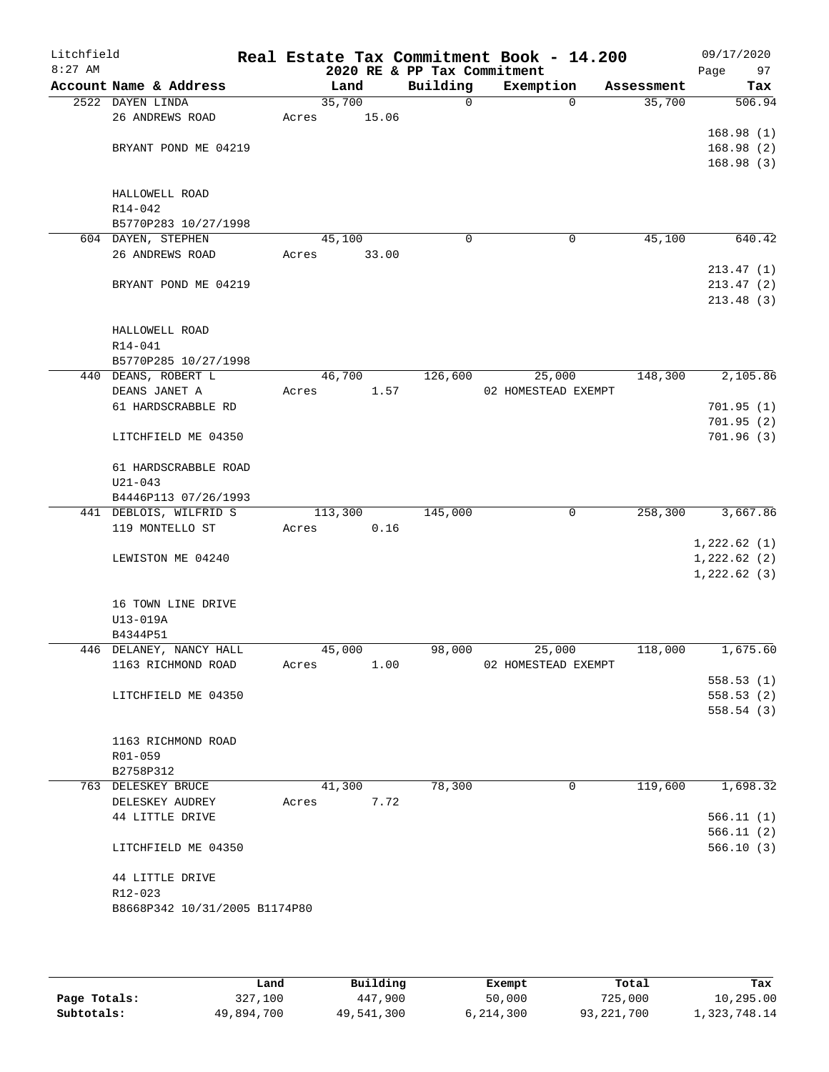| Litchfield<br>$8:27$ AM |                               |         |        | 2020 RE & PP Tax Commitment | Real Estate Tax Commitment Book - 14.200 |            | 09/17/2020<br>Page<br>97 |
|-------------------------|-------------------------------|---------|--------|-----------------------------|------------------------------------------|------------|--------------------------|
|                         | Account Name & Address        |         | Land   | Building                    | Exemption                                | Assessment | Tax                      |
|                         | 2522 DAYEN LINDA              |         | 35,700 | 0                           | $\Omega$                                 | 35,700     | 506.94                   |
|                         | 26 ANDREWS ROAD               | Acres   | 15.06  |                             |                                          |            |                          |
|                         |                               |         |        |                             |                                          |            | 168.98(1)                |
|                         | BRYANT POND ME 04219          |         |        |                             |                                          |            | 168.98(2)                |
|                         |                               |         |        |                             |                                          |            | 168.98(3)                |
|                         |                               |         |        |                             |                                          |            |                          |
|                         | HALLOWELL ROAD                |         |        |                             |                                          |            |                          |
|                         | R14-042                       |         |        |                             |                                          |            |                          |
|                         | B5770P283 10/27/1998          |         |        |                             |                                          |            |                          |
|                         | 604 DAYEN, STEPHEN            |         | 45,100 | $\Omega$                    | 0                                        | 45,100     | 640.42                   |
|                         | 26 ANDREWS ROAD               | Acres   | 33.00  |                             |                                          |            |                          |
|                         |                               |         |        |                             |                                          |            | 213.47(1)                |
|                         | BRYANT POND ME 04219          |         |        |                             |                                          |            | 213.47(2)                |
|                         |                               |         |        |                             |                                          |            | 213.48(3)                |
|                         | HALLOWELL ROAD                |         |        |                             |                                          |            |                          |
|                         | R14-041                       |         |        |                             |                                          |            |                          |
|                         | B5770P285 10/27/1998          |         |        |                             |                                          |            |                          |
|                         | 440 DEANS, ROBERT L           |         | 46,700 | 126,600                     | 25,000                                   | 148,300    | 2,105.86                 |
|                         | DEANS JANET A                 | Acres   | 1.57   |                             | 02 HOMESTEAD EXEMPT                      |            |                          |
|                         | 61 HARDSCRABBLE RD            |         |        |                             |                                          |            | 701.95(1)                |
|                         |                               |         |        |                             |                                          |            | 701.95(2)                |
|                         | LITCHFIELD ME 04350           |         |        |                             |                                          |            | 701.96(3)                |
|                         |                               |         |        |                             |                                          |            |                          |
|                         | 61 HARDSCRABBLE ROAD          |         |        |                             |                                          |            |                          |
|                         | $U21 - 043$                   |         |        |                             |                                          |            |                          |
|                         | B4446P113 07/26/1993          |         |        |                             |                                          |            |                          |
|                         | 441 DEBLOIS, WILFRID S        | 113,300 |        | 145,000                     | 0                                        | 258,300    | 3,667.86                 |
|                         | 119 MONTELLO ST               | Acres   | 0.16   |                             |                                          |            |                          |
|                         |                               |         |        |                             |                                          |            | 1,222.62(1)              |
|                         | LEWISTON ME 04240             |         |        |                             |                                          |            | 1,222.62(2)              |
|                         |                               |         |        |                             |                                          |            | 1,222.62(3)              |
|                         |                               |         |        |                             |                                          |            |                          |
|                         | 16 TOWN LINE DRIVE            |         |        |                             |                                          |            |                          |
|                         | U13-019A                      |         |        |                             |                                          |            |                          |
|                         | B4344P51                      |         |        |                             |                                          |            |                          |
|                         | 446 DELANEY, NANCY HALL       |         | 45,000 | 98,000                      | 25,000                                   | 118,000    | 1,675.60                 |
|                         | 1163 RICHMOND ROAD            | Acres   | 1.00   |                             | 02 HOMESTEAD EXEMPT                      |            |                          |
|                         |                               |         |        |                             |                                          |            | 558.53(1)                |
|                         | LITCHFIELD ME 04350           |         |        |                             |                                          |            | 558.53(2)                |
|                         |                               |         |        |                             |                                          |            | 558.54(3)                |
|                         | 1163 RICHMOND ROAD            |         |        |                             |                                          |            |                          |
|                         | R01-059                       |         |        |                             |                                          |            |                          |
|                         | B2758P312                     |         |        |                             |                                          |            |                          |
|                         | 763 DELESKEY BRUCE            |         | 41,300 | 78,300                      | 0                                        | 119,600    | 1,698.32                 |
|                         | DELESKEY AUDREY               | Acres   | 7.72   |                             |                                          |            |                          |
|                         | 44 LITTLE DRIVE               |         |        |                             |                                          |            | 566.11(1)                |
|                         |                               |         |        |                             |                                          |            | 566.11(2)                |
|                         | LITCHFIELD ME 04350           |         |        |                             |                                          |            | 566.10(3)                |
|                         |                               |         |        |                             |                                          |            |                          |
|                         | 44 LITTLE DRIVE               |         |        |                             |                                          |            |                          |
|                         | R12-023                       |         |        |                             |                                          |            |                          |
|                         | B8668P342 10/31/2005 B1174P80 |         |        |                             |                                          |            |                          |
|                         |                               |         |        |                             |                                          |            |                          |
|                         |                               |         |        |                             |                                          |            |                          |

|              | Land       | Building   | Exempt    | Total      | Tax          |
|--------------|------------|------------|-----------|------------|--------------|
| Page Totals: | 327,100    | 447,900    | 50,000    | 725,000    | 10,295.00    |
| Subtotals:   | 49,894,700 | 49,541,300 | 6,214,300 | 93,221,700 | 1,323,748.14 |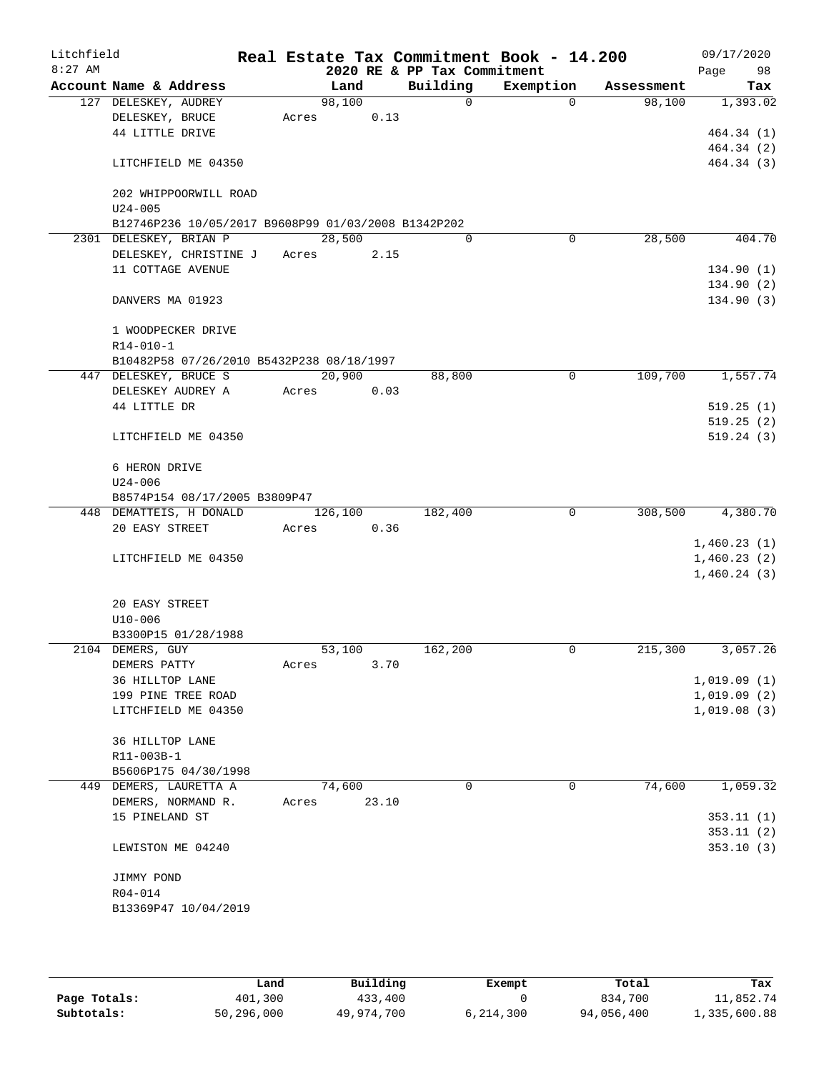| Litchfield<br>$8:27$ AM |                                                     |       |         |       |          | Real Estate Tax Commitment Book - 14.200<br>2020 RE & PP Tax Commitment |             |            | 09/17/2020<br>98<br>Page   |
|-------------------------|-----------------------------------------------------|-------|---------|-------|----------|-------------------------------------------------------------------------|-------------|------------|----------------------------|
|                         | Account Name & Address                              |       | Land    |       | Building | Exemption                                                               |             | Assessment | Tax                        |
|                         | 127 DELESKEY, AUDREY                                |       | 98,100  |       |          | $\Omega$                                                                | $\Omega$    | 98,100     | 1,393.02                   |
|                         | DELESKEY, BRUCE                                     | Acres |         | 0.13  |          |                                                                         |             |            |                            |
|                         | 44 LITTLE DRIVE                                     |       |         |       |          |                                                                         |             |            | 464.34 (1)                 |
|                         |                                                     |       |         |       |          |                                                                         |             |            | 464.34 (2)                 |
|                         | LITCHFIELD ME 04350                                 |       |         |       |          |                                                                         |             |            | 464.34 (3)                 |
|                         | 202 WHIPPOORWILL ROAD                               |       |         |       |          |                                                                         |             |            |                            |
|                         | $U24 - 005$                                         |       |         |       |          |                                                                         |             |            |                            |
|                         | B12746P236 10/05/2017 B9608P99 01/03/2008 B1342P202 |       |         |       |          |                                                                         |             |            |                            |
|                         | 2301 DELESKEY, BRIAN P                              |       | 28,500  |       |          | $\Omega$                                                                | 0           | 28,500     | 404.70                     |
|                         | DELESKEY, CHRISTINE J                               |       | Acres   | 2.15  |          |                                                                         |             |            |                            |
|                         | 11 COTTAGE AVENUE                                   |       |         |       |          |                                                                         |             |            | 134.90(1)                  |
|                         |                                                     |       |         |       |          |                                                                         |             |            | 134.90(2)                  |
|                         | DANVERS MA 01923                                    |       |         |       |          |                                                                         |             |            | 134.90(3)                  |
|                         | 1 WOODPECKER DRIVE                                  |       |         |       |          |                                                                         |             |            |                            |
|                         | $R14 - 010 - 1$                                     |       |         |       |          |                                                                         |             |            |                            |
|                         | B10482P58 07/26/2010 B5432P238 08/18/1997           |       |         |       |          |                                                                         |             |            |                            |
|                         | 447 DELESKEY, BRUCE S                               |       | 20,900  |       | 88,800   |                                                                         | 0           | 109,700    | 1,557.74                   |
|                         | DELESKEY AUDREY A                                   | Acres |         | 0.03  |          |                                                                         |             |            |                            |
|                         | 44 LITTLE DR                                        |       |         |       |          |                                                                         |             |            | 519.25(1)                  |
|                         |                                                     |       |         |       |          |                                                                         |             |            | 519.25(2)                  |
|                         | LITCHFIELD ME 04350                                 |       |         |       |          |                                                                         |             |            | 519.24(3)                  |
|                         | 6 HERON DRIVE                                       |       |         |       |          |                                                                         |             |            |                            |
|                         | $U24 - 006$                                         |       |         |       |          |                                                                         |             |            |                            |
|                         | B8574P154 08/17/2005 B3809P47                       |       |         |       |          |                                                                         |             |            |                            |
|                         | 448 DEMATTEIS, H DONALD                             |       | 126,100 |       | 182,400  |                                                                         | $\mathbf 0$ | 308,500    | 4,380.70                   |
|                         | 20 EASY STREET                                      | Acres |         | 0.36  |          |                                                                         |             |            |                            |
|                         |                                                     |       |         |       |          |                                                                         |             |            | 1,460.23(1)                |
|                         | LITCHFIELD ME 04350                                 |       |         |       |          |                                                                         |             |            | 1,460.23(2)<br>1,460.24(3) |
|                         |                                                     |       |         |       |          |                                                                         |             |            |                            |
|                         | 20 EASY STREET                                      |       |         |       |          |                                                                         |             |            |                            |
|                         | $U10 - 006$                                         |       |         |       |          |                                                                         |             |            |                            |
|                         | B3300P15 01/28/1988                                 |       |         |       |          |                                                                         |             |            |                            |
|                         | 2104 DEMERS, GUY                                    |       | 53,100  |       | 162,200  |                                                                         | 0           | 215,300    | 3,057.26                   |
|                         | DEMERS PATTY                                        | Acres |         | 3.70  |          |                                                                         |             |            |                            |
|                         | 36 HILLTOP LANE                                     |       |         |       |          |                                                                         |             |            | 1,019.09(1)                |
|                         | 199 PINE TREE ROAD                                  |       |         |       |          |                                                                         |             |            | 1,019.09(2)                |
|                         | LITCHFIELD ME 04350                                 |       |         |       |          |                                                                         |             |            | 1,019.08(3)                |
|                         | 36 HILLTOP LANE                                     |       |         |       |          |                                                                         |             |            |                            |
|                         | R11-003B-1                                          |       |         |       |          |                                                                         |             |            |                            |
|                         | B5606P175 04/30/1998                                |       |         |       |          |                                                                         |             |            |                            |
|                         | 449 DEMERS, LAURETTA A                              |       | 74,600  |       |          | $\Omega$                                                                | $\mathbf 0$ | 74,600     | 1,059.32                   |
|                         | DEMERS, NORMAND R.                                  | Acres |         | 23.10 |          |                                                                         |             |            |                            |
|                         | 15 PINELAND ST                                      |       |         |       |          |                                                                         |             |            | 353.11(1)                  |
|                         | LEWISTON ME 04240                                   |       |         |       |          |                                                                         |             |            | 353.11(2)<br>353.10(3)     |
|                         |                                                     |       |         |       |          |                                                                         |             |            |                            |
|                         | JIMMY POND                                          |       |         |       |          |                                                                         |             |            |                            |
|                         | R04-014                                             |       |         |       |          |                                                                         |             |            |                            |
|                         | B13369P47 10/04/2019                                |       |         |       |          |                                                                         |             |            |                            |
|                         |                                                     |       |         |       |          |                                                                         |             |            |                            |
|                         |                                                     |       |         |       |          |                                                                         |             |            |                            |

|              | Land       | Building   | Exempt      | Total      | Tax          |
|--------------|------------|------------|-------------|------------|--------------|
| Page Totals: | 401,300    | 433,400    |             | 834,700    | 11,852.74    |
| Subtotals:   | 50,296,000 | 49,974,700 | 6, 214, 300 | 94,056,400 | 1,335,600.88 |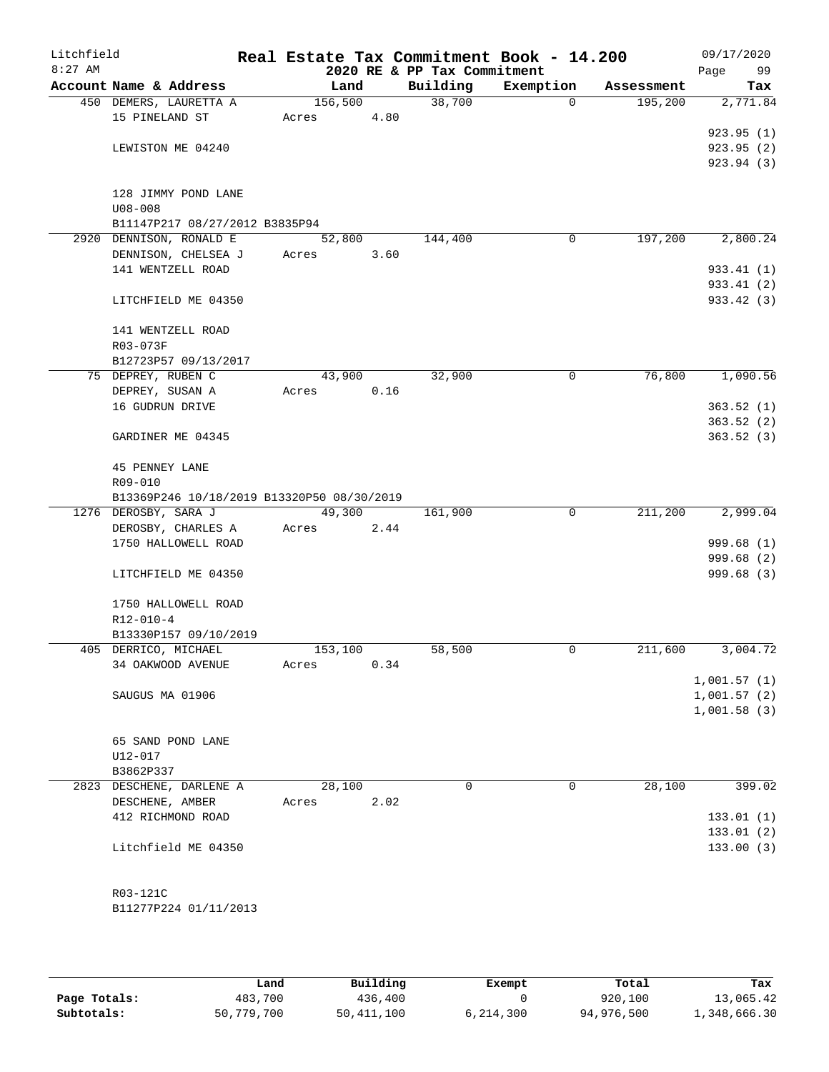| Litchfield<br>$8:27$ AM |                                             |         |      | 2020 RE & PP Tax Commitment | Real Estate Tax Commitment Book - 14.200 |            | 09/17/2020<br>Page<br>99 |
|-------------------------|---------------------------------------------|---------|------|-----------------------------|------------------------------------------|------------|--------------------------|
|                         | Account Name & Address                      | Land    |      | Building                    | Exemption                                | Assessment | Tax                      |
|                         | 450 DEMERS, LAURETTA A                      | 156,500 |      | 38,700                      | $\mathbf 0$                              | 195,200    | 2,771.84                 |
|                         | 15 PINELAND ST                              | Acres   | 4.80 |                             |                                          |            |                          |
|                         |                                             |         |      |                             |                                          |            | 923.95(1)                |
|                         | LEWISTON ME 04240                           |         |      |                             |                                          |            | 923.95(2)                |
|                         |                                             |         |      |                             |                                          |            | 923.94 (3)               |
|                         |                                             |         |      |                             |                                          |            |                          |
|                         | 128 JIMMY POND LANE                         |         |      |                             |                                          |            |                          |
|                         | $U08 - 008$                                 |         |      |                             |                                          |            |                          |
|                         | B11147P217 08/27/2012 B3835P94              |         |      |                             |                                          |            |                          |
|                         | 2920 DENNISON, RONALD E                     | 52,800  |      | 144,400                     | 0                                        | 197,200    | 2,800.24                 |
|                         | DENNISON, CHELSEA J                         | Acres   | 3.60 |                             |                                          |            |                          |
|                         | 141 WENTZELL ROAD                           |         |      |                             |                                          |            | 933.41 (1)               |
|                         |                                             |         |      |                             |                                          |            | 933.41 (2)               |
|                         | LITCHFIELD ME 04350                         |         |      |                             |                                          |            | 933.42 (3)               |
|                         |                                             |         |      |                             |                                          |            |                          |
|                         | 141 WENTZELL ROAD                           |         |      |                             |                                          |            |                          |
|                         | R03-073F<br>B12723P57 09/13/2017            |         |      |                             |                                          |            |                          |
|                         | 75 DEPREY, RUBEN C                          | 43,900  |      | 32,900                      | 0                                        | 76,800     | 1,090.56                 |
|                         | DEPREY, SUSAN A                             | Acres   | 0.16 |                             |                                          |            |                          |
|                         | 16 GUDRUN DRIVE                             |         |      |                             |                                          |            | 363.52(1)                |
|                         |                                             |         |      |                             |                                          |            | 363.52(2)                |
|                         | GARDINER ME 04345                           |         |      |                             |                                          |            | 363.52(3)                |
|                         |                                             |         |      |                             |                                          |            |                          |
|                         | 45 PENNEY LANE                              |         |      |                             |                                          |            |                          |
|                         | R09-010                                     |         |      |                             |                                          |            |                          |
|                         | B13369P246 10/18/2019 B13320P50 08/30/2019  |         |      |                             |                                          |            |                          |
|                         | 1276 DEROSBY, SARA J                        | 49,300  |      | 161,900                     | 0                                        | 211,200    | 2,999.04                 |
|                         | DEROSBY, CHARLES A                          | Acres   | 2.44 |                             |                                          |            |                          |
|                         | 1750 HALLOWELL ROAD                         |         |      |                             |                                          |            | 999.68 (1)               |
|                         |                                             |         |      |                             |                                          |            | 999.68 (2)               |
|                         | LITCHFIELD ME 04350                         |         |      |                             |                                          |            | 999.68 (3)               |
|                         |                                             |         |      |                             |                                          |            |                          |
|                         | 1750 HALLOWELL ROAD                         |         |      |                             |                                          |            |                          |
|                         | $R12 - 010 - 4$                             |         |      |                             |                                          |            |                          |
|                         | B13330P157 09/10/2019                       |         |      |                             |                                          |            |                          |
|                         | 405 DERRICO, MICHAEL                        | 153,100 |      | 58,500                      | 0                                        | 211,600    | 3,004.72                 |
|                         | 34 OAKWOOD AVENUE                           | Acres   | 0.34 |                             |                                          |            |                          |
|                         |                                             |         |      |                             |                                          |            | 1,001.57(1)              |
|                         | SAUGUS MA 01906                             |         |      |                             |                                          |            | 1,001.57(2)              |
|                         |                                             |         |      |                             |                                          |            | 1,001.58(3)              |
|                         |                                             |         |      |                             |                                          |            |                          |
|                         | 65 SAND POND LANE                           |         |      |                             |                                          |            |                          |
|                         | U12-017                                     |         |      |                             |                                          |            |                          |
|                         | B3862P337                                   | 28,100  |      | $\Omega$                    | 0                                        |            |                          |
|                         | 2823 DESCHENE, DARLENE A<br>DESCHENE, AMBER |         | 2.02 |                             |                                          | 28,100     | 399.02                   |
|                         | 412 RICHMOND ROAD                           | Acres   |      |                             |                                          |            | 133.01(1)                |
|                         |                                             |         |      |                             |                                          |            | 133.01(2)                |
|                         | Litchfield ME 04350                         |         |      |                             |                                          |            | 133.00(3)                |
|                         |                                             |         |      |                             |                                          |            |                          |
|                         |                                             |         |      |                             |                                          |            |                          |
|                         | R03-121C                                    |         |      |                             |                                          |            |                          |
|                         | B11277P224 01/11/2013                       |         |      |                             |                                          |            |                          |
|                         |                                             |         |      |                             |                                          |            |                          |
|                         |                                             |         |      |                             |                                          |            |                          |

|              | Land       | Building     | Exempt    | Total      | Tax          |
|--------------|------------|--------------|-----------|------------|--------------|
| Page Totals: | 483,700    | 436,400      |           | 920,100    | 13,065.42    |
| Subtotals:   | 50,779,700 | 50, 411, 100 | 6,214,300 | 94,976,500 | 1,348,666.30 |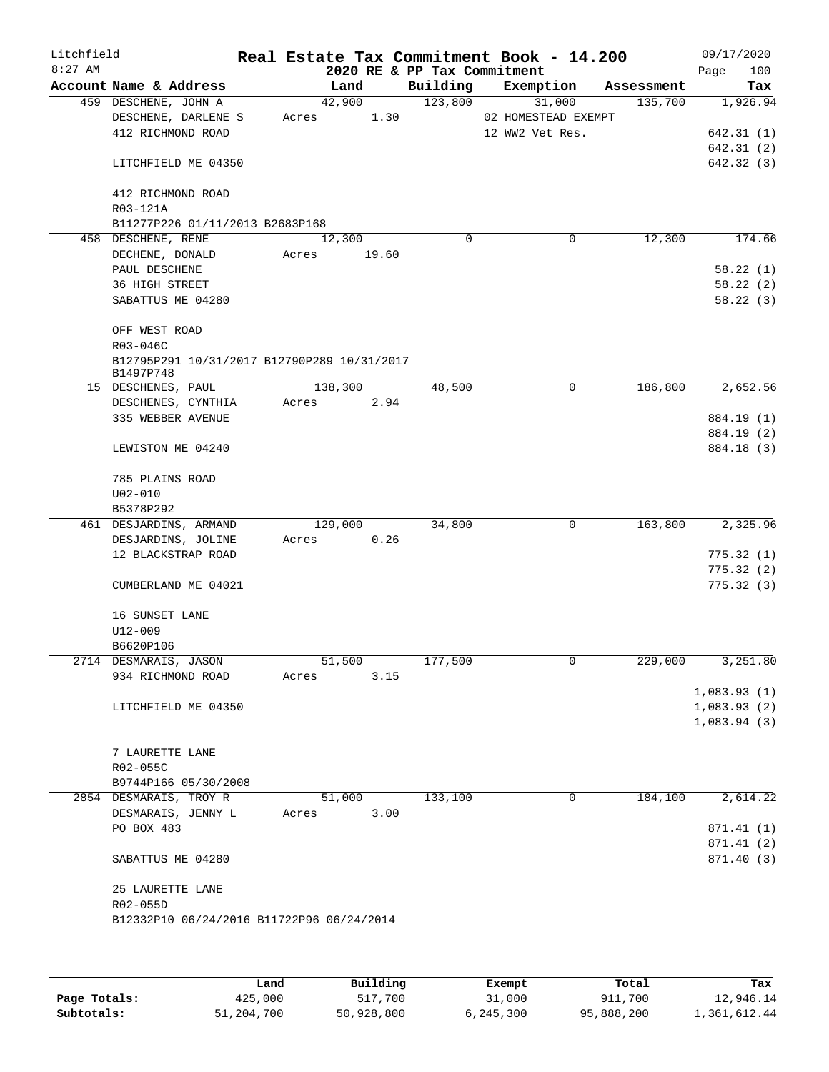| Litchfield<br>$8:27$ AM |                                                          |                | 2020 RE & PP Tax Commitment | Real Estate Tax Commitment Book - 14.200 |            | 09/17/2020<br>Page<br>100 |
|-------------------------|----------------------------------------------------------|----------------|-----------------------------|------------------------------------------|------------|---------------------------|
|                         | Account Name & Address                                   | Land           | Building                    | Exemption                                | Assessment | Tax                       |
|                         | 459 DESCHENE, JOHN A                                     | 42,900         | 123,800                     | 31,000                                   | 135,700    | 1,926.94                  |
|                         | DESCHENE, DARLENE S                                      | 1.30<br>Acres  |                             | 02 HOMESTEAD EXEMPT                      |            |                           |
|                         | 412 RICHMOND ROAD                                        |                |                             | 12 WW2 Vet Res.                          |            | 642.31(1)                 |
|                         |                                                          |                |                             |                                          |            | 642.31 (2)                |
|                         | LITCHFIELD ME 04350                                      |                |                             |                                          |            | 642.32 (3)                |
|                         | 412 RICHMOND ROAD                                        |                |                             |                                          |            |                           |
|                         | R03-121A                                                 |                |                             |                                          |            |                           |
|                         | B11277P226 01/11/2013 B2683P168                          |                |                             |                                          |            |                           |
|                         | 458 DESCHENE, RENE                                       | 12,300         | 0                           | 0                                        | 12,300     | 174.66                    |
|                         | DECHENE, DONALD                                          | 19.60<br>Acres |                             |                                          |            |                           |
|                         | PAUL DESCHENE                                            |                |                             |                                          |            | 58.22(1)                  |
|                         | 36 HIGH STREET                                           |                |                             |                                          |            | 58.22(2)                  |
|                         | SABATTUS ME 04280                                        |                |                             |                                          |            | 58.22(3)                  |
|                         | OFF WEST ROAD                                            |                |                             |                                          |            |                           |
|                         | R03-046C                                                 |                |                             |                                          |            |                           |
|                         | B12795P291 10/31/2017 B12790P289 10/31/2017<br>B1497P748 |                |                             |                                          |            |                           |
|                         | 15 DESCHENES, PAUL                                       | 138,300        | 48,500                      | 0                                        | 186,800    | 2,652.56                  |
|                         | DESCHENES, CYNTHIA                                       | 2.94<br>Acres  |                             |                                          |            |                           |
|                         | 335 WEBBER AVENUE                                        |                |                             |                                          |            | 884.19 (1)                |
|                         |                                                          |                |                             |                                          |            | 884.19 (2)                |
|                         | LEWISTON ME 04240                                        |                |                             |                                          |            | 884.18 (3)                |
|                         | 785 PLAINS ROAD                                          |                |                             |                                          |            |                           |
|                         | $U02 - 010$                                              |                |                             |                                          |            |                           |
|                         | B5378P292                                                |                |                             |                                          |            |                           |
|                         | 461 DESJARDINS, ARMAND                                   | 129,000        | 34,800                      | $\mathbf 0$                              | 163,800    | 2,325.96                  |
|                         | DESJARDINS, JOLINE                                       | 0.26<br>Acres  |                             |                                          |            |                           |
|                         | 12 BLACKSTRAP ROAD                                       |                |                             |                                          |            | 775.32(1)                 |
|                         |                                                          |                |                             |                                          |            | 775.32(2)                 |
|                         | CUMBERLAND ME 04021                                      |                |                             |                                          |            | 775.32(3)                 |
|                         | 16 SUNSET LANE                                           |                |                             |                                          |            |                           |
|                         | U12-009                                                  |                |                             |                                          |            |                           |
|                         | B6620P106                                                |                |                             |                                          |            |                           |
|                         | 2714 DESMARAIS, JASON                                    | 51,500         | 177,500                     | 0                                        | 229,000    | 3,251.80                  |
|                         | 934 RICHMOND ROAD                                        | 3.15<br>Acres  |                             |                                          |            |                           |
|                         |                                                          |                |                             |                                          |            | 1,083.93(1)               |
|                         | LITCHFIELD ME 04350                                      |                |                             |                                          |            | 1,083.93(2)               |
|                         |                                                          |                |                             |                                          |            | 1,083.94(3)               |
|                         |                                                          |                |                             |                                          |            |                           |
|                         | 7 LAURETTE LANE                                          |                |                             |                                          |            |                           |
|                         | R02-055C                                                 |                |                             |                                          |            |                           |
|                         |                                                          |                |                             |                                          |            |                           |
|                         | B9744P166 05/30/2008                                     |                | 133,100                     | 0                                        | 184,100    | 2,614.22                  |
|                         | 2854 DESMARAIS, TROY R                                   | 51,000         |                             |                                          |            |                           |
|                         | DESMARAIS, JENNY L                                       | 3.00<br>Acres  |                             |                                          |            |                           |
|                         | PO BOX 483                                               |                |                             |                                          |            | 871.41 (1)                |
|                         | SABATTUS ME 04280                                        |                |                             |                                          |            | 871.41 (2)<br>871.40 (3)  |
|                         |                                                          |                |                             |                                          |            |                           |
|                         | 25 LAURETTE LANE                                         |                |                             |                                          |            |                           |
|                         | R02-055D                                                 |                |                             |                                          |            |                           |
|                         | B12332P10 06/24/2016 B11722P96 06/24/2014                |                |                             |                                          |            |                           |
|                         |                                                          |                |                             |                                          |            |                           |
|                         |                                                          |                |                             |                                          |            |                           |
|                         |                                                          |                |                             |                                          |            |                           |

|              | Land       | Building   | Exempt    | Total      | Tax          |
|--------------|------------|------------|-----------|------------|--------------|
| Page Totals: | 425,000    | 517,700    | 31,000    | 911,700    | 12,946.14    |
| Subtotals:   | 51,204,700 | 50,928,800 | 6,245,300 | 95,888,200 | 1,361,612.44 |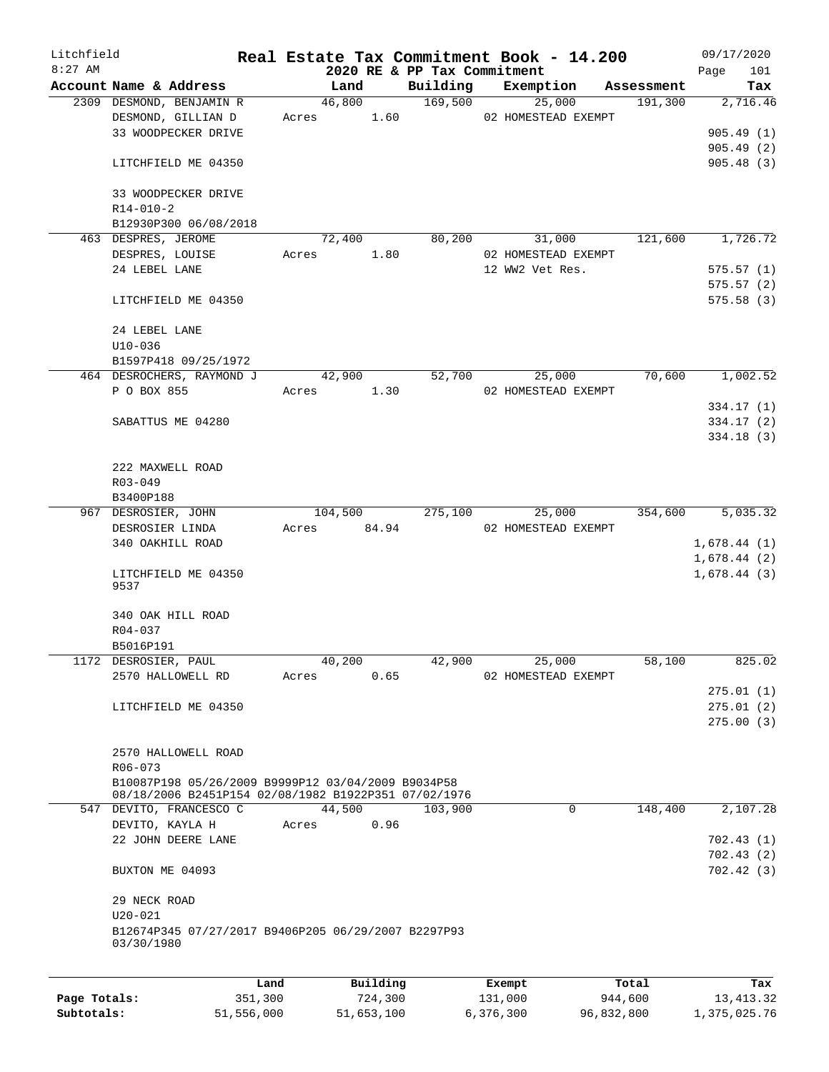| Litchfield   |                                                                                                            |         |       |          |      |                             | Real Estate Tax Commitment Book - 14.200 |            |             | 09/17/2020 |
|--------------|------------------------------------------------------------------------------------------------------------|---------|-------|----------|------|-----------------------------|------------------------------------------|------------|-------------|------------|
| $8:27$ AM    |                                                                                                            |         |       |          |      | 2020 RE & PP Tax Commitment |                                          |            | Page        | 101        |
|              | Account Name & Address                                                                                     |         |       | Land     |      | Building                    | Exemption                                | Assessment |             | Tax        |
|              | 2309 DESMOND, BENJAMIN R                                                                                   |         |       | 46,800   |      | 169,500                     | 25,000                                   | 191,300    |             | 2,716.46   |
|              | DESMOND, GILLIAN D                                                                                         |         | Acres | 1.60     |      |                             | 02 HOMESTEAD EXEMPT                      |            |             |            |
|              | 33 WOODPECKER DRIVE                                                                                        |         |       |          |      |                             |                                          |            |             | 905.49(1)  |
|              |                                                                                                            |         |       |          |      |                             |                                          |            |             | 905.49(2)  |
|              | LITCHFIELD ME 04350                                                                                        |         |       |          |      |                             |                                          |            |             | 905.48(3)  |
|              | 33 WOODPECKER DRIVE                                                                                        |         |       |          |      |                             |                                          |            |             |            |
|              | $R14 - 010 - 2$                                                                                            |         |       |          |      |                             |                                          |            |             |            |
|              | B12930P300 06/08/2018                                                                                      |         |       |          |      |                             |                                          |            |             |            |
|              | 463 DESPRES, JEROME                                                                                        |         |       | 72,400   |      | 80,200                      | 31,000                                   | 121,600    |             | 1,726.72   |
|              | DESPRES, LOUISE                                                                                            |         | Acres | 1.80     |      |                             | 02 HOMESTEAD EXEMPT                      |            |             |            |
|              | 24 LEBEL LANE                                                                                              |         |       |          |      |                             | 12 WW2 Vet Res.                          |            |             | 575.57(1)  |
|              |                                                                                                            |         |       |          |      |                             |                                          |            |             | 575.57(2)  |
|              |                                                                                                            |         |       |          |      |                             |                                          |            |             |            |
|              | LITCHFIELD ME 04350                                                                                        |         |       |          |      |                             |                                          |            |             | 575.58(3)  |
|              |                                                                                                            |         |       |          |      |                             |                                          |            |             |            |
|              | 24 LEBEL LANE                                                                                              |         |       |          |      |                             |                                          |            |             |            |
|              | $U10-036$                                                                                                  |         |       |          |      |                             |                                          |            |             |            |
|              | B1597P418 09/25/1972                                                                                       |         |       |          |      |                             |                                          |            |             |            |
|              | 464 DESROCHERS, RAYMOND J                                                                                  |         |       | 42,900   |      | 52,700                      | 25,000                                   | 70,600     |             | 1,002.52   |
|              | P O BOX 855                                                                                                |         | Acres | 1.30     |      |                             | 02 HOMESTEAD EXEMPT                      |            |             |            |
|              |                                                                                                            |         |       |          |      |                             |                                          |            |             | 334.17(1)  |
|              | SABATTUS ME 04280                                                                                          |         |       |          |      |                             |                                          |            |             | 334.17 (2) |
|              |                                                                                                            |         |       |          |      |                             |                                          |            |             | 334.18 (3) |
|              |                                                                                                            |         |       |          |      |                             |                                          |            |             |            |
|              | 222 MAXWELL ROAD                                                                                           |         |       |          |      |                             |                                          |            |             |            |
|              | R03-049                                                                                                    |         |       |          |      |                             |                                          |            |             |            |
|              |                                                                                                            |         |       |          |      |                             |                                          |            |             |            |
|              | B3400P188                                                                                                  |         |       |          |      |                             |                                          |            |             |            |
|              | 967 DESROSIER, JOHN                                                                                        |         |       | 104,500  |      | 275,100                     | 25,000                                   | 354,600    |             | 5,035.32   |
|              | DESROSIER LINDA                                                                                            |         | Acres | 84.94    |      |                             | 02 HOMESTEAD EXEMPT                      |            |             |            |
|              | 340 OAKHILL ROAD                                                                                           |         |       |          |      |                             |                                          |            | 1,678.44(1) |            |
|              |                                                                                                            |         |       |          |      |                             |                                          |            | 1,678.44(2) |            |
|              | LITCHFIELD ME 04350                                                                                        |         |       |          |      |                             |                                          |            | 1,678.44(3) |            |
|              | 9537                                                                                                       |         |       |          |      |                             |                                          |            |             |            |
|              |                                                                                                            |         |       |          |      |                             |                                          |            |             |            |
|              | 340 OAK HILL ROAD                                                                                          |         |       |          |      |                             |                                          |            |             |            |
|              | R04-037                                                                                                    |         |       |          |      |                             |                                          |            |             |            |
|              | B5016P191                                                                                                  |         |       |          |      |                             |                                          |            |             |            |
|              | 1172 DESROSIER, PAUL                                                                                       |         |       | 40,200   |      | 42,900                      | 25,000                                   | 58,100     |             | 825.02     |
|              | 2570 HALLOWELL RD                                                                                          |         | Acres |          | 0.65 |                             | 02 HOMESTEAD EXEMPT                      |            |             |            |
|              |                                                                                                            |         |       |          |      |                             |                                          |            |             | 275.01(1)  |
|              | LITCHFIELD ME 04350                                                                                        |         |       |          |      |                             |                                          |            |             | 275.01(2)  |
|              |                                                                                                            |         |       |          |      |                             |                                          |            |             | 275.00(3)  |
|              |                                                                                                            |         |       |          |      |                             |                                          |            |             |            |
|              | 2570 HALLOWELL ROAD                                                                                        |         |       |          |      |                             |                                          |            |             |            |
|              | $R06 - 073$                                                                                                |         |       |          |      |                             |                                          |            |             |            |
|              |                                                                                                            |         |       |          |      |                             |                                          |            |             |            |
|              | B10087P198 05/26/2009 B9999P12 03/04/2009 B9034P58<br>08/18/2006 B2451P154 02/08/1982 B1922P351 07/02/1976 |         |       |          |      |                             |                                          |            |             |            |
|              | 547 DEVITO, FRANCESCO C                                                                                    |         |       | 44,500   |      | 103,900                     | $\mathbf 0$                              | 148,400    |             | 2,107.28   |
|              |                                                                                                            |         |       |          | 0.96 |                             |                                          |            |             |            |
|              | DEVITO, KAYLA H                                                                                            |         | Acres |          |      |                             |                                          |            |             |            |
|              | 22 JOHN DEERE LANE                                                                                         |         |       |          |      |                             |                                          |            |             | 702.43(1)  |
|              |                                                                                                            |         |       |          |      |                             |                                          |            |             | 702.43(2)  |
|              | BUXTON ME 04093                                                                                            |         |       |          |      |                             |                                          |            |             | 702.42(3)  |
|              |                                                                                                            |         |       |          |      |                             |                                          |            |             |            |
|              | 29 NECK ROAD                                                                                               |         |       |          |      |                             |                                          |            |             |            |
|              | $U20 - 021$                                                                                                |         |       |          |      |                             |                                          |            |             |            |
|              | B12674P345 07/27/2017 B9406P205 06/29/2007 B2297P93                                                        |         |       |          |      |                             |                                          |            |             |            |
|              | 03/30/1980                                                                                                 |         |       |          |      |                             |                                          |            |             |            |
|              |                                                                                                            |         |       |          |      |                             |                                          |            |             |            |
|              |                                                                                                            | Land    |       | Building |      |                             | Exempt                                   | Total      |             | Tax        |
| Page Totals: |                                                                                                            | 351,300 |       | 724,300  |      |                             | 131,000                                  | 944,600    |             | 13, 413.32 |

**Subtotals:** 51,556,000 51,653,100 6,376,300 96,832,800 1,375,025.76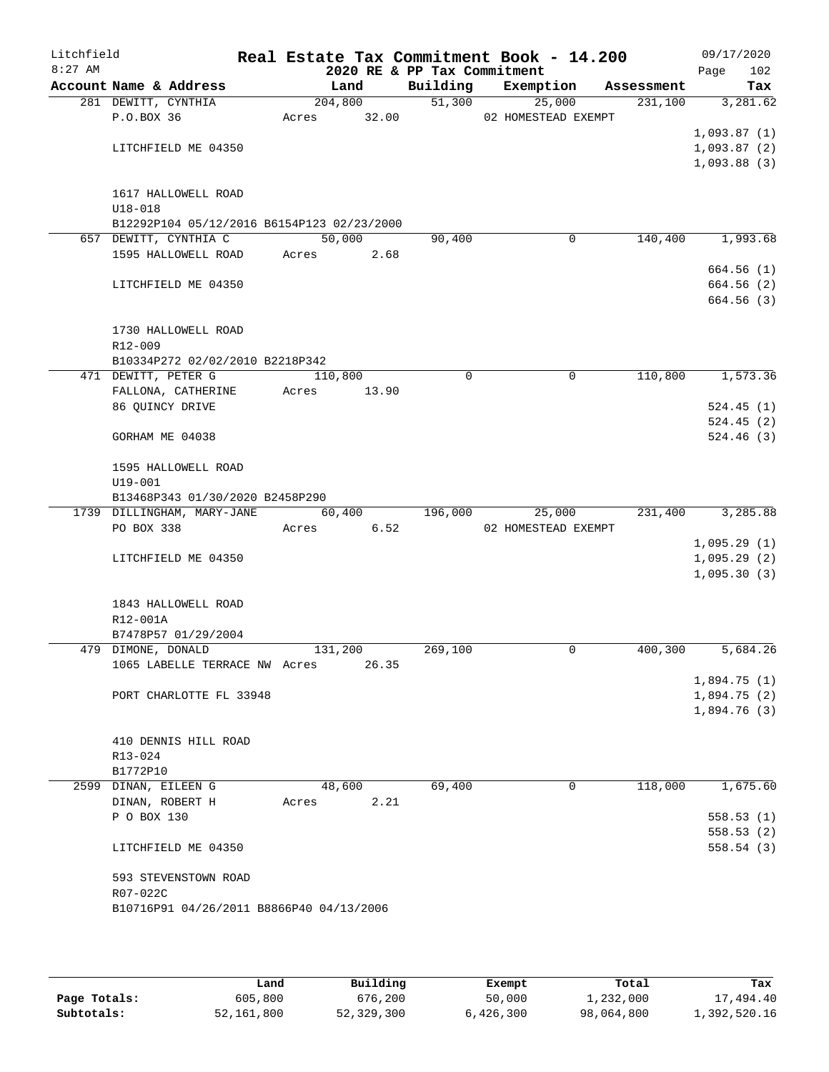| Litchfield |                                       |                                            |       |                 |                             | Real Estate Tax Commitment Book - 14.200 |             |                       |      | 09/17/2020                 |
|------------|---------------------------------------|--------------------------------------------|-------|-----------------|-----------------------------|------------------------------------------|-------------|-----------------------|------|----------------------------|
| $8:27$ AM  | Account Name & Address                |                                            |       |                 | 2020 RE & PP Tax Commitment |                                          |             |                       | Page | 102                        |
|            | 281 DEWITT, CYNTHIA                   |                                            |       | Land<br>204,800 | Building                    | Exemption<br>51,300<br>25,000            |             | Assessment<br>231,100 |      | Tax<br>3,281.62            |
|            | P.O.BOX 36                            |                                            | Acres | 32.00           |                             | 02 HOMESTEAD EXEMPT                      |             |                       |      |                            |
|            |                                       |                                            |       |                 |                             |                                          |             |                       |      | 1,093.87(1)                |
|            | LITCHFIELD ME 04350                   |                                            |       |                 |                             |                                          |             |                       |      | 1,093.87(2)                |
|            |                                       |                                            |       |                 |                             |                                          |             |                       |      | 1,093.88(3)                |
|            |                                       |                                            |       |                 |                             |                                          |             |                       |      |                            |
|            |                                       | 1617 HALLOWELL ROAD                        |       |                 |                             |                                          |             |                       |      |                            |
|            | $U18 - 018$                           |                                            |       |                 |                             |                                          |             |                       |      |                            |
|            | 657 DEWITT, CYNTHIA C                 | B12292P104 05/12/2016 B6154P123 02/23/2000 |       | 50,000          | 90,400                      |                                          | $\mathbf 0$ | 140,400               |      | 1,993.68                   |
|            |                                       | 1595 HALLOWELL ROAD                        | Acres | 2.68            |                             |                                          |             |                       |      |                            |
|            |                                       |                                            |       |                 |                             |                                          |             |                       |      | 664.56(1)                  |
|            | LITCHFIELD ME 04350                   |                                            |       |                 |                             |                                          |             |                       |      | 664.56(2)                  |
|            |                                       |                                            |       |                 |                             |                                          |             |                       |      | 664.56(3)                  |
|            |                                       |                                            |       |                 |                             |                                          |             |                       |      |                            |
|            |                                       | 1730 HALLOWELL ROAD                        |       |                 |                             |                                          |             |                       |      |                            |
|            | R12-009                               |                                            |       |                 |                             |                                          |             |                       |      |                            |
|            |                                       | B10334P272 02/02/2010 B2218P342            |       |                 |                             |                                          |             |                       |      |                            |
|            | 471 DEWITT, PETER G                   |                                            |       | 110,800         | $\Omega$                    |                                          | $\mathbf 0$ | 110,800               |      | 1,573.36                   |
|            | FALLONA, CATHERINE<br>86 QUINCY DRIVE |                                            | Acres | 13.90           |                             |                                          |             |                       |      | 524.45(1)                  |
|            |                                       |                                            |       |                 |                             |                                          |             |                       |      | 524.45(2)                  |
|            | GORHAM ME 04038                       |                                            |       |                 |                             |                                          |             |                       |      | 524.46(3)                  |
|            |                                       |                                            |       |                 |                             |                                          |             |                       |      |                            |
|            |                                       | 1595 HALLOWELL ROAD                        |       |                 |                             |                                          |             |                       |      |                            |
|            | $U19 - 001$                           |                                            |       |                 |                             |                                          |             |                       |      |                            |
|            |                                       | B13468P343 01/30/2020 B2458P290            |       |                 |                             |                                          |             |                       |      |                            |
|            |                                       | 1739 DILLINGHAM, MARY-JANE                 |       | 60,400          | 196,000                     | 25,000                                   |             | 231,400               |      | 3,285.88                   |
|            | PO BOX 338                            |                                            | Acres | 6.52            |                             | 02 HOMESTEAD EXEMPT                      |             |                       |      |                            |
|            |                                       | LITCHFIELD ME 04350                        |       |                 |                             |                                          |             |                       |      | 1,095.29(1)<br>1,095.29(2) |
|            |                                       |                                            |       |                 |                             |                                          |             |                       |      | 1,095.30(3)                |
|            |                                       |                                            |       |                 |                             |                                          |             |                       |      |                            |
|            |                                       | 1843 HALLOWELL ROAD                        |       |                 |                             |                                          |             |                       |      |                            |
|            | R12-001A                              |                                            |       |                 |                             |                                          |             |                       |      |                            |
|            |                                       | B7478P57 01/29/2004                        |       |                 |                             |                                          |             |                       |      |                            |
|            | 479 DIMONE, DONALD                    |                                            |       | 131,200         | 269,100                     |                                          | 0           | 400,300               |      | 5,684.26                   |
|            |                                       | 1065 LABELLE TERRACE NW Acres              |       | 26.35           |                             |                                          |             |                       |      |                            |
|            |                                       |                                            |       |                 |                             |                                          |             |                       |      | 1,894.75(1)                |
|            |                                       | PORT CHARLOTTE FL 33948                    |       |                 |                             |                                          |             |                       |      | 1,894.75(2)<br>1,894.76(3) |
|            |                                       |                                            |       |                 |                             |                                          |             |                       |      |                            |
|            |                                       | 410 DENNIS HILL ROAD                       |       |                 |                             |                                          |             |                       |      |                            |
|            | R13-024                               |                                            |       |                 |                             |                                          |             |                       |      |                            |
|            | B1772P10                              |                                            |       |                 |                             |                                          |             |                       |      |                            |
|            | 2599 DINAN, EILEEN G                  |                                            |       | 48,600          | 69,400                      |                                          | 0           | 118,000               |      | 1,675.60                   |
|            | DINAN, ROBERT H                       |                                            | Acres | 2.21            |                             |                                          |             |                       |      |                            |
|            | P O BOX 130                           |                                            |       |                 |                             |                                          |             |                       |      | 558.53(1)                  |
|            |                                       |                                            |       |                 |                             |                                          |             |                       |      | 558.53(2)                  |
|            | LITCHFIELD ME 04350                   |                                            |       |                 |                             |                                          |             |                       |      | 558.54(3)                  |
|            |                                       | 593 STEVENSTOWN ROAD                       |       |                 |                             |                                          |             |                       |      |                            |
|            | R07-022C                              |                                            |       |                 |                             |                                          |             |                       |      |                            |
|            |                                       | B10716P91 04/26/2011 B8866P40 04/13/2006   |       |                 |                             |                                          |             |                       |      |                            |
|            |                                       |                                            |       |                 |                             |                                          |             |                       |      |                            |
|            |                                       |                                            |       |                 |                             |                                          |             |                       |      |                            |

|              | Land       | Building   | Exempt    | Total      | Tax          |
|--------------|------------|------------|-----------|------------|--------------|
| Page Totals: | 605,800    | 676,200    | 50,000    | 1,232,000  | 17,494.40    |
| Subtotals:   | 52,161,800 | 52,329,300 | 6,426,300 | 98,064,800 | 1,392,520.16 |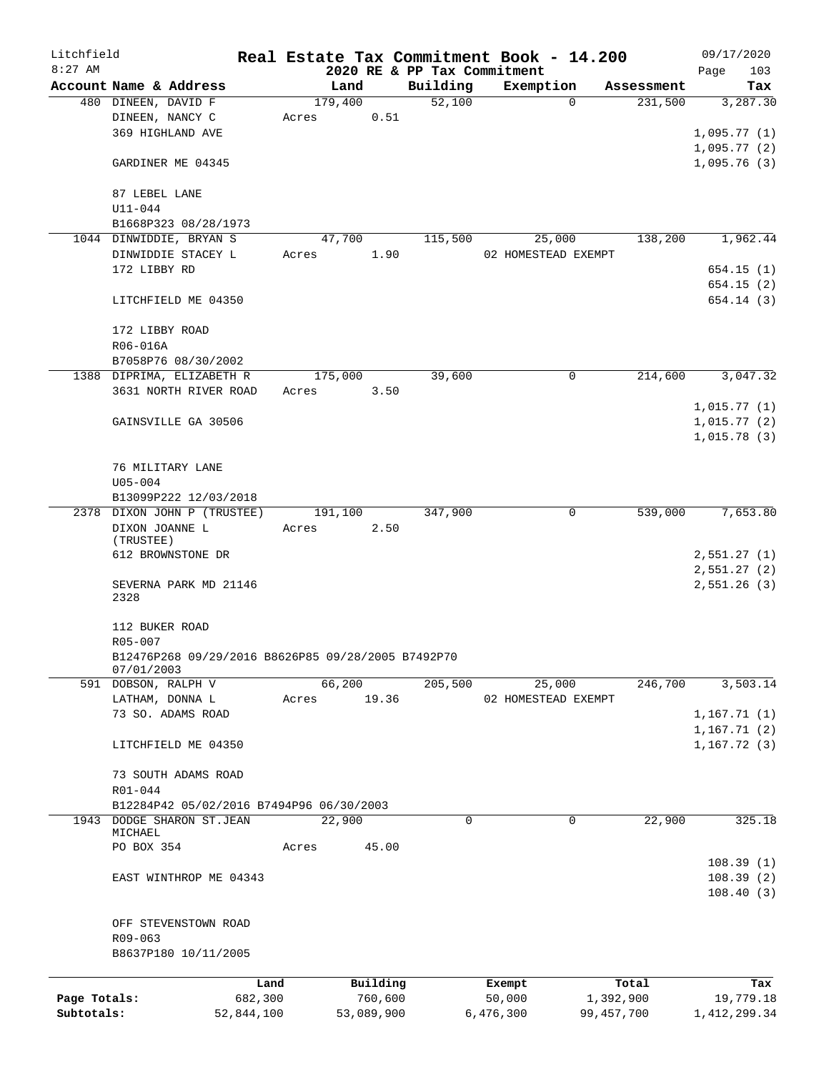| Litchfield   |                                                    |            |       |         |            |                     | Real Estate Tax Commitment Book - 14.200 |          |            | 09/17/2020                   |           |
|--------------|----------------------------------------------------|------------|-------|---------|------------|---------------------|------------------------------------------|----------|------------|------------------------------|-----------|
| $8:27$ AM    |                                                    |            |       |         |            |                     | 2020 RE & PP Tax Commitment              |          |            | Page                         | 103       |
|              | Account Name & Address                             |            |       | Land    |            | Building            | Exemption                                |          | Assessment |                              | Tax       |
|              | 480 DINEEN, DAVID F                                |            |       | 179,400 |            | $\overline{52,100}$ |                                          | $\Omega$ | 231,500    |                              | 3,287.30  |
|              | DINEEN, NANCY C                                    |            | Acres |         | 0.51       |                     |                                          |          |            |                              |           |
|              | 369 HIGHLAND AVE                                   |            |       |         |            |                     |                                          |          |            | 1,095.77(1)                  |           |
|              |                                                    |            |       |         |            |                     |                                          |          |            | 1,095.77(2)                  |           |
|              | GARDINER ME 04345                                  |            |       |         |            |                     |                                          |          |            | 1,095.76(3)                  |           |
|              |                                                    |            |       |         |            |                     |                                          |          |            |                              |           |
|              | 87 LEBEL LANE                                      |            |       |         |            |                     |                                          |          |            |                              |           |
|              | $U11 - 044$                                        |            |       |         |            |                     |                                          |          |            |                              |           |
|              | B1668P323 08/28/1973                               |            |       |         |            |                     |                                          |          |            |                              |           |
|              | 1044 DINWIDDIE, BRYAN S<br>DINWIDDIE STACEY L      |            |       | 47,700  |            | 115,500             | 25,000<br>02 HOMESTEAD EXEMPT            |          | 138,200    |                              | 1,962.44  |
|              | 172 LIBBY RD                                       |            | Acres |         | 1.90       |                     |                                          |          |            |                              | 654.15(1) |
|              |                                                    |            |       |         |            |                     |                                          |          |            |                              | 654.15(2) |
|              | LITCHFIELD ME 04350                                |            |       |         |            |                     |                                          |          |            |                              | 654.14(3) |
|              |                                                    |            |       |         |            |                     |                                          |          |            |                              |           |
|              | 172 LIBBY ROAD                                     |            |       |         |            |                     |                                          |          |            |                              |           |
|              | R06-016A                                           |            |       |         |            |                     |                                          |          |            |                              |           |
|              | B7058P76 08/30/2002                                |            |       |         |            |                     |                                          |          |            |                              |           |
|              | 1388 DIPRIMA, ELIZABETH R                          |            |       | 175,000 |            | 39,600              |                                          | 0        | 214,600    |                              | 3,047.32  |
|              | 3631 NORTH RIVER ROAD                              |            | Acres |         | 3.50       |                     |                                          |          |            |                              |           |
|              |                                                    |            |       |         |            |                     |                                          |          |            | 1,015.77(1)                  |           |
|              | GAINSVILLE GA 30506                                |            |       |         |            |                     |                                          |          |            | 1,015.77(2)                  |           |
|              |                                                    |            |       |         |            |                     |                                          |          |            | 1,015.78(3)                  |           |
|              |                                                    |            |       |         |            |                     |                                          |          |            |                              |           |
|              | 76 MILITARY LANE                                   |            |       |         |            |                     |                                          |          |            |                              |           |
|              | $U05 - 004$                                        |            |       |         |            |                     |                                          |          |            |                              |           |
|              | B13099P222 12/03/2018                              |            |       |         |            |                     |                                          |          |            |                              |           |
|              | 2378 DIXON JOHN P (TRUSTEE)                        |            |       | 191,100 |            | 347,900             |                                          | 0        | 539,000    |                              | 7,653.80  |
|              | DIXON JOANNE L                                     |            | Acres |         | 2.50       |                     |                                          |          |            |                              |           |
|              | (TRUSTEE)                                          |            |       |         |            |                     |                                          |          |            |                              |           |
|              | 612 BROWNSTONE DR                                  |            |       |         |            |                     |                                          |          |            | 2,551.27(1)                  |           |
|              |                                                    |            |       |         |            |                     |                                          |          |            | 2,551.27(2)                  |           |
|              | SEVERNA PARK MD 21146                              |            |       |         |            |                     |                                          |          |            | 2,551.26(3)                  |           |
|              | 2328                                               |            |       |         |            |                     |                                          |          |            |                              |           |
|              |                                                    |            |       |         |            |                     |                                          |          |            |                              |           |
|              | 112 BUKER ROAD                                     |            |       |         |            |                     |                                          |          |            |                              |           |
|              | R05-007                                            |            |       |         |            |                     |                                          |          |            |                              |           |
|              | B12476P268 09/29/2016 B8626P85 09/28/2005 B7492P70 |            |       |         |            |                     |                                          |          |            |                              |           |
|              | 07/01/2003<br>591 DOBSON, RALPH V                  |            |       | 66,200  |            | 205,500             | 25,000                                   |          | 246,700    |                              | 3,503.14  |
|              |                                                    |            |       |         | 19.36      |                     | 02 HOMESTEAD EXEMPT                      |          |            |                              |           |
|              | LATHAM, DONNA L                                    |            | Acres |         |            |                     |                                          |          |            |                              |           |
|              | 73 SO. ADAMS ROAD                                  |            |       |         |            |                     |                                          |          |            | 1,167.71(1)                  |           |
|              |                                                    |            |       |         |            |                     |                                          |          |            | 1, 167.71(2)<br>1, 167.72(3) |           |
|              | LITCHFIELD ME 04350                                |            |       |         |            |                     |                                          |          |            |                              |           |
|              | 73 SOUTH ADAMS ROAD                                |            |       |         |            |                     |                                          |          |            |                              |           |
|              | R01-044                                            |            |       |         |            |                     |                                          |          |            |                              |           |
|              | B12284P42 05/02/2016 B7494P96 06/30/2003           |            |       |         |            |                     |                                          |          |            |                              |           |
|              | 1943 DODGE SHARON ST.JEAN                          |            |       | 22,900  |            | 0                   |                                          | 0        | 22,900     |                              | 325.18    |
|              | MICHAEL                                            |            |       |         |            |                     |                                          |          |            |                              |           |
|              | PO BOX 354                                         |            | Acres |         | 45.00      |                     |                                          |          |            |                              |           |
|              |                                                    |            |       |         |            |                     |                                          |          |            |                              | 108.39(1) |
|              | EAST WINTHROP ME 04343                             |            |       |         |            |                     |                                          |          |            |                              | 108.39(2) |
|              |                                                    |            |       |         |            |                     |                                          |          |            |                              | 108.40(3) |
|              |                                                    |            |       |         |            |                     |                                          |          |            |                              |           |
|              | OFF STEVENSTOWN ROAD                               |            |       |         |            |                     |                                          |          |            |                              |           |
|              | R09-063                                            |            |       |         |            |                     |                                          |          |            |                              |           |
|              | B8637P180 10/11/2005                               |            |       |         |            |                     |                                          |          |            |                              |           |
|              |                                                    |            |       |         |            |                     |                                          |          |            |                              |           |
|              |                                                    | Land       |       |         | Building   |                     | Exempt                                   |          | Total      |                              | Tax       |
| Page Totals: |                                                    | 682,300    |       |         | 760,600    |                     | 50,000                                   |          | 1,392,900  |                              | 19,779.18 |
| Subtotals:   |                                                    | 52,844,100 |       |         | 53,089,900 |                     | 6,476,300                                |          | 99,457,700 | 1, 412, 299.34               |           |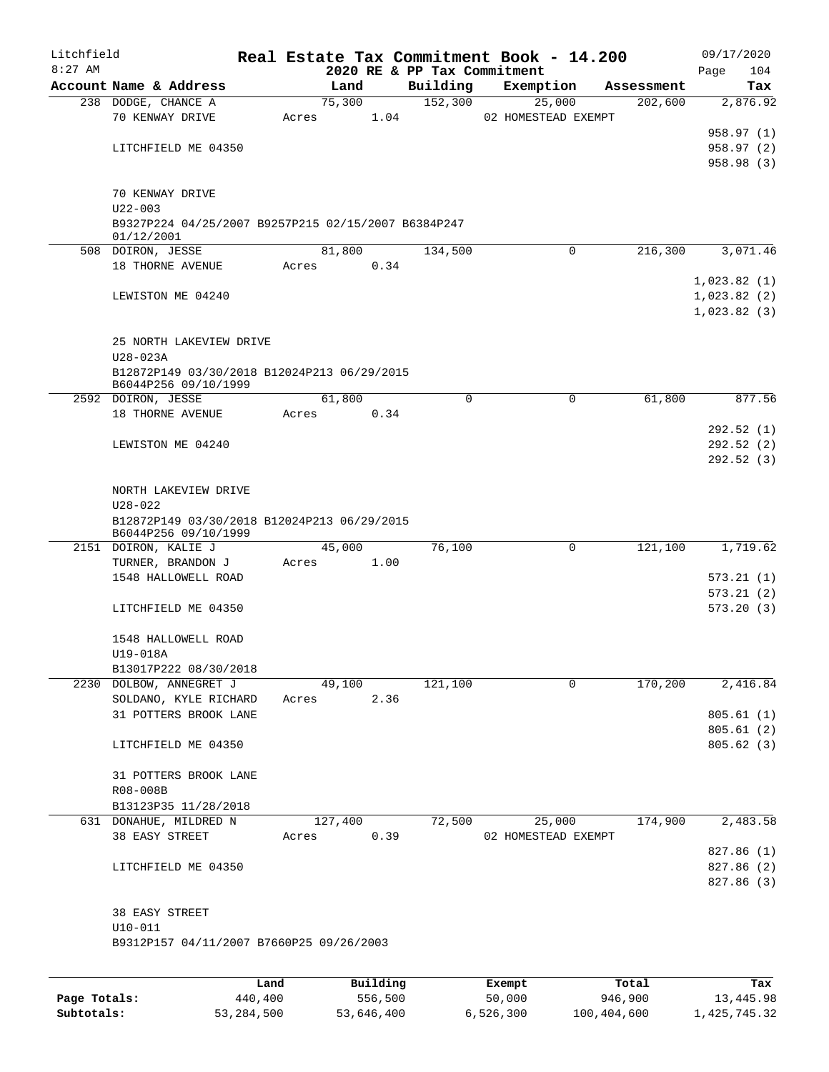| Litchfield |                                                                    |       |                |      |                             | Real Estate Tax Commitment Book - 14.200 |                       |             | 09/17/2020             |
|------------|--------------------------------------------------------------------|-------|----------------|------|-----------------------------|------------------------------------------|-----------------------|-------------|------------------------|
| $8:27$ AM  |                                                                    |       |                |      | 2020 RE & PP Tax Commitment |                                          |                       | Page        | 104                    |
|            | Account Name & Address<br>238 DODGE, CHANCE A                      |       | Land<br>75,300 |      | Building<br>152,300         | Exemption                                | Assessment<br>202,600 |             | Tax<br>2,876.92        |
|            | 70 KENWAY DRIVE                                                    | Acres |                | 1.04 |                             | 25,000<br>02 HOMESTEAD EXEMPT            |                       |             |                        |
|            |                                                                    |       |                |      |                             |                                          |                       |             | 958.97 (1)             |
|            | LITCHFIELD ME 04350                                                |       |                |      |                             |                                          |                       |             | 958.97 (2)             |
|            |                                                                    |       |                |      |                             |                                          |                       |             | 958.98 (3)             |
|            |                                                                    |       |                |      |                             |                                          |                       |             |                        |
|            | 70 KENWAY DRIVE                                                    |       |                |      |                             |                                          |                       |             |                        |
|            | $U22 - 003$<br>B9327P224 04/25/2007 B9257P215 02/15/2007 B6384P247 |       |                |      |                             |                                          |                       |             |                        |
|            | 01/12/2001                                                         |       |                |      |                             |                                          |                       |             |                        |
|            | 508 DOIRON, JESSE                                                  |       | 81,800         |      | 134,500                     | $\Omega$                                 | 216,300               |             | 3,071.46               |
|            | 18 THORNE AVENUE                                                   | Acres |                | 0.34 |                             |                                          |                       |             |                        |
|            |                                                                    |       |                |      |                             |                                          |                       | 1,023.82(1) |                        |
|            | LEWISTON ME 04240                                                  |       |                |      |                             |                                          |                       | 1,023.82(2) |                        |
|            |                                                                    |       |                |      |                             |                                          |                       | 1,023.82(3) |                        |
|            | 25 NORTH LAKEVIEW DRIVE                                            |       |                |      |                             |                                          |                       |             |                        |
|            | $U28 - 023A$                                                       |       |                |      |                             |                                          |                       |             |                        |
|            | B12872P149 03/30/2018 B12024P213 06/29/2015                        |       |                |      |                             |                                          |                       |             |                        |
|            | B6044P256 09/10/1999                                               |       |                |      |                             |                                          |                       |             |                        |
|            | 2592 DOIRON, JESSE                                                 |       | 61,800         |      | $\Omega$                    | $\mathbf 0$                              | 61,800                |             | 877.56                 |
|            | 18 THORNE AVENUE                                                   | Acres |                | 0.34 |                             |                                          |                       |             |                        |
|            | LEWISTON ME 04240                                                  |       |                |      |                             |                                          |                       |             | 292.52(1)<br>292.52(2) |
|            |                                                                    |       |                |      |                             |                                          |                       |             | 292.52(3)              |
|            |                                                                    |       |                |      |                             |                                          |                       |             |                        |
|            | NORTH LAKEVIEW DRIVE                                               |       |                |      |                             |                                          |                       |             |                        |
|            | $U28 - 022$                                                        |       |                |      |                             |                                          |                       |             |                        |
|            | B12872P149 03/30/2018 B12024P213 06/29/2015                        |       |                |      |                             |                                          |                       |             |                        |
|            | B6044P256 09/10/1999<br>2151 DOIRON, KALIE J                       |       | 45,000         |      | 76,100                      | $\mathbf 0$                              | 121,100               |             | 1,719.62               |
|            | TURNER, BRANDON J                                                  | Acres |                | 1.00 |                             |                                          |                       |             |                        |
|            | 1548 HALLOWELL ROAD                                                |       |                |      |                             |                                          |                       |             | 573.21(1)              |
|            |                                                                    |       |                |      |                             |                                          |                       |             | 573.21(2)              |
|            | LITCHFIELD ME 04350                                                |       |                |      |                             |                                          |                       |             | 573.20(3)              |
|            |                                                                    |       |                |      |                             |                                          |                       |             |                        |
|            | 1548 HALLOWELL ROAD                                                |       |                |      |                             |                                          |                       |             |                        |
|            | U19-018A<br>B13017P222 08/30/2018                                  |       |                |      |                             |                                          |                       |             |                        |
|            | 2230 DOLBOW, ANNEGRET J                                            |       | 49,100         |      | 121,100                     | 0                                        | 170,200               |             | 2,416.84               |
|            | SOLDANO, KYLE RICHARD                                              | Acres |                | 2.36 |                             |                                          |                       |             |                        |
|            | 31 POTTERS BROOK LANE                                              |       |                |      |                             |                                          |                       |             | 805.61(1)              |
|            |                                                                    |       |                |      |                             |                                          |                       |             | 805.61(2)              |
|            | LITCHFIELD ME 04350                                                |       |                |      |                             |                                          |                       |             | 805.62(3)              |
|            |                                                                    |       |                |      |                             |                                          |                       |             |                        |
|            | 31 POTTERS BROOK LANE                                              |       |                |      |                             |                                          |                       |             |                        |
|            | R08-008B<br>B13123P35 11/28/2018                                   |       |                |      |                             |                                          |                       |             |                        |
|            | 631 DONAHUE, MILDRED N                                             |       | 127,400        |      | 72,500                      | 25,000                                   | 174,900               |             | 2,483.58               |
|            | 38 EASY STREET                                                     | Acres |                | 0.39 |                             | 02 HOMESTEAD EXEMPT                      |                       |             |                        |
|            |                                                                    |       |                |      |                             |                                          |                       |             | 827.86 (1)             |
|            | LITCHFIELD ME 04350                                                |       |                |      |                             |                                          |                       |             | 827.86 (2)             |
|            |                                                                    |       |                |      |                             |                                          |                       |             | 827.86 (3)             |
|            |                                                                    |       |                |      |                             |                                          |                       |             |                        |
|            | 38 EASY STREET<br>$U10 - 011$                                      |       |                |      |                             |                                          |                       |             |                        |
|            | B9312P157 04/11/2007 B7660P25 09/26/2003                           |       |                |      |                             |                                          |                       |             |                        |
|            |                                                                    |       |                |      |                             |                                          |                       |             |                        |
|            |                                                                    |       |                |      |                             |                                          |                       |             |                        |

|              | Land       | Building   | Exempt    | Total       | Tax          |
|--------------|------------|------------|-----------|-------------|--------------|
| Page Totals: | 440,400    | 556,500    | 50,000    | 946,900     | 13,445.98    |
| Subtotals:   | 53,284,500 | 53,646,400 | 6.526.300 | 100,404,600 | 1,425,745.32 |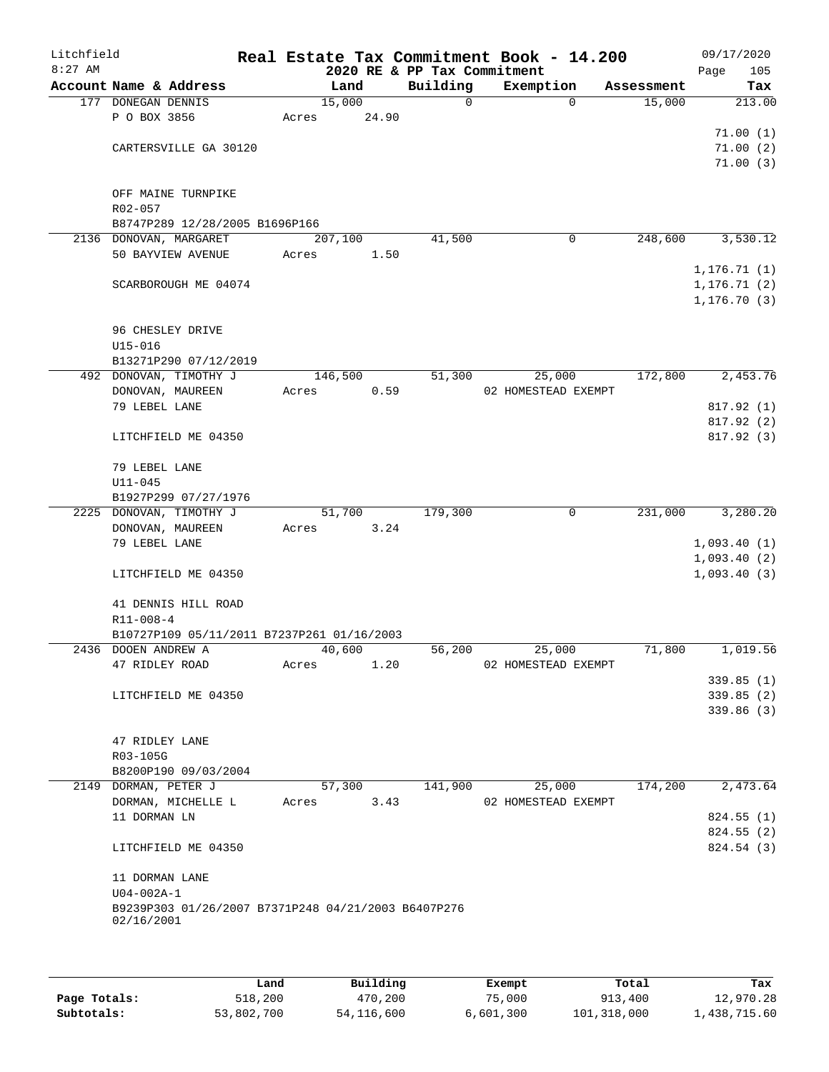| Litchfield<br>$8:27$ AM |                        |                                                     |         |        | 2020 RE & PP Tax Commitment | Real Estate Tax Commitment Book - 14.200 |            | 09/17/2020<br>Page<br>105 |
|-------------------------|------------------------|-----------------------------------------------------|---------|--------|-----------------------------|------------------------------------------|------------|---------------------------|
|                         | Account Name & Address |                                                     |         | Land   | Building                    | Exemption                                | Assessment | Tax                       |
|                         | 177 DONEGAN DENNIS     |                                                     |         | 15,000 | 0                           | $\mathbf 0$                              | 15,000     | 213.00                    |
|                         | P O BOX 3856           |                                                     | Acres   | 24.90  |                             |                                          |            |                           |
|                         |                        |                                                     |         |        |                             |                                          |            | 71.00(1)                  |
|                         |                        | CARTERSVILLE GA 30120                               |         |        |                             |                                          |            | 71.00(2)                  |
|                         |                        |                                                     |         |        |                             |                                          |            | 71.00(3)                  |
|                         |                        |                                                     |         |        |                             |                                          |            |                           |
|                         |                        | OFF MAINE TURNPIKE                                  |         |        |                             |                                          |            |                           |
|                         | $R02 - 057$            |                                                     |         |        |                             |                                          |            |                           |
|                         |                        | B8747P289 12/28/2005 B1696P166                      |         |        |                             |                                          |            |                           |
|                         | 2136 DONOVAN, MARGARET |                                                     | 207,100 |        | 41,500                      | 0                                        | 248,600    | 3,530.12                  |
|                         |                        | 50 BAYVIEW AVENUE                                   | Acres   | 1.50   |                             |                                          |            |                           |
|                         |                        |                                                     |         |        |                             |                                          |            | 1, 176.71(1)              |
|                         |                        | SCARBOROUGH ME 04074                                |         |        |                             |                                          |            | 1, 176.71(2)              |
|                         |                        |                                                     |         |        |                             |                                          |            | 1, 176.70(3)              |
|                         |                        |                                                     |         |        |                             |                                          |            |                           |
|                         | 96 CHESLEY DRIVE       |                                                     |         |        |                             |                                          |            |                           |
|                         | $U15 - 016$            |                                                     |         |        |                             |                                          |            |                           |
|                         |                        | B13271P290 07/12/2019                               |         |        |                             |                                          |            |                           |
|                         |                        | 492 DONOVAN, TIMOTHY J                              | 146,500 |        | 51,300                      | 25,000                                   | 172,800    | 2,453.76                  |
|                         | DONOVAN, MAUREEN       |                                                     | Acres   | 0.59   |                             | 02 HOMESTEAD EXEMPT                      |            |                           |
|                         | 79 LEBEL LANE          |                                                     |         |        |                             |                                          |            | 817.92 (1)                |
|                         |                        |                                                     |         |        |                             |                                          |            | 817.92 (2)                |
|                         |                        | LITCHFIELD ME 04350                                 |         |        |                             |                                          |            | 817.92 (3)                |
|                         |                        |                                                     |         |        |                             |                                          |            |                           |
|                         | 79 LEBEL LANE          |                                                     |         |        |                             |                                          |            |                           |
|                         | $U11 - 045$            |                                                     |         |        |                             |                                          |            |                           |
|                         |                        | B1927P299 07/27/1976                                |         |        |                             |                                          |            |                           |
|                         |                        | 2225 DONOVAN, TIMOTHY J                             |         | 51,700 | 179,300                     | 0                                        | 231,000    | 3,280.20                  |
|                         | DONOVAN, MAUREEN       |                                                     | Acres   | 3.24   |                             |                                          |            |                           |
|                         | 79 LEBEL LANE          |                                                     |         |        |                             |                                          |            | 1,093.40(1)               |
|                         |                        |                                                     |         |        |                             |                                          |            | 1,093.40(2)               |
|                         |                        | LITCHFIELD ME 04350                                 |         |        |                             |                                          |            | 1,093.40(3)               |
|                         |                        |                                                     |         |        |                             |                                          |            |                           |
|                         |                        | 41 DENNIS HILL ROAD                                 |         |        |                             |                                          |            |                           |
|                         | $R11 - 008 - 4$        |                                                     |         |        |                             |                                          |            |                           |
|                         |                        | B10727P109 05/11/2011 B7237P261 01/16/2003          |         |        |                             |                                          |            |                           |
|                         | 2436 DOOEN ANDREW A    |                                                     |         | 40,600 | 56,200                      | 25,000                                   | 71,800     | 1,019.56                  |
|                         | 47 RIDLEY ROAD         |                                                     | Acres   | 1.20   |                             | 02 HOMESTEAD EXEMPT                      |            |                           |
|                         |                        |                                                     |         |        |                             |                                          |            | 339.85(1)                 |
|                         |                        | LITCHFIELD ME 04350                                 |         |        |                             |                                          |            | 339.85(2)                 |
|                         |                        |                                                     |         |        |                             |                                          |            | 339.86(3)                 |
|                         |                        |                                                     |         |        |                             |                                          |            |                           |
|                         | 47 RIDLEY LANE         |                                                     |         |        |                             |                                          |            |                           |
|                         | R03-105G               |                                                     |         |        |                             |                                          |            |                           |
|                         |                        | B8200P190 09/03/2004                                |         |        |                             |                                          |            |                           |
|                         | 2149 DORMAN, PETER J   |                                                     |         | 57,300 | 141,900                     | 25,000                                   | 174,200    | 2,473.64                  |
|                         |                        | DORMAN, MICHELLE L                                  | Acres   | 3.43   |                             | 02 HOMESTEAD EXEMPT                      |            |                           |
|                         | 11 DORMAN LN           |                                                     |         |        |                             |                                          |            | 824.55(1)                 |
|                         |                        |                                                     |         |        |                             |                                          |            | 824.55 (2)                |
|                         |                        | LITCHFIELD ME 04350                                 |         |        |                             |                                          |            | 824.54 (3)                |
|                         |                        |                                                     |         |        |                             |                                          |            |                           |
|                         | 11 DORMAN LANE         |                                                     |         |        |                             |                                          |            |                           |
|                         | $U04 - 002A - 1$       |                                                     |         |        |                             |                                          |            |                           |
|                         |                        | B9239P303 01/26/2007 B7371P248 04/21/2003 B6407P276 |         |        |                             |                                          |            |                           |
|                         | 02/16/2001             |                                                     |         |        |                             |                                          |            |                           |
|                         |                        |                                                     |         |        |                             |                                          |            |                           |
|                         |                        |                                                     |         |        |                             |                                          |            |                           |

|              | Land       | Building   | Exempt    | Total       | Tax          |
|--------------|------------|------------|-----------|-------------|--------------|
| Page Totals: | 518,200    | 470,200    | 75,000    | 913,400     | 12,970.28    |
| Subtotals:   | 53,802,700 | 54,116,600 | 6,601,300 | 101,318,000 | 1,438,715.60 |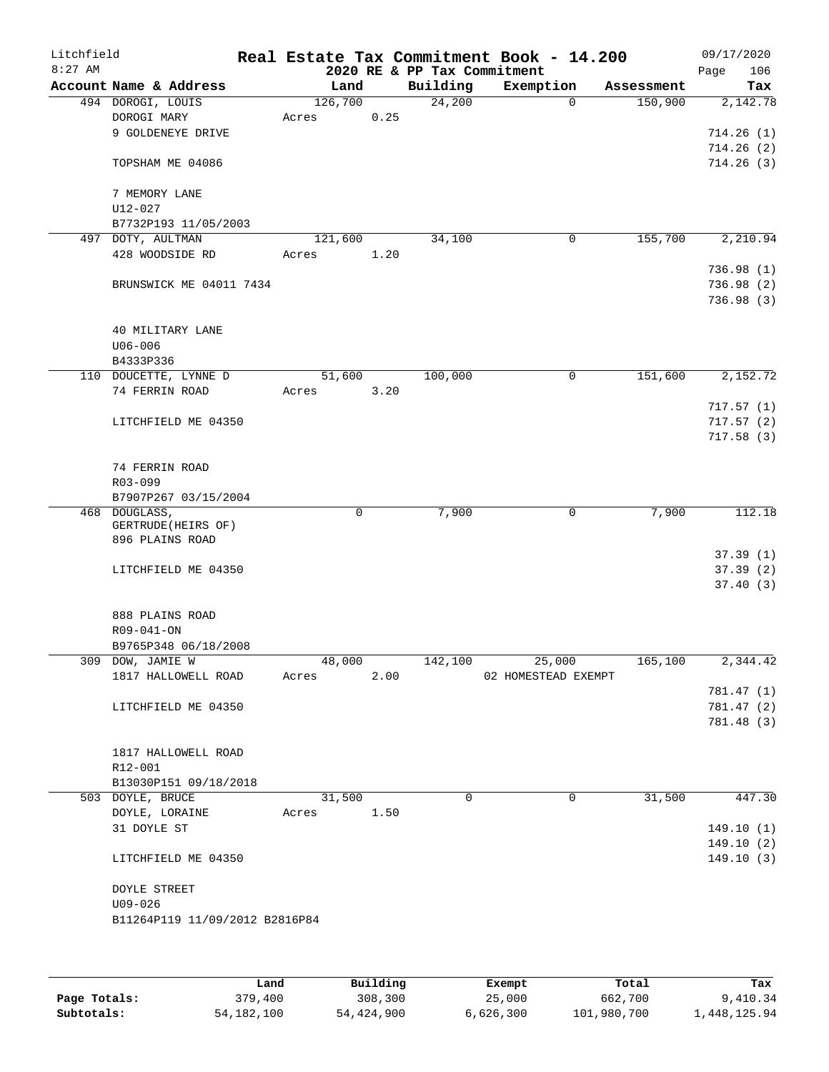| Litchfield<br>$8:27$ AM |                                |             |      | 2020 RE & PP Tax Commitment | Real Estate Tax Commitment Book - 14.200 |            | 09/17/2020<br>106<br>Page |
|-------------------------|--------------------------------|-------------|------|-----------------------------|------------------------------------------|------------|---------------------------|
|                         | Account Name & Address         | Land        |      | Building                    | Exemption                                | Assessment | Tax                       |
|                         | 494 DOROGI, LOUIS              | 126,700     |      | 24,200                      | $\Omega$                                 | 150,900    | 2,142.78                  |
|                         | DOROGI MARY                    | Acres       | 0.25 |                             |                                          |            |                           |
|                         | 9 GOLDENEYE DRIVE              |             |      |                             |                                          |            | 714.26(1)                 |
|                         |                                |             |      |                             |                                          |            | 714.26(2)                 |
|                         | TOPSHAM ME 04086               |             |      |                             |                                          |            | 714.26(3)                 |
|                         | 7 MEMORY LANE                  |             |      |                             |                                          |            |                           |
|                         | $U12 - 027$                    |             |      |                             |                                          |            |                           |
|                         | B7732P193 11/05/2003           |             |      |                             |                                          |            |                           |
|                         | 497 DOTY, AULTMAN              | 121,600     |      | 34,100                      | 0                                        | 155,700    | 2,210.94                  |
|                         | 428 WOODSIDE RD                | Acres       | 1.20 |                             |                                          |            |                           |
|                         |                                |             |      |                             |                                          |            | 736.98(1)                 |
|                         | BRUNSWICK ME 04011 7434        |             |      |                             |                                          |            | 736.98(2)                 |
|                         |                                |             |      |                             |                                          |            | 736.98(3)                 |
|                         | 40 MILITARY LANE               |             |      |                             |                                          |            |                           |
|                         | $U06 - 006$                    |             |      |                             |                                          |            |                           |
|                         | B4333P336                      |             |      |                             |                                          |            |                           |
|                         | 110 DOUCETTE, LYNNE D          | 51,600      |      | 100,000                     | 0                                        | 151,600    | 2,152.72                  |
|                         | 74 FERRIN ROAD                 | Acres       | 3.20 |                             |                                          |            |                           |
|                         |                                |             |      |                             |                                          |            | 717.57(1)                 |
|                         | LITCHFIELD ME 04350            |             |      |                             |                                          |            | 717.57(2)                 |
|                         |                                |             |      |                             |                                          |            | 717.58(3)                 |
|                         |                                |             |      |                             |                                          |            |                           |
|                         | 74 FERRIN ROAD                 |             |      |                             |                                          |            |                           |
|                         | R03-099                        |             |      |                             |                                          |            |                           |
|                         | B7907P267 03/15/2004           |             |      |                             |                                          |            |                           |
|                         | 468 DOUGLASS,                  | $\mathbf 0$ |      | 7,900                       | 0                                        | 7,900      | 112.18                    |
|                         | GERTRUDE (HEIRS OF)            |             |      |                             |                                          |            |                           |
|                         | 896 PLAINS ROAD                |             |      |                             |                                          |            |                           |
|                         |                                |             |      |                             |                                          |            | 37.39(1)                  |
|                         | LITCHFIELD ME 04350            |             |      |                             |                                          |            | 37.39(2)                  |
|                         |                                |             |      |                             |                                          |            | 37.40(3)                  |
|                         | 888 PLAINS ROAD                |             |      |                             |                                          |            |                           |
|                         | R09-041-ON                     |             |      |                             |                                          |            |                           |
|                         | B9765P348 06/18/2008           |             |      |                             |                                          |            |                           |
|                         | 309 DOW, JAMIE W               | 48,000      |      | 142,100                     | 25,000                                   | 165,100    | 2,344.42                  |
|                         | 1817 HALLOWELL ROAD            | Acres       | 2.00 |                             | 02 HOMESTEAD EXEMPT                      |            |                           |
|                         |                                |             |      |                             |                                          |            | 781.47 (1)                |
|                         | LITCHFIELD ME 04350            |             |      |                             |                                          |            | 781.47 (2)                |
|                         |                                |             |      |                             |                                          |            | 781.48 (3)                |
|                         |                                |             |      |                             |                                          |            |                           |
|                         | 1817 HALLOWELL ROAD            |             |      |                             |                                          |            |                           |
|                         | R12-001                        |             |      |                             |                                          |            |                           |
|                         |                                |             |      |                             |                                          |            |                           |
|                         | B13030P151 09/18/2018          |             |      |                             |                                          |            |                           |
|                         | 503 DOYLE, BRUCE               | 31,500      |      | $\Omega$                    | 0                                        | 31,500     | 447.30                    |
|                         | DOYLE, LORAINE                 | Acres       | 1.50 |                             |                                          |            |                           |
|                         | 31 DOYLE ST                    |             |      |                             |                                          |            | 149.10 (1)                |
|                         |                                |             |      |                             |                                          |            | 149.10(2)                 |
|                         | LITCHFIELD ME 04350            |             |      |                             |                                          |            | 149.10(3)                 |
|                         | <b>DOYLE STREET</b>            |             |      |                             |                                          |            |                           |
|                         | $U09 - 026$                    |             |      |                             |                                          |            |                           |
|                         | B11264P119 11/09/2012 B2816P84 |             |      |                             |                                          |            |                           |
|                         |                                |             |      |                             |                                          |            |                           |
|                         |                                |             |      |                             |                                          |            |                           |
|                         |                                |             |      |                             |                                          |            |                           |
|                         |                                |             |      |                             |                                          |            |                           |

|              | Land         | Building   | Exempt    | Total       | Tax          |
|--------------|--------------|------------|-----------|-------------|--------------|
| Page Totals: | 379,400      | 308,300    | 25,000    | 662,700     | 9,410.34     |
| Subtotals:   | 54, 182, 100 | 54,424,900 | 6,626,300 | 101,980,700 | 1,448,125.94 |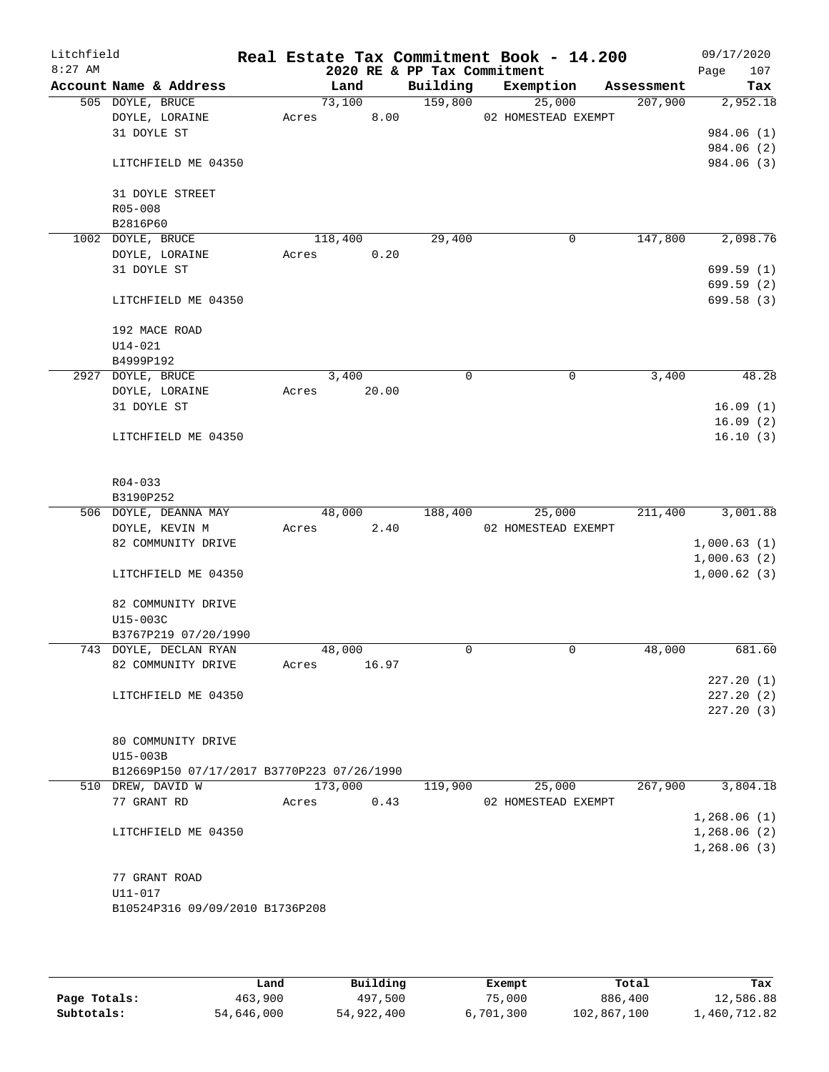| Litchfield<br>$8:27$ AM |                                            |       |         |       | 2020 RE & PP Tax Commitment | Real Estate Tax Commitment Book - 14.200 |            | 09/17/2020<br>107<br>Page |
|-------------------------|--------------------------------------------|-------|---------|-------|-----------------------------|------------------------------------------|------------|---------------------------|
|                         | Account Name & Address                     |       | Land    |       | Building                    | Exemption                                | Assessment | Tax                       |
|                         | 505 DOYLE, BRUCE                           |       | 73,100  |       | 159,800                     | 25,000                                   | 207,900    | 2,952.18                  |
|                         | DOYLE, LORAINE                             | Acres |         | 8.00  |                             | 02 HOMESTEAD EXEMPT                      |            |                           |
|                         | 31 DOYLE ST                                |       |         |       |                             |                                          |            | 984.06 (1)                |
|                         |                                            |       |         |       |                             |                                          |            | 984.06 (2)                |
|                         | LITCHFIELD ME 04350                        |       |         |       |                             |                                          |            | 984.06 (3)                |
|                         | 31 DOYLE STREET                            |       |         |       |                             |                                          |            |                           |
|                         | R05-008                                    |       |         |       |                             |                                          |            |                           |
|                         | B2816P60                                   |       |         |       |                             |                                          |            |                           |
|                         | 1002 DOYLE, BRUCE                          |       | 118,400 |       | 29,400                      | 0                                        | 147,800    | 2,098.76                  |
|                         | DOYLE, LORAINE                             | Acres |         | 0.20  |                             |                                          |            |                           |
|                         | 31 DOYLE ST                                |       |         |       |                             |                                          |            | 699.59(1)                 |
|                         |                                            |       |         |       |                             |                                          |            | 699.59 (2)                |
|                         | LITCHFIELD ME 04350                        |       |         |       |                             |                                          |            | 699.58 (3)                |
|                         | 192 MACE ROAD                              |       |         |       |                             |                                          |            |                           |
|                         | $U14 - 021$                                |       |         |       |                             |                                          |            |                           |
|                         | B4999P192                                  |       |         |       |                             |                                          |            |                           |
|                         | 2927 DOYLE, BRUCE                          |       | 3,400   |       | 0                           | 0                                        | 3,400      | 48.28                     |
|                         | DOYLE, LORAINE                             | Acres |         | 20.00 |                             |                                          |            |                           |
|                         | 31 DOYLE ST                                |       |         |       |                             |                                          |            | 16.09(1)                  |
|                         |                                            |       |         |       |                             |                                          |            | 16.09(2)                  |
|                         | LITCHFIELD ME 04350                        |       |         |       |                             |                                          |            | 16.10(3)                  |
|                         |                                            |       |         |       |                             |                                          |            |                           |
|                         | $R04 - 033$                                |       |         |       |                             |                                          |            |                           |
|                         | B3190P252                                  |       |         |       |                             |                                          |            |                           |
|                         | 506 DOYLE, DEANNA MAY                      |       | 48,000  |       | 188,400                     | 25,000                                   | 211,400    | 3,001.88                  |
|                         | DOYLE, KEVIN M                             | Acres |         | 2.40  |                             | 02 HOMESTEAD EXEMPT                      |            |                           |
|                         | 82 COMMUNITY DRIVE                         |       |         |       |                             |                                          |            | 1,000.63(1)               |
|                         |                                            |       |         |       |                             |                                          |            | 1,000.63(2)               |
|                         | LITCHFIELD ME 04350                        |       |         |       |                             |                                          |            | 1,000.62(3)               |
|                         | 82 COMMUNITY DRIVE                         |       |         |       |                             |                                          |            |                           |
|                         | U15-003C                                   |       |         |       |                             |                                          |            |                           |
|                         | B3767P219 07/20/1990                       |       |         |       |                             |                                          |            |                           |
|                         | 743 DOYLE, DECLAN RYAN                     |       | 48,000  |       | 0                           | $\mathbf 0$                              | 48,000     | 681.60                    |
|                         | 82 COMMUNITY DRIVE                         | Acres |         | 16.97 |                             |                                          |            |                           |
|                         |                                            |       |         |       |                             |                                          |            | 227.20(1)                 |
|                         | LITCHFIELD ME 04350                        |       |         |       |                             |                                          |            | 227.20(2)                 |
|                         |                                            |       |         |       |                             |                                          |            | 227.20(3)                 |
|                         |                                            |       |         |       |                             |                                          |            |                           |
|                         |                                            |       |         |       |                             |                                          |            |                           |
|                         | 80 COMMUNITY DRIVE                         |       |         |       |                             |                                          |            |                           |
|                         | U15-003B                                   |       |         |       |                             |                                          |            |                           |
|                         | B12669P150 07/17/2017 B3770P223 07/26/1990 |       |         |       |                             |                                          |            |                           |
|                         | 510 DREW, DAVID W                          |       | 173,000 |       | 119,900                     | 25,000                                   | 267,900    | 3,804.18                  |
|                         | 77 GRANT RD                                | Acres |         | 0.43  |                             | 02 HOMESTEAD EXEMPT                      |            |                           |
|                         |                                            |       |         |       |                             |                                          |            | 1,268.06(1)               |
|                         | LITCHFIELD ME 04350                        |       |         |       |                             |                                          |            | 1,268.06(2)               |
|                         |                                            |       |         |       |                             |                                          |            | 1,268.06(3)               |
|                         |                                            |       |         |       |                             |                                          |            |                           |
|                         | 77 GRANT ROAD                              |       |         |       |                             |                                          |            |                           |
|                         | U11-017                                    |       |         |       |                             |                                          |            |                           |
|                         | B10524P316 09/09/2010 B1736P208            |       |         |       |                             |                                          |            |                           |
|                         |                                            |       |         |       |                             |                                          |            |                           |

|              | Land       | Building   | Exempt    | Total       | Tax          |
|--------------|------------|------------|-----------|-------------|--------------|
| Page Totals: | 463,900    | 497,500    | 75,000    | 886,400     | 12,586.88    |
| Subtotals:   | 54,646,000 | 54,922,400 | 6,701,300 | 102,867,100 | .,460,712.82 |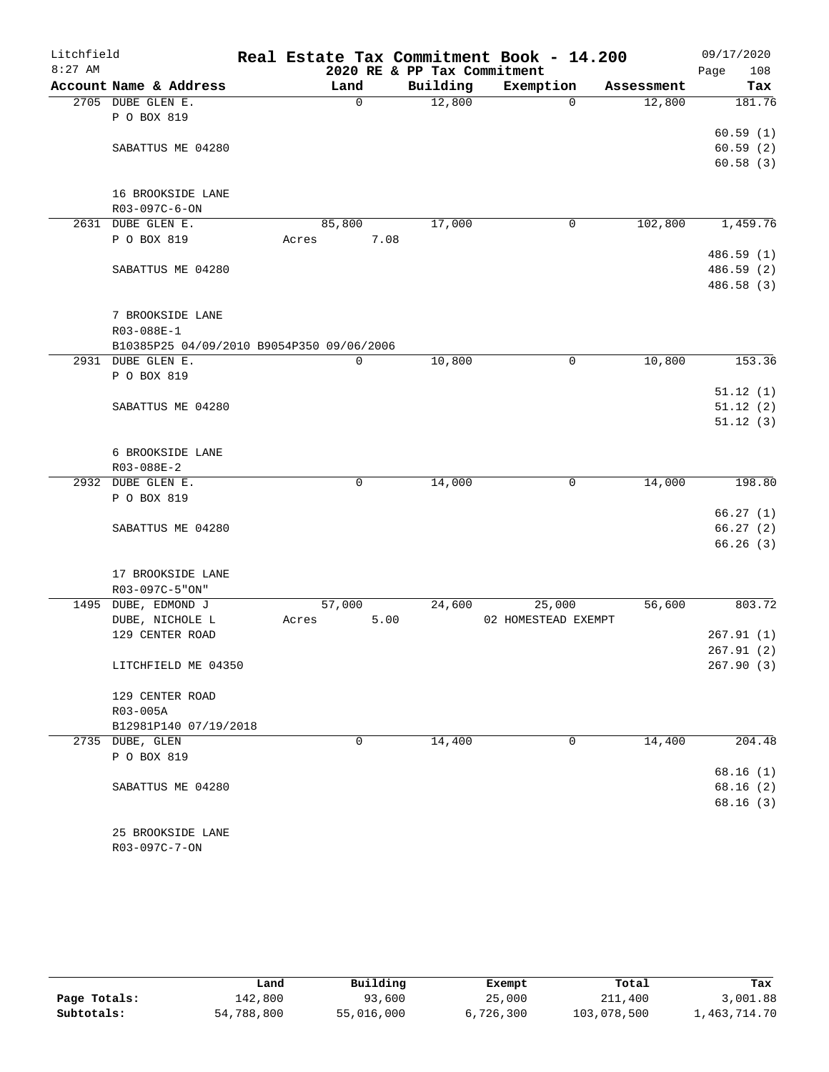| Litchfield |                                           |       |             |                             | Real Estate Tax Commitment Book - 14.200 |            | 09/17/2020  |
|------------|-------------------------------------------|-------|-------------|-----------------------------|------------------------------------------|------------|-------------|
| $8:27$ AM  |                                           |       |             | 2020 RE & PP Tax Commitment |                                          |            | Page<br>108 |
|            | Account Name & Address                    |       | Land        | Building                    | Exemption                                | Assessment | Tax         |
|            | 2705 DUBE GLEN E.                         |       | $\mathbf 0$ | 12,800                      | 0                                        | 12,800     | 181.76      |
|            | P O BOX 819                               |       |             |                             |                                          |            |             |
|            |                                           |       |             |                             |                                          |            | 60.59(1)    |
|            | SABATTUS ME 04280                         |       |             |                             |                                          |            | 60.59(2)    |
|            |                                           |       |             |                             |                                          |            | 60.58(3)    |
|            |                                           |       |             |                             |                                          |            |             |
|            | 16 BROOKSIDE LANE                         |       |             |                             |                                          |            |             |
|            | R03-097C-6-ON                             |       |             |                             |                                          |            |             |
|            | 2631 DUBE GLEN E.                         |       | 85,800      | 17,000                      | 0                                        | 102,800    | 1,459.76    |
|            | P O BOX 819                               | Acres | 7.08        |                             |                                          |            |             |
|            |                                           |       |             |                             |                                          |            | 486.59 (1)  |
|            | SABATTUS ME 04280                         |       |             |                             |                                          |            | 486.59 (2)  |
|            |                                           |       |             |                             |                                          |            | 486.58 (3)  |
|            |                                           |       |             |                             |                                          |            |             |
|            | 7 BROOKSIDE LANE                          |       |             |                             |                                          |            |             |
|            | R03-088E-1                                |       |             |                             |                                          |            |             |
|            | B10385P25 04/09/2010 B9054P350 09/06/2006 |       |             |                             |                                          |            |             |
|            | 2931 DUBE GLEN E.                         |       | 0           | 10,800                      | 0                                        | 10,800     | 153.36      |
|            | P O BOX 819                               |       |             |                             |                                          |            |             |
|            |                                           |       |             |                             |                                          |            | 51.12(1)    |
|            | SABATTUS ME 04280                         |       |             |                             |                                          |            | 51.12(2)    |
|            |                                           |       |             |                             |                                          |            | 51.12(3)    |
|            |                                           |       |             |                             |                                          |            |             |
|            | 6 BROOKSIDE LANE<br>R03-088E-2            |       |             |                             |                                          |            |             |
|            | 2932 DUBE GLEN E.                         |       | 0           | 14,000                      | 0                                        | 14,000     | 198.80      |
|            | P O BOX 819                               |       |             |                             |                                          |            |             |
|            |                                           |       |             |                             |                                          |            | 66.27(1)    |
|            | SABATTUS ME 04280                         |       |             |                             |                                          |            | 66.27(2)    |
|            |                                           |       |             |                             |                                          |            | 66.26(3)    |
|            |                                           |       |             |                             |                                          |            |             |
|            | 17 BROOKSIDE LANE                         |       |             |                             |                                          |            |             |
|            | R03-097C-5"ON"                            |       |             |                             |                                          |            |             |
|            | 1495 DUBE, EDMOND J                       |       | 57,000      | 24,600                      | 25,000                                   | 56,600     | 803.72      |
|            | DUBE, NICHOLE L                           | Acres | 5.00        |                             | 02 HOMESTEAD EXEMPT                      |            |             |
|            | 129 CENTER ROAD                           |       |             |                             |                                          |            | 267.91(1)   |
|            |                                           |       |             |                             |                                          |            | 267.91(2)   |
|            | LITCHFIELD ME 04350                       |       |             |                             |                                          |            | 267.90(3)   |
|            |                                           |       |             |                             |                                          |            |             |
|            | 129 CENTER ROAD                           |       |             |                             |                                          |            |             |
|            | R03-005A                                  |       |             |                             |                                          |            |             |
|            | B12981P140 07/19/2018                     |       |             |                             |                                          |            |             |
|            | 2735 DUBE, GLEN                           |       | 0           | 14,400                      | 0                                        | 14,400     | 204.48      |
|            | P O BOX 819                               |       |             |                             |                                          |            |             |
|            |                                           |       |             |                             |                                          |            | 68.16(1)    |
|            | SABATTUS ME 04280                         |       |             |                             |                                          |            | 68.16(2)    |
|            |                                           |       |             |                             |                                          |            | 68.16(3)    |
|            |                                           |       |             |                             |                                          |            |             |
|            | 25 BROOKSIDE LANE                         |       |             |                             |                                          |            |             |
|            | R03-097C-7-ON                             |       |             |                             |                                          |            |             |

|              | Land       | Building   | Exempt    | Total       | Tax          |
|--------------|------------|------------|-----------|-------------|--------------|
| Page Totals: | 142,800    | 93,600     | 25,000    | 211,400     | 3,001.88     |
| Subtotals:   | 54,788,800 | 55,016,000 | 6,726,300 | 103,078,500 | 1,463,714.70 |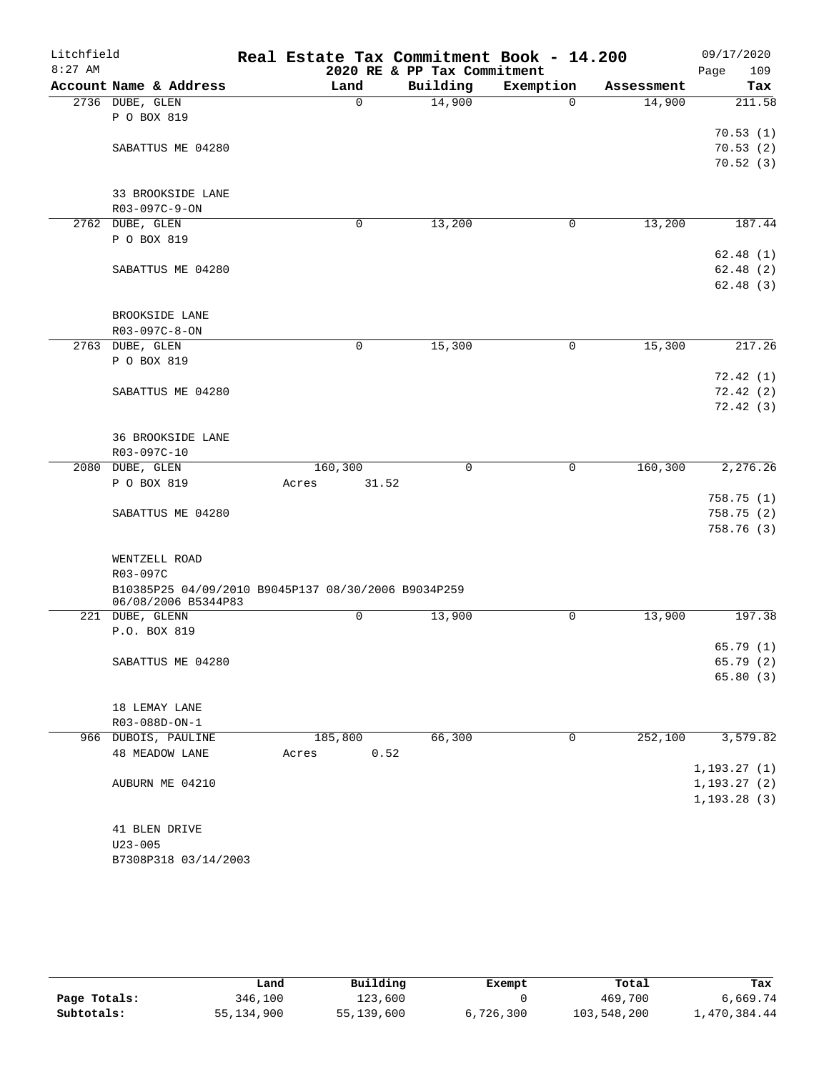| Litchfield |                                                     |       |              | Real Estate Tax Commitment Book - 14.200 |           |            | 09/17/2020   |
|------------|-----------------------------------------------------|-------|--------------|------------------------------------------|-----------|------------|--------------|
| $8:27$ AM  |                                                     |       |              | 2020 RE & PP Tax Commitment              |           |            | Page<br>109  |
|            | Account Name & Address                              |       | Land         | Building                                 | Exemption | Assessment | Tax          |
|            | 2736 DUBE, GLEN                                     |       | $\mathsf{O}$ | 14,900                                   | 0         | 14,900     | 211.58       |
|            | P O BOX 819                                         |       |              |                                          |           |            |              |
|            |                                                     |       |              |                                          |           |            | 70.53(1)     |
|            | SABATTUS ME 04280                                   |       |              |                                          |           |            | 70.53(2)     |
|            |                                                     |       |              |                                          |           |            | 70.52(3)     |
|            | 33 BROOKSIDE LANE                                   |       |              |                                          |           |            |              |
|            | R03-097C-9-ON                                       |       |              |                                          |           |            |              |
|            | 2762 DUBE, GLEN                                     |       | 0            | 13,200                                   | 0         | 13,200     | 187.44       |
|            | P O BOX 819                                         |       |              |                                          |           |            |              |
|            |                                                     |       |              |                                          |           |            | 62.48(1)     |
|            | SABATTUS ME 04280                                   |       |              |                                          |           |            | 62.48(2)     |
|            |                                                     |       |              |                                          |           |            | 62.48(3)     |
|            |                                                     |       |              |                                          |           |            |              |
|            | BROOKSIDE LANE                                      |       |              |                                          |           |            |              |
|            | R03-097C-8-ON                                       |       |              |                                          |           |            |              |
|            | 2763 DUBE, GLEN                                     |       | $\mathbf 0$  | 15,300                                   | 0         | 15,300     | 217.26       |
|            | P O BOX 819                                         |       |              |                                          |           |            |              |
|            |                                                     |       |              |                                          |           |            | 72.42(1)     |
|            | SABATTUS ME 04280                                   |       |              |                                          |           |            |              |
|            |                                                     |       |              |                                          |           |            | 72.42(2)     |
|            |                                                     |       |              |                                          |           |            | 72.42(3)     |
|            | <b>36 BROOKSIDE LANE</b>                            |       |              |                                          |           |            |              |
|            | R03-097C-10                                         |       |              |                                          |           |            |              |
| 2080       | DUBE, GLEN                                          |       | 160,300      | $\mathbf 0$                              | 0         | 160, 300   | 2,276.26     |
|            | P O BOX 819                                         | Acres | 31.52        |                                          |           |            |              |
|            |                                                     |       |              |                                          |           |            | 758.75(1)    |
|            | SABATTUS ME 04280                                   |       |              |                                          |           |            | 758.75 (2)   |
|            |                                                     |       |              |                                          |           |            | 758.76 (3)   |
|            |                                                     |       |              |                                          |           |            |              |
|            | WENTZELL ROAD                                       |       |              |                                          |           |            |              |
|            | R03-097C                                            |       |              |                                          |           |            |              |
|            | B10385P25 04/09/2010 B9045P137 08/30/2006 B9034P259 |       |              |                                          |           |            |              |
|            | 06/08/2006 B5344P83                                 |       |              |                                          |           |            |              |
|            | 221 DUBE, GLENN                                     |       | 0            | 13,900                                   | 0         | 13,900     | 197.38       |
|            | P.O. BOX 819                                        |       |              |                                          |           |            |              |
|            |                                                     |       |              |                                          |           |            | 65.79(1)     |
|            | SABATTUS ME 04280                                   |       |              |                                          |           |            | 65.79 (2)    |
|            |                                                     |       |              |                                          |           |            | 65.80(3)     |
|            |                                                     |       |              |                                          |           |            |              |
|            | 18 LEMAY LANE                                       |       |              |                                          |           |            |              |
|            | R03-088D-ON-1                                       |       |              |                                          |           |            |              |
|            | 966 DUBOIS, PAULINE                                 |       | 185,800      | 66,300                                   | $\Omega$  | 252,100    | 3,579.82     |
|            | <b>48 MEADOW LANE</b>                               | Acres | 0.52         |                                          |           |            |              |
|            |                                                     |       |              |                                          |           |            | 1, 193.27(1) |
|            | AUBURN ME 04210                                     |       |              |                                          |           |            | 1, 193.27(2) |
|            |                                                     |       |              |                                          |           |            | 1, 193.28(3) |
|            |                                                     |       |              |                                          |           |            |              |
|            | 41 BLEN DRIVE                                       |       |              |                                          |           |            |              |
|            | $U23 - 005$                                         |       |              |                                          |           |            |              |
|            | B7308P318 03/14/2003                                |       |              |                                          |           |            |              |

|              | Land       | Building   | Exempt    | Total       | Tax          |
|--------------|------------|------------|-----------|-------------|--------------|
| Page Totals: | 346,100    | 123,600    |           | 469,700     | 6,669.74     |
| Subtotals:   | 55,134,900 | 55,139,600 | 6,726,300 | 103,548,200 | 1,470,384.44 |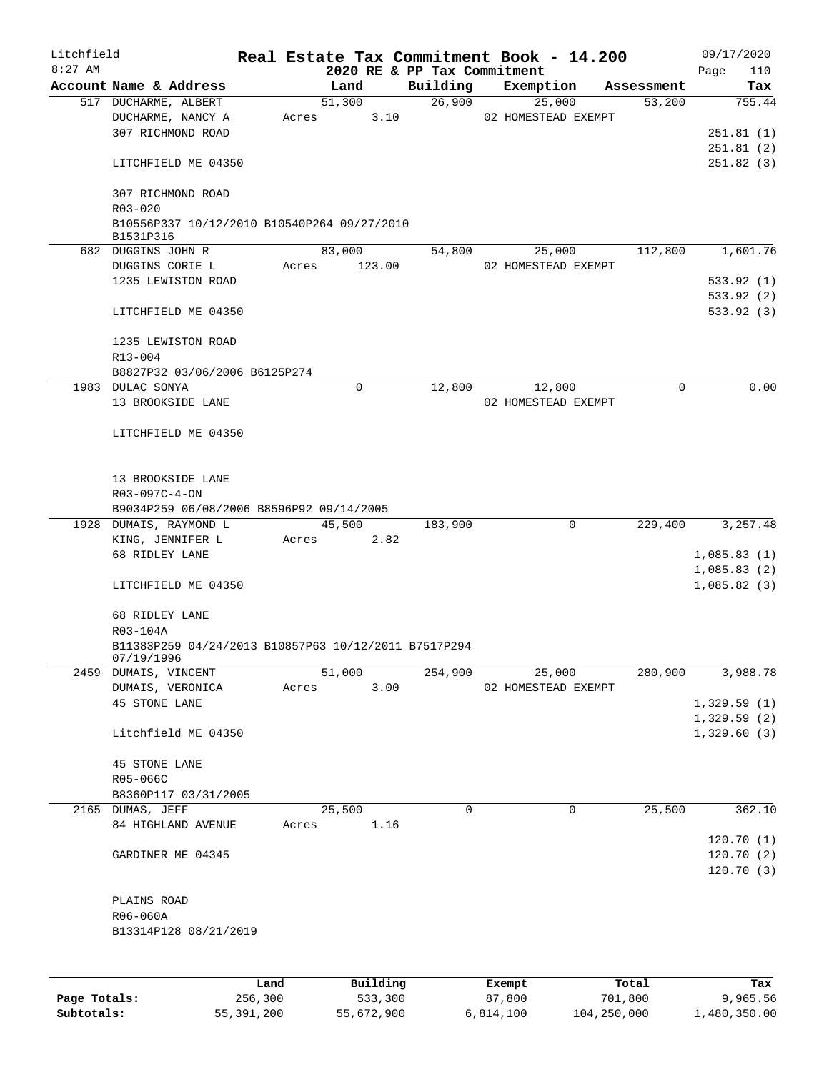| Litchfield<br>$8:27$ AM |                                                                    |         |       |        |          | 2020 RE & PP Tax Commitment | Real Estate Tax Commitment Book - 14.200 |            | 09/17/2020         |
|-------------------------|--------------------------------------------------------------------|---------|-------|--------|----------|-----------------------------|------------------------------------------|------------|--------------------|
|                         | Account Name & Address                                             |         |       | Land   |          | Building                    | Exemption                                | Assessment | 110<br>Page<br>Tax |
|                         | 517 DUCHARME, ALBERT                                               |         |       | 51,300 |          | 26,900                      | 25,000                                   | 53,200     | 755.44             |
|                         | DUCHARME, NANCY A                                                  |         | Acres |        | 3.10     |                             | 02 HOMESTEAD EXEMPT                      |            |                    |
|                         | 307 RICHMOND ROAD                                                  |         |       |        |          |                             |                                          |            | 251.81(1)          |
|                         |                                                                    |         |       |        |          |                             |                                          |            | 251.81(2)          |
|                         | LITCHFIELD ME 04350                                                |         |       |        |          |                             |                                          |            | 251.82(3)          |
|                         | 307 RICHMOND ROAD                                                  |         |       |        |          |                             |                                          |            |                    |
|                         | R03-020                                                            |         |       |        |          |                             |                                          |            |                    |
|                         | B10556P337 10/12/2010 B10540P264 09/27/2010<br>B1531P316           |         |       |        |          |                             |                                          |            |                    |
|                         | 682 DUGGINS JOHN R                                                 |         |       | 83,000 |          | 54,800                      | 25,000                                   | 112,800    | 1,601.76           |
|                         | DUGGINS CORIE L                                                    |         | Acres |        | 123.00   |                             | 02 HOMESTEAD EXEMPT                      |            |                    |
|                         | 1235 LEWISTON ROAD                                                 |         |       |        |          |                             |                                          |            | 533.92 (1)         |
|                         |                                                                    |         |       |        |          |                             |                                          |            | 533.92 (2)         |
|                         | LITCHFIELD ME 04350                                                |         |       |        |          |                             |                                          |            | 533.92 (3)         |
|                         | 1235 LEWISTON ROAD                                                 |         |       |        |          |                             |                                          |            |                    |
|                         | R13-004                                                            |         |       |        |          |                             |                                          |            |                    |
|                         | B8827P32 03/06/2006 B6125P274                                      |         |       |        |          |                             |                                          |            |                    |
|                         | 1983 DULAC SONYA                                                   |         |       | 0      |          | 12,800                      | 12,800                                   | 0          | 0.00               |
|                         | 13 BROOKSIDE LANE                                                  |         |       |        |          |                             | 02 HOMESTEAD EXEMPT                      |            |                    |
|                         |                                                                    |         |       |        |          |                             |                                          |            |                    |
|                         | LITCHFIELD ME 04350                                                |         |       |        |          |                             |                                          |            |                    |
|                         |                                                                    |         |       |        |          |                             |                                          |            |                    |
|                         |                                                                    |         |       |        |          |                             |                                          |            |                    |
|                         | 13 BROOKSIDE LANE                                                  |         |       |        |          |                             |                                          |            |                    |
|                         | R03-097C-4-ON                                                      |         |       |        |          |                             |                                          |            |                    |
|                         | B9034P259 06/08/2006 B8596P92 09/14/2005<br>1928 DUMAIS, RAYMOND L |         |       | 45,500 |          |                             | $\mathbf 0$                              |            | 3,257.48           |
|                         | KING, JENNIFER L                                                   |         |       |        | 2.82     | 183,900                     |                                          | 229,400    |                    |
|                         | 68 RIDLEY LANE                                                     |         | Acres |        |          |                             |                                          |            | 1,085.83(1)        |
|                         |                                                                    |         |       |        |          |                             |                                          |            | 1,085.83(2)        |
|                         | LITCHFIELD ME 04350                                                |         |       |        |          |                             |                                          |            | 1,085.82(3)        |
|                         |                                                                    |         |       |        |          |                             |                                          |            |                    |
|                         | 68 RIDLEY LANE                                                     |         |       |        |          |                             |                                          |            |                    |
|                         | R03-104A                                                           |         |       |        |          |                             |                                          |            |                    |
|                         | B11383P259 04/24/2013 B10857P63 10/12/2011 B7517P294               |         |       |        |          |                             |                                          |            |                    |
|                         | 07/19/1996                                                         |         |       |        |          |                             |                                          |            |                    |
|                         | 2459 DUMAIS, VINCENT                                               |         |       | 51,000 |          | 254,900                     | 25,000                                   | 280,900    | 3,988.78           |
|                         | DUMAIS, VERONICA                                                   |         | Acres |        | 3.00     |                             | 02 HOMESTEAD EXEMPT                      |            |                    |
|                         | <b>45 STONE LANE</b>                                               |         |       |        |          |                             |                                          |            | 1,329.59(1)        |
|                         |                                                                    |         |       |        |          |                             |                                          |            | 1,329.59(2)        |
|                         | Litchfield ME 04350                                                |         |       |        |          |                             |                                          |            | 1,329.60(3)        |
|                         | <b>45 STONE LANE</b>                                               |         |       |        |          |                             |                                          |            |                    |
|                         | R05-066C                                                           |         |       |        |          |                             |                                          |            |                    |
|                         | B8360P117 03/31/2005                                               |         |       |        |          |                             |                                          |            |                    |
|                         | 2165 DUMAS, JEFF                                                   |         |       | 25,500 |          | $\mathbf 0$                 | $\mathbf 0$                              | 25,500     | 362.10             |
|                         | 84 HIGHLAND AVENUE                                                 |         | Acres |        | 1.16     |                             |                                          |            |                    |
|                         |                                                                    |         |       |        |          |                             |                                          |            | 120.70(1)          |
|                         | GARDINER ME 04345                                                  |         |       |        |          |                             |                                          |            | 120.70(2)          |
|                         |                                                                    |         |       |        |          |                             |                                          |            | 120.70(3)          |
|                         |                                                                    |         |       |        |          |                             |                                          |            |                    |
|                         | PLAINS ROAD                                                        |         |       |        |          |                             |                                          |            |                    |
|                         | R06-060A                                                           |         |       |        |          |                             |                                          |            |                    |
|                         | B13314P128 08/21/2019                                              |         |       |        |          |                             |                                          |            |                    |
|                         |                                                                    |         |       |        |          |                             |                                          |            |                    |
|                         |                                                                    |         |       |        |          |                             |                                          |            |                    |
|                         |                                                                    | Land    |       |        | Building |                             | Exempt                                   | Total      | Tax                |
| Page Totals:            |                                                                    | 256,300 |       |        | 533,300  |                             | 87,800                                   | 701,800    | 9,965.56           |

**Subtotals:** 55,391,200 55,672,900 6,814,100 104,250,000 1,480,350.00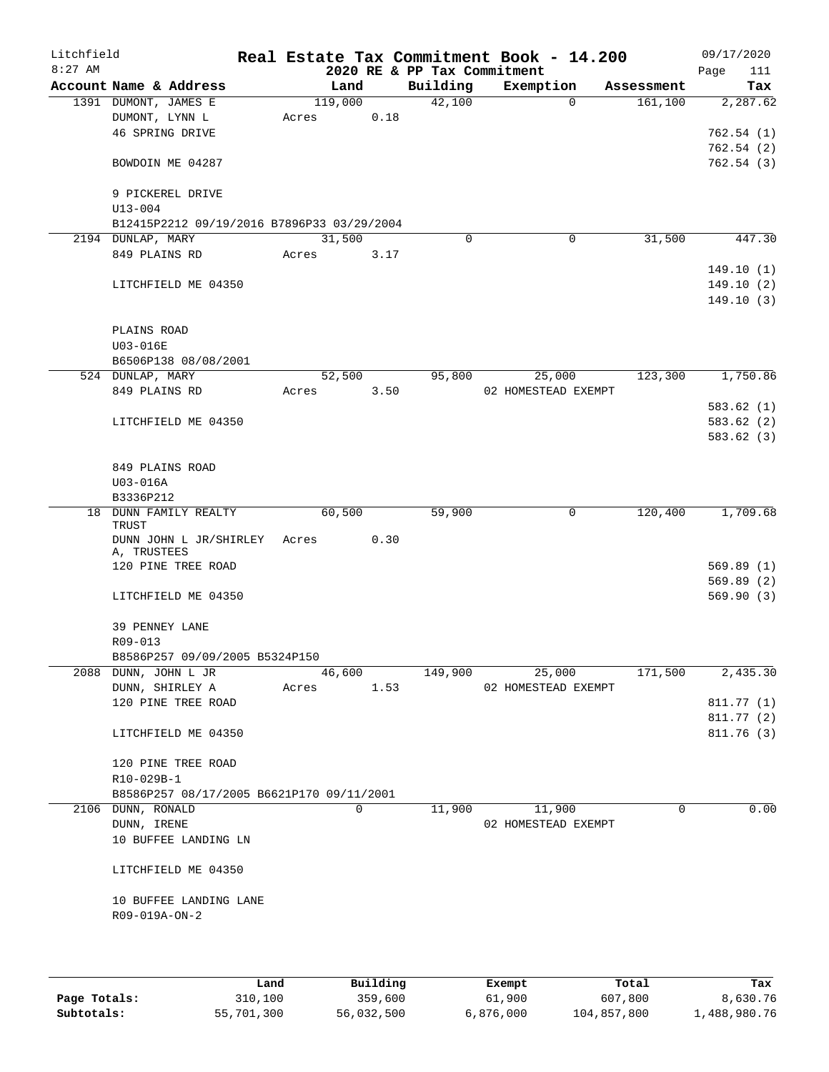| Litchfield |                                            |       |         |            |                             | Real Estate Tax Commitment Book - 14.200 |            | 09/17/2020  |
|------------|--------------------------------------------|-------|---------|------------|-----------------------------|------------------------------------------|------------|-------------|
| $8:27$ AM  |                                            |       |         |            | 2020 RE & PP Tax Commitment |                                          |            | 111<br>Page |
|            | Account Name & Address                     |       | Land    |            | Building                    | Exemption                                | Assessment | Tax         |
|            | 1391 DUMONT, JAMES E                       |       | 119,000 |            | 42,100                      | $\Omega$                                 | 161,100    | 2,287.62    |
|            | DUMONT, LYNN L                             | Acres |         | 0.18       |                             |                                          |            |             |
|            | 46 SPRING DRIVE                            |       |         |            |                             |                                          |            | 762.54(1)   |
|            |                                            |       |         |            |                             |                                          |            | 762.54(2)   |
|            | BOWDOIN ME 04287                           |       |         |            |                             |                                          |            | 762.54(3)   |
|            | 9 PICKEREL DRIVE                           |       |         |            |                             |                                          |            |             |
|            | $U13 - 004$                                |       |         |            |                             |                                          |            |             |
|            | B12415P2212 09/19/2016 B7896P33 03/29/2004 |       |         |            |                             |                                          |            |             |
|            | 2194 DUNLAP, MARY                          |       | 31,500  |            | $\mathbf 0$                 | 0                                        | 31,500     | 447.30      |
|            | 849 PLAINS RD                              |       | Acres   | 3.17       |                             |                                          |            |             |
|            |                                            |       |         |            |                             |                                          |            | 149.10(1)   |
|            | LITCHFIELD ME 04350                        |       |         |            |                             |                                          |            | 149.10(2)   |
|            |                                            |       |         |            |                             |                                          |            | 149.10(3)   |
|            |                                            |       |         |            |                             |                                          |            |             |
|            | PLAINS ROAD                                |       |         |            |                             |                                          |            |             |
|            | U03-016E                                   |       |         |            |                             |                                          |            |             |
|            | B6506P138 08/08/2001                       |       |         |            |                             |                                          |            |             |
|            | 524 DUNLAP, MARY                           |       | 52,500  |            | 95,800                      | 25,000                                   | 123,300    | 1,750.86    |
|            | 849 PLAINS RD                              |       |         | Acres 3.50 |                             | 02 HOMESTEAD EXEMPT                      |            |             |
|            |                                            |       |         |            |                             |                                          |            | 583.62(1)   |
|            | LITCHFIELD ME 04350                        |       |         |            |                             |                                          |            | 583.62(2)   |
|            |                                            |       |         |            |                             |                                          |            | 583.62(3)   |
|            |                                            |       |         |            |                             |                                          |            |             |
|            | 849 PLAINS ROAD                            |       |         |            |                             |                                          |            |             |
|            | U03-016A<br>B3336P212                      |       |         |            |                             |                                          |            |             |
|            | 18 DUNN FAMILY REALTY                      |       | 60,500  |            | 59,900                      | 0                                        | 120,400    | 1,709.68    |
|            | TRUST                                      |       |         |            |                             |                                          |            |             |
|            | DUNN JOHN L JR/SHIRLEY                     | Acres |         | 0.30       |                             |                                          |            |             |
|            | A, TRUSTEES                                |       |         |            |                             |                                          |            |             |
|            | 120 PINE TREE ROAD                         |       |         |            |                             |                                          |            | 569.89(1)   |
|            |                                            |       |         |            |                             |                                          |            | 569.89(2)   |
|            | LITCHFIELD ME 04350                        |       |         |            |                             |                                          |            | 569.90(3)   |
|            | 39 PENNEY LANE                             |       |         |            |                             |                                          |            |             |
|            | R09-013                                    |       |         |            |                             |                                          |            |             |
|            | B8586P257 09/09/2005 B5324P150             |       |         |            |                             |                                          |            |             |
|            | 2088 DUNN, JOHN L JR                       |       | 46,600  |            | 149,900                     | 25,000                                   | 171,500    | 2,435.30    |
|            | DUNN, SHIRLEY A                            | Acres |         | 1.53       |                             | 02 HOMESTEAD EXEMPT                      |            |             |
|            | 120 PINE TREE ROAD                         |       |         |            |                             |                                          |            | 811.77 (1)  |
|            |                                            |       |         |            |                             |                                          |            | 811.77(2)   |
|            | LITCHFIELD ME 04350                        |       |         |            |                             |                                          |            | 811.76(3)   |
|            |                                            |       |         |            |                             |                                          |            |             |
|            | 120 PINE TREE ROAD                         |       |         |            |                             |                                          |            |             |
|            | R10-029B-1                                 |       |         |            |                             |                                          |            |             |
|            | B8586P257 08/17/2005 B6621P170 09/11/2001  |       |         |            |                             |                                          |            |             |
|            | 2106 DUNN, RONALD                          |       |         | 0          | 11,900                      | 11,900                                   | $\Omega$   | 0.00        |
|            | DUNN, IRENE                                |       |         |            |                             | 02 HOMESTEAD EXEMPT                      |            |             |
|            | 10 BUFFEE LANDING LN                       |       |         |            |                             |                                          |            |             |
|            | LITCHFIELD ME 04350                        |       |         |            |                             |                                          |            |             |
|            |                                            |       |         |            |                             |                                          |            |             |
|            | 10 BUFFEE LANDING LANE                     |       |         |            |                             |                                          |            |             |
|            | R09-019A-ON-2                              |       |         |            |                             |                                          |            |             |
|            |                                            |       |         |            |                             |                                          |            |             |
|            |                                            |       |         |            |                             |                                          |            |             |
|            |                                            |       |         |            |                             |                                          |            |             |
|            |                                            | Land  |         | Building   |                             | Exempt                                   | Total      | Tax         |

|              | Land       | Building   | Exempt    | Total       | Tax          |
|--------------|------------|------------|-----------|-------------|--------------|
| Page Totals: | 310,100    | 359,600    | 61,900    | 607,800     | 8,630.76     |
| Subtotals:   | 55,701,300 | 56,032,500 | 6,876,000 | 104,857,800 | 1,488,980.76 |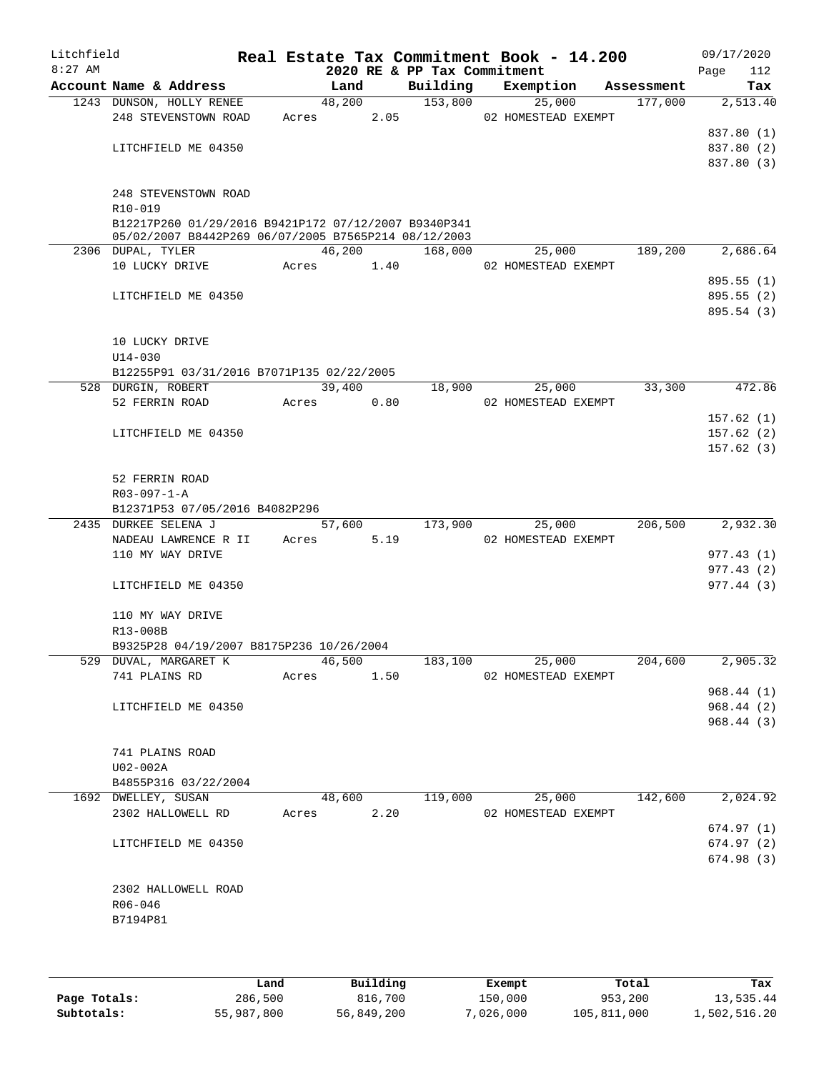| Litchfield<br>$8:27$ AM |                                                      |       |        |        | 2020 RE & PP Tax Commitment | Real Estate Tax Commitment Book - 14.200 |            | 09/17/2020<br>Page<br>112 |
|-------------------------|------------------------------------------------------|-------|--------|--------|-----------------------------|------------------------------------------|------------|---------------------------|
|                         | Account Name & Address                               |       | Land   |        | Building                    | Exemption                                | Assessment | Tax                       |
|                         | 1243 DUNSON, HOLLY RENEE                             |       | 48,200 |        | 153,800                     | 25,000                                   | 177,000    | 2,513.40                  |
|                         | 248 STEVENSTOWN ROAD                                 |       | Acres  | 2.05   |                             | 02 HOMESTEAD EXEMPT                      |            |                           |
|                         |                                                      |       |        |        |                             |                                          |            | 837.80 (1)                |
|                         | LITCHFIELD ME 04350                                  |       |        |        |                             |                                          |            | 837.80 (2)                |
|                         |                                                      |       |        |        |                             |                                          |            | 837.80 (3)                |
|                         | 248 STEVENSTOWN ROAD                                 |       |        |        |                             |                                          |            |                           |
|                         | R10-019                                              |       |        |        |                             |                                          |            |                           |
|                         | B12217P260 01/29/2016 B9421P172 07/12/2007 B9340P341 |       |        |        |                             |                                          |            |                           |
|                         | 05/02/2007 B8442P269 06/07/2005 B7565P214 08/12/2003 |       |        |        |                             |                                          |            |                           |
|                         | 2306 DUPAL, TYLER                                    |       |        | 46,200 | 168,000                     | 25,000                                   | 189,200    | 2,686.64                  |
|                         | 10 LUCKY DRIVE                                       | Acres |        | 1.40   |                             | 02 HOMESTEAD EXEMPT                      |            |                           |
|                         |                                                      |       |        |        |                             |                                          |            | 895.55 (1)                |
|                         | LITCHFIELD ME 04350                                  |       |        |        |                             |                                          |            | 895.55(2)                 |
|                         |                                                      |       |        |        |                             |                                          |            | 895.54 (3)                |
|                         |                                                      |       |        |        |                             |                                          |            |                           |
|                         | 10 LUCKY DRIVE<br>U14-030                            |       |        |        |                             |                                          |            |                           |
|                         | B12255P91 03/31/2016 B7071P135 02/22/2005            |       |        |        |                             |                                          |            |                           |
|                         | 528 DURGIN, ROBERT                                   |       | 39,400 |        | 18,900                      | 25,000                                   | 33,300     | 472.86                    |
|                         | 52 FERRIN ROAD                                       |       | Acres  | 0.80   |                             | 02 HOMESTEAD EXEMPT                      |            |                           |
|                         |                                                      |       |        |        |                             |                                          |            | 157.62(1)                 |
|                         | LITCHFIELD ME 04350                                  |       |        |        |                             |                                          |            | 157.62(2)                 |
|                         |                                                      |       |        |        |                             |                                          |            | 157.62(3)                 |
|                         |                                                      |       |        |        |                             |                                          |            |                           |
|                         | 52 FERRIN ROAD                                       |       |        |        |                             |                                          |            |                           |
|                         | $R03 - 097 - 1 - A$                                  |       |        |        |                             |                                          |            |                           |
|                         | B12371P53 07/05/2016 B4082P296                       |       |        |        |                             |                                          |            |                           |
|                         | 2435 DURKEE SELENA J                                 |       | 57,600 | 5.19   | 173,900                     | 25,000<br>02 HOMESTEAD EXEMPT            | 206,500    | 2,932.30                  |
|                         | NADEAU LAWRENCE R II<br>110 MY WAY DRIVE             |       | Acres  |        |                             |                                          |            | 977.43 (1)                |
|                         |                                                      |       |        |        |                             |                                          |            | 977.43(2)                 |
|                         | LITCHFIELD ME 04350                                  |       |        |        |                             |                                          |            | 977.44(3)                 |
|                         |                                                      |       |        |        |                             |                                          |            |                           |
|                         | 110 MY WAY DRIVE                                     |       |        |        |                             |                                          |            |                           |
|                         | R13-008B                                             |       |        |        |                             |                                          |            |                           |
|                         | B9325P28 04/19/2007 B8175P236 10/26/2004             |       |        |        |                             |                                          |            |                           |
|                         | 529 DUVAL, MARGARET K                                |       | 46,500 |        | 183,100                     | 25,000                                   | 204,600    | 2,905.32                  |
|                         | 741 PLAINS RD                                        | Acres |        | 1.50   |                             | 02 HOMESTEAD EXEMPT                      |            |                           |
|                         |                                                      |       |        |        |                             |                                          |            | 968.44(1)                 |
|                         | LITCHFIELD ME 04350                                  |       |        |        |                             |                                          |            | 968.44(2)<br>968.44(3)    |
|                         |                                                      |       |        |        |                             |                                          |            |                           |
|                         | 741 PLAINS ROAD                                      |       |        |        |                             |                                          |            |                           |
|                         | U02-002A                                             |       |        |        |                             |                                          |            |                           |
|                         | B4855P316 03/22/2004                                 |       |        |        |                             |                                          |            |                           |
|                         | 1692 DWELLEY, SUSAN                                  |       | 48,600 |        | 119,000                     | 25,000                                   | 142,600    | 2,024.92                  |
|                         | 2302 HALLOWELL RD                                    |       | Acres  | 2.20   |                             | 02 HOMESTEAD EXEMPT                      |            |                           |
|                         |                                                      |       |        |        |                             |                                          |            | 674.97(1)                 |
|                         | LITCHFIELD ME 04350                                  |       |        |        |                             |                                          |            | 674.97(2)                 |
|                         |                                                      |       |        |        |                             |                                          |            | 674.98(3)                 |
|                         |                                                      |       |        |        |                             |                                          |            |                           |
|                         | 2302 HALLOWELL ROAD                                  |       |        |        |                             |                                          |            |                           |
|                         | R06-046                                              |       |        |        |                             |                                          |            |                           |
|                         | B7194P81                                             |       |        |        |                             |                                          |            |                           |
|                         |                                                      |       |        |        |                             |                                          |            |                           |
|                         |                                                      |       |        |        |                             |                                          |            |                           |

|              | Land       | Building   | Exempt    | Total       | Tax          |
|--------------|------------|------------|-----------|-------------|--------------|
| Page Totals: | 286,500    | 816,700    | 150,000   | 953,200     | 13,535.44    |
| Subtotals:   | 55,987,800 | 56,849,200 | 7,026,000 | 105,811,000 | 1,502,516.20 |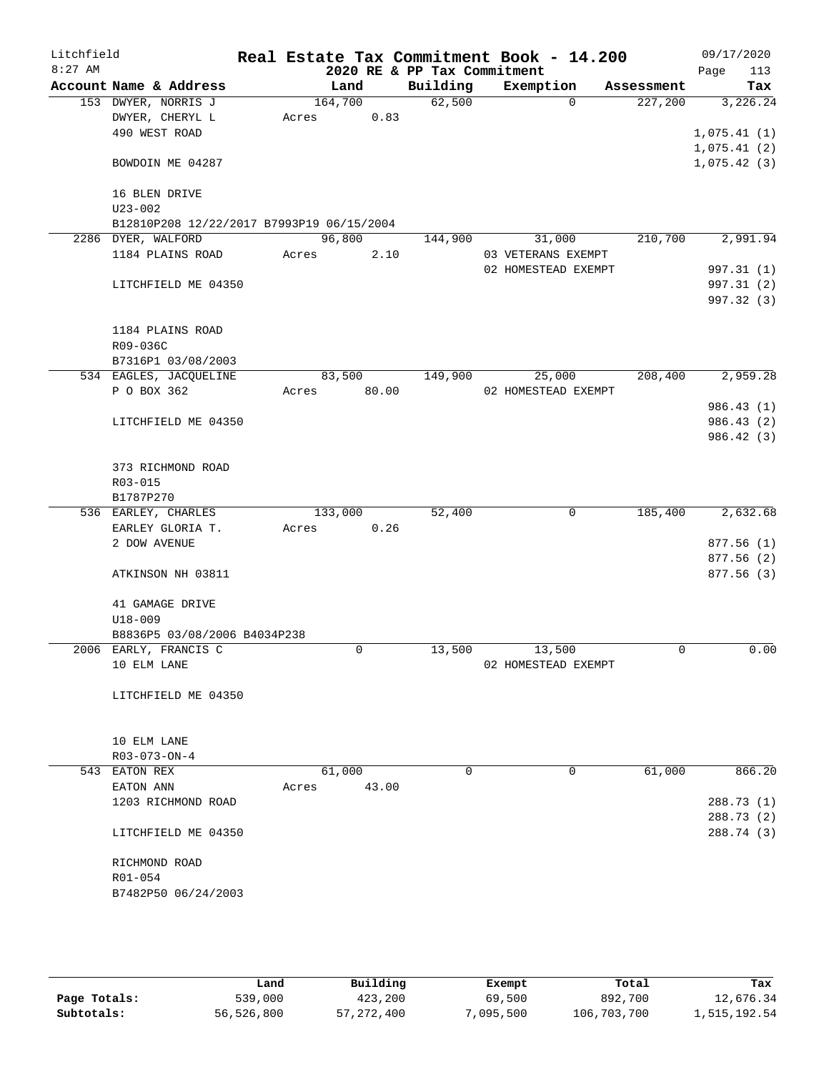| Litchfield<br>$8:27$ AM |                                           |       |             |       | 2020 RE & PP Tax Commitment | Real Estate Tax Commitment Book - 14.200 |            | 09/17/2020<br>113 |
|-------------------------|-------------------------------------------|-------|-------------|-------|-----------------------------|------------------------------------------|------------|-------------------|
|                         | Account Name & Address                    |       | Land        |       | Building                    | Exemption                                | Assessment | Page<br>Tax       |
|                         | 153 DWYER, NORRIS J                       |       | 164,700     |       | 62,500                      | $\Omega$                                 | 227,200    | 3,226.24          |
|                         | DWYER, CHERYL L                           | Acres |             | 0.83  |                             |                                          |            |                   |
|                         | 490 WEST ROAD                             |       |             |       |                             |                                          |            | 1,075.41(1)       |
|                         |                                           |       |             |       |                             |                                          |            | 1,075.41(2)       |
|                         | BOWDOIN ME 04287                          |       |             |       |                             |                                          |            | 1,075.42(3)       |
|                         | 16 BLEN DRIVE                             |       |             |       |                             |                                          |            |                   |
|                         | $U23 - 002$                               |       |             |       |                             |                                          |            |                   |
|                         | B12810P208 12/22/2017 B7993P19 06/15/2004 |       |             |       |                             |                                          |            |                   |
|                         | 2286 DYER, WALFORD                        |       | 96,800      |       | 144,900                     | 31,000                                   | 210,700    | 2,991.94          |
|                         | 1184 PLAINS ROAD                          | Acres |             | 2.10  |                             | 03 VETERANS EXEMPT                       |            |                   |
|                         |                                           |       |             |       |                             | 02 HOMESTEAD EXEMPT                      |            | 997.31 (1)        |
|                         | LITCHFIELD ME 04350                       |       |             |       |                             |                                          |            | 997.31 (2)        |
|                         |                                           |       |             |       |                             |                                          |            | 997.32 (3)        |
|                         | 1184 PLAINS ROAD                          |       |             |       |                             |                                          |            |                   |
|                         | R09-036C                                  |       |             |       |                             |                                          |            |                   |
|                         | B7316P1 03/08/2003                        |       |             |       |                             |                                          |            |                   |
|                         | 534 EAGLES, JACQUELINE                    |       | 83,500      |       | 149,900                     | 25,000                                   | 208,400    | 2,959.28          |
|                         | P O BOX 362                               | Acres |             | 80.00 |                             | 02 HOMESTEAD EXEMPT                      |            |                   |
|                         |                                           |       |             |       |                             |                                          |            | 986.43(1)         |
|                         | LITCHFIELD ME 04350                       |       |             |       |                             |                                          |            | 986.43 (2)        |
|                         |                                           |       |             |       |                             |                                          |            | 986.42(3)         |
|                         | 373 RICHMOND ROAD                         |       |             |       |                             |                                          |            |                   |
|                         | R03-015                                   |       |             |       |                             |                                          |            |                   |
|                         | B1787P270                                 |       |             |       |                             |                                          |            |                   |
|                         | 536 EARLEY, CHARLES                       |       | 133,000     |       | 52,400                      | 0                                        | 185,400    | 2,632.68          |
|                         | EARLEY GLORIA T.                          | Acres |             | 0.26  |                             |                                          |            |                   |
|                         | 2 DOW AVENUE                              |       |             |       |                             |                                          |            | 877.56(1)         |
|                         |                                           |       |             |       |                             |                                          |            | 877.56 (2)        |
|                         | ATKINSON NH 03811                         |       |             |       |                             |                                          |            | 877.56 (3)        |
|                         | 41 GAMAGE DRIVE                           |       |             |       |                             |                                          |            |                   |
|                         | $U18 - 009$                               |       |             |       |                             |                                          |            |                   |
|                         | B8836P5 03/08/2006 B4034P238              |       |             |       |                             |                                          |            |                   |
|                         | 2006 EARLY, FRANCIS C                     |       | $\mathbf 0$ |       | 13,500                      | 13,500                                   | 0          | 0.00              |
|                         | 10 ELM LANE                               |       |             |       |                             | 02 HOMESTEAD EXEMPT                      |            |                   |
|                         | LITCHFIELD ME 04350                       |       |             |       |                             |                                          |            |                   |
|                         |                                           |       |             |       |                             |                                          |            |                   |
|                         | 10 ELM LANE                               |       |             |       |                             |                                          |            |                   |
|                         | R03-073-ON-4                              |       |             |       |                             |                                          |            |                   |
|                         | 543 EATON REX                             |       | 61,000      |       | 0                           | 0                                        | 61,000     | 866.20            |
|                         | EATON ANN                                 | Acres |             | 43.00 |                             |                                          |            |                   |
|                         | 1203 RICHMOND ROAD                        |       |             |       |                             |                                          |            | 288.73 (1)        |
|                         |                                           |       |             |       |                             |                                          |            | 288.73 (2)        |
|                         | LITCHFIELD ME 04350                       |       |             |       |                             |                                          |            | 288.74 (3)        |
|                         | RICHMOND ROAD                             |       |             |       |                             |                                          |            |                   |
|                         | R01-054                                   |       |             |       |                             |                                          |            |                   |
|                         | B7482P50 06/24/2003                       |       |             |       |                             |                                          |            |                   |
|                         |                                           |       |             |       |                             |                                          |            |                   |
|                         |                                           |       |             |       |                             |                                          |            |                   |

|              | Land       | Building     | Exempt   | Total       | Tax          |
|--------------|------------|--------------|----------|-------------|--------------|
| Page Totals: | 539,000    | 423,200      | 69,500   | 892,700     | 12,676.34    |
| Subtotals:   | 56,526,800 | 57, 272, 400 | ,095,500 | 106,703,700 | 1,515,192.54 |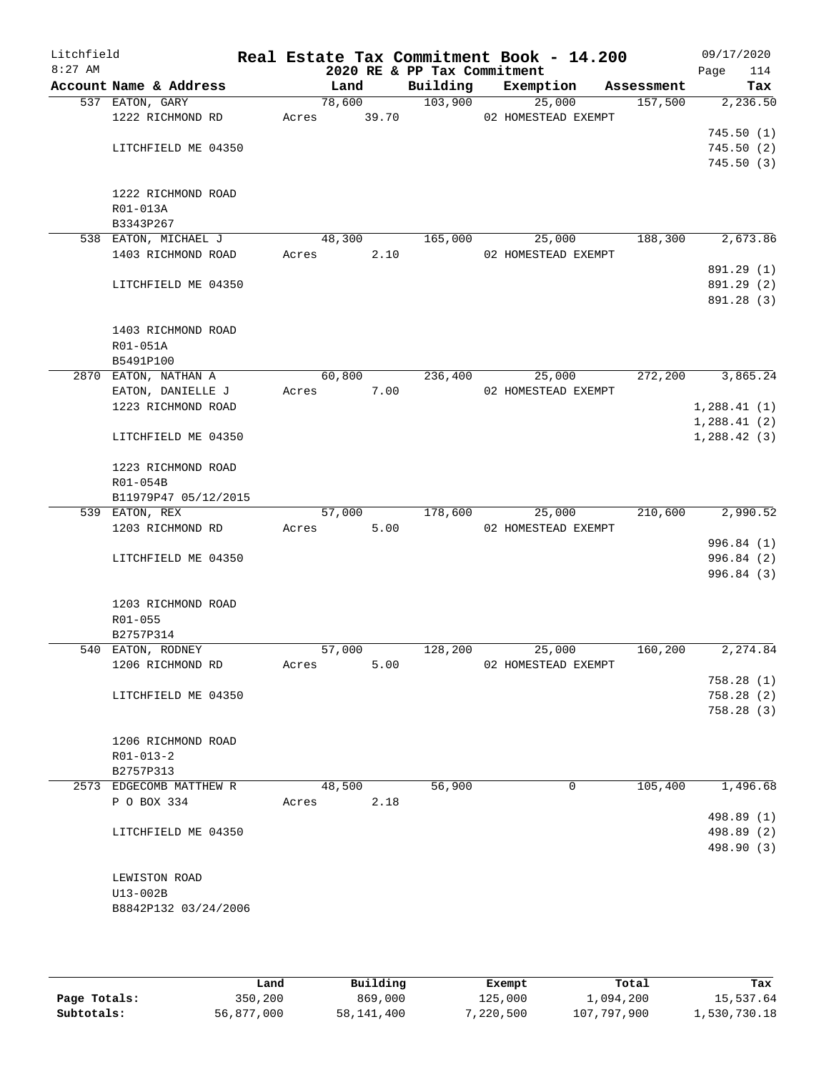| Litchfield<br>$8:27$ AM |                                        |       |        | 2020 RE & PP Tax Commitment | Real Estate Tax Commitment Book - 14.200 |            | 09/17/2020<br>114<br>Page |
|-------------------------|----------------------------------------|-------|--------|-----------------------------|------------------------------------------|------------|---------------------------|
|                         | Account Name & Address                 |       | Land   | Building                    | Exemption                                | Assessment | Tax                       |
|                         | 537 EATON, GARY                        |       | 78,600 | 103,900                     | 25,000                                   | 157,500    | 2,236.50                  |
|                         | 1222 RICHMOND RD                       | Acres | 39.70  |                             | 02 HOMESTEAD EXEMPT                      |            |                           |
|                         |                                        |       |        |                             |                                          |            | 745.50(1)                 |
|                         | LITCHFIELD ME 04350                    |       |        |                             |                                          |            | 745.50(2)                 |
|                         |                                        |       |        |                             |                                          |            | 745.50(3)                 |
|                         | 1222 RICHMOND ROAD                     |       |        |                             |                                          |            |                           |
|                         | R01-013A                               |       |        |                             |                                          |            |                           |
|                         | B3343P267                              |       |        |                             |                                          |            |                           |
|                         | 538 EATON, MICHAEL J                   |       | 48,300 | 165,000                     | 25,000                                   | 188,300    | 2,673.86                  |
|                         | 1403 RICHMOND ROAD                     | Acres | 2.10   |                             | 02 HOMESTEAD EXEMPT                      |            |                           |
|                         |                                        |       |        |                             |                                          |            | 891.29 (1)                |
|                         | LITCHFIELD ME 04350                    |       |        |                             |                                          |            | 891.29 (2)                |
|                         |                                        |       |        |                             |                                          |            | 891.28 (3)                |
|                         |                                        |       |        |                             |                                          |            |                           |
|                         | 1403 RICHMOND ROAD<br>R01-051A         |       |        |                             |                                          |            |                           |
|                         | B5491P100                              |       |        |                             |                                          |            |                           |
|                         | 2870 EATON, NATHAN A                   |       | 60,800 | 236,400                     | 25,000                                   | 272,200    | 3,865.24                  |
|                         | EATON, DANIELLE J                      | Acres | 7.00   |                             | 02 HOMESTEAD EXEMPT                      |            |                           |
|                         | 1223 RICHMOND ROAD                     |       |        |                             |                                          |            | 1,288.41(1)               |
|                         |                                        |       |        |                             |                                          |            | 1,288.41(2)               |
|                         | LITCHFIELD ME 04350                    |       |        |                             |                                          |            | 1,288.42(3)               |
|                         |                                        |       |        |                             |                                          |            |                           |
|                         | 1223 RICHMOND ROAD                     |       |        |                             |                                          |            |                           |
|                         | R01-054B                               |       |        |                             |                                          |            |                           |
|                         | B11979P47 05/12/2015<br>539 EATON, REX |       | 57,000 | 178,600                     | 25,000                                   | 210,600    | 2,990.52                  |
|                         | 1203 RICHMOND RD                       | Acres | 5.00   |                             | 02 HOMESTEAD EXEMPT                      |            |                           |
|                         |                                        |       |        |                             |                                          |            | 996.84 (1)                |
|                         | LITCHFIELD ME 04350                    |       |        |                             |                                          |            | 996.84 (2)                |
|                         |                                        |       |        |                             |                                          |            | 996.84 (3)                |
|                         |                                        |       |        |                             |                                          |            |                           |
|                         | 1203 RICHMOND ROAD                     |       |        |                             |                                          |            |                           |
|                         | R01-055                                |       |        |                             |                                          |            |                           |
|                         | B2757P314                              |       |        |                             |                                          |            |                           |
|                         | 540 EATON, RODNEY                      |       | 57,000 | 128,200                     | 25,000                                   | 160,200    | 2,274.84                  |
|                         | 1206 RICHMOND RD                       | Acres | 5.00   |                             | 02 HOMESTEAD EXEMPT                      |            | 758.28(1)                 |
|                         | LITCHFIELD ME 04350                    |       |        |                             |                                          |            | 758.28(2)                 |
|                         |                                        |       |        |                             |                                          |            | 758.28(3)                 |
|                         |                                        |       |        |                             |                                          |            |                           |
|                         | 1206 RICHMOND ROAD                     |       |        |                             |                                          |            |                           |
|                         | $R01 - 013 - 2$                        |       |        |                             |                                          |            |                           |
|                         | B2757P313                              |       |        |                             |                                          |            |                           |
|                         | 2573 EDGECOMB MATTHEW R                |       | 48,500 | 56,900                      | 0                                        | 105,400    | 1,496.68                  |
|                         | P O BOX 334                            | Acres | 2.18   |                             |                                          |            |                           |
|                         |                                        |       |        |                             |                                          |            | 498.89 (1)                |
|                         | LITCHFIELD ME 04350                    |       |        |                             |                                          |            | 498.89 (2)                |
|                         |                                        |       |        |                             |                                          |            | 498.90 (3)                |
|                         | LEWISTON ROAD                          |       |        |                             |                                          |            |                           |
|                         | U13-002B                               |       |        |                             |                                          |            |                           |
|                         | B8842P132 03/24/2006                   |       |        |                             |                                          |            |                           |
|                         |                                        |       |        |                             |                                          |            |                           |
|                         |                                        |       |        |                             |                                          |            |                           |

|              | Land       | Building     | Exempt    | Total       | Tax          |
|--------------|------------|--------------|-----------|-------------|--------------|
| Page Totals: | 350,200    | 869,000      | 125,000   | 1,094,200   | 15,537.64    |
| Subtotals:   | 56,877,000 | 58, 141, 400 | 7,220,500 | 107,797,900 | 1,530,730.18 |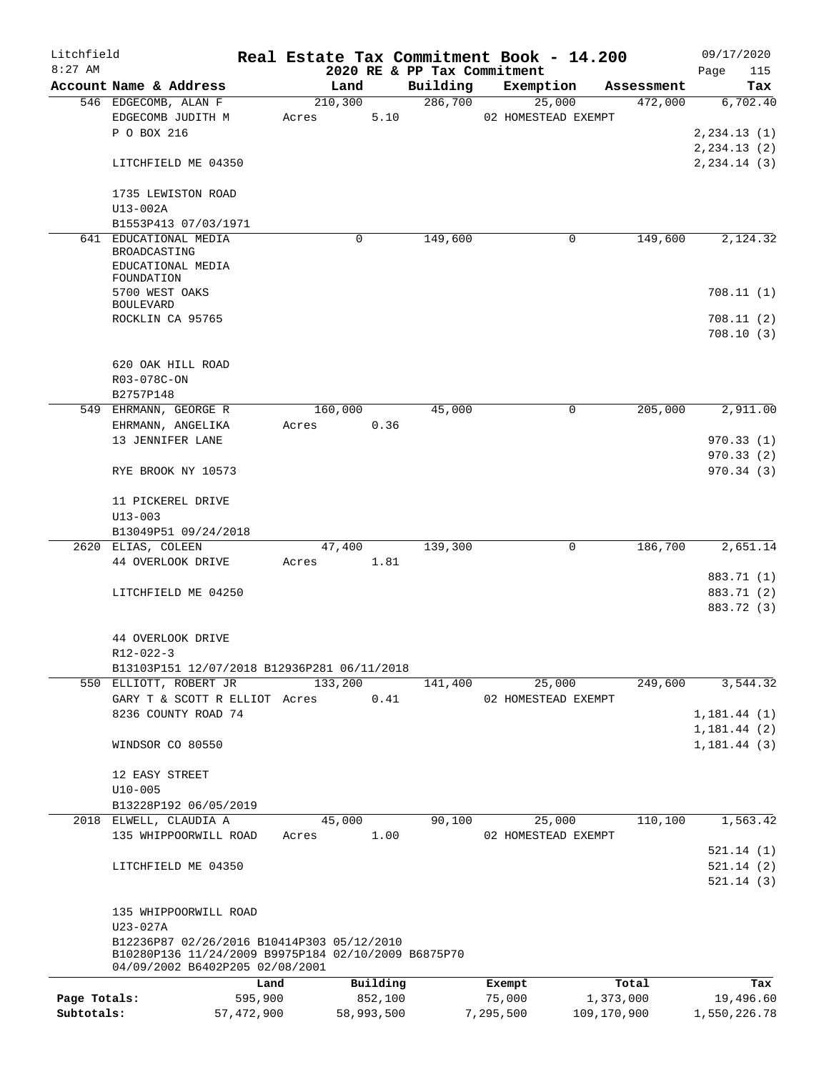| Litchfield   |                                                     |            |          |            |                             |           | Real Estate Tax Commitment Book - 14.200 |             | 09/17/2020                      |
|--------------|-----------------------------------------------------|------------|----------|------------|-----------------------------|-----------|------------------------------------------|-------------|---------------------------------|
| $8:27$ AM    |                                                     |            |          |            | 2020 RE & PP Tax Commitment |           |                                          |             | Page<br>115                     |
|              | Account Name & Address                              |            | Land     |            | Building                    |           | Exemption                                | Assessment  | Tax                             |
|              | 546 EDGECOMB, ALAN F                                |            | 210, 300 |            | 286,700                     |           | 25,000                                   | 472,000     | 6,702.40                        |
|              | EDGECOMB JUDITH M<br>P O BOX 216                    |            | Acres    | 5.10       |                             |           | 02 HOMESTEAD EXEMPT                      |             |                                 |
|              |                                                     |            |          |            |                             |           |                                          |             | 2, 234.13(1)                    |
|              | LITCHFIELD ME 04350                                 |            |          |            |                             |           |                                          |             | 2, 234.13(2)<br>$2, 234.14$ (3) |
|              |                                                     |            |          |            |                             |           |                                          |             |                                 |
|              | 1735 LEWISTON ROAD                                  |            |          |            |                             |           |                                          |             |                                 |
|              | U13-002A                                            |            |          |            |                             |           |                                          |             |                                 |
|              | B1553P413 07/03/1971                                |            |          |            |                             |           |                                          |             |                                 |
| 641          | EDUCATIONAL MEDIA                                   |            |          | 0          | 149,600                     |           | 0                                        | 149,600     | 2,124.32                        |
|              | BROADCASTING                                        |            |          |            |                             |           |                                          |             |                                 |
|              | EDUCATIONAL MEDIA                                   |            |          |            |                             |           |                                          |             |                                 |
|              | FOUNDATION                                          |            |          |            |                             |           |                                          |             |                                 |
|              | 5700 WEST OAKS                                      |            |          |            |                             |           |                                          |             | 708.11(1)                       |
|              | <b>BOULEVARD</b>                                    |            |          |            |                             |           |                                          |             |                                 |
|              | ROCKLIN CA 95765                                    |            |          |            |                             |           |                                          |             | 708.11 (2)<br>708.10(3)         |
|              |                                                     |            |          |            |                             |           |                                          |             |                                 |
|              | 620 OAK HILL ROAD                                   |            |          |            |                             |           |                                          |             |                                 |
|              | R03-078C-ON                                         |            |          |            |                             |           |                                          |             |                                 |
|              | B2757P148                                           |            |          |            |                             |           |                                          |             |                                 |
|              | 549 EHRMANN, GEORGE R                               |            | 160,000  |            | 45,000                      |           | 0                                        | 205,000     | 2,911.00                        |
|              | EHRMANN, ANGELIKA                                   |            | Acres    | 0.36       |                             |           |                                          |             |                                 |
|              | 13 JENNIFER LANE                                    |            |          |            |                             |           |                                          |             | 970.33(1)                       |
|              |                                                     |            |          |            |                             |           |                                          |             | 970.33(2)                       |
|              | RYE BROOK NY 10573                                  |            |          |            |                             |           |                                          |             | 970.34(3)                       |
|              |                                                     |            |          |            |                             |           |                                          |             |                                 |
|              | 11 PICKEREL DRIVE                                   |            |          |            |                             |           |                                          |             |                                 |
|              | $U13 - 003$                                         |            |          |            |                             |           |                                          |             |                                 |
|              | B13049P51 09/24/2018                                |            |          |            |                             |           |                                          |             |                                 |
|              | 2620 ELIAS, COLEEN                                  |            | 47,400   |            | 139,300                     |           | 0                                        | 186,700     | 2,651.14                        |
|              | 44 OVERLOOK DRIVE                                   |            | Acres    | 1.81       |                             |           |                                          |             |                                 |
|              |                                                     |            |          |            |                             |           |                                          |             | 883.71 (1)                      |
|              | LITCHFIELD ME 04250                                 |            |          |            |                             |           |                                          |             | 883.71 (2)                      |
|              |                                                     |            |          |            |                             |           |                                          |             | 883.72 (3)                      |
|              |                                                     |            |          |            |                             |           |                                          |             |                                 |
|              | 44 OVERLOOK DRIVE                                   |            |          |            |                             |           |                                          |             |                                 |
|              | R12-022-3                                           |            |          |            |                             |           |                                          |             |                                 |
|              | B13103P151 12/07/2018 B12936P281 06/11/2018         |            |          |            |                             |           |                                          |             |                                 |
|              | 550 ELLIOTT, ROBERT JR                              |            | 133,200  |            | 141,400                     |           | 25,000                                   | 249,600     | 3,544.32                        |
|              | GARY T & SCOTT R ELLIOT Acres                       |            |          | 0.41       |                             |           | 02 HOMESTEAD EXEMPT                      |             |                                 |
|              | 8236 COUNTY ROAD 74                                 |            |          |            |                             |           |                                          |             | 1, 181.44(1)                    |
|              |                                                     |            |          |            |                             |           |                                          |             | 1, 181.44(2)                    |
|              | WINDSOR CO 80550                                    |            |          |            |                             |           |                                          |             | 1, 181.44(3)                    |
|              |                                                     |            |          |            |                             |           |                                          |             |                                 |
|              | 12 EASY STREET                                      |            |          |            |                             |           |                                          |             |                                 |
|              | $U10 - 005$                                         |            |          |            |                             |           |                                          |             |                                 |
|              | B13228P192 06/05/2019                               |            |          |            |                             |           |                                          |             |                                 |
|              | 2018 ELWELL, CLAUDIA A                              |            | 45,000   |            | 90,100                      |           | 25,000                                   | 110,100     | 1,563.42                        |
|              | 135 WHIPPOORWILL ROAD                               |            | Acres    | 1.00       |                             |           | 02 HOMESTEAD EXEMPT                      |             |                                 |
|              |                                                     |            |          |            |                             |           |                                          |             | 521.14(1)<br>521.14(2)          |
|              | LITCHFIELD ME 04350                                 |            |          |            |                             |           |                                          |             | 521.14(3)                       |
|              |                                                     |            |          |            |                             |           |                                          |             |                                 |
|              | 135 WHIPPOORWILL ROAD                               |            |          |            |                             |           |                                          |             |                                 |
|              | U23-027A                                            |            |          |            |                             |           |                                          |             |                                 |
|              | B12236P87 02/26/2016 B10414P303 05/12/2010          |            |          |            |                             |           |                                          |             |                                 |
|              | B10280P136 11/24/2009 B9975P184 02/10/2009 B6875P70 |            |          |            |                             |           |                                          |             |                                 |
|              | 04/09/2002 B6402P205 02/08/2001                     |            |          |            |                             |           |                                          |             |                                 |
|              |                                                     | Land       |          | Building   |                             |           | Exempt                                   | Total       | Tax                             |
| Page Totals: |                                                     | 595,900    |          | 852,100    |                             |           | 75,000                                   | 1,373,000   | 19,496.60                       |
| Subtotals:   |                                                     | 57,472,900 |          | 58,993,500 |                             | 7,295,500 |                                          | 109,170,900 | 1,550,226.78                    |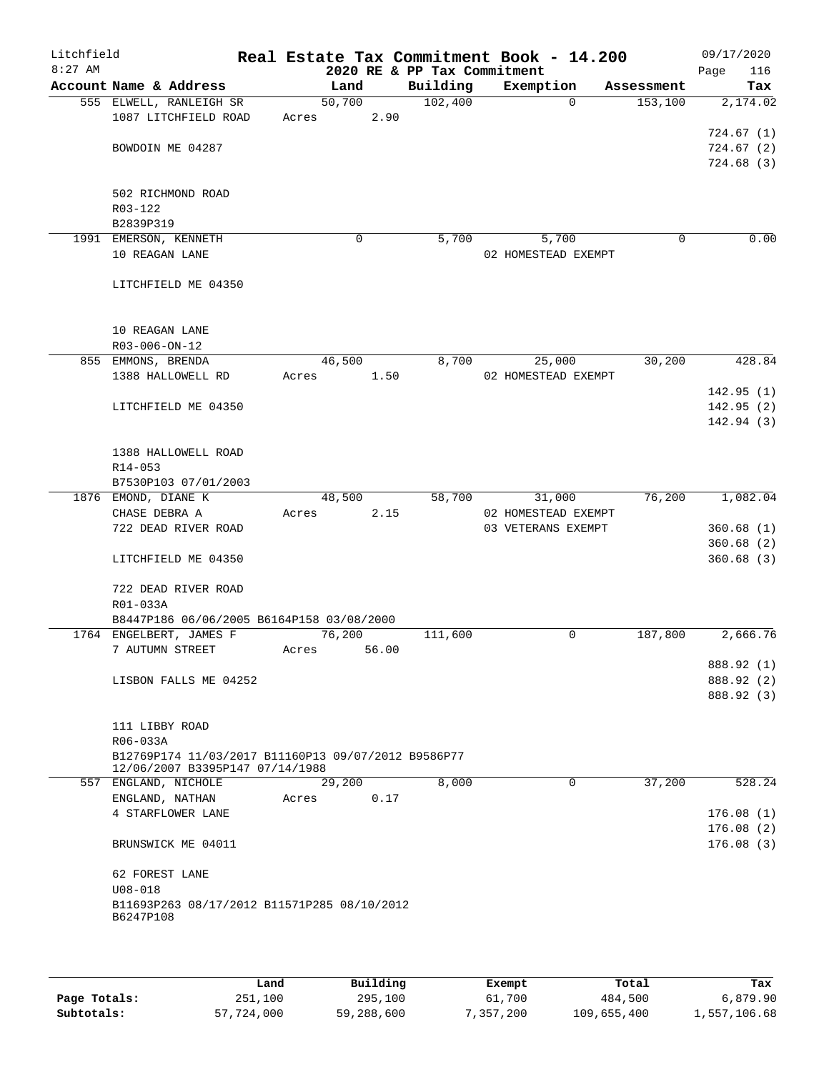| Litchfield<br>$8:27$ AM |                                                     |       |        | 2020 RE & PP Tax Commitment | Real Estate Tax Commitment Book - 14.200 |            | 09/17/2020<br>116<br>Page |
|-------------------------|-----------------------------------------------------|-------|--------|-----------------------------|------------------------------------------|------------|---------------------------|
|                         | Account Name & Address                              |       | Land   | Building                    | Exemption                                | Assessment | Tax                       |
|                         | 555 ELWELL, RANLEIGH SR                             |       | 50,700 | 102,400                     | $\Omega$                                 | 153,100    | 2,174.02                  |
|                         | 1087 LITCHFIELD ROAD                                | Acres | 2.90   |                             |                                          |            |                           |
|                         |                                                     |       |        |                             |                                          |            | 724.67(1)                 |
|                         | BOWDOIN ME 04287                                    |       |        |                             |                                          |            | 724.67(2)                 |
|                         |                                                     |       |        |                             |                                          |            | 724.68(3)                 |
|                         |                                                     |       |        |                             |                                          |            |                           |
|                         | 502 RICHMOND ROAD                                   |       |        |                             |                                          |            |                           |
|                         | R03-122                                             |       |        |                             |                                          |            |                           |
|                         | B2839P319                                           |       |        |                             |                                          |            |                           |
|                         | 1991 EMERSON, KENNETH                               |       | 0      | 5,700                       | 5,700                                    | 0          | 0.00                      |
|                         | 10 REAGAN LANE                                      |       |        |                             | 02 HOMESTEAD EXEMPT                      |            |                           |
|                         |                                                     |       |        |                             |                                          |            |                           |
|                         | LITCHFIELD ME 04350                                 |       |        |                             |                                          |            |                           |
|                         |                                                     |       |        |                             |                                          |            |                           |
|                         | 10 REAGAN LANE                                      |       |        |                             |                                          |            |                           |
|                         | R03-006-ON-12                                       |       |        |                             |                                          |            |                           |
|                         | 855 EMMONS, BRENDA                                  |       | 46,500 | 8,700                       | 25,000                                   | 30,200     | 428.84                    |
|                         | 1388 HALLOWELL RD                                   | Acres | 1.50   |                             | 02 HOMESTEAD EXEMPT                      |            |                           |
|                         |                                                     |       |        |                             |                                          |            | 142.95(1)                 |
|                         | LITCHFIELD ME 04350                                 |       |        |                             |                                          |            | 142.95(2)                 |
|                         |                                                     |       |        |                             |                                          |            | 142.94(3)                 |
|                         | 1388 HALLOWELL ROAD                                 |       |        |                             |                                          |            |                           |
|                         | R14-053                                             |       |        |                             |                                          |            |                           |
|                         | B7530P103 07/01/2003                                |       |        |                             |                                          |            |                           |
|                         | 1876 EMOND, DIANE K                                 |       | 48,500 | 58,700                      | 31,000                                   | 76,200     | 1,082.04                  |
|                         | CHASE DEBRA A                                       | Acres | 2.15   |                             | 02 HOMESTEAD EXEMPT                      |            |                           |
|                         | 722 DEAD RIVER ROAD                                 |       |        |                             | 03 VETERANS EXEMPT                       |            | 360.68(1)                 |
|                         |                                                     |       |        |                             |                                          |            | 360.68(2)                 |
|                         | LITCHFIELD ME 04350                                 |       |        |                             |                                          |            | 360.68(3)                 |
|                         |                                                     |       |        |                             |                                          |            |                           |
|                         | 722 DEAD RIVER ROAD                                 |       |        |                             |                                          |            |                           |
|                         | R01-033A                                            |       |        |                             |                                          |            |                           |
|                         | B8447P186 06/06/2005 B6164P158 03/08/2000           |       |        |                             |                                          |            |                           |
|                         | 1764 ENGELBERT, JAMES F                             |       | 76,200 | 111,600                     | 0                                        | 187,800    | 2,666.76                  |
|                         | 7 AUTUMN STREET                                     | Acres | 56.00  |                             |                                          |            |                           |
|                         |                                                     |       |        |                             |                                          |            | 888.92 (1)                |
|                         | LISBON FALLS ME 04252                               |       |        |                             |                                          |            | 888.92 (2)                |
|                         |                                                     |       |        |                             |                                          |            | 888.92 (3)                |
|                         | 111 LIBBY ROAD                                      |       |        |                             |                                          |            |                           |
|                         | R06-033A                                            |       |        |                             |                                          |            |                           |
|                         | B12769P174 11/03/2017 B11160P13 09/07/2012 B9586P77 |       |        |                             |                                          |            |                           |
|                         | 12/06/2007 B3395P147 07/14/1988                     |       |        |                             |                                          |            |                           |
| 557                     | ENGLAND, NICHOLE                                    |       | 29,200 | 8,000                       | 0                                        | 37,200     | 528.24                    |
|                         | ENGLAND, NATHAN                                     | Acres | 0.17   |                             |                                          |            |                           |
|                         | 4 STARFLOWER LANE                                   |       |        |                             |                                          |            | 176.08(1)                 |
|                         |                                                     |       |        |                             |                                          |            | 176.08(2)                 |
|                         | BRUNSWICK ME 04011                                  |       |        |                             |                                          |            | 176.08(3)                 |
|                         | 62 FOREST LANE                                      |       |        |                             |                                          |            |                           |
|                         | $U08 - 018$                                         |       |        |                             |                                          |            |                           |
|                         | B11693P263 08/17/2012 B11571P285 08/10/2012         |       |        |                             |                                          |            |                           |
|                         | B6247P108                                           |       |        |                             |                                          |            |                           |
|                         |                                                     |       |        |                             |                                          |            |                           |

|              | Land       | Building   | Exempt    | Total       | Tax          |
|--------------|------------|------------|-----------|-------------|--------------|
| Page Totals: | 251,100    | 295,100    | 61,700    | 484,500     | 6,879.90     |
| Subtotals:   | 57,724,000 | 59,288,600 | 7,357,200 | 109,655,400 | 1,557,106.68 |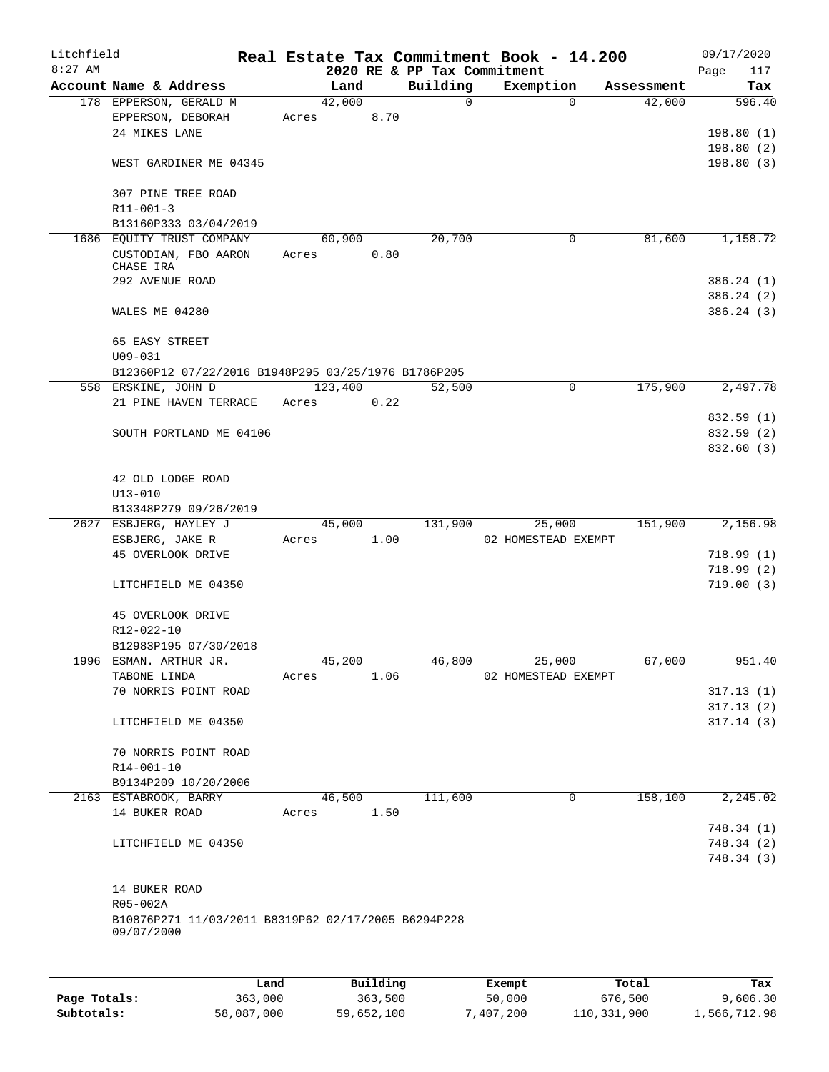| Litchfield<br>$8:27$ AM |                                                     |       |         |      |             | Real Estate Tax Commitment Book - 14.200<br>2020 RE & PP Tax Commitment |            | 09/17/2020<br>Page |
|-------------------------|-----------------------------------------------------|-------|---------|------|-------------|-------------------------------------------------------------------------|------------|--------------------|
|                         | Account Name & Address                              |       | Land    |      | Building    | Exemption                                                               | Assessment | 117<br>Tax         |
|                         | 178 EPPERSON, GERALD M                              |       | 42,000  |      | $\mathbf 0$ | 0                                                                       | 42,000     | 596.40             |
|                         | EPPERSON, DEBORAH                                   | Acres |         | 8.70 |             |                                                                         |            |                    |
|                         | 24 MIKES LANE                                       |       |         |      |             |                                                                         |            | 198.80(1)          |
|                         |                                                     |       |         |      |             |                                                                         |            |                    |
|                         |                                                     |       |         |      |             |                                                                         |            | 198.80(2)          |
|                         | WEST GARDINER ME 04345                              |       |         |      |             |                                                                         |            | 198.80(3)          |
|                         |                                                     |       |         |      |             |                                                                         |            |                    |
|                         | 307 PINE TREE ROAD                                  |       |         |      |             |                                                                         |            |                    |
|                         | $R11 - 001 - 3$                                     |       |         |      |             |                                                                         |            |                    |
|                         | B13160P333 03/04/2019                               |       |         |      |             |                                                                         |            |                    |
|                         | 1686 EQUITY TRUST COMPANY                           |       | 60,900  |      | 20,700      | 0                                                                       | 81,600     | 1,158.72           |
|                         | CUSTODIAN, FBO AARON                                | Acres |         | 0.80 |             |                                                                         |            |                    |
|                         | CHASE IRA<br>292 AVENUE ROAD                        |       |         |      |             |                                                                         |            | 386.24(1)          |
|                         |                                                     |       |         |      |             |                                                                         |            |                    |
|                         | WALES ME 04280                                      |       |         |      |             |                                                                         |            | 386.24(2)          |
|                         |                                                     |       |         |      |             |                                                                         |            | 386.24(3)          |
|                         |                                                     |       |         |      |             |                                                                         |            |                    |
|                         | 65 EASY STREET                                      |       |         |      |             |                                                                         |            |                    |
|                         | $U09 - 031$                                         |       |         |      |             |                                                                         |            |                    |
|                         | B12360P12 07/22/2016 B1948P295 03/25/1976 B1786P205 |       |         |      |             |                                                                         |            |                    |
|                         | 558 ERSKINE, JOHN D                                 |       | 123,400 |      | 52,500      | $\mathbf 0$                                                             | 175,900    | 2,497.78           |
|                         | 21 PINE HAVEN TERRACE                               | Acres |         | 0.22 |             |                                                                         |            |                    |
|                         |                                                     |       |         |      |             |                                                                         |            | 832.59 (1)         |
|                         | SOUTH PORTLAND ME 04106                             |       |         |      |             |                                                                         |            | 832.59 (2)         |
|                         |                                                     |       |         |      |             |                                                                         |            | 832.60 (3)         |
|                         |                                                     |       |         |      |             |                                                                         |            |                    |
|                         | 42 OLD LODGE ROAD                                   |       |         |      |             |                                                                         |            |                    |
|                         | $U13 - 010$                                         |       |         |      |             |                                                                         |            |                    |
|                         | B13348P279 09/26/2019                               |       |         |      |             |                                                                         |            |                    |
|                         | 2627 ESBJERG, HAYLEY J                              |       | 45,000  |      | 131,900     | 25,000                                                                  | 151,900    | 2,156.98           |
|                         | ESBJERG, JAKE R                                     | Acres |         | 1.00 |             | 02 HOMESTEAD EXEMPT                                                     |            |                    |
|                         | 45 OVERLOOK DRIVE                                   |       |         |      |             |                                                                         |            | 718.99(1)          |
|                         |                                                     |       |         |      |             |                                                                         |            | 718.99(2)          |
|                         | LITCHFIELD ME 04350                                 |       |         |      |             |                                                                         |            | 719.00(3)          |
|                         |                                                     |       |         |      |             |                                                                         |            |                    |
|                         | 45 OVERLOOK DRIVE                                   |       |         |      |             |                                                                         |            |                    |
|                         | R12-022-10                                          |       |         |      |             |                                                                         |            |                    |
|                         | B12983P195 07/30/2018                               |       |         |      |             |                                                                         |            |                    |
|                         | 1996 ESMAN. ARTHUR JR.                              |       | 45,200  |      | 46,800      | 25,000                                                                  | 67,000     | 951.40             |
|                         | TABONE LINDA                                        | Acres |         | 1.06 |             | 02 HOMESTEAD EXEMPT                                                     |            |                    |
|                         | 70 NORRIS POINT ROAD                                |       |         |      |             |                                                                         |            | 317.13(1)          |
|                         |                                                     |       |         |      |             |                                                                         |            | 317.13(2)          |
|                         | LITCHFIELD ME 04350                                 |       |         |      |             |                                                                         |            | 317.14(3)          |
|                         |                                                     |       |         |      |             |                                                                         |            |                    |
|                         | 70 NORRIS POINT ROAD                                |       |         |      |             |                                                                         |            |                    |
|                         | R14-001-10                                          |       |         |      |             |                                                                         |            |                    |
|                         | B9134P209 10/20/2006                                |       |         |      |             |                                                                         |            |                    |
|                         | 2163 ESTABROOK, BARRY                               |       | 46,500  |      | 111,600     | 0                                                                       | 158,100    | 2,245.02           |
|                         | 14 BUKER ROAD                                       | Acres |         | 1.50 |             |                                                                         |            |                    |
|                         |                                                     |       |         |      |             |                                                                         |            | 748.34 (1)         |
|                         | LITCHFIELD ME 04350                                 |       |         |      |             |                                                                         |            | 748.34(2)          |
|                         |                                                     |       |         |      |             |                                                                         |            | 748.34(3)          |
|                         |                                                     |       |         |      |             |                                                                         |            |                    |
|                         | 14 BUKER ROAD                                       |       |         |      |             |                                                                         |            |                    |
|                         | R05-002A                                            |       |         |      |             |                                                                         |            |                    |
|                         | B10876P271 11/03/2011 B8319P62 02/17/2005 B6294P228 |       |         |      |             |                                                                         |            |                    |
|                         | 09/07/2000                                          |       |         |      |             |                                                                         |            |                    |
|                         |                                                     |       |         |      |             |                                                                         |            |                    |
|                         |                                                     |       |         |      |             |                                                                         |            |                    |
|                         |                                                     |       |         |      |             |                                                                         |            |                    |

|              | Land       | Building   | Exempt    | Total       | Tax          |
|--------------|------------|------------|-----------|-------------|--------------|
| Page Totals: | 363,000    | 363,500    | 50,000    | 676,500     | 9,606.30     |
| Subtotals:   | 58,087,000 | 59,652,100 | 7,407,200 | 110,331,900 | 1,566,712.98 |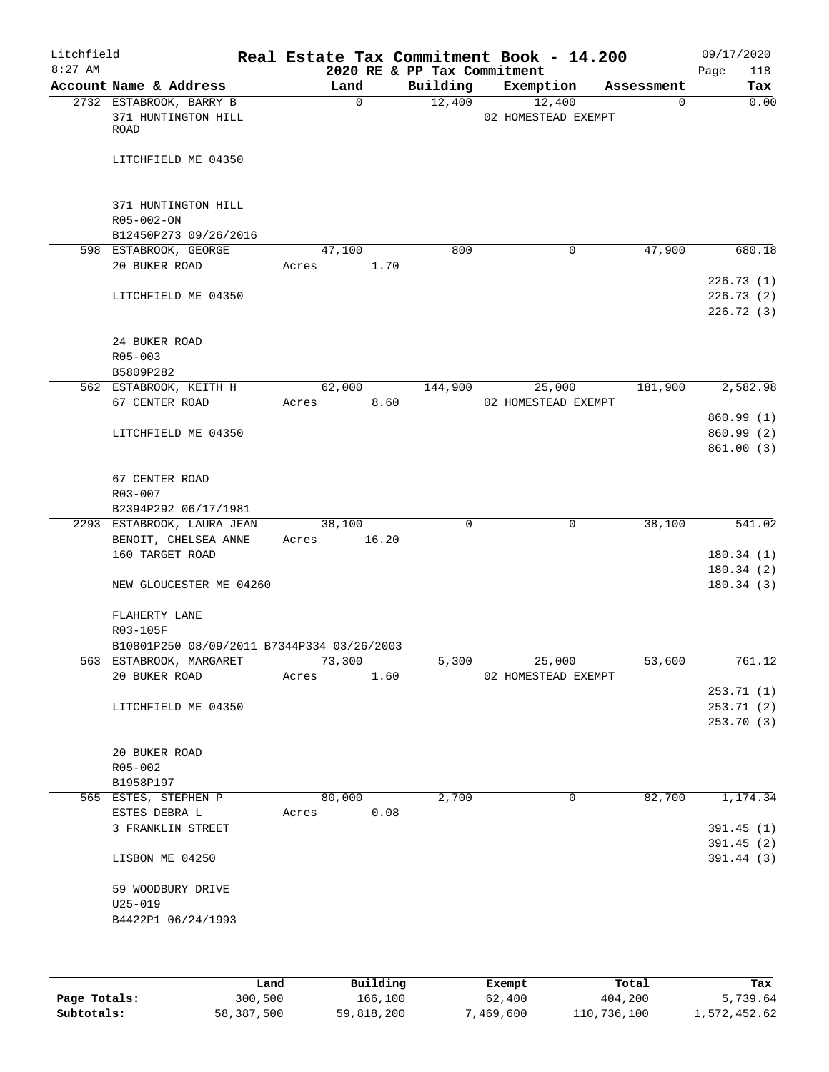| Litchfield<br>$8:27$ AM |                                                        |       |             |       | Real Estate Tax Commitment Book - 14.200<br>2020 RE & PP Tax Commitment |                               |             | 09/17/2020<br>Page<br>118 |
|-------------------------|--------------------------------------------------------|-------|-------------|-------|-------------------------------------------------------------------------|-------------------------------|-------------|---------------------------|
|                         | Account Name & Address                                 |       | Land        |       | Building                                                                | Exemption                     | Assessment  | Tax                       |
|                         | 2732 ESTABROOK, BARRY B<br>371 HUNTINGTON HILL<br>ROAD |       | $\mathbf 0$ |       | 12,400                                                                  | 12,400<br>02 HOMESTEAD EXEMPT | $\mathbf 0$ | 0.00                      |
|                         | LITCHFIELD ME 04350                                    |       |             |       |                                                                         |                               |             |                           |
|                         | 371 HUNTINGTON HILL<br>R05-002-ON                      |       |             |       |                                                                         |                               |             |                           |
|                         | B12450P273 09/26/2016<br>598 ESTABROOK, GEORGE         |       | 47,100      |       | 800                                                                     | 0                             | 47,900      | 680.18                    |
|                         | 20 BUKER ROAD                                          | Acres |             | 1.70  |                                                                         |                               |             |                           |
|                         |                                                        |       |             |       |                                                                         |                               |             | 226.73(1)                 |
|                         | LITCHFIELD ME 04350                                    |       |             |       |                                                                         |                               |             | 226.73(2)                 |
|                         |                                                        |       |             |       |                                                                         |                               |             | 226.72 (3)                |
|                         | 24 BUKER ROAD                                          |       |             |       |                                                                         |                               |             |                           |
|                         | R05-003                                                |       |             |       |                                                                         |                               |             |                           |
|                         | B5809P282                                              |       |             |       |                                                                         |                               |             |                           |
|                         | 562 ESTABROOK, KEITH H                                 |       | 62,000      |       | 144,900                                                                 | 25,000                        | 181,900     | 2,582.98                  |
|                         | 67 CENTER ROAD                                         | Acres |             | 8.60  |                                                                         | 02 HOMESTEAD EXEMPT           |             |                           |
|                         |                                                        |       |             |       |                                                                         |                               |             | 860.99 (1)                |
|                         | LITCHFIELD ME 04350                                    |       |             |       |                                                                         |                               |             | 860.99 (2)                |
|                         |                                                        |       |             |       |                                                                         |                               |             | 861.00(3)                 |
|                         | 67 CENTER ROAD<br>R03-007                              |       |             |       |                                                                         |                               |             |                           |
|                         | B2394P292 06/17/1981                                   |       |             |       |                                                                         |                               |             |                           |
|                         | 2293 ESTABROOK, LAURA JEAN                             |       | 38,100      |       | $\mathbf 0$                                                             | 0                             | 38,100      | 541.02                    |
|                         | BENOIT, CHELSEA ANNE                                   | Acres |             | 16.20 |                                                                         |                               |             |                           |
|                         | 160 TARGET ROAD                                        |       |             |       |                                                                         |                               |             | 180.34(1)                 |
|                         |                                                        |       |             |       |                                                                         |                               |             | 180.34(2)                 |
|                         | NEW GLOUCESTER ME 04260                                |       |             |       |                                                                         |                               |             | 180.34(3)                 |
|                         | FLAHERTY LANE                                          |       |             |       |                                                                         |                               |             |                           |
|                         | R03-105F                                               |       |             |       |                                                                         |                               |             |                           |
|                         | B10801P250 08/09/2011 B7344P334 03/26/2003             |       |             |       |                                                                         |                               |             |                           |
|                         | 563 ESTABROOK, MARGARET                                |       | 73,300      |       | 5,300                                                                   | 25,000                        | 53,600      | 761.12                    |
|                         | 20 BUKER ROAD                                          | Acres |             | 1.60  |                                                                         | 02 HOMESTEAD EXEMPT           |             |                           |
|                         |                                                        |       |             |       |                                                                         |                               |             | 253.71(1)                 |
|                         | LITCHFIELD ME 04350                                    |       |             |       |                                                                         |                               |             | 253.71(2)                 |
|                         |                                                        |       |             |       |                                                                         |                               |             | 253.70 (3)                |
|                         | 20 BUKER ROAD                                          |       |             |       |                                                                         |                               |             |                           |
|                         | R05-002                                                |       |             |       |                                                                         |                               |             |                           |
|                         | B1958P197                                              |       |             |       |                                                                         |                               |             |                           |
|                         | 565 ESTES, STEPHEN P                                   |       | 80,000      |       | 2,700                                                                   | 0                             | 82,700      | 1,174.34                  |
|                         | ESTES DEBRA L                                          | Acres |             | 0.08  |                                                                         |                               |             |                           |
|                         | 3 FRANKLIN STREET                                      |       |             |       |                                                                         |                               |             | 391.45(1)                 |
|                         |                                                        |       |             |       |                                                                         |                               |             | 391.45(2)                 |
|                         | LISBON ME 04250                                        |       |             |       |                                                                         |                               |             | 391.44(3)                 |
|                         | 59 WOODBURY DRIVE                                      |       |             |       |                                                                         |                               |             |                           |
|                         | $U25 - 019$                                            |       |             |       |                                                                         |                               |             |                           |
|                         | B4422P1 06/24/1993                                     |       |             |       |                                                                         |                               |             |                           |
|                         |                                                        |       |             |       |                                                                         |                               |             |                           |
|                         |                                                        |       |             |       |                                                                         |                               |             |                           |
|                         |                                                        |       |             |       |                                                                         |                               |             |                           |

|              | Land       | Building   | Exempt    | Total       | Tax          |
|--------------|------------|------------|-----------|-------------|--------------|
| Page Totals: | 300,500    | 166,100    | 62,400    | 404,200     | 5,739.64     |
| Subtotals:   | 58,387,500 | 59,818,200 | 7,469,600 | 110,736,100 | 1,572,452.62 |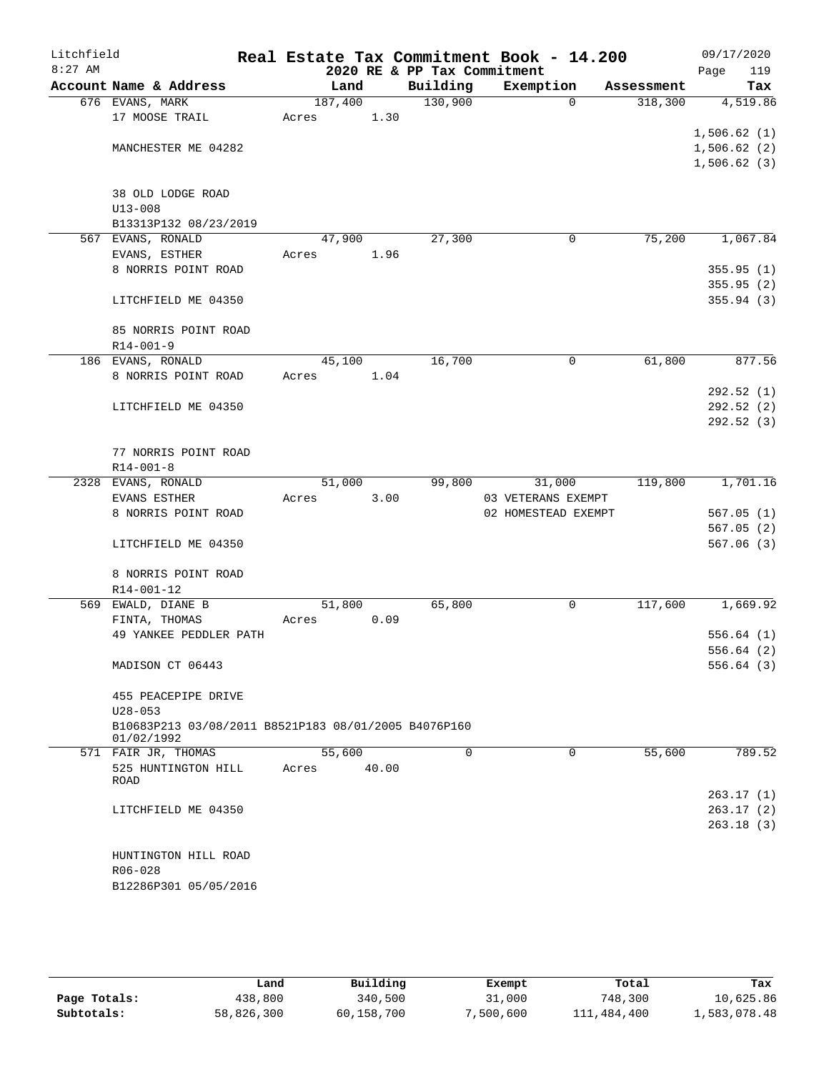| Litchfield<br>$8:27$ AM |                                                      |         |       | 2020 RE & PP Tax Commitment | Real Estate Tax Commitment Book - 14.200 |            | 09/17/2020<br>119<br>Page |
|-------------------------|------------------------------------------------------|---------|-------|-----------------------------|------------------------------------------|------------|---------------------------|
|                         | Account Name & Address                               |         | Land  | Building                    | Exemption                                | Assessment | Tax                       |
|                         | 676 EVANS, MARK                                      | 187,400 |       | 130,900                     | $\Omega$                                 | 318,300    | 4,519.86                  |
|                         | 17 MOOSE TRAIL                                       | Acres   | 1.30  |                             |                                          |            |                           |
|                         |                                                      |         |       |                             |                                          |            | 1,506.62(1)               |
|                         | MANCHESTER ME 04282                                  |         |       |                             |                                          |            | 1,506.62(2)               |
|                         |                                                      |         |       |                             |                                          |            | 1,506.62(3)               |
|                         |                                                      |         |       |                             |                                          |            |                           |
|                         | 38 OLD LODGE ROAD                                    |         |       |                             |                                          |            |                           |
|                         | $U13 - 008$                                          |         |       |                             |                                          |            |                           |
|                         | B13313P132 08/23/2019                                |         |       |                             |                                          |            |                           |
|                         | 567 EVANS, RONALD                                    | 47,900  |       | 27,300                      | 0                                        | 75,200     | 1,067.84                  |
|                         | EVANS, ESTHER                                        | Acres   | 1.96  |                             |                                          |            |                           |
|                         | 8 NORRIS POINT ROAD                                  |         |       |                             |                                          |            | 355.95(1)                 |
|                         |                                                      |         |       |                             |                                          |            | 355.95(2)                 |
|                         | LITCHFIELD ME 04350                                  |         |       |                             |                                          |            | 355.94(3)                 |
|                         |                                                      |         |       |                             |                                          |            |                           |
|                         | 85 NORRIS POINT ROAD<br>$R14 - 001 - 9$              |         |       |                             |                                          |            |                           |
|                         | 186 EVANS, RONALD                                    | 45,100  |       | 16,700                      | 0                                        | 61,800     | 877.56                    |
|                         | 8 NORRIS POINT ROAD                                  | Acres   | 1.04  |                             |                                          |            |                           |
|                         |                                                      |         |       |                             |                                          |            | 292.52(1)                 |
|                         | LITCHFIELD ME 04350                                  |         |       |                             |                                          |            | 292.52(2)                 |
|                         |                                                      |         |       |                             |                                          |            | 292.52(3)                 |
|                         |                                                      |         |       |                             |                                          |            |                           |
|                         | 77 NORRIS POINT ROAD                                 |         |       |                             |                                          |            |                           |
|                         | $R14 - 001 - 8$                                      |         |       |                             |                                          |            |                           |
|                         | 2328 EVANS, RONALD                                   | 51,000  |       | 99,800                      | 31,000                                   | 119,800    | 1,701.16                  |
|                         | <b>EVANS ESTHER</b>                                  | Acres   | 3.00  |                             | 03 VETERANS EXEMPT                       |            |                           |
|                         | 8 NORRIS POINT ROAD                                  |         |       |                             | 02 HOMESTEAD EXEMPT                      |            | 567.05(1)                 |
|                         |                                                      |         |       |                             |                                          |            | 567.05(2)                 |
|                         | LITCHFIELD ME 04350                                  |         |       |                             |                                          |            | 567.06(3)                 |
|                         |                                                      |         |       |                             |                                          |            |                           |
|                         | 8 NORRIS POINT ROAD                                  |         |       |                             |                                          |            |                           |
|                         | R14-001-12                                           |         |       |                             |                                          |            |                           |
|                         | 569 EWALD, DIANE B                                   | 51,800  |       | 65,800                      | 0                                        | 117,600    | 1,669.92                  |
|                         | FINTA, THOMAS                                        | Acres   | 0.09  |                             |                                          |            |                           |
|                         | 49 YANKEE PEDDLER PATH                               |         |       |                             |                                          |            | 556.64(1)                 |
|                         |                                                      |         |       |                             |                                          |            | 556.64(2)                 |
|                         | MADISON CT 06443                                     |         |       |                             |                                          |            | 556.64(3)                 |
|                         | 455 PEACEPIPE DRIVE                                  |         |       |                             |                                          |            |                           |
|                         | $U28 - 053$                                          |         |       |                             |                                          |            |                           |
|                         | B10683P213 03/08/2011 B8521P183 08/01/2005 B4076P160 |         |       |                             |                                          |            |                           |
|                         | 01/02/1992                                           |         |       |                             |                                          |            |                           |
|                         | 571 FAIR JR, THOMAS                                  | 55,600  |       | $\Omega$                    | $\Omega$                                 | 55,600     | 789.52                    |
|                         | 525 HUNTINGTON HILL                                  | Acres   | 40.00 |                             |                                          |            |                           |
|                         | ROAD                                                 |         |       |                             |                                          |            |                           |
|                         |                                                      |         |       |                             |                                          |            | 263.17 (1)                |
|                         | LITCHFIELD ME 04350                                  |         |       |                             |                                          |            | 263.17 (2)                |
|                         |                                                      |         |       |                             |                                          |            | 263.18(3)                 |
|                         |                                                      |         |       |                             |                                          |            |                           |
|                         | HUNTINGTON HILL ROAD                                 |         |       |                             |                                          |            |                           |
|                         | R06-028<br>B12286P301 05/05/2016                     |         |       |                             |                                          |            |                           |
|                         |                                                      |         |       |                             |                                          |            |                           |
|                         |                                                      |         |       |                             |                                          |            |                           |

|              | Land       | Building   | Exempt    | Total       | Tax          |
|--------------|------------|------------|-----------|-------------|--------------|
| Page Totals: | 438,800    | 340,500    | 31,000    | 748,300     | 10,625.86    |
| Subtotals:   | 58,826,300 | 60,158,700 | 7,500,600 | 111,484,400 | 1,583,078.48 |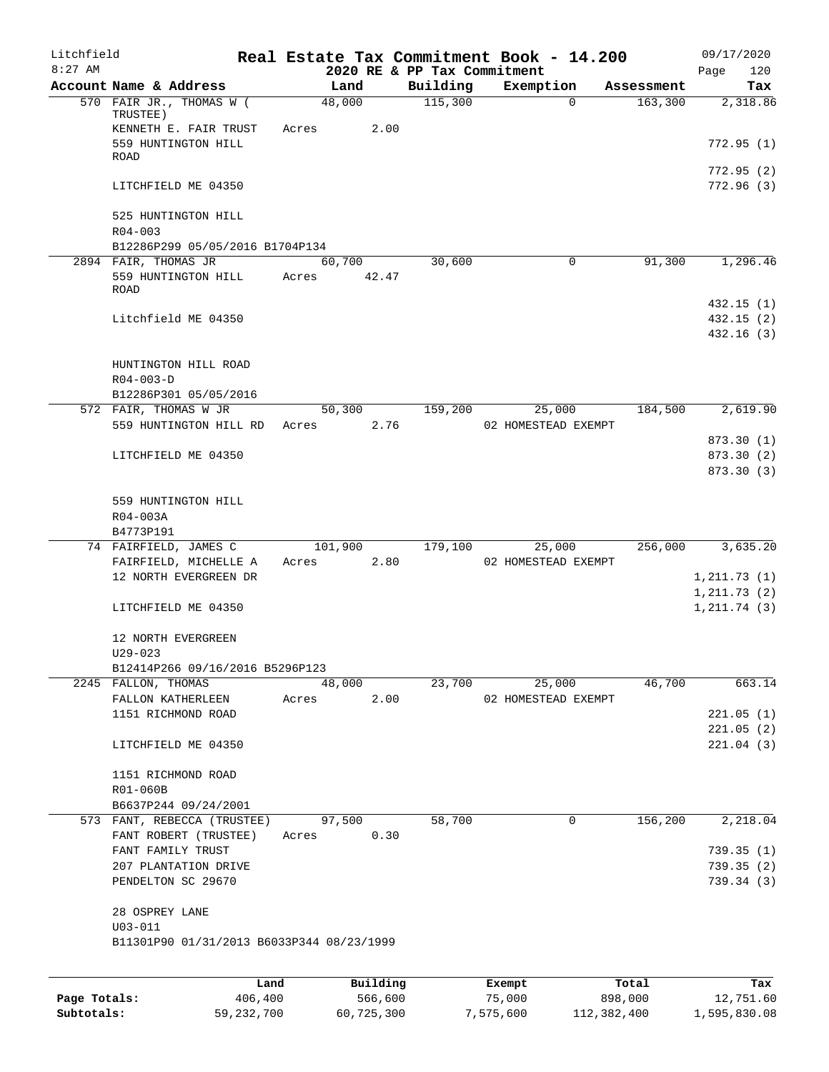| Litchfield<br>$8:27$ AM |                                                               |                 |          | 2020 RE & PP Tax Commitment | Real Estate Tax Commitment Book - 14.200 |            | 09/17/2020<br>120<br>Page    |
|-------------------------|---------------------------------------------------------------|-----------------|----------|-----------------------------|------------------------------------------|------------|------------------------------|
|                         | Account Name & Address                                        | Land            |          | Building                    | Exemption                                | Assessment | Tax                          |
|                         | 570 FAIR JR., THOMAS W (<br>TRUSTEE)<br>KENNETH E. FAIR TRUST | 48,000<br>Acres | 2.00     | 115,300                     | $\Omega$                                 | 163,300    | 2,318.86                     |
|                         | 559 HUNTINGTON HILL<br>ROAD                                   |                 |          |                             |                                          |            | 772.95 (1)                   |
|                         | LITCHFIELD ME 04350                                           |                 |          |                             |                                          |            | 772.95 (2)<br>772.96(3)      |
|                         | 525 HUNTINGTON HILL<br>$R04 - 003$                            |                 |          |                             |                                          |            |                              |
|                         | B12286P299 05/05/2016 B1704P134                               |                 |          |                             |                                          |            |                              |
|                         | 2894 FAIR, THOMAS JR                                          | 60,700          |          | 30,600                      | 0                                        | 91,300     | 1,296.46                     |
|                         | 559 HUNTINGTON HILL<br>ROAD                                   | Acres           | 42.47    |                             |                                          |            | 432.15(1)                    |
|                         | Litchfield ME 04350                                           |                 |          |                             |                                          |            | 432.15(2)<br>432.16(3)       |
|                         | HUNTINGTON HILL ROAD<br>$R04 - 003 - D$                       |                 |          |                             |                                          |            |                              |
|                         | B12286P301 05/05/2016                                         |                 |          |                             |                                          |            |                              |
|                         | 572 FAIR, THOMAS W JR<br>559 HUNTINGTON HILL RD               | 50,300<br>Acres | 2.76     | 159,200                     | 25,000<br>02 HOMESTEAD EXEMPT            | 184,500    | 2,619.90                     |
|                         |                                                               |                 |          |                             |                                          |            | 873.30 (1)                   |
|                         | LITCHFIELD ME 04350                                           |                 |          |                             |                                          |            | 873.30 (2)                   |
|                         | 559 HUNTINGTON HILL<br>R04-003A<br>B4773P191                  |                 |          |                             |                                          |            | 873.30(3)                    |
|                         | 74 FAIRFIELD, JAMES C                                         | 101,900         |          | 179,100                     | 25,000                                   | 256,000    | 3,635.20                     |
|                         | FAIRFIELD, MICHELLE A                                         | Acres           | 2.80     |                             | 02 HOMESTEAD EXEMPT                      |            |                              |
|                         | 12 NORTH EVERGREEN DR                                         |                 |          |                             |                                          |            | 1, 211.73(1)                 |
|                         | LITCHFIELD ME 04350                                           |                 |          |                             |                                          |            | 1, 211.73(2)<br>1, 211.74(3) |
|                         | 12 NORTH EVERGREEN<br>$U29 - 023$                             |                 |          |                             |                                          |            |                              |
|                         | B12414P266 09/16/2016 B5296P123                               |                 |          |                             |                                          |            |                              |
|                         | 2245 FALLON, THOMAS                                           | 48,000          |          | 23,700                      | 25,000                                   | 46,700     | 663.14                       |
|                         | FALLON KATHERLEEN                                             | Acres           | 2.00     |                             | 02 HOMESTEAD EXEMPT                      |            |                              |
|                         | 1151 RICHMOND ROAD                                            |                 |          |                             |                                          |            | 221.05(1)<br>221.05(2)       |
|                         | LITCHFIELD ME 04350                                           |                 |          |                             |                                          |            | 221.04(3)                    |
|                         | 1151 RICHMOND ROAD                                            |                 |          |                             |                                          |            |                              |
|                         | R01-060B                                                      |                 |          |                             |                                          |            |                              |
|                         | B6637P244 09/24/2001                                          |                 |          |                             |                                          |            |                              |
|                         | 573 FANT, REBECCA (TRUSTEE)<br>FANT ROBERT (TRUSTEE)          | 97,500          |          | 58,700                      | 0                                        | 156,200    | 2,218.04                     |
|                         | FANT FAMILY TRUST                                             | Acres           | 0.30     |                             |                                          |            | 739.35(1)                    |
|                         | 207 PLANTATION DRIVE                                          |                 |          |                             |                                          |            | 739.35(2)                    |
|                         | PENDELTON SC 29670                                            |                 |          |                             |                                          |            | 739.34(3)                    |
|                         | 28 OSPREY LANE<br>$U03 - 011$                                 |                 |          |                             |                                          |            |                              |
|                         | B11301P90 01/31/2013 B6033P344 08/23/1999                     |                 |          |                             |                                          |            |                              |
|                         | Land                                                          |                 | Building |                             | Exempt                                   | Total      | Tax                          |
| Page Totals:            | 406,400                                                       |                 | 566,600  |                             | 75,000                                   | 898,000    | 12,751.60                    |

**Subtotals:** 59,232,700 60,725,300 7,575,600 112,382,400 1,595,830.08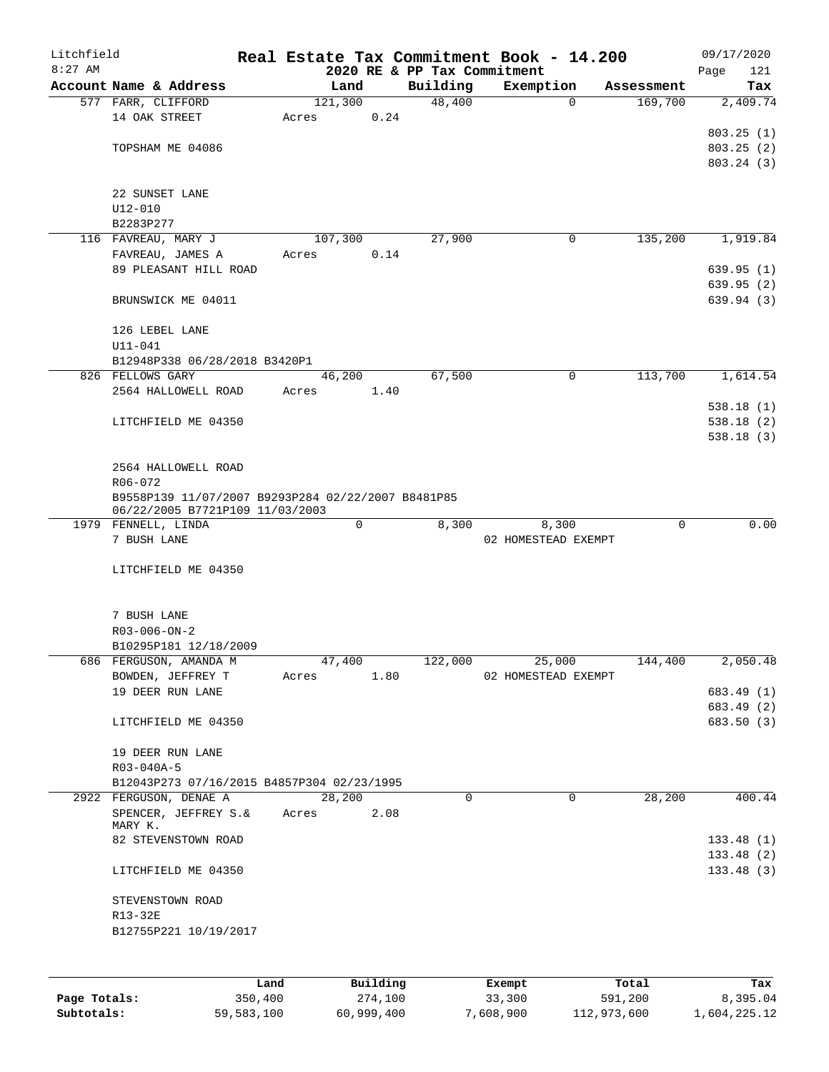| Litchfield |                                                    |      |       |                 |      |                                         | Real Estate Tax Commitment Book - 14.200 |            | 09/17/2020         |
|------------|----------------------------------------------------|------|-------|-----------------|------|-----------------------------------------|------------------------------------------|------------|--------------------|
| $8:27$ AM  | Account Name & Address                             |      |       | Land            |      | 2020 RE & PP Tax Commitment<br>Building | Exemption                                | Assessment | 121<br>Page<br>Tax |
|            | 577 FARR, CLIFFORD                                 |      |       | 121,300         |      | 48,400                                  | $\Omega$                                 | 169,700    | 2,409.74           |
|            | 14 OAK STREET                                      |      | Acres |                 | 0.24 |                                         |                                          |            |                    |
|            |                                                    |      |       |                 |      |                                         |                                          |            | 803.25(1)          |
|            | TOPSHAM ME 04086                                   |      |       |                 |      |                                         |                                          |            | 803.25(2)          |
|            |                                                    |      |       |                 |      |                                         |                                          |            | 803.24 (3)         |
|            |                                                    |      |       |                 |      |                                         |                                          |            |                    |
|            | 22 SUNSET LANE                                     |      |       |                 |      |                                         |                                          |            |                    |
|            | $U12 - 010$                                        |      |       |                 |      |                                         |                                          |            |                    |
|            | B2283P277                                          |      |       |                 |      |                                         |                                          |            |                    |
|            | 116 FAVREAU, MARY J                                |      |       | 107,300         |      | 27,900                                  | 0                                        | 135,200    | 1,919.84           |
|            | FAVREAU, JAMES A                                   |      | Acres |                 | 0.14 |                                         |                                          |            |                    |
|            | 89 PLEASANT HILL ROAD                              |      |       |                 |      |                                         |                                          |            | 639.95(1)          |
|            |                                                    |      |       |                 |      |                                         |                                          |            | 639.95(2)          |
|            | BRUNSWICK ME 04011                                 |      |       |                 |      |                                         |                                          |            | 639.94 (3)         |
|            | 126 LEBEL LANE                                     |      |       |                 |      |                                         |                                          |            |                    |
|            | $U11 - 041$                                        |      |       |                 |      |                                         |                                          |            |                    |
|            | B12948P338 06/28/2018 B3420P1                      |      |       |                 |      |                                         |                                          |            |                    |
|            | 826 FELLOWS GARY                                   |      |       | 46,200          |      | 67,500                                  | $\mathbf 0$                              | 113,700    | 1,614.54           |
|            | 2564 HALLOWELL ROAD                                |      | Acres |                 | 1.40 |                                         |                                          |            |                    |
|            |                                                    |      |       |                 |      |                                         |                                          |            | 538.18(1)          |
|            | LITCHFIELD ME 04350                                |      |       |                 |      |                                         |                                          |            | 538.18(2)          |
|            |                                                    |      |       |                 |      |                                         |                                          |            | 538.18(3)          |
|            |                                                    |      |       |                 |      |                                         |                                          |            |                    |
|            | 2564 HALLOWELL ROAD                                |      |       |                 |      |                                         |                                          |            |                    |
|            | R06-072                                            |      |       |                 |      |                                         |                                          |            |                    |
|            | B9558P139 11/07/2007 B9293P284 02/22/2007 B8481P85 |      |       |                 |      |                                         |                                          |            |                    |
|            | 06/22/2005 B7721P109 11/03/2003                    |      |       |                 |      |                                         |                                          |            |                    |
|            | 1979 FENNELL, LINDA                                |      |       | 0               |      | 8,300                                   | 8,300                                    | 0          | 0.00               |
|            | 7 BUSH LANE                                        |      |       |                 |      |                                         | 02 HOMESTEAD EXEMPT                      |            |                    |
|            |                                                    |      |       |                 |      |                                         |                                          |            |                    |
|            | LITCHFIELD ME 04350                                |      |       |                 |      |                                         |                                          |            |                    |
|            |                                                    |      |       |                 |      |                                         |                                          |            |                    |
|            | 7 BUSH LANE                                        |      |       |                 |      |                                         |                                          |            |                    |
|            | $R03 - 006 - ON - 2$                               |      |       |                 |      |                                         |                                          |            |                    |
|            | B10295P181 12/18/2009                              |      |       |                 |      |                                         |                                          |            |                    |
|            | 686 FERGUSON, AMANDA M                             |      |       | 47,400          |      | 122,000                                 | 25,000                                   | 144,400    | 2,050.48           |
|            | BOWDEN, JEFFREY T                                  |      | Acres |                 | 1.80 |                                         | 02 HOMESTEAD EXEMPT                      |            |                    |
|            | 19 DEER RUN LANE                                   |      |       |                 |      |                                         |                                          |            | 683.49 (1)         |
|            |                                                    |      |       |                 |      |                                         |                                          |            | 683.49 (2)         |
|            | LITCHFIELD ME 04350                                |      |       |                 |      |                                         |                                          |            | 683.50 (3)         |
|            |                                                    |      |       |                 |      |                                         |                                          |            |                    |
|            | 19 DEER RUN LANE                                   |      |       |                 |      |                                         |                                          |            |                    |
|            | R03-040A-5                                         |      |       |                 |      |                                         |                                          |            |                    |
|            | B12043P273 07/16/2015 B4857P304 02/23/1995         |      |       |                 |      |                                         |                                          |            |                    |
|            | 2922 FERGUSON, DENAE A                             |      |       | 28,200          |      | $\Omega$                                | $\Omega$                                 | 28,200     | 400.44             |
|            | SPENCER, JEFFREY S.&<br>MARY K.                    |      | Acres |                 | 2.08 |                                         |                                          |            |                    |
|            | 82 STEVENSTOWN ROAD                                |      |       |                 |      |                                         |                                          |            | 133.48(1)          |
|            |                                                    |      |       |                 |      |                                         |                                          |            | 133.48(2)          |
|            | LITCHFIELD ME 04350                                |      |       |                 |      |                                         |                                          |            | 133.48(3)          |
|            |                                                    |      |       |                 |      |                                         |                                          |            |                    |
|            | STEVENSTOWN ROAD                                   |      |       |                 |      |                                         |                                          |            |                    |
|            | R13-32E                                            |      |       |                 |      |                                         |                                          |            |                    |
|            | B12755P221 10/19/2017                              |      |       |                 |      |                                         |                                          |            |                    |
|            |                                                    |      |       |                 |      |                                         |                                          |            |                    |
|            |                                                    |      |       |                 |      |                                         |                                          |            |                    |
|            |                                                    | Land |       | <b>Building</b> |      |                                         | <b>Ryomnt</b>                            | $T0+21$    | Tay                |

|              | Land       | Building   | Exempt    | Total       | Tax          |
|--------------|------------|------------|-----------|-------------|--------------|
| Page Totals: | 350,400    | 274,100    | 33,300    | 591,200     | 8,395.04     |
| Subtotals:   | 59,583,100 | 60,999,400 | 7,608,900 | 112,973,600 | 1,604,225.12 |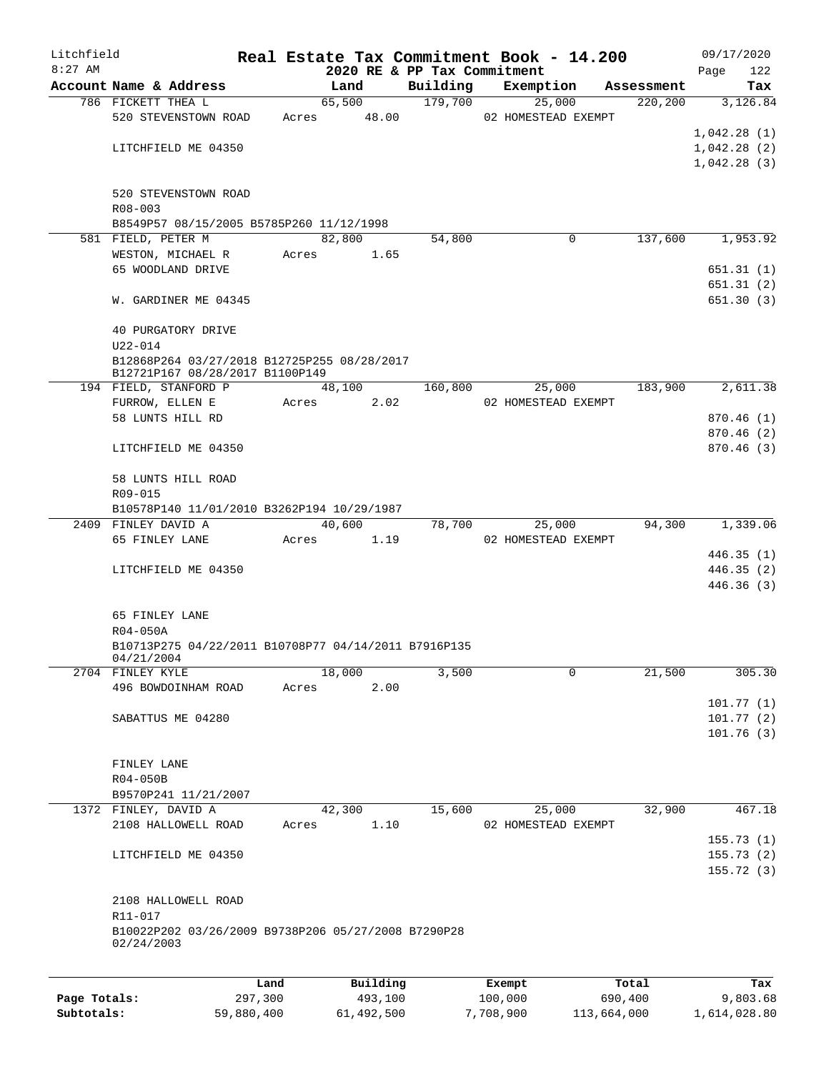| Litchfield |                                                                   |       |                |                             | Real Estate Tax Commitment Book - 14.200 |                        | 09/17/2020             |
|------------|-------------------------------------------------------------------|-------|----------------|-----------------------------|------------------------------------------|------------------------|------------------------|
| $8:27$ AM  | Account Name & Address                                            |       |                | 2020 RE & PP Tax Commitment |                                          |                        | Page<br>122            |
|            | 786 FICKETT THEA L                                                |       | Land<br>65,500 | Building<br>179,700         | Exemption<br>25,000                      | Assessment<br>220, 200 | Tax<br>3,126.84        |
|            | 520 STEVENSTOWN ROAD                                              | Acres | 48.00          |                             | 02 HOMESTEAD EXEMPT                      |                        |                        |
|            |                                                                   |       |                |                             |                                          |                        | 1,042.28(1)            |
|            | LITCHFIELD ME 04350                                               |       |                |                             |                                          |                        | 1,042.28(2)            |
|            |                                                                   |       |                |                             |                                          |                        | 1,042.28(3)            |
|            |                                                                   |       |                |                             |                                          |                        |                        |
|            | 520 STEVENSTOWN ROAD                                              |       |                |                             |                                          |                        |                        |
|            | R08-003                                                           |       |                |                             |                                          |                        |                        |
|            | B8549P57 08/15/2005 B5785P260 11/12/1998                          |       |                |                             |                                          |                        |                        |
|            | 581 FIELD, PETER M                                                |       | 82,800         | 54,800                      | 0                                        | 137,600                | 1,953.92               |
|            | WESTON, MICHAEL R                                                 | Acres | 1.65           |                             |                                          |                        |                        |
|            | 65 WOODLAND DRIVE                                                 |       |                |                             |                                          |                        | 651.31(1)              |
|            | W. GARDINER ME 04345                                              |       |                |                             |                                          |                        | 651.31(2)<br>651.30(3) |
|            |                                                                   |       |                |                             |                                          |                        |                        |
|            | 40 PURGATORY DRIVE                                                |       |                |                             |                                          |                        |                        |
|            | $U22 - 014$                                                       |       |                |                             |                                          |                        |                        |
|            | B12868P264 03/27/2018 B12725P255 08/28/2017                       |       |                |                             |                                          |                        |                        |
|            | B12721P167 08/28/2017 B1100P149                                   |       |                |                             |                                          |                        |                        |
|            | 194 FIELD, STANFORD P                                             |       | 48,100         | 160,800                     | 25,000                                   | 183,900                | 2,611.38               |
|            | FURROW, ELLEN E                                                   | Acres | 2.02           |                             | 02 HOMESTEAD EXEMPT                      |                        |                        |
|            | 58 LUNTS HILL RD                                                  |       |                |                             |                                          |                        | 870.46(1)              |
|            |                                                                   |       |                |                             |                                          |                        | 870.46 (2)             |
|            | LITCHFIELD ME 04350                                               |       |                |                             |                                          |                        | 870.46(3)              |
|            | 58 LUNTS HILL ROAD                                                |       |                |                             |                                          |                        |                        |
|            | R09-015                                                           |       |                |                             |                                          |                        |                        |
|            | B10578P140 11/01/2010 B3262P194 10/29/1987                        |       |                |                             |                                          |                        |                        |
|            | 2409 FINLEY DAVID A                                               |       | 40,600         | 78,700                      | 25,000                                   | 94,300                 | 1,339.06               |
|            | 65 FINLEY LANE                                                    | Acres | 1.19           |                             | 02 HOMESTEAD EXEMPT                      |                        |                        |
|            |                                                                   |       |                |                             |                                          |                        | 446.35(1)              |
|            | LITCHFIELD ME 04350                                               |       |                |                             |                                          |                        | 446.35(2)              |
|            |                                                                   |       |                |                             |                                          |                        | 446.36(3)              |
|            |                                                                   |       |                |                             |                                          |                        |                        |
|            | 65 FINLEY LANE                                                    |       |                |                             |                                          |                        |                        |
|            | R04-050A                                                          |       |                |                             |                                          |                        |                        |
|            | B10713P275 04/22/2011 B10708P77 04/14/2011 B7916P135              |       |                |                             |                                          |                        |                        |
|            | 04/21/2004<br>2704 FINLEY KYLE                                    |       | 18,000         | 3,500                       | $\mathbf 0$                              | 21,500                 | 305.30                 |
|            | 496 BOWDOINHAM ROAD                                               | Acres | 2.00           |                             |                                          |                        |                        |
|            |                                                                   |       |                |                             |                                          |                        | 101.77(1)              |
|            | SABATTUS ME 04280                                                 |       |                |                             |                                          |                        | 101.77(2)              |
|            |                                                                   |       |                |                             |                                          |                        | 101.76(3)              |
|            |                                                                   |       |                |                             |                                          |                        |                        |
|            | FINLEY LANE                                                       |       |                |                             |                                          |                        |                        |
|            | R04-050B                                                          |       |                |                             |                                          |                        |                        |
|            | B9570P241 11/21/2007                                              |       |                |                             |                                          |                        |                        |
|            | 1372 FINLEY, DAVID A                                              |       | 42,300         | 15,600                      | 25,000                                   | 32,900                 | 467.18                 |
|            | 2108 HALLOWELL ROAD                                               | Acres | 1.10           |                             | 02 HOMESTEAD EXEMPT                      |                        |                        |
|            |                                                                   |       |                |                             |                                          |                        | 155.73(1)              |
|            | LITCHFIELD ME 04350                                               |       |                |                             |                                          |                        | 155.73(2)              |
|            |                                                                   |       |                |                             |                                          |                        | 155.72(3)              |
|            |                                                                   |       |                |                             |                                          |                        |                        |
|            | 2108 HALLOWELL ROAD                                               |       |                |                             |                                          |                        |                        |
|            | R11-017                                                           |       |                |                             |                                          |                        |                        |
|            | B10022P202 03/26/2009 B9738P206 05/27/2008 B7290P28<br>02/24/2003 |       |                |                             |                                          |                        |                        |
|            |                                                                   |       |                |                             |                                          |                        |                        |
|            |                                                                   |       |                |                             |                                          |                        |                        |
|            |                                                                   | Land  | Building       |                             | Exempt                                   | Total                  | Tax                    |

|              | -----      | --------   | -------   | -----       | .            |
|--------------|------------|------------|-----------|-------------|--------------|
| Page Totals: | 297,300    | 493,100    | 100,000   | 690,400     | 9,803.68     |
| Subtotals:   | 59,880,400 | 61,492,500 | 7,708,900 | 113,664,000 | 1,614,028.80 |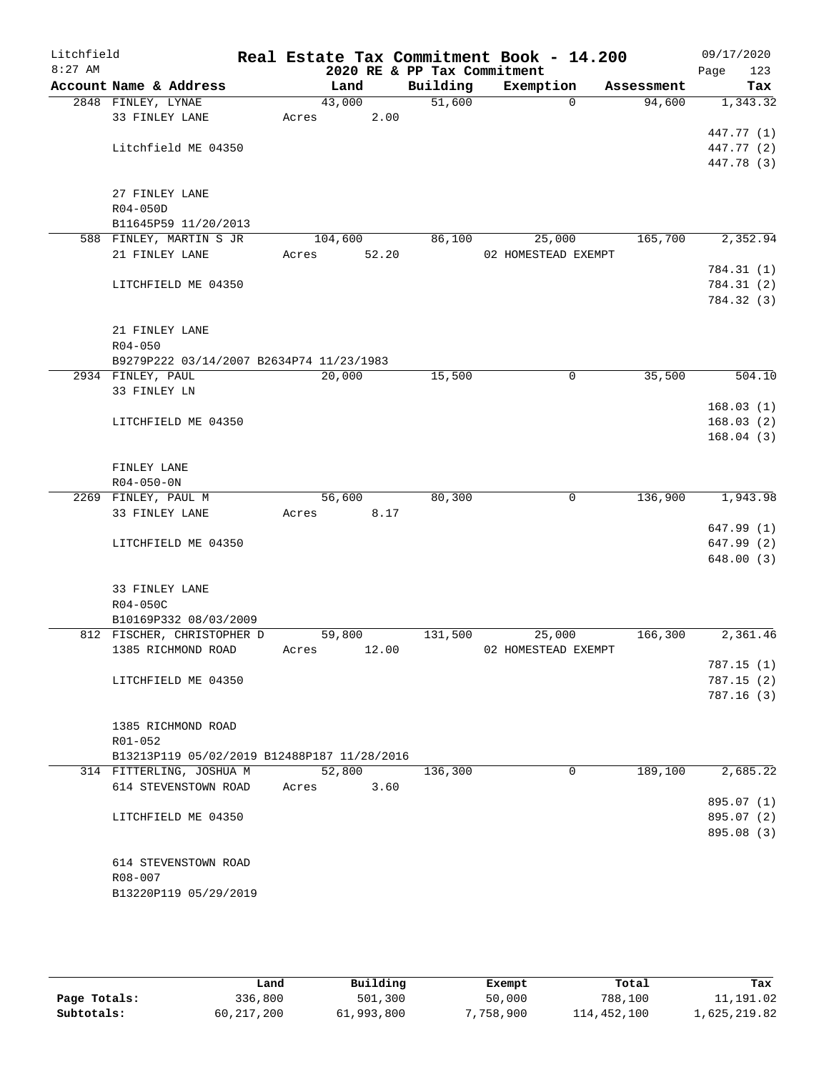| Litchfield |                                             |       |         |       |                             | Real Estate Tax Commitment Book - 14.200 |             |            |      | 09/17/2020 |
|------------|---------------------------------------------|-------|---------|-------|-----------------------------|------------------------------------------|-------------|------------|------|------------|
| $8:27$ AM  |                                             |       |         |       | 2020 RE & PP Tax Commitment |                                          |             |            | Page | 123        |
|            | Account Name & Address                      |       | Land    |       | Building                    | Exemption                                |             | Assessment |      | Tax        |
|            | 2848 FINLEY, LYNAE                          |       | 43,000  |       | 51,600                      |                                          | $\Omega$    | 94,600     |      | 1,343.32   |
|            | 33 FINLEY LANE                              | Acres |         | 2.00  |                             |                                          |             |            |      |            |
|            |                                             |       |         |       |                             |                                          |             |            |      | 447.77 (1) |
|            | Litchfield ME 04350                         |       |         |       |                             |                                          |             |            |      | 447.77 (2) |
|            |                                             |       |         |       |                             |                                          |             |            |      | 447.78 (3) |
|            | 27 FINLEY LANE                              |       |         |       |                             |                                          |             |            |      |            |
|            | R04-050D                                    |       |         |       |                             |                                          |             |            |      |            |
|            | B11645P59 11/20/2013                        |       |         |       |                             |                                          |             |            |      |            |
|            | 588 FINLEY, MARTIN S JR                     |       | 104,600 |       | 86,100                      | 25,000                                   |             | 165,700    |      | 2,352.94   |
|            | 21 FINLEY LANE                              | Acres |         | 52.20 |                             | 02 HOMESTEAD EXEMPT                      |             |            |      |            |
|            |                                             |       |         |       |                             |                                          |             |            |      | 784.31 (1) |
|            | LITCHFIELD ME 04350                         |       |         |       |                             |                                          |             |            |      | 784.31 (2) |
|            |                                             |       |         |       |                             |                                          |             |            |      | 784.32 (3) |
|            |                                             |       |         |       |                             |                                          |             |            |      |            |
|            | 21 FINLEY LANE                              |       |         |       |                             |                                          |             |            |      |            |
|            | $R04 - 050$                                 |       |         |       |                             |                                          |             |            |      |            |
|            | B9279P222 03/14/2007 B2634P74 11/23/1983    |       |         |       |                             |                                          |             |            |      |            |
|            | 2934 FINLEY, PAUL                           |       | 20,000  |       | 15,500                      |                                          | $\mathbf 0$ | 35,500     |      | 504.10     |
|            | 33 FINLEY LN                                |       |         |       |                             |                                          |             |            |      |            |
|            |                                             |       |         |       |                             |                                          |             |            |      | 168.03(1)  |
|            | LITCHFIELD ME 04350                         |       |         |       |                             |                                          |             |            |      | 168.03(2)  |
|            |                                             |       |         |       |                             |                                          |             |            |      | 168.04(3)  |
|            | FINLEY LANE                                 |       |         |       |                             |                                          |             |            |      |            |
|            | $R04 - 050 - 0N$                            |       |         |       |                             |                                          |             |            |      |            |
|            | 2269 FINLEY, PAUL M                         |       | 56,600  |       | 80,300                      |                                          | 0           | 136,900    |      | 1,943.98   |
|            | 33 FINLEY LANE                              | Acres |         | 8.17  |                             |                                          |             |            |      |            |
|            |                                             |       |         |       |                             |                                          |             |            |      | 647.99(1)  |
|            | LITCHFIELD ME 04350                         |       |         |       |                             |                                          |             |            |      | 647.99 (2) |
|            |                                             |       |         |       |                             |                                          |             |            |      | 648.00(3)  |
|            |                                             |       |         |       |                             |                                          |             |            |      |            |
|            | 33 FINLEY LANE                              |       |         |       |                             |                                          |             |            |      |            |
|            | R04-050C                                    |       |         |       |                             |                                          |             |            |      |            |
|            | B10169P332 08/03/2009                       |       |         |       |                             |                                          |             |            |      |            |
|            | 812 FISCHER, CHRISTOPHER D                  |       | 59,800  |       | 131,500                     | 25,000                                   |             | 166,300    |      | 2,361.46   |
|            | 1385 RICHMOND ROAD                          | Acres |         | 12.00 |                             | 02 HOMESTEAD EXEMPT                      |             |            |      |            |
|            |                                             |       |         |       |                             |                                          |             |            |      | 787.15(1)  |
|            | LITCHFIELD ME 04350                         |       |         |       |                             |                                          |             |            |      | 787.15(2)  |
|            |                                             |       |         |       |                             |                                          |             |            |      | 787.16(3)  |
|            | 1385 RICHMOND ROAD                          |       |         |       |                             |                                          |             |            |      |            |
|            | R01-052                                     |       |         |       |                             |                                          |             |            |      |            |
|            | B13213P119 05/02/2019 B12488P187 11/28/2016 |       |         |       |                             |                                          |             |            |      |            |
|            | 314 FITTERLING, JOSHUA M                    |       | 52,800  |       | 136,300                     |                                          | $\mathbf 0$ | 189,100    |      | 2,685.22   |
|            | 614 STEVENSTOWN ROAD                        | Acres |         | 3.60  |                             |                                          |             |            |      |            |
|            |                                             |       |         |       |                             |                                          |             |            |      | 895.07 (1) |
|            | LITCHFIELD ME 04350                         |       |         |       |                             |                                          |             |            |      | 895.07 (2) |
|            |                                             |       |         |       |                             |                                          |             |            |      | 895.08 (3) |
|            |                                             |       |         |       |                             |                                          |             |            |      |            |
|            | 614 STEVENSTOWN ROAD                        |       |         |       |                             |                                          |             |            |      |            |
|            | R08-007                                     |       |         |       |                             |                                          |             |            |      |            |
|            | B13220P119 05/29/2019                       |       |         |       |                             |                                          |             |            |      |            |
|            |                                             |       |         |       |                             |                                          |             |            |      |            |

|              | Land       | Building   | Exempt  | Total       | Tax          |
|--------------|------------|------------|---------|-------------|--------------|
| Page Totals: | 336,800    | 501,300    | 50,000  | 788,100     | 11,191.02    |
| Subtotals:   | 60,217,200 | 61,993,800 | 758,900 | 114,452,100 | 1,625,219.82 |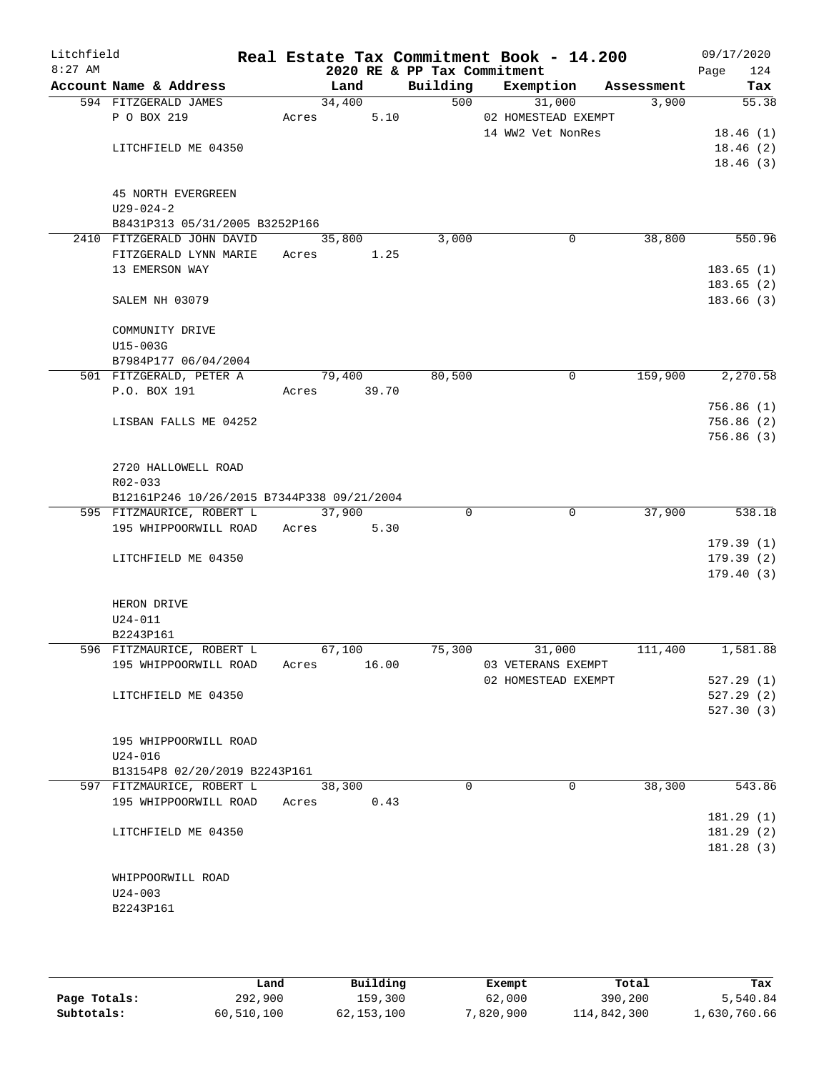| Litchfield<br>$8:27$ AM |                                                   |        |        |       | 2020 RE & PP Tax Commitment | Real Estate Tax Commitment Book - 14.200 |            | 09/17/2020<br>124<br>Page |
|-------------------------|---------------------------------------------------|--------|--------|-------|-----------------------------|------------------------------------------|------------|---------------------------|
|                         | Account Name & Address                            |        | Land   |       | Building                    | Exemption                                | Assessment | Tax                       |
|                         | 594 FITZGERALD JAMES                              |        | 34,400 |       |                             | 500<br>31,000                            | 3,900      | $\overline{55.38}$        |
|                         | P O BOX 219                                       | Acres  |        | 5.10  |                             | 02 HOMESTEAD EXEMPT                      |            |                           |
|                         |                                                   |        |        |       |                             | 14 WW2 Vet NonRes                        |            | 18.46(1)                  |
|                         | LITCHFIELD ME 04350                               |        |        |       |                             |                                          |            | 18.46(2)                  |
|                         |                                                   |        |        |       |                             |                                          |            | 18.46(3)                  |
|                         |                                                   |        |        |       |                             |                                          |            |                           |
|                         | <b>45 NORTH EVERGREEN</b>                         |        |        |       |                             |                                          |            |                           |
|                         | $U29 - 024 - 2$<br>B8431P313 05/31/2005 B3252P166 |        |        |       |                             |                                          |            |                           |
|                         | 2410 FITZGERALD JOHN DAVID                        |        | 35,800 |       | 3,000                       | $\mathbf 0$                              | 38,800     | 550.96                    |
|                         | FITZGERALD LYNN MARIE                             | Acres  |        | 1.25  |                             |                                          |            |                           |
|                         | 13 EMERSON WAY                                    |        |        |       |                             |                                          |            | 183.65(1)                 |
|                         |                                                   |        |        |       |                             |                                          |            | 183.65(2)                 |
|                         | SALEM NH 03079                                    |        |        |       |                             |                                          |            | 183.66(3)                 |
|                         |                                                   |        |        |       |                             |                                          |            |                           |
|                         | COMMUNITY DRIVE                                   |        |        |       |                             |                                          |            |                           |
|                         | U15-003G                                          |        |        |       |                             |                                          |            |                           |
|                         | B7984P177 06/04/2004                              |        |        |       |                             |                                          |            |                           |
|                         | 501 FITZGERALD, PETER A                           | 79,400 |        |       | 80,500                      | $\mathbf 0$                              | 159,900    | 2, 270.58                 |
|                         | P.O. BOX 191                                      | Acres  |        | 39.70 |                             |                                          |            |                           |
|                         |                                                   |        |        |       |                             |                                          |            | 756.86(1)                 |
|                         | LISBAN FALLS ME 04252                             |        |        |       |                             |                                          |            | 756.86(2)                 |
|                         |                                                   |        |        |       |                             |                                          |            | 756.86(3)                 |
|                         | 2720 HALLOWELL ROAD                               |        |        |       |                             |                                          |            |                           |
|                         | R02-033                                           |        |        |       |                             |                                          |            |                           |
|                         | B12161P246 10/26/2015 B7344P338 09/21/2004        |        |        |       |                             |                                          |            |                           |
|                         | 595 FITZMAURICE, ROBERT L                         |        | 37,900 |       | 0                           | $\overline{0}$                           | 37,900     | 538.18                    |
|                         | 195 WHIPPOORWILL ROAD                             | Acres  |        | 5.30  |                             |                                          |            |                           |
|                         |                                                   |        |        |       |                             |                                          |            | 179.39(1)                 |
|                         | LITCHFIELD ME 04350                               |        |        |       |                             |                                          |            | 179.39(2)                 |
|                         |                                                   |        |        |       |                             |                                          |            | 179.40(3)                 |
|                         |                                                   |        |        |       |                             |                                          |            |                           |
|                         | HERON DRIVE                                       |        |        |       |                             |                                          |            |                           |
|                         | $U24 - 011$                                       |        |        |       |                             |                                          |            |                           |
|                         | B2243P161<br>596 FITZMAURICE, ROBERT L            |        | 67,100 |       | 75,300                      | 31,000                                   | 111,400    | 1,581.88                  |
|                         | 195 WHIPPOORWILL ROAD                             | Acres  |        | 16.00 |                             | 03 VETERANS EXEMPT                       |            |                           |
|                         |                                                   |        |        |       |                             | 02 HOMESTEAD EXEMPT                      |            | 527.29(1)                 |
|                         | LITCHFIELD ME 04350                               |        |        |       |                             |                                          |            | 527.29(2)                 |
|                         |                                                   |        |        |       |                             |                                          |            | 527.30 (3)                |
|                         |                                                   |        |        |       |                             |                                          |            |                           |
|                         | 195 WHIPPOORWILL ROAD                             |        |        |       |                             |                                          |            |                           |
|                         | U24-016                                           |        |        |       |                             |                                          |            |                           |
|                         | B13154P8 02/20/2019 B2243P161                     |        |        |       |                             |                                          |            |                           |
|                         | 597 FITZMAURICE, ROBERT L                         |        | 38,300 |       | $\Omega$                    | $\Omega$                                 | 38,300     | 543.86                    |
|                         | 195 WHIPPOORWILL ROAD                             | Acres  |        | 0.43  |                             |                                          |            |                           |
|                         |                                                   |        |        |       |                             |                                          |            | 181.29(1)                 |
|                         | LITCHFIELD ME 04350                               |        |        |       |                             |                                          |            | 181.29(2)                 |
|                         |                                                   |        |        |       |                             |                                          |            | 181.28(3)                 |
|                         | WHIPPOORWILL ROAD                                 |        |        |       |                             |                                          |            |                           |
|                         | $U24 - 003$                                       |        |        |       |                             |                                          |            |                           |
|                         | B2243P161                                         |        |        |       |                             |                                          |            |                           |
|                         |                                                   |        |        |       |                             |                                          |            |                           |
|                         |                                                   |        |        |       |                             |                                          |            |                           |

|              | Land       | Building   | Exempt    | Total       | Tax          |
|--------------|------------|------------|-----------|-------------|--------------|
| Page Totals: | 292,900    | 159,300    | 62,000    | 390,200     | 5,540.84     |
| Subtotals:   | 60,510,100 | 62,153,100 | 7,820,900 | 114,842,300 | L,630,760.66 |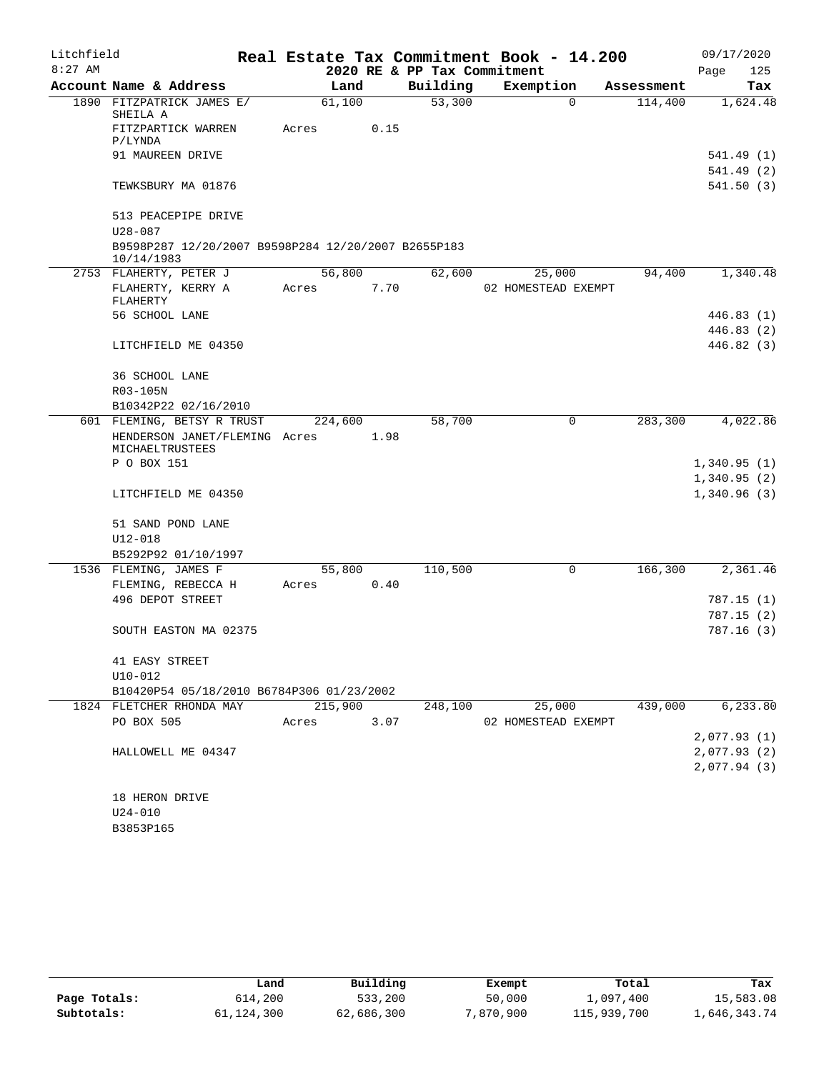| Litchfield |                                                                   |         |      |                             | Real Estate Tax Commitment Book - 14.200 |            | 09/17/2020  |
|------------|-------------------------------------------------------------------|---------|------|-----------------------------|------------------------------------------|------------|-------------|
| $8:27$ AM  |                                                                   |         |      | 2020 RE & PP Tax Commitment |                                          |            | Page<br>125 |
|            | Account Name & Address                                            | Land    |      | Building                    | Exemption                                | Assessment | Tax         |
|            | 1890 FITZPATRICK JAMES E/<br>SHEILA A                             | 61,100  |      | 53,300                      | $\Omega$                                 | 114,400    | 1,624.48    |
|            | FITZPARTICK WARREN<br>P/LYNDA                                     | Acres   | 0.15 |                             |                                          |            |             |
|            | 91 MAUREEN DRIVE                                                  |         |      |                             |                                          |            | 541.49 (1)  |
|            |                                                                   |         |      |                             |                                          |            | 541.49 (2)  |
|            | TEWKSBURY MA 01876                                                |         |      |                             |                                          |            | 541.50(3)   |
|            | 513 PEACEPIPE DRIVE                                               |         |      |                             |                                          |            |             |
|            | $U28 - 087$                                                       |         |      |                             |                                          |            |             |
|            | B9598P287 12/20/2007 B9598P284 12/20/2007 B2655P183<br>10/14/1983 |         |      |                             |                                          |            |             |
|            | 2753 FLAHERTY, PETER J                                            | 56,800  |      | 62,600                      | 25,000                                   | 94,400     | 1,340.48    |
|            | FLAHERTY, KERRY A                                                 | Acres   | 7.70 |                             | 02 HOMESTEAD EXEMPT                      |            |             |
|            | FLAHERTY                                                          |         |      |                             |                                          |            |             |
|            | 56 SCHOOL LANE                                                    |         |      |                             |                                          |            | 446.83(1)   |
|            |                                                                   |         |      |                             |                                          |            | 446.83 (2)  |
|            | LITCHFIELD ME 04350                                               |         |      |                             |                                          |            | 446.82 (3)  |
|            | 36 SCHOOL LANE                                                    |         |      |                             |                                          |            |             |
|            | R03-105N                                                          |         |      |                             |                                          |            |             |
|            | B10342P22 02/16/2010                                              |         |      |                             |                                          |            |             |
|            | 601 FLEMING, BETSY R TRUST                                        | 224,600 |      | 58,700                      | 0                                        | 283,300    | 4,022.86    |
|            | HENDERSON JANET/FLEMING Acres<br>MICHAELTRUSTEES                  |         | 1.98 |                             |                                          |            |             |
|            | P O BOX 151                                                       |         |      |                             |                                          |            | 1,340.95(1) |
|            |                                                                   |         |      |                             |                                          |            | 1,340.95(2) |
|            | LITCHFIELD ME 04350                                               |         |      |                             |                                          |            | 1,340.96(3) |
|            | 51 SAND POND LANE                                                 |         |      |                             |                                          |            |             |
|            | $U12 - 018$                                                       |         |      |                             |                                          |            |             |
|            | B5292P92 01/10/1997                                               |         |      |                             |                                          |            |             |
|            | 1536 FLEMING, JAMES F                                             | 55,800  |      | 110,500                     | 0                                        | 166,300    | 2,361.46    |
|            | FLEMING, REBECCA H                                                | Acres   | 0.40 |                             |                                          |            |             |
|            | 496 DEPOT STREET                                                  |         |      |                             |                                          |            | 787.15 (1)  |
|            |                                                                   |         |      |                             |                                          |            | 787.15 (2)  |
|            | SOUTH EASTON MA 02375                                             |         |      |                             |                                          |            | 787.16 (3)  |
|            | 41 EASY STREET                                                    |         |      |                             |                                          |            |             |
|            | $U10-012$                                                         |         |      |                             |                                          |            |             |
|            | B10420P54 05/18/2010 B6784P306 01/23/2002                         |         |      |                             |                                          |            |             |
|            | 1824 FLETCHER RHONDA MAY                                          | 215,900 |      | 248,100                     | 25,000                                   | 439,000    | 6,233.80    |
|            | PO BOX 505                                                        | Acres   | 3.07 |                             | 02 HOMESTEAD EXEMPT                      |            |             |
|            |                                                                   |         |      |                             |                                          |            | 2,077.93(1) |
|            | HALLOWELL ME 04347                                                |         |      |                             |                                          |            | 2,077.93(2) |
|            |                                                                   |         |      |                             |                                          |            | 2,077.94(3) |
|            | 18 HERON DRIVE                                                    |         |      |                             |                                          |            |             |
|            | $U24 - 010$                                                       |         |      |                             |                                          |            |             |
|            | B3853P165                                                         |         |      |                             |                                          |            |             |

|              | Land       | Building   | Exempt    | Total       | Tax          |
|--------------|------------|------------|-----------|-------------|--------------|
| Page Totals: | 614,200    | 533,200    | 50,000    | 1,097,400   | 15,583.08    |
| Subtotals:   | 61,124,300 | 62,686,300 | 7,870,900 | 115,939,700 | 1,646,343.74 |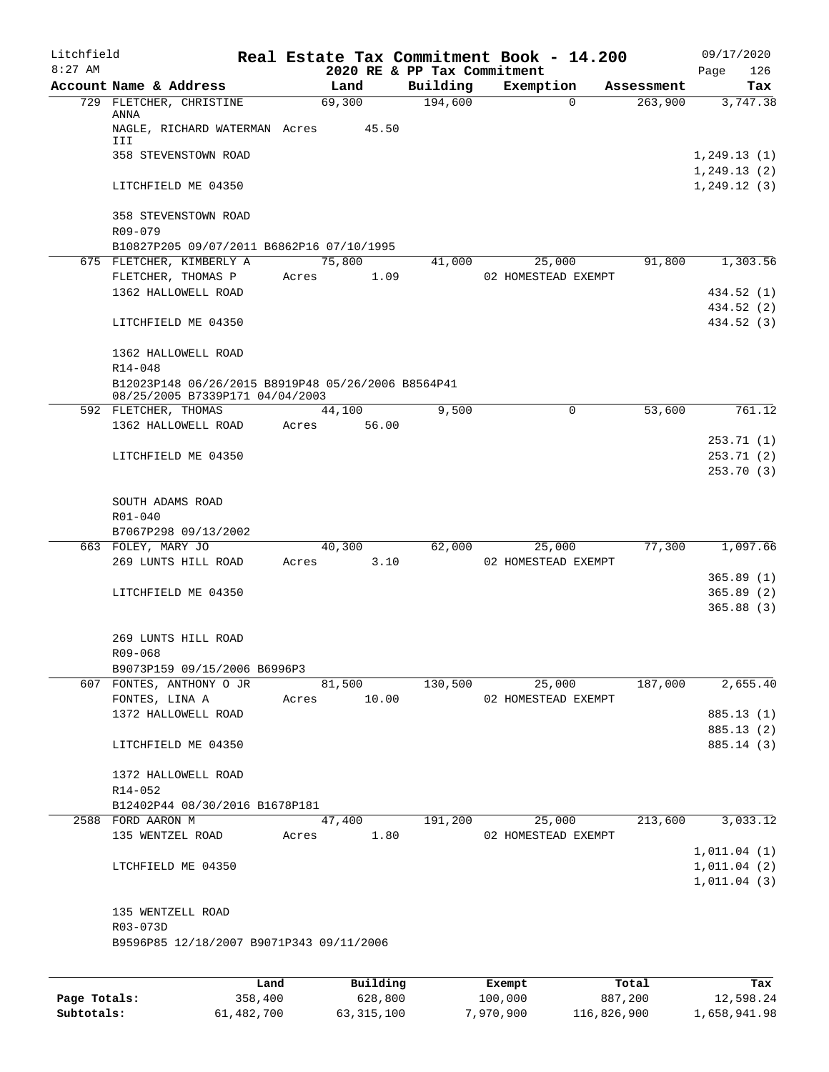| Litchfield<br>$8:27$ AM |                                                                                                  |       |          | 2020 RE & PP Tax Commitment | Real Estate Tax Commitment Book - 14.200 |            | 09/17/2020<br>126<br>Page   |
|-------------------------|--------------------------------------------------------------------------------------------------|-------|----------|-----------------------------|------------------------------------------|------------|-----------------------------|
|                         | Account Name & Address                                                                           |       | Land     | Building                    | Exemption                                | Assessment | Tax                         |
|                         | 729 FLETCHER, CHRISTINE                                                                          |       | 69,300   | 194,600                     | $\Omega$                                 | 263,900    | 3,747.38                    |
|                         | ANNA<br>NAGLE, RICHARD WATERMAN Acres                                                            |       | 45.50    |                             |                                          |            |                             |
|                         | III<br>358 STEVENSTOWN ROAD                                                                      |       |          |                             |                                          |            | 1,249.13(1)                 |
|                         | LITCHFIELD ME 04350                                                                              |       |          |                             |                                          |            | 1,249.13(2)<br>1, 249.12(3) |
|                         | 358 STEVENSTOWN ROAD<br>R09-079                                                                  |       |          |                             |                                          |            |                             |
|                         | B10827P205 09/07/2011 B6862P16 07/10/1995                                                        |       |          |                             |                                          |            |                             |
|                         | 675 FLETCHER, KIMBERLY A                                                                         |       | 75,800   | 41,000                      | 25,000                                   | 91,800     | 1,303.56                    |
|                         | FLETCHER, THOMAS P                                                                               | Acres | 1.09     |                             | 02 HOMESTEAD EXEMPT                      |            |                             |
|                         | 1362 HALLOWELL ROAD                                                                              |       |          |                             |                                          |            | 434.52 (1)                  |
|                         | LITCHFIELD ME 04350                                                                              |       |          |                             |                                          |            | 434.52 (2)<br>434.52 (3)    |
|                         | 1362 HALLOWELL ROAD                                                                              |       |          |                             |                                          |            |                             |
|                         | R14-048<br>B12023P148 06/26/2015 B8919P48 05/26/2006 B8564P41<br>08/25/2005 B7339P171 04/04/2003 |       |          |                             |                                          |            |                             |
|                         | 592 FLETCHER, THOMAS                                                                             |       | 44,100   | 9.500                       | 0                                        | 53,600     | 761.12                      |
|                         | 1362 HALLOWELL ROAD                                                                              | Acres | 56.00    |                             |                                          |            |                             |
|                         |                                                                                                  |       |          |                             |                                          |            | 253.71(1)                   |
|                         | LITCHFIELD ME 04350                                                                              |       |          |                             |                                          |            | 253.71(2)                   |
|                         |                                                                                                  |       |          |                             |                                          |            | 253.70 (3)                  |
|                         | SOUTH ADAMS ROAD                                                                                 |       |          |                             |                                          |            |                             |
|                         | R01-040                                                                                          |       |          |                             |                                          |            |                             |
|                         | B7067P298 09/13/2002                                                                             |       |          |                             |                                          |            |                             |
|                         | 663 FOLEY, MARY JO                                                                               |       | 40,300   | 62,000                      | 25,000                                   | 77,300     | 1,097.66                    |
|                         | 269 LUNTS HILL ROAD                                                                              | Acres | 3.10     |                             | 02 HOMESTEAD EXEMPT                      |            |                             |
|                         |                                                                                                  |       |          |                             |                                          |            | 365.89(1)                   |
|                         | LITCHFIELD ME 04350                                                                              |       |          |                             |                                          |            | 365.89(2)<br>365.88(3)      |
|                         |                                                                                                  |       |          |                             |                                          |            |                             |
|                         | 269 LUNTS HILL ROAD                                                                              |       |          |                             |                                          |            |                             |
|                         | R09-068                                                                                          |       |          |                             |                                          |            |                             |
|                         | B9073P159 09/15/2006 B6996P3                                                                     |       |          |                             |                                          |            |                             |
|                         | 607 FONTES, ANTHONY O JR                                                                         |       | 81,500   | 130,500                     | 25,000                                   | 187,000    | 2,655.40                    |
|                         | FONTES, LINA A                                                                                   | Acres | 10.00    |                             | 02 HOMESTEAD EXEMPT                      |            |                             |
|                         | 1372 HALLOWELL ROAD                                                                              |       |          |                             |                                          |            | 885.13 (1)                  |
|                         | LITCHFIELD ME 04350                                                                              |       |          |                             |                                          |            | 885.13 (2)<br>885.14 (3)    |
|                         |                                                                                                  |       |          |                             |                                          |            |                             |
|                         | 1372 HALLOWELL ROAD                                                                              |       |          |                             |                                          |            |                             |
|                         | R14-052                                                                                          |       |          |                             |                                          |            |                             |
|                         | B12402P44 08/30/2016 B1678P181                                                                   |       |          |                             |                                          |            |                             |
|                         | 2588 FORD AARON M                                                                                |       | 47,400   | 191,200                     | 25,000                                   | 213,600    | 3,033.12                    |
|                         | 135 WENTZEL ROAD                                                                                 | Acres | 1.80     |                             | 02 HOMESTEAD EXEMPT                      |            |                             |
|                         | LTCHFIELD ME 04350                                                                               |       |          |                             |                                          |            | 1,011.04(1)<br>1,011.04(2)  |
|                         |                                                                                                  |       |          |                             |                                          |            | 1,011.04(3)                 |
|                         |                                                                                                  |       |          |                             |                                          |            |                             |
|                         | 135 WENTZELL ROAD                                                                                |       |          |                             |                                          |            |                             |
|                         | R03-073D                                                                                         |       |          |                             |                                          |            |                             |
|                         | B9596P85 12/18/2007 B9071P343 09/11/2006                                                         |       |          |                             |                                          |            |                             |
|                         |                                                                                                  |       |          |                             |                                          |            |                             |
|                         |                                                                                                  | Land  | Building |                             | Exempt                                   | Total      | Tax                         |

|              | Land       | Building   | Exempt    | Total       | Tax          |
|--------------|------------|------------|-----------|-------------|--------------|
| Page Totals: | 358,400    | 628,800    | 100,000   | 887,200     | 12,598.24    |
| Subtotals:   | 61,482,700 | 63,315,100 | 7,970,900 | 116,826,900 | 1,658,941.98 |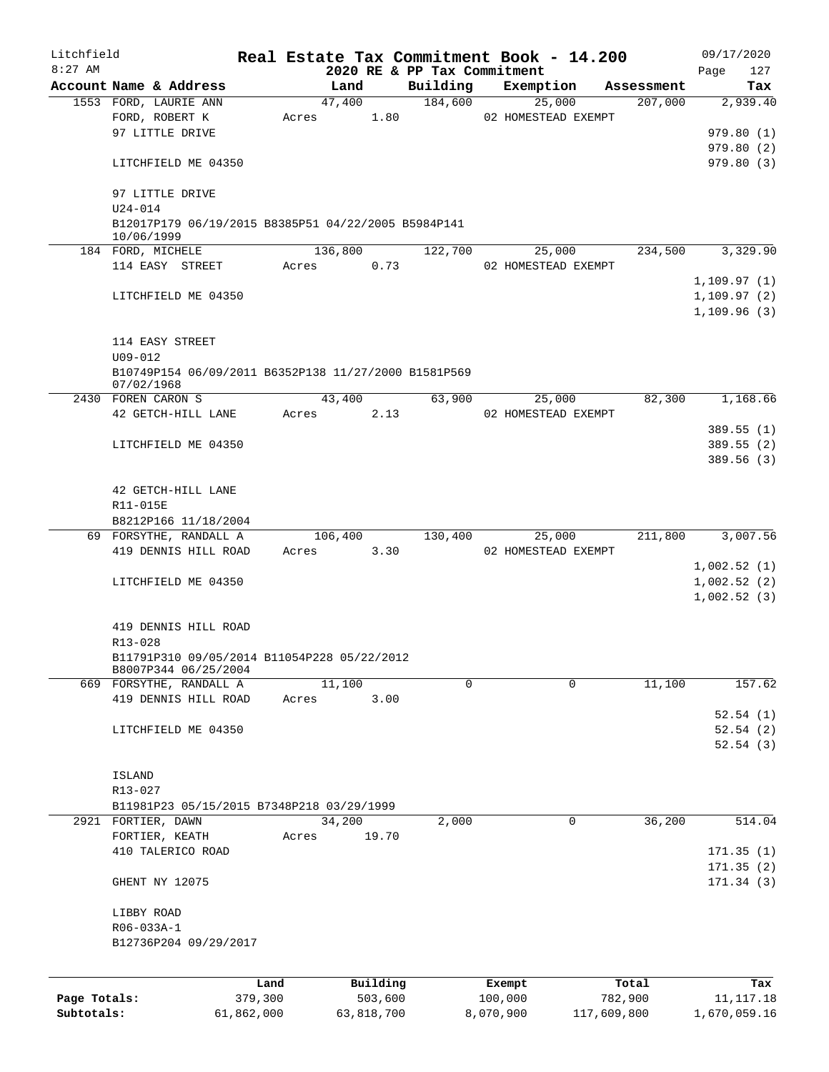| Litchfield   |             |                                                                     |                 |       |         |                     |                                         | Real Estate Tax Commitment Book - 14.200 |                       | 09/17/2020      |
|--------------|-------------|---------------------------------------------------------------------|-----------------|-------|---------|---------------------|-----------------------------------------|------------------------------------------|-----------------------|-----------------|
| $8:27$ AM    |             | Account Name & Address                                              |                 |       | Land    |                     | 2020 RE & PP Tax Commitment<br>Building |                                          |                       | Page<br>127     |
|              |             | 1553 FORD, LAURIE ANN                                               |                 |       | 47,400  |                     | 184,600                                 | Exemption<br>25,000                      | Assessment<br>207,000 | Tax<br>2,939.40 |
|              |             | FORD, ROBERT K                                                      |                 | Acres |         | 1.80                |                                         | 02 HOMESTEAD EXEMPT                      |                       |                 |
|              |             | 97 LITTLE DRIVE                                                     |                 |       |         |                     |                                         |                                          |                       | 979.80(1)       |
|              |             |                                                                     |                 |       |         |                     |                                         |                                          |                       | 979.80(2)       |
|              |             | LITCHFIELD ME 04350                                                 |                 |       |         |                     |                                         |                                          |                       | 979.80(3)       |
|              |             | 97 LITTLE DRIVE                                                     |                 |       |         |                     |                                         |                                          |                       |                 |
|              | $U24 - 014$ |                                                                     |                 |       |         |                     |                                         |                                          |                       |                 |
|              | 10/06/1999  | B12017P179 06/19/2015 B8385P51 04/22/2005 B5984P141                 |                 |       |         |                     |                                         |                                          |                       |                 |
|              |             | 184 FORD, MICHELE                                                   |                 |       | 136,800 |                     | 122,700                                 | 25,000                                   | 234,500               | 3,329.90        |
|              |             | 114 EASY STREET                                                     |                 | Acres |         | 0.73                |                                         | 02 HOMESTEAD EXEMPT                      |                       |                 |
|              |             |                                                                     |                 |       |         |                     |                                         |                                          |                       | 1,109.97(1)     |
|              |             | LITCHFIELD ME 04350                                                 |                 |       |         |                     |                                         |                                          |                       | 1, 109.97(2)    |
|              |             |                                                                     |                 |       |         |                     |                                         |                                          |                       | 1, 109.96(3)    |
|              |             | 114 EASY STREET                                                     |                 |       |         |                     |                                         |                                          |                       |                 |
|              | $U09 - 012$ |                                                                     |                 |       |         |                     |                                         |                                          |                       |                 |
|              | 07/02/1968  | B10749P154 06/09/2011 B6352P138 11/27/2000 B1581P569                |                 |       |         |                     |                                         |                                          |                       |                 |
|              |             | 2430 FOREN CARON S                                                  |                 |       | 43,400  |                     | 63,900                                  | 25,000                                   | 82,300                | 1,168.66        |
|              |             | 42 GETCH-HILL LANE                                                  |                 | Acres |         | 2.13                |                                         | 02 HOMESTEAD EXEMPT                      |                       |                 |
|              |             |                                                                     |                 |       |         |                     |                                         |                                          |                       | 389.55 (1)      |
|              |             | LITCHFIELD ME 04350                                                 |                 |       |         |                     |                                         |                                          |                       | 389.55(2)       |
|              |             |                                                                     |                 |       |         |                     |                                         |                                          |                       | 389.56 (3)      |
|              |             |                                                                     |                 |       |         |                     |                                         |                                          |                       |                 |
|              |             | 42 GETCH-HILL LANE                                                  |                 |       |         |                     |                                         |                                          |                       |                 |
|              | R11-015E    |                                                                     |                 |       |         |                     |                                         |                                          |                       |                 |
|              |             | B8212P166 11/18/2004                                                |                 |       |         |                     |                                         |                                          |                       |                 |
|              |             | 69 FORSYTHE, RANDALL A                                              |                 |       | 106,400 |                     | 130,400                                 | 25,000                                   | 211,800               | 3,007.56        |
|              |             | 419 DENNIS HILL ROAD                                                |                 | Acres |         | 3.30                |                                         | 02 HOMESTEAD EXEMPT                      |                       |                 |
|              |             |                                                                     |                 |       |         |                     |                                         |                                          |                       | 1,002.52(1)     |
|              |             | LITCHFIELD ME 04350                                                 |                 |       |         |                     |                                         |                                          |                       | 1,002.52(2)     |
|              |             |                                                                     |                 |       |         |                     |                                         |                                          |                       | 1,002.52(3)     |
|              |             |                                                                     |                 |       |         |                     |                                         |                                          |                       |                 |
|              |             | 419 DENNIS HILL ROAD                                                |                 |       |         |                     |                                         |                                          |                       |                 |
|              | R13-028     |                                                                     |                 |       |         |                     |                                         |                                          |                       |                 |
|              |             | B11791P310 09/05/2014 B11054P228 05/22/2012<br>B8007P344 06/25/2004 |                 |       |         |                     |                                         |                                          |                       |                 |
|              |             | 669 FORSYTHE, RANDALL A                                             |                 |       | 11,100  |                     | $\Omega$                                | 0                                        | 11,100                | 157.62          |
|              |             | 419 DENNIS HILL ROAD                                                |                 | Acres |         | 3.00                |                                         |                                          |                       |                 |
|              |             |                                                                     |                 |       |         |                     |                                         |                                          |                       | 52.54(1)        |
|              |             | LITCHFIELD ME 04350                                                 |                 |       |         |                     |                                         |                                          |                       | 52.54(2)        |
|              |             |                                                                     |                 |       |         |                     |                                         |                                          |                       | 52.54(3)        |
|              |             |                                                                     |                 |       |         |                     |                                         |                                          |                       |                 |
|              | ISLAND      |                                                                     |                 |       |         |                     |                                         |                                          |                       |                 |
|              | R13-027     |                                                                     |                 |       |         |                     |                                         |                                          |                       |                 |
|              |             | B11981P23 05/15/2015 B7348P218 03/29/1999                           |                 |       |         |                     |                                         |                                          |                       |                 |
|              |             | 2921 FORTIER, DAWN                                                  |                 |       | 34,200  |                     | 2,000                                   | 0                                        | 36,200                | 514.04          |
|              |             | FORTIER, KEATH                                                      |                 | Acres |         | 19.70               |                                         |                                          |                       |                 |
|              |             | 410 TALERICO ROAD                                                   |                 |       |         |                     |                                         |                                          |                       | 171.35(1)       |
|              |             |                                                                     |                 |       |         |                     |                                         |                                          |                       | 171.35(2)       |
|              |             | GHENT NY 12075                                                      |                 |       |         |                     |                                         |                                          |                       | 171.34(3)       |
|              | LIBBY ROAD  |                                                                     |                 |       |         |                     |                                         |                                          |                       |                 |
|              | R06-033A-1  |                                                                     |                 |       |         |                     |                                         |                                          |                       |                 |
|              |             | B12736P204 09/29/2017                                               |                 |       |         |                     |                                         |                                          |                       |                 |
|              |             |                                                                     |                 |       |         |                     |                                         |                                          |                       |                 |
|              |             |                                                                     |                 |       |         |                     |                                         |                                          |                       |                 |
| Page Totals: |             |                                                                     | Land<br>379,300 |       |         | Building<br>503,600 |                                         | Exempt<br>100,000                        | Total<br>782,900      | Tax             |
| Subtotals:   |             |                                                                     |                 |       |         |                     |                                         |                                          |                       | 11,117.18       |
|              |             |                                                                     | 61,862,000      |       |         | 63,818,700          |                                         | 8,070,900                                | 117,609,800           | 1,670,059.16    |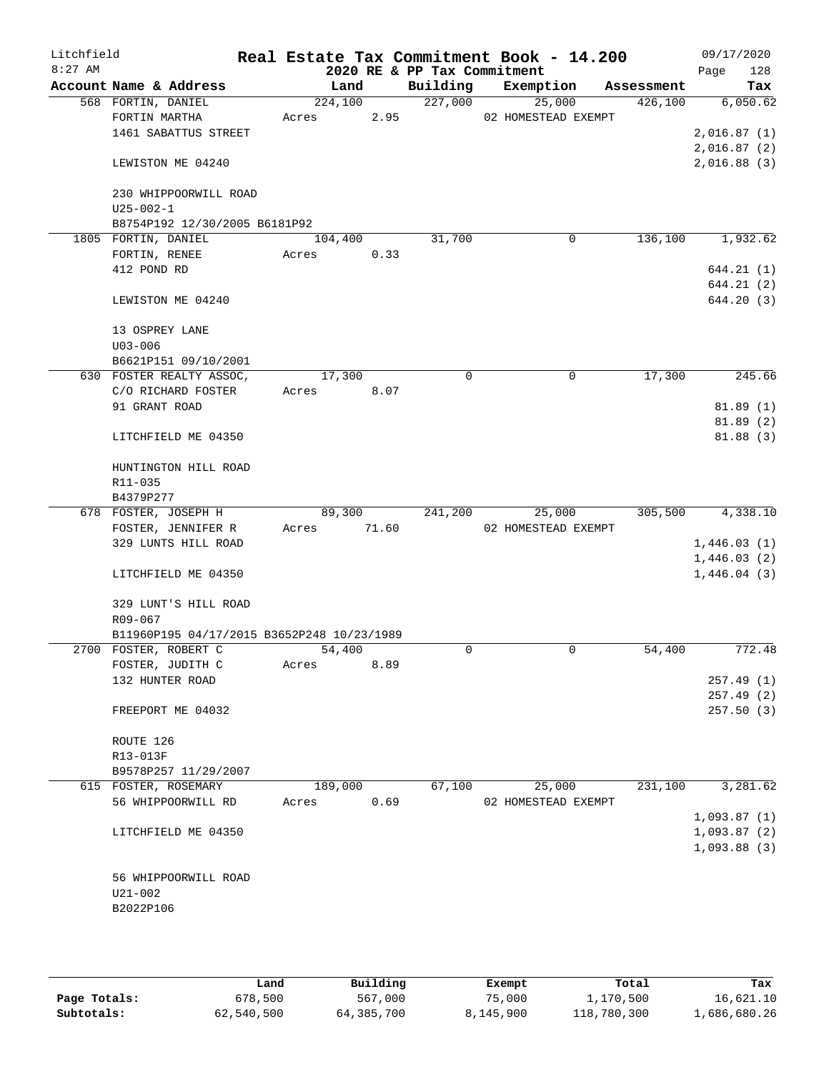| Litchfield<br>$8:27$ AM |                                            |         |         |                                         | Real Estate Tax Commitment Book - 14.200 |            | 09/17/2020           |
|-------------------------|--------------------------------------------|---------|---------|-----------------------------------------|------------------------------------------|------------|----------------------|
|                         | Account Name & Address                     | Land    |         | 2020 RE & PP Tax Commitment<br>Building | Exemption                                | Assessment | 128<br>Page<br>Tax   |
|                         | 568 FORTIN, DANIEL                         |         | 224,100 | 227,000                                 | 25,000                                   | 426,100    | 6,050.62             |
|                         | FORTIN MARTHA                              | Acres   | 2.95    |                                         | 02 HOMESTEAD EXEMPT                      |            |                      |
|                         | 1461 SABATTUS STREET                       |         |         |                                         |                                          |            | 2,016.87(1)          |
|                         |                                            |         |         |                                         |                                          |            | 2,016.87(2)          |
|                         | LEWISTON ME 04240                          |         |         |                                         |                                          |            | 2,016.88(3)          |
|                         | 230 WHIPPOORWILL ROAD                      |         |         |                                         |                                          |            |                      |
|                         | $U25 - 002 - 1$                            |         |         |                                         |                                          |            |                      |
|                         | B8754P192 12/30/2005 B6181P92              |         |         |                                         |                                          |            |                      |
|                         | 1805 FORTIN, DANIEL                        | 104,400 |         | 31,700                                  | 0                                        | 136,100    | 1,932.62             |
|                         | FORTIN, RENEE                              | Acres   | 0.33    |                                         |                                          |            |                      |
|                         | 412 POND RD                                |         |         |                                         |                                          |            | 644.21 (1)           |
|                         |                                            |         |         |                                         |                                          |            | 644.21(2)            |
|                         | LEWISTON ME 04240                          |         |         |                                         |                                          |            | 644.20(3)            |
|                         | 13 OSPREY LANE                             |         |         |                                         |                                          |            |                      |
|                         | $U03 - 006$                                |         |         |                                         |                                          |            |                      |
|                         | B6621P151 09/10/2001                       |         |         |                                         |                                          |            |                      |
|                         | 630 FOSTER REALTY ASSOC,                   | 17,300  |         | $\mathbf 0$                             | $\mathbf 0$                              | 17,300     | 245.66               |
|                         | C/O RICHARD FOSTER                         | Acres   | 8.07    |                                         |                                          |            |                      |
|                         | 91 GRANT ROAD                              |         |         |                                         |                                          |            | 81.89(1)<br>81.89(2) |
|                         | LITCHFIELD ME 04350                        |         |         |                                         |                                          |            | 81.88(3)             |
|                         | HUNTINGTON HILL ROAD                       |         |         |                                         |                                          |            |                      |
|                         | R11-035                                    |         |         |                                         |                                          |            |                      |
|                         | B4379P277                                  |         |         |                                         |                                          |            |                      |
|                         | 678 FOSTER, JOSEPH H                       | 89,300  |         | 241,200                                 | 25,000                                   | 305,500    | 4,338.10             |
|                         | FOSTER, JENNIFER R                         | Acres   | 71.60   |                                         | 02 HOMESTEAD EXEMPT                      |            |                      |
|                         | 329 LUNTS HILL ROAD                        |         |         |                                         |                                          |            | 1,446.03(1)          |
|                         |                                            |         |         |                                         |                                          |            | 1,446.03(2)          |
|                         | LITCHFIELD ME 04350                        |         |         |                                         |                                          |            | 1,446.04(3)          |
|                         | 329 LUNT'S HILL ROAD                       |         |         |                                         |                                          |            |                      |
|                         | R09-067                                    |         |         |                                         |                                          |            |                      |
|                         | B11960P195 04/17/2015 B3652P248 10/23/1989 |         |         |                                         |                                          |            |                      |
|                         | 2700 FOSTER, ROBERT C                      | 54,400  |         | $\Omega$                                | 0                                        | 54,400     | 772.48               |
|                         | FOSTER, JUDITH C                           | Acres   | 8.89    |                                         |                                          |            |                      |
|                         | 132 HUNTER ROAD                            |         |         |                                         |                                          |            | 257.49(1)            |
|                         |                                            |         |         |                                         |                                          |            | 257.49(2)            |
|                         | FREEPORT ME 04032                          |         |         |                                         |                                          |            | 257.50(3)            |
|                         | ROUTE 126                                  |         |         |                                         |                                          |            |                      |
|                         | R13-013F                                   |         |         |                                         |                                          |            |                      |
|                         | B9578P257 11/29/2007                       |         |         |                                         |                                          |            |                      |
|                         | 615 FOSTER, ROSEMARY                       | 189,000 |         | 67,100                                  | 25,000                                   | 231,100    | 3,281.62             |
|                         | 56 WHIPPOORWILL RD                         | Acres   | 0.69    |                                         | 02 HOMESTEAD EXEMPT                      |            |                      |
|                         |                                            |         |         |                                         |                                          |            | 1,093.87(1)          |
|                         | LITCHFIELD ME 04350                        |         |         |                                         |                                          |            | 1,093.87(2)          |
|                         |                                            |         |         |                                         |                                          |            | 1,093.88(3)          |
|                         |                                            |         |         |                                         |                                          |            |                      |
|                         | 56 WHIPPOORWILL ROAD                       |         |         |                                         |                                          |            |                      |
|                         | $U21 - 002$                                |         |         |                                         |                                          |            |                      |
|                         | B2022P106                                  |         |         |                                         |                                          |            |                      |
|                         |                                            |         |         |                                         |                                          |            |                      |
|                         |                                            |         |         |                                         |                                          |            |                      |

|              | Land       | Building   | Exempt    | Total       | Tax          |
|--------------|------------|------------|-----------|-------------|--------------|
| Page Totals: | 678,500    | 567,000    | 75,000    | 1,170,500   | 16,621.10    |
| Subtotals:   | 62,540,500 | 64,385,700 | 8,145,900 | 118,780,300 | 1,686,680.26 |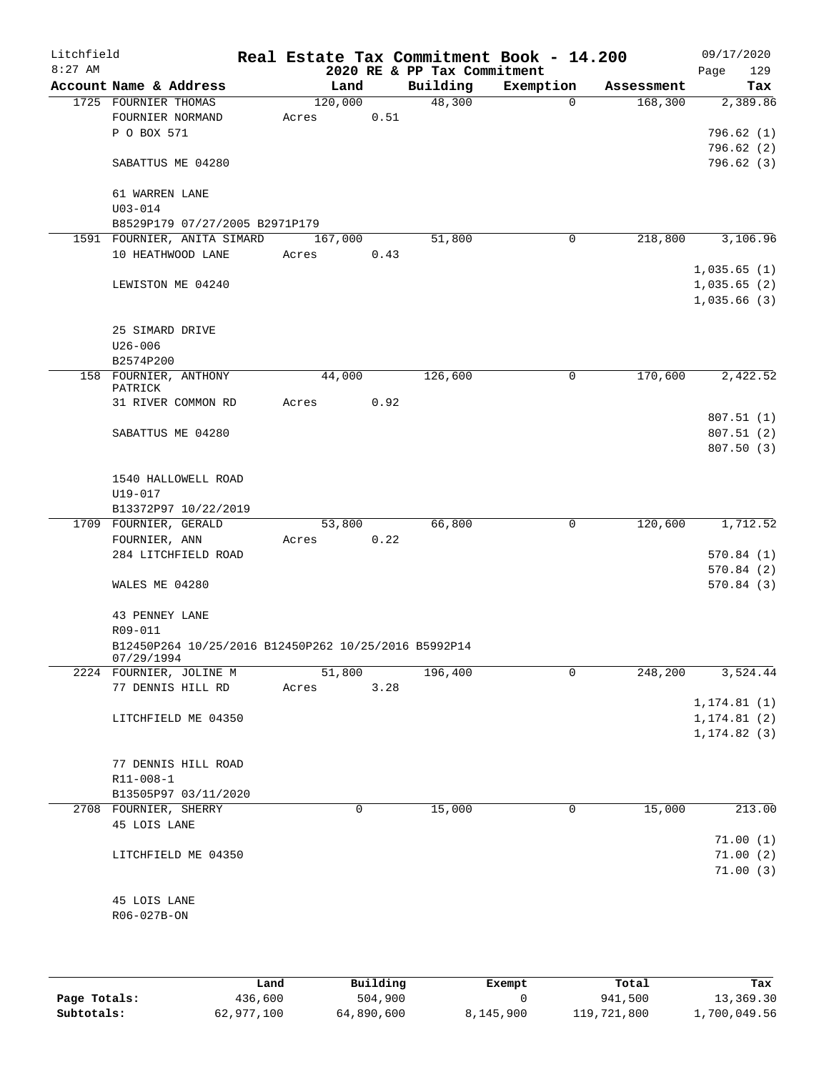| Litchfield |                                                      |       |                 |      |                                         | Real Estate Tax Commitment Book - 14.200 |                       | 09/17/2020      |
|------------|------------------------------------------------------|-------|-----------------|------|-----------------------------------------|------------------------------------------|-----------------------|-----------------|
| $8:27$ AM  | Account Name & Address                               |       |                 |      | 2020 RE & PP Tax Commitment<br>Building |                                          |                       | 129<br>Page     |
|            | 1725 FOURNIER THOMAS                                 |       | Land<br>120,000 |      | 48,300                                  | Exemption<br>$\Omega$                    | Assessment<br>168,300 | Tax<br>2,389.86 |
|            | FOURNIER NORMAND                                     | Acres |                 | 0.51 |                                         |                                          |                       |                 |
|            | P O BOX 571                                          |       |                 |      |                                         |                                          |                       | 796.62(1)       |
|            |                                                      |       |                 |      |                                         |                                          |                       | 796.62(2)       |
|            | SABATTUS ME 04280                                    |       |                 |      |                                         |                                          |                       | 796.62(3)       |
|            | 61 WARREN LANE                                       |       |                 |      |                                         |                                          |                       |                 |
|            | $U03 - 014$                                          |       |                 |      |                                         |                                          |                       |                 |
|            | B8529P179 07/27/2005 B2971P179                       |       |                 |      |                                         |                                          |                       |                 |
|            | 1591 FOURNIER, ANITA SIMARD                          |       | 167,000         |      | 51,800                                  | 0                                        | 218,800               | 3,106.96        |
|            | 10 HEATHWOOD LANE                                    | Acres |                 | 0.43 |                                         |                                          |                       |                 |
|            |                                                      |       |                 |      |                                         |                                          |                       | 1,035.65(1)     |
|            | LEWISTON ME 04240                                    |       |                 |      |                                         |                                          |                       | 1,035.65(2)     |
|            |                                                      |       |                 |      |                                         |                                          |                       | 1,035.66(3)     |
|            | 25 SIMARD DRIVE                                      |       |                 |      |                                         |                                          |                       |                 |
|            | $U26 - 006$                                          |       |                 |      |                                         |                                          |                       |                 |
|            | B2574P200                                            |       |                 |      |                                         |                                          |                       |                 |
|            | 158 FOURNIER, ANTHONY                                |       | 44,000          |      | 126,600                                 | 0                                        | 170,600               | 2,422.52        |
|            | PATRICK                                              |       |                 |      |                                         |                                          |                       |                 |
|            | 31 RIVER COMMON RD                                   | Acres |                 | 0.92 |                                         |                                          |                       |                 |
|            |                                                      |       |                 |      |                                         |                                          |                       | 807.51(1)       |
|            | SABATTUS ME 04280                                    |       |                 |      |                                         |                                          |                       | 807.51(2)       |
|            |                                                      |       |                 |      |                                         |                                          |                       | 807.50 (3)      |
|            |                                                      |       |                 |      |                                         |                                          |                       |                 |
|            | 1540 HALLOWELL ROAD                                  |       |                 |      |                                         |                                          |                       |                 |
|            | U19-017<br>B13372P97 10/22/2019                      |       |                 |      |                                         |                                          |                       |                 |
|            | 1709 FOURNIER, GERALD                                |       | 53,800          |      | 66,800                                  | $\mathbf 0$                              | 120,600               | 1,712.52        |
|            | FOURNIER, ANN                                        | Acres |                 | 0.22 |                                         |                                          |                       |                 |
|            | 284 LITCHFIELD ROAD                                  |       |                 |      |                                         |                                          |                       | 570.84(1)       |
|            |                                                      |       |                 |      |                                         |                                          |                       | 570.84(2)       |
|            | WALES ME 04280                                       |       |                 |      |                                         |                                          |                       | 570.84(3)       |
|            |                                                      |       |                 |      |                                         |                                          |                       |                 |
|            | 43 PENNEY LANE                                       |       |                 |      |                                         |                                          |                       |                 |
|            | R09-011                                              |       |                 |      |                                         |                                          |                       |                 |
|            | B12450P264 10/25/2016 B12450P262 10/25/2016 B5992P14 |       |                 |      |                                         |                                          |                       |                 |
|            | 07/29/1994<br>2224 FOURNIER, JOLINE M                |       | 51,800          |      | 196,400                                 | 0                                        | 248,200               | 3,524.44        |
|            | 77 DENNIS HILL RD                                    | Acres |                 | 3.28 |                                         |                                          |                       |                 |
|            |                                                      |       |                 |      |                                         |                                          |                       | 1, 174.81(1)    |
|            | LITCHFIELD ME 04350                                  |       |                 |      |                                         |                                          |                       | 1, 174.81(2)    |
|            |                                                      |       |                 |      |                                         |                                          |                       | 1, 174.82(3)    |
|            |                                                      |       |                 |      |                                         |                                          |                       |                 |
|            | 77 DENNIS HILL ROAD                                  |       |                 |      |                                         |                                          |                       |                 |
|            | R11-008-1                                            |       |                 |      |                                         |                                          |                       |                 |
|            | B13505P97 03/11/2020                                 |       |                 |      |                                         |                                          |                       |                 |
|            | 2708 FOURNIER, SHERRY                                |       | 0               |      | 15,000                                  | 0                                        | 15,000                | 213.00          |
|            | 45 LOIS LANE                                         |       |                 |      |                                         |                                          |                       |                 |
|            |                                                      |       |                 |      |                                         |                                          |                       | 71.00(1)        |
|            | LITCHFIELD ME 04350                                  |       |                 |      |                                         |                                          |                       | 71.00(2)        |
|            |                                                      |       |                 |      |                                         |                                          |                       | 71.00(3)        |
|            |                                                      |       |                 |      |                                         |                                          |                       |                 |
|            | 45 LOIS LANE                                         |       |                 |      |                                         |                                          |                       |                 |
|            | R06-027B-ON                                          |       |                 |      |                                         |                                          |                       |                 |
|            |                                                      |       |                 |      |                                         |                                          |                       |                 |
|            |                                                      |       |                 |      |                                         |                                          |                       |                 |
|            |                                                      |       |                 |      |                                         |                                          |                       |                 |

|              | Land       | Building   | Exempt    | Total       | Tax          |
|--------------|------------|------------|-----------|-------------|--------------|
| Page Totals: | 436,600    | 504,900    |           | 941,500     | 13,369.30    |
| Subtotals:   | 62,977,100 | 64,890,600 | 8,145,900 | 119,721,800 | 1,700,049.56 |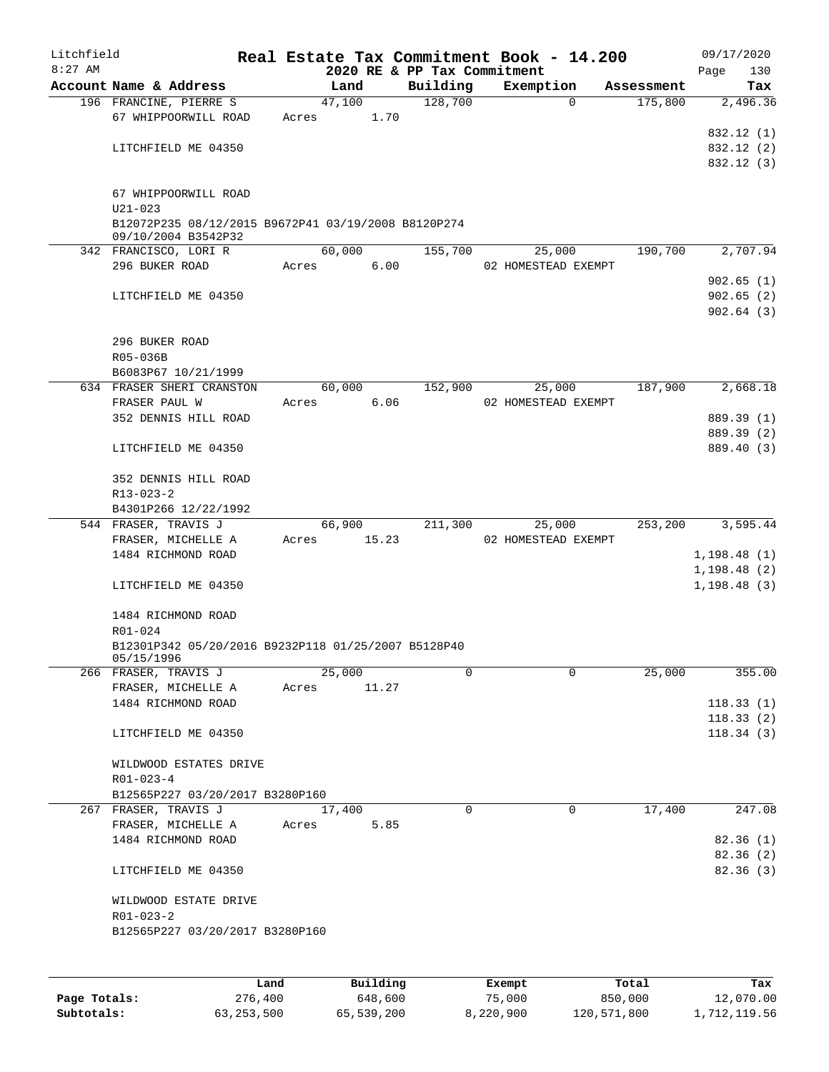| Litchfield |                                                     |       |                                     |             | Real Estate Tax Commitment Book - 14.200 |            | 09/17/2020         |
|------------|-----------------------------------------------------|-------|-------------------------------------|-------------|------------------------------------------|------------|--------------------|
| $8:27$ AM  | Account Name & Address                              |       | 2020 RE & PP Tax Commitment<br>Land | Building    | Exemption                                | Assessment | 130<br>Page<br>Tax |
|            | 196 FRANCINE, PIERRE S                              |       | 47,100                              | 128,700     | $\Omega$                                 | 175,800    | 2,496.36           |
|            | 67 WHIPPOORWILL ROAD                                | Acres | 1.70                                |             |                                          |            |                    |
|            |                                                     |       |                                     |             |                                          |            | 832.12 (1)         |
|            | LITCHFIELD ME 04350                                 |       |                                     |             |                                          |            | 832.12 (2)         |
|            |                                                     |       |                                     |             |                                          |            | 832.12 (3)         |
|            | 67 WHIPPOORWILL ROAD                                |       |                                     |             |                                          |            |                    |
|            | $U21 - 023$                                         |       |                                     |             |                                          |            |                    |
|            | B12072P235 08/12/2015 B9672P41 03/19/2008 B8120P274 |       |                                     |             |                                          |            |                    |
|            | 09/10/2004 B3542P32<br>342 FRANCISCO, LORI R        |       | 60,000                              | 155,700     | 25,000                                   | 190,700    | 2,707.94           |
|            | 296 BUKER ROAD                                      | Acres | 6.00                                |             | 02 HOMESTEAD EXEMPT                      |            |                    |
|            |                                                     |       |                                     |             |                                          |            | 902.65(1)          |
|            | LITCHFIELD ME 04350                                 |       |                                     |             |                                          |            | 902.65(2)          |
|            |                                                     |       |                                     |             |                                          |            | 902.64(3)          |
|            | 296 BUKER ROAD                                      |       |                                     |             |                                          |            |                    |
|            | R05-036B                                            |       |                                     |             |                                          |            |                    |
|            | B6083P67 10/21/1999                                 |       |                                     |             |                                          |            |                    |
|            | 634 FRASER SHERI CRANSTON                           |       | 60,000                              | 152,900     | 25,000                                   | 187,900    | 2,668.18           |
|            | FRASER PAUL W                                       | Acres | 6.06                                |             | 02 HOMESTEAD EXEMPT                      |            |                    |
|            | 352 DENNIS HILL ROAD                                |       |                                     |             |                                          |            | 889.39 (1)         |
|            |                                                     |       |                                     |             |                                          |            | 889.39 (2)         |
|            | LITCHFIELD ME 04350                                 |       |                                     |             |                                          |            | 889.40 (3)         |
|            | 352 DENNIS HILL ROAD                                |       |                                     |             |                                          |            |                    |
|            | $R13 - 023 - 2$                                     |       |                                     |             |                                          |            |                    |
|            | B4301P266 12/22/1992                                |       |                                     |             |                                          |            |                    |
|            | 544 FRASER, TRAVIS J                                |       | 66,900                              | 211,300     | 25,000                                   | 253,200    | 3,595.44           |
|            | FRASER, MICHELLE A                                  | Acres | 15.23                               |             | 02 HOMESTEAD EXEMPT                      |            |                    |
|            | 1484 RICHMOND ROAD                                  |       |                                     |             |                                          |            | 1,198.48(1)        |
|            |                                                     |       |                                     |             |                                          |            | 1, 198.48(2)       |
|            | LITCHFIELD ME 04350                                 |       |                                     |             |                                          |            | 1,198.48(3)        |
|            | 1484 RICHMOND ROAD                                  |       |                                     |             |                                          |            |                    |
|            | R01-024                                             |       |                                     |             |                                          |            |                    |
|            | B12301P342 05/20/2016 B9232P118 01/25/2007 B5128P40 |       |                                     |             |                                          |            |                    |
|            | 05/15/1996<br>266 FRASER, TRAVIS J                  |       | 25,000                              | 0           | $\Omega$                                 | 25,000     | 355.00             |
|            | FRASER, MICHELLE A                                  | Acres | 11.27                               |             |                                          |            |                    |
|            | 1484 RICHMOND ROAD                                  |       |                                     |             |                                          |            | 118.33(1)          |
|            |                                                     |       |                                     |             |                                          |            | 118.33(2)          |
|            | LITCHFIELD ME 04350                                 |       |                                     |             |                                          |            | 118.34(3)          |
|            |                                                     |       |                                     |             |                                          |            |                    |
|            | WILDWOOD ESTATES DRIVE                              |       |                                     |             |                                          |            |                    |
|            | $R01 - 023 - 4$                                     |       |                                     |             |                                          |            |                    |
|            | B12565P227 03/20/2017 B3280P160                     |       |                                     |             |                                          |            |                    |
|            | 267 FRASER, TRAVIS J                                |       | 17,400                              | $\mathbf 0$ | $\mathbf 0$                              | 17,400     | 247.08             |
|            | FRASER, MICHELLE A                                  | Acres | 5.85                                |             |                                          |            |                    |
|            | 1484 RICHMOND ROAD                                  |       |                                     |             |                                          |            | 82.36(1)           |
|            |                                                     |       |                                     |             |                                          |            | 82.36(2)           |
|            | LITCHFIELD ME 04350                                 |       |                                     |             |                                          |            | 82.36 (3)          |
|            | WILDWOOD ESTATE DRIVE                               |       |                                     |             |                                          |            |                    |
|            | R01-023-2                                           |       |                                     |             |                                          |            |                    |
|            | B12565P227 03/20/2017 B3280P160                     |       |                                     |             |                                          |            |                    |
|            |                                                     |       |                                     |             |                                          |            |                    |
|            | Land                                                |       | <b>Building</b>                     |             | $F$ vemnt                                | $T0+21$    | To y               |

|              | Land         | Building   | Exempt    | Total       | Tax          |
|--------------|--------------|------------|-----------|-------------|--------------|
| Page Totals: | 276,400      | 648,600    | 75,000    | 850,000     | 12,070.00    |
| Subtotals:   | 63, 253, 500 | 65,539,200 | 8,220,900 | 120,571,800 | 1,712,119.56 |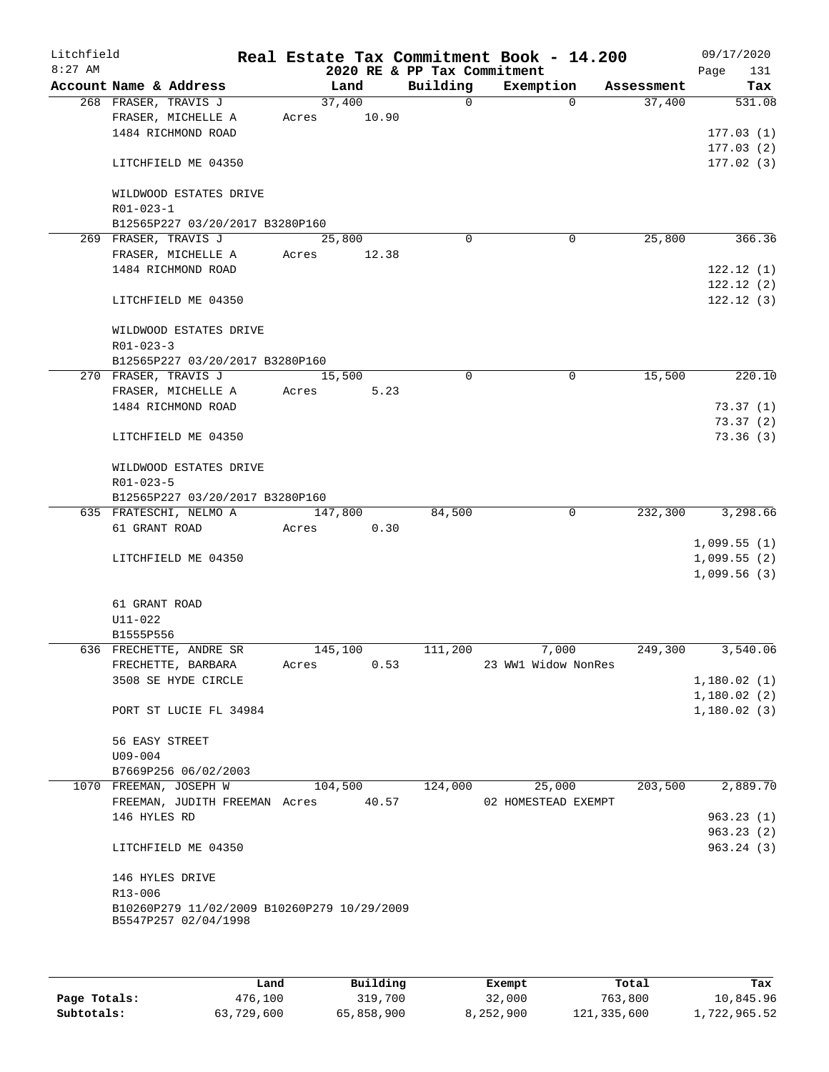| Litchfield<br>$8:27$ AM |                                                                     |         |         |          | Real Estate Tax Commitment Book - 14.200<br>2020 RE & PP Tax Commitment |          |            | Page | 09/17/2020<br>131 |
|-------------------------|---------------------------------------------------------------------|---------|---------|----------|-------------------------------------------------------------------------|----------|------------|------|-------------------|
|                         | Account Name & Address                                              |         | Land    | Building | Exemption                                                               |          | Assessment |      | Tax               |
|                         | 268 FRASER, TRAVIS J                                                |         | 37,400  | $\Omega$ |                                                                         | $\Omega$ | 37,400     |      | 531.08            |
|                         | FRASER, MICHELLE A                                                  | Acres   | 10.90   |          |                                                                         |          |            |      |                   |
|                         | 1484 RICHMOND ROAD                                                  |         |         |          |                                                                         |          |            |      | 177.03(1)         |
|                         |                                                                     |         |         |          |                                                                         |          |            |      | 177.03(2)         |
|                         | LITCHFIELD ME 04350                                                 |         |         |          |                                                                         |          |            |      | 177.02(3)         |
|                         | WILDWOOD ESTATES DRIVE                                              |         |         |          |                                                                         |          |            |      |                   |
|                         | R01-023-1                                                           |         |         |          |                                                                         |          |            |      |                   |
|                         | B12565P227 03/20/2017 B3280P160                                     |         |         |          |                                                                         |          |            |      |                   |
|                         | 269 FRASER, TRAVIS J                                                |         | 25,800  | 0        |                                                                         | 0        | 25,800     |      | 366.36            |
|                         | FRASER, MICHELLE A                                                  | Acres   | 12.38   |          |                                                                         |          |            |      |                   |
|                         | 1484 RICHMOND ROAD                                                  |         |         |          |                                                                         |          |            |      | 122.12(1)         |
|                         |                                                                     |         |         |          |                                                                         |          |            |      | 122.12(2)         |
|                         | LITCHFIELD ME 04350                                                 |         |         |          |                                                                         |          |            |      | 122.12(3)         |
|                         | WILDWOOD ESTATES DRIVE                                              |         |         |          |                                                                         |          |            |      |                   |
|                         | $R01 - 023 - 3$                                                     |         |         |          |                                                                         |          |            |      |                   |
|                         | B12565P227 03/20/2017 B3280P160                                     |         |         |          |                                                                         |          |            |      |                   |
|                         | 270 FRASER, TRAVIS J                                                |         | 15,500  | 0        |                                                                         | 0        | 15,500     |      | 220.10            |
|                         | FRASER, MICHELLE A                                                  | Acres   | 5.23    |          |                                                                         |          |            |      |                   |
|                         | 1484 RICHMOND ROAD                                                  |         |         |          |                                                                         |          |            |      | 73.37(1)          |
|                         |                                                                     |         |         |          |                                                                         |          |            |      | 73.37(2)          |
|                         | LITCHFIELD ME 04350                                                 |         |         |          |                                                                         |          |            |      | 73.36(3)          |
|                         | WILDWOOD ESTATES DRIVE                                              |         |         |          |                                                                         |          |            |      |                   |
|                         | R01-023-5                                                           |         |         |          |                                                                         |          |            |      |                   |
|                         | B12565P227 03/20/2017 B3280P160                                     |         |         |          |                                                                         |          |            |      |                   |
|                         | 635 FRATESCHI, NELMO A                                              |         | 147,800 | 84,500   |                                                                         | 0        | 232,300    |      | 3,298.66          |
|                         | 61 GRANT ROAD                                                       | Acres   | 0.30    |          |                                                                         |          |            |      |                   |
|                         |                                                                     |         |         |          |                                                                         |          |            |      | 1,099.55(1)       |
|                         | LITCHFIELD ME 04350                                                 |         |         |          |                                                                         |          |            |      | 1,099.55(2)       |
|                         |                                                                     |         |         |          |                                                                         |          |            |      | 1,099.56(3)       |
|                         | 61 GRANT ROAD                                                       |         |         |          |                                                                         |          |            |      |                   |
|                         | U11-022                                                             |         |         |          |                                                                         |          |            |      |                   |
|                         | B1555P556                                                           |         |         |          |                                                                         |          |            |      |                   |
|                         | 636 FRECHETTE, ANDRE SR                                             | 145,100 |         | 111,200  | 7,000                                                                   |          | 249,300    |      | 3,540.06          |
|                         | FRECHETTE, BARBARA                                                  | Acres   | 0.53    |          | 23 WW1 Widow NonRes                                                     |          |            |      |                   |
|                         | 3508 SE HYDE CIRCLE                                                 |         |         |          |                                                                         |          |            |      | 1,180.02(1)       |
|                         |                                                                     |         |         |          |                                                                         |          |            |      | 1,180.02(2)       |
|                         | PORT ST LUCIE FL 34984                                              |         |         |          |                                                                         |          |            |      | 1,180.02(3)       |
|                         | 56 EASY STREET                                                      |         |         |          |                                                                         |          |            |      |                   |
|                         | $U09 - 004$                                                         |         |         |          |                                                                         |          |            |      |                   |
|                         | B7669P256 06/02/2003                                                |         |         |          |                                                                         |          |            |      |                   |
|                         | 1070 FREEMAN, JOSEPH W                                              |         | 104,500 | 124,000  | 25,000                                                                  |          | 203,500    |      | 2,889.70          |
|                         | FREEMAN, JUDITH FREEMAN Acres 40.57                                 |         |         |          | 02 HOMESTEAD EXEMPT                                                     |          |            |      |                   |
|                         | 146 HYLES RD                                                        |         |         |          |                                                                         |          |            |      | 963.23(1)         |
|                         |                                                                     |         |         |          |                                                                         |          |            |      | 963.23(2)         |
|                         | LITCHFIELD ME 04350                                                 |         |         |          |                                                                         |          |            |      | 963.24(3)         |
|                         | 146 HYLES DRIVE                                                     |         |         |          |                                                                         |          |            |      |                   |
|                         | R13-006                                                             |         |         |          |                                                                         |          |            |      |                   |
|                         | B10260P279 11/02/2009 B10260P279 10/29/2009<br>B5547P257 02/04/1998 |         |         |          |                                                                         |          |            |      |                   |
|                         |                                                                     |         |         |          |                                                                         |          |            |      |                   |
|                         |                                                                     |         |         |          |                                                                         |          |            |      |                   |

|              | Land       | Building   | Exempt    | Total       | Tax          |
|--------------|------------|------------|-----------|-------------|--------------|
| Page Totals: | 476,100    | 319,700    | 32,000    | 763,800     | 10,845.96    |
| Subtotals:   | 63,729,600 | 65,858,900 | 8,252,900 | 121,335,600 | 1,722,965.52 |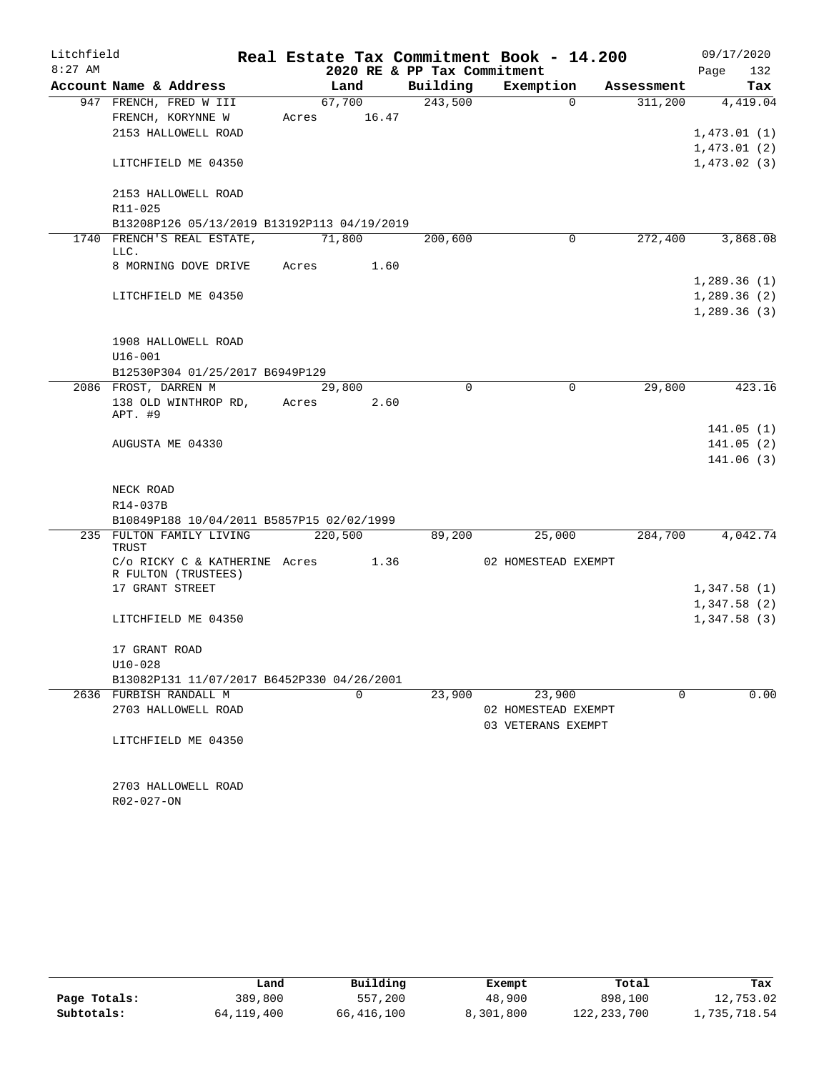| Litchfield |                                                                       |       |             |                             | Real Estate Tax Commitment Book - 14.200 |            | 09/17/2020  |
|------------|-----------------------------------------------------------------------|-------|-------------|-----------------------------|------------------------------------------|------------|-------------|
| $8:27$ AM  |                                                                       |       |             | 2020 RE & PP Tax Commitment |                                          |            | 132<br>Page |
|            | Account Name & Address                                                |       | Land        | Building                    | Exemption                                | Assessment | Tax         |
|            | 947 FRENCH, FRED W III                                                |       | 67,700      | 243,500                     | $\Omega$                                 | 311,200    | 4,419.04    |
|            | FRENCH, KORYNNE W                                                     |       | Acres 16.47 |                             |                                          |            |             |
|            | 2153 HALLOWELL ROAD                                                   |       |             |                             |                                          |            | 1,473.01(1) |
|            |                                                                       |       |             |                             |                                          |            | 1,473.01(2) |
|            | LITCHFIELD ME 04350                                                   |       |             |                             |                                          |            | 1,473.02(3) |
|            | 2153 HALLOWELL ROAD                                                   |       |             |                             |                                          |            |             |
|            | R11-025                                                               |       |             |                             |                                          |            |             |
|            | B13208P126 05/13/2019 B13192P113 04/19/2019                           |       |             |                             |                                          |            |             |
|            | 1740 FRENCH'S REAL ESTATE,<br>LLC.                                    |       | 71,800      | 200,600                     | $\mathbf 0$                              | 272,400    | 3,868.08    |
|            | 8 MORNING DOVE DRIVE                                                  |       | Acres 1.60  |                             |                                          |            |             |
|            |                                                                       |       |             |                             |                                          |            | 1,289.36(1) |
|            | LITCHFIELD ME 04350                                                   |       |             |                             |                                          |            | 1,289.36(2) |
|            |                                                                       |       |             |                             |                                          |            | 1,289.36(3) |
|            |                                                                       |       |             |                             |                                          |            |             |
|            | 1908 HALLOWELL ROAD                                                   |       |             |                             |                                          |            |             |
|            | $U16 - 001$                                                           |       |             |                             |                                          |            |             |
|            | B12530P304 01/25/2017 B6949P129                                       |       |             |                             |                                          |            |             |
|            | 2086 FROST, DARREN M                                                  |       | 29,800      | $\Omega$                    | $\mathbf 0$                              | 29,800     | 423.16      |
|            | 138 OLD WINTHROP RD,                                                  | Acres | 2.60        |                             |                                          |            |             |
|            | APT. #9                                                               |       |             |                             |                                          |            |             |
|            |                                                                       |       |             |                             |                                          |            | 141.05(1)   |
|            | AUGUSTA ME 04330                                                      |       |             |                             |                                          |            | 141.05(2)   |
|            |                                                                       |       |             |                             |                                          |            | 141.06(3)   |
|            |                                                                       |       |             |                             |                                          |            |             |
|            | NECK ROAD                                                             |       |             |                             |                                          |            |             |
|            | R14-037B                                                              |       |             |                             |                                          |            |             |
|            | B10849P188 10/04/2011 B5857P15 02/02/1999<br>235 FULTON FAMILY LIVING |       | 220,500     | 89,200                      | 25,000                                   | 284,700    | 4,042.74    |
|            | TRUST                                                                 |       |             |                             |                                          |            |             |
|            | C/o RICKY C & KATHERINE Acres 1.36                                    |       |             |                             | 02 HOMESTEAD EXEMPT                      |            |             |
|            | R FULTON (TRUSTEES)                                                   |       |             |                             |                                          |            |             |
|            | 17 GRANT STREET                                                       |       |             |                             |                                          |            | 1,347.58(1) |
|            |                                                                       |       |             |                             |                                          |            | 1,347.58(2) |
|            | LITCHFIELD ME 04350                                                   |       |             |                             |                                          |            | 1,347.58(3) |
|            | 17 GRANT ROAD                                                         |       |             |                             |                                          |            |             |
|            | $U10-028$                                                             |       |             |                             |                                          |            |             |
|            | B13082P131 11/07/2017 B6452P330 04/26/2001                            |       |             |                             |                                          |            |             |
|            | 2636 FURBISH RANDALL M                                                |       | $\Omega$    | 23,900                      | 23,900                                   | $\Omega$   | 0.00        |
|            | 2703 HALLOWELL ROAD                                                   |       |             |                             | 02 HOMESTEAD EXEMPT                      |            |             |
|            |                                                                       |       |             |                             | 03 VETERANS EXEMPT                       |            |             |
|            | LITCHFIELD ME 04350                                                   |       |             |                             |                                          |            |             |
|            |                                                                       |       |             |                             |                                          |            |             |
|            |                                                                       |       |             |                             |                                          |            |             |
|            | 2703 HALLOWELL ROAD                                                   |       |             |                             |                                          |            |             |
|            | R02-027-ON                                                            |       |             |                             |                                          |            |             |

|              | Land       | Building   | Exempt    | Total         | Tax          |
|--------------|------------|------------|-----------|---------------|--------------|
| Page Totals: | 389,800    | 557,200    | 48,900    | 898,100       | 12,753.02    |
| Subtotals:   | 64,119,400 | 66,416,100 | 8,301,800 | 122, 233, 700 | 1,735,718.54 |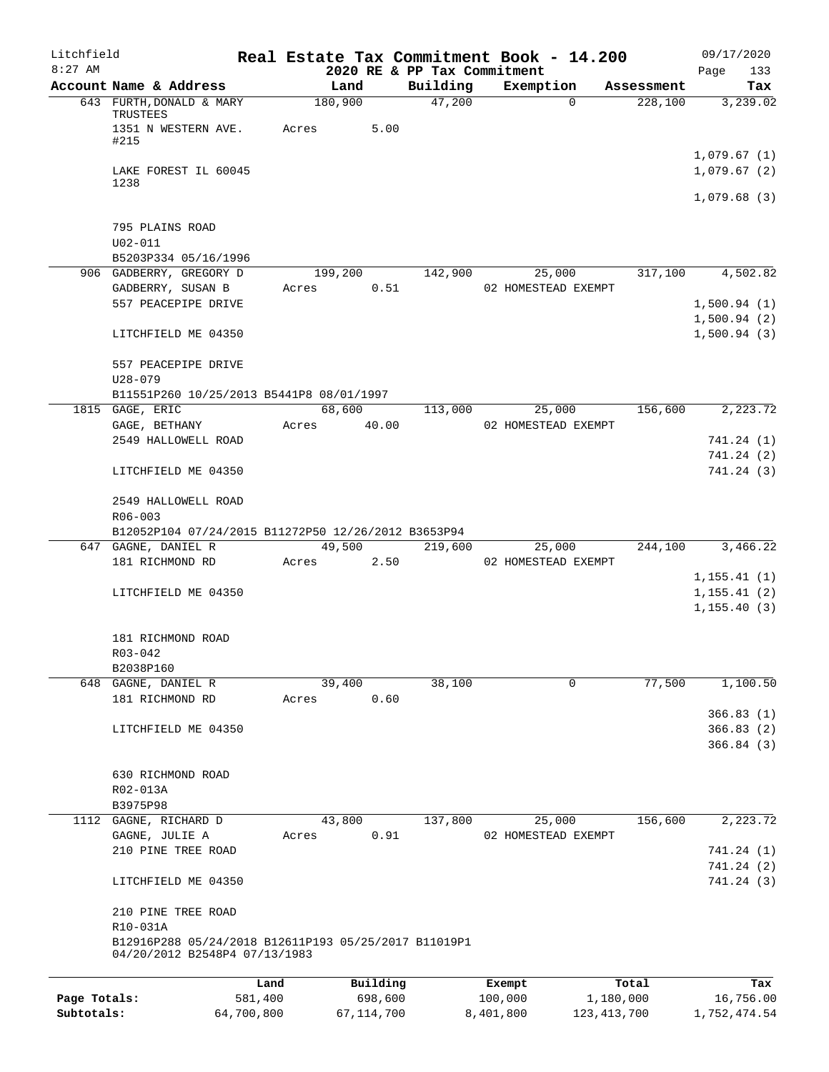| Litchfield   |                                                                                       |                  |                                         | Real Estate Tax Commitment Book - 14.200 |            | 09/17/2020                           |
|--------------|---------------------------------------------------------------------------------------|------------------|-----------------------------------------|------------------------------------------|------------|--------------------------------------|
| $8:27$ AM    | Account Name & Address                                                                | Land             | 2020 RE & PP Tax Commitment<br>Building | Exemption                                | Assessment | 133<br>Page<br>Tax                   |
|              | 643 FURTH, DONALD & MARY<br>TRUSTEES                                                  | 180,900          | 47,200                                  | $\Omega$                                 | 228,100    | 3,239.02                             |
|              | 1351 N WESTERN AVE.<br>#215                                                           | 5.00<br>Acres    |                                         |                                          |            |                                      |
|              | LAKE FOREST IL 60045<br>1238                                                          |                  |                                         |                                          |            | 1,079.67(1)<br>1,079.67(2)           |
|              |                                                                                       |                  |                                         |                                          |            | 1,079.68(3)                          |
|              | 795 PLAINS ROAD                                                                       |                  |                                         |                                          |            |                                      |
|              | $U02 - 011$<br>B5203P334 05/16/1996                                                   |                  |                                         |                                          |            |                                      |
|              | 906 GADBERRY, GREGORY D                                                               | 199,200          | 142,900                                 | 25,000                                   | 317,100    | 4,502.82                             |
|              | GADBERRY, SUSAN B                                                                     | 0.51<br>Acres    |                                         | 02 HOMESTEAD EXEMPT                      |            |                                      |
|              | 557 PEACEPIPE DRIVE                                                                   |                  |                                         |                                          |            | 1,500.94(1)                          |
|              | LITCHFIELD ME 04350                                                                   |                  |                                         |                                          |            | 1,500.94(2)<br>1,500.94(3)           |
|              | 557 PEACEPIPE DRIVE<br>$U28 - 079$                                                    |                  |                                         |                                          |            |                                      |
|              | B11551P260 10/25/2013 B5441P8 08/01/1997                                              |                  |                                         |                                          |            |                                      |
|              | 1815 GAGE, ERIC                                                                       | 68,600           | 113,000                                 | 25,000                                   | 156,600    | 2,223.72                             |
|              | GAGE, BETHANY                                                                         | Acres<br>40.00   |                                         | 02 HOMESTEAD EXEMPT                      |            |                                      |
|              | 2549 HALLOWELL ROAD                                                                   |                  |                                         |                                          |            | 741.24 (1)<br>741.24 (2)             |
|              | LITCHFIELD ME 04350                                                                   |                  |                                         |                                          |            | 741.24 (3)                           |
|              | 2549 HALLOWELL ROAD<br>$R06 - 003$                                                    |                  |                                         |                                          |            |                                      |
|              | B12052P104 07/24/2015 B11272P50 12/26/2012 B3653P94<br>647 GAGNE, DANIEL R            | 49,500           | 219,600                                 | 25,000                                   | 244,100    | 3,466.22                             |
|              | 181 RICHMOND RD                                                                       | Acres<br>2.50    |                                         | 02 HOMESTEAD EXEMPT                      |            |                                      |
|              |                                                                                       |                  |                                         |                                          |            | 1, 155.41(1)                         |
|              | LITCHFIELD ME 04350                                                                   |                  |                                         |                                          |            | 1, 155.41(2)                         |
|              |                                                                                       |                  |                                         |                                          |            | 1, 155.40(3)                         |
|              | 181 RICHMOND ROAD<br>$R03 - 042$                                                      |                  |                                         |                                          |            |                                      |
|              | B2038P160                                                                             |                  |                                         |                                          |            |                                      |
|              | 648 GAGNE, DANIEL R                                                                   | 39,400           | 38,100                                  | $\mathbf 0$                              | 77,500     | 1,100.50                             |
|              | 181 RICHMOND RD                                                                       | 0.60<br>Acres    |                                         |                                          |            |                                      |
|              | LITCHFIELD ME 04350                                                                   |                  |                                         |                                          |            | 366.83(1)<br>366.83 (2)<br>366.84(3) |
|              | 630 RICHMOND ROAD                                                                     |                  |                                         |                                          |            |                                      |
|              | R02-013A<br>B3975P98                                                                  |                  |                                         |                                          |            |                                      |
|              | 1112 GAGNE, RICHARD D                                                                 | 43,800           | 137,800                                 | 25,000                                   | 156,600    | 2,223.72                             |
|              | GAGNE, JULIE A                                                                        | 0.91<br>Acres    |                                         | 02 HOMESTEAD EXEMPT                      |            |                                      |
|              | 210 PINE TREE ROAD                                                                    |                  |                                         |                                          |            | 741.24 (1)                           |
|              | LITCHFIELD ME 04350                                                                   |                  |                                         |                                          |            | 741.24 (2)<br>741.24 (3)             |
|              | 210 PINE TREE ROAD                                                                    |                  |                                         |                                          |            |                                      |
|              | R10-031A                                                                              |                  |                                         |                                          |            |                                      |
|              | B12916P288 05/24/2018 B12611P193 05/25/2017 B11019P1<br>04/20/2012 B2548P4 07/13/1983 |                  |                                         |                                          |            |                                      |
|              |                                                                                       | Building<br>Land |                                         | Exempt                                   | Total      | Tax                                  |
| Page Totals: | 581,400                                                                               | 698,600          |                                         | 100,000                                  | 1,180,000  | 16,756.00                            |
| Subtotals:   | 64,700,800                                                                            | 67, 114, 700     |                                         | 8,401,800<br>123, 413, 700               |            | 1,752,474.54                         |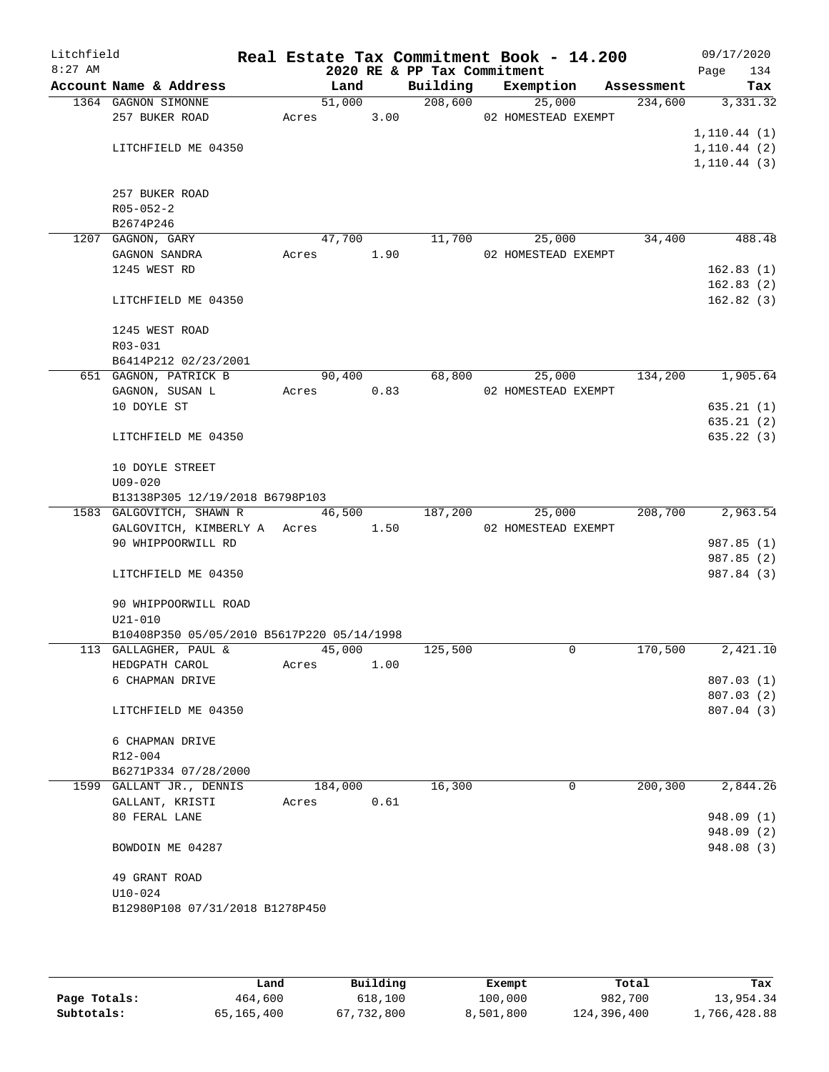| Litchfield<br>$8:27$ AM |                                                                     |         |      | 2020 RE & PP Tax Commitment | Real Estate Tax Commitment Book - 14.200 |            | 09/17/2020<br>134<br>Page |
|-------------------------|---------------------------------------------------------------------|---------|------|-----------------------------|------------------------------------------|------------|---------------------------|
|                         | Account Name & Address                                              | Land    |      | Building                    | Exemption                                | Assessment | Tax                       |
|                         | 1364 GAGNON SIMONNE                                                 | 51,000  |      | 208,600                     | 25,000                                   | 234,600    | 3,331.32                  |
|                         | 257 BUKER ROAD                                                      | Acres   | 3.00 |                             | 02 HOMESTEAD EXEMPT                      |            |                           |
|                         |                                                                     |         |      |                             |                                          |            | 1, 110.44(1)              |
|                         | LITCHFIELD ME 04350                                                 |         |      |                             |                                          |            | 1, 110.44(2)              |
|                         |                                                                     |         |      |                             |                                          |            | 1, 110.44(3)              |
|                         |                                                                     |         |      |                             |                                          |            |                           |
|                         | 257 BUKER ROAD                                                      |         |      |                             |                                          |            |                           |
|                         | $R05 - 052 - 2$                                                     |         |      |                             |                                          |            |                           |
|                         | B2674P246                                                           |         |      |                             |                                          |            |                           |
|                         | 1207 GAGNON, GARY                                                   | 47,700  |      | 11,700                      | 25,000                                   | 34,400     | 488.48                    |
|                         | GAGNON SANDRA                                                       | Acres   | 1.90 |                             | 02 HOMESTEAD EXEMPT                      |            |                           |
|                         | 1245 WEST RD                                                        |         |      |                             |                                          |            | 162.83(1)                 |
|                         |                                                                     |         |      |                             |                                          |            | 162.83(2)                 |
|                         | LITCHFIELD ME 04350                                                 |         |      |                             |                                          |            | 162.82(3)                 |
|                         |                                                                     |         |      |                             |                                          |            |                           |
|                         | 1245 WEST ROAD                                                      |         |      |                             |                                          |            |                           |
|                         | R03-031                                                             |         |      |                             |                                          |            |                           |
|                         | B6414P212 02/23/2001<br>651 GAGNON, PATRICK B                       | 90,400  |      | 68,800                      | 25,000                                   | 134,200    | 1,905.64                  |
|                         | GAGNON, SUSAN L                                                     | Acres   | 0.83 |                             | 02 HOMESTEAD EXEMPT                      |            |                           |
|                         | 10 DOYLE ST                                                         |         |      |                             |                                          |            | 635.21(1)                 |
|                         |                                                                     |         |      |                             |                                          |            | 635.21(2)                 |
|                         | LITCHFIELD ME 04350                                                 |         |      |                             |                                          |            | 635.22(3)                 |
|                         |                                                                     |         |      |                             |                                          |            |                           |
|                         | 10 DOYLE STREET                                                     |         |      |                             |                                          |            |                           |
|                         | $U09 - 020$                                                         |         |      |                             |                                          |            |                           |
|                         | B13138P305 12/19/2018 B6798P103                                     |         |      |                             |                                          |            |                           |
|                         | 1583 GALGOVITCH, SHAWN R                                            | 46,500  |      | 187,200                     | 25,000                                   | 208,700    | 2,963.54                  |
|                         | GALGOVITCH, KIMBERLY A Acres                                        |         | 1.50 |                             | 02 HOMESTEAD EXEMPT                      |            |                           |
|                         | 90 WHIPPOORWILL RD                                                  |         |      |                             |                                          |            | 987.85 (1)                |
|                         |                                                                     |         |      |                             |                                          |            | 987.85 (2)                |
|                         | LITCHFIELD ME 04350                                                 |         |      |                             |                                          |            | 987.84 (3)                |
|                         |                                                                     |         |      |                             |                                          |            |                           |
|                         | 90 WHIPPOORWILL ROAD                                                |         |      |                             |                                          |            |                           |
|                         | $U21 - 010$                                                         |         |      |                             |                                          |            |                           |
|                         | B10408P350 05/05/2010 B5617P220 05/14/1998<br>113 GALLAGHER, PAUL & | 45,000  |      | 125,500                     | 0                                        | 170,500    | 2,421.10                  |
|                         | HEDGPATH CAROL                                                      | Acres   | 1.00 |                             |                                          |            |                           |
|                         | 6 CHAPMAN DRIVE                                                     |         |      |                             |                                          |            | 807.03(1)                 |
|                         |                                                                     |         |      |                             |                                          |            | 807.03 (2)                |
|                         | LITCHFIELD ME 04350                                                 |         |      |                             |                                          |            | 807.04 (3)                |
|                         |                                                                     |         |      |                             |                                          |            |                           |
|                         | 6 CHAPMAN DRIVE                                                     |         |      |                             |                                          |            |                           |
|                         | R12-004                                                             |         |      |                             |                                          |            |                           |
|                         | B6271P334 07/28/2000                                                |         |      |                             |                                          |            |                           |
|                         | 1599 GALLANT JR., DENNIS                                            | 184,000 |      | 16,300                      | 0                                        | 200,300    | 2,844.26                  |
|                         | GALLANT, KRISTI                                                     | Acres   | 0.61 |                             |                                          |            |                           |
|                         | 80 FERAL LANE                                                       |         |      |                             |                                          |            | 948.09(1)                 |
|                         |                                                                     |         |      |                             |                                          |            | 948.09(2)                 |
|                         | BOWDOIN ME 04287                                                    |         |      |                             |                                          |            | 948.08 (3)                |
|                         |                                                                     |         |      |                             |                                          |            |                           |
|                         | 49 GRANT ROAD                                                       |         |      |                             |                                          |            |                           |
|                         | $U10 - 024$                                                         |         |      |                             |                                          |            |                           |
|                         | B12980P108 07/31/2018 B1278P450                                     |         |      |                             |                                          |            |                           |
|                         |                                                                     |         |      |                             |                                          |            |                           |

|              | Land       | Building   | Exempt    | Total       | Tax          |
|--------------|------------|------------|-----------|-------------|--------------|
| Page Totals: | 464,600    | 618,100    | 100,000   | 982,700     | 13,954.34    |
| Subtotals:   | 65,165,400 | 67,732,800 | 8,501,800 | 124,396,400 | 1,766,428.88 |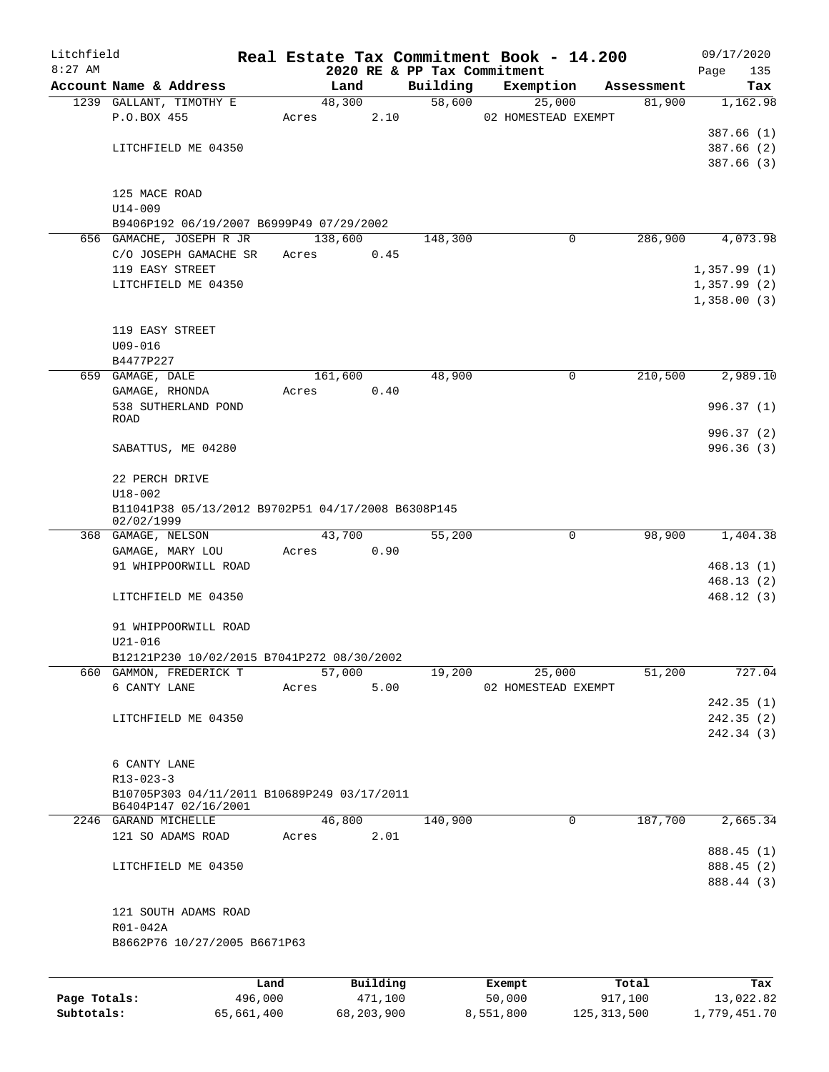| Litchfield   |                                                    |         |         |          |          | Real Estate Tax Commitment Book - 14.200 |            | 09/17/2020  |
|--------------|----------------------------------------------------|---------|---------|----------|----------|------------------------------------------|------------|-------------|
| $8:27$ AM    |                                                    |         |         |          |          | 2020 RE & PP Tax Commitment              |            | 135<br>Page |
|              | Account Name & Address                             |         |         | Land     | Building | Exemption                                | Assessment | Tax         |
|              | 1239 GALLANT, TIMOTHY E                            |         |         | 48,300   | 58,600   | 25,000                                   | 81,900     | 1,162.98    |
|              | P.O.BOX 455                                        |         | Acres   | 2.10     |          | 02 HOMESTEAD EXEMPT                      |            |             |
|              |                                                    |         |         |          |          |                                          |            | 387.66(1)   |
|              | LITCHFIELD ME 04350                                |         |         |          |          |                                          |            | 387.66(2)   |
|              |                                                    |         |         |          |          |                                          |            | 387.66(3)   |
|              |                                                    |         |         |          |          |                                          |            |             |
|              | 125 MACE ROAD                                      |         |         |          |          |                                          |            |             |
|              | $U14 - 009$                                        |         |         |          |          |                                          |            |             |
|              | B9406P192 06/19/2007 B6999P49 07/29/2002           |         |         |          |          |                                          |            |             |
|              | 656 GAMACHE, JOSEPH R JR                           |         | 138,600 |          | 148,300  | 0                                        | 286,900    | 4,073.98    |
|              | C/O JOSEPH GAMACHE SR                              |         | Acres   | 0.45     |          |                                          |            |             |
|              | 119 EASY STREET                                    |         |         |          |          |                                          |            | 1,357.99(1) |
|              | LITCHFIELD ME 04350                                |         |         |          |          |                                          |            | 1,357.99(2) |
|              |                                                    |         |         |          |          |                                          |            | 1,358.00(3) |
|              |                                                    |         |         |          |          |                                          |            |             |
|              | 119 EASY STREET                                    |         |         |          |          |                                          |            |             |
|              | $U09 - 016$                                        |         |         |          |          |                                          |            |             |
|              | B4477P227                                          |         |         |          |          |                                          |            |             |
|              | 659 GAMAGE, DALE                                   |         |         | 161,600  | 48,900   | 0                                        | 210,500    | 2,989.10    |
|              | GAMAGE, RHONDA                                     |         | Acres   | 0.40     |          |                                          |            |             |
|              | 538 SUTHERLAND POND<br><b>ROAD</b>                 |         |         |          |          |                                          |            | 996.37(1)   |
|              |                                                    |         |         |          |          |                                          |            | 996.37(2)   |
|              |                                                    |         |         |          |          |                                          |            | 996.36(3)   |
|              | SABATTUS, ME 04280                                 |         |         |          |          |                                          |            |             |
|              | 22 PERCH DRIVE                                     |         |         |          |          |                                          |            |             |
|              | $U18 - 002$                                        |         |         |          |          |                                          |            |             |
|              | B11041P38 05/13/2012 B9702P51 04/17/2008 B6308P145 |         |         |          |          |                                          |            |             |
|              | 02/02/1999                                         |         |         |          |          |                                          |            |             |
|              | 368 GAMAGE, NELSON                                 |         |         | 43,700   | 55,200   | 0                                        | 98,900     | 1,404.38    |
|              | GAMAGE, MARY LOU                                   |         | Acres   | 0.90     |          |                                          |            |             |
|              | 91 WHIPPOORWILL ROAD                               |         |         |          |          |                                          |            | 468.13(1)   |
|              |                                                    |         |         |          |          |                                          |            | 468.13(2)   |
|              | LITCHFIELD ME 04350                                |         |         |          |          |                                          |            | 468.12(3)   |
|              |                                                    |         |         |          |          |                                          |            |             |
|              | 91 WHIPPOORWILL ROAD                               |         |         |          |          |                                          |            |             |
|              | $U21 - 016$                                        |         |         |          |          |                                          |            |             |
|              | B12121P230 10/02/2015 B7041P272 08/30/2002         |         |         |          |          |                                          |            |             |
|              | 660 GAMMON, FREDERICK T                            |         |         | 57,000   | 19,200   | 25,000                                   | 51,200     | 727.04      |
|              | 6 CANTY LANE                                       |         | Acres   | 5.00     |          | 02 HOMESTEAD EXEMPT                      |            |             |
|              |                                                    |         |         |          |          |                                          |            | 242.35 (1)  |
|              | LITCHFIELD ME 04350                                |         |         |          |          |                                          |            | 242.35(2)   |
|              |                                                    |         |         |          |          |                                          |            | 242.34 (3)  |
|              |                                                    |         |         |          |          |                                          |            |             |
|              | 6 CANTY LANE                                       |         |         |          |          |                                          |            |             |
|              | $R13 - 023 - 3$                                    |         |         |          |          |                                          |            |             |
|              | B10705P303 04/11/2011 B10689P249 03/17/2011        |         |         |          |          |                                          |            |             |
|              | B6404P147 02/16/2001                               |         |         |          |          |                                          |            |             |
|              | 2246 GARAND MICHELLE                               |         |         | 46,800   | 140,900  | 0                                        | 187,700    | 2,665.34    |
|              | 121 SO ADAMS ROAD                                  |         | Acres   | 2.01     |          |                                          |            |             |
|              |                                                    |         |         |          |          |                                          |            | 888.45 (1)  |
|              | LITCHFIELD ME 04350                                |         |         |          |          |                                          |            | 888.45 (2)  |
|              |                                                    |         |         |          |          |                                          |            | 888.44 (3)  |
|              |                                                    |         |         |          |          |                                          |            |             |
|              | 121 SOUTH ADAMS ROAD                               |         |         |          |          |                                          |            |             |
|              | R01-042A                                           |         |         |          |          |                                          |            |             |
|              | B8662P76 10/27/2005 B6671P63                       |         |         |          |          |                                          |            |             |
|              |                                                    |         |         |          |          |                                          |            |             |
|              |                                                    |         |         |          |          |                                          |            |             |
|              |                                                    | Land    |         | Building |          | Exempt                                   | Total      | Tax         |
| Page Totals: |                                                    | 496,000 |         | 471,100  |          | 50,000                                   | 917,100    | 13,022.82   |

**Subtotals:** 65,661,400 68,203,900 8,551,800 125,313,500 1,779,451.70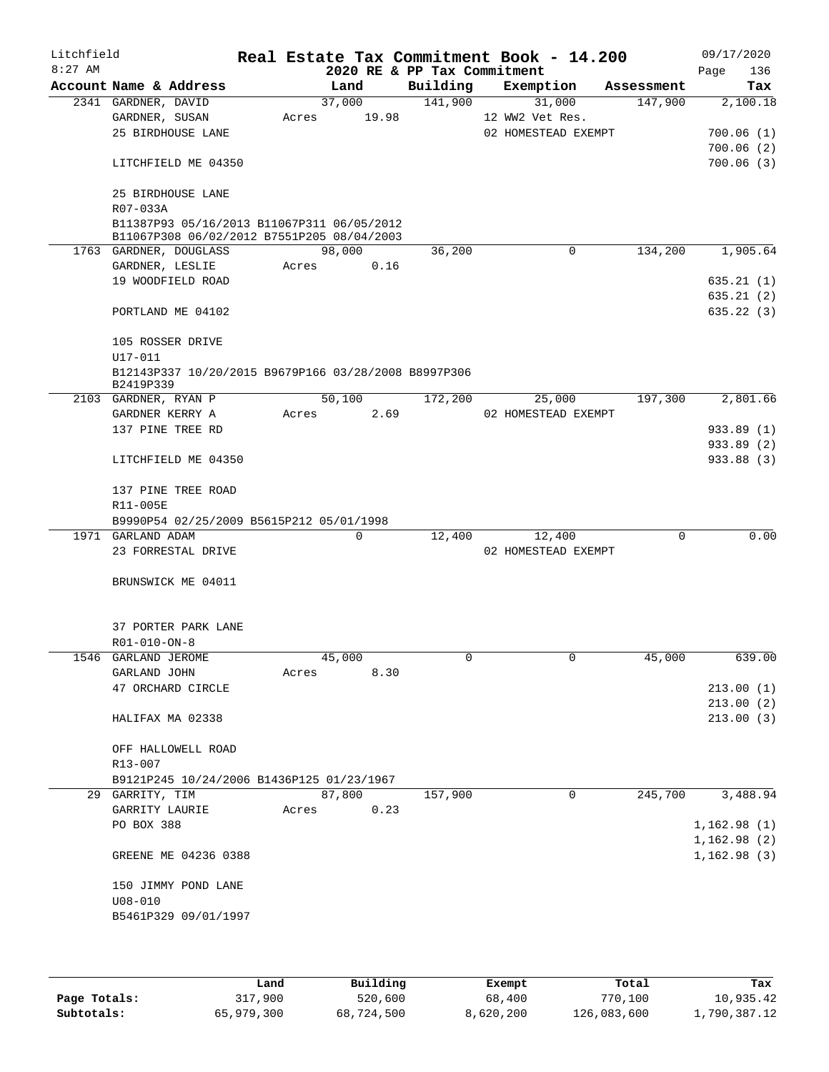| Litchfield |                        |                                                                                          |       |        |      | Real Estate Tax Commitment Book - 14.200 |                     |             |            | 09/17/2020               |
|------------|------------------------|------------------------------------------------------------------------------------------|-------|--------|------|------------------------------------------|---------------------|-------------|------------|--------------------------|
| $8:27$ AM  |                        |                                                                                          |       |        |      | 2020 RE & PP Tax Commitment              |                     |             |            | 136<br>Page              |
|            | Account Name & Address |                                                                                          |       | Land   |      | Building                                 |                     | Exemption   | Assessment | Tax                      |
|            | 2341 GARDNER, DAVID    |                                                                                          |       | 37,000 |      | 141,900                                  |                     | 31,000      | 147,900    | 2,100.18                 |
|            | GARDNER, SUSAN         |                                                                                          | Acres | 19.98  |      |                                          | 12 WW2 Vet Res.     |             |            |                          |
|            | 25 BIRDHOUSE LANE      |                                                                                          |       |        |      |                                          | 02 HOMESTEAD EXEMPT |             |            | 700.06(1)                |
|            |                        |                                                                                          |       |        |      |                                          |                     |             |            | 700.06(2)                |
|            |                        | LITCHFIELD ME 04350                                                                      |       |        |      |                                          |                     |             |            | 700.06(3)                |
|            | 25 BIRDHOUSE LANE      |                                                                                          |       |        |      |                                          |                     |             |            |                          |
|            | R07-033A               |                                                                                          |       |        |      |                                          |                     |             |            |                          |
|            |                        | B11387P93 05/16/2013 B11067P311 06/05/2012<br>B11067P308 06/02/2012 B7551P205 08/04/2003 |       |        |      |                                          |                     |             |            |                          |
|            | 1763 GARDNER, DOUGLASS |                                                                                          |       | 98,000 |      | 36,200                                   |                     | $\Omega$    | 134,200    | 1,905.64                 |
|            | GARDNER, LESLIE        |                                                                                          | Acres |        | 0.16 |                                          |                     |             |            |                          |
|            | 19 WOODFIELD ROAD      |                                                                                          |       |        |      |                                          |                     |             |            | 635.21(1)                |
|            |                        |                                                                                          |       |        |      |                                          |                     |             |            | 635.21(2)                |
|            | PORTLAND ME 04102      |                                                                                          |       |        |      |                                          |                     |             |            | 635.22(3)                |
|            | 105 ROSSER DRIVE       |                                                                                          |       |        |      |                                          |                     |             |            |                          |
|            | U17-011                | B12143P337 10/20/2015 B9679P166 03/28/2008 B8997P306                                     |       |        |      |                                          |                     |             |            |                          |
|            | B2419P339              |                                                                                          |       |        |      |                                          |                     |             |            |                          |
|            | 2103 GARDNER, RYAN P   |                                                                                          |       | 50,100 |      | 172,200                                  |                     | 25,000      | 197,300    | 2,801.66                 |
|            | GARDNER KERRY A        |                                                                                          | Acres |        | 2.69 |                                          | 02 HOMESTEAD EXEMPT |             |            |                          |
|            | 137 PINE TREE RD       |                                                                                          |       |        |      |                                          |                     |             |            | 933.89 (1)               |
|            |                        | LITCHFIELD ME 04350                                                                      |       |        |      |                                          |                     |             |            | 933.89 (2)<br>933.88 (3) |
|            |                        | 137 PINE TREE ROAD                                                                       |       |        |      |                                          |                     |             |            |                          |
|            | R11-005E               |                                                                                          |       |        |      |                                          |                     |             |            |                          |
|            |                        | B9990P54 02/25/2009 B5615P212 05/01/1998                                                 |       |        |      |                                          |                     |             |            |                          |
|            | 1971 GARLAND ADAM      |                                                                                          |       | 0      |      | 12,400                                   |                     | 12,400      | $\Omega$   | 0.00                     |
|            |                        | 23 FORRESTAL DRIVE                                                                       |       |        |      |                                          | 02 HOMESTEAD EXEMPT |             |            |                          |
|            |                        |                                                                                          |       |        |      |                                          |                     |             |            |                          |
|            |                        | BRUNSWICK ME 04011                                                                       |       |        |      |                                          |                     |             |            |                          |
|            |                        | 37 PORTER PARK LANE                                                                      |       |        |      |                                          |                     |             |            |                          |
|            | R01-010-ON-8           |                                                                                          |       |        |      |                                          |                     |             |            |                          |
|            |                        |                                                                                          |       |        |      |                                          |                     |             |            |                          |
|            | 1546 GARLAND JEROME    |                                                                                          |       | 45,000 |      |                                          |                     |             | 45,000     | 639.00                   |
|            | GARLAND JOHN           |                                                                                          | Acres |        | 8.30 |                                          |                     |             |            |                          |
|            | 47 ORCHARD CIRCLE      |                                                                                          |       |        |      |                                          |                     |             |            | 213.00(1)                |
|            |                        |                                                                                          |       |        |      |                                          |                     |             |            | 213.00(2)                |
|            | HALIFAX MA 02338       |                                                                                          |       |        |      |                                          |                     |             |            | 213.00(3)                |
|            |                        | OFF HALLOWELL ROAD                                                                       |       |        |      |                                          |                     |             |            |                          |
|            | R13-007                |                                                                                          |       |        |      |                                          |                     |             |            |                          |
|            |                        | B9121P245 10/24/2006 B1436P125 01/23/1967                                                |       |        |      |                                          |                     |             |            |                          |
|            | 29 GARRITY, TIM        |                                                                                          |       | 87,800 |      | 157,900                                  |                     | $\mathbf 0$ | 245,700    | 3,488.94                 |
|            | GARRITY LAURIE         |                                                                                          | Acres |        | 0.23 |                                          |                     |             |            |                          |
|            | PO BOX 388             |                                                                                          |       |        |      |                                          |                     |             |            | 1,162.98(1)              |
|            |                        |                                                                                          |       |        |      |                                          |                     |             |            | 1,162.98(2)              |
|            |                        | GREENE ME 04236 0388                                                                     |       |        |      |                                          |                     |             |            | 1,162.98(3)              |
|            |                        | 150 JIMMY POND LANE                                                                      |       |        |      |                                          |                     |             |            |                          |
|            | $U08 - 010$            |                                                                                          |       |        |      |                                          |                     |             |            |                          |
|            |                        | B5461P329 09/01/1997                                                                     |       |        |      |                                          |                     |             |            |                          |
|            |                        |                                                                                          |       |        |      |                                          |                     |             |            |                          |

|              | Land       | Building   | Exempt    | Total       | Tax          |
|--------------|------------|------------|-----------|-------------|--------------|
| Page Totals: | 317,900    | 520,600    | 68,400    | 770,100     | 10,935.42    |
| Subtotals:   | 65,979,300 | 68,724,500 | 8,620,200 | 126,083,600 | 1,790,387.12 |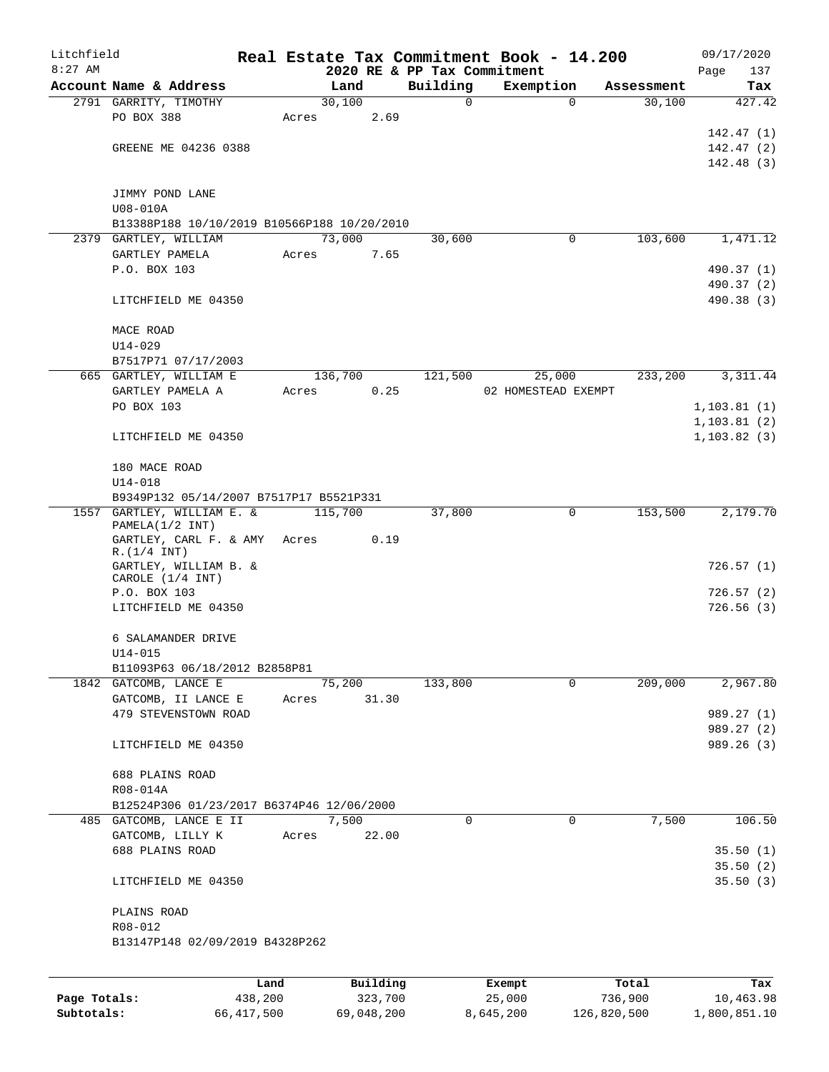| Litchfield   |                                             |         |       |         |          |          | Real Estate Tax Commitment Book - 14.200 |             |            | 09/17/2020               |
|--------------|---------------------------------------------|---------|-------|---------|----------|----------|------------------------------------------|-------------|------------|--------------------------|
| $8:27$ AM    |                                             |         |       |         |          |          | 2020 RE & PP Tax Commitment              |             |            | Page<br>137              |
|              | Account Name & Address                      |         |       | Land    |          | Building | Exemption                                |             | Assessment | Tax                      |
|              | 2791 GARRITY, TIMOTHY                       |         |       | 30,100  |          | 0        |                                          | $\mathbf 0$ | 30,100     | 427.42                   |
|              | PO BOX 388                                  |         | Acres |         | 2.69     |          |                                          |             |            |                          |
|              |                                             |         |       |         |          |          |                                          |             |            | 142.47 (1)               |
|              | GREENE ME 04236 0388                        |         |       |         |          |          |                                          |             |            | 142.47(2)                |
|              |                                             |         |       |         |          |          |                                          |             |            | 142.48(3)                |
|              |                                             |         |       |         |          |          |                                          |             |            |                          |
|              | JIMMY POND LANE                             |         |       |         |          |          |                                          |             |            |                          |
|              | U08-010A                                    |         |       |         |          |          |                                          |             |            |                          |
|              | B13388P188 10/10/2019 B10566P188 10/20/2010 |         |       | 73,000  |          | 30,600   |                                          | 0           | 103,600    |                          |
|              | 2379 GARTLEY, WILLIAM                       |         |       |         |          |          |                                          |             |            | 1,471.12                 |
|              | GARTLEY PAMELA<br>P.O. BOX 103              |         | Acres |         | 7.65     |          |                                          |             |            |                          |
|              |                                             |         |       |         |          |          |                                          |             |            | 490.37 (1)               |
|              | LITCHFIELD ME 04350                         |         |       |         |          |          |                                          |             |            | 490.37 (2)<br>490.38 (3) |
|              |                                             |         |       |         |          |          |                                          |             |            |                          |
|              | MACE ROAD                                   |         |       |         |          |          |                                          |             |            |                          |
|              | $U14 - 029$                                 |         |       |         |          |          |                                          |             |            |                          |
|              | B7517P71 07/17/2003                         |         |       |         |          |          |                                          |             |            |                          |
|              | 665 GARTLEY, WILLIAM E                      |         |       | 136,700 |          | 121,500  | 25,000                                   |             | 233,200    | 3,311.44                 |
|              | GARTLEY PAMELA A                            |         | Acres |         | 0.25     |          | 02 HOMESTEAD EXEMPT                      |             |            |                          |
|              | PO BOX 103                                  |         |       |         |          |          |                                          |             |            | 1,103.81(1)              |
|              |                                             |         |       |         |          |          |                                          |             |            | 1,103.81(2)              |
|              | LITCHFIELD ME 04350                         |         |       |         |          |          |                                          |             |            | 1, 103.82(3)             |
|              |                                             |         |       |         |          |          |                                          |             |            |                          |
|              | 180 MACE ROAD                               |         |       |         |          |          |                                          |             |            |                          |
|              | U14-018                                     |         |       |         |          |          |                                          |             |            |                          |
|              | B9349P132 05/14/2007 B7517P17 B5521P331     |         |       |         |          |          |                                          |             |            |                          |
|              | 1557 GARTLEY, WILLIAM E. &                  |         |       | 115,700 |          | 37,800   |                                          | 0           | 153,500    | 2,179.70                 |
|              | PAMELA(1/2 INT)                             |         |       |         |          |          |                                          |             |            |                          |
|              | GARTLEY, CARL F. & AMY                      |         | Acres |         | 0.19     |          |                                          |             |            |                          |
|              | R.(1/4 INT)                                 |         |       |         |          |          |                                          |             |            |                          |
|              | GARTLEY, WILLIAM B. &                       |         |       |         |          |          |                                          |             |            | 726.57(1)                |
|              | CAROLE (1/4 INT)<br>P.O. BOX 103            |         |       |         |          |          |                                          |             |            | 726.57(2)                |
|              | LITCHFIELD ME 04350                         |         |       |         |          |          |                                          |             |            | 726.56(3)                |
|              |                                             |         |       |         |          |          |                                          |             |            |                          |
|              | 6 SALAMANDER DRIVE                          |         |       |         |          |          |                                          |             |            |                          |
|              | $U14 - 015$                                 |         |       |         |          |          |                                          |             |            |                          |
|              | B11093P63 06/18/2012 B2858P81               |         |       |         |          |          |                                          |             |            |                          |
|              | 1842 GATCOMB, LANCE E                       |         |       | 75,200  |          | 133,800  |                                          | 0           | 209,000    | 2,967.80                 |
|              | GATCOMB, II LANCE E                         |         | Acres |         | 31.30    |          |                                          |             |            |                          |
|              | 479 STEVENSTOWN ROAD                        |         |       |         |          |          |                                          |             |            | 989.27 (1)               |
|              |                                             |         |       |         |          |          |                                          |             |            | 989.27 (2)               |
|              | LITCHFIELD ME 04350                         |         |       |         |          |          |                                          |             |            | 989.26 (3)               |
|              |                                             |         |       |         |          |          |                                          |             |            |                          |
|              | 688 PLAINS ROAD                             |         |       |         |          |          |                                          |             |            |                          |
|              | R08-014A                                    |         |       |         |          |          |                                          |             |            |                          |
|              | B12524P306 01/23/2017 B6374P46 12/06/2000   |         |       |         |          |          |                                          |             |            |                          |
|              | 485 GATCOMB, LANCE E II                     |         |       | 7,500   |          | $\Omega$ |                                          | 0           | 7,500      | 106.50                   |
|              | GATCOMB, LILLY K                            |         | Acres |         | 22.00    |          |                                          |             |            |                          |
|              | 688 PLAINS ROAD                             |         |       |         |          |          |                                          |             |            | 35.50(1)                 |
|              |                                             |         |       |         |          |          |                                          |             |            | 35.50(2)                 |
|              | LITCHFIELD ME 04350                         |         |       |         |          |          |                                          |             |            | 35.50(3)                 |
|              | PLAINS ROAD                                 |         |       |         |          |          |                                          |             |            |                          |
|              | R08-012                                     |         |       |         |          |          |                                          |             |            |                          |
|              | B13147P148 02/09/2019 B4328P262             |         |       |         |          |          |                                          |             |            |                          |
|              |                                             |         |       |         |          |          |                                          |             |            |                          |
|              |                                             |         |       |         |          |          |                                          |             |            |                          |
|              |                                             | Land    |       |         | Building |          | Exempt                                   |             | Total      | Tax                      |
| Page Totals: |                                             | 438,200 |       |         | 323,700  |          | 25,000                                   |             | 736,900    | 10,463.98                |

**Subtotals:** 66,417,500 69,048,200 8,645,200 126,820,500 1,800,851.10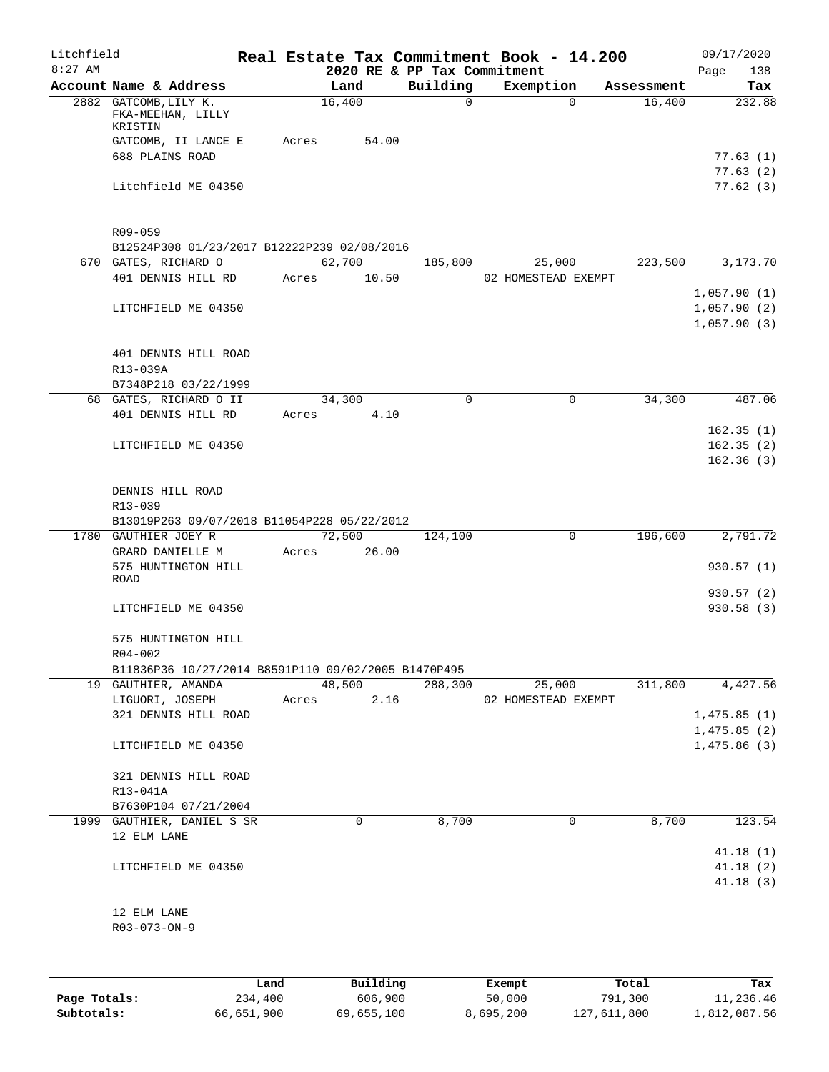| Litchfield |                                                                              |      |       |                 | Real Estate Tax Commitment Book - 14.200 |          |                     |            | 09/17/2020                 |
|------------|------------------------------------------------------------------------------|------|-------|-----------------|------------------------------------------|----------|---------------------|------------|----------------------------|
| $8:27$ AM  |                                                                              |      |       |                 | 2020 RE & PP Tax Commitment              |          |                     |            | 138<br>Page                |
|            | Account Name & Address                                                       |      |       | Land            | Building                                 |          | Exemption           | Assessment | Tax                        |
|            | 2882 GATCOMB, LILY K.<br>FKA-MEEHAN, LILLY<br>KRISTIN<br>GATCOMB, II LANCE E |      | Acres | 16,400<br>54.00 |                                          | $\Omega$ | $\Omega$            | 16,400     | 232.88                     |
|            | 688 PLAINS ROAD                                                              |      |       |                 |                                          |          |                     |            | 77.63(1)                   |
|            | Litchfield ME 04350                                                          |      |       |                 |                                          |          |                     |            | 77.63(2)<br>77.62(3)       |
|            | R09-059<br>B12524P308 01/23/2017 B12222P239 02/08/2016                       |      |       |                 |                                          |          |                     |            |                            |
|            | 670 GATES, RICHARD O                                                         |      |       | 62,700          | 185,800                                  |          | 25,000              | 223,500    | 3,173.70                   |
|            | 401 DENNIS HILL RD                                                           |      | Acres | 10.50           |                                          |          | 02 HOMESTEAD EXEMPT |            | 1,057.90(1)                |
|            | LITCHFIELD ME 04350                                                          |      |       |                 |                                          |          |                     |            | 1,057.90(2)<br>1,057.90(3) |
|            | 401 DENNIS HILL ROAD<br>R13-039A                                             |      |       |                 |                                          |          |                     |            |                            |
|            | B7348P218 03/22/1999                                                         |      |       |                 |                                          |          |                     |            |                            |
|            | 68 GATES, RICHARD O II                                                       |      |       | 34,300          |                                          | 0        | 0                   | 34,300     | 487.06                     |
|            | 401 DENNIS HILL RD                                                           |      | Acres | 4.10            |                                          |          |                     |            |                            |
|            | LITCHFIELD ME 04350                                                          |      |       |                 |                                          |          |                     |            | 162.35(1)<br>162.35(2)     |
|            |                                                                              |      |       |                 |                                          |          |                     |            | 162.36(3)                  |
|            | DENNIS HILL ROAD<br>R13-039                                                  |      |       |                 |                                          |          |                     |            |                            |
|            | B13019P263 09/07/2018 B11054P228 05/22/2012                                  |      |       |                 |                                          |          |                     |            |                            |
|            | 1780 GAUTHIER JOEY R<br>GRARD DANIELLE M                                     |      | Acres | 72,500<br>26.00 | 124,100                                  |          | $\mathbf 0$         | 196,600    | 2,791.72                   |
|            | 575 HUNTINGTON HILL<br>ROAD                                                  |      |       |                 |                                          |          |                     |            | 930.57(1)                  |
|            | LITCHFIELD ME 04350                                                          |      |       |                 |                                          |          |                     |            | 930.57(2)<br>930.58 (3)    |
|            | 575 HUNTINGTON HILL<br>R04-002                                               |      |       |                 |                                          |          |                     |            |                            |
|            | B11836P36 10/27/2014 B8591P110 09/02/2005 B1470P495                          |      |       |                 |                                          |          |                     |            |                            |
|            | 19 GAUTHIER, AMANDA                                                          |      |       | 48,500          | 288,300                                  |          | 25,000              | 311,800    | 4,427.56                   |
|            | LIGUORI, JOSEPH<br>321 DENNIS HILL ROAD                                      |      | Acres | 2.16            |                                          |          | 02 HOMESTEAD EXEMPT |            | 1,475.85(1)                |
|            |                                                                              |      |       |                 |                                          |          |                     |            | 1,475.85(2)                |
|            | LITCHFIELD ME 04350                                                          |      |       |                 |                                          |          |                     |            | 1,475.86(3)                |
|            | 321 DENNIS HILL ROAD                                                         |      |       |                 |                                          |          |                     |            |                            |
|            | R13-041A<br>B7630P104 07/21/2004                                             |      |       |                 |                                          |          |                     |            |                            |
|            | 1999 GAUTHIER, DANIEL S SR                                                   |      |       | 0               | 8,700                                    |          | 0                   | 8,700      | 123.54                     |
|            | 12 ELM LANE                                                                  |      |       |                 |                                          |          |                     |            | 41.18(1)                   |
|            | LITCHFIELD ME 04350                                                          |      |       |                 |                                          |          |                     |            | 41.18(2)<br>41.18(3)       |
|            | 12 ELM LANE<br>R03-073-ON-9                                                  |      |       |                 |                                          |          |                     |            |                            |
|            |                                                                              |      |       |                 |                                          |          |                     |            |                            |
|            |                                                                              | Land |       | Building        |                                          | Exempt   |                     | Total      | Tax                        |

**Page Totals:** 234,400 606,900 50,000 791,300 11,236.46 **Subtotals:** 66,651,900 69,655,100 8,695,200 127,611,800 1,812,087.56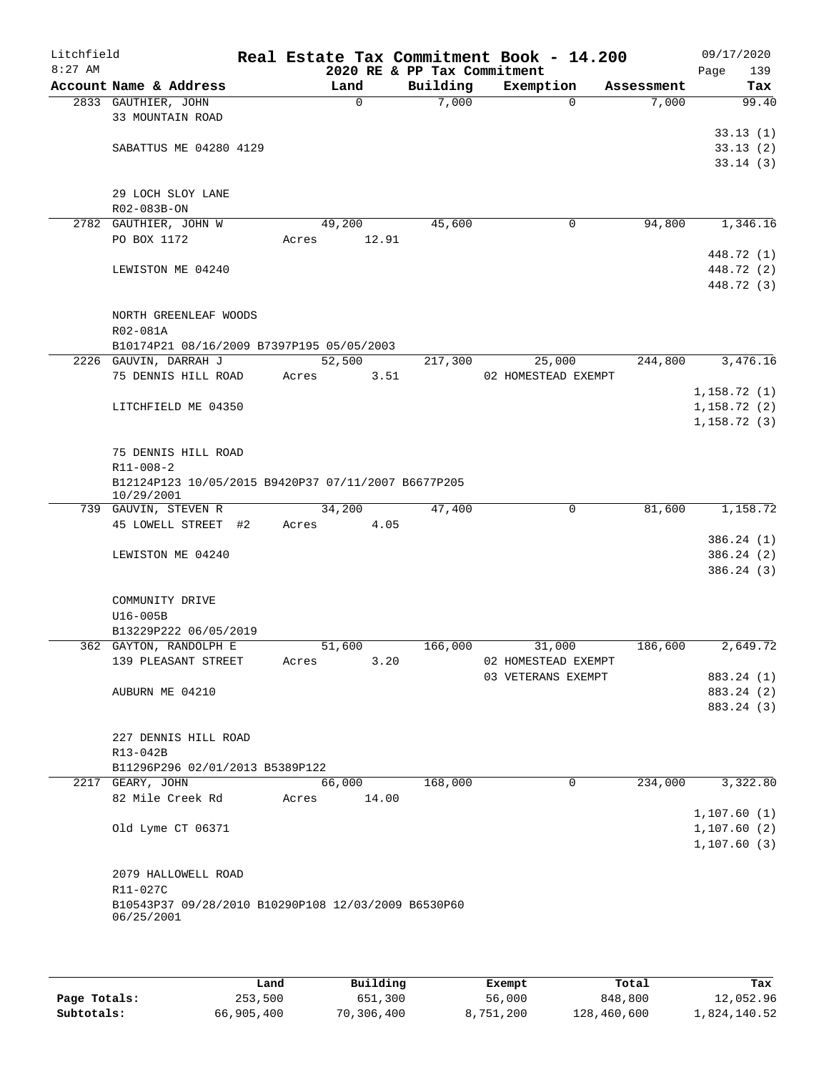| Litchfield |                                                     |       |             |                             | Real Estate Tax Commitment Book - 14.200 |            | 09/17/2020   |
|------------|-----------------------------------------------------|-------|-------------|-----------------------------|------------------------------------------|------------|--------------|
| $8:27$ AM  |                                                     |       |             | 2020 RE & PP Tax Commitment |                                          |            | 139<br>Page  |
|            | Account Name & Address                              |       | Land        | Building                    | Exemption                                | Assessment | Tax          |
|            | 2833 GAUTHIER, JOHN                                 |       | $\mathbf 0$ | 7,000                       | $\Omega$                                 | 7,000      | 99.40        |
|            | 33 MOUNTAIN ROAD                                    |       |             |                             |                                          |            |              |
|            |                                                     |       |             |                             |                                          |            | 33.13(1)     |
|            | SABATTUS ME 04280 4129                              |       |             |                             |                                          |            | 33.13(2)     |
|            |                                                     |       |             |                             |                                          |            | 33.14(3)     |
|            |                                                     |       |             |                             |                                          |            |              |
|            | 29 LOCH SLOY LANE                                   |       |             |                             |                                          |            |              |
|            | R02-083B-ON                                         |       |             |                             |                                          |            |              |
|            | 2782 GAUTHIER, JOHN W                               |       | 49,200      | 45,600                      | 0                                        | 94,800     | 1,346.16     |
|            | PO BOX 1172                                         | Acres | 12.91       |                             |                                          |            |              |
|            |                                                     |       |             |                             |                                          |            | 448.72 (1)   |
|            | LEWISTON ME 04240                                   |       |             |                             |                                          |            | 448.72 (2)   |
|            |                                                     |       |             |                             |                                          |            | 448.72 (3)   |
|            |                                                     |       |             |                             |                                          |            |              |
|            | NORTH GREENLEAF WOODS                               |       |             |                             |                                          |            |              |
|            | R02-081A                                            |       |             |                             |                                          |            |              |
|            | B10174P21 08/16/2009 B7397P195 05/05/2003           |       |             |                             |                                          |            |              |
|            | 2226 GAUVIN, DARRAH J                               |       | 52,500      | 217,300                     | 25,000                                   | 244,800    | 3,476.16     |
|            | 75 DENNIS HILL ROAD                                 | Acres | 3.51        |                             | 02 HOMESTEAD EXEMPT                      |            |              |
|            |                                                     |       |             |                             |                                          |            |              |
|            |                                                     |       |             |                             |                                          |            | 1,158.72(1)  |
|            | LITCHFIELD ME 04350                                 |       |             |                             |                                          |            | 1,158.72(2)  |
|            |                                                     |       |             |                             |                                          |            | 1, 158.72(3) |
|            |                                                     |       |             |                             |                                          |            |              |
|            | 75 DENNIS HILL ROAD                                 |       |             |                             |                                          |            |              |
|            | $R11 - 008 - 2$                                     |       |             |                             |                                          |            |              |
|            | B12124P123 10/05/2015 B9420P37 07/11/2007 B6677P205 |       |             |                             |                                          |            |              |
|            | 10/29/2001                                          |       |             |                             |                                          |            |              |
|            | 739 GAUVIN, STEVEN R                                |       | 34,200      | 47,400                      | 0                                        | 81,600     | 1,158.72     |
|            | 45 LOWELL STREET #2                                 | Acres | 4.05        |                             |                                          |            |              |
|            |                                                     |       |             |                             |                                          |            | 386.24(1)    |
|            | LEWISTON ME 04240                                   |       |             |                             |                                          |            | 386.24(2)    |
|            |                                                     |       |             |                             |                                          |            | 386.24(3)    |
|            |                                                     |       |             |                             |                                          |            |              |
|            | COMMUNITY DRIVE                                     |       |             |                             |                                          |            |              |
|            | U16-005B                                            |       |             |                             |                                          |            |              |
|            | B13229P222 06/05/2019                               |       |             |                             |                                          |            |              |
|            | 362 GAYTON, RANDOLPH E                              |       | 51,600      | 166,000                     | 31,000                                   | 186,600    | 2,649.72     |
|            | 139 PLEASANT STREET                                 | Acres | 3.20        |                             | 02 HOMESTEAD EXEMPT                      |            |              |
|            |                                                     |       |             |                             | 03 VETERANS EXEMPT                       |            | 883.24 (1)   |
|            | AUBURN ME 04210                                     |       |             |                             |                                          |            | 883.24 (2)   |
|            |                                                     |       |             |                             |                                          |            | 883.24 (3)   |
|            |                                                     |       |             |                             |                                          |            |              |
|            | 227 DENNIS HILL ROAD                                |       |             |                             |                                          |            |              |
|            | R13-042B                                            |       |             |                             |                                          |            |              |
|            | B11296P296 02/01/2013 B5389P122                     |       |             |                             |                                          |            |              |
|            | 2217 GEARY, JOHN                                    |       | 66,000      | 168,000                     | 0                                        | 234,000    | 3,322.80     |
|            | 82 Mile Creek Rd                                    | Acres | 14.00       |                             |                                          |            |              |
|            |                                                     |       |             |                             |                                          |            | 1,107.60(1)  |
|            | Old Lyme CT 06371                                   |       |             |                             |                                          |            | 1,107.60(2)  |
|            |                                                     |       |             |                             |                                          |            |              |
|            |                                                     |       |             |                             |                                          |            | 1, 107.60(3) |
|            |                                                     |       |             |                             |                                          |            |              |
|            | 2079 HALLOWELL ROAD                                 |       |             |                             |                                          |            |              |
|            | R11-027C                                            |       |             |                             |                                          |            |              |
|            | B10543P37 09/28/2010 B10290P108 12/03/2009 B6530P60 |       |             |                             |                                          |            |              |
|            | 06/25/2001                                          |       |             |                             |                                          |            |              |
|            |                                                     |       |             |                             |                                          |            |              |
|            |                                                     |       |             |                             |                                          |            |              |

|              | Land       | Building   | Exempt    | Total       | Tax          |
|--------------|------------|------------|-----------|-------------|--------------|
| Page Totals: | 253,500    | 651,300    | 56,000    | 848,800     | 12,052.96    |
| Subtotals:   | 66,905,400 | 70,306,400 | 8,751,200 | 128,460,600 | 1,824,140.52 |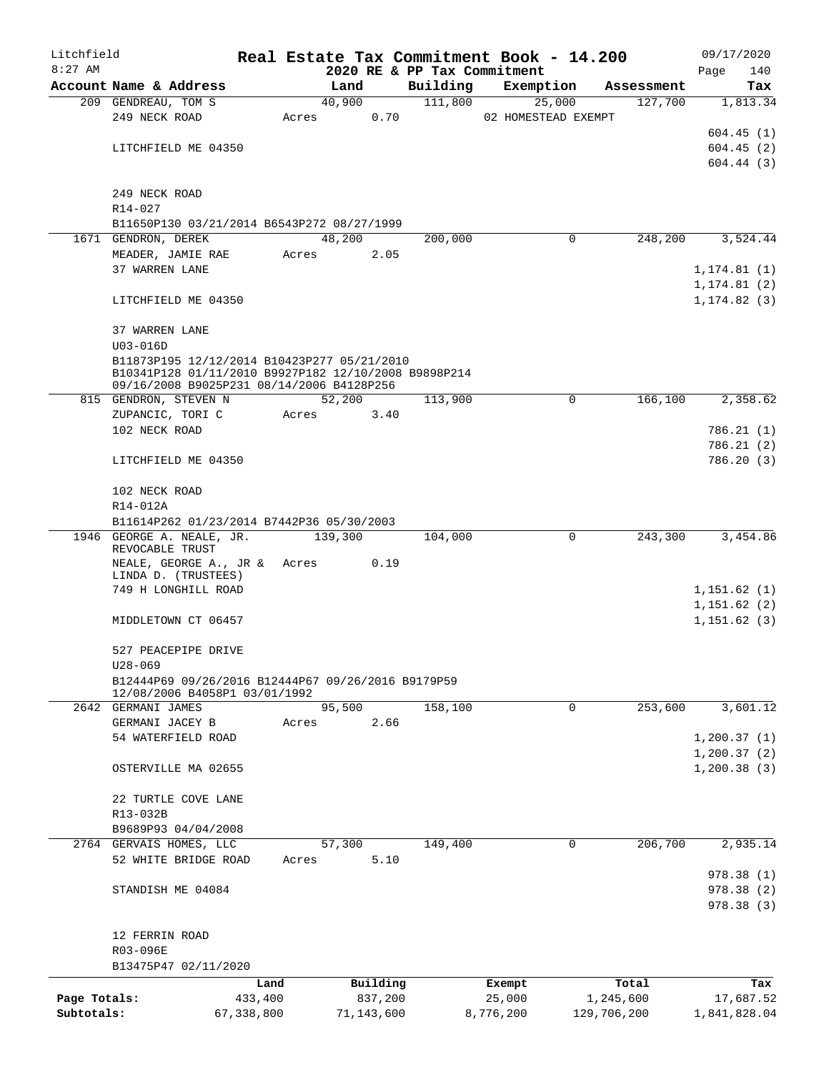| Litchfield   |                                                                                                   |              |       |                |            |                             | Real Estate Tax Commitment Book - 14.200 |                       | 09/17/2020                   |
|--------------|---------------------------------------------------------------------------------------------------|--------------|-------|----------------|------------|-----------------------------|------------------------------------------|-----------------------|------------------------------|
| $8:27$ AM    |                                                                                                   |              |       |                |            | 2020 RE & PP Tax Commitment |                                          |                       | Page<br>140                  |
|              | Account Name & Address<br>209 GENDREAU, TOM S                                                     |              |       | Land<br>40,900 |            | Building<br>111,800         | Exemption<br>25,000                      | Assessment<br>127,700 | Tax<br>1,813.34              |
|              | 249 NECK ROAD                                                                                     |              | Acres |                | 0.70       |                             | 02 HOMESTEAD EXEMPT                      |                       |                              |
|              |                                                                                                   |              |       |                |            |                             |                                          |                       | 604.45(1)                    |
|              | LITCHFIELD ME 04350                                                                               |              |       |                |            |                             |                                          |                       | 604.45(2)                    |
|              |                                                                                                   |              |       |                |            |                             |                                          |                       | 604.44(3)                    |
|              | 249 NECK ROAD                                                                                     |              |       |                |            |                             |                                          |                       |                              |
|              | R14-027                                                                                           |              |       |                |            |                             |                                          |                       |                              |
|              | B11650P130 03/21/2014 B6543P272 08/27/1999                                                        |              |       |                |            |                             |                                          |                       |                              |
|              | 1671 GENDRON, DEREK                                                                               |              |       | 48,200         |            | 200,000                     | 0                                        | 248,200               | 3,524.44                     |
|              | MEADER, JAMIE RAE                                                                                 |              | Acres |                | 2.05       |                             |                                          |                       |                              |
|              | 37 WARREN LANE                                                                                    |              |       |                |            |                             |                                          |                       | 1, 174.81(1)                 |
|              | LITCHFIELD ME 04350                                                                               |              |       |                |            |                             |                                          |                       | 1,174.81 (2)<br>1, 174.82(3) |
|              |                                                                                                   |              |       |                |            |                             |                                          |                       |                              |
|              | 37 WARREN LANE<br>$U03 - 016D$                                                                    |              |       |                |            |                             |                                          |                       |                              |
|              | B11873P195 12/12/2014 B10423P277 05/21/2010                                                       |              |       |                |            |                             |                                          |                       |                              |
|              | B10341P128 01/11/2010 B9927P182 12/10/2008 B9898P214<br>09/16/2008 B9025P231 08/14/2006 B4128P256 |              |       |                |            |                             |                                          |                       |                              |
|              | 815 GENDRON, STEVEN N                                                                             |              |       | 52,200         |            | 113,900                     | 0                                        | 166,100               | 2,358.62                     |
|              | ZUPANCIC, TORI C                                                                                  |              | Acres |                | 3.40       |                             |                                          |                       |                              |
|              | 102 NECK ROAD                                                                                     |              |       |                |            |                             |                                          |                       | 786.21(1)                    |
|              |                                                                                                   |              |       |                |            |                             |                                          |                       | 786.21(2)                    |
|              | LITCHFIELD ME 04350                                                                               |              |       |                |            |                             |                                          |                       | 786.20(3)                    |
|              | 102 NECK ROAD                                                                                     |              |       |                |            |                             |                                          |                       |                              |
|              | R14-012A                                                                                          |              |       |                |            |                             |                                          |                       |                              |
|              | B11614P262 01/23/2014 B7442P36 05/30/2003<br>1946 GEORGE A. NEALE, JR.                            |              |       | 139,300        |            |                             | $\mathbf 0$                              | 243,300               | 3,454.86                     |
|              | REVOCABLE TRUST                                                                                   |              |       |                |            | 104,000                     |                                          |                       |                              |
|              | NEALE, GEORGE A., JR & Acres                                                                      |              |       |                | 0.19       |                             |                                          |                       |                              |
|              | LINDA D. (TRUSTEES)                                                                               |              |       |                |            |                             |                                          |                       |                              |
|              | 749 H LONGHILL ROAD                                                                               |              |       |                |            |                             |                                          |                       | 1,151.62(1)                  |
|              | MIDDLETOWN CT 06457                                                                               |              |       |                |            |                             |                                          |                       | 1,151.62(2)<br>1,151.62(3)   |
|              |                                                                                                   |              |       |                |            |                             |                                          |                       |                              |
|              | 527 PEACEPIPE DRIVE                                                                               |              |       |                |            |                             |                                          |                       |                              |
|              | $U28 - 069$                                                                                       |              |       |                |            |                             |                                          |                       |                              |
|              | B12444P69 09/26/2016 B12444P67 09/26/2016 B9179P59<br>12/08/2006 B4058P1 03/01/1992               |              |       |                |            |                             |                                          |                       |                              |
|              | 2642 GERMANI JAMES                                                                                |              |       | 95,500         |            | 158,100                     | $\mathbf 0$                              | 253,600               | 3,601.12                     |
|              | GERMANI JACEY B                                                                                   |              | Acres |                | 2.66       |                             |                                          |                       |                              |
|              | 54 WATERFIELD ROAD                                                                                |              |       |                |            |                             |                                          |                       | 1, 200.37(1)                 |
|              |                                                                                                   |              |       |                |            |                             |                                          |                       | 1, 200.37(2)                 |
|              | OSTERVILLE MA 02655                                                                               |              |       |                |            |                             |                                          |                       | 1, 200.38(3)                 |
|              | 22 TURTLE COVE LANE                                                                               |              |       |                |            |                             |                                          |                       |                              |
|              | R13-032B                                                                                          |              |       |                |            |                             |                                          |                       |                              |
|              | B9689P93 04/04/2008                                                                               |              |       |                |            |                             |                                          |                       |                              |
|              | 2764 GERVAIS HOMES, LLC                                                                           |              |       | 57,300         |            | 149,400                     | 0                                        | 206,700               | 2,935.14                     |
|              | 52 WHITE BRIDGE ROAD                                                                              |              | Acres |                | 5.10       |                             |                                          |                       |                              |
|              |                                                                                                   |              |       |                |            |                             |                                          |                       | 978.38(1)                    |
|              | STANDISH ME 04084                                                                                 |              |       |                |            |                             |                                          |                       | 978.38(2)                    |
|              |                                                                                                   |              |       |                |            |                             |                                          |                       | 978.38(3)                    |
|              | 12 FERRIN ROAD                                                                                    |              |       |                |            |                             |                                          |                       |                              |
|              | R03-096E                                                                                          |              |       |                |            |                             |                                          |                       |                              |
|              | B13475P47 02/11/2020                                                                              |              |       |                |            |                             |                                          |                       |                              |
|              |                                                                                                   | Land         |       |                | Building   |                             | Exempt                                   | Total                 | Tax                          |
| Page Totals: |                                                                                                   | 433,400      |       |                | 837,200    |                             | 25,000                                   | 1,245,600             | 17,687.52                    |
| Subtotals:   |                                                                                                   | 67, 338, 800 |       |                | 71,143,600 |                             | 8,776,200                                | 129,706,200           | 1,841,828.04                 |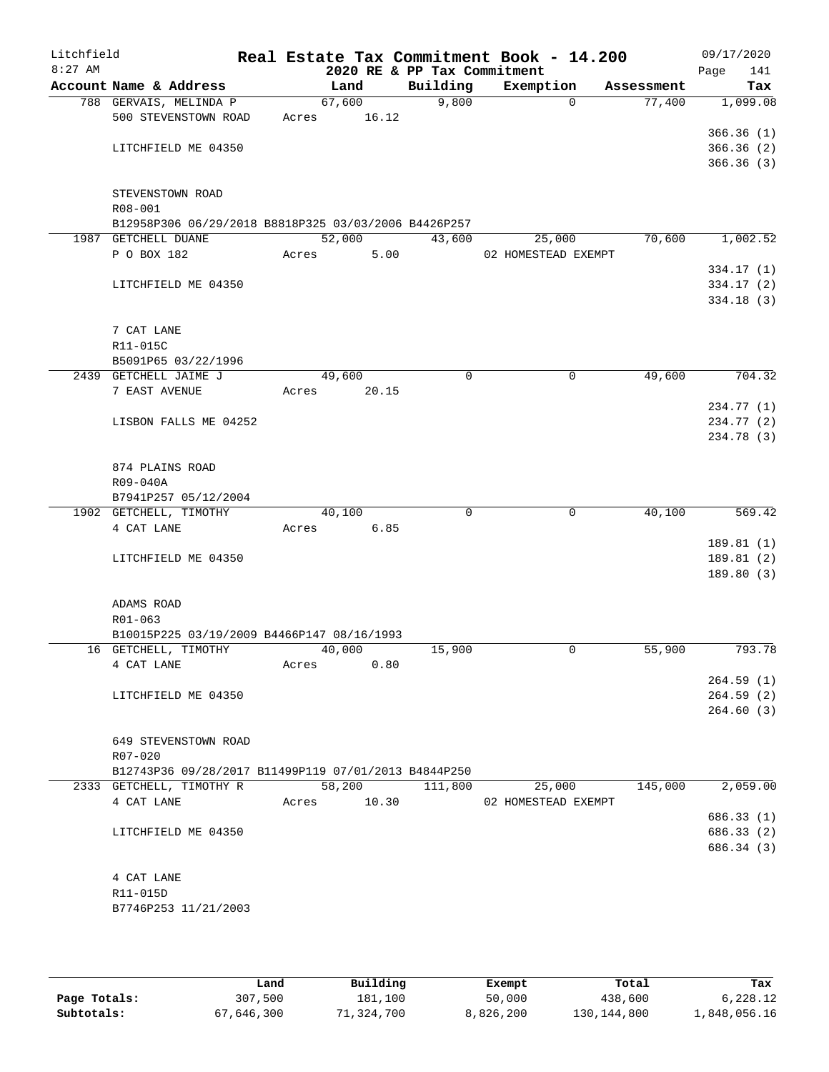| Litchfield<br>$8:27$ AM |                                                      |       |             | Real Estate Tax Commitment Book - 14.200<br>2020 RE & PP Tax Commitment |                     |            | 09/17/2020<br>Page | 141    |
|-------------------------|------------------------------------------------------|-------|-------------|-------------------------------------------------------------------------|---------------------|------------|--------------------|--------|
|                         | Account Name & Address                               |       | Land        | Building                                                                | Exemption           | Assessment |                    | Tax    |
|                         | 788 GERVAIS, MELINDA P                               |       | 67,600      | 9,800                                                                   | $\Omega$            | 77,400     | 1,099.08           |        |
|                         | 500 STEVENSTOWN ROAD                                 | Acres | 16.12       |                                                                         |                     |            |                    |        |
|                         |                                                      |       |             |                                                                         |                     |            | 366.36(1)          |        |
|                         | LITCHFIELD ME 04350                                  |       |             |                                                                         |                     |            | 366.36(2)          |        |
|                         |                                                      |       |             |                                                                         |                     |            | 366.36(3)          |        |
|                         | STEVENSTOWN ROAD                                     |       |             |                                                                         |                     |            |                    |        |
|                         | R08-001                                              |       |             |                                                                         |                     |            |                    |        |
|                         | B12958P306 06/29/2018 B8818P325 03/03/2006 B4426P257 |       |             |                                                                         |                     |            |                    |        |
|                         | 1987 GETCHELL DUANE                                  |       | 52,000      | 43,600                                                                  | 25,000              | 70,600     | 1,002.52           |        |
|                         | P O BOX 182                                          | Acres | 5.00        |                                                                         | 02 HOMESTEAD EXEMPT |            |                    |        |
|                         |                                                      |       |             |                                                                         |                     |            | 334.17 (1)         |        |
|                         | LITCHFIELD ME 04350                                  |       |             |                                                                         |                     |            | 334.17(2)          |        |
|                         |                                                      |       |             |                                                                         |                     |            | 334.18(3)          |        |
|                         | 7 CAT LANE                                           |       |             |                                                                         |                     |            |                    |        |
|                         | R11-015C                                             |       |             |                                                                         |                     |            |                    |        |
|                         | B5091P65 03/22/1996                                  |       |             |                                                                         |                     |            |                    |        |
|                         | 2439 GETCHELL JAIME J                                |       | 49,600      | 0                                                                       | 0                   | 49,600     |                    | 704.32 |
|                         | 7 EAST AVENUE                                        | Acres | 20.15       |                                                                         |                     |            |                    |        |
|                         |                                                      |       |             |                                                                         |                     |            | 234.77 (1)         |        |
|                         | LISBON FALLS ME 04252                                |       |             |                                                                         |                     |            | 234.77 (2)         |        |
|                         |                                                      |       |             |                                                                         |                     |            | 234.78 (3)         |        |
|                         | 874 PLAINS ROAD                                      |       |             |                                                                         |                     |            |                    |        |
|                         | R09-040A                                             |       |             |                                                                         |                     |            |                    |        |
|                         | B7941P257 05/12/2004                                 |       |             |                                                                         |                     |            |                    |        |
|                         | 1902 GETCHELL, TIMOTHY                               |       | 40,100      | $\Omega$                                                                | $\mathbf 0$         | 40,100     |                    | 569.42 |
|                         | 4 CAT LANE                                           | Acres | 6.85        |                                                                         |                     |            |                    |        |
|                         |                                                      |       |             |                                                                         |                     |            | 189.81(1)          |        |
|                         | LITCHFIELD ME 04350                                  |       |             |                                                                         |                     |            | 189.81 (2)         |        |
|                         |                                                      |       |             |                                                                         |                     |            | 189.80 (3)         |        |
|                         | ADAMS ROAD                                           |       |             |                                                                         |                     |            |                    |        |
|                         | R01-063                                              |       |             |                                                                         |                     |            |                    |        |
|                         | B10015P225 03/19/2009 B4466P147 08/16/1993           |       |             |                                                                         |                     |            |                    |        |
|                         | 16 GETCHELL, TIMOTHY                                 |       | 40,000      | 15,900                                                                  | 0                   | 55,900     |                    | 793.78 |
|                         | 4 CAT LANE                                           | Acres | 0.80        |                                                                         |                     |            |                    |        |
|                         |                                                      |       |             |                                                                         |                     |            | 264.59(1)          |        |
|                         | LITCHFIELD ME 04350                                  |       |             |                                                                         |                     |            | 264.59(2)          |        |
|                         |                                                      |       |             |                                                                         |                     |            | 264.60(3)          |        |
|                         | 649 STEVENSTOWN ROAD                                 |       |             |                                                                         |                     |            |                    |        |
|                         | $R07 - 020$                                          |       |             |                                                                         |                     |            |                    |        |
|                         | B12743P36 09/28/2017 B11499P119 07/01/2013 B4844P250 |       |             |                                                                         |                     |            |                    |        |
|                         | 2333 GETCHELL, TIMOTHY R                             |       | 58,200      | 111,800                                                                 | 25,000              | 145,000    | 2,059.00           |        |
|                         | 4 CAT LANE                                           |       | Acres 10.30 |                                                                         | 02 HOMESTEAD EXEMPT |            |                    |        |
|                         |                                                      |       |             |                                                                         |                     |            | 686.33 (1)         |        |
|                         | LITCHFIELD ME 04350                                  |       |             |                                                                         |                     |            | 686.33 (2)         |        |
|                         |                                                      |       |             |                                                                         |                     |            | 686.34 (3)         |        |
|                         |                                                      |       |             |                                                                         |                     |            |                    |        |
|                         | 4 CAT LANE<br>R11-015D                               |       |             |                                                                         |                     |            |                    |        |
|                         | B7746P253 11/21/2003                                 |       |             |                                                                         |                     |            |                    |        |
|                         |                                                      |       |             |                                                                         |                     |            |                    |        |
|                         |                                                      |       |             |                                                                         |                     |            |                    |        |

|              | Land       | Building  | Exempt    | Total         | Tax          |
|--------------|------------|-----------|-----------|---------------|--------------|
| Page Totals: | 307,500    | 181,100   | 50,000    | 438,600       | 6,228.12     |
| Subtotals:   | 67,646,300 | l,324,700 | 8,826,200 | 130, 144, 800 | 1,848,056.16 |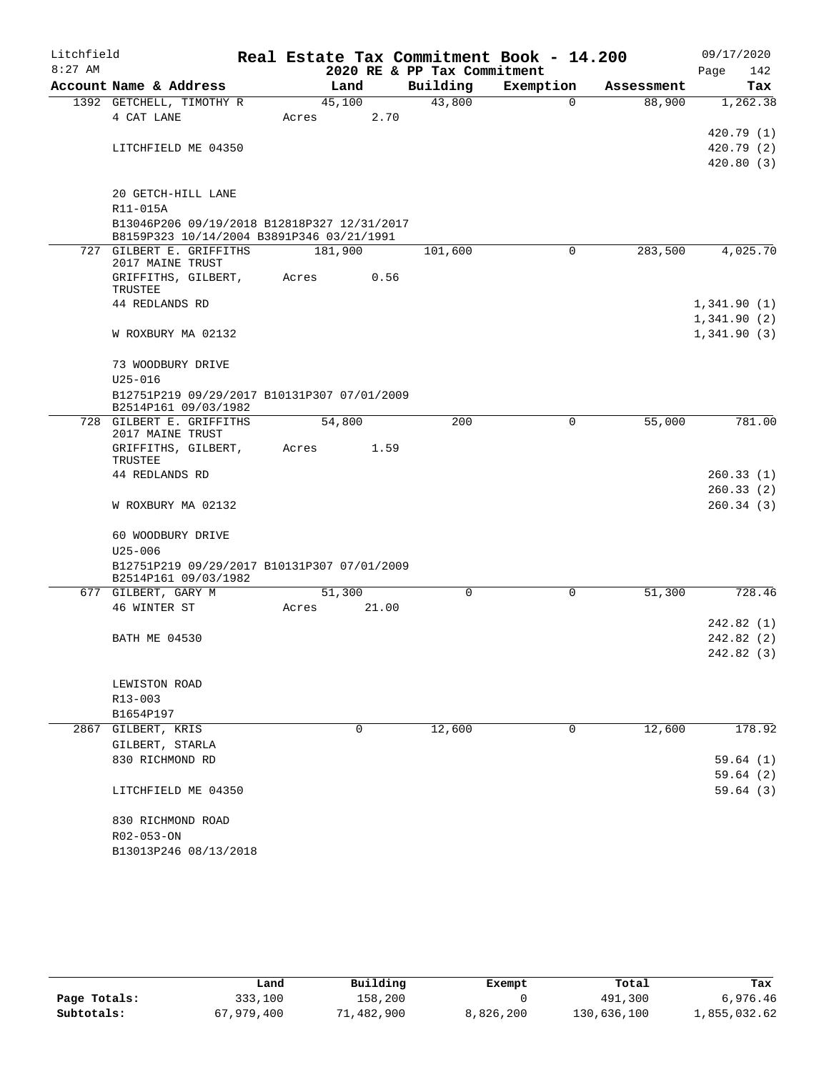| Litchfield |                                                                                          |         |       |                             | Real Estate Tax Commitment Book - 14.200 |            | 09/17/2020  |
|------------|------------------------------------------------------------------------------------------|---------|-------|-----------------------------|------------------------------------------|------------|-------------|
| $8:27$ AM  |                                                                                          |         |       | 2020 RE & PP Tax Commitment |                                          |            | Page<br>142 |
|            | Account Name & Address                                                                   |         | Land  | Building                    | Exemption                                | Assessment | Tax         |
|            | 1392 GETCHELL, TIMOTHY R                                                                 | 45,100  |       | 43,800                      | $\Omega$                                 | 88,900     | 1,262.38    |
|            | 4 CAT LANE                                                                               | Acres   | 2.70  |                             |                                          |            | 420.79 (1)  |
|            | LITCHFIELD ME 04350                                                                      |         |       |                             |                                          |            | 420.79(2)   |
|            |                                                                                          |         |       |                             |                                          |            | 420.80(3)   |
|            |                                                                                          |         |       |                             |                                          |            |             |
|            | 20 GETCH-HILL LANE                                                                       |         |       |                             |                                          |            |             |
|            | R11-015A                                                                                 |         |       |                             |                                          |            |             |
|            | B13046P206 09/19/2018 B12818P327 12/31/2017<br>B8159P323 10/14/2004 B3891P346 03/21/1991 |         |       |                             |                                          |            |             |
|            | 727 GILBERT E. GRIFFITHS                                                                 | 181,900 |       | 101,600                     | $\Omega$                                 | 283,500    | 4,025.70    |
|            | 2017 MAINE TRUST                                                                         |         |       |                             |                                          |            |             |
|            | GRIFFITHS, GILBERT,<br>TRUSTEE                                                           | Acres   | 0.56  |                             |                                          |            |             |
|            | 44 REDLANDS RD                                                                           |         |       |                             |                                          |            | 1,341.90(1) |
|            |                                                                                          |         |       |                             |                                          |            | 1,341.90(2) |
|            | W ROXBURY MA 02132                                                                       |         |       |                             |                                          |            | 1,341.90(3) |
|            | 73 WOODBURY DRIVE                                                                        |         |       |                             |                                          |            |             |
|            | $U25 - 016$                                                                              |         |       |                             |                                          |            |             |
|            | B12751P219 09/29/2017 B10131P307 07/01/2009<br>B2514P161 09/03/1982                      |         |       |                             |                                          |            |             |
|            | 728 GILBERT E. GRIFFITHS<br>2017 MAINE TRUST                                             | 54,800  |       | 200                         | $\mathbf 0$                              | 55,000     | 781.00      |
|            | GRIFFITHS, GILBERT,                                                                      | Acres   | 1.59  |                             |                                          |            |             |
|            | TRUSTEE                                                                                  |         |       |                             |                                          |            |             |
|            | 44 REDLANDS RD                                                                           |         |       |                             |                                          |            | 260.33(1)   |
|            |                                                                                          |         |       |                             |                                          |            | 260.33(2)   |
|            | W ROXBURY MA 02132                                                                       |         |       |                             |                                          |            | 260.34(3)   |
|            | 60 WOODBURY DRIVE                                                                        |         |       |                             |                                          |            |             |
|            | $U25 - 006$                                                                              |         |       |                             |                                          |            |             |
|            | B12751P219 09/29/2017 B10131P307 07/01/2009                                              |         |       |                             |                                          |            |             |
|            | B2514P161 09/03/1982<br>677 GILBERT, GARY M                                              | 51,300  |       | $\Omega$                    | $\Omega$                                 | 51,300     | 728.46      |
|            | 46 WINTER ST                                                                             | Acres   | 21.00 |                             |                                          |            |             |
|            |                                                                                          |         |       |                             |                                          |            | 242.82(1)   |
|            | <b>BATH ME 04530</b>                                                                     |         |       |                             |                                          |            | 242.82(2)   |
|            |                                                                                          |         |       |                             |                                          |            | 242.82 (3)  |
|            | LEWISTON ROAD                                                                            |         |       |                             |                                          |            |             |
|            | R13-003                                                                                  |         |       |                             |                                          |            |             |
|            | B1654P197                                                                                |         |       |                             |                                          |            |             |
|            | 2867 GILBERT, KRIS                                                                       |         | 0     | 12,600                      | $\mathbf 0$                              | 12,600     | 178.92      |
|            | GILBERT, STARLA                                                                          |         |       |                             |                                          |            |             |
|            | 830 RICHMOND RD                                                                          |         |       |                             |                                          |            | 59.64(1)    |
|            |                                                                                          |         |       |                             |                                          |            | 59.64(2)    |
|            | LITCHFIELD ME 04350                                                                      |         |       |                             |                                          |            | 59.64(3)    |
|            | 830 RICHMOND ROAD                                                                        |         |       |                             |                                          |            |             |
|            | R02-053-ON                                                                               |         |       |                             |                                          |            |             |
|            | B13013P246 08/13/2018                                                                    |         |       |                             |                                          |            |             |

|              | Land       | Building   | Exempt    | Total       | Tax          |
|--------------|------------|------------|-----------|-------------|--------------|
| Page Totals: | 333,100    | 158,200    |           | 491,300     | 6,976.46     |
| Subtotals:   | 67,979,400 | 71,482,900 | 8,826,200 | 130,636,100 | 1,855,032.62 |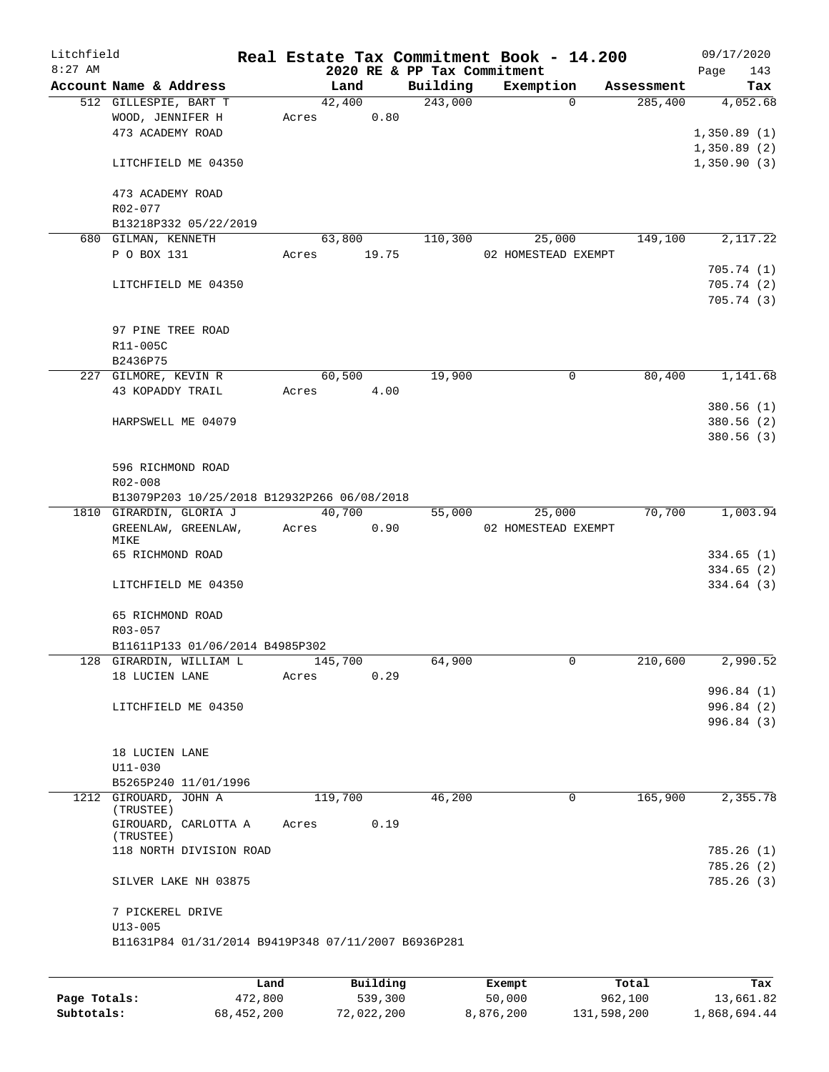| Litchfield |                                                     |             |       |                |                        |                                         | Real Estate Tax Commitment Book - 14.200 |          |                       |      | 09/17/2020      |
|------------|-----------------------------------------------------|-------------|-------|----------------|------------------------|-----------------------------------------|------------------------------------------|----------|-----------------------|------|-----------------|
| $8:27$ AM  | Account Name & Address                              |             |       |                |                        | 2020 RE & PP Tax Commitment<br>Building | Exemption                                |          |                       | Page | 143             |
|            | 512 GILLESPIE, BART T                               |             |       | Land<br>42,400 |                        | 243,000                                 |                                          | $\Omega$ | Assessment<br>285,400 |      | Tax<br>4,052.68 |
|            | WOOD, JENNIFER H                                    |             | Acres |                | 0.80                   |                                         |                                          |          |                       |      |                 |
|            | 473 ACADEMY ROAD                                    |             |       |                |                        |                                         |                                          |          |                       |      | 1,350.89(1)     |
|            |                                                     |             |       |                |                        |                                         |                                          |          |                       |      | 1,350.89(2)     |
|            | LITCHFIELD ME 04350                                 |             |       |                |                        |                                         |                                          |          |                       |      | 1,350.90(3)     |
|            | 473 ACADEMY ROAD                                    |             |       |                |                        |                                         |                                          |          |                       |      |                 |
|            | R02-077                                             |             |       |                |                        |                                         |                                          |          |                       |      |                 |
|            | B13218P332 05/22/2019                               |             |       |                |                        |                                         |                                          |          |                       |      |                 |
|            | 680 GILMAN, KENNETH                                 |             |       | 63,800         |                        | 110,300                                 | 25,000                                   |          | 149,100               |      | 2,117.22        |
|            | P O BOX 131                                         |             | Acres |                | 19.75                  |                                         | 02 HOMESTEAD EXEMPT                      |          |                       |      |                 |
|            |                                                     |             |       |                |                        |                                         |                                          |          |                       |      | 705.74(1)       |
|            | LITCHFIELD ME 04350                                 |             |       |                |                        |                                         |                                          |          |                       |      | 705.74(2)       |
|            |                                                     |             |       |                |                        |                                         |                                          |          |                       |      | 705.74(3)       |
|            |                                                     |             |       |                |                        |                                         |                                          |          |                       |      |                 |
|            | 97 PINE TREE ROAD                                   |             |       |                |                        |                                         |                                          |          |                       |      |                 |
|            | R11-005C<br>B2436P75                                |             |       |                |                        |                                         |                                          |          |                       |      |                 |
|            | 227 GILMORE, KEVIN R                                |             |       | 60,500         |                        | 19,900                                  |                                          | 0        | 80,400                |      | 1,141.68        |
|            | 43 KOPADDY TRAIL                                    |             | Acres |                | 4.00                   |                                         |                                          |          |                       |      |                 |
|            |                                                     |             |       |                |                        |                                         |                                          |          |                       |      | 380.56(1)       |
|            | HARPSWELL ME 04079                                  |             |       |                |                        |                                         |                                          |          |                       |      | 380.56(2)       |
|            |                                                     |             |       |                |                        |                                         |                                          |          |                       |      | 380.56(3)       |
|            |                                                     |             |       |                |                        |                                         |                                          |          |                       |      |                 |
|            | 596 RICHMOND ROAD                                   |             |       |                |                        |                                         |                                          |          |                       |      |                 |
|            | R02-008                                             |             |       |                |                        |                                         |                                          |          |                       |      |                 |
|            | B13079P203 10/25/2018 B12932P266 06/08/2018         |             |       | 40,700         |                        |                                         |                                          |          | 70,700                |      | 1,003.94        |
|            | 1810 GIRARDIN, GLORIA J<br>GREENLAW, GREENLAW,      |             | Acres |                | 0.90                   | 55,000                                  | 25,000<br>02 HOMESTEAD EXEMPT            |          |                       |      |                 |
|            | MIKE                                                |             |       |                |                        |                                         |                                          |          |                       |      |                 |
|            | 65 RICHMOND ROAD                                    |             |       |                |                        |                                         |                                          |          |                       |      | 334.65(1)       |
|            |                                                     |             |       |                |                        |                                         |                                          |          |                       |      | 334.65(2)       |
|            | LITCHFIELD ME 04350                                 |             |       |                |                        |                                         |                                          |          |                       |      | 334.64(3)       |
|            | 65 RICHMOND ROAD                                    |             |       |                |                        |                                         |                                          |          |                       |      |                 |
|            | R03-057                                             |             |       |                |                        |                                         |                                          |          |                       |      |                 |
|            | B11611P133 01/06/2014 B4985P302                     |             |       |                |                        |                                         |                                          |          |                       |      |                 |
|            | 128 GIRARDIN, WILLIAM L                             |             |       | 145,700        |                        | 64,900                                  |                                          | 0        | 210,600               |      | 2,990.52        |
|            | 18 LUCIEN LANE                                      |             | Acres |                | 0.29                   |                                         |                                          |          |                       |      |                 |
|            |                                                     |             |       |                |                        |                                         |                                          |          |                       |      | 996.84 (1)      |
|            | LITCHFIELD ME 04350                                 |             |       |                |                        |                                         |                                          |          |                       |      | 996.84 (2)      |
|            |                                                     |             |       |                |                        |                                         |                                          |          |                       |      | 996.84 (3)      |
|            |                                                     |             |       |                |                        |                                         |                                          |          |                       |      |                 |
|            | 18 LUCIEN LANE                                      |             |       |                |                        |                                         |                                          |          |                       |      |                 |
|            | $U11 - 030$<br>B5265P240 11/01/1996                 |             |       |                |                        |                                         |                                          |          |                       |      |                 |
|            | 1212 GIROUARD, JOHN A                               |             |       | 119,700        |                        | 46,200                                  |                                          | 0        | 165,900               |      | 2,355.78        |
|            | (TRUSTEE)                                           |             |       |                |                        |                                         |                                          |          |                       |      |                 |
|            | GIROUARD, CARLOTTA A<br>(TRUSTEE)                   |             | Acres |                | 0.19                   |                                         |                                          |          |                       |      |                 |
|            | 118 NORTH DIVISION ROAD                             |             |       |                |                        |                                         |                                          |          |                       |      | 785.26(1)       |
|            |                                                     |             |       |                |                        |                                         |                                          |          |                       |      | 785.26(2)       |
|            | SILVER LAKE NH 03875                                |             |       |                |                        |                                         |                                          |          |                       |      | 785.26(3)       |
|            | 7 PICKEREL DRIVE                                    |             |       |                |                        |                                         |                                          |          |                       |      |                 |
|            | $U13 - 005$                                         |             |       |                |                        |                                         |                                          |          |                       |      |                 |
|            | B11631P84 01/31/2014 B9419P348 07/11/2007 B6936P281 |             |       |                |                        |                                         |                                          |          |                       |      |                 |
|            |                                                     |             |       |                |                        |                                         |                                          |          |                       |      |                 |
|            |                                                     | <b>Tond</b> |       |                | $D_{11}$ in $A$ in $A$ |                                         | $P$ ucamat                               |          | <b>Total</b>          |      | π.,             |

|              | Land       | Building   | Exempt    | Total       | Tax          |
|--------------|------------|------------|-----------|-------------|--------------|
| Page Totals: | 472,800    | 539,300    | 50,000    | 962,100     | 13,661.82    |
| Subtotals:   | 68,452,200 | 72,022,200 | 8,876,200 | 131,598,200 | 1,868,694.44 |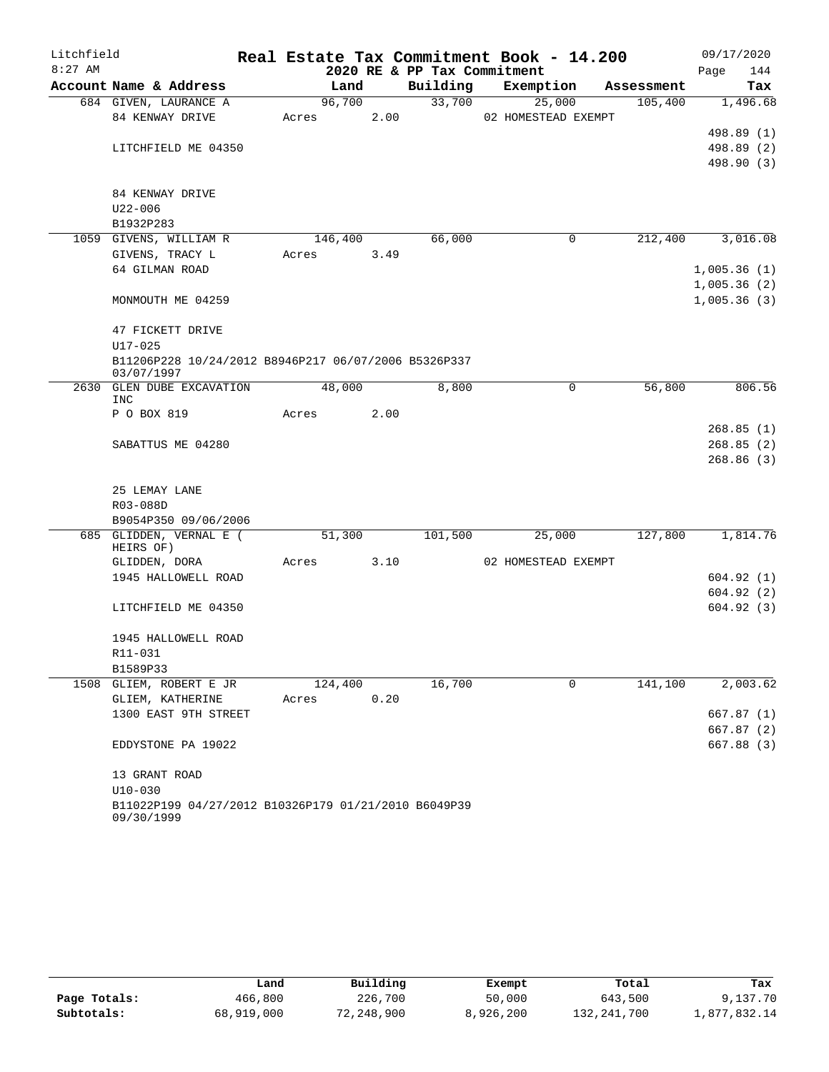| Litchfield |                                                      |         |      |                             | Real Estate Tax Commitment Book - 14.200 |            | 09/17/2020               |
|------------|------------------------------------------------------|---------|------|-----------------------------|------------------------------------------|------------|--------------------------|
| $8:27$ AM  |                                                      |         |      | 2020 RE & PP Tax Commitment |                                          |            | Page<br>144              |
|            | Account Name & Address                               | Land    |      | Building                    | Exemption                                | Assessment | Tax                      |
|            | 684 GIVEN, LAURANCE A                                | 96,700  |      | 33,700                      | 25,000                                   | 105,400    | 1,496.68                 |
|            | 84 KENWAY DRIVE                                      | Acres   | 2.00 |                             | 02 HOMESTEAD EXEMPT                      |            |                          |
|            |                                                      |         |      |                             |                                          |            | 498.89 (1)               |
|            | LITCHFIELD ME 04350                                  |         |      |                             |                                          |            | 498.89 (2)<br>498.90 (3) |
|            |                                                      |         |      |                             |                                          |            |                          |
|            | 84 KENWAY DRIVE                                      |         |      |                             |                                          |            |                          |
|            | $U22 - 006$                                          |         |      |                             |                                          |            |                          |
|            | B1932P283                                            |         |      |                             |                                          |            |                          |
|            | 1059 GIVENS, WILLIAM R                               | 146,400 |      | 66,000                      | 0                                        | 212,400    | 3,016.08                 |
|            | GIVENS, TRACY L                                      | Acres   | 3.49 |                             |                                          |            |                          |
|            | 64 GILMAN ROAD                                       |         |      |                             |                                          |            | 1,005.36(1)              |
|            |                                                      |         |      |                             |                                          |            | 1,005.36(2)              |
|            | MONMOUTH ME 04259                                    |         |      |                             |                                          |            | 1,005.36(3)              |
|            | 47 FICKETT DRIVE                                     |         |      |                             |                                          |            |                          |
|            | $U17 - 025$                                          |         |      |                             |                                          |            |                          |
|            | B11206P228 10/24/2012 B8946P217 06/07/2006 B5326P337 |         |      |                             |                                          |            |                          |
|            | 03/07/1997                                           |         |      |                             |                                          |            |                          |
| 2630       | <b>GLEN DUBE EXCAVATION</b><br>INC                   | 48,000  |      | 8,800                       | 0                                        | 56,800     | 806.56                   |
|            | P O BOX 819                                          | Acres   | 2.00 |                             |                                          |            |                          |
|            |                                                      |         |      |                             |                                          |            | 268.85(1)                |
|            | SABATTUS ME 04280                                    |         |      |                             |                                          |            | 268.85(2)                |
|            |                                                      |         |      |                             |                                          |            | 268.86(3)                |
|            |                                                      |         |      |                             |                                          |            |                          |
|            | 25 LEMAY LANE                                        |         |      |                             |                                          |            |                          |
|            | R03-088D<br>B9054P350 09/06/2006                     |         |      |                             |                                          |            |                          |
|            | 685 GLIDDEN, VERNAL E (                              | 51,300  |      | 101,500                     | 25,000                                   | 127,800    | 1,814.76                 |
|            | HEIRS OF)                                            |         |      |                             |                                          |            |                          |
|            | GLIDDEN, DORA                                        | Acres   | 3.10 |                             | 02 HOMESTEAD EXEMPT                      |            |                          |
|            | 1945 HALLOWELL ROAD                                  |         |      |                             |                                          |            | 604.92(1)                |
|            |                                                      |         |      |                             |                                          |            | 604.92(2)                |
|            | LITCHFIELD ME 04350                                  |         |      |                             |                                          |            | 604.92(3)                |
|            | 1945 HALLOWELL ROAD                                  |         |      |                             |                                          |            |                          |
|            | R11-031                                              |         |      |                             |                                          |            |                          |
|            | B1589P33                                             |         |      |                             |                                          |            |                          |
| 1508       | GLIEM, ROBERT E JR                                   | 124,400 |      | 16,700                      | $\Omega$                                 | 141,100    | 2,003.62                 |
|            | GLIEM, KATHERINE                                     | Acres   | 0.20 |                             |                                          |            |                          |
|            | 1300 EAST 9TH STREET                                 |         |      |                             |                                          |            | 667.87 (1)               |
|            |                                                      |         |      |                             |                                          |            | 667.87 (2)               |
|            | EDDYSTONE PA 19022                                   |         |      |                             |                                          |            | 667.88 (3)               |
|            | 13 GRANT ROAD                                        |         |      |                             |                                          |            |                          |
|            | $U10-030$                                            |         |      |                             |                                          |            |                          |
|            | B11022P199 04/27/2012 B10326P179 01/21/2010 B6049P39 |         |      |                             |                                          |            |                          |
|            | 09/30/1999                                           |         |      |                             |                                          |            |                          |

|              | Land       | Building   | Exempt    | Total       | Tax          |
|--------------|------------|------------|-----------|-------------|--------------|
| Page Totals: | 466,800    | 226,700    | 50,000    | 643,500     | 9,137.70     |
| Subtotals:   | 68,919,000 | 72,248,900 | 8,926,200 | 132,241,700 | l,877,832.14 |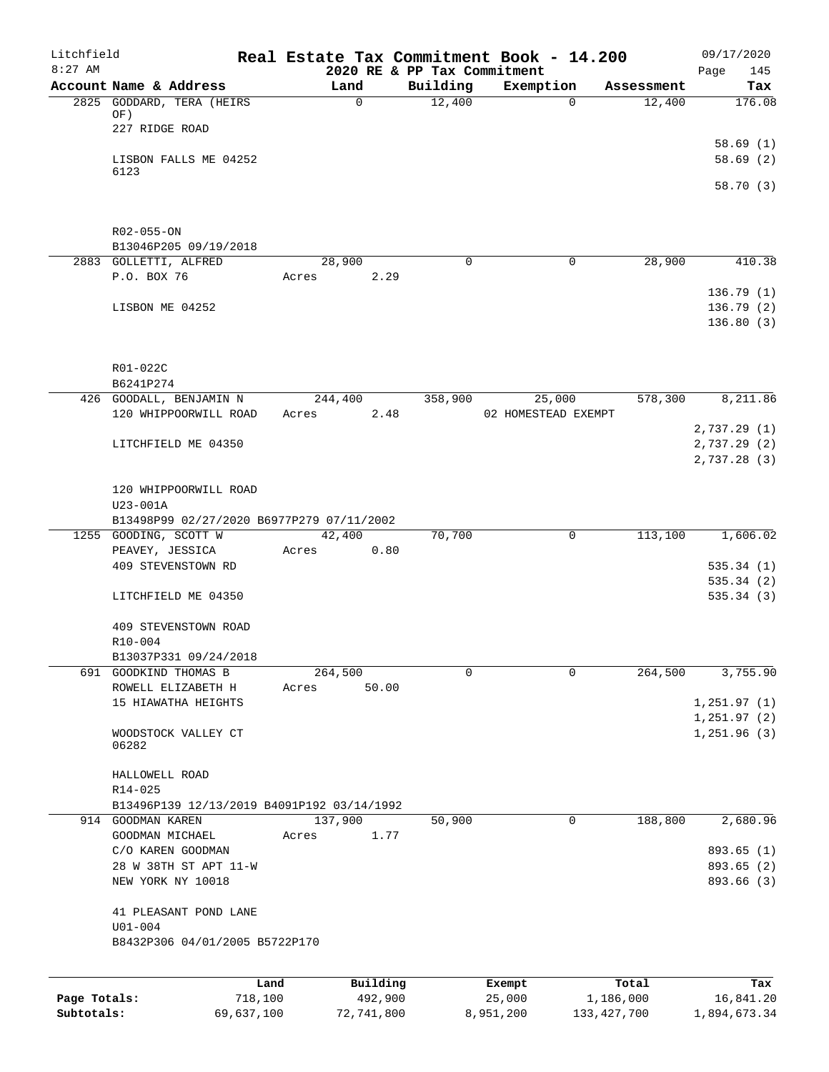| Litchfield   |                                             |            |       |                  | Real Estate Tax Commitment Book - 14.200 |           |                     |               | 09/17/2020             |
|--------------|---------------------------------------------|------------|-------|------------------|------------------------------------------|-----------|---------------------|---------------|------------------------|
| $8:27$ AM    | Account Name & Address                      |            |       | Land             | 2020 RE & PP Tax Commitment<br>Building  |           | Exemption           | Assessment    | 145<br>Page<br>Tax     |
|              | 2825 GODDARD, TERA (HEIRS                   |            |       | $\mathsf{O}$     | 12,400                                   |           | $\Omega$            | 12,400        | 176.08                 |
|              | OF)                                         |            |       |                  |                                          |           |                     |               |                        |
|              | 227 RIDGE ROAD                              |            |       |                  |                                          |           |                     |               |                        |
|              |                                             |            |       |                  |                                          |           |                     |               | 58.69(1)               |
|              | LISBON FALLS ME 04252<br>6123               |            |       |                  |                                          |           |                     |               | 58.69(2)               |
|              |                                             |            |       |                  |                                          |           |                     |               | 58.70 (3)              |
|              |                                             |            |       |                  |                                          |           |                     |               |                        |
|              |                                             |            |       |                  |                                          |           |                     |               |                        |
|              | R02-055-ON                                  |            |       |                  |                                          |           |                     |               |                        |
|              | B13046P205 09/19/2018                       |            |       |                  |                                          |           |                     |               |                        |
|              | 2883 GOLLETTI, ALFRED                       |            |       | 28,900           | $\mathbf 0$                              |           | $\mathbf 0$         | 28,900        | 410.38                 |
|              | P.O. BOX 76                                 |            | Acres | 2.29             |                                          |           |                     |               |                        |
|              |                                             |            |       |                  |                                          |           |                     |               | 136.79(1)              |
|              | LISBON ME 04252                             |            |       |                  |                                          |           |                     |               | 136.79(2)<br>136.80(3) |
|              |                                             |            |       |                  |                                          |           |                     |               |                        |
|              |                                             |            |       |                  |                                          |           |                     |               |                        |
|              | R01-022C                                    |            |       |                  |                                          |           |                     |               |                        |
|              | B6241P274                                   |            |       |                  |                                          |           |                     |               |                        |
|              | 426 GOODALL, BENJAMIN N                     |            |       | 244,400          | 358,900                                  |           | 25,000              | 578,300       | 8,211.86               |
|              | 120 WHIPPOORWILL ROAD                       |            | Acres | 2.48             |                                          |           | 02 HOMESTEAD EXEMPT |               |                        |
|              |                                             |            |       |                  |                                          |           |                     |               | 2,737.29(1)            |
|              | LITCHFIELD ME 04350                         |            |       |                  |                                          |           |                     |               | 2,737.29(2)            |
|              |                                             |            |       |                  |                                          |           |                     |               | 2,737.28(3)            |
|              |                                             |            |       |                  |                                          |           |                     |               |                        |
|              | 120 WHIPPOORWILL ROAD<br>U23-001A           |            |       |                  |                                          |           |                     |               |                        |
|              | B13498P99 02/27/2020 B6977P279 07/11/2002   |            |       |                  |                                          |           |                     |               |                        |
|              | 1255 GOODING, SCOTT W                       |            |       | 42,400           | 70,700                                   |           | 0                   | 113,100       | 1,606.02               |
|              | PEAVEY, JESSICA                             |            | Acres | 0.80             |                                          |           |                     |               |                        |
|              | 409 STEVENSTOWN RD                          |            |       |                  |                                          |           |                     |               | 535.34(1)              |
|              |                                             |            |       |                  |                                          |           |                     |               | 535.34(2)              |
|              | LITCHFIELD ME 04350                         |            |       |                  |                                          |           |                     |               | 535.34(3)              |
|              |                                             |            |       |                  |                                          |           |                     |               |                        |
|              | 409 STEVENSTOWN ROAD                        |            |       |                  |                                          |           |                     |               |                        |
|              | R10-004                                     |            |       |                  |                                          |           |                     |               |                        |
|              | B13037P331 09/24/2018                       |            |       |                  |                                          |           |                     | 264,500       |                        |
|              | 691 GOODKIND THOMAS B<br>ROWELL ELIZABETH H |            | Acres | 264,500<br>50.00 | 0                                        |           | 0                   |               | 3,755.90               |
|              | 15 HIAWATHA HEIGHTS                         |            |       |                  |                                          |           |                     |               | 1, 251.97(1)           |
|              |                                             |            |       |                  |                                          |           |                     |               | 1, 251.97 (2)          |
|              | WOODSTOCK VALLEY CT                         |            |       |                  |                                          |           |                     |               | 1,251.96 (3)           |
|              | 06282                                       |            |       |                  |                                          |           |                     |               |                        |
|              |                                             |            |       |                  |                                          |           |                     |               |                        |
|              | HALLOWELL ROAD                              |            |       |                  |                                          |           |                     |               |                        |
|              | R14-025                                     |            |       |                  |                                          |           |                     |               |                        |
|              | B13496P139 12/13/2019 B4091P192 03/14/1992  |            |       |                  | 50,900                                   |           | 0                   |               |                        |
|              | 914 GOODMAN KAREN<br>GOODMAN MICHAEL        |            | Acres | 137,900<br>1.77  |                                          |           |                     | 188,800       | 2,680.96               |
|              | C/O KAREN GOODMAN                           |            |       |                  |                                          |           |                     |               | 893.65 (1)             |
|              | 28 W 38TH ST APT 11-W                       |            |       |                  |                                          |           |                     |               | 893.65 (2)             |
|              | NEW YORK NY 10018                           |            |       |                  |                                          |           |                     |               | 893.66 (3)             |
|              |                                             |            |       |                  |                                          |           |                     |               |                        |
|              | 41 PLEASANT POND LANE                       |            |       |                  |                                          |           |                     |               |                        |
|              | $U01 - 004$                                 |            |       |                  |                                          |           |                     |               |                        |
|              | B8432P306 04/01/2005 B5722P170              |            |       |                  |                                          |           |                     |               |                        |
|              |                                             |            |       |                  |                                          |           |                     |               |                        |
|              |                                             | Land       |       | Building         |                                          | Exempt    |                     | Total         | Tax                    |
| Page Totals: |                                             | 718,100    |       | 492,900          |                                          | 25,000    |                     | 1,186,000     | 16,841.20              |
| Subtotals:   |                                             | 69,637,100 |       | 72,741,800       |                                          | 8,951,200 |                     | 133, 427, 700 | 1,894,673.34           |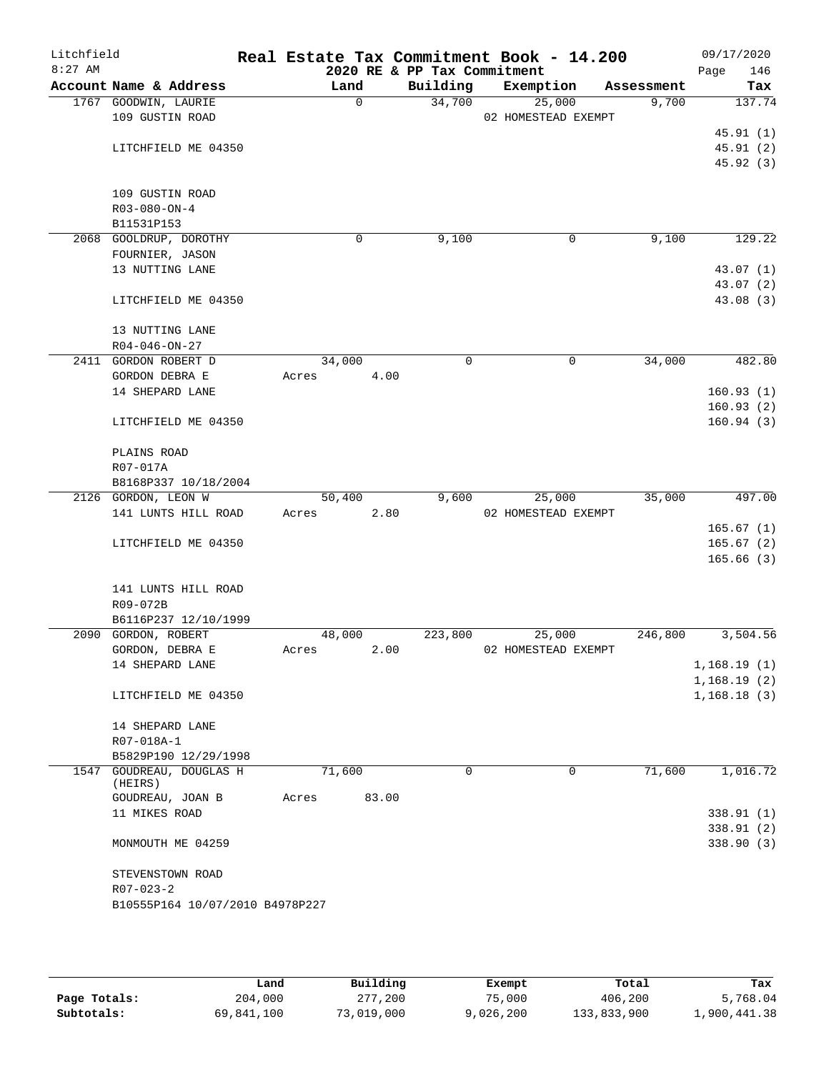| Litchfield<br>$8:27$ AM |                                 |             |       | 2020 RE & PP Tax Commitment | Real Estate Tax Commitment Book - 14.200 |            | 09/17/2020<br>146<br>Page  |
|-------------------------|---------------------------------|-------------|-------|-----------------------------|------------------------------------------|------------|----------------------------|
|                         | Account Name & Address          | Land        |       | Building                    | Exemption                                | Assessment | Tax                        |
|                         | 1767 GOODWIN, LAURIE            | $\mathbf 0$ |       | 34,700                      | 25,000                                   | 9,700      | 137.74                     |
|                         | 109 GUSTIN ROAD                 |             |       |                             | 02 HOMESTEAD EXEMPT                      |            |                            |
|                         |                                 |             |       |                             |                                          |            | 45.91(1)                   |
|                         | LITCHFIELD ME 04350             |             |       |                             |                                          |            | 45.91(2)                   |
|                         |                                 |             |       |                             |                                          |            | 45.92 (3)                  |
|                         |                                 |             |       |                             |                                          |            |                            |
|                         | 109 GUSTIN ROAD                 |             |       |                             |                                          |            |                            |
|                         | $R03 - 080 - ON - 4$            |             |       |                             |                                          |            |                            |
|                         | B11531P153                      |             |       |                             |                                          |            |                            |
|                         | 2068 GOOLDRUP, DOROTHY          | 0           |       | 9,100                       | 0                                        | 9,100      | 129.22                     |
|                         | FOURNIER, JASON                 |             |       |                             |                                          |            |                            |
|                         | 13 NUTTING LANE                 |             |       |                             |                                          |            | 43.07 (1)                  |
|                         |                                 |             |       |                             |                                          |            | 43.07 (2)                  |
|                         | LITCHFIELD ME 04350             |             |       |                             |                                          |            | 43.08 (3)                  |
|                         | 13 NUTTING LANE                 |             |       |                             |                                          |            |                            |
|                         | $R04 - 046 - ON - 27$           |             |       |                             |                                          |            |                            |
|                         | 2411 GORDON ROBERT D            | 34,000      |       | $\mathbf 0$                 | $\mathbf 0$                              | 34,000     | 482.80                     |
|                         | GORDON DEBRA E                  | Acres       | 4.00  |                             |                                          |            |                            |
|                         | 14 SHEPARD LANE                 |             |       |                             |                                          |            | 160.93(1)                  |
|                         |                                 |             |       |                             |                                          |            | 160.93(2)                  |
|                         | LITCHFIELD ME 04350             |             |       |                             |                                          |            | 160.94(3)                  |
|                         |                                 |             |       |                             |                                          |            |                            |
|                         | PLAINS ROAD                     |             |       |                             |                                          |            |                            |
|                         | R07-017A                        |             |       |                             |                                          |            |                            |
|                         | B8168P337 10/18/2004            |             |       |                             |                                          |            |                            |
|                         | 2126 GORDON, LEON W             | 50,400      |       | 9,600                       | 25,000                                   | 35,000     | 497.00                     |
|                         | 141 LUNTS HILL ROAD             | Acres       | 2.80  |                             | 02 HOMESTEAD EXEMPT                      |            |                            |
|                         |                                 |             |       |                             |                                          |            | 165.67(1)                  |
|                         | LITCHFIELD ME 04350             |             |       |                             |                                          |            | 165.67(2)                  |
|                         |                                 |             |       |                             |                                          |            | 165.66(3)                  |
|                         |                                 |             |       |                             |                                          |            |                            |
|                         | 141 LUNTS HILL ROAD             |             |       |                             |                                          |            |                            |
|                         | R09-072B                        |             |       |                             |                                          |            |                            |
|                         | B6116P237 12/10/1999            |             |       |                             |                                          |            |                            |
|                         | 2090 GORDON, ROBERT             | 48,000      |       | 223,800                     | 25,000                                   | 246,800    | 3,504.56                   |
|                         | GORDON, DEBRA E                 | Acres       | 2.00  |                             | 02 HOMESTEAD EXEMPT                      |            |                            |
|                         | 14 SHEPARD LANE                 |             |       |                             |                                          |            | 1,168.19(1)<br>1,168.19(2) |
|                         | LITCHFIELD ME 04350             |             |       |                             |                                          |            | 1,168.18(3)                |
|                         |                                 |             |       |                             |                                          |            |                            |
|                         | 14 SHEPARD LANE                 |             |       |                             |                                          |            |                            |
|                         | R07-018A-1                      |             |       |                             |                                          |            |                            |
|                         | B5829P190 12/29/1998            |             |       |                             |                                          |            |                            |
|                         | 1547 GOUDREAU, DOUGLAS H        | 71,600      |       | 0                           | $\mathbf 0$                              | 71,600     | 1,016.72                   |
|                         | (HEIRS)                         |             |       |                             |                                          |            |                            |
|                         | GOUDREAU, JOAN B                | Acres       | 83.00 |                             |                                          |            |                            |
|                         | 11 MIKES ROAD                   |             |       |                             |                                          |            | 338.91 (1)                 |
|                         |                                 |             |       |                             |                                          |            | 338.91(2)                  |
|                         | MONMOUTH ME 04259               |             |       |                             |                                          |            | 338.90 (3)                 |
|                         |                                 |             |       |                             |                                          |            |                            |
|                         | STEVENSTOWN ROAD                |             |       |                             |                                          |            |                            |
|                         | $R07 - 023 - 2$                 |             |       |                             |                                          |            |                            |
|                         | B10555P164 10/07/2010 B4978P227 |             |       |                             |                                          |            |                            |
|                         |                                 |             |       |                             |                                          |            |                            |

|              | Land       | Building   | Exempt    | Total       | Tax          |
|--------------|------------|------------|-----------|-------------|--------------|
| Page Totals: | 204,000    | 277,200    | 75,000    | 406,200     | 5,768.04     |
| Subtotals:   | 69,841,100 | 73,019,000 | 9,026,200 | 133,833,900 | 1,900,441.38 |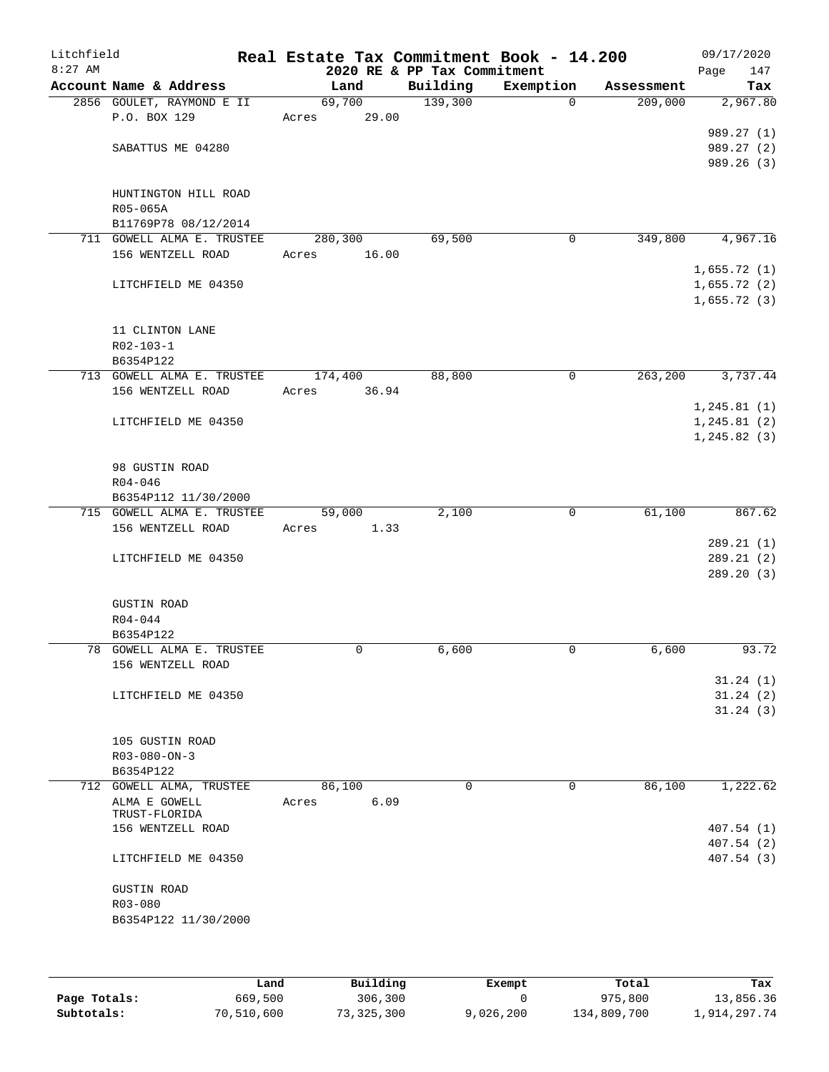| Litchfield<br>$8:27$ AM |                                         | Real Estate Tax Commitment Book - 14.200 | 2020 RE & PP Tax Commitment |             |                      | 09/17/2020<br>Page<br>147 |
|-------------------------|-----------------------------------------|------------------------------------------|-----------------------------|-------------|----------------------|---------------------------|
|                         | Account Name & Address                  | Land                                     | Building                    | Exemption   | Assessment           | Tax                       |
|                         | 2856 GOULET, RAYMOND E II               | 69,700                                   | 139,300                     | $\Omega$    | 209,000              | 2,967.80                  |
|                         | P.O. BOX 129                            | 29.00<br>Acres                           |                             |             |                      |                           |
|                         |                                         |                                          |                             |             |                      | 989.27 (1)                |
|                         | SABATTUS ME 04280                       |                                          |                             |             |                      | 989.27 (2)                |
|                         |                                         |                                          |                             |             |                      | 989.26 (3)                |
|                         |                                         |                                          |                             |             |                      |                           |
|                         | HUNTINGTON HILL ROAD<br>R05-065A        |                                          |                             |             |                      |                           |
|                         | B11769P78 08/12/2014                    |                                          |                             |             |                      |                           |
|                         | 711 GOWELL ALMA E. TRUSTEE              | 280,300                                  | 69,500                      | $\mathbf 0$ | 349,800              | 4,967.16                  |
|                         | 156 WENTZELL ROAD                       | 16.00<br>Acres                           |                             |             |                      |                           |
|                         |                                         |                                          |                             |             |                      | 1,655.72(1)               |
|                         | LITCHFIELD ME 04350                     |                                          |                             |             |                      | 1,655.72(2)               |
|                         |                                         |                                          |                             |             |                      | 1,655.72(3)               |
|                         |                                         |                                          |                             |             |                      |                           |
|                         | 11 CLINTON LANE                         |                                          |                             |             |                      |                           |
|                         | R02-103-1                               |                                          |                             |             |                      |                           |
|                         | B6354P122<br>713 GOWELL ALMA E. TRUSTEE | 174,400                                  | 88,800                      | 0           | $2\overline{63,200}$ | 3,737.44                  |
|                         | 156 WENTZELL ROAD                       | 36.94<br>Acres                           |                             |             |                      |                           |
|                         |                                         |                                          |                             |             |                      | 1, 245.81(1)              |
|                         | LITCHFIELD ME 04350                     |                                          |                             |             |                      | 1, 245.81(2)              |
|                         |                                         |                                          |                             |             |                      | 1, 245.82(3)              |
|                         |                                         |                                          |                             |             |                      |                           |
|                         | 98 GUSTIN ROAD                          |                                          |                             |             |                      |                           |
|                         | $R04 - 046$                             |                                          |                             |             |                      |                           |
|                         | B6354P112 11/30/2000                    |                                          |                             |             |                      |                           |
|                         | 715 GOWELL ALMA E. TRUSTEE              | 59,000                                   | 2,100                       | $\mathbf 0$ | 61,100               | 867.62                    |
|                         | 156 WENTZELL ROAD                       | 1.33<br>Acres                            |                             |             |                      | 289.21(1)                 |
|                         | LITCHFIELD ME 04350                     |                                          |                             |             |                      | 289.21(2)                 |
|                         |                                         |                                          |                             |             |                      | 289.20(3)                 |
|                         |                                         |                                          |                             |             |                      |                           |
|                         | <b>GUSTIN ROAD</b>                      |                                          |                             |             |                      |                           |
|                         | $R04 - 044$                             |                                          |                             |             |                      |                           |
|                         | B6354P122                               |                                          |                             |             |                      |                           |
|                         | 78 GOWELL ALMA E. TRUSTEE               | 0                                        | 6,600                       | 0           | 6,600                | 93.72                     |
|                         | 156 WENTZELL ROAD                       |                                          |                             |             |                      |                           |
|                         |                                         |                                          |                             |             |                      | 31.24(1)                  |
|                         | LITCHFIELD ME 04350                     |                                          |                             |             |                      | 31.24(2)<br>31.24(3)      |
|                         |                                         |                                          |                             |             |                      |                           |
|                         | 105 GUSTIN ROAD                         |                                          |                             |             |                      |                           |
|                         | $R03 - 080 - ON - 3$                    |                                          |                             |             |                      |                           |
|                         | B6354P122                               |                                          |                             |             |                      |                           |
|                         | 712 GOWELL ALMA, TRUSTEE                | 86,100                                   | 0                           | 0           | 86,100               | 1,222.62                  |
|                         | ALMA E GOWELL                           | 6.09<br>Acres                            |                             |             |                      |                           |
|                         | TRUST-FLORIDA                           |                                          |                             |             |                      |                           |
|                         | 156 WENTZELL ROAD                       |                                          |                             |             |                      | 407.54(1)<br>407.54 (2)   |
|                         | LITCHFIELD ME 04350                     |                                          |                             |             |                      | 407.54 (3)                |
|                         |                                         |                                          |                             |             |                      |                           |
|                         | <b>GUSTIN ROAD</b>                      |                                          |                             |             |                      |                           |
|                         | R03-080                                 |                                          |                             |             |                      |                           |
|                         | B6354P122 11/30/2000                    |                                          |                             |             |                      |                           |
|                         |                                         |                                          |                             |             |                      |                           |
|                         |                                         |                                          |                             |             |                      |                           |

|              | Land       | Building   | Exempt    | Total       | Tax          |
|--------------|------------|------------|-----------|-------------|--------------|
| Page Totals: | 669,500    | 306,300    |           | 975,800     | 13,856.36    |
| Subtotals:   | 70,510,600 | 73,325,300 | 9,026,200 | 134,809,700 | 1,914,297.74 |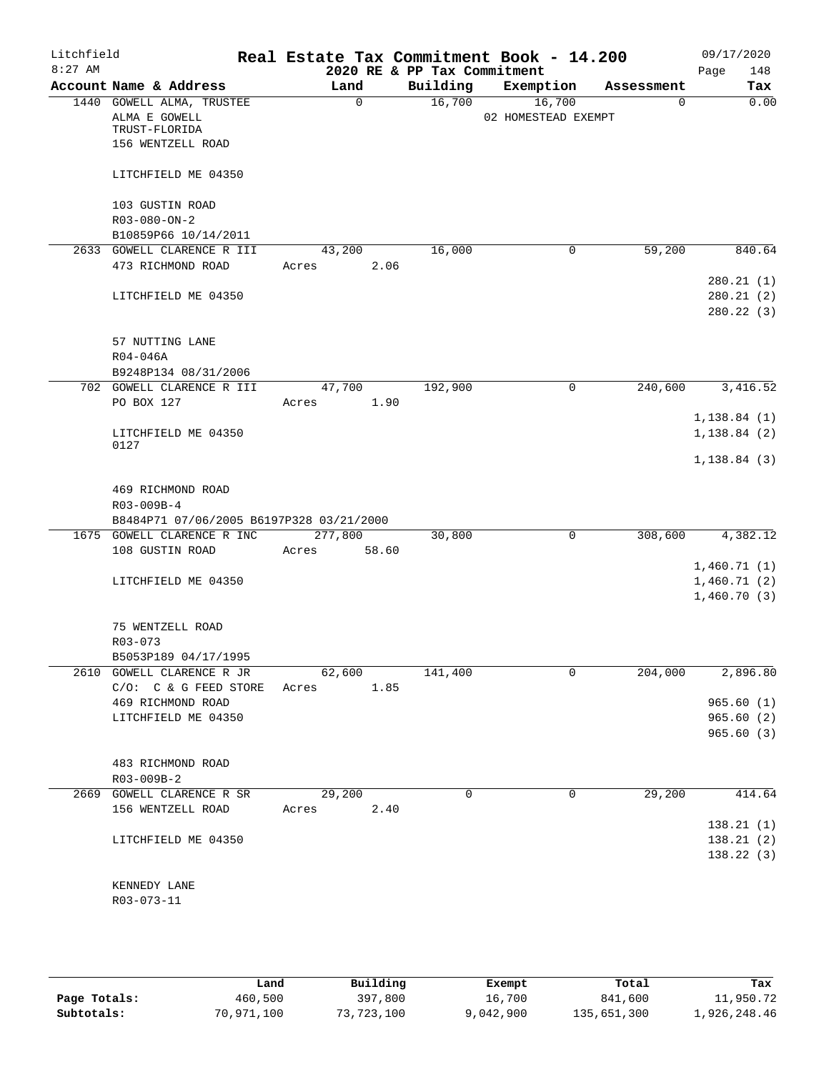| Litchfield<br>$8:27$ AM |                                                                                  | Real Estate Tax Commitment Book - 14.200 | 2020 RE & PP Tax Commitment |                               |             | 09/17/2020<br>148<br>Page                 |
|-------------------------|----------------------------------------------------------------------------------|------------------------------------------|-----------------------------|-------------------------------|-------------|-------------------------------------------|
|                         | Account Name & Address                                                           | Land                                     | Building                    | Exemption                     | Assessment  | Tax                                       |
|                         | 1440 GOWELL ALMA, TRUSTEE<br>ALMA E GOWELL<br>TRUST-FLORIDA<br>156 WENTZELL ROAD | 0                                        | 16,700                      | 16,700<br>02 HOMESTEAD EXEMPT | $\mathbf 0$ | 0.00                                      |
|                         | LITCHFIELD ME 04350                                                              |                                          |                             |                               |             |                                           |
|                         | 103 GUSTIN ROAD                                                                  |                                          |                             |                               |             |                                           |
|                         | $R03 - 080 - ON - 2$<br>B10859P66 10/14/2011                                     |                                          |                             |                               |             |                                           |
|                         | 2633 GOWELL CLARENCE R III                                                       | 43,200                                   | 16,000                      | 0                             | 59,200      | 840.64                                    |
|                         | 473 RICHMOND ROAD                                                                | 2.06<br>Acres                            |                             |                               |             | 280.21(1)                                 |
|                         | LITCHFIELD ME 04350                                                              |                                          |                             |                               |             | 280.21(2)<br>280.22(3)                    |
|                         | 57 NUTTING LANE<br>R04-046A                                                      |                                          |                             |                               |             |                                           |
|                         | B9248P134 08/31/2006                                                             |                                          |                             |                               |             |                                           |
|                         | 702 GOWELL CLARENCE R III                                                        | 47,700                                   | 192,900                     | 0                             | 240,600     | 3,416.52                                  |
|                         | PO BOX 127                                                                       | 1.90<br>Acres                            |                             |                               |             |                                           |
|                         |                                                                                  |                                          |                             |                               |             | 1,138.84(1)                               |
|                         | LITCHFIELD ME 04350                                                              |                                          |                             |                               |             | 1,138.84(2)                               |
|                         | 0127                                                                             |                                          |                             |                               |             | 1, 138.84(3)                              |
|                         | 469 RICHMOND ROAD<br>R03-009B-4<br>B8484P71 07/06/2005 B6197P328 03/21/2000      |                                          |                             |                               |             |                                           |
|                         | 1675 GOWELL CLARENCE R INC                                                       | 277,800                                  | 30,800                      | $\mathbf 0$                   | 308,600     | 4,382.12                                  |
|                         | 108 GUSTIN ROAD                                                                  | Acres<br>58.60                           |                             |                               |             |                                           |
|                         | LITCHFIELD ME 04350                                                              |                                          |                             |                               |             | 1,460.71(1)<br>1,460.71(2)<br>1,460.70(3) |
|                         | 75 WENTZELL ROAD<br>$R03 - 073$                                                  |                                          |                             |                               |             |                                           |
|                         | B5053P189 04/17/1995                                                             |                                          |                             |                               |             |                                           |
|                         | 2610 GOWELL CLARENCE R JR<br>$C/O: C & G$ FEED STORE                             | 62,600<br>1.85<br>Acres                  | 141,400                     | 0                             | 204,000     | 2,896.80                                  |
|                         | 469 RICHMOND ROAD                                                                |                                          |                             |                               |             | 965.60(1)                                 |
|                         | LITCHFIELD ME 04350                                                              |                                          |                             |                               |             | 965.60(2)                                 |
|                         |                                                                                  |                                          |                             |                               |             | 965.60(3)                                 |
|                         | 483 RICHMOND ROAD<br>R03-009B-2                                                  |                                          |                             |                               |             |                                           |
|                         | 2669 GOWELL CLARENCE R SR                                                        | 29,200                                   | $\Omega$                    | $\Omega$                      | 29,200      | 414.64                                    |
|                         | 156 WENTZELL ROAD                                                                | 2.40<br>Acres                            |                             |                               |             |                                           |
|                         |                                                                                  |                                          |                             |                               |             | 138.21(1)                                 |
|                         | LITCHFIELD ME 04350                                                              |                                          |                             |                               |             | 138.21(2)                                 |
|                         |                                                                                  |                                          |                             |                               |             | 138.22(3)                                 |
|                         | KENNEDY LANE                                                                     |                                          |                             |                               |             |                                           |
|                         | R03-073-11                                                                       |                                          |                             |                               |             |                                           |

|              | Land       | Building   | Exempt    | Total       | Tax          |
|--------------|------------|------------|-----------|-------------|--------------|
| Page Totals: | 460,500    | 397,800    | 16,700    | 841,600     | 11,950.72    |
| Subtotals:   | 70,971,100 | 73,723,100 | 9,042,900 | 135,651,300 | 1,926,248.46 |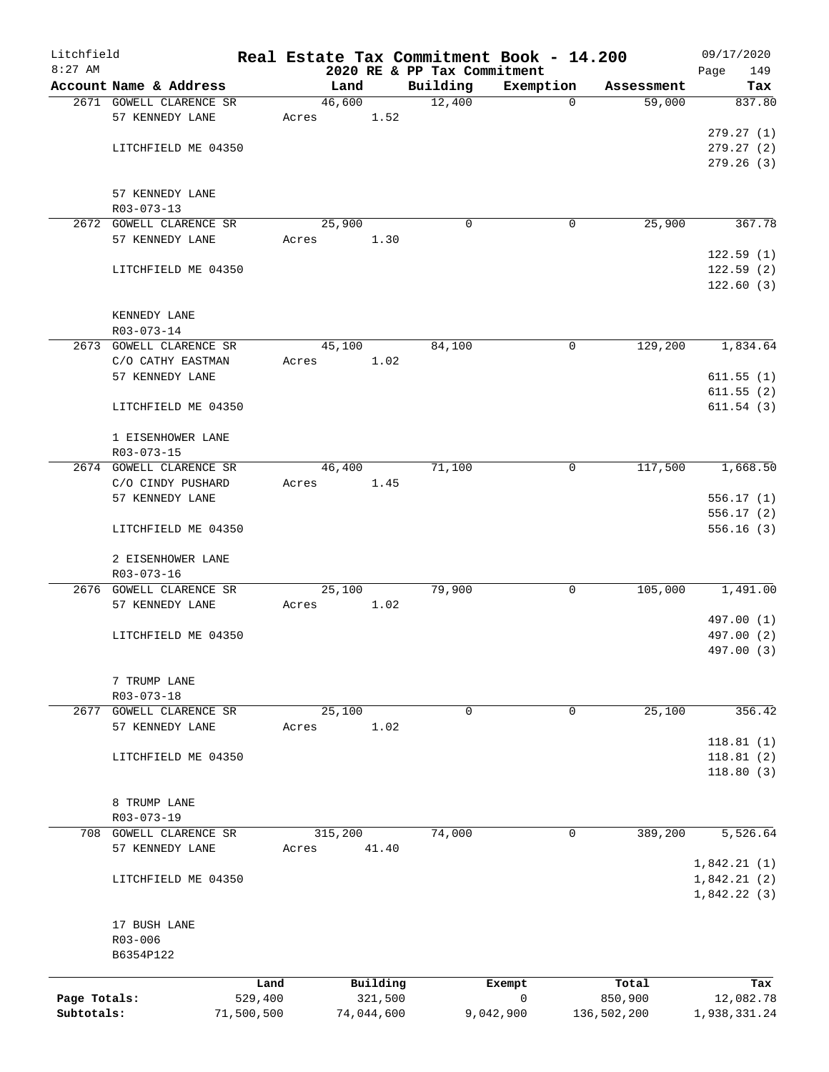| Litchfield   |                                                   |                 |       |                |                     |                             |             | Real Estate Tax Commitment Book - 14.200 |                      | 09/17/2020       |
|--------------|---------------------------------------------------|-----------------|-------|----------------|---------------------|-----------------------------|-------------|------------------------------------------|----------------------|------------------|
| $8:27$ AM    |                                                   |                 |       |                |                     | 2020 RE & PP Tax Commitment |             |                                          |                      | Page<br>149      |
|              | Account Name & Address<br>2671 GOWELL CLARENCE SR |                 |       | Land<br>46,600 |                     | Building<br>12,400          |             | Exemption<br>$\mathbf 0$                 | Assessment<br>59,000 | Tax<br>837.80    |
|              | 57 KENNEDY LANE                                   |                 | Acres |                | 1.52                |                             |             |                                          |                      |                  |
|              |                                                   |                 |       |                |                     |                             |             |                                          |                      | 279.27(1)        |
|              | LITCHFIELD ME 04350                               |                 |       |                |                     |                             |             |                                          |                      | 279.27 (2)       |
|              |                                                   |                 |       |                |                     |                             |             |                                          |                      | 279.26(3)        |
|              |                                                   |                 |       |                |                     |                             |             |                                          |                      |                  |
|              | 57 KENNEDY LANE                                   |                 |       |                |                     |                             |             |                                          |                      |                  |
|              | R03-073-13<br>2672 GOWELL CLARENCE SR             |                 |       | 25,900         |                     |                             | $\mathbf 0$ | 0                                        | 25,900               | 367.78           |
|              | 57 KENNEDY LANE                                   |                 | Acres |                | 1.30                |                             |             |                                          |                      |                  |
|              |                                                   |                 |       |                |                     |                             |             |                                          |                      | 122.59(1)        |
|              | LITCHFIELD ME 04350                               |                 |       |                |                     |                             |             |                                          |                      | 122.59(2)        |
|              |                                                   |                 |       |                |                     |                             |             |                                          |                      | 122.60(3)        |
|              |                                                   |                 |       |                |                     |                             |             |                                          |                      |                  |
|              | KENNEDY LANE<br>R03-073-14                        |                 |       |                |                     |                             |             |                                          |                      |                  |
|              | 2673 GOWELL CLARENCE SR                           |                 |       | 45,100         |                     | 84,100                      |             | $\mathbf 0$                              | 129,200              | 1,834.64         |
|              | C/O CATHY EASTMAN                                 |                 | Acres |                | 1.02                |                             |             |                                          |                      |                  |
|              | 57 KENNEDY LANE                                   |                 |       |                |                     |                             |             |                                          |                      | 611.55(1)        |
|              |                                                   |                 |       |                |                     |                             |             |                                          |                      | 611.55(2)        |
|              | LITCHFIELD ME 04350                               |                 |       |                |                     |                             |             |                                          |                      | 611.54(3)        |
|              |                                                   |                 |       |                |                     |                             |             |                                          |                      |                  |
|              | 1 EISENHOWER LANE<br>$R03 - 073 - 15$             |                 |       |                |                     |                             |             |                                          |                      |                  |
|              | 2674 GOWELL CLARENCE SR                           |                 |       | 46,400         |                     | 71,100                      |             | 0                                        | 117,500              | 1,668.50         |
|              | C/O CINDY PUSHARD                                 |                 | Acres |                | 1.45                |                             |             |                                          |                      |                  |
|              | 57 KENNEDY LANE                                   |                 |       |                |                     |                             |             |                                          |                      | 556.17(1)        |
|              |                                                   |                 |       |                |                     |                             |             |                                          |                      | 556.17(2)        |
|              | LITCHFIELD ME 04350                               |                 |       |                |                     |                             |             |                                          |                      | 556.16(3)        |
|              | 2 EISENHOWER LANE                                 |                 |       |                |                     |                             |             |                                          |                      |                  |
|              | R03-073-16                                        |                 |       |                |                     |                             |             |                                          |                      |                  |
|              | 2676 GOWELL CLARENCE SR                           |                 |       | 25,100         |                     | 79,900                      |             | 0                                        | 105,000              | 1,491.00         |
|              | 57 KENNEDY LANE                                   |                 | Acres |                | 1.02                |                             |             |                                          |                      |                  |
|              |                                                   |                 |       |                |                     |                             |             |                                          |                      | 497.00 (1)       |
|              | LITCHFIELD ME 04350                               |                 |       |                |                     |                             |             |                                          |                      | 497.00 (2)       |
|              |                                                   |                 |       |                |                     |                             |             |                                          |                      | 497.00 (3)       |
|              | 7 TRUMP LANE                                      |                 |       |                |                     |                             |             |                                          |                      |                  |
|              | R03-073-18                                        |                 |       |                |                     |                             |             |                                          |                      |                  |
| 2677         | <b>GOWELL CLARENCE SR</b>                         |                 |       | 25,100         |                     |                             | $\mathbf 0$ | $\mathbf 0$                              | 25,100               | 356.42           |
|              | 57 KENNEDY LANE                                   |                 | Acres |                | 1.02                |                             |             |                                          |                      |                  |
|              |                                                   |                 |       |                |                     |                             |             |                                          |                      | 118.81(1)        |
|              | LITCHFIELD ME 04350                               |                 |       |                |                     |                             |             |                                          |                      | 118.81(2)        |
|              |                                                   |                 |       |                |                     |                             |             |                                          |                      | 118.80(3)        |
|              | 8 TRUMP LANE                                      |                 |       |                |                     |                             |             |                                          |                      |                  |
|              | R03-073-19                                        |                 |       |                |                     |                             |             |                                          |                      |                  |
|              | 708 GOWELL CLARENCE SR                            |                 |       | 315,200        |                     | 74,000                      |             | 0                                        | 389,200              | 5,526.64         |
|              | 57 KENNEDY LANE                                   |                 | Acres |                | 41.40               |                             |             |                                          |                      |                  |
|              |                                                   |                 |       |                |                     |                             |             |                                          |                      | 1,842.21(1)      |
|              | LITCHFIELD ME 04350                               |                 |       |                |                     |                             |             |                                          |                      | 1,842.21(2)      |
|              |                                                   |                 |       |                |                     |                             |             |                                          |                      | 1,842.22(3)      |
|              | 17 BUSH LANE                                      |                 |       |                |                     |                             |             |                                          |                      |                  |
|              | $R03 - 006$                                       |                 |       |                |                     |                             |             |                                          |                      |                  |
|              | B6354P122                                         |                 |       |                |                     |                             |             |                                          |                      |                  |
|              |                                                   |                 |       |                |                     |                             |             |                                          |                      |                  |
| Page Totals: |                                                   | Land<br>529,400 |       |                | Building<br>321,500 |                             | Exempt      | 0                                        | Total<br>850,900     | Tax<br>12,082.78 |
| Subtotals:   |                                                   | 71,500,500      |       |                | 74,044,600          |                             | 9,042,900   |                                          | 136,502,200          | 1,938,331.24     |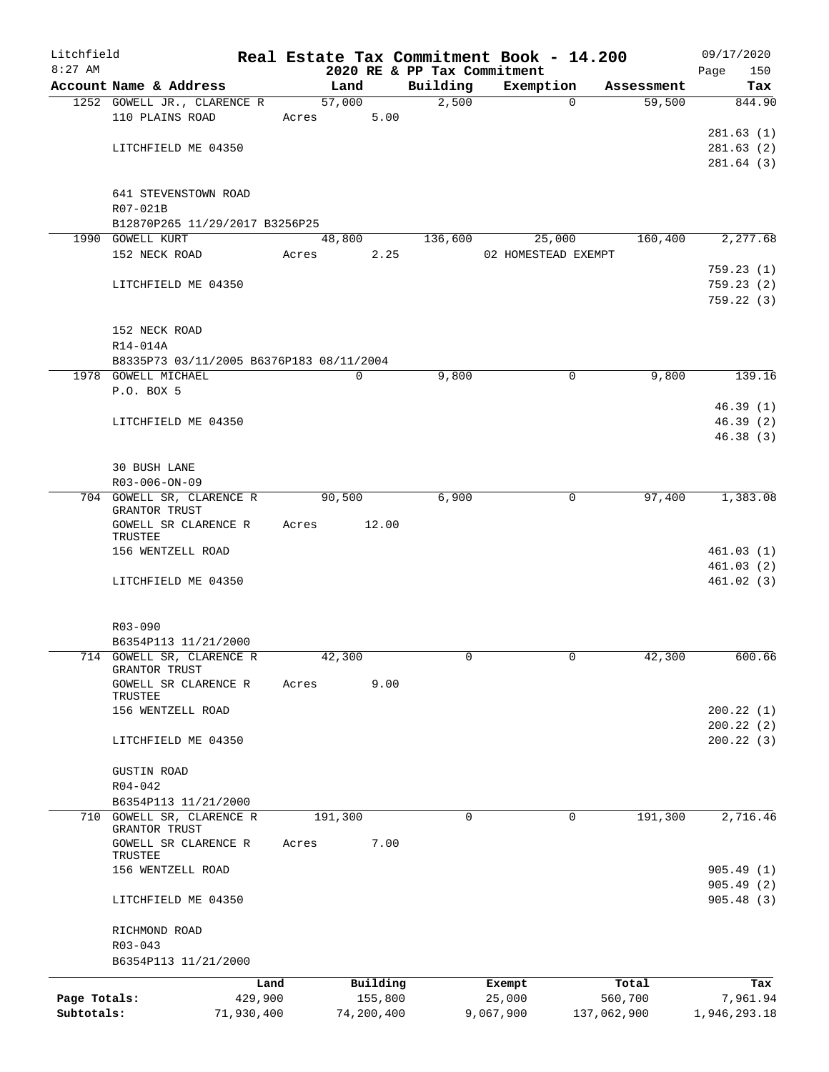| Litchfield<br>$8:27$ AM |                                          |            |         |             |             | Real Estate Tax Commitment Book - 14.200<br>2020 RE & PP Tax Commitment |             |             | 09/17/2020<br>150<br>Page |
|-------------------------|------------------------------------------|------------|---------|-------------|-------------|-------------------------------------------------------------------------|-------------|-------------|---------------------------|
|                         | Account Name & Address                   |            |         | Land        | Building    | Exemption                                                               |             | Assessment  | Tax                       |
|                         | 1252 GOWELL JR., CLARENCE R              |            |         | 57,000      | 2,500       |                                                                         | $\Omega$    | 59,500      | 844.90                    |
|                         | 110 PLAINS ROAD                          |            | Acres   | 5.00        |             |                                                                         |             |             |                           |
|                         |                                          |            |         |             |             |                                                                         |             |             | 281.63(1)                 |
|                         | LITCHFIELD ME 04350                      |            |         |             |             |                                                                         |             |             | 281.63(2)                 |
|                         |                                          |            |         |             |             |                                                                         |             |             | 281.64 (3)                |
|                         | 641 STEVENSTOWN ROAD                     |            |         |             |             |                                                                         |             |             |                           |
|                         | R07-021B                                 |            |         |             |             |                                                                         |             |             |                           |
|                         | B12870P265 11/29/2017 B3256P25           |            |         |             |             |                                                                         |             |             |                           |
|                         | 1990 GOWELL KURT                         |            |         | 48,800      | 136,600     | 25,000                                                                  |             | 160,400     | 2,277.68                  |
|                         | 152 NECK ROAD                            |            | Acres   | 2.25        |             | 02 HOMESTEAD EXEMPT                                                     |             |             |                           |
|                         |                                          |            |         |             |             |                                                                         |             |             | 759.23(1)                 |
|                         | LITCHFIELD ME 04350                      |            |         |             |             |                                                                         |             |             | 759.23(2)                 |
|                         |                                          |            |         |             |             |                                                                         |             |             | 759.22(3)                 |
|                         | 152 NECK ROAD                            |            |         |             |             |                                                                         |             |             |                           |
|                         | R14-014A                                 |            |         |             |             |                                                                         |             |             |                           |
|                         | B8335P73 03/11/2005 B6376P183 08/11/2004 |            |         |             |             |                                                                         |             |             |                           |
|                         | 1978 GOWELL MICHAEL                      |            |         | $\mathbf 0$ | 9,800       |                                                                         | $\mathbf 0$ | 9,800       | 139.16                    |
|                         | P.O. BOX 5                               |            |         |             |             |                                                                         |             |             |                           |
|                         |                                          |            |         |             |             |                                                                         |             |             | 46.39(1)                  |
|                         | LITCHFIELD ME 04350                      |            |         |             |             |                                                                         |             |             | 46.39(2)                  |
|                         |                                          |            |         |             |             |                                                                         |             |             | 46.38(3)                  |
|                         |                                          |            |         |             |             |                                                                         |             |             |                           |
|                         | <b>30 BUSH LANE</b><br>R03-006-ON-09     |            |         |             |             |                                                                         |             |             |                           |
|                         | 704 GOWELL SR, CLARENCE R                |            |         | 90,500      | 6,900       |                                                                         | $\mathbf 0$ | 97,400      | 1,383.08                  |
|                         | <b>GRANTOR TRUST</b>                     |            |         |             |             |                                                                         |             |             |                           |
|                         | GOWELL SR CLARENCE R<br>TRUSTEE          |            | Acres   | 12.00       |             |                                                                         |             |             |                           |
|                         | 156 WENTZELL ROAD                        |            |         |             |             |                                                                         |             |             | 461.03(1)                 |
|                         |                                          |            |         |             |             |                                                                         |             |             | 461.03(2)                 |
|                         | LITCHFIELD ME 04350                      |            |         |             |             |                                                                         |             |             | 461.02(3)                 |
|                         |                                          |            |         |             |             |                                                                         |             |             |                           |
|                         | R03-090                                  |            |         |             |             |                                                                         |             |             |                           |
|                         | B6354P113 11/21/2000                     |            |         |             |             |                                                                         |             |             |                           |
|                         | 714 GOWELL SR, CLARENCE R                |            |         | 42,300      |             |                                                                         | 0           | 42,300      | 600.66                    |
|                         | GRANTOR TRUST                            |            |         |             |             |                                                                         |             |             |                           |
|                         | GOWELL SR CLARENCE R<br>TRUSTEE          |            | Acres   | 9.00        |             |                                                                         |             |             |                           |
|                         | 156 WENTZELL ROAD                        |            |         |             |             |                                                                         |             |             | 200.22(1)                 |
|                         |                                          |            |         |             |             |                                                                         |             |             | 200.22(2)                 |
|                         | LITCHFIELD ME 04350                      |            |         |             |             |                                                                         |             |             | 200.22(3)                 |
|                         |                                          |            |         |             |             |                                                                         |             |             |                           |
|                         | <b>GUSTIN ROAD</b>                       |            |         |             |             |                                                                         |             |             |                           |
|                         | $R04 - 042$<br>B6354P113 11/21/2000      |            |         |             |             |                                                                         |             |             |                           |
|                         | 710 GOWELL SR, CLARENCE R                |            | 191,300 |             | $\mathbf 0$ |                                                                         | $\mathbf 0$ | 191,300     | 2,716.46                  |
|                         | GRANTOR TRUST                            |            |         |             |             |                                                                         |             |             |                           |
|                         | GOWELL SR CLARENCE R                     |            | Acres   | 7.00        |             |                                                                         |             |             |                           |
|                         | TRUSTEE<br>156 WENTZELL ROAD             |            |         |             |             |                                                                         |             |             | 905.49(1)                 |
|                         |                                          |            |         |             |             |                                                                         |             |             | 905.49(2)                 |
|                         | LITCHFIELD ME 04350                      |            |         |             |             |                                                                         |             |             | 905.48(3)                 |
|                         |                                          |            |         |             |             |                                                                         |             |             |                           |
|                         | RICHMOND ROAD                            |            |         |             |             |                                                                         |             |             |                           |
|                         | $R03 - 043$                              |            |         |             |             |                                                                         |             |             |                           |
|                         | B6354P113 11/21/2000                     |            |         |             |             |                                                                         |             |             |                           |
|                         |                                          | Land       |         | Building    |             | Exempt                                                                  |             | Total       | Tax                       |
| Page Totals:            |                                          | 429,900    |         | 155,800     |             | 25,000                                                                  |             | 560,700     | 7,961.94                  |
| Subtotals:              |                                          | 71,930,400 |         | 74,200,400  |             | 9,067,900                                                               |             | 137,062,900 | 1,946,293.18              |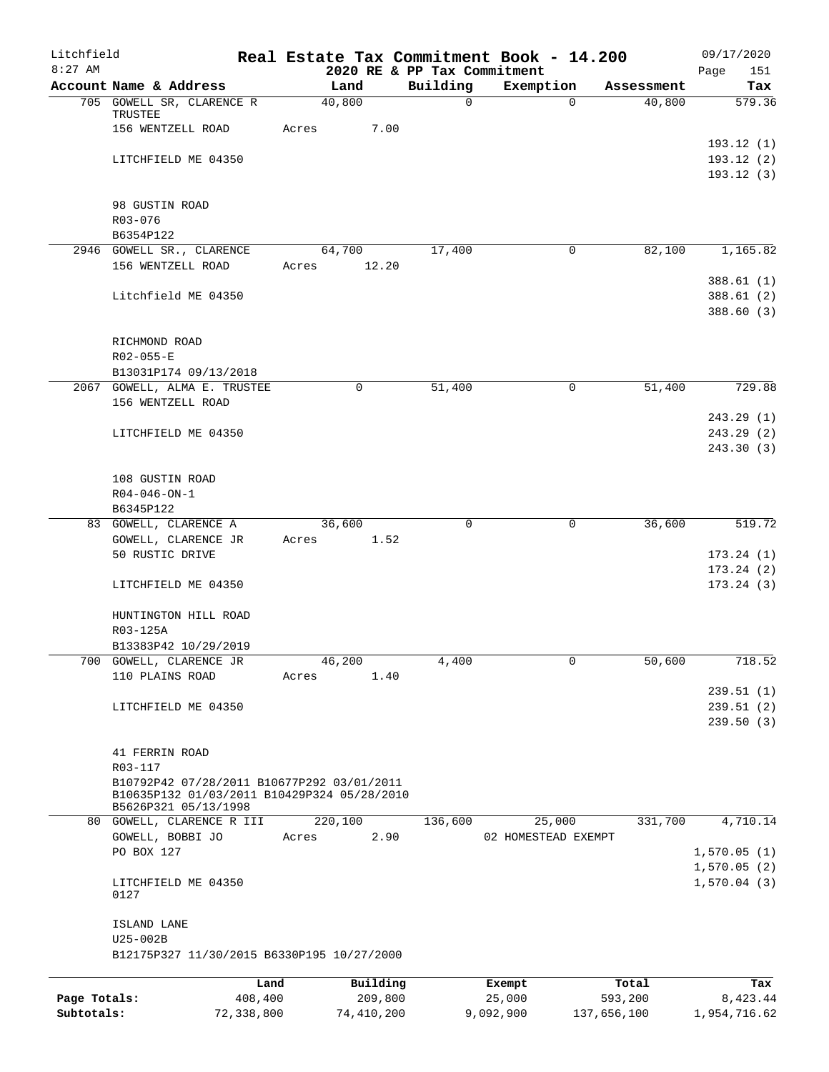| Litchfield<br>$8:27$ AM |                                                   | Real Estate Tax Commitment Book - 14.200<br>2020 RE & PP Tax Commitment |          |                     |             | 09/17/2020<br>Page<br>151 |
|-------------------------|---------------------------------------------------|-------------------------------------------------------------------------|----------|---------------------|-------------|---------------------------|
|                         | Account Name & Address                            | Land                                                                    | Building | Exemption           | Assessment  | Tax                       |
|                         | 705 GOWELL SR, CLARENCE R                         | 40,800                                                                  | 0        | 0                   | 40,800      | 579.36                    |
|                         | TRUSTEE                                           |                                                                         |          |                     |             |                           |
|                         | 156 WENTZELL ROAD                                 | Acres<br>7.00                                                           |          |                     |             |                           |
|                         |                                                   |                                                                         |          |                     |             | 193.12(1)                 |
|                         | LITCHFIELD ME 04350                               |                                                                         |          |                     |             | 193.12(2)                 |
|                         |                                                   |                                                                         |          |                     |             | 193.12(3)                 |
|                         | 98 GUSTIN ROAD                                    |                                                                         |          |                     |             |                           |
|                         | R03-076                                           |                                                                         |          |                     |             |                           |
|                         | B6354P122                                         |                                                                         |          |                     |             |                           |
|                         | 2946 GOWELL SR., CLARENCE                         | 64,700                                                                  | 17,400   | 0                   | 82,100      | 1,165.82                  |
|                         | 156 WENTZELL ROAD                                 | 12.20<br>Acres                                                          |          |                     |             |                           |
|                         |                                                   |                                                                         |          |                     |             | 388.61(1)                 |
|                         | Litchfield ME 04350                               |                                                                         |          |                     |             | 388.61 (2)                |
|                         |                                                   |                                                                         |          |                     |             | 388.60 (3)                |
|                         |                                                   |                                                                         |          |                     |             |                           |
|                         | RICHMOND ROAD                                     |                                                                         |          |                     |             |                           |
|                         | R02-055-E                                         |                                                                         |          |                     |             |                           |
|                         | B13031P174 09/13/2018                             |                                                                         |          |                     |             |                           |
|                         | 2067 GOWELL, ALMA E. TRUSTEE                      | $\mathbf 0$                                                             | 51,400   | 0                   | 51,400      | 729.88                    |
|                         | 156 WENTZELL ROAD                                 |                                                                         |          |                     |             |                           |
|                         |                                                   |                                                                         |          |                     |             | 243.29(1)<br>243.29(2)    |
|                         | LITCHFIELD ME 04350                               |                                                                         |          |                     |             | 243.30(3)                 |
|                         |                                                   |                                                                         |          |                     |             |                           |
|                         | 108 GUSTIN ROAD                                   |                                                                         |          |                     |             |                           |
|                         | $R04 - 046 - ON - 1$                              |                                                                         |          |                     |             |                           |
|                         | B6345P122                                         |                                                                         |          |                     |             |                           |
|                         | 83 GOWELL, CLARENCE A                             | 36,600                                                                  | 0        | $\mathbf 0$         | 36,600      | 519.72                    |
|                         | GOWELL, CLARENCE JR                               | 1.52<br>Acres                                                           |          |                     |             |                           |
|                         | 50 RUSTIC DRIVE                                   |                                                                         |          |                     |             | 173.24(1)                 |
|                         |                                                   |                                                                         |          |                     |             | 173.24(2)                 |
|                         | LITCHFIELD ME 04350                               |                                                                         |          |                     |             | 173.24(3)                 |
|                         |                                                   |                                                                         |          |                     |             |                           |
|                         | HUNTINGTON HILL ROAD                              |                                                                         |          |                     |             |                           |
|                         | R03-125A                                          |                                                                         |          |                     |             |                           |
|                         | B13383P42 10/29/2019                              |                                                                         |          |                     |             |                           |
|                         | 700 GOWELL, CLARENCE JR<br>110 PLAINS ROAD        | 46,200<br>Acres<br>1.40                                                 | 4,400    | 0                   | 50,600      | 718.52                    |
|                         |                                                   |                                                                         |          |                     |             | 239.51(1)                 |
|                         | LITCHFIELD ME 04350                               |                                                                         |          |                     |             | 239.51(2)                 |
|                         |                                                   |                                                                         |          |                     |             | 239.50(3)                 |
|                         |                                                   |                                                                         |          |                     |             |                           |
|                         | 41 FERRIN ROAD                                    |                                                                         |          |                     |             |                           |
|                         | R03-117                                           |                                                                         |          |                     |             |                           |
|                         | B10792P42 07/28/2011 B10677P292 03/01/2011        |                                                                         |          |                     |             |                           |
|                         | B10635P132 01/03/2011 B10429P324 05/28/2010       |                                                                         |          |                     |             |                           |
|                         | B5626P321 05/13/1998<br>80 GOWELL, CLARENCE R III | 220,100                                                                 | 136,600  | 25,000              | 331,700     | 4,710.14                  |
|                         | GOWELL, BOBBI JO                                  | Acres<br>2.90                                                           |          | 02 HOMESTEAD EXEMPT |             |                           |
|                         | PO BOX 127                                        |                                                                         |          |                     |             | 1,570.05(1)               |
|                         |                                                   |                                                                         |          |                     |             | 1,570.05(2)               |
|                         | LITCHFIELD ME 04350                               |                                                                         |          |                     |             | 1,570.04(3)               |
|                         | 0127                                              |                                                                         |          |                     |             |                           |
|                         |                                                   |                                                                         |          |                     |             |                           |
|                         | ISLAND LANE                                       |                                                                         |          |                     |             |                           |
|                         | U25-002B                                          |                                                                         |          |                     |             |                           |
|                         | B12175P327 11/30/2015 B6330P195 10/27/2000        |                                                                         |          |                     |             |                           |
|                         | Land                                              | Building                                                                |          | Exempt              | Total       | Tax                       |
| Page Totals:            | 408,400                                           | 209,800                                                                 |          | 25,000              | 593,200     | 8,423.44                  |
| Subtotals:              | 72,338,800                                        | 74,410,200                                                              |          | 9,092,900           | 137,656,100 | 1,954,716.62              |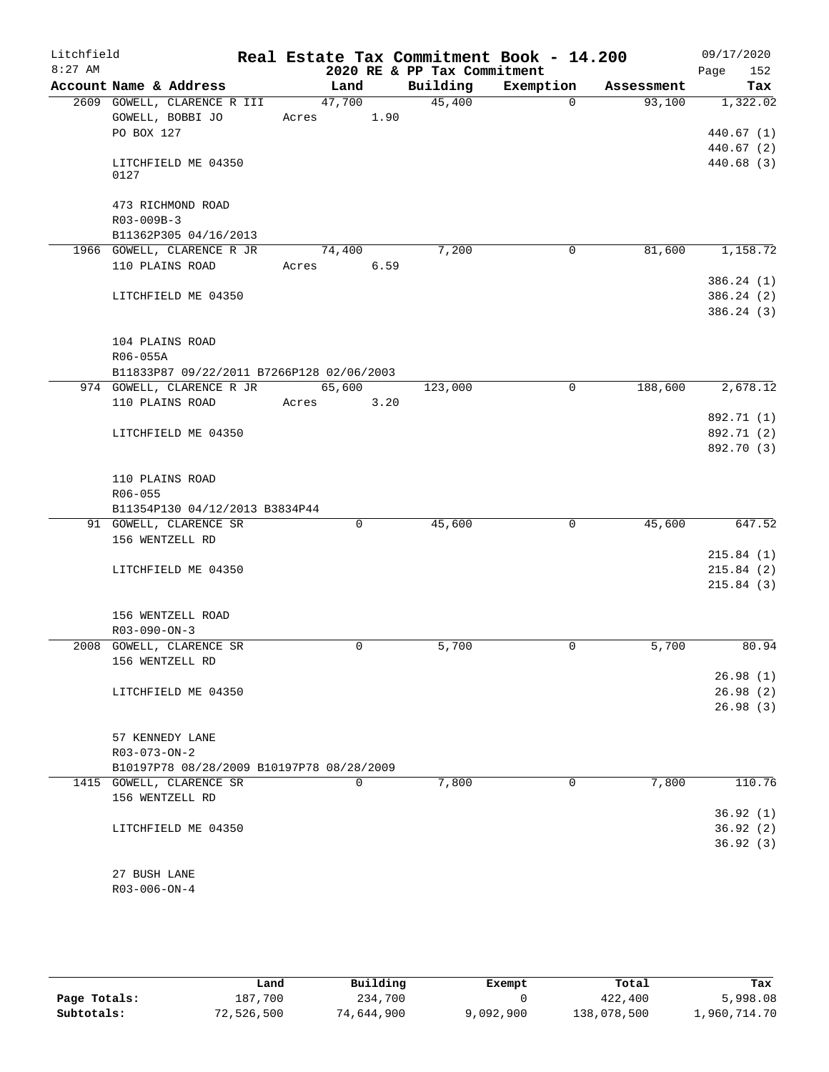| Litchfield |                                           |  |             |                             | Real Estate Tax Commitment Book - 14.200 |            | 09/17/2020              |
|------------|-------------------------------------------|--|-------------|-----------------------------|------------------------------------------|------------|-------------------------|
| $8:27$ AM  |                                           |  |             | 2020 RE & PP Tax Commitment |                                          |            | 152<br>Page             |
|            | Account Name & Address                    |  | Land        | Building                    | Exemption                                | Assessment | Tax                     |
|            | 2609 GOWELL, CLARENCE R III               |  | 47,700      | 45,400                      | $\Omega$                                 | 93,100     | 1,322.02                |
|            | GOWELL, BOBBI JO                          |  | Acres 1.90  |                             |                                          |            |                         |
|            | PO BOX 127                                |  |             |                             |                                          |            | 440.67(1)               |
|            | LITCHFIELD ME 04350                       |  |             |                             |                                          |            | 440.67(2)<br>440.68 (3) |
|            | 0127                                      |  |             |                             |                                          |            |                         |
|            |                                           |  |             |                             |                                          |            |                         |
|            | 473 RICHMOND ROAD                         |  |             |                             |                                          |            |                         |
|            | R03-009B-3                                |  |             |                             |                                          |            |                         |
|            | B11362P305 04/16/2013                     |  |             |                             |                                          |            |                         |
|            | 1966 GOWELL, CLARENCE R JR                |  | 74,400      | 7,200                       | 0                                        | 81,600     | 1,158.72                |
|            | 110 PLAINS ROAD                           |  | Acres 6.59  |                             |                                          |            |                         |
|            |                                           |  |             |                             |                                          |            | 386.24(1)               |
|            | LITCHFIELD ME 04350                       |  |             |                             |                                          |            | 386.24(2)               |
|            |                                           |  |             |                             |                                          |            | 386.24(3)               |
|            | 104 PLAINS ROAD                           |  |             |                             |                                          |            |                         |
|            | R06-055A                                  |  |             |                             |                                          |            |                         |
|            | B11833P87 09/22/2011 B7266P128 02/06/2003 |  |             |                             |                                          |            |                         |
|            | 974 GOWELL, CLARENCE R JR 65,600          |  |             | 123,000                     | 0                                        | 188,600    | 2,678.12                |
|            | 110 PLAINS ROAD                           |  | Acres 3.20  |                             |                                          |            |                         |
|            |                                           |  |             |                             |                                          |            | 892.71 (1)              |
|            | LITCHFIELD ME 04350                       |  |             |                             |                                          |            | 892.71 (2)              |
|            |                                           |  |             |                             |                                          |            | 892.70 (3)              |
|            |                                           |  |             |                             |                                          |            |                         |
|            | 110 PLAINS ROAD                           |  |             |                             |                                          |            |                         |
|            | R06-055                                   |  |             |                             |                                          |            |                         |
|            | B11354P130 04/12/2013 B3834P44            |  |             |                             |                                          |            |                         |
|            | 91 GOWELL, CLARENCE SR                    |  | $\mathbf 0$ | 45,600                      | $\Omega$                                 | 45,600     | 647.52                  |
|            | 156 WENTZELL RD                           |  |             |                             |                                          |            |                         |
|            |                                           |  |             |                             |                                          |            | 215.84(1)               |
|            | LITCHFIELD ME 04350                       |  |             |                             |                                          |            | 215.84(2)               |
|            |                                           |  |             |                             |                                          |            | 215.84(3)               |
|            | 156 WENTZELL ROAD                         |  |             |                             |                                          |            |                         |
|            | $R03-090-ON-3$                            |  |             |                             |                                          |            |                         |
|            | 2008 GOWELL, CLARENCE SR                  |  | 0           | 5,700                       | 0                                        | 5,700      | 80.94                   |
|            | 156 WENTZELL RD                           |  |             |                             |                                          |            |                         |
|            |                                           |  |             |                             |                                          |            | 26.98(1)                |
|            | LITCHFIELD ME 04350                       |  |             |                             |                                          |            | 26.98(2)                |
|            |                                           |  |             |                             |                                          |            | 26.98(3)                |
|            |                                           |  |             |                             |                                          |            |                         |
|            | 57 KENNEDY LANE                           |  |             |                             |                                          |            |                         |
|            | $R03 - 073 - ON - 2$                      |  |             |                             |                                          |            |                         |
|            | B10197P78 08/28/2009 B10197P78 08/28/2009 |  |             |                             |                                          |            |                         |
|            | 1415 GOWELL, CLARENCE SR                  |  | $\mathbf 0$ | 7,800                       | 0                                        | 7,800      | 110.76                  |
|            | 156 WENTZELL RD                           |  |             |                             |                                          |            |                         |
|            | LITCHFIELD ME 04350                       |  |             |                             |                                          |            | 36.92(1)<br>36.92(2)    |
|            |                                           |  |             |                             |                                          |            | 36.92(3)                |
|            |                                           |  |             |                             |                                          |            |                         |
|            | 27 BUSH LANE                              |  |             |                             |                                          |            |                         |
|            | $R03 - 006 - ON - 4$                      |  |             |                             |                                          |            |                         |

|              | Land       | Building   | Exempt    | Total       | Tax          |
|--------------|------------|------------|-----------|-------------|--------------|
| Page Totals: | 187.700    | 234,700    |           | 422,400     | 5,998.08     |
| Subtotals:   | 72,526,500 | 74,644,900 | 9,092,900 | 138,078,500 | 1,960,714.70 |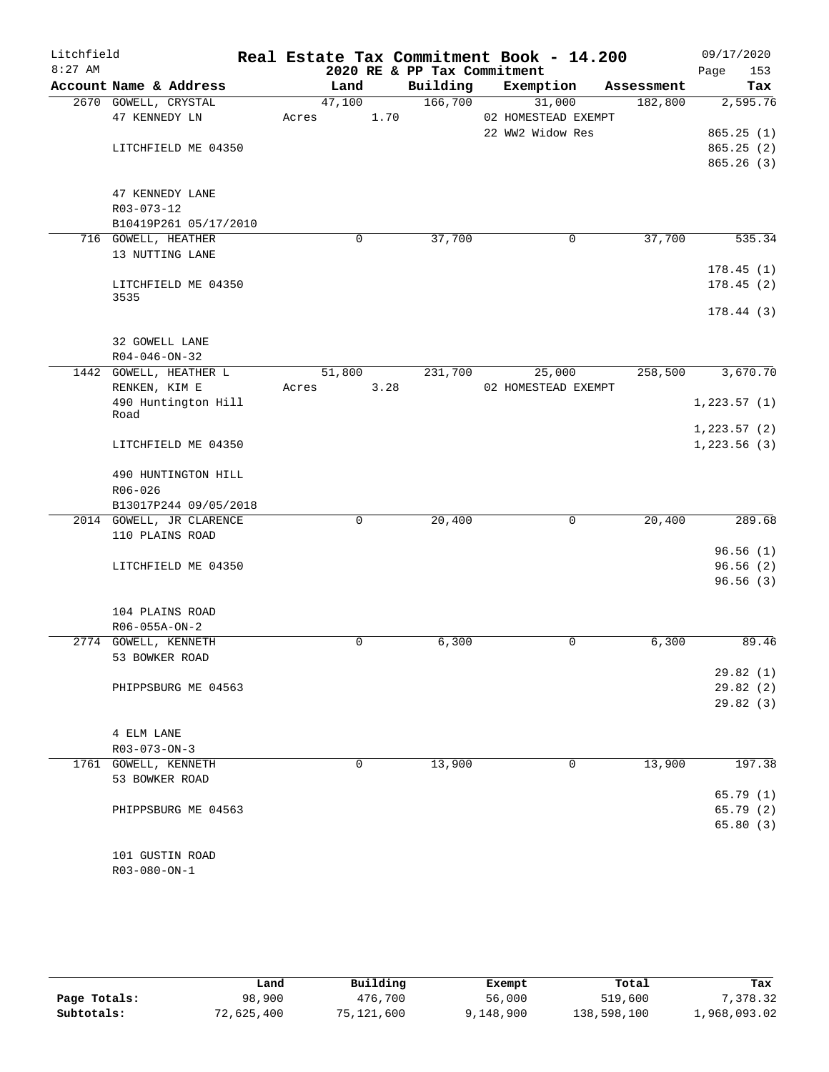| Litchfield |                                                 |       |             |                             | Real Estate Tax Commitment Book - 14.200 |            | 09/17/2020   |
|------------|-------------------------------------------------|-------|-------------|-----------------------------|------------------------------------------|------------|--------------|
| $8:27$ AM  |                                                 |       |             | 2020 RE & PP Tax Commitment |                                          |            | 153<br>Page  |
|            | Account Name & Address                          |       | Land        | Building                    | Exemption                                | Assessment | Tax          |
|            | 2670 GOWELL, CRYSTAL                            |       | 47,100      | 166,700                     | 31,000                                   | 182,800    | 2,595.76     |
|            | 47 KENNEDY LN                                   | Acres | 1.70        |                             | 02 HOMESTEAD EXEMPT                      |            |              |
|            |                                                 |       |             |                             | 22 WW2 Widow Res                         |            | 865.25(1)    |
|            | LITCHFIELD ME 04350                             |       |             |                             |                                          |            | 865.25(2)    |
|            |                                                 |       |             |                             |                                          |            | 865.26(3)    |
|            | 47 KENNEDY LANE                                 |       |             |                             |                                          |            |              |
|            | R03-073-12                                      |       |             |                             |                                          |            |              |
|            | B10419P261 05/17/2010                           |       |             |                             |                                          |            |              |
|            | 716 GOWELL, HEATHER                             |       | $\mathbf 0$ | 37,700                      | 0                                        | 37,700     | 535.34       |
|            | 13 NUTTING LANE                                 |       |             |                             |                                          |            |              |
|            |                                                 |       |             |                             |                                          |            | 178.45(1)    |
|            | LITCHFIELD ME 04350                             |       |             |                             |                                          |            | 178.45(2)    |
|            | 3535                                            |       |             |                             |                                          |            |              |
|            |                                                 |       |             |                             |                                          |            | 178.44(3)    |
|            |                                                 |       |             |                             |                                          |            |              |
|            | 32 GOWELL LANE                                  |       |             |                             |                                          |            |              |
|            | $R04 - 046 - ON - 32$<br>1442 GOWELL, HEATHER L |       | 51,800      | 231,700                     | 25,000                                   | 258,500    | 3,670.70     |
|            | RENKEN, KIM E                                   | Acres | 3.28        |                             | 02 HOMESTEAD EXEMPT                      |            |              |
|            | 490 Huntington Hill                             |       |             |                             |                                          |            | 1, 223.57(1) |
|            | Road                                            |       |             |                             |                                          |            |              |
|            |                                                 |       |             |                             |                                          |            | 1, 223.57(2) |
|            | LITCHFIELD ME 04350                             |       |             |                             |                                          |            | 1,223.56(3)  |
|            |                                                 |       |             |                             |                                          |            |              |
|            | 490 HUNTINGTON HILL                             |       |             |                             |                                          |            |              |
|            | $R06 - 026$                                     |       |             |                             |                                          |            |              |
|            | B13017P244 09/05/2018                           |       |             |                             |                                          |            |              |
|            | 2014 GOWELL, JR CLARENCE<br>110 PLAINS ROAD     |       | 0           | 20,400                      | 0                                        | 20,400     | 289.68       |
|            |                                                 |       |             |                             |                                          |            | 96.56(1)     |
|            | LITCHFIELD ME 04350                             |       |             |                             |                                          |            | 96.56(2)     |
|            |                                                 |       |             |                             |                                          |            | 96.56(3)     |
|            |                                                 |       |             |                             |                                          |            |              |
|            | 104 PLAINS ROAD                                 |       |             |                             |                                          |            |              |
|            | R06-055A-ON-2                                   |       |             |                             |                                          |            |              |
|            | 2774 GOWELL, KENNETH                            |       | $\mathbf 0$ | 6,300                       | 0                                        | 6,300      | 89.46        |
|            | 53 BOWKER ROAD                                  |       |             |                             |                                          |            |              |
|            |                                                 |       |             |                             |                                          |            | 29.82(1)     |
|            | PHIPPSBURG ME 04563                             |       |             |                             |                                          |            | 29.82(2)     |
|            |                                                 |       |             |                             |                                          |            | 29.82(3)     |
|            |                                                 |       |             |                             |                                          |            |              |
|            | 4 ELM LANE                                      |       |             |                             |                                          |            |              |
|            | $R03 - 073 - ON - 3$                            |       | $\mathbf 0$ |                             |                                          |            |              |
|            | 1761 GOWELL, KENNETH<br>53 BOWKER ROAD          |       |             | 13,900                      | $\mathbf 0$                              | 13,900     | 197.38       |
|            |                                                 |       |             |                             |                                          |            | 65.79(1)     |
|            | PHIPPSBURG ME 04563                             |       |             |                             |                                          |            | 65.79(2)     |
|            |                                                 |       |             |                             |                                          |            | 65.80(3)     |
|            |                                                 |       |             |                             |                                          |            |              |
|            | 101 GUSTIN ROAD                                 |       |             |                             |                                          |            |              |
|            | R03-080-ON-1                                    |       |             |                             |                                          |            |              |

|              | Land       | Building   | Exempt    | Total       | Tax          |
|--------------|------------|------------|-----------|-------------|--------------|
| Page Totals: | 98,900     | 476,700    | 56,000    | 519,600     | 7,378.32     |
| Subtotals:   | 72,625,400 | 75,121,600 | 9,148,900 | 138,598,100 | 1,968,093.02 |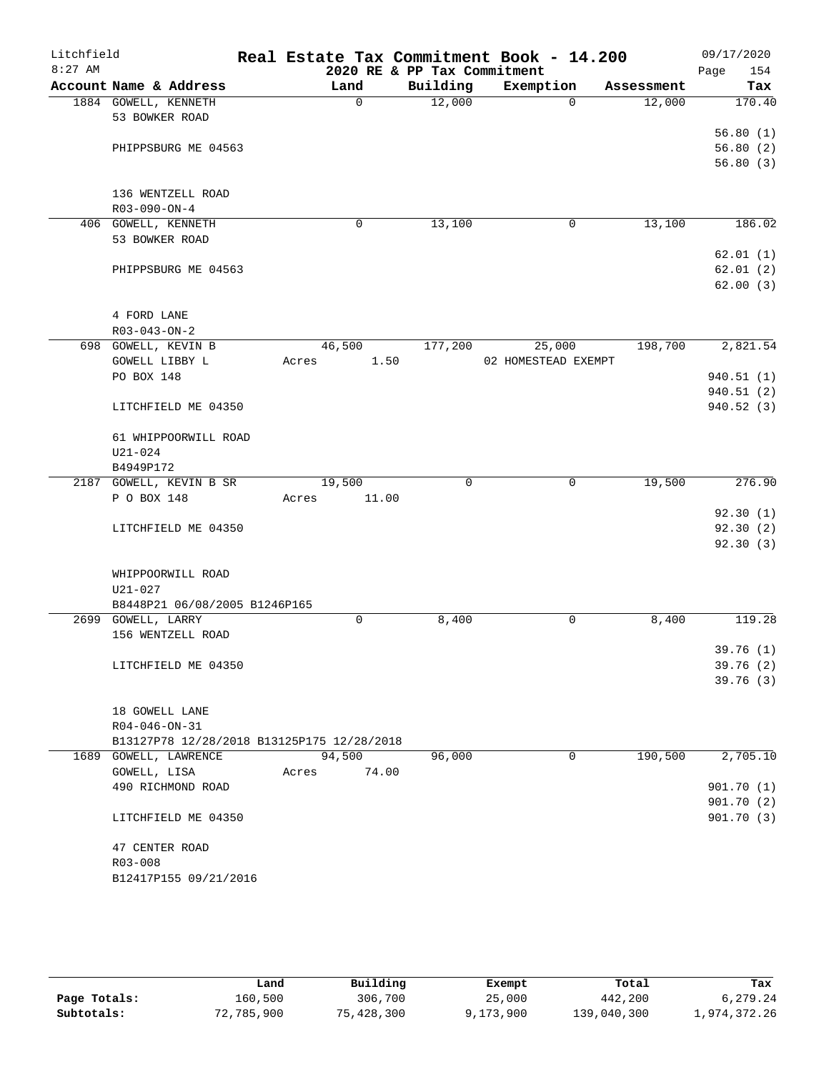| Litchfield<br>$8:27$ AM |                                            | Real Estate Tax Commitment Book - 14.200 | 2020 RE & PP Tax Commitment |                     |            | 09/17/2020<br>Page<br>154 |
|-------------------------|--------------------------------------------|------------------------------------------|-----------------------------|---------------------|------------|---------------------------|
|                         | Account Name & Address                     | Land                                     | Building                    | Exemption           | Assessment | Tax                       |
|                         | 1884 GOWELL, KENNETH                       | $\mathbf 0$                              | 12,000                      | $\Omega$            | 12,000     | 170.40                    |
|                         | 53 BOWKER ROAD                             |                                          |                             |                     |            |                           |
|                         |                                            |                                          |                             |                     |            | 56.80(1)                  |
|                         | PHIPPSBURG ME 04563                        |                                          |                             |                     |            | 56.80(2)                  |
|                         |                                            |                                          |                             |                     |            | 56.80(3)                  |
|                         |                                            |                                          |                             |                     |            |                           |
|                         | 136 WENTZELL ROAD                          |                                          |                             |                     |            |                           |
|                         | R03-090-ON-4                               |                                          |                             |                     |            |                           |
|                         | 406 GOWELL, KENNETH                        | 0                                        | 13,100                      | 0                   | 13,100     | 186.02                    |
|                         | 53 BOWKER ROAD                             |                                          |                             |                     |            |                           |
|                         |                                            |                                          |                             |                     |            | 62.01(1)                  |
|                         | PHIPPSBURG ME 04563                        |                                          |                             |                     |            | 62.01(2)                  |
|                         |                                            |                                          |                             |                     |            | 62.00(3)                  |
|                         |                                            |                                          |                             |                     |            |                           |
|                         | 4 FORD LANE                                |                                          |                             |                     |            |                           |
|                         | $R03 - 043 - ON - 2$                       |                                          |                             |                     |            |                           |
|                         | 698 GOWELL, KEVIN B                        | 46,500                                   | 177,200                     | 25,000              | 198,700    | 2,821.54                  |
|                         | GOWELL LIBBY L                             | 1.50<br>Acres                            |                             | 02 HOMESTEAD EXEMPT |            |                           |
|                         | PO BOX 148                                 |                                          |                             |                     |            | 940.51(1)                 |
|                         |                                            |                                          |                             |                     |            | 940.51 (2)                |
|                         | LITCHFIELD ME 04350                        |                                          |                             |                     |            | 940.52(3)                 |
|                         |                                            |                                          |                             |                     |            |                           |
|                         | 61 WHIPPOORWILL ROAD                       |                                          |                             |                     |            |                           |
|                         | U21-024                                    |                                          |                             |                     |            |                           |
|                         | B4949P172                                  |                                          |                             |                     |            |                           |
|                         | 2187 GOWELL, KEVIN B SR                    | 19,500                                   | $\mathbf 0$                 | 0                   | 19,500     | 276.90                    |
|                         | P O BOX 148                                | 11.00<br>Acres                           |                             |                     |            |                           |
|                         |                                            |                                          |                             |                     |            | 92.30(1)                  |
|                         | LITCHFIELD ME 04350                        |                                          |                             |                     |            | 92.30(2)                  |
|                         |                                            |                                          |                             |                     |            | 92.30(3)                  |
|                         |                                            |                                          |                             |                     |            |                           |
|                         | WHIPPOORWILL ROAD                          |                                          |                             |                     |            |                           |
|                         | $U21 - 027$                                |                                          |                             |                     |            |                           |
|                         | B8448P21 06/08/2005 B1246P165              |                                          |                             |                     |            |                           |
|                         | 2699 GOWELL, LARRY                         | 0                                        | 8,400                       | 0                   | 8,400      | 119.28                    |
|                         | 156 WENTZELL ROAD                          |                                          |                             |                     |            |                           |
|                         |                                            |                                          |                             |                     |            | 39.76(1)                  |
|                         | LITCHFIELD ME 04350                        |                                          |                             |                     |            | 39.76(2)                  |
|                         |                                            |                                          |                             |                     |            | 39.76 (3)                 |
|                         |                                            |                                          |                             |                     |            |                           |
|                         | 18 GOWELL LANE<br>$R04 - 046 - ON - 31$    |                                          |                             |                     |            |                           |
|                         | B13127P78 12/28/2018 B13125P175 12/28/2018 |                                          |                             |                     |            |                           |
|                         | 1689 GOWELL, LAWRENCE                      | 94,500                                   | 96,000                      | 0                   | 190,500    | 2,705.10                  |
|                         | GOWELL, LISA                               | 74.00<br>Acres                           |                             |                     |            |                           |
|                         | 490 RICHMOND ROAD                          |                                          |                             |                     |            | 901.70(1)                 |
|                         |                                            |                                          |                             |                     |            | 901.70(2)                 |
|                         | LITCHFIELD ME 04350                        |                                          |                             |                     |            | 901.70(3)                 |
|                         |                                            |                                          |                             |                     |            |                           |
|                         | 47 CENTER ROAD                             |                                          |                             |                     |            |                           |
|                         | R03-008                                    |                                          |                             |                     |            |                           |
|                         | B12417P155 09/21/2016                      |                                          |                             |                     |            |                           |
|                         |                                            |                                          |                             |                     |            |                           |

|              | Land       | Building   | Exempt    | Total       | Tax          |
|--------------|------------|------------|-----------|-------------|--------------|
| Page Totals: | 160,500    | 306,700    | 25,000    | 442,200     | 6,279.24     |
| Subtotals:   | 72,785,900 | 75,428,300 | 9,173,900 | 139,040,300 | 1,974,372.26 |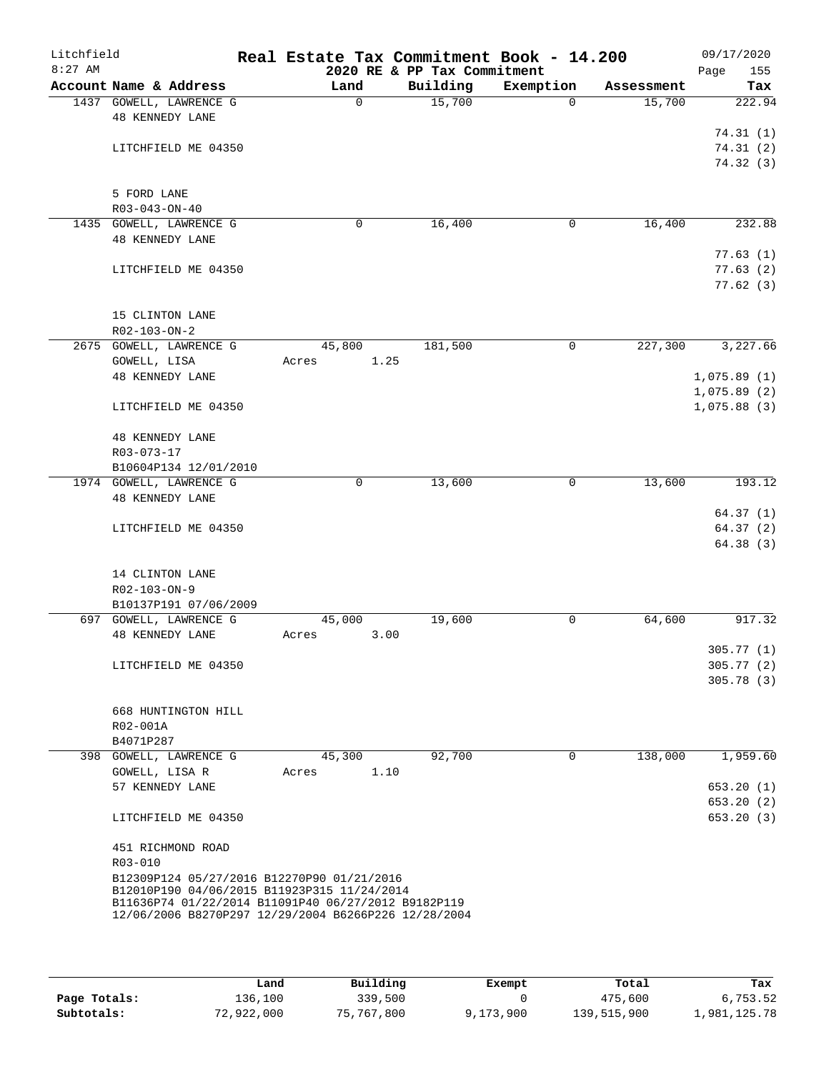| Litchfield<br>$8:27$ AM |                                                                                                             | Real Estate Tax Commitment Book - 14.200 | 2020 RE & PP Tax Commitment |             |            | 09/17/2020<br>155<br>Page |
|-------------------------|-------------------------------------------------------------------------------------------------------------|------------------------------------------|-----------------------------|-------------|------------|---------------------------|
|                         | Account Name & Address                                                                                      | Land                                     | Building                    | Exemption   | Assessment | Tax                       |
|                         | 1437 GOWELL, LAWRENCE G                                                                                     | $\Omega$                                 | 15,700                      | $\Omega$    | 15,700     | 222.94                    |
|                         | <b>48 KENNEDY LANE</b>                                                                                      |                                          |                             |             |            |                           |
|                         |                                                                                                             |                                          |                             |             |            | 74.31(1)                  |
|                         | LITCHFIELD ME 04350                                                                                         |                                          |                             |             |            | 74.31(2)                  |
|                         |                                                                                                             |                                          |                             |             |            | 74.32(3)                  |
|                         | 5 FORD LANE                                                                                                 |                                          |                             |             |            |                           |
|                         | R03-043-ON-40                                                                                               |                                          |                             |             |            |                           |
|                         | 1435 GOWELL, LAWRENCE G                                                                                     | $\mathbf 0$                              | 16,400                      | 0           | 16,400     | 232.88                    |
|                         | <b>48 KENNEDY LANE</b>                                                                                      |                                          |                             |             |            |                           |
|                         |                                                                                                             |                                          |                             |             |            | 77.63(1)                  |
|                         | LITCHFIELD ME 04350                                                                                         |                                          |                             |             |            | 77.63(2)                  |
|                         |                                                                                                             |                                          |                             |             |            | 77.62(3)                  |
|                         |                                                                                                             |                                          |                             |             |            |                           |
|                         | 15 CLINTON LANE                                                                                             |                                          |                             |             |            |                           |
|                         | $R02 - 103 - ON - 2$                                                                                        |                                          |                             |             |            |                           |
|                         | 2675 GOWELL, LAWRENCE G                                                                                     | 45,800                                   | 181,500                     | 0           | 227,300    | 3,227.66                  |
|                         | GOWELL, LISA                                                                                                | 1.25<br>Acres                            |                             |             |            |                           |
|                         | <b>48 KENNEDY LANE</b>                                                                                      |                                          |                             |             |            | 1,075.89(1)               |
|                         |                                                                                                             |                                          |                             |             |            | 1,075.89(2)               |
|                         | LITCHFIELD ME 04350                                                                                         |                                          |                             |             |            | 1,075.88(3)               |
|                         | 48 KENNEDY LANE                                                                                             |                                          |                             |             |            |                           |
|                         | R03-073-17                                                                                                  |                                          |                             |             |            |                           |
|                         | B10604P134 12/01/2010                                                                                       |                                          |                             |             |            |                           |
|                         | 1974 GOWELL, LAWRENCE G                                                                                     | $\mathbf 0$                              | 13,600                      | 0           | 13,600     | 193.12                    |
|                         | <b>48 KENNEDY LANE</b>                                                                                      |                                          |                             |             |            |                           |
|                         |                                                                                                             |                                          |                             |             |            | 64.37(1)                  |
|                         | LITCHFIELD ME 04350                                                                                         |                                          |                             |             |            | 64.37(2)                  |
|                         |                                                                                                             |                                          |                             |             |            | 64.38(3)                  |
|                         |                                                                                                             |                                          |                             |             |            |                           |
|                         | 14 CLINTON LANE                                                                                             |                                          |                             |             |            |                           |
|                         | R02-103-ON-9                                                                                                |                                          |                             |             |            |                           |
|                         | B10137P191 07/06/2009                                                                                       |                                          |                             |             |            |                           |
|                         | 697 GOWELL, LAWRENCE G<br><b>48 KENNEDY LANE</b>                                                            | 45,000<br>3.00<br>Acres                  | 19,600                      | 0           | 64,600     | 917.32                    |
|                         |                                                                                                             |                                          |                             |             |            | 305.77(1)                 |
|                         | LITCHFIELD ME 04350                                                                                         |                                          |                             |             |            | 305.77(2)                 |
|                         |                                                                                                             |                                          |                             |             |            | 305.78(3)                 |
|                         |                                                                                                             |                                          |                             |             |            |                           |
|                         | 668 HUNTINGTON HILL                                                                                         |                                          |                             |             |            |                           |
|                         | R02-001A                                                                                                    |                                          |                             |             |            |                           |
|                         | B4071P287                                                                                                   |                                          |                             |             |            |                           |
|                         | 398 GOWELL, LAWRENCE G                                                                                      | 45,300                                   | 92,700                      | $\mathbf 0$ | 138,000    | 1,959.60                  |
|                         | GOWELL, LISA R                                                                                              | 1.10<br>Acres                            |                             |             |            |                           |
|                         | 57 KENNEDY LANE                                                                                             |                                          |                             |             |            | 653.20(1)                 |
|                         |                                                                                                             |                                          |                             |             |            | 653.20(2)                 |
|                         | LITCHFIELD ME 04350                                                                                         |                                          |                             |             |            | 653.20(3)                 |
|                         | 451 RICHMOND ROAD                                                                                           |                                          |                             |             |            |                           |
|                         | R03-010                                                                                                     |                                          |                             |             |            |                           |
|                         | B12309P124 05/27/2016 B12270P90 01/21/2016                                                                  |                                          |                             |             |            |                           |
|                         | B12010P190 04/06/2015 B11923P315 11/24/2014                                                                 |                                          |                             |             |            |                           |
|                         | B11636P74 01/22/2014 B11091P40 06/27/2012 B9182P119<br>12/06/2006 B8270P297 12/29/2004 B6266P226 12/28/2004 |                                          |                             |             |            |                           |
|                         |                                                                                                             |                                          |                             |             |            |                           |
|                         |                                                                                                             |                                          |                             |             |            |                           |

|              | Land       | Building   | Exempt    | Total       | Tax          |
|--------------|------------|------------|-----------|-------------|--------------|
| Page Totals: | 136,100    | 339,500    |           | 475,600     | 6,753.52     |
| Subtotals:   | 72,922,000 | 75,767,800 | 9,173,900 | 139,515,900 | 1,981,125.78 |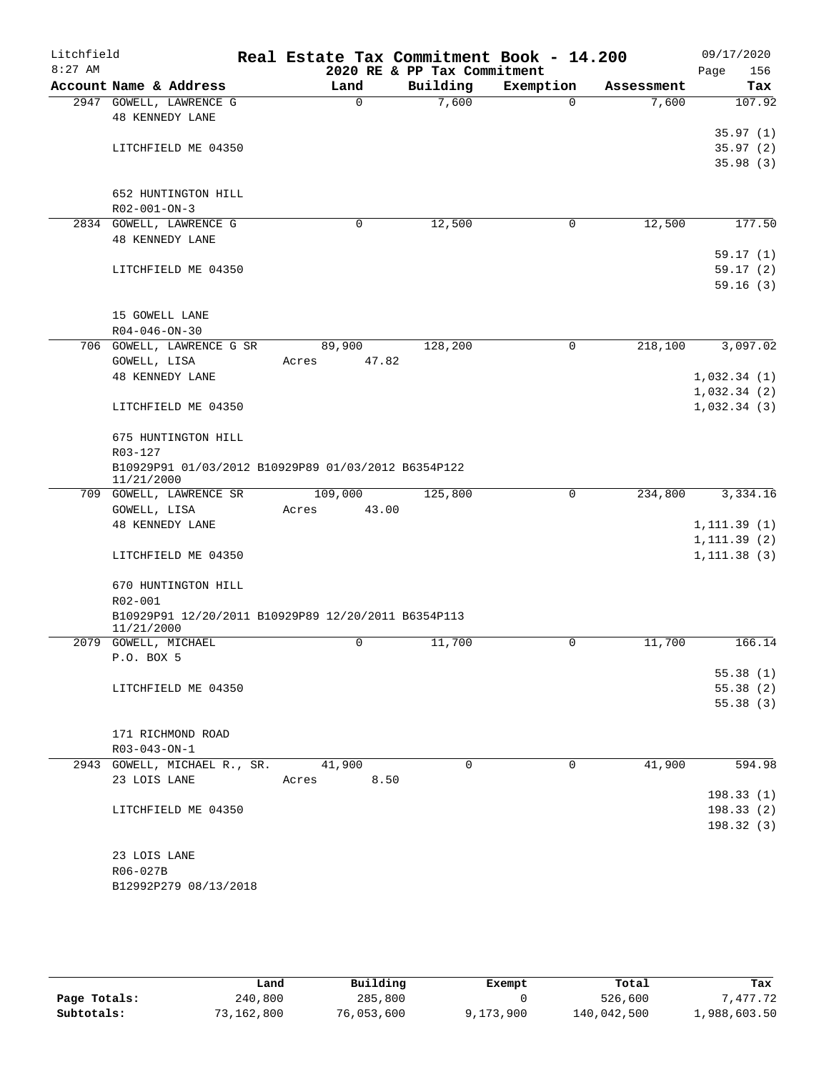| Litchfield |                                                                   | Real Estate Tax Commitment Book - 14.200 |                                         |             |            | 09/17/2020           |
|------------|-------------------------------------------------------------------|------------------------------------------|-----------------------------------------|-------------|------------|----------------------|
| $8:27$ AM  | Account Name & Address                                            | Land                                     | 2020 RE & PP Tax Commitment<br>Building | Exemption   | Assessment | Page<br>156<br>Tax   |
|            | 2947 GOWELL, LAWRENCE G                                           | $\mathbf 0$                              | 7,600                                   | $\Omega$    | 7,600      | 107.92               |
|            | <b>48 KENNEDY LANE</b>                                            |                                          |                                         |             |            |                      |
|            |                                                                   |                                          |                                         |             |            | 35.97(1)             |
|            | LITCHFIELD ME 04350                                               |                                          |                                         |             |            | 35.97(2)             |
|            |                                                                   |                                          |                                         |             |            | 35.98(3)             |
|            |                                                                   |                                          |                                         |             |            |                      |
|            | 652 HUNTINGTON HILL                                               |                                          |                                         |             |            |                      |
|            | $R02 - 001 - ON - 3$                                              |                                          |                                         |             |            |                      |
|            | 2834 GOWELL, LAWRENCE G                                           | $\mathbf 0$                              | 12,500                                  | 0           | 12,500     | 177.50               |
|            | <b>48 KENNEDY LANE</b>                                            |                                          |                                         |             |            |                      |
|            |                                                                   |                                          |                                         |             |            | 59.17(1)             |
|            | LITCHFIELD ME 04350                                               |                                          |                                         |             |            | 59.17(2)             |
|            |                                                                   |                                          |                                         |             |            | 59.16(3)             |
|            |                                                                   |                                          |                                         |             |            |                      |
|            | 15 GOWELL LANE<br>$R04 - 046 - ON - 30$                           |                                          |                                         |             |            |                      |
|            | 706 GOWELL, LAWRENCE G SR                                         | 89,900                                   | 128,200                                 | $\Omega$    | 218,100    | 3,097.02             |
|            | GOWELL, LISA                                                      | 47.82<br>Acres                           |                                         |             |            |                      |
|            | <b>48 KENNEDY LANE</b>                                            |                                          |                                         |             |            | 1,032.34(1)          |
|            |                                                                   |                                          |                                         |             |            | 1,032.34(2)          |
|            | LITCHFIELD ME 04350                                               |                                          |                                         |             |            | 1,032.34(3)          |
|            |                                                                   |                                          |                                         |             |            |                      |
|            | 675 HUNTINGTON HILL                                               |                                          |                                         |             |            |                      |
|            | R03-127                                                           |                                          |                                         |             |            |                      |
|            | B10929P91 01/03/2012 B10929P89 01/03/2012 B6354P122<br>11/21/2000 |                                          |                                         |             |            |                      |
|            | 709 GOWELL, LAWRENCE SR                                           | 109,000                                  | 125,800                                 | $\mathbf 0$ | 234,800    | 3,334.16             |
|            | GOWELL, LISA                                                      | 43.00<br>Acres                           |                                         |             |            |                      |
|            | <b>48 KENNEDY LANE</b>                                            |                                          |                                         |             |            | 1, 111.39(1)         |
|            |                                                                   |                                          |                                         |             |            | 1, 111.39(2)         |
|            | LITCHFIELD ME 04350                                               |                                          |                                         |             |            | 1, 111.38(3)         |
|            | 670 HUNTINGTON HILL                                               |                                          |                                         |             |            |                      |
|            | R02-001                                                           |                                          |                                         |             |            |                      |
|            | B10929P91 12/20/2011 B10929P89 12/20/2011 B6354P113               |                                          |                                         |             |            |                      |
|            | 11/21/2000                                                        |                                          |                                         |             |            |                      |
|            | 2079 GOWELL, MICHAEL                                              | $\mathsf{O}$                             | 11,700                                  | 0           | 11,700     | 166.14               |
|            | P.O. BOX 5                                                        |                                          |                                         |             |            |                      |
|            |                                                                   |                                          |                                         |             |            | 55.38(1)             |
|            | LITCHFIELD ME 04350                                               |                                          |                                         |             |            | 55.38(2)<br>55.38(3) |
|            |                                                                   |                                          |                                         |             |            |                      |
|            | 171 RICHMOND ROAD                                                 |                                          |                                         |             |            |                      |
|            | $R03 - 043 - ON - 1$                                              |                                          |                                         |             |            |                      |
|            | 2943 GOWELL, MICHAEL R., SR. 41,900                               |                                          | $\Omega$                                | $\Omega$    | 41,900     | 594.98               |
|            | 23 LOIS LANE                                                      | 8.50<br>Acres                            |                                         |             |            |                      |
|            |                                                                   |                                          |                                         |             |            | 198.33(1)            |
|            | LITCHFIELD ME 04350                                               |                                          |                                         |             |            | 198.33(2)            |
|            |                                                                   |                                          |                                         |             |            | 198.32(3)            |
|            |                                                                   |                                          |                                         |             |            |                      |
|            | 23 LOIS LANE                                                      |                                          |                                         |             |            |                      |
|            | R06-027B                                                          |                                          |                                         |             |            |                      |
|            | B12992P279 08/13/2018                                             |                                          |                                         |             |            |                      |

|              | Land       | Building   | Exempt    | Total       | Tax          |
|--------------|------------|------------|-----------|-------------|--------------|
| Page Totals: | 240,800    | 285,800    |           | 526,600     | 7.477.72     |
| Subtotals:   | 73,162,800 | 76,053,600 | 9,173,900 | 140,042,500 | 1,988,603.50 |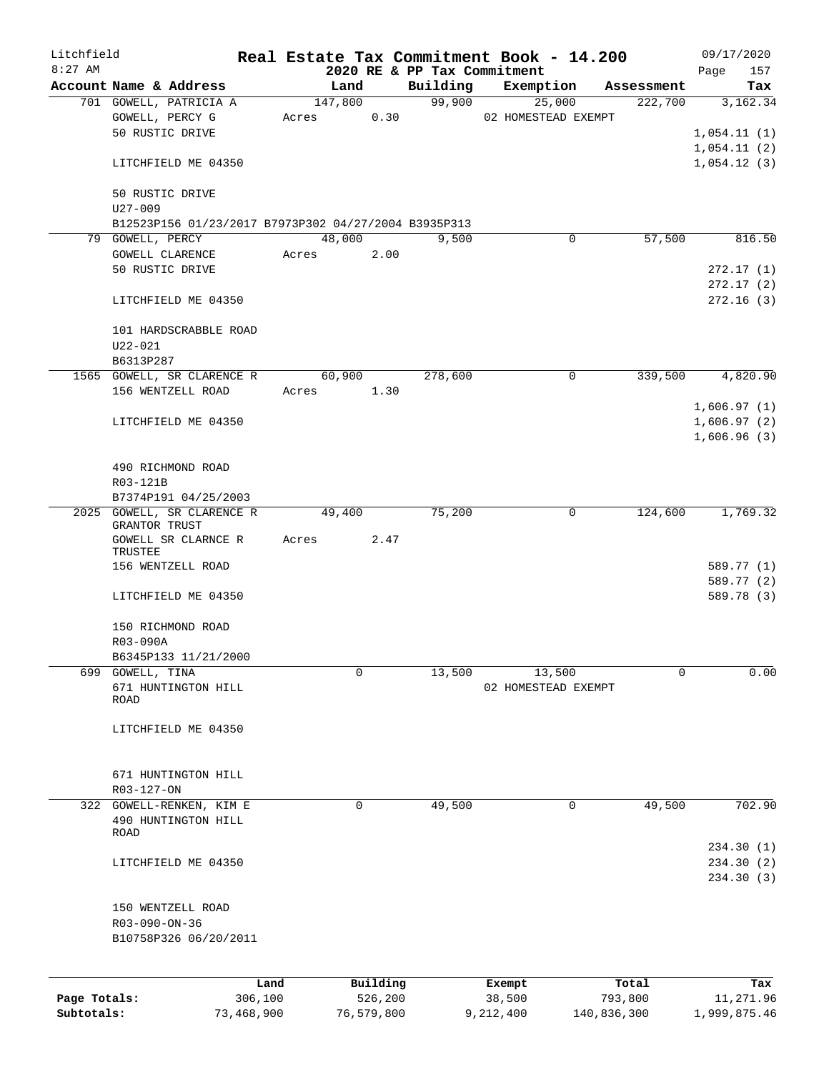| Litchfield   |                                                  |                                                      |            |                 |            |                             | Real Estate Tax Commitment Book - 14.200 |             |                       |                            | 09/17/2020             |
|--------------|--------------------------------------------------|------------------------------------------------------|------------|-----------------|------------|-----------------------------|------------------------------------------|-------------|-----------------------|----------------------------|------------------------|
| $8:27$ AM    |                                                  |                                                      |            |                 |            | 2020 RE & PP Tax Commitment |                                          |             |                       | Page                       | 157                    |
|              | Account Name & Address<br>701 GOWELL, PATRICIA A |                                                      |            | Land<br>147,800 |            | Building<br>99,900          | Exemption<br>25,000                      |             | Assessment<br>222,700 |                            | Tax<br>3,162.34        |
|              | GOWELL, PERCY G                                  |                                                      | Acres      |                 | 0.30       |                             | 02 HOMESTEAD EXEMPT                      |             |                       |                            |                        |
|              | 50 RUSTIC DRIVE                                  |                                                      |            |                 |            |                             |                                          |             |                       | 1,054.11(1)                |                        |
|              |                                                  |                                                      |            |                 |            |                             |                                          |             |                       | 1,054.11(2)                |                        |
|              | LITCHFIELD ME 04350                              |                                                      |            |                 |            |                             |                                          |             |                       | 1,054.12(3)                |                        |
|              | 50 RUSTIC DRIVE<br>$U27 - 009$                   |                                                      |            |                 |            |                             |                                          |             |                       |                            |                        |
|              |                                                  | B12523P156 01/23/2017 B7973P302 04/27/2004 B3935P313 |            |                 |            |                             |                                          |             |                       |                            |                        |
|              | 79 GOWELL, PERCY                                 |                                                      |            | 48,000          |            | 9,500                       |                                          | 0           | 57,500                |                            | 816.50                 |
|              | GOWELL CLARENCE                                  |                                                      | Acres      |                 | 2.00       |                             |                                          |             |                       |                            |                        |
|              | 50 RUSTIC DRIVE                                  |                                                      |            |                 |            |                             |                                          |             |                       |                            | 272.17(1)              |
|              |                                                  |                                                      |            |                 |            |                             |                                          |             |                       |                            | 272.17(2)<br>272.16(3) |
|              | LITCHFIELD ME 04350                              |                                                      |            |                 |            |                             |                                          |             |                       |                            |                        |
|              | 101 HARDSCRABBLE ROAD                            |                                                      |            |                 |            |                             |                                          |             |                       |                            |                        |
|              | $U22 - 021$                                      |                                                      |            |                 |            |                             |                                          |             |                       |                            |                        |
|              | B6313P287                                        |                                                      |            |                 |            |                             |                                          |             |                       |                            |                        |
|              | 1565 GOWELL, SR CLARENCE R                       |                                                      |            | 60,900          |            | 278,600                     |                                          | 0           | 339,500               |                            | 4,820.90               |
|              | 156 WENTZELL ROAD                                |                                                      | Acres 1.30 |                 |            |                             |                                          |             |                       |                            |                        |
|              | LITCHFIELD ME 04350                              |                                                      |            |                 |            |                             |                                          |             |                       | 1,606.97(1)<br>1,606.97(2) |                        |
|              |                                                  |                                                      |            |                 |            |                             |                                          |             |                       | 1,606.96(3)                |                        |
|              |                                                  |                                                      |            |                 |            |                             |                                          |             |                       |                            |                        |
|              | 490 RICHMOND ROAD                                |                                                      |            |                 |            |                             |                                          |             |                       |                            |                        |
|              | R03-121B                                         |                                                      |            |                 |            |                             |                                          |             |                       |                            |                        |
|              | B7374P191 04/25/2003                             |                                                      |            |                 |            |                             |                                          |             |                       |                            |                        |
|              | 2025 GOWELL, SR CLARENCE R                       |                                                      |            | 49,400          |            | 75,200                      |                                          | 0           | 124,600               |                            | 1,769.32               |
|              | GRANTOR TRUST<br>GOWELL SR CLARNCE R             |                                                      | Acres      |                 | 2.47       |                             |                                          |             |                       |                            |                        |
|              | TRUSTEE                                          |                                                      |            |                 |            |                             |                                          |             |                       |                            |                        |
|              | 156 WENTZELL ROAD                                |                                                      |            |                 |            |                             |                                          |             |                       |                            | 589.77 (1)             |
|              |                                                  |                                                      |            |                 |            |                             |                                          |             |                       |                            | 589.77 (2)             |
|              | LITCHFIELD ME 04350                              |                                                      |            |                 |            |                             |                                          |             |                       |                            | 589.78 (3)             |
|              | 150 RICHMOND ROAD                                |                                                      |            |                 |            |                             |                                          |             |                       |                            |                        |
|              | R03-090A                                         |                                                      |            |                 |            |                             |                                          |             |                       |                            |                        |
|              | B6345P133 11/21/2000                             |                                                      |            |                 |            |                             |                                          |             |                       |                            |                        |
| 699          | GOWELL, TINA                                     |                                                      |            | 0               |            | 13,500                      | 13,500                                   |             | 0                     |                            | 0.00                   |
|              | 671 HUNTINGTON HILL                              |                                                      |            |                 |            |                             | 02 HOMESTEAD EXEMPT                      |             |                       |                            |                        |
|              | ROAD                                             |                                                      |            |                 |            |                             |                                          |             |                       |                            |                        |
|              |                                                  |                                                      |            |                 |            |                             |                                          |             |                       |                            |                        |
|              | LITCHFIELD ME 04350                              |                                                      |            |                 |            |                             |                                          |             |                       |                            |                        |
|              |                                                  |                                                      |            |                 |            |                             |                                          |             |                       |                            |                        |
|              | 671 HUNTINGTON HILL                              |                                                      |            |                 |            |                             |                                          |             |                       |                            |                        |
|              | R03-127-ON                                       |                                                      |            |                 |            |                             |                                          |             |                       |                            |                        |
|              | 322 GOWELL-RENKEN, KIM E                         |                                                      |            | 0               |            | 49,500                      |                                          | 0           | 49,500                |                            | 702.90                 |
|              | 490 HUNTINGTON HILL<br>ROAD                      |                                                      |            |                 |            |                             |                                          |             |                       |                            |                        |
|              |                                                  |                                                      |            |                 |            |                             |                                          |             |                       |                            | 234.30(1)              |
|              | LITCHFIELD ME 04350                              |                                                      |            |                 |            |                             |                                          |             |                       |                            | 234.30(2)              |
|              |                                                  |                                                      |            |                 |            |                             |                                          |             |                       |                            | 234.30(3)              |
|              | 150 WENTZELL ROAD                                |                                                      |            |                 |            |                             |                                          |             |                       |                            |                        |
|              | R03-090-ON-36                                    |                                                      |            |                 |            |                             |                                          |             |                       |                            |                        |
|              | B10758P326 06/20/2011                            |                                                      |            |                 |            |                             |                                          |             |                       |                            |                        |
|              |                                                  |                                                      |            |                 |            |                             |                                          |             |                       |                            |                        |
|              |                                                  | Land                                                 |            |                 | Building   |                             | Exempt                                   |             | Total                 |                            | Tax                    |
| Page Totals: |                                                  | 306,100                                              |            |                 | 526,200    |                             | 38,500                                   | 793,800     |                       |                            | 11,271.96              |
| Subtotals:   |                                                  | 73,468,900                                           |            |                 | 76,579,800 |                             | 9,212,400                                | 140,836,300 |                       | 1,999,875.46               |                        |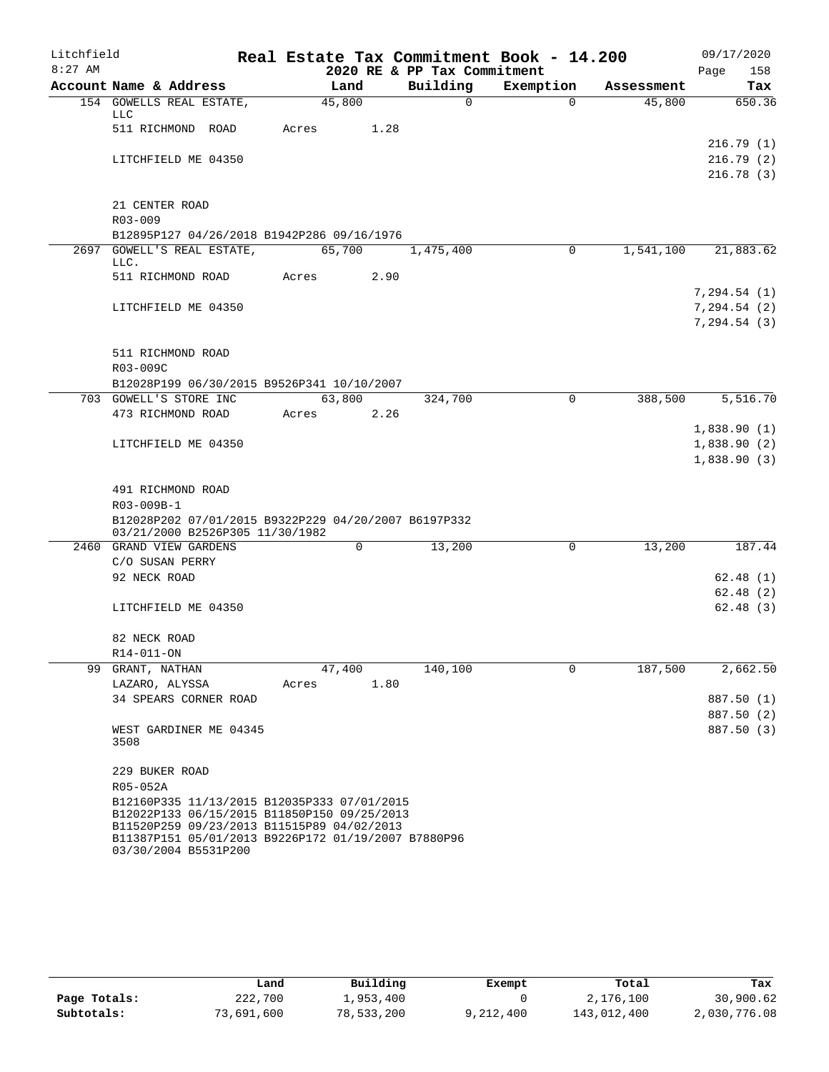| Litchfield |                                                                                                   | Real Estate Tax Commitment Book - 14.200 |                             |                       |            | 09/17/2020  |
|------------|---------------------------------------------------------------------------------------------------|------------------------------------------|-----------------------------|-----------------------|------------|-------------|
| $8:27$ AM  |                                                                                                   |                                          | 2020 RE & PP Tax Commitment |                       |            | 158<br>Page |
|            | Account Name & Address                                                                            | Land                                     | Building<br>$\Omega$        | Exemption<br>$\Omega$ | Assessment | Tax         |
|            | 154 GOWELLS REAL ESTATE,<br>LLC                                                                   | 45,800                                   |                             |                       | 45,800     | 650.36      |
|            | 511 RICHMOND ROAD                                                                                 | 1.28<br>Acres                            |                             |                       |            |             |
|            |                                                                                                   |                                          |                             |                       |            | 216.79(1)   |
|            | LITCHFIELD ME 04350                                                                               |                                          |                             |                       |            | 216.79(2)   |
|            |                                                                                                   |                                          |                             |                       |            | 216.78(3)   |
|            | 21 CENTER ROAD                                                                                    |                                          |                             |                       |            |             |
|            | $R03 - 009$                                                                                       |                                          |                             |                       |            |             |
|            | B12895P127 04/26/2018 B1942P286 09/16/1976                                                        |                                          |                             |                       |            |             |
|            | 2697 GOWELL'S REAL ESTATE,                                                                        | 65,700                                   | 1,475,400                   | $\Omega$              | 1,541,100  | 21,883.62   |
|            | LLC.                                                                                              |                                          |                             |                       |            |             |
|            | 511 RICHMOND ROAD                                                                                 | 2.90<br>Acres                            |                             |                       |            |             |
|            |                                                                                                   |                                          |                             |                       |            | 7,294.54(1) |
|            | LITCHFIELD ME 04350                                                                               |                                          |                             |                       |            | 7,294.54(2) |
|            |                                                                                                   |                                          |                             |                       |            | 7,294.54(3) |
|            | 511 RICHMOND ROAD                                                                                 |                                          |                             |                       |            |             |
|            | R03-009C                                                                                          |                                          |                             |                       |            |             |
|            | B12028P199 06/30/2015 B9526P341 10/10/2007                                                        |                                          |                             |                       |            |             |
|            | 703 GOWELL'S STORE INC                                                                            | 63,800                                   | 324,700                     | $\Omega$              | 388,500    | 5,516.70    |
|            | 473 RICHMOND ROAD                                                                                 | 2.26<br>Acres                            |                             |                       |            |             |
|            |                                                                                                   |                                          |                             |                       |            | 1,838.90(1) |
|            | LITCHFIELD ME 04350                                                                               |                                          |                             |                       |            | 1,838.90(2) |
|            |                                                                                                   |                                          |                             |                       |            | 1,838.90(3) |
|            |                                                                                                   |                                          |                             |                       |            |             |
|            | 491 RICHMOND ROAD<br>R03-009B-1                                                                   |                                          |                             |                       |            |             |
|            | B12028P202 07/01/2015 B9322P229 04/20/2007 B6197P332                                              |                                          |                             |                       |            |             |
|            | 03/21/2000 B2526P305 11/30/1982                                                                   |                                          |                             |                       |            |             |
|            | 2460 GRAND VIEW GARDENS                                                                           | 0                                        | 13,200                      | 0                     | 13,200     | 187.44      |
|            | C/O SUSAN PERRY                                                                                   |                                          |                             |                       |            |             |
|            | 92 NECK ROAD                                                                                      |                                          |                             |                       |            | 62.48(1)    |
|            |                                                                                                   |                                          |                             |                       |            | 62.48(2)    |
|            | LITCHFIELD ME 04350                                                                               |                                          |                             |                       |            | 62.48(3)    |
|            | 82 NECK ROAD                                                                                      |                                          |                             |                       |            |             |
|            | R14-011-ON                                                                                        |                                          |                             |                       |            |             |
| 99         | GRANT, NATHAN                                                                                     | 47,400                                   | 140,100                     | 0                     | 187,500    | 2,662.50    |
|            | LAZARO, ALYSSA                                                                                    | 1.80<br>Acres                            |                             |                       |            |             |
|            | 34 SPEARS CORNER ROAD                                                                             |                                          |                             |                       |            | 887.50 (1)  |
|            |                                                                                                   |                                          |                             |                       |            | 887.50 (2)  |
|            | WEST GARDINER ME 04345                                                                            |                                          |                             |                       |            | 887.50 (3)  |
|            | 3508                                                                                              |                                          |                             |                       |            |             |
|            | 229 BUKER ROAD                                                                                    |                                          |                             |                       |            |             |
|            | R05-052A                                                                                          |                                          |                             |                       |            |             |
|            | B12160P335 11/13/2015 B12035P333 07/01/2015                                                       |                                          |                             |                       |            |             |
|            | B12022P133 06/15/2015 B11850P150 09/25/2013                                                       |                                          |                             |                       |            |             |
|            | B11520P259 09/23/2013 B11515P89 04/02/2013<br>B11387P151 05/01/2013 B9226P172 01/19/2007 B7880P96 |                                          |                             |                       |            |             |
|            | 03/30/2004 B5531P200                                                                              |                                          |                             |                       |            |             |

|              | Land       | Building   | Exempt    | Total       | Tax          |
|--------------|------------|------------|-----------|-------------|--------------|
| Page Totals: | 222,700    | 1,953,400  |           | 2,176,100   | 30,900.62    |
| Subtotals:   | 73,691,600 | 78,533,200 | 9,212,400 | 143,012,400 | 2,030,776.08 |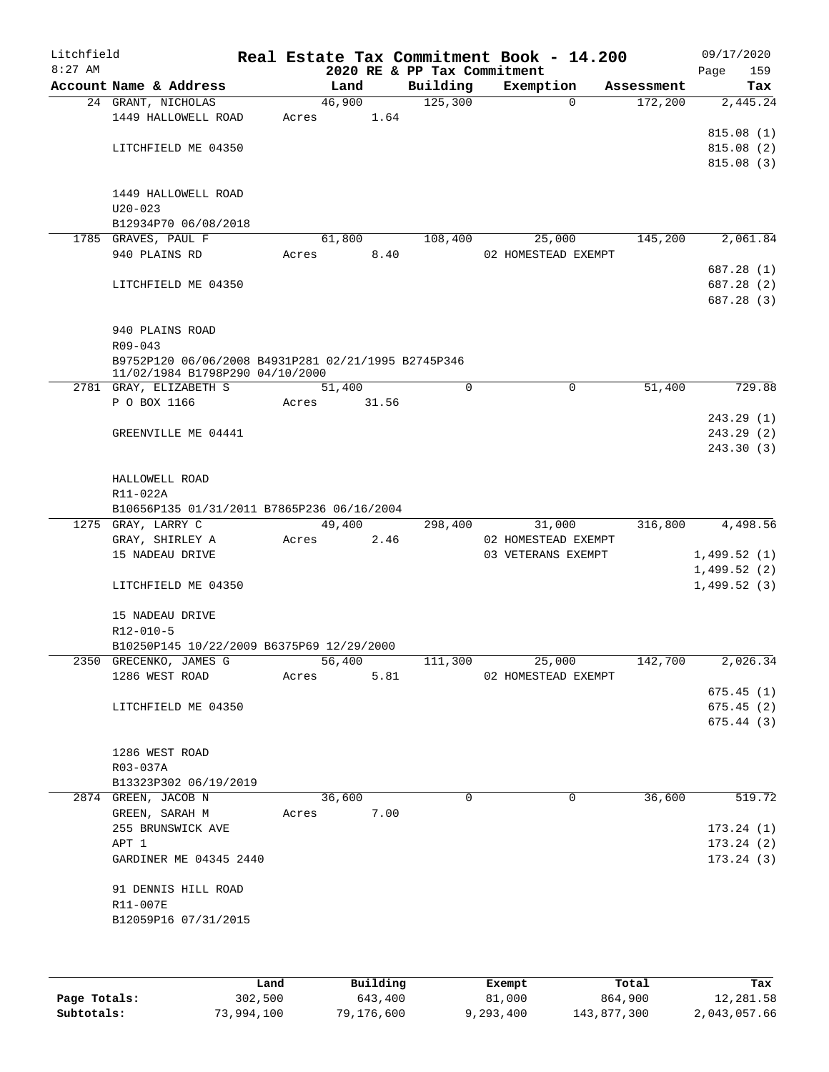| Litchfield<br>$8:27$ AM |                                                        |       |        |       | 2020 RE & PP Tax Commitment | Real Estate Tax Commitment Book - 14.200 |            | 09/17/2020<br>Page<br>159 |
|-------------------------|--------------------------------------------------------|-------|--------|-------|-----------------------------|------------------------------------------|------------|---------------------------|
|                         | Account Name & Address                                 |       | Land   |       | Building                    | Exemption                                | Assessment | Tax                       |
|                         | 24 GRANT, NICHOLAS                                     |       | 46,900 |       | 125,300                     | $\Omega$                                 | 172,200    | 2,445.24                  |
|                         | 1449 HALLOWELL ROAD                                    | Acres |        | 1.64  |                             |                                          |            |                           |
|                         |                                                        |       |        |       |                             |                                          |            | 815.08(1)                 |
|                         | LITCHFIELD ME 04350                                    |       |        |       |                             |                                          |            | 815.08(2)                 |
|                         |                                                        |       |        |       |                             |                                          |            | 815.08 (3)                |
|                         |                                                        |       |        |       |                             |                                          |            |                           |
|                         | 1449 HALLOWELL ROAD                                    |       |        |       |                             |                                          |            |                           |
|                         | $U20 - 023$                                            |       |        |       |                             |                                          |            |                           |
|                         | B12934P70 06/08/2018<br>1785 GRAVES, PAUL F            |       | 61,800 |       | 108,400                     | 25,000                                   | 145,200    | 2,061.84                  |
|                         | 940 PLAINS RD                                          | Acres |        | 8.40  |                             | 02 HOMESTEAD EXEMPT                      |            |                           |
|                         |                                                        |       |        |       |                             |                                          |            | 687.28 (1)                |
|                         | LITCHFIELD ME 04350                                    |       |        |       |                             |                                          |            | 687.28 (2)                |
|                         |                                                        |       |        |       |                             |                                          |            | 687.28 (3)                |
|                         |                                                        |       |        |       |                             |                                          |            |                           |
|                         | 940 PLAINS ROAD                                        |       |        |       |                             |                                          |            |                           |
|                         | $R09 - 043$                                            |       |        |       |                             |                                          |            |                           |
|                         | B9752P120 06/06/2008 B4931P281 02/21/1995 B2745P346    |       |        |       |                             |                                          |            |                           |
|                         | 11/02/1984 B1798P290 04/10/2000                        |       |        |       |                             |                                          |            |                           |
|                         | 2781 GRAY, ELIZABETH S                                 |       | 51,400 |       | 0                           | $\mathbf 0$                              | 51,400     | 729.88                    |
|                         | P O BOX 1166                                           | Acres |        | 31.56 |                             |                                          |            |                           |
|                         |                                                        |       |        |       |                             |                                          |            | 243.29 (1)                |
|                         | GREENVILLE ME 04441                                    |       |        |       |                             |                                          |            | 243.29 (2)                |
|                         |                                                        |       |        |       |                             |                                          |            | 243.30 (3)                |
|                         |                                                        |       |        |       |                             |                                          |            |                           |
|                         | HALLOWELL ROAD                                         |       |        |       |                             |                                          |            |                           |
|                         | R11-022A<br>B10656P135 01/31/2011 B7865P236 06/16/2004 |       |        |       |                             |                                          |            |                           |
|                         | 1275 GRAY, LARRY C                                     |       | 49,400 |       | 298,400                     | 31,000                                   | 316,800    | 4,498.56                  |
|                         | GRAY, SHIRLEY A                                        | Acres |        | 2.46  |                             | 02 HOMESTEAD EXEMPT                      |            |                           |
|                         | 15 NADEAU DRIVE                                        |       |        |       |                             | 03 VETERANS EXEMPT                       |            | 1,499.52(1)               |
|                         |                                                        |       |        |       |                             |                                          |            | 1,499.52(2)               |
|                         | LITCHFIELD ME 04350                                    |       |        |       |                             |                                          |            | 1,499.52(3)               |
|                         |                                                        |       |        |       |                             |                                          |            |                           |
|                         | 15 NADEAU DRIVE                                        |       |        |       |                             |                                          |            |                           |
|                         | R12-010-5                                              |       |        |       |                             |                                          |            |                           |
|                         | B10250P145 10/22/2009 B6375P69 12/29/2000              |       |        |       |                             |                                          |            |                           |
|                         | 2350 GRECENKO, JAMES G                                 |       | 56,400 |       | 111,300                     | 25,000                                   | 142,700    | 2,026.34                  |
|                         | 1286 WEST ROAD                                         | Acres |        | 5.81  |                             | 02 HOMESTEAD EXEMPT                      |            |                           |
|                         |                                                        |       |        |       |                             |                                          |            | 675.45(1)                 |
|                         | LITCHFIELD ME 04350                                    |       |        |       |                             |                                          |            | 675.45(2)                 |
|                         |                                                        |       |        |       |                             |                                          |            | 675.44(3)                 |
|                         |                                                        |       |        |       |                             |                                          |            |                           |
|                         | 1286 WEST ROAD                                         |       |        |       |                             |                                          |            |                           |
|                         | R03-037A                                               |       |        |       |                             |                                          |            |                           |
|                         | B13323P302 06/19/2019                                  |       |        |       |                             |                                          |            |                           |
|                         | 2874 GREEN, JACOB N                                    |       | 36,600 |       | $\Omega$                    | 0                                        | 36,600     | 519.72                    |
|                         | GREEN, SARAH M                                         | Acres |        | 7.00  |                             |                                          |            | 173.24(1)                 |
|                         | 255 BRUNSWICK AVE<br>APT 1                             |       |        |       |                             |                                          |            | 173.24(2)                 |
|                         | GARDINER ME 04345 2440                                 |       |        |       |                             |                                          |            | 173.24(3)                 |
|                         |                                                        |       |        |       |                             |                                          |            |                           |
|                         | 91 DENNIS HILL ROAD                                    |       |        |       |                             |                                          |            |                           |
|                         | R11-007E                                               |       |        |       |                             |                                          |            |                           |
|                         | B12059P16 07/31/2015                                   |       |        |       |                             |                                          |            |                           |
|                         |                                                        |       |        |       |                             |                                          |            |                           |
|                         |                                                        |       |        |       |                             |                                          |            |                           |
|                         |                                                        |       |        |       |                             |                                          |            |                           |

|              | Land       | Building   | Exempt    | Total       | Tax          |
|--------------|------------|------------|-----------|-------------|--------------|
| Page Totals: | 302,500    | 643,400    | 81,000    | 864,900     | 12,281.58    |
| Subtotals:   | 73,994,100 | 79,176,600 | 9,293,400 | 143,877,300 | 2,043,057.66 |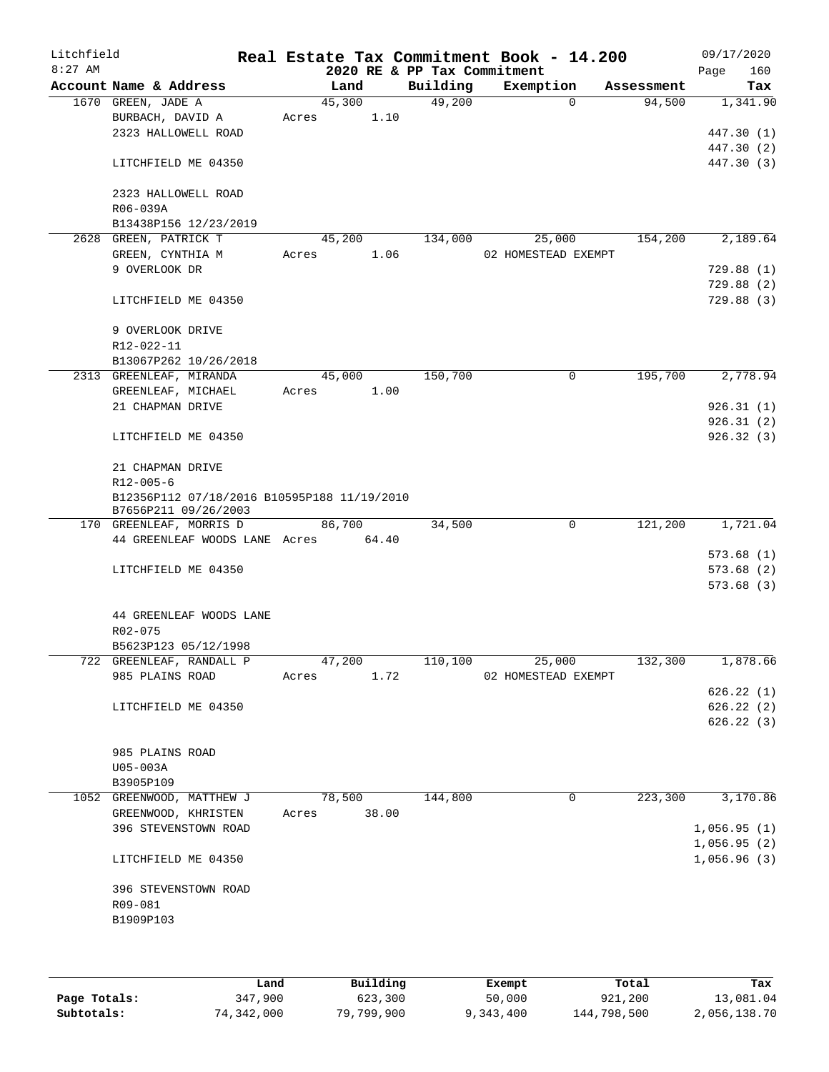| Litchfield |                                             |       |        |       |                             | Real Estate Tax Commitment Book - 14.200 |   |            | 09/17/2020  |            |
|------------|---------------------------------------------|-------|--------|-------|-----------------------------|------------------------------------------|---|------------|-------------|------------|
| $8:27$ AM  |                                             |       |        |       | 2020 RE & PP Tax Commitment |                                          |   |            | Page        | 160        |
|            | Account Name & Address                      |       | Land   |       | Building                    | Exemption                                |   | Assessment |             | Tax        |
|            | 1670 GREEN, JADE A                          |       | 45,300 |       | 49,200                      |                                          | 0 | 94,500     |             | 1,341.90   |
|            | BURBACH, DAVID A                            | Acres |        | 1.10  |                             |                                          |   |            |             |            |
|            | 2323 HALLOWELL ROAD                         |       |        |       |                             |                                          |   |            |             | 447.30 (1) |
|            |                                             |       |        |       |                             |                                          |   |            |             | 447.30 (2) |
|            | LITCHFIELD ME 04350                         |       |        |       |                             |                                          |   |            |             | 447.30 (3) |
|            |                                             |       |        |       |                             |                                          |   |            |             |            |
|            | 2323 HALLOWELL ROAD                         |       |        |       |                             |                                          |   |            |             |            |
|            | R06-039A                                    |       |        |       |                             |                                          |   |            |             |            |
|            | B13438P156 12/23/2019                       |       |        |       |                             |                                          |   |            |             | 2,189.64   |
|            | 2628 GREEN, PATRICK T                       |       | 45,200 |       | 134,000                     | 25,000                                   |   | 154,200    |             |            |
|            | GREEN, CYNTHIA M<br>9 OVERLOOK DR           | Acres |        | 1.06  |                             | 02 HOMESTEAD EXEMPT                      |   |            |             | 729.88(1)  |
|            |                                             |       |        |       |                             |                                          |   |            |             | 729.88(2)  |
|            |                                             |       |        |       |                             |                                          |   |            |             | 729.88 (3) |
|            | LITCHFIELD ME 04350                         |       |        |       |                             |                                          |   |            |             |            |
|            | 9 OVERLOOK DRIVE                            |       |        |       |                             |                                          |   |            |             |            |
|            | R12-022-11                                  |       |        |       |                             |                                          |   |            |             |            |
|            | B13067P262 10/26/2018                       |       |        |       |                             |                                          |   |            |             |            |
|            | 2313 GREENLEAF, MIRANDA                     |       | 45,000 |       | 150,700                     |                                          | 0 | 195,700    |             | 2,778.94   |
|            | GREENLEAF, MICHAEL                          | Acres |        | 1.00  |                             |                                          |   |            |             |            |
|            | 21 CHAPMAN DRIVE                            |       |        |       |                             |                                          |   |            |             | 926.31(1)  |
|            |                                             |       |        |       |                             |                                          |   |            |             | 926.31(2)  |
|            | LITCHFIELD ME 04350                         |       |        |       |                             |                                          |   |            |             | 926.32 (3) |
|            |                                             |       |        |       |                             |                                          |   |            |             |            |
|            | 21 CHAPMAN DRIVE                            |       |        |       |                             |                                          |   |            |             |            |
|            | $R12 - 005 - 6$                             |       |        |       |                             |                                          |   |            |             |            |
|            | B12356P112 07/18/2016 B10595P188 11/19/2010 |       |        |       |                             |                                          |   |            |             |            |
|            | B7656P211 09/26/2003                        |       |        |       |                             |                                          |   |            |             |            |
|            | 170 GREENLEAF, MORRIS D                     |       | 86,700 |       | 34,500                      |                                          | 0 | 121,200    |             | 1,721.04   |
|            | 44 GREENLEAF WOODS LANE Acres               |       | 64.40  |       |                             |                                          |   |            |             |            |
|            |                                             |       |        |       |                             |                                          |   |            |             | 573.68(1)  |
|            | LITCHFIELD ME 04350                         |       |        |       |                             |                                          |   |            |             | 573.68(2)  |
|            |                                             |       |        |       |                             |                                          |   |            |             | 573.68(3)  |
|            |                                             |       |        |       |                             |                                          |   |            |             |            |
|            | 44 GREENLEAF WOODS LANE                     |       |        |       |                             |                                          |   |            |             |            |
|            | R02-075                                     |       |        |       |                             |                                          |   |            |             |            |
|            | B5623P123 05/12/1998                        |       |        |       |                             |                                          |   |            |             |            |
|            | 722 GREENLEAF, RANDALL P                    |       | 47,200 |       | 110,100                     | 25,000                                   |   | 132,300    |             | 1,878.66   |
|            | 985 PLAINS ROAD                             | Acres |        | 1.72  |                             | 02 HOMESTEAD EXEMPT                      |   |            |             |            |
|            |                                             |       |        |       |                             |                                          |   |            |             | 626.22(1)  |
|            | LITCHFIELD ME 04350                         |       |        |       |                             |                                          |   |            |             | 626.22(2)  |
|            |                                             |       |        |       |                             |                                          |   |            |             | 626.22(3)  |
|            |                                             |       |        |       |                             |                                          |   |            |             |            |
|            | 985 PLAINS ROAD                             |       |        |       |                             |                                          |   |            |             |            |
|            | U05-003A                                    |       |        |       |                             |                                          |   |            |             |            |
|            | B3905P109                                   |       |        |       |                             |                                          |   |            |             |            |
|            | 1052 GREENWOOD, MATTHEW J                   |       | 78,500 |       | 144,800                     |                                          | 0 | 223,300    |             | 3,170.86   |
|            | GREENWOOD, KHRISTEN                         | Acres |        | 38.00 |                             |                                          |   |            |             |            |
|            | 396 STEVENSTOWN ROAD                        |       |        |       |                             |                                          |   |            | 1,056.95(1) |            |
|            |                                             |       |        |       |                             |                                          |   |            | 1,056.95(2) |            |
|            | LITCHFIELD ME 04350                         |       |        |       |                             |                                          |   |            | 1,056.96(3) |            |
|            |                                             |       |        |       |                             |                                          |   |            |             |            |
|            | 396 STEVENSTOWN ROAD                        |       |        |       |                             |                                          |   |            |             |            |
|            | R09-081                                     |       |        |       |                             |                                          |   |            |             |            |
|            | B1909P103                                   |       |        |       |                             |                                          |   |            |             |            |
|            |                                             |       |        |       |                             |                                          |   |            |             |            |
|            |                                             |       |        |       |                             |                                          |   |            |             |            |
|            |                                             |       |        |       |                             |                                          |   |            |             |            |

|              | Land       | Building   | Exempt    | Total       | Tax          |
|--------------|------------|------------|-----------|-------------|--------------|
| Page Totals: | 347,900    | 623,300    | 50,000    | 921,200     | 13,081.04    |
| Subtotals:   | 74,342,000 | 79,799,900 | 9,343,400 | 144,798,500 | 2,056,138.70 |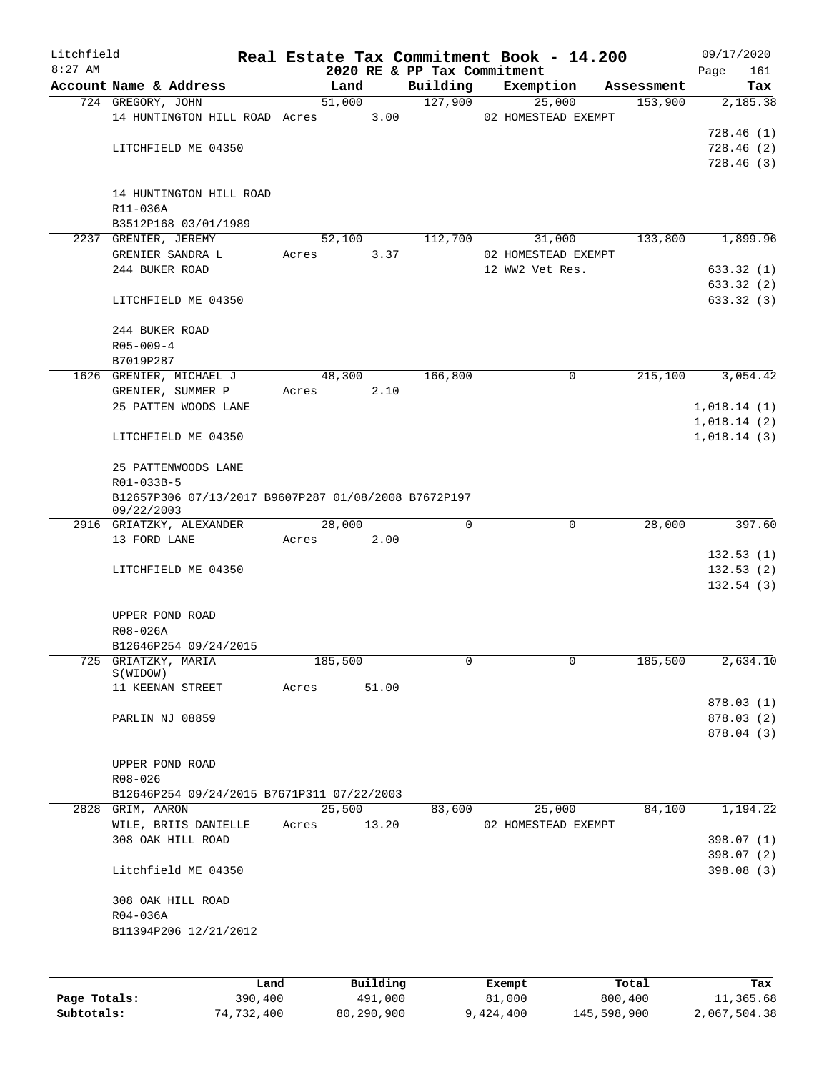| Litchfield |                                                                    |       |                |                             | Real Estate Tax Commitment Book - 14.200 |            | 09/17/2020  |
|------------|--------------------------------------------------------------------|-------|----------------|-----------------------------|------------------------------------------|------------|-------------|
| $8:27$ AM  |                                                                    |       |                | 2020 RE & PP Tax Commitment |                                          |            | 161<br>Page |
|            | Account Name & Address                                             |       | Land           | Building<br>127,900         | Exemption                                | Assessment | Tax         |
|            | 724 GREGORY, JOHN<br>14 HUNTINGTON HILL ROAD Acres                 |       | 51,000<br>3.00 |                             | 25,000<br>02 HOMESTEAD EXEMPT            | 153,900    | 2,185.38    |
|            |                                                                    |       |                |                             |                                          |            | 728.46(1)   |
|            | LITCHFIELD ME 04350                                                |       |                |                             |                                          |            | 728.46(2)   |
|            |                                                                    |       |                |                             |                                          |            | 728.46(3)   |
|            |                                                                    |       |                |                             |                                          |            |             |
|            | 14 HUNTINGTON HILL ROAD                                            |       |                |                             |                                          |            |             |
|            | R11-036A                                                           |       |                |                             |                                          |            |             |
|            | B3512P168 03/01/1989                                               |       |                |                             |                                          |            |             |
|            | 2237 GRENIER, JEREMY                                               |       | 52,100         | 112,700                     | 31,000                                   | 133,800    | 1,899.96    |
|            | GRENIER SANDRA L                                                   | Acres | 3.37           |                             | 02 HOMESTEAD EXEMPT                      |            |             |
|            | 244 BUKER ROAD                                                     |       |                |                             | 12 WW2 Vet Res.                          |            | 633.32 (1)  |
|            |                                                                    |       |                |                             |                                          |            | 633.32 (2)  |
|            | LITCHFIELD ME 04350                                                |       |                |                             |                                          |            | 633.32 (3)  |
|            |                                                                    |       |                |                             |                                          |            |             |
|            | 244 BUKER ROAD                                                     |       |                |                             |                                          |            |             |
|            | $R05 - 009 - 4$                                                    |       |                |                             |                                          |            |             |
|            | B7019P287                                                          |       |                |                             |                                          |            |             |
|            | 1626 GRENIER, MICHAEL J                                            |       | 48,300         | 166,800                     | 0                                        | 215,100    | 3,054.42    |
|            | GRENIER, SUMMER P                                                  | Acres | 2.10           |                             |                                          |            |             |
|            | 25 PATTEN WOODS LANE                                               |       |                |                             |                                          |            | 1,018.14(1) |
|            |                                                                    |       |                |                             |                                          |            | 1,018.14(2) |
|            | LITCHFIELD ME 04350                                                |       |                |                             |                                          |            | 1,018.14(3) |
|            |                                                                    |       |                |                             |                                          |            |             |
|            | 25 PATTENWOODS LANE                                                |       |                |                             |                                          |            |             |
|            | R01-033B-5                                                         |       |                |                             |                                          |            |             |
|            | B12657P306 07/13/2017 B9607P287 01/08/2008 B7672P197<br>09/22/2003 |       |                |                             |                                          |            |             |
|            | 2916 GRIATZKY, ALEXANDER                                           |       | 28,000         | 0                           | $\mathbf 0$                              | 28,000     | 397.60      |
|            | 13 FORD LANE                                                       | Acres | 2.00           |                             |                                          |            |             |
|            |                                                                    |       |                |                             |                                          |            | 132.53(1)   |
|            | LITCHFIELD ME 04350                                                |       |                |                             |                                          |            | 132.53(2)   |
|            |                                                                    |       |                |                             |                                          |            | 132.54(3)   |
|            |                                                                    |       |                |                             |                                          |            |             |
|            | UPPER POND ROAD                                                    |       |                |                             |                                          |            |             |
|            | R08-026A                                                           |       |                |                             |                                          |            |             |
|            | B12646P254 09/24/2015                                              |       |                |                             |                                          |            |             |
|            | 725 GRIATZKY, MARIA<br>S(WIDOW)                                    |       | 185,500        | 0                           | 0                                        | 185,500    | 2,634.10    |
|            | 11 KEENAN STREET                                                   | Acres | 51.00          |                             |                                          |            |             |
|            |                                                                    |       |                |                             |                                          |            | 878.03 (1)  |
|            | PARLIN NJ 08859                                                    |       |                |                             |                                          |            | 878.03 (2)  |
|            |                                                                    |       |                |                             |                                          |            | 878.04 (3)  |
|            |                                                                    |       |                |                             |                                          |            |             |
|            | UPPER POND ROAD                                                    |       |                |                             |                                          |            |             |
|            | R08-026                                                            |       |                |                             |                                          |            |             |
|            | B12646P254 09/24/2015 B7671P311 07/22/2003                         |       |                |                             |                                          |            |             |
|            | 2828 GRIM, AARON                                                   |       | 25,500         | 83,600                      | 25,000                                   | 84,100     | 1,194.22    |
|            | WILE, BRIIS DANIELLE                                               | Acres | 13.20          |                             | 02 HOMESTEAD EXEMPT                      |            |             |
|            | 308 OAK HILL ROAD                                                  |       |                |                             |                                          |            | 398.07 (1)  |
|            |                                                                    |       |                |                             |                                          |            | 398.07 (2)  |
|            | Litchfield ME 04350                                                |       |                |                             |                                          |            | 398.08 (3)  |
|            |                                                                    |       |                |                             |                                          |            |             |
|            | 308 OAK HILL ROAD                                                  |       |                |                             |                                          |            |             |
|            | R04-036A                                                           |       |                |                             |                                          |            |             |
|            | B11394P206 12/21/2012                                              |       |                |                             |                                          |            |             |
|            |                                                                    |       |                |                             |                                          |            |             |
|            |                                                                    |       |                |                             |                                          |            |             |
|            | Land                                                               |       | Building       |                             | Exempt                                   | Total      | Tax         |

|              | ⊥and       | Building   | Exempt    | Total       | тах          |
|--------------|------------|------------|-----------|-------------|--------------|
| Page Totals: | 390,400    | 491,000    | 81,000    | 800,400     | 11,365.68    |
| Subtotals:   | 74,732,400 | 80,290,900 | 9,424,400 | 145,598,900 | 2,067,504.38 |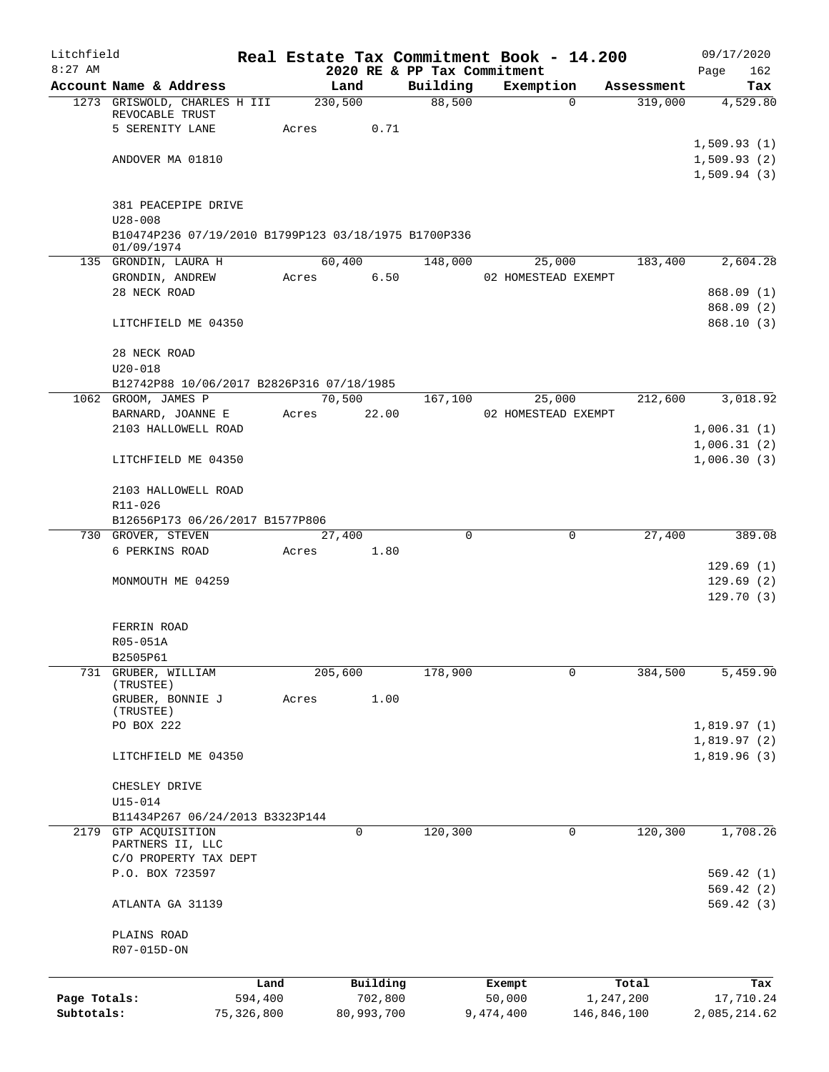| $8:27$ AM<br>2020 RE & PP Tax Commitment<br>162<br>Page<br>Account Name & Address<br>Land<br>Building<br>Exemption<br>Assessment<br>Tax<br>88,500<br>230,500<br>319,000<br>1273 GRISWOLD, CHARLES H III<br>$\Omega$<br>4,529.80<br>REVOCABLE TRUST<br>5 SERENITY LANE<br>Acres<br>0.71<br>1,509.93(1)<br>1,509.93(2)<br>ANDOVER MA 01810<br>1,509.94(3)<br>381 PEACEPIPE DRIVE<br>$U28 - 008$<br>B10474P236 07/19/2010 B1799P123 03/18/1975 B1700P336<br>01/09/1974<br>60,400<br>135 GRONDIN, LAURA H<br>148,000<br>25,000<br>183,400<br>2,604.28<br>6.50<br>GRONDIN, ANDREW<br>Acres<br>02 HOMESTEAD EXEMPT<br>28 NECK ROAD<br>LITCHFIELD ME 04350<br>28 NECK ROAD<br>$U20 - 018$<br>B12742P88 10/06/2017 B2826P316 07/18/1985<br>1062 GROOM, JAMES P<br>70,500<br>212,600<br>167,100<br>25,000<br>BARNARD, JOANNE E<br>Acres<br>22.00<br>02 HOMESTEAD EXEMPT<br>2103 HALLOWELL ROAD<br>LITCHFIELD ME 04350<br>2103 HALLOWELL ROAD<br>R11-026<br>B12656P173 06/26/2017 B1577P806<br>$\mathbf 0$<br>730 GROVER, STEVEN<br>27,400<br>0<br>27,400<br>6 PERKINS ROAD<br>1.80<br>Acres<br>MONMOUTH ME 04259<br>FERRIN ROAD<br>R05-051A<br>B2505P61<br>205,600<br>178,900<br>384,500<br>731 GRUBER, WILLIAM<br>0<br>(TRUSTEE)<br>1.00<br>GRUBER, BONNIE J<br>Acres<br>(TRUSTEE)<br>PO BOX 222<br>LITCHFIELD ME 04350<br>CHESLEY DRIVE<br>$U15 - 014$<br>B11434P267 06/24/2013 B3323P144<br>$\mathbf 0$<br>120,300<br>GTP ACQUISITION<br>0<br>120,300<br>2179<br>PARTNERS II, LLC<br>C/O PROPERTY TAX DEPT<br>P.O. BOX 723597<br>ATLANTA GA 31139<br>PLAINS ROAD<br>R07-015D-ON<br>Building<br>Land<br>Total<br>Exempt<br>Tax<br>Page Totals:<br>594,400<br>702,800<br>50,000<br>1,247,200<br>Subtotals:<br>75,326,800<br>80,993,700<br>146,846,100<br>9,474,400 | Litchfield |  |  | Real Estate Tax Commitment Book - 14.200 |  | 09/17/2020 |
|------------------------------------------------------------------------------------------------------------------------------------------------------------------------------------------------------------------------------------------------------------------------------------------------------------------------------------------------------------------------------------------------------------------------------------------------------------------------------------------------------------------------------------------------------------------------------------------------------------------------------------------------------------------------------------------------------------------------------------------------------------------------------------------------------------------------------------------------------------------------------------------------------------------------------------------------------------------------------------------------------------------------------------------------------------------------------------------------------------------------------------------------------------------------------------------------------------------------------------------------------------------------------------------------------------------------------------------------------------------------------------------------------------------------------------------------------------------------------------------------------------------------------------------------------------------------------------------------------------------------------------------------------------------------------------------------------------------------------------------------------------|------------|--|--|------------------------------------------|--|------------|
|                                                                                                                                                                                                                                                                                                                                                                                                                                                                                                                                                                                                                                                                                                                                                                                                                                                                                                                                                                                                                                                                                                                                                                                                                                                                                                                                                                                                                                                                                                                                                                                                                                                                                                                                                            |            |  |  |                                          |  |            |
|                                                                                                                                                                                                                                                                                                                                                                                                                                                                                                                                                                                                                                                                                                                                                                                                                                                                                                                                                                                                                                                                                                                                                                                                                                                                                                                                                                                                                                                                                                                                                                                                                                                                                                                                                            |            |  |  |                                          |  |            |
|                                                                                                                                                                                                                                                                                                                                                                                                                                                                                                                                                                                                                                                                                                                                                                                                                                                                                                                                                                                                                                                                                                                                                                                                                                                                                                                                                                                                                                                                                                                                                                                                                                                                                                                                                            |            |  |  |                                          |  |            |
|                                                                                                                                                                                                                                                                                                                                                                                                                                                                                                                                                                                                                                                                                                                                                                                                                                                                                                                                                                                                                                                                                                                                                                                                                                                                                                                                                                                                                                                                                                                                                                                                                                                                                                                                                            |            |  |  |                                          |  |            |
|                                                                                                                                                                                                                                                                                                                                                                                                                                                                                                                                                                                                                                                                                                                                                                                                                                                                                                                                                                                                                                                                                                                                                                                                                                                                                                                                                                                                                                                                                                                                                                                                                                                                                                                                                            |            |  |  |                                          |  |            |
|                                                                                                                                                                                                                                                                                                                                                                                                                                                                                                                                                                                                                                                                                                                                                                                                                                                                                                                                                                                                                                                                                                                                                                                                                                                                                                                                                                                                                                                                                                                                                                                                                                                                                                                                                            |            |  |  |                                          |  |            |
|                                                                                                                                                                                                                                                                                                                                                                                                                                                                                                                                                                                                                                                                                                                                                                                                                                                                                                                                                                                                                                                                                                                                                                                                                                                                                                                                                                                                                                                                                                                                                                                                                                                                                                                                                            |            |  |  |                                          |  |            |
|                                                                                                                                                                                                                                                                                                                                                                                                                                                                                                                                                                                                                                                                                                                                                                                                                                                                                                                                                                                                                                                                                                                                                                                                                                                                                                                                                                                                                                                                                                                                                                                                                                                                                                                                                            |            |  |  |                                          |  |            |
|                                                                                                                                                                                                                                                                                                                                                                                                                                                                                                                                                                                                                                                                                                                                                                                                                                                                                                                                                                                                                                                                                                                                                                                                                                                                                                                                                                                                                                                                                                                                                                                                                                                                                                                                                            |            |  |  |                                          |  |            |
|                                                                                                                                                                                                                                                                                                                                                                                                                                                                                                                                                                                                                                                                                                                                                                                                                                                                                                                                                                                                                                                                                                                                                                                                                                                                                                                                                                                                                                                                                                                                                                                                                                                                                                                                                            |            |  |  |                                          |  |            |
|                                                                                                                                                                                                                                                                                                                                                                                                                                                                                                                                                                                                                                                                                                                                                                                                                                                                                                                                                                                                                                                                                                                                                                                                                                                                                                                                                                                                                                                                                                                                                                                                                                                                                                                                                            |            |  |  |                                          |  |            |
|                                                                                                                                                                                                                                                                                                                                                                                                                                                                                                                                                                                                                                                                                                                                                                                                                                                                                                                                                                                                                                                                                                                                                                                                                                                                                                                                                                                                                                                                                                                                                                                                                                                                                                                                                            |            |  |  |                                          |  |            |
| 868.09(1)<br>868.09 (2)<br>868.10(3)<br>3,018.92<br>1,006.31(1)<br>1,006.31(2)<br>1,006.30(3)<br>389.08<br>129.69(1)<br>129.69(2)<br>129.70(3)<br>5,459.90<br>1,819.97(1)<br>1,819.97(2)<br>1,819.96(3)<br>1,708.26<br>569.42(1)<br>569.42(2)<br>569.42(3)<br>17,710.24<br>2,085,214.62                                                                                                                                                                                                                                                                                                                                                                                                                                                                                                                                                                                                                                                                                                                                                                                                                                                                                                                                                                                                                                                                                                                                                                                                                                                                                                                                                                                                                                                                    |            |  |  |                                          |  |            |
|                                                                                                                                                                                                                                                                                                                                                                                                                                                                                                                                                                                                                                                                                                                                                                                                                                                                                                                                                                                                                                                                                                                                                                                                                                                                                                                                                                                                                                                                                                                                                                                                                                                                                                                                                            |            |  |  |                                          |  |            |
|                                                                                                                                                                                                                                                                                                                                                                                                                                                                                                                                                                                                                                                                                                                                                                                                                                                                                                                                                                                                                                                                                                                                                                                                                                                                                                                                                                                                                                                                                                                                                                                                                                                                                                                                                            |            |  |  |                                          |  |            |
|                                                                                                                                                                                                                                                                                                                                                                                                                                                                                                                                                                                                                                                                                                                                                                                                                                                                                                                                                                                                                                                                                                                                                                                                                                                                                                                                                                                                                                                                                                                                                                                                                                                                                                                                                            |            |  |  |                                          |  |            |
|                                                                                                                                                                                                                                                                                                                                                                                                                                                                                                                                                                                                                                                                                                                                                                                                                                                                                                                                                                                                                                                                                                                                                                                                                                                                                                                                                                                                                                                                                                                                                                                                                                                                                                                                                            |            |  |  |                                          |  |            |
|                                                                                                                                                                                                                                                                                                                                                                                                                                                                                                                                                                                                                                                                                                                                                                                                                                                                                                                                                                                                                                                                                                                                                                                                                                                                                                                                                                                                                                                                                                                                                                                                                                                                                                                                                            |            |  |  |                                          |  |            |
|                                                                                                                                                                                                                                                                                                                                                                                                                                                                                                                                                                                                                                                                                                                                                                                                                                                                                                                                                                                                                                                                                                                                                                                                                                                                                                                                                                                                                                                                                                                                                                                                                                                                                                                                                            |            |  |  |                                          |  |            |
|                                                                                                                                                                                                                                                                                                                                                                                                                                                                                                                                                                                                                                                                                                                                                                                                                                                                                                                                                                                                                                                                                                                                                                                                                                                                                                                                                                                                                                                                                                                                                                                                                                                                                                                                                            |            |  |  |                                          |  |            |
|                                                                                                                                                                                                                                                                                                                                                                                                                                                                                                                                                                                                                                                                                                                                                                                                                                                                                                                                                                                                                                                                                                                                                                                                                                                                                                                                                                                                                                                                                                                                                                                                                                                                                                                                                            |            |  |  |                                          |  |            |
|                                                                                                                                                                                                                                                                                                                                                                                                                                                                                                                                                                                                                                                                                                                                                                                                                                                                                                                                                                                                                                                                                                                                                                                                                                                                                                                                                                                                                                                                                                                                                                                                                                                                                                                                                            |            |  |  |                                          |  |            |
|                                                                                                                                                                                                                                                                                                                                                                                                                                                                                                                                                                                                                                                                                                                                                                                                                                                                                                                                                                                                                                                                                                                                                                                                                                                                                                                                                                                                                                                                                                                                                                                                                                                                                                                                                            |            |  |  |                                          |  |            |
|                                                                                                                                                                                                                                                                                                                                                                                                                                                                                                                                                                                                                                                                                                                                                                                                                                                                                                                                                                                                                                                                                                                                                                                                                                                                                                                                                                                                                                                                                                                                                                                                                                                                                                                                                            |            |  |  |                                          |  |            |
|                                                                                                                                                                                                                                                                                                                                                                                                                                                                                                                                                                                                                                                                                                                                                                                                                                                                                                                                                                                                                                                                                                                                                                                                                                                                                                                                                                                                                                                                                                                                                                                                                                                                                                                                                            |            |  |  |                                          |  |            |
|                                                                                                                                                                                                                                                                                                                                                                                                                                                                                                                                                                                                                                                                                                                                                                                                                                                                                                                                                                                                                                                                                                                                                                                                                                                                                                                                                                                                                                                                                                                                                                                                                                                                                                                                                            |            |  |  |                                          |  |            |
|                                                                                                                                                                                                                                                                                                                                                                                                                                                                                                                                                                                                                                                                                                                                                                                                                                                                                                                                                                                                                                                                                                                                                                                                                                                                                                                                                                                                                                                                                                                                                                                                                                                                                                                                                            |            |  |  |                                          |  |            |
|                                                                                                                                                                                                                                                                                                                                                                                                                                                                                                                                                                                                                                                                                                                                                                                                                                                                                                                                                                                                                                                                                                                                                                                                                                                                                                                                                                                                                                                                                                                                                                                                                                                                                                                                                            |            |  |  |                                          |  |            |
|                                                                                                                                                                                                                                                                                                                                                                                                                                                                                                                                                                                                                                                                                                                                                                                                                                                                                                                                                                                                                                                                                                                                                                                                                                                                                                                                                                                                                                                                                                                                                                                                                                                                                                                                                            |            |  |  |                                          |  |            |
|                                                                                                                                                                                                                                                                                                                                                                                                                                                                                                                                                                                                                                                                                                                                                                                                                                                                                                                                                                                                                                                                                                                                                                                                                                                                                                                                                                                                                                                                                                                                                                                                                                                                                                                                                            |            |  |  |                                          |  |            |
|                                                                                                                                                                                                                                                                                                                                                                                                                                                                                                                                                                                                                                                                                                                                                                                                                                                                                                                                                                                                                                                                                                                                                                                                                                                                                                                                                                                                                                                                                                                                                                                                                                                                                                                                                            |            |  |  |                                          |  |            |
|                                                                                                                                                                                                                                                                                                                                                                                                                                                                                                                                                                                                                                                                                                                                                                                                                                                                                                                                                                                                                                                                                                                                                                                                                                                                                                                                                                                                                                                                                                                                                                                                                                                                                                                                                            |            |  |  |                                          |  |            |
|                                                                                                                                                                                                                                                                                                                                                                                                                                                                                                                                                                                                                                                                                                                                                                                                                                                                                                                                                                                                                                                                                                                                                                                                                                                                                                                                                                                                                                                                                                                                                                                                                                                                                                                                                            |            |  |  |                                          |  |            |
|                                                                                                                                                                                                                                                                                                                                                                                                                                                                                                                                                                                                                                                                                                                                                                                                                                                                                                                                                                                                                                                                                                                                                                                                                                                                                                                                                                                                                                                                                                                                                                                                                                                                                                                                                            |            |  |  |                                          |  |            |
|                                                                                                                                                                                                                                                                                                                                                                                                                                                                                                                                                                                                                                                                                                                                                                                                                                                                                                                                                                                                                                                                                                                                                                                                                                                                                                                                                                                                                                                                                                                                                                                                                                                                                                                                                            |            |  |  |                                          |  |            |
|                                                                                                                                                                                                                                                                                                                                                                                                                                                                                                                                                                                                                                                                                                                                                                                                                                                                                                                                                                                                                                                                                                                                                                                                                                                                                                                                                                                                                                                                                                                                                                                                                                                                                                                                                            |            |  |  |                                          |  |            |
|                                                                                                                                                                                                                                                                                                                                                                                                                                                                                                                                                                                                                                                                                                                                                                                                                                                                                                                                                                                                                                                                                                                                                                                                                                                                                                                                                                                                                                                                                                                                                                                                                                                                                                                                                            |            |  |  |                                          |  |            |
|                                                                                                                                                                                                                                                                                                                                                                                                                                                                                                                                                                                                                                                                                                                                                                                                                                                                                                                                                                                                                                                                                                                                                                                                                                                                                                                                                                                                                                                                                                                                                                                                                                                                                                                                                            |            |  |  |                                          |  |            |
|                                                                                                                                                                                                                                                                                                                                                                                                                                                                                                                                                                                                                                                                                                                                                                                                                                                                                                                                                                                                                                                                                                                                                                                                                                                                                                                                                                                                                                                                                                                                                                                                                                                                                                                                                            |            |  |  |                                          |  |            |
|                                                                                                                                                                                                                                                                                                                                                                                                                                                                                                                                                                                                                                                                                                                                                                                                                                                                                                                                                                                                                                                                                                                                                                                                                                                                                                                                                                                                                                                                                                                                                                                                                                                                                                                                                            |            |  |  |                                          |  |            |
|                                                                                                                                                                                                                                                                                                                                                                                                                                                                                                                                                                                                                                                                                                                                                                                                                                                                                                                                                                                                                                                                                                                                                                                                                                                                                                                                                                                                                                                                                                                                                                                                                                                                                                                                                            |            |  |  |                                          |  |            |
|                                                                                                                                                                                                                                                                                                                                                                                                                                                                                                                                                                                                                                                                                                                                                                                                                                                                                                                                                                                                                                                                                                                                                                                                                                                                                                                                                                                                                                                                                                                                                                                                                                                                                                                                                            |            |  |  |                                          |  |            |
|                                                                                                                                                                                                                                                                                                                                                                                                                                                                                                                                                                                                                                                                                                                                                                                                                                                                                                                                                                                                                                                                                                                                                                                                                                                                                                                                                                                                                                                                                                                                                                                                                                                                                                                                                            |            |  |  |                                          |  |            |
|                                                                                                                                                                                                                                                                                                                                                                                                                                                                                                                                                                                                                                                                                                                                                                                                                                                                                                                                                                                                                                                                                                                                                                                                                                                                                                                                                                                                                                                                                                                                                                                                                                                                                                                                                            |            |  |  |                                          |  |            |
|                                                                                                                                                                                                                                                                                                                                                                                                                                                                                                                                                                                                                                                                                                                                                                                                                                                                                                                                                                                                                                                                                                                                                                                                                                                                                                                                                                                                                                                                                                                                                                                                                                                                                                                                                            |            |  |  |                                          |  |            |
|                                                                                                                                                                                                                                                                                                                                                                                                                                                                                                                                                                                                                                                                                                                                                                                                                                                                                                                                                                                                                                                                                                                                                                                                                                                                                                                                                                                                                                                                                                                                                                                                                                                                                                                                                            |            |  |  |                                          |  |            |
|                                                                                                                                                                                                                                                                                                                                                                                                                                                                                                                                                                                                                                                                                                                                                                                                                                                                                                                                                                                                                                                                                                                                                                                                                                                                                                                                                                                                                                                                                                                                                                                                                                                                                                                                                            |            |  |  |                                          |  |            |
|                                                                                                                                                                                                                                                                                                                                                                                                                                                                                                                                                                                                                                                                                                                                                                                                                                                                                                                                                                                                                                                                                                                                                                                                                                                                                                                                                                                                                                                                                                                                                                                                                                                                                                                                                            |            |  |  |                                          |  |            |
|                                                                                                                                                                                                                                                                                                                                                                                                                                                                                                                                                                                                                                                                                                                                                                                                                                                                                                                                                                                                                                                                                                                                                                                                                                                                                                                                                                                                                                                                                                                                                                                                                                                                                                                                                            |            |  |  |                                          |  |            |
|                                                                                                                                                                                                                                                                                                                                                                                                                                                                                                                                                                                                                                                                                                                                                                                                                                                                                                                                                                                                                                                                                                                                                                                                                                                                                                                                                                                                                                                                                                                                                                                                                                                                                                                                                            |            |  |  |                                          |  |            |
|                                                                                                                                                                                                                                                                                                                                                                                                                                                                                                                                                                                                                                                                                                                                                                                                                                                                                                                                                                                                                                                                                                                                                                                                                                                                                                                                                                                                                                                                                                                                                                                                                                                                                                                                                            |            |  |  |                                          |  |            |
|                                                                                                                                                                                                                                                                                                                                                                                                                                                                                                                                                                                                                                                                                                                                                                                                                                                                                                                                                                                                                                                                                                                                                                                                                                                                                                                                                                                                                                                                                                                                                                                                                                                                                                                                                            |            |  |  |                                          |  |            |
|                                                                                                                                                                                                                                                                                                                                                                                                                                                                                                                                                                                                                                                                                                                                                                                                                                                                                                                                                                                                                                                                                                                                                                                                                                                                                                                                                                                                                                                                                                                                                                                                                                                                                                                                                            |            |  |  |                                          |  |            |
|                                                                                                                                                                                                                                                                                                                                                                                                                                                                                                                                                                                                                                                                                                                                                                                                                                                                                                                                                                                                                                                                                                                                                                                                                                                                                                                                                                                                                                                                                                                                                                                                                                                                                                                                                            |            |  |  |                                          |  |            |
|                                                                                                                                                                                                                                                                                                                                                                                                                                                                                                                                                                                                                                                                                                                                                                                                                                                                                                                                                                                                                                                                                                                                                                                                                                                                                                                                                                                                                                                                                                                                                                                                                                                                                                                                                            |            |  |  |                                          |  |            |
|                                                                                                                                                                                                                                                                                                                                                                                                                                                                                                                                                                                                                                                                                                                                                                                                                                                                                                                                                                                                                                                                                                                                                                                                                                                                                                                                                                                                                                                                                                                                                                                                                                                                                                                                                            |            |  |  |                                          |  |            |
|                                                                                                                                                                                                                                                                                                                                                                                                                                                                                                                                                                                                                                                                                                                                                                                                                                                                                                                                                                                                                                                                                                                                                                                                                                                                                                                                                                                                                                                                                                                                                                                                                                                                                                                                                            |            |  |  |                                          |  |            |
|                                                                                                                                                                                                                                                                                                                                                                                                                                                                                                                                                                                                                                                                                                                                                                                                                                                                                                                                                                                                                                                                                                                                                                                                                                                                                                                                                                                                                                                                                                                                                                                                                                                                                                                                                            |            |  |  |                                          |  |            |
|                                                                                                                                                                                                                                                                                                                                                                                                                                                                                                                                                                                                                                                                                                                                                                                                                                                                                                                                                                                                                                                                                                                                                                                                                                                                                                                                                                                                                                                                                                                                                                                                                                                                                                                                                            |            |  |  |                                          |  |            |
|                                                                                                                                                                                                                                                                                                                                                                                                                                                                                                                                                                                                                                                                                                                                                                                                                                                                                                                                                                                                                                                                                                                                                                                                                                                                                                                                                                                                                                                                                                                                                                                                                                                                                                                                                            |            |  |  |                                          |  |            |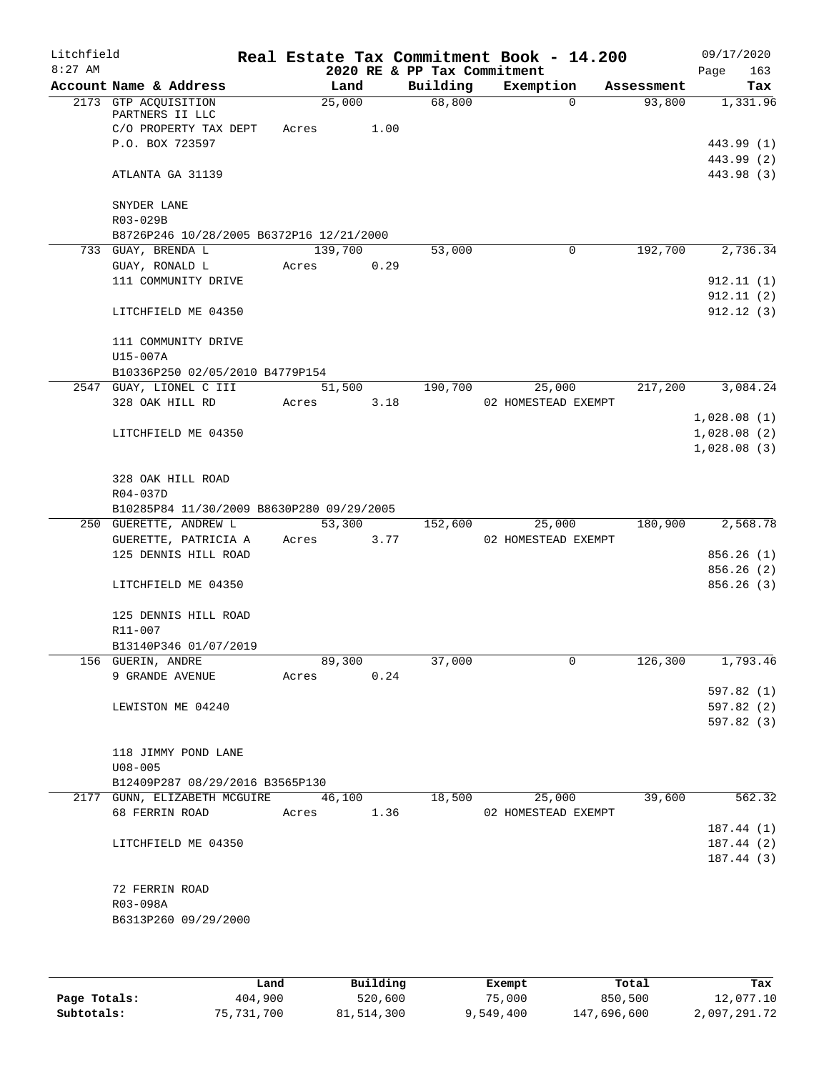| Litchfield<br>$8:27$ AM |                                           |       |         |      | 2020 RE & PP Tax Commitment | Real Estate Tax Commitment Book - 14.200 |            | 09/17/2020<br>163<br>Page |
|-------------------------|-------------------------------------------|-------|---------|------|-----------------------------|------------------------------------------|------------|---------------------------|
|                         | Account Name & Address                    |       | Land    |      | Building                    | Exemption                                | Assessment | Tax                       |
|                         | 2173 GTP ACQUISITION                      |       | 25,000  |      | 68,800                      | $\Omega$                                 | 93,800     | 1,331.96                  |
|                         | PARTNERS II LLC                           |       |         |      |                             |                                          |            |                           |
|                         | C/O PROPERTY TAX DEPT                     | Acres |         | 1.00 |                             |                                          |            |                           |
|                         | P.O. BOX 723597                           |       |         |      |                             |                                          |            | 443.99 (1)                |
|                         | ATLANTA GA 31139                          |       |         |      |                             |                                          |            | 443.99 (2)<br>443.98 (3)  |
|                         |                                           |       |         |      |                             |                                          |            |                           |
|                         | SNYDER LANE                               |       |         |      |                             |                                          |            |                           |
|                         | R03-029B                                  |       |         |      |                             |                                          |            |                           |
|                         | B8726P246 10/28/2005 B6372P16 12/21/2000  |       |         |      |                             |                                          |            |                           |
|                         | 733 GUAY, BRENDA L                        |       | 139,700 |      | 53,000                      | 0                                        | 192,700    | 2,736.34                  |
|                         | GUAY, RONALD L                            | Acres |         | 0.29 |                             |                                          |            |                           |
|                         | 111 COMMUNITY DRIVE                       |       |         |      |                             |                                          |            | 912.11(1)                 |
|                         |                                           |       |         |      |                             |                                          |            | 912.11(2)                 |
|                         | LITCHFIELD ME 04350                       |       |         |      |                             |                                          |            | 912.12(3)                 |
|                         | 111 COMMUNITY DRIVE                       |       |         |      |                             |                                          |            |                           |
|                         | U15-007A                                  |       |         |      |                             |                                          |            |                           |
|                         | B10336P250 02/05/2010 B4779P154           |       |         |      |                             |                                          |            |                           |
|                         | 2547 GUAY, LIONEL C III                   |       | 51,500  |      | 190,700                     | 25,000                                   | 217,200    | 3,084.24                  |
|                         | 328 OAK HILL RD                           | Acres |         | 3.18 |                             | 02 HOMESTEAD EXEMPT                      |            |                           |
|                         |                                           |       |         |      |                             |                                          |            | 1,028.08(1)               |
|                         | LITCHFIELD ME 04350                       |       |         |      |                             |                                          |            | 1,028.08(2)               |
|                         |                                           |       |         |      |                             |                                          |            | 1,028.08(3)               |
|                         | 328 OAK HILL ROAD                         |       |         |      |                             |                                          |            |                           |
|                         | R04-037D                                  |       |         |      |                             |                                          |            |                           |
|                         | B10285P84 11/30/2009 B8630P280 09/29/2005 |       |         |      |                             |                                          |            |                           |
|                         | 250 GUERETTE, ANDREW L                    |       | 53,300  |      | 152,600                     | 25,000                                   | 180,900    | 2,568.78                  |
|                         | GUERETTE, PATRICIA A                      | Acres |         | 3.77 |                             | 02 HOMESTEAD EXEMPT                      |            |                           |
|                         | 125 DENNIS HILL ROAD                      |       |         |      |                             |                                          |            | 856.26(1)                 |
|                         |                                           |       |         |      |                             |                                          |            | 856.26 (2)                |
|                         | LITCHFIELD ME 04350                       |       |         |      |                             |                                          |            | 856.26(3)                 |
|                         |                                           |       |         |      |                             |                                          |            |                           |
|                         | 125 DENNIS HILL ROAD                      |       |         |      |                             |                                          |            |                           |
|                         | R11-007                                   |       |         |      |                             |                                          |            |                           |
|                         | B13140P346 01/07/2019                     |       |         |      |                             |                                          |            |                           |
|                         | 156 GUERIN, ANDRE                         |       | 89,300  |      | 37,000                      | 0                                        | 126,300    | 1,793.46                  |
|                         | 9 GRANDE AVENUE                           | Acres |         | 0.24 |                             |                                          |            |                           |
|                         |                                           |       |         |      |                             |                                          |            | 597.82 (1)                |
|                         | LEWISTON ME 04240                         |       |         |      |                             |                                          |            | 597.82 (2)                |
|                         |                                           |       |         |      |                             |                                          |            | 597.82 (3)                |
|                         | 118 JIMMY POND LANE                       |       |         |      |                             |                                          |            |                           |
|                         | $U08 - 005$                               |       |         |      |                             |                                          |            |                           |
|                         | B12409P287 08/29/2016 B3565P130           |       |         |      |                             |                                          |            |                           |
|                         | 2177 GUNN, ELIZABETH MCGUIRE              |       | 46,100  |      | 18,500                      | 25,000                                   | 39,600     | 562.32                    |
|                         | 68 FERRIN ROAD                            | Acres |         | 1.36 |                             | 02 HOMESTEAD EXEMPT                      |            |                           |
|                         |                                           |       |         |      |                             |                                          |            | 187.44(1)                 |
|                         | LITCHFIELD ME 04350                       |       |         |      |                             |                                          |            | 187.44(2)                 |
|                         |                                           |       |         |      |                             |                                          |            | 187.44(3)                 |
|                         |                                           |       |         |      |                             |                                          |            |                           |
|                         | 72 FERRIN ROAD                            |       |         |      |                             |                                          |            |                           |
|                         | R03-098A                                  |       |         |      |                             |                                          |            |                           |
|                         | B6313P260 09/29/2000                      |       |         |      |                             |                                          |            |                           |
|                         |                                           |       |         |      |                             |                                          |            |                           |
|                         |                                           |       |         |      |                             |                                          |            |                           |

|              | Land       | Building   | Exempt    | Total       | Tax          |
|--------------|------------|------------|-----------|-------------|--------------|
| Page Totals: | 404,900    | 520,600    | 75,000    | 850,500     | 12,077.10    |
| Subtotals:   | 75,731,700 | 81,514,300 | 9,549,400 | 147,696,600 | 2,097,291.72 |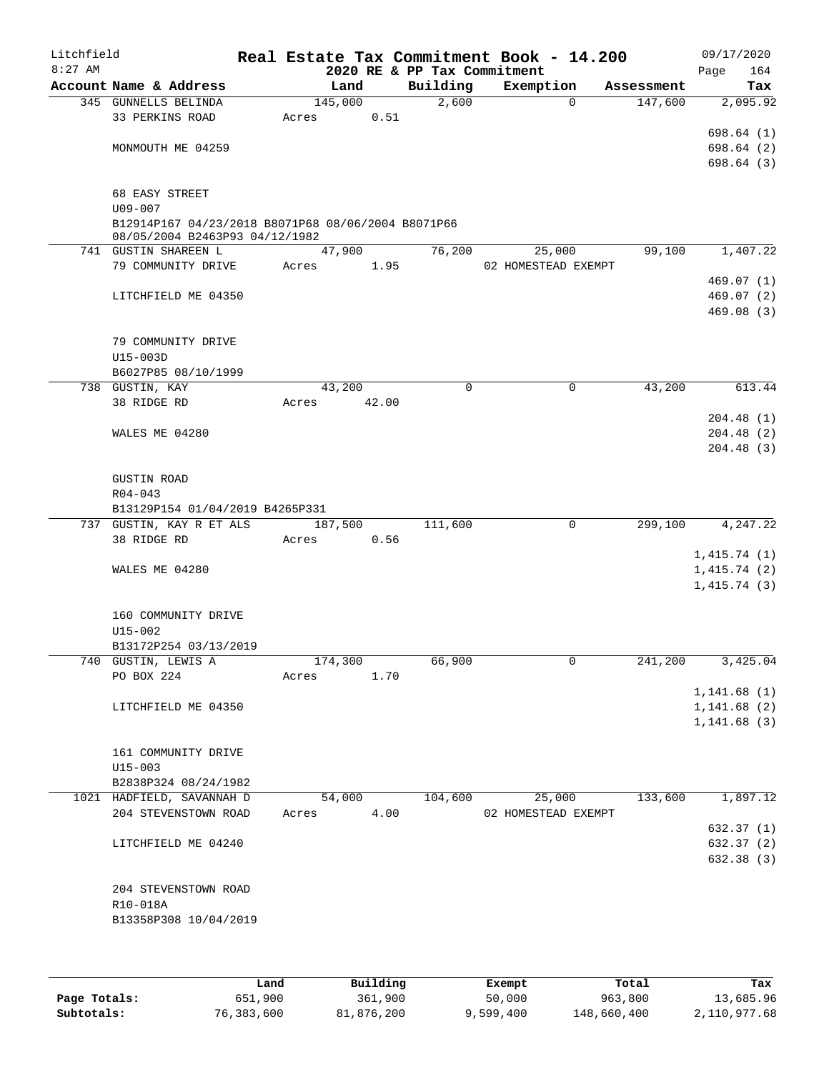| Litchfield |                                                                                      |       |         |       |                             | Real Estate Tax Commitment Book - 14.200 |            | 09/17/2020                 |
|------------|--------------------------------------------------------------------------------------|-------|---------|-------|-----------------------------|------------------------------------------|------------|----------------------------|
| $8:27$ AM  |                                                                                      |       |         |       | 2020 RE & PP Tax Commitment |                                          |            | 164<br>Page                |
|            | Account Name & Address                                                               |       | Land    |       | Building                    | Exemption                                | Assessment | Tax                        |
|            | 345 GUNNELLS BELINDA<br>33 PERKINS ROAD                                              | Acres | 145,000 | 0.51  | 2,600                       | $\Omega$                                 | 147,600    | 2,095.92                   |
|            |                                                                                      |       |         |       |                             |                                          |            | 698.64(1)                  |
|            | MONMOUTH ME 04259                                                                    |       |         |       |                             |                                          |            | 698.64(2)                  |
|            |                                                                                      |       |         |       |                             |                                          |            | 698.64(3)                  |
|            |                                                                                      |       |         |       |                             |                                          |            |                            |
|            | 68 EASY STREET                                                                       |       |         |       |                             |                                          |            |                            |
|            | U09-007                                                                              |       |         |       |                             |                                          |            |                            |
|            | B12914P167 04/23/2018 B8071P68 08/06/2004 B8071P66<br>08/05/2004 B2463P93 04/12/1982 |       |         |       |                             |                                          |            |                            |
|            | 741 GUSTIN SHAREEN L                                                                 |       | 47,900  |       | 76,200                      | 25,000                                   | 99,100     | 1,407.22                   |
|            | 79 COMMUNITY DRIVE                                                                   | Acres |         | 1.95  |                             | 02 HOMESTEAD EXEMPT                      |            |                            |
|            |                                                                                      |       |         |       |                             |                                          |            | 469.07(1)                  |
|            | LITCHFIELD ME 04350                                                                  |       |         |       |                             |                                          |            | 469.07(2)                  |
|            |                                                                                      |       |         |       |                             |                                          |            | 469.08(3)                  |
|            |                                                                                      |       |         |       |                             |                                          |            |                            |
|            | 79 COMMUNITY DRIVE                                                                   |       |         |       |                             |                                          |            |                            |
|            | U15-003D                                                                             |       |         |       |                             |                                          |            |                            |
|            | B6027P85 08/10/1999                                                                  |       | 43,200  |       | 0                           | 0                                        | 43,200     | 613.44                     |
|            | 738 GUSTIN, KAY<br>38 RIDGE RD                                                       | Acres |         | 42.00 |                             |                                          |            |                            |
|            |                                                                                      |       |         |       |                             |                                          |            | 204.48(1)                  |
|            | WALES ME 04280                                                                       |       |         |       |                             |                                          |            | 204.48(2)                  |
|            |                                                                                      |       |         |       |                             |                                          |            | 204.48(3)                  |
|            |                                                                                      |       |         |       |                             |                                          |            |                            |
|            | <b>GUSTIN ROAD</b>                                                                   |       |         |       |                             |                                          |            |                            |
|            | $R04 - 043$                                                                          |       |         |       |                             |                                          |            |                            |
|            | B13129P154 01/04/2019 B4265P331                                                      |       |         |       |                             |                                          |            |                            |
|            | 737 GUSTIN, KAY R ET ALS                                                             |       | 187,500 |       | 111,600                     | $\mathbf 0$                              | 299,100    | 4,247.22                   |
|            | 38 RIDGE RD                                                                          | Acres |         | 0.56  |                             |                                          |            |                            |
|            |                                                                                      |       |         |       |                             |                                          |            | 1,415.74(1)                |
|            | WALES ME 04280                                                                       |       |         |       |                             |                                          |            | 1,415.74(2)<br>1,415.74(3) |
|            |                                                                                      |       |         |       |                             |                                          |            |                            |
|            | 160 COMMUNITY DRIVE                                                                  |       |         |       |                             |                                          |            |                            |
|            | $U15 - 002$                                                                          |       |         |       |                             |                                          |            |                            |
|            | B13172P254 03/13/2019                                                                |       |         |       |                             |                                          |            |                            |
|            | 740 GUSTIN, LEWIS A                                                                  |       | 174,300 |       | 66,900                      | 0                                        | 241,200    | 3,425.04                   |
|            | PO BOX 224                                                                           | Acres |         | 1.70  |                             |                                          |            |                            |
|            |                                                                                      |       |         |       |                             |                                          |            | 1, 141.68(1)               |
|            | LITCHFIELD ME 04350                                                                  |       |         |       |                             |                                          |            | 1, 141.68(2)               |
|            |                                                                                      |       |         |       |                             |                                          |            | 1, 141.68(3)               |
|            |                                                                                      |       |         |       |                             |                                          |            |                            |
|            | 161 COMMUNITY DRIVE<br>$U15 - 003$                                                   |       |         |       |                             |                                          |            |                            |
|            | B2838P324 08/24/1982                                                                 |       |         |       |                             |                                          |            |                            |
|            | 1021 HADFIELD, SAVANNAH D                                                            |       | 54,000  |       | 104,600                     | 25,000                                   | 133,600    | 1,897.12                   |
|            | 204 STEVENSTOWN ROAD                                                                 | Acres |         | 4.00  |                             | 02 HOMESTEAD EXEMPT                      |            |                            |
|            |                                                                                      |       |         |       |                             |                                          |            | 632.37 (1)                 |
|            | LITCHFIELD ME 04240                                                                  |       |         |       |                             |                                          |            | 632.37 (2)                 |
|            |                                                                                      |       |         |       |                             |                                          |            | 632.38 (3)                 |
|            |                                                                                      |       |         |       |                             |                                          |            |                            |
|            | 204 STEVENSTOWN ROAD                                                                 |       |         |       |                             |                                          |            |                            |
|            | R10-018A                                                                             |       |         |       |                             |                                          |            |                            |
|            | B13358P308 10/04/2019                                                                |       |         |       |                             |                                          |            |                            |
|            |                                                                                      |       |         |       |                             |                                          |            |                            |
|            |                                                                                      |       |         |       |                             |                                          |            |                            |

|              | Land       | Building   | Exempt    | Total       | Tax          |
|--------------|------------|------------|-----------|-------------|--------------|
| Page Totals: | 651,900    | 361,900    | 50,000    | 963,800     | 13,685.96    |
| Subtotals:   | 76,383,600 | 81,876,200 | 9,599,400 | 148,660,400 | 2,110,977.68 |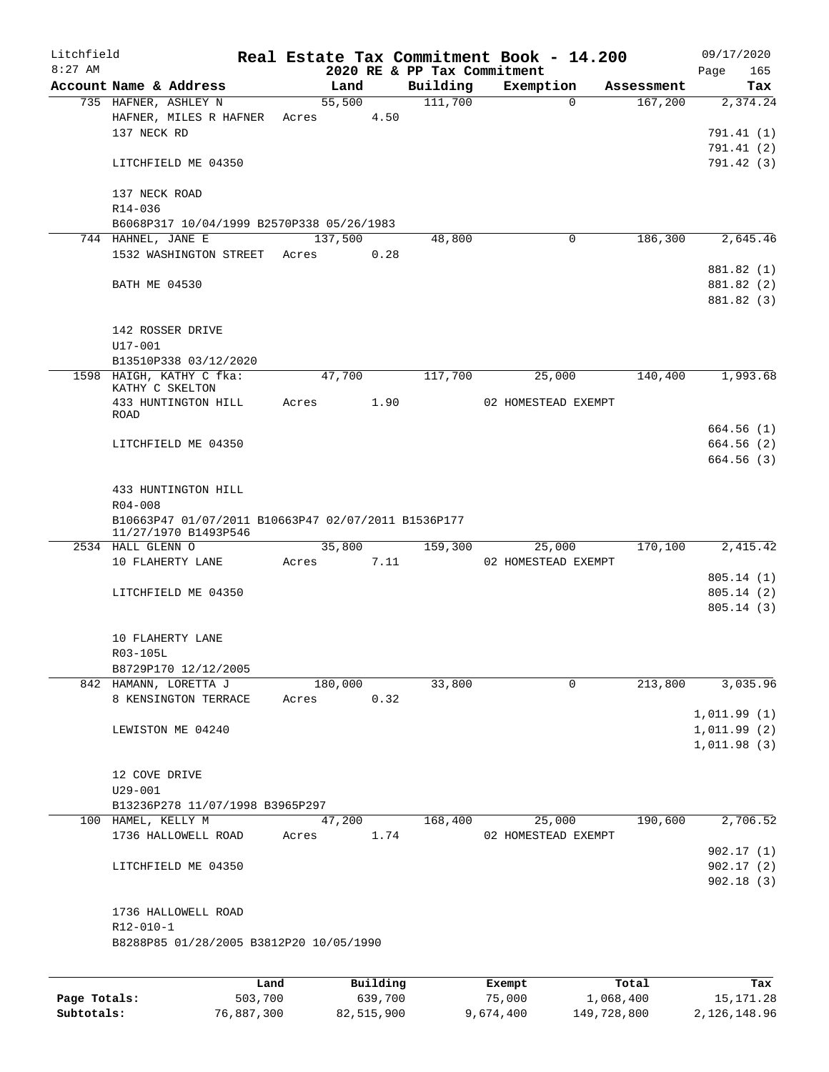| Litchfield |                                                     |      |       |         |          |                                         | Real Estate Tax Commitment Book - 14.200 |            | 09/17/2020         |
|------------|-----------------------------------------------------|------|-------|---------|----------|-----------------------------------------|------------------------------------------|------------|--------------------|
| $8:27$ AM  | Account Name & Address                              |      |       | Land    |          | 2020 RE & PP Tax Commitment<br>Building | Exemption                                | Assessment | Page<br>165<br>Tax |
|            | 735 HAFNER, ASHLEY N                                |      |       | 55,500  |          | 111,700                                 | $\mathbf 0$                              | 167,200    | 2,374.24           |
|            | HAFNER, MILES R HAFNER                              |      | Acres |         | 4.50     |                                         |                                          |            |                    |
|            | 137 NECK RD                                         |      |       |         |          |                                         |                                          |            | 791.41(1)          |
|            |                                                     |      |       |         |          |                                         |                                          |            | 791.41 (2)         |
|            | LITCHFIELD ME 04350                                 |      |       |         |          |                                         |                                          |            | 791.42 (3)         |
|            | 137 NECK ROAD<br>R14-036                            |      |       |         |          |                                         |                                          |            |                    |
|            | B6068P317 10/04/1999 B2570P338 05/26/1983           |      |       |         |          |                                         |                                          |            |                    |
|            | 744 HAHNEL, JANE E                                  |      |       | 137,500 |          | 48,800                                  | 0                                        | 186,300    | 2,645.46           |
|            | 1532 WASHINGTON STREET                              |      | Acres |         | 0.28     |                                         |                                          |            |                    |
|            |                                                     |      |       |         |          |                                         |                                          |            | 881.82 (1)         |
|            | <b>BATH ME 04530</b>                                |      |       |         |          |                                         |                                          |            | 881.82 (2)         |
|            |                                                     |      |       |         |          |                                         |                                          |            | 881.82 (3)         |
|            | 142 ROSSER DRIVE                                    |      |       |         |          |                                         |                                          |            |                    |
|            | U17-001                                             |      |       |         |          |                                         |                                          |            |                    |
|            | B13510P338 03/12/2020<br>1598 HAIGH, KATHY C fka:   |      |       | 47,700  |          | 117,700                                 | 25,000                                   | 140,400    | 1,993.68           |
|            | KATHY C SKELTON                                     |      |       |         |          |                                         |                                          |            |                    |
|            | 433 HUNTINGTON HILL                                 |      | Acres |         | 1.90     |                                         | 02 HOMESTEAD EXEMPT                      |            |                    |
|            | ROAD                                                |      |       |         |          |                                         |                                          |            | 664.56(1)          |
|            | LITCHFIELD ME 04350                                 |      |       |         |          |                                         |                                          |            | 664.56 (2)         |
|            |                                                     |      |       |         |          |                                         |                                          |            | 664.56(3)          |
|            | 433 HUNTINGTON HILL<br>$R04 - 008$                  |      |       |         |          |                                         |                                          |            |                    |
|            | B10663P47 01/07/2011 B10663P47 02/07/2011 B1536P177 |      |       |         |          |                                         |                                          |            |                    |
|            | 11/27/1970 B1493P546                                |      |       |         |          |                                         |                                          |            |                    |
|            | 2534 HALL GLENN O                                   |      |       | 35,800  |          | 159,300                                 | 25,000                                   | 170,100    | 2,415.42           |
|            | 10 FLAHERTY LANE                                    |      | Acres |         | 7.11     |                                         | 02 HOMESTEAD EXEMPT                      |            |                    |
|            |                                                     |      |       |         |          |                                         |                                          |            | 805.14(1)          |
|            | LITCHFIELD ME 04350                                 |      |       |         |          |                                         |                                          |            | 805.14(2)          |
|            |                                                     |      |       |         |          |                                         |                                          |            | 805.14(3)          |
|            | 10 FLAHERTY LANE                                    |      |       |         |          |                                         |                                          |            |                    |
|            | R03-105L                                            |      |       |         |          |                                         |                                          |            |                    |
|            | B8729P170 12/12/2005                                |      |       |         |          |                                         |                                          |            |                    |
|            | 842 HAMANN, LORETTA J                               |      |       | 180,000 |          | 33,800                                  | 0                                        | 213,800    | 3,035.96           |
|            | 8 KENSINGTON TERRACE                                |      | Acres |         | 0.32     |                                         |                                          |            |                    |
|            |                                                     |      |       |         |          |                                         |                                          |            | 1,011.99(1)        |
|            | LEWISTON ME 04240                                   |      |       |         |          |                                         |                                          |            | 1,011.99(2)        |
|            |                                                     |      |       |         |          |                                         |                                          |            | 1,011.98(3)        |
|            |                                                     |      |       |         |          |                                         |                                          |            |                    |
|            | 12 COVE DRIVE<br>$U29 - 001$                        |      |       |         |          |                                         |                                          |            |                    |
|            | B13236P278 11/07/1998 B3965P297                     |      |       |         |          |                                         |                                          |            |                    |
|            | 100 HAMEL, KELLY M                                  |      |       | 47,200  |          | 168,400                                 | 25,000                                   | 190,600    | 2,706.52           |
|            | 1736 HALLOWELL ROAD                                 |      | Acres |         | 1.74     |                                         | 02 HOMESTEAD EXEMPT                      |            |                    |
|            |                                                     |      |       |         |          |                                         |                                          |            | 902.17(1)          |
|            | LITCHFIELD ME 04350                                 |      |       |         |          |                                         |                                          |            | 902.17(2)          |
|            |                                                     |      |       |         |          |                                         |                                          |            | 902.18(3)          |
|            | 1736 HALLOWELL ROAD                                 |      |       |         |          |                                         |                                          |            |                    |
|            | $R12 - 010 - 1$                                     |      |       |         |          |                                         |                                          |            |                    |
|            | B8288P85 01/28/2005 B3812P20 10/05/1990             |      |       |         |          |                                         |                                          |            |                    |
|            |                                                     |      |       |         |          |                                         |                                          |            |                    |
|            |                                                     | Land |       |         | Building |                                         | Exempt                                   | Total      | Tax                |
|            |                                                     |      |       |         |          |                                         |                                          |            |                    |

| Page Totals: | 503,700    | 639,700    | 75,000    | 1,068,400   | 15, 171. 28  |
|--------------|------------|------------|-----------|-------------|--------------|
| Subtotals:   | 76,887,300 | 82,515,900 | 9,674,400 | 149,728,800 | 2,126,148.96 |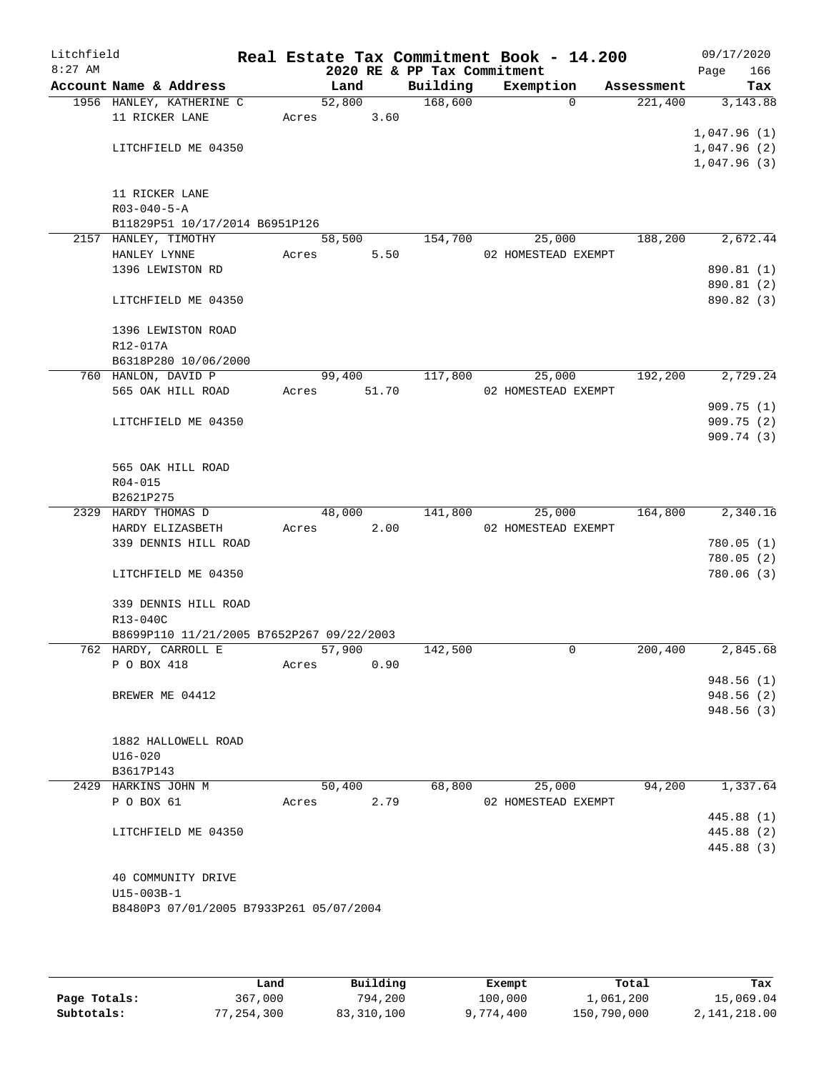| Litchfield |                                           |       |                |       |                             | Real Estate Tax Commitment Book - 14.200 |                                   | 09/17/2020      |
|------------|-------------------------------------------|-------|----------------|-------|-----------------------------|------------------------------------------|-----------------------------------|-----------------|
| $8:27$ AM  | Account Name & Address                    |       |                |       | 2020 RE & PP Tax Commitment |                                          |                                   | 166<br>Page     |
|            | 1956 HANLEY, KATHERINE C                  |       | Land<br>52,800 |       | Building<br>168,600         | Exemption                                | Assessment<br>221,400<br>$\Omega$ | Tax<br>3,143.88 |
|            | 11 RICKER LANE                            | Acres |                | 3.60  |                             |                                          |                                   |                 |
|            |                                           |       |                |       |                             |                                          |                                   | 1,047.96(1)     |
|            | LITCHFIELD ME 04350                       |       |                |       |                             |                                          |                                   | 1,047.96(2)     |
|            |                                           |       |                |       |                             |                                          |                                   | 1,047.96(3)     |
|            |                                           |       |                |       |                             |                                          |                                   |                 |
|            | 11 RICKER LANE                            |       |                |       |                             |                                          |                                   |                 |
|            | $R03 - 040 - 5 - A$                       |       |                |       |                             |                                          |                                   |                 |
|            | B11829P51 10/17/2014 B6951P126            |       |                |       |                             |                                          |                                   |                 |
|            | 2157 HANLEY, TIMOTHY                      |       | 58,500         |       | 154,700                     | 25,000                                   | 188,200                           | 2,672.44        |
|            | HANLEY LYNNE                              | Acres |                | 5.50  |                             | 02 HOMESTEAD EXEMPT                      |                                   |                 |
|            | 1396 LEWISTON RD                          |       |                |       |                             |                                          |                                   | 890.81 (1)      |
|            |                                           |       |                |       |                             |                                          |                                   | 890.81 (2)      |
|            | LITCHFIELD ME 04350                       |       |                |       |                             |                                          |                                   | 890.82 (3)      |
|            | 1396 LEWISTON ROAD                        |       |                |       |                             |                                          |                                   |                 |
|            | R12-017A                                  |       |                |       |                             |                                          |                                   |                 |
|            | B6318P280 10/06/2000                      |       |                |       |                             |                                          |                                   |                 |
|            | 760 HANLON, DAVID P                       |       | 99,400         |       | 117,800                     | 25,000                                   | 192,200                           | 2,729.24        |
|            | 565 OAK HILL ROAD                         | Acres |                | 51.70 |                             | 02 HOMESTEAD EXEMPT                      |                                   |                 |
|            |                                           |       |                |       |                             |                                          |                                   | 909.75(1)       |
|            | LITCHFIELD ME 04350                       |       |                |       |                             |                                          |                                   | 909.75(2)       |
|            |                                           |       |                |       |                             |                                          |                                   | 909.74 (3)      |
|            |                                           |       |                |       |                             |                                          |                                   |                 |
|            | 565 OAK HILL ROAD                         |       |                |       |                             |                                          |                                   |                 |
|            | R04-015                                   |       |                |       |                             |                                          |                                   |                 |
|            | B2621P275                                 |       |                |       |                             |                                          | 164,800                           | 2,340.16        |
|            | 2329 HARDY THOMAS D<br>HARDY ELIZASBETH   | Acres | 48,000         | 2.00  | 141,800                     | 25,000<br>02 HOMESTEAD EXEMPT            |                                   |                 |
|            | 339 DENNIS HILL ROAD                      |       |                |       |                             |                                          |                                   | 780.05(1)       |
|            |                                           |       |                |       |                             |                                          |                                   | 780.05(2)       |
|            | LITCHFIELD ME 04350                       |       |                |       |                             |                                          |                                   | 780.06 (3)      |
|            |                                           |       |                |       |                             |                                          |                                   |                 |
|            | 339 DENNIS HILL ROAD                      |       |                |       |                             |                                          |                                   |                 |
|            | R13-040C                                  |       |                |       |                             |                                          |                                   |                 |
|            | B8699P110 11/21/2005 B7652P267 09/22/2003 |       |                |       |                             |                                          |                                   |                 |
|            | 762 HARDY, CARROLL E                      |       | 57,900         |       | 142,500                     |                                          | 200,400<br>0                      | 2,845.68        |
|            | P O BOX 418                               | Acres |                | 0.90  |                             |                                          |                                   |                 |
|            |                                           |       |                |       |                             |                                          |                                   | 948.56 (1)      |
|            | BREWER ME 04412                           |       |                |       |                             |                                          |                                   | 948.56 (2)      |
|            |                                           |       |                |       |                             |                                          |                                   | 948.56 (3)      |
|            | 1882 HALLOWELL ROAD                       |       |                |       |                             |                                          |                                   |                 |
|            | $U16 - 020$                               |       |                |       |                             |                                          |                                   |                 |
|            | B3617P143                                 |       |                |       |                             |                                          |                                   |                 |
|            | 2429 HARKINS JOHN M                       |       | 50,400         |       | 68,800                      | 25,000                                   | 94,200                            | 1,337.64        |
|            | P O BOX 61                                | Acres |                | 2.79  |                             | 02 HOMESTEAD EXEMPT                      |                                   |                 |
|            |                                           |       |                |       |                             |                                          |                                   | 445.88 (1)      |
|            | LITCHFIELD ME 04350                       |       |                |       |                             |                                          |                                   | 445.88 (2)      |
|            |                                           |       |                |       |                             |                                          |                                   | 445.88 (3)      |
|            |                                           |       |                |       |                             |                                          |                                   |                 |
|            | 40 COMMUNITY DRIVE<br>U15-003B-1          |       |                |       |                             |                                          |                                   |                 |
|            | B8480P3 07/01/2005 B7933P261 05/07/2004   |       |                |       |                             |                                          |                                   |                 |
|            |                                           |       |                |       |                             |                                          |                                   |                 |
|            |                                           |       |                |       |                             |                                          |                                   |                 |

|              | Land       | Building   | Exempt    | Total       | Tax          |
|--------------|------------|------------|-----------|-------------|--------------|
|              |            |            |           |             |              |
| Page Totals: | 367,000    | 794,200    | 100,000   | 1,061,200   | 15,069.04    |
| Subtotals:   | 77,254,300 | 83,310,100 | 9,774,400 | 150,790,000 | 2,141,218.00 |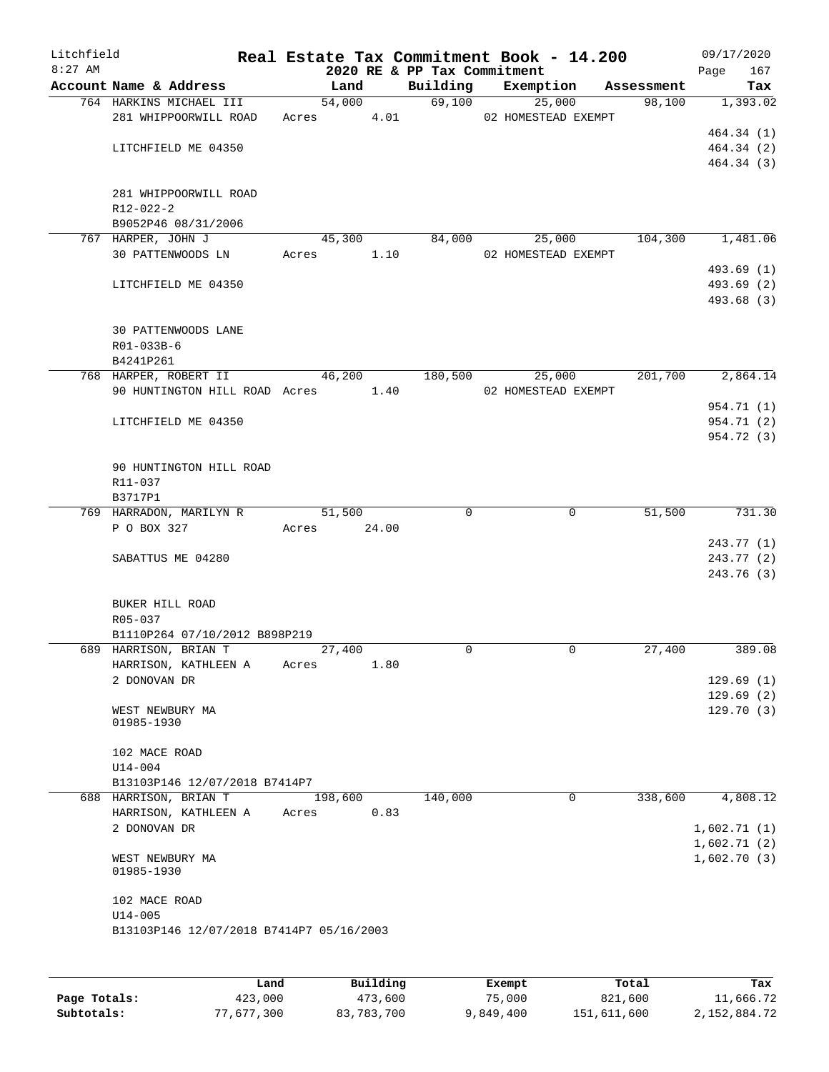| Litchfield |                                                        |       |                      |      |                             | Real Estate Tax Commitment Book - 14.200 |             |            | 09/17/2020  |            |
|------------|--------------------------------------------------------|-------|----------------------|------|-----------------------------|------------------------------------------|-------------|------------|-------------|------------|
| $8:27$ AM  |                                                        |       |                      |      | 2020 RE & PP Tax Commitment |                                          |             |            | Page        | 167        |
|            | Account Name & Address<br>764 HARKINS MICHAEL III      |       | Land<br>54,000       |      | Building                    | Exemption<br>69,100                      | 25,000      | Assessment |             | Tax        |
|            | 281 WHIPPOORWILL ROAD                                  |       |                      |      |                             | Acres 4.01 02 HOMESTEAD EXEMPT           |             | 98,100     |             | 1,393.02   |
|            |                                                        |       |                      |      |                             |                                          |             |            |             | 464.34 (1) |
|            | LITCHFIELD ME 04350                                    |       |                      |      |                             |                                          |             |            |             | 464.34(2)  |
|            |                                                        |       |                      |      |                             |                                          |             |            |             | 464.34 (3) |
|            | 281 WHIPPOORWILL ROAD<br>R12-022-2                     |       |                      |      |                             |                                          |             |            |             |            |
|            | B9052P46 08/31/2006                                    |       |                      |      |                             |                                          |             |            |             |            |
|            | 767 HARPER, JOHN J<br>30 PATTENWOODS LN                |       | 45,300<br>Acres 1.10 |      |                             | 84,000<br>25,000<br>02 HOMESTEAD EXEMPT  |             | 104,300    |             | 1,481.06   |
|            |                                                        |       |                      |      |                             |                                          |             |            |             | 493.69 (1) |
|            | LITCHFIELD ME 04350                                    |       |                      |      |                             |                                          |             |            |             | 493.69 (2) |
|            |                                                        |       |                      |      |                             |                                          |             |            |             | 493.68 (3) |
|            | 30 PATTENWOODS LANE<br>R01-033B-6<br>B4241P261         |       |                      |      |                             |                                          |             |            |             |            |
|            | 768 HARPER, ROBERT II                                  |       | 46,200               |      | 180,500                     | 25,000                                   |             | 201,700    |             | 2,864.14   |
|            | 90 HUNTINGTON HILL ROAD Acres 1.40                     |       |                      |      |                             | 02 HOMESTEAD EXEMPT                      |             |            |             |            |
|            |                                                        |       |                      |      |                             |                                          |             |            |             | 954.71 (1) |
|            | LITCHFIELD ME 04350                                    |       |                      |      |                             |                                          |             |            |             | 954.71 (2) |
|            |                                                        |       |                      |      |                             |                                          |             |            |             | 954.72 (3) |
|            | 90 HUNTINGTON HILL ROAD<br>R11-037                     |       |                      |      |                             |                                          |             |            |             |            |
|            | B3717P1<br>769 HARRADON, MARILYN R                     |       | 51,500               |      | $\Omega$                    |                                          | $\mathbf 0$ | 51,500     |             | 731.30     |
|            | P O BOX 327                                            |       | Acres 24.00          |      |                             |                                          |             |            |             |            |
|            |                                                        |       |                      |      |                             |                                          |             |            |             | 243.77 (1) |
|            | SABATTUS ME 04280                                      |       |                      |      |                             |                                          |             |            |             | 243.77(2)  |
|            |                                                        |       |                      |      |                             |                                          |             |            |             | 243.76 (3) |
|            | BUKER HILL ROAD<br>R05-037                             |       |                      |      |                             |                                          |             |            |             |            |
|            | B1110P264 07/10/2012 B898P219<br>689 HARRISON, BRIAN T |       | 27,400               |      | $\Omega$                    |                                          | $\mathbf 0$ | 27,400     |             | 389.08     |
|            | HARRISON, KATHLEEN A                                   | Acres |                      | 1.80 |                             |                                          |             |            |             |            |
|            | 2 DONOVAN DR                                           |       |                      |      |                             |                                          |             |            |             | 129.69(1)  |
|            |                                                        |       |                      |      |                             |                                          |             |            |             | 129.69(2)  |
|            | WEST NEWBURY MA                                        |       |                      |      |                             |                                          |             |            |             | 129.70(3)  |
|            | 01985-1930                                             |       |                      |      |                             |                                          |             |            |             |            |
|            | 102 MACE ROAD                                          |       |                      |      |                             |                                          |             |            |             |            |
|            | $U14 - 004$                                            |       |                      |      |                             |                                          |             |            |             |            |
|            | B13103P146 12/07/2018 B7414P7                          |       |                      |      |                             |                                          |             |            |             |            |
|            | 688 HARRISON, BRIAN T                                  |       | 198,600              |      | 140,000                     |                                          | $\mathbf 0$ | 338,600    |             | 4,808.12   |
|            | HARRISON, KATHLEEN A<br>2 DONOVAN DR                   | Acres |                      | 0.83 |                             |                                          |             |            | 1,602.71(1) |            |
|            |                                                        |       |                      |      |                             |                                          |             |            | 1,602.71(2) |            |
|            | WEST NEWBURY MA<br>01985-1930                          |       |                      |      |                             |                                          |             |            | 1,602.70(3) |            |
|            | 102 MACE ROAD                                          |       |                      |      |                             |                                          |             |            |             |            |
|            | $U14 - 005$                                            |       |                      |      |                             |                                          |             |            |             |            |
|            | B13103P146 12/07/2018 B7414P7 05/16/2003               |       |                      |      |                             |                                          |             |            |             |            |
|            |                                                        |       |                      |      |                             |                                          |             |            |             |            |
|            |                                                        |       |                      |      |                             |                                          |             |            |             |            |
|            |                                                        |       |                      |      |                             |                                          |             |            |             |            |

|              | Land       | Building   | Exempt    | Total       | Tax          |
|--------------|------------|------------|-----------|-------------|--------------|
| Page Totals: | 423,000    | 473,600    | 75,000    | 821,600     | 11,666.72    |
| Subtotals:   | 77,677,300 | 83,783,700 | 9,849,400 | 151,611,600 | 2,152,884.72 |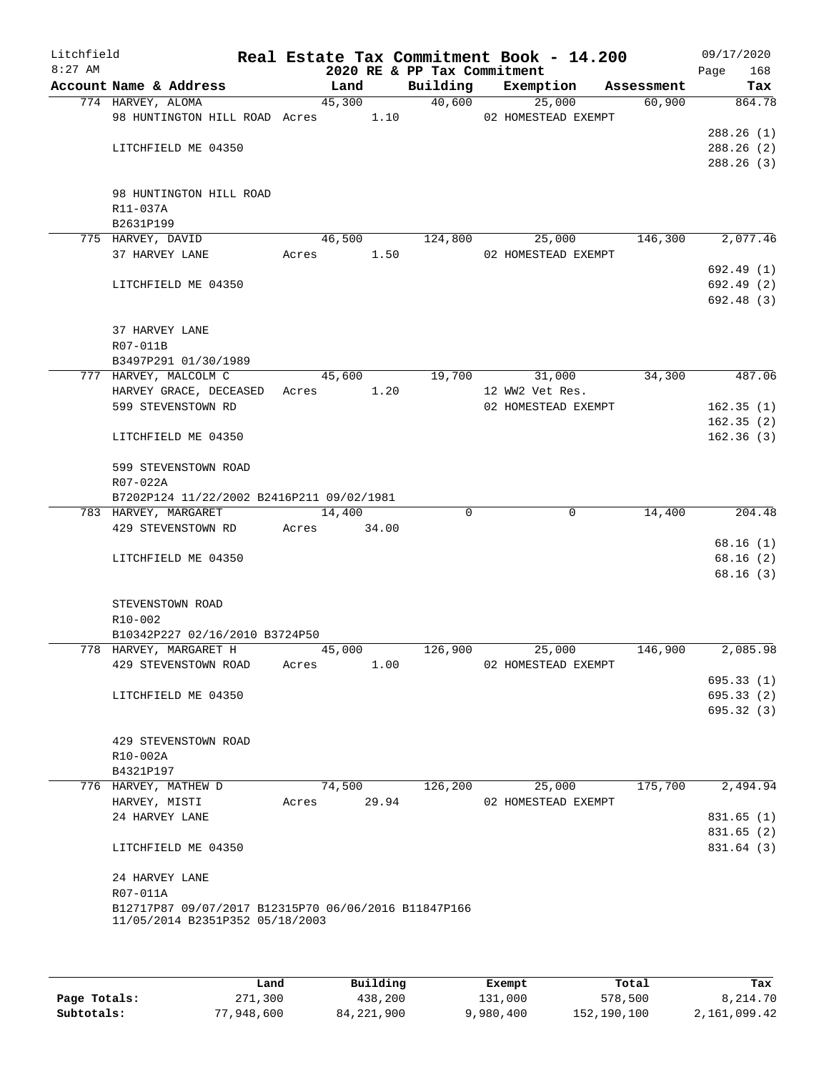| Litchfield<br>$8:27$ AM |                                                          |       |        |       | 2020 RE & PP Tax Commitment | Real Estate Tax Commitment Book - 14.200 |            | Page | 09/17/2020<br>168 |
|-------------------------|----------------------------------------------------------|-------|--------|-------|-----------------------------|------------------------------------------|------------|------|-------------------|
|                         | Account Name & Address                                   |       | Land   |       | Building                    | Exemption                                | Assessment |      | Tax               |
|                         | 774 HARVEY, ALOMA                                        |       | 45,300 |       | 40,600                      | 25,000                                   | 60,900     |      | 864.78            |
|                         | 98 HUNTINGTON HILL ROAD Acres 1.10                       |       |        |       |                             | 02 HOMESTEAD EXEMPT                      |            |      |                   |
|                         |                                                          |       |        |       |                             |                                          |            |      | 288.26(1)         |
|                         | LITCHFIELD ME 04350                                      |       |        |       |                             |                                          |            |      | 288.26 (2)        |
|                         |                                                          |       |        |       |                             |                                          |            |      | 288.26(3)         |
|                         |                                                          |       |        |       |                             |                                          |            |      |                   |
|                         | 98 HUNTINGTON HILL ROAD                                  |       |        |       |                             |                                          |            |      |                   |
|                         | R11-037A                                                 |       |        |       |                             |                                          |            |      |                   |
|                         | B2631P199                                                |       |        |       |                             |                                          |            |      |                   |
|                         | 775 HARVEY, DAVID                                        |       | 46,500 |       | 124,800                     | 25,000                                   | 146,300    |      | 2,077.46          |
|                         | 37 HARVEY LANE                                           | Acres |        | 1.50  |                             | 02 HOMESTEAD EXEMPT                      |            |      |                   |
|                         |                                                          |       |        |       |                             |                                          |            |      | 692.49(1)         |
|                         | LITCHFIELD ME 04350                                      |       |        |       |                             |                                          |            |      | 692.49 (2)        |
|                         |                                                          |       |        |       |                             |                                          |            |      | 692.48(3)         |
|                         | 37 HARVEY LANE                                           |       |        |       |                             |                                          |            |      |                   |
|                         | R07-011B                                                 |       |        |       |                             |                                          |            |      |                   |
|                         | B3497P291 01/30/1989                                     |       |        |       |                             |                                          |            |      |                   |
|                         | 777 HARVEY, MALCOLM C                                    |       | 45,600 |       | 19,700                      | 31,000                                   | 34,300     |      | 487.06            |
|                         | HARVEY GRACE, DECEASED                                   | Acres |        | 1.20  |                             | 12 WW2 Vet Res.                          |            |      |                   |
|                         | 599 STEVENSTOWN RD                                       |       |        |       |                             | 02 HOMESTEAD EXEMPT                      |            |      | 162.35(1)         |
|                         |                                                          |       |        |       |                             |                                          |            |      | 162.35(2)         |
|                         | LITCHFIELD ME 04350                                      |       |        |       |                             |                                          |            |      | 162.36(3)         |
|                         |                                                          |       |        |       |                             |                                          |            |      |                   |
|                         | 599 STEVENSTOWN ROAD                                     |       |        |       |                             |                                          |            |      |                   |
|                         | R07-022A                                                 |       |        |       |                             |                                          |            |      |                   |
|                         | B7202P124 11/22/2002 B2416P211 09/02/1981                |       |        |       |                             |                                          |            |      |                   |
|                         | 783 HARVEY, MARGARET                                     |       | 14,400 |       | $\Omega$                    | $\mathbf 0$                              | 14,400     |      | 204.48            |
|                         | 429 STEVENSTOWN RD                                       | Acres |        | 34.00 |                             |                                          |            |      |                   |
|                         |                                                          |       |        |       |                             |                                          |            |      | 68.16(1)          |
|                         | LITCHFIELD ME 04350                                      |       |        |       |                             |                                          |            |      | 68.16(2)          |
|                         |                                                          |       |        |       |                             |                                          |            |      | 68.16(3)          |
|                         |                                                          |       |        |       |                             |                                          |            |      |                   |
|                         | STEVENSTOWN ROAD                                         |       |        |       |                             |                                          |            |      |                   |
|                         | R10-002                                                  |       |        |       |                             |                                          |            |      |                   |
|                         | B10342P227 02/16/2010 B3724P50<br>778 HARVEY, MARGARET H |       | 45,000 |       | 126,900                     | 25,000                                   | 146,900    |      | 2,085.98          |
|                         | 429 STEVENSTOWN ROAD                                     |       |        | 1.00  |                             | 02 HOMESTEAD EXEMPT                      |            |      |                   |
|                         |                                                          | Acres |        |       |                             |                                          |            |      | 695.33(1)         |
|                         | LITCHFIELD ME 04350                                      |       |        |       |                             |                                          |            |      | 695.33(2)         |
|                         |                                                          |       |        |       |                             |                                          |            |      | 695.32(3)         |
|                         |                                                          |       |        |       |                             |                                          |            |      |                   |
|                         | 429 STEVENSTOWN ROAD                                     |       |        |       |                             |                                          |            |      |                   |
|                         | R10-002A                                                 |       |        |       |                             |                                          |            |      |                   |
|                         | B4321P197                                                |       |        |       |                             |                                          |            |      |                   |
|                         | 776 HARVEY, MATHEW D                                     |       | 74,500 |       | 126,200                     | 25,000                                   | 175,700    |      | 2,494.94          |
|                         | HARVEY, MISTI                                            | Acres |        | 29.94 |                             | 02 HOMESTEAD EXEMPT                      |            |      |                   |
|                         | 24 HARVEY LANE                                           |       |        |       |                             |                                          |            |      | 831.65(1)         |
|                         |                                                          |       |        |       |                             |                                          |            |      | 831.65 (2)        |
|                         | LITCHFIELD ME 04350                                      |       |        |       |                             |                                          |            |      | 831.64 (3)        |
|                         |                                                          |       |        |       |                             |                                          |            |      |                   |
|                         | 24 HARVEY LANE                                           |       |        |       |                             |                                          |            |      |                   |
|                         | R07-011A                                                 |       |        |       |                             |                                          |            |      |                   |
|                         | B12717P87 09/07/2017 B12315P70 06/06/2016 B11847P166     |       |        |       |                             |                                          |            |      |                   |
|                         | 11/05/2014 B2351P352 05/18/2003                          |       |        |       |                             |                                          |            |      |                   |
|                         |                                                          |       |        |       |                             |                                          |            |      |                   |
|                         |                                                          |       |        |       |                             |                                          |            |      |                   |

|              | Land       | Building     | Exempt    | Total       | Tax          |
|--------------|------------|--------------|-----------|-------------|--------------|
| Page Totals: | 271,300    | 438,200      | 131,000   | 578,500     | 8,214.70     |
| Subtotals:   | 77,948,600 | 84, 221, 900 | 9,980,400 | 152,190,100 | 2,161,099.42 |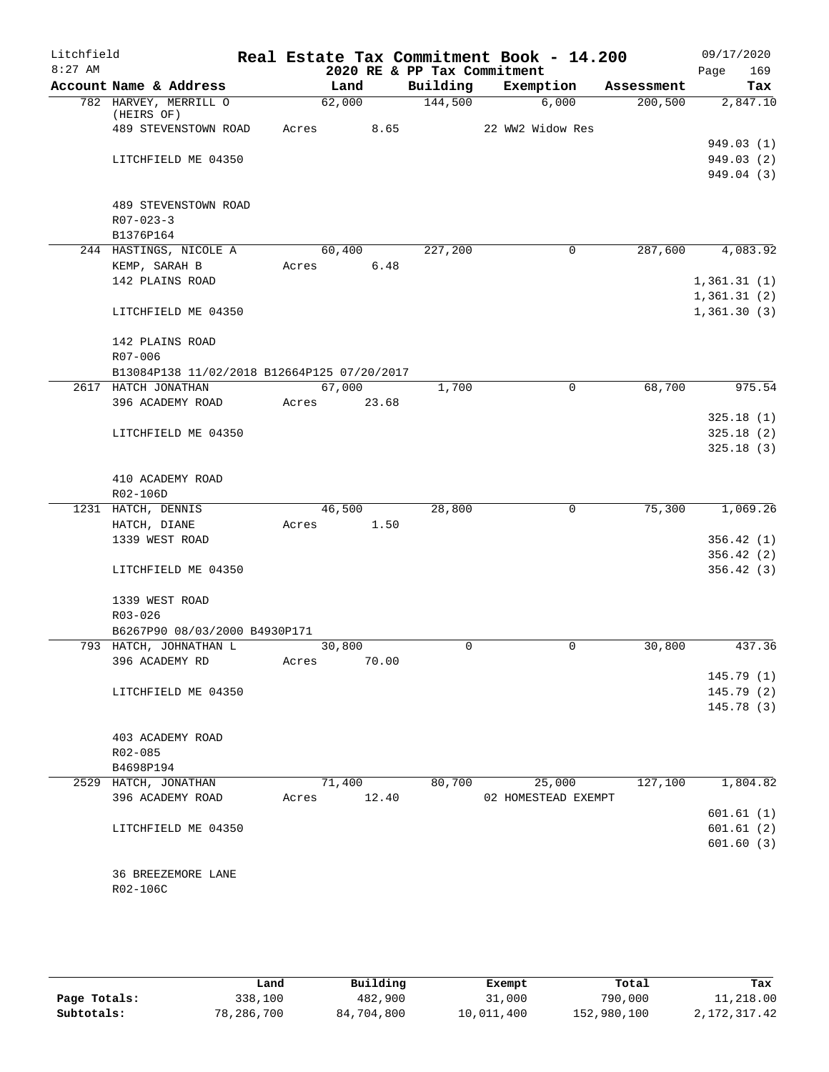| Litchfield<br>$8:27$ AM |                                             |                |       | 2020 RE & PP Tax Commitment | Real Estate Tax Commitment Book - 14.200 |            | 09/17/2020<br>169<br>Page |
|-------------------------|---------------------------------------------|----------------|-------|-----------------------------|------------------------------------------|------------|---------------------------|
|                         | Account Name & Address                      | Land           |       | Building                    | Exemption                                | Assessment | Tax                       |
|                         | 782 HARVEY, MERRILL O                       | 62,000         |       | 144,500                     | 6,000                                    | 200, 500   | 2,847.10                  |
|                         | (HEIRS OF)<br>489 STEVENSTOWN ROAD          | Acres          | 8.65  |                             | 22 WW2 Widow Res                         |            |                           |
|                         |                                             |                |       |                             |                                          |            | 949.03(1)                 |
|                         | LITCHFIELD ME 04350                         |                |       |                             |                                          |            | 949.03(2)                 |
|                         |                                             |                |       |                             |                                          |            | 949.04 (3)                |
|                         |                                             |                |       |                             |                                          |            |                           |
|                         | 489 STEVENSTOWN ROAD                        |                |       |                             |                                          |            |                           |
|                         | $R07 - 023 - 3$                             |                |       |                             |                                          |            |                           |
|                         | B1376P164                                   |                |       |                             |                                          |            |                           |
|                         | 244 HASTINGS, NICOLE A                      | 60,400         |       | 227,200                     | 0                                        | 287,600    | 4,083.92                  |
|                         | KEMP, SARAH B                               | Acres          | 6.48  |                             |                                          |            |                           |
|                         | 142 PLAINS ROAD                             |                |       |                             |                                          |            | 1,361.31(1)               |
|                         |                                             |                |       |                             |                                          |            | 1,361.31(2)               |
|                         | LITCHFIELD ME 04350                         |                |       |                             |                                          |            | 1,361.30(3)               |
|                         | 142 PLAINS ROAD                             |                |       |                             |                                          |            |                           |
|                         | R07-006                                     |                |       |                             |                                          |            |                           |
|                         | B13084P138 11/02/2018 B12664P125 07/20/2017 |                |       |                             |                                          |            |                           |
|                         | 2617 HATCH JONATHAN                         | 67,000         |       | 1,700                       | $\mathbf 0$                              | 68,700     | 975.54                    |
|                         | 396 ACADEMY ROAD                            | 23.68<br>Acres |       |                             |                                          |            |                           |
|                         |                                             |                |       |                             |                                          |            | 325.18(1)                 |
|                         | LITCHFIELD ME 04350                         |                |       |                             |                                          |            | 325.18(2)                 |
|                         |                                             |                |       |                             |                                          |            | 325.18(3)                 |
|                         |                                             |                |       |                             |                                          |            |                           |
|                         | 410 ACADEMY ROAD                            |                |       |                             |                                          |            |                           |
|                         | R02-106D                                    |                |       |                             |                                          |            |                           |
|                         | 1231 HATCH, DENNIS                          | 46,500         |       | 28,800                      | $\mathbf 0$                              | 75,300     | 1,069.26                  |
|                         | HATCH, DIANE                                | Acres          | 1.50  |                             |                                          |            |                           |
|                         | 1339 WEST ROAD                              |                |       |                             |                                          |            | 356.42(1)                 |
|                         |                                             |                |       |                             |                                          |            | 356.42(2)                 |
|                         | LITCHFIELD ME 04350                         |                |       |                             |                                          |            | 356.42(3)                 |
|                         | 1339 WEST ROAD                              |                |       |                             |                                          |            |                           |
|                         | R03-026                                     |                |       |                             |                                          |            |                           |
|                         | B6267P90 08/03/2000 B4930P171               |                |       |                             |                                          |            |                           |
|                         | 793 HATCH, JOHNATHAN L                      | 30,800         |       | 0                           | 0                                        | 30,800     | 437.36                    |
|                         | 396 ACADEMY RD                              | Acres          | 70.00 |                             |                                          |            |                           |
|                         |                                             |                |       |                             |                                          |            | 145.79 (1)                |
|                         | LITCHFIELD ME 04350                         |                |       |                             |                                          |            | 145.79(2)                 |
|                         |                                             |                |       |                             |                                          |            | 145.78(3)                 |
|                         |                                             |                |       |                             |                                          |            |                           |
|                         | 403 ACADEMY ROAD                            |                |       |                             |                                          |            |                           |
|                         | $R02 - 085$                                 |                |       |                             |                                          |            |                           |
|                         | B4698P194                                   |                |       |                             |                                          |            |                           |
|                         | 2529 HATCH, JONATHAN                        | 71,400         |       | 80,700                      | 25,000                                   | 127,100    | 1,804.82                  |
|                         | 396 ACADEMY ROAD                            | Acres          | 12.40 |                             | 02 HOMESTEAD EXEMPT                      |            |                           |
|                         |                                             |                |       |                             |                                          |            | 601.61(1)                 |
|                         | LITCHFIELD ME 04350                         |                |       |                             |                                          |            | 601.61(2)                 |
|                         |                                             |                |       |                             |                                          |            | 601.60(3)                 |
|                         | 36 BREEZEMORE LANE                          |                |       |                             |                                          |            |                           |
|                         | R02-106C                                    |                |       |                             |                                          |            |                           |
|                         |                                             |                |       |                             |                                          |            |                           |
|                         |                                             |                |       |                             |                                          |            |                           |

|              | Land       | Building   | Exempt     | Total       | Tax          |
|--------------|------------|------------|------------|-------------|--------------|
| Page Totals: | 338,100    | 482,900    | 31,000     | 790,000     | 11,218.00    |
| Subtotals:   | 78,286,700 | 84,704,800 | 10,011,400 | 152,980,100 | 2,172,317.42 |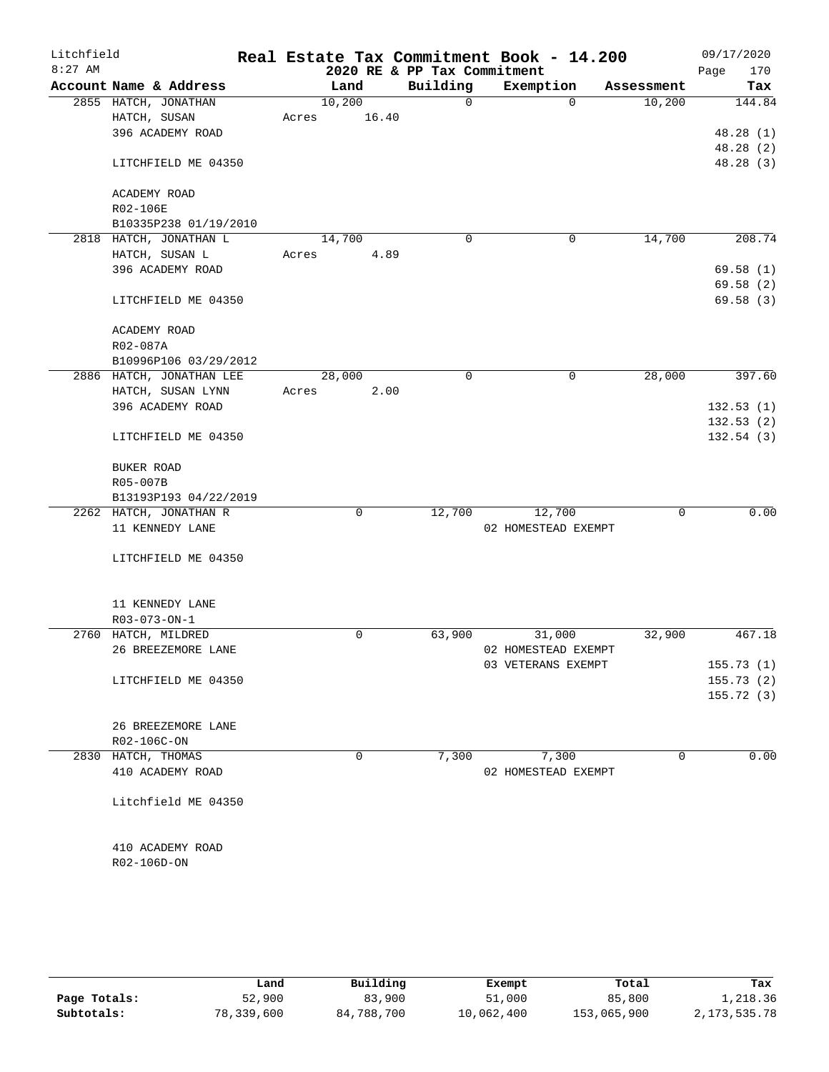| Litchfield |                          |       |        |       |                             | Real Estate Tax Commitment Book - 14.200 |            | 09/17/2020  |
|------------|--------------------------|-------|--------|-------|-----------------------------|------------------------------------------|------------|-------------|
| $8:27$ AM  |                          |       |        |       | 2020 RE & PP Tax Commitment |                                          |            | 170<br>Page |
|            | Account Name & Address   |       | Land   |       | Building                    | Exemption                                | Assessment | Tax         |
|            | 2855 HATCH, JONATHAN     |       | 10,200 |       | $\Omega$                    | $\Omega$                                 | 10,200     | 144.84      |
|            | HATCH, SUSAN             | Acres |        | 16.40 |                             |                                          |            |             |
|            | 396 ACADEMY ROAD         |       |        |       |                             |                                          |            | 48.28 (1)   |
|            |                          |       |        |       |                             |                                          |            | 48.28 (2)   |
|            | LITCHFIELD ME 04350      |       |        |       |                             |                                          |            | 48.28 (3)   |
|            |                          |       |        |       |                             |                                          |            |             |
|            | ACADEMY ROAD             |       |        |       |                             |                                          |            |             |
|            | R02-106E                 |       |        |       |                             |                                          |            |             |
|            | B10335P238 01/19/2010    |       |        |       |                             |                                          |            |             |
|            | 2818 HATCH, JONATHAN L   |       | 14,700 |       | 0                           | $\mathbf 0$                              | 14,700     | 208.74      |
|            | HATCH, SUSAN L           | Acres |        | 4.89  |                             |                                          |            |             |
|            | 396 ACADEMY ROAD         |       |        |       |                             |                                          |            | 69.58(1)    |
|            |                          |       |        |       |                             |                                          |            | 69.58(2)    |
|            | LITCHFIELD ME 04350      |       |        |       |                             |                                          |            | 69.58(3)    |
|            |                          |       |        |       |                             |                                          |            |             |
|            | ACADEMY ROAD             |       |        |       |                             |                                          |            |             |
|            | R02-087A                 |       |        |       |                             |                                          |            |             |
|            | B10996P106 03/29/2012    |       |        |       |                             |                                          |            |             |
|            | 2886 HATCH, JONATHAN LEE |       |        |       | $\Omega$                    | $\mathbf 0$                              | 28,000     | 397.60      |
|            |                          |       | 28,000 |       |                             |                                          |            |             |
|            | HATCH, SUSAN LYNN        | Acres |        | 2.00  |                             |                                          |            |             |
|            | 396 ACADEMY ROAD         |       |        |       |                             |                                          |            | 132.53(1)   |
|            |                          |       |        |       |                             |                                          |            | 132.53(2)   |
|            | LITCHFIELD ME 04350      |       |        |       |                             |                                          |            | 132.54(3)   |
|            |                          |       |        |       |                             |                                          |            |             |
|            | BUKER ROAD               |       |        |       |                             |                                          |            |             |
|            | R05-007B                 |       |        |       |                             |                                          |            |             |
|            | B13193P193 04/22/2019    |       |        |       |                             |                                          |            |             |
|            | 2262 HATCH, JONATHAN R   |       |        | 0     | 12,700                      | 12,700                                   | 0          | 0.00        |
|            | 11 KENNEDY LANE          |       |        |       |                             | 02 HOMESTEAD EXEMPT                      |            |             |
|            |                          |       |        |       |                             |                                          |            |             |
|            | LITCHFIELD ME 04350      |       |        |       |                             |                                          |            |             |
|            |                          |       |        |       |                             |                                          |            |             |
|            |                          |       |        |       |                             |                                          |            |             |
|            | 11 KENNEDY LANE          |       |        |       |                             |                                          |            |             |
|            | R03-073-ON-1             |       |        |       |                             |                                          |            |             |
|            | 2760 HATCH, MILDRED      |       |        | 0     | 63,900                      | 31,000                                   | 32,900     | 467.18      |
|            | 26 BREEZEMORE LANE       |       |        |       |                             | 02 HOMESTEAD EXEMPT                      |            |             |
|            |                          |       |        |       |                             | 03 VETERANS EXEMPT                       |            | 155.73(1)   |
|            | LITCHFIELD ME 04350      |       |        |       |                             |                                          |            | 155.73(2)   |
|            |                          |       |        |       |                             |                                          |            | 155.72(3)   |
|            |                          |       |        |       |                             |                                          |            |             |
|            | 26 BREEZEMORE LANE       |       |        |       |                             |                                          |            |             |
|            | R02-106C-ON              |       |        |       |                             |                                          |            |             |
|            | 2830 HATCH, THOMAS       |       |        | 0     | 7,300                       | 7,300                                    | 0          | 0.00        |
|            | 410 ACADEMY ROAD         |       |        |       |                             | 02 HOMESTEAD EXEMPT                      |            |             |
|            |                          |       |        |       |                             |                                          |            |             |
|            | Litchfield ME 04350      |       |        |       |                             |                                          |            |             |
|            |                          |       |        |       |                             |                                          |            |             |
|            |                          |       |        |       |                             |                                          |            |             |
|            | 410 ACADEMY ROAD         |       |        |       |                             |                                          |            |             |
|            | R02-106D-ON              |       |        |       |                             |                                          |            |             |
|            |                          |       |        |       |                             |                                          |            |             |
|            |                          |       |        |       |                             |                                          |            |             |

|              | Land       | Building   | Exempt     | Total       | Tax             |
|--------------|------------|------------|------------|-------------|-----------------|
| Page Totals: | 52,900     | 83,900     | 51,000     | 85,800      | 1,218.36        |
| Subtotals:   | 78,339,600 | 84,788,700 | 10,062,400 | 153,065,900 | 2, 173, 535. 78 |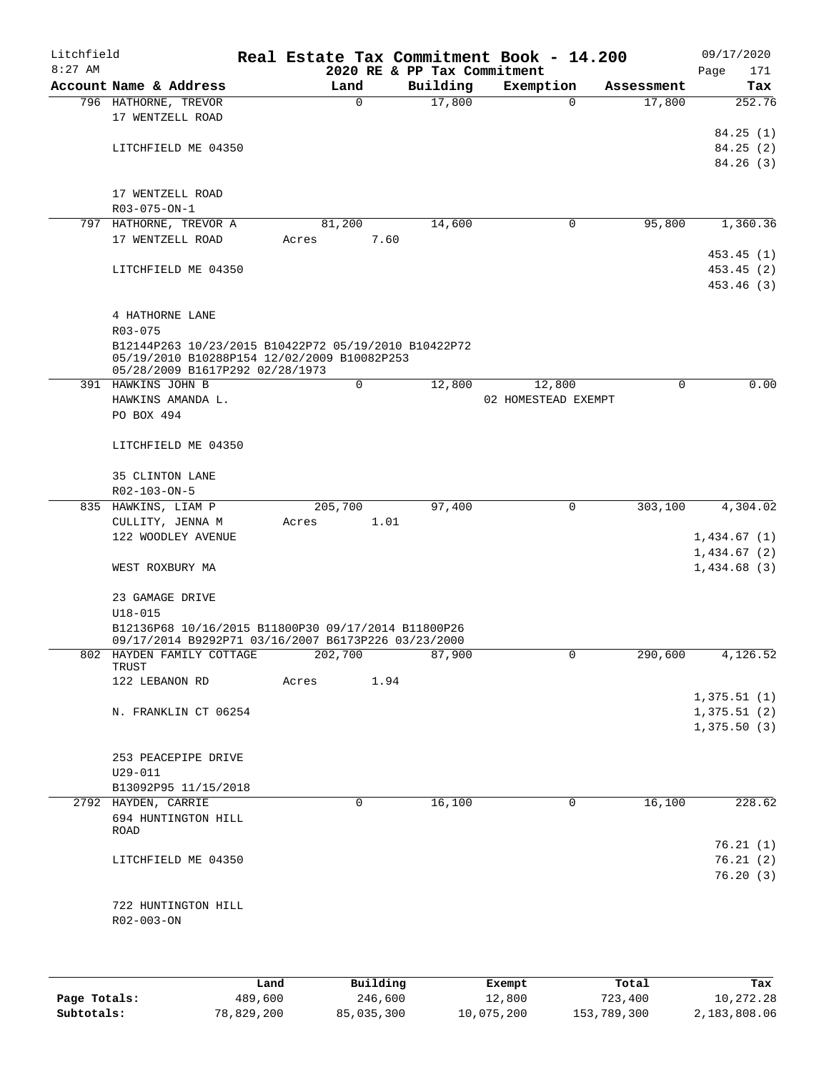| Litchfield |                                                      |         |             |                             | Real Estate Tax Commitment Book - 14.200 |          |             |             | 09/17/2020 |
|------------|------------------------------------------------------|---------|-------------|-----------------------------|------------------------------------------|----------|-------------|-------------|------------|
| $8:27$ AM  |                                                      |         |             | 2020 RE & PP Tax Commitment |                                          |          |             | Page        | 171        |
|            | Account Name & Address                               |         | Land        | Building                    | Exemption                                |          | Assessment  |             | Tax        |
|            | 796 HATHORNE, TREVOR                                 |         | $\Omega$    | 17,800                      |                                          | $\Omega$ | 17,800      |             | 252.76     |
|            | 17 WENTZELL ROAD                                     |         |             |                             |                                          |          |             |             |            |
|            |                                                      |         |             |                             |                                          |          |             |             | 84.25(1)   |
|            | LITCHFIELD ME 04350                                  |         |             |                             |                                          |          |             |             | 84.25(2)   |
|            |                                                      |         |             |                             |                                          |          |             |             | 84.26(3)   |
|            |                                                      |         |             |                             |                                          |          |             |             |            |
|            | 17 WENTZELL ROAD                                     |         |             |                             |                                          |          |             |             |            |
|            | R03-075-ON-1                                         |         | 81,200      |                             |                                          | 0        | 95,800      |             | 1,360.36   |
|            | 797 HATHORNE, TREVOR A<br>17 WENTZELL ROAD           | Acres   | 7.60        | 14,600                      |                                          |          |             |             |            |
|            |                                                      |         |             |                             |                                          |          |             |             | 453.45(1)  |
|            | LITCHFIELD ME 04350                                  |         |             |                             |                                          |          |             |             | 453.45(2)  |
|            |                                                      |         |             |                             |                                          |          |             |             | 453.46 (3) |
|            |                                                      |         |             |                             |                                          |          |             |             |            |
|            | 4 HATHORNE LANE                                      |         |             |                             |                                          |          |             |             |            |
|            | R03-075                                              |         |             |                             |                                          |          |             |             |            |
|            | B12144P263 10/23/2015 B10422P72 05/19/2010 B10422P72 |         |             |                             |                                          |          |             |             |            |
|            | 05/19/2010 B10288P154 12/02/2009 B10082P253          |         |             |                             |                                          |          |             |             |            |
|            | 05/28/2009 B1617P292 02/28/1973                      |         |             |                             |                                          |          |             |             |            |
|            | 391 HAWKINS JOHN B                                   |         | $\mathbf 0$ | 12,800                      | 12,800                                   |          | $\mathbf 0$ |             | 0.00       |
|            | HAWKINS AMANDA L.                                    |         |             |                             | 02 HOMESTEAD EXEMPT                      |          |             |             |            |
|            | PO BOX 494                                           |         |             |                             |                                          |          |             |             |            |
|            |                                                      |         |             |                             |                                          |          |             |             |            |
|            | LITCHFIELD ME 04350                                  |         |             |                             |                                          |          |             |             |            |
|            | 35 CLINTON LANE                                      |         |             |                             |                                          |          |             |             |            |
|            | R02-103-ON-5                                         |         |             |                             |                                          |          |             |             |            |
|            | 835 HAWKINS, LIAM P                                  | 205,700 |             | 97,400                      |                                          | 0        | 303,100     |             | 4,304.02   |
|            | CULLITY, JENNA M                                     | Acres   | 1.01        |                             |                                          |          |             |             |            |
|            | 122 WOODLEY AVENUE                                   |         |             |                             |                                          |          |             | 1,434.67(1) |            |
|            |                                                      |         |             |                             |                                          |          |             | 1,434.67(2) |            |
|            | WEST ROXBURY MA                                      |         |             |                             |                                          |          |             | 1,434.68(3) |            |
|            |                                                      |         |             |                             |                                          |          |             |             |            |
|            | 23 GAMAGE DRIVE                                      |         |             |                             |                                          |          |             |             |            |
|            | $U18 - 015$                                          |         |             |                             |                                          |          |             |             |            |
|            | B12136P68 10/16/2015 B11800P30 09/17/2014 B11800P26  |         |             |                             |                                          |          |             |             |            |
|            | 09/17/2014 B9292P71 03/16/2007 B6173P226 03/23/2000  |         |             |                             |                                          |          |             |             |            |
|            | 802 HAYDEN FAMILY COTTAGE 202,700                    |         |             | 87,900                      |                                          | 0        | 290,600     |             | 4,126.52   |
|            | TRUST<br>122 LEBANON RD                              | Acres   | 1.94        |                             |                                          |          |             |             |            |
|            |                                                      |         |             |                             |                                          |          |             | 1,375.51(1) |            |
|            | N. FRANKLIN CT 06254                                 |         |             |                             |                                          |          |             | 1,375.51(2) |            |
|            |                                                      |         |             |                             |                                          |          |             | 1,375.50(3) |            |
|            |                                                      |         |             |                             |                                          |          |             |             |            |
|            | 253 PEACEPIPE DRIVE                                  |         |             |                             |                                          |          |             |             |            |
|            | U29-011                                              |         |             |                             |                                          |          |             |             |            |
|            | B13092P95 11/15/2018                                 |         |             |                             |                                          |          |             |             |            |
|            | 2792 HAYDEN, CARRIE                                  |         | 0           | 16,100                      |                                          | 0        | 16,100      |             | 228.62     |
|            | 694 HUNTINGTON HILL                                  |         |             |                             |                                          |          |             |             |            |
|            | ROAD                                                 |         |             |                             |                                          |          |             |             |            |
|            |                                                      |         |             |                             |                                          |          |             |             | 76.21(1)   |
|            | LITCHFIELD ME 04350                                  |         |             |                             |                                          |          |             |             | 76.21(2)   |
|            |                                                      |         |             |                             |                                          |          |             |             | 76.20(3)   |
|            |                                                      |         |             |                             |                                          |          |             |             |            |
|            | 722 HUNTINGTON HILL                                  |         |             |                             |                                          |          |             |             |            |
|            | R02-003-ON                                           |         |             |                             |                                          |          |             |             |            |
|            |                                                      |         |             |                             |                                          |          |             |             |            |
|            |                                                      |         |             |                             |                                          |          |             |             |            |
|            |                                                      |         |             |                             |                                          |          |             |             |            |

|              | Land       | Building   | Exempt     | Total       | Tax          |
|--------------|------------|------------|------------|-------------|--------------|
| Page Totals: | 489,600    | 246,600    | 12,800     | 723,400     | 10,272.28    |
| Subtotals:   | 78,829,200 | 85,035,300 | 10,075,200 | 153,789,300 | 2,183,808.06 |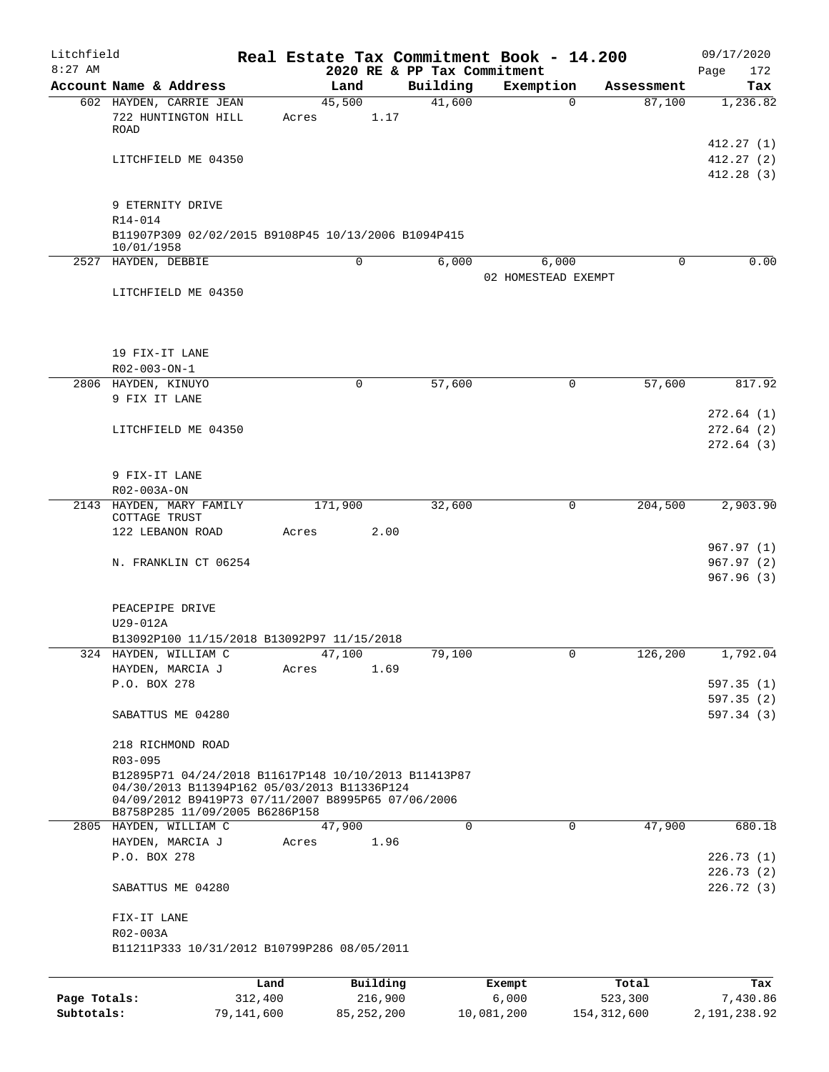| Litchfield   |                                |                                                                                                                                                                                             |                |                             | Real Estate Tax Commitment Book - 14.200 |                      | 09/17/2020                          |
|--------------|--------------------------------|---------------------------------------------------------------------------------------------------------------------------------------------------------------------------------------------|----------------|-----------------------------|------------------------------------------|----------------------|-------------------------------------|
| $8:27$ AM    |                                |                                                                                                                                                                                             |                | 2020 RE & PP Tax Commitment |                                          |                      | Page<br>172                         |
|              | Account Name & Address         | 602 HAYDEN, CARRIE JEAN                                                                                                                                                                     | Land<br>45,500 | Building<br>41,600          | Exemption<br>0                           | Assessment<br>87,100 | Tax<br>1,236.82                     |
|              | <b>ROAD</b>                    | 722 HUNTINGTON HILL                                                                                                                                                                         | Acres          | 1.17                        |                                          |                      |                                     |
|              |                                | LITCHFIELD ME 04350                                                                                                                                                                         |                |                             |                                          |                      | 412.27(1)<br>412.27(2)<br>412.28(3) |
|              | 9 ETERNITY DRIVE               |                                                                                                                                                                                             |                |                             |                                          |                      |                                     |
|              | R14-014<br>10/01/1958          | B11907P309 02/02/2015 B9108P45 10/13/2006 B1094P415                                                                                                                                         |                |                             |                                          |                      |                                     |
|              | 2527 HAYDEN, DEBBIE            |                                                                                                                                                                                             | $\mathbf 0$    | 6,000                       | 6,000<br>02 HOMESTEAD EXEMPT             | 0                    | 0.00                                |
|              |                                | LITCHFIELD ME 04350                                                                                                                                                                         |                |                             |                                          |                      |                                     |
|              | 19 FIX-IT LANE<br>R02-003-ON-1 |                                                                                                                                                                                             |                |                             |                                          |                      |                                     |
|              | 2806 HAYDEN, KINUYO            |                                                                                                                                                                                             | 0              | 57,600                      | 0                                        | 57,600               | 817.92                              |
|              | 9 FIX IT LANE                  |                                                                                                                                                                                             |                |                             |                                          |                      |                                     |
|              |                                |                                                                                                                                                                                             |                |                             |                                          |                      | 272.64(1)                           |
|              |                                | LITCHFIELD ME 04350                                                                                                                                                                         |                |                             |                                          |                      | 272.64(2)<br>272.64(3)              |
|              | 9 FIX-IT LANE                  |                                                                                                                                                                                             |                |                             |                                          |                      |                                     |
|              | R02-003A-ON                    |                                                                                                                                                                                             |                |                             |                                          |                      |                                     |
|              | COTTAGE TRUST                  | 2143 HAYDEN, MARY FAMILY                                                                                                                                                                    | 171,900        | 32,600                      | 0                                        | 204,500              | 2,903.90                            |
|              | 122 LEBANON ROAD               |                                                                                                                                                                                             | Acres          | 2.00                        |                                          |                      |                                     |
|              |                                | N. FRANKLIN CT 06254                                                                                                                                                                        |                |                             |                                          |                      | 967.97(1)<br>967.97(2)<br>967.96(3) |
|              | PEACEPIPE DRIVE<br>U29-012A    |                                                                                                                                                                                             |                |                             |                                          |                      |                                     |
| 324          | HAYDEN, WILLIAM C              | B13092P100 11/15/2018 B13092P97 11/15/2018                                                                                                                                                  | 47,100         | 79,100                      | 0                                        | 126,200              | 1,792.04                            |
|              | HAYDEN, MARCIA J               |                                                                                                                                                                                             | Acres          | 1.69                        |                                          |                      |                                     |
|              | P.O. BOX 278                   |                                                                                                                                                                                             |                |                             |                                          |                      | 597.35(1)                           |
|              |                                | SABATTUS ME 04280                                                                                                                                                                           |                |                             |                                          |                      | 597.35(2)<br>597.34(3)              |
|              | R03-095                        | 218 RICHMOND ROAD                                                                                                                                                                           |                |                             |                                          |                      |                                     |
|              |                                | B12895P71 04/24/2018 B11617P148 10/10/2013 B11413P87<br>04/30/2013 B11394P162 05/03/2013 B11336P124<br>04/09/2012 B9419P73 07/11/2007 B8995P65 07/06/2006<br>B8758P285 11/09/2005 B6286P158 |                |                             |                                          |                      |                                     |
|              | 2805 HAYDEN, WILLIAM C         |                                                                                                                                                                                             | 47,900         | $\Omega$                    | $\Omega$                                 | 47,900               | 680.18                              |
|              | HAYDEN, MARCIA J               |                                                                                                                                                                                             | Acres          | 1.96                        |                                          |                      |                                     |
|              | P.O. BOX 278                   |                                                                                                                                                                                             |                |                             |                                          |                      | 226.73(1)                           |
|              |                                | SABATTUS ME 04280                                                                                                                                                                           |                |                             |                                          |                      | 226.73(2)<br>226.72(3)              |
|              | FIX-IT LANE<br>R02-003A        |                                                                                                                                                                                             |                |                             |                                          |                      |                                     |
|              |                                | B11211P333 10/31/2012 B10799P286 08/05/2011                                                                                                                                                 |                |                             |                                          |                      |                                     |
|              |                                | Land                                                                                                                                                                                        | Building       |                             | Exempt                                   | Total                | Tax                                 |
| Page Totals: |                                | 312,400                                                                                                                                                                                     |                | 216,900                     | 6,000                                    | 523,300              | 7,430.86                            |

**Subtotals:** 79,141,600 85,252,200 10,081,200 154,312,600 2,191,238.92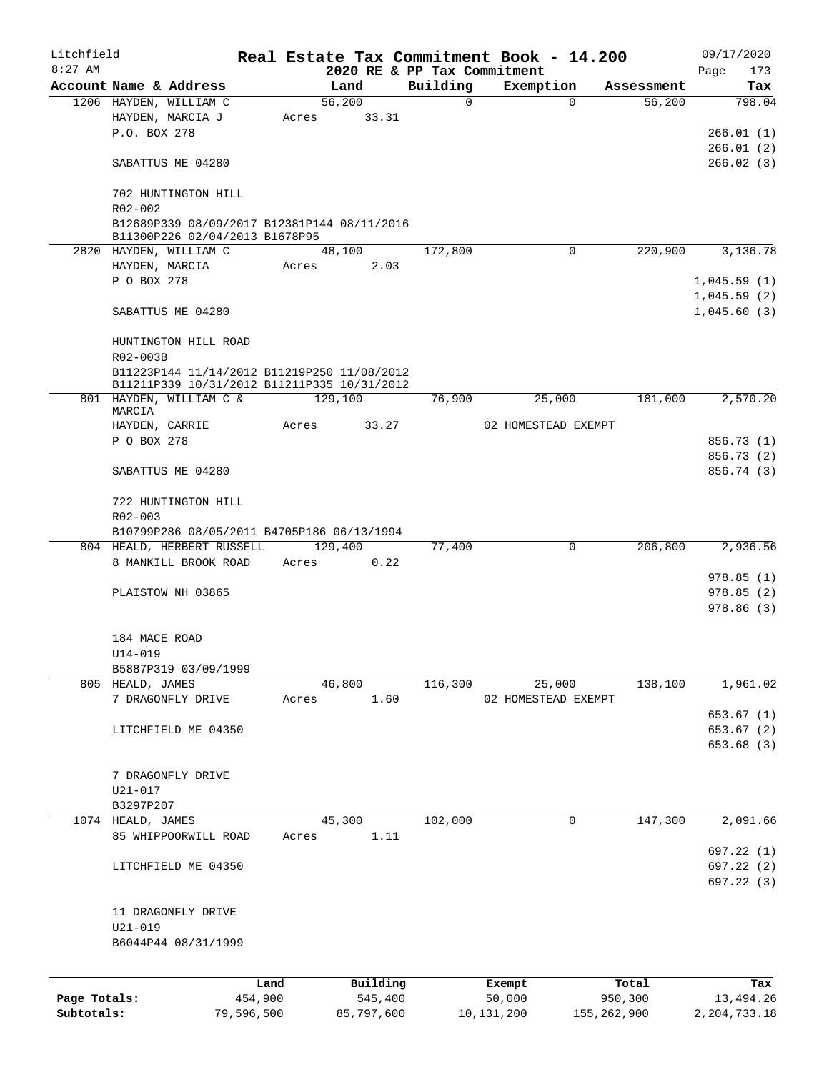| Litchfield   |                                             |            |         |            |                             | Real Estate Tax Commitment Book - 14.200 |             | 09/17/2020     |
|--------------|---------------------------------------------|------------|---------|------------|-----------------------------|------------------------------------------|-------------|----------------|
| $8:27$ AM    |                                             |            |         |            | 2020 RE & PP Tax Commitment |                                          |             | 173<br>Page    |
|              | Account Name & Address                      |            | Land    |            | Building                    | Exemption                                | Assessment  | Tax            |
|              | 1206 HAYDEN, WILLIAM C                      |            | 56,200  |            | $\Omega$                    | $\Omega$                                 | 56,200      | 798.04         |
|              | HAYDEN, MARCIA J                            | Acres      |         | 33.31      |                             |                                          |             |                |
|              | P.O. BOX 278                                |            |         |            |                             |                                          |             | 266.01(1)      |
|              |                                             |            |         |            |                             |                                          |             | 266.01(2)      |
|              | SABATTUS ME 04280                           |            |         |            |                             |                                          |             | 266.02(3)      |
|              | 702 HUNTINGTON HILL                         |            |         |            |                             |                                          |             |                |
|              | R02-002                                     |            |         |            |                             |                                          |             |                |
|              | B12689P339 08/09/2017 B12381P144 08/11/2016 |            |         |            |                             |                                          |             |                |
|              | B11300P226 02/04/2013 B1678P95              |            |         |            |                             |                                          |             |                |
|              | 2820 HAYDEN, WILLIAM C                      |            | 48,100  |            | 172,800                     | $\Omega$                                 | 220,900     | 3,136.78       |
|              | HAYDEN, MARCIA                              | Acres      |         | 2.03       |                             |                                          |             |                |
|              | P O BOX 278                                 |            |         |            |                             |                                          |             | 1,045.59(1)    |
|              |                                             |            |         |            |                             |                                          |             | 1,045.59(2)    |
|              | SABATTUS ME 04280                           |            |         |            |                             |                                          |             | 1,045.60(3)    |
|              | HUNTINGTON HILL ROAD                        |            |         |            |                             |                                          |             |                |
|              | R02-003B                                    |            |         |            |                             |                                          |             |                |
|              | B11223P144 11/14/2012 B11219P250 11/08/2012 |            |         |            |                             |                                          |             |                |
|              | B11211P339 10/31/2012 B11211P335 10/31/2012 |            |         |            |                             |                                          |             |                |
|              | 801 HAYDEN, WILLIAM C &                     |            | 129,100 |            | 76,900                      | 25,000                                   | 181,000     | 2,570.20       |
|              | MARCIA                                      |            |         |            |                             |                                          |             |                |
|              | HAYDEN, CARRIE                              | Acres      |         | 33.27      |                             | 02 HOMESTEAD EXEMPT                      |             |                |
|              | P O BOX 278                                 |            |         |            |                             |                                          |             | 856.73 (1)     |
|              |                                             |            |         |            |                             |                                          |             | 856.73 (2)     |
|              | SABATTUS ME 04280                           |            |         |            |                             |                                          |             | 856.74 (3)     |
|              | 722 HUNTINGTON HILL                         |            |         |            |                             |                                          |             |                |
|              | R02-003                                     |            |         |            |                             |                                          |             |                |
|              | B10799P286 08/05/2011 B4705P186 06/13/1994  |            |         |            |                             |                                          |             |                |
|              | 804 HEALD, HERBERT RUSSELL                  |            | 129,400 |            | 77,400                      | 0                                        | 206,800     | 2,936.56       |
|              | 8 MANKILL BROOK ROAD                        | Acres      |         | 0.22       |                             |                                          |             |                |
|              |                                             |            |         |            |                             |                                          |             | 978.85(1)      |
|              | PLAISTOW NH 03865                           |            |         |            |                             |                                          |             | 978.85(2)      |
|              |                                             |            |         |            |                             |                                          |             | 978.86(3)      |
|              |                                             |            |         |            |                             |                                          |             |                |
|              | 184 MACE ROAD                               |            |         |            |                             |                                          |             |                |
|              |                                             |            |         |            |                             |                                          |             |                |
|              | $U14 - 019$                                 |            |         |            |                             |                                          |             |                |
|              | B5887P319 03/09/1999                        |            |         |            |                             |                                          |             |                |
|              | 805 HEALD, JAMES                            |            | 46,800  |            | 116,300                     | 25,000                                   | 138,100     | 1,961.02       |
|              | 7 DRAGONFLY DRIVE                           | Acres      |         | 1.60       |                             | 02 HOMESTEAD EXEMPT                      |             |                |
|              |                                             |            |         |            |                             |                                          |             | 653.67 (1)     |
|              | LITCHFIELD ME 04350                         |            |         |            |                             |                                          |             | 653.67 (2)     |
|              |                                             |            |         |            |                             |                                          |             | 653.68 (3)     |
|              |                                             |            |         |            |                             |                                          |             |                |
|              | 7 DRAGONFLY DRIVE                           |            |         |            |                             |                                          |             |                |
|              | U21-017                                     |            |         |            |                             |                                          |             |                |
|              | B3297P207                                   |            |         |            |                             |                                          |             |                |
|              | 1074 HEALD, JAMES                           |            | 45,300  |            | 102,000                     | 0                                        | 147,300     | 2,091.66       |
|              | 85 WHIPPOORWILL ROAD                        | Acres      |         | 1.11       |                             |                                          |             |                |
|              |                                             |            |         |            |                             |                                          |             | 697.22 (1)     |
|              | LITCHFIELD ME 04350                         |            |         |            |                             |                                          |             | 697.22 (2)     |
|              |                                             |            |         |            |                             |                                          |             | 697.22 (3)     |
|              |                                             |            |         |            |                             |                                          |             |                |
|              | 11 DRAGONFLY DRIVE                          |            |         |            |                             |                                          |             |                |
|              | $U21 - 019$                                 |            |         |            |                             |                                          |             |                |
|              | B6044P44 08/31/1999                         |            |         |            |                             |                                          |             |                |
|              |                                             |            |         |            |                             |                                          |             |                |
|              |                                             | Land       |         | Building   |                             | Exempt                                   | Total       | Tax            |
| Page Totals: |                                             | 454,900    |         | 545,400    |                             | 50,000                                   | 950,300     | 13,494.26      |
| Subtotals:   |                                             | 79,596,500 |         | 85,797,600 |                             | 10, 131, 200                             | 155,262,900 | 2, 204, 733.18 |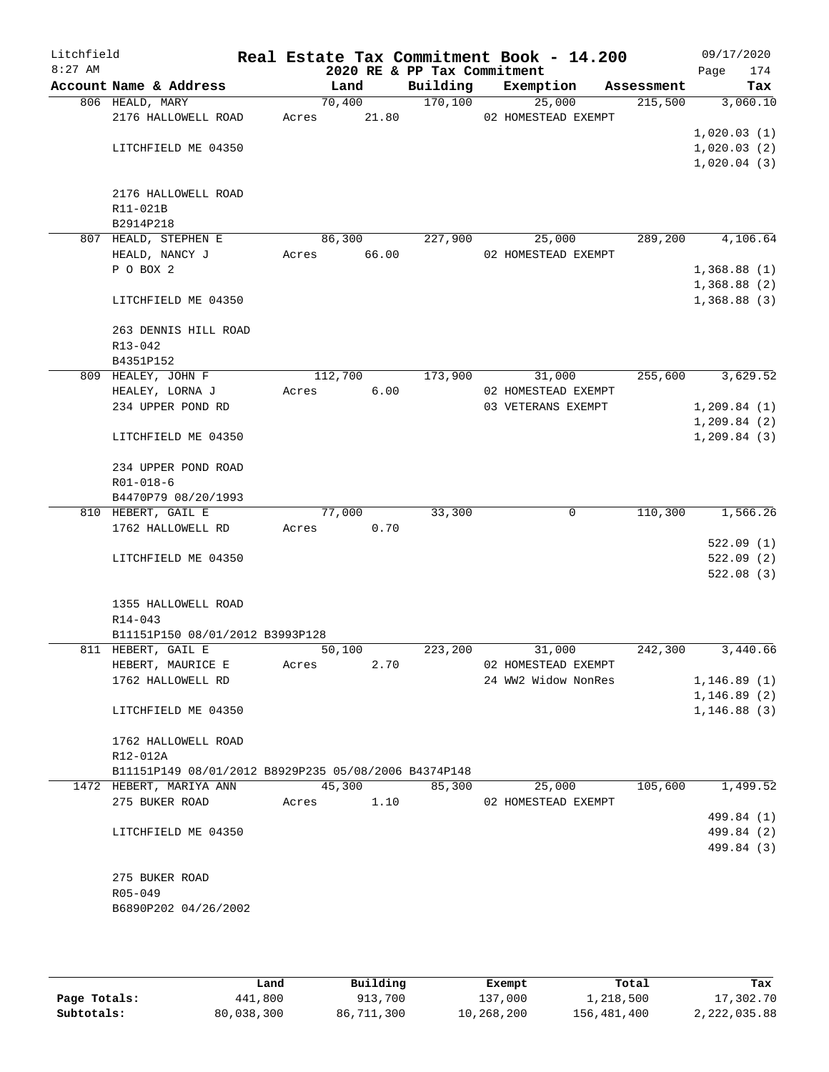| Litchfield |                                                      |       |                |                             | Real Estate Tax Commitment Book - 14.200 |                       | 09/17/2020      |
|------------|------------------------------------------------------|-------|----------------|-----------------------------|------------------------------------------|-----------------------|-----------------|
| $8:27$ AM  |                                                      |       |                | 2020 RE & PP Tax Commitment |                                          |                       | 174<br>Page     |
|            | Account Name & Address<br>806 HEALD, MARY            |       | Land<br>70,400 | Building<br>170, 100        | Exemption<br>25,000                      | Assessment<br>215,500 | Tax<br>3,060.10 |
|            | 2176 HALLOWELL ROAD                                  | Acres | 21.80          |                             | 02 HOMESTEAD EXEMPT                      |                       |                 |
|            |                                                      |       |                |                             |                                          |                       | 1,020.03(1)     |
|            | LITCHFIELD ME 04350                                  |       |                |                             |                                          |                       | 1,020.03(2)     |
|            |                                                      |       |                |                             |                                          |                       | 1,020.04(3)     |
|            | 2176 HALLOWELL ROAD                                  |       |                |                             |                                          |                       |                 |
|            | R11-021B                                             |       |                |                             |                                          |                       |                 |
|            | B2914P218                                            |       |                |                             |                                          |                       |                 |
|            | 807 HEALD, STEPHEN E                                 |       | 86,300         | 227,900                     | 25,000                                   | 289,200               | 4,106.64        |
|            | HEALD, NANCY J                                       | Acres | 66.00          |                             | 02 HOMESTEAD EXEMPT                      |                       |                 |
|            | P O BOX 2                                            |       |                |                             |                                          |                       | 1,368.88(1)     |
|            |                                                      |       |                |                             |                                          |                       | 1,368.88(2)     |
|            | LITCHFIELD ME 04350                                  |       |                |                             |                                          |                       | 1,368.88(3)     |
|            | 263 DENNIS HILL ROAD                                 |       |                |                             |                                          |                       |                 |
|            | R13-042                                              |       |                |                             |                                          |                       |                 |
|            | B4351P152                                            |       |                |                             |                                          |                       |                 |
|            | 809 HEALEY, JOHN F                                   |       | 112,700        | 173,900                     | 31,000                                   | 255,600               | 3,629.52        |
|            | HEALEY, LORNA J                                      | Acres | 6.00           |                             | 02 HOMESTEAD EXEMPT                      |                       |                 |
|            | 234 UPPER POND RD                                    |       |                |                             | 03 VETERANS EXEMPT                       |                       | 1,209.84(1)     |
|            |                                                      |       |                |                             |                                          |                       | 1,209.84(2)     |
|            | LITCHFIELD ME 04350                                  |       |                |                             |                                          |                       | 1,209.84(3)     |
|            | 234 UPPER POND ROAD                                  |       |                |                             |                                          |                       |                 |
|            | $R01 - 018 - 6$                                      |       |                |                             |                                          |                       |                 |
|            | B4470P79 08/20/1993                                  |       |                |                             |                                          |                       |                 |
|            | 810 HEBERT, GAIL E                                   |       | 77,000         | 33,300                      | 0                                        | 110,300               | 1,566.26        |
|            | 1762 HALLOWELL RD                                    | Acres | 0.70           |                             |                                          |                       |                 |
|            |                                                      |       |                |                             |                                          |                       | 522.09(1)       |
|            | LITCHFIELD ME 04350                                  |       |                |                             |                                          |                       | 522.09(2)       |
|            |                                                      |       |                |                             |                                          |                       | 522.08(3)       |
|            | 1355 HALLOWELL ROAD                                  |       |                |                             |                                          |                       |                 |
|            | R14-043                                              |       |                |                             |                                          |                       |                 |
|            | B11151P150 08/01/2012 B3993P128                      |       |                |                             |                                          |                       |                 |
|            | 811 HEBERT, GAIL E                                   |       | 50,100         | 223,200                     | 31,000                                   | 242,300               | 3,440.66        |
|            | HEBERT, MAURICE E                                    | Acres | 2.70           |                             | 02 HOMESTEAD EXEMPT                      |                       |                 |
|            | 1762 HALLOWELL RD                                    |       |                |                             | 24 WW2 Widow NonRes                      |                       | 1,146.89(1)     |
|            |                                                      |       |                |                             |                                          |                       | 1, 146.89(2)    |
|            | LITCHFIELD ME 04350                                  |       |                |                             |                                          |                       | 1, 146.88(3)    |
|            | 1762 HALLOWELL ROAD                                  |       |                |                             |                                          |                       |                 |
|            | R12-012A                                             |       |                |                             |                                          |                       |                 |
|            | B11151P149 08/01/2012 B8929P235 05/08/2006 B4374P148 |       |                |                             |                                          |                       |                 |
|            | 1472 HEBERT, MARIYA ANN                              |       | 45,300         | 85,300                      | 25,000                                   | 105,600               | 1,499.52        |
|            | 275 BUKER ROAD                                       | Acres | 1.10           |                             | 02 HOMESTEAD EXEMPT                      |                       |                 |
|            |                                                      |       |                |                             |                                          |                       | 499.84 (1)      |
|            | LITCHFIELD ME 04350                                  |       |                |                             |                                          |                       | 499.84 (2)      |
|            |                                                      |       |                |                             |                                          |                       | 499.84 (3)      |
|            | 275 BUKER ROAD                                       |       |                |                             |                                          |                       |                 |
|            | R05-049                                              |       |                |                             |                                          |                       |                 |
|            | B6890P202 04/26/2002                                 |       |                |                             |                                          |                       |                 |
|            |                                                      |       |                |                             |                                          |                       |                 |

|              | úand       | Building   | Exempt     | Total       | Tax          |
|--------------|------------|------------|------------|-------------|--------------|
| Page Totals: | 441,800    | 913,700    | 137,000    | 1,218,500   | 17,302.70    |
| Subtotals:   | 80,038,300 | 86,711,300 | 10,268,200 | 156,481,400 | 2,222,035.88 |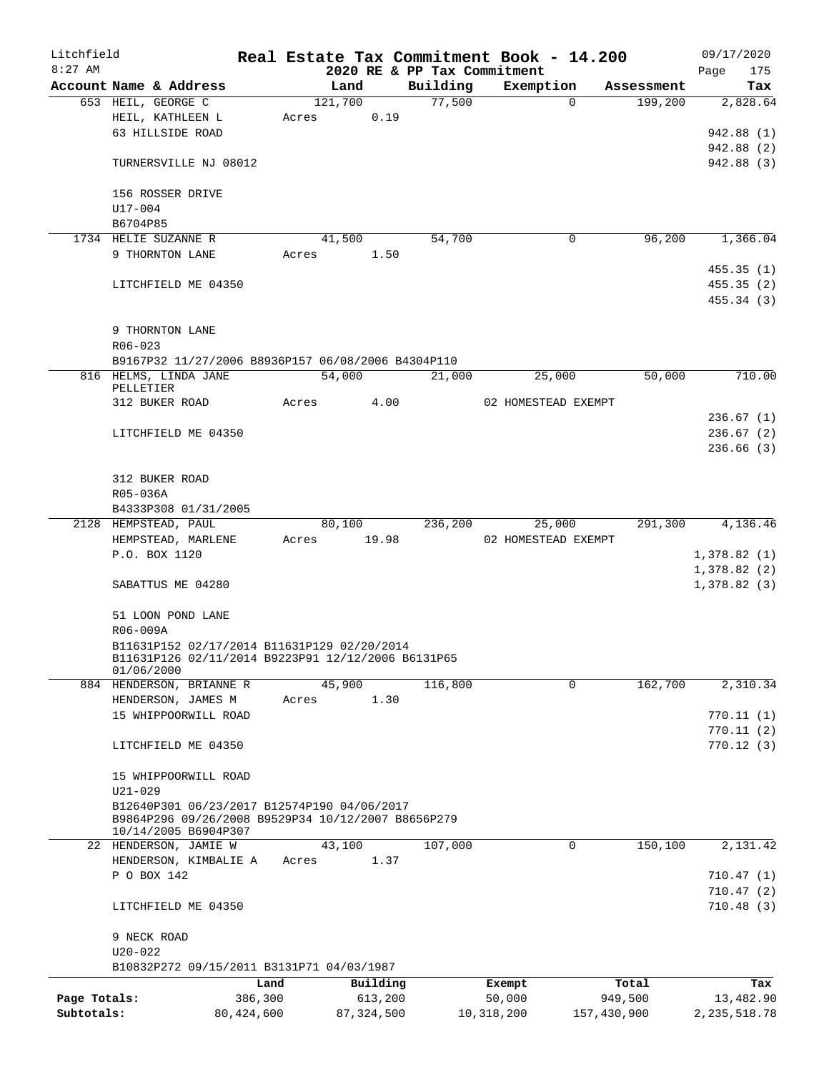| Litchfield   |                                                                            |              |       |         |              |          |         | Real Estate Tax Commitment Book - 14.200 |             | 09/17/2020     |
|--------------|----------------------------------------------------------------------------|--------------|-------|---------|--------------|----------|---------|------------------------------------------|-------------|----------------|
| $8:27$ AM    |                                                                            |              |       |         |              |          |         | 2020 RE & PP Tax Commitment              |             | 175<br>Page    |
|              | Account Name & Address                                                     |              |       | Land    |              | Building |         | Exemption<br>$\Omega$                    | Assessment  | Tax            |
|              | 653 HEIL, GEORGE C                                                         |              |       | 121,700 | 0.19         |          | 77,500  |                                          | 199,200     | 2,828.64       |
|              | HEIL, KATHLEEN L<br>63 HILLSIDE ROAD                                       |              | Acres |         |              |          |         |                                          |             |                |
|              |                                                                            |              |       |         |              |          |         |                                          |             | 942.88 (1)     |
|              |                                                                            |              |       |         |              |          |         |                                          |             | 942.88 (2)     |
|              | TURNERSVILLE NJ 08012                                                      |              |       |         |              |          |         |                                          |             | 942.88 (3)     |
|              | 156 ROSSER DRIVE                                                           |              |       |         |              |          |         |                                          |             |                |
|              | $U17 - 004$                                                                |              |       |         |              |          |         |                                          |             |                |
|              | B6704P85                                                                   |              |       |         |              |          |         |                                          |             |                |
|              | 1734 HELIE SUZANNE R                                                       |              |       | 41,500  |              |          | 54,700  | $\mathbf 0$                              | 96,200      | 1,366.04       |
|              | 9 THORNTON LANE                                                            |              | Acres |         | 1.50         |          |         |                                          |             |                |
|              |                                                                            |              |       |         |              |          |         |                                          |             | 455.35(1)      |
|              | LITCHFIELD ME 04350                                                        |              |       |         |              |          |         |                                          |             | 455.35(2)      |
|              |                                                                            |              |       |         |              |          |         |                                          |             | 455.34 (3)     |
|              |                                                                            |              |       |         |              |          |         |                                          |             |                |
|              | 9 THORNTON LANE                                                            |              |       |         |              |          |         |                                          |             |                |
|              | $R06 - 023$                                                                |              |       |         |              |          |         |                                          |             |                |
|              | B9167P32 11/27/2006 B8936P157 06/08/2006 B4304P110                         |              |       |         |              |          |         |                                          |             |                |
|              | 816 HELMS, LINDA JANE<br>PELLETIER                                         |              |       | 54,000  |              |          | 21,000  | 25,000                                   | 50,000      | 710.00         |
|              | 312 BUKER ROAD                                                             |              | Acres |         | 4.00         |          |         | 02 HOMESTEAD EXEMPT                      |             |                |
|              |                                                                            |              |       |         |              |          |         |                                          |             | 236.67(1)      |
|              | LITCHFIELD ME 04350                                                        |              |       |         |              |          |         |                                          |             | 236.67(2)      |
|              |                                                                            |              |       |         |              |          |         |                                          |             | 236.66(3)      |
|              |                                                                            |              |       |         |              |          |         |                                          |             |                |
|              | 312 BUKER ROAD                                                             |              |       |         |              |          |         |                                          |             |                |
|              | R05-036A                                                                   |              |       |         |              |          |         |                                          |             |                |
|              | B4333P308 01/31/2005                                                       |              |       |         |              |          |         |                                          |             |                |
|              | 2128 HEMPSTEAD, PAUL                                                       |              |       | 80,100  |              |          | 236,200 | 25,000                                   | 291,300     | 4,136.46       |
|              | HEMPSTEAD, MARLENE                                                         |              | Acres |         | 19.98        |          |         | 02 HOMESTEAD EXEMPT                      |             |                |
|              | P.O. BOX 1120                                                              |              |       |         |              |          |         |                                          |             | 1,378.82(1)    |
|              |                                                                            |              |       |         |              |          |         |                                          |             | 1,378.82(2)    |
|              | SABATTUS ME 04280                                                          |              |       |         |              |          |         |                                          |             | 1,378.82(3)    |
|              |                                                                            |              |       |         |              |          |         |                                          |             |                |
|              | 51 LOON POND LANE                                                          |              |       |         |              |          |         |                                          |             |                |
|              | R06-009A                                                                   |              |       |         |              |          |         |                                          |             |                |
|              | B11631P152 02/17/2014 B11631P129 02/20/2014                                |              |       |         |              |          |         |                                          |             |                |
|              | B11631P126 02/11/2014 B9223P91 12/12/2006 B6131P65                         |              |       |         |              |          |         |                                          |             |                |
|              | 01/06/2000                                                                 |              |       |         |              |          |         |                                          |             |                |
|              | 884 HENDERSON, BRIANNE R                                                   |              |       | 45,900  |              | 116,800  |         | 0                                        | 162,700     | 2,310.34       |
|              | HENDERSON, JAMES M                                                         |              | Acres |         | 1.30         |          |         |                                          |             |                |
|              | 15 WHIPPOORWILL ROAD                                                       |              |       |         |              |          |         |                                          |             | 770.11(1)      |
|              |                                                                            |              |       |         |              |          |         |                                          |             | 770.11(2)      |
|              | LITCHFIELD ME 04350                                                        |              |       |         |              |          |         |                                          |             | 770.12(3)      |
|              |                                                                            |              |       |         |              |          |         |                                          |             |                |
|              | 15 WHIPPOORWILL ROAD                                                       |              |       |         |              |          |         |                                          |             |                |
|              | $U21 - 029$                                                                |              |       |         |              |          |         |                                          |             |                |
|              | B12640P301 06/23/2017 B12574P190 04/06/2017                                |              |       |         |              |          |         |                                          |             |                |
|              | B9864P296 09/26/2008 B9529P34 10/12/2007 B8656P279<br>10/14/2005 B6904P307 |              |       |         |              |          |         |                                          |             |                |
|              | 22 HENDERSON, JAMIE W                                                      |              |       | 43,100  |              | 107,000  |         | 0                                        | 150,100     | 2,131.42       |
|              | HENDERSON, KIMBALIE A                                                      |              | Acres |         | 1.37         |          |         |                                          |             |                |
|              | P O BOX 142                                                                |              |       |         |              |          |         |                                          |             | 710.47(1)      |
|              |                                                                            |              |       |         |              |          |         |                                          |             | 710.47(2)      |
|              | LITCHFIELD ME 04350                                                        |              |       |         |              |          |         |                                          |             | 710.48(3)      |
|              |                                                                            |              |       |         |              |          |         |                                          |             |                |
|              | 9 NECK ROAD                                                                |              |       |         |              |          |         |                                          |             |                |
|              | $U20 - 022$                                                                |              |       |         |              |          |         |                                          |             |                |
|              | B10832P272 09/15/2011 B3131P71 04/03/1987                                  |              |       |         |              |          |         |                                          |             |                |
|              |                                                                            | Land         |       |         | Building     |          |         | Exempt                                   | Total       | Tax            |
| Page Totals: |                                                                            | 386,300      |       |         | 613,200      |          |         | 50,000                                   | 949,500     | 13,482.90      |
| Subtotals:   |                                                                            | 80, 424, 600 |       |         | 87, 324, 500 |          |         | 10,318,200                               | 157,430,900 | 2, 235, 518.78 |
|              |                                                                            |              |       |         |              |          |         |                                          |             |                |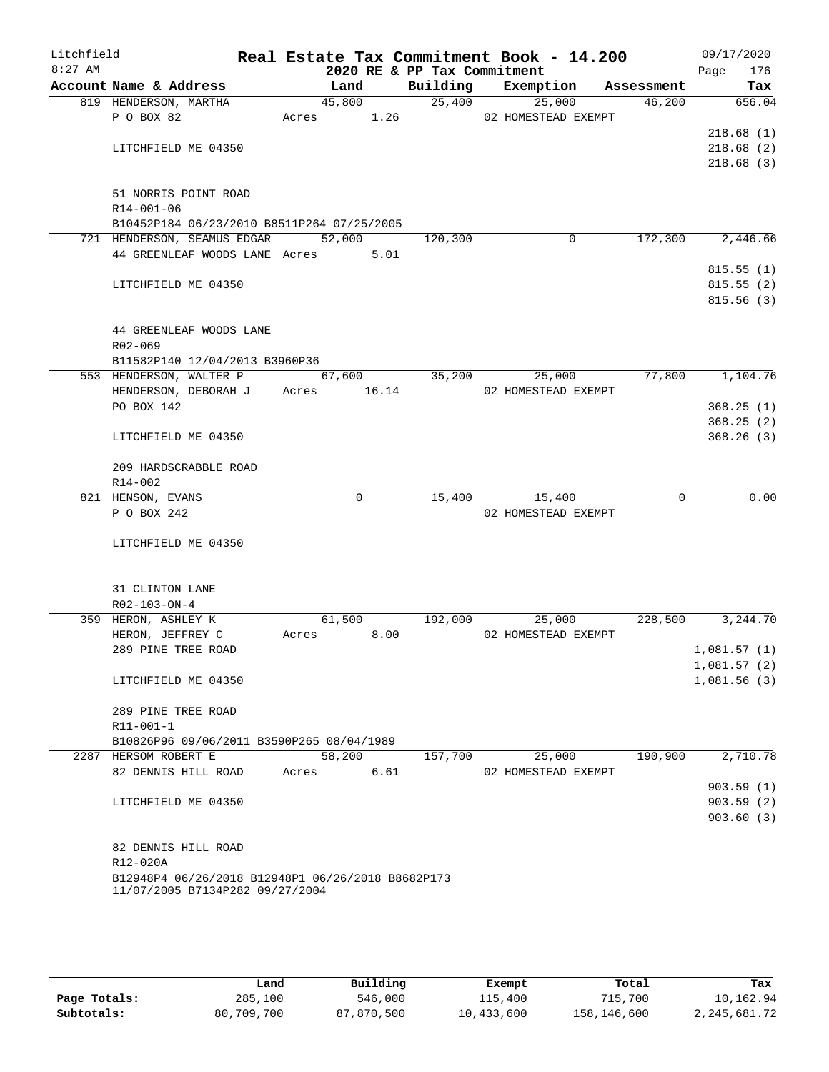| Litchfield<br>$8:27$ AM |                                                   |               | 2020 RE & PP Tax Commitment | Real Estate Tax Commitment Book - 14.200 |            | 09/17/2020<br>Page<br>176 |
|-------------------------|---------------------------------------------------|---------------|-----------------------------|------------------------------------------|------------|---------------------------|
|                         | Account Name & Address                            | Land          | Building                    | Exemption                                | Assessment | Tax                       |
|                         | 819 HENDERSON, MARTHA                             | 45,800        |                             | 25,400<br>25,000                         | 46,200     | 656.04                    |
|                         | P O BOX 82                                        |               |                             | Acres 1.26 02 HOMESTEAD EXEMPT           |            |                           |
|                         |                                                   |               |                             |                                          |            | 218.68(1)                 |
|                         | LITCHFIELD ME 04350                               |               |                             |                                          |            | 218.68(2)                 |
|                         |                                                   |               |                             |                                          |            | 218.68(3)                 |
|                         | 51 NORRIS POINT ROAD                              |               |                             |                                          |            |                           |
|                         | R14-001-06                                        |               |                             |                                          |            |                           |
|                         | B10452P184 06/23/2010 B8511P264 07/25/2005        |               |                             |                                          |            |                           |
|                         | 721 HENDERSON, SEAMUS EDGAR                       | 52,000        | 120,300                     | 0                                        | 172,300    | 2,446.66                  |
|                         | 44 GREENLEAF WOODS LANE Acres 5.01                |               |                             |                                          |            |                           |
|                         |                                                   |               |                             |                                          |            | 815.55(1)                 |
|                         | LITCHFIELD ME 04350                               |               |                             |                                          |            | 815.55(2)                 |
|                         |                                                   |               |                             |                                          |            | 815.56(3)                 |
|                         | 44 GREENLEAF WOODS LANE                           |               |                             |                                          |            |                           |
|                         | R02-069                                           |               |                             |                                          |            |                           |
|                         | B11582P140 12/04/2013 B3960P36                    |               |                             |                                          |            |                           |
|                         | 553 HENDERSON, WALTER P                           | 67,600        |                             | 35,200<br>25,000                         | 77,800     | 1,104.76                  |
|                         | HENDERSON, DEBORAH J                              | Acres 16.14   |                             | 02 HOMESTEAD EXEMPT                      |            |                           |
|                         | PO BOX 142                                        |               |                             |                                          |            | 368.25(1)                 |
|                         |                                                   |               |                             |                                          |            | 368.25(2)                 |
|                         | LITCHFIELD ME 04350                               |               |                             |                                          |            | 368.26(3)                 |
|                         | 209 HARDSCRABBLE ROAD                             |               |                             |                                          |            |                           |
|                         | $R14 - 002$                                       |               |                             |                                          |            |                           |
|                         | 821 HENSON, EVANS                                 | 0             | 15,400                      | 15,400                                   | $\Omega$   | 0.00                      |
|                         | P O BOX 242                                       |               |                             | 02 HOMESTEAD EXEMPT                      |            |                           |
|                         | LITCHFIELD ME 04350                               |               |                             |                                          |            |                           |
|                         |                                                   |               |                             |                                          |            |                           |
|                         | 31 CLINTON LANE<br>R02-103-ON-4                   |               |                             |                                          |            |                           |
|                         | 359 HERON, ASHLEY K                               | 61,500        |                             | 192,000<br>25,000                        | 228,500    | 3,244.70                  |
|                         | HERON, JEFFREY C                                  | 8.00<br>Acres |                             | 02 HOMESTEAD EXEMPT                      |            |                           |
|                         | 289 PINE TREE ROAD                                |               |                             |                                          |            | 1,081.57(1)               |
|                         |                                                   |               |                             |                                          |            | 1,081.57(2)               |
|                         | LITCHFIELD ME 04350                               |               |                             |                                          |            | 1,081.56(3)               |
|                         | 289 PINE TREE ROAD                                |               |                             |                                          |            |                           |
|                         | R11-001-1                                         |               |                             |                                          |            |                           |
|                         | B10826P96 09/06/2011 B3590P265 08/04/1989         |               |                             |                                          |            |                           |
|                         | 2287 HERSOM ROBERT E                              | 58,200        | 157,700                     | 25,000                                   | 190,900    | 2,710.78                  |
|                         | 82 DENNIS HILL ROAD                               | 6.61<br>Acres |                             | 02 HOMESTEAD EXEMPT                      |            |                           |
|                         |                                                   |               |                             |                                          |            | 903.59(1)                 |
|                         | LITCHFIELD ME 04350                               |               |                             |                                          |            | 903.59(2)                 |
|                         |                                                   |               |                             |                                          |            | 903.60(3)                 |
|                         | 82 DENNIS HILL ROAD                               |               |                             |                                          |            |                           |
|                         | R12-020A                                          |               |                             |                                          |            |                           |
|                         | B12948P4 06/26/2018 B12948P1 06/26/2018 B8682P173 |               |                             |                                          |            |                           |
|                         | 11/07/2005 B7134P282 09/27/2004                   |               |                             |                                          |            |                           |
|                         |                                                   |               |                             |                                          |            |                           |

|              | Land       | Building   | Exempt     | Total       | Tax          |
|--------------|------------|------------|------------|-------------|--------------|
| Page Totals: | 285,100    | 546,000    | 115,400    | 715,700     | 10,162.94    |
| Subtotals:   | 80,709,700 | 87,870,500 | 10,433,600 | 158,146,600 | 2,245,681.72 |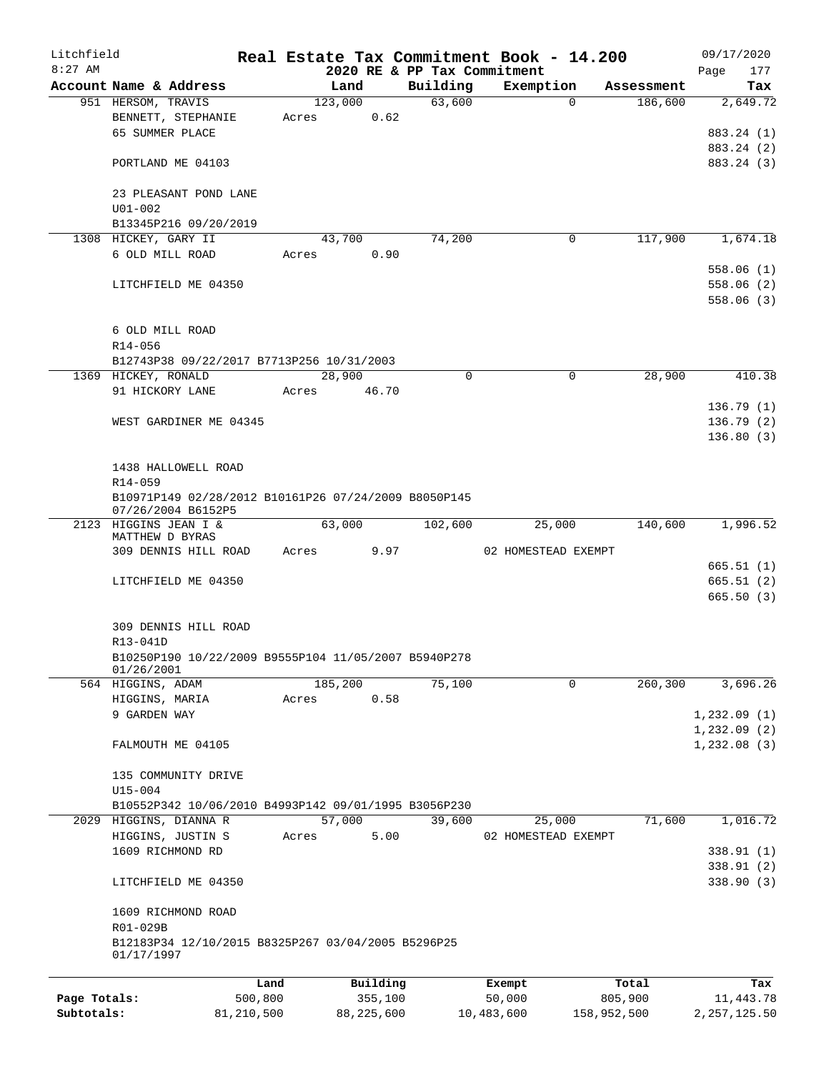| Litchfield   |                                                      |         |          |                             | Real Estate Tax Commitment Book - 14.200 |            | 09/17/2020  |
|--------------|------------------------------------------------------|---------|----------|-----------------------------|------------------------------------------|------------|-------------|
| $8:27$ AM    |                                                      |         |          | 2020 RE & PP Tax Commitment |                                          |            | 177<br>Page |
|              | Account Name & Address                               |         | Land     | Building                    | Exemption                                | Assessment | Tax         |
|              | 951 HERSOM, TRAVIS                                   |         | 123,000  | 63,600                      | $\Omega$                                 | 186,600    | 2,649.72    |
|              | BENNETT, STEPHANIE<br>65 SUMMER PLACE                | Acres   | 0.62     |                             |                                          |            |             |
|              |                                                      |         |          |                             |                                          |            | 883.24 (1)  |
|              |                                                      |         |          |                             |                                          |            | 883.24 (2)  |
|              | PORTLAND ME 04103                                    |         |          |                             |                                          |            | 883.24 (3)  |
|              | 23 PLEASANT POND LANE                                |         |          |                             |                                          |            |             |
|              | $U01 - 002$                                          |         |          |                             |                                          |            |             |
|              | B13345P216 09/20/2019                                |         |          |                             |                                          |            |             |
|              | 1308 HICKEY, GARY II                                 |         | 43,700   | 74,200                      | 0                                        | 117,900    | 1,674.18    |
|              | 6 OLD MILL ROAD                                      | Acres   | 0.90     |                             |                                          |            |             |
|              |                                                      |         |          |                             |                                          |            | 558.06(1)   |
|              | LITCHFIELD ME 04350                                  |         |          |                             |                                          |            | 558.06(2)   |
|              |                                                      |         |          |                             |                                          |            | 558.06(3)   |
|              |                                                      |         |          |                             |                                          |            |             |
|              | 6 OLD MILL ROAD                                      |         |          |                             |                                          |            |             |
|              | R14-056                                              |         |          |                             |                                          |            |             |
|              | B12743P38 09/22/2017 B7713P256 10/31/2003            |         |          |                             |                                          |            |             |
|              | 1369 HICKEY, RONALD                                  |         | 28,900   | 0                           | $\mathbf 0$                              | 28,900     | 410.38      |
|              | 91 HICKORY LANE                                      | Acres   | 46.70    |                             |                                          |            |             |
|              |                                                      |         |          |                             |                                          |            | 136.79(1)   |
|              | WEST GARDINER ME 04345                               |         |          |                             |                                          |            | 136.79(2)   |
|              |                                                      |         |          |                             |                                          |            | 136.80(3)   |
|              |                                                      |         |          |                             |                                          |            |             |
|              | 1438 HALLOWELL ROAD                                  |         |          |                             |                                          |            |             |
|              | R14-059                                              |         |          |                             |                                          |            |             |
|              | B10971P149 02/28/2012 B10161P26 07/24/2009 B8050P145 |         |          |                             |                                          |            |             |
|              | 07/26/2004 B6152P5                                   |         |          |                             |                                          |            |             |
|              | 2123 HIGGINS JEAN I &                                |         | 63,000   | 102,600                     | 25,000                                   | 140,600    | 1,996.52    |
|              | MATTHEW D BYRAS                                      |         |          |                             |                                          |            |             |
|              | 309 DENNIS HILL ROAD                                 | Acres   | 9.97     |                             | 02 HOMESTEAD EXEMPT                      |            |             |
|              |                                                      |         |          |                             |                                          |            | 665.51(1)   |
|              | LITCHFIELD ME 04350                                  |         |          |                             |                                          |            | 665.51(2)   |
|              |                                                      |         |          |                             |                                          |            | 665.50(3)   |
|              |                                                      |         |          |                             |                                          |            |             |
|              | 309 DENNIS HILL ROAD<br>R13-041D                     |         |          |                             |                                          |            |             |
|              | B10250P190 10/22/2009 B9555P104 11/05/2007 B5940P278 |         |          |                             |                                          |            |             |
|              | 01/26/2001                                           |         |          |                             |                                          |            |             |
|              | 564 HIGGINS, ADAM                                    |         | 185,200  | 75,100                      | $\mathbf 0$                              | 260,300    | 3,696.26    |
|              | HIGGINS, MARIA                                       | Acres   | 0.58     |                             |                                          |            |             |
|              | 9 GARDEN WAY                                         |         |          |                             |                                          |            | 1,232.09(1) |
|              |                                                      |         |          |                             |                                          |            | 1,232.09(2) |
|              | FALMOUTH ME 04105                                    |         |          |                             |                                          |            | 1,232.08(3) |
|              |                                                      |         |          |                             |                                          |            |             |
|              | 135 COMMUNITY DRIVE                                  |         |          |                             |                                          |            |             |
|              | $U15 - 004$                                          |         |          |                             |                                          |            |             |
|              | B10552P342 10/06/2010 B4993P142 09/01/1995 B3056P230 |         |          |                             |                                          |            |             |
|              | 2029 HIGGINS, DIANNA R                               |         | 57,000   | 39,600                      | 25,000                                   | 71,600     | 1,016.72    |
|              | HIGGINS, JUSTIN S                                    | Acres   | 5.00     |                             | 02 HOMESTEAD EXEMPT                      |            |             |
|              | 1609 RICHMOND RD                                     |         |          |                             |                                          |            | 338.91(1)   |
|              |                                                      |         |          |                             |                                          |            | 338.91(2)   |
|              | LITCHFIELD ME 04350                                  |         |          |                             |                                          |            | 338.90 (3)  |
|              |                                                      |         |          |                             |                                          |            |             |
|              | 1609 RICHMOND ROAD                                   |         |          |                             |                                          |            |             |
|              | R01-029B                                             |         |          |                             |                                          |            |             |
|              | B12183P34 12/10/2015 B8325P267 03/04/2005 B5296P25   |         |          |                             |                                          |            |             |
|              | 01/17/1997                                           |         |          |                             |                                          |            |             |
|              |                                                      | Land    | Building |                             | Exempt                                   | Total      | Tax         |
| Page Totals: |                                                      | 500,800 | 355,100  |                             | 50,000                                   | 805,900    | 11, 443.78  |
|              |                                                      |         |          |                             |                                          |            |             |

**Subtotals:** 81,210,500 88,225,600 10,483,600 158,952,500 2,257,125.50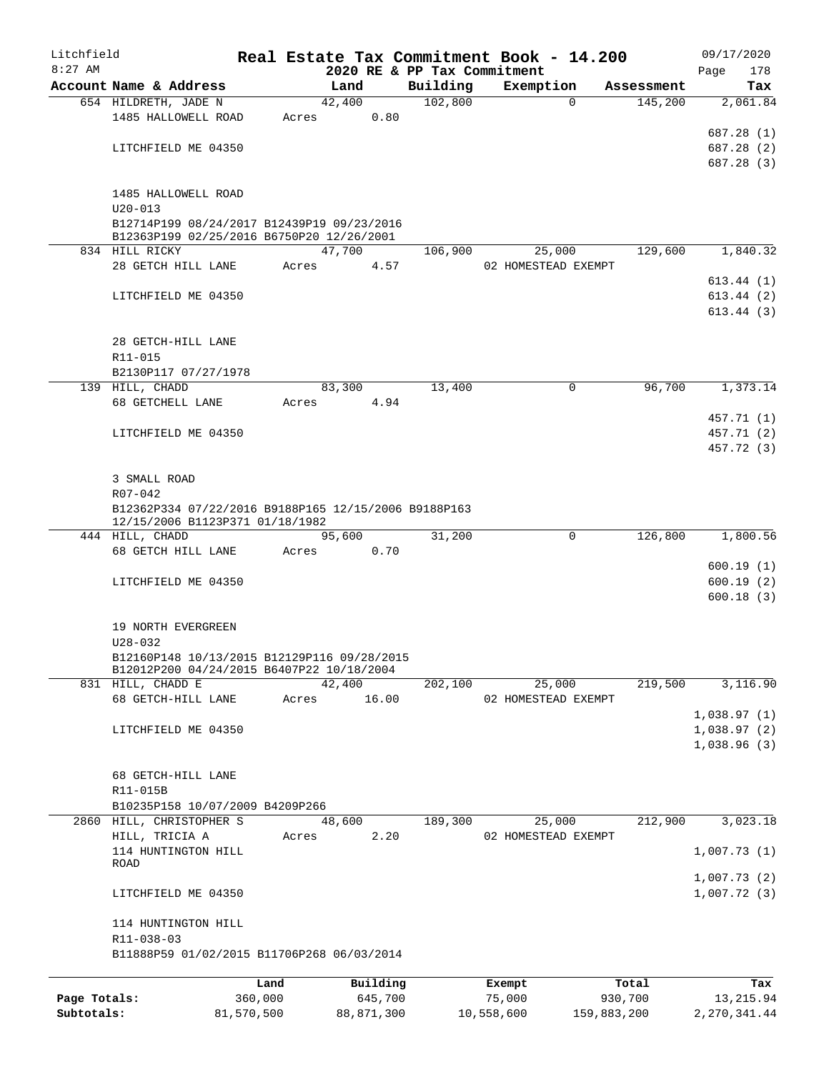| Litchfield   |                                                             |            |       |                | Real Estate Tax Commitment Book - 14.200 |            |                               |             |            | 09/17/2020     |
|--------------|-------------------------------------------------------------|------------|-------|----------------|------------------------------------------|------------|-------------------------------|-------------|------------|----------------|
| $8:27$ AM    |                                                             |            |       |                | 2020 RE & PP Tax Commitment              |            |                               |             |            | 178<br>Page    |
|              | Account Name & Address                                      |            |       | Land           | Building<br>102,800                      |            | Exemption                     | $\Omega$    | Assessment | Tax            |
|              | 654 HILDRETH, JADE N<br>1485 HALLOWELL ROAD                 |            | Acres | 42,400<br>0.80 |                                          |            |                               |             | 145,200    | 2,061.84       |
|              |                                                             |            |       |                |                                          |            |                               |             |            | 687.28 (1)     |
|              | LITCHFIELD ME 04350                                         |            |       |                |                                          |            |                               |             |            | 687.28 (2)     |
|              |                                                             |            |       |                |                                          |            |                               |             |            | 687.28 (3)     |
|              |                                                             |            |       |                |                                          |            |                               |             |            |                |
|              | 1485 HALLOWELL ROAD                                         |            |       |                |                                          |            |                               |             |            |                |
|              | $U20 - 013$                                                 |            |       |                |                                          |            |                               |             |            |                |
|              | B12714P199 08/24/2017 B12439P19 09/23/2016                  |            |       |                |                                          |            |                               |             |            |                |
|              | B12363P199 02/25/2016 B6750P20 12/26/2001                   |            |       |                |                                          |            |                               |             |            |                |
|              | 834 HILL RICKY                                              |            |       | 47,700         | 106,900                                  |            | 25,000                        |             | 129,600    | 1,840.32       |
|              | 28 GETCH HILL LANE                                          |            | Acres | 4.57           |                                          |            | 02 HOMESTEAD EXEMPT           |             |            |                |
|              |                                                             |            |       |                |                                          |            |                               |             |            | 613.44 (1)     |
|              | LITCHFIELD ME 04350                                         |            |       |                |                                          |            |                               |             |            | 613.44(2)      |
|              |                                                             |            |       |                |                                          |            |                               |             |            | 613.44(3)      |
|              |                                                             |            |       |                |                                          |            |                               |             |            |                |
|              | 28 GETCH-HILL LANE                                          |            |       |                |                                          |            |                               |             |            |                |
|              | R11-015                                                     |            |       |                |                                          |            |                               |             |            |                |
|              | B2130P117 07/27/1978                                        |            |       |                |                                          |            |                               |             |            |                |
|              | 139 HILL, CHADD                                             |            |       | 83,300         | 13,400                                   |            |                               | 0           | 96,700     | 1,373.14       |
|              | 68 GETCHELL LANE                                            |            | Acres | 4.94           |                                          |            |                               |             |            |                |
|              |                                                             |            |       |                |                                          |            |                               |             |            | 457.71 (1)     |
|              | LITCHFIELD ME 04350                                         |            |       |                |                                          |            |                               |             |            | 457.71 (2)     |
|              |                                                             |            |       |                |                                          |            |                               |             |            | 457.72 (3)     |
|              |                                                             |            |       |                |                                          |            |                               |             |            |                |
|              | 3 SMALL ROAD                                                |            |       |                |                                          |            |                               |             |            |                |
|              | R07-042                                                     |            |       |                |                                          |            |                               |             |            |                |
|              | B12362P334 07/22/2016 B9188P165 12/15/2006 B9188P163        |            |       |                |                                          |            |                               |             |            |                |
|              | 12/15/2006 B1123P371 01/18/1982<br>444 HILL, CHADD          |            |       | 95,600         | 31,200                                   |            |                               | 0           | 126,800    | 1,800.56       |
|              | 68 GETCH HILL LANE                                          |            | Acres | 0.70           |                                          |            |                               |             |            |                |
|              |                                                             |            |       |                |                                          |            |                               |             |            | 600.19(1)      |
|              | LITCHFIELD ME 04350                                         |            |       |                |                                          |            |                               |             |            | 600.19(2)      |
|              |                                                             |            |       |                |                                          |            |                               |             |            | 600.18(3)      |
|              |                                                             |            |       |                |                                          |            |                               |             |            |                |
|              | 19 NORTH EVERGREEN                                          |            |       |                |                                          |            |                               |             |            |                |
|              | $U28 - 032$                                                 |            |       |                |                                          |            |                               |             |            |                |
|              | B12160P148 10/13/2015 B12129P116 09/28/2015                 |            |       |                |                                          |            |                               |             |            |                |
|              | B12012P200 04/24/2015 B6407P22 10/18/2004                   |            |       |                |                                          |            |                               |             |            |                |
|              | 831 HILL, CHADD E                                           |            |       | 42,400         | 202,100                                  |            | 25,000                        |             | 219,500    | 3,116.90       |
|              | 68 GETCH-HILL LANE                                          |            | Acres | 16.00          |                                          |            | 02 HOMESTEAD EXEMPT           |             |            |                |
|              |                                                             |            |       |                |                                          |            |                               |             |            | 1,038.97(1)    |
|              | LITCHFIELD ME 04350                                         |            |       |                |                                          |            |                               |             |            | 1,038.97(2)    |
|              |                                                             |            |       |                |                                          |            |                               |             |            | 1,038.96(3)    |
|              |                                                             |            |       |                |                                          |            |                               |             |            |                |
|              | 68 GETCH-HILL LANE                                          |            |       |                |                                          |            |                               |             |            |                |
|              | R11-015B                                                    |            |       |                |                                          |            |                               |             |            |                |
|              | B10235P158 10/07/2009 B4209P266<br>2860 HILL, CHRISTOPHER S |            |       | 48,600         | 189,300                                  |            |                               |             | 212,900    | 3,023.18       |
|              | HILL, TRICIA A                                              |            | Acres | 2.20           |                                          |            | 25,000<br>02 HOMESTEAD EXEMPT |             |            |                |
|              | 114 HUNTINGTON HILL                                         |            |       |                |                                          |            |                               |             |            | 1,007.73(1)    |
|              | ROAD                                                        |            |       |                |                                          |            |                               |             |            |                |
|              |                                                             |            |       |                |                                          |            |                               |             |            | 1,007.73(2)    |
|              | LITCHFIELD ME 04350                                         |            |       |                |                                          |            |                               |             |            | 1,007.72(3)    |
|              |                                                             |            |       |                |                                          |            |                               |             |            |                |
|              | 114 HUNTINGTON HILL                                         |            |       |                |                                          |            |                               |             |            |                |
|              | R11-038-03                                                  |            |       |                |                                          |            |                               |             |            |                |
|              | B11888P59 01/02/2015 B11706P268 06/03/2014                  |            |       |                |                                          |            |                               |             |            |                |
|              |                                                             |            |       |                |                                          |            |                               |             |            |                |
|              |                                                             | Land       |       | Building       |                                          |            | Exempt                        |             | Total      | Tax            |
| Page Totals: |                                                             | 360,000    |       | 645,700        |                                          |            | 75,000                        | 930,700     |            | 13, 215.94     |
| Subtotals:   |                                                             | 81,570,500 |       | 88,871,300     |                                          | 10,558,600 |                               | 159,883,200 |            | 2, 270, 341.44 |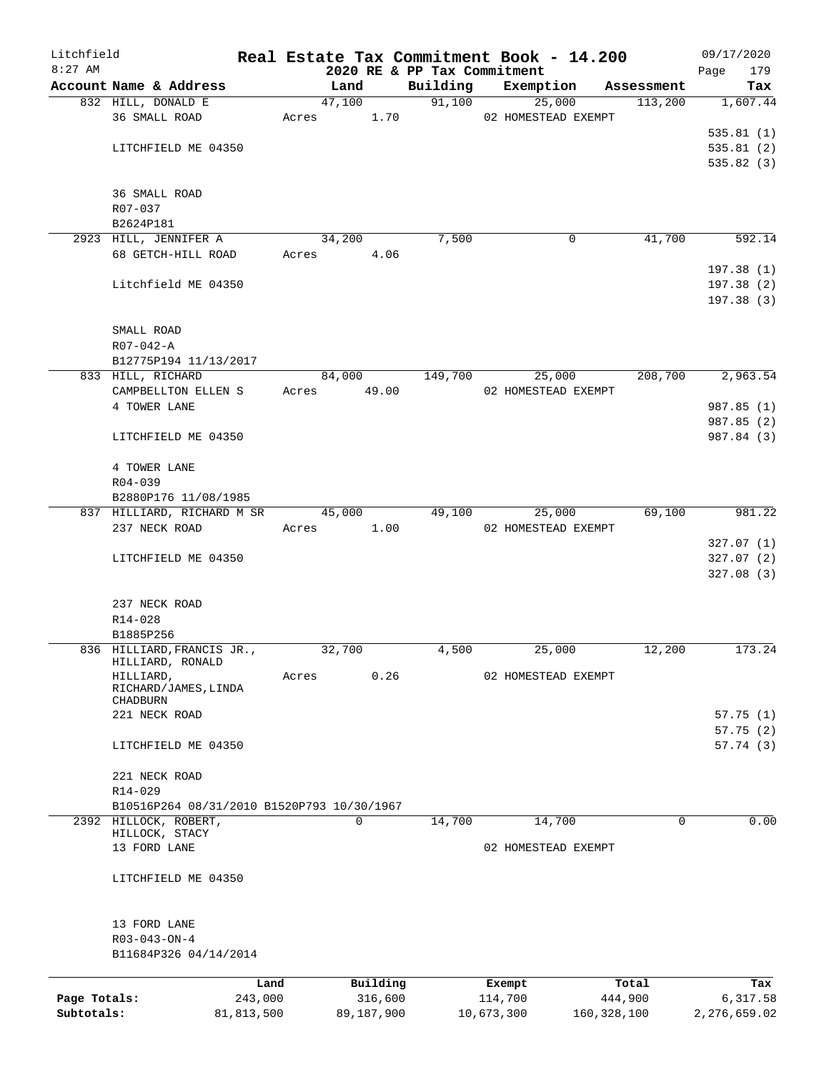| Litchfield                 |                                         |                                            |       |                       | Real Estate Tax Commitment Book - 14.200 |                       |                     |            | 09/17/2020               |
|----------------------------|-----------------------------------------|--------------------------------------------|-------|-----------------------|------------------------------------------|-----------------------|---------------------|------------|--------------------------|
| $8:27$ AM                  | Account Name & Address                  |                                            |       | Land                  | 2020 RE & PP Tax Commitment<br>Building  | Exemption             |                     | Assessment | 179<br>Page<br>Tax       |
|                            | 832 HILL, DONALD E                      |                                            |       | $\overline{47,100}$   | 91,100                                   |                       | 25,000              | 113,200    | 1,607.44                 |
|                            | 36 SMALL ROAD                           |                                            |       | 1.70<br>Acres         |                                          | 02 HOMESTEAD EXEMPT   |                     |            |                          |
|                            |                                         |                                            |       |                       |                                          |                       |                     |            | 535.81(1)                |
|                            |                                         | LITCHFIELD ME 04350                        |       |                       |                                          |                       |                     |            | 535.81(2)                |
|                            |                                         |                                            |       |                       |                                          |                       |                     |            | 535.82 (3)               |
|                            | 36 SMALL ROAD                           |                                            |       |                       |                                          |                       |                     |            |                          |
|                            | R07-037                                 |                                            |       |                       |                                          |                       |                     |            |                          |
|                            | B2624P181                               |                                            |       |                       |                                          |                       |                     |            |                          |
|                            | 2923 HILL, JENNIFER A                   |                                            |       | 34,200                | 7,500                                    |                       | $\mathbf 0$         | 41,700     | 592.14                   |
|                            |                                         | 68 GETCH-HILL ROAD                         | Acres | 4.06                  |                                          |                       |                     |            |                          |
|                            |                                         | Litchfield ME 04350                        |       |                       |                                          |                       |                     |            | 197.38(1)<br>197.38(2)   |
|                            |                                         |                                            |       |                       |                                          |                       |                     |            | 197.38(3)                |
|                            | SMALL ROAD                              |                                            |       |                       |                                          |                       |                     |            |                          |
|                            | $R07 - 042 - A$                         |                                            |       |                       |                                          |                       |                     |            |                          |
|                            |                                         | B12775P194 11/13/2017                      |       |                       |                                          |                       |                     |            |                          |
|                            | 833 HILL, RICHARD                       |                                            |       | 84,000                | 149,700                                  |                       | 25,000              | 208,700    | 2,963.54                 |
|                            |                                         | CAMPBELLTON ELLEN S                        | Acres | 49.00                 |                                          | 02 HOMESTEAD EXEMPT   |                     |            |                          |
|                            | 4 TOWER LANE                            |                                            |       |                       |                                          |                       |                     |            | 987.85(1)                |
|                            |                                         |                                            |       |                       |                                          |                       |                     |            | 987.85 (2)               |
|                            |                                         | LITCHFIELD ME 04350                        |       |                       |                                          |                       |                     |            | 987.84 (3)               |
|                            | 4 TOWER LANE                            |                                            |       |                       |                                          |                       |                     |            |                          |
|                            | R04-039                                 |                                            |       |                       |                                          |                       |                     |            |                          |
|                            |                                         | B2880P176 11/08/1985                       |       |                       |                                          |                       |                     |            |                          |
|                            |                                         | 837 HILLIARD, RICHARD M SR                 |       | 45,000                | 49,100                                   |                       | 25,000              | 69,100     | 981.22                   |
|                            | 237 NECK ROAD                           |                                            |       | 1.00<br>Acres         |                                          | 02 HOMESTEAD EXEMPT   |                     |            |                          |
|                            |                                         |                                            |       |                       |                                          |                       |                     |            | 327.07(1)                |
|                            |                                         | LITCHFIELD ME 04350                        |       |                       |                                          |                       |                     |            | 327.07(2)<br>327.08(3)   |
|                            |                                         |                                            |       |                       |                                          |                       |                     |            |                          |
|                            | 237 NECK ROAD                           |                                            |       |                       |                                          |                       |                     |            |                          |
|                            | R14-028<br>B1885P256                    |                                            |       |                       |                                          |                       |                     |            |                          |
|                            |                                         | 836 HILLIARD, FRANCIS JR.,                 |       | 32,700                | 4,500                                    |                       | 25,000              | 12,200     | 173.24                   |
|                            | HILLIARD, RONALD                        |                                            |       |                       |                                          |                       |                     |            |                          |
|                            | HILLIARD,                               |                                            | Acres | 0.26                  |                                          |                       | 02 HOMESTEAD EXEMPT |            |                          |
|                            |                                         | RICHARD/JAMES, LINDA                       |       |                       |                                          |                       |                     |            |                          |
|                            | CHADBURN<br>221 NECK ROAD               |                                            |       |                       |                                          |                       |                     |            |                          |
|                            |                                         |                                            |       |                       |                                          |                       |                     |            | 57.75(1)                 |
|                            |                                         | LITCHFIELD ME 04350                        |       |                       |                                          |                       |                     |            | 57.75(2)<br>57.74(3)     |
|                            | 221 NECK ROAD                           |                                            |       |                       |                                          |                       |                     |            |                          |
|                            | R14-029                                 |                                            |       |                       |                                          |                       |                     |            |                          |
|                            |                                         | B10516P264 08/31/2010 B1520P793 10/30/1967 |       |                       |                                          |                       |                     |            |                          |
|                            | 2392 HILLOCK, ROBERT,<br>HILLOCK, STACY |                                            |       | $\mathbf 0$           | 14,700                                   |                       | 14,700              | 0          | 0.00                     |
|                            | 13 FORD LANE                            |                                            |       |                       |                                          |                       | 02 HOMESTEAD EXEMPT |            |                          |
|                            |                                         | LITCHFIELD ME 04350                        |       |                       |                                          |                       |                     |            |                          |
|                            |                                         |                                            |       |                       |                                          |                       |                     |            |                          |
|                            | 13 FORD LANE                            |                                            |       |                       |                                          |                       |                     |            |                          |
|                            | $R03 - 043 - ON - 4$                    |                                            |       |                       |                                          |                       |                     |            |                          |
|                            |                                         | B11684P326 04/14/2014                      |       |                       |                                          |                       |                     |            |                          |
|                            |                                         | Land                                       |       | Building              |                                          | Exempt                |                     | Total      | Tax                      |
| Page Totals:<br>Subtotals: |                                         | 243,000<br>81,813,500                      |       | 316,600<br>89,187,900 |                                          | 114,700<br>10,673,300 | 160, 328, 100       | 444,900    | 6,317.58<br>2,276,659.02 |
|                            |                                         |                                            |       |                       |                                          |                       |                     |            |                          |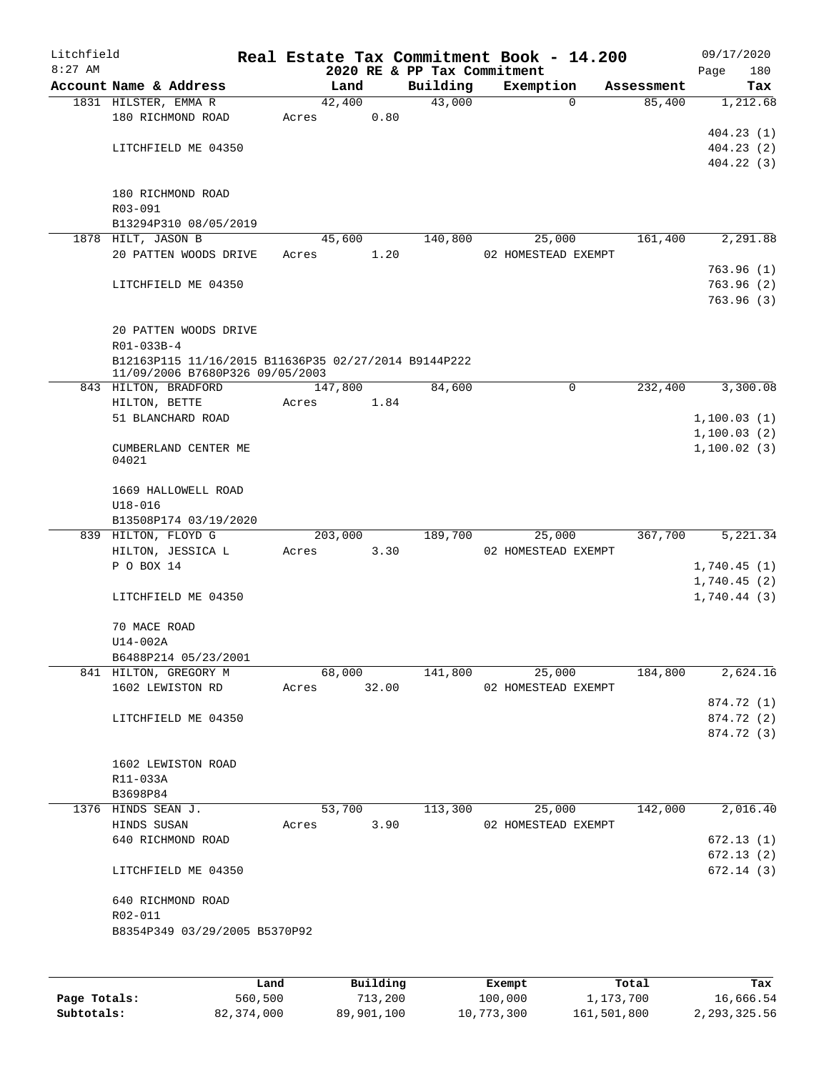| Litchfield<br>$8:27$ AM |                                                      |       |             |      | 2020 RE & PP Tax Commitment | Real Estate Tax Commitment Book - 14.200 |            |         | Page | 09/17/2020<br>180          |
|-------------------------|------------------------------------------------------|-------|-------------|------|-----------------------------|------------------------------------------|------------|---------|------|----------------------------|
|                         | Account Name & Address                               |       | Land        |      | Building                    | Exemption                                | Assessment |         |      | Tax                        |
|                         | 1831 HILSTER, EMMA R                                 |       | 42,400      |      | 43,000                      |                                          | 0          | 85,400  |      | 1,212.68                   |
|                         | 180 RICHMOND ROAD                                    | Acres |             | 0.80 |                             |                                          |            |         |      |                            |
|                         |                                                      |       |             |      |                             |                                          |            |         |      | 404.23(1)                  |
|                         | LITCHFIELD ME 04350                                  |       |             |      |                             |                                          |            |         |      | 404.23(2)                  |
|                         |                                                      |       |             |      |                             |                                          |            |         |      | 404.22(3)                  |
|                         |                                                      |       |             |      |                             |                                          |            |         |      |                            |
|                         | 180 RICHMOND ROAD                                    |       |             |      |                             |                                          |            |         |      |                            |
|                         | R03-091                                              |       |             |      |                             |                                          |            |         |      |                            |
|                         | B13294P310 08/05/2019<br>1878 HILT, JASON B          |       |             |      | 140,800                     |                                          |            | 161,400 |      | 2,291.88                   |
|                         | 20 PATTEN WOODS DRIVE                                | Acres | 45,600      | 1.20 |                             | 25,000<br>02 HOMESTEAD EXEMPT            |            |         |      |                            |
|                         |                                                      |       |             |      |                             |                                          |            |         |      | 763.96(1)                  |
|                         | LITCHFIELD ME 04350                                  |       |             |      |                             |                                          |            |         |      | 763.96(2)                  |
|                         |                                                      |       |             |      |                             |                                          |            |         |      | 763.96(3)                  |
|                         |                                                      |       |             |      |                             |                                          |            |         |      |                            |
|                         | 20 PATTEN WOODS DRIVE                                |       |             |      |                             |                                          |            |         |      |                            |
|                         | R01-033B-4                                           |       |             |      |                             |                                          |            |         |      |                            |
|                         | B12163P115 11/16/2015 B11636P35 02/27/2014 B9144P222 |       |             |      |                             |                                          |            |         |      |                            |
|                         | 11/09/2006 B7680P326 09/05/2003                      |       |             |      |                             |                                          |            |         |      |                            |
|                         | 843 HILTON, BRADFORD                                 |       | 147,800     |      | 84,600                      |                                          | 0          | 232,400 |      | 3,300.08                   |
|                         | HILTON, BETTE                                        | Acres |             | 1.84 |                             |                                          |            |         |      |                            |
|                         | 51 BLANCHARD ROAD                                    |       |             |      |                             |                                          |            |         |      | 1,100.03(1)                |
|                         |                                                      |       |             |      |                             |                                          |            |         |      | 1,100.03(2)<br>1,100.02(3) |
|                         | CUMBERLAND CENTER ME<br>04021                        |       |             |      |                             |                                          |            |         |      |                            |
|                         |                                                      |       |             |      |                             |                                          |            |         |      |                            |
|                         | 1669 HALLOWELL ROAD                                  |       |             |      |                             |                                          |            |         |      |                            |
|                         | $U18 - 016$                                          |       |             |      |                             |                                          |            |         |      |                            |
|                         | B13508P174 03/19/2020                                |       |             |      |                             |                                          |            |         |      |                            |
|                         | 839 HILTON, FLOYD G                                  |       | 203,000     |      | 189,700                     | 25,000                                   |            | 367,700 |      | 5,221.34                   |
|                         | HILTON, JESSICA L                                    | Acres |             | 3.30 |                             | 02 HOMESTEAD EXEMPT                      |            |         |      |                            |
|                         | P O BOX 14                                           |       |             |      |                             |                                          |            |         |      | 1,740.45(1)                |
|                         |                                                      |       |             |      |                             |                                          |            |         |      | 1,740.45(2)                |
|                         | LITCHFIELD ME 04350                                  |       |             |      |                             |                                          |            |         |      | 1,740.44(3)                |
|                         | 70 MACE ROAD                                         |       |             |      |                             |                                          |            |         |      |                            |
|                         | U14-002A                                             |       |             |      |                             |                                          |            |         |      |                            |
|                         | B6488P214 05/23/2001                                 |       |             |      |                             |                                          |            |         |      |                            |
|                         | 841 HILTON, GREGORY M                                |       | 68,000      |      | 141,800                     | 25,000                                   |            | 184,800 |      | 2,624.16                   |
|                         | 1602 LEWISTON RD                                     |       | Acres 32.00 |      |                             | 02 HOMESTEAD EXEMPT                      |            |         |      |                            |
|                         |                                                      |       |             |      |                             |                                          |            |         |      | 874.72 (1)                 |
|                         | LITCHFIELD ME 04350                                  |       |             |      |                             |                                          |            |         |      | 874.72 (2)                 |
|                         |                                                      |       |             |      |                             |                                          |            |         |      | 874.72 (3)                 |
|                         |                                                      |       |             |      |                             |                                          |            |         |      |                            |
|                         | 1602 LEWISTON ROAD                                   |       |             |      |                             |                                          |            |         |      |                            |
|                         | R11-033A                                             |       |             |      |                             |                                          |            |         |      |                            |
|                         | B3698P84                                             |       |             |      |                             |                                          |            |         |      |                            |
|                         | 1376 HINDS SEAN J.                                   |       | 53,700      |      | 113,300                     |                                          | 25,000     | 142,000 |      | 2,016.40                   |
|                         | HINDS SUSAN                                          |       | Acres       | 3.90 |                             | 02 HOMESTEAD EXEMPT                      |            |         |      |                            |
|                         | 640 RICHMOND ROAD                                    |       |             |      |                             |                                          |            |         |      | 672.13(1)<br>672.13(2)     |
|                         | LITCHFIELD ME 04350                                  |       |             |      |                             |                                          |            |         |      | 672.14(3)                  |
|                         |                                                      |       |             |      |                             |                                          |            |         |      |                            |
|                         | 640 RICHMOND ROAD                                    |       |             |      |                             |                                          |            |         |      |                            |
|                         | R02-011                                              |       |             |      |                             |                                          |            |         |      |                            |
|                         | B8354P349 03/29/2005 B5370P92                        |       |             |      |                             |                                          |            |         |      |                            |
|                         |                                                      |       |             |      |                             |                                          |            |         |      |                            |
|                         |                                                      |       |             |      |                             |                                          |            |         |      |                            |
|                         |                                                      |       |             |      |                             |                                          |            |         |      |                            |

|              | Land       | Building   | Exempt     | Total       | Tax          |
|--------------|------------|------------|------------|-------------|--------------|
| Page Totals: | 560,500    | 713,200    | 100,000    | 1,173,700   | 16,666.54    |
| Subtotals:   | 82,374,000 | 89,901,100 | 10,773,300 | 161,501,800 | 2,293,325.56 |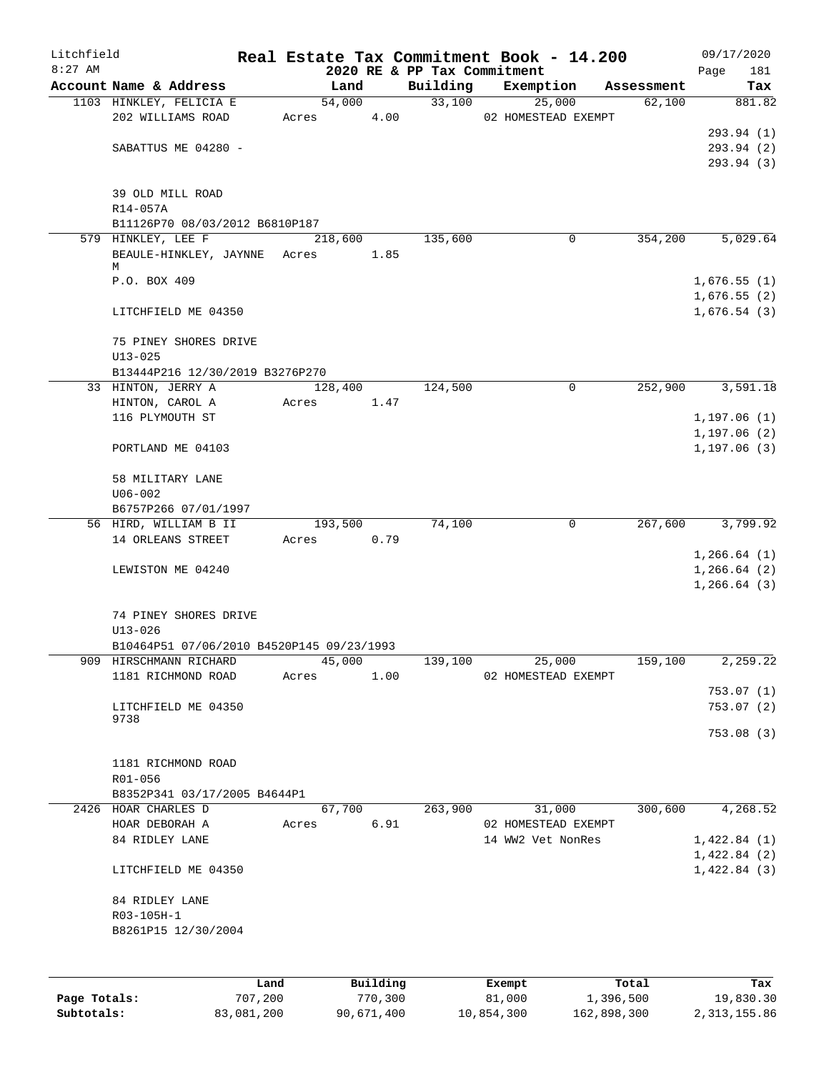| Litchfield<br>$8:27$ AM |                                           |       |         |          |                                         | Real Estate Tax Commitment Book - 14.200 |            | 09/17/2020         |
|-------------------------|-------------------------------------------|-------|---------|----------|-----------------------------------------|------------------------------------------|------------|--------------------|
|                         | Account Name & Address                    |       | Land    |          | 2020 RE & PP Tax Commitment<br>Building | Exemption                                | Assessment | Page<br>181<br>Tax |
|                         | 1103 HINKLEY, FELICIA E                   |       | 54,000  |          | 33,100                                  | 25,000                                   | 62,100     | 881.82             |
|                         | 202 WILLIAMS ROAD                         |       | Acres   | 4.00     |                                         | 02 HOMESTEAD EXEMPT                      |            |                    |
|                         |                                           |       |         |          |                                         |                                          |            | 293.94 (1)         |
|                         | SABATTUS ME 04280 -                       |       |         |          |                                         |                                          |            | 293.94 (2)         |
|                         |                                           |       |         |          |                                         |                                          |            | 293.94 (3)         |
|                         | 39 OLD MILL ROAD<br>R14-057A              |       |         |          |                                         |                                          |            |                    |
|                         | B11126P70 08/03/2012 B6810P187            |       |         |          |                                         |                                          |            |                    |
|                         | 579 HINKLEY, LEE F                        |       | 218,600 |          | 135,600                                 | 0                                        | 354,200    | 5,029.64           |
|                         | BEAULE-HINKLEY, JAYNNE Acres              |       |         | 1.85     |                                         |                                          |            |                    |
|                         | М<br>P.O. BOX 409                         |       |         |          |                                         |                                          |            | 1,676.55(1)        |
|                         |                                           |       |         |          |                                         |                                          |            | 1,676.55(2)        |
|                         | LITCHFIELD ME 04350                       |       |         |          |                                         |                                          |            | 1,676.54(3)        |
|                         | 75 PINEY SHORES DRIVE                     |       |         |          |                                         |                                          |            |                    |
|                         | $U13 - 025$                               |       |         |          |                                         |                                          |            |                    |
|                         | B13444P216 12/30/2019 B3276P270           |       |         |          |                                         |                                          |            |                    |
|                         | 33 HINTON, JERRY A                        |       | 128,400 |          | 124,500                                 | $\mathbf 0$                              | 252,900    | 3,591.18           |
|                         | HINTON, CAROL A                           | Acres |         | 1.47     |                                         |                                          |            |                    |
|                         | 116 PLYMOUTH ST                           |       |         |          |                                         |                                          |            | 1, 197.06(1)       |
|                         |                                           |       |         |          |                                         |                                          |            | 1, 197.06(2)       |
|                         | PORTLAND ME 04103                         |       |         |          |                                         |                                          |            | 1, 197.06(3)       |
|                         | 58 MILITARY LANE                          |       |         |          |                                         |                                          |            |                    |
|                         | $U06 - 002$                               |       |         |          |                                         |                                          |            |                    |
|                         | B6757P266 07/01/1997                      |       |         |          |                                         |                                          |            |                    |
|                         | 56 HIRD, WILLIAM B II                     |       | 193,500 |          | 74,100                                  | 0                                        | 267,600    | 3,799.92           |
|                         | 14 ORLEANS STREET                         | Acres |         | 0.79     |                                         |                                          |            |                    |
|                         |                                           |       |         |          |                                         |                                          |            | 1, 266.64(1)       |
|                         | LEWISTON ME 04240                         |       |         |          |                                         |                                          |            | 1, 266.64(2)       |
|                         |                                           |       |         |          |                                         |                                          |            | 1, 266.64(3)       |
|                         | 74 PINEY SHORES DRIVE                     |       |         |          |                                         |                                          |            |                    |
|                         | $U13 - 026$                               |       |         |          |                                         |                                          |            |                    |
|                         | B10464P51 07/06/2010 B4520P145 09/23/1993 |       |         |          |                                         |                                          |            |                    |
|                         | 909 HIRSCHMANN RICHARD                    |       | 45,000  |          | 139,100                                 | 25,000                                   | 159,100    | 2,259.22           |
|                         | 1181 RICHMOND ROAD                        | Acres |         | 1.00     |                                         | 02 HOMESTEAD EXEMPT                      |            |                    |
|                         |                                           |       |         |          |                                         |                                          |            | 753.07(1)          |
|                         | LITCHFIELD ME 04350                       |       |         |          |                                         |                                          |            | 753.07(2)          |
|                         | 9738                                      |       |         |          |                                         |                                          |            |                    |
|                         |                                           |       |         |          |                                         |                                          |            | 753.08(3)          |
|                         | 1181 RICHMOND ROAD                        |       |         |          |                                         |                                          |            |                    |
|                         | R01-056                                   |       |         |          |                                         |                                          |            |                    |
|                         | B8352P341 03/17/2005 B4644P1              |       |         |          |                                         |                                          |            |                    |
|                         | 2426 HOAR CHARLES D                       |       | 67,700  |          | 263,900                                 | 31,000                                   | 300,600    | 4,268.52           |
|                         | HOAR DEBORAH A                            | Acres |         | 6.91     |                                         | 02 HOMESTEAD EXEMPT                      |            |                    |
|                         | 84 RIDLEY LANE                            |       |         |          |                                         | 14 WW2 Vet NonRes                        |            | 1,422.84(1)        |
|                         |                                           |       |         |          |                                         |                                          |            | 1,422.84(2)        |
|                         | LITCHFIELD ME 04350                       |       |         |          |                                         |                                          |            | 1,422.84(3)        |
|                         | 84 RIDLEY LANE                            |       |         |          |                                         |                                          |            |                    |
|                         | R03-105H-1                                |       |         |          |                                         |                                          |            |                    |
|                         | B8261P15 12/30/2004                       |       |         |          |                                         |                                          |            |                    |
|                         |                                           |       |         |          |                                         |                                          |            |                    |
|                         |                                           | Land  |         | Building |                                         | Exempt                                   | Total      | Tax                |

|              | Land.      | <b>Building</b> | Exempt     | тосат       | rax.         |
|--------------|------------|-----------------|------------|-------------|--------------|
| Page Totals: | 707,200    | 770.300         | 81,000     | 1,396,500   | 19,830.30    |
| Subtotals:   | 83,081,200 | 90,671,400      | 10,854,300 | 162,898,300 | 2,313,155.86 |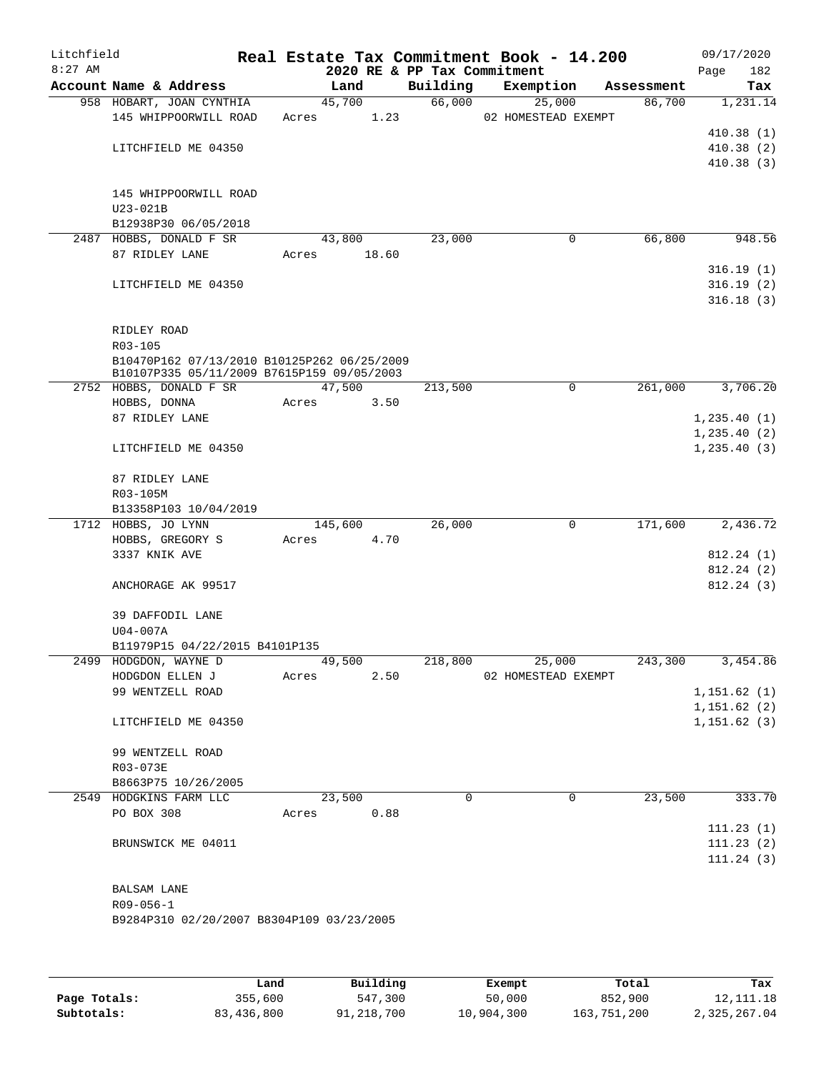| Litchfield<br>$8:27$ AM |                                                 |       |         |      | 2020 RE & PP Tax Commitment | Real Estate Tax Commitment Book - 14.200 |             |            | 09/17/2020<br>Page | 182 |
|-------------------------|-------------------------------------------------|-------|---------|------|-----------------------------|------------------------------------------|-------------|------------|--------------------|-----|
|                         | Account Name & Address                          |       | Land    |      | Building                    | Exemption                                |             | Assessment |                    | Tax |
|                         | 958 HOBART, JOAN CYNTHIA                        |       | 45,700  |      | 66,000                      | 25,000                                   |             | 86,700     | 1,231.14           |     |
|                         | 145 WHIPPOORWILL ROAD                           | Acres |         | 1.23 |                             | 02 HOMESTEAD EXEMPT                      |             |            |                    |     |
|                         |                                                 |       |         |      |                             |                                          |             |            | 410.38(1)          |     |
|                         | LITCHFIELD ME 04350                             |       |         |      |                             |                                          |             |            | 410.38(2)          |     |
|                         |                                                 |       |         |      |                             |                                          |             |            | 410.38(3)          |     |
|                         |                                                 |       |         |      |                             |                                          |             |            |                    |     |
|                         | 145 WHIPPOORWILL ROAD                           |       |         |      |                             |                                          |             |            |                    |     |
|                         | U23-021B                                        |       |         |      |                             |                                          |             |            |                    |     |
|                         | B12938P30 06/05/2018<br>2487 HOBBS, DONALD F SR |       | 43,800  |      | 23,000                      |                                          | $\mathbf 0$ | 66,800     | 948.56             |     |
|                         | 87 RIDLEY LANE                                  | Acres | 18.60   |      |                             |                                          |             |            |                    |     |
|                         |                                                 |       |         |      |                             |                                          |             |            | 316.19(1)          |     |
|                         | LITCHFIELD ME 04350                             |       |         |      |                             |                                          |             |            | 316.19(2)          |     |
|                         |                                                 |       |         |      |                             |                                          |             |            | 316.18(3)          |     |
|                         |                                                 |       |         |      |                             |                                          |             |            |                    |     |
|                         | RIDLEY ROAD                                     |       |         |      |                             |                                          |             |            |                    |     |
|                         | R03-105                                         |       |         |      |                             |                                          |             |            |                    |     |
|                         | B10470P162 07/13/2010 B10125P262 06/25/2009     |       |         |      |                             |                                          |             |            |                    |     |
|                         | B10107P335 05/11/2009 B7615P159 09/05/2003      |       |         |      |                             |                                          |             |            |                    |     |
|                         | 2752 HOBBS, DONALD F SR                         |       | 47,500  |      | 213,500                     |                                          | 0           | 261,000    | 3,706.20           |     |
|                         | HOBBS, DONNA                                    | Acres |         | 3.50 |                             |                                          |             |            |                    |     |
|                         | 87 RIDLEY LANE                                  |       |         |      |                             |                                          |             |            | 1, 235.40(1)       |     |
|                         |                                                 |       |         |      |                             |                                          |             |            | 1, 235.40(2)       |     |
|                         | LITCHFIELD ME 04350                             |       |         |      |                             |                                          |             |            | 1, 235.40(3)       |     |
|                         | 87 RIDLEY LANE                                  |       |         |      |                             |                                          |             |            |                    |     |
|                         | R03-105M                                        |       |         |      |                             |                                          |             |            |                    |     |
|                         | B13358P103 10/04/2019                           |       |         |      |                             |                                          |             |            |                    |     |
|                         | 1712 HOBBS, JO LYNN                             |       | 145,600 |      | 26,000                      |                                          | $\mathbf 0$ | 171,600    | 2,436.72           |     |
|                         | HOBBS, GREGORY S                                | Acres |         | 4.70 |                             |                                          |             |            |                    |     |
|                         | 3337 KNIK AVE                                   |       |         |      |                             |                                          |             |            | 812.24(1)          |     |
|                         |                                                 |       |         |      |                             |                                          |             |            | 812.24(2)          |     |
|                         | ANCHORAGE AK 99517                              |       |         |      |                             |                                          |             |            | 812.24(3)          |     |
|                         | 39 DAFFODIL LANE                                |       |         |      |                             |                                          |             |            |                    |     |
|                         | U04-007A                                        |       |         |      |                             |                                          |             |            |                    |     |
|                         | B11979P15 04/22/2015 B4101P135                  |       |         |      |                             |                                          |             |            |                    |     |
|                         | 2499 HODGDON, WAYNE D                           |       | 49,500  |      | 218,800                     | 25,000                                   |             | 243,300    | 3,454.86           |     |
|                         | HODGDON ELLEN J                                 | Acres |         | 2.50 |                             | 02 HOMESTEAD EXEMPT                      |             |            |                    |     |
|                         | 99 WENTZELL ROAD                                |       |         |      |                             |                                          |             |            | 1,151.62(1)        |     |
|                         |                                                 |       |         |      |                             |                                          |             |            | 1,151.62(2)        |     |
|                         | LITCHFIELD ME 04350                             |       |         |      |                             |                                          |             |            | 1,151.62(3)        |     |
|                         | 99 WENTZELL ROAD                                |       |         |      |                             |                                          |             |            |                    |     |
|                         | R03-073E                                        |       |         |      |                             |                                          |             |            |                    |     |
|                         | B8663P75 10/26/2005                             |       |         |      |                             |                                          |             |            |                    |     |
|                         | 2549 HODGKINS FARM LLC                          |       | 23,500  |      | $\Omega$                    |                                          | 0           | 23,500     | 333.70             |     |
|                         | PO BOX 308                                      | Acres |         | 0.88 |                             |                                          |             |            |                    |     |
|                         |                                                 |       |         |      |                             |                                          |             |            | 111.23(1)          |     |
|                         | BRUNSWICK ME 04011                              |       |         |      |                             |                                          |             |            | 111.23(2)          |     |
|                         |                                                 |       |         |      |                             |                                          |             |            | 111.24(3)          |     |
|                         |                                                 |       |         |      |                             |                                          |             |            |                    |     |
|                         | <b>BALSAM LANE</b>                              |       |         |      |                             |                                          |             |            |                    |     |
|                         | $R09 - 056 - 1$                                 |       |         |      |                             |                                          |             |            |                    |     |
|                         | B9284P310 02/20/2007 B8304P109 03/23/2005       |       |         |      |                             |                                          |             |            |                    |     |
|                         |                                                 |       |         |      |                             |                                          |             |            |                    |     |
|                         |                                                 |       |         |      |                             |                                          |             |            |                    |     |
|                         |                                                 |       |         |      |                             |                                          |             |            |                    |     |

|              | Land       | Building   | Exempt     | Total       | Tax          |
|--------------|------------|------------|------------|-------------|--------------|
| Page Totals: | 355,600    | 547,300    | 50,000     | 852,900     | 12, 111. 18  |
| Subtotals:   | 83,436,800 | 91,218,700 | 10,904,300 | 163,751,200 | 2,325,267.04 |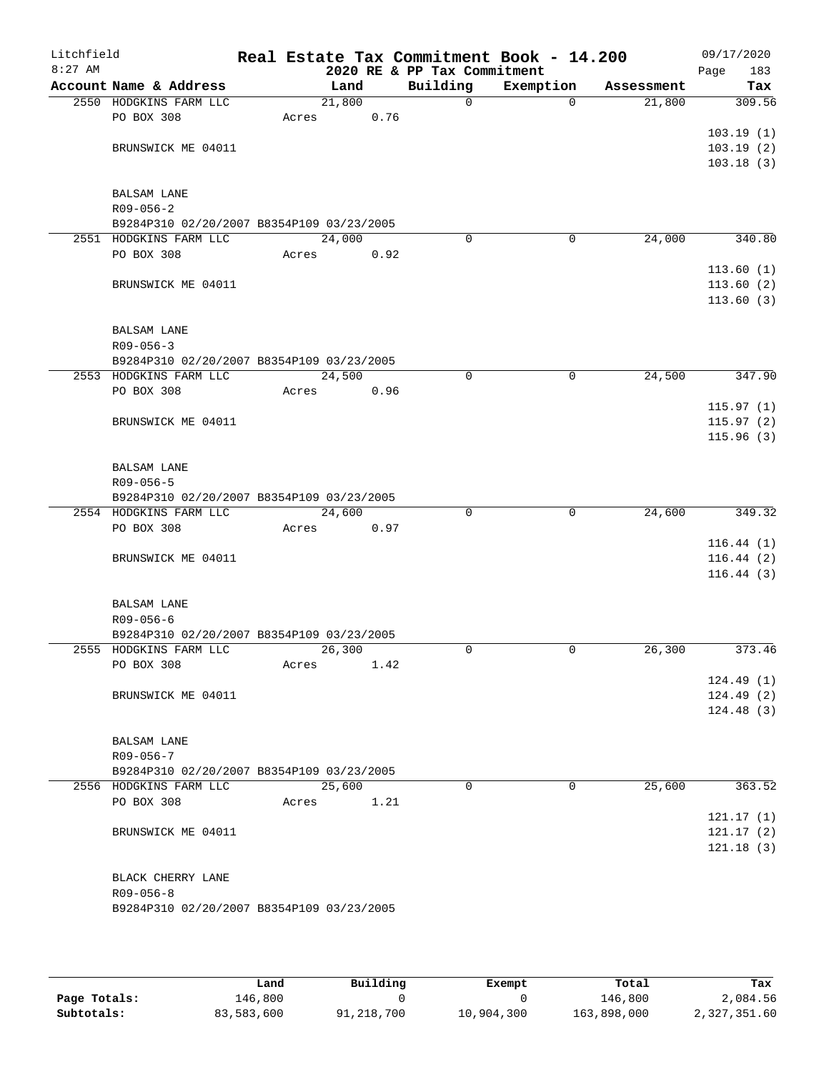| Litchfield<br>$8:27$ AM |                                                                     |       |        |      |                                         | Real Estate Tax Commitment Book - 14.200 |            | 09/17/2020         |
|-------------------------|---------------------------------------------------------------------|-------|--------|------|-----------------------------------------|------------------------------------------|------------|--------------------|
|                         | Account Name & Address                                              |       | Land   |      | 2020 RE & PP Tax Commitment<br>Building | Exemption                                | Assessment | 183<br>Page<br>Tax |
|                         | 2550 HODGKINS FARM LLC                                              |       | 21,800 |      | $\mathsf{O}$                            | $\Omega$                                 | 21,800     | 309.56             |
|                         | PO BOX 308                                                          | Acres |        | 0.76 |                                         |                                          |            |                    |
|                         |                                                                     |       |        |      |                                         |                                          |            | 103.19(1)          |
|                         | BRUNSWICK ME 04011                                                  |       |        |      |                                         |                                          |            | 103.19(2)          |
|                         |                                                                     |       |        |      |                                         |                                          |            | 103.18(3)          |
|                         | <b>BALSAM LANE</b>                                                  |       |        |      |                                         |                                          |            |                    |
|                         | $R09 - 056 - 2$                                                     |       |        |      |                                         |                                          |            |                    |
|                         | B9284P310 02/20/2007 B8354P109 03/23/2005                           |       |        |      |                                         |                                          |            |                    |
|                         | 2551 HODGKINS FARM LLC                                              |       | 24,000 |      | 0                                       | 0                                        | 24,000     | 340.80             |
|                         | PO BOX 308                                                          | Acres |        | 0.92 |                                         |                                          |            |                    |
|                         |                                                                     |       |        |      |                                         |                                          |            | 113.60(1)          |
|                         | BRUNSWICK ME 04011                                                  |       |        |      |                                         |                                          |            | 113.60(2)          |
|                         |                                                                     |       |        |      |                                         |                                          |            | 113.60(3)          |
|                         | <b>BALSAM LANE</b>                                                  |       |        |      |                                         |                                          |            |                    |
|                         | $R09 - 056 - 3$                                                     |       |        |      |                                         |                                          |            |                    |
|                         | B9284P310 02/20/2007 B8354P109 03/23/2005                           |       |        |      |                                         |                                          |            |                    |
|                         | 2553 HODGKINS FARM LLC                                              |       | 24,500 |      | 0                                       | 0                                        | 24,500     | 347.90             |
|                         | PO BOX 308                                                          | Acres |        | 0.96 |                                         |                                          |            |                    |
|                         |                                                                     |       |        |      |                                         |                                          |            | 115.97(1)          |
|                         | BRUNSWICK ME 04011                                                  |       |        |      |                                         |                                          |            | 115.97(2)          |
|                         |                                                                     |       |        |      |                                         |                                          |            | 115.96(3)          |
|                         | <b>BALSAM LANE</b>                                                  |       |        |      |                                         |                                          |            |                    |
|                         | $R09 - 056 - 5$                                                     |       |        |      |                                         |                                          |            |                    |
|                         | B9284P310 02/20/2007 B8354P109 03/23/2005                           |       |        |      |                                         |                                          |            |                    |
|                         | 2554 HODGKINS FARM LLC                                              |       | 24,600 |      | 0                                       | 0                                        | 24,600     | 349.32             |
|                         | PO BOX 308                                                          | Acres |        | 0.97 |                                         |                                          |            |                    |
|                         |                                                                     |       |        |      |                                         |                                          |            | 116.44(1)          |
|                         | BRUNSWICK ME 04011                                                  |       |        |      |                                         |                                          |            | 116.44(2)          |
|                         |                                                                     |       |        |      |                                         |                                          |            | 116.44(3)          |
|                         | <b>BALSAM LANE</b>                                                  |       |        |      |                                         |                                          |            |                    |
|                         | $R09 - 056 - 6$                                                     |       |        |      |                                         |                                          |            |                    |
|                         | B9284P310 02/20/2007 B8354P109 03/23/2005                           |       |        |      |                                         |                                          | 26,300     |                    |
|                         | 2555 HODGKINS FARM LLC<br>PO BOX 308                                |       | 26,300 | 1.42 | 0                                       | 0                                        |            | 373.46             |
|                         |                                                                     | Acres |        |      |                                         |                                          |            | 124.49(1)          |
|                         | BRUNSWICK ME 04011                                                  |       |        |      |                                         |                                          |            | 124.49(2)          |
|                         |                                                                     |       |        |      |                                         |                                          |            | 124.48(3)          |
|                         |                                                                     |       |        |      |                                         |                                          |            |                    |
|                         | BALSAM LANE                                                         |       |        |      |                                         |                                          |            |                    |
|                         | $R09 - 056 - 7$                                                     |       |        |      |                                         |                                          |            |                    |
|                         | B9284P310 02/20/2007 B8354P109 03/23/2005<br>2556 HODGKINS FARM LLC |       | 25,600 |      | $\Omega$                                | $\Omega$                                 |            |                    |
|                         | PO BOX 308                                                          | Acres |        | 1.21 |                                         |                                          | 25,600     | 363.52             |
|                         |                                                                     |       |        |      |                                         |                                          |            | 121.17(1)          |
|                         | BRUNSWICK ME 04011                                                  |       |        |      |                                         |                                          |            | 121.17(2)          |
|                         |                                                                     |       |        |      |                                         |                                          |            | 121.18(3)          |
|                         |                                                                     |       |        |      |                                         |                                          |            |                    |
|                         | BLACK CHERRY LANE                                                   |       |        |      |                                         |                                          |            |                    |
|                         | $R09 - 056 - 8$                                                     |       |        |      |                                         |                                          |            |                    |
|                         | B9284P310 02/20/2007 B8354P109 03/23/2005                           |       |        |      |                                         |                                          |            |                    |
|                         |                                                                     |       |        |      |                                         |                                          |            |                    |

|              | Land       | Building   | Exempt     | Total       | Tax          |
|--------------|------------|------------|------------|-------------|--------------|
| Page Totals: | 146,800    |            |            | 146,800     | 2,084.56     |
| Subtotals:   | 83,583,600 | 91,218,700 | 10,904,300 | 163,898,000 | 2,327,351.60 |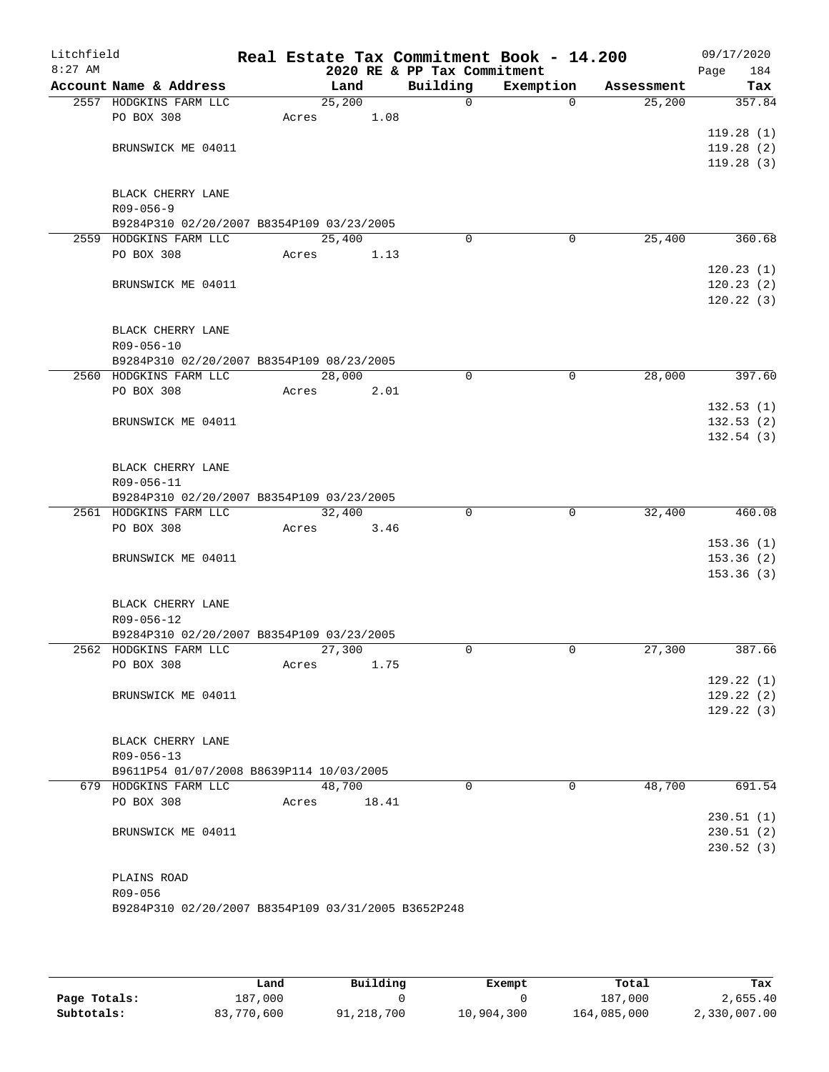| Litchfield<br>$8:27$ AM |                                                                     |       |        |       | 2020 RE & PP Tax Commitment | Real Estate Tax Commitment Book - 14.200 |            | 09/17/2020<br>Page<br>184 |
|-------------------------|---------------------------------------------------------------------|-------|--------|-------|-----------------------------|------------------------------------------|------------|---------------------------|
|                         | Account Name & Address                                              |       | Land   |       | Building                    | Exemption                                | Assessment | Tax                       |
|                         | 2557 HODGKINS FARM LLC                                              |       | 25,200 |       | $\mathbf 0$                 | $\Omega$                                 | 25,200     | 357.84                    |
|                         | PO BOX 308                                                          | Acres |        | 1.08  |                             |                                          |            |                           |
|                         |                                                                     |       |        |       |                             |                                          |            | 119.28(1)                 |
|                         | BRUNSWICK ME 04011                                                  |       |        |       |                             |                                          |            | 119.28(2)                 |
|                         |                                                                     |       |        |       |                             |                                          |            | 119.28(3)                 |
|                         |                                                                     |       |        |       |                             |                                          |            |                           |
|                         | BLACK CHERRY LANE                                                   |       |        |       |                             |                                          |            |                           |
|                         | $R09 - 056 - 9$                                                     |       |        |       |                             |                                          |            |                           |
|                         | B9284P310 02/20/2007 B8354P109 03/23/2005<br>2559 HODGKINS FARM LLC |       | 25,400 |       | $\Omega$                    | 0                                        | 25,400     | 360.68                    |
|                         | PO BOX 308                                                          |       |        |       |                             |                                          |            |                           |
|                         |                                                                     | Acres |        | 1.13  |                             |                                          |            | 120.23(1)                 |
|                         |                                                                     |       |        |       |                             |                                          |            |                           |
|                         | BRUNSWICK ME 04011                                                  |       |        |       |                             |                                          |            | 120.23(2)<br>120.22(3)    |
|                         |                                                                     |       |        |       |                             |                                          |            |                           |
|                         | BLACK CHERRY LANE                                                   |       |        |       |                             |                                          |            |                           |
|                         | R09-056-10                                                          |       |        |       |                             |                                          |            |                           |
|                         | B9284P310 02/20/2007 B8354P109 08/23/2005                           |       |        |       |                             |                                          |            |                           |
|                         | 2560 HODGKINS FARM LLC                                              |       | 28,000 |       | 0                           | $\mathbf 0$                              | 28,000     | 397.60                    |
|                         | PO BOX 308                                                          | Acres |        | 2.01  |                             |                                          |            |                           |
|                         |                                                                     |       |        |       |                             |                                          |            | 132.53(1)                 |
|                         | BRUNSWICK ME 04011                                                  |       |        |       |                             |                                          |            | 132.53(2)                 |
|                         |                                                                     |       |        |       |                             |                                          |            | 132.54(3)                 |
|                         |                                                                     |       |        |       |                             |                                          |            |                           |
|                         | BLACK CHERRY LANE                                                   |       |        |       |                             |                                          |            |                           |
|                         | R09-056-11                                                          |       |        |       |                             |                                          |            |                           |
|                         | B9284P310 02/20/2007 B8354P109 03/23/2005                           |       |        |       |                             |                                          |            |                           |
|                         | 2561 HODGKINS FARM LLC                                              |       | 32,400 |       | 0                           | $\mathbf 0$                              | 32,400     | 460.08                    |
|                         | PO BOX 308                                                          | Acres |        | 3.46  |                             |                                          |            |                           |
|                         |                                                                     |       |        |       |                             |                                          |            | 153.36(1)                 |
|                         | BRUNSWICK ME 04011                                                  |       |        |       |                             |                                          |            | 153.36(2)                 |
|                         |                                                                     |       |        |       |                             |                                          |            | 153.36(3)                 |
|                         |                                                                     |       |        |       |                             |                                          |            |                           |
|                         | BLACK CHERRY LANE                                                   |       |        |       |                             |                                          |            |                           |
|                         | R09-056-12                                                          |       |        |       |                             |                                          |            |                           |
|                         | B9284P310 02/20/2007 B8354P109 03/23/2005<br>2562 HODGKINS FARM LLC |       | 27,300 |       | $\Omega$                    | 0                                        | 27,300     | 387.66                    |
|                         | PO BOX 308                                                          | Acres |        | 1.75  |                             |                                          |            |                           |
|                         |                                                                     |       |        |       |                             |                                          |            | 129.22(1)                 |
|                         | BRUNSWICK ME 04011                                                  |       |        |       |                             |                                          |            | 129.22(2)                 |
|                         |                                                                     |       |        |       |                             |                                          |            | 129.22(3)                 |
|                         |                                                                     |       |        |       |                             |                                          |            |                           |
|                         | BLACK CHERRY LANE                                                   |       |        |       |                             |                                          |            |                           |
|                         | R09-056-13                                                          |       |        |       |                             |                                          |            |                           |
|                         | B9611P54 01/07/2008 B8639P114 10/03/2005                            |       |        |       |                             |                                          |            |                           |
|                         | 679 HODGKINS FARM LLC                                               |       | 48,700 |       | $\Omega$                    | $\Omega$                                 | 48,700     | 691.54                    |
|                         | PO BOX 308                                                          | Acres |        | 18.41 |                             |                                          |            |                           |
|                         |                                                                     |       |        |       |                             |                                          |            | 230.51(1)                 |
|                         | BRUNSWICK ME 04011                                                  |       |        |       |                             |                                          |            | 230.51(2)                 |
|                         |                                                                     |       |        |       |                             |                                          |            | 230.52(3)                 |
|                         |                                                                     |       |        |       |                             |                                          |            |                           |
|                         | PLAINS ROAD                                                         |       |        |       |                             |                                          |            |                           |
|                         | R09-056                                                             |       |        |       |                             |                                          |            |                           |
|                         | B9284P310 02/20/2007 B8354P109 03/31/2005 B3652P248                 |       |        |       |                             |                                          |            |                           |
|                         |                                                                     |       |        |       |                             |                                          |            |                           |

|              | Land       | Building   | Exempt     | Total       | Tax          |
|--------------|------------|------------|------------|-------------|--------------|
| Page Totals: | 187,000    |            |            | 187,000     | 2,655.40     |
| Subtotals:   | 83,770,600 | 91,218,700 | 10,904,300 | 164,085,000 | 2,330,007.00 |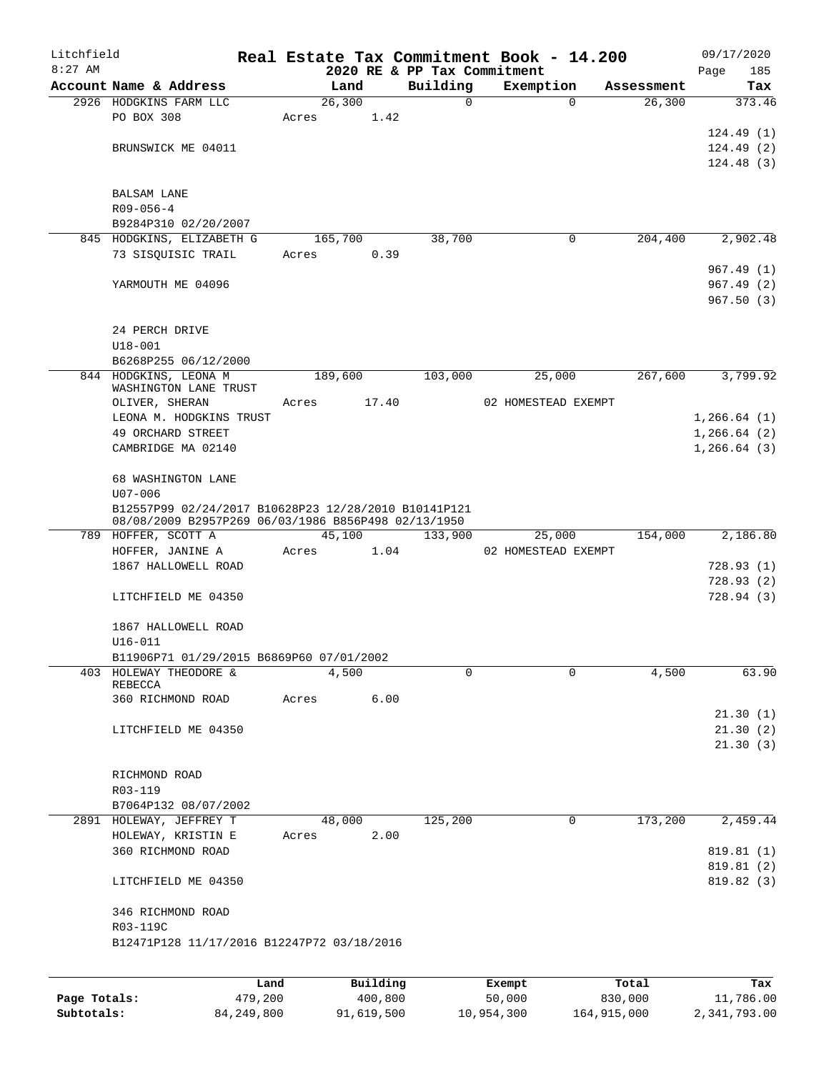| Litchfield   |                                                                                                             |       |          |          | Real Estate Tax Commitment Book - 14.200 |            | 09/17/2020   |
|--------------|-------------------------------------------------------------------------------------------------------------|-------|----------|----------|------------------------------------------|------------|--------------|
| $8:27$ AM    |                                                                                                             |       |          |          | 2020 RE & PP Tax Commitment              |            | Page<br>185  |
|              | Account Name & Address                                                                                      |       | Land     | Building | Exemption                                | Assessment | Tax          |
|              | 2926 HODGKINS FARM LLC                                                                                      |       | 26,300   | 0        | $\mathbf 0$                              | 26,300     | 373.46       |
|              | PO BOX 308                                                                                                  | Acres | 1.42     |          |                                          |            |              |
|              |                                                                                                             |       |          |          |                                          |            | 124.49(1)    |
|              | BRUNSWICK ME 04011                                                                                          |       |          |          |                                          |            | 124.49(2)    |
|              |                                                                                                             |       |          |          |                                          |            | 124.48(3)    |
|              |                                                                                                             |       |          |          |                                          |            |              |
|              | <b>BALSAM LANE</b>                                                                                          |       |          |          |                                          |            |              |
|              | $R09 - 056 - 4$                                                                                             |       |          |          |                                          |            |              |
|              | B9284P310 02/20/2007                                                                                        |       |          |          |                                          |            |              |
|              | 845 HODGKINS, ELIZABETH G                                                                                   |       | 165,700  | 38,700   | 0                                        | 204,400    | 2,902.48     |
|              | 73 SISQUISIC TRAIL                                                                                          | Acres | 0.39     |          |                                          |            |              |
|              |                                                                                                             |       |          |          |                                          |            | 967.49(1)    |
|              | YARMOUTH ME 04096                                                                                           |       |          |          |                                          |            | 967.49(2)    |
|              |                                                                                                             |       |          |          |                                          |            | 967.50(3)    |
|              |                                                                                                             |       |          |          |                                          |            |              |
|              | 24 PERCH DRIVE                                                                                              |       |          |          |                                          |            |              |
|              | $U18 - 001$                                                                                                 |       |          |          |                                          |            |              |
|              | B6268P255 06/12/2000                                                                                        |       |          |          |                                          |            |              |
|              | 844 HODGKINS, LEONA M                                                                                       |       | 189,600  | 103,000  | 25,000                                   | 267,600    | 3,799.92     |
|              | WASHINGTON LANE TRUST                                                                                       |       |          |          |                                          |            |              |
|              | OLIVER, SHERAN                                                                                              | Acres | 17.40    |          | 02 HOMESTEAD EXEMPT                      |            |              |
|              | LEONA M. HODGKINS TRUST                                                                                     |       |          |          |                                          |            | 1, 266.64(1) |
|              | 49 ORCHARD STREET                                                                                           |       |          |          |                                          |            | 1, 266.64(2) |
|              | CAMBRIDGE MA 02140                                                                                          |       |          |          |                                          |            | 1, 266.64(3) |
|              |                                                                                                             |       |          |          |                                          |            |              |
|              | 68 WASHINGTON LANE                                                                                          |       |          |          |                                          |            |              |
|              | $U07 - 006$                                                                                                 |       |          |          |                                          |            |              |
|              | B12557P99 02/24/2017 B10628P23 12/28/2010 B10141P121<br>08/08/2009 B2957P269 06/03/1986 B856P498 02/13/1950 |       |          |          |                                          |            |              |
|              | 789 HOFFER, SCOTT A                                                                                         |       | 45,100   | 133,900  | 25,000                                   | 154,000    | 2,186.80     |
|              | HOFFER, JANINE A                                                                                            | Acres | 1.04     |          | 02 HOMESTEAD EXEMPT                      |            |              |
|              | 1867 HALLOWELL ROAD                                                                                         |       |          |          |                                          |            | 728.93(1)    |
|              |                                                                                                             |       |          |          |                                          |            | 728.93(2)    |
|              | LITCHFIELD ME 04350                                                                                         |       |          |          |                                          |            | 728.94(3)    |
|              |                                                                                                             |       |          |          |                                          |            |              |
|              | 1867 HALLOWELL ROAD                                                                                         |       |          |          |                                          |            |              |
|              | $U16 - 011$                                                                                                 |       |          |          |                                          |            |              |
|              | B11906P71 01/29/2015 B6869P60 07/01/2002                                                                    |       |          |          |                                          |            |              |
| 403          | HOLEWAY THEODORE &                                                                                          |       | 4,500    | 0        | 0                                        | 4,500      | 63.90        |
|              | <b>REBECCA</b>                                                                                              |       |          |          |                                          |            |              |
|              | 360 RICHMOND ROAD                                                                                           | Acres | 6.00     |          |                                          |            |              |
|              |                                                                                                             |       |          |          |                                          |            | 21.30(1)     |
|              | LITCHFIELD ME 04350                                                                                         |       |          |          |                                          |            | 21.30(2)     |
|              |                                                                                                             |       |          |          |                                          |            | 21.30(3)     |
|              |                                                                                                             |       |          |          |                                          |            |              |
|              | RICHMOND ROAD                                                                                               |       |          |          |                                          |            |              |
|              | R03-119                                                                                                     |       |          |          |                                          |            |              |
|              | B7064P132 08/07/2002                                                                                        |       |          |          |                                          |            |              |
|              | 2891 HOLEWAY, JEFFREY T                                                                                     |       | 48,000   | 125,200  | 0                                        | 173,200    | 2,459.44     |
|              | HOLEWAY, KRISTIN E                                                                                          | Acres | 2.00     |          |                                          |            |              |
|              | 360 RICHMOND ROAD                                                                                           |       |          |          |                                          |            | 819.81 (1)   |
|              |                                                                                                             |       |          |          |                                          |            | 819.81 (2)   |
|              | LITCHFIELD ME 04350                                                                                         |       |          |          |                                          |            | 819.82 (3)   |
|              |                                                                                                             |       |          |          |                                          |            |              |
|              | 346 RICHMOND ROAD                                                                                           |       |          |          |                                          |            |              |
|              | R03-119C                                                                                                    |       |          |          |                                          |            |              |
|              | B12471P128 11/17/2016 B12247P72 03/18/2016                                                                  |       |          |          |                                          |            |              |
|              |                                                                                                             |       |          |          |                                          |            |              |
|              |                                                                                                             | Land  | Building |          | Exempt                                   | Total      | Tax          |
| Page Totals: | 479,200                                                                                                     |       | 400,800  |          | 50,000                                   | 830,000    | 11,786.00    |

**Subtotals:** 84,249,800 91,619,500 10,954,300 164,915,000 2,341,793.00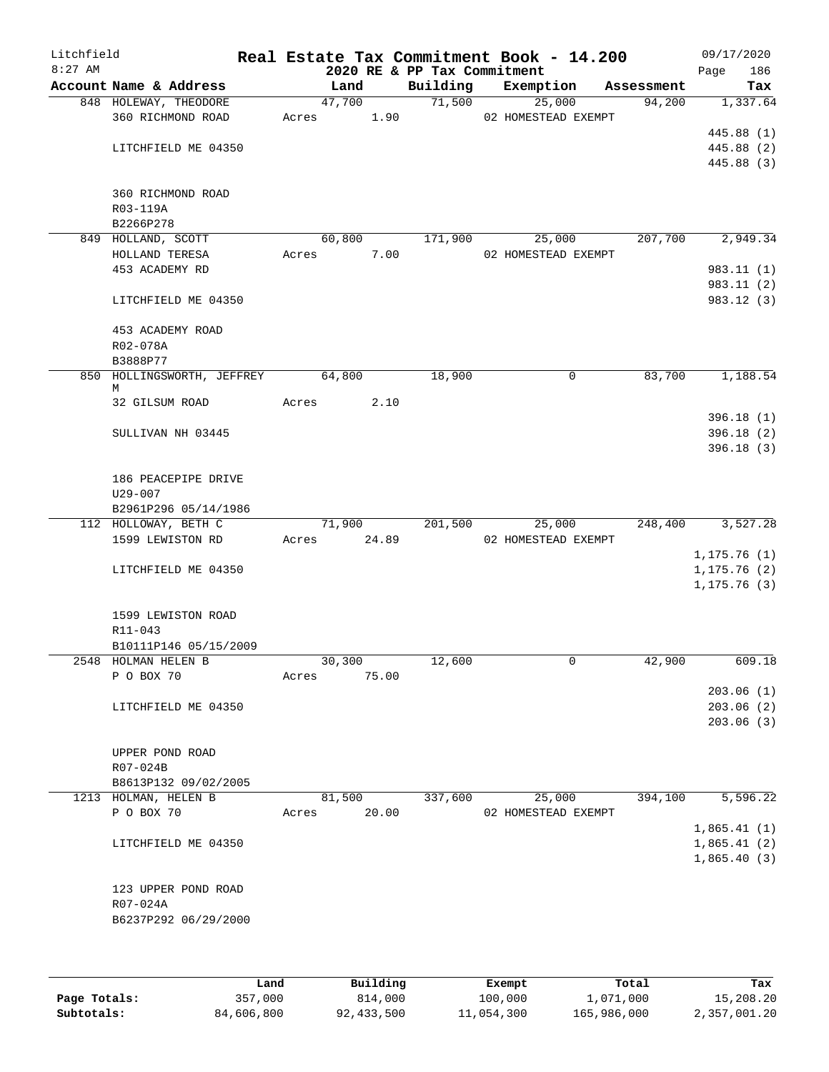| Litchfield<br>$8:27$ AM |                                                            |                 |        | 2020 RE & PP Tax Commitment | Real Estate Tax Commitment Book - 14.200 |            | 09/17/2020<br>Page<br>186                 |
|-------------------------|------------------------------------------------------------|-----------------|--------|-----------------------------|------------------------------------------|------------|-------------------------------------------|
|                         | Account Name & Address                                     | Land            |        | Building                    | Exemption                                | Assessment | Tax                                       |
|                         | 848 HOLEWAY, THEODORE<br>360 RICHMOND ROAD                 | Acres 1.90      | 47,700 |                             | 71,500<br>25,000<br>02 HOMESTEAD EXEMPT  | 94,200     | 1,337.64                                  |
|                         | LITCHFIELD ME 04350                                        |                 |        |                             |                                          |            | 445.88 (1)<br>445.88 (2)<br>445.88 (3)    |
|                         | 360 RICHMOND ROAD<br>R03-119A<br>B2266P278                 |                 |        |                             |                                          |            |                                           |
|                         | 849 HOLLAND, SCOTT<br>HOLLAND TERESA                       | 60,800<br>Acres | 7.00   | 171,900                     | 25,000<br>02 HOMESTEAD EXEMPT            | 207,700    | 2,949.34                                  |
|                         | 453 ACADEMY RD                                             |                 |        |                             |                                          |            | 983.11 (1)<br>983.11 (2)                  |
|                         | LITCHFIELD ME 04350                                        |                 |        |                             |                                          |            | 983.12 (3)                                |
|                         | 453 ACADEMY ROAD<br>R02-078A<br>B3888P77                   |                 |        |                             |                                          |            |                                           |
|                         | 850 HOLLINGSWORTH, JEFFREY<br>М                            | 64,800          |        | 18,900                      | 0                                        | 83,700     | 1,188.54                                  |
|                         | 32 GILSUM ROAD<br>SULLIVAN NH 03445                        | Acres           | 2.10   |                             |                                          |            | 396.18(1)<br>396.18(2)                    |
|                         |                                                            |                 |        |                             |                                          |            | 396.18(3)                                 |
|                         | 186 PEACEPIPE DRIVE<br>$U29 - 007$<br>B2961P296 05/14/1986 |                 |        |                             |                                          |            |                                           |
|                         | 112 HOLLOWAY, BETH C                                       | 71,900          |        | 201,500                     | 25,000                                   | 248,400    | 3,527.28                                  |
|                         | 1599 LEWISTON RD                                           | Acres           | 24.89  |                             | 02 HOMESTEAD EXEMPT                      |            | 1, 175.76(1)                              |
|                         | LITCHFIELD ME 04350                                        |                 |        |                             |                                          |            | 1, 175.76(2)<br>1, 175.76(3)              |
|                         | 1599 LEWISTON ROAD<br>R11-043                              |                 |        |                             |                                          |            |                                           |
|                         | B10111P146 05/15/2009<br>2548 HOLMAN HELEN B               | 30,300          |        | 12,600                      | 0                                        | 42,900     | 609.18                                    |
|                         | P O BOX 70                                                 | Acres           | 75.00  |                             |                                          |            | 203.06(1)                                 |
|                         | LITCHFIELD ME 04350                                        |                 |        |                             |                                          |            | 203.06(2)<br>203.06(3)                    |
|                         | UPPER POND ROAD<br>R07-024B                                |                 |        |                             |                                          |            |                                           |
|                         | B8613P132 09/02/2005                                       |                 |        |                             |                                          |            |                                           |
|                         | 1213 HOLMAN, HELEN B<br>P O BOX 70                         | 81,500<br>Acres | 20.00  | 337,600                     | 25,000<br>02 HOMESTEAD EXEMPT            | 394,100    | 5,596.22                                  |
|                         | LITCHFIELD ME 04350                                        |                 |        |                             |                                          |            | 1,865.41(1)<br>1,865.41(2)<br>1,865.40(3) |
|                         | 123 UPPER POND ROAD<br>R07-024A<br>B6237P292 06/29/2000    |                 |        |                             |                                          |            |                                           |
|                         |                                                            |                 |        |                             |                                          |            |                                           |

|              | Land       | Building     | Exempt     | Total       | Tax          |
|--------------|------------|--------------|------------|-------------|--------------|
| Page Totals: | 357,000    | 814,000      | 100,000    | 1,071,000   | 15,208.20    |
| Subtotals:   | 84,606,800 | 92, 433, 500 | 11,054,300 | 165,986,000 | 2,357,001.20 |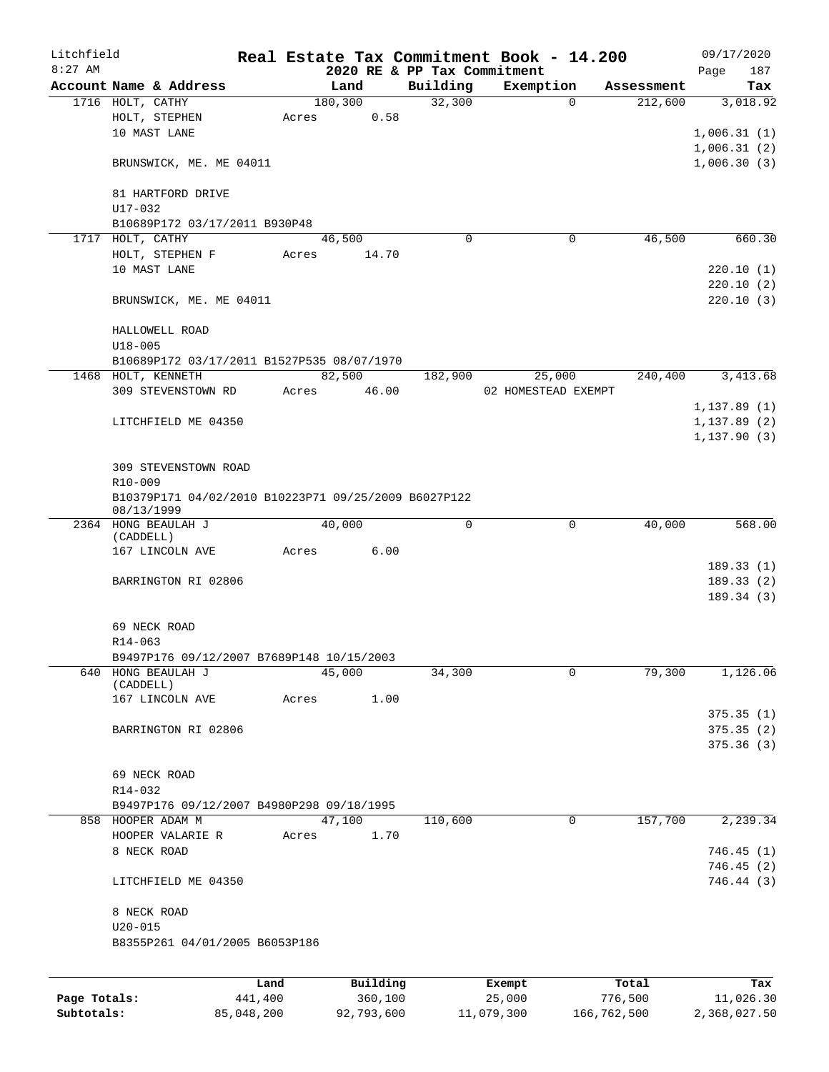| Litchfield   |                  |                                                      | Real Estate Tax Commitment Book - 14.200 |                             |                     |             |            |              | 09/17/2020   |
|--------------|------------------|------------------------------------------------------|------------------------------------------|-----------------------------|---------------------|-------------|------------|--------------|--------------|
| $8:27$ AM    |                  |                                                      |                                          | 2020 RE & PP Tax Commitment |                     |             |            | Page         | 187          |
|              |                  | Account Name & Address                               | Land                                     | Building                    | Exemption           |             | Assessment |              | Tax          |
|              | 1716 HOLT, CATHY |                                                      | 180,300                                  | 32,300                      |                     | $\Omega$    | 212,600    |              | 3,018.92     |
|              |                  | HOLT, STEPHEN                                        | 0.58<br>Acres                            |                             |                     |             |            |              |              |
|              |                  | 10 MAST LANE                                         |                                          |                             |                     |             |            | 1,006.31(1)  |              |
|              |                  |                                                      |                                          |                             |                     |             |            | 1,006.31(2)  |              |
|              |                  | BRUNSWICK, ME. ME 04011                              |                                          |                             |                     |             |            | 1,006.30(3)  |              |
|              |                  | 81 HARTFORD DRIVE                                    |                                          |                             |                     |             |            |              |              |
|              | U17-032          |                                                      |                                          |                             |                     |             |            |              |              |
|              |                  | B10689P172 03/17/2011 B930P48                        |                                          |                             |                     |             |            |              |              |
|              | 1717 HOLT, CATHY |                                                      | 46,500                                   | $\Omega$                    |                     | 0           | 46,500     |              | 660.30       |
|              |                  | HOLT, STEPHEN F                                      | 14.70<br>Acres                           |                             |                     |             |            |              |              |
|              |                  | 10 MAST LANE                                         |                                          |                             |                     |             |            |              | 220.10(1)    |
|              |                  |                                                      |                                          |                             |                     |             |            |              | 220.10(2)    |
|              |                  | BRUNSWICK, ME. ME 04011                              |                                          |                             |                     |             |            |              | 220.10(3)    |
|              |                  | HALLOWELL ROAD                                       |                                          |                             |                     |             |            |              |              |
|              | $U18 - 005$      |                                                      |                                          |                             |                     |             |            |              |              |
|              |                  | B10689P172 03/17/2011 B1527P535 08/07/1970           |                                          |                             |                     |             |            |              |              |
|              |                  | 1468 HOLT, KENNETH                                   | 82,500                                   | 182,900                     | 25,000              |             | 240,400    |              | 3,413.68     |
|              |                  | 309 STEVENSTOWN RD                                   | 46.00<br>Acres                           |                             | 02 HOMESTEAD EXEMPT |             |            |              |              |
|              |                  |                                                      |                                          |                             |                     |             |            | 1, 137.89(1) |              |
|              |                  | LITCHFIELD ME 04350                                  |                                          |                             |                     |             |            | 1, 137.89(2) |              |
|              |                  |                                                      |                                          |                             |                     |             |            | 1, 137.90(3) |              |
|              |                  |                                                      |                                          |                             |                     |             |            |              |              |
|              |                  | 309 STEVENSTOWN ROAD                                 |                                          |                             |                     |             |            |              |              |
|              | R10-009          |                                                      |                                          |                             |                     |             |            |              |              |
|              |                  | B10379P171 04/02/2010 B10223P71 09/25/2009 B6027P122 |                                          |                             |                     |             |            |              |              |
|              | 08/13/1999       |                                                      |                                          |                             |                     |             |            |              |              |
|              |                  | 2364 HONG BEAULAH J                                  | 40,000                                   | 0                           |                     | $\mathbf 0$ | 40,000     |              | 568.00       |
|              | (CADDELL)        |                                                      |                                          |                             |                     |             |            |              |              |
|              |                  | 167 LINCOLN AVE                                      | 6.00<br>Acres                            |                             |                     |             |            |              |              |
|              |                  |                                                      |                                          |                             |                     |             |            |              | 189.33(1)    |
|              |                  | BARRINGTON RI 02806                                  |                                          |                             |                     |             |            |              | 189.33(2)    |
|              |                  |                                                      |                                          |                             |                     |             |            |              | 189.34 (3)   |
|              |                  |                                                      |                                          |                             |                     |             |            |              |              |
|              |                  | 69 NECK ROAD                                         |                                          |                             |                     |             |            |              |              |
|              | R14-063          |                                                      |                                          |                             |                     |             |            |              |              |
|              |                  | B9497P176 09/12/2007 B7689P148 10/15/2003            |                                          |                             |                     |             |            |              |              |
| 640          |                  | HONG BEAULAH J                                       | 45,000                                   | 34,300                      |                     | 0           | 79,300     |              | 1,126.06     |
|              | (CADDELL)        |                                                      |                                          |                             |                     |             |            |              |              |
|              |                  | 167 LINCOLN AVE                                      | 1.00<br>Acres                            |                             |                     |             |            |              |              |
|              |                  |                                                      |                                          |                             |                     |             |            |              | 375.35(1)    |
|              |                  | BARRINGTON RI 02806                                  |                                          |                             |                     |             |            |              | 375.35(2)    |
|              |                  |                                                      |                                          |                             |                     |             |            |              | 375.36(3)    |
|              |                  |                                                      |                                          |                             |                     |             |            |              |              |
|              |                  | 69 NECK ROAD                                         |                                          |                             |                     |             |            |              |              |
|              | $R14 - 032$      |                                                      |                                          |                             |                     |             |            |              |              |
|              |                  | B9497P176 09/12/2007 B4980P298 09/18/1995            |                                          |                             |                     |             |            |              |              |
|              |                  | 858 HOOPER ADAM M                                    | 47,100                                   | 110,600                     |                     | $\mathbf 0$ | 157,700    |              | 2,239.34     |
|              |                  | HOOPER VALARIE R                                     | 1.70<br>Acres                            |                             |                     |             |            |              |              |
|              | 8 NECK ROAD      |                                                      |                                          |                             |                     |             |            |              | 746.45(1)    |
|              |                  |                                                      |                                          |                             |                     |             |            |              | 746.45 (2)   |
|              |                  | LITCHFIELD ME 04350                                  |                                          |                             |                     |             |            |              | 746.44 (3)   |
|              |                  |                                                      |                                          |                             |                     |             |            |              |              |
|              | 8 NECK ROAD      |                                                      |                                          |                             |                     |             |            |              |              |
|              | $U20 - 015$      |                                                      |                                          |                             |                     |             |            |              |              |
|              |                  |                                                      |                                          |                             |                     |             |            |              |              |
|              |                  | B8355P261 04/01/2005 B6053P186                       |                                          |                             |                     |             |            |              |              |
|              |                  |                                                      |                                          |                             |                     |             |            |              |              |
|              |                  | Land                                                 | Building                                 |                             | Exempt              |             | Total      |              | Tax          |
| Page Totals: |                  | 441,400                                              | 360,100                                  |                             | 25,000              | 776,500     |            |              | 11,026.30    |
| Subtotals:   |                  | 85,048,200                                           | 92,793,600                               |                             | 11,079,300          | 166,762,500 |            |              | 2,368,027.50 |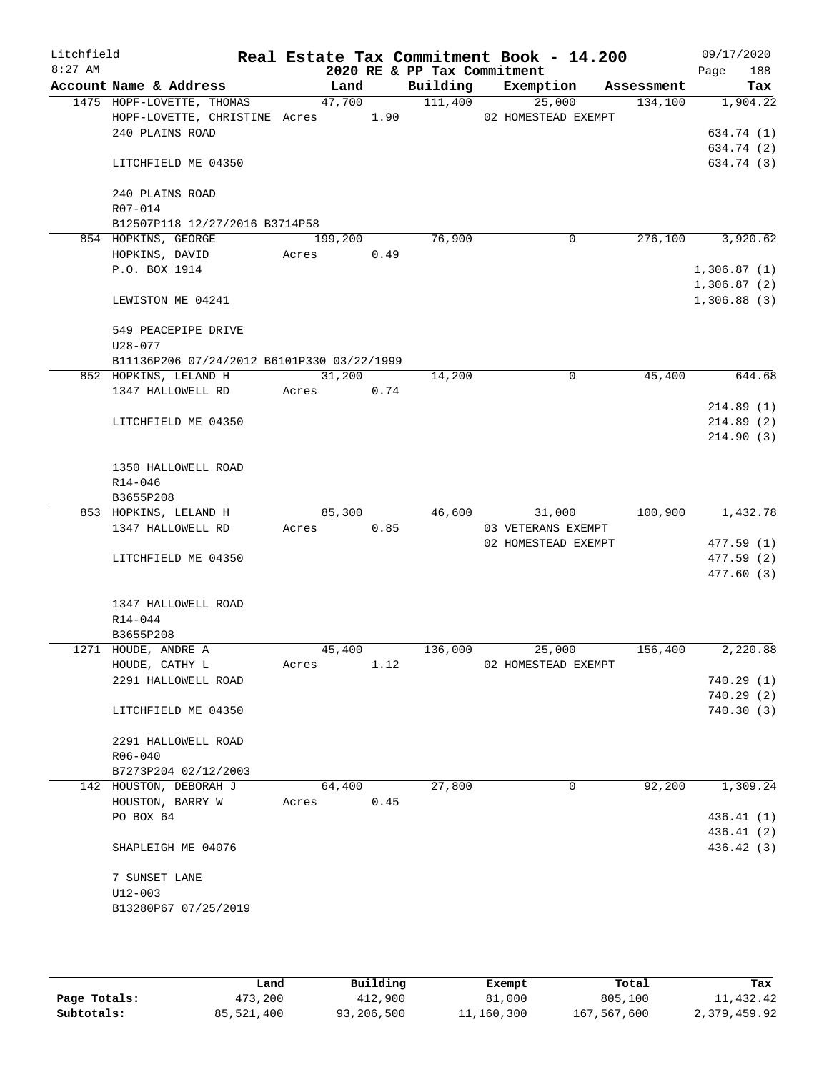| Litchfield |                                                                 |       |            |        |      | Real Estate Tax Commitment Book - 14.200 |                               |            |                            | 09/17/2020               |
|------------|-----------------------------------------------------------------|-------|------------|--------|------|------------------------------------------|-------------------------------|------------|----------------------------|--------------------------|
| $8:27$ AM  |                                                                 |       |            |        |      | 2020 RE & PP Tax Commitment              |                               |            | Page                       | 188                      |
|            | Account Name & Address                                          |       | Land       |        |      | Building                                 | Exemption                     | Assessment |                            | Tax                      |
|            | 1475 HOPF-LOVETTE, THOMAS<br>HOPF-LOVETTE, CHRISTINE Acres 1.90 |       |            | 47,700 |      | 111,400                                  | 25,000<br>02 HOMESTEAD EXEMPT | 134,100    |                            | 1,904.22                 |
|            | 240 PLAINS ROAD                                                 |       |            |        |      |                                          |                               |            |                            | 634.74 (1)               |
|            |                                                                 |       |            |        |      |                                          |                               |            |                            | 634.74 (2)               |
|            | LITCHFIELD ME 04350                                             |       |            |        |      |                                          |                               |            |                            | 634.74 (3)               |
|            | 240 PLAINS ROAD                                                 |       |            |        |      |                                          |                               |            |                            |                          |
|            | R07-014                                                         |       |            |        |      |                                          |                               |            |                            |                          |
|            | B12507P118 12/27/2016 B3714P58                                  |       |            |        |      |                                          |                               |            |                            |                          |
|            | 854 HOPKINS, GEORGE                                             |       | 199,200    |        |      | 76,900                                   | 0                             | 276,100    |                            | 3,920.62                 |
|            | HOPKINS, DAVID                                                  | Acres |            |        | 0.49 |                                          |                               |            |                            |                          |
|            | P.O. BOX 1914                                                   |       |            |        |      |                                          |                               |            | 1,306.87(1)                |                          |
|            | LEWISTON ME 04241                                               |       |            |        |      |                                          |                               |            | 1,306.87(2)<br>1,306.88(3) |                          |
|            |                                                                 |       |            |        |      |                                          |                               |            |                            |                          |
|            | 549 PEACEPIPE DRIVE<br>$U28 - 077$                              |       |            |        |      |                                          |                               |            |                            |                          |
|            | B11136P206 07/24/2012 B6101P330 03/22/1999                      |       |            |        |      |                                          |                               |            |                            |                          |
|            | 852 HOPKINS, LELAND H                                           |       |            | 31,200 |      | 14,200                                   | 0                             | 45,400     |                            | 644.68                   |
|            | 1347 HALLOWELL RD                                               |       | Acres 0.74 |        |      |                                          |                               |            |                            |                          |
|            |                                                                 |       |            |        |      |                                          |                               |            |                            | 214.89(1)                |
|            | LITCHFIELD ME 04350                                             |       |            |        |      |                                          |                               |            |                            | 214.89(2)                |
|            |                                                                 |       |            |        |      |                                          |                               |            |                            | 214.90(3)                |
|            | 1350 HALLOWELL ROAD                                             |       |            |        |      |                                          |                               |            |                            |                          |
|            | R14-046                                                         |       |            |        |      |                                          |                               |            |                            |                          |
|            | B3655P208                                                       |       |            |        |      |                                          |                               |            |                            |                          |
|            | 853 HOPKINS, LELAND H                                           |       |            | 85,300 |      | 46,600                                   | 31,000                        | 100,900    |                            | 1,432.78                 |
|            | 1347 HALLOWELL RD                                               |       | Acres      |        | 0.85 |                                          | 03 VETERANS EXEMPT            |            |                            |                          |
|            |                                                                 |       |            |        |      |                                          | 02 HOMESTEAD EXEMPT           |            |                            | 477.59(1)                |
|            | LITCHFIELD ME 04350                                             |       |            |        |      |                                          |                               |            |                            | 477.59 (2)<br>477.60(3)  |
|            | 1347 HALLOWELL ROAD                                             |       |            |        |      |                                          |                               |            |                            |                          |
|            | $R14 - 044$                                                     |       |            |        |      |                                          |                               |            |                            |                          |
|            | B3655P208                                                       |       |            |        |      |                                          |                               |            |                            |                          |
|            | 1271 HOUDE, ANDRE A                                             |       | 45,400     |        |      | 136,000                                  | 25,000                        | 156,400    |                            | 2,220.88                 |
|            | HOUDE, CATHY L                                                  | Acres |            |        | 1.12 |                                          | 02 HOMESTEAD EXEMPT           |            |                            |                          |
|            | 2291 HALLOWELL ROAD                                             |       |            |        |      |                                          |                               |            |                            | 740.29 (1)               |
|            |                                                                 |       |            |        |      |                                          |                               |            |                            | 740.29 (2)               |
|            | LITCHFIELD ME 04350                                             |       |            |        |      |                                          |                               |            |                            | 740.30(3)                |
|            | 2291 HALLOWELL ROAD                                             |       |            |        |      |                                          |                               |            |                            |                          |
|            | $R06 - 040$                                                     |       |            |        |      |                                          |                               |            |                            |                          |
|            | B7273P204 02/12/2003                                            |       |            |        |      |                                          |                               |            |                            |                          |
|            | 142 HOUSTON, DEBORAH J                                          |       | 64,400     |        |      | 27,800                                   | 0                             | 92,200     |                            | 1,309.24                 |
|            | HOUSTON, BARRY W                                                | Acres |            |        | 0.45 |                                          |                               |            |                            |                          |
|            | PO BOX 64                                                       |       |            |        |      |                                          |                               |            |                            | 436.41 (1)<br>436.41 (2) |
|            | SHAPLEIGH ME 04076                                              |       |            |        |      |                                          |                               |            |                            | 436.42 (3)               |
|            | 7 SUNSET LANE                                                   |       |            |        |      |                                          |                               |            |                            |                          |
|            | $U12 - 003$                                                     |       |            |        |      |                                          |                               |            |                            |                          |
|            | B13280P67 07/25/2019                                            |       |            |        |      |                                          |                               |            |                            |                          |
|            |                                                                 |       |            |        |      |                                          |                               |            |                            |                          |
|            |                                                                 |       |            |        |      |                                          |                               |            |                            |                          |

|              | Land       | Building   | Exempt     | Total       | Tax          |
|--------------|------------|------------|------------|-------------|--------------|
| Page Totals: | 473,200    | 412,900    | 81,000     | 805,100     | 11,432.42    |
| Subtotals:   | 85,521,400 | 93,206,500 | 11,160,300 | 167,567,600 | 2,379,459.92 |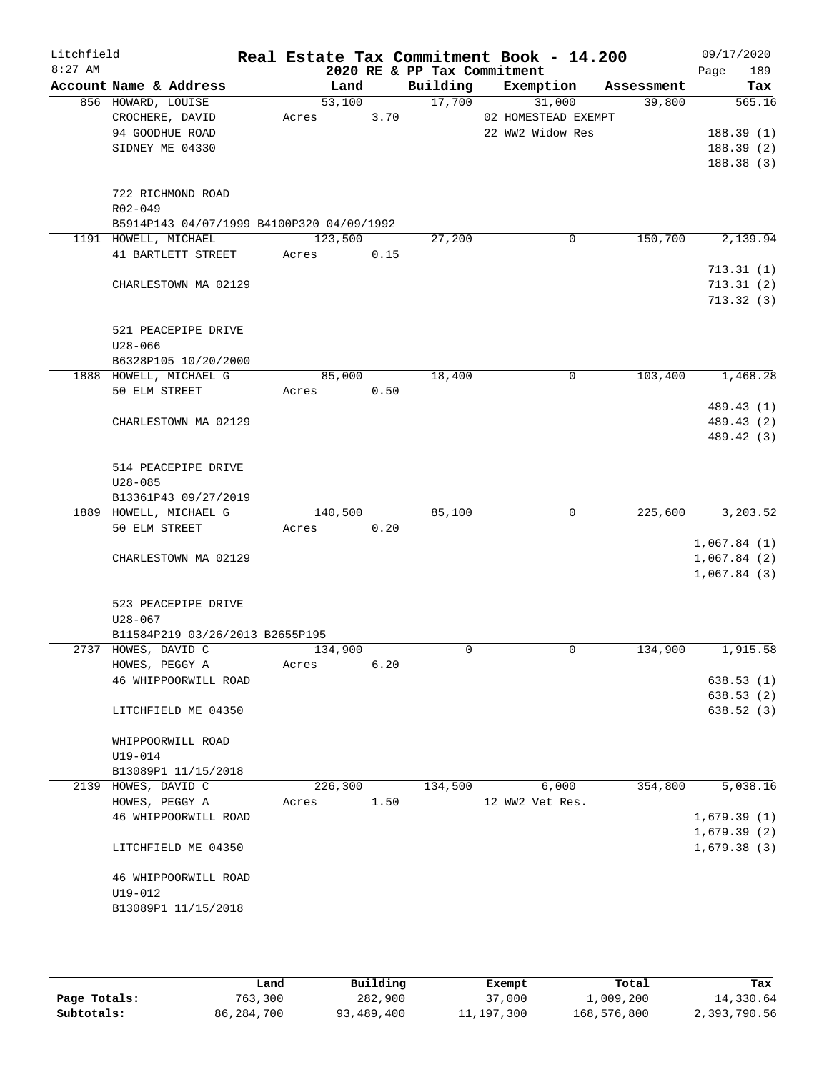| Litchfield<br>$8:27$ AM |                                                |         |      | 2020 RE & PP Tax Commitment | Real Estate Tax Commitment Book - 14.200 |            | 09/17/2020<br>189<br>Page |
|-------------------------|------------------------------------------------|---------|------|-----------------------------|------------------------------------------|------------|---------------------------|
|                         | Account Name & Address                         | Land    |      | Building                    | Exemption                                | Assessment | Tax                       |
|                         | 856 HOWARD, LOUISE                             | 53,100  |      | 17,700                      | 31,000                                   | 39,800     | 565.16                    |
|                         | CROCHERE, DAVID                                | Acres   | 3.70 |                             | 02 HOMESTEAD EXEMPT                      |            |                           |
|                         | 94 GOODHUE ROAD                                |         |      |                             | 22 WW2 Widow Res                         |            | 188.39(1)                 |
|                         | SIDNEY ME 04330                                |         |      |                             |                                          |            | 188.39(2)                 |
|                         |                                                |         |      |                             |                                          |            | 188.38(3)                 |
|                         |                                                |         |      |                             |                                          |            |                           |
|                         | 722 RICHMOND ROAD                              |         |      |                             |                                          |            |                           |
|                         | R02-049                                        |         |      |                             |                                          |            |                           |
|                         | B5914P143 04/07/1999 B4100P320 04/09/1992      |         |      |                             |                                          |            |                           |
|                         | 1191 HOWELL, MICHAEL                           | 123,500 |      | 27,200                      | 0                                        | 150,700    | 2,139.94                  |
|                         | 41 BARTLETT STREET                             | Acres   | 0.15 |                             |                                          |            |                           |
|                         |                                                |         |      |                             |                                          |            | 713.31(1)                 |
|                         | CHARLESTOWN MA 02129                           |         |      |                             |                                          |            | 713.31(2)                 |
|                         |                                                |         |      |                             |                                          |            | 713.32(3)                 |
|                         | 521 PEACEPIPE DRIVE                            |         |      |                             |                                          |            |                           |
|                         | $U28 - 066$                                    |         |      |                             |                                          |            |                           |
|                         | B6328P105 10/20/2000                           |         |      |                             |                                          |            |                           |
|                         | 1888 HOWELL, MICHAEL G                         | 85,000  |      | 18,400                      | 0                                        | 103,400    | 1,468.28                  |
|                         | 50 ELM STREET                                  | Acres   | 0.50 |                             |                                          |            |                           |
|                         |                                                |         |      |                             |                                          |            | 489.43 (1)                |
|                         | CHARLESTOWN MA 02129                           |         |      |                             |                                          |            | 489.43 (2)                |
|                         |                                                |         |      |                             |                                          |            | 489.42 (3)                |
|                         |                                                |         |      |                             |                                          |            |                           |
|                         | 514 PEACEPIPE DRIVE                            |         |      |                             |                                          |            |                           |
|                         | $U28 - 085$                                    |         |      |                             |                                          |            |                           |
|                         | B13361P43 09/27/2019                           |         |      |                             |                                          |            |                           |
|                         | 1889 HOWELL, MICHAEL G                         | 140,500 |      | 85,100                      | $\mathbf 0$                              | 225,600    | 3,203.52                  |
|                         | 50 ELM STREET                                  | Acres   | 0.20 |                             |                                          |            |                           |
|                         |                                                |         |      |                             |                                          |            | 1,067.84(1)               |
|                         | CHARLESTOWN MA 02129                           |         |      |                             |                                          |            | 1,067.84(2)               |
|                         |                                                |         |      |                             |                                          |            | 1,067.84(3)               |
|                         |                                                |         |      |                             |                                          |            |                           |
|                         | 523 PEACEPIPE DRIVE                            |         |      |                             |                                          |            |                           |
|                         | $U28 - 067$<br>B11584P219 03/26/2013 B2655P195 |         |      |                             |                                          |            |                           |
|                         | 2737 HOWES, DAVID C                            | 134,900 |      | 0                           | $\mathbf 0$                              | 134,900    | 1,915.58                  |
|                         | HOWES, PEGGY A                                 | Acres   | 6.20 |                             |                                          |            |                           |
|                         | 46 WHIPPOORWILL ROAD                           |         |      |                             |                                          |            | 638.53(1)                 |
|                         |                                                |         |      |                             |                                          |            | 638.53(2)                 |
|                         | LITCHFIELD ME 04350                            |         |      |                             |                                          |            | 638.52(3)                 |
|                         |                                                |         |      |                             |                                          |            |                           |
|                         | WHIPPOORWILL ROAD                              |         |      |                             |                                          |            |                           |
|                         | U19-014                                        |         |      |                             |                                          |            |                           |
|                         | B13089P1 11/15/2018                            |         |      |                             |                                          |            |                           |
|                         | 2139 HOWES, DAVID C                            | 226,300 |      | 134,500                     | 6,000                                    | 354,800    | 5,038.16                  |
|                         | HOWES, PEGGY A                                 | Acres   | 1.50 |                             | 12 WW2 Vet Res.                          |            |                           |
|                         | 46 WHIPPOORWILL ROAD                           |         |      |                             |                                          |            | 1,679.39(1)               |
|                         |                                                |         |      |                             |                                          |            | 1,679.39(2)               |
|                         | LITCHFIELD ME 04350                            |         |      |                             |                                          |            | 1,679.38(3)               |
|                         |                                                |         |      |                             |                                          |            |                           |
|                         | 46 WHIPPOORWILL ROAD                           |         |      |                             |                                          |            |                           |
|                         | U19-012                                        |         |      |                             |                                          |            |                           |
|                         | B13089P1 11/15/2018                            |         |      |                             |                                          |            |                           |
|                         |                                                |         |      |                             |                                          |            |                           |
|                         |                                                |         |      |                             |                                          |            |                           |

|              | Land       | Building   | Exempt       | Total       | Tax          |
|--------------|------------|------------|--------------|-------------|--------------|
| Page Totals: | 763,300    | 282,900    | 37,000       | 1,009,200   | 14,330.64    |
| Subtotals:   | 86,284,700 | 93,489,400 | 11, 197, 300 | 168,576,800 | 2,393,790.56 |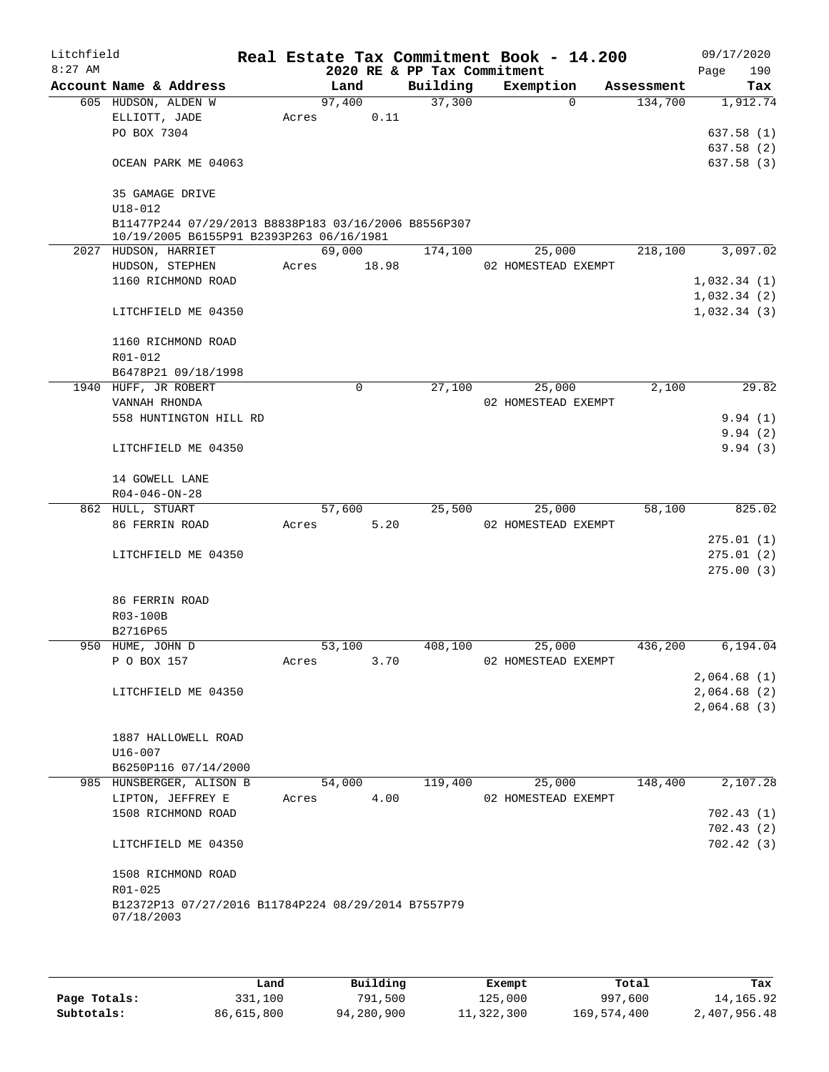| Litchfield<br>$8:27$ AM |                                                                                                  |        |             | 2020 RE & PP Tax Commitment | Real Estate Tax Commitment Book - 14.200 |            | 09/17/2020<br>Page<br>190 |
|-------------------------|--------------------------------------------------------------------------------------------------|--------|-------------|-----------------------------|------------------------------------------|------------|---------------------------|
|                         | Account Name & Address                                                                           | Land   |             | Building                    | Exemption                                | Assessment | Tax                       |
|                         | 605 HUDSON, ALDEN W                                                                              | 97,400 |             | 37,300                      | $\Omega$                                 | 134,700    | 1,912.74                  |
|                         | ELLIOTT, JADE                                                                                    | Acres  | 0.11        |                             |                                          |            |                           |
|                         | PO BOX 7304                                                                                      |        |             |                             |                                          |            | 637.58(1)                 |
|                         |                                                                                                  |        |             |                             |                                          |            | 637.58(2)                 |
|                         | OCEAN PARK ME 04063                                                                              |        |             |                             |                                          |            | 637.58(3)                 |
|                         | 35 GAMAGE DRIVE                                                                                  |        |             |                             |                                          |            |                           |
|                         | $U18 - 012$                                                                                      |        |             |                             |                                          |            |                           |
|                         | B11477P244 07/29/2013 B8838P183 03/16/2006 B8556P307<br>10/19/2005 B6155P91 B2393P263 06/16/1981 |        |             |                             |                                          |            |                           |
|                         | 2027 HUDSON, HARRIET                                                                             | 69,000 |             | 174,100                     | 25,000                                   | 218,100    | 3,097.02                  |
|                         | HUDSON, STEPHEN                                                                                  | Acres  | 18.98       |                             | 02 HOMESTEAD EXEMPT                      |            |                           |
|                         | 1160 RICHMOND ROAD                                                                               |        |             |                             |                                          |            | 1,032.34(1)               |
|                         |                                                                                                  |        |             |                             |                                          |            | 1,032.34(2)               |
|                         | LITCHFIELD ME 04350                                                                              |        |             |                             |                                          |            | 1,032.34(3)               |
|                         | 1160 RICHMOND ROAD                                                                               |        |             |                             |                                          |            |                           |
|                         | R01-012                                                                                          |        |             |                             |                                          |            |                           |
|                         | B6478P21 09/18/1998                                                                              |        |             |                             |                                          |            |                           |
|                         | 1940 HUFF, JR ROBERT                                                                             |        | $\mathbf 0$ | 27,100                      | 25,000                                   | 2,100      | 29.82                     |
|                         | VANNAH RHONDA                                                                                    |        |             |                             | 02 HOMESTEAD EXEMPT                      |            |                           |
|                         | 558 HUNTINGTON HILL RD                                                                           |        |             |                             |                                          |            | 9.94(1)                   |
|                         |                                                                                                  |        |             |                             |                                          |            | 9.94(2)                   |
|                         | LITCHFIELD ME 04350                                                                              |        |             |                             |                                          |            | 9.94(3)                   |
|                         | 14 GOWELL LANE                                                                                   |        |             |                             |                                          |            |                           |
|                         | $R04 - 046 - ON - 28$                                                                            |        |             |                             |                                          |            |                           |
|                         | 862 HULL, STUART                                                                                 | 57,600 |             | 25,500                      | 25,000                                   | 58,100     | 825.02                    |
|                         | 86 FERRIN ROAD                                                                                   | Acres  | 5.20        |                             | 02 HOMESTEAD EXEMPT                      |            |                           |
|                         |                                                                                                  |        |             |                             |                                          |            | 275.01(1)                 |
|                         | LITCHFIELD ME 04350                                                                              |        |             |                             |                                          |            | 275.01(2)                 |
|                         |                                                                                                  |        |             |                             |                                          |            | 275.00(3)                 |
|                         | 86 FERRIN ROAD                                                                                   |        |             |                             |                                          |            |                           |
|                         | R03-100B                                                                                         |        |             |                             |                                          |            |                           |
|                         | B2716P65                                                                                         |        |             |                             |                                          |            |                           |
|                         | 950 HUME, JOHN D                                                                                 | 53,100 |             | 408,100                     | 25,000                                   | 436,200    | 6,194.04                  |
|                         | P O BOX 157                                                                                      | Acres  | 3.70        |                             | 02 HOMESTEAD EXEMPT                      |            |                           |
|                         |                                                                                                  |        |             |                             |                                          |            | 2,064.68(1)               |
|                         | LITCHFIELD ME 04350                                                                              |        |             |                             |                                          |            | 2,064.68(2)               |
|                         |                                                                                                  |        |             |                             |                                          |            | 2,064.68(3)               |
|                         | 1887 HALLOWELL ROAD                                                                              |        |             |                             |                                          |            |                           |
|                         | U16-007                                                                                          |        |             |                             |                                          |            |                           |
|                         | B6250P116 07/14/2000                                                                             |        |             |                             |                                          |            |                           |
|                         | 985 HUNSBERGER, ALISON B                                                                         | 54,000 |             | 119,400                     | 25,000                                   | 148,400    | 2,107.28                  |
|                         | LIPTON, JEFFREY E                                                                                | Acres  | 4.00        |                             | 02 HOMESTEAD EXEMPT                      |            |                           |
|                         | 1508 RICHMOND ROAD                                                                               |        |             |                             |                                          |            | 702.43(1)                 |
|                         |                                                                                                  |        |             |                             |                                          |            | 702.43(2)                 |
|                         | LITCHFIELD ME 04350                                                                              |        |             |                             |                                          |            | 702.42(3)                 |
|                         | 1508 RICHMOND ROAD                                                                               |        |             |                             |                                          |            |                           |
|                         | R01-025                                                                                          |        |             |                             |                                          |            |                           |
|                         | B12372P13 07/27/2016 B11784P224 08/29/2014 B7557P79<br>07/18/2003                                |        |             |                             |                                          |            |                           |
|                         |                                                                                                  |        |             |                             |                                          |            |                           |

|              | Land       | Building   | Exempt     | Total       | Tax          |
|--------------|------------|------------|------------|-------------|--------------|
| Page Totals: | 331,100    | 791,500    | 125,000    | 997,600     | 14,165.92    |
| Subtotals:   | 86,615,800 | 94,280,900 | 11,322,300 | 169,574,400 | 2,407,956.48 |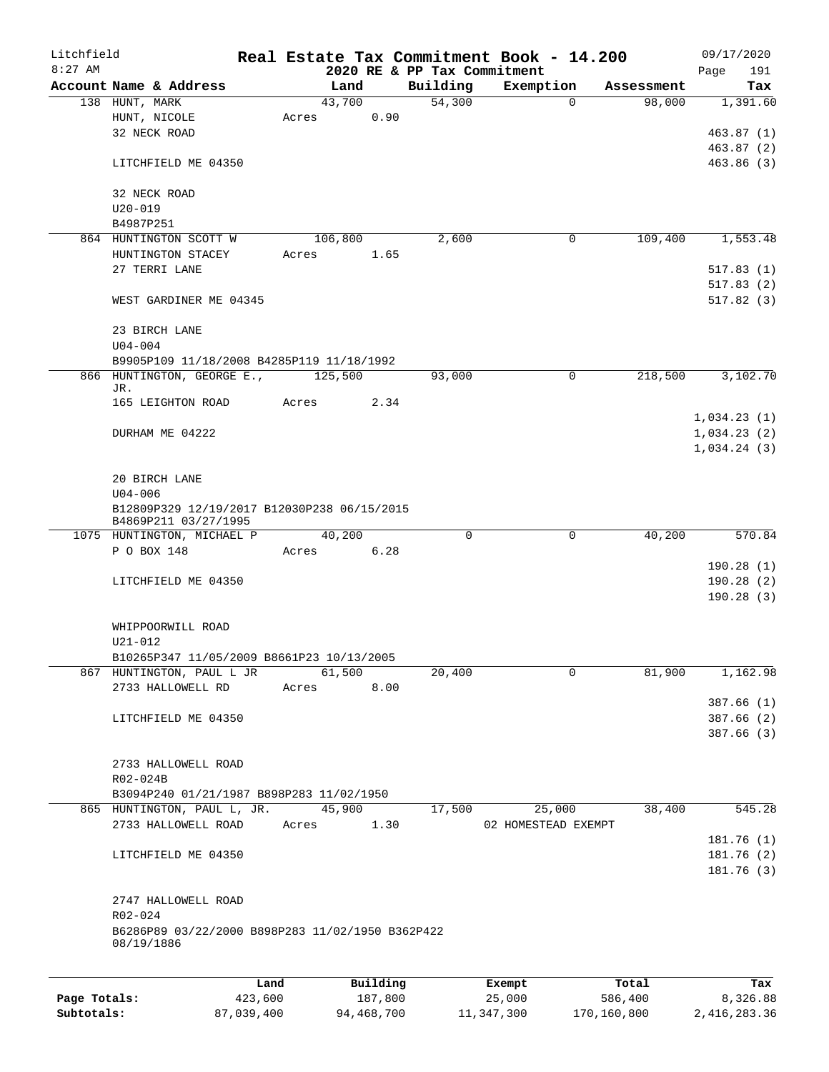| Litchfield   |                                                    |         |                |                             | Real Estate Tax Commitment Book - 14.200 |                      | 09/17/2020      |
|--------------|----------------------------------------------------|---------|----------------|-----------------------------|------------------------------------------|----------------------|-----------------|
| $8:27$ AM    |                                                    |         |                | 2020 RE & PP Tax Commitment |                                          |                      | 191<br>Page     |
|              | Account Name & Address<br>138 HUNT, MARK           |         | Land<br>43,700 | Building<br>54,300          | Exemption<br>0                           | Assessment<br>98,000 | Tax<br>1,391.60 |
|              | HUNT, NICOLE                                       | Acres   |                | 0.90                        |                                          |                      |                 |
|              | 32 NECK ROAD                                       |         |                |                             |                                          |                      | 463.87(1)       |
|              |                                                    |         |                |                             |                                          |                      | 463.87(2)       |
|              | LITCHFIELD ME 04350                                |         |                |                             |                                          |                      | 463.86(3)       |
|              | 32 NECK ROAD                                       |         |                |                             |                                          |                      |                 |
|              | $U20 - 019$                                        |         |                |                             |                                          |                      |                 |
|              | B4987P251                                          |         |                |                             |                                          |                      |                 |
|              | 864 HUNTINGTON SCOTT W                             |         | 106,800        | 2,600                       | 0                                        | 109,400              | 1,553.48        |
|              | HUNTINGTON STACEY                                  | Acres   |                | 1.65                        |                                          |                      |                 |
|              | 27 TERRI LANE                                      |         |                |                             |                                          |                      | 517.83(1)       |
|              |                                                    |         |                |                             |                                          |                      | 517.83(2)       |
|              | WEST GARDINER ME 04345                             |         |                |                             |                                          |                      | 517.82(3)       |
|              | 23 BIRCH LANE                                      |         |                |                             |                                          |                      |                 |
|              | $U04 - 004$                                        |         |                |                             |                                          |                      |                 |
|              | B9905P109 11/18/2008 B4285P119 11/18/1992          |         |                |                             |                                          |                      |                 |
|              | 866 HUNTINGTON, GEORGE E.,                         |         | 125,500        | 93,000                      | 0                                        | 218,500              | 3,102.70        |
|              | JR.<br>165 LEIGHTON ROAD                           | Acres   |                | 2.34                        |                                          |                      |                 |
|              |                                                    |         |                |                             |                                          |                      |                 |
|              |                                                    |         |                |                             |                                          |                      | 1,034.23(1)     |
|              | DURHAM ME 04222                                    |         |                |                             |                                          |                      | 1,034.23(2)     |
|              |                                                    |         |                |                             |                                          |                      | 1,034.24(3)     |
|              |                                                    |         |                |                             |                                          |                      |                 |
|              | 20 BIRCH LANE                                      |         |                |                             |                                          |                      |                 |
|              | $U04 - 006$                                        |         |                |                             |                                          |                      |                 |
|              | B12809P329 12/19/2017 B12030P238 06/15/2015        |         |                |                             |                                          |                      |                 |
|              | B4869P211 03/27/1995<br>1075 HUNTINGTON, MICHAEL P |         | 40,200         |                             | $\Omega$<br>$\mathbf 0$                  | 40,200               | 570.84          |
|              | P O BOX 148                                        | Acres   |                | 6.28                        |                                          |                      |                 |
|              |                                                    |         |                |                             |                                          |                      | 190.28(1)       |
|              | LITCHFIELD ME 04350                                |         |                |                             |                                          |                      | 190.28(2)       |
|              |                                                    |         |                |                             |                                          |                      | 190.28(3)       |
|              |                                                    |         |                |                             |                                          |                      |                 |
|              |                                                    |         |                |                             |                                          |                      |                 |
|              | WHIPPOORWILL ROAD                                  |         |                |                             |                                          |                      |                 |
|              | $U21 - 012$                                        |         |                |                             |                                          |                      |                 |
|              | B10265P347 11/05/2009 B8661P23 10/13/2005          |         |                |                             |                                          |                      |                 |
|              | 867 HUNTINGTON, PAUL L JR                          |         | 61,500         | 20,400                      | $\mathbf 0$                              | 81,900               | 1,162.98        |
|              | 2733 HALLOWELL RD                                  | Acres   |                | 8.00                        |                                          |                      |                 |
|              |                                                    |         |                |                             |                                          |                      | 387.66(1)       |
|              | LITCHFIELD ME 04350                                |         |                |                             |                                          |                      | 387.66(2)       |
|              |                                                    |         |                |                             |                                          |                      | 387.66(3)       |
|              |                                                    |         |                |                             |                                          |                      |                 |
|              | 2733 HALLOWELL ROAD                                |         |                |                             |                                          |                      |                 |
|              | R02-024B                                           |         |                |                             |                                          |                      |                 |
|              | B3094P240 01/21/1987 B898P283 11/02/1950           |         |                |                             |                                          |                      |                 |
|              | 865 HUNTINGTON, PAUL L, JR.                        |         | 45,900         | 17,500                      | 25,000                                   | 38,400               | 545.28          |
|              | 2733 HALLOWELL ROAD                                | Acres   |                | 1.30                        | 02 HOMESTEAD EXEMPT                      |                      |                 |
|              |                                                    |         |                |                             |                                          |                      | 181.76 (1)      |
|              | LITCHFIELD ME 04350                                |         |                |                             |                                          |                      | 181.76 (2)      |
|              |                                                    |         |                |                             |                                          |                      | 181.76 (3)      |
|              |                                                    |         |                |                             |                                          |                      |                 |
|              | 2747 HALLOWELL ROAD                                |         |                |                             |                                          |                      |                 |
|              | R02-024                                            |         |                |                             |                                          |                      |                 |
|              | B6286P89 03/22/2000 B898P283 11/02/1950 B362P422   |         |                |                             |                                          |                      |                 |
|              | 08/19/1886                                         |         |                |                             |                                          |                      |                 |
|              |                                                    |         |                |                             |                                          |                      |                 |
|              |                                                    | Land    | Building       |                             | Exempt                                   | Total                | Tax             |
| Page Totals: |                                                    | 423,600 | 187,800        |                             | 25,000                                   | 586,400              | 8,326.88        |
|              |                                                    |         |                |                             |                                          |                      |                 |

**Subtotals:** 87,039,400 94,468,700 11,347,300 170,160,800 2,416,283.36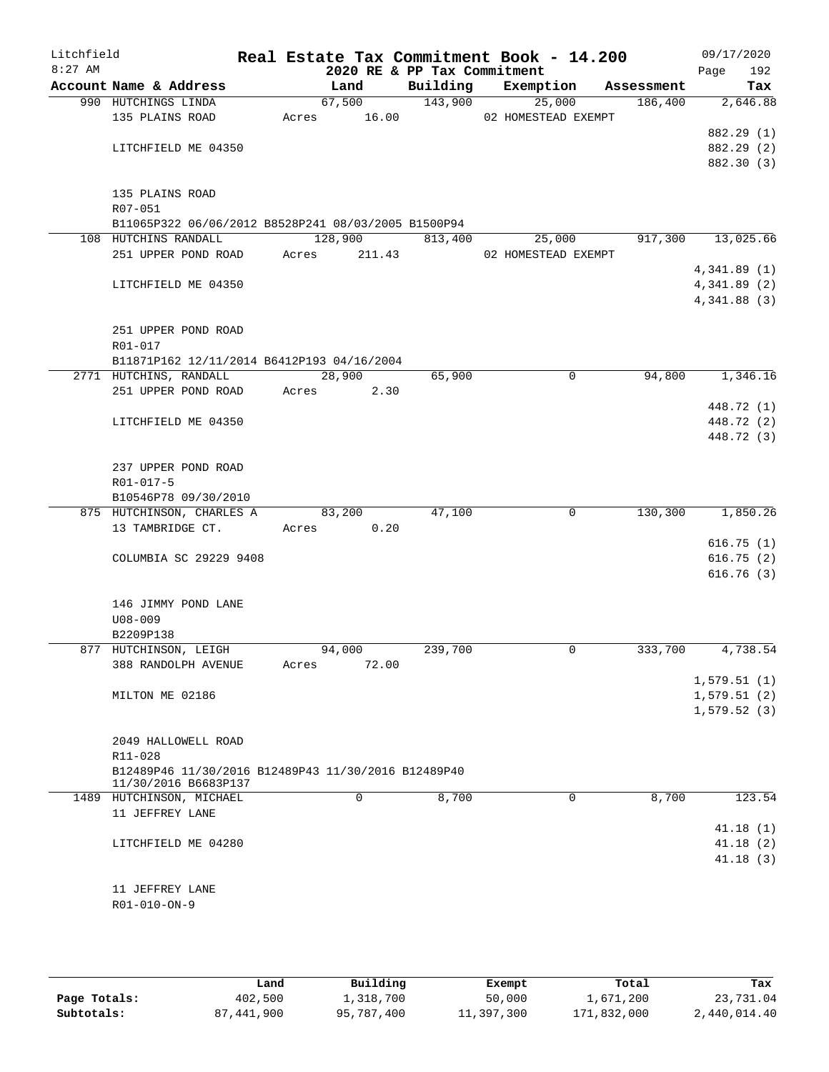| Litchfield<br>$8:27$ AM |                                                                             |       |                      | Real Estate Tax Commitment Book - 14.200<br>2020 RE & PP Tax Commitment |                     |            | 09/17/2020<br>Page<br>192 |
|-------------------------|-----------------------------------------------------------------------------|-------|----------------------|-------------------------------------------------------------------------|---------------------|------------|---------------------------|
|                         | Account Name & Address                                                      |       | Land                 | Building                                                                | Exemption           | Assessment | Tax                       |
|                         | 990 HUTCHINGS LINDA                                                         |       | 67,500               | 143,900                                                                 | 25,000              | 186,400    | 2,646.88                  |
|                         | 135 PLAINS ROAD                                                             |       | Acres 16.00          |                                                                         | 02 HOMESTEAD EXEMPT |            |                           |
|                         |                                                                             |       |                      |                                                                         |                     |            | 882.29 (1)                |
|                         | LITCHFIELD ME 04350                                                         |       |                      |                                                                         |                     |            | 882.29 (2)                |
|                         |                                                                             |       |                      |                                                                         |                     |            | 882.30 (3)                |
|                         |                                                                             |       |                      |                                                                         |                     |            |                           |
|                         | 135 PLAINS ROAD                                                             |       |                      |                                                                         |                     |            |                           |
|                         | R07-051                                                                     |       |                      |                                                                         |                     |            |                           |
|                         | B11065P322 06/06/2012 B8528P241 08/03/2005 B1500P94                         |       |                      |                                                                         |                     |            |                           |
|                         | 108 HUTCHINS RANDALL                                                        |       | 128,900              | 813,400                                                                 | 25,000              | 917,300    | 13,025.66                 |
|                         | 251 UPPER POND ROAD Acres                                                   |       | 211.43               |                                                                         | 02 HOMESTEAD EXEMPT |            | 4,341.89(1)               |
|                         | LITCHFIELD ME 04350                                                         |       |                      |                                                                         |                     |            | 4,341.89(2)               |
|                         |                                                                             |       |                      |                                                                         |                     |            | 4,341.88 (3)              |
|                         |                                                                             |       |                      |                                                                         |                     |            |                           |
|                         | 251 UPPER POND ROAD                                                         |       |                      |                                                                         |                     |            |                           |
|                         | R01-017                                                                     |       |                      |                                                                         |                     |            |                           |
|                         | B11871P162 12/11/2014 B6412P193 04/16/2004                                  |       |                      |                                                                         |                     |            |                           |
|                         | 2771 HUTCHINS, RANDALL                                                      |       | 28,900               | 65,900                                                                  | $\mathbf 0$         | 94,800     | 1,346.16                  |
|                         | 251 UPPER POND ROAD                                                         | Acres | 2.30                 |                                                                         |                     |            |                           |
|                         |                                                                             |       |                      |                                                                         |                     |            | 448.72 (1)                |
|                         | LITCHFIELD ME 04350                                                         |       |                      |                                                                         |                     |            | 448.72 (2)                |
|                         |                                                                             |       |                      |                                                                         |                     |            | 448.72 (3)                |
|                         |                                                                             |       |                      |                                                                         |                     |            |                           |
|                         | 237 UPPER POND ROAD                                                         |       |                      |                                                                         |                     |            |                           |
|                         | R01-017-5                                                                   |       |                      |                                                                         |                     |            |                           |
|                         | B10546P78 09/30/2010                                                        |       |                      |                                                                         |                     |            |                           |
|                         | 875 HUTCHINSON, CHARLES A<br>13 TAMBRIDGE CT.                               |       | 83,200<br>Acres 0.20 | 47,100                                                                  | $\mathbf 0$         |            | 130,300 1,850.26          |
|                         |                                                                             |       |                      |                                                                         |                     |            | 616.75(1)                 |
|                         | COLUMBIA SC 29229 9408                                                      |       |                      |                                                                         |                     |            | 616.75(2)                 |
|                         |                                                                             |       |                      |                                                                         |                     |            | 616.76(3)                 |
|                         |                                                                             |       |                      |                                                                         |                     |            |                           |
|                         | 146 JIMMY POND LANE                                                         |       |                      |                                                                         |                     |            |                           |
|                         | $U08 - 009$                                                                 |       |                      |                                                                         |                     |            |                           |
|                         | B2209P138                                                                   |       |                      |                                                                         |                     |            |                           |
|                         | 877 HUTCHINSON, LEIGH                                                       |       | 94,000               | 239,700                                                                 | 0                   | 333,700    | 4,738.54                  |
|                         | 388 RANDOLPH AVENUE                                                         | Acres | 72.00                |                                                                         |                     |            |                           |
|                         |                                                                             |       |                      |                                                                         |                     |            | 1,579.51(1)               |
|                         | MILTON ME 02186                                                             |       |                      |                                                                         |                     |            | 1,579.51(2)               |
|                         |                                                                             |       |                      |                                                                         |                     |            | 1,579.52(3)               |
|                         |                                                                             |       |                      |                                                                         |                     |            |                           |
|                         | 2049 HALLOWELL ROAD                                                         |       |                      |                                                                         |                     |            |                           |
|                         | R11-028                                                                     |       |                      |                                                                         |                     |            |                           |
|                         | B12489P46 11/30/2016 B12489P43 11/30/2016 B12489P40<br>11/30/2016 B6683P137 |       |                      |                                                                         |                     |            |                           |
|                         | 1489 HUTCHINSON, MICHAEL                                                    |       | $\Omega$             | 8,700                                                                   | $\Omega$            | 8,700      | 123.54                    |
|                         | 11 JEFFREY LANE                                                             |       |                      |                                                                         |                     |            |                           |
|                         |                                                                             |       |                      |                                                                         |                     |            | 41.18(1)                  |
|                         | LITCHFIELD ME 04280                                                         |       |                      |                                                                         |                     |            | 41.18(2)                  |
|                         |                                                                             |       |                      |                                                                         |                     |            | 41.18(3)                  |
|                         |                                                                             |       |                      |                                                                         |                     |            |                           |
|                         | 11 JEFFREY LANE                                                             |       |                      |                                                                         |                     |            |                           |
|                         | R01-010-ON-9                                                                |       |                      |                                                                         |                     |            |                           |
|                         |                                                                             |       |                      |                                                                         |                     |            |                           |
|                         |                                                                             |       |                      |                                                                         |                     |            |                           |

|              | Land       | Building   | Exempt     | Total       | Tax          |
|--------------|------------|------------|------------|-------------|--------------|
| Page Totals: | 402,500    | 1,318,700  | 50,000     | 1,671,200   | 23,731.04    |
| Subtotals:   | 87,441,900 | 95,787,400 | 11,397,300 | 171,832,000 | 2,440,014.40 |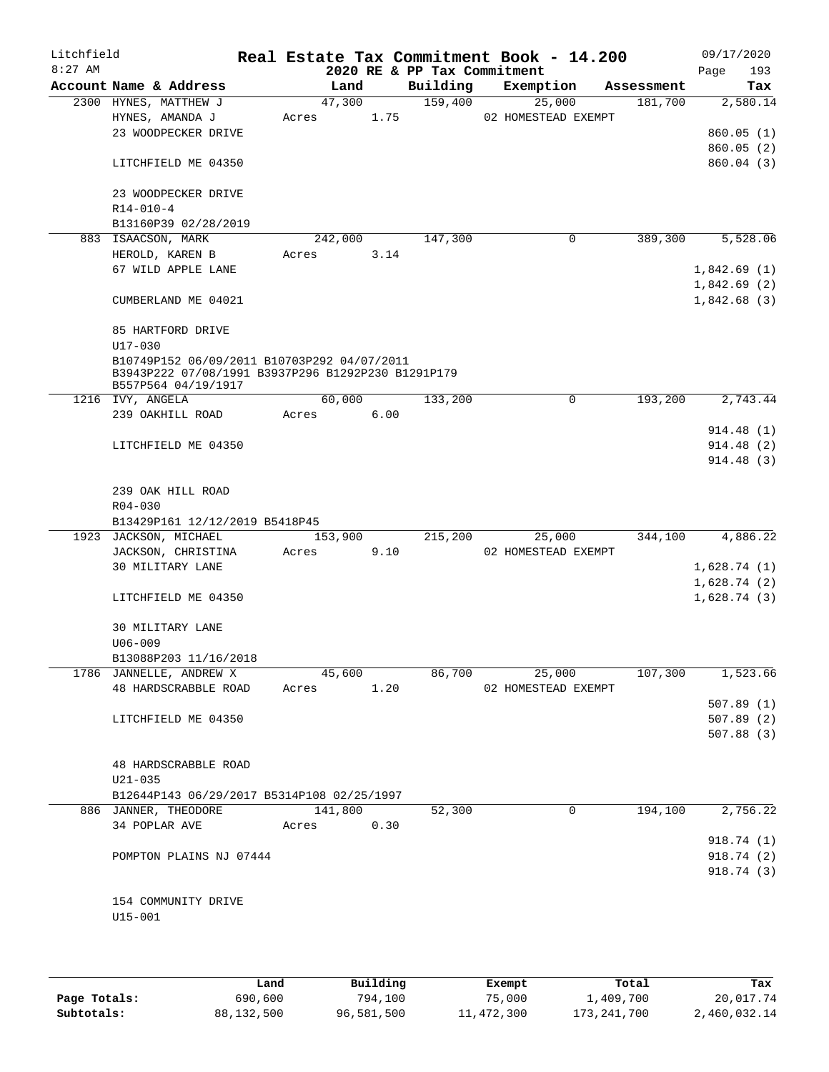| Litchfield<br>$8:27$ AM |                                                                           |         |      | 2020 RE & PP Tax Commitment | Real Estate Tax Commitment Book - 14.200 |            | 09/17/2020<br>Page<br>193 |
|-------------------------|---------------------------------------------------------------------------|---------|------|-----------------------------|------------------------------------------|------------|---------------------------|
|                         | Account Name & Address                                                    | Land    |      | Building                    | Exemption                                | Assessment | Tax                       |
|                         | 2300 HYNES, MATTHEW J                                                     | 47,300  |      | 159,400                     | 25,000                                   | 181,700    | 2,580.14                  |
|                         | HYNES, AMANDA J                                                           | Acres   | 1.75 |                             | 02 HOMESTEAD EXEMPT                      |            |                           |
|                         | 23 WOODPECKER DRIVE                                                       |         |      |                             |                                          |            | 860.05(1)                 |
|                         |                                                                           |         |      |                             |                                          |            | 860.05(2)                 |
|                         | LITCHFIELD ME 04350                                                       |         |      |                             |                                          |            | 860.04 (3)                |
|                         |                                                                           |         |      |                             |                                          |            |                           |
|                         | 23 WOODPECKER DRIVE                                                       |         |      |                             |                                          |            |                           |
|                         | $R14 - 010 - 4$                                                           |         |      |                             |                                          |            |                           |
|                         | B13160P39 02/28/2019                                                      |         |      |                             |                                          |            |                           |
|                         | 883 ISAACSON, MARK                                                        | 242,000 |      | 147,300                     | 0                                        | 389,300    | 5,528.06                  |
|                         | HEROLD, KAREN B                                                           | Acres   | 3.14 |                             |                                          |            |                           |
|                         | 67 WILD APPLE LANE                                                        |         |      |                             |                                          |            | 1,842.69(1)               |
|                         |                                                                           |         |      |                             |                                          |            | 1,842.69(2)               |
|                         | CUMBERLAND ME 04021                                                       |         |      |                             |                                          |            | 1,842.68(3)               |
|                         |                                                                           |         |      |                             |                                          |            |                           |
|                         | 85 HARTFORD DRIVE                                                         |         |      |                             |                                          |            |                           |
|                         | $U17 - 030$                                                               |         |      |                             |                                          |            |                           |
|                         | B10749P152 06/09/2011 B10703P292 04/07/2011                               |         |      |                             |                                          |            |                           |
|                         | B3943P222 07/08/1991 B3937P296 B1292P230 B1291P179<br>B557P564 04/19/1917 |         |      |                             |                                          |            |                           |
|                         | 1216 IVY, ANGELA                                                          | 60,000  |      | 133,200                     | 0                                        | 193,200    | 2,743.44                  |
|                         | 239 OAKHILL ROAD                                                          | Acres   | 6.00 |                             |                                          |            |                           |
|                         |                                                                           |         |      |                             |                                          |            | 914.48 (1)                |
|                         | LITCHFIELD ME 04350                                                       |         |      |                             |                                          |            | 914.48 (2)                |
|                         |                                                                           |         |      |                             |                                          |            | 914.48(3)                 |
|                         |                                                                           |         |      |                             |                                          |            |                           |
|                         | 239 OAK HILL ROAD                                                         |         |      |                             |                                          |            |                           |
|                         | $R04 - 030$                                                               |         |      |                             |                                          |            |                           |
|                         | B13429P161 12/12/2019 B5418P45                                            |         |      |                             |                                          |            |                           |
|                         | 1923 JACKSON, MICHAEL                                                     | 153,900 |      | 215,200                     | 25,000                                   | 344,100    | 4,886.22                  |
|                         | JACKSON, CHRISTINA                                                        | Acres   | 9.10 |                             | 02 HOMESTEAD EXEMPT                      |            |                           |
|                         | 30 MILITARY LANE                                                          |         |      |                             |                                          |            | 1,628.74(1)               |
|                         |                                                                           |         |      |                             |                                          |            | 1,628.74(2)               |
|                         | LITCHFIELD ME 04350                                                       |         |      |                             |                                          |            | 1,628.74(3)               |
|                         |                                                                           |         |      |                             |                                          |            |                           |
|                         | 30 MILITARY LANE                                                          |         |      |                             |                                          |            |                           |
|                         | $U06 - 009$                                                               |         |      |                             |                                          |            |                           |
|                         | B13088P203 11/16/2018                                                     |         |      |                             |                                          |            |                           |
|                         | 1786 JANNELLE, ANDREW X                                                   | 45,600  |      | 86,700                      | 25,000                                   | 107,300    | 1,523.66                  |
|                         | 48 HARDSCRABBLE ROAD                                                      | Acres   | 1.20 |                             | 02 HOMESTEAD EXEMPT                      |            |                           |
|                         |                                                                           |         |      |                             |                                          |            | 507.89(1)                 |
|                         | LITCHFIELD ME 04350                                                       |         |      |                             |                                          |            | 507.89(2)                 |
|                         |                                                                           |         |      |                             |                                          |            | 507.88(3)                 |
|                         |                                                                           |         |      |                             |                                          |            |                           |
|                         | 48 HARDSCRABBLE ROAD                                                      |         |      |                             |                                          |            |                           |
|                         | $U21 - 035$                                                               |         |      |                             |                                          |            |                           |
|                         | B12644P143 06/29/2017 B5314P108 02/25/1997                                |         |      |                             |                                          |            |                           |
|                         | 886 JANNER, THEODORE                                                      | 141,800 |      | 52,300                      | 0                                        | 194,100    | 2,756.22                  |
|                         | 34 POPLAR AVE                                                             | Acres   | 0.30 |                             |                                          |            |                           |
|                         |                                                                           |         |      |                             |                                          |            | 918.74 (1)                |
|                         | POMPTON PLAINS NJ 07444                                                   |         |      |                             |                                          |            | 918.74 (2)                |
|                         |                                                                           |         |      |                             |                                          |            | 918.74(3)                 |
|                         |                                                                           |         |      |                             |                                          |            |                           |
|                         | 154 COMMUNITY DRIVE                                                       |         |      |                             |                                          |            |                           |
|                         | $U15 - 001$                                                               |         |      |                             |                                          |            |                           |
|                         |                                                                           |         |      |                             |                                          |            |                           |

|              | Land       | Building   | Exempt     | Total         | Tax          |
|--------------|------------|------------|------------|---------------|--------------|
| Page Totals: | 690,600    | 794,100    | 75,000     | 1,409,700     | 20,017.74    |
| Subtotals:   | 88,132,500 | 96,581,500 | 11,472,300 | 173, 241, 700 | 2,460,032.14 |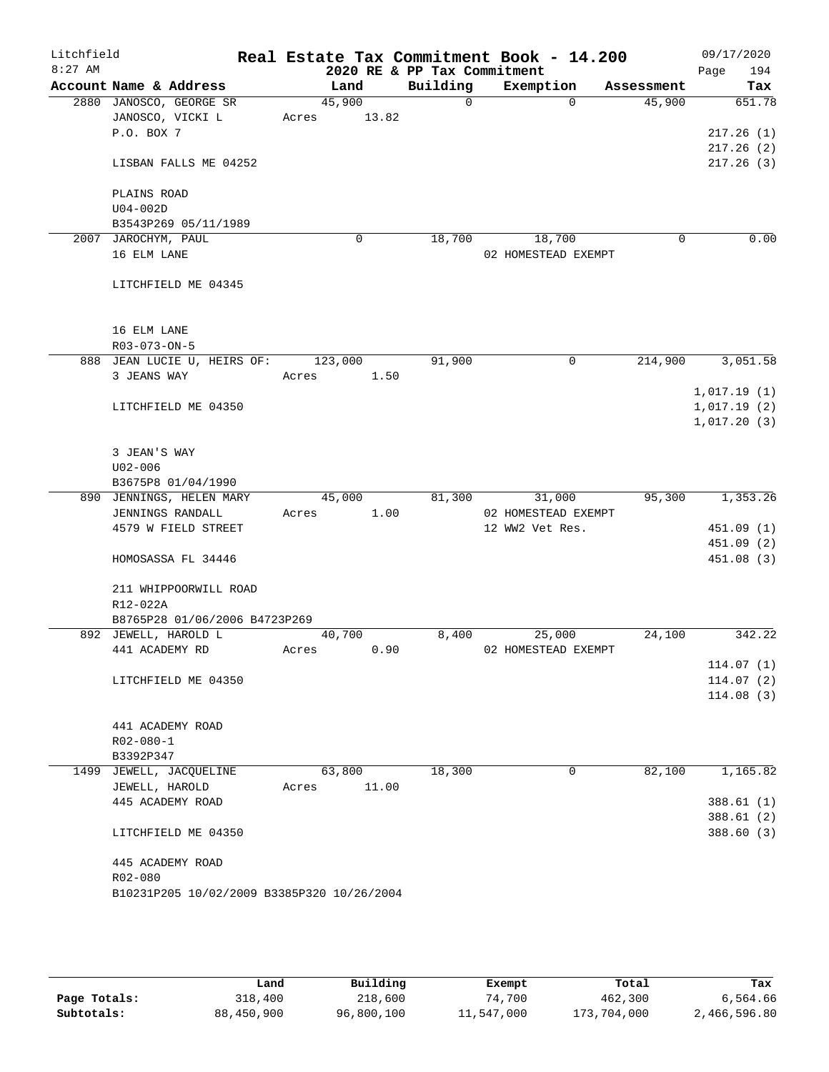| Litchfield |                                             |                       |       |          | Real Estate Tax Commitment Book - 14.200 |          |            |      | 09/17/2020  |
|------------|---------------------------------------------|-----------------------|-------|----------|------------------------------------------|----------|------------|------|-------------|
| $8:27$ AM  |                                             |                       |       |          | 2020 RE & PP Tax Commitment              |          |            | Page | 194         |
|            | Account Name & Address                      | Land                  |       | Building | Exemption<br>$\Omega$                    | $\Omega$ | Assessment |      | Tax         |
|            | 2880 JANOSCO, GEORGE SR<br>JANOSCO, VICKI L | 45,900<br>Acres 13.82 |       |          |                                          |          | 45,900     |      | 651.78      |
|            | P.O. BOX 7                                  |                       |       |          |                                          |          |            |      | 217.26(1)   |
|            |                                             |                       |       |          |                                          |          |            |      | 217.26(2)   |
|            | LISBAN FALLS ME 04252                       |                       |       |          |                                          |          |            |      | 217.26(3)   |
|            |                                             |                       |       |          |                                          |          |            |      |             |
|            | PLAINS ROAD                                 |                       |       |          |                                          |          |            |      |             |
|            | $U04-002D$                                  |                       |       |          |                                          |          |            |      |             |
|            | B3543P269 05/11/1989                        |                       |       |          |                                          |          |            |      |             |
|            | 2007 JAROCHYM, PAUL                         |                       | 0     | 18,700   | 18,700                                   |          | 0          |      | 0.00        |
|            | 16 ELM LANE                                 |                       |       |          | 02 HOMESTEAD EXEMPT                      |          |            |      |             |
|            | LITCHFIELD ME 04345                         |                       |       |          |                                          |          |            |      |             |
|            |                                             |                       |       |          |                                          |          |            |      |             |
|            | 16 ELM LANE<br>R03-073-ON-5                 |                       |       |          |                                          |          |            |      |             |
|            | 888 JEAN LUCIE U, HEIRS OF: 123,000         |                       |       | 91,900   |                                          | $\Omega$ | 214,900    |      | 3,051.58    |
|            | 3 JEANS WAY                                 | Acres                 | 1.50  |          |                                          |          |            |      |             |
|            |                                             |                       |       |          |                                          |          |            |      | 1,017.19(1) |
|            | LITCHFIELD ME 04350                         |                       |       |          |                                          |          |            |      | 1,017.19(2) |
|            |                                             |                       |       |          |                                          |          |            |      | 1,017.20(3) |
|            |                                             |                       |       |          |                                          |          |            |      |             |
|            | 3 JEAN'S WAY                                |                       |       |          |                                          |          |            |      |             |
|            | $U02 - 006$                                 |                       |       |          |                                          |          |            |      |             |
|            | B3675P8 01/04/1990                          |                       |       |          |                                          |          |            |      |             |
|            | 890 JENNINGS, HELEN MARY                    | 45,000                |       | 81,300   | 31,000                                   |          | 95,300     |      | 1,353.26    |
|            | JENNINGS RANDALL                            | Acres                 | 1.00  |          | 02 HOMESTEAD EXEMPT                      |          |            |      |             |
|            | 4579 W FIELD STREET                         |                       |       |          | 12 WW2 Vet Res.                          |          |            |      | 451.09 (1)  |
|            |                                             |                       |       |          |                                          |          |            |      | 451.09 (2)  |
|            | HOMOSASSA FL 34446                          |                       |       |          |                                          |          |            |      | 451.08 (3)  |
|            | 211 WHIPPOORWILL ROAD                       |                       |       |          |                                          |          |            |      |             |
|            | R12-022A                                    |                       |       |          |                                          |          |            |      |             |
|            | B8765P28 01/06/2006 B4723P269               |                       |       |          |                                          |          |            |      |             |
|            | 892 JEWELL, HAROLD L                        | 40,700                |       | 8,400    | 25,000                                   |          | 24,100     |      | 342.22      |
|            | 441 ACADEMY RD                              | Acres                 | 0.90  |          | 02 HOMESTEAD EXEMPT                      |          |            |      |             |
|            |                                             |                       |       |          |                                          |          |            |      | 114.07(1)   |
|            | LITCHFIELD ME 04350                         |                       |       |          |                                          |          |            |      | 114.07(2)   |
|            |                                             |                       |       |          |                                          |          |            |      | 114.08(3)   |
|            | 441 ACADEMY ROAD                            |                       |       |          |                                          |          |            |      |             |
|            | $R02 - 080 - 1$                             |                       |       |          |                                          |          |            |      |             |
|            | B3392P347                                   |                       |       |          |                                          |          |            |      |             |
|            | 1499 JEWELL, JACQUELINE                     | 63,800                |       | 18,300   |                                          | 0        | 82,100     |      | 1,165.82    |
|            | JEWELL, HAROLD                              | Acres                 | 11.00 |          |                                          |          |            |      |             |
|            | 445 ACADEMY ROAD                            |                       |       |          |                                          |          |            |      | 388.61 (1)  |
|            |                                             |                       |       |          |                                          |          |            |      | 388.61(2)   |
|            | LITCHFIELD ME 04350                         |                       |       |          |                                          |          |            |      | 388.60 (3)  |
|            |                                             |                       |       |          |                                          |          |            |      |             |
|            | 445 ACADEMY ROAD                            |                       |       |          |                                          |          |            |      |             |
|            | R02-080                                     |                       |       |          |                                          |          |            |      |             |
|            | B10231P205 10/02/2009 B3385P320 10/26/2004  |                       |       |          |                                          |          |            |      |             |
|            |                                             |                       |       |          |                                          |          |            |      |             |
|            |                                             |                       |       |          |                                          |          |            |      |             |

|              | Land       | Building   | Exempt     | Total       | Tax          |
|--------------|------------|------------|------------|-------------|--------------|
| Page Totals: | 318,400    | 218,600    | 74,700     | 462,300     | 6,564.66     |
| Subtotals:   | 88,450,900 | 96,800,100 | 11,547,000 | 173,704,000 | 2,466,596.80 |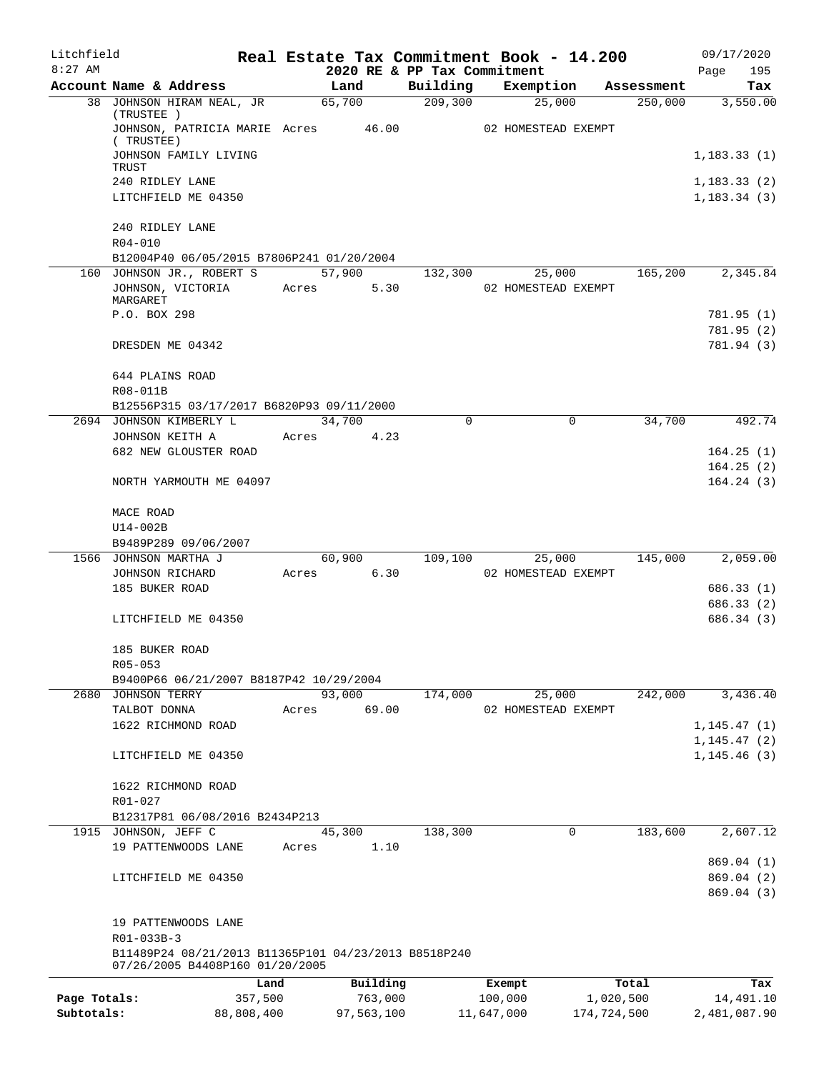| Litchfield<br>$8:27$ AM |                                                                                         |            |       |                | 2020 RE & PP Tax Commitment |            | Real Estate Tax Commitment Book - 14.200 |             | 09/17/2020<br>Page<br>195 |
|-------------------------|-----------------------------------------------------------------------------------------|------------|-------|----------------|-----------------------------|------------|------------------------------------------|-------------|---------------------------|
|                         | Account Name & Address                                                                  |            |       | Land           | Building                    |            | Exemption                                | Assessment  | Tax                       |
|                         | 38 JOHNSON HIRAM NEAL, JR                                                               |            |       | 65,700         | 209, 300                    |            | 25,000                                   | 250,000     | 3,550.00                  |
|                         | (TRUSTEE)<br>JOHNSON, PATRICIA MARIE Acres<br>(TRUSTEE)                                 |            |       | 46.00          |                             |            | 02 HOMESTEAD EXEMPT                      |             |                           |
|                         | JOHNSON FAMILY LIVING<br>TRUST                                                          |            |       |                |                             |            |                                          |             | 1,183.33(1)               |
|                         | 240 RIDLEY LANE                                                                         |            |       |                |                             |            |                                          |             | 1,183.33(2)               |
|                         | LITCHFIELD ME 04350                                                                     |            |       |                |                             |            |                                          |             | 1, 183.34(3)              |
|                         | 240 RIDLEY LANE                                                                         |            |       |                |                             |            |                                          |             |                           |
|                         | R04-010                                                                                 |            |       |                |                             |            |                                          |             |                           |
|                         | B12004P40 06/05/2015 B7806P241 01/20/2004                                               |            |       |                |                             |            |                                          |             |                           |
|                         | 160 JOHNSON JR., ROBERT S<br>JOHNSON, VICTORIA                                          |            | Acres | 57,900<br>5.30 | 132,300                     |            | 25,000<br>02 HOMESTEAD EXEMPT            | 165,200     | 2,345.84                  |
|                         | MARGARET                                                                                |            |       |                |                             |            |                                          |             |                           |
|                         | P.O. BOX 298                                                                            |            |       |                |                             |            |                                          |             | 781.95 (1)                |
|                         |                                                                                         |            |       |                |                             |            |                                          |             | 781.95 (2)                |
|                         | DRESDEN ME 04342                                                                        |            |       |                |                             |            |                                          |             | 781.94 (3)                |
|                         | 644 PLAINS ROAD                                                                         |            |       |                |                             |            |                                          |             |                           |
|                         | R08-011B                                                                                |            |       |                |                             |            |                                          |             |                           |
|                         | B12556P315 03/17/2017 B6820P93 09/11/2000<br>2694 JOHNSON KIMBERLY L                    |            |       | 34,700         | $\Omega$                    |            | 0                                        | 34,700      | 492.74                    |
|                         | JOHNSON KEITH A                                                                         |            | Acres | 4.23           |                             |            |                                          |             |                           |
|                         | 682 NEW GLOUSTER ROAD                                                                   |            |       |                |                             |            |                                          |             | 164.25(1)                 |
|                         |                                                                                         |            |       |                |                             |            |                                          |             | 164.25(2)                 |
|                         | NORTH YARMOUTH ME 04097                                                                 |            |       |                |                             |            |                                          |             | 164.24(3)                 |
|                         | MACE ROAD                                                                               |            |       |                |                             |            |                                          |             |                           |
|                         | U14-002B                                                                                |            |       |                |                             |            |                                          |             |                           |
|                         | B9489P289 09/06/2007<br>1566 JOHNSON MARTHA J                                           |            |       | 60,900         | 109,100                     |            | 25,000                                   | 145,000     | 2,059.00                  |
|                         | JOHNSON RICHARD                                                                         |            | Acres | 6.30           |                             |            | 02 HOMESTEAD EXEMPT                      |             |                           |
|                         | 185 BUKER ROAD                                                                          |            |       |                |                             |            |                                          |             | 686.33(1)                 |
|                         |                                                                                         |            |       |                |                             |            |                                          |             | 686.33 (2)                |
|                         | LITCHFIELD ME 04350                                                                     |            |       |                |                             |            |                                          |             | 686.34 (3)                |
|                         | 185 BUKER ROAD                                                                          |            |       |                |                             |            |                                          |             |                           |
|                         | $R05 - 053$                                                                             |            |       |                |                             |            |                                          |             |                           |
|                         | B9400P66 06/21/2007 B8187P42 10/29/2004<br>2680 JOHNSON TERRY                           |            |       | 93,000         | 174,000                     |            | 25,000                                   | 242,000     | 3,436.40                  |
|                         | TALBOT DONNA                                                                            |            | Acres | 69.00          |                             |            | 02 HOMESTEAD EXEMPT                      |             |                           |
|                         | 1622 RICHMOND ROAD                                                                      |            |       |                |                             |            |                                          |             | 1, 145.47(1)              |
|                         |                                                                                         |            |       |                |                             |            |                                          |             | 1, 145.47(2)              |
|                         | LITCHFIELD ME 04350                                                                     |            |       |                |                             |            |                                          |             | 1, 145.46(3)              |
|                         | 1622 RICHMOND ROAD                                                                      |            |       |                |                             |            |                                          |             |                           |
|                         | R01-027                                                                                 |            |       |                |                             |            |                                          |             |                           |
|                         | B12317P81 06/08/2016 B2434P213                                                          |            |       |                |                             |            |                                          |             |                           |
| 1915                    | JOHNSON, JEFF C                                                                         |            |       | 45,300         | 138,300                     |            | 0                                        | 183,600     | 2,607.12                  |
|                         | 19 PATTENWOODS LANE                                                                     |            | Acres | 1.10           |                             |            |                                          |             | 869.04 (1)                |
|                         | LITCHFIELD ME 04350                                                                     |            |       |                |                             |            |                                          |             | 869.04 (2)                |
|                         |                                                                                         |            |       |                |                             |            |                                          |             | 869.04 (3)                |
|                         | 19 PATTENWOODS LANE                                                                     |            |       |                |                             |            |                                          |             |                           |
|                         | R01-033B-3                                                                              |            |       |                |                             |            |                                          |             |                           |
|                         | B11489P24 08/21/2013 B11365P101 04/23/2013 B8518P240<br>07/26/2005 B4408P160 01/20/2005 |            |       |                |                             |            |                                          |             |                           |
|                         |                                                                                         | Land       |       | Building       |                             |            | Exempt                                   | Total       | Tax                       |
| Page Totals:            |                                                                                         | 357,500    |       | 763,000        |                             |            | 100,000                                  | 1,020,500   | 14,491.10                 |
| Subtotals:              |                                                                                         | 88,808,400 |       | 97,563,100     |                             | 11,647,000 |                                          | 174,724,500 | 2,481,087.90              |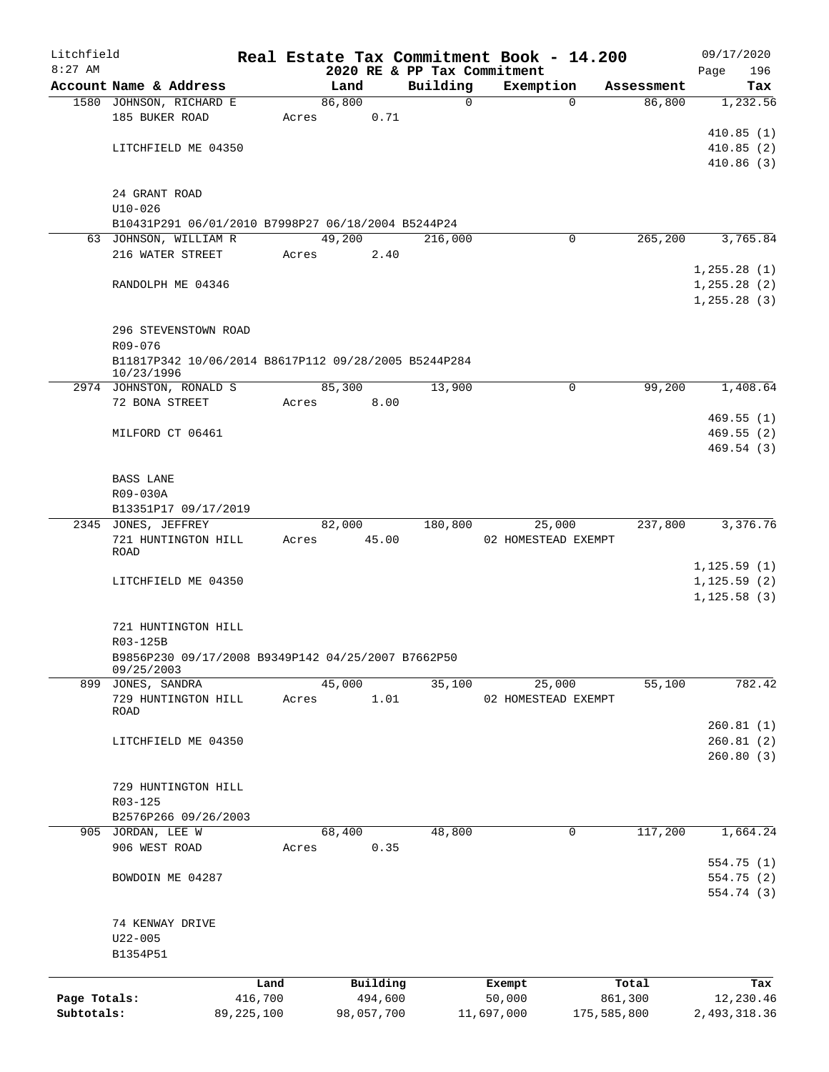| Litchfield                 |                                                      |                         |       |        |            |                             |            | Real Estate Tax Commitment Book - 14.200 |             | 09/17/2020             |
|----------------------------|------------------------------------------------------|-------------------------|-------|--------|------------|-----------------------------|------------|------------------------------------------|-------------|------------------------|
| $8:27$ AM                  |                                                      |                         |       |        |            | 2020 RE & PP Tax Commitment |            |                                          |             | 196<br>Page            |
|                            | Account Name & Address                               |                         |       | Land   |            | Building                    |            | Exemption                                | Assessment  | Tax                    |
|                            | 1580 JOHNSON, RICHARD E                              |                         |       | 86,800 |            | $\mathbf 0$                 |            | $\Omega$                                 | 86,800      | 1,232.56               |
|                            | 185 BUKER ROAD                                       |                         | Acres |        | 0.71       |                             |            |                                          |             |                        |
|                            |                                                      |                         |       |        |            |                             |            |                                          |             | 410.85(1)              |
|                            | LITCHFIELD ME 04350                                  |                         |       |        |            |                             |            |                                          |             | 410.85(2)              |
|                            |                                                      |                         |       |        |            |                             |            |                                          |             | 410.86(3)              |
|                            | 24 GRANT ROAD                                        |                         |       |        |            |                             |            |                                          |             |                        |
|                            | $U10 - 026$                                          |                         |       |        |            |                             |            |                                          |             |                        |
|                            | B10431P291 06/01/2010 B7998P27 06/18/2004 B5244P24   |                         |       |        |            |                             |            |                                          |             |                        |
|                            | 63 JOHNSON, WILLIAM R                                |                         |       | 49,200 |            | 216,000                     |            | 0                                        | 265,200     | 3,765.84               |
|                            | 216 WATER STREET                                     |                         |       | Acres  | 2.40       |                             |            |                                          |             |                        |
|                            |                                                      |                         |       |        |            |                             |            |                                          |             | 1,255.28(1)            |
|                            | RANDOLPH ME 04346                                    |                         |       |        |            |                             |            |                                          |             | 1, 255.28(2)           |
|                            |                                                      |                         |       |        |            |                             |            |                                          |             | 1, 255.28(3)           |
|                            |                                                      |                         |       |        |            |                             |            |                                          |             |                        |
|                            | 296 STEVENSTOWN ROAD                                 |                         |       |        |            |                             |            |                                          |             |                        |
|                            | R09-076                                              |                         |       |        |            |                             |            |                                          |             |                        |
|                            | B11817P342 10/06/2014 B8617P112 09/28/2005 B5244P284 |                         |       |        |            |                             |            |                                          |             |                        |
|                            | 10/23/1996<br>2974 JOHNSTON, RONALD S                |                         |       | 85,300 |            | 13,900                      |            | $\mathbf 0$                              | 99,200      | 1,408.64               |
|                            | 72 BONA STREET                                       |                         | Acres |        | 8.00       |                             |            |                                          |             |                        |
|                            |                                                      |                         |       |        |            |                             |            |                                          |             | 469.55(1)              |
|                            | MILFORD CT 06461                                     |                         |       |        |            |                             |            |                                          |             | 469.55(2)              |
|                            |                                                      |                         |       |        |            |                             |            |                                          |             | 469.54(3)              |
|                            |                                                      |                         |       |        |            |                             |            |                                          |             |                        |
|                            | BASS LANE                                            |                         |       |        |            |                             |            |                                          |             |                        |
|                            | R09-030A                                             |                         |       |        |            |                             |            |                                          |             |                        |
|                            | B13351P17 09/17/2019                                 |                         |       |        |            |                             |            |                                          |             |                        |
|                            | 2345 JONES, JEFFREY                                  |                         |       | 82,000 |            | 180,800                     |            | 25,000                                   | 237,800     | 3,376.76               |
|                            | 721 HUNTINGTON HILL                                  |                         | Acres |        | 45.00      |                             |            | 02 HOMESTEAD EXEMPT                      |             |                        |
|                            | ROAD                                                 |                         |       |        |            |                             |            |                                          |             |                        |
|                            |                                                      |                         |       |        |            |                             |            |                                          |             | 1, 125.59(1)           |
|                            | LITCHFIELD ME 04350                                  |                         |       |        |            |                             |            |                                          |             | 1, 125.59(2)           |
|                            |                                                      |                         |       |        |            |                             |            |                                          |             | 1, 125.58(3)           |
|                            | 721 HUNTINGTON HILL                                  |                         |       |        |            |                             |            |                                          |             |                        |
|                            | R03-125B                                             |                         |       |        |            |                             |            |                                          |             |                        |
|                            | B9856P230 09/17/2008 B9349P142 04/25/2007 B7662P50   |                         |       |        |            |                             |            |                                          |             |                        |
|                            | 09/25/2003                                           |                         |       |        |            |                             |            |                                          |             |                        |
|                            | 899 JONES, SANDRA                                    |                         |       | 45,000 |            | 35,100                      |            | 25,000                                   | 55,100      | 782.42                 |
|                            | 729 HUNTINGTON HILL                                  |                         | Acres |        | 1.01       |                             |            | 02 HOMESTEAD EXEMPT                      |             |                        |
|                            | <b>ROAD</b>                                          |                         |       |        |            |                             |            |                                          |             |                        |
|                            |                                                      |                         |       |        |            |                             |            |                                          |             | 260.81(1)              |
|                            | LITCHFIELD ME 04350                                  |                         |       |        |            |                             |            |                                          |             | 260.81(2)<br>260.80(3) |
|                            |                                                      |                         |       |        |            |                             |            |                                          |             |                        |
|                            | 729 HUNTINGTON HILL                                  |                         |       |        |            |                             |            |                                          |             |                        |
|                            | R03-125                                              |                         |       |        |            |                             |            |                                          |             |                        |
|                            | B2576P266 09/26/2003                                 |                         |       |        |            |                             |            |                                          |             |                        |
|                            | 905 JORDAN, LEE W                                    |                         |       | 68,400 |            | 48,800                      |            | 0                                        | 117,200     | 1,664.24               |
|                            | 906 WEST ROAD                                        |                         | Acres |        | 0.35       |                             |            |                                          |             |                        |
|                            |                                                      |                         |       |        |            |                             |            |                                          |             | 554.75 (1)             |
|                            | BOWDOIN ME 04287                                     |                         |       |        |            |                             |            |                                          |             | 554.75 (2)             |
|                            |                                                      |                         |       |        |            |                             |            |                                          |             | 554.74 (3)             |
|                            |                                                      |                         |       |        |            |                             |            |                                          |             |                        |
|                            | 74 KENWAY DRIVE                                      |                         |       |        |            |                             |            |                                          |             |                        |
|                            | $U22 - 005$                                          |                         |       |        |            |                             |            |                                          |             |                        |
|                            | B1354P51                                             |                         |       |        |            |                             |            |                                          |             |                        |
|                            |                                                      |                         |       |        |            |                             |            |                                          |             |                        |
|                            |                                                      | Land                    |       |        | Building   |                             | Exempt     |                                          | Total       | Tax                    |
| Page Totals:<br>Subtotals: |                                                      | 416,700<br>89, 225, 100 |       |        | 494,600    |                             | 50,000     |                                          | 861,300     | 12,230.46              |
|                            |                                                      |                         |       |        | 98,057,700 |                             | 11,697,000 |                                          | 175,585,800 | 2,493,318.36           |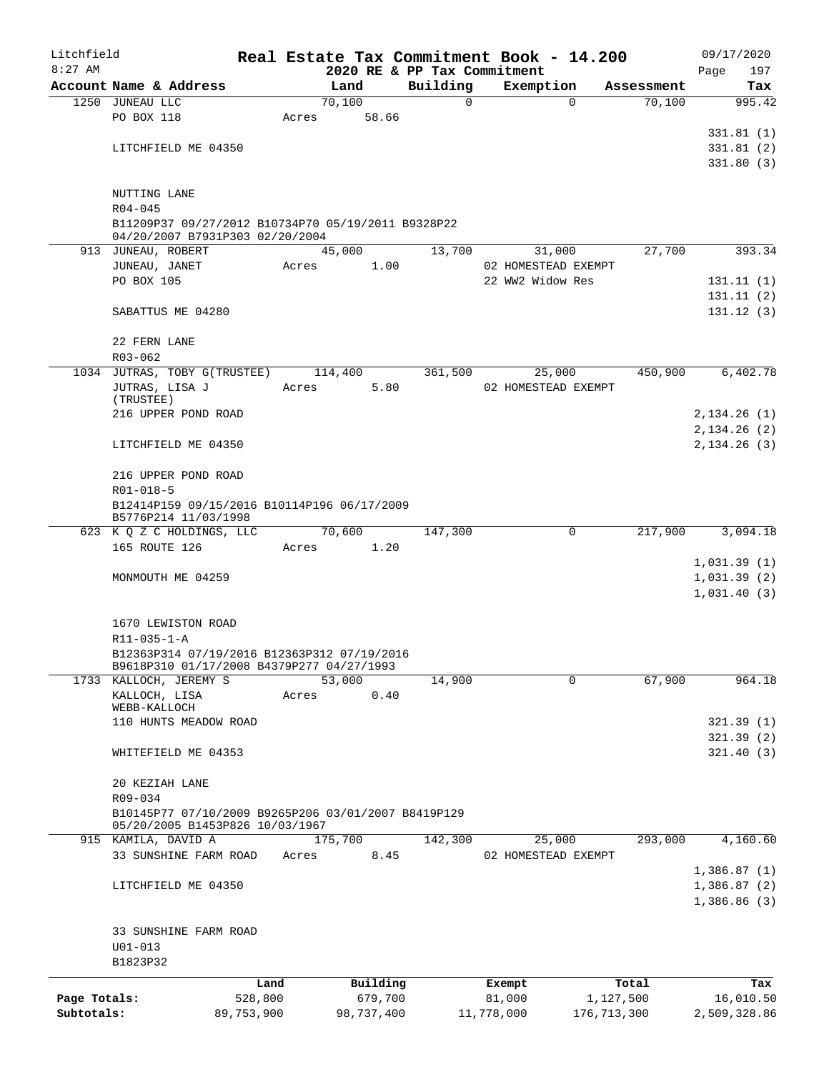| Litchfield   |                                                                     |            |       |                             |          |          | Real Estate Tax Commitment Book - 14.200 |               |            |      | 09/17/2020   |
|--------------|---------------------------------------------------------------------|------------|-------|-----------------------------|----------|----------|------------------------------------------|---------------|------------|------|--------------|
| $8:27$ AM    |                                                                     |            |       | 2020 RE & PP Tax Commitment |          |          |                                          |               |            | Page | 197          |
|              | Account Name & Address                                              |            |       | Land                        | Building |          | Exemption                                |               | Assessment |      | Tax          |
|              | 1250 JUNEAU LLC                                                     |            |       | 70,100                      |          | $\Omega$ |                                          | $\Omega$      | 70,100     |      | 995.42       |
|              | PO BOX 118                                                          |            | Acres | 58.66                       |          |          |                                          |               |            |      |              |
|              |                                                                     |            |       |                             |          |          |                                          |               |            |      | 331.81(1)    |
|              | LITCHFIELD ME 04350                                                 |            |       |                             |          |          |                                          |               |            |      | 331.81(2)    |
|              |                                                                     |            |       |                             |          |          |                                          |               |            |      | 331.80(3)    |
|              | NUTTING LANE                                                        |            |       |                             |          |          |                                          |               |            |      |              |
|              | $R04 - 045$                                                         |            |       |                             |          |          |                                          |               |            |      |              |
|              | B11209P37 09/27/2012 B10734P70 05/19/2011 B9328P22                  |            |       |                             |          |          |                                          |               |            |      |              |
|              | 04/20/2007 B7931P303 02/20/2004                                     |            |       |                             |          |          |                                          |               |            |      |              |
|              | 913 JUNEAU, ROBERT                                                  |            |       | 45,000                      |          | 13,700   | 31,000                                   |               | 27,700     |      | 393.34       |
|              | JUNEAU, JANET                                                       |            | Acres | 1.00                        |          |          | 02 HOMESTEAD EXEMPT                      |               |            |      |              |
|              | PO BOX 105                                                          |            |       |                             |          |          | 22 WW2 Widow Res                         |               |            |      | 131.11(1)    |
|              |                                                                     |            |       |                             |          |          |                                          |               |            |      | 131.11(2)    |
|              | SABATTUS ME 04280                                                   |            |       |                             |          |          |                                          |               |            |      | 131.12(3)    |
|              |                                                                     |            |       |                             |          |          |                                          |               |            |      |              |
|              | 22 FERN LANE                                                        |            |       |                             |          |          |                                          |               |            |      |              |
|              | R03-062                                                             |            |       |                             |          |          |                                          |               |            |      |              |
| 1034         | JUTRAS, TOBY G(TRUSTEE)                                             |            |       | 114,400                     |          | 361,500  | 25,000                                   |               | 450,900    |      | 6,402.78     |
|              | JUTRAS, LISA J                                                      |            | Acres | 5.80                        |          |          | 02 HOMESTEAD EXEMPT                      |               |            |      |              |
|              | (TRUSTEE)                                                           |            |       |                             |          |          |                                          |               |            |      |              |
|              | 216 UPPER POND ROAD                                                 |            |       |                             |          |          |                                          |               |            |      | 2,134.26(1)  |
|              |                                                                     |            |       |                             |          |          |                                          |               |            |      | 2,134.26(2)  |
|              | LITCHFIELD ME 04350                                                 |            |       |                             |          |          |                                          |               |            |      | 2,134.26(3)  |
|              |                                                                     |            |       |                             |          |          |                                          |               |            |      |              |
|              | 216 UPPER POND ROAD                                                 |            |       |                             |          |          |                                          |               |            |      |              |
|              | R01-018-5                                                           |            |       |                             |          |          |                                          |               |            |      |              |
|              | B12414P159 09/15/2016 B10114P196 06/17/2009<br>B5776P214 11/03/1998 |            |       |                             |          |          |                                          |               |            |      |              |
|              | 623 K Q Z C HOLDINGS, LLC                                           |            |       | 70,600                      |          | 147,300  | 0                                        |               | 217,900    |      | 3,094.18     |
|              | 165 ROUTE 126                                                       |            | Acres | 1.20                        |          |          |                                          |               |            |      |              |
|              |                                                                     |            |       |                             |          |          |                                          |               |            |      | 1,031.39(1)  |
|              | MONMOUTH ME 04259                                                   |            |       |                             |          |          |                                          |               |            |      | 1,031.39(2)  |
|              |                                                                     |            |       |                             |          |          |                                          |               |            |      | 1,031.40(3)  |
|              |                                                                     |            |       |                             |          |          |                                          |               |            |      |              |
|              | 1670 LEWISTON ROAD                                                  |            |       |                             |          |          |                                          |               |            |      |              |
|              | R11-035-1-A                                                         |            |       |                             |          |          |                                          |               |            |      |              |
|              | B12363P314 07/19/2016 B12363P312 07/19/2016                         |            |       |                             |          |          |                                          |               |            |      |              |
|              | B9618P310 01/17/2008 B4379P277 04/27/1993                           |            |       |                             |          |          |                                          |               |            |      |              |
|              | 1733 KALLOCH, JEREMY S                                              |            |       | 53,000                      |          | 14,900   |                                          | $\mathbf 0$   | 67,900     |      | 964.18       |
|              | KALLOCH, LISA<br>WEBB-KALLOCH                                       |            | Acres | 0.40                        |          |          |                                          |               |            |      |              |
|              | 110 HUNTS MEADOW ROAD                                               |            |       |                             |          |          |                                          |               |            |      | 321.39(1)    |
|              |                                                                     |            |       |                             |          |          |                                          |               |            |      | 321.39(2)    |
|              | WHITEFIELD ME 04353                                                 |            |       |                             |          |          |                                          |               |            |      | 321.40(3)    |
|              |                                                                     |            |       |                             |          |          |                                          |               |            |      |              |
|              | 20 KEZIAH LANE                                                      |            |       |                             |          |          |                                          |               |            |      |              |
|              | R09-034                                                             |            |       |                             |          |          |                                          |               |            |      |              |
|              | B10145P77 07/10/2009 B9265P206 03/01/2007 B8419P129                 |            |       |                             |          |          |                                          |               |            |      |              |
|              | 05/20/2005 B1453P826 10/03/1967                                     |            |       |                             |          |          |                                          |               |            |      |              |
|              | 915 KAMILA, DAVID A                                                 |            |       | 175,700                     |          | 142,300  | 25,000                                   |               | 293,000    |      | 4,160.60     |
|              | 33 SUNSHINE FARM ROAD                                               |            | Acres | 8.45                        |          |          | 02 HOMESTEAD EXEMPT                      |               |            |      |              |
|              |                                                                     |            |       |                             |          |          |                                          |               |            |      | 1,386.87(1)  |
|              | LITCHFIELD ME 04350                                                 |            |       |                             |          |          |                                          |               |            |      | 1,386.87(2)  |
|              |                                                                     |            |       |                             |          |          |                                          |               |            |      | 1,386.86(3)  |
|              |                                                                     |            |       |                             |          |          |                                          |               |            |      |              |
|              | 33 SUNSHINE FARM ROAD                                               |            |       |                             |          |          |                                          |               |            |      |              |
|              | $U01 - 013$                                                         |            |       |                             |          |          |                                          |               |            |      |              |
|              | B1823P32                                                            |            |       |                             |          |          |                                          |               |            |      |              |
|              |                                                                     | Land       |       | Building                    |          |          | Exempt                                   |               | Total      |      | Tax          |
| Page Totals: |                                                                     | 528,800    |       | 679,700                     |          |          | 81,000                                   | 1,127,500     |            |      | 16,010.50    |
| Subtotals:   |                                                                     | 89,753,900 |       | 98,737,400                  |          |          | 11,778,000                               | 176, 713, 300 |            |      | 2,509,328.86 |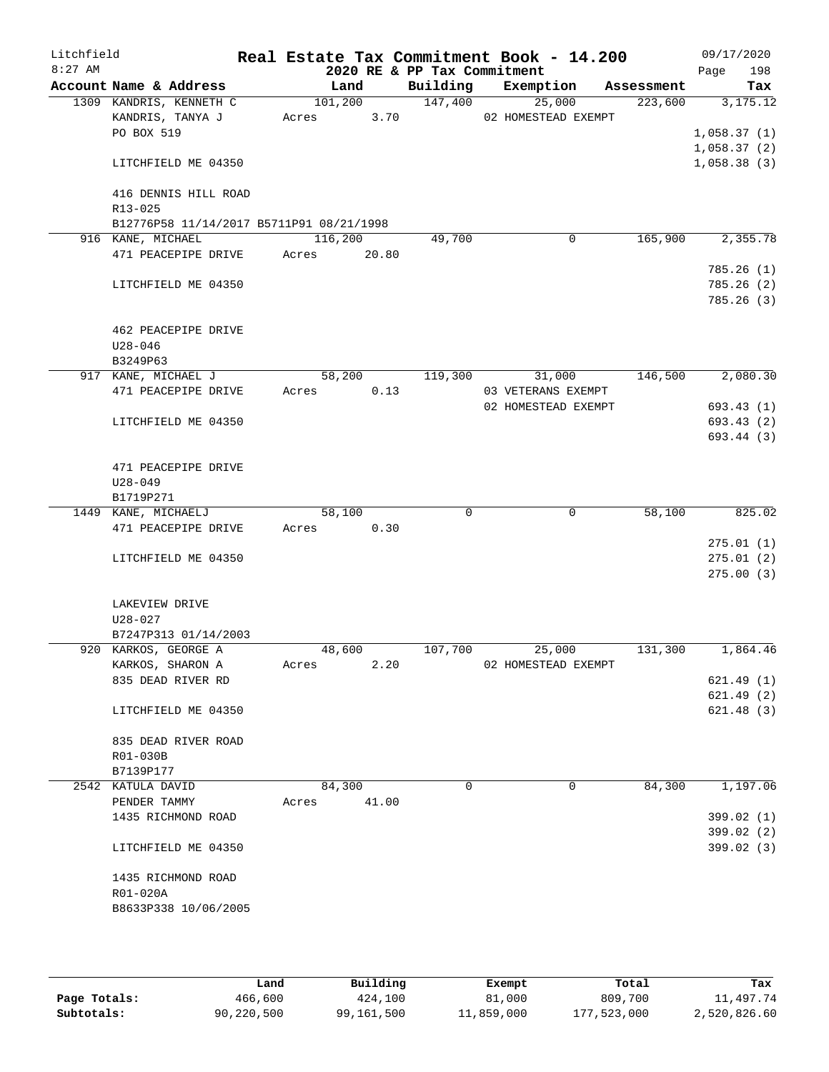| Litchfield<br>$8:27$ AM |                                  |                                          |          |        |       | 2020 RE & PP Tax Commitment | Real Estate Tax Commitment Book - 14.200 |            | Page | 09/17/2020<br>198 |
|-------------------------|----------------------------------|------------------------------------------|----------|--------|-------|-----------------------------|------------------------------------------|------------|------|-------------------|
|                         |                                  | Account Name & Address                   |          | Land   |       |                             | Building Exemption                       | Assessment |      | Tax               |
|                         |                                  | 1309 KANDRIS, KENNETH C                  | 101, 200 |        |       | 147,400                     | 25,000                                   | 223,600    |      | 3,175.12          |
|                         |                                  | KANDRIS, TANYA J                         | Acres    |        | 3.70  |                             | 02 HOMESTEAD EXEMPT                      |            |      |                   |
|                         | PO BOX 519                       |                                          |          |        |       |                             |                                          |            |      | 1,058.37(1)       |
|                         |                                  |                                          |          |        |       |                             |                                          |            |      | 1,058.37(2)       |
|                         |                                  | LITCHFIELD ME 04350                      |          |        |       |                             |                                          |            |      | 1,058.38(3)       |
|                         |                                  |                                          |          |        |       |                             |                                          |            |      |                   |
|                         | R13-025                          | 416 DENNIS HILL ROAD                     |          |        |       |                             |                                          |            |      |                   |
|                         |                                  | B12776P58 11/14/2017 B5711P91 08/21/1998 |          |        |       |                             |                                          |            |      |                   |
|                         | 916 KANE, MICHAEL                |                                          | 116,200  |        |       | 49,700                      | $\mathbf 0$                              | 165,900    |      | 2,355.78          |
|                         |                                  | 471 PEACEPIPE DRIVE                      | Acres    |        | 20.80 |                             |                                          |            |      |                   |
|                         |                                  |                                          |          |        |       |                             |                                          |            |      | 785.26(1)         |
|                         |                                  | LITCHFIELD ME 04350                      |          |        |       |                             |                                          |            |      | 785.26(2)         |
|                         |                                  |                                          |          |        |       |                             |                                          |            |      | 785.26(3)         |
|                         |                                  |                                          |          |        |       |                             |                                          |            |      |                   |
|                         |                                  | 462 PEACEPIPE DRIVE                      |          |        |       |                             |                                          |            |      |                   |
|                         | $U28 - 046$                      |                                          |          |        |       |                             |                                          |            |      |                   |
|                         | B3249P63                         |                                          |          |        |       |                             |                                          |            |      |                   |
|                         |                                  | 917 KANE, MICHAEL J                      |          | 58,200 |       | 119,300                     | 31,000                                   | 146,500    |      | 2,080.30          |
|                         |                                  | 471 PEACEPIPE DRIVE                      | Acres    |        | 0.13  |                             | 03 VETERANS EXEMPT                       |            |      |                   |
|                         |                                  |                                          |          |        |       |                             | 02 HOMESTEAD EXEMPT                      |            |      | 693.43 (1)        |
|                         |                                  | LITCHFIELD ME 04350                      |          |        |       |                             |                                          |            |      | 693.43 (2)        |
|                         |                                  |                                          |          |        |       |                             |                                          |            |      | 693.44 (3)        |
|                         |                                  |                                          |          |        |       |                             |                                          |            |      |                   |
|                         |                                  | 471 PEACEPIPE DRIVE                      |          |        |       |                             |                                          |            |      |                   |
|                         | $U28 - 049$                      |                                          |          |        |       |                             |                                          |            |      |                   |
|                         | B1719P271<br>1449 KANE, MICHAELJ |                                          |          | 58,100 |       | $\Omega$                    | 0                                        | 58,100     |      | 825.02            |
|                         |                                  | 471 PEACEPIPE DRIVE                      | Acres    |        | 0.30  |                             |                                          |            |      |                   |
|                         |                                  |                                          |          |        |       |                             |                                          |            |      | 275.01(1)         |
|                         |                                  | LITCHFIELD ME 04350                      |          |        |       |                             |                                          |            |      | 275.01(2)         |
|                         |                                  |                                          |          |        |       |                             |                                          |            |      | 275.00(3)         |
|                         |                                  |                                          |          |        |       |                             |                                          |            |      |                   |
|                         | LAKEVIEW DRIVE                   |                                          |          |        |       |                             |                                          |            |      |                   |
|                         | $U28 - 027$                      |                                          |          |        |       |                             |                                          |            |      |                   |
|                         |                                  | B7247P313 01/14/2003                     |          |        |       |                             |                                          |            |      |                   |
|                         |                                  | 920 KARKOS, GEORGE A                     |          | 48,600 |       | 107,700                     | 25,000                                   | 131,300    |      | 1,864.46          |
|                         |                                  | KARKOS, SHARON A                         | Acres    |        | 2.20  |                             | 02 HOMESTEAD EXEMPT                      |            |      |                   |
|                         |                                  | 835 DEAD RIVER RD                        |          |        |       |                             |                                          |            |      | 621.49(1)         |
|                         |                                  |                                          |          |        |       |                             |                                          |            |      | 621.49(2)         |
|                         |                                  | LITCHFIELD ME 04350                      |          |        |       |                             |                                          |            |      | 621.48(3)         |
|                         |                                  |                                          |          |        |       |                             |                                          |            |      |                   |
|                         |                                  | 835 DEAD RIVER ROAD                      |          |        |       |                             |                                          |            |      |                   |
|                         | R01-030B<br>B7139P177            |                                          |          |        |       |                             |                                          |            |      |                   |
|                         | 2542 KATULA DAVID                |                                          |          | 84,300 |       | 0                           | $\mathbf 0$                              | 84,300     |      | 1,197.06          |
|                         | PENDER TAMMY                     |                                          | Acres    |        | 41.00 |                             |                                          |            |      |                   |
|                         |                                  | 1435 RICHMOND ROAD                       |          |        |       |                             |                                          |            |      | 399.02 (1)        |
|                         |                                  |                                          |          |        |       |                             |                                          |            |      | 399.02 (2)        |
|                         |                                  | LITCHFIELD ME 04350                      |          |        |       |                             |                                          |            |      | 399.02 (3)        |
|                         |                                  |                                          |          |        |       |                             |                                          |            |      |                   |
|                         |                                  | 1435 RICHMOND ROAD                       |          |        |       |                             |                                          |            |      |                   |
|                         | R01-020A                         |                                          |          |        |       |                             |                                          |            |      |                   |
|                         |                                  | B8633P338 10/06/2005                     |          |        |       |                             |                                          |            |      |                   |
|                         |                                  |                                          |          |        |       |                             |                                          |            |      |                   |
|                         |                                  |                                          |          |        |       |                             |                                          |            |      |                   |

|              | Land       | Building   | Exempt     | Total       | Tax          |
|--------------|------------|------------|------------|-------------|--------------|
| Page Totals: | 466,600    | 424,100    | 81,000     | 809,700     | 11,497.74    |
| Subtotals:   | 90,220,500 | 99,161,500 | 11,859,000 | 177,523,000 | 2,520,826.60 |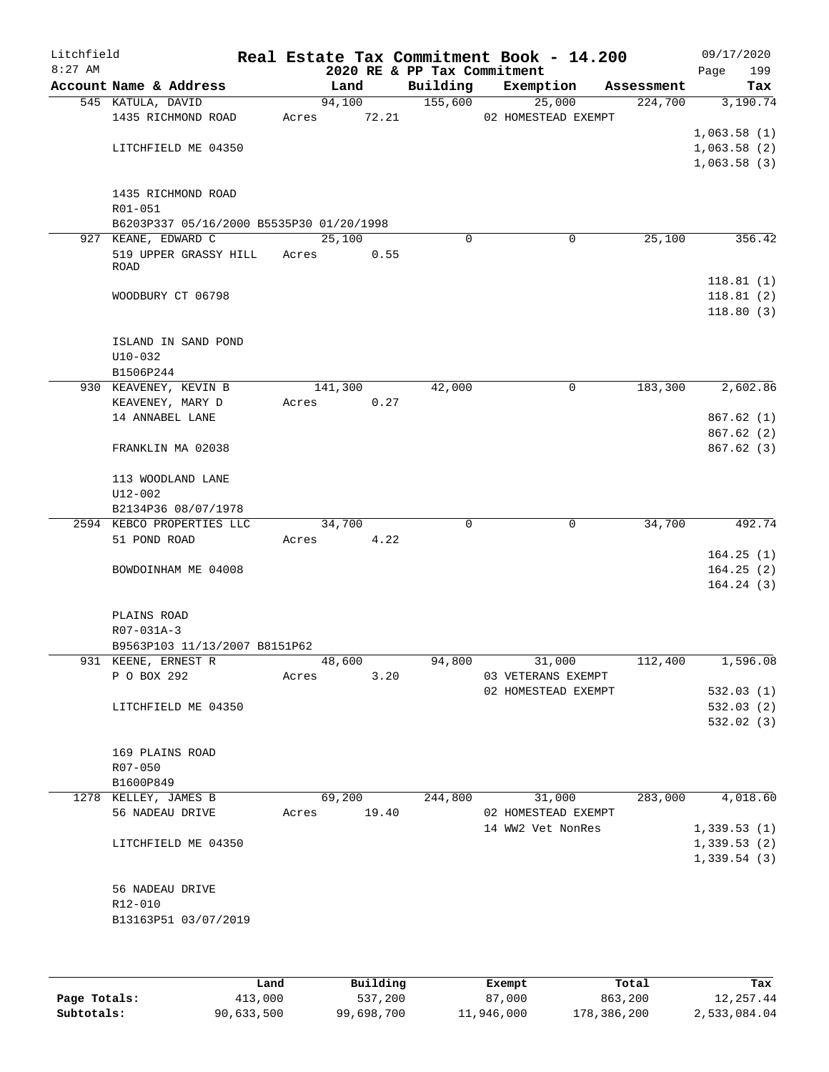| Litchfield<br>$8:27$ AM |                                          |       |         |       | 2020 RE & PP Tax Commitment | Real Estate Tax Commitment Book - 14.200 |   |            | Page | 09/17/2020<br>199 |
|-------------------------|------------------------------------------|-------|---------|-------|-----------------------------|------------------------------------------|---|------------|------|-------------------|
|                         | Account Name & Address                   |       | Land    |       | Building                    | Exemption                                |   | Assessment |      | Tax               |
|                         | 545 KATULA, DAVID                        |       | 94,100  |       | 155,600                     | 25,000                                   |   | 224,700    |      | 3,190.74          |
|                         | 1435 RICHMOND ROAD                       | Acres |         | 72.21 |                             | 02 HOMESTEAD EXEMPT                      |   |            |      |                   |
|                         |                                          |       |         |       |                             |                                          |   |            |      | 1,063.58(1)       |
|                         | LITCHFIELD ME 04350                      |       |         |       |                             |                                          |   |            |      | 1,063.58(2)       |
|                         |                                          |       |         |       |                             |                                          |   |            |      | 1,063.58(3)       |
|                         |                                          |       |         |       |                             |                                          |   |            |      |                   |
|                         | 1435 RICHMOND ROAD                       |       |         |       |                             |                                          |   |            |      |                   |
|                         | R01-051                                  |       |         |       |                             |                                          |   |            |      |                   |
|                         | B6203P337 05/16/2000 B5535P30 01/20/1998 |       |         |       |                             |                                          |   |            |      |                   |
|                         | 927 KEANE, EDWARD C                      |       | 25,100  |       | 0                           |                                          | 0 | 25,100     |      | 356.42            |
|                         | 519 UPPER GRASSY HILL<br><b>ROAD</b>     | Acres |         | 0.55  |                             |                                          |   |            |      |                   |
|                         |                                          |       |         |       |                             |                                          |   |            |      | 118.81(1)         |
|                         | WOODBURY CT 06798                        |       |         |       |                             |                                          |   |            |      | 118.81(2)         |
|                         |                                          |       |         |       |                             |                                          |   |            |      | 118.80(3)         |
|                         |                                          |       |         |       |                             |                                          |   |            |      |                   |
|                         | ISLAND IN SAND POND                      |       |         |       |                             |                                          |   |            |      |                   |
|                         | $U10-032$                                |       |         |       |                             |                                          |   |            |      |                   |
|                         | B1506P244                                |       |         |       |                             |                                          |   |            |      |                   |
|                         | 930 KEAVENEY, KEVIN B                    |       | 141,300 |       | 42,000                      |                                          | 0 | 183,300    |      | 2,602.86          |
|                         | KEAVENEY, MARY D                         | Acres |         | 0.27  |                             |                                          |   |            |      |                   |
|                         | 14 ANNABEL LANE                          |       |         |       |                             |                                          |   |            |      | 867.62(1)         |
|                         |                                          |       |         |       |                             |                                          |   |            |      | 867.62(2)         |
|                         | FRANKLIN MA 02038                        |       |         |       |                             |                                          |   |            |      | 867.62(3)         |
|                         | 113 WOODLAND LANE                        |       |         |       |                             |                                          |   |            |      |                   |
|                         | $U12 - 002$                              |       |         |       |                             |                                          |   |            |      |                   |
|                         | B2134P36 08/07/1978                      |       |         |       |                             |                                          |   |            |      |                   |
|                         | 2594 KEBCO PROPERTIES LLC                |       | 34,700  |       | 0                           |                                          | 0 | 34,700     |      | 492.74            |
|                         | 51 POND ROAD                             | Acres |         | 4.22  |                             |                                          |   |            |      |                   |
|                         |                                          |       |         |       |                             |                                          |   |            |      | 164.25(1)         |
|                         | BOWDOINHAM ME 04008                      |       |         |       |                             |                                          |   |            |      | 164.25(2)         |
|                         |                                          |       |         |       |                             |                                          |   |            |      | 164.24(3)         |
|                         | PLAINS ROAD                              |       |         |       |                             |                                          |   |            |      |                   |
|                         | R07-031A-3                               |       |         |       |                             |                                          |   |            |      |                   |
|                         | B9563P103 11/13/2007 B8151P62            |       |         |       |                             |                                          |   |            |      |                   |
|                         | 931 KEENE, ERNEST R                      |       | 48,600  |       | 94,800                      | 31,000                                   |   | 112,400    |      | 1,596.08          |
|                         | P O BOX 292                              | Acres |         | 3.20  |                             | 03 VETERANS EXEMPT                       |   |            |      |                   |
|                         |                                          |       |         |       |                             | 02 HOMESTEAD EXEMPT                      |   |            |      | 532.03(1)         |
|                         | LITCHFIELD ME 04350                      |       |         |       |                             |                                          |   |            |      | 532.03(2)         |
|                         |                                          |       |         |       |                             |                                          |   |            |      | 532.02(3)         |
|                         |                                          |       |         |       |                             |                                          |   |            |      |                   |
|                         | 169 PLAINS ROAD                          |       |         |       |                             |                                          |   |            |      |                   |
|                         | $R07 - 050$                              |       |         |       |                             |                                          |   |            |      |                   |
|                         | B1600P849                                |       |         |       |                             |                                          |   |            |      |                   |
|                         | 1278 KELLEY, JAMES B                     |       | 69,200  |       | 244,800                     | 31,000                                   |   | 283,000    |      | 4,018.60          |
|                         | 56 NADEAU DRIVE                          | Acres |         | 19.40 |                             | 02 HOMESTEAD EXEMPT                      |   |            |      |                   |
|                         |                                          |       |         |       |                             | 14 WW2 Vet NonRes                        |   |            |      | 1,339.53(1)       |
|                         | LITCHFIELD ME 04350                      |       |         |       |                             |                                          |   |            |      | 1,339.53(2)       |
|                         |                                          |       |         |       |                             |                                          |   |            |      | 1,339.54(3)       |
|                         |                                          |       |         |       |                             |                                          |   |            |      |                   |
|                         | 56 NADEAU DRIVE                          |       |         |       |                             |                                          |   |            |      |                   |
|                         | R12-010<br>B13163P51 03/07/2019          |       |         |       |                             |                                          |   |            |      |                   |
|                         |                                          |       |         |       |                             |                                          |   |            |      |                   |
|                         |                                          |       |         |       |                             |                                          |   |            |      |                   |
|                         |                                          |       |         |       |                             |                                          |   |            |      |                   |
|                         |                                          |       |         |       |                             |                                          |   |            |      |                   |

|              | úand       | Building   | Exempt     | Total       | Tax          |
|--------------|------------|------------|------------|-------------|--------------|
| Page Totals: | 413,000    | 537,200    | 87,000     | 863,200     | 12,257.44    |
| Subtotals:   | 90,633,500 | 99,698,700 | 11,946,000 | 178,386,200 | 2,533,084.04 |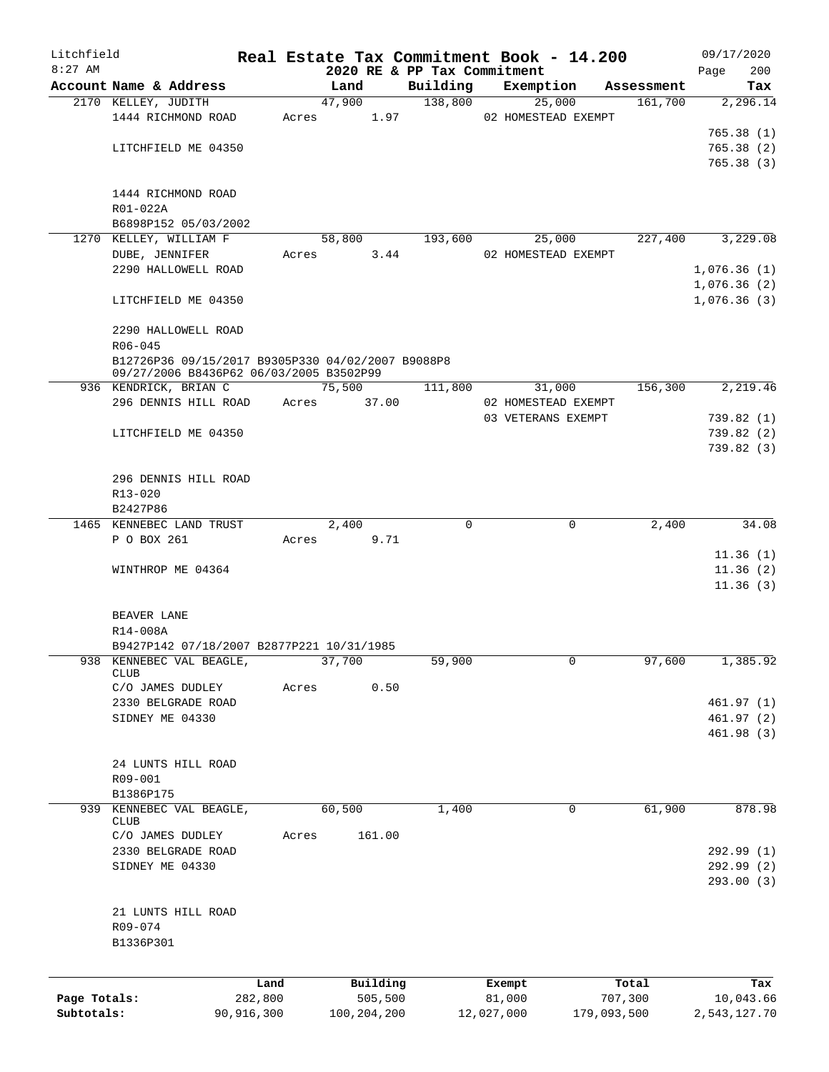| Litchfield   |                                                   |            |       |               | Real Estate Tax Commitment Book - 14.200 |            |                     |            | 09/17/2020   |
|--------------|---------------------------------------------------|------------|-------|---------------|------------------------------------------|------------|---------------------|------------|--------------|
| $8:27$ AM    |                                                   |            |       |               | 2020 RE & PP Tax Commitment              |            |                     |            | 200<br>Page  |
|              | Account Name & Address                            |            |       | Land          | Building                                 |            | Exemption           | Assessment | Tax          |
|              | 2170 KELLEY, JUDITH                               |            |       | 47,900        | 138,800                                  |            | 25,000              | 161,700    | 2,296.14     |
|              | 1444 RICHMOND ROAD                                |            | Acres | 1.97          |                                          |            | 02 HOMESTEAD EXEMPT |            |              |
|              |                                                   |            |       |               |                                          |            |                     |            | 765.38(1)    |
|              | LITCHFIELD ME 04350                               |            |       |               |                                          |            |                     |            | 765.38(2)    |
|              |                                                   |            |       |               |                                          |            |                     |            | 765.38(3)    |
|              |                                                   |            |       |               |                                          |            |                     |            |              |
|              | 1444 RICHMOND ROAD                                |            |       |               |                                          |            |                     |            |              |
|              | R01-022A                                          |            |       |               |                                          |            |                     |            |              |
|              | B6898P152 05/03/2002                              |            |       |               |                                          |            |                     |            |              |
| 1270         | KELLEY, WILLIAM F                                 |            |       | 58,800        | 193,600                                  |            | 25,000              | 227,400    | 3,229.08     |
|              | DUBE, JENNIFER                                    |            | Acres | 3.44          |                                          |            | 02 HOMESTEAD EXEMPT |            |              |
|              | 2290 HALLOWELL ROAD                               |            |       |               |                                          |            |                     |            | 1,076.36(1)  |
|              |                                                   |            |       |               |                                          |            |                     |            | 1,076.36(2)  |
|              | LITCHFIELD ME 04350                               |            |       |               |                                          |            |                     |            | 1,076.36(3)  |
|              |                                                   |            |       |               |                                          |            |                     |            |              |
|              | 2290 HALLOWELL ROAD                               |            |       |               |                                          |            |                     |            |              |
|              | $R06 - 045$                                       |            |       |               |                                          |            |                     |            |              |
|              | B12726P36 09/15/2017 B9305P330 04/02/2007 B9088P8 |            |       |               |                                          |            |                     |            |              |
|              | 09/27/2006 B8436P62 06/03/2005 B3502P99           |            |       |               |                                          |            |                     |            |              |
|              | 936 KENDRICK, BRIAN C                             |            |       | 75,500        | 111,800                                  |            | 31,000              | 156,300    | 2,219.46     |
|              | 296 DENNIS HILL ROAD                              |            | Acres | 37.00         |                                          |            | 02 HOMESTEAD EXEMPT |            |              |
|              |                                                   |            |       |               |                                          |            | 03 VETERANS EXEMPT  |            | 739.82(1)    |
|              | LITCHFIELD ME 04350                               |            |       |               |                                          |            |                     |            | 739.82(2)    |
|              |                                                   |            |       |               |                                          |            |                     |            | 739.82(3)    |
|              |                                                   |            |       |               |                                          |            |                     |            |              |
|              |                                                   |            |       |               |                                          |            |                     |            |              |
|              | 296 DENNIS HILL ROAD                              |            |       |               |                                          |            |                     |            |              |
|              | R13-020                                           |            |       |               |                                          |            |                     |            |              |
|              | B2427P86                                          |            |       |               |                                          |            |                     |            |              |
|              | 1465 KENNEBEC LAND TRUST                          |            |       | 2,400         |                                          | $\Omega$   | 0                   | 2,400      | 34.08        |
|              | P O BOX 261                                       |            | Acres | 9.71          |                                          |            |                     |            |              |
|              |                                                   |            |       |               |                                          |            |                     |            | 11.36(1)     |
|              | WINTHROP ME 04364                                 |            |       |               |                                          |            |                     |            | 11.36(2)     |
|              |                                                   |            |       |               |                                          |            |                     |            | 11.36(3)     |
|              |                                                   |            |       |               |                                          |            |                     |            |              |
|              | BEAVER LANE                                       |            |       |               |                                          |            |                     |            |              |
|              | R14-008A                                          |            |       |               |                                          |            |                     |            |              |
|              | B9427P142 07/18/2007 B2877P221 10/31/1985         |            |       |               |                                          |            |                     |            |              |
| 938          | KENNEBEC VAL BEAGLE,                              |            |       | 37,700        | 59,900                                   |            | 0                   | 97,600     | 1,385.92     |
|              | <b>CLUB</b>                                       |            |       |               |                                          |            |                     |            |              |
|              | C/O JAMES DUDLEY                                  |            | Acres | 0.50          |                                          |            |                     |            |              |
|              | 2330 BELGRADE ROAD                                |            |       |               |                                          |            |                     |            | 461.97(1)    |
|              | SIDNEY ME 04330                                   |            |       |               |                                          |            |                     |            | 461.97(2)    |
|              |                                                   |            |       |               |                                          |            |                     |            | 461.98(3)    |
|              |                                                   |            |       |               |                                          |            |                     |            |              |
|              | 24 LUNTS HILL ROAD                                |            |       |               |                                          |            |                     |            |              |
|              | R09-001                                           |            |       |               |                                          |            |                     |            |              |
|              | B1386P175                                         |            |       |               |                                          |            |                     |            |              |
| 939          | KENNEBEC VAL BEAGLE,                              |            |       | 60,500        | 1,400                                    |            | 0                   | 61,900     | 878.98       |
|              | <b>CLUB</b>                                       |            |       |               |                                          |            |                     |            |              |
|              | C/O JAMES DUDLEY                                  |            | Acres | 161.00        |                                          |            |                     |            |              |
|              | 2330 BELGRADE ROAD                                |            |       |               |                                          |            |                     |            | 292.99 (1)   |
|              | SIDNEY ME 04330                                   |            |       |               |                                          |            |                     |            | 292.99 (2)   |
|              |                                                   |            |       |               |                                          |            |                     |            | 293.00(3)    |
|              |                                                   |            |       |               |                                          |            |                     |            |              |
|              | 21 LUNTS HILL ROAD                                |            |       |               |                                          |            |                     |            |              |
|              | R09-074                                           |            |       |               |                                          |            |                     |            |              |
|              | B1336P301                                         |            |       |               |                                          |            |                     |            |              |
|              |                                                   |            |       |               |                                          |            |                     |            |              |
|              |                                                   |            |       |               |                                          |            |                     |            |              |
|              |                                                   | Land       |       | Building      |                                          | Exempt     |                     | Total      | Tax          |
| Page Totals: |                                                   | 282,800    |       | 505,500       |                                          | 81,000     |                     | 707,300    | 10,043.66    |
| Subtotals:   |                                                   | 90,916,300 |       | 100, 204, 200 |                                          | 12,027,000 | 179,093,500         |            | 2,543,127.70 |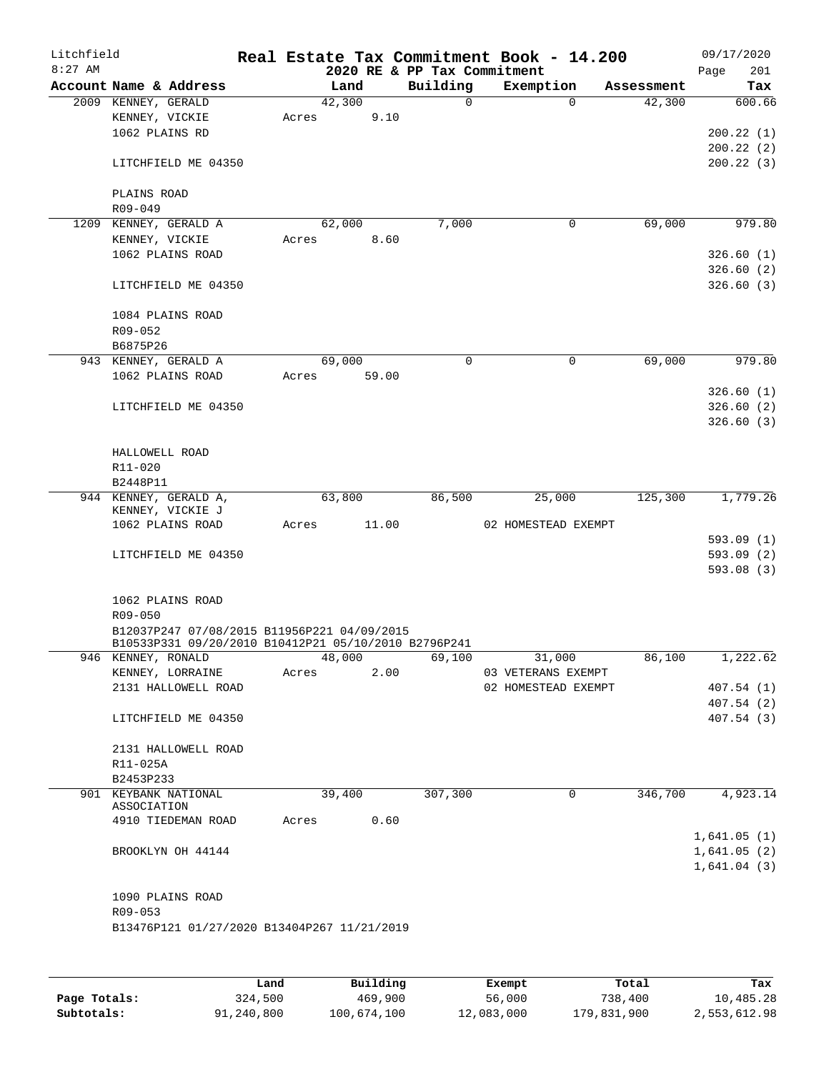| Litchfield<br>$8:27$ AM |                                                      |        |        |      | 2020 RE & PP Tax Commitment | Real Estate Tax Commitment Book - 14.200 |             |            | Page | 09/17/2020<br>201 |
|-------------------------|------------------------------------------------------|--------|--------|------|-----------------------------|------------------------------------------|-------------|------------|------|-------------------|
|                         | Account Name & Address                               |        | Land   |      | Building                    | Exemption                                |             | Assessment |      | Tax               |
|                         | 2009 KENNEY, GERALD                                  |        | 42,300 |      | $\Omega$                    |                                          | $\Omega$    | 42,300     |      | 600.66            |
|                         | KENNEY, VICKIE                                       | Acres  |        | 9.10 |                             |                                          |             |            |      |                   |
|                         | 1062 PLAINS RD                                       |        |        |      |                             |                                          |             |            |      | 200.22(1)         |
|                         |                                                      |        |        |      |                             |                                          |             |            |      | 200.22(2)         |
|                         | LITCHFIELD ME 04350                                  |        |        |      |                             |                                          |             |            |      | 200.22(3)         |
|                         | PLAINS ROAD                                          |        |        |      |                             |                                          |             |            |      |                   |
|                         | R09-049                                              |        |        |      |                             |                                          |             |            |      |                   |
|                         | 1209 KENNEY, GERALD A                                |        | 62,000 |      | 7,000                       |                                          | $\mathbf 0$ | 69,000     |      | 979.80            |
|                         | KENNEY, VICKIE                                       | Acres  |        | 8.60 |                             |                                          |             |            |      |                   |
|                         | 1062 PLAINS ROAD                                     |        |        |      |                             |                                          |             |            |      | 326.60(1)         |
|                         |                                                      |        |        |      |                             |                                          |             |            |      | 326.60(2)         |
|                         | LITCHFIELD ME 04350                                  |        |        |      |                             |                                          |             |            |      | 326.60(3)         |
|                         | 1084 PLAINS ROAD                                     |        |        |      |                             |                                          |             |            |      |                   |
|                         | R09-052                                              |        |        |      |                             |                                          |             |            |      |                   |
|                         | B6875P26                                             |        |        |      |                             |                                          |             |            |      |                   |
|                         | 943 KENNEY, GERALD A                                 |        | 69,000 |      | $\mathbf 0$                 |                                          | $\mathbf 0$ | 69,000     |      | 979.80            |
|                         | 1062 PLAINS ROAD                                     | Acres  | 59.00  |      |                             |                                          |             |            |      |                   |
|                         |                                                      |        |        |      |                             |                                          |             |            |      | 326.60(1)         |
|                         | LITCHFIELD ME 04350                                  |        |        |      |                             |                                          |             |            |      | 326.60(2)         |
|                         |                                                      |        |        |      |                             |                                          |             |            |      | 326.60(3)         |
|                         |                                                      |        |        |      |                             |                                          |             |            |      |                   |
|                         | HALLOWELL ROAD                                       |        |        |      |                             |                                          |             |            |      |                   |
|                         | R11-020                                              |        |        |      |                             |                                          |             |            |      |                   |
|                         | B2448P11                                             |        |        |      |                             |                                          |             |            |      |                   |
|                         | 944 KENNEY, GERALD A,<br>KENNEY, VICKIE J            |        | 63,800 |      | 86,500                      | 25,000                                   |             | 125,300    |      | 1,779.26          |
|                         | 1062 PLAINS ROAD                                     | Acres  | 11.00  |      |                             | 02 HOMESTEAD EXEMPT                      |             |            |      |                   |
|                         |                                                      |        |        |      |                             |                                          |             |            |      | 593.09(1)         |
|                         | LITCHFIELD ME 04350                                  |        |        |      |                             |                                          |             |            |      | 593.09 (2)        |
|                         |                                                      |        |        |      |                             |                                          |             |            |      | 593.08(3)         |
|                         |                                                      |        |        |      |                             |                                          |             |            |      |                   |
|                         | 1062 PLAINS ROAD                                     |        |        |      |                             |                                          |             |            |      |                   |
|                         | R09-050                                              |        |        |      |                             |                                          |             |            |      |                   |
|                         | B12037P247 07/08/2015 B11956P221 04/09/2015          |        |        |      |                             |                                          |             |            |      |                   |
|                         | B10533P331 09/20/2010 B10412P21 05/10/2010 B2796P241 |        |        |      |                             |                                          |             |            |      |                   |
|                         | 946 KENNEY, RONALD                                   | 48,000 |        |      | 69,100                      | 31,000                                   |             | 86,100     |      | 1,222.62          |
|                         | KENNEY, LORRAINE                                     | Acres  |        | 2.00 |                             | 03 VETERANS EXEMPT                       |             |            |      |                   |
|                         | 2131 HALLOWELL ROAD                                  |        |        |      |                             | 02 HOMESTEAD EXEMPT                      |             |            |      | 407.54(1)         |
|                         |                                                      |        |        |      |                             |                                          |             |            |      | 407.54(2)         |
|                         | LITCHFIELD ME 04350                                  |        |        |      |                             |                                          |             |            |      | 407.54(3)         |
|                         | 2131 HALLOWELL ROAD                                  |        |        |      |                             |                                          |             |            |      |                   |
|                         | R11-025A                                             |        |        |      |                             |                                          |             |            |      |                   |
|                         | B2453P233                                            |        |        |      |                             |                                          |             |            |      |                   |
|                         | 901 KEYBANK NATIONAL                                 |        | 39,400 |      | 307,300                     |                                          | $\mathbf 0$ | 346,700    |      | 4,923.14          |
|                         | ASSOCIATION                                          |        |        |      |                             |                                          |             |            |      |                   |
|                         | 4910 TIEDEMAN ROAD                                   | Acres  |        | 0.60 |                             |                                          |             |            |      |                   |
|                         |                                                      |        |        |      |                             |                                          |             |            |      | 1,641.05(1)       |
|                         | BROOKLYN OH 44144                                    |        |        |      |                             |                                          |             |            |      | 1,641.05(2)       |
|                         |                                                      |        |        |      |                             |                                          |             |            |      | 1,641.04(3)       |
|                         |                                                      |        |        |      |                             |                                          |             |            |      |                   |
|                         | 1090 PLAINS ROAD                                     |        |        |      |                             |                                          |             |            |      |                   |
|                         | R09-053                                              |        |        |      |                             |                                          |             |            |      |                   |
|                         | B13476P121 01/27/2020 B13404P267 11/21/2019          |        |        |      |                             |                                          |             |            |      |                   |
|                         |                                                      |        |        |      |                             |                                          |             |            |      |                   |
|                         |                                                      |        |        |      |                             |                                          |             |            |      |                   |
|                         |                                                      |        |        |      |                             |                                          |             |            |      |                   |

|              | Land       | Building    | Exempt     | Total       | Tax          |
|--------------|------------|-------------|------------|-------------|--------------|
| Page Totals: | 324,500    | 469,900     | 56,000     | 738,400     | 10,485.28    |
| Subtotals:   | 91,240,800 | 100,674,100 | 12,083,000 | 179,831,900 | 2,553,612.98 |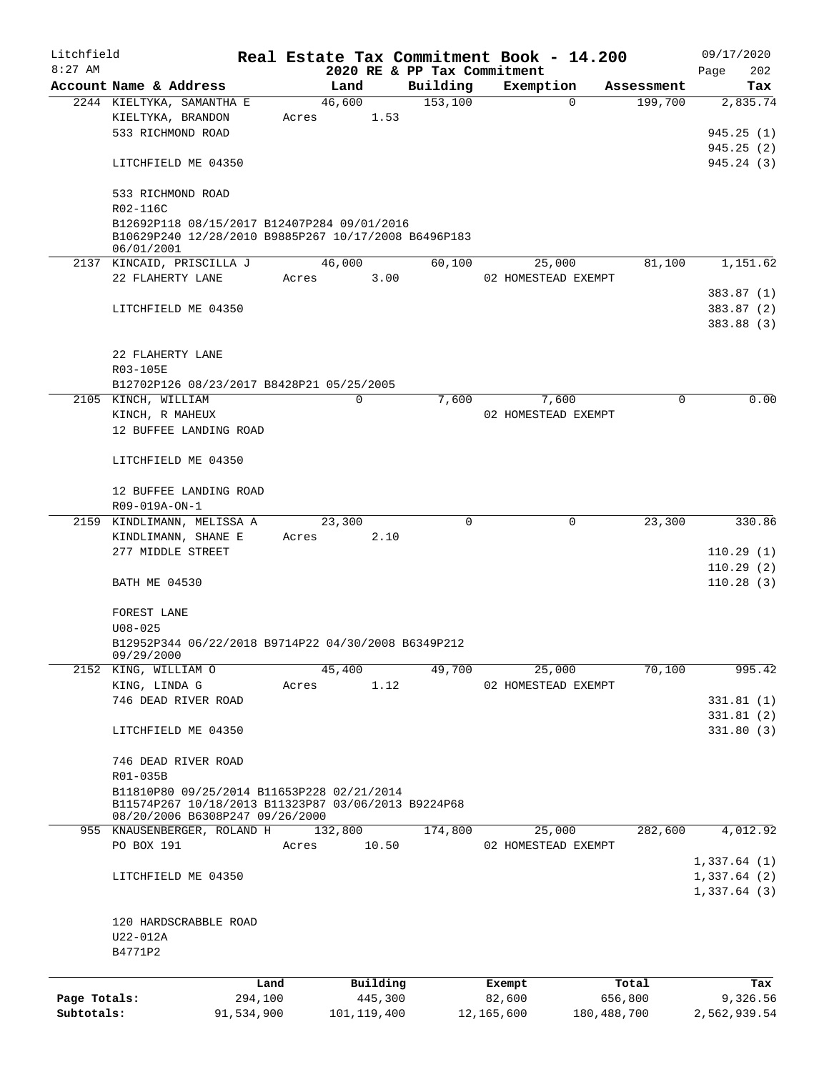| Litchfield<br>$8:27$ AM |                                                                                                                                      |            |       |               |          | 2020 RE & PP Tax Commitment | Real Estate Tax Commitment Book - 14.200 |             |            | 09/17/2020<br>202<br>Page  |
|-------------------------|--------------------------------------------------------------------------------------------------------------------------------------|------------|-------|---------------|----------|-----------------------------|------------------------------------------|-------------|------------|----------------------------|
|                         | Account Name & Address                                                                                                               |            |       | Land          |          | Building                    | Exemption                                |             | Assessment | Tax                        |
|                         | 2244 KIELTYKA, SAMANTHA E                                                                                                            |            |       | 46,600        |          | 153,100                     |                                          | $\Omega$    | 199,700    | 2,835.74                   |
|                         | KIELTYKA, BRANDON                                                                                                                    |            | Acres |               | 1.53     |                             |                                          |             |            |                            |
|                         | 533 RICHMOND ROAD                                                                                                                    |            |       |               |          |                             |                                          |             |            | 945.25(1)                  |
|                         |                                                                                                                                      |            |       |               |          |                             |                                          |             |            | 945.25(2)                  |
|                         | LITCHFIELD ME 04350                                                                                                                  |            |       |               |          |                             |                                          |             |            | 945.24(3)                  |
|                         |                                                                                                                                      |            |       |               |          |                             |                                          |             |            |                            |
|                         | 533 RICHMOND ROAD<br>R02-116C                                                                                                        |            |       |               |          |                             |                                          |             |            |                            |
|                         | B12692P118 08/15/2017 B12407P284 09/01/2016<br>B10629P240 12/28/2010 B9885P267 10/17/2008 B6496P183<br>06/01/2001                    |            |       |               |          |                             |                                          |             |            |                            |
|                         | 2137 KINCAID, PRISCILLA J                                                                                                            |            |       | 46,000        |          | 60,100                      | 25,000                                   |             | 81,100     | 1,151.62                   |
|                         | 22 FLAHERTY LANE                                                                                                                     |            | Acres |               | 3.00     |                             | 02 HOMESTEAD EXEMPT                      |             |            |                            |
|                         |                                                                                                                                      |            |       |               |          |                             |                                          |             |            | 383.87(1)                  |
|                         | LITCHFIELD ME 04350                                                                                                                  |            |       |               |          |                             |                                          |             |            | 383.87(2)                  |
|                         |                                                                                                                                      |            |       |               |          |                             |                                          |             |            | 383.88 (3)                 |
|                         |                                                                                                                                      |            |       |               |          |                             |                                          |             |            |                            |
|                         | 22 FLAHERTY LANE                                                                                                                     |            |       |               |          |                             |                                          |             |            |                            |
|                         | R03-105E                                                                                                                             |            |       |               |          |                             |                                          |             |            |                            |
|                         | B12702P126 08/23/2017 B8428P21 05/25/2005                                                                                            |            |       |               |          |                             |                                          |             |            |                            |
|                         | 2105 KINCH, WILLIAM                                                                                                                  |            |       | $\mathbf 0$   |          | 7,600                       | 7,600                                    |             | 0          | 0.00                       |
|                         | KINCH, R MAHEUX                                                                                                                      |            |       |               |          |                             | 02 HOMESTEAD EXEMPT                      |             |            |                            |
|                         | 12 BUFFEE LANDING ROAD                                                                                                               |            |       |               |          |                             |                                          |             |            |                            |
|                         | LITCHFIELD ME 04350                                                                                                                  |            |       |               |          |                             |                                          |             |            |                            |
|                         | 12 BUFFEE LANDING ROAD                                                                                                               |            |       |               |          |                             |                                          |             |            |                            |
|                         | R09-019A-ON-1                                                                                                                        |            |       |               |          |                             |                                          |             |            |                            |
|                         | 2159 KINDLIMANN, MELISSA A                                                                                                           |            |       | 23,300        |          | 0                           |                                          | 0           | 23,300     | 330.86                     |
|                         | KINDLIMANN, SHANE E                                                                                                                  |            | Acres |               | 2.10     |                             |                                          |             |            |                            |
|                         | 277 MIDDLE STREET                                                                                                                    |            |       |               |          |                             |                                          |             |            | 110.29(1)                  |
|                         |                                                                                                                                      |            |       |               |          |                             |                                          |             |            | 110.29(2)                  |
|                         | <b>BATH ME 04530</b>                                                                                                                 |            |       |               |          |                             |                                          |             |            | 110.28(3)                  |
|                         | FOREST LANE                                                                                                                          |            |       |               |          |                             |                                          |             |            |                            |
|                         | $U08 - 025$                                                                                                                          |            |       |               |          |                             |                                          |             |            |                            |
|                         |                                                                                                                                      |            |       |               |          |                             |                                          |             |            |                            |
|                         | B12952P344 06/22/2018 B9714P22 04/30/2008 B6349P212<br>09/29/2000                                                                    |            |       |               |          |                             |                                          |             |            |                            |
| 2152                    | KING, WILLIAM O                                                                                                                      |            |       | 45,400        |          | 49,700                      | 25,000                                   |             | 70,100     | 995.42                     |
|                         | KING, LINDA G                                                                                                                        |            | Acres |               | 1.12     |                             | 02 HOMESTEAD EXEMPT                      |             |            |                            |
|                         | 746 DEAD RIVER ROAD                                                                                                                  |            |       |               |          |                             |                                          |             |            | 331.81(1)                  |
|                         |                                                                                                                                      |            |       |               |          |                             |                                          |             |            | 331.81(2)                  |
|                         | LITCHFIELD ME 04350                                                                                                                  |            |       |               |          |                             |                                          |             |            | 331.80(3)                  |
|                         |                                                                                                                                      |            |       |               |          |                             |                                          |             |            |                            |
|                         | 746 DEAD RIVER ROAD                                                                                                                  |            |       |               |          |                             |                                          |             |            |                            |
|                         | R01-035B                                                                                                                             |            |       |               |          |                             |                                          |             |            |                            |
|                         | B11810P80 09/25/2014 B11653P228 02/21/2014<br>B11574P267 10/18/2013 B11323P87 03/06/2013 B9224P68<br>08/20/2006 B6308P247 09/26/2000 |            |       |               |          |                             |                                          |             |            |                            |
|                         | 955 KNAUSENBERGER, ROLAND H                                                                                                          |            |       | 132,800       |          | 174,800                     | 25,000                                   |             | 282,600    | 4,012.92                   |
|                         | PO BOX 191                                                                                                                           |            | Acres |               | 10.50    |                             | 02 HOMESTEAD EXEMPT                      |             |            |                            |
|                         |                                                                                                                                      |            |       |               |          |                             |                                          |             |            |                            |
|                         |                                                                                                                                      |            |       |               |          |                             |                                          |             |            | 1,337.64(1)                |
|                         | LITCHFIELD ME 04350                                                                                                                  |            |       |               |          |                             |                                          |             |            | 1,337.64(2)<br>1,337.64(3) |
|                         |                                                                                                                                      |            |       |               |          |                             |                                          |             |            |                            |
|                         | 120 HARDSCRABBLE ROAD                                                                                                                |            |       |               |          |                             |                                          |             |            |                            |
|                         | U22-012A                                                                                                                             |            |       |               |          |                             |                                          |             |            |                            |
|                         | B4771P2                                                                                                                              |            |       |               |          |                             |                                          |             |            |                            |
|                         |                                                                                                                                      |            |       |               |          |                             |                                          |             |            |                            |
|                         |                                                                                                                                      | Land       |       |               | Building |                             | Exempt                                   |             | Total      | Tax                        |
| Page Totals:            |                                                                                                                                      | 294,100    |       |               | 445,300  |                             | 82,600                                   |             | 656,800    | 9,326.56                   |
| Subtotals:              |                                                                                                                                      | 91,534,900 |       | 101, 119, 400 |          |                             | 12,165,600                               | 180,488,700 |            | 2,562,939.54               |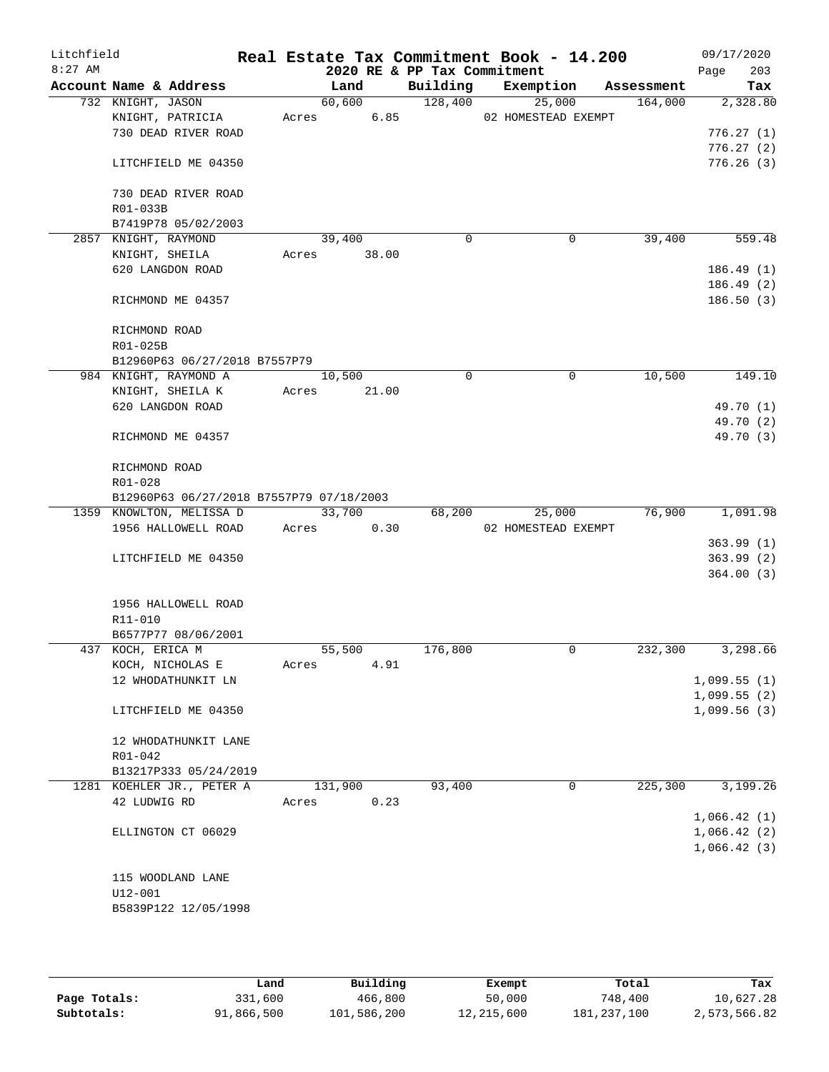| Litchfield<br>$8:27$ AM |                                          |       |         |      | 2020 RE & PP Tax Commitment | Real Estate Tax Commitment Book - 14.200 |            | 09/17/2020<br>203<br>Page |
|-------------------------|------------------------------------------|-------|---------|------|-----------------------------|------------------------------------------|------------|---------------------------|
|                         | Account Name & Address                   |       | Land    |      | Building                    | Exemption                                | Assessment | Tax                       |
|                         | 732 KNIGHT, JASON                        |       | 60,600  |      | 128,400                     | 25,000                                   | 164,000    | 2,328.80                  |
|                         | KNIGHT, PATRICIA                         | Acres |         | 6.85 |                             | 02 HOMESTEAD EXEMPT                      |            |                           |
|                         | 730 DEAD RIVER ROAD                      |       |         |      |                             |                                          |            | 776.27(1)                 |
|                         |                                          |       |         |      |                             |                                          |            | 776.27(2)                 |
|                         | LITCHFIELD ME 04350                      |       |         |      |                             |                                          |            | 776.26(3)                 |
|                         | 730 DEAD RIVER ROAD                      |       |         |      |                             |                                          |            |                           |
|                         | R01-033B                                 |       |         |      |                             |                                          |            |                           |
|                         | B7419P78 05/02/2003                      |       |         |      |                             |                                          |            |                           |
|                         | 2857 KNIGHT, RAYMOND                     |       | 39,400  |      | $\Omega$                    | 0                                        | 39,400     | 559.48                    |
|                         | KNIGHT, SHEILA                           | Acres | 38.00   |      |                             |                                          |            |                           |
|                         | 620 LANGDON ROAD                         |       |         |      |                             |                                          |            | 186.49(1)                 |
|                         |                                          |       |         |      |                             |                                          |            | 186.49(2)                 |
|                         | RICHMOND ME 04357                        |       |         |      |                             |                                          |            | 186.50(3)                 |
|                         | RICHMOND ROAD                            |       |         |      |                             |                                          |            |                           |
|                         | R01-025B                                 |       |         |      |                             |                                          |            |                           |
|                         | B12960P63 06/27/2018 B7557P79            |       |         |      |                             |                                          |            |                           |
|                         | 984 KNIGHT, RAYMOND A                    |       | 10,500  |      | $\mathbf 0$                 | 0                                        | 10,500     | 149.10                    |
|                         | KNIGHT, SHEILA K                         | Acres | 21.00   |      |                             |                                          |            |                           |
|                         | 620 LANGDON ROAD                         |       |         |      |                             |                                          |            | 49.70 (1)                 |
|                         |                                          |       |         |      |                             |                                          |            | 49.70 (2)                 |
|                         | RICHMOND ME 04357                        |       |         |      |                             |                                          |            | 49.70 (3)                 |
|                         | RICHMOND ROAD                            |       |         |      |                             |                                          |            |                           |
|                         | R01-028                                  |       |         |      |                             |                                          |            |                           |
|                         | B12960P63 06/27/2018 B7557P79 07/18/2003 |       |         |      |                             |                                          |            |                           |
|                         | 1359 KNOWLTON, MELISSA D                 |       | 33,700  |      | 68,200                      | 25,000                                   | 76,900     | 1,091.98                  |
|                         | 1956 HALLOWELL ROAD                      | Acres | 0.30    |      |                             | 02 HOMESTEAD EXEMPT                      |            |                           |
|                         |                                          |       |         |      |                             |                                          |            | 363.99(1)                 |
|                         | LITCHFIELD ME 04350                      |       |         |      |                             |                                          |            | 363.99(2)                 |
|                         |                                          |       |         |      |                             |                                          |            | 364.00(3)                 |
|                         | 1956 HALLOWELL ROAD                      |       |         |      |                             |                                          |            |                           |
|                         | R11-010                                  |       |         |      |                             |                                          |            |                           |
|                         | B6577P77 08/06/2001                      |       |         |      |                             |                                          |            |                           |
|                         | 437 KOCH, ERICA M                        |       | 55,500  |      | 176,800                     | 0                                        | 232,300    | 3,298.66                  |
|                         | KOCH, NICHOLAS E                         | Acres | 4.91    |      |                             |                                          |            |                           |
|                         | 12 WHODATHUNKIT LN                       |       |         |      |                             |                                          |            | 1,099.55(1)               |
|                         |                                          |       |         |      |                             |                                          |            | 1,099.55(2)               |
|                         | LITCHFIELD ME 04350                      |       |         |      |                             |                                          |            | 1,099.56(3)               |
|                         | 12 WHODATHUNKIT LANE                     |       |         |      |                             |                                          |            |                           |
|                         | R01-042                                  |       |         |      |                             |                                          |            |                           |
|                         | B13217P333 05/24/2019                    |       |         |      |                             |                                          |            |                           |
|                         | 1281 KOEHLER JR., PETER A                |       | 131,900 |      | 93,400                      | 0                                        | 225,300    | 3,199.26                  |
|                         | 42 LUDWIG RD                             | Acres | 0.23    |      |                             |                                          |            |                           |
|                         |                                          |       |         |      |                             |                                          |            | 1,066.42(1)               |
|                         | ELLINGTON CT 06029                       |       |         |      |                             |                                          |            | 1,066.42(2)               |
|                         |                                          |       |         |      |                             |                                          |            | 1,066.42(3)               |
|                         |                                          |       |         |      |                             |                                          |            |                           |
|                         | 115 WOODLAND LANE                        |       |         |      |                             |                                          |            |                           |
|                         | U12-001                                  |       |         |      |                             |                                          |            |                           |
|                         | B5839P122 12/05/1998                     |       |         |      |                             |                                          |            |                           |
|                         |                                          |       |         |      |                             |                                          |            |                           |

|              | Land       | Building    | Exempt     | Total       | Tax          |
|--------------|------------|-------------|------------|-------------|--------------|
|              |            |             |            |             |              |
| Page Totals: | 331,600    | 466,800     | 50,000     | 748,400     | 10,627.28    |
| Subtotals:   | 91,866,500 | 101,586,200 | 12,215,600 | 181,237,100 | 2,573,566.82 |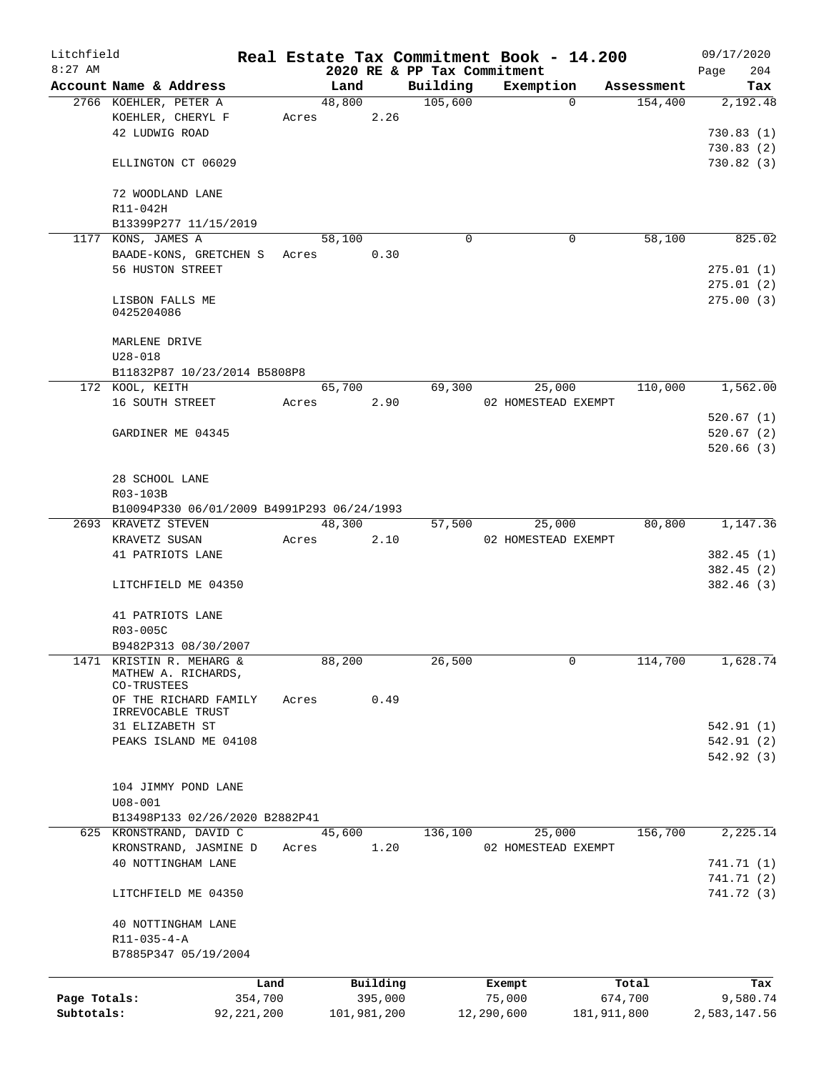| Litchfield                 |                                            |                         |        |                        |                                         | Real Estate Tax Commitment Book - 14.200 |                          | 09/17/2020               |
|----------------------------|--------------------------------------------|-------------------------|--------|------------------------|-----------------------------------------|------------------------------------------|--------------------------|--------------------------|
| $8:27$ AM                  | Account Name & Address                     |                         | Land   |                        | 2020 RE & PP Tax Commitment<br>Building | Exemption                                | Assessment               | 204<br>Page<br>Tax       |
|                            | 2766 KOEHLER, PETER A                      |                         | 48,800 |                        | 105,600                                 | $\Omega$                                 | 154,400                  | 2,192.48                 |
|                            | KOEHLER, CHERYL F                          | Acres                   |        | 2.26                   |                                         |                                          |                          |                          |
|                            | 42 LUDWIG ROAD                             |                         |        |                        |                                         |                                          |                          | 730.83(1)                |
|                            |                                            |                         |        |                        |                                         |                                          |                          | 730.83(2)                |
|                            | ELLINGTON CT 06029                         |                         |        |                        |                                         |                                          |                          | 730.82(3)                |
|                            |                                            |                         |        |                        |                                         |                                          |                          |                          |
|                            | 72 WOODLAND LANE                           |                         |        |                        |                                         |                                          |                          |                          |
|                            | R11-042H                                   |                         |        |                        |                                         |                                          |                          |                          |
|                            | B13399P277 11/15/2019                      |                         |        |                        |                                         |                                          |                          |                          |
|                            | 1177 KONS, JAMES A                         |                         | 58,100 |                        | $\Omega$                                | $\mathbf 0$                              | 58,100                   | 825.02                   |
|                            | BAADE-KONS, GRETCHEN S                     | Acres                   |        | 0.30                   |                                         |                                          |                          |                          |
|                            | 56 HUSTON STREET                           |                         |        |                        |                                         |                                          |                          | 275.01(1)                |
|                            |                                            |                         |        |                        |                                         |                                          |                          | 275.01(2)                |
|                            | LISBON FALLS ME                            |                         |        |                        |                                         |                                          |                          | 275.00(3)                |
|                            | 0425204086                                 |                         |        |                        |                                         |                                          |                          |                          |
|                            |                                            |                         |        |                        |                                         |                                          |                          |                          |
|                            | MARLENE DRIVE                              |                         |        |                        |                                         |                                          |                          |                          |
|                            | $U28 - 018$                                |                         |        |                        |                                         |                                          |                          |                          |
|                            | B11832P87 10/23/2014 B5808P8               |                         |        |                        |                                         |                                          |                          |                          |
|                            | 172 KOOL, KEITH                            |                         | 65,700 |                        | 69,300                                  | 25,000                                   | 110,000                  | 1,562.00                 |
|                            | 16 SOUTH STREET                            | Acres                   |        | 2.90                   |                                         | 02 HOMESTEAD EXEMPT                      |                          |                          |
|                            |                                            |                         |        |                        |                                         |                                          |                          | 520.67(1)                |
|                            | GARDINER ME 04345                          |                         |        |                        |                                         |                                          |                          | 520.67(2)                |
|                            |                                            |                         |        |                        |                                         |                                          |                          | 520.66(3)                |
|                            |                                            |                         |        |                        |                                         |                                          |                          |                          |
|                            | 28 SCHOOL LANE                             |                         |        |                        |                                         |                                          |                          |                          |
|                            | R03-103B                                   |                         |        |                        |                                         |                                          |                          |                          |
|                            | B10094P330 06/01/2009 B4991P293 06/24/1993 |                         |        |                        |                                         |                                          |                          |                          |
|                            | 2693 KRAVETZ STEVEN                        |                         | 48,300 |                        | 57,500                                  | 25,000                                   | 80,800                   | 1,147.36                 |
|                            | KRAVETZ SUSAN                              | Acres                   |        | 2.10                   |                                         | 02 HOMESTEAD EXEMPT                      |                          |                          |
|                            | 41 PATRIOTS LANE                           |                         |        |                        |                                         |                                          |                          | 382.45(1)                |
|                            | LITCHFIELD ME 04350                        |                         |        |                        |                                         |                                          |                          | 382.45(2)<br>382.46(3)   |
|                            |                                            |                         |        |                        |                                         |                                          |                          |                          |
|                            | 41 PATRIOTS LANE                           |                         |        |                        |                                         |                                          |                          |                          |
|                            | R03-005C                                   |                         |        |                        |                                         |                                          |                          |                          |
|                            | B9482P313 08/30/2007                       |                         |        |                        |                                         |                                          |                          |                          |
|                            | 1471 KRISTIN R. MEHARG &                   |                         | 88,200 |                        | 26,500                                  | 0                                        | 114,700                  | 1,628.74                 |
|                            | MATHEW A. RICHARDS,                        |                         |        |                        |                                         |                                          |                          |                          |
|                            | CO-TRUSTEES                                |                         |        |                        |                                         |                                          |                          |                          |
|                            | OF THE RICHARD FAMILY                      | Acres                   |        | 0.49                   |                                         |                                          |                          |                          |
|                            | IRREVOCABLE TRUST                          |                         |        |                        |                                         |                                          |                          |                          |
|                            | 31 ELIZABETH ST                            |                         |        |                        |                                         |                                          |                          | 542.91 (1)<br>542.91(2)  |
|                            | PEAKS ISLAND ME 04108                      |                         |        |                        |                                         |                                          |                          |                          |
|                            |                                            |                         |        |                        |                                         |                                          |                          | 542.92 (3)               |
|                            | 104 JIMMY POND LANE                        |                         |        |                        |                                         |                                          |                          |                          |
|                            | $U08 - 001$                                |                         |        |                        |                                         |                                          |                          |                          |
|                            | B13498P133 02/26/2020 B2882P41             |                         |        |                        |                                         |                                          |                          |                          |
|                            | 625 KRONSTRAND, DAVID C                    |                         | 45,600 |                        | 136,100                                 | 25,000                                   | 156,700                  | 2,225.14                 |
|                            | KRONSTRAND, JASMINE D                      | Acres                   |        | 1.20                   |                                         | 02 HOMESTEAD EXEMPT                      |                          |                          |
|                            | 40 NOTTINGHAM LANE                         |                         |        |                        |                                         |                                          |                          | 741.71 (1)               |
|                            |                                            |                         |        |                        |                                         |                                          |                          | 741.71 (2)               |
|                            | LITCHFIELD ME 04350                        |                         |        |                        |                                         |                                          |                          | 741.72 (3)               |
|                            | 40 NOTTINGHAM LANE                         |                         |        |                        |                                         |                                          |                          |                          |
|                            | $R11 - 035 - 4 - A$                        |                         |        |                        |                                         |                                          |                          |                          |
|                            | B7885P347 05/19/2004                       |                         |        |                        |                                         |                                          |                          |                          |
|                            |                                            |                         |        |                        |                                         |                                          |                          |                          |
|                            |                                            | Land                    |        | Building               |                                         | Exempt                                   | Total                    | Tax                      |
| Page Totals:<br>Subtotals: |                                            | 354,700<br>92, 221, 200 |        | 395,000<br>101,981,200 |                                         | 75,000<br>12,290,600                     | 674,700<br>181, 911, 800 | 9,580.74<br>2,583,147.56 |
|                            |                                            |                         |        |                        |                                         |                                          |                          |                          |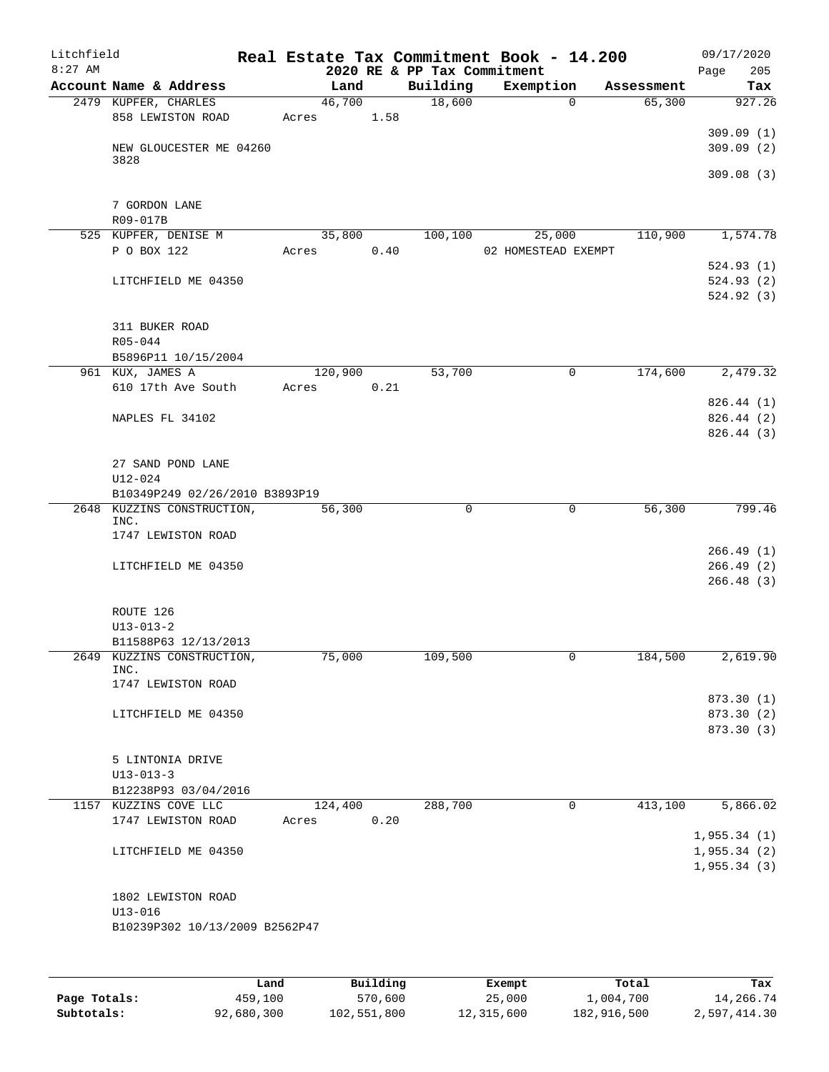| Litchfield<br>$8:27$ AM |                                |       |         |      | 2020 RE & PP Tax Commitment | Real Estate Tax Commitment Book - 14.200 |             |            | 09/17/2020<br>Page<br>205 |
|-------------------------|--------------------------------|-------|---------|------|-----------------------------|------------------------------------------|-------------|------------|---------------------------|
|                         | Account Name & Address         |       | Land    |      | Building                    | Exemption                                |             | Assessment | Tax                       |
|                         | 2479 KUPFER, CHARLES           |       | 46,700  |      | 18,600                      |                                          | $\Omega$    | 65,300     | 927.26                    |
|                         | 858 LEWISTON ROAD              | Acres |         | 1.58 |                             |                                          |             |            |                           |
|                         |                                |       |         |      |                             |                                          |             |            | 309.09(1)                 |
|                         | NEW GLOUCESTER ME 04260        |       |         |      |                             |                                          |             |            | 309.09(2)                 |
|                         | 3828                           |       |         |      |                             |                                          |             |            |                           |
|                         |                                |       |         |      |                             |                                          |             |            | 309.08(3)                 |
|                         | 7 GORDON LANE                  |       |         |      |                             |                                          |             |            |                           |
|                         | R09-017B                       |       |         |      |                             |                                          |             |            |                           |
|                         | 525 KUPFER, DENISE M           |       | 35,800  |      | 100,100                     | 25,000                                   |             | 110,900    | 1,574.78                  |
|                         | P O BOX 122                    | Acres |         | 0.40 |                             | 02 HOMESTEAD EXEMPT                      |             |            |                           |
|                         |                                |       |         |      |                             |                                          |             |            | 524.93(1)                 |
|                         | LITCHFIELD ME 04350            |       |         |      |                             |                                          |             |            | 524.93(2)                 |
|                         |                                |       |         |      |                             |                                          |             |            | 524.92(3)                 |
|                         |                                |       |         |      |                             |                                          |             |            |                           |
|                         | 311 BUKER ROAD                 |       |         |      |                             |                                          |             |            |                           |
|                         | R05-044                        |       |         |      |                             |                                          |             |            |                           |
|                         | B5896P11 10/15/2004            |       |         |      |                             |                                          |             |            |                           |
|                         | 961 KUX, JAMES A               |       | 120,900 |      | 53,700                      |                                          | 0           | 174,600    | 2,479.32                  |
|                         | 610 17th Ave South             | Acres |         | 0.21 |                             |                                          |             |            |                           |
|                         |                                |       |         |      |                             |                                          |             |            | 826.44(1)                 |
|                         | NAPLES FL 34102                |       |         |      |                             |                                          |             |            | 826.44 (2)                |
|                         |                                |       |         |      |                             |                                          |             |            | 826.44(3)                 |
|                         |                                |       |         |      |                             |                                          |             |            |                           |
|                         | 27 SAND POND LANE              |       |         |      |                             |                                          |             |            |                           |
|                         | $U12 - 024$                    |       |         |      |                             |                                          |             |            |                           |
|                         | B10349P249 02/26/2010 B3893P19 |       |         |      |                             |                                          |             |            |                           |
| 2648                    | KUZZINS CONSTRUCTION,<br>INC.  |       | 56,300  |      | $\mathbf 0$                 |                                          | $\mathbf 0$ | 56,300     | 799.46                    |
|                         | 1747 LEWISTON ROAD             |       |         |      |                             |                                          |             |            |                           |
|                         |                                |       |         |      |                             |                                          |             |            | 266.49(1)                 |
|                         | LITCHFIELD ME 04350            |       |         |      |                             |                                          |             |            | 266.49(2)                 |
|                         |                                |       |         |      |                             |                                          |             |            | 266.48(3)                 |
|                         |                                |       |         |      |                             |                                          |             |            |                           |
|                         | ROUTE 126                      |       |         |      |                             |                                          |             |            |                           |
|                         | $U13 - 013 - 2$                |       |         |      |                             |                                          |             |            |                           |
|                         | B11588P63 12/13/2013           |       |         |      |                             |                                          |             |            |                           |
|                         | 2649 KUZZINS CONSTRUCTION,     |       | 75,000  |      | 109,500                     |                                          | 0           | 184,500    | 2,619.90                  |
|                         | INC.<br>1747 LEWISTON ROAD     |       |         |      |                             |                                          |             |            |                           |
|                         |                                |       |         |      |                             |                                          |             |            | 873.30 (1)                |
|                         | LITCHFIELD ME 04350            |       |         |      |                             |                                          |             |            | 873.30 (2)                |
|                         |                                |       |         |      |                             |                                          |             |            | 873.30 (3)                |
|                         |                                |       |         |      |                             |                                          |             |            |                           |
|                         | 5 LINTONIA DRIVE               |       |         |      |                             |                                          |             |            |                           |
|                         | $U13 - 013 - 3$                |       |         |      |                             |                                          |             |            |                           |
|                         | B12238P93 03/04/2016           |       |         |      |                             |                                          |             |            |                           |
|                         | 1157 KUZZINS COVE LLC          |       | 124,400 |      | 288,700                     |                                          | 0           | 413,100    | 5,866.02                  |
|                         | 1747 LEWISTON ROAD             | Acres |         | 0.20 |                             |                                          |             |            |                           |
|                         |                                |       |         |      |                             |                                          |             |            | 1,955.34(1)               |
|                         | LITCHFIELD ME 04350            |       |         |      |                             |                                          |             |            | 1,955.34(2)               |
|                         |                                |       |         |      |                             |                                          |             |            | 1,955.34(3)               |
|                         |                                |       |         |      |                             |                                          |             |            |                           |
|                         | 1802 LEWISTON ROAD             |       |         |      |                             |                                          |             |            |                           |
|                         | $U13 - 016$                    |       |         |      |                             |                                          |             |            |                           |
|                         | B10239P302 10/13/2009 B2562P47 |       |         |      |                             |                                          |             |            |                           |
|                         |                                |       |         |      |                             |                                          |             |            |                           |
|                         |                                |       |         |      |                             |                                          |             |            |                           |
|                         |                                |       |         |      |                             |                                          |             |            |                           |

|              | Land       | Building    | Exempt     | Total       | Tax          |
|--------------|------------|-------------|------------|-------------|--------------|
| Page Totals: | 459,100    | 570,600     | 25,000     | 1,004,700   | 14,266.74    |
| Subtotals:   | 92,680,300 | 102,551,800 | 12,315,600 | 182,916,500 | 2,597,414.30 |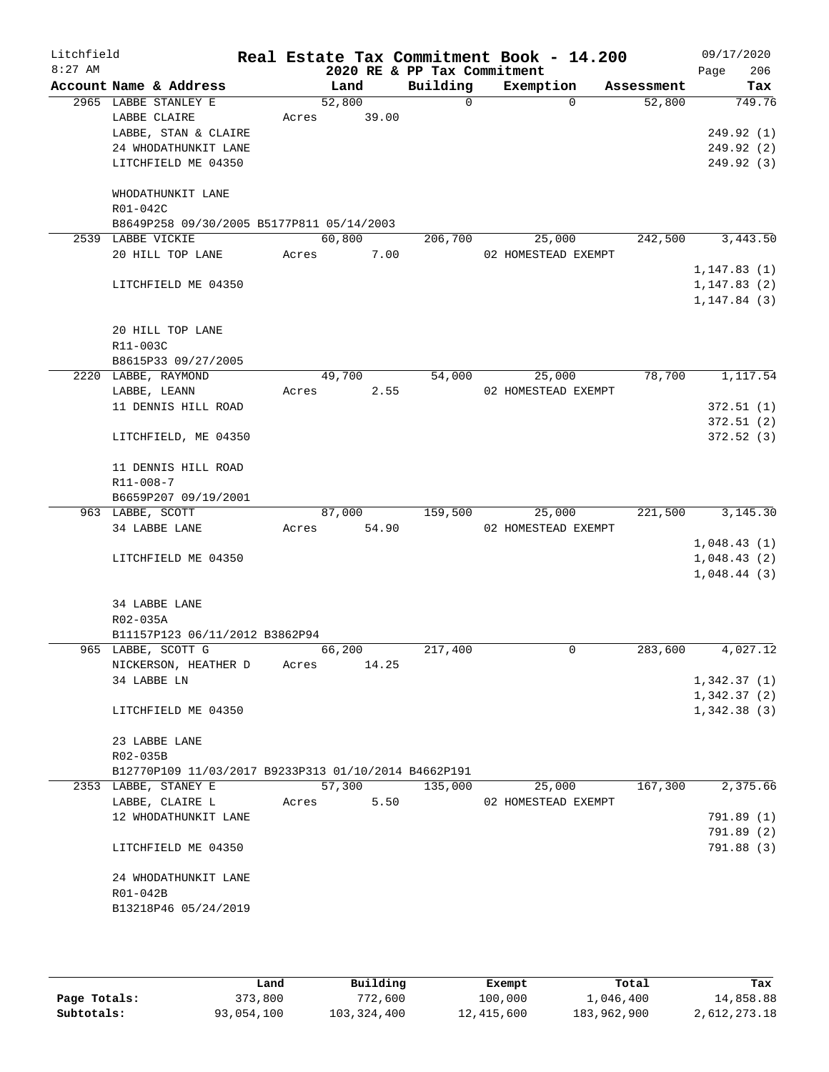| Litchfield<br>$8:27$ AM |                                                      |       |        |       |                                         | Real Estate Tax Commitment Book - 14.200 |            | 09/17/2020         |
|-------------------------|------------------------------------------------------|-------|--------|-------|-----------------------------------------|------------------------------------------|------------|--------------------|
|                         | Account Name & Address                               |       | Land   |       | 2020 RE & PP Tax Commitment<br>Building | Exemption                                | Assessment | 206<br>Page<br>Tax |
|                         | 2965 LABBE STANLEY E                                 |       | 52,800 |       | 0                                       | $\Omega$                                 | 52,800     | 749.76             |
|                         | LABBE CLAIRE                                         | Acres |        | 39.00 |                                         |                                          |            |                    |
|                         | LABBE, STAN & CLAIRE                                 |       |        |       |                                         |                                          |            | 249.92 (1)         |
|                         | 24 WHODATHUNKIT LANE                                 |       |        |       |                                         |                                          |            | 249.92(2)          |
|                         | LITCHFIELD ME 04350                                  |       |        |       |                                         |                                          |            | 249.92 (3)         |
|                         |                                                      |       |        |       |                                         |                                          |            |                    |
|                         | WHODATHUNKIT LANE                                    |       |        |       |                                         |                                          |            |                    |
|                         | R01-042C                                             |       |        |       |                                         |                                          |            |                    |
|                         | B8649P258 09/30/2005 B5177P811 05/14/2003            |       |        |       |                                         |                                          |            |                    |
|                         | 2539 LABBE VICKIE                                    |       | 60,800 |       | 206,700                                 | 25,000                                   | 242,500    | 3,443.50           |
|                         | 20 HILL TOP LANE                                     | Acres |        | 7.00  |                                         | 02 HOMESTEAD EXEMPT                      |            |                    |
|                         |                                                      |       |        |       |                                         |                                          |            | 1, 147.83(1)       |
|                         | LITCHFIELD ME 04350                                  |       |        |       |                                         |                                          |            | 1,147.83(2)        |
|                         |                                                      |       |        |       |                                         |                                          |            | 1, 147.84(3)       |
|                         |                                                      |       |        |       |                                         |                                          |            |                    |
|                         | 20 HILL TOP LANE                                     |       |        |       |                                         |                                          |            |                    |
|                         | R11-003C                                             |       |        |       |                                         |                                          |            |                    |
|                         | B8615P33 09/27/2005<br>2220 LABBE, RAYMOND           |       | 49,700 |       | 54,000                                  |                                          | 78,700     | 1,117.54           |
|                         |                                                      | Acres |        | 2.55  |                                         | 25,000<br>02 HOMESTEAD EXEMPT            |            |                    |
|                         | LABBE, LEANN<br>11 DENNIS HILL ROAD                  |       |        |       |                                         |                                          |            | 372.51(1)          |
|                         |                                                      |       |        |       |                                         |                                          |            | 372.51(2)          |
|                         | LITCHFIELD, ME 04350                                 |       |        |       |                                         |                                          |            | 372.52(3)          |
|                         |                                                      |       |        |       |                                         |                                          |            |                    |
|                         | 11 DENNIS HILL ROAD                                  |       |        |       |                                         |                                          |            |                    |
|                         | R11-008-7                                            |       |        |       |                                         |                                          |            |                    |
|                         | B6659P207 09/19/2001                                 |       |        |       |                                         |                                          |            |                    |
|                         | 963 LABBE, SCOTT                                     |       | 87,000 |       | 159,500                                 | 25,000                                   | 221,500    | 3,145.30           |
|                         | 34 LABBE LANE                                        | Acres |        | 54.90 |                                         | 02 HOMESTEAD EXEMPT                      |            |                    |
|                         |                                                      |       |        |       |                                         |                                          |            | 1,048.43(1)        |
|                         | LITCHFIELD ME 04350                                  |       |        |       |                                         |                                          |            | 1,048.43(2)        |
|                         |                                                      |       |        |       |                                         |                                          |            | 1,048.44(3)        |
|                         |                                                      |       |        |       |                                         |                                          |            |                    |
|                         | 34 LABBE LANE                                        |       |        |       |                                         |                                          |            |                    |
|                         | R02-035A                                             |       |        |       |                                         |                                          |            |                    |
|                         | B11157P123 06/11/2012 B3862P94                       |       |        |       |                                         |                                          |            |                    |
|                         | 965 LABBE, SCOTT G<br>NICKERSON, HEATHER D           | Acres | 66,200 | 14.25 | 217,400                                 | 0                                        | 283,600    | 4,027.12           |
|                         | 34 LABBE LN                                          |       |        |       |                                         |                                          |            | 1,342.37(1)        |
|                         |                                                      |       |        |       |                                         |                                          |            | 1,342.37(2)        |
|                         | LITCHFIELD ME 04350                                  |       |        |       |                                         |                                          |            | 1,342.38(3)        |
|                         |                                                      |       |        |       |                                         |                                          |            |                    |
|                         | 23 LABBE LANE                                        |       |        |       |                                         |                                          |            |                    |
|                         | R02-035B                                             |       |        |       |                                         |                                          |            |                    |
|                         | B12770P109 11/03/2017 B9233P313 01/10/2014 B4662P191 |       |        |       |                                         |                                          |            |                    |
|                         | 2353 LABBE, STANEY E                                 |       | 57,300 |       | 135,000                                 | 25,000                                   | 167,300    | 2,375.66           |
|                         | LABBE, CLAIRE L                                      | Acres |        | 5.50  |                                         | 02 HOMESTEAD EXEMPT                      |            |                    |
|                         | 12 WHODATHUNKIT LANE                                 |       |        |       |                                         |                                          |            | 791.89 (1)         |
|                         |                                                      |       |        |       |                                         |                                          |            | 791.89 (2)         |
|                         | LITCHFIELD ME 04350                                  |       |        |       |                                         |                                          |            | 791.88 (3)         |
|                         | 24 WHODATHUNKIT LANE                                 |       |        |       |                                         |                                          |            |                    |
|                         | R01-042B                                             |       |        |       |                                         |                                          |            |                    |
|                         | B13218P46 05/24/2019                                 |       |        |       |                                         |                                          |            |                    |
|                         |                                                      |       |        |       |                                         |                                          |            |                    |
|                         |                                                      |       |        |       |                                         |                                          |            |                    |

|              | Land       | Building    | Exempt     | Total       | Tax          |
|--------------|------------|-------------|------------|-------------|--------------|
| Page Totals: | 373,800    | 772,600     | 100,000    | 1,046,400   | 14,858.88    |
| Subtotals:   | 93,054,100 | 103,324,400 | 12,415,600 | 183,962,900 | 2,612,273.18 |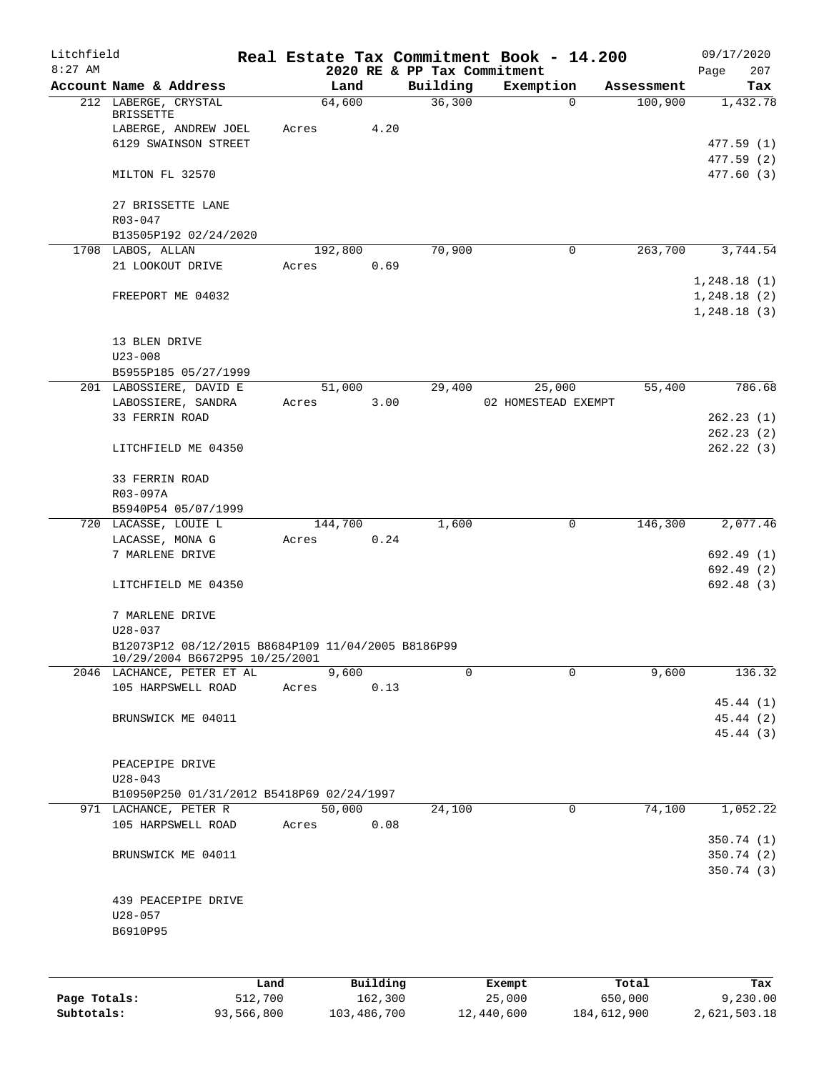| Litchfield |                                                              |       |       |         |                 |                                         |             | Real Estate Tax Commitment Book - 14.200 |            | 09/17/2020         |
|------------|--------------------------------------------------------------|-------|-------|---------|-----------------|-----------------------------------------|-------------|------------------------------------------|------------|--------------------|
| $8:27$ AM  | Account Name & Address                                       |       |       | Land    |                 | 2020 RE & PP Tax Commitment<br>Building |             | Exemption                                | Assessment | 207<br>Page<br>Tax |
|            | 212 LABERGE, CRYSTAL                                         |       |       | 64,600  |                 | 36,300                                  |             | 0                                        | 100,900    | 1,432.78           |
|            | BRISSETTE                                                    |       |       |         |                 |                                         |             |                                          |            |                    |
|            | LABERGE, ANDREW JOEL                                         |       | Acres |         | 4.20            |                                         |             |                                          |            |                    |
|            | 6129 SWAINSON STREET                                         |       |       |         |                 |                                         |             |                                          |            | 477.59(1)          |
|            |                                                              |       |       |         |                 |                                         |             |                                          |            | 477.59 (2)         |
|            | MILTON FL 32570                                              |       |       |         |                 |                                         |             |                                          |            | 477.60 (3)         |
|            | 27 BRISSETTE LANE                                            |       |       |         |                 |                                         |             |                                          |            |                    |
|            | R03-047                                                      |       |       |         |                 |                                         |             |                                          |            |                    |
|            | B13505P192 02/24/2020                                        |       |       |         |                 |                                         |             |                                          |            |                    |
|            | 1708 LABOS, ALLAN                                            |       |       | 192,800 |                 | 70,900                                  |             | 0                                        | 263,700    | 3,744.54           |
|            | 21 LOOKOUT DRIVE                                             |       | Acres |         | 0.69            |                                         |             |                                          |            |                    |
|            |                                                              |       |       |         |                 |                                         |             |                                          |            | 1,248.18(1)        |
|            | FREEPORT ME 04032                                            |       |       |         |                 |                                         |             |                                          |            | 1,248.18(2)        |
|            |                                                              |       |       |         |                 |                                         |             |                                          |            | 1,248.18(3)        |
|            |                                                              |       |       |         |                 |                                         |             |                                          |            |                    |
|            | 13 BLEN DRIVE                                                |       |       |         |                 |                                         |             |                                          |            |                    |
|            | $U23 - 008$                                                  |       |       |         |                 |                                         |             |                                          |            |                    |
|            | B5955P185 05/27/1999                                         |       |       |         |                 |                                         |             |                                          |            |                    |
|            | 201 LABOSSIERE, DAVID E                                      |       |       | 51,000  |                 | 29,400                                  |             | 25,000                                   | 55,400     | 786.68             |
|            | LABOSSIERE, SANDRA                                           |       | Acres |         | 3.00            |                                         |             | 02 HOMESTEAD EXEMPT                      |            |                    |
|            | 33 FERRIN ROAD                                               |       |       |         |                 |                                         |             |                                          |            | 262.23(1)          |
|            |                                                              |       |       |         |                 |                                         |             |                                          |            | 262.23(2)          |
|            | LITCHFIELD ME 04350                                          |       |       |         |                 |                                         |             |                                          |            | 262.22(3)          |
|            | 33 FERRIN ROAD                                               |       |       |         |                 |                                         |             |                                          |            |                    |
|            | R03-097A                                                     |       |       |         |                 |                                         |             |                                          |            |                    |
|            | B5940P54 05/07/1999                                          |       |       |         |                 |                                         |             |                                          |            |                    |
|            | 720 LACASSE, LOUIE L                                         |       |       | 144,700 |                 | 1,600                                   |             | 0                                        | 146,300    | 2,077.46           |
|            | LACASSE, MONA G                                              |       | Acres |         | 0.24            |                                         |             |                                          |            |                    |
|            | 7 MARLENE DRIVE                                              |       |       |         |                 |                                         |             |                                          |            | 692.49 (1)         |
|            |                                                              |       |       |         |                 |                                         |             |                                          |            | 692.49 (2)         |
|            | LITCHFIELD ME 04350                                          |       |       |         |                 |                                         |             |                                          |            | 692.48(3)          |
|            |                                                              |       |       |         |                 |                                         |             |                                          |            |                    |
|            | 7 MARLENE DRIVE                                              |       |       |         |                 |                                         |             |                                          |            |                    |
|            | $U28 - 037$                                                  |       |       |         |                 |                                         |             |                                          |            |                    |
|            | B12073P12 08/12/2015 B8684P109 11/04/2005 B8186P99           |       |       |         |                 |                                         |             |                                          |            |                    |
|            | 10/29/2004 B6672P95 10/25/2001<br>2046 LACHANCE, PETER ET AL |       |       | 9,600   |                 |                                         | $\mathbf 0$ | $\mathbf 0$                              | 9,600      | 136.32             |
|            | 105 HARPSWELL ROAD                                           |       | Acres |         | 0.13            |                                         |             |                                          |            |                    |
|            |                                                              |       |       |         |                 |                                         |             |                                          |            | 45.44 (1)          |
|            | BRUNSWICK ME 04011                                           |       |       |         |                 |                                         |             |                                          |            | 45.44 (2)          |
|            |                                                              |       |       |         |                 |                                         |             |                                          |            | 45.44 (3)          |
|            |                                                              |       |       |         |                 |                                         |             |                                          |            |                    |
|            | PEACEPIPE DRIVE                                              |       |       |         |                 |                                         |             |                                          |            |                    |
|            | $U28 - 043$                                                  |       |       |         |                 |                                         |             |                                          |            |                    |
|            | B10950P250 01/31/2012 B5418P69 02/24/1997                    |       |       |         |                 |                                         |             |                                          |            |                    |
|            | 971 LACHANCE, PETER R                                        |       |       | 50,000  |                 | 24,100                                  |             | 0                                        | 74,100     | 1,052.22           |
|            | 105 HARPSWELL ROAD                                           |       | Acres |         | 0.08            |                                         |             |                                          |            |                    |
|            |                                                              |       |       |         |                 |                                         |             |                                          |            | 350.74(1)          |
|            | BRUNSWICK ME 04011                                           |       |       |         |                 |                                         |             |                                          |            | 350.74(2)          |
|            |                                                              |       |       |         |                 |                                         |             |                                          |            | 350.74 (3)         |
|            |                                                              |       |       |         |                 |                                         |             |                                          |            |                    |
|            | 439 PEACEPIPE DRIVE                                          |       |       |         |                 |                                         |             |                                          |            |                    |
|            | $U28 - 057$                                                  |       |       |         |                 |                                         |             |                                          |            |                    |
|            | B6910P95                                                     |       |       |         |                 |                                         |             |                                          |            |                    |
|            |                                                              |       |       |         |                 |                                         |             |                                          |            |                    |
|            |                                                              |       |       |         |                 |                                         |             |                                          |            |                    |
|            |                                                              | T ond |       |         | $P_{11}$ ilding |                                         | $F$ vomnt   |                                          | $T$ otal   |                    |

|              | Land       | Building    | Exempt     | Total       | Tax          |
|--------------|------------|-------------|------------|-------------|--------------|
| Page Totals: | 512,700    | 162,300     | 25,000     | 650,000     | 9,230.00     |
| Subtotals:   | 93,566,800 | 103,486,700 | 12,440,600 | 184,612,900 | 2,621,503.18 |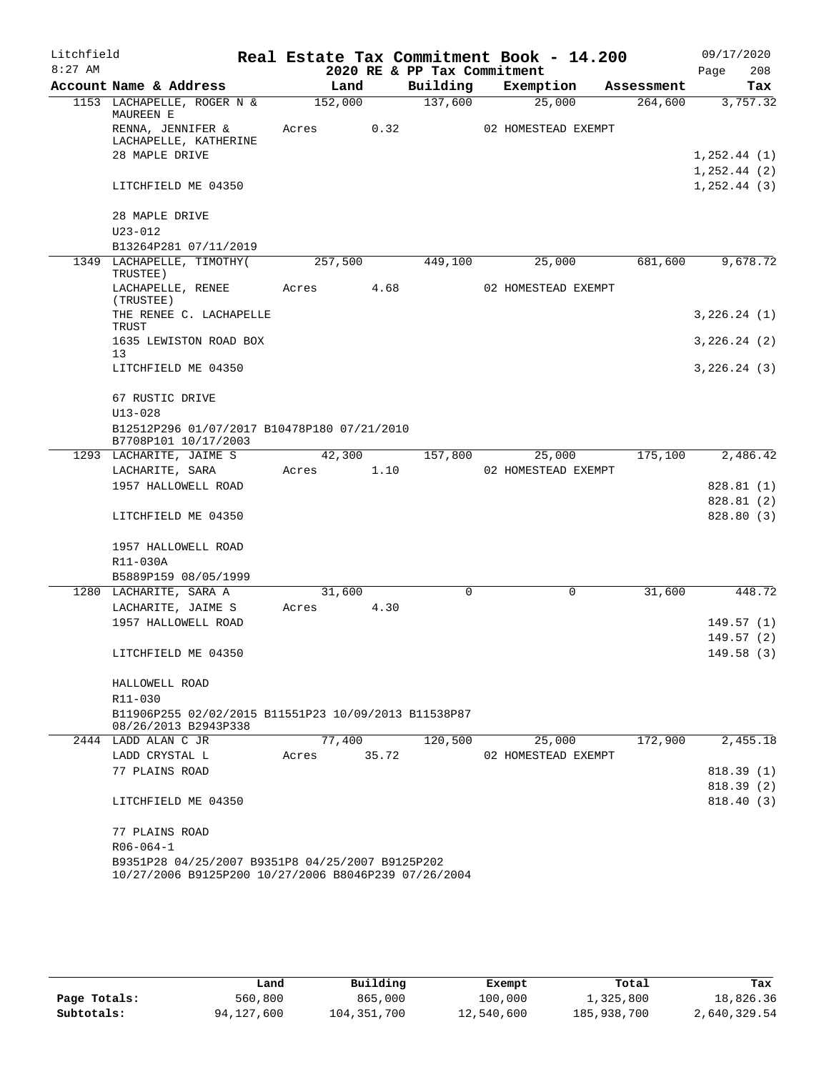| Litchfield |                                                                                                          |         |        |                             | Real Estate Tax Commitment Book - 14.200 |            | 09/17/2020              |
|------------|----------------------------------------------------------------------------------------------------------|---------|--------|-----------------------------|------------------------------------------|------------|-------------------------|
| $8:27$ AM  |                                                                                                          |         |        | 2020 RE & PP Tax Commitment |                                          |            | 208<br>Page             |
|            | Account Name & Address                                                                                   |         | Land   | Building                    | Exemption                                | Assessment | Tax                     |
|            | 1153 LACHAPELLE, ROGER N &<br>MAUREEN E                                                                  | 152,000 |        | 137,600                     | 25,000                                   | 264,600    | 3,757.32                |
|            | RENNA, JENNIFER &<br>LACHAPELLE, KATHERINE<br>28 MAPLE DRIVE                                             | Acres   | 0.32   |                             | 02 HOMESTEAD EXEMPT                      |            | 1, 252.44 (1)           |
|            |                                                                                                          |         |        |                             |                                          |            | 1, 252.44 (2)           |
|            | LITCHFIELD ME 04350                                                                                      |         |        |                             |                                          |            | 1, 252.44(3)            |
|            | 28 MAPLE DRIVE<br>$U23 - 012$                                                                            |         |        |                             |                                          |            |                         |
|            | B13264P281 07/11/2019                                                                                    |         |        |                             |                                          |            |                         |
|            | 1349 LACHAPELLE, TIMOTHY (                                                                               | 257,500 |        | 449,100                     | 25,000                                   | 681,600    | 9,678.72                |
|            | TRUSTEE)<br>LACHAPELLE, RENEE                                                                            | Acres   | 4.68   |                             | 02 HOMESTEAD EXEMPT                      |            |                         |
|            | (TRUSTEE)<br>THE RENEE C. LACHAPELLE                                                                     |         |        |                             |                                          |            | 3,226.24(1)             |
|            | TRUST<br>1635 LEWISTON ROAD BOX                                                                          |         |        |                             |                                          |            | 3,226.24(2)             |
|            | 13<br>LITCHFIELD ME 04350                                                                                |         |        |                             |                                          |            | 3,226.24(3)             |
|            | 67 RUSTIC DRIVE                                                                                          |         |        |                             |                                          |            |                         |
|            | $U13 - 028$                                                                                              |         |        |                             |                                          |            |                         |
|            | B12512P296 01/07/2017 B10478P180 07/21/2010<br>B7708P101 10/17/2003                                      |         |        |                             |                                          |            |                         |
|            | 1293 LACHARITE, JAIME S                                                                                  |         | 42,300 | 157,800                     | 25,000                                   | 175,100    | 2,486.42                |
|            | LACHARITE, SARA                                                                                          | Acres   | 1.10   |                             | 02 HOMESTEAD EXEMPT                      |            |                         |
|            | 1957 HALLOWELL ROAD                                                                                      |         |        |                             |                                          |            | 828.81 (1)              |
|            | LITCHFIELD ME 04350                                                                                      |         |        |                             |                                          |            | 828.81 (2)<br>828.80(3) |
|            |                                                                                                          |         |        |                             |                                          |            |                         |
|            | 1957 HALLOWELL ROAD                                                                                      |         |        |                             |                                          |            |                         |
|            | R11-030A                                                                                                 |         |        |                             |                                          |            |                         |
|            | B5889P159 08/05/1999                                                                                     | 31,600  |        | $\Omega$                    | $\Omega$                                 | 31,600     |                         |
|            | 1280 LACHARITE, SARA A<br>LACHARITE, JAIME S                                                             | Acres   | 4.30   |                             |                                          |            | 448.72                  |
|            | 1957 HALLOWELL ROAD                                                                                      |         |        |                             |                                          |            | 149.57(1)               |
|            |                                                                                                          |         |        |                             |                                          |            | 149.57(2)               |
|            | LITCHFIELD ME 04350                                                                                      |         |        |                             |                                          |            | 149.58 (3)              |
|            | HALLOWELL ROAD                                                                                           |         |        |                             |                                          |            |                         |
|            | R11-030                                                                                                  |         |        |                             |                                          |            |                         |
|            | B11906P255 02/02/2015 B11551P23 10/09/2013 B11538P87<br>08/26/2013 B2943P338                             |         |        |                             |                                          |            |                         |
|            | 2444 LADD ALAN C JR                                                                                      | 77,400  | 35.72  | 120,500                     | 25,000                                   | 172,900    | 2,455.18                |
|            | LADD CRYSTAL L<br>77 PLAINS ROAD                                                                         | Acres   |        |                             | 02 HOMESTEAD EXEMPT                      |            | 818.39(1)               |
|            |                                                                                                          |         |        |                             |                                          |            | 818.39(2)               |
|            | LITCHFIELD ME 04350                                                                                      |         |        |                             |                                          |            | 818.40(3)               |
|            | 77 PLAINS ROAD                                                                                           |         |        |                             |                                          |            |                         |
|            | $R06 - 064 - 1$                                                                                          |         |        |                             |                                          |            |                         |
|            | B9351P28 04/25/2007 B9351P8 04/25/2007 B9125P202<br>10/27/2006 B9125P200 10/27/2006 B8046P239 07/26/2004 |         |        |                             |                                          |            |                         |

|              | Land       | Building    | Exempt     | Total       | Tax          |
|--------------|------------|-------------|------------|-------------|--------------|
| Page Totals: | 560,800    | 865,000     | 100,000    | 1,325,800   | 18,826.36    |
| Subtotals:   | 94,127,600 | 104,351,700 | 12,540,600 | 185,938,700 | 2,640,329.54 |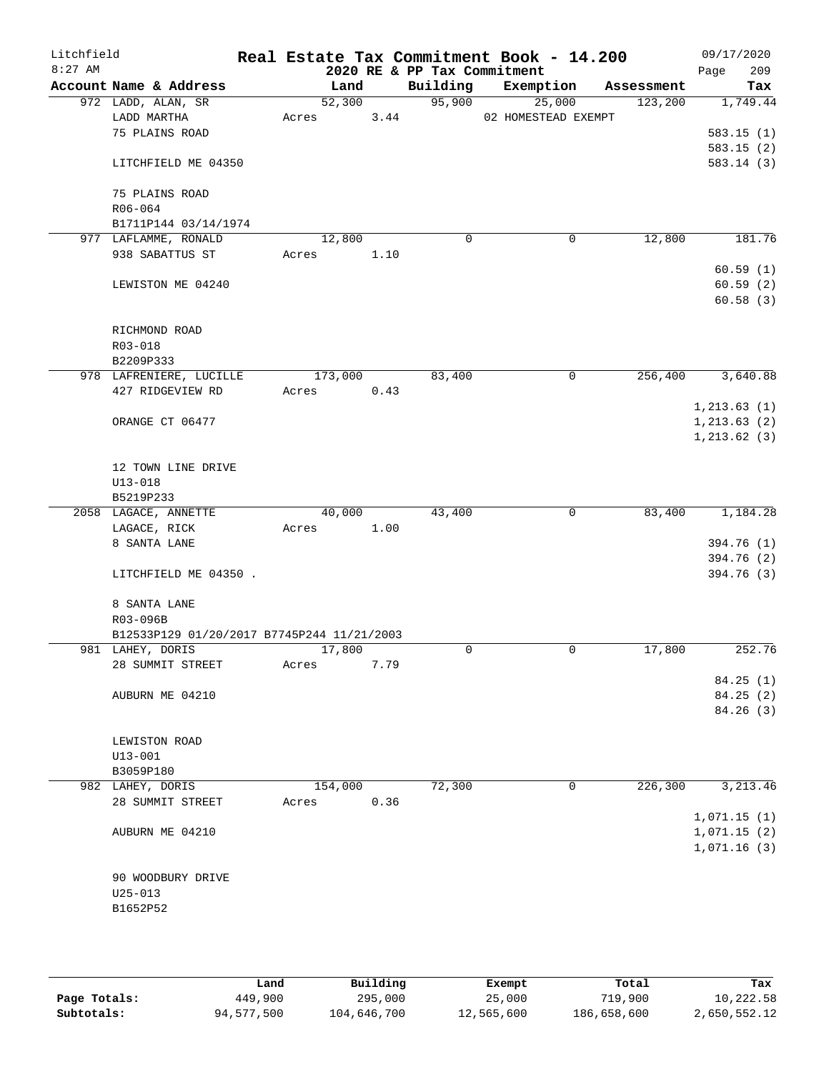| Litchfield<br>$8:27$ AM |                                            |         |      | 2020 RE & PP Tax Commitment | Real Estate Tax Commitment Book - 14.200 |            | 09/17/2020<br>209<br>Page |
|-------------------------|--------------------------------------------|---------|------|-----------------------------|------------------------------------------|------------|---------------------------|
|                         | Account Name & Address                     | Land    |      | Building                    | Exemption                                | Assessment | Tax                       |
|                         | 972 LADD, ALAN, SR                         | 52,300  |      | 95,900                      | 25,000                                   | 123,200    | 1,749.44                  |
|                         | LADD MARTHA                                | Acres   | 3.44 |                             | 02 HOMESTEAD EXEMPT                      |            |                           |
|                         | 75 PLAINS ROAD                             |         |      |                             |                                          |            | 583.15(1)                 |
|                         |                                            |         |      |                             |                                          |            | 583.15(2)                 |
|                         | LITCHFIELD ME 04350                        |         |      |                             |                                          |            | 583.14(3)                 |
|                         | 75 PLAINS ROAD                             |         |      |                             |                                          |            |                           |
|                         | R06-064                                    |         |      |                             |                                          |            |                           |
|                         | B1711P144 03/14/1974                       |         |      |                             |                                          |            |                           |
|                         | 977 LAFLAMME, RONALD                       | 12,800  |      | 0                           | 0                                        | 12,800     | 181.76                    |
|                         | 938 SABATTUS ST                            | Acres   | 1.10 |                             |                                          |            |                           |
|                         |                                            |         |      |                             |                                          |            | 60.59(1)                  |
|                         | LEWISTON ME 04240                          |         |      |                             |                                          |            | 60.59(2)                  |
|                         |                                            |         |      |                             |                                          |            | 60.58(3)                  |
|                         |                                            |         |      |                             |                                          |            |                           |
|                         | RICHMOND ROAD                              |         |      |                             |                                          |            |                           |
|                         | R03-018                                    |         |      |                             |                                          |            |                           |
|                         | B2209P333                                  |         |      |                             |                                          |            |                           |
|                         | 978 LAFRENIERE, LUCILLE                    | 173,000 |      | 83,400                      | 0                                        | 256,400    | 3,640.88                  |
|                         | 427 RIDGEVIEW RD                           | Acres   | 0.43 |                             |                                          |            |                           |
|                         |                                            |         |      |                             |                                          |            | 1, 213.63(1)              |
|                         | ORANGE CT 06477                            |         |      |                             |                                          |            | 1, 213.63(2)              |
|                         |                                            |         |      |                             |                                          |            | 1, 213.62(3)              |
|                         | 12 TOWN LINE DRIVE                         |         |      |                             |                                          |            |                           |
|                         | $U13 - 018$                                |         |      |                             |                                          |            |                           |
|                         | B5219P233                                  |         |      |                             |                                          |            |                           |
|                         | 2058 LAGACE, ANNETTE                       | 40,000  |      | 43,400                      | $\mathbf 0$                              | 83,400     | 1,184.28                  |
|                         | LAGACE, RICK                               | Acres   | 1.00 |                             |                                          |            |                           |
|                         | 8 SANTA LANE                               |         |      |                             |                                          |            | 394.76 (1)                |
|                         |                                            |         |      |                             |                                          |            | 394.76 (2)                |
|                         | LITCHFIELD ME 04350.                       |         |      |                             |                                          |            | 394.76 (3)                |
|                         |                                            |         |      |                             |                                          |            |                           |
|                         | 8 SANTA LANE<br>R03-096B                   |         |      |                             |                                          |            |                           |
|                         | B12533P129 01/20/2017 B7745P244 11/21/2003 |         |      |                             |                                          |            |                           |
|                         | 981 LAHEY, DORIS                           | 17,800  |      | 0                           | $\mathbf 0$                              | 17,800     | 252.76                    |
|                         | 28 SUMMIT STREET                           | Acres   | 7.79 |                             |                                          |            |                           |
|                         |                                            |         |      |                             |                                          |            | 84.25(1)                  |
|                         | AUBURN ME 04210                            |         |      |                             |                                          |            | 84.25 (2)                 |
|                         |                                            |         |      |                             |                                          |            | 84.26 (3)                 |
|                         |                                            |         |      |                             |                                          |            |                           |
|                         | LEWISTON ROAD                              |         |      |                             |                                          |            |                           |
|                         | $U13 - 001$                                |         |      |                             |                                          |            |                           |
|                         | B3059P180                                  |         |      |                             |                                          |            |                           |
|                         | 982 LAHEY, DORIS                           | 154,000 |      | 72,300                      | 0                                        | 226, 300   | 3, 213.46                 |
|                         | 28 SUMMIT STREET                           | Acres   | 0.36 |                             |                                          |            |                           |
|                         |                                            |         |      |                             |                                          |            | 1,071.15(1)               |
|                         | AUBURN ME 04210                            |         |      |                             |                                          |            | 1,071.15(2)               |
|                         |                                            |         |      |                             |                                          |            | 1,071.16(3)               |
|                         |                                            |         |      |                             |                                          |            |                           |
|                         | 90 WOODBURY DRIVE<br>$U25 - 013$           |         |      |                             |                                          |            |                           |
|                         | B1652P52                                   |         |      |                             |                                          |            |                           |
|                         |                                            |         |      |                             |                                          |            |                           |
|                         |                                            |         |      |                             |                                          |            |                           |
|                         |                                            |         |      |                             |                                          |            |                           |

|              | Land       | Building    | Exempt     | Total       | Tax          |
|--------------|------------|-------------|------------|-------------|--------------|
| Page Totals: | 449,900    | 295,000     | 25,000     | 719,900     | 10,222.58    |
| Subtotals:   | 94,577,500 | 104,646,700 | 12,565,600 | 186,658,600 | 2,650,552.12 |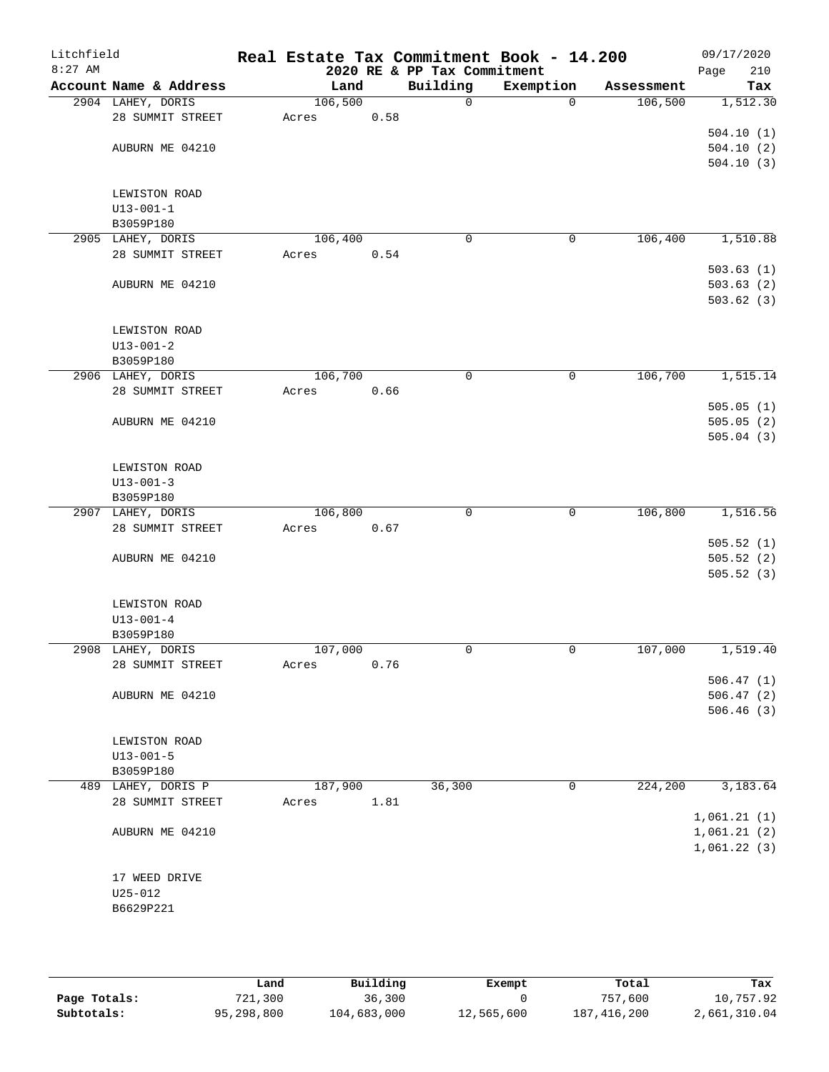| Litchfield<br>$8:27$ AM |                                 |         |      | 2020 RE & PP Tax Commitment | Real Estate Tax Commitment Book - 14.200 |            | 09/17/2020<br>Page<br>210 |
|-------------------------|---------------------------------|---------|------|-----------------------------|------------------------------------------|------------|---------------------------|
|                         | Account Name & Address          | Land    |      | Building                    | Exemption                                | Assessment | Tax                       |
|                         | 2904 LAHEY, DORIS               | 106,500 |      | $\mathbf 0$                 | $\mathbf 0$                              | 106,500    | 1,512.30                  |
|                         | 28 SUMMIT STREET                | Acres   | 0.58 |                             |                                          |            |                           |
|                         |                                 |         |      |                             |                                          |            | 504.10(1)                 |
|                         | AUBURN ME 04210                 |         |      |                             |                                          |            | 504.10(2)                 |
|                         |                                 |         |      |                             |                                          |            | 504.10(3)                 |
|                         |                                 |         |      |                             |                                          |            |                           |
|                         | LEWISTON ROAD                   |         |      |                             |                                          |            |                           |
|                         | $U13 - 001 - 1$                 |         |      |                             |                                          |            |                           |
|                         | B3059P180                       |         |      |                             |                                          |            |                           |
|                         | 2905 LAHEY, DORIS               | 106,400 |      | $\mathbf 0$                 | $\mathbf 0$                              | 106,400    | 1,510.88                  |
|                         | 28 SUMMIT STREET                | Acres   | 0.54 |                             |                                          |            |                           |
|                         |                                 |         |      |                             |                                          |            | 503.63(1)                 |
|                         | AUBURN ME 04210                 |         |      |                             |                                          |            | 503.63(2)<br>503.62(3)    |
|                         |                                 |         |      |                             |                                          |            |                           |
|                         | LEWISTON ROAD                   |         |      |                             |                                          |            |                           |
|                         | $U13 - 001 - 2$                 |         |      |                             |                                          |            |                           |
|                         | B3059P180                       |         |      |                             |                                          |            |                           |
|                         | 2906 LAHEY, DORIS               | 106,700 |      | 0                           | 0                                        | 106,700    | 1,515.14                  |
|                         | 28 SUMMIT STREET                | Acres   | 0.66 |                             |                                          |            |                           |
|                         |                                 |         |      |                             |                                          |            | 505.05(1)                 |
|                         | AUBURN ME 04210                 |         |      |                             |                                          |            | 505.05(2)                 |
|                         |                                 |         |      |                             |                                          |            | 505.04(3)                 |
|                         |                                 |         |      |                             |                                          |            |                           |
|                         | LEWISTON ROAD                   |         |      |                             |                                          |            |                           |
|                         | $U13 - 001 - 3$                 |         |      |                             |                                          |            |                           |
|                         | B3059P180                       |         |      |                             |                                          |            |                           |
|                         | 2907 LAHEY, DORIS               | 106,800 |      | $\mathbf 0$                 | $\mathbf 0$                              | 106,800    | 1,516.56                  |
|                         | 28 SUMMIT STREET                | Acres   | 0.67 |                             |                                          |            | 505.52(1)                 |
|                         | AUBURN ME 04210                 |         |      |                             |                                          |            | 505.52(2)                 |
|                         |                                 |         |      |                             |                                          |            | 505.52(3)                 |
|                         |                                 |         |      |                             |                                          |            |                           |
|                         | LEWISTON ROAD                   |         |      |                             |                                          |            |                           |
|                         | $U13 - 001 - 4$                 |         |      |                             |                                          |            |                           |
|                         | B3059P180                       |         |      |                             |                                          |            |                           |
|                         | 2908 LAHEY, DORIS               | 107,000 |      | $\mathbf 0$                 | 0                                        | 107,000    | 1,519.40                  |
|                         | 28 SUMMIT STREET                | Acres   | 0.76 |                             |                                          |            |                           |
|                         |                                 |         |      |                             |                                          |            | 506.47(1)                 |
|                         | AUBURN ME 04210                 |         |      |                             |                                          |            | 506.47(2)                 |
|                         |                                 |         |      |                             |                                          |            | 506.46(3)                 |
|                         |                                 |         |      |                             |                                          |            |                           |
|                         | LEWISTON ROAD                   |         |      |                             |                                          |            |                           |
|                         | $U13 - 001 - 5$                 |         |      |                             |                                          |            |                           |
|                         | B3059P180<br>489 LAHEY, DORIS P | 187,900 |      | 36,300                      | 0                                        | 224,200    | 3,183.64                  |
|                         | 28 SUMMIT STREET                | Acres   | 1.81 |                             |                                          |            |                           |
|                         |                                 |         |      |                             |                                          |            | 1,061.21(1)               |
|                         | AUBURN ME 04210                 |         |      |                             |                                          |            | 1,061.21(2)               |
|                         |                                 |         |      |                             |                                          |            | 1,061.22(3)               |
|                         |                                 |         |      |                             |                                          |            |                           |
|                         | 17 WEED DRIVE                   |         |      |                             |                                          |            |                           |
|                         | $U25 - 012$                     |         |      |                             |                                          |            |                           |
|                         | B6629P221                       |         |      |                             |                                          |            |                           |
|                         |                                 |         |      |                             |                                          |            |                           |
|                         |                                 |         |      |                             |                                          |            |                           |

|              | Land       | Building    | Exempt     | Total       | Tax          |
|--------------|------------|-------------|------------|-------------|--------------|
| Page Totals: | 721,300    | 36,300      |            | 757,600     | 10,757.92    |
| Subtotals:   | 95,298,800 | 104,683,000 | 12,565,600 | 187,416,200 | 2,661,310.04 |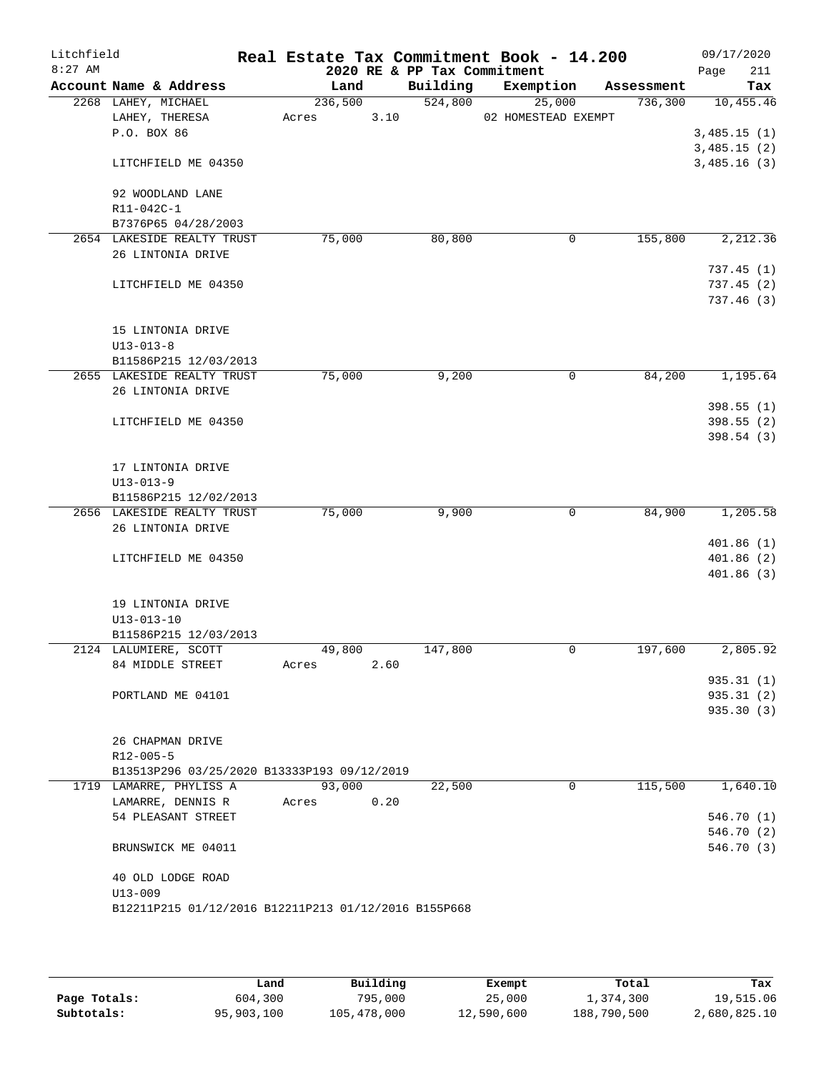| 2020 RE & PP Tax Commitment<br>Building<br>Account Name & Address<br>Land<br>Exemption<br>Assessment<br>524,800<br>2268 LAHEY, MICHAEL<br>236,500<br>25,000<br>736,300<br>3.10<br>LAHEY, THERESA<br>02 HOMESTEAD EXEMPT<br>Acres<br>P.O. BOX 86<br>LITCHFIELD ME 04350<br>92 WOODLAND LANE<br>R11-042C-1<br>B7376P65 04/28/2003<br>2654 LAKESIDE REALTY TRUST<br>75,000<br>80,800<br>155,800<br>0<br>26 LINTONIA DRIVE<br>LITCHFIELD ME 04350<br>15 LINTONIA DRIVE<br>$U13 - 013 - 8$<br>B11586P215 12/03/2013<br>2655 LAKESIDE REALTY TRUST<br>75,000<br>9,200<br>84,200<br>0<br>26 LINTONIA DRIVE<br>LITCHFIELD ME 04350<br>17 LINTONIA DRIVE<br>$U13 - 013 - 9$<br>B11586P215 12/02/2013<br>75,000<br>9,900<br>84,900<br>2656 LAKESIDE REALTY TRUST<br>0<br>26 LINTONIA DRIVE<br>LITCHFIELD ME 04350<br>19 LINTONIA DRIVE<br>$U13 - 013 - 10$<br>B11586P215 12/03/2013<br>2124 LALUMIERE, SCOTT<br>49,800<br>147,800<br>0<br>197,600<br>84 MIDDLE STREET<br>2.60<br>Acres<br>PORTLAND ME 04101<br>26 CHAPMAN DRIVE<br>$R12 - 005 - 5$<br>B13513P296 03/25/2020 B13333P193 09/12/2019<br>115,500<br>1719 LAMARRE, PHYLISS A<br>93,000<br>22,500<br>0<br>0.20<br>LAMARRE, DENNIS R<br>Acres | Litchfield<br>$8:27$ AM |                    |  | Real Estate Tax Commitment Book - 14.200 | 09/17/2020<br>211<br>Page |
|----------------------------------------------------------------------------------------------------------------------------------------------------------------------------------------------------------------------------------------------------------------------------------------------------------------------------------------------------------------------------------------------------------------------------------------------------------------------------------------------------------------------------------------------------------------------------------------------------------------------------------------------------------------------------------------------------------------------------------------------------------------------------------------------------------------------------------------------------------------------------------------------------------------------------------------------------------------------------------------------------------------------------------------------------------------------------------------------------------------------------------------------------------------------------------------------|-------------------------|--------------------|--|------------------------------------------|---------------------------|
|                                                                                                                                                                                                                                                                                                                                                                                                                                                                                                                                                                                                                                                                                                                                                                                                                                                                                                                                                                                                                                                                                                                                                                                              |                         |                    |  |                                          | Tax                       |
|                                                                                                                                                                                                                                                                                                                                                                                                                                                                                                                                                                                                                                                                                                                                                                                                                                                                                                                                                                                                                                                                                                                                                                                              |                         |                    |  |                                          | 10,455.46                 |
|                                                                                                                                                                                                                                                                                                                                                                                                                                                                                                                                                                                                                                                                                                                                                                                                                                                                                                                                                                                                                                                                                                                                                                                              |                         |                    |  |                                          |                           |
|                                                                                                                                                                                                                                                                                                                                                                                                                                                                                                                                                                                                                                                                                                                                                                                                                                                                                                                                                                                                                                                                                                                                                                                              |                         |                    |  |                                          | 3,485.15(1)               |
|                                                                                                                                                                                                                                                                                                                                                                                                                                                                                                                                                                                                                                                                                                                                                                                                                                                                                                                                                                                                                                                                                                                                                                                              |                         |                    |  |                                          | 3,485.15(2)               |
|                                                                                                                                                                                                                                                                                                                                                                                                                                                                                                                                                                                                                                                                                                                                                                                                                                                                                                                                                                                                                                                                                                                                                                                              |                         |                    |  |                                          | 3,485.16(3)               |
|                                                                                                                                                                                                                                                                                                                                                                                                                                                                                                                                                                                                                                                                                                                                                                                                                                                                                                                                                                                                                                                                                                                                                                                              |                         |                    |  |                                          |                           |
|                                                                                                                                                                                                                                                                                                                                                                                                                                                                                                                                                                                                                                                                                                                                                                                                                                                                                                                                                                                                                                                                                                                                                                                              |                         |                    |  |                                          |                           |
|                                                                                                                                                                                                                                                                                                                                                                                                                                                                                                                                                                                                                                                                                                                                                                                                                                                                                                                                                                                                                                                                                                                                                                                              |                         |                    |  |                                          |                           |
|                                                                                                                                                                                                                                                                                                                                                                                                                                                                                                                                                                                                                                                                                                                                                                                                                                                                                                                                                                                                                                                                                                                                                                                              |                         |                    |  |                                          | 2,212.36                  |
|                                                                                                                                                                                                                                                                                                                                                                                                                                                                                                                                                                                                                                                                                                                                                                                                                                                                                                                                                                                                                                                                                                                                                                                              |                         |                    |  |                                          |                           |
|                                                                                                                                                                                                                                                                                                                                                                                                                                                                                                                                                                                                                                                                                                                                                                                                                                                                                                                                                                                                                                                                                                                                                                                              |                         |                    |  |                                          | 737.45(1)                 |
|                                                                                                                                                                                                                                                                                                                                                                                                                                                                                                                                                                                                                                                                                                                                                                                                                                                                                                                                                                                                                                                                                                                                                                                              |                         |                    |  |                                          | 737.45(2)                 |
|                                                                                                                                                                                                                                                                                                                                                                                                                                                                                                                                                                                                                                                                                                                                                                                                                                                                                                                                                                                                                                                                                                                                                                                              |                         |                    |  |                                          | 737.46(3)                 |
|                                                                                                                                                                                                                                                                                                                                                                                                                                                                                                                                                                                                                                                                                                                                                                                                                                                                                                                                                                                                                                                                                                                                                                                              |                         |                    |  |                                          |                           |
|                                                                                                                                                                                                                                                                                                                                                                                                                                                                                                                                                                                                                                                                                                                                                                                                                                                                                                                                                                                                                                                                                                                                                                                              |                         |                    |  |                                          |                           |
|                                                                                                                                                                                                                                                                                                                                                                                                                                                                                                                                                                                                                                                                                                                                                                                                                                                                                                                                                                                                                                                                                                                                                                                              |                         |                    |  |                                          |                           |
|                                                                                                                                                                                                                                                                                                                                                                                                                                                                                                                                                                                                                                                                                                                                                                                                                                                                                                                                                                                                                                                                                                                                                                                              |                         |                    |  |                                          | 1,195.64                  |
|                                                                                                                                                                                                                                                                                                                                                                                                                                                                                                                                                                                                                                                                                                                                                                                                                                                                                                                                                                                                                                                                                                                                                                                              |                         |                    |  |                                          |                           |
|                                                                                                                                                                                                                                                                                                                                                                                                                                                                                                                                                                                                                                                                                                                                                                                                                                                                                                                                                                                                                                                                                                                                                                                              |                         |                    |  |                                          | 398.55(1)                 |
|                                                                                                                                                                                                                                                                                                                                                                                                                                                                                                                                                                                                                                                                                                                                                                                                                                                                                                                                                                                                                                                                                                                                                                                              |                         |                    |  |                                          | 398.55 (2)                |
|                                                                                                                                                                                                                                                                                                                                                                                                                                                                                                                                                                                                                                                                                                                                                                                                                                                                                                                                                                                                                                                                                                                                                                                              |                         |                    |  |                                          | 398.54(3)                 |
|                                                                                                                                                                                                                                                                                                                                                                                                                                                                                                                                                                                                                                                                                                                                                                                                                                                                                                                                                                                                                                                                                                                                                                                              |                         |                    |  |                                          |                           |
|                                                                                                                                                                                                                                                                                                                                                                                                                                                                                                                                                                                                                                                                                                                                                                                                                                                                                                                                                                                                                                                                                                                                                                                              |                         |                    |  |                                          |                           |
|                                                                                                                                                                                                                                                                                                                                                                                                                                                                                                                                                                                                                                                                                                                                                                                                                                                                                                                                                                                                                                                                                                                                                                                              |                         |                    |  |                                          |                           |
|                                                                                                                                                                                                                                                                                                                                                                                                                                                                                                                                                                                                                                                                                                                                                                                                                                                                                                                                                                                                                                                                                                                                                                                              |                         |                    |  |                                          | 1,205.58                  |
|                                                                                                                                                                                                                                                                                                                                                                                                                                                                                                                                                                                                                                                                                                                                                                                                                                                                                                                                                                                                                                                                                                                                                                                              |                         |                    |  |                                          |                           |
|                                                                                                                                                                                                                                                                                                                                                                                                                                                                                                                                                                                                                                                                                                                                                                                                                                                                                                                                                                                                                                                                                                                                                                                              |                         |                    |  |                                          | 401.86(1)                 |
|                                                                                                                                                                                                                                                                                                                                                                                                                                                                                                                                                                                                                                                                                                                                                                                                                                                                                                                                                                                                                                                                                                                                                                                              |                         |                    |  |                                          | 401.86(2)                 |
|                                                                                                                                                                                                                                                                                                                                                                                                                                                                                                                                                                                                                                                                                                                                                                                                                                                                                                                                                                                                                                                                                                                                                                                              |                         |                    |  |                                          | 401.86(3)                 |
|                                                                                                                                                                                                                                                                                                                                                                                                                                                                                                                                                                                                                                                                                                                                                                                                                                                                                                                                                                                                                                                                                                                                                                                              |                         |                    |  |                                          |                           |
|                                                                                                                                                                                                                                                                                                                                                                                                                                                                                                                                                                                                                                                                                                                                                                                                                                                                                                                                                                                                                                                                                                                                                                                              |                         |                    |  |                                          |                           |
|                                                                                                                                                                                                                                                                                                                                                                                                                                                                                                                                                                                                                                                                                                                                                                                                                                                                                                                                                                                                                                                                                                                                                                                              |                         |                    |  |                                          |                           |
|                                                                                                                                                                                                                                                                                                                                                                                                                                                                                                                                                                                                                                                                                                                                                                                                                                                                                                                                                                                                                                                                                                                                                                                              |                         |                    |  |                                          | 2,805.92                  |
|                                                                                                                                                                                                                                                                                                                                                                                                                                                                                                                                                                                                                                                                                                                                                                                                                                                                                                                                                                                                                                                                                                                                                                                              |                         |                    |  |                                          |                           |
|                                                                                                                                                                                                                                                                                                                                                                                                                                                                                                                                                                                                                                                                                                                                                                                                                                                                                                                                                                                                                                                                                                                                                                                              |                         |                    |  |                                          | 935.31 (1)                |
|                                                                                                                                                                                                                                                                                                                                                                                                                                                                                                                                                                                                                                                                                                                                                                                                                                                                                                                                                                                                                                                                                                                                                                                              |                         |                    |  |                                          | 935.31(2)                 |
|                                                                                                                                                                                                                                                                                                                                                                                                                                                                                                                                                                                                                                                                                                                                                                                                                                                                                                                                                                                                                                                                                                                                                                                              |                         |                    |  |                                          | 935.30 (3)                |
|                                                                                                                                                                                                                                                                                                                                                                                                                                                                                                                                                                                                                                                                                                                                                                                                                                                                                                                                                                                                                                                                                                                                                                                              |                         |                    |  |                                          |                           |
|                                                                                                                                                                                                                                                                                                                                                                                                                                                                                                                                                                                                                                                                                                                                                                                                                                                                                                                                                                                                                                                                                                                                                                                              |                         |                    |  |                                          |                           |
|                                                                                                                                                                                                                                                                                                                                                                                                                                                                                                                                                                                                                                                                                                                                                                                                                                                                                                                                                                                                                                                                                                                                                                                              |                         |                    |  |                                          |                           |
|                                                                                                                                                                                                                                                                                                                                                                                                                                                                                                                                                                                                                                                                                                                                                                                                                                                                                                                                                                                                                                                                                                                                                                                              |                         |                    |  |                                          | 1,640.10                  |
|                                                                                                                                                                                                                                                                                                                                                                                                                                                                                                                                                                                                                                                                                                                                                                                                                                                                                                                                                                                                                                                                                                                                                                                              |                         |                    |  |                                          |                           |
|                                                                                                                                                                                                                                                                                                                                                                                                                                                                                                                                                                                                                                                                                                                                                                                                                                                                                                                                                                                                                                                                                                                                                                                              |                         | 54 PLEASANT STREET |  |                                          | 546.70(1)                 |
|                                                                                                                                                                                                                                                                                                                                                                                                                                                                                                                                                                                                                                                                                                                                                                                                                                                                                                                                                                                                                                                                                                                                                                                              |                         |                    |  |                                          | 546.70 (2)                |
| BRUNSWICK ME 04011                                                                                                                                                                                                                                                                                                                                                                                                                                                                                                                                                                                                                                                                                                                                                                                                                                                                                                                                                                                                                                                                                                                                                                           |                         |                    |  |                                          | 546.70 (3)                |
| 40 OLD LODGE ROAD                                                                                                                                                                                                                                                                                                                                                                                                                                                                                                                                                                                                                                                                                                                                                                                                                                                                                                                                                                                                                                                                                                                                                                            |                         |                    |  |                                          |                           |
| $U13 - 009$                                                                                                                                                                                                                                                                                                                                                                                                                                                                                                                                                                                                                                                                                                                                                                                                                                                                                                                                                                                                                                                                                                                                                                                  |                         |                    |  |                                          |                           |
| B12211P215 01/12/2016 B12211P213 01/12/2016 B155P668                                                                                                                                                                                                                                                                                                                                                                                                                                                                                                                                                                                                                                                                                                                                                                                                                                                                                                                                                                                                                                                                                                                                         |                         |                    |  |                                          |                           |
|                                                                                                                                                                                                                                                                                                                                                                                                                                                                                                                                                                                                                                                                                                                                                                                                                                                                                                                                                                                                                                                                                                                                                                                              |                         |                    |  |                                          |                           |

|              | Land       | Building    | Exempt     | Total       | Tax          |
|--------------|------------|-------------|------------|-------------|--------------|
| Page Totals: | 604,300    | 795,000     | 25,000     | 1,374,300   | 19,515.06    |
| Subtotals:   | 95,903,100 | 105,478,000 | 12,590,600 | 188,790,500 | 2,680,825.10 |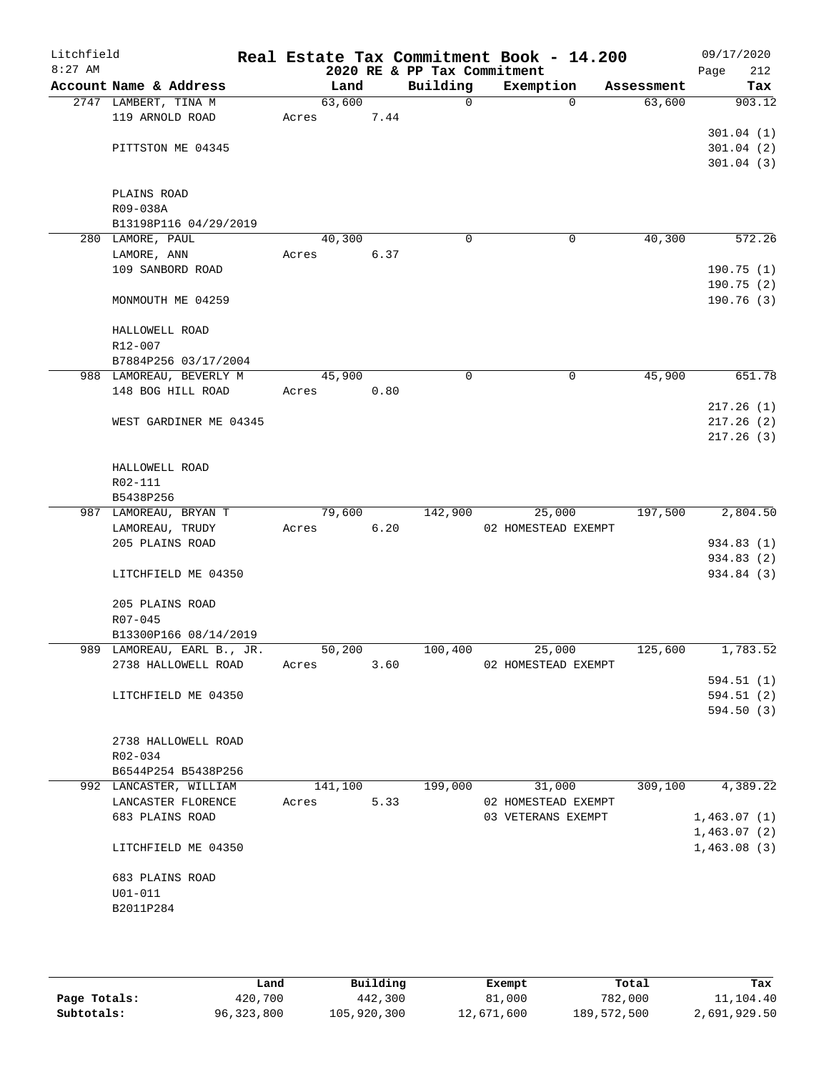| Litchfield<br>$8:27$ AM |                                    |         |      | 2020 RE & PP Tax Commitment | Real Estate Tax Commitment Book - 14.200 |            | 09/17/2020<br>Page<br>212 |
|-------------------------|------------------------------------|---------|------|-----------------------------|------------------------------------------|------------|---------------------------|
|                         | Account Name & Address             | Land    |      | Building                    | Exemption                                | Assessment | Tax                       |
|                         | 2747 LAMBERT, TINA M               | 63,600  |      | 0                           | $\mathbf 0$                              | 63,600     | 903.12                    |
|                         | 119 ARNOLD ROAD                    | Acres   | 7.44 |                             |                                          |            |                           |
|                         |                                    |         |      |                             |                                          |            | 301.04(1)                 |
|                         | PITTSTON ME 04345                  |         |      |                             |                                          |            | 301.04(2)                 |
|                         |                                    |         |      |                             |                                          |            | 301.04(3)                 |
|                         | PLAINS ROAD                        |         |      |                             |                                          |            |                           |
|                         | R09-038A                           |         |      |                             |                                          |            |                           |
|                         | B13198P116 04/29/2019              |         |      |                             |                                          |            |                           |
|                         | 280 LAMORE, PAUL                   | 40,300  |      | $\Omega$                    | 0                                        | 40,300     | 572.26                    |
|                         | LAMORE, ANN                        | Acres   | 6.37 |                             |                                          |            |                           |
|                         | 109 SANBORD ROAD                   |         |      |                             |                                          |            | 190.75(1)                 |
|                         |                                    |         |      |                             |                                          |            | 190.75(2)                 |
|                         | MONMOUTH ME 04259                  |         |      |                             |                                          |            | 190.76(3)                 |
|                         |                                    |         |      |                             |                                          |            |                           |
|                         | HALLOWELL ROAD<br>R12-007          |         |      |                             |                                          |            |                           |
|                         | B7884P256 03/17/2004               |         |      |                             |                                          |            |                           |
|                         | 988 LAMOREAU, BEVERLY M            | 45,900  |      | $\mathbf 0$                 | 0                                        | 45,900     | 651.78                    |
|                         | 148 BOG HILL ROAD                  | Acres   | 0.80 |                             |                                          |            |                           |
|                         |                                    |         |      |                             |                                          |            | 217.26(1)                 |
|                         | WEST GARDINER ME 04345             |         |      |                             |                                          |            | 217.26(2)                 |
|                         |                                    |         |      |                             |                                          |            | 217.26(3)                 |
|                         |                                    |         |      |                             |                                          |            |                           |
|                         | HALLOWELL ROAD                     |         |      |                             |                                          |            |                           |
|                         | R02-111                            |         |      |                             |                                          |            |                           |
|                         | B5438P256<br>987 LAMOREAU, BRYAN T | 79,600  |      | 142,900                     | 25,000                                   | 197,500    | 2,804.50                  |
|                         | LAMOREAU, TRUDY                    | Acres   | 6.20 |                             | 02 HOMESTEAD EXEMPT                      |            |                           |
|                         | 205 PLAINS ROAD                    |         |      |                             |                                          |            | 934.83 (1)                |
|                         |                                    |         |      |                             |                                          |            | 934.83 (2)                |
|                         | LITCHFIELD ME 04350                |         |      |                             |                                          |            | 934.84 (3)                |
|                         |                                    |         |      |                             |                                          |            |                           |
|                         | 205 PLAINS ROAD                    |         |      |                             |                                          |            |                           |
|                         | R07-045                            |         |      |                             |                                          |            |                           |
|                         | B13300P166 08/14/2019              |         |      |                             |                                          |            |                           |
|                         | 989 LAMOREAU, EARL B., JR.         | 50,200  |      | 100,400                     | 25,000                                   | 125,600    | 1,783.52                  |
|                         | 2738 HALLOWELL ROAD                | Acres   | 3.60 |                             | 02 HOMESTEAD EXEMPT                      |            | 594.51(1)                 |
|                         | LITCHFIELD ME 04350                |         |      |                             |                                          |            | 594.51(2)                 |
|                         |                                    |         |      |                             |                                          |            | 594.50(3)                 |
|                         |                                    |         |      |                             |                                          |            |                           |
|                         | 2738 HALLOWELL ROAD                |         |      |                             |                                          |            |                           |
|                         | R02-034                            |         |      |                             |                                          |            |                           |
|                         | B6544P254 B5438P256                |         |      |                             |                                          |            |                           |
|                         | 992 LANCASTER, WILLIAM             | 141,100 |      | 199,000                     | 31,000                                   | 309,100    | 4,389.22                  |
|                         | LANCASTER FLORENCE                 | Acres   | 5.33 |                             | 02 HOMESTEAD EXEMPT                      |            |                           |
|                         | 683 PLAINS ROAD                    |         |      |                             | 03 VETERANS EXEMPT                       |            | 1,463.07(1)               |
|                         |                                    |         |      |                             |                                          |            | 1,463.07(2)               |
|                         | LITCHFIELD ME 04350                |         |      |                             |                                          |            | 1,463.08(3)               |
|                         | 683 PLAINS ROAD                    |         |      |                             |                                          |            |                           |
|                         | $U01 - 011$                        |         |      |                             |                                          |            |                           |
|                         | B2011P284                          |         |      |                             |                                          |            |                           |
|                         |                                    |         |      |                             |                                          |            |                           |
|                         |                                    |         |      |                             |                                          |            |                           |

|              | Land       | Building    | Exempt     | Total       | Tax          |
|--------------|------------|-------------|------------|-------------|--------------|
| Page Totals: | 420,700    | 442,300     | 81,000     | 782,000     | 11,104.40    |
| Subtotals:   | 96,323,800 | 105,920,300 | 12,671,600 | 189,572,500 | 2,691,929.50 |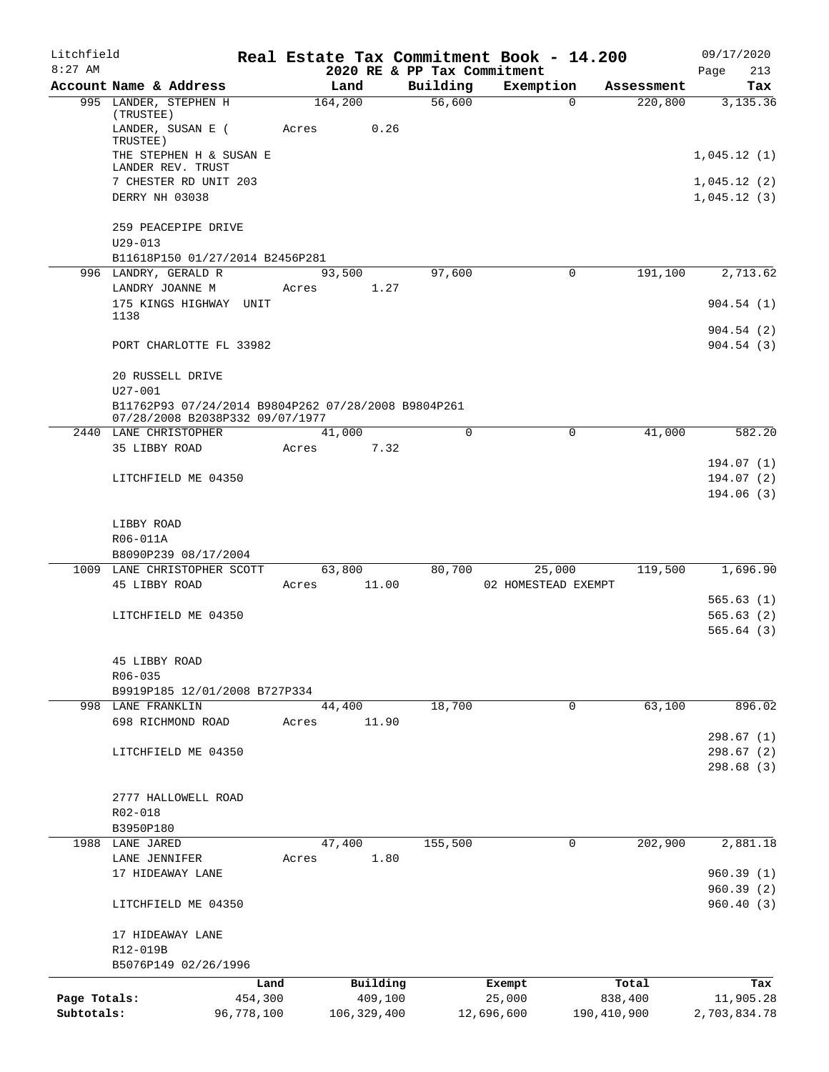| Litchfield   |                                                                                        |            |       |                  |                             | Real Estate Tax Commitment Book - 14.200 |             |                       | 09/17/2020                 |
|--------------|----------------------------------------------------------------------------------------|------------|-------|------------------|-----------------------------|------------------------------------------|-------------|-----------------------|----------------------------|
| $8:27$ AM    |                                                                                        |            |       |                  | 2020 RE & PP Tax Commitment |                                          |             |                       | 213<br>Page                |
|              | Account Name & Address<br>995 LANDER, STEPHEN H                                        |            |       | Land<br>164, 200 | Building<br>56,600          | Exemption                                | $\Omega$    | Assessment<br>220,800 | Tax<br>3,135.36            |
|              | (TRUSTEE)<br>LANDER, SUSAN E (<br>TRUSTEE)                                             |            | Acres | 0.26             |                             |                                          |             |                       |                            |
|              | THE STEPHEN H & SUSAN E<br>LANDER REV. TRUST                                           |            |       |                  |                             |                                          |             |                       | 1,045.12(1)                |
|              | 7 CHESTER RD UNIT 203<br>DERRY NH 03038                                                |            |       |                  |                             |                                          |             |                       | 1,045.12(2)<br>1,045.12(3) |
|              | 259 PEACEPIPE DRIVE<br>$U29 - 013$                                                     |            |       |                  |                             |                                          |             |                       |                            |
|              | B11618P150 01/27/2014 B2456P281<br>996 LANDRY, GERALD R<br>LANDRY JOANNE M             |            | Acres | 93,500<br>1.27   | 97,600                      |                                          | 0           | 191,100               | 2,713.62                   |
|              | 175 KINGS HIGHWAY UNIT<br>1138                                                         |            |       |                  |                             |                                          |             |                       | 904.54(1)                  |
|              | PORT CHARLOTTE FL 33982                                                                |            |       |                  |                             |                                          |             |                       | 904.54(2)<br>904.54(3)     |
|              | 20 RUSSELL DRIVE<br>$U27 - 001$                                                        |            |       |                  |                             |                                          |             |                       |                            |
|              | B11762P93 07/24/2014 B9804P262 07/28/2008 B9804P261<br>07/28/2008 B2038P332 09/07/1977 |            |       |                  |                             |                                          |             |                       |                            |
|              | 2440 LANE CHRISTOPHER<br>35 LIBBY ROAD                                                 |            | Acres | 41,000<br>7.32   | $\Omega$                    |                                          | $\mathbf 0$ | 41,000                | 582.20                     |
|              | LITCHFIELD ME 04350                                                                    |            |       |                  |                             |                                          |             |                       | 194.07(1)<br>194.07(2)     |
|              |                                                                                        |            |       |                  |                             |                                          |             |                       | 194.06(3)                  |
|              | LIBBY ROAD<br>R06-011A                                                                 |            |       |                  |                             |                                          |             |                       |                            |
|              | B8090P239 08/17/2004                                                                   |            |       |                  |                             |                                          |             |                       |                            |
|              | 1009 LANE CHRISTOPHER SCOTT                                                            |            |       | 63,800           | 80,700                      | 25,000                                   |             | 119,500               | 1,696.90                   |
|              | 45 LIBBY ROAD                                                                          |            | Acres | 11.00            |                             | 02 HOMESTEAD EXEMPT                      |             |                       |                            |
|              | LITCHFIELD ME 04350                                                                    |            |       |                  |                             |                                          |             |                       | 565.63(1)<br>565.63(2)     |
|              |                                                                                        |            |       |                  |                             |                                          |             |                       | 565.64(3)                  |
|              | 45 LIBBY ROAD<br>R06-035                                                               |            |       |                  |                             |                                          |             |                       |                            |
|              | B9919P185 12/01/2008 B727P334                                                          |            |       |                  |                             |                                          |             |                       |                            |
|              | 998 LANE FRANKLIN<br>698 RICHMOND ROAD                                                 |            | Acres | 44,400<br>11.90  | 18,700                      |                                          | 0           | 63,100                | 896.02                     |
|              | LITCHFIELD ME 04350                                                                    |            |       |                  |                             |                                          |             |                       | 298.67(1)<br>298.67(2)     |
|              |                                                                                        |            |       |                  |                             |                                          |             |                       | 298.68(3)                  |
|              | 2777 HALLOWELL ROAD                                                                    |            |       |                  |                             |                                          |             |                       |                            |
|              | R02-018                                                                                |            |       |                  |                             |                                          |             |                       |                            |
|              | B3950P180                                                                              |            |       |                  |                             |                                          |             |                       |                            |
|              | 1988 LANE JARED<br>LANE JENNIFER                                                       |            | Acres | 47,400<br>1.80   | 155,500                     |                                          | 0           | 202,900               | 2,881.18                   |
|              | 17 HIDEAWAY LANE                                                                       |            |       |                  |                             |                                          |             |                       | 960.39(1)                  |
|              | LITCHFIELD ME 04350                                                                    |            |       |                  |                             |                                          |             |                       | 960.39(2)<br>960.40(3)     |
|              | 17 HIDEAWAY LANE                                                                       |            |       |                  |                             |                                          |             |                       |                            |
|              | R12-019B<br>B5076P149 02/26/1996                                                       |            |       |                  |                             |                                          |             |                       |                            |
|              |                                                                                        | Land       |       | Building         |                             | Exempt                                   |             | Total                 | Tax                        |
| Page Totals: |                                                                                        | 454,300    |       | 409,100          |                             | 25,000                                   |             | 838,400               | 11,905.28                  |
| Subtotals:   |                                                                                        | 96,778,100 |       | 106,329,400      |                             | 12,696,600                               |             | 190,410,900           | 2,703,834.78               |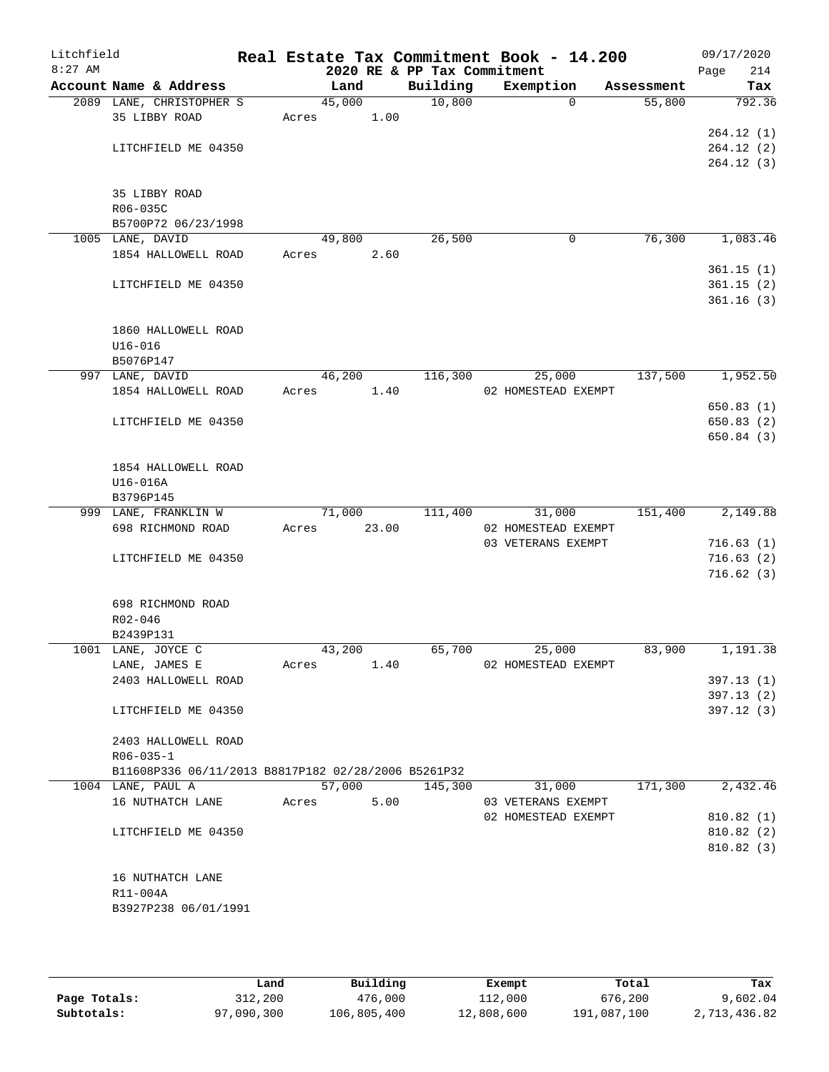| Litchfield<br>$8:27$ AM |                      |                          |                                                     |       |        |       | 2020 RE & PP Tax Commitment | Real Estate Tax Commitment Book - 14.200  |            | 09/17/2020<br>214<br>Page |
|-------------------------|----------------------|--------------------------|-----------------------------------------------------|-------|--------|-------|-----------------------------|-------------------------------------------|------------|---------------------------|
| Account Name & Address  |                      |                          |                                                     |       | Land   |       | Building                    | Exemption                                 | Assessment | Tax                       |
|                         |                      | 2089 LANE, CHRISTOPHER S |                                                     |       | 45,000 |       | 10,800                      | $\Omega$                                  | 55,800     | 792.36                    |
|                         |                      | 35 LIBBY ROAD            |                                                     | Acres |        | 1.00  |                             |                                           |            |                           |
|                         |                      |                          |                                                     |       |        |       |                             |                                           |            | 264.12(1)                 |
|                         |                      | LITCHFIELD ME 04350      |                                                     |       |        |       |                             |                                           |            | 264.12(2)                 |
|                         |                      |                          |                                                     |       |        |       |                             |                                           |            | 264.12(3)                 |
|                         |                      |                          |                                                     |       |        |       |                             |                                           |            |                           |
|                         | R06-035C             | 35 LIBBY ROAD            |                                                     |       |        |       |                             |                                           |            |                           |
|                         |                      | B5700P72 06/23/1998      |                                                     |       |        |       |                             |                                           |            |                           |
|                         |                      | 1005 LANE, DAVID         |                                                     |       | 49,800 |       | 26,500                      | 0                                         | 76,300     | 1,083.46                  |
|                         |                      | 1854 HALLOWELL ROAD      |                                                     | Acres |        | 2.60  |                             |                                           |            |                           |
|                         |                      |                          |                                                     |       |        |       |                             |                                           |            | 361.15(1)                 |
|                         |                      | LITCHFIELD ME 04350      |                                                     |       |        |       |                             |                                           |            | 361.15(2)                 |
|                         |                      |                          |                                                     |       |        |       |                             |                                           |            | 361.16(3)                 |
|                         |                      |                          |                                                     |       |        |       |                             |                                           |            |                           |
|                         |                      | 1860 HALLOWELL ROAD      |                                                     |       |        |       |                             |                                           |            |                           |
|                         | $U16 - 016$          |                          |                                                     |       |        |       |                             |                                           |            |                           |
|                         | B5076P147            |                          |                                                     |       |        |       |                             |                                           |            |                           |
|                         |                      | 997 LANE, DAVID          |                                                     |       | 46,200 |       | 116,300                     | 25,000                                    | 137,500    | 1,952.50                  |
|                         |                      | 1854 HALLOWELL ROAD      |                                                     | Acres |        | 1.40  |                             | 02 HOMESTEAD EXEMPT                       |            |                           |
|                         |                      |                          |                                                     |       |        |       |                             |                                           |            | 650.83 (1)                |
|                         |                      | LITCHFIELD ME 04350      |                                                     |       |        |       |                             |                                           |            | 650.83 (2)<br>650.84(3)   |
|                         |                      |                          |                                                     |       |        |       |                             |                                           |            |                           |
|                         |                      | 1854 HALLOWELL ROAD      |                                                     |       |        |       |                             |                                           |            |                           |
|                         | U16-016A             |                          |                                                     |       |        |       |                             |                                           |            |                           |
|                         | B3796P145            |                          |                                                     |       |        |       |                             |                                           |            |                           |
|                         |                      | 999 LANE, FRANKLIN W     |                                                     |       | 71,000 |       | 111,400                     | 31,000                                    | 151,400    | 2,149.88                  |
|                         |                      | 698 RICHMOND ROAD        |                                                     | Acres |        | 23.00 |                             | 02 HOMESTEAD EXEMPT                       |            |                           |
|                         |                      |                          |                                                     |       |        |       |                             | 03 VETERANS EXEMPT                        |            | 716.63(1)                 |
|                         |                      | LITCHFIELD ME 04350      |                                                     |       |        |       |                             |                                           |            | 716.63(2)                 |
|                         |                      |                          |                                                     |       |        |       |                             |                                           |            | 716.62(3)                 |
|                         |                      |                          |                                                     |       |        |       |                             |                                           |            |                           |
|                         |                      | 698 RICHMOND ROAD        |                                                     |       |        |       |                             |                                           |            |                           |
|                         | R02-046<br>B2439P131 |                          |                                                     |       |        |       |                             |                                           |            |                           |
|                         |                      | 1001 LANE, JOYCE C       |                                                     |       | 43,200 |       | 65,700                      | 25,000                                    | 83,900     | 1,191.38                  |
|                         |                      | LANE, JAMES E            |                                                     | Acres |        | 1.40  |                             | 02 HOMESTEAD EXEMPT                       |            |                           |
|                         |                      | 2403 HALLOWELL ROAD      |                                                     |       |        |       |                             |                                           |            | 397.13(1)                 |
|                         |                      |                          |                                                     |       |        |       |                             |                                           |            | 397.13(2)                 |
|                         |                      | LITCHFIELD ME 04350      |                                                     |       |        |       |                             |                                           |            | 397.12(3)                 |
|                         |                      |                          |                                                     |       |        |       |                             |                                           |            |                           |
|                         |                      | 2403 HALLOWELL ROAD      |                                                     |       |        |       |                             |                                           |            |                           |
|                         | $R06 - 035 - 1$      |                          |                                                     |       |        |       |                             |                                           |            |                           |
|                         |                      |                          | B11608P336 06/11/2013 B8817P182 02/28/2006 B5261P32 |       |        |       |                             |                                           |            |                           |
|                         |                      | 1004 LANE, PAUL A        |                                                     |       | 57,000 |       | 145,300                     | 31,000                                    | 171,300    | 2,432.46                  |
|                         |                      | 16 NUTHATCH LANE         |                                                     | Acres |        | 5.00  |                             | 03 VETERANS EXEMPT<br>02 HOMESTEAD EXEMPT |            |                           |
|                         |                      |                          |                                                     |       |        |       |                             |                                           |            | 810.82 (1)<br>810.82 (2)  |
|                         |                      | LITCHFIELD ME 04350      |                                                     |       |        |       |                             |                                           |            | 810.82 (3)                |
|                         |                      |                          |                                                     |       |        |       |                             |                                           |            |                           |
|                         |                      | 16 NUTHATCH LANE         |                                                     |       |        |       |                             |                                           |            |                           |
|                         | R11-004A             |                          |                                                     |       |        |       |                             |                                           |            |                           |
|                         |                      |                          | B3927P238 06/01/1991                                |       |        |       |                             |                                           |            |                           |
|                         |                      |                          |                                                     |       |        |       |                             |                                           |            |                           |
|                         |                      |                          |                                                     |       |        |       |                             |                                           |            |                           |

|              | Land       | Building    | Exempt     | Total       | Tax          |
|--------------|------------|-------------|------------|-------------|--------------|
| Page Totals: | 312,200    | 476,000     | 112,000    | 676,200     | 9,602.04     |
| Subtotals:   | 97,090,300 | 106,805,400 | 12,808,600 | 191,087,100 | 2,713,436.82 |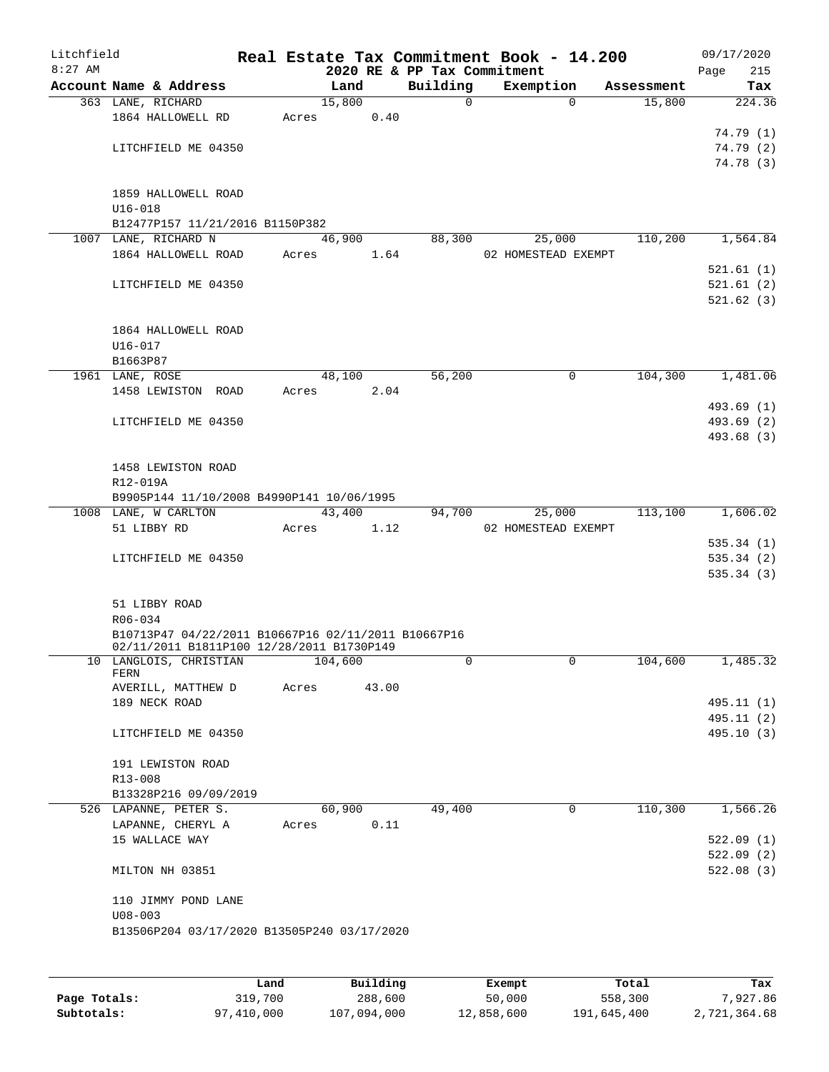| Litchfield |                                                       |       |                |                             | Real Estate Tax Commitment Book - 14.200 |                      | 09/17/2020    |
|------------|-------------------------------------------------------|-------|----------------|-----------------------------|------------------------------------------|----------------------|---------------|
| $8:27$ AM  |                                                       |       |                | 2020 RE & PP Tax Commitment |                                          |                      | 215<br>Page   |
|            | Account Name & Address<br>363 LANE, RICHARD           |       | Land<br>15,800 | Building<br>0               | Exemption<br>$\Omega$                    | Assessment<br>15,800 | Tax<br>224.36 |
|            | 1864 HALLOWELL RD                                     | Acres | 0.40           |                             |                                          |                      |               |
|            |                                                       |       |                |                             |                                          |                      | 74.79 (1)     |
|            | LITCHFIELD ME 04350                                   |       |                |                             |                                          |                      | 74.79(2)      |
|            |                                                       |       |                |                             |                                          |                      | 74.78 (3)     |
|            |                                                       |       |                |                             |                                          |                      |               |
|            | 1859 HALLOWELL ROAD                                   |       |                |                             |                                          |                      |               |
|            | $U16 - 018$<br>B12477P157 11/21/2016 B1150P382        |       |                |                             |                                          |                      |               |
|            | 1007 LANE, RICHARD N                                  |       | 46,900         | 88,300                      | 25,000                                   | 110,200              | 1,564.84      |
|            | 1864 HALLOWELL ROAD                                   | Acres | 1.64           |                             | 02 HOMESTEAD EXEMPT                      |                      |               |
|            |                                                       |       |                |                             |                                          |                      | 521.61(1)     |
|            | LITCHFIELD ME 04350                                   |       |                |                             |                                          |                      | 521.61(2)     |
|            |                                                       |       |                |                             |                                          |                      | 521.62(3)     |
|            |                                                       |       |                |                             |                                          |                      |               |
|            | 1864 HALLOWELL ROAD                                   |       |                |                             |                                          |                      |               |
|            | $U16 - 017$<br>B1663P87                               |       |                |                             |                                          |                      |               |
|            | 1961 LANE, ROSE                                       |       | 48,100         | 56,200                      | 0                                        | 104,300              | 1,481.06      |
|            | 1458 LEWISTON ROAD                                    | Acres | 2.04           |                             |                                          |                      |               |
|            |                                                       |       |                |                             |                                          |                      | 493.69 (1)    |
|            | LITCHFIELD ME 04350                                   |       |                |                             |                                          |                      | 493.69 (2)    |
|            |                                                       |       |                |                             |                                          |                      | 493.68 (3)    |
|            |                                                       |       |                |                             |                                          |                      |               |
|            | 1458 LEWISTON ROAD                                    |       |                |                             |                                          |                      |               |
|            | R12-019A<br>B9905P144 11/10/2008 B4990P141 10/06/1995 |       |                |                             |                                          |                      |               |
|            | 1008 LANE, W CARLTON                                  |       | 43,400         | 94,700                      | 25,000                                   | 113,100              | 1,606.02      |
|            | 51 LIBBY RD                                           | Acres | 1.12           |                             | 02 HOMESTEAD EXEMPT                      |                      |               |
|            |                                                       |       |                |                             |                                          |                      | 535.34(1)     |
|            | LITCHFIELD ME 04350                                   |       |                |                             |                                          |                      | 535.34(2)     |
|            |                                                       |       |                |                             |                                          |                      | 535.34(3)     |
|            | 51 LIBBY ROAD                                         |       |                |                             |                                          |                      |               |
|            | R06-034                                               |       |                |                             |                                          |                      |               |
|            | B10713P47 04/22/2011 B10667P16 02/11/2011 B10667P16   |       |                |                             |                                          |                      |               |
|            | 02/11/2011 B1811P100 12/28/2011 B1730P149             |       |                |                             |                                          |                      |               |
|            | 10 LANGLOIS, CHRISTIAN<br>FERN                        |       | 104,600        | 0                           | 0                                        | 104,600              | 1,485.32      |
|            | AVERILL, MATTHEW D                                    | Acres | 43.00          |                             |                                          |                      |               |
|            | 189 NECK ROAD                                         |       |                |                             |                                          |                      | 495.11 (1)    |
|            |                                                       |       |                |                             |                                          |                      | 495.11 (2)    |
|            | LITCHFIELD ME 04350                                   |       |                |                             |                                          |                      | 495.10 (3)    |
|            |                                                       |       |                |                             |                                          |                      |               |
|            | 191 LEWISTON ROAD                                     |       |                |                             |                                          |                      |               |
|            | R13-008                                               |       |                |                             |                                          |                      |               |
|            | B13328P216 09/09/2019<br>526 LAPANNE, PETER S.        |       | 60,900         | 49,400                      | $\mathbf 0$                              | 110,300              | 1,566.26      |
|            | LAPANNE, CHERYL A                                     | Acres | 0.11           |                             |                                          |                      |               |
|            | 15 WALLACE WAY                                        |       |                |                             |                                          |                      | 522.09(1)     |
|            |                                                       |       |                |                             |                                          |                      | 522.09(2)     |
|            | MILTON NH 03851                                       |       |                |                             |                                          |                      | 522.08(3)     |
|            |                                                       |       |                |                             |                                          |                      |               |
|            | 110 JIMMY POND LANE                                   |       |                |                             |                                          |                      |               |
|            | $U08 - 003$                                           |       |                |                             |                                          |                      |               |
|            | B13506P204 03/17/2020 B13505P240 03/17/2020           |       |                |                             |                                          |                      |               |
|            |                                                       |       |                |                             |                                          |                      |               |
|            |                                                       |       |                |                             |                                          |                      |               |

|              | Land       | Building    | Exempt     | Total       | Tax          |
|--------------|------------|-------------|------------|-------------|--------------|
| Page Totals: | 319,700    | 288,600     | 50,000     | 558,300     | 7,927.86     |
| Subtotals:   | 97,410,000 | 107,094,000 | 12,858,600 | 191,645,400 | 2,721,364.68 |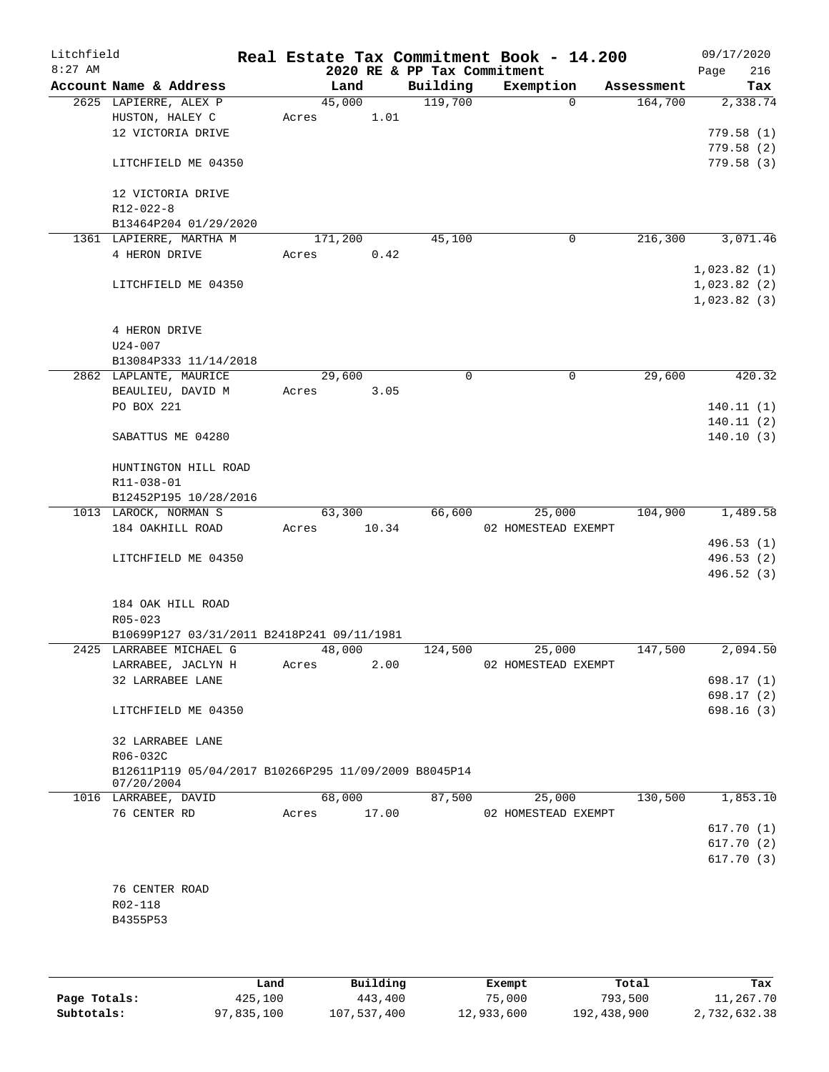| Litchfield<br>$8:27$ AM |                                                      |       |         |       | 2020 RE & PP Tax Commitment | Real Estate Tax Commitment Book - 14.200 |          |            |      | 09/17/2020<br>216 |
|-------------------------|------------------------------------------------------|-------|---------|-------|-----------------------------|------------------------------------------|----------|------------|------|-------------------|
|                         | Account Name & Address                               |       | Land    |       | Building                    | Exemption                                |          | Assessment | Page | Tax               |
|                         | 2625 LAPIERRE, ALEX P                                |       | 45,000  |       | 119,700                     |                                          | $\Omega$ | 164,700    |      | 2,338.74          |
|                         | HUSTON, HALEY C                                      | Acres |         | 1.01  |                             |                                          |          |            |      |                   |
|                         | 12 VICTORIA DRIVE                                    |       |         |       |                             |                                          |          |            |      | 779.58(1)         |
|                         |                                                      |       |         |       |                             |                                          |          |            |      | 779.58(2)         |
|                         | LITCHFIELD ME 04350                                  |       |         |       |                             |                                          |          |            |      | 779.58(3)         |
|                         |                                                      |       |         |       |                             |                                          |          |            |      |                   |
|                         | 12 VICTORIA DRIVE                                    |       |         |       |                             |                                          |          |            |      |                   |
|                         | R12-022-8                                            |       |         |       |                             |                                          |          |            |      |                   |
|                         | B13464P204 01/29/2020                                |       |         |       |                             |                                          |          |            |      |                   |
|                         | 1361 LAPIERRE, MARTHA M                              |       | 171,200 |       | 45,100                      |                                          | 0        | 216,300    |      | 3,071.46          |
|                         | 4 HERON DRIVE                                        | Acres |         | 0.42  |                             |                                          |          |            |      |                   |
|                         |                                                      |       |         |       |                             |                                          |          |            |      | 1,023.82(1)       |
|                         | LITCHFIELD ME 04350                                  |       |         |       |                             |                                          |          |            |      | 1,023.82(2)       |
|                         |                                                      |       |         |       |                             |                                          |          |            |      | 1,023.82(3)       |
|                         |                                                      |       |         |       |                             |                                          |          |            |      |                   |
|                         | 4 HERON DRIVE<br>$U24 - 007$                         |       |         |       |                             |                                          |          |            |      |                   |
|                         | B13084P333 11/14/2018                                |       |         |       |                             |                                          |          |            |      |                   |
|                         | 2862 LAPLANTE, MAURICE                               |       | 29,600  |       | $\mathbf 0$                 |                                          | 0        | 29,600     |      | 420.32            |
|                         | BEAULIEU, DAVID M                                    | Acres |         | 3.05  |                             |                                          |          |            |      |                   |
|                         | PO BOX 221                                           |       |         |       |                             |                                          |          |            |      | 140.11(1)         |
|                         |                                                      |       |         |       |                             |                                          |          |            |      | 140.11(2)         |
|                         | SABATTUS ME 04280                                    |       |         |       |                             |                                          |          |            |      | 140.10(3)         |
|                         |                                                      |       |         |       |                             |                                          |          |            |      |                   |
|                         | HUNTINGTON HILL ROAD                                 |       |         |       |                             |                                          |          |            |      |                   |
|                         | R11-038-01                                           |       |         |       |                             |                                          |          |            |      |                   |
|                         | B12452P195 10/28/2016                                |       |         |       |                             |                                          |          |            |      |                   |
|                         | 1013 LAROCK, NORMAN S                                |       | 63,300  |       | 66,600                      |                                          | 25,000   | 104,900    |      | 1,489.58          |
|                         | 184 OAKHILL ROAD                                     | Acres |         | 10.34 |                             | 02 HOMESTEAD EXEMPT                      |          |            |      |                   |
|                         |                                                      |       |         |       |                             |                                          |          |            |      | 496.53 (1)        |
|                         | LITCHFIELD ME 04350                                  |       |         |       |                             |                                          |          |            |      | 496.53 (2)        |
|                         |                                                      |       |         |       |                             |                                          |          |            |      | 496.52 (3)        |
|                         |                                                      |       |         |       |                             |                                          |          |            |      |                   |
|                         | 184 OAK HILL ROAD<br>$R05 - 023$                     |       |         |       |                             |                                          |          |            |      |                   |
|                         | B10699P127 03/31/2011 B2418P241 09/11/1981           |       |         |       |                             |                                          |          |            |      |                   |
|                         | 2425 LARRABEE MICHAEL G                              |       | 48,000  |       | 124,500                     |                                          | 25,000   | 147,500    |      | 2,094.50          |
|                         | LARRABEE, JACLYN H                                   | Acres |         | 2.00  |                             | 02 HOMESTEAD EXEMPT                      |          |            |      |                   |
|                         | 32 LARRABEE LANE                                     |       |         |       |                             |                                          |          |            |      | 698.17 (1)        |
|                         |                                                      |       |         |       |                             |                                          |          |            |      | 698.17 (2)        |
|                         | LITCHFIELD ME 04350                                  |       |         |       |                             |                                          |          |            |      | 698.16(3)         |
|                         |                                                      |       |         |       |                             |                                          |          |            |      |                   |
|                         | 32 LARRABEE LANE                                     |       |         |       |                             |                                          |          |            |      |                   |
|                         | R06-032C                                             |       |         |       |                             |                                          |          |            |      |                   |
|                         | B12611P119 05/04/2017 B10266P295 11/09/2009 B8045P14 |       |         |       |                             |                                          |          |            |      |                   |
|                         | 07/20/2004                                           |       |         |       |                             |                                          |          |            |      |                   |
|                         | 1016 LARRABEE, DAVID<br>76 CENTER RD                 |       | 68,000  |       | 87,500                      |                                          | 25,000   | 130,500    |      | 1,853.10          |
|                         |                                                      |       | Acres   | 17.00 |                             | 02 HOMESTEAD EXEMPT                      |          |            |      | 617.70(1)         |
|                         |                                                      |       |         |       |                             |                                          |          |            |      | 617.70(2)         |
|                         |                                                      |       |         |       |                             |                                          |          |            |      | 617.70(3)         |
|                         |                                                      |       |         |       |                             |                                          |          |            |      |                   |
|                         | 76 CENTER ROAD                                       |       |         |       |                             |                                          |          |            |      |                   |
|                         | R02-118                                              |       |         |       |                             |                                          |          |            |      |                   |
|                         | B4355P53                                             |       |         |       |                             |                                          |          |            |      |                   |
|                         |                                                      |       |         |       |                             |                                          |          |            |      |                   |
|                         |                                                      |       |         |       |                             |                                          |          |            |      |                   |

|              | Land       | Building    | Exempt     | Total       | Tax          |
|--------------|------------|-------------|------------|-------------|--------------|
| Page Totals: | 425,100    | 443,400     | 75,000     | 793,500     | 11,267.70    |
| Subtotals:   | 97,835,100 | 107,537,400 | 12,933,600 | 192,438,900 | 2,732,632.38 |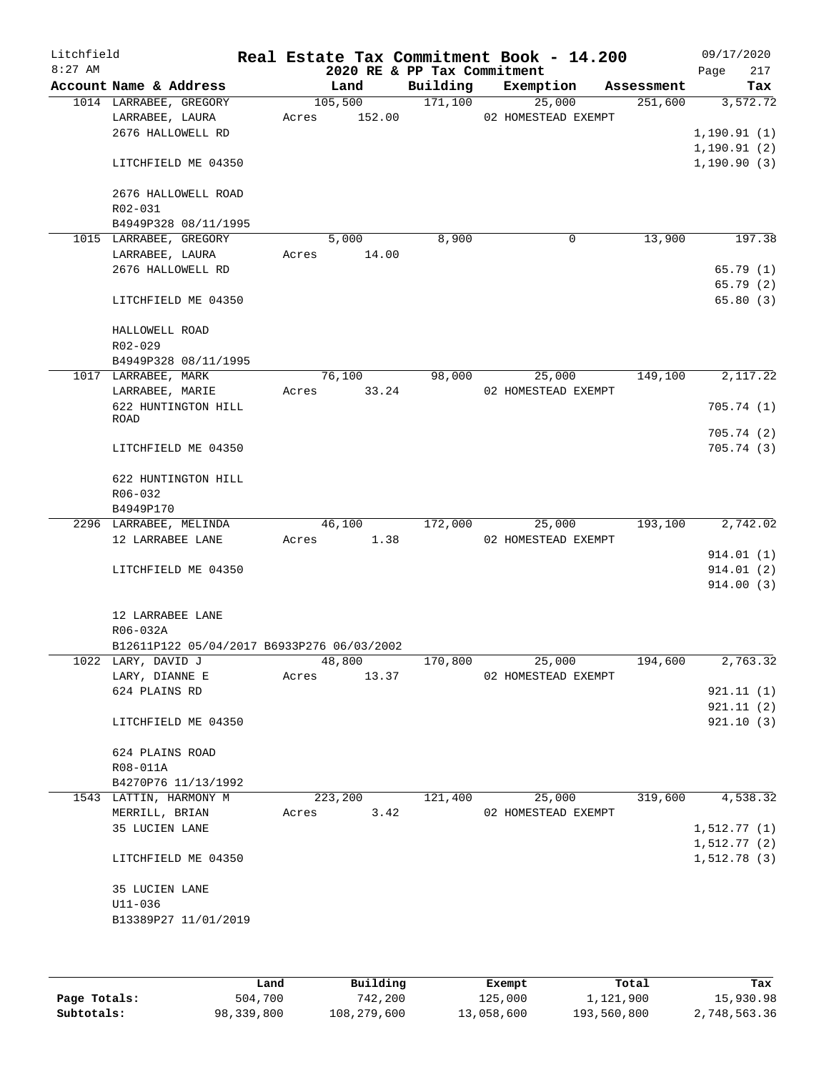| Litchfield |                                            |       |         |        |                             | Real Estate Tax Commitment Book - 14.200 |            | 09/17/2020  |            |
|------------|--------------------------------------------|-------|---------|--------|-----------------------------|------------------------------------------|------------|-------------|------------|
| $8:27$ AM  |                                            |       |         |        | 2020 RE & PP Tax Commitment |                                          |            | Page        | 217        |
|            | Account Name & Address                     |       | Land    |        | Building                    | Exemption                                | Assessment |             | Tax        |
|            | 1014 LARRABEE, GREGORY                     |       | 105,500 |        | 171,100                     | 25,000                                   | 251,600    |             | 3,572.72   |
|            | LARRABEE, LAURA                            | Acres |         | 152.00 |                             | 02 HOMESTEAD EXEMPT                      |            |             |            |
|            | 2676 HALLOWELL RD                          |       |         |        |                             |                                          |            | 1,190.91(1) |            |
|            |                                            |       |         |        |                             |                                          |            | 1,190.91(2) |            |
|            | LITCHFIELD ME 04350                        |       |         |        |                             |                                          |            | 1,190.90(3) |            |
|            |                                            |       |         |        |                             |                                          |            |             |            |
|            | 2676 HALLOWELL ROAD                        |       |         |        |                             |                                          |            |             |            |
|            | R02-031                                    |       |         |        |                             |                                          |            |             |            |
|            | B4949P328 08/11/1995                       |       |         |        |                             |                                          |            |             | 197.38     |
|            | 1015 LARRABEE, GREGORY                     |       | 5,000   |        | 8,900                       | 0                                        | 13,900     |             |            |
|            | LARRABEE, LAURA                            | Acres |         | 14.00  |                             |                                          |            |             |            |
|            | 2676 HALLOWELL RD                          |       |         |        |                             |                                          |            |             | 65.79(1)   |
|            |                                            |       |         |        |                             |                                          |            |             | 65.79 (2)  |
|            | LITCHFIELD ME 04350                        |       |         |        |                             |                                          |            |             | 65.80(3)   |
|            |                                            |       |         |        |                             |                                          |            |             |            |
|            | HALLOWELL ROAD                             |       |         |        |                             |                                          |            |             |            |
|            | R02-029                                    |       |         |        |                             |                                          |            |             |            |
|            | B4949P328 08/11/1995                       |       |         |        |                             |                                          |            |             |            |
|            | 1017 LARRABEE, MARK                        |       | 76,100  |        | 98,000                      | 25,000                                   | 149,100    |             | 2,117.22   |
|            | LARRABEE, MARIE                            | Acres |         | 33.24  |                             | 02 HOMESTEAD EXEMPT                      |            |             |            |
|            | 622 HUNTINGTON HILL                        |       |         |        |                             |                                          |            |             | 705.74(1)  |
|            | ROAD                                       |       |         |        |                             |                                          |            |             |            |
|            |                                            |       |         |        |                             |                                          |            |             | 705.74 (2) |
|            | LITCHFIELD ME 04350                        |       |         |        |                             |                                          |            |             | 705.74(3)  |
|            | 622 HUNTINGTON HILL                        |       |         |        |                             |                                          |            |             |            |
|            | R06-032                                    |       |         |        |                             |                                          |            |             |            |
|            | B4949P170                                  |       |         |        |                             |                                          |            |             |            |
|            | 2296 LARRABEE, MELINDA                     |       | 46,100  |        | 172,000                     | 25,000                                   | 193,100    |             | 2,742.02   |
|            | 12 LARRABEE LANE                           | Acres |         | 1.38   |                             | 02 HOMESTEAD EXEMPT                      |            |             |            |
|            |                                            |       |         |        |                             |                                          |            |             | 914.01 (1) |
|            | LITCHFIELD ME 04350                        |       |         |        |                             |                                          |            |             | 914.01(2)  |
|            |                                            |       |         |        |                             |                                          |            |             | 914.00(3)  |
|            |                                            |       |         |        |                             |                                          |            |             |            |
|            | 12 LARRABEE LANE                           |       |         |        |                             |                                          |            |             |            |
|            | R06-032A                                   |       |         |        |                             |                                          |            |             |            |
|            | B12611P122 05/04/2017 B6933P276 06/03/2002 |       |         |        |                             |                                          |            |             |            |
|            | 1022 LARY, DAVID J                         |       | 48,800  |        | 170,800                     | 25,000                                   | 194,600    |             | 2,763.32   |
|            | LARY, DIANNE E                             | Acres |         | 13.37  |                             | 02 HOMESTEAD EXEMPT                      |            |             |            |
|            | 624 PLAINS RD                              |       |         |        |                             |                                          |            |             | 921.11(1)  |
|            |                                            |       |         |        |                             |                                          |            |             | 921.11(2)  |
|            |                                            |       |         |        |                             |                                          |            |             | 921.10(3)  |
|            | LITCHFIELD ME 04350                        |       |         |        |                             |                                          |            |             |            |
|            | 624 PLAINS ROAD                            |       |         |        |                             |                                          |            |             |            |
|            | R08-011A                                   |       |         |        |                             |                                          |            |             |            |
|            | B4270P76 11/13/1992                        |       |         |        |                             |                                          |            |             |            |
|            | 1543 LATTIN, HARMONY M                     |       | 223,200 |        | 121,400                     | 25,000                                   | 319,600    |             | 4,538.32   |
|            |                                            |       |         |        |                             |                                          |            |             |            |
|            | MERRILL, BRIAN                             | Acres |         | 3.42   |                             | 02 HOMESTEAD EXEMPT                      |            |             |            |
|            | 35 LUCIEN LANE                             |       |         |        |                             |                                          |            | 1,512.77(1) |            |
|            |                                            |       |         |        |                             |                                          |            | 1,512.77(2) |            |
|            | LITCHFIELD ME 04350                        |       |         |        |                             |                                          |            | 1,512.78(3) |            |
|            |                                            |       |         |        |                             |                                          |            |             |            |
|            | 35 LUCIEN LANE                             |       |         |        |                             |                                          |            |             |            |
|            | $U11 - 036$                                |       |         |        |                             |                                          |            |             |            |
|            | B13389P27 11/01/2019                       |       |         |        |                             |                                          |            |             |            |
|            |                                            |       |         |        |                             |                                          |            |             |            |
|            |                                            |       |         |        |                             |                                          |            |             |            |

|              | Land       | Building    | Exempt     | Total       | Tax          |
|--------------|------------|-------------|------------|-------------|--------------|
| Page Totals: | 504,700    | 742,200     | 125,000    | 1,121,900   | 15,930.98    |
| Subtotals:   | 98,339,800 | 108,279,600 | 13,058,600 | 193,560,800 | 2,748,563.36 |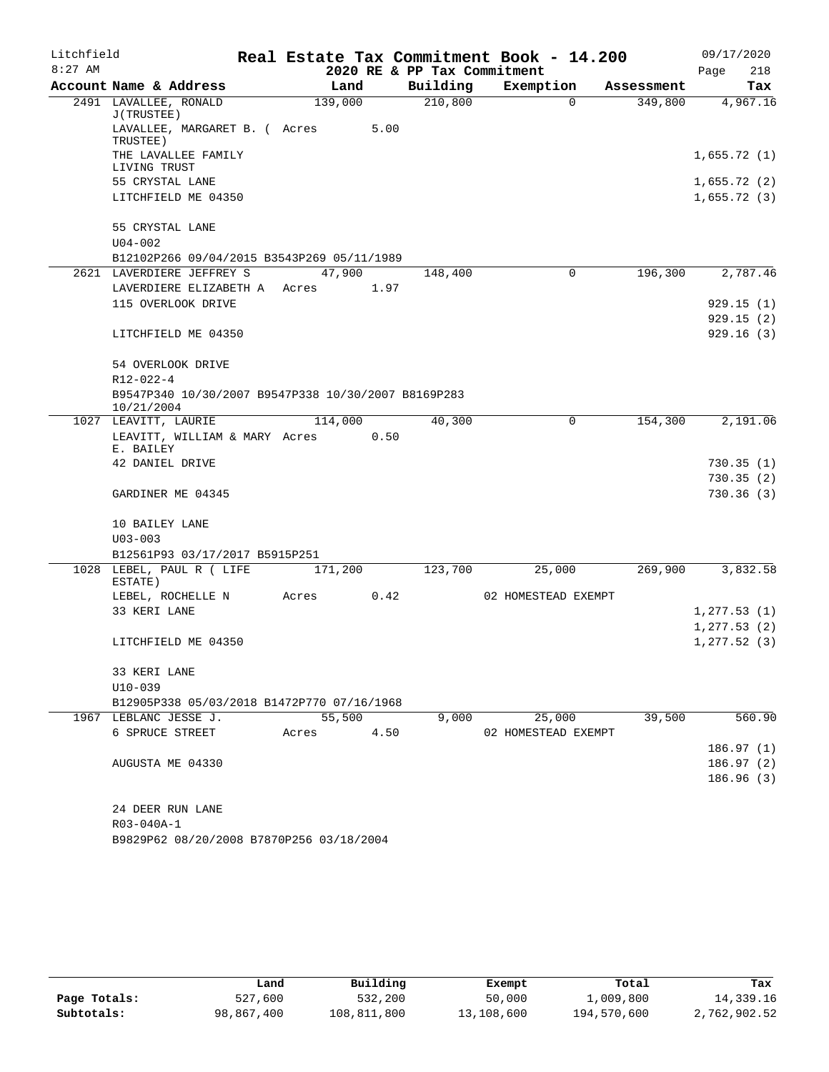| Litchfield |                                                                   |         |      |                             | Real Estate Tax Commitment Book - 14.200 |            | 09/17/2020   |
|------------|-------------------------------------------------------------------|---------|------|-----------------------------|------------------------------------------|------------|--------------|
| $8:27$ AM  |                                                                   |         |      | 2020 RE & PP Tax Commitment |                                          |            | 218<br>Page  |
|            | Account Name & Address                                            | Land    |      | Building                    | Exemption                                | Assessment | Tax          |
|            | 2491 LAVALLEE, RONALD<br>J(TRUSTEE)                               | 139,000 |      | 210,800                     | $\Omega$                                 | 349,800    | 4,967.16     |
|            | LAVALLEE, MARGARET B. ( Acres<br>TRUSTEE)                         |         | 5.00 |                             |                                          |            |              |
|            | THE LAVALLEE FAMILY<br>LIVING TRUST                               |         |      |                             |                                          |            | 1,655.72(1)  |
|            | 55 CRYSTAL LANE                                                   |         |      |                             |                                          |            | 1,655.72(2)  |
|            | LITCHFIELD ME 04350                                               |         |      |                             |                                          |            | 1,655.72(3)  |
|            | 55 CRYSTAL LANE                                                   |         |      |                             |                                          |            |              |
|            | $U04 - 002$                                                       |         |      |                             |                                          |            |              |
|            | B12102P266 09/04/2015 B3543P269 05/11/1989                        |         |      |                             |                                          |            |              |
|            | 2621 LAVERDIERE JEFFREY S                                         | 47,900  |      | 148,400                     | $\mathbf 0$                              | 196,300    | 2,787.46     |
|            | LAVERDIERE ELIZABETH A                                            | Acres   | 1.97 |                             |                                          |            |              |
|            | 115 OVERLOOK DRIVE                                                |         |      |                             |                                          |            | 929.15(1)    |
|            |                                                                   |         |      |                             |                                          |            | 929.15(2)    |
|            | LITCHFIELD ME 04350                                               |         |      |                             |                                          |            | 929.16(3)    |
|            | 54 OVERLOOK DRIVE                                                 |         |      |                             |                                          |            |              |
|            | $R12 - 022 - 4$                                                   |         |      |                             |                                          |            |              |
|            | B9547P340 10/30/2007 B9547P338 10/30/2007 B8169P283<br>10/21/2004 |         |      |                             |                                          |            |              |
|            | 1027 LEAVITT, LAURIE                                              | 114,000 |      | 40,300                      | 0                                        | 154,300    | 2,191.06     |
|            | LEAVITT, WILLIAM & MARY Acres 0.50<br>E. BAILEY                   |         |      |                             |                                          |            |              |
|            | 42 DANIEL DRIVE                                                   |         |      |                             |                                          |            | 730.35(1)    |
|            |                                                                   |         |      |                             |                                          |            | 730.35(2)    |
|            | GARDINER ME 04345                                                 |         |      |                             |                                          |            | 730.36(3)    |
|            | 10 BAILEY LANE                                                    |         |      |                             |                                          |            |              |
|            | $U03 - 003$                                                       |         |      |                             |                                          |            |              |
|            | B12561P93 03/17/2017 B5915P251                                    |         |      |                             |                                          |            |              |
|            | 1028 LEBEL, PAUL R ( LIFE<br>ESTATE)                              | 171,200 |      | 123,700                     | 25,000                                   | 269,900    | 3,832.58     |
|            | LEBEL, ROCHELLE N                                                 | Acres   | 0.42 |                             | 02 HOMESTEAD EXEMPT                      |            |              |
|            | 33 KERI LANE                                                      |         |      |                             |                                          |            | 1, 277.53(1) |
|            |                                                                   |         |      |                             |                                          |            | 1, 277.53(2) |
|            | LITCHFIELD ME 04350                                               |         |      |                             |                                          |            | 1, 277.52(3) |
|            | 33 KERI LANE                                                      |         |      |                             |                                          |            |              |
|            | $U10-039$                                                         |         |      |                             |                                          |            |              |
|            | B12905P338 05/03/2018 B1472P770 07/16/1968                        |         |      |                             |                                          |            |              |
|            | 1967 LEBLANC JESSE J.                                             | 55,500  |      | 9,000                       | 25,000                                   | 39,500     | 560.90       |
|            | 6 SPRUCE STREET                                                   | Acres   | 4.50 |                             | 02 HOMESTEAD EXEMPT                      |            |              |
|            |                                                                   |         |      |                             |                                          |            | 186.97(1)    |
|            | AUGUSTA ME 04330                                                  |         |      |                             |                                          |            | 186.97 (2)   |
|            |                                                                   |         |      |                             |                                          |            | 186.96(3)    |
|            |                                                                   |         |      |                             |                                          |            |              |
|            | 24 DEER RUN LANE                                                  |         |      |                             |                                          |            |              |
|            | R03-040A-1                                                        |         |      |                             |                                          |            |              |
|            | B9829P62 08/20/2008 B7870P256 03/18/2004                          |         |      |                             |                                          |            |              |

|              | Land       | Building    | Exempt     | Total       | Tax          |
|--------------|------------|-------------|------------|-------------|--------------|
| Page Totals: | 527,600    | 532,200     | 50,000     | 1,009,800   | 14,339.16    |
| Subtotals:   | 98,867,400 | 108,811,800 | 13,108,600 | 194,570,600 | 2,762,902.52 |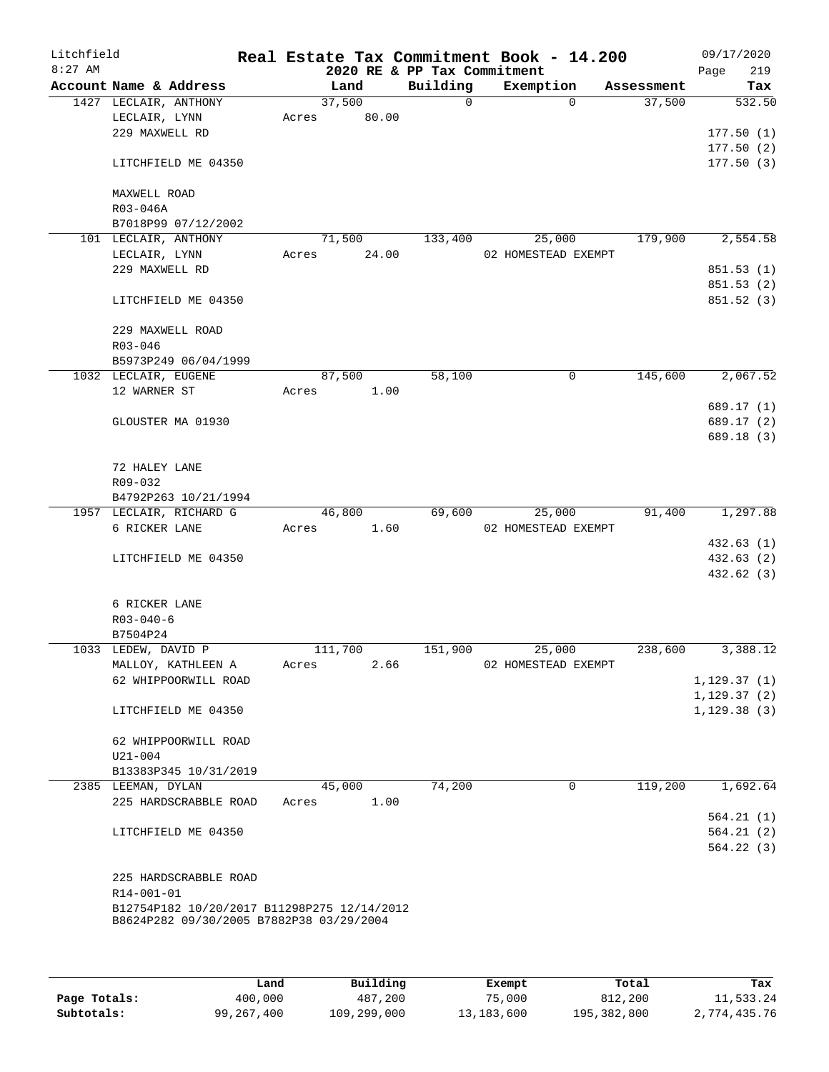| Litchfield<br>$8:27$ AM |                      |                                             |       |         | 2020 RE & PP Tax Commitment | Real Estate Tax Commitment Book - 14.200 |          |            | 09/17/2020<br>Page          | 219      |
|-------------------------|----------------------|---------------------------------------------|-------|---------|-----------------------------|------------------------------------------|----------|------------|-----------------------------|----------|
|                         |                      | Account Name & Address                      |       | Land    | Building                    | Exemption                                |          | Assessment |                             | Tax      |
|                         |                      | 1427 LECLAIR, ANTHONY                       |       | 37,500  | $\overline{0}$              |                                          | $\Omega$ | 37,500     |                             | 532.50   |
|                         | LECLAIR, LYNN        |                                             | Acres | 80.00   |                             |                                          |          |            |                             |          |
|                         | 229 MAXWELL RD       |                                             |       |         |                             |                                          |          |            | 177.50(1)                   |          |
|                         |                      |                                             |       |         |                             |                                          |          |            | 177.50(2)                   |          |
|                         |                      | LITCHFIELD ME 04350                         |       |         |                             |                                          |          |            | 177.50(3)                   |          |
|                         |                      |                                             |       |         |                             |                                          |          |            |                             |          |
|                         | MAXWELL ROAD         |                                             |       |         |                             |                                          |          |            |                             |          |
|                         | R03-046A             | B7018P99 07/12/2002                         |       |         |                             |                                          |          |            |                             |          |
|                         |                      | 101 LECLAIR, ANTHONY                        |       | 71,500  | 133,400                     | 25,000                                   |          | 179,900    |                             | 2,554.58 |
|                         | LECLAIR, LYNN        |                                             | Acres | 24.00   |                             | 02 HOMESTEAD EXEMPT                      |          |            |                             |          |
|                         | 229 MAXWELL RD       |                                             |       |         |                             |                                          |          |            | 851.53 (1)                  |          |
|                         |                      |                                             |       |         |                             |                                          |          |            | 851.53(2)                   |          |
|                         |                      | LITCHFIELD ME 04350                         |       |         |                             |                                          |          |            | 851.52 (3)                  |          |
|                         |                      |                                             |       |         |                             |                                          |          |            |                             |          |
|                         |                      | 229 MAXWELL ROAD                            |       |         |                             |                                          |          |            |                             |          |
|                         | R03-046              |                                             |       |         |                             |                                          |          |            |                             |          |
|                         |                      | B5973P249 06/04/1999                        |       |         |                             |                                          |          |            |                             |          |
|                         | 1032 LECLAIR, EUGENE |                                             |       | 87,500  | 58,100                      |                                          | 0        | 145,600    |                             | 2,067.52 |
|                         | 12 WARNER ST         |                                             | Acres | 1.00    |                             |                                          |          |            |                             |          |
|                         |                      |                                             |       |         |                             |                                          |          |            | 689.17 (1)                  |          |
|                         |                      | GLOUSTER MA 01930                           |       |         |                             |                                          |          |            | 689.17 (2)                  |          |
|                         |                      |                                             |       |         |                             |                                          |          |            | 689.18 (3)                  |          |
|                         |                      |                                             |       |         |                             |                                          |          |            |                             |          |
|                         | 72 HALEY LANE        |                                             |       |         |                             |                                          |          |            |                             |          |
|                         | R09-032              |                                             |       |         |                             |                                          |          |            |                             |          |
|                         |                      | B4792P263 10/21/1994                        |       |         |                             |                                          |          |            |                             |          |
|                         |                      | 1957 LECLAIR, RICHARD G                     |       | 46,800  | 69,600                      | 25,000                                   |          | 91,400     |                             | 1,297.88 |
|                         | 6 RICKER LANE        |                                             | Acres | 1.60    |                             | 02 HOMESTEAD EXEMPT                      |          |            |                             |          |
|                         |                      |                                             |       |         |                             |                                          |          |            | 432.63(1)                   |          |
|                         |                      | LITCHFIELD ME 04350                         |       |         |                             |                                          |          |            | 432.63 (2)                  |          |
|                         |                      |                                             |       |         |                             |                                          |          |            | 432.62 (3)                  |          |
|                         |                      |                                             |       |         |                             |                                          |          |            |                             |          |
|                         | 6 RICKER LANE        |                                             |       |         |                             |                                          |          |            |                             |          |
|                         | $R03 - 040 - 6$      |                                             |       |         |                             |                                          |          |            |                             |          |
|                         | B7504P24             |                                             |       |         |                             |                                          |          |            |                             |          |
|                         | 1033 LEDEW, DAVID P  |                                             |       | 111,700 | 151,900                     | 25,000                                   |          | 238,600    |                             | 3,388.12 |
|                         |                      | MALLOY, KATHLEEN A                          | Acres | 2.66    |                             | 02 HOMESTEAD EXEMPT                      |          |            |                             |          |
|                         |                      | 62 WHIPPOORWILL ROAD                        |       |         |                             |                                          |          |            | 1,129.37(1)<br>1, 129.37(2) |          |
|                         |                      | LITCHFIELD ME 04350                         |       |         |                             |                                          |          |            | 1, 129.38(3)                |          |
|                         |                      |                                             |       |         |                             |                                          |          |            |                             |          |
|                         |                      | 62 WHIPPOORWILL ROAD                        |       |         |                             |                                          |          |            |                             |          |
|                         | $U21 - 004$          |                                             |       |         |                             |                                          |          |            |                             |          |
|                         |                      | B13383P345 10/31/2019                       |       |         |                             |                                          |          |            |                             |          |
|                         | 2385 LEEMAN, DYLAN   |                                             |       | 45,000  | 74,200                      |                                          | 0        | 119,200    |                             | 1,692.64 |
|                         |                      | 225 HARDSCRABBLE ROAD                       | Acres | 1.00    |                             |                                          |          |            |                             |          |
|                         |                      |                                             |       |         |                             |                                          |          |            | 564.21(1)                   |          |
|                         |                      | LITCHFIELD ME 04350                         |       |         |                             |                                          |          |            | 564.21(2)                   |          |
|                         |                      |                                             |       |         |                             |                                          |          |            | 564.22(3)                   |          |
|                         |                      |                                             |       |         |                             |                                          |          |            |                             |          |
|                         |                      | 225 HARDSCRABBLE ROAD                       |       |         |                             |                                          |          |            |                             |          |
|                         | R14-001-01           |                                             |       |         |                             |                                          |          |            |                             |          |
|                         |                      | B12754P182 10/20/2017 B11298P275 12/14/2012 |       |         |                             |                                          |          |            |                             |          |
|                         |                      | B8624P282 09/30/2005 B7882P38 03/29/2004    |       |         |                             |                                          |          |            |                             |          |
|                         |                      |                                             |       |         |                             |                                          |          |            |                             |          |
|                         |                      |                                             |       |         |                             |                                          |          |            |                             |          |
|                         |                      |                                             |       |         |                             |                                          |          |            |                             |          |

|              | Land       | Building    | Exempt     | Total       | Tax          |
|--------------|------------|-------------|------------|-------------|--------------|
| Page Totals: | 400,000    | 487,200     | 75,000     | 812,200     | 11,533.24    |
| Subtotals:   | 99,267,400 | 109,299,000 | 13,183,600 | 195,382,800 | 2,774,435.76 |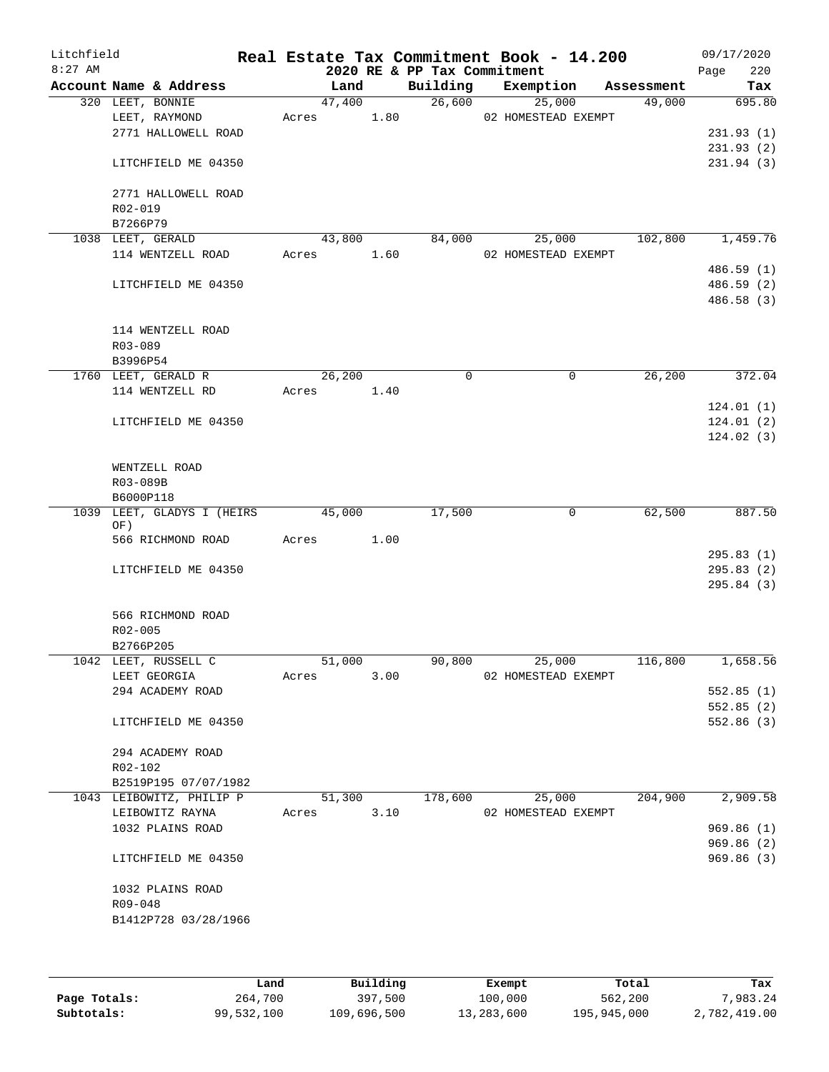| Litchfield<br>$8:27$ AM |                                        |        |      | 2020 RE & PP Tax Commitment | Real Estate Tax Commitment Book - 14.200 |            | 09/17/2020<br>Page<br>220 |
|-------------------------|----------------------------------------|--------|------|-----------------------------|------------------------------------------|------------|---------------------------|
|                         | Account Name & Address                 | Land   |      | Building                    | Exemption                                | Assessment | Tax                       |
|                         | 320 LEET, BONNIE                       | 47,400 |      | 26,600                      | 25,000                                   | 49,000     | 695.80                    |
|                         | LEET, RAYMOND                          | Acres  | 1.80 |                             | 02 HOMESTEAD EXEMPT                      |            |                           |
|                         | 2771 HALLOWELL ROAD                    |        |      |                             |                                          |            | 231.93(1)                 |
|                         |                                        |        |      |                             |                                          |            | 231.93(2)                 |
|                         | LITCHFIELD ME 04350                    |        |      |                             |                                          |            | 231.94(3)                 |
|                         | 2771 HALLOWELL ROAD                    |        |      |                             |                                          |            |                           |
|                         | R02-019                                |        |      |                             |                                          |            |                           |
|                         | B7266P79                               | 43,800 |      |                             |                                          |            | 1,459.76                  |
|                         | 1038 LEET, GERALD<br>114 WENTZELL ROAD | Acres  | 1.60 | 84,000                      | 25,000<br>02 HOMESTEAD EXEMPT            | 102,800    |                           |
|                         |                                        |        |      |                             |                                          |            | 486.59 (1)                |
|                         | LITCHFIELD ME 04350                    |        |      |                             |                                          |            | 486.59 (2)                |
|                         |                                        |        |      |                             |                                          |            | 486.58 (3)                |
|                         | 114 WENTZELL ROAD                      |        |      |                             |                                          |            |                           |
|                         | R03-089                                |        |      |                             |                                          |            |                           |
|                         | B3996P54                               |        |      |                             |                                          |            |                           |
|                         | 1760 LEET, GERALD R                    | 26,200 |      | $\mathbf 0$                 | 0                                        | 26,200     | 372.04                    |
|                         | 114 WENTZELL RD                        | Acres  | 1.40 |                             |                                          |            |                           |
|                         |                                        |        |      |                             |                                          |            | 124.01(1)                 |
|                         | LITCHFIELD ME 04350                    |        |      |                             |                                          |            | 124.01(2)                 |
|                         |                                        |        |      |                             |                                          |            | 124.02(3)                 |
|                         | WENTZELL ROAD                          |        |      |                             |                                          |            |                           |
|                         | R03-089B                               |        |      |                             |                                          |            |                           |
|                         | B6000P118                              |        |      |                             |                                          |            |                           |
|                         | 1039 LEET, GLADYS I (HEIRS             | 45,000 |      | 17,500                      | $\mathbf 0$                              | 62,500     | 887.50                    |
|                         | OF)                                    |        |      |                             |                                          |            |                           |
|                         | 566 RICHMOND ROAD                      | Acres  | 1.00 |                             |                                          |            |                           |
|                         |                                        |        |      |                             |                                          |            | 295.83(1)                 |
|                         | LITCHFIELD ME 04350                    |        |      |                             |                                          |            | 295.83(2)                 |
|                         |                                        |        |      |                             |                                          |            | 295.84 (3)                |
|                         | 566 RICHMOND ROAD                      |        |      |                             |                                          |            |                           |
|                         | $R02 - 005$                            |        |      |                             |                                          |            |                           |
|                         | B2766P205                              |        |      |                             |                                          |            |                           |
|                         | 1042 LEET, RUSSELL C                   | 51,000 |      | 90,800                      | 25,000                                   | 116,800    | 1,658.56                  |
|                         | LEET GEORGIA                           | Acres  | 3.00 |                             | 02 HOMESTEAD EXEMPT                      |            |                           |
|                         | 294 ACADEMY ROAD                       |        |      |                             |                                          |            | 552.85(1)                 |
|                         |                                        |        |      |                             |                                          |            | 552.85(2)                 |
|                         | LITCHFIELD ME 04350                    |        |      |                             |                                          |            | 552.86 (3)                |
|                         | 294 ACADEMY ROAD                       |        |      |                             |                                          |            |                           |
|                         | R02-102                                |        |      |                             |                                          |            |                           |
|                         | B2519P195 07/07/1982                   |        |      |                             |                                          |            |                           |
|                         | 1043 LEIBOWITZ, PHILIP P               | 51,300 |      | 178,600                     | 25,000                                   | 204,900    | 2,909.58                  |
|                         | LEIBOWITZ RAYNA                        | Acres  | 3.10 |                             | 02 HOMESTEAD EXEMPT                      |            |                           |
|                         | 1032 PLAINS ROAD                       |        |      |                             |                                          |            | 969.86(1)                 |
|                         |                                        |        |      |                             |                                          |            | 969.86(2)                 |
|                         | LITCHFIELD ME 04350                    |        |      |                             |                                          |            | 969.86(3)                 |
|                         | 1032 PLAINS ROAD                       |        |      |                             |                                          |            |                           |
|                         | R09-048                                |        |      |                             |                                          |            |                           |
|                         | B1412P728 03/28/1966                   |        |      |                             |                                          |            |                           |
|                         |                                        |        |      |                             |                                          |            |                           |
|                         |                                        |        |      |                             |                                          |            |                           |

|              | Land       | Building    | Exempt     | Total       | Tax          |
|--------------|------------|-------------|------------|-------------|--------------|
| Page Totals: | 264,700    | 397,500     | 100,000    | 562,200     | 7,983.24     |
| Subtotals:   | 99,532,100 | 109,696,500 | 13,283,600 | 195,945,000 | 2,782,419.00 |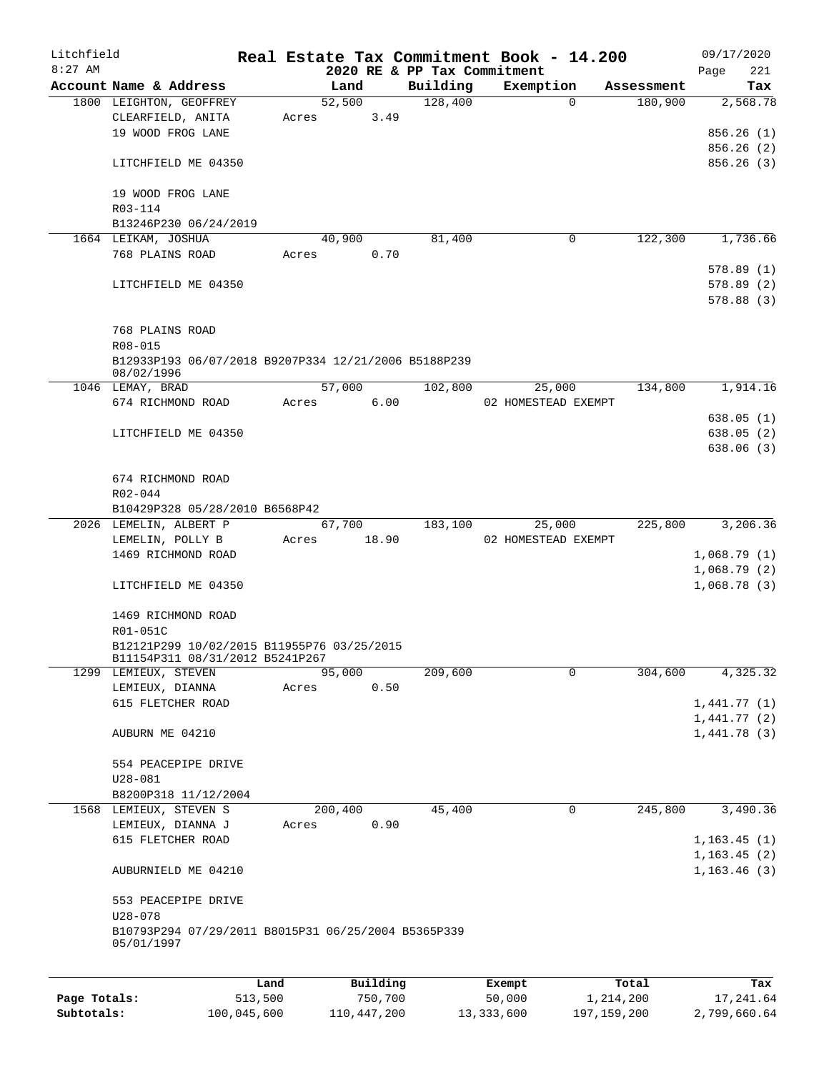| Litchfield   |                                                                    |         |       |         |          |          | Real Estate Tax Commitment Book - 14.200 |             |            | 09/17/2020   |            |
|--------------|--------------------------------------------------------------------|---------|-------|---------|----------|----------|------------------------------------------|-------------|------------|--------------|------------|
| $8:27$ AM    | Account Name & Address                                             |         |       | Land    |          | Building | 2020 RE & PP Tax Commitment<br>Exemption |             | Assessment | Page         | 221<br>Tax |
|              | 1800 LEIGHTON, GEOFFREY                                            |         |       | 52,500  |          | 128,400  |                                          | $\Omega$    | 180,900    | 2,568.78     |            |
|              | CLEARFIELD, ANITA                                                  |         | Acres |         | 3.49     |          |                                          |             |            |              |            |
|              | 19 WOOD FROG LANE                                                  |         |       |         |          |          |                                          |             |            | 856.26(1)    |            |
|              |                                                                    |         |       |         |          |          |                                          |             |            | 856.26(2)    |            |
|              | LITCHFIELD ME 04350                                                |         |       |         |          |          |                                          |             |            | 856.26(3)    |            |
|              | 19 WOOD FROG LANE                                                  |         |       |         |          |          |                                          |             |            |              |            |
|              | R03-114                                                            |         |       |         |          |          |                                          |             |            |              |            |
|              | B13246P230 06/24/2019                                              |         |       |         |          |          |                                          |             |            |              |            |
|              | 1664 LEIKAM, JOSHUA                                                |         |       | 40,900  |          | 81,400   |                                          | 0           | 122,300    | 1,736.66     |            |
|              | 768 PLAINS ROAD                                                    |         | Acres |         | 0.70     |          |                                          |             |            |              |            |
|              |                                                                    |         |       |         |          |          |                                          |             |            | 578.89(1)    |            |
|              | LITCHFIELD ME 04350                                                |         |       |         |          |          |                                          |             |            | 578.89(2)    |            |
|              |                                                                    |         |       |         |          |          |                                          |             |            | 578.88(3)    |            |
|              | 768 PLAINS ROAD<br>R08-015                                         |         |       |         |          |          |                                          |             |            |              |            |
|              | B12933P193 06/07/2018 B9207P334 12/21/2006 B5188P239<br>08/02/1996 |         |       |         |          |          |                                          |             |            |              |            |
|              | 1046 LEMAY, BRAD                                                   |         |       | 57,000  |          | 102,800  | 25,000                                   |             | 134,800    | 1,914.16     |            |
|              | 674 RICHMOND ROAD                                                  |         | Acres |         | 6.00     |          | 02 HOMESTEAD EXEMPT                      |             |            |              |            |
|              |                                                                    |         |       |         |          |          |                                          |             |            | 638.05(1)    |            |
|              | LITCHFIELD ME 04350                                                |         |       |         |          |          |                                          |             |            | 638.05(2)    |            |
|              |                                                                    |         |       |         |          |          |                                          |             |            | 638.06(3)    |            |
|              |                                                                    |         |       |         |          |          |                                          |             |            |              |            |
|              | 674 RICHMOND ROAD                                                  |         |       |         |          |          |                                          |             |            |              |            |
|              | R02-044                                                            |         |       |         |          |          |                                          |             |            |              |            |
|              | B10429P328 05/28/2010 B6568P42                                     |         |       |         |          |          |                                          |             |            |              |            |
|              | 2026 LEMELIN, ALBERT P                                             |         |       | 67,700  |          | 183,100  | 25,000                                   |             | 225,800    | 3,206.36     |            |
|              | LEMELIN, POLLY B                                                   |         | Acres |         | 18.90    |          | 02 HOMESTEAD EXEMPT                      |             |            |              |            |
|              | 1469 RICHMOND ROAD                                                 |         |       |         |          |          |                                          |             |            | 1,068.79(1)  |            |
|              |                                                                    |         |       |         |          |          |                                          |             |            | 1,068.79(2)  |            |
|              | LITCHFIELD ME 04350                                                |         |       |         |          |          |                                          |             |            | 1,068.78(3)  |            |
|              | 1469 RICHMOND ROAD                                                 |         |       |         |          |          |                                          |             |            |              |            |
|              | R01-051C                                                           |         |       |         |          |          |                                          |             |            |              |            |
|              | B12121P299 10/02/2015 B11955P76 03/25/2015                         |         |       |         |          |          |                                          |             |            |              |            |
|              | B11154P311 08/31/2012 B5241P267                                    |         |       |         |          |          |                                          |             |            |              |            |
|              | 1299 LEMIEUX, STEVEN                                               |         |       | 95,000  |          | 209,600  |                                          | 0           | 304,600    | 4,325.32     |            |
|              | LEMIEUX, DIANNA                                                    |         | Acres |         | 0.50     |          |                                          |             |            |              |            |
|              | 615 FLETCHER ROAD                                                  |         |       |         |          |          |                                          |             |            | 1,441.77(1)  |            |
|              |                                                                    |         |       |         |          |          |                                          |             |            | 1,441.77(2)  |            |
|              | AUBURN ME 04210                                                    |         |       |         |          |          |                                          |             |            | 1,441.78(3)  |            |
|              | 554 PEACEPIPE DRIVE                                                |         |       |         |          |          |                                          |             |            |              |            |
|              | $U28 - 081$                                                        |         |       |         |          |          |                                          |             |            |              |            |
|              | B8200P318 11/12/2004                                               |         |       |         |          |          |                                          |             |            |              |            |
|              | 1568 LEMIEUX, STEVEN S                                             |         |       | 200,400 |          | 45,400   |                                          | $\mathbf 0$ | 245,800    | 3,490.36     |            |
|              | LEMIEUX, DIANNA J                                                  |         | Acres |         | 0.90     |          |                                          |             |            |              |            |
|              | 615 FLETCHER ROAD                                                  |         |       |         |          |          |                                          |             |            | 1, 163.45(1) |            |
|              |                                                                    |         |       |         |          |          |                                          |             |            | 1, 163.45(2) |            |
|              | AUBURNIELD ME 04210                                                |         |       |         |          |          |                                          |             |            | 1, 163.46(3) |            |
|              | 553 PEACEPIPE DRIVE                                                |         |       |         |          |          |                                          |             |            |              |            |
|              | $U28 - 078$                                                        |         |       |         |          |          |                                          |             |            |              |            |
|              | B10793P294 07/29/2011 B8015P31 06/25/2004 B5365P339<br>05/01/1997  |         |       |         |          |          |                                          |             |            |              |            |
|              |                                                                    |         |       |         |          |          |                                          |             |            |              |            |
|              |                                                                    | Land    |       |         | Building |          | Exempt                                   |             | Total      |              | Tax        |
| Page Totals: |                                                                    | 513,500 |       |         | 750,700  |          | 50,000                                   | 1,214,200   |            | 17,241.64    |            |

**Subtotals:** 100,045,600 110,447,200 13,333,600 197,159,200 2,799,660.64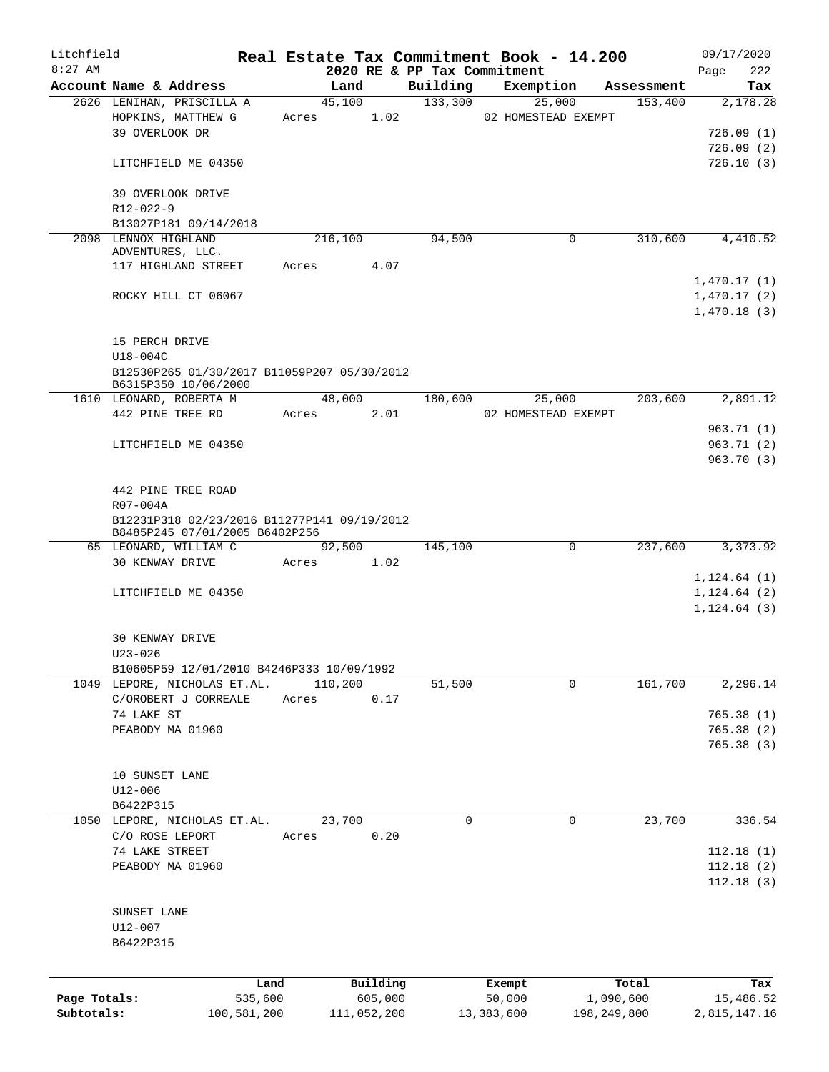| Litchfield   |                                                                               |             |                |             |                             |            | Real Estate Tax Commitment Book - 14.200 |                       | 09/17/2020      |
|--------------|-------------------------------------------------------------------------------|-------------|----------------|-------------|-----------------------------|------------|------------------------------------------|-----------------------|-----------------|
| $8:27$ AM    | Account Name & Address                                                        |             |                |             | 2020 RE & PP Tax Commitment |            | Exemption                                |                       | 222<br>Page     |
|              | 2626 LENIHAN, PRISCILLA A                                                     |             | Land<br>45,100 |             | Building<br>133,300         |            | 25,000                                   | Assessment<br>153,400 | Tax<br>2,178.28 |
|              | HOPKINS, MATTHEW G                                                            |             | Acres          | 1.02        |                             |            | 02 HOMESTEAD EXEMPT                      |                       |                 |
|              | 39 OVERLOOK DR                                                                |             |                |             |                             |            |                                          |                       | 726.09(1)       |
|              |                                                                               |             |                |             |                             |            |                                          |                       | 726.09(2)       |
|              |                                                                               |             |                |             |                             |            |                                          |                       | 726.10(3)       |
|              | LITCHFIELD ME 04350                                                           |             |                |             |                             |            |                                          |                       |                 |
|              |                                                                               |             |                |             |                             |            |                                          |                       |                 |
|              | 39 OVERLOOK DRIVE                                                             |             |                |             |                             |            |                                          |                       |                 |
|              | R12-022-9                                                                     |             |                |             |                             |            |                                          |                       |                 |
|              | B13027P181 09/14/2018<br>2098 LENNOX HIGHLAND                                 |             |                |             |                             |            |                                          |                       |                 |
|              | ADVENTURES, LLC.                                                              |             | 216,100        |             | 94,500                      |            | 0                                        | 310,600               | 4,410.52        |
|              | 117 HIGHLAND STREET                                                           | Acres       |                | 4.07        |                             |            |                                          |                       |                 |
|              |                                                                               |             |                |             |                             |            |                                          |                       | 1,470.17(1)     |
|              | ROCKY HILL CT 06067                                                           |             |                |             |                             |            |                                          |                       | 1,470.17(2)     |
|              |                                                                               |             |                |             |                             |            |                                          |                       | 1,470.18(3)     |
|              |                                                                               |             |                |             |                             |            |                                          |                       |                 |
|              |                                                                               |             |                |             |                             |            |                                          |                       |                 |
|              | 15 PERCH DRIVE                                                                |             |                |             |                             |            |                                          |                       |                 |
|              | U18-004C                                                                      |             |                |             |                             |            |                                          |                       |                 |
|              | B12530P265 01/30/2017 B11059P207 05/30/2012<br>B6315P350 10/06/2000           |             |                |             |                             |            |                                          |                       |                 |
|              | 1610 LEONARD, ROBERTA M                                                       |             | 48,000         |             | 180,600                     |            | 25,000                                   | 203,600               | 2,891.12        |
|              | 442 PINE TREE RD                                                              |             | Acres          | 2.01        |                             |            | 02 HOMESTEAD EXEMPT                      |                       |                 |
|              |                                                                               |             |                |             |                             |            |                                          |                       |                 |
|              |                                                                               |             |                |             |                             |            |                                          |                       | 963.71 (1)      |
|              | LITCHFIELD ME 04350                                                           |             |                |             |                             |            |                                          |                       | 963.71(2)       |
|              |                                                                               |             |                |             |                             |            |                                          |                       | 963.70 (3)      |
|              |                                                                               |             |                |             |                             |            |                                          |                       |                 |
|              | 442 PINE TREE ROAD                                                            |             |                |             |                             |            |                                          |                       |                 |
|              | R07-004A                                                                      |             |                |             |                             |            |                                          |                       |                 |
|              | B12231P318 02/23/2016 B11277P141 09/19/2012<br>B8485P245 07/01/2005 B6402P256 |             |                |             |                             |            |                                          |                       |                 |
|              | 65 LEONARD, WILLIAM C                                                         |             | 92,500         |             | 145,100                     |            | 0                                        | 237,600               | 3,373.92        |
|              | 30 KENWAY DRIVE                                                               | Acres       |                | 1.02        |                             |            |                                          |                       |                 |
|              |                                                                               |             |                |             |                             |            |                                          |                       | 1, 124.64(1)    |
|              | LITCHFIELD ME 04350                                                           |             |                |             |                             |            |                                          |                       | 1, 124.64(2)    |
|              |                                                                               |             |                |             |                             |            |                                          |                       | $1, 124.64$ (3) |
|              |                                                                               |             |                |             |                             |            |                                          |                       |                 |
|              | <b>30 KENWAY DRIVE</b>                                                        |             |                |             |                             |            |                                          |                       |                 |
|              |                                                                               |             |                |             |                             |            |                                          |                       |                 |
|              | $U23 - 026$                                                                   |             |                |             |                             |            |                                          |                       |                 |
|              | B10605P59 12/01/2010 B4246P333 10/09/1992                                     |             | 110,200        |             |                             |            | 0                                        | 161,700               | 2,296.14        |
|              | 1049 LEPORE, NICHOLAS ET.AL.                                                  |             |                |             | 51,500                      |            |                                          |                       |                 |
|              | C/OROBERT J CORREALE                                                          | Acres       |                | 0.17        |                             |            |                                          |                       |                 |
|              | 74 LAKE ST                                                                    |             |                |             |                             |            |                                          |                       | 765.38(1)       |
|              | PEABODY MA 01960                                                              |             |                |             |                             |            |                                          |                       | 765.38 (2)      |
|              |                                                                               |             |                |             |                             |            |                                          |                       | 765.38(3)       |
|              |                                                                               |             |                |             |                             |            |                                          |                       |                 |
|              | 10 SUNSET LANE                                                                |             |                |             |                             |            |                                          |                       |                 |
|              | $U12 - 006$                                                                   |             |                |             |                             |            |                                          |                       |                 |
|              | B6422P315                                                                     |             |                |             |                             |            |                                          |                       |                 |
|              | 1050 LEPORE, NICHOLAS ET.AL.                                                  |             | 23,700         |             | 0                           |            | 0                                        | 23,700                | 336.54          |
|              | C/O ROSE LEPORT                                                               | Acres       |                | 0.20        |                             |            |                                          |                       |                 |
|              | 74 LAKE STREET                                                                |             |                |             |                             |            |                                          |                       | 112.18(1)       |
|              | PEABODY MA 01960                                                              |             |                |             |                             |            |                                          |                       | 112.18(2)       |
|              |                                                                               |             |                |             |                             |            |                                          |                       | 112.18(3)       |
|              |                                                                               |             |                |             |                             |            |                                          |                       |                 |
|              | SUNSET LANE                                                                   |             |                |             |                             |            |                                          |                       |                 |
|              | U12-007                                                                       |             |                |             |                             |            |                                          |                       |                 |
|              | B6422P315                                                                     |             |                |             |                             |            |                                          |                       |                 |
|              |                                                                               |             |                |             |                             |            |                                          |                       |                 |
|              |                                                                               |             |                |             |                             |            |                                          |                       |                 |
|              |                                                                               | Land        |                | Building    |                             | Exempt     |                                          | Total                 | Tax             |
| Page Totals: |                                                                               | 535,600     |                | 605,000     |                             | 50,000     |                                          | 1,090,600             | 15,486.52       |
| Subtotals:   |                                                                               | 100,581,200 |                | 111,052,200 |                             | 13,383,600 | 198,249,800                              |                       | 2,815,147.16    |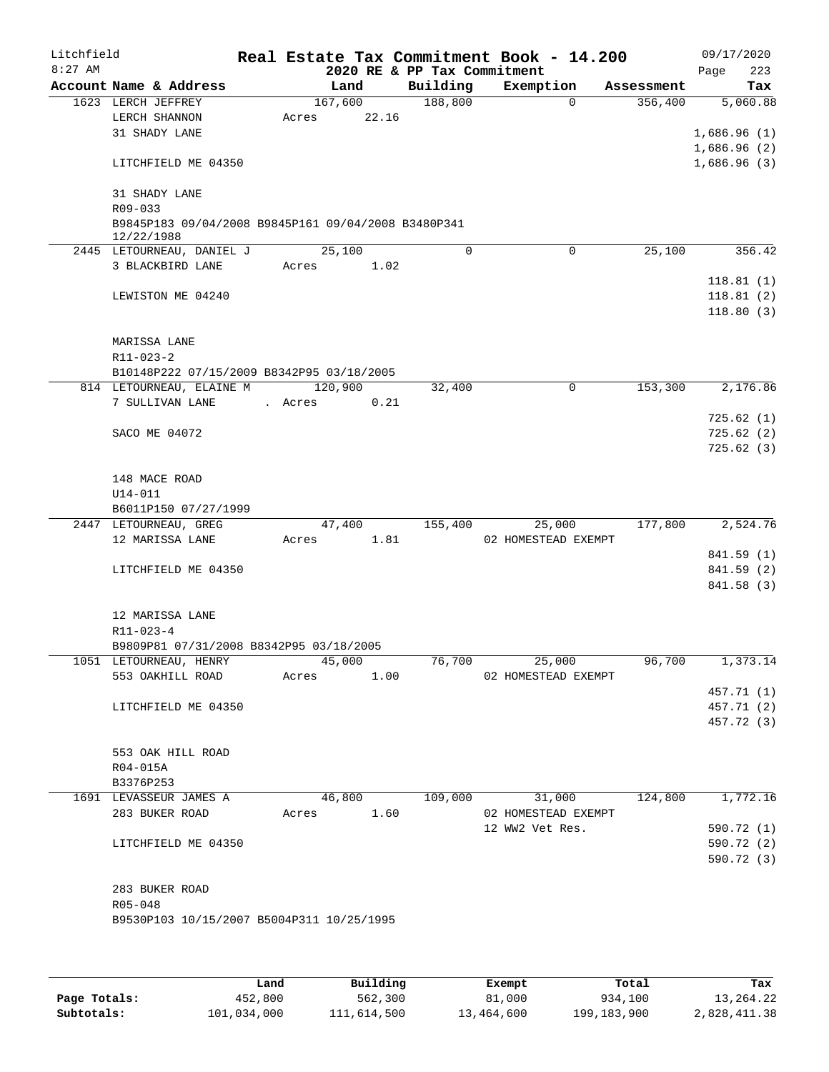| Litchfield |                                                     |         |         |       |                             | Real Estate Tax Commitment Book - 14.200 |                       | 09/17/2020  |
|------------|-----------------------------------------------------|---------|---------|-------|-----------------------------|------------------------------------------|-----------------------|-------------|
| $8:27$ AM  |                                                     |         |         |       | 2020 RE & PP Tax Commitment |                                          |                       | 223<br>Page |
|            | Account Name & Address                              |         | Land    |       | Building                    | Exemption                                | Assessment            | Tax         |
|            | 1623 LERCH JEFFREY                                  |         | 167,600 |       | 188,800                     |                                          | 356,400<br>$\Omega$   | 5,060.88    |
|            | LERCH SHANNON                                       | Acres   |         | 22.16 |                             |                                          |                       |             |
|            | 31 SHADY LANE                                       |         |         |       |                             |                                          |                       | 1,686.96(1) |
|            |                                                     |         |         |       |                             |                                          |                       | 1,686.96(2) |
|            | LITCHFIELD ME 04350                                 |         |         |       |                             |                                          |                       | 1,686.96(3) |
|            |                                                     |         |         |       |                             |                                          |                       |             |
|            | 31 SHADY LANE<br>$R09 - 033$                        |         |         |       |                             |                                          |                       |             |
|            | B9845P183 09/04/2008 B9845P161 09/04/2008 B3480P341 |         |         |       |                             |                                          |                       |             |
|            | 12/22/1988                                          |         |         |       |                             |                                          |                       |             |
|            | 2445 LETOURNEAU, DANIEL J                           |         | 25,100  |       | $\Omega$                    |                                          | $\mathbf 0$<br>25,100 | 356.42      |
|            | 3 BLACKBIRD LANE                                    | Acres   |         | 1.02  |                             |                                          |                       |             |
|            |                                                     |         |         |       |                             |                                          |                       | 118.81(1)   |
|            | LEWISTON ME 04240                                   |         |         |       |                             |                                          |                       | 118.81(2)   |
|            |                                                     |         |         |       |                             |                                          |                       | 118.80(3)   |
|            |                                                     |         |         |       |                             |                                          |                       |             |
|            | MARISSA LANE                                        |         |         |       |                             |                                          |                       |             |
|            | $R11 - 023 - 2$                                     |         |         |       |                             |                                          |                       |             |
|            | B10148P222 07/15/2009 B8342P95 03/18/2005           |         |         |       |                             |                                          |                       |             |
|            | 814 LETOURNEAU, ELAINE M                            |         | 120,900 |       | 32,400                      |                                          | 153,300<br>0          | 2,176.86    |
|            | 7 SULLIVAN LANE                                     | . Acres |         | 0.21  |                             |                                          |                       |             |
|            |                                                     |         |         |       |                             |                                          |                       | 725.62(1)   |
|            | SACO ME 04072                                       |         |         |       |                             |                                          |                       | 725.62(2)   |
|            |                                                     |         |         |       |                             |                                          |                       | 725.62(3)   |
|            |                                                     |         |         |       |                             |                                          |                       |             |
|            | 148 MACE ROAD                                       |         |         |       |                             |                                          |                       |             |
|            | $U14 - 011$                                         |         |         |       |                             |                                          |                       |             |
|            | B6011P150 07/27/1999<br>2447 LETOURNEAU, GREG       |         |         |       |                             |                                          | 177,800               | 2,524.76    |
|            | 12 MARISSA LANE                                     | Acres   | 47,400  | 1.81  | 155,400                     | 25,000<br>02 HOMESTEAD EXEMPT            |                       |             |
|            |                                                     |         |         |       |                             |                                          |                       | 841.59 (1)  |
|            | LITCHFIELD ME 04350                                 |         |         |       |                             |                                          |                       | 841.59 (2)  |
|            |                                                     |         |         |       |                             |                                          |                       | 841.58 (3)  |
|            |                                                     |         |         |       |                             |                                          |                       |             |
|            | 12 MARISSA LANE                                     |         |         |       |                             |                                          |                       |             |
|            | R11-023-4                                           |         |         |       |                             |                                          |                       |             |
|            | B9809P81 07/31/2008 B8342P95 03/18/2005             |         |         |       |                             |                                          |                       |             |
|            | 1051 LETOURNEAU, HENRY                              |         | 45,000  |       | 76,700                      | 25,000                                   | 96,700                | 1,373.14    |
|            | 553 OAKHILL ROAD                                    | Acres   |         | 1.00  |                             | 02 HOMESTEAD EXEMPT                      |                       |             |
|            |                                                     |         |         |       |                             |                                          |                       | 457.71 (1)  |
|            | LITCHFIELD ME 04350                                 |         |         |       |                             |                                          |                       | 457.71 (2)  |
|            |                                                     |         |         |       |                             |                                          |                       | 457.72 (3)  |
|            |                                                     |         |         |       |                             |                                          |                       |             |
|            | 553 OAK HILL ROAD                                   |         |         |       |                             |                                          |                       |             |
|            | R04-015A                                            |         |         |       |                             |                                          |                       |             |
|            | B3376P253                                           |         |         |       |                             |                                          |                       |             |
|            | 1691 LEVASSEUR JAMES A                              |         | 46,800  |       | 109,000                     | 31,000                                   | 124,800               | 1,772.16    |
|            | 283 BUKER ROAD                                      | Acres   |         | 1.60  |                             | 02 HOMESTEAD EXEMPT                      |                       |             |
|            |                                                     |         |         |       |                             | 12 WW2 Vet Res.                          |                       | 590.72 (1)  |
|            | LITCHFIELD ME 04350                                 |         |         |       |                             |                                          |                       | 590.72 (2)  |
|            |                                                     |         |         |       |                             |                                          |                       | 590.72 (3)  |
|            |                                                     |         |         |       |                             |                                          |                       |             |
|            | 283 BUKER ROAD<br>R05-048                           |         |         |       |                             |                                          |                       |             |
|            | B9530P103 10/15/2007 B5004P311 10/25/1995           |         |         |       |                             |                                          |                       |             |
|            |                                                     |         |         |       |                             |                                          |                       |             |
|            |                                                     |         |         |       |                             |                                          |                       |             |
|            |                                                     |         |         |       |                             |                                          |                       |             |

|              | Land        | Building    | Exempt     | Total       | Tax          |
|--------------|-------------|-------------|------------|-------------|--------------|
| Page Totals: | 452,800     | 562,300     | 81,000     | 934,100     | 13,264.22    |
| Subtotals:   | 101,034,000 | 111,614,500 | 13,464,600 | 199,183,900 | 2,828,411.38 |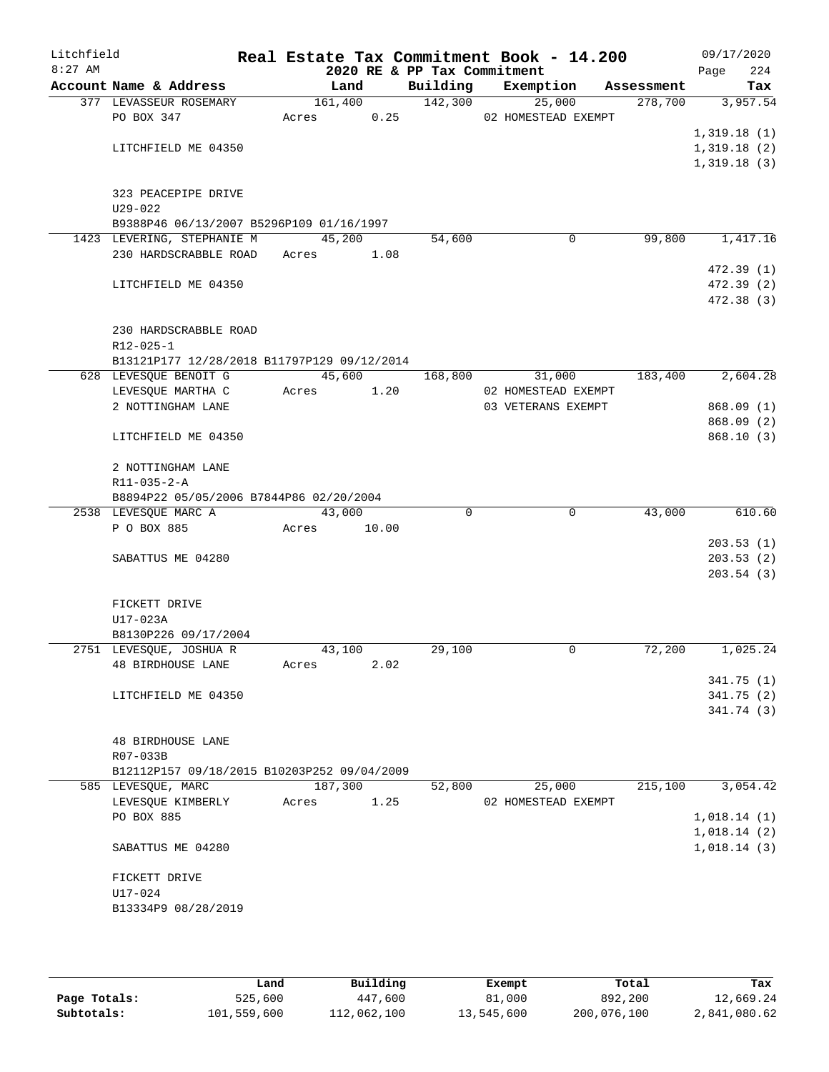| Litchfield |                                                                |             |         |         |                             | Real Estate Tax Commitment Book - 14.200 |            | 09/17/2020              |
|------------|----------------------------------------------------------------|-------------|---------|---------|-----------------------------|------------------------------------------|------------|-------------------------|
| $8:27$ AM  |                                                                |             |         |         | 2020 RE & PP Tax Commitment |                                          |            | 224<br>Page             |
|            | Account Name & Address                                         |             | Land    |         | Building                    | Exemption                                | Assessment | Tax                     |
|            | 377 LEVASSEUR ROSEMARY                                         |             |         | 161,400 | 142,300                     | 25,000                                   | 278,700    | 3,957.54                |
|            | PO BOX 347                                                     | Acres       |         | 0.25    |                             | 02 HOMESTEAD EXEMPT                      |            | 1,319.18(1)             |
|            | LITCHFIELD ME 04350                                            |             |         |         |                             |                                          |            | 1,319.18(2)             |
|            |                                                                |             |         |         |                             |                                          |            | 1,319.18(3)             |
|            |                                                                |             |         |         |                             |                                          |            |                         |
|            | 323 PEACEPIPE DRIVE                                            |             |         |         |                             |                                          |            |                         |
|            | $U29 - 022$                                                    |             |         |         |                             |                                          |            |                         |
|            | B9388P46 06/13/2007 B5296P109 01/16/1997                       |             |         |         |                             |                                          |            |                         |
|            | 1423 LEVERING, STEPHANIE M                                     |             | 45,200  |         | 54,600                      | 0                                        | 99,800     | 1,417.16                |
|            | 230 HARDSCRABBLE ROAD Acres 1.08                               |             |         |         |                             |                                          |            |                         |
|            | LITCHFIELD ME 04350                                            |             |         |         |                             |                                          |            | 472.39(1)<br>472.39 (2) |
|            |                                                                |             |         |         |                             |                                          |            | 472.38 (3)              |
|            |                                                                |             |         |         |                             |                                          |            |                         |
|            | 230 HARDSCRABBLE ROAD                                          |             |         |         |                             |                                          |            |                         |
|            | $R12 - 025 - 1$<br>B13121P177 12/28/2018 B11797P129 09/12/2014 |             |         |         |                             |                                          |            |                         |
|            | 628 LEVESQUE BENOIT G                                          |             | 45,600  |         | 168,800                     | 31,000                                   | 183,400    | 2,604.28                |
|            | LEVESQUE MARTHA C                                              | Acres       |         | 1.20    |                             | 02 HOMESTEAD EXEMPT                      |            |                         |
|            | 2 NOTTINGHAM LANE                                              |             |         |         |                             | 03 VETERANS EXEMPT                       |            | 868.09(1)               |
|            |                                                                |             |         |         |                             |                                          |            | 868.09(2)               |
|            | LITCHFIELD ME 04350                                            |             |         |         |                             |                                          |            | 868.10(3)               |
|            | 2 NOTTINGHAM LANE                                              |             |         |         |                             |                                          |            |                         |
|            | R11-035-2-A                                                    |             |         |         |                             |                                          |            |                         |
|            | B8894P22 05/05/2006 B7844P86 02/20/2004                        |             |         |         |                             |                                          |            |                         |
|            | 2538 LEVESQUE MARC A                                           |             | 43,000  |         | $\Omega$                    | $\mathbf 0$                              | 43,000     | 610.60                  |
|            | P O BOX 885                                                    | Acres 10.00 |         |         |                             |                                          |            |                         |
|            |                                                                |             |         |         |                             |                                          |            | 203.53(1)               |
|            | SABATTUS ME 04280                                              |             |         |         |                             |                                          |            | 203.53(2)               |
|            |                                                                |             |         |         |                             |                                          |            | 203.54(3)               |
|            | FICKETT DRIVE                                                  |             |         |         |                             |                                          |            |                         |
|            | U17-023A                                                       |             |         |         |                             |                                          |            |                         |
|            | B8130P226 09/17/2004                                           |             |         |         |                             |                                          |            |                         |
|            | 2751 LEVESQUE, JOSHUA R                                        |             | 43,100  |         | 29,100                      | 0                                        | 72,200     | 1,025.24                |
|            | <b>48 BIRDHOUSE LANE</b>                                       | Acres       |         | 2.02    |                             |                                          |            |                         |
|            |                                                                |             |         |         |                             |                                          |            | 341.75(1)               |
|            | LITCHFIELD ME 04350                                            |             |         |         |                             |                                          |            | 341.75(2)               |
|            |                                                                |             |         |         |                             |                                          |            | 341.74 (3)              |
|            | <b>48 BIRDHOUSE LANE</b>                                       |             |         |         |                             |                                          |            |                         |
|            | R07-033B                                                       |             |         |         |                             |                                          |            |                         |
|            | B12112P157 09/18/2015 B10203P252 09/04/2009                    |             |         |         |                             |                                          |            |                         |
|            | 585 LEVESQUE, MARC                                             |             | 187,300 |         | 52,800                      | 25,000                                   | 215,100    | 3,054.42                |
|            | LEVESQUE KIMBERLY                                              | Acres       |         | 1.25    |                             | 02 HOMESTEAD EXEMPT                      |            |                         |
|            | PO BOX 885                                                     |             |         |         |                             |                                          |            | 1,018.14(1)             |
|            |                                                                |             |         |         |                             |                                          |            | 1,018.14(2)             |
|            | SABATTUS ME 04280                                              |             |         |         |                             |                                          |            | 1,018.14(3)             |
|            | FICKETT DRIVE                                                  |             |         |         |                             |                                          |            |                         |
|            | U17-024                                                        |             |         |         |                             |                                          |            |                         |
|            | B13334P9 08/28/2019                                            |             |         |         |                             |                                          |            |                         |
|            |                                                                |             |         |         |                             |                                          |            |                         |
|            |                                                                |             |         |         |                             |                                          |            |                         |

|              | Land        | Building    | Exempt     | Total       | Tax          |
|--------------|-------------|-------------|------------|-------------|--------------|
| Page Totals: | 525,600     | 447,600     | 81,000     | 892,200     | 12,669.24    |
| Subtotals:   | 101,559,600 | 112,062,100 | 13,545,600 | 200,076,100 | 2,841,080.62 |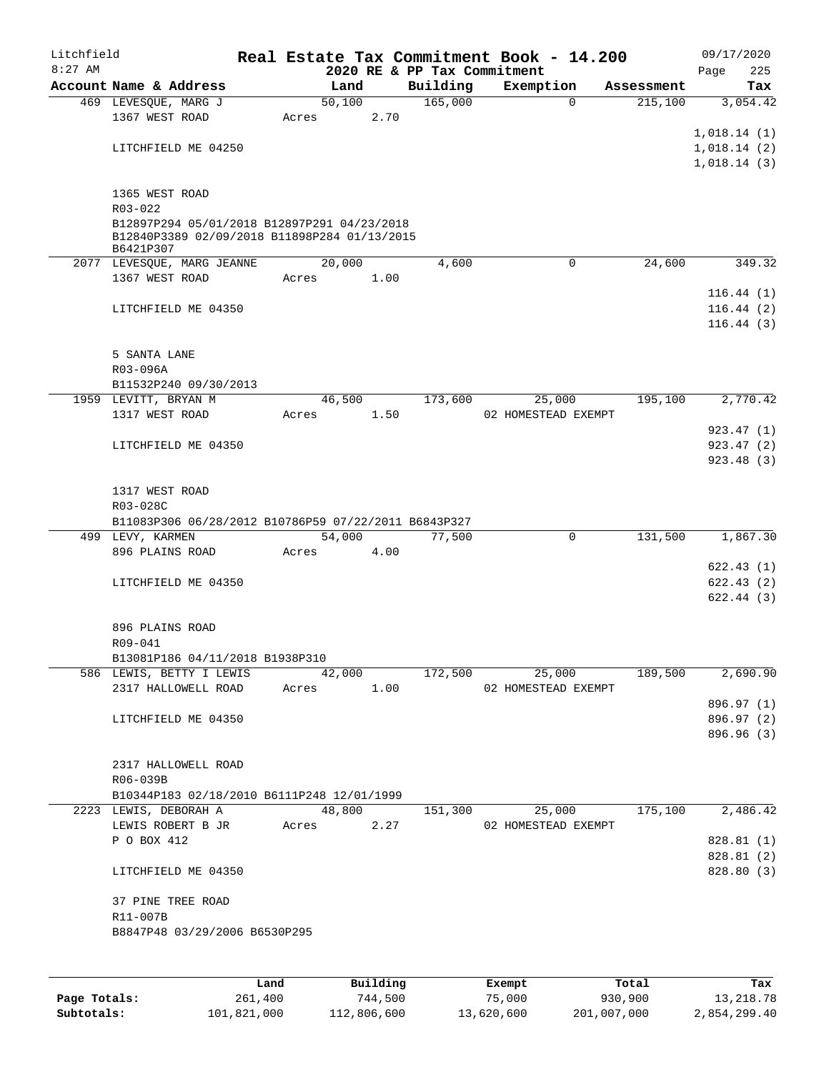| Litchfield<br>$8:27$ AM |                                                                                             |            |        |      | 2020 RE & PP Tax Commitment | Real Estate Tax Commitment Book - 14.200 |            | 09/17/2020<br>225<br>Page |
|-------------------------|---------------------------------------------------------------------------------------------|------------|--------|------|-----------------------------|------------------------------------------|------------|---------------------------|
|                         | Account Name & Address                                                                      |            | Land   |      | Building                    | Exemption                                | Assessment | Tax                       |
|                         | 469 LEVESQUE, MARG J                                                                        |            | 50,100 |      | 165,000                     | $\mathbf 0$                              | 215,100    | 3,054.42                  |
|                         | 1367 WEST ROAD                                                                              | Acres      |        | 2.70 |                             |                                          |            |                           |
|                         |                                                                                             |            |        |      |                             |                                          |            | 1,018.14(1)               |
|                         | LITCHFIELD ME 04250                                                                         |            |        |      |                             |                                          |            | 1,018.14(2)               |
|                         |                                                                                             |            |        |      |                             |                                          |            | 1,018.14(3)               |
|                         |                                                                                             |            |        |      |                             |                                          |            |                           |
|                         | 1365 WEST ROAD                                                                              |            |        |      |                             |                                          |            |                           |
|                         | R03-022                                                                                     |            |        |      |                             |                                          |            |                           |
|                         | B12897P294 05/01/2018 B12897P291 04/23/2018<br>B12840P3389 02/09/2018 B11898P284 01/13/2015 |            |        |      |                             |                                          |            |                           |
|                         | B6421P307                                                                                   |            |        |      |                             |                                          |            |                           |
|                         | 2077 LEVESQUE, MARG JEANNE                                                                  |            | 20,000 |      | 4,600                       | 0                                        | 24,600     | 349.32                    |
|                         | 1367 WEST ROAD                                                                              | Acres      |        | 1.00 |                             |                                          |            |                           |
|                         |                                                                                             |            |        |      |                             |                                          |            | 116.44(1)                 |
|                         | LITCHFIELD ME 04350                                                                         |            |        |      |                             |                                          |            | 116.44(2)                 |
|                         |                                                                                             |            |        |      |                             |                                          |            | 116.44(3)                 |
|                         |                                                                                             |            |        |      |                             |                                          |            |                           |
|                         | 5 SANTA LANE                                                                                |            |        |      |                             |                                          |            |                           |
|                         | R03-096A                                                                                    |            |        |      |                             |                                          |            |                           |
|                         | B11532P240 09/30/2013                                                                       |            |        |      |                             |                                          |            |                           |
|                         | 1959 LEVITT, BRYAN M                                                                        |            | 46,500 |      | 173,600                     | 25,000                                   | 195,100    | 2,770.42                  |
|                         | 1317 WEST ROAD                                                                              | Acres      |        | 1.50 |                             | 02 HOMESTEAD EXEMPT                      |            |                           |
|                         |                                                                                             |            |        |      |                             |                                          |            | 923.47 (1)                |
|                         | LITCHFIELD ME 04350                                                                         |            |        |      |                             |                                          |            | 923.47 (2)                |
|                         |                                                                                             |            |        |      |                             |                                          |            | 923.48(3)                 |
|                         |                                                                                             |            |        |      |                             |                                          |            |                           |
|                         | 1317 WEST ROAD                                                                              |            |        |      |                             |                                          |            |                           |
|                         | R03-028C                                                                                    |            |        |      |                             |                                          |            |                           |
|                         | B11083P306 06/28/2012 B10786P59 07/22/2011 B6843P327                                        |            |        |      |                             |                                          |            |                           |
|                         | 499 LEVY, KARMEN                                                                            |            | 54,000 |      | 77,500                      | $\mathsf{O}$                             | 131,500    | 1,867.30                  |
|                         | 896 PLAINS ROAD                                                                             | Acres      |        | 4.00 |                             |                                          |            | 622.43(1)                 |
|                         | LITCHFIELD ME 04350                                                                         |            |        |      |                             |                                          |            | 622.43(2)                 |
|                         |                                                                                             |            |        |      |                             |                                          |            | 622.44(3)                 |
|                         |                                                                                             |            |        |      |                             |                                          |            |                           |
|                         | 896 PLAINS ROAD                                                                             |            |        |      |                             |                                          |            |                           |
|                         | R09-041                                                                                     |            |        |      |                             |                                          |            |                           |
|                         | B13081P186 04/11/2018 B1938P310                                                             |            |        |      |                             |                                          |            |                           |
|                         | 586 LEWIS, BETTY I LEWIS                                                                    |            | 42,000 |      | 172,500                     | 25,000                                   | 189,500    | 2,690.90                  |
|                         | 2317 HALLOWELL ROAD                                                                         | Acres 1.00 |        |      |                             | 02 HOMESTEAD EXEMPT                      |            |                           |
|                         |                                                                                             |            |        |      |                             |                                          |            | 896.97 (1)                |
|                         | LITCHFIELD ME 04350                                                                         |            |        |      |                             |                                          |            | 896.97 (2)                |
|                         |                                                                                             |            |        |      |                             |                                          |            | 896.96 (3)                |
|                         |                                                                                             |            |        |      |                             |                                          |            |                           |
|                         | 2317 HALLOWELL ROAD                                                                         |            |        |      |                             |                                          |            |                           |
|                         | R06-039B                                                                                    |            |        |      |                             |                                          |            |                           |
|                         | B10344P183 02/18/2010 B6111P248 12/01/1999                                                  |            |        |      |                             |                                          |            |                           |
|                         | 2223 LEWIS, DEBORAH A                                                                       |            | 48,800 |      | 151,300                     | 25,000                                   | 175,100    | 2,486.42                  |
|                         | LEWIS ROBERT B JR                                                                           |            | Acres  | 2.27 |                             | 02 HOMESTEAD EXEMPT                      |            |                           |
|                         | P O BOX 412                                                                                 |            |        |      |                             |                                          |            | 828.81 (1)                |
|                         |                                                                                             |            |        |      |                             |                                          |            | 828.81 (2)                |
|                         | LITCHFIELD ME 04350                                                                         |            |        |      |                             |                                          |            | 828.80 (3)                |
|                         |                                                                                             |            |        |      |                             |                                          |            |                           |
|                         | 37 PINE TREE ROAD                                                                           |            |        |      |                             |                                          |            |                           |
|                         | R11-007B<br>B8847P48 03/29/2006 B6530P295                                                   |            |        |      |                             |                                          |            |                           |
|                         |                                                                                             |            |        |      |                             |                                          |            |                           |
|                         |                                                                                             |            |        |      |                             |                                          |            |                           |
|                         |                                                                                             |            |        |      |                             |                                          |            |                           |

|              | Land        | Building    | Exempt     | Total       | Tax          |
|--------------|-------------|-------------|------------|-------------|--------------|
| Page Totals: | 261,400     | 744.500     | 75,000     | 930,900     | 13,218.78    |
| Subtotals:   | 101,821,000 | 112,806,600 | 13,620,600 | 201,007,000 | 2,854,299.40 |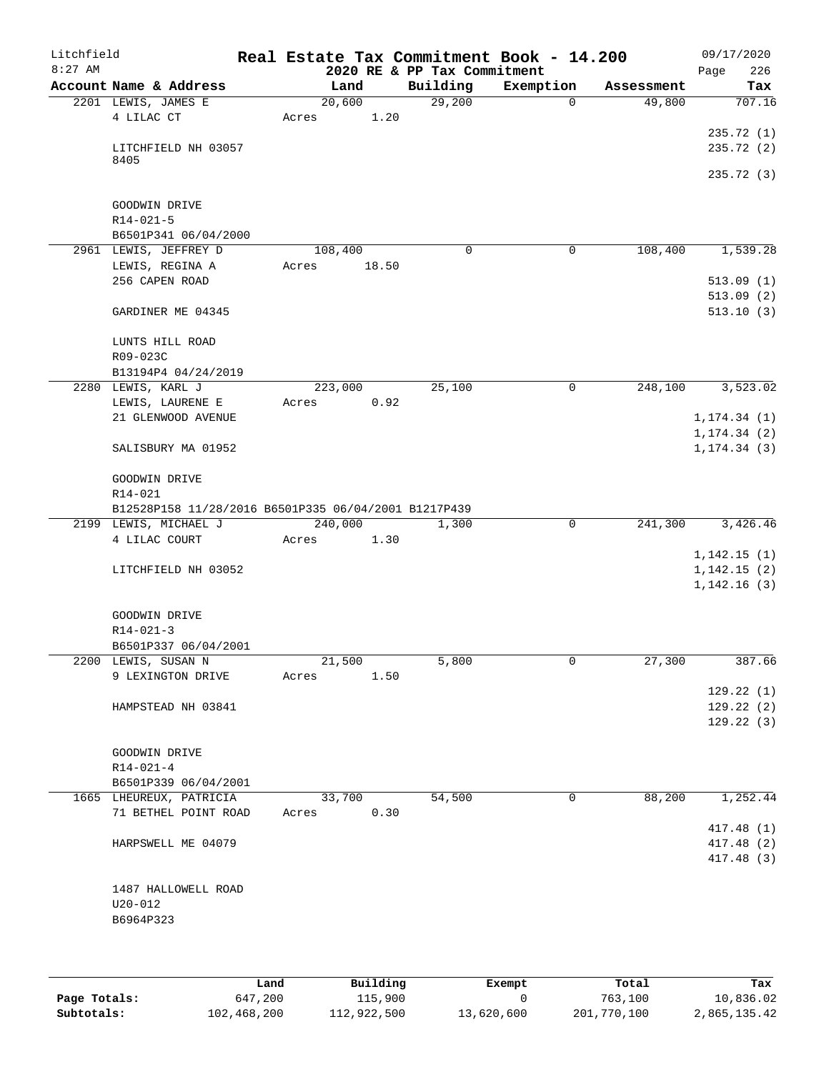| Litchfield<br>$8:27$ AM |                                                      | Real Estate Tax Commitment Book - 14.200 | 2020 RE & PP Tax Commitment |             |            | 09/17/2020<br>226<br>Page |
|-------------------------|------------------------------------------------------|------------------------------------------|-----------------------------|-------------|------------|---------------------------|
|                         | Account Name & Address                               | Land                                     | Building                    | Exemption   | Assessment | Tax                       |
|                         | 2201 LEWIS, JAMES E                                  | 20,600                                   | 29,200                      | 0           | 49,800     | 707.16                    |
|                         | 4 LILAC CT                                           | 1.20<br>Acres                            |                             |             |            |                           |
|                         |                                                      |                                          |                             |             |            | 235.72(1)                 |
|                         | LITCHFIELD NH 03057                                  |                                          |                             |             |            | 235.72(2)                 |
|                         | 8405                                                 |                                          |                             |             |            |                           |
|                         |                                                      |                                          |                             |             |            | 235.72 (3)                |
|                         | GOODWIN DRIVE                                        |                                          |                             |             |            |                           |
|                         | $R14 - 021 - 5$                                      |                                          |                             |             |            |                           |
|                         | B6501P341 06/04/2000                                 |                                          |                             |             |            |                           |
|                         | 2961 LEWIS, JEFFREY D                                | 108,400                                  | $\Omega$                    | 0           | 108,400    | 1,539.28                  |
|                         | LEWIS, REGINA A                                      | 18.50<br>Acres                           |                             |             |            |                           |
|                         | 256 CAPEN ROAD                                       |                                          |                             |             |            | 513.09(1)                 |
|                         |                                                      |                                          |                             |             |            | 513.09(2)                 |
|                         | GARDINER ME 04345                                    |                                          |                             |             |            | 513.10(3)                 |
|                         | LUNTS HILL ROAD                                      |                                          |                             |             |            |                           |
|                         | R09-023C                                             |                                          |                             |             |            |                           |
|                         | B13194P4 04/24/2019                                  |                                          |                             |             |            |                           |
|                         | 2280 LEWIS, KARL J                                   | 223,000                                  | 25,100                      | 0           | 248,100    | 3,523.02                  |
|                         | LEWIS, LAURENE E                                     | 0.92<br>Acres                            |                             |             |            |                           |
|                         | 21 GLENWOOD AVENUE                                   |                                          |                             |             |            | 1, 174.34(1)              |
|                         |                                                      |                                          |                             |             |            | 1, 174.34(2)              |
|                         | SALISBURY MA 01952                                   |                                          |                             |             |            | 1, 174.34(3)              |
|                         | GOODWIN DRIVE                                        |                                          |                             |             |            |                           |
|                         | R14-021                                              |                                          |                             |             |            |                           |
|                         | B12528P158 11/28/2016 B6501P335 06/04/2001 B1217P439 |                                          |                             |             |            |                           |
|                         | 2199 LEWIS, MICHAEL J                                | 240,000                                  | 1,300                       | 0           | 241,300    | 3,426.46                  |
|                         | 4 LILAC COURT                                        | 1.30<br>Acres                            |                             |             |            |                           |
|                         |                                                      |                                          |                             |             |            | 1,142.15(1)               |
|                         | LITCHFIELD NH 03052                                  |                                          |                             |             |            | 1,142.15(2)               |
|                         |                                                      |                                          |                             |             |            | 1,142.16(3)               |
|                         | GOODWIN DRIVE                                        |                                          |                             |             |            |                           |
|                         | $R14 - 021 - 3$                                      |                                          |                             |             |            |                           |
|                         | B6501P337 06/04/2001                                 |                                          |                             |             |            |                           |
|                         | 2200 LEWIS, SUSAN N                                  | 21,500                                   | 5,800                       | 0           | 27,300     | 387.66                    |
|                         | 9 LEXINGTON DRIVE                                    | Acres<br>1.50                            |                             |             |            |                           |
|                         |                                                      |                                          |                             |             |            | 129.22(1)                 |
|                         | HAMPSTEAD NH 03841                                   |                                          |                             |             |            | 129.22(2)                 |
|                         |                                                      |                                          |                             |             |            | 129.22(3)                 |
|                         | GOODWIN DRIVE                                        |                                          |                             |             |            |                           |
|                         | $R14 - 021 - 4$                                      |                                          |                             |             |            |                           |
|                         | B6501P339 06/04/2001                                 |                                          |                             |             |            |                           |
|                         | 1665 LHEUREUX, PATRICIA                              | 33,700                                   | 54,500                      | $\mathbf 0$ | 88,200     | 1,252.44                  |
|                         | 71 BETHEL POINT ROAD                                 | 0.30<br>Acres                            |                             |             |            |                           |
|                         |                                                      |                                          |                             |             |            | 417.48 (1)                |
|                         | HARPSWELL ME 04079                                   |                                          |                             |             |            | 417.48 (2)                |
|                         |                                                      |                                          |                             |             |            | 417.48 (3)                |
|                         | 1487 HALLOWELL ROAD                                  |                                          |                             |             |            |                           |
|                         | $U20 - 012$                                          |                                          |                             |             |            |                           |
|                         | B6964P323                                            |                                          |                             |             |            |                           |
|                         |                                                      |                                          |                             |             |            |                           |
|                         |                                                      |                                          |                             |             |            |                           |

|              | Land        | Building    | Exempt     | Total       | Tax          |
|--------------|-------------|-------------|------------|-------------|--------------|
| Page Totals: | 647,200     | 115,900     |            | 763,100     | 10,836.02    |
| Subtotals:   | 102,468,200 | 112,922,500 | 13,620,600 | 201,770,100 | 2,865,135.42 |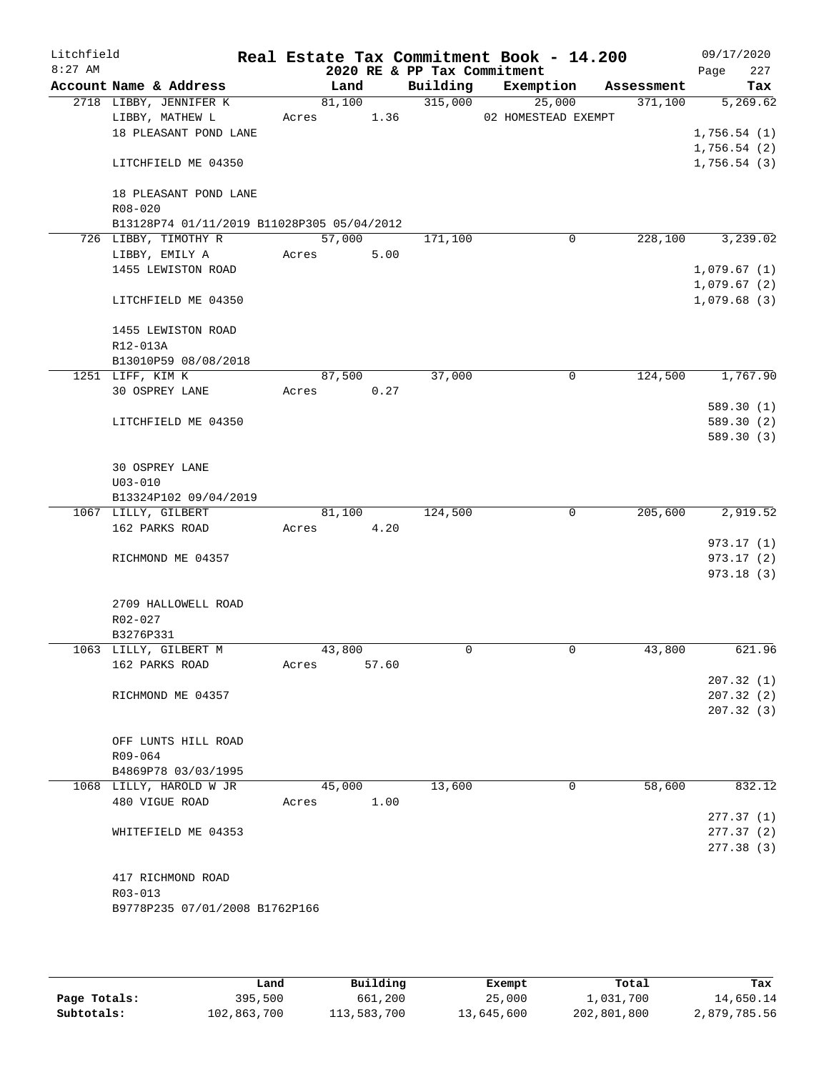| Litchfield |                                            |            |       |                             | Real Estate Tax Commitment Book - 14.200 |            | 09/17/2020                 |
|------------|--------------------------------------------|------------|-------|-----------------------------|------------------------------------------|------------|----------------------------|
| $8:27$ AM  |                                            |            |       | 2020 RE & PP Tax Commitment |                                          |            | 227<br>Page                |
|            | Account Name & Address                     | Land       |       |                             | Building Exemption                       | Assessment | Tax                        |
|            | 2718 LIBBY, JENNIFER K                     | 81,100     |       | 315,000                     | 25,000                                   | 371,100    | 5,269.62                   |
|            | LIBBY, MATHEW L<br>18 PLEASANT POND LANE   | Acres      | 1.36  |                             | 02 HOMESTEAD EXEMPT                      |            | 1,756.54(1)                |
|            |                                            |            |       |                             |                                          |            | 1,756.54(2)                |
|            | LITCHFIELD ME 04350                        |            |       |                             |                                          |            | 1,756.54(3)                |
|            | 18 PLEASANT POND LANE                      |            |       |                             |                                          |            |                            |
|            | R08-020                                    |            |       |                             |                                          |            |                            |
|            | B13128P74 01/11/2019 B11028P305 05/04/2012 |            |       |                             |                                          |            |                            |
|            | 726 LIBBY, TIMOTHY R                       | 57,000     |       | 171,100                     | 0                                        | 228,100    | 3,239.02                   |
|            | LIBBY, EMILY A                             | Acres      | 5.00  |                             |                                          |            |                            |
|            | 1455 LEWISTON ROAD                         |            |       |                             |                                          |            | 1,079.67(1)                |
|            | LITCHFIELD ME 04350                        |            |       |                             |                                          |            | 1,079.67(2)<br>1,079.68(3) |
|            | 1455 LEWISTON ROAD                         |            |       |                             |                                          |            |                            |
|            | R12-013A                                   |            |       |                             |                                          |            |                            |
|            | B13010P59 08/08/2018                       |            |       |                             |                                          |            |                            |
|            | 1251 LIFF, KIM K                           | 87,500     |       | 37,000                      | 0                                        | 124,500    | 1,767.90                   |
|            | 30 OSPREY LANE                             | Acres 0.27 |       |                             |                                          |            | 589.30(1)                  |
|            | LITCHFIELD ME 04350                        |            |       |                             |                                          |            | 589.30 (2)                 |
|            |                                            |            |       |                             |                                          |            | 589.30(3)                  |
|            |                                            |            |       |                             |                                          |            |                            |
|            | 30 OSPREY LANE                             |            |       |                             |                                          |            |                            |
|            | $U03 - 010$                                |            |       |                             |                                          |            |                            |
|            | B13324P102 09/04/2019                      |            |       |                             |                                          |            |                            |
|            | 1067 LILLY, GILBERT                        | 81,100     |       | 124,500                     | $\mathbf 0$                              | 205,600    | 2,919.52                   |
|            | 162 PARKS ROAD                             | Acres      | 4.20  |                             |                                          |            |                            |
|            | RICHMOND ME 04357                          |            |       |                             |                                          |            | 973.17(1)<br>973.17 (2)    |
|            |                                            |            |       |                             |                                          |            | 973.18(3)                  |
|            | 2709 HALLOWELL ROAD                        |            |       |                             |                                          |            |                            |
|            | R02-027                                    |            |       |                             |                                          |            |                            |
|            | B3276P331                                  |            |       |                             |                                          |            |                            |
|            | 1063 LILLY, GILBERT M                      | 43,800     |       | 0                           | $\mathbf 0$                              | 43,800     | 621.96                     |
|            | 162 PARKS ROAD                             | Acres      | 57.60 |                             |                                          |            |                            |
|            |                                            |            |       |                             |                                          |            | 207.32(1)                  |
|            | RICHMOND ME 04357                          |            |       |                             |                                          |            | 207.32(2)                  |
|            |                                            |            |       |                             |                                          |            | 207.32(3)                  |
|            | OFF LUNTS HILL ROAD                        |            |       |                             |                                          |            |                            |
|            | R09-064                                    |            |       |                             |                                          |            |                            |
|            | B4869P78 03/03/1995                        |            |       |                             |                                          |            |                            |
|            | 1068 LILLY, HAROLD W JR                    | 45,000     |       | 13,600                      | $\mathbf 0$                              | 58,600     | 832.12                     |
|            | 480 VIGUE ROAD                             | Acres      | 1.00  |                             |                                          |            |                            |
|            |                                            |            |       |                             |                                          |            | 277.37(1)                  |
|            | WHITEFIELD ME 04353                        |            |       |                             |                                          |            | 277.37(2)                  |
|            |                                            |            |       |                             |                                          |            | 277.38 (3)                 |
|            |                                            |            |       |                             |                                          |            |                            |
|            | 417 RICHMOND ROAD<br>R03-013               |            |       |                             |                                          |            |                            |
|            | B9778P235 07/01/2008 B1762P166             |            |       |                             |                                          |            |                            |
|            |                                            |            |       |                             |                                          |            |                            |
|            |                                            |            |       |                             |                                          |            |                            |

|              | Land        | Building    | Exempt     | Total       | Tax          |
|--------------|-------------|-------------|------------|-------------|--------------|
| Page Totals: | 395,500     | 661,200     | 25,000     | 1,031,700   | 14,650.14    |
| Subtotals:   | 102,863,700 | 113,583,700 | 13,645,600 | 202,801,800 | 2,879,785.56 |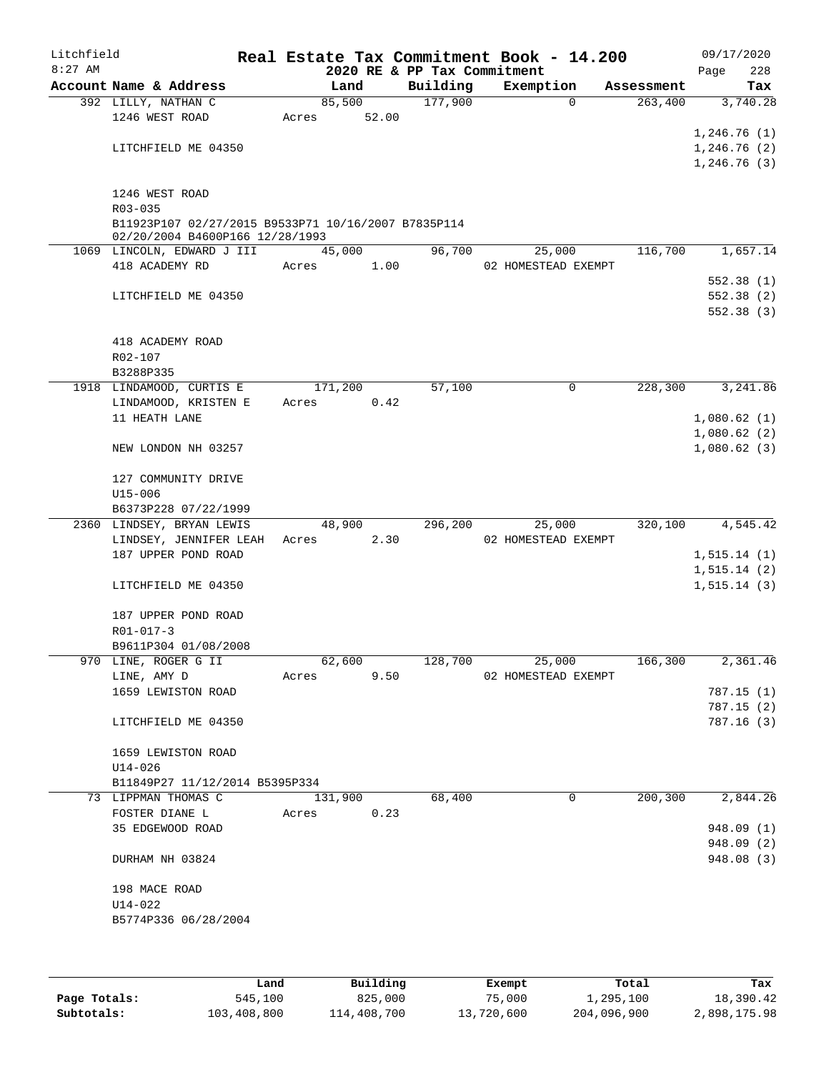| Litchfield<br>$8:27$ AM |                                                     |       |         |       | 2020 RE & PP Tax Commitment | Real Estate Tax Commitment Book - 14.200 |            | 09/17/2020<br>Page<br>228 |
|-------------------------|-----------------------------------------------------|-------|---------|-------|-----------------------------|------------------------------------------|------------|---------------------------|
|                         | Account Name & Address                              |       | Land    |       | Building                    | Exemption                                | Assessment | Tax                       |
|                         | 392 LILLY, NATHAN C                                 |       | 85,500  |       | 177,900                     | $\Omega$                                 | 263,400    | 3,740.28                  |
|                         | 1246 WEST ROAD                                      | Acres |         | 52.00 |                             |                                          |            |                           |
|                         |                                                     |       |         |       |                             |                                          |            | 1,246.76(1)               |
|                         | LITCHFIELD ME 04350                                 |       |         |       |                             |                                          |            | 1,246.76(2)               |
|                         |                                                     |       |         |       |                             |                                          |            | 1,246.76(3)               |
|                         | 1246 WEST ROAD                                      |       |         |       |                             |                                          |            |                           |
|                         | R03-035                                             |       |         |       |                             |                                          |            |                           |
|                         | B11923P107 02/27/2015 B9533P71 10/16/2007 B7835P114 |       |         |       |                             |                                          |            |                           |
|                         | 02/20/2004 B4600P166 12/28/1993                     |       |         |       |                             |                                          |            |                           |
|                         | 1069 LINCOLN, EDWARD J III                          |       | 45,000  |       | 96,700                      | 25,000                                   | 116,700    | 1,657.14                  |
|                         | 418 ACADEMY RD                                      | Acres |         | 1.00  |                             | 02 HOMESTEAD EXEMPT                      |            |                           |
|                         |                                                     |       |         |       |                             |                                          |            | 552.38(1)                 |
|                         | LITCHFIELD ME 04350                                 |       |         |       |                             |                                          |            | 552.38(2)<br>552.38(3)    |
|                         |                                                     |       |         |       |                             |                                          |            |                           |
|                         | 418 ACADEMY ROAD                                    |       |         |       |                             |                                          |            |                           |
|                         | R02-107                                             |       |         |       |                             |                                          |            |                           |
|                         | B3288P335                                           |       |         |       |                             |                                          |            |                           |
|                         | 1918 LINDAMOOD, CURTIS E                            |       | 171,200 |       | 57,100                      | 0                                        | 228,300    | 3,241.86                  |
|                         | LINDAMOOD, KRISTEN E                                | Acres |         | 0.42  |                             |                                          |            |                           |
|                         | 11 HEATH LANE                                       |       |         |       |                             |                                          |            | 1,080.62(1)               |
|                         |                                                     |       |         |       |                             |                                          |            | 1,080.62(2)               |
|                         | NEW LONDON NH 03257                                 |       |         |       |                             |                                          |            | 1,080.62(3)               |
|                         | 127 COMMUNITY DRIVE                                 |       |         |       |                             |                                          |            |                           |
|                         | $U15 - 006$                                         |       |         |       |                             |                                          |            |                           |
|                         | B6373P228 07/22/1999                                |       |         |       |                             |                                          |            |                           |
|                         | 2360 LINDSEY, BRYAN LEWIS                           |       | 48,900  |       | 296,200                     | 25,000                                   | 320,100    | 4,545.42                  |
|                         | LINDSEY, JENNIFER LEAH                              | Acres |         | 2.30  |                             | 02 HOMESTEAD EXEMPT                      |            |                           |
|                         | 187 UPPER POND ROAD                                 |       |         |       |                             |                                          |            | 1, 515.14(1)              |
|                         | LITCHFIELD ME 04350                                 |       |         |       |                             |                                          |            | 1, 515.14 (2)             |
|                         |                                                     |       |         |       |                             |                                          |            | 1, 515.14(3)              |
|                         | 187 UPPER POND ROAD                                 |       |         |       |                             |                                          |            |                           |
|                         | R01-017-3                                           |       |         |       |                             |                                          |            |                           |
|                         | B9611P304 01/08/2008                                |       |         |       |                             |                                          |            |                           |
|                         | 970 LINE, ROGER G II                                |       | 62,600  |       | 128,700                     | 25,000                                   | 166,300    | 2,361.46                  |
|                         | LINE, AMY D                                         | Acres |         | 9.50  |                             | 02 HOMESTEAD EXEMPT                      |            |                           |
|                         | 1659 LEWISTON ROAD                                  |       |         |       |                             |                                          |            | 787.15(1)                 |
|                         |                                                     |       |         |       |                             |                                          |            | 787.15(2)                 |
|                         | LITCHFIELD ME 04350                                 |       |         |       |                             |                                          |            | 787.16(3)                 |
|                         | 1659 LEWISTON ROAD                                  |       |         |       |                             |                                          |            |                           |
|                         | $U14 - 026$                                         |       |         |       |                             |                                          |            |                           |
|                         | B11849P27 11/12/2014 B5395P334                      |       |         |       |                             |                                          |            |                           |
|                         | 73 LIPPMAN THOMAS C                                 |       | 131,900 |       | 68,400                      | 0                                        | 200,300    | 2,844.26                  |
|                         | FOSTER DIANE L                                      | Acres |         | 0.23  |                             |                                          |            |                           |
|                         | 35 EDGEWOOD ROAD                                    |       |         |       |                             |                                          |            | 948.09 (1)                |
|                         |                                                     |       |         |       |                             |                                          |            | 948.09 (2)                |
|                         | DURHAM NH 03824                                     |       |         |       |                             |                                          |            | 948.08 (3)                |
|                         | 198 MACE ROAD                                       |       |         |       |                             |                                          |            |                           |
|                         | $U14 - 022$                                         |       |         |       |                             |                                          |            |                           |
|                         | B5774P336 06/28/2004                                |       |         |       |                             |                                          |            |                           |
|                         |                                                     |       |         |       |                             |                                          |            |                           |
|                         |                                                     |       |         |       |                             |                                          |            |                           |

|              | Land        | Building    | Exempt     | Total       | Tax          |
|--------------|-------------|-------------|------------|-------------|--------------|
| Page Totals: | 545,100     | 825,000     | 75,000     | 1,295,100   | 18,390.42    |
| Subtotals:   | 103,408,800 | 114,408,700 | 13,720,600 | 204,096,900 | 2,898,175.98 |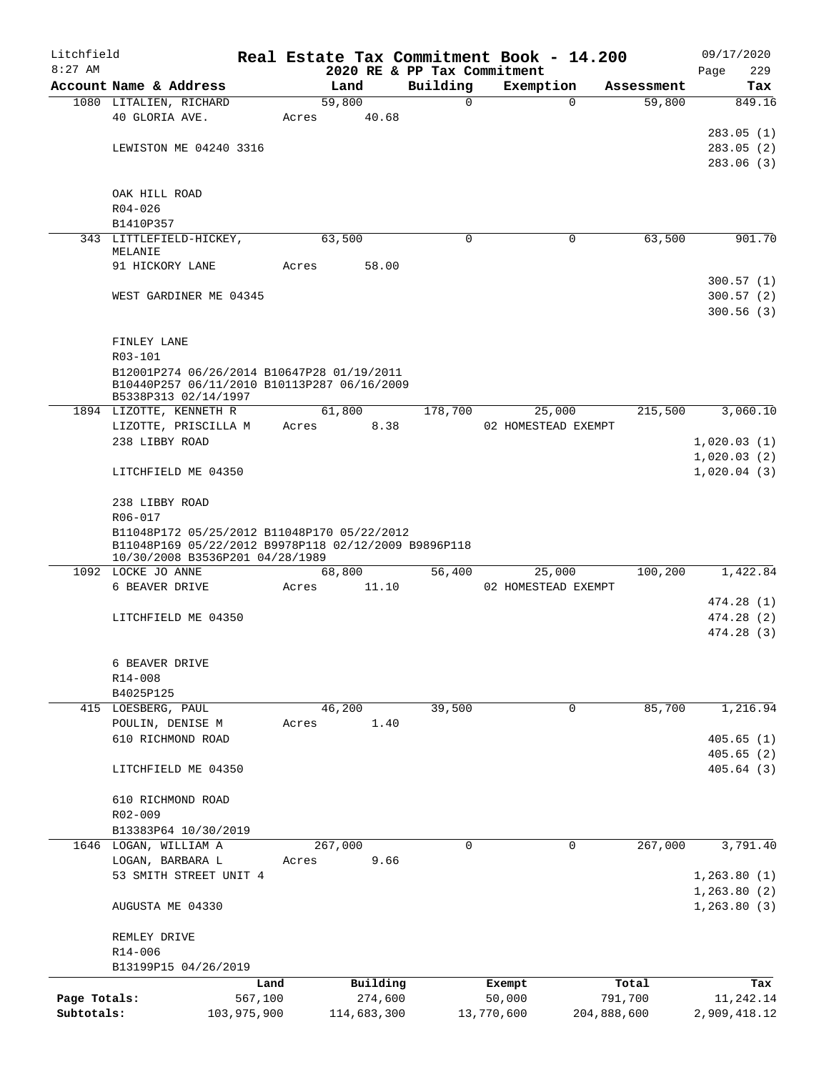| Litchfield   |                                                                                                     |             |       |         |             |          | Real Estate Tax Commitment Book - 14.200 |             |            |      | 09/17/2020   |
|--------------|-----------------------------------------------------------------------------------------------------|-------------|-------|---------|-------------|----------|------------------------------------------|-------------|------------|------|--------------|
| $8:27$ AM    |                                                                                                     |             |       |         |             |          | 2020 RE & PP Tax Commitment              |             |            | Page | 229          |
|              | Account Name & Address                                                                              |             |       | Land    |             | Building | Exemption                                |             | Assessment |      | Tax          |
|              | 1080 LITALIEN, RICHARD                                                                              |             |       | 59,800  |             | $\Omega$ |                                          | $\Omega$    | 59,800     |      | 849.16       |
|              | 40 GLORIA AVE.                                                                                      |             | Acres |         | 40.68       |          |                                          |             |            |      |              |
|              |                                                                                                     |             |       |         |             |          |                                          |             |            |      | 283.05(1)    |
|              | LEWISTON ME 04240 3316                                                                              |             |       |         |             |          |                                          |             |            |      | 283.05(2)    |
|              |                                                                                                     |             |       |         |             |          |                                          |             |            |      | 283.06 (3)   |
|              |                                                                                                     |             |       |         |             |          |                                          |             |            |      |              |
|              | OAK HILL ROAD                                                                                       |             |       |         |             |          |                                          |             |            |      |              |
|              | $R04 - 026$                                                                                         |             |       |         |             |          |                                          |             |            |      |              |
|              | B1410P357                                                                                           |             |       | 63,500  |             | 0        |                                          | 0           | 63,500     |      | 901.70       |
|              | 343 LITTLEFIELD-HICKEY,<br>MELANIE                                                                  |             |       |         |             |          |                                          |             |            |      |              |
|              | 91 HICKORY LANE                                                                                     |             | Acres |         | 58.00       |          |                                          |             |            |      |              |
|              |                                                                                                     |             |       |         |             |          |                                          |             |            |      | 300.57(1)    |
|              | WEST GARDINER ME 04345                                                                              |             |       |         |             |          |                                          |             |            |      | 300.57(2)    |
|              |                                                                                                     |             |       |         |             |          |                                          |             |            |      | 300.56(3)    |
|              |                                                                                                     |             |       |         |             |          |                                          |             |            |      |              |
|              | FINLEY LANE                                                                                         |             |       |         |             |          |                                          |             |            |      |              |
|              | R03-101                                                                                             |             |       |         |             |          |                                          |             |            |      |              |
|              | B12001P274 06/26/2014 B10647P28 01/19/2011                                                          |             |       |         |             |          |                                          |             |            |      |              |
|              | B10440P257 06/11/2010 B10113P287 06/16/2009                                                         |             |       |         |             |          |                                          |             |            |      |              |
|              | B5338P313 02/14/1997                                                                                |             |       |         |             |          |                                          |             |            |      |              |
|              | 1894 LIZOTTE, KENNETH R                                                                             |             |       | 61,800  |             | 178,700  | 25,000                                   |             | 215,500    |      | 3,060.10     |
|              | LIZOTTE, PRISCILLA M                                                                                |             | Acres |         | 8.38        |          | 02 HOMESTEAD EXEMPT                      |             |            |      |              |
|              | 238 LIBBY ROAD                                                                                      |             |       |         |             |          |                                          |             |            |      | 1,020.03(1)  |
|              |                                                                                                     |             |       |         |             |          |                                          |             |            |      | 1,020.03(2)  |
|              | LITCHFIELD ME 04350                                                                                 |             |       |         |             |          |                                          |             |            |      | 1,020.04(3)  |
|              |                                                                                                     |             |       |         |             |          |                                          |             |            |      |              |
|              | 238 LIBBY ROAD                                                                                      |             |       |         |             |          |                                          |             |            |      |              |
|              | R06-017                                                                                             |             |       |         |             |          |                                          |             |            |      |              |
|              | B11048P172 05/25/2012 B11048P170 05/22/2012<br>B11048P169 05/22/2012 B9978P118 02/12/2009 B9896P118 |             |       |         |             |          |                                          |             |            |      |              |
|              | 10/30/2008 B3536P201 04/28/1989                                                                     |             |       |         |             |          |                                          |             |            |      |              |
|              | 1092 LOCKE JO ANNE                                                                                  |             |       | 68,800  |             | 56,400   | 25,000                                   |             | 100,200    |      | 1,422.84     |
|              | 6 BEAVER DRIVE                                                                                      |             | Acres |         | 11.10       |          | 02 HOMESTEAD EXEMPT                      |             |            |      |              |
|              |                                                                                                     |             |       |         |             |          |                                          |             |            |      | 474.28 (1)   |
|              | LITCHFIELD ME 04350                                                                                 |             |       |         |             |          |                                          |             |            |      | 474.28 (2)   |
|              |                                                                                                     |             |       |         |             |          |                                          |             |            |      | 474.28(3)    |
|              |                                                                                                     |             |       |         |             |          |                                          |             |            |      |              |
|              | 6 BEAVER DRIVE                                                                                      |             |       |         |             |          |                                          |             |            |      |              |
|              | R14-008                                                                                             |             |       |         |             |          |                                          |             |            |      |              |
|              | B4025P125                                                                                           |             |       |         |             |          |                                          |             |            |      |              |
|              | 415 LOESBERG, PAUL                                                                                  |             |       | 46,200  |             | 39,500   |                                          | 0           | 85,700     |      | 1,216.94     |
|              | POULIN, DENISE M                                                                                    |             | Acres |         | 1.40        |          |                                          |             |            |      |              |
|              | 610 RICHMOND ROAD                                                                                   |             |       |         |             |          |                                          |             |            |      | 405.65(1)    |
|              |                                                                                                     |             |       |         |             |          |                                          |             |            |      | 405.65(2)    |
|              | LITCHFIELD ME 04350                                                                                 |             |       |         |             |          |                                          |             |            |      | 405.64(3)    |
|              |                                                                                                     |             |       |         |             |          |                                          |             |            |      |              |
|              | 610 RICHMOND ROAD                                                                                   |             |       |         |             |          |                                          |             |            |      |              |
|              | R02-009                                                                                             |             |       |         |             |          |                                          |             |            |      |              |
|              | B13383P64 10/30/2019                                                                                |             |       |         |             |          |                                          |             |            |      |              |
|              | 1646 LOGAN, WILLIAM A                                                                               |             |       | 267,000 |             | 0        |                                          | 0           | 267,000    |      | 3,791.40     |
|              | LOGAN, BARBARA L                                                                                    |             | Acres |         | 9.66        |          |                                          |             |            |      |              |
|              | 53 SMITH STREET UNIT 4                                                                              |             |       |         |             |          |                                          |             |            |      | 1, 263.80(1) |
|              |                                                                                                     |             |       |         |             |          |                                          |             |            |      | 1, 263.80(2) |
|              | AUGUSTA ME 04330                                                                                    |             |       |         |             |          |                                          |             |            |      | 1,263.80(3)  |
|              |                                                                                                     |             |       |         |             |          |                                          |             |            |      |              |
|              | REMLEY DRIVE                                                                                        |             |       |         |             |          |                                          |             |            |      |              |
|              | R14-006                                                                                             |             |       |         |             |          |                                          |             |            |      |              |
|              | B13199P15 04/26/2019                                                                                |             |       |         |             |          |                                          |             |            |      |              |
|              |                                                                                                     | Land        |       |         | Building    |          | Exempt                                   |             | Total      |      | Tax          |
| Page Totals: |                                                                                                     | 567,100     |       |         | 274,600     |          | 50,000                                   |             | 791,700    |      | 11,242.14    |
| Subtotals:   |                                                                                                     | 103,975,900 |       |         | 114,683,300 |          | 13,770,600                               | 204,888,600 |            |      | 2,909,418.12 |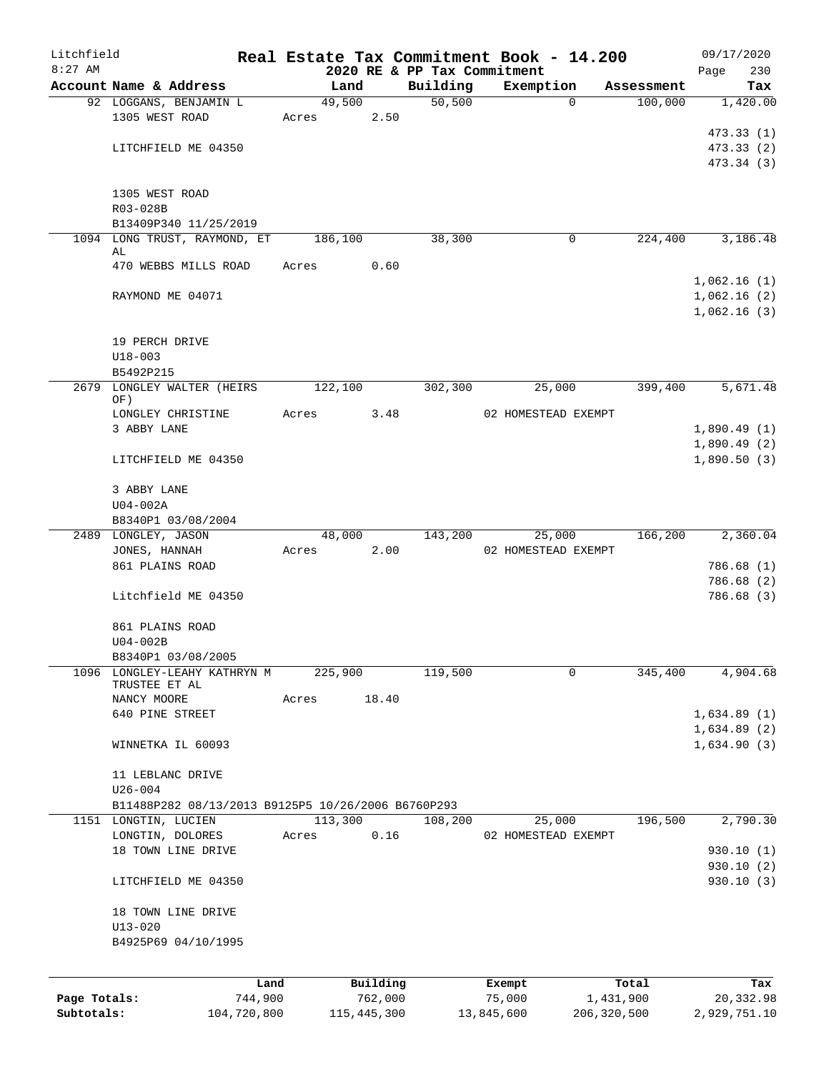| Litchfield   |                                                    |             |         |               |                             | Real Estate Tax Commitment Book - 14.200 |               |            |             | 09/17/2020   |
|--------------|----------------------------------------------------|-------------|---------|---------------|-----------------------------|------------------------------------------|---------------|------------|-------------|--------------|
| $8:27$ AM    |                                                    |             |         |               | 2020 RE & PP Tax Commitment |                                          |               |            | Page        | 230          |
|              | Account Name & Address                             |             |         | Land          | Building                    | Exemption                                |               | Assessment |             | Tax          |
|              | 92 LOGGANS, BENJAMIN L                             |             | 49,500  |               | 50, 500                     |                                          | $\mathbf 0$   | 100,000    |             | 1,420.00     |
|              | 1305 WEST ROAD                                     |             | Acres   | 2.50          |                             |                                          |               |            |             |              |
|              |                                                    |             |         |               |                             |                                          |               |            |             | 473.33(1)    |
|              | LITCHFIELD ME 04350                                |             |         |               |                             |                                          |               |            |             | 473.33 (2)   |
|              |                                                    |             |         |               |                             |                                          |               |            |             | 473.34 (3)   |
|              | 1305 WEST ROAD                                     |             |         |               |                             |                                          |               |            |             |              |
|              | R03-028B                                           |             |         |               |                             |                                          |               |            |             |              |
|              | B13409P340 11/25/2019                              |             |         |               |                             |                                          |               |            |             |              |
|              | 1094 LONG TRUST, RAYMOND, ET                       |             | 186,100 |               | 38,300                      |                                          | 0             | 224,400    |             | 3,186.48     |
|              | AL                                                 |             |         |               |                             |                                          |               |            |             |              |
|              | 470 WEBBS MILLS ROAD                               |             | Acres   | 0.60          |                             |                                          |               |            |             |              |
|              |                                                    |             |         |               |                             |                                          |               |            | 1,062.16(1) |              |
|              | RAYMOND ME 04071                                   |             |         |               |                             |                                          |               |            | 1,062.16(2) |              |
|              |                                                    |             |         |               |                             |                                          |               |            | 1,062.16(3) |              |
|              |                                                    |             |         |               |                             |                                          |               |            |             |              |
|              | 19 PERCH DRIVE                                     |             |         |               |                             |                                          |               |            |             |              |
|              | $U18 - 003$                                        |             |         |               |                             |                                          |               |            |             |              |
|              | B5492P215                                          |             |         |               |                             |                                          |               |            |             |              |
| 2679         | LONGLEY WALTER (HEIRS                              |             | 122,100 |               | 302,300                     | 25,000                                   |               | 399,400    |             | 5,671.48     |
|              | OF)                                                |             |         |               |                             |                                          |               |            |             |              |
|              | LONGLEY CHRISTINE                                  |             | Acres   | 3.48          |                             | 02 HOMESTEAD EXEMPT                      |               |            |             |              |
|              | 3 ABBY LANE                                        |             |         |               |                             |                                          |               |            |             | 1,890.49(1)  |
|              |                                                    |             |         |               |                             |                                          |               |            |             | 1,890.49(2)  |
|              | LITCHFIELD ME 04350                                |             |         |               |                             |                                          |               |            |             | 1,890.50(3)  |
|              |                                                    |             |         |               |                             |                                          |               |            |             |              |
|              | 3 ABBY LANE                                        |             |         |               |                             |                                          |               |            |             |              |
|              | $U04-002A$                                         |             |         |               |                             |                                          |               |            |             |              |
|              | B8340P1 03/08/2004<br>2489 LONGLEY, JASON          |             | 48,000  |               | 143,200                     | 25,000                                   |               | 166,200    |             | 2,360.04     |
|              | JONES, HANNAH                                      |             | Acres   | 2.00          |                             | 02 HOMESTEAD EXEMPT                      |               |            |             |              |
|              | 861 PLAINS ROAD                                    |             |         |               |                             |                                          |               |            |             | 786.68 (1)   |
|              |                                                    |             |         |               |                             |                                          |               |            |             | 786.68 (2)   |
|              | Litchfield ME 04350                                |             |         |               |                             |                                          |               |            |             | 786.68 (3)   |
|              |                                                    |             |         |               |                             |                                          |               |            |             |              |
|              | 861 PLAINS ROAD                                    |             |         |               |                             |                                          |               |            |             |              |
|              | $U04-002B$                                         |             |         |               |                             |                                          |               |            |             |              |
|              | B8340P1 03/08/2005                                 |             |         |               |                             |                                          |               |            |             |              |
| 1096         | LONGLEY-LEAHY KATHRYN M                            |             | 225,900 |               | 119,500                     |                                          | 0             | 345,400    |             | 4,904.68     |
|              | TRUSTEE ET AL                                      |             |         |               |                             |                                          |               |            |             |              |
|              | NANCY MOORE                                        |             | Acres   | 18.40         |                             |                                          |               |            |             |              |
|              | 640 PINE STREET                                    |             |         |               |                             |                                          |               |            |             | 1,634.89(1)  |
|              |                                                    |             |         |               |                             |                                          |               |            |             | 1,634.89(2)  |
|              | WINNETKA IL 60093                                  |             |         |               |                             |                                          |               |            |             | 1,634.90(3)  |
|              |                                                    |             |         |               |                             |                                          |               |            |             |              |
|              | 11 LEBLANC DRIVE                                   |             |         |               |                             |                                          |               |            |             |              |
|              | $U26 - 004$                                        |             |         |               |                             |                                          |               |            |             |              |
|              | B11488P282 08/13/2013 B9125P5 10/26/2006 B6760P293 |             |         |               |                             |                                          |               |            |             |              |
|              | 1151 LONGTIN, LUCIEN                               |             | 113,300 |               | 108,200                     | 25,000                                   |               | 196,500    |             | 2,790.30     |
|              | LONGTIN, DOLORES                                   |             | Acres   | 0.16          |                             | 02 HOMESTEAD EXEMPT                      |               |            |             |              |
|              | 18 TOWN LINE DRIVE                                 |             |         |               |                             |                                          |               |            |             | 930.10(1)    |
|              |                                                    |             |         |               |                             |                                          |               |            |             | 930.10 (2)   |
|              | LITCHFIELD ME 04350                                |             |         |               |                             |                                          |               |            |             | 930.10(3)    |
|              | 18 TOWN LINE DRIVE                                 |             |         |               |                             |                                          |               |            |             |              |
|              | $U13 - 020$                                        |             |         |               |                             |                                          |               |            |             |              |
|              | B4925P69 04/10/1995                                |             |         |               |                             |                                          |               |            |             |              |
|              |                                                    |             |         |               |                             |                                          |               |            |             |              |
|              |                                                    |             |         |               |                             |                                          |               |            |             |              |
|              |                                                    | Land        |         | Building      |                             | Exempt                                   |               | Total      |             | Tax          |
| Page Totals: |                                                    | 744,900     |         | 762,000       |                             | 75,000                                   | 1,431,900     |            |             | 20,332.98    |
| Subtotals:   |                                                    | 104,720,800 |         | 115, 445, 300 |                             | 13,845,600                               | 206, 320, 500 |            |             | 2,929,751.10 |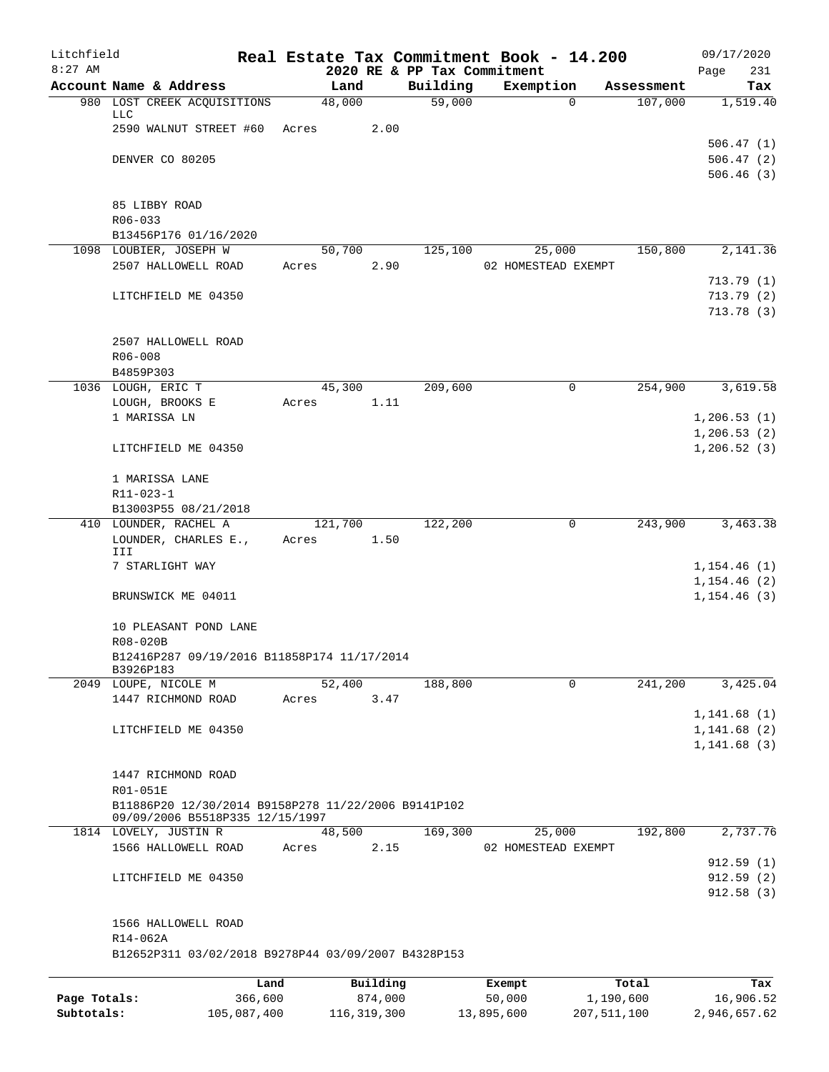| Litchfield   |                                                          |                 |                  |                     |          | Real Estate Tax Commitment Book - 14.200 |                    | 09/17/2020                   |
|--------------|----------------------------------------------------------|-----------------|------------------|---------------------|----------|------------------------------------------|--------------------|------------------------------|
| $8:27$ AM    | Account Name & Address                                   |                 | Land             |                     | Building | 2020 RE & PP Tax Commitment<br>Exemption | Assessment         | Page<br>231<br>Tax           |
|              | 980 LOST CREEK ACQUISITIONS                              |                 | 48,000           |                     | 59,000   | $\Omega$                                 | 107,000            | 1,519.40                     |
|              | <b>LLC</b>                                               |                 |                  |                     |          |                                          |                    |                              |
|              | 2590 WALNUT STREET #60                                   |                 | Acres            | 2.00                |          |                                          |                    |                              |
|              | DENVER CO 80205                                          |                 |                  |                     |          |                                          |                    | 506.47(1)<br>506.47(2)       |
|              |                                                          |                 |                  |                     |          |                                          |                    | 506.46(3)                    |
|              |                                                          |                 |                  |                     |          |                                          |                    |                              |
|              | 85 LIBBY ROAD                                            |                 |                  |                     |          |                                          |                    |                              |
|              | R06-033                                                  |                 |                  |                     |          |                                          |                    |                              |
|              | B13456P176 01/16/2020<br>1098 LOUBIER, JOSEPH W          |                 | 50,700           |                     | 125,100  | 25,000                                   | 150,800            | 2,141.36                     |
|              | 2507 HALLOWELL ROAD                                      |                 | Acres            | 2.90                |          | 02 HOMESTEAD EXEMPT                      |                    |                              |
|              |                                                          |                 |                  |                     |          |                                          |                    | 713.79(1)                    |
|              | LITCHFIELD ME 04350                                      |                 |                  |                     |          |                                          |                    | 713.79(2)                    |
|              |                                                          |                 |                  |                     |          |                                          |                    | 713.78(3)                    |
|              |                                                          |                 |                  |                     |          |                                          |                    |                              |
|              | 2507 HALLOWELL ROAD<br>R06-008                           |                 |                  |                     |          |                                          |                    |                              |
|              | B4859P303                                                |                 |                  |                     |          |                                          |                    |                              |
|              | 1036 LOUGH, ERIC T                                       |                 | 45,300           |                     | 209,600  | $\mathsf{O}$                             | 254,900            | 3,619.58                     |
|              | LOUGH, BROOKS E                                          |                 | Acres            | 1.11                |          |                                          |                    |                              |
|              | 1 MARISSA LN                                             |                 |                  |                     |          |                                          |                    | 1, 206.53(1)                 |
|              | LITCHFIELD ME 04350                                      |                 |                  |                     |          |                                          |                    | 1, 206.53(2)<br>1, 206.52(3) |
|              |                                                          |                 |                  |                     |          |                                          |                    |                              |
|              | 1 MARISSA LANE                                           |                 |                  |                     |          |                                          |                    |                              |
|              | R11-023-1                                                |                 |                  |                     |          |                                          |                    |                              |
|              | B13003P55 08/21/2018                                     |                 |                  |                     |          |                                          |                    |                              |
|              | 410 LOUNDER, RACHEL A<br>LOUNDER, CHARLES E.,            |                 | 121,700<br>Acres | 1.50                | 122,200  | 0                                        | 243,900            | 3,463.38                     |
|              | III                                                      |                 |                  |                     |          |                                          |                    |                              |
|              | 7 STARLIGHT WAY                                          |                 |                  |                     |          |                                          |                    | 1,154.46(1)                  |
|              |                                                          |                 |                  |                     |          |                                          |                    | 1, 154.46(2)                 |
|              | BRUNSWICK ME 04011                                       |                 |                  |                     |          |                                          |                    | 1, 154.46(3)                 |
|              | 10 PLEASANT POND LANE                                    |                 |                  |                     |          |                                          |                    |                              |
|              | R08-020B                                                 |                 |                  |                     |          |                                          |                    |                              |
|              | B12416P287 09/19/2016 B11858P174 11/17/2014              |                 |                  |                     |          |                                          |                    |                              |
|              | B3926P183<br>2049 LOUPE, NICOLE M                        |                 | 52,400           |                     | 188,800  | $\mathbf 0$                              | 241,200            | 3,425.04                     |
|              | 1447 RICHMOND ROAD                                       |                 | Acres            | 3.47                |          |                                          |                    |                              |
|              |                                                          |                 |                  |                     |          |                                          |                    | 1, 141.68(1)                 |
|              | LITCHFIELD ME 04350                                      |                 |                  |                     |          |                                          |                    | 1, 141.68(2)                 |
|              |                                                          |                 |                  |                     |          |                                          |                    | 1,141.68(3)                  |
|              | 1447 RICHMOND ROAD                                       |                 |                  |                     |          |                                          |                    |                              |
|              | R01-051E                                                 |                 |                  |                     |          |                                          |                    |                              |
|              | B11886P20 12/30/2014 B9158P278 11/22/2006 B9141P102      |                 |                  |                     |          |                                          |                    |                              |
|              | 09/09/2006 B5518P335 12/15/1997<br>1814 LOVELY, JUSTIN R |                 | 48,500           |                     | 169,300  | 25,000                                   | 192,800            | 2,737.76                     |
|              | 1566 HALLOWELL ROAD                                      |                 | Acres            | 2.15                |          | 02 HOMESTEAD EXEMPT                      |                    |                              |
|              |                                                          |                 |                  |                     |          |                                          |                    | 912.59(1)                    |
|              | LITCHFIELD ME 04350                                      |                 |                  |                     |          |                                          |                    | 912.59(2)                    |
|              |                                                          |                 |                  |                     |          |                                          |                    | 912.58(3)                    |
|              | 1566 HALLOWELL ROAD                                      |                 |                  |                     |          |                                          |                    |                              |
|              | R14-062A                                                 |                 |                  |                     |          |                                          |                    |                              |
|              | B12652P311 03/02/2018 B9278P44 03/09/2007 B4328P153      |                 |                  |                     |          |                                          |                    |                              |
|              |                                                          |                 |                  |                     |          |                                          |                    |                              |
| Page Totals: |                                                          | Land<br>366,600 |                  | Building<br>874,000 |          | Exempt<br>50,000                         | Total<br>1,190,600 | Tax<br>16,906.52             |
|              |                                                          |                 |                  |                     |          |                                          |                    |                              |

**Subtotals:** 105,087,400 116,319,300 13,895,600 207,511,100 2,946,657.62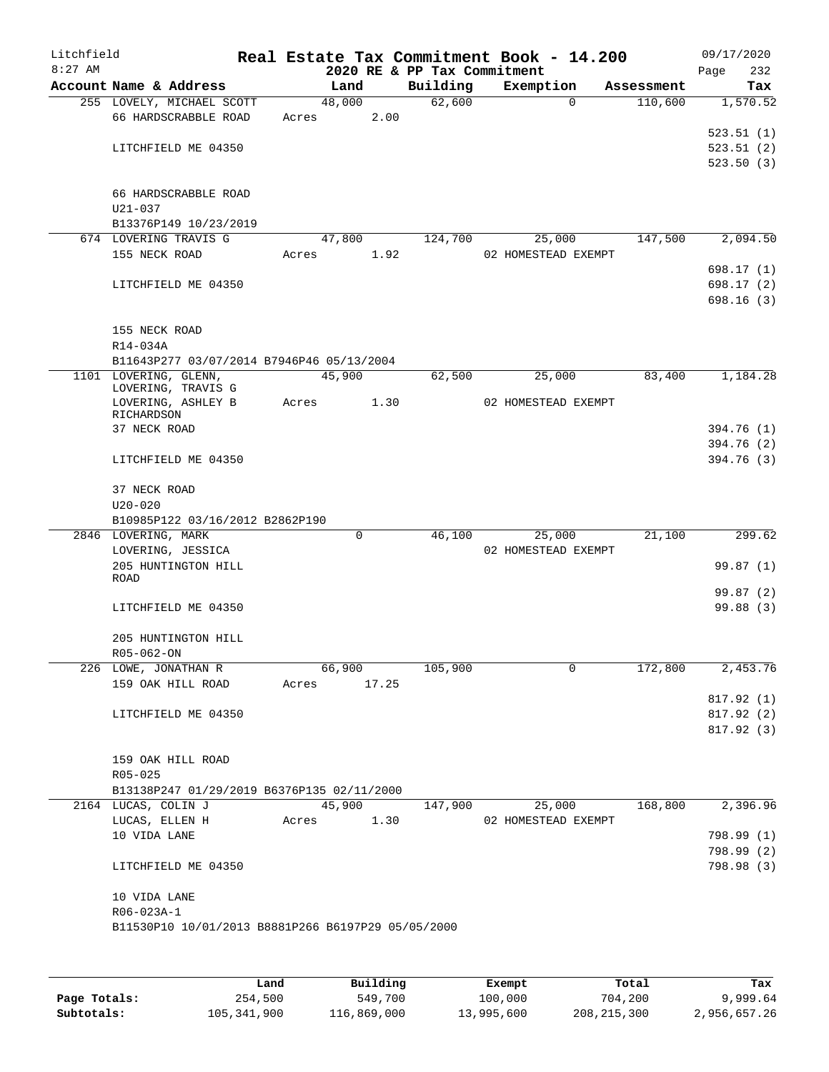| Litchfield<br>$8:27$ AM |                                                    |       |        |      | 2020 RE & PP Tax Commitment | Real Estate Tax Commitment Book - 14.200 |            | 09/17/2020<br>232<br>Page |
|-------------------------|----------------------------------------------------|-------|--------|------|-----------------------------|------------------------------------------|------------|---------------------------|
|                         | Account Name & Address                             |       | Land   |      | Building                    | Exemption                                | Assessment | Tax                       |
|                         | 255 LOVELY, MICHAEL SCOTT                          |       | 48,000 |      | 62,600                      | $\Omega$                                 | 110,600    | 1,570.52                  |
|                         | 66 HARDSCRABBLE ROAD                               | Acres |        | 2.00 |                             |                                          |            |                           |
|                         |                                                    |       |        |      |                             |                                          |            | 523.51(1)                 |
|                         | LITCHFIELD ME 04350                                |       |        |      |                             |                                          |            | 523.51(2)<br>523.50(3)    |
|                         |                                                    |       |        |      |                             |                                          |            |                           |
|                         | 66 HARDSCRABBLE ROAD                               |       |        |      |                             |                                          |            |                           |
|                         | $U21 - 037$                                        |       |        |      |                             |                                          |            |                           |
|                         | B13376P149 10/23/2019                              |       |        |      |                             |                                          |            |                           |
|                         | 674 LOVERING TRAVIS G                              |       | 47,800 |      | 124,700                     | 25,000                                   | 147,500    | 2,094.50                  |
|                         | 155 NECK ROAD                                      | Acres |        | 1.92 |                             | 02 HOMESTEAD EXEMPT                      |            |                           |
|                         |                                                    |       |        |      |                             |                                          |            | 698.17 (1)                |
|                         | LITCHFIELD ME 04350                                |       |        |      |                             |                                          |            | 698.17 (2)                |
|                         |                                                    |       |        |      |                             |                                          |            | 698.16(3)                 |
|                         |                                                    |       |        |      |                             |                                          |            |                           |
|                         | 155 NECK ROAD<br>R14-034A                          |       |        |      |                             |                                          |            |                           |
|                         | B11643P277 03/07/2014 B7946P46 05/13/2004          |       |        |      |                             |                                          |            |                           |
|                         | 1101 LOVERING, GLENN,                              |       | 45,900 |      | 62,500                      | 25,000                                   | 83,400     | 1,184.28                  |
|                         | LOVERING, TRAVIS G                                 |       |        |      |                             |                                          |            |                           |
|                         | LOVERING, ASHLEY B                                 | Acres |        | 1.30 |                             | 02 HOMESTEAD EXEMPT                      |            |                           |
|                         | RICHARDSON                                         |       |        |      |                             |                                          |            |                           |
|                         | 37 NECK ROAD                                       |       |        |      |                             |                                          |            | 394.76 (1)<br>394.76 (2)  |
|                         | LITCHFIELD ME 04350                                |       |        |      |                             |                                          |            | 394.76 (3)                |
|                         |                                                    |       |        |      |                             |                                          |            |                           |
|                         | 37 NECK ROAD                                       |       |        |      |                             |                                          |            |                           |
|                         | $U20 - 020$                                        |       |        |      |                             |                                          |            |                           |
|                         | B10985P122 03/16/2012 B2862P190                    |       |        |      |                             |                                          |            |                           |
|                         | 2846 LOVERING, MARK                                |       | 0      |      | 46,100                      | 25,000                                   | 21,100     | 299.62                    |
|                         | LOVERING, JESSICA                                  |       |        |      |                             | 02 HOMESTEAD EXEMPT                      |            |                           |
|                         | 205 HUNTINGTON HILL<br>ROAD                        |       |        |      |                             |                                          |            | 99.87(1)                  |
|                         |                                                    |       |        |      |                             |                                          |            | 99.87 (2)                 |
|                         | LITCHFIELD ME 04350                                |       |        |      |                             |                                          |            | 99.88(3)                  |
|                         |                                                    |       |        |      |                             |                                          |            |                           |
|                         | 205 HUNTINGTON HILL                                |       |        |      |                             |                                          |            |                           |
|                         | R05-062-ON                                         |       |        |      |                             |                                          |            |                           |
|                         | 226 LOWE, JONATHAN R                               |       | 66,900 |      | 105,900                     | 0                                        | 172,800    | 2,453.76                  |
|                         | 159 OAK HILL ROAD                                  | Acres | 17.25  |      |                             |                                          |            |                           |
|                         |                                                    |       |        |      |                             |                                          |            | 817.92(1)                 |
|                         | LITCHFIELD ME 04350                                |       |        |      |                             |                                          |            | 817.92(2)                 |
|                         |                                                    |       |        |      |                             |                                          |            | 817.92 (3)                |
|                         | 159 OAK HILL ROAD                                  |       |        |      |                             |                                          |            |                           |
|                         | $R05 - 025$                                        |       |        |      |                             |                                          |            |                           |
|                         | B13138P247 01/29/2019 B6376P135 02/11/2000         |       |        |      |                             |                                          |            |                           |
|                         | 2164 LUCAS, COLIN J                                |       | 45,900 |      | 147,900                     | 25,000                                   | 168,800    | 2,396.96                  |
|                         | LUCAS, ELLEN H                                     | Acres |        | 1.30 |                             | 02 HOMESTEAD EXEMPT                      |            |                           |
|                         | 10 VIDA LANE                                       |       |        |      |                             |                                          |            | 798.99 (1)                |
|                         |                                                    |       |        |      |                             |                                          |            | 798.99 (2)                |
|                         | LITCHFIELD ME 04350                                |       |        |      |                             |                                          |            | 798.98 (3)                |
|                         |                                                    |       |        |      |                             |                                          |            |                           |
|                         | 10 VIDA LANE<br>R06-023A-1                         |       |        |      |                             |                                          |            |                           |
|                         | B11530P10 10/01/2013 B8881P266 B6197P29 05/05/2000 |       |        |      |                             |                                          |            |                           |
|                         |                                                    |       |        |      |                             |                                          |            |                           |
|                         |                                                    |       |        |      |                             |                                          |            |                           |
|                         |                                                    |       |        |      |                             |                                          |            |                           |

|              | Land        | Building    | Exempt     | Total         | Tax          |
|--------------|-------------|-------------|------------|---------------|--------------|
| Page Totals: | 254,500     | 549,700     | 100,000    | 704,200       | 9,999.64     |
| Subtotals:   | 105,341,900 | 116,869,000 | 13,995,600 | 208, 215, 300 | 2,956,657.26 |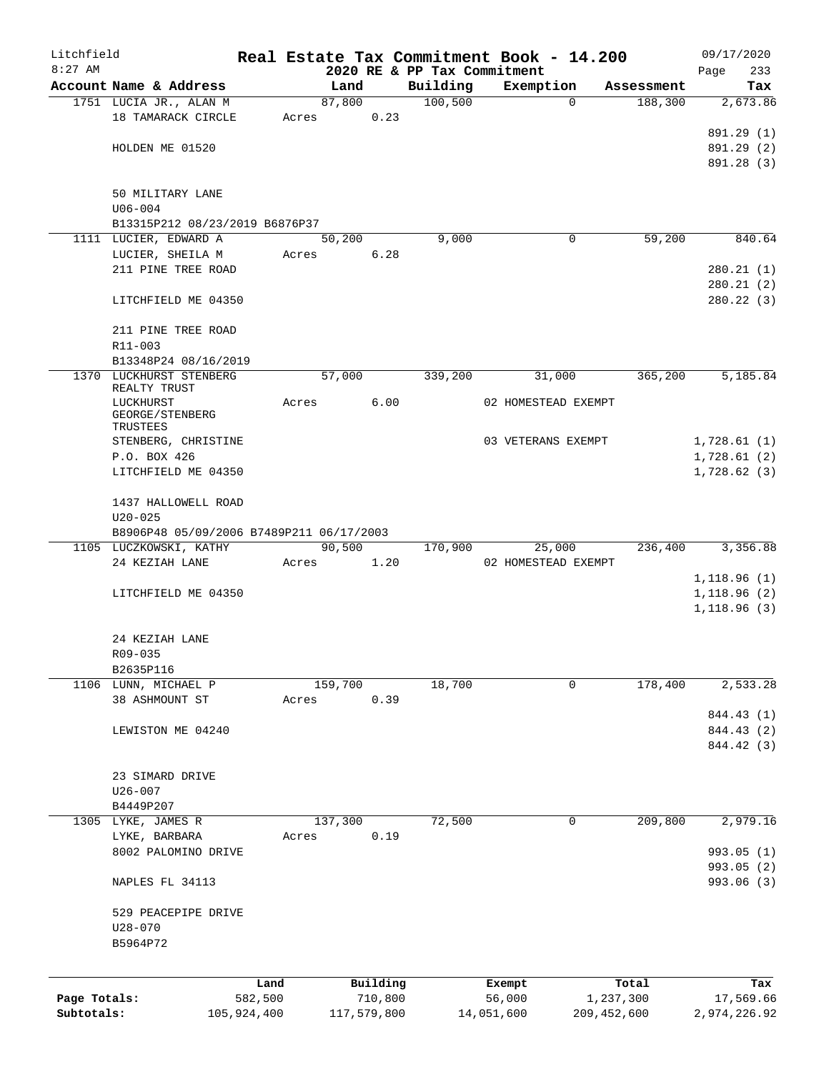| Litchfield   |                                          |             |       |             |          |                             | Real Estate Tax Commitment Book - 14.200 |               | 09/17/2020               |
|--------------|------------------------------------------|-------------|-------|-------------|----------|-----------------------------|------------------------------------------|---------------|--------------------------|
| $8:27$ AM    |                                          |             |       |             |          | 2020 RE & PP Tax Commitment |                                          |               | 233<br>Page              |
|              | Account Name & Address                   |             |       | Land        |          | Building                    | Exemption                                | Assessment    | Tax                      |
|              | 1751 LUCIA JR., ALAN M                   |             |       | 87,800      |          | 100, 500                    | 0                                        | 188,300       | 2,673.86                 |
|              | 18 TAMARACK CIRCLE                       |             | Acres |             | 0.23     |                             |                                          |               |                          |
|              | HOLDEN ME 01520                          |             |       |             |          |                             |                                          |               | 891.29 (1)<br>891.29 (2) |
|              |                                          |             |       |             |          |                             |                                          |               | 891.28 (3)               |
|              |                                          |             |       |             |          |                             |                                          |               |                          |
|              | 50 MILITARY LANE                         |             |       |             |          |                             |                                          |               |                          |
|              | $U06 - 004$                              |             |       |             |          |                             |                                          |               |                          |
|              | B13315P212 08/23/2019 B6876P37           |             |       |             |          |                             |                                          |               |                          |
|              | 1111 LUCIER, EDWARD A                    |             |       | 50,200      |          | 9,000                       | 0                                        | 59,200        | 840.64                   |
|              | LUCIER, SHEILA M                         |             | Acres |             | 6.28     |                             |                                          |               |                          |
|              | 211 PINE TREE ROAD                       |             |       |             |          |                             |                                          |               | 280.21(1)                |
|              |                                          |             |       |             |          |                             |                                          |               | 280.21(2)                |
|              | LITCHFIELD ME 04350                      |             |       |             |          |                             |                                          |               | 280.22(3)                |
|              |                                          |             |       |             |          |                             |                                          |               |                          |
|              | 211 PINE TREE ROAD                       |             |       |             |          |                             |                                          |               |                          |
|              | R11-003                                  |             |       |             |          |                             |                                          |               |                          |
|              | B13348P24 08/16/2019                     |             |       |             |          |                             |                                          |               |                          |
|              | 1370 LUCKHURST STENBERG<br>REALTY TRUST  |             |       | 57,000      |          | 339,200                     | 31,000                                   | 365,200       | 5,185.84                 |
|              | LUCKHURST                                |             | Acres |             | 6.00     |                             | 02 HOMESTEAD EXEMPT                      |               |                          |
|              | GEORGE/STENBERG                          |             |       |             |          |                             |                                          |               |                          |
|              | TRUSTEES                                 |             |       |             |          |                             |                                          |               |                          |
|              | STENBERG, CHRISTINE                      |             |       |             |          |                             | 03 VETERANS EXEMPT                       |               | 1,728.61(1)              |
|              | P.O. BOX 426                             |             |       |             |          |                             |                                          |               | 1,728.61(2)              |
|              | LITCHFIELD ME 04350                      |             |       |             |          |                             |                                          |               | 1,728.62(3)              |
|              | 1437 HALLOWELL ROAD                      |             |       |             |          |                             |                                          |               |                          |
|              | $U20 - 025$                              |             |       |             |          |                             |                                          |               |                          |
|              | B8906P48 05/09/2006 B7489P211 06/17/2003 |             |       |             |          |                             |                                          |               |                          |
|              | 1105 LUCZKOWSKI, KATHY                   |             |       | 90,500      |          | 170,900                     | 25,000                                   | 236,400       | 3,356.88                 |
|              | 24 KEZIAH LANE                           |             | Acres |             | 1.20     |                             | 02 HOMESTEAD EXEMPT                      |               |                          |
|              |                                          |             |       |             |          |                             |                                          |               | 1,118.96(1)              |
|              | LITCHFIELD ME 04350                      |             |       |             |          |                             |                                          |               | 1,118.96(2)              |
|              |                                          |             |       |             |          |                             |                                          |               | 1,118.96(3)              |
|              |                                          |             |       |             |          |                             |                                          |               |                          |
|              | 24 KEZIAH LANE                           |             |       |             |          |                             |                                          |               |                          |
|              | R09-035                                  |             |       |             |          |                             |                                          |               |                          |
|              | B2635P116                                |             |       |             |          |                             |                                          |               |                          |
|              | 1106 LUNN, MICHAEL P                     |             |       | 159,700     |          | 18,700                      | 0                                        | 178,400       | 2,533.28                 |
|              | 38 ASHMOUNT ST                           |             | Acres |             | 0.39     |                             |                                          |               | 844.43 (1)               |
|              | LEWISTON ME 04240                        |             |       |             |          |                             |                                          |               | 844.43 (2)               |
|              |                                          |             |       |             |          |                             |                                          |               | 844.42 (3)               |
|              |                                          |             |       |             |          |                             |                                          |               |                          |
|              | 23 SIMARD DRIVE                          |             |       |             |          |                             |                                          |               |                          |
|              | $U26 - 007$                              |             |       |             |          |                             |                                          |               |                          |
|              | B4449P207                                |             |       |             |          |                             |                                          |               |                          |
|              | 1305 LYKE, JAMES R                       |             |       | 137,300     |          | 72,500                      | 0                                        | 209,800       | 2,979.16                 |
|              | LYKE, BARBARA                            |             | Acres |             | 0.19     |                             |                                          |               |                          |
|              | 8002 PALOMINO DRIVE                      |             |       |             |          |                             |                                          |               | 993.05 (1)               |
|              |                                          |             |       |             |          |                             |                                          |               | 993.05 (2)               |
|              | NAPLES FL 34113                          |             |       |             |          |                             |                                          |               | 993.06 (3)               |
|              |                                          |             |       |             |          |                             |                                          |               |                          |
|              | 529 PEACEPIPE DRIVE                      |             |       |             |          |                             |                                          |               |                          |
|              | $U28 - 070$                              |             |       |             |          |                             |                                          |               |                          |
|              | B5964P72                                 |             |       |             |          |                             |                                          |               |                          |
|              |                                          |             |       |             |          |                             |                                          |               |                          |
|              |                                          | Land        |       |             | Building |                             | Exempt                                   | Total         | Tax                      |
| Page Totals: |                                          | 582,500     |       |             | 710,800  |                             | 56,000                                   | 1,237,300     | 17,569.66                |
| Subtotals:   |                                          | 105,924,400 |       | 117,579,800 |          |                             | 14,051,600                               | 209, 452, 600 | 2,974,226.92             |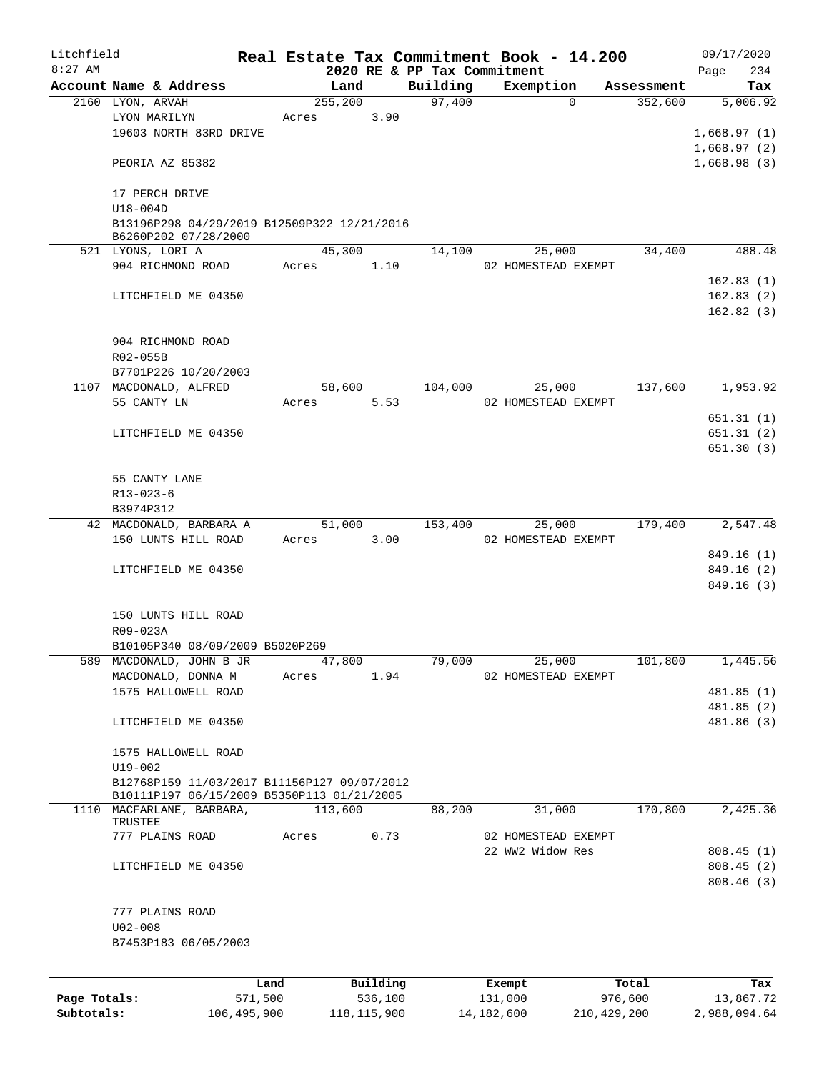| Litchfield   |                                                                                           |         |                  |          |                             | Real Estate Tax Commitment Book - 14.200 |                       | 09/17/2020             |
|--------------|-------------------------------------------------------------------------------------------|---------|------------------|----------|-----------------------------|------------------------------------------|-----------------------|------------------------|
| $8:27$ AM    |                                                                                           |         |                  |          | 2020 RE & PP Tax Commitment |                                          |                       | 234<br>Page            |
|              | Account Name & Address<br>2160 LYON, ARVAH                                                |         | Land<br>255, 200 |          | Building<br>97,400          | Exemption<br>$\Omega$                    | Assessment<br>352,600 | Tax<br>5,006.92        |
|              | LYON MARILYN                                                                              |         | Acres            | 3.90     |                             |                                          |                       |                        |
|              | 19603 NORTH 83RD DRIVE                                                                    |         |                  |          |                             |                                          |                       | 1,668.97(1)            |
|              |                                                                                           |         |                  |          |                             |                                          |                       | 1,668.97(2)            |
|              | PEORIA AZ 85382                                                                           |         |                  |          |                             |                                          |                       | 1,668.98(3)            |
|              | 17 PERCH DRIVE                                                                            |         |                  |          |                             |                                          |                       |                        |
|              | U18-004D                                                                                  |         |                  |          |                             |                                          |                       |                        |
|              | B13196P298 04/29/2019 B12509P322 12/21/2016<br>B6260P202 07/28/2000                       |         |                  |          |                             |                                          |                       |                        |
|              | 521 LYONS, LORI A                                                                         |         | 45,300           |          | 14,100                      | 25,000                                   | 34,400                | 488.48                 |
|              | 904 RICHMOND ROAD                                                                         |         | Acres            | 1.10     |                             | 02 HOMESTEAD EXEMPT                      |                       |                        |
|              |                                                                                           |         |                  |          |                             |                                          |                       | 162.83(1)              |
|              | LITCHFIELD ME 04350                                                                       |         |                  |          |                             |                                          |                       | 162.83(2)              |
|              |                                                                                           |         |                  |          |                             |                                          |                       | 162.82(3)              |
|              | 904 RICHMOND ROAD                                                                         |         |                  |          |                             |                                          |                       |                        |
|              | R02-055B                                                                                  |         |                  |          |                             |                                          |                       |                        |
|              | B7701P226 10/20/2003                                                                      |         |                  |          |                             |                                          |                       |                        |
|              | 1107 MACDONALD, ALFRED                                                                    |         | 58,600           |          | 104,000                     | 25,000                                   | 137,600               | 1,953.92               |
|              | 55 CANTY LN                                                                               |         | Acres            | 5.53     |                             | 02 HOMESTEAD EXEMPT                      |                       |                        |
|              |                                                                                           |         |                  |          |                             |                                          |                       | 651.31 (1)             |
|              | LITCHFIELD ME 04350                                                                       |         |                  |          |                             |                                          |                       | 651.31(2)              |
|              |                                                                                           |         |                  |          |                             |                                          |                       | 651.30(3)              |
|              | 55 CANTY LANE                                                                             |         |                  |          |                             |                                          |                       |                        |
|              | R13-023-6                                                                                 |         |                  |          |                             |                                          |                       |                        |
|              | B3974P312                                                                                 |         |                  |          |                             |                                          |                       |                        |
|              | 42 MACDONALD, BARBARA A                                                                   |         | 51,000           |          | 153,400                     | 25,000                                   | 179,400               | 2,547.48               |
|              | 150 LUNTS HILL ROAD                                                                       |         | Acres            | 3.00     |                             | 02 HOMESTEAD EXEMPT                      |                       |                        |
|              |                                                                                           |         |                  |          |                             |                                          |                       | 849.16 (1)             |
|              | LITCHFIELD ME 04350                                                                       |         |                  |          |                             |                                          |                       | 849.16 (2)             |
|              |                                                                                           |         |                  |          |                             |                                          |                       | 849.16(3)              |
|              |                                                                                           |         |                  |          |                             |                                          |                       |                        |
|              | 150 LUNTS HILL ROAD                                                                       |         |                  |          |                             |                                          |                       |                        |
|              | R09-023A                                                                                  |         |                  |          |                             |                                          |                       |                        |
|              | B10105P340 08/09/2009 B5020P269                                                           |         |                  |          |                             |                                          |                       |                        |
|              | 589 MACDONALD, JOHN B JR                                                                  |         | 47,800           |          | 79,000                      | 25,000                                   | 101,800               | 1,445.56               |
|              | MACDONALD, DONNA M                                                                        |         | Acres            | 1.94     |                             | 02 HOMESTEAD EXEMPT                      |                       |                        |
|              | 1575 HALLOWELL ROAD                                                                       |         |                  |          |                             |                                          |                       | 481.85 (1)             |
|              |                                                                                           |         |                  |          |                             |                                          |                       | 481.85(2)              |
|              | LITCHFIELD ME 04350                                                                       |         |                  |          |                             |                                          |                       | 481.86 (3)             |
|              | 1575 HALLOWELL ROAD                                                                       |         |                  |          |                             |                                          |                       |                        |
|              | $U19 - 002$                                                                               |         |                  |          |                             |                                          |                       |                        |
|              | B12768P159 11/03/2017 B11156P127 09/07/2012<br>B10111P197 06/15/2009 B5350P113 01/21/2005 |         |                  |          |                             |                                          |                       |                        |
|              | 1110 MACFARLANE, BARBARA,                                                                 |         | 113,600          |          | 88,200                      | 31,000                                   | 170,800               | 2,425.36               |
|              | TRUSTEE                                                                                   |         |                  | 0.73     |                             | 02 HOMESTEAD EXEMPT                      |                       |                        |
|              | 777 PLAINS ROAD                                                                           |         | Acres            |          |                             | 22 WW2 Widow Res                         |                       |                        |
|              |                                                                                           |         |                  |          |                             |                                          |                       | 808.45(1)              |
|              | LITCHFIELD ME 04350                                                                       |         |                  |          |                             |                                          |                       | 808.45(2)<br>808.46(3) |
|              |                                                                                           |         |                  |          |                             |                                          |                       |                        |
|              | 777 PLAINS ROAD                                                                           |         |                  |          |                             |                                          |                       |                        |
|              | $U02 - 008$                                                                               |         |                  |          |                             |                                          |                       |                        |
|              | B7453P183 06/05/2003                                                                      |         |                  |          |                             |                                          |                       |                        |
|              |                                                                                           |         |                  |          |                             |                                          |                       |                        |
|              |                                                                                           | Land    |                  | Building |                             | Exempt                                   | Total                 | Tax                    |
| Page Totals: |                                                                                           | 571,500 |                  | 536,100  |                             | 131,000                                  | 976,600               | 13,867.72              |

**Subtotals:** 106,495,900 118,115,900 14,182,600 210,429,200 2,988,094.64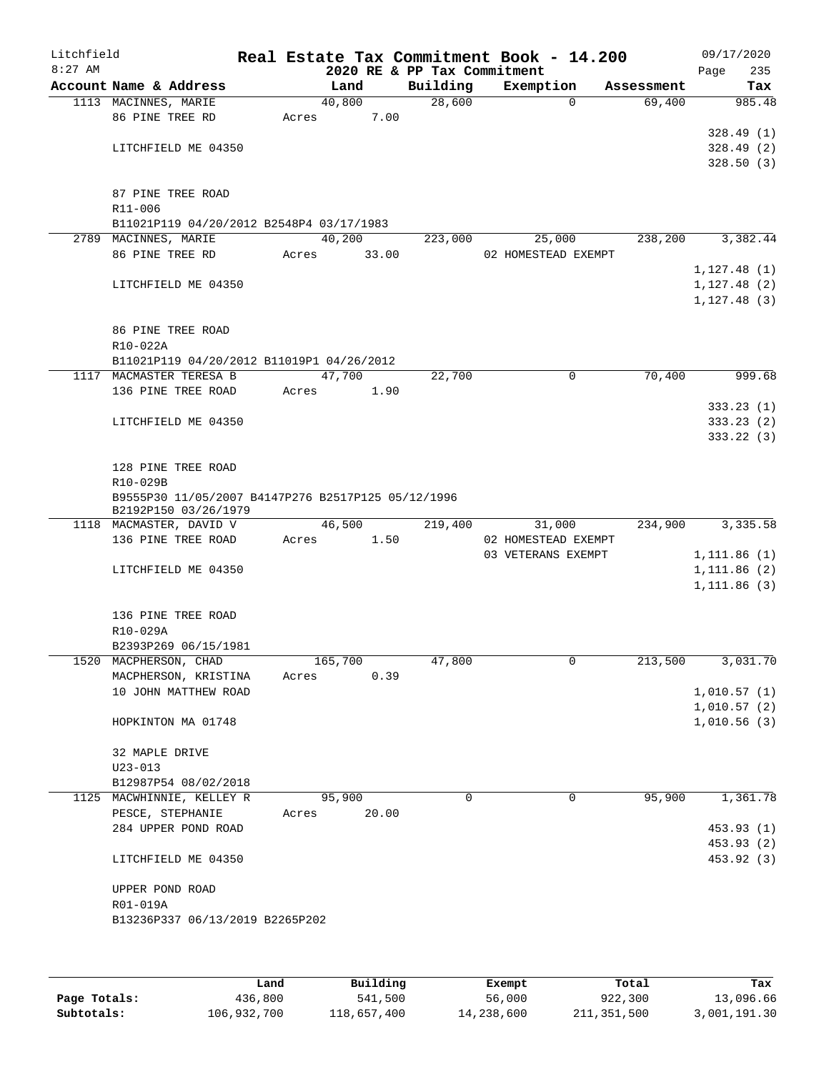| Litchfield<br>$8:27$ AM |                                                                  |       | 2020 RE & PP Tax Commitment |          | Real Estate Tax Commitment Book - 14.200 |            |      | 09/17/2020   |
|-------------------------|------------------------------------------------------------------|-------|-----------------------------|----------|------------------------------------------|------------|------|--------------|
|                         | Account Name & Address                                           |       | Land                        | Building | Exemption                                | Assessment | Page | 235<br>Tax   |
|                         | 1113 MACINNES, MARIE                                             |       | 40,800                      | 28,600   | $\mathbf 0$                              | 69,400     |      | 985.48       |
|                         | 86 PINE TREE RD                                                  | Acres | 7.00                        |          |                                          |            |      |              |
|                         |                                                                  |       |                             |          |                                          |            |      | 328.49(1)    |
|                         | LITCHFIELD ME 04350                                              |       |                             |          |                                          |            |      | 328.49(2)    |
|                         |                                                                  |       |                             |          |                                          |            |      | 328.50(3)    |
|                         |                                                                  |       |                             |          |                                          |            |      |              |
|                         | 87 PINE TREE ROAD                                                |       |                             |          |                                          |            |      |              |
|                         | R11-006                                                          |       |                             |          |                                          |            |      |              |
|                         | B11021P119 04/20/2012 B2548P4 03/17/1983<br>2789 MACINNES, MARIE |       | 40,200                      | 223,000  | 25,000                                   | 238,200    |      | 3,382.44     |
|                         | 86 PINE TREE RD                                                  | Acres | 33.00                       |          | 02 HOMESTEAD EXEMPT                      |            |      |              |
|                         |                                                                  |       |                             |          |                                          |            |      | 1,127.48(1)  |
|                         | LITCHFIELD ME 04350                                              |       |                             |          |                                          |            |      | 1,127.48(2)  |
|                         |                                                                  |       |                             |          |                                          |            |      | 1, 127.48(3) |
|                         |                                                                  |       |                             |          |                                          |            |      |              |
|                         | 86 PINE TREE ROAD                                                |       |                             |          |                                          |            |      |              |
|                         | R10-022A                                                         |       |                             |          |                                          |            |      |              |
|                         | B11021P119 04/20/2012 B11019P1 04/26/2012                        |       |                             |          |                                          |            |      |              |
|                         | 1117 MACMASTER TERESA B                                          |       | 47,700                      | 22,700   | 0                                        | 70,400     |      | 999.68       |
|                         | 136 PINE TREE ROAD                                               | Acres | 1.90                        |          |                                          |            |      |              |
|                         |                                                                  |       |                             |          |                                          |            |      | 333.23(1)    |
|                         | LITCHFIELD ME 04350                                              |       |                             |          |                                          |            |      | 333.23(2)    |
|                         |                                                                  |       |                             |          |                                          |            |      | 333.22(3)    |
|                         | 128 PINE TREE ROAD                                               |       |                             |          |                                          |            |      |              |
|                         | R10-029B                                                         |       |                             |          |                                          |            |      |              |
|                         | B9555P30 11/05/2007 B4147P276 B2517P125 05/12/1996               |       |                             |          |                                          |            |      |              |
|                         | B2192P150 03/26/1979                                             |       |                             |          |                                          |            |      |              |
|                         | 1118 MACMASTER, DAVID V                                          |       | 46,500                      | 219,400  | 31,000                                   | 234,900    |      | 3,335.58     |
|                         | 136 PINE TREE ROAD                                               | Acres | 1.50                        |          | 02 HOMESTEAD EXEMPT                      |            |      |              |
|                         |                                                                  |       |                             |          | 03 VETERANS EXEMPT                       |            |      | 1,111.86 (1) |
|                         | LITCHFIELD ME 04350                                              |       |                             |          |                                          |            |      | 1, 111.86(2) |
|                         |                                                                  |       |                             |          |                                          |            |      | 1, 111.86(3) |
|                         | 136 PINE TREE ROAD                                               |       |                             |          |                                          |            |      |              |
|                         | R10-029A                                                         |       |                             |          |                                          |            |      |              |
|                         | B2393P269 06/15/1981                                             |       |                             |          |                                          |            |      |              |
|                         | 1520 MACPHERSON, CHAD                                            |       | 165,700                     | 47,800   | 0                                        | 213,500    |      | 3,031.70     |
|                         | MACPHERSON, KRISTINA                                             | Acres | 0.39                        |          |                                          |            |      |              |
|                         | 10 JOHN MATTHEW ROAD                                             |       |                             |          |                                          |            |      | 1,010.57(1)  |
|                         |                                                                  |       |                             |          |                                          |            |      | 1,010.57(2)  |
|                         | HOPKINTON MA 01748                                               |       |                             |          |                                          |            |      | 1,010.56(3)  |
|                         |                                                                  |       |                             |          |                                          |            |      |              |
|                         | 32 MAPLE DRIVE<br>$U23 - 013$                                    |       |                             |          |                                          |            |      |              |
|                         | B12987P54 08/02/2018                                             |       |                             |          |                                          |            |      |              |
|                         | 1125 MACWHINNIE, KELLEY R                                        |       | 95,900                      | $\Omega$ | 0                                        | 95,900     |      | 1,361.78     |
|                         | PESCE, STEPHANIE                                                 | Acres | 20.00                       |          |                                          |            |      |              |
|                         | 284 UPPER POND ROAD                                              |       |                             |          |                                          |            |      | 453.93(1)    |
|                         |                                                                  |       |                             |          |                                          |            |      | 453.93 (2)   |
|                         | LITCHFIELD ME 04350                                              |       |                             |          |                                          |            |      | 453.92 (3)   |
|                         |                                                                  |       |                             |          |                                          |            |      |              |
|                         | UPPER POND ROAD                                                  |       |                             |          |                                          |            |      |              |
|                         | R01-019A                                                         |       |                             |          |                                          |            |      |              |
|                         | B13236P337 06/13/2019 B2265P202                                  |       |                             |          |                                          |            |      |              |
|                         |                                                                  |       |                             |          |                                          |            |      |              |
|                         |                                                                  |       |                             |          |                                          |            |      |              |

|              | Land        | Building    | Exempt     | Total       | Tax          |
|--------------|-------------|-------------|------------|-------------|--------------|
| Page Totals: | 436,800     | 541,500     | 56,000     | 922,300     | 13,096.66    |
| Subtotals:   | 106,932,700 | 118,657,400 | 14,238,600 | 211,351,500 | 3,001,191.30 |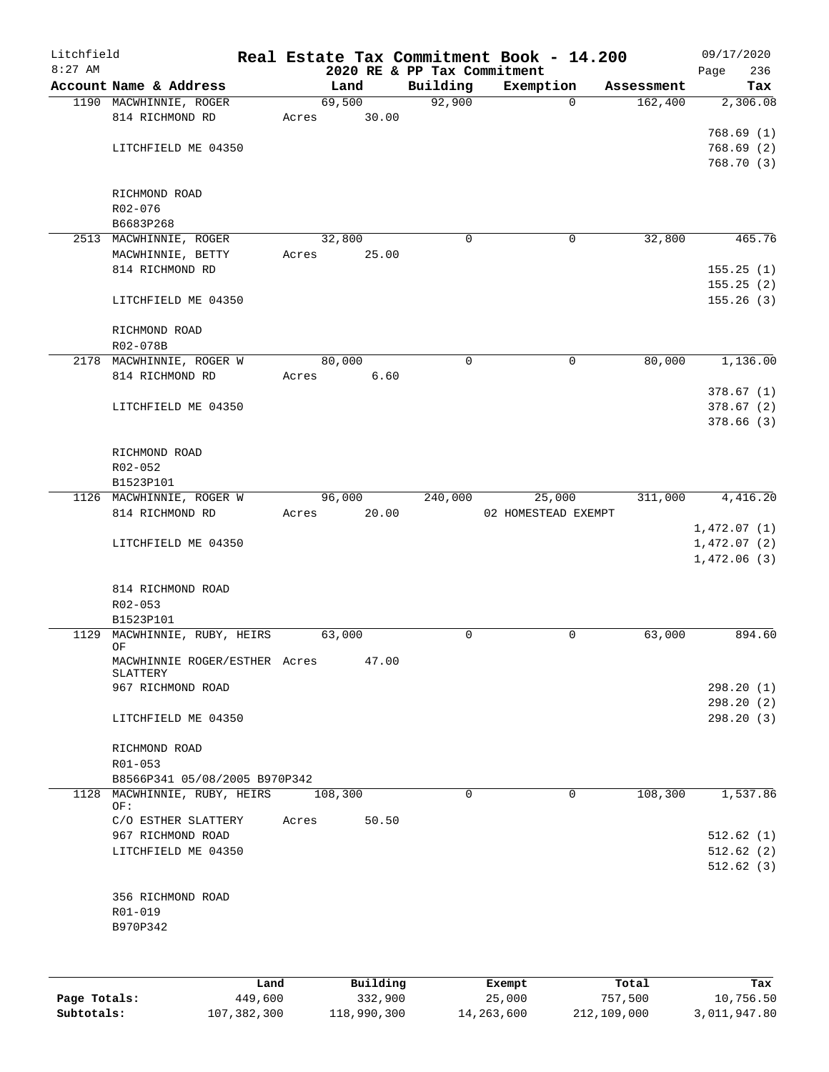| Litchfield   |                                           |       |                 |                             | Real Estate Tax Commitment Book - 14.200 |            | 09/17/2020             |
|--------------|-------------------------------------------|-------|-----------------|-----------------------------|------------------------------------------|------------|------------------------|
| $8:27$ AM    |                                           |       |                 | 2020 RE & PP Tax Commitment |                                          |            | 236<br>Page            |
|              | Account Name & Address                    |       | Land            | Building                    | Exemption                                | Assessment | Tax                    |
|              | 1190 MACWHINNIE, ROGER<br>814 RICHMOND RD |       | 69,500<br>30.00 | 92,900                      | 0                                        | 162,400    | 2,306.08               |
|              |                                           | Acres |                 |                             |                                          |            | 768.69(1)              |
|              | LITCHFIELD ME 04350                       |       |                 |                             |                                          |            | 768.69(2)              |
|              |                                           |       |                 |                             |                                          |            | 768.70(3)              |
|              |                                           |       |                 |                             |                                          |            |                        |
|              | RICHMOND ROAD                             |       |                 |                             |                                          |            |                        |
|              | R02-076                                   |       |                 |                             |                                          |            |                        |
|              | B6683P268                                 |       |                 |                             |                                          |            |                        |
|              | 2513 MACWHINNIE, ROGER                    |       | 32,800          | 0                           | 0                                        | 32,800     | 465.76                 |
|              | MACWHINNIE, BETTY                         | Acres | 25.00           |                             |                                          |            |                        |
|              | 814 RICHMOND RD                           |       |                 |                             |                                          |            | 155.25(1)              |
|              |                                           |       |                 |                             |                                          |            | 155.25(2)              |
|              | LITCHFIELD ME 04350                       |       |                 |                             |                                          |            | 155.26(3)              |
|              |                                           |       |                 |                             |                                          |            |                        |
|              | RICHMOND ROAD                             |       |                 |                             |                                          |            |                        |
|              | R02-078B                                  |       |                 |                             |                                          |            |                        |
|              | 2178 MACWHINNIE, ROGER W                  |       | 80,000          | 0                           | $\mathbf 0$                              | 80,000     | 1,136.00               |
|              | 814 RICHMOND RD                           | Acres | 6.60            |                             |                                          |            |                        |
|              |                                           |       |                 |                             |                                          |            | 378.67(1)              |
|              | LITCHFIELD ME 04350                       |       |                 |                             |                                          |            | 378.67(2)<br>378.66(3) |
|              |                                           |       |                 |                             |                                          |            |                        |
|              | RICHMOND ROAD                             |       |                 |                             |                                          |            |                        |
|              | R02-052                                   |       |                 |                             |                                          |            |                        |
|              | B1523P101                                 |       |                 |                             |                                          |            |                        |
|              | 1126 MACWHINNIE, ROGER W                  |       | 96,000          | 240,000                     | 25,000                                   | 311,000    | 4,416.20               |
|              | 814 RICHMOND RD                           | Acres | 20.00           |                             | 02 HOMESTEAD EXEMPT                      |            |                        |
|              |                                           |       |                 |                             |                                          |            | 1,472.07(1)            |
|              | LITCHFIELD ME 04350                       |       |                 |                             |                                          |            | 1,472.07(2)            |
|              |                                           |       |                 |                             |                                          |            | 1,472.06(3)            |
|              |                                           |       |                 |                             |                                          |            |                        |
|              | 814 RICHMOND ROAD                         |       |                 |                             |                                          |            |                        |
|              | $R02 - 053$                               |       |                 |                             |                                          |            |                        |
|              | B1523P101                                 |       |                 |                             |                                          |            |                        |
| 1129         | MACWHINNIE, RUBY, HEIRS                   |       | 63,000          | 0                           | 0                                        | 63,000     | 894.60                 |
|              | OF<br>MACWHINNIE ROGER/ESTHER Acres       |       | 47.00           |                             |                                          |            |                        |
|              | SLATTERY                                  |       |                 |                             |                                          |            |                        |
|              | 967 RICHMOND ROAD                         |       |                 |                             |                                          |            | 298.20(1)              |
|              |                                           |       |                 |                             |                                          |            | 298.20(2)              |
|              | LITCHFIELD ME 04350                       |       |                 |                             |                                          |            | 298.20(3)              |
|              |                                           |       |                 |                             |                                          |            |                        |
|              | RICHMOND ROAD                             |       |                 |                             |                                          |            |                        |
|              | R01-053                                   |       |                 |                             |                                          |            |                        |
|              | B8566P341 05/08/2005 B970P342             |       |                 |                             |                                          |            |                        |
| 1128         | MACWHINNIE, RUBY, HEIRS<br>OF:            |       | 108,300         | $\mathbf 0$                 | $\Omega$                                 | 108,300    | 1,537.86               |
|              | C/O ESTHER SLATTERY                       | Acres | 50.50           |                             |                                          |            |                        |
|              | 967 RICHMOND ROAD                         |       |                 |                             |                                          |            | 512.62(1)              |
|              | LITCHFIELD ME 04350                       |       |                 |                             |                                          |            | 512.62(2)              |
|              |                                           |       |                 |                             |                                          |            | 512.62(3)              |
|              |                                           |       |                 |                             |                                          |            |                        |
|              | 356 RICHMOND ROAD                         |       |                 |                             |                                          |            |                        |
|              | R01-019                                   |       |                 |                             |                                          |            |                        |
|              | B970P342                                  |       |                 |                             |                                          |            |                        |
|              |                                           |       |                 |                             |                                          |            |                        |
|              |                                           |       |                 |                             |                                          |            |                        |
|              |                                           |       |                 |                             |                                          |            |                        |
|              |                                           | Land  | Building        |                             | Exempt                                   | Total      | Tax                    |
| Page Totals: | 449,600                                   |       | 332,900         |                             | 25,000                                   | 757,500    | 10,756.50              |

**Subtotals:** 107,382,300 118,990,300 14,263,600 212,109,000 3,011,947.80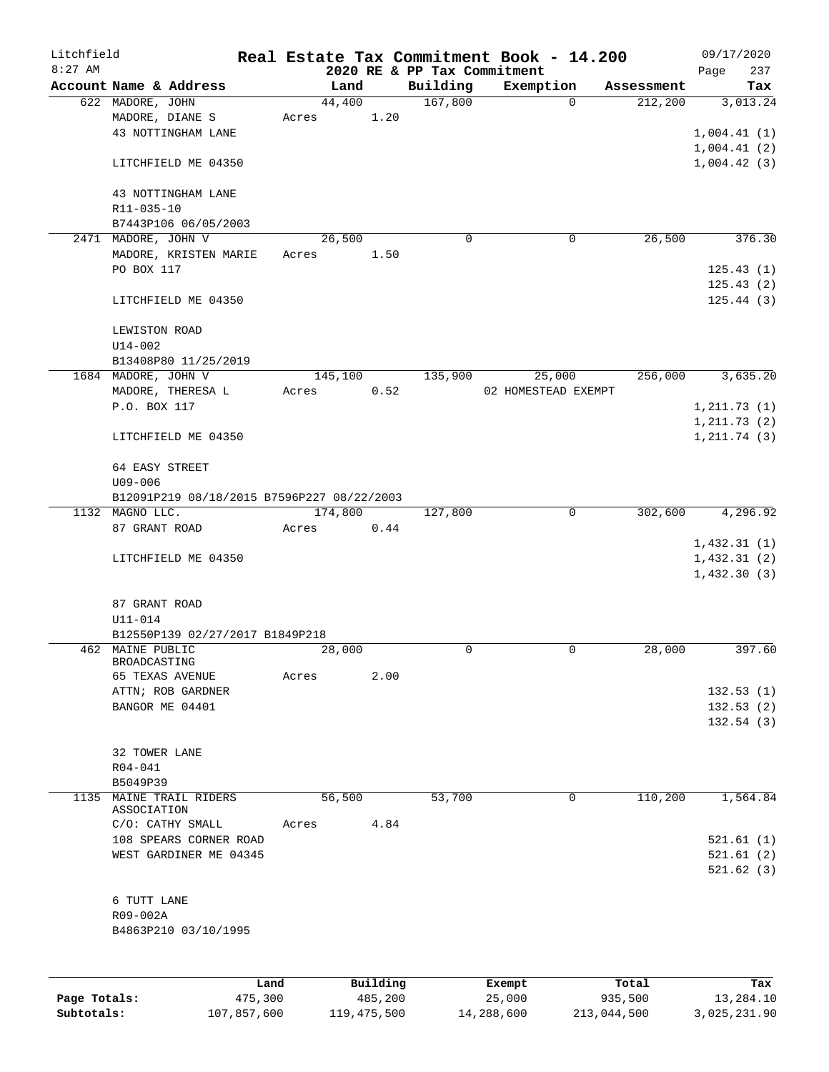| Litchfield   |                                            |         |                |          |                             | Real Estate Tax Commitment Book - 14.200 |                       | 09/17/2020      |
|--------------|--------------------------------------------|---------|----------------|----------|-----------------------------|------------------------------------------|-----------------------|-----------------|
| $8:27$ AM    |                                            |         |                |          | 2020 RE & PP Tax Commitment |                                          |                       | Page<br>237     |
|              | Account Name & Address<br>622 MADORE, JOHN |         | Land<br>44,400 |          | Building<br>167,800         | Exemption<br>$\Omega$                    | Assessment<br>212,200 | Tax<br>3,013.24 |
|              | MADORE, DIANE S                            | Acres   |                | 1.20     |                             |                                          |                       |                 |
|              | 43 NOTTINGHAM LANE                         |         |                |          |                             |                                          |                       | 1,004.41(1)     |
|              |                                            |         |                |          |                             |                                          |                       | 1,004.41(2)     |
|              | LITCHFIELD ME 04350                        |         |                |          |                             |                                          |                       | 1,004.42(3)     |
|              | 43 NOTTINGHAM LANE                         |         |                |          |                             |                                          |                       |                 |
|              | R11-035-10                                 |         |                |          |                             |                                          |                       |                 |
|              | B7443P106 06/05/2003                       |         |                |          |                             |                                          |                       |                 |
|              | 2471 MADORE, JOHN V                        |         | 26,500         |          | $\mathbf 0$                 | 0                                        | 26,500                | 376.30          |
|              | MADORE, KRISTEN MARIE                      | Acres   |                | 1.50     |                             |                                          |                       |                 |
|              | PO BOX 117                                 |         |                |          |                             |                                          |                       | 125.43(1)       |
|              |                                            |         |                |          |                             |                                          |                       | 125.43(2)       |
|              | LITCHFIELD ME 04350                        |         |                |          |                             |                                          |                       | 125.44(3)       |
|              | LEWISTON ROAD                              |         |                |          |                             |                                          |                       |                 |
|              | $U14 - 002$                                |         |                |          |                             |                                          |                       |                 |
|              | B13408P80 11/25/2019                       |         |                |          |                             |                                          |                       |                 |
|              | 1684 MADORE, JOHN V                        |         | 145,100        |          | 135,900                     | 25,000                                   | 256,000               | 3,635.20        |
|              | MADORE, THERESA L                          | Acres   |                | 0.52     |                             | 02 HOMESTEAD EXEMPT                      |                       |                 |
|              | P.O. BOX 117                               |         |                |          |                             |                                          |                       | 1, 211.73(1)    |
|              |                                            |         |                |          |                             |                                          |                       | 1, 211.73(2)    |
|              | LITCHFIELD ME 04350                        |         |                |          |                             |                                          |                       | 1, 211.74(3)    |
|              | 64 EASY STREET                             |         |                |          |                             |                                          |                       |                 |
|              | $U09 - 006$                                |         |                |          |                             |                                          |                       |                 |
|              | B12091P219 08/18/2015 B7596P227 08/22/2003 |         |                |          |                             |                                          |                       |                 |
|              | 1132 MAGNO LLC.                            |         | 174,800        |          | 127,800                     | 0                                        | 302,600               | 4,296.92        |
|              | 87 GRANT ROAD                              | Acres   |                | 0.44     |                             |                                          |                       |                 |
|              |                                            |         |                |          |                             |                                          |                       | 1,432.31(1)     |
|              | LITCHFIELD ME 04350                        |         |                |          |                             |                                          |                       | 1,432.31(2)     |
|              |                                            |         |                |          |                             |                                          |                       | 1,432.30(3)     |
|              |                                            |         |                |          |                             |                                          |                       |                 |
|              | 87 GRANT ROAD                              |         |                |          |                             |                                          |                       |                 |
|              | U11-014                                    |         |                |          |                             |                                          |                       |                 |
|              | B12550P139 02/27/2017 B1849P218            |         |                |          |                             |                                          |                       |                 |
|              | 462 MAINE PUBLIC<br>BROADCASTING           |         | 28,000         |          | 0                           | 0                                        | 28,000                | 397.60          |
|              | 65 TEXAS AVENUE                            | Acres   |                | 2.00     |                             |                                          |                       |                 |
|              | ATTN; ROB GARDNER                          |         |                |          |                             |                                          |                       | 132.53(1)       |
|              | BANGOR ME 04401                            |         |                |          |                             |                                          |                       | 132.53(2)       |
|              |                                            |         |                |          |                             |                                          |                       | 132.54(3)       |
|              |                                            |         |                |          |                             |                                          |                       |                 |
|              | 32 TOWER LANE                              |         |                |          |                             |                                          |                       |                 |
|              | $R04 - 041$                                |         |                |          |                             |                                          |                       |                 |
|              | B5049P39                                   |         |                |          |                             |                                          |                       |                 |
| 1135         | MAINE TRAIL RIDERS                         |         | 56,500         |          | 53,700                      | $\mathbf 0$                              | 110,200               | 1,564.84        |
|              | ASSOCIATION                                |         |                |          |                             |                                          |                       |                 |
|              | C/O: CATHY SMALL                           | Acres   |                | 4.84     |                             |                                          |                       |                 |
|              | 108 SPEARS CORNER ROAD                     |         |                |          |                             |                                          |                       | 521.61(1)       |
|              | WEST GARDINER ME 04345                     |         |                |          |                             |                                          |                       | 521.61(2)       |
|              |                                            |         |                |          |                             |                                          |                       | 521.62(3)       |
|              | 6 TUTT LANE                                |         |                |          |                             |                                          |                       |                 |
|              | R09-002A                                   |         |                |          |                             |                                          |                       |                 |
|              | B4863P210 03/10/1995                       |         |                |          |                             |                                          |                       |                 |
|              |                                            |         |                |          |                             |                                          |                       |                 |
|              |                                            |         |                |          |                             |                                          |                       |                 |
|              |                                            | Land    |                | Building |                             | Exempt                                   | Total                 | Tax             |
| Page Totals: |                                            | 475,300 |                | 485,200  |                             | 25,000                                   | 935,500               | 13,284.10       |

**Subtotals:** 107,857,600 119,475,500 14,288,600 213,044,500 3,025,231.90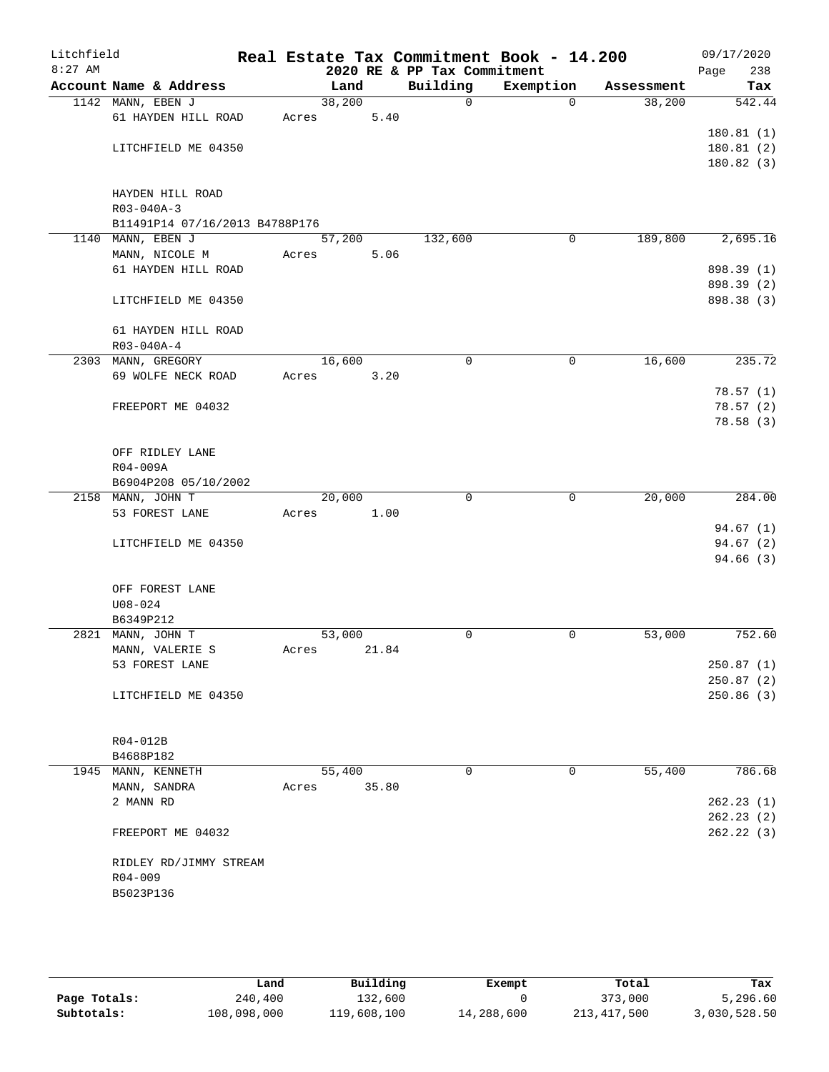| Litchfield<br>$8:27$ AM |                  |                                |        |       | 2020 RE & PP Tax Commitment | Real Estate Tax Commitment Book - 14.200 |            | 09/17/2020<br>238<br>Page |
|-------------------------|------------------|--------------------------------|--------|-------|-----------------------------|------------------------------------------|------------|---------------------------|
|                         |                  | Account Name & Address         | Land   |       | Building                    | Exemption                                | Assessment | Tax                       |
|                         |                  | 1142 MANN, EBEN J              | 38,200 |       | $\mathbf 0$                 | $\Omega$                                 | 38,200     | 542.44                    |
|                         |                  | 61 HAYDEN HILL ROAD            | Acres  | 5.40  |                             |                                          |            |                           |
|                         |                  |                                |        |       |                             |                                          |            | 180.81(1)                 |
|                         |                  | LITCHFIELD ME 04350            |        |       |                             |                                          |            | 180.81(2)                 |
|                         |                  |                                |        |       |                             |                                          |            | 180.82(3)                 |
|                         |                  |                                |        |       |                             |                                          |            |                           |
|                         |                  | HAYDEN HILL ROAD               |        |       |                             |                                          |            |                           |
|                         | R03-040A-3       |                                |        |       |                             |                                          |            |                           |
|                         |                  | B11491P14 07/16/2013 B4788P176 |        |       |                             |                                          |            |                           |
|                         |                  | 1140 MANN, EBEN J              | 57,200 |       | 132,600                     | 0                                        | 189,800    | 2,695.16                  |
|                         |                  | MANN, NICOLE M                 | Acres  | 5.06  |                             |                                          |            |                           |
|                         |                  | 61 HAYDEN HILL ROAD            |        |       |                             |                                          |            | 898.39 (1)                |
|                         |                  |                                |        |       |                             |                                          |            | 898.39 (2)                |
|                         |                  | LITCHFIELD ME 04350            |        |       |                             |                                          |            | 898.38 (3)                |
|                         |                  |                                |        |       |                             |                                          |            |                           |
|                         | $R03 - 040A - 4$ | 61 HAYDEN HILL ROAD            |        |       |                             |                                          |            |                           |
|                         |                  | 2303 MANN, GREGORY             |        |       | $\mathbf 0$                 | $\mathbf 0$                              | 16,600     | 235.72                    |
|                         |                  | 69 WOLFE NECK ROAD             | 16,600 | 3.20  |                             |                                          |            |                           |
|                         |                  |                                | Acres  |       |                             |                                          |            | 78.57(1)                  |
|                         |                  | FREEPORT ME 04032              |        |       |                             |                                          |            | 78.57(2)                  |
|                         |                  |                                |        |       |                             |                                          |            | 78.58(3)                  |
|                         |                  |                                |        |       |                             |                                          |            |                           |
|                         |                  | OFF RIDLEY LANE                |        |       |                             |                                          |            |                           |
|                         | R04-009A         |                                |        |       |                             |                                          |            |                           |
|                         |                  | B6904P208 05/10/2002           |        |       |                             |                                          |            |                           |
|                         |                  | 2158 MANN, JOHN T              | 20,000 |       | $\mathbf 0$                 | $\mathbf 0$                              | 20,000     | 284.00                    |
|                         |                  | 53 FOREST LANE                 | Acres  | 1.00  |                             |                                          |            |                           |
|                         |                  |                                |        |       |                             |                                          |            | 94.67(1)                  |
|                         |                  | LITCHFIELD ME 04350            |        |       |                             |                                          |            | 94.67(2)                  |
|                         |                  |                                |        |       |                             |                                          |            | 94.66 (3)                 |
|                         |                  |                                |        |       |                             |                                          |            |                           |
|                         |                  | OFF FOREST LANE                |        |       |                             |                                          |            |                           |
|                         | $U08 - 024$      |                                |        |       |                             |                                          |            |                           |
|                         | B6349P212        |                                |        |       |                             |                                          |            |                           |
|                         |                  | 2821 MANN, JOHN T              | 53,000 |       | 0                           | 0                                        | 53,000     | 752.60                    |
|                         |                  | MANN, VALERIE S                | Acres  | 21.84 |                             |                                          |            |                           |
|                         |                  | 53 FOREST LANE                 |        |       |                             |                                          |            | 250.87(1)                 |
|                         |                  |                                |        |       |                             |                                          |            | 250.87(2)                 |
|                         |                  | LITCHFIELD ME 04350            |        |       |                             |                                          |            | 250.86(3)                 |
|                         |                  |                                |        |       |                             |                                          |            |                           |
|                         |                  |                                |        |       |                             |                                          |            |                           |
|                         | R04-012B         |                                |        |       |                             |                                          |            |                           |
|                         | B4688P182        | 1945 MANN, KENNETH             | 55,400 |       | 0                           | 0                                        | 55,400     | 786.68                    |
|                         |                  |                                | Acres  | 35.80 |                             |                                          |            |                           |
|                         | 2 MANN RD        | MANN, SANDRA                   |        |       |                             |                                          |            | 262.23(1)                 |
|                         |                  |                                |        |       |                             |                                          |            | 262.23(2)                 |
|                         |                  | FREEPORT ME 04032              |        |       |                             |                                          |            | 262.22(3)                 |
|                         |                  |                                |        |       |                             |                                          |            |                           |
|                         |                  | RIDLEY RD/JIMMY STREAM         |        |       |                             |                                          |            |                           |
|                         | R04-009          |                                |        |       |                             |                                          |            |                           |
|                         | B5023P136        |                                |        |       |                             |                                          |            |                           |
|                         |                  |                                |        |       |                             |                                          |            |                           |
|                         |                  |                                |        |       |                             |                                          |            |                           |

|              | Land        | Building    | Exempt     | Total         | Tax          |
|--------------|-------------|-------------|------------|---------------|--------------|
| Page Totals: | 240,400     | 132,600     |            | 373,000       | 5,296.60     |
| Subtotals:   | 108,098,000 | 119,608,100 | 14,288,600 | 213, 417, 500 | 3,030,528.50 |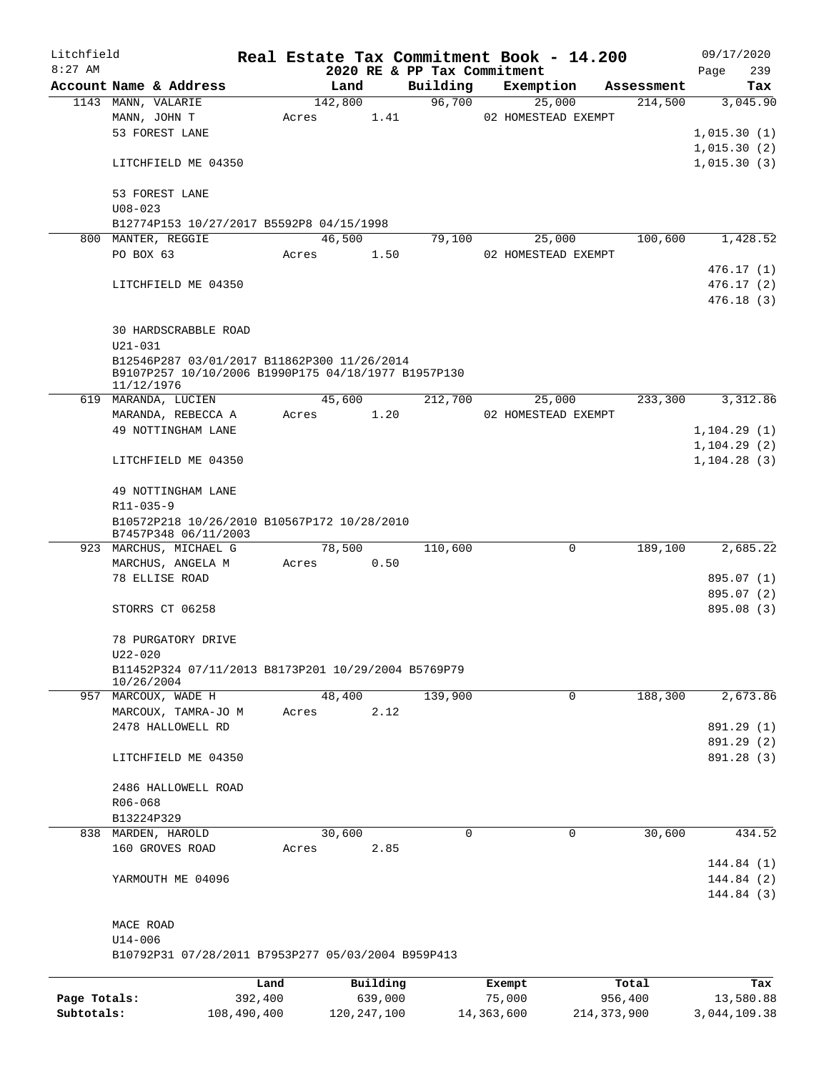| Litchfield   |                                                     |         |         |          |                             | Real Estate Tax Commitment Book - 14.200 |                        | 09/17/2020   |
|--------------|-----------------------------------------------------|---------|---------|----------|-----------------------------|------------------------------------------|------------------------|--------------|
| $8:27$ AM    |                                                     |         |         |          | 2020 RE & PP Tax Commitment |                                          |                        | Page<br>239  |
|              | Account Name & Address                              |         | Land    |          | Building                    | Exemption                                | Assessment             | Tax          |
|              | 1143 MANN, VALARIE                                  |         | 142,800 |          | 96,700                      | 25,000                                   | 214,500                | 3,045.90     |
|              | MANN, JOHN T                                        | Acres   |         | 1.41     |                             | 02 HOMESTEAD EXEMPT                      |                        |              |
|              | 53 FOREST LANE                                      |         |         |          |                             |                                          |                        | 1,015.30(1)  |
|              |                                                     |         |         |          |                             |                                          |                        | 1,015.30(2)  |
|              | LITCHFIELD ME 04350                                 |         |         |          |                             |                                          |                        | 1,015.30(3)  |
|              | 53 FOREST LANE                                      |         |         |          |                             |                                          |                        |              |
|              | $U08 - 023$                                         |         |         |          |                             |                                          |                        |              |
|              | B12774P153 10/27/2017 B5592P8 04/15/1998            |         |         |          |                             |                                          |                        |              |
|              | 800 MANTER, REGGIE                                  |         | 46,500  |          | 79,100                      | 25,000                                   | 100,600                | 1,428.52     |
|              | PO BOX 63                                           | Acres   |         | 1.50     |                             | 02 HOMESTEAD EXEMPT                      |                        |              |
|              |                                                     |         |         |          |                             |                                          |                        | 476.17 (1)   |
|              | LITCHFIELD ME 04350                                 |         |         |          |                             |                                          |                        | 476.17(2)    |
|              |                                                     |         |         |          |                             |                                          |                        | 476.18(3)    |
|              |                                                     |         |         |          |                             |                                          |                        |              |
|              | <b>30 HARDSCRABBLE ROAD</b>                         |         |         |          |                             |                                          |                        |              |
|              | $U21 - 031$                                         |         |         |          |                             |                                          |                        |              |
|              | B12546P287 03/01/2017 B11862P300 11/26/2014         |         |         |          |                             |                                          |                        |              |
|              | B9107P257 10/10/2006 B1990P175 04/18/1977 B1957P130 |         |         |          |                             |                                          |                        |              |
|              | 11/12/1976                                          |         |         |          |                             |                                          |                        |              |
|              | 619 MARANDA, LUCIEN                                 |         | 45,600  |          | 212,700                     | 25,000                                   | 233,300                | 3,312.86     |
|              | MARANDA, REBECCA A                                  | Acres   |         | 1.20     |                             | 02 HOMESTEAD EXEMPT                      |                        |              |
|              | 49 NOTTINGHAM LANE                                  |         |         |          |                             |                                          |                        | 1, 104.29(1) |
|              |                                                     |         |         |          |                             |                                          |                        | 1, 104.29(2) |
|              | LITCHFIELD ME 04350                                 |         |         |          |                             |                                          |                        | 1, 104.28(3) |
|              |                                                     |         |         |          |                             |                                          |                        |              |
|              | 49 NOTTINGHAM LANE                                  |         |         |          |                             |                                          |                        |              |
|              | R11-035-9                                           |         |         |          |                             |                                          |                        |              |
|              | B10572P218 10/26/2010 B10567P172 10/28/2010         |         |         |          |                             |                                          |                        |              |
|              | B7457P348 06/11/2003<br>923 MARCHUS, MICHAEL G      |         | 78,500  |          | 110,600                     |                                          | $\mathbf 0$<br>189,100 | 2,685.22     |
|              | MARCHUS, ANGELA M                                   | Acres   |         | 0.50     |                             |                                          |                        |              |
|              | 78 ELLISE ROAD                                      |         |         |          |                             |                                          |                        | 895.07 (1)   |
|              |                                                     |         |         |          |                             |                                          |                        | 895.07 (2)   |
|              | STORRS CT 06258                                     |         |         |          |                             |                                          |                        | 895.08 (3)   |
|              |                                                     |         |         |          |                             |                                          |                        |              |
|              | 78 PURGATORY DRIVE                                  |         |         |          |                             |                                          |                        |              |
|              | $U22 - 020$                                         |         |         |          |                             |                                          |                        |              |
|              | B11452P324 07/11/2013 B8173P201 10/29/2004 B5769P79 |         |         |          |                             |                                          |                        |              |
|              | 10/26/2004                                          |         |         |          |                             |                                          |                        |              |
|              | 957 MARCOUX, WADE H                                 |         | 48,400  |          | 139,900                     |                                          | $\Omega$<br>188,300    | 2,673.86     |
|              | MARCOUX, TAMRA-JO M                                 | Acres   |         | 2.12     |                             |                                          |                        |              |
|              | 2478 HALLOWELL RD                                   |         |         |          |                             |                                          |                        | 891.29 (1)   |
|              |                                                     |         |         |          |                             |                                          |                        | 891.29 (2)   |
|              | LITCHFIELD ME 04350                                 |         |         |          |                             |                                          |                        | 891.28 (3)   |
|              |                                                     |         |         |          |                             |                                          |                        |              |
|              | 2486 HALLOWELL ROAD                                 |         |         |          |                             |                                          |                        |              |
|              | R06-068                                             |         |         |          |                             |                                          |                        |              |
|              | B13224P329                                          |         |         |          |                             |                                          |                        |              |
| 838          | MARDEN, HAROLD                                      |         | 30,600  |          | 0                           |                                          | 30,600<br>0            | 434.52       |
|              | 160 GROVES ROAD                                     | Acres   |         | 2.85     |                             |                                          |                        |              |
|              |                                                     |         |         |          |                             |                                          |                        | 144.84 (1)   |
|              | YARMOUTH ME 04096                                   |         |         |          |                             |                                          |                        | 144.84 (2)   |
|              |                                                     |         |         |          |                             |                                          |                        | 144.84 (3)   |
|              |                                                     |         |         |          |                             |                                          |                        |              |
|              | MACE ROAD                                           |         |         |          |                             |                                          |                        |              |
|              | $U14 - 006$                                         |         |         |          |                             |                                          |                        |              |
|              | B10792P31 07/28/2011 B7953P277 05/03/2004 B959P413  |         |         |          |                             |                                          |                        |              |
|              |                                                     |         |         |          |                             |                                          |                        |              |
|              |                                                     | Land    |         | Building |                             | Exempt                                   | Total                  | Tax          |
| Page Totals: |                                                     | 392,400 |         | 639,000  |                             | 75,000                                   | 956,400                | 13,580.88    |

**Subtotals:** 108,490,400 120,247,100 14,363,600 214,373,900 3,044,109.38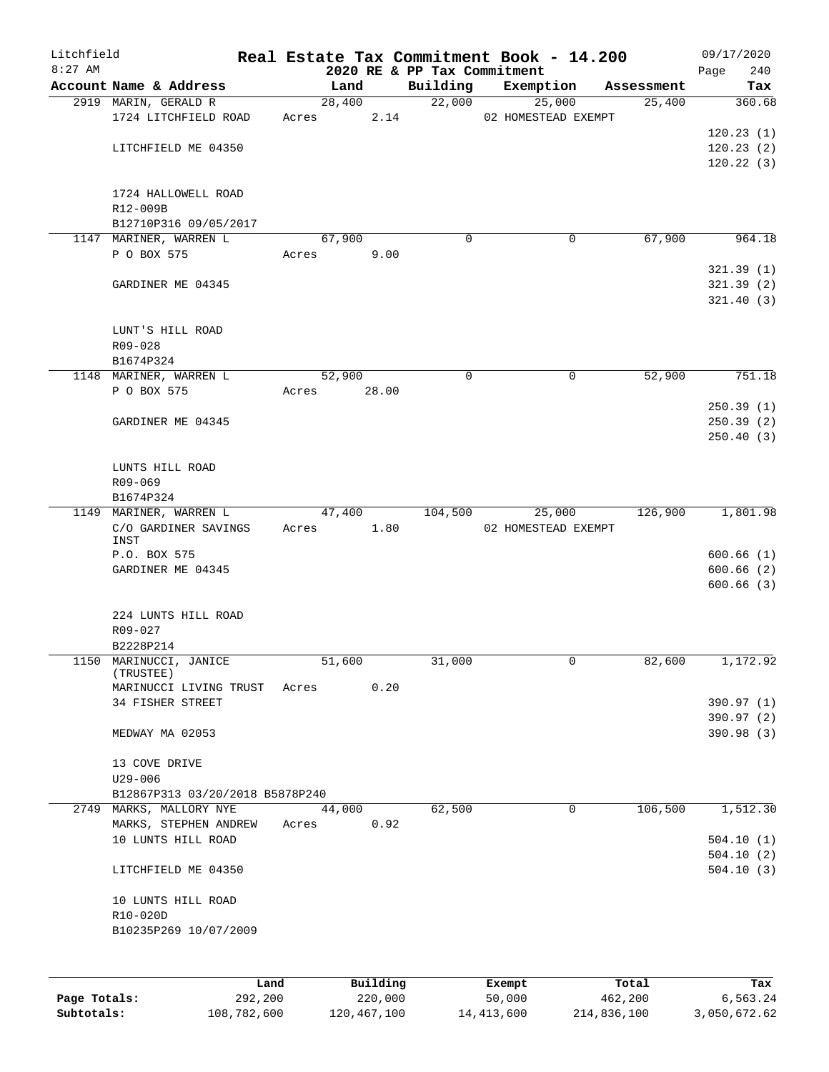| Litchfield   |                                     |         |                |          |                             | Real Estate Tax Commitment Book - 14.200 |                      | 09/17/2020    |
|--------------|-------------------------------------|---------|----------------|----------|-----------------------------|------------------------------------------|----------------------|---------------|
| $8:27$ AM    | Account Name & Address              |         |                |          | 2020 RE & PP Tax Commitment |                                          |                      | 240<br>Page   |
|              | 2919 MARIN, GERALD R                |         | Land<br>28,400 |          | Building<br>22,000          | Exemption<br>25,000                      | Assessment<br>25,400 | Tax<br>360.68 |
|              | 1724 LITCHFIELD ROAD                |         | Acres          | 2.14     |                             | 02 HOMESTEAD EXEMPT                      |                      |               |
|              |                                     |         |                |          |                             |                                          |                      | 120.23(1)     |
|              | LITCHFIELD ME 04350                 |         |                |          |                             |                                          |                      | 120.23(2)     |
|              |                                     |         |                |          |                             |                                          |                      | 120.22(3)     |
|              |                                     |         |                |          |                             |                                          |                      |               |
|              | 1724 HALLOWELL ROAD                 |         |                |          |                             |                                          |                      |               |
|              | R12-009B                            |         |                |          |                             |                                          |                      |               |
|              | B12710P316 09/05/2017               |         |                |          |                             |                                          |                      |               |
|              | 1147 MARINER, WARREN L              |         | 67,900         |          | $\Omega$                    | 0                                        | 67,900               | 964.18        |
|              | P O BOX 575                         | Acres   |                | 9.00     |                             |                                          |                      |               |
|              |                                     |         |                |          |                             |                                          |                      | 321.39(1)     |
|              |                                     |         |                |          |                             |                                          |                      | 321.39(2)     |
|              | GARDINER ME 04345                   |         |                |          |                             |                                          |                      |               |
|              |                                     |         |                |          |                             |                                          |                      | 321.40(3)     |
|              |                                     |         |                |          |                             |                                          |                      |               |
|              | LUNT'S HILL ROAD                    |         |                |          |                             |                                          |                      |               |
|              | R09-028                             |         |                |          |                             |                                          |                      |               |
|              | B1674P324                           |         |                |          |                             |                                          |                      |               |
|              | 1148 MARINER, WARREN L              |         | 52,900         |          | 0                           | 0                                        | 52,900               | 751.18        |
|              | P O BOX 575                         | Acres   |                | 28.00    |                             |                                          |                      |               |
|              |                                     |         |                |          |                             |                                          |                      | 250.39(1)     |
|              | GARDINER ME 04345                   |         |                |          |                             |                                          |                      | 250.39(2)     |
|              |                                     |         |                |          |                             |                                          |                      | 250.40(3)     |
|              |                                     |         |                |          |                             |                                          |                      |               |
|              | LUNTS HILL ROAD                     |         |                |          |                             |                                          |                      |               |
|              | R09-069                             |         |                |          |                             |                                          |                      |               |
|              | B1674P324                           |         |                |          |                             |                                          |                      |               |
|              | 1149 MARINER, WARREN L              |         | 47,400         |          | 104,500                     | 25,000                                   | 126,900              | 1,801.98      |
|              | C/O GARDINER SAVINGS                |         | Acres          | 1.80     |                             | 02 HOMESTEAD EXEMPT                      |                      |               |
|              | INST                                |         |                |          |                             |                                          |                      |               |
|              | P.O. BOX 575                        |         |                |          |                             |                                          |                      | 600.66(1)     |
|              | GARDINER ME 04345                   |         |                |          |                             |                                          |                      | 600.66(2)     |
|              |                                     |         |                |          |                             |                                          |                      | 600.66(3)     |
|              |                                     |         |                |          |                             |                                          |                      |               |
|              | 224 LUNTS HILL ROAD                 |         |                |          |                             |                                          |                      |               |
|              | R09-027                             |         |                |          |                             |                                          |                      |               |
|              | B2228P214                           |         |                |          |                             |                                          |                      |               |
|              | 1150 MARINUCCI, JANICE<br>(TRUSTEE) |         | 51,600         |          | 31,000                      | 0                                        | 82,600               | 1,172.92      |
|              | MARINUCCI LIVING TRUST              | Acres   |                | 0.20     |                             |                                          |                      |               |
|              | 34 FISHER STREET                    |         |                |          |                             |                                          |                      | 390.97 (1)    |
|              |                                     |         |                |          |                             |                                          |                      | 390.97 (2)    |
|              | MEDWAY MA 02053                     |         |                |          |                             |                                          |                      | 390.98 (3)    |
|              |                                     |         |                |          |                             |                                          |                      |               |
|              | 13 COVE DRIVE                       |         |                |          |                             |                                          |                      |               |
|              | $U29 - 006$                         |         |                |          |                             |                                          |                      |               |
|              | B12867P313 03/20/2018 B5878P240     |         |                |          |                             |                                          |                      |               |
|              | 2749 MARKS, MALLORY NYE             |         | 44,000         |          | 62,500                      | $\mathbf 0$                              | 106,500              | 1,512.30      |
|              | MARKS, STEPHEN ANDREW               | Acres   |                | 0.92     |                             |                                          |                      |               |
|              | 10 LUNTS HILL ROAD                  |         |                |          |                             |                                          |                      | 504.10(1)     |
|              |                                     |         |                |          |                             |                                          |                      | 504.10(2)     |
|              |                                     |         |                |          |                             |                                          |                      |               |
|              | LITCHFIELD ME 04350                 |         |                |          |                             |                                          |                      | 504.10(3)     |
|              |                                     |         |                |          |                             |                                          |                      |               |
|              | 10 LUNTS HILL ROAD                  |         |                |          |                             |                                          |                      |               |
|              | R10-020D                            |         |                |          |                             |                                          |                      |               |
|              | B10235P269 10/07/2009               |         |                |          |                             |                                          |                      |               |
|              |                                     |         |                |          |                             |                                          |                      |               |
|              |                                     |         |                |          |                             |                                          |                      |               |
|              |                                     | Land    |                | Building |                             | Exempt                                   | Total                | Tax           |
| Page Totals: |                                     | 292,200 |                | 220,000  |                             | 50,000                                   | 462,200              | 6,563.24      |

**Subtotals:** 108,782,600 120,467,100 14,413,600 214,836,100 3,050,672.62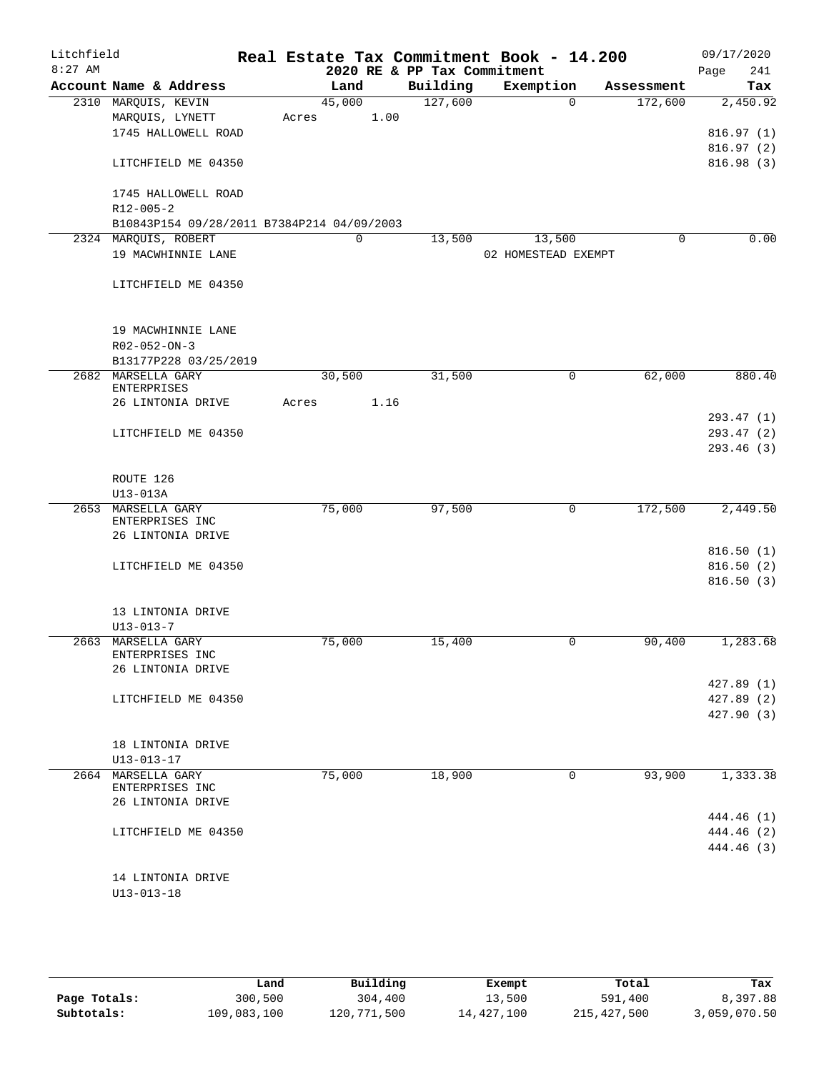| Litchfield |                                          |                                            |       |          |      |                             | Real Estate Tax Commitment Book - 14.200 |             |             |      | 09/17/2020 |
|------------|------------------------------------------|--------------------------------------------|-------|----------|------|-----------------------------|------------------------------------------|-------------|-------------|------|------------|
| $8:27$ AM  |                                          |                                            |       |          |      | 2020 RE & PP Tax Commitment |                                          |             |             | Page | 241        |
|            |                                          | Account Name & Address                     |       | Land     |      | Building                    | Exemption                                |             | Assessment  |      | Tax        |
|            | 2310 MARQUIS, KEVIN<br>MARQUIS, LYNETT   |                                            | Acres | 45,000   | 1.00 | 127,600                     |                                          | $\Omega$    | 172,600     |      | 2,450.92   |
|            |                                          | 1745 HALLOWELL ROAD                        |       |          |      |                             |                                          |             |             |      | 816.97(1)  |
|            |                                          |                                            |       |          |      |                             |                                          |             |             |      | 816.97(2)  |
|            |                                          | LITCHFIELD ME 04350                        |       |          |      |                             |                                          |             |             |      | 816.98(3)  |
|            |                                          |                                            |       |          |      |                             |                                          |             |             |      |            |
|            |                                          | 1745 HALLOWELL ROAD                        |       |          |      |                             |                                          |             |             |      |            |
|            | R12-005-2                                |                                            |       |          |      |                             |                                          |             |             |      |            |
|            |                                          | B10843P154 09/28/2011 B7384P214 04/09/2003 |       |          |      |                             |                                          |             |             |      |            |
|            | 2324 MARQUIS, ROBERT                     |                                            |       | $\Omega$ |      | 13,500                      | 13,500                                   |             | $\mathbf 0$ |      | 0.00       |
|            |                                          | 19 MACWHINNIE LANE                         |       |          |      |                             | 02 HOMESTEAD EXEMPT                      |             |             |      |            |
|            |                                          | LITCHFIELD ME 04350                        |       |          |      |                             |                                          |             |             |      |            |
|            |                                          |                                            |       |          |      |                             |                                          |             |             |      |            |
|            |                                          |                                            |       |          |      |                             |                                          |             |             |      |            |
|            |                                          | 19 MACWHINNIE LANE                         |       |          |      |                             |                                          |             |             |      |            |
|            | R02-052-ON-3                             |                                            |       |          |      |                             |                                          |             |             |      |            |
|            |                                          | B13177P228 03/25/2019                      |       |          |      |                             |                                          |             |             |      |            |
|            | 2682 MARSELLA GARY<br><b>ENTERPRISES</b> |                                            |       | 30,500   |      | 31,500                      |                                          | 0           | 62,000      |      | 880.40     |
|            |                                          | 26 LINTONIA DRIVE                          | Acres |          | 1.16 |                             |                                          |             |             |      |            |
|            |                                          |                                            |       |          |      |                             |                                          |             |             |      | 293.47(1)  |
|            |                                          | LITCHFIELD ME 04350                        |       |          |      |                             |                                          |             |             |      | 293.47 (2) |
|            |                                          |                                            |       |          |      |                             |                                          |             |             |      | 293.46(3)  |
|            |                                          |                                            |       |          |      |                             |                                          |             |             |      |            |
|            | ROUTE 126                                |                                            |       |          |      |                             |                                          |             |             |      |            |
|            | $U13-013A$                               |                                            |       |          |      |                             |                                          |             |             |      |            |
|            | 2653 MARSELLA GARY<br>ENTERPRISES INC    |                                            |       | 75,000   |      | 97,500                      |                                          | $\mathbf 0$ | 172,500     |      | 2,449.50   |
|            |                                          | 26 LINTONIA DRIVE                          |       |          |      |                             |                                          |             |             |      |            |
|            |                                          |                                            |       |          |      |                             |                                          |             |             |      | 816.50(1)  |
|            |                                          | LITCHFIELD ME 04350                        |       |          |      |                             |                                          |             |             |      | 816.50(2)  |
|            |                                          |                                            |       |          |      |                             |                                          |             |             |      | 816.50(3)  |
|            |                                          |                                            |       |          |      |                             |                                          |             |             |      |            |
|            |                                          | 13 LINTONIA DRIVE                          |       |          |      |                             |                                          |             |             |      |            |
| 2663       | $U13 - 013 - 7$<br>MARSELLA GARY         |                                            |       | 75,000   |      | 15,400                      |                                          | 0           | 90,400      |      | 1,283.68   |
|            | ENTERPRISES INC                          |                                            |       |          |      |                             |                                          |             |             |      |            |
|            |                                          | 26 LINTONIA DRIVE                          |       |          |      |                             |                                          |             |             |      |            |
|            |                                          |                                            |       |          |      |                             |                                          |             |             |      | 427.89 (1) |
|            |                                          | LITCHFIELD ME 04350                        |       |          |      |                             |                                          |             |             |      | 427.89 (2) |
|            |                                          |                                            |       |          |      |                             |                                          |             |             |      | 427.90 (3) |
|            |                                          |                                            |       |          |      |                             |                                          |             |             |      |            |
|            | U13-013-17                               | 18 LINTONIA DRIVE                          |       |          |      |                             |                                          |             |             |      |            |
| 2664       | MARSELLA GARY                            |                                            |       | 75,000   |      | 18,900                      |                                          | $\mathbf 0$ | 93,900      |      | 1,333.38   |
|            | ENTERPRISES INC                          |                                            |       |          |      |                             |                                          |             |             |      |            |
|            |                                          | 26 LINTONIA DRIVE                          |       |          |      |                             |                                          |             |             |      |            |
|            |                                          |                                            |       |          |      |                             |                                          |             |             |      | 444.46 (1) |
|            |                                          | LITCHFIELD ME 04350                        |       |          |      |                             |                                          |             |             |      | 444.46 (2) |
|            |                                          |                                            |       |          |      |                             |                                          |             |             |      | 444.46 (3) |
|            |                                          | 14 LINTONIA DRIVE                          |       |          |      |                             |                                          |             |             |      |            |
|            | $U13 - 013 - 18$                         |                                            |       |          |      |                             |                                          |             |             |      |            |
|            |                                          |                                            |       |          |      |                             |                                          |             |             |      |            |

|              | Land        | Building    | Exempt     | Total         | Tax          |
|--------------|-------------|-------------|------------|---------------|--------------|
| Page Totals: | 300,500     | 304,400     | 13,500     | 591,400       | 8,397.88     |
| Subtotals:   | 109,083,100 | 120,771,500 | 14,427,100 | 215, 427, 500 | 3,059,070.50 |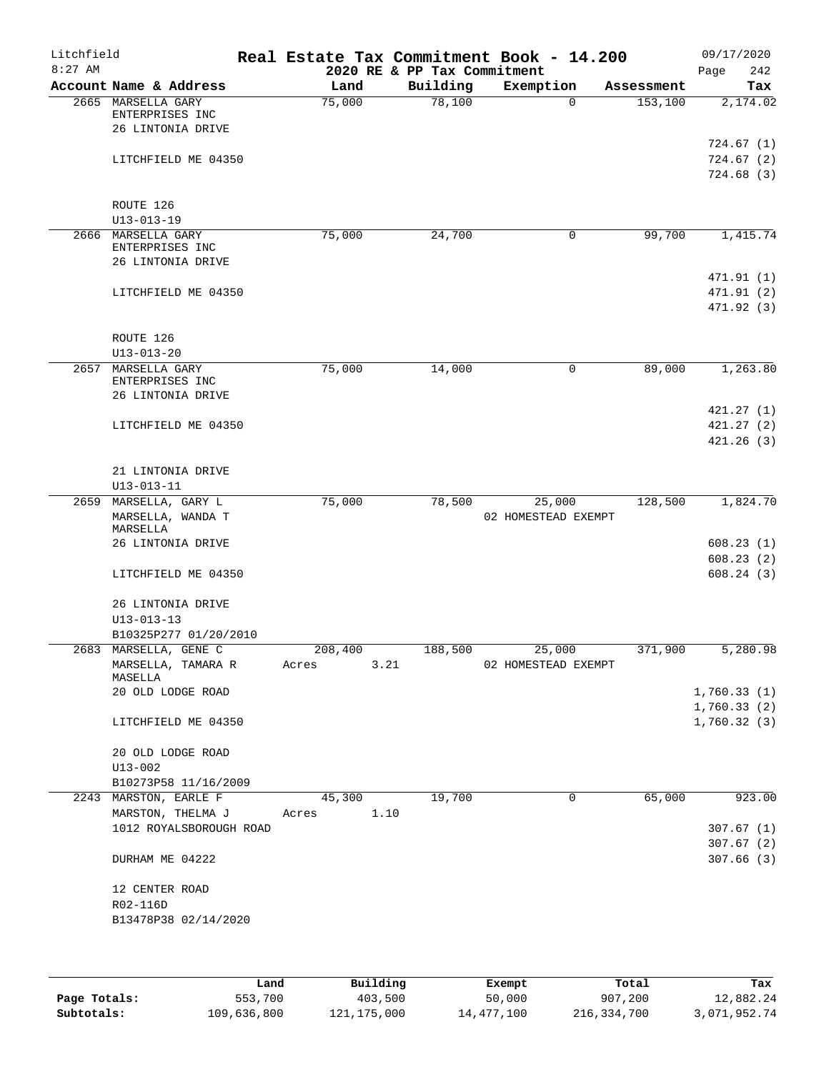| Litchfield |                                                            |                  |                             | Real Estate Tax Commitment Book - 14.200 |            | 09/17/2020                           |
|------------|------------------------------------------------------------|------------------|-----------------------------|------------------------------------------|------------|--------------------------------------|
| $8:27$ AM  |                                                            |                  | 2020 RE & PP Tax Commitment |                                          |            | 242<br>Page                          |
|            | Account Name & Address                                     | Land             | Building                    | Exemption                                | Assessment | Tax                                  |
|            | 2665 MARSELLA GARY<br>ENTERPRISES INC<br>26 LINTONIA DRIVE | 75,000           | 78,100                      | $\Omega$                                 | 153,100    | 2,174.02                             |
|            | LITCHFIELD ME 04350                                        |                  |                             |                                          |            | 724.67 (1)<br>724.67(2)<br>724.68(3) |
|            | ROUTE 126<br>$U13 - 013 - 19$                              |                  |                             |                                          |            |                                      |
|            | 2666 MARSELLA GARY<br>ENTERPRISES INC                      | 75,000           | 24,700                      | 0                                        | 99,700     | 1,415.74                             |
|            | 26 LINTONIA DRIVE                                          |                  |                             |                                          |            | 471.91 (1)                           |
|            | LITCHFIELD ME 04350                                        |                  |                             |                                          |            | 471.91 (2)<br>471.92 (3)             |
|            | ROUTE 126<br>$U13 - 013 - 20$                              |                  |                             |                                          |            |                                      |
| 2657       | MARSELLA GARY<br>ENTERPRISES INC<br>26 LINTONIA DRIVE      | 75,000           | 14,000                      | 0                                        | 89,000     | 1,263.80                             |
|            | LITCHFIELD ME 04350                                        |                  |                             |                                          |            | 421.27(1)<br>421.27(2)               |
|            |                                                            |                  |                             |                                          |            | 421.26(3)                            |
|            | 21 LINTONIA DRIVE<br>$U13 - 013 - 11$                      |                  |                             |                                          |            |                                      |
|            | 2659 MARSELLA, GARY L<br>MARSELLA, WANDA T<br>MARSELLA     | 75,000           | 78,500                      | 25,000<br>02 HOMESTEAD EXEMPT            | 128,500    | 1,824.70                             |
|            | 26 LINTONIA DRIVE                                          |                  |                             |                                          |            | 608.23(1)<br>608.23(2)               |
|            | LITCHFIELD ME 04350                                        |                  |                             |                                          |            | 608.24(3)                            |
|            | 26 LINTONIA DRIVE<br>$U13 - 013 - 13$                      |                  |                             |                                          |            |                                      |
|            | B10325P277 01/20/2010                                      |                  |                             |                                          |            |                                      |
|            | 2683 MARSELLA, GENE C<br>MARSELLA, TAMARA R<br>MASELLA     | 208,400<br>Acres | 188,500<br>3.21             | 25,000<br>02 HOMESTEAD EXEMPT            | 371,900    | 5,280.98                             |
|            | 20 OLD LODGE ROAD                                          |                  |                             |                                          |            | 1,760.33(1)<br>1,760.33(2)           |
|            | LITCHFIELD ME 04350                                        |                  |                             |                                          |            | 1,760.32(3)                          |
|            | 20 OLD LODGE ROAD<br>$U13 - 002$                           |                  |                             |                                          |            |                                      |
|            | B10273P58 11/16/2009                                       |                  |                             |                                          |            |                                      |
|            | 2243 MARSTON, EARLE F<br>MARSTON, THELMA J                 | 45,300<br>Acres  | 19,700<br>1.10              | 0                                        | 65,000     | 923.00                               |
|            | 1012 ROYALSBOROUGH ROAD                                    |                  |                             |                                          |            | 307.67(1)<br>307.67(2)               |
|            | DURHAM ME 04222                                            |                  |                             |                                          |            | 307.66(3)                            |
|            | 12 CENTER ROAD<br>R02-116D                                 |                  |                             |                                          |            |                                      |
|            | B13478P38 02/14/2020                                       |                  |                             |                                          |            |                                      |
|            |                                                            |                  |                             |                                          |            |                                      |

|              | Land        | Building    | Exempt     | Total       | Tax          |
|--------------|-------------|-------------|------------|-------------|--------------|
| Page Totals: | 553,700     | 403,500     | 50,000     | 907,200     | 12,882.24    |
| Subtotals:   | 109,636,800 | 121,175,000 | 14,477,100 | 216,334,700 | 3,071,952.74 |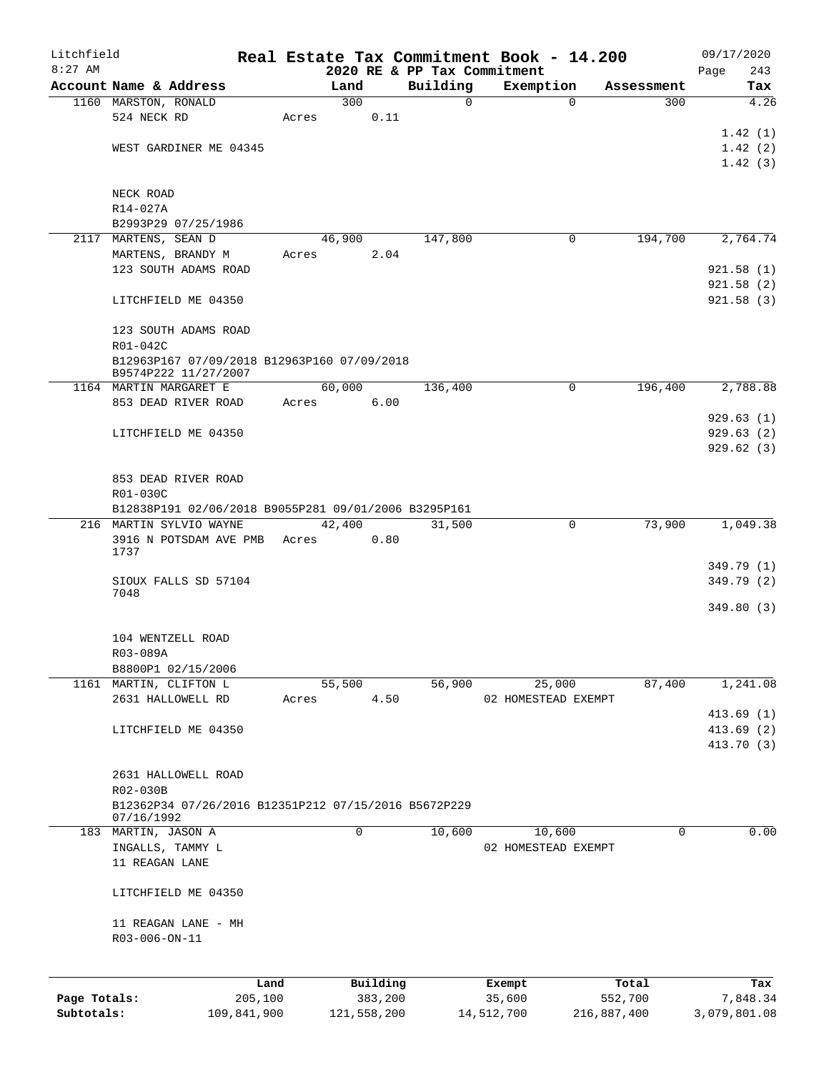| Litchfield   |                                                                     |             |       |             |          | Real Estate Tax Commitment Book - 14.200 |            |                     |             |            | 09/17/2020   |
|--------------|---------------------------------------------------------------------|-------------|-------|-------------|----------|------------------------------------------|------------|---------------------|-------------|------------|--------------|
| $8:27$ AM    |                                                                     |             |       |             |          | 2020 RE & PP Tax Commitment              |            |                     |             |            | 243<br>Page  |
|              | Account Name & Address                                              |             |       | Land        |          | Building                                 |            | Exemption           |             | Assessment | Tax          |
|              | 1160 MARSTON, RONALD                                                |             |       | 300         |          | $\mathbf 0$                              |            | $\mathbf 0$         |             | 300        | 4.26         |
|              | 524 NECK RD                                                         |             | Acres |             | 0.11     |                                          |            |                     |             |            |              |
|              |                                                                     |             |       |             |          |                                          |            |                     |             |            | 1.42(1)      |
|              | WEST GARDINER ME 04345                                              |             |       |             |          |                                          |            |                     |             |            | 1.42(2)      |
|              |                                                                     |             |       |             |          |                                          |            |                     |             |            | 1.42(3)      |
|              | NECK ROAD                                                           |             |       |             |          |                                          |            |                     |             |            |              |
|              | R14-027A                                                            |             |       |             |          |                                          |            |                     |             |            |              |
|              | B2993P29 07/25/1986                                                 |             |       |             |          |                                          |            |                     |             |            |              |
|              | 2117 MARTENS, SEAN D                                                |             |       | 46,900      |          | 147,800                                  |            | 0                   |             | 194,700    | 2,764.74     |
|              | MARTENS, BRANDY M                                                   |             | Acres |             | 2.04     |                                          |            |                     |             |            |              |
|              | 123 SOUTH ADAMS ROAD                                                |             |       |             |          |                                          |            |                     |             |            | 921.58(1)    |
|              |                                                                     |             |       |             |          |                                          |            |                     |             |            | 921.58(2)    |
|              | LITCHFIELD ME 04350                                                 |             |       |             |          |                                          |            |                     |             |            | 921.58(3)    |
|              | 123 SOUTH ADAMS ROAD                                                |             |       |             |          |                                          |            |                     |             |            |              |
|              | R01-042C                                                            |             |       |             |          |                                          |            |                     |             |            |              |
|              | B12963P167 07/09/2018 B12963P160 07/09/2018<br>B9574P222 11/27/2007 |             |       |             |          |                                          |            |                     |             |            |              |
|              | 1164 MARTIN MARGARET E                                              |             |       | 60,000      |          | 136,400                                  |            | 0                   |             | 196,400    | 2,788.88     |
|              | 853 DEAD RIVER ROAD                                                 |             | Acres |             | 6.00     |                                          |            |                     |             |            |              |
|              |                                                                     |             |       |             |          |                                          |            |                     |             |            | 929.63(1)    |
|              | LITCHFIELD ME 04350                                                 |             |       |             |          |                                          |            |                     |             |            | 929.63(2)    |
|              |                                                                     |             |       |             |          |                                          |            |                     |             |            | 929.62(3)    |
|              |                                                                     |             |       |             |          |                                          |            |                     |             |            |              |
|              |                                                                     |             |       |             |          |                                          |            |                     |             |            |              |
|              | 853 DEAD RIVER ROAD                                                 |             |       |             |          |                                          |            |                     |             |            |              |
|              | R01-030C                                                            |             |       |             |          |                                          |            |                     |             |            |              |
|              | B12838P191 02/06/2018 B9055P281 09/01/2006 B3295P161                |             |       |             |          |                                          |            |                     |             |            |              |
|              | 216 MARTIN SYLVIO WAYNE                                             |             |       | 42,400      |          | 31,500                                   |            | 0                   |             | 73,900     | 1,049.38     |
|              | 3916 N POTSDAM AVE PMB                                              |             | Acres |             | 0.80     |                                          |            |                     |             |            |              |
|              | 1737                                                                |             |       |             |          |                                          |            |                     |             |            |              |
|              |                                                                     |             |       |             |          |                                          |            |                     |             |            | 349.79 (1)   |
|              | SIOUX FALLS SD 57104                                                |             |       |             |          |                                          |            |                     |             |            | 349.79 (2)   |
|              | 7048                                                                |             |       |             |          |                                          |            |                     |             |            | 349.80(3)    |
|              |                                                                     |             |       |             |          |                                          |            |                     |             |            |              |
|              |                                                                     |             |       |             |          |                                          |            |                     |             |            |              |
|              | 104 WENTZELL ROAD                                                   |             |       |             |          |                                          |            |                     |             |            |              |
|              | R03-089A                                                            |             |       |             |          |                                          |            |                     |             |            |              |
|              | B8800P1 02/15/2006                                                  |             |       |             |          |                                          |            |                     |             |            |              |
|              | 1161 MARTIN, CLIFTON L                                              |             |       | 55,500      |          | 56,900                                   |            | 25,000              |             | 87,400     | 1,241.08     |
|              | 2631 HALLOWELL RD                                                   |             | Acres |             | 4.50     |                                          |            | 02 HOMESTEAD EXEMPT |             |            |              |
|              |                                                                     |             |       |             |          |                                          |            |                     |             |            | 413.69(1)    |
|              | LITCHFIELD ME 04350                                                 |             |       |             |          |                                          |            |                     |             |            | 413.69(2)    |
|              |                                                                     |             |       |             |          |                                          |            |                     |             |            | 413.70 (3)   |
|              |                                                                     |             |       |             |          |                                          |            |                     |             |            |              |
|              | 2631 HALLOWELL ROAD                                                 |             |       |             |          |                                          |            |                     |             |            |              |
|              | R02-030B                                                            |             |       |             |          |                                          |            |                     |             |            |              |
|              | B12362P34 07/26/2016 B12351P212 07/15/2016 B5672P229                |             |       |             |          |                                          |            |                     |             |            |              |
|              | 07/16/1992                                                          |             |       |             |          |                                          |            |                     |             |            |              |
|              | 183 MARTIN, JASON A                                                 |             |       | 0           |          | 10,600                                   |            | 10,600              |             | $\Omega$   | 0.00         |
|              | INGALLS, TAMMY L                                                    |             |       |             |          |                                          |            | 02 HOMESTEAD EXEMPT |             |            |              |
|              | 11 REAGAN LANE                                                      |             |       |             |          |                                          |            |                     |             |            |              |
|              | LITCHFIELD ME 04350                                                 |             |       |             |          |                                          |            |                     |             |            |              |
|              |                                                                     |             |       |             |          |                                          |            |                     |             |            |              |
|              | 11 REAGAN LANE - MH                                                 |             |       |             |          |                                          |            |                     |             |            |              |
|              | R03-006-ON-11                                                       |             |       |             |          |                                          |            |                     |             |            |              |
|              |                                                                     |             |       |             |          |                                          |            |                     |             |            |              |
|              |                                                                     | Land        |       |             | Building |                                          | Exempt     |                     | Total       |            | Tax          |
| Page Totals: |                                                                     | 205,100     |       |             | 383,200  |                                          | 35,600     |                     | 552,700     |            | 7,848.34     |
| Subtotals:   |                                                                     | 109,841,900 |       | 121,558,200 |          |                                          | 14,512,700 |                     | 216,887,400 |            | 3,079,801.08 |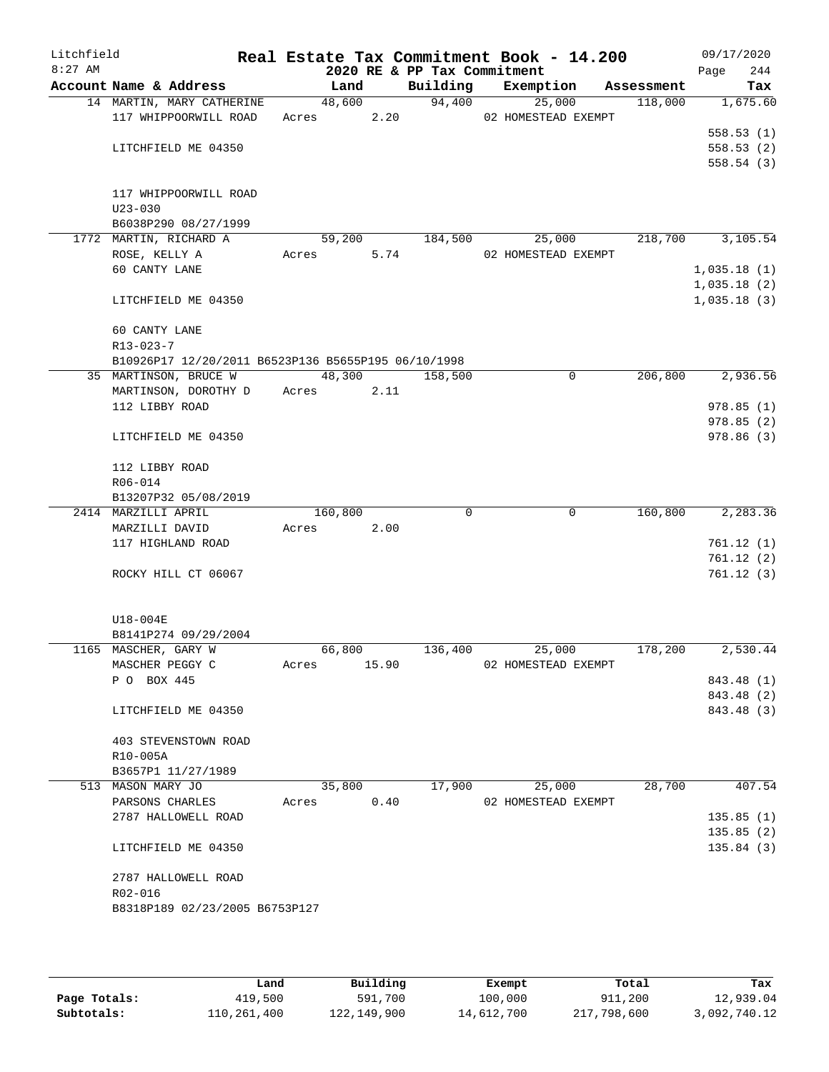| Litchfield |                                                     |       |            |       |                             | Real Estate Tax Commitment Book - 14.200 |         | 09/17/2020  |
|------------|-----------------------------------------------------|-------|------------|-------|-----------------------------|------------------------------------------|---------|-------------|
| $8:27$ AM  |                                                     |       |            |       | 2020 RE & PP Tax Commitment |                                          |         | 244<br>Page |
|            | Account Name & Address                              |       | Land       |       |                             | Building Exemption Assessment            |         | Tax         |
|            | 14 MARTIN, MARY CATHERINE                           |       | 48,600     |       | 94,400                      | 25,000                                   | 118,000 | 1,675.60    |
|            | 117 WHIPPOORWILL ROAD                               |       | Acres 2.20 |       |                             | 02 HOMESTEAD EXEMPT                      |         | 558.53(1)   |
|            | LITCHFIELD ME 04350                                 |       |            |       |                             |                                          |         | 558.53(2)   |
|            |                                                     |       |            |       |                             |                                          |         | 558.54(3)   |
|            | 117 WHIPPOORWILL ROAD                               |       |            |       |                             |                                          |         |             |
|            | $U23 - 030$                                         |       |            |       |                             |                                          |         |             |
|            | B6038P290 08/27/1999                                |       |            |       |                             |                                          |         |             |
|            | 1772 MARTIN, RICHARD A                              |       | 59,200     |       | 184,500                     | 25,000                                   | 218,700 | 3,105.54    |
|            | ROSE, KELLY A                                       |       | Acres      | 5.74  |                             | 02 HOMESTEAD EXEMPT                      |         |             |
|            | 60 CANTY LANE                                       |       |            |       |                             |                                          |         | 1,035.18(1) |
|            |                                                     |       |            |       |                             |                                          |         | 1,035.18(2) |
|            | LITCHFIELD ME 04350                                 |       |            |       |                             |                                          |         | 1,035.18(3) |
|            | 60 CANTY LANE                                       |       |            |       |                             |                                          |         |             |
|            | $R13 - 023 - 7$                                     |       |            |       |                             |                                          |         |             |
|            | B10926P17 12/20/2011 B6523P136 B5655P195 06/10/1998 |       |            |       |                             |                                          |         |             |
|            | 35 MARTINSON, BRUCE W                               |       | 48,300     |       | 158,500                     | 0                                        | 206,800 | 2,936.56    |
|            | MARTINSON, DOROTHY D Acres 2.11                     |       |            |       |                             |                                          |         |             |
|            | 112 LIBBY ROAD                                      |       |            |       |                             |                                          |         | 978.85(1)   |
|            |                                                     |       |            |       |                             |                                          |         | 978.85(2)   |
|            | LITCHFIELD ME 04350                                 |       |            |       |                             |                                          |         | 978.86(3)   |
|            | 112 LIBBY ROAD                                      |       |            |       |                             |                                          |         |             |
|            | R06-014                                             |       |            |       |                             |                                          |         |             |
|            | B13207P32 05/08/2019                                |       |            |       |                             |                                          |         |             |
|            | 2414 MARZILLI APRIL                                 |       | 160,800    |       | $\Omega$                    | $\mathbf 0$                              | 160,800 | 2,283.36    |
|            | MARZILLI DAVID                                      | Acres |            | 2.00  |                             |                                          |         |             |
|            | 117 HIGHLAND ROAD                                   |       |            |       |                             |                                          |         | 761.12(1)   |
|            |                                                     |       |            |       |                             |                                          |         | 761.12(2)   |
|            | ROCKY HILL CT 06067                                 |       |            |       |                             |                                          |         | 761.12(3)   |
|            | U18-004E                                            |       |            |       |                             |                                          |         |             |
|            | B8141P274 09/29/2004                                |       |            |       |                             |                                          |         |             |
|            | 1165 MASCHER, GARY W                                |       | 66,800     |       | 136,400                     | 25,000                                   | 178,200 | 2,530.44    |
|            | MASCHER PEGGY C                                     | Acres |            | 15.90 |                             | 02 HOMESTEAD EXEMPT                      |         |             |
|            | P O BOX 445                                         |       |            |       |                             |                                          |         | 843.48 (1)  |
|            |                                                     |       |            |       |                             |                                          |         | 843.48 (2)  |
|            | LITCHFIELD ME 04350                                 |       |            |       |                             |                                          |         | 843.48 (3)  |
|            | 403 STEVENSTOWN ROAD                                |       |            |       |                             |                                          |         |             |
|            | R10-005A                                            |       |            |       |                             |                                          |         |             |
|            | B3657P1 11/27/1989                                  |       |            |       |                             |                                          |         |             |
|            | 513 MASON MARY JO                                   |       | 35,800     |       | 17,900                      | 25,000                                   | 28,700  | 407.54      |
|            | PARSONS CHARLES                                     | Acres |            | 0.40  |                             | 02 HOMESTEAD EXEMPT                      |         |             |
|            | 2787 HALLOWELL ROAD                                 |       |            |       |                             |                                          |         | 135.85(1)   |
|            |                                                     |       |            |       |                             |                                          |         | 135.85(2)   |
|            | LITCHFIELD ME 04350                                 |       |            |       |                             |                                          |         | 135.84(3)   |
|            | 2787 HALLOWELL ROAD                                 |       |            |       |                             |                                          |         |             |
|            | R02-016                                             |       |            |       |                             |                                          |         |             |
|            | B8318P189 02/23/2005 B6753P127                      |       |            |       |                             |                                          |         |             |
|            |                                                     |       |            |       |                             |                                          |         |             |

|              | Land        | Building    | Exempt     | Total       | Tax          |
|--------------|-------------|-------------|------------|-------------|--------------|
| Page Totals: | 419,500     | 591,700     | 100,000    | 911,200     | 12,939.04    |
| Subtotals:   | 110,261,400 | 122,149,900 | 14,612,700 | 217,798,600 | 3,092,740.12 |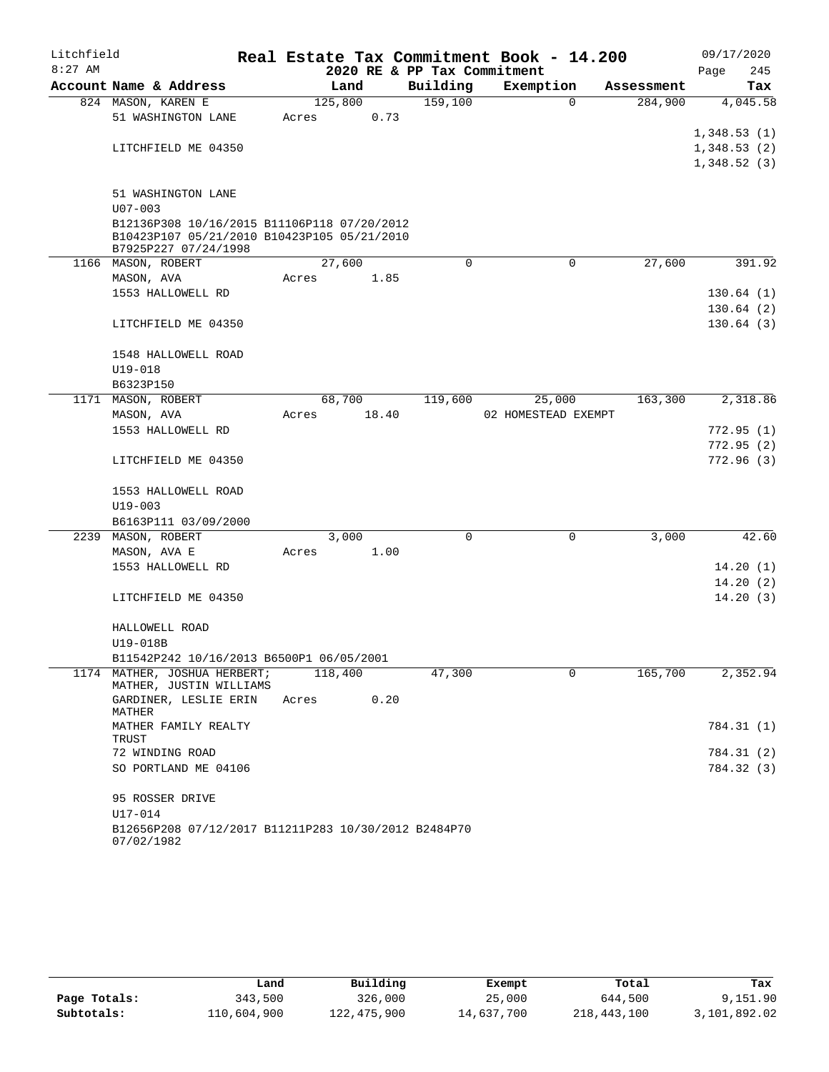| Litchfield |                                                      |       |         |                             | Real Estate Tax Commitment Book - 14.200 |            | 09/17/2020  |
|------------|------------------------------------------------------|-------|---------|-----------------------------|------------------------------------------|------------|-------------|
| $8:27$ AM  |                                                      |       |         | 2020 RE & PP Tax Commitment |                                          |            | Page<br>245 |
|            | Account Name & Address                               |       | Land    | Building                    | Exemption                                | Assessment | Tax         |
|            | 824 MASON, KAREN E                                   |       | 125,800 | 159,100                     | $\Omega$                                 | 284,900    | 4,045.58    |
|            | 51 WASHINGTON LANE                                   | Acres | 0.73    |                             |                                          |            |             |
|            |                                                      |       |         |                             |                                          |            | 1,348.53(1) |
|            | LITCHFIELD ME 04350                                  |       |         |                             |                                          |            | 1,348.53(2) |
|            |                                                      |       |         |                             |                                          |            | 1,348.52(3) |
|            | 51 WASHINGTON LANE                                   |       |         |                             |                                          |            |             |
|            | $U07 - 003$                                          |       |         |                             |                                          |            |             |
|            | B12136P308 10/16/2015 B11106P118 07/20/2012          |       |         |                             |                                          |            |             |
|            | B10423P107 05/21/2010 B10423P105 05/21/2010          |       |         |                             |                                          |            |             |
|            | B7925P227 07/24/1998                                 |       |         |                             |                                          |            |             |
|            | 1166 MASON, ROBERT                                   |       | 27,600  | 0                           | 0                                        | 27,600     | 391.92      |
|            | MASON, AVA                                           | Acres | 1.85    |                             |                                          |            |             |
|            | 1553 HALLOWELL RD                                    |       |         |                             |                                          |            | 130.64(1)   |
|            |                                                      |       |         |                             |                                          |            | 130.64(2)   |
|            | LITCHFIELD ME 04350                                  |       |         |                             |                                          |            | 130.64(3)   |
|            |                                                      |       |         |                             |                                          |            |             |
|            | 1548 HALLOWELL ROAD                                  |       |         |                             |                                          |            |             |
|            | $U19 - 018$                                          |       |         |                             |                                          |            |             |
|            | B6323P150<br>1171 MASON, ROBERT                      |       | 68,700  | 119,600                     |                                          | 163,300    | 2,318.86    |
|            |                                                      | Acres | 18.40   |                             | 25,000<br>02 HOMESTEAD EXEMPT            |            |             |
|            | MASON, AVA<br>1553 HALLOWELL RD                      |       |         |                             |                                          |            | 772.95(1)   |
|            |                                                      |       |         |                             |                                          |            | 772.95(2)   |
|            | LITCHFIELD ME 04350                                  |       |         |                             |                                          |            | 772.96(3)   |
|            |                                                      |       |         |                             |                                          |            |             |
|            | 1553 HALLOWELL ROAD                                  |       |         |                             |                                          |            |             |
|            | $U19 - 003$                                          |       |         |                             |                                          |            |             |
|            | B6163P111 03/09/2000                                 |       |         |                             |                                          |            |             |
|            | 2239 MASON, ROBERT                                   |       | 3,000   | $\mathbf 0$                 | $\mathbf 0$                              | 3,000      | 42.60       |
|            | MASON, AVA E                                         | Acres | 1.00    |                             |                                          |            |             |
|            | 1553 HALLOWELL RD                                    |       |         |                             |                                          |            | 14.20(1)    |
|            |                                                      |       |         |                             |                                          |            | 14.20(2)    |
|            | LITCHFIELD ME 04350                                  |       |         |                             |                                          |            | 14.20(3)    |
|            |                                                      |       |         |                             |                                          |            |             |
|            | HALLOWELL ROAD                                       |       |         |                             |                                          |            |             |
|            | U19-018B                                             |       |         |                             |                                          |            |             |
|            | B11542P242 10/16/2013 B6500P1 06/05/2001             |       |         |                             |                                          |            |             |
|            | 1174 MATHER, JOSHUA HERBERT;                         |       | 118,400 | 47,300                      | 0                                        | 165,700    | 2,352.94    |
|            | MATHER, JUSTIN WILLIAMS<br>GARDINER, LESLIE ERIN     | Acres | 0.20    |                             |                                          |            |             |
|            | MATHER                                               |       |         |                             |                                          |            |             |
|            | MATHER FAMILY REALTY                                 |       |         |                             |                                          |            | 784.31 (1)  |
|            | TRUST                                                |       |         |                             |                                          |            |             |
|            | 72 WINDING ROAD                                      |       |         |                             |                                          |            | 784.31 (2)  |
|            | SO PORTLAND ME 04106                                 |       |         |                             |                                          |            | 784.32 (3)  |
|            |                                                      |       |         |                             |                                          |            |             |
|            | 95 ROSSER DRIVE<br>U17-014                           |       |         |                             |                                          |            |             |
|            | B12656P208 07/12/2017 B11211P283 10/30/2012 B2484P70 |       |         |                             |                                          |            |             |
|            | 07/02/1982                                           |       |         |                             |                                          |            |             |
|            |                                                      |       |         |                             |                                          |            |             |

|              | Land        | Building    | Exempt     | Total       | Tax          |
|--------------|-------------|-------------|------------|-------------|--------------|
| Page Totals: | 343,500     | 326,000     | 25,000     | 644,500     | 9,151.90     |
| Subtotals:   | 110,604,900 | 122,475,900 | 14,637,700 | 218,443,100 | 3,101,892.02 |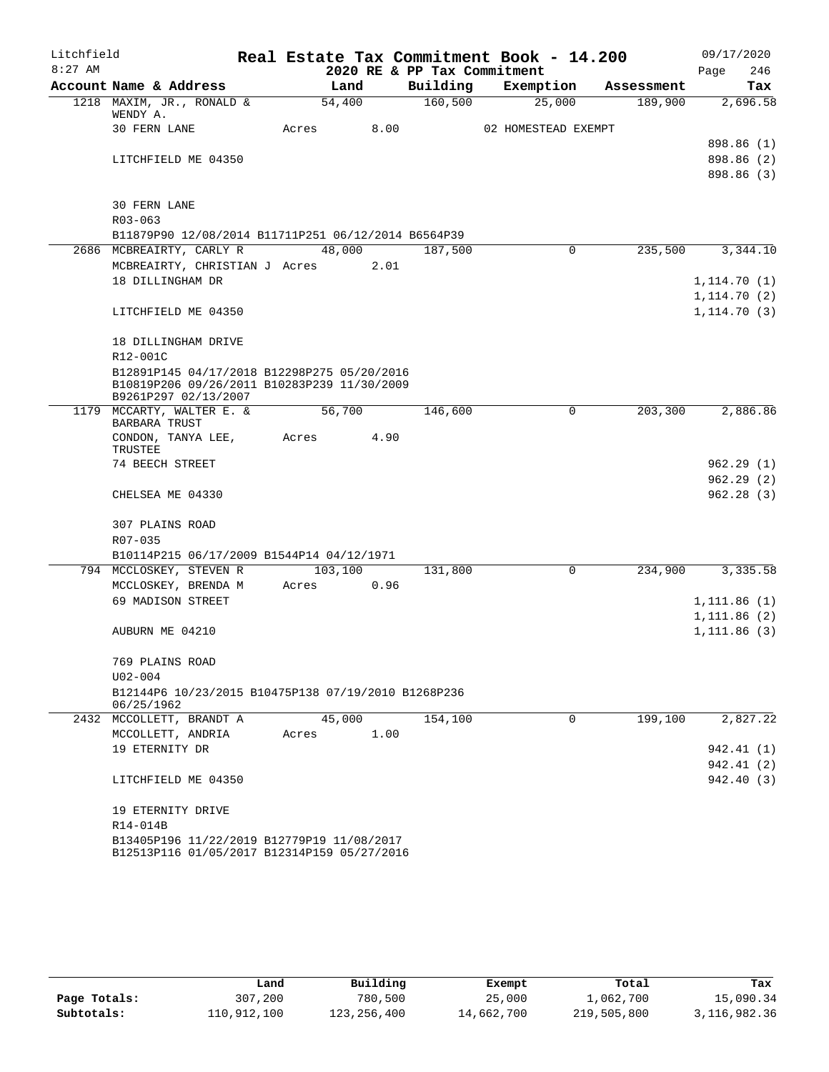| Litchfield |                                                                      |         |      |                             | Real Estate Tax Commitment Book - 14.200 |            | 09/17/2020   |
|------------|----------------------------------------------------------------------|---------|------|-----------------------------|------------------------------------------|------------|--------------|
| $8:27$ AM  |                                                                      |         |      | 2020 RE & PP Tax Commitment |                                          |            | 246<br>Page  |
|            | Account Name & Address                                               | Land    |      | Building                    | Exemption                                | Assessment | Tax          |
|            | 1218 MAXIM, JR., RONALD &<br>WENDY A.                                | 54,400  |      | 160, 500                    | 25,000                                   | 189,900    | 2,696.58     |
|            | <b>30 FERN LANE</b>                                                  | Acres   | 8.00 |                             | 02 HOMESTEAD EXEMPT                      |            |              |
|            |                                                                      |         |      |                             |                                          |            | 898.86 (1)   |
|            | LITCHFIELD ME 04350                                                  |         |      |                             |                                          |            | 898.86 (2)   |
|            |                                                                      |         |      |                             |                                          |            | 898.86 (3)   |
|            | <b>30 FERN LANE</b>                                                  |         |      |                             |                                          |            |              |
|            | $R03 - 063$                                                          |         |      |                             |                                          |            |              |
|            | B11879P90 12/08/2014 B11711P251 06/12/2014 B6564P39                  |         |      |                             |                                          |            |              |
|            | 2686 MCBREAIRTY, CARLY R                                             | 48,000  |      | 187,500                     | $\Omega$                                 | 235,500    | 3,344.10     |
|            | MCBREAIRTY, CHRISTIAN J Acres                                        |         | 2.01 |                             |                                          |            |              |
|            | 18 DILLINGHAM DR                                                     |         |      |                             |                                          |            | 1, 114.70(1) |
|            |                                                                      |         |      |                             |                                          |            | 1, 114.70(2) |
|            | LITCHFIELD ME 04350                                                  |         |      |                             |                                          |            | 1, 114.70(3) |
|            | 18 DILLINGHAM DRIVE                                                  |         |      |                             |                                          |            |              |
|            | R12-001C                                                             |         |      |                             |                                          |            |              |
|            | B12891P145 04/17/2018 B12298P275 05/20/2016                          |         |      |                             |                                          |            |              |
|            | B10819P206 09/26/2011 B10283P239 11/30/2009<br>B9261P297 02/13/2007  |         |      |                             |                                          |            |              |
|            | 1179 MCCARTY, WALTER E. &<br>BARBARA TRUST                           | 56,700  |      | 146,600                     | 0                                        | 203,300    | 2,886.86     |
|            | CONDON, TANYA LEE,<br>TRUSTEE                                        | Acres   | 4.90 |                             |                                          |            |              |
|            | 74 BEECH STREET                                                      |         |      |                             |                                          |            | 962.29 (1)   |
|            |                                                                      |         |      |                             |                                          |            | 962.29(2)    |
|            | CHELSEA ME 04330                                                     |         |      |                             |                                          |            | 962.28(3)    |
|            |                                                                      |         |      |                             |                                          |            |              |
|            | 307 PLAINS ROAD                                                      |         |      |                             |                                          |            |              |
|            | R07-035                                                              |         |      |                             |                                          |            |              |
|            | B10114P215 06/17/2009 B1544P14 04/12/1971<br>794 MCCLOSKEY, STEVEN R | 103,100 |      | 131,800                     | $\mathbf 0$                              | 234,900    | 3,335.58     |
|            | MCCLOSKEY, BRENDA M                                                  | Acres   | 0.96 |                             |                                          |            |              |
|            | 69 MADISON STREET                                                    |         |      |                             |                                          |            | 1,111.86(1)  |
|            |                                                                      |         |      |                             |                                          |            | 1, 111.86(2) |
|            | AUBURN ME 04210                                                      |         |      |                             |                                          |            | 1,111.86(3)  |
|            |                                                                      |         |      |                             |                                          |            |              |
|            | 769 PLAINS ROAD<br>$U02 - 004$                                       |         |      |                             |                                          |            |              |
|            | B12144P6 10/23/2015 B10475P138 07/19/2010 B1268P236                  |         |      |                             |                                          |            |              |
|            | 06/25/1962                                                           |         |      |                             |                                          |            |              |
|            | 2432 MCCOLLETT, BRANDT A                                             | 45,000  |      | 154,100                     | 0                                        | 199,100    | 2,827.22     |
|            | MCCOLLETT, ANDRIA                                                    | Acres   | 1.00 |                             |                                          |            |              |
|            | 19 ETERNITY DR                                                       |         |      |                             |                                          |            | 942.41 (1)   |
|            |                                                                      |         |      |                             |                                          |            | 942.41 (2)   |
|            | LITCHFIELD ME 04350                                                  |         |      |                             |                                          |            | 942.40 (3)   |
|            | 19 ETERNITY DRIVE                                                    |         |      |                             |                                          |            |              |
|            | R14-014B                                                             |         |      |                             |                                          |            |              |
|            | B13405P196 11/22/2019 B12779P19 11/08/2017                           |         |      |                             |                                          |            |              |
|            | B12513P116 01/05/2017 B12314P159 05/27/2016                          |         |      |                             |                                          |            |              |

|              | Land        | Building    | Exempt     | Total       | Tax          |
|--------------|-------------|-------------|------------|-------------|--------------|
| Page Totals: | 307,200     | 780,500     | 25,000     | 1,062,700   | 15,090.34    |
| Subtotals:   | 110,912,100 | 123,256,400 | 14,662,700 | 219,505,800 | 3,116,982.36 |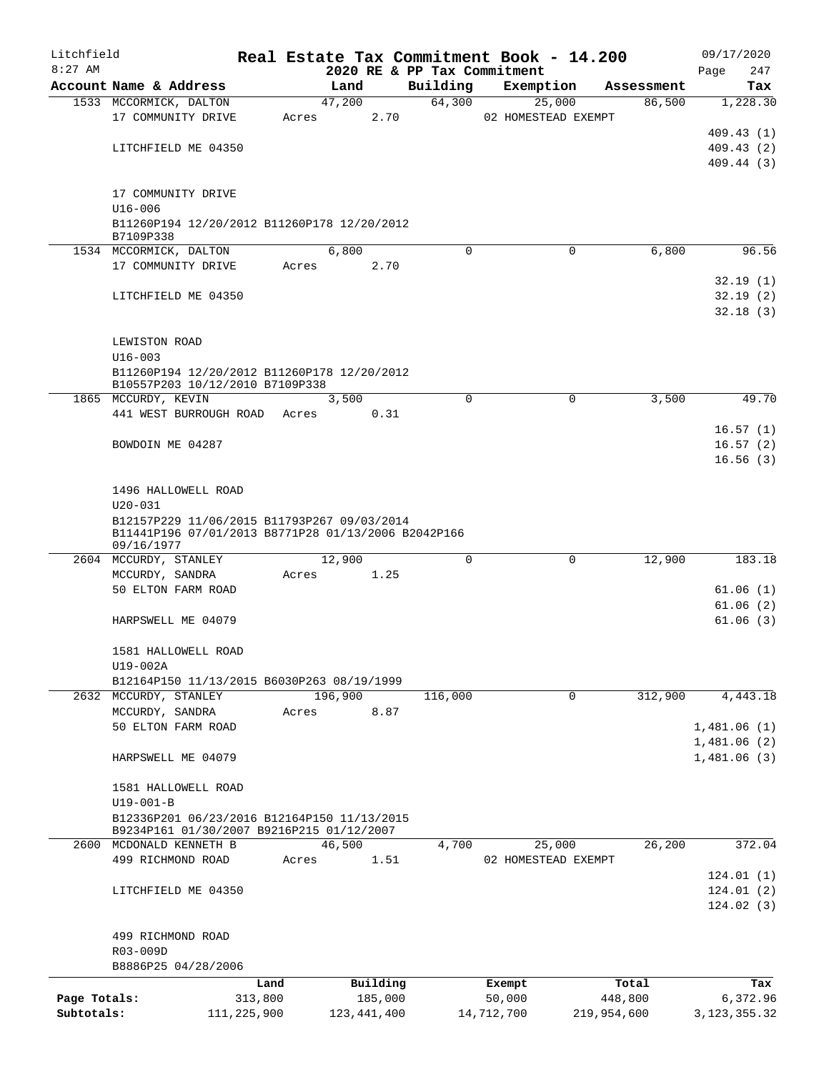| Litchfield   |                                                                                                    |                 |       |                     |                    | Real Estate Tax Commitment Book - 14.200 |             |                      | 09/17/2020                 |
|--------------|----------------------------------------------------------------------------------------------------|-----------------|-------|---------------------|--------------------|------------------------------------------|-------------|----------------------|----------------------------|
| $8:27$ AM    |                                                                                                    |                 |       |                     |                    | 2020 RE & PP Tax Commitment              |             |                      | 247<br>Page                |
|              | Account Name & Address<br>1533 MCCORMICK, DALTON                                                   |                 |       | Land<br>47,200      | Building<br>64,300 | Exemption<br>25,000                      |             | Assessment<br>86,500 | Tax<br>1,228.30            |
|              | 17 COMMUNITY DRIVE                                                                                 |                 | Acres | 2.70                |                    | 02 HOMESTEAD EXEMPT                      |             |                      |                            |
|              |                                                                                                    |                 |       |                     |                    |                                          |             |                      | 409.43 (1)                 |
|              | LITCHFIELD ME 04350                                                                                |                 |       |                     |                    |                                          |             |                      | 409.43(2)                  |
|              |                                                                                                    |                 |       |                     |                    |                                          |             |                      | 409.44 (3)                 |
|              |                                                                                                    |                 |       |                     |                    |                                          |             |                      |                            |
|              | 17 COMMUNITY DRIVE                                                                                 |                 |       |                     |                    |                                          |             |                      |                            |
|              | $U16 - 006$                                                                                        |                 |       |                     |                    |                                          |             |                      |                            |
|              | B11260P194 12/20/2012 B11260P178 12/20/2012<br>B7109P338                                           |                 |       |                     |                    |                                          |             |                      |                            |
|              | 1534 MCCORMICK, DALTON                                                                             |                 |       | 6,800               | $\Omega$           | $\Omega$                                 |             | 6,800                | 96.56                      |
|              | 17 COMMUNITY DRIVE                                                                                 |                 | Acres | 2.70                |                    |                                          |             |                      |                            |
|              |                                                                                                    |                 |       |                     |                    |                                          |             |                      | 32.19(1)                   |
|              | LITCHFIELD ME 04350                                                                                |                 |       |                     |                    |                                          |             |                      | 32.19(2)                   |
|              |                                                                                                    |                 |       |                     |                    |                                          |             |                      | 32.18(3)                   |
|              | LEWISTON ROAD                                                                                      |                 |       |                     |                    |                                          |             |                      |                            |
|              | $U16 - 003$                                                                                        |                 |       |                     |                    |                                          |             |                      |                            |
|              | B11260P194 12/20/2012 B11260P178 12/20/2012                                                        |                 |       |                     |                    |                                          |             |                      |                            |
|              | B10557P203 10/12/2010 B7109P338                                                                    |                 |       |                     |                    |                                          |             |                      |                            |
|              | 1865 MCCURDY, KEVIN                                                                                |                 |       | 3,500               | $\Omega$           | $\mathbf 0$                              |             | 3,500                | 49.70                      |
|              | 441 WEST BURROUGH ROAD Acres                                                                       |                 |       | 0.31                |                    |                                          |             |                      |                            |
|              | BOWDOIN ME 04287                                                                                   |                 |       |                     |                    |                                          |             |                      | 16.57(1)                   |
|              |                                                                                                    |                 |       |                     |                    |                                          |             |                      | 16.57(2)<br>16.56(3)       |
|              |                                                                                                    |                 |       |                     |                    |                                          |             |                      |                            |
|              | 1496 HALLOWELL ROAD                                                                                |                 |       |                     |                    |                                          |             |                      |                            |
|              | $U20 - 031$                                                                                        |                 |       |                     |                    |                                          |             |                      |                            |
|              | B12157P229 11/06/2015 B11793P267 09/03/2014<br>B11441P196 07/01/2013 B8771P28 01/13/2006 B2042P166 |                 |       |                     |                    |                                          |             |                      |                            |
|              | 09/16/1977                                                                                         |                 |       |                     |                    |                                          |             |                      |                            |
|              | 2604 MCCURDY, STANLEY                                                                              |                 |       | 12,900              | $\Omega$           | $\Omega$                                 |             | 12,900               | 183.18                     |
|              | MCCURDY, SANDRA                                                                                    |                 | Acres | 1.25                |                    |                                          |             |                      |                            |
|              | 50 ELTON FARM ROAD                                                                                 |                 |       |                     |                    |                                          |             |                      | 61.06(1)                   |
|              | HARPSWELL ME 04079                                                                                 |                 |       |                     |                    |                                          |             |                      | 61.06(2)<br>61.06(3)       |
|              |                                                                                                    |                 |       |                     |                    |                                          |             |                      |                            |
|              | 1581 HALLOWELL ROAD                                                                                |                 |       |                     |                    |                                          |             |                      |                            |
|              | U19-002A                                                                                           |                 |       |                     |                    |                                          |             |                      |                            |
|              | B12164P150 11/13/2015 B6030P263 08/19/1999                                                         |                 |       |                     |                    |                                          |             |                      |                            |
|              | 2632 MCCURDY, STANLEY                                                                              |                 |       | 196,900             | 116,000            | $\mathbf 0$                              |             | 312,900              | 4, 443.18                  |
|              | MCCURDY, SANDRA                                                                                    |                 | Acres | 8.87                |                    |                                          |             |                      |                            |
|              | 50 ELTON FARM ROAD                                                                                 |                 |       |                     |                    |                                          |             |                      | 1,481.06(1)<br>1,481.06(2) |
|              | HARPSWELL ME 04079                                                                                 |                 |       |                     |                    |                                          |             |                      | 1,481.06(3)                |
|              |                                                                                                    |                 |       |                     |                    |                                          |             |                      |                            |
|              | 1581 HALLOWELL ROAD                                                                                |                 |       |                     |                    |                                          |             |                      |                            |
|              | $U19-001-B$                                                                                        |                 |       |                     |                    |                                          |             |                      |                            |
|              | B12336P201 06/23/2016 B12164P150 11/13/2015                                                        |                 |       |                     |                    |                                          |             |                      |                            |
|              | B9234P161 01/30/2007 B9216P215 01/12/2007<br>2600 MCDONALD KENNETH B                               |                 |       | 46,500              | 4,700              | 25,000                                   |             | 26,200               | 372.04                     |
|              | 499 RICHMOND ROAD                                                                                  |                 | Acres | 1.51                |                    | 02 HOMESTEAD EXEMPT                      |             |                      |                            |
|              |                                                                                                    |                 |       |                     |                    |                                          |             |                      | 124.01(1)                  |
|              | LITCHFIELD ME 04350                                                                                |                 |       |                     |                    |                                          |             |                      | 124.01(2)                  |
|              |                                                                                                    |                 |       |                     |                    |                                          |             |                      | 124.02(3)                  |
|              |                                                                                                    |                 |       |                     |                    |                                          |             |                      |                            |
|              | 499 RICHMOND ROAD                                                                                  |                 |       |                     |                    |                                          |             |                      |                            |
|              | R03-009D                                                                                           |                 |       |                     |                    |                                          |             |                      |                            |
|              | B8886P25 04/28/2006                                                                                |                 |       |                     |                    |                                          |             |                      |                            |
| Page Totals: |                                                                                                    | Land<br>313,800 |       | Building<br>185,000 |                    | Exempt<br>50,000                         |             | Total<br>448,800     | Tax<br>6,372.96            |
| Subtotals:   |                                                                                                    | 111, 225, 900   |       | 123, 441, 400       |                    | 14,712,700                               | 219,954,600 |                      | 3, 123, 355. 32            |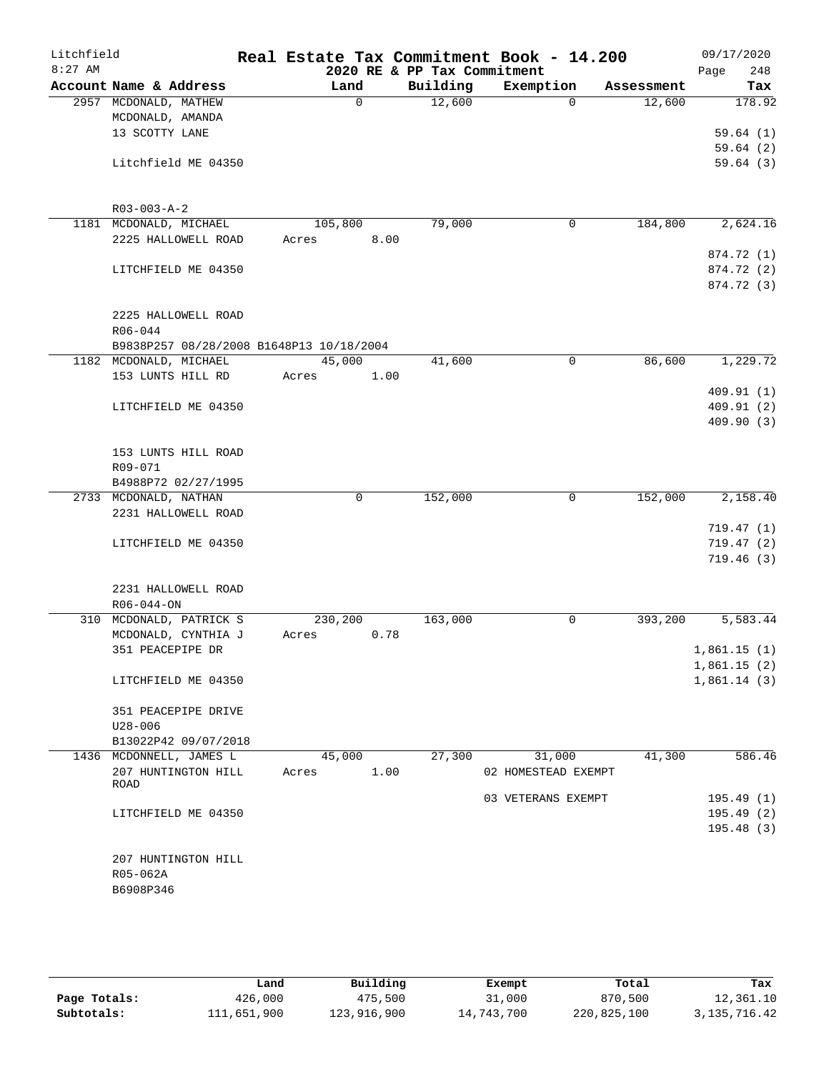| Litchfield<br>$8:27$ AM |                                          | Real Estate Tax Commitment Book - 14.200 | 2020 RE & PP Tax Commitment |                     |            | 09/17/2020<br>248<br>Page |
|-------------------------|------------------------------------------|------------------------------------------|-----------------------------|---------------------|------------|---------------------------|
|                         | Account Name & Address                   | Land                                     | Building                    | Exemption           | Assessment | Tax                       |
|                         | 2957 MCDONALD, MATHEW                    | 0                                        | 12,600                      | $\Omega$            | 12,600     | 178.92                    |
|                         | MCDONALD, AMANDA                         |                                          |                             |                     |            |                           |
|                         | 13 SCOTTY LANE                           |                                          |                             |                     |            | 59.64(1)                  |
|                         |                                          |                                          |                             |                     |            | 59.64(2)                  |
|                         | Litchfield ME 04350                      |                                          |                             |                     |            | 59.64(3)                  |
|                         | $R03 - 003 - A - 2$                      |                                          |                             |                     |            |                           |
|                         | 1181 MCDONALD, MICHAEL                   | 105,800                                  | 79,000                      | $\mathbf 0$         | 184,800    | 2,624.16                  |
|                         | 2225 HALLOWELL ROAD                      | 8.00<br>Acres                            |                             |                     |            |                           |
|                         |                                          |                                          |                             |                     |            | 874.72 (1)                |
|                         | LITCHFIELD ME 04350                      |                                          |                             |                     |            | 874.72 (2)                |
|                         |                                          |                                          |                             |                     |            | 874.72 (3)                |
|                         | 2225 HALLOWELL ROAD                      |                                          |                             |                     |            |                           |
|                         | $R06 - 044$                              |                                          |                             |                     |            |                           |
|                         | B9838P257 08/28/2008 B1648P13 10/18/2004 |                                          |                             |                     |            |                           |
|                         | 1182 MCDONALD, MICHAEL                   | 45,000                                   | 41,600                      | $\mathbf 0$         | 86,600     | 1,229.72                  |
|                         | 153 LUNTS HILL RD                        | 1.00<br>Acres                            |                             |                     |            |                           |
|                         |                                          |                                          |                             |                     |            | 409.91(1)                 |
|                         | LITCHFIELD ME 04350                      |                                          |                             |                     |            | 409.91(2)                 |
|                         |                                          |                                          |                             |                     |            | 409.90(3)                 |
|                         | 153 LUNTS HILL ROAD                      |                                          |                             |                     |            |                           |
|                         | R09-071                                  |                                          |                             |                     |            |                           |
|                         | B4988P72 02/27/1995                      |                                          |                             |                     |            |                           |
|                         | 2733 MCDONALD, NATHAN                    | $\mathbf 0$                              | 152,000                     | 0                   | 152,000    | 2,158.40                  |
|                         | 2231 HALLOWELL ROAD                      |                                          |                             |                     |            |                           |
|                         |                                          |                                          |                             |                     |            | 719.47(1)                 |
|                         | LITCHFIELD ME 04350                      |                                          |                             |                     |            | 719.47(2)                 |
|                         |                                          |                                          |                             |                     |            | 719.46(3)                 |
|                         | 2231 HALLOWELL ROAD                      |                                          |                             |                     |            |                           |
|                         | $R06 - 044 - ON$                         |                                          |                             |                     |            |                           |
|                         | 310 MCDONALD, PATRICK S                  | 230,200                                  | 163,000                     | 0                   | 393,200    | 5,583.44                  |
|                         | MCDONALD, CYNTHIA J                      | 0.78<br>Acres                            |                             |                     |            |                           |
|                         | 351 PEACEPIPE DR                         |                                          |                             |                     |            | 1,861.15(1)               |
|                         |                                          |                                          |                             |                     |            | 1,861.15(2)               |
|                         | LITCHFIELD ME 04350                      |                                          |                             |                     |            | 1,861.14(3)               |
|                         | 351 PEACEPIPE DRIVE                      |                                          |                             |                     |            |                           |
|                         | $U28 - 006$                              |                                          |                             |                     |            |                           |
|                         | B13022P42 09/07/2018                     |                                          |                             |                     |            |                           |
|                         | 1436 MCDONNELL, JAMES L                  | 45,000                                   | 27,300                      | 31,000              | 41,300     | 586.46                    |
|                         | 207 HUNTINGTON HILL                      | 1.00<br>Acres                            |                             | 02 HOMESTEAD EXEMPT |            |                           |
|                         | ROAD                                     |                                          |                             |                     |            |                           |
|                         |                                          |                                          |                             | 03 VETERANS EXEMPT  |            | 195.49(1)                 |
|                         | LITCHFIELD ME 04350                      |                                          |                             |                     |            | 195.49(2)                 |
|                         |                                          |                                          |                             |                     |            | 195.48(3)                 |
|                         | 207 HUNTINGTON HILL                      |                                          |                             |                     |            |                           |
|                         | R05-062A                                 |                                          |                             |                     |            |                           |
|                         | B6908P346                                |                                          |                             |                     |            |                           |
|                         |                                          |                                          |                             |                     |            |                           |
|                         |                                          |                                          |                             |                     |            |                           |

|              | Land        | Building    | Exempt     | Total       | Tax          |
|--------------|-------------|-------------|------------|-------------|--------------|
| Page Totals: | 426,000     | 475,500     | 31,000     | 870,500     | 12,361.10    |
| Subtotals:   | 111,651,900 | 123,916,900 | 14,743,700 | 220,825,100 | 3,135,716.42 |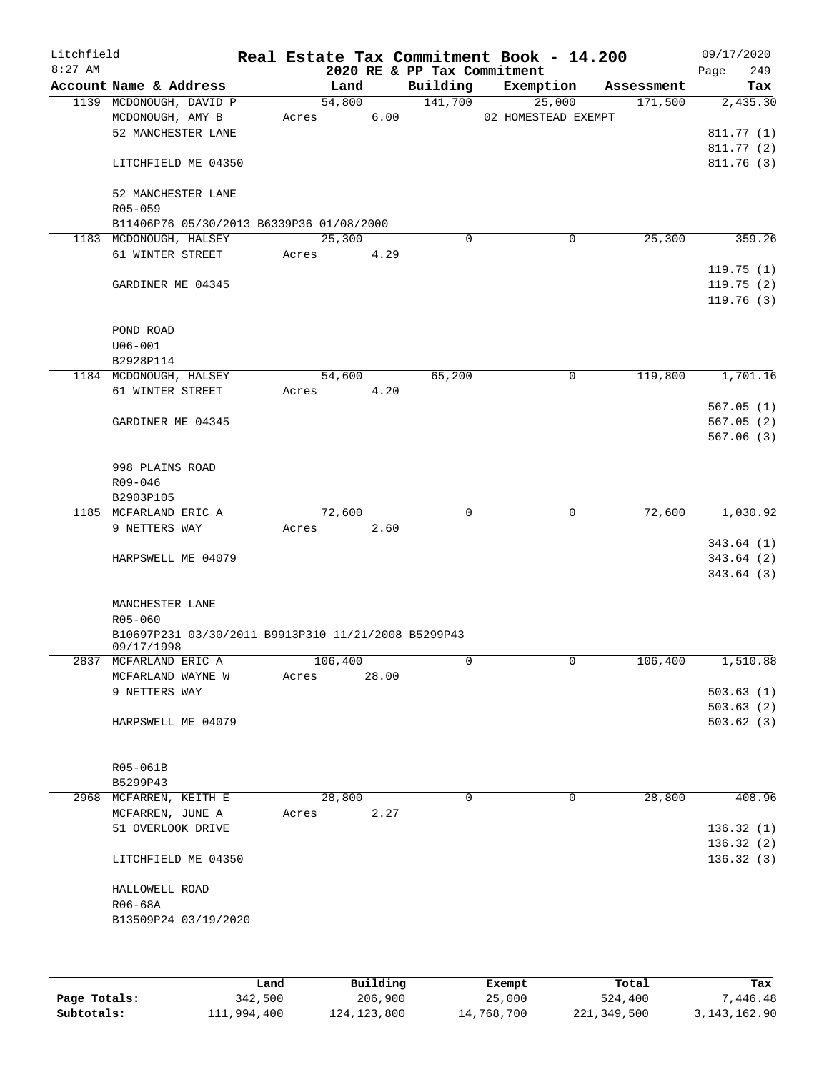| Litchfield<br>$8:27$ AM |                                                     |       |         |       | 2020 RE & PP Tax Commitment | Real Estate Tax Commitment Book - 14.200 |            | 09/17/2020<br>249<br>Page |
|-------------------------|-----------------------------------------------------|-------|---------|-------|-----------------------------|------------------------------------------|------------|---------------------------|
|                         | Account Name & Address                              |       | Land    |       | Building                    | Exemption                                | Assessment | Tax                       |
|                         | 1139 MCDONOUGH, DAVID P                             |       | 54,800  |       | 141,700                     | 25,000                                   | 171,500    | 2,435.30                  |
|                         | MCDONOUGH, AMY B                                    | Acres |         | 6.00  |                             | 02 HOMESTEAD EXEMPT                      |            |                           |
|                         | 52 MANCHESTER LANE                                  |       |         |       |                             |                                          |            | 811.77 (1)                |
|                         |                                                     |       |         |       |                             |                                          |            | 811.77 (2)                |
|                         | LITCHFIELD ME 04350                                 |       |         |       |                             |                                          |            | 811.76(3)                 |
|                         | 52 MANCHESTER LANE                                  |       |         |       |                             |                                          |            |                           |
|                         | R05-059                                             |       |         |       |                             |                                          |            |                           |
|                         | B11406P76 05/30/2013 B6339P36 01/08/2000            |       |         |       |                             |                                          |            |                           |
|                         | 1183 MCDONOUGH, HALSEY                              |       | 25,300  |       | $\mathbf 0$                 | $\mathbf 0$                              | 25,300     | 359.26                    |
|                         | 61 WINTER STREET                                    | Acres |         | 4.29  |                             |                                          |            |                           |
|                         |                                                     |       |         |       |                             |                                          |            | 119.75(1)                 |
|                         | GARDINER ME 04345                                   |       |         |       |                             |                                          |            | 119.75(2)                 |
|                         |                                                     |       |         |       |                             |                                          |            | 119.76(3)                 |
|                         |                                                     |       |         |       |                             |                                          |            |                           |
|                         | POND ROAD                                           |       |         |       |                             |                                          |            |                           |
|                         | $U06 - 001$                                         |       |         |       |                             |                                          |            |                           |
|                         | B2928P114                                           |       |         |       |                             |                                          |            |                           |
|                         | 1184 MCDONOUGH, HALSEY                              |       | 54,600  |       | 65,200                      | 0                                        | 119,800    | 1,701.16                  |
|                         | 61 WINTER STREET                                    | Acres |         | 4.20  |                             |                                          |            |                           |
|                         |                                                     |       |         |       |                             |                                          |            | 567.05(1)                 |
|                         | GARDINER ME 04345                                   |       |         |       |                             |                                          |            | 567.05(2)                 |
|                         |                                                     |       |         |       |                             |                                          |            | 567.06(3)                 |
|                         |                                                     |       |         |       |                             |                                          |            |                           |
|                         | 998 PLAINS ROAD                                     |       |         |       |                             |                                          |            |                           |
|                         | $R09 - 046$<br>B2903P105                            |       |         |       |                             |                                          |            |                           |
|                         | 1185 MCFARLAND ERIC A                               |       | 72,600  |       | $\mathbf 0$                 | $\mathbf 0$                              | 72,600     | 1,030.92                  |
|                         | 9 NETTERS WAY                                       | Acres |         | 2.60  |                             |                                          |            |                           |
|                         |                                                     |       |         |       |                             |                                          |            | 343.64(1)                 |
|                         | HARPSWELL ME 04079                                  |       |         |       |                             |                                          |            | 343.64(2)                 |
|                         |                                                     |       |         |       |                             |                                          |            | 343.64(3)                 |
|                         |                                                     |       |         |       |                             |                                          |            |                           |
|                         | MANCHESTER LANE                                     |       |         |       |                             |                                          |            |                           |
|                         | R05-060                                             |       |         |       |                             |                                          |            |                           |
|                         | B10697P231 03/30/2011 B9913P310 11/21/2008 B5299P43 |       |         |       |                             |                                          |            |                           |
|                         | 09/17/1998                                          |       |         |       |                             |                                          |            |                           |
|                         | 2837 MCFARLAND ERIC A                               |       | 106,400 |       | 0                           | 0                                        | 106,400    | 1,510.88                  |
|                         | MCFARLAND WAYNE W                                   | Acres |         | 28.00 |                             |                                          |            |                           |
|                         | 9 NETTERS WAY                                       |       |         |       |                             |                                          |            | 503.63(1)                 |
|                         |                                                     |       |         |       |                             |                                          |            | 503.63(2)                 |
|                         | HARPSWELL ME 04079                                  |       |         |       |                             |                                          |            | 503.62(3)                 |
|                         |                                                     |       |         |       |                             |                                          |            |                           |
|                         |                                                     |       |         |       |                             |                                          |            |                           |
|                         | R05-061B                                            |       |         |       |                             |                                          |            |                           |
|                         | B5299P43                                            |       |         |       |                             |                                          |            |                           |
|                         | 2968 MCFARREN, KEITH E                              |       | 28,800  |       | $\Omega$                    | 0                                        | 28,800     | 408.96                    |
|                         | MCFARREN, JUNE A                                    | Acres |         | 2.27  |                             |                                          |            |                           |
|                         | 51 OVERLOOK DRIVE                                   |       |         |       |                             |                                          |            | 136.32(1)                 |
|                         |                                                     |       |         |       |                             |                                          |            | 136.32(2)                 |
|                         | LITCHFIELD ME 04350                                 |       |         |       |                             |                                          |            | 136.32(3)                 |
|                         | HALLOWELL ROAD                                      |       |         |       |                             |                                          |            |                           |
|                         | R06-68A                                             |       |         |       |                             |                                          |            |                           |
|                         | B13509P24 03/19/2020                                |       |         |       |                             |                                          |            |                           |
|                         |                                                     |       |         |       |                             |                                          |            |                           |
|                         |                                                     |       |         |       |                             |                                          |            |                           |
|                         |                                                     |       |         |       |                             |                                          |            |                           |
|                         |                                                     |       |         |       |                             |                                          |            |                           |

|              | Land        | Building    | Exempt     | Total       | Tax          |
|--------------|-------------|-------------|------------|-------------|--------------|
| Page Totals: | 342,500     | 206,900     | 25,000     | 524,400     | 7,446.48     |
| Subtotals:   | 111,994,400 | 124,123,800 | 14,768,700 | 221,349,500 | 3,143,162.90 |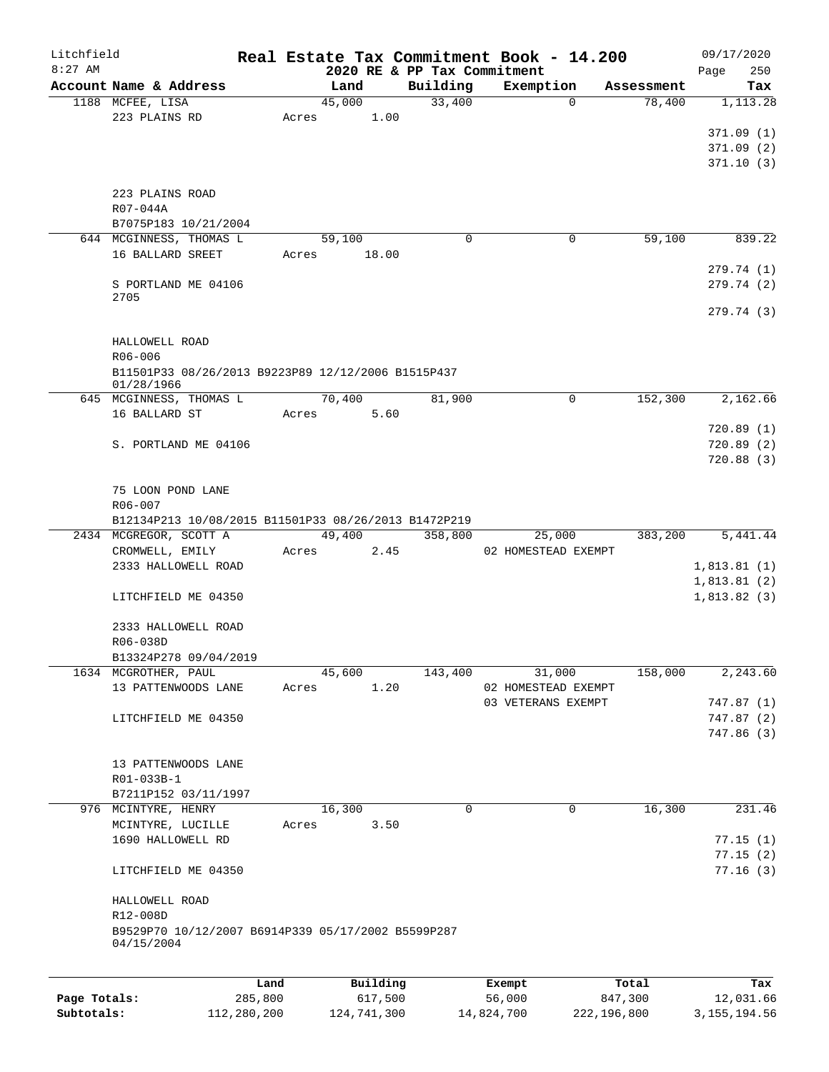| Litchfield   |                                                      |         |       |          |         |                             | Real Estate Tax Commitment Book - 14.200 |            | 09/17/2020  |        |
|--------------|------------------------------------------------------|---------|-------|----------|---------|-----------------------------|------------------------------------------|------------|-------------|--------|
| $8:27$ AM    |                                                      |         |       |          |         | 2020 RE & PP Tax Commitment |                                          |            | Page        | 250    |
|              | Account Name & Address                               |         |       | Land     |         | Building                    | Exemption                                | Assessment |             | Tax    |
|              | 1188 MCFEE, LISA                                     |         |       | 45,000   |         | 33,400                      | $\mathbf{0}$                             | 78,400     | 1,113.28    |        |
|              | 223 PLAINS RD                                        |         | Acres |          | 1.00    |                             |                                          |            |             |        |
|              |                                                      |         |       |          |         |                             |                                          |            | 371.09(1)   |        |
|              |                                                      |         |       |          |         |                             |                                          |            | 371.09(2)   |        |
|              |                                                      |         |       |          |         |                             |                                          |            | 371.10(3)   |        |
|              |                                                      |         |       |          |         |                             |                                          |            |             |        |
|              | 223 PLAINS ROAD                                      |         |       |          |         |                             |                                          |            |             |        |
|              | R07-044A                                             |         |       |          |         |                             |                                          |            |             |        |
|              | B7075P183 10/21/2004                                 |         |       |          |         |                             |                                          |            |             |        |
|              | 644 MCGINNESS, THOMAS L                              |         |       | 59,100   |         | $\Omega$                    | 0                                        | 59,100     |             | 839.22 |
|              | 16 BALLARD SREET                                     |         | Acres |          | 18.00   |                             |                                          |            |             |        |
|              |                                                      |         |       |          |         |                             |                                          |            | 279.74(1)   |        |
|              | S PORTLAND ME 04106<br>2705                          |         |       |          |         |                             |                                          |            | 279.74(2)   |        |
|              |                                                      |         |       |          |         |                             |                                          |            | 279.74(3)   |        |
|              |                                                      |         |       |          |         |                             |                                          |            |             |        |
|              | HALLOWELL ROAD                                       |         |       |          |         |                             |                                          |            |             |        |
|              | R06-006                                              |         |       |          |         |                             |                                          |            |             |        |
|              | B11501P33 08/26/2013 B9223P89 12/12/2006 B1515P437   |         |       |          |         |                             |                                          |            |             |        |
|              | 01/28/1966                                           |         |       |          |         |                             |                                          |            |             |        |
|              | 645 MCGINNESS, THOMAS L                              |         |       | 70,400   |         | 81,900                      | 0                                        | 152,300    | 2,162.66    |        |
|              | 16 BALLARD ST                                        |         | Acres |          | 5.60    |                             |                                          |            |             |        |
|              |                                                      |         |       |          |         |                             |                                          |            | 720.89(1)   |        |
|              | S. PORTLAND ME 04106                                 |         |       |          |         |                             |                                          |            | 720.89 (2)  |        |
|              |                                                      |         |       |          |         |                             |                                          |            | 720.88(3)   |        |
|              |                                                      |         |       |          |         |                             |                                          |            |             |        |
|              | 75 LOON POND LANE                                    |         |       |          |         |                             |                                          |            |             |        |
|              | R06-007                                              |         |       |          |         |                             |                                          |            |             |        |
|              | B12134P213 10/08/2015 B11501P33 08/26/2013 B1472P219 |         |       |          |         |                             |                                          |            |             |        |
|              | 2434 MCGREGOR, SCOTT A                               |         |       | 49,400   |         | 358,800                     | 25,000                                   | 383,200    | 5,441.44    |        |
|              | CROMWELL, EMILY                                      |         | Acres |          | 2.45    |                             | 02 HOMESTEAD EXEMPT                      |            |             |        |
|              | 2333 HALLOWELL ROAD                                  |         |       |          |         |                             |                                          |            | 1,813.81(1) |        |
|              |                                                      |         |       |          |         |                             |                                          |            | 1,813.81(2) |        |
|              | LITCHFIELD ME 04350                                  |         |       |          |         |                             |                                          |            | 1,813.82(3) |        |
|              |                                                      |         |       |          |         |                             |                                          |            |             |        |
|              | 2333 HALLOWELL ROAD                                  |         |       |          |         |                             |                                          |            |             |        |
|              | R06-038D                                             |         |       |          |         |                             |                                          |            |             |        |
|              | B13324P278 09/04/2019                                |         |       |          |         |                             |                                          |            |             |        |
|              | 1634 MCGROTHER, PAUL                                 |         |       | 45,600   |         | 143,400                     | 31,000                                   | 158,000    | 2,243.60    |        |
|              | 13 PATTENWOODS LANE                                  |         | Acres |          | 1.20    |                             | 02 HOMESTEAD EXEMPT                      |            |             |        |
|              |                                                      |         |       |          |         |                             | 03 VETERANS EXEMPT                       |            | 747.87(1)   |        |
|              | LITCHFIELD ME 04350                                  |         |       |          |         |                             |                                          |            | 747.87(2)   |        |
|              |                                                      |         |       |          |         |                             |                                          |            | 747.86 (3)  |        |
|              |                                                      |         |       |          |         |                             |                                          |            |             |        |
|              | 13 PATTENWOODS LANE                                  |         |       |          |         |                             |                                          |            |             |        |
|              | R01-033B-1                                           |         |       |          |         |                             |                                          |            |             |        |
|              | B7211P152 03/11/1997                                 |         |       |          |         |                             |                                          |            |             |        |
|              | 976 MCINTYRE, HENRY                                  |         |       | 16,300   |         | $\mathbf 0$                 | 0                                        | 16,300     |             | 231.46 |
|              | MCINTYRE, LUCILLE                                    |         | Acres |          | 3.50    |                             |                                          |            |             |        |
|              | 1690 HALLOWELL RD                                    |         |       |          |         |                             |                                          |            | 77.15(1)    |        |
|              |                                                      |         |       |          |         |                             |                                          |            | 77.15(2)    |        |
|              | LITCHFIELD ME 04350                                  |         |       |          |         |                             |                                          |            | 77.16(3)    |        |
|              |                                                      |         |       |          |         |                             |                                          |            |             |        |
|              | HALLOWELL ROAD                                       |         |       |          |         |                             |                                          |            |             |        |
|              | R12-008D                                             |         |       |          |         |                             |                                          |            |             |        |
|              | B9529P70 10/12/2007 B6914P339 05/17/2002 B5599P287   |         |       |          |         |                             |                                          |            |             |        |
|              | 04/15/2004                                           |         |       |          |         |                             |                                          |            |             |        |
|              |                                                      |         |       |          |         |                             |                                          |            |             |        |
|              |                                                      | Land    |       | Building |         |                             | Exempt                                   | Total      |             | Tax    |
| Page Totals: |                                                      | 285,800 |       |          | 617,500 |                             | 56,000                                   | 847,300    | 12,031.66   |        |
|              |                                                      |         |       |          |         |                             |                                          |            |             |        |

**Subtotals:** 112,280,200 124,741,300 14,824,700 222,196,800 3,155,194.56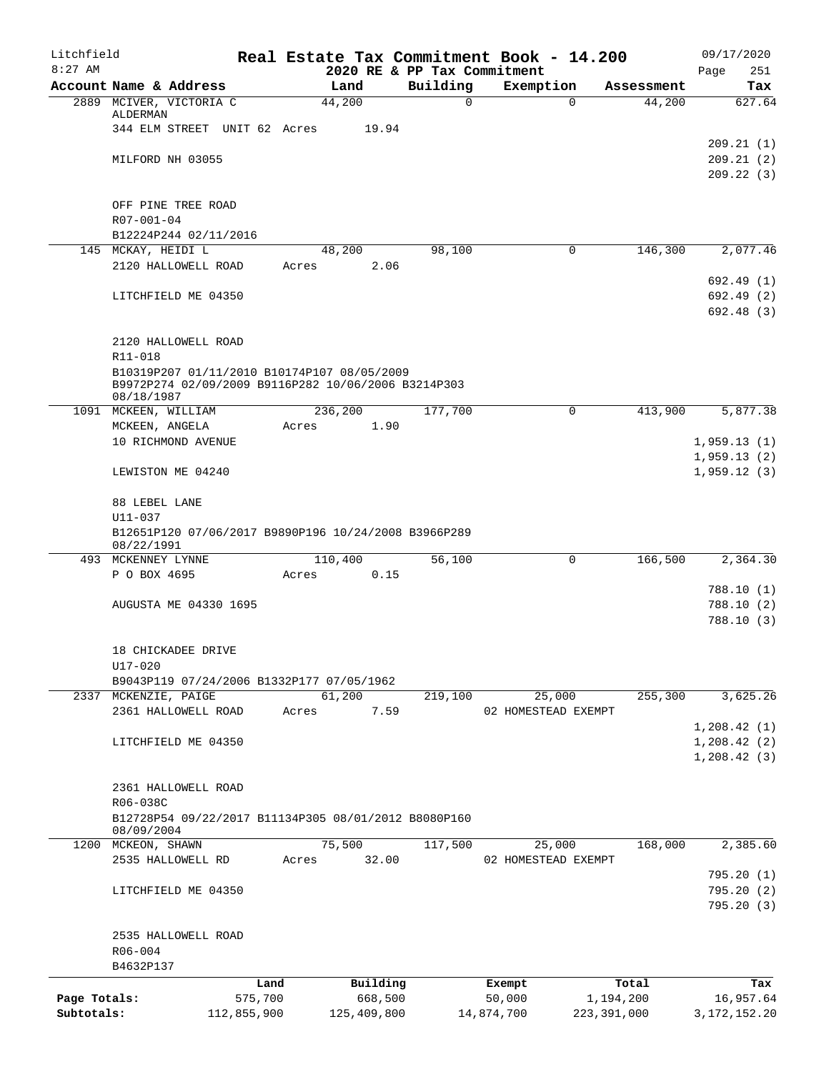| Litchfield<br>$8:27$ AM    |                                                                                                    |             |         |             |          | Real Estate Tax Commitment Book - 14.200<br>2020 RE & PP Tax Commitment |               |            | 09/17/2020<br>251<br>Page |
|----------------------------|----------------------------------------------------------------------------------------------------|-------------|---------|-------------|----------|-------------------------------------------------------------------------|---------------|------------|---------------------------|
|                            | Account Name & Address                                                                             |             | Land    |             | Building | Exemption                                                               |               | Assessment | Tax                       |
|                            | 2889 MCIVER, VICTORIA C                                                                            |             | 44,200  |             |          | 0                                                                       | $\Omega$      | 44,200     | 627.64                    |
|                            | ALDERMAN                                                                                           |             |         |             |          |                                                                         |               |            |                           |
|                            | 344 ELM STREET UNIT 62 Acres                                                                       |             |         | 19.94       |          |                                                                         |               |            |                           |
|                            |                                                                                                    |             |         |             |          |                                                                         |               |            | 209.21(1)                 |
|                            | MILFORD NH 03055                                                                                   |             |         |             |          |                                                                         |               |            | 209.21(2)                 |
|                            |                                                                                                    |             |         |             |          |                                                                         |               |            | 209.22(3)                 |
|                            | OFF PINE TREE ROAD                                                                                 |             |         |             |          |                                                                         |               |            |                           |
|                            | $R07 - 001 - 04$                                                                                   |             |         |             |          |                                                                         |               |            |                           |
|                            | B12224P244 02/11/2016                                                                              |             |         |             |          |                                                                         |               |            |                           |
|                            | 145 MCKAY, HEIDI L                                                                                 |             | 48,200  |             | 98,100   |                                                                         | $\Omega$      | 146,300    | 2,077.46                  |
|                            | 2120 HALLOWELL ROAD                                                                                |             | Acres   | 2.06        |          |                                                                         |               |            |                           |
|                            |                                                                                                    |             |         |             |          |                                                                         |               |            | 692.49 (1)                |
|                            | LITCHFIELD ME 04350                                                                                |             |         |             |          |                                                                         |               |            | 692.49(2)                 |
|                            |                                                                                                    |             |         |             |          |                                                                         |               |            | 692.48 (3)                |
|                            |                                                                                                    |             |         |             |          |                                                                         |               |            |                           |
|                            | 2120 HALLOWELL ROAD                                                                                |             |         |             |          |                                                                         |               |            |                           |
|                            | R11-018                                                                                            |             |         |             |          |                                                                         |               |            |                           |
|                            | B10319P207 01/11/2010 B10174P107 08/05/2009<br>B9972P274 02/09/2009 B9116P282 10/06/2006 B3214P303 |             |         |             |          |                                                                         |               |            |                           |
|                            | 08/18/1987                                                                                         |             |         |             |          |                                                                         |               |            |                           |
|                            | 1091 MCKEEN, WILLIAM                                                                               |             | 236,200 |             | 177,700  |                                                                         | $\Omega$      | 413,900    | 5,877.38                  |
|                            | MCKEEN, ANGELA                                                                                     |             | Acres   | 1.90        |          |                                                                         |               |            |                           |
|                            | 10 RICHMOND AVENUE                                                                                 |             |         |             |          |                                                                         |               |            | 1,959.13(1)               |
|                            |                                                                                                    |             |         |             |          |                                                                         |               |            | 1,959.13(2)               |
|                            | LEWISTON ME 04240                                                                                  |             |         |             |          |                                                                         |               |            | 1,959.12(3)               |
|                            | 88 LEBEL LANE                                                                                      |             |         |             |          |                                                                         |               |            |                           |
|                            | U11-037                                                                                            |             |         |             |          |                                                                         |               |            |                           |
|                            | B12651P120 07/06/2017 B9890P196 10/24/2008 B3966P289<br>08/22/1991                                 |             |         |             |          |                                                                         |               |            |                           |
|                            | 493 MCKENNEY LYNNE                                                                                 |             | 110,400 |             | 56,100   |                                                                         | $\Omega$      | 166,500    | 2,364.30                  |
|                            | P O BOX 4695                                                                                       |             | Acres   | 0.15        |          |                                                                         |               |            |                           |
|                            |                                                                                                    |             |         |             |          |                                                                         |               |            | 788.10(1)                 |
|                            | <b>AUGUSTA ME 04330 1695</b>                                                                       |             |         |             |          |                                                                         |               |            | 788.10(2)                 |
|                            |                                                                                                    |             |         |             |          |                                                                         |               |            | 788.10 (3)                |
|                            | 18 CHICKADEE DRIVE                                                                                 |             |         |             |          |                                                                         |               |            |                           |
|                            | U17-020                                                                                            |             |         |             |          |                                                                         |               |            |                           |
|                            | B9043P119 07/24/2006 B1332P177 07/05/1962                                                          |             |         |             |          |                                                                         |               |            |                           |
|                            | 2337 MCKENZIE, PAIGE                                                                               |             | 61,200  |             | 219,100  | 25,000                                                                  |               | 255,300    | 3,625.26                  |
|                            | 2361 HALLOWELL ROAD                                                                                |             | Acres   | 7.59        |          | 02 HOMESTEAD EXEMPT                                                     |               |            |                           |
|                            |                                                                                                    |             |         |             |          |                                                                         |               |            | 1, 208.42(1)              |
|                            | LITCHFIELD ME 04350                                                                                |             |         |             |          |                                                                         |               |            | 1, 208.42(2)              |
|                            |                                                                                                    |             |         |             |          |                                                                         |               |            | 1,208.42(3)               |
|                            |                                                                                                    |             |         |             |          |                                                                         |               |            |                           |
|                            | 2361 HALLOWELL ROAD                                                                                |             |         |             |          |                                                                         |               |            |                           |
|                            | R06-038C                                                                                           |             |         |             |          |                                                                         |               |            |                           |
|                            | B12728P54 09/22/2017 B11134P305 08/01/2012 B8080P160<br>08/09/2004                                 |             |         |             |          |                                                                         |               |            |                           |
|                            | 1200 MCKEON, SHAWN                                                                                 |             | 75,500  |             | 117,500  |                                                                         | 25,000        | 168,000    | 2,385.60                  |
|                            | 2535 HALLOWELL RD                                                                                  |             | Acres   | 32.00       |          | 02 HOMESTEAD EXEMPT                                                     |               |            |                           |
|                            |                                                                                                    |             |         |             |          |                                                                         |               |            | 795.20(1)                 |
|                            | LITCHFIELD ME 04350                                                                                |             |         |             |          |                                                                         |               |            | 795.20 (2)                |
|                            |                                                                                                    |             |         |             |          |                                                                         |               |            | 795.20(3)                 |
|                            |                                                                                                    |             |         |             |          |                                                                         |               |            |                           |
|                            | 2535 HALLOWELL ROAD                                                                                |             |         |             |          |                                                                         |               |            |                           |
|                            | R06-004                                                                                            |             |         |             |          |                                                                         |               |            |                           |
|                            | B4632P137                                                                                          |             |         |             |          |                                                                         |               |            |                           |
|                            |                                                                                                    | Land        |         | Building    |          | Exempt                                                                  |               | Total      | Tax                       |
| Page Totals:<br>Subtotals: |                                                                                                    | 575,700     |         | 668,500     |          | 50,000                                                                  | 223, 391, 000 | 1,194,200  | 16,957.64                 |
|                            |                                                                                                    | 112,855,900 |         | 125,409,800 |          | 14,874,700                                                              |               |            | 3, 172, 152. 20           |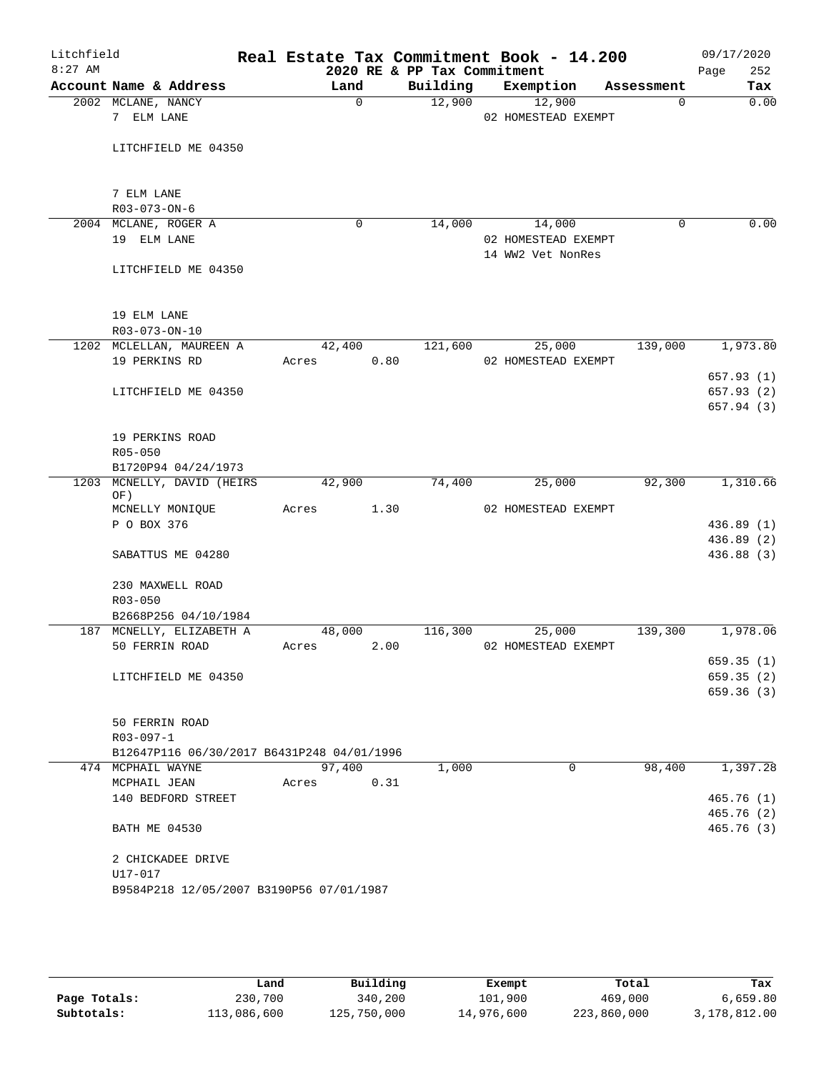| Litchfield |                                                  |        |                                         | Real Estate Tax Commitment Book - 14.200 |            | 09/17/2020         |
|------------|--------------------------------------------------|--------|-----------------------------------------|------------------------------------------|------------|--------------------|
| $8:27$ AM  | Account Name & Address                           | Land   | 2020 RE & PP Tax Commitment<br>Building | Exemption                                | Assessment | Page<br>252<br>Tax |
|            | 2002 MCLANE, NANCY                               | 0      | 12,900                                  | 12,900                                   | 0          | 0.00               |
|            | 7 ELM LANE                                       |        |                                         | 02 HOMESTEAD EXEMPT                      |            |                    |
|            | LITCHFIELD ME 04350                              |        |                                         |                                          |            |                    |
|            |                                                  |        |                                         |                                          |            |                    |
|            | 7 ELM LANE                                       |        |                                         |                                          |            |                    |
|            | R03-073-ON-6                                     |        |                                         |                                          |            |                    |
|            | 2004 MCLANE, ROGER A                             | 0      | 14,000                                  | 14,000                                   | 0          | 0.00               |
|            | 19 ELM LANE                                      |        |                                         | 02 HOMESTEAD EXEMPT<br>14 WW2 Vet NonRes |            |                    |
|            | LITCHFIELD ME 04350                              |        |                                         |                                          |            |                    |
|            | 19 ELM LANE                                      |        |                                         |                                          |            |                    |
|            | R03-073-ON-10                                    |        |                                         |                                          |            |                    |
|            | 1202 MCLELLAN, MAUREEN A                         | 42,400 | 121,600                                 | 25,000                                   | 139,000    | 1,973.80           |
|            | 19 PERKINS RD                                    | Acres  | 0.80                                    | 02 HOMESTEAD EXEMPT                      |            |                    |
|            |                                                  |        |                                         |                                          |            | 657.93 (1)         |
|            | LITCHFIELD ME 04350                              |        |                                         |                                          |            | 657.93(2)          |
|            |                                                  |        |                                         |                                          |            | 657.94 (3)         |
|            | 19 PERKINS ROAD                                  |        |                                         |                                          |            |                    |
|            | R05-050                                          |        |                                         |                                          |            |                    |
|            | B1720P94 04/24/1973                              |        |                                         |                                          |            |                    |
|            | 1203 MCNELLY, DAVID (HEIRS)<br>OF)               | 42,900 | 74,400                                  | 25,000                                   | 92,300     | 1,310.66           |
|            | MCNELLY MONIQUE                                  | Acres  | 1.30                                    | 02 HOMESTEAD EXEMPT                      |            |                    |
|            | P O BOX 376                                      |        |                                         |                                          |            | 436.89(1)          |
|            |                                                  |        |                                         |                                          |            | 436.89 (2)         |
|            | SABATTUS ME 04280                                |        |                                         |                                          |            | 436.88 (3)         |
|            | 230 MAXWELL ROAD                                 |        |                                         |                                          |            |                    |
|            | R03-050                                          |        |                                         |                                          |            |                    |
|            | B2668P256 04/10/1984<br>187 MCNELLY, ELIZABETH A | 48,000 | 116,300                                 | 25,000                                   | 139,300    | 1,978.06           |
|            | 50 FERRIN ROAD                                   | Acres  | 2.00                                    | 02 HOMESTEAD EXEMPT                      |            |                    |
|            |                                                  |        |                                         |                                          |            | 659.35(1)          |
|            | LITCHFIELD ME 04350                              |        |                                         |                                          |            | 659.35(2)          |
|            |                                                  |        |                                         |                                          |            | 659.36(3)          |
|            | 50 FERRIN ROAD                                   |        |                                         |                                          |            |                    |
|            | $R03 - 097 - 1$                                  |        |                                         |                                          |            |                    |
|            | B12647P116 06/30/2017 B6431P248 04/01/1996       |        |                                         |                                          |            |                    |
|            | 474 MCPHAIL WAYNE                                | 97,400 | 1,000                                   | 0                                        | 98,400     | 1,397.28           |
|            | MCPHAIL JEAN                                     | Acres  | 0.31                                    |                                          |            |                    |
|            | 140 BEDFORD STREET                               |        |                                         |                                          |            | 465.76(1)          |
|            |                                                  |        |                                         |                                          |            | 465.76(2)          |
|            | <b>BATH ME 04530</b>                             |        |                                         |                                          |            | 465.76(3)          |
|            | 2 CHICKADEE DRIVE                                |        |                                         |                                          |            |                    |
|            | U17-017                                          |        |                                         |                                          |            |                    |
|            | B9584P218 12/05/2007 B3190P56 07/01/1987         |        |                                         |                                          |            |                    |
|            |                                                  |        |                                         |                                          |            |                    |

|              | Land        | Building    | Exempt     | Total       | Tax          |
|--------------|-------------|-------------|------------|-------------|--------------|
| Page Totals: | 230,700     | 340,200     | 101,900    | 469,000     | 6,659.80     |
| Subtotals:   | 113,086,600 | 125,750,000 | 14,976,600 | 223,860,000 | 3,178,812.00 |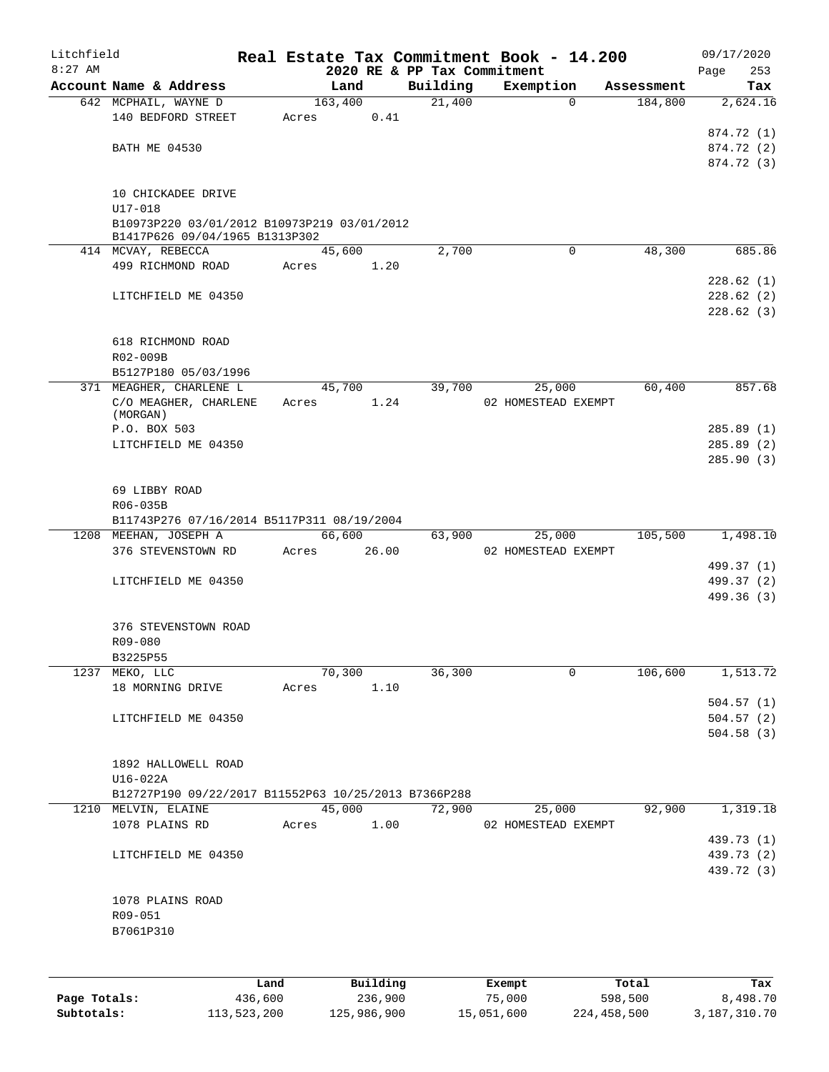| Litchfield   |                                                      |         |                 |          |                             | Real Estate Tax Commitment Book - 14.200 |                       | 09/17/2020      |
|--------------|------------------------------------------------------|---------|-----------------|----------|-----------------------------|------------------------------------------|-----------------------|-----------------|
| $8:27$ AM    | Account Name & Address                               |         |                 |          | 2020 RE & PP Tax Commitment |                                          |                       | 253<br>Page     |
|              |                                                      |         | Land<br>163,400 |          | Building<br>21,400          | Exemption<br>$\Omega$                    | Assessment<br>184,800 | Tax<br>2,624.16 |
|              | 642 MCPHAIL, WAYNE D<br>140 BEDFORD STREET           |         | Acres           | 0.41     |                             |                                          |                       |                 |
|              |                                                      |         |                 |          |                             |                                          |                       | 874.72 (1)      |
|              | <b>BATH ME 04530</b>                                 |         |                 |          |                             |                                          |                       | 874.72 (2)      |
|              |                                                      |         |                 |          |                             |                                          |                       | 874.72 (3)      |
|              |                                                      |         |                 |          |                             |                                          |                       |                 |
|              | 10 CHICKADEE DRIVE                                   |         |                 |          |                             |                                          |                       |                 |
|              | U17-018                                              |         |                 |          |                             |                                          |                       |                 |
|              | B10973P220 03/01/2012 B10973P219 03/01/2012          |         |                 |          |                             |                                          |                       |                 |
|              | B1417P626 09/04/1965 B1313P302                       |         |                 |          |                             |                                          |                       |                 |
|              | 414 MCVAY, REBECCA                                   |         | 45,600          |          | 2,700                       | $\mathbf 0$                              | 48,300                | 685.86          |
|              | 499 RICHMOND ROAD                                    |         | Acres           | 1.20     |                             |                                          |                       |                 |
|              |                                                      |         |                 |          |                             |                                          |                       | 228.62 (1)      |
|              | LITCHFIELD ME 04350                                  |         |                 |          |                             |                                          |                       | 228.62(2)       |
|              |                                                      |         |                 |          |                             |                                          |                       | 228.62 (3)      |
|              |                                                      |         |                 |          |                             |                                          |                       |                 |
|              | 618 RICHMOND ROAD                                    |         |                 |          |                             |                                          |                       |                 |
|              | R02-009B                                             |         |                 |          |                             |                                          |                       |                 |
|              | B5127P180 05/03/1996                                 |         |                 |          |                             |                                          |                       |                 |
|              | 371 MEAGHER, CHARLENE L                              |         | 45,700          |          | 39,700                      | 25,000                                   | 60,400                | 857.68          |
|              | C/O MEAGHER, CHARLENE                                |         | Acres           | 1.24     |                             | 02 HOMESTEAD EXEMPT                      |                       |                 |
|              | (MORGAN)                                             |         |                 |          |                             |                                          |                       |                 |
|              | P.O. BOX 503                                         |         |                 |          |                             |                                          |                       | 285.89(1)       |
|              | LITCHFIELD ME 04350                                  |         |                 |          |                             |                                          |                       | 285.89(2)       |
|              |                                                      |         |                 |          |                             |                                          |                       | 285.90(3)       |
|              |                                                      |         |                 |          |                             |                                          |                       |                 |
|              | 69 LIBBY ROAD                                        |         |                 |          |                             |                                          |                       |                 |
|              | R06-035B                                             |         |                 |          |                             |                                          |                       |                 |
|              | B11743P276 07/16/2014 B5117P311 08/19/2004           |         |                 |          |                             |                                          |                       |                 |
|              | 1208 MEEHAN, JOSEPH A                                |         | 66,600          |          | 63,900                      | 25,000                                   | 105,500               | 1,498.10        |
|              | 376 STEVENSTOWN RD                                   |         | Acres           | 26.00    |                             | 02 HOMESTEAD EXEMPT                      |                       |                 |
|              |                                                      |         |                 |          |                             |                                          |                       | 499.37 (1)      |
|              | LITCHFIELD ME 04350                                  |         |                 |          |                             |                                          |                       | 499.37 (2)      |
|              |                                                      |         |                 |          |                             |                                          |                       | 499.36 (3)      |
|              |                                                      |         |                 |          |                             |                                          |                       |                 |
|              | 376 STEVENSTOWN ROAD                                 |         |                 |          |                             |                                          |                       |                 |
|              | R09-080                                              |         |                 |          |                             |                                          |                       |                 |
|              | B3225P55                                             |         |                 |          |                             |                                          |                       |                 |
| 1237         | MEKO, LLC                                            |         | 70,300          |          | 36,300                      | 0                                        | 106,600               | 1,513.72        |
|              | 18 MORNING DRIVE                                     |         | Acres           | 1.10     |                             |                                          |                       |                 |
|              |                                                      |         |                 |          |                             |                                          |                       | 504.57(1)       |
|              | LITCHFIELD ME 04350                                  |         |                 |          |                             |                                          |                       | 504.57(2)       |
|              |                                                      |         |                 |          |                             |                                          |                       | 504.58(3)       |
|              |                                                      |         |                 |          |                             |                                          |                       |                 |
|              | 1892 HALLOWELL ROAD                                  |         |                 |          |                             |                                          |                       |                 |
|              | U16-022A                                             |         |                 |          |                             |                                          |                       |                 |
|              | B12727P190 09/22/2017 B11552P63 10/25/2013 B7366P288 |         |                 |          |                             |                                          |                       |                 |
|              | 1210 MELVIN, ELAINE                                  |         | 45,000          |          | 72,900                      | 25,000                                   | 92,900                | 1,319.18        |
|              | 1078 PLAINS RD                                       |         | Acres           | 1.00     |                             | 02 HOMESTEAD EXEMPT                      |                       |                 |
|              |                                                      |         |                 |          |                             |                                          |                       | 439.73 (1)      |
|              | LITCHFIELD ME 04350                                  |         |                 |          |                             |                                          |                       | 439.73 (2)      |
|              |                                                      |         |                 |          |                             |                                          |                       | 439.72 (3)      |
|              |                                                      |         |                 |          |                             |                                          |                       |                 |
|              | 1078 PLAINS ROAD                                     |         |                 |          |                             |                                          |                       |                 |
|              | R09-051                                              |         |                 |          |                             |                                          |                       |                 |
|              | B7061P310                                            |         |                 |          |                             |                                          |                       |                 |
|              |                                                      |         |                 |          |                             |                                          |                       |                 |
|              |                                                      |         |                 |          |                             |                                          |                       |                 |
|              |                                                      | Land    |                 | Building |                             | Exempt                                   | Total                 | Tax             |
| Page Totals: |                                                      | 436,600 |                 | 236,900  |                             | 75,000                                   | 598,500               | 8,498.70        |

**Subtotals:** 113,523,200 125,986,900 15,051,600 224,458,500 3,187,310.70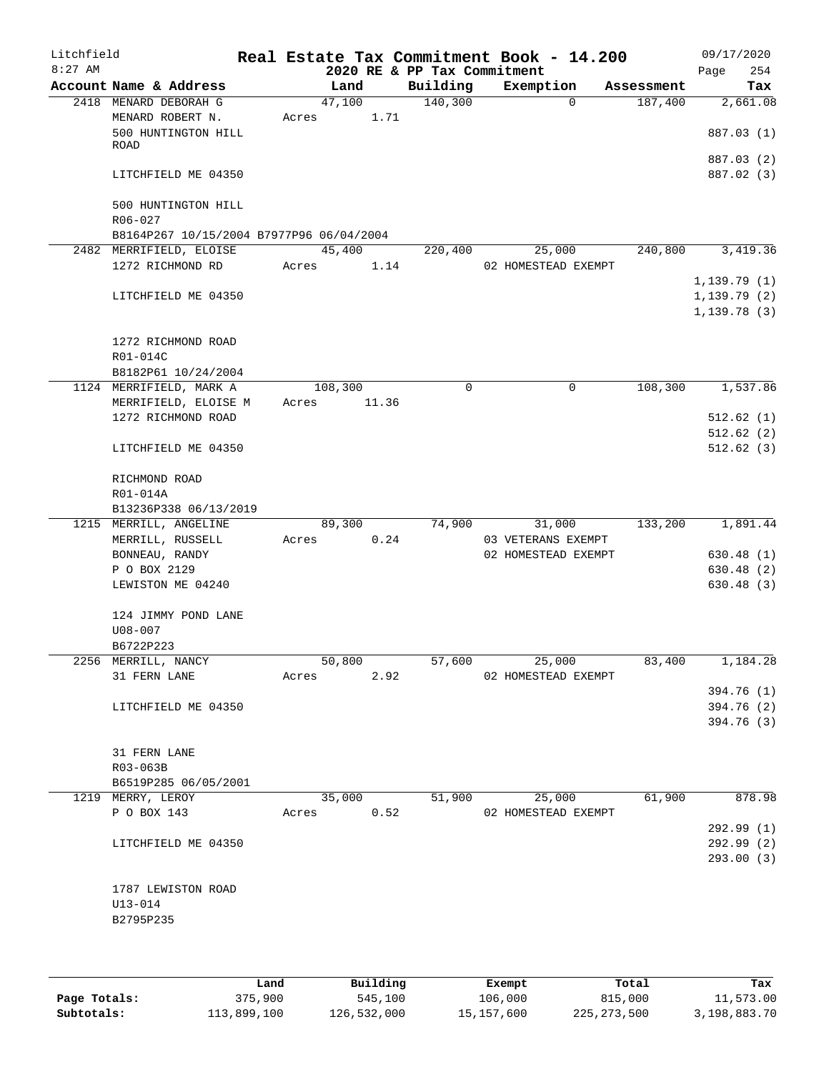| Litchfield<br>$8:27$ AM |                                                 |                  |        | 2020 RE & PP Tax Commitment | Real Estate Tax Commitment Book - 14.200 |            | 09/17/2020<br>254<br>Page |
|-------------------------|-------------------------------------------------|------------------|--------|-----------------------------|------------------------------------------|------------|---------------------------|
|                         | Account Name & Address                          |                  | Land   | Building                    | Exemption                                | Assessment | Tax                       |
|                         | 2418 MENARD DEBORAH G                           |                  | 47,100 | 140,300                     | $\mathbf 0$                              | 187,400    | 2,661.08                  |
|                         | MENARD ROBERT N.                                | Acres            | 1.71   |                             |                                          |            |                           |
|                         | 500 HUNTINGTON HILL                             |                  |        |                             |                                          |            | 887.03 (1)                |
|                         | ROAD                                            |                  |        |                             |                                          |            |                           |
|                         |                                                 |                  |        |                             |                                          |            | 887.03 (2)                |
|                         | LITCHFIELD ME 04350                             |                  |        |                             |                                          |            | 887.02 (3)                |
|                         | 500 HUNTINGTON HILL                             |                  |        |                             |                                          |            |                           |
|                         | $R06 - 027$                                     |                  |        |                             |                                          |            |                           |
|                         | B8164P267 10/15/2004 B7977P96 06/04/2004        |                  |        |                             |                                          |            |                           |
|                         | 2482 MERRIFIELD, ELOISE                         |                  | 45,400 | 220,400                     | 25,000                                   | 240,800    | 3,419.36                  |
|                         | 1272 RICHMOND RD                                | Acres            | 1.14   |                             | 02 HOMESTEAD EXEMPT                      |            |                           |
|                         |                                                 |                  |        |                             |                                          |            | 1,139.79(1)               |
|                         | LITCHFIELD ME 04350                             |                  |        |                             |                                          |            | 1, 139.79(2)              |
|                         |                                                 |                  |        |                             |                                          |            | 1, 139.78(3)              |
|                         |                                                 |                  |        |                             |                                          |            |                           |
|                         | 1272 RICHMOND ROAD                              |                  |        |                             |                                          |            |                           |
|                         | R01-014C                                        |                  |        |                             |                                          |            |                           |
|                         | B8182P61 10/24/2004                             |                  |        |                             |                                          |            |                           |
|                         | 1124 MERRIFIELD, MARK A<br>MERRIFIELD, ELOISE M | 108,300<br>Acres |        | 0                           | 0                                        | 108,300    | 1,537.86                  |
|                         | 1272 RICHMOND ROAD                              |                  | 11.36  |                             |                                          |            | 512.62(1)                 |
|                         |                                                 |                  |        |                             |                                          |            | 512.62(2)                 |
|                         | LITCHFIELD ME 04350                             |                  |        |                             |                                          |            | 512.62(3)                 |
|                         |                                                 |                  |        |                             |                                          |            |                           |
|                         | RICHMOND ROAD                                   |                  |        |                             |                                          |            |                           |
|                         | R01-014A                                        |                  |        |                             |                                          |            |                           |
|                         | B13236P338 06/13/2019                           |                  |        |                             |                                          |            |                           |
|                         | 1215 MERRILL, ANGELINE                          |                  | 89,300 | 74,900                      | 31,000                                   | 133,200    | 1,891.44                  |
|                         | MERRILL, RUSSELL                                | Acres            | 0.24   |                             | 03 VETERANS EXEMPT                       |            |                           |
|                         | BONNEAU, RANDY                                  |                  |        |                             | 02 HOMESTEAD EXEMPT                      |            | 630.48(1)                 |
|                         | P O BOX 2129                                    |                  |        |                             |                                          |            | 630.48 (2)                |
|                         | LEWISTON ME 04240                               |                  |        |                             |                                          |            | 630.48(3)                 |
|                         |                                                 |                  |        |                             |                                          |            |                           |
|                         | 124 JIMMY POND LANE                             |                  |        |                             |                                          |            |                           |
|                         | $U08 - 007$<br>B6722P223                        |                  |        |                             |                                          |            |                           |
|                         | 2256 MERRILL, NANCY                             |                  | 50,800 | 57,600                      | 25,000                                   | 83,400     | 1,184.28                  |
|                         | 31 FERN LANE                                    | Acres            | 2.92   |                             | 02 HOMESTEAD EXEMPT                      |            |                           |
|                         |                                                 |                  |        |                             |                                          |            | 394.76 (1)                |
|                         | LITCHFIELD ME 04350                             |                  |        |                             |                                          |            | 394.76 (2)                |
|                         |                                                 |                  |        |                             |                                          |            | 394.76 (3)                |
|                         |                                                 |                  |        |                             |                                          |            |                           |
|                         | 31 FERN LANE                                    |                  |        |                             |                                          |            |                           |
|                         | R03-063B                                        |                  |        |                             |                                          |            |                           |
|                         | B6519P285 06/05/2001                            |                  |        |                             |                                          |            |                           |
|                         | 1219 MERRY, LEROY                               |                  | 35,000 | 51,900                      | 25,000                                   | 61,900     | 878.98                    |
|                         | P O BOX 143                                     | Acres            | 0.52   |                             | 02 HOMESTEAD EXEMPT                      |            |                           |
|                         |                                                 |                  |        |                             |                                          |            | 292.99(1)                 |
|                         | LITCHFIELD ME 04350                             |                  |        |                             |                                          |            | 292.99 (2)                |
|                         |                                                 |                  |        |                             |                                          |            | 293.00(3)                 |
|                         | 1787 LEWISTON ROAD                              |                  |        |                             |                                          |            |                           |
|                         | $U13 - 014$                                     |                  |        |                             |                                          |            |                           |
|                         | B2795P235                                       |                  |        |                             |                                          |            |                           |
|                         |                                                 |                  |        |                             |                                          |            |                           |
|                         |                                                 |                  |        |                             |                                          |            |                           |
|                         |                                                 |                  |        |                             |                                          |            |                           |

|              | Land        | Building    | Exempt     | Total         | Tax          |
|--------------|-------------|-------------|------------|---------------|--------------|
| Page Totals: | 375,900     | 545,100     | 106,000    | 815,000       | 11,573.00    |
| Subtotals:   | 113,899,100 | 126,532,000 | 15,157,600 | 225, 273, 500 | 3,198,883.70 |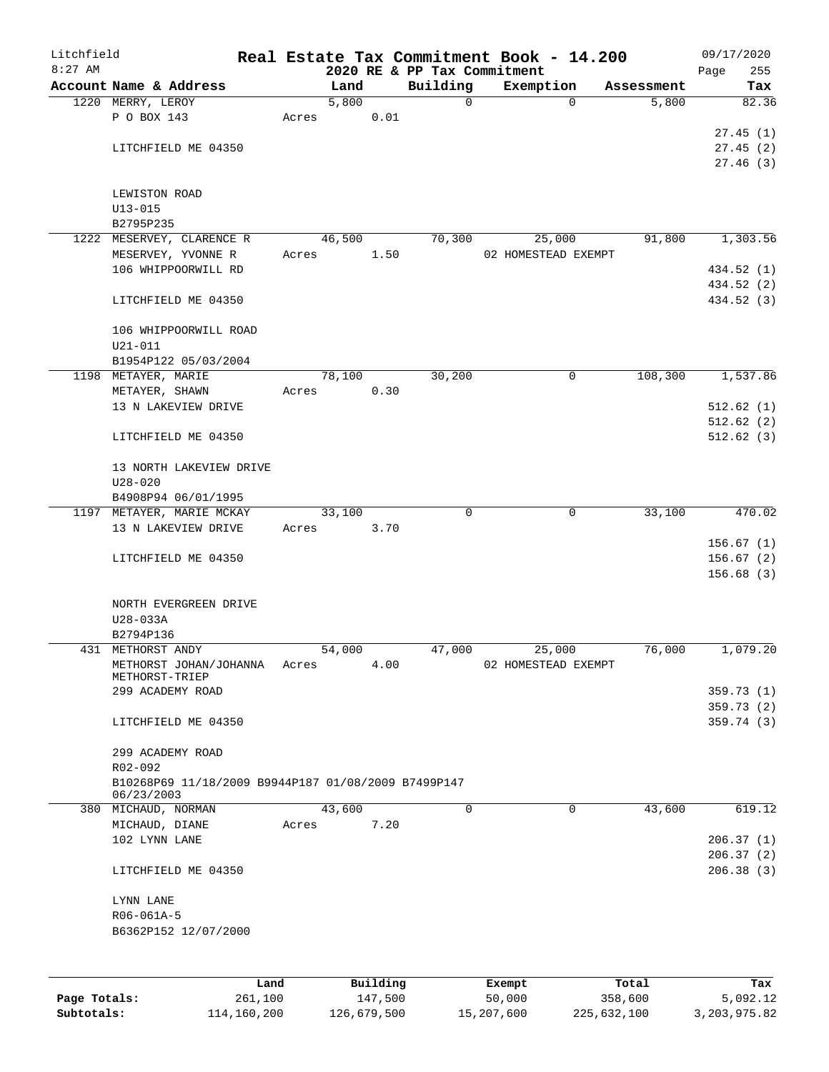| Litchfield   |                                                     |       |        |          |                             | Real Estate Tax Commitment Book - 14.200 |             |            | 09/17/2020  |
|--------------|-----------------------------------------------------|-------|--------|----------|-----------------------------|------------------------------------------|-------------|------------|-------------|
| $8:27$ AM    |                                                     |       |        |          | 2020 RE & PP Tax Commitment |                                          |             |            | 255<br>Page |
|              | Account Name & Address                              |       | Land   |          | Building                    | Exemption                                |             | Assessment | Tax         |
|              | 1220 MERRY, LEROY                                   |       | 5,800  |          | 0                           |                                          | 0           | 5,800      | 82.36       |
|              | P O BOX 143                                         | Acres |        | 0.01     |                             |                                          |             |            |             |
|              |                                                     |       |        |          |                             |                                          |             |            | 27.45(1)    |
|              | LITCHFIELD ME 04350                                 |       |        |          |                             |                                          |             |            | 27.45(2)    |
|              |                                                     |       |        |          |                             |                                          |             |            | 27.46(3)    |
|              |                                                     |       |        |          |                             |                                          |             |            |             |
|              | LEWISTON ROAD                                       |       |        |          |                             |                                          |             |            |             |
|              | $U13 - 015$                                         |       |        |          |                             |                                          |             |            |             |
|              | B2795P235                                           |       |        |          |                             |                                          |             |            |             |
|              | 1222 MESERVEY, CLARENCE R                           |       | 46,500 |          | 70,300                      | 25,000                                   |             | 91,800     | 1,303.56    |
|              | MESERVEY, YVONNE R                                  | Acres |        | 1.50     |                             | 02 HOMESTEAD EXEMPT                      |             |            |             |
|              | 106 WHIPPOORWILL RD                                 |       |        |          |                             |                                          |             |            | 434.52 (1)  |
|              |                                                     |       |        |          |                             |                                          |             |            | 434.52 (2)  |
|              | LITCHFIELD ME 04350                                 |       |        |          |                             |                                          |             |            | 434.52 (3)  |
|              |                                                     |       |        |          |                             |                                          |             |            |             |
|              | 106 WHIPPOORWILL ROAD                               |       |        |          |                             |                                          |             |            |             |
|              | $U21 - 011$                                         |       |        |          |                             |                                          |             |            |             |
|              | B1954P122 05/03/2004                                |       |        |          |                             |                                          |             |            |             |
|              | 1198 METAYER, MARIE                                 |       | 78,100 |          | 30,200                      |                                          | 0           | 108,300    | 1,537.86    |
|              | METAYER, SHAWN                                      | Acres |        | 0.30     |                             |                                          |             |            |             |
|              | 13 N LAKEVIEW DRIVE                                 |       |        |          |                             |                                          |             |            | 512.62(1)   |
|              |                                                     |       |        |          |                             |                                          |             |            | 512.62(2)   |
|              | LITCHFIELD ME 04350                                 |       |        |          |                             |                                          |             |            | 512.62(3)   |
|              |                                                     |       |        |          |                             |                                          |             |            |             |
|              | 13 NORTH LAKEVIEW DRIVE                             |       |        |          |                             |                                          |             |            |             |
|              | $U28 - 020$                                         |       |        |          |                             |                                          |             |            |             |
|              | B4908P94 06/01/1995                                 |       |        |          |                             |                                          |             |            |             |
|              | 1197 METAYER, MARIE MCKAY                           |       | 33,100 |          | $\Omega$                    |                                          | $\mathbf 0$ | 33,100     | 470.02      |
|              | 13 N LAKEVIEW DRIVE                                 | Acres |        | 3.70     |                             |                                          |             |            |             |
|              |                                                     |       |        |          |                             |                                          |             |            | 156.67(1)   |
|              | LITCHFIELD ME 04350                                 |       |        |          |                             |                                          |             |            | 156.67(2)   |
|              |                                                     |       |        |          |                             |                                          |             |            | 156.68(3)   |
|              |                                                     |       |        |          |                             |                                          |             |            |             |
|              | NORTH EVERGREEN DRIVE                               |       |        |          |                             |                                          |             |            |             |
|              | U28-033A                                            |       |        |          |                             |                                          |             |            |             |
|              |                                                     |       |        |          |                             |                                          |             |            |             |
|              | B2794P136<br>431 METHORST ANDY                      |       | 54,000 |          | 47,000                      | 25,000                                   |             | 76,000     | 1,079.20    |
|              |                                                     |       |        |          |                             |                                          |             |            |             |
|              | METHORST JOHAN/JOHANNA<br>METHORST-TRIEP            | Acres |        | 4.00     |                             | 02 HOMESTEAD EXEMPT                      |             |            |             |
|              | 299 ACADEMY ROAD                                    |       |        |          |                             |                                          |             |            | 359.73(1)   |
|              |                                                     |       |        |          |                             |                                          |             |            | 359.73(2)   |
|              | LITCHFIELD ME 04350                                 |       |        |          |                             |                                          |             |            | 359.74 (3)  |
|              |                                                     |       |        |          |                             |                                          |             |            |             |
|              | 299 ACADEMY ROAD                                    |       |        |          |                             |                                          |             |            |             |
|              | R02-092                                             |       |        |          |                             |                                          |             |            |             |
|              | B10268P69 11/18/2009 B9944P187 01/08/2009 B7499P147 |       |        |          |                             |                                          |             |            |             |
|              | 06/23/2003                                          |       |        |          |                             |                                          |             |            |             |
|              | 380 MICHAUD, NORMAN                                 |       | 43,600 |          | $\mathbf 0$                 |                                          | $\mathbf 0$ | 43,600     | 619.12      |
|              | MICHAUD, DIANE                                      | Acres |        | 7.20     |                             |                                          |             |            |             |
|              | 102 LYNN LANE                                       |       |        |          |                             |                                          |             |            | 206.37(1)   |
|              |                                                     |       |        |          |                             |                                          |             |            | 206.37(2)   |
|              | LITCHFIELD ME 04350                                 |       |        |          |                             |                                          |             |            | 206.38(3)   |
|              |                                                     |       |        |          |                             |                                          |             |            |             |
|              | LYNN LANE                                           |       |        |          |                             |                                          |             |            |             |
|              | R06-061A-5                                          |       |        |          |                             |                                          |             |            |             |
|              | B6362P152 12/07/2000                                |       |        |          |                             |                                          |             |            |             |
|              |                                                     |       |        |          |                             |                                          |             |            |             |
|              |                                                     |       |        |          |                             |                                          |             |            |             |
|              |                                                     |       |        |          |                             |                                          |             |            |             |
|              |                                                     | Land  |        | Building |                             | Exempt                                   | Total       |            | Tax         |
| Page Totals: | 261,100                                             |       |        | 147,500  |                             | 50,000                                   | 358,600     |            | 5,092.12    |

**Subtotals:** 114,160,200 126,679,500 15,207,600 225,632,100 3,203,975.82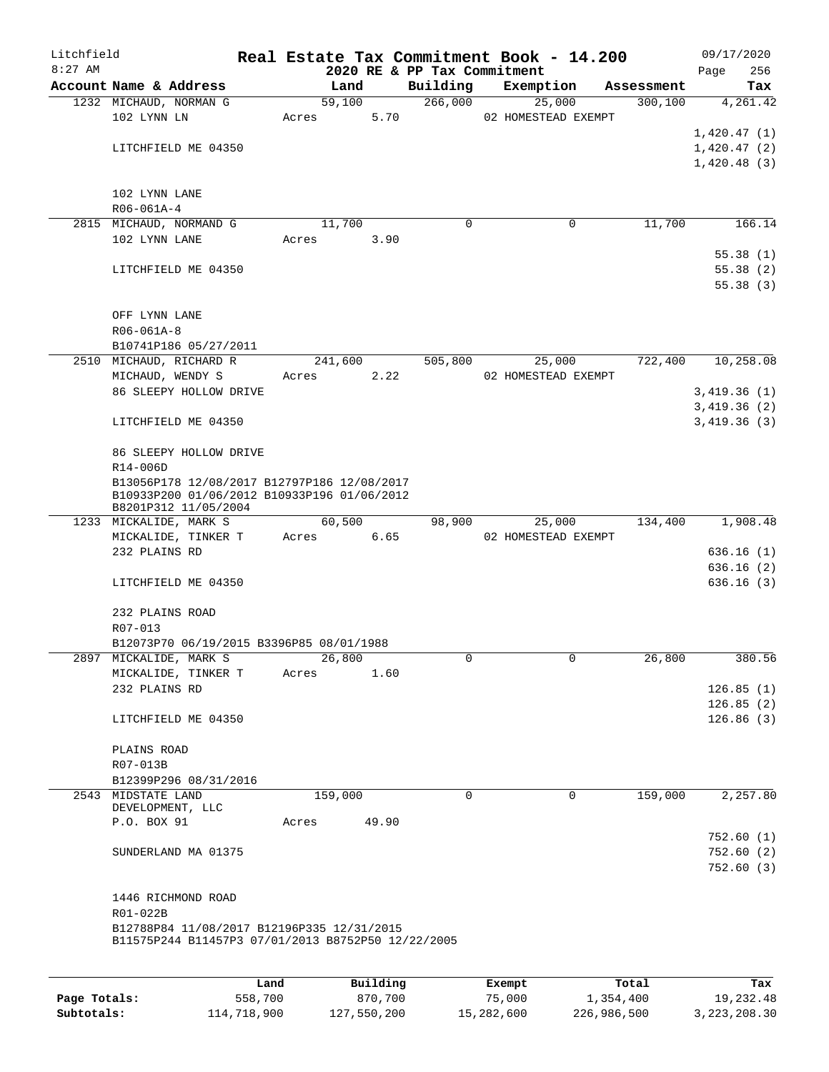| Litchfield |                                                                                            |       |         |       |                             | Real Estate Tax Commitment Book - 14.200 |            | 09/17/2020  |  |
|------------|--------------------------------------------------------------------------------------------|-------|---------|-------|-----------------------------|------------------------------------------|------------|-------------|--|
| $8:27$ AM  |                                                                                            |       |         |       | 2020 RE & PP Tax Commitment |                                          |            | 256<br>Page |  |
|            | Account Name & Address                                                                     |       | Land    |       | Building                    | Exemption                                | Assessment | Tax         |  |
|            | 1232 MICHAUD, NORMAN G                                                                     |       | 59,100  |       | 266,000                     | 25,000                                   | 300, 100   | 4,261.42    |  |
|            | 102 LYNN LN                                                                                | Acres |         | 5.70  |                             | 02 HOMESTEAD EXEMPT                      |            |             |  |
|            |                                                                                            |       |         |       |                             |                                          |            | 1,420.47(1) |  |
|            | LITCHFIELD ME 04350                                                                        |       |         |       |                             |                                          |            | 1,420.47(2) |  |
|            |                                                                                            |       |         |       |                             |                                          |            | 1,420.48(3) |  |
|            |                                                                                            |       |         |       |                             |                                          |            |             |  |
|            | 102 LYNN LANE                                                                              |       |         |       |                             |                                          |            |             |  |
|            | R06-061A-4                                                                                 |       |         |       |                             |                                          |            |             |  |
|            | 2815 MICHAUD, NORMAND G                                                                    |       | 11,700  |       | $\mathbf 0$                 | 0                                        | 11,700     | 166.14      |  |
|            | 102 LYNN LANE                                                                              | Acres |         | 3.90  |                             |                                          |            |             |  |
|            |                                                                                            |       |         |       |                             |                                          |            | 55.38(1)    |  |
|            | LITCHFIELD ME 04350                                                                        |       |         |       |                             |                                          |            | 55.38(2)    |  |
|            |                                                                                            |       |         |       |                             |                                          |            | 55.38(3)    |  |
|            |                                                                                            |       |         |       |                             |                                          |            |             |  |
|            | OFF LYNN LANE                                                                              |       |         |       |                             |                                          |            |             |  |
|            | $R06 - 061A - 8$                                                                           |       |         |       |                             |                                          |            |             |  |
|            | B10741P186 05/27/2011                                                                      |       |         |       |                             |                                          |            |             |  |
|            | 2510 MICHAUD, RICHARD R                                                                    |       | 241,600 |       | 505,800                     | 25,000                                   | 722,400    | 10,258.08   |  |
|            | MICHAUD, WENDY S                                                                           |       | Acres   | 2.22  |                             | 02 HOMESTEAD EXEMPT                      |            |             |  |
|            | 86 SLEEPY HOLLOW DRIVE                                                                     |       |         |       |                             |                                          |            | 3,419.36(1) |  |
|            |                                                                                            |       |         |       |                             |                                          |            | 3,419.36(2) |  |
|            | LITCHFIELD ME 04350                                                                        |       |         |       |                             |                                          |            | 3,419.36(3) |  |
|            |                                                                                            |       |         |       |                             |                                          |            |             |  |
|            | 86 SLEEPY HOLLOW DRIVE                                                                     |       |         |       |                             |                                          |            |             |  |
|            | R14-006D                                                                                   |       |         |       |                             |                                          |            |             |  |
|            |                                                                                            |       |         |       |                             |                                          |            |             |  |
|            | B13056P178 12/08/2017 B12797P186 12/08/2017<br>B10933P200 01/06/2012 B10933P196 01/06/2012 |       |         |       |                             |                                          |            |             |  |
|            | B8201P312 11/05/2004                                                                       |       |         |       |                             |                                          |            |             |  |
|            | 1233 MICKALIDE, MARK S                                                                     |       | 60,500  |       | 98,900                      | 25,000                                   | 134,400    | 1,908.48    |  |
|            | MICKALIDE, TINKER T                                                                        |       | Acres   | 6.65  |                             | 02 HOMESTEAD EXEMPT                      |            |             |  |
|            | 232 PLAINS RD                                                                              |       |         |       |                             |                                          |            | 636.16(1)   |  |
|            |                                                                                            |       |         |       |                             |                                          |            | 636.16(2)   |  |
|            | LITCHFIELD ME 04350                                                                        |       |         |       |                             |                                          |            | 636.16(3)   |  |
|            |                                                                                            |       |         |       |                             |                                          |            |             |  |
|            | 232 PLAINS ROAD                                                                            |       |         |       |                             |                                          |            |             |  |
|            | R07-013                                                                                    |       |         |       |                             |                                          |            |             |  |
|            | B12073P70 06/19/2015 B3396P85 08/01/1988                                                   |       |         |       |                             |                                          |            |             |  |
|            | 2897 MICKALIDE, MARK S                                                                     |       | 26,800  |       | 0                           |                                          | 26,800     | 380.56      |  |
|            |                                                                                            |       |         |       |                             |                                          |            |             |  |
|            | MICKALIDE, TINKER T<br>232 PLAINS RD                                                       | Acres |         | 1.60  |                             |                                          |            |             |  |
|            |                                                                                            |       |         |       |                             |                                          |            | 126.85(1)   |  |
|            |                                                                                            |       |         |       |                             |                                          |            | 126.85(2)   |  |
|            | LITCHFIELD ME 04350                                                                        |       |         |       |                             |                                          |            | 126.86(3)   |  |
|            |                                                                                            |       |         |       |                             |                                          |            |             |  |
|            | PLAINS ROAD                                                                                |       |         |       |                             |                                          |            |             |  |
|            | R07-013B                                                                                   |       |         |       |                             |                                          |            |             |  |
|            | B12399P296 08/31/2016                                                                      |       |         |       |                             |                                          |            |             |  |
|            | 2543 MIDSTATE LAND<br>DEVELOPMENT, LLC                                                     |       | 159,000 |       | $\Omega$                    | $\Omega$                                 | 159,000    | 2,257.80    |  |
|            | P.O. BOX 91                                                                                |       |         |       |                             |                                          |            |             |  |
|            |                                                                                            | Acres |         | 49.90 |                             |                                          |            |             |  |
|            |                                                                                            |       |         |       |                             |                                          |            | 752.60(1)   |  |
|            | SUNDERLAND MA 01375                                                                        |       |         |       |                             |                                          |            | 752.60(2)   |  |
|            |                                                                                            |       |         |       |                             |                                          |            | 752.60(3)   |  |
|            |                                                                                            |       |         |       |                             |                                          |            |             |  |
|            | 1446 RICHMOND ROAD                                                                         |       |         |       |                             |                                          |            |             |  |
|            | R01-022B                                                                                   |       |         |       |                             |                                          |            |             |  |
|            | B12788P84 11/08/2017 B12196P335 12/31/2015                                                 |       |         |       |                             |                                          |            |             |  |
|            | B11575P244 B11457P3 07/01/2013 B8752P50 12/22/2005                                         |       |         |       |                             |                                          |            |             |  |
|            |                                                                                            |       |         |       |                             |                                          |            |             |  |
|            |                                                                                            |       |         |       |                             |                                          |            |             |  |

|              | Land        | Building    | Exempt     | Total       | Tax            |
|--------------|-------------|-------------|------------|-------------|----------------|
| Page Totals: | 558,700     | 870,700     | 75,000     | 1,354,400   | 19,232.48      |
| Subtotals:   | 114,718,900 | 127,550,200 | 15,282,600 | 226,986,500 | 3, 223, 208.30 |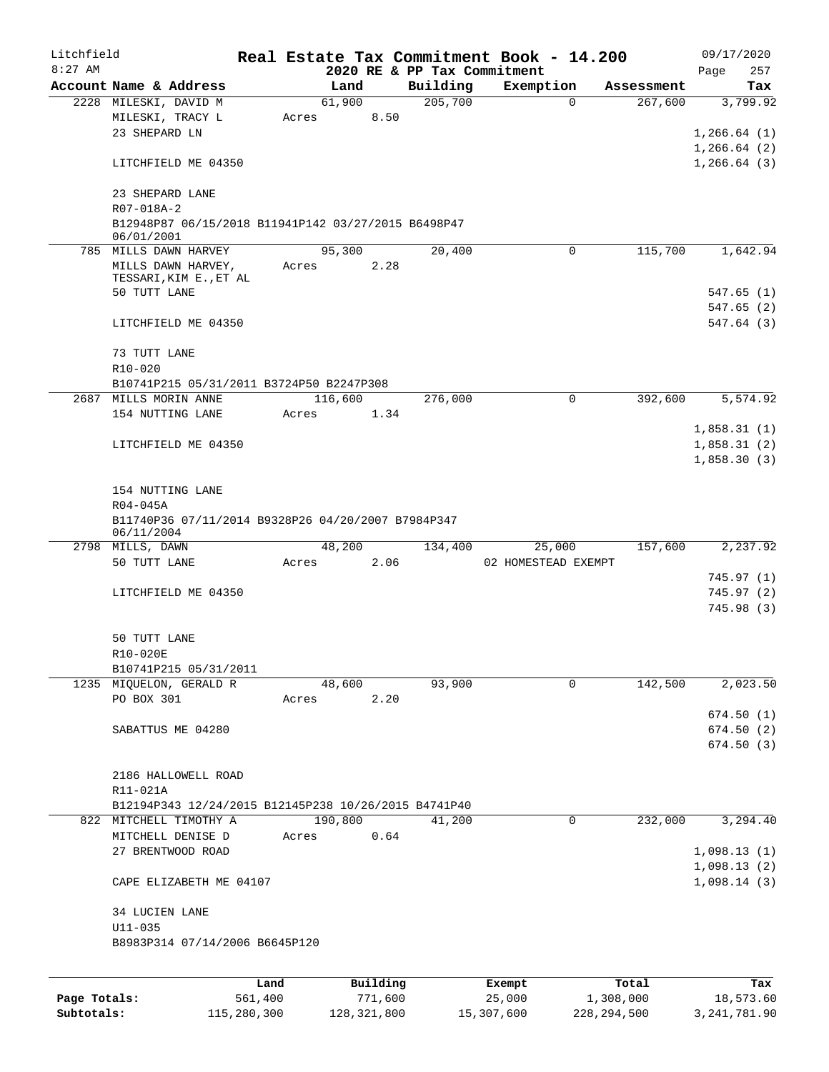| Litchfield   |                                                                  |         |       |         |          |                             | Real Estate Tax Commitment Book - 14.200 |           |            | 09/17/2020                   |
|--------------|------------------------------------------------------------------|---------|-------|---------|----------|-----------------------------|------------------------------------------|-----------|------------|------------------------------|
| $8:27$ AM    |                                                                  |         |       |         |          | 2020 RE & PP Tax Commitment |                                          |           |            | 257<br>Page                  |
|              | Account Name & Address                                           |         |       | Land    |          | Building                    | Exemption                                |           | Assessment | Tax                          |
|              | 2228 MILESKI, DAVID M                                            |         |       | 61,900  |          | 205,700                     | $\Omega$                                 |           | 267,600    | 3,799.92                     |
|              | MILESKI, TRACY L<br>23 SHEPARD LN                                |         | Acres |         | 8.50     |                             |                                          |           |            |                              |
|              |                                                                  |         |       |         |          |                             |                                          |           |            | 1, 266.64(1)<br>1, 266.64(2) |
|              | LITCHFIELD ME 04350                                              |         |       |         |          |                             |                                          |           |            | 1,266.64(3)                  |
|              |                                                                  |         |       |         |          |                             |                                          |           |            |                              |
|              | 23 SHEPARD LANE                                                  |         |       |         |          |                             |                                          |           |            |                              |
|              | R07-018A-2                                                       |         |       |         |          |                             |                                          |           |            |                              |
|              | B12948P87 06/15/2018 B11941P142 03/27/2015 B6498P47              |         |       |         |          |                             |                                          |           |            |                              |
|              | 06/01/2001                                                       |         |       |         |          |                             |                                          |           |            |                              |
|              | 785 MILLS DAWN HARVEY                                            |         |       | 95,300  |          | 20,400                      | $\Omega$                                 |           | 115,700    | 1,642.94                     |
|              | MILLS DAWN HARVEY,                                               |         | Acres |         | 2.28     |                             |                                          |           |            |                              |
|              | TESSARI, KIM E., ET AL<br>50 TUTT LANE                           |         |       |         |          |                             |                                          |           |            | 547.65 (1)                   |
|              |                                                                  |         |       |         |          |                             |                                          |           |            | 547.65 (2)                   |
|              | LITCHFIELD ME 04350                                              |         |       |         |          |                             |                                          |           |            | 547.64(3)                    |
|              |                                                                  |         |       |         |          |                             |                                          |           |            |                              |
|              | 73 TUTT LANE                                                     |         |       |         |          |                             |                                          |           |            |                              |
|              | $R10 - 020$                                                      |         |       |         |          |                             |                                          |           |            |                              |
|              | B10741P215 05/31/2011 B3724P50 B2247P308                         |         |       |         |          |                             |                                          |           |            |                              |
|              | 2687 MILLS MORIN ANNE                                            |         |       | 116,600 |          | 276,000                     | 0                                        |           | 392,600    | 5,574.92                     |
|              | 154 NUTTING LANE                                                 |         | Acres |         | 1.34     |                             |                                          |           |            |                              |
|              |                                                                  |         |       |         |          |                             |                                          |           |            | 1,858.31(1)                  |
|              | LITCHFIELD ME 04350                                              |         |       |         |          |                             |                                          |           |            | 1,858.31(2)                  |
|              |                                                                  |         |       |         |          |                             |                                          |           |            | 1,858.30(3)                  |
|              |                                                                  |         |       |         |          |                             |                                          |           |            |                              |
|              | 154 NUTTING LANE                                                 |         |       |         |          |                             |                                          |           |            |                              |
|              | R04-045A                                                         |         |       |         |          |                             |                                          |           |            |                              |
|              | B11740P36 07/11/2014 B9328P26 04/20/2007 B7984P347<br>06/11/2004 |         |       |         |          |                             |                                          |           |            |                              |
|              | 2798 MILLS, DAWN                                                 |         |       | 48,200  |          | 134,400                     | 25,000                                   |           | 157,600    | 2,237.92                     |
|              | 50 TUTT LANE                                                     |         | Acres |         | 2.06     |                             | 02 HOMESTEAD EXEMPT                      |           |            |                              |
|              |                                                                  |         |       |         |          |                             |                                          |           |            | 745.97(1)                    |
|              | LITCHFIELD ME 04350                                              |         |       |         |          |                             |                                          |           |            | 745.97(2)                    |
|              |                                                                  |         |       |         |          |                             |                                          |           |            | 745.98(3)                    |
|              |                                                                  |         |       |         |          |                             |                                          |           |            |                              |
|              | 50 TUTT LANE                                                     |         |       |         |          |                             |                                          |           |            |                              |
|              | R10-020E                                                         |         |       |         |          |                             |                                          |           |            |                              |
|              | B10741P215 05/31/2011                                            |         |       |         |          |                             |                                          |           |            |                              |
|              | 1235 MIQUELON, GERALD R                                          |         |       | 48,600  |          | 93,900                      | $\Omega$                                 |           | 142,500    | 2,023.50                     |
|              | PO BOX 301                                                       |         | Acres |         | 2.20     |                             |                                          |           |            |                              |
|              |                                                                  |         |       |         |          |                             |                                          |           |            | 674.50(1)                    |
|              | SABATTUS ME 04280                                                |         |       |         |          |                             |                                          |           |            | 674.50(2)                    |
|              |                                                                  |         |       |         |          |                             |                                          |           |            | 674.50(3)                    |
|              | 2186 HALLOWELL ROAD                                              |         |       |         |          |                             |                                          |           |            |                              |
|              | R11-021A                                                         |         |       |         |          |                             |                                          |           |            |                              |
|              | B12194P343 12/24/2015 B12145P238 10/26/2015 B4741P40             |         |       |         |          |                             |                                          |           |            |                              |
|              | 822 MITCHELL TIMOTHY A                                           |         |       | 190,800 |          | 41,200                      | 0                                        |           | 232,000    | 3,294.40                     |
|              | MITCHELL DENISE D                                                |         | Acres |         | 0.64     |                             |                                          |           |            |                              |
|              | 27 BRENTWOOD ROAD                                                |         |       |         |          |                             |                                          |           |            | 1,098.13(1)                  |
|              |                                                                  |         |       |         |          |                             |                                          |           |            | 1,098.13(2)                  |
|              | CAPE ELIZABETH ME 04107                                          |         |       |         |          |                             |                                          |           |            | 1,098.14(3)                  |
|              |                                                                  |         |       |         |          |                             |                                          |           |            |                              |
|              | 34 LUCIEN LANE                                                   |         |       |         |          |                             |                                          |           |            |                              |
|              | $U11 - 035$<br>B8983P314 07/14/2006 B6645P120                    |         |       |         |          |                             |                                          |           |            |                              |
|              |                                                                  |         |       |         |          |                             |                                          |           |            |                              |
|              |                                                                  |         |       |         |          |                             |                                          |           |            |                              |
|              |                                                                  | Land    |       |         | Building |                             | Exempt                                   | Total     |            | Tax                          |
| Page Totals: |                                                                  | 561,400 |       |         | 771,600  |                             | 25,000                                   | 1,308,000 |            | 18,573.60                    |

**Subtotals:** 115,280,300 128,321,800 15,307,600 228,294,500 3,241,781.90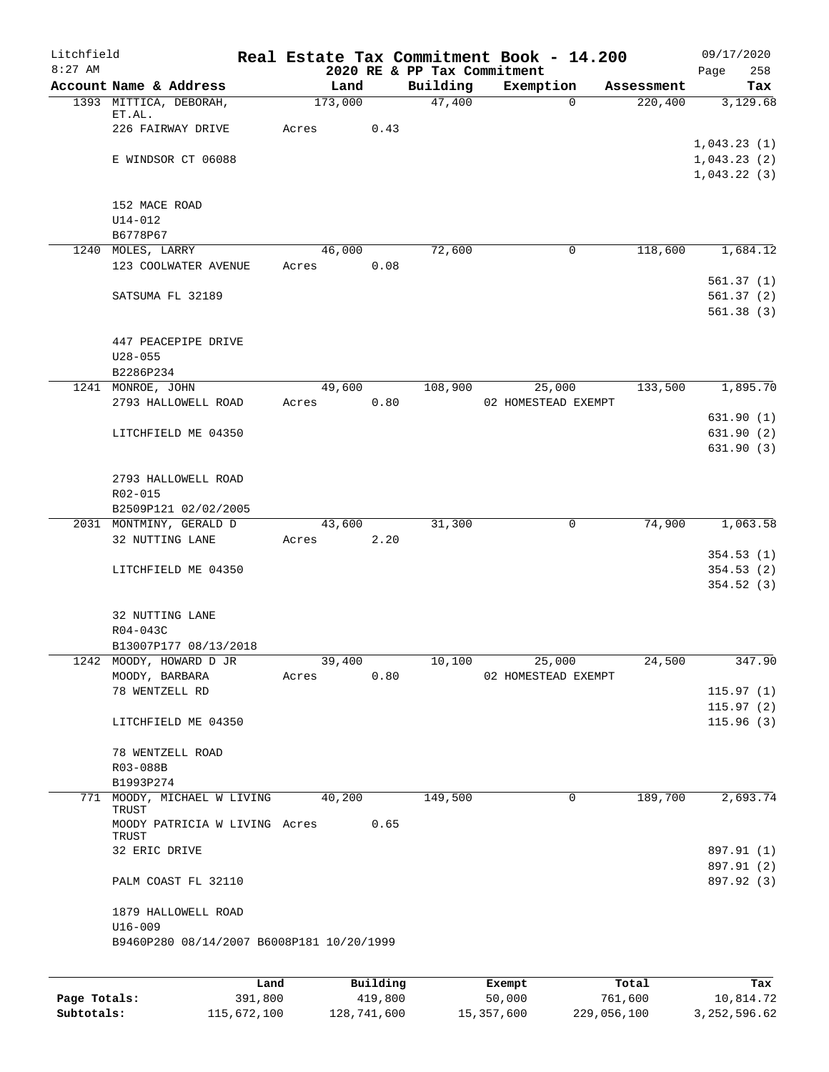| Litchfield   |                                                  |                 |                     |                             | Real Estate Tax Commitment Book - 14.200 |                       | 09/17/2020                 |
|--------------|--------------------------------------------------|-----------------|---------------------|-----------------------------|------------------------------------------|-----------------------|----------------------------|
| $8:27$ AM    |                                                  |                 |                     | 2020 RE & PP Tax Commitment |                                          |                       | 258<br>Page                |
|              | Account Name & Address<br>1393 MITTICA, DEBORAH, | Land<br>173,000 |                     | Building<br>47,400          | Exemption<br>$\Omega$                    | Assessment<br>220,400 | Tax<br>3,129.68            |
|              | ET.AL.                                           |                 |                     |                             |                                          |                       |                            |
|              | 226 FAIRWAY DRIVE                                | Acres           | 0.43                |                             |                                          |                       |                            |
|              |                                                  |                 |                     |                             |                                          |                       | 1,043.23(1)                |
|              | E WINDSOR CT 06088                               |                 |                     |                             |                                          |                       | 1,043.23(2)<br>1,043.22(3) |
|              |                                                  |                 |                     |                             |                                          |                       |                            |
|              | 152 MACE ROAD                                    |                 |                     |                             |                                          |                       |                            |
|              | U14-012                                          |                 |                     |                             |                                          |                       |                            |
|              | B6778P67                                         |                 |                     |                             |                                          |                       |                            |
|              | 1240 MOLES, LARRY                                | 46,000          |                     | 72,600                      | 0                                        | 118,600               | 1,684.12                   |
|              | 123 COOLWATER AVENUE                             | Acres           | 0.08                |                             |                                          |                       |                            |
|              | SATSUMA FL 32189                                 |                 |                     |                             |                                          |                       | 561.37(1)<br>561.37(2)     |
|              |                                                  |                 |                     |                             |                                          |                       | 561.38(3)                  |
|              |                                                  |                 |                     |                             |                                          |                       |                            |
|              | 447 PEACEPIPE DRIVE                              |                 |                     |                             |                                          |                       |                            |
|              | $U28 - 055$                                      |                 |                     |                             |                                          |                       |                            |
|              | B2286P234                                        |                 |                     |                             |                                          |                       |                            |
|              | 1241 MONROE, JOHN                                | 49,600          |                     | 108,900                     | 25,000                                   | 133,500               | 1,895.70                   |
|              | 2793 HALLOWELL ROAD                              | Acres           | 0.80                |                             | 02 HOMESTEAD EXEMPT                      |                       | 631.90(1)                  |
|              | LITCHFIELD ME 04350                              |                 |                     |                             |                                          |                       | 631.90(2)                  |
|              |                                                  |                 |                     |                             |                                          |                       | 631.90(3)                  |
|              |                                                  |                 |                     |                             |                                          |                       |                            |
|              | 2793 HALLOWELL ROAD                              |                 |                     |                             |                                          |                       |                            |
|              | R02-015                                          |                 |                     |                             |                                          |                       |                            |
|              | B2509P121 02/02/2005                             |                 |                     |                             |                                          |                       |                            |
|              | 2031 MONTMINY, GERALD D<br>32 NUTTING LANE       | 43,600<br>Acres | 2.20                | 31,300                      | 0                                        | 74,900                | 1,063.58                   |
|              |                                                  |                 |                     |                             |                                          |                       | 354.53(1)                  |
|              | LITCHFIELD ME 04350                              |                 |                     |                             |                                          |                       | 354.53(2)                  |
|              |                                                  |                 |                     |                             |                                          |                       | 354.52(3)                  |
|              |                                                  |                 |                     |                             |                                          |                       |                            |
|              | 32 NUTTING LANE                                  |                 |                     |                             |                                          |                       |                            |
|              | R04-043C                                         |                 |                     |                             |                                          |                       |                            |
|              | B13007P177 08/13/2018<br>1242 MOODY, HOWARD D JR | 39,400          |                     | 10,100                      | 25,000                                   | 24,500                | 347.90                     |
|              | MOODY, BARBARA                                   | Acres           | 0.80                |                             | 02 HOMESTEAD EXEMPT                      |                       |                            |
|              | 78 WENTZELL RD                                   |                 |                     |                             |                                          |                       | 115.97(1)                  |
|              |                                                  |                 |                     |                             |                                          |                       | 115.97(2)                  |
|              | LITCHFIELD ME 04350                              |                 |                     |                             |                                          |                       | 115.96(3)                  |
|              |                                                  |                 |                     |                             |                                          |                       |                            |
|              | 78 WENTZELL ROAD                                 |                 |                     |                             |                                          |                       |                            |
|              | R03-088B<br>B1993P274                            |                 |                     |                             |                                          |                       |                            |
| 771          | MOODY, MICHAEL W LIVING                          | 40,200          |                     | 149,500                     | 0                                        | 189,700               | 2,693.74                   |
|              | TRUST                                            |                 |                     |                             |                                          |                       |                            |
|              | MOODY PATRICIA W LIVING Acres                    |                 | 0.65                |                             |                                          |                       |                            |
|              | TRUST<br>32 ERIC DRIVE                           |                 |                     |                             |                                          |                       | 897.91 (1)                 |
|              |                                                  |                 |                     |                             |                                          |                       | 897.91 (2)                 |
|              | PALM COAST FL 32110                              |                 |                     |                             |                                          |                       | 897.92 (3)                 |
|              | 1879 HALLOWELL ROAD                              |                 |                     |                             |                                          |                       |                            |
|              | $U16 - 009$                                      |                 |                     |                             |                                          |                       |                            |
|              | B9460P280 08/14/2007 B6008P181 10/20/1999        |                 |                     |                             |                                          |                       |                            |
|              |                                                  |                 |                     |                             |                                          |                       |                            |
| Page Totals: | Land<br>391,800                                  |                 | Building<br>419,800 |                             | Exempt<br>50,000                         | Total<br>761,600      | Tax<br>10,814.72           |
|              |                                                  |                 |                     |                             |                                          |                       |                            |

**Subtotals:** 115,672,100 128,741,600 15,357,600 229,056,100 3,252,596.62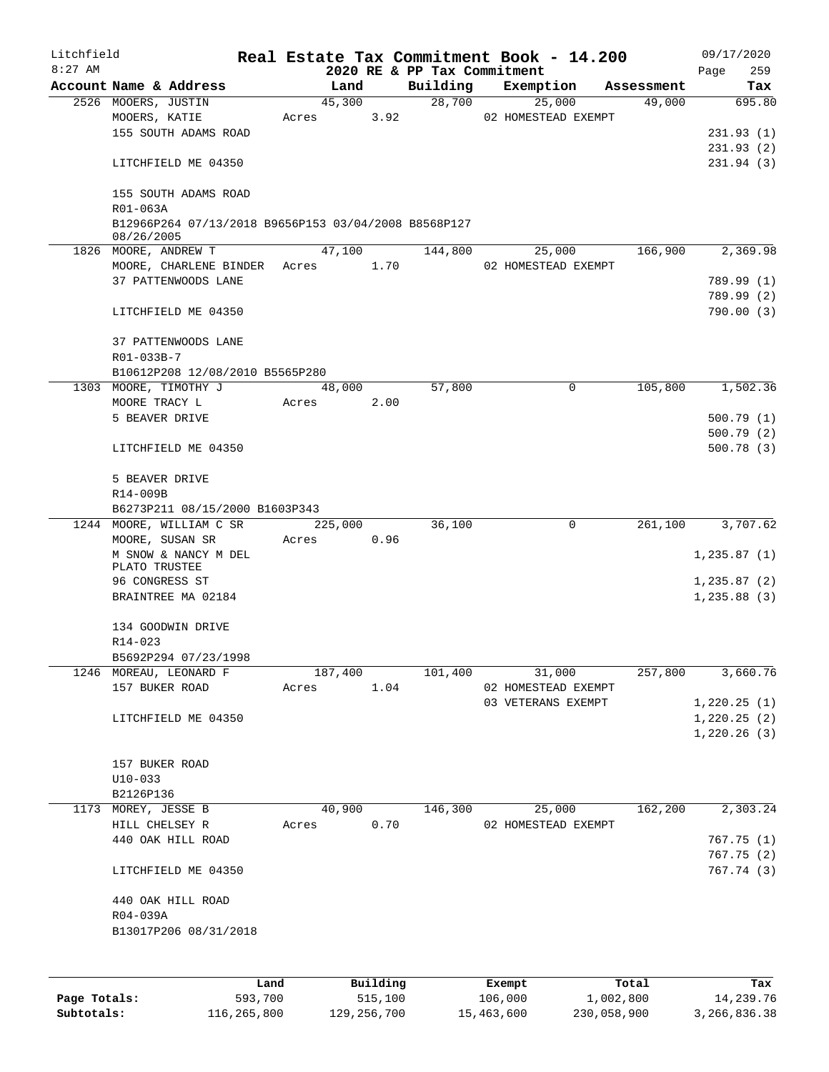| Litchfield |                                                                    |      |       |         |          | Real Estate Tax Commitment Book - 14.200 |                |                     |            | 09/17/2020               |
|------------|--------------------------------------------------------------------|------|-------|---------|----------|------------------------------------------|----------------|---------------------|------------|--------------------------|
| $8:27$ AM  |                                                                    |      |       |         |          | 2020 RE & PP Tax Commitment              |                |                     |            | 259<br>Page              |
|            | Account Name & Address                                             |      |       | Land    |          | Building                                 |                | Exemption           | Assessment | Tax                      |
|            | 2526 MOOERS, JUSTIN                                                |      |       | 45,300  |          | 28,700                                   |                | 25,000              | 49,000     | 695.80                   |
|            | MOOERS, KATIE                                                      |      | Acres |         | 3.92     |                                          |                | 02 HOMESTEAD EXEMPT |            |                          |
|            | 155 SOUTH ADAMS ROAD                                               |      |       |         |          |                                          |                |                     |            | 231.93(1)                |
|            |                                                                    |      |       |         |          |                                          |                |                     |            | 231.93(2)                |
|            | LITCHFIELD ME 04350                                                |      |       |         |          |                                          |                |                     |            | 231.94(3)                |
|            | 155 SOUTH ADAMS ROAD<br>R01-063A                                   |      |       |         |          |                                          |                |                     |            |                          |
|            | B12966P264 07/13/2018 B9656P153 03/04/2008 B8568P127<br>08/26/2005 |      |       |         |          |                                          |                |                     |            |                          |
|            | 1826 MOORE, ANDREW T                                               |      |       | 47,100  |          | 144,800                                  |                | 25,000              | 166,900    | 2,369.98                 |
|            | MOORE, CHARLENE BINDER                                             |      |       | Acres   | 1.70     |                                          |                | 02 HOMESTEAD EXEMPT |            |                          |
|            | 37 PATTENWOODS LANE                                                |      |       |         |          |                                          |                |                     |            | 789.99 (1)               |
|            |                                                                    |      |       |         |          |                                          |                |                     |            | 789.99 (2)               |
|            | LITCHFIELD ME 04350                                                |      |       |         |          |                                          |                |                     |            | 790.00 (3)               |
|            | 37 PATTENWOODS LANE                                                |      |       |         |          |                                          |                |                     |            |                          |
|            | R01-033B-7                                                         |      |       |         |          |                                          |                |                     |            |                          |
|            | B10612P208 12/08/2010 B5565P280                                    |      |       |         |          |                                          |                |                     |            |                          |
|            | 1303 MOORE, TIMOTHY J                                              |      |       | 48,000  |          | 57,800                                   |                | 0                   | 105,800    | 1,502.36                 |
|            | MOORE TRACY L                                                      |      | Acres |         | 2.00     |                                          |                |                     |            |                          |
|            | 5 BEAVER DRIVE                                                     |      |       |         |          |                                          |                |                     |            | 500.79(1)                |
|            |                                                                    |      |       |         |          |                                          |                |                     |            | 500.79(2)                |
|            | LITCHFIELD ME 04350                                                |      |       |         |          |                                          |                |                     |            | 500.78(3)                |
|            | 5 BEAVER DRIVE                                                     |      |       |         |          |                                          |                |                     |            |                          |
|            | R14-009B                                                           |      |       |         |          |                                          |                |                     |            |                          |
|            | B6273P211 08/15/2000 B1603P343                                     |      |       |         |          |                                          |                |                     |            |                          |
|            | 1244 MOORE, WILLIAM C SR                                           |      |       | 225,000 |          | 36,100                                   |                | 0                   | 261,100    | 3,707.62                 |
|            | MOORE, SUSAN SR                                                    |      | Acres |         | 0.96     |                                          |                |                     |            |                          |
|            | M SNOW & NANCY M DEL                                               |      |       |         |          |                                          |                |                     |            | 1,235.87(1)              |
|            | PLATO TRUSTEE                                                      |      |       |         |          |                                          |                |                     |            |                          |
|            | 96 CONGRESS ST                                                     |      |       |         |          |                                          |                |                     |            | 1,235.87(2)              |
|            | BRAINTREE MA 02184                                                 |      |       |         |          |                                          |                |                     |            | 1,235.88(3)              |
|            | 134 GOODWIN DRIVE                                                  |      |       |         |          |                                          |                |                     |            |                          |
|            | R14-023                                                            |      |       |         |          |                                          |                |                     |            |                          |
|            | B5692P294 07/23/1998                                               |      |       |         |          |                                          |                |                     |            |                          |
|            | 1246 MOREAU, LEONARD F                                             |      |       | 187,400 |          | 101,400                                  |                | 31,000              | 257,800    | 3,660.76                 |
|            | 157 BUKER ROAD                                                     |      | Acres |         | 1.04     |                                          |                | 02 HOMESTEAD EXEMPT |            |                          |
|            |                                                                    |      |       |         |          |                                          |                | 03 VETERANS EXEMPT  |            | 1,220.25(1)              |
|            | LITCHFIELD ME 04350                                                |      |       |         |          |                                          |                |                     |            | 1,220.25(2)              |
|            |                                                                    |      |       |         |          |                                          |                |                     |            | 1,220.26(3)              |
|            | 157 BUKER ROAD                                                     |      |       |         |          |                                          |                |                     |            |                          |
|            | $U10-033$                                                          |      |       |         |          |                                          |                |                     |            |                          |
|            | B2126P136                                                          |      |       |         |          |                                          |                |                     |            |                          |
|            | 1173 MOREY, JESSE B                                                |      |       | 40,900  |          |                                          | 146,300 25,000 |                     | 162,200    | 2,303.24                 |
|            |                                                                    |      |       |         |          |                                          |                | 02 HOMESTEAD EXEMPT |            |                          |
|            | HILL CHELSEY R                                                     |      |       | Acres   | 0.70     |                                          |                |                     |            |                          |
|            | 440 OAK HILL ROAD                                                  |      |       |         |          |                                          |                |                     |            | 767.75(1)                |
|            | LITCHFIELD ME 04350                                                |      |       |         |          |                                          |                |                     |            | 767.75 (2)<br>767.74 (3) |
|            |                                                                    |      |       |         |          |                                          |                |                     |            |                          |
|            | 440 OAK HILL ROAD                                                  |      |       |         |          |                                          |                |                     |            |                          |
|            | R04-039A<br>B13017P206 08/31/2018                                  |      |       |         |          |                                          |                |                     |            |                          |
|            |                                                                    |      |       |         |          |                                          |                |                     |            |                          |
|            |                                                                    |      |       |         |          |                                          |                |                     |            |                          |
|            |                                                                    | Land |       |         | Building |                                          | Exempt         |                     | Total      | Tax                      |

|              | udiku.      | <b>DUITOTII</b> d | LACINUL    | ⊥∪∟a⊥       | ias.         |
|--------------|-------------|-------------------|------------|-------------|--------------|
| Page Totals: | 593,700     | 515,100           | 106,000    | 1,002,800   | 14,239.76    |
| Subtotals:   | 116,265,800 | 129,256,700       | 15,463,600 | 230,058,900 | 3,266,836.38 |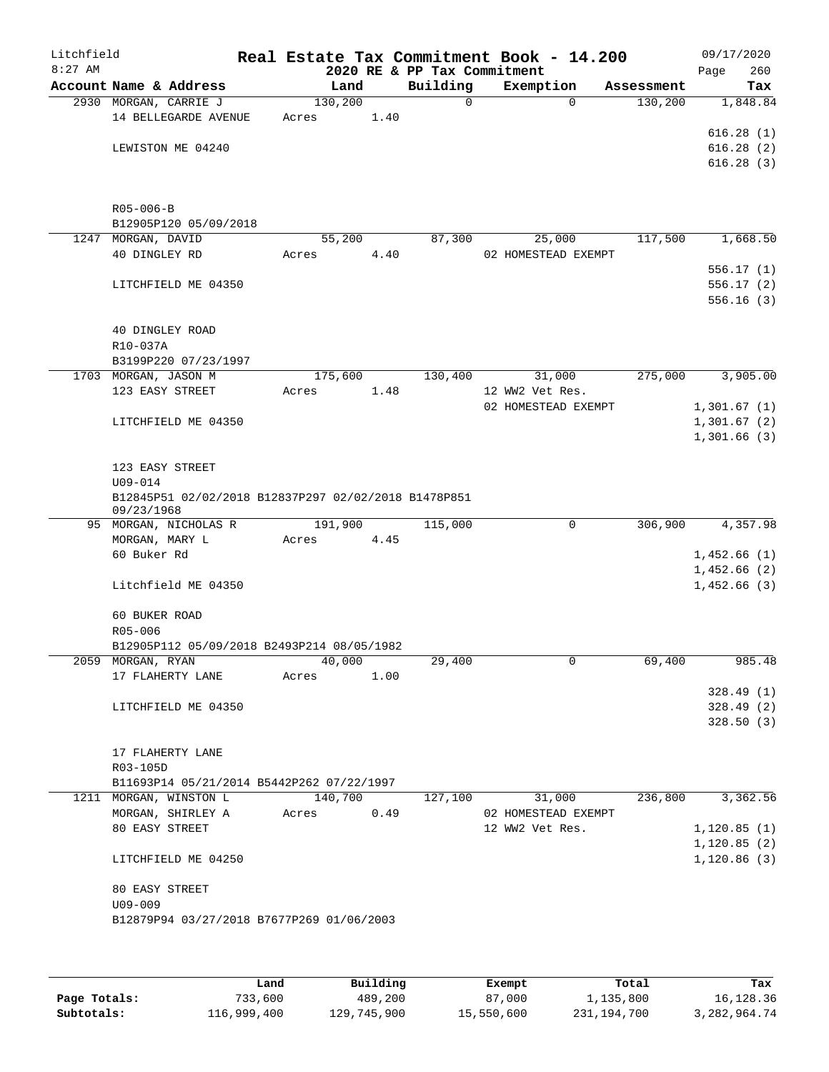| Litchfield |                                                                    | Real Estate Tax Commitment Book - 14.200 |      |                                         |                     |        |                       | 09/17/2020   |                        |
|------------|--------------------------------------------------------------------|------------------------------------------|------|-----------------------------------------|---------------------|--------|-----------------------|--------------|------------------------|
| $8:27$ AM  | Account Name & Address                                             | Land                                     |      | 2020 RE & PP Tax Commitment<br>Building |                     |        |                       | Page         | 260                    |
|            | 2930 MORGAN, CARRIE J                                              | 130,200                                  |      | 0                                       | Exemption           | 0      | Assessment<br>130,200 |              | Tax<br>1,848.84        |
|            | 14 BELLEGARDE AVENUE                                               | Acres                                    | 1.40 |                                         |                     |        |                       |              |                        |
|            |                                                                    |                                          |      |                                         |                     |        |                       |              | 616.28(1)              |
|            | LEWISTON ME 04240                                                  |                                          |      |                                         |                     |        |                       |              | 616.28(2)              |
|            |                                                                    |                                          |      |                                         |                     |        |                       |              | 616.28(3)              |
|            | $R05 - 006 - B$                                                    |                                          |      |                                         |                     |        |                       |              |                        |
|            | B12905P120 05/09/2018                                              |                                          |      |                                         |                     |        |                       |              |                        |
|            | 1247 MORGAN, DAVID                                                 | 55,200                                   |      | 87,300                                  |                     | 25,000 | 117,500               |              | 1,668.50               |
|            | 40 DINGLEY RD                                                      | Acres                                    | 4.40 |                                         | 02 HOMESTEAD EXEMPT |        |                       |              |                        |
|            |                                                                    |                                          |      |                                         |                     |        |                       |              | 556.17(1)              |
|            | LITCHFIELD ME 04350                                                |                                          |      |                                         |                     |        |                       |              | 556.17(2)              |
|            |                                                                    |                                          |      |                                         |                     |        |                       |              | 556.16(3)              |
|            | 40 DINGLEY ROAD                                                    |                                          |      |                                         |                     |        |                       |              |                        |
|            | R10-037A                                                           |                                          |      |                                         |                     |        |                       |              |                        |
|            | B3199P220 07/23/1997                                               |                                          |      |                                         |                     |        |                       |              |                        |
|            | 1703 MORGAN, JASON M                                               | 175,600                                  |      | 130,400                                 |                     | 31,000 | 275,000               |              | 3,905.00               |
|            | 123 EASY STREET                                                    | Acres                                    | 1.48 |                                         | 12 WW2 Vet Res.     |        |                       |              |                        |
|            |                                                                    |                                          |      |                                         | 02 HOMESTEAD EXEMPT |        |                       | 1,301.67(1)  |                        |
|            | LITCHFIELD ME 04350                                                |                                          |      |                                         |                     |        |                       | 1,301.67(2)  |                        |
|            |                                                                    |                                          |      |                                         |                     |        |                       | 1,301.66(3)  |                        |
|            | 123 EASY STREET                                                    |                                          |      |                                         |                     |        |                       |              |                        |
|            | $U09 - 014$                                                        |                                          |      |                                         |                     |        |                       |              |                        |
|            | B12845P51 02/02/2018 B12837P297 02/02/2018 B1478P851<br>09/23/1968 |                                          |      |                                         |                     |        |                       |              |                        |
|            | 95 MORGAN, NICHOLAS R                                              | 191,900                                  |      | 115,000                                 |                     | 0      | 306,900               |              | 4,357.98               |
|            | MORGAN, MARY L                                                     | Acres                                    | 4.45 |                                         |                     |        |                       |              |                        |
|            | 60 Buker Rd                                                        |                                          |      |                                         |                     |        |                       | 1,452.66(1)  |                        |
|            |                                                                    |                                          |      |                                         |                     |        |                       | 1,452.66(2)  |                        |
|            | Litchfield ME 04350                                                |                                          |      |                                         |                     |        |                       | 1,452.66(3)  |                        |
|            | 60 BUKER ROAD                                                      |                                          |      |                                         |                     |        |                       |              |                        |
|            | R05-006                                                            |                                          |      |                                         |                     |        |                       |              |                        |
|            | B12905P112 05/09/2018 B2493P214 08/05/1982                         |                                          |      |                                         |                     |        |                       |              |                        |
|            | 2059 MORGAN, RYAN                                                  | 40,000                                   |      | 29,400                                  |                     | 0      | 69,400                |              | 985.48                 |
|            | 17 FLAHERTY LANE                                                   | Acres                                    | 1.00 |                                         |                     |        |                       |              |                        |
|            | LITCHFIELD ME 04350                                                |                                          |      |                                         |                     |        |                       |              | 328.49(1)<br>328.49(2) |
|            |                                                                    |                                          |      |                                         |                     |        |                       |              | 328.50(3)              |
|            |                                                                    |                                          |      |                                         |                     |        |                       |              |                        |
|            | 17 FLAHERTY LANE                                                   |                                          |      |                                         |                     |        |                       |              |                        |
|            | R03-105D                                                           |                                          |      |                                         |                     |        |                       |              |                        |
|            | B11693P14 05/21/2014 B5442P262 07/22/1997                          |                                          |      |                                         |                     |        |                       |              |                        |
|            | 1211 MORGAN, WINSTON L                                             | 140,700                                  |      | 127,100                                 |                     | 31,000 | 236,800               |              | 3,362.56               |
|            | MORGAN, SHIRLEY A                                                  | Acres                                    | 0.49 |                                         | 02 HOMESTEAD EXEMPT |        |                       |              |                        |
|            | 80 EASY STREET                                                     |                                          |      |                                         | 12 WW2 Vet Res.     |        |                       | 1, 120.85(1) |                        |
|            |                                                                    |                                          |      |                                         |                     |        |                       | 1, 120.85(2) |                        |
|            | LITCHFIELD ME 04250                                                |                                          |      |                                         |                     |        |                       | 1,120.86(3)  |                        |
|            | 80 EASY STREET                                                     |                                          |      |                                         |                     |        |                       |              |                        |
|            | $U09 - 009$                                                        |                                          |      |                                         |                     |        |                       |              |                        |
|            | B12879P94 03/27/2018 B7677P269 01/06/2003                          |                                          |      |                                         |                     |        |                       |              |                        |
|            |                                                                    |                                          |      |                                         |                     |        |                       |              |                        |
|            |                                                                    |                                          |      |                                         |                     |        |                       |              |                        |

|              | Land        | Building    | Exempt     | Total         | Tax          |
|--------------|-------------|-------------|------------|---------------|--------------|
| Page Totals: | 733,600     | 489,200     | 87,000     | 1,135,800     | 16,128.36    |
| Subtotals:   | 116,999,400 | 129,745,900 | 15,550,600 | 231, 194, 700 | 3,282,964.74 |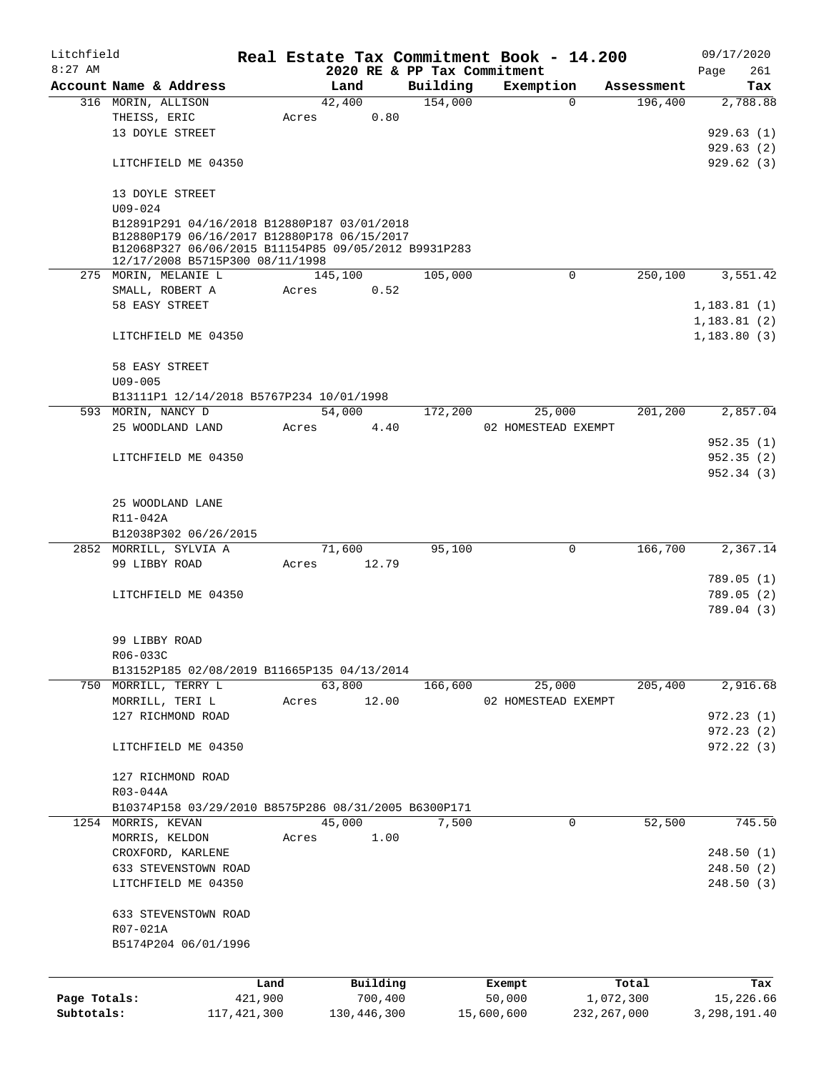| Litchfield   |                                                      |               |       |             |                             |            | Real Estate Tax Commitment Book - 14.200 |                       | 09/17/2020             |
|--------------|------------------------------------------------------|---------------|-------|-------------|-----------------------------|------------|------------------------------------------|-----------------------|------------------------|
| $8:27$ AM    | Account Name & Address                               |               |       | Land        | 2020 RE & PP Tax Commitment |            |                                          |                       | Page<br>261            |
|              | 316 MORIN, ALLISON                                   |               |       | 42,400      | Building<br>154,000         |            | Exemption<br>$\Omega$                    | Assessment<br>196,400 | Tax<br>2,788.88        |
|              | THEISS, ERIC                                         |               | Acres | 0.80        |                             |            |                                          |                       |                        |
|              | 13 DOYLE STREET                                      |               |       |             |                             |            |                                          |                       | 929.63(1)              |
|              |                                                      |               |       |             |                             |            |                                          |                       | 929.63(2)              |
|              | LITCHFIELD ME 04350                                  |               |       |             |                             |            |                                          |                       | 929.62(3)              |
|              |                                                      |               |       |             |                             |            |                                          |                       |                        |
|              | 13 DOYLE STREET                                      |               |       |             |                             |            |                                          |                       |                        |
|              | $U09 - 024$                                          |               |       |             |                             |            |                                          |                       |                        |
|              | B12891P291 04/16/2018 B12880P187 03/01/2018          |               |       |             |                             |            |                                          |                       |                        |
|              | B12880P179 06/16/2017 B12880P178 06/15/2017          |               |       |             |                             |            |                                          |                       |                        |
|              | B12068P327 06/06/2015 B11154P85 09/05/2012 B9931P283 |               |       |             |                             |            |                                          |                       |                        |
|              | 12/17/2008 B5715P300 08/11/1998                      |               |       |             |                             |            |                                          |                       |                        |
|              | 275 MORIN, MELANIE L                                 |               |       | 145,100     | 105,000                     |            | 0                                        | 250,100               | 3,551.42               |
|              | SMALL, ROBERT A                                      |               | Acres | 0.52        |                             |            |                                          |                       |                        |
|              | 58 EASY STREET                                       |               |       |             |                             |            |                                          |                       | 1,183.81(1)            |
|              |                                                      |               |       |             |                             |            |                                          |                       | 1,183.81(2)            |
|              | LITCHFIELD ME 04350                                  |               |       |             |                             |            |                                          |                       | 1,183.80(3)            |
|              |                                                      |               |       |             |                             |            |                                          |                       |                        |
|              | 58 EASY STREET                                       |               |       |             |                             |            |                                          |                       |                        |
|              | $U09 - 005$                                          |               |       |             |                             |            |                                          |                       |                        |
|              | B13111P1 12/14/2018 B5767P234 10/01/1998             |               |       |             |                             |            |                                          |                       | 2,857.04               |
|              | 593 MORIN, NANCY D                                   |               |       | 54,000      | 172,200                     |            | 25,000                                   | 201,200               |                        |
|              | 25 WOODLAND LAND                                     |               | Acres | 4.40        |                             |            | 02 HOMESTEAD EXEMPT                      |                       |                        |
|              |                                                      |               |       |             |                             |            |                                          |                       | 952.35(1)              |
|              | LITCHFIELD ME 04350                                  |               |       |             |                             |            |                                          |                       | 952.35(2)<br>952.34(3) |
|              |                                                      |               |       |             |                             |            |                                          |                       |                        |
|              | 25 WOODLAND LANE                                     |               |       |             |                             |            |                                          |                       |                        |
|              | R11-042A                                             |               |       |             |                             |            |                                          |                       |                        |
|              | B12038P302 06/26/2015                                |               |       |             |                             |            |                                          |                       |                        |
|              | 2852 MORRILL, SYLVIA A                               |               |       | 71,600      | 95,100                      |            | $\mathbf 0$                              | 166,700               | 2,367.14               |
|              | 99 LIBBY ROAD                                        |               | Acres | 12.79       |                             |            |                                          |                       |                        |
|              |                                                      |               |       |             |                             |            |                                          |                       | 789.05(1)              |
|              | LITCHFIELD ME 04350                                  |               |       |             |                             |            |                                          |                       | 789.05(2)              |
|              |                                                      |               |       |             |                             |            |                                          |                       | 789.04 (3)             |
|              |                                                      |               |       |             |                             |            |                                          |                       |                        |
|              | 99 LIBBY ROAD                                        |               |       |             |                             |            |                                          |                       |                        |
|              | R06-033C                                             |               |       |             |                             |            |                                          |                       |                        |
|              | B13152P185 02/08/2019 B11665P135 04/13/2014          |               |       |             |                             |            |                                          |                       |                        |
|              | 750 MORRILL, TERRY L                                 |               |       | 63,800      | 166,600                     |            | 25,000                                   | 205,400               | 2,916.68               |
|              | MORRILL, TERI L                                      |               | Acres | 12.00       |                             |            | 02 HOMESTEAD EXEMPT                      |                       |                        |
|              | 127 RICHMOND ROAD                                    |               |       |             |                             |            |                                          |                       | 972.23(1)              |
|              |                                                      |               |       |             |                             |            |                                          |                       | 972.23(2)              |
|              | LITCHFIELD ME 04350                                  |               |       |             |                             |            |                                          |                       | 972.22(3)              |
|              |                                                      |               |       |             |                             |            |                                          |                       |                        |
|              | 127 RICHMOND ROAD                                    |               |       |             |                             |            |                                          |                       |                        |
|              | R03-044A                                             |               |       |             |                             |            |                                          |                       |                        |
|              | B10374P158 03/29/2010 B8575P286 08/31/2005 B6300P171 |               |       |             |                             |            |                                          |                       |                        |
|              | 1254 MORRIS, KEVAN                                   |               |       | 45,000      | 7,500                       |            | 0                                        | 52,500                | 745.50                 |
|              | MORRIS, KELDON                                       |               | Acres | 1.00        |                             |            |                                          |                       |                        |
|              | CROXFORD, KARLENE                                    |               |       |             |                             |            |                                          |                       | 248.50(1)              |
|              | 633 STEVENSTOWN ROAD                                 |               |       |             |                             |            |                                          |                       | 248.50(2)              |
|              | LITCHFIELD ME 04350                                  |               |       |             |                             |            |                                          |                       | 248.50(3)              |
|              |                                                      |               |       |             |                             |            |                                          |                       |                        |
|              | 633 STEVENSTOWN ROAD                                 |               |       |             |                             |            |                                          |                       |                        |
|              | R07-021A                                             |               |       |             |                             |            |                                          |                       |                        |
|              | B5174P204 06/01/1996                                 |               |       |             |                             |            |                                          |                       |                        |
|              |                                                      |               |       |             |                             |            |                                          |                       |                        |
|              |                                                      | Land          |       | Building    |                             |            | Exempt                                   | Total                 | Tax                    |
| Page Totals: |                                                      | 421,900       |       | 700,400     |                             |            | 50,000                                   | 1,072,300             | 15,226.66              |
| Subtotals:   |                                                      | 117, 421, 300 |       | 130,446,300 |                             | 15,600,600 |                                          | 232, 267, 000         | 3,298,191.40           |
|              |                                                      |               |       |             |                             |            |                                          |                       |                        |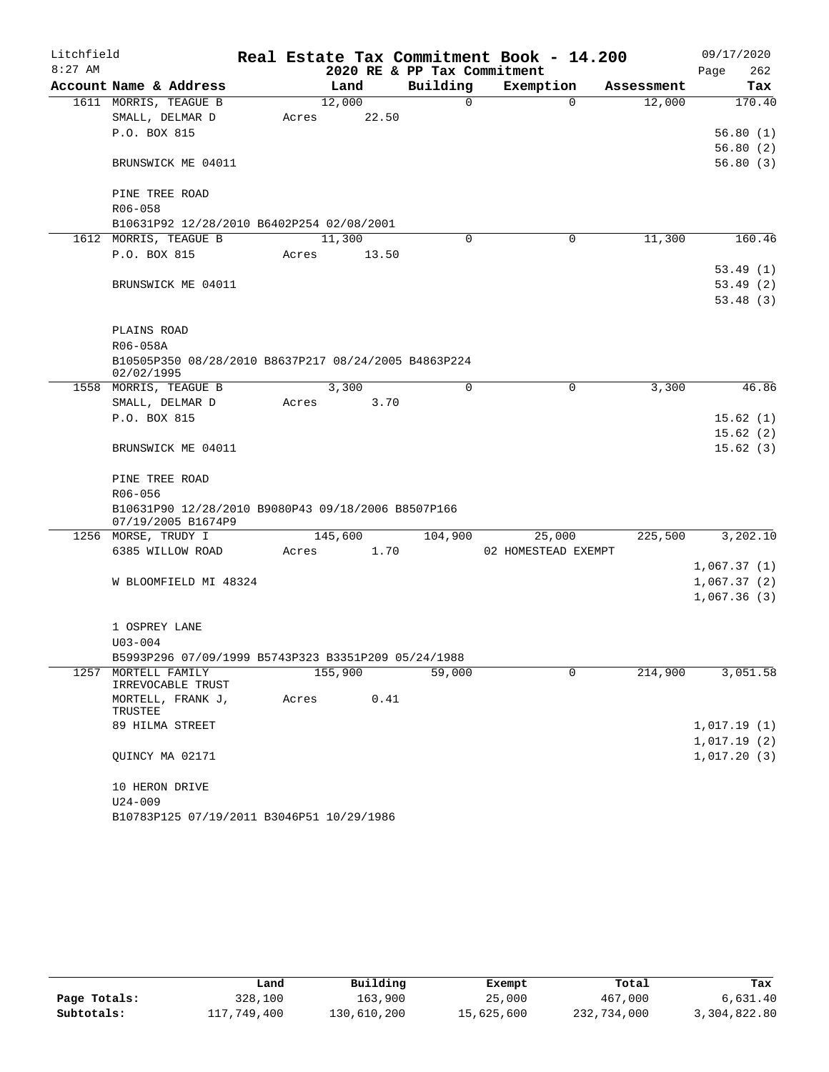| Litchfield |                                                      |       |         |                             | Real Estate Tax Commitment Book - 14.200 |            | 09/17/2020                 |
|------------|------------------------------------------------------|-------|---------|-----------------------------|------------------------------------------|------------|----------------------------|
| $8:27$ AM  |                                                      |       |         | 2020 RE & PP Tax Commitment |                                          |            | 262<br>Page                |
|            | Account Name & Address                               |       | Land    | Building                    | Exemption                                | Assessment | Tax                        |
|            | 1611 MORRIS, TEAGUE B                                |       | 12,000  | $\Omega$                    | $\Omega$                                 | 12,000     | 170.40                     |
|            | SMALL, DELMAR D                                      | Acres | 22.50   |                             |                                          |            |                            |
|            | P.O. BOX 815                                         |       |         |                             |                                          |            | 56.80(1)                   |
|            |                                                      |       |         |                             |                                          |            | 56.80(2)                   |
|            | BRUNSWICK ME 04011                                   |       |         |                             |                                          |            | 56.80(3)                   |
|            | PINE TREE ROAD                                       |       |         |                             |                                          |            |                            |
|            | $R06 - 058$                                          |       |         |                             |                                          |            |                            |
|            | B10631P92 12/28/2010 B6402P254 02/08/2001            |       |         |                             |                                          |            |                            |
|            | 1612 MORRIS, TEAGUE B                                |       | 11,300  | 0                           | 0                                        | 11,300     | 160.46                     |
|            | P.O. BOX 815                                         | Acres | 13.50   |                             |                                          |            |                            |
|            |                                                      |       |         |                             |                                          |            | 53.49(1)                   |
|            | BRUNSWICK ME 04011                                   |       |         |                             |                                          |            | 53.49(2)                   |
|            |                                                      |       |         |                             |                                          |            | 53.48(3)                   |
|            | PLAINS ROAD                                          |       |         |                             |                                          |            |                            |
|            | R06-058A                                             |       |         |                             |                                          |            |                            |
|            | B10505P350 08/28/2010 B8637P217 08/24/2005 B4863P224 |       |         |                             |                                          |            |                            |
|            | 02/02/1995                                           |       |         |                             |                                          |            |                            |
|            | 1558 MORRIS, TEAGUE B                                |       | 3,300   | $\Omega$                    | 0                                        | 3,300      | 46.86                      |
|            | SMALL, DELMAR D                                      | Acres | 3.70    |                             |                                          |            |                            |
|            | P.O. BOX 815                                         |       |         |                             |                                          |            | 15.62(1)                   |
|            |                                                      |       |         |                             |                                          |            | 15.62(2)                   |
|            | BRUNSWICK ME 04011                                   |       |         |                             |                                          |            | 15.62(3)                   |
|            | PINE TREE ROAD                                       |       |         |                             |                                          |            |                            |
|            | R06-056                                              |       |         |                             |                                          |            |                            |
|            | B10631P90 12/28/2010 B9080P43 09/18/2006 B8507P166   |       |         |                             |                                          |            |                            |
|            | 07/19/2005 B1674P9                                   |       |         |                             |                                          |            |                            |
|            | 1256 MORSE, TRUDY I                                  |       | 145,600 | 104,900                     | 25,000                                   | 225,500    | 3,202.10                   |
|            | 6385 WILLOW ROAD                                     | Acres | 1.70    |                             | 02 HOMESTEAD EXEMPT                      |            |                            |
|            |                                                      |       |         |                             |                                          |            | 1,067.37(1)                |
|            | W BLOOMFIELD MI 48324                                |       |         |                             |                                          |            | 1,067.37(2)<br>1,067.36(3) |
|            |                                                      |       |         |                             |                                          |            |                            |
|            | 1 OSPREY LANE                                        |       |         |                             |                                          |            |                            |
|            | $U03 - 004$                                          |       |         |                             |                                          |            |                            |
|            | B5993P296 07/09/1999 B5743P323 B3351P209 05/24/1988  |       |         |                             |                                          |            |                            |
|            | 1257 MORTELL FAMILY                                  |       | 155,900 | 59,000                      | 0                                        | 214,900    | 3,051.58                   |
|            | IRREVOCABLE TRUST                                    |       |         |                             |                                          |            |                            |
|            | MORTELL, FRANK J,<br>TRUSTEE                         | Acres | 0.41    |                             |                                          |            |                            |
|            | 89 HILMA STREET                                      |       |         |                             |                                          |            | 1,017.19(1)                |
|            |                                                      |       |         |                             |                                          |            | 1,017.19(2)                |
|            | QUINCY MA 02171                                      |       |         |                             |                                          |            | 1,017.20(3)                |
|            |                                                      |       |         |                             |                                          |            |                            |
|            | 10 HERON DRIVE<br>$U24 - 009$                        |       |         |                             |                                          |            |                            |
|            | B10783P125 07/19/2011 B3046P51 10/29/1986            |       |         |                             |                                          |            |                            |
|            |                                                      |       |         |                             |                                          |            |                            |

|              | Land        | Building    | Exempt     | Total       | Tax          |
|--------------|-------------|-------------|------------|-------------|--------------|
| Page Totals: | 328,100     | 163,900     | 25,000     | 467,000     | 6,631.40     |
| Subtotals:   | 117,749,400 | 130,610,200 | 15,625,600 | 232,734,000 | 3,304,822.80 |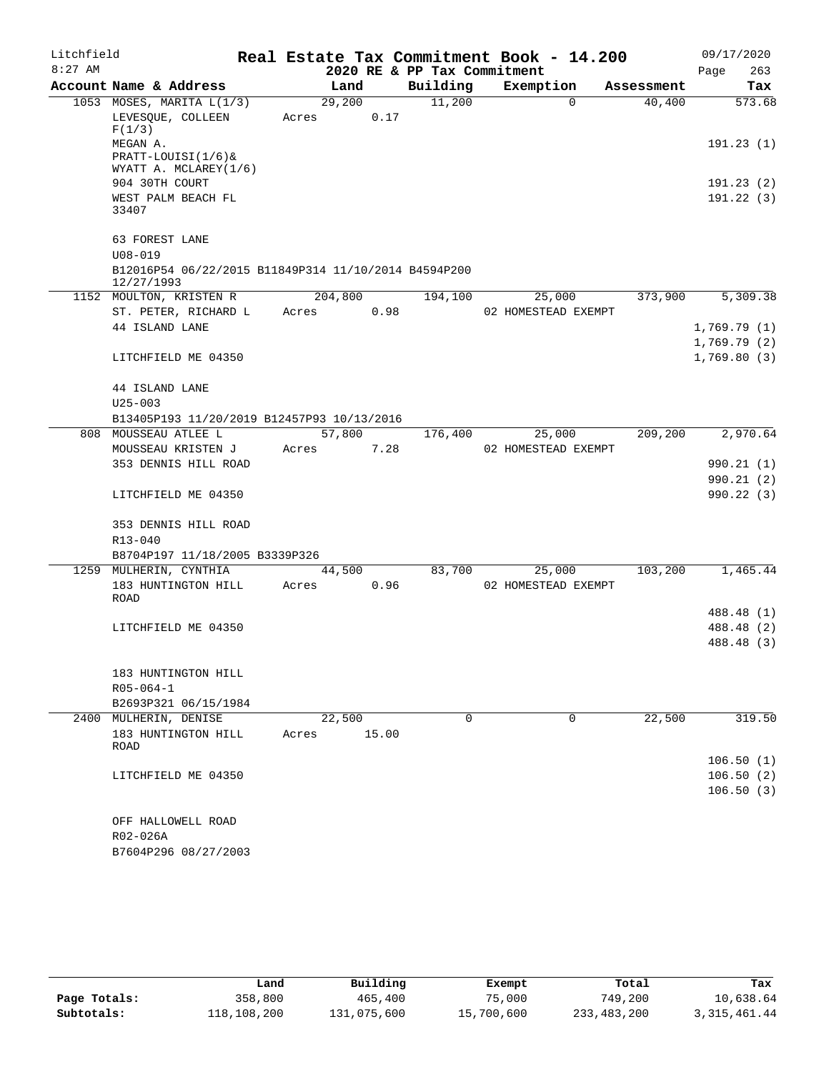| $8:27$ AM<br>2020 RE & PP Tax Commitment<br>263<br>Page<br>Account Name & Address<br>Building<br>Exemption<br>Land<br>Tax<br>Assessment<br>11,200<br>1053 MOSES, MARITA L(1/3)<br>29,200<br>40,400<br>573.68<br>$\Omega$<br>LEVESQUE, COLLEEN<br>0.17<br>Acres<br>F(1/3)<br>MEGAN A.<br>191.23(1)<br>$PRACTT-LOUISI(1/6)$<br>WYATT A. MCLAREY(1/6)<br>904 30TH COURT<br>WEST PALM BEACH FL<br>33407<br>63 FOREST LANE<br>$U08 - 019$<br>B12016P54 06/22/2015 B11849P314 11/10/2014 B4594P200<br>12/27/1993<br>204,800<br>373,900<br>1152 MOULTON, KRISTEN R<br>194,100<br>25,000<br>0.98<br>ST. PETER, RICHARD L<br>Acres<br>02 HOMESTEAD EXEMPT<br>44 ISLAND LANE<br>LITCHFIELD ME 04350<br>44 ISLAND LANE<br>$U25 - 003$<br>B13405P193 11/20/2019 B12457P93 10/13/2016<br>57,800<br>209,200<br>808 MOUSSEAU ATLEE L<br>176,400<br>25,000<br>MOUSSEAU KRISTEN J<br>7.28<br>02 HOMESTEAD EXEMPT<br>Acres<br>353 DENNIS HILL ROAD<br>LITCHFIELD ME 04350<br>353 DENNIS HILL ROAD<br>R13-040<br>B8704P197 11/18/2005 B3339P326<br>1259 MULHERIN, CYNTHIA<br>44,500<br>83,700<br>103,200<br>25,000<br>0.96<br>183 HUNTINGTON HILL<br>Acres<br>02 HOMESTEAD EXEMPT<br>ROAD<br>LITCHFIELD ME 04350<br>183 HUNTINGTON HILL<br>$R05 - 064 - 1$<br>B2693P321 06/15/1984<br>22,500<br>$\Omega$<br>22,500<br>2400 MULHERIN, DENISE<br>0<br>183 HUNTINGTON HILL<br>15.00<br>Acres<br>ROAD<br>LITCHFIELD ME 04350<br>OFF HALLOWELL ROAD<br>R02-026A<br>B7604P296 08/27/2003 | Litchfield |  |  | Real Estate Tax Commitment Book - 14.200 | 09/17/2020 |
|-----------------------------------------------------------------------------------------------------------------------------------------------------------------------------------------------------------------------------------------------------------------------------------------------------------------------------------------------------------------------------------------------------------------------------------------------------------------------------------------------------------------------------------------------------------------------------------------------------------------------------------------------------------------------------------------------------------------------------------------------------------------------------------------------------------------------------------------------------------------------------------------------------------------------------------------------------------------------------------------------------------------------------------------------------------------------------------------------------------------------------------------------------------------------------------------------------------------------------------------------------------------------------------------------------------------------------------------------------------------------------------------------------------------------------------------------------------------|------------|--|--|------------------------------------------|------------|
|                                                                                                                                                                                                                                                                                                                                                                                                                                                                                                                                                                                                                                                                                                                                                                                                                                                                                                                                                                                                                                                                                                                                                                                                                                                                                                                                                                                                                                                                 |            |  |  |                                          |            |
|                                                                                                                                                                                                                                                                                                                                                                                                                                                                                                                                                                                                                                                                                                                                                                                                                                                                                                                                                                                                                                                                                                                                                                                                                                                                                                                                                                                                                                                                 |            |  |  |                                          |            |
|                                                                                                                                                                                                                                                                                                                                                                                                                                                                                                                                                                                                                                                                                                                                                                                                                                                                                                                                                                                                                                                                                                                                                                                                                                                                                                                                                                                                                                                                 |            |  |  |                                          |            |
|                                                                                                                                                                                                                                                                                                                                                                                                                                                                                                                                                                                                                                                                                                                                                                                                                                                                                                                                                                                                                                                                                                                                                                                                                                                                                                                                                                                                                                                                 |            |  |  |                                          |            |
|                                                                                                                                                                                                                                                                                                                                                                                                                                                                                                                                                                                                                                                                                                                                                                                                                                                                                                                                                                                                                                                                                                                                                                                                                                                                                                                                                                                                                                                                 |            |  |  |                                          |            |
| 191.23 (2)<br>191.22(3)<br>5,309.38<br>1,769.79(1)<br>1,769.79(2)<br>1,769.80(3)<br>2,970.64<br>990.21 (1)<br>990.21(2)<br>990.22(3)<br>1,465.44<br>488.48 (1)<br>488.48 (2)<br>488.48 (3)                                                                                                                                                                                                                                                                                                                                                                                                                                                                                                                                                                                                                                                                                                                                                                                                                                                                                                                                                                                                                                                                                                                                                                                                                                                                      |            |  |  |                                          |            |
|                                                                                                                                                                                                                                                                                                                                                                                                                                                                                                                                                                                                                                                                                                                                                                                                                                                                                                                                                                                                                                                                                                                                                                                                                                                                                                                                                                                                                                                                 |            |  |  |                                          |            |
|                                                                                                                                                                                                                                                                                                                                                                                                                                                                                                                                                                                                                                                                                                                                                                                                                                                                                                                                                                                                                                                                                                                                                                                                                                                                                                                                                                                                                                                                 |            |  |  |                                          |            |
|                                                                                                                                                                                                                                                                                                                                                                                                                                                                                                                                                                                                                                                                                                                                                                                                                                                                                                                                                                                                                                                                                                                                                                                                                                                                                                                                                                                                                                                                 |            |  |  |                                          |            |
|                                                                                                                                                                                                                                                                                                                                                                                                                                                                                                                                                                                                                                                                                                                                                                                                                                                                                                                                                                                                                                                                                                                                                                                                                                                                                                                                                                                                                                                                 |            |  |  |                                          |            |
|                                                                                                                                                                                                                                                                                                                                                                                                                                                                                                                                                                                                                                                                                                                                                                                                                                                                                                                                                                                                                                                                                                                                                                                                                                                                                                                                                                                                                                                                 |            |  |  |                                          |            |
|                                                                                                                                                                                                                                                                                                                                                                                                                                                                                                                                                                                                                                                                                                                                                                                                                                                                                                                                                                                                                                                                                                                                                                                                                                                                                                                                                                                                                                                                 |            |  |  |                                          |            |
|                                                                                                                                                                                                                                                                                                                                                                                                                                                                                                                                                                                                                                                                                                                                                                                                                                                                                                                                                                                                                                                                                                                                                                                                                                                                                                                                                                                                                                                                 |            |  |  |                                          |            |
|                                                                                                                                                                                                                                                                                                                                                                                                                                                                                                                                                                                                                                                                                                                                                                                                                                                                                                                                                                                                                                                                                                                                                                                                                                                                                                                                                                                                                                                                 |            |  |  |                                          |            |
|                                                                                                                                                                                                                                                                                                                                                                                                                                                                                                                                                                                                                                                                                                                                                                                                                                                                                                                                                                                                                                                                                                                                                                                                                                                                                                                                                                                                                                                                 |            |  |  |                                          |            |
|                                                                                                                                                                                                                                                                                                                                                                                                                                                                                                                                                                                                                                                                                                                                                                                                                                                                                                                                                                                                                                                                                                                                                                                                                                                                                                                                                                                                                                                                 |            |  |  |                                          |            |
|                                                                                                                                                                                                                                                                                                                                                                                                                                                                                                                                                                                                                                                                                                                                                                                                                                                                                                                                                                                                                                                                                                                                                                                                                                                                                                                                                                                                                                                                 |            |  |  |                                          |            |
|                                                                                                                                                                                                                                                                                                                                                                                                                                                                                                                                                                                                                                                                                                                                                                                                                                                                                                                                                                                                                                                                                                                                                                                                                                                                                                                                                                                                                                                                 |            |  |  |                                          |            |
|                                                                                                                                                                                                                                                                                                                                                                                                                                                                                                                                                                                                                                                                                                                                                                                                                                                                                                                                                                                                                                                                                                                                                                                                                                                                                                                                                                                                                                                                 |            |  |  |                                          |            |
|                                                                                                                                                                                                                                                                                                                                                                                                                                                                                                                                                                                                                                                                                                                                                                                                                                                                                                                                                                                                                                                                                                                                                                                                                                                                                                                                                                                                                                                                 |            |  |  |                                          |            |
|                                                                                                                                                                                                                                                                                                                                                                                                                                                                                                                                                                                                                                                                                                                                                                                                                                                                                                                                                                                                                                                                                                                                                                                                                                                                                                                                                                                                                                                                 |            |  |  |                                          |            |
|                                                                                                                                                                                                                                                                                                                                                                                                                                                                                                                                                                                                                                                                                                                                                                                                                                                                                                                                                                                                                                                                                                                                                                                                                                                                                                                                                                                                                                                                 |            |  |  |                                          |            |
|                                                                                                                                                                                                                                                                                                                                                                                                                                                                                                                                                                                                                                                                                                                                                                                                                                                                                                                                                                                                                                                                                                                                                                                                                                                                                                                                                                                                                                                                 |            |  |  |                                          |            |
|                                                                                                                                                                                                                                                                                                                                                                                                                                                                                                                                                                                                                                                                                                                                                                                                                                                                                                                                                                                                                                                                                                                                                                                                                                                                                                                                                                                                                                                                 |            |  |  |                                          |            |
|                                                                                                                                                                                                                                                                                                                                                                                                                                                                                                                                                                                                                                                                                                                                                                                                                                                                                                                                                                                                                                                                                                                                                                                                                                                                                                                                                                                                                                                                 |            |  |  |                                          |            |
|                                                                                                                                                                                                                                                                                                                                                                                                                                                                                                                                                                                                                                                                                                                                                                                                                                                                                                                                                                                                                                                                                                                                                                                                                                                                                                                                                                                                                                                                 |            |  |  |                                          |            |
|                                                                                                                                                                                                                                                                                                                                                                                                                                                                                                                                                                                                                                                                                                                                                                                                                                                                                                                                                                                                                                                                                                                                                                                                                                                                                                                                                                                                                                                                 |            |  |  |                                          |            |
|                                                                                                                                                                                                                                                                                                                                                                                                                                                                                                                                                                                                                                                                                                                                                                                                                                                                                                                                                                                                                                                                                                                                                                                                                                                                                                                                                                                                                                                                 |            |  |  |                                          |            |
|                                                                                                                                                                                                                                                                                                                                                                                                                                                                                                                                                                                                                                                                                                                                                                                                                                                                                                                                                                                                                                                                                                                                                                                                                                                                                                                                                                                                                                                                 |            |  |  |                                          |            |
|                                                                                                                                                                                                                                                                                                                                                                                                                                                                                                                                                                                                                                                                                                                                                                                                                                                                                                                                                                                                                                                                                                                                                                                                                                                                                                                                                                                                                                                                 |            |  |  |                                          |            |
|                                                                                                                                                                                                                                                                                                                                                                                                                                                                                                                                                                                                                                                                                                                                                                                                                                                                                                                                                                                                                                                                                                                                                                                                                                                                                                                                                                                                                                                                 |            |  |  |                                          |            |
|                                                                                                                                                                                                                                                                                                                                                                                                                                                                                                                                                                                                                                                                                                                                                                                                                                                                                                                                                                                                                                                                                                                                                                                                                                                                                                                                                                                                                                                                 |            |  |  |                                          |            |
|                                                                                                                                                                                                                                                                                                                                                                                                                                                                                                                                                                                                                                                                                                                                                                                                                                                                                                                                                                                                                                                                                                                                                                                                                                                                                                                                                                                                                                                                 |            |  |  |                                          |            |
| 319.50<br>106.50(1)<br>106.50(2)<br>106.50(3)                                                                                                                                                                                                                                                                                                                                                                                                                                                                                                                                                                                                                                                                                                                                                                                                                                                                                                                                                                                                                                                                                                                                                                                                                                                                                                                                                                                                                   |            |  |  |                                          |            |
|                                                                                                                                                                                                                                                                                                                                                                                                                                                                                                                                                                                                                                                                                                                                                                                                                                                                                                                                                                                                                                                                                                                                                                                                                                                                                                                                                                                                                                                                 |            |  |  |                                          |            |
|                                                                                                                                                                                                                                                                                                                                                                                                                                                                                                                                                                                                                                                                                                                                                                                                                                                                                                                                                                                                                                                                                                                                                                                                                                                                                                                                                                                                                                                                 |            |  |  |                                          |            |
|                                                                                                                                                                                                                                                                                                                                                                                                                                                                                                                                                                                                                                                                                                                                                                                                                                                                                                                                                                                                                                                                                                                                                                                                                                                                                                                                                                                                                                                                 |            |  |  |                                          |            |
|                                                                                                                                                                                                                                                                                                                                                                                                                                                                                                                                                                                                                                                                                                                                                                                                                                                                                                                                                                                                                                                                                                                                                                                                                                                                                                                                                                                                                                                                 |            |  |  |                                          |            |
|                                                                                                                                                                                                                                                                                                                                                                                                                                                                                                                                                                                                                                                                                                                                                                                                                                                                                                                                                                                                                                                                                                                                                                                                                                                                                                                                                                                                                                                                 |            |  |  |                                          |            |
|                                                                                                                                                                                                                                                                                                                                                                                                                                                                                                                                                                                                                                                                                                                                                                                                                                                                                                                                                                                                                                                                                                                                                                                                                                                                                                                                                                                                                                                                 |            |  |  |                                          |            |
|                                                                                                                                                                                                                                                                                                                                                                                                                                                                                                                                                                                                                                                                                                                                                                                                                                                                                                                                                                                                                                                                                                                                                                                                                                                                                                                                                                                                                                                                 |            |  |  |                                          |            |
|                                                                                                                                                                                                                                                                                                                                                                                                                                                                                                                                                                                                                                                                                                                                                                                                                                                                                                                                                                                                                                                                                                                                                                                                                                                                                                                                                                                                                                                                 |            |  |  |                                          |            |

|              | Land        | Building    | Exempt     | Total       | Tax            |
|--------------|-------------|-------------|------------|-------------|----------------|
| Page Totals: | 358,800     | 465,400     | 75,000     | 749,200     | 10,638.64      |
| Subtotals:   | 118,108,200 | 131,075,600 | 15,700,600 | 233,483,200 | 3, 315, 461.44 |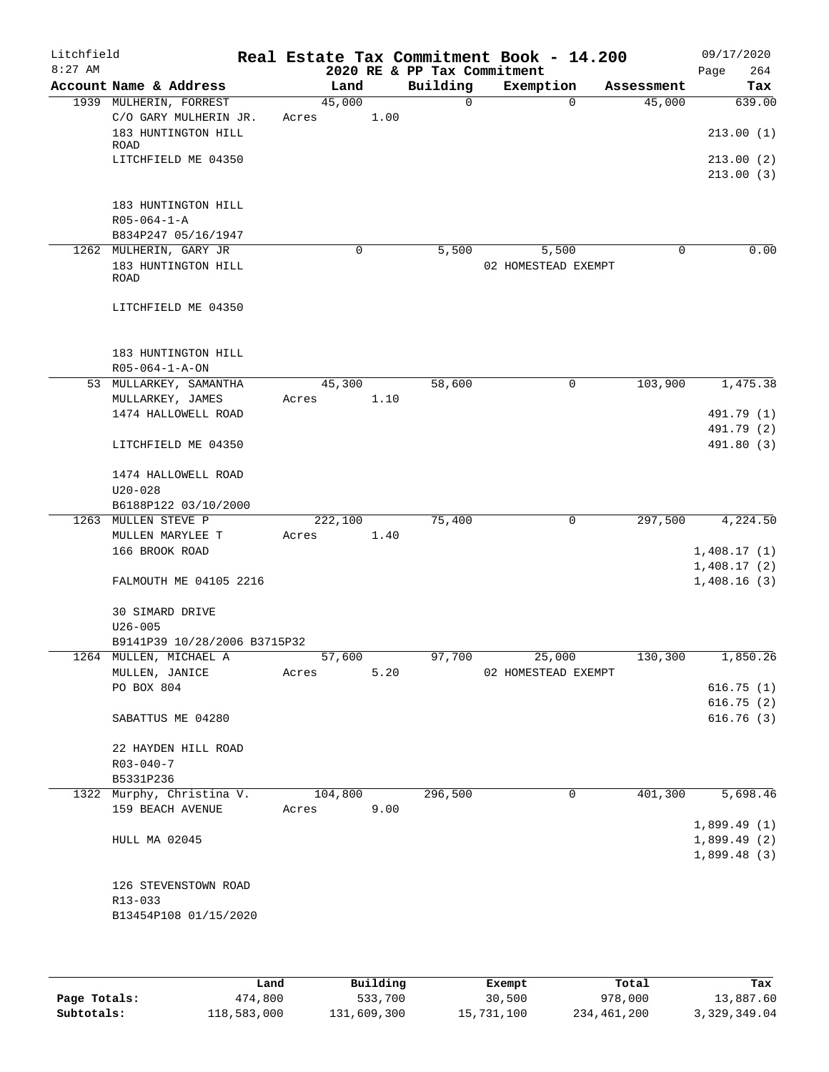| Litchfield<br>$8:27$ AM |                                             |        |          |      | 2020 RE & PP Tax Commitment | Real Estate Tax Commitment Book - 14.200 |             |            | 09/17/2020<br>264<br>Page |
|-------------------------|---------------------------------------------|--------|----------|------|-----------------------------|------------------------------------------|-------------|------------|---------------------------|
|                         | Account Name & Address                      |        | Land     |      | Building                    | Exemption                                |             | Assessment | Tax                       |
|                         | 1939 MULHERIN, FORREST                      |        | 45,000   |      | $\mathbf 0$                 |                                          | $\Omega$    | 45,000     | 639.00                    |
|                         | C/O GARY MULHERIN JR.                       | Acres  |          | 1.00 |                             |                                          |             |            |                           |
|                         | 183 HUNTINGTON HILL                         |        |          |      |                             |                                          |             |            | 213.00(1)                 |
|                         | ROAD                                        |        |          |      |                             |                                          |             |            |                           |
|                         | LITCHFIELD ME 04350                         |        |          |      |                             |                                          |             |            | 213.00(2)                 |
|                         |                                             |        |          |      |                             |                                          |             |            | 213.00(3)                 |
|                         |                                             |        |          |      |                             |                                          |             |            |                           |
|                         | 183 HUNTINGTON HILL                         |        |          |      |                             |                                          |             |            |                           |
|                         | $R05 - 064 - 1 - A$                         |        |          |      |                             |                                          |             |            |                           |
|                         | B834P247 05/16/1947                         |        |          |      |                             |                                          |             |            |                           |
|                         | 1262 MULHERIN, GARY JR                      |        | $\Omega$ |      | 5,500                       | 5,500                                    |             | $\Omega$   | 0.00                      |
|                         | 183 HUNTINGTON HILL                         |        |          |      |                             | 02 HOMESTEAD EXEMPT                      |             |            |                           |
|                         | ROAD                                        |        |          |      |                             |                                          |             |            |                           |
|                         |                                             |        |          |      |                             |                                          |             |            |                           |
|                         | LITCHFIELD ME 04350                         |        |          |      |                             |                                          |             |            |                           |
|                         |                                             |        |          |      |                             |                                          |             |            |                           |
|                         |                                             |        |          |      |                             |                                          |             |            |                           |
|                         | 183 HUNTINGTON HILL                         |        |          |      |                             |                                          |             |            |                           |
|                         | $R05 - 064 - 1 - A - ON$                    |        |          |      |                             |                                          |             |            |                           |
|                         | 53 MULLARKEY, SAMANTHA                      |        | 45,300   |      | 58,600                      |                                          | 0           | 103,900    | 1,475.38                  |
|                         | MULLARKEY, JAMES                            | Acres  |          | 1.10 |                             |                                          |             |            |                           |
|                         | 1474 HALLOWELL ROAD                         |        |          |      |                             |                                          |             |            | 491.79 (1)                |
|                         |                                             |        |          |      |                             |                                          |             |            | 491.79 (2)                |
|                         | LITCHFIELD ME 04350                         |        |          |      |                             |                                          |             |            | 491.80 (3)                |
|                         |                                             |        |          |      |                             |                                          |             |            |                           |
|                         | 1474 HALLOWELL ROAD                         |        |          |      |                             |                                          |             |            |                           |
|                         | $U20 - 028$                                 |        |          |      |                             |                                          |             |            |                           |
|                         | B6188P122 03/10/2000<br>1263 MULLEN STEVE P |        | 222,100  |      | 75,400                      |                                          | $\mathbf 0$ | 297,500    | 4,224.50                  |
|                         | MULLEN MARYLEE T                            | Acres  |          | 1.40 |                             |                                          |             |            |                           |
|                         | 166 BROOK ROAD                              |        |          |      |                             |                                          |             |            | 1,408.17(1)               |
|                         |                                             |        |          |      |                             |                                          |             |            | 1,408.17(2)               |
|                         | FALMOUTH ME 04105 2216                      |        |          |      |                             |                                          |             |            | 1,408.16(3)               |
|                         |                                             |        |          |      |                             |                                          |             |            |                           |
|                         | 30 SIMARD DRIVE                             |        |          |      |                             |                                          |             |            |                           |
|                         | $U26 - 005$                                 |        |          |      |                             |                                          |             |            |                           |
|                         | B9141P39 10/28/2006 B3715P32                |        |          |      |                             |                                          |             |            |                           |
|                         | 1264 MULLEN, MICHAEL A                      | 57,600 |          |      |                             | 97,700 25,000                            |             | 130,300    | 1,850.26                  |
|                         | MULLEN, JANICE                              | Acres  |          | 5.20 |                             | 02 HOMESTEAD EXEMPT                      |             |            |                           |
|                         | PO BOX 804                                  |        |          |      |                             |                                          |             |            | 616.75(1)                 |
|                         |                                             |        |          |      |                             |                                          |             |            | 616.75(2)                 |
|                         | SABATTUS ME 04280                           |        |          |      |                             |                                          |             |            | 616.76(3)                 |
|                         |                                             |        |          |      |                             |                                          |             |            |                           |
|                         | 22 HAYDEN HILL ROAD                         |        |          |      |                             |                                          |             |            |                           |
|                         | $R03 - 040 - 7$                             |        |          |      |                             |                                          |             |            |                           |
|                         | B5331P236                                   |        |          |      |                             |                                          |             |            |                           |
|                         | 1322 Murphy, Christina V.                   |        | 104,800  |      | 296,500                     |                                          | $\mathbf 0$ | 401,300    | 5,698.46                  |
|                         | 159 BEACH AVENUE                            | Acres  |          | 9.00 |                             |                                          |             |            |                           |
|                         |                                             |        |          |      |                             |                                          |             |            | 1,899.49(1)               |
|                         | HULL MA 02045                               |        |          |      |                             |                                          |             |            | 1,899.49(2)               |
|                         |                                             |        |          |      |                             |                                          |             |            | 1,899.48(3)               |
|                         |                                             |        |          |      |                             |                                          |             |            |                           |
|                         | 126 STEVENSTOWN ROAD                        |        |          |      |                             |                                          |             |            |                           |
|                         | R13-033                                     |        |          |      |                             |                                          |             |            |                           |
|                         | B13454P108 01/15/2020                       |        |          |      |                             |                                          |             |            |                           |
|                         |                                             |        |          |      |                             |                                          |             |            |                           |
|                         |                                             |        |          |      |                             |                                          |             |            |                           |

|              | Land        | Building    | Exempt     | Total       | Tax          |
|--------------|-------------|-------------|------------|-------------|--------------|
| Page Totals: | 474,800     | 533,700     | 30,500     | 978,000     | 13,887.60    |
| Subtotals:   | 118,583,000 | 131,609,300 | 15,731,100 | 234,461,200 | 3,329,349.04 |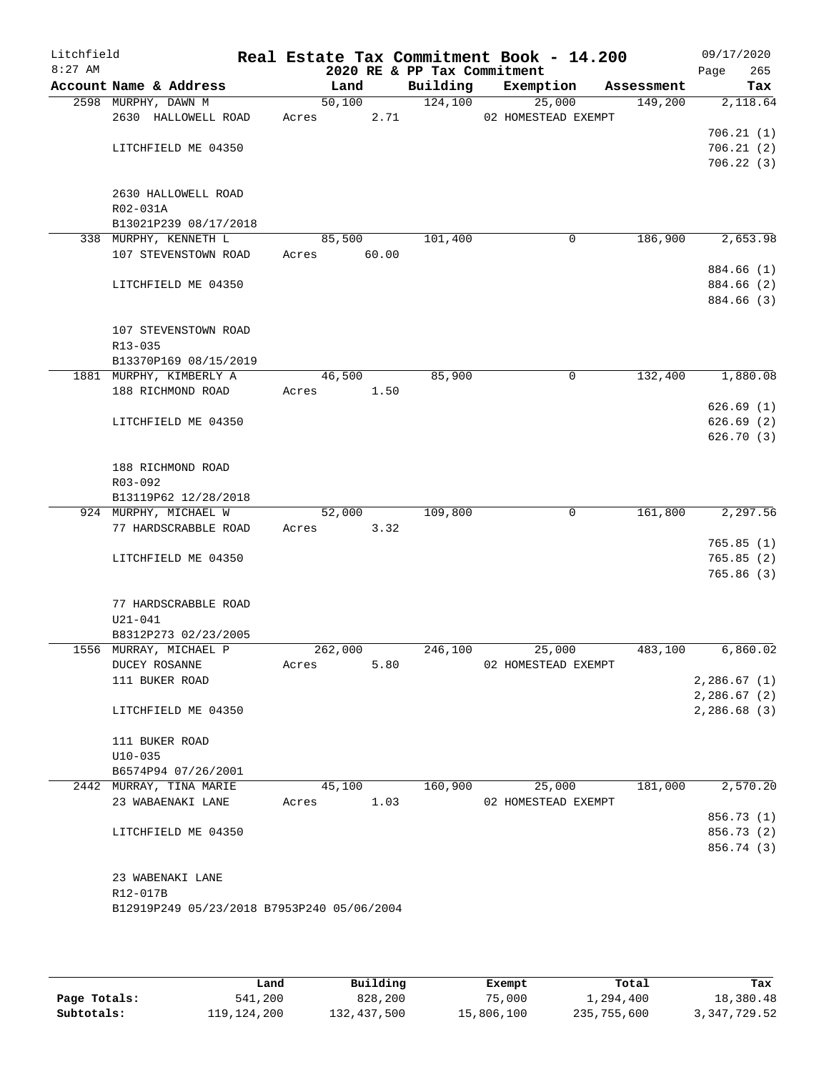| Litchfield<br>$8:27$ AM |                                                |       |             | 2020 RE & PP Tax Commitment | Real Estate Tax Commitment Book - 14.200 |            | 09/17/2020<br>265<br>Page |
|-------------------------|------------------------------------------------|-------|-------------|-----------------------------|------------------------------------------|------------|---------------------------|
|                         | Account Name & Address                         |       | Land        | Building                    | Exemption                                | Assessment | Tax                       |
|                         | 2598 MURPHY, DAWN M                            |       | 50,100      | 124,100                     | 25,000                                   | 149,200    | 2,118.64                  |
|                         | 2630 HALLOWELL ROAD                            | Acres | 2.71        |                             | 02 HOMESTEAD EXEMPT                      |            |                           |
|                         |                                                |       |             |                             |                                          |            | 706.21(1)                 |
|                         | LITCHFIELD ME 04350                            |       |             |                             |                                          |            | 706.21(2)                 |
|                         |                                                |       |             |                             |                                          |            | 706.22(3)                 |
|                         |                                                |       |             |                             |                                          |            |                           |
|                         | 2630 HALLOWELL ROAD<br>R02-031A                |       |             |                             |                                          |            |                           |
|                         | B13021P239 08/17/2018                          |       |             |                             |                                          |            |                           |
|                         | 338 MURPHY, KENNETH L                          |       | 85,500      | 101,400                     | 0                                        | 186,900    | 2,653.98                  |
|                         | 107 STEVENSTOWN ROAD                           |       | Acres 60.00 |                             |                                          |            |                           |
|                         |                                                |       |             |                             |                                          |            | 884.66 (1)                |
|                         | LITCHFIELD ME 04350                            |       |             |                             |                                          |            | 884.66 (2)                |
|                         |                                                |       |             |                             |                                          |            | 884.66 (3)                |
|                         |                                                |       |             |                             |                                          |            |                           |
|                         | 107 STEVENSTOWN ROAD                           |       |             |                             |                                          |            |                           |
|                         | R13-035                                        |       |             |                             |                                          |            |                           |
|                         | B13370P169 08/15/2019                          |       |             |                             |                                          |            |                           |
|                         | 1881 MURPHY, KIMBERLY A                        |       | 46,500      | 85,900                      | 0                                        | 132,400    | 1,880.08                  |
|                         | 188 RICHMOND ROAD                              | Acres | 1.50        |                             |                                          |            |                           |
|                         |                                                |       |             |                             |                                          |            | 626.69(1)                 |
|                         | LITCHFIELD ME 04350                            |       |             |                             |                                          |            | 626.69(2)<br>626.70(3)    |
|                         |                                                |       |             |                             |                                          |            |                           |
|                         | 188 RICHMOND ROAD                              |       |             |                             |                                          |            |                           |
|                         | R03-092                                        |       |             |                             |                                          |            |                           |
|                         | B13119P62 12/28/2018                           |       |             |                             |                                          |            |                           |
|                         | 924 MURPHY, MICHAEL W                          |       | 52,000      | 109,800                     | $\mathbf 0$                              | 161,800    | 2,297.56                  |
|                         | 77 HARDSCRABBLE ROAD                           | Acres | 3.32        |                             |                                          |            |                           |
|                         |                                                |       |             |                             |                                          |            | 765.85(1)                 |
|                         | LITCHFIELD ME 04350                            |       |             |                             |                                          |            | 765.85(2)                 |
|                         |                                                |       |             |                             |                                          |            | 765.86(3)                 |
|                         |                                                |       |             |                             |                                          |            |                           |
|                         | 77 HARDSCRABBLE ROAD                           |       |             |                             |                                          |            |                           |
|                         | U21-041                                        |       |             |                             |                                          |            |                           |
|                         | B8312P273 02/23/2005<br>1556 MURRAY, MICHAEL P |       | 262,000     | 246,100                     | 25,000                                   | 483,100    | 6,860.02                  |
|                         | DUCEY ROSANNE                                  | Acres | 5.80        |                             | 02 HOMESTEAD EXEMPT                      |            |                           |
|                         | 111 BUKER ROAD                                 |       |             |                             |                                          |            | 2,286.67(1)               |
|                         |                                                |       |             |                             |                                          |            | 2,286.67(2)               |
|                         | LITCHFIELD ME 04350                            |       |             |                             |                                          |            | 2,286.68(3)               |
|                         |                                                |       |             |                             |                                          |            |                           |
|                         | 111 BUKER ROAD                                 |       |             |                             |                                          |            |                           |
|                         | $U10 - 035$                                    |       |             |                             |                                          |            |                           |
|                         | B6574P94 07/26/2001                            |       |             |                             |                                          |            |                           |
|                         | 2442 MURRAY, TINA MARIE                        |       | 45,100      | 160,900                     | 25,000                                   | 181,000    | 2,570.20                  |
|                         | 23 WABAENAKI LANE                              | Acres | 1.03        |                             | 02 HOMESTEAD EXEMPT                      |            |                           |
|                         |                                                |       |             |                             |                                          |            | 856.73(1)                 |
|                         | LITCHFIELD ME 04350                            |       |             |                             |                                          |            | 856.73 (2)<br>856.74 (3)  |
|                         |                                                |       |             |                             |                                          |            |                           |
|                         | 23 WABENAKI LANE                               |       |             |                             |                                          |            |                           |
|                         | R12-017B                                       |       |             |                             |                                          |            |                           |
|                         | B12919P249 05/23/2018 B7953P240 05/06/2004     |       |             |                             |                                          |            |                           |
|                         |                                                |       |             |                             |                                          |            |                           |
|                         |                                                |       |             |                             |                                          |            |                           |

|              | Land          | Building    | Exempt     | Total       | Tax          |
|--------------|---------------|-------------|------------|-------------|--------------|
| Page Totals: | 541,200       | 828,200     | 75,000     | 1,294,400   | 18,380.48    |
| Subtotals:   | 119, 124, 200 | 132,437,500 | 15,806,100 | 235,755,600 | 3,347,729.52 |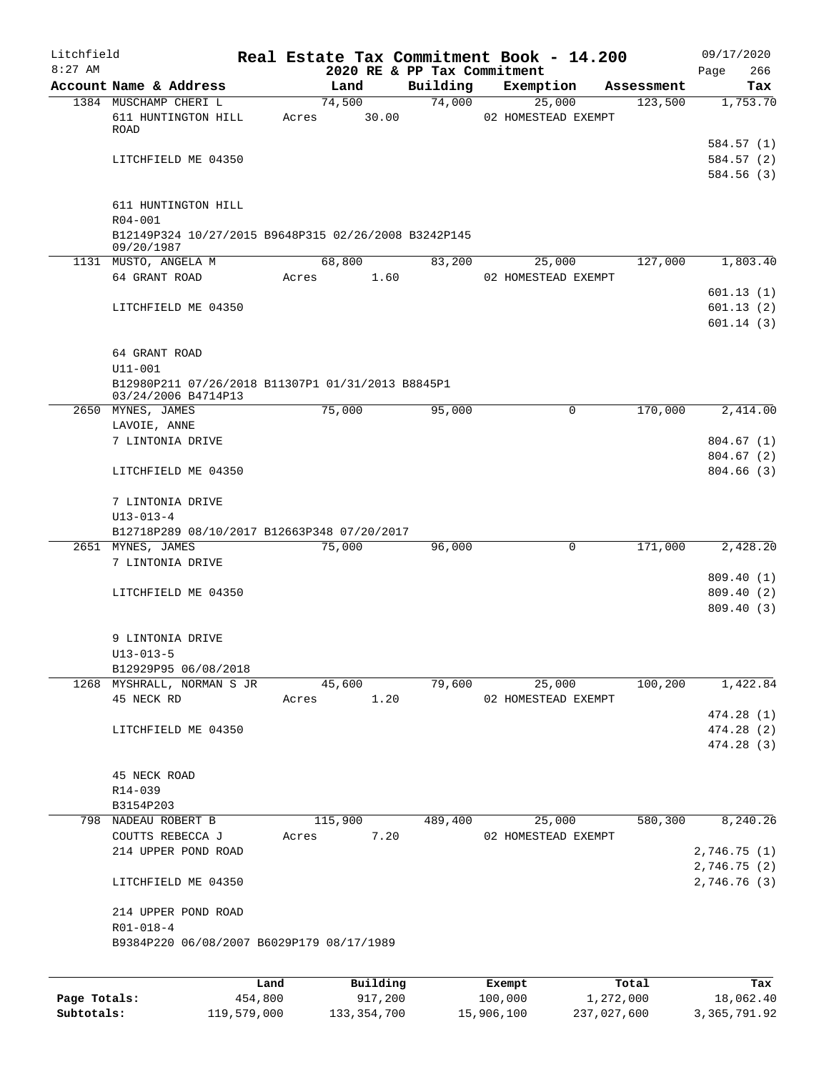| Litchfield   |                                                                                         |         |                 |                                         | Real Estate Tax Commitment Book - 14.200 |            | 09/17/2020             |
|--------------|-----------------------------------------------------------------------------------------|---------|-----------------|-----------------------------------------|------------------------------------------|------------|------------------------|
| $8:27$ AM    | Account Name & Address                                                                  |         | Land            | 2020 RE & PP Tax Commitment<br>Building | Exemption                                | Assessment | 266<br>Page<br>Tax     |
|              | 1384 MUSCHAMP CHERI L                                                                   |         | 74,500          | 74,000                                  | 25,000                                   | 123,500    | 1,753.70               |
|              | 611 HUNTINGTON HILL<br>ROAD                                                             | Acres   | 30.00           |                                         | 02 HOMESTEAD EXEMPT                      |            |                        |
|              |                                                                                         |         |                 |                                         |                                          |            | 584.57 (1)             |
|              | LITCHFIELD ME 04350                                                                     |         |                 |                                         |                                          |            | 584.57(2)<br>584.56(3) |
|              | 611 HUNTINGTON HILL                                                                     |         |                 |                                         |                                          |            |                        |
|              | $R04 - 001$<br>B12149P324 10/27/2015 B9648P315 02/26/2008 B3242P145<br>09/20/1987       |         |                 |                                         |                                          |            |                        |
|              | 1131 MUSTO, ANGELA M                                                                    |         | 68,800          | 83,200                                  | 25,000                                   | 127,000    | 1,803.40               |
|              | 64 GRANT ROAD                                                                           | Acres   | 1.60            |                                         | 02 HOMESTEAD EXEMPT                      |            |                        |
|              |                                                                                         |         |                 |                                         |                                          |            | 601.13(1)              |
|              | LITCHFIELD ME 04350                                                                     |         |                 |                                         |                                          |            | 601.13(2)<br>601.14(3) |
|              | 64 GRANT ROAD                                                                           |         |                 |                                         |                                          |            |                        |
|              | $U11 - 001$<br>B12980P211 07/26/2018 B11307P1 01/31/2013 B8845P1<br>03/24/2006 B4714P13 |         |                 |                                         |                                          |            |                        |
|              | 2650 MYNES, JAMES                                                                       |         | 75,000          | 95,000                                  | 0                                        | 170,000    | 2,414.00               |
|              | LAVOIE, ANNE                                                                            |         |                 |                                         |                                          |            |                        |
|              | 7 LINTONIA DRIVE                                                                        |         |                 |                                         |                                          |            | 804.67(1)              |
|              |                                                                                         |         |                 |                                         |                                          |            | 804.67(2)              |
|              | LITCHFIELD ME 04350                                                                     |         |                 |                                         |                                          |            | 804.66(3)              |
|              | 7 LINTONIA DRIVE                                                                        |         |                 |                                         |                                          |            |                        |
|              | $U13 - 013 - 4$<br>B12718P289 08/10/2017 B12663P348 07/20/2017                          |         |                 |                                         |                                          |            |                        |
|              | 2651 MYNES, JAMES                                                                       |         | 75,000          | 96,000                                  | 0                                        | 171,000    | 2,428.20               |
|              | 7 LINTONIA DRIVE                                                                        |         |                 |                                         |                                          |            |                        |
|              |                                                                                         |         |                 |                                         |                                          |            | 809.40 (1)             |
|              | LITCHFIELD ME 04350                                                                     |         |                 |                                         |                                          |            | 809.40(2)              |
|              |                                                                                         |         |                 |                                         |                                          |            | 809.40 (3)             |
|              | 9 LINTONIA DRIVE                                                                        |         |                 |                                         |                                          |            |                        |
|              | $U13 - 013 - 5$                                                                         |         |                 |                                         |                                          |            |                        |
|              | B12929P95 06/08/2018                                                                    |         |                 |                                         |                                          |            |                        |
|              | 1268 MYSHRALL, NORMAN S JR<br>45 NECK RD                                                | Acres   | 45,600<br>1.20  | 79,600                                  | 25,000<br>02 HOMESTEAD EXEMPT            | 100,200    | 1,422.84               |
|              |                                                                                         |         |                 |                                         |                                          |            | 474.28(1)              |
|              | LITCHFIELD ME 04350                                                                     |         |                 |                                         |                                          |            | 474.28(2)              |
|              |                                                                                         |         |                 |                                         |                                          |            | 474.28 (3)             |
|              | 45 NECK ROAD                                                                            |         |                 |                                         |                                          |            |                        |
|              | R14-039                                                                                 |         |                 |                                         |                                          |            |                        |
|              | B3154P203                                                                               |         |                 |                                         |                                          |            | 8,240.26               |
|              | 798 NADEAU ROBERT B<br>COUTTS REBECCA J                                                 | Acres   | 115,900<br>7.20 | 489,400                                 | 25,000<br>02 HOMESTEAD EXEMPT            | 580,300    |                        |
|              | 214 UPPER POND ROAD                                                                     |         |                 |                                         |                                          |            | 2,746.75 (1)           |
|              |                                                                                         |         |                 |                                         |                                          |            | 2,746.75(2)            |
|              | LITCHFIELD ME 04350                                                                     |         |                 |                                         |                                          |            | 2,746.76 (3)           |
|              | 214 UPPER POND ROAD<br>$R01 - 018 - 4$                                                  |         |                 |                                         |                                          |            |                        |
|              | B9384P220 06/08/2007 B6029P179 08/17/1989                                               |         |                 |                                         |                                          |            |                        |
|              |                                                                                         | Land    | Building        |                                         | Exempt                                   | Total      | Tax                    |
| Page Totals: |                                                                                         | 454,800 | 917,200         |                                         | 100,000                                  | 1,272,000  | 18,062.40              |

**Subtotals:** 119,579,000 133,354,700 15,906,100 237,027,600 3,365,791.92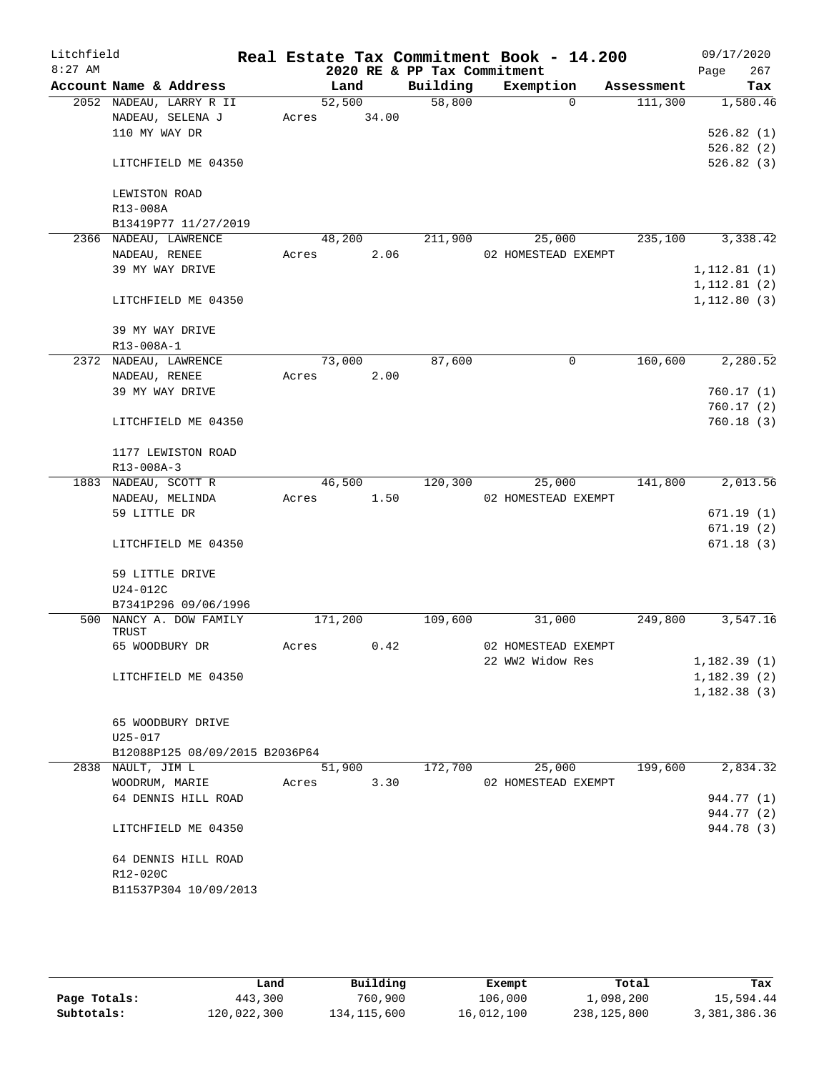| Litchfield<br>$8:27$ AM |                                |       |         |       | 2020 RE & PP Tax Commitment | Real Estate Tax Commitment Book - 14.200 |            | Page         | 09/17/2020<br>267 |
|-------------------------|--------------------------------|-------|---------|-------|-----------------------------|------------------------------------------|------------|--------------|-------------------|
|                         | Account Name & Address         |       | Land    |       | Building                    | Exemption                                | Assessment |              | Tax               |
|                         | 2052 NADEAU, LARRY R II        |       | 52,500  |       | 58,800                      | $\Omega$                                 | 111,300    |              | 1,580.46          |
|                         | NADEAU, SELENA J               | Acres |         | 34.00 |                             |                                          |            |              |                   |
|                         | 110 MY WAY DR                  |       |         |       |                             |                                          |            |              | 526.82(1)         |
|                         |                                |       |         |       |                             |                                          |            |              | 526.82(2)         |
|                         | LITCHFIELD ME 04350            |       |         |       |                             |                                          |            |              | 526.82(3)         |
|                         | LEWISTON ROAD                  |       |         |       |                             |                                          |            |              |                   |
|                         | R13-008A                       |       |         |       |                             |                                          |            |              |                   |
|                         | B13419P77 11/27/2019           |       |         |       |                             |                                          |            |              |                   |
|                         | 2366 NADEAU, LAWRENCE          |       | 48,200  |       | 211,900                     | 25,000                                   | 235,100    |              | 3,338.42          |
|                         | NADEAU, RENEE                  | Acres |         | 2.06  |                             | 02 HOMESTEAD EXEMPT                      |            |              |                   |
|                         | 39 MY WAY DRIVE                |       |         |       |                             |                                          |            | 1, 112.81(1) |                   |
|                         |                                |       |         |       |                             |                                          |            | 1, 112.81(2) |                   |
|                         | LITCHFIELD ME 04350            |       |         |       |                             |                                          |            | 1, 112.80(3) |                   |
|                         | 39 MY WAY DRIVE<br>R13-008A-1  |       |         |       |                             |                                          |            |              |                   |
|                         | 2372 NADEAU, LAWRENCE          |       | 73,000  |       | 87,600                      | $\mathbf 0$                              | 160,600    |              | 2,280.52          |
|                         | NADEAU, RENEE                  | Acres |         | 2.00  |                             |                                          |            |              |                   |
|                         | 39 MY WAY DRIVE                |       |         |       |                             |                                          |            |              | 760.17(1)         |
|                         |                                |       |         |       |                             |                                          |            |              | 760.17(2)         |
|                         | LITCHFIELD ME 04350            |       |         |       |                             |                                          |            |              | 760.18 (3)        |
|                         | 1177 LEWISTON ROAD             |       |         |       |                             |                                          |            |              |                   |
|                         | R13-008A-3                     |       |         |       |                             |                                          |            |              |                   |
|                         | 1883 NADEAU, SCOTT R           |       | 46,500  |       | 120,300                     | 25,000                                   | 141,800    |              | 2,013.56          |
|                         | NADEAU, MELINDA                | Acres |         | 1.50  |                             | 02 HOMESTEAD EXEMPT                      |            |              |                   |
|                         | 59 LITTLE DR                   |       |         |       |                             |                                          |            |              | 671.19 (1)        |
|                         |                                |       |         |       |                             |                                          |            |              | 671.19(2)         |
|                         | LITCHFIELD ME 04350            |       |         |       |                             |                                          |            |              | 671.18(3)         |
|                         | 59 LITTLE DRIVE                |       |         |       |                             |                                          |            |              |                   |
|                         | $U24-012C$                     |       |         |       |                             |                                          |            |              |                   |
|                         | B7341P296 09/06/1996           |       |         |       |                             |                                          |            |              |                   |
| 500                     | NANCY A. DOW FAMILY<br>TRUST   |       | 171,200 |       | 109,600                     | 31,000                                   | 249,800    |              | 3,547.16          |
|                         | 65 WOODBURY DR                 | Acres |         | 0.42  |                             | 02 HOMESTEAD EXEMPT                      |            |              |                   |
|                         |                                |       |         |       |                             | 22 WW2 Widow Res                         |            | 1,182.39(1)  |                   |
|                         | LITCHFIELD ME 04350            |       |         |       |                             |                                          |            | 1,182.39(2)  |                   |
|                         |                                |       |         |       |                             |                                          |            | 1,182.38(3)  |                   |
|                         | 65 WOODBURY DRIVE              |       |         |       |                             |                                          |            |              |                   |
|                         | U25-017                        |       |         |       |                             |                                          |            |              |                   |
|                         | B12088P125 08/09/2015 B2036P64 |       |         |       |                             |                                          |            |              |                   |
|                         | 2838 NAULT, JIM L              |       | 51,900  |       | 172,700                     | 25,000                                   | 199,600    |              | 2,834.32          |
|                         | WOODRUM, MARIE                 | Acres |         | 3.30  |                             | 02 HOMESTEAD EXEMPT                      |            |              |                   |
|                         | 64 DENNIS HILL ROAD            |       |         |       |                             |                                          |            |              | 944.77 (1)        |
|                         |                                |       |         |       |                             |                                          |            |              | 944.77 (2)        |
|                         | LITCHFIELD ME 04350            |       |         |       |                             |                                          |            |              | 944.78 (3)        |
|                         | 64 DENNIS HILL ROAD            |       |         |       |                             |                                          |            |              |                   |
|                         | R12-020C                       |       |         |       |                             |                                          |            |              |                   |
|                         | B11537P304 10/09/2013          |       |         |       |                             |                                          |            |              |                   |
|                         |                                |       |         |       |                             |                                          |            |              |                   |

|              | Land        | Building    | Exempt     | Total       | Tax          |
|--------------|-------------|-------------|------------|-------------|--------------|
| Page Totals: | 443,300     | 760,900     | 106,000    | 1,098,200   | 15,594.44    |
| Subtotals:   | 120,022,300 | 134,115,600 | 16,012,100 | 238,125,800 | 3,381,386.36 |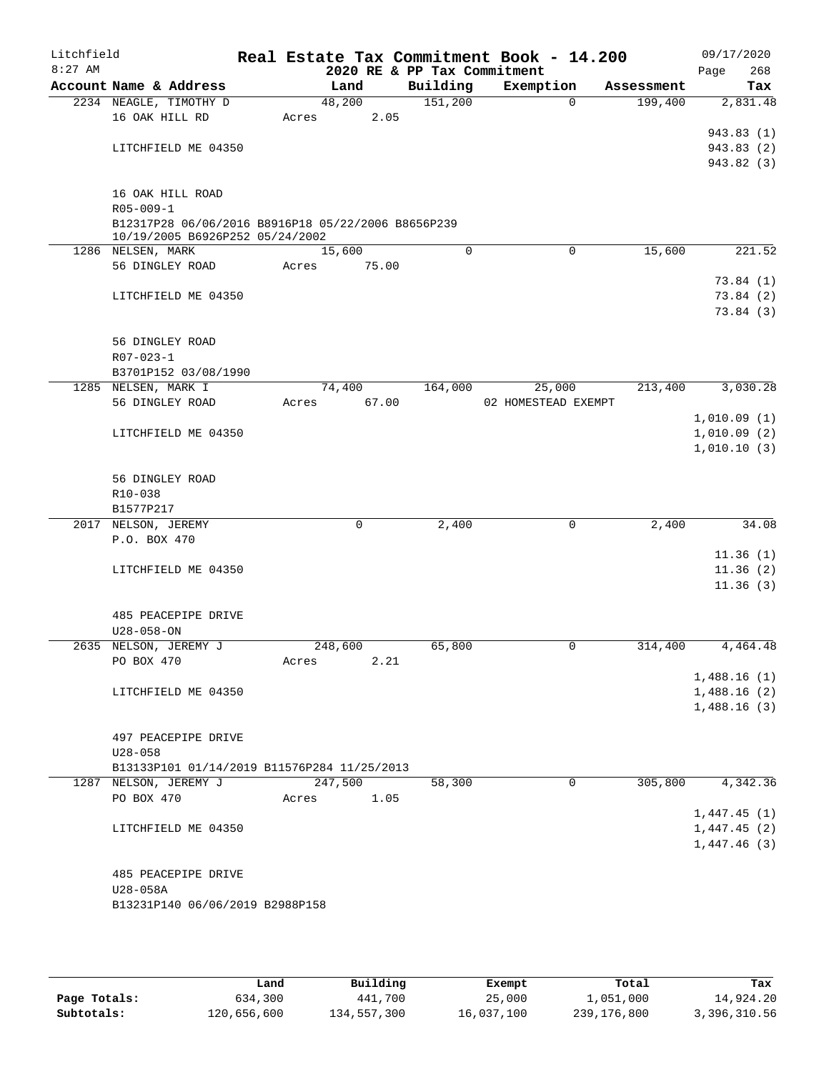| Litchfield<br>$8:27$ AM |                                                                                       | Real Estate Tax Commitment Book - 14.200 | 2020 RE & PP Tax Commitment |                     |            | 09/17/2020<br>268<br>Page  |
|-------------------------|---------------------------------------------------------------------------------------|------------------------------------------|-----------------------------|---------------------|------------|----------------------------|
|                         | Account Name & Address                                                                | Land                                     | Building                    | Exemption           | Assessment | Tax                        |
|                         | 2234 NEAGLE, TIMOTHY D                                                                | 48,200                                   | 151,200                     | $\Omega$            | 199,400    | 2,831.48                   |
|                         | 16 OAK HILL RD                                                                        | 2.05<br>Acres                            |                             |                     |            |                            |
|                         |                                                                                       |                                          |                             |                     |            | 943.83 (1)                 |
|                         | LITCHFIELD ME 04350                                                                   |                                          |                             |                     |            | 943.83 (2)                 |
|                         |                                                                                       |                                          |                             |                     |            | 943.82 (3)                 |
|                         |                                                                                       |                                          |                             |                     |            |                            |
|                         | 16 OAK HILL ROAD                                                                      |                                          |                             |                     |            |                            |
|                         | $R05 - 009 - 1$                                                                       |                                          |                             |                     |            |                            |
|                         | B12317P28 06/06/2016 B8916P18 05/22/2006 B8656P239<br>10/19/2005 B6926P252 05/24/2002 |                                          |                             |                     |            |                            |
|                         | 1286 NELSEN, MARK                                                                     | 15,600                                   | $\Omega$                    | $\mathbf 0$         | 15,600     | 221.52                     |
|                         | 56 DINGLEY ROAD                                                                       | 75.00<br>Acres                           |                             |                     |            |                            |
|                         |                                                                                       |                                          |                             |                     |            | 73.84(1)                   |
|                         | LITCHFIELD ME 04350                                                                   |                                          |                             |                     |            | 73.84(2)                   |
|                         |                                                                                       |                                          |                             |                     |            | 73.84(3)                   |
|                         |                                                                                       |                                          |                             |                     |            |                            |
|                         | 56 DINGLEY ROAD                                                                       |                                          |                             |                     |            |                            |
|                         | $R07 - 023 - 1$                                                                       |                                          |                             |                     |            |                            |
|                         | B3701P152 03/08/1990                                                                  |                                          |                             |                     |            |                            |
|                         | 1285 NELSEN, MARK I                                                                   | 74,400                                   | 164,000                     | 25,000              | 213,400    | 3,030.28                   |
|                         | 56 DINGLEY ROAD                                                                       | 67.00<br>Acres                           |                             | 02 HOMESTEAD EXEMPT |            |                            |
|                         |                                                                                       |                                          |                             |                     |            | 1,010.09(1)<br>1,010.09(2) |
|                         | LITCHFIELD ME 04350                                                                   |                                          |                             |                     |            | 1,010.10(3)                |
|                         |                                                                                       |                                          |                             |                     |            |                            |
|                         | 56 DINGLEY ROAD                                                                       |                                          |                             |                     |            |                            |
|                         | R10-038                                                                               |                                          |                             |                     |            |                            |
|                         | B1577P217                                                                             |                                          |                             |                     |            |                            |
|                         | 2017 NELSON, JEREMY                                                                   | $\mathbf 0$                              | 2,400                       | $\mathbf 0$         | 2,400      | 34.08                      |
|                         | P.O. BOX 470                                                                          |                                          |                             |                     |            |                            |
|                         |                                                                                       |                                          |                             |                     |            | 11.36(1)                   |
|                         | LITCHFIELD ME 04350                                                                   |                                          |                             |                     |            | 11.36(2)                   |
|                         |                                                                                       |                                          |                             |                     |            | 11.36(3)                   |
|                         |                                                                                       |                                          |                             |                     |            |                            |
|                         | 485 PEACEPIPE DRIVE<br>$U28 - 058 - ON$                                               |                                          |                             |                     |            |                            |
|                         | 2635 NELSON, JEREMY J                                                                 | 248,600                                  | 65,800                      | 0                   | 314,400    | 4,464.48                   |
|                         | PO BOX 470                                                                            | 2.21<br>Acres                            |                             |                     |            |                            |
|                         |                                                                                       |                                          |                             |                     |            | 1,488.16(1)                |
|                         | LITCHFIELD ME 04350                                                                   |                                          |                             |                     |            | 1,488.16(2)                |
|                         |                                                                                       |                                          |                             |                     |            | 1,488.16(3)                |
|                         |                                                                                       |                                          |                             |                     |            |                            |
|                         | 497 PEACEPIPE DRIVE                                                                   |                                          |                             |                     |            |                            |
|                         | $U28 - 058$                                                                           |                                          |                             |                     |            |                            |
|                         | B13133P101 01/14/2019 B11576P284 11/25/2013                                           |                                          |                             |                     |            |                            |
|                         | 1287 NELSON, JEREMY J                                                                 | 247,500                                  | 58,300                      | $\mathbf 0$         | 305,800    | 4,342.36                   |
|                         | PO BOX 470                                                                            | 1.05<br>Acres                            |                             |                     |            |                            |
|                         | LITCHFIELD ME 04350                                                                   |                                          |                             |                     |            | 1,447.45(1)                |
|                         |                                                                                       |                                          |                             |                     |            | 1,447.45(2)<br>1,447.46(3) |
|                         |                                                                                       |                                          |                             |                     |            |                            |
|                         | 485 PEACEPIPE DRIVE                                                                   |                                          |                             |                     |            |                            |
|                         | U28-058A                                                                              |                                          |                             |                     |            |                            |
|                         | B13231P140 06/06/2019 B2988P158                                                       |                                          |                             |                     |            |                            |
|                         |                                                                                       |                                          |                             |                     |            |                            |

|              | Land        | Building    | Exempt     | Total       | Tax          |
|--------------|-------------|-------------|------------|-------------|--------------|
| Page Totals: | 634,300     | 441,700     | 25,000     | 1,051,000   | 14,924.20    |
| Subtotals:   | 120,656,600 | 134,557,300 | 16,037,100 | 239,176,800 | 3,396,310.56 |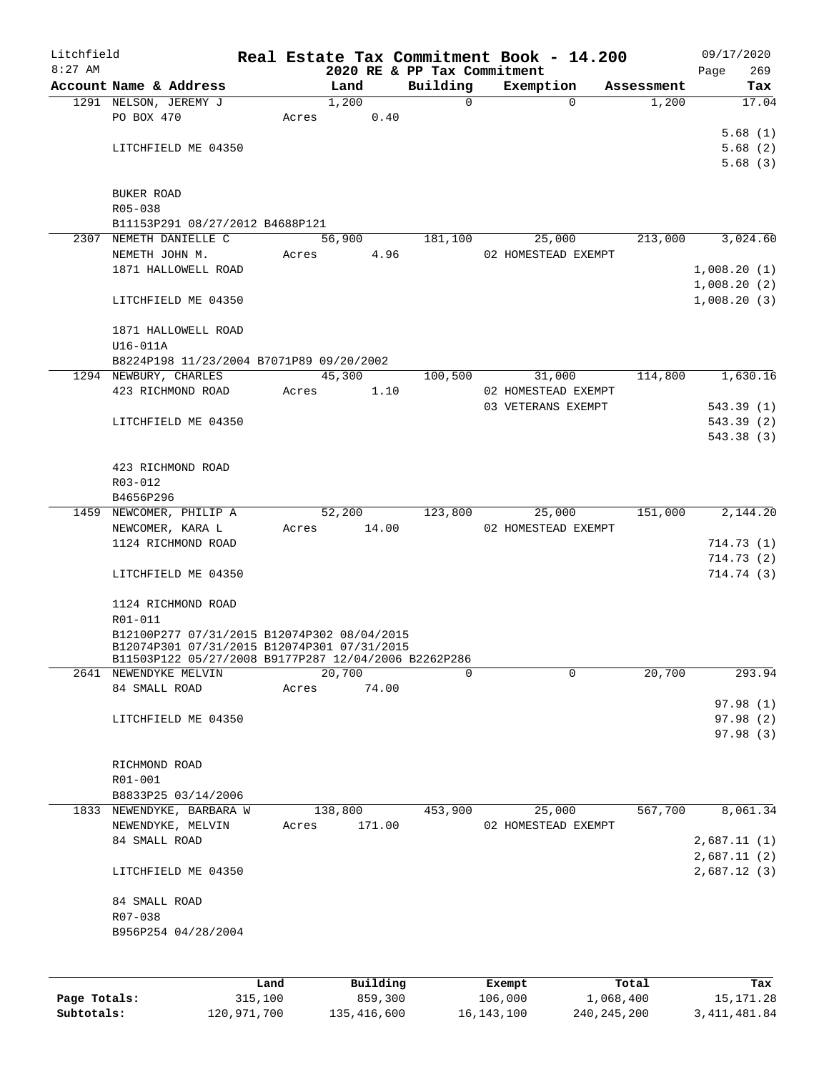| Litchfield |                                                                                            |      |       |                             |              | Real Estate Tax Commitment Book - 14.200  |            | 09/17/2020  |
|------------|--------------------------------------------------------------------------------------------|------|-------|-----------------------------|--------------|-------------------------------------------|------------|-------------|
| $8:27$ AM  |                                                                                            |      |       | 2020 RE & PP Tax Commitment |              |                                           |            | Page<br>269 |
|            | Account Name & Address                                                                     |      |       | Land                        | Building     | Exemption                                 | Assessment | Tax         |
|            | 1291 NELSON, JEREMY J<br>PO BOX 470                                                        |      | Acres | 1,200<br>0.40               | $\Omega$     | $\Omega$                                  | 1,200      | 17.04       |
|            |                                                                                            |      |       |                             |              |                                           |            | 5.68(1)     |
|            | LITCHFIELD ME 04350                                                                        |      |       |                             |              |                                           |            | 5.68(2)     |
|            |                                                                                            |      |       |                             |              |                                           |            | 5.68(3)     |
|            |                                                                                            |      |       |                             |              |                                           |            |             |
|            | BUKER ROAD                                                                                 |      |       |                             |              |                                           |            |             |
|            | R05-038                                                                                    |      |       |                             |              |                                           |            |             |
|            | B11153P291 08/27/2012 B4688P121                                                            |      |       |                             |              |                                           |            |             |
|            | 2307 NEMETH DANIELLE C                                                                     |      |       | 56,900                      | 181,100      | 25,000                                    | 213,000    | 3,024.60    |
|            | NEMETH JOHN M.                                                                             |      | Acres | 4.96                        |              | 02 HOMESTEAD EXEMPT                       |            |             |
|            | 1871 HALLOWELL ROAD                                                                        |      |       |                             |              |                                           |            | 1,008.20(1) |
|            |                                                                                            |      |       |                             |              |                                           |            | 1,008.20(2) |
|            | LITCHFIELD ME 04350                                                                        |      |       |                             |              |                                           |            | 1,008.20(3) |
|            |                                                                                            |      |       |                             |              |                                           |            |             |
|            | 1871 HALLOWELL ROAD                                                                        |      |       |                             |              |                                           |            |             |
|            | $U16-011A$                                                                                 |      |       |                             |              |                                           |            |             |
|            | B8224P198 11/23/2004 B7071P89 09/20/2002                                                   |      |       |                             |              |                                           |            |             |
|            | 1294 NEWBURY, CHARLES                                                                      |      |       | 45,300                      | 100,500      | 31,000                                    | 114,800    | 1,630.16    |
|            | 423 RICHMOND ROAD                                                                          |      | Acres | 1.10                        |              | 02 HOMESTEAD EXEMPT<br>03 VETERANS EXEMPT |            | 543.39(1)   |
|            | LITCHFIELD ME 04350                                                                        |      |       |                             |              |                                           |            | 543.39(2)   |
|            |                                                                                            |      |       |                             |              |                                           |            | 543.38 (3)  |
|            |                                                                                            |      |       |                             |              |                                           |            |             |
|            | 423 RICHMOND ROAD                                                                          |      |       |                             |              |                                           |            |             |
|            | R03-012                                                                                    |      |       |                             |              |                                           |            |             |
|            | B4656P296                                                                                  |      |       |                             |              |                                           |            |             |
|            | 1459 NEWCOMER, PHILIP A                                                                    |      |       | 52,200 123,800              |              | 25,000                                    | 151,000    | 2,144.20    |
|            | NEWCOMER, KARA L                                                                           |      | Acres | 14.00                       |              | 02 HOMESTEAD EXEMPT                       |            |             |
|            | 1124 RICHMOND ROAD                                                                         |      |       |                             |              |                                           |            | 714.73(1)   |
|            |                                                                                            |      |       |                             |              |                                           |            | 714.73(2)   |
|            | LITCHFIELD ME 04350                                                                        |      |       |                             |              |                                           |            | 714.74 (3)  |
|            |                                                                                            |      |       |                             |              |                                           |            |             |
|            | 1124 RICHMOND ROAD                                                                         |      |       |                             |              |                                           |            |             |
|            | R01-011                                                                                    |      |       |                             |              |                                           |            |             |
|            | B12100P277 07/31/2015 B12074P302 08/04/2015<br>B12074P301 07/31/2015 B12074P301 07/31/2015 |      |       |                             |              |                                           |            |             |
|            | B11503P122 05/27/2008 B9177P287 12/04/2006 B2262P286                                       |      |       |                             |              |                                           |            |             |
|            | 2641 NEWENDYKE MELVIN                                                                      |      |       | 20,700                      | <sup>0</sup> | $\Omega$                                  | 20,700     | 293.94      |
|            | 84 SMALL ROAD                                                                              |      | Acres | 74.00                       |              |                                           |            |             |
|            |                                                                                            |      |       |                             |              |                                           |            | 97.98(1)    |
|            | LITCHFIELD ME 04350                                                                        |      |       |                             |              |                                           |            | 97.98(2)    |
|            |                                                                                            |      |       |                             |              |                                           |            | 97.98(3)    |
|            |                                                                                            |      |       |                             |              |                                           |            |             |
|            | RICHMOND ROAD                                                                              |      |       |                             |              |                                           |            |             |
|            | R01-001                                                                                    |      |       |                             |              |                                           |            |             |
|            | B8833P25 03/14/2006<br>1833 NEWENDYKE, BARBARA W                                           |      |       |                             |              |                                           | 567,700    | 8,061.34    |
|            |                                                                                            |      |       | 138,800<br>171.00           | 453,900      | 25,000<br>02 HOMESTEAD EXEMPT             |            |             |
|            | NEWENDYKE, MELVIN<br>84 SMALL ROAD                                                         |      | Acres |                             |              |                                           |            | 2,687.11(1) |
|            |                                                                                            |      |       |                             |              |                                           |            | 2,687.11(2) |
|            | LITCHFIELD ME 04350                                                                        |      |       |                             |              |                                           |            | 2,687.12(3) |
|            |                                                                                            |      |       |                             |              |                                           |            |             |
|            | 84 SMALL ROAD                                                                              |      |       |                             |              |                                           |            |             |
|            | R07-038                                                                                    |      |       |                             |              |                                           |            |             |
|            | B956P254 04/28/2004                                                                        |      |       |                             |              |                                           |            |             |
|            |                                                                                            |      |       |                             |              |                                           |            |             |
|            |                                                                                            |      |       |                             |              |                                           |            |             |
|            |                                                                                            | Land |       | Building                    |              | Exempt                                    | Total      | Tax         |
|            |                                                                                            |      |       |                             |              |                                           |            |             |

**Page Totals:** 315,100 859,300 106,000 1,068,400 15,171.28 **Subtotals:** 120,971,700 135,416,600 16,143,100 240,245,200 3,411,481.84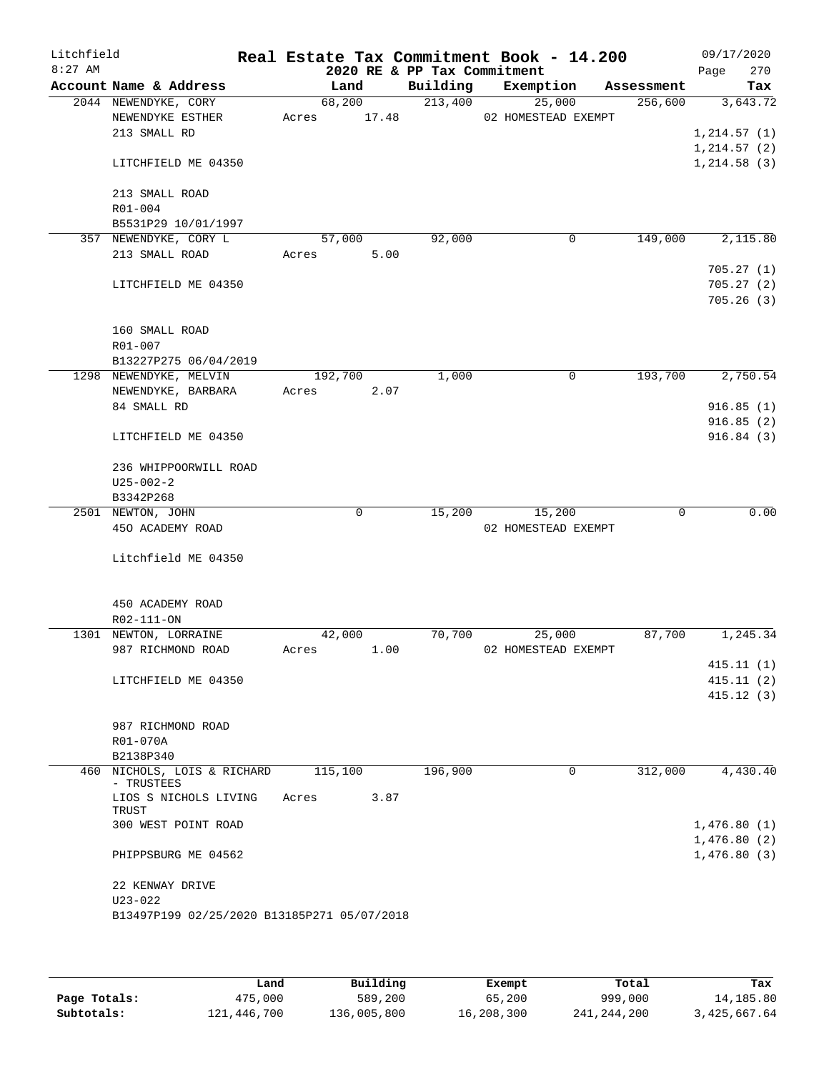| Litchfield<br>$8:27$ AM |                                              |                | 2020 RE & PP Tax Commitment | Real Estate Tax Commitment Book - 14.200 |            | 09/17/2020<br>270<br>Page |
|-------------------------|----------------------------------------------|----------------|-----------------------------|------------------------------------------|------------|---------------------------|
|                         | Account Name & Address                       | Land           | Building                    | Exemption                                | Assessment | Tax                       |
|                         | 2044 NEWENDYKE, CORY                         | 68,200         | 213,400                     | 25,000                                   | 256,600    | 3,643.72                  |
|                         | NEWENDYKE ESTHER                             | 17.48<br>Acres |                             | 02 HOMESTEAD EXEMPT                      |            |                           |
|                         | 213 SMALL RD                                 |                |                             |                                          |            | 1, 214.57(1)              |
|                         |                                              |                |                             |                                          |            | 1, 214.57(2)              |
|                         | LITCHFIELD ME 04350                          |                |                             |                                          |            | 1, 214.58(3)              |
|                         |                                              |                |                             |                                          |            |                           |
|                         | 213 SMALL ROAD                               |                |                             |                                          |            |                           |
|                         | R01-004                                      |                |                             |                                          |            |                           |
|                         | B5531P29 10/01/1997<br>357 NEWENDYKE, CORY L | 57,000         | 92,000                      | 0                                        | 149,000    | 2,115.80                  |
|                         | 213 SMALL ROAD                               | 5.00<br>Acres  |                             |                                          |            |                           |
|                         |                                              |                |                             |                                          |            | 705.27(1)                 |
|                         | LITCHFIELD ME 04350                          |                |                             |                                          |            | 705.27(2)                 |
|                         |                                              |                |                             |                                          |            | 705.26(3)                 |
|                         |                                              |                |                             |                                          |            |                           |
|                         | 160 SMALL ROAD                               |                |                             |                                          |            |                           |
|                         | R01-007                                      |                |                             |                                          |            |                           |
|                         | B13227P275 06/04/2019                        |                |                             |                                          |            |                           |
|                         | 1298 NEWENDYKE, MELVIN                       | 192,700        | 1,000                       | 0                                        | 193,700    | 2,750.54                  |
|                         | NEWENDYKE, BARBARA                           | 2.07<br>Acres  |                             |                                          |            |                           |
|                         | 84 SMALL RD                                  |                |                             |                                          |            | 916.85(1)                 |
|                         |                                              |                |                             |                                          |            | 916.85(2)                 |
|                         | LITCHFIELD ME 04350                          |                |                             |                                          |            | 916.84(3)                 |
|                         | 236 WHIPPOORWILL ROAD                        |                |                             |                                          |            |                           |
|                         | $U25 - 002 - 2$                              |                |                             |                                          |            |                           |
|                         | B3342P268                                    |                |                             |                                          |            |                           |
|                         | 2501 NEWTON, JOHN                            | 0              | 15,200                      | 15,200                                   | 0          | 0.00                      |
|                         | 450 ACADEMY ROAD                             |                |                             | 02 HOMESTEAD EXEMPT                      |            |                           |
|                         |                                              |                |                             |                                          |            |                           |
|                         | Litchfield ME 04350                          |                |                             |                                          |            |                           |
|                         |                                              |                |                             |                                          |            |                           |
|                         | 450 ACADEMY ROAD                             |                |                             |                                          |            |                           |
|                         | R02-111-ON                                   |                |                             |                                          |            |                           |
|                         | 1301 NEWTON, LORRAINE                        | 42,000         | 70,700                      | 25,000                                   | 87,700     | 1,245.34                  |
|                         | 987 RICHMOND ROAD                            | 1.00<br>Acres  |                             | 02 HOMESTEAD EXEMPT                      |            |                           |
|                         | LITCHFIELD ME 04350                          |                |                             |                                          |            | 415.11(1)<br>415.11(2)    |
|                         |                                              |                |                             |                                          |            | 415.12(3)                 |
|                         |                                              |                |                             |                                          |            |                           |
|                         | 987 RICHMOND ROAD                            |                |                             |                                          |            |                           |
|                         | R01-070A                                     |                |                             |                                          |            |                           |
|                         | B2138P340                                    |                |                             |                                          |            |                           |
|                         | 460 NICHOLS, LOIS & RICHARD                  | 115,100        | 196,900                     | 0                                        | 312,000    | 4,430.40                  |
|                         | - TRUSTEES                                   |                |                             |                                          |            |                           |
|                         | LIOS S NICHOLS LIVING<br>TRUST               | 3.87<br>Acres  |                             |                                          |            |                           |
|                         | 300 WEST POINT ROAD                          |                |                             |                                          |            | 1,476.80(1)               |
|                         |                                              |                |                             |                                          |            | 1,476.80(2)               |
|                         | PHIPPSBURG ME 04562                          |                |                             |                                          |            | 1,476.80(3)               |
|                         |                                              |                |                             |                                          |            |                           |
|                         | 22 KENWAY DRIVE                              |                |                             |                                          |            |                           |
|                         | $U23 - 022$                                  |                |                             |                                          |            |                           |
|                         | B13497P199 02/25/2020 B13185P271 05/07/2018  |                |                             |                                          |            |                           |
|                         |                                              |                |                             |                                          |            |                           |

|              | Land        | Building    | Exempt     | Total         | Tax          |
|--------------|-------------|-------------|------------|---------------|--------------|
| Page Totals: | 475,000     | 589,200     | 65,200     | 999,000       | 14,185.80    |
| Subtotals:   | 121,446,700 | 136,005,800 | 16,208,300 | 241, 244, 200 | 3,425,667.64 |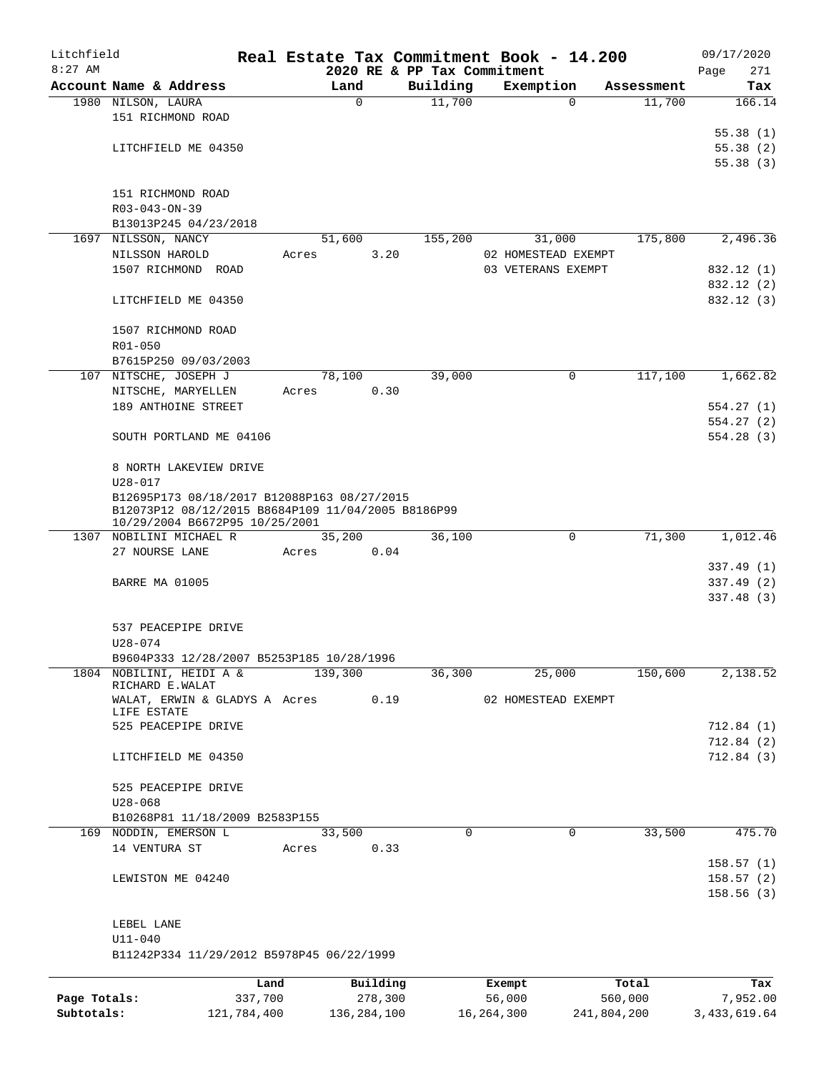| Litchfield   |                                                                                                                                     |         |          |                                         | Real Estate Tax Commitment Book - 14.200 |            | 09/17/2020               |  |  |  |  |  |  |
|--------------|-------------------------------------------------------------------------------------------------------------------------------------|---------|----------|-----------------------------------------|------------------------------------------|------------|--------------------------|--|--|--|--|--|--|
| $8:27$ AM    | Account Name & Address                                                                                                              |         | Land     | 2020 RE & PP Tax Commitment<br>Building | Exemption                                | Assessment | 271<br>Page<br>Tax       |  |  |  |  |  |  |
|              | 1980 NILSON, LAURA                                                                                                                  |         | $\Omega$ | 11,700                                  | $\Omega$                                 | 11,700     | 166.14                   |  |  |  |  |  |  |
|              | 151 RICHMOND ROAD                                                                                                                   |         |          |                                         |                                          |            |                          |  |  |  |  |  |  |
|              |                                                                                                                                     |         |          |                                         |                                          |            | 55.38(1)                 |  |  |  |  |  |  |
|              | LITCHFIELD ME 04350                                                                                                                 |         |          |                                         |                                          |            | 55.38(2)                 |  |  |  |  |  |  |
|              |                                                                                                                                     |         |          |                                         |                                          |            | 55.38(3)                 |  |  |  |  |  |  |
|              | 151 RICHMOND ROAD                                                                                                                   |         |          |                                         |                                          |            |                          |  |  |  |  |  |  |
|              | R03-043-ON-39                                                                                                                       |         |          |                                         |                                          |            |                          |  |  |  |  |  |  |
|              | B13013P245 04/23/2018                                                                                                               |         |          |                                         |                                          |            |                          |  |  |  |  |  |  |
|              | 1697 NILSSON, NANCY                                                                                                                 |         | 51,600   | 155,200                                 | 31,000                                   | 175,800    | 2,496.36                 |  |  |  |  |  |  |
|              | NILSSON HAROLD                                                                                                                      | Acres   | 3.20     |                                         | 02 HOMESTEAD EXEMPT                      |            |                          |  |  |  |  |  |  |
|              | 1507 RICHMOND ROAD                                                                                                                  |         |          |                                         | 03 VETERANS EXEMPT                       |            | 832.12 (1)               |  |  |  |  |  |  |
|              | LITCHFIELD ME 04350                                                                                                                 |         |          |                                         |                                          |            | 832.12 (2)<br>832.12 (3) |  |  |  |  |  |  |
|              |                                                                                                                                     |         |          |                                         |                                          |            |                          |  |  |  |  |  |  |
|              | 1507 RICHMOND ROAD                                                                                                                  |         |          |                                         |                                          |            |                          |  |  |  |  |  |  |
|              | R01-050                                                                                                                             |         |          |                                         |                                          |            |                          |  |  |  |  |  |  |
|              | B7615P250 09/03/2003                                                                                                                |         |          |                                         |                                          |            |                          |  |  |  |  |  |  |
|              | 107 NITSCHE, JOSEPH J                                                                                                               |         | 78,100   | 39,000                                  | $\mathbf 0$                              | 117,100    | 1,662.82                 |  |  |  |  |  |  |
|              | NITSCHE, MARYELLEN                                                                                                                  | Acres   | 0.30     |                                         |                                          |            |                          |  |  |  |  |  |  |
|              | 189 ANTHOINE STREET                                                                                                                 |         |          |                                         |                                          |            | 554.27(1)                |  |  |  |  |  |  |
|              |                                                                                                                                     |         |          |                                         |                                          |            | 554.27(2)                |  |  |  |  |  |  |
|              | SOUTH PORTLAND ME 04106                                                                                                             |         |          |                                         |                                          |            | 554.28(3)                |  |  |  |  |  |  |
|              | 8 NORTH LAKEVIEW DRIVE                                                                                                              |         |          |                                         |                                          |            |                          |  |  |  |  |  |  |
|              | $U28 - 017$                                                                                                                         |         |          |                                         |                                          |            |                          |  |  |  |  |  |  |
|              | B12695P173 08/18/2017 B12088P163 08/27/2015<br>B12073P12 08/12/2015 B8684P109 11/04/2005 B8186P99<br>10/29/2004 B6672P95 10/25/2001 |         |          |                                         |                                          |            |                          |  |  |  |  |  |  |
|              | 1307 NOBILINI MICHAEL R                                                                                                             |         | 35,200   | 36,100                                  | 0                                        | 71,300     | 1,012.46                 |  |  |  |  |  |  |
|              | 27 NOURSE LANE                                                                                                                      | Acres   | 0.04     |                                         |                                          |            |                          |  |  |  |  |  |  |
|              |                                                                                                                                     |         |          |                                         |                                          |            | 337.49(1)                |  |  |  |  |  |  |
|              | <b>BARRE MA 01005</b>                                                                                                               |         |          |                                         |                                          |            | 337.49 (2)               |  |  |  |  |  |  |
|              |                                                                                                                                     |         |          |                                         |                                          |            | 337.48(3)                |  |  |  |  |  |  |
|              | 537 PEACEPIPE DRIVE                                                                                                                 |         |          |                                         |                                          |            |                          |  |  |  |  |  |  |
|              | U28-074                                                                                                                             |         |          |                                         |                                          |            |                          |  |  |  |  |  |  |
|              | B9604P333 12/28/2007 B5253P185 10/28/1996                                                                                           |         |          |                                         |                                          |            |                          |  |  |  |  |  |  |
|              | 1804 NOBILINI, HEIDI A &<br>RICHARD E.WALAT                                                                                         |         | 139,300  | 36,300                                  | 25,000                                   | 150,600    | 2,138.52                 |  |  |  |  |  |  |
|              | WALAT, ERWIN & GLADYS A Acres                                                                                                       |         | 0.19     |                                         | 02 HOMESTEAD EXEMPT                      |            |                          |  |  |  |  |  |  |
|              | LIFE ESTATE                                                                                                                         |         |          |                                         |                                          |            |                          |  |  |  |  |  |  |
|              | 525 PEACEPIPE DRIVE                                                                                                                 |         |          |                                         |                                          |            | 712.84(1)                |  |  |  |  |  |  |
|              |                                                                                                                                     |         |          |                                         |                                          |            | 712.84(2)                |  |  |  |  |  |  |
|              | LITCHFIELD ME 04350                                                                                                                 |         |          |                                         |                                          |            | 712.84(3)                |  |  |  |  |  |  |
|              | 525 PEACEPIPE DRIVE                                                                                                                 |         |          |                                         |                                          |            |                          |  |  |  |  |  |  |
|              | $U28 - 068$                                                                                                                         |         |          |                                         |                                          |            |                          |  |  |  |  |  |  |
|              | B10268P81 11/18/2009 B2583P155                                                                                                      |         |          |                                         |                                          |            |                          |  |  |  |  |  |  |
|              | 169 NODDIN, EMERSON L                                                                                                               |         | 33,500   | $\Omega$                                | $\Omega$                                 | 33,500     | 475.70                   |  |  |  |  |  |  |
|              | 14 VENTURA ST                                                                                                                       | Acres   | 0.33     |                                         |                                          |            |                          |  |  |  |  |  |  |
|              |                                                                                                                                     |         |          |                                         |                                          |            | 158.57(1)                |  |  |  |  |  |  |
|              | LEWISTON ME 04240                                                                                                                   |         |          |                                         |                                          |            | 158.57(2)                |  |  |  |  |  |  |
|              |                                                                                                                                     |         |          |                                         |                                          |            | 158.56(3)                |  |  |  |  |  |  |
|              | LEBEL LANE                                                                                                                          |         |          |                                         |                                          |            |                          |  |  |  |  |  |  |
|              | $U11 - 040$                                                                                                                         |         |          |                                         |                                          |            |                          |  |  |  |  |  |  |
|              | B11242P334 11/29/2012 B5978P45 06/22/1999                                                                                           |         |          |                                         |                                          |            |                          |  |  |  |  |  |  |
|              |                                                                                                                                     |         |          |                                         |                                          |            |                          |  |  |  |  |  |  |
|              |                                                                                                                                     | Land    | Building |                                         | Exempt                                   | Total      | Tax                      |  |  |  |  |  |  |
| Page Totals: |                                                                                                                                     | 337,700 | 278,300  |                                         | 56,000                                   | 560,000    | 7,952.00                 |  |  |  |  |  |  |

**Subtotals:** 121,784,400 136,284,100 16,264,300 241,804,200 3,433,619.64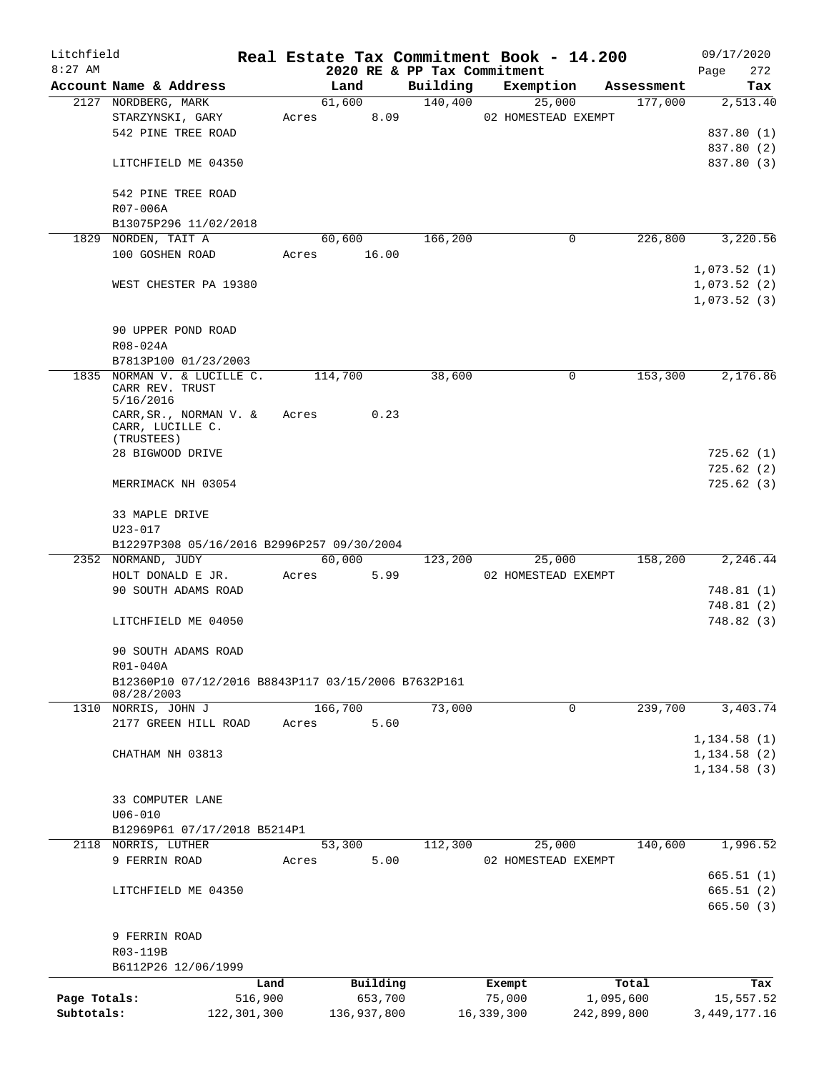| Litchfield   |                                                     |               |       |             |      |                             | Real Estate Tax Commitment Book - 14.200 |             |            | 09/17/2020               |     |
|--------------|-----------------------------------------------------|---------------|-------|-------------|------|-----------------------------|------------------------------------------|-------------|------------|--------------------------|-----|
| $8:27$ AM    |                                                     |               |       |             |      | 2020 RE & PP Tax Commitment |                                          |             |            | Page                     | 272 |
|              | Account Name & Address                              |               |       | Land        |      | Building                    | Exemption                                |             | Assessment |                          | Tax |
|              | 2127 NORDBERG, MARK                                 |               |       | 61,600      |      | 140,400                     | 25,000                                   |             | 177,000    | 2,513.40                 |     |
|              | STARZYNSKI, GARY                                    |               | Acres |             | 8.09 |                             | 02 HOMESTEAD EXEMPT                      |             |            |                          |     |
|              | 542 PINE TREE ROAD                                  |               |       |             |      |                             |                                          |             |            | 837.80 (1)<br>837.80 (2) |     |
|              |                                                     |               |       |             |      |                             |                                          |             |            |                          |     |
|              | LITCHFIELD ME 04350                                 |               |       |             |      |                             |                                          |             |            | 837.80 (3)               |     |
|              |                                                     |               |       |             |      |                             |                                          |             |            |                          |     |
|              | 542 PINE TREE ROAD                                  |               |       |             |      |                             |                                          |             |            |                          |     |
|              | R07-006A                                            |               |       |             |      |                             |                                          |             |            |                          |     |
|              | B13075P296 11/02/2018                               |               |       |             |      |                             |                                          |             |            |                          |     |
|              | 1829 NORDEN, TAIT A                                 |               |       | 60,600      |      | 166,200                     | 0                                        |             | 226,800    | 3,220.56                 |     |
|              | 100 GOSHEN ROAD                                     |               | Acres | 16.00       |      |                             |                                          |             |            |                          |     |
|              |                                                     |               |       |             |      |                             |                                          |             |            | 1,073.52(1)              |     |
|              | WEST CHESTER PA 19380                               |               |       |             |      |                             |                                          |             |            | 1,073.52(2)              |     |
|              |                                                     |               |       |             |      |                             |                                          |             |            | 1,073.52(3)              |     |
|              |                                                     |               |       |             |      |                             |                                          |             |            |                          |     |
|              | 90 UPPER POND ROAD                                  |               |       |             |      |                             |                                          |             |            |                          |     |
|              | R08-024A                                            |               |       |             |      |                             |                                          |             |            |                          |     |
|              | B7813P100 01/23/2003                                |               |       |             |      |                             |                                          |             |            |                          |     |
|              | 1835 NORMAN V. & LUCILLE C.                         |               |       | 114,700     |      | 38,600                      | 0                                        |             | 153,300    | 2,176.86                 |     |
|              | CARR REV. TRUST                                     |               |       |             |      |                             |                                          |             |            |                          |     |
|              | 5/16/2016<br>$CARR, SR.$ , NORMAN V. &              |               | Acres |             | 0.23 |                             |                                          |             |            |                          |     |
|              | CARR, LUCILLE C.                                    |               |       |             |      |                             |                                          |             |            |                          |     |
|              | (TRUSTEES)                                          |               |       |             |      |                             |                                          |             |            |                          |     |
|              | 28 BIGWOOD DRIVE                                    |               |       |             |      |                             |                                          |             |            | 725.62(1)                |     |
|              |                                                     |               |       |             |      |                             |                                          |             |            | 725.62(2)                |     |
|              | MERRIMACK NH 03054                                  |               |       |             |      |                             |                                          |             |            | 725.62(3)                |     |
|              |                                                     |               |       |             |      |                             |                                          |             |            |                          |     |
|              | 33 MAPLE DRIVE                                      |               |       |             |      |                             |                                          |             |            |                          |     |
|              | $U23 - 017$                                         |               |       |             |      |                             |                                          |             |            |                          |     |
|              | B12297P308 05/16/2016 B2996P257 09/30/2004          |               |       |             |      |                             |                                          |             |            |                          |     |
|              | 2352 NORMAND, JUDY                                  |               |       | 60,000      |      | 123,200                     | 25,000                                   |             | 158,200    | 2,246.44                 |     |
|              | HOLT DONALD E JR.                                   |               | Acres |             | 5.99 |                             | 02 HOMESTEAD EXEMPT                      |             |            |                          |     |
|              | 90 SOUTH ADAMS ROAD                                 |               |       |             |      |                             |                                          |             |            | 748.81(1)                |     |
|              |                                                     |               |       |             |      |                             |                                          |             |            | 748.81(2)                |     |
|              | LITCHFIELD ME 04050                                 |               |       |             |      |                             |                                          |             |            | 748.82 (3)               |     |
|              |                                                     |               |       |             |      |                             |                                          |             |            |                          |     |
|              | 90 SOUTH ADAMS ROAD                                 |               |       |             |      |                             |                                          |             |            |                          |     |
|              | R01-040A                                            |               |       |             |      |                             |                                          |             |            |                          |     |
|              | B12360P10 07/12/2016 B8843P117 03/15/2006 B7632P161 |               |       |             |      |                             |                                          |             |            |                          |     |
|              | 08/28/2003                                          |               |       |             |      |                             |                                          |             |            |                          |     |
|              | 1310 NORRIS, JOHN J                                 |               |       | 166,700     |      | 73,000                      | 0                                        |             | 239,700    | 3,403.74                 |     |
|              | 2177 GREEN HILL ROAD                                |               | Acres |             | 5.60 |                             |                                          |             |            |                          |     |
|              |                                                     |               |       |             |      |                             |                                          |             |            | 1, 134.58(1)             |     |
|              | CHATHAM NH 03813                                    |               |       |             |      |                             |                                          |             |            | 1, 134.58(2)             |     |
|              |                                                     |               |       |             |      |                             |                                          |             |            | 1, 134.58(3)             |     |
|              |                                                     |               |       |             |      |                             |                                          |             |            |                          |     |
|              | 33 COMPUTER LANE                                    |               |       |             |      |                             |                                          |             |            |                          |     |
|              | $U06 - 010$                                         |               |       |             |      |                             |                                          |             |            |                          |     |
|              | B12969P61 07/17/2018 B5214P1                        |               |       |             |      |                             |                                          |             |            |                          |     |
|              | 2118 NORRIS, LUTHER                                 |               |       | 53,300      |      | 112,300                     | 25,000                                   |             | 140,600    | 1,996.52                 |     |
|              | 9 FERRIN ROAD                                       |               | Acres |             | 5.00 |                             | 02 HOMESTEAD EXEMPT                      |             |            |                          |     |
|              |                                                     |               |       |             |      |                             |                                          |             |            | 665.51(1)                |     |
|              | LITCHFIELD ME 04350                                 |               |       |             |      |                             |                                          |             |            | 665.51(2)                |     |
|              |                                                     |               |       |             |      |                             |                                          |             |            | 665.50(3)                |     |
|              |                                                     |               |       |             |      |                             |                                          |             |            |                          |     |
|              | 9 FERRIN ROAD                                       |               |       |             |      |                             |                                          |             |            |                          |     |
|              | R03-119B                                            |               |       |             |      |                             |                                          |             |            |                          |     |
|              | B6112P26 12/06/1999                                 |               |       |             |      |                             |                                          |             |            |                          |     |
|              |                                                     | Land          |       | Building    |      |                             | Exempt                                   |             | Total      |                          | Tax |
| Page Totals: |                                                     | 516,900       |       | 653,700     |      |                             | 75,000                                   | 1,095,600   |            | 15,557.52                |     |
| Subtotals:   |                                                     | 122, 301, 300 |       | 136,937,800 |      |                             | 16,339,300                               | 242,899,800 |            | 3, 449, 177. 16          |     |
|              |                                                     |               |       |             |      |                             |                                          |             |            |                          |     |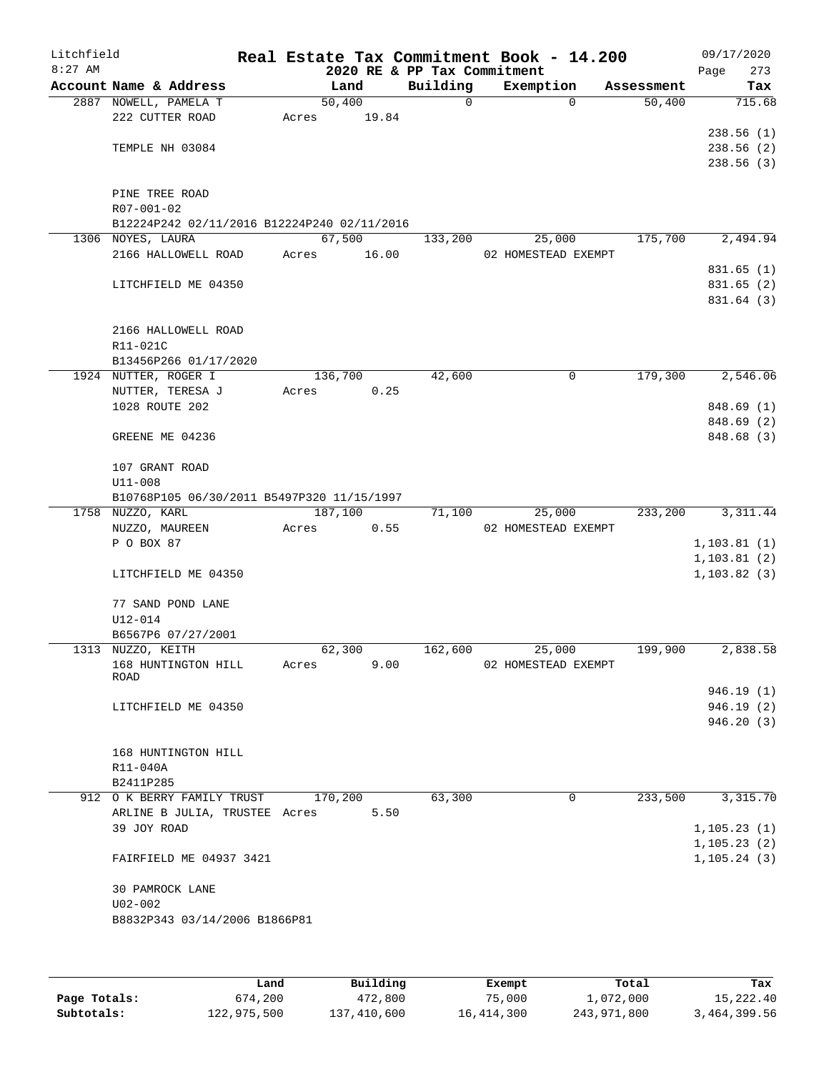| Litchfield<br>$8:27$ AM |                                                           |       |         |       | 2020 RE & PP Tax Commitment | Real Estate Tax Commitment Book - 14.200 |            | 09/17/2020<br>Page<br>273 |
|-------------------------|-----------------------------------------------------------|-------|---------|-------|-----------------------------|------------------------------------------|------------|---------------------------|
|                         | Account Name & Address                                    |       | Land    |       | Building                    | Exemption                                | Assessment | Tax                       |
|                         | 2887 NOWELL, PAMELA T                                     |       | 50,400  |       | 0                           | $\Omega$                                 | 50,400     | 715.68                    |
|                         | 222 CUTTER ROAD                                           | Acres |         | 19.84 |                             |                                          |            |                           |
|                         |                                                           |       |         |       |                             |                                          |            | 238.56(1)                 |
|                         | TEMPLE NH 03084                                           |       |         |       |                             |                                          |            | 238.56 (2)                |
|                         |                                                           |       |         |       |                             |                                          |            | 238.56(3)                 |
|                         |                                                           |       |         |       |                             |                                          |            |                           |
|                         | PINE TREE ROAD                                            |       |         |       |                             |                                          |            |                           |
|                         | R07-001-02<br>B12224P242 02/11/2016 B12224P240 02/11/2016 |       |         |       |                             |                                          |            |                           |
|                         | 1306 NOYES, LAURA                                         |       | 67,500  |       | 133,200                     | 25,000                                   | 175,700    | 2,494.94                  |
|                         | 2166 HALLOWELL ROAD                                       | Acres |         | 16.00 |                             | 02 HOMESTEAD EXEMPT                      |            |                           |
|                         |                                                           |       |         |       |                             |                                          |            | 831.65 (1)                |
|                         | LITCHFIELD ME 04350                                       |       |         |       |                             |                                          |            | 831.65 (2)                |
|                         |                                                           |       |         |       |                             |                                          |            | 831.64 (3)                |
|                         |                                                           |       |         |       |                             |                                          |            |                           |
|                         | 2166 HALLOWELL ROAD                                       |       |         |       |                             |                                          |            |                           |
|                         | R11-021C                                                  |       |         |       |                             |                                          |            |                           |
|                         | B13456P266 01/17/2020                                     |       |         |       |                             |                                          |            |                           |
|                         | 1924 NUTTER, ROGER I                                      |       | 136,700 |       | 42,600                      | 0                                        | 179,300    | 2,546.06                  |
|                         | NUTTER, TERESA J                                          | Acres |         | 0.25  |                             |                                          |            |                           |
|                         | 1028 ROUTE 202                                            |       |         |       |                             |                                          |            | 848.69 (1)                |
|                         |                                                           |       |         |       |                             |                                          |            | 848.69 (2)<br>848.68 (3)  |
|                         | GREENE ME 04236                                           |       |         |       |                             |                                          |            |                           |
|                         | 107 GRANT ROAD                                            |       |         |       |                             |                                          |            |                           |
|                         | $U11 - 008$                                               |       |         |       |                             |                                          |            |                           |
|                         | B10768P105 06/30/2011 B5497P320 11/15/1997                |       |         |       |                             |                                          |            |                           |
|                         | 1758 NUZZO, KARL                                          |       | 187,100 |       | 71,100                      | 25,000                                   | 233,200    | 3, 311.44                 |
|                         | NUZZO, MAUREEN                                            | Acres |         | 0.55  |                             | 02 HOMESTEAD EXEMPT                      |            |                           |
|                         | P O BOX 87                                                |       |         |       |                             |                                          |            | 1, 103.81(1)              |
|                         |                                                           |       |         |       |                             |                                          |            | 1, 103.81(2)              |
|                         | LITCHFIELD ME 04350                                       |       |         |       |                             |                                          |            | 1, 103.82(3)              |
|                         |                                                           |       |         |       |                             |                                          |            |                           |
|                         | 77 SAND POND LANE                                         |       |         |       |                             |                                          |            |                           |
|                         | U12-014<br>B6567P6 07/27/2001                             |       |         |       |                             |                                          |            |                           |
|                         | 1313 NUZZO, KEITH                                         |       | 62,300  |       | 162,600                     | 25,000                                   | 199,900    | 2,838.58                  |
|                         | 168 HUNTINGTON HILL                                       | Acres |         | 9.00  |                             | 02 HOMESTEAD EXEMPT                      |            |                           |
|                         | ROAD                                                      |       |         |       |                             |                                          |            |                           |
|                         |                                                           |       |         |       |                             |                                          |            | 946.19 (1)                |
|                         | LITCHFIELD ME 04350                                       |       |         |       |                             |                                          |            | 946.19(2)                 |
|                         |                                                           |       |         |       |                             |                                          |            | 946.20(3)                 |
|                         |                                                           |       |         |       |                             |                                          |            |                           |
|                         | 168 HUNTINGTON HILL                                       |       |         |       |                             |                                          |            |                           |
|                         | R11-040A<br>B2411P285                                     |       |         |       |                             |                                          |            |                           |
|                         | 912 O K BERRY FAMILY TRUST                                |       | 170,200 |       | 63,300                      | 0                                        | 233,500    | 3,315.70                  |
|                         | ARLINE B JULIA, TRUSTEE Acres                             |       |         | 5.50  |                             |                                          |            |                           |
|                         | 39 JOY ROAD                                               |       |         |       |                             |                                          |            | 1, 105.23(1)              |
|                         |                                                           |       |         |       |                             |                                          |            | 1, 105.23(2)              |
|                         | FAIRFIELD ME 04937 3421                                   |       |         |       |                             |                                          |            | 1, 105.24(3)              |
|                         |                                                           |       |         |       |                             |                                          |            |                           |
|                         | 30 PAMROCK LANE                                           |       |         |       |                             |                                          |            |                           |
|                         | $U02 - 002$                                               |       |         |       |                             |                                          |            |                           |
|                         | B8832P343 03/14/2006 B1866P81                             |       |         |       |                             |                                          |            |                           |
|                         |                                                           |       |         |       |                             |                                          |            |                           |
|                         |                                                           |       |         |       |                             |                                          |            |                           |
|                         |                                                           |       |         |       |                             |                                          |            |                           |

|              | Land        | Building    | Exempt     | Total       | Tax          |
|--------------|-------------|-------------|------------|-------------|--------------|
| Page Totals: | 674,200     | 472,800     | 75,000     | 1,072,000   | 15,222.40    |
| Subtotals:   | 122,975,500 | 137,410,600 | 16,414,300 | 243,971,800 | 3,464,399.56 |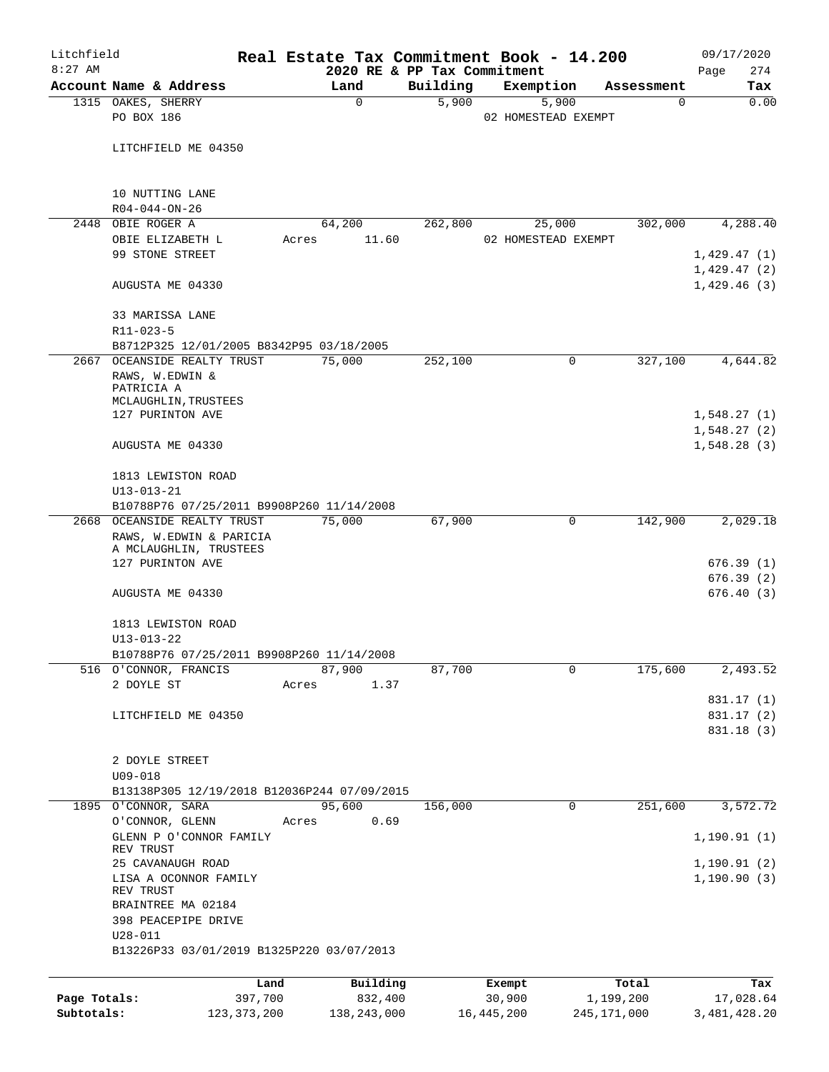| Litchfield   |                                                                                      |               |                 |                                         | Real Estate Tax Commitment Book - 14.200 |                        | 09/17/2020             |
|--------------|--------------------------------------------------------------------------------------|---------------|-----------------|-----------------------------------------|------------------------------------------|------------------------|------------------------|
| $8:27$ AM    | Account Name & Address                                                               |               | Land            | 2020 RE & PP Tax Commitment<br>Building | Exemption                                |                        | 274<br>Page<br>Tax     |
|              | 1315 OAKES, SHERRY                                                                   |               | $\mathbf 0$     | 5,900                                   | 5,900                                    | Assessment<br>$\Omega$ | 0.00                   |
|              | PO BOX 186                                                                           |               |                 |                                         | 02 HOMESTEAD EXEMPT                      |                        |                        |
|              | LITCHFIELD ME 04350                                                                  |               |                 |                                         |                                          |                        |                        |
|              | 10 NUTTING LANE                                                                      |               |                 |                                         |                                          |                        |                        |
| 2448         | $R04 - 044 - ON - 26$<br>OBIE ROGER A                                                |               |                 | 262,800                                 |                                          | 302,000                | 4,288.40               |
|              | OBIE ELIZABETH L                                                                     | Acres         | 64,200<br>11.60 |                                         | 25,000<br>02 HOMESTEAD EXEMPT            |                        |                        |
|              | 99 STONE STREET                                                                      |               |                 |                                         |                                          |                        | 1,429.47(1)            |
|              |                                                                                      |               |                 |                                         |                                          |                        | 1,429.47(2)            |
|              | AUGUSTA ME 04330                                                                     |               |                 |                                         |                                          |                        | 1,429.46(3)            |
|              | 33 MARISSA LANE                                                                      |               |                 |                                         |                                          |                        |                        |
|              | R11-023-5                                                                            |               |                 |                                         |                                          |                        |                        |
|              | B8712P325 12/01/2005 B8342P95 03/18/2005                                             |               |                 |                                         |                                          |                        |                        |
|              | 2667 OCEANSIDE REALTY TRUST<br>RAWS, W.EDWIN &<br>PATRICIA A<br>MCLAUGHLIN, TRUSTEES |               | 75,000          | 252,100                                 | 0                                        | 327,100                | 4,644.82               |
|              | 127 PURINTON AVE                                                                     |               |                 |                                         |                                          |                        | 1,548.27(1)            |
|              |                                                                                      |               |                 |                                         |                                          |                        | 1,548.27(2)            |
|              | AUGUSTA ME 04330                                                                     |               |                 |                                         |                                          |                        | 1,548.28(3)            |
|              | 1813 LEWISTON ROAD                                                                   |               |                 |                                         |                                          |                        |                        |
|              | $U13 - 013 - 21$                                                                     |               |                 |                                         |                                          |                        |                        |
|              | B10788P76 07/25/2011 B9908P260 11/14/2008                                            |               |                 |                                         |                                          |                        |                        |
|              | 2668 OCEANSIDE REALTY TRUST<br>RAWS, W.EDWIN & PARICIA                               |               | 75,000          | 67,900                                  | 0                                        | 142,900                | 2,029.18               |
|              | A MCLAUGHLIN, TRUSTEES                                                               |               |                 |                                         |                                          |                        |                        |
|              | 127 PURINTON AVE                                                                     |               |                 |                                         |                                          |                        | 676.39(1)              |
|              | AUGUSTA ME 04330                                                                     |               |                 |                                         |                                          |                        | 676.39(2)<br>676.40(3) |
|              | 1813 LEWISTON ROAD                                                                   |               |                 |                                         |                                          |                        |                        |
|              | $U13 - 013 - 22$                                                                     |               |                 |                                         |                                          |                        |                        |
|              | B10788P76 07/25/2011 B9908P260 11/14/2008                                            |               |                 |                                         |                                          |                        |                        |
|              | 516 O'CONNOR, FRANCIS                                                                |               | 87,900          | 87,700                                  | $\mathbf 0$                              | 175,600                | 2,493.52               |
|              | 2 DOYLE ST                                                                           | Acres         | 1.37            |                                         |                                          |                        |                        |
|              |                                                                                      |               |                 |                                         |                                          |                        | 831.17 (1)             |
|              | LITCHFIELD ME 04350                                                                  |               |                 |                                         |                                          |                        | 831.17 (2)             |
|              |                                                                                      |               |                 |                                         |                                          |                        | 831.18 (3)             |
|              | 2 DOYLE STREET                                                                       |               |                 |                                         |                                          |                        |                        |
|              | $U09 - 018$                                                                          |               |                 |                                         |                                          |                        |                        |
|              | B13138P305 12/19/2018 B12036P244 07/09/2015<br>1895 O'CONNOR, SARA                   |               | 95,600          | 156,000                                 | 0                                        | 251,600                | 3,572.72               |
|              | O'CONNOR, GLENN                                                                      | Acres         | 0.69            |                                         |                                          |                        |                        |
|              | GLENN P O'CONNOR FAMILY<br>REV TRUST                                                 |               |                 |                                         |                                          |                        | 1, 190.91(1)           |
|              | 25 CAVANAUGH ROAD                                                                    |               |                 |                                         |                                          |                        | 1,190.91(2)            |
|              | LISA A OCONNOR FAMILY<br>REV TRUST                                                   |               |                 |                                         |                                          |                        | 1, 190.90(3)           |
|              | BRAINTREE MA 02184                                                                   |               |                 |                                         |                                          |                        |                        |
|              | 398 PEACEPIPE DRIVE<br>$U28 - 011$                                                   |               |                 |                                         |                                          |                        |                        |
|              | B13226P33 03/01/2019 B1325P220 03/07/2013                                            |               |                 |                                         |                                          |                        |                        |
|              |                                                                                      | Land          | Building        |                                         | Exempt                                   | Total                  | Tax                    |
| Page Totals: |                                                                                      | 397,700       | 832,400         |                                         | 30,900                                   | 1,199,200              | 17,028.64              |
| Subtotals:   |                                                                                      | 123, 373, 200 | 138, 243, 000   |                                         | 16, 445, 200                             | 245,171,000            | 3,481,428.20           |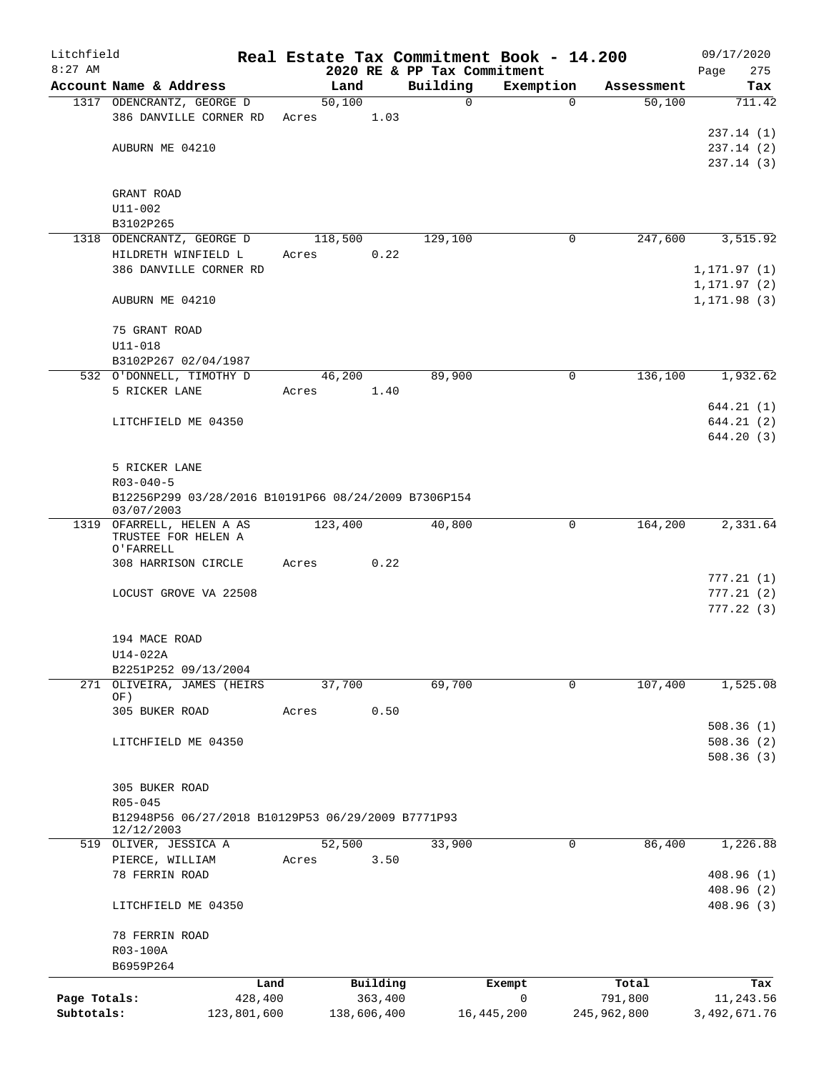| Litchfield   |                                                      |             |       |         |             |                             | Real Estate Tax Commitment Book - 14.200 |             | 09/17/2020                   |
|--------------|------------------------------------------------------|-------------|-------|---------|-------------|-----------------------------|------------------------------------------|-------------|------------------------------|
| $8:27$ AM    |                                                      |             |       |         |             | 2020 RE & PP Tax Commitment |                                          |             | 275<br>Page                  |
|              | Account Name & Address                               |             |       | Land    |             | Building                    | Exemption                                | Assessment  | Tax                          |
|              | 1317 ODENCRANTZ, GEORGE D                            |             |       | 50,100  |             | $\mathsf{O}$                | 0                                        | 50,100      | 711.42                       |
|              | 386 DANVILLE CORNER RD                               |             | Acres |         | 1.03        |                             |                                          |             |                              |
|              |                                                      |             |       |         |             |                             |                                          |             | 237.14(1)                    |
|              | AUBURN ME 04210                                      |             |       |         |             |                             |                                          |             | 237.14(2)                    |
|              |                                                      |             |       |         |             |                             |                                          |             | 237.14(3)                    |
|              |                                                      |             |       |         |             |                             |                                          |             |                              |
|              | GRANT ROAD                                           |             |       |         |             |                             |                                          |             |                              |
|              | $U11 - 002$                                          |             |       |         |             |                             |                                          |             |                              |
|              | B3102P265<br>1318 ODENCRANTZ, GEORGE D               |             |       | 118,500 |             | 129,100                     | 0                                        | 247,600     | 3,515.92                     |
|              | HILDRETH WINFIELD L                                  |             |       |         | 0.22        |                             |                                          |             |                              |
|              |                                                      |             | Acres |         |             |                             |                                          |             |                              |
|              | 386 DANVILLE CORNER RD                               |             |       |         |             |                             |                                          |             | 1, 171.97(1)                 |
|              | AUBURN ME 04210                                      |             |       |         |             |                             |                                          |             | 1, 171.97(2)<br>1, 171.98(3) |
|              |                                                      |             |       |         |             |                             |                                          |             |                              |
|              | 75 GRANT ROAD                                        |             |       |         |             |                             |                                          |             |                              |
|              | U11-018                                              |             |       |         |             |                             |                                          |             |                              |
|              | B3102P267 02/04/1987                                 |             |       |         |             |                             |                                          |             |                              |
|              | 532 O'DONNELL, TIMOTHY D                             |             |       | 46,200  |             | 89,900                      | 0                                        | 136,100     | 1,932.62                     |
|              | 5 RICKER LANE                                        |             | Acres |         | 1.40        |                             |                                          |             |                              |
|              |                                                      |             |       |         |             |                             |                                          |             |                              |
|              | LITCHFIELD ME 04350                                  |             |       |         |             |                             |                                          |             | 644.21 (1)<br>644.21(2)      |
|              |                                                      |             |       |         |             |                             |                                          |             | 644.20(3)                    |
|              |                                                      |             |       |         |             |                             |                                          |             |                              |
|              | 5 RICKER LANE                                        |             |       |         |             |                             |                                          |             |                              |
|              | $R03 - 040 - 5$                                      |             |       |         |             |                             |                                          |             |                              |
|              | B12256P299 03/28/2016 B10191P66 08/24/2009 B7306P154 |             |       |         |             |                             |                                          |             |                              |
|              | 03/07/2003                                           |             |       |         |             |                             |                                          |             |                              |
|              | 1319 OFARRELL, HELEN A AS                            |             |       | 123,400 |             | 40,800                      | 0                                        | 164,200     | 2,331.64                     |
|              | TRUSTEE FOR HELEN A                                  |             |       |         |             |                             |                                          |             |                              |
|              | O'FARRELL                                            |             |       |         |             |                             |                                          |             |                              |
|              | 308 HARRISON CIRCLE                                  |             | Acres |         | 0.22        |                             |                                          |             |                              |
|              |                                                      |             |       |         |             |                             |                                          |             | 777.21(1)                    |
|              | LOCUST GROVE VA 22508                                |             |       |         |             |                             |                                          |             | 777.21(2)                    |
|              |                                                      |             |       |         |             |                             |                                          |             | 777.22(3)                    |
|              |                                                      |             |       |         |             |                             |                                          |             |                              |
|              | 194 MACE ROAD                                        |             |       |         |             |                             |                                          |             |                              |
|              | U14-022A                                             |             |       |         |             |                             |                                          |             |                              |
|              | B2251P252 09/13/2004                                 |             |       |         |             |                             |                                          |             |                              |
|              | 271 OLIVEIRA, JAMES (HEIRS<br>OF)                    |             |       | 37,700  |             | 69,700                      | 0                                        | 107,400     | 1,525.08                     |
|              | 305 BUKER ROAD                                       |             | Acres |         | 0.50        |                             |                                          |             |                              |
|              |                                                      |             |       |         |             |                             |                                          |             | 508.36(1)                    |
|              | LITCHFIELD ME 04350                                  |             |       |         |             |                             |                                          |             | 508.36(2)                    |
|              |                                                      |             |       |         |             |                             |                                          |             | 508.36(3)                    |
|              |                                                      |             |       |         |             |                             |                                          |             |                              |
|              | 305 BUKER ROAD                                       |             |       |         |             |                             |                                          |             |                              |
|              | $R05 - 045$                                          |             |       |         |             |                             |                                          |             |                              |
|              | B12948P56 06/27/2018 B10129P53 06/29/2009 B7771P93   |             |       |         |             |                             |                                          |             |                              |
|              | 12/12/2003                                           |             |       |         |             |                             |                                          |             |                              |
|              | 519 OLIVER, JESSICA A                                |             |       | 52,500  |             | 33,900                      | 0                                        | 86,400      | 1,226.88                     |
|              | PIERCE, WILLIAM                                      |             | Acres |         | 3.50        |                             |                                          |             |                              |
|              | 78 FERRIN ROAD                                       |             |       |         |             |                             |                                          |             | 408.96(1)                    |
|              |                                                      |             |       |         |             |                             |                                          |             | 408.96(2)                    |
|              | LITCHFIELD ME 04350                                  |             |       |         |             |                             |                                          |             | 408.96(3)                    |
|              |                                                      |             |       |         |             |                             |                                          |             |                              |
|              | 78 FERRIN ROAD                                       |             |       |         |             |                             |                                          |             |                              |
|              | R03-100A                                             |             |       |         |             |                             |                                          |             |                              |
|              | B6959P264                                            |             |       |         |             |                             |                                          |             |                              |
|              |                                                      | Land        |       |         | Building    |                             | Exempt                                   | Total       | Tax                          |
| Page Totals: |                                                      | 428,400     |       |         | 363,400     |                             | $\mathsf{O}$                             | 791,800     | 11,243.56                    |
| Subtotals:   |                                                      | 123,801,600 |       |         | 138,606,400 |                             | 16, 445, 200                             | 245,962,800 | 3,492,671.76                 |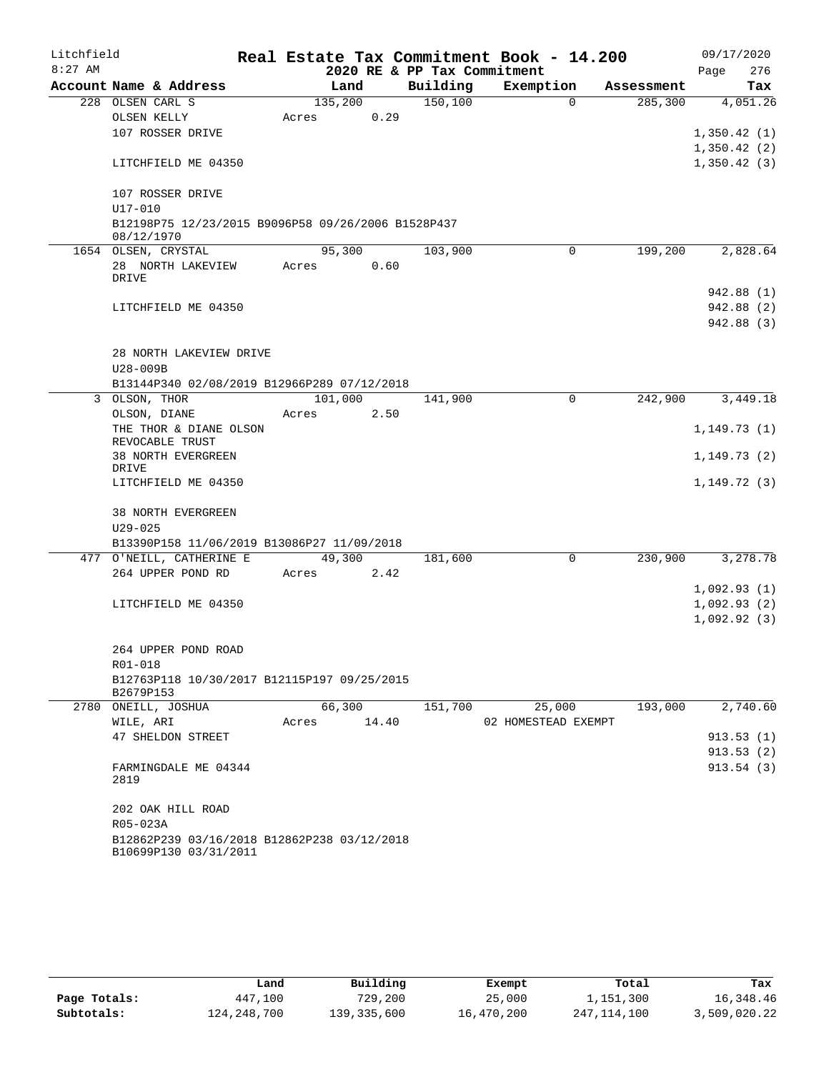| Litchfield |                                                                  |       |         |                             | Real Estate Tax Commitment Book - 14.200 |            | 09/17/2020     |
|------------|------------------------------------------------------------------|-------|---------|-----------------------------|------------------------------------------|------------|----------------|
| $8:27$ AM  |                                                                  |       |         | 2020 RE & PP Tax Commitment |                                          |            | 276<br>Page    |
|            | Account Name & Address                                           |       | Land    | Building                    | Exemption                                | Assessment | Tax            |
|            | 228 OLSEN CARL S                                                 |       | 135,200 | 150, 100                    | $\Omega$                                 | 285,300    | 4,051.26       |
|            | OLSEN KELLY                                                      | Acres | 0.29    |                             |                                          |            |                |
|            | 107 ROSSER DRIVE                                                 |       |         |                             |                                          |            | 1,350.42(1)    |
|            |                                                                  |       |         |                             |                                          |            | 1,350.42(2)    |
|            | LITCHFIELD ME 04350                                              |       |         |                             |                                          |            | 1,350.42(3)    |
|            | 107 ROSSER DRIVE                                                 |       |         |                             |                                          |            |                |
|            | U17-010                                                          |       |         |                             |                                          |            |                |
|            | B12198P75 12/23/2015 B9096P58 09/26/2006 B1528P437<br>08/12/1970 |       |         |                             |                                          |            |                |
|            | 1654 OLSEN, CRYSTAL                                              |       | 95,300  | 103,900                     | $\Omega$                                 | 199,200    | 2,828.64       |
|            | 28 NORTH LAKEVIEW                                                | Acres | 0.60    |                             |                                          |            |                |
|            | DRIVE                                                            |       |         |                             |                                          |            |                |
|            |                                                                  |       |         |                             |                                          |            | 942.88 (1)     |
|            | LITCHFIELD ME 04350                                              |       |         |                             |                                          |            | 942.88 (2)     |
|            |                                                                  |       |         |                             |                                          |            | 942.88 (3)     |
|            |                                                                  |       |         |                             |                                          |            |                |
|            | 28 NORTH LAKEVIEW DRIVE                                          |       |         |                             |                                          |            |                |
|            | U28-009B                                                         |       |         |                             |                                          |            |                |
|            | B13144P340 02/08/2019 B12966P289 07/12/2018                      |       | 101,000 |                             |                                          |            |                |
|            | 3 OLSON, THOR<br>OLSON, DIANE                                    |       |         | 141,900                     | 0                                        | 242,900    | 3,449.18       |
|            | THE THOR & DIANE OLSON                                           | Acres | 2.50    |                             |                                          |            | 1, 149.73(1)   |
|            | REVOCABLE TRUST                                                  |       |         |                             |                                          |            |                |
|            | 38 NORTH EVERGREEN                                               |       |         |                             |                                          |            | 1, 149.73(2)   |
|            | DRIVE                                                            |       |         |                             |                                          |            |                |
|            | LITCHFIELD ME 04350                                              |       |         |                             |                                          |            | 1, 149. 72 (3) |
|            | 38 NORTH EVERGREEN                                               |       |         |                             |                                          |            |                |
|            | $U29 - 025$                                                      |       |         |                             |                                          |            |                |
|            | B13390P158 11/06/2019 B13086P27 11/09/2018                       |       |         |                             |                                          |            |                |
|            | 477 O'NEILL, CATHERINE E                                         |       | 49,300  | 181,600                     | 0                                        | 230,900    | 3,278.78       |
|            | 264 UPPER POND RD                                                | Acres | 2.42    |                             |                                          |            |                |
|            |                                                                  |       |         |                             |                                          |            | 1,092.93(1)    |
|            | LITCHFIELD ME 04350                                              |       |         |                             |                                          |            | 1,092.93(2)    |
|            |                                                                  |       |         |                             |                                          |            | 1,092.92(3)    |
|            |                                                                  |       |         |                             |                                          |            |                |
|            | 264 UPPER POND ROAD                                              |       |         |                             |                                          |            |                |
|            | R01-018                                                          |       |         |                             |                                          |            |                |
|            | B12763P118 10/30/2017 B12115P197 09/25/2015<br>B2679P153         |       |         |                             |                                          |            |                |
|            | 2780 ONEILL, JOSHUA                                              |       | 66,300  | 151,700                     | 25,000                                   | 193,000    | 2,740.60       |
|            | WILE, ARI                                                        | Acres | 14.40   |                             | 02 HOMESTEAD EXEMPT                      |            |                |
|            | 47 SHELDON STREET                                                |       |         |                             |                                          |            | 913.53(1)      |
|            |                                                                  |       |         |                             |                                          |            | 913.53(2)      |
|            | FARMINGDALE ME 04344<br>2819                                     |       |         |                             |                                          |            | 913.54(3)      |
|            | 202 OAK HILL ROAD                                                |       |         |                             |                                          |            |                |
|            | R05-023A                                                         |       |         |                             |                                          |            |                |
|            | B12862P239 03/16/2018 B12862P238 03/12/2018                      |       |         |                             |                                          |            |                |
|            | B10699P130 03/31/2011                                            |       |         |                             |                                          |            |                |

|              | Land          | Building    | Exempt     | Total       | Tax          |
|--------------|---------------|-------------|------------|-------------|--------------|
| Page Totals: | 447,100       | 729,200     | 25,000     | 1,151,300   | 16,348.46    |
| Subtotals:   | 124, 248, 700 | 139,335,600 | 16,470,200 | 247,114,100 | 3,509,020.22 |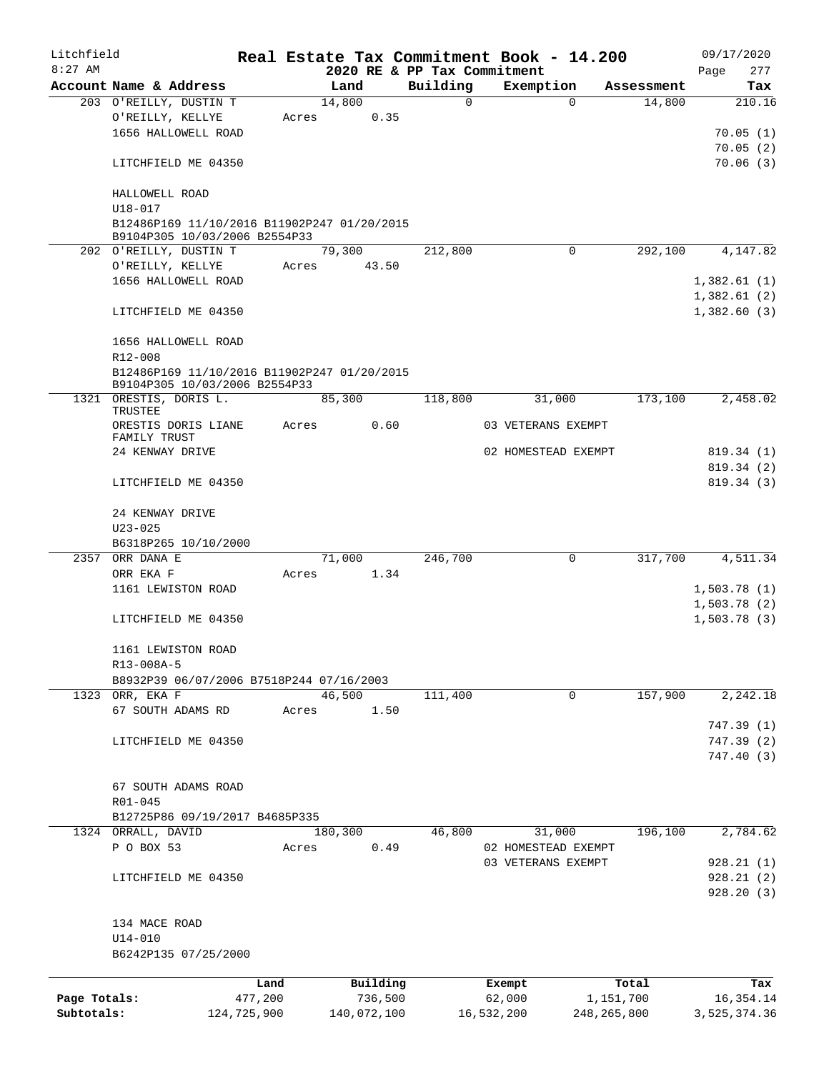| Litchfield   |                                                         |             |       |                |                             | Real Estate Tax Commitment Book - 14.200 |                      | 09/17/2020                 |
|--------------|---------------------------------------------------------|-------------|-------|----------------|-----------------------------|------------------------------------------|----------------------|----------------------------|
| $8:27$ AM    |                                                         |             |       |                | 2020 RE & PP Tax Commitment |                                          |                      | 277<br>Page                |
|              | Account Name & Address<br>203 O'REILLY, DUSTIN T        |             |       | Land<br>14,800 | Building<br>0               | Exemption<br>0                           | Assessment<br>14,800 | Tax<br>210.16              |
|              |                                                         |             | Acres | 0.35           |                             |                                          |                      |                            |
|              | O'REILLY, KELLYE<br>1656 HALLOWELL ROAD                 |             |       |                |                             |                                          |                      | 70.05(1)                   |
|              |                                                         |             |       |                |                             |                                          |                      | 70.05(2)                   |
|              | LITCHFIELD ME 04350                                     |             |       |                |                             |                                          |                      | 70.06(3)                   |
|              |                                                         |             |       |                |                             |                                          |                      |                            |
|              | HALLOWELL ROAD                                          |             |       |                |                             |                                          |                      |                            |
|              | $U18 - 017$                                             |             |       |                |                             |                                          |                      |                            |
|              | B12486P169 11/10/2016 B11902P247 01/20/2015             |             |       |                |                             |                                          |                      |                            |
|              | B9104P305 10/03/2006 B2554P33                           |             |       |                |                             |                                          |                      |                            |
|              | 202 O'REILLY, DUSTIN T                                  |             |       | 79,300         | 212,800                     | $\Omega$                                 | 292,100              | 4,147.82                   |
|              | O'REILLY, KELLYE                                        |             | Acres | 43.50          |                             |                                          |                      |                            |
|              | 1656 HALLOWELL ROAD                                     |             |       |                |                             |                                          |                      | 1,382.61(1)                |
|              |                                                         |             |       |                |                             |                                          |                      | 1,382.61(2)                |
|              | LITCHFIELD ME 04350                                     |             |       |                |                             |                                          |                      | 1,382.60(3)                |
|              |                                                         |             |       |                |                             |                                          |                      |                            |
|              | 1656 HALLOWELL ROAD                                     |             |       |                |                             |                                          |                      |                            |
|              | R12-008                                                 |             |       |                |                             |                                          |                      |                            |
|              | B12486P169 11/10/2016 B11902P247 01/20/2015             |             |       |                |                             |                                          |                      |                            |
|              | B9104P305 10/03/2006 B2554P33<br>1321 ORESTIS, DORIS L. |             |       | 85,300         | 118,800                     | 31,000                                   | 173,100              | 2,458.02                   |
|              | TRUSTEE                                                 |             |       |                |                             |                                          |                      |                            |
|              | ORESTIS DORIS LIANE                                     |             | Acres | 0.60           |                             | 03 VETERANS EXEMPT                       |                      |                            |
|              | FAMILY TRUST                                            |             |       |                |                             |                                          |                      |                            |
|              | 24 KENWAY DRIVE                                         |             |       |                |                             | 02 HOMESTEAD EXEMPT                      |                      | 819.34(1)                  |
|              |                                                         |             |       |                |                             |                                          |                      | 819.34(2)                  |
|              | LITCHFIELD ME 04350                                     |             |       |                |                             |                                          |                      | 819.34 (3)                 |
|              |                                                         |             |       |                |                             |                                          |                      |                            |
|              | 24 KENWAY DRIVE                                         |             |       |                |                             |                                          |                      |                            |
| $U23 - 025$  |                                                         |             |       |                |                             |                                          |                      |                            |
|              | B6318P265 10/10/2000                                    |             |       |                |                             |                                          |                      |                            |
| 2357         | ORR DANA E<br>ORR EKA F                                 |             |       | 71,000         | 246,700                     | 0                                        | 317,700              | 4,511.34                   |
|              | 1161 LEWISTON ROAD                                      |             | Acres | 1.34           |                             |                                          |                      |                            |
|              |                                                         |             |       |                |                             |                                          |                      | 1,503.78(1)<br>1,503.78(2) |
|              | LITCHFIELD ME 04350                                     |             |       |                |                             |                                          |                      | 1,503.78(3)                |
|              |                                                         |             |       |                |                             |                                          |                      |                            |
|              | 1161 LEWISTON ROAD                                      |             |       |                |                             |                                          |                      |                            |
|              | R13-008A-5                                              |             |       |                |                             |                                          |                      |                            |
|              | B8932P39 06/07/2006 B7518P244 07/16/2003                |             |       |                |                             |                                          |                      |                            |
|              | 1323 ORR, EKA F                                         |             |       | 46,500         | 111,400                     | $\mathbf 0$                              | 157,900              | 2,242.18                   |
|              | 67 SOUTH ADAMS RD                                       |             | Acres | 1.50           |                             |                                          |                      |                            |
|              |                                                         |             |       |                |                             |                                          |                      | 747.39(1)                  |
|              | LITCHFIELD ME 04350                                     |             |       |                |                             |                                          |                      | 747.39(2)                  |
|              |                                                         |             |       |                |                             |                                          |                      | 747.40(3)                  |
|              |                                                         |             |       |                |                             |                                          |                      |                            |
|              | 67 SOUTH ADAMS ROAD                                     |             |       |                |                             |                                          |                      |                            |
|              | R01-045                                                 |             |       |                |                             |                                          |                      |                            |
|              | B12725P86 09/19/2017 B4685P335                          |             |       |                |                             |                                          |                      |                            |
|              | 1324 ORRALL, DAVID                                      |             |       | 180,300        | 46,800                      | 31,000                                   | 196,100              | 2,784.62                   |
|              | P O BOX 53                                              |             | Acres | 0.49           |                             | 02 HOMESTEAD EXEMPT                      |                      |                            |
|              |                                                         |             |       |                |                             | 03 VETERANS EXEMPT                       |                      | 928.21(1)                  |
|              | LITCHFIELD ME 04350                                     |             |       |                |                             |                                          |                      | 928.21(2)                  |
|              |                                                         |             |       |                |                             |                                          |                      | 928.20(3)                  |
|              |                                                         |             |       |                |                             |                                          |                      |                            |
|              | 134 MACE ROAD                                           |             |       |                |                             |                                          |                      |                            |
|              | $U14 - 010$<br>B6242P135 07/25/2000                     |             |       |                |                             |                                          |                      |                            |
|              |                                                         |             |       |                |                             |                                          |                      |                            |
|              |                                                         | Land        |       | Building       |                             | Exempt                                   | Total                | Tax                        |
| Page Totals: |                                                         | 477,200     |       | 736,500        |                             | 62,000                                   | 1,151,700            | 16, 354. 14                |
| Subtotals:   |                                                         | 124,725,900 |       | 140,072,100    |                             | 16,532,200                               | 248, 265, 800        | 3,525,374.36               |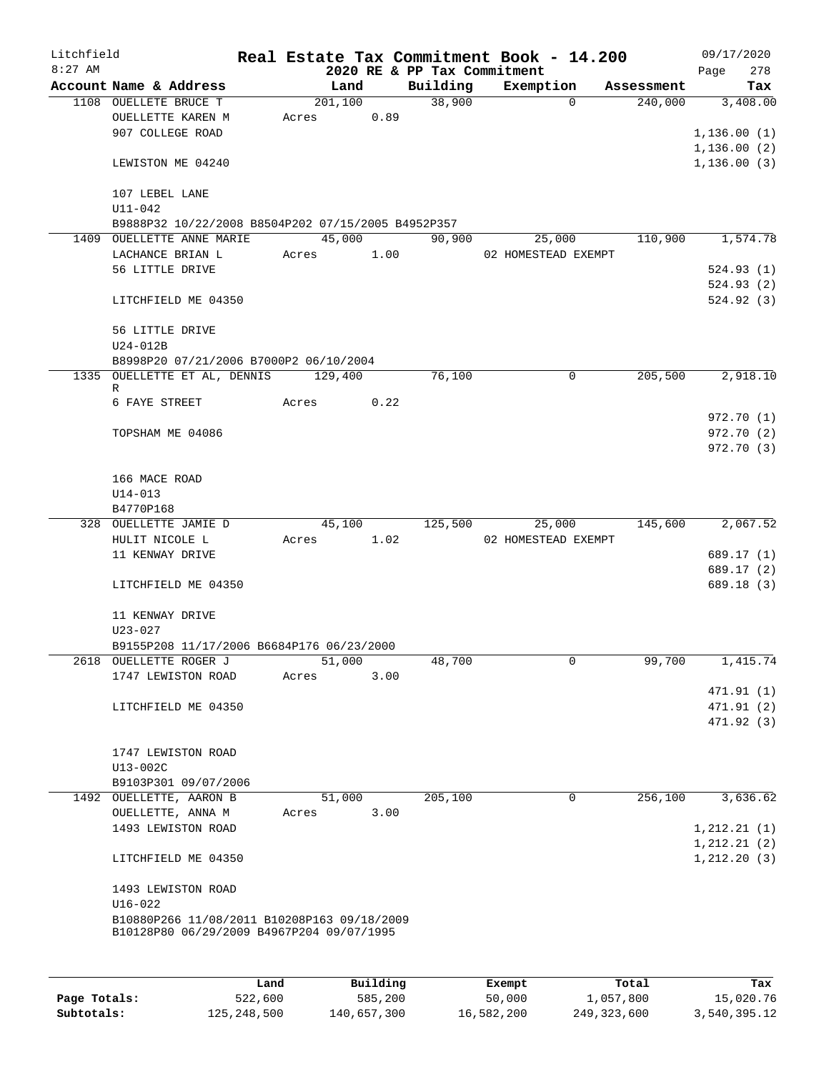| Litchfield |                                                    |       |         |            |          | Real Estate Tax Commitment Book - 14.200 |             |            |      | 09/17/2020                   |
|------------|----------------------------------------------------|-------|---------|------------|----------|------------------------------------------|-------------|------------|------|------------------------------|
| $8:27$ AM  |                                                    |       |         |            |          | 2020 RE & PP Tax Commitment              |             |            | Page | 278                          |
|            | Account Name & Address                             |       | Land    |            | Building | Exemption                                |             | Assessment |      | Tax                          |
|            | 1108 OUELLETE BRUCE T                              |       | 201,100 |            | 38,900   |                                          | $\Omega$    | 240,000    |      | 3,408.00                     |
|            | OUELLETTE KAREN M                                  | Acres |         | 0.89       |          |                                          |             |            |      |                              |
|            | 907 COLLEGE ROAD                                   |       |         |            |          |                                          |             |            |      | 1,136.00(1)                  |
|            |                                                    |       |         |            |          |                                          |             |            |      | 1, 136.00(2)                 |
|            | LEWISTON ME 04240                                  |       |         |            |          |                                          |             |            |      | 1,136.00(3)                  |
|            |                                                    |       |         |            |          |                                          |             |            |      |                              |
|            | 107 LEBEL LANE<br>$U11 - 042$                      |       |         |            |          |                                          |             |            |      |                              |
|            | B9888P32 10/22/2008 B8504P202 07/15/2005 B4952P357 |       |         |            |          |                                          |             |            |      |                              |
|            | 1409 OUELLETTE ANNE MARIE                          |       | 45,000  |            | 90,900   | 25,000                                   |             | 110,900    |      | 1,574.78                     |
|            | LACHANCE BRIAN L                                   |       |         | Acres 1.00 |          | 02 HOMESTEAD EXEMPT                      |             |            |      |                              |
|            | 56 LITTLE DRIVE                                    |       |         |            |          |                                          |             |            |      | 524.93(1)                    |
|            |                                                    |       |         |            |          |                                          |             |            |      | 524.93(2)                    |
|            | LITCHFIELD ME 04350                                |       |         |            |          |                                          |             |            |      | 524.92(3)                    |
|            |                                                    |       |         |            |          |                                          |             |            |      |                              |
|            | 56 LITTLE DRIVE                                    |       |         |            |          |                                          |             |            |      |                              |
|            | $U24-012B$                                         |       |         |            |          |                                          |             |            |      |                              |
|            | B8998P20 07/21/2006 B7000P2 06/10/2004             |       |         |            |          |                                          |             |            |      |                              |
|            | 1335 OUELLETTE ET AL, DENNIS 129,400               |       |         |            | 76,100   |                                          | $\mathbf 0$ | 205,500    |      | 2,918.10                     |
|            | R                                                  |       |         |            |          |                                          |             |            |      |                              |
|            | 6 FAYE STREET                                      | Acres |         | 0.22       |          |                                          |             |            |      |                              |
|            |                                                    |       |         |            |          |                                          |             |            |      | 972.70 (1)                   |
|            | TOPSHAM ME 04086                                   |       |         |            |          |                                          |             |            |      | 972.70 (2)                   |
|            |                                                    |       |         |            |          |                                          |             |            |      | 972.70 (3)                   |
|            |                                                    |       |         |            |          |                                          |             |            |      |                              |
|            | 166 MACE ROAD                                      |       |         |            |          |                                          |             |            |      |                              |
|            | $U14 - 013$<br>B4770P168                           |       |         |            |          |                                          |             |            |      |                              |
|            | 328 OUELLETTE JAMIE D                              |       | 45,100  |            | 125,500  | 25,000                                   |             | 145,600    |      | 2,067.52                     |
|            | HULIT NICOLE L                                     | Acres |         | 1.02       |          | 02 HOMESTEAD EXEMPT                      |             |            |      |                              |
|            | 11 KENWAY DRIVE                                    |       |         |            |          |                                          |             |            |      | 689.17 (1)                   |
|            |                                                    |       |         |            |          |                                          |             |            |      | 689.17 (2)                   |
|            | LITCHFIELD ME 04350                                |       |         |            |          |                                          |             |            |      | 689.18 (3)                   |
|            |                                                    |       |         |            |          |                                          |             |            |      |                              |
|            | 11 KENWAY DRIVE                                    |       |         |            |          |                                          |             |            |      |                              |
|            | $U23 - 027$                                        |       |         |            |          |                                          |             |            |      |                              |
|            | B9155P208 11/17/2006 B6684P176 06/23/2000          |       |         |            |          |                                          |             |            |      |                              |
|            | 2618 OUELLETTE ROGER J                             |       | 51,000  |            | 48,700   |                                          | 0           | 99,700     |      | 1,415.74                     |
|            | 1747 LEWISTON ROAD                                 | Acres |         | 3.00       |          |                                          |             |            |      |                              |
|            |                                                    |       |         |            |          |                                          |             |            |      | 471.91(1)                    |
|            | LITCHFIELD ME 04350                                |       |         |            |          |                                          |             |            |      | 471.91 (2)                   |
|            |                                                    |       |         |            |          |                                          |             |            |      | 471.92 (3)                   |
|            |                                                    |       |         |            |          |                                          |             |            |      |                              |
|            | 1747 LEWISTON ROAD                                 |       |         |            |          |                                          |             |            |      |                              |
|            | U13-002C                                           |       |         |            |          |                                          |             |            |      |                              |
|            | B9103P301 09/07/2006                               |       |         |            |          |                                          |             |            |      |                              |
|            | 1492 OUELLETTE, AARON B                            |       | 51,000  |            | 205,100  |                                          | 0           | 256,100    |      | 3,636.62                     |
|            | OUELLETTE, ANNA M                                  | Acres |         | 3.00       |          |                                          |             |            |      |                              |
|            | 1493 LEWISTON ROAD                                 |       |         |            |          |                                          |             |            |      | 1, 212.21(1)                 |
|            | LITCHFIELD ME 04350                                |       |         |            |          |                                          |             |            |      | 1, 212.21(2)<br>1, 212.20(3) |
|            |                                                    |       |         |            |          |                                          |             |            |      |                              |
|            | 1493 LEWISTON ROAD                                 |       |         |            |          |                                          |             |            |      |                              |
|            | $U16 - 022$                                        |       |         |            |          |                                          |             |            |      |                              |
|            | B10880P266 11/08/2011 B10208P163 09/18/2009        |       |         |            |          |                                          |             |            |      |                              |
|            | B10128P80 06/29/2009 B4967P204 09/07/1995          |       |         |            |          |                                          |             |            |      |                              |
|            |                                                    |       |         |            |          |                                          |             |            |      |                              |
|            |                                                    |       |         |            |          |                                          |             |            |      |                              |
|            |                                                    | Land  |         | Building   |          | Exempt                                   |             | Total      |      | Tax                          |

|              | Land        | Building    | Exempt     | Total         | Tax          |
|--------------|-------------|-------------|------------|---------------|--------------|
| Page Totals: | 522,600     | 585,200     | 50,000     | 1,057,800     | 15,020.76    |
| Subtotals:   | 125,248,500 | 140,657,300 | 16,582,200 | 249, 323, 600 | 3,540,395.12 |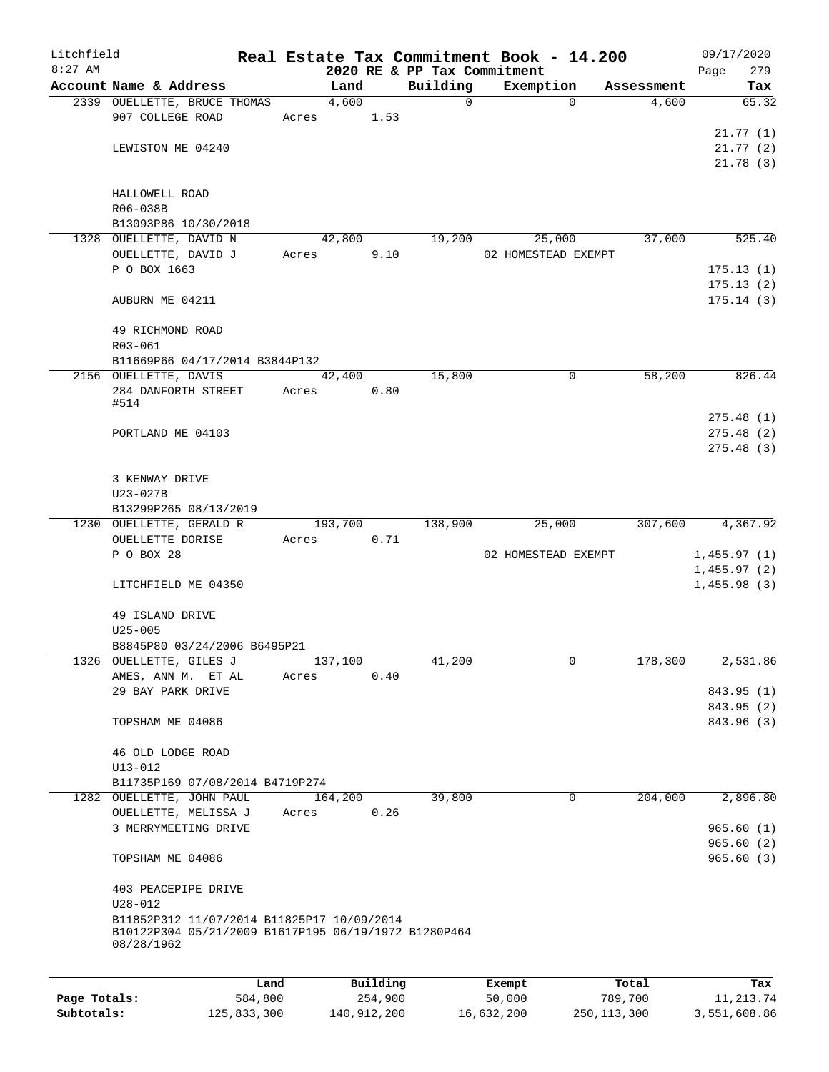| Litchfield   |                                                                                                    |         |       |               |          |                             | Real Estate Tax Commitment Book - 14.200 |          |                     | 09/17/2020                 |              |
|--------------|----------------------------------------------------------------------------------------------------|---------|-------|---------------|----------|-----------------------------|------------------------------------------|----------|---------------------|----------------------------|--------------|
| $8:27$ AM    |                                                                                                    |         |       |               |          | 2020 RE & PP Tax Commitment |                                          |          |                     | Page                       | 279          |
|              | Account Name & Address                                                                             |         |       | Land<br>4,600 |          | Building<br>$\mathbf 0$     | Exemption                                | $\Omega$ | Assessment<br>4,600 |                            | Tax<br>65.32 |
|              | 2339 OUELLETTE, BRUCE THOMAS<br>907 COLLEGE ROAD                                                   |         | Acres |               | 1.53     |                             |                                          |          |                     |                            |              |
|              |                                                                                                    |         |       |               |          |                             |                                          |          |                     |                            | 21.77(1)     |
|              | LEWISTON ME 04240                                                                                  |         |       |               |          |                             |                                          |          |                     |                            | 21.77(2)     |
|              |                                                                                                    |         |       |               |          |                             |                                          |          |                     |                            | 21.78(3)     |
|              |                                                                                                    |         |       |               |          |                             |                                          |          |                     |                            |              |
|              | HALLOWELL ROAD                                                                                     |         |       |               |          |                             |                                          |          |                     |                            |              |
|              | R06-038B                                                                                           |         |       |               |          |                             |                                          |          |                     |                            |              |
|              | B13093P86 10/30/2018                                                                               |         |       |               |          |                             |                                          |          |                     |                            |              |
|              | 1328 OUELLETTE, DAVID N                                                                            |         |       | 42,800        |          | 19,200                      | 25,000                                   |          | 37,000              |                            | 525.40       |
|              | OUELLETTE, DAVID J<br>P O BOX 1663                                                                 |         | Acres |               | 9.10     |                             | 02 HOMESTEAD EXEMPT                      |          |                     |                            | 175.13(1)    |
|              |                                                                                                    |         |       |               |          |                             |                                          |          |                     |                            | 175.13(2)    |
|              | AUBURN ME 04211                                                                                    |         |       |               |          |                             |                                          |          |                     |                            | 175.14(3)    |
|              |                                                                                                    |         |       |               |          |                             |                                          |          |                     |                            |              |
|              | 49 RICHMOND ROAD                                                                                   |         |       |               |          |                             |                                          |          |                     |                            |              |
|              | R03-061                                                                                            |         |       |               |          |                             |                                          |          |                     |                            |              |
|              | B11669P66 04/17/2014 B3844P132                                                                     |         |       |               |          |                             |                                          |          |                     |                            |              |
|              | 2156 OUELLETTE, DAVIS                                                                              |         |       | 42,400        |          | 15,800                      |                                          | 0        | 58,200              |                            | 826.44       |
|              | 284 DANFORTH STREET                                                                                |         | Acres |               | 0.80     |                             |                                          |          |                     |                            |              |
|              | #514                                                                                               |         |       |               |          |                             |                                          |          |                     |                            | 275.48 (1)   |
|              | PORTLAND ME 04103                                                                                  |         |       |               |          |                             |                                          |          |                     |                            | 275.48(2)    |
|              |                                                                                                    |         |       |               |          |                             |                                          |          |                     |                            | 275.48(3)    |
|              |                                                                                                    |         |       |               |          |                             |                                          |          |                     |                            |              |
|              | 3 KENWAY DRIVE                                                                                     |         |       |               |          |                             |                                          |          |                     |                            |              |
|              | U23-027B                                                                                           |         |       |               |          |                             |                                          |          |                     |                            |              |
|              | B13299P265 08/13/2019                                                                              |         |       |               |          |                             |                                          |          |                     |                            |              |
|              | 1230 OUELLETTE, GERALD R                                                                           |         |       | 193,700       |          | 138,900                     | 25,000                                   |          | 307,600             |                            | 4,367.92     |
|              | OUELLETTE DORISE                                                                                   |         | Acres |               | 0.71     |                             |                                          |          |                     |                            |              |
|              | P O BOX 28                                                                                         |         |       |               |          |                             | 02 HOMESTEAD EXEMPT                      |          |                     | 1,455.97(1)                |              |
|              | LITCHFIELD ME 04350                                                                                |         |       |               |          |                             |                                          |          |                     | 1,455.97(2)<br>1,455.98(3) |              |
|              |                                                                                                    |         |       |               |          |                             |                                          |          |                     |                            |              |
|              | 49 ISLAND DRIVE                                                                                    |         |       |               |          |                             |                                          |          |                     |                            |              |
|              | $U25 - 005$                                                                                        |         |       |               |          |                             |                                          |          |                     |                            |              |
|              | B8845P80 03/24/2006 B6495P21                                                                       |         |       |               |          |                             |                                          |          |                     |                            |              |
|              | 1326 OUELLETTE, GILES J                                                                            |         |       | 137,100       |          | 41,200                      |                                          | 0        | 178,300             |                            | 2,531.86     |
|              | AMES, ANN M. ET AL                                                                                 |         | Acres |               | 0.40     |                             |                                          |          |                     |                            |              |
|              | 29 BAY PARK DRIVE                                                                                  |         |       |               |          |                             |                                          |          |                     |                            | 843.95 (1)   |
|              |                                                                                                    |         |       |               |          |                             |                                          |          |                     |                            | 843.95 (2)   |
|              | TOPSHAM ME 04086                                                                                   |         |       |               |          |                             |                                          |          |                     |                            | 843.96 (3)   |
|              |                                                                                                    |         |       |               |          |                             |                                          |          |                     |                            |              |
|              | 46 OLD LODGE ROAD<br>$U13 - 012$                                                                   |         |       |               |          |                             |                                          |          |                     |                            |              |
|              | B11735P169 07/08/2014 B4719P274                                                                    |         |       |               |          |                             |                                          |          |                     |                            |              |
|              | 1282 OUELLETTE, JOHN PAUL                                                                          |         |       | 164,200       |          | 39,800                      |                                          | $\Omega$ | 204,000             |                            | 2,896.80     |
|              | OUELLETTE, MELISSA J                                                                               |         | Acres |               | 0.26     |                             |                                          |          |                     |                            |              |
|              | 3 MERRYMEETING DRIVE                                                                               |         |       |               |          |                             |                                          |          |                     |                            | 965.60(1)    |
|              |                                                                                                    |         |       |               |          |                             |                                          |          |                     |                            | 965.60(2)    |
|              | TOPSHAM ME 04086                                                                                   |         |       |               |          |                             |                                          |          |                     |                            | 965.60(3)    |
|              |                                                                                                    |         |       |               |          |                             |                                          |          |                     |                            |              |
|              | 403 PEACEPIPE DRIVE                                                                                |         |       |               |          |                             |                                          |          |                     |                            |              |
|              | $U28 - 012$                                                                                        |         |       |               |          |                             |                                          |          |                     |                            |              |
|              | B11852P312 11/07/2014 B11825P17 10/09/2014<br>B10122P304 05/21/2009 B1617P195 06/19/1972 B1280P464 |         |       |               |          |                             |                                          |          |                     |                            |              |
|              | 08/28/1962                                                                                         |         |       |               |          |                             |                                          |          |                     |                            |              |
|              |                                                                                                    |         |       |               |          |                             |                                          |          |                     |                            |              |
|              |                                                                                                    | Land    |       |               | Building |                             | Exempt                                   |          | Total               |                            | Tax          |
| Page Totals: |                                                                                                    | 584,800 |       |               | 254,900  |                             | 50,000                                   |          | 789,700             |                            | 11, 213.74   |
|              |                                                                                                    |         |       |               |          |                             |                                          |          |                     |                            |              |

**Subtotals:** 125,833,300 140,912,200 16,632,200 250,113,300 3,551,608.86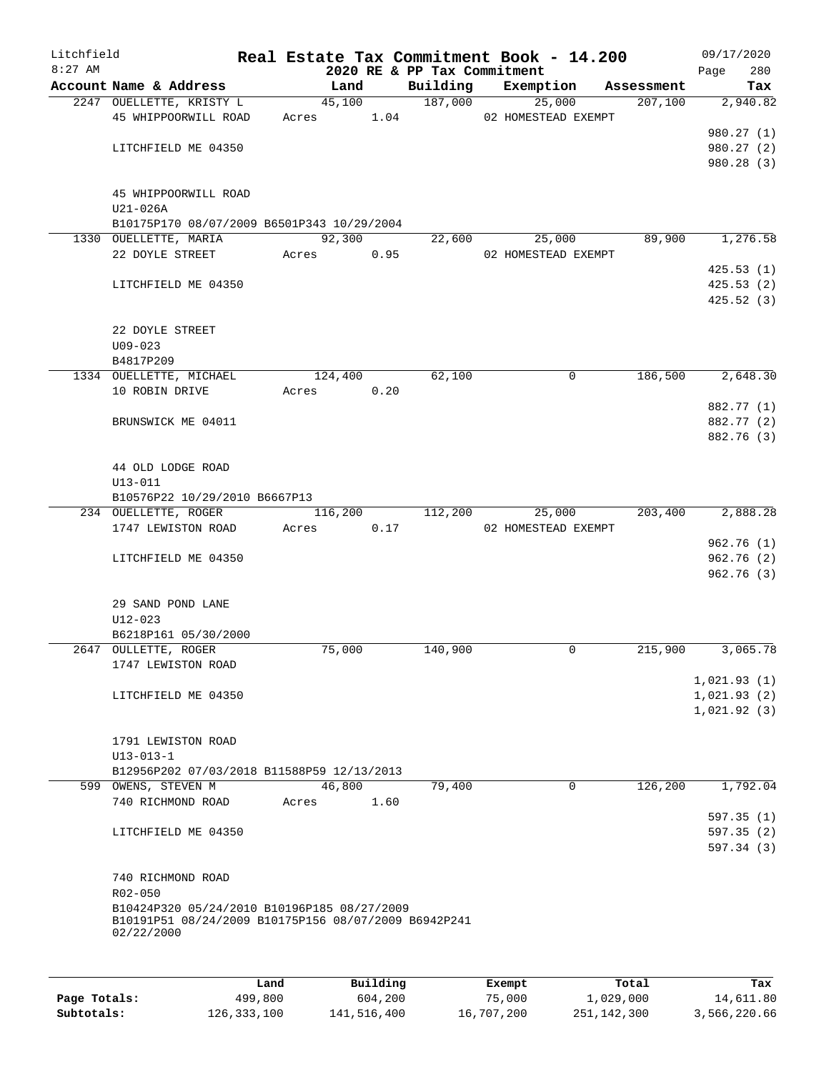| Litchfield |                                                                    |      |       |            |          |                             | Real Estate Tax Commitment Book - 14.200 |                       | 09/17/2020                 |
|------------|--------------------------------------------------------------------|------|-------|------------|----------|-----------------------------|------------------------------------------|-----------------------|----------------------------|
| $8:27$ AM  | Account Name & Address                                             |      |       | Land       |          | 2020 RE & PP Tax Commitment |                                          |                       | 280<br>Page<br>Tax         |
|            | 2247 OUELLETTE, KRISTY L                                           |      |       | 45,100     |          | 187,000                     | Building Exemption<br>25,000             | Assessment<br>207,100 | 2,940.82                   |
|            | 45 WHIPPOORWILL ROAD                                               |      |       |            |          |                             | Acres 1.04 02 HOMESTEAD EXEMPT           |                       |                            |
|            |                                                                    |      |       |            |          |                             |                                          |                       | 980.27 (1)                 |
|            | LITCHFIELD ME 04350                                                |      |       |            |          |                             |                                          |                       | 980.27 (2)                 |
|            |                                                                    |      |       |            |          |                             |                                          |                       | 980.28 (3)                 |
|            | 45 WHIPPOORWILL ROAD<br>$U21-026A$                                 |      |       |            |          |                             |                                          |                       |                            |
|            | B10175P170 08/07/2009 B6501P343 10/29/2004                         |      |       |            |          |                             |                                          |                       |                            |
|            | 1330 OUELLETTE, MARIA                                              |      |       | 92,300     |          |                             | 25,000<br>22,600                         | 89,900                | 1,276.58                   |
|            | 22 DOYLE STREET Acres 0.95                                         |      |       |            |          |                             | 02 HOMESTEAD EXEMPT                      |                       |                            |
|            |                                                                    |      |       |            |          |                             |                                          |                       | 425.53(1)                  |
|            | LITCHFIELD ME 04350                                                |      |       |            |          |                             |                                          |                       | 425.53(2)                  |
|            |                                                                    |      |       |            |          |                             |                                          |                       | 425.52(3)                  |
|            | 22 DOYLE STREET<br>$U09 - 023$                                     |      |       |            |          |                             |                                          |                       |                            |
|            | B4817P209                                                          |      |       |            |          |                             |                                          |                       |                            |
|            | 1334 OUELLETTE, MICHAEL                                            |      |       | 124,400    |          | 62,100                      | $\mathbf 0$                              | 186,500               | 2,648.30                   |
|            | 10 ROBIN DRIVE                                                     |      |       | Acres 0.20 |          |                             |                                          |                       |                            |
|            |                                                                    |      |       |            |          |                             |                                          |                       | 882.77 (1)                 |
|            | BRUNSWICK ME 04011                                                 |      |       |            |          |                             |                                          |                       | 882.77 (2)                 |
|            |                                                                    |      |       |            |          |                             |                                          |                       | 882.76 (3)                 |
|            | 44 OLD LODGE ROAD                                                  |      |       |            |          |                             |                                          |                       |                            |
|            | $U13 - 011$                                                        |      |       |            |          |                             |                                          |                       |                            |
|            | B10576P22 10/29/2010 B6667P13<br>234 OUELLETTE, ROGER              |      |       |            |          | 116,200 112,200             | 25,000                                   | 203,400 2,888.28      |                            |
|            | 1747 LEWISTON ROAD                                                 |      | Acres |            | 0.17     |                             | 02 HOMESTEAD EXEMPT                      |                       |                            |
|            |                                                                    |      |       |            |          |                             |                                          |                       | 962.76(1)                  |
|            | LITCHFIELD ME 04350                                                |      |       |            |          |                             |                                          |                       | 962.76(2)                  |
|            |                                                                    |      |       |            |          |                             |                                          |                       | 962.76(3)                  |
|            | 29 SAND POND LANE                                                  |      |       |            |          |                             |                                          |                       |                            |
|            | U12-023                                                            |      |       |            |          |                             |                                          |                       |                            |
|            | B6218P161 05/30/2000                                               |      |       |            |          |                             |                                          |                       |                            |
|            | 2647 OULLETTE, ROGER                                               |      |       | 75,000     |          | 140,900                     | 0                                        | 215,900               | 3,065.78                   |
|            | 1747 LEWISTON ROAD                                                 |      |       |            |          |                             |                                          |                       |                            |
|            | LITCHFIELD ME 04350                                                |      |       |            |          |                             |                                          |                       | 1,021.93(1)<br>1,021.93(2) |
|            |                                                                    |      |       |            |          |                             |                                          |                       | 1,021.92(3)                |
|            |                                                                    |      |       |            |          |                             |                                          |                       |                            |
|            | 1791 LEWISTON ROAD                                                 |      |       |            |          |                             |                                          |                       |                            |
|            | $U13 - 013 - 1$                                                    |      |       |            |          |                             |                                          |                       |                            |
|            | B12956P202 07/03/2018 B11588P59 12/13/2013                         |      |       |            |          |                             |                                          |                       |                            |
|            | 599 OWENS, STEVEN M                                                |      |       | 46,800     |          | 79,400                      | $\Omega$                                 | 126,200               | 1,792.04                   |
|            | 740 RICHMOND ROAD                                                  |      | Acres |            | 1.60     |                             |                                          |                       |                            |
|            |                                                                    |      |       |            |          |                             |                                          |                       | 597.35(1)                  |
|            | LITCHFIELD ME 04350                                                |      |       |            |          |                             |                                          |                       | 597.35(2)<br>597.34(3)     |
|            |                                                                    |      |       |            |          |                             |                                          |                       |                            |
|            | 740 RICHMOND ROAD                                                  |      |       |            |          |                             |                                          |                       |                            |
|            | R02-050<br>B10424P320 05/24/2010 B10196P185 08/27/2009             |      |       |            |          |                             |                                          |                       |                            |
|            | B10191P51 08/24/2009 B10175P156 08/07/2009 B6942P241<br>02/22/2000 |      |       |            |          |                             |                                          |                       |                            |
|            |                                                                    |      |       |            |          |                             |                                          |                       |                            |
|            |                                                                    | Land |       |            | Building |                             | Exempt                                   | Total                 | Tax                        |

|              | Land        | Building    | Exempt     | Total       | Tax          |
|--------------|-------------|-------------|------------|-------------|--------------|
| Page Totals: | 499,800     | 604,200     | 75,000     | 1,029,000   | 14,611.80    |
| Subtotals:   | 126,333,100 | 141,516,400 | 16,707,200 | 251,142,300 | 3,566,220.66 |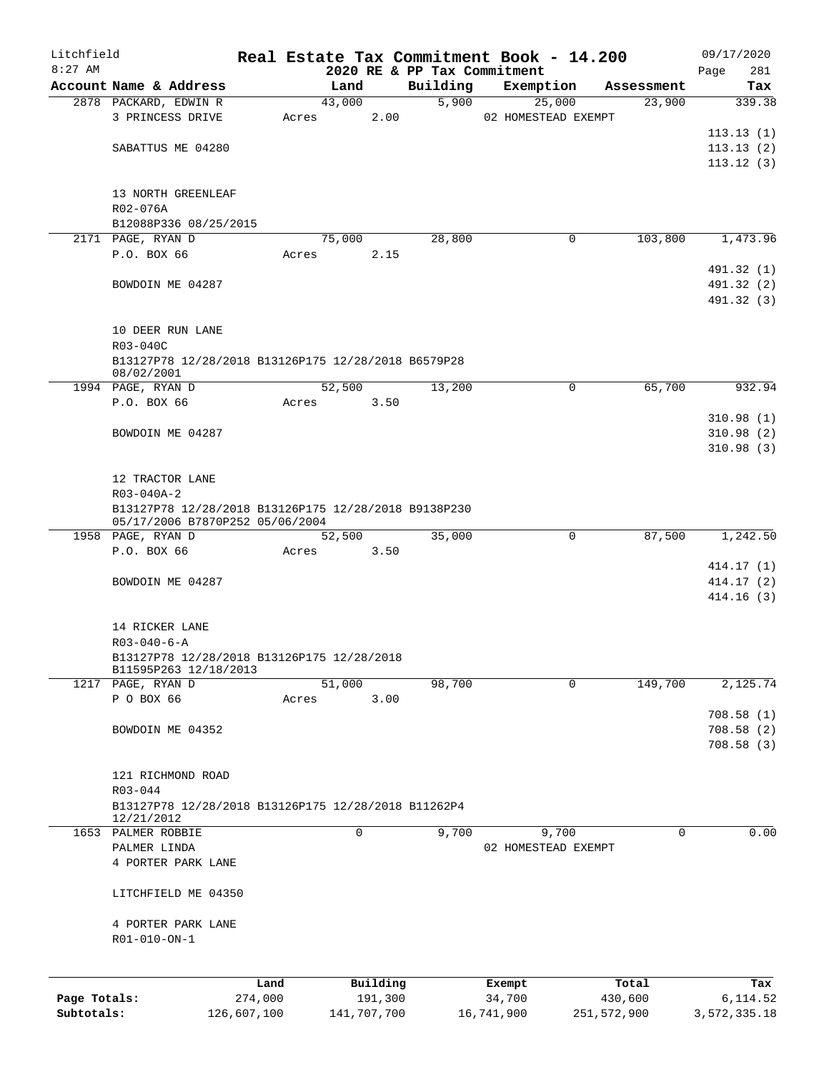| Litchfield   |                                                                   |             |       |             |          |                             | Real Estate Tax Commitment Book - 14.200 |             | 09/17/2020      |
|--------------|-------------------------------------------------------------------|-------------|-------|-------------|----------|-----------------------------|------------------------------------------|-------------|-----------------|
| $8:27$ AM    |                                                                   |             |       |             |          | 2020 RE & PP Tax Commitment |                                          |             | 281<br>Page     |
|              | Account Name & Address                                            |             |       | Land        |          | Building                    | Exemption                                | Assessment  | Tax             |
|              | 2878 PACKARD, EDWIN R                                             |             |       | 43,000      |          | 5,900                       | 25,000                                   | 23,900      | 339.38          |
|              | 3 PRINCESS DRIVE                                                  |             | Acres |             | 2.00     |                             | 02 HOMESTEAD EXEMPT                      |             |                 |
|              |                                                                   |             |       |             |          |                             |                                          |             | 113.13(1)       |
|              | SABATTUS ME 04280                                                 |             |       |             |          |                             |                                          |             | 113.13(2)       |
|              |                                                                   |             |       |             |          |                             |                                          |             | 113.12(3)       |
|              |                                                                   |             |       |             |          |                             |                                          |             |                 |
|              | 13 NORTH GREENLEAF                                                |             |       |             |          |                             |                                          |             |                 |
|              | R02-076A                                                          |             |       |             |          |                             |                                          |             |                 |
|              | B12088P336 08/25/2015                                             |             |       |             |          |                             |                                          |             | 1,473.96        |
|              | 2171 PAGE, RYAN D                                                 |             |       | 75,000      |          | 28,800                      | 0                                        | 103,800     |                 |
|              | P.O. BOX 66                                                       |             | Acres |             | 2.15     |                             |                                          |             |                 |
|              |                                                                   |             |       |             |          |                             |                                          |             | 491.32 (1)      |
|              | BOWDOIN ME 04287                                                  |             |       |             |          |                             |                                          |             | 491.32 (2)      |
|              |                                                                   |             |       |             |          |                             |                                          |             | 491.32 (3)      |
|              |                                                                   |             |       |             |          |                             |                                          |             |                 |
|              | 10 DEER RUN LANE                                                  |             |       |             |          |                             |                                          |             |                 |
|              | R03-040C                                                          |             |       |             |          |                             |                                          |             |                 |
|              | B13127P78 12/28/2018 B13126P175 12/28/2018 B6579P28<br>08/02/2001 |             |       |             |          |                             |                                          |             |                 |
|              | 1994 PAGE, RYAN D                                                 |             |       | 52,500      |          | 13,200                      | $\mathbf 0$                              | 65,700      | 932.94          |
|              | P.O. BOX 66                                                       |             | Acres |             | 3.50     |                             |                                          |             |                 |
|              |                                                                   |             |       |             |          |                             |                                          |             | 310.98(1)       |
|              | BOWDOIN ME 04287                                                  |             |       |             |          |                             |                                          |             | 310.98(2)       |
|              |                                                                   |             |       |             |          |                             |                                          |             | 310.98(3)       |
|              |                                                                   |             |       |             |          |                             |                                          |             |                 |
|              | 12 TRACTOR LANE                                                   |             |       |             |          |                             |                                          |             |                 |
|              | R03-040A-2                                                        |             |       |             |          |                             |                                          |             |                 |
|              | B13127P78 12/28/2018 B13126P175 12/28/2018 B9138P230              |             |       |             |          |                             |                                          |             |                 |
|              | 05/17/2006 B7870P252 05/06/2004                                   |             |       |             |          |                             |                                          |             |                 |
|              | 1958 PAGE, RYAN D                                                 |             |       | 52,500      |          | 35,000                      | 0                                        | 87,500      | 1,242.50        |
|              | P.O. BOX 66                                                       |             | Acres |             | 3.50     |                             |                                          |             |                 |
|              |                                                                   |             |       |             |          |                             |                                          |             | 414.17(1)       |
|              | BOWDOIN ME 04287                                                  |             |       |             |          |                             |                                          |             | 414.17(2)       |
|              |                                                                   |             |       |             |          |                             |                                          |             | 414.16(3)       |
|              |                                                                   |             |       |             |          |                             |                                          |             |                 |
|              | 14 RICKER LANE                                                    |             |       |             |          |                             |                                          |             |                 |
|              | $R03 - 040 - 6 - A$                                               |             |       |             |          |                             |                                          |             |                 |
|              | B13127P78 12/28/2018 B13126P175 12/28/2018                        |             |       |             |          |                             |                                          |             |                 |
|              | B11595P263 12/18/2013                                             |             |       |             |          |                             |                                          |             |                 |
|              | 1217 PAGE, RYAN D                                                 |             |       | 51,000      |          | 98,700                      | $\Omega$                                 | 149,700     | 2,125.74        |
|              | P O BOX 66                                                        |             | Acres |             | 3.00     |                             |                                          |             |                 |
|              |                                                                   |             |       |             |          |                             |                                          |             | 708.58(1)       |
|              | BOWDOIN ME 04352                                                  |             |       |             |          |                             |                                          |             | 708.58(2)       |
|              |                                                                   |             |       |             |          |                             |                                          |             | 708.58(3)       |
|              |                                                                   |             |       |             |          |                             |                                          |             |                 |
|              | 121 RICHMOND ROAD                                                 |             |       |             |          |                             |                                          |             |                 |
|              | R03-044                                                           |             |       |             |          |                             |                                          |             |                 |
|              | B13127P78 12/28/2018 B13126P175 12/28/2018 B11262P4               |             |       |             |          |                             |                                          |             |                 |
|              | 12/21/2012                                                        |             |       |             |          |                             |                                          |             |                 |
|              | 1653 PALMER ROBBIE                                                |             |       | $\mathbf 0$ |          | 9,700                       | 9,700                                    | $\mathbf 0$ | 0.00            |
|              | PALMER LINDA                                                      |             |       |             |          |                             | 02 HOMESTEAD EXEMPT                      |             |                 |
|              | 4 PORTER PARK LANE                                                |             |       |             |          |                             |                                          |             |                 |
|              |                                                                   |             |       |             |          |                             |                                          |             |                 |
|              | LITCHFIELD ME 04350                                               |             |       |             |          |                             |                                          |             |                 |
|              |                                                                   |             |       |             |          |                             |                                          |             |                 |
|              | 4 PORTER PARK LANE                                                |             |       |             |          |                             |                                          |             |                 |
|              | R01-010-ON-1                                                      |             |       |             |          |                             |                                          |             |                 |
|              |                                                                   |             |       |             |          |                             |                                          |             |                 |
|              |                                                                   | Land        |       |             | Building |                             |                                          | Total       |                 |
| Page Totals: |                                                                   | 274,000     |       |             | 191,300  |                             | Exempt<br>34,700                         | 430,600     | Tax<br>6,114.52 |
| Subtotals:   |                                                                   | 126,607,100 |       | 141,707,700 |          |                             | 16,741,900                               | 251,572,900 | 3,572,335.18    |
|              |                                                                   |             |       |             |          |                             |                                          |             |                 |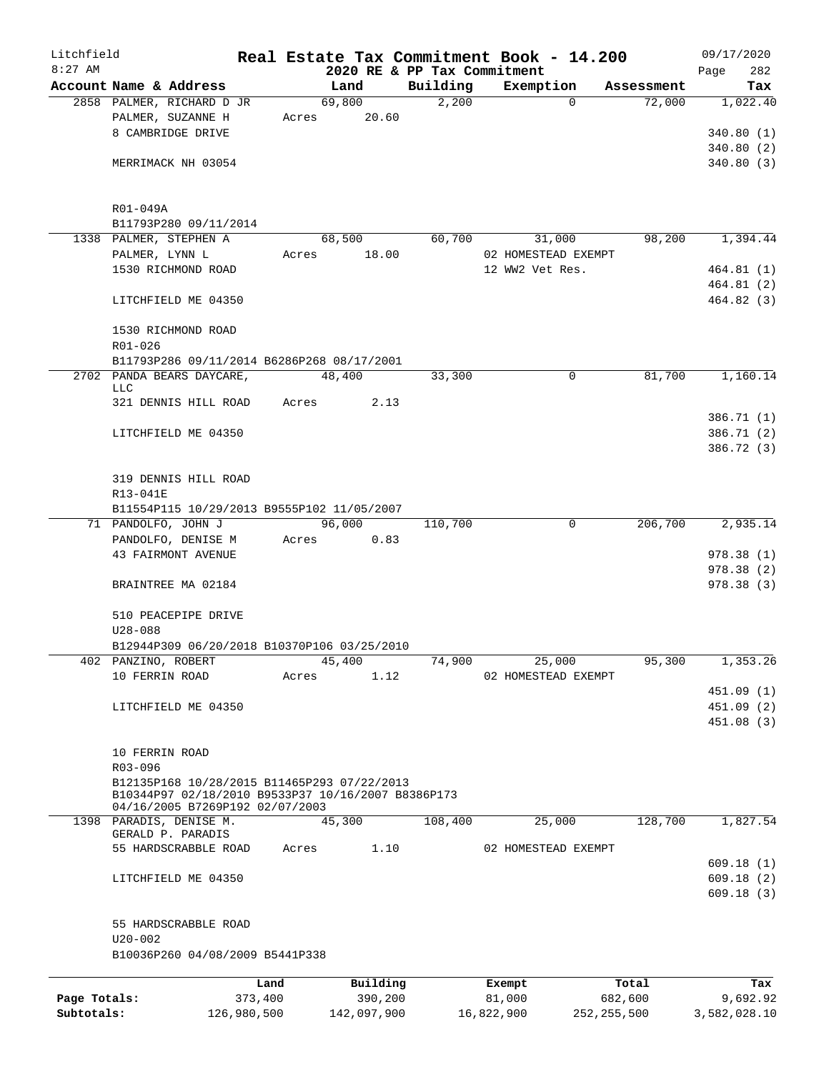| Litchfield   |                                                                                                   |             |               |                             | Real Estate Tax Commitment Book - 14.200 |                        | 09/17/2020   |
|--------------|---------------------------------------------------------------------------------------------------|-------------|---------------|-----------------------------|------------------------------------------|------------------------|--------------|
| $8:27$ AM    |                                                                                                   |             |               | 2020 RE & PP Tax Commitment |                                          |                        | 282<br>Page  |
|              | Account Name & Address                                                                            |             | Land          | Building                    | Exemption                                | Assessment             | Tax          |
|              | 2858 PALMER, RICHARD D JR                                                                         |             | 69,800        | 2,200                       |                                          | 72,000<br>$\mathbf{0}$ | 1,022.40     |
|              | PALMER, SUZANNE H                                                                                 | Acres       | 20.60         |                             |                                          |                        |              |
|              | 8 CAMBRIDGE DRIVE                                                                                 |             |               |                             |                                          |                        | 340.80(1)    |
|              |                                                                                                   |             |               |                             |                                          |                        | 340.80(2)    |
|              | MERRIMACK NH 03054                                                                                |             |               |                             |                                          |                        | 340.80(3)    |
|              | R01-049A                                                                                          |             |               |                             |                                          |                        |              |
|              | B11793P280 09/11/2014                                                                             |             |               |                             |                                          |                        |              |
|              | 1338 PALMER, STEPHEN A                                                                            |             | 68,500        | 60,700                      | 31,000                                   | 98,200                 | 1,394.44     |
|              | PALMER, LYNN L                                                                                    | Acres       | 18.00         |                             | 02 HOMESTEAD EXEMPT                      |                        |              |
|              | 1530 RICHMOND ROAD                                                                                |             |               |                             | 12 WW2 Vet Res.                          |                        | 464.81 (1)   |
|              |                                                                                                   |             |               |                             |                                          |                        | 464.81(2)    |
|              | LITCHFIELD ME 04350                                                                               |             |               |                             |                                          |                        | 464.82(3)    |
|              | 1530 RICHMOND ROAD                                                                                |             |               |                             |                                          |                        |              |
|              | $R01 - 026$                                                                                       |             |               |                             |                                          |                        |              |
|              | B11793P286 09/11/2014 B6286P268 08/17/2001                                                        |             |               |                             |                                          |                        |              |
|              | 2702 PANDA BEARS DAYCARE,<br>LLC                                                                  |             | 48,400        | 33,300                      |                                          | $\mathbf 0$<br>81,700  | 1,160.14     |
|              | 321 DENNIS HILL ROAD                                                                              | Acres       | 2.13          |                             |                                          |                        |              |
|              |                                                                                                   |             |               |                             |                                          |                        | 386.71 (1)   |
|              | LITCHFIELD ME 04350                                                                               |             |               |                             |                                          |                        | 386.71 (2)   |
|              |                                                                                                   |             |               |                             |                                          |                        | 386.72 (3)   |
|              | 319 DENNIS HILL ROAD                                                                              |             |               |                             |                                          |                        |              |
|              | R13-041E                                                                                          |             |               |                             |                                          |                        |              |
|              | B11554P115 10/29/2013 B9555P102 11/05/2007                                                        |             |               |                             |                                          |                        |              |
|              | 71 PANDOLFO, JOHN J                                                                               |             | 96,000        | 110,700                     |                                          | $\mathbf 0$<br>206,700 | 2,935.14     |
|              | PANDOLFO, DENISE M                                                                                |             | 0.83<br>Acres |                             |                                          |                        |              |
|              | 43 FAIRMONT AVENUE                                                                                |             |               |                             |                                          |                        | 978.38(1)    |
|              |                                                                                                   |             |               |                             |                                          |                        | 978.38(2)    |
|              | BRAINTREE MA 02184                                                                                |             |               |                             |                                          |                        | 978.38(3)    |
|              | 510 PEACEPIPE DRIVE                                                                               |             |               |                             |                                          |                        |              |
|              | $U28 - 088$                                                                                       |             |               |                             |                                          |                        |              |
|              | B12944P309 06/20/2018 B10370P106 03/25/2010                                                       |             |               |                             |                                          |                        |              |
|              | 402 PANZINO, ROBERT                                                                               |             | 45,400        | 74,900                      | 25,000                                   | 95,300                 | 1,353.26     |
|              | 10 FERRIN ROAD                                                                                    | Acres       | 1.12          |                             | 02 HOMESTEAD EXEMPT                      |                        |              |
|              |                                                                                                   |             |               |                             |                                          |                        | 451.09 (1)   |
|              | LITCHFIELD ME 04350                                                                               |             |               |                             |                                          |                        | 451.09 (2)   |
|              |                                                                                                   |             |               |                             |                                          |                        | 451.08 (3)   |
|              | 10 FERRIN ROAD                                                                                    |             |               |                             |                                          |                        |              |
|              | R03-096                                                                                           |             |               |                             |                                          |                        |              |
|              | B12135P168 10/28/2015 B11465P293 07/22/2013<br>B10344P97 02/18/2010 B9533P37 10/16/2007 B8386P173 |             |               |                             |                                          |                        |              |
|              | 04/16/2005 B7269P192 02/07/2003<br>1398 PARADIS, DENISE M.                                        |             | 45,300        | 108,400                     | 25,000                                   | 128,700                | 1,827.54     |
|              | GERALD P. PARADIS                                                                                 |             |               |                             |                                          |                        |              |
|              | 55 HARDSCRABBLE ROAD                                                                              | Acres       | 1.10          |                             | 02 HOMESTEAD EXEMPT                      |                        |              |
|              |                                                                                                   |             |               |                             |                                          |                        | 609.18(1)    |
|              | LITCHFIELD ME 04350                                                                               |             |               |                             |                                          |                        | 609.18(2)    |
|              |                                                                                                   |             |               |                             |                                          |                        | 609.18(3)    |
|              | 55 HARDSCRABBLE ROAD                                                                              |             |               |                             |                                          |                        |              |
|              | $U20 - 002$                                                                                       |             |               |                             |                                          |                        |              |
|              | B10036P260 04/08/2009 B5441P338                                                                   |             |               |                             |                                          |                        |              |
|              |                                                                                                   | Land        | Building      |                             | Exempt                                   | Total                  | Tax          |
| Page Totals: |                                                                                                   | 373,400     | 390,200       |                             | 81,000                                   | 682,600                | 9,692.92     |
| Subtotals:   |                                                                                                   | 126,980,500 | 142,097,900   |                             | 16,822,900                               | 252, 255, 500          | 3,582,028.10 |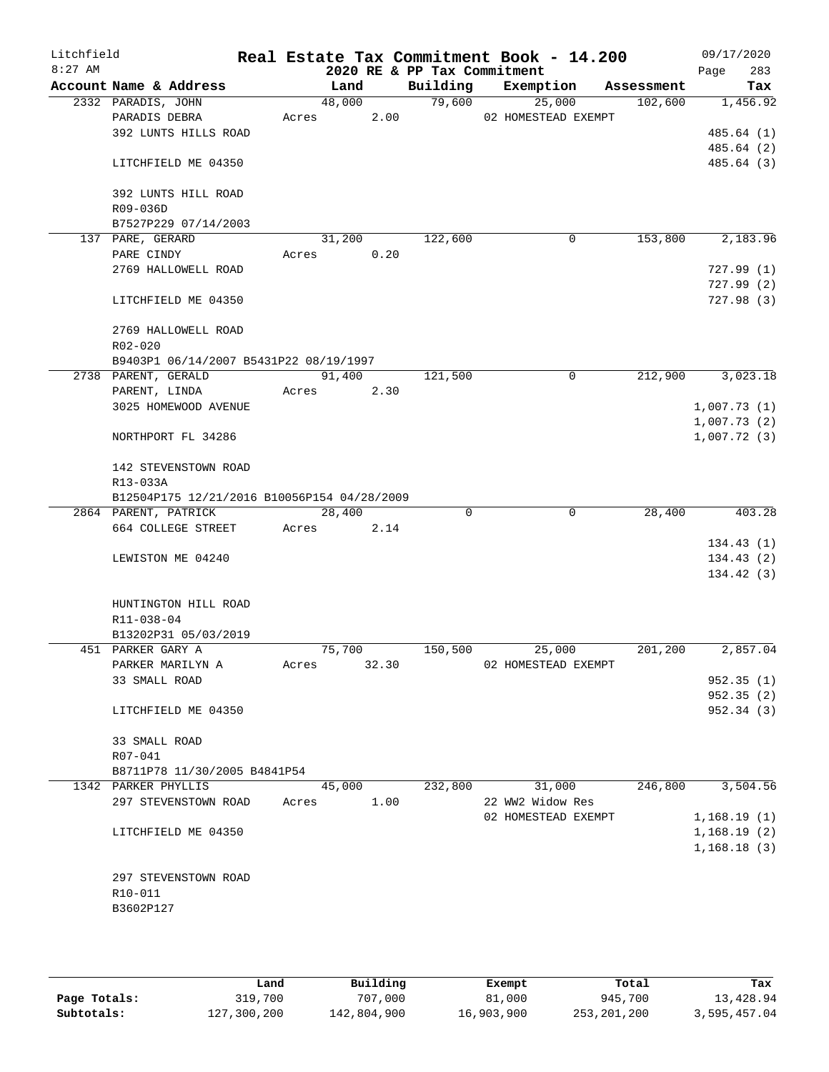| Litchfield<br>$8:27$ AM |                                             |        |        | 2020 RE & PP Tax Commitment | Real Estate Tax Commitment Book - 14.200 |            | 09/17/2020<br>283<br>Page |
|-------------------------|---------------------------------------------|--------|--------|-----------------------------|------------------------------------------|------------|---------------------------|
|                         | Account Name & Address                      | Land   |        | Building                    | Exemption                                | Assessment | Tax                       |
|                         | 2332 PARADIS, JOHN                          |        | 48,000 | 79,600                      | 25,000                                   | 102,600    | 1,456.92                  |
|                         | PARADIS DEBRA                               | Acres  | 2.00   |                             | 02 HOMESTEAD EXEMPT                      |            |                           |
|                         | 392 LUNTS HILLS ROAD                        |        |        |                             |                                          |            | 485.64 (1)                |
|                         |                                             |        |        |                             |                                          |            | 485.64 (2)                |
|                         | LITCHFIELD ME 04350                         |        |        |                             |                                          |            | 485.64 (3)                |
|                         | 392 LUNTS HILL ROAD                         |        |        |                             |                                          |            |                           |
|                         | R09-036D                                    |        |        |                             |                                          |            |                           |
|                         | B7527P229 07/14/2003                        |        |        |                             |                                          |            |                           |
|                         | 137 PARE, GERARD                            | 31,200 |        | 122,600                     | 0                                        | 153,800    | 2,183.96                  |
|                         | PARE CINDY                                  | Acres  | 0.20   |                             |                                          |            |                           |
|                         | 2769 HALLOWELL ROAD                         |        |        |                             |                                          |            | 727.99(1)                 |
|                         |                                             |        |        |                             |                                          |            | 727.99(2)                 |
|                         | LITCHFIELD ME 04350                         |        |        |                             |                                          |            | 727.98(3)                 |
|                         | 2769 HALLOWELL ROAD                         |        |        |                             |                                          |            |                           |
|                         | $R02 - 020$                                 |        |        |                             |                                          |            |                           |
|                         | B9403P1 06/14/2007 B5431P22 08/19/1997      |        |        |                             |                                          |            |                           |
|                         | 2738 PARENT, GERALD                         | 91,400 |        | 121,500                     | 0                                        | 212,900    | 3,023.18                  |
|                         | PARENT, LINDA                               | Acres  | 2.30   |                             |                                          |            |                           |
|                         | 3025 HOMEWOOD AVENUE                        |        |        |                             |                                          |            | 1,007.73(1)               |
|                         |                                             |        |        |                             |                                          |            | 1,007.73(2)               |
|                         | NORTHPORT FL 34286                          |        |        |                             |                                          |            | 1,007.72(3)               |
|                         | 142 STEVENSTOWN ROAD                        |        |        |                             |                                          |            |                           |
|                         | R13-033A                                    |        |        |                             |                                          |            |                           |
|                         | B12504P175 12/21/2016 B10056P154 04/28/2009 |        |        |                             |                                          |            |                           |
|                         | 2864 PARENT, PATRICK                        | 28,400 |        | $\Omega$                    | $\mathbf 0$                              | 28,400     | 403.28                    |
|                         | 664 COLLEGE STREET                          | Acres  | 2.14   |                             |                                          |            |                           |
|                         |                                             |        |        |                             |                                          |            | 134.43(1)                 |
|                         | LEWISTON ME 04240                           |        |        |                             |                                          |            | 134.43(2)                 |
|                         |                                             |        |        |                             |                                          |            | 134.42(3)                 |
|                         | HUNTINGTON HILL ROAD                        |        |        |                             |                                          |            |                           |
|                         | R11-038-04                                  |        |        |                             |                                          |            |                           |
|                         | B13202P31 05/03/2019                        |        |        |                             |                                          |            |                           |
|                         | 451 PARKER GARY A                           | 75,700 |        | 150,500                     | 25,000                                   | 201,200    | 2,857.04                  |
|                         | PARKER MARILYN A                            | Acres  | 32.30  |                             | 02 HOMESTEAD EXEMPT                      |            |                           |
|                         | 33 SMALL ROAD                               |        |        |                             |                                          |            | 952.35(1)                 |
|                         |                                             |        |        |                             |                                          |            | 952.35(2)                 |
|                         | LITCHFIELD ME 04350                         |        |        |                             |                                          |            | 952.34 (3)                |
|                         | 33 SMALL ROAD                               |        |        |                             |                                          |            |                           |
|                         | R07-041                                     |        |        |                             |                                          |            |                           |
|                         | B8711P78 11/30/2005 B4841P54                |        |        |                             |                                          |            |                           |
|                         | 1342 PARKER PHYLLIS                         | 45,000 |        | 232,800                     | 31,000                                   | 246,800    | 3,504.56                  |
|                         | 297 STEVENSTOWN ROAD                        | Acres  | 1.00   |                             | 22 WW2 Widow Res                         |            |                           |
|                         |                                             |        |        |                             | 02 HOMESTEAD EXEMPT                      |            | 1,168.19(1)               |
|                         | LITCHFIELD ME 04350                         |        |        |                             |                                          |            | 1,168.19(2)               |
|                         |                                             |        |        |                             |                                          |            | 1,168.18(3)               |
|                         |                                             |        |        |                             |                                          |            |                           |
|                         | 297 STEVENSTOWN ROAD                        |        |        |                             |                                          |            |                           |
|                         | R10-011                                     |        |        |                             |                                          |            |                           |
|                         | B3602P127                                   |        |        |                             |                                          |            |                           |
|                         |                                             |        |        |                             |                                          |            |                           |
|                         |                                             |        |        |                             |                                          |            |                           |

|              | Land        | Building    | Exempt     | Total       | Tax          |
|--------------|-------------|-------------|------------|-------------|--------------|
| Page Totals: | 319,700     | 707,000     | 81,000     | 945,700     | 13,428.94    |
| Subtotals:   | 127,300,200 | 142,804,900 | 16,903,900 | 253,201,200 | 3,595,457.04 |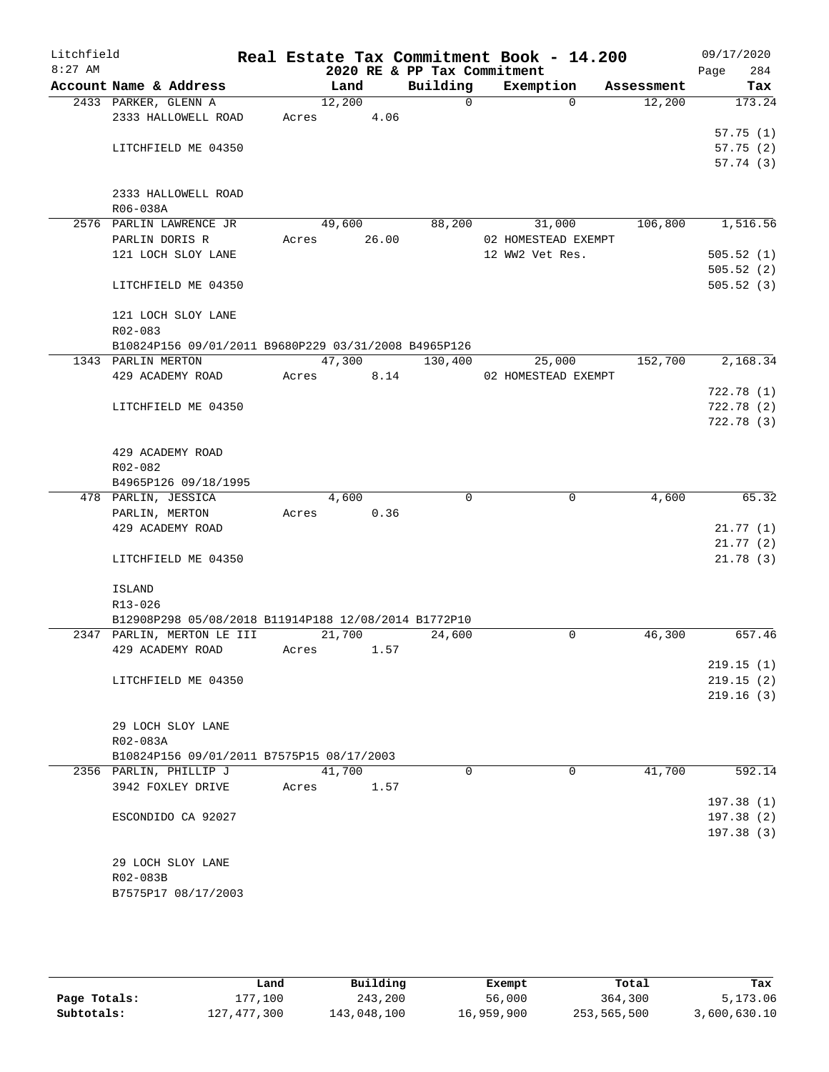| Litchfield |                                                      |       |            |                             | Real Estate Tax Commitment Book - 14.200 |            | 09/17/2020  |
|------------|------------------------------------------------------|-------|------------|-----------------------------|------------------------------------------|------------|-------------|
| $8:27$ AM  |                                                      |       |            | 2020 RE & PP Tax Commitment |                                          |            | Page<br>284 |
|            | Account Name & Address                               |       | Land       | Building                    | Exemption                                | Assessment | Tax         |
|            | 2433 PARKER, GLENN A                                 |       | 12,200     | $\Omega$                    | $\Omega$                                 | 12,200     | 173.24      |
|            | 2333 HALLOWELL ROAD                                  |       | Acres 4.06 |                             |                                          |            |             |
|            |                                                      |       |            |                             |                                          |            | 57.75(1)    |
|            | LITCHFIELD ME 04350                                  |       |            |                             |                                          |            | 57.75(2)    |
|            |                                                      |       |            |                             |                                          |            | 57.74(3)    |
|            |                                                      |       |            |                             |                                          |            |             |
|            | 2333 HALLOWELL ROAD                                  |       |            |                             |                                          |            |             |
|            | R06-038A                                             |       |            |                             |                                          |            |             |
|            | 2576 PARLIN LAWRENCE JR                              |       | 49,600     | 88,200                      | 31,000                                   | 106,800    | 1,516.56    |
|            | PARLIN DORIS R                                       | Acres | 26.00      |                             | 02 HOMESTEAD EXEMPT                      |            |             |
|            | 121 LOCH SLOY LANE                                   |       |            |                             | 12 WW2 Vet Res.                          |            | 505.52(1)   |
|            |                                                      |       |            |                             |                                          |            | 505.52(2)   |
|            | LITCHFIELD ME 04350                                  |       |            |                             |                                          |            | 505.52(3)   |
|            |                                                      |       |            |                             |                                          |            |             |
|            | 121 LOCH SLOY LANE                                   |       |            |                             |                                          |            |             |
|            | R02-083                                              |       |            |                             |                                          |            |             |
|            | B10824P156 09/01/2011 B9680P229 03/31/2008 B4965P126 |       |            |                             |                                          |            |             |
|            | 1343 PARLIN MERTON                                   |       | 47,300     | 130,400                     | 25,000                                   | 152,700    | 2,168.34    |
|            | 429 ACADEMY ROAD                                     | Acres | 8.14       |                             | 02 HOMESTEAD EXEMPT                      |            |             |
|            |                                                      |       |            |                             |                                          |            | 722.78(1)   |
|            | LITCHFIELD ME 04350                                  |       |            |                             |                                          |            | 722.78(2)   |
|            |                                                      |       |            |                             |                                          |            | 722.78 (3)  |
|            |                                                      |       |            |                             |                                          |            |             |
|            | 429 ACADEMY ROAD                                     |       |            |                             |                                          |            |             |
|            | R02-082                                              |       |            |                             |                                          |            |             |
|            | B4965P126 09/18/1995                                 |       |            |                             |                                          |            |             |
|            | 478 PARLIN, JESSICA                                  |       | 4,600      | $\Omega$                    | $\mathbf 0$                              | 4,600      | 65.32       |
|            | PARLIN, MERTON                                       | Acres | 0.36       |                             |                                          |            |             |
|            | 429 ACADEMY ROAD                                     |       |            |                             |                                          |            | 21.77(1)    |
|            |                                                      |       |            |                             |                                          |            | 21.77(2)    |
|            | LITCHFIELD ME 04350                                  |       |            |                             |                                          |            | 21.78(3)    |
|            |                                                      |       |            |                             |                                          |            |             |
|            | <b>ISLAND</b>                                        |       |            |                             |                                          |            |             |
|            | R13-026                                              |       |            |                             |                                          |            |             |
|            | B12908P298 05/08/2018 B11914P188 12/08/2014 B1772P10 |       |            |                             |                                          |            |             |
|            | 2347 PARLIN, MERTON LE III                           |       | 21,700     | 24,600                      | 0                                        | 46,300     | 657.46      |
|            | 429 ACADEMY ROAD                                     | Acres | 1.57       |                             |                                          |            |             |
|            |                                                      |       |            |                             |                                          |            | 219.15(1)   |
|            | LITCHFIELD ME 04350                                  |       |            |                             |                                          |            | 219.15(2)   |
|            |                                                      |       |            |                             |                                          |            | 219.16(3)   |
|            |                                                      |       |            |                             |                                          |            |             |
|            | 29 LOCH SLOY LANE                                    |       |            |                             |                                          |            |             |
|            | R02-083A                                             |       |            |                             |                                          |            |             |
|            | B10824P156 09/01/2011 B7575P15 08/17/2003            |       |            |                             |                                          |            |             |
|            | 2356 PARLIN, PHILLIP J                               |       | 41,700     | $\mathbf 0$                 | $\mathbf 0$                              | 41,700     | 592.14      |
|            |                                                      |       |            |                             |                                          |            |             |
|            | 3942 FOXLEY DRIVE                                    | Acres | 1.57       |                             |                                          |            | 197.38(1)   |
|            |                                                      |       |            |                             |                                          |            |             |
|            | ESCONDIDO CA 92027                                   |       |            |                             |                                          |            | 197.38(2)   |
|            |                                                      |       |            |                             |                                          |            | 197.38(3)   |
|            |                                                      |       |            |                             |                                          |            |             |
|            | 29 LOCH SLOY LANE                                    |       |            |                             |                                          |            |             |
|            | R02-083B                                             |       |            |                             |                                          |            |             |
|            | B7575P17 08/17/2003                                  |       |            |                             |                                          |            |             |
|            |                                                      |       |            |                             |                                          |            |             |

|              | Land          | Building    | Exempt     | Total       | Tax          |
|--------------|---------------|-------------|------------|-------------|--------------|
| Page Totals: | L77.100       | 243,200     | 56,000     | 364,300     | 5,173.06     |
| Subtotals:   | 127, 477, 300 | 143,048,100 | 16,959,900 | 253,565,500 | 3,600,630.10 |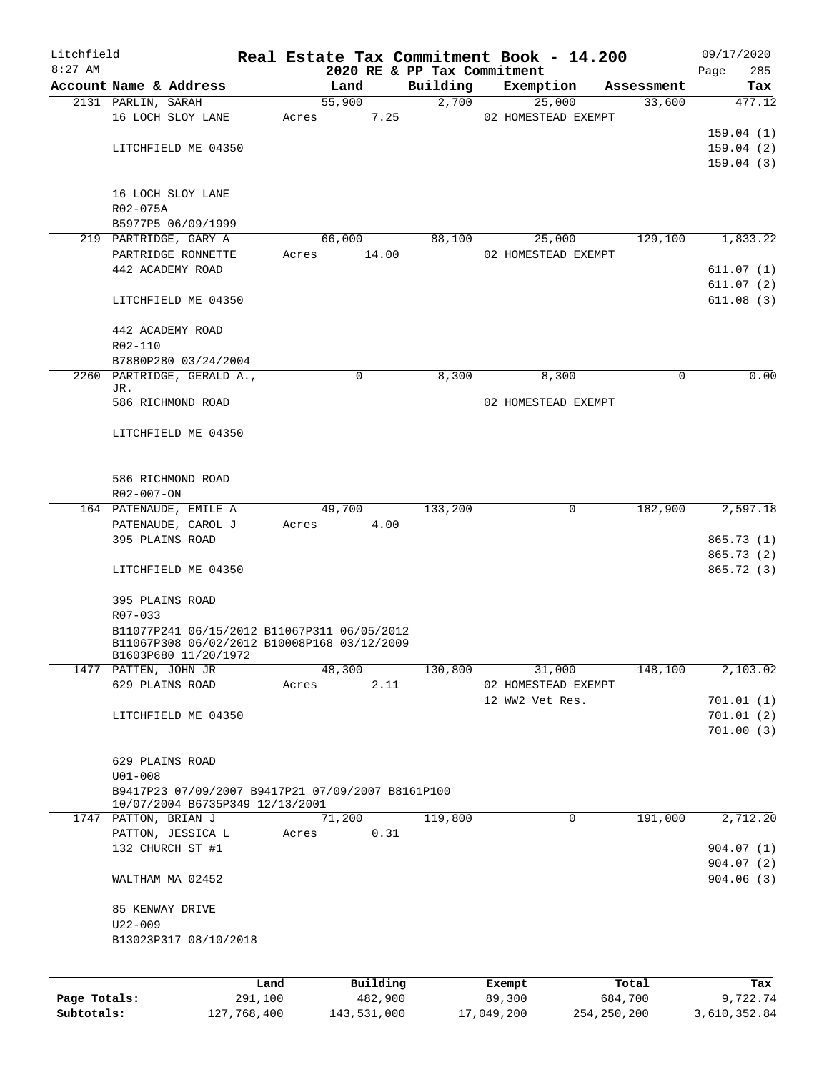| Litchfield   |                                                                     |                 |       |        |                     | Real Estate Tax Commitment Book - 14.200 |                  |                     |                  | 09/17/2020         |
|--------------|---------------------------------------------------------------------|-----------------|-------|--------|---------------------|------------------------------------------|------------------|---------------------|------------------|--------------------|
| $8:27$ AM    | Account Name & Address                                              |                 |       | Land   |                     | 2020 RE & PP Tax Commitment<br>Building  |                  | Exemption           | Assessment       | 285<br>Page<br>Tax |
|              | 2131 PARLIN, SARAH                                                  |                 |       | 55,900 |                     | 2,700                                    |                  | 25,000              | 33,600           | 477.12             |
|              | 16 LOCH SLOY LANE                                                   |                 | Acres |        | 7.25                |                                          |                  | 02 HOMESTEAD EXEMPT |                  |                    |
|              |                                                                     |                 |       |        |                     |                                          |                  |                     |                  | 159.04(1)          |
|              | LITCHFIELD ME 04350                                                 |                 |       |        |                     |                                          |                  |                     |                  | 159.04(2)          |
|              |                                                                     |                 |       |        |                     |                                          |                  |                     |                  | 159.04(3)          |
|              | 16 LOCH SLOY LANE                                                   |                 |       |        |                     |                                          |                  |                     |                  |                    |
|              | R02-075A                                                            |                 |       |        |                     |                                          |                  |                     |                  |                    |
|              | B5977P5 06/09/1999                                                  |                 |       |        |                     |                                          |                  |                     |                  |                    |
|              | 219 PARTRIDGE, GARY A                                               |                 |       | 66,000 |                     | 88,100                                   |                  | 25,000              | 129,100          | 1,833.22           |
|              | PARTRIDGE RONNETTE                                                  |                 | Acres |        | 14.00               |                                          |                  | 02 HOMESTEAD EXEMPT |                  |                    |
|              | 442 ACADEMY ROAD                                                    |                 |       |        |                     |                                          |                  |                     |                  | 611.07(1)          |
|              |                                                                     |                 |       |        |                     |                                          |                  |                     |                  | 611.07(2)          |
|              | LITCHFIELD ME 04350                                                 |                 |       |        |                     |                                          |                  |                     |                  | 611.08(3)          |
|              | 442 ACADEMY ROAD                                                    |                 |       |        |                     |                                          |                  |                     |                  |                    |
|              | R02-110                                                             |                 |       |        |                     |                                          |                  |                     |                  |                    |
|              | B7880P280 03/24/2004                                                |                 |       |        |                     |                                          |                  |                     |                  |                    |
|              | 2260 PARTRIDGE, GERALD A.,                                          |                 |       | 0      |                     | 8,300                                    |                  | 8,300               | 0                | 0.00               |
|              | JR.<br>586 RICHMOND ROAD                                            |                 |       |        |                     |                                          |                  | 02 HOMESTEAD EXEMPT |                  |                    |
|              |                                                                     |                 |       |        |                     |                                          |                  |                     |                  |                    |
|              | LITCHFIELD ME 04350                                                 |                 |       |        |                     |                                          |                  |                     |                  |                    |
|              | 586 RICHMOND ROAD                                                   |                 |       |        |                     |                                          |                  |                     |                  |                    |
|              | R02-007-ON                                                          |                 |       |        |                     |                                          |                  |                     |                  |                    |
|              | 164 PATENAUDE, EMILE A                                              |                 |       | 49,700 |                     | 133,200                                  |                  | 0                   | 182,900          | 2,597.18           |
|              | PATENAUDE, CAROL J                                                  |                 | Acres |        | 4.00                |                                          |                  |                     |                  |                    |
|              | 395 PLAINS ROAD                                                     |                 |       |        |                     |                                          |                  |                     |                  | 865.73 (1)         |
|              |                                                                     |                 |       |        |                     |                                          |                  |                     |                  | 865.73 (2)         |
|              | LITCHFIELD ME 04350                                                 |                 |       |        |                     |                                          |                  |                     |                  | 865.72 (3)         |
|              | 395 PLAINS ROAD                                                     |                 |       |        |                     |                                          |                  |                     |                  |                    |
|              | R07-033                                                             |                 |       |        |                     |                                          |                  |                     |                  |                    |
|              | B11077P241 06/15/2012 B11067P311 06/05/2012                         |                 |       |        |                     |                                          |                  |                     |                  |                    |
|              | B11067P308 06/02/2012 B10008P168 03/12/2009<br>B1603P680 11/20/1972 |                 |       |        |                     |                                          |                  |                     |                  |                    |
| 1477         | PATTEN, JOHN JR                                                     |                 |       | 48,300 |                     | 130,800                                  |                  | 31,000              | 148,100          | 2,103.02           |
|              | 629 PLAINS ROAD                                                     |                 | Acres |        | 2.11                |                                          |                  | 02 HOMESTEAD EXEMPT |                  |                    |
|              |                                                                     |                 |       |        |                     |                                          | 12 WW2 Vet Res.  |                     |                  | 701.01(1)          |
|              | LITCHFIELD ME 04350                                                 |                 |       |        |                     |                                          |                  |                     |                  | 701.01(2)          |
|              |                                                                     |                 |       |        |                     |                                          |                  |                     |                  | 701.00(3)          |
|              | 629 PLAINS ROAD                                                     |                 |       |        |                     |                                          |                  |                     |                  |                    |
|              | $U01 - 008$                                                         |                 |       |        |                     |                                          |                  |                     |                  |                    |
|              | B9417P23 07/09/2007 B9417P21 07/09/2007 B8161P100                   |                 |       |        |                     |                                          |                  |                     |                  |                    |
|              | 10/07/2004 B6735P349 12/13/2001<br>1747 PATTON, BRIAN J             |                 |       | 71,200 |                     | 119,800                                  |                  | 0                   | 191,000          | 2,712.20           |
|              | PATTON, JESSICA L                                                   |                 | Acres |        | 0.31                |                                          |                  |                     |                  |                    |
|              | 132 CHURCH ST #1                                                    |                 |       |        |                     |                                          |                  |                     |                  | 904.07(1)          |
|              |                                                                     |                 |       |        |                     |                                          |                  |                     |                  | 904.07(2)          |
|              | WALTHAM MA 02452                                                    |                 |       |        |                     |                                          |                  |                     |                  | 904.06(3)          |
|              | 85 KENWAY DRIVE                                                     |                 |       |        |                     |                                          |                  |                     |                  |                    |
|              | $U22 - 009$                                                         |                 |       |        |                     |                                          |                  |                     |                  |                    |
|              | B13023P317 08/10/2018                                               |                 |       |        |                     |                                          |                  |                     |                  |                    |
|              |                                                                     |                 |       |        |                     |                                          |                  |                     |                  |                    |
| Page Totals: |                                                                     | Land<br>291,100 |       |        | Building<br>482,900 |                                          | Exempt<br>89,300 |                     | Total<br>684,700 | Tax<br>9,722.74    |
|              |                                                                     |                 |       |        |                     |                                          |                  |                     |                  |                    |

**Subtotals:** 127,768,400 143,531,000 17,049,200 254,250,200 3,610,352.84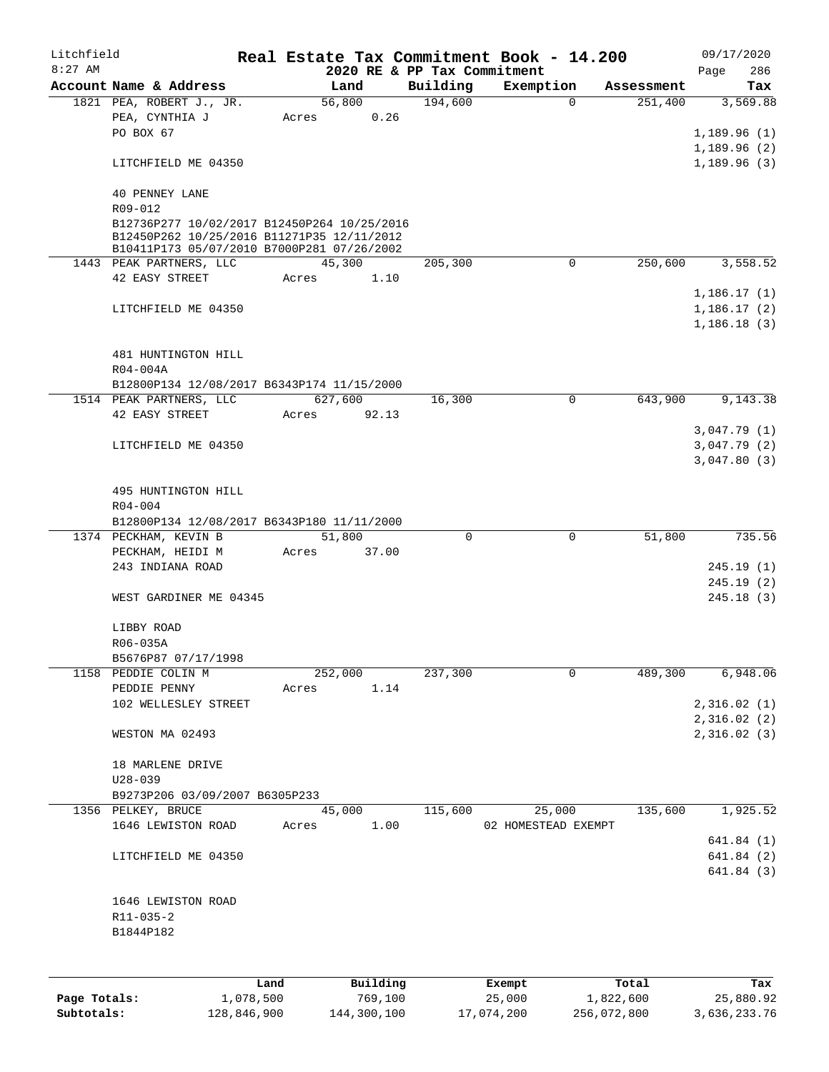| Litchfield<br>$8:27$ AM |                                                                                           |      |       |                 |                                         | Real Estate Tax Commitment Book - 14.200 |            | 09/17/2020                 |
|-------------------------|-------------------------------------------------------------------------------------------|------|-------|-----------------|-----------------------------------------|------------------------------------------|------------|----------------------------|
|                         | Account Name & Address                                                                    |      |       | Land            | 2020 RE & PP Tax Commitment<br>Building | Exemption                                | Assessment | 286<br>Page<br>Tax         |
|                         | 1821 PEA, ROBERT J., JR.                                                                  |      |       | 56,800          | 194,600                                 | $\Omega$                                 | 251,400    | 3,569.88                   |
|                         | PEA, CYNTHIA J                                                                            |      | Acres | 0.26            |                                         |                                          |            |                            |
|                         | PO BOX 67                                                                                 |      |       |                 |                                         |                                          |            | 1,189.96(1)                |
|                         |                                                                                           |      |       |                 |                                         |                                          |            | 1,189.96(2)                |
|                         | LITCHFIELD ME 04350                                                                       |      |       |                 |                                         |                                          |            | 1,189.96(3)                |
|                         | <b>40 PENNEY LANE</b>                                                                     |      |       |                 |                                         |                                          |            |                            |
|                         | R09-012                                                                                   |      |       |                 |                                         |                                          |            |                            |
|                         | B12736P277 10/02/2017 B12450P264 10/25/2016<br>B12450P262 10/25/2016 B11271P35 12/11/2012 |      |       |                 |                                         |                                          |            |                            |
|                         | B10411P173 05/07/2010 B7000P281 07/26/2002                                                |      |       |                 |                                         |                                          |            |                            |
|                         | 1443 PEAK PARTNERS, LLC                                                                   |      |       | 45,300          | 205,300                                 | 0                                        | 250,600    | 3,558.52                   |
|                         | 42 EASY STREET                                                                            |      | Acres | 1.10            |                                         |                                          |            |                            |
|                         |                                                                                           |      |       |                 |                                         |                                          |            | 1,186.17(1)                |
|                         | LITCHFIELD ME 04350                                                                       |      |       |                 |                                         |                                          |            | 1,186.17(2)                |
|                         |                                                                                           |      |       |                 |                                         |                                          |            | 1,186.18(3)                |
|                         |                                                                                           |      |       |                 |                                         |                                          |            |                            |
|                         | 481 HUNTINGTON HILL                                                                       |      |       |                 |                                         |                                          |            |                            |
|                         | R04-004A<br>B12800P134 12/08/2017 B6343P174 11/15/2000                                    |      |       |                 |                                         |                                          |            |                            |
|                         | 1514 PEAK PARTNERS, LLC                                                                   |      |       | 627,600         | 16,300                                  | $\mathbf 0$                              | 643,900    | 9,143.38                   |
|                         | 42 EASY STREET                                                                            |      | Acres | 92.13           |                                         |                                          |            |                            |
|                         |                                                                                           |      |       |                 |                                         |                                          |            | 3,047.79(1)                |
|                         | LITCHFIELD ME 04350                                                                       |      |       |                 |                                         |                                          |            | 3,047.79(2)                |
|                         |                                                                                           |      |       |                 |                                         |                                          |            | 3,047.80(3)                |
|                         |                                                                                           |      |       |                 |                                         |                                          |            |                            |
|                         | 495 HUNTINGTON HILL                                                                       |      |       |                 |                                         |                                          |            |                            |
|                         | R04-004                                                                                   |      |       |                 |                                         |                                          |            |                            |
|                         | B12800P134 12/08/2017 B6343P180 11/11/2000                                                |      |       |                 |                                         |                                          |            |                            |
|                         | 1374 PECKHAM, KEVIN B                                                                     |      |       | 51,800<br>37.00 | 0                                       | $\mathbf 0$                              | 51,800     | 735.56                     |
|                         | PECKHAM, HEIDI M<br>243 INDIANA ROAD                                                      |      | Acres |                 |                                         |                                          |            | 245.19(1)                  |
|                         |                                                                                           |      |       |                 |                                         |                                          |            | 245.19(2)                  |
|                         | WEST GARDINER ME 04345                                                                    |      |       |                 |                                         |                                          |            | 245.18(3)                  |
|                         |                                                                                           |      |       |                 |                                         |                                          |            |                            |
|                         | LIBBY ROAD                                                                                |      |       |                 |                                         |                                          |            |                            |
|                         | R06-035A                                                                                  |      |       |                 |                                         |                                          |            |                            |
|                         | B5676P87 07/17/1998                                                                       |      |       |                 |                                         |                                          |            |                            |
|                         | 1158 PEDDIE COLIN M                                                                       |      |       | 252,000         | 237,300                                 | 0                                        | 489,300    | 6,948.06                   |
|                         | PEDDIE PENNY                                                                              |      | Acres | 1.14            |                                         |                                          |            |                            |
|                         | 102 WELLESLEY STREET                                                                      |      |       |                 |                                         |                                          |            | 2,316.02(1)                |
|                         | WESTON MA 02493                                                                           |      |       |                 |                                         |                                          |            | 2,316.02(2)<br>2,316.02(3) |
|                         |                                                                                           |      |       |                 |                                         |                                          |            |                            |
|                         | 18 MARLENE DRIVE                                                                          |      |       |                 |                                         |                                          |            |                            |
|                         | $U28 - 039$                                                                               |      |       |                 |                                         |                                          |            |                            |
|                         | B9273P206 03/09/2007 B6305P233                                                            |      |       |                 |                                         |                                          |            |                            |
|                         | 1356 PELKEY, BRUCE                                                                        |      |       | 45,000          | 115,600                                 | 25,000                                   | 135,600    | 1,925.52                   |
|                         | 1646 LEWISTON ROAD                                                                        |      | Acres | 1.00            |                                         | 02 HOMESTEAD EXEMPT                      |            |                            |
|                         |                                                                                           |      |       |                 |                                         |                                          |            | 641.84(1)                  |
|                         | LITCHFIELD ME 04350                                                                       |      |       |                 |                                         |                                          |            | 641.84(2)                  |
|                         |                                                                                           |      |       |                 |                                         |                                          |            | 641.84(3)                  |
|                         |                                                                                           |      |       |                 |                                         |                                          |            |                            |
|                         | 1646 LEWISTON ROAD<br>R11-035-2                                                           |      |       |                 |                                         |                                          |            |                            |
|                         | B1844P182                                                                                 |      |       |                 |                                         |                                          |            |                            |
|                         |                                                                                           |      |       |                 |                                         |                                          |            |                            |
|                         |                                                                                           |      |       |                 |                                         |                                          |            |                            |
|                         |                                                                                           | Land |       | Building        |                                         | Exempt                                   | Total      | Tax                        |

|              | Land        | Building    | Exempt     | Total       | Tax          |
|--------------|-------------|-------------|------------|-------------|--------------|
| Page Totals: | 1,078,500   | 769.100     | 25,000     | 1,822,600   | 25,880.92    |
| Subtotals:   | 128,846,900 | 144,300,100 | 17,074,200 | 256,072,800 | 3,636,233.76 |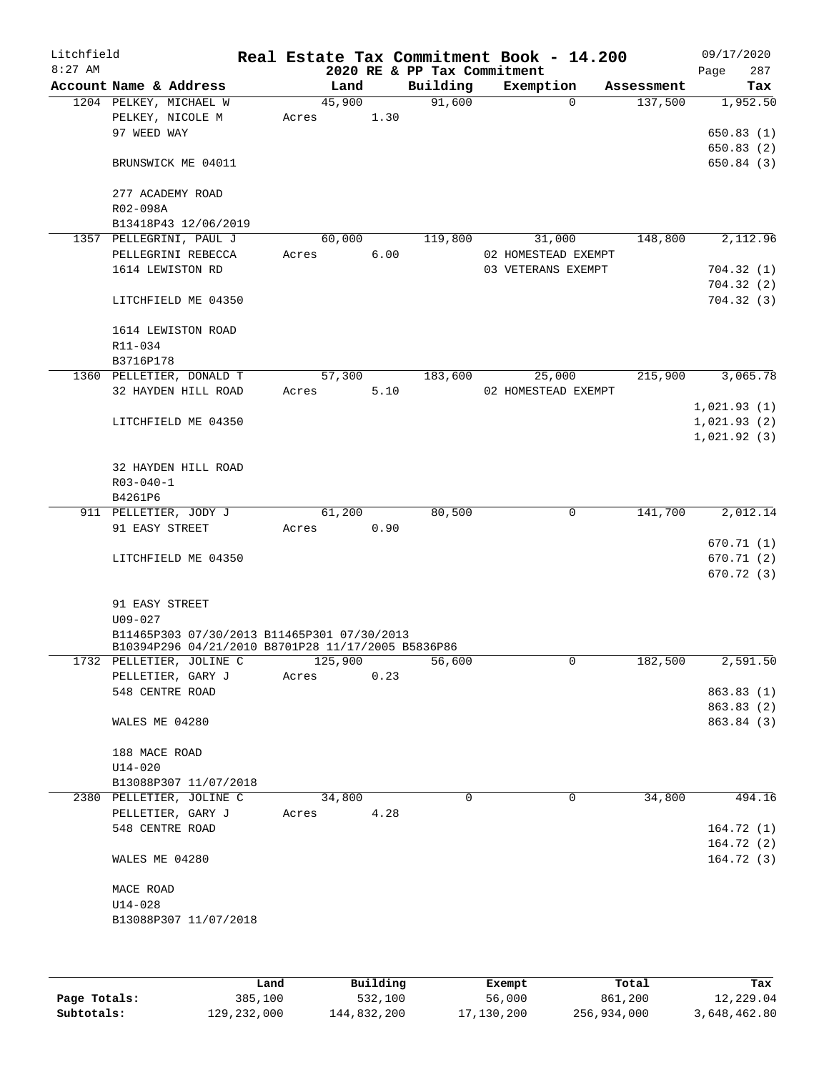| Litchfield<br>$8:27$ AM |                                                                                |       |         |      | 2020 RE & PP Tax Commitment | Real Estate Tax Commitment Book - 14.200 |            | 09/17/2020<br>Page | 287                    |
|-------------------------|--------------------------------------------------------------------------------|-------|---------|------|-----------------------------|------------------------------------------|------------|--------------------|------------------------|
|                         | Account Name & Address                                                         |       | Land    |      | Building                    | Exemption                                | Assessment |                    | Tax                    |
|                         | 1204 PELKEY, MICHAEL W<br>PELKEY, NICOLE M                                     | Acres | 45,900  | 1.30 | 91,600                      | $\Omega$                                 | 137,500    |                    | 1,952.50               |
|                         | 97 WEED WAY                                                                    |       |         |      |                             |                                          |            |                    | 650.83(1)              |
|                         |                                                                                |       |         |      |                             |                                          |            |                    | 650.83(2)              |
|                         | BRUNSWICK ME 04011                                                             |       |         |      |                             |                                          |            |                    | 650.84 (3)             |
|                         | 277 ACADEMY ROAD                                                               |       |         |      |                             |                                          |            |                    |                        |
|                         | R02-098A<br>B13418P43 12/06/2019                                               |       |         |      |                             |                                          |            |                    |                        |
|                         | 1357 PELLEGRINI, PAUL J                                                        |       | 60,000  |      | 119,800                     | 31,000                                   | 148,800    |                    | 2,112.96               |
|                         | PELLEGRINI REBECCA                                                             | Acres |         | 6.00 |                             | 02 HOMESTEAD EXEMPT                      |            |                    |                        |
|                         | 1614 LEWISTON RD                                                               |       |         |      |                             | 03 VETERANS EXEMPT                       |            |                    | 704.32(1)              |
|                         |                                                                                |       |         |      |                             |                                          |            |                    | 704.32(2)              |
|                         | LITCHFIELD ME 04350                                                            |       |         |      |                             |                                          |            |                    | 704.32(3)              |
|                         | 1614 LEWISTON ROAD                                                             |       |         |      |                             |                                          |            |                    |                        |
|                         | R11-034                                                                        |       |         |      |                             |                                          |            |                    |                        |
|                         | B3716P178                                                                      |       |         |      |                             |                                          |            |                    |                        |
|                         | 1360 PELLETIER, DONALD T                                                       |       | 57,300  |      | 183,600                     | 25,000                                   | 215,900    |                    | 3,065.78               |
|                         | 32 HAYDEN HILL ROAD                                                            | Acres |         | 5.10 |                             | 02 HOMESTEAD EXEMPT                      |            |                    |                        |
|                         |                                                                                |       |         |      |                             |                                          |            | 1,021.93(1)        |                        |
|                         | LITCHFIELD ME 04350                                                            |       |         |      |                             |                                          |            | 1,021.93(2)        |                        |
|                         |                                                                                |       |         |      |                             |                                          |            | 1,021.92(3)        |                        |
|                         | 32 HAYDEN HILL ROAD                                                            |       |         |      |                             |                                          |            |                    |                        |
|                         | $R03 - 040 - 1$                                                                |       |         |      |                             |                                          |            |                    |                        |
|                         | B4261P6                                                                        |       |         |      |                             |                                          |            |                    |                        |
|                         | 911 PELLETIER, JODY J                                                          |       | 61,200  |      | 80,500                      | $\mathbf 0$                              | 141,700    |                    | 2,012.14               |
|                         | 91 EASY STREET                                                                 | Acres |         | 0.90 |                             |                                          |            |                    |                        |
|                         |                                                                                |       |         |      |                             |                                          |            |                    | 670.71 (1)             |
|                         | LITCHFIELD ME 04350                                                            |       |         |      |                             |                                          |            |                    | 670.71 (2)             |
|                         |                                                                                |       |         |      |                             |                                          |            |                    | 670.72(3)              |
|                         | 91 EASY STREET                                                                 |       |         |      |                             |                                          |            |                    |                        |
|                         | $U09 - 027$                                                                    |       |         |      |                             |                                          |            |                    |                        |
|                         | B11465P303 07/30/2013 B11465P301 07/30/2013                                    |       |         |      |                             |                                          |            |                    |                        |
|                         | B10394P296 04/21/2010 B8701P28 11/17/2005 B5836P86<br>1732 PELLETIER, JOLINE C |       | 125,900 |      | 56,600                      | 0                                        | 182,500    |                    | 2,591.50               |
|                         | PELLETIER, GARY J                                                              | Acres |         | 0.23 |                             |                                          |            |                    |                        |
|                         | 548 CENTRE ROAD                                                                |       |         |      |                             |                                          |            |                    | 863.83(1)              |
|                         |                                                                                |       |         |      |                             |                                          |            |                    | 863.83 (2)             |
|                         | WALES ME 04280                                                                 |       |         |      |                             |                                          |            |                    | 863.84 (3)             |
|                         | 188 MACE ROAD                                                                  |       |         |      |                             |                                          |            |                    |                        |
|                         | $U14 - 020$                                                                    |       |         |      |                             |                                          |            |                    |                        |
|                         | B13088P307 11/07/2018                                                          |       |         |      |                             |                                          |            |                    |                        |
|                         | 2380 PELLETIER, JOLINE C                                                       |       | 34,800  |      | $\Omega$                    | 0                                        | 34,800     |                    | 494.16                 |
|                         | PELLETIER, GARY J                                                              | Acres |         | 4.28 |                             |                                          |            |                    |                        |
|                         | 548 CENTRE ROAD                                                                |       |         |      |                             |                                          |            |                    | 164.72(1)              |
|                         | WALES ME 04280                                                                 |       |         |      |                             |                                          |            |                    | 164.72(2)<br>164.72(3) |
|                         |                                                                                |       |         |      |                             |                                          |            |                    |                        |
|                         | MACE ROAD                                                                      |       |         |      |                             |                                          |            |                    |                        |
|                         | $U14 - 028$<br>B13088P307 11/07/2018                                           |       |         |      |                             |                                          |            |                    |                        |
|                         |                                                                                |       |         |      |                             |                                          |            |                    |                        |
|                         |                                                                                |       |         |      |                             |                                          |            |                    |                        |
|                         |                                                                                |       |         |      |                             |                                          |            |                    |                        |

|              | Land        | Building    | Exempt     | Total       | Tax          |
|--------------|-------------|-------------|------------|-------------|--------------|
| Page Totals: | 385,100     | 532,100     | 56,000     | 861,200     | 12,229.04    |
| Subtotals:   | 129,232,000 | 144,832,200 | 17,130,200 | 256,934,000 | 3,648,462.80 |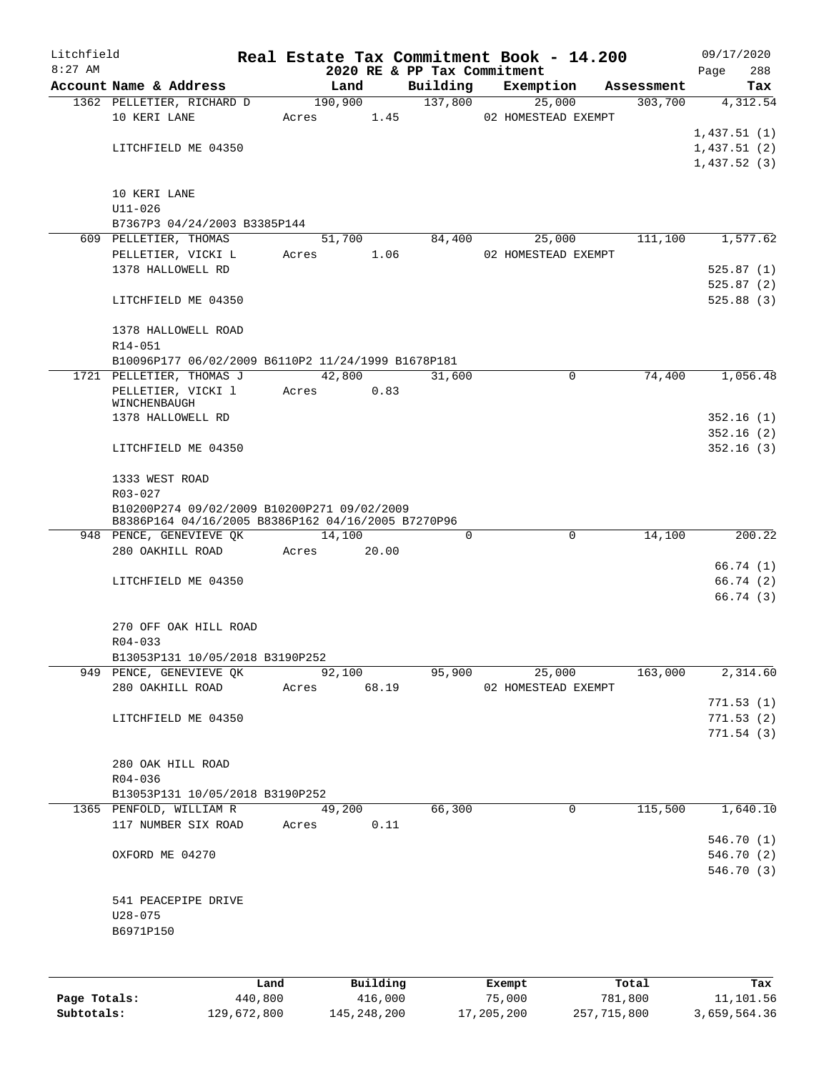| Litchfield |                                                    |       |         |          |                             | Real Estate Tax Commitment Book - 14.200 |            | 09/17/2020  |
|------------|----------------------------------------------------|-------|---------|----------|-----------------------------|------------------------------------------|------------|-------------|
| $8:27$ AM  |                                                    |       |         |          | 2020 RE & PP Tax Commitment |                                          |            | 288<br>Page |
|            | Account Name & Address                             |       | Land    |          | Building                    | Exemption                                | Assessment | Tax         |
|            | 1362 PELLETIER, RICHARD D                          |       | 190,900 |          | 137,800                     | 25,000                                   | 303,700    | 4,312.54    |
|            | 10 KERI LANE                                       | Acres |         | 1.45     |                             | 02 HOMESTEAD EXEMPT                      |            |             |
|            |                                                    |       |         |          |                             |                                          |            | 1,437.51(1) |
|            | LITCHFIELD ME 04350                                |       |         |          |                             |                                          |            | 1,437.51(2) |
|            |                                                    |       |         |          |                             |                                          |            | 1,437.52(3) |
|            |                                                    |       |         |          |                             |                                          |            |             |
|            | 10 KERI LANE                                       |       |         |          |                             |                                          |            |             |
|            | $U11 - 026$                                        |       |         |          |                             |                                          |            |             |
|            | B7367P3 04/24/2003 B3385P144                       |       |         |          |                             |                                          |            |             |
|            | 609 PELLETIER, THOMAS                              |       | 51,700  |          | 84,400                      | 25,000                                   | 111,100    | 1,577.62    |
|            | PELLETIER, VICKI L                                 | Acres |         | 1.06     |                             | 02 HOMESTEAD EXEMPT                      |            |             |
|            | 1378 HALLOWELL RD                                  |       |         |          |                             |                                          |            | 525.87(1)   |
|            |                                                    |       |         |          |                             |                                          |            | 525.87(2)   |
|            | LITCHFIELD ME 04350                                |       |         |          |                             |                                          |            | 525.88(3)   |
|            |                                                    |       |         |          |                             |                                          |            |             |
|            | 1378 HALLOWELL ROAD                                |       |         |          |                             |                                          |            |             |
|            | R14-051                                            |       |         |          |                             |                                          |            |             |
|            | B10096P177 06/02/2009 B6110P2 11/24/1999 B1678P181 |       |         |          |                             |                                          |            |             |
|            | 1721 PELLETIER, THOMAS J                           |       | 42,800  |          | 31,600                      | 0                                        | 74,400     | 1,056.48    |
|            | PELLETIER, VICKI 1                                 | Acres |         | 0.83     |                             |                                          |            |             |
|            | WINCHENBAUGH<br>1378 HALLOWELL RD                  |       |         |          |                             |                                          |            | 352.16(1)   |
|            |                                                    |       |         |          |                             |                                          |            | 352.16(2)   |
|            | LITCHFIELD ME 04350                                |       |         |          |                             |                                          |            | 352.16(3)   |
|            |                                                    |       |         |          |                             |                                          |            |             |
|            | 1333 WEST ROAD                                     |       |         |          |                             |                                          |            |             |
|            | R03-027                                            |       |         |          |                             |                                          |            |             |
|            | B10200P274 09/02/2009 B10200P271 09/02/2009        |       |         |          |                             |                                          |            |             |
|            | B8386P164 04/16/2005 B8386P162 04/16/2005 B7270P96 |       |         |          |                             |                                          |            |             |
|            | 948 PENCE, GENEVIEVE QK                            |       | 14,100  |          | 0                           | $\mathbf 0$                              | 14,100     | 200.22      |
|            | 280 OAKHILL ROAD                                   | Acres | 20.00   |          |                             |                                          |            |             |
|            |                                                    |       |         |          |                             |                                          |            | 66.74 (1)   |
|            | LITCHFIELD ME 04350                                |       |         |          |                             |                                          |            | 66.74 (2)   |
|            |                                                    |       |         |          |                             |                                          |            | 66.74(3)    |
|            |                                                    |       |         |          |                             |                                          |            |             |
|            | 270 OFF OAK HILL ROAD                              |       |         |          |                             |                                          |            |             |
|            | $R04 - 033$                                        |       |         |          |                             |                                          |            |             |
|            | B13053P131 10/05/2018 B3190P252                    |       |         |          |                             |                                          |            |             |
|            | 949 PENCE, GENEVIEVE QK                            |       | 92,100  |          | 95,900                      | 25,000                                   | 163,000    | 2,314.60    |
|            | 280 OAKHILL ROAD Acres 68.19                       |       |         |          |                             | 02 HOMESTEAD EXEMPT                      |            |             |
|            |                                                    |       |         |          |                             |                                          |            | 771.53(1)   |
|            | LITCHFIELD ME 04350                                |       |         |          |                             |                                          |            | 771.53(2)   |
|            |                                                    |       |         |          |                             |                                          |            | 771.54 (3)  |
|            |                                                    |       |         |          |                             |                                          |            |             |
|            | 280 OAK HILL ROAD                                  |       |         |          |                             |                                          |            |             |
|            | R04-036                                            |       |         |          |                             |                                          |            |             |
|            | B13053P131 10/05/2018 B3190P252                    |       |         |          |                             |                                          |            |             |
|            | 1365 PENFOLD, WILLIAM R                            |       | 49,200  |          | 66,300                      | $\mathsf{O}$                             | 115,500    | 1,640.10    |
|            | 117 NUMBER SIX ROAD                                |       | Acres   | 0.11     |                             |                                          |            |             |
|            |                                                    |       |         |          |                             |                                          |            | 546.70 (1)  |
|            | OXFORD ME 04270                                    |       |         |          |                             |                                          |            | 546.70 (2)  |
|            |                                                    |       |         |          |                             |                                          |            | 546.70 (3)  |
|            |                                                    |       |         |          |                             |                                          |            |             |
|            | 541 PEACEPIPE DRIVE                                |       |         |          |                             |                                          |            |             |
|            | $U28 - 075$                                        |       |         |          |                             |                                          |            |             |
|            | B6971P150                                          |       |         |          |                             |                                          |            |             |
|            |                                                    |       |         |          |                             |                                          |            |             |
|            |                                                    |       |         |          |                             |                                          |            |             |
|            |                                                    |       |         |          |                             |                                          |            |             |
|            |                                                    | Land  |         | Building |                             | Exempt                                   | Total      | Tax         |

|              | ⊥and        | Building      | Exempt     | тосат       | тах          |
|--------------|-------------|---------------|------------|-------------|--------------|
| Page Totals: | 440,800     | 416,000       | 75,000     | 781,800     | 11,101.56    |
| Subtotals:   | 129,672,800 | 145, 248, 200 | 17,205,200 | 257,715,800 | 3,659,564.36 |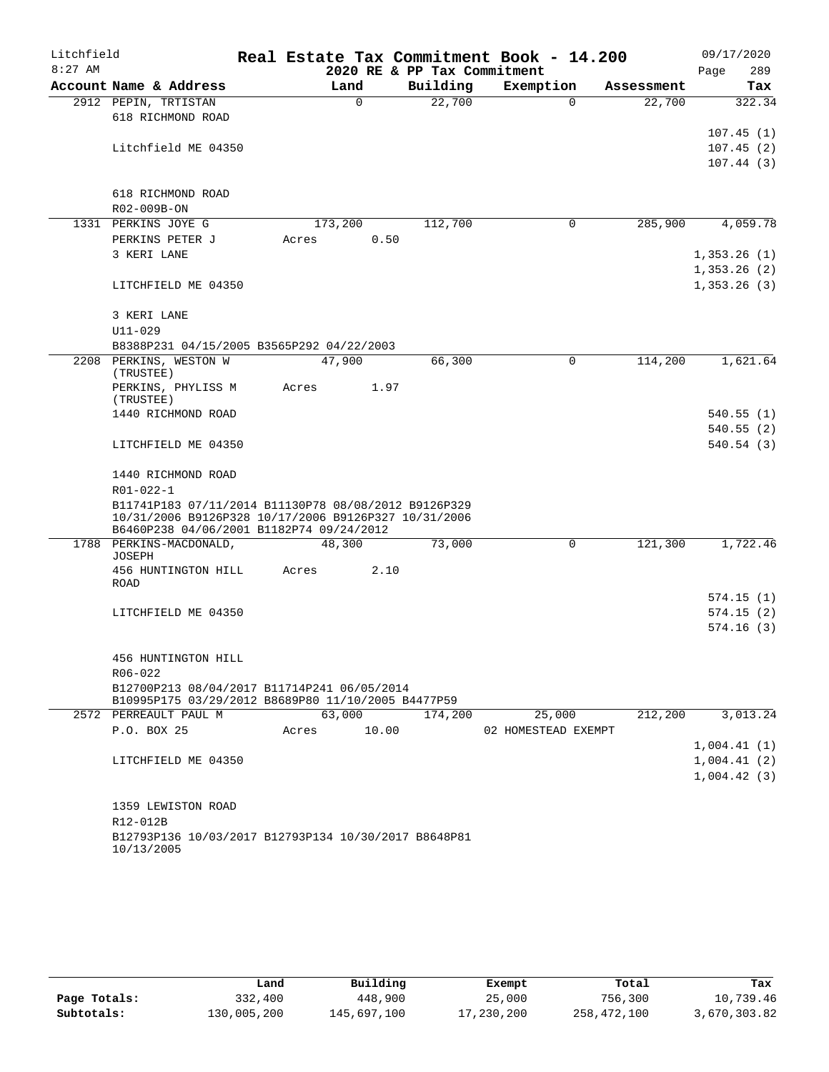| Litchfield |                                                                                                   |       |             |       |                             | Real Estate Tax Commitment Book - 14.200 |            | 09/17/2020  |            |
|------------|---------------------------------------------------------------------------------------------------|-------|-------------|-------|-----------------------------|------------------------------------------|------------|-------------|------------|
| $8:27$ AM  |                                                                                                   |       |             |       | 2020 RE & PP Tax Commitment |                                          |            | Page        | 289        |
|            | Account Name & Address                                                                            |       | Land        |       | Building                    | Exemption                                | Assessment |             | Tax        |
|            | 2912 PEPIN, TRTISTAN                                                                              |       | $\mathbf 0$ |       | 22,700                      | $\Omega$                                 | 22,700     |             | 322.34     |
|            | 618 RICHMOND ROAD                                                                                 |       |             |       |                             |                                          |            |             |            |
|            |                                                                                                   |       |             |       |                             |                                          |            |             | 107.45(1)  |
|            | Litchfield ME 04350                                                                               |       |             |       |                             |                                          |            |             | 107.45(2)  |
|            |                                                                                                   |       |             |       |                             |                                          |            |             | 107.44(3)  |
|            | 618 RICHMOND ROAD                                                                                 |       |             |       |                             |                                          |            |             |            |
|            | R02-009B-ON                                                                                       |       |             |       |                             |                                          |            |             |            |
|            | 1331 PERKINS JOYE G                                                                               |       | 173,200     |       | 112,700                     | 0                                        | 285,900    |             | 4,059.78   |
|            | PERKINS PETER J                                                                                   | Acres |             | 0.50  |                             |                                          |            |             |            |
|            | 3 KERI LANE                                                                                       |       |             |       |                             |                                          |            | 1,353.26(1) |            |
|            |                                                                                                   |       |             |       |                             |                                          |            | 1,353.26(2) |            |
|            | LITCHFIELD ME 04350                                                                               |       |             |       |                             |                                          |            | 1,353.26(3) |            |
|            |                                                                                                   |       |             |       |                             |                                          |            |             |            |
|            | 3 KERI LANE                                                                                       |       |             |       |                             |                                          |            |             |            |
|            | $U11 - 029$                                                                                       |       |             |       |                             |                                          |            |             |            |
|            | B8388P231 04/15/2005 B3565P292 04/22/2003                                                         |       |             |       |                             |                                          | 114,200    |             |            |
|            | 2208 PERKINS, WESTON W<br>(TRUSTEE)                                                               |       | 47,900      |       | 66,300                      | 0                                        |            |             | 1,621.64   |
|            | PERKINS, PHYLISS M<br>(TRUSTEE)                                                                   | Acres |             | 1.97  |                             |                                          |            |             |            |
|            | 1440 RICHMOND ROAD                                                                                |       |             |       |                             |                                          |            |             | 540.55(1)  |
|            |                                                                                                   |       |             |       |                             |                                          |            |             | 540.55(2)  |
|            | LITCHFIELD ME 04350                                                                               |       |             |       |                             |                                          |            |             | 540.54(3)  |
|            | 1440 RICHMOND ROAD                                                                                |       |             |       |                             |                                          |            |             |            |
|            | R01-022-1                                                                                         |       |             |       |                             |                                          |            |             |            |
|            | B11741P183 07/11/2014 B11130P78 08/08/2012 B9126P329                                              |       |             |       |                             |                                          |            |             |            |
|            | 10/31/2006 B9126P328 10/17/2006 B9126P327 10/31/2006                                              |       |             |       |                             |                                          |            |             |            |
|            | B6460P238 04/06/2001 B1182P74 09/24/2012                                                          |       |             |       |                             |                                          |            |             |            |
|            | 1788 PERKINS-MACDONALD,<br><b>JOSEPH</b>                                                          |       | 48,300      |       | 73,000                      | 0                                        | 121,300    |             | 1,722.46   |
|            | 456 HUNTINGTON HILL                                                                               | Acres |             | 2.10  |                             |                                          |            |             |            |
|            | ROAD                                                                                              |       |             |       |                             |                                          |            |             |            |
|            |                                                                                                   |       |             |       |                             |                                          |            |             | 574.15 (1) |
|            | LITCHFIELD ME 04350                                                                               |       |             |       |                             |                                          |            |             | 574.15(2)  |
|            |                                                                                                   |       |             |       |                             |                                          |            |             | 574.16(3)  |
|            |                                                                                                   |       |             |       |                             |                                          |            |             |            |
|            | 456 HUNTINGTON HILL                                                                               |       |             |       |                             |                                          |            |             |            |
|            | R06-022                                                                                           |       |             |       |                             |                                          |            |             |            |
|            | B12700P213 08/04/2017 B11714P241 06/05/2014<br>B10995P175 03/29/2012 B8689P80 11/10/2005 B4477P59 |       |             |       |                             |                                          |            |             |            |
|            | 2572 PERREAULT PAUL M                                                                             |       | 63,000      |       | 174,200                     | 25,000                                   | 212,200    |             | 3,013.24   |
|            | P.O. BOX 25                                                                                       | Acres |             | 10.00 |                             | 02 HOMESTEAD EXEMPT                      |            |             |            |
|            |                                                                                                   |       |             |       |                             |                                          |            | 1,004.41(1) |            |
|            | LITCHFIELD ME 04350                                                                               |       |             |       |                             |                                          |            | 1,004.41(2) |            |
|            |                                                                                                   |       |             |       |                             |                                          |            | 1,004.42(3) |            |
|            | 1359 LEWISTON ROAD                                                                                |       |             |       |                             |                                          |            |             |            |
|            | R12-012B                                                                                          |       |             |       |                             |                                          |            |             |            |
|            | B12793P136 10/03/2017 B12793P134 10/30/2017 B8648P81                                              |       |             |       |                             |                                          |            |             |            |
|            | 10/13/2005                                                                                        |       |             |       |                             |                                          |            |             |            |

|              | Land        | Building    | Exempt     | Total       | Tax          |
|--------------|-------------|-------------|------------|-------------|--------------|
| Page Totals: | 332,400     | 448,900     | 25,000     | 756,300     | 10,739.46    |
| Subtotals:   | 130,005,200 | 145,697,100 | 17,230,200 | 258,472,100 | 3,670,303.82 |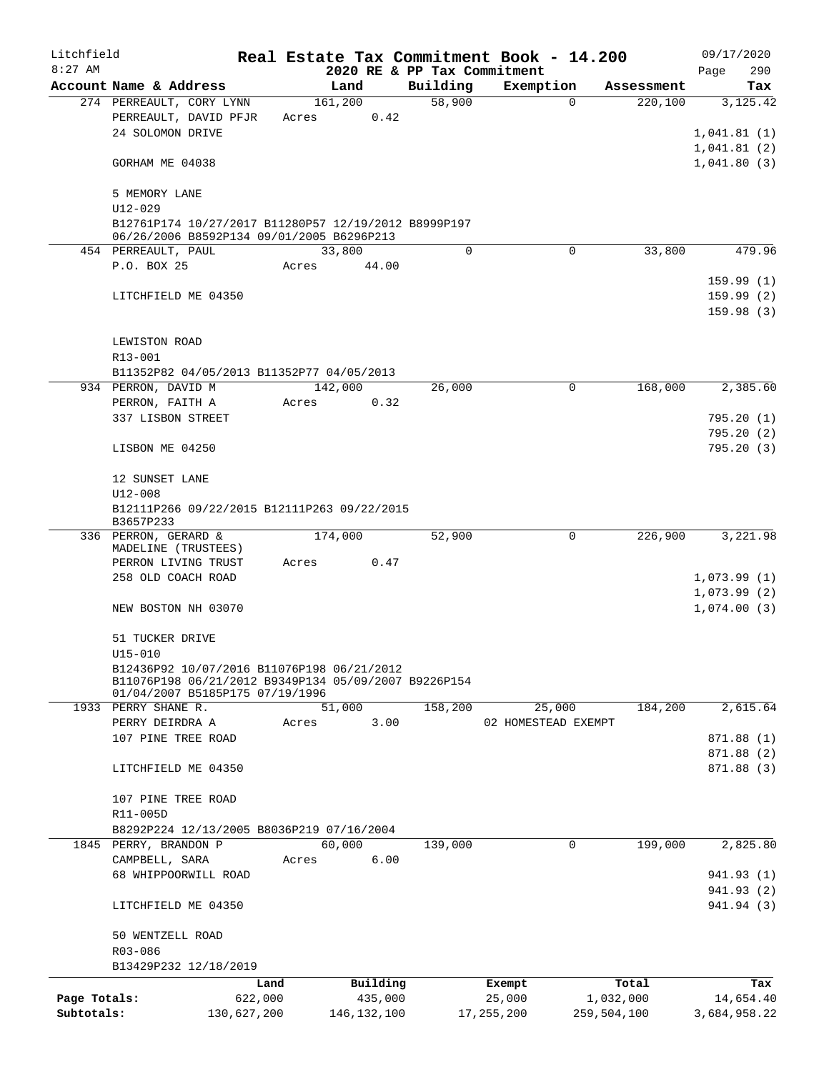| Litchfield   |                                                                                                                                       |             |       |                 |                             | Real Estate Tax Commitment Book - 14.200 |             |            |                            | 09/17/2020               |
|--------------|---------------------------------------------------------------------------------------------------------------------------------------|-------------|-------|-----------------|-----------------------------|------------------------------------------|-------------|------------|----------------------------|--------------------------|
| $8:27$ AM    |                                                                                                                                       |             |       |                 | 2020 RE & PP Tax Commitment |                                          |             |            | Page                       | 290                      |
|              | Account Name & Address                                                                                                                |             |       | Land            | Building                    | Exemption                                |             | Assessment |                            | Tax                      |
|              | 274 PERREAULT, CORY LYNN<br>PERREAULT, DAVID PFJR<br>24 SOLOMON DRIVE                                                                 |             | Acres | 161,200<br>0.42 | 58,900                      |                                          | $\Omega$    | 220,100    | 1,041.81(1)                | 3,125.42                 |
|              | GORHAM ME 04038                                                                                                                       |             |       |                 |                             |                                          |             |            | 1,041.81(2)<br>1,041.80(3) |                          |
|              | 5 MEMORY LANE<br>$U12 - 029$                                                                                                          |             |       |                 |                             |                                          |             |            |                            |                          |
|              | B12761P174 10/27/2017 B11280P57 12/19/2012 B8999P197<br>06/26/2006 B8592P134 09/01/2005 B6296P213                                     |             |       |                 |                             |                                          |             |            |                            |                          |
|              | 454 PERREAULT, PAUL                                                                                                                   |             |       | 33,800          | $\Omega$                    |                                          | $\Omega$    | 33,800     |                            | 479.96                   |
|              | P.O. BOX 25                                                                                                                           |             | Acres | 44.00           |                             |                                          |             |            |                            | 159.99(1)                |
|              | LITCHFIELD ME 04350                                                                                                                   |             |       |                 |                             |                                          |             |            |                            | 159.99(2)<br>159.98(3)   |
|              | LEWISTON ROAD<br>R13-001                                                                                                              |             |       |                 |                             |                                          |             |            |                            |                          |
|              | B11352P82 04/05/2013 B11352P77 04/05/2013                                                                                             |             |       |                 |                             |                                          |             |            |                            |                          |
|              | 934 PERRON, DAVID M                                                                                                                   |             |       | 142,000         | 26,000                      |                                          | 0           | 168,000    |                            | 2,385.60                 |
|              | PERRON, FAITH A                                                                                                                       |             | Acres | 0.32            |                             |                                          |             |            |                            |                          |
|              | 337 LISBON STREET                                                                                                                     |             |       |                 |                             |                                          |             |            |                            | 795.20(1)                |
|              | LISBON ME 04250                                                                                                                       |             |       |                 |                             |                                          |             |            |                            | 795.20(2)<br>795.20(3)   |
|              | 12 SUNSET LANE<br>U12-008                                                                                                             |             |       |                 |                             |                                          |             |            |                            |                          |
|              | B12111P266 09/22/2015 B12111P263 09/22/2015<br>B3657P233                                                                              |             |       |                 |                             |                                          |             |            |                            |                          |
|              | 336 PERRON, GERARD &<br>MADELINE (TRUSTEES)                                                                                           |             |       | 174,000         | 52,900                      |                                          | 0           | 226,900    |                            | 3,221.98                 |
|              | PERRON LIVING TRUST                                                                                                                   |             | Acres | 0.47            |                             |                                          |             |            |                            |                          |
|              | 258 OLD COACH ROAD                                                                                                                    |             |       |                 |                             |                                          |             |            | 1,073.99(1)                |                          |
|              | NEW BOSTON NH 03070                                                                                                                   |             |       |                 |                             |                                          |             |            | 1,073.99(2)<br>1,074.00(3) |                          |
|              | 51 TUCKER DRIVE<br>$U15 - 010$                                                                                                        |             |       |                 |                             |                                          |             |            |                            |                          |
|              | B12436P92 10/07/2016 B11076P198 06/21/2012<br>B11076P198 06/21/2012 B9349P134 05/09/2007 B9226P154<br>01/04/2007 B5185P175 07/19/1996 |             |       |                 |                             |                                          |             |            |                            |                          |
|              | 1933 PERRY SHANE R.                                                                                                                   |             |       | 51,000          | 158,200                     | 25,000                                   |             | 184,200    |                            | 2,615.64                 |
|              | PERRY DEIRDRA A                                                                                                                       |             | Acres | 3.00            |                             | 02 HOMESTEAD EXEMPT                      |             |            |                            |                          |
|              | 107 PINE TREE ROAD                                                                                                                    |             |       |                 |                             |                                          |             |            |                            | 871.88 (1)               |
|              |                                                                                                                                       |             |       |                 |                             |                                          |             |            |                            | 871.88 (2)               |
|              | LITCHFIELD ME 04350                                                                                                                   |             |       |                 |                             |                                          |             |            |                            | 871.88 (3)               |
|              | 107 PINE TREE ROAD<br>R11-005D                                                                                                        |             |       |                 |                             |                                          |             |            |                            |                          |
|              | B8292P224 12/13/2005 B8036P219 07/16/2004                                                                                             |             |       |                 |                             |                                          |             |            |                            |                          |
|              | 1845 PERRY, BRANDON P                                                                                                                 |             |       | 60,000          | 139,000                     |                                          | 0           | 199,000    |                            | 2,825.80                 |
|              | CAMPBELL, SARA                                                                                                                        |             | Acres | 6.00            |                             |                                          |             |            |                            |                          |
|              | 68 WHIPPOORWILL ROAD                                                                                                                  |             |       |                 |                             |                                          |             |            |                            | 941.93 (1)               |
|              | LITCHFIELD ME 04350                                                                                                                   |             |       |                 |                             |                                          |             |            |                            | 941.93 (2)<br>941.94 (3) |
|              | 50 WENTZELL ROAD                                                                                                                      |             |       |                 |                             |                                          |             |            |                            |                          |
|              | R03-086<br>B13429P232 12/18/2019                                                                                                      |             |       |                 |                             |                                          |             |            |                            |                          |
|              |                                                                                                                                       | Land        |       | Building        |                             | Exempt                                   |             | Total      |                            | Tax                      |
| Page Totals: |                                                                                                                                       | 622,000     |       | 435,000         |                             | 25,000                                   | 1,032,000   |            |                            | 14,654.40                |
| Subtotals:   |                                                                                                                                       | 130,627,200 |       | 146, 132, 100   |                             | 17, 255, 200                             | 259,504,100 |            |                            | 3,684,958.22             |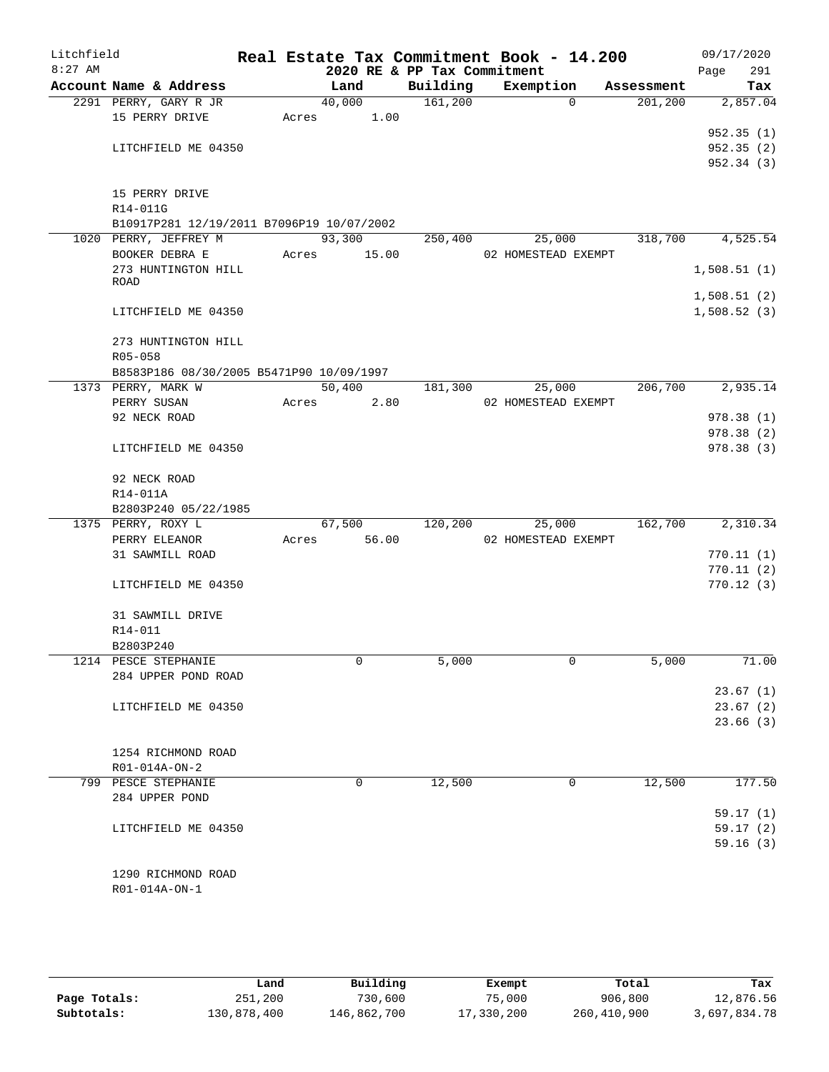| Litchfield |                                           |       |        |       |                             | Real Estate Tax Commitment Book - 14.200 |            | 09/17/2020  |
|------------|-------------------------------------------|-------|--------|-------|-----------------------------|------------------------------------------|------------|-------------|
| $8:27$ AM  |                                           |       |        |       | 2020 RE & PP Tax Commitment |                                          |            | 291<br>Page |
|            | Account Name & Address                    |       | Land   |       | Building                    | Exemption                                | Assessment | Tax         |
|            | 2291 PERRY, GARY R JR                     |       | 40,000 |       | 161,200                     | $\Omega$                                 | 201,200    | 2,857.04    |
|            | 15 PERRY DRIVE                            | Acres |        | 1.00  |                             |                                          |            |             |
|            |                                           |       |        |       |                             |                                          |            | 952.35(1)   |
|            | LITCHFIELD ME 04350                       |       |        |       |                             |                                          |            | 952.35(2)   |
|            |                                           |       |        |       |                             |                                          |            | 952.34 (3)  |
|            |                                           |       |        |       |                             |                                          |            |             |
|            | 15 PERRY DRIVE                            |       |        |       |                             |                                          |            |             |
|            | R14-011G                                  |       |        |       |                             |                                          |            |             |
|            | B10917P281 12/19/2011 B7096P19 10/07/2002 |       |        |       |                             |                                          |            |             |
|            | 1020 PERRY, JEFFREY M                     |       | 93,300 |       | 250,400                     | 25,000                                   | 318,700    | 4,525.54    |
|            | BOOKER DEBRA E                            | Acres |        | 15.00 |                             | 02 HOMESTEAD EXEMPT                      |            |             |
|            | 273 HUNTINGTON HILL                       |       |        |       |                             |                                          |            | 1,508.51(1) |
|            | <b>ROAD</b>                               |       |        |       |                             |                                          |            |             |
|            |                                           |       |        |       |                             |                                          |            | 1,508.51(2) |
|            | LITCHFIELD ME 04350                       |       |        |       |                             |                                          |            | 1,508.52(3) |
|            |                                           |       |        |       |                             |                                          |            |             |
|            | 273 HUNTINGTON HILL                       |       |        |       |                             |                                          |            |             |
|            | $R05 - 058$                               |       |        |       |                             |                                          |            |             |
|            | B8583P186 08/30/2005 B5471P90 10/09/1997  |       |        |       |                             |                                          |            |             |
|            | 1373 PERRY, MARK W                        |       | 50,400 |       | 181,300                     | 25,000                                   | 206,700    | 2,935.14    |
|            | PERRY SUSAN                               | Acres |        | 2.80  |                             | 02 HOMESTEAD EXEMPT                      |            |             |
|            | 92 NECK ROAD                              |       |        |       |                             |                                          |            | 978.38 (1)  |
|            |                                           |       |        |       |                             |                                          |            | 978.38 (2)  |
|            | LITCHFIELD ME 04350                       |       |        |       |                             |                                          |            | 978.38 (3)  |
|            |                                           |       |        |       |                             |                                          |            |             |
|            | 92 NECK ROAD                              |       |        |       |                             |                                          |            |             |
|            | R14-011A                                  |       |        |       |                             |                                          |            |             |
|            | B2803P240 05/22/1985                      |       |        |       |                             |                                          |            |             |
|            | 1375 PERRY, ROXY L                        |       | 67,500 |       | 120,200                     | 25,000                                   | 162,700    | 2,310.34    |
|            | PERRY ELEANOR                             | Acres |        | 56.00 |                             | 02 HOMESTEAD EXEMPT                      |            |             |
|            |                                           |       |        |       |                             |                                          |            |             |
|            | 31 SAWMILL ROAD                           |       |        |       |                             |                                          |            | 770.11(1)   |
|            |                                           |       |        |       |                             |                                          |            | 770.11(2)   |
|            | LITCHFIELD ME 04350                       |       |        |       |                             |                                          |            | 770.12(3)   |
|            |                                           |       |        |       |                             |                                          |            |             |
|            | 31 SAWMILL DRIVE                          |       |        |       |                             |                                          |            |             |
|            | R14-011                                   |       |        |       |                             |                                          |            |             |
|            | B2803P240                                 |       |        |       |                             |                                          |            |             |
|            | 1214 PESCE STEPHANIE                      |       |        | 0     | 5,000                       | 0                                        | 5,000      | 71.00       |
|            | 284 UPPER POND ROAD                       |       |        |       |                             |                                          |            |             |
|            |                                           |       |        |       |                             |                                          |            | 23.67(1)    |
|            | LITCHFIELD ME 04350                       |       |        |       |                             |                                          |            | 23.67(2)    |
|            |                                           |       |        |       |                             |                                          |            | 23.66(3)    |
|            |                                           |       |        |       |                             |                                          |            |             |
|            | 1254 RICHMOND ROAD                        |       |        |       |                             |                                          |            |             |
|            | R01-014A-ON-2                             |       |        |       |                             |                                          |            |             |
|            | 799 PESCE STEPHANIE                       |       |        | 0     | 12,500                      | 0                                        | 12,500     | 177.50      |
|            | 284 UPPER POND                            |       |        |       |                             |                                          |            |             |
|            |                                           |       |        |       |                             |                                          |            | 59.17(1)    |
|            | LITCHFIELD ME 04350                       |       |        |       |                             |                                          |            | 59.17(2)    |
|            |                                           |       |        |       |                             |                                          |            | 59.16(3)    |
|            |                                           |       |        |       |                             |                                          |            |             |
|            | 1290 RICHMOND ROAD                        |       |        |       |                             |                                          |            |             |
|            |                                           |       |        |       |                             |                                          |            |             |
|            | R01-014A-ON-1                             |       |        |       |                             |                                          |            |             |

|              | Land        | Building    | Exempt     | Total       | Tax          |
|--------------|-------------|-------------|------------|-------------|--------------|
| Page Totals: | 251,200     | 730,600     | 75,000     | 906,800     | 12,876.56    |
| Subtotals:   | 130,878,400 | 146,862,700 | 17,330,200 | 260,410,900 | 3,697,834.78 |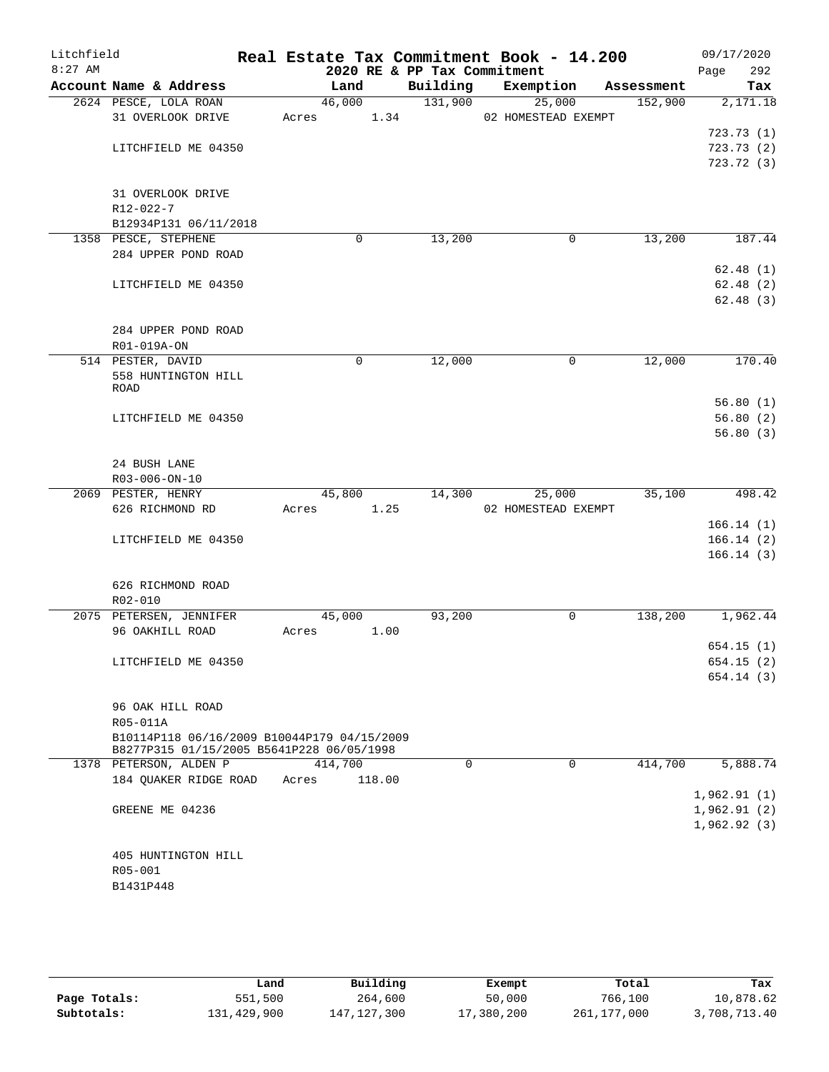| Litchfield<br>$8:27$ AM |                                             | 2020 RE & PP Tax Commitment |          | Real Estate Tax Commitment Book - 14.200 |            | 09/17/2020<br>292<br>Page |
|-------------------------|---------------------------------------------|-----------------------------|----------|------------------------------------------|------------|---------------------------|
|                         | Account Name & Address                      | Land                        | Building | Exemption                                | Assessment | Tax                       |
|                         | 2624 PESCE, LOLA ROAN                       | 46,000                      | 131,900  | 25,000                                   | 152,900    | 2,171.18                  |
|                         | 31 OVERLOOK DRIVE                           | 1.34<br>Acres               |          | 02 HOMESTEAD EXEMPT                      |            |                           |
|                         |                                             |                             |          |                                          |            | 723.73(1)                 |
|                         | LITCHFIELD ME 04350                         |                             |          |                                          |            | 723.73(2)                 |
|                         |                                             |                             |          |                                          |            | 723.72(3)                 |
|                         |                                             |                             |          |                                          |            |                           |
|                         | 31 OVERLOOK DRIVE                           |                             |          |                                          |            |                           |
|                         | R12-022-7                                   |                             |          |                                          |            |                           |
|                         | B12934P131 06/11/2018                       |                             |          |                                          |            |                           |
|                         | 1358 PESCE, STEPHENE                        | 0                           | 13,200   | 0                                        | 13,200     | 187.44                    |
|                         | 284 UPPER POND ROAD                         |                             |          |                                          |            |                           |
|                         |                                             |                             |          |                                          |            | 62.48(1)                  |
|                         | LITCHFIELD ME 04350                         |                             |          |                                          |            | 62.48(2)                  |
|                         |                                             |                             |          |                                          |            | 62.48(3)                  |
|                         |                                             |                             |          |                                          |            |                           |
|                         | 284 UPPER POND ROAD                         |                             |          |                                          |            |                           |
|                         | R01-019A-ON                                 |                             |          |                                          |            |                           |
|                         | 514 PESTER, DAVID                           | 0                           | 12,000   | 0                                        | 12,000     | 170.40                    |
|                         | 558 HUNTINGTON HILL                         |                             |          |                                          |            |                           |
|                         | ROAD                                        |                             |          |                                          |            |                           |
|                         |                                             |                             |          |                                          |            | 56.80(1)                  |
|                         | LITCHFIELD ME 04350                         |                             |          |                                          |            | 56.80(2)                  |
|                         |                                             |                             |          |                                          |            | 56.80(3)                  |
|                         |                                             |                             |          |                                          |            |                           |
|                         | 24 BUSH LANE                                |                             |          |                                          |            |                           |
|                         | R03-006-ON-10                               |                             |          |                                          |            |                           |
|                         | 2069 PESTER, HENRY                          | 45,800                      | 14,300   | 25,000                                   | 35,100     | 498.42                    |
|                         | 626 RICHMOND RD                             | 1.25<br>Acres               |          | 02 HOMESTEAD EXEMPT                      |            |                           |
|                         |                                             |                             |          |                                          |            | 166.14(1)                 |
|                         | LITCHFIELD ME 04350                         |                             |          |                                          |            | 166.14(2)                 |
|                         |                                             |                             |          |                                          |            | 166.14(3)                 |
|                         |                                             |                             |          |                                          |            |                           |
|                         |                                             |                             |          |                                          |            |                           |
|                         | 626 RICHMOND ROAD                           |                             |          |                                          |            |                           |
|                         | R02-010                                     |                             |          |                                          |            |                           |
|                         | 2075 PETERSEN, JENNIFER                     | 45,000                      | 93,200   | 0                                        | 138,200    | 1,962.44                  |
|                         | 96 OAKHILL ROAD                             | 1.00<br>Acres               |          |                                          |            |                           |
|                         |                                             |                             |          |                                          |            | 654.15(1)                 |
|                         | LITCHFIELD ME 04350                         |                             |          |                                          |            | 654.15(2)                 |
|                         |                                             |                             |          |                                          |            | 654.14(3)                 |
|                         |                                             |                             |          |                                          |            |                           |
|                         | 96 OAK HILL ROAD                            |                             |          |                                          |            |                           |
|                         | R05-011A                                    |                             |          |                                          |            |                           |
|                         | B10114P118 06/16/2009 B10044P179 04/15/2009 |                             |          |                                          |            |                           |
|                         | B8277P315 01/15/2005 B5641P228 06/05/1998   |                             |          |                                          |            |                           |
|                         | 1378 PETERSON, ALDEN P                      | 414,700                     | $\Omega$ | 0                                        | 414,700    | 5,888.74                  |
|                         | 184 QUAKER RIDGE ROAD                       | 118.00<br>Acres             |          |                                          |            |                           |
|                         |                                             |                             |          |                                          |            | 1,962.91(1)               |
|                         | GREENE ME 04236                             |                             |          |                                          |            | 1,962.91(2)               |
|                         |                                             |                             |          |                                          |            | 1,962.92(3)               |
|                         |                                             |                             |          |                                          |            |                           |
|                         | 405 HUNTINGTON HILL                         |                             |          |                                          |            |                           |
|                         | R05-001                                     |                             |          |                                          |            |                           |
|                         | B1431P448                                   |                             |          |                                          |            |                           |
|                         |                                             |                             |          |                                          |            |                           |

|              | Land        | Building      | Exempt     | Total       | Tax          |
|--------------|-------------|---------------|------------|-------------|--------------|
| Page Totals: | 551,500     | 264,600       | 50,000     | 766,100     | 10,878.62    |
| Subtotals:   | 131,429,900 | 147, 127, 300 | 17,380,200 | 261,177,000 | 3,708,713.40 |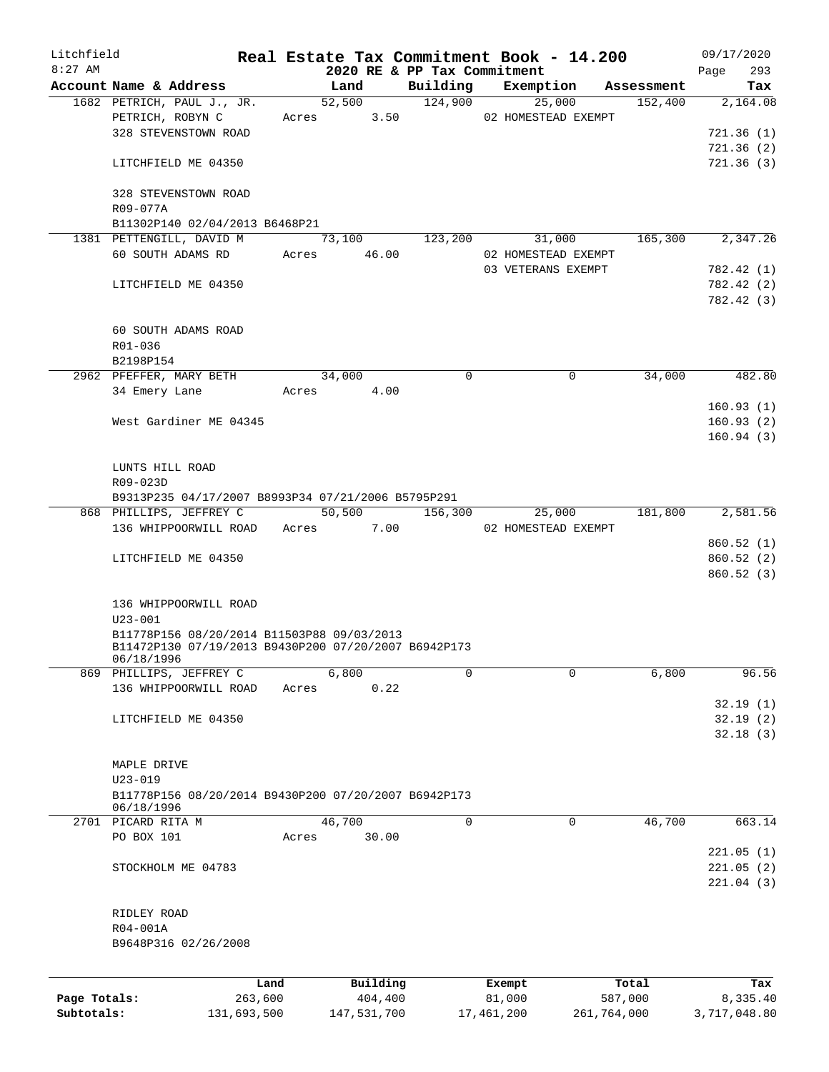| Litchfield   |                                                      |             |       |                             |             | Real Estate Tax Commitment Book - 14.200 |            | 09/17/2020   |
|--------------|------------------------------------------------------|-------------|-------|-----------------------------|-------------|------------------------------------------|------------|--------------|
| $8:27$ AM    |                                                      |             |       | 2020 RE & PP Tax Commitment |             |                                          |            | 293<br>Page  |
|              | Account Name & Address                               |             |       | Land                        | Building    | Exemption                                | Assessment | Tax          |
|              | 1682 PETRICH, PAUL J., JR.                           |             |       | 52,500                      | 124,900     | 25,000                                   | 152,400    | 2,164.08     |
|              | PETRICH, ROBYN C                                     |             |       | 3.50<br>Acres               |             | 02 HOMESTEAD EXEMPT                      |            |              |
|              | 328 STEVENSTOWN ROAD                                 |             |       |                             |             |                                          |            | 721.36(1)    |
|              |                                                      |             |       |                             |             |                                          |            | 721.36(2)    |
|              | LITCHFIELD ME 04350                                  |             |       |                             |             |                                          |            | 721.36(3)    |
|              | 328 STEVENSTOWN ROAD                                 |             |       |                             |             |                                          |            |              |
|              | R09-077A                                             |             |       |                             |             |                                          |            |              |
|              | B11302P140 02/04/2013 B6468P21                       |             |       |                             |             |                                          |            |              |
|              | 1381 PETTENGILL, DAVID M                             |             |       | 73,100                      | 123,200     | 31,000                                   | 165,300    | 2,347.26     |
|              | 60 SOUTH ADAMS RD                                    |             | Acres | 46.00                       |             | 02 HOMESTEAD EXEMPT                      |            |              |
|              |                                                      |             |       |                             |             | 03 VETERANS EXEMPT                       |            | 782.42 (1)   |
|              | LITCHFIELD ME 04350                                  |             |       |                             |             |                                          |            | 782.42 (2)   |
|              |                                                      |             |       |                             |             |                                          |            | 782.42 (3)   |
|              | 60 SOUTH ADAMS ROAD                                  |             |       |                             |             |                                          |            |              |
|              | R01-036                                              |             |       |                             |             |                                          |            |              |
|              | B2198P154                                            |             |       |                             |             |                                          |            |              |
|              | 2962 PFEFFER, MARY BETH                              |             |       | 34,000                      | $\Omega$    | $\mathbf 0$                              | 34,000     | 482.80       |
|              |                                                      |             |       | 4.00                        |             |                                          |            |              |
|              | 34 Emery Lane                                        |             | Acres |                             |             |                                          |            |              |
|              |                                                      |             |       |                             |             |                                          |            | 160.93(1)    |
|              | West Gardiner ME 04345                               |             |       |                             |             |                                          |            | 160.93(2)    |
|              |                                                      |             |       |                             |             |                                          |            | 160.94(3)    |
|              |                                                      |             |       |                             |             |                                          |            |              |
|              | LUNTS HILL ROAD                                      |             |       |                             |             |                                          |            |              |
|              | R09-023D                                             |             |       |                             |             |                                          |            |              |
|              | B9313P235 04/17/2007 B8993P34 07/21/2006 B5795P291   |             |       |                             |             |                                          |            |              |
|              | 868 PHILLIPS, JEFFREY C                              |             |       | 50,500                      | 156,300     | 25,000                                   | 181,800    | 2,581.56     |
|              | 136 WHIPPOORWILL ROAD                                |             | Acres | 7.00                        |             | 02 HOMESTEAD EXEMPT                      |            |              |
|              |                                                      |             |       |                             |             |                                          |            | 860.52 (1)   |
|              | LITCHFIELD ME 04350                                  |             |       |                             |             |                                          |            | 860.52 (2)   |
|              |                                                      |             |       |                             |             |                                          |            | 860.52(3)    |
|              |                                                      |             |       |                             |             |                                          |            |              |
|              | 136 WHIPPOORWILL ROAD                                |             |       |                             |             |                                          |            |              |
|              | $U23 - 001$                                          |             |       |                             |             |                                          |            |              |
|              | B11778P156 08/20/2014 B11503P88 09/03/2013           |             |       |                             |             |                                          |            |              |
|              | B11472P130 07/19/2013 B9430P200 07/20/2007 B6942P173 |             |       |                             |             |                                          |            |              |
|              | 06/18/1996                                           |             |       |                             |             |                                          |            |              |
|              | 869 PHILLIPS, JEFFREY C                              |             |       | 6,800                       | $\Omega$    | $\Omega$                                 | 6,800      | 96.56        |
|              | 136 WHIPPOORWILL ROAD                                |             | Acres | 0.22                        |             |                                          |            |              |
|              |                                                      |             |       |                             |             |                                          |            | 32.19(1)     |
|              | LITCHFIELD ME 04350                                  |             |       |                             |             |                                          |            | 32.19(2)     |
|              |                                                      |             |       |                             |             |                                          |            | 32.18(3)     |
|              |                                                      |             |       |                             |             |                                          |            |              |
|              | MAPLE DRIVE                                          |             |       |                             |             |                                          |            |              |
|              | $U23 - 019$                                          |             |       |                             |             |                                          |            |              |
|              | B11778P156 08/20/2014 B9430P200 07/20/2007 B6942P173 |             |       |                             |             |                                          |            |              |
|              | 06/18/1996                                           |             |       |                             |             |                                          |            |              |
|              | 2701 PICARD RITA M                                   |             |       | 46,700                      | $\mathbf 0$ | 0                                        | 46,700     | 663.14       |
|              | PO BOX 101                                           |             | Acres | 30.00                       |             |                                          |            |              |
|              |                                                      |             |       |                             |             |                                          |            | 221.05(1)    |
|              | STOCKHOLM ME 04783                                   |             |       |                             |             |                                          |            | 221.05(2)    |
|              |                                                      |             |       |                             |             |                                          |            |              |
|              |                                                      |             |       |                             |             |                                          |            | 221.04(3)    |
|              |                                                      |             |       |                             |             |                                          |            |              |
|              | RIDLEY ROAD                                          |             |       |                             |             |                                          |            |              |
|              | R04-001A                                             |             |       |                             |             |                                          |            |              |
|              | B9648P316 02/26/2008                                 |             |       |                             |             |                                          |            |              |
|              |                                                      |             |       |                             |             |                                          |            |              |
|              |                                                      | Land        |       | Building                    |             | Exempt                                   | Total      | Tax          |
| Page Totals: |                                                      | 263,600     |       | 404,400                     |             | 81,000                                   | 587,000    | 8,335.40     |
| Subtotals:   |                                                      | 131,693,500 |       | 147,531,700                 |             | 17,461,200<br>261,764,000                |            | 3,717,048.80 |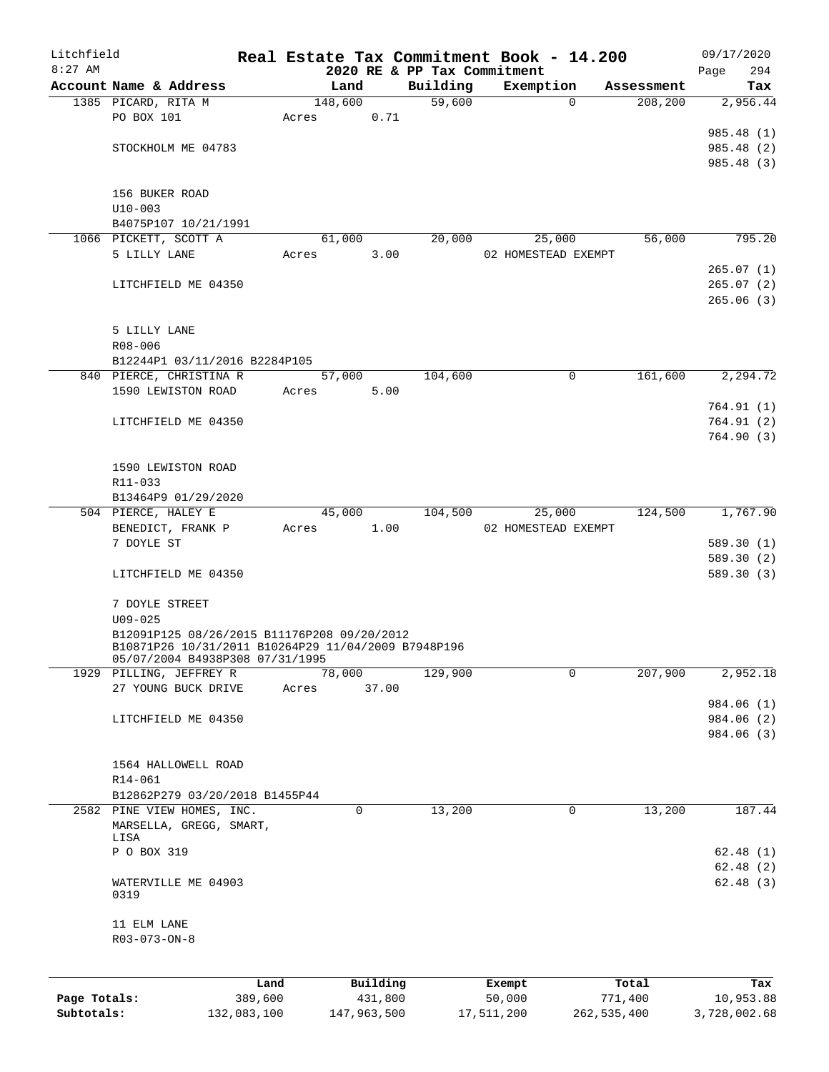| Litchfield   |                                                                                                    |         |                     |                             | Real Estate Tax Commitment Book - 14.200 |            | 09/17/2020  |
|--------------|----------------------------------------------------------------------------------------------------|---------|---------------------|-----------------------------|------------------------------------------|------------|-------------|
| $8:27$ AM    |                                                                                                    |         |                     | 2020 RE & PP Tax Commitment |                                          |            | 294<br>Page |
|              | Account Name & Address                                                                             |         | Land                | Building                    | Exemption                                | Assessment | Tax         |
|              | 1385 PICARD, RITA M                                                                                |         | 148,600             | 59,600                      | 0                                        | 208,200    | 2,956.44    |
|              | PO BOX 101                                                                                         | Acres   | 0.71                |                             |                                          |            |             |
|              |                                                                                                    |         |                     |                             |                                          |            | 985.48 (1)  |
|              | STOCKHOLM ME 04783                                                                                 |         |                     |                             |                                          |            | 985.48 (2)  |
|              |                                                                                                    |         |                     |                             |                                          |            | 985.48 (3)  |
|              |                                                                                                    |         |                     |                             |                                          |            |             |
|              | 156 BUKER ROAD                                                                                     |         |                     |                             |                                          |            |             |
|              | $U10 - 003$                                                                                        |         |                     |                             |                                          |            |             |
|              | B4075P107 10/21/1991                                                                               |         |                     |                             |                                          |            |             |
|              | 1066 PICKETT, SCOTT A                                                                              |         | 61,000              | 20,000                      | 25,000                                   | 56,000     | 795.20      |
|              | 5 LILLY LANE                                                                                       | Acres   | 3.00                |                             | 02 HOMESTEAD EXEMPT                      |            |             |
|              |                                                                                                    |         |                     |                             |                                          |            | 265.07(1)   |
|              | LITCHFIELD ME 04350                                                                                |         |                     |                             |                                          |            | 265.07(2)   |
|              |                                                                                                    |         |                     |                             |                                          |            | 265.06(3)   |
|              |                                                                                                    |         |                     |                             |                                          |            |             |
|              | 5 LILLY LANE                                                                                       |         |                     |                             |                                          |            |             |
|              | R08-006                                                                                            |         |                     |                             |                                          |            |             |
|              | B12244P1 03/11/2016 B2284P105                                                                      |         |                     |                             | $\mathbf 0$                              |            |             |
|              | 840 PIERCE, CHRISTINA R                                                                            |         | 57,000              | 104,600                     |                                          | 161,600    | 2,294.72    |
|              | 1590 LEWISTON ROAD                                                                                 | Acres   | 5.00                |                             |                                          |            |             |
|              |                                                                                                    |         |                     |                             |                                          |            | 764.91(1)   |
|              | LITCHFIELD ME 04350                                                                                |         |                     |                             |                                          |            | 764.91(2)   |
|              |                                                                                                    |         |                     |                             |                                          |            | 764.90(3)   |
|              |                                                                                                    |         |                     |                             |                                          |            |             |
|              | 1590 LEWISTON ROAD                                                                                 |         |                     |                             |                                          |            |             |
|              | R11-033                                                                                            |         |                     |                             |                                          |            |             |
|              | B13464P9 01/29/2020                                                                                |         |                     |                             |                                          |            |             |
|              | 504 PIERCE, HALEY E                                                                                |         | $\overline{45,000}$ | 104,500                     | 25,000                                   | 124,500    | 1,767.90    |
|              | BENEDICT, FRANK P                                                                                  | Acres   | 1.00                |                             | 02 HOMESTEAD EXEMPT                      |            |             |
|              | 7 DOYLE ST                                                                                         |         |                     |                             |                                          |            | 589.30(1)   |
|              |                                                                                                    |         |                     |                             |                                          |            | 589.30(2)   |
|              | LITCHFIELD ME 04350                                                                                |         |                     |                             |                                          |            | 589.30(3)   |
|              |                                                                                                    |         |                     |                             |                                          |            |             |
|              | 7 DOYLE STREET                                                                                     |         |                     |                             |                                          |            |             |
|              | $U09 - 025$                                                                                        |         |                     |                             |                                          |            |             |
|              | B12091P125 08/26/2015 B11176P208 09/20/2012<br>B10871P26 10/31/2011 B10264P29 11/04/2009 B7948P196 |         |                     |                             |                                          |            |             |
|              | 05/07/2004 B4938P308 07/31/1995                                                                    |         |                     |                             |                                          |            |             |
|              | 1929 PILLING, JEFFREY R                                                                            |         | 78,000              | 129,900                     | 0                                        | 207,900    | 2,952.18    |
|              | 27 YOUNG BUCK DRIVE                                                                                | Acres   | 37.00               |                             |                                          |            |             |
|              |                                                                                                    |         |                     |                             |                                          |            | 984.06 (1)  |
|              | LITCHFIELD ME 04350                                                                                |         |                     |                             |                                          |            | 984.06 (2)  |
|              |                                                                                                    |         |                     |                             |                                          |            | 984.06 (3)  |
|              |                                                                                                    |         |                     |                             |                                          |            |             |
|              | 1564 HALLOWELL ROAD                                                                                |         |                     |                             |                                          |            |             |
|              | R14-061                                                                                            |         |                     |                             |                                          |            |             |
|              | B12862P279 03/20/2018 B1455P44                                                                     |         |                     |                             |                                          |            |             |
|              | 2582 PINE VIEW HOMES, INC.                                                                         |         | 0                   | 13,200                      | $\mathbf 0$                              | 13,200     | 187.44      |
|              | MARSELLA, GREGG, SMART,                                                                            |         |                     |                             |                                          |            |             |
|              | LISA                                                                                               |         |                     |                             |                                          |            |             |
|              | P O BOX 319                                                                                        |         |                     |                             |                                          |            | 62.48(1)    |
|              |                                                                                                    |         |                     |                             |                                          |            | 62.48(2)    |
|              | WATERVILLE ME 04903                                                                                |         |                     |                             |                                          |            | 62.48(3)    |
|              | 0319                                                                                               |         |                     |                             |                                          |            |             |
|              | 11 ELM LANE                                                                                        |         |                     |                             |                                          |            |             |
|              | R03-073-ON-8                                                                                       |         |                     |                             |                                          |            |             |
|              |                                                                                                    |         |                     |                             |                                          |            |             |
|              |                                                                                                    |         |                     |                             |                                          |            |             |
|              |                                                                                                    | Land    | Building            |                             | Exempt                                   | Total      | Tax         |
| Page Totals: |                                                                                                    | 389,600 | 431,800             |                             | 50,000                                   | 771,400    | 10,953.88   |

**Subtotals:** 132,083,100 147,963,500 17,511,200 262,535,400 3,728,002.68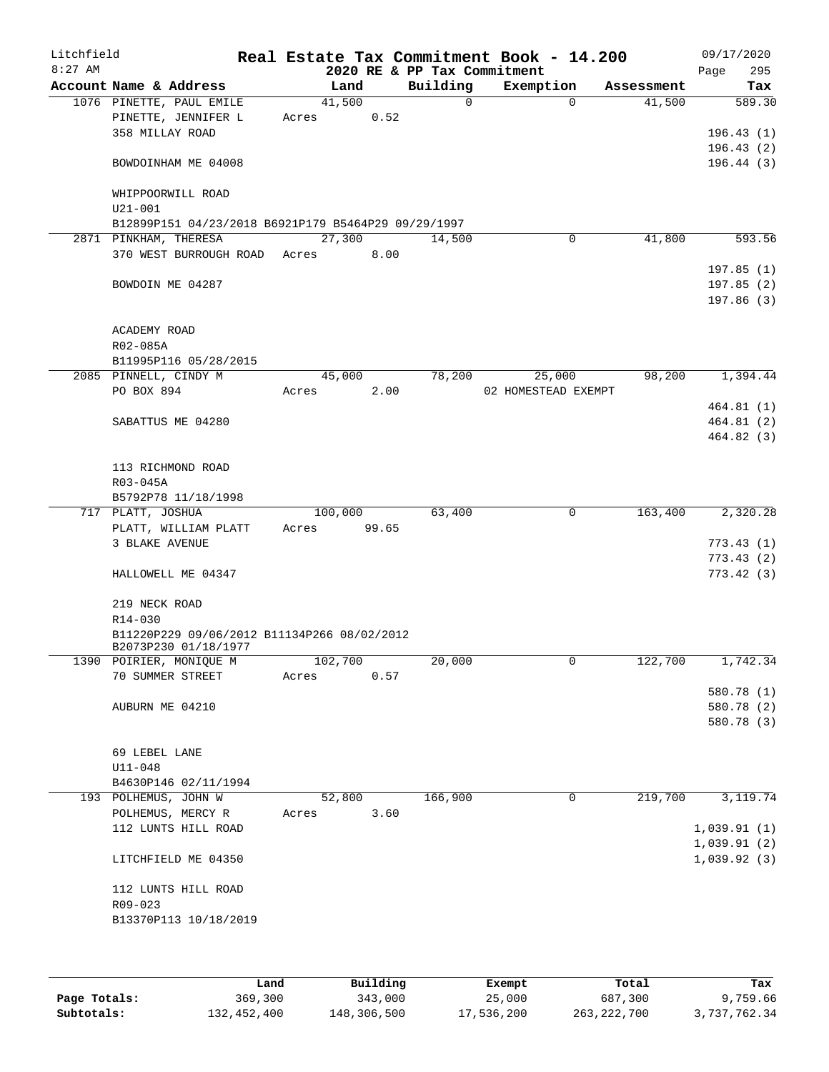| Litchfield |                   |                                                     |       |         |       |      | Real Estate Tax Commitment Book - 14.200 |                     |             |            |      | 09/17/2020  |
|------------|-------------------|-----------------------------------------------------|-------|---------|-------|------|------------------------------------------|---------------------|-------------|------------|------|-------------|
| $8:27$ AM  |                   |                                                     |       |         |       |      | 2020 RE & PP Tax Commitment              |                     |             |            | Page | 295         |
|            |                   | Account Name & Address                              |       | Land    |       |      | Building<br>$\Omega$                     | Exemption           | $\Omega$    | Assessment |      | Tax         |
|            |                   | 1076 PINETTE, PAUL EMILE<br>PINETTE, JENNIFER L     | Acres | 41,500  | 0.52  |      |                                          |                     |             | 41,500     |      | 589.30      |
|            | 358 MILLAY ROAD   |                                                     |       |         |       |      |                                          |                     |             |            |      | 196.43(1)   |
|            |                   |                                                     |       |         |       |      |                                          |                     |             |            |      | 196.43(2)   |
|            |                   | BOWDOINHAM ME 04008                                 |       |         |       |      |                                          |                     |             |            |      | 196.44(3)   |
|            | $U21 - 001$       | WHIPPOORWILL ROAD                                   |       |         |       |      |                                          |                     |             |            |      |             |
|            |                   | B12899P151 04/23/2018 B6921P179 B5464P29 09/29/1997 |       |         |       |      |                                          |                     |             |            |      |             |
|            |                   | 2871 PINKHAM, THERESA                               |       | 27,300  |       |      | 14,500                                   |                     | $\mathbf 0$ | 41,800     |      | 593.56      |
|            |                   | 370 WEST BURROUGH ROAD Acres                        |       |         | 8.00  |      |                                          |                     |             |            |      |             |
|            |                   |                                                     |       |         |       |      |                                          |                     |             |            |      | 197.85(1)   |
|            |                   | BOWDOIN ME 04287                                    |       |         |       |      |                                          |                     |             |            |      | 197.85(2)   |
|            |                   |                                                     |       |         |       |      |                                          |                     |             |            |      | 197.86(3)   |
|            | ACADEMY ROAD      |                                                     |       |         |       |      |                                          |                     |             |            |      |             |
|            | R02-085A          |                                                     |       |         |       |      |                                          |                     |             |            |      |             |
|            |                   | B11995P116 05/28/2015                               |       |         |       |      |                                          |                     |             |            |      |             |
|            |                   | 2085 PINNELL, CINDY M                               |       | 45,000  |       |      | 78,200                                   | 25,000              |             | 98,200     |      | 1,394.44    |
|            | PO BOX 894        |                                                     | Acres |         |       | 2.00 |                                          | 02 HOMESTEAD EXEMPT |             |            |      |             |
|            |                   |                                                     |       |         |       |      |                                          |                     |             |            |      | 464.81(1)   |
|            |                   | SABATTUS ME 04280                                   |       |         |       |      |                                          |                     |             |            |      | 464.81(2)   |
|            |                   |                                                     |       |         |       |      |                                          |                     |             |            |      | 464.82(3)   |
|            |                   |                                                     |       |         |       |      |                                          |                     |             |            |      |             |
|            | R03-045A          | 113 RICHMOND ROAD                                   |       |         |       |      |                                          |                     |             |            |      |             |
|            |                   | B5792P78 11/18/1998                                 |       |         |       |      |                                          |                     |             |            |      |             |
|            | 717 PLATT, JOSHUA |                                                     |       | 100,000 |       |      | 63,400                                   |                     | $\mathbf 0$ | 163,400    |      | 2,320.28    |
|            |                   | PLATT, WILLIAM PLATT                                | Acres |         | 99.65 |      |                                          |                     |             |            |      |             |
|            | 3 BLAKE AVENUE    |                                                     |       |         |       |      |                                          |                     |             |            |      | 773.43 (1)  |
|            |                   |                                                     |       |         |       |      |                                          |                     |             |            |      | 773.43 (2)  |
|            |                   | HALLOWELL ME 04347                                  |       |         |       |      |                                          |                     |             |            |      | 773.42(3)   |
|            | 219 NECK ROAD     |                                                     |       |         |       |      |                                          |                     |             |            |      |             |
|            | R14-030           |                                                     |       |         |       |      |                                          |                     |             |            |      |             |
|            |                   | B11220P229 09/06/2012 B11134P266 08/02/2012         |       |         |       |      |                                          |                     |             |            |      |             |
|            |                   | B2073P230 01/18/1977                                |       |         |       |      |                                          |                     |             |            |      |             |
|            |                   | 1390 POIRIER, MONIQUE M<br>70 SUMMER STREET         |       | 102,700 |       |      | 20,000                                   |                     | 0           | 122,700    |      | 1,742.34    |
|            |                   |                                                     | Acres |         |       | 0.57 |                                          |                     |             |            |      | 580.78 (1)  |
|            | AUBURN ME 04210   |                                                     |       |         |       |      |                                          |                     |             |            |      | 580.78 (2)  |
|            |                   |                                                     |       |         |       |      |                                          |                     |             |            |      | 580.78 (3)  |
|            |                   |                                                     |       |         |       |      |                                          |                     |             |            |      |             |
|            | 69 LEBEL LANE     |                                                     |       |         |       |      |                                          |                     |             |            |      |             |
|            | $U11 - 048$       |                                                     |       |         |       |      |                                          |                     |             |            |      |             |
|            |                   | B4630P146 02/11/1994                                |       |         |       |      |                                          |                     |             |            |      |             |
|            |                   | 193 POLHEMUS, JOHN W                                |       | 52,800  |       |      | 166,900                                  |                     | $\mathbf 0$ | 219,700    |      | 3, 119.74   |
|            |                   | POLHEMUS, MERCY R<br>112 LUNTS HILL ROAD            | Acres |         |       | 3.60 |                                          |                     |             |            |      | 1,039.91(1) |
|            |                   |                                                     |       |         |       |      |                                          |                     |             |            |      | 1,039.91(2) |
|            |                   | LITCHFIELD ME 04350                                 |       |         |       |      |                                          |                     |             |            |      | 1,039.92(3) |
|            |                   | 112 LUNTS HILL ROAD                                 |       |         |       |      |                                          |                     |             |            |      |             |
|            | R09-023           |                                                     |       |         |       |      |                                          |                     |             |            |      |             |
|            |                   | B13370P113 10/18/2019                               |       |         |       |      |                                          |                     |             |            |      |             |
|            |                   |                                                     |       |         |       |      |                                          |                     |             |            |      |             |
|            |                   |                                                     |       |         |       |      |                                          |                     |             |            |      |             |
|            |                   |                                                     |       |         |       |      |                                          |                     |             |            |      |             |

|              | Land        | Building    | Exempt     | Total         | Tax          |
|--------------|-------------|-------------|------------|---------------|--------------|
| Page Totals: | 369,300     | 343,000     | 25,000     | 687,300       | 9,759.66     |
| Subtotals:   | 132,452,400 | 148,306,500 | 17,536,200 | 263, 222, 700 | 3,737,762.34 |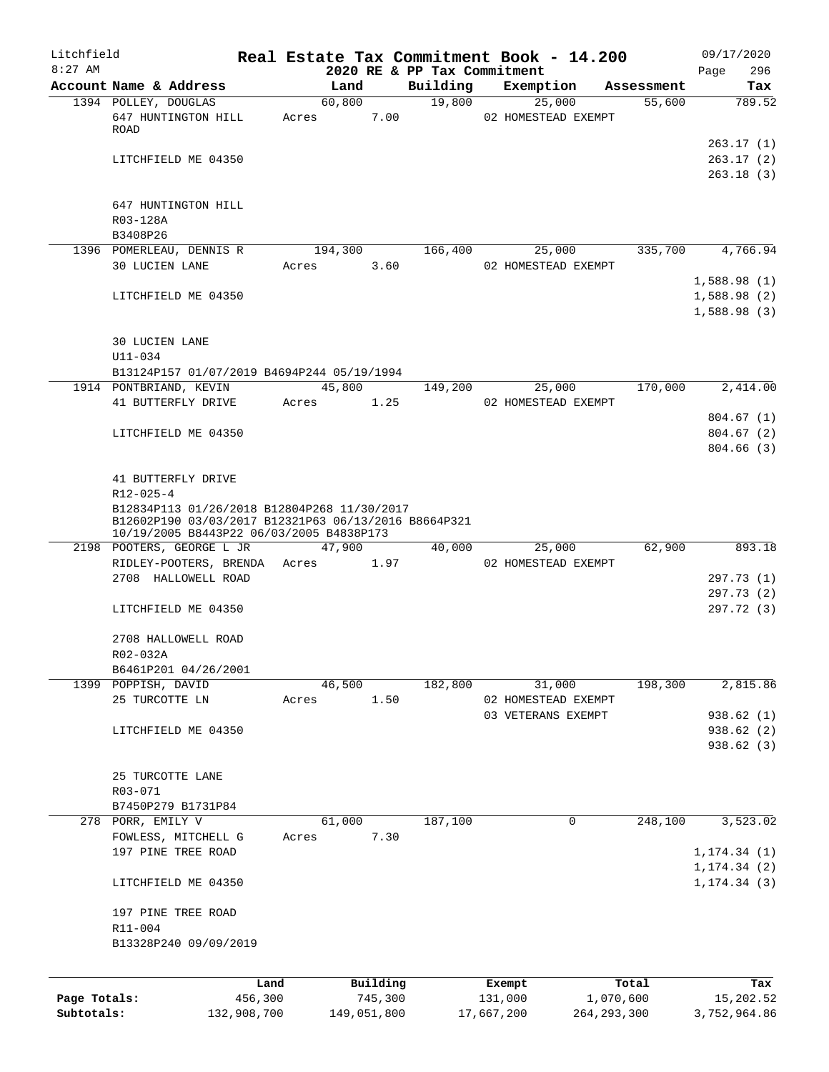| Litchfield   |                                                                                                                                                 |             |       |             |          |                             | Real Estate Tax Commitment Book - 14.200 |            | 09/17/2020                   |
|--------------|-------------------------------------------------------------------------------------------------------------------------------------------------|-------------|-------|-------------|----------|-----------------------------|------------------------------------------|------------|------------------------------|
| $8:27$ AM    |                                                                                                                                                 |             |       |             |          | 2020 RE & PP Tax Commitment |                                          |            | 296<br>Page                  |
|              | Account Name & Address                                                                                                                          |             |       | Land        |          | Building                    | Exemption                                | Assessment | Tax                          |
|              | 1394 POLLEY, DOUGLAS<br>647 HUNTINGTON HILL<br>ROAD                                                                                             |             | Acres | 60,800      | 7.00     | 19,800                      | 25,000<br>02 HOMESTEAD EXEMPT            | 55,600     | 789.52                       |
|              | LITCHFIELD ME 04350                                                                                                                             |             |       |             |          |                             |                                          |            | 263.17(1)<br>263.17(2)       |
|              |                                                                                                                                                 |             |       |             |          |                             |                                          |            | 263.18(3)                    |
|              | 647 HUNTINGTON HILL                                                                                                                             |             |       |             |          |                             |                                          |            |                              |
|              | R03-128A<br>B3408P26                                                                                                                            |             |       |             |          |                             |                                          |            |                              |
|              | 1396 POMERLEAU, DENNIS R                                                                                                                        |             |       | 194,300     |          | 166,400                     | 25,000                                   | 335,700    | 4,766.94                     |
|              | <b>30 LUCIEN LANE</b>                                                                                                                           |             | Acres |             | 3.60     |                             | 02 HOMESTEAD EXEMPT                      |            | 1,588.98(1)                  |
|              | LITCHFIELD ME 04350                                                                                                                             |             |       |             |          |                             |                                          |            | 1,588.98(2)<br>1,588.98(3)   |
|              | <b>30 LUCIEN LANE</b><br>$U11 - 034$                                                                                                            |             |       |             |          |                             |                                          |            |                              |
|              | B13124P157 01/07/2019 B4694P244 05/19/1994                                                                                                      |             |       |             |          |                             |                                          |            |                              |
|              | 1914 PONTBRIAND, KEVIN                                                                                                                          |             |       | 45,800      |          | 149,200                     | 25,000                                   | 170,000    | 2,414.00                     |
|              | 41 BUTTERFLY DRIVE                                                                                                                              |             | Acres |             | 1.25     |                             | 02 HOMESTEAD EXEMPT                      |            |                              |
|              |                                                                                                                                                 |             |       |             |          |                             |                                          |            | 804.67(1)                    |
|              | LITCHFIELD ME 04350                                                                                                                             |             |       |             |          |                             |                                          |            | 804.67(2)                    |
|              |                                                                                                                                                 |             |       |             |          |                             |                                          |            | 804.66(3)                    |
|              | 41 BUTTERFLY DRIVE<br>$R12 - 025 - 4$                                                                                                           |             |       |             |          |                             |                                          |            |                              |
|              | B12834P113 01/26/2018 B12804P268 11/30/2017<br>B12602P190 03/03/2017 B12321P63 06/13/2016 B8664P321<br>10/19/2005 B8443P22 06/03/2005 B4838P173 |             |       |             |          |                             |                                          |            |                              |
|              | 2198 POOTERS, GEORGE L JR                                                                                                                       |             |       | 47,900      |          | 40,000                      | 25,000                                   | 62,900     | 893.18                       |
|              | RIDLEY-POOTERS, BRENDA Acres                                                                                                                    |             |       |             | 1.97     |                             | 02 HOMESTEAD EXEMPT                      |            |                              |
|              | 2708 HALLOWELL ROAD                                                                                                                             |             |       |             |          |                             |                                          |            | 297.73 (1)                   |
|              | LITCHFIELD ME 04350                                                                                                                             |             |       |             |          |                             |                                          |            | 297.73 (2)<br>297.72 (3)     |
|              | 2708 HALLOWELL ROAD<br>R02-032A                                                                                                                 |             |       |             |          |                             |                                          |            |                              |
|              | B6461P201 04/26/2001                                                                                                                            |             |       |             |          |                             |                                          |            |                              |
|              | 1399 POPPISH, DAVID                                                                                                                             |             |       | 46,500      |          | 182,800                     | 31,000                                   | 198,300    | 2,815.86                     |
|              | 25 TURCOTTE LN                                                                                                                                  |             | Acres |             | 1.50     |                             | 02 HOMESTEAD EXEMPT                      |            |                              |
|              |                                                                                                                                                 |             |       |             |          |                             | 03 VETERANS EXEMPT                       |            | 938.62 (1)                   |
|              | LITCHFIELD ME 04350                                                                                                                             |             |       |             |          |                             |                                          |            | 938.62 (2)<br>938.62 (3)     |
|              | 25 TURCOTTE LANE                                                                                                                                |             |       |             |          |                             |                                          |            |                              |
|              | R03-071                                                                                                                                         |             |       |             |          |                             |                                          |            |                              |
|              | B7450P279 B1731P84                                                                                                                              |             |       |             |          |                             |                                          |            |                              |
|              | 278 PORR, EMILY V                                                                                                                               |             |       | 61,000      |          | 187,100                     | 0                                        | 248,100    | 3,523.02                     |
|              | FOWLESS, MITCHELL G                                                                                                                             |             | Acres |             | 7.30     |                             |                                          |            |                              |
|              | 197 PINE TREE ROAD                                                                                                                              |             |       |             |          |                             |                                          |            | 1, 174.34(1)                 |
|              | LITCHFIELD ME 04350                                                                                                                             |             |       |             |          |                             |                                          |            | 1, 174.34(2)<br>1, 174.34(3) |
|              | 197 PINE TREE ROAD                                                                                                                              |             |       |             |          |                             |                                          |            |                              |
|              | R11-004                                                                                                                                         |             |       |             |          |                             |                                          |            |                              |
|              | B13328P240 09/09/2019                                                                                                                           |             |       |             |          |                             |                                          |            |                              |
|              |                                                                                                                                                 | Land        |       |             | Building |                             | Exempt                                   | Total      | Tax                          |
| Page Totals: |                                                                                                                                                 | 456,300     |       |             | 745,300  |                             | 131,000<br>1,070,600                     |            | 15,202.52                    |
| Subtotals:   |                                                                                                                                                 | 132,908,700 |       | 149,051,800 |          |                             | 264, 293, 300<br>17,667,200              |            | 3,752,964.86                 |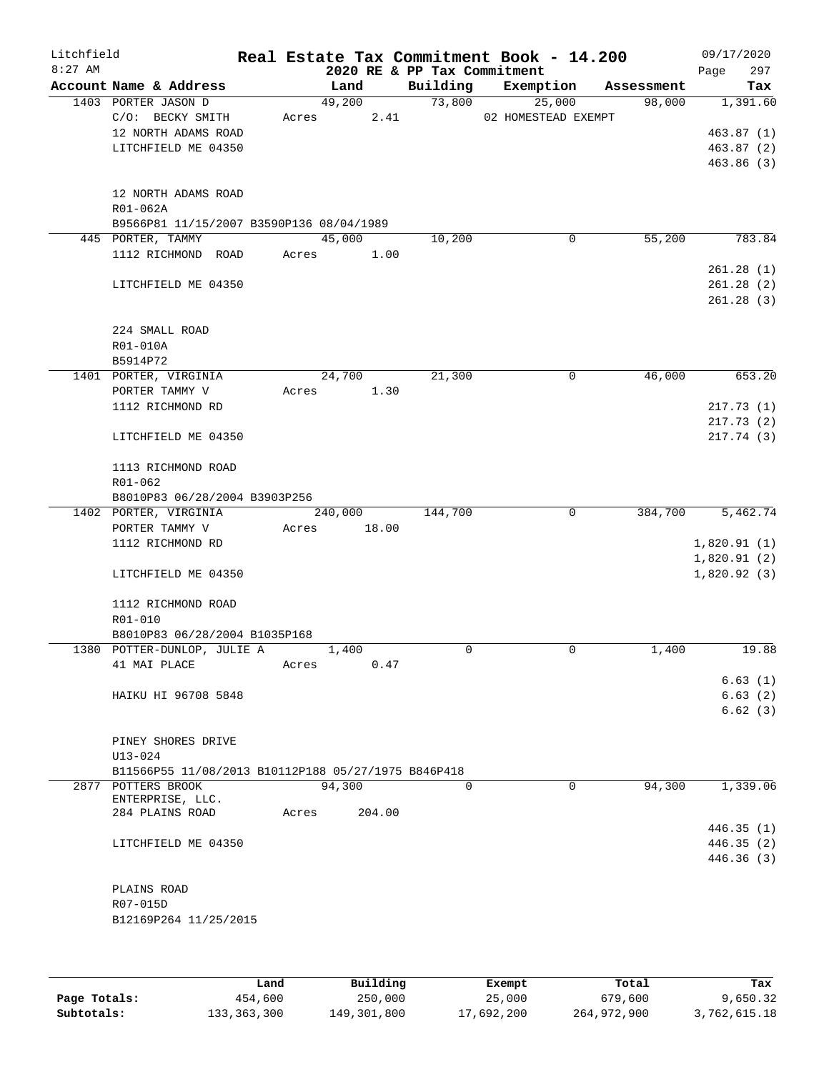| Litchfield<br>$8:27$ AM |                                                     |       |         |        | 2020 RE & PP Tax Commitment | Real Estate Tax Commitment Book - 14.200 |                |         | 09/17/2020<br>Page | 297    |
|-------------------------|-----------------------------------------------------|-------|---------|--------|-----------------------------|------------------------------------------|----------------|---------|--------------------|--------|
|                         | Account Name & Address                              |       | Land    |        | Building                    | Exemption                                | Assessment     |         |                    | Tax    |
|                         | 1403 PORTER JASON D                                 |       | 49,200  |        |                             | 73,800<br>25,000                         |                | 98,000  | 1,391.60           |        |
|                         | C/O: BECKY SMITH                                    | Acres |         | 2.41   |                             | 02 HOMESTEAD EXEMPT                      |                |         |                    |        |
|                         | 12 NORTH ADAMS ROAD                                 |       |         |        |                             |                                          |                |         | 463.87(1)          |        |
|                         | LITCHFIELD ME 04350                                 |       |         |        |                             |                                          |                |         | 463.87(2)          |        |
|                         |                                                     |       |         |        |                             |                                          |                |         | 463.86(3)          |        |
|                         |                                                     |       |         |        |                             |                                          |                |         |                    |        |
|                         | 12 NORTH ADAMS ROAD                                 |       |         |        |                             |                                          |                |         |                    |        |
|                         | R01-062A                                            |       |         |        |                             |                                          |                |         |                    |        |
|                         | B9566P81 11/15/2007 B3590P136 08/04/1989            |       |         |        |                             |                                          |                |         |                    |        |
|                         | 445 PORTER, TAMMY                                   |       | 45,000  |        | 10,200                      |                                          | 0              | 55,200  |                    | 783.84 |
|                         | 1112 RICHMOND ROAD                                  | Acres |         | 1.00   |                             |                                          |                |         |                    |        |
|                         |                                                     |       |         |        |                             |                                          |                |         | 261.28(1)          |        |
|                         | LITCHFIELD ME 04350                                 |       |         |        |                             |                                          |                |         | 261.28(2)          |        |
|                         |                                                     |       |         |        |                             |                                          |                |         | 261.28(3)          |        |
|                         |                                                     |       |         |        |                             |                                          |                |         |                    |        |
|                         |                                                     |       |         |        |                             |                                          |                |         |                    |        |
|                         | 224 SMALL ROAD                                      |       |         |        |                             |                                          |                |         |                    |        |
|                         | R01-010A                                            |       |         |        |                             |                                          |                |         |                    |        |
|                         | B5914P72                                            |       |         |        |                             |                                          |                |         |                    |        |
|                         | 1401 PORTER, VIRGINIA                               |       | 24,700  |        | 21,300                      |                                          | 0              | 46,000  |                    | 653.20 |
|                         | PORTER TAMMY V                                      | Acres |         | 1.30   |                             |                                          |                |         |                    |        |
|                         | 1112 RICHMOND RD                                    |       |         |        |                             |                                          |                |         | 217.73(1)          |        |
|                         |                                                     |       |         |        |                             |                                          |                |         | 217.73(2)          |        |
|                         | LITCHFIELD ME 04350                                 |       |         |        |                             |                                          |                |         | 217.74(3)          |        |
|                         |                                                     |       |         |        |                             |                                          |                |         |                    |        |
|                         | 1113 RICHMOND ROAD                                  |       |         |        |                             |                                          |                |         |                    |        |
|                         | R01-062                                             |       |         |        |                             |                                          |                |         |                    |        |
|                         | B8010P83 06/28/2004 B3903P256                       |       |         |        |                             |                                          |                |         |                    |        |
|                         | 1402 PORTER, VIRGINIA                               |       | 240,000 |        | 144,700                     |                                          | $\overline{0}$ | 384,700 | 5,462.74           |        |
|                         | PORTER TAMMY V                                      | Acres |         | 18.00  |                             |                                          |                |         |                    |        |
|                         | 1112 RICHMOND RD                                    |       |         |        |                             |                                          |                |         | 1,820.91(1)        |        |
|                         |                                                     |       |         |        |                             |                                          |                |         | 1,820.91(2)        |        |
|                         | LITCHFIELD ME 04350                                 |       |         |        |                             |                                          |                |         | 1,820.92(3)        |        |
|                         |                                                     |       |         |        |                             |                                          |                |         |                    |        |
|                         | 1112 RICHMOND ROAD                                  |       |         |        |                             |                                          |                |         |                    |        |
|                         | R01-010                                             |       |         |        |                             |                                          |                |         |                    |        |
|                         | B8010P83 06/28/2004 B1035P168                       |       |         |        |                             |                                          |                |         |                    |        |
|                         | 1380 POTTER-DUNLOP, JULIE A                         |       | 1,400   |        | $\Omega$                    |                                          | 0              | 1,400   |                    | 19.88  |
|                         | 41 MAI PLACE                                        | Acres |         | 0.47   |                             |                                          |                |         |                    |        |
|                         |                                                     |       |         |        |                             |                                          |                |         | 6.63(1)            |        |
|                         | HAIKU HI 96708 5848                                 |       |         |        |                             |                                          |                |         | 6.63(2)            |        |
|                         |                                                     |       |         |        |                             |                                          |                |         | 6.62(3)            |        |
|                         |                                                     |       |         |        |                             |                                          |                |         |                    |        |
|                         | PINEY SHORES DRIVE                                  |       |         |        |                             |                                          |                |         |                    |        |
|                         | $U13 - 024$                                         |       |         |        |                             |                                          |                |         |                    |        |
|                         | B11566P55 11/08/2013 B10112P188 05/27/1975 B846P418 |       |         |        |                             |                                          |                |         |                    |        |
|                         | 2877 POTTERS BROOK                                  |       | 94,300  |        | $\Omega$                    |                                          | $\Omega$       | 94,300  | 1,339.06           |        |
|                         | ENTERPRISE, LLC.                                    |       |         |        |                             |                                          |                |         |                    |        |
|                         | 284 PLAINS ROAD                                     | Acres |         | 204.00 |                             |                                          |                |         |                    |        |
|                         |                                                     |       |         |        |                             |                                          |                |         | 446.35(1)          |        |
|                         | LITCHFIELD ME 04350                                 |       |         |        |                             |                                          |                |         | 446.35 (2)         |        |
|                         |                                                     |       |         |        |                             |                                          |                |         | 446.36(3)          |        |
|                         |                                                     |       |         |        |                             |                                          |                |         |                    |        |
|                         | PLAINS ROAD                                         |       |         |        |                             |                                          |                |         |                    |        |
|                         | R07-015D                                            |       |         |        |                             |                                          |                |         |                    |        |
|                         | B12169P264 11/25/2015                               |       |         |        |                             |                                          |                |         |                    |        |
|                         |                                                     |       |         |        |                             |                                          |                |         |                    |        |
|                         |                                                     |       |         |        |                             |                                          |                |         |                    |        |
|                         |                                                     |       |         |        |                             |                                          |                |         |                    |        |

|              | Land        | Building    | Exempt     | Total       | Tax          |
|--------------|-------------|-------------|------------|-------------|--------------|
| Page Totals: | 454,600     | 250,000     | 25,000     | 679,600     | 9,650.32     |
| Subtotals:   | 133,363,300 | 149,301,800 | 17,692,200 | 264,972,900 | 3,762,615.18 |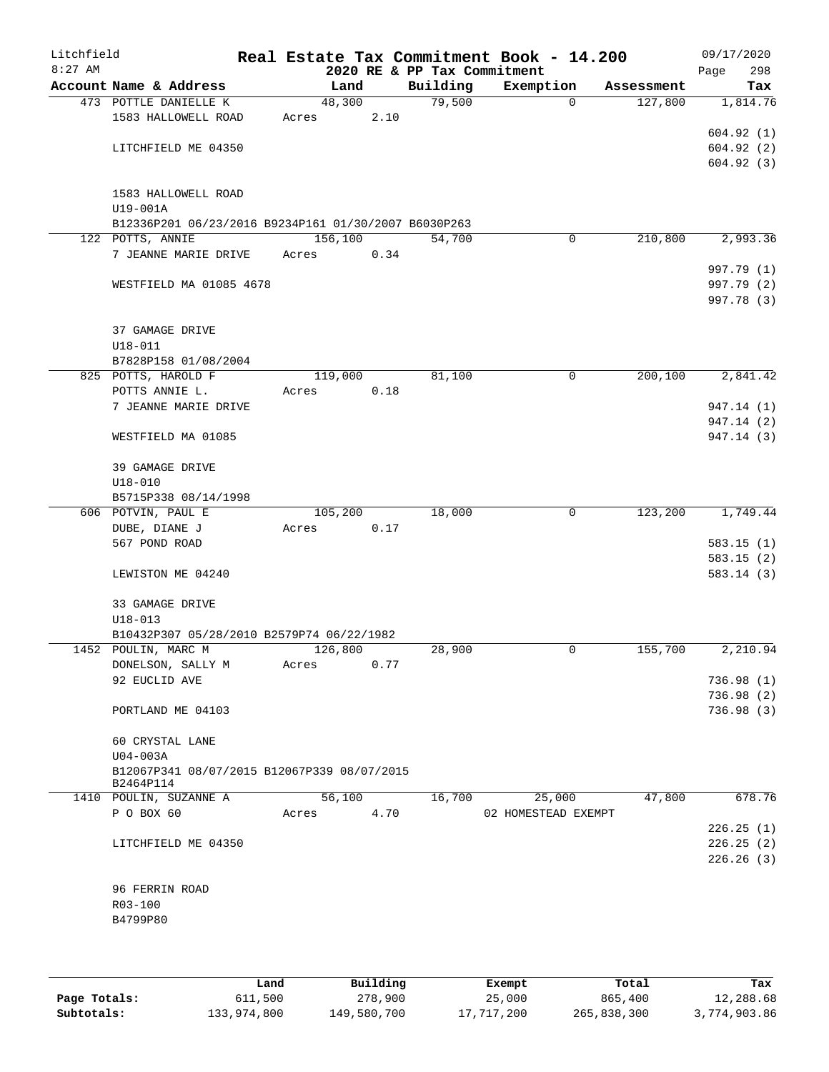| Litchfield<br>$8:27$ AM |                                                                          |       |         |      | 2020 RE & PP Tax Commitment | Real Estate Tax Commitment Book - 14.200 |            | 09/17/2020<br>Page<br>298 |
|-------------------------|--------------------------------------------------------------------------|-------|---------|------|-----------------------------|------------------------------------------|------------|---------------------------|
|                         | Account Name & Address                                                   |       | Land    |      | Building                    | Exemption                                | Assessment | Tax                       |
|                         | 473 POTTLE DANIELLE K                                                    |       | 48,300  |      | 79,500                      | $\Omega$                                 | 127,800    | 1,814.76                  |
|                         | 1583 HALLOWELL ROAD                                                      | Acres |         | 2.10 |                             |                                          |            |                           |
|                         |                                                                          |       |         |      |                             |                                          |            | 604.92(1)                 |
|                         | LITCHFIELD ME 04350                                                      |       |         |      |                             |                                          |            | 604.92(2)                 |
|                         |                                                                          |       |         |      |                             |                                          |            | 604.92(3)                 |
|                         |                                                                          |       |         |      |                             |                                          |            |                           |
|                         | 1583 HALLOWELL ROAD                                                      |       |         |      |                             |                                          |            |                           |
|                         | U19-001A                                                                 |       |         |      |                             |                                          |            |                           |
|                         | B12336P201 06/23/2016 B9234P161 01/30/2007 B6030P263<br>122 POTTS, ANNIE |       | 156,100 |      | 54,700                      | 0                                        | 210,800    | 2,993.36                  |
|                         | 7 JEANNE MARIE DRIVE                                                     |       | Acres   | 0.34 |                             |                                          |            |                           |
|                         |                                                                          |       |         |      |                             |                                          |            | 997.79 (1)                |
|                         | WESTFIELD MA 01085 4678                                                  |       |         |      |                             |                                          |            | 997.79 (2)                |
|                         |                                                                          |       |         |      |                             |                                          |            | 997.78 (3)                |
|                         |                                                                          |       |         |      |                             |                                          |            |                           |
|                         | 37 GAMAGE DRIVE                                                          |       |         |      |                             |                                          |            |                           |
|                         | $U18 - 011$                                                              |       |         |      |                             |                                          |            |                           |
|                         | B7828P158 01/08/2004                                                     |       |         |      |                             |                                          |            |                           |
|                         | 825 POTTS, HAROLD F                                                      |       | 119,000 |      | 81,100                      | 0                                        | 200,100    | 2,841.42                  |
|                         | POTTS ANNIE L.                                                           | Acres |         | 0.18 |                             |                                          |            |                           |
|                         | 7 JEANNE MARIE DRIVE                                                     |       |         |      |                             |                                          |            | 947.14 (1)                |
|                         |                                                                          |       |         |      |                             |                                          |            | 947.14 (2)                |
|                         | WESTFIELD MA 01085                                                       |       |         |      |                             |                                          |            | 947.14 (3)                |
|                         |                                                                          |       |         |      |                             |                                          |            |                           |
|                         | 39 GAMAGE DRIVE                                                          |       |         |      |                             |                                          |            |                           |
|                         | $U18 - 010$                                                              |       |         |      |                             |                                          |            |                           |
|                         | B5715P338 08/14/1998                                                     |       |         |      |                             |                                          |            |                           |
|                         | 606 POTVIN, PAUL E                                                       |       | 105,200 |      | 18,000                      | 0                                        | 123,200    | 1,749.44                  |
|                         | DUBE, DIANE J                                                            | Acres |         | 0.17 |                             |                                          |            |                           |
|                         | 567 POND ROAD                                                            |       |         |      |                             |                                          |            | 583.15(1)                 |
|                         |                                                                          |       |         |      |                             |                                          |            | 583.15(2)                 |
|                         | LEWISTON ME 04240                                                        |       |         |      |                             |                                          |            | 583.14(3)                 |
|                         |                                                                          |       |         |      |                             |                                          |            |                           |
|                         | 33 GAMAGE DRIVE                                                          |       |         |      |                             |                                          |            |                           |
|                         | $U18 - 013$                                                              |       |         |      |                             |                                          |            |                           |
|                         | B10432P307 05/28/2010 B2579P74 06/22/1982                                |       |         |      |                             |                                          |            |                           |
|                         | 1452 POULIN, MARC M                                                      |       | 126,800 |      | 28,900                      | 0                                        | 155,700    | 2,210.94                  |
|                         | DONELSON, SALLY M                                                        | Acres |         | 0.77 |                             |                                          |            |                           |
|                         | 92 EUCLID AVE                                                            |       |         |      |                             |                                          |            | 736.98(1)                 |
|                         | PORTLAND ME 04103                                                        |       |         |      |                             |                                          |            | 736.98(2)<br>736.98(3)    |
|                         |                                                                          |       |         |      |                             |                                          |            |                           |
|                         | 60 CRYSTAL LANE                                                          |       |         |      |                             |                                          |            |                           |
|                         | $U04-003A$                                                               |       |         |      |                             |                                          |            |                           |
|                         | B12067P341 08/07/2015 B12067P339 08/07/2015                              |       |         |      |                             |                                          |            |                           |
|                         | B2464P114                                                                |       |         |      |                             |                                          |            |                           |
|                         | 1410 POULIN, SUZANNE A                                                   |       | 56,100  |      | 16,700                      | 25,000                                   | 47,800     | 678.76                    |
|                         | P O BOX 60                                                               |       | Acres   | 4.70 |                             | 02 HOMESTEAD EXEMPT                      |            |                           |
|                         |                                                                          |       |         |      |                             |                                          |            | 226.25(1)                 |
|                         | LITCHFIELD ME 04350                                                      |       |         |      |                             |                                          |            | 226.25(2)                 |
|                         |                                                                          |       |         |      |                             |                                          |            | 226.26(3)                 |
|                         |                                                                          |       |         |      |                             |                                          |            |                           |
|                         | 96 FERRIN ROAD                                                           |       |         |      |                             |                                          |            |                           |
|                         | R03-100                                                                  |       |         |      |                             |                                          |            |                           |
|                         | B4799P80                                                                 |       |         |      |                             |                                          |            |                           |
|                         |                                                                          |       |         |      |                             |                                          |            |                           |
|                         |                                                                          |       |         |      |                             |                                          |            |                           |

|              | Land        | Building    | Exempt     | Total       | Tax          |
|--------------|-------------|-------------|------------|-------------|--------------|
| Page Totals: | 611,500     | 278,900     | 25,000     | 865,400     | 12,288.68    |
| Subtotals:   | 133,974,800 | 149,580,700 | 17,717,200 | 265,838,300 | 3,774,903.86 |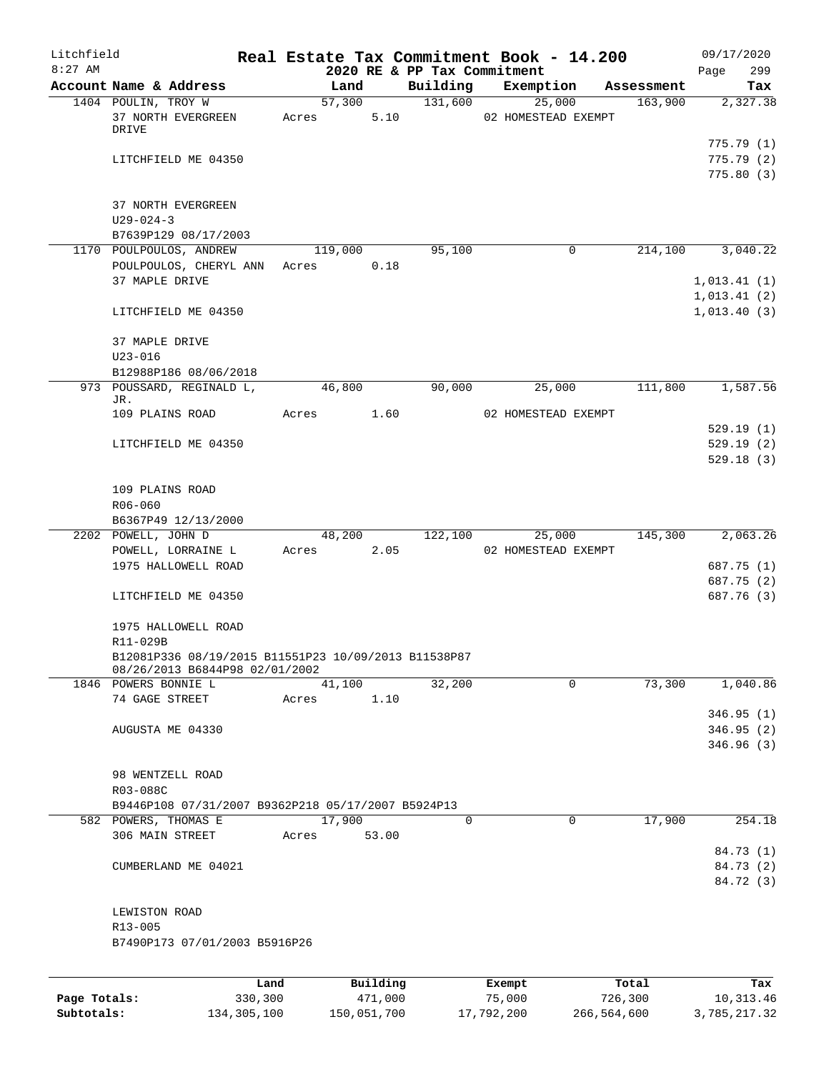| Litchfield<br>$8:27$ AM |                                                                                        |      |       |         |          | 2020 RE & PP Tax Commitment | Real Estate Tax Commitment Book - 14.200 |            | 09/17/2020<br>Page<br>299            |
|-------------------------|----------------------------------------------------------------------------------------|------|-------|---------|----------|-----------------------------|------------------------------------------|------------|--------------------------------------|
|                         | Account Name & Address                                                                 |      |       | Land    |          | Building                    | Exemption                                | Assessment | Tax                                  |
|                         | 1404 POULIN, TROY W                                                                    |      |       | 57,300  |          | 131,600                     | 25,000                                   | 163,900    | 2,327.38                             |
|                         | 37 NORTH EVERGREEN<br>DRIVE                                                            |      | Acres |         | 5.10     |                             | 02 HOMESTEAD EXEMPT                      |            |                                      |
|                         | LITCHFIELD ME 04350                                                                    |      |       |         |          |                             |                                          |            | 775.79(1)<br>775.79(2)<br>775.80 (3) |
|                         | 37 NORTH EVERGREEN<br>$U29 - 024 - 3$<br>B7639P129 08/17/2003                          |      |       |         |          |                             |                                          |            |                                      |
|                         | 1170 POULPOULOS, ANDREW                                                                |      |       | 119,000 |          | 95,100                      | $\mathbf 0$                              | 214,100    | 3,040.22                             |
|                         | POULPOULOS, CHERYL ANN<br>37 MAPLE DRIVE                                               |      | Acres |         | 0.18     |                             |                                          |            | 1,013.41(1)<br>1,013.41(2)           |
|                         | LITCHFIELD ME 04350                                                                    |      |       |         |          |                             |                                          |            | 1,013.40(3)                          |
|                         | 37 MAPLE DRIVE                                                                         |      |       |         |          |                             |                                          |            |                                      |
|                         | $U23 - 016$                                                                            |      |       |         |          |                             |                                          |            |                                      |
|                         | B12988P186 08/06/2018                                                                  |      |       |         |          |                             |                                          |            |                                      |
|                         | 973 POUSSARD, REGINALD L,<br>JR.                                                       |      |       | 46,800  |          | 90,000                      | 25,000                                   | 111,800    | 1,587.56                             |
|                         | 109 PLAINS ROAD                                                                        |      | Acres |         | 1.60     |                             | 02 HOMESTEAD EXEMPT                      |            |                                      |
|                         |                                                                                        |      |       |         |          |                             |                                          |            | 529.19(1)                            |
|                         | LITCHFIELD ME 04350                                                                    |      |       |         |          |                             |                                          |            | 529.19(2)                            |
|                         |                                                                                        |      |       |         |          |                             |                                          |            | 529.18(3)                            |
|                         | 109 PLAINS ROAD                                                                        |      |       |         |          |                             |                                          |            |                                      |
|                         | R06-060                                                                                |      |       |         |          |                             |                                          |            |                                      |
|                         | B6367P49 12/13/2000                                                                    |      |       |         |          |                             |                                          |            |                                      |
|                         | 2202 POWELL, JOHN D                                                                    |      |       | 48,200  |          | 122,100                     | 25,000                                   | 145,300    | 2,063.26                             |
|                         | POWELL, LORRAINE L                                                                     |      | Acres |         | 2.05     |                             | 02 HOMESTEAD EXEMPT                      |            |                                      |
|                         | 1975 HALLOWELL ROAD                                                                    |      |       |         |          |                             |                                          |            | 687.75 (1)                           |
|                         | LITCHFIELD ME 04350                                                                    |      |       |         |          |                             |                                          |            | 687.75 (2)<br>687.76 (3)             |
|                         | 1975 HALLOWELL ROAD<br>R11-029B                                                        |      |       |         |          |                             |                                          |            |                                      |
|                         | B12081P336 08/19/2015 B11551P23 10/09/2013 B11538P87<br>08/26/2013 B6844P98 02/01/2002 |      |       |         |          |                             |                                          |            |                                      |
|                         | 1846 POWERS BONNIE L                                                                   |      |       | 41,100  |          | 32,200                      | $\Omega$                                 | 73,300     | 1,040.86                             |
|                         | 74 GAGE STREET                                                                         |      | Acres |         | 1.10     |                             |                                          |            | 346.95(1)                            |
|                         | AUGUSTA ME 04330                                                                       |      |       |         |          |                             |                                          |            | 346.95(2)                            |
|                         |                                                                                        |      |       |         |          |                             |                                          |            | 346.96(3)                            |
|                         | 98 WENTZELL ROAD                                                                       |      |       |         |          |                             |                                          |            |                                      |
|                         | R03-088C                                                                               |      |       |         |          |                             |                                          |            |                                      |
|                         | B9446P108 07/31/2007 B9362P218 05/17/2007 B5924P13                                     |      |       |         |          |                             |                                          |            |                                      |
|                         | 582 POWERS, THOMAS E                                                                   |      |       | 17,900  |          | 0                           | $\Omega$                                 | 17,900     | 254.18                               |
|                         | 306 MAIN STREET                                                                        |      | Acres |         | 53.00    |                             |                                          |            |                                      |
|                         |                                                                                        |      |       |         |          |                             |                                          |            | 84.73 (1)                            |
|                         | CUMBERLAND ME 04021                                                                    |      |       |         |          |                             |                                          |            | 84.73 (2)<br>84.72 (3)               |
|                         |                                                                                        |      |       |         |          |                             |                                          |            |                                      |
|                         | LEWISTON ROAD                                                                          |      |       |         |          |                             |                                          |            |                                      |
|                         | R13-005<br>B7490P173 07/01/2003 B5916P26                                               |      |       |         |          |                             |                                          |            |                                      |
|                         |                                                                                        |      |       |         |          |                             |                                          |            |                                      |
|                         |                                                                                        | Land |       |         | Building |                             | Exempt                                   | Total      | Tax                                  |
|                         |                                                                                        |      |       |         |          |                             |                                          |            |                                      |

**Page Totals:** 330,300 471,000 75,000 726,300 10,313.46 **Subtotals:** 134,305,100 150,051,700 17,792,200 266,564,600 3,785,217.32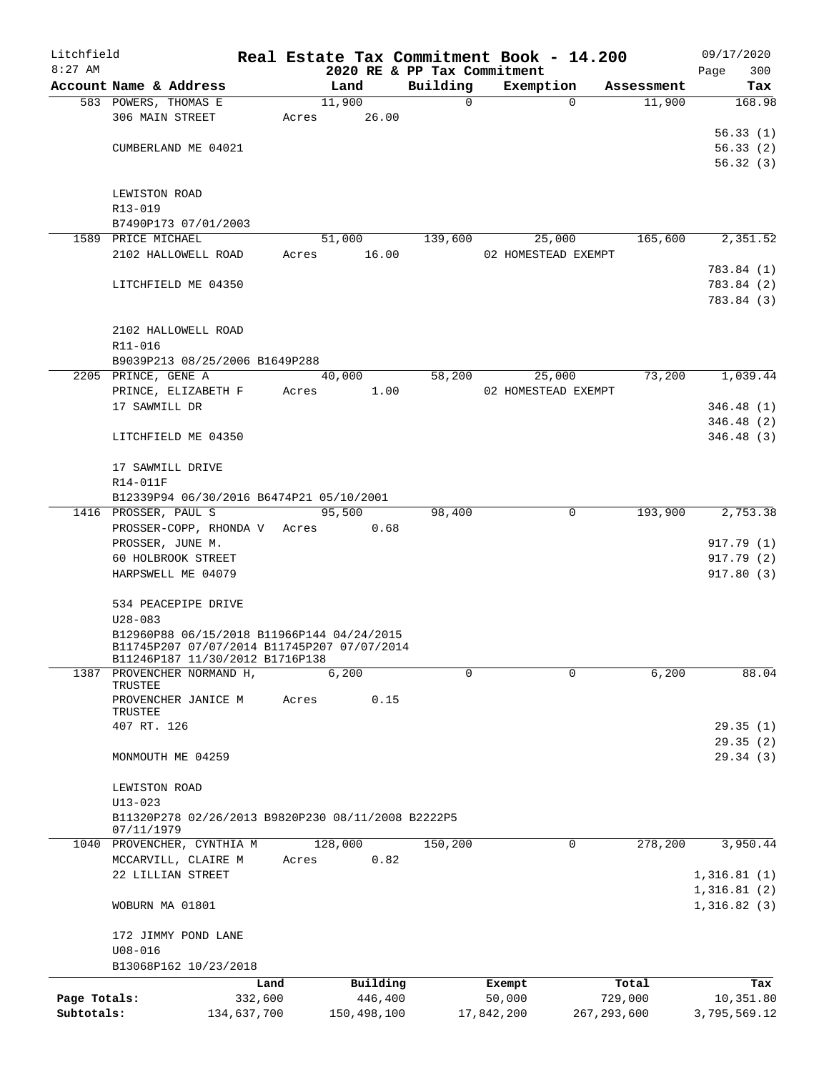| Litchfield   |                              |                                                                                |       | Real Estate Tax Commitment Book - 14.200 |                             |                     |               |                      | 09/17/2020    |
|--------------|------------------------------|--------------------------------------------------------------------------------|-------|------------------------------------------|-----------------------------|---------------------|---------------|----------------------|---------------|
| $8:27$ AM    | Account Name & Address       |                                                                                |       |                                          | 2020 RE & PP Tax Commitment |                     |               |                      | 300<br>Page   |
|              | 583 POWERS, THOMAS E         |                                                                                |       | Land<br>11,900                           | Building<br>$\Omega$        | Exemption           | $\Omega$      | Assessment<br>11,900 | Tax<br>168.98 |
|              | 306 MAIN STREET              |                                                                                | Acres | 26.00                                    |                             |                     |               |                      |               |
|              |                              |                                                                                |       |                                          |                             |                     |               |                      | 56.33(1)      |
|              | CUMBERLAND ME 04021          |                                                                                |       |                                          |                             |                     |               |                      | 56.33(2)      |
|              |                              |                                                                                |       |                                          |                             |                     |               |                      | 56.32(3)      |
|              |                              |                                                                                |       |                                          |                             |                     |               |                      |               |
|              | LEWISTON ROAD                |                                                                                |       |                                          |                             |                     |               |                      |               |
|              | R13-019                      |                                                                                |       |                                          |                             |                     |               |                      |               |
|              |                              | B7490P173 07/01/2003                                                           |       |                                          |                             |                     |               |                      |               |
|              | 1589 PRICE MICHAEL           |                                                                                |       | 51,000                                   | 139,600                     |                     | 25,000        | 165,600              | 2,351.52      |
|              |                              | 2102 HALLOWELL ROAD                                                            | Acres | 16.00                                    |                             | 02 HOMESTEAD EXEMPT |               |                      |               |
|              |                              |                                                                                |       |                                          |                             |                     |               |                      | 783.84 (1)    |
|              | LITCHFIELD ME 04350          |                                                                                |       |                                          |                             |                     |               |                      | 783.84 (2)    |
|              |                              |                                                                                |       |                                          |                             |                     |               |                      | 783.84 (3)    |
|              |                              |                                                                                |       |                                          |                             |                     |               |                      |               |
|              | 2102 HALLOWELL ROAD          |                                                                                |       |                                          |                             |                     |               |                      |               |
|              | R11-016                      |                                                                                |       |                                          |                             |                     |               |                      |               |
|              |                              | B9039P213 08/25/2006 B1649P288                                                 |       |                                          |                             |                     |               |                      |               |
|              | 2205 PRINCE, GENE A          |                                                                                |       | 40,000                                   | 58,200                      |                     | 25,000        | 73,200               | 1,039.44      |
|              |                              | PRINCE, ELIZABETH F                                                            | Acres | 1.00                                     |                             | 02 HOMESTEAD EXEMPT |               |                      |               |
|              | 17 SAWMILL DR                |                                                                                |       |                                          |                             |                     |               |                      | 346.48(1)     |
|              |                              |                                                                                |       |                                          |                             |                     |               |                      | 346.48(2)     |
|              | LITCHFIELD ME 04350          |                                                                                |       |                                          |                             |                     |               |                      | 346.48(3)     |
|              |                              |                                                                                |       |                                          |                             |                     |               |                      |               |
|              | 17 SAWMILL DRIVE             |                                                                                |       |                                          |                             |                     |               |                      |               |
|              | R14-011F                     |                                                                                |       |                                          |                             |                     |               |                      |               |
|              |                              | B12339P94 06/30/2016 B6474P21 05/10/2001                                       |       |                                          |                             |                     |               |                      |               |
|              | 1416 PROSSER, PAUL S         |                                                                                |       | 95,500                                   | 98,400                      |                     | $\mathbf 0$   | 193,900              | 2,753.38      |
|              |                              | PROSSER-COPP, RHONDA V Acres                                                   |       | 0.68                                     |                             |                     |               |                      |               |
|              | PROSSER, JUNE M.             |                                                                                |       |                                          |                             |                     |               |                      | 917.79 (1)    |
|              | 60 HOLBROOK STREET           |                                                                                |       |                                          |                             |                     |               |                      | 917.79(2)     |
|              | HARPSWELL ME 04079           |                                                                                |       |                                          |                             |                     |               |                      | 917.80(3)     |
|              |                              |                                                                                |       |                                          |                             |                     |               |                      |               |
|              | 534 PEACEPIPE DRIVE          |                                                                                |       |                                          |                             |                     |               |                      |               |
|              | $U28 - 083$                  |                                                                                |       |                                          |                             |                     |               |                      |               |
|              |                              | B12960P88 06/15/2018 B11966P144 04/24/2015                                     |       |                                          |                             |                     |               |                      |               |
|              |                              | B11745P207 07/07/2014 B11745P207 07/07/2014<br>B11246P187 11/30/2012 B1716P138 |       |                                          |                             |                     |               |                      |               |
| 1387         |                              | PROVENCHER NORMAND H,                                                          |       | 6,200                                    | 0                           |                     | $\Omega$      | 6,200                | 88.04         |
|              | TRUSTEE                      |                                                                                |       |                                          |                             |                     |               |                      |               |
|              |                              | PROVENCHER JANICE M                                                            | Acres | 0.15                                     |                             |                     |               |                      |               |
|              | TRUSTEE                      |                                                                                |       |                                          |                             |                     |               |                      |               |
|              | 407 RT. 126                  |                                                                                |       |                                          |                             |                     |               |                      | 29.35(1)      |
|              |                              |                                                                                |       |                                          |                             |                     |               |                      | 29.35(2)      |
|              | MONMOUTH ME 04259            |                                                                                |       |                                          |                             |                     |               |                      | 29.34(3)      |
|              |                              |                                                                                |       |                                          |                             |                     |               |                      |               |
|              | LEWISTON ROAD<br>$U13 - 023$ |                                                                                |       |                                          |                             |                     |               |                      |               |
|              |                              | B11320P278 02/26/2013 B9820P230 08/11/2008 B2222P5                             |       |                                          |                             |                     |               |                      |               |
|              | 07/11/1979                   |                                                                                |       |                                          |                             |                     |               |                      |               |
|              |                              | 1040 PROVENCHER, CYNTHIA M                                                     |       | 128,000                                  | 150,200                     |                     | 0             | 278,200              | 3,950.44      |
|              |                              | MCCARVILL, CLAIRE M                                                            | Acres | 0.82                                     |                             |                     |               |                      |               |
|              | 22 LILLIAN STREET            |                                                                                |       |                                          |                             |                     |               |                      | 1,316.81(1)   |
|              |                              |                                                                                |       |                                          |                             |                     |               |                      | 1,316.81(2)   |
|              | WOBURN MA 01801              |                                                                                |       |                                          |                             |                     |               |                      | 1,316.82(3)   |
|              |                              |                                                                                |       |                                          |                             |                     |               |                      |               |
|              | 172 JIMMY POND LANE          |                                                                                |       |                                          |                             |                     |               |                      |               |
|              | $U08 - 016$                  |                                                                                |       |                                          |                             |                     |               |                      |               |
|              |                              | B13068P162 10/23/2018                                                          |       |                                          |                             |                     |               |                      |               |
|              |                              | Land                                                                           |       | Building                                 |                             | Exempt              |               | Total                | Tax           |
| Page Totals: |                              | 332,600                                                                        |       | 446,400                                  |                             | 50,000              |               | 729,000              | 10,351.80     |
| Subtotals:   |                              | 134,637,700                                                                    |       | 150,498,100                              |                             | 17,842,200          | 267, 293, 600 |                      | 3,795,569.12  |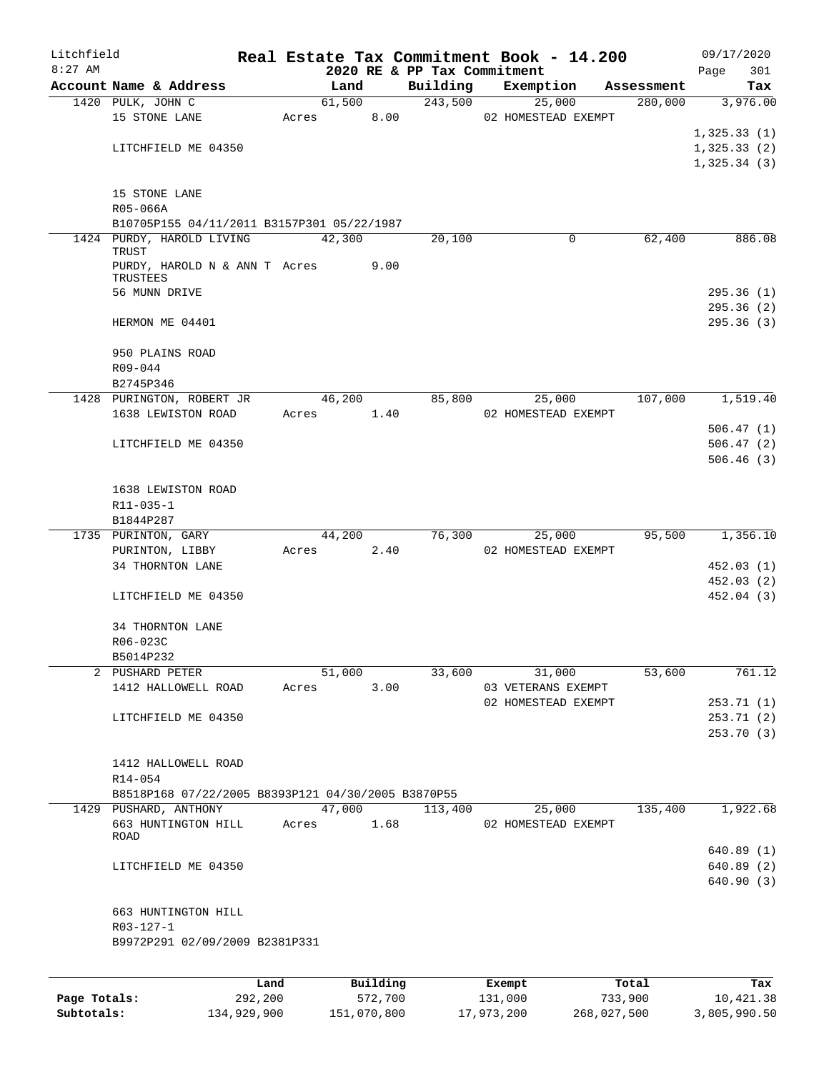| Litchfield |                                                                         |            |        |                        |          | Real Estate Tax Commitment Book - 14.200 |                               | 09/17/2020                 |
|------------|-------------------------------------------------------------------------|------------|--------|------------------------|----------|------------------------------------------|-------------------------------|----------------------------|
| $8:27$ AM  |                                                                         |            |        |                        |          | 2020 RE & PP Tax Commitment              |                               | 301<br>Page                |
|            | Account Name & Address                                                  |            | Land   |                        | Building | Exemption                                | Assessment                    | Tax                        |
|            | 1420 PULK, JOHN C                                                       |            | 61,500 |                        | 243,500  | 25,000                                   | 280,000                       | 3,976.00                   |
|            | 15 STONE LANE                                                           | Acres      |        | 8.00                   |          | 02 HOMESTEAD EXEMPT                      |                               |                            |
|            |                                                                         |            |        |                        |          |                                          |                               | 1,325.33(1)                |
|            | LITCHFIELD ME 04350                                                     |            |        |                        |          |                                          |                               | 1,325.33(2)<br>1,325.34(3) |
|            |                                                                         |            |        |                        |          |                                          |                               |                            |
|            | 15 STONE LANE                                                           |            |        |                        |          |                                          |                               |                            |
|            | R05-066A                                                                |            |        |                        |          |                                          |                               |                            |
|            | B10705P155 04/11/2011 B3157P301 05/22/1987<br>1424 PURDY, HAROLD LIVING |            | 42,300 |                        | 20,100   | 0                                        | 62,400                        | 886.08                     |
|            | TRUST                                                                   |            |        |                        |          |                                          |                               |                            |
|            | PURDY, HAROLD N & ANN T Acres<br>TRUSTEES                               |            |        | 9.00                   |          |                                          |                               |                            |
|            | 56 MUNN DRIVE                                                           |            |        |                        |          |                                          |                               | 295.36(1)                  |
|            |                                                                         |            |        |                        |          |                                          |                               | 295.36(2)                  |
|            | HERMON ME 04401                                                         |            |        |                        |          |                                          |                               | 295.36(3)                  |
|            | 950 PLAINS ROAD                                                         |            |        |                        |          |                                          |                               |                            |
|            | R09-044                                                                 |            |        |                        |          |                                          |                               |                            |
|            | B2745P346                                                               |            |        |                        |          |                                          |                               |                            |
|            | 1428 PURINGTON, ROBERT JR                                               |            | 46,200 |                        | 85,800   | 25,000                                   | 107,000                       | 1,519.40                   |
|            | 1638 LEWISTON ROAD                                                      | Acres 1.40 |        |                        |          | 02 HOMESTEAD EXEMPT                      |                               |                            |
|            |                                                                         |            |        |                        |          |                                          |                               | 506.47(1)<br>506.47(2)     |
|            | LITCHFIELD ME 04350                                                     |            |        |                        |          |                                          |                               | 506.46(3)                  |
|            |                                                                         |            |        |                        |          |                                          |                               |                            |
|            | 1638 LEWISTON ROAD                                                      |            |        |                        |          |                                          |                               |                            |
|            | R11-035-1                                                               |            |        |                        |          |                                          |                               |                            |
|            | B1844P287                                                               |            |        |                        |          |                                          |                               |                            |
|            | 1735 PURINTON, GARY                                                     |            | 44,200 |                        | 76,300   | 25,000                                   | 95,500                        | 1,356.10                   |
|            | PURINTON, LIBBY                                                         | Acres      |        | 2.40                   |          | 02 HOMESTEAD EXEMPT                      |                               |                            |
|            | 34 THORNTON LANE                                                        |            |        |                        |          |                                          |                               | 452.03(1)                  |
|            |                                                                         |            |        |                        |          |                                          |                               | 452.03(2)                  |
|            | LITCHFIELD ME 04350                                                     |            |        |                        |          |                                          |                               | 452.04 (3)                 |
|            | 34 THORNTON LANE                                                        |            |        |                        |          |                                          |                               |                            |
|            | R06-023C                                                                |            |        |                        |          |                                          |                               |                            |
|            | B5014P232                                                               |            |        |                        |          |                                          |                               |                            |
|            | 2 PUSHARD PETER                                                         |            | 51,000 |                        | 33,600   | 31,000                                   | 53,600                        | 761.12                     |
|            | 1412 HALLOWELL ROAD                                                     | Acres 3.00 |        |                        |          | 03 VETERANS EXEMPT                       |                               |                            |
|            |                                                                         |            |        |                        |          | 02 HOMESTEAD EXEMPT                      |                               | 253.71(1)                  |
|            | LITCHFIELD ME 04350                                                     |            |        |                        |          |                                          |                               | 253.71(2)<br>253.70 (3)    |
|            |                                                                         |            |        |                        |          |                                          |                               |                            |
|            | 1412 HALLOWELL ROAD                                                     |            |        |                        |          |                                          |                               |                            |
|            | R14-054                                                                 |            |        |                        |          |                                          |                               |                            |
|            | B8518P168 07/22/2005 B8393P121 04/30/2005 B3870P55                      |            |        |                        |          |                                          |                               |                            |
|            | 1429 PUSHARD, ANTHONY                                                   |            |        |                        |          |                                          | 47,000 113,400 25,000 135,400 | 1,922.68                   |
|            | 663 HUNTINGTON HILL                                                     | Acres 1.68 |        |                        |          | 02 HOMESTEAD EXEMPT                      |                               |                            |
|            | ROAD                                                                    |            |        |                        |          |                                          |                               |                            |
|            | LITCHFIELD ME 04350                                                     |            |        |                        |          |                                          |                               | 640.89(1)<br>640.89(2)     |
|            |                                                                         |            |        |                        |          |                                          |                               | 640.90(3)                  |
|            |                                                                         |            |        |                        |          |                                          |                               |                            |
|            | 663 HUNTINGTON HILL                                                     |            |        |                        |          |                                          |                               |                            |
|            | R03-127-1                                                               |            |        |                        |          |                                          |                               |                            |
|            | B9972P291 02/09/2009 B2381P331                                          |            |        |                        |          |                                          |                               |                            |
|            |                                                                         |            |        |                        |          |                                          |                               |                            |
|            |                                                                         |            |        | $B_{11}$ in $A$ in $A$ |          |                                          | $T - F - 1$                   | m.,                        |

|              | Land        | Building    | Exempt     | Total       | Tax          |
|--------------|-------------|-------------|------------|-------------|--------------|
| Page Totals: | 292,200     | 572,700     | 131,000    | 733,900     | 10,421.38    |
| Subtotals:   | 134,929,900 | 151,070,800 | 17,973,200 | 268,027,500 | 3,805,990.50 |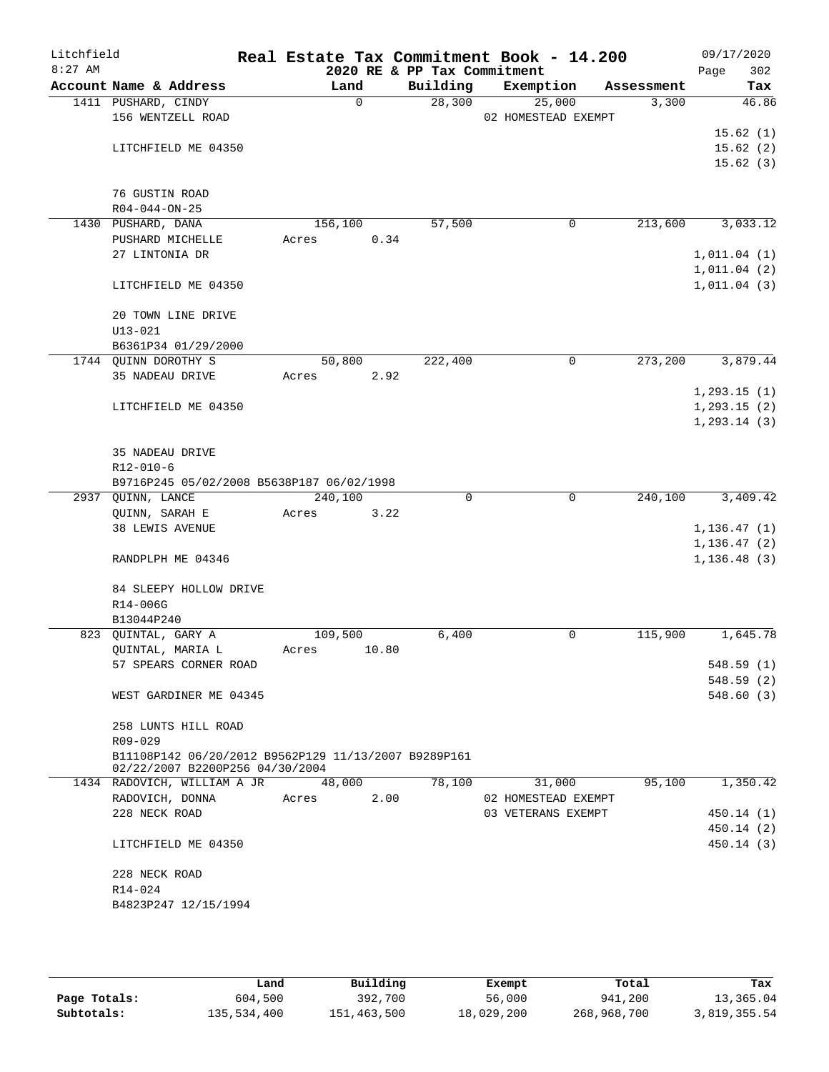| Litchfield |                                                      | Real Estate Tax Commitment Book - 14.200 |                             |                     |            | 09/17/2020   |
|------------|------------------------------------------------------|------------------------------------------|-----------------------------|---------------------|------------|--------------|
| $8:27$ AM  |                                                      |                                          | 2020 RE & PP Tax Commitment |                     |            | 302<br>Page  |
|            | Account Name & Address                               | Land                                     | Building                    | Exemption           | Assessment | Tax          |
|            | 1411 PUSHARD, CINDY                                  | $\Omega$                                 | 28,300                      | 25,000              | 3,300      | 46.86        |
|            | 156 WENTZELL ROAD                                    |                                          |                             | 02 HOMESTEAD EXEMPT |            |              |
|            |                                                      |                                          |                             |                     |            | 15.62(1)     |
|            | LITCHFIELD ME 04350                                  |                                          |                             |                     |            | 15.62(2)     |
|            |                                                      |                                          |                             |                     |            | 15.62(3)     |
|            | 76 GUSTIN ROAD                                       |                                          |                             |                     |            |              |
|            | $R04 - 044 - ON - 25$                                |                                          |                             |                     |            |              |
|            | 1430 PUSHARD, DANA                                   | 156,100                                  | 57,500                      | 0                   | 213,600    | 3,033.12     |
|            | PUSHARD MICHELLE                                     | 0.34<br>Acres                            |                             |                     |            |              |
|            | 27 LINTONIA DR                                       |                                          |                             |                     |            | 1,011.04(1)  |
|            |                                                      |                                          |                             |                     |            | 1,011.04(2)  |
|            | LITCHFIELD ME 04350                                  |                                          |                             |                     |            | 1,011.04(3)  |
|            |                                                      |                                          |                             |                     |            |              |
|            | 20 TOWN LINE DRIVE                                   |                                          |                             |                     |            |              |
|            | $U13 - 021$                                          |                                          |                             |                     |            |              |
|            | B6361P34 01/29/2000                                  |                                          |                             |                     |            |              |
|            | 1744 QUINN DOROTHY S                                 | 50,800                                   | 222,400                     | 0                   | 273,200    | 3,879.44     |
|            | 35 NADEAU DRIVE                                      | 2.92<br>Acres                            |                             |                     |            |              |
|            |                                                      |                                          |                             |                     |            | 1, 293.15(1) |
|            | LITCHFIELD ME 04350                                  |                                          |                             |                     |            | 1, 293.15(2) |
|            |                                                      |                                          |                             |                     |            | 1, 293.14(3) |
|            |                                                      |                                          |                             |                     |            |              |
|            | 35 NADEAU DRIVE                                      |                                          |                             |                     |            |              |
|            | $R12 - 010 - 6$                                      |                                          |                             |                     |            |              |
|            | B9716P245 05/02/2008 B5638P187 06/02/1998            |                                          |                             |                     |            |              |
|            | 2937 QUINN, LANCE                                    | 240,100                                  | $\mathbf 0$                 | $\mathbf 0$         | 240,100    | 3,409.42     |
|            | QUINN, SARAH E                                       | Acres<br>3.22                            |                             |                     |            |              |
|            | <b>38 LEWIS AVENUE</b>                               |                                          |                             |                     |            | 1, 136.47(1) |
|            |                                                      |                                          |                             |                     |            | 1, 136.47(2) |
|            | RANDPLPH ME 04346                                    |                                          |                             |                     |            | 1, 136.48(3) |
|            |                                                      |                                          |                             |                     |            |              |
|            | 84 SLEEPY HOLLOW DRIVE                               |                                          |                             |                     |            |              |
|            | R14-006G                                             |                                          |                             |                     |            |              |
|            | B13044P240                                           |                                          |                             |                     |            |              |
|            | 823 QUINTAL, GARY A                                  | 109,500                                  | 6,400                       | 0                   | 115,900    | 1,645.78     |
|            | QUINTAL, MARIA L                                     | 10.80<br>Acres                           |                             |                     |            |              |
|            | 57 SPEARS CORNER ROAD                                |                                          |                             |                     |            | 548.59 (1)   |
|            |                                                      |                                          |                             |                     |            | 548.59(2)    |
|            | WEST GARDINER ME 04345                               |                                          |                             |                     |            | 548.60(3)    |
|            | 258 LUNTS HILL ROAD                                  |                                          |                             |                     |            |              |
|            | R09-029                                              |                                          |                             |                     |            |              |
|            | B11108P142 06/20/2012 B9562P129 11/13/2007 B9289P161 |                                          |                             |                     |            |              |
|            | 02/22/2007 B2200P256 04/30/2004                      |                                          |                             |                     |            |              |
|            | 1434 RADOVICH, WILLIAM A JR                          | 48,000                                   | 78,100                      | 31,000              | 95,100     | 1,350.42     |
|            | RADOVICH, DONNA                                      | 2.00<br>Acres                            |                             | 02 HOMESTEAD EXEMPT |            |              |
|            | 228 NECK ROAD                                        |                                          |                             | 03 VETERANS EXEMPT  |            | 450.14 (1)   |
|            |                                                      |                                          |                             |                     |            | 450.14 (2)   |
|            | LITCHFIELD ME 04350                                  |                                          |                             |                     |            | 450.14(3)    |
|            |                                                      |                                          |                             |                     |            |              |
|            | 228 NECK ROAD                                        |                                          |                             |                     |            |              |
|            | R14-024                                              |                                          |                             |                     |            |              |
|            | B4823P247 12/15/1994                                 |                                          |                             |                     |            |              |
|            |                                                      |                                          |                             |                     |            |              |

|              | Land        | Building    | Exempt     | Total       | Tax          |
|--------------|-------------|-------------|------------|-------------|--------------|
| Page Totals: | 604,500     | 392,700     | 56,000     | 941,200     | 13,365.04    |
| Subtotals:   | 135,534,400 | 151,463,500 | 18,029,200 | 268,968,700 | 3,819,355.54 |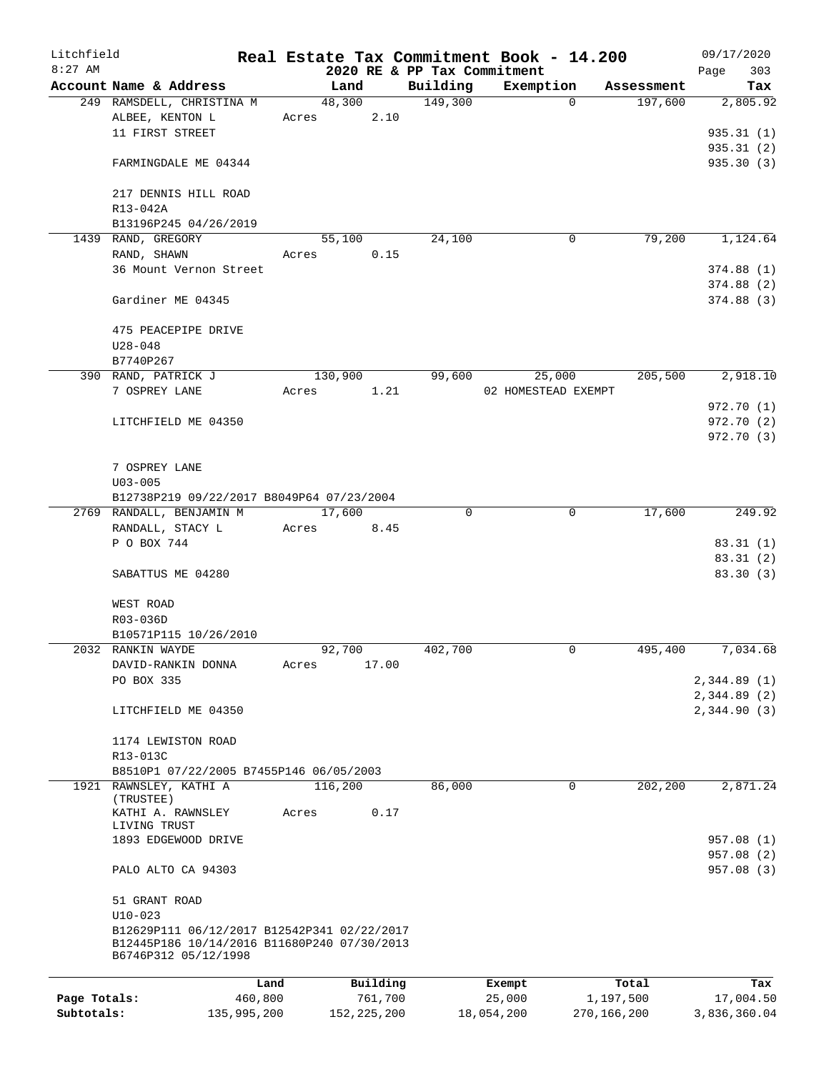| Litchfield   |                                                                     |         |         |          |                             | Real Estate Tax Commitment Book - 14.200 |            | 09/17/2020  |
|--------------|---------------------------------------------------------------------|---------|---------|----------|-----------------------------|------------------------------------------|------------|-------------|
| $8:27$ AM    |                                                                     |         |         |          | 2020 RE & PP Tax Commitment |                                          |            | 303<br>Page |
|              | Account Name & Address                                              |         | Land    |          | Building                    | Exemption                                | Assessment | Tax         |
|              | 249 RAMSDELL, CHRISTINA M                                           |         | 48,300  |          | 149,300                     | $\Omega$                                 | 197,600    | 2,805.92    |
|              | ALBEE, KENTON L                                                     | Acres   |         | 2.10     |                             |                                          |            |             |
|              | 11 FIRST STREET                                                     |         |         |          |                             |                                          |            | 935.31(1)   |
|              |                                                                     |         |         |          |                             |                                          |            | 935.31(2)   |
|              | FARMINGDALE ME 04344                                                |         |         |          |                             |                                          |            | 935.30(3)   |
|              |                                                                     |         |         |          |                             |                                          |            |             |
|              | 217 DENNIS HILL ROAD                                                |         |         |          |                             |                                          |            |             |
|              | R13-042A                                                            |         |         |          |                             |                                          |            |             |
|              | B13196P245 04/26/2019                                               |         |         |          |                             |                                          |            |             |
|              | 1439 RAND, GREGORY                                                  |         | 55,100  |          | 24,100                      | 0                                        | 79,200     | 1,124.64    |
|              | RAND, SHAWN                                                         | Acres   |         | 0.15     |                             |                                          |            |             |
|              | 36 Mount Vernon Street                                              |         |         |          |                             |                                          |            | 374.88(1)   |
|              |                                                                     |         |         |          |                             |                                          |            | 374.88(2)   |
|              | Gardiner ME 04345                                                   |         |         |          |                             |                                          |            | 374.88(3)   |
|              |                                                                     |         |         |          |                             |                                          |            |             |
|              | 475 PEACEPIPE DRIVE                                                 |         |         |          |                             |                                          |            |             |
|              | $U28 - 048$                                                         |         |         |          |                             |                                          |            |             |
|              | B7740P267                                                           |         |         |          |                             |                                          |            |             |
|              | 390 RAND, PATRICK J                                                 |         | 130,900 |          | 99,600                      | 25,000                                   | 205,500    | 2,918.10    |
|              | 7 OSPREY LANE                                                       | Acres   |         | 1.21     |                             | 02 HOMESTEAD EXEMPT                      |            |             |
|              |                                                                     |         |         |          |                             |                                          |            | 972.70 (1)  |
|              | LITCHFIELD ME 04350                                                 |         |         |          |                             |                                          |            | 972.70 (2)  |
|              |                                                                     |         |         |          |                             |                                          |            | 972.70(3)   |
|              |                                                                     |         |         |          |                             |                                          |            |             |
|              | 7 OSPREY LANE                                                       |         |         |          |                             |                                          |            |             |
|              | $U03 - 005$                                                         |         |         |          |                             |                                          |            |             |
|              | B12738P219 09/22/2017 B8049P64 07/23/2004                           |         |         |          |                             |                                          |            |             |
|              | 2769 RANDALL, BENJAMIN M                                            |         | 17,600  |          | $\Omega$                    | 0                                        | 17,600     | 249.92      |
|              | RANDALL, STACY L                                                    | Acres   |         | 8.45     |                             |                                          |            |             |
|              | P O BOX 744                                                         |         |         |          |                             |                                          |            | 83.31(1)    |
|              |                                                                     |         |         |          |                             |                                          |            | 83.31 (2)   |
|              | SABATTUS ME 04280                                                   |         |         |          |                             |                                          |            | 83.30 (3)   |
|              |                                                                     |         |         |          |                             |                                          |            |             |
|              | WEST ROAD                                                           |         |         |          |                             |                                          |            |             |
|              | R03-036D                                                            |         |         |          |                             |                                          |            |             |
|              | B10571P115 10/26/2010                                               |         |         |          |                             |                                          |            |             |
|              | 2032 RANKIN WAYDE                                                   |         | 92,700  |          | 402,700                     | 0                                        | 495,400    | 7,034.68    |
|              | DAVID-RANKIN DONNA                                                  | Acres   |         | 17.00    |                             |                                          |            |             |
|              | PO BOX 335                                                          |         |         |          |                             |                                          |            | 2,344.89(1) |
|              |                                                                     |         |         |          |                             |                                          |            | 2,344.89(2) |
|              | LITCHFIELD ME 04350                                                 |         |         |          |                             |                                          |            | 2,344.90(3) |
|              |                                                                     |         |         |          |                             |                                          |            |             |
|              | 1174 LEWISTON ROAD                                                  |         |         |          |                             |                                          |            |             |
|              | R13-013C                                                            |         |         |          |                             |                                          |            |             |
|              | B8510P1 07/22/2005 B7455P146 06/05/2003                             |         |         |          |                             |                                          |            |             |
|              | 1921 RAWNSLEY, KATHI A                                              |         | 116,200 |          | 86,000                      | 0                                        | 202,200    | 2,871.24    |
|              | (TRUSTEE)                                                           |         |         |          |                             |                                          |            |             |
|              | KATHI A. RAWNSLEY                                                   | Acres   |         | 0.17     |                             |                                          |            |             |
|              | LIVING TRUST                                                        |         |         |          |                             |                                          |            |             |
|              | 1893 EDGEWOOD DRIVE                                                 |         |         |          |                             |                                          |            | 957.08 (1)  |
|              |                                                                     |         |         |          |                             |                                          |            | 957.08 (2)  |
|              | PALO ALTO CA 94303                                                  |         |         |          |                             |                                          |            | 957.08 (3)  |
|              |                                                                     |         |         |          |                             |                                          |            |             |
|              | 51 GRANT ROAD                                                       |         |         |          |                             |                                          |            |             |
|              | $U10-023$                                                           |         |         |          |                             |                                          |            |             |
|              | B12629P111 06/12/2017 B12542P341 02/22/2017                         |         |         |          |                             |                                          |            |             |
|              | B12445P186 10/14/2016 B11680P240 07/30/2013<br>B6746P312 05/12/1998 |         |         |          |                             |                                          |            |             |
|              |                                                                     |         |         |          |                             |                                          |            |             |
|              |                                                                     | Land    |         | Building |                             | Exempt                                   | Total      | Tax         |
| Page Totals: |                                                                     | 460,800 |         | 761,700  |                             | 25,000                                   | 1,197,500  | 17,004.50   |

**Subtotals:** 135,995,200 152,225,200 18,054,200 270,166,200 3,836,360.04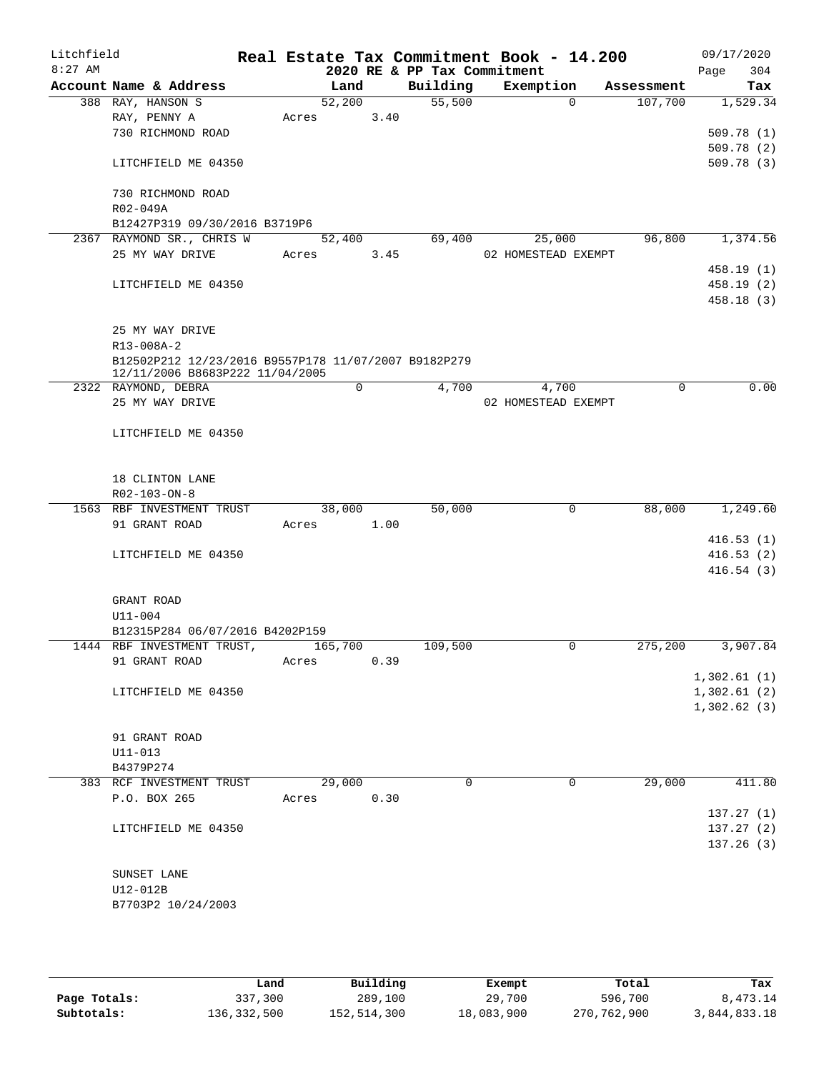| Litchfield<br>$8:27$ AM |                                                        |       |             |      | 2020 RE & PP Tax Commitment | Real Estate Tax Commitment Book - 14.200 |          |            | 09/17/2020<br>Page | 304        |
|-------------------------|--------------------------------------------------------|-------|-------------|------|-----------------------------|------------------------------------------|----------|------------|--------------------|------------|
|                         | Account Name & Address                                 |       | Land        |      | Building                    | Exemption                                |          | Assessment |                    | Tax        |
|                         | 388 RAY, HANSON S                                      |       | 52,200      |      | 55,500                      |                                          | $\Omega$ | 107,700    |                    | 1,529.34   |
|                         | RAY, PENNY A                                           | Acres |             | 3.40 |                             |                                          |          |            |                    |            |
|                         | 730 RICHMOND ROAD                                      |       |             |      |                             |                                          |          |            |                    | 509.78(1)  |
|                         |                                                        |       |             |      |                             |                                          |          |            |                    | 509.78(2)  |
|                         | LITCHFIELD ME 04350                                    |       |             |      |                             |                                          |          |            |                    | 509.78(3)  |
|                         |                                                        |       |             |      |                             |                                          |          |            |                    |            |
|                         | 730 RICHMOND ROAD                                      |       |             |      |                             |                                          |          |            |                    |            |
|                         | R02-049A<br>B12427P319 09/30/2016 B3719P6              |       |             |      |                             |                                          |          |            |                    |            |
|                         | 2367 RAYMOND SR., CHRIS W                              |       | 52,400      |      | 69,400                      | 25,000                                   |          | 96,800     |                    | 1,374.56   |
|                         | 25 MY WAY DRIVE                                        | Acres |             | 3.45 |                             | 02 HOMESTEAD EXEMPT                      |          |            |                    |            |
|                         |                                                        |       |             |      |                             |                                          |          |            |                    | 458.19 (1) |
|                         | LITCHFIELD ME 04350                                    |       |             |      |                             |                                          |          |            |                    | 458.19 (2) |
|                         |                                                        |       |             |      |                             |                                          |          |            |                    | 458.18 (3) |
|                         |                                                        |       |             |      |                             |                                          |          |            |                    |            |
|                         | 25 MY WAY DRIVE                                        |       |             |      |                             |                                          |          |            |                    |            |
|                         | R13-008A-2                                             |       |             |      |                             |                                          |          |            |                    |            |
|                         | B12502P212 12/23/2016 B9557P178 11/07/2007 B9182P279   |       |             |      |                             |                                          |          |            |                    |            |
|                         | 12/11/2006 B8683P222 11/04/2005<br>2322 RAYMOND, DEBRA |       | $\mathbf 0$ |      | 4,700                       | 4,700                                    |          | 0          |                    | 0.00       |
|                         | 25 MY WAY DRIVE                                        |       |             |      |                             | 02 HOMESTEAD EXEMPT                      |          |            |                    |            |
|                         |                                                        |       |             |      |                             |                                          |          |            |                    |            |
|                         | LITCHFIELD ME 04350                                    |       |             |      |                             |                                          |          |            |                    |            |
|                         |                                                        |       |             |      |                             |                                          |          |            |                    |            |
|                         |                                                        |       |             |      |                             |                                          |          |            |                    |            |
|                         | 18 CLINTON LANE                                        |       |             |      |                             |                                          |          |            |                    |            |
|                         | R02-103-ON-8                                           |       |             |      |                             |                                          |          |            |                    |            |
|                         | 1563 RBF INVESTMENT TRUST                              |       | 38,000      |      | 50,000                      |                                          | 0        | 88,000     |                    | 1,249.60   |
|                         | 91 GRANT ROAD                                          | Acres |             | 1.00 |                             |                                          |          |            |                    | 416.53(1)  |
|                         | LITCHFIELD ME 04350                                    |       |             |      |                             |                                          |          |            |                    | 416.53(2)  |
|                         |                                                        |       |             |      |                             |                                          |          |            |                    | 416.54(3)  |
|                         |                                                        |       |             |      |                             |                                          |          |            |                    |            |
|                         | GRANT ROAD                                             |       |             |      |                             |                                          |          |            |                    |            |
|                         | $U11 - 004$                                            |       |             |      |                             |                                          |          |            |                    |            |
|                         | B12315P284 06/07/2016 B4202P159                        |       |             |      |                             |                                          |          |            |                    |            |
|                         | 1444 RBF INVESTMENT TRUST,                             |       | 165,700     |      | 109,500                     |                                          | 0        | 275,200    |                    | 3,907.84   |
|                         | 91 GRANT ROAD                                          | Acres |             | 0.39 |                             |                                          |          |            |                    |            |
|                         |                                                        |       |             |      |                             |                                          |          |            | 1,302.61(1)        |            |
|                         | LITCHFIELD ME 04350                                    |       |             |      |                             |                                          |          |            | 1,302.61(2)        |            |
|                         |                                                        |       |             |      |                             |                                          |          |            | 1,302.62(3)        |            |
|                         | 91 GRANT ROAD                                          |       |             |      |                             |                                          |          |            |                    |            |
|                         | $U11 - 013$                                            |       |             |      |                             |                                          |          |            |                    |            |
|                         | B4379P274                                              |       |             |      |                             |                                          |          |            |                    |            |
|                         | 383 RCF INVESTMENT TRUST                               |       | 29,000      |      | 0                           |                                          | 0        | 29,000     |                    | 411.80     |
|                         | P.O. BOX 265                                           | Acres |             | 0.30 |                             |                                          |          |            |                    |            |
|                         |                                                        |       |             |      |                             |                                          |          |            |                    | 137.27(1)  |
|                         | LITCHFIELD ME 04350                                    |       |             |      |                             |                                          |          |            |                    | 137.27(2)  |
|                         |                                                        |       |             |      |                             |                                          |          |            |                    | 137.26(3)  |
|                         |                                                        |       |             |      |                             |                                          |          |            |                    |            |
|                         | SUNSET LANE                                            |       |             |      |                             |                                          |          |            |                    |            |
|                         | U12-012B                                               |       |             |      |                             |                                          |          |            |                    |            |
|                         | B7703P2 10/24/2003                                     |       |             |      |                             |                                          |          |            |                    |            |
|                         |                                                        |       |             |      |                             |                                          |          |            |                    |            |

|              | Land        | Building    | Exempt     | Total       | Tax          |
|--------------|-------------|-------------|------------|-------------|--------------|
| Page Totals: | 337,300     | 289,100     | 29,700     | 596,700     | 8,473.14     |
| Subtotals:   | 136,332,500 | 152,514,300 | 18,083,900 | 270,762,900 | 3,844,833.18 |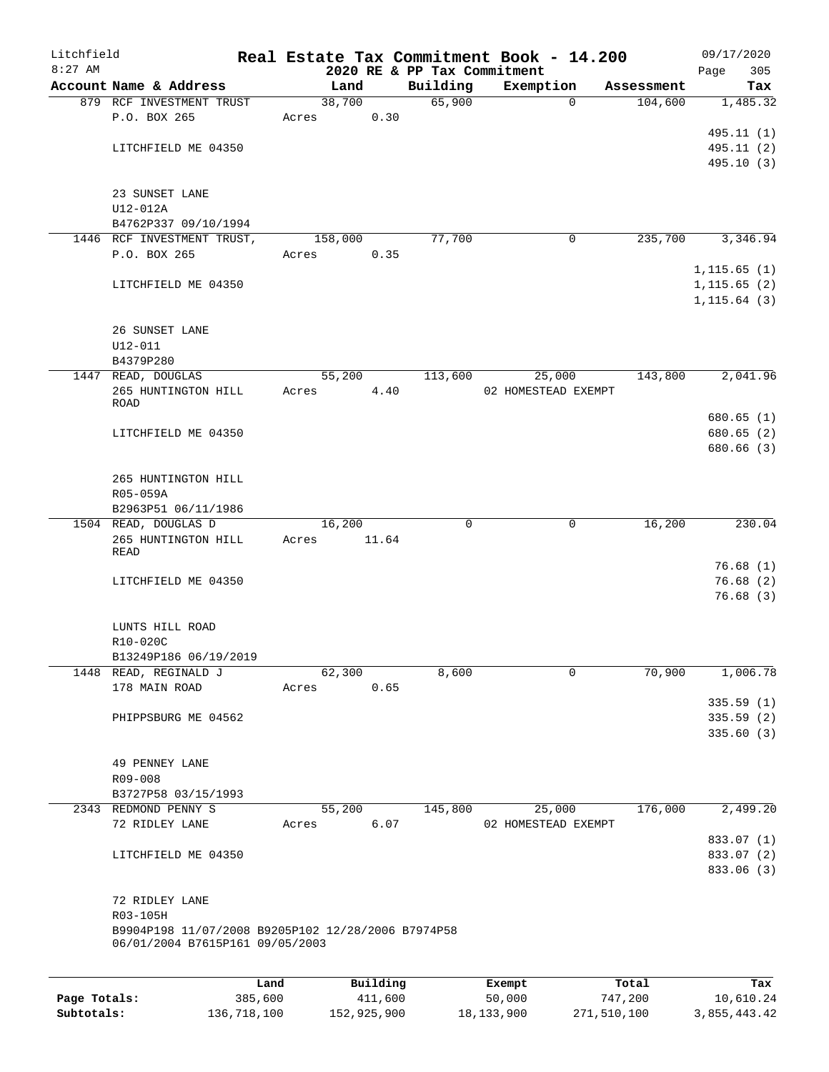| Litchfield   |                                                                                       |         |         |          |                             | Real Estate Tax Commitment Book - 14.200 |                       | 09/17/2020                             |
|--------------|---------------------------------------------------------------------------------------|---------|---------|----------|-----------------------------|------------------------------------------|-----------------------|----------------------------------------|
| $8:27$ AM    | Account Name & Address                                                                |         | Land    |          | 2020 RE & PP Tax Commitment |                                          |                       | Page<br>305                            |
|              | 879 RCF INVESTMENT TRUST                                                              |         | 38,700  |          | Building<br>65,900          | Exemption<br>$\Omega$                    | Assessment<br>104,600 | Tax<br>1,485.32                        |
|              | P.O. BOX 265                                                                          | Acres   |         | 0.30     |                             |                                          |                       |                                        |
|              |                                                                                       |         |         |          |                             |                                          |                       | 495.11 (1)                             |
|              | LITCHFIELD ME 04350                                                                   |         |         |          |                             |                                          |                       | 495.11 (2)                             |
|              |                                                                                       |         |         |          |                             |                                          |                       | 495.10 (3)                             |
|              | 23 SUNSET LANE                                                                        |         |         |          |                             |                                          |                       |                                        |
|              | $U12-012A$                                                                            |         |         |          |                             |                                          |                       |                                        |
|              | B4762P337 09/10/1994                                                                  |         |         |          |                             |                                          |                       |                                        |
|              | 1446 RCF INVESTMENT TRUST,                                                            |         | 158,000 |          | 77,700                      | 0                                        | 235,700               | 3,346.94                               |
|              | P.O. BOX 265                                                                          | Acres   |         | 0.35     |                             |                                          |                       | 1, 115.65(1)                           |
|              | LITCHFIELD ME 04350                                                                   |         |         |          |                             |                                          |                       | 1, 115.65(2)                           |
|              |                                                                                       |         |         |          |                             |                                          |                       | 1, 115.64(3)                           |
|              | 26 SUNSET LANE<br>$U12 - 011$                                                         |         |         |          |                             |                                          |                       |                                        |
|              | B4379P280                                                                             |         |         |          |                             |                                          |                       |                                        |
|              | 1447 READ, DOUGLAS                                                                    |         | 55,200  |          | 113,600                     | 25,000                                   | 143,800               | 2,041.96                               |
|              | 265 HUNTINGTON HILL<br>ROAD                                                           | Acres   |         | 4.40     |                             | 02 HOMESTEAD EXEMPT                      |                       |                                        |
|              |                                                                                       |         |         |          |                             |                                          |                       | 680.65(1)                              |
|              | LITCHFIELD ME 04350                                                                   |         |         |          |                             |                                          |                       | 680.65 (2)                             |
|              |                                                                                       |         |         |          |                             |                                          |                       | 680.66 (3)                             |
|              | 265 HUNTINGTON HILL                                                                   |         |         |          |                             |                                          |                       |                                        |
|              | R05-059A                                                                              |         |         |          |                             |                                          |                       |                                        |
|              | B2963P51 06/11/1986                                                                   |         |         |          |                             |                                          |                       |                                        |
|              | 1504 READ, DOUGLAS D                                                                  |         | 16,200  |          | 0                           | $\mathbf 0$                              | 16,200                | 230.04                                 |
|              | 265 HUNTINGTON HILL<br>READ                                                           | Acres   |         | 11.64    |                             |                                          |                       |                                        |
|              |                                                                                       |         |         |          |                             |                                          |                       | 76.68(1)                               |
|              | LITCHFIELD ME 04350                                                                   |         |         |          |                             |                                          |                       | 76.68(2)<br>76.68(3)                   |
|              |                                                                                       |         |         |          |                             |                                          |                       |                                        |
|              | LUNTS HILL ROAD                                                                       |         |         |          |                             |                                          |                       |                                        |
|              | R10-020C                                                                              |         |         |          |                             |                                          |                       |                                        |
|              | B13249P186 06/19/2019                                                                 |         |         |          |                             |                                          |                       |                                        |
|              | 1448 READ, REGINALD J                                                                 |         | 62,300  |          | 8,600                       | $\mathbf 0$                              | 70,900                | 1,006.78                               |
|              | 178 MAIN ROAD                                                                         | Acres   |         | 0.65     |                             |                                          |                       |                                        |
|              |                                                                                       |         |         |          |                             |                                          |                       | 335.59(1)                              |
|              | PHIPPSBURG ME 04562                                                                   |         |         |          |                             |                                          |                       | 335.59(2)<br>335.60(3)                 |
|              |                                                                                       |         |         |          |                             |                                          |                       |                                        |
|              | 49 PENNEY LANE                                                                        |         |         |          |                             |                                          |                       |                                        |
|              | R09-008                                                                               |         |         |          |                             |                                          |                       |                                        |
|              | B3727P58 03/15/1993                                                                   |         |         |          |                             |                                          |                       |                                        |
|              | 2343 REDMOND PENNY S                                                                  |         | 55,200  |          | 145,800                     | 25,000                                   | 176,000               | 2,499.20                               |
|              | 72 RIDLEY LANE                                                                        | Acres   |         | 6.07     |                             | 02 HOMESTEAD EXEMPT                      |                       |                                        |
|              | LITCHFIELD ME 04350                                                                   |         |         |          |                             |                                          |                       | 833.07 (1)<br>833.07 (2)<br>833.06 (3) |
|              |                                                                                       |         |         |          |                             |                                          |                       |                                        |
|              | 72 RIDLEY LANE                                                                        |         |         |          |                             |                                          |                       |                                        |
|              | R03-105H                                                                              |         |         |          |                             |                                          |                       |                                        |
|              | B9904P198 11/07/2008 B9205P102 12/28/2006 B7974P58<br>06/01/2004 B7615P161 09/05/2003 |         |         |          |                             |                                          |                       |                                        |
|              |                                                                                       |         |         |          |                             |                                          |                       |                                        |
|              |                                                                                       | Land    |         | Building |                             | Exempt                                   | Total                 | Tax                                    |
| Page Totals: |                                                                                       | 385,600 |         | 411,600  |                             | 50,000                                   | 747,200               | 10,610.24                              |

**Subtotals:** 136,718,100 152,925,900 18,133,900 271,510,100 3,855,443.42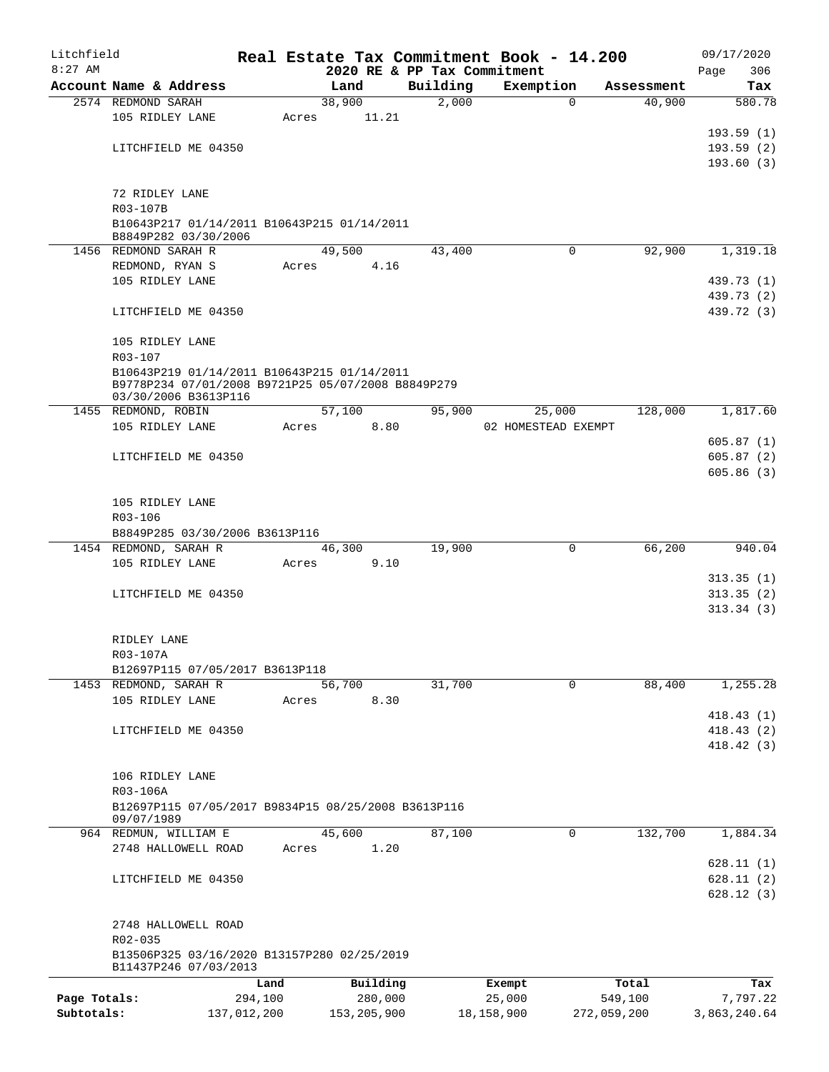| Litchfield                 |                                                                      |             |       |                |          | Real Estate Tax Commitment Book - 14.200 |             |            | 09/17/2020   |
|----------------------------|----------------------------------------------------------------------|-------------|-------|----------------|----------|------------------------------------------|-------------|------------|--------------|
| $8:27$ AM                  |                                                                      |             |       |                |          | 2020 RE & PP Tax Commitment              |             |            | 306<br>Page  |
|                            | Account Name & Address                                               |             |       | Land           | Building | Exemption                                |             | Assessment | Tax          |
|                            | 2574 REDMOND SARAH                                                   |             |       | 38,900         | 2,000    |                                          | 0           | 40,900     | 580.78       |
|                            | 105 RIDLEY LANE                                                      |             | Acres | 11.21          |          |                                          |             |            |              |
|                            |                                                                      |             |       |                |          |                                          |             |            | 193.59(1)    |
|                            | LITCHFIELD ME 04350                                                  |             |       |                |          |                                          |             |            | 193.59(2)    |
|                            |                                                                      |             |       |                |          |                                          |             |            | 193.60(3)    |
|                            | 72 RIDLEY LANE                                                       |             |       |                |          |                                          |             |            |              |
|                            | R03-107B                                                             |             |       |                |          |                                          |             |            |              |
|                            | B10643P217 01/14/2011 B10643P215 01/14/2011                          |             |       |                |          |                                          |             |            |              |
|                            | B8849P282 03/30/2006                                                 |             |       |                |          |                                          |             |            |              |
|                            | 1456 REDMOND SARAH R                                                 |             |       | 49,500         | 43,400   |                                          | $\Omega$    | 92,900     | 1,319.18     |
|                            | REDMOND, RYAN S                                                      |             | Acres | 4.16           |          |                                          |             |            |              |
|                            | 105 RIDLEY LANE                                                      |             |       |                |          |                                          |             |            | 439.73 (1)   |
|                            |                                                                      |             |       |                |          |                                          |             |            | 439.73 (2)   |
|                            | LITCHFIELD ME 04350                                                  |             |       |                |          |                                          |             |            | 439.72 (3)   |
|                            |                                                                      |             |       |                |          |                                          |             |            |              |
|                            | 105 RIDLEY LANE                                                      |             |       |                |          |                                          |             |            |              |
|                            | R03-107                                                              |             |       |                |          |                                          |             |            |              |
|                            | B10643P219 01/14/2011 B10643P215 01/14/2011                          |             |       |                |          |                                          |             |            |              |
|                            | B9778P234 07/01/2008 B9721P25 05/07/2008 B8849P279                   |             |       |                |          |                                          |             |            |              |
|                            | 03/30/2006 B3613P116                                                 |             |       |                |          |                                          |             | 128,000    | 1,817.60     |
|                            | 1455 REDMOND, ROBIN<br>105 RIDLEY LANE                               |             | Acres | 57,100<br>8.80 | 95,900   | 25,000<br>02 HOMESTEAD EXEMPT            |             |            |              |
|                            |                                                                      |             |       |                |          |                                          |             |            | 605.87(1)    |
|                            | LITCHFIELD ME 04350                                                  |             |       |                |          |                                          |             |            | 605.87(2)    |
| 105 RIDLEY LANE<br>R03-106 |                                                                      |             |       |                |          |                                          |             |            | 605.86(3)    |
|                            |                                                                      |             |       |                |          |                                          |             |            |              |
|                            |                                                                      |             |       |                |          |                                          |             |            |              |
|                            |                                                                      |             |       |                |          |                                          |             |            |              |
|                            | B8849P285 03/30/2006 B3613P116                                       |             |       |                |          |                                          |             |            |              |
|                            | 1454 REDMOND, SARAH R                                                |             |       | 46,300         | 19,900   |                                          | 0           | 66,200     | 940.04       |
|                            | 105 RIDLEY LANE                                                      |             | Acres | 9.10           |          |                                          |             |            |              |
|                            |                                                                      |             |       |                |          |                                          |             |            | 313.35(1)    |
|                            | LITCHFIELD ME 04350                                                  |             |       |                |          |                                          |             |            | 313.35(2)    |
|                            |                                                                      |             |       |                |          |                                          |             |            | 313.34(3)    |
|                            |                                                                      |             |       |                |          |                                          |             |            |              |
|                            | RIDLEY LANE                                                          |             |       |                |          |                                          |             |            |              |
|                            | R03-107A                                                             |             |       |                |          |                                          |             |            |              |
|                            | B12697P115 07/05/2017 B3613P118                                      |             |       |                |          |                                          |             |            |              |
|                            | 1453 REDMOND, SARAH R                                                |             |       | 56,700         | 31,700   |                                          | 0           | 88,400     | 1,255.28     |
|                            | 105 RIDLEY LANE                                                      |             | Acres | 8.30           |          |                                          |             |            |              |
|                            |                                                                      |             |       |                |          |                                          |             |            | 418.43(1)    |
|                            | LITCHFIELD ME 04350                                                  |             |       |                |          |                                          |             |            | 418.43(2)    |
|                            |                                                                      |             |       |                |          |                                          |             |            | 418.42(3)    |
|                            |                                                                      |             |       |                |          |                                          |             |            |              |
|                            | 106 RIDLEY LANE                                                      |             |       |                |          |                                          |             |            |              |
|                            | R03-106A                                                             |             |       |                |          |                                          |             |            |              |
|                            | B12697P115 07/05/2017 B9834P15 08/25/2008 B3613P116                  |             |       |                |          |                                          |             |            |              |
|                            | 09/07/1989                                                           |             |       |                |          |                                          |             |            |              |
|                            | 964 REDMUN, WILLIAM E                                                |             |       | 45,600         | 87,100   |                                          | 0           | 132,700    | 1,884.34     |
|                            | 2748 HALLOWELL ROAD                                                  |             | Acres | 1.20           |          |                                          |             |            |              |
|                            |                                                                      |             |       |                |          |                                          |             |            | 628.11(1)    |
|                            | LITCHFIELD ME 04350                                                  |             |       |                |          |                                          |             |            | 628.11(2)    |
|                            |                                                                      |             |       |                |          |                                          |             |            | 628.12(3)    |
|                            |                                                                      |             |       |                |          |                                          |             |            |              |
|                            | 2748 HALLOWELL ROAD                                                  |             |       |                |          |                                          |             |            |              |
|                            | R02-035                                                              |             |       |                |          |                                          |             |            |              |
|                            | B13506P325 03/16/2020 B13157P280 02/25/2019<br>B11437P246 07/03/2013 |             |       |                |          |                                          |             |            |              |
|                            |                                                                      | Land        |       | Building       |          | Exempt                                   |             | Total      | Tax          |
| Page Totals:               |                                                                      | 294,100     |       | 280,000        |          | 25,000                                   |             | 549,100    | 7,797.22     |
| Subtotals:                 |                                                                      | 137,012,200 |       | 153, 205, 900  |          | 18,158,900                               | 272,059,200 |            | 3,863,240.64 |
|                            |                                                                      |             |       |                |          |                                          |             |            |              |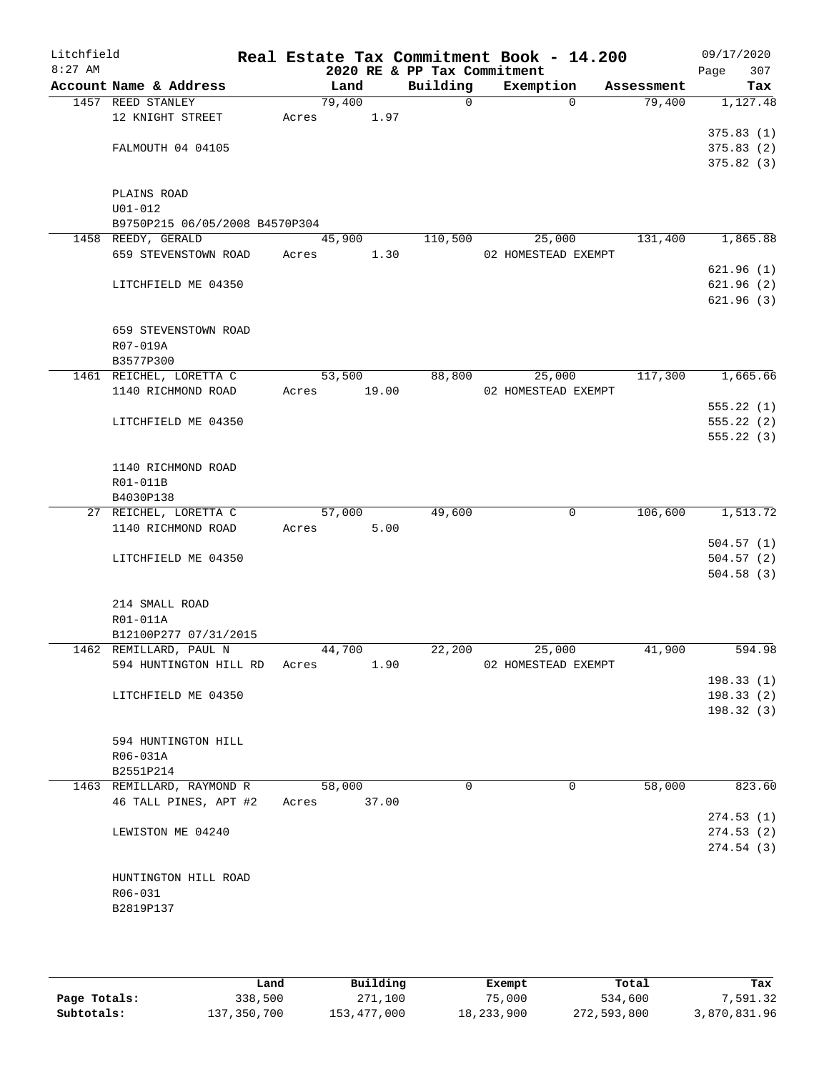| Litchfield |                                                        |       |        |       |                             | Real Estate Tax Commitment Book - 14.200 |              |            | 09/17/2020             |
|------------|--------------------------------------------------------|-------|--------|-------|-----------------------------|------------------------------------------|--------------|------------|------------------------|
| $8:27$ AM  |                                                        |       |        |       | 2020 RE & PP Tax Commitment |                                          |              |            | Page<br>307            |
|            | Account Name & Address                                 |       | Land   |       | Building                    | Exemption                                |              | Assessment | Tax                    |
|            | 1457 REED STANLEY                                      |       | 79,400 |       | 0                           |                                          | $\Omega$     | 79,400     | 1,127.48               |
|            | 12 KNIGHT STREET                                       | Acres |        | 1.97  |                             |                                          |              |            |                        |
|            | FALMOUTH 04 04105                                      |       |        |       |                             |                                          |              |            | 375.83(1)<br>375.83(2) |
|            |                                                        |       |        |       |                             |                                          |              |            | 375.82(3)              |
|            |                                                        |       |        |       |                             |                                          |              |            |                        |
|            | PLAINS ROAD                                            |       |        |       |                             |                                          |              |            |                        |
|            | $U01 - 012$                                            |       |        |       |                             |                                          |              |            |                        |
|            | B9750P215 06/05/2008 B4570P304                         |       |        |       |                             |                                          |              |            |                        |
|            | 1458 REEDY, GERALD<br>659 STEVENSTOWN ROAD             | Acres | 45,900 | 1.30  | 110,500                     | 25,000<br>02 HOMESTEAD EXEMPT            |              | 131,400    | 1,865.88               |
|            |                                                        |       |        |       |                             |                                          |              |            | 621.96(1)              |
|            | LITCHFIELD ME 04350                                    |       |        |       |                             |                                          |              |            | 621.96(2)              |
|            |                                                        |       |        |       |                             |                                          |              |            | 621.96(3)              |
|            |                                                        |       |        |       |                             |                                          |              |            |                        |
|            | 659 STEVENSTOWN ROAD                                   |       |        |       |                             |                                          |              |            |                        |
|            | R07-019A                                               |       |        |       |                             |                                          |              |            |                        |
|            | B3577P300                                              |       |        |       |                             |                                          |              |            |                        |
|            | 1461 REICHEL, LORETTA C                                |       | 53,500 |       | 88,800                      | 25,000                                   |              | 117,300    | 1,665.66               |
|            | 1140 RICHMOND ROAD                                     | Acres |        | 19.00 |                             | 02 HOMESTEAD EXEMPT                      |              |            | 555.22(1)              |
|            | LITCHFIELD ME 04350                                    |       |        |       |                             |                                          |              |            | 555.22(2)              |
|            |                                                        |       |        |       |                             |                                          |              |            | 555.22(3)              |
|            |                                                        |       |        |       |                             |                                          |              |            |                        |
|            | 1140 RICHMOND ROAD                                     |       |        |       |                             |                                          |              |            |                        |
|            | R01-011B                                               |       |        |       |                             |                                          |              |            |                        |
|            | B4030P138                                              |       |        |       |                             |                                          |              |            |                        |
|            | 27 REICHEL, LORETTA C                                  |       | 57,000 | 5.00  | 49,600                      |                                          | 0            | 106,600    | 1,513.72               |
|            | 1140 RICHMOND ROAD                                     | Acres |        |       |                             |                                          |              |            | 504.57(1)              |
|            | LITCHFIELD ME 04350                                    |       |        |       |                             |                                          |              |            | 504.57(2)              |
|            |                                                        |       |        |       |                             |                                          |              |            | 504.58(3)              |
|            |                                                        |       |        |       |                             |                                          |              |            |                        |
|            | 214 SMALL ROAD                                         |       |        |       |                             |                                          |              |            |                        |
|            | R01-011A                                               |       |        |       |                             |                                          |              |            |                        |
|            | B12100P277 07/31/2015                                  |       |        |       |                             |                                          |              |            |                        |
|            | 1462 REMILLARD, PAUL N<br>594 HUNTINGTON HILL RD Acres |       | 44,700 | 1.90  | 22,200                      | 25,000<br>02 HOMESTEAD EXEMPT            |              | 41,900     | 594.98                 |
|            |                                                        |       |        |       |                             |                                          |              |            | 198.33(1)              |
|            | LITCHFIELD ME 04350                                    |       |        |       |                             |                                          |              |            | 198.33(2)              |
|            |                                                        |       |        |       |                             |                                          |              |            | 198.32(3)              |
|            |                                                        |       |        |       |                             |                                          |              |            |                        |
|            | 594 HUNTINGTON HILL                                    |       |        |       |                             |                                          |              |            |                        |
|            | R06-031A                                               |       |        |       |                             |                                          |              |            |                        |
|            | B2551P214                                              |       |        |       |                             |                                          |              |            |                        |
|            | 1463 REMILLARD, RAYMOND R<br>46 TALL PINES, APT #2     | Acres | 58,000 | 37.00 | 0                           |                                          | $\mathbf{0}$ | 58,000     | 823.60                 |
|            |                                                        |       |        |       |                             |                                          |              |            | 274.53(1)              |
|            | LEWISTON ME 04240                                      |       |        |       |                             |                                          |              |            | 274.53(2)              |
|            |                                                        |       |        |       |                             |                                          |              |            | 274.54(3)              |
|            |                                                        |       |        |       |                             |                                          |              |            |                        |
|            | HUNTINGTON HILL ROAD                                   |       |        |       |                             |                                          |              |            |                        |
|            | R06-031                                                |       |        |       |                             |                                          |              |            |                        |
|            | B2819P137                                              |       |        |       |                             |                                          |              |            |                        |
|            |                                                        |       |        |       |                             |                                          |              |            |                        |
|            |                                                        |       |        |       |                             |                                          |              |            |                        |

|              | Land        | Building    | Exempt     | Total       | Tax          |
|--------------|-------------|-------------|------------|-------------|--------------|
| Page Totals: | 338,500     | 271,100     | 75,000     | 534,600     | 7,591.32     |
| Subtotals:   | 137,350,700 | 153,477,000 | 18,233,900 | 272,593,800 | 3,870,831.96 |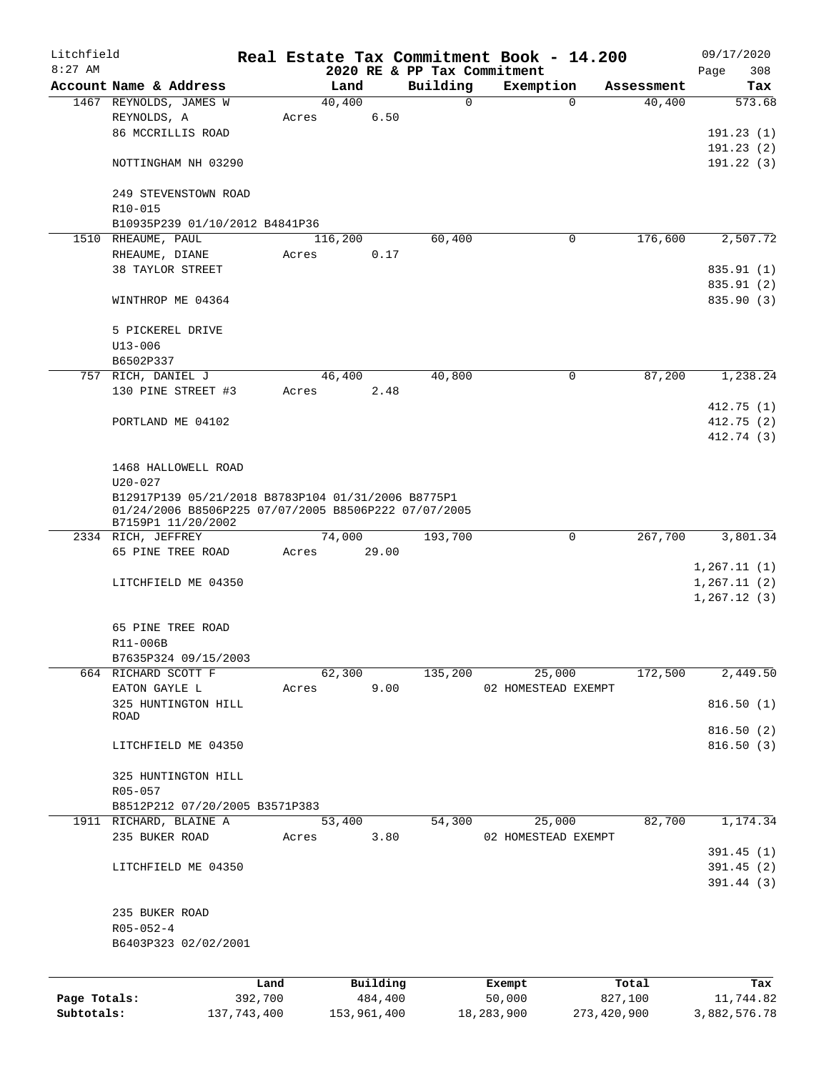| Litchfield   |                                                                                                                                  |         |       |                |         |                             | Real Estate Tax Commitment Book - 14.200 |              |                      | 09/17/2020    |
|--------------|----------------------------------------------------------------------------------------------------------------------------------|---------|-------|----------------|---------|-----------------------------|------------------------------------------|--------------|----------------------|---------------|
| $8:27$ AM    |                                                                                                                                  |         |       |                |         | 2020 RE & PP Tax Commitment |                                          |              |                      | 308<br>Page   |
|              | Account Name & Address<br>1467 REYNOLDS, JAMES W                                                                                 |         |       | Land<br>40,400 |         | Building<br>0               | Exemption                                | $\mathbf 0$  | Assessment<br>40,400 | Tax<br>573.68 |
|              | REYNOLDS, A                                                                                                                      |         | Acres |                | 6.50    |                             |                                          |              |                      |               |
|              | 86 MCCRILLIS ROAD                                                                                                                |         |       |                |         |                             |                                          |              |                      | 191.23(1)     |
|              |                                                                                                                                  |         |       |                |         |                             |                                          |              |                      | 191.23(2)     |
|              | NOTTINGHAM NH 03290                                                                                                              |         |       |                |         |                             |                                          |              |                      | 191.22(3)     |
|              | 249 STEVENSTOWN ROAD                                                                                                             |         |       |                |         |                             |                                          |              |                      |               |
|              | R10-015                                                                                                                          |         |       |                |         |                             |                                          |              |                      |               |
|              | B10935P239 01/10/2012 B4841P36                                                                                                   |         |       |                |         |                             |                                          |              |                      |               |
|              | 1510 RHEAUME, PAUL                                                                                                               |         |       | 116,200        |         | 60,400                      |                                          | 0            | 176,600              | 2,507.72      |
|              | RHEAUME, DIANE                                                                                                                   |         | Acres |                | 0.17    |                             |                                          |              |                      |               |
|              | 38 TAYLOR STREET                                                                                                                 |         |       |                |         |                             |                                          |              |                      | 835.91 (1)    |
|              |                                                                                                                                  |         |       |                |         |                             |                                          |              |                      | 835.91 (2)    |
|              | WINTHROP ME 04364                                                                                                                |         |       |                |         |                             |                                          |              |                      | 835.90 (3)    |
|              | 5 PICKEREL DRIVE                                                                                                                 |         |       |                |         |                             |                                          |              |                      |               |
|              | $U13 - 006$                                                                                                                      |         |       |                |         |                             |                                          |              |                      |               |
|              | B6502P337                                                                                                                        |         |       |                |         |                             |                                          |              |                      |               |
|              | 757 RICH, DANIEL J                                                                                                               |         |       | 46,400         |         | 40,800                      |                                          | 0            | 87,200               | 1,238.24      |
|              | 130 PINE STREET #3                                                                                                               |         | Acres |                | 2.48    |                             |                                          |              |                      |               |
|              |                                                                                                                                  |         |       |                |         |                             |                                          |              |                      | 412.75(1)     |
|              | PORTLAND ME 04102                                                                                                                |         |       |                |         |                             |                                          |              |                      | 412.75(2)     |
|              |                                                                                                                                  |         |       |                |         |                             |                                          |              |                      | 412.74 (3)    |
|              | 1468 HALLOWELL ROAD                                                                                                              |         |       |                |         |                             |                                          |              |                      |               |
|              | $U20 - 027$                                                                                                                      |         |       |                |         |                             |                                          |              |                      |               |
|              | B12917P139 05/21/2018 B8783P104 01/31/2006 B8775P1<br>01/24/2006 B8506P225 07/07/2005 B8506P222 07/07/2005<br>B7159P1 11/20/2002 |         |       |                |         |                             |                                          |              |                      |               |
|              | 2334 RICH, JEFFREY                                                                                                               |         |       | 74,000         |         | 193,700                     |                                          | $\mathsf{O}$ | 267,700              | 3,801.34      |
|              | 65 PINE TREE ROAD                                                                                                                |         | Acres | 29.00          |         |                             |                                          |              |                      |               |
|              |                                                                                                                                  |         |       |                |         |                             |                                          |              |                      | 1,267.11(1)   |
|              | LITCHFIELD ME 04350                                                                                                              |         |       |                |         |                             |                                          |              |                      | 1, 267.11(2)  |
|              |                                                                                                                                  |         |       |                |         |                             |                                          |              |                      | 1, 267.12(3)  |
|              | 65 PINE TREE ROAD                                                                                                                |         |       |                |         |                             |                                          |              |                      |               |
|              | R11-006B                                                                                                                         |         |       |                |         |                             |                                          |              |                      |               |
|              | B7635P324 09/15/2003                                                                                                             |         |       |                |         |                             |                                          |              |                      |               |
|              | 664 RICHARD SCOTT F                                                                                                              |         |       | 62,300         |         | 135,200                     | 25,000                                   |              | 172,500              | 2,449.50      |
|              | EATON GAYLE L                                                                                                                    |         | Acres |                | 9.00    |                             | 02 HOMESTEAD EXEMPT                      |              |                      |               |
|              | 325 HUNTINGTON HILL                                                                                                              |         |       |                |         |                             |                                          |              |                      | 816.50(1)     |
|              | ROAD                                                                                                                             |         |       |                |         |                             |                                          |              |                      |               |
|              |                                                                                                                                  |         |       |                |         |                             |                                          |              |                      | 816.50(2)     |
|              | LITCHFIELD ME 04350                                                                                                              |         |       |                |         |                             |                                          |              |                      | 816.50(3)     |
|              | 325 HUNTINGTON HILL                                                                                                              |         |       |                |         |                             |                                          |              |                      |               |
|              | R05-057                                                                                                                          |         |       |                |         |                             |                                          |              |                      |               |
|              | B8512P212 07/20/2005 B3571P383                                                                                                   |         |       |                |         |                             |                                          |              |                      |               |
|              | 1911 RICHARD, BLAINE A                                                                                                           |         |       | 53,400         |         | 54,300                      | 25,000                                   |              | 82,700               | 1,174.34      |
|              | 235 BUKER ROAD                                                                                                                   |         | Acres |                | 3.80    |                             | 02 HOMESTEAD EXEMPT                      |              |                      |               |
|              |                                                                                                                                  |         |       |                |         |                             |                                          |              |                      | 391.45(1)     |
|              | LITCHFIELD ME 04350                                                                                                              |         |       |                |         |                             |                                          |              |                      | 391.45(2)     |
|              |                                                                                                                                  |         |       |                |         |                             |                                          |              |                      | 391.44(3)     |
|              |                                                                                                                                  |         |       |                |         |                             |                                          |              |                      |               |
|              | 235 BUKER ROAD                                                                                                                   |         |       |                |         |                             |                                          |              |                      |               |
|              | $R05 - 052 - 4$                                                                                                                  |         |       |                |         |                             |                                          |              |                      |               |
|              | B6403P323 02/02/2001                                                                                                             |         |       |                |         |                             |                                          |              |                      |               |
|              |                                                                                                                                  | Land    |       | Building       |         |                             | Exempt                                   |              | Total                | Tax           |
| Page Totals: |                                                                                                                                  | 392,700 |       |                | 484,400 |                             | 50,000                                   |              | 827,100              | 11,744.82     |
|              |                                                                                                                                  |         |       |                |         |                             |                                          |              |                      |               |

**Subtotals:** 137,743,400 153,961,400 18,283,900 273,420,900 3,882,576.78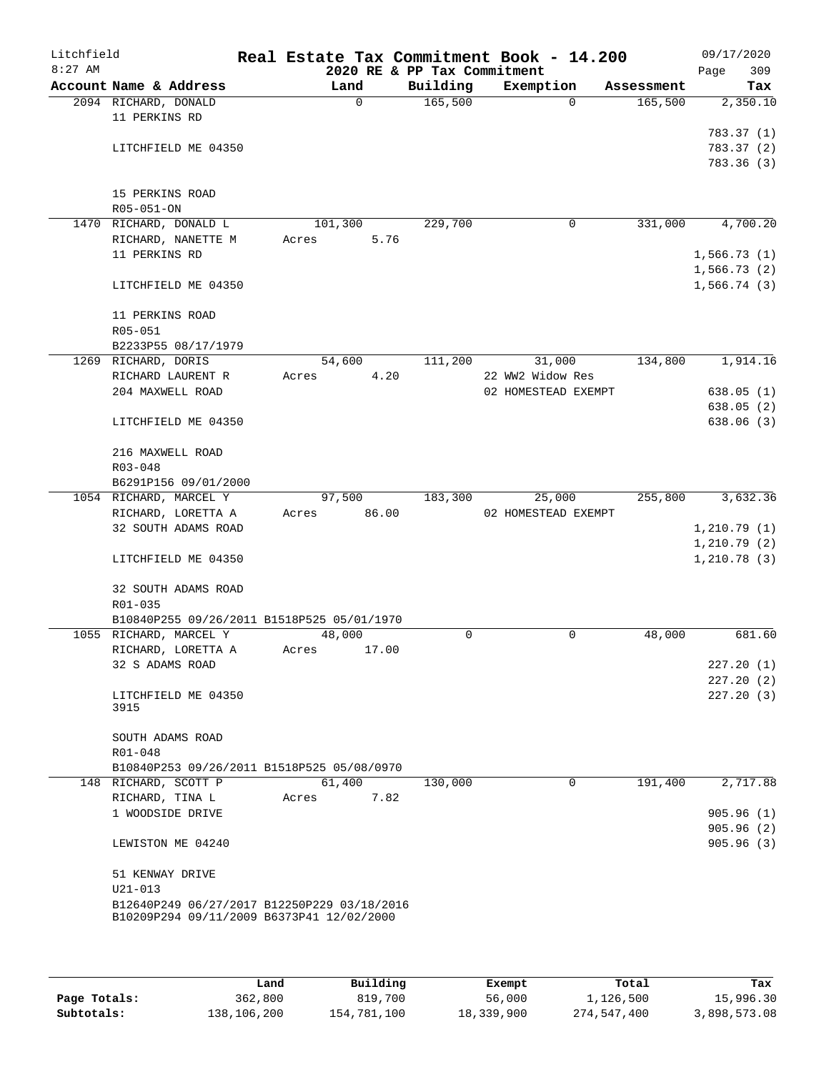| Litchfield<br>$8:27$ AM |                                                                                          | Real Estate Tax Commitment Book - 14.200 | 2020 RE & PP Tax Commitment |                     |            | 09/17/2020<br>309<br>Page |
|-------------------------|------------------------------------------------------------------------------------------|------------------------------------------|-----------------------------|---------------------|------------|---------------------------|
|                         | Account Name & Address                                                                   | Land                                     | Building                    | Exemption           | Assessment | Tax                       |
|                         | 2094 RICHARD, DONALD                                                                     | $\Omega$                                 | 165,500                     | $\Omega$            | 165,500    | 2,350.10                  |
|                         | 11 PERKINS RD                                                                            |                                          |                             |                     |            |                           |
|                         |                                                                                          |                                          |                             |                     |            | 783.37(1)                 |
|                         | LITCHFIELD ME 04350                                                                      |                                          |                             |                     |            | 783.37(2)                 |
|                         |                                                                                          |                                          |                             |                     |            | 783.36(3)                 |
|                         |                                                                                          |                                          |                             |                     |            |                           |
|                         | 15 PERKINS ROAD                                                                          |                                          |                             |                     |            |                           |
|                         | R05-051-ON                                                                               |                                          |                             |                     |            |                           |
|                         | 1470 RICHARD, DONALD L                                                                   | 101,300                                  | 229,700                     | 0                   | 331,000    | 4,700.20                  |
|                         | RICHARD, NANETTE M                                                                       |                                          |                             |                     |            |                           |
|                         |                                                                                          | 5.76<br>Acres                            |                             |                     |            |                           |
|                         | 11 PERKINS RD                                                                            |                                          |                             |                     |            | 1,566.73(1)               |
|                         |                                                                                          |                                          |                             |                     |            | 1,566.73(2)               |
|                         | LITCHFIELD ME 04350                                                                      |                                          |                             |                     |            | 1,566.74(3)               |
|                         |                                                                                          |                                          |                             |                     |            |                           |
|                         | 11 PERKINS ROAD                                                                          |                                          |                             |                     |            |                           |
|                         | R05-051                                                                                  |                                          |                             |                     |            |                           |
|                         | B2233P55 08/17/1979                                                                      |                                          |                             |                     |            |                           |
|                         | 1269 RICHARD, DORIS                                                                      | 54,600                                   | 111,200                     | 31,000              | 134,800    | 1,914.16                  |
|                         | RICHARD LAURENT R                                                                        | 4.20<br>Acres                            |                             | 22 WW2 Widow Res    |            |                           |
|                         | 204 MAXWELL ROAD                                                                         |                                          |                             | 02 HOMESTEAD EXEMPT |            | 638.05(1)                 |
|                         |                                                                                          |                                          |                             |                     |            | 638.05(2)                 |
|                         | LITCHFIELD ME 04350                                                                      |                                          |                             |                     |            | 638.06 (3)                |
|                         |                                                                                          |                                          |                             |                     |            |                           |
|                         | 216 MAXWELL ROAD                                                                         |                                          |                             |                     |            |                           |
|                         | R03-048                                                                                  |                                          |                             |                     |            |                           |
|                         | B6291P156 09/01/2000                                                                     |                                          |                             |                     |            |                           |
|                         | 1054 RICHARD, MARCEL Y                                                                   | 97,500                                   | 183,300                     | 25,000              | 255,800    | 3,632.36                  |
|                         | RICHARD, LORETTA A                                                                       | Acres 86.00                              |                             | 02 HOMESTEAD EXEMPT |            |                           |
|                         | 32 SOUTH ADAMS ROAD                                                                      |                                          |                             |                     |            | 1,210.79(1)               |
|                         |                                                                                          |                                          |                             |                     |            | 1, 210.79(2)              |
|                         | LITCHFIELD ME 04350                                                                      |                                          |                             |                     |            | 1, 210.78(3)              |
|                         |                                                                                          |                                          |                             |                     |            |                           |
|                         | 32 SOUTH ADAMS ROAD                                                                      |                                          |                             |                     |            |                           |
|                         | $R01 - 035$                                                                              |                                          |                             |                     |            |                           |
|                         | B10840P255 09/26/2011 B1518P525 05/01/1970                                               |                                          |                             |                     |            |                           |
|                         | 1055 RICHARD, MARCEL Y                                                                   | 48,000                                   | 0                           | 0                   | 48,000     | 681.60                    |
|                         | RICHARD, LORETTA A                                                                       | Acres<br>17.00                           |                             |                     |            |                           |
|                         | 32 S ADAMS ROAD                                                                          |                                          |                             |                     |            | 227.20(1)                 |
|                         |                                                                                          |                                          |                             |                     |            | 227.20(2)                 |
|                         | LITCHFIELD ME 04350                                                                      |                                          |                             |                     |            | 227.20(3)                 |
|                         | 3915                                                                                     |                                          |                             |                     |            |                           |
|                         |                                                                                          |                                          |                             |                     |            |                           |
|                         | SOUTH ADAMS ROAD                                                                         |                                          |                             |                     |            |                           |
|                         | R01-048                                                                                  |                                          |                             |                     |            |                           |
|                         | B10840P253 09/26/2011 B1518P525 05/08/0970                                               |                                          |                             |                     |            |                           |
|                         | 148 RICHARD, SCOTT P                                                                     | 61,400                                   | 130,000                     | 0                   | 191,400    | 2,717.88                  |
|                         | RICHARD, TINA L                                                                          | 7.82<br>Acres                            |                             |                     |            |                           |
|                         | 1 WOODSIDE DRIVE                                                                         |                                          |                             |                     |            | 905.96(1)                 |
|                         |                                                                                          |                                          |                             |                     |            | 905.96(2)                 |
|                         | LEWISTON ME 04240                                                                        |                                          |                             |                     |            | 905.96(3)                 |
|                         |                                                                                          |                                          |                             |                     |            |                           |
|                         |                                                                                          |                                          |                             |                     |            |                           |
|                         | 51 KENWAY DRIVE                                                                          |                                          |                             |                     |            |                           |
|                         | $U21 - 013$                                                                              |                                          |                             |                     |            |                           |
|                         | B12640P249 06/27/2017 B12250P229 03/18/2016<br>B10209P294 09/11/2009 B6373P41 12/02/2000 |                                          |                             |                     |            |                           |
|                         |                                                                                          |                                          |                             |                     |            |                           |
|                         |                                                                                          |                                          |                             |                     |            |                           |

|              | Land        | Building    | Exempt     | Total       | Tax          |
|--------------|-------------|-------------|------------|-------------|--------------|
| Page Totals: | 362,800     | 819,700     | 56,000     | 1,126,500   | 15,996.30    |
| Subtotals:   | 138,106,200 | 154,781,100 | 18,339,900 | 274,547,400 | 3,898,573.08 |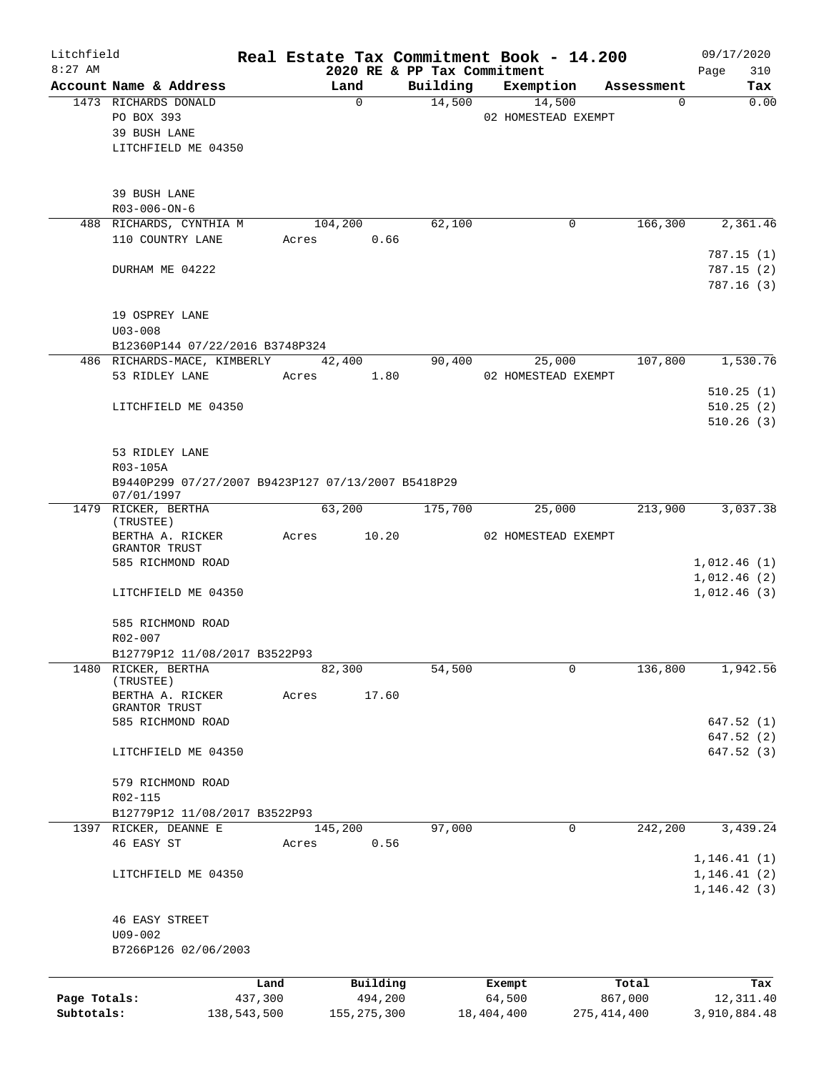| Litchfield<br>$8:27$ AM |                                                                |             |       |                |          | Real Estate Tax Commitment Book - 14.200 |               | 09/17/2020                   |
|-------------------------|----------------------------------------------------------------|-------------|-------|----------------|----------|------------------------------------------|---------------|------------------------------|
|                         | Account Name & Address                                         |             |       | Land           | Building | 2020 RE & PP Tax Commitment<br>Exemption | Assessment    | 310<br>Page<br>Tax           |
|                         | 1473 RICHARDS DONALD                                           |             |       | $\mathbf 0$    | 14,500   | 14,500                                   | $\Omega$      | 0.00                         |
|                         | PO BOX 393                                                     |             |       |                |          | 02 HOMESTEAD EXEMPT                      |               |                              |
|                         | 39 BUSH LANE                                                   |             |       |                |          |                                          |               |                              |
|                         | LITCHFIELD ME 04350                                            |             |       |                |          |                                          |               |                              |
|                         |                                                                |             |       |                |          |                                          |               |                              |
|                         | 39 BUSH LANE                                                   |             |       |                |          |                                          |               |                              |
|                         | R03-006-ON-6                                                   |             |       |                |          |                                          |               |                              |
|                         | 488 RICHARDS, CYNTHIA M                                        |             |       | 104,200        | 62,100   | 0                                        | 166,300       | 2,361.46                     |
|                         | 110 COUNTRY LANE                                               |             | Acres | 0.66           |          |                                          |               |                              |
|                         |                                                                |             |       |                |          |                                          |               | 787.15 (1)                   |
|                         | DURHAM ME 04222                                                |             |       |                |          |                                          |               | 787.15(2)<br>787.16(3)       |
|                         |                                                                |             |       |                |          |                                          |               |                              |
|                         | 19 OSPREY LANE                                                 |             |       |                |          |                                          |               |                              |
|                         | $U03 - 008$                                                    |             |       |                |          |                                          |               |                              |
|                         | B12360P144 07/22/2016 B3748P324<br>486 RICHARDS-MACE, KIMBERLY |             |       |                | 90,400   |                                          | 107,800       | 1,530.76                     |
|                         | 53 RIDLEY LANE                                                 |             | Acres | 42,400<br>1.80 |          | 25,000<br>02 HOMESTEAD EXEMPT            |               |                              |
|                         |                                                                |             |       |                |          |                                          |               | 510.25(1)                    |
|                         | LITCHFIELD ME 04350                                            |             |       |                |          |                                          |               | 510.25(2)                    |
|                         |                                                                |             |       |                |          |                                          |               | 510.26(3)                    |
|                         |                                                                |             |       |                |          |                                          |               |                              |
|                         | 53 RIDLEY LANE<br>R03-105A                                     |             |       |                |          |                                          |               |                              |
|                         | B9440P299 07/27/2007 B9423P127 07/13/2007 B5418P29             |             |       |                |          |                                          |               |                              |
|                         | 07/01/1997                                                     |             |       |                |          |                                          |               |                              |
|                         | 1479 RICKER, BERTHA                                            |             |       | 63,200         | 175,700  | 25,000                                   | 213,900       | 3,037.38                     |
|                         | (TRUSTEE)<br>BERTHA A. RICKER                                  |             | Acres | 10.20          |          | 02 HOMESTEAD EXEMPT                      |               |                              |
|                         | GRANTOR TRUST                                                  |             |       |                |          |                                          |               |                              |
|                         | 585 RICHMOND ROAD                                              |             |       |                |          |                                          |               | 1,012.46(1)                  |
|                         |                                                                |             |       |                |          |                                          |               | 1,012.46(2)                  |
|                         | LITCHFIELD ME 04350                                            |             |       |                |          |                                          |               | 1,012.46(3)                  |
|                         | 585 RICHMOND ROAD                                              |             |       |                |          |                                          |               |                              |
|                         | R02-007                                                        |             |       |                |          |                                          |               |                              |
|                         | B12779P12 11/08/2017 B3522P93                                  |             |       |                |          |                                          |               |                              |
| 1480                    | RICKER, BERTHA                                                 |             |       | 82,300         | 54,500   | 0                                        | 136,800       | 1,942.56                     |
|                         | (TRUSTEE)<br>BERTHA A. RICKER                                  |             | Acres | 17.60          |          |                                          |               |                              |
|                         | GRANTOR TRUST                                                  |             |       |                |          |                                          |               |                              |
|                         | 585 RICHMOND ROAD                                              |             |       |                |          |                                          |               | 647.52(1)                    |
|                         |                                                                |             |       |                |          |                                          |               | 647.52 (2)                   |
|                         | LITCHFIELD ME 04350                                            |             |       |                |          |                                          |               | 647.52 (3)                   |
|                         | 579 RICHMOND ROAD                                              |             |       |                |          |                                          |               |                              |
|                         | R02-115                                                        |             |       |                |          |                                          |               |                              |
|                         | B12779P12 11/08/2017 B3522P93                                  |             |       |                |          |                                          |               |                              |
|                         | 1397 RICKER, DEANNE E                                          |             |       | 145,200        | 97,000   | 0                                        | 242,200       | 3,439.24                     |
|                         | 46 EASY ST                                                     |             | Acres | 0.56           |          |                                          |               |                              |
|                         |                                                                |             |       |                |          |                                          |               | 1, 146.41(1)                 |
|                         | LITCHFIELD ME 04350                                            |             |       |                |          |                                          |               | 1, 146.41(2)<br>1, 146.42(3) |
|                         |                                                                |             |       |                |          |                                          |               |                              |
|                         | <b>46 EASY STREET</b>                                          |             |       |                |          |                                          |               |                              |
|                         | U09-002                                                        |             |       |                |          |                                          |               |                              |
|                         | B7266P126 02/06/2003                                           |             |       |                |          |                                          |               |                              |
|                         |                                                                | Land        |       | Building       |          | Exempt                                   | Total         | Tax                          |
| Page Totals:            |                                                                | 437,300     |       | 494,200        |          | 64,500                                   | 867,000       | 12, 311.40                   |
| Subtotals:              |                                                                | 138,543,500 |       | 155, 275, 300  |          | 18,404,400                               | 275, 414, 400 | 3,910,884.48                 |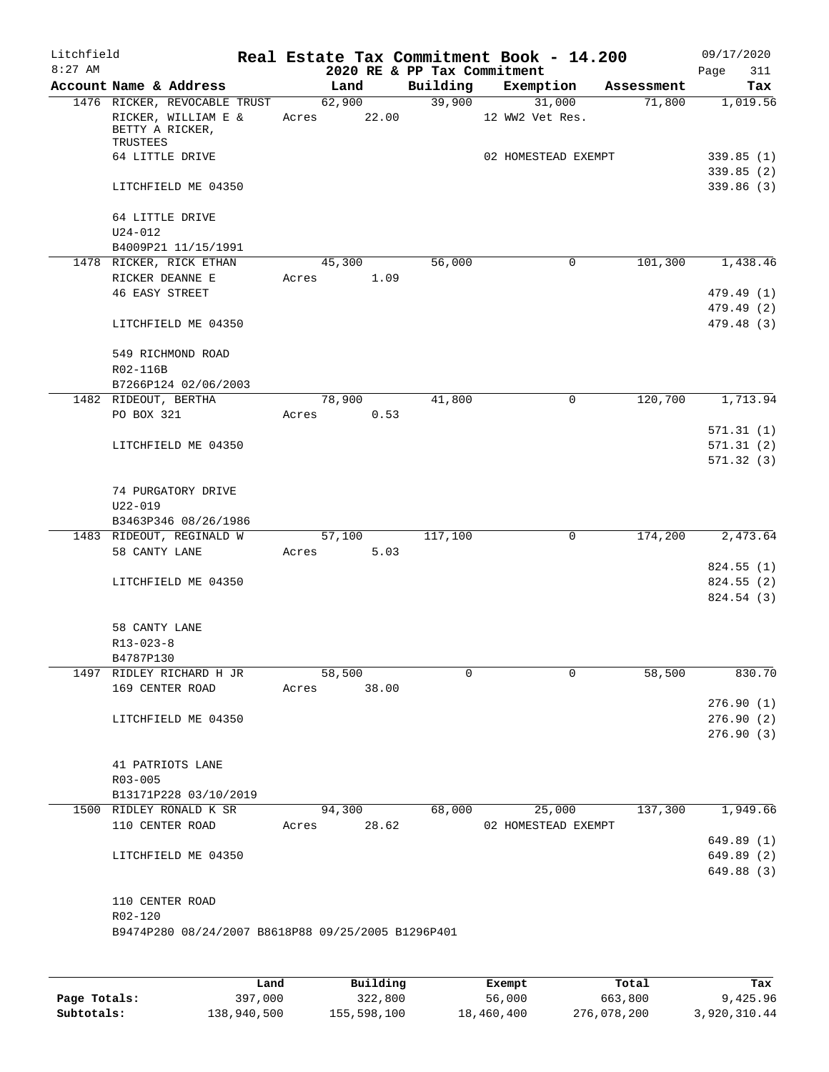| Litchfield<br>$8:27$ AM |                                                    |       | 2020 RE & PP Tax Commitment |          | Real Estate Tax Commitment Book - 14.200 |            | 09/17/2020<br>311<br>Page |
|-------------------------|----------------------------------------------------|-------|-----------------------------|----------|------------------------------------------|------------|---------------------------|
|                         | Account Name & Address                             |       | Land                        | Building | Exemption                                | Assessment | Tax                       |
|                         | 1476 RICKER, REVOCABLE TRUST                       |       | 62,900                      | 39,900   | 31,000                                   | 71,800     | 1,019.56                  |
|                         | RICKER, WILLIAM E &<br>BETTY A RICKER,<br>TRUSTEES |       | Acres 22.00                 |          | 12 WW2 Vet Res.                          |            |                           |
|                         | 64 LITTLE DRIVE                                    |       |                             |          | 02 HOMESTEAD EXEMPT                      |            | 339.85(1)<br>339.85(2)    |
|                         | LITCHFIELD ME 04350                                |       |                             |          |                                          |            | 339.86 (3)                |
|                         | 64 LITTLE DRIVE<br>$U24 - 012$                     |       |                             |          |                                          |            |                           |
|                         | B4009P21 11/15/1991                                |       |                             |          |                                          |            |                           |
|                         | 1478 RICKER, RICK ETHAN                            |       | 45,300                      | 56,000   | $\mathbf 0$                              | 101,300    | 1,438.46                  |
|                         | RICKER DEANNE E                                    | Acres | 1.09                        |          |                                          |            |                           |
|                         | <b>46 EASY STREET</b>                              |       |                             |          |                                          |            | 479.49 (1)                |
|                         | LITCHFIELD ME 04350                                |       |                             |          |                                          |            | 479.49 (2)<br>479.48 (3)  |
|                         | 549 RICHMOND ROAD<br>R02-116B                      |       |                             |          |                                          |            |                           |
|                         | B7266P124 02/06/2003                               |       |                             |          |                                          |            |                           |
|                         | 1482 RIDEOUT, BERTHA                               |       | 78,900                      | 41,800   | 0                                        | 120,700    | 1,713.94                  |
|                         | PO BOX 321                                         | Acres | 0.53                        |          |                                          |            |                           |
|                         |                                                    |       |                             |          |                                          |            | 571.31(1)                 |
|                         | LITCHFIELD ME 04350                                |       |                             |          |                                          |            | 571.31(2)                 |
|                         |                                                    |       |                             |          |                                          |            | 571.32(3)                 |
|                         | 74 PURGATORY DRIVE<br>$U22 - 019$                  |       |                             |          |                                          |            |                           |
|                         | B3463P346 08/26/1986                               |       |                             |          |                                          |            |                           |
|                         | 1483 RIDEOUT, REGINALD W                           |       | 57,100                      | 117,100  | $\mathbf 0$                              | 174,200    | 2,473.64                  |
|                         | 58 CANTY LANE                                      | Acres | 5.03                        |          |                                          |            |                           |
|                         |                                                    |       |                             |          |                                          |            | 824.55 (1)                |
|                         | LITCHFIELD ME 04350                                |       |                             |          |                                          |            | 824.55 (2)<br>824.54 (3)  |
|                         |                                                    |       |                             |          |                                          |            |                           |
|                         | 58 CANTY LANE                                      |       |                             |          |                                          |            |                           |
|                         | $R13 - 023 - 8$                                    |       |                             |          |                                          |            |                           |
|                         | B4787P130                                          |       |                             |          |                                          |            |                           |
|                         | 1497 RIDLEY RICHARD H JR                           |       | 58,500                      | $\Omega$ | 0                                        | 58,500     | 830.70                    |
|                         | 169 CENTER ROAD                                    | Acres | 38.00                       |          |                                          |            |                           |
|                         |                                                    |       |                             |          |                                          |            | 276.90(1)                 |
|                         | LITCHFIELD ME 04350                                |       |                             |          |                                          |            | 276.90(2)                 |
|                         |                                                    |       |                             |          |                                          |            | 276.90(3)                 |
|                         |                                                    |       |                             |          |                                          |            |                           |
|                         | 41 PATRIOTS LANE<br>R03-005                        |       |                             |          |                                          |            |                           |
|                         | B13171P228 03/10/2019                              |       |                             |          |                                          |            |                           |
|                         | 1500 RIDLEY RONALD K SR                            |       | 94,300                      | 68,000   | 25,000                                   | 137,300    | 1,949.66                  |
|                         | 110 CENTER ROAD                                    |       | Acres 28.62                 |          | 02 HOMESTEAD EXEMPT                      |            |                           |
|                         |                                                    |       |                             |          |                                          |            | 649.89 (1)                |
|                         | LITCHFIELD ME 04350                                |       |                             |          |                                          |            | 649.89 (2)                |
|                         |                                                    |       |                             |          |                                          |            | 649.88 (3)                |
|                         | 110 CENTER ROAD                                    |       |                             |          |                                          |            |                           |
|                         | R02-120                                            |       |                             |          |                                          |            |                           |
|                         | B9474P280 08/24/2007 B8618P88 09/25/2005 B1296P401 |       |                             |          |                                          |            |                           |
|                         |                                                    |       |                             |          |                                          |            |                           |

|              | Land        | Building    | Exempt     | Total       | Tax          |
|--------------|-------------|-------------|------------|-------------|--------------|
| Page Totals: | 397,000     | 322,800     | 56,000     | 663,800     | 9,425.96     |
| Subtotals:   | 138,940,500 | 155,598,100 | 18,460,400 | 276,078,200 | 3,920,310.44 |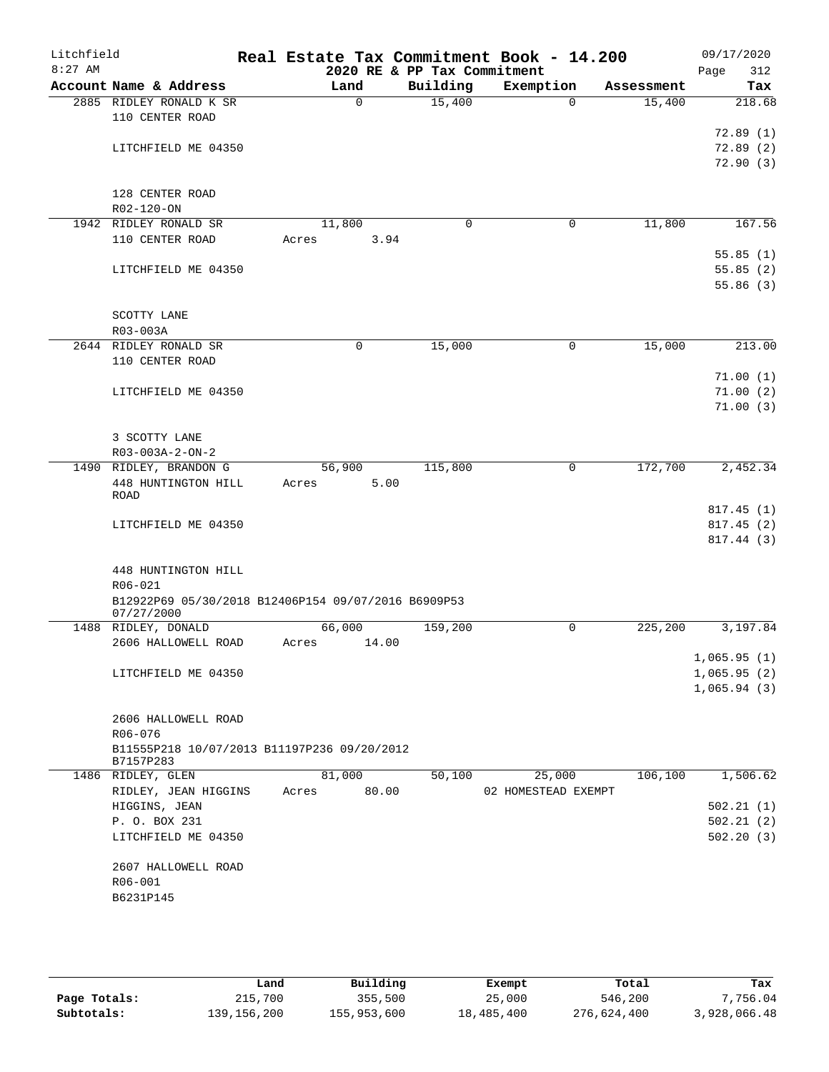| Litchfield<br>$8:27$ AM |                                                          |        |             | 2020 RE & PP Tax Commitment | Real Estate Tax Commitment Book - 14.200 |            | 09/17/2020<br>Page<br>312 |
|-------------------------|----------------------------------------------------------|--------|-------------|-----------------------------|------------------------------------------|------------|---------------------------|
|                         | Account Name & Address                                   |        | Land        | Building                    | Exemption                                | Assessment | Tax                       |
|                         | 2885 RIDLEY RONALD K SR                                  |        | $\mathbf 0$ | 15,400                      | $\Omega$                                 | 15,400     | 218.68                    |
|                         | 110 CENTER ROAD                                          |        |             |                             |                                          |            |                           |
|                         |                                                          |        |             |                             |                                          |            | 72.89(1)                  |
|                         | LITCHFIELD ME 04350                                      |        |             |                             |                                          |            | 72.89(2)                  |
|                         |                                                          |        |             |                             |                                          |            | 72.90(3)                  |
|                         |                                                          |        |             |                             |                                          |            |                           |
|                         | 128 CENTER ROAD                                          |        |             |                             |                                          |            |                           |
|                         | R02-120-ON                                               |        |             |                             |                                          |            |                           |
|                         | 1942 RIDLEY RONALD SR                                    | 11,800 |             | 0                           | 0                                        | 11,800     | 167.56                    |
|                         | 110 CENTER ROAD                                          | Acres  | 3.94        |                             |                                          |            |                           |
|                         |                                                          |        |             |                             |                                          |            | 55.85(1)                  |
|                         | LITCHFIELD ME 04350                                      |        |             |                             |                                          |            | 55.85(2)                  |
|                         |                                                          |        |             |                             |                                          |            | 55.86(3)                  |
|                         |                                                          |        |             |                             |                                          |            |                           |
|                         | SCOTTY LANE                                              |        |             |                             |                                          |            |                           |
|                         | R03-003A                                                 |        |             |                             |                                          |            |                           |
|                         | 2644 RIDLEY RONALD SR                                    |        | 0           | 15,000                      | 0                                        | 15,000     | 213.00                    |
|                         | 110 CENTER ROAD                                          |        |             |                             |                                          |            |                           |
|                         |                                                          |        |             |                             |                                          |            | 71.00(1)                  |
|                         | LITCHFIELD ME 04350                                      |        |             |                             |                                          |            | 71.00(2)                  |
|                         |                                                          |        |             |                             |                                          |            | 71.00(3)                  |
|                         |                                                          |        |             |                             |                                          |            |                           |
|                         | 3 SCOTTY LANE                                            |        |             |                             |                                          |            |                           |
|                         | R03-003A-2-ON-2                                          |        |             |                             |                                          |            |                           |
|                         | 1490 RIDLEY, BRANDON G                                   | 56,900 |             | 115,800                     | 0                                        | 172,700    | 2,452.34                  |
|                         | 448 HUNTINGTON HILL<br><b>ROAD</b>                       | Acres  | 5.00        |                             |                                          |            |                           |
|                         |                                                          |        |             |                             |                                          |            | 817.45(1)                 |
|                         | LITCHFIELD ME 04350                                      |        |             |                             |                                          |            | 817.45(2)                 |
|                         |                                                          |        |             |                             |                                          |            | 817.44 (3)                |
|                         |                                                          |        |             |                             |                                          |            |                           |
|                         | 448 HUNTINGTON HILL                                      |        |             |                             |                                          |            |                           |
|                         | R06-021                                                  |        |             |                             |                                          |            |                           |
|                         | B12922P69 05/30/2018 B12406P154 09/07/2016 B6909P53      |        |             |                             |                                          |            |                           |
|                         | 07/27/2000                                               |        |             |                             |                                          |            |                           |
|                         | 1488 RIDLEY, DONALD                                      | 66,000 |             | 159,200                     | $\mathsf{O}$                             | 225,200    | 3,197.84                  |
|                         | 2606 HALLOWELL ROAD                                      | Acres  | 14.00       |                             |                                          |            |                           |
|                         |                                                          |        |             |                             |                                          |            | 1,065.95(1)               |
|                         | LITCHFIELD ME 04350                                      |        |             |                             |                                          |            | 1,065.95(2)               |
|                         |                                                          |        |             |                             |                                          |            | 1,065.94(3)               |
|                         |                                                          |        |             |                             |                                          |            |                           |
|                         | 2606 HALLOWELL ROAD                                      |        |             |                             |                                          |            |                           |
|                         | R06-076                                                  |        |             |                             |                                          |            |                           |
|                         | B11555P218 10/07/2013 B11197P236 09/20/2012<br>B7157P283 |        |             |                             |                                          |            |                           |
|                         | 1486 RIDLEY, GLEN                                        | 81,000 |             | 50,100                      | 25,000                                   | 106,100    | 1,506.62                  |
|                         | RIDLEY, JEAN HIGGINS                                     | Acres  | 80.00       |                             | 02 HOMESTEAD EXEMPT                      |            |                           |
|                         | HIGGINS, JEAN                                            |        |             |                             |                                          |            | 502.21(1)                 |
|                         | P. O. BOX 231                                            |        |             |                             |                                          |            | 502.21(2)                 |
|                         | LITCHFIELD ME 04350                                      |        |             |                             |                                          |            | 502.20(3)                 |
|                         |                                                          |        |             |                             |                                          |            |                           |
|                         | 2607 HALLOWELL ROAD                                      |        |             |                             |                                          |            |                           |
|                         | R06-001                                                  |        |             |                             |                                          |            |                           |
|                         | B6231P145                                                |        |             |                             |                                          |            |                           |
|                         |                                                          |        |             |                             |                                          |            |                           |
|                         |                                                          |        |             |                             |                                          |            |                           |

|              | Land          | Building    | Exempt     | Total       | Tax          |
|--------------|---------------|-------------|------------|-------------|--------------|
| Page Totals: | 215,700       | 355,500     | 25,000     | 546,200     | 7,756.04     |
| Subtotals:   | 139, 156, 200 | 155,953,600 | 18,485,400 | 276,624,400 | 3,928,066.48 |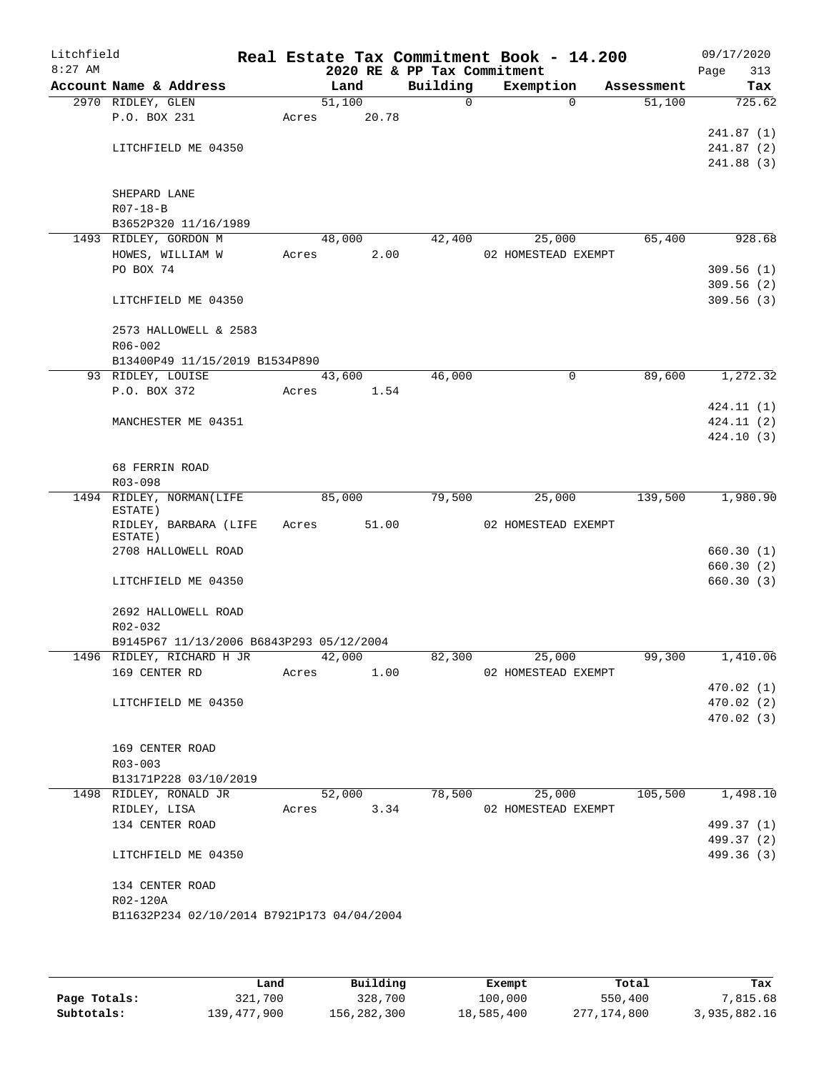| Litchfield<br>$8:27$ AM |                                                                       |       |            | Real Estate Tax Commitment Book - 14.200<br>2020 RE & PP Tax Commitment |                     |             |            | 09/17/2020<br>Page<br>313 |
|-------------------------|-----------------------------------------------------------------------|-------|------------|-------------------------------------------------------------------------|---------------------|-------------|------------|---------------------------|
|                         | Account Name & Address                                                |       | Land       | Building                                                                |                     | Exemption   | Assessment | Tax                       |
|                         | 2970 RIDLEY, GLEN                                                     |       | 51,100     | $\mathbf 0$                                                             |                     | $\Omega$    | 51,100     | 725.62                    |
|                         | P.O. BOX 231                                                          | Acres | 20.78      |                                                                         |                     |             |            |                           |
|                         |                                                                       |       |            |                                                                         |                     |             |            | 241.87(1)                 |
|                         | LITCHFIELD ME 04350                                                   |       |            |                                                                         |                     |             |            | 241.87(2)                 |
|                         |                                                                       |       |            |                                                                         |                     |             |            | 241.88(3)                 |
|                         |                                                                       |       |            |                                                                         |                     |             |            |                           |
|                         | SHEPARD LANE<br>$R07 - 18 - B$                                        |       |            |                                                                         |                     |             |            |                           |
|                         | B3652P320 11/16/1989                                                  |       |            |                                                                         |                     |             |            |                           |
|                         | 1493 RIDLEY, GORDON M                                                 |       | 48,000     | 42,400                                                                  |                     | 25,000      | 65,400     | 928.68                    |
|                         | HOWES, WILLIAM W                                                      | Acres | 2.00       |                                                                         | 02 HOMESTEAD EXEMPT |             |            |                           |
|                         | PO BOX 74                                                             |       |            |                                                                         |                     |             |            | 309.56(1)                 |
|                         |                                                                       |       |            |                                                                         |                     |             |            | 309.56(2)                 |
|                         | LITCHFIELD ME 04350                                                   |       |            |                                                                         |                     |             |            | 309.56(3)                 |
|                         |                                                                       |       |            |                                                                         |                     |             |            |                           |
|                         | 2573 HALLOWELL & 2583                                                 |       |            |                                                                         |                     |             |            |                           |
|                         | $R06 - 002$                                                           |       |            |                                                                         |                     |             |            |                           |
|                         | B13400P49 11/15/2019 B1534P890                                        |       |            |                                                                         |                     |             |            |                           |
|                         | 93 RIDLEY, LOUISE                                                     |       | 43,600     | 46,000                                                                  |                     | $\mathbf 0$ | 89,600     | 1,272.32                  |
|                         | P.O. BOX 372                                                          | Acres | 1.54       |                                                                         |                     |             |            |                           |
|                         | MANCHESTER ME 04351                                                   |       |            |                                                                         |                     |             |            | 424.11 (1)<br>424.11(2)   |
|                         |                                                                       |       |            |                                                                         |                     |             |            | 424.10(3)                 |
|                         |                                                                       |       |            |                                                                         |                     |             |            |                           |
|                         | 68 FERRIN ROAD                                                        |       |            |                                                                         |                     |             |            |                           |
|                         | R03-098                                                               |       |            |                                                                         |                     |             |            |                           |
|                         | 1494 RIDLEY, NORMAN(LIFE                                              |       | 85,000     | 79,500                                                                  |                     | 25,000      | 139,500    | 1,980.90                  |
|                         | ESTATE)                                                               |       |            |                                                                         |                     |             |            |                           |
|                         | RIDLEY, BARBARA (LIFE<br>ESTATE)                                      | Acres | 51.00      |                                                                         | 02 HOMESTEAD EXEMPT |             |            |                           |
|                         | 2708 HALLOWELL ROAD                                                   |       |            |                                                                         |                     |             |            | 660.30(1)                 |
|                         |                                                                       |       |            |                                                                         |                     |             |            | 660.30(2)                 |
|                         | LITCHFIELD ME 04350                                                   |       |            |                                                                         |                     |             |            | 660.30(3)                 |
|                         |                                                                       |       |            |                                                                         |                     |             |            |                           |
|                         | 2692 HALLOWELL ROAD                                                   |       |            |                                                                         |                     |             |            |                           |
|                         | $R02 - 032$                                                           |       |            |                                                                         |                     |             |            |                           |
|                         | B9145P67 11/13/2006 B6843P293 05/12/2004<br>1496 RIDLEY, RICHARD H JR |       | 42,000     |                                                                         | 82,300 25,000       |             | 99,300     |                           |
|                         | 169 CENTER RD                                                         | Acres | 1.00       |                                                                         | 02 HOMESTEAD EXEMPT |             |            | 1,410.06                  |
|                         |                                                                       |       |            |                                                                         |                     |             |            | 470.02 (1)                |
|                         | LITCHFIELD ME 04350                                                   |       |            |                                                                         |                     |             |            | 470.02 (2)                |
|                         |                                                                       |       |            |                                                                         |                     |             |            | 470.02(3)                 |
|                         |                                                                       |       |            |                                                                         |                     |             |            |                           |
|                         | 169 CENTER ROAD                                                       |       |            |                                                                         |                     |             |            |                           |
|                         | $R03 - 003$                                                           |       |            |                                                                         |                     |             |            |                           |
|                         | B13171P228 03/10/2019                                                 |       |            |                                                                         |                     |             |            |                           |
|                         | 1498 RIDLEY, RONALD JR                                                |       | 52,000     | 78,500                                                                  |                     | 25,000      | 105,500    | 1,498.10                  |
|                         | RIDLEY, LISA                                                          |       | Acres 3.34 |                                                                         | 02 HOMESTEAD EXEMPT |             |            |                           |
|                         | 134 CENTER ROAD                                                       |       |            |                                                                         |                     |             |            | 499.37 (1)                |
|                         | LITCHFIELD ME 04350                                                   |       |            |                                                                         |                     |             |            | 499.37 (2)<br>499.36 (3)  |
|                         |                                                                       |       |            |                                                                         |                     |             |            |                           |
|                         | 134 CENTER ROAD                                                       |       |            |                                                                         |                     |             |            |                           |
|                         | R02-120A                                                              |       |            |                                                                         |                     |             |            |                           |
|                         | B11632P234 02/10/2014 B7921P173 04/04/2004                            |       |            |                                                                         |                     |             |            |                           |
|                         |                                                                       |       |            |                                                                         |                     |             |            |                           |
|                         |                                                                       |       |            |                                                                         |                     |             |            |                           |

|              | Land        | Building    | Exempt     | Total       | Tax          |
|--------------|-------------|-------------|------------|-------------|--------------|
| Page Totals: | 321,700     | 328,700     | 100,000    | 550,400     | 7,815.68     |
| Subtotals:   | 139,477,900 | 156,282,300 | 18,585,400 | 277,174,800 | 3,935,882.16 |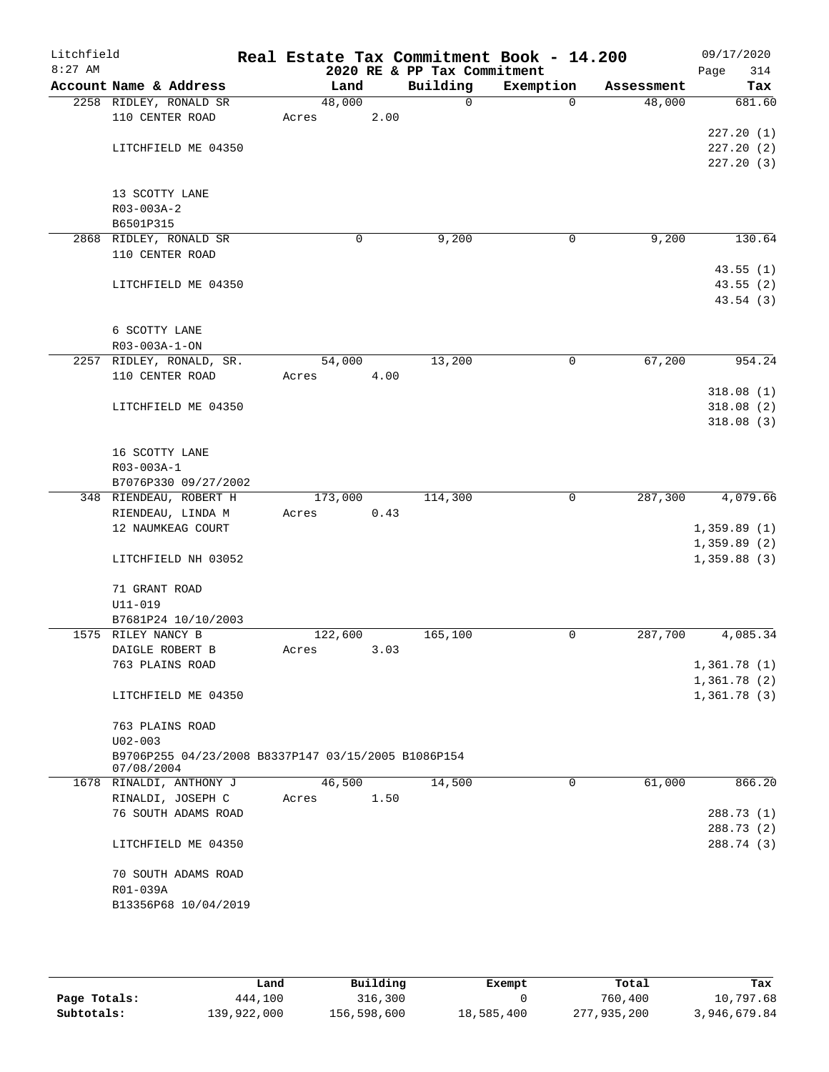| Litchfield |                                                     | Real Estate Tax Commitment Book - 14.200 |      |                             |           |            | 09/17/2020             |
|------------|-----------------------------------------------------|------------------------------------------|------|-----------------------------|-----------|------------|------------------------|
| $8:27$ AM  |                                                     |                                          |      | 2020 RE & PP Tax Commitment |           |            | 314<br>Page            |
|            | Account Name & Address                              | Land                                     |      | Building                    | Exemption | Assessment | Tax                    |
|            | 2258 RIDLEY, RONALD SR                              | 48,000                                   |      | $\mathbf 0$                 | $\Omega$  | 48,000     | 681.60                 |
|            | 110 CENTER ROAD                                     | Acres                                    | 2.00 |                             |           |            |                        |
|            |                                                     |                                          |      |                             |           |            | 227.20(1)              |
|            | LITCHFIELD ME 04350                                 |                                          |      |                             |           |            | 227.20(2)<br>227.20(3) |
|            |                                                     |                                          |      |                             |           |            |                        |
|            | 13 SCOTTY LANE                                      |                                          |      |                             |           |            |                        |
|            | R03-003A-2                                          |                                          |      |                             |           |            |                        |
|            | B6501P315                                           |                                          |      |                             |           |            |                        |
|            | 2868 RIDLEY, RONALD SR                              | 0                                        |      | 9,200                       | 0         | 9,200      | 130.64                 |
|            | 110 CENTER ROAD                                     |                                          |      |                             |           |            |                        |
|            |                                                     |                                          |      |                             |           |            | 43.55(1)               |
|            | LITCHFIELD ME 04350                                 |                                          |      |                             |           |            | 43.55(2)               |
|            |                                                     |                                          |      |                             |           |            | 43.54 (3)              |
|            |                                                     |                                          |      |                             |           |            |                        |
|            | 6 SCOTTY LANE                                       |                                          |      |                             |           |            |                        |
|            | $R03 - 003A - 1 - ON$                               |                                          |      |                             |           |            |                        |
|            | 2257 RIDLEY, RONALD, SR.                            | 54,000                                   |      | 13,200                      | 0         | 67,200     | 954.24                 |
|            | 110 CENTER ROAD                                     | Acres                                    | 4.00 |                             |           |            |                        |
|            |                                                     |                                          |      |                             |           |            | 318.08(1)              |
|            | LITCHFIELD ME 04350                                 |                                          |      |                             |           |            | 318.08(2)              |
|            |                                                     |                                          |      |                             |           |            | 318.08(3)              |
|            |                                                     |                                          |      |                             |           |            |                        |
|            | 16 SCOTTY LANE                                      |                                          |      |                             |           |            |                        |
|            | R03-003A-1                                          |                                          |      |                             |           |            |                        |
|            | B7076P330 09/27/2002                                |                                          |      |                             |           |            |                        |
|            | 348 RIENDEAU, ROBERT H                              | 173,000                                  |      | 114,300                     | 0         | 287,300    | 4,079.66               |
|            | RIENDEAU, LINDA M                                   | Acres                                    | 0.43 |                             |           |            |                        |
|            | 12 NAUMKEAG COURT                                   |                                          |      |                             |           |            | 1,359.89(1)            |
|            |                                                     |                                          |      |                             |           |            | 1,359.89(2)            |
|            | LITCHFIELD NH 03052                                 |                                          |      |                             |           |            | 1,359.88(3)            |
|            | 71 GRANT ROAD                                       |                                          |      |                             |           |            |                        |
|            | $U11 - 019$                                         |                                          |      |                             |           |            |                        |
|            | B7681P24 10/10/2003                                 |                                          |      |                             |           |            |                        |
|            | 1575 RILEY NANCY B                                  | 122,600                                  |      | 165,100                     | 0         | 287,700    | 4,085.34               |
|            | DAIGLE ROBERT B                                     | Acres                                    | 3.03 |                             |           |            |                        |
|            | 763 PLAINS ROAD                                     |                                          |      |                             |           |            | 1,361.78(1)            |
|            |                                                     |                                          |      |                             |           |            | 1,361.78 (2)           |
|            | LITCHFIELD ME 04350                                 |                                          |      |                             |           |            | 1,361.78(3)            |
|            |                                                     |                                          |      |                             |           |            |                        |
|            | 763 PLAINS ROAD                                     |                                          |      |                             |           |            |                        |
|            | $U02 - 003$                                         |                                          |      |                             |           |            |                        |
|            | B9706P255 04/23/2008 B8337P147 03/15/2005 B1086P154 |                                          |      |                             |           |            |                        |
|            | 07/08/2004                                          |                                          |      |                             |           |            |                        |
|            | 1678 RINALDI, ANTHONY J                             | 46,500                                   |      | 14,500                      | 0         | 61,000     | 866.20                 |
|            | RINALDI, JOSEPH C                                   | Acres                                    | 1.50 |                             |           |            |                        |
|            | 76 SOUTH ADAMS ROAD                                 |                                          |      |                             |           |            | 288.73 (1)             |
|            |                                                     |                                          |      |                             |           |            | 288.73 (2)             |
|            | LITCHFIELD ME 04350                                 |                                          |      |                             |           |            | 288.74 (3)             |
|            |                                                     |                                          |      |                             |           |            |                        |
|            | 70 SOUTH ADAMS ROAD<br>R01-039A                     |                                          |      |                             |           |            |                        |
|            | B13356P68 10/04/2019                                |                                          |      |                             |           |            |                        |
|            |                                                     |                                          |      |                             |           |            |                        |
|            |                                                     |                                          |      |                             |           |            |                        |

|              | Land        | Building    | Exempt     | Total       | Tax          |
|--------------|-------------|-------------|------------|-------------|--------------|
| Page Totals: | 444,100     | 316,300     |            | 760,400     | 10,797.68    |
| Subtotals:   | 139,922,000 | 156,598,600 | 18,585,400 | 277,935,200 | 3,946,679.84 |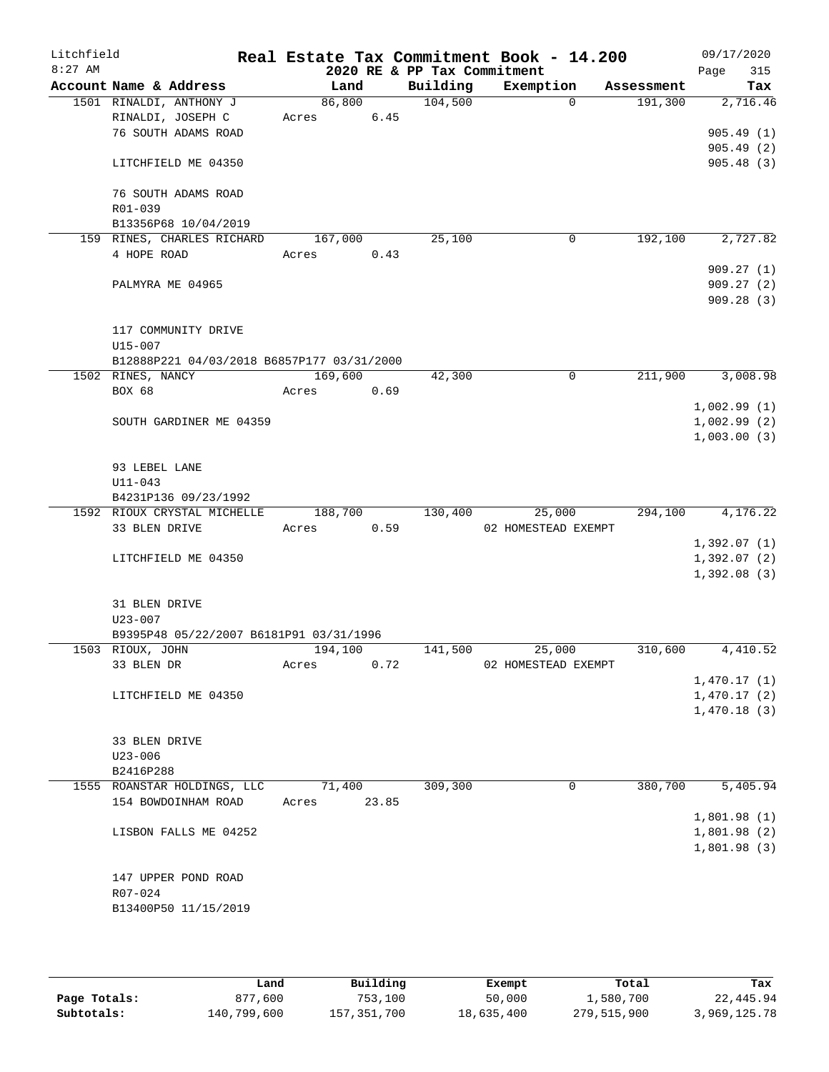| Litchfield<br>$8:27$ AM |                             |                                            |                  |       | 2020 RE & PP Tax Commitment | Real Estate Tax Commitment Book - 14.200 |            | Page | 09/17/2020<br>315          |
|-------------------------|-----------------------------|--------------------------------------------|------------------|-------|-----------------------------|------------------------------------------|------------|------|----------------------------|
|                         |                             | Account Name & Address                     | Land             |       | Building                    | Exemption                                | Assessment |      | Tax                        |
|                         |                             | 1501 RINALDI, ANTHONY J                    | 86,800           |       | 104,500                     | $\Omega$                                 | 191,300    |      | 2,716.46                   |
|                         |                             | RINALDI, JOSEPH C                          | Acres            | 6.45  |                             |                                          |            |      |                            |
|                         |                             | 76 SOUTH ADAMS ROAD                        |                  |       |                             |                                          |            |      | 905.49(1)                  |
|                         |                             |                                            |                  |       |                             |                                          |            |      | 905.49(2)                  |
|                         |                             | LITCHFIELD ME 04350                        |                  |       |                             |                                          |            |      | 905.48(3)                  |
|                         |                             |                                            |                  |       |                             |                                          |            |      |                            |
|                         |                             | 76 SOUTH ADAMS ROAD                        |                  |       |                             |                                          |            |      |                            |
|                         | R01-039                     | B13356P68 10/04/2019                       |                  |       |                             |                                          |            |      |                            |
|                         |                             | 159 RINES, CHARLES RICHARD                 | 167,000          |       | 25,100                      | $\mathbf 0$                              | 192,100    |      | 2,727.82                   |
|                         | 4 HOPE ROAD                 |                                            | Acres            | 0.43  |                             |                                          |            |      |                            |
|                         |                             |                                            |                  |       |                             |                                          |            |      | 909.27(1)                  |
|                         |                             | PALMYRA ME 04965                           |                  |       |                             |                                          |            |      | 909.27(2)                  |
|                         |                             |                                            |                  |       |                             |                                          |            |      | 909.28(3)                  |
|                         |                             |                                            |                  |       |                             |                                          |            |      |                            |
|                         |                             | 117 COMMUNITY DRIVE                        |                  |       |                             |                                          |            |      |                            |
|                         | $U15 - 007$                 |                                            |                  |       |                             |                                          |            |      |                            |
|                         |                             | B12888P221 04/03/2018 B6857P177 03/31/2000 |                  |       | 42,300                      | $\mathbf 0$                              |            |      |                            |
|                         | 1502 RINES, NANCY<br>BOX 68 |                                            | 169,600<br>Acres | 0.69  |                             |                                          | 211,900    |      | 3,008.98                   |
|                         |                             |                                            |                  |       |                             |                                          |            |      | 1,002.99(1)                |
|                         |                             | SOUTH GARDINER ME 04359                    |                  |       |                             |                                          |            |      | 1,002.99(2)                |
|                         |                             |                                            |                  |       |                             |                                          |            |      | 1,003.00(3)                |
|                         |                             |                                            |                  |       |                             |                                          |            |      |                            |
|                         | 93 LEBEL LANE               |                                            |                  |       |                             |                                          |            |      |                            |
|                         | $U11 - 043$                 |                                            |                  |       |                             |                                          |            |      |                            |
|                         |                             | B4231P136 09/23/1992                       |                  |       |                             |                                          |            |      |                            |
|                         |                             | 1592 RIOUX CRYSTAL MICHELLE                | 188,700          |       | 130,400                     | 25,000                                   | 294,100    |      | 4,176.22                   |
|                         | 33 BLEN DRIVE               |                                            | Acres            | 0.59  |                             | 02 HOMESTEAD EXEMPT                      |            |      |                            |
|                         |                             | LITCHFIELD ME 04350                        |                  |       |                             |                                          |            |      | 1,392.07(1)<br>1,392.07(2) |
|                         |                             |                                            |                  |       |                             |                                          |            |      | 1,392.08(3)                |
|                         |                             |                                            |                  |       |                             |                                          |            |      |                            |
|                         | 31 BLEN DRIVE               |                                            |                  |       |                             |                                          |            |      |                            |
|                         | $U23 - 007$                 |                                            |                  |       |                             |                                          |            |      |                            |
|                         |                             | B9395P48 05/22/2007 B6181P91 03/31/1996    |                  |       |                             |                                          |            |      |                            |
|                         | 1503 RIOUX, JOHN            |                                            | 194,100          |       | 141,500                     | 25,000                                   | 310,600    |      | 4,410.52                   |
|                         | 33 BLEN DR                  |                                            | Acres            | 0.72  |                             | 02 HOMESTEAD EXEMPT                      |            |      |                            |
|                         |                             |                                            |                  |       |                             |                                          |            |      | 1,470.17(1)                |
|                         |                             | LITCHFIELD ME 04350                        |                  |       |                             |                                          |            |      | 1,470.17(2)                |
|                         |                             |                                            |                  |       |                             |                                          |            |      | 1,470.18(3)                |
|                         | 33 BLEN DRIVE               |                                            |                  |       |                             |                                          |            |      |                            |
|                         | $U23 - 006$                 |                                            |                  |       |                             |                                          |            |      |                            |
|                         | B2416P288                   |                                            |                  |       |                             |                                          |            |      |                            |
|                         |                             | 1555 ROANSTAR HOLDINGS, LLC                | 71,400           |       | 309,300                     | 0                                        | 380,700    |      | 5,405.94                   |
|                         |                             | 154 BOWDOINHAM ROAD                        | Acres            | 23.85 |                             |                                          |            |      |                            |
|                         |                             |                                            |                  |       |                             |                                          |            |      | 1,801.98(1)                |
|                         |                             | LISBON FALLS ME 04252                      |                  |       |                             |                                          |            |      | 1,801.98(2)                |
|                         |                             |                                            |                  |       |                             |                                          |            |      | 1,801.98(3)                |
|                         |                             |                                            |                  |       |                             |                                          |            |      |                            |
|                         |                             | 147 UPPER POND ROAD                        |                  |       |                             |                                          |            |      |                            |
|                         | R07-024                     |                                            |                  |       |                             |                                          |            |      |                            |
|                         |                             | B13400P50 11/15/2019                       |                  |       |                             |                                          |            |      |                            |
|                         |                             |                                            |                  |       |                             |                                          |            |      |                            |

|              | Land        | Building    | Exempt     | Total       | Tax          |
|--------------|-------------|-------------|------------|-------------|--------------|
| Page Totals: | 877.600     | 753,100     | 50,000     | 1,580,700   | 22,445.94    |
| Subtotals:   | 140,799,600 | 157,351,700 | 18,635,400 | 279,515,900 | 3,969,125.78 |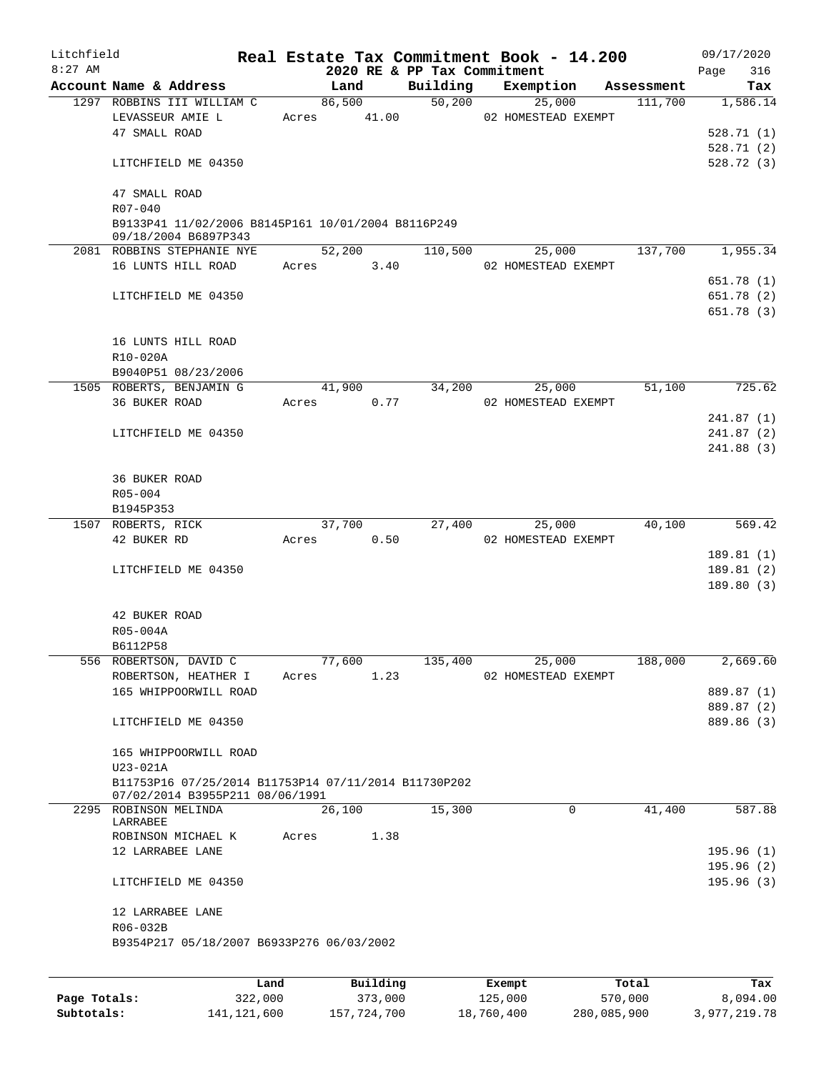| Litchfield<br>$8:27$ AM |                                                                                         |      |       |             |          | 2020 RE & PP Tax Commitment | Real Estate Tax Commitment Book - 14.200 |            | 09/17/2020         |
|-------------------------|-----------------------------------------------------------------------------------------|------|-------|-------------|----------|-----------------------------|------------------------------------------|------------|--------------------|
|                         | Account Name & Address                                                                  |      |       | Land        |          | Building                    | Exemption                                | Assessment | 316<br>Page<br>Tax |
|                         | 1297 ROBBINS III WILLIAM C                                                              |      |       | 86,500      |          | 50,200                      | 25,000                                   | 111,700    | 1,586.14           |
|                         | LEVASSEUR AMIE L                                                                        |      |       | Acres 41.00 |          |                             | 02 HOMESTEAD EXEMPT                      |            |                    |
|                         | 47 SMALL ROAD                                                                           |      |       |             |          |                             |                                          |            | 528.71(1)          |
|                         |                                                                                         |      |       |             |          |                             |                                          |            | 528.71(2)          |
|                         | LITCHFIELD ME 04350                                                                     |      |       |             |          |                             |                                          |            | 528.72(3)          |
|                         | 47 SMALL ROAD<br>$R07 - 040$                                                            |      |       |             |          |                             |                                          |            |                    |
|                         | B9133P41 11/02/2006 B8145P161 10/01/2004 B8116P249<br>09/18/2004 B6897P343              |      |       |             |          |                             |                                          |            |                    |
|                         | 2081 ROBBINS STEPHANIE NYE                                                              |      |       | 52,200      |          | 110,500                     | 25,000                                   | 137,700    | 1,955.34           |
|                         | 16 LUNTS HILL ROAD                                                                      |      |       | Acres       | 3.40     |                             | 02 HOMESTEAD EXEMPT                      |            |                    |
|                         |                                                                                         |      |       |             |          |                             |                                          |            | 651.78 (1)         |
|                         | LITCHFIELD ME 04350                                                                     |      |       |             |          |                             |                                          |            | 651.78 (2)         |
|                         |                                                                                         |      |       |             |          |                             |                                          |            | 651.78 (3)         |
|                         | 16 LUNTS HILL ROAD                                                                      |      |       |             |          |                             |                                          |            |                    |
|                         | R10-020A                                                                                |      |       |             |          |                             |                                          |            |                    |
|                         | B9040P51 08/23/2006                                                                     |      |       |             |          |                             |                                          |            |                    |
|                         | 1505 ROBERTS, BENJAMIN G                                                                |      |       | 41,900      |          | 34,200                      | 25,000                                   | 51,100     | 725.62             |
|                         | 36 BUKER ROAD                                                                           |      |       | Acres       | 0.77     |                             | 02 HOMESTEAD EXEMPT                      |            |                    |
|                         |                                                                                         |      |       |             |          |                             |                                          |            | 241.87(1)          |
|                         | LITCHFIELD ME 04350                                                                     |      |       |             |          |                             |                                          |            | 241.87(2)          |
|                         |                                                                                         |      |       |             |          |                             |                                          |            | 241.88(3)          |
|                         | <b>36 BUKER ROAD</b>                                                                    |      |       |             |          |                             |                                          |            |                    |
|                         | $R05 - 004$                                                                             |      |       |             |          |                             |                                          |            |                    |
|                         | B1945P353                                                                               |      |       |             |          |                             |                                          |            |                    |
|                         | 1507 ROBERTS, RICK                                                                      |      |       | 37,700      |          | 27,400                      | 25,000                                   | 40,100     | 569.42             |
|                         | 42 BUKER RD                                                                             |      | Acres |             | 0.50     |                             | 02 HOMESTEAD EXEMPT                      |            |                    |
|                         |                                                                                         |      |       |             |          |                             |                                          |            | 189.81 (1)         |
|                         | LITCHFIELD ME 04350                                                                     |      |       |             |          |                             |                                          |            | 189.81(2)          |
|                         |                                                                                         |      |       |             |          |                             |                                          |            | 189.80 (3)         |
|                         | 42 BUKER ROAD                                                                           |      |       |             |          |                             |                                          |            |                    |
|                         | R05-004A                                                                                |      |       |             |          |                             |                                          |            |                    |
|                         | B6112P58                                                                                |      |       |             |          |                             |                                          |            |                    |
|                         | 556 ROBERTSON, DAVID C                                                                  |      |       | 77,600      |          | 135,400                     | 25,000                                   | 188,000    | 2,669.60           |
|                         | ROBERTSON, HEATHER I                                                                    |      | Acres |             | 1.23     |                             | 02 HOMESTEAD EXEMPT                      |            |                    |
|                         | 165 WHIPPOORWILL ROAD                                                                   |      |       |             |          |                             |                                          |            | 889.87 (1)         |
|                         |                                                                                         |      |       |             |          |                             |                                          |            | 889.87 (2)         |
|                         | LITCHFIELD ME 04350                                                                     |      |       |             |          |                             |                                          |            | 889.86 (3)         |
|                         | 165 WHIPPOORWILL ROAD                                                                   |      |       |             |          |                             |                                          |            |                    |
|                         | U23-021A                                                                                |      |       |             |          |                             |                                          |            |                    |
|                         | B11753P16 07/25/2014 B11753P14 07/11/2014 B11730P202<br>07/02/2014 B3955P211 08/06/1991 |      |       |             |          |                             |                                          |            |                    |
|                         | 2295 ROBINSON MELINDA                                                                   |      |       | 26,100      |          | 15,300                      | $\Omega$                                 | 41,400     | 587.88             |
|                         | LARRABEE<br>ROBINSON MICHAEL K                                                          |      | Acres |             | 1.38     |                             |                                          |            |                    |
|                         | 12 LARRABEE LANE                                                                        |      |       |             |          |                             |                                          |            | 195.96 (1)         |
|                         |                                                                                         |      |       |             |          |                             |                                          |            | 195.96(2)          |
|                         | LITCHFIELD ME 04350                                                                     |      |       |             |          |                             |                                          |            | 195.96 (3)         |
|                         | 12 LARRABEE LANE                                                                        |      |       |             |          |                             |                                          |            |                    |
|                         | R06-032B                                                                                |      |       |             |          |                             |                                          |            |                    |
|                         | B9354P217 05/18/2007 B6933P276 06/03/2002                                               |      |       |             |          |                             |                                          |            |                    |
|                         |                                                                                         |      |       |             |          |                             |                                          |            |                    |
|                         |                                                                                         | Land |       |             | Building |                             | Exempt                                   | Total      | Tax                |

|              | uanu.       | <b>DUITOTII</b> | LACINUL    | TOLAT       | ias.         |
|--------------|-------------|-----------------|------------|-------------|--------------|
| Page Totals: | 322,000     | 373,000         | 125,000    | 570,000     | 8,094.00     |
| Subtotals:   | 141,121,600 | 157,724,700     | 18,760,400 | 280,085,900 | 3,977,219.78 |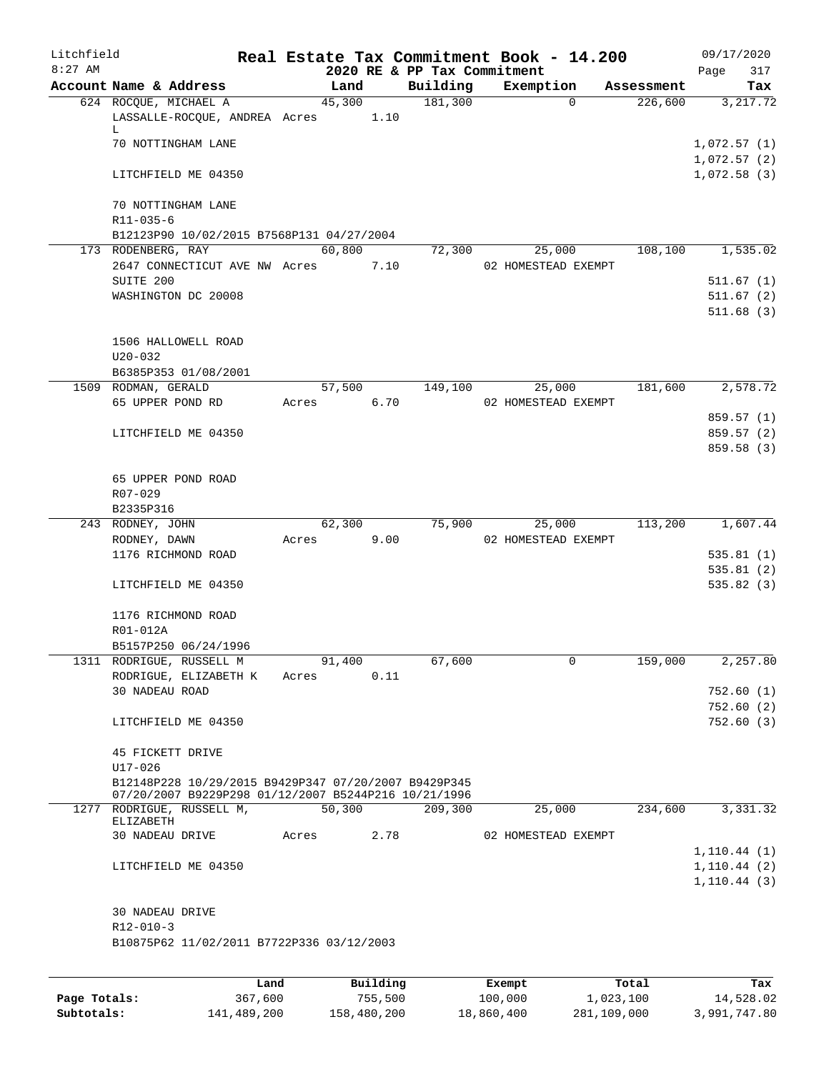| Litchfield |                                                                                                              |       |        |      |                             | Real Estate Tax Commitment Book - 14.200 |            | 09/17/2020                 |
|------------|--------------------------------------------------------------------------------------------------------------|-------|--------|------|-----------------------------|------------------------------------------|------------|----------------------------|
| $8:27$ AM  |                                                                                                              |       |        |      | 2020 RE & PP Tax Commitment |                                          |            | 317<br>Page                |
|            | Account Name & Address                                                                                       |       | Land   |      | Building                    | Exemption                                | Assessment | Tax                        |
|            | 624 ROCOUE, MICHAEL A<br>LASSALLE-ROCQUE, ANDREA Acres<br>L.                                                 |       | 45,300 | 1.10 | 181,300                     | $\Omega$                                 | 226,600    | 3, 217.72                  |
|            | 70 NOTTINGHAM LANE                                                                                           |       |        |      |                             |                                          |            | 1,072.57(1)<br>1,072.57(2) |
|            | LITCHFIELD ME 04350                                                                                          |       |        |      |                             |                                          |            | 1,072.58(3)                |
|            | 70 NOTTINGHAM LANE<br>R11-035-6                                                                              |       |        |      |                             |                                          |            |                            |
|            | B12123P90 10/02/2015 B7568P131 04/27/2004                                                                    |       |        |      |                             |                                          |            |                            |
|            | 173 RODENBERG, RAY                                                                                           |       | 60,800 |      | 72,300                      | 25,000                                   | 108,100    | 1,535.02                   |
|            | 2647 CONNECTICUT AVE NW Acres<br>SUITE 200                                                                   |       |        | 7.10 |                             | 02 HOMESTEAD EXEMPT                      |            | 511.67(1)                  |
|            | WASHINGTON DC 20008                                                                                          |       |        |      |                             |                                          |            | 511.67(2)                  |
|            |                                                                                                              |       |        |      |                             |                                          |            | 511.68(3)                  |
|            | 1506 HALLOWELL ROAD<br>$U20 - 032$                                                                           |       |        |      |                             |                                          |            |                            |
|            | B6385P353 01/08/2001                                                                                         |       |        |      |                             |                                          |            |                            |
|            | 1509 RODMAN, GERALD<br>65 UPPER POND RD                                                                      | Acres | 57,500 | 6.70 | 149,100                     | 25,000<br>02 HOMESTEAD EXEMPT            | 181,600    | 2,578.72                   |
|            |                                                                                                              |       |        |      |                             |                                          |            | 859.57 (1)                 |
|            | LITCHFIELD ME 04350                                                                                          |       |        |      |                             |                                          |            | 859.57 (2)                 |
|            |                                                                                                              |       |        |      |                             |                                          |            | 859.58 (3)                 |
|            | 65 UPPER POND ROAD                                                                                           |       |        |      |                             |                                          |            |                            |
|            | R07-029                                                                                                      |       |        |      |                             |                                          |            |                            |
|            | B2335P316                                                                                                    |       |        |      |                             |                                          |            |                            |
|            | 243 RODNEY, JOHN                                                                                             |       | 62,300 |      | 75,900                      | 25,000                                   | 113,200    | 1,607.44                   |
|            | RODNEY, DAWN                                                                                                 | Acres |        | 9.00 |                             | 02 HOMESTEAD EXEMPT                      |            |                            |
|            | 1176 RICHMOND ROAD                                                                                           |       |        |      |                             |                                          |            | 535.81(1)                  |
|            |                                                                                                              |       |        |      |                             |                                          |            | 535.81(2)                  |
|            | LITCHFIELD ME 04350                                                                                          |       |        |      |                             |                                          |            | 535.82(3)                  |
|            | 1176 RICHMOND ROAD<br>R01-012A                                                                               |       |        |      |                             |                                          |            |                            |
|            | B5157P250 06/24/1996                                                                                         |       |        |      |                             |                                          |            |                            |
|            | 1311 RODRIGUE, RUSSELL M                                                                                     |       | 91,400 |      | 67,600                      | 0                                        | 159,000    | 2,257.80                   |
|            | RODRIGUE, ELIZABETH K                                                                                        | Acres |        | 0.11 |                             |                                          |            |                            |
|            | 30 NADEAU ROAD                                                                                               |       |        |      |                             |                                          |            | 752.60(1)                  |
|            |                                                                                                              |       |        |      |                             |                                          |            | 752.60(2)                  |
|            | LITCHFIELD ME 04350                                                                                          |       |        |      |                             |                                          |            | 752.60(3)                  |
|            | 45 FICKETT DRIVE                                                                                             |       |        |      |                             |                                          |            |                            |
|            | $U17 - 026$                                                                                                  |       |        |      |                             |                                          |            |                            |
|            | B12148P228 10/29/2015 B9429P347 07/20/2007 B9429P345<br>07/20/2007 B9229P298 01/12/2007 B5244P216 10/21/1996 |       |        |      |                             |                                          |            |                            |
|            | 1277 RODRIGUE, RUSSELL M,<br>ELIZABETH                                                                       |       | 50,300 |      | 209,300                     | 25,000                                   | 234,600    | 3,331.32                   |
|            | 30 NADEAU DRIVE                                                                                              | Acres |        | 2.78 |                             | 02 HOMESTEAD EXEMPT                      |            |                            |
|            |                                                                                                              |       |        |      |                             |                                          |            | 1, 110.44(1)               |
|            | LITCHFIELD ME 04350                                                                                          |       |        |      |                             |                                          |            | 1, 110.44(2)               |
|            |                                                                                                              |       |        |      |                             |                                          |            | 1, 110.44(3)               |
|            |                                                                                                              |       |        |      |                             |                                          |            |                            |
|            | 30 NADEAU DRIVE                                                                                              |       |        |      |                             |                                          |            |                            |
|            | $R12 - 010 - 3$                                                                                              |       |        |      |                             |                                          |            |                            |
|            | B10875P62 11/02/2011 B7722P336 03/12/2003                                                                    |       |        |      |                             |                                          |            |                            |
|            |                                                                                                              |       |        |      |                             |                                          |            |                            |

|              | Land        | Building    | Exempt     | Total       | Tax          |
|--------------|-------------|-------------|------------|-------------|--------------|
| Page Totals: | 367,600     | 755,500     | 100,000    | 1,023,100   | 14,528.02    |
| Subtotals:   | 141,489,200 | 158,480,200 | 18,860,400 | 281,109,000 | 3,991,747.80 |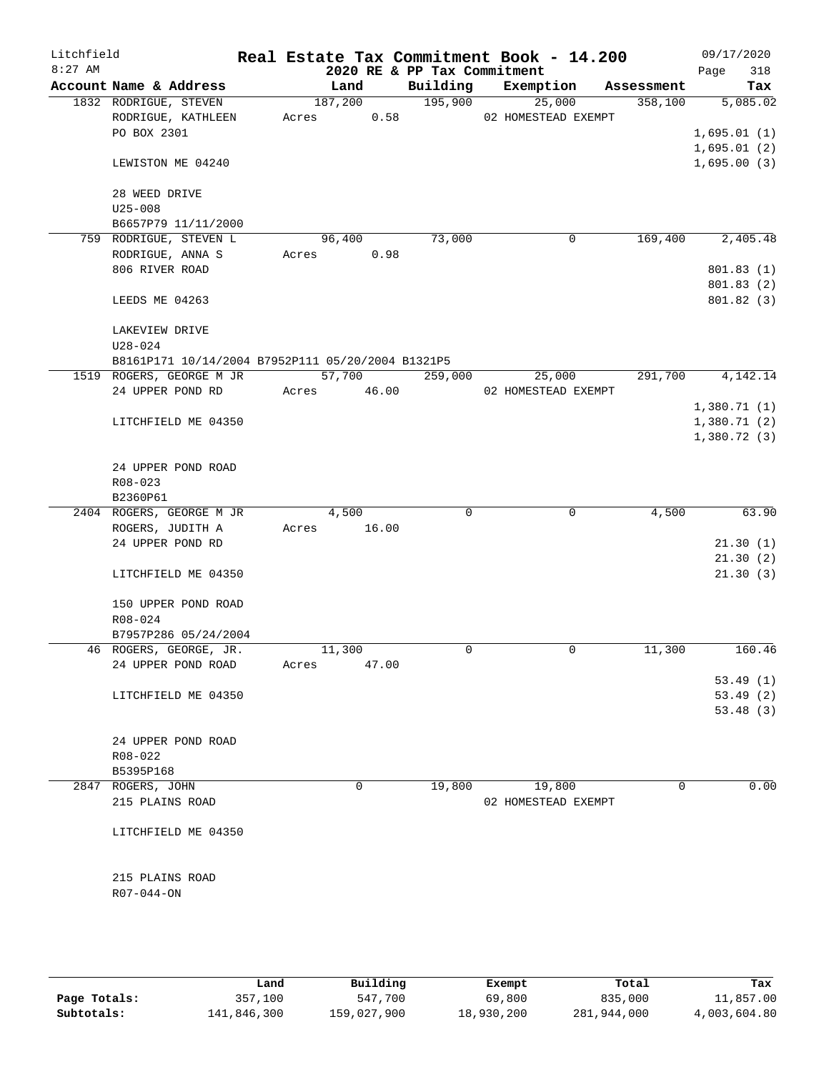| Litchfield |                                                   |       |             |      |                             | Real Estate Tax Commitment Book - 14.200 |             |             | 09/17/2020  |
|------------|---------------------------------------------------|-------|-------------|------|-----------------------------|------------------------------------------|-------------|-------------|-------------|
| $8:27$ AM  |                                                   |       |             |      | 2020 RE & PP Tax Commitment |                                          |             |             | 318<br>Page |
|            | Account Name & Address                            |       | Land        |      | Building                    | Exemption                                |             | Assessment  | Tax         |
|            | 1832 RODRIGUE, STEVEN                             |       | 187,200     |      | 195,900                     | 25,000                                   |             | 358,100     | 5,085.02    |
|            | RODRIGUE, KATHLEEN                                | Acres |             | 0.58 |                             | 02 HOMESTEAD EXEMPT                      |             |             |             |
|            | PO BOX 2301                                       |       |             |      |                             |                                          |             |             | 1,695.01(1) |
|            |                                                   |       |             |      |                             |                                          |             |             | 1,695.01(2) |
|            | LEWISTON ME 04240                                 |       |             |      |                             |                                          |             |             | 1,695.00(3) |
|            | 28 WEED DRIVE                                     |       |             |      |                             |                                          |             |             |             |
|            | $U25 - 008$                                       |       |             |      |                             |                                          |             |             |             |
|            | B6657P79 11/11/2000                               |       |             |      |                             |                                          |             |             |             |
|            | 759 RODRIGUE, STEVEN L                            |       | 96,400      |      | 73,000                      |                                          | 0           | 169,400     | 2,405.48    |
|            | RODRIGUE, ANNA S                                  | Acres |             | 0.98 |                             |                                          |             |             |             |
|            | 806 RIVER ROAD                                    |       |             |      |                             |                                          |             |             | 801.83(1)   |
|            |                                                   |       |             |      |                             |                                          |             |             | 801.83 (2)  |
|            | LEEDS ME 04263                                    |       |             |      |                             |                                          |             |             | 801.82 (3)  |
|            |                                                   |       |             |      |                             |                                          |             |             |             |
|            | LAKEVIEW DRIVE                                    |       |             |      |                             |                                          |             |             |             |
|            | $U28 - 024$                                       |       |             |      |                             |                                          |             |             |             |
|            | B8161P171 10/14/2004 B7952P111 05/20/2004 B1321P5 |       |             |      |                             |                                          |             |             |             |
|            | 1519 ROGERS, GEORGE M JR                          |       | 57,700      |      | 259,000                     | 25,000                                   |             | 291,700     | 4,142.14    |
|            | 24 UPPER POND RD                                  |       | Acres 46.00 |      |                             | 02 HOMESTEAD EXEMPT                      |             |             |             |
|            |                                                   |       |             |      |                             |                                          |             |             | 1,380.71(1) |
|            | LITCHFIELD ME 04350                               |       |             |      |                             |                                          |             |             | 1,380.71(2) |
|            |                                                   |       |             |      |                             |                                          |             |             | 1,380.72(3) |
|            |                                                   |       |             |      |                             |                                          |             |             |             |
|            | 24 UPPER POND ROAD                                |       |             |      |                             |                                          |             |             |             |
|            | R08-023                                           |       |             |      |                             |                                          |             |             |             |
|            | B2360P61                                          |       |             |      |                             |                                          |             |             |             |
|            | 2404 ROGERS, GEORGE M JR                          |       | 4,500       |      | 0                           |                                          | $\mathbf 0$ | 4,500       | 63.90       |
|            | ROGERS, JUDITH A                                  | Acres | 16.00       |      |                             |                                          |             |             |             |
|            | 24 UPPER POND RD                                  |       |             |      |                             |                                          |             |             | 21.30(1)    |
|            |                                                   |       |             |      |                             |                                          |             |             | 21.30(2)    |
|            | LITCHFIELD ME 04350                               |       |             |      |                             |                                          |             |             | 21.30(3)    |
|            |                                                   |       |             |      |                             |                                          |             |             |             |
|            | 150 UPPER POND ROAD                               |       |             |      |                             |                                          |             |             |             |
|            | $R08 - 024$                                       |       |             |      |                             |                                          |             |             |             |
|            | B7957P286 05/24/2004                              |       |             |      |                             |                                          |             |             |             |
|            | 46 ROGERS, GEORGE, JR.                            |       | 11,300      |      | 0                           |                                          | 0           | 11,300      | 160.46      |
|            | 24 UPPER POND ROAD                                | Acres | 47.00       |      |                             |                                          |             |             |             |
|            |                                                   |       |             |      |                             |                                          |             |             | 53.49(1)    |
|            | LITCHFIELD ME 04350                               |       |             |      |                             |                                          |             |             | 53.49(2)    |
|            |                                                   |       |             |      |                             |                                          |             |             | 53.48(3)    |
|            |                                                   |       |             |      |                             |                                          |             |             |             |
|            | 24 UPPER POND ROAD                                |       |             |      |                             |                                          |             |             |             |
|            | R08-022<br>B5395P168                              |       |             |      |                             |                                          |             |             |             |
|            | 2847 ROGERS, JOHN                                 |       | 0           |      | 19,800                      | 19,800                                   |             | $\mathbf 0$ | 0.00        |
|            | 215 PLAINS ROAD                                   |       |             |      |                             | 02 HOMESTEAD EXEMPT                      |             |             |             |
|            |                                                   |       |             |      |                             |                                          |             |             |             |
|            | LITCHFIELD ME 04350                               |       |             |      |                             |                                          |             |             |             |
|            |                                                   |       |             |      |                             |                                          |             |             |             |
|            |                                                   |       |             |      |                             |                                          |             |             |             |
|            | 215 PLAINS ROAD                                   |       |             |      |                             |                                          |             |             |             |
|            | R07-044-ON                                        |       |             |      |                             |                                          |             |             |             |
|            |                                                   |       |             |      |                             |                                          |             |             |             |
|            |                                                   |       |             |      |                             |                                          |             |             |             |
|            |                                                   |       |             |      |                             |                                          |             |             |             |

|              | Land        | Building    | Exempt     | Total       | Tax          |
|--------------|-------------|-------------|------------|-------------|--------------|
| Page Totals: | 357,100     | 547,700     | 69,800     | 835,000     | 11,857.00    |
| Subtotals:   | 141,846,300 | 159,027,900 | 18,930,200 | 281,944,000 | 4,003,604.80 |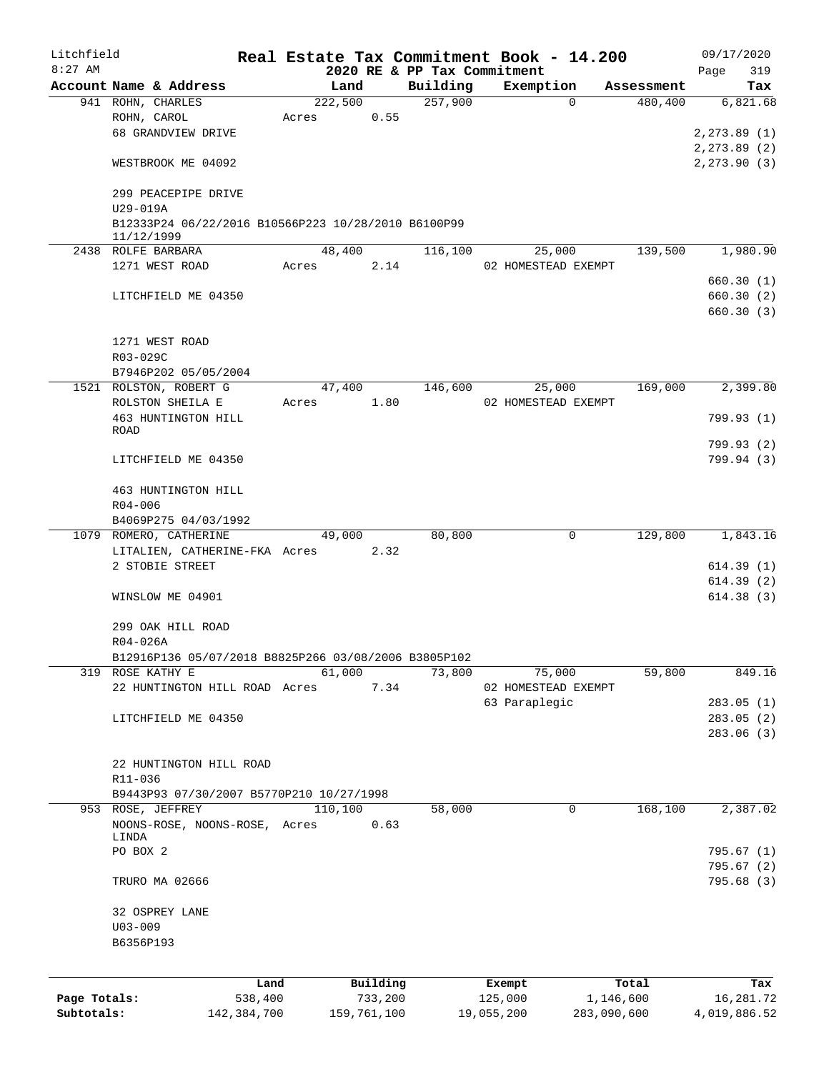| Litchfield   |              |                                                      |       |             |          |                             | Real Estate Tax Commitment Book - 14.200 |             | 09/17/2020   |
|--------------|--------------|------------------------------------------------------|-------|-------------|----------|-----------------------------|------------------------------------------|-------------|--------------|
| $8:27$ AM    |              |                                                      |       |             |          | 2020 RE & PP Tax Commitment |                                          |             | Page<br>319  |
|              |              | Account Name & Address                               |       | Land        |          | Building<br>257,900         | Exemption<br>$\Omega$                    | Assessment  | Tax          |
|              |              | 941 ROHN, CHARLES<br>ROHN, CAROL                     | Acres | 222,500     | 0.55     |                             |                                          | 480,400     | 6,821.68     |
|              |              | 68 GRANDVIEW DRIVE                                   |       |             |          |                             |                                          |             | 2, 273.89(1) |
|              |              |                                                      |       |             |          |                             |                                          |             | 2,273.89 (2) |
|              |              | WESTBROOK ME 04092                                   |       |             |          |                             |                                          |             | 2, 273.90(3) |
|              |              |                                                      |       |             |          |                             |                                          |             |              |
|              |              | 299 PEACEPIPE DRIVE                                  |       |             |          |                             |                                          |             |              |
|              | U29-019A     |                                                      |       |             |          |                             |                                          |             |              |
|              |              | B12333P24 06/22/2016 B10566P223 10/28/2010 B6100P99  |       |             |          |                             |                                          |             |              |
|              | 11/12/1999   | 2438 ROLFE BARBARA                                   |       | 48,400      |          | 116,100                     | 25,000                                   | 139,500     | 1,980.90     |
|              |              | 1271 WEST ROAD                                       | Acres |             | 2.14     |                             | 02 HOMESTEAD EXEMPT                      |             |              |
|              |              |                                                      |       |             |          |                             |                                          |             | 660.30(1)    |
|              |              | LITCHFIELD ME 04350                                  |       |             |          |                             |                                          |             | 660.30 (2)   |
|              |              |                                                      |       |             |          |                             |                                          |             | 660.30 (3)   |
|              |              |                                                      |       |             |          |                             |                                          |             |              |
|              |              | 1271 WEST ROAD                                       |       |             |          |                             |                                          |             |              |
|              | R03-029C     |                                                      |       |             |          |                             |                                          |             |              |
|              |              | B7946P202 05/05/2004                                 |       |             |          |                             |                                          |             |              |
|              |              | 1521 ROLSTON, ROBERT G                               |       | 47,400      |          | 146,600                     | 25,000                                   | 169,000     | 2,399.80     |
|              |              | ROLSTON SHEILA E                                     | Acres |             | 1.80     |                             | 02 HOMESTEAD EXEMPT                      |             |              |
|              |              | 463 HUNTINGTON HILL                                  |       |             |          |                             |                                          |             | 799.93 (1)   |
|              | <b>ROAD</b>  |                                                      |       |             |          |                             |                                          |             |              |
|              |              |                                                      |       |             |          |                             |                                          |             | 799.93 (2)   |
|              |              | LITCHFIELD ME 04350                                  |       |             |          |                             |                                          |             | 799.94 (3)   |
|              |              |                                                      |       |             |          |                             |                                          |             |              |
|              |              | 463 HUNTINGTON HILL                                  |       |             |          |                             |                                          |             |              |
|              | $R04 - 006$  |                                                      |       |             |          |                             |                                          |             |              |
|              |              | B4069P275 04/03/1992                                 |       |             |          |                             |                                          |             |              |
|              |              | 1079 ROMERO, CATHERINE                               |       | 49,000      |          | 80,800                      | $\mathsf{O}$                             | 129,800     | 1,843.16     |
|              |              | LITALIEN, CATHERINE-FKA Acres                        |       |             | 2.32     |                             |                                          |             |              |
|              |              | 2 STOBIE STREET                                      |       |             |          |                             |                                          |             | 614.39(1)    |
|              |              |                                                      |       |             |          |                             |                                          |             | 614.39(2)    |
|              |              | WINSLOW ME 04901                                     |       |             |          |                             |                                          |             | 614.38(3)    |
|              |              |                                                      |       |             |          |                             |                                          |             |              |
|              |              | 299 OAK HILL ROAD                                    |       |             |          |                             |                                          |             |              |
|              | $R04 - 026A$ | B12916P136 05/07/2018 B8825P266 03/08/2006 B3805P102 |       |             |          |                             |                                          |             |              |
|              |              | 319 ROSE KATHY E                                     |       | 61,000      |          | 73,800                      | 75,000                                   | 59,800      | 849.16       |
|              |              | 22 HUNTINGTON HILL ROAD Acres                        |       |             | 7.34     |                             | 02 HOMESTEAD EXEMPT                      |             |              |
|              |              |                                                      |       |             |          |                             | 63 Paraplegic                            |             | 283.05(1)    |
|              |              | LITCHFIELD ME 04350                                  |       |             |          |                             |                                          |             | 283.05(2)    |
|              |              |                                                      |       |             |          |                             |                                          |             | 283.06 (3)   |
|              |              |                                                      |       |             |          |                             |                                          |             |              |
|              |              | 22 HUNTINGTON HILL ROAD                              |       |             |          |                             |                                          |             |              |
|              | R11-036      |                                                      |       |             |          |                             |                                          |             |              |
|              |              | B9443P93 07/30/2007 B5770P210 10/27/1998             |       |             |          |                             |                                          |             |              |
|              |              | 953 ROSE, JEFFREY                                    |       | 110,100     |          | 58,000                      | $\mathbf 0$                              | 168, 100    | 2,387.02     |
|              |              | NOONS-ROSE, NOONS-ROSE, Acres                        |       |             | 0.63     |                             |                                          |             |              |
|              | LINDA        |                                                      |       |             |          |                             |                                          |             |              |
|              | PO BOX 2     |                                                      |       |             |          |                             |                                          |             | 795.67(1)    |
|              |              |                                                      |       |             |          |                             |                                          |             | 795.67 (2)   |
|              |              | TRURO MA 02666                                       |       |             |          |                             |                                          |             | 795.68 (3)   |
|              |              |                                                      |       |             |          |                             |                                          |             |              |
|              |              | 32 OSPREY LANE                                       |       |             |          |                             |                                          |             |              |
|              | $U03 - 009$  |                                                      |       |             |          |                             |                                          |             |              |
|              | B6356P193    |                                                      |       |             |          |                             |                                          |             |              |
|              |              |                                                      |       |             |          |                             |                                          |             |              |
|              |              | Land                                                 |       |             | Building |                             | Exempt                                   | Total       | Tax          |
| Page Totals: |              | 538,400                                              |       |             | 733,200  |                             | 125,000                                  | 1,146,600   | 16,281.72    |
| Subtotals:   |              | 142,384,700                                          |       | 159,761,100 |          |                             | 19,055,200                               | 283,090,600 | 4,019,886.52 |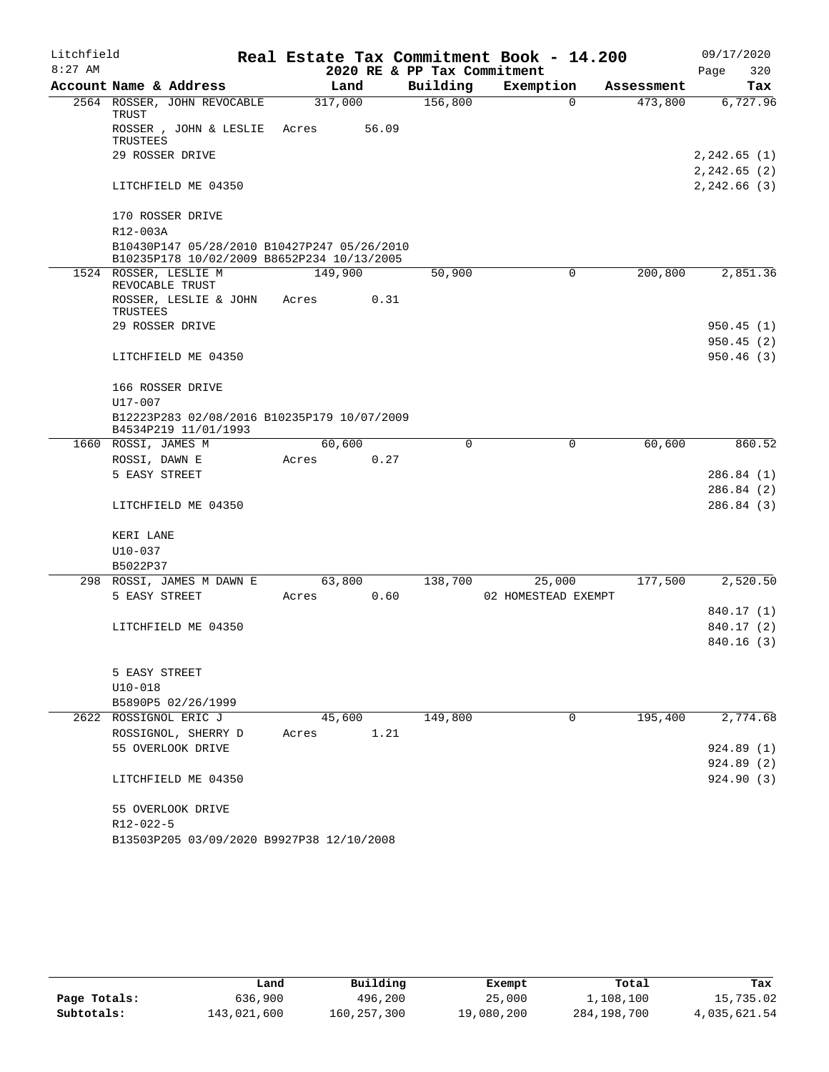| Litchfield |                                      |                                                                                           |         |       |                             | Real Estate Tax Commitment Book - 14.200 |            | 09/17/2020      |
|------------|--------------------------------------|-------------------------------------------------------------------------------------------|---------|-------|-----------------------------|------------------------------------------|------------|-----------------|
| $8:27$ AM  |                                      |                                                                                           |         |       | 2020 RE & PP Tax Commitment |                                          |            | Page<br>320     |
|            | Account Name & Address               |                                                                                           | Land    |       | Building                    | Exemption                                | Assessment | Tax             |
|            | 2564 ROSSER, JOHN REVOCABLE<br>TRUST |                                                                                           | 317,000 |       | 156,800                     | $\Omega$                                 | 473,800    | 6,727.96        |
|            | TRUSTEES                             | ROSSER, JOHN & LESLIE                                                                     | Acres   | 56.09 |                             |                                          |            |                 |
|            | 29 ROSSER DRIVE                      |                                                                                           |         |       |                             |                                          |            | $2, 242.65$ (1) |
|            |                                      |                                                                                           |         |       |                             |                                          |            | 2,242.65 (2)    |
|            | LITCHFIELD ME 04350                  |                                                                                           |         |       |                             |                                          |            | 2,242.66 (3)    |
|            | 170 ROSSER DRIVE                     |                                                                                           |         |       |                             |                                          |            |                 |
|            | R12-003A                             |                                                                                           |         |       |                             |                                          |            |                 |
|            |                                      | B10430P147 05/28/2010 B10427P247 05/26/2010<br>B10235P178 10/02/2009 B8652P234 10/13/2005 |         |       |                             |                                          |            |                 |
|            | 1524 ROSSER, LESLIE M                |                                                                                           | 149,900 |       | 50,900                      | 0                                        | 200,800    | 2,851.36        |
|            | REVOCABLE TRUST                      |                                                                                           |         |       |                             |                                          |            |                 |
|            | ROSSER, LESLIE & JOHN<br>TRUSTEES    |                                                                                           | Acres   | 0.31  |                             |                                          |            |                 |
|            | 29 ROSSER DRIVE                      |                                                                                           |         |       |                             |                                          |            | 950.45(1)       |
|            |                                      |                                                                                           |         |       |                             |                                          |            | 950.45(2)       |
|            | LITCHFIELD ME 04350                  |                                                                                           |         |       |                             |                                          |            | 950.46(3)       |
|            | 166 ROSSER DRIVE                     |                                                                                           |         |       |                             |                                          |            |                 |
|            | $U17 - 007$                          |                                                                                           |         |       |                             |                                          |            |                 |
|            | B4534P219 11/01/1993                 | B12223P283 02/08/2016 B10235P179 10/07/2009                                               |         |       |                             |                                          |            |                 |
|            | 1660 ROSSI, JAMES M                  |                                                                                           | 60,600  |       | $\Omega$                    | $\mathbf 0$                              | 60,600     | 860.52          |
|            | ROSSI, DAWN E                        |                                                                                           | Acres   | 0.27  |                             |                                          |            |                 |
|            | 5 EASY STREET                        |                                                                                           |         |       |                             |                                          |            | 286.84(1)       |
|            |                                      |                                                                                           |         |       |                             |                                          |            | 286.84(2)       |
|            | LITCHFIELD ME 04350                  |                                                                                           |         |       |                             |                                          |            | 286.84(3)       |
|            | KERI LANE                            |                                                                                           |         |       |                             |                                          |            |                 |
|            | $U10 - 037$                          |                                                                                           |         |       |                             |                                          |            |                 |
|            | B5022P37                             |                                                                                           |         |       |                             |                                          |            |                 |
| 298        | ROSSI, JAMES M DAWN E                |                                                                                           | 63,800  |       | 138,700                     | 25,000                                   | 177,500    | 2,520.50        |
|            | 5 EASY STREET                        |                                                                                           | Acres   | 0.60  |                             | 02 HOMESTEAD EXEMPT                      |            |                 |
|            |                                      |                                                                                           |         |       |                             |                                          |            | 840.17 (1)      |
|            | LITCHFIELD ME 04350                  |                                                                                           |         |       |                             |                                          |            | 840.17 (2)      |
|            |                                      |                                                                                           |         |       |                             |                                          |            | 840.16(3)       |
|            |                                      |                                                                                           |         |       |                             |                                          |            |                 |
|            | 5 EASY STREET                        |                                                                                           |         |       |                             |                                          |            |                 |
|            | $U10-018$                            |                                                                                           |         |       |                             |                                          |            |                 |
|            | B5890P5 02/26/1999                   |                                                                                           |         |       |                             |                                          |            |                 |
|            | 2622 ROSSIGNOL ERIC J                |                                                                                           | 45,600  |       | 149,800                     | 0                                        | 195,400    | 2,774.68        |
|            | ROSSIGNOL, SHERRY D                  |                                                                                           | Acres   | 1.21  |                             |                                          |            |                 |
|            | 55 OVERLOOK DRIVE                    |                                                                                           |         |       |                             |                                          |            | 924.89(1)       |
|            |                                      |                                                                                           |         |       |                             |                                          |            | 924.89(2)       |
|            | LITCHFIELD ME 04350                  |                                                                                           |         |       |                             |                                          |            | 924.90(3)       |
|            | 55 OVERLOOK DRIVE                    |                                                                                           |         |       |                             |                                          |            |                 |
|            | R12-022-5                            |                                                                                           |         |       |                             |                                          |            |                 |
|            |                                      | B13503P205 03/09/2020 B9927P38 12/10/2008                                                 |         |       |                             |                                          |            |                 |

|              | Land        | Building    | Exempt     | Total       | Tax          |
|--------------|-------------|-------------|------------|-------------|--------------|
| Page Totals: | 636,900     | 496,200     | 25,000     | 1,108,100   | 15,735.02    |
| Subtotals:   | 143,021,600 | 160,257,300 | 19,080,200 | 284,198,700 | 4,035,621.54 |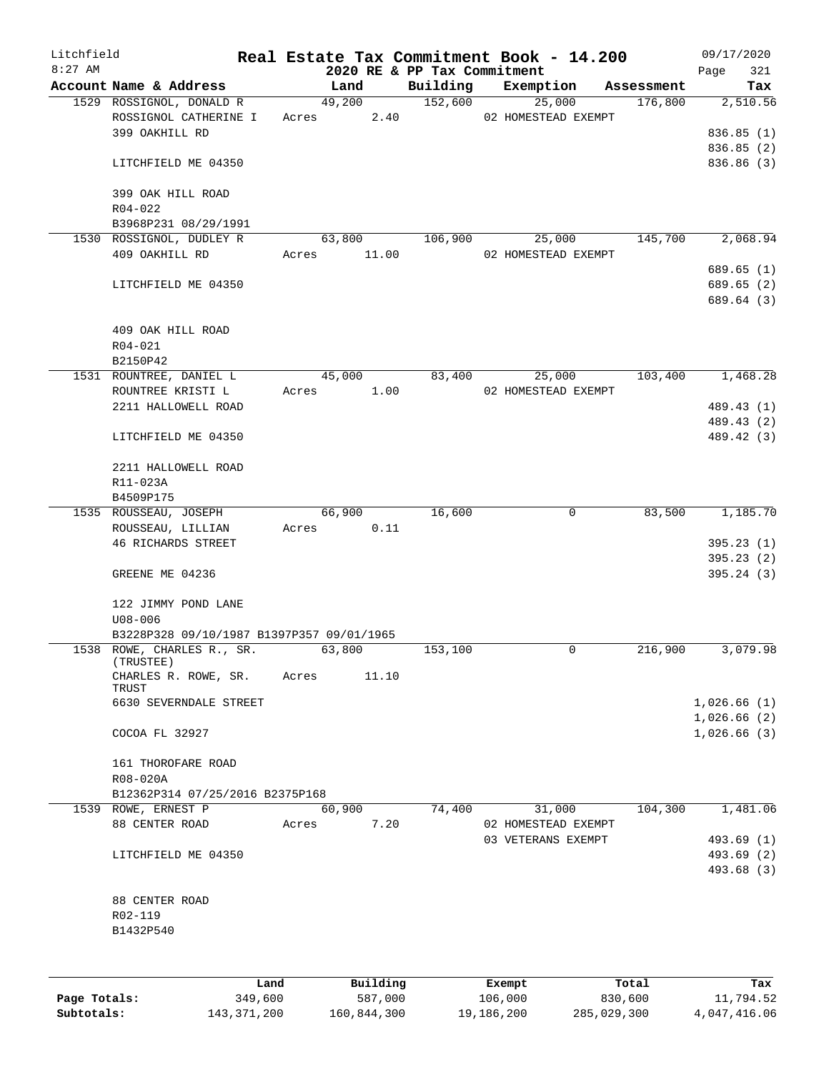| Litchfield<br>$8:27$ AM |                                           |         |       |             |          | 2020 RE & PP Tax Commitment | Real Estate Tax Commitment Book - 14.200  |             |            | 09/17/2020<br>Page<br>321  |
|-------------------------|-------------------------------------------|---------|-------|-------------|----------|-----------------------------|-------------------------------------------|-------------|------------|----------------------------|
|                         | Account Name & Address                    |         |       | Land        |          | Building                    | Exemption                                 |             | Assessment | Tax                        |
|                         | 1529 ROSSIGNOL, DONALD R                  |         |       | 49,200      |          | 152,600                     | 25,000                                    |             | 176,800    | 2,510.56                   |
|                         | ROSSIGNOL CATHERINE I                     |         |       |             |          | Acres 2.40                  | 02 HOMESTEAD EXEMPT                       |             |            |                            |
|                         | 399 OAKHILL RD                            |         |       |             |          |                             |                                           |             |            | 836.85(1)                  |
|                         |                                           |         |       |             |          |                             |                                           |             |            | 836.85 (2)                 |
|                         | LITCHFIELD ME 04350                       |         |       |             |          |                             |                                           |             |            | 836.86(3)                  |
|                         | 399 OAK HILL ROAD                         |         |       |             |          |                             |                                           |             |            |                            |
|                         | $R04 - 022$                               |         |       |             |          |                             |                                           |             |            |                            |
|                         | B3968P231 08/29/1991                      |         |       |             |          |                             |                                           |             |            |                            |
|                         | 1530 ROSSIGNOL, DUDLEY R                  |         |       | 63,800      |          | 106,900                     | 25,000                                    |             | 145,700    | 2,068.94                   |
|                         | 409 OAKHILL RD                            |         |       | Acres 11.00 |          |                             | 02 HOMESTEAD EXEMPT                       |             |            |                            |
|                         |                                           |         |       |             |          |                             |                                           |             |            | 689.65 (1)                 |
|                         | LITCHFIELD ME 04350                       |         |       |             |          |                             |                                           |             |            | 689.65 (2)                 |
|                         |                                           |         |       |             |          |                             |                                           |             |            | 689.64 (3)                 |
|                         | 409 OAK HILL ROAD                         |         |       |             |          |                             |                                           |             |            |                            |
|                         | $R04 - 021$                               |         |       |             |          |                             |                                           |             |            |                            |
|                         | B2150P42                                  |         |       |             |          |                             |                                           |             |            |                            |
|                         | 1531 ROUNTREE, DANIEL L                   |         |       | 45,000      |          |                             | 83,400<br>25,000                          |             | 103,400    | 1,468.28                   |
|                         | ROUNTREE KRISTI L                         |         | Acres |             | 1.00     |                             | 02 HOMESTEAD EXEMPT                       |             |            |                            |
|                         | 2211 HALLOWELL ROAD                       |         |       |             |          |                             |                                           |             |            | 489.43 (1)                 |
|                         |                                           |         |       |             |          |                             |                                           |             |            | 489.43 (2)                 |
|                         | LITCHFIELD ME 04350                       |         |       |             |          |                             |                                           |             |            | 489.42 (3)                 |
|                         | 2211 HALLOWELL ROAD                       |         |       |             |          |                             |                                           |             |            |                            |
|                         | R11-023A                                  |         |       |             |          |                             |                                           |             |            |                            |
|                         | B4509P175                                 |         |       |             |          |                             |                                           |             |            |                            |
|                         | 1535 ROUSSEAU, JOSEPH                     |         |       | 66,900      |          | 16,600                      |                                           | $\mathbf 0$ | 83,500     | 1,185.70                   |
|                         | ROUSSEAU, LILLIAN                         |         |       | Acres       | 0.11     |                             |                                           |             |            |                            |
|                         | <b>46 RICHARDS STREET</b>                 |         |       |             |          |                             |                                           |             |            | 395.23(1)                  |
|                         |                                           |         |       |             |          |                             |                                           |             |            | 395.23(2)                  |
|                         | GREENE ME 04236                           |         |       |             |          |                             |                                           |             |            | 395.24(3)                  |
|                         |                                           |         |       |             |          |                             |                                           |             |            |                            |
|                         | 122 JIMMY POND LANE                       |         |       |             |          |                             |                                           |             |            |                            |
|                         | $U08 - 006$                               |         |       |             |          |                             |                                           |             |            |                            |
|                         | B3228P328 09/10/1987 B1397P357 09/01/1965 |         |       |             |          |                             |                                           |             |            |                            |
|                         | 1538 ROWE, CHARLES R., SR.<br>(TRUSTEE)   |         |       | 63,800      |          | 153,100                     |                                           | 0           | 216,900    | 3,079.98                   |
|                         | CHARLES R. ROWE, SR.                      |         | Acres |             | 11.10    |                             |                                           |             |            |                            |
|                         | TRUST                                     |         |       |             |          |                             |                                           |             |            |                            |
|                         | 6630 SEVERNDALE STREET                    |         |       |             |          |                             |                                           |             |            | 1,026.66(1)                |
|                         | COCOA FL 32927                            |         |       |             |          |                             |                                           |             |            | 1,026.66(2)<br>1,026.66(3) |
|                         |                                           |         |       |             |          |                             |                                           |             |            |                            |
|                         | 161 THOROFARE ROAD                        |         |       |             |          |                             |                                           |             |            |                            |
|                         | R08-020A                                  |         |       |             |          |                             |                                           |             |            |                            |
|                         | B12362P314 07/25/2016 B2375P168           |         |       |             |          |                             |                                           |             |            |                            |
|                         | 1539 ROWE, ERNEST P                       |         |       | 60,900      |          | 74,400                      | 31,000                                    |             | 104,300    | 1,481.06                   |
|                         | 88 CENTER ROAD                            |         | Acres |             | 7.20     |                             | 02 HOMESTEAD EXEMPT<br>03 VETERANS EXEMPT |             |            | 493.69 (1)                 |
|                         | LITCHFIELD ME 04350                       |         |       |             |          |                             |                                           |             |            | 493.69 (2)                 |
|                         |                                           |         |       |             |          |                             |                                           |             |            | 493.68 (3)                 |
|                         |                                           |         |       |             |          |                             |                                           |             |            |                            |
|                         | 88 CENTER ROAD                            |         |       |             |          |                             |                                           |             |            |                            |
|                         | R02-119                                   |         |       |             |          |                             |                                           |             |            |                            |
|                         | B1432P540                                 |         |       |             |          |                             |                                           |             |            |                            |
|                         |                                           |         |       |             |          |                             |                                           |             |            |                            |
|                         |                                           | Land    |       |             | Building |                             | Exempt                                    |             | Total      | Tax                        |
| Page Totals:            |                                           | 349,600 |       |             | 587,000  |                             | 106,000                                   |             | 830,600    | 11,794.52                  |

**Subtotals:** 143,371,200 160,844,300 19,186,200 285,029,300 4,047,416.06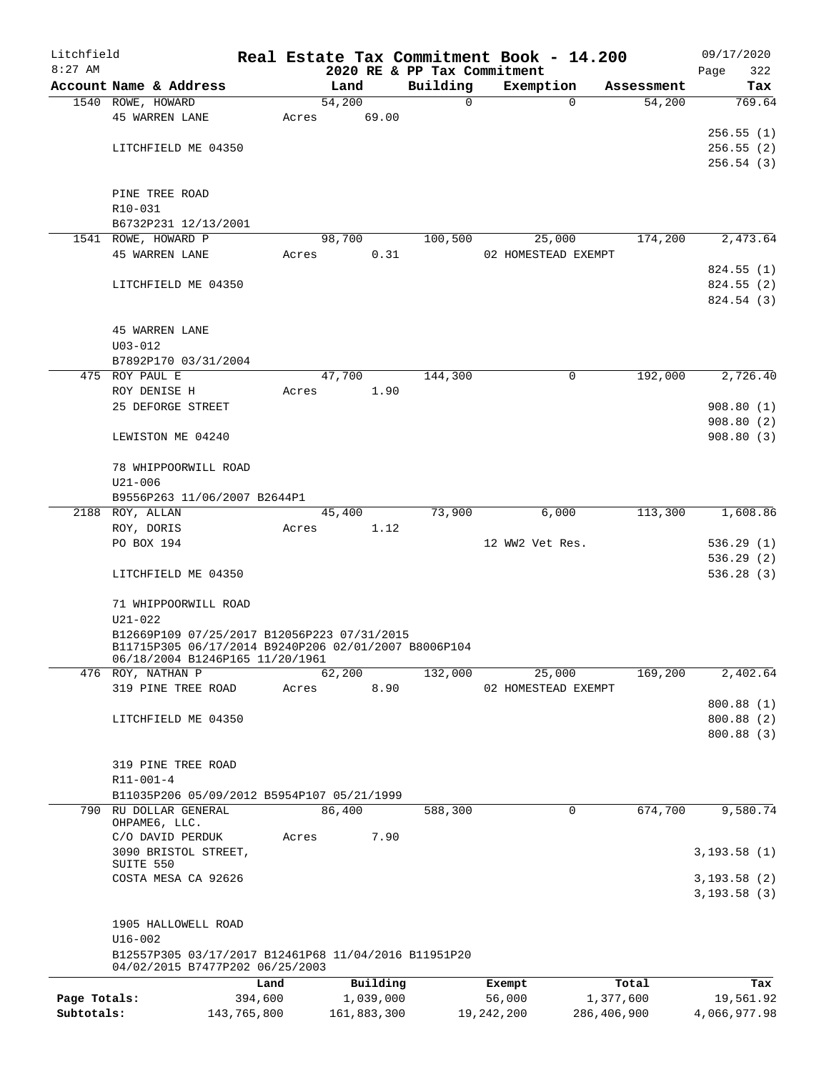| Litchfield   |                                                                                                     |             |       |        |             | Real Estate Tax Commitment Book - 14.200 |                     |          |             | 09/17/2020                   |
|--------------|-----------------------------------------------------------------------------------------------------|-------------|-------|--------|-------------|------------------------------------------|---------------------|----------|-------------|------------------------------|
| $8:27$ AM    |                                                                                                     |             |       |        |             | 2020 RE & PP Tax Commitment              |                     |          |             | 322<br>Page                  |
|              | Account Name & Address                                                                              |             |       | Land   |             | Building<br>$\mathsf{O}$                 | Exemption           | $\Omega$ | Assessment  | Tax<br>769.64                |
|              | 1540 ROWE, HOWARD<br><b>45 WARREN LANE</b>                                                          |             | Acres | 54,200 | 69.00       |                                          |                     |          | 54,200      |                              |
|              |                                                                                                     |             |       |        |             |                                          |                     |          |             | 256.55(1)                    |
|              | LITCHFIELD ME 04350                                                                                 |             |       |        |             |                                          |                     |          |             | 256.55(2)                    |
|              |                                                                                                     |             |       |        |             |                                          |                     |          |             | 256.54(3)                    |
|              |                                                                                                     |             |       |        |             |                                          |                     |          |             |                              |
|              | PINE TREE ROAD                                                                                      |             |       |        |             |                                          |                     |          |             |                              |
|              | R10-031                                                                                             |             |       |        |             |                                          |                     |          |             |                              |
|              | B6732P231 12/13/2001                                                                                |             |       |        |             |                                          |                     |          |             |                              |
|              | 1541 ROWE, HOWARD P                                                                                 |             |       | 98,700 |             | 100,500                                  |                     | 25,000   | 174,200     | 2,473.64                     |
|              | <b>45 WARREN LANE</b>                                                                               |             | Acres |        | 0.31        |                                          | 02 HOMESTEAD EXEMPT |          |             |                              |
|              |                                                                                                     |             |       |        |             |                                          |                     |          |             | 824.55 (1)                   |
|              | LITCHFIELD ME 04350                                                                                 |             |       |        |             |                                          |                     |          |             | 824.55(2)                    |
|              |                                                                                                     |             |       |        |             |                                          |                     |          |             | 824.54 (3)                   |
|              |                                                                                                     |             |       |        |             |                                          |                     |          |             |                              |
|              | <b>45 WARREN LANE</b>                                                                               |             |       |        |             |                                          |                     |          |             |                              |
|              | $U03 - 012$                                                                                         |             |       |        |             |                                          |                     |          |             |                              |
|              | B7892P170 03/31/2004<br>475 ROY PAUL E                                                              |             |       | 47,700 |             | 144,300                                  |                     | 0        | 192,000     | 2,726.40                     |
|              | ROY DENISE H                                                                                        |             | Acres |        | 1.90        |                                          |                     |          |             |                              |
|              | 25 DEFORGE STREET                                                                                   |             |       |        |             |                                          |                     |          |             | 908.80(1)                    |
|              |                                                                                                     |             |       |        |             |                                          |                     |          |             | 908.80(2)                    |
|              | LEWISTON ME 04240                                                                                   |             |       |        |             |                                          |                     |          |             | 908.80(3)                    |
|              |                                                                                                     |             |       |        |             |                                          |                     |          |             |                              |
|              | 78 WHIPPOORWILL ROAD                                                                                |             |       |        |             |                                          |                     |          |             |                              |
|              | $U21 - 006$                                                                                         |             |       |        |             |                                          |                     |          |             |                              |
|              | B9556P263 11/06/2007 B2644P1                                                                        |             |       |        |             |                                          |                     |          |             |                              |
|              | 2188 ROY, ALLAN                                                                                     |             |       | 45,400 |             | 73,900                                   |                     | 6,000    | 113,300     | 1,608.86                     |
|              | ROY, DORIS                                                                                          |             | Acres |        | 1.12        |                                          |                     |          |             |                              |
|              | PO BOX 194                                                                                          |             |       |        |             |                                          | 12 WW2 Vet Res.     |          |             | 536.29(1)                    |
|              |                                                                                                     |             |       |        |             |                                          |                     |          |             | 536.29(2)                    |
|              | LITCHFIELD ME 04350                                                                                 |             |       |        |             |                                          |                     |          |             | 536.28(3)                    |
|              |                                                                                                     |             |       |        |             |                                          |                     |          |             |                              |
|              | 71 WHIPPOORWILL ROAD                                                                                |             |       |        |             |                                          |                     |          |             |                              |
|              | $U21 - 022$                                                                                         |             |       |        |             |                                          |                     |          |             |                              |
|              | B12669P109 07/25/2017 B12056P223 07/31/2015<br>B11715P305 06/17/2014 B9240P206 02/01/2007 B8006P104 |             |       |        |             |                                          |                     |          |             |                              |
|              | 06/18/2004 B1246P165 11/20/1961                                                                     |             |       |        |             |                                          |                     |          |             |                              |
|              | 476 ROY, NATHAN P                                                                                   |             |       | 62,200 |             | 132,000                                  |                     | 25,000   | 169,200     | 2,402.64                     |
|              | 319 PINE TREE ROAD                                                                                  |             | Acres |        | 8.90        |                                          | 02 HOMESTEAD EXEMPT |          |             |                              |
|              |                                                                                                     |             |       |        |             |                                          |                     |          |             | 800.88 (1)                   |
|              | LITCHFIELD ME 04350                                                                                 |             |       |        |             |                                          |                     |          |             | 800.88 (2)                   |
|              |                                                                                                     |             |       |        |             |                                          |                     |          |             | 800.88 (3)                   |
|              |                                                                                                     |             |       |        |             |                                          |                     |          |             |                              |
|              | 319 PINE TREE ROAD<br>$R11 - 001 - 4$                                                               |             |       |        |             |                                          |                     |          |             |                              |
|              | B11035P206 05/09/2012 B5954P107 05/21/1999                                                          |             |       |        |             |                                          |                     |          |             |                              |
| 790          | RU DOLLAR GENERAL                                                                                   |             |       | 86,400 |             | 588,300                                  |                     | 0        | 674,700     | 9,580.74                     |
|              | OHPAME6, LLC.                                                                                       |             |       |        |             |                                          |                     |          |             |                              |
|              | C/O DAVID PERDUK                                                                                    |             | Acres |        | 7.90        |                                          |                     |          |             |                              |
|              | 3090 BRISTOL STREET,                                                                                |             |       |        |             |                                          |                     |          |             | 3, 193.58(1)                 |
|              | SUITE 550                                                                                           |             |       |        |             |                                          |                     |          |             |                              |
|              | COSTA MESA CA 92626                                                                                 |             |       |        |             |                                          |                     |          |             | 3, 193.58(2)<br>3, 193.58(3) |
|              | 1905 HALLOWELL ROAD                                                                                 |             |       |        |             |                                          |                     |          |             |                              |
|              | $U16 - 002$                                                                                         |             |       |        |             |                                          |                     |          |             |                              |
|              | B12557P305 03/17/2017 B12461P68 11/04/2016 B11951P20<br>04/02/2015 B7477P202 06/25/2003             |             |       |        |             |                                          |                     |          |             |                              |
|              |                                                                                                     | Land        |       |        | Building    |                                          | Exempt              |          | Total       | Tax                          |
| Page Totals: |                                                                                                     | 394,600     |       |        | 1,039,000   |                                          | 56,000              |          | 1,377,600   | 19,561.92                    |
| Subtotals:   |                                                                                                     | 143,765,800 |       |        | 161,883,300 |                                          | 19,242,200          |          | 286,406,900 | 4,066,977.98                 |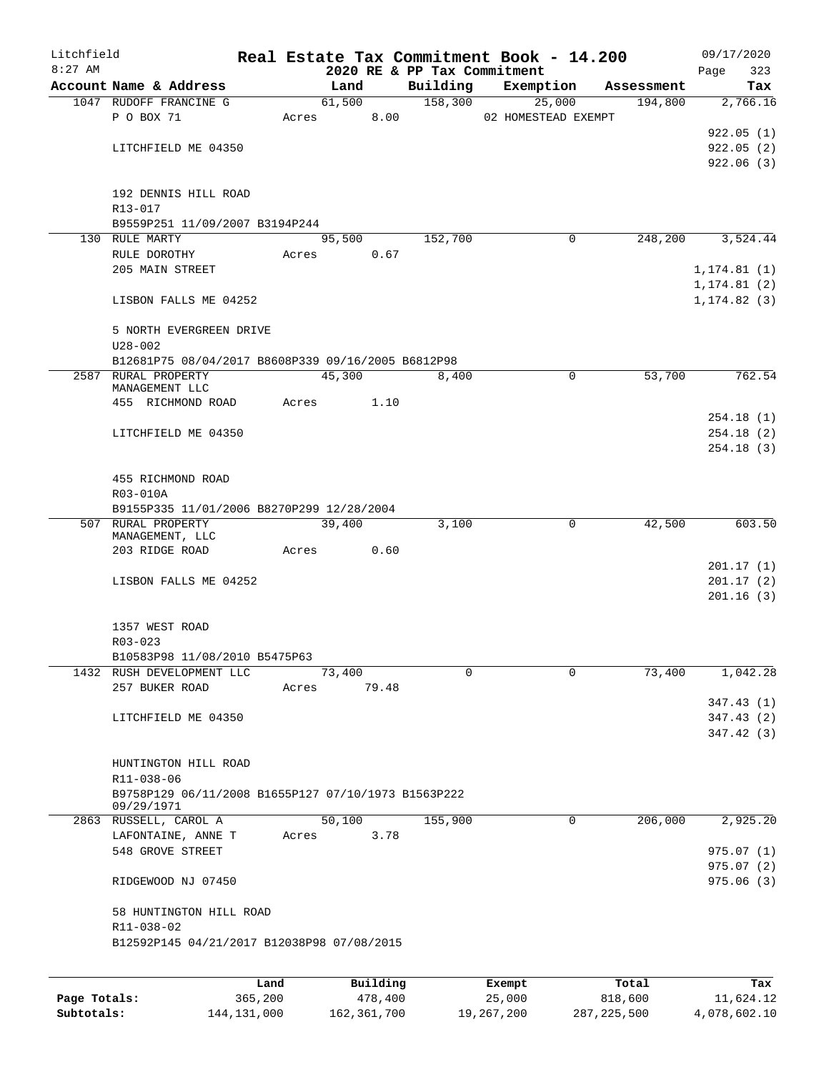| Litchfield   |                                                     |         |       |          |          | Real Estate Tax Commitment Book - 14.200 |            | 09/17/2020   |
|--------------|-----------------------------------------------------|---------|-------|----------|----------|------------------------------------------|------------|--------------|
| $8:27$ AM    |                                                     |         |       |          |          | 2020 RE & PP Tax Commitment              |            | 323<br>Page  |
|              | Account Name & Address                              |         |       | Land     | Building | Exemption                                | Assessment | Tax          |
|              | 1047 RUDOFF FRANCINE G                              |         |       | 61,500   | 158,300  | 25,000                                   | 194,800    | 2,766.16     |
|              | P O BOX 71                                          |         | Acres | 8.00     |          | 02 HOMESTEAD EXEMPT                      |            |              |
|              |                                                     |         |       |          |          |                                          |            | 922.05(1)    |
|              | LITCHFIELD ME 04350                                 |         |       |          |          |                                          |            | 922.05(2)    |
|              |                                                     |         |       |          |          |                                          |            | 922.06(3)    |
|              | 192 DENNIS HILL ROAD                                |         |       |          |          |                                          |            |              |
|              | $R13 - 017$                                         |         |       |          |          |                                          |            |              |
|              |                                                     |         |       |          |          |                                          |            |              |
|              | B9559P251 11/09/2007 B3194P244<br>130 RULE MARTY    |         |       |          | 152,700  | 0                                        |            |              |
|              |                                                     |         |       | 95,500   |          |                                          | 248,200    | 3,524.44     |
|              | RULE DOROTHY                                        |         | Acres | 0.67     |          |                                          |            |              |
|              | 205 MAIN STREET                                     |         |       |          |          |                                          |            | 1, 174.81(1) |
|              |                                                     |         |       |          |          |                                          |            | 1, 174.81(2) |
|              | LISBON FALLS ME 04252                               |         |       |          |          |                                          |            | 1, 174.82(3) |
|              |                                                     |         |       |          |          |                                          |            |              |
|              | 5 NORTH EVERGREEN DRIVE                             |         |       |          |          |                                          |            |              |
|              | $U28 - 002$                                         |         |       |          |          |                                          |            |              |
|              | B12681P75 08/04/2017 B8608P339 09/16/2005 B6812P98  |         |       |          |          |                                          |            |              |
|              | 2587 RURAL PROPERTY<br>MANAGEMENT LLC               |         |       | 45,300   | 8,400    | $\mathbf 0$                              | 53,700     | 762.54       |
|              | 455 RICHMOND ROAD                                   | Acres   |       | 1.10     |          |                                          |            |              |
|              |                                                     |         |       |          |          |                                          |            | 254.18(1)    |
|              | LITCHFIELD ME 04350                                 |         |       |          |          |                                          |            | 254.18(2)    |
|              |                                                     |         |       |          |          |                                          |            | 254.18(3)    |
|              |                                                     |         |       |          |          |                                          |            |              |
|              | 455 RICHMOND ROAD                                   |         |       |          |          |                                          |            |              |
|              | R03-010A                                            |         |       |          |          |                                          |            |              |
|              | B9155P335 11/01/2006 B8270P299 12/28/2004           |         |       |          |          |                                          |            |              |
|              | 507 RURAL PROPERTY                                  |         |       | 39,400   | 3,100    | 0                                        | 42,500     | 603.50       |
|              | MANAGEMENT, LLC                                     |         |       |          |          |                                          |            |              |
|              | 203 RIDGE ROAD                                      |         | Acres | 0.60     |          |                                          |            |              |
|              |                                                     |         |       |          |          |                                          |            | 201.17(1)    |
|              | LISBON FALLS ME 04252                               |         |       |          |          |                                          |            | 201.17(2)    |
|              |                                                     |         |       |          |          |                                          |            | 201.16(3)    |
|              |                                                     |         |       |          |          |                                          |            |              |
|              | 1357 WEST ROAD                                      |         |       |          |          |                                          |            |              |
|              | $R03 - 023$                                         |         |       |          |          |                                          |            |              |
|              | B10583P98 11/08/2010 B5475P63                       |         |       |          |          |                                          |            |              |
|              | 1432 RUSH DEVELOPMENT LLC                           |         |       | 73,400   | $\Omega$ | 0                                        | 73,400     | 1,042.28     |
|              | 257 BUKER ROAD                                      | Acres   |       | 79.48    |          |                                          |            |              |
|              |                                                     |         |       |          |          |                                          |            | 347.43(1)    |
|              | LITCHFIELD ME 04350                                 |         |       |          |          |                                          |            | 347.43(2)    |
|              |                                                     |         |       |          |          |                                          |            | 347.42(3)    |
|              |                                                     |         |       |          |          |                                          |            |              |
|              | HUNTINGTON HILL ROAD                                |         |       |          |          |                                          |            |              |
|              | R11-038-06                                          |         |       |          |          |                                          |            |              |
|              | B9758P129 06/11/2008 B1655P127 07/10/1973 B1563P222 |         |       |          |          |                                          |            |              |
|              | 09/29/1971                                          |         |       |          |          |                                          |            |              |
|              | 2863 RUSSELL, CAROL A                               |         |       | 50,100   | 155,900  | 0                                        | 206,000    | 2,925.20     |
|              | LAFONTAINE, ANNE T                                  | Acres   |       | 3.78     |          |                                          |            |              |
|              | 548 GROVE STREET                                    |         |       |          |          |                                          |            | 975.07(1)    |
|              |                                                     |         |       |          |          |                                          |            | 975.07(2)    |
|              | RIDGEWOOD NJ 07450                                  |         |       |          |          |                                          |            | 975.06(3)    |
|              |                                                     |         |       |          |          |                                          |            |              |
|              | 58 HUNTINGTON HILL ROAD                             |         |       |          |          |                                          |            |              |
|              | R11-038-02                                          |         |       |          |          |                                          |            |              |
|              | B12592P145 04/21/2017 B12038P98 07/08/2015          |         |       |          |          |                                          |            |              |
|              |                                                     |         |       |          |          |                                          |            |              |
|              |                                                     | Land    |       | Building |          | Exempt                                   | Total      | Tax          |
| Page Totals: |                                                     | 365,200 |       | 478,400  |          | 25,000                                   | 818,600    | 11,624.12    |
|              |                                                     |         |       |          |          |                                          |            |              |

**Subtotals:** 144,131,000 162,361,700 19,267,200 287,225,500 4,078,602.10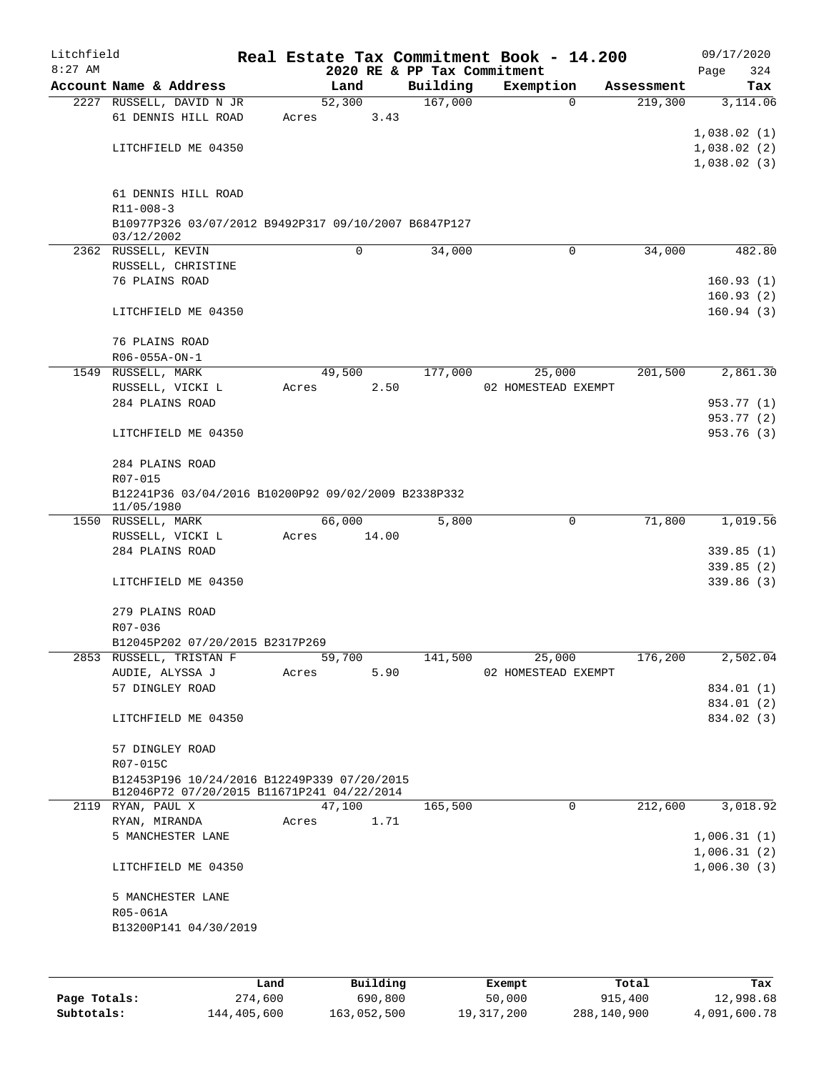| Litchfield |                                                                                           |       |        |                             | Real Estate Tax Commitment Book - 14.200 |            | 09/17/2020  |
|------------|-------------------------------------------------------------------------------------------|-------|--------|-----------------------------|------------------------------------------|------------|-------------|
| $8:27$ AM  |                                                                                           |       |        | 2020 RE & PP Tax Commitment |                                          |            | 324<br>Page |
|            | Account Name & Address                                                                    |       | Land   | Building                    | Exemption                                | Assessment | Tax         |
|            | 2227 RUSSELL, DAVID N JR                                                                  |       | 52,300 | 167,000                     | $\Omega$                                 | 219,300    | 3,114.06    |
|            | 61 DENNIS HILL ROAD                                                                       | Acres | 3.43   |                             |                                          |            |             |
|            |                                                                                           |       |        |                             |                                          |            | 1,038.02(1) |
|            | LITCHFIELD ME 04350                                                                       |       |        |                             |                                          |            | 1,038.02(2) |
|            |                                                                                           |       |        |                             |                                          |            | 1,038.02(3) |
|            |                                                                                           |       |        |                             |                                          |            |             |
|            | 61 DENNIS HILL ROAD                                                                       |       |        |                             |                                          |            |             |
|            | $R11 - 008 - 3$                                                                           |       |        |                             |                                          |            |             |
|            | B10977P326 03/07/2012 B9492P317 09/10/2007 B6847P127                                      |       |        |                             |                                          |            |             |
|            | 03/12/2002                                                                                |       |        |                             |                                          |            |             |
|            | 2362 RUSSELL, KEVIN                                                                       |       | 0      | 34,000                      | 0                                        | 34,000     | 482.80      |
|            | RUSSELL, CHRISTINE                                                                        |       |        |                             |                                          |            |             |
|            | 76 PLAINS ROAD                                                                            |       |        |                             |                                          |            | 160.93(1)   |
|            |                                                                                           |       |        |                             |                                          |            | 160.93(2)   |
|            | LITCHFIELD ME 04350                                                                       |       |        |                             |                                          |            | 160.94(3)   |
|            |                                                                                           |       |        |                             |                                          |            |             |
|            | 76 PLAINS ROAD                                                                            |       |        |                             |                                          |            |             |
|            | R06-055A-ON-1                                                                             |       |        |                             |                                          |            |             |
| 1549       | RUSSELL, MARK                                                                             |       | 49,500 | 177,000                     | 25,000                                   | 201,500    | 2,861.30    |
|            | RUSSELL, VICKI L                                                                          | Acres | 2.50   |                             | 02 HOMESTEAD EXEMPT                      |            |             |
|            | 284 PLAINS ROAD                                                                           |       |        |                             |                                          |            | 953.77 (1)  |
|            |                                                                                           |       |        |                             |                                          |            | 953.77 (2)  |
|            | LITCHFIELD ME 04350                                                                       |       |        |                             |                                          |            | 953.76 (3)  |
|            |                                                                                           |       |        |                             |                                          |            |             |
|            | 284 PLAINS ROAD                                                                           |       |        |                             |                                          |            |             |
|            | R07-015                                                                                   |       |        |                             |                                          |            |             |
|            | B12241P36 03/04/2016 B10200P92 09/02/2009 B2338P332<br>11/05/1980                         |       |        |                             |                                          |            |             |
|            | 1550 RUSSELL, MARK                                                                        |       | 66,000 | 5,800                       | 0                                        | 71,800     | 1,019.56    |
|            | RUSSELL, VICKI L                                                                          | Acres | 14.00  |                             |                                          |            |             |
|            | 284 PLAINS ROAD                                                                           |       |        |                             |                                          |            | 339.85(1)   |
|            |                                                                                           |       |        |                             |                                          |            | 339.85(2)   |
|            | LITCHFIELD ME 04350                                                                       |       |        |                             |                                          |            | 339.86(3)   |
|            |                                                                                           |       |        |                             |                                          |            |             |
|            | 279 PLAINS ROAD                                                                           |       |        |                             |                                          |            |             |
|            | R07-036                                                                                   |       |        |                             |                                          |            |             |
|            | B12045P202 07/20/2015 B2317P269                                                           |       |        |                             |                                          |            |             |
|            | 2853 RUSSELL, TRISTAN F                                                                   |       | 59,700 | 141,500                     | 25,000                                   | 176,200    | 2,502.04    |
|            | AUDIE, ALYSSA J                                                                           | Acres | 5.90   |                             | 02 HOMESTEAD EXEMPT                      |            |             |
|            | 57 DINGLEY ROAD                                                                           |       |        |                             |                                          |            | 834.01 (1)  |
|            |                                                                                           |       |        |                             |                                          |            | 834.01 (2)  |
|            | LITCHFIELD ME 04350                                                                       |       |        |                             |                                          |            | 834.02 (3)  |
|            |                                                                                           |       |        |                             |                                          |            |             |
|            | 57 DINGLEY ROAD                                                                           |       |        |                             |                                          |            |             |
|            | R07-015C                                                                                  |       |        |                             |                                          |            |             |
|            | B12453P196 10/24/2016 B12249P339 07/20/2015<br>B12046P72 07/20/2015 B11671P241 04/22/2014 |       |        |                             |                                          |            |             |
|            | 2119 RYAN, PAUL X                                                                         |       | 47,100 | 165,500                     | $\mathbf 0$                              | 212,600    | 3,018.92    |
|            | RYAN, MIRANDA                                                                             | Acres | 1.71   |                             |                                          |            |             |
|            | 5 MANCHESTER LANE                                                                         |       |        |                             |                                          |            | 1,006.31(1) |
|            |                                                                                           |       |        |                             |                                          |            | 1,006.31(2) |
|            | LITCHFIELD ME 04350                                                                       |       |        |                             |                                          |            | 1,006.30(3) |
|            |                                                                                           |       |        |                             |                                          |            |             |
|            | 5 MANCHESTER LANE                                                                         |       |        |                             |                                          |            |             |
|            | R05-061A                                                                                  |       |        |                             |                                          |            |             |
|            | B13200P141 04/30/2019                                                                     |       |        |                             |                                          |            |             |
|            |                                                                                           |       |        |                             |                                          |            |             |
|            |                                                                                           |       |        |                             |                                          |            |             |
|            |                                                                                           |       |        |                             |                                          |            |             |

|              | Land        | Building    | Exempt     | Total       | Tax          |
|--------------|-------------|-------------|------------|-------------|--------------|
| Page Totals: | 274,600     | 690,800     | 50,000     | 915,400     | 12,998.68    |
| Subtotals:   | 144,405,600 | 163,052,500 | 19,317,200 | 288,140,900 | 4,091,600.78 |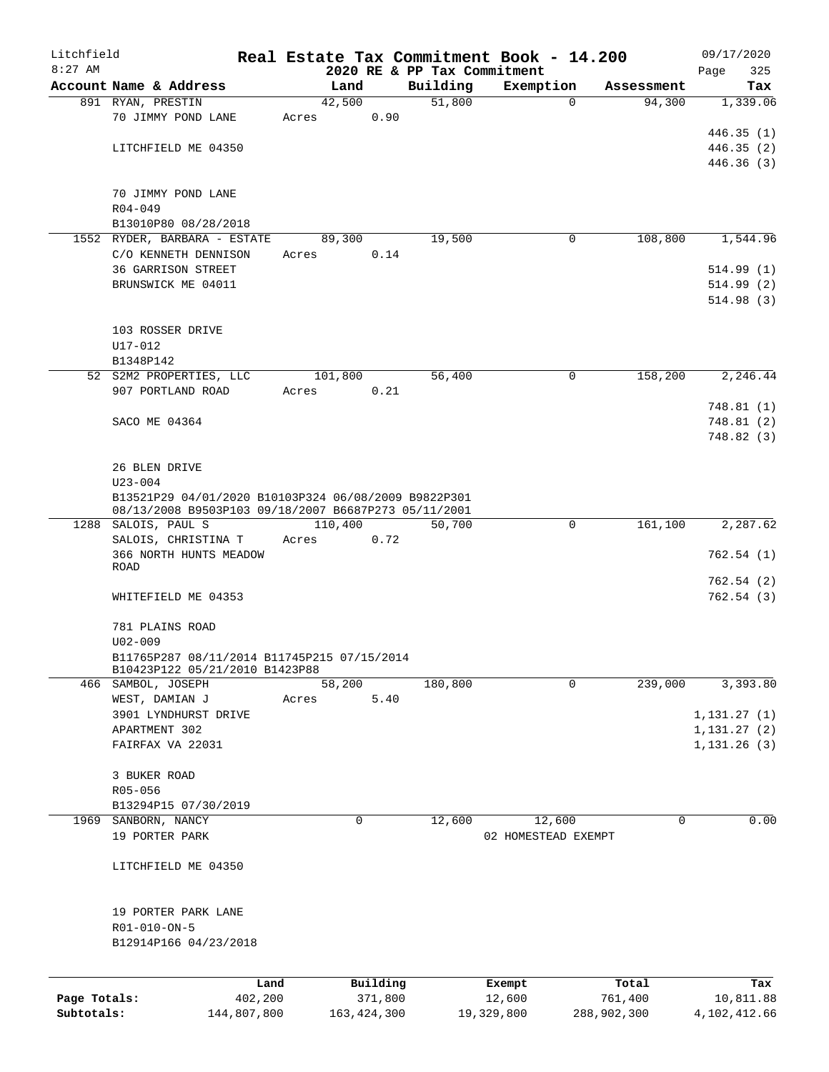| Litchfield   |                                                      |                 |       |                |          |                             |                  | Real Estate Tax Commitment Book - 14.200 |                      | 09/17/2020       |
|--------------|------------------------------------------------------|-----------------|-------|----------------|----------|-----------------------------|------------------|------------------------------------------|----------------------|------------------|
| $8:27$ AM    |                                                      |                 |       |                |          | 2020 RE & PP Tax Commitment |                  |                                          |                      | 325<br>Page      |
|              | Account Name & Address                               |                 |       | Land<br>42,500 |          | Building<br>51,800          |                  | Exemption<br>$\Omega$                    | Assessment<br>94,300 | Tax<br>1,339.06  |
|              | 891 RYAN, PRESTIN<br>70 JIMMY POND LANE              |                 | Acres |                | 0.90     |                             |                  |                                          |                      |                  |
|              |                                                      |                 |       |                |          |                             |                  |                                          |                      | 446.35(1)        |
|              | LITCHFIELD ME 04350                                  |                 |       |                |          |                             |                  |                                          |                      | 446.35 (2)       |
|              |                                                      |                 |       |                |          |                             |                  |                                          |                      | 446.36(3)        |
|              |                                                      |                 |       |                |          |                             |                  |                                          |                      |                  |
|              | 70 JIMMY POND LANE                                   |                 |       |                |          |                             |                  |                                          |                      |                  |
|              | $R04 - 049$                                          |                 |       |                |          |                             |                  |                                          |                      |                  |
|              | B13010P80 08/28/2018                                 |                 |       |                |          |                             |                  |                                          |                      |                  |
|              | 1552 RYDER, BARBARA - ESTATE                         |                 |       | 89,300         |          | 19,500                      |                  | 0                                        | 108,800              | 1,544.96         |
|              | C/O KENNETH DENNISON                                 |                 | Acres |                | 0.14     |                             |                  |                                          |                      |                  |
|              | <b>36 GARRISON STREET</b>                            |                 |       |                |          |                             |                  |                                          |                      | 514.99(1)        |
|              | BRUNSWICK ME 04011                                   |                 |       |                |          |                             |                  |                                          |                      | 514.99(2)        |
|              |                                                      |                 |       |                |          |                             |                  |                                          |                      | 514.98(3)        |
|              |                                                      |                 |       |                |          |                             |                  |                                          |                      |                  |
|              | 103 ROSSER DRIVE                                     |                 |       |                |          |                             |                  |                                          |                      |                  |
|              | U17-012                                              |                 |       |                |          |                             |                  |                                          |                      |                  |
|              | B1348P142                                            |                 |       |                |          |                             |                  |                                          |                      |                  |
|              | 52 S2M2 PROPERTIES, LLC                              |                 |       | 101,800        |          | 56,400                      |                  | $\mathbf 0$                              | 158,200              | 2,246.44         |
|              | 907 PORTLAND ROAD                                    |                 | Acres |                | 0.21     |                             |                  |                                          |                      |                  |
|              |                                                      |                 |       |                |          |                             |                  |                                          |                      | 748.81 (1)       |
|              | SACO ME 04364                                        |                 |       |                |          |                             |                  |                                          |                      | 748.81 (2)       |
|              |                                                      |                 |       |                |          |                             |                  |                                          |                      | 748.82 (3)       |
|              |                                                      |                 |       |                |          |                             |                  |                                          |                      |                  |
|              | 26 BLEN DRIVE                                        |                 |       |                |          |                             |                  |                                          |                      |                  |
|              | $U23 - 004$                                          |                 |       |                |          |                             |                  |                                          |                      |                  |
|              | B13521P29 04/01/2020 B10103P324 06/08/2009 B9822P301 |                 |       |                |          |                             |                  |                                          |                      |                  |
|              | 08/13/2008 B9503P103 09/18/2007 B6687P273 05/11/2001 |                 |       |                |          |                             |                  |                                          |                      |                  |
|              | 1288 SALOIS, PAUL S                                  |                 |       | 110,400        |          | 50,700                      |                  | $\mathbf 0$                              | 161,100              | 2,287.62         |
|              | SALOIS, CHRISTINA T                                  |                 | Acres |                | 0.72     |                             |                  |                                          |                      |                  |
|              | 366 NORTH HUNTS MEADOW<br>ROAD                       |                 |       |                |          |                             |                  |                                          |                      | 762.54(1)        |
|              |                                                      |                 |       |                |          |                             |                  |                                          |                      | 762.54 (2)       |
|              | WHITEFIELD ME 04353                                  |                 |       |                |          |                             |                  |                                          |                      | 762.54(3)        |
|              |                                                      |                 |       |                |          |                             |                  |                                          |                      |                  |
|              | 781 PLAINS ROAD                                      |                 |       |                |          |                             |                  |                                          |                      |                  |
|              | $U02 - 009$                                          |                 |       |                |          |                             |                  |                                          |                      |                  |
|              | B11765P287 08/11/2014 B11745P215 07/15/2014          |                 |       |                |          |                             |                  |                                          |                      |                  |
|              | B10423P122 05/21/2010 B1423P88                       |                 |       |                |          |                             |                  |                                          |                      |                  |
|              | 466 SAMBOL, JOSEPH                                   |                 |       | 58,200         |          | 180,800                     |                  | 0                                        | 239,000              | 3,393.80         |
|              | WEST, DAMIAN J                                       |                 | Acres |                | 5.40     |                             |                  |                                          |                      |                  |
|              | 3901 LYNDHURST DRIVE                                 |                 |       |                |          |                             |                  |                                          |                      | 1, 131.27(1)     |
|              | APARTMENT 302                                        |                 |       |                |          |                             |                  |                                          |                      | 1, 131.27(2)     |
|              | FAIRFAX VA 22031                                     |                 |       |                |          |                             |                  |                                          |                      | 1, 131.26(3)     |
|              |                                                      |                 |       |                |          |                             |                  |                                          |                      |                  |
|              | 3 BUKER ROAD                                         |                 |       |                |          |                             |                  |                                          |                      |                  |
|              | R05-056                                              |                 |       |                |          |                             |                  |                                          |                      |                  |
|              | B13294P15 07/30/2019                                 |                 |       |                |          |                             |                  |                                          |                      |                  |
|              | 1969 SANBORN, NANCY                                  |                 |       | 0              |          | 12,600                      |                  | 12,600                                   | 0                    | 0.00             |
|              | 19 PORTER PARK                                       |                 |       |                |          |                             |                  | 02 HOMESTEAD EXEMPT                      |                      |                  |
|              |                                                      |                 |       |                |          |                             |                  |                                          |                      |                  |
|              | LITCHFIELD ME 04350                                  |                 |       |                |          |                             |                  |                                          |                      |                  |
|              | 19 PORTER PARK LANE                                  |                 |       |                |          |                             |                  |                                          |                      |                  |
|              | R01-010-ON-5                                         |                 |       |                |          |                             |                  |                                          |                      |                  |
|              | B12914P166 04/23/2018                                |                 |       |                |          |                             |                  |                                          |                      |                  |
|              |                                                      |                 |       |                |          |                             |                  |                                          |                      |                  |
|              |                                                      |                 |       |                | Building |                             |                  |                                          | Total                |                  |
| Page Totals: |                                                      | Land<br>402,200 |       |                | 371,800  |                             | Exempt<br>12,600 |                                          | 761,400              | Tax<br>10,811.88 |
| Subtotals:   |                                                      | 144,807,800     |       | 163, 424, 300  |          |                             | 19,329,800       | 288,902,300                              |                      | 4,102,412.66     |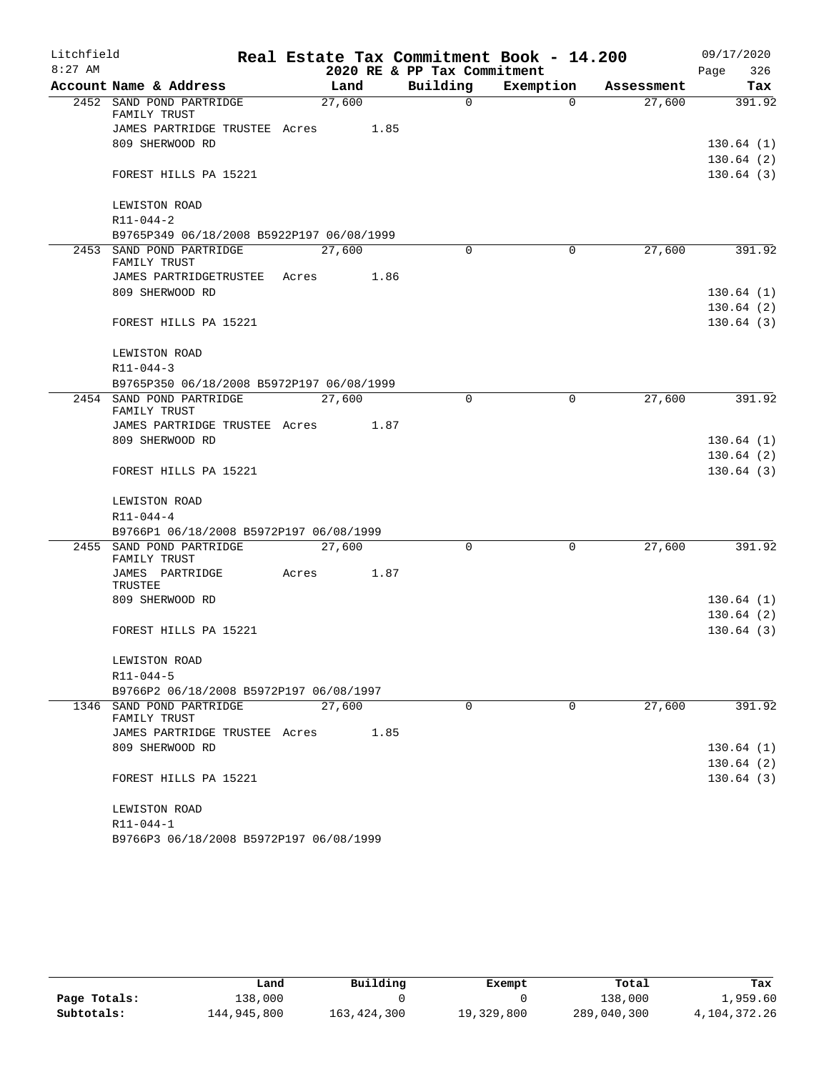| Litchfield<br>$8:27$ AM |                                           |        |        | 2020 RE & PP Tax Commitment | Real Estate Tax Commitment Book - 14.200 |            | 09/17/2020<br>326<br>Page |
|-------------------------|-------------------------------------------|--------|--------|-----------------------------|------------------------------------------|------------|---------------------------|
|                         | Account Name & Address                    |        | Land   | Building                    | Exemption                                | Assessment | Tax                       |
|                         | 2452 SAND POND PARTRIDGE<br>FAMILY TRUST  |        | 27,600 | 0                           | $\Omega$                                 | 27,600     | 391.92                    |
|                         | JAMES PARTRIDGE TRUSTEE Acres             |        | 1.85   |                             |                                          |            |                           |
|                         | 809 SHERWOOD RD                           |        |        |                             |                                          |            | 130.64(1)                 |
|                         |                                           |        |        |                             |                                          |            | 130.64(2)                 |
|                         | FOREST HILLS PA 15221                     |        |        |                             |                                          |            | 130.64(3)                 |
|                         | LEWISTON ROAD                             |        |        |                             |                                          |            |                           |
|                         | $R11 - 044 - 2$                           |        |        |                             |                                          |            |                           |
|                         | B9765P349 06/18/2008 B5922P197 06/08/1999 |        |        |                             |                                          |            |                           |
|                         | 2453 SAND POND PARTRIDGE<br>FAMILY TRUST  |        | 27,600 | 0                           | 0                                        | 27,600     | 391.92                    |
|                         | JAMES PARTRIDGETRUSTEE                    | Acres  | 1.86   |                             |                                          |            |                           |
|                         | 809 SHERWOOD RD                           |        |        |                             |                                          |            | 130.64(1)                 |
|                         |                                           |        |        |                             |                                          |            | 130.64(2)                 |
|                         | FOREST HILLS PA 15221                     |        |        |                             |                                          |            | 130.64(3)                 |
|                         | LEWISTON ROAD                             |        |        |                             |                                          |            |                           |
|                         | $R11 - 044 - 3$                           |        |        |                             |                                          |            |                           |
|                         | B9765P350 06/18/2008 B5972P197 06/08/1999 |        |        |                             |                                          |            |                           |
|                         | 2454 SAND POND PARTRIDGE<br>FAMILY TRUST  | 27,600 |        | $\Omega$                    | 0                                        | 27,600     | 391.92                    |
|                         | JAMES PARTRIDGE TRUSTEE Acres             |        | 1.87   |                             |                                          |            |                           |
|                         | 809 SHERWOOD RD                           |        |        |                             |                                          |            | 130.64(1)                 |
|                         |                                           |        |        |                             |                                          |            | 130.64(2)                 |
|                         | FOREST HILLS PA 15221                     |        |        |                             |                                          |            | 130.64(3)                 |
|                         | LEWISTON ROAD                             |        |        |                             |                                          |            |                           |
|                         | $R11 - 044 - 4$                           |        |        |                             |                                          |            |                           |
|                         | B9766P1 06/18/2008 B5972P197 06/08/1999   |        |        |                             |                                          |            |                           |
|                         | 2455 SAND POND PARTRIDGE<br>FAMILY TRUST  | 27,600 |        | $\Omega$                    | 0                                        | 27,600     | 391.92                    |
|                         | JAMES PARTRIDGE<br>TRUSTEE                | Acres  | 1.87   |                             |                                          |            |                           |
|                         | 809 SHERWOOD RD                           |        |        |                             |                                          |            | 130.64(1)                 |
|                         |                                           |        |        |                             |                                          |            | 130.64(2)                 |
|                         | FOREST HILLS PA 15221                     |        |        |                             |                                          |            | 130.64(3)                 |
|                         | LEWISTON ROAD                             |        |        |                             |                                          |            |                           |
|                         | R11-044-5                                 |        |        |                             |                                          |            |                           |
|                         | B9766P2 06/18/2008 B5972P197 06/08/1997   |        |        |                             |                                          |            |                           |
|                         | 1346 SAND POND PARTRIDGE<br>FAMILY TRUST  |        | 27,600 | $\Omega$                    | $\Omega$                                 | 27,600     | 391.92                    |
|                         | JAMES PARTRIDGE TRUSTEE Acres             |        | 1.85   |                             |                                          |            |                           |
|                         | 809 SHERWOOD RD                           |        |        |                             |                                          |            | 130.64(1)                 |
|                         |                                           |        |        |                             |                                          |            | 130.64(2)                 |
|                         | FOREST HILLS PA 15221                     |        |        |                             |                                          |            | 130.64(3)                 |
|                         | LEWISTON ROAD                             |        |        |                             |                                          |            |                           |
|                         | R11-044-1                                 |        |        |                             |                                          |            |                           |
|                         | B9766P3 06/18/2008 B5972P197 06/08/1999   |        |        |                             |                                          |            |                           |

|              | Land        | Building      | Exempt     | Total       | Tax          |
|--------------|-------------|---------------|------------|-------------|--------------|
| Page Totals: | 138,000     |               |            | 138,000     | 1,959.60     |
| Subtotals:   | 144,945,800 | 163, 424, 300 | 19,329,800 | 289,040,300 | 4,104,372.26 |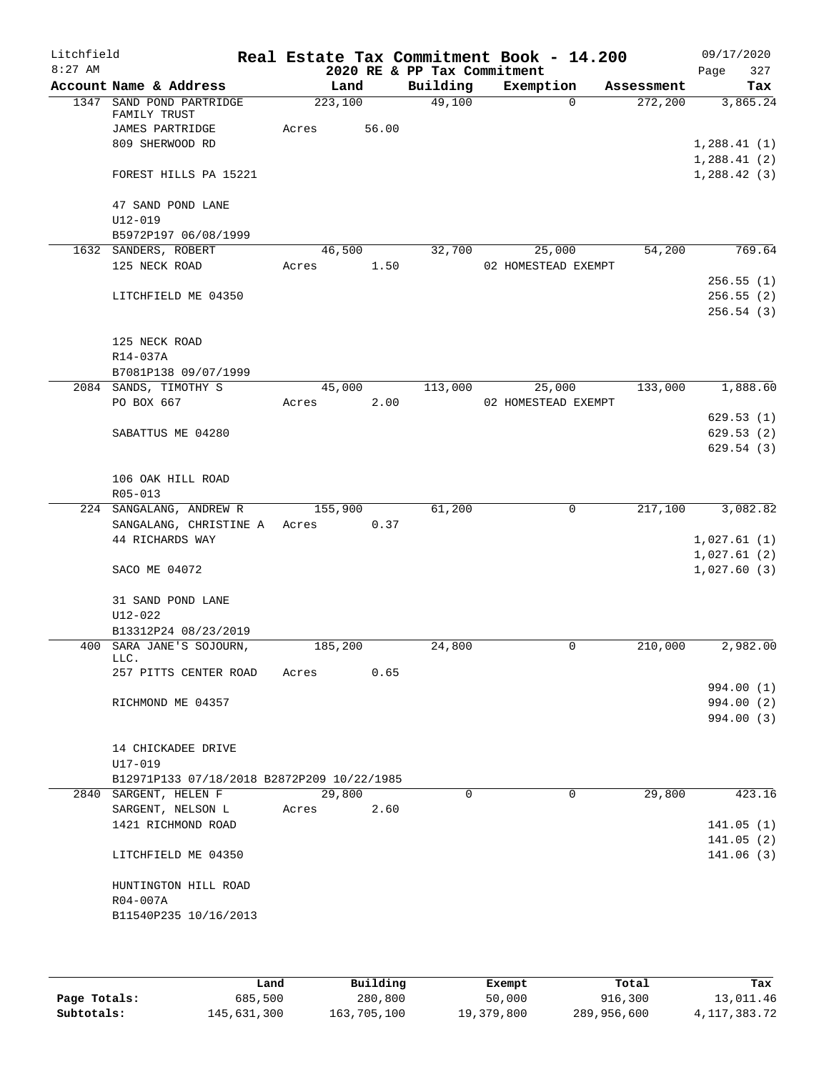| Litchfield |                                                                     |         |        |                             | Real Estate Tax Commitment Book - 14.200 |             |            |      | 09/17/2020             |
|------------|---------------------------------------------------------------------|---------|--------|-----------------------------|------------------------------------------|-------------|------------|------|------------------------|
| $8:27$ AM  |                                                                     |         |        | 2020 RE & PP Tax Commitment |                                          |             |            | Page | 327                    |
|            | Account Name & Address                                              | Land    |        | Building                    | Exemption                                |             | Assessment |      | Tax                    |
|            | 1347 SAND POND PARTRIDGE<br>FAMILY TRUST                            | 223,100 |        | 49,100                      |                                          | $\Omega$    | 272,200    |      | 3,865.24               |
|            | JAMES PARTRIDGE                                                     | Acres   | 56.00  |                             |                                          |             |            |      |                        |
|            | 809 SHERWOOD RD                                                     |         |        |                             |                                          |             |            |      | 1,288.41(1)            |
|            |                                                                     |         |        |                             |                                          |             |            |      | 1,288.41(2)            |
|            | FOREST HILLS PA 15221                                               |         |        |                             |                                          |             |            |      | 1,288.42(3)            |
|            | 47 SAND POND LANE                                                   |         |        |                             |                                          |             |            |      |                        |
|            | $U12 - 019$                                                         |         |        |                             |                                          |             |            |      |                        |
|            | B5972P197 06/08/1999                                                |         |        |                             |                                          |             |            |      |                        |
|            | 1632 SANDERS, ROBERT                                                |         | 46,500 | 32,700                      | 25,000                                   |             | 54,200     |      | 769.64                 |
|            | 125 NECK ROAD                                                       | Acres   | 1.50   |                             | 02 HOMESTEAD EXEMPT                      |             |            |      |                        |
|            | LITCHFIELD ME 04350                                                 |         |        |                             |                                          |             |            |      | 256.55(1)<br>256.55(2) |
|            |                                                                     |         |        |                             |                                          |             |            |      | 256.54(3)              |
|            | 125 NECK ROAD                                                       |         |        |                             |                                          |             |            |      |                        |
|            | R14-037A                                                            |         |        |                             |                                          |             |            |      |                        |
|            | B7081P138 09/07/1999                                                |         |        |                             |                                          |             |            |      |                        |
|            | 2084 SANDS, TIMOTHY S                                               |         | 45,000 | 113,000                     | 25,000                                   |             | 133,000    |      | 1,888.60               |
|            | PO BOX 667                                                          | Acres   | 2.00   |                             | 02 HOMESTEAD EXEMPT                      |             |            |      |                        |
|            |                                                                     |         |        |                             |                                          |             |            |      | 629.53(1)              |
|            | SABATTUS ME 04280                                                   |         |        |                             |                                          |             |            |      | 629.53(2)              |
|            |                                                                     |         |        |                             |                                          |             |            |      | 629.54(3)              |
|            |                                                                     |         |        |                             |                                          |             |            |      |                        |
|            | 106 OAK HILL ROAD                                                   |         |        |                             |                                          |             |            |      |                        |
|            | R05-013                                                             |         |        |                             |                                          |             |            |      |                        |
|            | 224 SANGALANG, ANDREW R                                             | 155,900 |        | 61,200                      |                                          | $\mathbf 0$ | 217,100    |      | 3,082.82               |
|            | SANGALANG, CHRISTINE A Acres<br>44 RICHARDS WAY                     |         | 0.37   |                             |                                          |             |            |      | 1,027.61(1)            |
|            |                                                                     |         |        |                             |                                          |             |            |      | 1,027.61(2)            |
|            | SACO ME 04072                                                       |         |        |                             |                                          |             |            |      | 1,027.60(3)            |
|            | 31 SAND POND LANE                                                   |         |        |                             |                                          |             |            |      |                        |
|            | $U12 - 022$                                                         |         |        |                             |                                          |             |            |      |                        |
|            | B13312P24 08/23/2019                                                |         |        |                             |                                          |             |            |      |                        |
|            | 400 SARA JANE'S SOJOURN,<br>LLC.                                    | 185,200 |        | 24,800                      |                                          | $\mathbf 0$ | 210,000    |      | 2,982.00               |
|            | 257 PITTS CENTER ROAD                                               | Acres   | 0.65   |                             |                                          |             |            |      |                        |
|            |                                                                     |         |        |                             |                                          |             |            |      | 994.00 (1)             |
|            | RICHMOND ME 04357                                                   |         |        |                             |                                          |             |            |      | 994.00 (2)             |
|            |                                                                     |         |        |                             |                                          |             |            |      | 994.00 (3)             |
|            |                                                                     |         |        |                             |                                          |             |            |      |                        |
|            | 14 CHICKADEE DRIVE                                                  |         |        |                             |                                          |             |            |      |                        |
|            | U17-019                                                             |         |        |                             |                                          |             |            |      |                        |
|            | B12971P133 07/18/2018 B2872P209 10/22/1985<br>2840 SARGENT, HELEN F | 29,800  |        | $\Omega$                    |                                          | $\Omega$    | 29,800     |      | 423.16                 |
|            | SARGENT, NELSON L                                                   | Acres   | 2.60   |                             |                                          |             |            |      |                        |
|            | 1421 RICHMOND ROAD                                                  |         |        |                             |                                          |             |            |      | 141.05(1)              |
|            |                                                                     |         |        |                             |                                          |             |            |      | 141.05(2)              |
|            | LITCHFIELD ME 04350                                                 |         |        |                             |                                          |             |            |      | 141.06(3)              |
|            | HUNTINGTON HILL ROAD                                                |         |        |                             |                                          |             |            |      |                        |
|            | R04-007A                                                            |         |        |                             |                                          |             |            |      |                        |
|            | B11540P235 10/16/2013                                               |         |        |                             |                                          |             |            |      |                        |
|            |                                                                     |         |        |                             |                                          |             |            |      |                        |
|            |                                                                     |         |        |                             |                                          |             |            |      |                        |

|              | Land        | Building    | Exempt     | Total       | Tax          |
|--------------|-------------|-------------|------------|-------------|--------------|
| Page Totals: | 685,500     | 280,800     | 50,000     | 916,300     | 13,011.46    |
| Subtotals:   | 145,631,300 | 163,705,100 | 19,379,800 | 289,956,600 | 4,117,383.72 |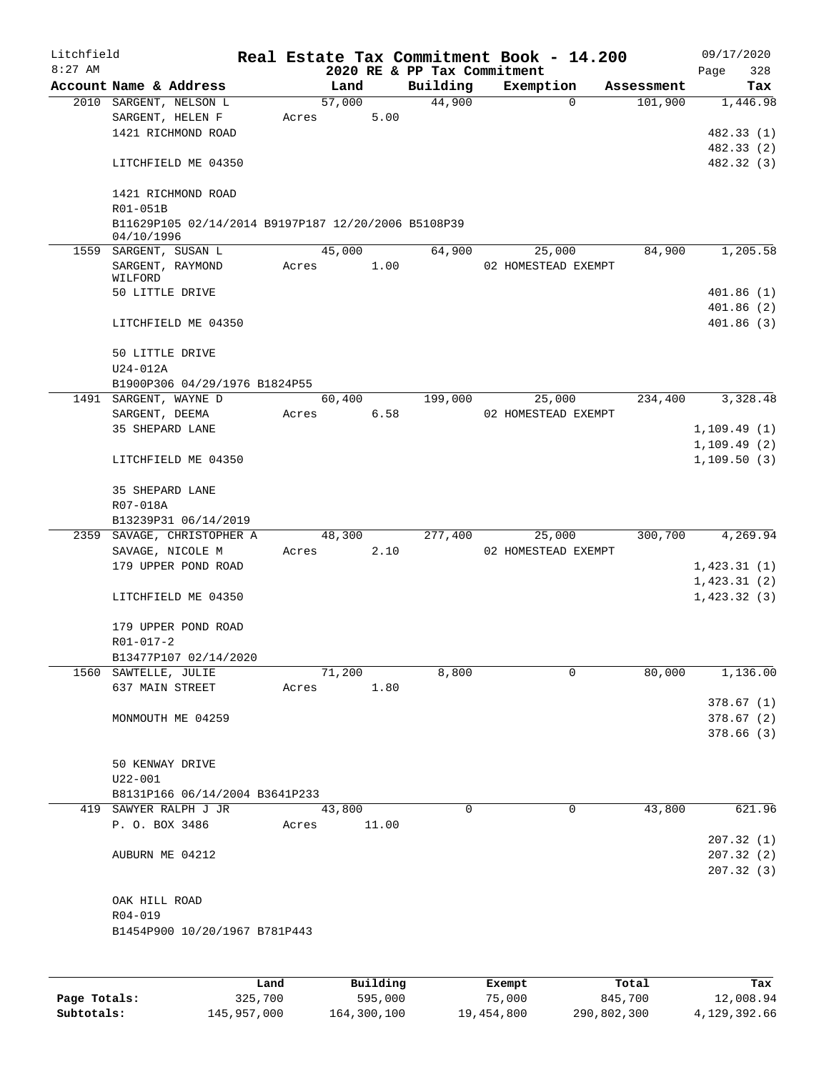| Litchfield |                                                                   |       |             |      |                             | Real Estate Tax Commitment Book - 14.200 |            | 09/17/2020                 |
|------------|-------------------------------------------------------------------|-------|-------------|------|-----------------------------|------------------------------------------|------------|----------------------------|
| $8:27$ AM  |                                                                   |       |             |      | 2020 RE & PP Tax Commitment |                                          |            | 328<br>Page                |
|            | Account Name & Address                                            |       | Land        |      | Building                    | Exemption                                | Assessment | Tax                        |
|            | 2010 SARGENT, NELSON L                                            |       | 57,000      | 5.00 | 44,900                      | $\Omega$                                 | 101,900    | 1,446.98                   |
|            | SARGENT, HELEN F<br>1421 RICHMOND ROAD                            | Acres |             |      |                             |                                          |            | 482.33 (1)                 |
|            |                                                                   |       |             |      |                             |                                          |            | 482.33 (2)                 |
|            | LITCHFIELD ME 04350                                               |       |             |      |                             |                                          |            | 482.32 (3)                 |
|            | 1421 RICHMOND ROAD<br>R01-051B                                    |       |             |      |                             |                                          |            |                            |
|            | B11629P105 02/14/2014 B9197P187 12/20/2006 B5108P39<br>04/10/1996 |       |             |      |                             |                                          |            |                            |
|            | 1559 SARGENT, SUSAN L                                             |       | 45,000      |      | 64,900                      | 25,000                                   | 84,900     | 1,205.58                   |
|            | SARGENT, RAYMOND<br>WILFORD                                       | Acres |             | 1.00 |                             | 02 HOMESTEAD EXEMPT                      |            |                            |
|            | 50 LITTLE DRIVE                                                   |       |             |      |                             |                                          |            | 401.86(1)                  |
|            | LITCHFIELD ME 04350                                               |       |             |      |                             |                                          |            | 401.86(2)<br>401.86(3)     |
|            | 50 LITTLE DRIVE                                                   |       |             |      |                             |                                          |            |                            |
|            | $U24-012A$                                                        |       |             |      |                             |                                          |            |                            |
|            | B1900P306 04/29/1976 B1824P55                                     |       |             |      |                             |                                          |            | 3,328.48                   |
|            | 1491 SARGENT, WAYNE D<br>SARGENT, DEEMA                           | Acres |             | 6.58 | 60,400 199,000              | 25,000<br>02 HOMESTEAD EXEMPT            | 234,400    |                            |
|            | 35 SHEPARD LANE                                                   |       |             |      |                             |                                          |            | 1,109.49(1)                |
|            |                                                                   |       |             |      |                             |                                          |            | 1,109.49(2)                |
|            | LITCHFIELD ME 04350                                               |       |             |      |                             |                                          |            | 1,109.50(3)                |
|            | 35 SHEPARD LANE                                                   |       |             |      |                             |                                          |            |                            |
|            | R07-018A                                                          |       |             |      |                             |                                          |            |                            |
|            | B13239P31 06/14/2019                                              |       |             |      |                             |                                          |            |                            |
|            | 2359 SAVAGE, CHRISTOPHER A                                        |       | 48,300      |      | 277,400                     | 25,000                                   | 300,700    | 4,269.94                   |
|            | SAVAGE, NICOLE M                                                  |       | Acres 2.10  |      |                             | 02 HOMESTEAD EXEMPT                      |            |                            |
|            | 179 UPPER POND ROAD                                               |       |             |      |                             |                                          |            | 1,423.31(1)                |
|            | LITCHFIELD ME 04350                                               |       |             |      |                             |                                          |            | 1,423.31(2)<br>1,423.32(3) |
|            | 179 UPPER POND ROAD                                               |       |             |      |                             |                                          |            |                            |
|            | $R01 - 017 - 2$                                                   |       |             |      |                             |                                          |            |                            |
|            | B13477P107 02/14/2020                                             |       |             |      |                             |                                          |            |                            |
|            | 1560 SAWTELLE, JULIE                                              |       | 71,200      |      | 8,800                       | $\mathbf 0$                              | 80,000     | 1,136.00                   |
|            | 637 MAIN STREET                                                   |       | Acres 1.80  |      |                             |                                          |            |                            |
|            | MONMOUTH ME 04259                                                 |       |             |      |                             |                                          |            | 378.67(1)                  |
|            |                                                                   |       |             |      |                             |                                          |            | 378.67(2)<br>378.66 (3)    |
|            |                                                                   |       |             |      |                             |                                          |            |                            |
|            | 50 KENWAY DRIVE                                                   |       |             |      |                             |                                          |            |                            |
|            | $U22 - 001$                                                       |       |             |      |                             |                                          |            |                            |
|            | B8131P166 06/14/2004 B3641P233                                    |       |             |      |                             |                                          |            |                            |
|            | 419 SAWYER RALPH J JR                                             |       | 43,800      |      | 0                           | 0                                        | 43,800     | 621.96                     |
|            | P. O. BOX 3486                                                    |       | Acres 11.00 |      |                             |                                          |            |                            |
|            |                                                                   |       |             |      |                             |                                          |            | 207.32(1)                  |
|            | AUBURN ME 04212                                                   |       |             |      |                             |                                          |            | 207.32(2)                  |
|            |                                                                   |       |             |      |                             |                                          |            | 207.32(3)                  |
|            |                                                                   |       |             |      |                             |                                          |            |                            |
|            | OAK HILL ROAD                                                     |       |             |      |                             |                                          |            |                            |
|            | R04-019                                                           |       |             |      |                             |                                          |            |                            |
|            | B1454P900 10/20/1967 B781P443                                     |       |             |      |                             |                                          |            |                            |
|            |                                                                   |       |             |      |                             |                                          |            |                            |
|            |                                                                   |       |             |      |                             |                                          |            |                            |

|              | Land        | Building    | Exempt     | Total       | Tax          |
|--------------|-------------|-------------|------------|-------------|--------------|
| Page Totals: | 325,700     | 595,000     | 75,000     | 845,700     | 12,008.94    |
| Subtotals:   | 145,957,000 | 164,300,100 | 19,454,800 | 290,802,300 | 4,129,392.66 |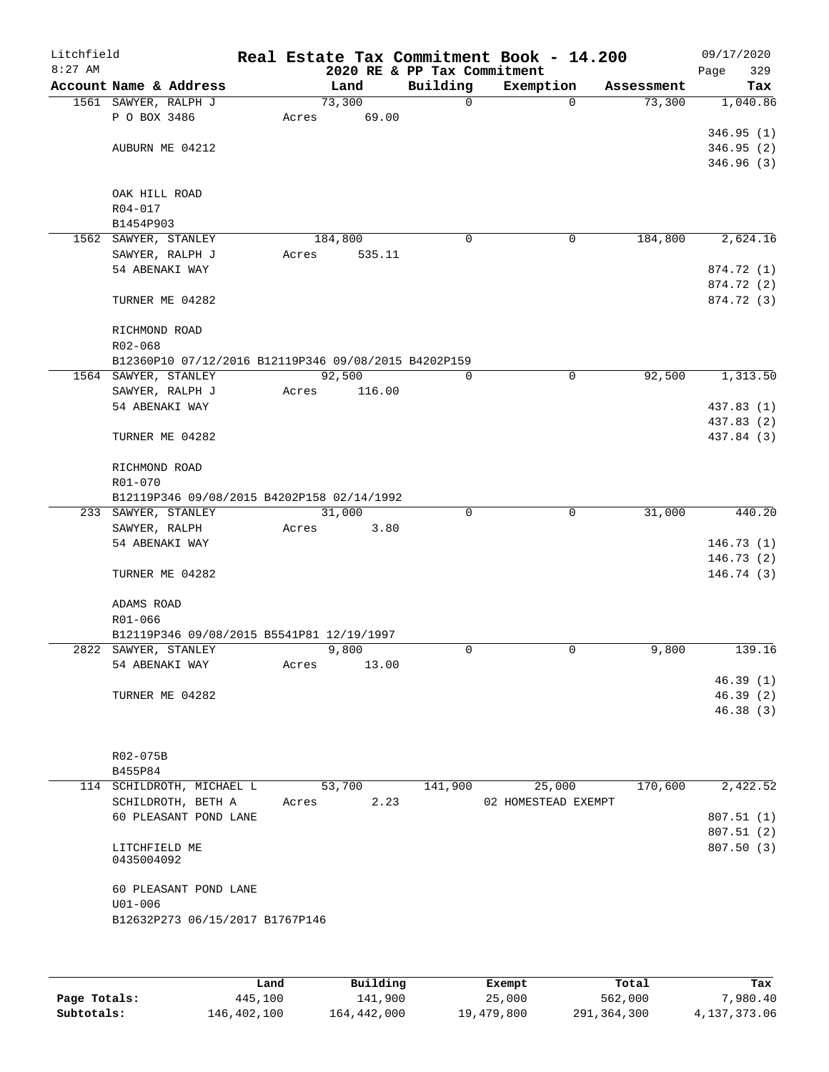| Litchfield<br>$8:27$ AM |                                                      |       |         |       | 2020 RE & PP Tax Commitment | Real Estate Tax Commitment Book - 14.200 |            | Page | 09/17/2020<br>329        |
|-------------------------|------------------------------------------------------|-------|---------|-------|-----------------------------|------------------------------------------|------------|------|--------------------------|
|                         | Account Name & Address                               |       | Land    |       | Building                    | Exemption                                | Assessment |      | Tax                      |
|                         | 1561 SAWYER, RALPH J                                 |       | 73,300  |       | $\mathbf 0$                 | $\mathbf 0$                              | 73,300     |      | 1,040.86                 |
|                         | P O BOX 3486                                         | Acres | 69.00   |       |                             |                                          |            |      |                          |
|                         |                                                      |       |         |       |                             |                                          |            |      | 346.95(1)                |
|                         | AUBURN ME 04212                                      |       |         |       |                             |                                          |            |      | 346.95(2)                |
|                         |                                                      |       |         |       |                             |                                          |            |      | 346.96(3)                |
|                         |                                                      |       |         |       |                             |                                          |            |      |                          |
|                         | OAK HILL ROAD                                        |       |         |       |                             |                                          |            |      |                          |
|                         | R04-017<br>B1454P903                                 |       |         |       |                             |                                          |            |      |                          |
|                         | 1562 SAWYER, STANLEY                                 |       | 184,800 |       | 0                           | 0                                        | 184,800    |      | 2,624.16                 |
|                         | SAWYER, RALPH J                                      | Acres | 535.11  |       |                             |                                          |            |      |                          |
|                         | 54 ABENAKI WAY                                       |       |         |       |                             |                                          |            |      | 874.72 (1)               |
|                         |                                                      |       |         |       |                             |                                          |            |      | 874.72 (2)               |
|                         | TURNER ME 04282                                      |       |         |       |                             |                                          |            |      | 874.72 (3)               |
|                         |                                                      |       |         |       |                             |                                          |            |      |                          |
|                         | RICHMOND ROAD                                        |       |         |       |                             |                                          |            |      |                          |
|                         | R02-068                                              |       |         |       |                             |                                          |            |      |                          |
|                         | B12360P10 07/12/2016 B12119P346 09/08/2015 B4202P159 |       |         |       |                             |                                          |            |      |                          |
|                         | 1564 SAWYER, STANLEY                                 |       | 92,500  |       | 0                           | $\mathsf{O}$                             | 92,500     |      | 1,313.50                 |
|                         | SAWYER, RALPH J                                      | Acres | 116.00  |       |                             |                                          |            |      |                          |
|                         | 54 ABENAKI WAY                                       |       |         |       |                             |                                          |            |      | 437.83 (1)               |
|                         | TURNER ME 04282                                      |       |         |       |                             |                                          |            |      | 437.83 (2)<br>437.84 (3) |
|                         |                                                      |       |         |       |                             |                                          |            |      |                          |
|                         | RICHMOND ROAD                                        |       |         |       |                             |                                          |            |      |                          |
|                         | R01-070                                              |       |         |       |                             |                                          |            |      |                          |
|                         | B12119P346 09/08/2015 B4202P158 02/14/1992           |       |         |       |                             |                                          |            |      |                          |
|                         | 233 SAWYER, STANLEY                                  |       | 31,000  |       | 0                           | $\mathbf 0$                              | 31,000     |      | 440.20                   |
|                         | SAWYER, RALPH                                        | Acres |         | 3.80  |                             |                                          |            |      |                          |
|                         | 54 ABENAKI WAY                                       |       |         |       |                             |                                          |            |      | 146.73(1)                |
|                         |                                                      |       |         |       |                             |                                          |            |      | 146.73(2)                |
|                         | TURNER ME 04282                                      |       |         |       |                             |                                          |            |      | 146.74(3)                |
|                         |                                                      |       |         |       |                             |                                          |            |      |                          |
|                         | ADAMS ROAD<br>R01-066                                |       |         |       |                             |                                          |            |      |                          |
|                         | B12119P346 09/08/2015 B5541P81 12/19/1997            |       |         |       |                             |                                          |            |      |                          |
|                         | 2822 SAWYER, STANLEY                                 |       | 9,800   |       | $\Omega$                    | $\mathbf 0$                              | 9,800      |      | 139.16                   |
|                         | 54 ABENAKI WAY                                       | Acres |         | 13.00 |                             |                                          |            |      |                          |
|                         |                                                      |       |         |       |                             |                                          |            |      | 46.39(1)                 |
|                         | TURNER ME 04282                                      |       |         |       |                             |                                          |            |      | 46.39(2)                 |
|                         |                                                      |       |         |       |                             |                                          |            |      | 46.38(3)                 |
|                         |                                                      |       |         |       |                             |                                          |            |      |                          |
|                         |                                                      |       |         |       |                             |                                          |            |      |                          |
|                         | R02-075B                                             |       |         |       |                             |                                          |            |      |                          |
|                         | B455P84<br>114 SCHILDROTH, MICHAEL L                 |       | 53,700  |       | 141,900                     | 25,000                                   | 170,600    |      | 2,422.52                 |
|                         | SCHILDROTH, BETH A                                   | Acres |         | 2.23  |                             | 02 HOMESTEAD EXEMPT                      |            |      |                          |
|                         | 60 PLEASANT POND LANE                                |       |         |       |                             |                                          |            |      | 807.51(1)                |
|                         |                                                      |       |         |       |                             |                                          |            |      | 807.51(2)                |
|                         | LITCHFIELD ME                                        |       |         |       |                             |                                          |            |      | 807.50 (3)               |
|                         | 0435004092                                           |       |         |       |                             |                                          |            |      |                          |
|                         |                                                      |       |         |       |                             |                                          |            |      |                          |
|                         | 60 PLEASANT POND LANE                                |       |         |       |                             |                                          |            |      |                          |
|                         | $U01 - 006$<br>B12632P273 06/15/2017 B1767P146       |       |         |       |                             |                                          |            |      |                          |
|                         |                                                      |       |         |       |                             |                                          |            |      |                          |
|                         |                                                      |       |         |       |                             |                                          |            |      |                          |
|                         |                                                      |       |         |       |                             |                                          |            |      |                          |

|              | Land        | Building    | Exempt     | Total       | Tax          |
|--------------|-------------|-------------|------------|-------------|--------------|
| Page Totals: | 445,100     | 141,900     | 25,000     | 562,000     | 7,980.40     |
| Subtotals:   | 146,402,100 | 164,442,000 | 19,479,800 | 291,364,300 | 4,137,373.06 |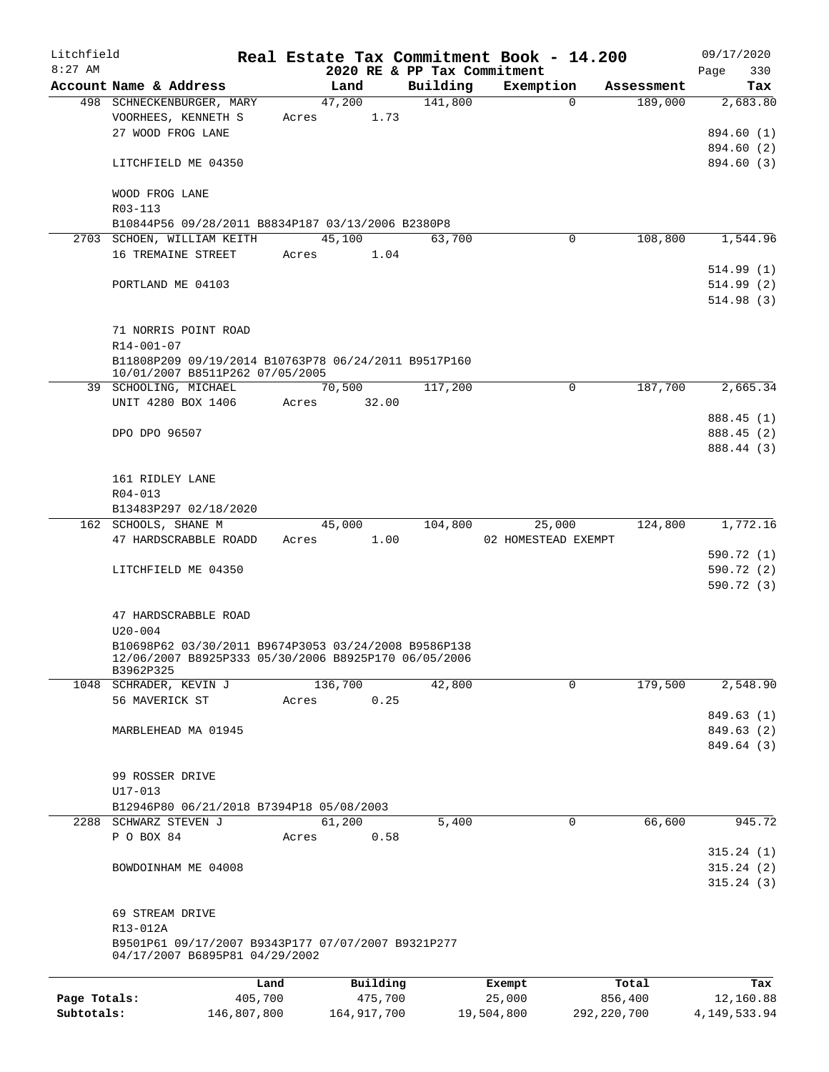| Litchfield   |                                                                                                                           |             |       |             |         |                             | Real Estate Tax Commitment Book - 14.200 |               | 09/17/2020     |
|--------------|---------------------------------------------------------------------------------------------------------------------------|-------------|-------|-------------|---------|-----------------------------|------------------------------------------|---------------|----------------|
| $8:27$ AM    |                                                                                                                           |             |       |             |         | 2020 RE & PP Tax Commitment |                                          |               | 330<br>Page    |
|              | Account Name & Address                                                                                                    |             |       | Land        |         | Building                    | Exemption                                | Assessment    | Tax            |
|              | 498 SCHNECKENBURGER, MARY                                                                                                 |             |       | 47,200      |         | 141,800                     | $\Omega$                                 | 189,000       | 2,683.80       |
|              | VOORHEES, KENNETH S                                                                                                       |             | Acres |             | 1.73    |                             |                                          |               |                |
|              | 27 WOOD FROG LANE                                                                                                         |             |       |             |         |                             |                                          |               | 894.60 (1)     |
|              |                                                                                                                           |             |       |             |         |                             |                                          |               | 894.60 (2)     |
|              | LITCHFIELD ME 04350                                                                                                       |             |       |             |         |                             |                                          |               | 894.60 (3)     |
|              | WOOD FROG LANE<br>R03-113                                                                                                 |             |       |             |         |                             |                                          |               |                |
|              | B10844P56 09/28/2011 B8834P187 03/13/2006 B2380P8                                                                         |             |       |             |         |                             |                                          |               |                |
|              | 2703 SCHOEN, WILLIAM KEITH                                                                                                |             |       | 45,100      |         | 63,700                      | 0                                        | 108,800       | 1,544.96       |
|              | 16 TREMAINE STREET                                                                                                        |             |       | Acres       | 1.04    |                             |                                          |               |                |
|              |                                                                                                                           |             |       |             |         |                             |                                          |               | 514.99(1)      |
|              | PORTLAND ME 04103                                                                                                         |             |       |             |         |                             |                                          |               | 514.99(2)      |
|              |                                                                                                                           |             |       |             |         |                             |                                          |               | 514.98(3)      |
|              | 71 NORRIS POINT ROAD                                                                                                      |             |       |             |         |                             |                                          |               |                |
|              | R14-001-07                                                                                                                |             |       |             |         |                             |                                          |               |                |
|              | B11808P209 09/19/2014 B10763P78 06/24/2011 B9517P160<br>10/01/2007 B8511P262 07/05/2005                                   |             |       |             |         |                             |                                          |               |                |
|              | 39 SCHOOLING, MICHAEL                                                                                                     |             |       | 70,500      |         | 117,200                     | $\mathbf 0$                              | 187,700       | 2,665.34       |
|              | UNIT 4280 BOX 1406                                                                                                        |             | Acres |             | 32.00   |                             |                                          |               |                |
|              |                                                                                                                           |             |       |             |         |                             |                                          |               | 888.45 (1)     |
|              | DPO DPO 96507                                                                                                             |             |       |             |         |                             |                                          |               | 888.45 (2)     |
|              |                                                                                                                           |             |       |             |         |                             |                                          |               | 888.44 (3)     |
|              |                                                                                                                           |             |       |             |         |                             |                                          |               |                |
|              | 161 RIDLEY LANE                                                                                                           |             |       |             |         |                             |                                          |               |                |
|              | $R04 - 013$                                                                                                               |             |       |             |         |                             |                                          |               |                |
|              | B13483P297 02/18/2020                                                                                                     |             |       |             |         |                             |                                          |               |                |
|              | 162 SCHOOLS, SHANE M                                                                                                      |             |       | 45,000      |         | 104,800                     | 25,000                                   | 124,800       | 1,772.16       |
|              | 47 HARDSCRABBLE ROADD                                                                                                     |             | Acres |             | 1.00    |                             | 02 HOMESTEAD EXEMPT                      |               |                |
|              |                                                                                                                           |             |       |             |         |                             |                                          |               | 590.72 (1)     |
|              | LITCHFIELD ME 04350                                                                                                       |             |       |             |         |                             |                                          |               | 590.72 (2)     |
|              |                                                                                                                           |             |       |             |         |                             |                                          |               | 590.72(3)      |
|              | 47 HARDSCRABBLE ROAD                                                                                                      |             |       |             |         |                             |                                          |               |                |
|              | $U20 - 004$                                                                                                               |             |       |             |         |                             |                                          |               |                |
|              | B10698P62 03/30/2011 B9674P3053 03/24/2008 B9586P138<br>12/06/2007 B8925P333 05/30/2006 B8925P170 06/05/2006<br>B3962P325 |             |       |             |         |                             |                                          |               |                |
|              | 1048 SCHRADER, KEVIN J                                                                                                    |             |       | 136,700     |         | 42,800                      | 0                                        | 179,500       | 2,548.90       |
|              | 56 MAVERICK ST                                                                                                            |             | Acres |             | 0.25    |                             |                                          |               |                |
|              |                                                                                                                           |             |       |             |         |                             |                                          |               | 849.63 (1)     |
|              | MARBLEHEAD MA 01945                                                                                                       |             |       |             |         |                             |                                          |               | 849.63 (2)     |
|              |                                                                                                                           |             |       |             |         |                             |                                          |               | 849.64 (3)     |
|              |                                                                                                                           |             |       |             |         |                             |                                          |               |                |
|              | 99 ROSSER DRIVE                                                                                                           |             |       |             |         |                             |                                          |               |                |
|              | $U17 - 013$                                                                                                               |             |       |             |         |                             |                                          |               |                |
|              | B12946P80 06/21/2018 B7394P18 05/08/2003                                                                                  |             |       |             |         |                             |                                          |               |                |
|              | 2288 SCHWARZ STEVEN J                                                                                                     |             |       | 61,200      |         | 5,400                       | 0                                        | 66,600        | 945.72         |
|              | P O BOX 84                                                                                                                |             | Acres |             | 0.58    |                             |                                          |               |                |
|              |                                                                                                                           |             |       |             |         |                             |                                          |               | 315.24(1)      |
|              | BOWDOINHAM ME 04008                                                                                                       |             |       |             |         |                             |                                          |               | 315.24(2)      |
|              |                                                                                                                           |             |       |             |         |                             |                                          |               | 315.24(3)      |
|              |                                                                                                                           |             |       |             |         |                             |                                          |               |                |
|              | 69 STREAM DRIVE                                                                                                           |             |       |             |         |                             |                                          |               |                |
|              | R13-012A                                                                                                                  |             |       |             |         |                             |                                          |               |                |
|              |                                                                                                                           |             |       |             |         |                             |                                          |               |                |
|              | B9501P61 09/17/2007 B9343P177 07/07/2007 B9321P277<br>04/17/2007 B6895P81 04/29/2002                                      |             |       |             |         |                             |                                          |               |                |
|              |                                                                                                                           | Land        |       | Building    |         |                             | Exempt                                   | Total         | Tax            |
| Page Totals: |                                                                                                                           | 405,700     |       |             | 475,700 |                             | 25,000                                   | 856,400       | 12,160.88      |
| Subtotals:   |                                                                                                                           | 146,807,800 |       | 164,917,700 |         |                             | 19,504,800                               | 292, 220, 700 | 4, 149, 533.94 |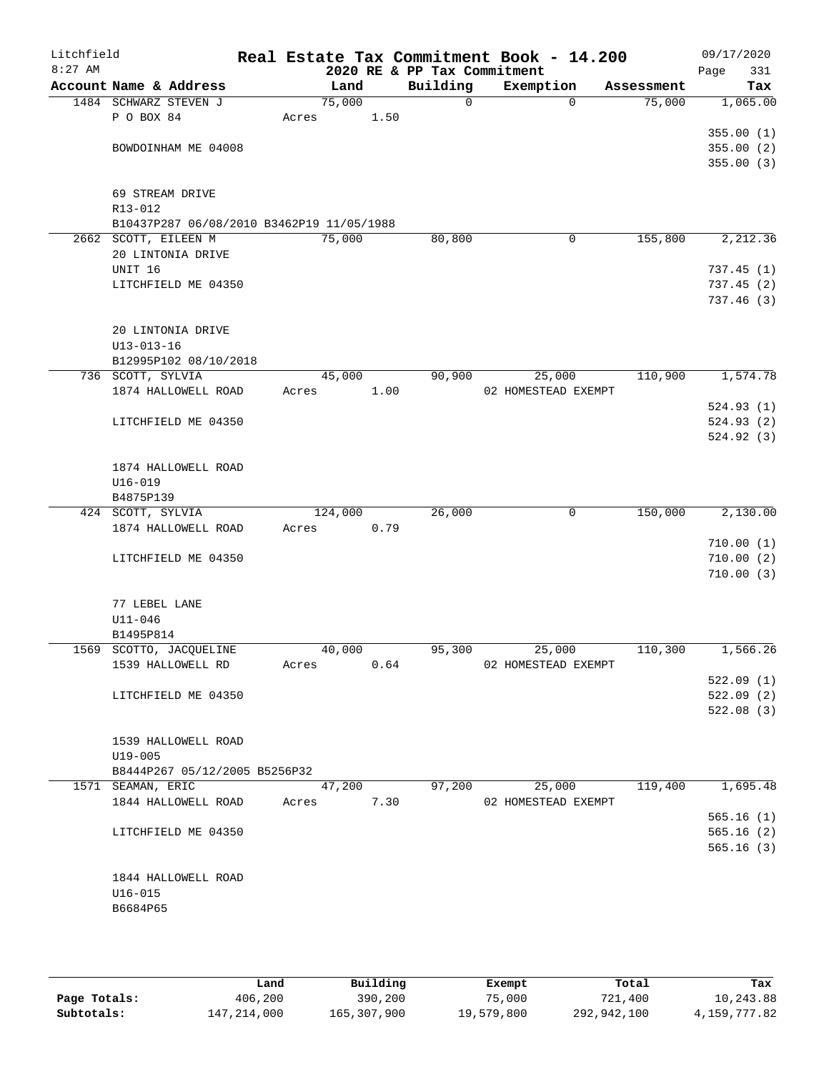| Litchfield<br>$8:27$ AM |                            |                                           |       |         |      | 2020 RE & PP Tax Commitment | Real Estate Tax Commitment Book - 14.200 |            | 09/17/2020<br>Page | 331       |
|-------------------------|----------------------------|-------------------------------------------|-------|---------|------|-----------------------------|------------------------------------------|------------|--------------------|-----------|
|                         |                            | Account Name & Address                    |       | Land    |      | Building                    | Exemption                                | Assessment |                    | Tax       |
|                         |                            | 1484 SCHWARZ STEVEN J                     |       | 75,000  |      | $\mathsf{O}$                | $\Omega$                                 | 75,000     |                    | 1,065.00  |
|                         | P O BOX 84                 |                                           | Acres |         | 1.50 |                             |                                          |            |                    |           |
|                         |                            |                                           |       |         |      |                             |                                          |            |                    | 355.00(1) |
|                         |                            | BOWDOINHAM ME 04008                       |       |         |      |                             |                                          |            |                    | 355.00(2) |
|                         |                            |                                           |       |         |      |                             |                                          |            |                    | 355.00(3) |
|                         |                            |                                           |       |         |      |                             |                                          |            |                    |           |
|                         | 69 STREAM DRIVE<br>R13-012 |                                           |       |         |      |                             |                                          |            |                    |           |
|                         |                            | B10437P287 06/08/2010 B3462P19 11/05/1988 |       |         |      |                             |                                          |            |                    |           |
|                         | 2662 SCOTT, EILEEN M       |                                           |       | 75,000  |      | 80,800                      | $\mathbf 0$                              | 155,800    |                    | 2,212.36  |
|                         |                            | 20 LINTONIA DRIVE                         |       |         |      |                             |                                          |            |                    |           |
|                         | UNIT 16                    |                                           |       |         |      |                             |                                          |            |                    | 737.45(1) |
|                         |                            | LITCHFIELD ME 04350                       |       |         |      |                             |                                          |            |                    | 737.45(2) |
|                         |                            |                                           |       |         |      |                             |                                          |            |                    | 737.46(3) |
|                         |                            |                                           |       |         |      |                             |                                          |            |                    |           |
|                         |                            | 20 LINTONIA DRIVE                         |       |         |      |                             |                                          |            |                    |           |
|                         | $U13 - 013 - 16$           | B12995P102 08/10/2018                     |       |         |      |                             |                                          |            |                    |           |
|                         | 736 SCOTT, SYLVIA          |                                           |       | 45,000  |      | 90,900                      | 25,000                                   | 110,900    |                    | 1,574.78  |
|                         |                            | 1874 HALLOWELL ROAD                       | Acres |         | 1.00 |                             | 02 HOMESTEAD EXEMPT                      |            |                    |           |
|                         |                            |                                           |       |         |      |                             |                                          |            |                    | 524.93(1) |
|                         |                            | LITCHFIELD ME 04350                       |       |         |      |                             |                                          |            |                    | 524.93(2) |
|                         |                            |                                           |       |         |      |                             |                                          |            |                    | 524.92(3) |
|                         |                            |                                           |       |         |      |                             |                                          |            |                    |           |
|                         |                            | 1874 HALLOWELL ROAD                       |       |         |      |                             |                                          |            |                    |           |
|                         | $U16 - 019$<br>B4875P139   |                                           |       |         |      |                             |                                          |            |                    |           |
|                         | 424 SCOTT, SYLVIA          |                                           |       | 124,000 |      | 26,000                      | 0                                        | 150,000    |                    | 2,130.00  |
|                         |                            | 1874 HALLOWELL ROAD                       | Acres |         | 0.79 |                             |                                          |            |                    |           |
|                         |                            |                                           |       |         |      |                             |                                          |            |                    | 710.00(1) |
|                         |                            | LITCHFIELD ME 04350                       |       |         |      |                             |                                          |            |                    | 710.00(2) |
|                         |                            |                                           |       |         |      |                             |                                          |            |                    | 710.00(3) |
|                         |                            |                                           |       |         |      |                             |                                          |            |                    |           |
|                         | 77 LEBEL LANE              |                                           |       |         |      |                             |                                          |            |                    |           |
|                         | $U11 - 046$<br>B1495P814   |                                           |       |         |      |                             |                                          |            |                    |           |
|                         |                            | 1569 SCOTTO, JACQUELINE                   |       | 40,000  |      | 95,300                      | 25,000                                   | 110,300    |                    | 1,566.26  |
|                         |                            | 1539 HALLOWELL RD                         | Acres |         | 0.64 |                             | 02 HOMESTEAD EXEMPT                      |            |                    |           |
|                         |                            |                                           |       |         |      |                             |                                          |            |                    | 522.09(1) |
|                         |                            | LITCHFIELD ME 04350                       |       |         |      |                             |                                          |            |                    | 522.09(2) |
|                         |                            |                                           |       |         |      |                             |                                          |            |                    | 522.08(3) |
|                         |                            |                                           |       |         |      |                             |                                          |            |                    |           |
|                         |                            | 1539 HALLOWELL ROAD                       |       |         |      |                             |                                          |            |                    |           |
|                         | $U19 - 005$                | B8444P267 05/12/2005 B5256P32             |       |         |      |                             |                                          |            |                    |           |
|                         | 1571 SEAMAN, ERIC          |                                           |       | 47,200  |      | 97,200                      | 25,000                                   | 119,400    |                    | 1,695.48  |
|                         |                            | 1844 HALLOWELL ROAD                       | Acres |         | 7.30 |                             | 02 HOMESTEAD EXEMPT                      |            |                    |           |
|                         |                            |                                           |       |         |      |                             |                                          |            |                    | 565.16(1) |
|                         |                            | LITCHFIELD ME 04350                       |       |         |      |                             |                                          |            |                    | 565.16(2) |
|                         |                            |                                           |       |         |      |                             |                                          |            |                    | 565.16(3) |
|                         |                            |                                           |       |         |      |                             |                                          |            |                    |           |
|                         |                            | 1844 HALLOWELL ROAD                       |       |         |      |                             |                                          |            |                    |           |
|                         | $U16 - 015$                |                                           |       |         |      |                             |                                          |            |                    |           |
|                         | B6684P65                   |                                           |       |         |      |                             |                                          |            |                    |           |
|                         |                            |                                           |       |         |      |                             |                                          |            |                    |           |

|              | Land        | Building    | Exempt     | Total       | Tax          |
|--------------|-------------|-------------|------------|-------------|--------------|
| Page Totals: | 406,200     | 390,200     | 75,000     | 721,400     | 10,243.88    |
| Subtotals:   | 147,214,000 | 165,307,900 | 19,579,800 | 292,942,100 | 4,159,777.82 |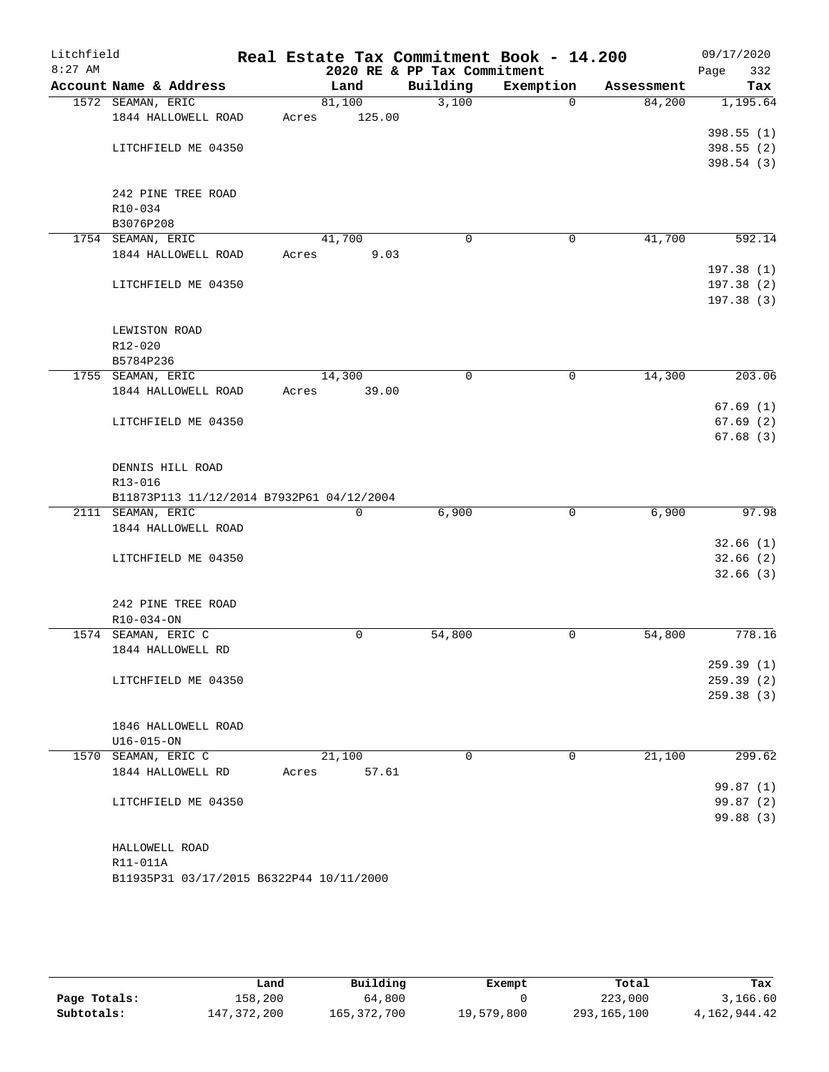| $8:27$ AM<br>2020 RE & PP Tax Commitment<br>332<br>Page<br>Building<br>Account Name & Address<br>Exemption<br>Land<br>Tax<br>Assessment<br>3,100<br>81,100<br>1,195.64<br>1572 SEAMAN, ERIC<br>$\Omega$<br>84,200<br>1844 HALLOWELL ROAD<br>125.00<br>Acres<br>398.55(1)<br>398.55 (2)<br>LITCHFIELD ME 04350<br>398.54(3)<br>242 PINE TREE ROAD<br>R10-034<br>B3076P208<br>41,700<br>1754 SEAMAN, ERIC<br>41,700<br>$\mathbf 0$<br>592.14<br>0<br>1844 HALLOWELL ROAD<br>9.03<br>Acres<br>197.38(1)<br>197.38(2)<br>LITCHFIELD ME 04350<br>197.38(3)<br>LEWISTON ROAD<br>R12-020<br>B5784P236<br>203.06<br>1755 SEAMAN, ERIC<br>14,300<br>$\mathbf 0$<br>$\mathbf 0$<br>14,300<br>1844 HALLOWELL ROAD<br>39.00<br>Acres<br>LITCHFIELD ME 04350<br>DENNIS HILL ROAD<br>R13-016<br>B11873P113 11/12/2014 B7932P61 04/12/2004<br>$\mathbf 0$<br>2111 SEAMAN, ERIC<br>6,900<br>6,900<br>0<br>1844 HALLOWELL ROAD<br>LITCHFIELD ME 04350<br>242 PINE TREE ROAD<br>R10-034-ON<br>1574 SEAMAN, ERIC C<br>54,800<br>0<br>54,800<br>0<br>1844 HALLOWELL RD<br>LITCHFIELD ME 04350<br>1846 HALLOWELL ROAD<br>$U16 - 015 - ON$<br>21,100<br>21,100<br>1570 SEAMAN, ERIC C<br>0<br>0<br>1844 HALLOWELL RD<br>57.61<br>Acres<br>LITCHFIELD ME 04350<br>HALLOWELL ROAD<br>R11-011A<br>B11935P31 03/17/2015 B6322P44 10/11/2000 | Litchfield | Real Estate Tax Commitment Book - 14.200 |  | 09/17/2020 |
|-------------------------------------------------------------------------------------------------------------------------------------------------------------------------------------------------------------------------------------------------------------------------------------------------------------------------------------------------------------------------------------------------------------------------------------------------------------------------------------------------------------------------------------------------------------------------------------------------------------------------------------------------------------------------------------------------------------------------------------------------------------------------------------------------------------------------------------------------------------------------------------------------------------------------------------------------------------------------------------------------------------------------------------------------------------------------------------------------------------------------------------------------------------------------------------------------------------------------------------------------------------------------------------------------------------------|------------|------------------------------------------|--|------------|
|                                                                                                                                                                                                                                                                                                                                                                                                                                                                                                                                                                                                                                                                                                                                                                                                                                                                                                                                                                                                                                                                                                                                                                                                                                                                                                                   |            |                                          |  |            |
|                                                                                                                                                                                                                                                                                                                                                                                                                                                                                                                                                                                                                                                                                                                                                                                                                                                                                                                                                                                                                                                                                                                                                                                                                                                                                                                   |            |                                          |  |            |
|                                                                                                                                                                                                                                                                                                                                                                                                                                                                                                                                                                                                                                                                                                                                                                                                                                                                                                                                                                                                                                                                                                                                                                                                                                                                                                                   |            |                                          |  |            |
|                                                                                                                                                                                                                                                                                                                                                                                                                                                                                                                                                                                                                                                                                                                                                                                                                                                                                                                                                                                                                                                                                                                                                                                                                                                                                                                   |            |                                          |  |            |
|                                                                                                                                                                                                                                                                                                                                                                                                                                                                                                                                                                                                                                                                                                                                                                                                                                                                                                                                                                                                                                                                                                                                                                                                                                                                                                                   |            |                                          |  |            |
|                                                                                                                                                                                                                                                                                                                                                                                                                                                                                                                                                                                                                                                                                                                                                                                                                                                                                                                                                                                                                                                                                                                                                                                                                                                                                                                   |            |                                          |  |            |
|                                                                                                                                                                                                                                                                                                                                                                                                                                                                                                                                                                                                                                                                                                                                                                                                                                                                                                                                                                                                                                                                                                                                                                                                                                                                                                                   |            |                                          |  |            |
|                                                                                                                                                                                                                                                                                                                                                                                                                                                                                                                                                                                                                                                                                                                                                                                                                                                                                                                                                                                                                                                                                                                                                                                                                                                                                                                   |            |                                          |  |            |
|                                                                                                                                                                                                                                                                                                                                                                                                                                                                                                                                                                                                                                                                                                                                                                                                                                                                                                                                                                                                                                                                                                                                                                                                                                                                                                                   |            |                                          |  |            |
|                                                                                                                                                                                                                                                                                                                                                                                                                                                                                                                                                                                                                                                                                                                                                                                                                                                                                                                                                                                                                                                                                                                                                                                                                                                                                                                   |            |                                          |  |            |
|                                                                                                                                                                                                                                                                                                                                                                                                                                                                                                                                                                                                                                                                                                                                                                                                                                                                                                                                                                                                                                                                                                                                                                                                                                                                                                                   |            |                                          |  |            |
|                                                                                                                                                                                                                                                                                                                                                                                                                                                                                                                                                                                                                                                                                                                                                                                                                                                                                                                                                                                                                                                                                                                                                                                                                                                                                                                   |            |                                          |  |            |
|                                                                                                                                                                                                                                                                                                                                                                                                                                                                                                                                                                                                                                                                                                                                                                                                                                                                                                                                                                                                                                                                                                                                                                                                                                                                                                                   |            |                                          |  |            |
|                                                                                                                                                                                                                                                                                                                                                                                                                                                                                                                                                                                                                                                                                                                                                                                                                                                                                                                                                                                                                                                                                                                                                                                                                                                                                                                   |            |                                          |  |            |
|                                                                                                                                                                                                                                                                                                                                                                                                                                                                                                                                                                                                                                                                                                                                                                                                                                                                                                                                                                                                                                                                                                                                                                                                                                                                                                                   |            |                                          |  |            |
|                                                                                                                                                                                                                                                                                                                                                                                                                                                                                                                                                                                                                                                                                                                                                                                                                                                                                                                                                                                                                                                                                                                                                                                                                                                                                                                   |            |                                          |  |            |
|                                                                                                                                                                                                                                                                                                                                                                                                                                                                                                                                                                                                                                                                                                                                                                                                                                                                                                                                                                                                                                                                                                                                                                                                                                                                                                                   |            |                                          |  |            |
|                                                                                                                                                                                                                                                                                                                                                                                                                                                                                                                                                                                                                                                                                                                                                                                                                                                                                                                                                                                                                                                                                                                                                                                                                                                                                                                   |            |                                          |  |            |
|                                                                                                                                                                                                                                                                                                                                                                                                                                                                                                                                                                                                                                                                                                                                                                                                                                                                                                                                                                                                                                                                                                                                                                                                                                                                                                                   |            |                                          |  |            |
| 67.69(1)<br>67.69(2)<br>67.68(3)<br>97.98<br>32.66(1)<br>32.66(2)<br>32.66(3)<br>778.16<br>259.39(1)<br>259.39(2)<br>259.38(3)<br>299.62<br>99.87(1)<br>99.87(2)<br>99.88 (3)                                                                                                                                                                                                                                                                                                                                                                                                                                                                                                                                                                                                                                                                                                                                                                                                                                                                                                                                                                                                                                                                                                                                     |            |                                          |  |            |
|                                                                                                                                                                                                                                                                                                                                                                                                                                                                                                                                                                                                                                                                                                                                                                                                                                                                                                                                                                                                                                                                                                                                                                                                                                                                                                                   |            |                                          |  |            |
|                                                                                                                                                                                                                                                                                                                                                                                                                                                                                                                                                                                                                                                                                                                                                                                                                                                                                                                                                                                                                                                                                                                                                                                                                                                                                                                   |            |                                          |  |            |
|                                                                                                                                                                                                                                                                                                                                                                                                                                                                                                                                                                                                                                                                                                                                                                                                                                                                                                                                                                                                                                                                                                                                                                                                                                                                                                                   |            |                                          |  |            |
|                                                                                                                                                                                                                                                                                                                                                                                                                                                                                                                                                                                                                                                                                                                                                                                                                                                                                                                                                                                                                                                                                                                                                                                                                                                                                                                   |            |                                          |  |            |
|                                                                                                                                                                                                                                                                                                                                                                                                                                                                                                                                                                                                                                                                                                                                                                                                                                                                                                                                                                                                                                                                                                                                                                                                                                                                                                                   |            |                                          |  |            |
|                                                                                                                                                                                                                                                                                                                                                                                                                                                                                                                                                                                                                                                                                                                                                                                                                                                                                                                                                                                                                                                                                                                                                                                                                                                                                                                   |            |                                          |  |            |
|                                                                                                                                                                                                                                                                                                                                                                                                                                                                                                                                                                                                                                                                                                                                                                                                                                                                                                                                                                                                                                                                                                                                                                                                                                                                                                                   |            |                                          |  |            |
|                                                                                                                                                                                                                                                                                                                                                                                                                                                                                                                                                                                                                                                                                                                                                                                                                                                                                                                                                                                                                                                                                                                                                                                                                                                                                                                   |            |                                          |  |            |
|                                                                                                                                                                                                                                                                                                                                                                                                                                                                                                                                                                                                                                                                                                                                                                                                                                                                                                                                                                                                                                                                                                                                                                                                                                                                                                                   |            |                                          |  |            |
|                                                                                                                                                                                                                                                                                                                                                                                                                                                                                                                                                                                                                                                                                                                                                                                                                                                                                                                                                                                                                                                                                                                                                                                                                                                                                                                   |            |                                          |  |            |
|                                                                                                                                                                                                                                                                                                                                                                                                                                                                                                                                                                                                                                                                                                                                                                                                                                                                                                                                                                                                                                                                                                                                                                                                                                                                                                                   |            |                                          |  |            |
|                                                                                                                                                                                                                                                                                                                                                                                                                                                                                                                                                                                                                                                                                                                                                                                                                                                                                                                                                                                                                                                                                                                                                                                                                                                                                                                   |            |                                          |  |            |
|                                                                                                                                                                                                                                                                                                                                                                                                                                                                                                                                                                                                                                                                                                                                                                                                                                                                                                                                                                                                                                                                                                                                                                                                                                                                                                                   |            |                                          |  |            |
|                                                                                                                                                                                                                                                                                                                                                                                                                                                                                                                                                                                                                                                                                                                                                                                                                                                                                                                                                                                                                                                                                                                                                                                                                                                                                                                   |            |                                          |  |            |
|                                                                                                                                                                                                                                                                                                                                                                                                                                                                                                                                                                                                                                                                                                                                                                                                                                                                                                                                                                                                                                                                                                                                                                                                                                                                                                                   |            |                                          |  |            |
|                                                                                                                                                                                                                                                                                                                                                                                                                                                                                                                                                                                                                                                                                                                                                                                                                                                                                                                                                                                                                                                                                                                                                                                                                                                                                                                   |            |                                          |  |            |
|                                                                                                                                                                                                                                                                                                                                                                                                                                                                                                                                                                                                                                                                                                                                                                                                                                                                                                                                                                                                                                                                                                                                                                                                                                                                                                                   |            |                                          |  |            |
|                                                                                                                                                                                                                                                                                                                                                                                                                                                                                                                                                                                                                                                                                                                                                                                                                                                                                                                                                                                                                                                                                                                                                                                                                                                                                                                   |            |                                          |  |            |
|                                                                                                                                                                                                                                                                                                                                                                                                                                                                                                                                                                                                                                                                                                                                                                                                                                                                                                                                                                                                                                                                                                                                                                                                                                                                                                                   |            |                                          |  |            |
|                                                                                                                                                                                                                                                                                                                                                                                                                                                                                                                                                                                                                                                                                                                                                                                                                                                                                                                                                                                                                                                                                                                                                                                                                                                                                                                   |            |                                          |  |            |
|                                                                                                                                                                                                                                                                                                                                                                                                                                                                                                                                                                                                                                                                                                                                                                                                                                                                                                                                                                                                                                                                                                                                                                                                                                                                                                                   |            |                                          |  |            |
|                                                                                                                                                                                                                                                                                                                                                                                                                                                                                                                                                                                                                                                                                                                                                                                                                                                                                                                                                                                                                                                                                                                                                                                                                                                                                                                   |            |                                          |  |            |
|                                                                                                                                                                                                                                                                                                                                                                                                                                                                                                                                                                                                                                                                                                                                                                                                                                                                                                                                                                                                                                                                                                                                                                                                                                                                                                                   |            |                                          |  |            |
|                                                                                                                                                                                                                                                                                                                                                                                                                                                                                                                                                                                                                                                                                                                                                                                                                                                                                                                                                                                                                                                                                                                                                                                                                                                                                                                   |            |                                          |  |            |
|                                                                                                                                                                                                                                                                                                                                                                                                                                                                                                                                                                                                                                                                                                                                                                                                                                                                                                                                                                                                                                                                                                                                                                                                                                                                                                                   |            |                                          |  |            |
|                                                                                                                                                                                                                                                                                                                                                                                                                                                                                                                                                                                                                                                                                                                                                                                                                                                                                                                                                                                                                                                                                                                                                                                                                                                                                                                   |            |                                          |  |            |
|                                                                                                                                                                                                                                                                                                                                                                                                                                                                                                                                                                                                                                                                                                                                                                                                                                                                                                                                                                                                                                                                                                                                                                                                                                                                                                                   |            |                                          |  |            |
|                                                                                                                                                                                                                                                                                                                                                                                                                                                                                                                                                                                                                                                                                                                                                                                                                                                                                                                                                                                                                                                                                                                                                                                                                                                                                                                   |            |                                          |  |            |
|                                                                                                                                                                                                                                                                                                                                                                                                                                                                                                                                                                                                                                                                                                                                                                                                                                                                                                                                                                                                                                                                                                                                                                                                                                                                                                                   |            |                                          |  |            |
|                                                                                                                                                                                                                                                                                                                                                                                                                                                                                                                                                                                                                                                                                                                                                                                                                                                                                                                                                                                                                                                                                                                                                                                                                                                                                                                   |            |                                          |  |            |
|                                                                                                                                                                                                                                                                                                                                                                                                                                                                                                                                                                                                                                                                                                                                                                                                                                                                                                                                                                                                                                                                                                                                                                                                                                                                                                                   |            |                                          |  |            |
|                                                                                                                                                                                                                                                                                                                                                                                                                                                                                                                                                                                                                                                                                                                                                                                                                                                                                                                                                                                                                                                                                                                                                                                                                                                                                                                   |            |                                          |  |            |
|                                                                                                                                                                                                                                                                                                                                                                                                                                                                                                                                                                                                                                                                                                                                                                                                                                                                                                                                                                                                                                                                                                                                                                                                                                                                                                                   |            |                                          |  |            |

|              | Land        | Building      | Exempt     | Total       | Tax          |
|--------------|-------------|---------------|------------|-------------|--------------|
| Page Totals: | 158,200     | 64,800        |            | 223,000     | 3,166.60     |
| Subtotals:   | 147,372,200 | 165, 372, 700 | 19,579,800 | 293,165,100 | 4,162,944.42 |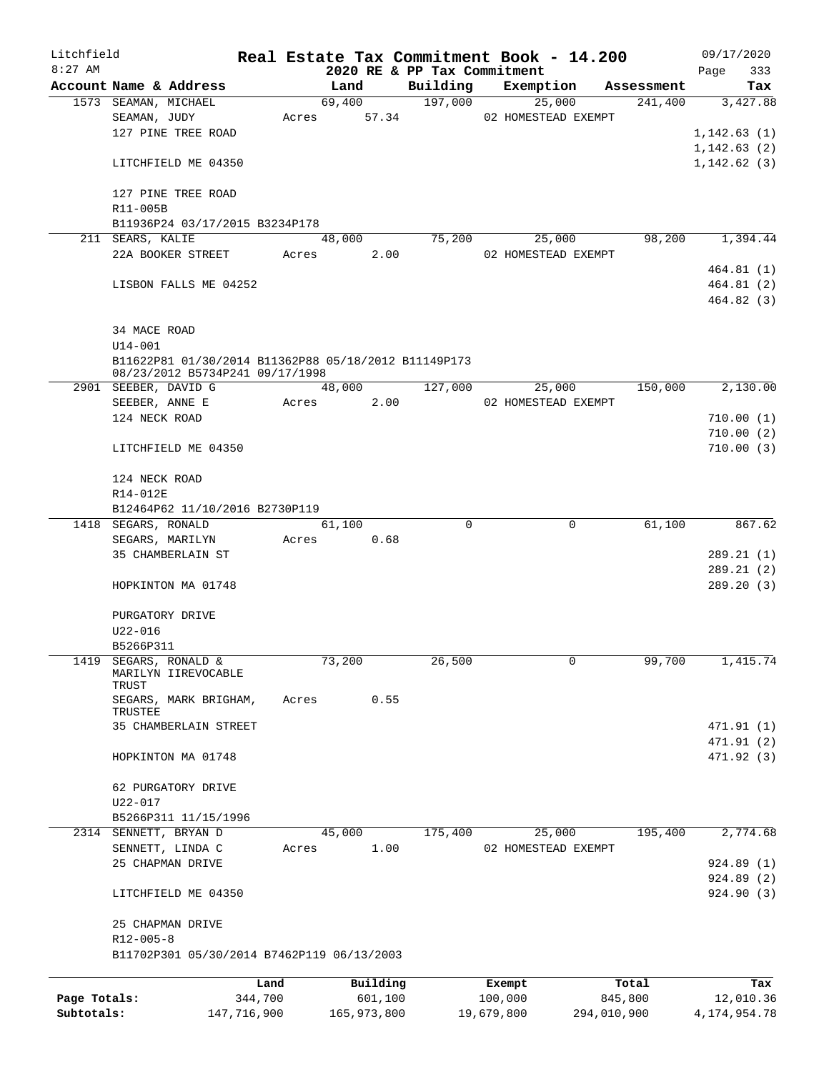| Litchfield   |                                                      | Real Estate Tax Commitment Book - 14.200 |        |             |                             |            |                     |             | 09/17/2020      |        |
|--------------|------------------------------------------------------|------------------------------------------|--------|-------------|-----------------------------|------------|---------------------|-------------|-----------------|--------|
| $8:27$ AM    |                                                      |                                          |        |             | 2020 RE & PP Tax Commitment |            |                     |             | Page            | 333    |
|              | Account Name & Address                               |                                          | Land   |             | Building                    |            | Exemption           | Assessment  |                 | Tax    |
|              | 1573 SEAMAN, MICHAEL                                 |                                          | 69,400 |             | 197,000                     |            | 25,000              | 241,400     | 3,427.88        |        |
|              | SEAMAN, JUDY                                         | Acres                                    |        | 57.34       |                             |            | 02 HOMESTEAD EXEMPT |             |                 |        |
|              | 127 PINE TREE ROAD                                   |                                          |        |             |                             |            |                     |             | 1,142.63(1)     |        |
|              |                                                      |                                          |        |             |                             |            |                     |             | 1, 142.63(2)    |        |
|              | LITCHFIELD ME 04350                                  |                                          |        |             |                             |            |                     |             | 1, 142.62(3)    |        |
|              | 127 PINE TREE ROAD                                   |                                          |        |             |                             |            |                     |             |                 |        |
|              | R11-005B                                             |                                          |        |             |                             |            |                     |             |                 |        |
|              | B11936P24 03/17/2015 B3234P178                       |                                          |        |             |                             |            |                     |             |                 |        |
|              | 211 SEARS, KALIE                                     |                                          | 48,000 |             | 75,200                      |            | 25,000              | 98,200      | 1,394.44        |        |
|              | 22A BOOKER STREET                                    | Acres                                    |        | 2.00        |                             |            | 02 HOMESTEAD EXEMPT |             |                 |        |
|              |                                                      |                                          |        |             |                             |            |                     |             | 464.81 (1)      |        |
|              | LISBON FALLS ME 04252                                |                                          |        |             |                             |            |                     |             | 464.81(2)       |        |
|              |                                                      |                                          |        |             |                             |            |                     |             | 464.82(3)       |        |
|              |                                                      |                                          |        |             |                             |            |                     |             |                 |        |
|              | 34 MACE ROAD                                         |                                          |        |             |                             |            |                     |             |                 |        |
|              | $U14 - 001$                                          |                                          |        |             |                             |            |                     |             |                 |        |
|              | B11622P81 01/30/2014 B11362P88 05/18/2012 B11149P173 |                                          |        |             |                             |            |                     |             |                 |        |
|              | 08/23/2012 B5734P241 09/17/1998                      |                                          |        |             |                             |            |                     |             |                 |        |
|              | 2901 SEEBER, DAVID G                                 |                                          | 48,000 |             | 127,000                     |            | 25,000              | 150,000     | 2,130.00        |        |
|              | SEEBER, ANNE E                                       | Acres                                    |        | 2.00        |                             |            | 02 HOMESTEAD EXEMPT |             |                 |        |
|              | 124 NECK ROAD                                        |                                          |        |             |                             |            |                     |             | 710.00(1)       |        |
|              |                                                      |                                          |        |             |                             |            |                     |             | 710.00(2)       |        |
|              | LITCHFIELD ME 04350                                  |                                          |        |             |                             |            |                     |             | 710.00(3)       |        |
|              |                                                      |                                          |        |             |                             |            |                     |             |                 |        |
|              | 124 NECK ROAD                                        |                                          |        |             |                             |            |                     |             |                 |        |
|              | R14-012E                                             |                                          |        |             |                             |            |                     |             |                 |        |
|              | B12464P62 11/10/2016 B2730P119                       |                                          |        |             |                             |            |                     |             |                 |        |
|              | 1418 SEGARS, RONALD                                  |                                          | 61,100 |             | 0                           |            | 0                   | 61,100      |                 | 867.62 |
|              | SEGARS, MARILYN                                      | Acres                                    |        | 0.68        |                             |            |                     |             |                 |        |
|              | 35 CHAMBERLAIN ST                                    |                                          |        |             |                             |            |                     |             | 289.21(1)       |        |
|              |                                                      |                                          |        |             |                             |            |                     |             | 289.21(2)       |        |
|              | HOPKINTON MA 01748                                   |                                          |        |             |                             |            |                     |             | 289.20(3)       |        |
|              |                                                      |                                          |        |             |                             |            |                     |             |                 |        |
|              | PURGATORY DRIVE                                      |                                          |        |             |                             |            |                     |             |                 |        |
|              | U22-016                                              |                                          |        |             |                             |            |                     |             |                 |        |
|              | B5266P311                                            |                                          |        |             |                             |            |                     |             |                 |        |
| 1419         | SEGARS, RONALD &<br>MARILYN IIREVOCABLE              |                                          | 73,200 |             | 26,500                      |            | 0                   | 99,700      | 1,415.74        |        |
|              | TRUST                                                |                                          |        |             |                             |            |                     |             |                 |        |
|              | SEGARS, MARK BRIGHAM,                                | Acres                                    |        | 0.55        |                             |            |                     |             |                 |        |
|              | TRUSTEE                                              |                                          |        |             |                             |            |                     |             |                 |        |
|              | 35 CHAMBERLAIN STREET                                |                                          |        |             |                             |            |                     |             | 471.91 (1)      |        |
|              |                                                      |                                          |        |             |                             |            |                     |             | 471.91 (2)      |        |
|              | HOPKINTON MA 01748                                   |                                          |        |             |                             |            |                     |             | 471.92 (3)      |        |
|              |                                                      |                                          |        |             |                             |            |                     |             |                 |        |
|              | 62 PURGATORY DRIVE                                   |                                          |        |             |                             |            |                     |             |                 |        |
|              | U22-017                                              |                                          |        |             |                             |            |                     |             |                 |        |
|              | B5266P311 11/15/1996                                 |                                          |        |             |                             |            |                     |             |                 |        |
|              | 2314 SENNETT, BRYAN D                                |                                          | 45,000 |             | 175,400                     |            | 25,000              | 195,400     | 2,774.68        |        |
|              | SENNETT, LINDA C                                     | Acres                                    |        | 1.00        |                             |            | 02 HOMESTEAD EXEMPT |             |                 |        |
|              | 25 CHAPMAN DRIVE                                     |                                          |        |             |                             |            |                     |             | 924.89 (1)      |        |
|              |                                                      |                                          |        |             |                             |            |                     |             | 924.89(2)       |        |
|              | LITCHFIELD ME 04350                                  |                                          |        |             |                             |            |                     |             | 924.90(3)       |        |
|              | 25 CHAPMAN DRIVE                                     |                                          |        |             |                             |            |                     |             |                 |        |
|              | $R12 - 005 - 8$                                      |                                          |        |             |                             |            |                     |             |                 |        |
|              | B11702P301 05/30/2014 B7462P119 06/13/2003           |                                          |        |             |                             |            |                     |             |                 |        |
|              |                                                      |                                          |        |             |                             |            |                     |             |                 |        |
|              |                                                      | Land                                     |        | Building    |                             | Exempt     |                     | Total       |                 | Tax    |
| Page Totals: |                                                      | 344,700                                  |        | 601,100     |                             | 100,000    |                     | 845,800     | 12,010.36       |        |
| Subtotals:   |                                                      | 147,716,900                              |        | 165,973,800 |                             | 19,679,800 |                     | 294,010,900 | 4, 174, 954. 78 |        |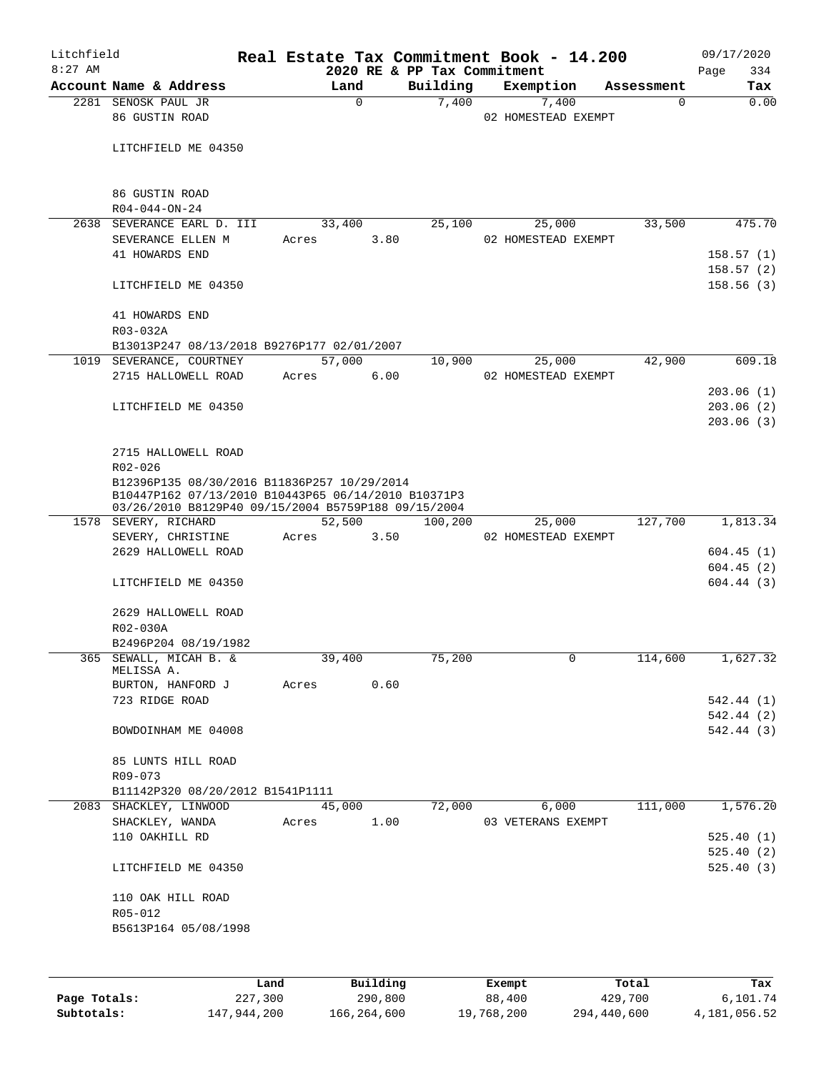| Litchfield |                                                                                                                                                           |       |          |      |                                         | Real Estate Tax Commitment Book - 14.200 |                        | 09/17/2020             |
|------------|-----------------------------------------------------------------------------------------------------------------------------------------------------------|-------|----------|------|-----------------------------------------|------------------------------------------|------------------------|------------------------|
| $8:27$ AM  | Account Name & Address                                                                                                                                    |       | Land     |      | 2020 RE & PP Tax Commitment<br>Building | Exemption                                |                        | 334<br>Page<br>Tax     |
|            | 2281 SENOSK PAUL JR                                                                                                                                       |       | $\Omega$ |      | 7,400                                   | 7,400                                    | Assessment<br>$\Omega$ | 0.00                   |
|            | 86 GUSTIN ROAD                                                                                                                                            |       |          |      |                                         | 02 HOMESTEAD EXEMPT                      |                        |                        |
|            | LITCHFIELD ME 04350                                                                                                                                       |       |          |      |                                         |                                          |                        |                        |
|            | 86 GUSTIN ROAD<br>$R04 - 044 - ON - 24$                                                                                                                   |       |          |      |                                         |                                          |                        |                        |
|            | 2638 SEVERANCE EARL D. III                                                                                                                                |       | 33,400   |      | 25,100                                  | 25,000                                   | 33,500                 | 475.70                 |
|            | SEVERANCE ELLEN M                                                                                                                                         | Acres |          | 3.80 |                                         | 02 HOMESTEAD EXEMPT                      |                        |                        |
|            | 41 HOWARDS END                                                                                                                                            |       |          |      |                                         |                                          |                        | 158.57(1)              |
|            | LITCHFIELD ME 04350                                                                                                                                       |       |          |      |                                         |                                          |                        | 158.57(2)<br>158.56(3) |
|            | 41 HOWARDS END                                                                                                                                            |       |          |      |                                         |                                          |                        |                        |
|            | R03-032A<br>B13013P247 08/13/2018 B9276P177 02/01/2007                                                                                                    |       |          |      |                                         |                                          |                        |                        |
|            | 1019 SEVERANCE, COURTNEY                                                                                                                                  |       | 57,000   |      | 10,900                                  | 25,000                                   | 42,900                 | 609.18                 |
|            | 2715 HALLOWELL ROAD                                                                                                                                       | Acres |          | 6.00 |                                         | 02 HOMESTEAD EXEMPT                      |                        |                        |
|            |                                                                                                                                                           |       |          |      |                                         |                                          |                        | 203.06(1)              |
|            | LITCHFIELD ME 04350                                                                                                                                       |       |          |      |                                         |                                          |                        | 203.06(2)              |
|            |                                                                                                                                                           |       |          |      |                                         |                                          |                        | 203.06(3)              |
|            | 2715 HALLOWELL ROAD                                                                                                                                       |       |          |      |                                         |                                          |                        |                        |
|            | R02-026                                                                                                                                                   |       |          |      |                                         |                                          |                        |                        |
|            | B12396P135 08/30/2016 B11836P257 10/29/2014<br>B10447P162 07/13/2010 B10443P65 06/14/2010 B10371P3<br>03/26/2010 B8129P40 09/15/2004 B5759P188 09/15/2004 |       |          |      |                                         |                                          |                        |                        |
|            | 1578 SEVERY, RICHARD                                                                                                                                      |       | 52,500   |      | 100,200                                 | 25,000                                   | 127,700                | 1,813.34               |
|            | SEVERY, CHRISTINE                                                                                                                                         | Acres |          | 3.50 |                                         | 02 HOMESTEAD EXEMPT                      |                        |                        |
|            | 2629 HALLOWELL ROAD                                                                                                                                       |       |          |      |                                         |                                          |                        | 604.45(1)              |
|            |                                                                                                                                                           |       |          |      |                                         |                                          |                        | 604.45(2)              |
|            | LITCHFIELD ME 04350                                                                                                                                       |       |          |      |                                         |                                          |                        | 604.44(3)              |
|            | 2629 HALLOWELL ROAD                                                                                                                                       |       |          |      |                                         |                                          |                        |                        |
|            | R02-030A                                                                                                                                                  |       |          |      |                                         |                                          |                        |                        |
|            | B2496P204 08/19/1982                                                                                                                                      |       |          |      |                                         |                                          |                        |                        |
|            | 365 SEWALL, MICAH B. &<br>MELISSA A.                                                                                                                      |       | 39,400   |      | 75,200                                  |                                          | 114,600                | 1,627.32               |
|            | BURTON, HANFORD J Acres                                                                                                                                   |       |          | 0.60 |                                         |                                          |                        |                        |
|            | 723 RIDGE ROAD                                                                                                                                            |       |          |      |                                         |                                          |                        | 542.44 (1)             |
|            |                                                                                                                                                           |       |          |      |                                         |                                          |                        | 542.44 (2)             |
|            | BOWDOINHAM ME 04008                                                                                                                                       |       |          |      |                                         |                                          |                        | 542.44 (3)             |
|            | 85 LUNTS HILL ROAD                                                                                                                                        |       |          |      |                                         |                                          |                        |                        |
|            | R09-073                                                                                                                                                   |       |          |      |                                         |                                          |                        |                        |
|            | B11142P320 08/20/2012 B1541P1111                                                                                                                          |       |          |      |                                         |                                          |                        |                        |
|            | 2083 SHACKLEY, LINWOOD                                                                                                                                    |       | 45,000   |      | 72,000                                  | 6,000                                    | 111,000                | 1,576.20               |
|            | SHACKLEY, WANDA                                                                                                                                           | Acres | 1.00     |      |                                         | 03 VETERANS EXEMPT                       |                        |                        |
|            | 110 OAKHILL RD                                                                                                                                            |       |          |      |                                         |                                          |                        | 525.40(1)<br>525.40(2) |
|            | LITCHFIELD ME 04350                                                                                                                                       |       |          |      |                                         |                                          |                        | 525.40(3)              |
|            | 110 OAK HILL ROAD                                                                                                                                         |       |          |      |                                         |                                          |                        |                        |
|            | R05-012                                                                                                                                                   |       |          |      |                                         |                                          |                        |                        |
|            | B5613P164 05/08/1998                                                                                                                                      |       |          |      |                                         |                                          |                        |                        |
|            |                                                                                                                                                           |       |          |      |                                         |                                          |                        |                        |
|            |                                                                                                                                                           |       |          |      |                                         |                                          |                        |                        |

|              | Land        | Building    | Exempt     | Total       | Tax          |
|--------------|-------------|-------------|------------|-------------|--------------|
| Page Totals: | 227,300     | 290,800     | 88,400     | 429,700     | 6,101.74     |
| Subtotals:   | 147,944,200 | 166,264,600 | 19,768,200 | 294,440,600 | 4,181,056.52 |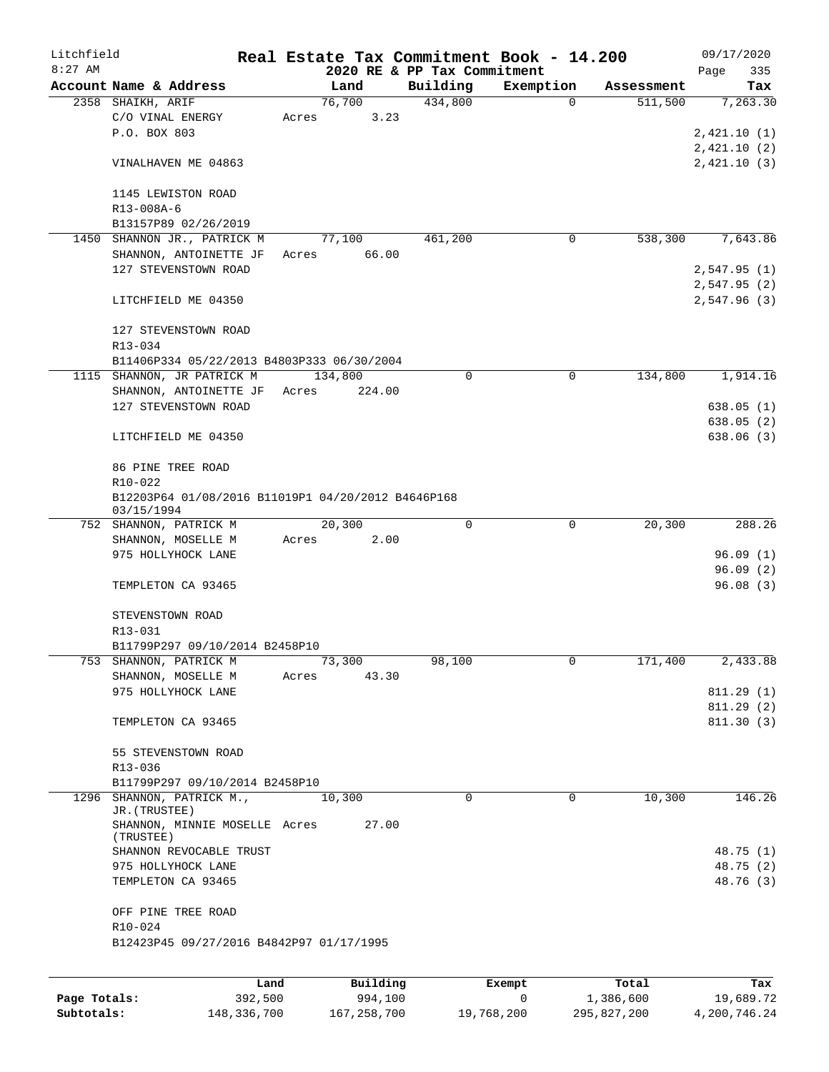| Litchfield   |                                                    |         |       |          |                             | Real Estate Tax Commitment Book - 14.200 |            | 09/17/2020  |
|--------------|----------------------------------------------------|---------|-------|----------|-----------------------------|------------------------------------------|------------|-------------|
| $8:27$ AM    |                                                    |         |       |          | 2020 RE & PP Tax Commitment |                                          |            | Page<br>335 |
|              | Account Name & Address                             |         |       | Land     | Building                    | Exemption                                | Assessment | Tax         |
|              | 2358 SHAIKH, ARIF                                  |         |       | 76,700   | 434,800                     | 0                                        | 511,500    | 7,263.30    |
|              | C/O VINAL ENERGY                                   |         | Acres | 3.23     |                             |                                          |            |             |
|              | P.O. BOX 803                                       |         |       |          |                             |                                          |            | 2,421.10(1) |
|              |                                                    |         |       |          |                             |                                          |            | 2,421.10(2) |
|              | VINALHAVEN ME 04863                                |         |       |          |                             |                                          |            | 2,421.10(3) |
|              |                                                    |         |       |          |                             |                                          |            |             |
|              | 1145 LEWISTON ROAD                                 |         |       |          |                             |                                          |            |             |
|              | R13-008A-6                                         |         |       |          |                             |                                          |            |             |
|              | B13157P89 02/26/2019                               |         |       |          |                             |                                          |            |             |
|              | 1450 SHANNON JR., PATRICK M                        |         |       | 77,100   | 461,200                     | 0                                        | 538,300    | 7,643.86    |
|              | SHANNON, ANTOINETTE JF                             |         | Acres | 66.00    |                             |                                          |            |             |
|              | 127 STEVENSTOWN ROAD                               |         |       |          |                             |                                          |            | 2,547.95(1) |
|              |                                                    |         |       |          |                             |                                          |            | 2,547.95(2) |
|              | LITCHFIELD ME 04350                                |         |       |          |                             |                                          |            | 2,547.96(3) |
|              |                                                    |         |       |          |                             |                                          |            |             |
|              | 127 STEVENSTOWN ROAD                               |         |       |          |                             |                                          |            |             |
|              | R13-034                                            |         |       |          |                             |                                          |            |             |
|              | B11406P334 05/22/2013 B4803P333 06/30/2004         |         |       |          |                             |                                          |            |             |
|              | 1115 SHANNON, JR PATRICK M                         |         |       | 134,800  | 0                           | $\mathbf 0$                              | 134,800    | 1,914.16    |
|              | SHANNON, ANTOINETTE JF                             |         | Acres | 224.00   |                             |                                          |            |             |
|              | 127 STEVENSTOWN ROAD                               |         |       |          |                             |                                          |            | 638.05(1)   |
|              |                                                    |         |       |          |                             |                                          |            | 638.05(2)   |
|              | LITCHFIELD ME 04350                                |         |       |          |                             |                                          |            | 638.06(3)   |
|              |                                                    |         |       |          |                             |                                          |            |             |
|              | 86 PINE TREE ROAD                                  |         |       |          |                             |                                          |            |             |
|              | R10-022                                            |         |       |          |                             |                                          |            |             |
|              | B12203P64 01/08/2016 B11019P1 04/20/2012 B4646P168 |         |       |          |                             |                                          |            |             |
|              | 03/15/1994                                         |         |       |          |                             |                                          |            |             |
|              | 752 SHANNON, PATRICK M                             |         |       | 20,300   | 0                           | 0                                        | 20,300     | 288.26      |
|              | SHANNON, MOSELLE M                                 |         | Acres | 2.00     |                             |                                          |            |             |
|              | 975 HOLLYHOCK LANE                                 |         |       |          |                             |                                          |            | 96.09(1)    |
|              |                                                    |         |       |          |                             |                                          |            | 96.09(2)    |
|              | TEMPLETON CA 93465                                 |         |       |          |                             |                                          |            | 96.08(3)    |
|              |                                                    |         |       |          |                             |                                          |            |             |
|              | STEVENSTOWN ROAD                                   |         |       |          |                             |                                          |            |             |
|              | R13-031                                            |         |       |          |                             |                                          |            |             |
|              | B11799P297 09/10/2014 B2458P10                     |         |       |          |                             |                                          |            |             |
|              | 753 SHANNON, PATRICK M                             |         |       | 73,300   | 98,100                      | 0                                        | 171,400    | 2,433.88    |
|              | SHANNON, MOSELLE M                                 |         | Acres | 43.30    |                             |                                          |            |             |
|              | 975 HOLLYHOCK LANE                                 |         |       |          |                             |                                          |            | 811.29(1)   |
|              |                                                    |         |       |          |                             |                                          |            | 811.29(2)   |
|              | TEMPLETON CA 93465                                 |         |       |          |                             |                                          |            | 811.30(3)   |
|              |                                                    |         |       |          |                             |                                          |            |             |
|              | 55 STEVENSTOWN ROAD                                |         |       |          |                             |                                          |            |             |
|              | R13-036                                            |         |       |          |                             |                                          |            |             |
|              | B11799P297 09/10/2014 B2458P10                     |         |       |          |                             |                                          |            |             |
| 1296         | SHANNON, PATRICK M.,<br>JR. (TRUSTEE)              |         |       | 10,300   | $\Omega$                    | $\Omega$                                 | 10,300     | 146.26      |
|              | SHANNON, MINNIE MOSELLE Acres                      |         |       | 27.00    |                             |                                          |            |             |
|              | (TRUSTEE)                                          |         |       |          |                             |                                          |            |             |
|              | SHANNON REVOCABLE TRUST                            |         |       |          |                             |                                          |            | 48.75 (1)   |
|              | 975 HOLLYHOCK LANE                                 |         |       |          |                             |                                          |            | 48.75 (2)   |
|              | TEMPLETON CA 93465                                 |         |       |          |                             |                                          |            | 48.76 (3)   |
|              |                                                    |         |       |          |                             |                                          |            |             |
|              | OFF PINE TREE ROAD                                 |         |       |          |                             |                                          |            |             |
|              | R10-024                                            |         |       |          |                             |                                          |            |             |
|              | B12423P45 09/27/2016 B4842P97 01/17/1995           |         |       |          |                             |                                          |            |             |
|              |                                                    |         |       |          |                             |                                          |            |             |
|              |                                                    | Land    |       | Building |                             | Exempt                                   | Total      | Tax         |
| Page Totals: |                                                    | 392,500 |       | 994,100  |                             | 0                                        | 1,386,600  | 19,689.72   |
|              |                                                    |         |       |          |                             |                                          |            |             |

**Subtotals:** 148,336,700 167,258,700 19,768,200 295,827,200 4,200,746.24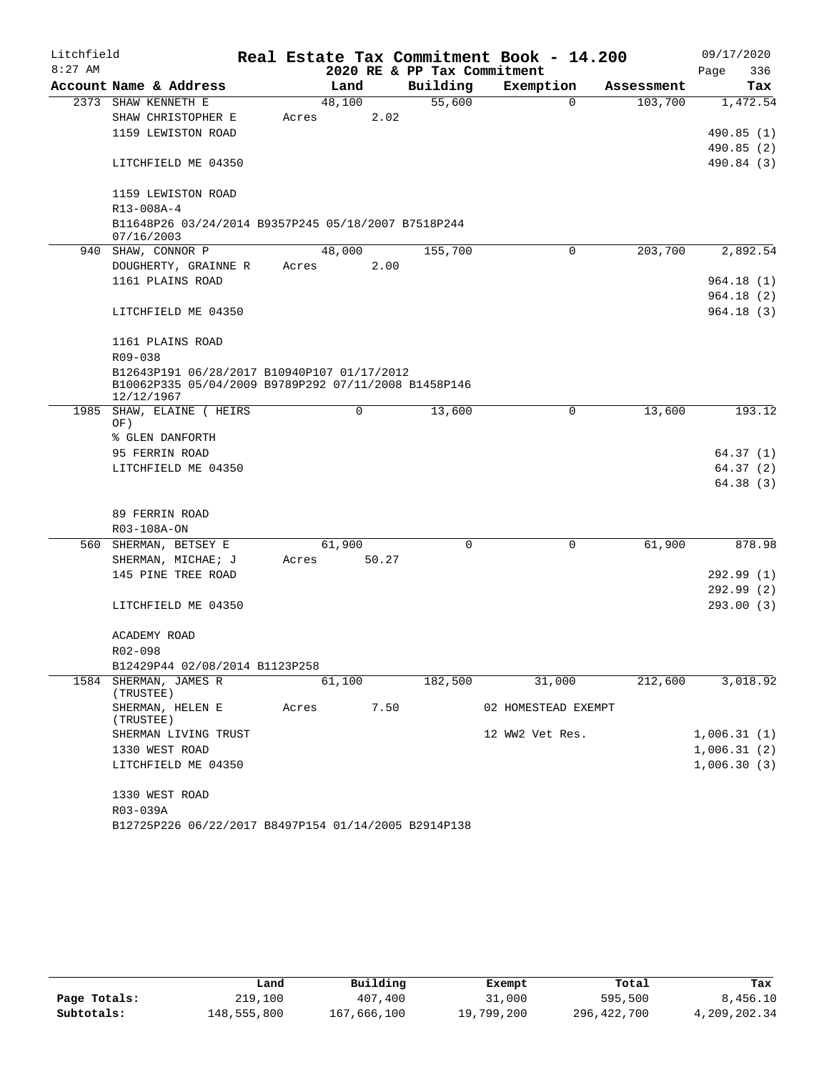| Litchfield |                                                                    |       |        |       |                             | Real Estate Tax Commitment Book - 14.200 |            | 09/17/2020  |
|------------|--------------------------------------------------------------------|-------|--------|-------|-----------------------------|------------------------------------------|------------|-------------|
| $8:27$ AM  |                                                                    |       |        |       | 2020 RE & PP Tax Commitment |                                          |            | 336<br>Page |
|            | Account Name & Address                                             |       | Land   |       | Building                    | Exemption                                | Assessment | Tax         |
|            | 2373 SHAW KENNETH E                                                |       | 48,100 |       | 55,600                      | $\Omega$                                 | 103,700    | 1,472.54    |
|            | SHAW CHRISTOPHER E                                                 | Acres |        | 2.02  |                             |                                          |            |             |
|            | 1159 LEWISTON ROAD                                                 |       |        |       |                             |                                          |            | 490.85(1)   |
|            |                                                                    |       |        |       |                             |                                          |            | 490.85(2)   |
|            | LITCHFIELD ME 04350                                                |       |        |       |                             |                                          |            | 490.84 (3)  |
|            | 1159 LEWISTON ROAD                                                 |       |        |       |                             |                                          |            |             |
|            | R13-008A-4                                                         |       |        |       |                             |                                          |            |             |
|            | B11648P26 03/24/2014 B9357P245 05/18/2007 B7518P244<br>07/16/2003  |       |        |       |                             |                                          |            |             |
|            | 940 SHAW, CONNOR P                                                 |       | 48,000 |       | 155,700                     | $\Omega$                                 | 203,700    | 2,892.54    |
|            | DOUGHERTY, GRAINNE R                                               | Acres |        | 2.00  |                             |                                          |            |             |
|            | 1161 PLAINS ROAD                                                   |       |        |       |                             |                                          |            | 964.18(1)   |
|            |                                                                    |       |        |       |                             |                                          |            | 964.18(2)   |
|            | LITCHFIELD ME 04350                                                |       |        |       |                             |                                          |            | 964.18 (3)  |
|            | 1161 PLAINS ROAD                                                   |       |        |       |                             |                                          |            |             |
|            | R09-038                                                            |       |        |       |                             |                                          |            |             |
|            | B12643P191 06/28/2017 B10940P107 01/17/2012                        |       |        |       |                             |                                          |            |             |
|            | B10062P335 05/04/2009 B9789P292 07/11/2008 B1458P146<br>12/12/1967 |       |        |       |                             |                                          |            |             |
|            | 1985 SHAW, ELAINE ( HEIRS<br>OF)                                   |       | 0      |       | 13,600                      | 0                                        | 13,600     | 193.12      |
|            | % GLEN DANFORTH                                                    |       |        |       |                             |                                          |            |             |
|            | 95 FERRIN ROAD                                                     |       |        |       |                             |                                          |            | 64.37(1)    |
|            | LITCHFIELD ME 04350                                                |       |        |       |                             |                                          |            | 64.37(2)    |
|            |                                                                    |       |        |       |                             |                                          |            | 64.38 (3)   |
|            |                                                                    |       |        |       |                             |                                          |            |             |
|            | 89 FERRIN ROAD                                                     |       |        |       |                             |                                          |            |             |
|            | R03-108A-ON                                                        |       |        |       |                             |                                          |            |             |
|            | 560 SHERMAN, BETSEY E                                              |       | 61,900 |       | $\Omega$                    | $\mathbf 0$                              | 61,900     | 878.98      |
|            | SHERMAN, MICHAE; J                                                 | Acres |        | 50.27 |                             |                                          |            |             |
|            | 145 PINE TREE ROAD                                                 |       |        |       |                             |                                          |            | 292.99(1)   |
|            |                                                                    |       |        |       |                             |                                          |            | 292.99(2)   |
|            | LITCHFIELD ME 04350                                                |       |        |       |                             |                                          |            | 293.00(3)   |
|            | ACADEMY ROAD                                                       |       |        |       |                             |                                          |            |             |
|            | R02-098                                                            |       |        |       |                             |                                          |            |             |
|            | B12429P44 02/08/2014 B1123P258                                     |       |        |       |                             |                                          |            |             |
|            | 1584 SHERMAN, JAMES R                                              |       | 61,100 |       | 182,500                     | 31,000                                   | 212,600    | 3,018.92    |
|            | (TRUSTEE)                                                          |       |        |       |                             |                                          |            |             |
|            | SHERMAN, HELEN E<br>(TRUSTEE)                                      | Acres |        | 7.50  |                             | 02 HOMESTEAD EXEMPT                      |            |             |
|            | SHERMAN LIVING TRUST                                               |       |        |       |                             | 12 WW2 Vet Res.                          |            | 1,006.31(1) |
|            | 1330 WEST ROAD                                                     |       |        |       |                             |                                          |            | 1,006.31(2) |
|            | LITCHFIELD ME 04350                                                |       |        |       |                             |                                          |            | 1,006.30(3) |
|            | 1330 WEST ROAD                                                     |       |        |       |                             |                                          |            |             |
|            | R03-039A                                                           |       |        |       |                             |                                          |            |             |
|            | B12725P226 06/22/2017 B8497P154 01/14/2005 B2914P138               |       |        |       |                             |                                          |            |             |

|              | Land        | Building    | Exempt     | Total       | Tax          |
|--------------|-------------|-------------|------------|-------------|--------------|
| Page Totals: | 219,100     | 407,400     | 31,000     | 595,500     | 8,456.10     |
| Subtotals:   | 148,555,800 | 167,666,100 | 19,799,200 | 296,422,700 | 4,209,202.34 |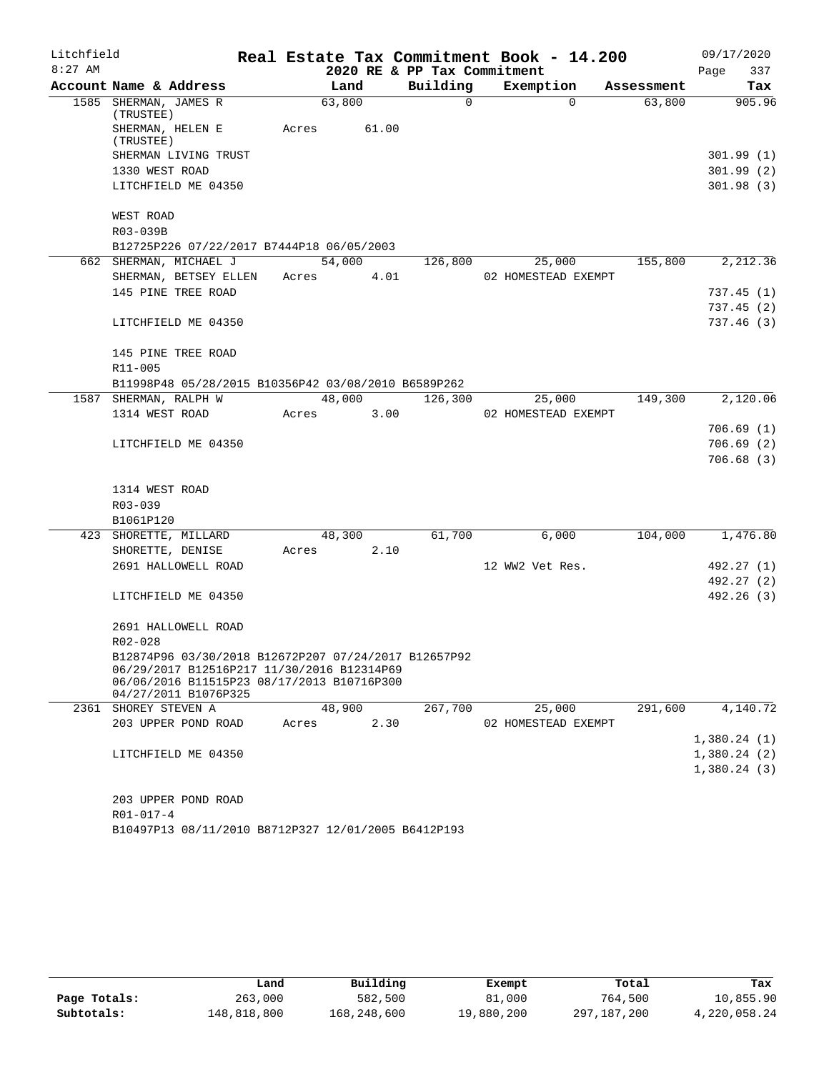| Litchfield |                                                                    |       |        |        |                             | Real Estate Tax Commitment Book - 14.200 |            | 09/17/2020       |
|------------|--------------------------------------------------------------------|-------|--------|--------|-----------------------------|------------------------------------------|------------|------------------|
| $8:27$ AM  |                                                                    |       |        |        | 2020 RE & PP Tax Commitment |                                          |            | 337<br>Page      |
|            | Account Name & Address                                             |       | Land   |        | Building                    | Exemption                                | Assessment | Tax              |
|            | 1585 SHERMAN, JAMES R<br>(TRUSTEE)                                 |       | 63,800 |        | $\Omega$                    | $\Omega$                                 | 63,800     | 905.96           |
|            | SHERMAN, HELEN E<br>(TRUSTEE)                                      | Acres |        | 61.00  |                             |                                          |            |                  |
|            | SHERMAN LIVING TRUST                                               |       |        |        |                             |                                          |            | 301.99 (1)       |
|            | 1330 WEST ROAD                                                     |       |        |        |                             |                                          |            | 301.99(2)        |
|            | LITCHFIELD ME 04350                                                |       |        |        |                             |                                          |            | 301.98(3)        |
|            | WEST ROAD                                                          |       |        |        |                             |                                          |            |                  |
|            | R03-039B                                                           |       |        |        |                             |                                          |            |                  |
|            | B12725P226 07/22/2017 B7444P18 06/05/2003                          |       |        |        |                             |                                          |            |                  |
|            | 662 SHERMAN, MICHAEL J                                             |       |        | 54,000 | 126,800                     | 25,000                                   | 155,800    | 2,212.36         |
|            | SHERMAN, BETSEY ELLEN                                              |       | Acres  | 4.01   |                             | 02 HOMESTEAD EXEMPT                      |            |                  |
|            | 145 PINE TREE ROAD                                                 |       |        |        |                             |                                          |            | 737.45(1)        |
|            |                                                                    |       |        |        |                             |                                          |            | 737.45(2)        |
|            | LITCHFIELD ME 04350                                                |       |        |        |                             |                                          |            | 737.46(3)        |
|            | 145 PINE TREE ROAD                                                 |       |        |        |                             |                                          |            |                  |
|            | $R11 - 005$                                                        |       |        |        |                             |                                          |            |                  |
|            | B11998P48 05/28/2015 B10356P42 03/08/2010 B6589P262                |       |        |        |                             |                                          |            |                  |
|            | 1587 SHERMAN, RALPH W                                              |       |        | 48,000 | 126,300                     | 25,000                                   | 149,300    | 2,120.06         |
|            | 1314 WEST ROAD                                                     | Acres |        | 3.00   |                             | 02 HOMESTEAD EXEMPT                      |            |                  |
|            |                                                                    |       |        |        |                             |                                          |            | 706.69(1)        |
|            | LITCHFIELD ME 04350                                                |       |        |        |                             |                                          |            | 706.69(2)        |
|            |                                                                    |       |        |        |                             |                                          |            | 706.68(3)        |
|            | 1314 WEST ROAD                                                     |       |        |        |                             |                                          |            |                  |
|            | $R03 - 039$                                                        |       |        |        |                             |                                          |            |                  |
|            | B1061P120                                                          |       |        |        |                             |                                          |            |                  |
|            | 423 SHORETTE, MILLARD                                              |       |        | 48,300 | 61,700                      | 6,000                                    |            | 104,000 1,476.80 |
|            | SHORETTE, DENISE                                                   | Acres |        | 2.10   |                             |                                          |            |                  |
|            | 2691 HALLOWELL ROAD                                                |       |        |        |                             | 12 WW2 Vet Res.                          |            | 492.27 (1)       |
|            |                                                                    |       |        |        |                             |                                          |            | 492.27 (2)       |
|            | LITCHFIELD ME 04350                                                |       |        |        |                             |                                          |            | 492.26 (3)       |
|            | 2691 HALLOWELL ROAD                                                |       |        |        |                             |                                          |            |                  |
|            | R02-028                                                            |       |        |        |                             |                                          |            |                  |
|            | B12874P96 03/30/2018 B12672P207 07/24/2017 B12657P92               |       |        |        |                             |                                          |            |                  |
|            | 06/29/2017 B12516P217 11/30/2016 B12314P69                         |       |        |        |                             |                                          |            |                  |
|            | 06/06/2016 B11515P23 08/17/2013 B10716P300<br>04/27/2011 B1076P325 |       |        |        |                             |                                          |            |                  |
| 2361       | SHOREY STEVEN A                                                    |       | 48,900 |        | 267,700                     | 25,000                                   | 291,600    | 4,140.72         |
|            | 203 UPPER POND ROAD                                                | Acres |        | 2.30   |                             | 02 HOMESTEAD EXEMPT                      |            |                  |
|            |                                                                    |       |        |        |                             |                                          |            | 1,380.24(1)      |
|            | LITCHFIELD ME 04350                                                |       |        |        |                             |                                          |            | 1,380.24(2)      |
|            |                                                                    |       |        |        |                             |                                          |            | 1,380.24(3)      |
|            |                                                                    |       |        |        |                             |                                          |            |                  |
|            | 203 UPPER POND ROAD                                                |       |        |        |                             |                                          |            |                  |
|            | $R01 - 017 - 4$                                                    |       |        |        |                             |                                          |            |                  |

B10497P13 08/11/2010 B8712P327 12/01/2005 B6412P193

|              | Land        | Building    | Exempt     | Total       | Tax          |
|--------------|-------------|-------------|------------|-------------|--------------|
| Page Totals: | 263,000     | 582,500     | 81,000     | 764,500     | 10,855.90    |
| Subtotals:   | 148,818,800 | 168,248,600 | 19,880,200 | 297,187,200 | 4,220,058.24 |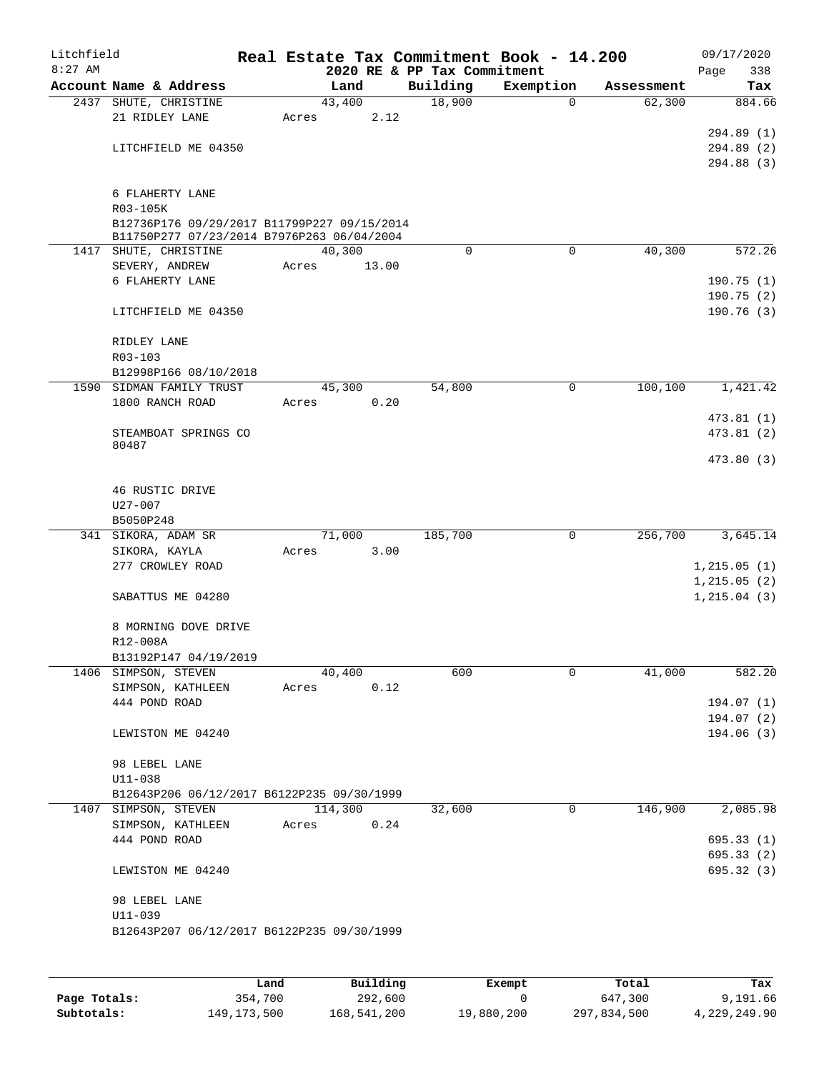| Litchfield<br>$8:27$ AM |                                             |       |        |            |          |     | Real Estate Tax Commitment Book - 14.200<br>2020 RE & PP Tax Commitment |             |            | Page | 09/17/2020<br>338 |
|-------------------------|---------------------------------------------|-------|--------|------------|----------|-----|-------------------------------------------------------------------------|-------------|------------|------|-------------------|
|                         | Account Name & Address                      |       | Land   |            | Building |     | Exemption                                                               |             | Assessment |      | Tax               |
|                         | 2437 SHUTE, CHRISTINE                       |       | 43,400 |            | 18,900   |     |                                                                         | $\mathbf 0$ | 62,300     |      | 884.66            |
|                         | 21 RIDLEY LANE                              | Acres |        | 2.12       |          |     |                                                                         |             |            |      |                   |
|                         |                                             |       |        |            |          |     |                                                                         |             |            |      | 294.89 (1)        |
|                         | LITCHFIELD ME 04350                         |       |        |            |          |     |                                                                         |             |            |      | 294.89 (2)        |
|                         |                                             |       |        |            |          |     |                                                                         |             |            |      | 294.88 (3)        |
|                         |                                             |       |        |            |          |     |                                                                         |             |            |      |                   |
|                         | 6 FLAHERTY LANE<br>R03-105K                 |       |        |            |          |     |                                                                         |             |            |      |                   |
|                         | B12736P176 09/29/2017 B11799P227 09/15/2014 |       |        |            |          |     |                                                                         |             |            |      |                   |
|                         | B11750P277 07/23/2014 B7976P263 06/04/2004  |       |        |            |          |     |                                                                         |             |            |      |                   |
|                         | 1417 SHUTE, CHRISTINE                       |       | 40,300 |            |          | 0   |                                                                         | $\mathbf 0$ | 40,300     |      | 572.26            |
|                         | SEVERY, ANDREW                              | Acres |        | 13.00      |          |     |                                                                         |             |            |      |                   |
|                         | 6 FLAHERTY LANE                             |       |        |            |          |     |                                                                         |             |            |      | 190.75(1)         |
|                         |                                             |       |        |            |          |     |                                                                         |             |            |      | 190.75(2)         |
|                         | LITCHFIELD ME 04350                         |       |        |            |          |     |                                                                         |             |            |      | 190.76(3)         |
|                         |                                             |       |        |            |          |     |                                                                         |             |            |      |                   |
|                         | RIDLEY LANE                                 |       |        |            |          |     |                                                                         |             |            |      |                   |
|                         | $R03 - 103$<br>B12998P166 08/10/2018        |       |        |            |          |     |                                                                         |             |            |      |                   |
| 1590                    | SIDMAN FAMILY TRUST                         |       | 45,300 |            | 54,800   |     |                                                                         | 0           | 100,100    |      | 1,421.42          |
|                         | 1800 RANCH ROAD                             | Acres |        | 0.20       |          |     |                                                                         |             |            |      |                   |
|                         |                                             |       |        |            |          |     |                                                                         |             |            |      | 473.81(1)         |
|                         | STEAMBOAT SPRINGS CO                        |       |        |            |          |     |                                                                         |             |            |      | 473.81 (2)        |
|                         | 80487                                       |       |        |            |          |     |                                                                         |             |            |      |                   |
|                         |                                             |       |        |            |          |     |                                                                         |             |            |      | 473.80 (3)        |
|                         |                                             |       |        |            |          |     |                                                                         |             |            |      |                   |
|                         | 46 RUSTIC DRIVE                             |       |        |            |          |     |                                                                         |             |            |      |                   |
|                         | U27-007                                     |       |        |            |          |     |                                                                         |             |            |      |                   |
|                         | B5050P248<br>341 SIKORA, ADAM SR            |       | 71,000 |            | 185,700  |     |                                                                         | 0           | 256,700    |      | 3,645.14          |
|                         | SIKORA, KAYLA                               | Acres |        | 3.00       |          |     |                                                                         |             |            |      |                   |
|                         | 277 CROWLEY ROAD                            |       |        |            |          |     |                                                                         |             |            |      | 1, 215.05(1)      |
|                         |                                             |       |        |            |          |     |                                                                         |             |            |      | 1, 215.05(2)      |
|                         | SABATTUS ME 04280                           |       |        |            |          |     |                                                                         |             |            |      | 1, 215.04(3)      |
|                         |                                             |       |        |            |          |     |                                                                         |             |            |      |                   |
|                         | 8 MORNING DOVE DRIVE                        |       |        |            |          |     |                                                                         |             |            |      |                   |
|                         | R12-008A                                    |       |        |            |          |     |                                                                         |             |            |      |                   |
|                         | B13192P147 04/19/2019                       |       |        |            |          |     |                                                                         |             |            |      |                   |
|                         | 1406 SIMPSON, STEVEN                        |       | 40,400 |            |          | 600 |                                                                         | 0           | 41,000     |      | 582.20            |
|                         | SIMPSON, KATHLEEN                           | Acres |        | 0.12       |          |     |                                                                         |             |            |      |                   |
|                         | 444 POND ROAD                               |       |        |            |          |     |                                                                         |             |            |      | 194.07(1)         |
|                         |                                             |       |        |            |          |     |                                                                         |             |            |      | 194.07(2)         |
|                         | LEWISTON ME 04240                           |       |        |            |          |     |                                                                         |             |            |      | 194.06(3)         |
|                         | 98 LEBEL LANE                               |       |        |            |          |     |                                                                         |             |            |      |                   |
|                         | U11-038                                     |       |        |            |          |     |                                                                         |             |            |      |                   |
|                         | B12643P206 06/12/2017 B6122P235 09/30/1999  |       |        |            |          |     |                                                                         |             |            |      |                   |
|                         | 1407 SIMPSON, STEVEN                        |       |        | 114,300    | 32,600   |     |                                                                         | 0           | 146,900    |      | 2,085.98          |
|                         | SIMPSON, KATHLEEN                           |       |        | Acres 0.24 |          |     |                                                                         |             |            |      |                   |
|                         | 444 POND ROAD                               |       |        |            |          |     |                                                                         |             |            |      | 695.33(1)         |
|                         |                                             |       |        |            |          |     |                                                                         |             |            |      | 695.33 (2)        |
|                         | LEWISTON ME 04240                           |       |        |            |          |     |                                                                         |             |            |      | 695.32 (3)        |
|                         |                                             |       |        |            |          |     |                                                                         |             |            |      |                   |
|                         | 98 LEBEL LANE                               |       |        |            |          |     |                                                                         |             |            |      |                   |
|                         | $U11 - 039$                                 |       |        |            |          |     |                                                                         |             |            |      |                   |
|                         | B12643P207 06/12/2017 B6122P235 09/30/1999  |       |        |            |          |     |                                                                         |             |            |      |                   |
|                         |                                             |       |        |            |          |     |                                                                         |             |            |      |                   |

|              | Land          | Building    | Exempt     | Total       | Tax          |
|--------------|---------------|-------------|------------|-------------|--------------|
| Page Totals: | 354,700       | 292,600     |            | 647,300     | 9,191.66     |
| Subtotals:   | 149, 173, 500 | 168,541,200 | 19,880,200 | 297,834,500 | 4,229,249.90 |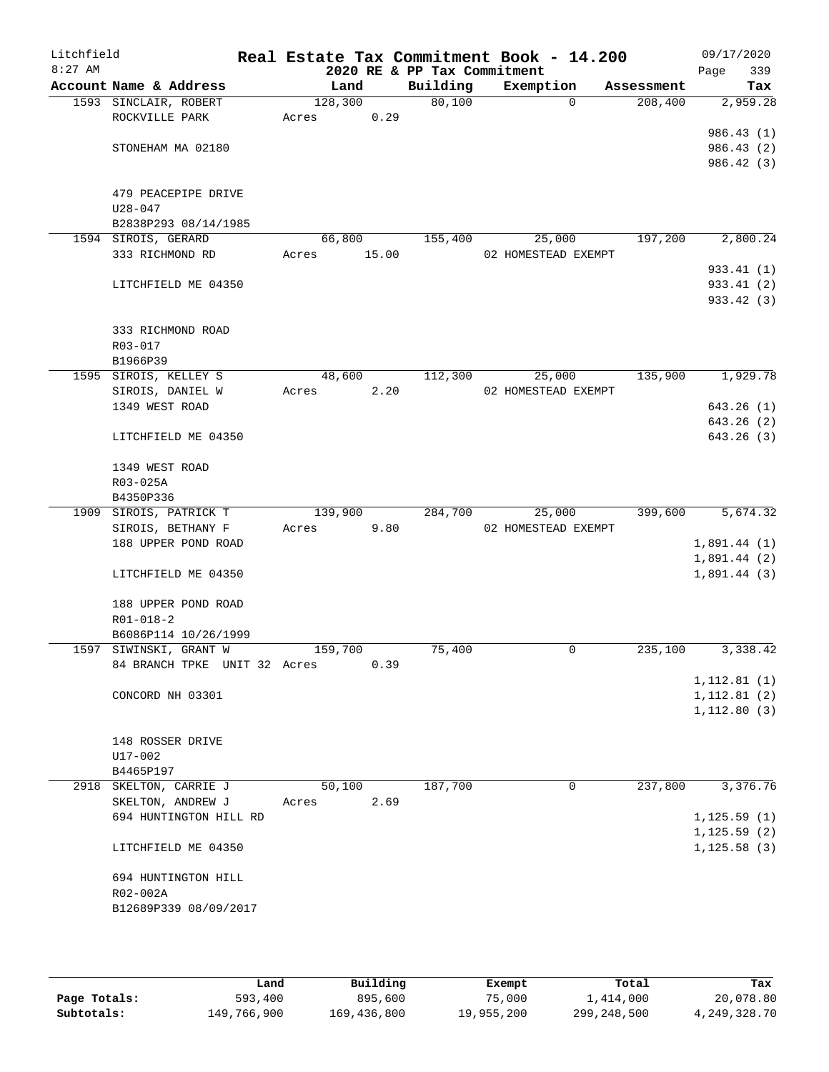| Litchfield<br>$8:27$ AM |                                   |         |       | 2020 RE & PP Tax Commitment | Real Estate Tax Commitment Book - 14.200 |            | 09/17/2020<br>339<br>Page |
|-------------------------|-----------------------------------|---------|-------|-----------------------------|------------------------------------------|------------|---------------------------|
|                         | Account Name & Address            | Land    |       | Building                    | Exemption                                | Assessment | Tax                       |
|                         | 1593 SINCLAIR, ROBERT             | 128,300 |       | 80,100                      | $\Omega$                                 | 208,400    | 2,959.28                  |
|                         | ROCKVILLE PARK                    | Acres   | 0.29  |                             |                                          |            |                           |
|                         |                                   |         |       |                             |                                          |            | 986.43(1)                 |
|                         | STONEHAM MA 02180                 |         |       |                             |                                          |            | 986.43 (2)                |
|                         |                                   |         |       |                             |                                          |            | 986.42 (3)                |
|                         |                                   |         |       |                             |                                          |            |                           |
|                         | 479 PEACEPIPE DRIVE               |         |       |                             |                                          |            |                           |
|                         | $U28 - 047$                       |         |       |                             |                                          |            |                           |
|                         | B2838P293 08/14/1985              |         |       |                             |                                          |            |                           |
|                         | 1594 SIROIS, GERARD               | 66,800  |       | 155,400                     | 25,000                                   | 197,200    | 2,800.24                  |
|                         | 333 RICHMOND RD                   | Acres   | 15.00 |                             | 02 HOMESTEAD EXEMPT                      |            |                           |
|                         |                                   |         |       |                             |                                          |            | 933.41 (1)                |
|                         | LITCHFIELD ME 04350               |         |       |                             |                                          |            | 933.41 (2)                |
|                         |                                   |         |       |                             |                                          |            | 933.42 (3)                |
|                         |                                   |         |       |                             |                                          |            |                           |
|                         | 333 RICHMOND ROAD                 |         |       |                             |                                          |            |                           |
|                         | R03-017                           |         |       |                             |                                          |            |                           |
|                         | B1966P39<br>1595 SIROIS, KELLEY S | 48,600  |       | 112,300                     | 25,000                                   | 135,900    | 1,929.78                  |
|                         | SIROIS, DANIEL W                  | Acres   | 2.20  |                             | 02 HOMESTEAD EXEMPT                      |            |                           |
|                         | 1349 WEST ROAD                    |         |       |                             |                                          |            | 643.26(1)                 |
|                         |                                   |         |       |                             |                                          |            | 643.26 (2)                |
|                         | LITCHFIELD ME 04350               |         |       |                             |                                          |            | 643.26 (3)                |
|                         |                                   |         |       |                             |                                          |            |                           |
|                         | 1349 WEST ROAD                    |         |       |                             |                                          |            |                           |
|                         | R03-025A                          |         |       |                             |                                          |            |                           |
|                         | B4350P336                         |         |       |                             |                                          |            |                           |
|                         | 1909 SIROIS, PATRICK T            | 139,900 |       | 284,700                     | 25,000                                   | 399,600    | 5,674.32                  |
|                         | SIROIS, BETHANY F                 | Acres   | 9.80  |                             | 02 HOMESTEAD EXEMPT                      |            |                           |
|                         | 188 UPPER POND ROAD               |         |       |                             |                                          |            | 1,891.44(1)               |
|                         |                                   |         |       |                             |                                          |            | 1,891.44(2)               |
|                         | LITCHFIELD ME 04350               |         |       |                             |                                          |            | 1,891.44(3)               |
|                         |                                   |         |       |                             |                                          |            |                           |
|                         | 188 UPPER POND ROAD               |         |       |                             |                                          |            |                           |
|                         | $R01 - 018 - 2$                   |         |       |                             |                                          |            |                           |
|                         | B6086P114 10/26/1999              |         |       |                             |                                          |            |                           |
|                         | 1597 SIWINSKI, GRANT W            | 159,700 |       | 75,400                      | 0                                        | 235,100    | 3,338.42                  |
|                         | 84 BRANCH TPKE UNIT 32 Acres      |         | 0.39  |                             |                                          |            |                           |
|                         |                                   |         |       |                             |                                          |            | 1, 112.81(1)              |
|                         | CONCORD NH 03301                  |         |       |                             |                                          |            | 1, 112.81(2)              |
|                         |                                   |         |       |                             |                                          |            | 1, 112.80(3)              |
|                         |                                   |         |       |                             |                                          |            |                           |
|                         | 148 ROSSER DRIVE                  |         |       |                             |                                          |            |                           |
|                         | U17-002                           |         |       |                             |                                          |            |                           |
|                         | B4465P197                         |         |       |                             |                                          |            |                           |
|                         | 2918 SKELTON, CARRIE J            | 50,100  |       | 187,700                     | 0                                        | 237,800    | 3,376.76                  |
|                         | SKELTON, ANDREW J                 | Acres   | 2.69  |                             |                                          |            |                           |
|                         | 694 HUNTINGTON HILL RD            |         |       |                             |                                          |            | 1, 125.59(1)              |
|                         |                                   |         |       |                             |                                          |            | 1, 125.59(2)              |
|                         | LITCHFIELD ME 04350               |         |       |                             |                                          |            | 1, 125.58(3)              |
|                         | 694 HUNTINGTON HILL               |         |       |                             |                                          |            |                           |
|                         | R02-002A                          |         |       |                             |                                          |            |                           |
|                         | B12689P339 08/09/2017             |         |       |                             |                                          |            |                           |
|                         |                                   |         |       |                             |                                          |            |                           |
|                         |                                   |         |       |                             |                                          |            |                           |

|              | Land        | Building    | Exempt     | Total         | Tax          |
|--------------|-------------|-------------|------------|---------------|--------------|
| Page Totals: | 593,400     | 895,600     | 75,000     | 1,414,000     | 20,078.80    |
| Subtotals:   | 149,766,900 | 169,436,800 | 19,955,200 | 299, 248, 500 | 4,249,328.70 |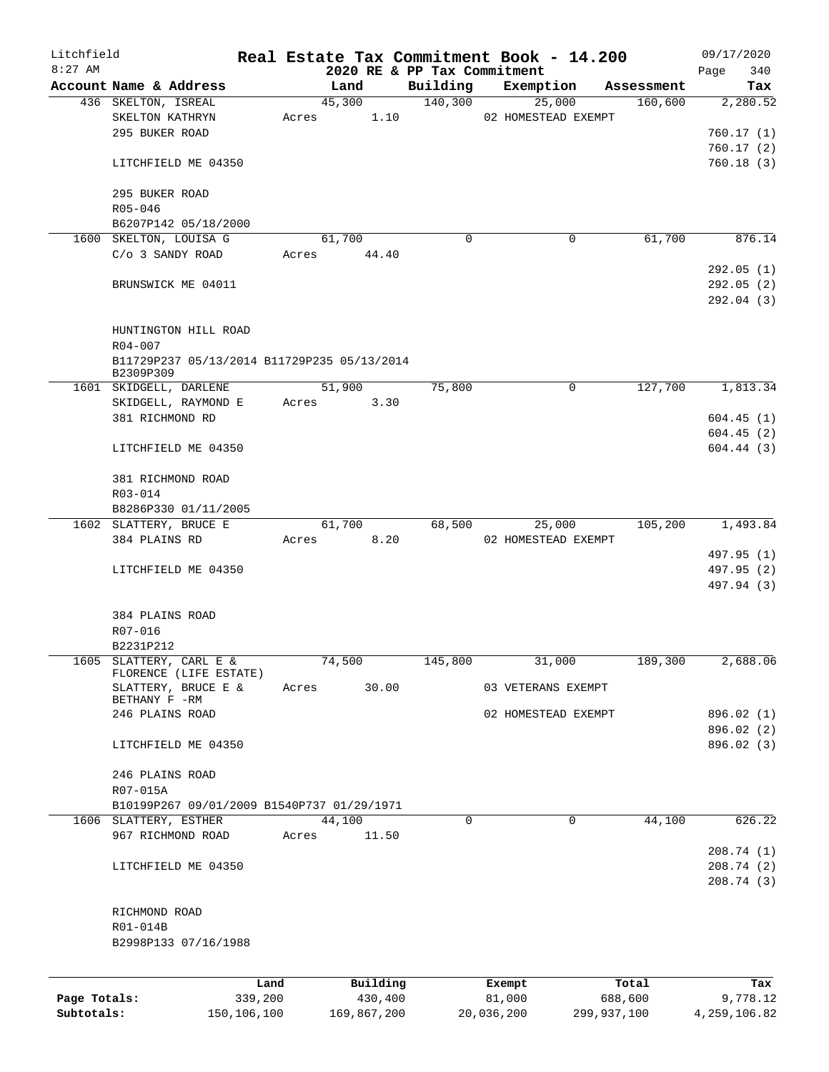| Litchfield   |                                             |         |          |                                         | Real Estate Tax Commitment Book - 14.200 |            | 09/17/2020               |
|--------------|---------------------------------------------|---------|----------|-----------------------------------------|------------------------------------------|------------|--------------------------|
| $8:27$ AM    | Account Name & Address                      |         | Land     | 2020 RE & PP Tax Commitment<br>Building | Exemption                                | Assessment | 340<br>Page<br>Tax       |
|              | 436 SKELTON, ISREAL                         |         | 45,300   | 140,300                                 | 25,000                                   | 160,600    | 2,280.52                 |
|              | SKELTON KATHRYN                             | Acres   | 1.10     |                                         | 02 HOMESTEAD EXEMPT                      |            |                          |
|              | 295 BUKER ROAD                              |         |          |                                         |                                          |            | 760.17(1)                |
|              |                                             |         |          |                                         |                                          |            | 760.17(2)                |
|              | LITCHFIELD ME 04350                         |         |          |                                         |                                          |            | 760.18(3)                |
|              | 295 BUKER ROAD                              |         |          |                                         |                                          |            |                          |
|              | $R05 - 046$                                 |         |          |                                         |                                          |            |                          |
|              | B6207P142 05/18/2000                        |         |          |                                         |                                          |            |                          |
|              | 1600 SKELTON, LOUISA G                      |         | 61,700   | $\Omega$                                | 0                                        | 61,700     | 876.14                   |
|              | C/o 3 SANDY ROAD                            | Acres   | 44.40    |                                         |                                          |            |                          |
|              |                                             |         |          |                                         |                                          |            | 292.05(1)                |
|              | BRUNSWICK ME 04011                          |         |          |                                         |                                          |            | 292.05(2)                |
|              |                                             |         |          |                                         |                                          |            | 292.04 (3)               |
|              | HUNTINGTON HILL ROAD                        |         |          |                                         |                                          |            |                          |
|              | $R04 - 007$                                 |         |          |                                         |                                          |            |                          |
|              | B11729P237 05/13/2014 B11729P235 05/13/2014 |         |          |                                         |                                          |            |                          |
|              | B2309P309                                   |         |          |                                         |                                          |            |                          |
|              | 1601 SKIDGELL, DARLENE                      |         | 51,900   | 75,800                                  | 0                                        | 127,700    | 1,813.34                 |
|              | SKIDGELL, RAYMOND E                         | Acres   | 3.30     |                                         |                                          |            |                          |
|              | 381 RICHMOND RD                             |         |          |                                         |                                          |            | 604.45(1)                |
|              |                                             |         |          |                                         |                                          |            | 604.45(2)                |
|              | LITCHFIELD ME 04350                         |         |          |                                         |                                          |            | 604.44(3)                |
|              | 381 RICHMOND ROAD                           |         |          |                                         |                                          |            |                          |
|              | R03-014                                     |         |          |                                         |                                          |            |                          |
|              | B8286P330 01/11/2005                        |         |          |                                         |                                          |            |                          |
|              | 1602 SLATTERY, BRUCE E                      |         | 61,700   | 68,500                                  | 25,000                                   | 105,200    | 1,493.84                 |
|              | 384 PLAINS RD                               | Acres   | 8.20     |                                         | 02 HOMESTEAD EXEMPT                      |            |                          |
|              |                                             |         |          |                                         |                                          |            | 497.95 (1)               |
|              | LITCHFIELD ME 04350                         |         |          |                                         |                                          |            | 497.95 (2)               |
|              |                                             |         |          |                                         |                                          |            | 497.94 (3)               |
|              | 384 PLAINS ROAD                             |         |          |                                         |                                          |            |                          |
|              | R07-016                                     |         |          |                                         |                                          |            |                          |
|              | B2231P212                                   |         |          |                                         |                                          |            |                          |
| 1605         | SLATTERY, CARL E &                          |         | 74,500   | 145,800                                 | 31,000                                   | 189,300    | 2,688.06                 |
|              | FLORENCE (LIFE ESTATE)                      |         |          |                                         |                                          |            |                          |
|              | SLATTERY, BRUCE E &                         | Acres   | 30.00    |                                         | 03 VETERANS EXEMPT                       |            |                          |
|              | BETHANY F -RM<br>246 PLAINS ROAD            |         |          |                                         | 02 HOMESTEAD EXEMPT                      |            | 896.02 (1)               |
|              |                                             |         |          |                                         |                                          |            | 896.02 (2)               |
|              | LITCHFIELD ME 04350                         |         |          |                                         |                                          |            | 896.02 (3)               |
|              |                                             |         |          |                                         |                                          |            |                          |
|              | 246 PLAINS ROAD                             |         |          |                                         |                                          |            |                          |
|              | R07-015A                                    |         |          |                                         |                                          |            |                          |
|              | B10199P267 09/01/2009 B1540P737 01/29/1971  |         |          |                                         |                                          |            |                          |
|              | 1606 SLATTERY, ESTHER                       |         | 44,100   | $\mathbf 0$                             | 0                                        | 44,100     | 626.22                   |
|              | 967 RICHMOND ROAD                           | Acres   | 11.50    |                                         |                                          |            |                          |
|              | LITCHFIELD ME 04350                         |         |          |                                         |                                          |            | 208.74 (1)<br>208.74 (2) |
|              |                                             |         |          |                                         |                                          |            | 208.74(3)                |
|              |                                             |         |          |                                         |                                          |            |                          |
|              | RICHMOND ROAD                               |         |          |                                         |                                          |            |                          |
|              | R01-014B                                    |         |          |                                         |                                          |            |                          |
|              | B2998P133 07/16/1988                        |         |          |                                         |                                          |            |                          |
|              |                                             |         |          |                                         |                                          |            |                          |
|              |                                             | Land    | Building |                                         | Exempt                                   | Total      | Tax                      |
| Page Totals: |                                             | 339,200 | 430,400  |                                         | 81,000                                   | 688,600    | 9,778.12                 |

**Subtotals:** 150,106,100 169,867,200 20,036,200 299,937,100 4,259,106.82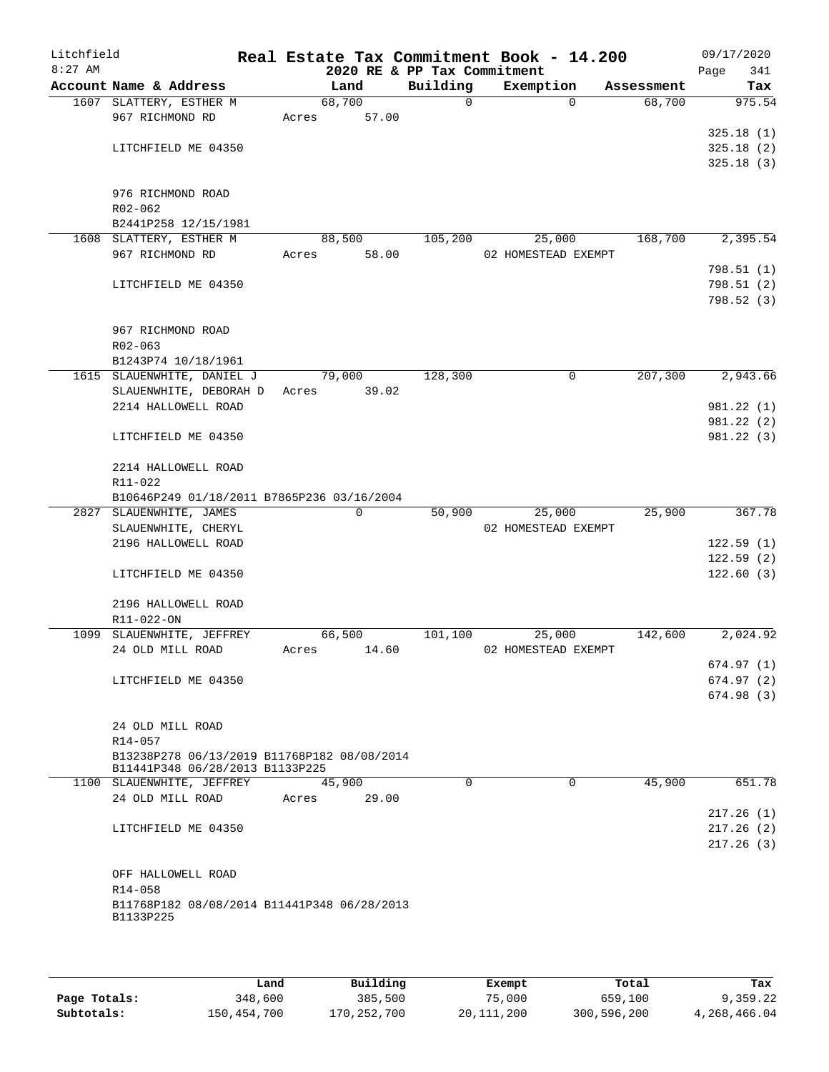| Litchfield<br>$8:27$ AM |                                                          |       |          | 2020 RE & PP Tax Commitment | Real Estate Tax Commitment Book - 14.200 |            | 09/17/2020<br>341<br>Page |
|-------------------------|----------------------------------------------------------|-------|----------|-----------------------------|------------------------------------------|------------|---------------------------|
|                         | Account Name & Address                                   |       | Land     | Building                    | Exemption                                | Assessment | Tax                       |
|                         | 1607 SLATTERY, ESTHER M                                  |       | 68,700   | $\Omega$                    | $\Omega$                                 | 68,700     | 975.54                    |
|                         | 967 RICHMOND RD                                          | Acres | 57.00    |                             |                                          |            |                           |
|                         |                                                          |       |          |                             |                                          |            | 325.18(1)                 |
|                         | LITCHFIELD ME 04350                                      |       |          |                             |                                          |            | 325.18(2)                 |
|                         |                                                          |       |          |                             |                                          |            | 325.18(3)                 |
|                         |                                                          |       |          |                             |                                          |            |                           |
|                         | 976 RICHMOND ROAD                                        |       |          |                             |                                          |            |                           |
|                         | R02-062                                                  |       |          |                             |                                          |            |                           |
|                         | B2441P258 12/15/1981                                     |       |          |                             |                                          |            |                           |
|                         | 1608 SLATTERY, ESTHER M                                  |       | 88,500   | 105,200                     | 25,000                                   | 168,700    | 2,395.54                  |
|                         | 967 RICHMOND RD                                          | Acres | 58.00    |                             | 02 HOMESTEAD EXEMPT                      |            |                           |
|                         |                                                          |       |          |                             |                                          |            | 798.51(1)                 |
|                         | LITCHFIELD ME 04350                                      |       |          |                             |                                          |            | 798.51(2)                 |
|                         |                                                          |       |          |                             |                                          |            |                           |
|                         |                                                          |       |          |                             |                                          |            | 798.52(3)                 |
|                         |                                                          |       |          |                             |                                          |            |                           |
|                         | 967 RICHMOND ROAD                                        |       |          |                             |                                          |            |                           |
|                         | $R02 - 063$                                              |       |          |                             |                                          |            |                           |
|                         | B1243P74 10/18/1961                                      |       |          |                             |                                          |            |                           |
|                         | 1615 SLAUENWHITE, DANIEL J                               |       | 79,000   | 128,300                     | 0                                        | 207,300    | 2,943.66                  |
|                         | SLAUENWHITE, DEBORAH D                                   | Acres | 39.02    |                             |                                          |            |                           |
|                         | 2214 HALLOWELL ROAD                                      |       |          |                             |                                          |            | 981.22 (1)                |
|                         |                                                          |       |          |                             |                                          |            | 981.22(2)                 |
|                         | LITCHFIELD ME 04350                                      |       |          |                             |                                          |            | 981.22(3)                 |
|                         | 2214 HALLOWELL ROAD                                      |       |          |                             |                                          |            |                           |
|                         | R11-022                                                  |       |          |                             |                                          |            |                           |
|                         | B10646P249 01/18/2011 B7865P236 03/16/2004               |       |          |                             |                                          |            |                           |
|                         | 2827 SLAUENWHITE, JAMES                                  |       | $\Omega$ | 50,900                      | 25,000                                   | 25,900     | 367.78                    |
|                         | SLAUENWHITE, CHERYL                                      |       |          |                             | 02 HOMESTEAD EXEMPT                      |            |                           |
|                         | 2196 HALLOWELL ROAD                                      |       |          |                             |                                          |            | 122.59(1)                 |
|                         |                                                          |       |          |                             |                                          |            | 122.59(2)                 |
|                         | LITCHFIELD ME 04350                                      |       |          |                             |                                          |            | 122.60(3)                 |
|                         |                                                          |       |          |                             |                                          |            |                           |
|                         | 2196 HALLOWELL ROAD                                      |       |          |                             |                                          |            |                           |
|                         | R11-022-ON                                               |       |          |                             |                                          |            |                           |
|                         | 1099 SLAUENWHITE, JEFFREY                                |       | 66,500   | 101,100                     | 25,000                                   | 142,600    | 2,024.92                  |
|                         | 24 OLD MILL ROAD                                         | Acres | 14.60    |                             | 02 HOMESTEAD EXEMPT                      |            |                           |
|                         |                                                          |       |          |                             |                                          |            | 674.97(1)                 |
|                         | LITCHFIELD ME 04350                                      |       |          |                             |                                          |            | 674.97(2)                 |
|                         |                                                          |       |          |                             |                                          |            | 674.98(3)                 |
|                         |                                                          |       |          |                             |                                          |            |                           |
|                         | 24 OLD MILL ROAD                                         |       |          |                             |                                          |            |                           |
|                         | $R14 - 057$                                              |       |          |                             |                                          |            |                           |
|                         | B13238P278 06/13/2019 B11768P182 08/08/2014              |       |          |                             |                                          |            |                           |
|                         | B11441P348 06/28/2013 B1133P225                          |       |          |                             |                                          |            |                           |
|                         | 1100 SLAUENWHITE, JEFFREY                                |       | 45,900   | $\Omega$                    | $\Omega$                                 | 45,900     | 651.78                    |
|                         | 24 OLD MILL ROAD                                         | Acres | 29.00    |                             |                                          |            |                           |
|                         |                                                          |       |          |                             |                                          |            | 217.26(1)                 |
|                         | LITCHFIELD ME 04350                                      |       |          |                             |                                          |            | 217.26(2)                 |
|                         |                                                          |       |          |                             |                                          |            | 217.26(3)                 |
|                         |                                                          |       |          |                             |                                          |            |                           |
|                         |                                                          |       |          |                             |                                          |            |                           |
|                         | OFF HALLOWELL ROAD                                       |       |          |                             |                                          |            |                           |
|                         | R14-058                                                  |       |          |                             |                                          |            |                           |
|                         | B11768P182 08/08/2014 B11441P348 06/28/2013<br>B1133P225 |       |          |                             |                                          |            |                           |
|                         |                                                          |       |          |                             |                                          |            |                           |
|                         |                                                          |       |          |                             |                                          |            |                           |

|              | Land        | Building    | Exempt     | Total       | Tax          |
|--------------|-------------|-------------|------------|-------------|--------------|
| Page Totals: | 348,600     | 385,500     | 75,000     | 659,100     | 9,359.22     |
| Subtotals:   | 150,454,700 | 170,252,700 | 20,111,200 | 300,596,200 | 4,268,466.04 |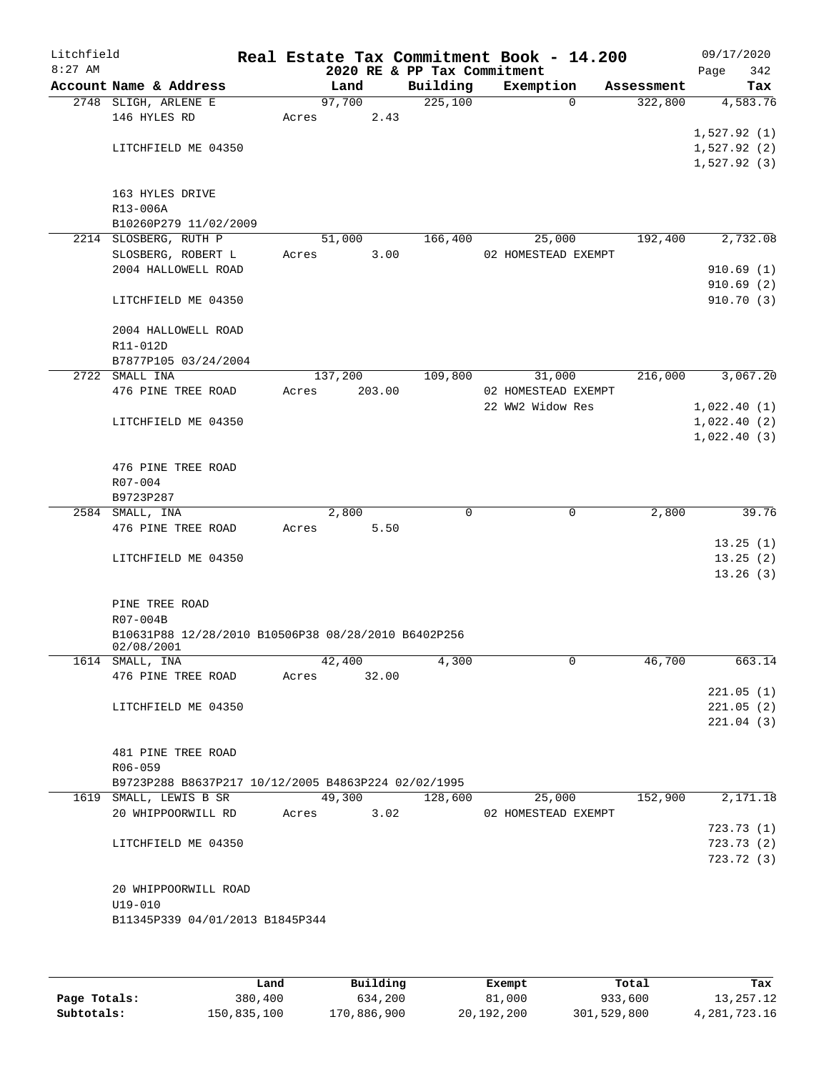| Litchfield<br>$8:27$ AM |                                                     | Real Estate Tax Commitment Book - 14.200 |       | 2020 RE & PP Tax Commitment |                               |            | 09/17/2020<br>Page | 342                    |
|-------------------------|-----------------------------------------------------|------------------------------------------|-------|-----------------------------|-------------------------------|------------|--------------------|------------------------|
|                         | Account Name & Address                              | Land                                     |       | Building                    | Exemption                     | Assessment |                    | Tax                    |
|                         | 2748 SLIGH, ARLENE E                                | 97,700                                   |       | 225,100                     | $\Omega$                      | 322,800    |                    | 4,583.76               |
|                         | 146 HYLES RD                                        | Acres                                    | 2.43  |                             |                               |            |                    |                        |
|                         |                                                     |                                          |       |                             |                               |            | 1,527.92(1)        |                        |
|                         | LITCHFIELD ME 04350                                 |                                          |       |                             |                               |            | 1,527.92(2)        |                        |
|                         |                                                     |                                          |       |                             |                               |            | 1,527.92(3)        |                        |
|                         |                                                     |                                          |       |                             |                               |            |                    |                        |
|                         | 163 HYLES DRIVE                                     |                                          |       |                             |                               |            |                    |                        |
|                         | R13-006A                                            |                                          |       |                             |                               |            |                    |                        |
|                         | B10260P279 11/02/2009                               |                                          |       |                             |                               |            |                    |                        |
|                         | 2214 SLOSBERG, RUTH P                               | 51,000                                   |       | 166,400                     | 25,000<br>02 HOMESTEAD EXEMPT | 192,400    |                    | 2,732.08               |
|                         | SLOSBERG, ROBERT L<br>2004 HALLOWELL ROAD           | Acres                                    | 3.00  |                             |                               |            |                    | 910.69(1)              |
|                         |                                                     |                                          |       |                             |                               |            |                    | 910.69(2)              |
|                         | LITCHFIELD ME 04350                                 |                                          |       |                             |                               |            |                    | 910.70 (3)             |
|                         |                                                     |                                          |       |                             |                               |            |                    |                        |
|                         | 2004 HALLOWELL ROAD                                 |                                          |       |                             |                               |            |                    |                        |
|                         | R11-012D                                            |                                          |       |                             |                               |            |                    |                        |
|                         | B7877P105 03/24/2004                                |                                          |       |                             |                               |            |                    |                        |
|                         | 2722 SMALL INA                                      | 137,200                                  |       | 109,800                     | 31,000                        | 216,000    |                    | 3,067.20               |
|                         | 476 PINE TREE ROAD                                  | Acres<br>203.00                          |       |                             | 02 HOMESTEAD EXEMPT           |            |                    |                        |
|                         |                                                     |                                          |       |                             | 22 WW2 Widow Res              |            | 1,022.40(1)        |                        |
|                         | LITCHFIELD ME 04350                                 |                                          |       |                             |                               |            | 1,022.40(2)        |                        |
|                         |                                                     |                                          |       |                             |                               |            | 1,022.40(3)        |                        |
|                         |                                                     |                                          |       |                             |                               |            |                    |                        |
|                         | 476 PINE TREE ROAD                                  |                                          |       |                             |                               |            |                    |                        |
|                         | $R07 - 004$                                         |                                          |       |                             |                               |            |                    |                        |
|                         | B9723P287                                           |                                          |       |                             |                               |            |                    |                        |
|                         | 2584 SMALL, INA                                     | 2,800                                    |       | $\mathbf 0$                 | 0                             | 2,800      |                    | 39.76                  |
|                         | 476 PINE TREE ROAD                                  | Acres                                    | 5.50  |                             |                               |            |                    |                        |
|                         |                                                     |                                          |       |                             |                               |            |                    | 13.25(1)               |
|                         | LITCHFIELD ME 04350                                 |                                          |       |                             |                               |            |                    | 13.25(2)               |
|                         |                                                     |                                          |       |                             |                               |            |                    | 13.26(3)               |
|                         | PINE TREE ROAD                                      |                                          |       |                             |                               |            |                    |                        |
|                         | R07-004B                                            |                                          |       |                             |                               |            |                    |                        |
|                         | B10631P88 12/28/2010 B10506P38 08/28/2010 B6402P256 |                                          |       |                             |                               |            |                    |                        |
|                         | 02/08/2001                                          |                                          |       |                             |                               |            |                    |                        |
|                         | 1614 SMALL, INA                                     | 42,400                                   |       | 4,300                       | 0                             | 46,700     |                    | 663.14                 |
|                         | 476 PINE TREE ROAD                                  | Acres                                    | 32.00 |                             |                               |            |                    |                        |
|                         |                                                     |                                          |       |                             |                               |            |                    | 221.05(1)              |
|                         | LITCHFIELD ME 04350                                 |                                          |       |                             |                               |            |                    | 221.05(2)              |
|                         |                                                     |                                          |       |                             |                               |            |                    | 221.04(3)              |
|                         |                                                     |                                          |       |                             |                               |            |                    |                        |
|                         | 481 PINE TREE ROAD                                  |                                          |       |                             |                               |            |                    |                        |
|                         | R06-059                                             |                                          |       |                             |                               |            |                    |                        |
|                         | B9723P288 B8637P217 10/12/2005 B4863P224 02/02/1995 |                                          |       |                             |                               |            |                    |                        |
|                         | 1619 SMALL, LEWIS B SR                              | 49,300                                   |       | 128,600                     | 25,000                        | 152,900    |                    | 2,171.18               |
|                         | 20 WHIPPOORWILL RD                                  | Acres                                    | 3.02  |                             | 02 HOMESTEAD EXEMPT           |            |                    |                        |
|                         |                                                     |                                          |       |                             |                               |            |                    | 723.73(1)<br>723.73(2) |
|                         | LITCHFIELD ME 04350                                 |                                          |       |                             |                               |            |                    | 723.72(3)              |
|                         |                                                     |                                          |       |                             |                               |            |                    |                        |
|                         | 20 WHIPPOORWILL ROAD                                |                                          |       |                             |                               |            |                    |                        |
|                         | $U19 - 010$                                         |                                          |       |                             |                               |            |                    |                        |
|                         | B11345P339 04/01/2013 B1845P344                     |                                          |       |                             |                               |            |                    |                        |
|                         |                                                     |                                          |       |                             |                               |            |                    |                        |
|                         |                                                     |                                          |       |                             |                               |            |                    |                        |
|                         |                                                     |                                          |       |                             |                               |            |                    |                        |

|              | Land        | Building    | Exempt     | Total       | Tax          |
|--------------|-------------|-------------|------------|-------------|--------------|
|              |             |             |            |             |              |
| Page Totals: | 380,400     | 634,200     | 81,000     | 933,600     | 13,257.12    |
| Subtotals:   | 150,835,100 | 170,886,900 | 20,192,200 | 301,529,800 | 4,281,723.16 |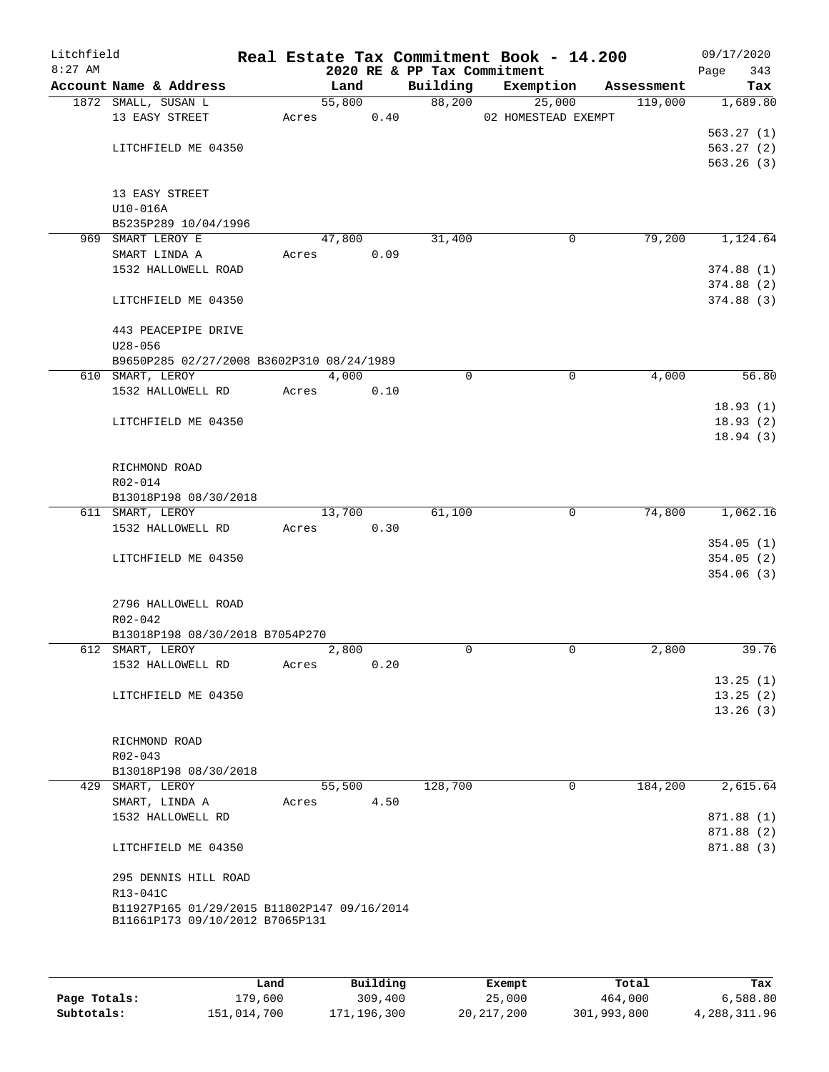| Litchfield<br>$8:27$ AM |                                             |       |        |      | 2020 RE & PP Tax Commitment | Real Estate Tax Commitment Book - 14.200 |                      | 09/17/2020<br>343<br>Page |
|-------------------------|---------------------------------------------|-------|--------|------|-----------------------------|------------------------------------------|----------------------|---------------------------|
|                         | Account Name & Address                      |       | Land   |      | Building                    | Exemption                                | Assessment           | Tax                       |
|                         | 1872 SMALL, SUSAN L                         |       | 55,800 |      | 88,200                      | 25,000                                   | 119,000              | 1,689.80                  |
|                         | 13 EASY STREET                              | Acres |        | 0.40 |                             | 02 HOMESTEAD EXEMPT                      |                      |                           |
|                         |                                             |       |        |      |                             |                                          |                      | 563.27(1)                 |
|                         | LITCHFIELD ME 04350                         |       |        |      |                             |                                          |                      | 563.27(2)                 |
|                         |                                             |       |        |      |                             |                                          |                      | 563.26(3)                 |
|                         |                                             |       |        |      |                             |                                          |                      |                           |
|                         | 13 EASY STREET                              |       |        |      |                             |                                          |                      |                           |
|                         | $U10-016A$                                  |       |        |      |                             |                                          |                      |                           |
|                         | B5235P289 10/04/1996                        |       |        |      |                             |                                          |                      |                           |
|                         | 969 SMART LEROY E                           |       | 47,800 |      | 31,400                      |                                          | 79,200<br>0          | 1,124.64                  |
|                         | SMART LINDA A                               | Acres |        | 0.09 |                             |                                          |                      |                           |
|                         | 1532 HALLOWELL ROAD                         |       |        |      |                             |                                          |                      | 374.88(1)                 |
|                         |                                             |       |        |      |                             |                                          |                      | 374.88(2)                 |
|                         | LITCHFIELD ME 04350                         |       |        |      |                             |                                          |                      | 374.88(3)                 |
|                         |                                             |       |        |      |                             |                                          |                      |                           |
|                         | 443 PEACEPIPE DRIVE<br>$U28 - 056$          |       |        |      |                             |                                          |                      |                           |
|                         | B9650P285 02/27/2008 B3602P310 08/24/1989   |       |        |      |                             |                                          |                      |                           |
|                         | 610 SMART, LEROY                            |       | 4,000  |      | 0                           |                                          | $\mathbf 0$<br>4,000 | 56.80                     |
|                         | 1532 HALLOWELL RD                           | Acres |        | 0.10 |                             |                                          |                      |                           |
|                         |                                             |       |        |      |                             |                                          |                      | 18.93(1)                  |
|                         | LITCHFIELD ME 04350                         |       |        |      |                             |                                          |                      | 18.93(2)                  |
|                         |                                             |       |        |      |                             |                                          |                      | 18.94(3)                  |
|                         |                                             |       |        |      |                             |                                          |                      |                           |
|                         | RICHMOND ROAD                               |       |        |      |                             |                                          |                      |                           |
|                         | R02-014                                     |       |        |      |                             |                                          |                      |                           |
|                         | B13018P198 08/30/2018                       |       |        |      |                             |                                          |                      |                           |
|                         | 611 SMART, LEROY                            |       | 13,700 |      | 61,100                      |                                          | 74,800<br>0          | 1,062.16                  |
|                         | 1532 HALLOWELL RD                           | Acres |        | 0.30 |                             |                                          |                      |                           |
|                         |                                             |       |        |      |                             |                                          |                      | 354.05(1)                 |
|                         | LITCHFIELD ME 04350                         |       |        |      |                             |                                          |                      | 354.05(2)                 |
|                         |                                             |       |        |      |                             |                                          |                      | 354.06(3)                 |
|                         |                                             |       |        |      |                             |                                          |                      |                           |
|                         | 2796 HALLOWELL ROAD                         |       |        |      |                             |                                          |                      |                           |
|                         | R02-042                                     |       |        |      |                             |                                          |                      |                           |
|                         | B13018P198 08/30/2018 B7054P270             |       |        |      |                             |                                          |                      |                           |
|                         | 612 SMART, LEROY                            |       | 2,800  |      | $\Omega$                    |                                          | 0<br>2,800           | 39.76                     |
|                         | 1532 HALLOWELL RD                           | Acres |        | 0.20 |                             |                                          |                      |                           |
|                         |                                             |       |        |      |                             |                                          |                      | 13.25(1)                  |
|                         | LITCHFIELD ME 04350                         |       |        |      |                             |                                          |                      | 13.25(2)                  |
|                         |                                             |       |        |      |                             |                                          |                      | 13.26(3)                  |
|                         |                                             |       |        |      |                             |                                          |                      |                           |
|                         | RICHMOND ROAD                               |       |        |      |                             |                                          |                      |                           |
|                         | R02-043                                     |       |        |      |                             |                                          |                      |                           |
|                         | B13018P198 08/30/2018                       |       |        |      |                             |                                          |                      |                           |
|                         | 429 SMART, LEROY                            |       | 55,500 |      | 128,700                     |                                          | 0<br>184,200         | 2,615.64                  |
|                         | SMART, LINDA A<br>1532 HALLOWELL RD         | Acres |        | 4.50 |                             |                                          |                      | 871.88 (1)                |
|                         |                                             |       |        |      |                             |                                          |                      |                           |
|                         | LITCHFIELD ME 04350                         |       |        |      |                             |                                          |                      | 871.88 (2)<br>871.88 (3)  |
|                         |                                             |       |        |      |                             |                                          |                      |                           |
|                         | 295 DENNIS HILL ROAD                        |       |        |      |                             |                                          |                      |                           |
|                         | R13-041C                                    |       |        |      |                             |                                          |                      |                           |
|                         | B11927P165 01/29/2015 B11802P147 09/16/2014 |       |        |      |                             |                                          |                      |                           |
|                         | B11661P173 09/10/2012 B7065P131             |       |        |      |                             |                                          |                      |                           |
|                         |                                             |       |        |      |                             |                                          |                      |                           |
|                         |                                             |       |        |      |                             |                                          |                      |                           |

|              | Land        | Building    | Exempt     | Total       | Tax          |
|--------------|-------------|-------------|------------|-------------|--------------|
| Page Totals: | 179,600     | 309,400     | 25,000     | 464,000     | 6,588.80     |
| Subtotals:   | 151,014,700 | 171,196,300 | 20,217,200 | 301,993,800 | 4,288,311.96 |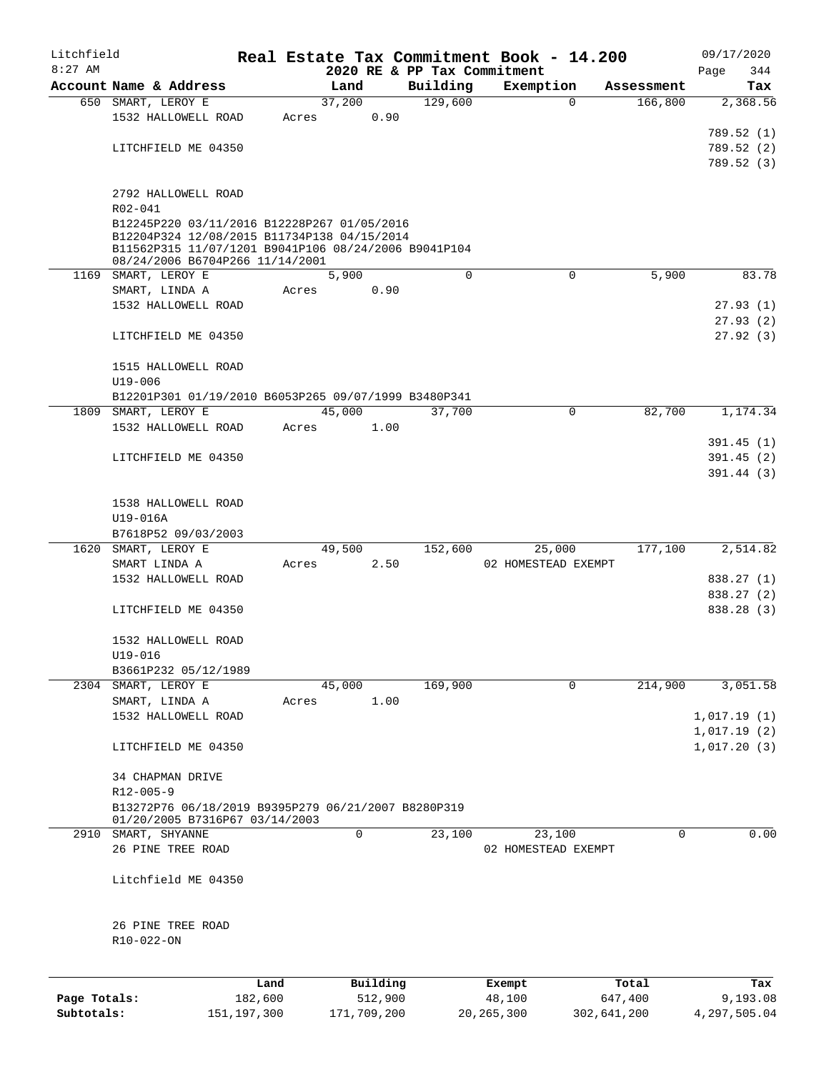| Litchfield   |                                                      |         |       |        |          |                             | Real Estate Tax Commitment Book - 14.200 |            | 09/17/2020  |
|--------------|------------------------------------------------------|---------|-------|--------|----------|-----------------------------|------------------------------------------|------------|-------------|
| $8:27$ AM    |                                                      |         |       |        |          | 2020 RE & PP Tax Commitment |                                          |            | 344<br>Page |
|              | Account Name & Address                               |         |       | Land   |          | Building                    | Exemption                                | Assessment | Tax         |
|              | 650 SMART, LEROY E                                   |         |       | 37,200 |          | 129,600                     | $\Omega$                                 | 166,800    | 2,368.56    |
|              | 1532 HALLOWELL ROAD                                  |         | Acres |        | 0.90     |                             |                                          |            |             |
|              |                                                      |         |       |        |          |                             |                                          |            | 789.52 (1)  |
|              | LITCHFIELD ME 04350                                  |         |       |        |          |                             |                                          |            | 789.52(2)   |
|              |                                                      |         |       |        |          |                             |                                          |            | 789.52 (3)  |
|              |                                                      |         |       |        |          |                             |                                          |            |             |
|              | 2792 HALLOWELL ROAD                                  |         |       |        |          |                             |                                          |            |             |
|              | R02-041                                              |         |       |        |          |                             |                                          |            |             |
|              | B12245P220 03/11/2016 B12228P267 01/05/2016          |         |       |        |          |                             |                                          |            |             |
|              | B12204P324 12/08/2015 B11734P138 04/15/2014          |         |       |        |          |                             |                                          |            |             |
|              | B11562P315 11/07/1201 B9041P106 08/24/2006 B9041P104 |         |       |        |          |                             |                                          |            |             |
|              | 08/24/2006 B6704P266 11/14/2001                      |         |       |        |          | $\Omega$                    | $\mathbf 0$                              | 5,900      |             |
|              | 1169 SMART, LEROY E                                  |         |       | 5,900  |          |                             |                                          |            | 83.78       |
|              | SMART, LINDA A                                       |         | Acres |        | 0.90     |                             |                                          |            |             |
|              | 1532 HALLOWELL ROAD                                  |         |       |        |          |                             |                                          |            | 27.93(1)    |
|              |                                                      |         |       |        |          |                             |                                          |            | 27.93(2)    |
|              | LITCHFIELD ME 04350                                  |         |       |        |          |                             |                                          |            | 27.92(3)    |
|              |                                                      |         |       |        |          |                             |                                          |            |             |
|              | 1515 HALLOWELL ROAD                                  |         |       |        |          |                             |                                          |            |             |
|              | $U19 - 006$                                          |         |       |        |          |                             |                                          |            |             |
|              | B12201P301 01/19/2010 B6053P265 09/07/1999 B3480P341 |         |       |        |          |                             |                                          |            |             |
|              | 1809 SMART, LEROY E                                  |         |       | 45,000 |          | 37,700                      | $\mathbf 0$                              | 82,700     | 1,174.34    |
|              | 1532 HALLOWELL ROAD                                  |         | Acres |        | 1.00     |                             |                                          |            |             |
|              |                                                      |         |       |        |          |                             |                                          |            | 391.45(1)   |
|              | LITCHFIELD ME 04350                                  |         |       |        |          |                             |                                          |            | 391.45(2)   |
|              |                                                      |         |       |        |          |                             |                                          |            | 391.44(3)   |
|              |                                                      |         |       |        |          |                             |                                          |            |             |
|              | 1538 HALLOWELL ROAD                                  |         |       |        |          |                             |                                          |            |             |
|              | U19-016A                                             |         |       |        |          |                             |                                          |            |             |
|              | B7618P52 09/03/2003                                  |         |       |        |          |                             |                                          |            |             |
| 1620         | SMART, LEROY E                                       |         |       | 49,500 |          | 152,600                     | 25,000                                   | 177,100    | 2,514.82    |
|              | SMART LINDA A                                        |         | Acres |        | 2.50     |                             | 02 HOMESTEAD EXEMPT                      |            |             |
|              | 1532 HALLOWELL ROAD                                  |         |       |        |          |                             |                                          |            | 838.27 (1)  |
|              |                                                      |         |       |        |          |                             |                                          |            | 838.27 (2)  |
|              | LITCHFIELD ME 04350                                  |         |       |        |          |                             |                                          |            | 838.28 (3)  |
|              |                                                      |         |       |        |          |                             |                                          |            |             |
|              | 1532 HALLOWELL ROAD                                  |         |       |        |          |                             |                                          |            |             |
|              | U19-016                                              |         |       |        |          |                             |                                          |            |             |
|              | B3661P232 05/12/1989                                 |         |       |        |          |                             |                                          |            |             |
|              | 2304 SMART, LEROY E                                  |         |       | 45,000 |          | 169,900                     | $\Omega$                                 | 214,900    | 3,051.58    |
|              | SMART, LINDA A                                       |         | Acres |        | 1.00     |                             |                                          |            |             |
|              | 1532 HALLOWELL ROAD                                  |         |       |        |          |                             |                                          |            | 1,017.19(1) |
|              |                                                      |         |       |        |          |                             |                                          |            | 1,017.19(2) |
|              | LITCHFIELD ME 04350                                  |         |       |        |          |                             |                                          |            | 1,017.20(3) |
|              |                                                      |         |       |        |          |                             |                                          |            |             |
|              | 34 CHAPMAN DRIVE                                     |         |       |        |          |                             |                                          |            |             |
|              | R12-005-9                                            |         |       |        |          |                             |                                          |            |             |
|              | B13272P76 06/18/2019 B9395P279 06/21/2007 B8280P319  |         |       |        |          |                             |                                          |            |             |
|              | 01/20/2005 B7316P67 03/14/2003                       |         |       |        |          |                             |                                          |            |             |
|              | 2910 SMART, SHYANNE                                  |         |       | 0      |          | 23,100                      | 23,100                                   | 0          | 0.00        |
|              | 26 PINE TREE ROAD                                    |         |       |        |          |                             | 02 HOMESTEAD EXEMPT                      |            |             |
|              |                                                      |         |       |        |          |                             |                                          |            |             |
|              | Litchfield ME 04350                                  |         |       |        |          |                             |                                          |            |             |
|              |                                                      |         |       |        |          |                             |                                          |            |             |
|              |                                                      |         |       |        |          |                             |                                          |            |             |
|              | 26 PINE TREE ROAD                                    |         |       |        |          |                             |                                          |            |             |
|              | R10-022-ON                                           |         |       |        |          |                             |                                          |            |             |
|              |                                                      |         |       |        |          |                             |                                          |            |             |
|              |                                                      |         |       |        |          |                             |                                          |            |             |
|              |                                                      | Land    |       |        | Building |                             | Exempt                                   | Total      | Tax         |
| Page Totals: |                                                      | 182,600 |       |        | 512,900  |                             | 48,100                                   | 647,400    | 9,193.08    |

**Subtotals:** 151,197,300 171,709,200 20,265,300 302,641,200 4,297,505.04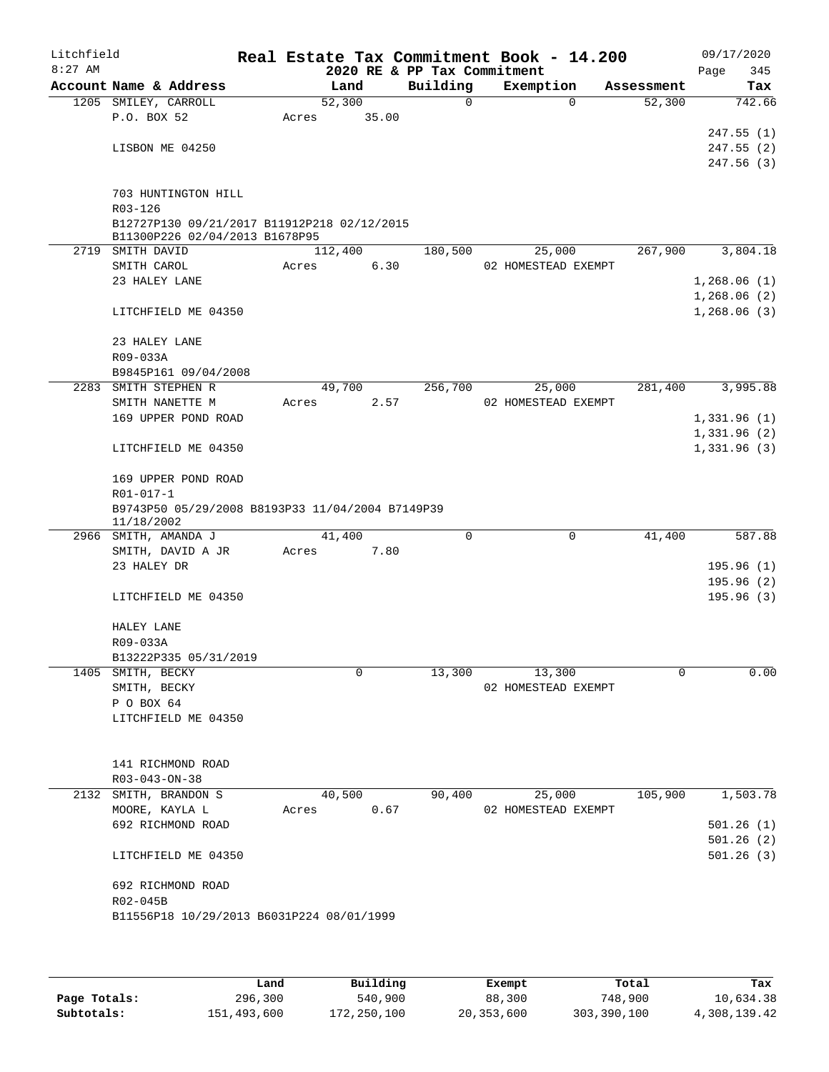| $8:27$ AM | Litchfield                                                                    |       |         |       | 2020 RE & PP Tax Commitment | Real Estate Tax Commitment Book - 14.200 |            | 09/17/2020<br>345 |
|-----------|-------------------------------------------------------------------------------|-------|---------|-------|-----------------------------|------------------------------------------|------------|-------------------|
|           | Account Name & Address                                                        |       | Land    |       | Building                    | Exemption                                | Assessment | Page<br>Tax       |
|           | 1205 SMILEY, CARROLL                                                          |       | 52,300  |       | $\Omega$                    | $\Omega$                                 | 52,300     | 742.66            |
|           | P.O. BOX 52                                                                   | Acres |         | 35.00 |                             |                                          |            |                   |
|           |                                                                               |       |         |       |                             |                                          |            | 247.55(1)         |
|           | LISBON ME 04250                                                               |       |         |       |                             |                                          |            | 247.55(2)         |
|           |                                                                               |       |         |       |                             |                                          |            | 247.56(3)         |
|           |                                                                               |       |         |       |                             |                                          |            |                   |
|           | 703 HUNTINGTON HILL                                                           |       |         |       |                             |                                          |            |                   |
|           | R03-126                                                                       |       |         |       |                             |                                          |            |                   |
|           | B12727P130 09/21/2017 B11912P218 02/12/2015<br>B11300P226 02/04/2013 B1678P95 |       |         |       |                             |                                          |            |                   |
| 2719      | SMITH DAVID                                                                   |       | 112,400 |       | 180,500                     | 25,000                                   | 267,900    | 3,804.18          |
|           | SMITH CAROL                                                                   | Acres |         | 6.30  |                             | 02 HOMESTEAD EXEMPT                      |            |                   |
|           | 23 HALEY LANE                                                                 |       |         |       |                             |                                          |            | 1,268.06(1)       |
|           |                                                                               |       |         |       |                             |                                          |            | 1,268.06(2)       |
|           | LITCHFIELD ME 04350                                                           |       |         |       |                             |                                          |            | 1,268.06(3)       |
|           | 23 HALEY LANE                                                                 |       |         |       |                             |                                          |            |                   |
|           | R09-033A                                                                      |       |         |       |                             |                                          |            |                   |
|           | B9845P161 09/04/2008                                                          |       |         |       |                             |                                          |            |                   |
| 2283      | SMITH STEPHEN R                                                               |       | 49,700  |       | 256,700                     | 25,000                                   | 281,400    | 3,995.88          |
|           | SMITH NANETTE M                                                               | Acres |         | 2.57  |                             | 02 HOMESTEAD EXEMPT                      |            |                   |
|           | 169 UPPER POND ROAD                                                           |       |         |       |                             |                                          |            | 1,331.96(1)       |
|           |                                                                               |       |         |       |                             |                                          |            | 1,331.96(2)       |
|           | LITCHFIELD ME 04350                                                           |       |         |       |                             |                                          |            | 1,331.96(3)       |
|           | 169 UPPER POND ROAD                                                           |       |         |       |                             |                                          |            |                   |
|           | R01-017-1                                                                     |       |         |       |                             |                                          |            |                   |
|           | B9743P50 05/29/2008 B8193P33 11/04/2004 B7149P39<br>11/18/2002                |       |         |       |                             |                                          |            |                   |
|           | 2966 SMITH, AMANDA J                                                          |       | 41,400  |       | 0                           | 0                                        | 41,400     | 587.88            |
|           | SMITH, DAVID A JR                                                             | Acres |         | 7.80  |                             |                                          |            |                   |
|           | 23 HALEY DR                                                                   |       |         |       |                             |                                          |            | 195.96(1)         |
|           |                                                                               |       |         |       |                             |                                          |            | 195.96(2)         |
|           | LITCHFIELD ME 04350                                                           |       |         |       |                             |                                          |            | 195.96(3)         |
|           | HALEY LANE                                                                    |       |         |       |                             |                                          |            |                   |
|           | R09-033A                                                                      |       |         |       |                             |                                          |            |                   |
|           | B13222P335 05/31/2019                                                         |       |         |       |                             |                                          |            |                   |
|           |                                                                               |       |         |       |                             |                                          |            |                   |
|           |                                                                               |       | 0       |       | 13,300                      |                                          | $\Omega$   | 0.00              |
|           | 1405 SMITH, BECKY<br>SMITH, BECKY                                             |       |         |       |                             | 13,300<br>02 HOMESTEAD EXEMPT            |            |                   |
|           | P O BOX 64                                                                    |       |         |       |                             |                                          |            |                   |
|           | LITCHFIELD ME 04350                                                           |       |         |       |                             |                                          |            |                   |
|           |                                                                               |       |         |       |                             |                                          |            |                   |
|           | 141 RICHMOND ROAD                                                             |       |         |       |                             |                                          |            |                   |
|           | R03-043-ON-38                                                                 |       |         |       |                             |                                          |            |                   |
|           | 2132 SMITH, BRANDON S                                                         |       | 40,500  |       | 90,400                      | 25,000                                   | 105,900    | 1,503.78          |
|           | MOORE, KAYLA L                                                                | Acres |         | 0.67  |                             | 02 HOMESTEAD EXEMPT                      |            |                   |
|           | 692 RICHMOND ROAD                                                             |       |         |       |                             |                                          |            | 501.26(1)         |
|           |                                                                               |       |         |       |                             |                                          |            | 501.26(2)         |
|           | LITCHFIELD ME 04350                                                           |       |         |       |                             |                                          |            | 501.26(3)         |
|           |                                                                               |       |         |       |                             |                                          |            |                   |
|           | 692 RICHMOND ROAD<br>R02-045B                                                 |       |         |       |                             |                                          |            |                   |

|              | Land        | Building    | Exempt     | Total       | Tax          |
|--------------|-------------|-------------|------------|-------------|--------------|
| Page Totals: | 296,300     | 540,900     | 88,300     | 748,900     | 10,634.38    |
| Subtotals:   | 151,493,600 | 172,250,100 | 20,353,600 | 303,390,100 | 4,308,139.42 |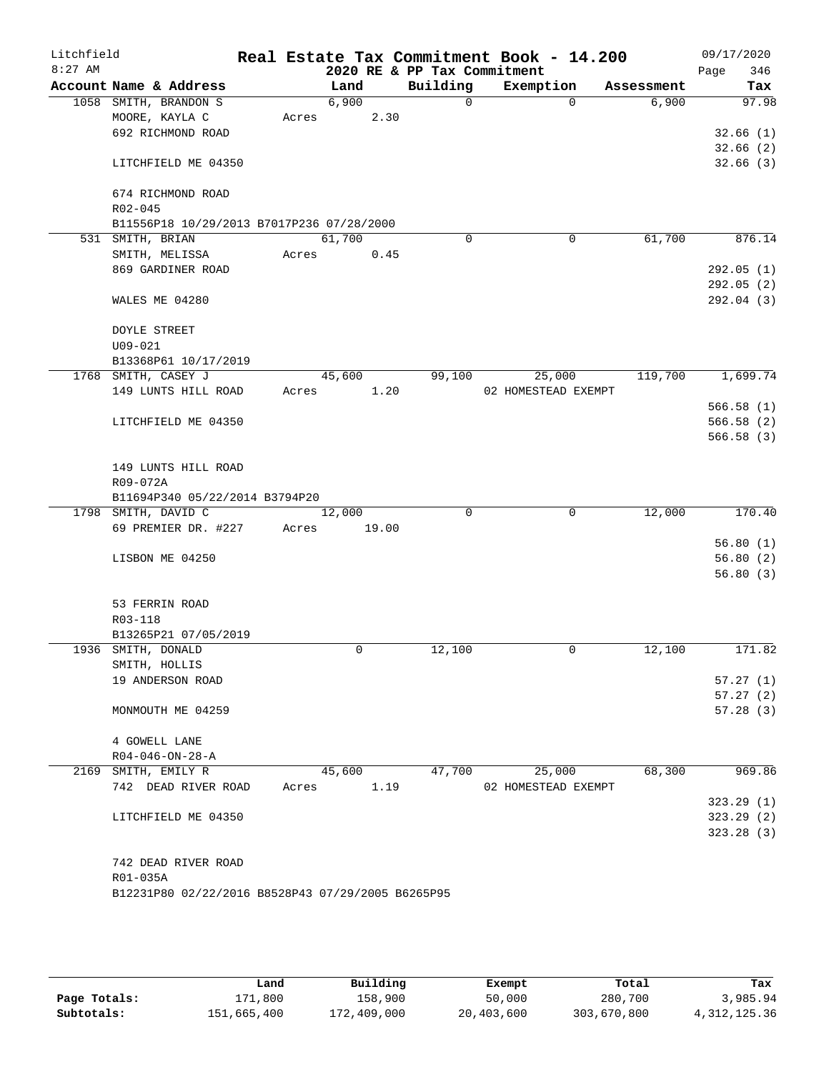| Litchfield<br>$8:27$ AM |                                                   |       |        |       | 2020 RE & PP Tax Commitment | Real Estate Tax Commitment Book - 14.200 |          |            | 09/17/2020<br>346<br>Page |
|-------------------------|---------------------------------------------------|-------|--------|-------|-----------------------------|------------------------------------------|----------|------------|---------------------------|
|                         | Account Name & Address                            |       | Land   |       | Building                    | Exemption                                |          | Assessment | Tax                       |
|                         | 1058 SMITH, BRANDON S                             |       | 6,900  |       | $\Omega$                    |                                          | $\Omega$ | 6,900      | 97.98                     |
|                         | MOORE, KAYLA C                                    | Acres |        | 2.30  |                             |                                          |          |            |                           |
|                         | 692 RICHMOND ROAD                                 |       |        |       |                             |                                          |          |            | 32.66(1)                  |
|                         |                                                   |       |        |       |                             |                                          |          |            | 32.66(2)                  |
|                         | LITCHFIELD ME 04350                               |       |        |       |                             |                                          |          |            | 32.66(3)                  |
|                         | 674 RICHMOND ROAD                                 |       |        |       |                             |                                          |          |            |                           |
|                         | $R02 - 045$                                       |       |        |       |                             |                                          |          |            |                           |
|                         | B11556P18 10/29/2013 B7017P236 07/28/2000         |       |        |       |                             |                                          |          |            |                           |
|                         | 531 SMITH, BRIAN                                  |       | 61,700 |       | $\Omega$                    |                                          | 0        | 61,700     | 876.14                    |
|                         | SMITH, MELISSA                                    | Acres |        | 0.45  |                             |                                          |          |            |                           |
|                         | 869 GARDINER ROAD                                 |       |        |       |                             |                                          |          |            | 292.05(1)                 |
|                         |                                                   |       |        |       |                             |                                          |          |            | 292.05(2)                 |
|                         | WALES ME 04280                                    |       |        |       |                             |                                          |          |            | 292.04(3)                 |
|                         | <b>DOYLE STREET</b>                               |       |        |       |                             |                                          |          |            |                           |
|                         | $U09 - 021$                                       |       |        |       |                             |                                          |          |            |                           |
|                         | B13368P61 10/17/2019                              |       |        |       |                             |                                          |          |            |                           |
|                         | 1768 SMITH, CASEY J                               |       | 45,600 |       | 99,100                      | 25,000                                   |          | 119,700    | 1,699.74                  |
|                         | 149 LUNTS HILL ROAD                               | Acres |        | 1.20  |                             | 02 HOMESTEAD EXEMPT                      |          |            |                           |
|                         |                                                   |       |        |       |                             |                                          |          |            | 566.58(1)                 |
|                         | LITCHFIELD ME 04350                               |       |        |       |                             |                                          |          |            | 566.58(2)                 |
|                         |                                                   |       |        |       |                             |                                          |          |            | 566.58(3)                 |
|                         | 149 LUNTS HILL ROAD                               |       |        |       |                             |                                          |          |            |                           |
|                         | R09-072A                                          |       |        |       |                             |                                          |          |            |                           |
|                         | B11694P340 05/22/2014 B3794P20                    |       |        |       |                             |                                          |          |            |                           |
|                         | 1798 SMITH, DAVID C                               |       | 12,000 |       | $\Omega$                    |                                          | 0        | 12,000     | 170.40                    |
|                         | 69 PREMIER DR. #227                               | Acres |        | 19.00 |                             |                                          |          |            |                           |
|                         |                                                   |       |        |       |                             |                                          |          |            | 56.80(1)                  |
|                         | LISBON ME 04250                                   |       |        |       |                             |                                          |          |            | 56.80(2)                  |
|                         |                                                   |       |        |       |                             |                                          |          |            | 56.80(3)                  |
|                         | 53 FERRIN ROAD                                    |       |        |       |                             |                                          |          |            |                           |
|                         | R03-118                                           |       |        |       |                             |                                          |          |            |                           |
|                         | B13265P21 07/05/2019                              |       |        |       |                             |                                          |          |            |                           |
|                         | 1936 SMITH, DONALD                                |       | 0      |       | 12,100                      |                                          | 0        | 12,100     | 171.82                    |
|                         | SMITH, HOLLIS                                     |       |        |       |                             |                                          |          |            |                           |
|                         | 19 ANDERSON ROAD                                  |       |        |       |                             |                                          |          |            | 57.27(1)                  |
|                         |                                                   |       |        |       |                             |                                          |          |            | 57.27(2)                  |
|                         | MONMOUTH ME 04259                                 |       |        |       |                             |                                          |          |            | 57.28(3)                  |
|                         | 4 GOWELL LANE                                     |       |        |       |                             |                                          |          |            |                           |
|                         | $R04 - 046 - ON - 28 - A$                         |       |        |       |                             |                                          |          |            |                           |
|                         | 2169 SMITH, EMILY R                               |       | 45,600 |       | 47,700                      | 25,000                                   |          | 68,300     | 969.86                    |
|                         | 742 DEAD RIVER ROAD                               | Acres |        | 1.19  |                             | 02 HOMESTEAD EXEMPT                      |          |            |                           |
|                         |                                                   |       |        |       |                             |                                          |          |            | 323.29(1)                 |
|                         | LITCHFIELD ME 04350                               |       |        |       |                             |                                          |          |            | 323.29(2)                 |
|                         |                                                   |       |        |       |                             |                                          |          |            | 323.28(3)                 |
|                         |                                                   |       |        |       |                             |                                          |          |            |                           |
|                         | 742 DEAD RIVER ROAD                               |       |        |       |                             |                                          |          |            |                           |
|                         | R01-035A                                          |       |        |       |                             |                                          |          |            |                           |
|                         | B12231P80 02/22/2016 B8528P43 07/29/2005 B6265P95 |       |        |       |                             |                                          |          |            |                           |
|                         |                                                   |       |        |       |                             |                                          |          |            |                           |

|              | Land        | Building    | Exempt     | Total       | Tax            |
|--------------|-------------|-------------|------------|-------------|----------------|
| Page Totals: | 171,800     | 158,900     | 50,000     | 280,700     | 3,985.94       |
| Subtotals:   | 151,665,400 | 172,409,000 | 20,403,600 | 303,670,800 | 4, 312, 125.36 |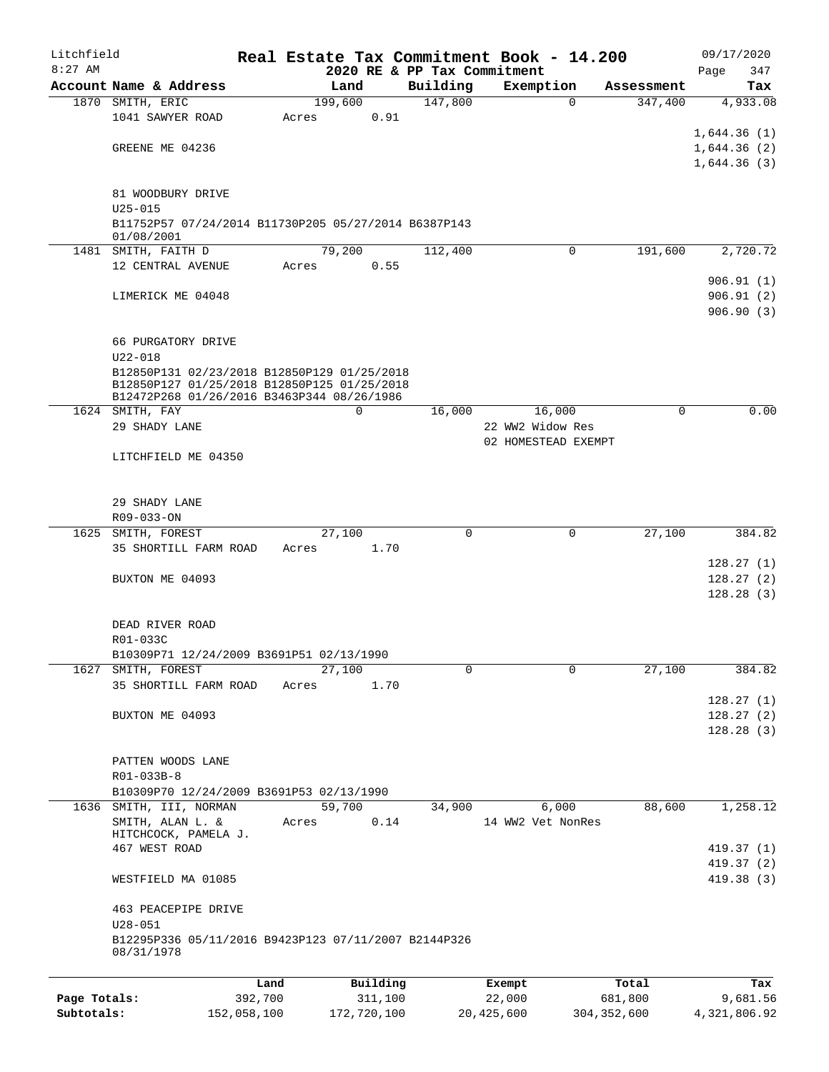| Litchfield   |                                                                    |         |         |          | Real Estate Tax Commitment Book - 14.200 |                     |             |             | 09/17/2020  |
|--------------|--------------------------------------------------------------------|---------|---------|----------|------------------------------------------|---------------------|-------------|-------------|-------------|
| $8:27$ AM    |                                                                    |         |         |          | 2020 RE & PP Tax Commitment              |                     |             |             | 347<br>Page |
|              | Account Name & Address                                             |         | Land    |          | Building                                 | Exemption           |             | Assessment  | Tax         |
|              | 1870 SMITH, ERIC                                                   |         | 199,600 |          | 147,800                                  |                     | 0           | 347,400     | 4,933.08    |
|              | 1041 SAWYER ROAD                                                   |         | Acres   | 0.91     |                                          |                     |             |             |             |
|              |                                                                    |         |         |          |                                          |                     |             |             | 1,644.36(1) |
|              | GREENE ME 04236                                                    |         |         |          |                                          |                     |             |             | 1,644.36(2) |
|              |                                                                    |         |         |          |                                          |                     |             |             | 1,644.36(3) |
|              |                                                                    |         |         |          |                                          |                     |             |             |             |
|              | 81 WOODBURY DRIVE                                                  |         |         |          |                                          |                     |             |             |             |
|              | $U25 - 015$                                                        |         |         |          |                                          |                     |             |             |             |
|              | B11752P57 07/24/2014 B11730P205 05/27/2014 B6387P143<br>01/08/2001 |         |         |          |                                          |                     |             |             |             |
|              | 1481 SMITH, FAITH D                                                |         | 79,200  |          | 112,400                                  |                     | $\mathbf 0$ | 191,600     | 2,720.72    |
|              | 12 CENTRAL AVENUE                                                  |         | Acres   | 0.55     |                                          |                     |             |             |             |
|              |                                                                    |         |         |          |                                          |                     |             |             | 906.91(1)   |
|              | LIMERICK ME 04048                                                  |         |         |          |                                          |                     |             |             | 906.91(2)   |
|              |                                                                    |         |         |          |                                          |                     |             |             | 906.90(3)   |
|              |                                                                    |         |         |          |                                          |                     |             |             |             |
|              | 66 PURGATORY DRIVE                                                 |         |         |          |                                          |                     |             |             |             |
|              | $U22 - 018$                                                        |         |         |          |                                          |                     |             |             |             |
|              | B12850P131 02/23/2018 B12850P129 01/25/2018                        |         |         |          |                                          |                     |             |             |             |
|              | B12850P127 01/25/2018 B12850P125 01/25/2018                        |         |         |          |                                          |                     |             |             |             |
|              | B12472P268 01/26/2016 B3463P344 08/26/1986                         |         |         |          |                                          |                     |             |             |             |
|              | 1624 SMITH, FAY                                                    |         |         | 0        | 16,000                                   |                     | 16,000      | $\mathbf 0$ | 0.00        |
|              | 29 SHADY LANE                                                      |         |         |          |                                          | 22 WW2 Widow Res    |             |             |             |
|              |                                                                    |         |         |          |                                          | 02 HOMESTEAD EXEMPT |             |             |             |
|              | LITCHFIELD ME 04350                                                |         |         |          |                                          |                     |             |             |             |
|              |                                                                    |         |         |          |                                          |                     |             |             |             |
|              |                                                                    |         |         |          |                                          |                     |             |             |             |
|              | 29 SHADY LANE                                                      |         |         |          |                                          |                     |             |             |             |
|              | R09-033-ON                                                         |         |         |          |                                          |                     |             |             |             |
| 1625         | SMITH, FOREST                                                      |         | 27,100  |          | $\mathbf 0$                              |                     | $\mathbf 0$ | 27,100      | 384.82      |
|              | 35 SHORTILL FARM ROAD                                              |         | Acres   | 1.70     |                                          |                     |             |             |             |
|              |                                                                    |         |         |          |                                          |                     |             |             | 128.27(1)   |
|              | BUXTON ME 04093                                                    |         |         |          |                                          |                     |             |             | 128.27(2)   |
|              |                                                                    |         |         |          |                                          |                     |             |             | 128.28(3)   |
|              |                                                                    |         |         |          |                                          |                     |             |             |             |
|              | DEAD RIVER ROAD                                                    |         |         |          |                                          |                     |             |             |             |
|              | R01-033C                                                           |         |         |          |                                          |                     |             |             |             |
|              | B10309P71 12/24/2009 B3691P51 02/13/1990                           |         |         |          |                                          |                     |             |             |             |
| 1627         | SMITH, FOREST                                                      |         | 27,100  |          | $\Omega$                                 |                     | 0           | 27,100      | 384.82      |
|              | 35 SHORTILL FARM ROAD                                              |         | Acres   | 1.70     |                                          |                     |             |             |             |
|              |                                                                    |         |         |          |                                          |                     |             |             | 128.27(1)   |
|              | BUXTON ME 04093                                                    |         |         |          |                                          |                     |             |             | 128.27(2)   |
|              |                                                                    |         |         |          |                                          |                     |             |             | 128.28(3)   |
|              |                                                                    |         |         |          |                                          |                     |             |             |             |
|              | PATTEN WOODS LANE                                                  |         |         |          |                                          |                     |             |             |             |
|              | R01-033B-8                                                         |         |         |          |                                          |                     |             |             |             |
|              | B10309P70 12/24/2009 B3691P53 02/13/1990                           |         |         |          |                                          |                     |             |             |             |
|              | 1636 SMITH, III, NORMAN                                            |         | 59,700  |          | 34,900                                   |                     | 6,000       | 88,600      | 1,258.12    |
|              | SMITH, ALAN L. &                                                   |         | Acres   | 0.14     |                                          | 14 WW2 Vet NonRes   |             |             |             |
|              | HITCHCOCK, PAMELA J.                                               |         |         |          |                                          |                     |             |             |             |
|              | 467 WEST ROAD                                                      |         |         |          |                                          |                     |             |             | 419.37 (1)  |
|              |                                                                    |         |         |          |                                          |                     |             |             | 419.37 (2)  |
|              | WESTFIELD MA 01085                                                 |         |         |          |                                          |                     |             |             | 419.38(3)   |
|              |                                                                    |         |         |          |                                          |                     |             |             |             |
|              | 463 PEACEPIPE DRIVE<br>$U28 - 051$                                 |         |         |          |                                          |                     |             |             |             |
|              | B12295P336 05/11/2016 B9423P123 07/11/2007 B2144P326               |         |         |          |                                          |                     |             |             |             |
|              | 08/31/1978                                                         |         |         |          |                                          |                     |             |             |             |
|              |                                                                    |         |         |          |                                          |                     |             |             |             |
|              |                                                                    | Land    |         | Building |                                          | Exempt              |             | Total       | Tax         |
| Page Totals: |                                                                    | 392,700 |         | 311,100  |                                          | 22,000              |             | 681,800     | 9,681.56    |

**Subtotals:** 152,058,100 172,720,100 20,425,600 304,352,600 4,321,806.92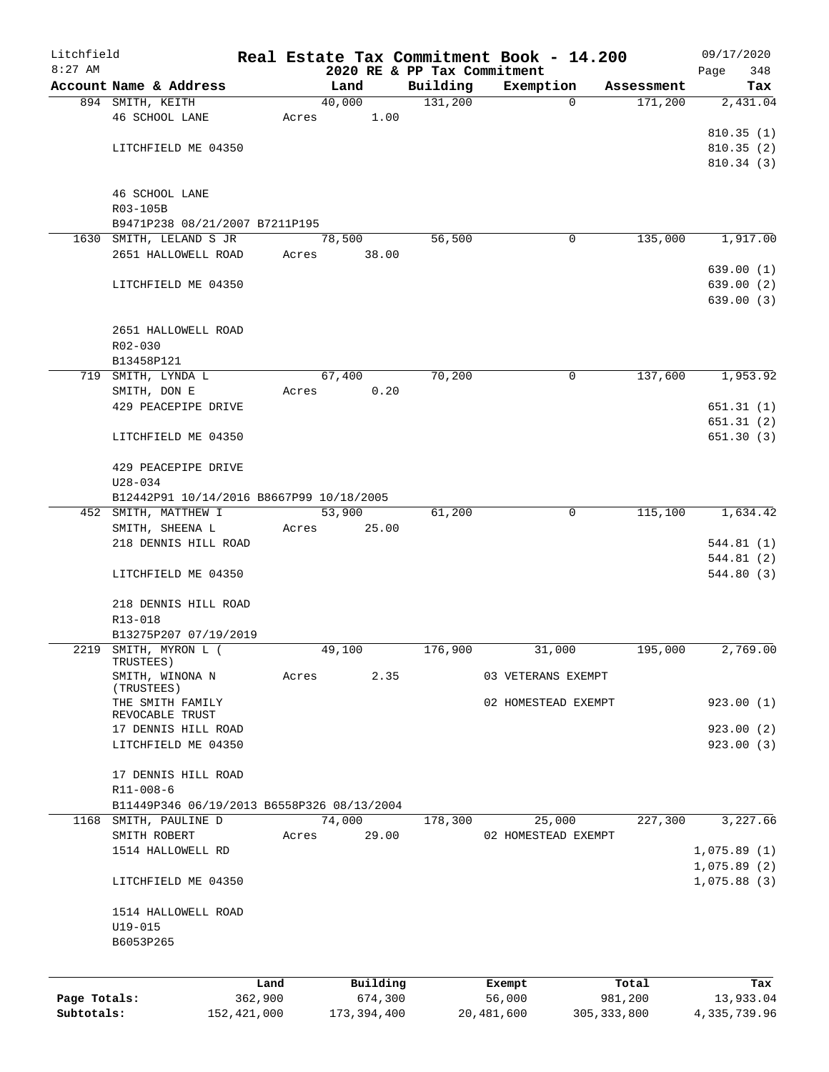| Litchfield   |                                                                     |               |       |               |                             | Real Estate Tax Commitment Book - 14.200 |               |            | 09/17/2020   |
|--------------|---------------------------------------------------------------------|---------------|-------|---------------|-----------------------------|------------------------------------------|---------------|------------|--------------|
| $8:27$ AM    |                                                                     |               |       |               | 2020 RE & PP Tax Commitment |                                          |               |            | 348<br>Page  |
|              | Account Name & Address                                              |               |       | Land          | Building                    | Exemption                                |               | Assessment | Tax          |
|              | 894 SMITH, KEITH                                                    |               |       | 40,000        | 131,200                     |                                          | $\Omega$      | 171,200    | 2,431.04     |
|              | 46 SCHOOL LANE                                                      |               | Acres | 1.00          |                             |                                          |               |            | 810.35(1)    |
|              | LITCHFIELD ME 04350                                                 |               |       |               |                             |                                          |               |            | 810.35(2)    |
|              |                                                                     |               |       |               |                             |                                          |               |            | 810.34(3)    |
|              |                                                                     |               |       |               |                             |                                          |               |            |              |
|              | 46 SCHOOL LANE                                                      |               |       |               |                             |                                          |               |            |              |
|              | R03-105B                                                            |               |       |               |                             |                                          |               |            |              |
|              | B9471P238 08/21/2007 B7211P195                                      |               |       |               |                             |                                          |               |            |              |
|              | 1630 SMITH, LELAND S JR                                             |               |       | 78,500        | 56,500                      |                                          | 0             | 135,000    | 1,917.00     |
|              | 2651 HALLOWELL ROAD                                                 |               | Acres | 38.00         |                             |                                          |               |            |              |
|              |                                                                     |               |       |               |                             |                                          |               |            | 639.00(1)    |
|              | LITCHFIELD ME 04350                                                 |               |       |               |                             |                                          |               |            | 639.00(2)    |
|              |                                                                     |               |       |               |                             |                                          |               |            | 639.00(3)    |
|              |                                                                     |               |       |               |                             |                                          |               |            |              |
|              | 2651 HALLOWELL ROAD                                                 |               |       |               |                             |                                          |               |            |              |
|              | R02-030                                                             |               |       |               |                             |                                          |               |            |              |
|              | B13458P121                                                          |               |       |               |                             |                                          |               |            |              |
|              | 719 SMITH, LYNDA L                                                  |               |       | 67,400        | 70,200                      |                                          | $\mathbf 0$   | 137,600    | 1,953.92     |
|              | SMITH, DON E                                                        |               | Acres | 0.20          |                             |                                          |               |            |              |
|              | 429 PEACEPIPE DRIVE                                                 |               |       |               |                             |                                          |               |            | 651.31(1)    |
|              |                                                                     |               |       |               |                             |                                          |               |            | 651.31(2)    |
|              | LITCHFIELD ME 04350                                                 |               |       |               |                             |                                          |               |            | 651.30(3)    |
|              |                                                                     |               |       |               |                             |                                          |               |            |              |
|              | 429 PEACEPIPE DRIVE                                                 |               |       |               |                             |                                          |               |            |              |
|              | $U28 - 034$                                                         |               |       |               |                             |                                          |               |            |              |
|              | B12442P91 10/14/2016 B8667P99 10/18/2005                            |               |       |               |                             |                                          |               |            |              |
|              | 452 SMITH, MATTHEW I                                                |               |       | 53,900        | 61,200                      |                                          | $\mathbf 0$   | 115,100    | 1,634.42     |
|              | SMITH, SHEENA L                                                     |               | Acres | 25.00         |                             |                                          |               |            |              |
|              | 218 DENNIS HILL ROAD                                                |               |       |               |                             |                                          |               |            | 544.81(1)    |
|              |                                                                     |               |       |               |                             |                                          |               |            | 544.81(2)    |
|              | LITCHFIELD ME 04350                                                 |               |       |               |                             |                                          |               |            | 544.80(3)    |
|              |                                                                     |               |       |               |                             |                                          |               |            |              |
|              | 218 DENNIS HILL ROAD                                                |               |       |               |                             |                                          |               |            |              |
|              | R13-018                                                             |               |       |               |                             |                                          |               |            |              |
|              | B13275P207 07/19/2019                                               |               |       |               |                             |                                          |               |            | 2,769.00     |
|              | 2219 SMITH, MYRON L (<br>TRUSTEES)                                  |               |       | 49,100        | 176,900                     | 31,000                                   |               | 195,000    |              |
|              | SMITH, WINONA N                                                     |               | Acres | 2.35          |                             | 03 VETERANS EXEMPT                       |               |            |              |
|              | (TRUSTEES)                                                          |               |       |               |                             |                                          |               |            |              |
|              | THE SMITH FAMILY                                                    |               |       |               |                             | 02 HOMESTEAD EXEMPT                      |               |            | 923.00(1)    |
|              | REVOCABLE TRUST                                                     |               |       |               |                             |                                          |               |            |              |
|              | 17 DENNIS HILL ROAD                                                 |               |       |               |                             |                                          |               |            | 923.00(2)    |
|              | LITCHFIELD ME 04350                                                 |               |       |               |                             |                                          |               |            | 923.00(3)    |
|              |                                                                     |               |       |               |                             |                                          |               |            |              |
|              | 17 DENNIS HILL ROAD                                                 |               |       |               |                             |                                          |               |            |              |
|              | R11-008-6                                                           |               |       |               |                             |                                          |               |            |              |
|              | B11449P346 06/19/2013 B6558P326 08/13/2004<br>1168 SMITH, PAULINE D |               |       | 74,000        | 178,300                     | 25,000                                   |               | 227,300    | 3,227.66     |
|              | SMITH ROBERT                                                        |               | Acres | 29.00         |                             | 02 HOMESTEAD EXEMPT                      |               |            |              |
|              | 1514 HALLOWELL RD                                                   |               |       |               |                             |                                          |               |            | 1,075.89(1)  |
|              |                                                                     |               |       |               |                             |                                          |               |            | 1,075.89(2)  |
|              | LITCHFIELD ME 04350                                                 |               |       |               |                             |                                          |               |            | 1,075.88(3)  |
|              |                                                                     |               |       |               |                             |                                          |               |            |              |
|              | 1514 HALLOWELL ROAD                                                 |               |       |               |                             |                                          |               |            |              |
|              | U19-015                                                             |               |       |               |                             |                                          |               |            |              |
|              | B6053P265                                                           |               |       |               |                             |                                          |               |            |              |
|              |                                                                     |               |       |               |                             |                                          |               |            |              |
|              |                                                                     |               |       |               |                             |                                          |               |            |              |
|              |                                                                     | Land          |       | Building      |                             | Exempt                                   |               | Total      | Tax          |
| Page Totals: |                                                                     | 362,900       |       | 674,300       |                             | 56,000                                   |               | 981,200    | 13,933.04    |
| Subtotals:   |                                                                     | 152, 421, 000 |       | 173, 394, 400 |                             | 20,481,600                               | 305, 333, 800 |            | 4,335,739.96 |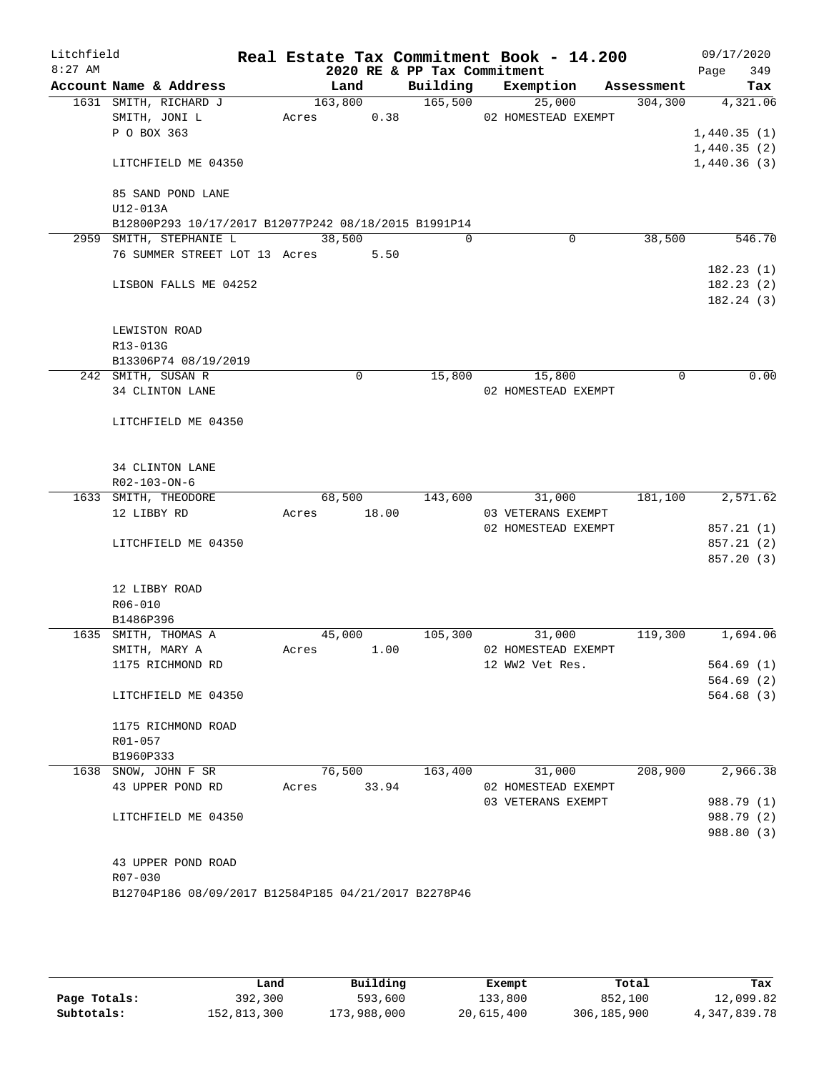| Litchfield |                                                      |                       |             |                             | Real Estate Tax Commitment Book - 14.200 |            |         |      | 09/17/2020              |
|------------|------------------------------------------------------|-----------------------|-------------|-----------------------------|------------------------------------------|------------|---------|------|-------------------------|
| $8:27$ AM  | Account Name & Address                               |                       |             | 2020 RE & PP Tax Commitment |                                          |            |         | Page | 349                     |
|            |                                                      | Land                  |             |                             | Building Exemption                       | Assessment |         |      | Tax                     |
|            | 1631 SMITH, RICHARD J<br>SMITH, JONI L               | 163,800<br>Acres 0.38 |             | 165,500 25,000              | 02 HOMESTEAD EXEMPT                      |            | 304,300 |      | 4,321.06                |
|            | P O BOX 363                                          |                       |             |                             |                                          |            |         |      | 1,440.35(1)             |
|            |                                                      |                       |             |                             |                                          |            |         |      | 1,440.35(2)             |
|            | LITCHFIELD ME 04350                                  |                       |             |                             |                                          |            |         |      | 1,440.36(3)             |
|            |                                                      |                       |             |                             |                                          |            |         |      |                         |
|            | 85 SAND POND LANE                                    |                       |             |                             |                                          |            |         |      |                         |
|            | U12-013A                                             |                       |             |                             |                                          |            |         |      |                         |
|            | B12800P293 10/17/2017 B12077P242 08/18/2015 B1991P14 |                       |             |                             |                                          |            |         |      |                         |
|            | 2959 SMITH, STEPHANIE L                              | 38,500                |             | $\Omega$                    | $\mathbf 0$                              |            | 38,500  |      | 546.70                  |
|            | 76 SUMMER STREET LOT 13 Acres 5.50                   |                       |             |                             |                                          |            |         |      |                         |
|            |                                                      |                       |             |                             |                                          |            |         |      | 182.23(1)<br>182.23(2)  |
|            | LISBON FALLS ME 04252                                |                       |             |                             |                                          |            |         |      | 182.24(3)               |
|            |                                                      |                       |             |                             |                                          |            |         |      |                         |
|            | LEWISTON ROAD                                        |                       |             |                             |                                          |            |         |      |                         |
|            | R13-013G                                             |                       |             |                             |                                          |            |         |      |                         |
|            | B13306P74 08/19/2019                                 |                       |             |                             |                                          |            |         |      |                         |
|            | 242 SMITH, SUSAN R                                   |                       | $\mathbf 0$ | 15,800                      | 15,800                                   |            | 0       |      | 0.00                    |
|            | 34 CLINTON LANE                                      |                       |             |                             | 02 HOMESTEAD EXEMPT                      |            |         |      |                         |
|            | LITCHFIELD ME 04350                                  |                       |             |                             |                                          |            |         |      |                         |
|            |                                                      |                       |             |                             |                                          |            |         |      |                         |
|            | 34 CLINTON LANE                                      |                       |             |                             |                                          |            |         |      |                         |
|            | R02-103-ON-6                                         |                       |             |                             |                                          |            |         |      |                         |
|            | 1633 SMITH, THEODORE                                 | 68,500                |             | 143,600                     | 31,000                                   |            | 181,100 |      | 2,571.62                |
|            | 12 LIBBY RD                                          | Acres 18.00           |             |                             | 03 VETERANS EXEMPT                       |            |         |      |                         |
|            |                                                      |                       |             |                             | 02 HOMESTEAD EXEMPT                      |            |         |      | 857.21(1)               |
|            | LITCHFIELD ME 04350                                  |                       |             |                             |                                          |            |         |      | 857.21(2)<br>857.20 (3) |
|            |                                                      |                       |             |                             |                                          |            |         |      |                         |
|            | 12 LIBBY ROAD                                        |                       |             |                             |                                          |            |         |      |                         |
|            | $R06 - 010$                                          |                       |             |                             |                                          |            |         |      |                         |
|            | B1486P396                                            |                       |             |                             |                                          |            |         |      |                         |
|            | 1635 SMITH, THOMAS A                                 | 45,000                |             | 105,300                     | 31,000                                   |            | 119,300 |      | 1,694.06                |
|            | SMITH, MARY A                                        | Acres                 | 1.00        |                             | 02 HOMESTEAD EXEMPT                      |            |         |      |                         |
|            | 1175 RICHMOND RD                                     |                       |             |                             | 12 WW2 Vet Res.                          |            |         |      | 564.69(1)               |
|            |                                                      |                       |             |                             |                                          |            |         |      | 564.69(2)<br>564.68(3)  |
|            | LITCHFIELD ME 04350                                  |                       |             |                             |                                          |            |         |      |                         |
|            | 1175 RICHMOND ROAD                                   |                       |             |                             |                                          |            |         |      |                         |
|            | R01-057                                              |                       |             |                             |                                          |            |         |      |                         |
|            | B1960P333                                            |                       |             |                             |                                          |            |         |      |                         |
|            | 1638 SNOW, JOHN F SR                                 | 76,500                |             | 163,400                     | 31,000                                   |            | 208,900 |      | 2,966.38                |
|            | 43 UPPER POND RD                                     | Acres                 | 33.94       |                             | 02 HOMESTEAD EXEMPT                      |            |         |      |                         |
|            |                                                      |                       |             |                             | 03 VETERANS EXEMPT                       |            |         |      | 988.79 (1)              |
|            | LITCHFIELD ME 04350                                  |                       |             |                             |                                          |            |         |      | 988.79 (2)              |
|            |                                                      |                       |             |                             |                                          |            |         |      | 988.80 (3)              |
|            | 43 UPPER POND ROAD                                   |                       |             |                             |                                          |            |         |      |                         |
|            | R07-030                                              |                       |             |                             |                                          |            |         |      |                         |
|            | B12704P186 08/09/2017 B12584P185 04/21/2017 B2278P46 |                       |             |                             |                                          |            |         |      |                         |
|            |                                                      |                       |             |                             |                                          |            |         |      |                         |
|            |                                                      |                       |             |                             |                                          |            |         |      |                         |

|              | Land        | Building    | Exempt     | Total         | Tax          |
|--------------|-------------|-------------|------------|---------------|--------------|
| Page Totals: | 392,300     | 593,600     | 133,800    | 852,100       | 12,099.82    |
| Subtotals:   | 152,813,300 | 173,988,000 | 20,615,400 | 306, 185, 900 | 4,347,839.78 |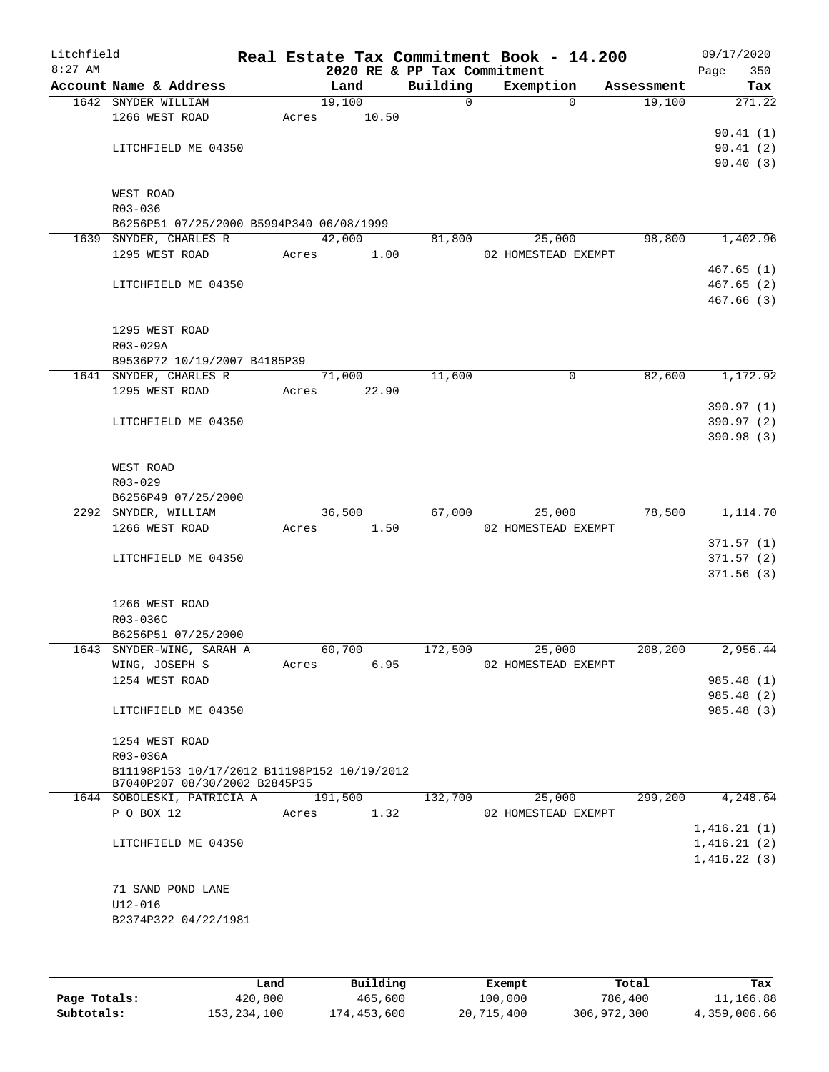| Litchfield<br>$8:27$ AM |                                             |       |         |       | 2020 RE & PP Tax Commitment | Real Estate Tax Commitment Book - 14.200 |            | 09/17/2020<br>Page<br>350 |
|-------------------------|---------------------------------------------|-------|---------|-------|-----------------------------|------------------------------------------|------------|---------------------------|
|                         | Account Name & Address                      |       | Land    |       | Building                    | Exemption                                | Assessment | Tax                       |
|                         | 1642 SNYDER WILLIAM                         |       | 19,100  |       | $\overline{0}$              | $\Omega$                                 | 19,100     | 271.22                    |
|                         | 1266 WEST ROAD                              | Acres |         | 10.50 |                             |                                          |            |                           |
|                         |                                             |       |         |       |                             |                                          |            | 90.41(1)                  |
|                         | LITCHFIELD ME 04350                         |       |         |       |                             |                                          |            | 90.41(2)                  |
|                         |                                             |       |         |       |                             |                                          |            | 90.40(3)                  |
|                         |                                             |       |         |       |                             |                                          |            |                           |
|                         | WEST ROAD                                   |       |         |       |                             |                                          |            |                           |
|                         | R03-036                                     |       |         |       |                             |                                          |            |                           |
|                         | B6256P51 07/25/2000 B5994P340 06/08/1999    |       |         |       |                             |                                          |            |                           |
|                         | 1639 SNYDER, CHARLES R                      |       | 42,000  |       | 81,800                      | 25,000                                   | 98,800     | 1,402.96                  |
|                         | 1295 WEST ROAD                              |       | Acres   | 1.00  |                             | 02 HOMESTEAD EXEMPT                      |            |                           |
|                         | LITCHFIELD ME 04350                         |       |         |       |                             |                                          |            | 467.65(1)<br>467.65(2)    |
|                         |                                             |       |         |       |                             |                                          |            | 467.66(3)                 |
|                         |                                             |       |         |       |                             |                                          |            |                           |
|                         | 1295 WEST ROAD                              |       |         |       |                             |                                          |            |                           |
|                         | R03-029A                                    |       |         |       |                             |                                          |            |                           |
|                         | B9536P72 10/19/2007 B4185P39                |       |         |       |                             |                                          |            |                           |
|                         | 1641 SNYDER, CHARLES R                      |       | 71,000  |       | 11,600                      | 0                                        | 82,600     | 1,172.92                  |
|                         | 1295 WEST ROAD                              | Acres |         | 22.90 |                             |                                          |            |                           |
|                         |                                             |       |         |       |                             |                                          |            | 390.97 (1)                |
|                         | LITCHFIELD ME 04350                         |       |         |       |                             |                                          |            | 390.97 (2)                |
|                         |                                             |       |         |       |                             |                                          |            | 390.98 (3)                |
|                         |                                             |       |         |       |                             |                                          |            |                           |
|                         | WEST ROAD                                   |       |         |       |                             |                                          |            |                           |
|                         | R03-029                                     |       |         |       |                             |                                          |            |                           |
|                         | B6256P49 07/25/2000                         |       |         |       |                             |                                          |            | 1,114.70                  |
|                         | 2292 SNYDER, WILLIAM<br>1266 WEST ROAD      | Acres | 36,500  | 1.50  | 67,000                      | 25,000<br>02 HOMESTEAD EXEMPT            | 78,500     |                           |
|                         |                                             |       |         |       |                             |                                          |            | 371.57(1)                 |
|                         | LITCHFIELD ME 04350                         |       |         |       |                             |                                          |            | 371.57(2)                 |
|                         |                                             |       |         |       |                             |                                          |            | 371.56(3)                 |
|                         |                                             |       |         |       |                             |                                          |            |                           |
|                         | 1266 WEST ROAD                              |       |         |       |                             |                                          |            |                           |
|                         | R03-036C                                    |       |         |       |                             |                                          |            |                           |
|                         | B6256P51 07/25/2000                         |       |         |       |                             |                                          |            |                           |
|                         | 1643 SNYDER-WING, SARAH A                   |       | 60,700  |       | 172,500                     | 25,000                                   | 208, 200   | 2,956.44                  |
|                         | WING, JOSEPH S                              | Acres |         | 6.95  |                             | 02 HOMESTEAD EXEMPT                      |            |                           |
|                         | 1254 WEST ROAD                              |       |         |       |                             |                                          |            | 985.48 (1)                |
|                         |                                             |       |         |       |                             |                                          |            | 985.48 (2)                |
|                         | LITCHFIELD ME 04350                         |       |         |       |                             |                                          |            | 985.48 (3)                |
|                         | 1254 WEST ROAD                              |       |         |       |                             |                                          |            |                           |
|                         | R03-036A                                    |       |         |       |                             |                                          |            |                           |
|                         | B11198P153 10/17/2012 B11198P152 10/19/2012 |       |         |       |                             |                                          |            |                           |
|                         | B7040P207 08/30/2002 B2845P35               |       |         |       |                             |                                          |            |                           |
|                         | 1644 SOBOLESKI, PATRICIA A                  |       | 191,500 |       | 132,700                     | 25,000                                   | 299,200    | 4,248.64                  |
|                         | P O BOX 12                                  | Acres |         | 1.32  |                             | 02 HOMESTEAD EXEMPT                      |            |                           |
|                         |                                             |       |         |       |                             |                                          |            | 1,416.21(1)               |
|                         | LITCHFIELD ME 04350                         |       |         |       |                             |                                          |            | 1,416.21(2)               |
|                         |                                             |       |         |       |                             |                                          |            | 1,416.22(3)               |
|                         |                                             |       |         |       |                             |                                          |            |                           |
|                         | 71 SAND POND LANE<br>$U12 - 016$            |       |         |       |                             |                                          |            |                           |
|                         | B2374P322 04/22/1981                        |       |         |       |                             |                                          |            |                           |
|                         |                                             |       |         |       |                             |                                          |            |                           |
|                         |                                             |       |         |       |                             |                                          |            |                           |

|              | Land        | Building    | Exempt     | Total       | Tax          |
|--------------|-------------|-------------|------------|-------------|--------------|
| Page Totals: | 420,800     | 465,600     | 100,000    | 786,400     | 11,166.88    |
| Subtotals:   | 153,234,100 | 174,453,600 | 20,715,400 | 306,972,300 | 4,359,006.66 |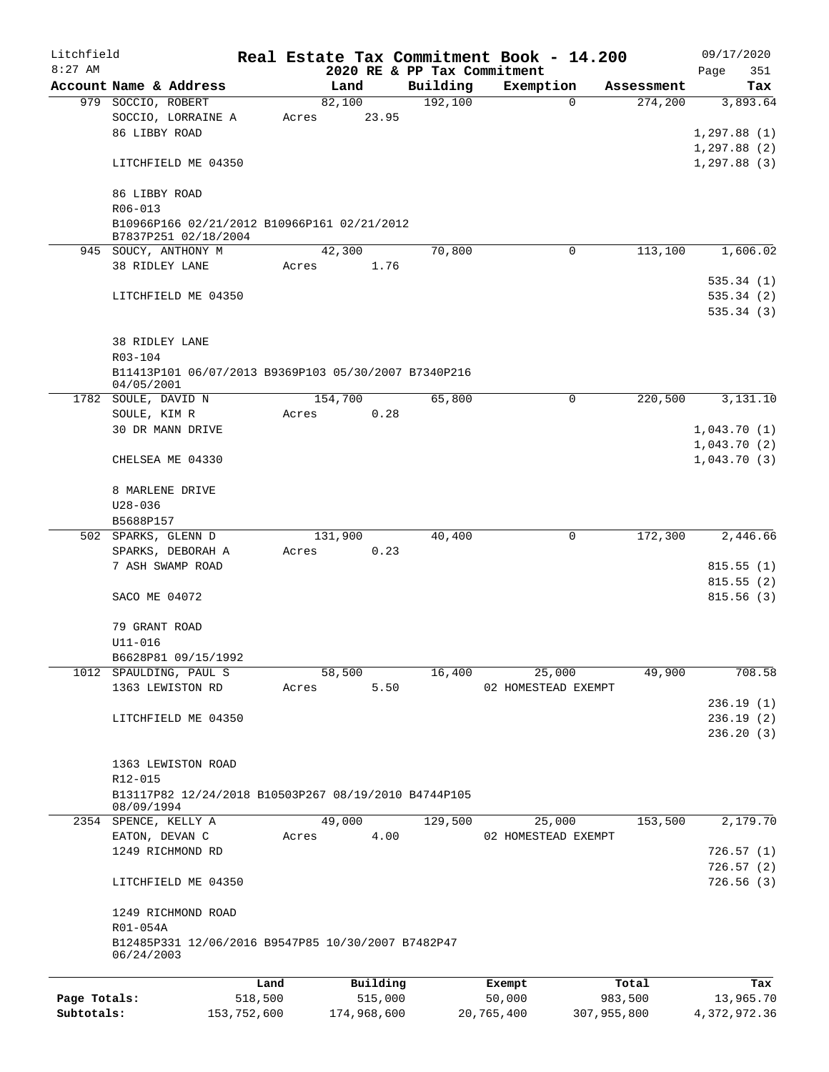| Litchfield   |                                                                    |         |       |         |          |                             | Real Estate Tax Commitment Book - 14.200 |          |                       | 09/17/2020                 |        |
|--------------|--------------------------------------------------------------------|---------|-------|---------|----------|-----------------------------|------------------------------------------|----------|-----------------------|----------------------------|--------|
| $8:27$ AM    |                                                                    |         |       |         |          | 2020 RE & PP Tax Commitment |                                          |          |                       | Page                       | 351    |
|              | Account Name & Address                                             |         |       | Land    |          | Building                    | Exemption                                | $\Omega$ | Assessment<br>274,200 | 3,893.64                   | Tax    |
|              | 979 SOCCIO, ROBERT<br>SOCCIO, LORRAINE A                           |         | Acres | 82,100  | 23.95    | 192,100                     |                                          |          |                       |                            |        |
|              | 86 LIBBY ROAD                                                      |         |       |         |          |                             |                                          |          |                       | 1,297.88(1)                |        |
|              |                                                                    |         |       |         |          |                             |                                          |          |                       | 1, 297.88(2)               |        |
|              | LITCHFIELD ME 04350                                                |         |       |         |          |                             |                                          |          |                       | 1, 297.88(3)               |        |
|              |                                                                    |         |       |         |          |                             |                                          |          |                       |                            |        |
|              | 86 LIBBY ROAD                                                      |         |       |         |          |                             |                                          |          |                       |                            |        |
|              | R06-013                                                            |         |       |         |          |                             |                                          |          |                       |                            |        |
|              | B10966P166 02/21/2012 B10966P161 02/21/2012                        |         |       |         |          |                             |                                          |          |                       |                            |        |
|              | B7837P251 02/18/2004                                               |         |       |         |          |                             |                                          |          |                       |                            |        |
|              | 945 SOUCY, ANTHONY M                                               |         |       | 42,300  |          | 70,800                      |                                          | 0        | 113,100               | 1,606.02                   |        |
|              | 38 RIDLEY LANE                                                     |         | Acres |         | 1.76     |                             |                                          |          |                       |                            |        |
|              |                                                                    |         |       |         |          |                             |                                          |          |                       | 535.34(1)                  |        |
|              | LITCHFIELD ME 04350                                                |         |       |         |          |                             |                                          |          |                       | 535.34(2)                  |        |
|              |                                                                    |         |       |         |          |                             |                                          |          |                       | 535.34(3)                  |        |
|              |                                                                    |         |       |         |          |                             |                                          |          |                       |                            |        |
|              | <b>38 RIDLEY LANE</b>                                              |         |       |         |          |                             |                                          |          |                       |                            |        |
|              | R03-104                                                            |         |       |         |          |                             |                                          |          |                       |                            |        |
|              | B11413P101 06/07/2013 B9369P103 05/30/2007 B7340P216               |         |       |         |          |                             |                                          |          |                       |                            |        |
|              | 04/05/2001                                                         |         |       |         |          |                             |                                          |          |                       |                            |        |
|              | 1782 SOULE, DAVID N                                                |         |       | 154,700 |          | 65,800                      |                                          | 0        | 220,500               | 3,131.10                   |        |
|              | SOULE, KIM R<br>30 DR MANN DRIVE                                   |         | Acres |         | 0.28     |                             |                                          |          |                       |                            |        |
|              |                                                                    |         |       |         |          |                             |                                          |          |                       | 1,043.70(1)                |        |
|              | CHELSEA ME 04330                                                   |         |       |         |          |                             |                                          |          |                       | 1,043.70(2)<br>1,043.70(3) |        |
|              |                                                                    |         |       |         |          |                             |                                          |          |                       |                            |        |
|              | 8 MARLENE DRIVE                                                    |         |       |         |          |                             |                                          |          |                       |                            |        |
|              | $U28 - 036$                                                        |         |       |         |          |                             |                                          |          |                       |                            |        |
|              | B5688P157                                                          |         |       |         |          |                             |                                          |          |                       |                            |        |
|              | 502 SPARKS, GLENN D                                                |         |       | 131,900 |          | 40,400                      |                                          | 0        | 172,300               | 2,446.66                   |        |
|              | SPARKS, DEBORAH A                                                  |         | Acres |         | 0.23     |                             |                                          |          |                       |                            |        |
|              | 7 ASH SWAMP ROAD                                                   |         |       |         |          |                             |                                          |          |                       | 815.55(1)                  |        |
|              |                                                                    |         |       |         |          |                             |                                          |          |                       | 815.55(2)                  |        |
|              | SACO ME 04072                                                      |         |       |         |          |                             |                                          |          |                       | 815.56 (3)                 |        |
|              |                                                                    |         |       |         |          |                             |                                          |          |                       |                            |        |
|              | 79 GRANT ROAD                                                      |         |       |         |          |                             |                                          |          |                       |                            |        |
|              | U11-016                                                            |         |       |         |          |                             |                                          |          |                       |                            |        |
|              | B6628P81 09/15/1992                                                |         |       |         |          |                             |                                          |          |                       |                            |        |
|              | 1012 SPAULDING, PAUL S                                             |         |       | 58,500  |          | 16,400                      | 25,000                                   |          | 49,900                |                            | 708.58 |
|              | 1363 LEWISTON RD                                                   |         | Acres |         | 5.50     |                             | 02 HOMESTEAD EXEMPT                      |          |                       |                            |        |
|              |                                                                    |         |       |         |          |                             |                                          |          |                       | 236.19(1)                  |        |
|              | LITCHFIELD ME 04350                                                |         |       |         |          |                             |                                          |          |                       | 236.19(2)                  |        |
|              |                                                                    |         |       |         |          |                             |                                          |          |                       | 236.20(3)                  |        |
|              |                                                                    |         |       |         |          |                             |                                          |          |                       |                            |        |
|              | 1363 LEWISTON ROAD                                                 |         |       |         |          |                             |                                          |          |                       |                            |        |
|              | R12-015                                                            |         |       |         |          |                             |                                          |          |                       |                            |        |
|              | B13117P82 12/24/2018 B10503P267 08/19/2010 B4744P105<br>08/09/1994 |         |       |         |          |                             |                                          |          |                       |                            |        |
|              | 2354 SPENCE, KELLY A                                               |         |       | 49,000  |          | 129,500                     | 25,000                                   |          | 153,500               | 2,179.70                   |        |
|              | EATON, DEVAN C                                                     |         | Acres |         | 4.00     |                             | 02 HOMESTEAD EXEMPT                      |          |                       |                            |        |
|              | 1249 RICHMOND RD                                                   |         |       |         |          |                             |                                          |          |                       | 726.57(1)                  |        |
|              |                                                                    |         |       |         |          |                             |                                          |          |                       | 726.57(2)                  |        |
|              | LITCHFIELD ME 04350                                                |         |       |         |          |                             |                                          |          |                       | 726.56(3)                  |        |
|              | 1249 RICHMOND ROAD                                                 |         |       |         |          |                             |                                          |          |                       |                            |        |
|              | R01-054A                                                           |         |       |         |          |                             |                                          |          |                       |                            |        |
|              | B12485P331 12/06/2016 B9547P85 10/30/2007 B7482P47                 |         |       |         |          |                             |                                          |          |                       |                            |        |
|              | 06/24/2003                                                         |         |       |         |          |                             |                                          |          |                       |                            |        |
|              |                                                                    |         |       |         |          |                             |                                          |          |                       |                            |        |
|              |                                                                    | Land    |       |         | Building |                             | Exempt                                   |          | Total                 |                            | Tax    |
| Page Totals: |                                                                    | 518,500 |       |         | 515,000  |                             | 50,000                                   |          | 983,500               | 13,965.70                  |        |

**Subtotals:** 153,752,600 174,968,600 20,765,400 307,955,800 4,372,972.36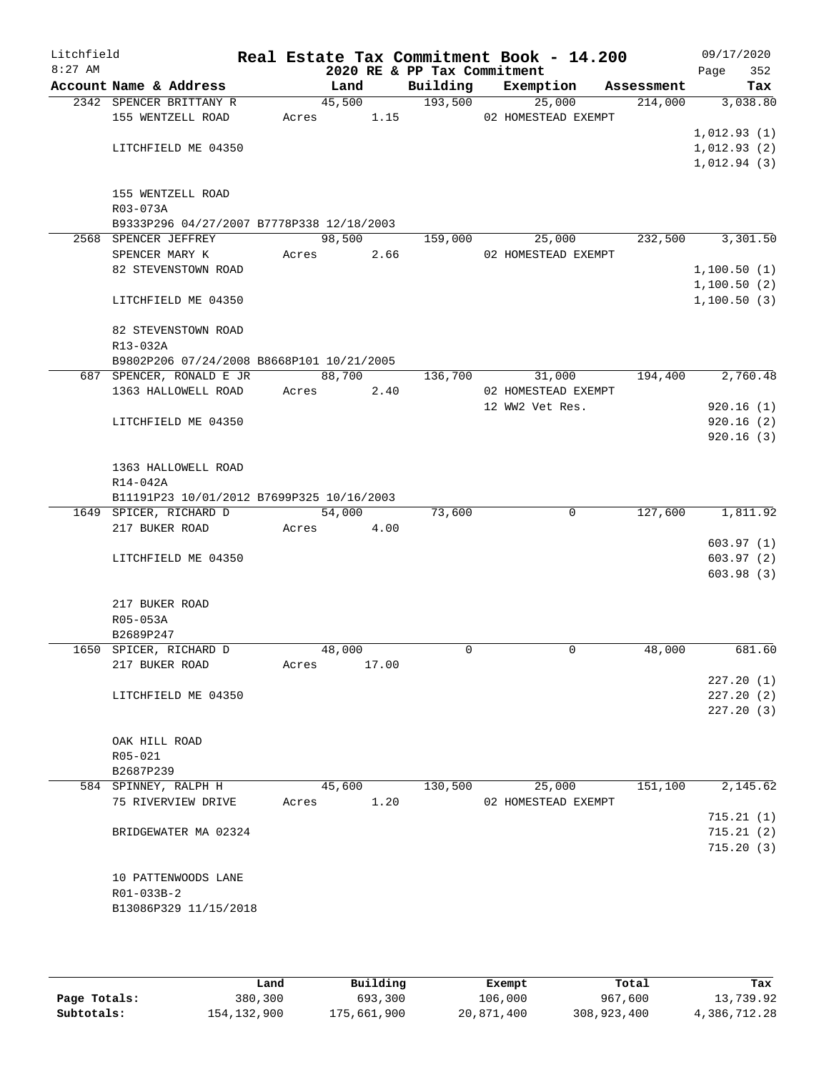| Litchfield |                                              |        |                |                             | Real Estate Tax Commitment Book - 14.200 |            | 09/17/2020  |
|------------|----------------------------------------------|--------|----------------|-----------------------------|------------------------------------------|------------|-------------|
| $8:27$ AM  |                                              |        |                | 2020 RE & PP Tax Commitment |                                          |            | 352<br>Page |
|            | Account Name & Address                       |        | Land           | Building<br>193,500         | Exemption                                | Assessment | Tax         |
|            | 2342 SPENCER BRITTANY R<br>155 WENTZELL ROAD | Acres  | 45,500<br>1.15 |                             | 25,000<br>02 HOMESTEAD EXEMPT            | 214,000    | 3,038.80    |
|            |                                              |        |                |                             |                                          |            | 1,012.93(1) |
|            | LITCHFIELD ME 04350                          |        |                |                             |                                          |            | 1,012.93(2) |
|            |                                              |        |                |                             |                                          |            | 1,012.94(3) |
|            |                                              |        |                |                             |                                          |            |             |
|            | 155 WENTZELL ROAD<br>R03-073A                |        |                |                             |                                          |            |             |
|            | B9333P296 04/27/2007 B7778P338 12/18/2003    |        |                |                             |                                          |            |             |
|            | 2568 SPENCER JEFFREY                         |        | 98,500         | 159,000                     | 25,000                                   | 232,500    | 3,301.50    |
|            | SPENCER MARY K                               | Acres  | 2.66           |                             | 02 HOMESTEAD EXEMPT                      |            |             |
|            | 82 STEVENSTOWN ROAD                          |        |                |                             |                                          |            | 1,100.50(1) |
|            |                                              |        |                |                             |                                          |            | 1,100.50(2) |
|            | LITCHFIELD ME 04350                          |        |                |                             |                                          |            | 1,100.50(3) |
|            | 82 STEVENSTOWN ROAD                          |        |                |                             |                                          |            |             |
|            | R13-032A                                     |        |                |                             |                                          |            |             |
|            | B9802P206 07/24/2008 B8668P101 10/21/2005    |        |                |                             |                                          |            |             |
|            | 687 SPENCER, RONALD E JR                     |        | 88,700         | 136,700                     | 31,000                                   | 194,400    | 2,760.48    |
|            | 1363 HALLOWELL ROAD                          | Acres  | 2.40           |                             | 02 HOMESTEAD EXEMPT                      |            |             |
|            |                                              |        |                |                             | 12 WW2 Vet Res.                          |            | 920.16(1)   |
|            | LITCHFIELD ME 04350                          |        |                |                             |                                          |            | 920.16(2)   |
|            |                                              |        |                |                             |                                          |            | 920.16(3)   |
|            | 1363 HALLOWELL ROAD                          |        |                |                             |                                          |            |             |
|            | R14-042A                                     |        |                |                             |                                          |            |             |
|            | B11191P23 10/01/2012 B7699P325 10/16/2003    |        |                |                             |                                          |            |             |
|            | 1649 SPICER, RICHARD D                       | 54,000 |                | 73,600                      | $\mathbf 0$                              | 127,600    | 1,811.92    |
|            | 217 BUKER ROAD                               | Acres  | 4.00           |                             |                                          |            |             |
|            |                                              |        |                |                             |                                          |            | 603.97(1)   |
|            | LITCHFIELD ME 04350                          |        |                |                             |                                          |            | 603.97(2)   |
|            |                                              |        |                |                             |                                          |            | 603.98(3)   |
|            | 217 BUKER ROAD                               |        |                |                             |                                          |            |             |
|            | R05-053A                                     |        |                |                             |                                          |            |             |
|            | B2689P247                                    |        |                |                             |                                          |            |             |
|            | 1650 SPICER, RICHARD D                       | 48,000 |                | $\Omega$                    | $\mathbf 0$                              | 48,000     | 681.60      |
|            | 217 BUKER ROAD                               | Acres  | 17.00          |                             |                                          |            |             |
|            |                                              |        |                |                             |                                          |            | 227.20(1)   |
|            | LITCHFIELD ME 04350                          |        |                |                             |                                          |            | 227.20(2)   |
|            |                                              |        |                |                             |                                          |            | 227.20(3)   |
|            | OAK HILL ROAD                                |        |                |                             |                                          |            |             |
|            | R05-021                                      |        |                |                             |                                          |            |             |
|            | B2687P239                                    |        |                |                             |                                          |            |             |
|            | 584 SPINNEY, RALPH H                         | 45,600 |                | 130,500                     | 25,000                                   | 151,100    | 2,145.62    |
|            | 75 RIVERVIEW DRIVE                           | Acres  | 1.20           |                             | 02 HOMESTEAD EXEMPT                      |            |             |
|            |                                              |        |                |                             |                                          |            | 715.21(1)   |
|            | BRIDGEWATER MA 02324                         |        |                |                             |                                          |            | 715.21(2)   |
|            |                                              |        |                |                             |                                          |            | 715.20(3)   |
|            | 10 PATTENWOODS LANE                          |        |                |                             |                                          |            |             |
|            | R01-033B-2                                   |        |                |                             |                                          |            |             |
|            | B13086P329 11/15/2018                        |        |                |                             |                                          |            |             |
|            |                                              |        |                |                             |                                          |            |             |

|              | Land        | Building    | Exempt     | Total       | Tax          |
|--------------|-------------|-------------|------------|-------------|--------------|
| Page Totals: | 380,300     | 693,300     | 106,000    | 967,600     | 13,739.92    |
| Subtotals:   | 154,132,900 | 175,661,900 | 20,871,400 | 308,923,400 | 4,386,712.28 |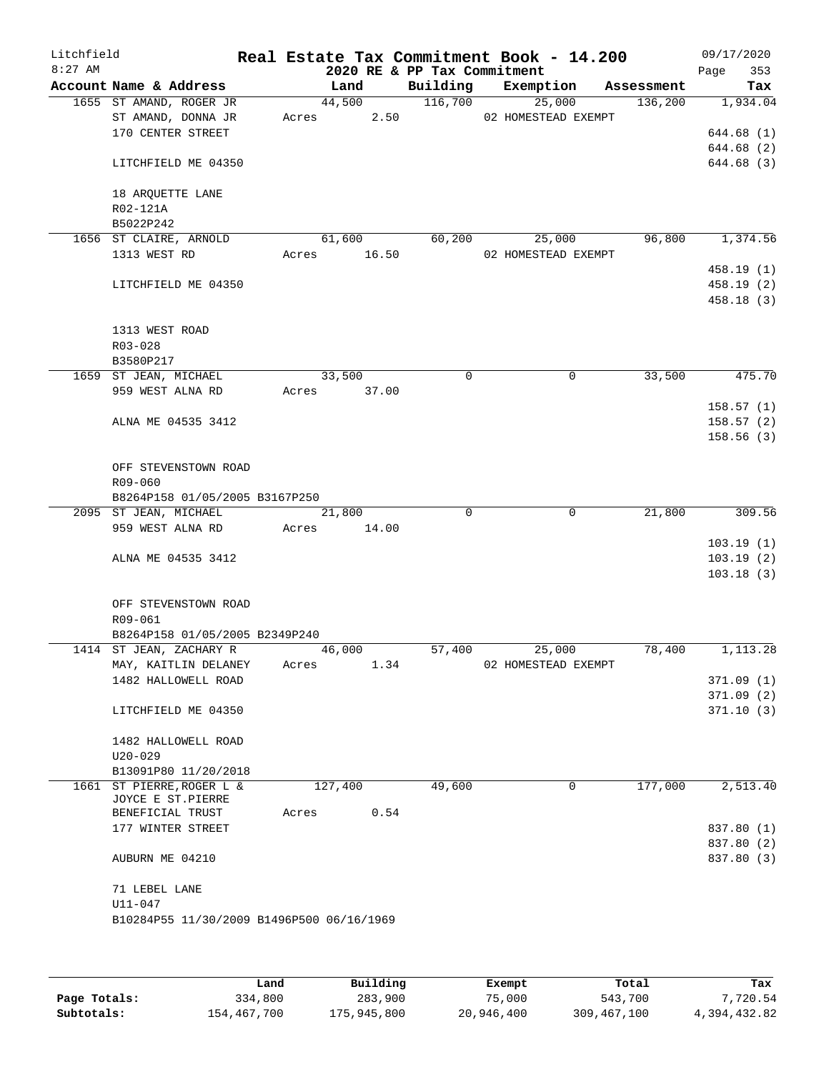| Litchfield<br>$8:27$ AM |                                           |       |             | 2020 RE & PP Tax Commitment | Real Estate Tax Commitment Book - 14.200 |         | 09/17/2020<br>353<br>Page |
|-------------------------|-------------------------------------------|-------|-------------|-----------------------------|------------------------------------------|---------|---------------------------|
|                         | Account Name & Address                    |       | Land        |                             | Building Exemption Assessment            |         | Tax                       |
|                         | 1655 ST AMAND, ROGER JR                   |       | 44,500      | 116,700                     | 25,000                                   | 136,200 | 1,934.04                  |
|                         | ST AMAND, DONNA JR                        |       | Acres 2.50  |                             | 02 HOMESTEAD EXEMPT                      |         |                           |
|                         | 170 CENTER STREET                         |       |             |                             |                                          |         | 644.68 (1)                |
|                         |                                           |       |             |                             |                                          |         | 644.68 (2)                |
|                         | LITCHFIELD ME 04350                       |       |             |                             |                                          |         | 644.68 (3)                |
|                         |                                           |       |             |                             |                                          |         |                           |
|                         | 18 ARQUETTE LANE                          |       |             |                             |                                          |         |                           |
|                         | R02-121A                                  |       |             |                             |                                          |         |                           |
|                         | B5022P242                                 |       |             |                             |                                          |         |                           |
|                         | 1656 ST CLAIRE, ARNOLD                    |       | 61,600      | 60,200                      | 25,000                                   | 96,800  | 1,374.56                  |
|                         | 1313 WEST RD                              |       | Acres 16.50 |                             | 02 HOMESTEAD EXEMPT                      |         |                           |
|                         |                                           |       |             |                             |                                          |         |                           |
|                         |                                           |       |             |                             |                                          |         | 458.19(1)                 |
|                         | LITCHFIELD ME 04350                       |       |             |                             |                                          |         | 458.19(2)                 |
|                         |                                           |       |             |                             |                                          |         | 458.18(3)                 |
|                         |                                           |       |             |                             |                                          |         |                           |
|                         | 1313 WEST ROAD                            |       |             |                             |                                          |         |                           |
|                         | R03-028                                   |       |             |                             |                                          |         |                           |
|                         | B3580P217                                 |       |             |                             |                                          |         |                           |
|                         | 1659 ST JEAN, MICHAEL                     |       | 33,500      | $\Omega$                    | 0                                        | 33,500  | 475.70                    |
|                         | 959 WEST ALNA RD                          |       | Acres 37.00 |                             |                                          |         |                           |
|                         |                                           |       |             |                             |                                          |         | 158.57(1)                 |
|                         | ALNA ME 04535 3412                        |       |             |                             |                                          |         | 158.57(2)                 |
|                         |                                           |       |             |                             |                                          |         | 158.56(3)                 |
|                         |                                           |       |             |                             |                                          |         |                           |
|                         | OFF STEVENSTOWN ROAD                      |       |             |                             |                                          |         |                           |
|                         | R09-060                                   |       |             |                             |                                          |         |                           |
|                         | B8264P158 01/05/2005 B3167P250            |       |             |                             |                                          |         |                           |
|                         | 2095 ST JEAN, MICHAEL                     |       | 21,800      | $\Omega$                    | $\mathbf 0$                              | 21,800  | 309.56                    |
|                         | 959 WEST ALNA RD                          | Acres | 14.00       |                             |                                          |         |                           |
|                         |                                           |       |             |                             |                                          |         | 103.19(1)                 |
|                         | ALNA ME 04535 3412                        |       |             |                             |                                          |         | 103.19(2)                 |
|                         |                                           |       |             |                             |                                          |         | 103.18(3)                 |
|                         |                                           |       |             |                             |                                          |         |                           |
|                         | OFF STEVENSTOWN ROAD                      |       |             |                             |                                          |         |                           |
|                         | R09-061                                   |       |             |                             |                                          |         |                           |
|                         | B8264P158 01/05/2005 B2349P240            |       |             |                             |                                          |         |                           |
|                         | 1414 ST JEAN, ZACHARY R                   |       | 46,000      | 57,400                      | 25,000                                   | 78,400  | 1,113.28                  |
|                         | MAY, KAITLIN DELANEY                      | Acres | 1.34        |                             | 02 HOMESTEAD EXEMPT                      |         |                           |
|                         | 1482 HALLOWELL ROAD                       |       |             |                             |                                          |         | 371.09(1)                 |
|                         |                                           |       |             |                             |                                          |         | 371.09 (2)                |
|                         | LITCHFIELD ME 04350                       |       |             |                             |                                          |         | 371.10(3)                 |
|                         |                                           |       |             |                             |                                          |         |                           |
|                         | 1482 HALLOWELL ROAD                       |       |             |                             |                                          |         |                           |
|                         | $U20 - 029$                               |       |             |                             |                                          |         |                           |
|                         | B13091P80 11/20/2018                      |       |             |                             |                                          |         |                           |
|                         | 1661 ST PIERRE, ROGER L &                 |       | 127,400     | 49,600                      | 0                                        | 177,000 | 2,513.40                  |
|                         | JOYCE E ST.PIERRE                         |       |             |                             |                                          |         |                           |
|                         | BENEFICIAL TRUST                          | Acres | 0.54        |                             |                                          |         |                           |
|                         | 177 WINTER STREET                         |       |             |                             |                                          |         | 837.80 (1)                |
|                         |                                           |       |             |                             |                                          |         | 837.80 (2)                |
|                         | AUBURN ME 04210                           |       |             |                             |                                          |         | 837.80 (3)                |
|                         |                                           |       |             |                             |                                          |         |                           |
|                         | 71 LEBEL LANE                             |       |             |                             |                                          |         |                           |
|                         | $U11 - 047$                               |       |             |                             |                                          |         |                           |
|                         | B10284P55 11/30/2009 B1496P500 06/16/1969 |       |             |                             |                                          |         |                           |
|                         |                                           |       |             |                             |                                          |         |                           |
|                         |                                           |       |             |                             |                                          |         |                           |

|              | Land        | Building    | Exempt     | Total       | Tax          |
|--------------|-------------|-------------|------------|-------------|--------------|
| Page Totals: | 334,800     | 283,900     | 75,000     | 543,700     | 7,720.54     |
| Subtotals:   | 154,467,700 | 175,945,800 | 20,946,400 | 309,467,100 | 4,394,432.82 |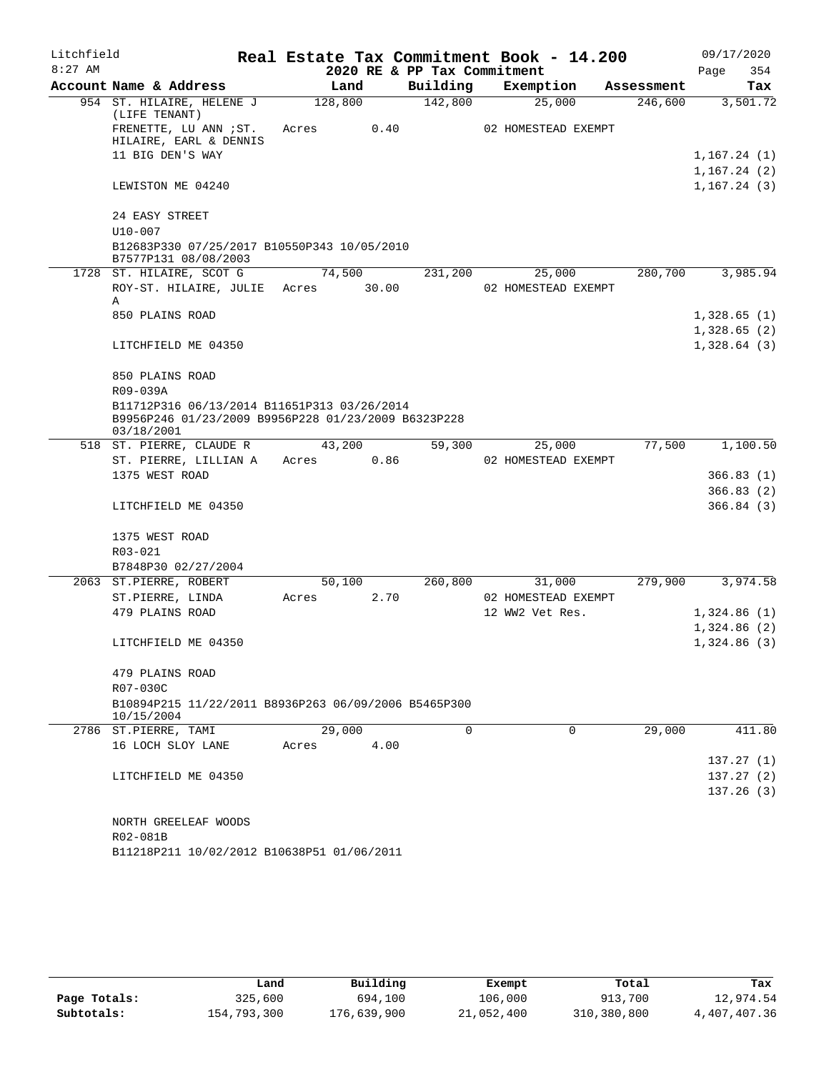| Litchfield |                                                                                                                  |       |         | Real Estate Tax Commitment Book - 14.200 |                 |                     |            | 09/17/2020                 |
|------------|------------------------------------------------------------------------------------------------------------------|-------|---------|------------------------------------------|-----------------|---------------------|------------|----------------------------|
| $8:27$ AM  |                                                                                                                  |       |         | 2020 RE & PP Tax Commitment              |                 |                     |            | Page<br>354                |
|            | Account Name & Address                                                                                           |       | Land    | Building                                 | Exemption       |                     | Assessment | Tax                        |
|            | 954 ST. HILAIRE, HELENE J<br>(LIFE TENANT)                                                                       |       | 128,800 | 142,800                                  |                 | 25,000              | 246,600    | 3,501.72                   |
|            | FRENETTE, LU ANN ; ST.<br>HILAIRE, EARL & DENNIS                                                                 | Acres | 0.40    |                                          |                 | 02 HOMESTEAD EXEMPT |            |                            |
|            | 11 BIG DEN'S WAY                                                                                                 |       |         |                                          |                 |                     |            | 1, 167.24(1)               |
|            |                                                                                                                  |       |         |                                          |                 |                     |            | 1,167.24(2)                |
|            | LEWISTON ME 04240                                                                                                |       |         |                                          |                 |                     |            | 1, 167.24(3)               |
|            | 24 EASY STREET                                                                                                   |       |         |                                          |                 |                     |            |                            |
|            | $U10 - 007$                                                                                                      |       |         |                                          |                 |                     |            |                            |
|            | B12683P330 07/25/2017 B10550P343 10/05/2010<br>B7577P131 08/08/2003                                              |       |         |                                          |                 |                     |            |                            |
|            | 1728 ST. HILAIRE, SCOT G                                                                                         |       | 74,500  | 231,200                                  |                 | 25,000              | 280,700    | 3,985.94                   |
|            | ROY-ST. HILAIRE, JULIE<br>Α                                                                                      | Acres | 30.00   |                                          |                 | 02 HOMESTEAD EXEMPT |            |                            |
|            | 850 PLAINS ROAD                                                                                                  |       |         |                                          |                 |                     |            | 1,328.65(1)                |
|            |                                                                                                                  |       |         |                                          |                 |                     |            | 1,328.65(2)                |
|            | LITCHFIELD ME 04350                                                                                              |       |         |                                          |                 |                     |            | 1,328.64(3)                |
|            | 850 PLAINS ROAD                                                                                                  |       |         |                                          |                 |                     |            |                            |
|            | R09-039A                                                                                                         |       |         |                                          |                 |                     |            |                            |
|            | B11712P316 06/13/2014 B11651P313 03/26/2014<br>B9956P246 01/23/2009 B9956P228 01/23/2009 B6323P228<br>03/18/2001 |       |         |                                          |                 |                     |            |                            |
|            | 518 ST. PIERRE, CLAUDE R                                                                                         |       | 43,200  | 59,300                                   |                 | 25,000              | 77,500     | 1,100.50                   |
|            | ST. PIERRE, LILLIAN A                                                                                            | Acres | 0.86    |                                          |                 | 02 HOMESTEAD EXEMPT |            |                            |
|            | 1375 WEST ROAD                                                                                                   |       |         |                                          |                 |                     |            | 366.83(1)                  |
|            |                                                                                                                  |       |         |                                          |                 |                     |            | 366.83(2)                  |
|            | LITCHFIELD ME 04350                                                                                              |       |         |                                          |                 |                     |            | 366.84(3)                  |
|            | 1375 WEST ROAD                                                                                                   |       |         |                                          |                 |                     |            |                            |
|            | R03-021                                                                                                          |       |         |                                          |                 |                     |            |                            |
|            | B7848P30 02/27/2004                                                                                              |       |         |                                          |                 |                     |            |                            |
|            | 2063 ST.PIERRE, ROBERT                                                                                           |       | 50,100  | 260,800                                  |                 | 31,000              | 279,900    | 3,974.58                   |
|            | ST.PIERRE, LINDA<br>479 PLAINS ROAD                                                                              | Acres | 2.70    |                                          |                 | 02 HOMESTEAD EXEMPT |            |                            |
|            |                                                                                                                  |       |         |                                          | 12 WW2 Vet Res. |                     |            | 1,324.86(1)<br>1,324.86(2) |
|            | LITCHFIELD ME 04350                                                                                              |       |         |                                          |                 |                     |            | 1,324.86(3)                |
|            |                                                                                                                  |       |         |                                          |                 |                     |            |                            |
|            | 479 PLAINS ROAD                                                                                                  |       |         |                                          |                 |                     |            |                            |
|            | R07-030C                                                                                                         |       |         |                                          |                 |                     |            |                            |
|            | B10894P215 11/22/2011 B8936P263 06/09/2006 B5465P300                                                             |       |         |                                          |                 |                     |            |                            |
|            | 10/15/2004                                                                                                       |       |         |                                          |                 |                     |            |                            |
|            | 2786 ST.PIERRE, TAMI                                                                                             |       | 29,000  | $\Omega$                                 |                 | $\Omega$            | 29,000     | 411.80                     |
|            | 16 LOCH SLOY LANE                                                                                                | Acres | 4.00    |                                          |                 |                     |            |                            |
|            | LITCHFIELD ME 04350                                                                                              |       |         |                                          |                 |                     |            | 137.27(1)<br>137.27(2)     |
|            |                                                                                                                  |       |         |                                          |                 |                     |            | 137.26(3)                  |
|            |                                                                                                                  |       |         |                                          |                 |                     |            |                            |
|            | NORTH GREELEAF WOODS                                                                                             |       |         |                                          |                 |                     |            |                            |
|            | R02-081B                                                                                                         |       |         |                                          |                 |                     |            |                            |
|            | B11218P211 10/02/2012 B10638P51 01/06/2011                                                                       |       |         |                                          |                 |                     |            |                            |

|              | Land        | Building    | Exempt     | Total       | Tax          |
|--------------|-------------|-------------|------------|-------------|--------------|
| Page Totals: | 325,600     | 694,100     | 106,000    | 913,700     | 12,974.54    |
| Subtotals:   | 154,793,300 | 176,639,900 | 21,052,400 | 310,380,800 | 4,407,407.36 |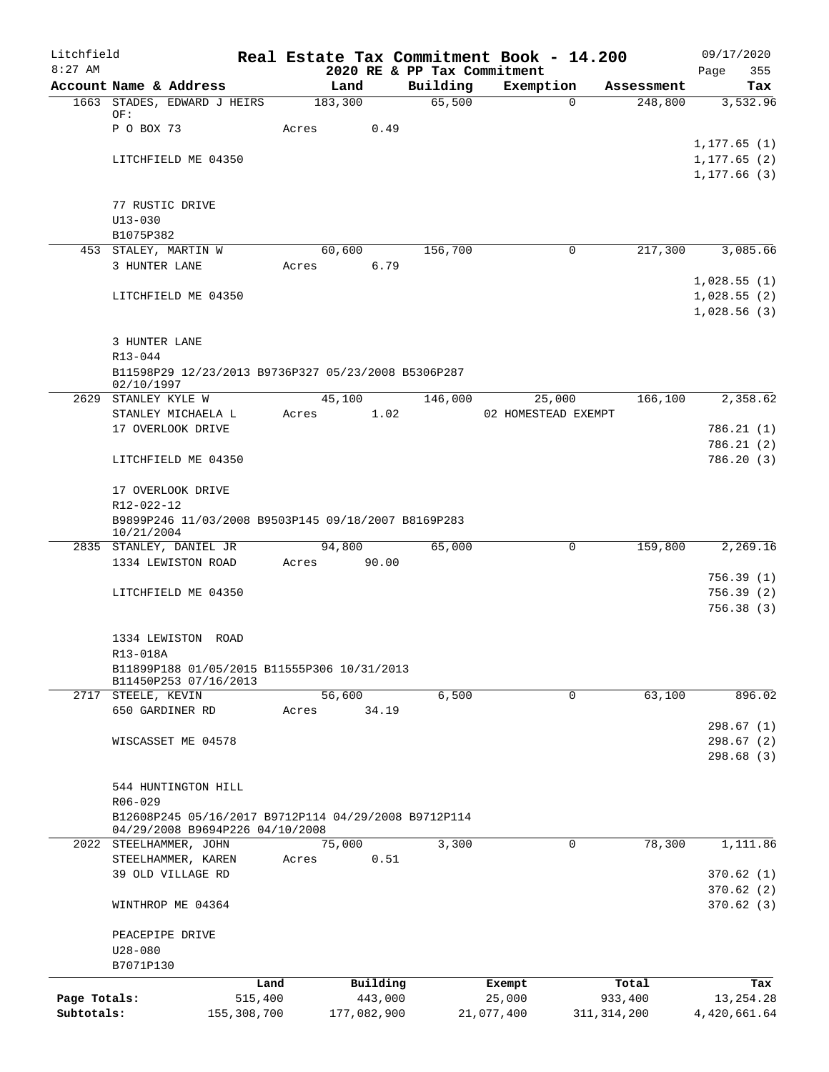| Litchfield   |                                       |                                              | Real Estate Tax Commitment Book - 14.200             |                                         |                     |               | 09/17/2020                 |
|--------------|---------------------------------------|----------------------------------------------|------------------------------------------------------|-----------------------------------------|---------------------|---------------|----------------------------|
| $8:27$ AM    |                                       | Account Name & Address                       | Land                                                 | 2020 RE & PP Tax Commitment<br>Building | Exemption           | Assessment    | 355<br>Page<br>Tax         |
|              |                                       | 1663 STADES, EDWARD J HEIRS                  | 183,300                                              | 65,500                                  | $\Omega$            | 248,800       | 3,532.96                   |
|              | OF:                                   |                                              |                                                      |                                         |                     |               |                            |
|              | P O BOX 73                            |                                              | 0.49<br>Acres                                        |                                         |                     |               | 1, 177.65(1)               |
|              |                                       | LITCHFIELD ME 04350                          |                                                      |                                         |                     |               | 1, 177.65(2)               |
|              |                                       |                                              |                                                      |                                         |                     |               | 1,177.66(3)                |
|              |                                       |                                              |                                                      |                                         |                     |               |                            |
|              | 77 RUSTIC DRIVE<br>$U13 - 030$        |                                              |                                                      |                                         |                     |               |                            |
|              | B1075P382                             |                                              |                                                      |                                         |                     |               |                            |
|              |                                       | 453 STALEY, MARTIN W                         | 60,600                                               | 156,700                                 | 0                   | 217,300       | 3,085.66                   |
|              | 3 HUNTER LANE                         |                                              | 6.79<br>Acres                                        |                                         |                     |               |                            |
|              |                                       | LITCHFIELD ME 04350                          |                                                      |                                         |                     |               | 1,028.55(1)<br>1,028.55(2) |
|              |                                       |                                              |                                                      |                                         |                     |               | 1,028.56(3)                |
|              |                                       |                                              |                                                      |                                         |                     |               |                            |
|              | 3 HUNTER LANE                         |                                              |                                                      |                                         |                     |               |                            |
|              | $R13 - 044$                           |                                              | B11598P29 12/23/2013 B9736P327 05/23/2008 B5306P287  |                                         |                     |               |                            |
|              | 02/10/1997                            |                                              |                                                      |                                         |                     |               |                            |
|              | 2629 STANLEY KYLE W                   |                                              | 45,100                                               | 146,000                                 | 25,000              | 166, 100      | 2,358.62                   |
|              |                                       | STANLEY MICHAELA L                           | 1.02<br>Acres                                        |                                         | 02 HOMESTEAD EXEMPT |               |                            |
|              |                                       | 17 OVERLOOK DRIVE                            |                                                      |                                         |                     |               | 786.21(1)<br>786.21(2)     |
|              |                                       | LITCHFIELD ME 04350                          |                                                      |                                         |                     |               | 786.20(3)                  |
|              |                                       |                                              |                                                      |                                         |                     |               |                            |
|              |                                       | 17 OVERLOOK DRIVE                            |                                                      |                                         |                     |               |                            |
|              | R12-022-12                            |                                              | B9899P246 11/03/2008 B9503P145 09/18/2007 B8169P283  |                                         |                     |               |                            |
|              | 10/21/2004                            |                                              |                                                      |                                         |                     |               |                            |
|              |                                       | 2835 STANLEY, DANIEL JR                      | 94,800                                               | 65,000                                  | $\mathbf 0$         | 159,800       | 2,269.16                   |
|              |                                       | 1334 LEWISTON ROAD                           | 90.00<br>Acres                                       |                                         |                     |               | 756.39(1)                  |
|              |                                       | LITCHFIELD ME 04350                          |                                                      |                                         |                     |               | 756.39(2)                  |
|              |                                       |                                              |                                                      |                                         |                     |               | 756.38(3)                  |
|              |                                       |                                              |                                                      |                                         |                     |               |                            |
|              | R13-018A                              | 1334 LEWISTON ROAD                           |                                                      |                                         |                     |               |                            |
|              |                                       |                                              | B11899P188 01/05/2015 B11555P306 10/31/2013          |                                         |                     |               |                            |
|              |                                       | B11450P253 07/16/2013                        |                                                      |                                         |                     |               |                            |
|              | 2717 STEELE, KEVIN<br>650 GARDINER RD |                                              | 56,600<br>34.19<br>Acres                             | 6,500                                   | 0                   | 63,100        | 896.02                     |
|              |                                       |                                              |                                                      |                                         |                     |               | 298.67(1)                  |
|              |                                       | WISCASSET ME 04578                           |                                                      |                                         |                     |               | 298.67(2)                  |
|              |                                       |                                              |                                                      |                                         |                     |               | 298.68(3)                  |
|              |                                       | 544 HUNTINGTON HILL                          |                                                      |                                         |                     |               |                            |
|              | R06-029                               |                                              |                                                      |                                         |                     |               |                            |
|              |                                       |                                              | B12608P245 05/16/2017 B9712P114 04/29/2008 B9712P114 |                                         |                     |               |                            |
|              |                                       | 04/29/2008 B9694P226 04/10/2008              |                                                      |                                         |                     |               |                            |
|              |                                       | 2022 STEELHAMMER, JOHN<br>STEELHAMMER, KAREN | 75,000<br>0.51<br>Acres                              | 3,300                                   | 0                   | 78,300        | 1,111.86                   |
|              |                                       | 39 OLD VILLAGE RD                            |                                                      |                                         |                     |               | 370.62(1)                  |
|              |                                       |                                              |                                                      |                                         |                     |               | 370.62(2)                  |
|              |                                       | WINTHROP ME 04364                            |                                                      |                                         |                     |               | 370.62(3)                  |
|              | PEACEPIPE DRIVE                       |                                              |                                                      |                                         |                     |               |                            |
|              | $U28 - 080$                           |                                              |                                                      |                                         |                     |               |                            |
|              | B7071P130                             |                                              |                                                      |                                         |                     |               |                            |
|              |                                       | Land                                         | Building                                             |                                         | Exempt              | Total         | Tax                        |
| Page Totals: |                                       | 515,400                                      | 443,000                                              |                                         | 25,000              | 933,400       | 13, 254. 28                |
| Subtotals:   |                                       | 155,308,700                                  | 177,082,900                                          |                                         | 21,077,400          | 311, 314, 200 | 4,420,661.64               |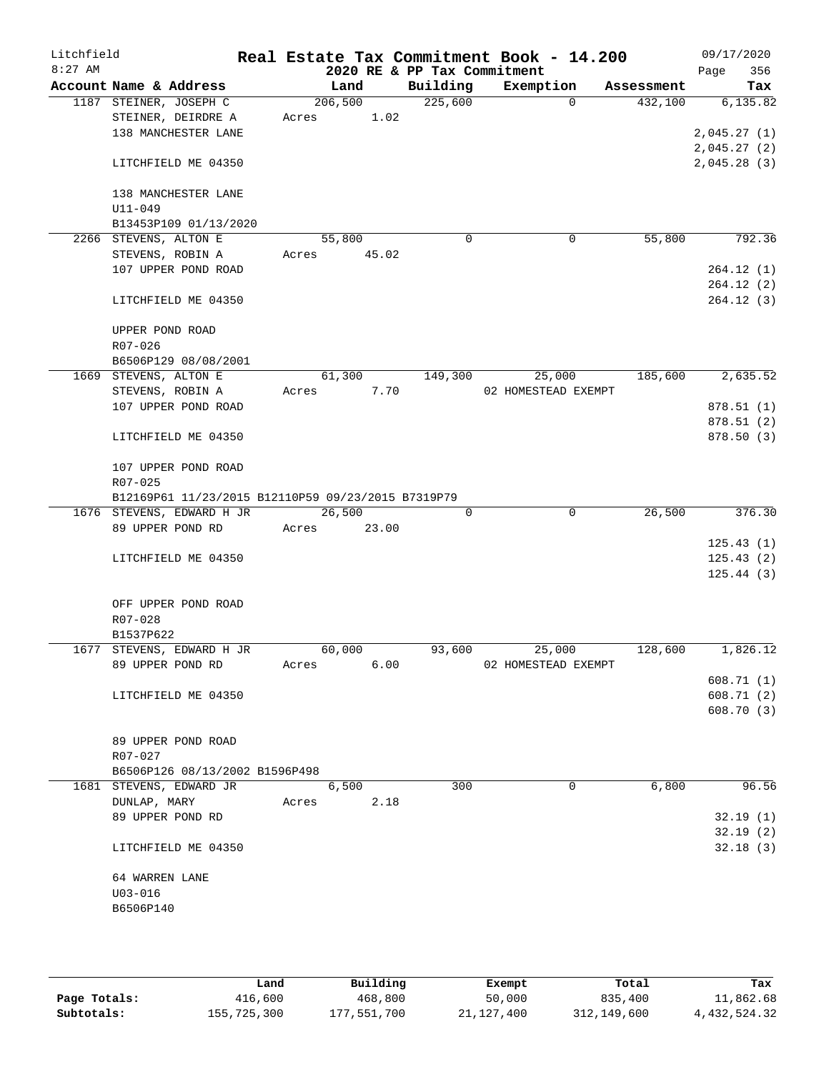| Litchfield |                 |                                                           |       |         |       |                             | Real Estate Tax Commitment Book - 14.200 |             |            |             | 09/17/2020             |
|------------|-----------------|-----------------------------------------------------------|-------|---------|-------|-----------------------------|------------------------------------------|-------------|------------|-------------|------------------------|
| $8:27$ AM  |                 |                                                           |       |         |       | 2020 RE & PP Tax Commitment |                                          |             |            | Page        | 356                    |
|            |                 | Account Name & Address                                    |       | Land    |       | Building                    | Exemption                                |             | Assessment |             | Tax                    |
|            |                 | 1187 STEINER, JOSEPH C                                    |       | 206,500 |       | 225,600                     |                                          | $\Omega$    | 432,100    |             | 6,135.82               |
|            |                 | STEINER, DEIRDRE A<br>138 MANCHESTER LANE                 | Acres |         | 1.02  |                             |                                          |             |            | 2,045.27(1) |                        |
|            |                 |                                                           |       |         |       |                             |                                          |             |            | 2,045.27(2) |                        |
|            |                 | LITCHFIELD ME 04350                                       |       |         |       |                             |                                          |             |            | 2,045.28(3) |                        |
|            |                 |                                                           |       |         |       |                             |                                          |             |            |             |                        |
|            |                 | 138 MANCHESTER LANE                                       |       |         |       |                             |                                          |             |            |             |                        |
|            | $U11 - 049$     |                                                           |       |         |       |                             |                                          |             |            |             |                        |
|            |                 | B13453P109 01/13/2020                                     |       |         |       |                             |                                          |             |            |             |                        |
|            |                 | 2266 STEVENS, ALTON E                                     |       | 55,800  |       | $\mathbf 0$                 |                                          | 0           | 55,800     |             | 792.36                 |
|            |                 | STEVENS, ROBIN A                                          | Acres |         | 45.02 |                             |                                          |             |            |             |                        |
|            |                 | 107 UPPER POND ROAD                                       |       |         |       |                             |                                          |             |            |             | 264.12(1)              |
|            |                 |                                                           |       |         |       |                             |                                          |             |            |             | 264.12(2)              |
|            |                 | LITCHFIELD ME 04350                                       |       |         |       |                             |                                          |             |            |             | 264.12(3)              |
|            | UPPER POND ROAD |                                                           |       |         |       |                             |                                          |             |            |             |                        |
|            | R07-026         |                                                           |       |         |       |                             |                                          |             |            |             |                        |
|            |                 | B6506P129 08/08/2001                                      |       |         |       |                             |                                          |             |            |             |                        |
|            |                 | 1669 STEVENS, ALTON E                                     |       | 61,300  |       | 149,300                     | 25,000                                   |             | 185,600    |             | 2,635.52               |
|            |                 | STEVENS, ROBIN A                                          | Acres |         | 7.70  |                             | 02 HOMESTEAD EXEMPT                      |             |            |             |                        |
|            |                 | 107 UPPER POND ROAD                                       |       |         |       |                             |                                          |             |            |             | 878.51(1)              |
|            |                 |                                                           |       |         |       |                             |                                          |             |            |             | 878.51(2)              |
|            |                 | LITCHFIELD ME 04350                                       |       |         |       |                             |                                          |             |            |             | 878.50 (3)             |
|            |                 | 107 UPPER POND ROAD                                       |       |         |       |                             |                                          |             |            |             |                        |
|            | R07-025         |                                                           |       |         |       |                             |                                          |             |            |             |                        |
|            |                 | B12169P61 11/23/2015 B12110P59 09/23/2015 B7319P79        |       |         |       |                             |                                          |             |            |             |                        |
|            |                 | 1676 STEVENS, EDWARD H JR                                 |       | 26,500  |       | 0                           |                                          | $\mathbf 0$ | 26,500     |             | 376.30                 |
|            |                 | 89 UPPER POND RD                                          | Acres |         | 23.00 |                             |                                          |             |            |             |                        |
|            |                 |                                                           |       |         |       |                             |                                          |             |            |             | 125.43(1)              |
|            |                 | LITCHFIELD ME 04350                                       |       |         |       |                             |                                          |             |            |             | 125.43(2)<br>125.44(3) |
|            |                 |                                                           |       |         |       |                             |                                          |             |            |             |                        |
|            |                 | OFF UPPER POND ROAD                                       |       |         |       |                             |                                          |             |            |             |                        |
|            | R07-028         |                                                           |       |         |       |                             |                                          |             |            |             |                        |
|            | B1537P622       |                                                           |       |         |       |                             |                                          |             |            |             |                        |
|            |                 | 1677 STEVENS, EDWARD H JR                                 |       | 60,000  |       | 93,600                      | 25,000                                   |             | 128,600    |             | 1,826.12               |
|            |                 | 89 UPPER POND RD                                          | Acres |         | 6.00  |                             | 02 HOMESTEAD EXEMPT                      |             |            |             |                        |
|            |                 |                                                           |       |         |       |                             |                                          |             |            |             | 608.71(1)              |
|            |                 | LITCHFIELD ME 04350                                       |       |         |       |                             |                                          |             |            |             | 608.71(2)              |
|            |                 |                                                           |       |         |       |                             |                                          |             |            |             | 608.70(3)              |
|            |                 |                                                           |       |         |       |                             |                                          |             |            |             |                        |
|            |                 | 89 UPPER POND ROAD                                        |       |         |       |                             |                                          |             |            |             |                        |
|            | R07-027         |                                                           |       |         |       |                             |                                          |             |            |             |                        |
|            |                 | B6506P126 08/13/2002 B1596P498<br>1681 STEVENS, EDWARD JR |       | 6,500   |       | 300                         |                                          | 0           | 6,800      |             | 96.56                  |
|            | DUNLAP, MARY    |                                                           | Acres |         | 2.18  |                             |                                          |             |            |             |                        |
|            |                 | 89 UPPER POND RD                                          |       |         |       |                             |                                          |             |            |             | 32.19(1)               |
|            |                 |                                                           |       |         |       |                             |                                          |             |            |             | 32.19(2)               |
|            |                 | LITCHFIELD ME 04350                                       |       |         |       |                             |                                          |             |            |             | 32.18(3)               |
|            | 64 WARREN LANE  |                                                           |       |         |       |                             |                                          |             |            |             |                        |
|            | $U03 - 016$     |                                                           |       |         |       |                             |                                          |             |            |             |                        |
|            | B6506P140       |                                                           |       |         |       |                             |                                          |             |            |             |                        |
|            |                 |                                                           |       |         |       |                             |                                          |             |            |             |                        |
|            |                 |                                                           |       |         |       |                             |                                          |             |            |             |                        |

|              | Land        | Building    | Exempt     | Total       | Tax          |
|--------------|-------------|-------------|------------|-------------|--------------|
| Page Totals: | 416,600     | 468,800     | 50,000     | 835,400     | 11,862.68    |
| Subtotals:   | 155,725,300 | 177,551,700 | 21,127,400 | 312,149,600 | 4,432,524.32 |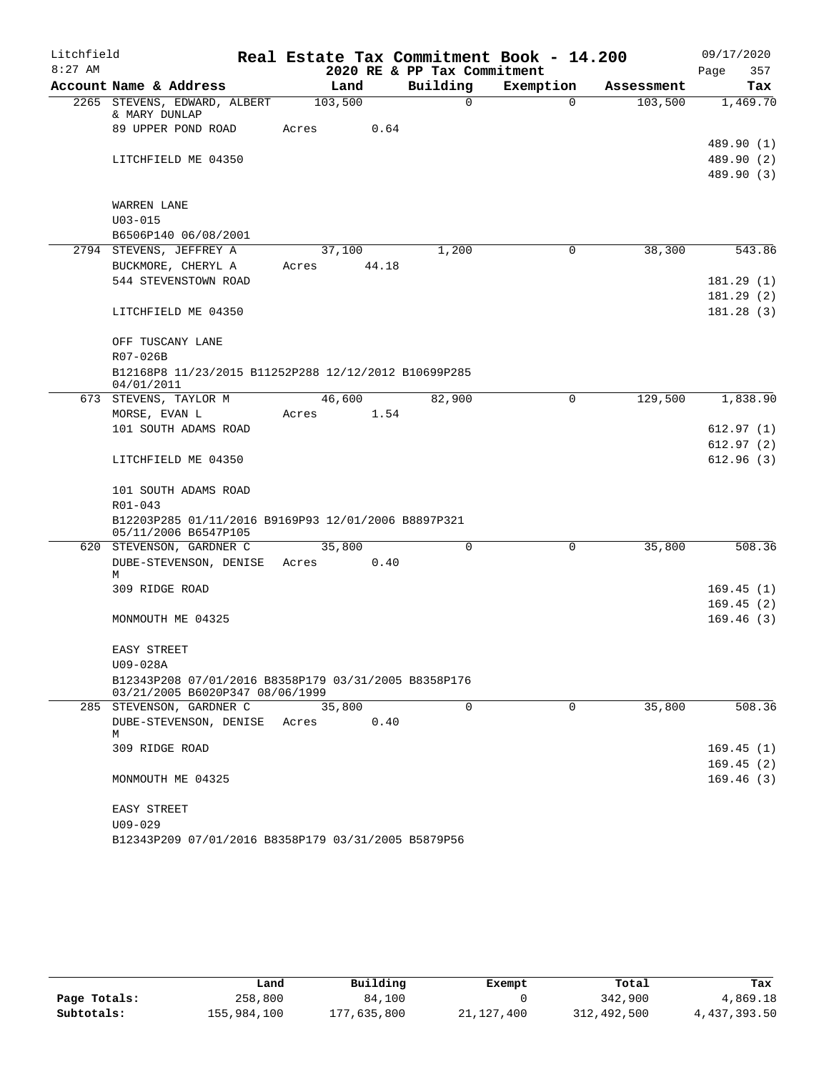| Litchfield |                                                                                         | Real Estate Tax Commitment Book - 14.200 |                             |             |            | 09/17/2020               |
|------------|-----------------------------------------------------------------------------------------|------------------------------------------|-----------------------------|-------------|------------|--------------------------|
| $8:27$ AM  |                                                                                         |                                          | 2020 RE & PP Tax Commitment |             |            | 357<br>Page              |
|            | Account Name & Address                                                                  | Land                                     | Building                    | Exemption   | Assessment | Tax                      |
|            | 2265 STEVENS, EDWARD, ALBERT<br>& MARY DUNLAP                                           | 103,500                                  | $\Omega$                    | $\Omega$    | 103,500    | 1,469.70                 |
|            | 89 UPPER POND ROAD                                                                      | 0.64<br>Acres                            |                             |             |            |                          |
|            |                                                                                         |                                          |                             |             |            | 489.90 (1)<br>489.90 (2) |
|            | LITCHFIELD ME 04350                                                                     |                                          |                             |             |            | 489.90 (3)               |
|            | <b>WARREN LANE</b>                                                                      |                                          |                             |             |            |                          |
|            | $U03 - 015$                                                                             |                                          |                             |             |            |                          |
|            | B6506P140 06/08/2001                                                                    |                                          |                             |             |            |                          |
|            | 2794 STEVENS, JEFFREY A                                                                 | 37,100                                   | 1,200                       | $\Omega$    | 38,300     | 543.86                   |
|            | BUCKMORE, CHERYL A                                                                      | Acres 44.18                              |                             |             |            |                          |
|            | 544 STEVENSTOWN ROAD                                                                    |                                          |                             |             |            | 181.29(1)                |
|            |                                                                                         |                                          |                             |             |            | 181.29(2)                |
|            | LITCHFIELD ME 04350                                                                     |                                          |                             |             |            | 181.28(3)                |
|            | OFF TUSCANY LANE                                                                        |                                          |                             |             |            |                          |
|            | R07-026B                                                                                |                                          |                             |             |            |                          |
|            | B12168P8 11/23/2015 B11252P288 12/12/2012 B10699P285<br>04/01/2011                      |                                          |                             |             |            |                          |
|            | 673 STEVENS, TAYLOR M                                                                   | 46,600                                   | 82,900                      | 0           | 129,500    | 1,838.90                 |
|            | MORSE, EVAN L                                                                           | 1.54<br>Acres                            |                             |             |            |                          |
|            | 101 SOUTH ADAMS ROAD                                                                    |                                          |                             |             |            | 612.97 (1)               |
|            | LITCHFIELD ME 04350                                                                     |                                          |                             |             |            | 612.97(2)<br>612.96(3)   |
|            | 101 SOUTH ADAMS ROAD                                                                    |                                          |                             |             |            |                          |
|            | R01-043                                                                                 |                                          |                             |             |            |                          |
|            | B12203P285 01/11/2016 B9169P93 12/01/2006 B8897P321<br>05/11/2006 B6547P105             |                                          |                             |             |            |                          |
|            | 620 STEVENSON, GARDNER C                                                                | 35,800                                   | $\Omega$                    | $\mathbf 0$ | 35,800     | 508.36                   |
|            | DUBE-STEVENSON, DENISE Acres                                                            | 0.40                                     |                             |             |            |                          |
|            | М                                                                                       |                                          |                             |             |            |                          |
|            | 309 RIDGE ROAD                                                                          |                                          |                             |             |            | 169.45(1)                |
|            | MONMOUTH ME 04325                                                                       |                                          |                             |             |            | 169.45(2)<br>169.46(3)   |
|            |                                                                                         |                                          |                             |             |            |                          |
|            | EASY STREET                                                                             |                                          |                             |             |            |                          |
|            | U09-028A                                                                                |                                          |                             |             |            |                          |
|            | B12343P208 07/01/2016 B8358P179 03/31/2005 B8358P176<br>03/21/2005 B6020P347 08/06/1999 |                                          |                             |             |            |                          |
|            | 285 STEVENSON, GARDNER C                                                                | 35,800                                   | $\Omega$                    | 0           | 35,800     | 508.36                   |
|            | DUBE-STEVENSON, DENISE<br>M                                                             | 0.40<br>Acres                            |                             |             |            |                          |
|            | 309 RIDGE ROAD                                                                          |                                          |                             |             |            | 169.45(1)                |
|            |                                                                                         |                                          |                             |             |            | 169.45(2)                |
|            | MONMOUTH ME 04325                                                                       |                                          |                             |             |            | 169.46(3)                |
|            | EASY STREET                                                                             |                                          |                             |             |            |                          |
|            | $U09 - 029$                                                                             |                                          |                             |             |            |                          |
|            | B12343P209 07/01/2016 B8358P179 03/31/2005 B5879P56                                     |                                          |                             |             |            |                          |

|              | Land        | Building    | Exempt       | Total       | Tax          |
|--------------|-------------|-------------|--------------|-------------|--------------|
| Page Totals: | 258,800     | 84,100      |              | 342,900     | 4,869.18     |
| Subtotals:   | 155,984,100 | 177,635,800 | 21, 127, 400 | 312,492,500 | 4,437,393.50 |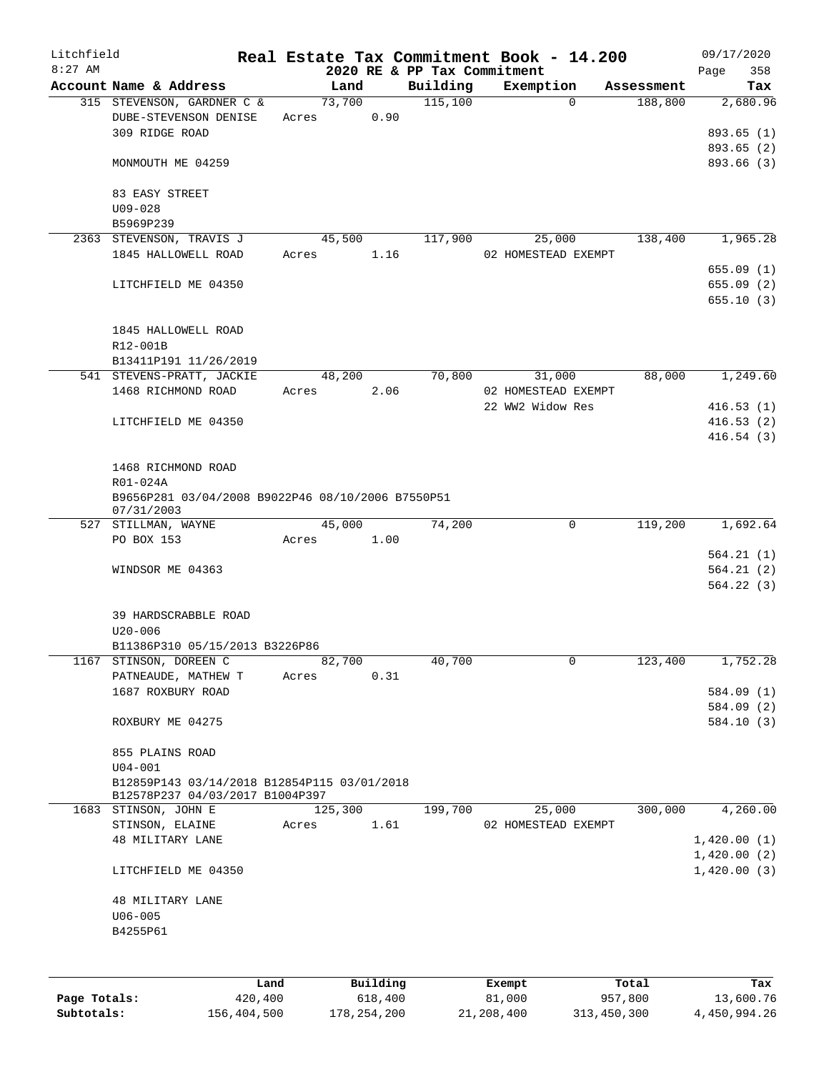| Litchfield |                                                                                |       |                |          |                             | Real Estate Tax Commitment Book - 14.200 |                                      | 09/17/2020      |
|------------|--------------------------------------------------------------------------------|-------|----------------|----------|-----------------------------|------------------------------------------|--------------------------------------|-----------------|
| $8:27$ AM  |                                                                                |       |                |          | 2020 RE & PP Tax Commitment |                                          |                                      | 358<br>Page     |
|            | Account Name & Address<br>315 STEVENSON, GARDNER C &                           |       | Land<br>73,700 |          | Building<br>115,100         | Exemption                                | Assessment<br>$\mathbf 0$<br>188,800 | Tax<br>2,680.96 |
|            | DUBE-STEVENSON DENISE                                                          |       |                | 0.90     |                             |                                          |                                      |                 |
|            | 309 RIDGE ROAD                                                                 | Acres |                |          |                             |                                          |                                      | 893.65 (1)      |
|            |                                                                                |       |                |          |                             |                                          |                                      | 893.65 (2)      |
|            | MONMOUTH ME 04259                                                              |       |                |          |                             |                                          |                                      | 893.66 (3)      |
|            |                                                                                |       |                |          |                             |                                          |                                      |                 |
|            |                                                                                |       |                |          |                             |                                          |                                      |                 |
|            | 83 EASY STREET                                                                 |       |                |          |                             |                                          |                                      |                 |
|            | $U09 - 028$                                                                    |       |                |          |                             |                                          |                                      |                 |
|            | B5969P239                                                                      |       |                |          |                             |                                          |                                      |                 |
|            | 2363 STEVENSON, TRAVIS J                                                       |       | 45,500         |          | 117,900                     | 25,000                                   | 138,400                              | 1,965.28        |
|            | 1845 HALLOWELL ROAD                                                            | Acres |                | 1.16     |                             | 02 HOMESTEAD EXEMPT                      |                                      |                 |
|            |                                                                                |       |                |          |                             |                                          |                                      | 655.09(1)       |
|            | LITCHFIELD ME 04350                                                            |       |                |          |                             |                                          |                                      | 655.09(2)       |
|            |                                                                                |       |                |          |                             |                                          |                                      | 655.10(3)       |
|            |                                                                                |       |                |          |                             |                                          |                                      |                 |
|            | 1845 HALLOWELL ROAD                                                            |       |                |          |                             |                                          |                                      |                 |
|            | R12-001B                                                                       |       |                |          |                             |                                          |                                      |                 |
|            | B13411P191 11/26/2019                                                          |       |                |          |                             |                                          |                                      |                 |
|            | 541 STEVENS-PRATT, JACKIE                                                      |       | 48,200         |          | 70,800                      | 31,000                                   | 88,000                               | 1,249.60        |
|            | 1468 RICHMOND ROAD                                                             | Acres |                | 2.06     |                             | 02 HOMESTEAD EXEMPT                      |                                      |                 |
|            |                                                                                |       |                |          |                             | 22 WW2 Widow Res                         |                                      | 416.53(1)       |
|            | LITCHFIELD ME 04350                                                            |       |                |          |                             |                                          |                                      | 416.53(2)       |
|            |                                                                                |       |                |          |                             |                                          |                                      | 416.54(3)       |
|            |                                                                                |       |                |          |                             |                                          |                                      |                 |
|            | 1468 RICHMOND ROAD                                                             |       |                |          |                             |                                          |                                      |                 |
|            | R01-024A                                                                       |       |                |          |                             |                                          |                                      |                 |
|            | B9656P281 03/04/2008 B9022P46 08/10/2006 B7550P51                              |       |                |          |                             |                                          |                                      |                 |
|            | 07/31/2003<br>527 STILLMAN, WAYNE                                              |       | 45,000         |          | 74,200                      |                                          | 119,200<br>0                         | 1,692.64        |
|            | PO BOX 153                                                                     | Acres |                | 1.00     |                             |                                          |                                      |                 |
|            |                                                                                |       |                |          |                             |                                          |                                      | 564.21(1)       |
|            | WINDSOR ME 04363                                                               |       |                |          |                             |                                          |                                      | 564.21(2)       |
|            |                                                                                |       |                |          |                             |                                          |                                      | 564.22(3)       |
|            |                                                                                |       |                |          |                             |                                          |                                      |                 |
|            | 39 HARDSCRABBLE ROAD                                                           |       |                |          |                             |                                          |                                      |                 |
|            | $U20 - 006$                                                                    |       |                |          |                             |                                          |                                      |                 |
|            | B11386P310 05/15/2013 B3226P86                                                 |       |                |          |                             |                                          |                                      |                 |
| 1167       | STINSON, DOREEN C                                                              |       | 82,700         |          | 40,700                      |                                          | 0<br>123,400                         | 1,752.28        |
|            | PATNEAUDE, MATHEW T                                                            | Acres |                | 0.31     |                             |                                          |                                      |                 |
|            | 1687 ROXBURY ROAD                                                              |       |                |          |                             |                                          |                                      | 584.09 (1)      |
|            |                                                                                |       |                |          |                             |                                          |                                      | 584.09 (2)      |
|            | ROXBURY ME 04275                                                               |       |                |          |                             |                                          |                                      | 584.10(3)       |
|            |                                                                                |       |                |          |                             |                                          |                                      |                 |
|            |                                                                                |       |                |          |                             |                                          |                                      |                 |
|            | 855 PLAINS ROAD<br>$U04 - 001$                                                 |       |                |          |                             |                                          |                                      |                 |
|            |                                                                                |       |                |          |                             |                                          |                                      |                 |
|            | B12859P143 03/14/2018 B12854P115 03/01/2018<br>B12578P237 04/03/2017 B1004P397 |       |                |          |                             |                                          |                                      |                 |
|            | 1683 STINSON, JOHN E                                                           |       | 125,300        |          | 199,700                     | 25,000                                   | 300,000                              | 4,260.00        |
|            | STINSON, ELAINE                                                                | Acres |                | 1.61     |                             | 02 HOMESTEAD EXEMPT                      |                                      |                 |
|            | <b>48 MILITARY LANE</b>                                                        |       |                |          |                             |                                          |                                      | 1,420.00(1)     |
|            |                                                                                |       |                |          |                             |                                          |                                      | 1,420.00(2)     |
|            | LITCHFIELD ME 04350                                                            |       |                |          |                             |                                          |                                      | 1,420.00(3)     |
|            |                                                                                |       |                |          |                             |                                          |                                      |                 |
|            | 48 MILITARY LANE                                                               |       |                |          |                             |                                          |                                      |                 |
|            | $U06 - 005$                                                                    |       |                |          |                             |                                          |                                      |                 |
|            | B4255P61                                                                       |       |                |          |                             |                                          |                                      |                 |
|            |                                                                                |       |                |          |                             |                                          |                                      |                 |
|            |                                                                                |       |                |          |                             |                                          |                                      |                 |
|            |                                                                                |       |                |          |                             |                                          |                                      |                 |
|            |                                                                                | Land  |                | Building |                             | Exempt                                   | Total                                | Tax             |

|              | Land        | Building    | Exempt     | тосат       | тах          |
|--------------|-------------|-------------|------------|-------------|--------------|
| Page Totals: | 420,400     | 618,400     | 81,000     | 957,800     | 13,600.76    |
| Subtotals:   | 156,404,500 | 178,254,200 | 21,208,400 | 313,450,300 | 4,450,994.26 |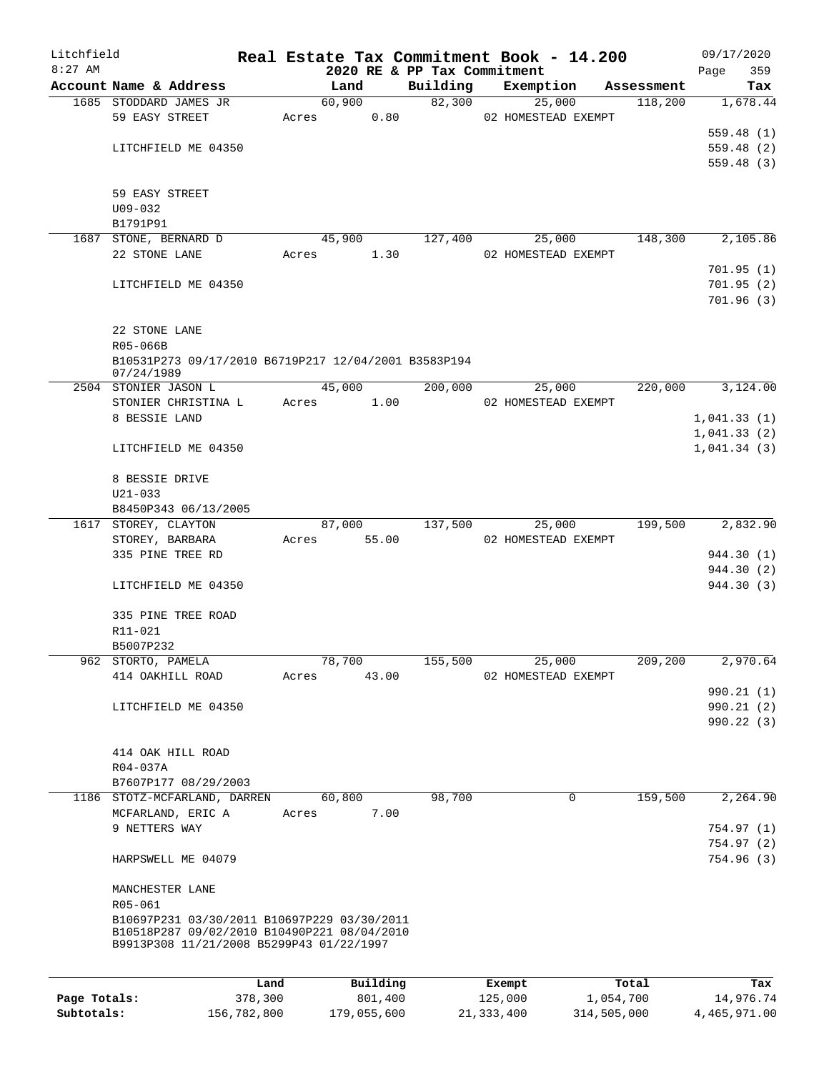| Litchfield   |                        |                                                                                         |       |             |                     |                             | Real Estate Tax Commitment Book - 14.200 |                    |      | 09/17/2020               |
|--------------|------------------------|-----------------------------------------------------------------------------------------|-------|-------------|---------------------|-----------------------------|------------------------------------------|--------------------|------|--------------------------|
| $8:27$ AM    |                        |                                                                                         |       |             |                     | 2020 RE & PP Tax Commitment |                                          |                    | Page | 359                      |
|              | Account Name & Address |                                                                                         |       | Land        |                     | Building                    | Exemption                                | Assessment         |      | Tax                      |
|              | 1685 STODDARD JAMES JR |                                                                                         |       | 60,900      |                     | 82,300                      | 25,000                                   | 118,200            |      | 1,678.44                 |
|              | 59 EASY STREET         |                                                                                         | Acres |             | 0.80                |                             | 02 HOMESTEAD EXEMPT                      |                    |      |                          |
|              | LITCHFIELD ME 04350    |                                                                                         |       |             |                     |                             |                                          |                    |      | 559.48(1)                |
|              |                        |                                                                                         |       |             |                     |                             |                                          |                    |      | 559.48(2)<br>559.48(3)   |
|              |                        |                                                                                         |       |             |                     |                             |                                          |                    |      |                          |
|              | 59 EASY STREET         |                                                                                         |       |             |                     |                             |                                          |                    |      |                          |
|              | $U09 - 032$            |                                                                                         |       |             |                     |                             |                                          |                    |      |                          |
|              | B1791P91               |                                                                                         |       |             |                     |                             |                                          |                    |      |                          |
|              | 1687 STONE, BERNARD D  |                                                                                         |       | 45,900      |                     | 127,400                     | 25,000                                   | 148,300            |      | 2,105.86                 |
|              | 22 STONE LANE          |                                                                                         | Acres |             | 1.30                |                             | 02 HOMESTEAD EXEMPT                      |                    |      |                          |
|              |                        |                                                                                         |       |             |                     |                             |                                          |                    |      | 701.95(1)                |
|              | LITCHFIELD ME 04350    |                                                                                         |       |             |                     |                             |                                          |                    |      | 701.95(2)                |
|              |                        |                                                                                         |       |             |                     |                             |                                          |                    |      | 701.96(3)                |
|              |                        |                                                                                         |       |             |                     |                             |                                          |                    |      |                          |
|              | 22 STONE LANE          |                                                                                         |       |             |                     |                             |                                          |                    |      |                          |
|              | R05-066B               |                                                                                         |       |             |                     |                             |                                          |                    |      |                          |
|              |                        | B10531P273 09/17/2010 B6719P217 12/04/2001 B3583P194                                    |       |             |                     |                             |                                          |                    |      |                          |
|              | 07/24/1989             |                                                                                         |       |             |                     |                             |                                          |                    |      |                          |
|              | 2504 STONIER JASON L   |                                                                                         |       | 45,000      |                     | 200,000                     | 25,000                                   | 220,000            |      | 3,124.00                 |
|              | STONIER CHRISTINA L    |                                                                                         | Acres |             | 1.00                |                             | 02 HOMESTEAD EXEMPT                      |                    |      |                          |
|              | 8 BESSIE LAND          |                                                                                         |       |             |                     |                             |                                          |                    |      | 1,041.33(1)              |
|              |                        |                                                                                         |       |             |                     |                             |                                          |                    |      | 1,041.33(2)              |
|              | LITCHFIELD ME 04350    |                                                                                         |       |             |                     |                             |                                          |                    |      | 1,041.34(3)              |
|              |                        |                                                                                         |       |             |                     |                             |                                          |                    |      |                          |
|              | 8 BESSIE DRIVE         |                                                                                         |       |             |                     |                             |                                          |                    |      |                          |
|              | $U21 - 033$            |                                                                                         |       |             |                     |                             |                                          |                    |      |                          |
|              | B8450P343 06/13/2005   |                                                                                         |       |             |                     |                             |                                          |                    |      |                          |
|              | 1617 STOREY, CLAYTON   |                                                                                         |       | 87,000      |                     | 137,500                     | 25,000                                   | 199,500            |      | 2,832.90                 |
|              | STOREY, BARBARA        |                                                                                         | Acres |             | 55.00               |                             | 02 HOMESTEAD EXEMPT                      |                    |      |                          |
|              | 335 PINE TREE RD       |                                                                                         |       |             |                     |                             |                                          |                    |      | 944.30 (1)               |
|              | LITCHFIELD ME 04350    |                                                                                         |       |             |                     |                             |                                          |                    |      | 944.30 (2)<br>944.30 (3) |
|              |                        |                                                                                         |       |             |                     |                             |                                          |                    |      |                          |
|              | 335 PINE TREE ROAD     |                                                                                         |       |             |                     |                             |                                          |                    |      |                          |
|              | R11-021                |                                                                                         |       |             |                     |                             |                                          |                    |      |                          |
|              | B5007P232              |                                                                                         |       |             |                     |                             |                                          |                    |      |                          |
|              | 962 STORTO, PAMELA     |                                                                                         |       | 78,700      |                     | 155,500                     | 25,000                                   | 209,200            |      | 2,970.64                 |
|              | 414 OAKHILL ROAD       |                                                                                         | Acres |             | 43.00               |                             | 02 HOMESTEAD EXEMPT                      |                    |      |                          |
|              |                        |                                                                                         |       |             |                     |                             |                                          |                    |      | 990.21(1)                |
|              | LITCHFIELD ME 04350    |                                                                                         |       |             |                     |                             |                                          |                    |      | 990.21(2)                |
|              |                        |                                                                                         |       |             |                     |                             |                                          |                    |      | 990.22(3)                |
|              |                        |                                                                                         |       |             |                     |                             |                                          |                    |      |                          |
|              | 414 OAK HILL ROAD      |                                                                                         |       |             |                     |                             |                                          |                    |      |                          |
|              | R04-037A               |                                                                                         |       |             |                     |                             |                                          |                    |      |                          |
|              | B7607P177 08/29/2003   |                                                                                         |       |             |                     |                             |                                          |                    |      |                          |
|              |                        | 1186 STOTZ-MCFARLAND, DARREN                                                            |       | 60,800      |                     | 98,700                      | $\mathbf 0$                              | 159,500            |      | 2,264.90                 |
|              | MCFARLAND, ERIC A      |                                                                                         | Acres |             | 7.00                |                             |                                          |                    |      |                          |
|              | 9 NETTERS WAY          |                                                                                         |       |             |                     |                             |                                          |                    |      | 754.97(1)                |
|              |                        |                                                                                         |       |             |                     |                             |                                          |                    |      | 754.97(2)                |
|              | HARPSWELL ME 04079     |                                                                                         |       |             |                     |                             |                                          |                    |      | 754.96 (3)               |
|              |                        |                                                                                         |       |             |                     |                             |                                          |                    |      |                          |
|              | MANCHESTER LANE        |                                                                                         |       |             |                     |                             |                                          |                    |      |                          |
|              | R05-061                |                                                                                         |       |             |                     |                             |                                          |                    |      |                          |
|              |                        | B10697P231 03/30/2011 B10697P229 03/30/2011                                             |       |             |                     |                             |                                          |                    |      |                          |
|              |                        | B10518P287 09/02/2010 B10490P221 08/04/2010<br>B9913P308 11/21/2008 B5299P43 01/22/1997 |       |             |                     |                             |                                          |                    |      |                          |
|              |                        |                                                                                         |       |             |                     |                             |                                          |                    |      |                          |
|              |                        |                                                                                         |       |             |                     |                             |                                          |                    |      |                          |
| Page Totals: |                        | Land<br>378,300                                                                         |       |             | Building<br>801,400 |                             | Exempt<br>125,000                        | Total<br>1,054,700 |      | Tax<br>14,976.74         |
| Subtotals:   |                        | 156,782,800                                                                             |       | 179,055,600 |                     |                             | 21, 333, 400                             | 314,505,000        |      | 4,465,971.00             |
|              |                        |                                                                                         |       |             |                     |                             |                                          |                    |      |                          |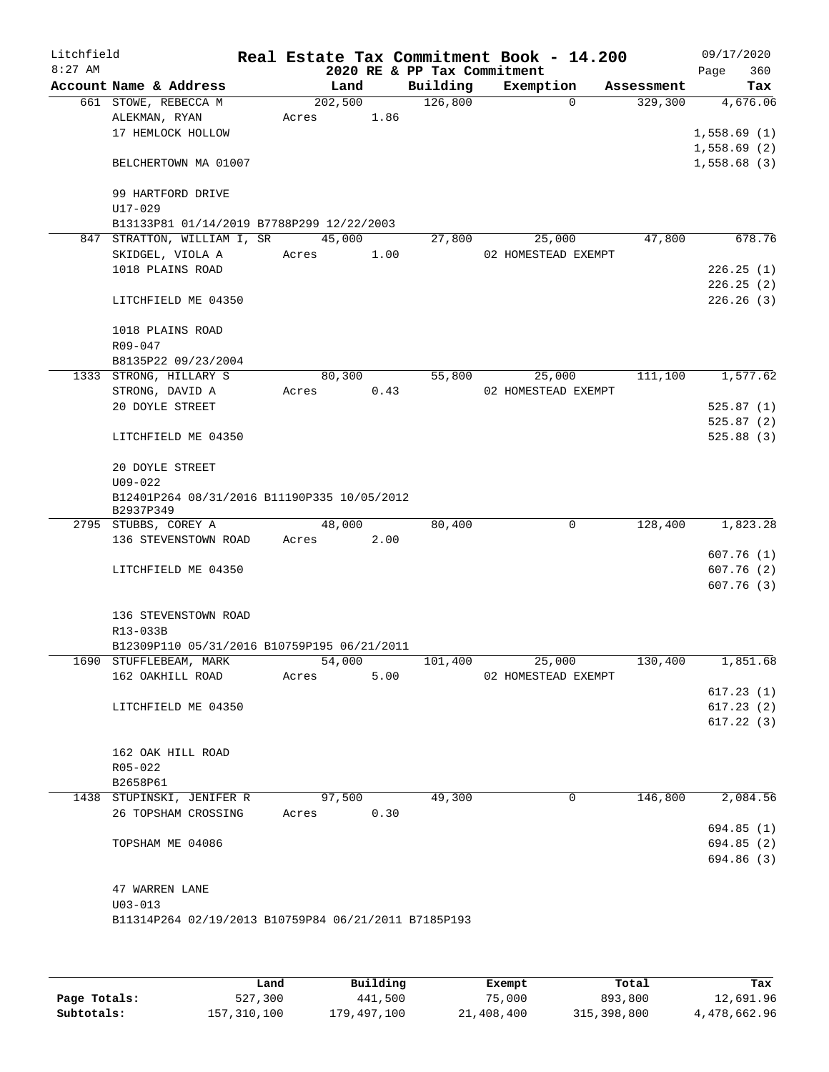| Litchfield<br>$8:27$ AM |                                                          |         |      | 2020 RE & PP Tax Commitment | Real Estate Tax Commitment Book - 14.200 |            | 09/17/2020<br>Page<br>360 |
|-------------------------|----------------------------------------------------------|---------|------|-----------------------------|------------------------------------------|------------|---------------------------|
|                         | Account Name & Address                                   | Land    |      | Building                    | Exemption                                | Assessment | Tax                       |
|                         | 661 STOWE, REBECCA M                                     | 202,500 |      | 126,800                     | $\Omega$                                 | 329,300    | 4,676.06                  |
|                         | ALEKMAN, RYAN                                            | Acres   | 1.86 |                             |                                          |            |                           |
|                         | 17 HEMLOCK HOLLOW                                        |         |      |                             |                                          |            | 1,558.69(1)               |
|                         |                                                          |         |      |                             |                                          |            | 1,558.69(2)               |
|                         | BELCHERTOWN MA 01007                                     |         |      |                             |                                          |            | 1,558.68(3)               |
|                         | 99 HARTFORD DRIVE                                        |         |      |                             |                                          |            |                           |
|                         | U17-029                                                  |         |      |                             |                                          |            |                           |
|                         | B13133P81 01/14/2019 B7788P299 12/22/2003                |         |      |                             |                                          |            |                           |
|                         | 847 STRATTON, WILLIAM I, SR                              | 45,000  |      | 27,800                      | 25,000                                   | 47,800     | 678.76                    |
|                         | SKIDGEL, VIOLA A                                         | Acres   | 1.00 |                             | 02 HOMESTEAD EXEMPT                      |            |                           |
|                         | 1018 PLAINS ROAD                                         |         |      |                             |                                          |            | 226.25(1)                 |
|                         |                                                          |         |      |                             |                                          |            | 226.25(2)                 |
|                         | LITCHFIELD ME 04350                                      |         |      |                             |                                          |            | 226.26(3)                 |
|                         |                                                          |         |      |                             |                                          |            |                           |
|                         | 1018 PLAINS ROAD                                         |         |      |                             |                                          |            |                           |
|                         | $R09 - 047$                                              |         |      |                             |                                          |            |                           |
|                         | B8135P22 09/23/2004                                      |         |      |                             |                                          |            |                           |
|                         | 1333 STRONG, HILLARY S                                   | 80,300  |      | 55,800                      | 25,000                                   | 111,100    | 1,577.62                  |
|                         | STRONG, DAVID A<br>20 DOYLE STREET                       | Acres   | 0.43 |                             | 02 HOMESTEAD EXEMPT                      |            | 525.87(1)                 |
|                         |                                                          |         |      |                             |                                          |            | 525.87(2)                 |
|                         | LITCHFIELD ME 04350                                      |         |      |                             |                                          |            | 525.88(3)                 |
|                         |                                                          |         |      |                             |                                          |            |                           |
|                         | 20 DOYLE STREET                                          |         |      |                             |                                          |            |                           |
|                         | $U09 - 022$                                              |         |      |                             |                                          |            |                           |
|                         | B12401P264 08/31/2016 B11190P335 10/05/2012<br>B2937P349 |         |      |                             |                                          |            |                           |
|                         | 2795 STUBBS, COREY A                                     | 48,000  |      | 80,400                      | 0                                        | 128,400    | 1,823.28                  |
|                         | 136 STEVENSTOWN ROAD                                     | Acres   | 2.00 |                             |                                          |            |                           |
|                         |                                                          |         |      |                             |                                          |            | 607.76(1)                 |
|                         | LITCHFIELD ME 04350                                      |         |      |                             |                                          |            | 607.76(2)                 |
|                         |                                                          |         |      |                             |                                          |            | 607.76(3)                 |
|                         |                                                          |         |      |                             |                                          |            |                           |
|                         | 136 STEVENSTOWN ROAD<br>R13-033B                         |         |      |                             |                                          |            |                           |
|                         | B12309P110 05/31/2016 B10759P195 06/21/2011              |         |      |                             |                                          |            |                           |
|                         | 1690 STUFFLEBEAM, MARK                                   | 54,000  |      | 101,400                     | 25,000                                   | 130,400    | 1,851.68                  |
|                         | 162 OAKHILL ROAD                                         | Acres   | 5.00 |                             | 02 HOMESTEAD EXEMPT                      |            |                           |
|                         |                                                          |         |      |                             |                                          |            | 617.23(1)                 |
|                         | LITCHFIELD ME 04350                                      |         |      |                             |                                          |            | 617.23(2)                 |
|                         |                                                          |         |      |                             |                                          |            | 617.22(3)                 |
|                         |                                                          |         |      |                             |                                          |            |                           |
|                         | 162 OAK HILL ROAD                                        |         |      |                             |                                          |            |                           |
|                         | R05-022                                                  |         |      |                             |                                          |            |                           |
|                         | B2658P61                                                 |         |      |                             |                                          |            |                           |
|                         | 1438 STUPINSKI, JENIFER R<br>26 TOPSHAM CROSSING         | 97,500  | 0.30 | 49,300                      | 0                                        | 146,800    | 2,084.56                  |
|                         |                                                          | Acres   |      |                             |                                          |            | 694.85(1)                 |
|                         | TOPSHAM ME 04086                                         |         |      |                             |                                          |            | 694.85 (2)                |
|                         |                                                          |         |      |                             |                                          |            | 694.86 (3)                |
|                         |                                                          |         |      |                             |                                          |            |                           |
|                         | 47 WARREN LANE                                           |         |      |                             |                                          |            |                           |
|                         | $U03 - 013$                                              |         |      |                             |                                          |            |                           |
|                         | B11314P264 02/19/2013 B10759P84 06/21/2011 B7185P193     |         |      |                             |                                          |            |                           |
|                         |                                                          |         |      |                             |                                          |            |                           |
|                         |                                                          |         |      |                             |                                          |            |                           |

|              | Land        | Building    | Exempt     | Total       | Tax          |
|--------------|-------------|-------------|------------|-------------|--------------|
| Page Totals: | 527,300     | 441,500     | 75,000     | 893,800     | 12,691.96    |
| Subtotals:   | 157,310,100 | 179,497,100 | 21,408,400 | 315,398,800 | 4,478,662.96 |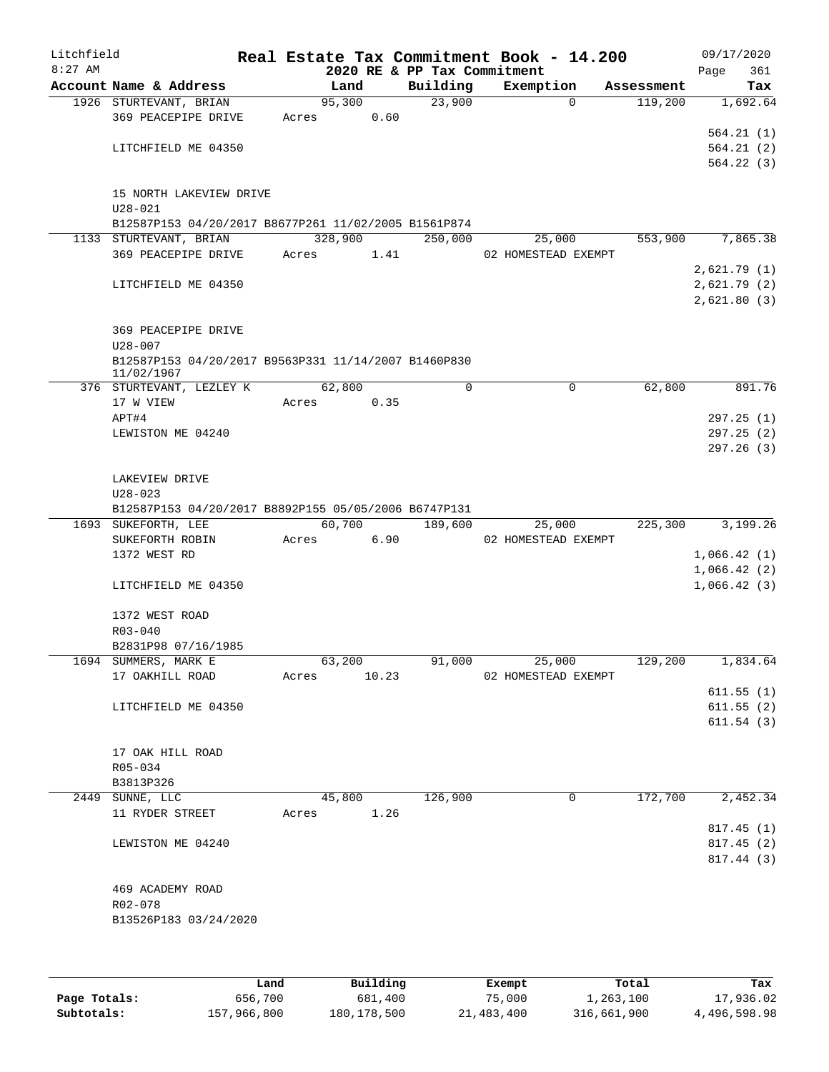| Litchfield |                                                      |       |         |       |                             | Real Estate Tax Commitment Book - 14.200 |            | 09/17/2020  |
|------------|------------------------------------------------------|-------|---------|-------|-----------------------------|------------------------------------------|------------|-------------|
| $8:27$ AM  |                                                      |       |         |       | 2020 RE & PP Tax Commitment |                                          |            | 361<br>Page |
|            | Account Name & Address                               |       | Land    |       | Building                    | Exemption                                | Assessment | Tax         |
|            | 1926 STURTEVANT, BRIAN                               |       | 95,300  |       | 23,900                      | $\mathbf 0$                              | 119,200    | 1,692.64    |
|            | 369 PEACEPIPE DRIVE                                  | Acres |         | 0.60  |                             |                                          |            |             |
|            |                                                      |       |         |       |                             |                                          |            | 564.21(1)   |
|            | LITCHFIELD ME 04350                                  |       |         |       |                             |                                          |            | 564.21(2)   |
|            |                                                      |       |         |       |                             |                                          |            | 564.22(3)   |
|            |                                                      |       |         |       |                             |                                          |            |             |
|            | 15 NORTH LAKEVIEW DRIVE                              |       |         |       |                             |                                          |            |             |
|            | $U28 - 021$                                          |       |         |       |                             |                                          |            |             |
|            | B12587P153 04/20/2017 B8677P261 11/02/2005 B1561P874 |       |         |       |                             |                                          |            |             |
|            | 1133 STURTEVANT, BRIAN                               |       | 328,900 |       | $\overline{250}$ ,000       | 25,000                                   | 553,900    | 7,865.38    |
|            | 369 PEACEPIPE DRIVE                                  | Acres |         | 1.41  |                             | 02 HOMESTEAD EXEMPT                      |            |             |
|            |                                                      |       |         |       |                             |                                          |            | 2,621.79(1) |
|            | LITCHFIELD ME 04350                                  |       |         |       |                             |                                          |            | 2,621.79(2) |
|            |                                                      |       |         |       |                             |                                          |            | 2,621.80(3) |
|            |                                                      |       |         |       |                             |                                          |            |             |
|            | 369 PEACEPIPE DRIVE                                  |       |         |       |                             |                                          |            |             |
|            | $U28 - 007$                                          |       |         |       |                             |                                          |            |             |
|            | B12587P153 04/20/2017 B9563P331 11/14/2007 B1460P830 |       |         |       |                             |                                          |            |             |
|            | 11/02/1967                                           |       |         |       |                             |                                          |            |             |
|            | 376 STURTEVANT, LEZLEY K                             |       | 62,800  |       | 0                           | $\mathbf 0$                              | 62,800     | 891.76      |
|            | 17 W VIEW                                            | Acres |         | 0.35  |                             |                                          |            |             |
|            | APT#4                                                |       |         |       |                             |                                          |            | 297.25(1)   |
|            | LEWISTON ME 04240                                    |       |         |       |                             |                                          |            | 297.25(2)   |
|            |                                                      |       |         |       |                             |                                          |            | 297.26(3)   |
|            |                                                      |       |         |       |                             |                                          |            |             |
|            | LAKEVIEW DRIVE                                       |       |         |       |                             |                                          |            |             |
|            | $U28 - 023$                                          |       |         |       |                             |                                          |            |             |
|            | B12587P153 04/20/2017 B8892P155 05/05/2006 B6747P131 |       |         |       |                             |                                          |            |             |
|            | 1693 SUKEFORTH, LEE                                  |       | 60,700  |       | 189,600                     | 25,000                                   | 225,300    | 3,199.26    |
|            | SUKEFORTH ROBIN                                      | Acres |         | 6.90  |                             | 02 HOMESTEAD EXEMPT                      |            |             |
|            | 1372 WEST RD                                         |       |         |       |                             |                                          |            | 1,066.42(1) |
|            |                                                      |       |         |       |                             |                                          |            | 1,066.42(2) |
|            | LITCHFIELD ME 04350                                  |       |         |       |                             |                                          |            | 1,066.42(3) |
|            |                                                      |       |         |       |                             |                                          |            |             |
|            | 1372 WEST ROAD                                       |       |         |       |                             |                                          |            |             |
|            | $R03 - 040$                                          |       |         |       |                             |                                          |            |             |
|            | B2831P98 07/16/1985                                  |       |         |       |                             |                                          |            |             |
|            | 1694 SUMMERS, MARK E                                 |       | 63,200  |       | 91,000                      | 25,000                                   | 129,200    | 1,834.64    |
|            | 17 OAKHILL ROAD                                      | Acres |         | 10.23 |                             | 02 HOMESTEAD EXEMPT                      |            |             |
|            |                                                      |       |         |       |                             |                                          |            | 611.55(1)   |
|            | LITCHFIELD ME 04350                                  |       |         |       |                             |                                          |            | 611.55(2)   |
|            |                                                      |       |         |       |                             |                                          |            | 611.54(3)   |
|            |                                                      |       |         |       |                             |                                          |            |             |
|            | 17 OAK HILL ROAD                                     |       |         |       |                             |                                          |            |             |
|            | R05-034                                              |       |         |       |                             |                                          |            |             |
|            | B3813P326                                            |       |         |       |                             |                                          |            |             |
|            | 2449 SUNNE, LLC                                      |       | 45,800  |       | 126,900                     | 0                                        | 172,700    | 2,452.34    |
|            | 11 RYDER STREET                                      | Acres |         | 1.26  |                             |                                          |            |             |
|            |                                                      |       |         |       |                             |                                          |            | 817.45(1)   |
|            | LEWISTON ME 04240                                    |       |         |       |                             |                                          |            | 817.45(2)   |
|            |                                                      |       |         |       |                             |                                          |            | 817.44 (3)  |
|            |                                                      |       |         |       |                             |                                          |            |             |
|            | 469 ACADEMY ROAD                                     |       |         |       |                             |                                          |            |             |
|            | R02-078                                              |       |         |       |                             |                                          |            |             |
|            |                                                      |       |         |       |                             |                                          |            |             |
|            | B13526P183 03/24/2020                                |       |         |       |                             |                                          |            |             |
|            |                                                      |       |         |       |                             |                                          |            |             |
|            |                                                      |       |         |       |                             |                                          |            |             |
|            |                                                      |       |         |       |                             |                                          |            |             |

|              | Land        | Building    | Exempt     | Total       | Tax          |
|--------------|-------------|-------------|------------|-------------|--------------|
| Page Totals: | 656,700     | 681,400     | 75,000     | 1,263,100   | 17,936.02    |
| Subtotals:   | 157,966,800 | 180,178,500 | 21,483,400 | 316,661,900 | 4,496,598.98 |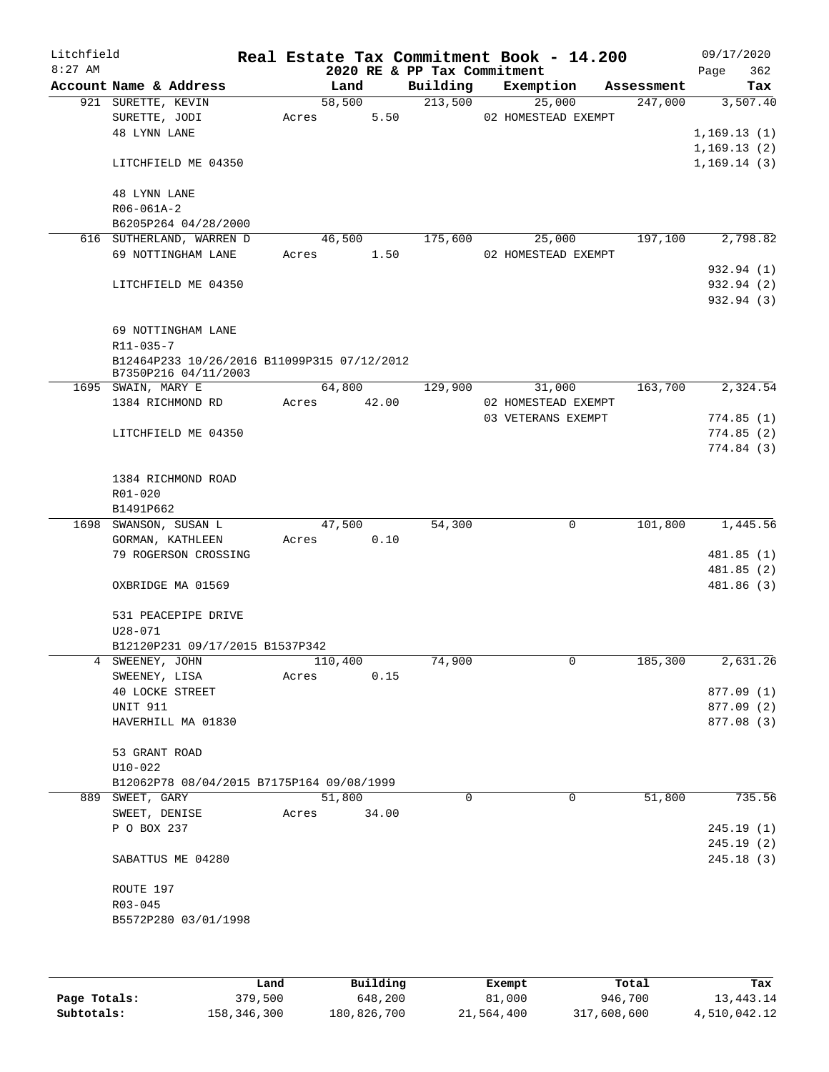| Litchfield |                                  |                                                                     |       |                 |                             | Real Estate Tax Commitment Book - 14.200 |            |              | 09/17/2020  |
|------------|----------------------------------|---------------------------------------------------------------------|-------|-----------------|-----------------------------|------------------------------------------|------------|--------------|-------------|
| $8:27$ AM  |                                  |                                                                     |       |                 | 2020 RE & PP Tax Commitment |                                          |            | Page         | 362         |
|            |                                  | Account Name & Address                                              |       | Land            | Building                    | Exemption                                | Assessment |              | Tax         |
|            | 921 SURETTE, KEVIN               |                                                                     |       | 58,500          | 213,500                     | 25,000                                   | 247,000    |              | 3,507.40    |
|            | SURETTE, JODI<br>48 LYNN LANE    |                                                                     | Acres | 5.50            |                             | 02 HOMESTEAD EXEMPT                      |            |              | 1,169.13(1) |
|            |                                  |                                                                     |       |                 |                             |                                          |            | 1, 169.13(2) |             |
|            |                                  | LITCHFIELD ME 04350                                                 |       |                 |                             |                                          |            | 1,169.14(3)  |             |
|            | 48 LYNN LANE                     |                                                                     |       |                 |                             |                                          |            |              |             |
|            | R06-061A-2                       |                                                                     |       |                 |                             |                                          |            |              |             |
|            |                                  | B6205P264 04/28/2000                                                |       |                 |                             |                                          |            |              |             |
|            |                                  | 616 SUTHERLAND, WARREN D<br>69 NOTTINGHAM LANE                      | Acres | 46,500<br>1.50  | 175,600                     | 25,000<br>02 HOMESTEAD EXEMPT            | 197,100    |              | 2,798.82    |
|            |                                  |                                                                     |       |                 |                             |                                          |            |              | 932.94 (1)  |
|            |                                  | LITCHFIELD ME 04350                                                 |       |                 |                             |                                          |            |              | 932.94 (2)  |
|            |                                  |                                                                     |       |                 |                             |                                          |            |              | 932.94 (3)  |
|            |                                  | 69 NOTTINGHAM LANE                                                  |       |                 |                             |                                          |            |              |             |
|            | $R11 - 035 - 7$                  |                                                                     |       |                 |                             |                                          |            |              |             |
|            |                                  | B12464P233 10/26/2016 B11099P315 07/12/2012<br>B7350P216 04/11/2003 |       |                 |                             |                                          |            |              |             |
|            | 1695 SWAIN, MARY E               |                                                                     |       | 64,800          | 129,900                     | 31,000                                   | 163,700    |              | 2,324.54    |
|            |                                  | 1384 RICHMOND RD                                                    | Acres | 42.00           |                             | 02 HOMESTEAD EXEMPT                      |            |              |             |
|            |                                  |                                                                     |       |                 |                             | 03 VETERANS EXEMPT                       |            |              | 774.85(1)   |
|            |                                  | LITCHFIELD ME 04350                                                 |       |                 |                             |                                          |            |              | 774.85(2)   |
|            |                                  |                                                                     |       |                 |                             |                                          |            |              | 774.84 (3)  |
|            |                                  | 1384 RICHMOND ROAD                                                  |       |                 |                             |                                          |            |              |             |
|            | R01-020                          |                                                                     |       |                 |                             |                                          |            |              |             |
|            | B1491P662                        |                                                                     |       |                 |                             |                                          |            |              |             |
|            |                                  | 1698 SWANSON, SUSAN L                                               |       | 47,500          | 54,300                      | 0                                        | 101,800    |              | 1,445.56    |
|            |                                  | GORMAN, KATHLEEN                                                    | Acres | 0.10            |                             |                                          |            |              |             |
|            |                                  | 79 ROGERSON CROSSING                                                |       |                 |                             |                                          |            |              | 481.85 (1)  |
|            |                                  |                                                                     |       |                 |                             |                                          |            |              | 481.85(2)   |
|            |                                  | OXBRIDGE MA 01569                                                   |       |                 |                             |                                          |            |              | 481.86 (3)  |
|            |                                  | 531 PEACEPIPE DRIVE                                                 |       |                 |                             |                                          |            |              |             |
|            | $U28 - 071$                      |                                                                     |       |                 |                             |                                          |            |              |             |
|            |                                  | B12120P231 09/17/2015 B1537P342                                     |       |                 |                             |                                          |            |              |             |
|            | 4 SWEENEY, JOHN<br>SWEENEY, LISA |                                                                     | Acres | 110,400<br>0.15 | 74,900                      | 0                                        | 185,300    |              | 2,631.26    |
|            |                                  | <b>40 LOCKE STREET</b>                                              |       |                 |                             |                                          |            |              | 877.09 (1)  |
|            | <b>UNIT 911</b>                  |                                                                     |       |                 |                             |                                          |            |              | 877.09 (2)  |
|            |                                  | HAVERHILL MA 01830                                                  |       |                 |                             |                                          |            |              | 877.08 (3)  |
|            |                                  |                                                                     |       |                 |                             |                                          |            |              |             |
|            | 53 GRANT ROAD                    |                                                                     |       |                 |                             |                                          |            |              |             |
|            | $U10-022$                        |                                                                     |       |                 |                             |                                          |            |              |             |
|            | 889 SWEET, GARY                  | B12062P78 08/04/2015 B7175P164 09/08/1999                           |       | 51,800          | $\Omega$                    | 0                                        | 51,800     |              | 735.56      |
|            | SWEET, DENISE                    |                                                                     | Acres | 34.00           |                             |                                          |            |              |             |
|            | P O BOX 237                      |                                                                     |       |                 |                             |                                          |            |              | 245.19(1)   |
|            |                                  |                                                                     |       |                 |                             |                                          |            |              | 245.19(2)   |
|            |                                  | SABATTUS ME 04280                                                   |       |                 |                             |                                          |            |              | 245.18 (3)  |
|            | ROUTE 197                        |                                                                     |       |                 |                             |                                          |            |              |             |
|            | R03-045                          |                                                                     |       |                 |                             |                                          |            |              |             |
|            |                                  | B5572P280 03/01/1998                                                |       |                 |                             |                                          |            |              |             |
|            |                                  |                                                                     |       |                 |                             |                                          |            |              |             |
|            |                                  |                                                                     |       |                 |                             |                                          |            |              |             |
|            |                                  |                                                                     |       |                 |                             |                                          |            |              |             |

|              | Land        | Building    | Exempt     | Total       | Tax          |
|--------------|-------------|-------------|------------|-------------|--------------|
| Page Totals: | 379,500     | 648,200     | 81,000     | 946,700     | 13,443.14    |
| Subtotals:   | 158,346,300 | 180,826,700 | 21,564,400 | 317,608,600 | 4,510,042.12 |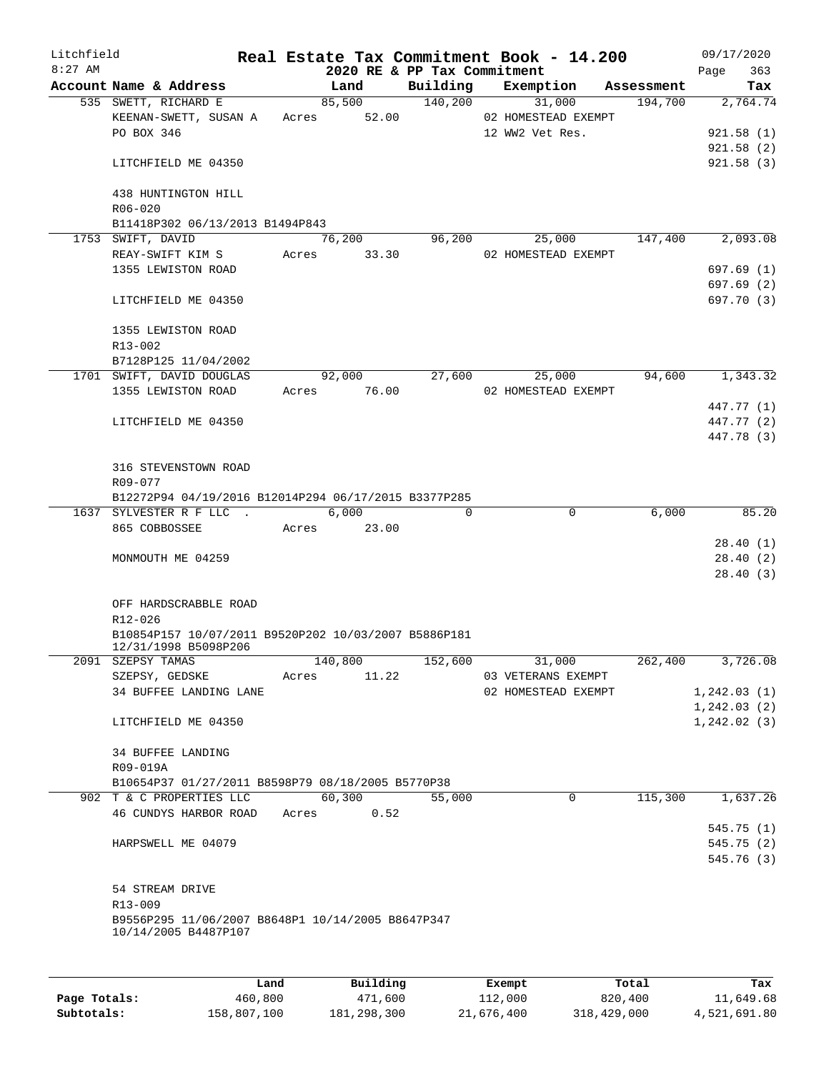| Litchfield<br>$8:27$ AM |                                                      |       |             | 2020 RE & PP Tax Commitment | Real Estate Tax Commitment Book - 14.200 |            | 09/17/2020<br>Page           | 363   |
|-------------------------|------------------------------------------------------|-------|-------------|-----------------------------|------------------------------------------|------------|------------------------------|-------|
|                         | Account Name & Address                               |       | Land        | Building                    | Exemption                                | Assessment |                              | Tax   |
|                         | 535 SWETT, RICHARD E                                 |       | 85,500      | 140,200                     | 31,000                                   | 194,700    | 2,764.74                     |       |
|                         | KEENAN-SWETT, SUSAN A<br>PO BOX 346                  | Acres | 52.00       |                             | 02 HOMESTEAD EXEMPT<br>12 WW2 Vet Res.   |            | 921.58(1)                    |       |
|                         |                                                      |       |             |                             |                                          |            | 921.58(2)                    |       |
|                         | LITCHFIELD ME 04350                                  |       |             |                             |                                          |            | 921.58(3)                    |       |
|                         | 438 HUNTINGTON HILL<br>$R06 - 020$                   |       |             |                             |                                          |            |                              |       |
|                         | B11418P302 06/13/2013 B1494P843                      |       |             |                             |                                          |            |                              |       |
|                         | 1753 SWIFT, DAVID                                    |       | 76,200      | 96,200                      | 25,000                                   | 147,400    | 2,093.08                     |       |
|                         | REAY-SWIFT KIM S                                     | Acres | 33.30       |                             | 02 HOMESTEAD EXEMPT                      |            |                              |       |
|                         | 1355 LEWISTON ROAD                                   |       |             |                             |                                          |            | 697.69 (1)                   |       |
|                         |                                                      |       |             |                             |                                          |            | 697.69(2)                    |       |
|                         | LITCHFIELD ME 04350                                  |       |             |                             |                                          |            | 697.70 (3)                   |       |
|                         | 1355 LEWISTON ROAD                                   |       |             |                             |                                          |            |                              |       |
|                         | R13-002                                              |       |             |                             |                                          |            |                              |       |
|                         | B7128P125 11/04/2002                                 |       |             |                             |                                          |            |                              |       |
|                         | 1701 SWIFT, DAVID DOUGLAS                            |       | 92,000      | 27,600                      | 25,000                                   | 94,600     | 1,343.32                     |       |
|                         | 1355 LEWISTON ROAD                                   | Acres | 76.00       |                             | 02 HOMESTEAD EXEMPT                      |            |                              |       |
|                         |                                                      |       |             |                             |                                          |            | 447.77 (1)                   |       |
|                         | LITCHFIELD ME 04350                                  |       |             |                             |                                          |            | 447.77 (2)                   |       |
|                         |                                                      |       |             |                             |                                          |            | 447.78 (3)                   |       |
|                         | 316 STEVENSTOWN ROAD                                 |       |             |                             |                                          |            |                              |       |
|                         | R09-077                                              |       |             |                             |                                          |            |                              |       |
|                         | B12272P94 04/19/2016 B12014P294 06/17/2015 B3377P285 |       |             |                             |                                          |            |                              |       |
|                         | 1637 SYLVESTER R F LLC.                              |       | 6,000       | $\Omega$                    | $\mathbf 0$                              | 6,000      |                              | 85.20 |
|                         | 865 COBBOSSEE                                        | Acres | 23.00       |                             |                                          |            |                              |       |
|                         |                                                      |       |             |                             |                                          |            | 28.40 (1)                    |       |
|                         | MONMOUTH ME 04259                                    |       |             |                             |                                          |            | 28.40(2)                     |       |
|                         |                                                      |       |             |                             |                                          |            | 28.40(3)                     |       |
|                         | OFF HARDSCRABBLE ROAD                                |       |             |                             |                                          |            |                              |       |
|                         | R12-026                                              |       |             |                             |                                          |            |                              |       |
|                         | B10854P157 10/07/2011 B9520P202 10/03/2007 B5886P181 |       |             |                             |                                          |            |                              |       |
|                         | 12/31/1998 B5098P206                                 |       |             |                             |                                          |            |                              |       |
|                         | 2091 SZEPSY TAMAS                                    |       | 140,800     | 152,600                     | 31,000                                   | 262, 400   | 3,726.08                     |       |
|                         | SZEPSY, GEDSKE                                       |       | Acres 11.22 |                             | 03 VETERANS EXEMPT                       |            |                              |       |
|                         | 34 BUFFEE LANDING LANE                               |       |             |                             | 02 HOMESTEAD EXEMPT                      |            | 1, 242.03(1)<br>1, 242.03(2) |       |
|                         | LITCHFIELD ME 04350                                  |       |             |                             |                                          |            | 1, 242.02(3)                 |       |
|                         |                                                      |       |             |                             |                                          |            |                              |       |
|                         | 34 BUFFEE LANDING                                    |       |             |                             |                                          |            |                              |       |
|                         | R09-019A                                             |       |             |                             |                                          |            |                              |       |
|                         | B10654P37 01/27/2011 B8598P79 08/18/2005 B5770P38    |       |             |                             |                                          |            |                              |       |
|                         | 902 T & C PROPERTIES LLC                             |       | 60,300      | 55,000                      | $\mathbf 0$                              | 115,300    | 1,637.26                     |       |
|                         | 46 CUNDYS HARBOR ROAD Acres                          |       | 0.52        |                             |                                          |            |                              |       |
|                         |                                                      |       |             |                             |                                          |            | 545.75(1)                    |       |
|                         | HARPSWELL ME 04079                                   |       |             |                             |                                          |            | 545.75 (2)                   |       |
|                         |                                                      |       |             |                             |                                          |            | 545.76 (3)                   |       |
|                         | 54 STREAM DRIVE                                      |       |             |                             |                                          |            |                              |       |
|                         | R13-009                                              |       |             |                             |                                          |            |                              |       |
|                         | B9556P295 11/06/2007 B8648P1 10/14/2005 B8647P347    |       |             |                             |                                          |            |                              |       |
|                         | 10/14/2005 B4487P107                                 |       |             |                             |                                          |            |                              |       |
|                         |                                                      |       |             |                             |                                          |            |                              |       |
|                         |                                                      |       |             |                             |                                          |            |                              |       |
|                         |                                                      |       |             |                             |                                          |            |                              |       |

|              | Land        | Building      | Exempt     | Total       | Tax          |
|--------------|-------------|---------------|------------|-------------|--------------|
| Page Totals: | 460,800     | 471,600       | 112,000    | 820,400     | 11,649.68    |
| Subtotals:   | 158,807,100 | 181, 298, 300 | 21,676,400 | 318,429,000 | 4,521,691.80 |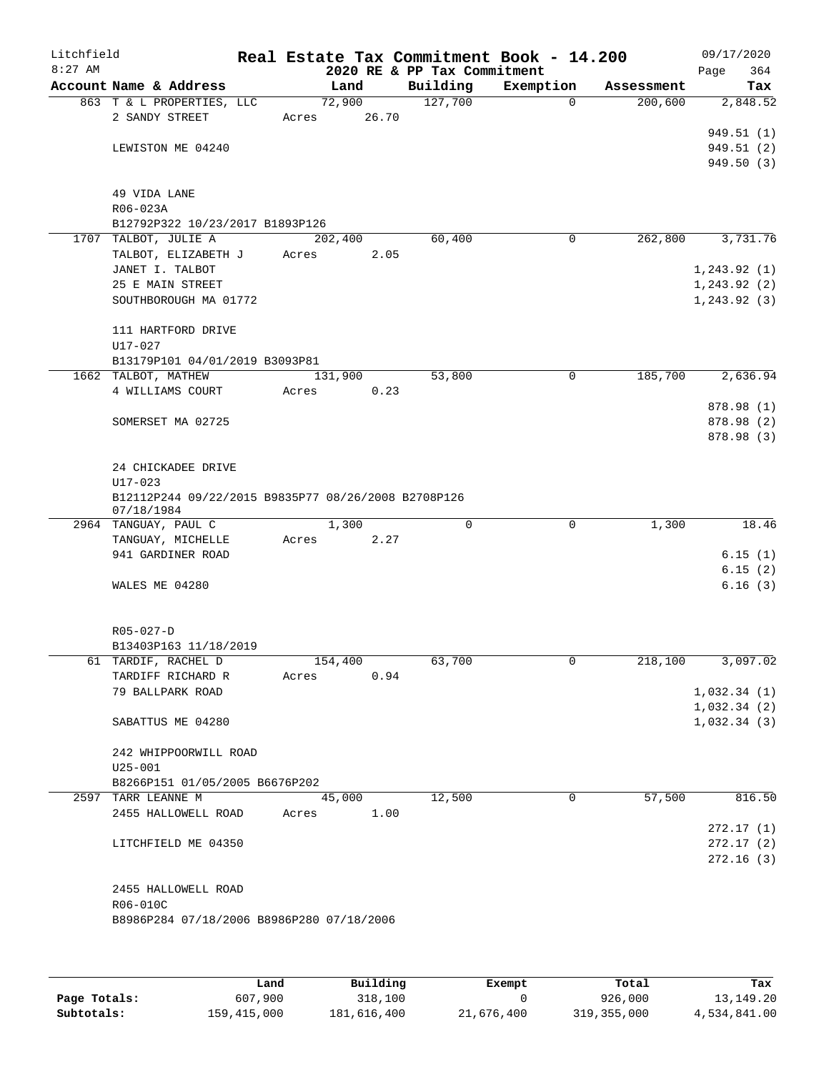| Litchfield<br>$8:27$ AM |                                                     |       |         |       | 2020 RE & PP Tax Commitment | Real Estate Tax Commitment Book - 14.200 |            | 09/17/2020<br>364<br>Page |
|-------------------------|-----------------------------------------------------|-------|---------|-------|-----------------------------|------------------------------------------|------------|---------------------------|
|                         | Account Name & Address                              |       | Land    |       | Building                    | Exemption                                | Assessment | Tax                       |
|                         | 863 T & L PROPERTIES, LLC                           |       | 72,900  |       | 127,700                     | 0                                        | 200,600    | 2,848.52                  |
|                         | 2 SANDY STREET                                      | Acres |         | 26.70 |                             |                                          |            |                           |
|                         |                                                     |       |         |       |                             |                                          |            | 949.51 (1)                |
|                         | LEWISTON ME 04240                                   |       |         |       |                             |                                          |            | 949.51 (2)                |
|                         |                                                     |       |         |       |                             |                                          |            | 949.50(3)                 |
|                         |                                                     |       |         |       |                             |                                          |            |                           |
|                         | 49 VIDA LANE<br>R06-023A                            |       |         |       |                             |                                          |            |                           |
|                         | B12792P322 10/23/2017 B1893P126                     |       |         |       |                             |                                          |            |                           |
|                         | 1707 TALBOT, JULIE A                                |       | 202,400 |       | 60,400                      | 0                                        | 262,800    | 3,731.76                  |
|                         | TALBOT, ELIZABETH J                                 | Acres |         | 2.05  |                             |                                          |            |                           |
|                         | JANET I. TALBOT                                     |       |         |       |                             |                                          |            | 1, 243.92(1)              |
|                         | 25 E MAIN STREET                                    |       |         |       |                             |                                          |            | 1, 243.92(2)              |
|                         | SOUTHBOROUGH MA 01772                               |       |         |       |                             |                                          |            | 1, 243.92(3)              |
|                         |                                                     |       |         |       |                             |                                          |            |                           |
|                         | 111 HARTFORD DRIVE                                  |       |         |       |                             |                                          |            |                           |
|                         | $U17 - 027$                                         |       |         |       |                             |                                          |            |                           |
|                         | B13179P101 04/01/2019 B3093P81                      |       |         |       |                             |                                          |            |                           |
|                         | 1662 TALBOT, MATHEW                                 |       | 131,900 |       | 53,800                      | 0                                        | 185,700    | 2,636.94                  |
|                         | 4 WILLIAMS COURT                                    | Acres |         | 0.23  |                             |                                          |            |                           |
|                         |                                                     |       |         |       |                             |                                          |            | 878.98 (1)                |
|                         | SOMERSET MA 02725                                   |       |         |       |                             |                                          |            | 878.98 (2)<br>878.98 (3)  |
|                         |                                                     |       |         |       |                             |                                          |            |                           |
|                         | 24 CHICKADEE DRIVE                                  |       |         |       |                             |                                          |            |                           |
|                         | $U17 - 023$                                         |       |         |       |                             |                                          |            |                           |
|                         | B12112P244 09/22/2015 B9835P77 08/26/2008 B2708P126 |       |         |       |                             |                                          |            |                           |
|                         | 07/18/1984                                          |       |         |       |                             |                                          |            |                           |
|                         | 2964 TANGUAY, PAUL C                                |       | 1,300   |       | $\mathbf 0$                 | $\mathbf 0$                              | 1,300      | 18.46                     |
|                         | TANGUAY, MICHELLE                                   | Acres |         | 2.27  |                             |                                          |            |                           |
|                         | 941 GARDINER ROAD                                   |       |         |       |                             |                                          |            | 6.15(1)                   |
|                         |                                                     |       |         |       |                             |                                          |            | 6.15(2)                   |
|                         | WALES ME 04280                                      |       |         |       |                             |                                          |            | 6.16(3)                   |
|                         |                                                     |       |         |       |                             |                                          |            |                           |
|                         | $R05 - 027 - D$                                     |       |         |       |                             |                                          |            |                           |
|                         | B13403P163 11/18/2019                               |       |         |       |                             |                                          |            |                           |
|                         | 61 TARDIF, RACHEL D                                 |       | 154,400 |       | 63,700                      | 0                                        | 218,100    | 3,097.02                  |
|                         | TARDIFF RICHARD R                                   | Acres |         | 0.94  |                             |                                          |            |                           |
|                         | 79 BALLPARK ROAD                                    |       |         |       |                             |                                          |            | 1,032.34(1)               |
|                         |                                                     |       |         |       |                             |                                          |            | 1,032.34(2)               |
|                         | SABATTUS ME 04280                                   |       |         |       |                             |                                          |            | 1,032.34(3)               |
|                         |                                                     |       |         |       |                             |                                          |            |                           |
|                         | 242 WHIPPOORWILL ROAD                               |       |         |       |                             |                                          |            |                           |
|                         | $U25 - 001$                                         |       |         |       |                             |                                          |            |                           |
|                         | B8266P151 01/05/2005 B6676P202                      |       |         |       |                             |                                          |            |                           |
|                         | 2597 TARR LEANNE M                                  |       | 45,000  |       | 12,500                      | 0                                        | 57,500     | 816.50                    |
|                         | 2455 HALLOWELL ROAD                                 | Acres |         | 1.00  |                             |                                          |            | 272.17(1)                 |
|                         | LITCHFIELD ME 04350                                 |       |         |       |                             |                                          |            | 272.17(2)                 |
|                         |                                                     |       |         |       |                             |                                          |            | 272.16(3)                 |
|                         |                                                     |       |         |       |                             |                                          |            |                           |
|                         | 2455 HALLOWELL ROAD                                 |       |         |       |                             |                                          |            |                           |
|                         | R06-010C                                            |       |         |       |                             |                                          |            |                           |
|                         | B8986P284 07/18/2006 B8986P280 07/18/2006           |       |         |       |                             |                                          |            |                           |
|                         |                                                     |       |         |       |                             |                                          |            |                           |
|                         |                                                     |       |         |       |                             |                                          |            |                           |
|                         |                                                     |       |         |       |                             |                                          |            |                           |

|              | Land        | Building    | Exempt     | Total         | Tax          |
|--------------|-------------|-------------|------------|---------------|--------------|
| Page Totals: | 607,900     | 318,100     |            | 926,000       | 13,149.20    |
| Subtotals:   | 159,415,000 | 181,616,400 | 21,676,400 | 319, 355, 000 | 4,534,841.00 |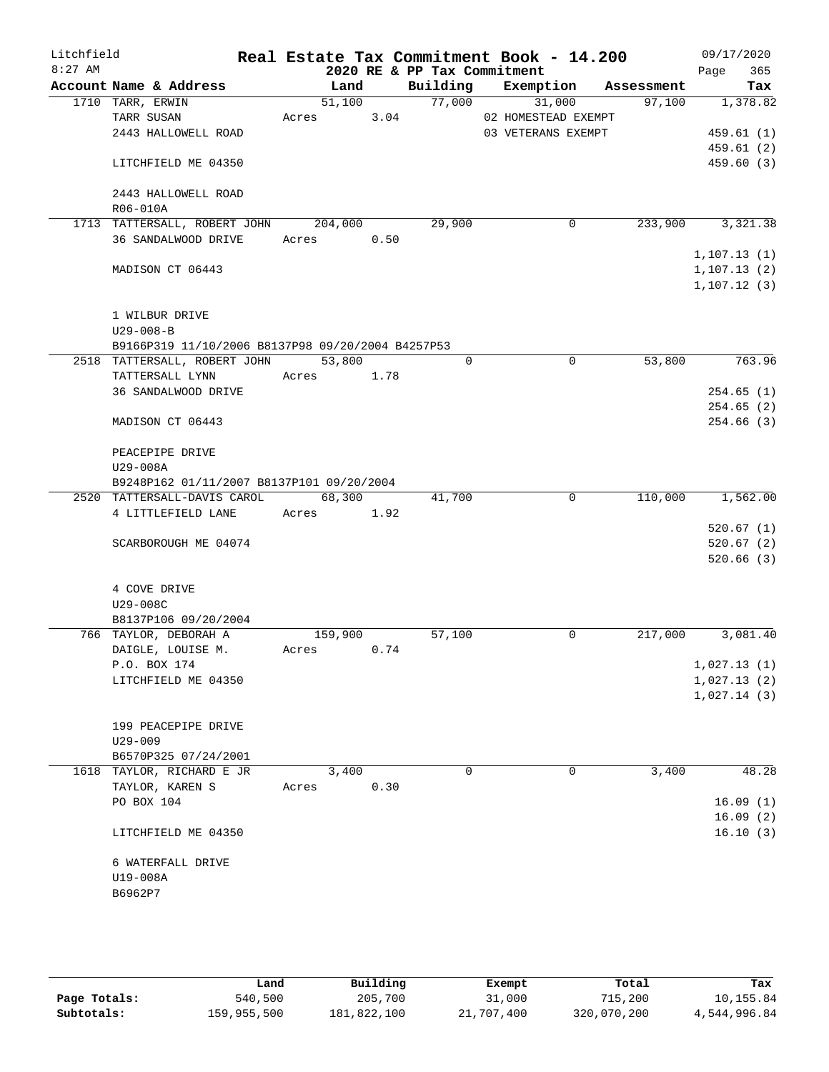| Litchfield |                                                   |            |         |          | Real Estate Tax Commitment Book - 14.200 |                    | 09/17/2020   |
|------------|---------------------------------------------------|------------|---------|----------|------------------------------------------|--------------------|--------------|
| $8:27$ AM  |                                                   |            |         |          | 2020 RE & PP Tax Commitment              |                    | Page<br>365  |
|            | Account Name & Address                            |            | Land    | Building | Exemption                                | Assessment         | Tax          |
|            | 1710 TARR, ERWIN                                  |            | 51,100  | 77,000   | 31,000                                   | 97,100             | 1,378.82     |
|            | TARR SUSAN                                        | Acres      | 3.04    |          | 02 HOMESTEAD EXEMPT                      |                    |              |
|            | 2443 HALLOWELL ROAD                               |            |         |          | 03 VETERANS EXEMPT                       |                    | 459.61(1)    |
|            |                                                   |            |         |          |                                          |                    | 459.61(2)    |
|            | LITCHFIELD ME 04350                               |            |         |          |                                          |                    | 459.60(3)    |
|            | 2443 HALLOWELL ROAD                               |            |         |          |                                          |                    |              |
|            | R06-010A                                          |            |         |          |                                          |                    |              |
|            | 1713 TATTERSALL, ROBERT JOHN                      |            | 204,000 | 29,900   |                                          | 233,900<br>0       | 3,321.38     |
|            | 36 SANDALWOOD DRIVE                               | Acres      | 0.50    |          |                                          |                    |              |
|            |                                                   |            |         |          |                                          |                    | 1, 107.13(1) |
|            | MADISON CT 06443                                  |            |         |          |                                          |                    | 1, 107.13(2) |
|            |                                                   |            |         |          |                                          |                    | 1, 107.12(3) |
|            | 1 WILBUR DRIVE                                    |            |         |          |                                          |                    |              |
|            | $U29 - 008 - B$                                   |            |         |          |                                          |                    |              |
|            | B9166P319 11/10/2006 B8137P98 09/20/2004 B4257P53 |            |         |          |                                          |                    |              |
|            | 2518 TATTERSALL, ROBERT JOHN                      |            | 53,800  |          | $\Omega$                                 | $\Omega$<br>53,800 | 763.96       |
|            |                                                   |            |         |          |                                          |                    |              |
|            | TATTERSALL LYNN                                   | Acres      | 1.78    |          |                                          |                    |              |
|            | 36 SANDALWOOD DRIVE                               |            |         |          |                                          |                    | 254.65(1)    |
|            |                                                   |            |         |          |                                          |                    | 254.65(2)    |
|            | MADISON CT 06443                                  |            |         |          |                                          |                    | 254.66(3)    |
|            | PEACEPIPE DRIVE                                   |            |         |          |                                          |                    |              |
|            | U29-008A                                          |            |         |          |                                          |                    |              |
|            | B9248P162 01/11/2007 B8137P101 09/20/2004         |            |         |          |                                          |                    |              |
|            | 2520 TATTERSALL-DAVIS CAROL                       |            | 68,300  | 41,700   |                                          | 110,000<br>0       | 1,562.00     |
|            | 4 LITTLEFIELD LANE                                | Acres 1.92 |         |          |                                          |                    |              |
|            |                                                   |            |         |          |                                          |                    | 520.67(1)    |
|            | SCARBOROUGH ME 04074                              |            |         |          |                                          |                    | 520.67(2)    |
|            |                                                   |            |         |          |                                          |                    | 520.66(3)    |
|            | 4 COVE DRIVE                                      |            |         |          |                                          |                    |              |
|            | U29-008C                                          |            |         |          |                                          |                    |              |
|            | B8137P106 09/20/2004                              |            |         |          |                                          |                    |              |
|            | 766 TAYLOR, DEBORAH A                             |            | 159,900 | 57,100   |                                          | 0<br>217,000       | 3,081.40     |
|            | DAIGLE, LOUISE M.                                 | Acres 0.74 |         |          |                                          |                    |              |
|            | P.O. BOX 174                                      |            |         |          |                                          |                    | 1,027.13(1)  |
|            | LITCHFIELD ME 04350                               |            |         |          |                                          |                    | 1,027.13(2)  |
|            |                                                   |            |         |          |                                          |                    | 1,027.14(3)  |
|            |                                                   |            |         |          |                                          |                    |              |
|            | 199 PEACEPIPE DRIVE                               |            |         |          |                                          |                    |              |
|            |                                                   |            |         |          |                                          |                    |              |
|            | $U29 - 009$                                       |            |         |          |                                          |                    |              |
|            | B6570P325 07/24/2001                              |            |         |          | 0                                        | 0                  | 48.28        |
|            | 1618 TAYLOR, RICHARD E JR                         |            | 3,400   |          |                                          | 3,400              |              |
|            | TAYLOR, KAREN S                                   | Acres      | 0.30    |          |                                          |                    |              |
|            | PO BOX 104                                        |            |         |          |                                          |                    | 16.09(1)     |
|            |                                                   |            |         |          |                                          |                    | 16.09(2)     |
|            | LITCHFIELD ME 04350                               |            |         |          |                                          |                    | 16.10(3)     |
|            | 6 WATERFALL DRIVE                                 |            |         |          |                                          |                    |              |
|            | U19-008A                                          |            |         |          |                                          |                    |              |
|            | B6962P7                                           |            |         |          |                                          |                    |              |
|            |                                                   |            |         |          |                                          |                    |              |
|            |                                                   |            |         |          |                                          |                    |              |

|              | Land        | Building    | Exempt     | Total       | Tax          |
|--------------|-------------|-------------|------------|-------------|--------------|
| Page Totals: | 540,500     | 205,700     | 31,000     | 715,200     | 10,155.84    |
| Subtotals:   | 159,955,500 | 181,822,100 | 21,707,400 | 320,070,200 | 4,544,996.84 |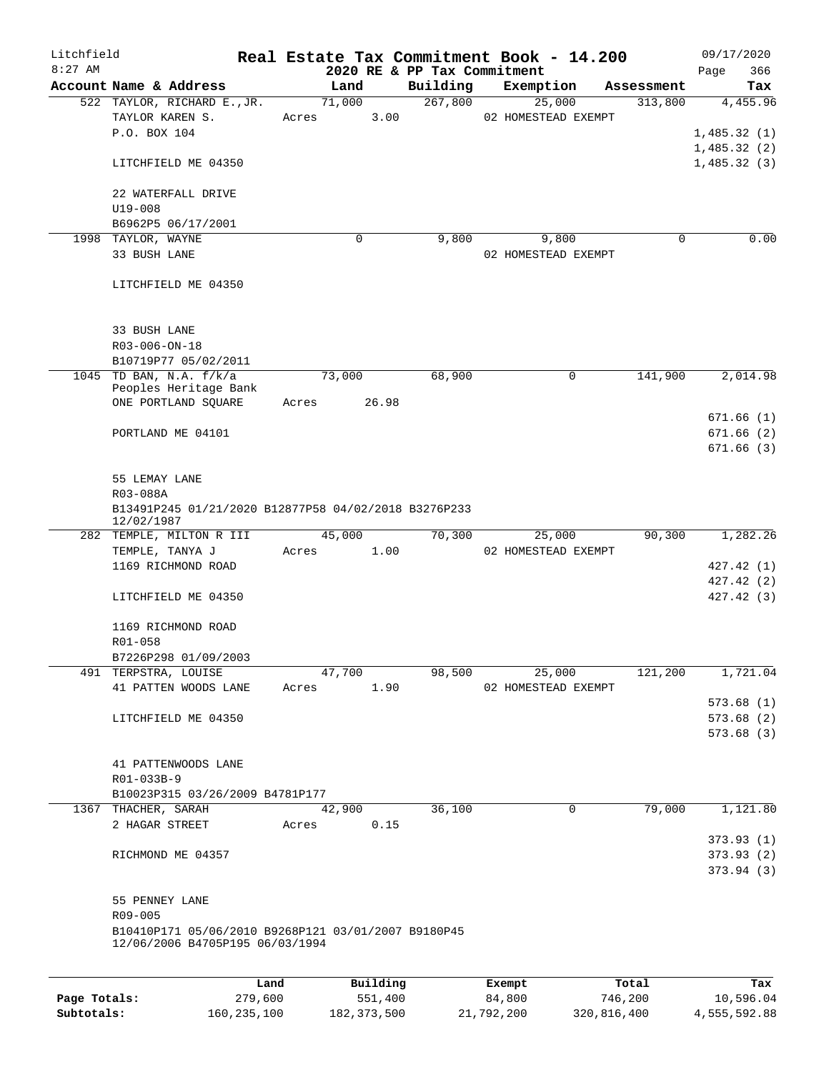| Litchfield<br>$8:27$ AM |                                                                                        |      |             |        |          | Real Estate Tax Commitment Book - 14.200<br>2020 RE & PP Tax Commitment |                     |             |            | Page | 09/17/2020<br>366       |
|-------------------------|----------------------------------------------------------------------------------------|------|-------------|--------|----------|-------------------------------------------------------------------------|---------------------|-------------|------------|------|-------------------------|
|                         | Account Name & Address                                                                 |      |             | Land   |          | Building                                                                | Exemption           |             | Assessment |      | Tax                     |
|                         | 522 TAYLOR, RICHARD E., JR.                                                            |      |             | 71,000 |          | 267,800                                                                 | 25,000              |             | 313,800    |      | 4,455.96                |
|                         | TAYLOR KAREN S.                                                                        |      | Acres       |        | 3.00     |                                                                         | 02 HOMESTEAD EXEMPT |             |            |      |                         |
|                         | P.O. BOX 104                                                                           |      |             |        |          |                                                                         |                     |             |            |      | 1,485.32(1)             |
|                         |                                                                                        |      |             |        |          |                                                                         |                     |             |            |      | 1,485.32(2)             |
|                         | LITCHFIELD ME 04350                                                                    |      |             |        |          |                                                                         |                     |             |            |      | 1,485.32(3)             |
|                         | 22 WATERFALL DRIVE                                                                     |      |             |        |          |                                                                         |                     |             |            |      |                         |
|                         | $U19 - 008$                                                                            |      |             |        |          |                                                                         |                     |             |            |      |                         |
|                         | B6962P5 06/17/2001                                                                     |      |             |        |          |                                                                         |                     |             |            |      |                         |
|                         | 1998 TAYLOR, WAYNE                                                                     |      |             | 0      |          | 9,800                                                                   | 9,800               |             | 0          |      | 0.00                    |
|                         | 33 BUSH LANE                                                                           |      |             |        |          |                                                                         | 02 HOMESTEAD EXEMPT |             |            |      |                         |
|                         | LITCHFIELD ME 04350                                                                    |      |             |        |          |                                                                         |                     |             |            |      |                         |
|                         |                                                                                        |      |             |        |          |                                                                         |                     |             |            |      |                         |
|                         | 33 BUSH LANE                                                                           |      |             |        |          |                                                                         |                     |             |            |      |                         |
|                         | R03-006-ON-18                                                                          |      |             |        |          |                                                                         |                     |             |            |      |                         |
|                         | B10719P77 05/02/2011                                                                   |      |             |        |          |                                                                         |                     |             |            |      |                         |
|                         | 1045 TD BAN, N.A. f/k/a                                                                |      |             | 73,000 |          | 68,900                                                                  |                     | 0           | 141,900    |      | 2,014.98                |
|                         | Peoples Heritage Bank                                                                  |      |             |        |          |                                                                         |                     |             |            |      |                         |
|                         | ONE PORTLAND SQUARE                                                                    |      | Acres 26.98 |        |          |                                                                         |                     |             |            |      |                         |
|                         | PORTLAND ME 04101                                                                      |      |             |        |          |                                                                         |                     |             |            |      | 671.66 (1)<br>671.66(2) |
|                         |                                                                                        |      |             |        |          |                                                                         |                     |             |            |      | 671.66(3)               |
|                         |                                                                                        |      |             |        |          |                                                                         |                     |             |            |      |                         |
|                         | 55 LEMAY LANE                                                                          |      |             |        |          |                                                                         |                     |             |            |      |                         |
|                         | R03-088A                                                                               |      |             |        |          |                                                                         |                     |             |            |      |                         |
|                         | B13491P245 01/21/2020 B12877P58 04/02/2018 B3276P233<br>12/02/1987                     |      |             |        |          |                                                                         |                     |             |            |      |                         |
|                         | 282 TEMPLE, MILTON R III                                                               |      |             | 45,000 |          | 70,300                                                                  |                     | 25,000      | 90,300     |      | 1,282.26                |
|                         | TEMPLE, TANYA J                                                                        |      | Acres       | 1.00   |          |                                                                         | 02 HOMESTEAD EXEMPT |             |            |      |                         |
|                         | 1169 RICHMOND ROAD                                                                     |      |             |        |          |                                                                         |                     |             |            |      | 427.42 (1)              |
|                         |                                                                                        |      |             |        |          |                                                                         |                     |             |            |      | 427.42 (2)              |
|                         | LITCHFIELD ME 04350                                                                    |      |             |        |          |                                                                         |                     |             |            |      | 427.42(3)               |
|                         | 1169 RICHMOND ROAD                                                                     |      |             |        |          |                                                                         |                     |             |            |      |                         |
|                         | R01-058                                                                                |      |             |        |          |                                                                         |                     |             |            |      |                         |
|                         | B7226P298 01/09/2003                                                                   |      |             |        |          |                                                                         |                     |             |            |      |                         |
|                         | 491 TERPSTRA, LOUISE                                                                   |      |             | 47,700 |          | 98,500                                                                  | 25,000              |             | 121,200    |      | 1,721.04                |
|                         | 41 PATTEN WOODS LANE                                                                   |      | Acres       |        | 1.90     |                                                                         | 02 HOMESTEAD EXEMPT |             |            |      |                         |
|                         |                                                                                        |      |             |        |          |                                                                         |                     |             |            |      | 573.68(1)               |
|                         | LITCHFIELD ME 04350                                                                    |      |             |        |          |                                                                         |                     |             |            |      | 573.68(2)               |
|                         |                                                                                        |      |             |        |          |                                                                         |                     |             |            |      | 573.68(3)               |
|                         | 41 PATTENWOODS LANE                                                                    |      |             |        |          |                                                                         |                     |             |            |      |                         |
|                         | R01-033B-9                                                                             |      |             |        |          |                                                                         |                     |             |            |      |                         |
|                         | B10023P315 03/26/2009 B4781P177                                                        |      |             |        |          |                                                                         |                     |             |            |      |                         |
|                         | 1367 THACHER, SARAH                                                                    |      |             | 42,900 |          | 36,100                                                                  |                     | $\mathbf 0$ | 79,000     |      | 1,121.80                |
|                         | 2 HAGAR STREET                                                                         |      | Acres       |        | 0.15     |                                                                         |                     |             |            |      |                         |
|                         |                                                                                        |      |             |        |          |                                                                         |                     |             |            |      | 373.93 (1)              |
|                         | RICHMOND ME 04357                                                                      |      |             |        |          |                                                                         |                     |             |            |      | 373.93(2)               |
|                         |                                                                                        |      |             |        |          |                                                                         |                     |             |            |      | 373.94 (3)              |
|                         | 55 PENNEY LANE                                                                         |      |             |        |          |                                                                         |                     |             |            |      |                         |
|                         | R09-005                                                                                |      |             |        |          |                                                                         |                     |             |            |      |                         |
|                         | B10410P171 05/06/2010 B9268P121 03/01/2007 B9180P45<br>12/06/2006 B4705P195 06/03/1994 |      |             |        |          |                                                                         |                     |             |            |      |                         |
|                         |                                                                                        |      |             |        |          |                                                                         |                     |             |            |      |                         |
|                         |                                                                                        | Land |             |        | Building |                                                                         | Exempt              |             | Total      |      | Tax                     |

**Page Totals:** 279,600 551,400 84,800 746,200 10,596.04 **Subtotals:** 160,235,100 182,373,500 21,792,200 320,816,400 4,555,592.88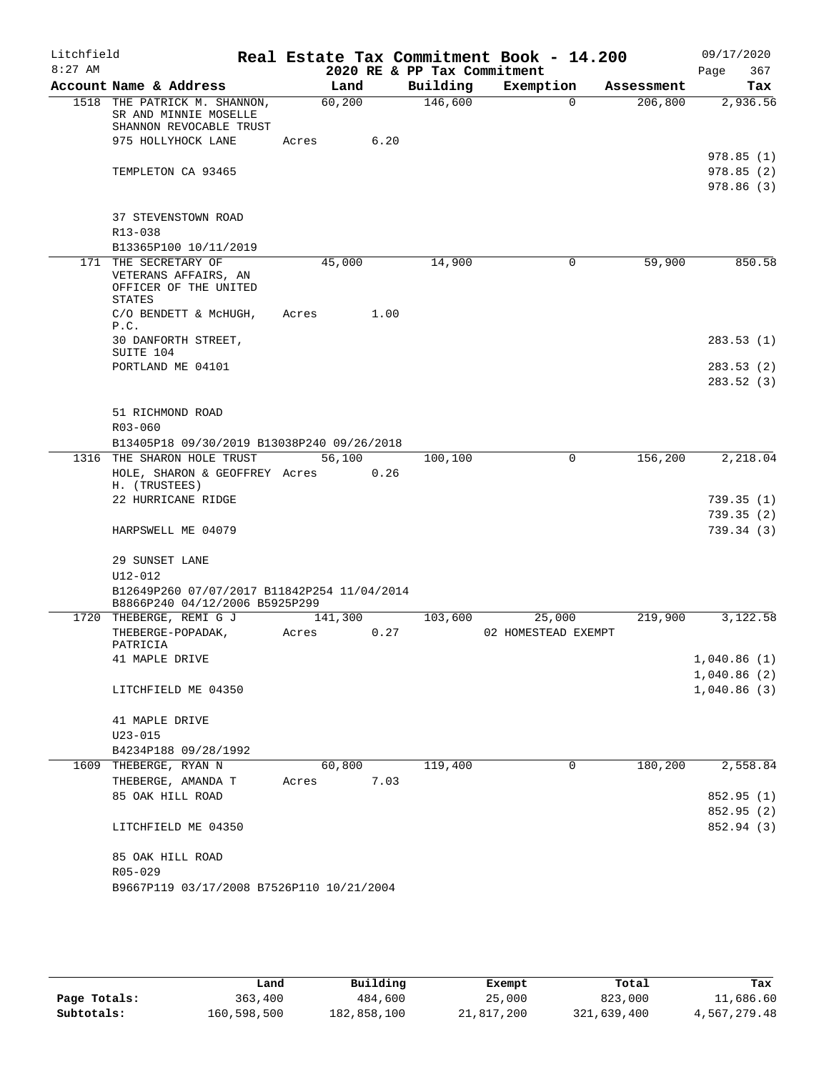| Account Name & Address                                                                                 |                 |         | 2020 RE & PP Tax Commitment |                     |            | 367<br>Page                         |
|--------------------------------------------------------------------------------------------------------|-----------------|---------|-----------------------------|---------------------|------------|-------------------------------------|
|                                                                                                        |                 | Land    | Building                    | Exemption           | Assessment | Tax                                 |
| 1518 THE PATRICK M. SHANNON,<br>SR AND MINNIE MOSELLE<br>SHANNON REVOCABLE TRUST<br>975 HOLLYHOCK LANE | 60,200<br>Acres | 6.20    | 146,600                     | $\Omega$            | 206,800    | 2,936.56                            |
| TEMPLETON CA 93465                                                                                     |                 |         |                             |                     |            | 978.85(1)<br>978.85(2)<br>978.86(3) |
| 37 STEVENSTOWN ROAD<br>R13-038                                                                         |                 |         |                             |                     |            |                                     |
| B13365P100 10/11/2019                                                                                  |                 |         |                             |                     |            |                                     |
| 171 THE SECRETARY OF<br>VETERANS AFFAIRS, AN<br>OFFICER OF THE UNITED<br><b>STATES</b>                 | 45,000          |         | 14,900                      | 0                   | 59,900     | 850.58                              |
| C/O BENDETT & MCHUGH,<br>P.C.<br>30 DANFORTH STREET,                                                   | Acres           | 1.00    |                             |                     |            | 283.53(1)                           |
| SUITE 104<br>PORTLAND ME 04101                                                                         |                 |         |                             |                     |            | 283.53(2)                           |
|                                                                                                        |                 |         |                             |                     |            | 283.52(3)                           |
| 51 RICHMOND ROAD<br>$R03 - 060$<br>B13405P18 09/30/2019 B13038P240 09/26/2018                          |                 |         |                             |                     |            |                                     |
| 1316 THE SHARON HOLE TRUST                                                                             |                 | 56,100  | 100,100                     | $\mathbf 0$         | 156,200    | 2,218.04                            |
| HOLE, SHARON & GEOFFREY Acres 0.26<br>H. (TRUSTEES)                                                    |                 |         |                             |                     |            |                                     |
| 22 HURRICANE RIDGE<br>HARPSWELL ME 04079                                                               |                 |         |                             |                     |            | 739.35(1)<br>739.35(2)<br>739.34(3) |
| 29 SUNSET LANE                                                                                         |                 |         |                             |                     |            |                                     |
| $U12 - 012$                                                                                            |                 |         |                             |                     |            |                                     |
| B12649P260 07/07/2017 B11842P254 11/04/2014<br>B8866P240 04/12/2006 B5925P299                          |                 |         |                             |                     |            |                                     |
| 1720 THEBERGE, REMI G J                                                                                |                 | 141,300 | 103,600                     | 25,000              | 219,900    | 3,122.58                            |
| THEBERGE-POPADAK,<br>PATRICIA                                                                          | Acres           | 0.27    |                             | 02 HOMESTEAD EXEMPT |            |                                     |
| 41 MAPLE DRIVE                                                                                         |                 |         |                             |                     |            | 1,040.86(1)                         |
| LITCHFIELD ME 04350                                                                                    |                 |         |                             |                     |            | 1,040.86(2)<br>1,040.86(3)          |
| 41 MAPLE DRIVE<br>$U23 - 015$                                                                          |                 |         |                             |                     |            |                                     |
| B4234P188 09/28/1992                                                                                   |                 |         |                             |                     |            |                                     |
| 1609 THEBERGE, RYAN N                                                                                  | 60,800          |         | 119,400                     | 0                   | 180,200    | 2,558.84                            |
| THEBERGE, AMANDA T                                                                                     | Acres           | 7.03    |                             |                     |            |                                     |
| 85 OAK HILL ROAD                                                                                       |                 |         |                             |                     |            | 852.95 (1)                          |
|                                                                                                        |                 |         |                             |                     |            | 852.95 (2)                          |
| LITCHFIELD ME 04350                                                                                    |                 |         |                             |                     |            | 852.94 (3)                          |
| 85 OAK HILL ROAD<br>R05-029                                                                            |                 |         |                             |                     |            |                                     |
| B9667P119 03/17/2008 B7526P110 10/21/2004                                                              |                 |         |                             |                     |            |                                     |

|              | Land        | Building    | Exempt     | Total       | Tax          |
|--------------|-------------|-------------|------------|-------------|--------------|
| Page Totals: | 363,400     | 484,600     | 25,000     | 823,000     | 11,686.60    |
| Subtotals:   | 160,598,500 | 182,858,100 | 21,817,200 | 321,639,400 | 4,567,279.48 |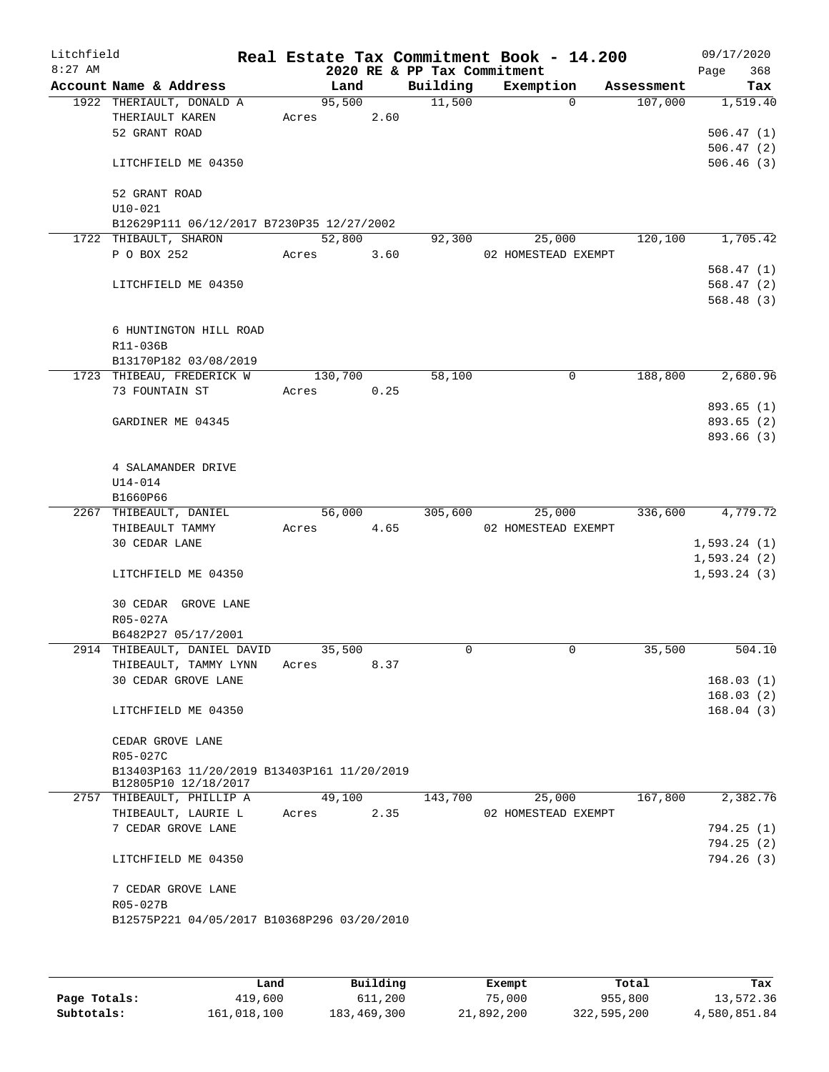| Litchfield<br>$8:27$ AM |                                             |         |      | 2020 RE & PP Tax Commitment | Real Estate Tax Commitment Book - 14.200 |            | 09/17/2020<br>368<br>Page |
|-------------------------|---------------------------------------------|---------|------|-----------------------------|------------------------------------------|------------|---------------------------|
|                         | Account Name & Address                      | Land    |      | Building                    | Exemption                                | Assessment | Tax                       |
|                         | 1922 THERIAULT, DONALD A                    | 95,500  |      | 11,500                      | $\Omega$                                 | 107,000    | 1,519.40                  |
|                         | THERIAULT KAREN                             | Acres   | 2.60 |                             |                                          |            |                           |
|                         | 52 GRANT ROAD                               |         |      |                             |                                          |            | 506.47(1)                 |
|                         |                                             |         |      |                             |                                          |            | 506.47(2)                 |
|                         | LITCHFIELD ME 04350                         |         |      |                             |                                          |            | 506.46(3)                 |
|                         | 52 GRANT ROAD                               |         |      |                             |                                          |            |                           |
|                         | $U10-021$                                   |         |      |                             |                                          |            |                           |
|                         | B12629P111 06/12/2017 B7230P35 12/27/2002   |         |      |                             |                                          |            |                           |
|                         | 1722 THIBAULT, SHARON                       | 52,800  |      | 92,300                      | 25,000                                   | 120,100    | 1,705.42                  |
|                         | P O BOX 252                                 | Acres   | 3.60 |                             | 02 HOMESTEAD EXEMPT                      |            |                           |
|                         |                                             |         |      |                             |                                          |            | 568.47(1)                 |
|                         | LITCHFIELD ME 04350                         |         |      |                             |                                          |            | 568.47(2)                 |
|                         |                                             |         |      |                             |                                          |            | 568.48(3)                 |
|                         | 6 HUNTINGTON HILL ROAD                      |         |      |                             |                                          |            |                           |
|                         | R11-036B                                    |         |      |                             |                                          |            |                           |
|                         | B13170P182 03/08/2019                       |         |      |                             |                                          |            |                           |
|                         | 1723 THIBEAU, FREDERICK W                   | 130,700 |      | 58,100                      | 0                                        | 188,800    | 2,680.96                  |
|                         | 73 FOUNTAIN ST                              | Acres   | 0.25 |                             |                                          |            |                           |
|                         |                                             |         |      |                             |                                          |            | 893.65 (1)                |
|                         | GARDINER ME 04345                           |         |      |                             |                                          |            | 893.65 (2)                |
|                         |                                             |         |      |                             |                                          |            | 893.66 (3)                |
|                         |                                             |         |      |                             |                                          |            |                           |
|                         | 4 SALAMANDER DRIVE                          |         |      |                             |                                          |            |                           |
|                         | U14-014                                     |         |      |                             |                                          |            |                           |
|                         | B1660P66                                    |         |      |                             |                                          |            |                           |
|                         | 2267 THIBEAULT, DANIEL                      | 56,000  |      | 305,600                     | 25,000                                   | 336,600    | 4,779.72                  |
|                         | THIBEAULT TAMMY                             | Acres   | 4.65 |                             | 02 HOMESTEAD EXEMPT                      |            |                           |
|                         | 30 CEDAR LANE                               |         |      |                             |                                          |            | 1,593.24(1)               |
|                         |                                             |         |      |                             |                                          |            | 1,593.24(2)               |
|                         | LITCHFIELD ME 04350                         |         |      |                             |                                          |            | 1, 593.24(3)              |
|                         | 30 CEDAR GROVE LANE                         |         |      |                             |                                          |            |                           |
|                         | R05-027A                                    |         |      |                             |                                          |            |                           |
|                         | B6482P27 05/17/2001                         |         |      |                             |                                          |            |                           |
|                         | 2914 THIBEAULT, DANIEL DAVID                | 35,500  |      | 0                           | 0                                        | 35,500     | 504.10                    |
|                         | THIBEAULT, TAMMY LYNN                       | Acres   | 8.37 |                             |                                          |            |                           |
|                         | 30 CEDAR GROVE LANE                         |         |      |                             |                                          |            | 168.03(1)                 |
|                         |                                             |         |      |                             |                                          |            | 168.03(2)                 |
|                         | LITCHFIELD ME 04350                         |         |      |                             |                                          |            | 168.04(3)                 |
|                         |                                             |         |      |                             |                                          |            |                           |
|                         | CEDAR GROVE LANE                            |         |      |                             |                                          |            |                           |
|                         | R05-027C                                    |         |      |                             |                                          |            |                           |
|                         | B13403P163 11/20/2019 B13403P161 11/20/2019 |         |      |                             |                                          |            |                           |
|                         | B12805P10 12/18/2017                        |         |      |                             |                                          |            |                           |
|                         | 2757 THIBEAULT, PHILLIP A                   | 49,100  |      | 143,700                     | 25,000                                   | 167,800    | 2,382.76                  |
|                         | THIBEAULT, LAURIE L                         | Acres   | 2.35 |                             | 02 HOMESTEAD EXEMPT                      |            |                           |
|                         | 7 CEDAR GROVE LANE                          |         |      |                             |                                          |            | 794.25(1)                 |
|                         |                                             |         |      |                             |                                          |            | 794.25(2)                 |
|                         | LITCHFIELD ME 04350                         |         |      |                             |                                          |            | 794.26 (3)                |
|                         | 7 CEDAR GROVE LANE                          |         |      |                             |                                          |            |                           |
|                         | R05-027B                                    |         |      |                             |                                          |            |                           |
|                         | B12575P221 04/05/2017 B10368P296 03/20/2010 |         |      |                             |                                          |            |                           |
|                         |                                             |         |      |                             |                                          |            |                           |
|                         |                                             |         |      |                             |                                          |            |                           |

|              | Land        | Building    | Exempt     | Total       | Tax          |
|--------------|-------------|-------------|------------|-------------|--------------|
| Page Totals: | 419,600     | 611,200     | 75,000     | 955,800     | 13,572.36    |
| Subtotals:   | 161,018,100 | 183,469,300 | 21,892,200 | 322,595,200 | 4,580,851.84 |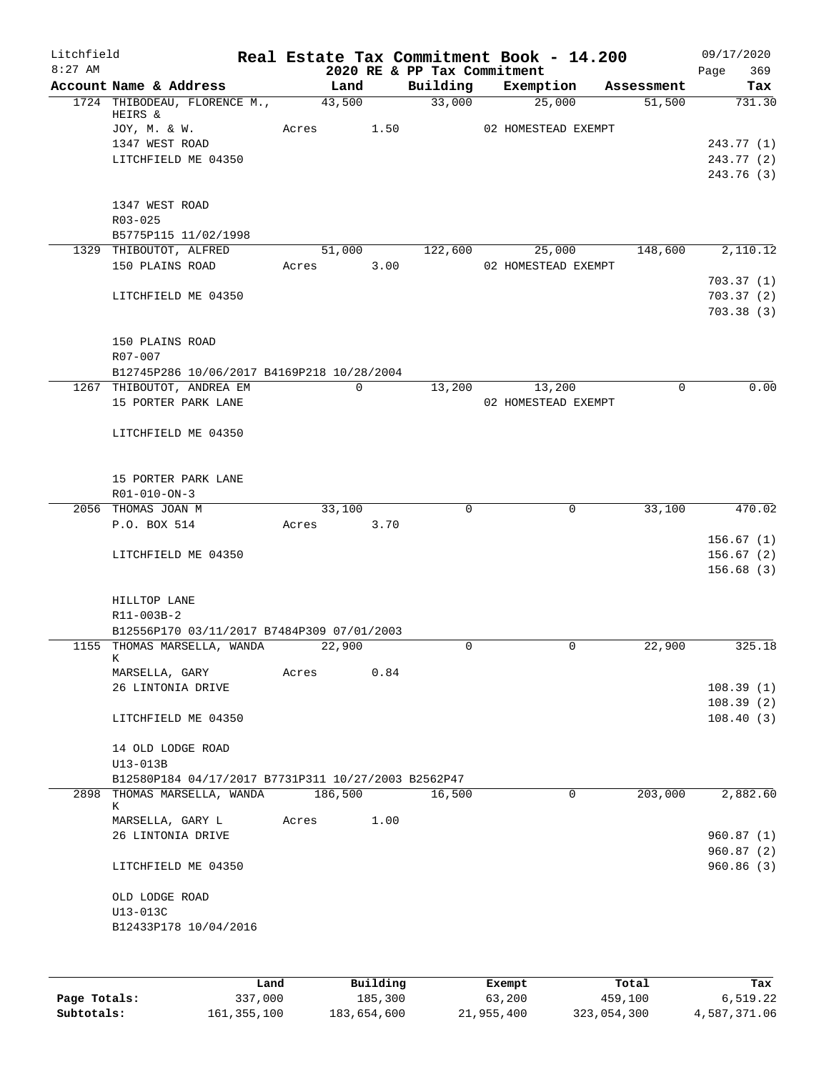| Litchfield |                                                                           |      |       |             |          | Real Estate Tax Commitment Book - 14.200 |                     |             |            | 09/17/2020         |
|------------|---------------------------------------------------------------------------|------|-------|-------------|----------|------------------------------------------|---------------------|-------------|------------|--------------------|
| $8:27$ AM  | Account Name & Address                                                    |      |       | Land        |          | 2020 RE & PP Tax Commitment<br>Building  | Exemption           |             | Assessment | 369<br>Page<br>Tax |
|            | 1724 THIBODEAU, FLORENCE M.,                                              |      |       | 43,500      |          | 33,000                                   | 25,000              |             | 51,500     | 731.30             |
|            | HEIRS &                                                                   |      |       |             |          |                                          |                     |             |            |                    |
|            | JOY, M. & W.                                                              |      |       | Acres       | 1.50     |                                          | 02 HOMESTEAD EXEMPT |             |            |                    |
|            | 1347 WEST ROAD                                                            |      |       |             |          |                                          |                     |             |            | 243.77 (1)         |
|            | LITCHFIELD ME 04350                                                       |      |       |             |          |                                          |                     |             |            | 243.77 (2)         |
|            |                                                                           |      |       |             |          |                                          |                     |             |            | 243.76 (3)         |
|            | 1347 WEST ROAD                                                            |      |       |             |          |                                          |                     |             |            |                    |
|            | $R03 - 025$                                                               |      |       |             |          |                                          |                     |             |            |                    |
|            | B5775P115 11/02/1998                                                      |      |       |             |          |                                          |                     |             |            |                    |
|            | 1329 THIBOUTOT, ALFRED                                                    |      |       | 51,000      |          | 122,600                                  | 25,000              |             | 148,600    | 2,110.12           |
|            | 150 PLAINS ROAD                                                           |      |       | Acres       | 3.00     |                                          | 02 HOMESTEAD EXEMPT |             |            |                    |
|            |                                                                           |      |       |             |          |                                          |                     |             |            | 703.37(1)          |
|            | LITCHFIELD ME 04350                                                       |      |       |             |          |                                          |                     |             |            | 703.37(2)          |
|            |                                                                           |      |       |             |          |                                          |                     |             |            | 703.38(3)          |
|            | 150 PLAINS ROAD                                                           |      |       |             |          |                                          |                     |             |            |                    |
|            | R07-007                                                                   |      |       |             |          |                                          |                     |             |            |                    |
|            | B12745P286 10/06/2017 B4169P218 10/28/2004                                |      |       |             |          |                                          |                     |             |            |                    |
|            | 1267 THIBOUTOT, ANDREA EM                                                 |      |       | $\mathbf 0$ |          | 13,200                                   | 13,200              |             | $\Omega$   | 0.00               |
|            | 15 PORTER PARK LANE                                                       |      |       |             |          |                                          | 02 HOMESTEAD EXEMPT |             |            |                    |
|            |                                                                           |      |       |             |          |                                          |                     |             |            |                    |
|            | LITCHFIELD ME 04350                                                       |      |       |             |          |                                          |                     |             |            |                    |
|            |                                                                           |      |       |             |          |                                          |                     |             |            |                    |
|            |                                                                           |      |       |             |          |                                          |                     |             |            |                    |
|            | 15 PORTER PARK LANE<br>R01-010-ON-3                                       |      |       |             |          |                                          |                     |             |            |                    |
|            | 2056 THOMAS JOAN M                                                        |      |       | 33,100      |          | $\Omega$                                 |                     | $\Omega$    | 33,100     | 470.02             |
|            | P.O. BOX 514                                                              |      | Acres |             | 3.70     |                                          |                     |             |            |                    |
|            |                                                                           |      |       |             |          |                                          |                     |             |            | 156.67(1)          |
|            | LITCHFIELD ME 04350                                                       |      |       |             |          |                                          |                     |             |            | 156.67(2)          |
|            |                                                                           |      |       |             |          |                                          |                     |             |            | 156.68(3)          |
|            |                                                                           |      |       |             |          |                                          |                     |             |            |                    |
|            | HILLTOP LANE                                                              |      |       |             |          |                                          |                     |             |            |                    |
|            | R11-003B-2                                                                |      |       |             |          |                                          |                     |             |            |                    |
|            | B12556P170 03/11/2017 B7484P309 07/01/2003<br>1155 THOMAS MARSELLA, WANDA |      |       | 22,900      |          | $\mathbf 0$                              |                     | 0           | 22,900     | 325.18             |
|            | K.                                                                        |      |       |             |          |                                          |                     |             |            |                    |
|            | MARSELLA, GARY                                                            |      | Acres |             | 0.84     |                                          |                     |             |            |                    |
|            | 26 LINTONIA DRIVE                                                         |      |       |             |          |                                          |                     |             |            | 108.39(1)          |
|            |                                                                           |      |       |             |          |                                          |                     |             |            | 108.39(2)          |
|            | LITCHFIELD ME 04350                                                       |      |       |             |          |                                          |                     |             |            | 108.40(3)          |
|            | 14 OLD LODGE ROAD                                                         |      |       |             |          |                                          |                     |             |            |                    |
|            | U13-013B                                                                  |      |       |             |          |                                          |                     |             |            |                    |
|            | B12580P184 04/17/2017 B7731P311 10/27/2003 B2562P47                       |      |       |             |          |                                          |                     |             |            |                    |
|            | 2898 THOMAS MARSELLA, WANDA                                               |      |       | 186,500     |          | 16,500                                   |                     | $\mathbf 0$ | 203,000    | 2,882.60           |
|            | К                                                                         |      |       |             |          |                                          |                     |             |            |                    |
|            | MARSELLA, GARY L<br>26 LINTONIA DRIVE                                     |      | Acres |             | 1.00     |                                          |                     |             |            | 960.87(1)          |
|            |                                                                           |      |       |             |          |                                          |                     |             |            | 960.87(2)          |
|            | LITCHFIELD ME 04350                                                       |      |       |             |          |                                          |                     |             |            | 960.86(3)          |
|            | OLD LODGE ROAD                                                            |      |       |             |          |                                          |                     |             |            |                    |
|            | U13-013C                                                                  |      |       |             |          |                                          |                     |             |            |                    |
|            | B12433P178 10/04/2016                                                     |      |       |             |          |                                          |                     |             |            |                    |
|            |                                                                           |      |       |             |          |                                          |                     |             |            |                    |
|            |                                                                           |      |       |             |          |                                          |                     |             |            |                    |
|            |                                                                           | Land |       |             | Building |                                          | <b>Exempt</b>       |             | Total      | Tax                |

|              | Land          | Building    | Exempt     | Total       | Tax          |
|--------------|---------------|-------------|------------|-------------|--------------|
| Page Totals: | 337,000       | 185,300     | 63,200     | 459,100     | 6,519.22     |
| Subtotals:   | 161, 355, 100 | 183,654,600 | 21,955,400 | 323,054,300 | 4,587,371.06 |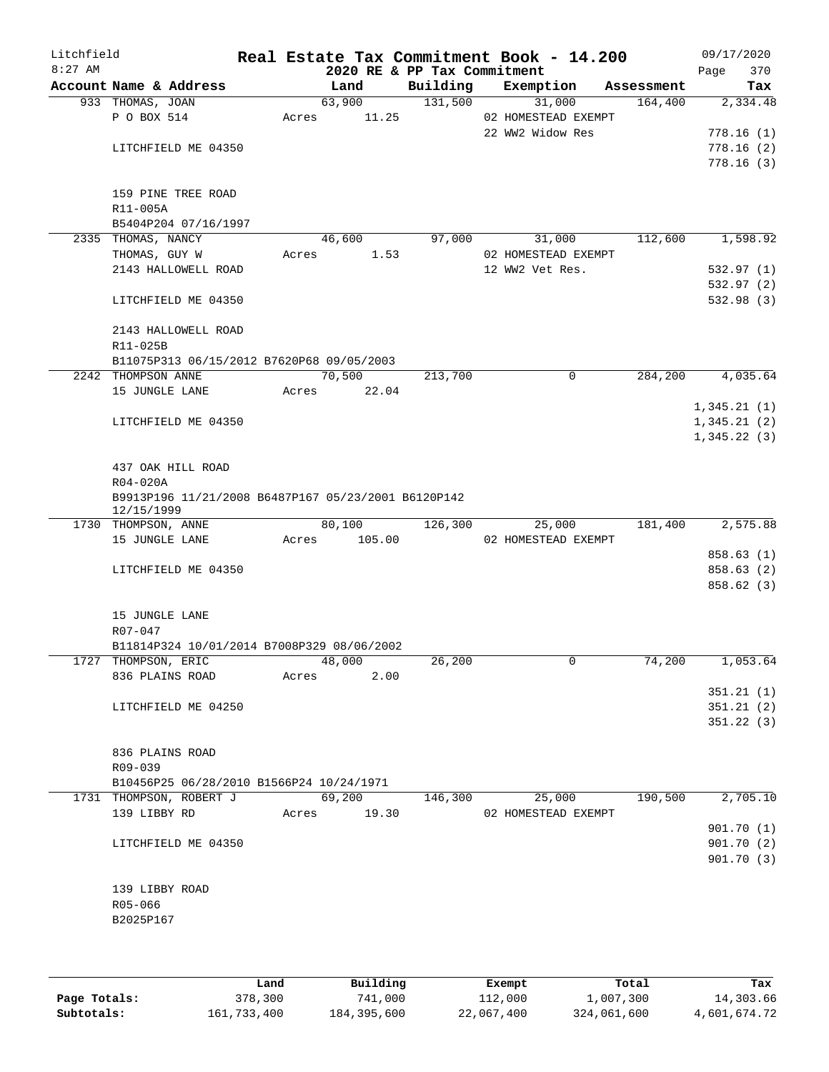| Litchfield<br>$8:27$ AM |                                                     |       | 2020 RE & PP Tax Commitment |          | Real Estate Tax Commitment Book - 14.200 |            | 09/17/2020<br>370<br>Page |
|-------------------------|-----------------------------------------------------|-------|-----------------------------|----------|------------------------------------------|------------|---------------------------|
|                         | Account Name & Address                              |       | Land                        | Building | Exemption                                | Assessment | Tax                       |
|                         | 933 THOMAS, JOAN                                    |       | 63,900                      | 131,500  | 31,000                                   | 164,400    | 2,334.48                  |
|                         | P O BOX 514                                         | Acres | 11.25                       |          | 02 HOMESTEAD EXEMPT                      |            |                           |
|                         |                                                     |       |                             |          | 22 WW2 Widow Res                         |            | 778.16(1)                 |
|                         | LITCHFIELD ME 04350                                 |       |                             |          |                                          |            | 778.16(2)                 |
|                         |                                                     |       |                             |          |                                          |            | 778.16(3)                 |
|                         |                                                     |       |                             |          |                                          |            |                           |
|                         | 159 PINE TREE ROAD                                  |       |                             |          |                                          |            |                           |
|                         | R11-005A                                            |       |                             |          |                                          |            |                           |
|                         | B5404P204 07/16/1997<br>2335 THOMAS, NANCY          |       | 46,600                      | 97,000   | 31,000                                   | 112,600    | 1,598.92                  |
|                         | THOMAS, GUY W                                       | Acres | 1.53                        |          | 02 HOMESTEAD EXEMPT                      |            |                           |
|                         | 2143 HALLOWELL ROAD                                 |       |                             |          | 12 WW2 Vet Res.                          |            | 532.97(1)                 |
|                         |                                                     |       |                             |          |                                          |            | 532.97 (2)                |
|                         | LITCHFIELD ME 04350                                 |       |                             |          |                                          |            | 532.98(3)                 |
|                         |                                                     |       |                             |          |                                          |            |                           |
|                         | 2143 HALLOWELL ROAD                                 |       |                             |          |                                          |            |                           |
|                         | R11-025B                                            |       |                             |          |                                          |            |                           |
|                         | B11075P313 06/15/2012 B7620P68 09/05/2003           |       |                             |          |                                          |            |                           |
|                         | 2242 THOMPSON ANNE                                  |       | 70,500                      | 213,700  | $\mathbf 0$                              | 284,200    | 4,035.64                  |
|                         | 15 JUNGLE LANE                                      | Acres | 22.04                       |          |                                          |            |                           |
|                         |                                                     |       |                             |          |                                          |            | 1,345.21(1)               |
|                         | LITCHFIELD ME 04350                                 |       |                             |          |                                          |            | 1,345.21(2)               |
|                         |                                                     |       |                             |          |                                          |            | 1,345.22(3)               |
|                         |                                                     |       |                             |          |                                          |            |                           |
|                         | 437 OAK HILL ROAD                                   |       |                             |          |                                          |            |                           |
|                         | R04-020A                                            |       |                             |          |                                          |            |                           |
|                         | B9913P196 11/21/2008 B6487P167 05/23/2001 B6120P142 |       |                             |          |                                          |            |                           |
|                         | 12/15/1999<br>1730 THOMPSON, ANNE                   |       | 80,100                      | 126,300  | 25,000                                   | 181,400    | 2,575.88                  |
|                         | 15 JUNGLE LANE                                      | Acres | 105.00                      |          | 02 HOMESTEAD EXEMPT                      |            |                           |
|                         |                                                     |       |                             |          |                                          |            | 858.63(1)                 |
|                         | LITCHFIELD ME 04350                                 |       |                             |          |                                          |            | 858.63 (2)                |
|                         |                                                     |       |                             |          |                                          |            | 858.62(3)                 |
|                         |                                                     |       |                             |          |                                          |            |                           |
|                         | 15 JUNGLE LANE                                      |       |                             |          |                                          |            |                           |
|                         | R07-047                                             |       |                             |          |                                          |            |                           |
|                         | B11814P324 10/01/2014 B7008P329 08/06/2002          |       |                             |          |                                          |            |                           |
|                         | 1727 THOMPSON, ERIC                                 |       | 48,000                      | 26,200   | 0                                        | 74,200     | 1,053.64                  |
|                         | 836 PLAINS ROAD                                     | Acres | 2.00                        |          |                                          |            |                           |
|                         |                                                     |       |                             |          |                                          |            | 351.21(1)                 |
|                         | LITCHFIELD ME 04250                                 |       |                             |          |                                          |            | 351.21(2)                 |
|                         |                                                     |       |                             |          |                                          |            | 351.22(3)                 |
|                         |                                                     |       |                             |          |                                          |            |                           |
|                         | 836 PLAINS ROAD                                     |       |                             |          |                                          |            |                           |
|                         | R09-039                                             |       |                             |          |                                          |            |                           |
|                         | B10456P25 06/28/2010 B1566P24 10/24/1971            |       |                             |          |                                          |            |                           |
|                         | 1731 THOMPSON, ROBERT J                             |       | 69,200                      | 146,300  | 25,000                                   | 190,500    | 2,705.10                  |
|                         | 139 LIBBY RD                                        | Acres | 19.30                       |          | 02 HOMESTEAD EXEMPT                      |            |                           |
|                         |                                                     |       |                             |          |                                          |            | 901.70(1)                 |
|                         | LITCHFIELD ME 04350                                 |       |                             |          |                                          |            | 901.70(2)                 |
|                         |                                                     |       |                             |          |                                          |            | 901.70(3)                 |
|                         |                                                     |       |                             |          |                                          |            |                           |
|                         | 139 LIBBY ROAD                                      |       |                             |          |                                          |            |                           |
|                         | R05-066                                             |       |                             |          |                                          |            |                           |
|                         | B2025P167                                           |       |                             |          |                                          |            |                           |
|                         |                                                     |       |                             |          |                                          |            |                           |
|                         |                                                     |       |                             |          |                                          |            |                           |

|              | Land        | Building    | Exempt     | Total       | Tax          |
|--------------|-------------|-------------|------------|-------------|--------------|
| Page Totals: | 378,300     | 741,000     | 112,000    | 1,007,300   | 14,303.66    |
| Subtotals:   | 161,733,400 | 184,395,600 | 22,067,400 | 324,061,600 | 4,601,674.72 |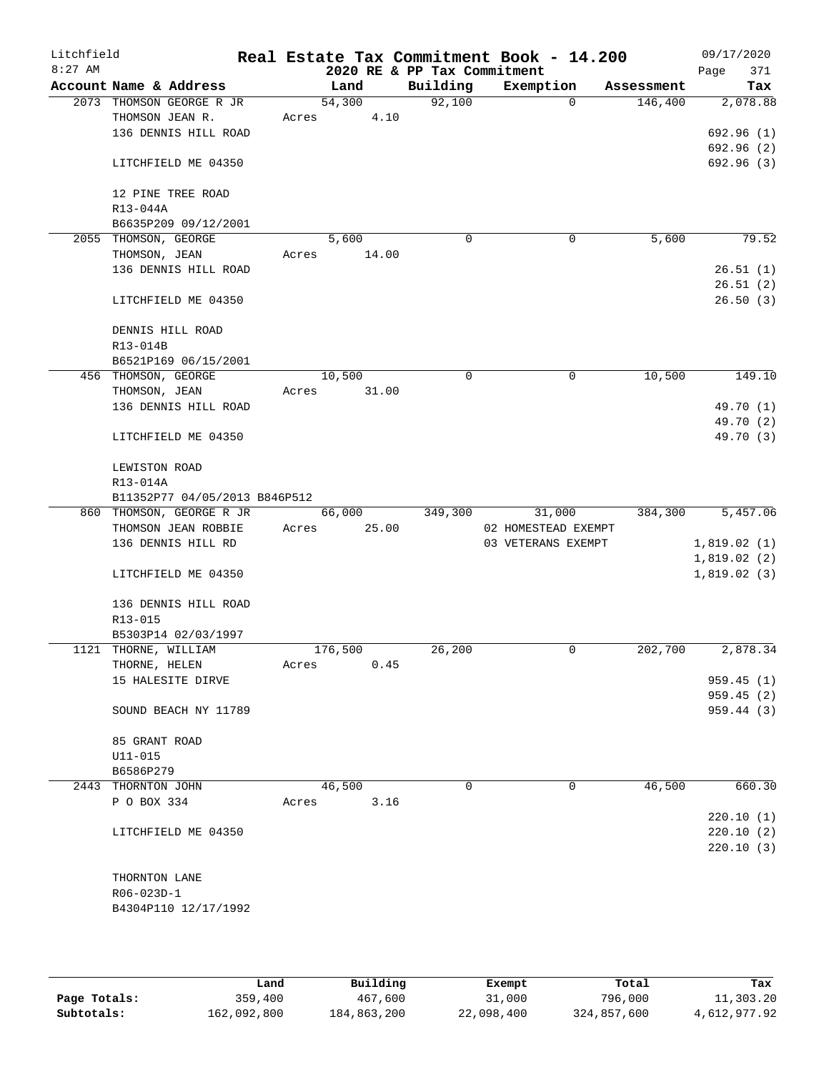| Litchfield<br>$8:27$ AM |                                   |       |         |       | 2020 RE & PP Tax Commitment | Real Estate Tax Commitment Book - 14.200 |             |            | 09/17/2020<br>Page<br>371 |
|-------------------------|-----------------------------------|-------|---------|-------|-----------------------------|------------------------------------------|-------------|------------|---------------------------|
|                         | Account Name & Address            |       | Land    |       | Building                    | Exemption                                |             | Assessment | Tax                       |
|                         | 2073 THOMSON GEORGE R JR          |       | 54,300  |       | 92,100                      |                                          | $\Omega$    | 146,400    | 2,078.88                  |
|                         | THOMSON JEAN R.                   | Acres |         | 4.10  |                             |                                          |             |            |                           |
|                         | 136 DENNIS HILL ROAD              |       |         |       |                             |                                          |             |            | 692.96 (1)                |
|                         |                                   |       |         |       |                             |                                          |             |            | 692.96 (2)                |
|                         | LITCHFIELD ME 04350               |       |         |       |                             |                                          |             |            | 692.96 (3)                |
|                         |                                   |       |         |       |                             |                                          |             |            |                           |
|                         | 12 PINE TREE ROAD                 |       |         |       |                             |                                          |             |            |                           |
|                         | R13-044A                          |       |         |       |                             |                                          |             |            |                           |
|                         | B6635P209 09/12/2001              |       |         |       |                             |                                          |             |            |                           |
|                         | 2055 THOMSON, GEORGE              |       | 5,600   |       | $\mathbf 0$                 |                                          | $\mathbf 0$ | 5,600      | 79.52                     |
|                         | THOMSON, JEAN                     | Acres |         | 14.00 |                             |                                          |             |            |                           |
|                         | 136 DENNIS HILL ROAD              |       |         |       |                             |                                          |             |            | 26.51(1)                  |
|                         |                                   |       |         |       |                             |                                          |             |            | 26.51(2)                  |
|                         | LITCHFIELD ME 04350               |       |         |       |                             |                                          |             |            | 26.50(3)                  |
|                         |                                   |       |         |       |                             |                                          |             |            |                           |
|                         | DENNIS HILL ROAD                  |       |         |       |                             |                                          |             |            |                           |
|                         | R13-014B<br>B6521P169 06/15/2001  |       |         |       |                             |                                          |             |            |                           |
|                         | 456 THOMSON, GEORGE               |       | 10,500  |       | 0                           |                                          | 0           | 10,500     | 149.10                    |
|                         | THOMSON, JEAN                     | Acres |         | 31.00 |                             |                                          |             |            |                           |
|                         | 136 DENNIS HILL ROAD              |       |         |       |                             |                                          |             |            | 49.70 (1)                 |
|                         |                                   |       |         |       |                             |                                          |             |            | 49.70 (2)                 |
|                         | LITCHFIELD ME 04350               |       |         |       |                             |                                          |             |            | 49.70 (3)                 |
|                         |                                   |       |         |       |                             |                                          |             |            |                           |
|                         | LEWISTON ROAD                     |       |         |       |                             |                                          |             |            |                           |
|                         | R13-014A                          |       |         |       |                             |                                          |             |            |                           |
|                         | B11352P77 04/05/2013 B846P512     |       |         |       |                             |                                          |             |            |                           |
|                         | 860 THOMSON, GEORGE R JR          |       | 66,000  |       | 349,300                     | 31,000                                   |             | 384,300    | 5,457.06                  |
|                         | THOMSON JEAN ROBBIE               | Acres |         | 25.00 |                             | 02 HOMESTEAD EXEMPT                      |             |            |                           |
|                         | 136 DENNIS HILL RD                |       |         |       |                             | 03 VETERANS EXEMPT                       |             |            | 1,819.02(1)               |
|                         |                                   |       |         |       |                             |                                          |             |            | 1,819.02(2)               |
|                         | LITCHFIELD ME 04350               |       |         |       |                             |                                          |             |            | 1,819.02(3)               |
|                         |                                   |       |         |       |                             |                                          |             |            |                           |
|                         | 136 DENNIS HILL ROAD              |       |         |       |                             |                                          |             |            |                           |
|                         | R13-015                           |       |         |       |                             |                                          |             |            |                           |
|                         | B5303P14 02/03/1997               |       |         |       |                             |                                          |             |            |                           |
|                         | 1121 THORNE, WILLIAM              |       | 176,500 |       | 26,200                      |                                          | 0           | 202,700    | 2,878.34                  |
|                         | THORNE, HELEN                     | Acres |         | 0.45  |                             |                                          |             |            |                           |
|                         | 15 HALESITE DIRVE                 |       |         |       |                             |                                          |             |            | 959.45 (1)                |
|                         |                                   |       |         |       |                             |                                          |             |            | 959.45 (2)                |
|                         | SOUND BEACH NY 11789              |       |         |       |                             |                                          |             |            | 959.44 (3)                |
|                         |                                   |       |         |       |                             |                                          |             |            |                           |
|                         | 85 GRANT ROAD                     |       |         |       |                             |                                          |             |            |                           |
|                         | $U11 - 015$                       |       |         |       |                             |                                          |             |            |                           |
|                         | B6586P279                         |       |         |       | $\Omega$                    |                                          |             |            |                           |
|                         | 2443 THORNTON JOHN<br>P O BOX 334 |       | 46,500  |       |                             |                                          | 0           | 46,500     | 660.30                    |
|                         |                                   | Acres |         | 3.16  |                             |                                          |             |            | 220.10(1)                 |
|                         | LITCHFIELD ME 04350               |       |         |       |                             |                                          |             |            | 220.10(2)                 |
|                         |                                   |       |         |       |                             |                                          |             |            |                           |
|                         |                                   |       |         |       |                             |                                          |             |            | 220.10(3)                 |
|                         | THORNTON LANE                     |       |         |       |                             |                                          |             |            |                           |
|                         | R06-023D-1                        |       |         |       |                             |                                          |             |            |                           |
|                         | B4304P110 12/17/1992              |       |         |       |                             |                                          |             |            |                           |
|                         |                                   |       |         |       |                             |                                          |             |            |                           |
|                         |                                   |       |         |       |                             |                                          |             |            |                           |

|              | Land        | Building    | Exempt     | Total       | Tax          |
|--------------|-------------|-------------|------------|-------------|--------------|
| Page Totals: | 359,400     | 467,600     | 31,000     | 796,000     | 11,303.20    |
| Subtotals:   | 162,092,800 | 184,863,200 | 22,098,400 | 324,857,600 | 4,612,977.92 |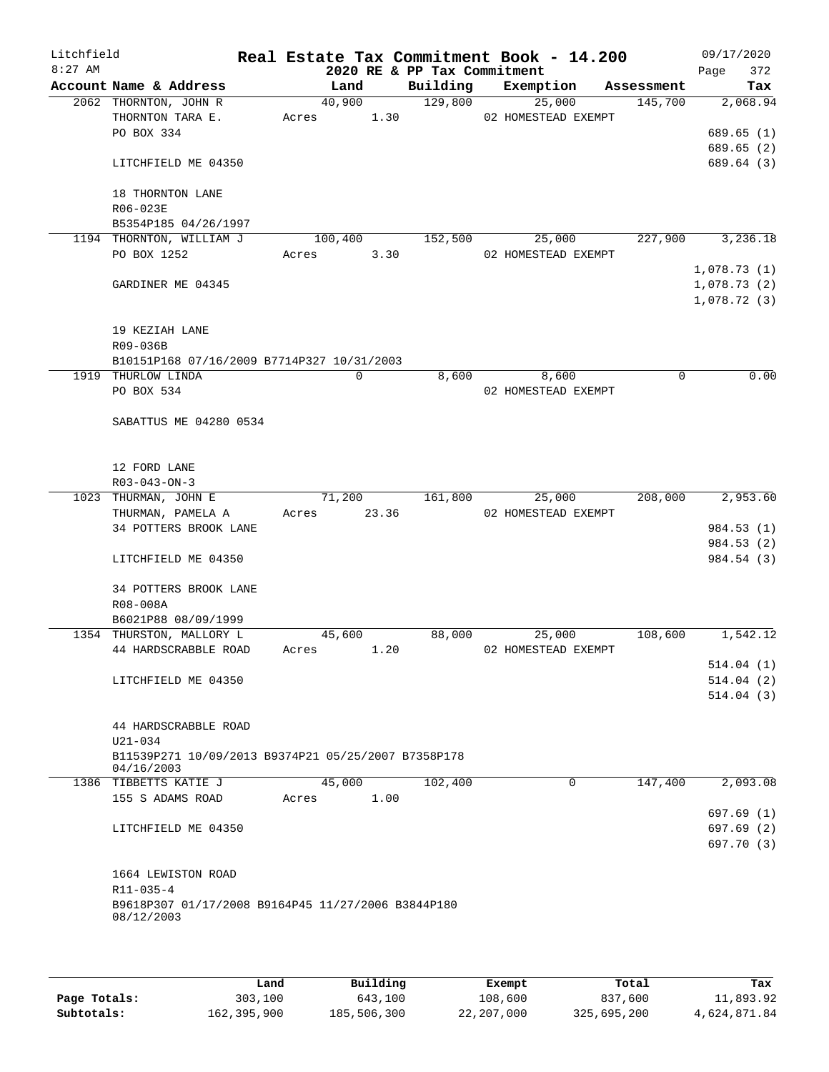| Litchfield<br>$8:27$ AM |                                                                   |         |        | 2020 RE & PP Tax Commitment | Real Estate Tax Commitment Book - 14.200 |            | 09/17/2020<br>372 |
|-------------------------|-------------------------------------------------------------------|---------|--------|-----------------------------|------------------------------------------|------------|-------------------|
|                         | Account Name & Address                                            |         | Land   | Building                    | Exemption                                | Assessment | Page<br>Tax       |
|                         | 2062 THORNTON, JOHN R                                             |         | 40,900 | 129,800                     | 25,000                                   | 145,700    | 2,068.94          |
|                         | THORNTON TARA E.                                                  | Acres   | 1.30   |                             | 02 HOMESTEAD EXEMPT                      |            |                   |
|                         | PO BOX 334                                                        |         |        |                             |                                          |            | 689.65(1)         |
|                         |                                                                   |         |        |                             |                                          |            | 689.65(2)         |
|                         | LITCHFIELD ME 04350                                               |         |        |                             |                                          |            | 689.64 (3)        |
|                         | 18 THORNTON LANE                                                  |         |        |                             |                                          |            |                   |
|                         | R06-023E                                                          |         |        |                             |                                          |            |                   |
|                         | B5354P185 04/26/1997                                              |         |        |                             |                                          |            |                   |
|                         | 1194 THORNTON, WILLIAM J                                          | 100,400 |        | 152,500                     | 25,000                                   | 227,900    | 3,236.18          |
|                         | PO BOX 1252                                                       | Acres   | 3.30   |                             | 02 HOMESTEAD EXEMPT                      |            |                   |
|                         |                                                                   |         |        |                             |                                          |            | 1,078.73(1)       |
|                         | GARDINER ME 04345                                                 |         |        |                             |                                          |            | 1,078.73(2)       |
|                         |                                                                   |         |        |                             |                                          |            | 1,078.72(3)       |
|                         | 19 KEZIAH LANE                                                    |         |        |                             |                                          |            |                   |
|                         |                                                                   |         |        |                             |                                          |            |                   |
|                         | R09-036B                                                          |         |        |                             |                                          |            |                   |
|                         | B10151P168 07/16/2009 B7714P327 10/31/2003<br>1919 THURLOW LINDA  |         | 0      |                             | 8,600                                    | 0          | 0.00              |
|                         | PO BOX 534                                                        |         |        | 8,600                       |                                          |            |                   |
|                         |                                                                   |         |        |                             | 02 HOMESTEAD EXEMPT                      |            |                   |
|                         | SABATTUS ME 04280 0534                                            |         |        |                             |                                          |            |                   |
|                         |                                                                   |         |        |                             |                                          |            |                   |
|                         |                                                                   |         |        |                             |                                          |            |                   |
|                         | 12 FORD LANE                                                      |         |        |                             |                                          |            |                   |
|                         | $R03 - 043 - ON - 3$                                              |         |        |                             |                                          |            |                   |
|                         | 1023 THURMAN, JOHN E                                              |         | 71,200 | 161,800                     | 25,000                                   | 208,000    | 2,953.60          |
|                         | THURMAN, PAMELA A                                                 | Acres   | 23.36  |                             | 02 HOMESTEAD EXEMPT                      |            |                   |
|                         | 34 POTTERS BROOK LANE                                             |         |        |                             |                                          |            | 984.53 (1)        |
|                         |                                                                   |         |        |                             |                                          |            | 984.53 (2)        |
|                         | LITCHFIELD ME 04350                                               |         |        |                             |                                          |            | 984.54 (3)        |
|                         | 34 POTTERS BROOK LANE                                             |         |        |                             |                                          |            |                   |
|                         | R08-008A                                                          |         |        |                             |                                          |            |                   |
|                         | B6021P88 08/09/1999                                               |         |        |                             |                                          |            |                   |
|                         | 1354 THURSTON, MALLORY L                                          |         | 45,600 | 88,000                      | 25,000                                   | 108,600    | 1,542.12          |
|                         | 44 HARDSCRABBLE ROAD                                              | Acres   | 1.20   |                             | 02 HOMESTEAD EXEMPT                      |            |                   |
|                         |                                                                   |         |        |                             |                                          |            | 514.04(1)         |
|                         | LITCHFIELD ME 04350                                               |         |        |                             |                                          |            | 514.04(2)         |
|                         |                                                                   |         |        |                             |                                          |            | 514.04(3)         |
|                         |                                                                   |         |        |                             |                                          |            |                   |
|                         | 44 HARDSCRABBLE ROAD                                              |         |        |                             |                                          |            |                   |
|                         | U21-034                                                           |         |        |                             |                                          |            |                   |
|                         | B11539P271 10/09/2013 B9374P21 05/25/2007 B7358P178<br>04/16/2003 |         |        |                             |                                          |            |                   |
|                         | 1386 TIBBETTS KATIE J                                             |         | 45,000 | 102,400                     | $\Omega$                                 | 147,400    | 2,093.08          |
|                         | 155 S ADAMS ROAD                                                  | Acres   | 1.00   |                             |                                          |            |                   |
|                         |                                                                   |         |        |                             |                                          |            | 697.69(1)         |
|                         | LITCHFIELD ME 04350                                               |         |        |                             |                                          |            | 697.69 (2)        |
|                         |                                                                   |         |        |                             |                                          |            | 697.70 (3)        |
|                         |                                                                   |         |        |                             |                                          |            |                   |
|                         | 1664 LEWISTON ROAD                                                |         |        |                             |                                          |            |                   |
|                         | $R11 - 035 - 4$                                                   |         |        |                             |                                          |            |                   |
|                         | B9618P307 01/17/2008 B9164P45 11/27/2006 B3844P180                |         |        |                             |                                          |            |                   |
|                         | 08/12/2003                                                        |         |        |                             |                                          |            |                   |
|                         |                                                                   |         |        |                             |                                          |            |                   |
|                         |                                                                   |         |        |                             |                                          |            |                   |

|              | úand        | Building    | Exempt     | Total       | Tax          |
|--------------|-------------|-------------|------------|-------------|--------------|
| Page Totals: | 303,100     | 643,100     | 108,600    | 837,600     | 11,893.92    |
| Subtotals:   | 162,395,900 | 185,506,300 | 22,207,000 | 325,695,200 | 4,624,871.84 |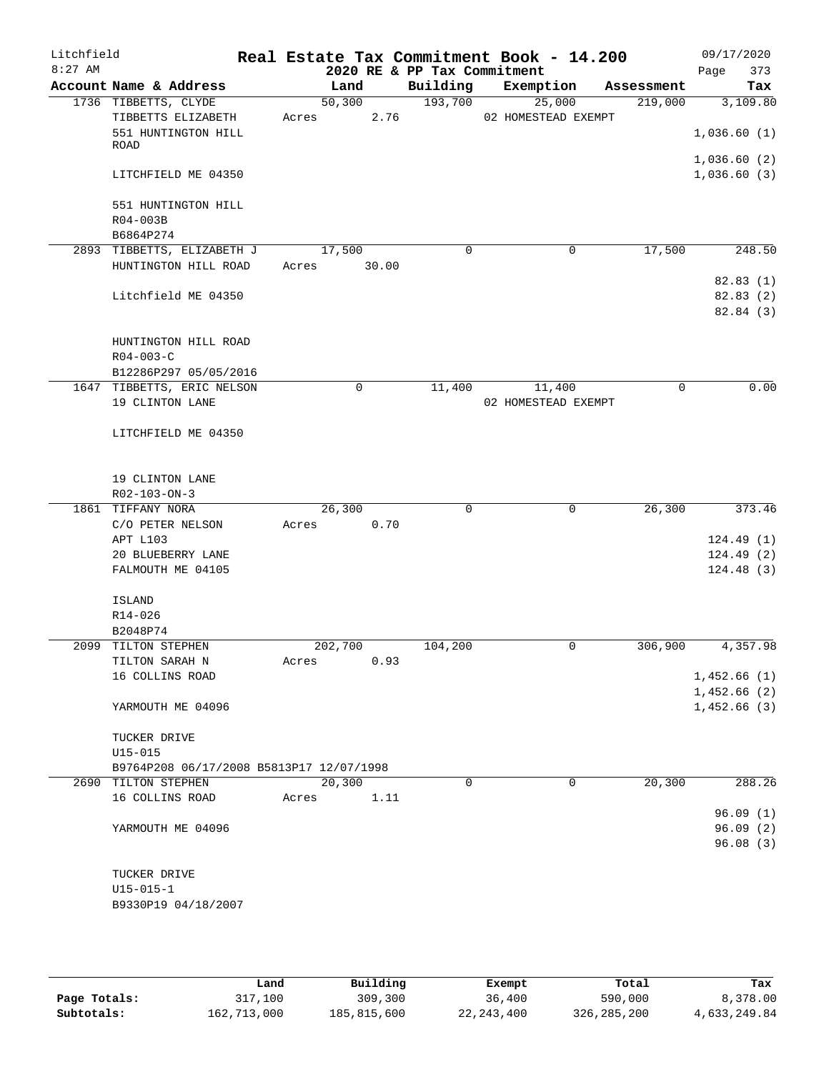| Litchfield<br>$8:27$ AM |                                          |                | 2020 RE & PP Tax Commitment | Real Estate Tax Commitment Book - 14.200 |             | 09/17/2020<br>373<br>Page  |
|-------------------------|------------------------------------------|----------------|-----------------------------|------------------------------------------|-------------|----------------------------|
|                         | Account Name & Address                   | Land           | Building                    | Exemption                                | Assessment  | Tax                        |
|                         | 1736 TIBBETTS, CLYDE                     | 50, 300        | 193,700                     | 25,000                                   | 219,000     | 3,109.80                   |
|                         | TIBBETTS ELIZABETH                       | 2.76<br>Acres  |                             | 02 HOMESTEAD EXEMPT                      |             |                            |
|                         | 551 HUNTINGTON HILL                      |                |                             |                                          |             | 1,036.60(1)                |
|                         | ROAD                                     |                |                             |                                          |             |                            |
|                         | LITCHFIELD ME 04350                      |                |                             |                                          |             | 1,036.60(2)<br>1,036.60(3) |
|                         |                                          |                |                             |                                          |             |                            |
|                         | 551 HUNTINGTON HILL                      |                |                             |                                          |             |                            |
|                         | R04-003B                                 |                |                             |                                          |             |                            |
|                         | B6864P274                                |                |                             |                                          |             |                            |
|                         | 2893 TIBBETTS, ELIZABETH J               | 17,500         | 0                           | $\mathbf 0$                              | 17,500      | $\overline{248.50}$        |
|                         | HUNTINGTON HILL ROAD                     | 30.00<br>Acres |                             |                                          |             |                            |
|                         |                                          |                |                             |                                          |             | 82.83(1)                   |
|                         | Litchfield ME 04350                      |                |                             |                                          |             | 82.83(2)                   |
|                         |                                          |                |                             |                                          |             | 82.84 (3)                  |
|                         |                                          |                |                             |                                          |             |                            |
|                         | HUNTINGTON HILL ROAD                     |                |                             |                                          |             |                            |
|                         | $R04 - 003 - C$                          |                |                             |                                          |             |                            |
|                         | B12286P297 05/05/2016                    |                |                             |                                          |             |                            |
|                         | 1647 TIBBETTS, ERIC NELSON               | 0              | 11,400                      | 11,400                                   | $\mathbf 0$ | 0.00                       |
|                         | 19 CLINTON LANE                          |                |                             | 02 HOMESTEAD EXEMPT                      |             |                            |
|                         | LITCHFIELD ME 04350                      |                |                             |                                          |             |                            |
|                         |                                          |                |                             |                                          |             |                            |
|                         |                                          |                |                             |                                          |             |                            |
|                         | 19 CLINTON LANE                          |                |                             |                                          |             |                            |
|                         | R02-103-ON-3                             |                |                             |                                          |             |                            |
|                         | 1861 TIFFANY NORA                        | 26,300         | 0                           | 0                                        | 26,300      | 373.46                     |
|                         | C/O PETER NELSON                         | 0.70<br>Acres  |                             |                                          |             |                            |
|                         | APT L103                                 |                |                             |                                          |             | 124.49(1)                  |
|                         | 20 BLUEBERRY LANE                        |                |                             |                                          |             | 124.49(2)                  |
|                         | FALMOUTH ME 04105                        |                |                             |                                          |             | 124.48(3)                  |
|                         |                                          |                |                             |                                          |             |                            |
|                         | ISLAND                                   |                |                             |                                          |             |                            |
|                         | R14-026                                  |                |                             |                                          |             |                            |
|                         | B2048P74                                 |                |                             |                                          |             |                            |
|                         | 2099 TILTON STEPHEN                      | 202,700        | 104,200                     | 0                                        | 306,900     | 4,357.98                   |
|                         | TILTON SARAH N<br>16 COLLINS ROAD        | 0.93<br>Acres  |                             |                                          |             | 1,452.66(1)                |
|                         |                                          |                |                             |                                          |             | 1,452.66(2)                |
|                         | YARMOUTH ME 04096                        |                |                             |                                          |             | 1,452.66(3)                |
|                         |                                          |                |                             |                                          |             |                            |
|                         | TUCKER DRIVE                             |                |                             |                                          |             |                            |
|                         | $U15 - 015$                              |                |                             |                                          |             |                            |
|                         | B9764P208 06/17/2008 B5813P17 12/07/1998 |                |                             |                                          |             |                            |
|                         | 2690 TILTON STEPHEN                      | 20,300         | $\mathbf 0$                 | 0                                        | 20,300      | 288.26                     |
|                         | 16 COLLINS ROAD                          | 1.11<br>Acres  |                             |                                          |             |                            |
|                         |                                          |                |                             |                                          |             | 96.09(1)                   |
|                         | YARMOUTH ME 04096                        |                |                             |                                          |             | 96.09(2)                   |
|                         |                                          |                |                             |                                          |             | 96.08(3)                   |
|                         |                                          |                |                             |                                          |             |                            |
|                         | TUCKER DRIVE                             |                |                             |                                          |             |                            |
|                         | $U15 - 015 - 1$                          |                |                             |                                          |             |                            |
|                         | B9330P19 04/18/2007                      |                |                             |                                          |             |                            |
|                         |                                          |                |                             |                                          |             |                            |

|              | Land        | Building    | Exempt       | Total         | Tax          |
|--------------|-------------|-------------|--------------|---------------|--------------|
| Page Totals: | 317,100     | 309,300     | 36,400       | 590,000       | 8,378.00     |
| Subtotals:   | 162,713,000 | 185,815,600 | 22, 243, 400 | 326, 285, 200 | 4,633,249.84 |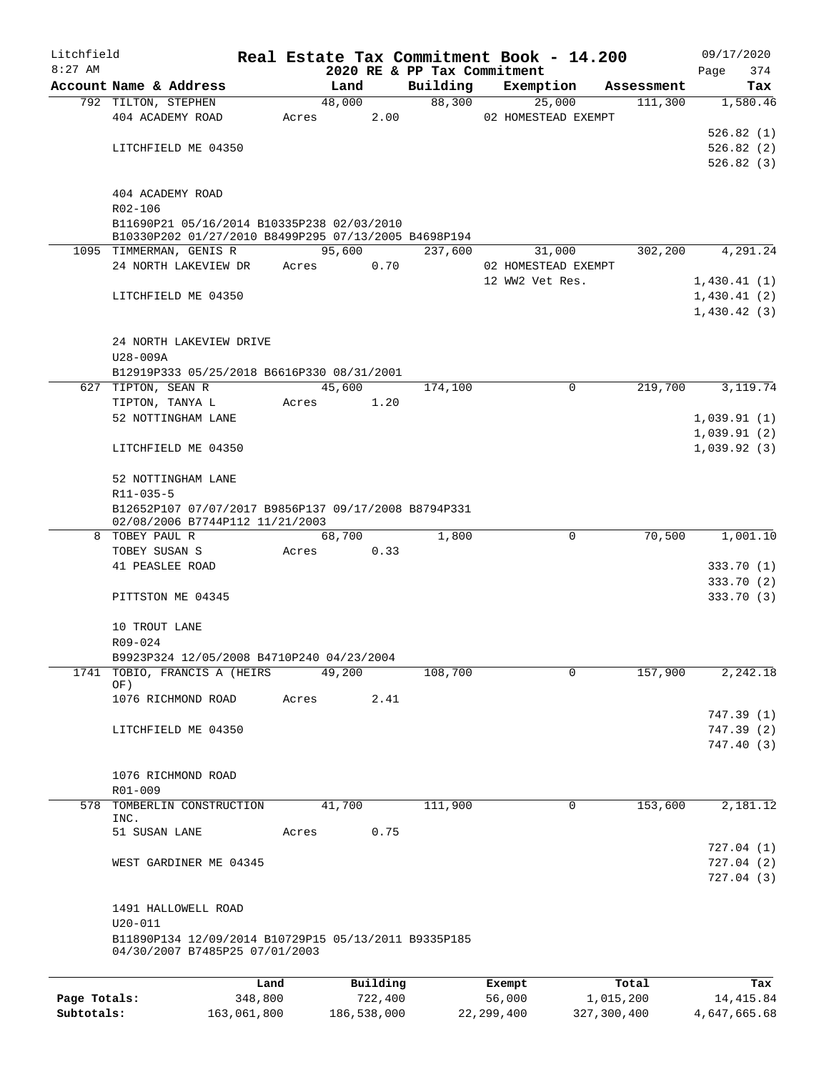| Litchfield   |                                                                                                    |         |       |        |          |                             | Real Estate Tax Commitment Book - 14.200 |            | 09/17/2020  |
|--------------|----------------------------------------------------------------------------------------------------|---------|-------|--------|----------|-----------------------------|------------------------------------------|------------|-------------|
| $8:27$ AM    |                                                                                                    |         |       |        |          | 2020 RE & PP Tax Commitment |                                          |            | 374<br>Page |
|              | Account Name & Address                                                                             |         |       | Land   |          | Building                    | Exemption                                | Assessment | Tax         |
|              | 792 TILTON, STEPHEN                                                                                |         |       | 48,000 |          | 88,300                      | 25,000                                   | 111,300    | 1,580.46    |
|              | 404 ACADEMY ROAD                                                                                   |         | Acres |        | 2.00     |                             | 02 HOMESTEAD EXEMPT                      |            |             |
|              |                                                                                                    |         |       |        |          |                             |                                          |            | 526.82(1)   |
|              | LITCHFIELD ME 04350                                                                                |         |       |        |          |                             |                                          |            | 526.82(2)   |
|              |                                                                                                    |         |       |        |          |                             |                                          |            | 526.82(3)   |
|              |                                                                                                    |         |       |        |          |                             |                                          |            |             |
|              | 404 ACADEMY ROAD                                                                                   |         |       |        |          |                             |                                          |            |             |
|              | R02-106                                                                                            |         |       |        |          |                             |                                          |            |             |
|              | B11690P21 05/16/2014 B10335P238 02/03/2010<br>B10330P202 01/27/2010 B8499P295 07/13/2005 B4698P194 |         |       |        |          |                             |                                          |            |             |
|              | 1095 TIMMERMAN, GENIS R                                                                            |         |       | 95,600 |          | 237,600                     | 31,000                                   | 302,200    | 4,291.24    |
|              | 24 NORTH LAKEVIEW DR                                                                               |         | Acres |        | 0.70     |                             | 02 HOMESTEAD EXEMPT                      |            |             |
|              |                                                                                                    |         |       |        |          |                             | 12 WW2 Vet Res.                          |            | 1,430.41(1) |
|              | LITCHFIELD ME 04350                                                                                |         |       |        |          |                             |                                          |            | 1,430.41(2) |
|              |                                                                                                    |         |       |        |          |                             |                                          |            | 1,430.42(3) |
|              |                                                                                                    |         |       |        |          |                             |                                          |            |             |
|              | 24 NORTH LAKEVIEW DRIVE                                                                            |         |       |        |          |                             |                                          |            |             |
|              | U28-009A                                                                                           |         |       |        |          |                             |                                          |            |             |
|              | B12919P333 05/25/2018 B6616P330 08/31/2001                                                         |         |       |        |          |                             |                                          |            |             |
| 627          | TIPTON, SEAN R                                                                                     |         |       | 45,600 |          | 174,100                     | 0                                        | 219,700    | 3, 119.74   |
|              | TIPTON, TANYA L                                                                                    |         | Acres |        | 1.20     |                             |                                          |            |             |
|              | 52 NOTTINGHAM LANE                                                                                 |         |       |        |          |                             |                                          |            | 1,039.91(1) |
|              |                                                                                                    |         |       |        |          |                             |                                          |            | 1,039.91(2) |
|              | LITCHFIELD ME 04350                                                                                |         |       |        |          |                             |                                          |            | 1,039.92(3) |
|              |                                                                                                    |         |       |        |          |                             |                                          |            |             |
|              | 52 NOTTINGHAM LANE                                                                                 |         |       |        |          |                             |                                          |            |             |
|              | $R11 - 035 - 5$                                                                                    |         |       |        |          |                             |                                          |            |             |
|              | B12652P107 07/07/2017 B9856P137 09/17/2008 B8794P331                                               |         |       |        |          |                             |                                          |            |             |
|              | 02/08/2006 B7744P112 11/21/2003                                                                    |         |       |        |          |                             |                                          |            |             |
| 8            | TOBEY PAUL R                                                                                       |         |       | 68,700 |          | 1,800                       | $\mathbf 0$                              | 70,500     | 1,001.10    |
|              | TOBEY SUSAN S                                                                                      |         | Acres |        | 0.33     |                             |                                          |            |             |
|              | 41 PEASLEE ROAD                                                                                    |         |       |        |          |                             |                                          |            | 333.70(1)   |
|              |                                                                                                    |         |       |        |          |                             |                                          |            | 333.70 (2)  |
|              | PITTSTON ME 04345                                                                                  |         |       |        |          |                             |                                          |            | 333.70 (3)  |
|              |                                                                                                    |         |       |        |          |                             |                                          |            |             |
|              | 10 TROUT LANE                                                                                      |         |       |        |          |                             |                                          |            |             |
|              | R09-024                                                                                            |         |       |        |          |                             |                                          |            |             |
|              | B9923P324 12/05/2008 B4710P240 04/23/2004                                                          |         |       |        |          |                             |                                          |            |             |
|              | 1741 TOBIO, FRANCIS A (HEIRS<br>OF)                                                                |         |       | 49,200 |          | 108,700                     | 0                                        | 157,900    | 2,242.18    |
|              | 1076 RICHMOND ROAD                                                                                 |         | Acres |        | 2.41     |                             |                                          |            |             |
|              |                                                                                                    |         |       |        |          |                             |                                          |            | 747.39(1)   |
|              | LITCHFIELD ME 04350                                                                                |         |       |        |          |                             |                                          |            | 747.39(2)   |
|              |                                                                                                    |         |       |        |          |                             |                                          |            | 747.40(3)   |
|              |                                                                                                    |         |       |        |          |                             |                                          |            |             |
|              | 1076 RICHMOND ROAD                                                                                 |         |       |        |          |                             |                                          |            |             |
|              | R01-009                                                                                            |         |       |        |          |                             |                                          |            |             |
| 578          | TOMBERLIN CONSTRUCTION                                                                             |         |       | 41,700 |          | 111,900                     | 0                                        | 153,600    | 2,181.12    |
|              | INC.                                                                                               |         |       |        |          |                             |                                          |            |             |
|              | 51 SUSAN LANE                                                                                      |         | Acres |        | 0.75     |                             |                                          |            |             |
|              |                                                                                                    |         |       |        |          |                             |                                          |            | 727.04 (1)  |
|              | WEST GARDINER ME 04345                                                                             |         |       |        |          |                             |                                          |            | 727.04(2)   |
|              |                                                                                                    |         |       |        |          |                             |                                          |            | 727.04(3)   |
|              |                                                                                                    |         |       |        |          |                             |                                          |            |             |
|              | 1491 HALLOWELL ROAD                                                                                |         |       |        |          |                             |                                          |            |             |
|              | $U20 - 011$                                                                                        |         |       |        |          |                             |                                          |            |             |
|              | B11890P134 12/09/2014 B10729P15 05/13/2011 B9335P185                                               |         |       |        |          |                             |                                          |            |             |
|              | 04/30/2007 B7485P25 07/01/2003                                                                     |         |       |        |          |                             |                                          |            |             |
|              |                                                                                                    |         |       |        |          |                             |                                          |            |             |
|              |                                                                                                    | Land    |       |        | Building |                             | Exempt                                   | Total      | Tax         |
| Page Totals: |                                                                                                    | 348,800 |       |        | 722,400  |                             | 56,000                                   | 1,015,200  | 14, 415.84  |

**Subtotals:** 163,061,800 186,538,000 22,299,400 327,300,400 4,647,665.68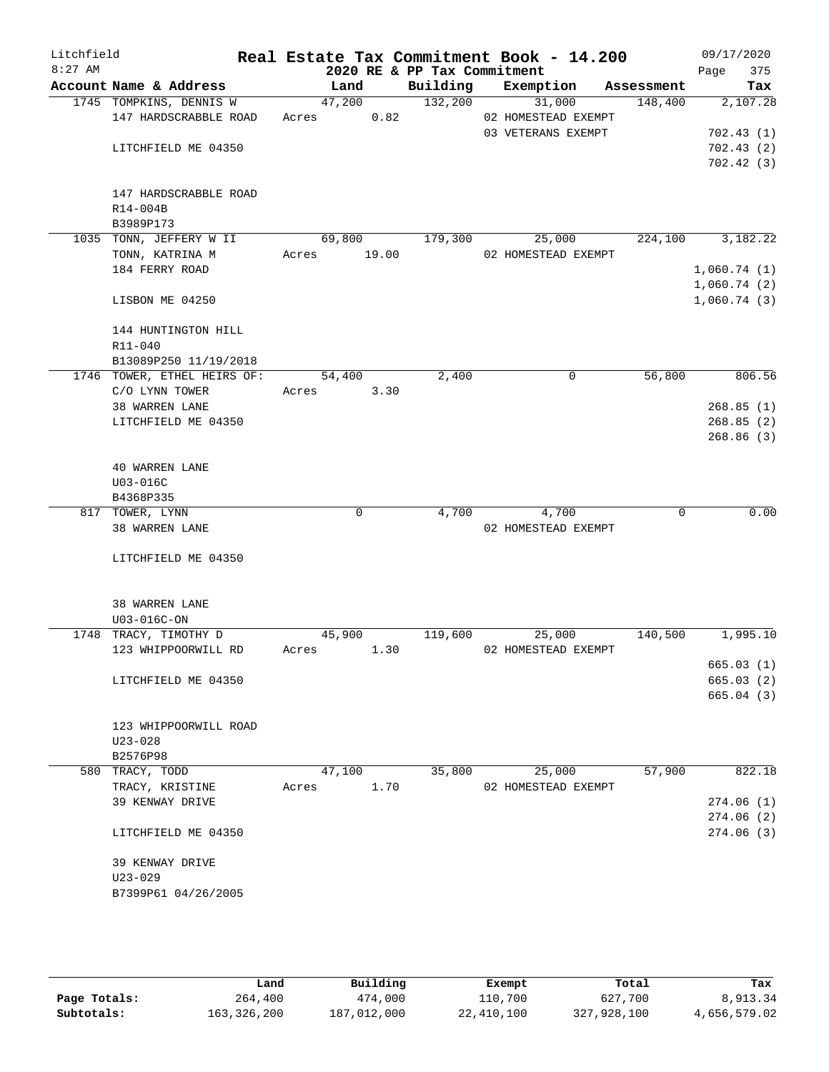| Litchfield<br>$8:27$ AM |                             |       |             | 2020 RE & PP Tax Commitment | Real Estate Tax Commitment Book - 14.200 |            | Page                       | 09/17/2020<br>375 |
|-------------------------|-----------------------------|-------|-------------|-----------------------------|------------------------------------------|------------|----------------------------|-------------------|
|                         | Account Name & Address      |       | Land        | Building                    | Exemption                                | Assessment |                            | Tax               |
|                         | 1745 TOMPKINS, DENNIS W     |       | 47,200      | 132,200                     | 31,000                                   | 148,400    |                            | 2,107.28          |
|                         | 147 HARDSCRABBLE ROAD       | Acres | 0.82        |                             | 02 HOMESTEAD EXEMPT                      |            |                            |                   |
|                         |                             |       |             |                             | 03 VETERANS EXEMPT                       |            |                            | 702.43(1)         |
|                         | LITCHFIELD ME 04350         |       |             |                             |                                          |            |                            | 702.43(2)         |
|                         |                             |       |             |                             |                                          |            |                            | 702.42(3)         |
|                         | 147 HARDSCRABBLE ROAD       |       |             |                             |                                          |            |                            |                   |
|                         |                             |       |             |                             |                                          |            |                            |                   |
|                         | R14-004B                    |       |             |                             |                                          |            |                            |                   |
|                         | B3989P173                   |       |             |                             |                                          |            |                            |                   |
|                         | 1035 TONN, JEFFERY W II     |       | 69,800      | 179,300                     | 25,000                                   | 224,100    |                            | 3,182.22          |
|                         | TONN, KATRINA M             |       | Acres 19.00 |                             | 02 HOMESTEAD EXEMPT                      |            |                            |                   |
|                         | 184 FERRY ROAD              |       |             |                             |                                          |            | 1,060.74(1)                |                   |
|                         | LISBON ME 04250             |       |             |                             |                                          |            | 1,060.74(2)<br>1,060.74(3) |                   |
|                         |                             |       |             |                             |                                          |            |                            |                   |
|                         | 144 HUNTINGTON HILL         |       |             |                             |                                          |            |                            |                   |
|                         | R11-040                     |       |             |                             |                                          |            |                            |                   |
|                         | B13089P250 11/19/2018       |       |             |                             |                                          |            |                            |                   |
|                         | 1746 TOWER, ETHEL HEIRS OF: |       | 54,400      | 2,400                       | 0                                        | 56,800     |                            | 806.56            |
|                         | C/O LYNN TOWER              |       | Acres 3.30  |                             |                                          |            |                            |                   |
|                         | 38 WARREN LANE              |       |             |                             |                                          |            |                            | 268.85(1)         |
|                         | LITCHFIELD ME 04350         |       |             |                             |                                          |            |                            | 268.85(2)         |
|                         |                             |       |             |                             |                                          |            |                            | 268.86 (3)        |
|                         | 40 WARREN LANE              |       |             |                             |                                          |            |                            |                   |
|                         | U03-016C                    |       |             |                             |                                          |            |                            |                   |
|                         | B4368P335                   |       |             |                             |                                          |            |                            |                   |
|                         | 817 TOWER, LYNN             |       | 0           | 4,700                       | 4,700                                    | 0          |                            | 0.00              |
|                         | 38 WARREN LANE              |       |             |                             | 02 HOMESTEAD EXEMPT                      |            |                            |                   |
|                         |                             |       |             |                             |                                          |            |                            |                   |
|                         | LITCHFIELD ME 04350         |       |             |                             |                                          |            |                            |                   |
|                         |                             |       |             |                             |                                          |            |                            |                   |
|                         | 38 WARREN LANE              |       |             |                             |                                          |            |                            |                   |
|                         | U03-016C-ON                 |       |             |                             |                                          |            |                            |                   |
|                         | 1748 TRACY, TIMOTHY D       |       | 45,900      | 119,600                     | 25,000                                   | 140,500    |                            | 1,995.10          |
|                         | 123 WHIPPOORWILL RD         | Acres | 1.30        |                             | 02 HOMESTEAD EXEMPT                      |            |                            |                   |
|                         |                             |       |             |                             |                                          |            |                            | 665.03(1)         |
|                         | LITCHFIELD ME 04350         |       |             |                             |                                          |            |                            | 665.03(2)         |
|                         |                             |       |             |                             |                                          |            |                            | 665.04(3)         |
|                         | 123 WHIPPOORWILL ROAD       |       |             |                             |                                          |            |                            |                   |
|                         | $U23 - 028$                 |       |             |                             |                                          |            |                            |                   |
|                         | B2576P98                    |       |             |                             |                                          |            |                            |                   |
|                         | 580 TRACY, TODD             |       | 47,100      | 35,800                      | 25,000                                   | 57,900     |                            | 822.18            |
|                         | TRACY, KRISTINE             | Acres | 1.70        |                             | 02 HOMESTEAD EXEMPT                      |            |                            |                   |
|                         | 39 KENWAY DRIVE             |       |             |                             |                                          |            |                            | 274.06(1)         |
|                         |                             |       |             |                             |                                          |            |                            | 274.06(2)         |
|                         | LITCHFIELD ME 04350         |       |             |                             |                                          |            |                            | 274.06(3)         |
|                         |                             |       |             |                             |                                          |            |                            |                   |
|                         | 39 KENWAY DRIVE             |       |             |                             |                                          |            |                            |                   |
|                         | $U23 - 029$                 |       |             |                             |                                          |            |                            |                   |
|                         | B7399P61 04/26/2005         |       |             |                             |                                          |            |                            |                   |
|                         |                             |       |             |                             |                                          |            |                            |                   |
|                         |                             |       |             |                             |                                          |            |                            |                   |

|              | Land        | Building    | Exempt     | Total       | Tax          |
|--------------|-------------|-------------|------------|-------------|--------------|
| Page Totals: | 264,400     | 474,000     | 110,700    | 627,700     | 8,913.34     |
| Subtotals:   | 163,326,200 | 187,012,000 | 22,410,100 | 327,928,100 | 4,656,579.02 |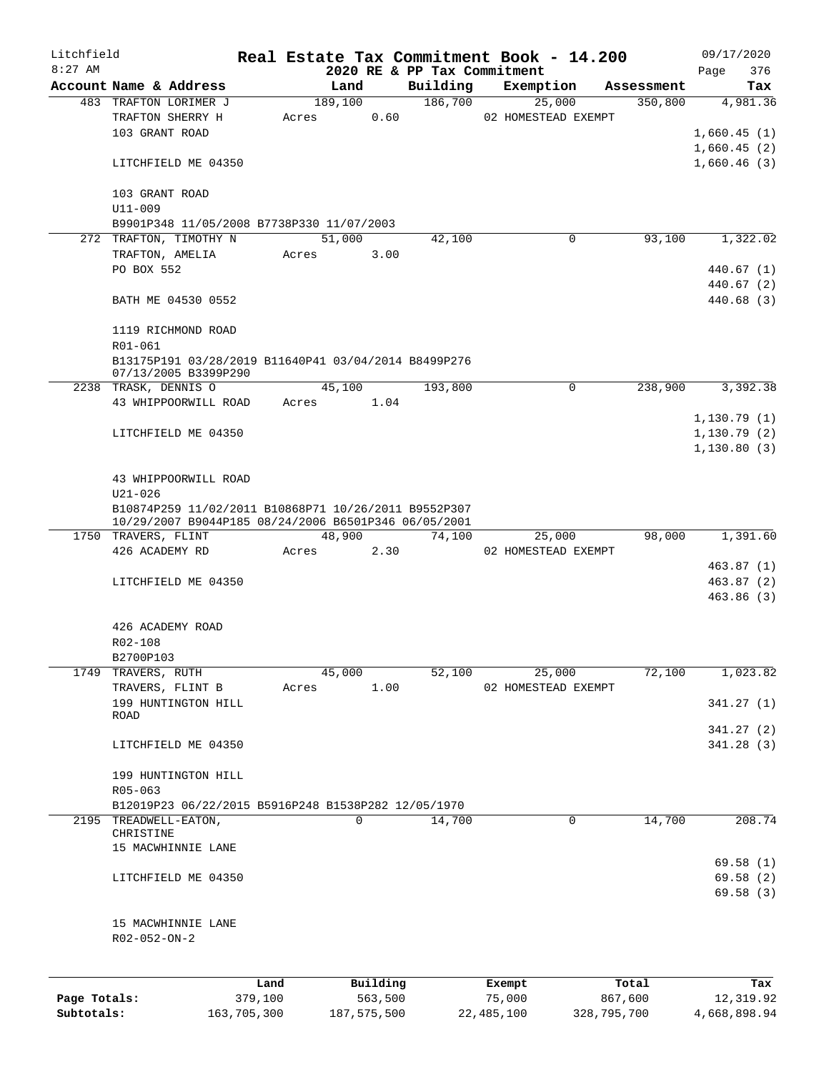| Litchfield   |                                                                              |             |       |               |          | Real Estate Tax Commitment Book - 14.200 |                     |             |            | 09/17/2020   |            |
|--------------|------------------------------------------------------------------------------|-------------|-------|---------------|----------|------------------------------------------|---------------------|-------------|------------|--------------|------------|
| $8:27$ AM    |                                                                              |             |       |               |          | 2020 RE & PP Tax Commitment              |                     |             |            | Page         | 376        |
|              | Account Name & Address                                                       |             |       | Land          |          | Building                                 | Exemption           |             | Assessment |              | Tax        |
|              | 483 TRAFTON LORIMER J                                                        |             |       | 189,100       |          | 186,700                                  |                     | 25,000      | 350,800    |              | 4,981.36   |
|              | TRAFTON SHERRY H                                                             |             | Acres |               | 0.60     |                                          | 02 HOMESTEAD EXEMPT |             |            |              |            |
|              | 103 GRANT ROAD                                                               |             |       |               |          |                                          |                     |             |            | 1,660.45(1)  |            |
|              |                                                                              |             |       |               |          |                                          |                     |             |            | 1,660.45(2)  |            |
|              | LITCHFIELD ME 04350                                                          |             |       |               |          |                                          |                     |             |            | 1,660.46(3)  |            |
|              | 103 GRANT ROAD<br>$U11 - 009$                                                |             |       |               |          |                                          |                     |             |            |              |            |
|              | B9901P348 11/05/2008 B7738P330 11/07/2003                                    |             |       |               |          |                                          |                     |             |            |              |            |
|              | 272 TRAFTON, TIMOTHY N                                                       |             |       | 51,000        |          | 42,100                                   |                     | 0           | 93,100     |              | 1,322.02   |
|              | TRAFTON, AMELIA                                                              |             | Acres |               | 3.00     |                                          |                     |             |            |              |            |
|              | PO BOX 552                                                                   |             |       |               |          |                                          |                     |             |            |              | 440.67 (1) |
|              |                                                                              |             |       |               |          |                                          |                     |             |            |              | 440.67 (2) |
|              | BATH ME 04530 0552                                                           |             |       |               |          |                                          |                     |             |            |              | 440.68 (3) |
|              | 1119 RICHMOND ROAD                                                           |             |       |               |          |                                          |                     |             |            |              |            |
|              | R01-061                                                                      |             |       |               |          |                                          |                     |             |            |              |            |
|              | B13175P191 03/28/2019 B11640P41 03/04/2014 B8499P276<br>07/13/2005 B3399P290 |             |       |               |          |                                          |                     |             |            |              |            |
|              | 2238 TRASK, DENNIS O                                                         |             |       | 45,100        |          | 193,800                                  |                     | $\mathbf 0$ | 238,900    |              | 3,392.38   |
|              | 43 WHIPPOORWILL ROAD                                                         |             | Acres |               | 1.04     |                                          |                     |             |            |              |            |
|              |                                                                              |             |       |               |          |                                          |                     |             |            | 1,130.79(1)  |            |
|              | LITCHFIELD ME 04350                                                          |             |       |               |          |                                          |                     |             |            | 1,130.79(2)  |            |
|              |                                                                              |             |       |               |          |                                          |                     |             |            | 1,130.80(3)  |            |
|              |                                                                              |             |       |               |          |                                          |                     |             |            |              |            |
|              |                                                                              |             |       |               |          |                                          |                     |             |            |              |            |
|              | 43 WHIPPOORWILL ROAD                                                         |             |       |               |          |                                          |                     |             |            |              |            |
|              | $U21 - 026$                                                                  |             |       |               |          |                                          |                     |             |            |              |            |
|              | B10874P259 11/02/2011 B10868P71 10/26/2011 B9552P307                         |             |       |               |          |                                          |                     |             |            |              |            |
|              | 10/29/2007 B9044P185 08/24/2006 B6501P346 06/05/2001                         |             |       | 48,900        |          |                                          |                     |             | 98,000     |              | 1,391.60   |
|              | 1750 TRAVERS, FLINT                                                          |             |       |               |          | 74,100                                   |                     | 25,000      |            |              |            |
|              | 426 ACADEMY RD                                                               |             | Acres |               | 2.30     |                                          | 02 HOMESTEAD EXEMPT |             |            |              |            |
|              |                                                                              |             |       |               |          |                                          |                     |             |            |              | 463.87(1)  |
|              | LITCHFIELD ME 04350                                                          |             |       |               |          |                                          |                     |             |            |              | 463.87(2)  |
|              |                                                                              |             |       |               |          |                                          |                     |             |            |              | 463.86(3)  |
|              |                                                                              |             |       |               |          |                                          |                     |             |            |              |            |
|              | 426 ACADEMY ROAD                                                             |             |       |               |          |                                          |                     |             |            |              |            |
|              | R02-108                                                                      |             |       |               |          |                                          |                     |             |            |              |            |
|              | B2700P103                                                                    |             |       |               |          |                                          |                     |             |            |              |            |
|              | 1749 TRAVERS, RUTH                                                           |             |       | 45,000        |          | 52,100                                   |                     | 25,000      | 72,100     |              | 1,023.82   |
|              | TRAVERS, FLINT B                                                             |             | Acres |               | 1.00     |                                          | 02 HOMESTEAD EXEMPT |             |            |              |            |
|              | 199 HUNTINGTON HILL                                                          |             |       |               |          |                                          |                     |             |            |              | 341.27(1)  |
|              | ROAD                                                                         |             |       |               |          |                                          |                     |             |            |              |            |
|              |                                                                              |             |       |               |          |                                          |                     |             |            |              | 341.27(2)  |
|              | LITCHFIELD ME 04350                                                          |             |       |               |          |                                          |                     |             |            |              | 341.28(3)  |
|              | 199 HUNTINGTON HILL                                                          |             |       |               |          |                                          |                     |             |            |              |            |
|              | $R05 - 063$                                                                  |             |       |               |          |                                          |                     |             |            |              |            |
|              | B12019P23 06/22/2015 B5916P248 B1538P282 12/05/1970                          |             |       |               |          |                                          |                     |             |            |              |            |
|              | 2195 TREADWELL-EATON,                                                        |             |       | 0             |          | 14,700                                   |                     | 0           | 14,700     |              | 208.74     |
|              | CHRISTINE                                                                    |             |       |               |          |                                          |                     |             |            |              |            |
|              | 15 MACWHINNIE LANE                                                           |             |       |               |          |                                          |                     |             |            |              |            |
|              |                                                                              |             |       |               |          |                                          |                     |             |            |              | 69.58(1)   |
|              | LITCHFIELD ME 04350                                                          |             |       |               |          |                                          |                     |             |            |              | 69.58(2)   |
|              |                                                                              |             |       |               |          |                                          |                     |             |            |              | 69.58(3)   |
|              |                                                                              |             |       |               |          |                                          |                     |             |            |              |            |
|              | 15 MACWHINNIE LANE                                                           |             |       |               |          |                                          |                     |             |            |              |            |
|              | R02-052-ON-2                                                                 |             |       |               |          |                                          |                     |             |            |              |            |
|              |                                                                              |             |       |               |          |                                          |                     |             |            |              |            |
|              |                                                                              | Land        |       |               | Building |                                          | Exempt              |             | Total      |              | Tax        |
| Page Totals: |                                                                              | 379,100     |       |               | 563,500  |                                          | 75,000              |             | 867,600    |              | 12,319.92  |
| Subtotals:   |                                                                              | 163,705,300 |       | 187, 575, 500 |          |                                          | 22,485,100          | 328,795,700 |            | 4,668,898.94 |            |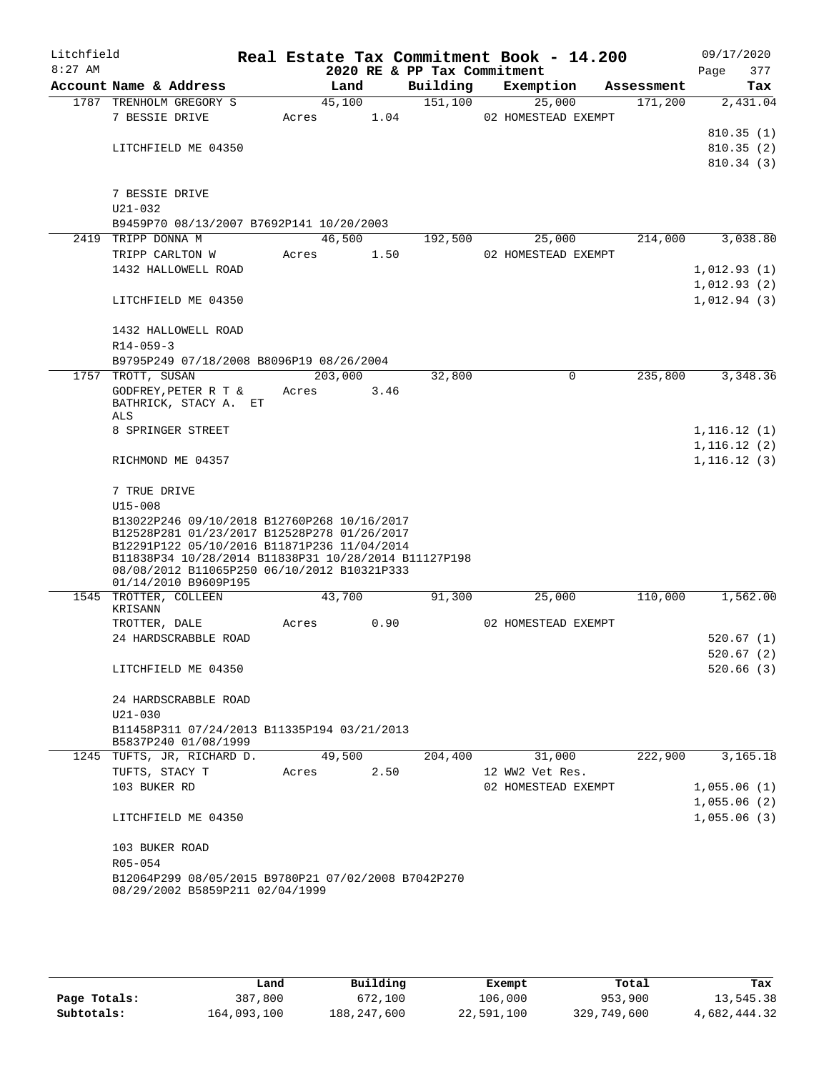| Litchfield<br>$8:27$ AM |                                                                                                     |         |        | 2020 RE & PP Tax Commitment | Real Estate Tax Commitment Book - 14.200 |            | 09/17/2020<br>Page<br>377 |
|-------------------------|-----------------------------------------------------------------------------------------------------|---------|--------|-----------------------------|------------------------------------------|------------|---------------------------|
|                         | Account Name & Address                                                                              |         | Land   | Building                    | Exemption                                | Assessment | Tax                       |
|                         | 1787 TRENHOLM GREGORY S                                                                             |         | 45,100 | 151,100                     | 25,000                                   | 171,200    | 2,431.04                  |
|                         | 7 BESSIE DRIVE                                                                                      | Acres   | 1.04   |                             | 02 HOMESTEAD EXEMPT                      |            |                           |
|                         |                                                                                                     |         |        |                             |                                          |            | 810.35(1)                 |
|                         | LITCHFIELD ME 04350                                                                                 |         |        |                             |                                          |            | 810.35(2)                 |
|                         |                                                                                                     |         |        |                             |                                          |            | 810.34(3)                 |
|                         |                                                                                                     |         |        |                             |                                          |            |                           |
|                         | 7 BESSIE DRIVE                                                                                      |         |        |                             |                                          |            |                           |
|                         | U21-032                                                                                             |         |        |                             |                                          |            |                           |
|                         | B9459P70 08/13/2007 B7692P141 10/20/2003                                                            |         |        |                             |                                          |            |                           |
| 2419                    | TRIPP DONNA M                                                                                       |         | 46,500 | 192,500                     | 25,000                                   | 214,000    | 3,038.80                  |
|                         | TRIPP CARLTON W                                                                                     | Acres   | 1.50   |                             | 02 HOMESTEAD EXEMPT                      |            |                           |
|                         | 1432 HALLOWELL ROAD                                                                                 |         |        |                             |                                          |            | 1,012.93(1)               |
|                         |                                                                                                     |         |        |                             |                                          |            | 1,012.93(2)               |
|                         | LITCHFIELD ME 04350                                                                                 |         |        |                             |                                          |            | 1,012.94(3)               |
|                         |                                                                                                     |         |        |                             |                                          |            |                           |
|                         | 1432 HALLOWELL ROAD                                                                                 |         |        |                             |                                          |            |                           |
|                         | $R14 - 059 - 3$                                                                                     |         |        |                             |                                          |            |                           |
|                         | B9795P249 07/18/2008 B8096P19 08/26/2004                                                            |         |        |                             |                                          |            |                           |
|                         | 1757 TROTT, SUSAN                                                                                   | 203,000 |        | 32,800                      | 0                                        | 235,800    | 3,348.36                  |
|                         | GODFREY, PETER R T &<br>BATHRICK, STACY A. ET                                                       | Acres   | 3.46   |                             |                                          |            |                           |
|                         | ALS                                                                                                 |         |        |                             |                                          |            |                           |
|                         | 8 SPRINGER STREET                                                                                   |         |        |                             |                                          |            | 1,116.12(1)               |
|                         |                                                                                                     |         |        |                             |                                          |            | 1, 116.12(2)              |
|                         | RICHMOND ME 04357                                                                                   |         |        |                             |                                          |            | 1,116.12(3)               |
|                         | 7 TRUE DRIVE                                                                                        |         |        |                             |                                          |            |                           |
|                         | $U15 - 008$                                                                                         |         |        |                             |                                          |            |                           |
|                         | B13022P246 09/10/2018 B12760P268 10/16/2017                                                         |         |        |                             |                                          |            |                           |
|                         | B12528P281 01/23/2017 B12528P278 01/26/2017                                                         |         |        |                             |                                          |            |                           |
|                         | B12291P122 05/10/2016 B11871P236 11/04/2014<br>B11838P34 10/28/2014 B11838P31 10/28/2014 B11127P198 |         |        |                             |                                          |            |                           |
|                         | 08/08/2012 B11065P250 06/10/2012 B10321P333                                                         |         |        |                             |                                          |            |                           |
|                         | 01/14/2010 B9609P195                                                                                |         |        |                             |                                          |            |                           |
| 1545                    | TROTTER, COLLEEN                                                                                    |         | 43,700 | 91,300                      | 25,000                                   | 110,000    | 1,562.00                  |
|                         | KRISANN                                                                                             |         | 0.90   |                             | 02 HOMESTEAD EXEMPT                      |            |                           |
|                         | TROTTER, DALE<br>24 HARDSCRABBLE ROAD                                                               | Acres   |        |                             |                                          |            | 520.67(1)                 |
|                         |                                                                                                     |         |        |                             |                                          |            |                           |
|                         | LITCHFIELD ME 04350                                                                                 |         |        |                             |                                          |            | 520.67(2)<br>520.66(3)    |
|                         |                                                                                                     |         |        |                             |                                          |            |                           |
|                         | 24 HARDSCRABBLE ROAD                                                                                |         |        |                             |                                          |            |                           |
|                         | $U21 - 030$                                                                                         |         |        |                             |                                          |            |                           |
|                         | B11458P311 07/24/2013 B11335P194 03/21/2013                                                         |         |        |                             |                                          |            |                           |
|                         | B5837P240 01/08/1999                                                                                |         |        |                             |                                          |            |                           |
|                         | 1245 TUFTS, JR, RICHARD D.                                                                          |         | 49,500 | 204,400                     | 31,000                                   | 222,900    | 3,165.18                  |
|                         | TUFTS, STACY T                                                                                      | Acres   | 2.50   |                             | 12 WW2 Vet Res.                          |            |                           |
|                         | 103 BUKER RD                                                                                        |         |        |                             | 02 HOMESTEAD EXEMPT                      |            | 1,055.06(1)               |
|                         |                                                                                                     |         |        |                             |                                          |            | 1,055.06(2)               |
|                         | LITCHFIELD ME 04350                                                                                 |         |        |                             |                                          |            | 1,055.06(3)               |
|                         | 103 BUKER ROAD                                                                                      |         |        |                             |                                          |            |                           |
|                         | R05-054                                                                                             |         |        |                             |                                          |            |                           |
|                         | B12064P299 08/05/2015 B9780P21 07/02/2008 B7042P270                                                 |         |        |                             |                                          |            |                           |
|                         | 08/29/2002 B5859P211 02/04/1999                                                                     |         |        |                             |                                          |            |                           |
|                         |                                                                                                     |         |        |                             |                                          |            |                           |

|              | Land        | Building    | Exempt     | Total       | Tax          |
|--------------|-------------|-------------|------------|-------------|--------------|
| Page Totals: | 387,800     | 672,100     | 106,000    | 953,900     | 13,545.38    |
| Subtotals:   | 164,093,100 | 188,247,600 | 22,591,100 | 329,749,600 | 4,682,444.32 |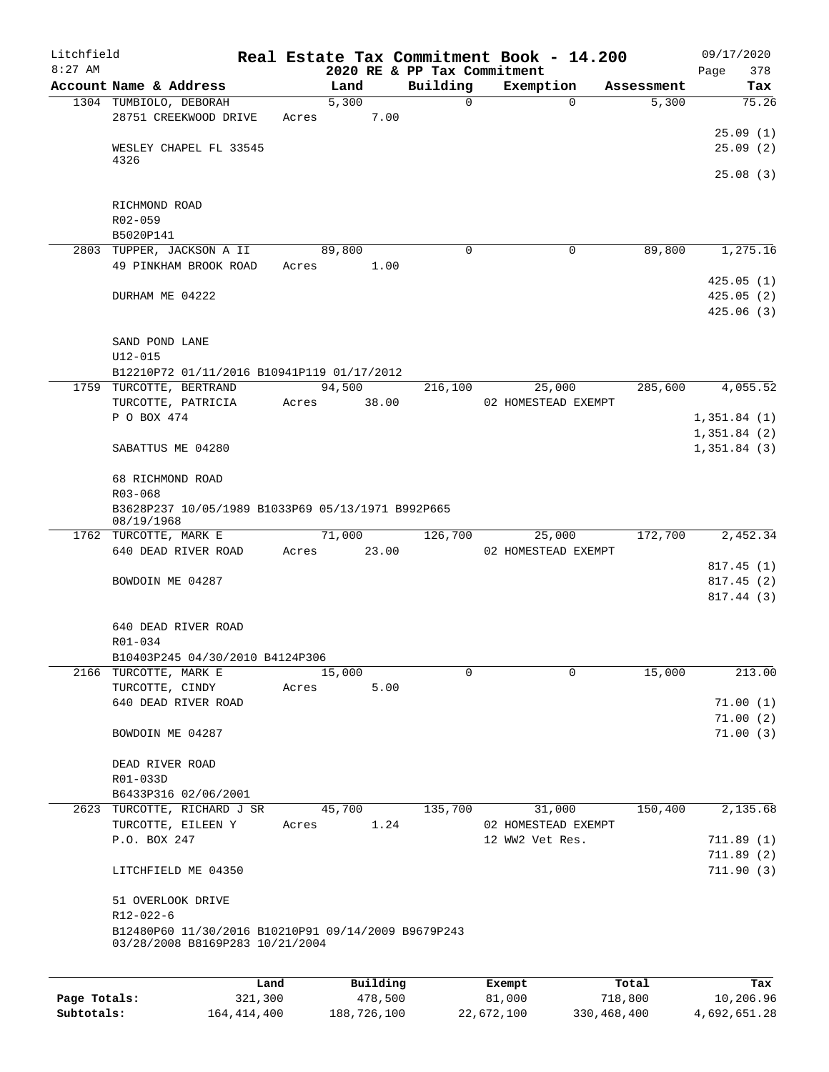| Litchfield<br>$8:27$ AM |                                                     |         |             |                                         | Real Estate Tax Commitment Book - 14.200 |            | 09/17/2020             |
|-------------------------|-----------------------------------------------------|---------|-------------|-----------------------------------------|------------------------------------------|------------|------------------------|
|                         | Account Name & Address                              |         | Land        | 2020 RE & PP Tax Commitment<br>Building | Exemption                                | Assessment | 378<br>Page<br>Tax     |
|                         | 1304 TUMBIOLO, DEBORAH                              |         | 5,300       |                                         | 0<br>$\Omega$                            | 5,300      | 75.26                  |
|                         | 28751 CREEKWOOD DRIVE                               | Acres   | 7.00        |                                         |                                          |            |                        |
|                         |                                                     |         |             |                                         |                                          |            | 25.09(1)               |
|                         | WESLEY CHAPEL FL 33545                              |         |             |                                         |                                          |            | 25.09(2)               |
|                         | 4326                                                |         |             |                                         |                                          |            |                        |
|                         |                                                     |         |             |                                         |                                          |            | 25.08(3)               |
|                         | RICHMOND ROAD                                       |         |             |                                         |                                          |            |                        |
|                         | $R02 - 059$                                         |         |             |                                         |                                          |            |                        |
|                         | B5020P141                                           |         |             |                                         |                                          |            |                        |
|                         | 2803 TUPPER, JACKSON A II                           |         | 89,800      |                                         | $\Omega$<br>0                            | 89,800     | 1,275.16               |
|                         | 49 PINKHAM BROOK ROAD                               | Acres   | 1.00        |                                         |                                          |            |                        |
|                         |                                                     |         |             |                                         |                                          |            | 425.05(1)              |
|                         | DURHAM ME 04222                                     |         |             |                                         |                                          |            | 425.05(2)              |
|                         |                                                     |         |             |                                         |                                          |            | 425.06 (3)             |
|                         | SAND POND LANE                                      |         |             |                                         |                                          |            |                        |
|                         | $U12 - 015$                                         |         |             |                                         |                                          |            |                        |
|                         | B12210P72 01/11/2016 B10941P119 01/17/2012          |         |             |                                         |                                          |            |                        |
|                         | 1759 TURCOTTE, BERTRAND                             |         | 94,500      | 216,100                                 | 25,000                                   | 285,600    | 4,055.52               |
|                         | TURCOTTE, PATRICIA                                  | Acres   | 38.00       |                                         | 02 HOMESTEAD EXEMPT                      |            |                        |
|                         | P O BOX 474                                         |         |             |                                         |                                          |            | 1,351.84(1)            |
|                         |                                                     |         |             |                                         |                                          |            | 1,351.84(2)            |
|                         | SABATTUS ME 04280                                   |         |             |                                         |                                          |            | 1,351.84(3)            |
|                         | 68 RICHMOND ROAD                                    |         |             |                                         |                                          |            |                        |
|                         | R03-068                                             |         |             |                                         |                                          |            |                        |
|                         | B3628P237 10/05/1989 B1033P69 05/13/1971 B992P665   |         |             |                                         |                                          |            |                        |
|                         | 08/19/1968                                          |         |             |                                         |                                          |            |                        |
|                         | 1762 TURCOTTE, MARK E                               |         | 71,000      | 126,700                                 | 25,000                                   | 172,700    | 2,452.34               |
|                         | 640 DEAD RIVER ROAD                                 |         | Acres 23.00 |                                         | 02 HOMESTEAD EXEMPT                      |            |                        |
|                         | BOWDOIN ME 04287                                    |         |             |                                         |                                          |            | 817.45(1)<br>817.45(2) |
|                         |                                                     |         |             |                                         |                                          |            | 817.44(3)              |
|                         |                                                     |         |             |                                         |                                          |            |                        |
|                         | 640 DEAD RIVER ROAD                                 |         |             |                                         |                                          |            |                        |
|                         | R01-034                                             |         |             |                                         |                                          |            |                        |
|                         | B10403P245 04/30/2010 B4124P306                     |         |             |                                         |                                          |            |                        |
|                         | 2166 TURCOTTE, MARK E                               |         | 15,000      |                                         | 0<br>$\Omega$                            | 15,000     | 213.00                 |
|                         | TURCOTTE, CINDY<br>640 DEAD RIVER ROAD              | Acres   | 5.00        |                                         |                                          |            | 71.00(1)               |
|                         |                                                     |         |             |                                         |                                          |            | 71.00(2)               |
|                         | BOWDOIN ME 04287                                    |         |             |                                         |                                          |            | 71.00(3)               |
|                         |                                                     |         |             |                                         |                                          |            |                        |
|                         | DEAD RIVER ROAD                                     |         |             |                                         |                                          |            |                        |
|                         | R01-033D                                            |         |             |                                         |                                          |            |                        |
|                         | B6433P316 02/06/2001                                |         |             |                                         |                                          |            |                        |
|                         | 2623 TURCOTTE, RICHARD J SR                         |         | 45,700      | 135,700                                 | 31,000                                   | 150,400    | 2,135.68               |
|                         | TURCOTTE, EILEEN Y                                  | Acres   | 1.24        |                                         | 02 HOMESTEAD EXEMPT<br>12 WW2 Vet Res.   |            |                        |
|                         | P.O. BOX 247                                        |         |             |                                         |                                          |            | 711.89(1)<br>711.89(2) |
|                         | LITCHFIELD ME 04350                                 |         |             |                                         |                                          |            | 711.90(3)              |
|                         |                                                     |         |             |                                         |                                          |            |                        |
|                         | 51 OVERLOOK DRIVE                                   |         |             |                                         |                                          |            |                        |
|                         | $R12 - 022 - 6$                                     |         |             |                                         |                                          |            |                        |
|                         | B12480P60 11/30/2016 B10210P91 09/14/2009 B9679P243 |         |             |                                         |                                          |            |                        |
|                         | 03/28/2008 B8169P283 10/21/2004                     |         |             |                                         |                                          |            |                        |
|                         |                                                     |         |             |                                         |                                          |            |                        |
|                         |                                                     | Land    | Building    |                                         | Exempt                                   | Total      | Tax                    |
| Page Totals:            |                                                     | 321,300 | 478,500     |                                         | 81,000                                   | 718,800    | 10,206.96              |

**Subtotals:** 164,414,400 188,726,100 22,672,100 330,468,400 4,692,651.28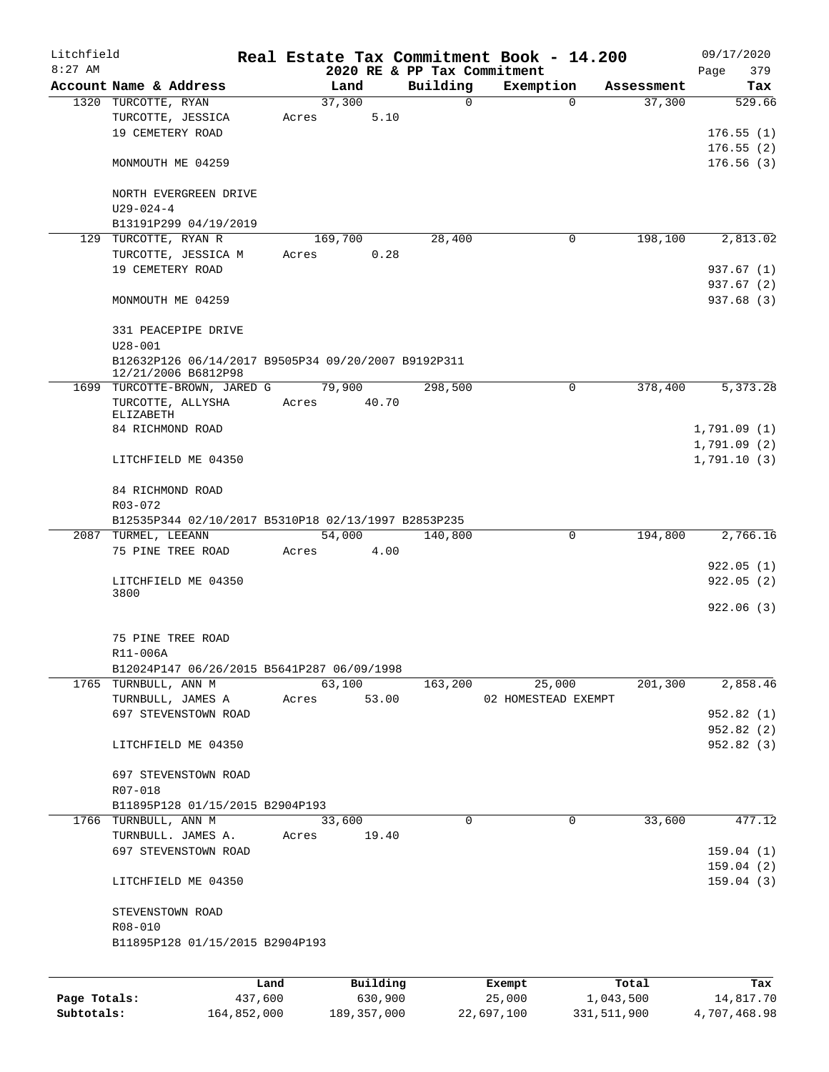| Litchfield   |                                                                            |         |                |                             | Real Estate Tax Commitment Book - 14.200 |                      | 09/17/2020                 |
|--------------|----------------------------------------------------------------------------|---------|----------------|-----------------------------|------------------------------------------|----------------------|----------------------------|
| $8:27$ AM    |                                                                            |         |                | 2020 RE & PP Tax Commitment |                                          |                      | 379<br>Page                |
|              | Account Name & Address<br>1320 TURCOTTE, RYAN                              |         | Land<br>37,300 | Building<br>$\Omega$        | Exemption<br>$\Omega$                    | Assessment<br>37,300 | Tax<br>529.66              |
|              | TURCOTTE, JESSICA                                                          | Acres   | 5.10           |                             |                                          |                      |                            |
|              | 19 CEMETERY ROAD                                                           |         |                |                             |                                          |                      | 176.55(1)                  |
|              |                                                                            |         |                |                             |                                          |                      | 176.55(2)                  |
|              | MONMOUTH ME 04259                                                          |         |                |                             |                                          |                      | 176.56(3)                  |
|              | NORTH EVERGREEN DRIVE                                                      |         |                |                             |                                          |                      |                            |
|              | $U29 - 024 - 4$                                                            |         |                |                             |                                          |                      |                            |
|              | B13191P299 04/19/2019                                                      |         |                |                             |                                          |                      |                            |
| 129          | TURCOTTE, RYAN R                                                           |         | 169,700        | 28,400                      | 0                                        | 198,100              | 2,813.02                   |
|              | TURCOTTE, JESSICA M                                                        | Acres   | 0.28           |                             |                                          |                      |                            |
|              | 19 CEMETERY ROAD                                                           |         |                |                             |                                          |                      | 937.67 (1)                 |
|              |                                                                            |         |                |                             |                                          |                      | 937.67 (2)                 |
|              | MONMOUTH ME 04259                                                          |         |                |                             |                                          |                      | 937.68 (3)                 |
|              | 331 PEACEPIPE DRIVE<br>$U28 - 001$                                         |         |                |                             |                                          |                      |                            |
|              | B12632P126 06/14/2017 B9505P34 09/20/2007 B9192P311<br>12/21/2006 B6812P98 |         |                |                             |                                          |                      |                            |
|              | 1699 TURCOTTE-BROWN, JARED G                                               |         | 79,900         | 298,500                     | 0                                        | 378,400              | 5,373.28                   |
|              | TURCOTTE, ALLYSHA                                                          | Acres   | 40.70          |                             |                                          |                      |                            |
|              | ELIZABETH                                                                  |         |                |                             |                                          |                      |                            |
|              | 84 RICHMOND ROAD                                                           |         |                |                             |                                          |                      | 1,791.09(1)                |
|              | LITCHFIELD ME 04350                                                        |         |                |                             |                                          |                      | 1,791.09(2)<br>1,791.10(3) |
|              |                                                                            |         |                |                             |                                          |                      |                            |
|              | 84 RICHMOND ROAD                                                           |         |                |                             |                                          |                      |                            |
|              | R03-072                                                                    |         |                |                             |                                          |                      |                            |
|              | B12535P344 02/10/2017 B5310P18 02/13/1997 B2853P235                        |         |                |                             |                                          |                      |                            |
|              | 2087 TURMEL, LEEANN<br>75 PINE TREE ROAD                                   |         | 54,000<br>4.00 | 140,800                     | 0                                        | 194,800              | 2,766.16                   |
|              |                                                                            | Acres   |                |                             |                                          |                      | 922.05(1)                  |
|              | LITCHFIELD ME 04350                                                        |         |                |                             |                                          |                      | 922.05(2)                  |
|              | 3800                                                                       |         |                |                             |                                          |                      |                            |
|              |                                                                            |         |                |                             |                                          |                      | 922.06(3)                  |
|              |                                                                            |         |                |                             |                                          |                      |                            |
|              | 75 PINE TREE ROAD                                                          |         |                |                             |                                          |                      |                            |
|              | R11-006A                                                                   |         |                |                             |                                          |                      |                            |
|              | B12024P147 06/26/2015 B5641P287 06/09/1998                                 |         |                |                             |                                          |                      |                            |
|              | 1765 TURNBULL, ANN M                                                       |         | 63,100         | 163,200                     | 25,000                                   | 201,300              | 2,858.46                   |
|              | TURNBULL, JAMES A                                                          | Acres   | 53.00          |                             | 02 HOMESTEAD EXEMPT                      |                      |                            |
|              | 697 STEVENSTOWN ROAD                                                       |         |                |                             |                                          |                      | 952.82(1)                  |
|              |                                                                            |         |                |                             |                                          |                      | 952.82 (2)                 |
|              | LITCHFIELD ME 04350                                                        |         |                |                             |                                          |                      | 952.82 (3)                 |
|              | 697 STEVENSTOWN ROAD                                                       |         |                |                             |                                          |                      |                            |
|              | R07-018                                                                    |         |                |                             |                                          |                      |                            |
|              | B11895P128 01/15/2015 B2904P193                                            |         |                |                             |                                          |                      |                            |
|              | 1766 TURNBULL, ANN M                                                       |         | 33,600         | 0                           | 0                                        | 33,600               | 477.12                     |
|              | TURNBULL. JAMES A.                                                         | Acres   | 19.40          |                             |                                          |                      |                            |
|              | 697 STEVENSTOWN ROAD                                                       |         |                |                             |                                          |                      | 159.04(1)                  |
|              |                                                                            |         |                |                             |                                          |                      | 159.04(2)                  |
|              | LITCHFIELD ME 04350                                                        |         |                |                             |                                          |                      | 159.04(3)                  |
|              | STEVENSTOWN ROAD                                                           |         |                |                             |                                          |                      |                            |
|              | R08-010                                                                    |         |                |                             |                                          |                      |                            |
|              | B11895P128 01/15/2015 B2904P193                                            |         |                |                             |                                          |                      |                            |
|              |                                                                            |         |                |                             |                                          |                      |                            |
|              |                                                                            | Land    | Building       |                             | Exempt                                   | Total                | Tax                        |
| Page Totals: |                                                                            | 437,600 | 630,900        |                             | 25,000                                   | 1,043,500            | 14,817.70                  |

**Subtotals:** 164,852,000 189,357,000 22,697,100 331,511,900 4,707,468.98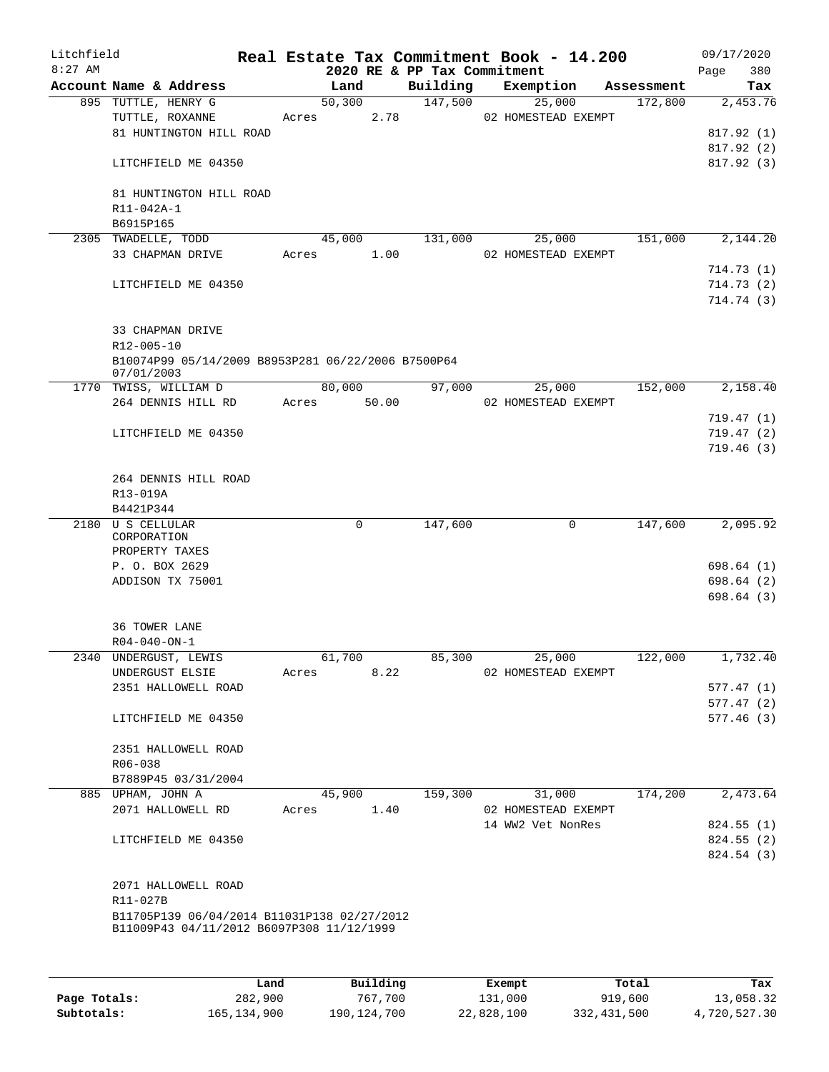| Litchfield<br>$8:27$ AM |                                                                  |       |               | 2020 RE & PP Tax Commitment | Real Estate Tax Commitment Book - 14.200 |            | 09/17/2020<br>Page<br>380 |
|-------------------------|------------------------------------------------------------------|-------|---------------|-----------------------------|------------------------------------------|------------|---------------------------|
|                         | Account Name & Address                                           |       | Land          | Building                    | Exemption                                | Assessment | Tax                       |
|                         | 895 TUTTLE, HENRY G                                              |       | 50,300        | 147,500                     | 25,000                                   | 172,800    | 2,453.76                  |
|                         | TUTTLE, ROXANNE                                                  |       | 2.78<br>Acres |                             | 02 HOMESTEAD EXEMPT                      |            |                           |
|                         | 81 HUNTINGTON HILL ROAD                                          |       |               |                             |                                          |            | 817.92(1)                 |
|                         |                                                                  |       |               |                             |                                          |            | 817.92(2)                 |
|                         | LITCHFIELD ME 04350                                              |       |               |                             |                                          |            | 817.92(3)                 |
|                         | 81 HUNTINGTON HILL ROAD                                          |       |               |                             |                                          |            |                           |
|                         | R11-042A-1                                                       |       |               |                             |                                          |            |                           |
|                         | B6915P165                                                        |       |               |                             |                                          |            |                           |
|                         | 2305 TWADELLE, TODD                                              |       | 45,000        | 131,000                     | 25,000                                   | 151,000    | 2,144.20                  |
|                         | 33 CHAPMAN DRIVE                                                 | Acres | 1.00          |                             | 02 HOMESTEAD EXEMPT                      |            |                           |
|                         |                                                                  |       |               |                             |                                          |            | 714.73 (1)                |
|                         | LITCHFIELD ME 04350                                              |       |               |                             |                                          |            | 714.73(2)<br>714.74(3)    |
|                         |                                                                  |       |               |                             |                                          |            |                           |
|                         | 33 CHAPMAN DRIVE                                                 |       |               |                             |                                          |            |                           |
|                         | R12-005-10<br>B10074P99 05/14/2009 B8953P281 06/22/2006 B7500P64 |       |               |                             |                                          |            |                           |
|                         | 07/01/2003                                                       |       |               |                             |                                          |            |                           |
|                         | 1770 TWISS, WILLIAM D                                            |       | 80,000        | 97,000                      | 25,000                                   | 152,000    | 2,158.40                  |
|                         | 264 DENNIS HILL RD                                               |       | Acres 50.00   |                             | 02 HOMESTEAD EXEMPT                      |            |                           |
|                         |                                                                  |       |               |                             |                                          |            | 719.47(1)                 |
|                         | LITCHFIELD ME 04350                                              |       |               |                             |                                          |            | 719.47 (2)                |
|                         |                                                                  |       |               |                             |                                          |            | 719.46(3)                 |
|                         | 264 DENNIS HILL ROAD                                             |       |               |                             |                                          |            |                           |
|                         | R13-019A                                                         |       |               |                             |                                          |            |                           |
|                         | B4421P344                                                        |       |               |                             |                                          |            |                           |
|                         | 2180 U S CELLULAR<br>CORPORATION                                 |       | 0             | 147,600                     | 0                                        | 147,600    | 2,095.92                  |
|                         | PROPERTY TAXES                                                   |       |               |                             |                                          |            |                           |
|                         | P. O. BOX 2629                                                   |       |               |                             |                                          |            | 698.64 (1)                |
|                         | ADDISON TX 75001                                                 |       |               |                             |                                          |            | 698.64 (2)                |
|                         |                                                                  |       |               |                             |                                          |            | 698.64(3)                 |
|                         | <b>36 TOWER LANE</b>                                             |       |               |                             |                                          |            |                           |
|                         | $R04 - 040 - ON - 1$                                             |       |               |                             |                                          |            |                           |
|                         | 2340 UNDERGUST, LEWIS                                            |       | 61,700        | 85,300                      | 25,000                                   | 122,000    | 1,732.40                  |
|                         | UNDERGUST ELSIE                                                  | Acres | 8.22          |                             | 02 HOMESTEAD EXEMPT                      |            |                           |
|                         | 2351 HALLOWELL ROAD                                              |       |               |                             |                                          |            | 577.47(1)                 |
|                         |                                                                  |       |               |                             |                                          |            | 577.47(2)                 |
|                         | LITCHFIELD ME 04350                                              |       |               |                             |                                          |            | 577.46(3)                 |
|                         | 2351 HALLOWELL ROAD                                              |       |               |                             |                                          |            |                           |
|                         | R06-038                                                          |       |               |                             |                                          |            |                           |
|                         | B7889P45 03/31/2004                                              |       |               |                             |                                          |            |                           |
|                         | 885 UPHAM, JOHN A                                                |       | 45,900        | 159,300                     | 31,000                                   | 174,200    | 2,473.64                  |
|                         | 2071 HALLOWELL RD                                                |       | 1.40<br>Acres |                             | 02 HOMESTEAD EXEMPT                      |            |                           |
|                         |                                                                  |       |               |                             | 14 WW2 Vet NonRes                        |            | 824.55 (1)                |
|                         | LITCHFIELD ME 04350                                              |       |               |                             |                                          |            | 824.55 (2)                |
|                         |                                                                  |       |               |                             |                                          |            | 824.54 (3)                |
|                         | 2071 HALLOWELL ROAD                                              |       |               |                             |                                          |            |                           |
|                         | R11-027B                                                         |       |               |                             |                                          |            |                           |
|                         | B11705P139 06/04/2014 B11031P138 02/27/2012                      |       |               |                             |                                          |            |                           |
|                         | B11009P43 04/11/2012 B6097P308 11/12/1999                        |       |               |                             |                                          |            |                           |
|                         |                                                                  |       |               |                             |                                          |            |                           |
|                         |                                                                  |       |               |                             |                                          |            |                           |

|              | Land        | Building    | Exempt     | Total       | Tax          |
|--------------|-------------|-------------|------------|-------------|--------------|
| Page Totals: | 282,900     | 767,700     | 131,000    | 919,600     | 13,058.32    |
| Subtotals:   | 165,134,900 | 190,124,700 | 22,828,100 | 332,431,500 | 4,720,527.30 |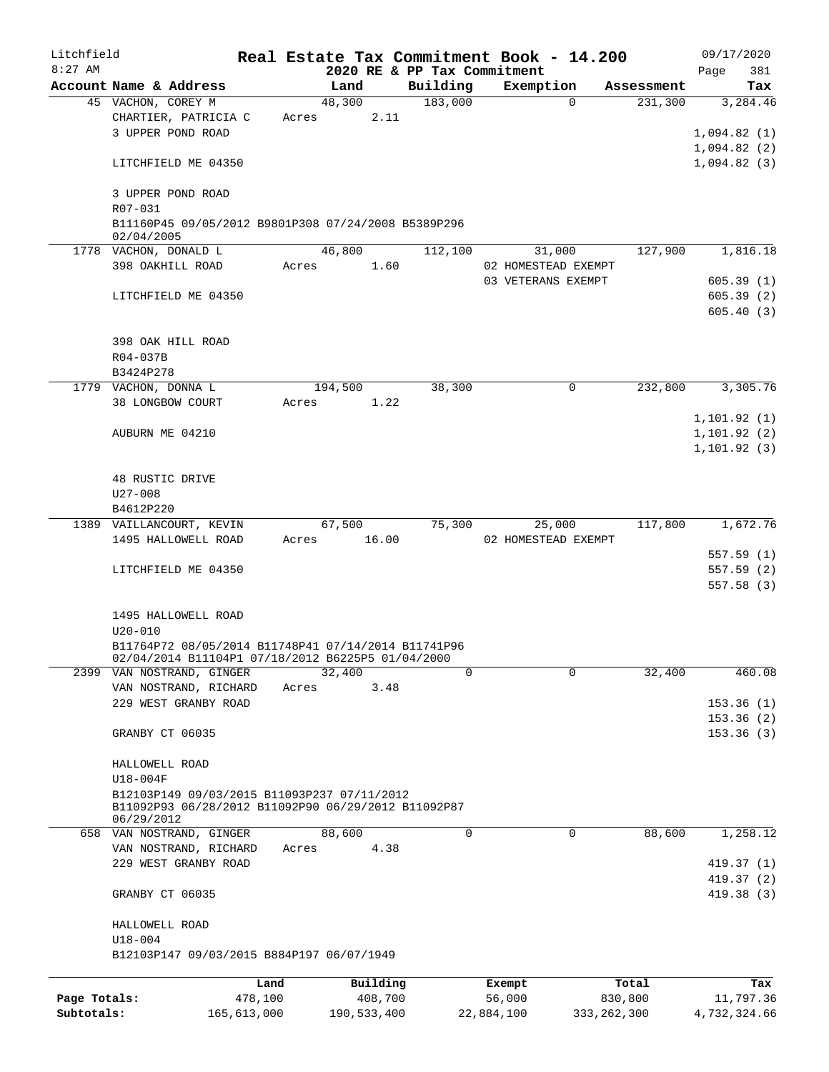| Litchfield   |                                                                                                          |             |       |             |          |          |        | Real Estate Tax Commitment Book - 14.200 |               |            |              | 09/17/2020 |
|--------------|----------------------------------------------------------------------------------------------------------|-------------|-------|-------------|----------|----------|--------|------------------------------------------|---------------|------------|--------------|------------|
| $8:27$ AM    |                                                                                                          |             |       |             |          |          |        | 2020 RE & PP Tax Commitment              |               |            | Page         | 381        |
|              | Account Name & Address                                                                                   |             |       | Land        |          | Building |        | Exemption                                |               | Assessment |              | Tax        |
|              | 45 VACHON, COREY M                                                                                       |             |       | 48,300      |          | 183,000  |        |                                          | $\Omega$      | 231,300    |              | 3,284.46   |
|              | CHARTIER, PATRICIA C                                                                                     |             | Acres |             | 2.11     |          |        |                                          |               |            |              |            |
|              | 3 UPPER POND ROAD                                                                                        |             |       |             |          |          |        |                                          |               |            | 1,094.82(1)  |            |
|              |                                                                                                          |             |       |             |          |          |        |                                          |               |            | 1,094.82(2)  |            |
|              | LITCHFIELD ME 04350                                                                                      |             |       |             |          |          |        |                                          |               |            | 1,094.82(3)  |            |
|              |                                                                                                          |             |       |             |          |          |        |                                          |               |            |              |            |
|              | 3 UPPER POND ROAD<br>R07-031                                                                             |             |       |             |          |          |        |                                          |               |            |              |            |
|              | B11160P45 09/05/2012 B9801P308 07/24/2008 B5389P296                                                      |             |       |             |          |          |        |                                          |               |            |              |            |
|              | 02/04/2005                                                                                               |             |       |             |          |          |        |                                          |               |            |              |            |
|              | 1778 VACHON, DONALD L                                                                                    |             |       | 46,800      |          | 112,100  |        | 31,000                                   |               | 127,900    |              | 1,816.18   |
|              | 398 OAKHILL ROAD                                                                                         |             | Acres |             | 1.60     |          |        | 02 HOMESTEAD EXEMPT                      |               |            |              |            |
|              |                                                                                                          |             |       |             |          |          |        | 03 VETERANS EXEMPT                       |               |            |              | 605.39(1)  |
|              | LITCHFIELD ME 04350                                                                                      |             |       |             |          |          |        |                                          |               |            |              | 605.39(2)  |
|              |                                                                                                          |             |       |             |          |          |        |                                          |               |            |              | 605.40(3)  |
|              |                                                                                                          |             |       |             |          |          |        |                                          |               |            |              |            |
|              | 398 OAK HILL ROAD                                                                                        |             |       |             |          |          |        |                                          |               |            |              |            |
|              | R04-037B                                                                                                 |             |       |             |          |          |        |                                          |               |            |              |            |
|              | B3424P278                                                                                                |             |       |             |          |          |        |                                          |               |            |              |            |
|              | 1779 VACHON, DONNA L                                                                                     |             |       | 194,500     |          |          | 38,300 |                                          | 0             | 232,800    |              | 3,305.76   |
|              | 38 LONGBOW COURT                                                                                         |             | Acres |             | 1.22     |          |        |                                          |               |            |              |            |
|              |                                                                                                          |             |       |             |          |          |        |                                          |               |            | 1, 101.92(1) |            |
|              | AUBURN ME 04210                                                                                          |             |       |             |          |          |        |                                          |               |            | 1, 101.92(2) |            |
|              |                                                                                                          |             |       |             |          |          |        |                                          |               |            | 1, 101.92(3) |            |
|              |                                                                                                          |             |       |             |          |          |        |                                          |               |            |              |            |
|              | 48 RUSTIC DRIVE                                                                                          |             |       |             |          |          |        |                                          |               |            |              |            |
|              | $U27 - 008$                                                                                              |             |       |             |          |          |        |                                          |               |            |              |            |
|              | B4612P220                                                                                                |             |       |             |          |          |        |                                          |               |            |              |            |
|              | 1389 VAILLANCOURT, KEVIN                                                                                 |             |       | 67,500      |          |          | 75,300 | 25,000                                   |               | 117,800    |              | 1,672.76   |
|              | 1495 HALLOWELL ROAD                                                                                      |             | Acres |             | 16.00    |          |        | 02 HOMESTEAD EXEMPT                      |               |            |              |            |
|              |                                                                                                          |             |       |             |          |          |        |                                          |               |            |              | 557.59(1)  |
|              | LITCHFIELD ME 04350                                                                                      |             |       |             |          |          |        |                                          |               |            |              | 557.59(2)  |
|              |                                                                                                          |             |       |             |          |          |        |                                          |               |            |              | 557.58(3)  |
|              |                                                                                                          |             |       |             |          |          |        |                                          |               |            |              |            |
|              | 1495 HALLOWELL ROAD                                                                                      |             |       |             |          |          |        |                                          |               |            |              |            |
|              | $U20 - 010$                                                                                              |             |       |             |          |          |        |                                          |               |            |              |            |
|              | B11764P72 08/05/2014 B11748P41 07/14/2014 B11741P96<br>02/04/2014 B11104P1 07/18/2012 B6225P5 01/04/2000 |             |       |             |          |          |        |                                          |               |            |              |            |
|              | 2399 VAN NOSTRAND, GINGER                                                                                |             |       | 32,400      |          |          | 0      |                                          | $\Omega$      | 32,400     |              | 460.08     |
|              | VAN NOSTRAND, RICHARD                                                                                    |             | Acres |             | 3.48     |          |        |                                          |               |            |              |            |
|              | 229 WEST GRANBY ROAD                                                                                     |             |       |             |          |          |        |                                          |               |            |              | 153.36(1)  |
|              |                                                                                                          |             |       |             |          |          |        |                                          |               |            |              | 153.36(2)  |
|              | GRANBY CT 06035                                                                                          |             |       |             |          |          |        |                                          |               |            |              | 153.36(3)  |
|              |                                                                                                          |             |       |             |          |          |        |                                          |               |            |              |            |
|              | HALLOWELL ROAD                                                                                           |             |       |             |          |          |        |                                          |               |            |              |            |
|              | $U18-004F$                                                                                               |             |       |             |          |          |        |                                          |               |            |              |            |
|              | B12103P149 09/03/2015 B11093P237 07/11/2012                                                              |             |       |             |          |          |        |                                          |               |            |              |            |
|              | B11092P93 06/28/2012 B11092P90 06/29/2012 B11092P87                                                      |             |       |             |          |          |        |                                          |               |            |              |            |
|              | 06/29/2012                                                                                               |             |       | 88,600      |          |          | 0      |                                          | 0             |            |              |            |
|              | 658 VAN NOSTRAND, GINGER<br>VAN NOSTRAND, RICHARD                                                        |             |       |             | 4.38     |          |        |                                          |               | 88,600     |              | 1,258.12   |
|              | 229 WEST GRANBY ROAD                                                                                     |             | Acres |             |          |          |        |                                          |               |            |              | 419.37 (1) |
|              |                                                                                                          |             |       |             |          |          |        |                                          |               |            |              | 419.37 (2) |
|              | GRANBY CT 06035                                                                                          |             |       |             |          |          |        |                                          |               |            |              | 419.38(3)  |
|              |                                                                                                          |             |       |             |          |          |        |                                          |               |            |              |            |
|              | HALLOWELL ROAD                                                                                           |             |       |             |          |          |        |                                          |               |            |              |            |
|              | $U18 - 004$                                                                                              |             |       |             |          |          |        |                                          |               |            |              |            |
|              | B12103P147 09/03/2015 B884P197 06/07/1949                                                                |             |       |             |          |          |        |                                          |               |            |              |            |
|              |                                                                                                          |             |       |             |          |          |        |                                          |               |            |              |            |
|              |                                                                                                          | Land        |       |             | Building |          |        | Exempt                                   |               | Total      |              | Tax        |
| Page Totals: |                                                                                                          | 478,100     |       |             | 408,700  |          |        | 56,000                                   |               | 830,800    |              | 11,797.36  |
| Subtotals:   |                                                                                                          | 165,613,000 |       | 190,533,400 |          |          |        | 22,884,100                               | 333, 262, 300 |            | 4,732,324.66 |            |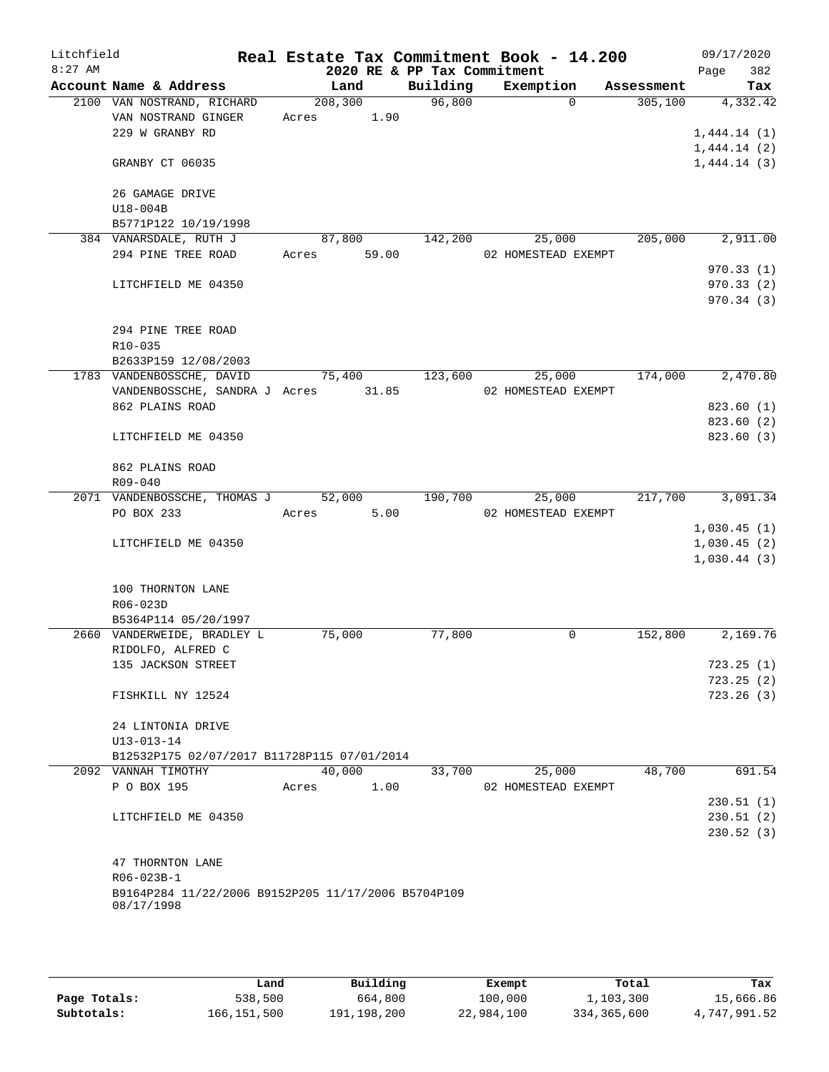| Litchfield<br>$8:27$ AM |                                                                   | Real Estate Tax Commitment Book - 14.200 |       | 2020 RE & PP Tax Commitment |                     |          |            | Page        | 09/17/2020<br>382 |
|-------------------------|-------------------------------------------------------------------|------------------------------------------|-------|-----------------------------|---------------------|----------|------------|-------------|-------------------|
|                         | Account Name & Address                                            | Land                                     |       | Building                    | Exemption           |          | Assessment |             | Tax               |
|                         | 2100 VAN NOSTRAND, RICHARD                                        | 208,300                                  |       | 96,800                      |                     | $\Omega$ | 305,100    |             | 4,332.42          |
|                         | VAN NOSTRAND GINGER                                               | 1.90<br>Acres                            |       |                             |                     |          |            |             |                   |
|                         | 229 W GRANBY RD                                                   |                                          |       |                             |                     |          |            | 1,444.14(1) |                   |
|                         |                                                                   |                                          |       |                             |                     |          |            | 1,444.14(2) |                   |
|                         | GRANBY CT 06035                                                   |                                          |       |                             |                     |          |            | 1,444.14(3) |                   |
|                         |                                                                   |                                          |       |                             |                     |          |            |             |                   |
|                         | 26 GAMAGE DRIVE                                                   |                                          |       |                             |                     |          |            |             |                   |
|                         | U18-004B                                                          |                                          |       |                             |                     |          |            |             |                   |
|                         | B5771P122 10/19/1998                                              |                                          |       |                             |                     |          |            |             |                   |
|                         | 384 VANARSDALE, RUTH J                                            | 87,800                                   |       | 142,200                     |                     | 25,000   | 205,000    |             | 2,911.00          |
|                         | 294 PINE TREE ROAD                                                | Acres                                    | 59.00 |                             | 02 HOMESTEAD EXEMPT |          |            |             |                   |
|                         |                                                                   |                                          |       |                             |                     |          |            |             | 970.33(1)         |
|                         | LITCHFIELD ME 04350                                               |                                          |       |                             |                     |          |            |             | 970.33(2)         |
|                         |                                                                   |                                          |       |                             |                     |          |            |             | 970.34 (3)        |
|                         | 294 PINE TREE ROAD                                                |                                          |       |                             |                     |          |            |             |                   |
|                         | R10-035                                                           |                                          |       |                             |                     |          |            |             |                   |
|                         | B2633P159 12/08/2003                                              |                                          |       |                             |                     |          |            |             |                   |
|                         | 1783 VANDENBOSSCHE, DAVID                                         | 75,400                                   |       | 123,600                     |                     | 25,000   | 174,000    |             | 2,470.80          |
|                         | VANDENBOSSCHE, SANDRA J Acres 31.85                               |                                          |       |                             | 02 HOMESTEAD EXEMPT |          |            |             |                   |
|                         | 862 PLAINS ROAD                                                   |                                          |       |                             |                     |          |            |             | 823.60(1)         |
|                         |                                                                   |                                          |       |                             |                     |          |            |             | 823.60 (2)        |
|                         | LITCHFIELD ME 04350                                               |                                          |       |                             |                     |          |            |             | 823.60 (3)        |
|                         |                                                                   |                                          |       |                             |                     |          |            |             |                   |
|                         | 862 PLAINS ROAD                                                   |                                          |       |                             |                     |          |            |             |                   |
|                         | R09-040<br>2071 VANDENBOSSCHE, THOMAS J                           | 52,000                                   |       | 190,700                     |                     | 25,000   | 217,700    |             | 3,091.34          |
|                         | PO BOX 233                                                        | Acres                                    | 5.00  |                             | 02 HOMESTEAD EXEMPT |          |            |             |                   |
|                         |                                                                   |                                          |       |                             |                     |          |            | 1,030.45(1) |                   |
|                         | LITCHFIELD ME 04350                                               |                                          |       |                             |                     |          |            | 1,030.45(2) |                   |
|                         |                                                                   |                                          |       |                             |                     |          |            | 1,030.44(3) |                   |
|                         |                                                                   |                                          |       |                             |                     |          |            |             |                   |
|                         | 100 THORNTON LANE                                                 |                                          |       |                             |                     |          |            |             |                   |
|                         | R06-023D                                                          |                                          |       |                             |                     |          |            |             |                   |
|                         | B5364P114 05/20/1997                                              |                                          |       |                             |                     |          |            |             |                   |
|                         | 2660 VANDERWEIDE, BRADLEY L                                       | 75,000                                   |       | 77,800                      |                     | 0        | 152,800    |             | 2,169.76          |
|                         | RIDOLFO, ALFRED C                                                 |                                          |       |                             |                     |          |            |             |                   |
|                         | 135 JACKSON STREET                                                |                                          |       |                             |                     |          |            |             | 723.25(1)         |
|                         |                                                                   |                                          |       |                             |                     |          |            |             | 723.25(2)         |
|                         | FISHKILL NY 12524                                                 |                                          |       |                             |                     |          |            |             | 723.26(3)         |
|                         | 24 LINTONIA DRIVE                                                 |                                          |       |                             |                     |          |            |             |                   |
|                         | $U13 - 013 - 14$                                                  |                                          |       |                             |                     |          |            |             |                   |
|                         | B12532P175 02/07/2017 B11728P115 07/01/2014                       |                                          |       |                             |                     |          |            |             |                   |
|                         | 2092 VANNAH TIMOTHY                                               | 40,000                                   |       | 33,700                      |                     | 25,000   | 48,700     |             | 691.54            |
|                         | P O BOX 195                                                       | Acres                                    | 1.00  |                             | 02 HOMESTEAD EXEMPT |          |            |             |                   |
|                         |                                                                   |                                          |       |                             |                     |          |            |             | 230.51(1)         |
|                         | LITCHFIELD ME 04350                                               |                                          |       |                             |                     |          |            |             | 230.51(2)         |
|                         |                                                                   |                                          |       |                             |                     |          |            |             | 230.52(3)         |
|                         |                                                                   |                                          |       |                             |                     |          |            |             |                   |
|                         | 47 THORNTON LANE                                                  |                                          |       |                             |                     |          |            |             |                   |
|                         | R06-023B-1                                                        |                                          |       |                             |                     |          |            |             |                   |
|                         | B9164P284 11/22/2006 B9152P205 11/17/2006 B5704P109<br>08/17/1998 |                                          |       |                             |                     |          |            |             |                   |
|                         |                                                                   |                                          |       |                             |                     |          |            |             |                   |
|                         |                                                                   |                                          |       |                             |                     |          |            |             |                   |
|                         |                                                                   |                                          |       |                             |                     |          |            |             |                   |

|              | Land        | Building    | Exempt     | Total         | Tax          |
|--------------|-------------|-------------|------------|---------------|--------------|
| Page Totals: | 538,500     | 664,800     | 100,000    | 1,103,300     | 15,666.86    |
| Subtotals:   | 166,151,500 | 191,198,200 | 22,984,100 | 334, 365, 600 | 4,747,991.52 |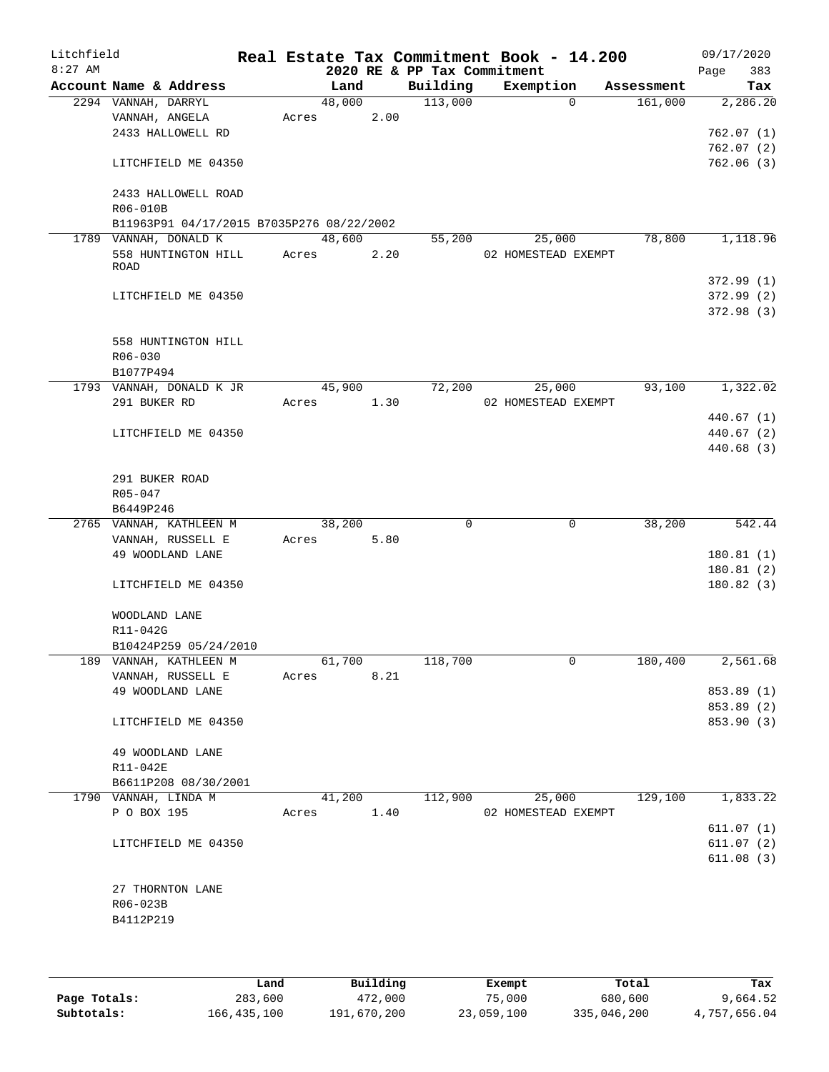| Litchfield |                                                                    |       |        |      |                                         | Real Estate Tax Commitment Book - 14.200 |             |                       | 09/17/2020               |            |
|------------|--------------------------------------------------------------------|-------|--------|------|-----------------------------------------|------------------------------------------|-------------|-----------------------|--------------------------|------------|
| $8:27$ AM  | Account Name & Address                                             |       | Land   |      | 2020 RE & PP Tax Commitment<br>Building | Exemption                                |             |                       | Page                     | 383<br>Tax |
|            | 2294 VANNAH, DARRYL                                                |       | 48,000 |      | 113,000                                 |                                          | $\mathbf 0$ | Assessment<br>161,000 |                          | 2,286.20   |
|            | VANNAH, ANGELA                                                     | Acres |        | 2.00 |                                         |                                          |             |                       |                          |            |
|            | 2433 HALLOWELL RD                                                  |       |        |      |                                         |                                          |             |                       | 762.07(1)                |            |
|            |                                                                    |       |        |      |                                         |                                          |             |                       | 762.07(2)                |            |
|            | LITCHFIELD ME 04350                                                |       |        |      |                                         |                                          |             |                       | 762.06(3)                |            |
|            | 2433 HALLOWELL ROAD                                                |       |        |      |                                         |                                          |             |                       |                          |            |
|            | R06-010B                                                           |       |        |      |                                         |                                          |             |                       |                          |            |
|            | B11963P91 04/17/2015 B7035P276 08/22/2002<br>1789 VANNAH, DONALD K |       | 48,600 |      | 55,200                                  | 25,000                                   |             | 78,800                |                          | 1,118.96   |
|            | 558 HUNTINGTON HILL                                                | Acres |        | 2.20 |                                         | 02 HOMESTEAD EXEMPT                      |             |                       |                          |            |
|            | ROAD                                                               |       |        |      |                                         |                                          |             |                       |                          |            |
|            |                                                                    |       |        |      |                                         |                                          |             |                       | 372.99(1)                |            |
|            | LITCHFIELD ME 04350                                                |       |        |      |                                         |                                          |             |                       | 372.99(2)                |            |
|            |                                                                    |       |        |      |                                         |                                          |             |                       | 372.98(3)                |            |
|            | 558 HUNTINGTON HILL                                                |       |        |      |                                         |                                          |             |                       |                          |            |
|            | R06-030                                                            |       |        |      |                                         |                                          |             |                       |                          |            |
|            | B1077P494                                                          |       |        |      |                                         |                                          |             |                       |                          |            |
|            | 1793 VANNAH, DONALD K JR                                           |       | 45,900 |      | 72,200                                  | 25,000                                   |             | 93,100                |                          | 1,322.02   |
|            | 291 BUKER RD                                                       | Acres |        | 1.30 |                                         | 02 HOMESTEAD EXEMPT                      |             |                       |                          |            |
|            |                                                                    |       |        |      |                                         |                                          |             |                       | 440.67 (1)               |            |
|            | LITCHFIELD ME 04350                                                |       |        |      |                                         |                                          |             |                       | 440.67 (2)<br>440.68 (3) |            |
|            |                                                                    |       |        |      |                                         |                                          |             |                       |                          |            |
|            | 291 BUKER ROAD                                                     |       |        |      |                                         |                                          |             |                       |                          |            |
|            | $R05 - 047$                                                        |       |        |      |                                         |                                          |             |                       |                          |            |
|            | B6449P246                                                          |       |        |      |                                         |                                          |             |                       |                          |            |
|            | 2765 VANNAH, KATHLEEN M                                            |       | 38,200 |      | 0                                       |                                          | $\mathbf 0$ | 38,200                |                          | 542.44     |
|            | VANNAH, RUSSELL E<br>49 WOODLAND LANE                              | Acres |        | 5.80 |                                         |                                          |             |                       | 180.81(1)                |            |
|            |                                                                    |       |        |      |                                         |                                          |             |                       | 180.81(2)                |            |
|            | LITCHFIELD ME 04350                                                |       |        |      |                                         |                                          |             |                       | 180.82(3)                |            |
|            |                                                                    |       |        |      |                                         |                                          |             |                       |                          |            |
|            | WOODLAND LANE<br>R11-042G                                          |       |        |      |                                         |                                          |             |                       |                          |            |
|            | B10424P259 05/24/2010                                              |       |        |      |                                         |                                          |             |                       |                          |            |
|            | 189 VANNAH, KATHLEEN M                                             |       | 61,700 |      | 118,700                                 |                                          | 0           | 180,400               |                          | 2,561.68   |
|            | VANNAH, RUSSELL E                                                  | Acres |        | 8.21 |                                         |                                          |             |                       |                          |            |
|            | 49 WOODLAND LANE                                                   |       |        |      |                                         |                                          |             |                       | 853.89 (1)               |            |
|            |                                                                    |       |        |      |                                         |                                          |             |                       | 853.89 (2)               |            |
|            | LITCHFIELD ME 04350                                                |       |        |      |                                         |                                          |             |                       | 853.90 (3)               |            |
|            | 49 WOODLAND LANE                                                   |       |        |      |                                         |                                          |             |                       |                          |            |
|            | R11-042E                                                           |       |        |      |                                         |                                          |             |                       |                          |            |
|            | B6611P208 08/30/2001                                               |       |        |      |                                         |                                          |             |                       |                          |            |
|            | 1790 VANNAH, LINDA M                                               |       | 41,200 |      | 112,900                                 | 25,000                                   |             | 129,100               |                          | 1,833.22   |
|            | P O BOX 195                                                        | Acres |        | 1.40 |                                         | 02 HOMESTEAD EXEMPT                      |             |                       |                          |            |
|            |                                                                    |       |        |      |                                         |                                          |             |                       | 611.07(1)                |            |
|            | LITCHFIELD ME 04350                                                |       |        |      |                                         |                                          |             |                       | 611.07(2)                |            |
|            |                                                                    |       |        |      |                                         |                                          |             |                       | 611.08(3)                |            |
|            | 27 THORNTON LANE                                                   |       |        |      |                                         |                                          |             |                       |                          |            |
|            | R06-023B                                                           |       |        |      |                                         |                                          |             |                       |                          |            |
|            | B4112P219                                                          |       |        |      |                                         |                                          |             |                       |                          |            |
|            |                                                                    |       |        |      |                                         |                                          |             |                       |                          |            |
|            |                                                                    |       |        |      |                                         |                                          |             |                       |                          |            |

|              | Land        | Building    | Exempt     | Total       | Tax          |
|--------------|-------------|-------------|------------|-------------|--------------|
| Page Totals: | 283,600     | 472,000     | 75,000     | 680,600     | 9,664.52     |
| Subtotals:   | 166,435,100 | 191,670,200 | 23,059,100 | 335,046,200 | 4,757,656.04 |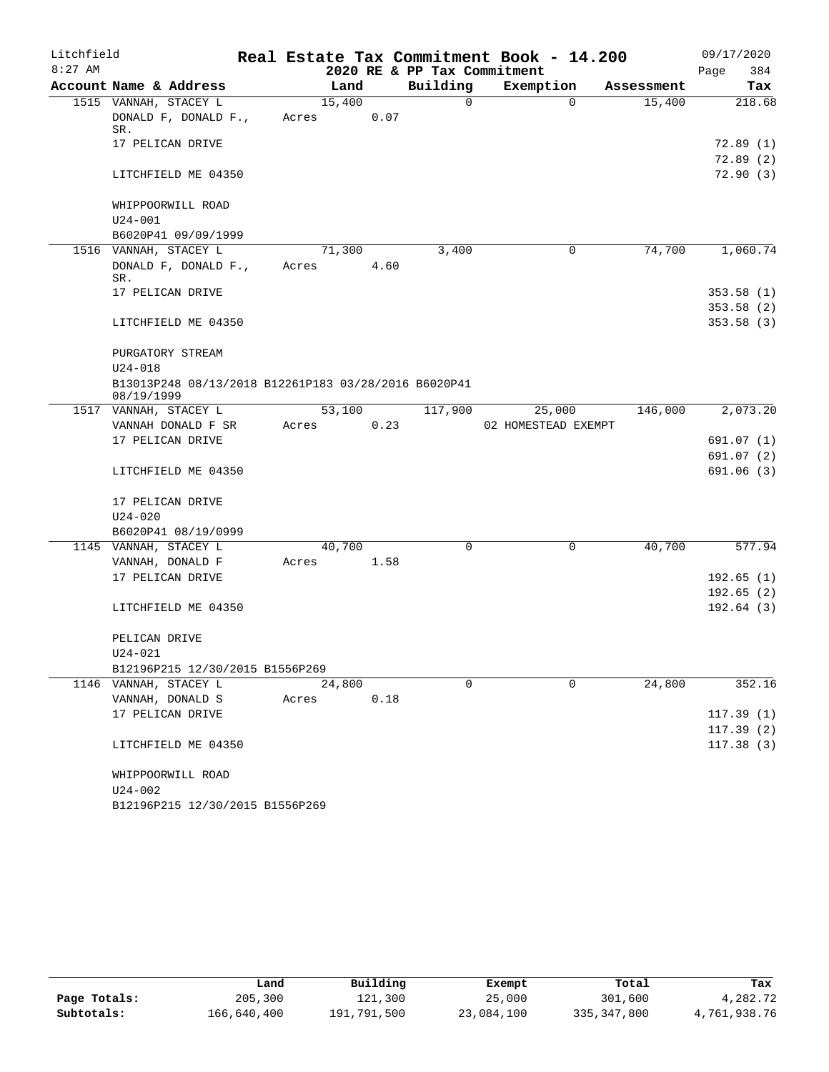| Litchfield |                                                                    |                 |      |                             | Real Estate Tax Commitment Book - 14.200 |            | 09/17/2020              |
|------------|--------------------------------------------------------------------|-----------------|------|-----------------------------|------------------------------------------|------------|-------------------------|
| $8:27$ AM  |                                                                    |                 |      | 2020 RE & PP Tax Commitment |                                          |            | 384<br>Page             |
|            | Account Name & Address                                             | Land            |      | Building                    | Exemption                                | Assessment | Tax                     |
|            | 1515 VANNAH, STACEY L<br>DONALD F, DONALD F.,                      | 15,400<br>Acres | 0.07 | 0                           | 0                                        | 15,400     | 218.68                  |
|            | SR.                                                                |                 |      |                             |                                          |            |                         |
|            | 17 PELICAN DRIVE                                                   |                 |      |                             |                                          |            | 72.89(1)<br>72.89(2)    |
|            | LITCHFIELD ME 04350                                                |                 |      |                             |                                          |            | 72.90(3)                |
|            | WHIPPOORWILL ROAD                                                  |                 |      |                             |                                          |            |                         |
|            | $U24 - 001$                                                        |                 |      |                             |                                          |            |                         |
|            | B6020P41 09/09/1999<br>1516 VANNAH, STACEY L                       | 71,300          |      | 3,400                       | 0                                        | 74,700     | 1,060.74                |
|            | DONALD F, DONALD F.,<br>SR.                                        | Acres           | 4.60 |                             |                                          |            |                         |
|            | 17 PELICAN DRIVE                                                   |                 |      |                             |                                          |            | 353.58(1)               |
|            |                                                                    |                 |      |                             |                                          |            | 353.58(2)               |
|            | LITCHFIELD ME 04350                                                |                 |      |                             |                                          |            | 353.58(3)               |
|            | PURGATORY STREAM                                                   |                 |      |                             |                                          |            |                         |
|            | $U24 - 018$                                                        |                 |      |                             |                                          |            |                         |
|            | B13013P248 08/13/2018 B12261P183 03/28/2016 B6020P41<br>08/19/1999 |                 |      |                             |                                          |            |                         |
|            | 1517 VANNAH, STACEY L                                              | 53,100          |      | 117,900                     | 25,000                                   | 146,000    | 2,073.20                |
|            | VANNAH DONALD F SR                                                 | Acres           | 0.23 |                             | 02 HOMESTEAD EXEMPT                      |            |                         |
|            | 17 PELICAN DRIVE                                                   |                 |      |                             |                                          |            | 691.07 (1)              |
|            | LITCHFIELD ME 04350                                                |                 |      |                             |                                          |            | 691.07 (2)<br>691.06(3) |
|            |                                                                    |                 |      |                             |                                          |            |                         |
|            | 17 PELICAN DRIVE                                                   |                 |      |                             |                                          |            |                         |
|            | $U24 - 020$                                                        |                 |      |                             |                                          |            |                         |
|            | B6020P41 08/19/0999                                                |                 |      |                             |                                          |            |                         |
|            | 1145 VANNAH, STACEY L                                              | 40,700          |      | $\Omega$                    | $\mathbf 0$                              | 40,700     | 577.94                  |
|            | VANNAH, DONALD F                                                   | Acres           | 1.58 |                             |                                          |            |                         |
|            | 17 PELICAN DRIVE                                                   |                 |      |                             |                                          |            | 192.65(1)               |
|            |                                                                    |                 |      |                             |                                          |            | 192.65(2)               |
|            | LITCHFIELD ME 04350                                                |                 |      |                             |                                          |            | 192.64(3)               |
|            | PELICAN DRIVE                                                      |                 |      |                             |                                          |            |                         |
|            | U24-021                                                            |                 |      |                             |                                          |            |                         |
|            | B12196P215 12/30/2015 B1556P269                                    |                 |      |                             |                                          |            |                         |
|            | 1146 VANNAH, STACEY L                                              | 24,800          |      | $\Omega$                    | $\Omega$                                 | 24,800     | 352.16                  |
|            | VANNAH, DONALD S                                                   | Acres           | 0.18 |                             |                                          |            |                         |
|            | 17 PELICAN DRIVE                                                   |                 |      |                             |                                          |            | 117.39(1)               |
|            |                                                                    |                 |      |                             |                                          |            | 117.39(2)               |
|            | LITCHFIELD ME 04350                                                |                 |      |                             |                                          |            | 117.38(3)               |
|            | WHIPPOORWILL ROAD                                                  |                 |      |                             |                                          |            |                         |
|            | U24-002                                                            |                 |      |                             |                                          |            |                         |
|            | B12196P215 12/30/2015 B1556P269                                    |                 |      |                             |                                          |            |                         |

|              | Land        | Building    | Exempt     | Total       | Tax          |
|--------------|-------------|-------------|------------|-------------|--------------|
| Page Totals: | 205,300     | 121,300     | 25,000     | 301,600     | 4,282.72     |
| Subtotals:   | 166,640,400 | 191,791,500 | 23,084,100 | 335,347,800 | 4,761,938.76 |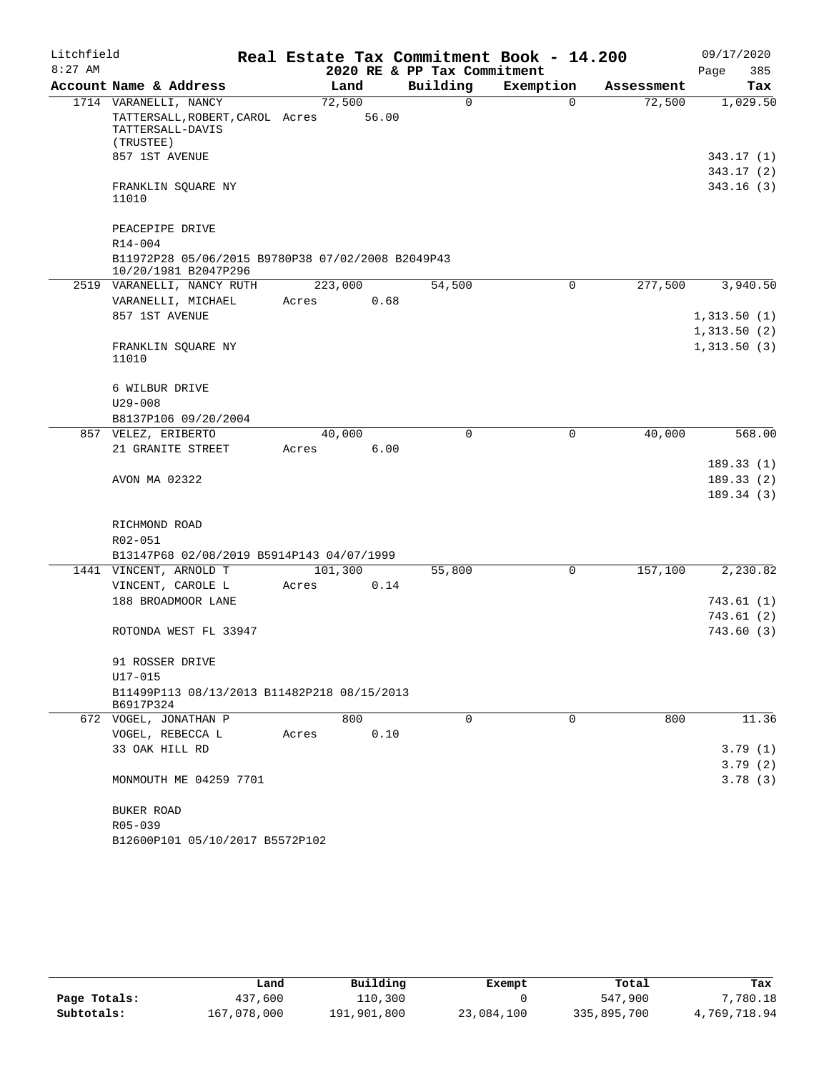| Litchfield |                                                                                           |       |         |       |                             | Real Estate Tax Commitment Book - 14.200 |            | 09/17/2020                          |
|------------|-------------------------------------------------------------------------------------------|-------|---------|-------|-----------------------------|------------------------------------------|------------|-------------------------------------|
| $8:27$ AM  |                                                                                           |       |         |       | 2020 RE & PP Tax Commitment |                                          |            | 385<br>Page                         |
|            | Account Name & Address                                                                    |       | Land    |       | Building                    | Exemption                                | Assessment | Tax                                 |
|            | 1714 VARANELLI, NANCY<br>TATTERSALL, ROBERT, CAROL Acres<br>TATTERSALL-DAVIS<br>(TRUSTEE) |       | 72,500  | 56.00 | 0                           | $\Omega$                                 | 72,500     | 1,029.50                            |
|            | 857 1ST AVENUE                                                                            |       |         |       |                             |                                          |            | 343.17 (1)<br>343.17 (2)            |
|            | FRANKLIN SQUARE NY<br>11010                                                               |       |         |       |                             |                                          |            | 343.16(3)                           |
|            | PEACEPIPE DRIVE                                                                           |       |         |       |                             |                                          |            |                                     |
|            | R14-004<br>B11972P28 05/06/2015 B9780P38 07/02/2008 B2049P43<br>10/20/1981 B2047P296      |       |         |       |                             |                                          |            |                                     |
|            | 2519 VARANELLI, NANCY RUTH                                                                |       | 223,000 |       | 54,500                      | 0                                        | 277,500    | 3,940.50                            |
|            | VARANELLI, MICHAEL                                                                        | Acres |         | 0.68  |                             |                                          |            |                                     |
|            | 857 1ST AVENUE                                                                            |       |         |       |                             |                                          |            | 1,313.50(1)                         |
|            |                                                                                           |       |         |       |                             |                                          |            | 1,313.50(2)                         |
|            | FRANKLIN SQUARE NY<br>11010                                                               |       |         |       |                             |                                          |            | 1,313.50(3)                         |
|            | 6 WILBUR DRIVE                                                                            |       |         |       |                             |                                          |            |                                     |
|            | $U29 - 008$                                                                               |       |         |       |                             |                                          |            |                                     |
|            | B8137P106 09/20/2004                                                                      |       |         |       |                             |                                          |            |                                     |
|            | 857 VELEZ, ERIBERTO                                                                       |       | 40,000  |       | $\mathbf 0$                 | $\mathsf{O}$                             | 40,000     | 568.00                              |
|            | 21 GRANITE STREET                                                                         | Acres |         | 6.00  |                             |                                          |            |                                     |
|            | AVON MA 02322                                                                             |       |         |       |                             |                                          |            | 189.33(1)<br>189.33(2)<br>189.34(3) |
|            |                                                                                           |       |         |       |                             |                                          |            |                                     |
|            | RICHMOND ROAD<br>R02-051                                                                  |       |         |       |                             |                                          |            |                                     |
|            | B13147P68 02/08/2019 B5914P143 04/07/1999                                                 |       |         |       |                             |                                          |            |                                     |
|            | 1441 VINCENT, ARNOLD T                                                                    |       | 101,300 |       | 55,800                      | 0                                        | 157,100    | 2,230.82                            |
|            | VINCENT, CAROLE L                                                                         | Acres |         | 0.14  |                             |                                          |            |                                     |
|            | 188 BROADMOOR LANE                                                                        |       |         |       |                             |                                          |            | 743.61(1)                           |
|            |                                                                                           |       |         |       |                             |                                          |            | 743.61 (2)                          |
|            | ROTONDA WEST FL 33947                                                                     |       |         |       |                             |                                          |            | 743.60(3)                           |
|            | 91 ROSSER DRIVE                                                                           |       |         |       |                             |                                          |            |                                     |
|            | U17-015                                                                                   |       |         |       |                             |                                          |            |                                     |
|            | B11499P113 08/13/2013 B11482P218 08/15/2013<br>B6917P324                                  |       |         |       |                             |                                          |            |                                     |
|            | 672 VOGEL, JONATHAN P                                                                     |       | 800     |       | 0                           | 0                                        | 800        | 11.36                               |
|            | VOGEL, REBECCA L                                                                          | Acres |         | 0.10  |                             |                                          |            |                                     |
|            | 33 OAK HILL RD                                                                            |       |         |       |                             |                                          |            | 3.79(1)                             |
|            |                                                                                           |       |         |       |                             |                                          |            | 3.79(2)                             |
|            | MONMOUTH ME 04259 7701                                                                    |       |         |       |                             |                                          |            | 3.78(3)                             |
|            | BUKER ROAD                                                                                |       |         |       |                             |                                          |            |                                     |
|            | R05-039                                                                                   |       |         |       |                             |                                          |            |                                     |
|            | B12600P101 05/10/2017 B5572P102                                                           |       |         |       |                             |                                          |            |                                     |

|              | Land        | Building    | Exempt     | Total       | Tax          |
|--------------|-------------|-------------|------------|-------------|--------------|
| Page Totals: | 437,600     | 110,300     |            | 547,900     | 7,780.18     |
| Subtotals:   | 167,078,000 | 191,901,800 | 23,084,100 | 335,895,700 | 4,769,718.94 |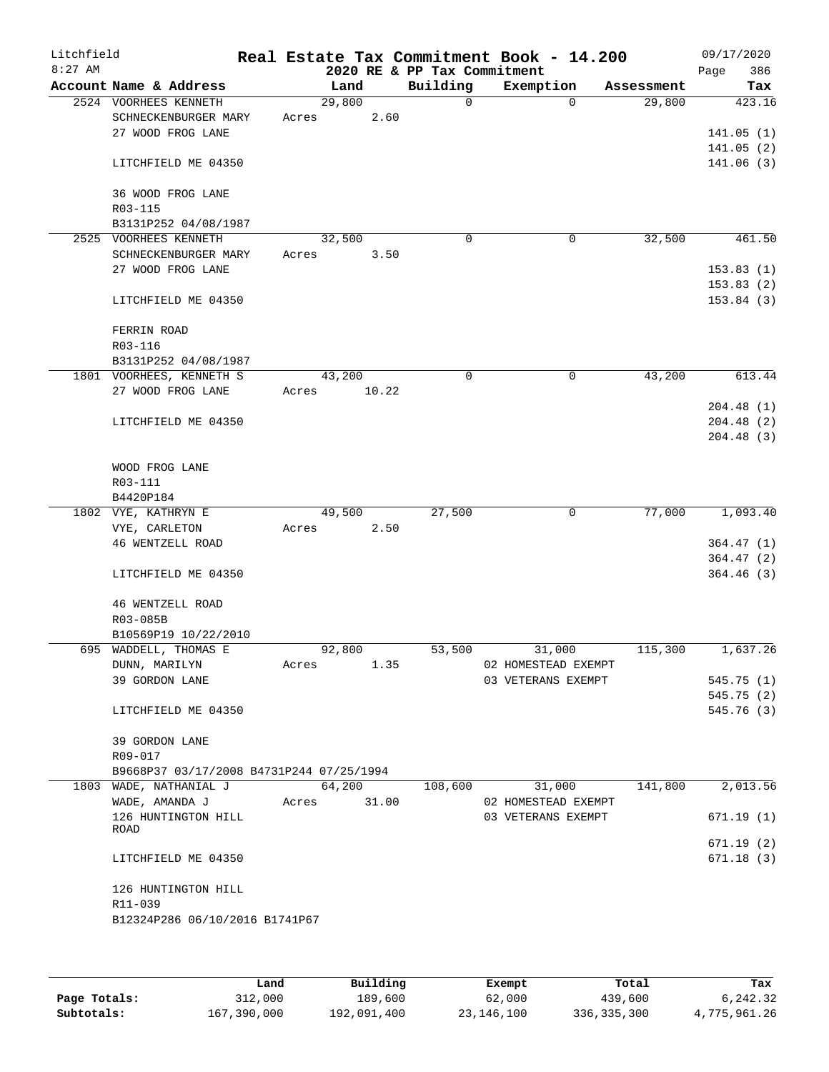| Litchfield<br>$8:27$ AM |                                          |       |        |       | 2020 RE & PP Tax Commitment | Real Estate Tax Commitment Book - 14.200 |                    | 09/17/2020<br>386<br>Page |
|-------------------------|------------------------------------------|-------|--------|-------|-----------------------------|------------------------------------------|--------------------|---------------------------|
|                         | Account Name & Address                   |       | Land   |       | Building                    | Exemption                                | Assessment         | Tax                       |
|                         | 2524 VOORHEES KENNETH                    |       | 29,800 |       | $\mathsf{O}$                |                                          | 29,800<br>$\Omega$ | 423.16                    |
|                         | SCHNECKENBURGER MARY                     | Acres |        | 2.60  |                             |                                          |                    |                           |
|                         | 27 WOOD FROG LANE                        |       |        |       |                             |                                          |                    | 141.05(1)                 |
|                         |                                          |       |        |       |                             |                                          |                    | 141.05(2)                 |
|                         | LITCHFIELD ME 04350                      |       |        |       |                             |                                          |                    | 141.06(3)                 |
|                         |                                          |       |        |       |                             |                                          |                    |                           |
|                         | 36 WOOD FROG LANE                        |       |        |       |                             |                                          |                    |                           |
|                         | R03-115                                  |       |        |       |                             |                                          |                    |                           |
|                         | B3131P252 04/08/1987                     |       |        |       |                             |                                          |                    |                           |
|                         | 2525 VOORHEES KENNETH                    |       | 32,500 |       | $\mathbf 0$                 |                                          | 32,500<br>0        | 461.50                    |
|                         | SCHNECKENBURGER MARY                     | Acres |        | 3.50  |                             |                                          |                    |                           |
|                         | 27 WOOD FROG LANE                        |       |        |       |                             |                                          |                    | 153.83(1)                 |
|                         |                                          |       |        |       |                             |                                          |                    | 153.83(2)                 |
|                         | LITCHFIELD ME 04350                      |       |        |       |                             |                                          |                    | 153.84(3)                 |
|                         |                                          |       |        |       |                             |                                          |                    |                           |
|                         | FERRIN ROAD                              |       |        |       |                             |                                          |                    |                           |
|                         | R03-116                                  |       |        |       |                             |                                          |                    |                           |
|                         | B3131P252 04/08/1987                     |       |        |       |                             |                                          |                    |                           |
|                         | 1801 VOORHEES, KENNETH S                 |       | 43,200 |       | 0                           |                                          | 43,200<br>0        | 613.44                    |
|                         | 27 WOOD FROG LANE                        | Acres |        | 10.22 |                             |                                          |                    |                           |
|                         |                                          |       |        |       |                             |                                          |                    | 204.48(1)                 |
|                         | LITCHFIELD ME 04350                      |       |        |       |                             |                                          |                    | 204.48(2)                 |
|                         |                                          |       |        |       |                             |                                          |                    | 204.48(3)                 |
|                         |                                          |       |        |       |                             |                                          |                    |                           |
|                         | WOOD FROG LANE                           |       |        |       |                             |                                          |                    |                           |
|                         | R03-111                                  |       |        |       |                             |                                          |                    |                           |
|                         | B4420P184                                |       |        |       |                             |                                          |                    |                           |
|                         | 1802 VYE, KATHRYN E                      |       | 49,500 |       | 27,500                      |                                          | 77,000<br>0        | 1,093.40                  |
|                         | VYE, CARLETON                            | Acres |        | 2.50  |                             |                                          |                    |                           |
|                         | 46 WENTZELL ROAD                         |       |        |       |                             |                                          |                    | 364.47(1)                 |
|                         |                                          |       |        |       |                             |                                          |                    | 364.47(2)<br>364.46(3)    |
|                         | LITCHFIELD ME 04350                      |       |        |       |                             |                                          |                    |                           |
|                         | 46 WENTZELL ROAD                         |       |        |       |                             |                                          |                    |                           |
|                         | R03-085B                                 |       |        |       |                             |                                          |                    |                           |
|                         | B10569P19 10/22/2010                     |       |        |       |                             |                                          |                    |                           |
|                         | 695 WADDELL, THOMAS E                    |       | 92,800 |       | 53,500                      | 31,000                                   | 115,300            | 1,637.26                  |
|                         | DUNN, MARILYN                            | Acres |        | 1.35  |                             | 02 HOMESTEAD EXEMPT                      |                    |                           |
|                         | 39 GORDON LANE                           |       |        |       |                             | 03 VETERANS EXEMPT                       |                    | 545.75(1)                 |
|                         |                                          |       |        |       |                             |                                          |                    | 545.75(2)                 |
|                         | LITCHFIELD ME 04350                      |       |        |       |                             |                                          |                    | 545.76(3)                 |
|                         |                                          |       |        |       |                             |                                          |                    |                           |
|                         | 39 GORDON LANE                           |       |        |       |                             |                                          |                    |                           |
|                         | R09-017                                  |       |        |       |                             |                                          |                    |                           |
|                         | B9668P37 03/17/2008 B4731P244 07/25/1994 |       |        |       |                             |                                          |                    |                           |
|                         | 1803 WADE, NATHANIAL J                   |       | 64,200 |       | 108,600                     | 31,000                                   | 141,800            | 2,013.56                  |
|                         | WADE, AMANDA J                           | Acres |        | 31.00 |                             | 02 HOMESTEAD EXEMPT                      |                    |                           |
|                         | 126 HUNTINGTON HILL                      |       |        |       |                             | 03 VETERANS EXEMPT                       |                    | 671.19(1)                 |
|                         | ROAD                                     |       |        |       |                             |                                          |                    |                           |
|                         |                                          |       |        |       |                             |                                          |                    | 671.19(2)                 |
|                         | LITCHFIELD ME 04350                      |       |        |       |                             |                                          |                    | 671.18(3)                 |
|                         |                                          |       |        |       |                             |                                          |                    |                           |
|                         | 126 HUNTINGTON HILL                      |       |        |       |                             |                                          |                    |                           |
|                         | R11-039                                  |       |        |       |                             |                                          |                    |                           |
|                         | B12324P286 06/10/2016 B1741P67           |       |        |       |                             |                                          |                    |                           |
|                         |                                          |       |        |       |                             |                                          |                    |                           |
|                         |                                          |       |        |       |                             |                                          |                    |                           |

|              | Land        | Building    | Exempt     | Total       | Tax          |
|--------------|-------------|-------------|------------|-------------|--------------|
| Page Totals: | 312,000     | 189,600     | 62,000     | 439,600     | 6,242.32     |
| Subtotals:   | 167,390,000 | 192,091,400 | 23,146,100 | 336,335,300 | 4,775,961.26 |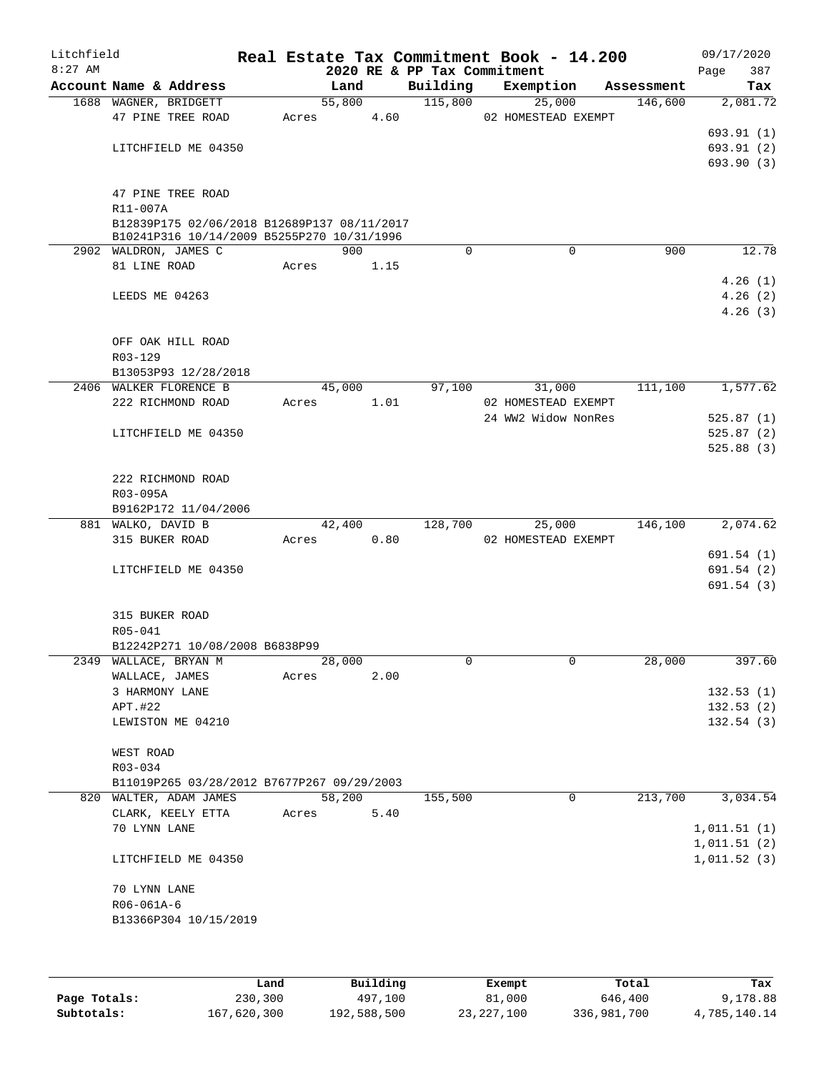| Litchfield<br>$8:27$ AM |                                       |                                             |       |        |      | Real Estate Tax Commitment Book - 14.200<br>2020 RE & PP Tax Commitment |                               |            | 09/17/2020<br>387<br>Page |
|-------------------------|---------------------------------------|---------------------------------------------|-------|--------|------|-------------------------------------------------------------------------|-------------------------------|------------|---------------------------|
|                         | Account Name & Address                |                                             |       | Land   |      | Building                                                                | Exemption                     | Assessment | Tax                       |
|                         | 1688 WAGNER, BRIDGETT                 |                                             |       | 55,800 |      | 115,800                                                                 | 25,000                        | 146,600    | 2,081.72                  |
|                         | 47 PINE TREE ROAD                     |                                             | Acres |        | 4.60 |                                                                         | 02 HOMESTEAD EXEMPT           |            |                           |
|                         |                                       |                                             |       |        |      |                                                                         |                               |            | 693.91(1)                 |
|                         | LITCHFIELD ME 04350                   |                                             |       |        |      |                                                                         |                               |            | 693.91 (2)<br>693.90 (3)  |
|                         |                                       |                                             |       |        |      |                                                                         |                               |            |                           |
|                         | 47 PINE TREE ROAD                     |                                             |       |        |      |                                                                         |                               |            |                           |
|                         | R11-007A                              |                                             |       |        |      |                                                                         |                               |            |                           |
|                         |                                       | B12839P175 02/06/2018 B12689P137 08/11/2017 |       |        |      |                                                                         |                               |            |                           |
|                         |                                       | B10241P316 10/14/2009 B5255P270 10/31/1996  |       | 900    |      | $\Omega$                                                                | 0                             | 900        | 12.78                     |
|                         | 2902 WALDRON, JAMES C<br>81 LINE ROAD |                                             | Acres |        | 1.15 |                                                                         |                               |            |                           |
|                         |                                       |                                             |       |        |      |                                                                         |                               |            | 4.26(1)                   |
|                         | LEEDS ME 04263                        |                                             |       |        |      |                                                                         |                               |            | 4.26(2)                   |
|                         |                                       |                                             |       |        |      |                                                                         |                               |            | 4.26(3)                   |
|                         |                                       |                                             |       |        |      |                                                                         |                               |            |                           |
|                         | OFF OAK HILL ROAD                     |                                             |       |        |      |                                                                         |                               |            |                           |
|                         | R03-129                               |                                             |       |        |      |                                                                         |                               |            |                           |
|                         | B13053P93 12/28/2018                  |                                             |       |        |      |                                                                         |                               |            |                           |
|                         | 2406 WALKER FLORENCE B                |                                             |       | 45,000 |      | 97,100                                                                  | 31,000<br>02 HOMESTEAD EXEMPT | 111,100    | 1,577.62                  |
|                         | 222 RICHMOND ROAD                     |                                             | Acres |        | 1.01 |                                                                         | 24 WW2 Widow NonRes           |            | 525.87(1)                 |
|                         | LITCHFIELD ME 04350                   |                                             |       |        |      |                                                                         |                               |            | 525.87(2)                 |
|                         |                                       |                                             |       |        |      |                                                                         |                               |            | 525.88(3)                 |
|                         |                                       |                                             |       |        |      |                                                                         |                               |            |                           |
|                         | 222 RICHMOND ROAD                     |                                             |       |        |      |                                                                         |                               |            |                           |
|                         | R03-095A                              |                                             |       |        |      |                                                                         |                               |            |                           |
|                         | B9162P172 11/04/2006                  |                                             |       |        |      |                                                                         |                               |            |                           |
|                         | 881 WALKO, DAVID B                    |                                             |       | 42,400 |      | 128,700                                                                 | 25,000                        | 146,100    | 2,074.62                  |
|                         | 315 BUKER ROAD                        |                                             | Acres |        | 0.80 |                                                                         | 02 HOMESTEAD EXEMPT           |            |                           |
|                         |                                       |                                             |       |        |      |                                                                         |                               |            | 691.54 (1)                |
|                         | LITCHFIELD ME 04350                   |                                             |       |        |      |                                                                         |                               |            | 691.54(2)<br>691.54(3)    |
|                         |                                       |                                             |       |        |      |                                                                         |                               |            |                           |
|                         | 315 BUKER ROAD                        |                                             |       |        |      |                                                                         |                               |            |                           |
|                         | R05-041                               |                                             |       |        |      |                                                                         |                               |            |                           |
|                         |                                       | B12242P271 10/08/2008 B6838P99              |       |        |      |                                                                         |                               |            |                           |
| 2349                    | WALLACE, BRYAN M                      |                                             |       | 28,000 |      | 0                                                                       | 0                             | 28,000     | 397.60                    |
|                         | WALLACE, JAMES                        |                                             | Acres |        | 2.00 |                                                                         |                               |            |                           |
|                         | 3 HARMONY LANE                        |                                             |       |        |      |                                                                         |                               |            | 132.53(1)                 |
|                         | APT.#22                               |                                             |       |        |      |                                                                         |                               |            | 132.53(2)                 |
|                         | LEWISTON ME 04210                     |                                             |       |        |      |                                                                         |                               |            | 132.54(3)                 |
|                         | WEST ROAD                             |                                             |       |        |      |                                                                         |                               |            |                           |
|                         | R03-034                               |                                             |       |        |      |                                                                         |                               |            |                           |
|                         |                                       | B11019P265 03/28/2012 B7677P267 09/29/2003  |       |        |      |                                                                         |                               |            |                           |
|                         | 820 WALTER, ADAM JAMES                |                                             |       | 58,200 |      | 155,500                                                                 | 0                             | 213,700    | 3,034.54                  |
|                         | CLARK, KEELY ETTA                     |                                             | Acres |        | 5.40 |                                                                         |                               |            |                           |
|                         | 70 LYNN LANE                          |                                             |       |        |      |                                                                         |                               |            | 1,011.51(1)               |
|                         |                                       |                                             |       |        |      |                                                                         |                               |            | 1,011.51(2)               |
|                         | LITCHFIELD ME 04350                   |                                             |       |        |      |                                                                         |                               |            | 1,011.52(3)               |
|                         |                                       |                                             |       |        |      |                                                                         |                               |            |                           |
|                         | 70 LYNN LANE                          |                                             |       |        |      |                                                                         |                               |            |                           |
|                         | R06-061A-6<br>B13366P304 10/15/2019   |                                             |       |        |      |                                                                         |                               |            |                           |
|                         |                                       |                                             |       |        |      |                                                                         |                               |            |                           |
|                         |                                       |                                             |       |        |      |                                                                         |                               |            |                           |
|                         |                                       |                                             |       |        |      |                                                                         |                               |            |                           |

|              | Land        | Building    | Exempt     | Total       | Tax          |
|--------------|-------------|-------------|------------|-------------|--------------|
| Page Totals: | 230,300     | 497,100     | 81,000     | 646,400     | 9,178.88     |
| Subtotals:   | 167,620,300 | 192,588,500 | 23,227,100 | 336,981,700 | 4,785,140.14 |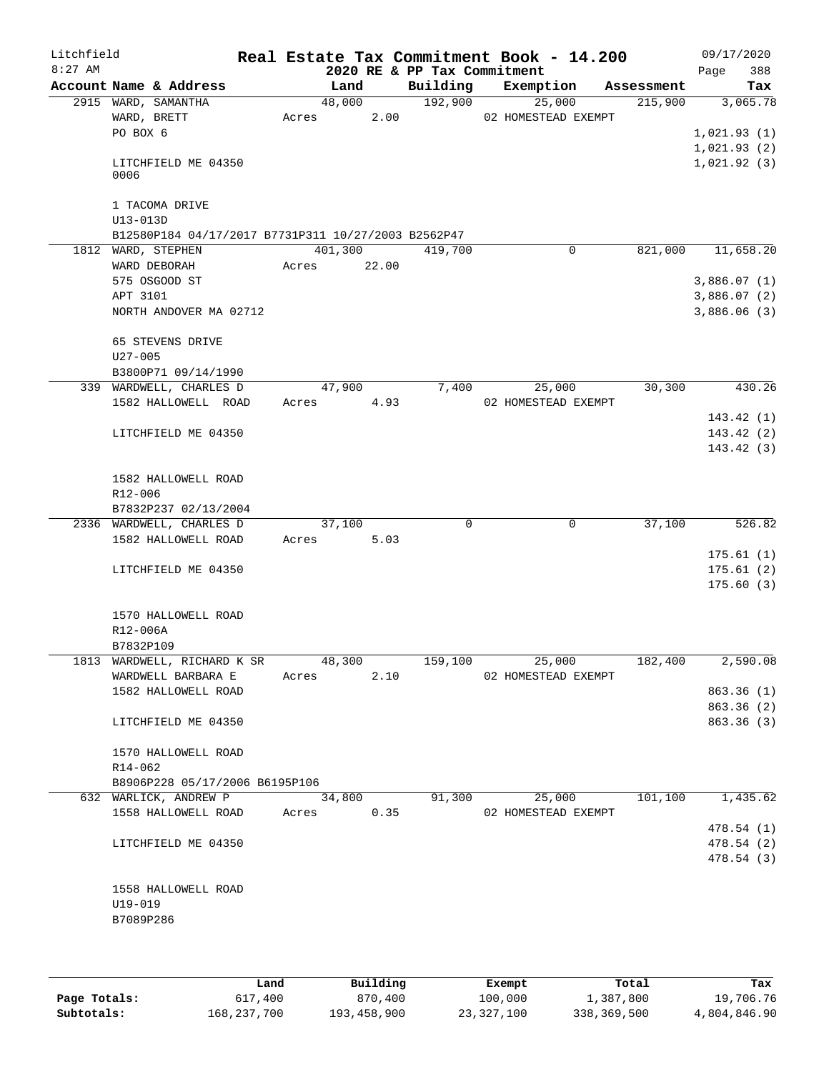| Litchfield<br>$8:27$ AM |                                                     |                 |       | 2020 RE & PP Tax Commitment | Real Estate Tax Commitment Book - 14.200 |            | 09/17/2020<br>388<br>Page |
|-------------------------|-----------------------------------------------------|-----------------|-------|-----------------------------|------------------------------------------|------------|---------------------------|
|                         | Account Name & Address                              | Land            |       | Building                    | Exemption                                | Assessment | Tax                       |
|                         | 2915 WARD, SAMANTHA                                 | 48,000          |       | 192,900                     | 25,000                                   | 215,900    | 3,065.78                  |
|                         | WARD, BRETT                                         | Acres           | 2.00  |                             | 02 HOMESTEAD EXEMPT                      |            |                           |
|                         | PO BOX 6                                            |                 |       |                             |                                          |            | 1,021.93(1)               |
|                         |                                                     |                 |       |                             |                                          |            | 1,021.93(2)               |
|                         | LITCHFIELD ME 04350<br>0006                         |                 |       |                             |                                          |            | 1,021.92(3)               |
|                         | 1 TACOMA DRIVE                                      |                 |       |                             |                                          |            |                           |
|                         | U13-013D                                            |                 |       |                             |                                          |            |                           |
|                         | B12580P184 04/17/2017 B7731P311 10/27/2003 B2562P47 |                 |       |                             |                                          |            |                           |
|                         | 1812 WARD, STEPHEN                                  | 401,300         |       | 419,700                     | 0                                        | 821,000    | 11,658.20                 |
|                         | WARD DEBORAH                                        | Acres           | 22.00 |                             |                                          |            |                           |
|                         | 575 OSGOOD ST                                       |                 |       |                             |                                          |            | 3,886.07(1)               |
|                         | APT 3101                                            |                 |       |                             |                                          |            | 3,886.07(2)               |
|                         | NORTH ANDOVER MA 02712                              |                 |       |                             |                                          |            | 3,886.06(3)               |
|                         | 65 STEVENS DRIVE                                    |                 |       |                             |                                          |            |                           |
|                         | $U27 - 005$                                         |                 |       |                             |                                          |            |                           |
|                         | B3800P71 09/14/1990                                 |                 |       |                             |                                          |            |                           |
|                         | 339 WARDWELL, CHARLES D<br>1582 HALLOWELL ROAD      | 47,900<br>Acres | 4.93  | 7,400                       | 25,000<br>02 HOMESTEAD EXEMPT            | 30,300     | 430.26                    |
|                         |                                                     |                 |       |                             |                                          |            | 143.42(1)                 |
|                         | LITCHFIELD ME 04350                                 |                 |       |                             |                                          |            | 143.42(2)                 |
|                         |                                                     |                 |       |                             |                                          |            | 143.42(3)                 |
|                         | 1582 HALLOWELL ROAD                                 |                 |       |                             |                                          |            |                           |
|                         | R12-006                                             |                 |       |                             |                                          |            |                           |
|                         | B7832P237 02/13/2004                                |                 |       |                             |                                          |            |                           |
|                         | 2336 WARDWELL, CHARLES D                            | 37,100          |       | 0                           | 0                                        | 37,100     | 526.82                    |
|                         | 1582 HALLOWELL ROAD                                 | Acres           | 5.03  |                             |                                          |            |                           |
|                         |                                                     |                 |       |                             |                                          |            | 175.61(1)                 |
|                         | LITCHFIELD ME 04350                                 |                 |       |                             |                                          |            | 175.61(2)                 |
|                         |                                                     |                 |       |                             |                                          |            | 175.60(3)                 |
|                         | 1570 HALLOWELL ROAD                                 |                 |       |                             |                                          |            |                           |
|                         | R12-006A                                            |                 |       |                             |                                          |            |                           |
|                         | B7832P109<br>1813 WARDWELL, RICHARD K SR            | 48,300          |       |                             |                                          | 182,400    |                           |
|                         |                                                     | Acres           | 2.10  | 159,100                     | 25,000<br>02 HOMESTEAD EXEMPT            |            | 2,590.08                  |
|                         | WARDWELL BARBARA E<br>1582 HALLOWELL ROAD           |                 |       |                             |                                          |            | 863.36(1)                 |
|                         |                                                     |                 |       |                             |                                          |            | 863.36 (2)                |
|                         | LITCHFIELD ME 04350                                 |                 |       |                             |                                          |            | 863.36 (3)                |
|                         | 1570 HALLOWELL ROAD                                 |                 |       |                             |                                          |            |                           |
|                         | R14-062                                             |                 |       |                             |                                          |            |                           |
|                         | B8906P228 05/17/2006 B6195P106                      |                 |       |                             |                                          |            |                           |
|                         | 632 WARLICK, ANDREW P                               | 34,800          |       | 91,300                      | 25,000                                   | 101, 100   | 1,435.62                  |
|                         | 1558 HALLOWELL ROAD                                 | Acres           | 0.35  |                             | 02 HOMESTEAD EXEMPT                      |            |                           |
|                         |                                                     |                 |       |                             |                                          |            | 478.54(1)                 |
|                         | LITCHFIELD ME 04350                                 |                 |       |                             |                                          |            | 478.54 (2)                |
|                         |                                                     |                 |       |                             |                                          |            | 478.54(3)                 |
|                         | 1558 HALLOWELL ROAD                                 |                 |       |                             |                                          |            |                           |
|                         | $U19 - 019$                                         |                 |       |                             |                                          |            |                           |
|                         | B7089P286                                           |                 |       |                             |                                          |            |                           |
|                         |                                                     |                 |       |                             |                                          |            |                           |
|                         |                                                     |                 |       |                             |                                          |            |                           |

|              | Land        | Building    | Exempt     | Total       | Tax          |
|--------------|-------------|-------------|------------|-------------|--------------|
| Page Totals: | 617,400     | 870,400     | 100,000    | 1,387,800   | 19,706.76    |
| Subtotals:   | 168,237,700 | 193,458,900 | 23,327,100 | 338,369,500 | 4,804,846.90 |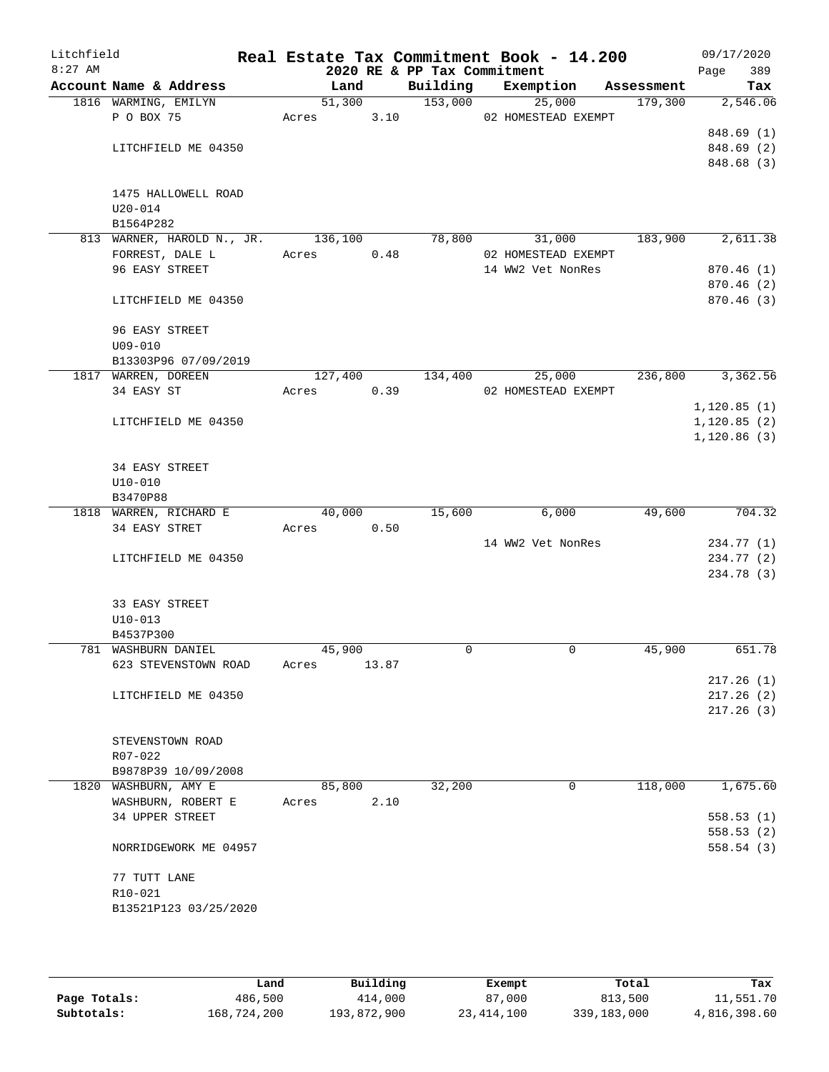| Litchfield<br>$8:27$ AM |                         |                                    |         |       | 2020 RE & PP Tax Commitment | Real Estate Tax Commitment Book - 14.200 |            | 09/17/2020<br>389<br>Page |
|-------------------------|-------------------------|------------------------------------|---------|-------|-----------------------------|------------------------------------------|------------|---------------------------|
|                         |                         | Account Name & Address             | Land    |       | Building                    | Exemption                                | Assessment | Tax                       |
|                         | 1816 WARMING, EMILYN    |                                    | 51,300  |       | 153,000                     | 25,000                                   | 179,300    | 2,546.06                  |
|                         | P O BOX 75              |                                    |         |       |                             | Acres 3.10 02 HOMESTEAD EXEMPT           |            |                           |
|                         |                         |                                    |         |       |                             |                                          |            | 848.69 (1)                |
|                         |                         | LITCHFIELD ME 04350                |         |       |                             |                                          |            | 848.69 (2)                |
|                         |                         |                                    |         |       |                             |                                          |            | 848.68 (3)                |
|                         |                         |                                    |         |       |                             |                                          |            |                           |
|                         |                         | 1475 HALLOWELL ROAD                |         |       |                             |                                          |            |                           |
|                         | $U20 - 014$             |                                    |         |       |                             |                                          |            |                           |
|                         | B1564P282               | 813 WARNER, HAROLD N., JR. 136,100 |         |       | 78,800                      | 31,000                                   | 183,900    | 2,611.38                  |
|                         |                         | FORREST, DALE L                    | Acres   | 0.48  |                             | 02 HOMESTEAD EXEMPT                      |            |                           |
|                         | 96 EASY STREET          |                                    |         |       |                             | 14 WW2 Vet NonRes                        |            | 870.46(1)                 |
|                         |                         |                                    |         |       |                             |                                          |            | 870.46 (2)                |
|                         |                         | LITCHFIELD ME 04350                |         |       |                             |                                          |            | 870.46 (3)                |
|                         |                         |                                    |         |       |                             |                                          |            |                           |
|                         | 96 EASY STREET          |                                    |         |       |                             |                                          |            |                           |
|                         | $U09 - 010$             |                                    |         |       |                             |                                          |            |                           |
|                         |                         | B13303P96 07/09/2019               |         |       |                             |                                          |            |                           |
|                         | 1817 WARREN, DOREEN     |                                    | 127,400 |       | 134,400                     | 25,000                                   | 236,800    | 3,362.56                  |
|                         | 34 EASY ST              |                                    | Acres   | 0.39  |                             | 02 HOMESTEAD EXEMPT                      |            |                           |
|                         |                         |                                    |         |       |                             |                                          |            | 1,120.85(1)               |
|                         |                         | LITCHFIELD ME 04350                |         |       |                             |                                          |            | 1, 120.85(2)              |
|                         |                         |                                    |         |       |                             |                                          |            | 1,120.86(3)               |
|                         |                         |                                    |         |       |                             |                                          |            |                           |
|                         | 34 EASY STREET          |                                    |         |       |                             |                                          |            |                           |
|                         | $U10 - 010$<br>B3470P88 |                                    |         |       |                             |                                          |            |                           |
|                         |                         | 1818 WARREN, RICHARD E             | 40,000  |       | 15,600                      | 6,000                                    | 49,600     | 704.32                    |
|                         | 34 EASY STRET           |                                    | Acres   | 0.50  |                             |                                          |            |                           |
|                         |                         |                                    |         |       |                             | 14 WW2 Vet NonRes                        |            | 234.77 (1)                |
|                         |                         | LITCHFIELD ME 04350                |         |       |                             |                                          |            | 234.77 (2)                |
|                         |                         |                                    |         |       |                             |                                          |            | 234.78 (3)                |
|                         |                         |                                    |         |       |                             |                                          |            |                           |
|                         | 33 EASY STREET          |                                    |         |       |                             |                                          |            |                           |
|                         | U10-013                 |                                    |         |       |                             |                                          |            |                           |
|                         | B4537P300               |                                    |         |       |                             |                                          |            |                           |
|                         | 781 WASHBURN DANIEL     |                                    | 45,900  |       | $\Omega$                    | 0                                        | 45,900     | 651.78                    |
|                         |                         | 623 STEVENSTOWN ROAD               | Acres   | 13.87 |                             |                                          |            |                           |
|                         |                         |                                    |         |       |                             |                                          |            | 217.26(1)                 |
|                         |                         | LITCHFIELD ME 04350                |         |       |                             |                                          |            | 217.26(2)                 |
|                         |                         |                                    |         |       |                             |                                          |            | 217.26(3)                 |
|                         |                         |                                    |         |       |                             |                                          |            |                           |
|                         | R07-022                 | STEVENSTOWN ROAD                   |         |       |                             |                                          |            |                           |
|                         |                         | B9878P39 10/09/2008                |         |       |                             |                                          |            |                           |
|                         | 1820 WASHBURN, AMY E    |                                    | 85,800  |       | 32,200                      | 0                                        | 118,000    | 1,675.60                  |
|                         |                         | WASHBURN, ROBERT E                 | Acres   | 2.10  |                             |                                          |            |                           |
|                         | 34 UPPER STREET         |                                    |         |       |                             |                                          |            | 558.53(1)                 |
|                         |                         |                                    |         |       |                             |                                          |            | 558.53(2)                 |
|                         |                         | NORRIDGEWORK ME 04957              |         |       |                             |                                          |            | 558.54(3)                 |
|                         |                         |                                    |         |       |                             |                                          |            |                           |
|                         | 77 TUTT LANE            |                                    |         |       |                             |                                          |            |                           |
|                         | $R10 - 021$             |                                    |         |       |                             |                                          |            |                           |
|                         |                         | B13521P123 03/25/2020              |         |       |                             |                                          |            |                           |
|                         |                         |                                    |         |       |                             |                                          |            |                           |

|              | Land        | Building    | Exempt     | Total       | Tax          |
|--------------|-------------|-------------|------------|-------------|--------------|
| Page Totals: | 486,500     | 414,000     | 87,000     | 813,500     | 11,551.70    |
| Subtotals:   | 168,724,200 | 193,872,900 | 23,414,100 | 339,183,000 | 4,816,398.60 |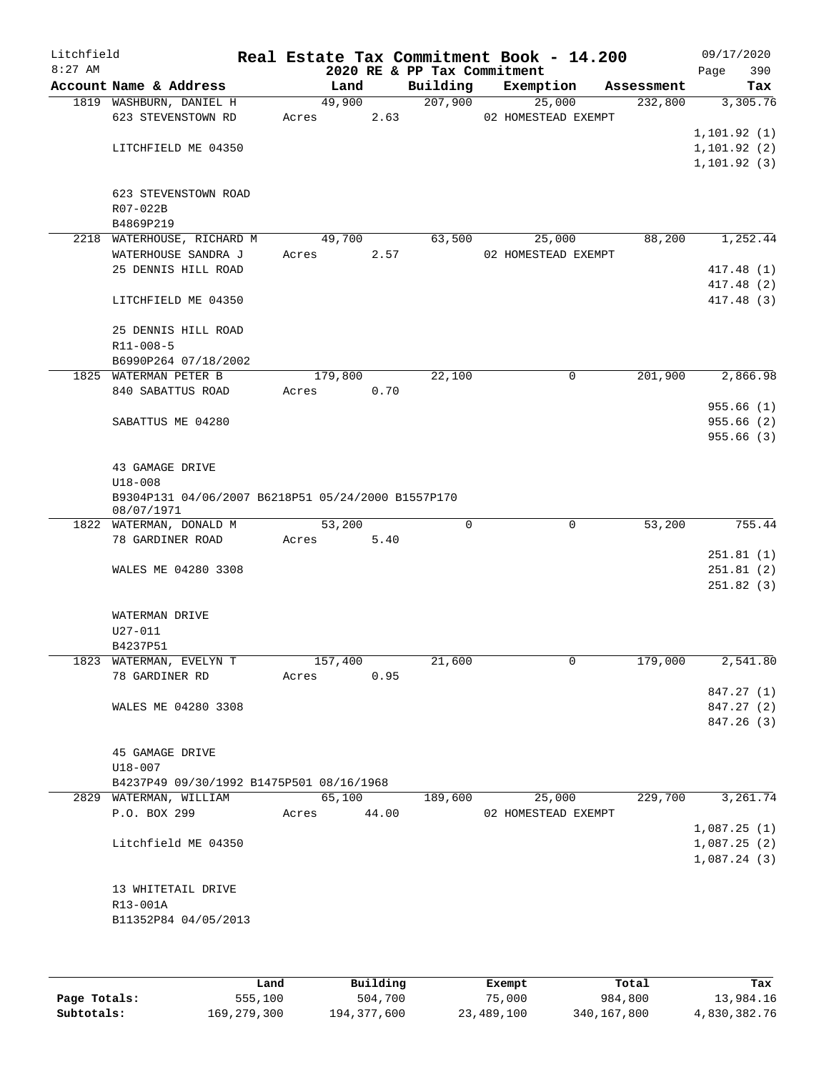| Litchfield<br>$8:27$ AM |                                                    |         |       | 2020 RE & PP Tax Commitment | Real Estate Tax Commitment Book - 14.200 |            | 09/17/2020<br>390<br>Page |
|-------------------------|----------------------------------------------------|---------|-------|-----------------------------|------------------------------------------|------------|---------------------------|
|                         | Account Name & Address                             | Land    |       | Building                    | Exemption                                | Assessment | Tax                       |
|                         | 1819 WASHBURN, DANIEL H                            | 49,900  |       | 207,900                     | 25,000                                   | 232,800    | 3,305.76                  |
|                         | 623 STEVENSTOWN RD                                 | Acres   | 2.63  |                             | 02 HOMESTEAD EXEMPT                      |            |                           |
|                         |                                                    |         |       |                             |                                          |            | 1, 101.92(1)              |
|                         | LITCHFIELD ME 04350                                |         |       |                             |                                          |            | 1, 101.92(2)              |
|                         |                                                    |         |       |                             |                                          |            | 1, 101.92(3)              |
|                         |                                                    |         |       |                             |                                          |            |                           |
|                         | 623 STEVENSTOWN ROAD<br>R07-022B                   |         |       |                             |                                          |            |                           |
|                         | B4869P219                                          |         |       |                             |                                          |            |                           |
|                         | 2218 WATERHOUSE, RICHARD M                         | 49,700  |       | 63,500                      | 25,000                                   | 88,200     | 1,252.44                  |
|                         | WATERHOUSE SANDRA J                                | Acres   | 2.57  |                             | 02 HOMESTEAD EXEMPT                      |            |                           |
|                         | 25 DENNIS HILL ROAD                                |         |       |                             |                                          |            | 417.48 (1)                |
|                         |                                                    |         |       |                             |                                          |            | 417.48 (2)                |
|                         | LITCHFIELD ME 04350                                |         |       |                             |                                          |            | 417.48 (3)                |
|                         |                                                    |         |       |                             |                                          |            |                           |
|                         | 25 DENNIS HILL ROAD                                |         |       |                             |                                          |            |                           |
|                         | R11-008-5                                          |         |       |                             |                                          |            |                           |
|                         | B6990P264 07/18/2002                               |         |       |                             |                                          |            |                           |
|                         | 1825 WATERMAN PETER B                              | 179,800 |       | 22,100                      | 0                                        | 201,900    | 2,866.98                  |
|                         | 840 SABATTUS ROAD                                  | Acres   | 0.70  |                             |                                          |            | 955.66(1)                 |
|                         | SABATTUS ME 04280                                  |         |       |                             |                                          |            | 955.66(2)                 |
|                         |                                                    |         |       |                             |                                          |            | 955.66(3)                 |
|                         |                                                    |         |       |                             |                                          |            |                           |
|                         | 43 GAMAGE DRIVE                                    |         |       |                             |                                          |            |                           |
|                         | $U18 - 008$                                        |         |       |                             |                                          |            |                           |
|                         | B9304P131 04/06/2007 B6218P51 05/24/2000 B1557P170 |         |       |                             |                                          |            |                           |
|                         | 08/07/1971                                         | 53,200  |       | $\mathbf 0$                 | $\mathbf 0$                              | 53,200     | 755.44                    |
|                         | 1822 WATERMAN, DONALD M<br>78 GARDINER ROAD        | Acres   | 5.40  |                             |                                          |            |                           |
|                         |                                                    |         |       |                             |                                          |            | 251.81(1)                 |
|                         | WALES ME 04280 3308                                |         |       |                             |                                          |            | 251.81(2)                 |
|                         |                                                    |         |       |                             |                                          |            | 251.82(3)                 |
|                         |                                                    |         |       |                             |                                          |            |                           |
|                         | WATERMAN DRIVE                                     |         |       |                             |                                          |            |                           |
|                         | U27-011                                            |         |       |                             |                                          |            |                           |
|                         | B4237P51                                           |         |       |                             |                                          |            |                           |
|                         | 1823 WATERMAN, EVELYN T                            | 157,400 |       | 21,600                      | $\mathsf{O}$                             | 179,000    | 2,541.80                  |
|                         | 78 GARDINER RD                                     | Acres   | 0.95  |                             |                                          |            |                           |
|                         | WALES ME 04280 3308                                |         |       |                             |                                          |            | 847.27 (1)<br>847.27 (2)  |
|                         |                                                    |         |       |                             |                                          |            | 847.26 (3)                |
|                         |                                                    |         |       |                             |                                          |            |                           |
|                         | 45 GAMAGE DRIVE                                    |         |       |                             |                                          |            |                           |
|                         | $U18 - 007$                                        |         |       |                             |                                          |            |                           |
|                         | B4237P49 09/30/1992 B1475P501 08/16/1968           |         |       |                             |                                          |            |                           |
|                         | 2829 WATERMAN, WILLIAM                             | 65,100  |       | 189,600                     | 25,000                                   | 229,700    | 3,261.74                  |
|                         | P.O. BOX 299                                       | Acres   | 44.00 |                             | 02 HOMESTEAD EXEMPT                      |            |                           |
|                         |                                                    |         |       |                             |                                          |            | 1,087.25(1)               |
|                         | Litchfield ME 04350                                |         |       |                             |                                          |            | 1,087.25(2)               |
|                         |                                                    |         |       |                             |                                          |            | 1,087.24(3)               |
|                         |                                                    |         |       |                             |                                          |            |                           |
|                         | 13 WHITETAIL DRIVE<br>R13-001A                     |         |       |                             |                                          |            |                           |
|                         | B11352P84 04/05/2013                               |         |       |                             |                                          |            |                           |
|                         |                                                    |         |       |                             |                                          |            |                           |
|                         |                                                    |         |       |                             |                                          |            |                           |

|              | Land        | Building    | Exempt     | Total       | Tax          |
|--------------|-------------|-------------|------------|-------------|--------------|
| Page Totals: | 555,100     | 504,700     | 75,000     | 984,800     | 13,984.16    |
| Subtotals:   | 169,279,300 | 194,377,600 | 23,489,100 | 340,167,800 | 4,830,382.76 |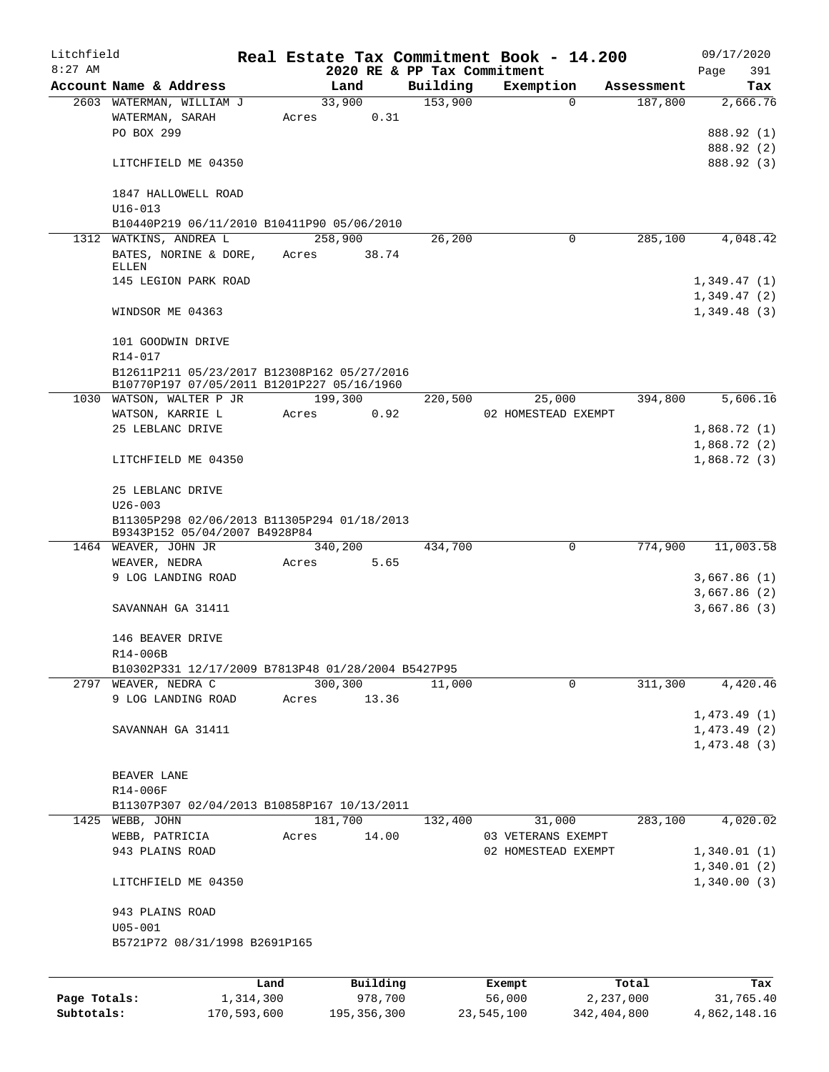| Litchfield   |                                                    |           |       |         |          |          | Real Estate Tax Commitment Book - 14.200 |                        |         |             | 09/17/2020      |
|--------------|----------------------------------------------------|-----------|-------|---------|----------|----------|------------------------------------------|------------------------|---------|-------------|-----------------|
| $8:27$ AM    | Account Name & Address                             |           |       | Land    |          | Building | 2020 RE & PP Tax Commitment<br>Exemption |                        |         | Page        | 391             |
|              | 2603 WATERMAN, WILLIAM J                           |           |       | 33,900  |          | 153,900  |                                          | Assessment<br>$\Omega$ | 187,800 |             | Tax<br>2,666.76 |
|              | WATERMAN, SARAH                                    |           | Acres |         | 0.31     |          |                                          |                        |         |             |                 |
|              | PO BOX 299                                         |           |       |         |          |          |                                          |                        |         |             | 888.92 (1)      |
|              |                                                    |           |       |         |          |          |                                          |                        |         |             | 888.92 (2)      |
|              | LITCHFIELD ME 04350                                |           |       |         |          |          |                                          |                        |         |             | 888.92 (3)      |
|              | 1847 HALLOWELL ROAD                                |           |       |         |          |          |                                          |                        |         |             |                 |
|              | $U16 - 013$                                        |           |       |         |          |          |                                          |                        |         |             |                 |
|              | B10440P219 06/11/2010 B10411P90 05/06/2010         |           |       |         |          |          |                                          |                        |         |             |                 |
|              | 1312 WATKINS, ANDREA L                             |           |       | 258,900 |          | 26,200   |                                          | 0                      | 285,100 |             | 4,048.42        |
|              | BATES, NORINE & DORE,<br>ELLEN                     |           | Acres |         | 38.74    |          |                                          |                        |         |             |                 |
|              | 145 LEGION PARK ROAD                               |           |       |         |          |          |                                          |                        |         | 1,349.47(1) |                 |
|              |                                                    |           |       |         |          |          |                                          |                        |         | 1,349.47(2) |                 |
|              | WINDSOR ME 04363                                   |           |       |         |          |          |                                          |                        |         | 1,349.48(3) |                 |
|              |                                                    |           |       |         |          |          |                                          |                        |         |             |                 |
|              | 101 GOODWIN DRIVE<br>R14-017                       |           |       |         |          |          |                                          |                        |         |             |                 |
|              | B12611P211 05/23/2017 B12308P162 05/27/2016        |           |       |         |          |          |                                          |                        |         |             |                 |
|              | B10770P197 07/05/2011 B1201P227 05/16/1960         |           |       |         |          |          |                                          |                        |         |             |                 |
|              | 1030 WATSON, WALTER P JR                           |           |       | 199,300 |          | 220,500  | 25,000                                   |                        | 394,800 |             | 5,606.16        |
|              | WATSON, KARRIE L                                   |           | Acres |         | 0.92     |          | 02 HOMESTEAD EXEMPT                      |                        |         |             |                 |
|              | 25 LEBLANC DRIVE                                   |           |       |         |          |          |                                          |                        |         | 1,868.72(1) |                 |
|              |                                                    |           |       |         |          |          |                                          |                        |         | 1,868.72(2) |                 |
|              | LITCHFIELD ME 04350                                |           |       |         |          |          |                                          |                        |         | 1,868.72(3) |                 |
|              | 25 LEBLANC DRIVE<br>$U26 - 003$                    |           |       |         |          |          |                                          |                        |         |             |                 |
|              | B11305P298 02/06/2013 B11305P294 01/18/2013        |           |       |         |          |          |                                          |                        |         |             |                 |
|              | B9343P152 05/04/2007 B4928P84                      |           |       |         |          |          |                                          |                        |         |             |                 |
|              | 1464 WEAVER, JOHN JR                               |           |       | 340,200 |          | 434,700  |                                          | 0                      | 774,900 |             | 11,003.58       |
|              | WEAVER, NEDRA                                      |           | Acres |         | 5.65     |          |                                          |                        |         |             |                 |
|              | 9 LOG LANDING ROAD                                 |           |       |         |          |          |                                          |                        |         | 3,667.86(1) |                 |
|              |                                                    |           |       |         |          |          |                                          |                        |         | 3,667.86(2) |                 |
|              | SAVANNAH GA 31411                                  |           |       |         |          |          |                                          |                        |         | 3,667.86(3) |                 |
|              | 146 BEAVER DRIVE                                   |           |       |         |          |          |                                          |                        |         |             |                 |
|              | R14-006B                                           |           |       |         |          |          |                                          |                        |         |             |                 |
|              | B10302P331 12/17/2009 B7813P48 01/28/2004 B5427P95 |           |       |         |          |          |                                          |                        |         |             |                 |
|              | 2797 WEAVER, NEDRA C                               |           |       | 300,300 |          | 11,000   |                                          | $\mathbf 0$            | 311,300 |             | 4, 420.46       |
|              | 9 LOG LANDING ROAD                                 |           | Acres |         | 13.36    |          |                                          |                        |         |             |                 |
|              |                                                    |           |       |         |          |          |                                          |                        |         | 1,473.49(1) |                 |
|              | SAVANNAH GA 31411                                  |           |       |         |          |          |                                          |                        |         | 1,473.49(2) |                 |
|              |                                                    |           |       |         |          |          |                                          |                        |         | 1,473.48(3) |                 |
|              | BEAVER LANE                                        |           |       |         |          |          |                                          |                        |         |             |                 |
|              | R14-006F                                           |           |       |         |          |          |                                          |                        |         |             |                 |
|              | B11307P307 02/04/2013 B10858P167 10/13/2011        |           |       |         |          |          |                                          |                        |         |             |                 |
|              | 1425 WEBB, JOHN                                    |           |       | 181,700 |          | 132,400  | 31,000                                   |                        | 283,100 |             | 4,020.02        |
|              | WEBB, PATRICIA                                     |           | Acres |         | 14.00    |          | 03 VETERANS EXEMPT                       |                        |         |             |                 |
|              | 943 PLAINS ROAD                                    |           |       |         |          |          | 02 HOMESTEAD EXEMPT                      |                        |         | 1,340.01(1) |                 |
|              |                                                    |           |       |         |          |          |                                          |                        |         | 1,340.01(2) |                 |
|              | LITCHFIELD ME 04350                                |           |       |         |          |          |                                          |                        |         | 1,340.00(3) |                 |
|              | 943 PLAINS ROAD                                    |           |       |         |          |          |                                          |                        |         |             |                 |
|              | $U05 - 001$                                        |           |       |         |          |          |                                          |                        |         |             |                 |
|              | B5721P72 08/31/1998 B2691P165                      |           |       |         |          |          |                                          |                        |         |             |                 |
|              |                                                    |           |       |         |          |          |                                          |                        |         |             |                 |
|              |                                                    | Land      |       |         | Building |          | Exempt                                   | Total                  |         |             | Tax             |
| Page Totals: |                                                    | 1,314,300 |       |         | 978,700  |          | 56,000                                   | 2,237,000              |         |             | 31,765.40       |

**Subtotals:** 170,593,600 195,356,300 23,545,100 342,404,800 4,862,148.16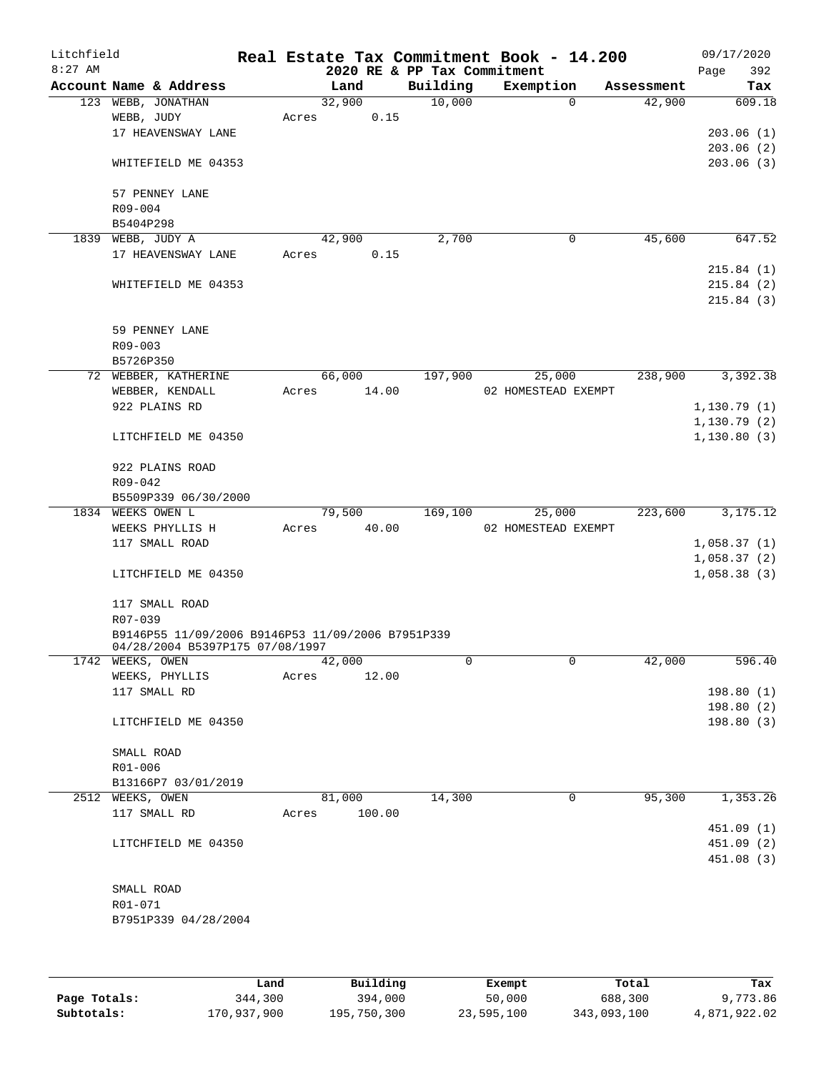| Litchfield |                                                   |       |        |        |                             | Real Estate Tax Commitment Book - 14.200 |            | 09/17/2020   |
|------------|---------------------------------------------------|-------|--------|--------|-----------------------------|------------------------------------------|------------|--------------|
| $8:27$ AM  |                                                   |       |        |        | 2020 RE & PP Tax Commitment |                                          |            | 392<br>Page  |
|            | Account Name & Address                            |       | Land   |        | Building                    | Exemption                                | Assessment | Tax          |
|            | 123 WEBB, JONATHAN                                |       | 32,900 |        | 10,000                      | $\mathbf 0$                              | 42,900     | 609.18       |
|            | WEBB, JUDY                                        | Acres |        | 0.15   |                             |                                          |            |              |
|            | 17 HEAVENSWAY LANE                                |       |        |        |                             |                                          |            | 203.06(1)    |
|            |                                                   |       |        |        |                             |                                          |            | 203.06(2)    |
|            | WHITEFIELD ME 04353                               |       |        |        |                             |                                          |            | 203.06(3)    |
|            | 57 PENNEY LANE                                    |       |        |        |                             |                                          |            |              |
|            | R09-004                                           |       |        |        |                             |                                          |            |              |
|            | B5404P298                                         |       |        |        |                             |                                          |            |              |
| 1839       | WEBB, JUDY A                                      |       | 42,900 |        | 2,700                       | $\mathbf 0$                              | 45,600     | 647.52       |
|            | 17 HEAVENSWAY LANE                                | Acres |        | 0.15   |                             |                                          |            |              |
|            |                                                   |       |        |        |                             |                                          |            | 215.84(1)    |
|            | WHITEFIELD ME 04353                               |       |        |        |                             |                                          |            | 215.84(2)    |
|            |                                                   |       |        |        |                             |                                          |            | 215.84(3)    |
|            | 59 PENNEY LANE                                    |       |        |        |                             |                                          |            |              |
|            | R09-003                                           |       |        |        |                             |                                          |            |              |
|            | B5726P350                                         |       |        |        |                             |                                          |            |              |
|            | 72 WEBBER, KATHERINE                              |       | 66,000 |        | 197,900                     | 25,000                                   | 238,900    | 3,392.38     |
|            | WEBBER, KENDALL                                   | Acres |        | 14.00  |                             | 02 HOMESTEAD EXEMPT                      |            |              |
|            | 922 PLAINS RD                                     |       |        |        |                             |                                          |            | 1,130.79(1)  |
|            |                                                   |       |        |        |                             |                                          |            | 1,130.79(2)  |
|            | LITCHFIELD ME 04350                               |       |        |        |                             |                                          |            | 1, 130.80(3) |
|            |                                                   |       |        |        |                             |                                          |            |              |
|            | 922 PLAINS ROAD                                   |       |        |        |                             |                                          |            |              |
|            | R09-042                                           |       |        |        |                             |                                          |            |              |
|            | B5509P339 06/30/2000                              |       |        |        |                             |                                          |            |              |
|            | 1834 WEEKS OWEN L                                 |       | 79,500 |        | 169,100                     | 25,000                                   | 223,600    | 3, 175. 12   |
|            | WEEKS PHYLLIS H                                   | Acres |        | 40.00  |                             | 02 HOMESTEAD EXEMPT                      |            |              |
|            | 117 SMALL ROAD                                    |       |        |        |                             |                                          |            | 1,058.37(1)  |
|            |                                                   |       |        |        |                             |                                          |            | 1,058.37(2)  |
|            | LITCHFIELD ME 04350                               |       |        |        |                             |                                          |            | 1,058.38(3)  |
|            | 117 SMALL ROAD                                    |       |        |        |                             |                                          |            |              |
|            | R07-039                                           |       |        |        |                             |                                          |            |              |
|            | B9146P55 11/09/2006 B9146P53 11/09/2006 B7951P339 |       |        |        |                             |                                          |            |              |
|            | 04/28/2004 B5397P175 07/08/1997                   |       |        |        |                             |                                          |            |              |
|            | 1742 WEEKS, OWEN                                  |       | 42,000 |        | 0                           | 0                                        | 42,000     | 596.40       |
|            | WEEKS, PHYLLIS                                    | Acres |        | 12.00  |                             |                                          |            |              |
|            | 117 SMALL RD                                      |       |        |        |                             |                                          |            | 198.80(1)    |
|            |                                                   |       |        |        |                             |                                          |            | 198.80(2)    |
|            | LITCHFIELD ME 04350                               |       |        |        |                             |                                          |            | 198.80(3)    |
|            | SMALL ROAD                                        |       |        |        |                             |                                          |            |              |
|            | R01-006                                           |       |        |        |                             |                                          |            |              |
|            | B13166P7 03/01/2019                               |       |        |        |                             |                                          |            |              |
|            | 2512 WEEKS, OWEN                                  |       | 81,000 |        | 14,300                      | 0                                        | 95,300     | 1,353.26     |
|            | 117 SMALL RD                                      | Acres |        | 100.00 |                             |                                          |            |              |
|            |                                                   |       |        |        |                             |                                          |            | 451.09 (1)   |
|            |                                                   |       |        |        |                             |                                          |            | 451.09 (2)   |
|            | LITCHFIELD ME 04350                               |       |        |        |                             |                                          |            |              |
|            |                                                   |       |        |        |                             |                                          |            | 451.08 (3)   |
|            |                                                   |       |        |        |                             |                                          |            |              |
|            | SMALL ROAD                                        |       |        |        |                             |                                          |            |              |
|            | R01-071                                           |       |        |        |                             |                                          |            |              |
|            | B7951P339 04/28/2004                              |       |        |        |                             |                                          |            |              |
|            |                                                   |       |        |        |                             |                                          |            |              |
|            |                                                   |       |        |        |                             |                                          |            |              |
|            |                                                   |       |        |        |                             |                                          |            |              |

|              | Land        | Building    | Exempt     | Total       | Tax          |
|--------------|-------------|-------------|------------|-------------|--------------|
| Page Totals: | 344,300     | 394,000     | 50,000     | 688,300     | 9,773.86     |
| Subtotals:   | 170,937,900 | 195,750,300 | 23,595,100 | 343,093,100 | 4,871,922.02 |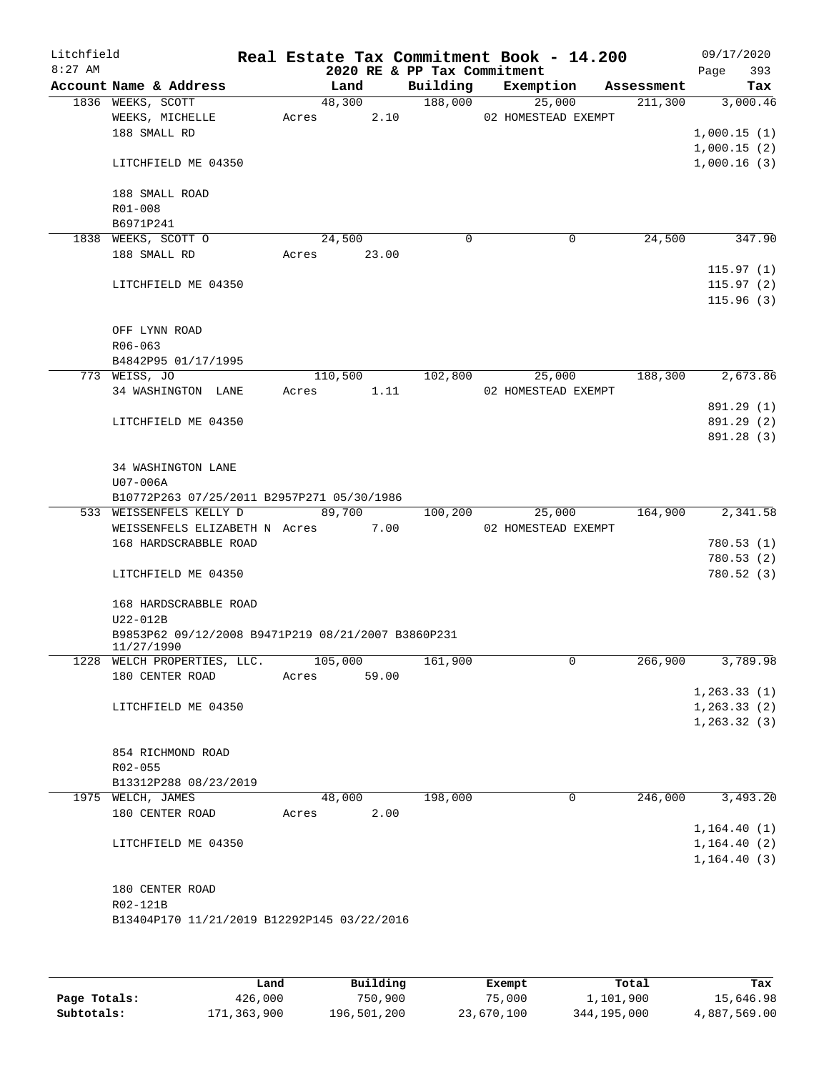| Litchfield |                                                                |                |                             | Real Estate Tax Commitment Book - 14.200 |            | 09/17/2020               |
|------------|----------------------------------------------------------------|----------------|-----------------------------|------------------------------------------|------------|--------------------------|
| $8:27$ AM  |                                                                |                | 2020 RE & PP Tax Commitment |                                          |            | 393<br>Page              |
|            | Account Name & Address                                         | Land           | Building                    | Exemption                                | Assessment | Tax                      |
|            | 1836 WEEKS, SCOTT<br>WEEKS, MICHELLE                           | 48,300         | 188,000                     | 25,000                                   | 211,300    | 3,000.46                 |
|            | 188 SMALL RD                                                   | 2.10<br>Acres  |                             | 02 HOMESTEAD EXEMPT                      |            | 1,000.15(1)              |
|            |                                                                |                |                             |                                          |            | 1,000.15(2)              |
|            | LITCHFIELD ME 04350                                            |                |                             |                                          |            | 1,000.16(3)              |
|            | 188 SMALL ROAD                                                 |                |                             |                                          |            |                          |
|            | $R01 - 008$                                                    |                |                             |                                          |            |                          |
|            | B6971P241                                                      |                |                             |                                          |            |                          |
|            | 1838 WEEKS, SCOTT O<br>188 SMALL RD                            | 24,500         | $\mathbf 0$                 | 0                                        | 24,500     | 347.90                   |
|            |                                                                | Acres 23.00    |                             |                                          |            | 115.97(1)                |
|            | LITCHFIELD ME 04350                                            |                |                             |                                          |            | 115.97(2)                |
|            |                                                                |                |                             |                                          |            | 115.96(3)                |
|            | OFF LYNN ROAD                                                  |                |                             |                                          |            |                          |
|            | $R06 - 063$                                                    |                |                             |                                          |            |                          |
|            | B4842P95 01/17/1995                                            |                |                             |                                          |            |                          |
|            | 773 WEISS, JO                                                  | 110,500        | 102,800                     | 25,000                                   | 188,300    | 2,673.86                 |
|            | 34 WASHINGTON LANE                                             | 1.11<br>Acres  |                             | 02 HOMESTEAD EXEMPT                      |            |                          |
|            |                                                                |                |                             |                                          |            | 891.29 (1)               |
|            | LITCHFIELD ME 04350                                            |                |                             |                                          |            | 891.29 (2)<br>891.28 (3) |
|            |                                                                |                |                             |                                          |            |                          |
|            | 34 WASHINGTON LANE                                             |                |                             |                                          |            |                          |
|            | U07-006A                                                       |                |                             |                                          |            |                          |
|            | B10772P263 07/25/2011 B2957P271 05/30/1986                     |                |                             |                                          |            |                          |
|            | 533 WEISSENFELS KELLY D                                        | 89,700         | 100,200                     | 25,000                                   | 164,900    | 2,341.58                 |
|            | WEISSENFELS ELIZABETH N Acres                                  | 7.00           |                             | 02 HOMESTEAD EXEMPT                      |            |                          |
|            | 168 HARDSCRABBLE ROAD                                          |                |                             |                                          |            | 780.53(1)                |
|            |                                                                |                |                             |                                          |            | 780.53(2)                |
|            | LITCHFIELD ME 04350                                            |                |                             |                                          |            | 780.52(3)                |
|            | 168 HARDSCRABBLE ROAD                                          |                |                             |                                          |            |                          |
|            | U22-012B<br>B9853P62 09/12/2008 B9471P219 08/21/2007 B3860P231 |                |                             |                                          |            |                          |
|            | 11/27/1990                                                     |                |                             |                                          |            |                          |
|            | 1228 WELCH PROPERTIES, LLC.                                    | 105,000        | 161,900                     | 0                                        | 266,900    | 3,789.98                 |
|            | 180 CENTER ROAD                                                | 59.00<br>Acres |                             |                                          |            |                          |
|            |                                                                |                |                             |                                          |            | 1, 263.33(1)             |
|            | LITCHFIELD ME 04350                                            |                |                             |                                          |            | 1, 263.33(2)             |
|            |                                                                |                |                             |                                          |            | 1, 263.32(3)             |
|            | 854 RICHMOND ROAD                                              |                |                             |                                          |            |                          |
|            | $R02 - 055$                                                    |                |                             |                                          |            |                          |
|            | B13312P288 08/23/2019                                          |                |                             |                                          |            |                          |
|            | 1975 WELCH, JAMES                                              | 48,000         | 198,000                     | 0                                        | 246,000    | 3,493.20                 |
|            | 180 CENTER ROAD                                                | 2.00<br>Acres  |                             |                                          |            |                          |
|            |                                                                |                |                             |                                          |            | 1, 164.40(1)             |
|            | LITCHFIELD ME 04350                                            |                |                             |                                          |            | 1,164.40(2)              |
|            |                                                                |                |                             |                                          |            | 1, 164.40(3)             |
|            |                                                                |                |                             |                                          |            |                          |
|            | 180 CENTER ROAD                                                |                |                             |                                          |            |                          |
|            | R02-121B                                                       |                |                             |                                          |            |                          |
|            | B13404P170 11/21/2019 B12292P145 03/22/2016                    |                |                             |                                          |            |                          |
|            |                                                                |                |                             |                                          |            |                          |
|            |                                                                |                |                             |                                          |            |                          |

|              | Land        | Building    | Exempt     | Total       | Tax          |
|--------------|-------------|-------------|------------|-------------|--------------|
| Page Totals: | 426,000     | 750,900     | 75,000     | 1,101,900   | 15,646.98    |
| Subtotals:   | 171,363,900 | 196,501,200 | 23,670,100 | 344,195,000 | 4,887,569.00 |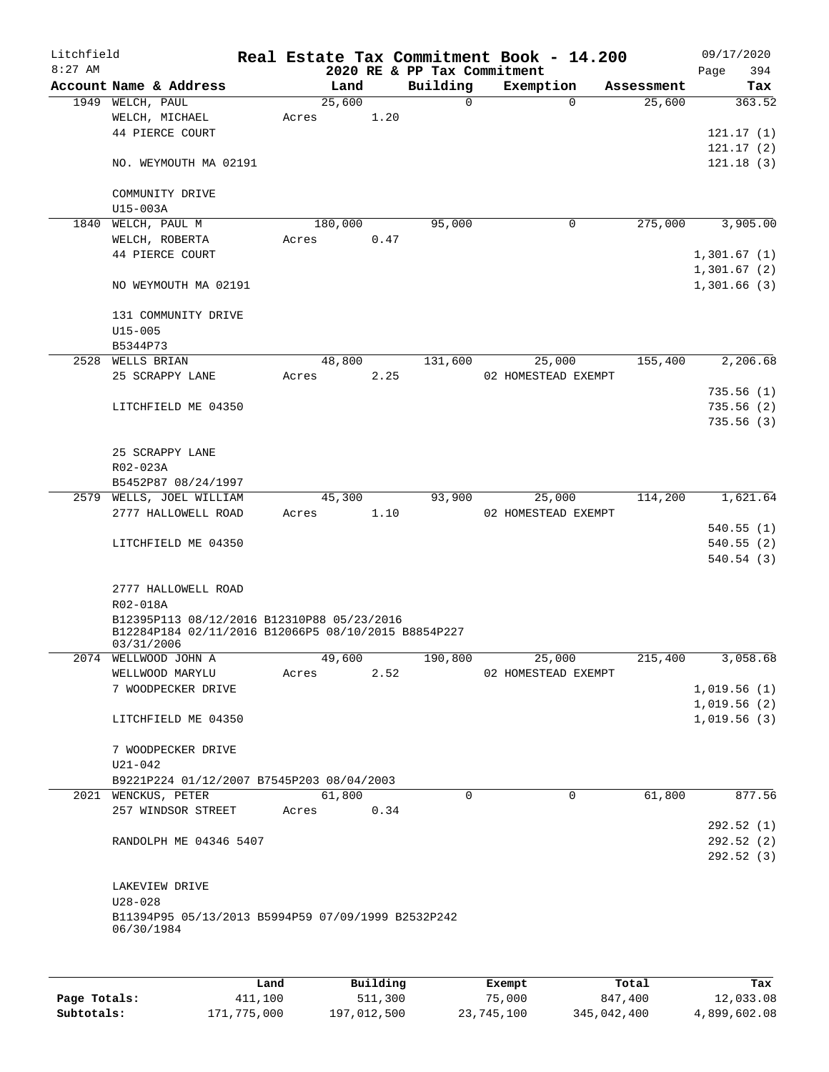| Litchfield<br>$8:27$ AM |                                                                  |       |         |      | 2020 RE & PP Tax Commitment | Real Estate Tax Commitment Book - 14.200 |            | 09/17/2020<br>394<br>Page  |
|-------------------------|------------------------------------------------------------------|-------|---------|------|-----------------------------|------------------------------------------|------------|----------------------------|
|                         | Account Name & Address                                           |       | Land    |      | Building                    | Exemption                                | Assessment | Tax                        |
|                         | 1949 WELCH, PAUL                                                 |       | 25,600  |      | 0                           | $\Omega$                                 | 25,600     | 363.52                     |
|                         | WELCH, MICHAEL                                                   | Acres |         | 1.20 |                             |                                          |            |                            |
|                         | 44 PIERCE COURT                                                  |       |         |      |                             |                                          |            | 121.17(1)                  |
|                         |                                                                  |       |         |      |                             |                                          |            | 121.17(2)                  |
|                         | NO. WEYMOUTH MA 02191                                            |       |         |      |                             |                                          |            | 121.18(3)                  |
|                         | COMMUNITY DRIVE                                                  |       |         |      |                             |                                          |            |                            |
|                         | U15-003A                                                         |       |         |      |                             |                                          |            |                            |
| 1840                    | WELCH, PAUL M                                                    |       | 180,000 |      | 95,000                      | $\mathbf 0$                              | 275,000    | 3,905.00                   |
|                         | WELCH, ROBERTA                                                   | Acres |         | 0.47 |                             |                                          |            |                            |
|                         | 44 PIERCE COURT                                                  |       |         |      |                             |                                          |            | 1,301.67(1)                |
|                         |                                                                  |       |         |      |                             |                                          |            | 1,301.67(2)                |
|                         | NO WEYMOUTH MA 02191                                             |       |         |      |                             |                                          |            | 1,301.66(3)                |
|                         | 131 COMMUNITY DRIVE                                              |       |         |      |                             |                                          |            |                            |
|                         | $U15 - 005$                                                      |       |         |      |                             |                                          |            |                            |
|                         | B5344P73                                                         |       |         |      |                             |                                          |            |                            |
| 2528                    | WELLS BRIAN                                                      |       | 48,800  |      | 131,600                     | 25,000                                   | 155,400    | 2,206.68                   |
|                         | 25 SCRAPPY LANE                                                  | Acres |         | 2.25 |                             | 02 HOMESTEAD EXEMPT                      |            |                            |
|                         |                                                                  |       |         |      |                             |                                          |            | 735.56(1)                  |
|                         | LITCHFIELD ME 04350                                              |       |         |      |                             |                                          |            | 735.56(2)                  |
|                         |                                                                  |       |         |      |                             |                                          |            | 735.56(3)                  |
|                         |                                                                  |       |         |      |                             |                                          |            |                            |
|                         | 25 SCRAPPY LANE<br>R02-023A                                      |       |         |      |                             |                                          |            |                            |
|                         | B5452P87 08/24/1997                                              |       |         |      |                             |                                          |            |                            |
|                         | 2579 WELLS, JOEL WILLIAM                                         |       | 45,300  |      | 93,900                      | 25,000                                   | 114,200    | 1,621.64                   |
|                         | 2777 HALLOWELL ROAD                                              | Acres |         | 1.10 |                             | 02 HOMESTEAD EXEMPT                      |            |                            |
|                         |                                                                  |       |         |      |                             |                                          |            | 540.55(1)                  |
|                         | LITCHFIELD ME 04350                                              |       |         |      |                             |                                          |            | 540.55(2)                  |
|                         |                                                                  |       |         |      |                             |                                          |            | 540.54(3)                  |
|                         |                                                                  |       |         |      |                             |                                          |            |                            |
|                         | 2777 HALLOWELL ROAD<br>R02-018A                                  |       |         |      |                             |                                          |            |                            |
|                         | B12395P113 08/12/2016 B12310P88 05/23/2016                       |       |         |      |                             |                                          |            |                            |
|                         | B12284P184 02/11/2016 B12066P5 08/10/2015 B8854P227              |       |         |      |                             |                                          |            |                            |
|                         | 03/31/2006                                                       |       |         |      |                             |                                          |            |                            |
|                         | 2074 WELLWOOD JOHN A                                             |       | 49,600  |      | 190,800                     | 25,000                                   | 215,400    | 3,058.68                   |
|                         | WELLWOOD MARYLU                                                  | Acres |         | 2.52 |                             | 02 HOMESTEAD EXEMPT                      |            |                            |
|                         | 7 WOODPECKER DRIVE                                               |       |         |      |                             |                                          |            | 1,019.56(1)<br>1,019.56(2) |
|                         | LITCHFIELD ME 04350                                              |       |         |      |                             |                                          |            | 1,019.56(3)                |
|                         |                                                                  |       |         |      |                             |                                          |            |                            |
|                         | 7 WOODPECKER DRIVE                                               |       |         |      |                             |                                          |            |                            |
|                         | $U21 - 042$                                                      |       |         |      |                             |                                          |            |                            |
|                         | B9221P224 01/12/2007 B7545P203 08/04/2003                        |       |         |      |                             |                                          |            |                            |
|                         | 2021 WENCKUS, PETER                                              |       | 61,800  |      | $\Omega$                    | $\Omega$                                 | 61,800     | 877.56                     |
|                         | 257 WINDSOR STREET                                               | Acres |         | 0.34 |                             |                                          |            |                            |
|                         |                                                                  |       |         |      |                             |                                          |            | 292.52(1)                  |
|                         | RANDOLPH ME 04346 5407                                           |       |         |      |                             |                                          |            | 292.52(2)                  |
|                         |                                                                  |       |         |      |                             |                                          |            | 292.52(3)                  |
|                         |                                                                  |       |         |      |                             |                                          |            |                            |
|                         | LAKEVIEW DRIVE                                                   |       |         |      |                             |                                          |            |                            |
|                         | $U28 - 028$                                                      |       |         |      |                             |                                          |            |                            |
|                         | B11394P95 05/13/2013 B5994P59 07/09/1999 B2532P242<br>06/30/1984 |       |         |      |                             |                                          |            |                            |
|                         |                                                                  |       |         |      |                             |                                          |            |                            |
|                         |                                                                  |       |         |      |                             |                                          |            |                            |

|              | Land        | Building    | Exempt     | Total       | Tax          |
|--------------|-------------|-------------|------------|-------------|--------------|
| Page Totals: | 411,100     | 511,300     | 75,000     | 847,400     | 12,033.08    |
| Subtotals:   | 171,775,000 | 197,012,500 | 23,745,100 | 345,042,400 | 4,899,602.08 |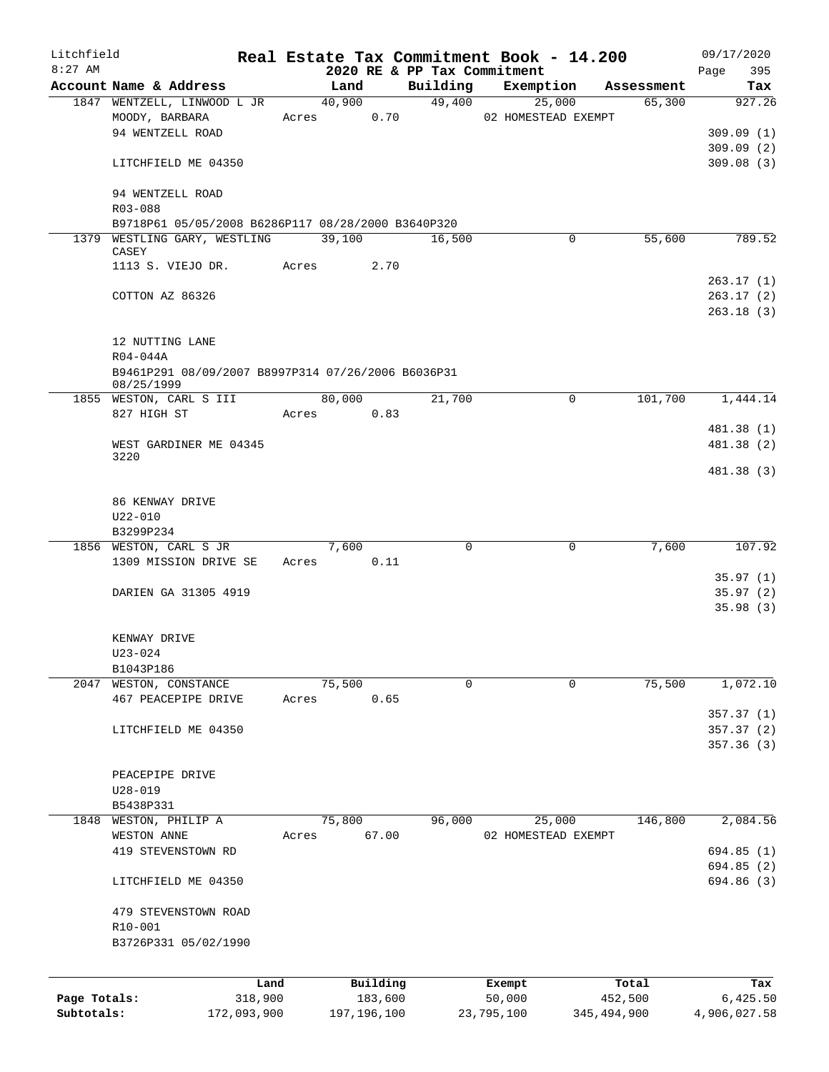| Litchfield                 |                                                                  |             |       |                |          |          |          | Real Estate Tax Commitment Book - 14.200 |             |            | 09/17/2020    |
|----------------------------|------------------------------------------------------------------|-------------|-------|----------------|----------|----------|----------|------------------------------------------|-------------|------------|---------------|
| $8:27$ AM                  | Account Name & Address                                           |             |       |                |          | Building |          | 2020 RE & PP Tax Commitment              |             | Assessment | Page<br>395   |
|                            | 1847 WENTZELL, LINWOOD L JR                                      |             |       | Land<br>40,900 |          | 49,400   |          | Exemption<br>25,000                      |             | 65,300     | Tax<br>927.26 |
|                            | MOODY, BARBARA                                                   |             |       | Acres          | 0.70     |          |          | 02 HOMESTEAD EXEMPT                      |             |            |               |
|                            | 94 WENTZELL ROAD                                                 |             |       |                |          |          |          |                                          |             |            | 309.09(1)     |
|                            |                                                                  |             |       |                |          |          |          |                                          |             |            | 309.09(2)     |
|                            | LITCHFIELD ME 04350                                              |             |       |                |          |          |          |                                          |             |            | 309.08(3)     |
|                            | 94 WENTZELL ROAD                                                 |             |       |                |          |          |          |                                          |             |            |               |
|                            | R03-088                                                          |             |       |                |          |          |          |                                          |             |            |               |
|                            | B9718P61 05/05/2008 B6286P117 08/28/2000 B3640P320               |             |       |                |          |          |          |                                          |             |            |               |
|                            | 1379 WESTLING GARY, WESTLING 39,100<br>CASEY                     |             |       |                |          | 16,500   |          |                                          | $\mathbf 0$ | 55,600     | 789.52        |
|                            | 1113 S. VIEJO DR.                                                |             |       | Acres          | 2.70     |          |          |                                          |             |            |               |
|                            |                                                                  |             |       |                |          |          |          |                                          |             |            | 263.17(1)     |
|                            | COTTON AZ 86326                                                  |             |       |                |          |          |          |                                          |             |            | 263.17(2)     |
|                            |                                                                  |             |       |                |          |          |          |                                          |             |            | 263.18(3)     |
|                            | 12 NUTTING LANE                                                  |             |       |                |          |          |          |                                          |             |            |               |
|                            | R04-044A                                                         |             |       |                |          |          |          |                                          |             |            |               |
|                            | B9461P291 08/09/2007 B8997P314 07/26/2006 B6036P31<br>08/25/1999 |             |       |                |          |          |          |                                          |             |            |               |
|                            | 1855 WESTON, CARL S III                                          |             |       | 80,000         |          | 21,700   |          |                                          | $\Omega$    | 101,700    | 1,444.14      |
|                            | 827 HIGH ST                                                      |             |       | Acres          | 0.83     |          |          |                                          |             |            |               |
|                            |                                                                  |             |       |                |          |          |          |                                          |             |            | 481.38 (1)    |
|                            | WEST GARDINER ME 04345                                           |             |       |                |          |          |          |                                          |             |            | 481.38 (2)    |
|                            | 3220                                                             |             |       |                |          |          |          |                                          |             |            |               |
|                            |                                                                  |             |       |                |          |          |          |                                          |             |            | 481.38 (3)    |
|                            | 86 KENWAY DRIVE                                                  |             |       |                |          |          |          |                                          |             |            |               |
|                            | $U22 - 010$                                                      |             |       |                |          |          |          |                                          |             |            |               |
|                            | B3299P234                                                        |             |       |                |          |          |          |                                          |             |            |               |
|                            | 1856 WESTON, CARL S JR                                           |             |       | 7,600          |          |          | $\Omega$ |                                          | $\Omega$    | 7,600      | 107.92        |
|                            | 1309 MISSION DRIVE SE                                            |             |       | Acres          | 0.11     |          |          |                                          |             |            |               |
|                            |                                                                  |             |       |                |          |          |          |                                          |             |            | 35.97(1)      |
|                            | DARIEN GA 31305 4919                                             |             |       |                |          |          |          |                                          |             |            | 35.97(2)      |
|                            |                                                                  |             |       |                |          |          |          |                                          |             |            | 35.98(3)      |
|                            | KENWAY DRIVE                                                     |             |       |                |          |          |          |                                          |             |            |               |
|                            | $U23 - 024$                                                      |             |       |                |          |          |          |                                          |             |            |               |
|                            | B1043P186                                                        |             |       |                |          |          |          |                                          |             |            |               |
|                            | 2047 WESTON, CONSTANCE                                           |             |       | 75,500         |          |          | $\Omega$ |                                          | 0           | 75,500     | 1,072.10      |
|                            | 467 PEACEPIPE DRIVE                                              |             | Acres |                | 0.65     |          |          |                                          |             |            |               |
|                            |                                                                  |             |       |                |          |          |          |                                          |             |            | 357.37(1)     |
|                            | LITCHFIELD ME 04350                                              |             |       |                |          |          |          |                                          |             |            | 357.37(2)     |
|                            |                                                                  |             |       |                |          |          |          |                                          |             |            | 357.36(3)     |
|                            |                                                                  |             |       |                |          |          |          |                                          |             |            |               |
|                            | PEACEPIPE DRIVE                                                  |             |       |                |          |          |          |                                          |             |            |               |
|                            | $U28 - 019$                                                      |             |       |                |          |          |          |                                          |             |            |               |
|                            | B5438P331                                                        |             |       |                |          |          |          |                                          |             |            |               |
|                            | 1848 WESTON, PHILIP A<br>WESTON ANNE                             |             | Acres | 75,800         | 67.00    | 96,000   |          | 25,000<br>02 HOMESTEAD EXEMPT            |             | 146,800    | 2,084.56      |
|                            | 419 STEVENSTOWN RD                                               |             |       |                |          |          |          |                                          |             |            | 694.85(1)     |
|                            |                                                                  |             |       |                |          |          |          |                                          |             |            | 694.85 (2)    |
|                            | LITCHFIELD ME 04350                                              |             |       |                |          |          |          |                                          |             |            | 694.86 (3)    |
|                            |                                                                  |             |       |                |          |          |          |                                          |             |            |               |
|                            | 479 STEVENSTOWN ROAD                                             |             |       |                |          |          |          |                                          |             |            |               |
|                            | R10-001                                                          |             |       |                |          |          |          |                                          |             |            |               |
|                            | B3726P331 05/02/1990                                             |             |       |                |          |          |          |                                          |             |            |               |
|                            |                                                                  |             |       |                |          |          |          |                                          |             |            |               |
|                            |                                                                  | Land        |       |                | Building |          |          | Exempt                                   |             | Total      | Tax           |
| Page Totals:<br>Subtotals: |                                                                  | 318,900     |       | 197, 196, 100  | 183,600  |          |          | 50,000                                   |             | 452,500    | 6,425.50      |
|                            |                                                                  | 172,093,900 |       |                |          |          |          | 23,795,100                               | 345,494,900 |            | 4,906,027.58  |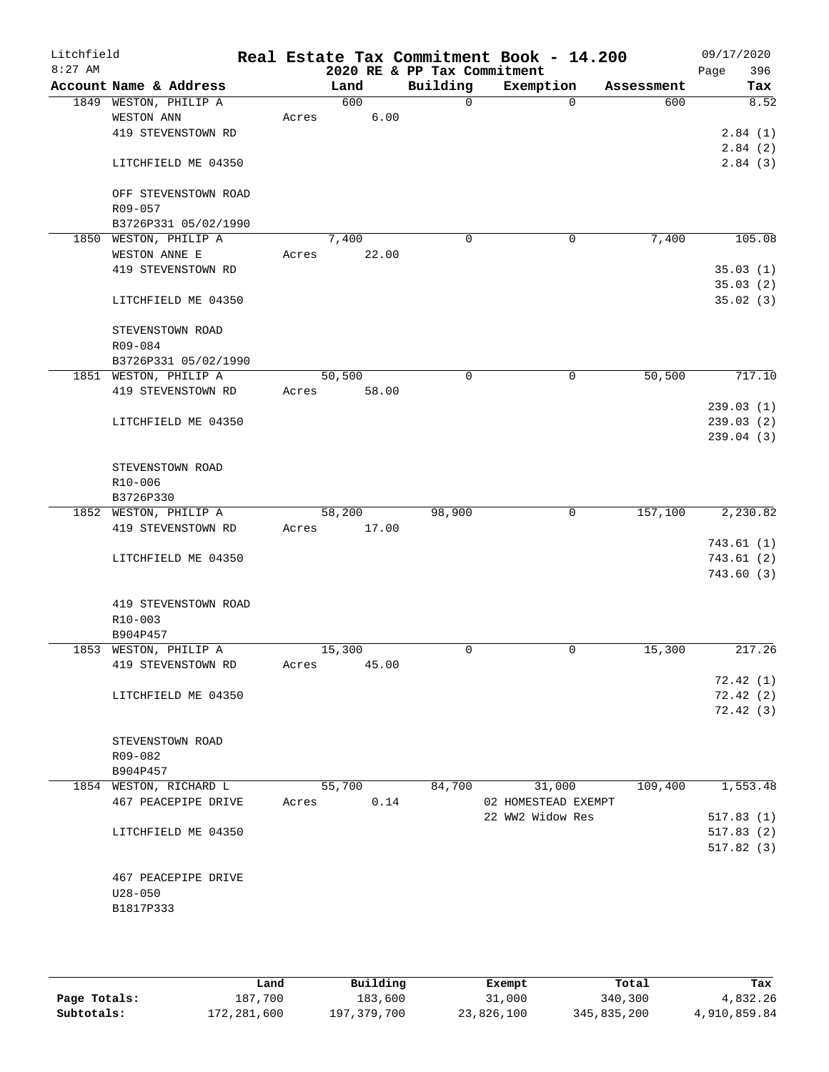| Litchfield<br>$8:27$ AM |                        |       |        | 2020 RE & PP Tax Commitment | Real Estate Tax Commitment Book - 14.200 |            | 09/17/2020<br>396<br>Page |
|-------------------------|------------------------|-------|--------|-----------------------------|------------------------------------------|------------|---------------------------|
|                         | Account Name & Address |       | Land   | Building                    | Exemption                                | Assessment | Tax                       |
|                         | 1849 WESTON, PHILIP A  |       | 600    | $\mathsf{O}$                | $\Omega$                                 | 600        | 8.52                      |
|                         | WESTON ANN             | Acres | 6.00   |                             |                                          |            |                           |
|                         | 419 STEVENSTOWN RD     |       |        |                             |                                          |            | 2.84(1)                   |
|                         |                        |       |        |                             |                                          |            | 2.84(2)                   |
|                         | LITCHFIELD ME 04350    |       |        |                             |                                          |            | 2.84(3)                   |
|                         | OFF STEVENSTOWN ROAD   |       |        |                             |                                          |            |                           |
|                         | R09-057                |       |        |                             |                                          |            |                           |
|                         | B3726P331 05/02/1990   |       |        |                             |                                          |            |                           |
|                         | 1850 WESTON, PHILIP A  |       | 7,400  | $\mathbf 0$                 | $\mathbf 0$                              | 7,400      | 105.08                    |
|                         | WESTON ANNE E          | Acres | 22.00  |                             |                                          |            |                           |
|                         | 419 STEVENSTOWN RD     |       |        |                             |                                          |            | 35.03(1)                  |
|                         |                        |       |        |                             |                                          |            | 35.03(2)                  |
|                         | LITCHFIELD ME 04350    |       |        |                             |                                          |            | 35.02(3)                  |
|                         | STEVENSTOWN ROAD       |       |        |                             |                                          |            |                           |
|                         | R09-084                |       |        |                             |                                          |            |                           |
|                         | B3726P331 05/02/1990   |       |        |                             |                                          |            |                           |
|                         | 1851 WESTON, PHILIP A  |       | 50,500 | 0                           | 0                                        | 50, 500    | 717.10                    |
|                         | 419 STEVENSTOWN RD     | Acres | 58.00  |                             |                                          |            |                           |
|                         |                        |       |        |                             |                                          |            | 239.03(1)                 |
|                         | LITCHFIELD ME 04350    |       |        |                             |                                          |            | 239.03(2)                 |
|                         |                        |       |        |                             |                                          |            |                           |
|                         |                        |       |        |                             |                                          |            | 239.04(3)                 |
|                         | STEVENSTOWN ROAD       |       |        |                             |                                          |            |                           |
|                         | R10-006                |       |        |                             |                                          |            |                           |
|                         | B3726P330              |       |        |                             |                                          |            |                           |
|                         | 1852 WESTON, PHILIP A  |       | 58,200 | 98,900                      | 0                                        | 157,100    | 2,230.82                  |
|                         | 419 STEVENSTOWN RD     | Acres | 17.00  |                             |                                          |            |                           |
|                         |                        |       |        |                             |                                          |            | 743.61(1)                 |
|                         |                        |       |        |                             |                                          |            | 743.61(2)                 |
|                         | LITCHFIELD ME 04350    |       |        |                             |                                          |            | 743.60 (3)                |
|                         |                        |       |        |                             |                                          |            |                           |
|                         | 419 STEVENSTOWN ROAD   |       |        |                             |                                          |            |                           |
|                         | R10-003                |       |        |                             |                                          |            |                           |
|                         | B904P457               |       |        |                             |                                          |            |                           |
|                         | 1853 WESTON, PHILIP A  |       | 15,300 | 0                           | 0                                        | 15,300     | 217.26                    |
|                         | 419 STEVENSTOWN RD     | Acres | 45.00  |                             |                                          |            |                           |
|                         |                        |       |        |                             |                                          |            |                           |
|                         |                        |       |        |                             |                                          |            | 72.42(1)                  |
|                         | LITCHFIELD ME 04350    |       |        |                             |                                          |            | 72.42(2)                  |
|                         |                        |       |        |                             |                                          |            | 72.42(3)                  |
|                         |                        |       |        |                             |                                          |            |                           |
|                         | STEVENSTOWN ROAD       |       |        |                             |                                          |            |                           |
|                         | R09-082                |       |        |                             |                                          |            |                           |
|                         | B904P457               |       |        |                             |                                          |            |                           |
|                         | 1854 WESTON, RICHARD L |       | 55,700 | 84,700                      | 31,000                                   | 109,400    | 1,553.48                  |
|                         | 467 PEACEPIPE DRIVE    | Acres | 0.14   |                             | 02 HOMESTEAD EXEMPT                      |            |                           |
|                         |                        |       |        |                             | 22 WW2 Widow Res                         |            | 517.83(1)                 |
|                         | LITCHFIELD ME 04350    |       |        |                             |                                          |            | 517.83(2)                 |
|                         |                        |       |        |                             |                                          |            | 517.82(3)                 |
|                         |                        |       |        |                             |                                          |            |                           |
|                         | 467 PEACEPIPE DRIVE    |       |        |                             |                                          |            |                           |
|                         | $U28 - 050$            |       |        |                             |                                          |            |                           |
|                         | B1817P333              |       |        |                             |                                          |            |                           |
|                         |                        |       |        |                             |                                          |            |                           |
|                         |                        |       |        |                             |                                          |            |                           |

|              | Land        | Building    | Exempt     | Total       | Tax          |
|--------------|-------------|-------------|------------|-------------|--------------|
| Page Totals: | 187,700     | 183,600     | 31,000     | 340,300     | 4,832.26     |
| Subtotals:   | 172,281,600 | 197,379,700 | 23,826,100 | 345,835,200 | 4,910,859.84 |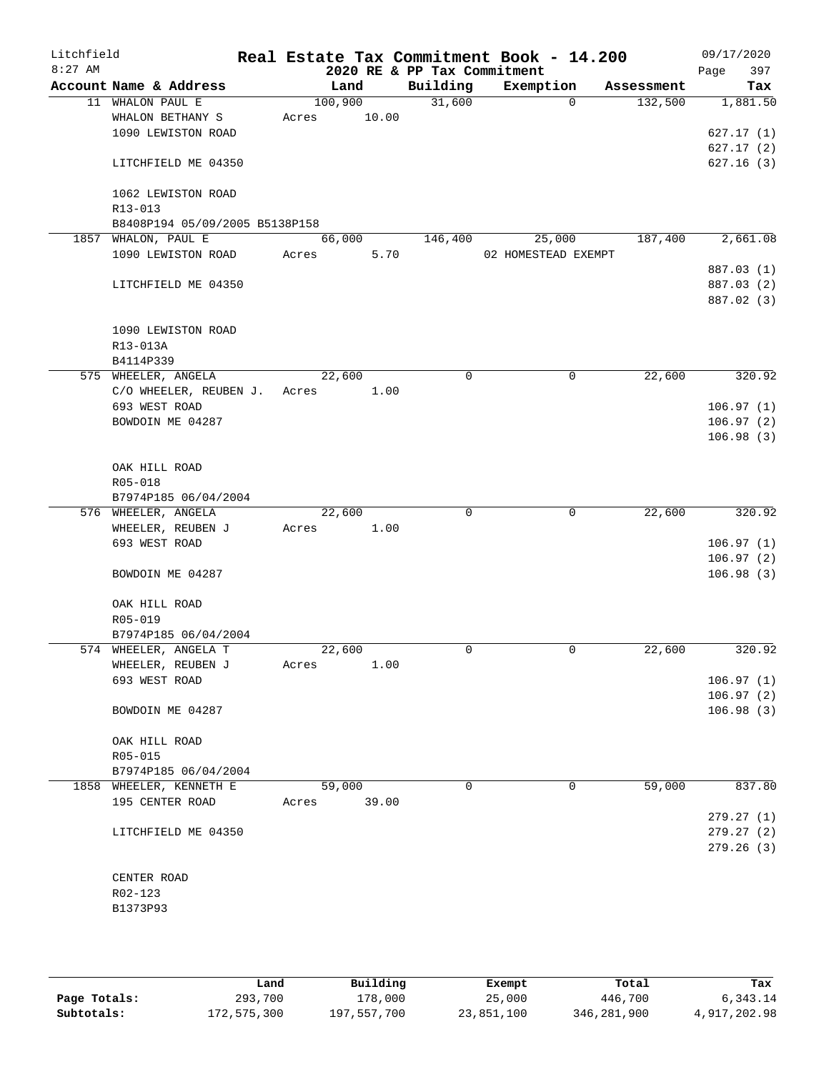| Litchfield |                                               |       |         |       | Real Estate Tax Commitment Book - 14.200 |                     |             |            | 09/17/2020             |
|------------|-----------------------------------------------|-------|---------|-------|------------------------------------------|---------------------|-------------|------------|------------------------|
| $8:27$ AM  |                                               |       |         |       | 2020 RE & PP Tax Commitment              |                     |             |            | 397<br>Page            |
|            | Account Name & Address                        |       | Land    |       | Building                                 | Exemption           |             | Assessment | Tax                    |
|            | 11 WHALON PAUL E                              |       | 100,900 |       | 31,600                                   |                     | $\mathbf 0$ | 132,500    | 1,881.50               |
|            | WHALON BETHANY S<br>1090 LEWISTON ROAD        | Acres |         | 10.00 |                                          |                     |             |            | 627.17(1)              |
|            |                                               |       |         |       |                                          |                     |             |            | 627.17(2)              |
|            | LITCHFIELD ME 04350                           |       |         |       |                                          |                     |             |            | 627.16(3)              |
|            | 1062 LEWISTON ROAD                            |       |         |       |                                          |                     |             |            |                        |
|            | R13-013                                       |       |         |       |                                          |                     |             |            |                        |
|            | B8408P194 05/09/2005 B5138P158                |       |         |       |                                          |                     |             |            |                        |
|            | 1857 WHALON, PAUL E                           |       | 66,000  |       | 146,400                                  |                     | 25,000      | 187,400    | 2,661.08               |
|            | 1090 LEWISTON ROAD                            | Acres |         | 5.70  |                                          | 02 HOMESTEAD EXEMPT |             |            | 887.03 (1)             |
|            | LITCHFIELD ME 04350                           |       |         |       |                                          |                     |             |            | 887.03 (2)             |
|            |                                               |       |         |       |                                          |                     |             |            | 887.02 (3)             |
|            | 1090 LEWISTON ROAD                            |       |         |       |                                          |                     |             |            |                        |
|            | R13-013A                                      |       |         |       |                                          |                     |             |            |                        |
|            | B4114P339                                     |       |         |       |                                          |                     |             |            |                        |
|            | 575 WHEELER, ANGELA                           |       | 22,600  |       | 0                                        |                     | 0           | 22,600     | 320.92                 |
|            | C/O WHEELER, REUBEN J.                        | Acres |         | 1.00  |                                          |                     |             |            |                        |
|            | 693 WEST ROAD                                 |       |         |       |                                          |                     |             |            | 106.97(1)              |
|            | BOWDOIN ME 04287                              |       |         |       |                                          |                     |             |            | 106.97(2)<br>106.98(3) |
|            | OAK HILL ROAD                                 |       |         |       |                                          |                     |             |            |                        |
|            | R05-018                                       |       |         |       |                                          |                     |             |            |                        |
|            | B7974P185 06/04/2004                          |       |         |       |                                          |                     |             |            |                        |
|            | 576 WHEELER, ANGELA                           |       | 22,600  |       | $\mathbf 0$                              |                     | 0           | 22,600     | 320.92                 |
|            | WHEELER, REUBEN J                             | Acres |         | 1.00  |                                          |                     |             |            |                        |
|            | 693 WEST ROAD                                 |       |         |       |                                          |                     |             |            | 106.97(1)              |
|            |                                               |       |         |       |                                          |                     |             |            | 106.97(2)              |
|            | BOWDOIN ME 04287                              |       |         |       |                                          |                     |             |            | 106.98(3)              |
|            | OAK HILL ROAD                                 |       |         |       |                                          |                     |             |            |                        |
|            | R05-019                                       |       |         |       |                                          |                     |             |            |                        |
|            | B7974P185 06/04/2004<br>574 WHEELER, ANGELA T |       | 22,600  |       | 0                                        |                     | $\mathbf 0$ | 22,600     | 320.92                 |
|            | WHEELER, REUBEN J                             | Acres |         | 1.00  |                                          |                     |             |            |                        |
|            | 693 WEST ROAD                                 |       |         |       |                                          |                     |             |            | 106.97(1)              |
|            |                                               |       |         |       |                                          |                     |             |            | 106.97(2)              |
|            | BOWDOIN ME 04287                              |       |         |       |                                          |                     |             |            | 106.98(3)              |
|            | OAK HILL ROAD                                 |       |         |       |                                          |                     |             |            |                        |
|            | R05-015                                       |       |         |       |                                          |                     |             |            |                        |
|            | B7974P185 06/04/2004                          |       |         |       |                                          |                     |             |            |                        |
|            | 1858 WHEELER, KENNETH E                       |       | 59,000  |       | $\Omega$                                 |                     | 0           | 59,000     | 837.80                 |
|            | 195 CENTER ROAD                               | Acres |         | 39.00 |                                          |                     |             |            | 279.27(1)              |
|            | LITCHFIELD ME 04350                           |       |         |       |                                          |                     |             |            | 279.27(2)              |
|            |                                               |       |         |       |                                          |                     |             |            | 279.26(3)              |
|            | CENTER ROAD                                   |       |         |       |                                          |                     |             |            |                        |
|            | R02-123                                       |       |         |       |                                          |                     |             |            |                        |
|            | B1373P93                                      |       |         |       |                                          |                     |             |            |                        |
|            |                                               |       |         |       |                                          |                     |             |            |                        |

|              | Land        | Building    | Exempt     | Total       | Tax          |
|--------------|-------------|-------------|------------|-------------|--------------|
| Page Totals: | 293,700     | 178,000     | 25,000     | 446,700     | 6,343.14     |
| Subtotals:   | 172,575,300 | 197,557,700 | 23,851,100 | 346,281,900 | 4,917,202.98 |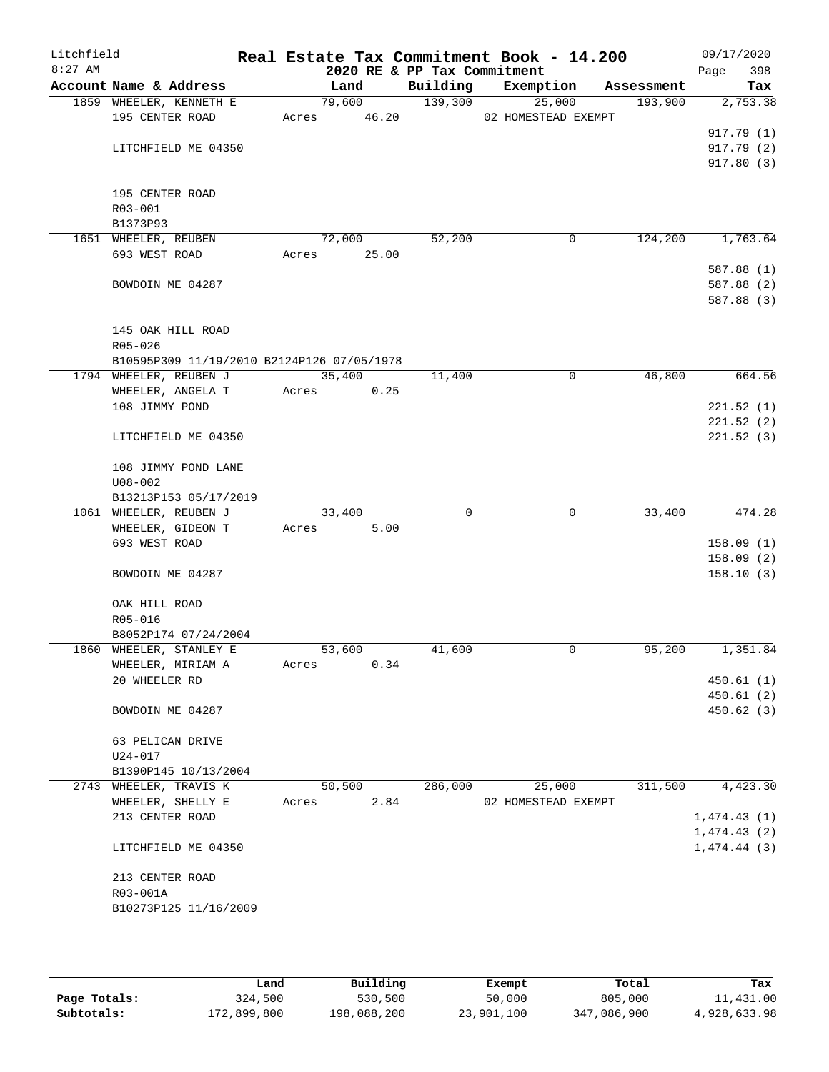| Litchfield<br>$8:27$ AM |                                            |       | 2020 RE & PP Tax Commitment |          | Real Estate Tax Commitment Book - 14.200 |            | 09/17/2020<br>398<br>Page |
|-------------------------|--------------------------------------------|-------|-----------------------------|----------|------------------------------------------|------------|---------------------------|
|                         | Account Name & Address                     |       | Land                        | Building | Exemption                                | Assessment | Tax                       |
|                         | 1859 WHEELER, KENNETH E                    |       | 79,600                      | 139,300  | 25,000                                   | 193,900    | 2,753.38                  |
|                         | 195 CENTER ROAD                            |       | Acres 46.20                 |          | 02 HOMESTEAD EXEMPT                      |            |                           |
|                         |                                            |       |                             |          |                                          |            | 917.79 (1)                |
|                         | LITCHFIELD ME 04350                        |       |                             |          |                                          |            | 917.79 (2)                |
|                         |                                            |       |                             |          |                                          |            | 917.80(3)                 |
|                         |                                            |       |                             |          |                                          |            |                           |
|                         | 195 CENTER ROAD<br>R03-001                 |       |                             |          |                                          |            |                           |
|                         | B1373P93                                   |       |                             |          |                                          |            |                           |
|                         | 1651 WHEELER, REUBEN                       |       | 72,000                      | 52,200   | $\mathbf 0$                              | 124,200    | 1,763.64                  |
|                         | 693 WEST ROAD                              |       | Acres 25.00                 |          |                                          |            |                           |
|                         |                                            |       |                             |          |                                          |            | 587.88 (1)                |
|                         | BOWDOIN ME 04287                           |       |                             |          |                                          |            | 587.88 (2)                |
|                         |                                            |       |                             |          |                                          |            | 587.88 (3)                |
|                         |                                            |       |                             |          |                                          |            |                           |
|                         | 145 OAK HILL ROAD                          |       |                             |          |                                          |            |                           |
|                         | R05-026                                    |       |                             |          |                                          |            |                           |
|                         | B10595P309 11/19/2010 B2124P126 07/05/1978 |       |                             |          |                                          |            |                           |
|                         | 1794 WHEELER, REUBEN J                     |       | 35,400                      | 11,400   | $\mathbf 0$                              | 46,800     | 664.56                    |
|                         | WHEELER, ANGELA T                          | Acres | 0.25                        |          |                                          |            |                           |
|                         | 108 JIMMY POND                             |       |                             |          |                                          |            | 221.52(1)                 |
|                         |                                            |       |                             |          |                                          |            | 221.52(2)                 |
|                         | LITCHFIELD ME 04350                        |       |                             |          |                                          |            | 221.52(3)                 |
|                         | 108 JIMMY POND LANE                        |       |                             |          |                                          |            |                           |
|                         | $U08 - 002$                                |       |                             |          |                                          |            |                           |
|                         | B13213P153 05/17/2019                      |       |                             |          |                                          |            |                           |
|                         | 1061 WHEELER, REUBEN J                     |       | 33,400                      | 0        | $\overline{0}$                           | 33,400     | 474.28                    |
|                         | WHEELER, GIDEON T                          |       | 5.00<br>Acres               |          |                                          |            |                           |
|                         | 693 WEST ROAD                              |       |                             |          |                                          |            | 158.09(1)                 |
|                         |                                            |       |                             |          |                                          |            | 158.09(2)                 |
|                         | BOWDOIN ME 04287                           |       |                             |          |                                          |            | 158.10(3)                 |
|                         | OAK HILL ROAD                              |       |                             |          |                                          |            |                           |
|                         | R05-016                                    |       |                             |          |                                          |            |                           |
|                         | B8052P174 07/24/2004                       |       |                             |          |                                          |            |                           |
|                         | 1860 WHEELER, STANLEY E                    |       | 53,600                      | 41,600   | 0                                        | 95,200     | 1,351.84                  |
|                         | WHEELER, MIRIAM A                          | Acres | 0.34                        |          |                                          |            |                           |
|                         | 20 WHEELER RD                              |       |                             |          |                                          |            | 450.61(1)                 |
|                         |                                            |       |                             |          |                                          |            | 450.61(2)                 |
|                         | BOWDOIN ME 04287                           |       |                             |          |                                          |            | 450.62(3)                 |
|                         | 63 PELICAN DRIVE                           |       |                             |          |                                          |            |                           |
|                         | U24-017                                    |       |                             |          |                                          |            |                           |
|                         | B1390P145 10/13/2004                       |       |                             |          |                                          |            |                           |
|                         | 2743 WHEELER, TRAVIS K                     |       | 50,500                      | 286,000  | 25,000                                   | 311,500    | 4,423.30                  |
|                         | WHEELER, SHELLY E                          | Acres | 2.84                        |          | 02 HOMESTEAD EXEMPT                      |            |                           |
|                         | 213 CENTER ROAD                            |       |                             |          |                                          |            | 1,474.43(1)               |
|                         |                                            |       |                             |          |                                          |            | 1,474.43(2)               |
|                         | LITCHFIELD ME 04350                        |       |                             |          |                                          |            | 1,474.44(3)               |
|                         | 213 CENTER ROAD                            |       |                             |          |                                          |            |                           |
|                         | R03-001A                                   |       |                             |          |                                          |            |                           |
|                         | B10273P125 11/16/2009                      |       |                             |          |                                          |            |                           |
|                         |                                            |       |                             |          |                                          |            |                           |
|                         |                                            |       |                             |          |                                          |            |                           |

|              | Land        | Building    | Exempt     | Total       | Tax          |
|--------------|-------------|-------------|------------|-------------|--------------|
| Page Totals: | 324,500     | 530,500     | 50,000     | 805,000     | 11,431.00    |
| Subtotals:   | 172,899,800 | 198,088,200 | 23,901,100 | 347,086,900 | 4,928,633.98 |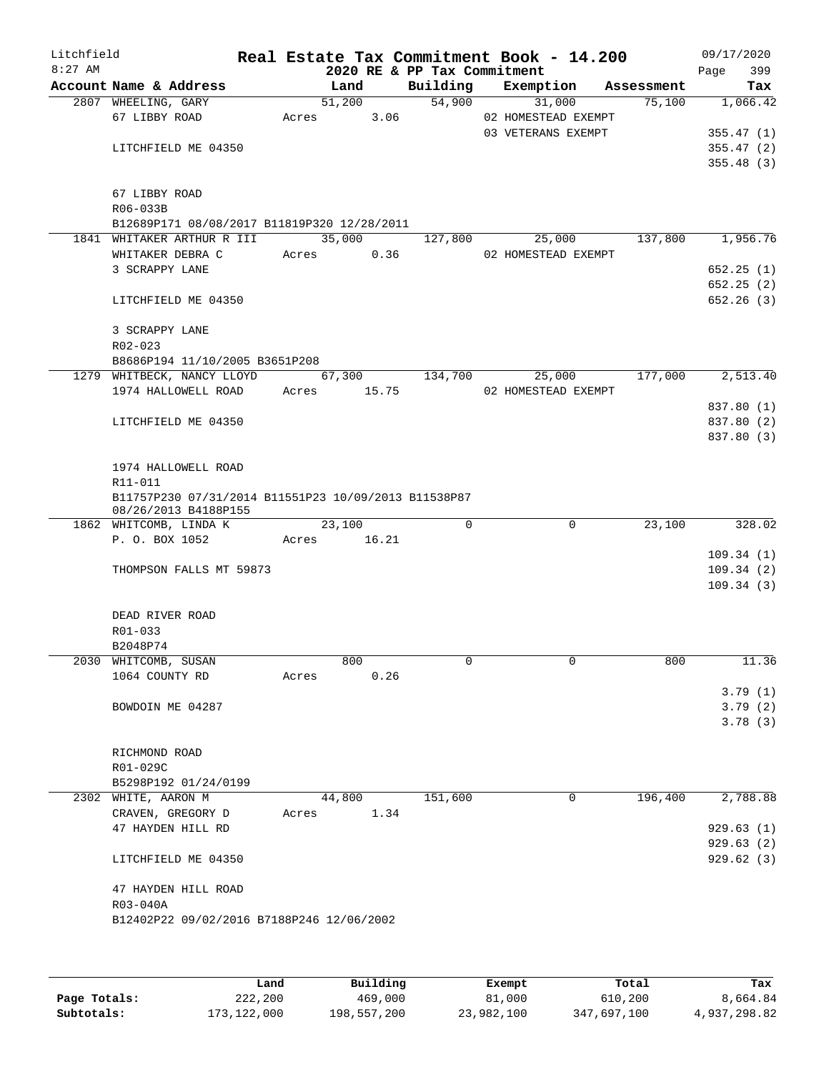| Litchfield<br>$8:27$ AM |                                                                 |       |        |        | 2020 RE & PP Tax Commitment | Real Estate Tax Commitment Book - 14.200 |            | Page | 09/17/2020<br>399 |
|-------------------------|-----------------------------------------------------------------|-------|--------|--------|-----------------------------|------------------------------------------|------------|------|-------------------|
|                         | Account Name & Address                                          |       | Land   |        | Building                    | Exemption                                | Assessment |      | Tax               |
|                         | 2807 WHEELING, GARY                                             |       |        | 51,200 | 54,900                      | 31,000                                   | 75,100     |      | 1,066.42          |
|                         | 67 LIBBY ROAD                                                   | Acres |        | 3.06   |                             | 02 HOMESTEAD EXEMPT                      |            |      |                   |
|                         |                                                                 |       |        |        |                             | 03 VETERANS EXEMPT                       |            |      | 355.47(1)         |
|                         | LITCHFIELD ME 04350                                             |       |        |        |                             |                                          |            |      | 355.47(2)         |
|                         |                                                                 |       |        |        |                             |                                          |            |      | 355.48(3)         |
|                         | 67 LIBBY ROAD                                                   |       |        |        |                             |                                          |            |      |                   |
|                         | R06-033B                                                        |       |        |        |                             |                                          |            |      |                   |
|                         | B12689P171 08/08/2017 B11819P320 12/28/2011                     |       |        |        |                             |                                          |            |      |                   |
|                         | 1841 WHITAKER ARTHUR R III                                      |       | 35,000 |        | 127,800                     | 25,000                                   | 137,800    |      | 1,956.76          |
|                         | WHITAKER DEBRA C                                                | Acres |        | 0.36   |                             | 02 HOMESTEAD EXEMPT                      |            |      |                   |
|                         | 3 SCRAPPY LANE                                                  |       |        |        |                             |                                          |            |      | 652.25(1)         |
|                         |                                                                 |       |        |        |                             |                                          |            |      | 652.25(2)         |
|                         | LITCHFIELD ME 04350                                             |       |        |        |                             |                                          |            |      | 652.26(3)         |
|                         | 3 SCRAPPY LANE                                                  |       |        |        |                             |                                          |            |      |                   |
|                         | R02-023                                                         |       |        |        |                             |                                          |            |      |                   |
|                         | B8686P194 11/10/2005 B3651P208                                  |       |        |        |                             |                                          |            |      |                   |
|                         | 1279 WHITBECK, NANCY LLOYD                                      |       |        | 67,300 | 134,700                     | 25,000                                   | 177,000    |      | 2,513.40          |
|                         | 1974 HALLOWELL ROAD                                             | Acres |        | 15.75  |                             | 02 HOMESTEAD EXEMPT                      |            |      |                   |
|                         |                                                                 |       |        |        |                             |                                          |            |      | 837.80 (1)        |
|                         | LITCHFIELD ME 04350                                             |       |        |        |                             |                                          |            |      | 837.80 (2)        |
|                         |                                                                 |       |        |        |                             |                                          |            |      | 837.80 (3)        |
|                         |                                                                 |       |        |        |                             |                                          |            |      |                   |
|                         | 1974 HALLOWELL ROAD                                             |       |        |        |                             |                                          |            |      |                   |
|                         | R11-011<br>B11757P230 07/31/2014 B11551P23 10/09/2013 B11538P87 |       |        |        |                             |                                          |            |      |                   |
|                         | 08/26/2013 B4188P155                                            |       |        |        |                             |                                          |            |      |                   |
|                         | 1862 WHITCOMB, LINDA K                                          |       | 23,100 |        | $\Omega$                    | $\mathbf 0$                              | 23,100     |      | 328.02            |
|                         | P. O. BOX 1052                                                  | Acres |        | 16.21  |                             |                                          |            |      |                   |
|                         |                                                                 |       |        |        |                             |                                          |            |      | 109.34(1)         |
|                         | THOMPSON FALLS MT 59873                                         |       |        |        |                             |                                          |            |      | 109.34(2)         |
|                         |                                                                 |       |        |        |                             |                                          |            |      | 109.34(3)         |
|                         | DEAD RIVER ROAD                                                 |       |        |        |                             |                                          |            |      |                   |
|                         | R01-033                                                         |       |        |        |                             |                                          |            |      |                   |
|                         | B2048P74                                                        |       |        |        |                             |                                          |            |      |                   |
|                         | 2030 WHITCOMB, SUSAN                                            |       | 800    |        | 0                           | 0                                        | 800        |      | 11.36             |
|                         | 1064 COUNTY RD                                                  | Acres |        | 0.26   |                             |                                          |            |      |                   |
|                         |                                                                 |       |        |        |                             |                                          |            |      | 3.79(1)           |
|                         | BOWDOIN ME 04287                                                |       |        |        |                             |                                          |            |      | 3.79(2)           |
|                         |                                                                 |       |        |        |                             |                                          |            |      | 3.78(3)           |
|                         | RICHMOND ROAD                                                   |       |        |        |                             |                                          |            |      |                   |
|                         | R01-029C                                                        |       |        |        |                             |                                          |            |      |                   |
|                         | B5298P192 01/24/0199                                            |       |        |        |                             |                                          |            |      |                   |
|                         | 2302 WHITE, AARON M                                             |       | 44,800 |        | 151,600                     | 0                                        | 196,400    |      | 2,788.88          |
|                         | CRAVEN, GREGORY D                                               |       | Acres  | 1.34   |                             |                                          |            |      |                   |
|                         | 47 HAYDEN HILL RD                                               |       |        |        |                             |                                          |            |      | 929.63(1)         |
|                         |                                                                 |       |        |        |                             |                                          |            |      | 929.63(2)         |
|                         | LITCHFIELD ME 04350                                             |       |        |        |                             |                                          |            |      | 929.62(3)         |
|                         |                                                                 |       |        |        |                             |                                          |            |      |                   |
|                         | 47 HAYDEN HILL ROAD<br>R03-040A                                 |       |        |        |                             |                                          |            |      |                   |
|                         | B12402P22 09/02/2016 B7188P246 12/06/2002                       |       |        |        |                             |                                          |            |      |                   |
|                         |                                                                 |       |        |        |                             |                                          |            |      |                   |
|                         |                                                                 |       |        |        |                             |                                          |            |      |                   |
|                         |                                                                 |       |        |        |                             |                                          |            |      |                   |

|              | Land        | Building    | Exempt     | Total       | Tax          |
|--------------|-------------|-------------|------------|-------------|--------------|
| Page Totals: | 222,200     | 469,000     | 81,000     | 610,200     | 8,664.84     |
| Subtotals:   | 173,122,000 | 198,557,200 | 23,982,100 | 347,697,100 | 4,937,298.82 |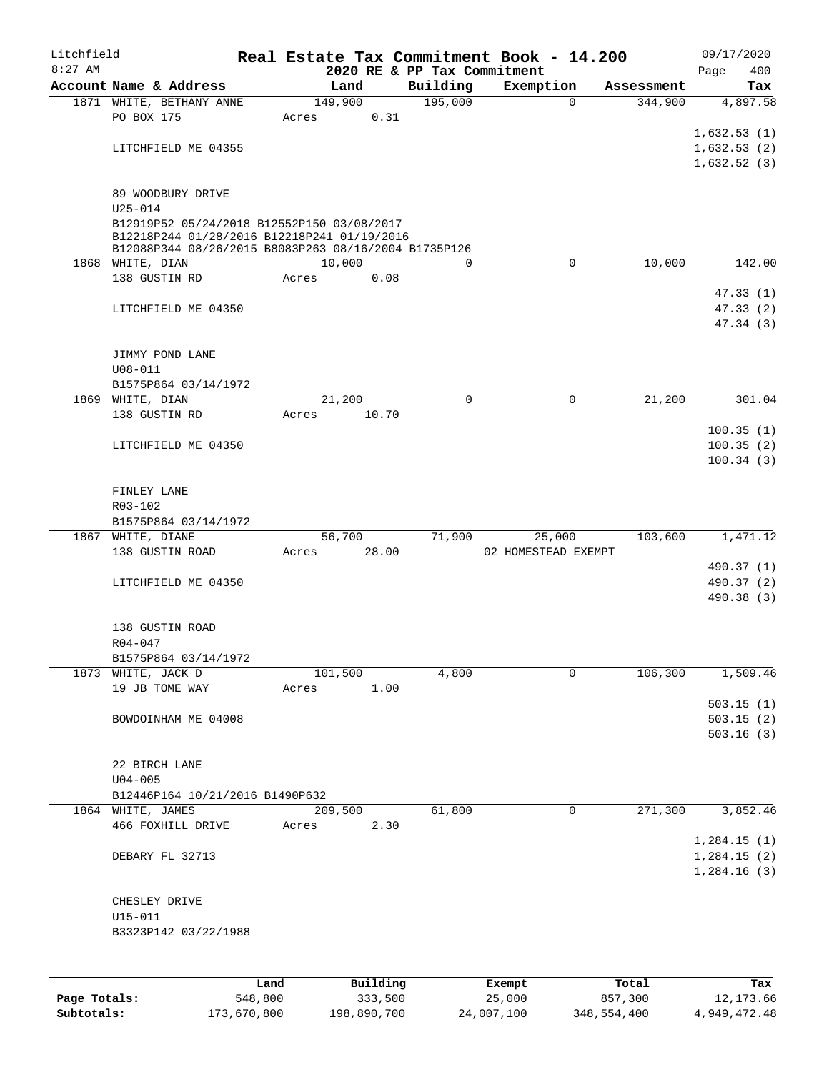| Litchfield |                                                                                                     |       |          |      |                             | Real Estate Tax Commitment Book - 14.200 |            | 09/17/2020  |
|------------|-----------------------------------------------------------------------------------------------------|-------|----------|------|-----------------------------|------------------------------------------|------------|-------------|
| $8:27$ AM  |                                                                                                     |       |          |      | 2020 RE & PP Tax Commitment |                                          |            | 400<br>Page |
|            | Account Name & Address                                                                              |       | Land     |      | Building                    | Exemption                                | Assessment | Tax         |
|            | 1871 WHITE, BETHANY ANNE<br>PO BOX 175                                                              |       | 149,900  | 0.31 | 195,000                     | $\mathbf 0$                              | 344,900    | 4,897.58    |
|            |                                                                                                     | Acres |          |      |                             |                                          |            | 1,632.53(1) |
|            | LITCHFIELD ME 04355                                                                                 |       |          |      |                             |                                          |            | 1,632.53(2) |
|            |                                                                                                     |       |          |      |                             |                                          |            | 1,632.52(3) |
|            | 89 WOODBURY DRIVE                                                                                   |       |          |      |                             |                                          |            |             |
|            | $U25 - 014$                                                                                         |       |          |      |                             |                                          |            |             |
|            | B12919P52 05/24/2018 B12552P150 03/08/2017                                                          |       |          |      |                             |                                          |            |             |
|            | B12218P244 01/28/2016 B12218P241 01/19/2016<br>B12088P344 08/26/2015 B8083P263 08/16/2004 B1735P126 |       |          |      |                             |                                          |            |             |
|            | 1868 WHITE, DIAN                                                                                    |       | 10,000   |      | 0                           | $\mathbf 0$                              | 10,000     | 142.00      |
|            | 138 GUSTIN RD                                                                                       | Acres |          | 0.08 |                             |                                          |            |             |
|            |                                                                                                     |       |          |      |                             |                                          |            | 47.33(1)    |
|            | LITCHFIELD ME 04350                                                                                 |       |          |      |                             |                                          |            | 47.33(2)    |
|            |                                                                                                     |       |          |      |                             |                                          |            | 47.34(3)    |
|            |                                                                                                     |       |          |      |                             |                                          |            |             |
|            | JIMMY POND LANE<br>$U08 - 011$                                                                      |       |          |      |                             |                                          |            |             |
|            | B1575P864 03/14/1972                                                                                |       |          |      |                             |                                          |            |             |
|            | 1869 WHITE, DIAN                                                                                    |       | 21,200   |      | $\Omega$                    | 0                                        | 21,200     | 301.04      |
|            | 138 GUSTIN RD                                                                                       | Acres | 10.70    |      |                             |                                          |            |             |
|            |                                                                                                     |       |          |      |                             |                                          |            | 100.35(1)   |
|            | LITCHFIELD ME 04350                                                                                 |       |          |      |                             |                                          |            | 100.35(2)   |
|            |                                                                                                     |       |          |      |                             |                                          |            | 100.34(3)   |
|            |                                                                                                     |       |          |      |                             |                                          |            |             |
|            | FINLEY LANE                                                                                         |       |          |      |                             |                                          |            |             |
|            | R03-102<br>B1575P864 03/14/1972                                                                     |       |          |      |                             |                                          |            |             |
|            | 1867 WHITE, DIANE                                                                                   |       | 56,700   |      | 71,900                      | 25,000                                   | 103,600    | 1,471.12    |
|            | 138 GUSTIN ROAD                                                                                     | Acres | 28.00    |      |                             | 02 HOMESTEAD EXEMPT                      |            |             |
|            |                                                                                                     |       |          |      |                             |                                          |            | 490.37 (1)  |
|            | LITCHFIELD ME 04350                                                                                 |       |          |      |                             |                                          |            | 490.37 (2)  |
|            |                                                                                                     |       |          |      |                             |                                          |            | 490.38 (3)  |
|            |                                                                                                     |       |          |      |                             |                                          |            |             |
|            | 138 GUSTIN ROAD                                                                                     |       |          |      |                             |                                          |            |             |
|            | $R04 - 047$<br>B1575P864 03/14/1972                                                                 |       |          |      |                             |                                          |            |             |
|            | 1873 WHITE, JACK D                                                                                  |       | 101,500  |      | 4,800                       | $\mathbf 0$                              | 106,300    | 1,509.46    |
|            | 19 JB TOME WAY                                                                                      | Acres |          | 1.00 |                             |                                          |            |             |
|            |                                                                                                     |       |          |      |                             |                                          |            | 503.15(1)   |
|            | BOWDOINHAM ME 04008                                                                                 |       |          |      |                             |                                          |            | 503.15(2)   |
|            |                                                                                                     |       |          |      |                             |                                          |            | 503.16(3)   |
|            |                                                                                                     |       |          |      |                             |                                          |            |             |
|            | 22 BIRCH LANE                                                                                       |       |          |      |                             |                                          |            |             |
|            | $U04 - 005$<br>B12446P164 10/21/2016 B1490P632                                                      |       |          |      |                             |                                          |            |             |
|            | 1864 WHITE, JAMES                                                                                   |       | 209,500  |      | 61,800                      | $\mathbf 0$                              | 271,300    | 3,852.46    |
|            | 466 FOXHILL DRIVE                                                                                   | Acres |          | 2.30 |                             |                                          |            |             |
|            |                                                                                                     |       |          |      |                             |                                          |            | 1,284.15(1) |
|            | DEBARY FL 32713                                                                                     |       |          |      |                             |                                          |            | 1,284.15(2) |
|            |                                                                                                     |       |          |      |                             |                                          |            | 1,284.16(3) |
|            |                                                                                                     |       |          |      |                             |                                          |            |             |
|            | CHESLEY DRIVE                                                                                       |       |          |      |                             |                                          |            |             |
|            | U15-011                                                                                             |       |          |      |                             |                                          |            |             |
|            | B3323P142 03/22/1988                                                                                |       |          |      |                             |                                          |            |             |
|            |                                                                                                     |       |          |      |                             |                                          |            |             |
|            |                                                                                                     | Land  | Building |      |                             | Exempt                                   | Total      | Tax         |

|              | --------    | ______      | ______     | --------    | --------     |
|--------------|-------------|-------------|------------|-------------|--------------|
| Page Totals: | 548,800     | 333,500     | 25,000     | 857,300     | 12,173.66    |
| Subtotals:   | 173,670,800 | 198,890,700 | 24,007,100 | 348,554,400 | 4,949,472.48 |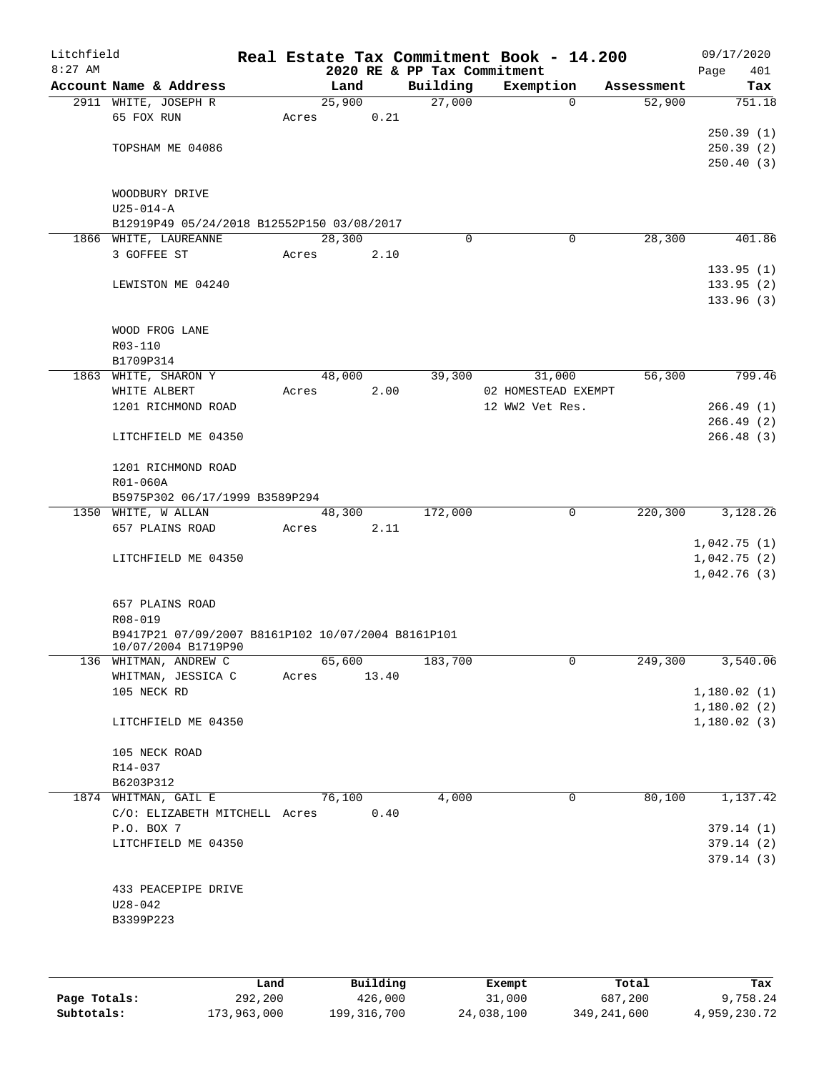| Litchfield |                                                    |       |        |       |                             | Real Estate Tax Commitment Book - 14.200 |            | 09/17/2020                 |
|------------|----------------------------------------------------|-------|--------|-------|-----------------------------|------------------------------------------|------------|----------------------------|
| $8:27$ AM  |                                                    |       |        |       | 2020 RE & PP Tax Commitment |                                          |            | 401<br>Page                |
|            | Account Name & Address                             |       | Land   |       | Building                    | Exemption                                | Assessment | Tax                        |
|            | 2911 WHITE, JOSEPH R                               |       | 25,900 |       | 27,000                      | $\mathbf 0$                              | 52,900     | 751.18                     |
|            | 65 FOX RUN                                         | Acres |        | 0.21  |                             |                                          |            |                            |
|            |                                                    |       |        |       |                             |                                          |            | 250.39(1)                  |
|            | TOPSHAM ME 04086                                   |       |        |       |                             |                                          |            | 250.39(2)                  |
|            |                                                    |       |        |       |                             |                                          |            | 250.40(3)                  |
|            | WOODBURY DRIVE                                     |       |        |       |                             |                                          |            |                            |
|            | $U25 - 014 - A$                                    |       |        |       |                             |                                          |            |                            |
|            | B12919P49 05/24/2018 B12552P150 03/08/2017         |       |        |       |                             |                                          |            |                            |
|            | 1866 WHITE, LAUREANNE                              |       | 28,300 |       | $\Omega$                    | 0                                        | 28,300     | 401.86                     |
|            | 3 GOFFEE ST                                        | Acres |        | 2.10  |                             |                                          |            |                            |
|            |                                                    |       |        |       |                             |                                          |            | 133.95(1)                  |
|            | LEWISTON ME 04240                                  |       |        |       |                             |                                          |            | 133.95(2)                  |
|            |                                                    |       |        |       |                             |                                          |            | 133.96 (3)                 |
|            |                                                    |       |        |       |                             |                                          |            |                            |
|            | WOOD FROG LANE                                     |       |        |       |                             |                                          |            |                            |
|            | R03-110                                            |       |        |       |                             |                                          |            |                            |
|            | B1709P314                                          |       |        |       |                             |                                          |            |                            |
|            | 1863 WHITE, SHARON Y                               |       | 48,000 |       | 39,300                      | 31,000                                   | 56,300     | 799.46                     |
|            | WHITE ALBERT                                       | Acres |        | 2.00  |                             | 02 HOMESTEAD EXEMPT                      |            |                            |
|            | 1201 RICHMOND ROAD                                 |       |        |       |                             | 12 WW2 Vet Res.                          |            | 266.49(1)                  |
|            |                                                    |       |        |       |                             |                                          |            | 266.49(2)                  |
|            | LITCHFIELD ME 04350                                |       |        |       |                             |                                          |            | 266.48(3)                  |
|            |                                                    |       |        |       |                             |                                          |            |                            |
|            | 1201 RICHMOND ROAD                                 |       |        |       |                             |                                          |            |                            |
|            | R01-060A                                           |       |        |       |                             |                                          |            |                            |
|            | B5975P302 06/17/1999 B3589P294                     |       |        |       |                             |                                          |            |                            |
|            | 1350 WHITE, W ALLAN                                |       | 48,300 |       | 172,000                     | $\mathbf 0$                              | 220,300    | 3,128.26                   |
|            | 657 PLAINS ROAD                                    | Acres |        | 2.11  |                             |                                          |            |                            |
|            |                                                    |       |        |       |                             |                                          |            | 1,042.75(1)<br>1,042.75(2) |
|            | LITCHFIELD ME 04350                                |       |        |       |                             |                                          |            | 1,042.76(3)                |
|            |                                                    |       |        |       |                             |                                          |            |                            |
|            | 657 PLAINS ROAD                                    |       |        |       |                             |                                          |            |                            |
|            | R08-019                                            |       |        |       |                             |                                          |            |                            |
|            | B9417P21 07/09/2007 B8161P102 10/07/2004 B8161P101 |       |        |       |                             |                                          |            |                            |
|            | 10/07/2004 B1719P90                                |       |        |       |                             |                                          |            |                            |
|            | 136 WHITMAN, ANDREW C                              |       | 65,600 |       | 183,700                     | 0                                        | 249,300    | 3,540.06                   |
|            | WHITMAN, JESSICA C                                 | Acres |        | 13.40 |                             |                                          |            |                            |
|            | 105 NECK RD                                        |       |        |       |                             |                                          |            | 1,180.02(1)                |
|            |                                                    |       |        |       |                             |                                          |            | 1,180.02(2)                |
|            | LITCHFIELD ME 04350                                |       |        |       |                             |                                          |            | 1,180.02(3)                |
|            |                                                    |       |        |       |                             |                                          |            |                            |
|            | 105 NECK ROAD                                      |       |        |       |                             |                                          |            |                            |
|            | R14-037                                            |       |        |       |                             |                                          |            |                            |
|            | B6203P312<br>1874 WHITMAN, GAIL E                  |       | 76,100 |       | 4,000                       | 0                                        | 80,100     | 1,137.42                   |
|            | C/O: ELIZABETH MITCHELL Acres                      |       |        | 0.40  |                             |                                          |            |                            |
|            | P.O. BOX 7                                         |       |        |       |                             |                                          |            | 379.14(1)                  |
|            | LITCHFIELD ME 04350                                |       |        |       |                             |                                          |            | 379.14(2)                  |
|            |                                                    |       |        |       |                             |                                          |            | 379.14(3)                  |
|            |                                                    |       |        |       |                             |                                          |            |                            |
|            | 433 PEACEPIPE DRIVE                                |       |        |       |                             |                                          |            |                            |
|            | $U28 - 042$                                        |       |        |       |                             |                                          |            |                            |
|            | B3399P223                                          |       |        |       |                             |                                          |            |                            |
|            |                                                    |       |        |       |                             |                                          |            |                            |
|            |                                                    |       |        |       |                             |                                          |            |                            |
|            |                                                    |       |        |       |                             |                                          |            |                            |

|              | Land        | Building      | Exempt     | Total       | Tax          |
|--------------|-------------|---------------|------------|-------------|--------------|
| Page Totals: | 292,200     | 426,000       | 31,000     | 687,200     | 9,758.24     |
| Subtotals:   | 173,963,000 | 199, 316, 700 | 24,038,100 | 349,241,600 | 4,959,230.72 |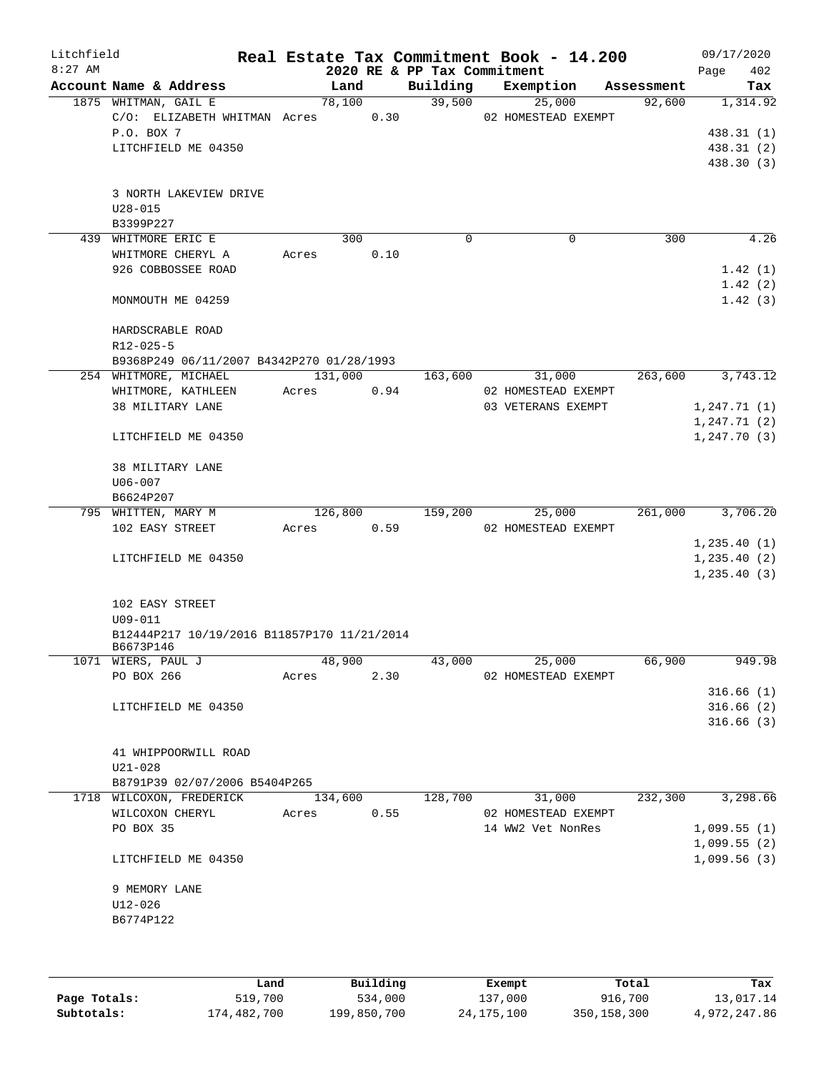| Litchfield |                                             |       |         |      |                             | Real Estate Tax Commitment Book - 14.200 |            | 09/17/2020   |
|------------|---------------------------------------------|-------|---------|------|-----------------------------|------------------------------------------|------------|--------------|
| $8:27$ AM  |                                             |       |         |      | 2020 RE & PP Tax Commitment |                                          |            | Page<br>402  |
|            | Account Name & Address                      |       | Land    |      | Building                    | Exemption                                | Assessment | Tax          |
|            | 1875 WHITMAN, GAIL E                        |       | 78,100  |      | 39,500                      | 25,000                                   | 92,600     | 1,314.92     |
|            | C/O: ELIZABETH WHITMAN Acres                |       |         | 0.30 |                             | 02 HOMESTEAD EXEMPT                      |            |              |
|            | P.O. BOX 7                                  |       |         |      |                             |                                          |            | 438.31(1)    |
|            | LITCHFIELD ME 04350                         |       |         |      |                             |                                          |            | 438.31 (2)   |
|            |                                             |       |         |      |                             |                                          |            | 438.30 (3)   |
|            |                                             |       |         |      |                             |                                          |            |              |
|            | 3 NORTH LAKEVIEW DRIVE<br>$U28 - 015$       |       |         |      |                             |                                          |            |              |
|            | B3399P227                                   |       |         |      |                             |                                          |            |              |
|            | 439 WHITMORE ERIC E                         |       | 300     |      | $\Omega$                    | 0                                        | 300        | 4.26         |
|            | WHITMORE CHERYL A                           | Acres |         | 0.10 |                             |                                          |            |              |
|            | 926 COBBOSSEE ROAD                          |       |         |      |                             |                                          |            | 1.42(1)      |
|            |                                             |       |         |      |                             |                                          |            | 1.42(2)      |
|            | MONMOUTH ME 04259                           |       |         |      |                             |                                          |            | 1.42(3)      |
|            |                                             |       |         |      |                             |                                          |            |              |
|            | HARDSCRABLE ROAD                            |       |         |      |                             |                                          |            |              |
|            | $R12 - 025 - 5$                             |       |         |      |                             |                                          |            |              |
|            | B9368P249 06/11/2007 B4342P270 01/28/1993   |       |         |      |                             |                                          |            |              |
|            | 254 WHITMORE, MICHAEL                       |       | 131,000 |      | 163,600                     | 31,000                                   | 263,600    | 3,743.12     |
|            | WHITMORE, KATHLEEN                          | Acres |         | 0.94 |                             | 02 HOMESTEAD EXEMPT                      |            |              |
|            | 38 MILITARY LANE                            |       |         |      |                             | 03 VETERANS EXEMPT                       |            | 1,247.71(1)  |
|            |                                             |       |         |      |                             |                                          |            | 1, 247.71(2) |
|            | LITCHFIELD ME 04350                         |       |         |      |                             |                                          |            | 1, 247.70(3) |
|            |                                             |       |         |      |                             |                                          |            |              |
|            | 38 MILITARY LANE                            |       |         |      |                             |                                          |            |              |
|            | U06-007                                     |       |         |      |                             |                                          |            |              |
|            | B6624P207                                   |       |         |      |                             |                                          |            |              |
|            | 795 WHITTEN, MARY M                         |       | 126,800 |      | 159,200                     | 25,000                                   | 261,000    | 3,706.20     |
|            | 102 EASY STREET                             | Acres |         | 0.59 |                             | 02 HOMESTEAD EXEMPT                      |            |              |
|            |                                             |       |         |      |                             |                                          |            | 1, 235.40(1) |
|            | LITCHFIELD ME 04350                         |       |         |      |                             |                                          |            | 1, 235.40(2) |
|            |                                             |       |         |      |                             |                                          |            | 1, 235.40(3) |
|            |                                             |       |         |      |                             |                                          |            |              |
|            | 102 EASY STREET                             |       |         |      |                             |                                          |            |              |
|            | U09-011                                     |       |         |      |                             |                                          |            |              |
|            | B12444P217 10/19/2016 B11857P170 11/21/2014 |       |         |      |                             |                                          |            |              |
|            | B6673P146                                   |       |         |      |                             |                                          |            |              |
|            | 1071 WIERS, PAUL J                          |       | 48,900  |      | 43,000                      | 25,000                                   | 66,900     | 949.98       |
|            | PO BOX 266                                  | Acres |         | 2.30 |                             | 02 HOMESTEAD EXEMPT                      |            |              |
|            |                                             |       |         |      |                             |                                          |            | 316.66(1)    |
|            | LITCHFIELD ME 04350                         |       |         |      |                             |                                          |            | 316.66(2)    |
|            |                                             |       |         |      |                             |                                          |            | 316.66(3)    |
|            |                                             |       |         |      |                             |                                          |            |              |
|            | 41 WHIPPOORWILL ROAD                        |       |         |      |                             |                                          |            |              |
|            | $U21 - 028$                                 |       |         |      |                             |                                          |            |              |
|            | B8791P39 02/07/2006 B5404P265               |       |         |      |                             |                                          |            |              |
|            | 1718 WILCOXON, FREDERICK                    |       | 134,600 |      | 128,700                     | 31,000                                   | 232,300    | 3,298.66     |
|            | WILCOXON CHERYL                             | Acres |         | 0.55 |                             | 02 HOMESTEAD EXEMPT                      |            |              |
|            | PO BOX 35                                   |       |         |      |                             | 14 WW2 Vet NonRes                        |            | 1,099.55(1)  |
|            |                                             |       |         |      |                             |                                          |            | 1,099.55(2)  |
|            | LITCHFIELD ME 04350                         |       |         |      |                             |                                          |            | 1,099.56(3)  |
|            |                                             |       |         |      |                             |                                          |            |              |
|            | 9 MEMORY LANE                               |       |         |      |                             |                                          |            |              |
|            | U12-026                                     |       |         |      |                             |                                          |            |              |
|            | B6774P122                                   |       |         |      |                             |                                          |            |              |
|            |                                             |       |         |      |                             |                                          |            |              |
|            |                                             |       |         |      |                             |                                          |            |              |
|            |                                             |       |         |      |                             |                                          |            |              |

|              | Land        | Building    | Exempt     | Total       | Tax          |
|--------------|-------------|-------------|------------|-------------|--------------|
| Page Totals: | 519,700     | 534,000     | 137,000    | 916,700     | 13,017.14    |
| Subtotals:   | 174,482,700 | 199,850,700 | 24,175,100 | 350,158,300 | 4,972,247.86 |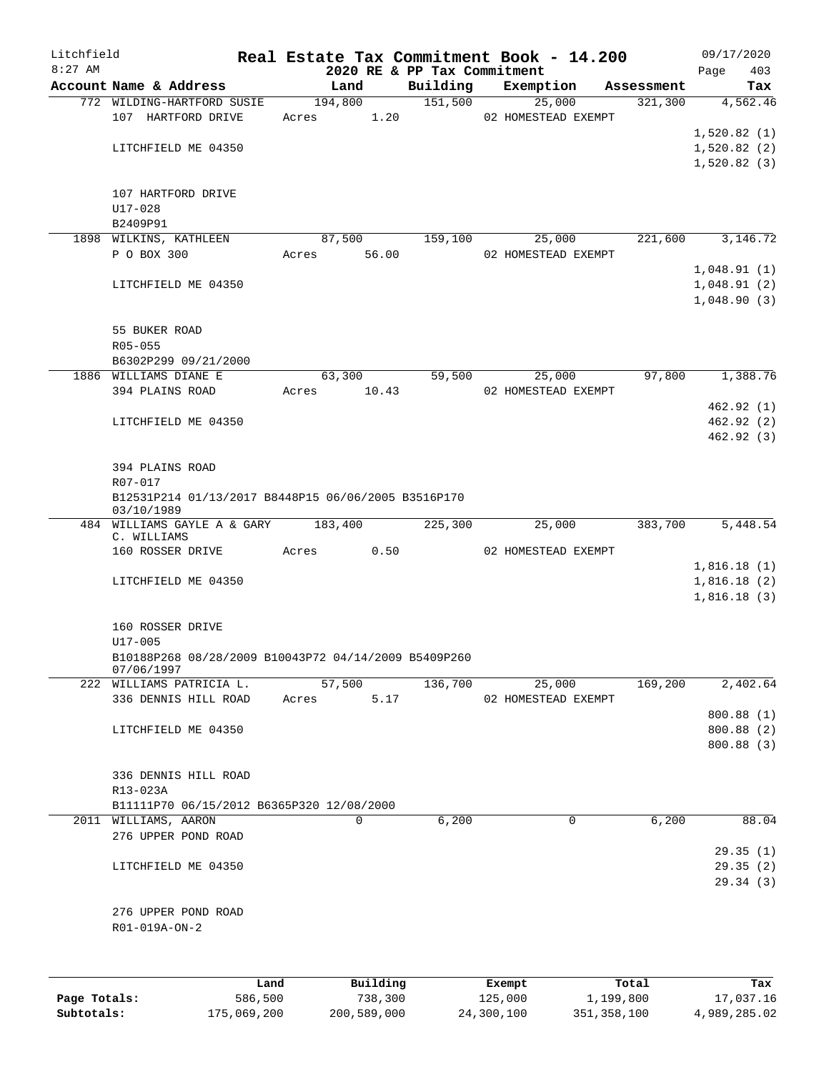| Litchfield   |                                                                    |         |       |         |          | Real Estate Tax Commitment Book - 14.200 |                     |                     |           |            | 09/17/2020  |            |
|--------------|--------------------------------------------------------------------|---------|-------|---------|----------|------------------------------------------|---------------------|---------------------|-----------|------------|-------------|------------|
| $8:27$ AM    | Account Name & Address                                             |         |       | Land    |          | 2020 RE & PP Tax Commitment<br>Building  |                     | Exemption           |           | Assessment | Page        | 403<br>Tax |
|              | 772 WILDING-HARTFORD SUSIE                                         |         |       | 194,800 |          |                                          | 151,500             | 25,000              |           | 321,300    |             | 4,562.46   |
|              | 107 HARTFORD DRIVE                                                 |         | Acres |         | 1.20     |                                          |                     | 02 HOMESTEAD EXEMPT |           |            |             |            |
|              |                                                                    |         |       |         |          |                                          |                     |                     |           |            | 1,520.82(1) |            |
|              | LITCHFIELD ME 04350                                                |         |       |         |          |                                          |                     |                     |           |            | 1,520.82(2) |            |
|              |                                                                    |         |       |         |          |                                          |                     |                     |           |            | 1,520.82(3) |            |
|              | 107 HARTFORD DRIVE                                                 |         |       |         |          |                                          |                     |                     |           |            |             |            |
|              | $U17 - 028$                                                        |         |       |         |          |                                          |                     |                     |           |            |             |            |
|              | B2409P91                                                           |         |       |         |          |                                          |                     |                     |           |            |             |            |
|              | 1898 WILKINS, KATHLEEN                                             |         |       | 87,500  |          | 159,100                                  |                     | 25,000              |           | 221,600    |             | 3,146.72   |
|              | P O BOX 300                                                        |         | Acres |         | 56.00    |                                          | 02 HOMESTEAD EXEMPT |                     |           |            |             |            |
|              |                                                                    |         |       |         |          |                                          |                     |                     |           |            | 1,048.91(1) |            |
|              | LITCHFIELD ME 04350                                                |         |       |         |          |                                          |                     |                     |           |            | 1,048.91(2) |            |
|              |                                                                    |         |       |         |          |                                          |                     |                     |           |            | 1,048.90(3) |            |
|              | 55 BUKER ROAD                                                      |         |       |         |          |                                          |                     |                     |           |            |             |            |
|              | $R05 - 055$                                                        |         |       |         |          |                                          |                     |                     |           |            |             |            |
|              | B6302P299 09/21/2000                                               |         |       |         |          |                                          |                     |                     |           |            |             |            |
|              | 1886 WILLIAMS DIANE E                                              |         |       | 63,300  |          | 59,500                                   |                     | 25,000              |           | 97,800     |             | 1,388.76   |
|              | 394 PLAINS ROAD                                                    |         | Acres |         | 10.43    |                                          | 02 HOMESTEAD EXEMPT |                     |           |            |             |            |
|              |                                                                    |         |       |         |          |                                          |                     |                     |           |            |             | 462.92(1)  |
|              | LITCHFIELD ME 04350                                                |         |       |         |          |                                          |                     |                     |           |            |             | 462.92(2)  |
|              |                                                                    |         |       |         |          |                                          |                     |                     |           |            |             | 462.92(3)  |
|              |                                                                    |         |       |         |          |                                          |                     |                     |           |            |             |            |
|              | 394 PLAINS ROAD<br>R07-017                                         |         |       |         |          |                                          |                     |                     |           |            |             |            |
|              | B12531P214 01/13/2017 B8448P15 06/06/2005 B3516P170                |         |       |         |          |                                          |                     |                     |           |            |             |            |
|              | 03/10/1989                                                         |         |       |         |          |                                          |                     |                     |           |            |             |            |
|              | 484 WILLIAMS GAYLE A & GARY                                        |         |       | 183,400 |          | 225,300                                  |                     | 25,000              |           | 383,700    |             | 5,448.54   |
|              | C. WILLIAMS                                                        |         |       |         |          |                                          |                     |                     |           |            |             |            |
|              | 160 ROSSER DRIVE                                                   |         | Acres |         | 0.50     |                                          |                     | 02 HOMESTEAD EXEMPT |           |            | 1,816.18(1) |            |
|              | LITCHFIELD ME 04350                                                |         |       |         |          |                                          |                     |                     |           |            | 1,816.18(2) |            |
|              |                                                                    |         |       |         |          |                                          |                     |                     |           |            | 1,816.18(3) |            |
|              |                                                                    |         |       |         |          |                                          |                     |                     |           |            |             |            |
|              | 160 ROSSER DRIVE                                                   |         |       |         |          |                                          |                     |                     |           |            |             |            |
|              | $U17 - 005$                                                        |         |       |         |          |                                          |                     |                     |           |            |             |            |
|              | B10188P268 08/28/2009 B10043P72 04/14/2009 B5409P260<br>07/06/1997 |         |       |         |          |                                          |                     |                     |           |            |             |            |
|              | 222 WILLIAMS PATRICIA L.                                           |         |       | 57,500  |          | 136,700                                  |                     | 25,000              |           | 169,200    |             | 2,402.64   |
|              | 336 DENNIS HILL ROAD                                               |         | Acres |         | 5.17     |                                          |                     | 02 HOMESTEAD EXEMPT |           |            |             |            |
|              |                                                                    |         |       |         |          |                                          |                     |                     |           |            |             | 800.88 (1) |
|              | LITCHFIELD ME 04350                                                |         |       |         |          |                                          |                     |                     |           |            |             | 800.88 (2) |
|              |                                                                    |         |       |         |          |                                          |                     |                     |           |            |             | 800.88(3)  |
|              | 336 DENNIS HILL ROAD                                               |         |       |         |          |                                          |                     |                     |           |            |             |            |
|              | R13-023A                                                           |         |       |         |          |                                          |                     |                     |           |            |             |            |
|              | B11111P70 06/15/2012 B6365P320 12/08/2000                          |         |       |         |          |                                          |                     |                     |           |            |             |            |
|              | 2011 WILLIAMS, AARON                                               |         |       | 0       |          | 6,200                                    |                     | 0                   |           | 6,200      |             | 88.04      |
|              | 276 UPPER POND ROAD                                                |         |       |         |          |                                          |                     |                     |           |            |             |            |
|              |                                                                    |         |       |         |          |                                          |                     |                     |           |            |             | 29.35(1)   |
|              | LITCHFIELD ME 04350                                                |         |       |         |          |                                          |                     |                     |           |            |             | 29.35(2)   |
|              |                                                                    |         |       |         |          |                                          |                     |                     |           |            |             | 29.34(3)   |
|              |                                                                    |         |       |         |          |                                          |                     |                     |           |            |             |            |
|              | 276 UPPER POND ROAD                                                |         |       |         |          |                                          |                     |                     |           |            |             |            |
|              | R01-019A-ON-2                                                      |         |       |         |          |                                          |                     |                     |           |            |             |            |
|              |                                                                    |         |       |         |          |                                          |                     |                     |           |            |             |            |
|              |                                                                    |         |       |         |          |                                          |                     |                     |           |            |             |            |
|              |                                                                    | Land    |       |         | Building |                                          | Exempt              |                     |           | Total      |             | Tax        |
| Page Totals: |                                                                    | 586,500 |       |         | 738,300  |                                          | 125,000             |                     | 1,199,800 |            |             | 17,037.16  |

**Subtotals:** 175,069,200 200,589,000 24,300,100 351,358,100 4,989,285.02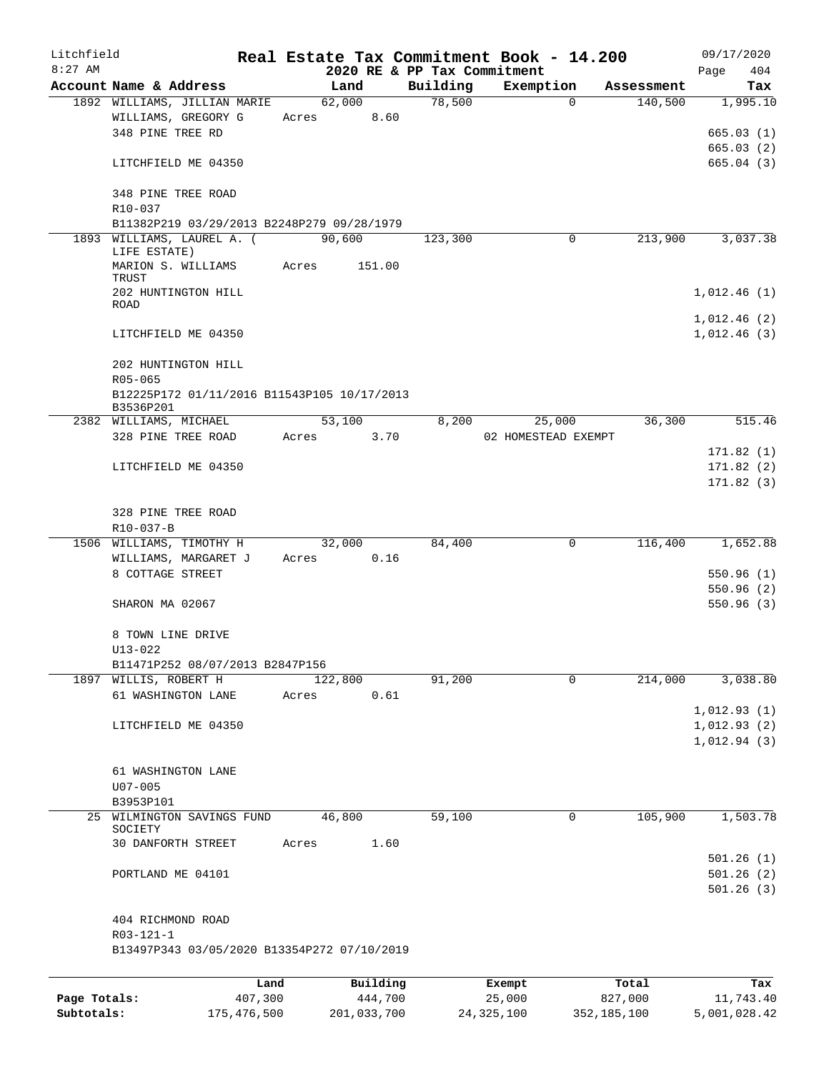| Litchfield   |                                                     |             |       |                 |          |                             | Real Estate Tax Commitment Book - 14.200 |             |            | 09/17/2020   |
|--------------|-----------------------------------------------------|-------------|-------|-----------------|----------|-----------------------------|------------------------------------------|-------------|------------|--------------|
| $8:27$ AM    |                                                     |             |       |                 |          | 2020 RE & PP Tax Commitment |                                          |             |            | 404<br>Page  |
|              | Account Name & Address                              |             |       | Land            |          | Building<br>78,500          | Exemption                                | $\Omega$    | Assessment | Tax          |
|              | 1892 WILLIAMS, JILLIAN MARIE<br>WILLIAMS, GREGORY G |             |       | 62,000<br>Acres | 8.60     |                             |                                          |             | 140,500    | 1,995.10     |
|              | 348 PINE TREE RD                                    |             |       |                 |          |                             |                                          |             |            | 665.03(1)    |
|              |                                                     |             |       |                 |          |                             |                                          |             |            | 665.03(2)    |
|              | LITCHFIELD ME 04350                                 |             |       |                 |          |                             |                                          |             |            | 665.04(3)    |
|              |                                                     |             |       |                 |          |                             |                                          |             |            |              |
|              | 348 PINE TREE ROAD                                  |             |       |                 |          |                             |                                          |             |            |              |
|              | R10-037                                             |             |       |                 |          |                             |                                          |             |            |              |
|              | B11382P219 03/29/2013 B2248P279 09/28/1979          |             |       |                 |          |                             |                                          |             |            |              |
|              | 1893 WILLIAMS, LAUREL A. (                          |             |       | 90,600          |          | 123,300                     |                                          | 0           | 213,900    | 3,037.38     |
|              | LIFE ESTATE)                                        |             |       |                 |          |                             |                                          |             |            |              |
|              | MARION S. WILLIAMS                                  |             | Acres |                 | 151.00   |                             |                                          |             |            |              |
|              | TRUST                                               |             |       |                 |          |                             |                                          |             |            |              |
|              | 202 HUNTINGTON HILL<br><b>ROAD</b>                  |             |       |                 |          |                             |                                          |             |            | 1,012.46(1)  |
|              |                                                     |             |       |                 |          |                             |                                          |             |            | 1,012.46(2)  |
|              | LITCHFIELD ME 04350                                 |             |       |                 |          |                             |                                          |             |            | 1,012.46(3)  |
|              |                                                     |             |       |                 |          |                             |                                          |             |            |              |
|              | 202 HUNTINGTON HILL                                 |             |       |                 |          |                             |                                          |             |            |              |
|              | $R05 - 065$                                         |             |       |                 |          |                             |                                          |             |            |              |
|              | B12225P172 01/11/2016 B11543P105 10/17/2013         |             |       |                 |          |                             |                                          |             |            |              |
|              | B3536P201                                           |             |       |                 |          |                             |                                          |             |            |              |
|              | 2382 WILLIAMS, MICHAEL                              |             |       | 53,100          |          | 8,200                       | 25,000                                   |             | 36,300     | 515.46       |
|              | 328 PINE TREE ROAD                                  |             |       | Acres 3.70      |          |                             | 02 HOMESTEAD EXEMPT                      |             |            |              |
|              |                                                     |             |       |                 |          |                             |                                          |             |            | 171.82(1)    |
|              | LITCHFIELD ME 04350                                 |             |       |                 |          |                             |                                          |             |            | 171.82(2)    |
|              |                                                     |             |       |                 |          |                             |                                          |             |            | 171.82(3)    |
|              |                                                     |             |       |                 |          |                             |                                          |             |            |              |
|              | 328 PINE TREE ROAD                                  |             |       |                 |          |                             |                                          |             |            |              |
|              | R10-037-B                                           |             |       |                 |          |                             |                                          |             |            |              |
|              | 1506 WILLIAMS, TIMOTHY H                            |             |       | 32,000          |          | 84,400                      |                                          | 0           | 116,400    | 1,652.88     |
|              | WILLIAMS, MARGARET J                                |             |       | Acres           | 0.16     |                             |                                          |             |            |              |
|              | 8 COTTAGE STREET                                    |             |       |                 |          |                             |                                          |             |            | 550.96(1)    |
|              |                                                     |             |       |                 |          |                             |                                          |             |            | 550.96(2)    |
|              | SHARON MA 02067                                     |             |       |                 |          |                             |                                          |             |            | 550.96(3)    |
|              | 8 TOWN LINE DRIVE                                   |             |       |                 |          |                             |                                          |             |            |              |
|              | $U13 - 022$                                         |             |       |                 |          |                             |                                          |             |            |              |
|              | B11471P252 08/07/2013 B2847P156                     |             |       |                 |          |                             |                                          |             |            |              |
|              | 1897 WILLIS, ROBERT H                               |             |       | 122,800         |          | 91,200                      |                                          | $\Omega$    | 214,000    | 3,038.80     |
|              | 61 WASHINGTON LANE                                  |             | Acres |                 | 0.61     |                             |                                          |             |            |              |
|              |                                                     |             |       |                 |          |                             |                                          |             |            | 1,012.93(1)  |
|              | LITCHFIELD ME 04350                                 |             |       |                 |          |                             |                                          |             |            | 1,012.93(2)  |
|              |                                                     |             |       |                 |          |                             |                                          |             |            | 1,012.94(3)  |
|              |                                                     |             |       |                 |          |                             |                                          |             |            |              |
|              | 61 WASHINGTON LANE                                  |             |       |                 |          |                             |                                          |             |            |              |
|              | $U07 - 005$                                         |             |       |                 |          |                             |                                          |             |            |              |
|              | B3953P101                                           |             |       |                 |          |                             |                                          |             |            |              |
| 25           | WILMINGTON SAVINGS FUND                             |             |       | 46,800          |          | 59,100                      |                                          | 0           | 105,900    | 1,503.78     |
|              | SOCIETY                                             |             |       |                 |          |                             |                                          |             |            |              |
|              | 30 DANFORTH STREET                                  |             | Acres |                 | 1.60     |                             |                                          |             |            |              |
|              |                                                     |             |       |                 |          |                             |                                          |             |            | 501.26(1)    |
|              | PORTLAND ME 04101                                   |             |       |                 |          |                             |                                          |             |            | 501.26(2)    |
|              |                                                     |             |       |                 |          |                             |                                          |             |            | 501.26(3)    |
|              |                                                     |             |       |                 |          |                             |                                          |             |            |              |
|              | 404 RICHMOND ROAD                                   |             |       |                 |          |                             |                                          |             |            |              |
|              | $R03 - 121 - 1$                                     |             |       |                 |          |                             |                                          |             |            |              |
|              | B13497P343 03/05/2020 B13354P272 07/10/2019         |             |       |                 |          |                             |                                          |             |            |              |
|              |                                                     |             |       |                 |          |                             |                                          |             |            |              |
|              |                                                     | Land        |       |                 | Building |                             | Exempt                                   |             | Total      | Tax          |
| Page Totals: |                                                     | 407,300     |       |                 | 444,700  |                             | 25,000                                   |             | 827,000    | 11,743.40    |
| Subtotals:   |                                                     | 175,476,500 |       | 201,033,700     |          |                             | 24, 325, 100                             | 352,185,100 |            | 5,001,028.42 |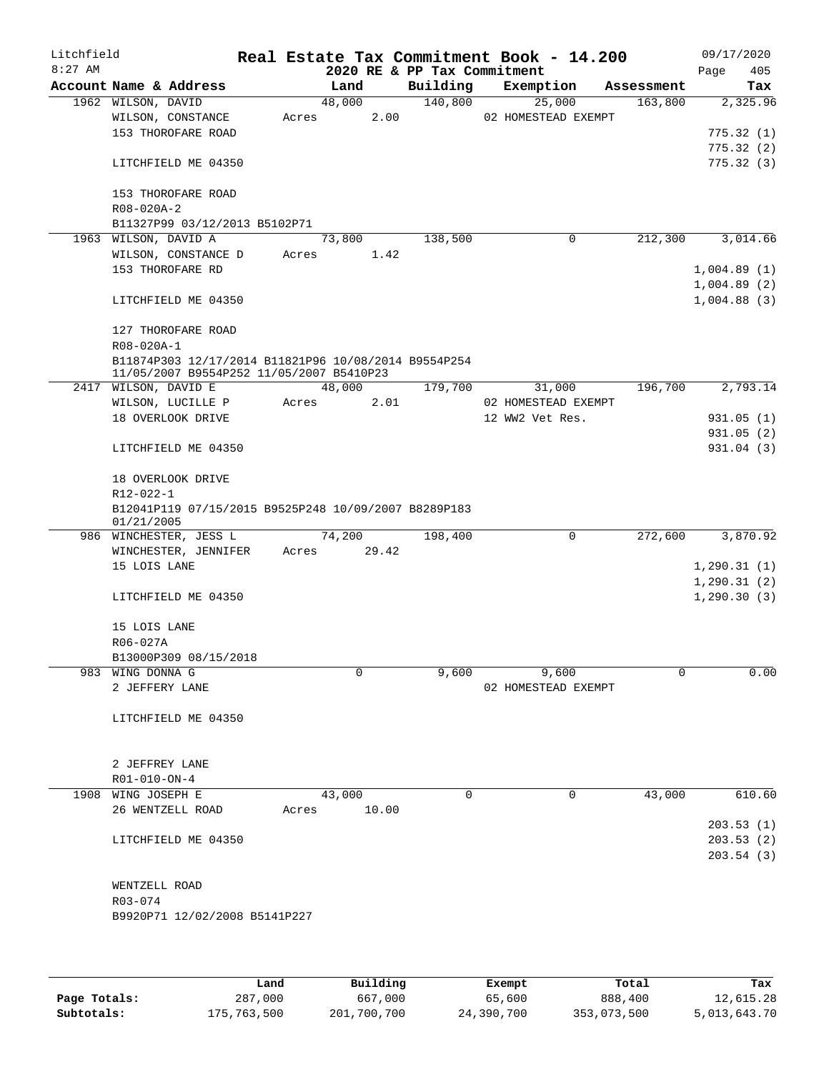| Litchfield |                                                      |       |             |                             | Real Estate Tax Commitment Book - 14.200 |            | 09/17/2020   |      |
|------------|------------------------------------------------------|-------|-------------|-----------------------------|------------------------------------------|------------|--------------|------|
| $8:27$ AM  |                                                      |       |             | 2020 RE & PP Tax Commitment |                                          |            | Page         | 405  |
|            | Account Name & Address                               |       | Land        | Building                    | Exemption                                | Assessment |              | Tax  |
|            | 1962 WILSON, DAVID                                   |       | 48,000      | 140,800                     | 25,000                                   | 163,800    | 2,325.96     |      |
|            | WILSON, CONSTANCE                                    | Acres | 2.00        |                             | 02 HOMESTEAD EXEMPT                      |            |              |      |
|            | 153 THOROFARE ROAD                                   |       |             |                             |                                          |            | 775.32(1)    |      |
|            |                                                      |       |             |                             |                                          |            | 775.32(2)    |      |
|            | LITCHFIELD ME 04350                                  |       |             |                             |                                          |            | 775.32(3)    |      |
|            |                                                      |       |             |                             |                                          |            |              |      |
|            | 153 THOROFARE ROAD                                   |       |             |                             |                                          |            |              |      |
|            | R08-020A-2                                           |       |             |                             |                                          |            |              |      |
|            | B11327P99 03/12/2013 B5102P71                        |       |             |                             |                                          |            |              |      |
|            | 1963 WILSON, DAVID A                                 |       | 73,800      | 138,500                     | 0                                        | 212,300    | 3,014.66     |      |
|            | WILSON, CONSTANCE D                                  | Acres | 1.42        |                             |                                          |            |              |      |
|            | 153 THOROFARE RD                                     |       |             |                             |                                          |            | 1,004.89(1)  |      |
|            |                                                      |       |             |                             |                                          |            | 1,004.89(2)  |      |
|            | LITCHFIELD ME 04350                                  |       |             |                             |                                          |            | 1,004.88(3)  |      |
|            |                                                      |       |             |                             |                                          |            |              |      |
|            | 127 THOROFARE ROAD<br>R08-020A-1                     |       |             |                             |                                          |            |              |      |
|            | B11874P303 12/17/2014 B11821P96 10/08/2014 B9554P254 |       |             |                             |                                          |            |              |      |
|            | 11/05/2007 B9554P252 11/05/2007 B5410P23             |       |             |                             |                                          |            |              |      |
|            | 2417 WILSON, DAVID E                                 |       | 48,000      | 179,700                     | 31,000                                   | 196,700    | 2,793.14     |      |
|            | WILSON, LUCILLE P                                    | Acres | 2.01        |                             | 02 HOMESTEAD EXEMPT                      |            |              |      |
|            | 18 OVERLOOK DRIVE                                    |       |             |                             | 12 WW2 Vet Res.                          |            | 931.05(1)    |      |
|            |                                                      |       |             |                             |                                          |            | 931.05(2)    |      |
|            | LITCHFIELD ME 04350                                  |       |             |                             |                                          |            | 931.04 (3)   |      |
|            |                                                      |       |             |                             |                                          |            |              |      |
|            | 18 OVERLOOK DRIVE                                    |       |             |                             |                                          |            |              |      |
|            | $R12 - 022 - 1$                                      |       |             |                             |                                          |            |              |      |
|            | B12041P119 07/15/2015 B9525P248 10/09/2007 B8289P183 |       |             |                             |                                          |            |              |      |
|            | 01/21/2005                                           |       |             |                             |                                          |            |              |      |
|            | 986 WINCHESTER, JESS L                               |       | 74,200      | 198,400                     | $\mathbf 0$                              | 272,600    | 3,870.92     |      |
|            | WINCHESTER, JENNIFER                                 |       | Acres 29.42 |                             |                                          |            |              |      |
|            | 15 LOIS LANE                                         |       |             |                             |                                          |            | 1, 290.31(1) |      |
|            |                                                      |       |             |                             |                                          |            | 1, 290.31(2) |      |
|            | LITCHFIELD ME 04350                                  |       |             |                             |                                          |            | 1, 290.30(3) |      |
|            |                                                      |       |             |                             |                                          |            |              |      |
|            | 15 LOIS LANE                                         |       |             |                             |                                          |            |              |      |
|            | R06-027A                                             |       |             |                             |                                          |            |              |      |
|            | B13000P309 08/15/2018                                |       |             |                             |                                          |            |              |      |
|            | 983 WING DONNA G                                     |       | 0           | 9,600                       | 9,600                                    | 0          |              | 0.00 |
|            | 2 JEFFERY LANE                                       |       |             |                             | 02 HOMESTEAD EXEMPT                      |            |              |      |
|            |                                                      |       |             |                             |                                          |            |              |      |
|            | LITCHFIELD ME 04350                                  |       |             |                             |                                          |            |              |      |
|            |                                                      |       |             |                             |                                          |            |              |      |
|            |                                                      |       |             |                             |                                          |            |              |      |
|            | 2 JEFFREY LANE                                       |       |             |                             |                                          |            |              |      |
|            | R01-010-ON-4                                         |       |             |                             |                                          |            |              |      |
|            | 1908 WING JOSEPH E                                   |       | 43,000      | $\Omega$                    | $\Omega$                                 | 43,000     | 610.60       |      |
|            | 26 WENTZELL ROAD                                     | Acres | 10.00       |                             |                                          |            |              |      |
|            |                                                      |       |             |                             |                                          |            | 203.53(1)    |      |
|            | LITCHFIELD ME 04350                                  |       |             |                             |                                          |            | 203.53(2)    |      |
|            |                                                      |       |             |                             |                                          |            | 203.54(3)    |      |
|            |                                                      |       |             |                             |                                          |            |              |      |
|            | WENTZELL ROAD                                        |       |             |                             |                                          |            |              |      |
|            | R03-074                                              |       |             |                             |                                          |            |              |      |
|            | B9920P71 12/02/2008 B5141P227                        |       |             |                             |                                          |            |              |      |
|            |                                                      |       |             |                             |                                          |            |              |      |
|            |                                                      |       |             |                             |                                          |            |              |      |
|            |                                                      |       |             |                             |                                          |            |              |      |

|              | Land        | Building    | Exempt     | Total       | Tax          |
|--------------|-------------|-------------|------------|-------------|--------------|
| Page Totals: | 287,000     | 667,000     | 65,600     | 888,400     | 12,615.28    |
| Subtotals:   | 175,763,500 | 201,700,700 | 24,390,700 | 353,073,500 | 5,013,643.70 |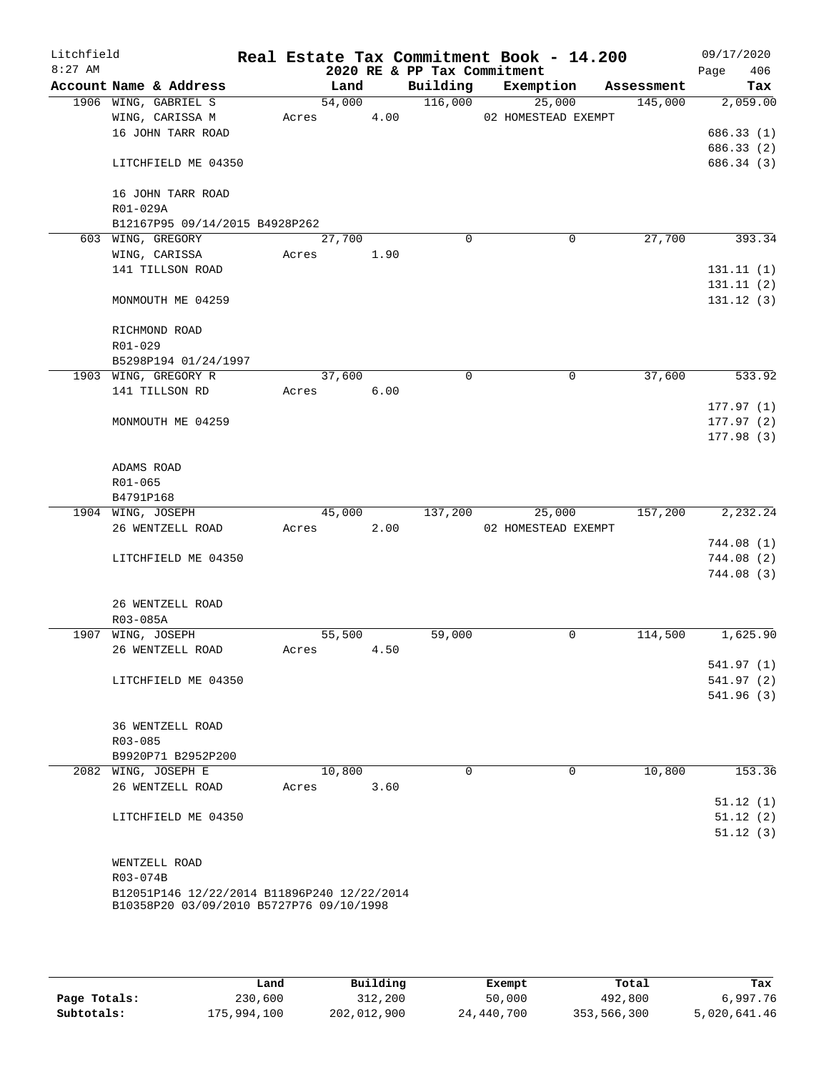| Litchfield<br>$8:27$ AM |                                             |                     |      | 2020 RE & PP Tax Commitment | Real Estate Tax Commitment Book - 14.200 |            | 09/17/2020<br>Page<br>406 |
|-------------------------|---------------------------------------------|---------------------|------|-----------------------------|------------------------------------------|------------|---------------------------|
|                         | Account Name & Address                      | Land                |      | Building                    | Exemption                                | Assessment | Tax                       |
|                         | 1906 WING, GABRIEL S                        | 54,000              |      | 116,000                     | 25,000                                   | 145,000    | 2,059.00                  |
|                         | WING, CARISSA M                             | Acres               | 4.00 |                             | 02 HOMESTEAD EXEMPT                      |            |                           |
|                         | 16 JOHN TARR ROAD                           |                     |      |                             |                                          |            | 686.33(1)                 |
|                         |                                             |                     |      |                             |                                          |            | 686.33 (2)                |
|                         | LITCHFIELD ME 04350                         |                     |      |                             |                                          |            | 686.34 (3)                |
|                         | 16 JOHN TARR ROAD                           |                     |      |                             |                                          |            |                           |
|                         | R01-029A                                    |                     |      |                             |                                          |            |                           |
|                         | B12167P95 09/14/2015 B4928P262              |                     |      |                             |                                          |            |                           |
|                         | 603 WING, GREGORY                           | $\overline{27,700}$ |      | $\Omega$                    | 0                                        | 27,700     | 393.34                    |
|                         | WING, CARISSA                               | Acres               | 1.90 |                             |                                          |            |                           |
|                         | 141 TILLSON ROAD                            |                     |      |                             |                                          |            | 131.11(1)                 |
|                         |                                             |                     |      |                             |                                          |            | 131.11(2)                 |
|                         | MONMOUTH ME 04259                           |                     |      |                             |                                          |            | 131.12(3)                 |
|                         | RICHMOND ROAD                               |                     |      |                             |                                          |            |                           |
|                         | R01-029                                     |                     |      |                             |                                          |            |                           |
|                         | B5298P194 01/24/1997                        |                     |      |                             |                                          |            |                           |
|                         | 1903 WING, GREGORY R                        | 37,600              |      | 0                           | 0                                        | 37,600     | 533.92                    |
|                         | 141 TILLSON RD                              | Acres               | 6.00 |                             |                                          |            |                           |
|                         |                                             |                     |      |                             |                                          |            | 177.97(1)                 |
|                         | MONMOUTH ME 04259                           |                     |      |                             |                                          |            | 177.97(2)                 |
|                         |                                             |                     |      |                             |                                          |            | 177.98(3)                 |
|                         |                                             |                     |      |                             |                                          |            |                           |
|                         | ADAMS ROAD                                  |                     |      |                             |                                          |            |                           |
|                         | R01-065                                     |                     |      |                             |                                          |            |                           |
|                         | B4791P168                                   |                     |      |                             |                                          |            |                           |
|                         |                                             | 45,000              |      | 137,200                     | 25,000                                   | 157,200    | 2, 232.24                 |
|                         | 1904 WING, JOSEPH<br>26 WENTZELL ROAD       | Acres               | 2.00 |                             |                                          |            |                           |
|                         |                                             |                     |      |                             | 02 HOMESTEAD EXEMPT                      |            |                           |
|                         |                                             |                     |      |                             |                                          |            | 744.08(1)                 |
|                         | LITCHFIELD ME 04350                         |                     |      |                             |                                          |            | 744.08(2)                 |
|                         |                                             |                     |      |                             |                                          |            | 744.08(3)                 |
|                         |                                             |                     |      |                             |                                          |            |                           |
|                         | 26 WENTZELL ROAD                            |                     |      |                             |                                          |            |                           |
|                         | R03-085A                                    |                     |      |                             |                                          |            |                           |
|                         | 1907 WING, JOSEPH                           | 55,500              |      | 59,000                      | 0                                        | 114,500    | 1,625.90                  |
|                         | 26 WENTZELL ROAD                            | Acres               | 4.50 |                             |                                          |            |                           |
|                         |                                             |                     |      |                             |                                          |            | 541.97(1)                 |
|                         | LITCHFIELD ME 04350                         |                     |      |                             |                                          |            | 541.97 (2)                |
|                         |                                             |                     |      |                             |                                          |            | 541.96(3)                 |
|                         |                                             |                     |      |                             |                                          |            |                           |
|                         | 36 WENTZELL ROAD                            |                     |      |                             |                                          |            |                           |
|                         | $R03 - 085$                                 |                     |      |                             |                                          |            |                           |
|                         | B9920P71 B2952P200                          |                     |      |                             |                                          |            |                           |
|                         | 2082 WING, JOSEPH E                         | 10,800              |      | $\Omega$                    | 0                                        | 10,800     | 153.36                    |
|                         | 26 WENTZELL ROAD                            | Acres               | 3.60 |                             |                                          |            |                           |
|                         |                                             |                     |      |                             |                                          |            | 51.12(1)                  |
|                         | LITCHFIELD ME 04350                         |                     |      |                             |                                          |            | 51.12(2)                  |
|                         |                                             |                     |      |                             |                                          |            | 51.12(3)                  |
|                         |                                             |                     |      |                             |                                          |            |                           |
|                         | WENTZELL ROAD                               |                     |      |                             |                                          |            |                           |
|                         | R03-074B                                    |                     |      |                             |                                          |            |                           |
|                         | B12051P146 12/22/2014 B11896P240 12/22/2014 |                     |      |                             |                                          |            |                           |
|                         | B10358P20 03/09/2010 B5727P76 09/10/1998    |                     |      |                             |                                          |            |                           |
|                         |                                             |                     |      |                             |                                          |            |                           |
|                         |                                             |                     |      |                             |                                          |            |                           |
|                         |                                             |                     |      |                             |                                          |            |                           |

|              | Land        | Building    | Exempt     | Total       | Tax          |
|--------------|-------------|-------------|------------|-------------|--------------|
| Page Totals: | 230,600     | 312,200     | 50,000     | 492,800     | 6,997.76     |
| Subtotals:   | 175,994,100 | 202,012,900 | 24,440,700 | 353,566,300 | 5,020,641.46 |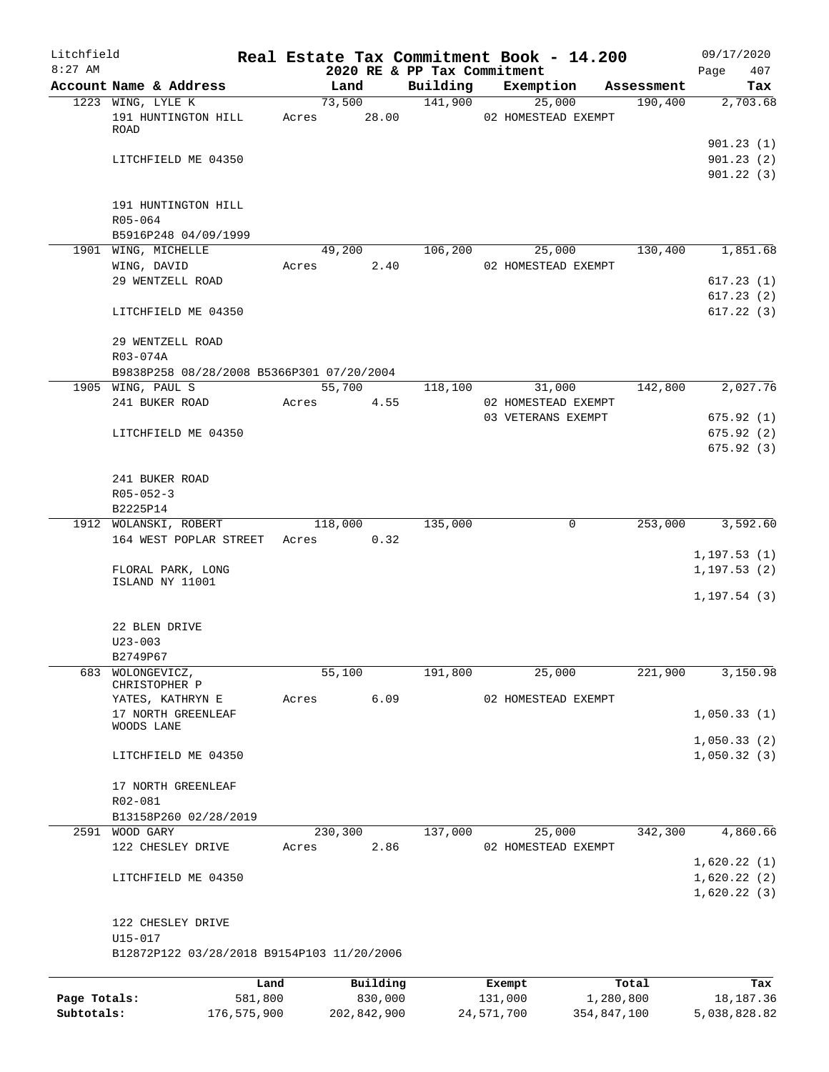| Litchfield   |                                                                |             |       |             |                                         | Real Estate Tax Commitment Book - 14.200 |             |            | 09/17/2020             |
|--------------|----------------------------------------------------------------|-------------|-------|-------------|-----------------------------------------|------------------------------------------|-------------|------------|------------------------|
| $8:27$ AM    | Account Name & Address                                         |             |       | Land        | 2020 RE & PP Tax Commitment<br>Building | Exemption                                |             | Assessment | 407<br>Page<br>Tax     |
|              | 1223 WING, LYLE K                                              |             |       | 73,500      | 141,900                                 | 25,000                                   |             | 190,400    | 2,703.68               |
|              | 191 HUNTINGTON HILL<br>ROAD                                    |             | Acres | 28.00       |                                         | 02 HOMESTEAD EXEMPT                      |             |            |                        |
|              |                                                                |             |       |             |                                         |                                          |             |            | 901.23(1)              |
|              | LITCHFIELD ME 04350                                            |             |       |             |                                         |                                          |             |            | 901.23(2)<br>901.22(3) |
|              | 191 HUNTINGTON HILL                                            |             |       |             |                                         |                                          |             |            |                        |
|              | R05-064                                                        |             |       |             |                                         |                                          |             |            |                        |
|              | B5916P248 04/09/1999<br>1901 WING, MICHELLE                    |             |       | 49,200      | 106,200                                 | 25,000                                   |             | 130,400    | 1,851.68               |
|              | WING, DAVID                                                    |             | Acres | 2.40        |                                         | 02 HOMESTEAD EXEMPT                      |             |            |                        |
|              | 29 WENTZELL ROAD                                               |             |       |             |                                         |                                          |             |            | 617.23 (1)             |
|              |                                                                |             |       |             |                                         |                                          |             |            | 617.23(2)              |
|              | LITCHFIELD ME 04350                                            |             |       |             |                                         |                                          |             |            | 617.22(3)              |
|              | 29 WENTZELL ROAD                                               |             |       |             |                                         |                                          |             |            |                        |
|              | R03-074A                                                       |             |       |             |                                         |                                          |             |            |                        |
|              | B9838P258 08/28/2008 B5366P301 07/20/2004<br>1905 WING, PAUL S |             |       | 55,700      | 118,100                                 | 31,000                                   |             | 142,800    | 2,027.76               |
|              | 241 BUKER ROAD                                                 |             | Acres | 4.55        |                                         | 02 HOMESTEAD EXEMPT                      |             |            |                        |
|              |                                                                |             |       |             |                                         | 03 VETERANS EXEMPT                       |             |            | 675.92(1)              |
|              | LITCHFIELD ME 04350                                            |             |       |             |                                         |                                          |             |            | 675.92(2)              |
|              |                                                                |             |       |             |                                         |                                          |             |            | 675.92(3)              |
|              |                                                                |             |       |             |                                         |                                          |             |            |                        |
|              | 241 BUKER ROAD                                                 |             |       |             |                                         |                                          |             |            |                        |
|              | $R05 - 052 - 3$                                                |             |       |             |                                         |                                          |             |            |                        |
|              | B2225P14                                                       |             |       |             |                                         |                                          |             |            |                        |
|              | 1912 WOLANSKI, ROBERT                                          |             |       | 118,000     | 135,000                                 |                                          | 0           | 253,000    | 3,592.60               |
|              | 164 WEST POPLAR STREET                                         |             | Acres | 0.32        |                                         |                                          |             |            |                        |
|              |                                                                |             |       |             |                                         |                                          |             |            | 1, 197.53(1)           |
|              | FLORAL PARK, LONG                                              |             |       |             |                                         |                                          |             |            | 1, 197.53(2)           |
|              | ISLAND NY 11001                                                |             |       |             |                                         |                                          |             |            |                        |
|              |                                                                |             |       |             |                                         |                                          |             |            | 1, 197.54(3)           |
|              | 22 BLEN DRIVE                                                  |             |       |             |                                         |                                          |             |            |                        |
|              | $U23 - 003$                                                    |             |       |             |                                         |                                          |             |            |                        |
|              | B2749P67                                                       |             |       |             |                                         |                                          |             |            |                        |
| 683          | WOLONGEVICZ,                                                   |             |       | 55,100      | 191,800                                 | 25,000                                   |             | 221,900    | 3,150.98               |
|              | CHRISTOPHER P                                                  |             |       |             |                                         |                                          |             |            |                        |
|              | YATES, KATHRYN E                                               |             | Acres | 6.09        |                                         | 02 HOMESTEAD EXEMPT                      |             |            |                        |
|              | 17 NORTH GREENLEAF                                             |             |       |             |                                         |                                          |             |            | 1,050.33(1)            |
|              | WOODS LANE                                                     |             |       |             |                                         |                                          |             |            |                        |
|              |                                                                |             |       |             |                                         |                                          |             |            | 1,050.33(2)            |
|              | LITCHFIELD ME 04350                                            |             |       |             |                                         |                                          |             |            | 1,050.32(3)            |
|              | 17 NORTH GREENLEAF                                             |             |       |             |                                         |                                          |             |            |                        |
|              | R02-081                                                        |             |       |             |                                         |                                          |             |            |                        |
|              | B13158P260 02/28/2019                                          |             |       |             |                                         |                                          |             |            |                        |
| 2591         | WOOD GARY                                                      |             |       | 230,300     | 137,000                                 | 25,000                                   |             | 342,300    | 4,860.66               |
|              | 122 CHESLEY DRIVE                                              |             | Acres | 2.86        |                                         | 02 HOMESTEAD EXEMPT                      |             |            |                        |
|              |                                                                |             |       |             |                                         |                                          |             |            | 1,620.22(1)            |
|              | LITCHFIELD ME 04350                                            |             |       |             |                                         |                                          |             |            | 1,620.22(2)            |
|              |                                                                |             |       |             |                                         |                                          |             |            | 1,620.22(3)            |
|              | 122 CHESLEY DRIVE                                              |             |       |             |                                         |                                          |             |            |                        |
|              | U15-017                                                        |             |       |             |                                         |                                          |             |            |                        |
|              | B12872P122 03/28/2018 B9154P103 11/20/2006                     |             |       |             |                                         |                                          |             |            |                        |
|              |                                                                | Land        |       | Building    |                                         | Exempt                                   |             | Total      | Tax                    |
| Page Totals: |                                                                | 581,800     |       | 830,000     |                                         | 131,000                                  | 1,280,800   |            | 18, 187. 36            |
| Subtotals:   |                                                                | 176,575,900 |       | 202,842,900 |                                         | 24,571,700                               | 354,847,100 |            | 5,038,828.82           |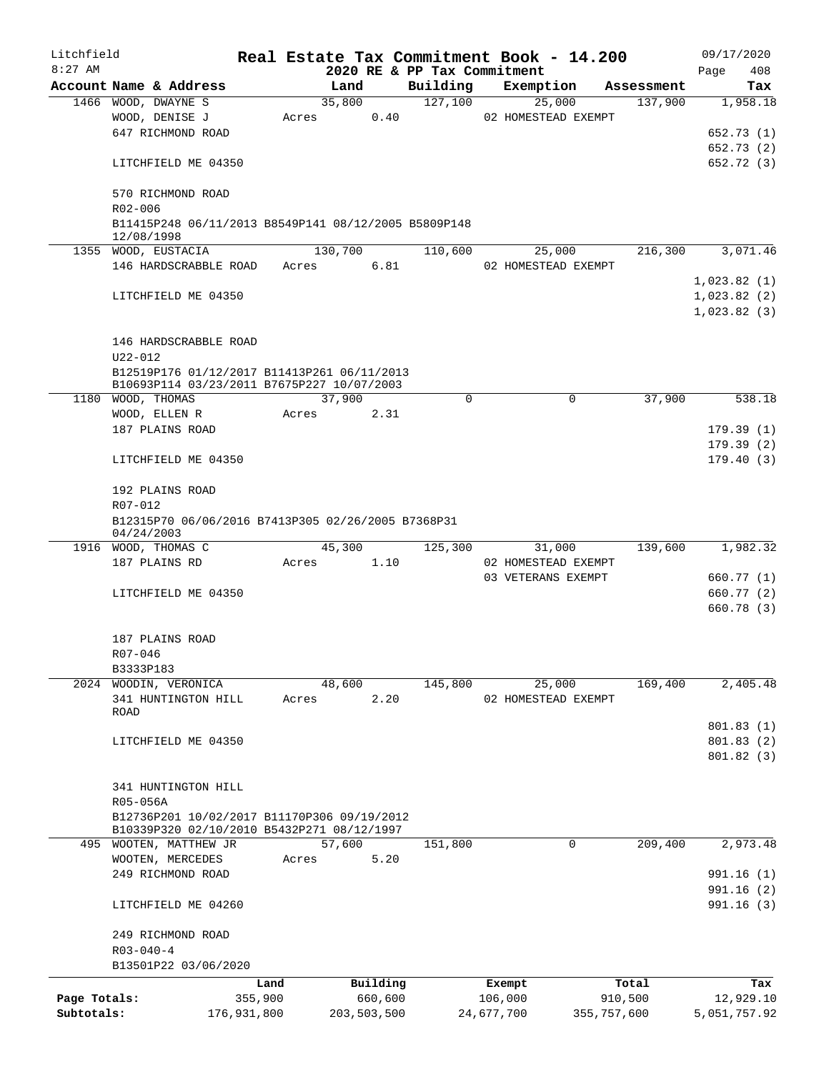| Litchfield   |                   |                                                                                           |       |                |          |                             | Real Estate Tax Commitment Book - 14.200 |                       | 09/17/2020   |           |
|--------------|-------------------|-------------------------------------------------------------------------------------------|-------|----------------|----------|-----------------------------|------------------------------------------|-----------------------|--------------|-----------|
| $8:27$ AM    |                   |                                                                                           |       |                |          | 2020 RE & PP Tax Commitment |                                          |                       | Page         | 408       |
|              |                   | Account Name & Address<br>1466 WOOD, DWAYNE S                                             |       | Land<br>35,800 |          | Building<br>127,100         | Exemption<br>25,000                      | Assessment<br>137,900 |              | Tax       |
|              |                   | WOOD, DENISE J                                                                            | Acres |                | 0.40     |                             | 02 HOMESTEAD EXEMPT                      |                       |              | 1,958.18  |
|              |                   | 647 RICHMOND ROAD                                                                         |       |                |          |                             |                                          |                       | 652.73 (1)   |           |
|              |                   |                                                                                           |       |                |          |                             |                                          |                       | 652.73 (2)   |           |
|              |                   | LITCHFIELD ME 04350                                                                       |       |                |          |                             |                                          |                       | 652.72 (3)   |           |
|              |                   | 570 RICHMOND ROAD                                                                         |       |                |          |                             |                                          |                       |              |           |
|              | R02-006           |                                                                                           |       |                |          |                             |                                          |                       |              |           |
|              | 12/08/1998        | B11415P248 06/11/2013 B8549P141 08/12/2005 B5809P148                                      |       |                |          |                             |                                          |                       |              |           |
|              |                   | 1355 WOOD, EUSTACIA                                                                       |       | 130,700        |          | 110,600                     | 25,000                                   | 216,300               |              | 3,071.46  |
|              |                   | 146 HARDSCRABBLE ROAD                                                                     | Acres |                | 6.81     |                             | 02 HOMESTEAD EXEMPT                      |                       |              |           |
|              |                   |                                                                                           |       |                |          |                             |                                          |                       | 1,023.82(1)  |           |
|              |                   | LITCHFIELD ME 04350                                                                       |       |                |          |                             |                                          |                       | 1,023.82(2)  |           |
|              |                   |                                                                                           |       |                |          |                             |                                          |                       | 1,023.82(3)  |           |
|              |                   |                                                                                           |       |                |          |                             |                                          |                       |              |           |
|              |                   | 146 HARDSCRABBLE ROAD                                                                     |       |                |          |                             |                                          |                       |              |           |
|              | U22-012           |                                                                                           |       |                |          |                             |                                          |                       |              |           |
|              |                   | B12519P176 01/12/2017 B11413P261 06/11/2013                                               |       |                |          |                             |                                          |                       |              |           |
|              |                   | B10693P114 03/23/2011 B7675P227 10/07/2003                                                |       |                |          |                             |                                          |                       |              |           |
|              | 1180 WOOD, THOMAS |                                                                                           |       | 37,900         |          | $\Omega$                    | $\Omega$                                 | 37,900                |              | 538.18    |
|              |                   | WOOD, ELLEN R                                                                             | Acres |                | 2.31     |                             |                                          |                       |              |           |
|              |                   | 187 PLAINS ROAD                                                                           |       |                |          |                             |                                          |                       | 179.39(1)    |           |
|              |                   |                                                                                           |       |                |          |                             |                                          |                       | 179.39(2)    |           |
|              |                   | LITCHFIELD ME 04350                                                                       |       |                |          |                             |                                          |                       | 179.40(3)    |           |
|              |                   | 192 PLAINS ROAD                                                                           |       |                |          |                             |                                          |                       |              |           |
|              | R07-012           |                                                                                           |       |                |          |                             |                                          |                       |              |           |
|              |                   | B12315P70 06/06/2016 B7413P305 02/26/2005 B7368P31                                        |       |                |          |                             |                                          |                       |              |           |
|              | 04/24/2003        |                                                                                           |       |                |          |                             |                                          |                       |              |           |
|              |                   | 1916 WOOD, THOMAS C                                                                       |       | 45,300         |          | 125,300                     | 31,000                                   | 139,600               |              | 1,982.32  |
|              |                   | 187 PLAINS RD                                                                             | Acres |                | 1.10     |                             | 02 HOMESTEAD EXEMPT                      |                       |              |           |
|              |                   |                                                                                           |       |                |          |                             | 03 VETERANS EXEMPT                       |                       | 660.77 (1)   |           |
|              |                   | LITCHFIELD ME 04350                                                                       |       |                |          |                             |                                          |                       | 660.77(2)    |           |
|              |                   |                                                                                           |       |                |          |                             |                                          |                       | 660.78 (3)   |           |
|              |                   | 187 PLAINS ROAD                                                                           |       |                |          |                             |                                          |                       |              |           |
|              | R07-046           |                                                                                           |       |                |          |                             |                                          |                       |              |           |
|              | B3333P183         |                                                                                           |       |                |          |                             |                                          |                       |              |           |
|              |                   | 2024 WOODIN, VERONICA                                                                     |       | 48,600         |          | 145,800                     | 25,000                                   | 169,400               |              | 2,405.48  |
|              |                   | 341 HUNTINGTON HILL                                                                       | Acres |                | 2.20     |                             | 02 HOMESTEAD EXEMPT                      |                       |              |           |
|              | ROAD              |                                                                                           |       |                |          |                             |                                          |                       |              |           |
|              |                   |                                                                                           |       |                |          |                             |                                          |                       | 801.83 (1)   |           |
|              |                   | LITCHFIELD ME 04350                                                                       |       |                |          |                             |                                          |                       | 801.83(2)    |           |
|              |                   |                                                                                           |       |                |          |                             |                                          |                       | 801.82(3)    |           |
|              |                   |                                                                                           |       |                |          |                             |                                          |                       |              |           |
|              |                   | 341 HUNTINGTON HILL                                                                       |       |                |          |                             |                                          |                       |              |           |
|              | R05-056A          |                                                                                           |       |                |          |                             |                                          |                       |              |           |
|              |                   | B12736P201 10/02/2017 B11170P306 09/19/2012<br>B10339P320 02/10/2010 B5432P271 08/12/1997 |       |                |          |                             |                                          |                       |              |           |
|              |                   | 495 WOOTEN, MATTHEW JR                                                                    |       | 57,600         |          | 151,800                     | $\mathbf 0$                              | 209,400               |              | 2,973.48  |
|              |                   | WOOTEN, MERCEDES                                                                          | Acres |                | 5.20     |                             |                                          |                       |              |           |
|              |                   | 249 RICHMOND ROAD                                                                         |       |                |          |                             |                                          |                       | 991.16(1)    |           |
|              |                   |                                                                                           |       |                |          |                             |                                          |                       | 991.16(2)    |           |
|              |                   | LITCHFIELD ME 04260                                                                       |       |                |          |                             |                                          |                       | 991.16(3)    |           |
|              |                   | 249 RICHMOND ROAD                                                                         |       |                |          |                             |                                          |                       |              |           |
|              | $R03 - 040 - 4$   |                                                                                           |       |                |          |                             |                                          |                       |              |           |
|              |                   | B13501P22 03/06/2020                                                                      |       |                |          |                             |                                          |                       |              |           |
|              |                   | Land                                                                                      |       |                | Building |                             | Exempt                                   | Total                 |              | Tax       |
| Page Totals: |                   | 355,900                                                                                   |       |                | 660,600  |                             | 106,000                                  | 910,500               |              | 12,929.10 |
| Subtotals:   |                   | 176,931,800                                                                               |       | 203,503,500    |          |                             | 24,677,700<br>355,757,600                |                       | 5,051,757.92 |           |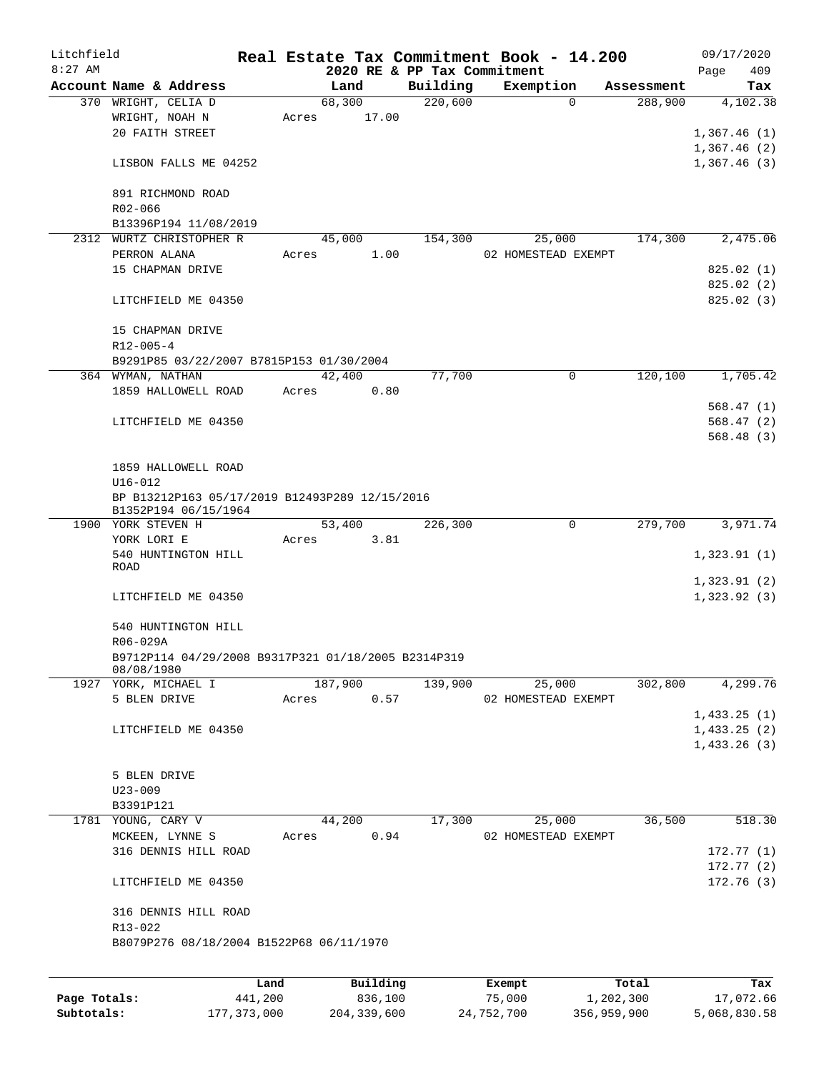| Litchfield   |                                                     |         |                |                             | Real Estate Tax Commitment Book - 14.200 |                       | 09/17/2020                 |
|--------------|-----------------------------------------------------|---------|----------------|-----------------------------|------------------------------------------|-----------------------|----------------------------|
| $8:27$ AM    |                                                     |         |                | 2020 RE & PP Tax Commitment |                                          |                       | 409<br>Page                |
|              | Account Name & Address<br>370 WRIGHT, CELIA D       |         | Land<br>68,300 | Building<br>220,600         | Exemption<br>0                           | Assessment<br>288,900 | Tax<br>4,102.38            |
|              | WRIGHT, NOAH N                                      | Acres   | 17.00          |                             |                                          |                       |                            |
|              | 20 FAITH STREET                                     |         |                |                             |                                          |                       | 1,367.46(1)                |
|              |                                                     |         |                |                             |                                          |                       | 1,367.46(2)                |
|              | LISBON FALLS ME 04252                               |         |                |                             |                                          |                       | 1,367.46(3)                |
|              |                                                     |         |                |                             |                                          |                       |                            |
|              | 891 RICHMOND ROAD                                   |         |                |                             |                                          |                       |                            |
|              | R02-066                                             |         |                |                             |                                          |                       |                            |
|              | B13396P194 11/08/2019                               |         |                |                             |                                          |                       |                            |
|              | 2312 WURTZ CHRISTOPHER R                            |         | 45,000         | 154,300                     | 25,000                                   | 174,300               | 2,475.06                   |
|              | PERRON ALANA                                        | Acres   | 1.00           |                             | 02 HOMESTEAD EXEMPT                      |                       |                            |
|              | 15 CHAPMAN DRIVE                                    |         |                |                             |                                          |                       | 825.02(1)                  |
|              |                                                     |         |                |                             |                                          |                       | 825.02(2)                  |
|              | LITCHFIELD ME 04350                                 |         |                |                             |                                          |                       | 825.02 (3)                 |
|              |                                                     |         |                |                             |                                          |                       |                            |
|              | 15 CHAPMAN DRIVE                                    |         |                |                             |                                          |                       |                            |
|              | $R12 - 005 - 4$                                     |         |                |                             |                                          |                       |                            |
|              | B9291P85 03/22/2007 B7815P153 01/30/2004            |         |                |                             |                                          |                       |                            |
|              | 364 WYMAN, NATHAN                                   |         | 42,400         | 77,700                      | 0                                        | 120,100               | 1,705.42                   |
|              | 1859 HALLOWELL ROAD                                 | Acres   | 0.80           |                             |                                          |                       |                            |
|              |                                                     |         |                |                             |                                          |                       | 568.47(1)                  |
|              | LITCHFIELD ME 04350                                 |         |                |                             |                                          |                       | 568.47(2)                  |
|              |                                                     |         |                |                             |                                          |                       | 568.48(3)                  |
|              |                                                     |         |                |                             |                                          |                       |                            |
|              | 1859 HALLOWELL ROAD                                 |         |                |                             |                                          |                       |                            |
|              | $U16 - 012$                                         |         |                |                             |                                          |                       |                            |
|              | BP B13212P163 05/17/2019 B12493P289 12/15/2016      |         |                |                             |                                          |                       |                            |
|              | B1352P194 06/15/1964<br>1900 YORK STEVEN H          |         | 53,400         | 226,300                     | 0                                        | 279,700               | 3,971.74                   |
|              | YORK LORI E                                         | Acres   | 3.81           |                             |                                          |                       |                            |
|              | 540 HUNTINGTON HILL                                 |         |                |                             |                                          |                       | 1,323.91(1)                |
|              | ROAD                                                |         |                |                             |                                          |                       |                            |
|              |                                                     |         |                |                             |                                          |                       | 1,323.91(2)                |
|              | LITCHFIELD ME 04350                                 |         |                |                             |                                          |                       | 1,323.92(3)                |
|              |                                                     |         |                |                             |                                          |                       |                            |
|              | 540 HUNTINGTON HILL                                 |         |                |                             |                                          |                       |                            |
|              | R06-029A                                            |         |                |                             |                                          |                       |                            |
|              | B9712P114 04/29/2008 B9317P321 01/18/2005 B2314P319 |         |                |                             |                                          |                       |                            |
|              | 08/08/1980                                          |         | 187,900        | 139,900                     |                                          | 302,800               | 4,299.76                   |
|              | 1927 YORK, MICHAEL I                                | Acres   |                |                             | 25,000                                   |                       |                            |
|              | 5 BLEN DRIVE                                        |         | 0.57           |                             | 02 HOMESTEAD EXEMPT                      |                       |                            |
|              | LITCHFIELD ME 04350                                 |         |                |                             |                                          |                       | 1,433.25(1)<br>1,433.25(2) |
|              |                                                     |         |                |                             |                                          |                       | 1,433.26(3)                |
|              |                                                     |         |                |                             |                                          |                       |                            |
|              | 5 BLEN DRIVE                                        |         |                |                             |                                          |                       |                            |
|              | $U23 - 009$                                         |         |                |                             |                                          |                       |                            |
|              | B3391P121                                           |         |                |                             |                                          |                       |                            |
|              | 1781 YOUNG, CARY V                                  |         | 44,200         | 17,300                      | 25,000                                   | 36,500                | 518.30                     |
|              | MCKEEN, LYNNE S                                     | Acres   | 0.94           |                             | 02 HOMESTEAD EXEMPT                      |                       |                            |
|              | 316 DENNIS HILL ROAD                                |         |                |                             |                                          |                       | 172.77(1)                  |
|              |                                                     |         |                |                             |                                          |                       | 172.77 (2)                 |
|              | LITCHFIELD ME 04350                                 |         |                |                             |                                          |                       | 172.76(3)                  |
|              | 316 DENNIS HILL ROAD                                |         |                |                             |                                          |                       |                            |
|              | $R13 - 022$                                         |         |                |                             |                                          |                       |                            |
|              | B8079P276 08/18/2004 B1522P68 06/11/1970            |         |                |                             |                                          |                       |                            |
|              |                                                     |         |                |                             |                                          |                       |                            |
|              |                                                     |         |                |                             |                                          |                       |                            |
|              |                                                     | Land    | Building       |                             | Exempt                                   | Total                 | Tax                        |
| Page Totals: |                                                     | 441,200 | 836,100        |                             | 75,000                                   | 1,202,300             | 17,072.66                  |

**Subtotals:** 177,373,000 204,339,600 24,752,700 356,959,900 5,068,830.58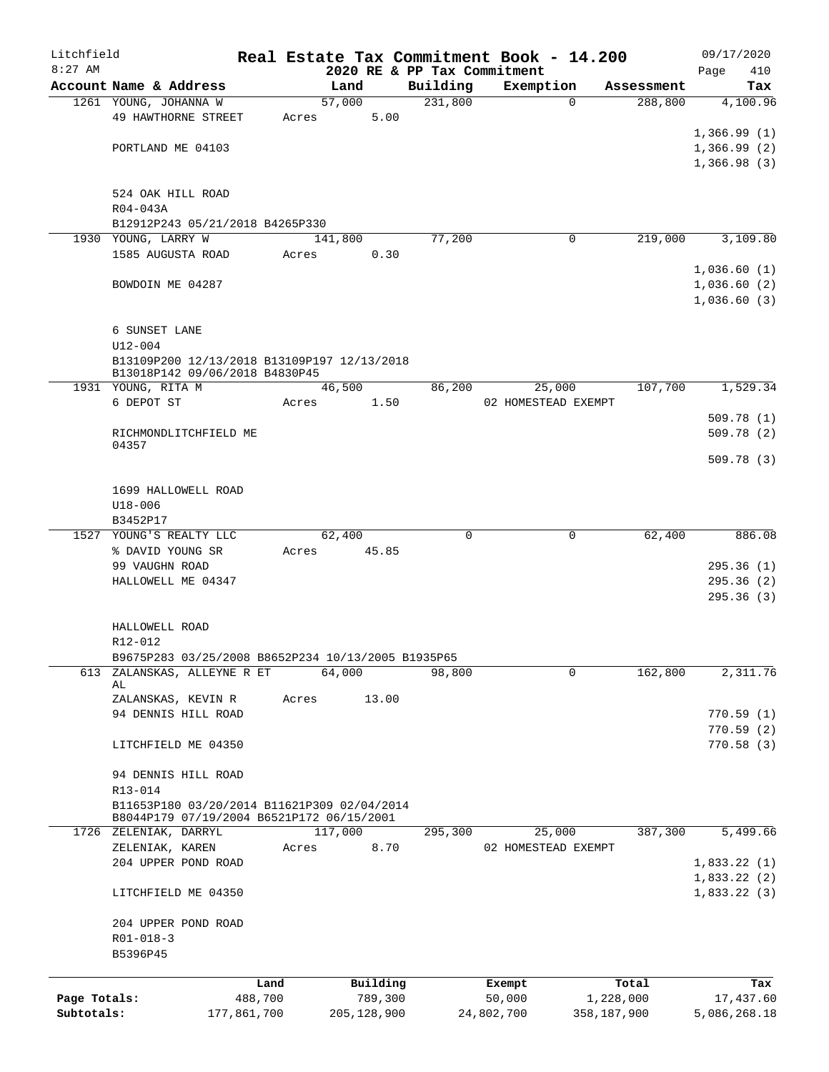| Litchfield   |                                                                               |                 |       |         |                     |          | Real Estate Tax Commitment Book - 14.200 |             |            | 09/17/2020       |
|--------------|-------------------------------------------------------------------------------|-----------------|-------|---------|---------------------|----------|------------------------------------------|-------------|------------|------------------|
| $8:27$ AM    |                                                                               |                 |       |         |                     |          | 2020 RE & PP Tax Commitment              |             |            | 410<br>Page      |
|              | Account Name & Address                                                        |                 |       | Land    |                     | Building | Exemption                                |             | Assessment | Tax              |
|              | 1261 YOUNG, JOHANNA W                                                         |                 |       | 57,000  |                     | 231,800  |                                          | $\Omega$    | 288,800    | 4,100.96         |
|              | 49 HAWTHORNE STREET                                                           |                 | Acres |         | 5.00                |          |                                          |             |            |                  |
|              |                                                                               |                 |       |         |                     |          |                                          |             |            | 1,366.99(1)      |
|              | PORTLAND ME 04103                                                             |                 |       |         |                     |          |                                          |             |            | 1,366.99(2)      |
|              |                                                                               |                 |       |         |                     |          |                                          |             |            | 1,366.98(3)      |
|              |                                                                               |                 |       |         |                     |          |                                          |             |            |                  |
|              | 524 OAK HILL ROAD                                                             |                 |       |         |                     |          |                                          |             |            |                  |
|              | R04-043A<br>B12912P243 05/21/2018 B4265P330                                   |                 |       |         |                     |          |                                          |             |            |                  |
|              | 1930 YOUNG, LARRY W                                                           |                 |       | 141,800 |                     | 77,200   |                                          | 0           | 219,000    | 3,109.80         |
|              | 1585 AUGUSTA ROAD                                                             |                 | Acres |         | 0.30                |          |                                          |             |            |                  |
|              |                                                                               |                 |       |         |                     |          |                                          |             |            | 1,036.60(1)      |
|              | BOWDOIN ME 04287                                                              |                 |       |         |                     |          |                                          |             |            | 1,036.60(2)      |
|              |                                                                               |                 |       |         |                     |          |                                          |             |            | 1,036.60(3)      |
|              |                                                                               |                 |       |         |                     |          |                                          |             |            |                  |
|              | 6 SUNSET LANE                                                                 |                 |       |         |                     |          |                                          |             |            |                  |
|              | $U12 - 004$                                                                   |                 |       |         |                     |          |                                          |             |            |                  |
|              | B13109P200 12/13/2018 B13109P197 12/13/2018                                   |                 |       |         |                     |          |                                          |             |            |                  |
|              | B13018P142 09/06/2018 B4830P45                                                |                 |       |         |                     |          |                                          |             |            |                  |
|              | 1931 YOUNG, RITA M                                                            |                 |       | 46,500  |                     | 86,200   | 25,000                                   |             | 107,700    | 1,529.34         |
|              | 6 DEPOT ST                                                                    |                 | Acres |         | 1.50                |          | 02 HOMESTEAD EXEMPT                      |             |            |                  |
|              |                                                                               |                 |       |         |                     |          |                                          |             |            | 509.78(1)        |
|              | RICHMONDLITCHFIELD ME                                                         |                 |       |         |                     |          |                                          |             |            | 509.78(2)        |
|              | 04357                                                                         |                 |       |         |                     |          |                                          |             |            |                  |
|              |                                                                               |                 |       |         |                     |          |                                          |             |            | 509.78(3)        |
|              |                                                                               |                 |       |         |                     |          |                                          |             |            |                  |
|              | 1699 HALLOWELL ROAD                                                           |                 |       |         |                     |          |                                          |             |            |                  |
|              | $U18 - 006$                                                                   |                 |       |         |                     |          |                                          |             |            |                  |
|              | B3452P17                                                                      |                 |       |         |                     |          |                                          |             |            |                  |
|              | 1527 YOUNG'S REALTY LLC                                                       |                 |       | 62,400  |                     | $\Omega$ |                                          | 0           | 62,400     | 886.08           |
|              | % DAVID YOUNG SR                                                              |                 | Acres |         | 45.85               |          |                                          |             |            |                  |
|              | 99 VAUGHN ROAD                                                                |                 |       |         |                     |          |                                          |             |            | 295.36(1)        |
|              | HALLOWELL ME 04347                                                            |                 |       |         |                     |          |                                          |             |            | 295.36(2)        |
|              |                                                                               |                 |       |         |                     |          |                                          |             |            | 295.36(3)        |
|              |                                                                               |                 |       |         |                     |          |                                          |             |            |                  |
|              | HALLOWELL ROAD                                                                |                 |       |         |                     |          |                                          |             |            |                  |
|              | R12-012                                                                       |                 |       |         |                     |          |                                          |             |            |                  |
| 613          | B9675P283 03/25/2008 B8652P234 10/13/2005 B1935P65<br>ZALANSKAS, ALLEYNE R ET |                 |       | 64,000  |                     | 98,800   |                                          | 0           | 162,800    | 2,311.76         |
|              | AL                                                                            |                 |       |         |                     |          |                                          |             |            |                  |
|              | ZALANSKAS, KEVIN R                                                            |                 | Acres |         | 13.00               |          |                                          |             |            |                  |
|              | 94 DENNIS HILL ROAD                                                           |                 |       |         |                     |          |                                          |             |            | 770.59(1)        |
|              |                                                                               |                 |       |         |                     |          |                                          |             |            | 770.59(2)        |
|              | LITCHFIELD ME 04350                                                           |                 |       |         |                     |          |                                          |             |            | 770.58(3)        |
|              |                                                                               |                 |       |         |                     |          |                                          |             |            |                  |
|              | 94 DENNIS HILL ROAD                                                           |                 |       |         |                     |          |                                          |             |            |                  |
|              | R13-014                                                                       |                 |       |         |                     |          |                                          |             |            |                  |
|              | B11653P180 03/20/2014 B11621P309 02/04/2014                                   |                 |       |         |                     |          |                                          |             |            |                  |
|              | B8044P179 07/19/2004 B6521P172 06/15/2001                                     |                 |       |         |                     |          |                                          |             |            |                  |
|              | 1726 ZELENIAK, DARRYL                                                         |                 |       | 117,000 |                     | 295,300  | 25,000                                   |             | 387,300    | 5,499.66         |
|              | ZELENIAK, KAREN                                                               |                 | Acres |         | 8.70                |          | 02 HOMESTEAD EXEMPT                      |             |            |                  |
|              | 204 UPPER POND ROAD                                                           |                 |       |         |                     |          |                                          |             |            | 1,833.22(1)      |
|              |                                                                               |                 |       |         |                     |          |                                          |             |            | 1,833.22(2)      |
|              | LITCHFIELD ME 04350                                                           |                 |       |         |                     |          |                                          |             |            | 1,833.22 (3)     |
|              |                                                                               |                 |       |         |                     |          |                                          |             |            |                  |
|              | 204 UPPER POND ROAD                                                           |                 |       |         |                     |          |                                          |             |            |                  |
|              | $R01 - 018 - 3$                                                               |                 |       |         |                     |          |                                          |             |            |                  |
|              | B5396P45                                                                      |                 |       |         |                     |          |                                          |             |            |                  |
|              |                                                                               |                 |       |         |                     |          |                                          |             |            |                  |
| Page Totals: |                                                                               | Land<br>488,700 |       |         | Building<br>789,300 |          | Exempt<br>50,000                         | 1,228,000   | Total      | Tax<br>17,437.60 |
| Subtotals:   |                                                                               | 177,861,700     |       |         | 205, 128, 900       |          | 24,802,700                               | 358,187,900 |            | 5,086,268.18     |
|              |                                                                               |                 |       |         |                     |          |                                          |             |            |                  |